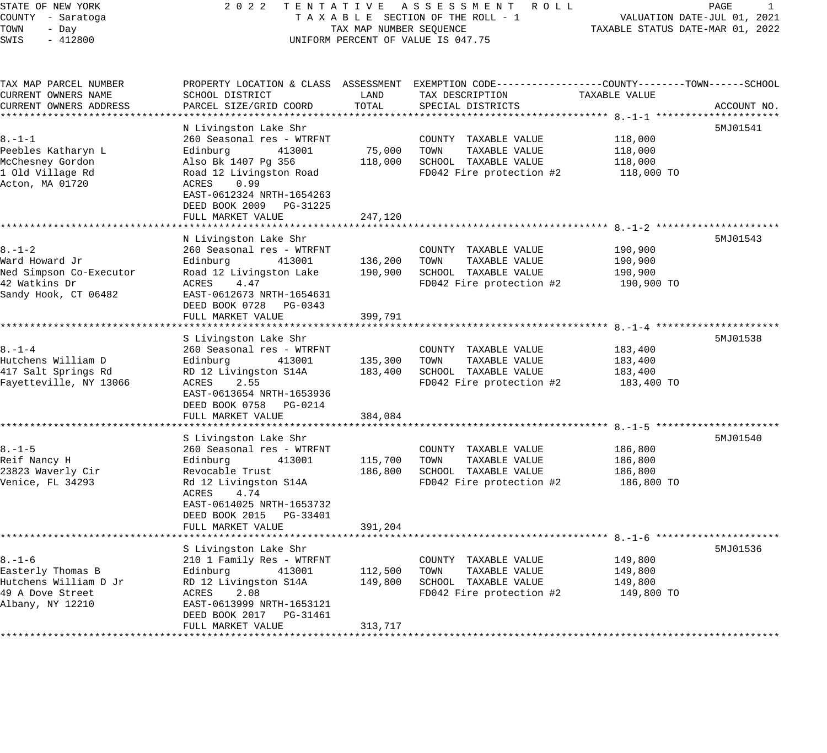| STATE OF NEW YORK<br>COUNTY - Saratoga | 2 0 2 2<br>TENTATIVE                         |                                  | A S S E S S M E N T R O L L<br>TAXABLE SECTION OF THE ROLL - 1                                   |                       | PAGE<br>1<br>VALUATION DATE-JUL 01, 2021 |
|----------------------------------------|----------------------------------------------|----------------------------------|--------------------------------------------------------------------------------------------------|-----------------------|------------------------------------------|
| TOWN<br>- Day                          | TAX MAP NUMBER SEQUENCE                      | TAXABLE STATUS DATE-MAR 01, 2022 |                                                                                                  |                       |                                          |
| SWIS<br>$-412800$                      | UNIFORM PERCENT OF VALUE IS 047.75           |                                  |                                                                                                  |                       |                                          |
|                                        |                                              |                                  |                                                                                                  |                       |                                          |
| TAX MAP PARCEL NUMBER                  |                                              |                                  | PROPERTY LOCATION & CLASS ASSESSMENT EXEMPTION CODE----------------COUNTY-------TOWN------SCHOOL |                       |                                          |
| CURRENT OWNERS NAME                    | SCHOOL DISTRICT                              | LAND                             | TAX DESCRIPTION                                                                                  | TAXABLE VALUE         |                                          |
| CURRENT OWNERS ADDRESS                 | PARCEL SIZE/GRID COORD                       | TOTAL                            | SPECIAL DISTRICTS                                                                                |                       | ACCOUNT NO.                              |
|                                        |                                              |                                  |                                                                                                  |                       |                                          |
|                                        | N Livingston Lake Shr                        |                                  |                                                                                                  |                       | 5MJ01541                                 |
| $8. - 1 - 1$                           | 260 Seasonal res - WTRFNT                    |                                  | COUNTY TAXABLE VALUE                                                                             | 118,000               |                                          |
| Peebles Katharyn L                     | Edinburg<br>413001                           | 75,000                           | TOWN<br>TAXABLE VALUE                                                                            | 118,000               |                                          |
| McChesney Gordon                       | Also Bk 1407 Pg 356                          | 118,000                          | SCHOOL TAXABLE VALUE                                                                             | 118,000               |                                          |
| 1 Old Village Rd<br>Acton, MA 01720    | Road 12 Livingston Road<br>0.99<br>ACRES     |                                  | FD042 Fire protection #2                                                                         | 118,000 TO            |                                          |
|                                        | EAST-0612324 NRTH-1654263                    |                                  |                                                                                                  |                       |                                          |
|                                        | DEED BOOK 2009 PG-31225                      |                                  |                                                                                                  |                       |                                          |
|                                        | FULL MARKET VALUE                            | 247,120                          |                                                                                                  |                       |                                          |
|                                        | *****************************                |                                  |                                                                                                  |                       |                                          |
|                                        | N Livingston Lake Shr                        |                                  |                                                                                                  |                       | 5MJ01543                                 |
| $8. - 1 - 2$                           | 260 Seasonal res - WTRFNT                    |                                  | COUNTY TAXABLE VALUE                                                                             | 190,900               |                                          |
| Ward Howard Jr                         | Edinburg<br>413001                           | 136,200                          | TOWN<br>TAXABLE VALUE                                                                            | 190,900               |                                          |
| Ned Simpson Co-Executor                | Road 12 Livingston Lake                      | 190,900                          | SCHOOL TAXABLE VALUE                                                                             | 190,900               |                                          |
| 42 Watkins Dr                          | ACRES<br>4.47                                |                                  | FD042 Fire protection #2                                                                         | 190,900 TO            |                                          |
| Sandy Hook, CT 06482                   | EAST-0612673 NRTH-1654631                    |                                  |                                                                                                  |                       |                                          |
|                                        | DEED BOOK 0728 PG-0343                       |                                  |                                                                                                  |                       |                                          |
|                                        | FULL MARKET VALUE                            | 399,791                          |                                                                                                  |                       |                                          |
|                                        | S Livingston Lake Shr                        |                                  |                                                                                                  |                       | 5MJ01538                                 |
| $8. - 1 - 4$                           | 260 Seasonal res - WTRFNT                    |                                  | COUNTY TAXABLE VALUE                                                                             | 183,400               |                                          |
| Hutchens William D                     | Edinburg<br>413001                           | 135,300                          | TOWN<br>TAXABLE VALUE                                                                            | 183,400               |                                          |
| 417 Salt Springs Rd                    | RD 12 Livingston S14A                        | 183,400                          | SCHOOL TAXABLE VALUE                                                                             | 183,400               |                                          |
| Fayetteville, NY 13066                 | ACRES<br>2.55                                |                                  | FD042 Fire protection #2                                                                         | 183,400 TO            |                                          |
|                                        | EAST-0613654 NRTH-1653936                    |                                  |                                                                                                  |                       |                                          |
|                                        | DEED BOOK 0758 PG-0214                       |                                  |                                                                                                  |                       |                                          |
|                                        | FULL MARKET VALUE                            | 384,084                          |                                                                                                  |                       |                                          |
|                                        |                                              |                                  |                                                                                                  |                       |                                          |
|                                        | S Livingston Lake Shr                        |                                  |                                                                                                  |                       | 5MJ01540                                 |
| $8. - 1 - 5$                           | 260 Seasonal res - WTRFNT                    |                                  | COUNTY TAXABLE VALUE                                                                             | 186,800               |                                          |
| Reif Nancy H                           | 413001<br>Edinburg                           | 115,700                          | TOWN<br>TAXABLE VALUE                                                                            | 186,800               |                                          |
| 23823 Waverly Cir<br>Venice, FL 34293  | Revocable Trust                              | 186,800                          | SCHOOL TAXABLE VALUE<br>FD042 Fire protection #2                                                 | 186,800<br>186,800 TO |                                          |
|                                        | Rd 12 Livingston S14A<br>ACRES<br>4.74       |                                  |                                                                                                  |                       |                                          |
|                                        | EAST-0614025 NRTH-1653732                    |                                  |                                                                                                  |                       |                                          |
|                                        | DEED BOOK 2015 PG-33401                      |                                  |                                                                                                  |                       |                                          |
|                                        | FULL MARKET VALUE                            | 391,204                          |                                                                                                  |                       |                                          |
|                                        |                                              |                                  |                                                                                                  |                       |                                          |
|                                        | S Livingston Lake Shr                        |                                  |                                                                                                  |                       | 5MJ01536                                 |
| $8. - 1 - 6$                           | 210 1 Family Res - WTRFNT                    |                                  | COUNTY TAXABLE VALUE                                                                             | 149,800               |                                          |
| Easterly Thomas B                      | Edinburg<br>413001                           | 112,500                          | TOWN<br>TAXABLE VALUE                                                                            | 149,800               |                                          |
| Hutchens William D Jr                  | RD 12 Livingston S14A                        | 149,800                          | SCHOOL TAXABLE VALUE                                                                             | 149,800               |                                          |
| 49 A Dove Street                       | 2.08<br>ACRES                                |                                  | FD042 Fire protection #2                                                                         | 149,800 TO            |                                          |
| Albany, NY 12210                       | EAST-0613999 NRTH-1653121                    |                                  |                                                                                                  |                       |                                          |
|                                        | DEED BOOK 2017 PG-31461<br>FULL MARKET VALUE | 313,717                          |                                                                                                  |                       |                                          |
|                                        |                                              |                                  |                                                                                                  |                       |                                          |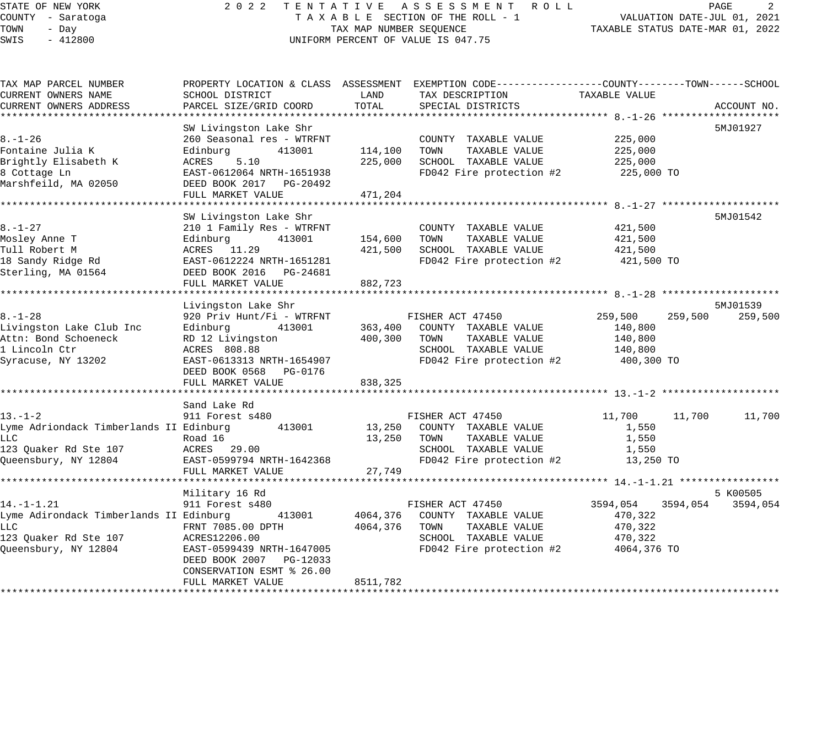# STATE OF NEW YORK 2 0 2 2 T E N T A T I V E A S S E S S M E N T R O L L PAGE 2 COUNTY - Saratoga T A X A B L E SECTION OF THE ROLL - 1 VALUATION DATE-JUL 01, 2021 UNIFORM PERCENT OF VALUE IS 047.75

| TAX MAP PARCEL NUMBER                   |                            |          | PROPERTY LOCATION & CLASS ASSESSMENT EXEMPTION CODE----------------COUNTY-------TOWN------SCHOOL |                      |             |
|-----------------------------------------|----------------------------|----------|--------------------------------------------------------------------------------------------------|----------------------|-------------|
| CURRENT OWNERS NAME                     | SCHOOL DISTRICT            | LAND     | TAX DESCRIPTION                                                                                  | TAXABLE VALUE        |             |
| CURRENT OWNERS ADDRESS                  | PARCEL SIZE/GRID COORD     | TOTAL    | SPECIAL DISTRICTS                                                                                |                      | ACCOUNT NO. |
|                                         | SW Livingston Lake Shr     |          |                                                                                                  |                      | 5MJ01927    |
| $8. - 1 - 26$                           | 260 Seasonal res - WTRFNT  |          | COUNTY TAXABLE VALUE                                                                             | 225,000              |             |
| Fontaine Julia K                        | Edinburg<br>413001         | 114,100  | TOWN<br>TAXABLE VALUE                                                                            | 225,000              |             |
| Brightly Elisabeth K                    | ACRES<br>5.10              | 225,000  | SCHOOL TAXABLE VALUE                                                                             | 225,000              |             |
| 8 Cottage Ln                            | EAST-0612064 NRTH-1651938  |          | FD042 Fire protection #2                                                                         | 225,000 TO           |             |
| Marshfeild, MA 02050                    | DEED BOOK 2017 PG-20492    |          |                                                                                                  |                      |             |
|                                         | FULL MARKET VALUE          | 471,204  |                                                                                                  |                      |             |
|                                         |                            |          |                                                                                                  |                      |             |
|                                         | SW Livingston Lake Shr     |          |                                                                                                  |                      | 5MJ01542    |
| $8. - 1 - 27$                           | 210 1 Family Res - WTRFNT  |          | COUNTY TAXABLE VALUE                                                                             | 421,500              |             |
| Mosley Anne T                           | 413001<br>Edinburg         | 154,600  | TOWN<br>TAXABLE VALUE                                                                            | 421,500              |             |
| Tull Robert M                           | ACRES 11.29                | 421,500  | SCHOOL TAXABLE VALUE                                                                             | 421,500              |             |
| 18 Sandy Ridge Rd                       | EAST-0612224 NRTH-1651281  |          | FD042 Fire protection #2                                                                         | 421,500 TO           |             |
| Sterling, MA 01564                      | DEED BOOK 2016    PG-24681 |          |                                                                                                  |                      |             |
|                                         | FULL MARKET VALUE          | 882,723  |                                                                                                  |                      |             |
|                                         |                            |          |                                                                                                  |                      |             |
|                                         | Livingston Lake Shr        |          |                                                                                                  |                      | 5MJ01539    |
| $8. - 1 - 28$                           | 920 Priv Hunt/Fi - WTRFNT  |          | FISHER ACT 47450                                                                                 | 259,500<br>259,500   | 259,500     |
| Livingston Lake Club Inc                | Edinburg<br>413001         | 363,400  | COUNTY TAXABLE VALUE                                                                             | 140,800              |             |
| Attn: Bond Schoeneck                    | RD 12 Livingston           | 400,300  | TOWN<br>TAXABLE VALUE                                                                            | 140,800              |             |
| 1 Lincoln Ctr                           | ACRES 808.88               |          | SCHOOL TAXABLE VALUE                                                                             | 140,800              |             |
| Syracuse, NY 13202                      | EAST-0613313 NRTH-1654907  |          | FD042 Fire protection #2                                                                         | 400,300 TO           |             |
|                                         | DEED BOOK 0568<br>PG-0176  |          |                                                                                                  |                      |             |
|                                         | FULL MARKET VALUE          | 838,325  |                                                                                                  |                      |             |
|                                         |                            |          |                                                                                                  |                      |             |
|                                         | Sand Lake Rd               |          |                                                                                                  |                      |             |
| $13. - 1 - 2$                           | 911 Forest s480            |          | FISHER ACT 47450                                                                                 | 11,700<br>11,700     | 11,700      |
| Lyme Adriondack Timberlands II Edinburg | 413001                     | 13,250   | COUNTY TAXABLE VALUE                                                                             | 1,550                |             |
| LLC                                     | Road 16                    | 13,250   | TOWN<br>TAXABLE VALUE                                                                            | 1,550                |             |
| 123 Ouaker Rd Ste 107                   | ACRES 29.00                |          | SCHOOL TAXABLE VALUE                                                                             | 1,550                |             |
| Queensbury, NY 12804                    | EAST-0599794 NRTH-1642368  |          | FD042 Fire protection #2                                                                         | 13,250 TO            |             |
|                                         | FULL MARKET VALUE          | 27,749   |                                                                                                  |                      |             |
|                                         |                            |          |                                                                                                  |                      |             |
|                                         | Military 16 Rd             |          |                                                                                                  |                      | 5 K00505    |
| $14. - 1 - 1.21$                        | 911 Forest s480            |          | FISHER ACT 47450                                                                                 | 3594,054<br>3594,054 | 3594,054    |
| Lyme Adirondack Timberlands II Edinburg | 413001                     | 4064,376 | COUNTY TAXABLE VALUE                                                                             | 470,322              |             |
| LLC.                                    | FRNT 7085.00 DPTH          | 4064,376 | TOWN<br>TAXABLE VALUE                                                                            | 470,322              |             |
| 123 Quaker Rd Ste 107                   | ACRES12206.00              |          | SCHOOL TAXABLE VALUE                                                                             | 470,322              |             |
| Oueensbury, NY 12804                    | EAST-0599439 NRTH-1647005  |          | FD042 Fire protection #2                                                                         | 4064,376 TO          |             |
|                                         | DEED BOOK 2007 PG-12033    |          |                                                                                                  |                      |             |
|                                         | CONSERVATION ESMT % 26.00  |          |                                                                                                  |                      |             |
|                                         | FULL MARKET VALUE          | 8511,782 |                                                                                                  |                      |             |
|                                         |                            |          |                                                                                                  |                      |             |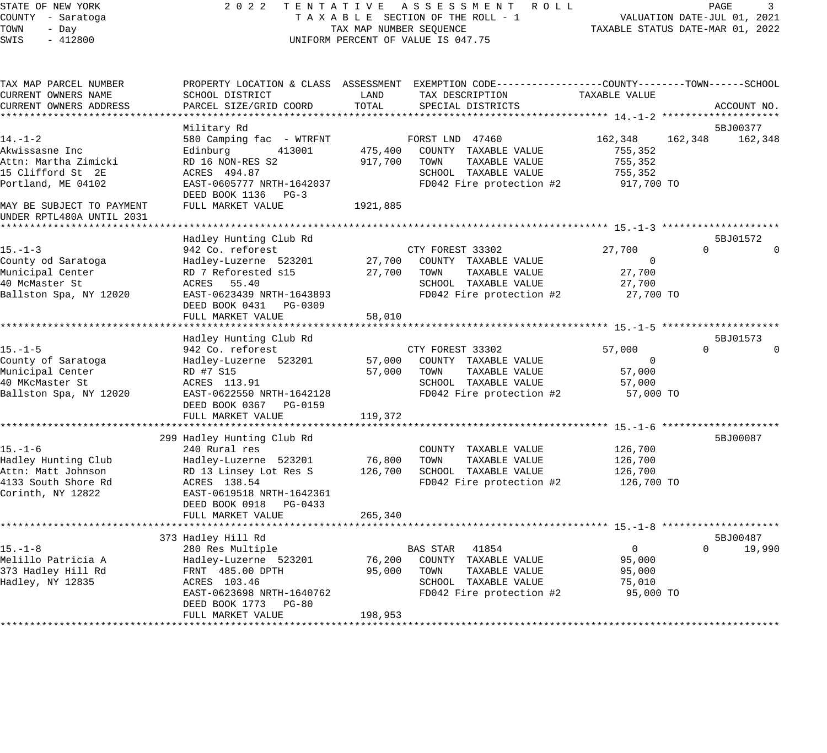| STATE OF NEW YORK<br>COUNTY - Saratoga                                 | 2 0 2 2<br>TENTATIVE<br>TAXABLE SECTION OF THE ROLL - 1                  | A S S E S S M E N T R O L L<br>PAGE<br>3<br>VALUATION DATE-JUL 01, 2021 |                                                                                                                                          |                     |          |             |
|------------------------------------------------------------------------|--------------------------------------------------------------------------|-------------------------------------------------------------------------|------------------------------------------------------------------------------------------------------------------------------------------|---------------------|----------|-------------|
| TOWN<br>- Day<br>$-412800$<br>SWIS                                     | TAX MAP NUMBER SEQUENCE<br>UNIFORM PERCENT OF VALUE IS 047.75            | TAXABLE STATUS DATE-MAR 01, 2022                                        |                                                                                                                                          |                     |          |             |
| TAX MAP PARCEL NUMBER<br>CURRENT OWNERS NAME<br>CURRENT OWNERS ADDRESS | SCHOOL DISTRICT<br>PARCEL SIZE/GRID COORD                                | LAND<br>TOTAL                                                           | PROPERTY LOCATION & CLASS ASSESSMENT EXEMPTION CODE----------------COUNTY-------TOWN------SCHOOL<br>TAX DESCRIPTION<br>SPECIAL DISTRICTS | TAXABLE VALUE       |          | ACCOUNT NO. |
|                                                                        |                                                                          |                                                                         |                                                                                                                                          |                     |          |             |
|                                                                        | Military Rd                                                              |                                                                         |                                                                                                                                          |                     |          | 5BJ00377    |
| $14. - 1 - 2$                                                          | 580 Camping fac - WTRFNT                                                 |                                                                         | FORST LND 47460                                                                                                                          | 162,348             | 162,348  | 162,348     |
| Akwissasne Inc                                                         | Edinburg<br>413001                                                       | 475,400                                                                 | COUNTY TAXABLE VALUE                                                                                                                     | 755,352             |          |             |
| Attn: Martha Zimicki                                                   | RD 16 NON-RES S2                                                         | 917,700                                                                 | TAXABLE VALUE<br>TOWN                                                                                                                    | 755,352             |          |             |
| 15 Clifford St 2E                                                      | ACRES 494.87                                                             |                                                                         | SCHOOL TAXABLE VALUE                                                                                                                     | 755,352             |          |             |
| Portland, ME 04102                                                     | EAST-0605777 NRTH-1642037<br>DEED BOOK 1136 PG-3                         |                                                                         | FD042 Fire protection #2                                                                                                                 | 917,700 TO          |          |             |
| MAY BE SUBJECT TO PAYMENT<br>UNDER RPTL480A UNTIL 2031                 | FULL MARKET VALUE                                                        | 1921,885                                                                |                                                                                                                                          |                     |          |             |
|                                                                        |                                                                          |                                                                         |                                                                                                                                          |                     |          |             |
|                                                                        | Hadley Hunting Club Rd                                                   |                                                                         |                                                                                                                                          |                     |          | 5BJ01572    |
| $15. - 1 - 3$                                                          | 942 Co. reforest                                                         |                                                                         | CTY FOREST 33302                                                                                                                         | 27,700              | $\Omega$ |             |
| County od Saratoga                                                     | Hadley-Luzerne 523201                                                    | 27,700                                                                  | COUNTY TAXABLE VALUE                                                                                                                     | $\mathbf 0$         |          |             |
| Municipal Center                                                       | RD 7 Reforested s15                                                      | 27,700                                                                  | TOWN<br>TAXABLE VALUE                                                                                                                    | 27,700              |          |             |
| 40 McMaster St                                                         | ACRES 55.40                                                              |                                                                         | SCHOOL TAXABLE VALUE                                                                                                                     | 27,700              |          |             |
| Ballston Spa, NY 12020                                                 | EAST-0623439 NRTH-1643893<br>DEED BOOK 0431 PG-0309<br>FULL MARKET VALUE | 58,010                                                                  | FD042 Fire protection #2                                                                                                                 | 27,700 TO           |          |             |
|                                                                        |                                                                          |                                                                         |                                                                                                                                          |                     |          |             |
|                                                                        | Hadley Hunting Club Rd                                                   |                                                                         |                                                                                                                                          |                     |          | 5BJ01573    |
| 15.–1–5                                                                | 942 Co. reforest                                                         |                                                                         | CTY FOREST 33302                                                                                                                         | 57,000              | $\Omega$ |             |
| County of Saratoga                                                     | Hadley-Luzerne 523201                                                    | 57,000                                                                  | COUNTY TAXABLE VALUE                                                                                                                     | 0                   |          |             |
| Municipal Center                                                       | RD #7 S15                                                                | 57,000                                                                  | TOWN<br>TAXABLE VALUE                                                                                                                    | 57,000              |          |             |
| 40 MKcMaster St                                                        | ACRES 113.91                                                             |                                                                         | SCHOOL TAXABLE VALUE                                                                                                                     | 57,000              |          |             |
| Ballston Spa, NY 12020                                                 | EAST-0622550 NRTH-1642128<br>DEED BOOK 0367 PG-0159                      |                                                                         | FD042 Fire protection #2                                                                                                                 | 57,000 TO           |          |             |
|                                                                        | FULL MARKET VALUE                                                        | 119,372                                                                 |                                                                                                                                          |                     |          |             |
|                                                                        |                                                                          |                                                                         |                                                                                                                                          |                     |          |             |
|                                                                        | 299 Hadley Hunting Club Rd                                               |                                                                         |                                                                                                                                          |                     |          | 5BJ00087    |
| $15. - 1 - 6$<br>Hadley Hunting Club                                   | 240 Rural res<br>Hadley-Luzerne 523201                                   | 76,800                                                                  | COUNTY TAXABLE VALUE<br>TOWN<br>TAXABLE VALUE                                                                                            | 126,700<br>126,700  |          |             |
| Attn: Matt Johnson                                                     | RD 13 Linsey Lot Res S                                                   | 126,700                                                                 | SCHOOL TAXABLE VALUE                                                                                                                     | 126,700             |          |             |
| 4133 South Shore Rd                                                    | ACRES 138.54                                                             |                                                                         | FD042 Fire protection #2                                                                                                                 | 126,700 TO          |          |             |
| Corinth, NY 12822                                                      | EAST-0619518 NRTH-1642361                                                |                                                                         |                                                                                                                                          |                     |          |             |
|                                                                        | DEED BOOK 0918 PG-0433                                                   |                                                                         |                                                                                                                                          |                     |          |             |
|                                                                        | FULL MARKET VALUE                                                        | 265,340                                                                 |                                                                                                                                          |                     |          |             |
|                                                                        | ******************************                                           |                                                                         |                                                                                                                                          |                     |          |             |
|                                                                        | 373 Hadley Hill Rd                                                       |                                                                         |                                                                                                                                          |                     |          | 5BJ00487    |
| $15. - 1 - 8$                                                          | 280 Res Multiple                                                         |                                                                         | BAS STAR<br>41854                                                                                                                        | $\overline{0}$      | $\Omega$ | 19,990      |
| Melillo Patricia A                                                     | Hadley-Luzerne 523201                                                    | 76,200                                                                  | COUNTY TAXABLE VALUE                                                                                                                     | 95,000              |          |             |
| 373 Hadley Hill Rd                                                     | FRNT 485.00 DPTH                                                         | 95,000                                                                  | TOWN<br>TAXABLE VALUE                                                                                                                    | 95,000              |          |             |
| Hadley, NY 12835                                                       | ACRES 103.46<br>EAST-0623698 NRTH-1640762                                |                                                                         | SCHOOL TAXABLE VALUE<br>FD042 Fire protection #2                                                                                         | 75,010<br>95,000 TO |          |             |
|                                                                        | DEED BOOK 1773<br>$PG-80$                                                |                                                                         |                                                                                                                                          |                     |          |             |
|                                                                        | FULL MARKET VALUE                                                        | 198,953                                                                 |                                                                                                                                          |                     |          |             |
|                                                                        |                                                                          |                                                                         |                                                                                                                                          |                     |          |             |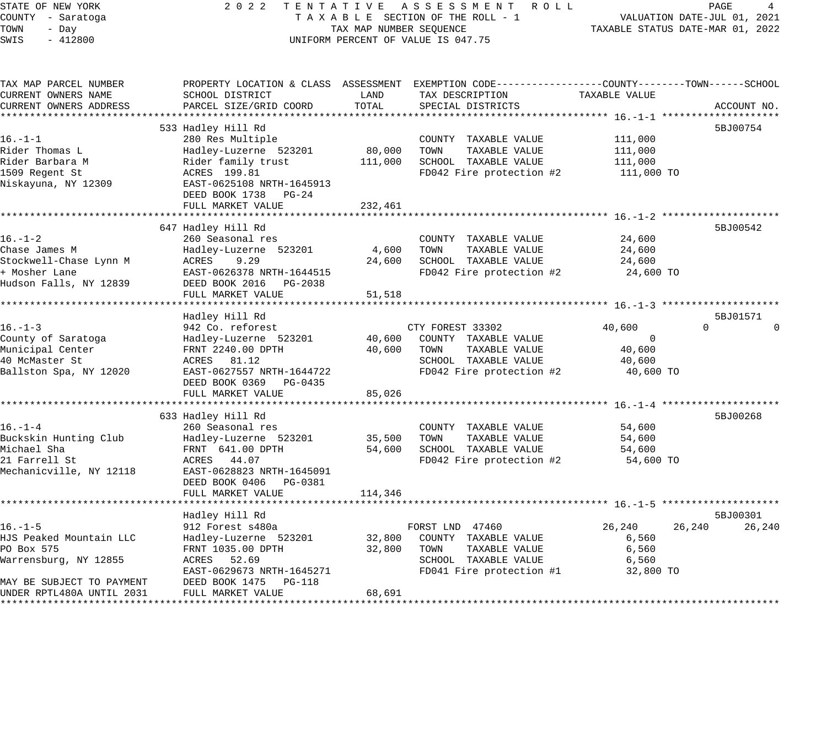## STATE OF NEW YORK 2 0 2 2 T E N T A T I V E A S S E S S M E N T R O L L PAGE 4 COUNTY - Saratoga T A X A B L E SECTION OF THE ROLL - 1 VALUATION DATE-JUL 01, 2021 TOWN - Day TAX MAP NUMBER SEQUENCE TAXABLE STATUS DATE-MAR 01, 2022 TOWN - Day TOWN - Day TOWN - Day TOWN PERCENT OF VALUE IS 047.75

| PARCEL SIZE/GRID COORD                                                                                                                                                     | TOTAL                                                                                                                    | SPECIAL DISTRICTS                                                     |                                                           | ACCOUNT NO.                                                                                                                                                                                                                                                            |
|----------------------------------------------------------------------------------------------------------------------------------------------------------------------------|--------------------------------------------------------------------------------------------------------------------------|-----------------------------------------------------------------------|-----------------------------------------------------------|------------------------------------------------------------------------------------------------------------------------------------------------------------------------------------------------------------------------------------------------------------------------|
|                                                                                                                                                                            |                                                                                                                          |                                                                       |                                                           |                                                                                                                                                                                                                                                                        |
| 280 Res Multiple<br>Hadley-Luzerne 523201<br>Rider family trust<br>ACRES 199.81<br>EAST-0625108 NRTH-1645913<br>DEED BOOK 1738<br>$PG-24$<br>FULL MARKET VALUE             | 80,000<br>111,000<br>232,461                                                                                             | COUNTY TAXABLE VALUE<br>TOWN<br>TAXABLE VALUE<br>SCHOOL TAXABLE VALUE | 111,000<br>111,000<br>111,000<br>111,000 TO               | 5BJ00754                                                                                                                                                                                                                                                               |
|                                                                                                                                                                            |                                                                                                                          |                                                                       |                                                           | 5BJ00542                                                                                                                                                                                                                                                               |
| 260 Seasonal res<br>Hadley-Luzerne 523201<br>ACRES<br>9.29<br>EAST-0626378 NRTH-1644515<br>DEED BOOK 2016 PG-2038<br>FULL MARKET VALUE                                     | 4,600<br>24,600<br>51,518                                                                                                | COUNTY TAXABLE VALUE<br>TOWN<br>TAXABLE VALUE<br>SCHOOL TAXABLE VALUE | 24,600<br>24,600<br>24,600<br>24,600 TO                   |                                                                                                                                                                                                                                                                        |
|                                                                                                                                                                            |                                                                                                                          |                                                                       |                                                           | 5BJ01571                                                                                                                                                                                                                                                               |
| 942 Co. reforest<br>Hadley-Luzerne 523201<br>FRNT 2240.00 DPTH<br>ACRES 81.12<br>EAST-0627557 NRTH-1644722<br>DEED BOOK 0369 PG-0435<br>FULL MARKET VALUE                  | 40,600<br>40,600<br>85,026                                                                                               | COUNTY TAXABLE VALUE<br>TOWN<br>TAXABLE VALUE<br>SCHOOL TAXABLE VALUE | 40,600<br>$\overline{0}$<br>40,600<br>40,600<br>40,600 TO | $\Omega$<br>$\Omega$                                                                                                                                                                                                                                                   |
|                                                                                                                                                                            |                                                                                                                          |                                                                       |                                                           | 5BJ00268                                                                                                                                                                                                                                                               |
| 260 Seasonal res<br>Hadley-Luzerne 523201<br>FRNT 641.00 DPTH<br>ACRES 44.07<br>EAST-0628823 NRTH-1645091<br>DEED BOOK 0406 PG-0381                                        | 35,500<br>54,600                                                                                                         | COUNTY TAXABLE VALUE<br>TOWN<br>TAXABLE VALUE<br>SCHOOL TAXABLE VALUE | 54,600<br>54,600<br>54,600                                |                                                                                                                                                                                                                                                                        |
|                                                                                                                                                                            |                                                                                                                          |                                                                       |                                                           |                                                                                                                                                                                                                                                                        |
| Hadley Hill Rd<br>912 Forest s480a<br>Hadley-Luzerne 523201<br>FRNT 1035.00 DPTH<br>ACRES 52.69<br>EAST-0629673 NRTH-1645271<br>DEED BOOK 1475 PG-118<br>FULL MARKET VALUE | 32,800<br>32,800<br>68,691                                                                                               | COUNTY TAXABLE VALUE<br>TOWN<br>TAXABLE VALUE<br>SCHOOL TAXABLE VALUE | 26,240<br>6,560<br>6,560<br>6,560<br>32,800 TO            | 5BJ00301<br>26,240<br>26,240                                                                                                                                                                                                                                           |
|                                                                                                                                                                            | SCHOOL DISTRICT<br>533 Hadley Hill Rd<br>647 Hadley Hill Rd<br>Hadley Hill Rd<br>633 Hadley Hill Rd<br>FULL MARKET VALUE | LAND<br>114,346                                                       | TAX DESCRIPTION<br>CTY FOREST 33302<br>FORST LND 47460    | PROPERTY LOCATION & CLASS ASSESSMENT EXEMPTION CODE---------------COUNTY-------TOWN------SCHOOL<br>TAXABLE VALUE<br>FD042 Fire protection #2<br>FD042 Fire protection #2<br>FD042 Fire protection #2<br>FD042 Fire protection #2 54,600 TO<br>FD041 Fire protection #1 |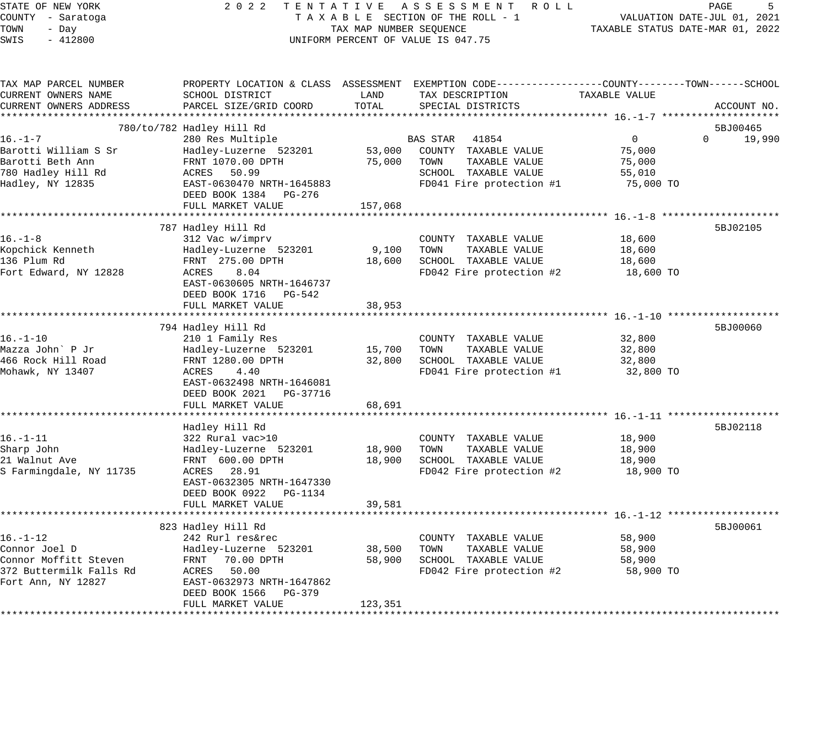### STATE OF NEW YORK 2 0 2 2 T E N T A T I V E A S S E S S M E N T R O L L PAGE 5 COUNTY - Saratoga T A X A B L E SECTION OF THE ROLL - 1 VALUATION DATE-JUL 01, 2021 TAX A B L E SECTION OF THE ROLL - 1<br>TAXABLE STATUS DATE-MAR 01, 2022 UNIFORM PERCENT OF VALUE IS 047.75

| TAX MAP PARCEL NUMBER   | PROPERTY LOCATION & CLASS ASSESSMENT EXEMPTION CODE----------------COUNTY-------TOWN------SCHOOL |         |                             |               |                    |
|-------------------------|--------------------------------------------------------------------------------------------------|---------|-----------------------------|---------------|--------------------|
| CURRENT OWNERS NAME     | SCHOOL DISTRICT                                                                                  | LAND    | TAX DESCRIPTION             | TAXABLE VALUE |                    |
| CURRENT OWNERS ADDRESS  | PARCEL SIZE/GRID COORD                                                                           | TOTAL   | SPECIAL DISTRICTS           |               | ACCOUNT NO.        |
|                         |                                                                                                  |         |                             |               |                    |
|                         | 780/to/782 Hadley Hill Rd                                                                        |         |                             |               | 5BJ00465           |
| $16. - 1 - 7$           | 280 Res Multiple                                                                                 |         | BAS STAR 41854              | 0             | $\Omega$<br>19,990 |
| Barotti William S Sr    | Hadley-Luzerne 523201                                                                            |         | 53,000 COUNTY TAXABLE VALUE | 75,000        |                    |
| Barotti Beth Ann        | FRNT 1070.00 DPTH                                                                                | 75,000  | TOWN<br>TAXABLE VALUE       | 75,000        |                    |
| 780 Hadley Hill Rd      | ACRES 50.99                                                                                      |         | SCHOOL TAXABLE VALUE        | 55,010        |                    |
| Hadley, NY 12835        | EAST-0630470 NRTH-1645883                                                                        |         | FD041 Fire protection #1    | 75,000 TO     |                    |
|                         | DEED BOOK 1384 PG-276                                                                            |         |                             |               |                    |
|                         | FULL MARKET VALUE                                                                                | 157,068 |                             |               |                    |
|                         |                                                                                                  |         |                             |               |                    |
|                         | 787 Hadley Hill Rd                                                                               |         |                             |               | 5BJ02105           |
| $16. - 1 - 8$           | 312 Vac w/imprv                                                                                  |         | COUNTY TAXABLE VALUE        | 18,600        |                    |
| Kopchick Kenneth        | Hadley-Luzerne 523201                                                                            | 9,100   | TOWN<br>TAXABLE VALUE       | 18,600        |                    |
| 136 Plum Rd             | FRNT 275.00 DPTH                                                                                 | 18,600  | SCHOOL TAXABLE VALUE        | 18,600        |                    |
| Fort Edward, NY 12828   | 8.04<br>ACRES                                                                                    |         | FD042 Fire protection #2    | 18,600 TO     |                    |
|                         | EAST-0630605 NRTH-1646737                                                                        |         |                             |               |                    |
|                         | DEED BOOK 1716 PG-542                                                                            |         |                             |               |                    |
|                         | FULL MARKET VALUE                                                                                | 38,953  |                             |               |                    |
|                         |                                                                                                  |         |                             |               |                    |
|                         | 794 Hadley Hill Rd                                                                               |         |                             |               | 5BJ00060           |
| $16. - 1 - 10$          | 210 1 Family Res                                                                                 |         | COUNTY TAXABLE VALUE        | 32,800        |                    |
| Mazza John` P Jr        | Hadley-Luzerne 523201                                                                            | 15,700  | TOWN<br>TAXABLE VALUE       | 32,800        |                    |
| 466 Rock Hill Road      | FRNT 1280.00 DPTH                                                                                | 32,800  | SCHOOL TAXABLE VALUE        | 32,800        |                    |
| Mohawk, NY 13407        | ACRES<br>4.40                                                                                    |         | FD041 Fire protection #1    | 32,800 TO     |                    |
|                         | EAST-0632498 NRTH-1646081                                                                        |         |                             |               |                    |
|                         |                                                                                                  |         |                             |               |                    |
|                         | DEED BOOK 2021    PG-37716                                                                       |         |                             |               |                    |
|                         | FULL MARKET VALUE                                                                                | 68,691  |                             |               |                    |
|                         |                                                                                                  |         |                             |               |                    |
|                         | Hadley Hill Rd                                                                                   |         |                             |               | 5BJ02118           |
| $16. - 1 - 11$          | 322 Rural vac>10                                                                                 |         | COUNTY TAXABLE VALUE        | 18,900        |                    |
| Sharp John              | Hadley-Luzerne 523201                                                                            | 18,900  | TAXABLE VALUE<br>TOWN       | 18,900        |                    |
| 21 Walnut Ave           | FRNT 600.00 DPTH                                                                                 | 18,900  | SCHOOL TAXABLE VALUE        | 18,900        |                    |
| S Farmingdale, NY 11735 | ACRES 28.91                                                                                      |         | FD042 Fire protection #2    | 18,900 TO     |                    |
|                         | EAST-0632305 NRTH-1647330                                                                        |         |                             |               |                    |
|                         | DEED BOOK 0922 PG-1134                                                                           |         |                             |               |                    |
|                         | FULL MARKET VALUE                                                                                | 39,581  |                             |               |                    |
|                         |                                                                                                  |         |                             |               |                    |
|                         | 823 Hadley Hill Rd                                                                               |         |                             |               | 5BJ00061           |
| $16. - 1 - 12$          | 242 Rurl res&rec                                                                                 |         | COUNTY TAXABLE VALUE        | 58,900        |                    |
| Connor Joel D           | Hadley-Luzerne 523201                                                                            | 38,500  | TOWN<br>TAXABLE VALUE       | 58,900        |                    |
| Connor Moffitt Steven   | FRNT 70.00 DPTH                                                                                  | 58,900  | SCHOOL TAXABLE VALUE        | 58,900        |                    |
| 372 Buttermilk Falls Rd | ACRES 50.00                                                                                      |         | FD042 Fire protection #2    | 58,900 TO     |                    |
| Fort Ann, NY 12827      | EAST-0632973 NRTH-1647862                                                                        |         |                             |               |                    |
|                         | DEED BOOK 1566 PG-379                                                                            |         |                             |               |                    |
|                         | FULL MARKET VALUE                                                                                | 123,351 |                             |               |                    |
|                         |                                                                                                  |         |                             |               |                    |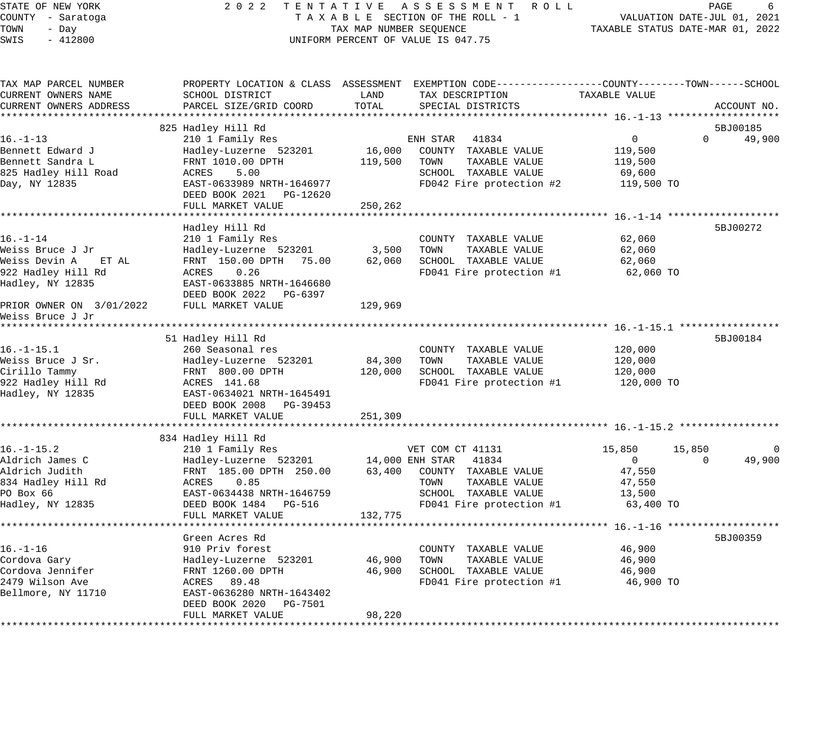STATE OF NEW YORK 2 0 2 2 T E N T A T I V E A S S E S S M E N T R O L L PAGE 6 COUNTY - Saratoga T A X A B L E SECTION OF THE ROLL - 1 VALUATION DATE-JUL 01, 2021 TOWN - Day TAX MAP NUMBER SEQUENCE TAXABLE STATUS DATE-MAR 01, 2022 SWIS - 412800 CONTROLLY THE UNIFORM PERCENT OF VALUE IS 047.75 TAX MAP PARCEL NUMBER PROPERTY LOCATION & CLASS ASSESSMENT EXEMPTION CODE---------------COUNTY--------TOWN------SCHOOL CURRENT OWNERS NAME SCHOOL DISTRICT LAND TAX DESCRIPTION TAXABLE VALUE CURRENT OWNERS ADDRESS PARCEL SIZE/GRID COORD TOTAL SPECIAL DISTRICTS ACCOUNT NO. \*\*\*\*\*\*\*\*\*\*\*\*\*\*\*\*\*\*\*\*\*\*\*\*\*\*\*\*\*\*\*\*\*\*\*\*\*\*\*\*\*\*\*\*\*\*\*\*\*\*\*\*\*\*\*\*\*\*\*\*\*\*\*\*\*\*\*\*\*\*\*\*\*\*\*\*\*\*\*\*\*\*\*\*\*\*\*\*\*\*\*\*\*\*\*\*\*\*\*\*\*\*\* 16.-1-13 \*\*\*\*\*\*\*\*\*\*\*\*\*\*\*\*\*\*\* 825 Hadley Hill Rd 5BJ00185 (1986) 825 Hadley Hill Rd 5BJ00185 (1986) 836 Hadley Rd 5BJ00185 (1986) 836 Hadley Rd 5BJ00185 16.-1-13 210 1 Family Res ENH STAR 41834 0 0 49,900 Bennett Edward J Hadley-Luzerne 523201 16,000 COUNTY TAXABLE VALUE 119,500 Bennett Sandra L FRNT 1010.00 DPTH 119,500 TOWN TAXABLE VALUE 119,500 825 Hadley Hill Road ACRES 5.00 SCHOOL TAXABLE VALUE 69,600 Day, NY 12835 EAST-0633989 NRTH-1646977 FD042 Fire protection #2 119,500 TO DEED BOOK 2021 PG-12620 FULL MARKET VALUE 250,262 \*\*\*\*\*\*\*\*\*\*\*\*\*\*\*\*\*\*\*\*\*\*\*\*\*\*\*\*\*\*\*\*\*\*\*\*\*\*\*\*\*\*\*\*\*\*\*\*\*\*\*\*\*\*\*\*\*\*\*\*\*\*\*\*\*\*\*\*\*\*\*\*\*\*\*\*\*\*\*\*\*\*\*\*\*\*\*\*\*\*\*\*\*\*\*\*\*\*\*\*\*\*\* 16.-1-14 \*\*\*\*\*\*\*\*\*\*\*\*\*\*\*\*\*\*\* Hadley Hill Rd 5BJ00272 16.-1-14 210 1 Family Res COUNTY TAXABLE VALUE 62,060 Weiss Bruce J Jr Hadley-Luzerne 523201 3,500 TOWN TAXABLE VALUE 62,060 Weiss Devin A ET AL FRNT 150.00 DPTH 75.00 62,060 SCHOOL TAXABLE VALUE 62,060 922 Hadley Hill Rd ACRES 0.26 FD041 Fire protection #1 62,060 TO Hadley, NY 12835 EAST-0633885 NRTH-1646680 DEED BOOK 2022 PG-6397 PRIOR OWNER ON 3/01/2022 FULL MARKET VALUE 129,969 Weiss Bruce J Jr \*\*\*\*\*\*\*\*\*\*\*\*\*\*\*\*\*\*\*\*\*\*\*\*\*\*\*\*\*\*\*\*\*\*\*\*\*\*\*\*\*\*\*\*\*\*\*\*\*\*\*\*\*\*\*\*\*\*\*\*\*\*\*\*\*\*\*\*\*\*\*\*\*\*\*\*\*\*\*\*\*\*\*\*\*\*\*\*\*\*\*\*\*\*\*\*\*\*\*\*\*\*\* 16.-1-15.1 \*\*\*\*\*\*\*\*\*\*\*\*\*\*\*\*\* 51 Hadley Hill Rd 5BJ00184 16.-1-15.1 260 Seasonal res COUNTY TAXABLE VALUE 120,000 Weiss Bruce J Sr. Hadley-Luzerne 523201 84,300 TOWN TAXABLE VALUE 120,000 Cirillo Tammy FRNT 800.00 DPTH 120,000 SCHOOL TAXABLE VALUE 120,000 922 Hadley Hill Rd ACRES 141.68 FD041 Fire protection #1 120,000 TO Hadley, NY 12835 EAST-0634021 NRTH-1645491 DEED BOOK 2008 PG-39453 FULL MARKET VALUE 251,309 \*\*\*\*\*\*\*\*\*\*\*\*\*\*\*\*\*\*\*\*\*\*\*\*\*\*\*\*\*\*\*\*\*\*\*\*\*\*\*\*\*\*\*\*\*\*\*\*\*\*\*\*\*\*\*\*\*\*\*\*\*\*\*\*\*\*\*\*\*\*\*\*\*\*\*\*\*\*\*\*\*\*\*\*\*\*\*\*\*\*\*\*\*\*\*\*\*\*\*\*\*\*\* 16.-1-15.2 \*\*\*\*\*\*\*\*\*\*\*\*\*\*\*\*\* 834 Hadley Hill Rd 16.-1-15.2 210 1 Family Res VET COM CT 41131 15,850 15,850 0 Aldrich James C Hadley-Luzerne 523201 14,000 ENH STAR 41834 0 0 49,900 Aldrich Judith FRNT 185.00 DPTH 250.00 63,400 COUNTY TAXABLE VALUE 47,550 834 Hadley Hill Rd ACRES 0.85 TOWN TAXABLE VALUE 47,550 PO Box 66 EAST-0634438 NRTH-1646759 SCHOOL TAXABLE VALUE 13,500 Hadley, NY 12835 DEED BOOK 1484 PG-516 FD041 Fire protection #1 63,400 TO FULL MARKET VALUE 132,775 \*\*\*\*\*\*\*\*\*\*\*\*\*\*\*\*\*\*\*\*\*\*\*\*\*\*\*\*\*\*\*\*\*\*\*\*\*\*\*\*\*\*\*\*\*\*\*\*\*\*\*\*\*\*\*\*\*\*\*\*\*\*\*\*\*\*\*\*\*\*\*\*\*\*\*\*\*\*\*\*\*\*\*\*\*\*\*\*\*\*\*\*\*\*\*\*\*\*\*\*\*\*\* 16.-1-16 \*\*\*\*\*\*\*\*\*\*\*\*\*\*\*\*\*\*\* Green Acres Rd 5BJ00359 16.-1-16 910 Priv forest COUNTY TAXABLE VALUE 46,900 Cordova Gary Hadley-Luzerne 523201 46,900 TOWN TAXABLE VALUE 46,900 Cordova Jennifer FRNT 1260.00 DPTH 46,900 SCHOOL TAXABLE VALUE 46,900 2479 Wilson Ave ACRES 89.48 FD041 Fire protection #1 46,900 TO Bellmore, NY 11710 EAST-0636280 NRTH-1643402 DEED BOOK 2020 PG-7501

\*\*\*\*\*\*\*\*\*\*\*\*\*\*\*\*\*\*\*\*\*\*\*\*\*\*\*\*\*\*\*\*\*\*\*\*\*\*\*\*\*\*\*\*\*\*\*\*\*\*\*\*\*\*\*\*\*\*\*\*\*\*\*\*\*\*\*\*\*\*\*\*\*\*\*\*\*\*\*\*\*\*\*\*\*\*\*\*\*\*\*\*\*\*\*\*\*\*\*\*\*\*\*\*\*\*\*\*\*\*\*\*\*\*\*\*\*\*\*\*\*\*\*\*\*\*\*\*\*\*\*\*

FULL MARKET VALUE 98,220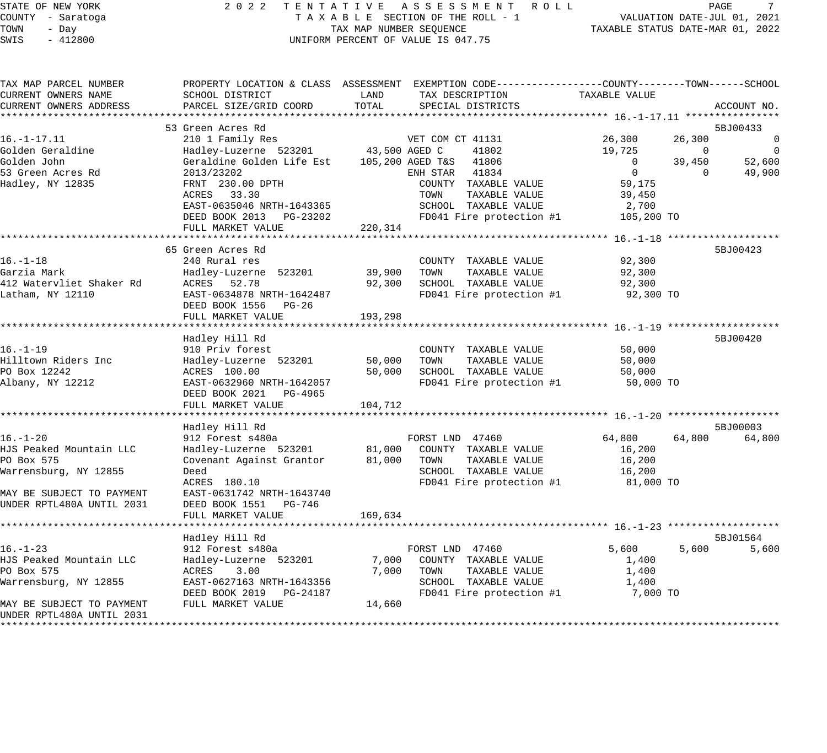#### STATE OF NEW YORK 2 0 2 2 T E N T A T I V E A S S E S S M E N T R O L L PAGE 7 COUNTY - Saratoga T A X A B L E SECTION OF THE ROLL - 1 VALUATION DATE-JUL 01, 2021 TOWN - Day TAX MAP NUMBER SEQUENCE TAXABLE STATUS DATE-MAR 01, 2022 SWIS - 412800 CONTROLLY THE UNIFORM PERCENT OF VALUE IS 047.75

| TAX MAP PARCEL NUMBER     |                                            |         | PROPERTY LOCATION & CLASS ASSESSMENT EXEMPTION CODE----------------COUNTY-------TOWN------SCHOOL |                |                                            |
|---------------------------|--------------------------------------------|---------|--------------------------------------------------------------------------------------------------|----------------|--------------------------------------------|
| CURRENT OWNERS NAME       | SCHOOL DISTRICT                            | LAND    | TAX DESCRIPTION                                                                                  | TAXABLE VALUE  |                                            |
| CURRENT OWNERS ADDRESS    | PARCEL SIZE/GRID COORD                     | TOTAL   | SPECIAL DISTRICTS                                                                                |                | ACCOUNT NO.                                |
|                           |                                            |         |                                                                                                  |                |                                            |
|                           | 53 Green Acres Rd                          |         |                                                                                                  |                | 5BJ00433                                   |
| $16. - 1 - 17.11$         | 210 1 Family Res                           |         | VET COM CT 41131                                                                                 | 26,300         | 26,300<br>0                                |
| Golden Geraldine          | Hadley-Luzerne 523201 43,500 AGED C        |         | 41802                                                                                            | 19,725         | $\overline{\phantom{0}}$<br>$\overline{0}$ |
| Golden John               | Geraldine Golden Life Est 105,200 AGED T&S |         | 41806                                                                                            | $\overline{0}$ | 39,450<br>52,600                           |
| 53 Green Acres Rd         | 2013/23202                                 |         | ENH STAR 41834                                                                                   | $\overline{0}$ | 49,900<br>$\Omega$                         |
| Hadley, NY 12835          | FRNT 230.00 DPTH                           |         | COUNTY TAXABLE VALUE                                                                             | 59,175         |                                            |
|                           | ACRES 33.30                                |         | TOWN<br>TAXABLE VALUE                                                                            | 39,450         |                                            |
|                           | EAST-0635046 NRTH-1643365                  |         | SCHOOL TAXABLE VALUE                                                                             | 2,700          |                                            |
|                           | DEED BOOK 2013 PG-23202                    |         | FD041 Fire protection #1                                                                         | 105,200 TO     |                                            |
|                           | FULL MARKET VALUE                          | 220,314 |                                                                                                  |                |                                            |
|                           |                                            |         |                                                                                                  |                |                                            |
|                           |                                            |         |                                                                                                  |                |                                            |
|                           | 65 Green Acres Rd                          |         |                                                                                                  |                | 5BJ00423                                   |
| $16. - 1 - 18$            | 240 Rural res                              |         | COUNTY TAXABLE VALUE                                                                             | 92,300         |                                            |
| Garzia Mark               | Hadley-Luzerne 523201                      | 39,900  | TAXABLE VALUE<br>TOWN                                                                            | 92,300         |                                            |
| 412 Watervliet Shaker Rd  | ACRES 52.78                                | 92,300  | SCHOOL TAXABLE VALUE                                                                             | 92,300         |                                            |
| Latham, NY 12110          | EAST-0634878 NRTH-1642487                  |         | FD041 Fire protection #1                                                                         | 92,300 TO      |                                            |
|                           | DEED BOOK 1556 PG-26                       |         |                                                                                                  |                |                                            |
|                           | FULL MARKET VALUE                          | 193,298 |                                                                                                  |                |                                            |
|                           |                                            |         |                                                                                                  |                |                                            |
|                           | Hadley Hill Rd                             |         |                                                                                                  |                | 5BJ00420                                   |
| $16. - 1 - 19$            | 910 Priv forest                            |         | COUNTY TAXABLE VALUE                                                                             | 50,000         |                                            |
| Hilltown Riders Inc       | Hadley-Luzerne 523201                      | 50,000  | TOWN<br>TAXABLE VALUE                                                                            | 50,000         |                                            |
| PO Box 12242              | ACRES 100.00                               | 50,000  | SCHOOL TAXABLE VALUE                                                                             | 50,000         |                                            |
| Albany, NY 12212          | EAST-0632960 NRTH-1642057                  |         | FD041 Fire protection #1                                                                         | 50,000 TO      |                                            |
|                           | DEED BOOK 2021 PG-4965                     |         |                                                                                                  |                |                                            |
|                           | FULL MARKET VALUE                          | 104,712 |                                                                                                  |                |                                            |
|                           |                                            |         |                                                                                                  |                |                                            |
|                           | Hadley Hill Rd                             |         |                                                                                                  |                | 5BJ00003                                   |
| $16. - 1 - 20$            | 912 Forest s480a                           |         | FORST LND 47460                                                                                  | 64,800         | 64,800<br>64,800                           |
| HJS Peaked Mountain LLC   | Hadley-Luzerne 523201 81,000               |         | COUNTY TAXABLE VALUE                                                                             | 16,200         |                                            |
| PO Box 575                | Covenant Against Grantor                   | 81,000  | TOWN<br>TAXABLE VALUE                                                                            | 16,200         |                                            |
| Warrensburg, NY 12855     | Deed                                       |         | SCHOOL TAXABLE VALUE                                                                             |                |                                            |
|                           | ACRES 180.10                               |         |                                                                                                  | 16,200         |                                            |
|                           |                                            |         | FD041 Fire protection #1                                                                         | 81,000 TO      |                                            |
| MAY BE SUBJECT TO PAYMENT | EAST-0631742 NRTH-1643740                  |         |                                                                                                  |                |                                            |
| UNDER RPTL480A UNTIL 2031 | DEED BOOK 1551 PG-746                      |         |                                                                                                  |                |                                            |
|                           | FULL MARKET VALUE                          | 169,634 |                                                                                                  |                |                                            |
|                           |                                            |         |                                                                                                  |                |                                            |
|                           | Hadley Hill Rd                             |         |                                                                                                  |                | 5BJ01564                                   |
| $16. - 1 - 23$            | 912 Forest s480a                           |         | FORST LND 47460                                                                                  | 5,600          | 5,600<br>5,600                             |
| HJS Peaked Mountain LLC   | Hadley-Luzerne 523201                      | 7,000   | COUNTY TAXABLE VALUE                                                                             | 1,400          |                                            |
| PO Box 575                | ACRES<br>3.00                              | 7,000   | TOWN<br>TAXABLE VALUE                                                                            | 1,400          |                                            |
| Warrensburg, NY 12855     | EAST-0627163 NRTH-1643356                  |         | SCHOOL TAXABLE VALUE                                                                             | 1,400          |                                            |
|                           | DEED BOOK 2019 PG-24187                    |         | FD041 Fire protection #1                                                                         | 7,000 TO       |                                            |
| MAY BE SUBJECT TO PAYMENT | FULL MARKET VALUE                          | 14,660  |                                                                                                  |                |                                            |
| UNDER RPTL480A UNTIL 2031 |                                            |         |                                                                                                  |                |                                            |
| *********************     |                                            |         |                                                                                                  |                |                                            |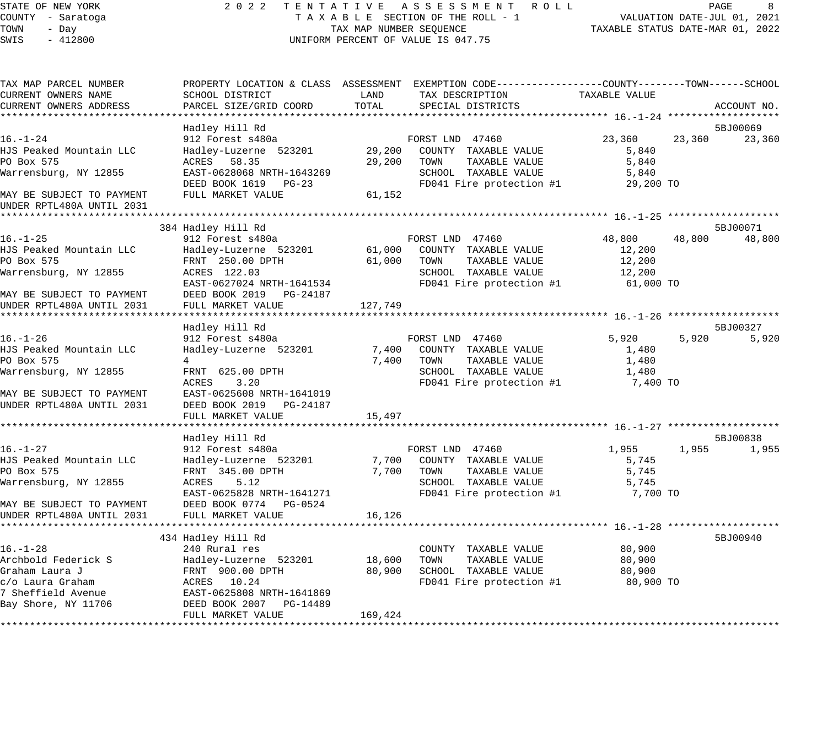### STATE OF NEW YORK 2 0 2 2 T E N T A T I V E A S S E S S M E N T R O L L PAGE 8 COUNTY - Saratoga T A X A B L E SECTION OF THE ROLL - 1 VALUATION DATE-JUL 01, 2021 TAX A B L E SECTION OF THE ROLL - T<br>TAXABLE STATUS DATE-MAR 01, 2022<br>--UNIFORM PERCENT OF VALUE IS 047.75

| TAX MAP PARCEL NUMBER<br>CURRENT OWNERS NAME                                                                                               | SCHOOL DISTRICT                                                                                                                                                                     | LAND                        | PROPERTY LOCATION & CLASS ASSESSMENT EXEMPTION CODE----------------COUNTY-------TOWN------SCHOOL<br>TAX DESCRIPTION  | TAXABLE VALUE                                     |        |                    |
|--------------------------------------------------------------------------------------------------------------------------------------------|-------------------------------------------------------------------------------------------------------------------------------------------------------------------------------------|-----------------------------|----------------------------------------------------------------------------------------------------------------------|---------------------------------------------------|--------|--------------------|
| CURRENT OWNERS ADDRESS                                                                                                                     | PARCEL SIZE/GRID COORD                                                                                                                                                              | TOTAL                       | SPECIAL DISTRICTS                                                                                                    |                                                   |        | ACCOUNT NO.        |
|                                                                                                                                            | Hadley Hill Rd                                                                                                                                                                      |                             |                                                                                                                      |                                                   |        | 5BJ00069           |
| $16. - 1 - 24$<br>HJS Peaked Mountain LLC<br>PO Box 575<br>Warrensburg, NY 12855<br>MAY BE SUBJECT TO PAYMENT<br>UNDER RPTL480A UNTIL 2031 | 912 Forest s480a<br>Hadley-Luzerne 523201<br>58.35<br>ACRES<br>EAST-0628068 NRTH-1643269<br>DEED BOOK 1619 PG-23<br>FULL MARKET VALUE                                               | 29,200<br>29,200<br>61,152  | FORST LND 47460<br>COUNTY TAXABLE VALUE<br>TAXABLE VALUE<br>TOWN<br>SCHOOL TAXABLE VALUE<br>FD041 Fire protection #1 | 23,360<br>5,840<br>5,840<br>5,840<br>29,200 TO    | 23,360 | 23,360             |
|                                                                                                                                            |                                                                                                                                                                                     |                             |                                                                                                                      |                                                   |        |                    |
| $16. - 1 - 25$<br>HJS Peaked Mountain LLC<br>PO Box 575<br>Warrensburg, NY 12855<br>MAY BE SUBJECT TO PAYMENT<br>UNDER RPTL480A UNTIL 2031 | 384 Hadley Hill Rd<br>912 Forest s480a<br>Hadley-Luzerne 523201<br>FRNT 250.00 DPTH<br>ACRES 122.03<br>EAST-0627024 NRTH-1641534<br>DEED BOOK 2019    PG-24187<br>FULL MARKET VALUE | 61,000<br>61,000<br>127,749 | FORST LND 47460<br>COUNTY TAXABLE VALUE<br>TOWN<br>TAXABLE VALUE<br>SCHOOL TAXABLE VALUE<br>FD041 Fire protection #1 | 48,800<br>12,200<br>12,200<br>12,200<br>61,000 TO | 48,800 | 5BJ00071<br>48,800 |
|                                                                                                                                            | Hadley Hill Rd                                                                                                                                                                      |                             |                                                                                                                      |                                                   |        | 5BJ00327           |
| $16. - 1 - 26$<br>HJS Peaked Mountain LLC<br>PO Box 575<br>Warrensburg, NY 12855<br>MAY BE SUBJECT TO PAYMENT<br>UNDER RPTL480A UNTIL 2031 | 912 Forest s480a<br>Hadley-Luzerne 523201<br>4<br>FRNT 625.00 DPTH<br>ACRES<br>3.20<br>EAST-0625608 NRTH-1641019<br>DEED BOOK 2019 PG-24187                                         | 7,400<br>7,400              | FORST LND 47460<br>COUNTY TAXABLE VALUE<br>TOWN<br>TAXABLE VALUE<br>SCHOOL TAXABLE VALUE<br>FD041 Fire protection #1 | 5.920<br>1,480<br>1,480<br>1,480<br>7,400 TO      | 5,920  | 5,920              |
|                                                                                                                                            | FULL MARKET VALUE                                                                                                                                                                   | 15,497                      |                                                                                                                      |                                                   |        |                    |
|                                                                                                                                            | ***********************                                                                                                                                                             |                             |                                                                                                                      |                                                   |        |                    |
| $16. - 1 - 27$<br>HJS Peaked Mountain LLC<br>PO Box 575<br>Warrensburg, NY 12855<br>MAY BE SUBJECT TO PAYMENT<br>UNDER RPTL480A UNTIL 2031 | Hadley Hill Rd<br>912 Forest s480a<br>Hadley-Luzerne 523201<br>FRNT 345.00 DPTH<br>ACRES<br>5.12<br>EAST-0625828 NRTH-1641271<br>DEED BOOK 0774 PG-0524<br>FULL MARKET VALUE        | 7,700<br>7,700<br>16,126    | FORST LND 47460<br>COUNTY TAXABLE VALUE<br>TOWN<br>TAXABLE VALUE<br>SCHOOL TAXABLE VALUE<br>FD041 Fire protection #1 | 1,955<br>5,745<br>5,745<br>5,745<br>7,700 TO      | 1,955  | 5BJ00838<br>1,955  |
|                                                                                                                                            |                                                                                                                                                                                     |                             |                                                                                                                      |                                                   |        |                    |
| $16. - 1 - 28$<br>Archbold Federick S<br>Graham Laura J<br>c/o Laura Graham<br>7 Sheffield Avenue<br>Bay Shore, NY 11706                   | 434 Hadley Hill Rd<br>240 Rural res<br>Hadley-Luzerne 523201<br>FRNT 900.00 DPTH<br>ACRES 10.24<br>EAST-0625808 NRTH-1641869<br>DEED BOOK 2007 PG-14489<br>FULL MARKET VALUE        | 18,600<br>80,900<br>169,424 | COUNTY TAXABLE VALUE<br>TOWN<br>TAXABLE VALUE<br>SCHOOL TAXABLE VALUE<br>FD041 Fire protection #1                    | 80,900<br>80,900<br>80,900<br>80,900 TO           |        | 5BJ00940           |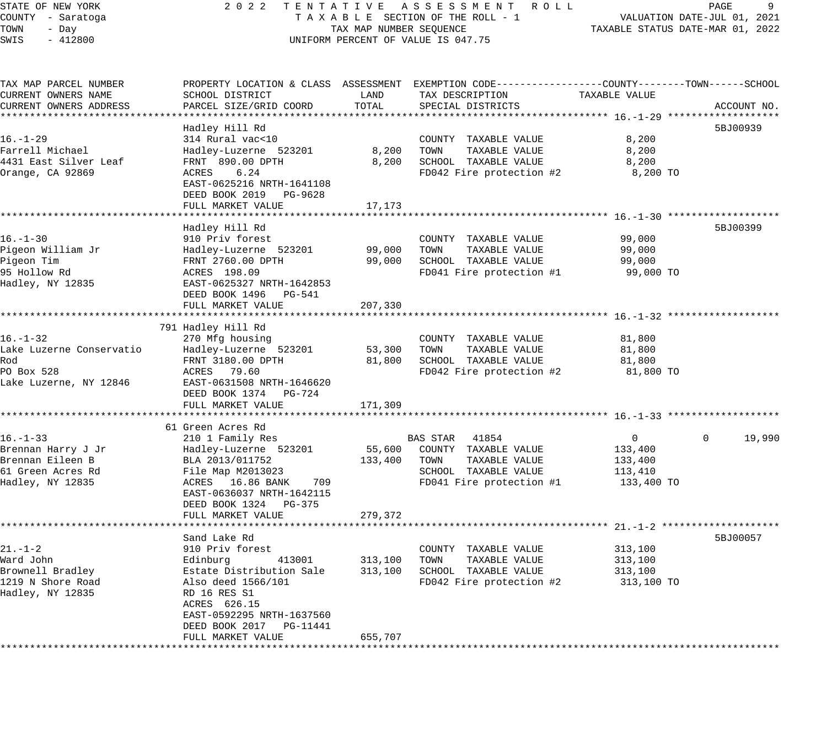# STATE OF NEW YORK 2 0 2 2 T E N T A T I V E A S S E S S M E N T R O L L PAGE 9 COUNTY - Saratoga T A X A B L E SECTION OF THE ROLL - 1 VALUATION DATE-JUL 01, 2021 UNIFORM PERCENT OF VALUE IS 047.75

TOWN - DALUATION DATE-JUL 01, 2021<br>TAXABLE STATUS DATE-MAR 01, 2022

| TAX MAP PARCEL NUMBER<br>CURRENT OWNERS NAME | SCHOOL DISTRICT                        | LAND                  | PROPERTY LOCATION & CLASS ASSESSMENT EXEMPTION CODE---------------COUNTY-------TOWN-----SCHOOL<br>TAX DESCRIPTION | TAXABLE VALUE |                    |
|----------------------------------------------|----------------------------------------|-----------------------|-------------------------------------------------------------------------------------------------------------------|---------------|--------------------|
| CURRENT OWNERS ADDRESS                       | PARCEL SIZE/GRID COORD                 | TOTAL                 | SPECIAL DISTRICTS                                                                                                 |               | ACCOUNT NO.        |
|                                              | ********************<br>Hadley Hill Rd |                       |                                                                                                                   |               | 5BJ00939           |
| $16. - 1 - 29$                               | 314 Rural vac<10                       |                       | COUNTY TAXABLE VALUE                                                                                              | 8,200         |                    |
| Farrell Michael                              | Hadley-Luzerne 523201                  | 8,200                 | TOWN<br>TAXABLE VALUE                                                                                             | 8,200         |                    |
| 4431 East Silver Leaf                        | FRNT 890.00 DPTH                       | 8,200                 | SCHOOL TAXABLE VALUE                                                                                              | 8,200         |                    |
| Orange, CA 92869                             | 6.24<br>ACRES                          |                       | FD042 Fire protection #2                                                                                          | 8,200 TO      |                    |
|                                              | EAST-0625216 NRTH-1641108              |                       |                                                                                                                   |               |                    |
|                                              | DEED BOOK 2019 PG-9628                 |                       |                                                                                                                   |               |                    |
|                                              | FULL MARKET VALUE                      | 17,173                |                                                                                                                   |               |                    |
|                                              |                                        |                       |                                                                                                                   |               |                    |
|                                              | Hadley Hill Rd                         |                       |                                                                                                                   |               | 5BJ00399           |
| $16. - 1 - 30$                               | 910 Priv forest                        |                       | COUNTY TAXABLE VALUE                                                                                              | 99,000        |                    |
| Pigeon William Jr                            | Hadley-Luzerne 523201                  | 99,000                | TAXABLE VALUE<br>TOWN                                                                                             | 99,000        |                    |
| Pigeon Tim                                   | FRNT 2760.00 DPTH                      | 99,000                | SCHOOL TAXABLE VALUE                                                                                              | 99,000        |                    |
| 95 Hollow Rd                                 | ACRES 198.09                           |                       | FD041 Fire protection #1                                                                                          | 99,000 TO     |                    |
| Hadley, NY 12835                             | EAST-0625327 NRTH-1642853              |                       |                                                                                                                   |               |                    |
|                                              | DEED BOOK 1496 PG-541                  |                       |                                                                                                                   |               |                    |
|                                              | FULL MARKET VALUE                      | 207,330<br>********** | *********************************** 16.-1-32 *******************                                                  |               |                    |
|                                              | 791 Hadley Hill Rd                     |                       |                                                                                                                   |               |                    |
| $16. - 1 - 32$                               | 270 Mfg housing                        |                       | COUNTY TAXABLE VALUE                                                                                              | 81,800        |                    |
| Lake Luzerne Conservatio                     | Hadley-Luzerne 523201                  | 53,300                | TOWN<br>TAXABLE VALUE                                                                                             | 81,800        |                    |
| Rod                                          | FRNT 3180.00 DPTH                      | 81,800                | SCHOOL TAXABLE VALUE                                                                                              | 81,800        |                    |
| PO Box 528                                   | ACRES 79.60                            |                       | FD042 Fire protection #2                                                                                          | 81,800 TO     |                    |
| Lake Luzerne, NY 12846                       | EAST-0631508 NRTH-1646620              |                       |                                                                                                                   |               |                    |
|                                              | DEED BOOK 1374 PG-724                  |                       |                                                                                                                   |               |                    |
|                                              | FULL MARKET VALUE                      | 171,309               |                                                                                                                   |               |                    |
|                                              | **********************                 |                       |                                                                                                                   |               |                    |
|                                              | 61 Green Acres Rd                      |                       |                                                                                                                   |               |                    |
| $16. - 1 - 33$                               | 210 1 Family Res                       |                       | BAS STAR 41854                                                                                                    | $\mathbf{0}$  | 19,990<br>$\Omega$ |
| Brennan Harry J Jr                           | Hadley-Luzerne 523201                  | 55,600                | COUNTY TAXABLE VALUE                                                                                              | 133,400       |                    |
| Brennan Eileen B                             | BLA 2013/011752                        | 133,400               | TOWN<br>TAXABLE VALUE                                                                                             | 133,400       |                    |
| 61 Green Acres Rd                            | File Map M2013023                      |                       | SCHOOL TAXABLE VALUE                                                                                              | 113,410       |                    |
| Hadley, NY 12835                             | ACRES 16.86 BANK<br>709                |                       | FD041 Fire protection #1                                                                                          | 133,400 TO    |                    |
|                                              | EAST-0636037 NRTH-1642115              |                       |                                                                                                                   |               |                    |
|                                              | DEED BOOK 1324 PG-375                  |                       |                                                                                                                   |               |                    |
|                                              | FULL MARKET VALUE                      | 279,372               |                                                                                                                   |               |                    |
|                                              | Sand Lake Rd                           |                       |                                                                                                                   |               | 5BJ00057           |
| $21. - 1 - 2$                                | 910 Priv forest                        |                       | COUNTY TAXABLE VALUE                                                                                              | 313,100       |                    |
| Ward John                                    | 413001<br>Edinburg                     | 313,100               | TOWN<br>TAXABLE VALUE                                                                                             | 313,100       |                    |
| Brownell Bradley                             | Estate Distribution Sale               | 313,100               | SCHOOL TAXABLE VALUE                                                                                              | 313,100       |                    |
| 1219 N Shore Road                            | Also deed 1566/101                     |                       | FD042 Fire protection #2                                                                                          | 313,100 TO    |                    |
| Hadley, NY 12835                             | RD 16 RES S1                           |                       |                                                                                                                   |               |                    |
|                                              | ACRES 626.15                           |                       |                                                                                                                   |               |                    |
|                                              | EAST-0592295 NRTH-1637560              |                       |                                                                                                                   |               |                    |
|                                              | DEED BOOK 2017<br>PG-11441             |                       |                                                                                                                   |               |                    |
|                                              | FULL MARKET VALUE                      | 655,707               |                                                                                                                   |               |                    |
|                                              |                                        |                       |                                                                                                                   |               |                    |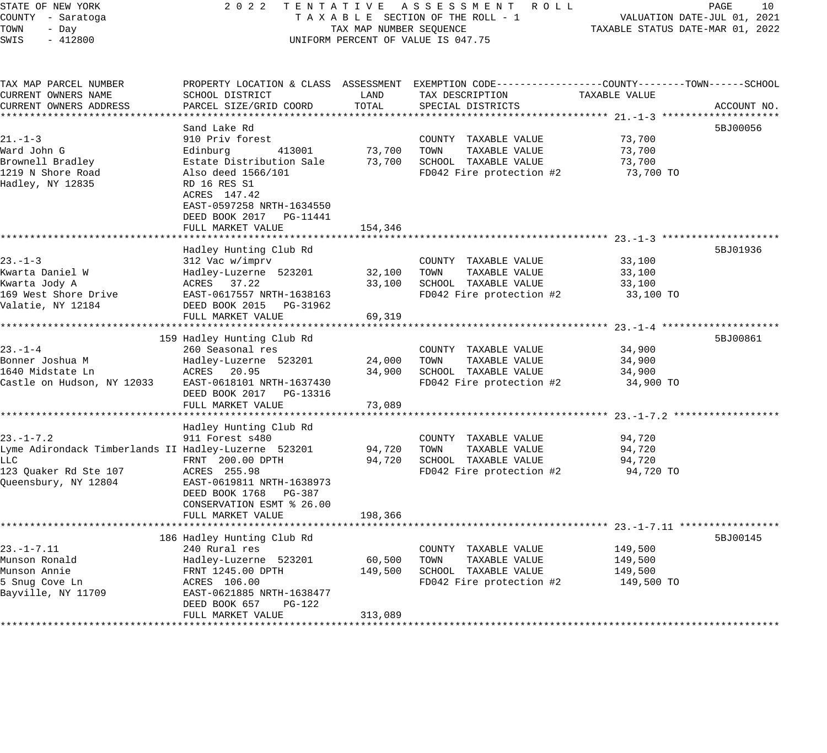| STATE OF NEW YORK<br>COUNTY - Saratoga<br>TOWN<br>- Day<br>SWIS<br>$-412800$                                                           | 2022<br>TENTATIVE ASSESSMENT ROLL<br>TAXABLE SECTION OF THE ROLL - 1<br>TAX MAP NUMBER SEQUENCE<br>UNIFORM PERCENT OF VALUE IS 047.75                                                              | 10<br>PAGE<br>VALUATION DATE-JUL 01, 2021<br>TAXABLE STATUS DATE-MAR 01, 2022 |                                                                                                                                        |                                             |             |
|----------------------------------------------------------------------------------------------------------------------------------------|----------------------------------------------------------------------------------------------------------------------------------------------------------------------------------------------------|-------------------------------------------------------------------------------|----------------------------------------------------------------------------------------------------------------------------------------|---------------------------------------------|-------------|
| TAX MAP PARCEL NUMBER<br>CURRENT OWNERS NAME<br>CURRENT OWNERS ADDRESS                                                                 | SCHOOL DISTRICT<br>PARCEL SIZE/GRID COORD                                                                                                                                                          | LAND<br>TOTAL                                                                 | PROPERTY LOCATION & CLASS ASSESSMENT EXEMPTION CODE---------------COUNTY-------TOWN-----SCHOOL<br>TAX DESCRIPTION<br>SPECIAL DISTRICTS | TAXABLE VALUE                               | ACCOUNT NO. |
| $21. - 1 - 3$<br>Ward John G<br>Brownell Bradley<br>1219 N Shore Road<br>Hadley, NY 12835                                              | Sand Lake Rd<br>910 Priv forest<br>Edinburg<br>413001<br>Estate Distribution Sale<br>Also deed 1566/101<br>RD 16 RES S1<br>ACRES 147.42<br>EAST-0597258 NRTH-1634550<br>DEED BOOK 2017    PG-11441 | 73,700<br>73,700                                                              | COUNTY TAXABLE VALUE<br>TOWN<br>TAXABLE VALUE<br>SCHOOL TAXABLE VALUE<br>FD042 Fire protection #2                                      | 73,700<br>73,700<br>73,700<br>73,700 TO     | 5BJ00056    |
|                                                                                                                                        | FULL MARKET VALUE                                                                                                                                                                                  | 154,346                                                                       |                                                                                                                                        |                                             |             |
| $23 - 1 - 3$<br>Kwarta Daniel W<br>Kwarta Jody A<br>169 West Shore Drive<br>Valatie, NY 12184                                          | Hadley Hunting Club Rd<br>312 Vac w/imprv<br>Hadley-Luzerne 523201<br>ACRES 37.22<br>EAST-0617557 NRTH-1638163<br>DEED BOOK 2015 PG-31962<br>FULL MARKET VALUE                                     | 32,100<br>33,100<br>69,319                                                    | COUNTY TAXABLE VALUE<br>TOWN<br>TAXABLE VALUE<br>SCHOOL TAXABLE VALUE<br>FD042 Fire protection #2                                      | 33,100<br>33,100<br>33,100<br>33,100 TO     | 5BJ01936    |
| $23. - 1 - 4$<br>Bonner Joshua M<br>1640 Midstate Ln<br>Castle on Hudson, NY 12033                                                     | 159 Hadley Hunting Club Rd<br>260 Seasonal res<br>Hadley-Luzerne 523201<br>ACRES 20.95<br>EAST-0618101 NRTH-1637430<br>DEED BOOK 2017 PG-13316<br>FULL MARKET VALUE                                | 24,000<br>34,900<br>73,089                                                    | COUNTY TAXABLE VALUE<br>TAXABLE VALUE<br>TOWN<br>SCHOOL TAXABLE VALUE<br>FD042 Fire protection #2                                      | 34,900<br>34,900<br>34,900<br>34,900 TO     | 5BJ00861    |
| $23. - 1 - 7.2$<br>Lyme Adirondack Timberlands II Hadley-Luzerne 523201<br><b>LLC</b><br>123 Ouaker Rd Ste 107<br>Queensbury, NY 12804 | Hadley Hunting Club Rd<br>911 Forest s480<br>FRNT 200.00 DPTH<br>ACRES 255.98<br>EAST-0619811 NRTH-1638973<br>DEED BOOK 1768 PG-387<br>CONSERVATION ESMT % 26.00<br>FULL MARKET VALUE              | 94,720<br>94,720<br>198,366                                                   | COUNTY TAXABLE VALUE<br>TOWN<br>TAXABLE VALUE<br>SCHOOL TAXABLE VALUE<br>FD042 Fire protection #2                                      | 94,720<br>94,720<br>94,720<br>94,720 TO     |             |
| $23. - 1 - 7.11$<br>Munson Ronald<br>Munson Annie<br>5 Snug Cove Ln<br>Bayville, NY 11709                                              | 186 Hadley Hunting Club Rd<br>240 Rural res<br>Hadley-Luzerne 523201<br>FRNT 1245.00 DPTH<br>ACRES 106.00<br>EAST-0621885 NRTH-1638477<br>DEED BOOK 657<br>PG-122<br>FULL MARKET VALUE             | 60,500<br>149,500<br>313,089                                                  | COUNTY TAXABLE VALUE<br>TOWN<br>TAXABLE VALUE<br>SCHOOL TAXABLE VALUE<br>FD042 Fire protection #2                                      | 149,500<br>149,500<br>149,500<br>149,500 TO | 5BJ00145    |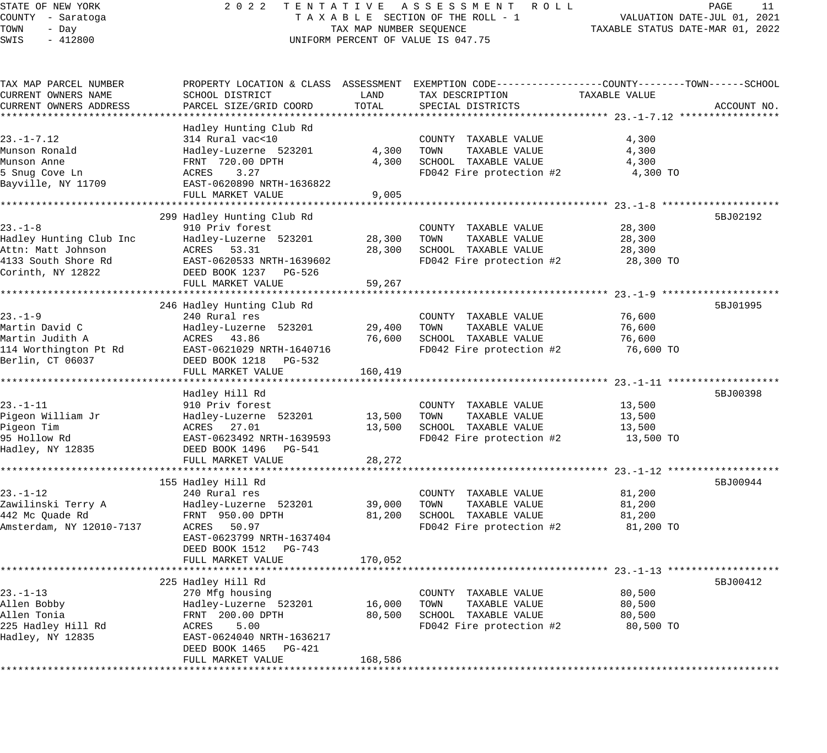# STATE OF NEW YORK 2 0 2 2 T E N T A T I V E A S S E S S M E N T R O L L PAGE 11 COUNTY - Saratoga T A X A B L E SECTION OF THE ROLL - 1 VALUATION DATE-JUL 01, 2021 UNIFORM PERCENT OF VALUE IS 047.75

| TAX MAP PARCEL NUMBER    | PROPERTY LOCATION & CLASS ASSESSMENT EXEMPTION CODE----------------COUNTY-------TOWN-----SCHOOL |         |                          |               |             |
|--------------------------|-------------------------------------------------------------------------------------------------|---------|--------------------------|---------------|-------------|
| CURRENT OWNERS NAME      | SCHOOL DISTRICT                                                                                 | LAND    | TAX DESCRIPTION          | TAXABLE VALUE |             |
| CURRENT OWNERS ADDRESS   | PARCEL SIZE/GRID COORD                                                                          | TOTAL   | SPECIAL DISTRICTS        |               | ACCOUNT NO. |
|                          |                                                                                                 |         |                          |               |             |
|                          | Hadley Hunting Club Rd                                                                          |         |                          |               |             |
| $23. - 1 - 7.12$         | 314 Rural vac<10                                                                                |         | COUNTY TAXABLE VALUE     | 4,300         |             |
| Munson Ronald            | Hadley-Luzerne 523201                                                                           | 4,300   | TOWN<br>TAXABLE VALUE    | 4,300         |             |
| Munson Anne              | FRNT 720.00 DPTH                                                                                | 4,300   | SCHOOL TAXABLE VALUE     | 4,300         |             |
| 5 Snug Cove Ln           | ACRES<br>3.27                                                                                   |         | FD042 Fire protection #2 | 4,300 TO      |             |
| Bayville, NY 11709       | EAST-0620890 NRTH-1636822                                                                       |         |                          |               |             |
|                          | FULL MARKET VALUE                                                                               | 9,005   |                          |               |             |
|                          |                                                                                                 |         |                          |               |             |
|                          | 299 Hadley Hunting Club Rd                                                                      |         |                          |               | 5BJ02192    |
| $23 - 1 - 8$             | 910 Priv forest                                                                                 |         | COUNTY TAXABLE VALUE     | 28,300        |             |
| Hadley Hunting Club Inc  | Hadley-Luzerne 523201                                                                           | 28,300  | TOWN<br>TAXABLE VALUE    | 28,300        |             |
| Attn: Matt Johnson       | ACRES 53.31                                                                                     | 28,300  | SCHOOL TAXABLE VALUE     | 28,300        |             |
| 4133 South Shore Rd      | EAST-0620533 NRTH-1639602                                                                       |         | FD042 Fire protection #2 | 28,300 TO     |             |
| Corinth, NY 12822        | DEED BOOK 1237 PG-526                                                                           |         |                          |               |             |
|                          | FULL MARKET VALUE                                                                               | 59,267  |                          |               |             |
|                          |                                                                                                 |         |                          |               |             |
|                          | 246 Hadley Hunting Club Rd                                                                      |         |                          |               | 5BJ01995    |
| $23 - 1 - 9$             | 240 Rural res                                                                                   |         | COUNTY TAXABLE VALUE     | 76,600        |             |
| Martin David C           | Hadley-Luzerne 523201                                                                           | 29,400  | TOWN<br>TAXABLE VALUE    | 76,600        |             |
| Martin Judith A          | ACRES 43.86                                                                                     | 76,600  | SCHOOL TAXABLE VALUE     | 76,600        |             |
| 114 Worthington Pt Rd    | EAST-0621029 NRTH-1640716                                                                       |         | FD042 Fire protection #2 | 76,600 TO     |             |
| Berlin, CT 06037         | DEED BOOK 1218 PG-532                                                                           |         |                          |               |             |
|                          | FULL MARKET VALUE                                                                               | 160,419 |                          |               |             |
|                          |                                                                                                 |         |                          |               |             |
|                          | Hadley Hill Rd                                                                                  |         |                          |               | 5BJ00398    |
| $23. - 1 - 11$           | 910 Priv forest                                                                                 |         | COUNTY TAXABLE VALUE     | 13,500        |             |
| Pigeon William Jr        | Hadley-Luzerne 523201                                                                           | 13,500  | TOWN<br>TAXABLE VALUE    | 13,500        |             |
| Pigeon Tim               | ACRES 27.01                                                                                     | 13,500  | SCHOOL TAXABLE VALUE     | 13,500        |             |
| 95 Hollow Rd             | EAST-0623492 NRTH-1639593                                                                       |         | FD042 Fire protection #2 | 13,500 TO     |             |
| Hadley, NY 12835         | DEED BOOK 1496 PG-541                                                                           |         |                          |               |             |
|                          | FULL MARKET VALUE                                                                               | 28,272  |                          |               |             |
|                          |                                                                                                 |         |                          |               |             |
|                          | 155 Hadley Hill Rd                                                                              |         |                          |               | 5BJ00944    |
| $23. - 1 - 12$           | 240 Rural res                                                                                   |         | COUNTY TAXABLE VALUE     | 81,200        |             |
| Zawilinski Terry A       | Hadley-Luzerne 523201                                                                           | 39,000  | TOWN<br>TAXABLE VALUE    | 81,200        |             |
| 442 Mc Quade Rd          | FRNT 950.00 DPTH                                                                                | 81,200  | SCHOOL TAXABLE VALUE     | 81,200        |             |
| Amsterdam, NY 12010-7137 | ACRES 50.97                                                                                     |         | FD042 Fire protection #2 | 81,200 TO     |             |
|                          | EAST-0623799 NRTH-1637404                                                                       |         |                          |               |             |
|                          | DEED BOOK 1512 PG-743                                                                           |         |                          |               |             |
|                          | FULL MARKET VALUE                                                                               | 170,052 |                          |               |             |
|                          |                                                                                                 |         |                          |               |             |
|                          | 225 Hadley Hill Rd                                                                              |         |                          |               | 5BJ00412    |
| $23. - 1 - 13$           | 270 Mfg housing                                                                                 |         | COUNTY TAXABLE VALUE     | 80,500        |             |
| Allen Bobby              | Hadley-Luzerne 523201                                                                           | 16,000  | TOWN<br>TAXABLE VALUE    | 80,500        |             |
| Allen Tonia              | FRNT 200.00 DPTH                                                                                | 80,500  | SCHOOL TAXABLE VALUE     | 80,500        |             |
| 225 Hadley Hill Rd       | ACRES<br>5.00                                                                                   |         | FD042 Fire protection #2 | 80,500 TO     |             |
| Hadley, NY 12835         | EAST-0624040 NRTH-1636217                                                                       |         |                          |               |             |
|                          | DEED BOOK 1465 PG-421                                                                           |         |                          |               |             |
|                          | FULL MARKET VALUE                                                                               | 168,586 |                          |               |             |
|                          |                                                                                                 |         |                          |               |             |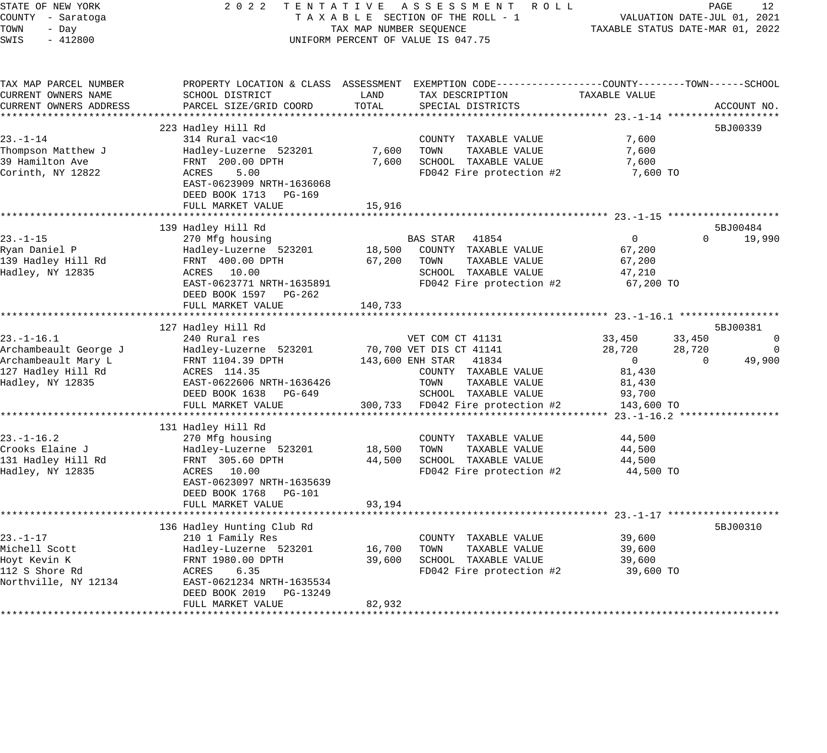#### STATE OF NEW YORK 2 0 2 2 T E N T A T I V E A S S E S S M E N T R O L L PAGE 12 COUNTY - Saratoga T A X A B L E SECTION OF THE ROLL - 1 VALUATION DATE-JUL 01, 2021 TOWN - Day TAX MAP NUMBER SEQUENCE TAXABLE STATUS DATE-MAR 01, 2022 SWIS - 412800 CONTROLLY THE UNIFORM PERCENT OF VALUE IS 047.75

TAX MAP PARCEL NUMBER PROPERTY LOCATION & CLASS ASSESSMENT EXEMPTION CODE------------------COUNTY--------TOWN------SCHOOL CURRENT OWNERS NAME SCHOOL DISTRICT LAND TAX DESCRIPTION TAXABLE VALUE CURRENT OWNERS ADDRESS PARCEL SIZE/GRID COORD TOTAL SPECIAL DISTRICTS ACCOUNT NO. \*\*\*\*\*\*\*\*\*\*\*\*\*\*\*\*\*\*\*\*\*\*\*\*\*\*\*\*\*\*\*\*\*\*\*\*\*\*\*\*\*\*\*\*\*\*\*\*\*\*\*\*\*\*\*\*\*\*\*\*\*\*\*\*\*\*\*\*\*\*\*\*\*\*\*\*\*\*\*\*\*\*\*\*\*\*\*\*\*\*\*\*\*\*\*\*\*\*\*\*\*\*\* 23.-1-14 \*\*\*\*\*\*\*\*\*\*\*\*\*\*\*\*\*\*\* 223 Hadley Hill Rd 5BJ00339 23.-1-14 314 Rural vac<10 COUNTY TAXABLE VALUE 7,600 Thompson Matthew J Hadley-Luzerne 523201 7,600 TOWN TAXABLE VALUE 7,600 39 Hamilton Ave FRNT 200.00 DPTH 7,600 SCHOOL TAXABLE VALUE 7,600 Corinth, NY 12822 ACRES 5.00 FD042 Fire protection #2 7,600 TO EAST-0623909 NRTH-1636068 DEED BOOK 1713 PG-169 FULL MARKET VALUE 15,916 \*\*\*\*\*\*\*\*\*\*\*\*\*\*\*\*\*\*\*\*\*\*\*\*\*\*\*\*\*\*\*\*\*\*\*\*\*\*\*\*\*\*\*\*\*\*\*\*\*\*\*\*\*\*\*\*\*\*\*\*\*\*\*\*\*\*\*\*\*\*\*\*\*\*\*\*\*\*\*\*\*\*\*\*\*\*\*\*\*\*\*\*\*\*\*\*\*\*\*\*\*\*\* 23.-1-15 \*\*\*\*\*\*\*\*\*\*\*\*\*\*\*\*\*\*\* 139 Hadley Hill Rd 5BJ00484 23.-1-15 270 Mfg housing BAS STAR 41854 0 0 19,990 Ryan Daniel P Hadley-Luzerne 523201 18,500 COUNTY TAXABLE VALUE 67,200 139 Hadley Hill Rd FRNT 400.00 DPTH 67,200 TOWN TAXABLE VALUE 67,200 Hadley, NY 12835 ACRES 10.00 SCHOOL TAXABLE VALUE 47,210 EAST-0623771 NRTH-1635891 FD042 Fire protection #2 67,200 TO DEED BOOK 1597 PG-262 FULL MARKET VALUE 140,733 \*\*\*\*\*\*\*\*\*\*\*\*\*\*\*\*\*\*\*\*\*\*\*\*\*\*\*\*\*\*\*\*\*\*\*\*\*\*\*\*\*\*\*\*\*\*\*\*\*\*\*\*\*\*\*\*\*\*\*\*\*\*\*\*\*\*\*\*\*\*\*\*\*\*\*\*\*\*\*\*\*\*\*\*\*\*\*\*\*\*\*\*\*\*\*\*\*\*\*\*\*\*\* 23.-1-16.1 \*\*\*\*\*\*\*\*\*\*\*\*\*\*\*\*\* 127 Hadley Hill Rd 5BJ00381 23.-1-16.1 240 Rural res VET COM CT 41131 33,450 33,450 0 Archambeault George J Hadley-Luzerne 523201 70,700 VET DIS CT 41141 28,720 28,720 0 Archambeault Mary L FRNT 1104.39 DPTH 143,600 ENH STAR 41834 0 0 49,900 127 Hadley Hill Rd ACRES 114.35 COUNTY TAXABLE VALUE 81,430 Hadley, NY 12835 EAST-0622606 NRTH-1636426 TOWN TAXABLE VALUE 81,430 DEED BOOK 1638 PG-649 SCHOOL TAXABLE VALUE 93,700 FULL MARKET VALUE 300,733 FD042 Fire protection #2 143,600 TO \*\*\*\*\*\*\*\*\*\*\*\*\*\*\*\*\*\*\*\*\*\*\*\*\*\*\*\*\*\*\*\*\*\*\*\*\*\*\*\*\*\*\*\*\*\*\*\*\*\*\*\*\*\*\*\*\*\*\*\*\*\*\*\*\*\*\*\*\*\*\*\*\*\*\*\*\*\*\*\*\*\*\*\*\*\*\*\*\*\*\*\*\*\*\*\*\*\*\*\*\*\*\* 23.-1-16.2 \*\*\*\*\*\*\*\*\*\*\*\*\*\*\*\*\* 131 Hadley Hill Rd 23.-1-16.2 270 Mfg housing COUNTY TAXABLE VALUE 44,500 Crooks Elaine J Hadley-Luzerne 523201 18,500 TOWN TAXABLE VALUE 44,500 131 Hadley Hill Rd FRNT 305.60 DPTH 44,500 SCHOOL TAXABLE VALUE 44,500 Hadley, NY 12835 ACRES 10.00 FD042 Fire protection #2 44,500 TO EAST-0623097 NRTH-1635639 DEED BOOK 1768 PG-101 FULL MARKET VALUE 93,194 \*\*\*\*\*\*\*\*\*\*\*\*\*\*\*\*\*\*\*\*\*\*\*\*\*\*\*\*\*\*\*\*\*\*\*\*\*\*\*\*\*\*\*\*\*\*\*\*\*\*\*\*\*\*\*\*\*\*\*\*\*\*\*\*\*\*\*\*\*\*\*\*\*\*\*\*\*\*\*\*\*\*\*\*\*\*\*\*\*\*\*\*\*\*\*\*\*\*\*\*\*\*\* 23.-1-17 \*\*\*\*\*\*\*\*\*\*\*\*\*\*\*\*\*\*\* 136 Hadley Hunting Club Rd 5BJ00310 310 SHOW 58J00310 58J00310 58J00310 58J00310 23.-1-17 210 1 Family Res COUNTY TAXABLE VALUE 39,600 Michell Scott Hadley-Luzerne 523201 16,700 TOWN TAXABLE VALUE 39,600 Hoyt Kevin K FRNT 1980.00 DPTH 39,600 SCHOOL TAXABLE VALUE 39,600 112 S Shore Rd ACRES 6.35 FD042 Fire protection #2 39,600 TO Northville, NY 12134 EAST-0621234 NRTH-1635534 DEED BOOK 2019 PG-13249 FULL MARKET VALUE 82,932 \*\*\*\*\*\*\*\*\*\*\*\*\*\*\*\*\*\*\*\*\*\*\*\*\*\*\*\*\*\*\*\*\*\*\*\*\*\*\*\*\*\*\*\*\*\*\*\*\*\*\*\*\*\*\*\*\*\*\*\*\*\*\*\*\*\*\*\*\*\*\*\*\*\*\*\*\*\*\*\*\*\*\*\*\*\*\*\*\*\*\*\*\*\*\*\*\*\*\*\*\*\*\*\*\*\*\*\*\*\*\*\*\*\*\*\*\*\*\*\*\*\*\*\*\*\*\*\*\*\*\*\*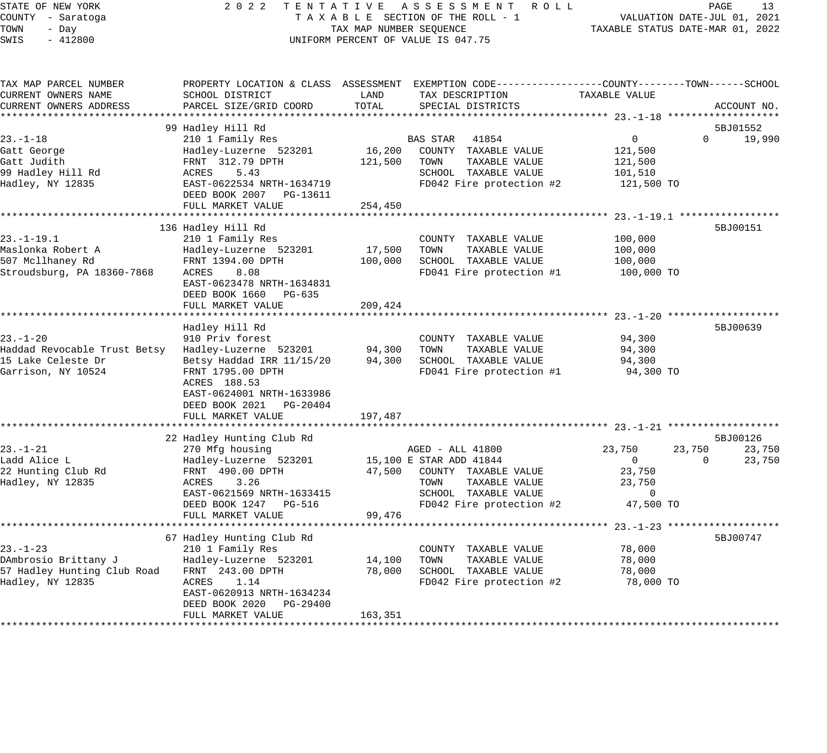#### STATE OF NEW YORK 2 0 2 2 T E N T A T I V E A S S E S S M E N T R O L L PAGE 13 COUNTY - Saratoga T A X A B L E SECTION OF THE ROLL - 1 VALUATION DATE-JUL 01, 2021 TAX MAP NUMBER SEQUENCE TAXABLE STATUS DATE-MAR 01, 2022 UNIFORM PERCENT OF VALUE IS 047.75

| TAX MAP PARCEL NUMBER<br>CURRENT OWNERS NAME                                               | SCHOOL DISTRICT                                                                                                                                                                                              | LAND                         | PROPERTY LOCATION & CLASS ASSESSMENT EXEMPTION CODE---------------COUNTY-------TOWN------SCHOOL<br>TAX DESCRIPTION                               | TAXABLE VALUE                                                 |                                          |
|--------------------------------------------------------------------------------------------|--------------------------------------------------------------------------------------------------------------------------------------------------------------------------------------------------------------|------------------------------|--------------------------------------------------------------------------------------------------------------------------------------------------|---------------------------------------------------------------|------------------------------------------|
| CURRENT OWNERS ADDRESS                                                                     | PARCEL SIZE/GRID COORD                                                                                                                                                                                       | TOTAL                        | SPECIAL DISTRICTS                                                                                                                                |                                                               | ACCOUNT NO.                              |
|                                                                                            | 99 Hadley Hill Rd                                                                                                                                                                                            |                              |                                                                                                                                                  |                                                               |                                          |
| $23. - 1 - 18$<br>Gatt George<br>Gatt Judith<br>99 Hadley Hill Rd<br>Hadley, NY 12835      | 210 1 Family Res<br>Hadley-Luzerne 523201<br>FRNT 312.79 DPTH<br>5.43<br>ACRES<br>EAST-0622534 NRTH-1634719<br>DEED BOOK 2007 PG-13611                                                                       | 16,200<br>121,500            | BAS STAR 41854<br>COUNTY TAXABLE VALUE<br>TOWN<br>TAXABLE VALUE<br>SCHOOL TAXABLE VALUE<br>FD042 Fire protection #2                              | $\overline{0}$<br>121,500<br>121,500<br>101,510<br>121,500 TO | 5BJ01552<br>$\Omega$<br>19,990           |
|                                                                                            | FULL MARKET VALUE                                                                                                                                                                                            | 254,450                      |                                                                                                                                                  |                                                               |                                          |
|                                                                                            |                                                                                                                                                                                                              |                              |                                                                                                                                                  |                                                               |                                          |
| $23. - 1 - 19.1$<br>Maslonka Robert A<br>507 Mcllhaney Rd<br>Stroudsburg, PA 18360-7868    | 136 Hadley Hill Rd<br>210 1 Family Res<br>Hadley-Luzerne 523201<br>FRNT 1394.00 DPTH<br>ACRES<br>8.08<br>EAST-0623478 NRTH-1634831<br>DEED BOOK 1660 PG-635<br>FULL MARKET VALUE                             | 17,500<br>100,000<br>209,424 | COUNTY TAXABLE VALUE<br>TOWN<br>TAXABLE VALUE<br>SCHOOL TAXABLE VALUE<br>FD041 Fire protection #1                                                | 100,000<br>100,000<br>100,000<br>100,000 TO                   | 5BJ00151                                 |
|                                                                                            |                                                                                                                                                                                                              |                              |                                                                                                                                                  |                                                               |                                          |
| $23. - 1 - 20$<br>Haddad Revocable Trust Betsy<br>15 Lake Celeste Dr<br>Garrison, NY 10524 | Hadley Hill Rd<br>910 Priv forest<br>Hadley-Luzerne 523201<br>Betsy Haddad IRR 11/15/20<br>FRNT 1795.00 DPTH<br>ACRES 188.53<br>EAST-0624001 NRTH-1633986<br>DEED BOOK 2021<br>PG-20404<br>FULL MARKET VALUE | 94,300<br>94,300<br>197,487  | COUNTY TAXABLE VALUE<br>TOWN<br>TAXABLE VALUE<br>SCHOOL TAXABLE VALUE<br>FD041 Fire protection #1                                                | 94,300<br>94,300<br>94,300<br>94,300 TO                       | 5BJ00639                                 |
|                                                                                            |                                                                                                                                                                                                              |                              |                                                                                                                                                  |                                                               |                                          |
| $23. - 1 - 21$<br>Ladd Alice L<br>22 Hunting Club Rd<br>Hadley, NY 12835                   | 22 Hadley Hunting Club Rd<br>270 Mfg housing<br>Hadley-Luzerne 523201<br>FRNT 490.00 DPTH<br>ACRES<br>3.26<br>EAST-0621569 NRTH-1633415<br>DEED BOOK 1247 PG-516                                             | 47,500                       | AGED - ALL 41800<br>15,100 E STAR ADD 41844<br>COUNTY TAXABLE VALUE<br>TOWN<br>TAXABLE VALUE<br>SCHOOL TAXABLE VALUE<br>FD042 Fire protection #2 | 23,750<br>23,750<br>0<br>23,750<br>23,750<br>0<br>47,500 TO   | 5BJ00126<br>23,750<br>$\Omega$<br>23,750 |
|                                                                                            | FULL MARKET VALUE<br>***********************                                                                                                                                                                 | 99,476                       | **************************************                                                                                                           | ********** 23.-1-23 ********************                      |                                          |
| $23 - 1 - 23$<br>DAmbrosio Brittany J<br>57 Hadley Hunting Club Road<br>Hadley, NY 12835   | 67 Hadley Hunting Club Rd<br>210 1 Family Res<br>Hadley-Luzerne 523201<br>FRNT 243.00 DPTH<br>ACRES<br>1.14<br>EAST-0620913 NRTH-1634234<br>DEED BOOK 2020 PG-29400<br>FULL MARKET VALUE                     | 14,100<br>78,000<br>163,351  | COUNTY TAXABLE VALUE<br>TAXABLE VALUE<br>TOWN<br>SCHOOL TAXABLE VALUE<br>FD042 Fire protection #2                                                | 78,000<br>78,000<br>78,000<br>78,000 TO                       | 5BJ00747                                 |
|                                                                                            |                                                                                                                                                                                                              |                              |                                                                                                                                                  |                                                               |                                          |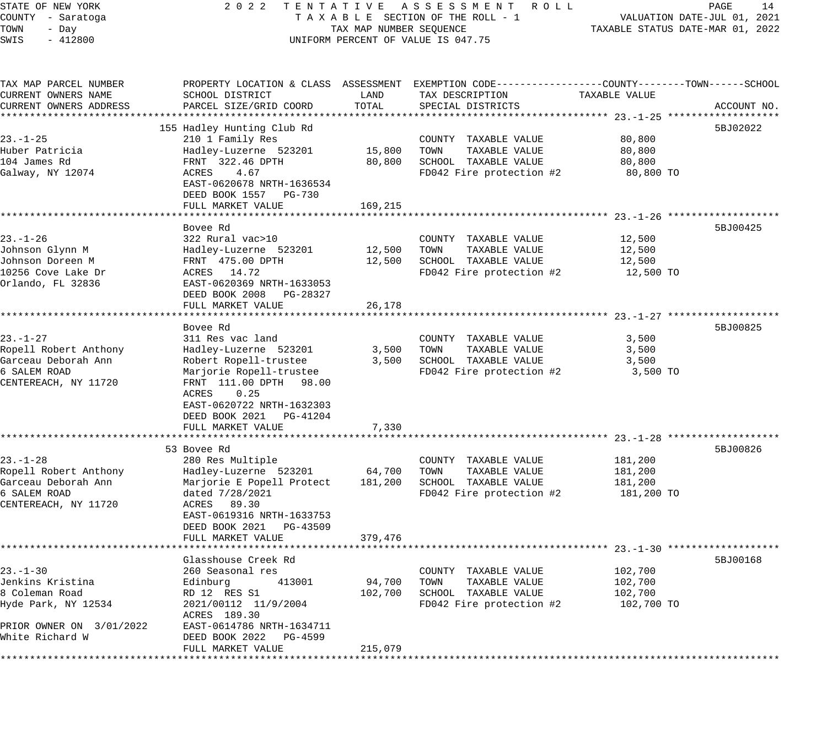STATE OF NEW YORK 2 0 2 2 T E N T A T I V E A S S E S S M E N T R O L L PAGE 14 COUNTY - Saratoga T A X A B L E SECTION OF THE ROLL - 1 VALUATION DATE-JUL 01, 2021 TOWN - Day TAX MAP NUMBER SEQUENCE TAXABLE STATUS DATE-MAR 01, 2022 SWIS - 412800 CONTROLLY THE UNIFORM PERCENT OF VALUE IS 047.75 TAX MAP PARCEL NUMBER PROPERTY LOCATION & CLASS ASSESSMENT EXEMPTION CODE------------------COUNTY--------TOWN------SCHOOL CURRENT OWNERS NAME SCHOOL DISTRICT LAND TAX DESCRIPTION TAXABLE VALUE CURRENT OWNERS ADDRESS PARCEL SIZE/GRID COORD TOTAL SPECIAL DISTRICTS ACCOUNT NO. \*\*\*\*\*\*\*\*\*\*\*\*\*\*\*\*\*\*\*\*\*\*\*\*\*\*\*\*\*\*\*\*\*\*\*\*\*\*\*\*\*\*\*\*\*\*\*\*\*\*\*\*\*\*\*\*\*\*\*\*\*\*\*\*\*\*\*\*\*\*\*\*\*\*\*\*\*\*\*\*\*\*\*\*\*\*\*\*\*\*\*\*\*\*\*\*\*\*\*\*\*\*\* 23.-1-25 \*\*\*\*\*\*\*\*\*\*\*\*\*\*\*\*\*\*\* 155 Hadley Hunting Club Rd 5BJ02022 Subsets of the Subsetsion of the Subsetsion of the Subsetsion of the Subsetsion of the Subsetsion of the Subsetsion of the Subsetsion of the Subsetsion of the Subsetsion of the Subsetsio 23.-1-25 210 1 Family Res COUNTY TAXABLE VALUE 80,800 Huber Patricia Hadley-Luzerne 523201 15,800 TOWN TAXABLE VALUE 80,800 104 James Rd FRNT 322.46 DPTH 80,800 SCHOOL TAXABLE VALUE 80,800 Galway, NY 12074 ACRES 4.67 FD042 Fire protection #2 80,800 TO EAST-0620678 NRTH-1636534 DEED BOOK 1557 PG-730 FULL MARKET VALUE 169, 215 \*\*\*\*\*\*\*\*\*\*\*\*\*\*\*\*\*\*\*\*\*\*\*\*\*\*\*\*\*\*\*\*\*\*\*\*\*\*\*\*\*\*\*\*\*\*\*\*\*\*\*\*\*\*\*\*\*\*\*\*\*\*\*\*\*\*\*\*\*\*\*\*\*\*\*\*\*\*\*\*\*\*\*\*\*\*\*\*\*\*\*\*\*\*\*\*\*\*\*\*\*\*\* 23.-1-26 \*\*\*\*\*\*\*\*\*\*\*\*\*\*\*\*\*\*\* Bovee Rd 5BJ00425 23.-1-26 322 Rural vac>10 COUNTY TAXABLE VALUE 12,500 Johnson Glynn M Hadley-Luzerne 523201 12,500 TOWN TAXABLE VALUE 12,500 Johnson Doreen M FRNT 475.00 DPTH 12,500 SCHOOL TAXABLE VALUE 12,500 10256 Cove Lake Dr ACRES 14.72 FD042 Fire protection #2 12,500 TO Orlando, FL 32836 EAST-0620369 NRTH-1633053 DEED BOOK 2008 PG-28327 FULL MARKET VALUE 26,178 \*\*\*\*\*\*\*\*\*\*\*\*\*\*\*\*\*\*\*\*\*\*\*\*\*\*\*\*\*\*\*\*\*\*\*\*\*\*\*\*\*\*\*\*\*\*\*\*\*\*\*\*\*\*\*\*\*\*\*\*\*\*\*\*\*\*\*\*\*\*\*\*\*\*\*\*\*\*\*\*\*\*\*\*\*\*\*\*\*\*\*\*\*\*\*\*\*\*\*\*\*\*\* 23.-1-27 \*\*\*\*\*\*\*\*\*\*\*\*\*\*\*\*\*\*\* Bovee Rd 5BJ00825 23.-1-27 311 Res vac land COUNTY TAXABLE VALUE 3,500 Ropell Robert Anthony Hadley-Luzerne 523201 3,500 TOWN TAXABLE VALUE 3,500 Garceau Deborah Ann Robert Ropell-trustee 3,500 SCHOOL TAXABLE VALUE 3,500 6 SALEM ROAD Marjorie Ropell-trustee FD042 Fire protection #2 3,500 TO CENTEREACH, NY 11720 FRNT 111.00 DPTH 98.00 ACRES 0.25 EAST-0620722 NRTH-1632303 DEED BOOK 2021 PG-41204 FULL MARKET VALUE 7,330 \*\*\*\*\*\*\*\*\*\*\*\*\*\*\*\*\*\*\*\*\*\*\*\*\*\*\*\*\*\*\*\*\*\*\*\*\*\*\*\*\*\*\*\*\*\*\*\*\*\*\*\*\*\*\*\*\*\*\*\*\*\*\*\*\*\*\*\*\*\*\*\*\*\*\*\*\*\*\*\*\*\*\*\*\*\*\*\*\*\*\*\*\*\*\*\*\*\*\*\*\*\*\* 23.-1-28 \*\*\*\*\*\*\*\*\*\*\*\*\*\*\*\*\*\*\* 53 Bovee Rd 5BJ00826 23.-1-28 280 Res Multiple COUNTY TAXABLE VALUE 181,200 Ropell Robert Anthony Hadley-Luzerne 523201 64,700 TOWN TAXABLE VALUE 181,200 Garceau Deborah Ann Marjorie E Popell Protect 181,200 SCHOOL TAXABLE VALUE 181,200 6 SALEM ROAD dated 7/28/2021 FD042 Fire protection #2 181,200 TO CENTEREACH, NY 11720 ACRES 89.30 EAST-0619316 NRTH-1633753 DEED BOOK 2021 PG-43509 FULL MARKET VALUE 379,476 \*\*\*\*\*\*\*\*\*\*\*\*\*\*\*\*\*\*\*\*\*\*\*\*\*\*\*\*\*\*\*\*\*\*\*\*\*\*\*\*\*\*\*\*\*\*\*\*\*\*\*\*\*\*\*\*\*\*\*\*\*\*\*\*\*\*\*\*\*\*\*\*\*\*\*\*\*\*\*\*\*\*\*\*\*\*\*\*\*\*\*\*\*\*\*\*\*\*\*\*\*\*\* 23.-1-30 \*\*\*\*\*\*\*\*\*\*\*\*\*\*\*\*\*\*\* Glasshouse Creek Rd 5BJ00168 23.-1-30 260 Seasonal res COUNTY TAXABLE VALUE 102,700 Jenkins Kristina Edinburg 413001 94,700 TOWN TAXABLE VALUE 102,700 8 Coleman Road RD 12 RES S1 102,700 SCHOOL TAXABLE VALUE 102,700 Hyde Park, NY 12534 2021/00112 11/9/2004 FD042 Fire protection #2 102,700 TO ACRES 189.30 PRIOR OWNER ON 3/01/2022 EAST-0614786 NRTH-1634711 White Richard W DEED BOOK 2022 PG-4599

\*\*\*\*\*\*\*\*\*\*\*\*\*\*\*\*\*\*\*\*\*\*\*\*\*\*\*\*\*\*\*\*\*\*\*\*\*\*\*\*\*\*\*\*\*\*\*\*\*\*\*\*\*\*\*\*\*\*\*\*\*\*\*\*\*\*\*\*\*\*\*\*\*\*\*\*\*\*\*\*\*\*\*\*\*\*\*\*\*\*\*\*\*\*\*\*\*\*\*\*\*\*\*\*\*\*\*\*\*\*\*\*\*\*\*\*\*\*\*\*\*\*\*\*\*\*\*\*\*\*\*\*

FULL MARKET VALUE 215,079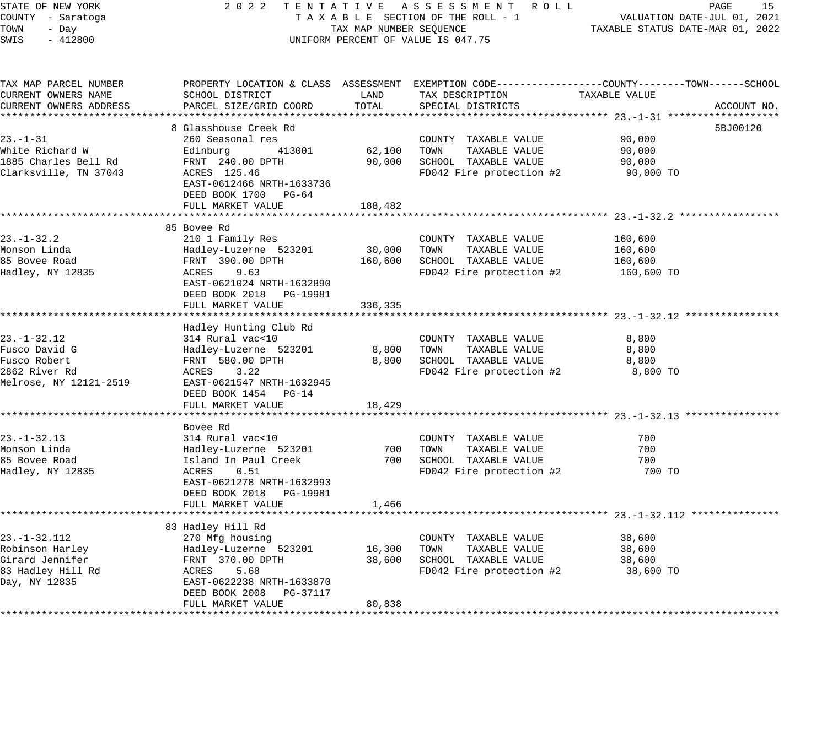STATE OF NEW YORK 2 0 2 2 T E N T A T I V E A S S E S S M E N T R O L L PAGE 15 COUNTY - Saratoga T A X A B L E SECTION OF THE ROLL - 1 VALUATION DATE-JUL 01, 2021 TOWN - Day TAX MAP NUMBER SEQUENCE TAXABLE STATUS DATE-MAR 01, 2022 SWIS - 412800 UNIFORM PERCENT OF VALUE IS 047.75 TAX MAP PARCEL NUMBER PROPERTY LOCATION & CLASS ASSESSMENT EXEMPTION CODE------------------COUNTY--------TOWN------SCHOOL CURRENT OWNERS NAME SCHOOL DISTRICT LAND TAX DESCRIPTION TAXABLE VALUE CURRENT OWNERS ADDRESS PARCEL SIZE/GRID COORD TOTAL SPECIAL DISTRICTS ACCOUNT NO. \*\*\*\*\*\*\*\*\*\*\*\*\*\*\*\*\*\*\*\*\*\*\*\*\*\*\*\*\*\*\*\*\*\*\*\*\*\*\*\*\*\*\*\*\*\*\*\*\*\*\*\*\*\*\*\*\*\*\*\*\*\*\*\*\*\*\*\*\*\*\*\*\*\*\*\*\*\*\*\*\*\*\*\*\*\*\*\*\*\*\*\*\*\*\*\*\*\*\*\*\*\*\* 23.-1-31 \*\*\*\*\*\*\*\*\*\*\*\*\*\*\*\*\*\*\* 8 Glasshouse Creek Rd 5BJ00120 (1999) 8 Superior (1999) 8 Superior (1999) 8 Superior (1999) 5 Superior (1999) 5 Superior (1999) 5 Superior (1999) 5 Superior (1999) 5 Superior (1999) 5 Superior (1999) 5 Superior (1999) 5 Su 23.-1-31 260 Seasonal res COUNTY TAXABLE VALUE 90,000 White Richard W Edinburg 413001 62,100 TOWN TAXABLE VALUE 90,000 1885 Charles Bell Rd FRNT 240.00 DPTH 90,000 SCHOOL TAXABLE VALUE 90,000 Clarksville, TN 37043 ACRES 125.46 FD042 Fire protection #2 90,000 TO EAST-0612466 NRTH-1633736 DEED BOOK 1700 PG-64 FULL MARKET VALUE 188,482 \*\*\*\*\*\*\*\*\*\*\*\*\*\*\*\*\*\*\*\*\*\*\*\*\*\*\*\*\*\*\*\*\*\*\*\*\*\*\*\*\*\*\*\*\*\*\*\*\*\*\*\*\*\*\*\*\*\*\*\*\*\*\*\*\*\*\*\*\*\*\*\*\*\*\*\*\*\*\*\*\*\*\*\*\*\*\*\*\*\*\*\*\*\*\*\*\*\*\*\*\*\*\* 23.-1-32.2 \*\*\*\*\*\*\*\*\*\*\*\*\*\*\*\*\* 85 Bovee Rd 23.-1-32.2 210 1 Family Res COUNTY TAXABLE VALUE 160,600 Monson Linda Hadley-Luzerne 523201 30,000 TOWN TAXABLE VALUE 160,600 85 Bovee Road FRNT 390.00 DPTH 160,600 SCHOOL TAXABLE VALUE 160,600 Hadley, NY 12835 ACRES 9.63 FD042 Fire protection #2 160,600 TO EAST-0621024 NRTH-1632890 DEED BOOK 2018 PG-19981 FULL MARKET VALUE 336,335 \*\*\*\*\*\*\*\*\*\*\*\*\*\*\*\*\*\*\*\*\*\*\*\*\*\*\*\*\*\*\*\*\*\*\*\*\*\*\*\*\*\*\*\*\*\*\*\*\*\*\*\*\*\*\*\*\*\*\*\*\*\*\*\*\*\*\*\*\*\*\*\*\*\*\*\*\*\*\*\*\*\*\*\*\*\*\*\*\*\*\*\*\*\*\*\*\*\*\*\*\*\*\* 23.-1-32.12 \*\*\*\*\*\*\*\*\*\*\*\*\*\*\*\* Hadley Hunting Club Rd 23.-1-32.12 314 Rural vac<10 COUNTY TAXABLE VALUE 8,800 Fusco David G Hadley-Luzerne 523201 8,800 TOWN TAXABLE VALUE 8,800 Fusco Robert FRNT 580.00 DPTH 8,800 SCHOOL TAXABLE VALUE 8,800 2862 River Rd ACRES 3.22 FD042 Fire protection #2 8,800 TO Melrose, NY 12121-2519 EAST-0621547 NRTH-1632945 DEED BOOK 1454 PG-14 FULL MARKET VALUE 18,429 \*\*\*\*\*\*\*\*\*\*\*\*\*\*\*\*\*\*\*\*\*\*\*\*\*\*\*\*\*\*\*\*\*\*\*\*\*\*\*\*\*\*\*\*\*\*\*\*\*\*\*\*\*\*\*\*\*\*\*\*\*\*\*\*\*\*\*\*\*\*\*\*\*\*\*\*\*\*\*\*\*\*\*\*\*\*\*\*\*\*\*\*\*\*\*\*\*\*\*\*\*\*\* 23.-1-32.13 \*\*\*\*\*\*\*\*\*\*\*\*\*\*\*\* Bovee Rd 23.-1-32.13 314 Rural vac<10 COUNTY TAXABLE VALUE 700 Monson Linda Hadley-Luzerne 523201 700 TOWN TAXABLE VALUE 700 85 Bovee Road Island In Paul Creek 700 SCHOOL TAXABLE VALUE 700 Hadley, NY 12835 ACRES 0.51 FD042 Fire protection #2 700 TO EAST-0621278 NRTH-1632993 DEED BOOK 2018 PG-19981 FULL MARKET VALUE 1,466 \*\*\*\*\*\*\*\*\*\*\*\*\*\*\*\*\*\*\*\*\*\*\*\*\*\*\*\*\*\*\*\*\*\*\*\*\*\*\*\*\*\*\*\*\*\*\*\*\*\*\*\*\*\*\*\*\*\*\*\*\*\*\*\*\*\*\*\*\*\*\*\*\*\*\*\*\*\*\*\*\*\*\*\*\*\*\*\*\*\*\*\*\*\*\*\*\*\*\*\*\*\*\* 23.-1-32.112 \*\*\*\*\*\*\*\*\*\*\*\*\*\*\* 83 Hadley Hill Rd 23.-1-32.112 270 Mfg housing COUNTY TAXABLE VALUE 38,600 Robinson Harley Hadley-Luzerne 523201 16,300 TOWN TAXABLE VALUE 38,600 Girard Jennifer FRNT 370.00 DPTH 38,600 SCHOOL TAXABLE VALUE 38,600 83 Hadley Hill Rd ACRES 5.68 FD042 Fire protection #2 38,600 TO Day, NY 12835 EAST-0622238 NRTH-1633870 DEED BOOK 2008 PG-37117 FULL MARKET VALUE 80,838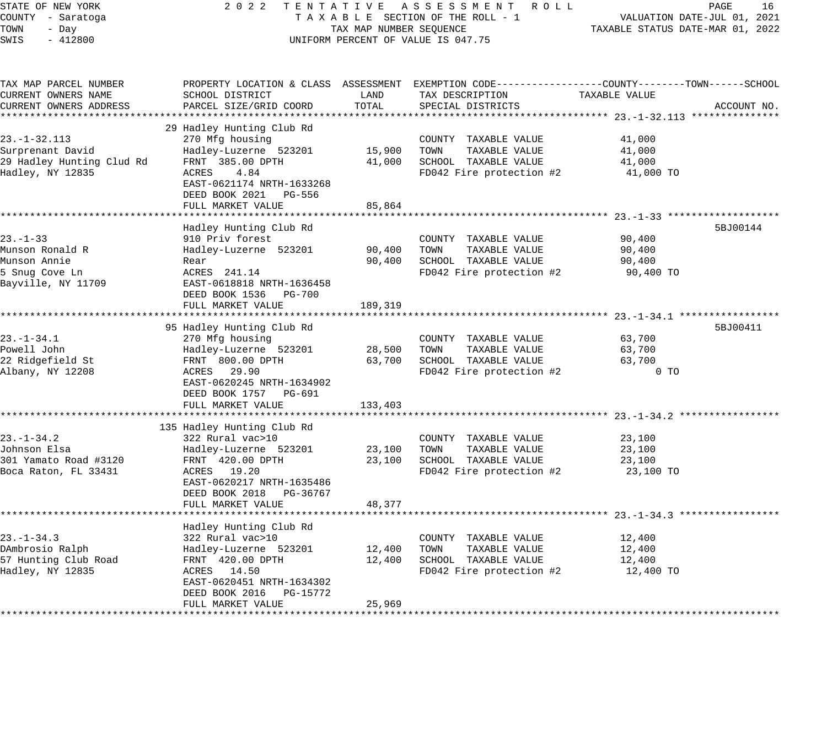| STATE OF NEW YORK         | 2 0 2 2<br>TENTATIVE       |                         | A S S E S S M E N T R O L L                                                                    |                                          | PAGE<br>16                  |
|---------------------------|----------------------------|-------------------------|------------------------------------------------------------------------------------------------|------------------------------------------|-----------------------------|
| COUNTY - Saratoga         |                            |                         | TAXABLE SECTION OF THE ROLL - 1                                                                |                                          | VALUATION DATE-JUL 01, 2021 |
| TOWN<br>- Day             |                            | TAX MAP NUMBER SEQUENCE |                                                                                                | TAXABLE STATUS DATE-MAR 01, 2022         |                             |
| SWIS<br>$-412800$         |                            |                         | UNIFORM PERCENT OF VALUE IS 047.75                                                             |                                          |                             |
|                           |                            |                         |                                                                                                |                                          |                             |
| TAX MAP PARCEL NUMBER     |                            |                         | PROPERTY LOCATION & CLASS ASSESSMENT EXEMPTION CODE---------------COUNTY-------TOWN-----SCHOOL |                                          |                             |
| CURRENT OWNERS NAME       | SCHOOL DISTRICT            | LAND                    | TAX DESCRIPTION                                                                                | TAXABLE VALUE                            |                             |
| CURRENT OWNERS ADDRESS    | PARCEL SIZE/GRID COORD     | TOTAL                   | SPECIAL DISTRICTS                                                                              |                                          | ACCOUNT NO.                 |
|                           |                            |                         |                                                                                                |                                          |                             |
|                           | 29 Hadley Hunting Club Rd  |                         |                                                                                                |                                          |                             |
| $23. - 1 - 32.113$        | 270 Mfg housing            |                         | COUNTY TAXABLE VALUE                                                                           | 41,000                                   |                             |
| Surprenant David          | Hadley-Luzerne 523201      | 15,900                  | TOWN<br>TAXABLE VALUE                                                                          | 41,000                                   |                             |
| 29 Hadley Hunting Clud Rd | FRNT 385.00 DPTH           | 41,000                  | SCHOOL TAXABLE VALUE                                                                           | 41,000                                   |                             |
| Hadley, NY 12835          | ACRES<br>4.84              |                         | FD042 Fire protection #2                                                                       | 41,000 TO                                |                             |
|                           | EAST-0621174 NRTH-1633268  |                         |                                                                                                |                                          |                             |
|                           | DEED BOOK 2021 PG-556      |                         |                                                                                                |                                          |                             |
|                           | FULL MARKET VALUE          | 85,864                  |                                                                                                |                                          |                             |
|                           |                            |                         |                                                                                                |                                          |                             |
|                           |                            |                         |                                                                                                |                                          |                             |
|                           | Hadley Hunting Club Rd     |                         |                                                                                                |                                          | 5BJ00144                    |
| $23 - 1 - 33$             | 910 Priv forest            |                         | COUNTY TAXABLE VALUE                                                                           | 90,400                                   |                             |
| Munson Ronald R           | Hadley-Luzerne 523201      | 90,400                  | TOWN<br>TAXABLE VALUE                                                                          | 90,400                                   |                             |
| Munson Annie              | Rear                       | 90,400                  | SCHOOL TAXABLE VALUE                                                                           | 90,400                                   |                             |
| 5 Snug Cove Ln            | ACRES 241.14               |                         | FD042 Fire protection #2                                                                       | 90,400 TO                                |                             |
| Bayville, NY 11709        | EAST-0618818 NRTH-1636458  |                         |                                                                                                |                                          |                             |
|                           | DEED BOOK 1536 PG-700      |                         |                                                                                                |                                          |                             |
|                           | FULL MARKET VALUE          | 189,319                 |                                                                                                |                                          |                             |
|                           |                            |                         |                                                                                                |                                          |                             |
|                           | 95 Hadley Hunting Club Rd  |                         |                                                                                                |                                          | 5BJ00411                    |
| $23. - 1 - 34.1$          | 270 Mfg housing            |                         | COUNTY TAXABLE VALUE                                                                           | 63,700                                   |                             |
| Powell John               | Hadley-Luzerne 523201      | 28,500                  | TOWN<br>TAXABLE VALUE                                                                          | 63,700                                   |                             |
| 22 Ridgefield St          | FRNT 800.00 DPTH           | 63,700                  | SCHOOL TAXABLE VALUE                                                                           | 63,700                                   |                             |
| Albany, NY 12208          | ACRES 29.90                |                         | FD042 Fire protection #2                                                                       | $0$ TO                                   |                             |
|                           | EAST-0620245 NRTH-1634902  |                         |                                                                                                |                                          |                             |
|                           | DEED BOOK 1757 PG-691      |                         |                                                                                                |                                          |                             |
|                           | FULL MARKET VALUE          | 133,403                 |                                                                                                |                                          |                             |
|                           |                            |                         |                                                                                                |                                          |                             |
|                           | 135 Hadley Hunting Club Rd |                         |                                                                                                |                                          |                             |
| $23. - 1 - 34.2$          | 322 Rural vac>10           |                         | COUNTY TAXABLE VALUE                                                                           | 23,100                                   |                             |
| Johnson Elsa              |                            | 23,100                  | TAXABLE VALUE<br>TOWN                                                                          |                                          |                             |
|                           | Hadley-Luzerne 523201      |                         |                                                                                                | 23,100                                   |                             |
| 301 Yamato Road #3120     | FRNT 420.00 DPTH           | 23,100                  | SCHOOL TAXABLE VALUE                                                                           | 23,100                                   |                             |
| Boca Raton, FL 33431      | ACRES 19.20                |                         | FD042 Fire protection #2                                                                       | 23,100 TO                                |                             |
|                           | EAST-0620217 NRTH-1635486  |                         |                                                                                                |                                          |                             |
|                           | DEED BOOK 2018 PG-36767    |                         |                                                                                                |                                          |                             |
|                           | FULL MARKET VALUE          | 48,377                  |                                                                                                |                                          |                             |
|                           |                            |                         |                                                                                                | ******************** 23.-1-34.3 ******** |                             |
|                           | Hadley Hunting Club Rd     |                         |                                                                                                |                                          |                             |
| $23. - 1 - 34.3$          | 322 Rural vac>10           |                         | COUNTY TAXABLE VALUE                                                                           | 12,400                                   |                             |
| DAmbrosio Ralph           | Hadley-Luzerne 523201      | 12,400                  | TOWN<br>TAXABLE VALUE                                                                          | 12,400                                   |                             |
| 57 Hunting Club Road      | FRNT 420.00 DPTH           | 12,400                  | SCHOOL TAXABLE VALUE                                                                           | 12,400                                   |                             |
| Hadley, NY 12835          | ACRES 14.50                |                         | FD042 Fire protection #2                                                                       | 12,400 TO                                |                             |
|                           | EAST-0620451 NRTH-1634302  |                         |                                                                                                |                                          |                             |
|                           | DEED BOOK 2016 PG-15772    |                         |                                                                                                |                                          |                             |
|                           | FULL MARKET VALUE          | 25,969                  |                                                                                                |                                          |                             |
|                           |                            |                         |                                                                                                |                                          |                             |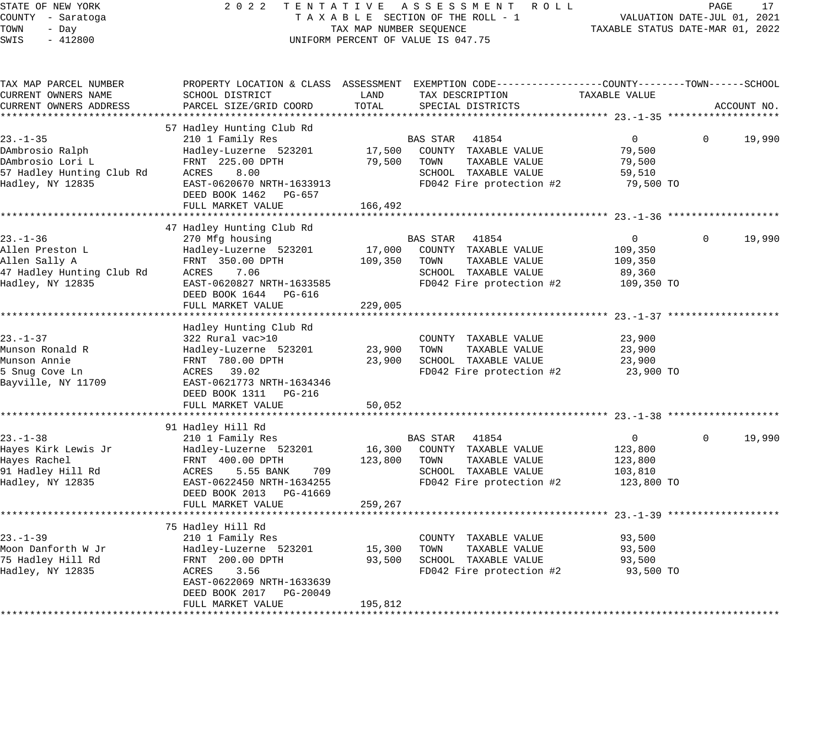#### STATE OF NEW YORK 2 0 2 2 T E N T A T I V E A S S E S S M E N T R O L L PAGE 17 COUNTY - Saratoga T A X A B L E SECTION OF THE ROLL - 1 VALUATION DATE-JUL 01, 2021 X A B L E SECTION OF THE KOLL - 1 TAXABLE STATUS DATE-MAR 01, 2022 UNIFORM PERCENT OF VALUE IS 047.75

| TAX MAP PARCEL NUMBER<br>CURRENT OWNERS NAME                                                           | SCHOOL DISTRICT                                                                                                                                              | LAND                         | PROPERTY LOCATION & CLASS ASSESSMENT EXEMPTION CODE----------------COUNTY-------TOWN------SCHOOL<br>TAX DESCRIPTION    | TAXABLE VALUE                                                 |                        |
|--------------------------------------------------------------------------------------------------------|--------------------------------------------------------------------------------------------------------------------------------------------------------------|------------------------------|------------------------------------------------------------------------------------------------------------------------|---------------------------------------------------------------|------------------------|
| CURRENT OWNERS ADDRESS                                                                                 | PARCEL SIZE/GRID COORD                                                                                                                                       | TOTAL                        | SPECIAL DISTRICTS                                                                                                      |                                                               | ACCOUNT NO.            |
|                                                                                                        | 57 Hadley Hunting Club Rd                                                                                                                                    |                              |                                                                                                                        |                                                               |                        |
| $23. - 1 - 35$<br>DAmbrosio Ralph<br>DAmbrosio Lori L<br>57 Hadley Hunting Club Rd<br>Hadley, NY 12835 | 210 1 Family Res<br>Hadley-Luzerne 523201<br>FRNT 225.00 DPTH<br>ACRES<br>8.00<br>EAST-0620670 NRTH-1633913<br>DEED BOOK 1462<br>PG-657<br>FULL MARKET VALUE | 17,500<br>79,500<br>166,492  | BAS STAR 41854<br>COUNTY TAXABLE VALUE<br>TOWN<br>TAXABLE VALUE<br>SCHOOL TAXABLE VALUE<br>FD042 Fire protection #2    | $\overline{0}$<br>79,500<br>79,500<br>59,510<br>79,500 TO     | 19,990<br>$\Omega$     |
|                                                                                                        | 47 Hadley Hunting Club Rd                                                                                                                                    |                              |                                                                                                                        |                                                               |                        |
| $23. - 1 - 36$<br>Allen Preston L<br>Allen Sally A<br>47 Hadley Hunting Club Rd<br>Hadley, NY 12835    | 270 Mfg housing<br>Hadley-Luzerne 523201<br>FRNT 350.00 DPTH<br>ACRES<br>7.06<br>EAST-0620827 NRTH-1633585<br>DEED BOOK 1644 PG-616<br>FULL MARKET VALUE     | 17,000<br>109,350<br>229,005 | BAS STAR<br>41854<br>COUNTY TAXABLE VALUE<br>TOWN<br>TAXABLE VALUE<br>SCHOOL TAXABLE VALUE<br>FD042 Fire protection #2 | $\overline{0}$<br>109,350<br>109,350<br>89,360<br>109,350 TO  | 19,990<br>$\Omega$     |
|                                                                                                        |                                                                                                                                                              |                              |                                                                                                                        |                                                               |                        |
| $23 - 1 - 37$<br>Munson Ronald R<br>Munson Annie<br>5 Snug Cove Ln<br>Bayville, NY 11709               | Hadley Hunting Club Rd<br>322 Rural vac>10<br>Hadley-Luzerne 523201<br>FRNT 780.00 DPTH<br>ACRES 39.02<br>EAST-0621773 NRTH-1634346<br>DEED BOOK 1311 PG-216 | 23,900<br>23,900             | COUNTY TAXABLE VALUE<br>TOWN<br>TAXABLE VALUE<br>SCHOOL TAXABLE VALUE<br>FD042 Fire protection #2                      | 23,900<br>23,900<br>23,900<br>23,900 TO                       |                        |
|                                                                                                        | FULL MARKET VALUE                                                                                                                                            | 50,052                       |                                                                                                                        |                                                               |                        |
|                                                                                                        | 91 Hadley Hill Rd                                                                                                                                            |                              |                                                                                                                        |                                                               |                        |
| $23. - 1 - 38$<br>Hayes Kirk Lewis Jr<br>Hayes Rachel<br>91 Hadley Hill Rd<br>Hadley, NY 12835         | 210 1 Family Res<br>Hadley-Luzerne 523201<br>FRNT 400.00 DPTH<br>709<br>ACRES<br>5.55 BANK<br>EAST-0622450 NRTH-1634255<br>DEED BOOK 2013 PG-41669           | 16,300<br>123,800            | BAS STAR 41854<br>COUNTY TAXABLE VALUE<br>TOWN<br>TAXABLE VALUE<br>SCHOOL TAXABLE VALUE<br>FD042 Fire protection #2    | $\overline{0}$<br>123,800<br>123,800<br>103,810<br>123,800 TO | $\mathbf{0}$<br>19,990 |
|                                                                                                        | FULL MARKET VALUE                                                                                                                                            | 259,267                      |                                                                                                                        |                                                               |                        |
|                                                                                                        | 75 Hadley Hill Rd                                                                                                                                            |                              |                                                                                                                        |                                                               |                        |
| 23.-1-39<br>Moon Danforth W Jr<br>75 Hadley Hill Rd<br>Hadley, NY 12835                                | 210 1 Family Res<br>Hadley-Luzerne 523201<br>FRNT 200.00 DPTH<br>ACRES<br>3.56<br>EAST-0622069 NRTH-1633639<br>DEED BOOK 2017 PG-20049<br>FULL MARKET VALUE  | 15,300<br>93,500<br>195,812  | COUNTY TAXABLE VALUE<br>TOWN<br>TAXABLE VALUE<br>SCHOOL TAXABLE VALUE<br>FD042 Fire protection #2                      | 93,500<br>93,500<br>93,500<br>93,500 TO                       |                        |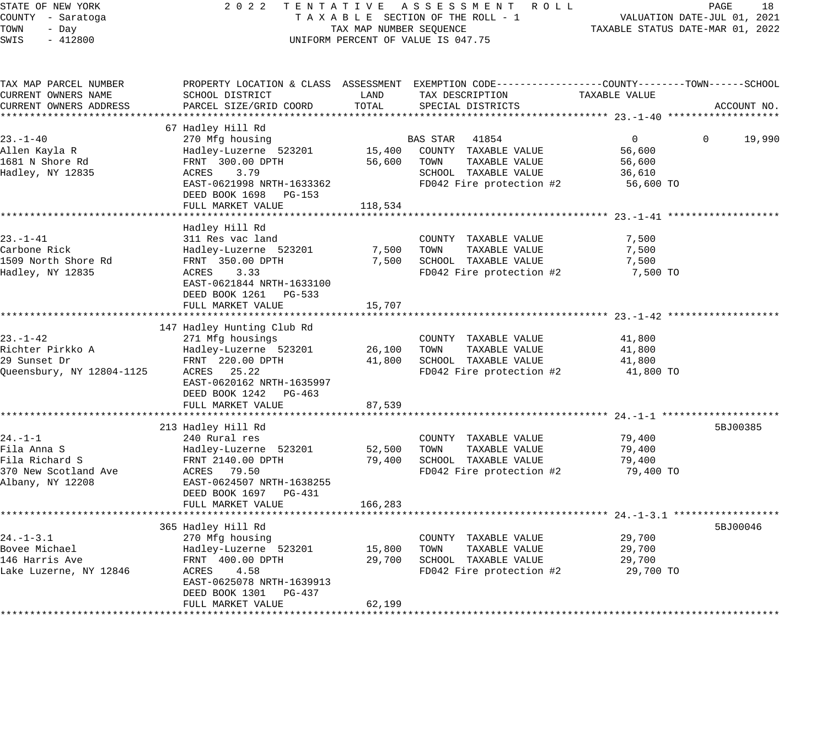| STATE OF NEW YORK         | 2022                                                                                           |                         | TENTATIVE ASSESSMENT ROLL          |                                  | PAGE                        | 18          |
|---------------------------|------------------------------------------------------------------------------------------------|-------------------------|------------------------------------|----------------------------------|-----------------------------|-------------|
| COUNTY - Saratoga         |                                                                                                |                         | TAXABLE SECTION OF THE ROLL - 1    |                                  | VALUATION DATE-JUL 01, 2021 |             |
| TOWN<br>- Day             |                                                                                                | TAX MAP NUMBER SEQUENCE |                                    | TAXABLE STATUS DATE-MAR 01, 2022 |                             |             |
| SWIS<br>$-412800$         |                                                                                                |                         | UNIFORM PERCENT OF VALUE IS 047.75 |                                  |                             |             |
|                           |                                                                                                |                         |                                    |                                  |                             |             |
| TAX MAP PARCEL NUMBER     | PROPERTY LOCATION & CLASS ASSESSMENT EXEMPTION CODE---------------COUNTY-------TOWN-----SCHOOL |                         |                                    |                                  |                             |             |
| CURRENT OWNERS NAME       | SCHOOL DISTRICT                                                                                | LAND                    | TAX DESCRIPTION                    | TAXABLE VALUE                    |                             |             |
| CURRENT OWNERS ADDRESS    | PARCEL SIZE/GRID COORD                                                                         | TOTAL                   | SPECIAL DISTRICTS                  |                                  |                             | ACCOUNT NO. |
|                           |                                                                                                |                         |                                    |                                  |                             |             |
|                           | 67 Hadley Hill Rd                                                                              |                         |                                    |                                  |                             |             |
| $23. - 1 - 40$            | 270 Mfg housing                                                                                |                         | BAS STAR<br>41854                  | $\overline{0}$                   | $\mathbf{0}$                | 19,990      |
| Allen Kayla R             | Hadley-Luzerne 523201                                                                          |                         | 15,400 COUNTY TAXABLE VALUE        | 56,600                           |                             |             |
| 1681 N Shore Rd           | FRNT 300.00 DPTH                                                                               | 56,600                  | TAXABLE VALUE<br>TOWN              | 56,600                           |                             |             |
| Hadley, NY 12835          | ACRES<br>3.79                                                                                  |                         | SCHOOL TAXABLE VALUE               | 36,610                           |                             |             |
|                           | EAST-0621998 NRTH-1633362                                                                      |                         | FD042 Fire protection #2           | 56,600 TO                        |                             |             |
|                           | DEED BOOK 1698 PG-153                                                                          |                         |                                    |                                  |                             |             |
|                           | FULL MARKET VALUE                                                                              | 118,534                 |                                    |                                  |                             |             |
|                           |                                                                                                |                         |                                    |                                  |                             |             |
|                           | Hadley Hill Rd                                                                                 |                         |                                    |                                  |                             |             |
| 23.–1–41                  | 311 Res vac land                                                                               |                         | COUNTY TAXABLE VALUE               | 7,500                            |                             |             |
| Carbone Rick              | Hadley-Luzerne 523201                                                                          |                         | 7,500 TOWN<br>TAXABLE VALUE        | 7,500                            |                             |             |
| 1509 North Shore Rd       | FRNT 350.00 DPTH                                                                               | 7,500                   | SCHOOL TAXABLE VALUE               | 7,500                            |                             |             |
| Hadley, NY 12835          | ACRES 3.33                                                                                     |                         | FD042 Fire protection #2           | 7,500 TO                         |                             |             |
|                           | EAST-0621844 NRTH-1633100                                                                      |                         |                                    |                                  |                             |             |
|                           | DEED BOOK 1261 PG-533                                                                          |                         |                                    |                                  |                             |             |
|                           | FULL MARKET VALUE                                                                              | 15,707                  |                                    |                                  |                             |             |
|                           |                                                                                                |                         |                                    |                                  |                             |             |
|                           | 147 Hadley Hunting Club Rd                                                                     |                         |                                    |                                  |                             |             |
| 23.-1-42                  | 271 Mfg housings                                                                               |                         | COUNTY TAXABLE VALUE               | 41,800                           |                             |             |
| Richter Pirkko A          | Hadley-Luzerne 523201                                                                          | 26,100                  | TOWN<br>TAXABLE VALUE              | 41,800                           |                             |             |
| 29 Sunset Dr              | FRNT 220.00 DPTH                                                                               | 41,800                  | SCHOOL TAXABLE VALUE               | 41,800                           |                             |             |
| Queensbury, NY 12804-1125 | ACRES 25.22                                                                                    |                         | FD042 Fire protection #2           | 41,800 TO                        |                             |             |
|                           | EAST-0620162 NRTH-1635997                                                                      |                         |                                    |                                  |                             |             |
|                           | DEED BOOK 1242 PG-463                                                                          |                         |                                    |                                  |                             |             |
|                           | FULL MARKET VALUE                                                                              | 87,539                  |                                    |                                  |                             |             |
|                           |                                                                                                |                         |                                    |                                  |                             |             |
|                           | 213 Hadley Hill Rd                                                                             |                         |                                    |                                  |                             | 5BJ00385    |
| 24.-1-1                   | 240 Rural res                                                                                  |                         | COUNTY TAXABLE VALUE               | 79,400                           |                             |             |
| Fila Anna S               | Hadley-Luzerne 523201                                                                          | 52,500                  | TAXABLE VALUE<br>TOWN              | 79,400                           |                             |             |
| Fila Richard S            | FRNT 2140.00 DPTH                                                                              | 79,400                  | SCHOOL TAXABLE VALUE               | 79,400                           |                             |             |
| 370 New Scotland Ave      | ACRES 79.50                                                                                    |                         | FD042 Fire protection #2           | 79,400 TO                        |                             |             |
| Albany, NY 12208          | EAST-0624507 NRTH-1638255                                                                      |                         |                                    |                                  |                             |             |
|                           | DEED BOOK 1697 PG-431                                                                          |                         |                                    |                                  |                             |             |
|                           | FULL MARKET VALUE                                                                              | 166,283                 |                                    |                                  |                             |             |
|                           |                                                                                                | * * * * * * * * * * * * |                                    |                                  |                             |             |
|                           | 365 Hadley Hill Rd                                                                             |                         |                                    |                                  |                             | 5BJ00046    |
| 24.-1-3.1                 | 270 Mfg housing                                                                                |                         | COUNTY TAXABLE VALUE               | 29,700                           |                             |             |
| Bovee Michael             | Hadley-Luzerne 523201                                                                          | 15,800                  | TOWN<br>TAXABLE VALUE              | 29,700                           |                             |             |
| 146 Harris Ave            | FRNT 400.00 DPTH                                                                               | 29,700                  | SCHOOL TAXABLE VALUE               | 29,700                           |                             |             |
| Lake Luzerne, NY 12846    | ACRES<br>4.58                                                                                  |                         | FD042 Fire protection #2           | 29,700 TO                        |                             |             |
|                           | EAST-0625078 NRTH-1639913                                                                      |                         |                                    |                                  |                             |             |
|                           | DEED BOOK 1301 PG-437                                                                          |                         |                                    |                                  |                             |             |
|                           | FULL MARKET VALUE                                                                              | 62,199                  |                                    |                                  |                             |             |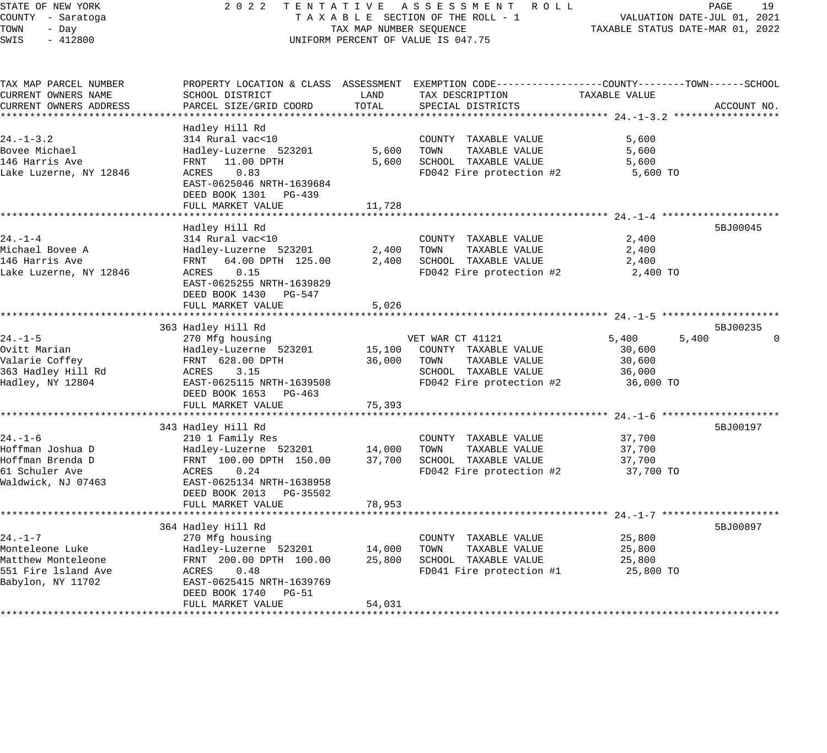#### STATE OF NEW YORK 2 0 2 2 T E N T A T I V E A S S E S S M E N T R O L L PAGE 19 COUNTY - Saratoga T A X A B L E SECTION OF THE ROLL - 1 VALUATION DATE-JUL 01, 2021 TAX MAP NUMBER SEQUENCE TAX NAP NUMBER SEQUENCE TAXABLE STATUS DATE-MAR 01, 2022 UNIFORM PERCENT OF VALUE IS 047.75

| TAX MAP PARCEL NUMBER  |                           |        | PROPERTY LOCATION & CLASS ASSESSMENT EXEMPTION CODE----------------COUNTY-------TOWN------SCHOOL |                |             |
|------------------------|---------------------------|--------|--------------------------------------------------------------------------------------------------|----------------|-------------|
| CURRENT OWNERS NAME    | SCHOOL DISTRICT           | LAND   | TAX DESCRIPTION                                                                                  | TAXABLE VALUE  |             |
| CURRENT OWNERS ADDRESS | PARCEL SIZE/GRID COORD    | TOTAL  | SPECIAL DISTRICTS                                                                                |                | ACCOUNT NO. |
|                        |                           |        |                                                                                                  |                |             |
|                        | Hadley Hill Rd            |        |                                                                                                  |                |             |
| $24. - 1 - 3.2$        | 314 Rural vac<10          |        | COUNTY TAXABLE VALUE                                                                             | 5,600          |             |
| Bovee Michael          | Hadley-Luzerne 523201     | 5,600  | TOWN<br>TAXABLE VALUE                                                                            | 5,600          |             |
| 146 Harris Ave         | FRNT 11.00 DPTH           | 5,600  | SCHOOL TAXABLE VALUE                                                                             | 5,600          |             |
| Lake Luzerne, NY 12846 | ACRES<br>0.83             |        | FD042 Fire protection #2                                                                         | 5,600 TO       |             |
|                        | EAST-0625046 NRTH-1639684 |        |                                                                                                  |                |             |
|                        | DEED BOOK 1301 PG-439     |        |                                                                                                  |                |             |
|                        | FULL MARKET VALUE         | 11,728 |                                                                                                  |                |             |
|                        |                           |        |                                                                                                  |                |             |
|                        | Hadley Hill Rd            |        |                                                                                                  |                | 5BJ00045    |
| $24. - 1 - 4$          | 314 Rural vac<10          |        | COUNTY TAXABLE VALUE                                                                             | 2,400          |             |
| Michael Bovee A        | Hadley-Luzerne 523201     | 2,400  | TOWN<br>TAXABLE VALUE                                                                            | 2,400          |             |
| 146 Harris Ave         | FRNT 64.00 DPTH 125.00    | 2,400  | SCHOOL TAXABLE VALUE                                                                             | 2,400          |             |
| Lake Luzerne, NY 12846 | 0.15<br>ACRES             |        | FD042 Fire protection #2                                                                         | 2,400 TO       |             |
|                        | EAST-0625255 NRTH-1639829 |        |                                                                                                  |                |             |
|                        | DEED BOOK 1430 PG-547     |        |                                                                                                  |                |             |
|                        | FULL MARKET VALUE         | 5,026  |                                                                                                  |                |             |
|                        |                           |        |                                                                                                  |                |             |
|                        | 363 Hadley Hill Rd        |        |                                                                                                  |                | 5BJ00235    |
| $24. - 1 - 5$          | 270 Mfg housing           |        | VET WAR CT 41121                                                                                 | 5,400<br>5,400 |             |
| Ovitt Marian           | Hadley-Luzerne 523201     | 15,100 | COUNTY TAXABLE VALUE                                                                             | 30,600         |             |
| Valarie Coffey         | FRNT 628.00 DPTH          | 36,000 | TAXABLE VALUE<br>TOWN                                                                            | 30,600         |             |
| 363 Hadley Hill Rd     | ACRES<br>3.15             |        | SCHOOL TAXABLE VALUE                                                                             | 36,000         |             |
| Hadley, NY 12804       | EAST-0625115 NRTH-1639508 |        | FD042 Fire protection #2                                                                         | 36,000 TO      |             |
|                        | DEED BOOK 1653 PG-463     |        |                                                                                                  |                |             |
|                        | FULL MARKET VALUE         | 75,393 |                                                                                                  |                |             |
|                        |                           |        |                                                                                                  |                |             |
|                        | 343 Hadley Hill Rd        |        |                                                                                                  |                | 5BJ00197    |
| $24. - 1 - 6$          | 210 1 Family Res          |        | COUNTY TAXABLE VALUE                                                                             | 37,700         |             |
| Hoffman Joshua D       | Hadley-Luzerne 523201     | 14,000 | TOWN<br>TAXABLE VALUE                                                                            | 37,700         |             |
| Hoffman Brenda D       | FRNT 100.00 DPTH 150.00   | 37,700 | SCHOOL TAXABLE VALUE                                                                             | 37,700         |             |
| 61 Schuler Ave         | ACRES<br>0.24             |        | FD042 Fire protection #2                                                                         | 37,700 TO      |             |
| Waldwick, NJ 07463     | EAST-0625134 NRTH-1638958 |        |                                                                                                  |                |             |
|                        | DEED BOOK 2013 PG-35502   |        |                                                                                                  |                |             |
|                        | FULL MARKET VALUE         | 78,953 |                                                                                                  |                |             |
|                        |                           |        |                                                                                                  |                |             |
|                        | 364 Hadley Hill Rd        |        |                                                                                                  |                | 5BJ00897    |
| $24. - 1 - 7$          | 270 Mfg housing           |        | COUNTY TAXABLE VALUE                                                                             | 25,800         |             |
| Monteleone Luke        | Hadley-Luzerne 523201     | 14,000 | TAXABLE VALUE<br>TOWN                                                                            | 25,800         |             |
| Matthew Monteleone     | FRNT 200.00 DPTH 100.00   | 25,800 | SCHOOL TAXABLE VALUE                                                                             | 25,800         |             |
| 551 Fire 1sland Ave    | ACRES<br>0.48             |        | FD041 Fire protection #1                                                                         | 25,800 TO      |             |
| Babylon, NY 11702      | EAST-0625415 NRTH-1639769 |        |                                                                                                  |                |             |
|                        | DEED BOOK 1740 PG-51      |        |                                                                                                  |                |             |
|                        | FULL MARKET VALUE         | 54,031 |                                                                                                  |                |             |
|                        |                           |        |                                                                                                  |                |             |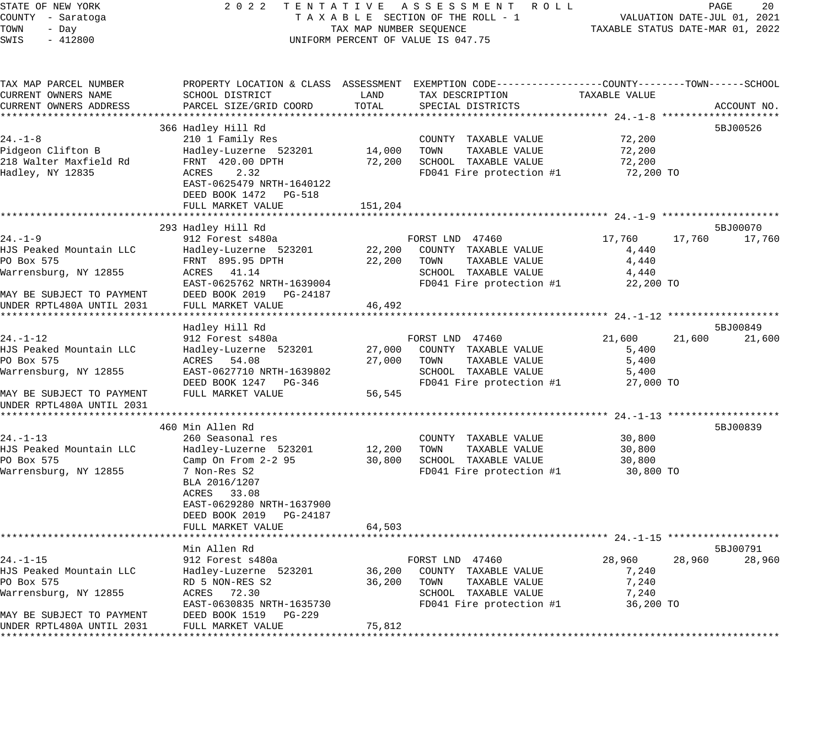#### STATE OF NEW YORK 2 0 2 2 T E N T A T I V E A S S E S S M E N T R O L L PAGE 20 COUNTY - Saratoga T A X A B L E SECTION OF THE ROLL - 1 VALUATION DATE-JUL 01, 2021 TAX MAP NUMBER SEQUENCE<br>TAX MAP NUMBER SEQUENCE TAXABLE STATUS DATE-MAR 01, 2022 UNIFORM PERCENT OF VALUE IS 047.75

| TAX MAP PARCEL NUMBER     |                            |         | PROPERTY LOCATION & CLASS ASSESSMENT EXEMPTION CODE---------------COUNTY-------TOWN-----SCHOOL |               |                  |
|---------------------------|----------------------------|---------|------------------------------------------------------------------------------------------------|---------------|------------------|
| CURRENT OWNERS NAME       | SCHOOL DISTRICT            | LAND    | TAX DESCRIPTION                                                                                | TAXABLE VALUE |                  |
| CURRENT OWNERS ADDRESS    | PARCEL SIZE/GRID COORD     | TOTAL   | SPECIAL DISTRICTS                                                                              |               | ACCOUNT NO.      |
| *****************         |                            |         |                                                                                                |               |                  |
|                           | 366 Hadley Hill Rd         |         |                                                                                                |               | 5BJ00526         |
| $24. - 1 - 8$             | 210 1 Family Res           |         | COUNTY TAXABLE VALUE                                                                           | 72,200        |                  |
| Pidgeon Clifton B         | Hadley-Luzerne 523201      | 14,000  | TOWN<br>TAXABLE VALUE                                                                          | 72,200        |                  |
| 218 Walter Maxfield Rd    | FRNT 420.00 DPTH           | 72,200  | SCHOOL TAXABLE VALUE                                                                           | 72,200        |                  |
| Hadley, NY 12835          | 2.32<br>ACRES              |         | FD041 Fire protection #1                                                                       | 72,200 TO     |                  |
|                           | EAST-0625479 NRTH-1640122  |         |                                                                                                |               |                  |
|                           | DEED BOOK 1472<br>PG-518   |         |                                                                                                |               |                  |
|                           | FULL MARKET VALUE          | 151,204 |                                                                                                |               |                  |
|                           |                            |         |                                                                                                |               |                  |
|                           | 293 Hadley Hill Rd         |         |                                                                                                |               | 5BJ00070         |
| $24. - 1 - 9$             | 912 Forest s480a           |         | FORST LND 47460                                                                                | 17,760        | 17,760<br>17,760 |
| HJS Peaked Mountain LLC   | Hadley-Luzerne 523201      | 22,200  | COUNTY TAXABLE VALUE                                                                           | 4,440         |                  |
| PO Box 575                | FRNT 895.95 DPTH           | 22,200  | TOWN<br>TAXABLE VALUE                                                                          | 4,440         |                  |
| Warrensburg, NY 12855     | 41.14<br>ACRES             |         | SCHOOL TAXABLE VALUE                                                                           | 4,440         |                  |
|                           | EAST-0625762 NRTH-1639004  |         | FD041 Fire protection #1                                                                       | 22,200 TO     |                  |
| MAY BE SUBJECT TO PAYMENT | DEED BOOK 2019<br>PG-24187 |         |                                                                                                |               |                  |
| UNDER RPTL480A UNTIL 2031 | FULL MARKET VALUE          | 46,492  |                                                                                                |               |                  |
|                           |                            |         |                                                                                                |               |                  |
|                           | Hadley Hill Rd             |         |                                                                                                |               | 5BJ00849         |
| $24. - 1 - 12$            | 912 Forest s480a           |         | FORST LND 47460                                                                                | 21,600        | 21,600<br>21,600 |
| HJS Peaked Mountain LLC   | Hadley-Luzerne 523201      | 27,000  | COUNTY TAXABLE VALUE                                                                           | 5,400         |                  |
| PO Box 575                | 54.08<br>ACRES             | 27,000  | TOWN<br>TAXABLE VALUE                                                                          | 5,400         |                  |
| Warrensburg, NY 12855     | EAST-0627710 NRTH-1639802  |         | SCHOOL TAXABLE VALUE                                                                           | 5,400         |                  |
|                           | DEED BOOK 1247 PG-346      |         | FD041 Fire protection #1                                                                       | 27,000 TO     |                  |
| MAY BE SUBJECT TO PAYMENT | FULL MARKET VALUE          | 56,545  |                                                                                                |               |                  |
| UNDER RPTL480A UNTIL 2031 |                            |         |                                                                                                |               |                  |
|                           |                            |         |                                                                                                |               |                  |
|                           | 460 Min Allen Rd           |         |                                                                                                |               | 5BJ00839         |
| 24.-1-13                  | 260 Seasonal res           |         | COUNTY TAXABLE VALUE                                                                           | 30,800        |                  |
| HJS Peaked Mountain LLC   | Hadley-Luzerne 523201      | 12,200  | TOWN<br>TAXABLE VALUE                                                                          | 30,800        |                  |
| PO Box 575                | Camp On From 2-2 95        | 30,800  | SCHOOL TAXABLE VALUE                                                                           | 30,800        |                  |
| Warrensburg, NY 12855     | 7 Non-Res S2               |         | FD041 Fire protection #1                                                                       | 30,800 TO     |                  |
|                           | BLA 2016/1207              |         |                                                                                                |               |                  |
|                           | ACRES 33.08                |         |                                                                                                |               |                  |
|                           | EAST-0629280 NRTH-1637900  |         |                                                                                                |               |                  |
|                           | DEED BOOK 2019<br>PG-24187 |         |                                                                                                |               |                  |
|                           | FULL MARKET VALUE          | 64,503  |                                                                                                |               |                  |
|                           |                            |         |                                                                                                |               |                  |
|                           | Min Allen Rd               |         |                                                                                                |               | 5BJ00791         |
| $24. - 1 - 15$            | 912 Forest s480a           |         | FORST LND 47460                                                                                | 28,960        | 28,960<br>28,960 |
| HJS Peaked Mountain LLC   | Hadley-Luzerne 523201      | 36,200  | COUNTY TAXABLE VALUE                                                                           | 7,240         |                  |
| PO Box 575                | RD 5 NON-RES S2            | 36,200  | TOWN<br>TAXABLE VALUE                                                                          | 7,240         |                  |
| Warrensburg, NY 12855     | ACRES<br>72.30             |         | SCHOOL TAXABLE VALUE                                                                           | 7,240         |                  |
|                           | EAST-0630835 NRTH-1635730  |         | FD041 Fire protection #1                                                                       | 36,200 TO     |                  |
| MAY BE SUBJECT TO PAYMENT | DEED BOOK 1519<br>PG-229   |         |                                                                                                |               |                  |
| UNDER RPTL480A UNTIL 2031 | FULL MARKET VALUE          | 75,812  |                                                                                                |               |                  |
|                           |                            |         |                                                                                                |               |                  |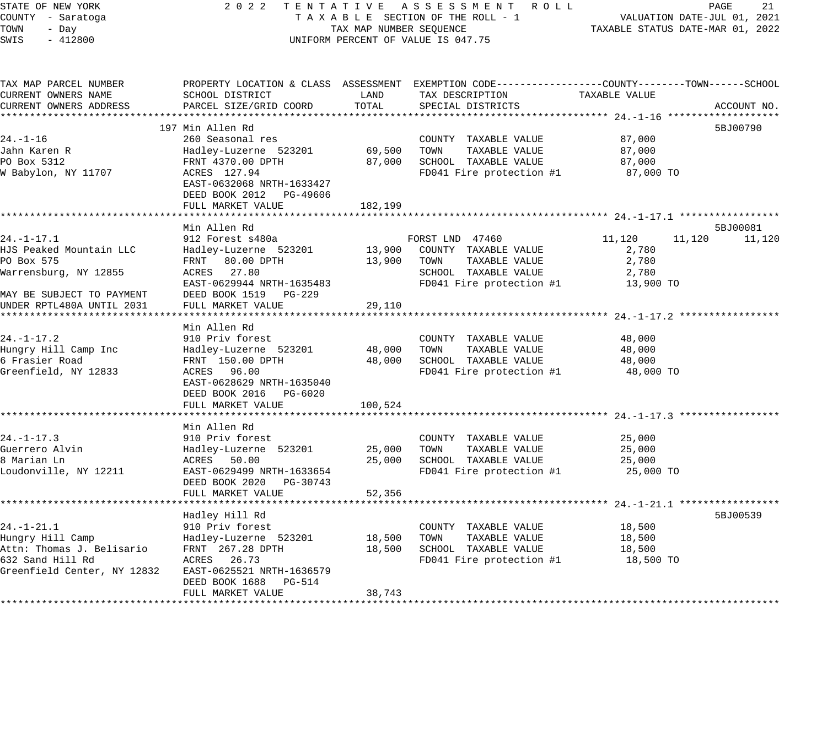## STATE OF NEW YORK 2 0 2 2 T E N T A T I V E A S S E S S M E N T R O L L PAGE 21 COUNTY - Saratoga T A X A B L E SECTION OF THE ROLL - 1 VALUATION DATE-JUL 01, 2021 UNIFORM PERCENT OF VALUE IS 047.75

TAXABLE STATUS DATE-MAR 01, 2022

| TAX MAP PARCEL NUMBER<br>CURRENT OWNERS NAME<br>CURRENT OWNERS ADDRESS                                                                 | SCHOOL DISTRICT<br>PARCEL SIZE/GRID COORD                                                                                                                                       | LAND<br>TOTAL               | PROPERTY LOCATION & CLASS ASSESSMENT EXEMPTION CODE---------------COUNTY-------TOWN-----SCHOOL<br>TAX DESCRIPTION<br>SPECIAL DISTRICTS | TAXABLE VALUE                                            | ACCOUNT NO.        |
|----------------------------------------------------------------------------------------------------------------------------------------|---------------------------------------------------------------------------------------------------------------------------------------------------------------------------------|-----------------------------|----------------------------------------------------------------------------------------------------------------------------------------|----------------------------------------------------------|--------------------|
| 24.-1-16<br>Jahn Karen R<br>PO Box 5312<br>W Babylon, NY 11707                                                                         | 197 Min Allen Rd<br>260 Seasonal res<br>Hadley-Luzerne 523201<br>FRNT 4370.00 DPTH<br>ACRES 127.94<br>EAST-0632068 NRTH-1633427<br>DEED BOOK 2012 PG-49606<br>FULL MARKET VALUE | 69,500<br>87,000<br>182,199 | COUNTY TAXABLE VALUE<br>TOWN<br>TAXABLE VALUE<br>SCHOOL TAXABLE VALUE<br>FD041 Fire protection #1                                      | 87,000<br>87,000<br>87,000<br>87,000 TO                  | 5BJ00790           |
| 24.-1-17.1<br>HJS Peaked Mountain LLC<br>PO Box 575<br>Warrensburg, NY 12855<br>MAY BE SUBJECT TO PAYMENT<br>UNDER RPTL480A UNTIL 2031 | Min Allen Rd<br>912 Forest s480a<br>Hadley-Luzerne 523201<br>FRNT 80.00 DPTH<br>ACRES 27.80<br>EAST-0629944 NRTH-1635483<br>DEED BOOK 1519 PG-229<br>FULL MARKET VALUE          | 13,900<br>13,900<br>29,110  | FORST LND 47460<br>COUNTY TAXABLE VALUE<br>TOWN<br>TAXABLE VALUE<br>SCHOOL TAXABLE VALUE<br>FD041 Fire protection #1                   | 11,120<br>11,120<br>2,780<br>2,780<br>2,780<br>13,900 TO | 5BJ00081<br>11,120 |
| $24. - 1 - 17.2$<br>Hungry Hill Camp Inc<br>6 Frasier Road<br>Greenfield, NY 12833                                                     | Min Allen Rd<br>910 Priv forest<br>Hadley-Luzerne 523201<br>FRNT 150.00 DPTH<br>ACRES 96.00<br>EAST-0628629 NRTH-1635040<br>DEED BOOK 2016 PG-6020<br>FULL MARKET VALUE         | 48,000<br>48,000<br>100,524 | COUNTY TAXABLE VALUE<br>TOWN<br>TAXABLE VALUE<br>SCHOOL TAXABLE VALUE<br>FD041 Fire protection #1                                      | 48,000<br>48,000<br>48,000<br>48,000 TO                  |                    |
| 24. -1-17.3<br>Guerrero Alvin<br>8 Marian Ln<br>Loudonville, NY 12211                                                                  | Min Allen Rd<br>910 Priv forest<br>Hadley-Luzerne 523201<br>ACRES 50.00<br>EAST-0629499 NRTH-1633654<br>DEED BOOK 2020 PG-30743<br>FULL MARKET VALUE                            | 25,000<br>25,000<br>52,356  | COUNTY TAXABLE VALUE<br>TOWN<br>TAXABLE VALUE<br>SCHOOL TAXABLE VALUE<br>FD041 Fire protection #1                                      | 25,000<br>25,000<br>25,000<br>25,000 TO                  |                    |
| $24. - 1 - 21.1$<br>Hungry Hill Camp<br>Attn: Thomas J. Belisario<br>632 Sand Hill Rd<br>Greenfield Center, NY 12832                   | Hadley Hill Rd<br>910 Priv forest<br>Hadley-Luzerne 523201<br>FRNT 267.28 DPTH<br>ACRES 26.73<br>EAST-0625521 NRTH-1636579<br>DEED BOOK 1688 PG-514<br>FULL MARKET VALUE        | 18,500<br>18,500<br>38,743  | COUNTY TAXABLE VALUE<br>TOWN<br>TAXABLE VALUE<br>SCHOOL TAXABLE VALUE<br>FD041 Fire protection #1                                      | 18,500<br>18,500<br>18,500<br>18,500 TO                  | 5BJ00539           |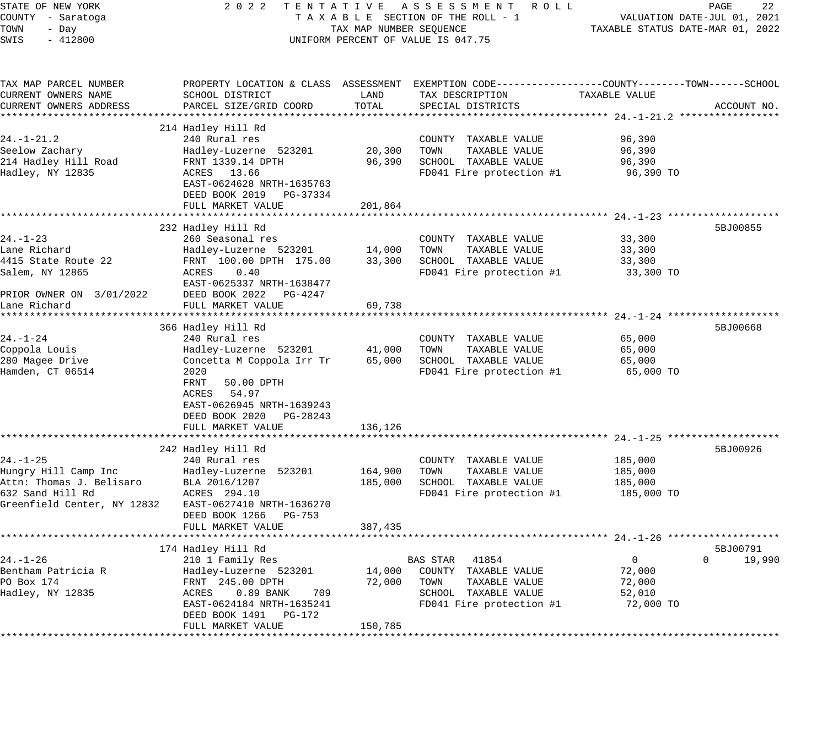STATE OF NEW YORK 2 0 2 2 T E N T A T I V E A S S E S S M E N T R O L L PAGE 22 COUNTY - Saratoga T A X A B L E SECTION OF THE ROLL - 1 VALUATION DATE-JUL 01, 2021 TOWN - Day TAX MAP NUMBER SEQUENCE TAXABLE STATUS DATE-MAR 01, 2022 SWIS - 412800 UNIFORM PERCENT OF VALUE IS 047.75 TAX MAP PARCEL NUMBER PROPERTY LOCATION & CLASS ASSESSMENT EXEMPTION CODE---------------COUNTY--------TOWN------SCHOOL CURRENT OWNERS NAME SCHOOL DISTRICT LAND TAX DESCRIPTION TAXABLE VALUE CURRENT OWNERS ADDRESS PARCEL SIZE/GRID COORD TOTAL SPECIAL DISTRICTS ACCOUNT NO. \*\*\*\*\*\*\*\*\*\*\*\*\*\*\*\*\*\*\*\*\*\*\*\*\*\*\*\*\*\*\*\*\*\*\*\*\*\*\*\*\*\*\*\*\*\*\*\*\*\*\*\*\*\*\*\*\*\*\*\*\*\*\*\*\*\*\*\*\*\*\*\*\*\*\*\*\*\*\*\*\*\*\*\*\*\*\*\*\*\*\*\*\*\*\*\*\*\*\*\*\*\*\* 24.-1-21.2 \*\*\*\*\*\*\*\*\*\*\*\*\*\*\*\*\* 214 Hadley Hill Rd 24.-1-21.2 240 Rural res COUNTY TAXABLE VALUE 96,390 Seelow Zachary Hadley-Luzerne 523201 20,300 TOWN TAXABLE VALUE 96,390 214 Hadley Hill Road FRNT 1339.14 DPTH 96,390 SCHOOL TAXABLE VALUE 96,390 Hadley, NY 12835 ACRES 13.66 FD041 Fire protection #1 96,390 TO EAST-0624628 NRTH-1635763 DEED BOOK 2019 PG-37334 FULL MARKET VALUE 201,864 \*\*\*\*\*\*\*\*\*\*\*\*\*\*\*\*\*\*\*\*\*\*\*\*\*\*\*\*\*\*\*\*\*\*\*\*\*\*\*\*\*\*\*\*\*\*\*\*\*\*\*\*\*\*\*\*\*\*\*\*\*\*\*\*\*\*\*\*\*\*\*\*\*\*\*\*\*\*\*\*\*\*\*\*\*\*\*\*\*\*\*\*\*\*\*\*\*\*\*\*\*\*\* 24.-1-23 \*\*\*\*\*\*\*\*\*\*\*\*\*\*\*\*\*\*\* 232 Hadley Hill Rd 5BJ00855 24.-1-23 260 Seasonal res COUNTY TAXABLE VALUE 33,300 Lane Richard Hadley-Luzerne 523201 14,000 TOWN TAXABLE VALUE 33,300 4415 State Route 22 FRNT 100.00 DPTH 175.00 33,300 SCHOOL TAXABLE VALUE 33,300 Salem, NY 12865 ACRES 0.40 FD041 Fire protection #1 33,300 TO EAST-0625337 NRTH-1638477 PRIOR OWNER ON 3/01/2022 DEED BOOK 2022 PG-4247 Lane Richard FULL MARKET VALUE 69,738 \*\*\*\*\*\*\*\*\*\*\*\*\*\*\*\*\*\*\*\*\*\*\*\*\*\*\*\*\*\*\*\*\*\*\*\*\*\*\*\*\*\*\*\*\*\*\*\*\*\*\*\*\*\*\*\*\*\*\*\*\*\*\*\*\*\*\*\*\*\*\*\*\*\*\*\*\*\*\*\*\*\*\*\*\*\*\*\*\*\*\*\*\*\*\*\*\*\*\*\*\*\*\* 24.-1-24 \*\*\*\*\*\*\*\*\*\*\*\*\*\*\*\*\*\*\* 366 Hadley Hill Rd 5BJ00668 (1988) 366 Hadley Hill Rd 5BJ00668 (1989) 366 Hadley Hill Rd 24.-1-24 240 Rural res COUNTY TAXABLE VALUE 65,000 Coppola Louis Hadley-Luzerne 523201 41,000 TOWN TAXABLE VALUE 65,000 280 Magee Drive Concetta M Coppola Irr Tr 65,000 SCHOOL TAXABLE VALUE 65,000 Hamden, CT 06514 2020 FD041 Fire protection #1 65,000 TO FRNT 50.00 DPTH ACRES 54.97 EAST-0626945 NRTH-1639243 DEED BOOK 2020 PG-28243 FULL MARKET VALUE 136,126 \*\*\*\*\*\*\*\*\*\*\*\*\*\*\*\*\*\*\*\*\*\*\*\*\*\*\*\*\*\*\*\*\*\*\*\*\*\*\*\*\*\*\*\*\*\*\*\*\*\*\*\*\*\*\*\*\*\*\*\*\*\*\*\*\*\*\*\*\*\*\*\*\*\*\*\*\*\*\*\*\*\*\*\*\*\*\*\*\*\*\*\*\*\*\*\*\*\*\*\*\*\*\* 24.-1-25 \*\*\*\*\*\*\*\*\*\*\*\*\*\*\*\*\*\*\* 242 Hadley Hill Rd 5BJ00926 24.-1-25 240 Rural res COUNTY TAXABLE VALUE 185,000 Hungry Hill Camp Inc Hadley-Luzerne 523201 164,900 TOWN TAXABLE VALUE 185,000 Attn: Thomas J. Belisaro BLA 2016/1207 185,000 SCHOOL TAXABLE VALUE 185,000 632 Sand Hill Rd ACRES 294.10 FD041 Fire protection #1 185,000 TO Greenfield Center, NY 12832 EAST-0627410 NRTH-1636270 DEED BOOK 1266 PG-753 FULL MARKET VALUE 387, 435 \*\*\*\*\*\*\*\*\*\*\*\*\*\*\*\*\*\*\*\*\*\*\*\*\*\*\*\*\*\*\*\*\*\*\*\*\*\*\*\*\*\*\*\*\*\*\*\*\*\*\*\*\*\*\*\*\*\*\*\*\*\*\*\*\*\*\*\*\*\*\*\*\*\*\*\*\*\*\*\*\*\*\*\*\*\*\*\*\*\*\*\*\*\*\*\*\*\*\*\*\*\*\* 24.-1-26 \*\*\*\*\*\*\*\*\*\*\*\*\*\*\*\*\*\*\* 174 Hadley Hill Rd 5BJ00791 24.-1-26 210 1 Family Res BAS STAR 41854 0 0 19,990 Bentham Patricia R Hadley-Luzerne 523201 14,000 COUNTY TAXABLE VALUE 72,000 PO Box 174 **FRNT 245.00 DPTH** 72,000 TOWN TAXABLE VALUE 72,000 Hadley, NY 12835 ACRES 0.89 BANK 709 SCHOOL TAXABLE VALUE 52,010

EAST-0624184 NRTH-1635241 FD041 Fire protection #1 72,000 TO

\*\*\*\*\*\*\*\*\*\*\*\*\*\*\*\*\*\*\*\*\*\*\*\*\*\*\*\*\*\*\*\*\*\*\*\*\*\*\*\*\*\*\*\*\*\*\*\*\*\*\*\*\*\*\*\*\*\*\*\*\*\*\*\*\*\*\*\*\*\*\*\*\*\*\*\*\*\*\*\*\*\*\*\*\*\*\*\*\*\*\*\*\*\*\*\*\*\*\*\*\*\*\*\*\*\*\*\*\*\*\*\*\*\*\*\*\*\*\*\*\*\*\*\*\*\*\*\*\*\*\*\*

FULL MARKET VALUE 150,785

DEED BOOK 1491 PG-172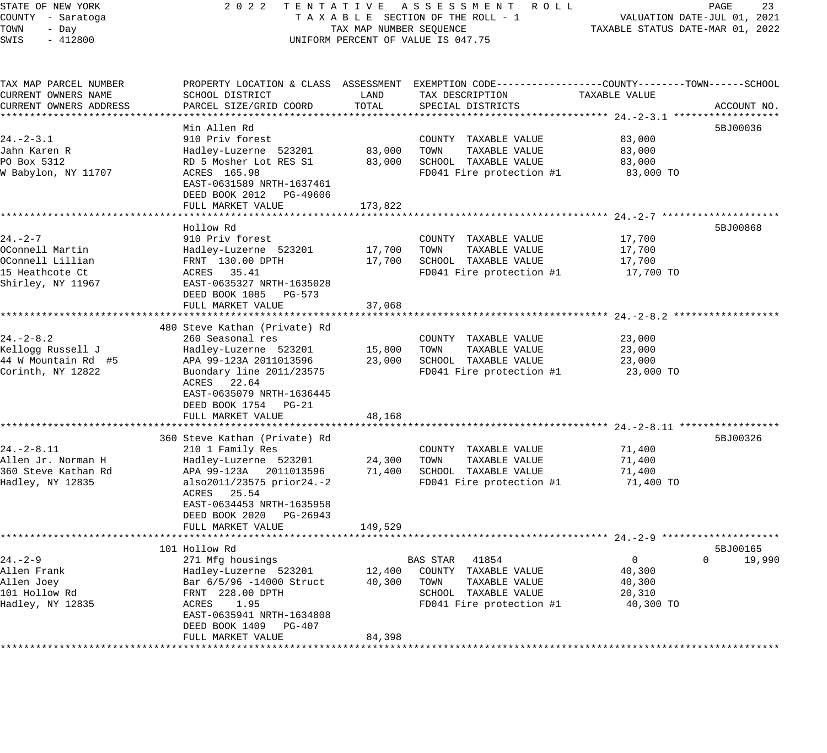# STATE OF NEW YORK 2 0 2 2 T E N T A T I V E A S S E S S M E N T R O L L PAGE 23 COUNTY - Saratoga T A X A B L E SECTION OF THE ROLL - 1 VALUATION DATE-JUL 01, 2021 UNIFORM PERCENT OF VALUE IS 047.75

| TAX MAP PARCEL NUMBER  |                               |         | PROPERTY LOCATION & CLASS ASSESSMENT EXEMPTION CODE----------------COUNTY-------TOWN------SCHOOL |                |                    |
|------------------------|-------------------------------|---------|--------------------------------------------------------------------------------------------------|----------------|--------------------|
| CURRENT OWNERS NAME    | SCHOOL DISTRICT               | LAND    | TAX DESCRIPTION                                                                                  | TAXABLE VALUE  |                    |
| CURRENT OWNERS ADDRESS | PARCEL SIZE/GRID COORD        | TOTAL   | SPECIAL DISTRICTS                                                                                |                | ACCOUNT NO.        |
|                        |                               |         |                                                                                                  |                |                    |
|                        | Min Allen Rd                  |         |                                                                                                  |                | 5BJ00036           |
| $24. - 2 - 3.1$        | 910 Priv forest               |         | COUNTY TAXABLE VALUE                                                                             | 83,000         |                    |
| Jahn Karen R           | Hadley-Luzerne 523201         | 83,000  | TAXABLE VALUE<br>TOWN                                                                            | 83,000         |                    |
| PO Box 5312            | RD 5 Mosher Lot RES S1        | 83,000  | SCHOOL TAXABLE VALUE                                                                             | 83,000         |                    |
| W Babylon, NY 11707    | ACRES 165.98                  |         | FD041 Fire protection #1                                                                         | 83,000 TO      |                    |
|                        | EAST-0631589 NRTH-1637461     |         |                                                                                                  |                |                    |
|                        | DEED BOOK 2012 PG-49606       |         |                                                                                                  |                |                    |
|                        | FULL MARKET VALUE             | 173,822 |                                                                                                  |                |                    |
|                        |                               |         |                                                                                                  |                |                    |
|                        | Hollow Rd                     |         |                                                                                                  |                | 5BJ00868           |
| $24. -2 - 7$           | 910 Priv forest               |         | COUNTY TAXABLE VALUE                                                                             | 17,700         |                    |
| OConnell Martin        | Hadley-Luzerne 523201         | 17,700  | TOWN<br>TAXABLE VALUE                                                                            | 17,700         |                    |
| OConnell Lillian       | FRNT 130.00 DPTH              | 17,700  | SCHOOL TAXABLE VALUE                                                                             | 17,700         |                    |
| 15 Heathcote Ct        | ACRES 35.41                   |         | FD041 Fire protection #1                                                                         | 17,700 TO      |                    |
| Shirley, NY 11967      | EAST-0635327 NRTH-1635028     |         |                                                                                                  |                |                    |
|                        | DEED BOOK 1085 PG-573         |         |                                                                                                  |                |                    |
|                        | FULL MARKET VALUE             | 37,068  |                                                                                                  |                |                    |
|                        |                               |         |                                                                                                  |                |                    |
|                        | 480 Steve Kathan (Private) Rd |         |                                                                                                  |                |                    |
| $24. - 2 - 8.2$        | 260 Seasonal res              |         | COUNTY TAXABLE VALUE                                                                             | 23,000         |                    |
| Kelloqq Russell J      | Hadley-Luzerne 523201         | 15,800  | TOWN<br>TAXABLE VALUE                                                                            | 23,000         |                    |
| 44 W Mountain Rd #5    | APA 99-123A 2011013596        | 23,000  | SCHOOL TAXABLE VALUE                                                                             | 23,000         |                    |
| Corinth, NY 12822      | Buondary line 2011/23575      |         | FD041 Fire protection #1                                                                         | 23,000 TO      |                    |
|                        | ACRES 22.64                   |         |                                                                                                  |                |                    |
|                        | EAST-0635079 NRTH-1636445     |         |                                                                                                  |                |                    |
|                        | DEED BOOK 1754 PG-21          |         |                                                                                                  |                |                    |
|                        | FULL MARKET VALUE             | 48,168  |                                                                                                  |                |                    |
|                        |                               |         |                                                                                                  |                |                    |
|                        | 360 Steve Kathan (Private) Rd |         |                                                                                                  |                | 5BJ00326           |
| $24. - 2 - 8.11$       | 210 1 Family Res              |         | COUNTY TAXABLE VALUE                                                                             | 71,400         |                    |
| Allen Jr. Norman H     | Hadley-Luzerne 523201         | 24,300  | TOWN<br>TAXABLE VALUE                                                                            | 71,400         |                    |
| 360 Steve Kathan Rd    | APA 99-123A 2011013596        | 71,400  | SCHOOL TAXABLE VALUE                                                                             | 71,400         |                    |
| Hadley, NY 12835       | also2011/23575 prior24.-2     |         | FD041 Fire protection #1                                                                         | 71,400 TO      |                    |
|                        | ACRES 25.54                   |         |                                                                                                  |                |                    |
|                        | EAST-0634453 NRTH-1635958     |         |                                                                                                  |                |                    |
|                        | DEED BOOK 2020 PG-26943       |         |                                                                                                  |                |                    |
|                        | FULL MARKET VALUE             | 149,529 |                                                                                                  |                |                    |
|                        |                               |         |                                                                                                  |                |                    |
|                        | 101 Hollow Rd                 |         |                                                                                                  |                | 5BJ00165           |
| $24. - 2 - 9$          | 271 Mfg housings              |         | BAS STAR 41854                                                                                   | $\overline{0}$ | $\Omega$<br>19,990 |
| Allen Frank            | Hadley-Luzerne 523201         |         | 12,400 COUNTY TAXABLE VALUE                                                                      | 40,300         |                    |
| Allen Joey             | Bar 6/5/96 -14000 Struct      | 40,300  | TOWN<br>TAXABLE VALUE                                                                            | 40,300         |                    |
| 101 Hollow Rd          | FRNT 228.00 DPTH              |         | SCHOOL TAXABLE VALUE                                                                             | 20,310         |                    |
| Hadley, NY 12835       | 1.95<br>ACRES                 |         | FD041 Fire protection #1                                                                         | 40,300 TO      |                    |
|                        | EAST-0635941 NRTH-1634808     |         |                                                                                                  |                |                    |
|                        | DEED BOOK 1409 PG-407         |         |                                                                                                  |                |                    |
|                        | FULL MARKET VALUE             | 84,398  |                                                                                                  |                |                    |
|                        |                               |         |                                                                                                  |                |                    |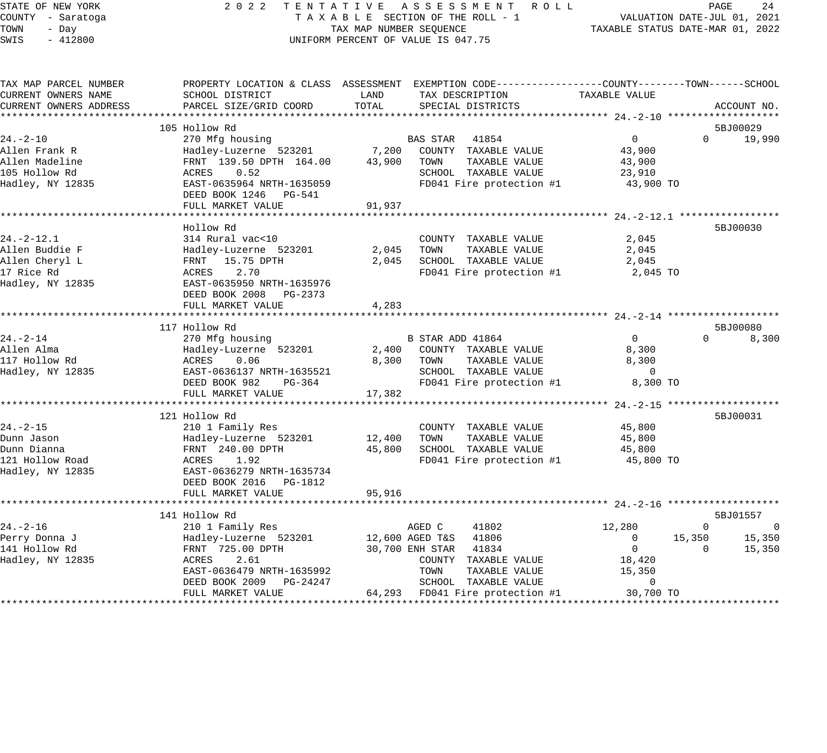| STATE OF NEW YORK<br>COUNTY - Saratoga<br>TOWN<br>- Day<br>SWIS<br>$-412800$ | 2022                                                                                             | TAX MAP NUMBER SEQUENCE | TENTATIVE ASSESSMENT ROLL<br>TAXABLE SECTION OF THE ROLL - 1<br>UNIFORM PERCENT OF VALUE IS 047.75 |                          | PAGE<br>24<br>VALUATION DATE-JUL 01, 2021<br>TAXABLE STATUS DATE-MAR 01, 2022 |
|------------------------------------------------------------------------------|--------------------------------------------------------------------------------------------------|-------------------------|----------------------------------------------------------------------------------------------------|--------------------------|-------------------------------------------------------------------------------|
| TAX MAP PARCEL NUMBER                                                        | PROPERTY LOCATION & CLASS ASSESSMENT EXEMPTION CODE----------------COUNTY-------TOWN------SCHOOL |                         |                                                                                                    |                          |                                                                               |
| CURRENT OWNERS NAME                                                          | SCHOOL DISTRICT<br>PARCEL SIZE/GRID COORD                                                        | LAND<br>TOTAL           | TAX DESCRIPTION                                                                                    | TAXABLE VALUE            |                                                                               |
| CURRENT OWNERS ADDRESS                                                       |                                                                                                  |                         | SPECIAL DISTRICTS                                                                                  |                          | ACCOUNT NO.                                                                   |
|                                                                              | 105 Hollow Rd                                                                                    |                         |                                                                                                    |                          | 5BJ00029                                                                      |
| 24.-2-10                                                                     | 270 Mfg housing                                                                                  |                         | BAS STAR 41854                                                                                     | $\overline{0}$           | 19,990<br>$\Omega$                                                            |
| Allen Frank R                                                                | Hadley-Luzerne 523201                                                                            | 7,200                   | COUNTY TAXABLE VALUE                                                                               | 43,900                   |                                                                               |
| Allen Madeline                                                               | FRNT 139.50 DPTH 164.00                                                                          | 43,900                  | TOWN<br>TAXABLE VALUE                                                                              | 43,900                   |                                                                               |
| 105 Hollow Rd                                                                | ACRES<br>0.52                                                                                    |                         | SCHOOL TAXABLE VALUE                                                                               | 23,910                   |                                                                               |
| Hadley, NY 12835                                                             | EAST-0635964 NRTH-1635059<br>DEED BOOK 1246 PG-541                                               |                         | FD041 Fire protection #1                                                                           | 43,900 TO                |                                                                               |
|                                                                              | FULL MARKET VALUE                                                                                | 91,937                  |                                                                                                    |                          |                                                                               |
|                                                                              | *******************************                                                                  |                         |                                                                                                    |                          |                                                                               |
|                                                                              | Hollow Rd                                                                                        |                         |                                                                                                    |                          | 5BJ00030                                                                      |
| 24.-2-12.1                                                                   | 314 Rural vac<10                                                                                 |                         | COUNTY TAXABLE VALUE                                                                               | 2,045                    |                                                                               |
| Allen Buddie F                                                               | Hadley-Luzerne 523201                                                                            | 2,045                   | TOWN<br>TAXABLE VALUE                                                                              | 2,045                    |                                                                               |
| Allen Cheryl L<br>17 Rice Rd                                                 | FRNT 15.75 DPTH<br>2.70<br>ACRES                                                                 | 2,045                   | SCHOOL TAXABLE VALUE                                                                               | 2,045<br>2,045 TO        |                                                                               |
| Hadley, NY 12835                                                             | EAST-0635950 NRTH-1635976                                                                        |                         | FD041 Fire protection #1                                                                           |                          |                                                                               |
|                                                                              | DEED BOOK 2008 PG-2373                                                                           |                         |                                                                                                    |                          |                                                                               |
|                                                                              | FULL MARKET VALUE                                                                                | 4,283                   |                                                                                                    |                          |                                                                               |
|                                                                              | ***********************                                                                          |                         |                                                                                                    |                          |                                                                               |
|                                                                              | 117 Hollow Rd                                                                                    |                         |                                                                                                    |                          | 5BJ00080                                                                      |
| 24.-2-14                                                                     | 270 Mfg housing                                                                                  |                         | B STAR ADD 41864                                                                                   | $0 \qquad$               | $\Omega$<br>8,300                                                             |
| Allen Alma                                                                   | Hadley-Luzerne 523201                                                                            | 2,400                   | COUNTY TAXABLE VALUE                                                                               | 8,300                    |                                                                               |
| 117 Hollow Rd                                                                | ACRES<br>0.06                                                                                    | 8,300                   | TOWN<br>TAXABLE VALUE                                                                              | 8,300                    |                                                                               |
| Hadley, NY 12835                                                             | EAST-0636137 NRTH-1635521                                                                        |                         | SCHOOL TAXABLE VALUE                                                                               | $\overline{\phantom{0}}$ |                                                                               |
|                                                                              | DEED BOOK 982<br>PG-364                                                                          |                         | FD041 Fire protection #1                                                                           | 8,300 TO                 |                                                                               |
|                                                                              | FULL MARKET VALUE                                                                                | 17,382                  |                                                                                                    |                          |                                                                               |
|                                                                              |                                                                                                  |                         |                                                                                                    |                          |                                                                               |
|                                                                              | 121 Hollow Rd                                                                                    |                         |                                                                                                    |                          | 5BJ00031                                                                      |
| 24.-2-15                                                                     | 210 1 Family Res                                                                                 | 12,400                  | COUNTY TAXABLE VALUE<br>TOWN<br>TAXABLE VALUE                                                      | 45,800<br>45,800         |                                                                               |
| Dunn Jason<br>Dunn Dianna                                                    | Hadley-Luzerne 523201<br>FRNT 240.00 DPTH                                                        | 45,800                  | SCHOOL TAXABLE VALUE                                                                               | 45,800                   |                                                                               |
| 121 Hollow Road                                                              | ACRES<br>1.92                                                                                    |                         | FD041 Fire protection #1                                                                           | 45,800 TO                |                                                                               |
| Hadley, NY 12835                                                             | EAST-0636279 NRTH-1635734                                                                        |                         |                                                                                                    |                          |                                                                               |
|                                                                              | DEED BOOK 2016 PG-1812                                                                           |                         |                                                                                                    |                          |                                                                               |
|                                                                              | FULL MARKET VALUE                                                                                | 95,916                  |                                                                                                    |                          |                                                                               |
|                                                                              | ***********************                                                                          |                         |                                                                                                    |                          |                                                                               |
|                                                                              | 141 Hollow Rd                                                                                    |                         |                                                                                                    |                          | 5BJ01557                                                                      |
| $24. -2 - 16$                                                                | 210 1 Family Res                                                                                 |                         | AGED C<br>41802                                                                                    | 12,280                   | $\Omega$<br>$\Omega$                                                          |
| Perry Donna J                                                                | Hadley-Luzerne 523201                                                                            | 12,600 AGED T&S         | 41806                                                                                              | $\mathbf{0}$             | 15,350<br>15,350                                                              |
| 141 Hollow Rd                                                                | FRNT 725.00 DPTH                                                                                 |                         | 30,700 ENH STAR<br>41834                                                                           | $\overline{0}$           | 15,350<br>$\Omega$                                                            |
| Hadley, NY 12835                                                             | 2.61<br>ACRES                                                                                    |                         | COUNTY TAXABLE VALUE                                                                               | 18,420                   |                                                                               |
|                                                                              | EAST-0636479 NRTH-1635992                                                                        |                         | TOWN<br>TAXABLE VALUE                                                                              | 15,350                   |                                                                               |
|                                                                              | DEED BOOK 2009<br>PG-24247                                                                       |                         | SCHOOL<br>TAXABLE VALUE                                                                            | $\Omega$                 |                                                                               |

FULL MARKET VALUE 64,293 FD041 Fire protection #1 30,700 TO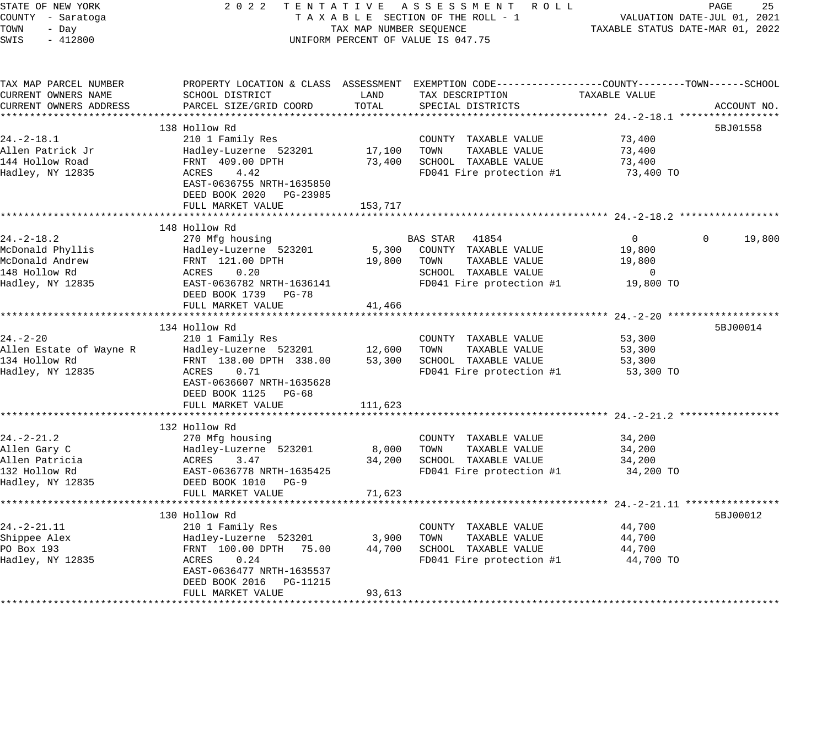## STATE OF NEW YORK 2 0 2 2 T E N T A T I V E A S S E S S M E N T R O L L PAGE 25 COUNTY - Saratoga T A X A B L E SECTION OF THE ROLL - 1 VALUATION DATE-JUL 01, 2021 UNIFORM PERCENT OF VALUE IS 047.75

| TAX MAP PARCEL NUMBER<br>CURRENT OWNERS NAME | SCHOOL DISTRICT                                      | LAND    | PROPERTY LOCATION & CLASS ASSESSMENT EXEMPTION CODE---------------COUNTY-------TOWN------SCHOOL<br>TAX DESCRIPTION | TAXABLE VALUE  |                             |
|----------------------------------------------|------------------------------------------------------|---------|--------------------------------------------------------------------------------------------------------------------|----------------|-----------------------------|
| CURRENT OWNERS ADDRESS                       | PARCEL SIZE/GRID COORD                               | TOTAL   | SPECIAL DISTRICTS                                                                                                  |                | ACCOUNT NO.                 |
|                                              |                                                      |         |                                                                                                                    |                |                             |
|                                              | 138 Hollow Rd                                        |         |                                                                                                                    |                | 5BJ01558                    |
| $24. -2 - 18.1$                              | 210 1 Family Res                                     |         | COUNTY TAXABLE VALUE                                                                                               | 73,400         |                             |
| Allen Patrick Jr                             | Hadley-Luzerne 523201 17,100                         |         | TOWN<br>TAXABLE VALUE                                                                                              | 73,400         |                             |
| 144 Hollow Road                              | FRNT 409.00 DPTH                                     | 73,400  | SCHOOL TAXABLE VALUE                                                                                               | 73,400         |                             |
| Hadley, NY 12835                             | ACRES<br>4.42                                        |         | FD041 Fire protection #1                                                                                           | 73,400 TO      |                             |
|                                              | EAST-0636755 NRTH-1635850                            |         |                                                                                                                    |                |                             |
|                                              | DEED BOOK 2020 PG-23985                              |         |                                                                                                                    |                |                             |
|                                              | FULL MARKET VALUE                                    | 153,717 |                                                                                                                    |                |                             |
|                                              |                                                      |         |                                                                                                                    |                |                             |
|                                              | 148 Hollow Rd                                        |         |                                                                                                                    |                |                             |
| $24. -2 - 18.2$                              | 270 Mfg housing                                      |         | BAS STAR 41854                                                                                                     | $\overline{0}$ | $0 \qquad \qquad$<br>19,800 |
| McDonald Phyllis                             | Hadley-Luzerne 523201 5,300 COUNTY TAXABLE VALUE     |         |                                                                                                                    | 19,800         |                             |
| McDonald Andrew                              | FRNT 121.00 DPTH                                     | 19,800  | TOWN<br>TAXABLE VALUE                                                                                              | 19,800         |                             |
| 148 Hollow Rd                                | ACRES<br>0.20                                        |         | SCHOOL TAXABLE VALUE                                                                                               | 0              |                             |
| Hadley, NY 12835                             | EAST-0636782 NRTH-1636141                            |         | FD041 Fire protection #1 19,800 TO                                                                                 |                |                             |
|                                              | DEED BOOK 1739 PG-78                                 |         |                                                                                                                    |                |                             |
|                                              | FULL MARKET VALUE                                    | 41,466  |                                                                                                                    |                |                             |
|                                              |                                                      |         |                                                                                                                    |                |                             |
|                                              | 134 Hollow Rd                                        |         |                                                                                                                    |                | 5BJ00014                    |
| $24. - 2 - 20$                               | 210 1 Family Res                                     |         | COUNTY TAXABLE VALUE                                                                                               | 53,300         |                             |
|                                              | Allen Estate of Wayne R Madley-Luzerne 523201 12,600 |         | TOWN<br>TAXABLE VALUE                                                                                              | 53,300         |                             |
| 134 Hollow Rd                                | FRNT 138.00 DPTH 338.00                              | 53,300  | SCHOOL TAXABLE VALUE                                                                                               | 53,300         |                             |
| Hadley, NY 12835                             | ACRES<br>0.71                                        |         | FD041 Fire protection #1                                                                                           | 53,300 TO      |                             |
|                                              | EAST-0636607 NRTH-1635628                            |         |                                                                                                                    |                |                             |
|                                              | DEED BOOK 1125 PG-68                                 |         |                                                                                                                    |                |                             |
|                                              | FULL MARKET VALUE                                    | 111,623 |                                                                                                                    |                |                             |
|                                              |                                                      |         |                                                                                                                    |                |                             |
|                                              | 132 Hollow Rd                                        |         |                                                                                                                    |                |                             |
| $24. - 2 - 21.2$                             | 270 Mfg housing                                      |         | COUNTY TAXABLE VALUE                                                                                               | 34,200         |                             |
| Allen Gary C                                 | Hadley-Luzerne 523201                                | 8,000   | TAXABLE VALUE<br>TOWN                                                                                              | 34,200         |                             |
| Allen Patricia                               | ACRES 3.47<br>EAST-0636778 NRTH-1635425              | 34,200  | SCHOOL TAXABLE VALUE                                                                                               | 34,200         |                             |
| 132 Hollow Rd                                | DEED BOOK 1010 PG-9                                  |         | FD041 Fire protection #1                                                                                           | 34,200 TO      |                             |
| Hadley, NY 12835                             |                                                      |         |                                                                                                                    |                |                             |
|                                              | FULL MARKET VALUE                                    | 71,623  |                                                                                                                    |                |                             |
|                                              | 130 Hollow Rd                                        |         |                                                                                                                    |                | 5BJ00012                    |
| $24. -2 - 21.11$                             | 210 1 Family Res                                     |         | COUNTY TAXABLE VALUE                                                                                               | 44,700         |                             |
| Shippee Alex                                 | Hadley-Luzerne 523201 3,900                          |         | TAXABLE VALUE<br>TOWN                                                                                              | 44,700         |                             |
| PO Box 193                                   | FRNT 100.00 DPTH 75.00                               | 44,700  | SCHOOL TAXABLE VALUE                                                                                               | 44,700         |                             |
| Hadley, NY 12835                             | ACRES<br>0.24                                        |         | FD041 Fire protection $#1$ 44,700 TO                                                                               |                |                             |
|                                              | EAST-0636477 NRTH-1635537                            |         |                                                                                                                    |                |                             |
|                                              | DEED BOOK 2016 PG-11215                              |         |                                                                                                                    |                |                             |
|                                              | FULL MARKET VALUE                                    | 93,613  |                                                                                                                    |                |                             |
|                                              |                                                      |         |                                                                                                                    |                |                             |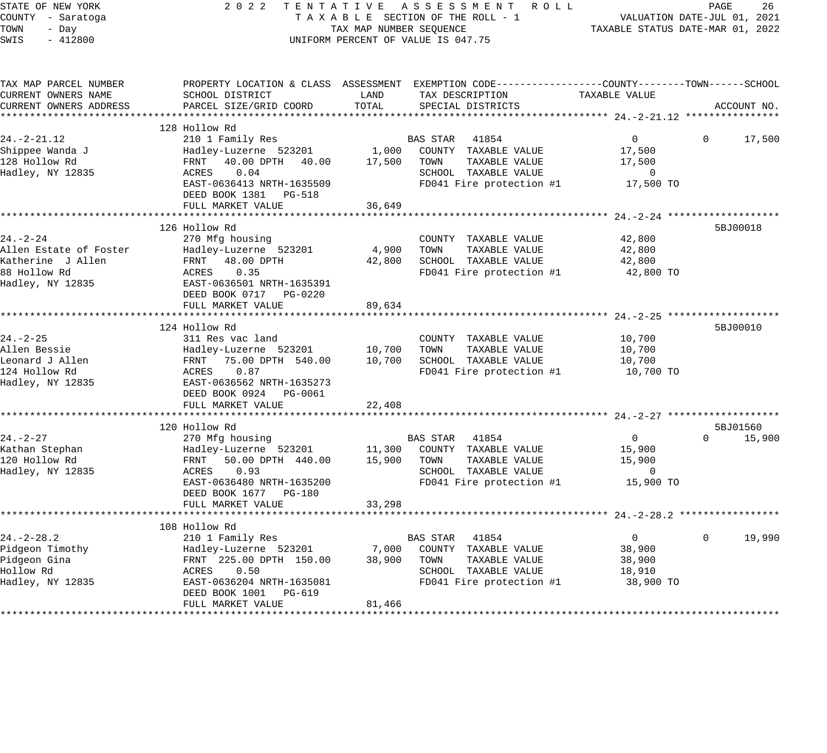| STATE OF NEW YORK<br>COUNTY - Saratoga |                                            |                                  | 2022 TENTATIVE ASSESSMENT ROLL<br>TAXABLE SECTION OF THE ROLL - 1                               |                          | PAGE<br>26<br>VALUATION DATE-JUL 01, 2021 |
|----------------------------------------|--------------------------------------------|----------------------------------|-------------------------------------------------------------------------------------------------|--------------------------|-------------------------------------------|
| TOWN<br>- Day                          |                                            | TAXABLE STATUS DATE-MAR 01, 2022 |                                                                                                 |                          |                                           |
| $-412800$<br>SWIS                      |                                            | TAX MAP NUMBER SEOUENCE          | UNIFORM PERCENT OF VALUE IS 047.75                                                              |                          |                                           |
| TAX MAP PARCEL NUMBER                  |                                            |                                  | PROPERTY LOCATION & CLASS ASSESSMENT EXEMPTION CODE----------------COUNTY-------TOWN-----SCHOOL |                          |                                           |
| CURRENT OWNERS NAME                    | SCHOOL DISTRICT                            | LAND                             | TAX DESCRIPTION                                                                                 | TAXABLE VALUE            |                                           |
| CURRENT OWNERS ADDRESS                 | PARCEL SIZE/GRID COORD                     | TOTAL                            | SPECIAL DISTRICTS                                                                               |                          | ACCOUNT NO.                               |
|                                        |                                            |                                  |                                                                                                 |                          |                                           |
|                                        | 128 Hollow Rd                              |                                  |                                                                                                 |                          |                                           |
| $24. -2 - 21.12$                       | 210 1 Family Res                           |                                  | BAS STAR 41854                                                                                  | $\overline{0}$           | $\mathbf{0}$<br>17,500                    |
| Shippee Wanda J                        | Hadley-Luzerne 523201                      |                                  | 1,000 COUNTY TAXABLE VALUE                                                                      | 17,500                   |                                           |
| 128 Hollow Rd                          | FRNT 40.00 DPTH 40.00                      | 17,500 TOWN                      | TAXABLE VALUE                                                                                   | 17,500                   |                                           |
| Hadley, NY 12835                       | ACRES<br>0.04                              |                                  | SCHOOL TAXABLE VALUE                                                                            | $\overline{\phantom{0}}$ |                                           |
|                                        | EAST-0636413 NRTH-1635509                  |                                  | FD041 Fire protection #1                                                                        | 17,500 TO                |                                           |
|                                        | DEED BOOK 1381 PG-518                      |                                  |                                                                                                 |                          |                                           |
|                                        | FULL MARKET VALUE                          | 36,649                           |                                                                                                 |                          |                                           |
|                                        | 126 Hollow Rd                              |                                  |                                                                                                 |                          | 5BJ00018                                  |
| 24.-2-24                               | 270 Mfg housing                            |                                  | COUNTY TAXABLE VALUE                                                                            | 42,800                   |                                           |
| Allen Estate of Foster                 | Hadley-Luzerne 523201                      | 4,900                            | TOWN<br>TAXABLE VALUE                                                                           | 42,800                   |                                           |
| Katherine J Allen                      | FRNT 48.00 DPTH                            |                                  | 42,800 SCHOOL TAXABLE VALUE                                                                     | 42,800                   |                                           |
| 88 Hollow Rd                           | 0.35<br>ACRES                              |                                  | FD041 Fire protection #1                                                                        | 42,800 TO                |                                           |
| Hadley, NY 12835                       | EAST-0636501 NRTH-1635391                  |                                  |                                                                                                 |                          |                                           |
|                                        |                                            |                                  |                                                                                                 |                          |                                           |
|                                        | FULL MARKET VALUE                          | 89,634                           |                                                                                                 |                          |                                           |
|                                        |                                            |                                  |                                                                                                 |                          |                                           |
|                                        | 124 Hollow Rd                              |                                  |                                                                                                 |                          | 5BJ00010                                  |
| 24. – 2–25                             | 311 Res vac land                           |                                  | COUNTY TAXABLE VALUE                                                                            | 10,700                   |                                           |
| Allen Bessie<br>Leonard J Allen        | Hadley-Luzerne 523201<br>75.00 DPTH 540.00 | 10,700                           | TAXABLE VALUE<br>TOWN<br>SCHOOL TAXABLE VALUE                                                   | 10,700                   |                                           |
| 124 Hollow Rd                          | FRNT<br>ACRES<br>0.87                      | 10,700                           | FD041 Fire protection #1                                                                        | 10,700<br>10,700 TO      |                                           |
| Hadley, NY 12835                       | EAST-0636562 NRTH-1635273                  |                                  |                                                                                                 |                          |                                           |
|                                        | DEED BOOK 0924 PG-0061                     |                                  |                                                                                                 |                          |                                           |
|                                        | FULL MARKET VALUE                          | 22,408                           |                                                                                                 |                          |                                           |
|                                        |                                            |                                  |                                                                                                 |                          |                                           |
|                                        | 120 Hollow Rd                              |                                  |                                                                                                 |                          | 5BJ01560                                  |
| $24. - 2 - 27$                         | 270 Mfg housing                            |                                  | BAS STAR 41854                                                                                  | $\overline{0}$           | $\Omega$<br>15,900                        |
| Kathan Stephan                         |                                            |                                  | Hadley-Luzerne 523201 11,300 COUNTY TAXABLE VALUE                                               | 15,900                   |                                           |
| 120 Hollow Rd                          | FRNT<br>50.00 DPTH 440.00                  | 15,900                           | TAXABLE VALUE<br>TOWN                                                                           | 15,900                   |                                           |
| Hadley, NY 12835                       | 0.93<br>ACRES                              |                                  | SCHOOL TAXABLE VALUE                                                                            | $\overline{\phantom{0}}$ |                                           |
|                                        | EAST-0636480 NRTH-1635200                  |                                  | FD041 Fire protection #1                                                                        | 15,900 TO                |                                           |
|                                        | DEED BOOK 1677 PG-180                      |                                  |                                                                                                 |                          |                                           |
|                                        | FULL MARKET VALUE                          | 33,298                           |                                                                                                 |                          |                                           |
|                                        | 108 Hollow Rd                              |                                  |                                                                                                 |                          |                                           |
| $24. - 2 - 28.2$                       | 210 1 Family Res                           |                                  | BAS STAR 41854                                                                                  | $\overline{0}$           | $\mathbf{0}$<br>19,990                    |
| Pidgeon Timothy                        | Hadley-Luzerne 523201 7,000                |                                  | COUNTY TAXABLE VALUE                                                                            | 38,900                   |                                           |
| Pidgeon Gina                           | FRNT 225.00 DPTH 150.00                    | 38,900 TOWN                      | TAXABLE VALUE                                                                                   | 38,900                   |                                           |
| Hollow Rd                              | ACRES 0.50                                 |                                  | SCHOOL TAXABLE VALUE                                                                            | 18,910                   |                                           |
| Hadley, NY 12835                       | EAST-0636204 NRTH-1635081                  |                                  | FD041 Fire protection #1                                                                        | 38,900 TO                |                                           |
|                                        | DEED BOOK 1001 PG-619                      |                                  |                                                                                                 |                          |                                           |
|                                        | FULL MARKET VALUE                          | 81,466                           |                                                                                                 |                          |                                           |
|                                        |                                            |                                  |                                                                                                 |                          |                                           |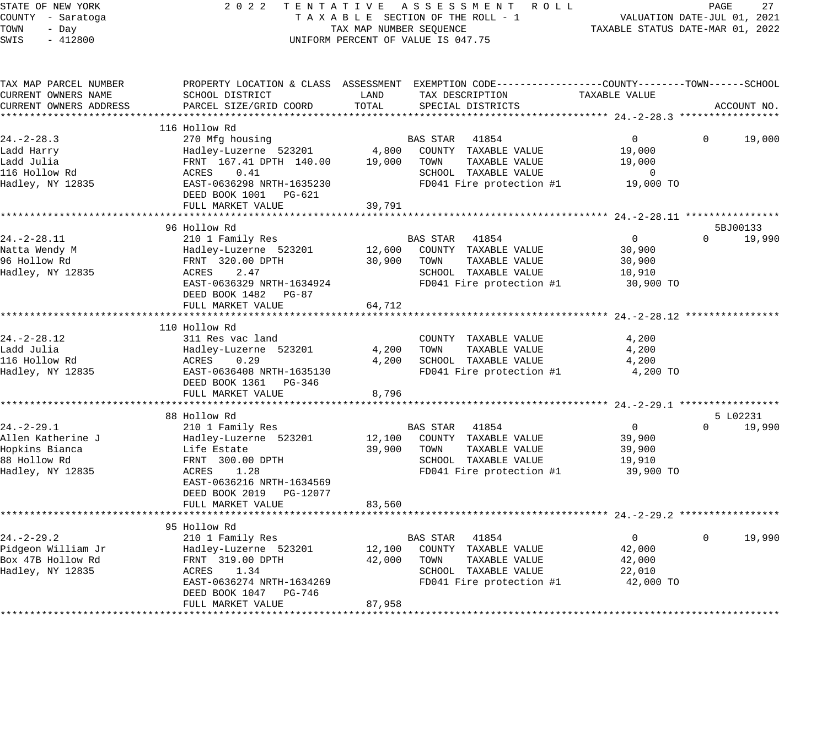| STATE OF NEW YORK      | 2 0 2 2                                                                                          |                                    |          | TENTATIVE ASSESSMENT ROLL |                                          | PAGE     | 27          |
|------------------------|--------------------------------------------------------------------------------------------------|------------------------------------|----------|---------------------------|------------------------------------------|----------|-------------|
| COUNTY - Saratoga      |                                                                                                  | TAXABLE SECTION OF THE ROLL - 1    |          |                           | VALUATION DATE-JUL 01, 2021              |          |             |
| TOWN<br>- Day          |                                                                                                  | TAX MAP NUMBER SEQUENCE            |          |                           | TAXABLE STATUS DATE-MAR 01, 2022         |          |             |
| SWIS<br>$-412800$      |                                                                                                  | UNIFORM PERCENT OF VALUE IS 047.75 |          |                           |                                          |          |             |
|                        |                                                                                                  |                                    |          |                           |                                          |          |             |
| TAX MAP PARCEL NUMBER  | PROPERTY LOCATION & CLASS ASSESSMENT EXEMPTION CODE----------------COUNTY-------TOWN------SCHOOL |                                    |          |                           |                                          |          |             |
| CURRENT OWNERS NAME    | SCHOOL DISTRICT                                                                                  | LAND                               |          | TAX DESCRIPTION           | TAXABLE VALUE                            |          |             |
| CURRENT OWNERS ADDRESS | PARCEL SIZE/GRID COORD                                                                           | TOTAL                              |          | SPECIAL DISTRICTS         |                                          |          | ACCOUNT NO. |
|                        |                                                                                                  |                                    |          |                           |                                          |          |             |
|                        | 116 Hollow Rd                                                                                    |                                    |          |                           |                                          |          |             |
| $24. - 2 - 28.3$       | 270 Mfg housing                                                                                  |                                    | BAS STAR | 41854                     | $\mathbf 0$                              | 0        | 19,000      |
| Ladd Harry             | Hadley-Luzerne 523201                                                                            | 4,800                              |          | COUNTY TAXABLE VALUE      | 19,000                                   |          |             |
| Ladd Julia             | FRNT 167.41 DPTH 140.00                                                                          | 19,000                             | TOWN     | TAXABLE VALUE             | 19,000                                   |          |             |
| 116 Hollow Rd          | ACRES<br>0.41                                                                                    |                                    |          | SCHOOL TAXABLE VALUE      | $\mathbf 0$                              |          |             |
| Hadley, NY 12835       | EAST-0636298 NRTH-1635230                                                                        |                                    |          | FD041 Fire protection #1  | 19,000 TO                                |          |             |
|                        | DEED BOOK 1001 PG-621                                                                            |                                    |          |                           |                                          |          |             |
|                        | FULL MARKET VALUE                                                                                | 39,791                             |          |                           |                                          |          |             |
|                        |                                                                                                  |                                    |          |                           |                                          |          |             |
|                        | 96 Hollow Rd                                                                                     |                                    |          |                           |                                          |          | 5BJ00133    |
| $24. - 2 - 28.11$      | 210 1 Family Res                                                                                 |                                    | BAS STAR | 41854                     | $\mathbf{0}$                             | $\Omega$ | 19,990      |
| Natta Wendy M          | Hadley-Luzerne 523201                                                                            | 12,600                             |          | COUNTY TAXABLE VALUE      | 30,900                                   |          |             |
| 96 Hollow Rd           | FRNT 320.00 DPTH                                                                                 | 30,900                             | TOWN     | TAXABLE VALUE             | 30,900                                   |          |             |
| Hadley, NY 12835       | ACRES<br>2.47                                                                                    |                                    |          | SCHOOL TAXABLE VALUE      | 10,910                                   |          |             |
|                        | EAST-0636329 NRTH-1634924                                                                        |                                    |          | FD041 Fire protection #1  | 30,900 TO                                |          |             |
|                        | DEED BOOK 1482<br>$PG-87$                                                                        |                                    |          |                           |                                          |          |             |
|                        | FULL MARKET VALUE                                                                                | 64,712                             |          |                           |                                          |          |             |
|                        | *******************                                                                              |                                    |          |                           |                                          |          |             |
|                        | 110 Hollow Rd                                                                                    |                                    |          |                           |                                          |          |             |
| $24. - 2 - 28.12$      | 311 Res vac land                                                                                 |                                    |          | COUNTY TAXABLE VALUE      | 4,200                                    |          |             |
| Ladd Julia             | Hadley-Luzerne 523201                                                                            | 4,200                              | TOWN     | TAXABLE VALUE             | 4,200                                    |          |             |
| 116 Hollow Rd          | ACRES<br>0.29                                                                                    | 4,200                              |          | SCHOOL TAXABLE VALUE      | 4,200                                    |          |             |
| Hadley, NY 12835       | EAST-0636408 NRTH-1635130                                                                        |                                    |          | FD041 Fire protection #1  | 4,200 TO                                 |          |             |
|                        | DEED BOOK 1361 PG-346                                                                            |                                    |          |                           |                                          |          |             |
|                        | FULL MARKET VALUE                                                                                | 8,796                              |          |                           |                                          |          |             |
|                        |                                                                                                  |                                    |          |                           |                                          |          |             |
|                        | 88 Hollow Rd                                                                                     |                                    |          |                           |                                          |          | 5 L02231    |
| $24. - 2 - 29.1$       | 210 1 Family Res                                                                                 |                                    | BAS STAR | 41854                     | $\mathbf{0}$                             | $\Omega$ | 19,990      |
| Allen Katherine J      | Hadley-Luzerne 523201                                                                            | 12,100                             |          | COUNTY TAXABLE VALUE      | 39,900                                   |          |             |
| Hopkins Bianca         | Life Estate                                                                                      | 39,900                             | TOWN     | TAXABLE VALUE             | 39,900                                   |          |             |
| 88 Hollow Rd           | FRNT 300.00 DPTH                                                                                 |                                    |          | SCHOOL TAXABLE VALUE      | 19,910                                   |          |             |
| Hadley, NY 12835       | ACRES<br>1.28                                                                                    |                                    |          | FD041 Fire protection #1  | 39,900 TO                                |          |             |
|                        | EAST-0636216 NRTH-1634569                                                                        |                                    |          |                           |                                          |          |             |
|                        | DEED BOOK 2019<br>PG-12077                                                                       |                                    |          |                           |                                          |          |             |
|                        | FULL MARKET VALUE                                                                                | 83,560                             |          |                           |                                          |          |             |
|                        |                                                                                                  |                                    |          |                           | ******************* 24. -2-29. 2 ******* |          |             |
|                        | 95 Hollow Rd                                                                                     |                                    |          |                           |                                          |          |             |
| $24. - 2 - 29.2$       | 210 1 Family Res                                                                                 |                                    | BAS STAR | 41854                     | $\overline{0}$                           | $\Omega$ | 19,990      |
| Pidgeon William Jr     | Hadley-Luzerne 523201                                                                            | 12,100                             |          | COUNTY TAXABLE VALUE      | 42,000                                   |          |             |
| Box 47B Hollow Rd      | FRNT 319.00 DPTH                                                                                 | 42,000                             | TOWN     | TAXABLE VALUE             | 42,000                                   |          |             |
| Hadley, NY 12835       | ACRES<br>1.34                                                                                    |                                    |          | SCHOOL TAXABLE VALUE      | 22,010                                   |          |             |
|                        | EAST-0636274 NRTH-1634269                                                                        |                                    |          | FD041 Fire protection #1  | 42,000 TO                                |          |             |
|                        | DEED BOOK 1047<br>PG-746                                                                         |                                    |          |                           |                                          |          |             |
|                        |                                                                                                  |                                    |          |                           |                                          |          |             |
|                        | FULL MARKET VALUE                                                                                | 87,958                             |          |                           |                                          |          |             |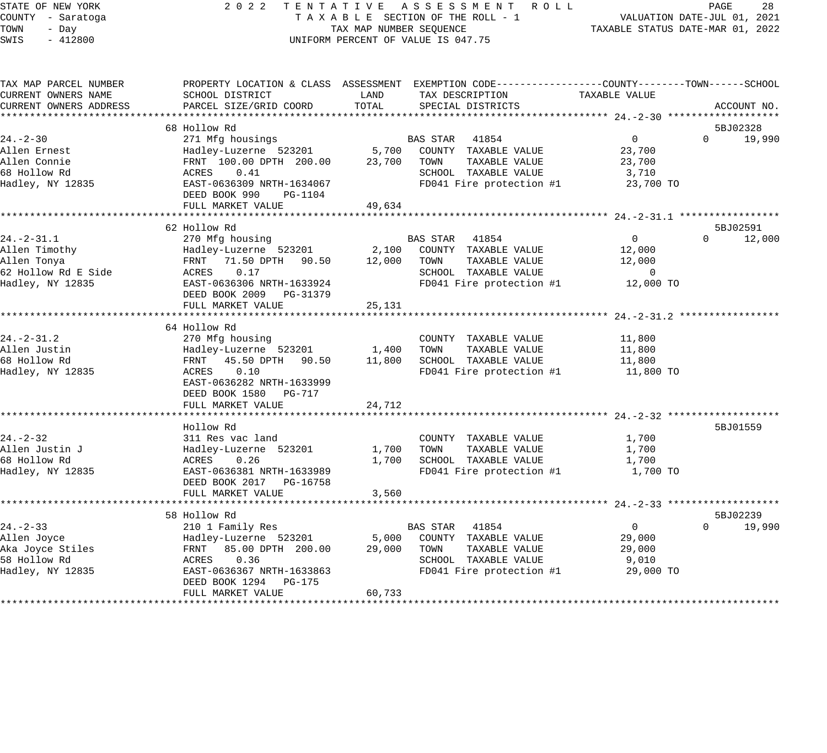STATE OF NEW YORK 2 0 2 2 T E N T A T I V E A S S E S S M E N T R O L L PAGE 28 COUNTY - Saratoga T A X A B L E SECTION OF THE ROLL - 1 VALUATION DATE-JUL 01, 2021 TOWN - Day TAX MAP NUMBER SEQUENCE TAXABLE STATUS DATE-MAR 01, 2022 SWIS - 412800 CONTROLLY THE UNIFORM PERCENT OF VALUE IS 047.75 TAX MAP PARCEL NUMBER PROPERTY LOCATION & CLASS ASSESSMENT EXEMPTION CODE------------------COUNTY--------TOWN------SCHOOL CURRENT OWNERS NAME SCHOOL DISTRICT LAND TAX DESCRIPTION TAXABLE VALUE CURRENT OWNERS ADDRESS PARCEL SIZE/GRID COORD TOTAL SPECIAL DISTRICTS ACCOUNT NO. \*\*\*\*\*\*\*\*\*\*\*\*\*\*\*\*\*\*\*\*\*\*\*\*\*\*\*\*\*\*\*\*\*\*\*\*\*\*\*\*\*\*\*\*\*\*\*\*\*\*\*\*\*\*\*\*\*\*\*\*\*\*\*\*\*\*\*\*\*\*\*\*\*\*\*\*\*\*\*\*\*\*\*\*\*\*\*\*\*\*\*\*\*\*\*\*\*\*\*\*\*\*\* 24.-2-30 \*\*\*\*\*\*\*\*\*\*\*\*\*\*\*\*\*\*\* 68 Hollow Rd 5BJ02328 24.-2-30 271 Mfg housings BAS STAR 41854 0 0 19,990 Allen Ernest Hadley-Luzerne 523201 5,700 COUNTY TAXABLE VALUE 23,700 Allen Connie FRNT 100.00 DPTH 200.00 23,700 TOWN TAXABLE VALUE 23,700 68 Hollow Rd ACRES 0.41 SCHOOL TAXABLE VALUE 3,710 Hadley, NY 12835 EAST-0636309 NRTH-1634067 FD041 Fire protection #1 23,700 TO DEED BOOK 990 PG-1104 FULL MARKET VALUE 49,634 \*\*\*\*\*\*\*\*\*\*\*\*\*\*\*\*\*\*\*\*\*\*\*\*\*\*\*\*\*\*\*\*\*\*\*\*\*\*\*\*\*\*\*\*\*\*\*\*\*\*\*\*\*\*\*\*\*\*\*\*\*\*\*\*\*\*\*\*\*\*\*\*\*\*\*\*\*\*\*\*\*\*\*\*\*\*\*\*\*\*\*\*\*\*\*\*\*\*\*\*\*\*\* 24.-2-31.1 \*\*\*\*\*\*\*\*\*\*\*\*\*\*\*\*\* 62 Hollow Rd 5BJ02591 24.-2-31.1 270 Mfg housing BAS STAR 41854 0 0 12,000 Allen Timothy Hadley-Luzerne 523201 2,100 COUNTY TAXABLE VALUE 12,000 Allen Tonya FRNT 71.50 DPTH 90.50 12,000 TOWN TAXABLE VALUE 12,000 62 Hollow Rd E Side ACRES 0.17 SCHOOL TAXABLE VALUE 0 Hadley, NY 12835 EAST-0636306 NRTH-1633924 FD041 Fire protection #1 12,000 TO DEED BOOK 2009 PG-31379 PEED BOOK 2009 FG-51579<br>FULL MARKET VALUE 25,131 \*\*\*\*\*\*\*\*\*\*\*\*\*\*\*\*\*\*\*\*\*\*\*\*\*\*\*\*\*\*\*\*\*\*\*\*\*\*\*\*\*\*\*\*\*\*\*\*\*\*\*\*\*\*\*\*\*\*\*\*\*\*\*\*\*\*\*\*\*\*\*\*\*\*\*\*\*\*\*\*\*\*\*\*\*\*\*\*\*\*\*\*\*\*\*\*\*\*\*\*\*\*\* 24.-2-31.2 \*\*\*\*\*\*\*\*\*\*\*\*\*\*\*\*\* 64 Hollow Rd 24.-2-31.2 270 Mfg housing 270 Mfg housing 270 COUNTY TAXABLE VALUE 21,800 Allen Justin Hadley-Luzerne 523201 1,400 TOWN TAXABLE VALUE 11,800 68 Hollow Rd FRNT 45.50 DPTH 90.50 11,800 SCHOOL TAXABLE VALUE 11,800 Hadley, NY 12835 ACRES 0.10 FD041 Fire protection #1 11,800 TO EAST-0636282 NRTH-1633999 DEED BOOK 1580 PG-717 FULL MARKET VALUE 24,712 \*\*\*\*\*\*\*\*\*\*\*\*\*\*\*\*\*\*\*\*\*\*\*\*\*\*\*\*\*\*\*\*\*\*\*\*\*\*\*\*\*\*\*\*\*\*\*\*\*\*\*\*\*\*\*\*\*\*\*\*\*\*\*\*\*\*\*\*\*\*\*\*\*\*\*\*\*\*\*\*\*\*\*\*\*\*\*\*\*\*\*\*\*\*\*\*\*\*\*\*\*\*\* 24.-2-32 \*\*\*\*\*\*\*\*\*\*\*\*\*\*\*\*\*\*\* Hollow Rd 5BJ01559 24.-2-32 311 Res vac land COUNTY TAXABLE VALUE 1,700 Allen Justin J Hadley-Luzerne 523201 1,700 TOWN TAXABLE VALUE 1,700 68 Hollow Rd ACRES 0.26 1,700 SCHOOL TAXABLE VALUE 1,700 Hadley, NY 12835 EAST-0636381 NRTH-1633989 FD041 Fire protection #1 1,700 TO DEED BOOK 2017 PG-16758 FULL MARKET VALUE 3,560 \*\*\*\*\*\*\*\*\*\*\*\*\*\*\*\*\*\*\*\*\*\*\*\*\*\*\*\*\*\*\*\*\*\*\*\*\*\*\*\*\*\*\*\*\*\*\*\*\*\*\*\*\*\*\*\*\*\*\*\*\*\*\*\*\*\*\*\*\*\*\*\*\*\*\*\*\*\*\*\*\*\*\*\*\*\*\*\*\*\*\*\*\*\*\*\*\*\*\*\*\*\*\* 24.-2-33 \*\*\*\*\*\*\*\*\*\*\*\*\*\*\*\*\*\*\* 58 Hollow Rd 5BJ02239 24.-2-33 210 1 Family Res BAS STAR 41854 0 0 19,990 Allen Joyce Hadley-Luzerne 523201 5,000 COUNTY TAXABLE VALUE 29,000 Aka Joyce Stiles FRNT 85.00 DPTH 200.00 29,000 TOWN TAXABLE VALUE 29,000 58 Hollow Rd ACRES 0.36 SCHOOL TAXABLE VALUE 9,010 Hadley, NY 12835 EAST-0636367 NRTH-1633863 FD041 Fire protection #1 29,000 TO DEED BOOK 1294 PG-175 FULL MARKET VALUE 60,733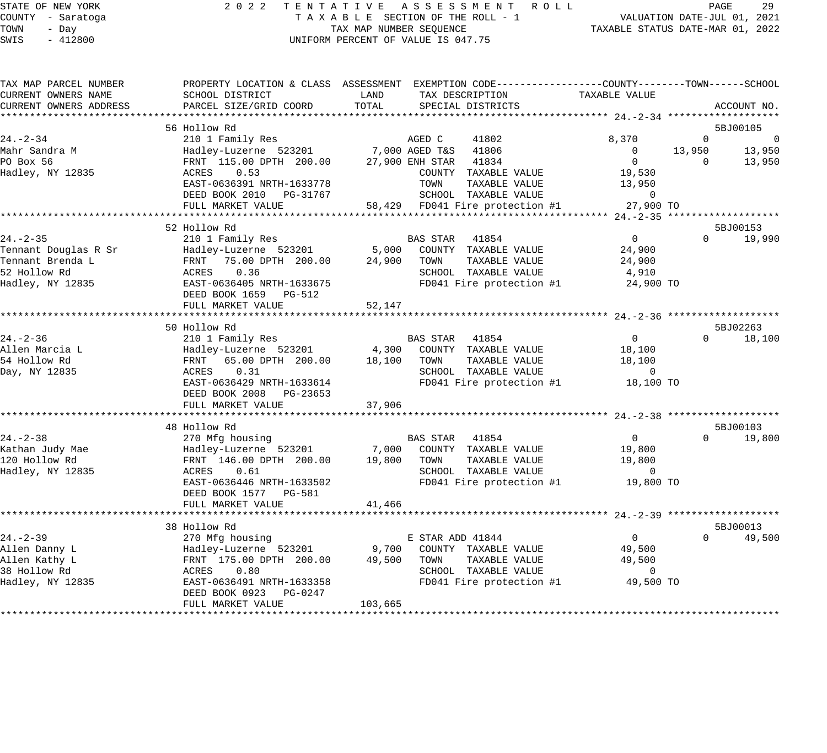#### STATE OF NEW YORK 2 0 2 2 T E N T A T I V E A S S E S S M E N T R O L L PAGE 29 COUNTY - Saratoga T A X A B L E SECTION OF THE ROLL - 1 VALUATION DATE-JUL 01, 2021 TOWN - Day TAX MAP NUMBER SEQUENCE TAXABLE STATUS DATE-MAR 01, 2022 SWIS - 412800 UNIFORM PERCENT OF VALUE IS 047.75

| TAX MAP PARCEL NUMBER | PROPERTY LOCATION & CLASS ASSESSMENT                                              |                 | EXEMPTION CODE-----------------COUNTY-------TOWN------SCHOOL |               |          |                |
|-----------------------|-----------------------------------------------------------------------------------|-----------------|--------------------------------------------------------------|---------------|----------|----------------|
| CURRENT OWNERS NAME   | SCHOOL DISTRICT                                                                   | LAND            | TAX DESCRIPTION                                              | TAXABLE VALUE |          |                |
|                       | CURRENT OWNERS ADDRESS      PARCEL SIZE/GRID COORD     TOTAL    SPECIAL DISTRICTS |                 |                                                              |               |          | ACCOUNT NO.    |
|                       |                                                                                   |                 |                                                              |               |          |                |
|                       | 56 Hollow Rd                                                                      |                 |                                                              |               |          | 5BJ00105       |
| $24. - 2 - 34$        | 210 1 Family Res                                                                  | AGED C          | 41802                                                        | 8,370         | - 0      | $\overline{0}$ |
| Mahr Sandra M         | Hadley-Luzerne 523201 7,000 AGED T&S 41806                                        |                 |                                                              | $\Omega$      | 13,950   | 13,950         |
| PO Box 56             | FRNT 115.00 DPTH 200.00                                                           | 27,900 ENH STAR | 41834                                                        | $\Omega$      | $\Omega$ | 13,950         |
| Hadley, NY 12835      | ACRES 0.53                                                                        |                 | COUNTY<br>TAXABLE VALUE                                      | 19,530        |          |                |
|                       | EAST-0636391 NRTH-1633778                                                         |                 | TOWN<br>TAXABLE VALUE                                        | 13,950        |          |                |
|                       | DEED BOOK 2010 PG-31767                                                           |                 | SCHOOL TAXABLE VALUE                                         |               |          |                |
|                       | FULL MARKET VALUE 58,429 FD041 Fire protection #1 27,900 TO                       |                 |                                                              |               |          |                |
|                       |                                                                                   |                 |                                                              |               |          |                |
|                       | 52 Hollow Rd                                                                      |                 |                                                              |               |          | 5BJ00153       |

|                      | EAST-0636391 NRTH-1633778                            | TOWN<br>TAXABLE VALUE                                                                                                                                    | 13,950                      |                    |
|----------------------|------------------------------------------------------|----------------------------------------------------------------------------------------------------------------------------------------------------------|-----------------------------|--------------------|
|                      | DEED BOOK 2010 PG-31767<br>FULL MARKET VALUE         | SCHOOL TAXABLE VALUE<br>58,429 FD041 Fire protection #1                                                                                                  | $\overline{0}$<br>27,900 TO |                    |
|                      |                                                      |                                                                                                                                                          |                             |                    |
|                      | 52 Hollow Rd                                         |                                                                                                                                                          |                             | 5BJ00153           |
| $24. - 2 - 35$       | 210 1 Family Res                                     | BAS STAR 41854                                                                                                                                           | $\overline{0}$              | $\Omega$<br>19,990 |
| Tennant Douglas R Sr | Hadley-Luzerne 523201                                | 5,000 COUNTY TAXABLE VALUE                                                                                                                               | 24,900                      |                    |
| Tennant Brenda L     | FRNT 75.00 DPTH 200.00                               | 24,900 TOWN<br>TAXABLE VALUE                                                                                                                             | 24,900                      |                    |
| 52 Hollow Rd         | ACRES 0.36                                           | SCHOOL TAXABLE VALUE                                                                                                                                     | 4,910                       |                    |
| Hadley, NY 12835     | EAST-0636405 NRTH-1633675<br>DEED BOOK 1659 PG-512   | FD041 Fire protection #1                                                                                                                                 | 24,900 TO                   |                    |
|                      | FULL MARKET VALUE                                    | 52,147                                                                                                                                                   |                             |                    |
|                      |                                                      |                                                                                                                                                          |                             |                    |
|                      | 50 Hollow Rd                                         |                                                                                                                                                          |                             | 5BJ02263           |
| $24. - 2 - 36$       | 210 1 Family Res                                     | BAS STAR 41854                                                                                                                                           | $\overline{0}$              | 18,100<br>$\Omega$ |
| Allen Marcia L       | Hadley-Luzerne 523201<br>FRNT 65.00 DPTH 200.00      | Hadley-Luzerne 523201 4,300 COUNTY TAXABLE VALUE                                                                                                         | 18,100                      |                    |
| 54 Hollow Rd         |                                                      | 18,100<br>TOWN<br>TAXABLE VALUE                                                                                                                          | 18,100                      |                    |
| Day, NY 12835        | 0.31<br>ACRES                                        | SCHOOL TAXABLE VALUE                                                                                                                                     | $\overline{0}$              |                    |
|                      | EAST-0636429 NRTH-1633614<br>DEED BOOK 2008 PG-23653 | FD041 Fire protection #1<br>37,906                                                                                                                       | 18,100 TO                   |                    |
|                      | FULL MARKET VALUE                                    |                                                                                                                                                          |                             |                    |
|                      | 48 Hollow Rd                                         |                                                                                                                                                          |                             | 5BJ00103           |
| $24. - 2 - 38$       | 270 Mfg housing                                      | BAS STAR 41854                                                                                                                                           | $\overline{0}$              | $\Omega$<br>19,800 |
| Kathan Judy Mae      |                                                      |                                                                                                                                                          | 19,800                      |                    |
| 120 Hollow Rd        |                                                      | Hadley-Luzerne 523201          7,000  COUNTY TAXABLE VALUE<br>FRNT  146.00 DPTH  200.00        19,800   TOWN    TAXABLE VALUE<br>19,800<br>TAXABLE VALUE | 19,800                      |                    |
| Hadley, NY 12835     | 0.61<br>ACRES                                        | SCHOOL TAXABLE VALUE                                                                                                                                     | $\Omega$                    |                    |
|                      | EAST-0636446 NRTH-1633502                            | FD041 Fire protection #1                                                                                                                                 | 19,800 TO                   |                    |
|                      | DEED BOOK 1577 PG-581                                |                                                                                                                                                          |                             |                    |
|                      | FULL MARKET VALUE                                    | 41,466                                                                                                                                                   |                             |                    |
|                      |                                                      |                                                                                                                                                          |                             |                    |
|                      | 38 Hollow Rd                                         |                                                                                                                                                          |                             | 5BJ00013           |
| $24. - 2 - 39$       | 270 Mfg housing                                      | E STAR ADD 41844                                                                                                                                         | $\Omega$                    | $\Omega$<br>49,500 |
| Allen Danny L        | Hadley-Luzerne 523201                                | 9,700 COUNTY TAXABLE VALUE                                                                                                                               | 49,500                      |                    |
| Allen Kathy L        | FRNT 175.00 DPTH 200.00                              | TOWN<br>TAXABLE VALUE<br>49,500                                                                                                                          | 49,500                      |                    |
| 38 Hollow Rd         | 0.80<br>ACRES                                        | SCHOOL TAXABLE VALUE                                                                                                                                     | $\Omega$                    |                    |
| Hadley, NY 12835     | EAST-0636491 NRTH-1633358<br>DEED BOOK 0923 PG-0247  | FD041 Fire protection #1                                                                                                                                 | 49,500 TO                   |                    |
|                      | FULL MARKET VALUE                                    | 103,665                                                                                                                                                  |                             |                    |
|                      |                                                      |                                                                                                                                                          |                             |                    |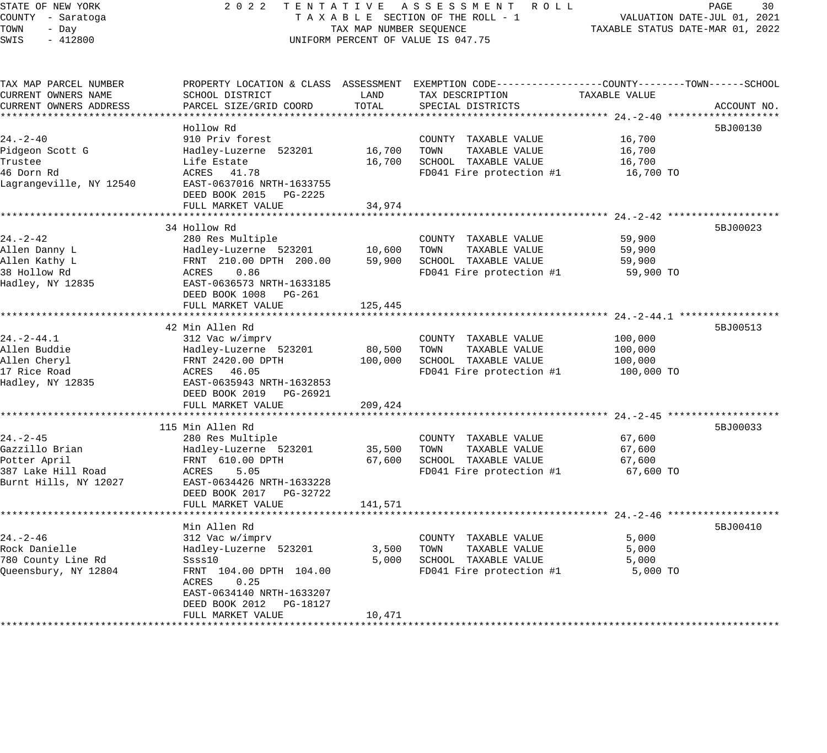#### STATE OF NEW YORK 2 0 2 2 T E N T A T I V E A S S E S S M E N T R O L L PAGE 30 COUNTY - Saratoga T A X A B L E SECTION OF THE ROLL - 1 VALUATION DATE-JUL 01, 2021 X A B L E SECTION OF THE ROLL - 1 WILLIAM CONTROLLED STATUS DATE-MAR 01, 2022 UNIFORM PERCENT OF VALUE IS 047.75

| CURRENT OWNERS NAME<br>SCHOOL DISTRICT<br>LAND<br>TAX DESCRIPTION<br>TAXABLE VALUE<br>TOTAL<br>PARCEL SIZE/GRID COORD<br>SPECIAL DISTRICTS<br>CURRENT OWNERS ADDRESS<br>ACCOUNT NO.<br>Hollow Rd<br>5BJ00130<br>910 Priv forest<br>16,700<br>COUNTY TAXABLE VALUE<br>16,700<br>TOWN<br>TAXABLE VALUE<br>Pidgeon Scott G<br>Hadley-Luzerne 523201<br>16,700<br>16,700<br>SCHOOL TAXABLE VALUE<br>Life Estate<br>16,700<br>46 Dorn Rd<br>ACRES 41.78<br>FD041 Fire protection #1<br>16,700 TO<br>Lagrangeville, NY 12540<br>EAST-0637016 NRTH-1633755<br>DEED BOOK 2015 PG-2225<br>FULL MARKET VALUE<br>34,974<br>34 Hollow Rd<br>5BJ00023<br>$24. - 2 - 42$<br>280 Res Multiple<br>59,900<br>COUNTY TAXABLE VALUE<br>Hadley-Luzerne 523201<br>10,600<br>TOWN<br>TAXABLE VALUE<br>Allen Danny L<br>59,900<br>Allen Kathy L<br>FRNT 210.00 DPTH 200.00<br>59,900<br>SCHOOL TAXABLE VALUE<br>59,900<br>38 Hollow Rd<br>ACRES<br>0.86<br>FD041 Fire protection #1<br>59,900 TO<br>Hadley, NY 12835<br>EAST-0636573 NRTH-1633185<br>DEED BOOK 1008 PG-261<br>FULL MARKET VALUE<br>125,445<br>********************************** 24. -2-44.1 *****<br>42 Min Allen Rd<br>5BJ00513<br>$24. - 2 - 44.1$<br>312 Vac w/imprv<br>COUNTY TAXABLE VALUE<br>100,000<br>Allen Buddie<br>Hadley-Luzerne 523201<br>80,500<br>TOWN<br>TAXABLE VALUE<br>100,000<br>SCHOOL TAXABLE VALUE<br>Allen Cheryl<br>FRNT 2420.00 DPTH<br>100,000<br>100,000<br>17 Rice Road<br>ACRES 46.05<br>FD041 Fire protection #1<br>100,000 TO<br>Hadley, NY 12835<br>EAST-0635943 NRTH-1632853<br>DEED BOOK 2019 PG-26921<br>FULL MARKET VALUE<br>209,424<br>115 Min Allen Rd<br>5BJ00033<br>$24. - 2 - 45$<br>280 Res Multiple<br>67,600<br>COUNTY TAXABLE VALUE<br>Gazzillo Brian<br>Hadley-Luzerne 523201<br>35,500<br>TAXABLE VALUE<br>67,600<br>TOWN<br>Potter April<br>FRNT 610.00 DPTH<br>67,600<br>SCHOOL TAXABLE VALUE<br>67,600<br>387 Lake Hill Road<br>ACRES<br>FD041 Fire protection #1<br>67,600 TO<br>5.05<br>Burnt Hills, NY 12027<br>EAST-0634426 NRTH-1633228<br>DEED BOOK 2017 PG-32722<br>FULL MARKET VALUE<br>141,571<br>Min Allen Rd<br>5BJ00410<br>$24. - 2 - 46$<br>312 Vac w/imprv<br>COUNTY TAXABLE VALUE<br>5,000<br>Rock Danielle<br>Hadley-Luzerne 523201<br>3,500<br>TOWN<br>TAXABLE VALUE<br>5,000<br>780 County Line Rd<br>Ssss10<br>5,000<br>SCHOOL TAXABLE VALUE<br>5,000<br>Queensbury, NY 12804<br>FRNT 104.00 DPTH 104.00<br>FD041 Fire protection #1<br>5,000 TO<br>ACRES<br>0.25<br>EAST-0634140 NRTH-1633207<br>DEED BOOK 2012    PG-18127<br>FULL MARKET VALUE<br>10,471 | TAX MAP PARCEL NUMBER |  | PROPERTY LOCATION & CLASS ASSESSMENT EXEMPTION CODE----------------COUNTY-------TOWN------SCHOOL |  |
|-----------------------------------------------------------------------------------------------------------------------------------------------------------------------------------------------------------------------------------------------------------------------------------------------------------------------------------------------------------------------------------------------------------------------------------------------------------------------------------------------------------------------------------------------------------------------------------------------------------------------------------------------------------------------------------------------------------------------------------------------------------------------------------------------------------------------------------------------------------------------------------------------------------------------------------------------------------------------------------------------------------------------------------------------------------------------------------------------------------------------------------------------------------------------------------------------------------------------------------------------------------------------------------------------------------------------------------------------------------------------------------------------------------------------------------------------------------------------------------------------------------------------------------------------------------------------------------------------------------------------------------------------------------------------------------------------------------------------------------------------------------------------------------------------------------------------------------------------------------------------------------------------------------------------------------------------------------------------------------------------------------------------------------------------------------------------------------------------------------------------------------------------------------------------------------------------------------------------------------------------------------------------------------------------------------------------------------------------------------------------------------------------------------------------------------------------------------------------------------------------------------------------------------------------------------------------------|-----------------------|--|--------------------------------------------------------------------------------------------------|--|
|                                                                                                                                                                                                                                                                                                                                                                                                                                                                                                                                                                                                                                                                                                                                                                                                                                                                                                                                                                                                                                                                                                                                                                                                                                                                                                                                                                                                                                                                                                                                                                                                                                                                                                                                                                                                                                                                                                                                                                                                                                                                                                                                                                                                                                                                                                                                                                                                                                                                                                                                                                             |                       |  |                                                                                                  |  |
|                                                                                                                                                                                                                                                                                                                                                                                                                                                                                                                                                                                                                                                                                                                                                                                                                                                                                                                                                                                                                                                                                                                                                                                                                                                                                                                                                                                                                                                                                                                                                                                                                                                                                                                                                                                                                                                                                                                                                                                                                                                                                                                                                                                                                                                                                                                                                                                                                                                                                                                                                                             |                       |  |                                                                                                  |  |
|                                                                                                                                                                                                                                                                                                                                                                                                                                                                                                                                                                                                                                                                                                                                                                                                                                                                                                                                                                                                                                                                                                                                                                                                                                                                                                                                                                                                                                                                                                                                                                                                                                                                                                                                                                                                                                                                                                                                                                                                                                                                                                                                                                                                                                                                                                                                                                                                                                                                                                                                                                             |                       |  |                                                                                                  |  |
|                                                                                                                                                                                                                                                                                                                                                                                                                                                                                                                                                                                                                                                                                                                                                                                                                                                                                                                                                                                                                                                                                                                                                                                                                                                                                                                                                                                                                                                                                                                                                                                                                                                                                                                                                                                                                                                                                                                                                                                                                                                                                                                                                                                                                                                                                                                                                                                                                                                                                                                                                                             |                       |  |                                                                                                  |  |
|                                                                                                                                                                                                                                                                                                                                                                                                                                                                                                                                                                                                                                                                                                                                                                                                                                                                                                                                                                                                                                                                                                                                                                                                                                                                                                                                                                                                                                                                                                                                                                                                                                                                                                                                                                                                                                                                                                                                                                                                                                                                                                                                                                                                                                                                                                                                                                                                                                                                                                                                                                             | $24. - 2 - 40$        |  |                                                                                                  |  |
|                                                                                                                                                                                                                                                                                                                                                                                                                                                                                                                                                                                                                                                                                                                                                                                                                                                                                                                                                                                                                                                                                                                                                                                                                                                                                                                                                                                                                                                                                                                                                                                                                                                                                                                                                                                                                                                                                                                                                                                                                                                                                                                                                                                                                                                                                                                                                                                                                                                                                                                                                                             |                       |  |                                                                                                  |  |
|                                                                                                                                                                                                                                                                                                                                                                                                                                                                                                                                                                                                                                                                                                                                                                                                                                                                                                                                                                                                                                                                                                                                                                                                                                                                                                                                                                                                                                                                                                                                                                                                                                                                                                                                                                                                                                                                                                                                                                                                                                                                                                                                                                                                                                                                                                                                                                                                                                                                                                                                                                             | Trustee               |  |                                                                                                  |  |
|                                                                                                                                                                                                                                                                                                                                                                                                                                                                                                                                                                                                                                                                                                                                                                                                                                                                                                                                                                                                                                                                                                                                                                                                                                                                                                                                                                                                                                                                                                                                                                                                                                                                                                                                                                                                                                                                                                                                                                                                                                                                                                                                                                                                                                                                                                                                                                                                                                                                                                                                                                             |                       |  |                                                                                                  |  |
|                                                                                                                                                                                                                                                                                                                                                                                                                                                                                                                                                                                                                                                                                                                                                                                                                                                                                                                                                                                                                                                                                                                                                                                                                                                                                                                                                                                                                                                                                                                                                                                                                                                                                                                                                                                                                                                                                                                                                                                                                                                                                                                                                                                                                                                                                                                                                                                                                                                                                                                                                                             |                       |  |                                                                                                  |  |
|                                                                                                                                                                                                                                                                                                                                                                                                                                                                                                                                                                                                                                                                                                                                                                                                                                                                                                                                                                                                                                                                                                                                                                                                                                                                                                                                                                                                                                                                                                                                                                                                                                                                                                                                                                                                                                                                                                                                                                                                                                                                                                                                                                                                                                                                                                                                                                                                                                                                                                                                                                             |                       |  |                                                                                                  |  |
|                                                                                                                                                                                                                                                                                                                                                                                                                                                                                                                                                                                                                                                                                                                                                                                                                                                                                                                                                                                                                                                                                                                                                                                                                                                                                                                                                                                                                                                                                                                                                                                                                                                                                                                                                                                                                                                                                                                                                                                                                                                                                                                                                                                                                                                                                                                                                                                                                                                                                                                                                                             |                       |  |                                                                                                  |  |
|                                                                                                                                                                                                                                                                                                                                                                                                                                                                                                                                                                                                                                                                                                                                                                                                                                                                                                                                                                                                                                                                                                                                                                                                                                                                                                                                                                                                                                                                                                                                                                                                                                                                                                                                                                                                                                                                                                                                                                                                                                                                                                                                                                                                                                                                                                                                                                                                                                                                                                                                                                             |                       |  |                                                                                                  |  |
|                                                                                                                                                                                                                                                                                                                                                                                                                                                                                                                                                                                                                                                                                                                                                                                                                                                                                                                                                                                                                                                                                                                                                                                                                                                                                                                                                                                                                                                                                                                                                                                                                                                                                                                                                                                                                                                                                                                                                                                                                                                                                                                                                                                                                                                                                                                                                                                                                                                                                                                                                                             |                       |  |                                                                                                  |  |
|                                                                                                                                                                                                                                                                                                                                                                                                                                                                                                                                                                                                                                                                                                                                                                                                                                                                                                                                                                                                                                                                                                                                                                                                                                                                                                                                                                                                                                                                                                                                                                                                                                                                                                                                                                                                                                                                                                                                                                                                                                                                                                                                                                                                                                                                                                                                                                                                                                                                                                                                                                             |                       |  |                                                                                                  |  |
|                                                                                                                                                                                                                                                                                                                                                                                                                                                                                                                                                                                                                                                                                                                                                                                                                                                                                                                                                                                                                                                                                                                                                                                                                                                                                                                                                                                                                                                                                                                                                                                                                                                                                                                                                                                                                                                                                                                                                                                                                                                                                                                                                                                                                                                                                                                                                                                                                                                                                                                                                                             |                       |  |                                                                                                  |  |
|                                                                                                                                                                                                                                                                                                                                                                                                                                                                                                                                                                                                                                                                                                                                                                                                                                                                                                                                                                                                                                                                                                                                                                                                                                                                                                                                                                                                                                                                                                                                                                                                                                                                                                                                                                                                                                                                                                                                                                                                                                                                                                                                                                                                                                                                                                                                                                                                                                                                                                                                                                             |                       |  |                                                                                                  |  |
|                                                                                                                                                                                                                                                                                                                                                                                                                                                                                                                                                                                                                                                                                                                                                                                                                                                                                                                                                                                                                                                                                                                                                                                                                                                                                                                                                                                                                                                                                                                                                                                                                                                                                                                                                                                                                                                                                                                                                                                                                                                                                                                                                                                                                                                                                                                                                                                                                                                                                                                                                                             |                       |  |                                                                                                  |  |
|                                                                                                                                                                                                                                                                                                                                                                                                                                                                                                                                                                                                                                                                                                                                                                                                                                                                                                                                                                                                                                                                                                                                                                                                                                                                                                                                                                                                                                                                                                                                                                                                                                                                                                                                                                                                                                                                                                                                                                                                                                                                                                                                                                                                                                                                                                                                                                                                                                                                                                                                                                             |                       |  |                                                                                                  |  |
|                                                                                                                                                                                                                                                                                                                                                                                                                                                                                                                                                                                                                                                                                                                                                                                                                                                                                                                                                                                                                                                                                                                                                                                                                                                                                                                                                                                                                                                                                                                                                                                                                                                                                                                                                                                                                                                                                                                                                                                                                                                                                                                                                                                                                                                                                                                                                                                                                                                                                                                                                                             |                       |  |                                                                                                  |  |
|                                                                                                                                                                                                                                                                                                                                                                                                                                                                                                                                                                                                                                                                                                                                                                                                                                                                                                                                                                                                                                                                                                                                                                                                                                                                                                                                                                                                                                                                                                                                                                                                                                                                                                                                                                                                                                                                                                                                                                                                                                                                                                                                                                                                                                                                                                                                                                                                                                                                                                                                                                             |                       |  |                                                                                                  |  |
|                                                                                                                                                                                                                                                                                                                                                                                                                                                                                                                                                                                                                                                                                                                                                                                                                                                                                                                                                                                                                                                                                                                                                                                                                                                                                                                                                                                                                                                                                                                                                                                                                                                                                                                                                                                                                                                                                                                                                                                                                                                                                                                                                                                                                                                                                                                                                                                                                                                                                                                                                                             |                       |  |                                                                                                  |  |
|                                                                                                                                                                                                                                                                                                                                                                                                                                                                                                                                                                                                                                                                                                                                                                                                                                                                                                                                                                                                                                                                                                                                                                                                                                                                                                                                                                                                                                                                                                                                                                                                                                                                                                                                                                                                                                                                                                                                                                                                                                                                                                                                                                                                                                                                                                                                                                                                                                                                                                                                                                             |                       |  |                                                                                                  |  |
|                                                                                                                                                                                                                                                                                                                                                                                                                                                                                                                                                                                                                                                                                                                                                                                                                                                                                                                                                                                                                                                                                                                                                                                                                                                                                                                                                                                                                                                                                                                                                                                                                                                                                                                                                                                                                                                                                                                                                                                                                                                                                                                                                                                                                                                                                                                                                                                                                                                                                                                                                                             |                       |  |                                                                                                  |  |
|                                                                                                                                                                                                                                                                                                                                                                                                                                                                                                                                                                                                                                                                                                                                                                                                                                                                                                                                                                                                                                                                                                                                                                                                                                                                                                                                                                                                                                                                                                                                                                                                                                                                                                                                                                                                                                                                                                                                                                                                                                                                                                                                                                                                                                                                                                                                                                                                                                                                                                                                                                             |                       |  |                                                                                                  |  |
|                                                                                                                                                                                                                                                                                                                                                                                                                                                                                                                                                                                                                                                                                                                                                                                                                                                                                                                                                                                                                                                                                                                                                                                                                                                                                                                                                                                                                                                                                                                                                                                                                                                                                                                                                                                                                                                                                                                                                                                                                                                                                                                                                                                                                                                                                                                                                                                                                                                                                                                                                                             |                       |  |                                                                                                  |  |
|                                                                                                                                                                                                                                                                                                                                                                                                                                                                                                                                                                                                                                                                                                                                                                                                                                                                                                                                                                                                                                                                                                                                                                                                                                                                                                                                                                                                                                                                                                                                                                                                                                                                                                                                                                                                                                                                                                                                                                                                                                                                                                                                                                                                                                                                                                                                                                                                                                                                                                                                                                             |                       |  |                                                                                                  |  |
|                                                                                                                                                                                                                                                                                                                                                                                                                                                                                                                                                                                                                                                                                                                                                                                                                                                                                                                                                                                                                                                                                                                                                                                                                                                                                                                                                                                                                                                                                                                                                                                                                                                                                                                                                                                                                                                                                                                                                                                                                                                                                                                                                                                                                                                                                                                                                                                                                                                                                                                                                                             |                       |  |                                                                                                  |  |
|                                                                                                                                                                                                                                                                                                                                                                                                                                                                                                                                                                                                                                                                                                                                                                                                                                                                                                                                                                                                                                                                                                                                                                                                                                                                                                                                                                                                                                                                                                                                                                                                                                                                                                                                                                                                                                                                                                                                                                                                                                                                                                                                                                                                                                                                                                                                                                                                                                                                                                                                                                             |                       |  |                                                                                                  |  |
|                                                                                                                                                                                                                                                                                                                                                                                                                                                                                                                                                                                                                                                                                                                                                                                                                                                                                                                                                                                                                                                                                                                                                                                                                                                                                                                                                                                                                                                                                                                                                                                                                                                                                                                                                                                                                                                                                                                                                                                                                                                                                                                                                                                                                                                                                                                                                                                                                                                                                                                                                                             |                       |  |                                                                                                  |  |
|                                                                                                                                                                                                                                                                                                                                                                                                                                                                                                                                                                                                                                                                                                                                                                                                                                                                                                                                                                                                                                                                                                                                                                                                                                                                                                                                                                                                                                                                                                                                                                                                                                                                                                                                                                                                                                                                                                                                                                                                                                                                                                                                                                                                                                                                                                                                                                                                                                                                                                                                                                             |                       |  |                                                                                                  |  |
|                                                                                                                                                                                                                                                                                                                                                                                                                                                                                                                                                                                                                                                                                                                                                                                                                                                                                                                                                                                                                                                                                                                                                                                                                                                                                                                                                                                                                                                                                                                                                                                                                                                                                                                                                                                                                                                                                                                                                                                                                                                                                                                                                                                                                                                                                                                                                                                                                                                                                                                                                                             |                       |  |                                                                                                  |  |
|                                                                                                                                                                                                                                                                                                                                                                                                                                                                                                                                                                                                                                                                                                                                                                                                                                                                                                                                                                                                                                                                                                                                                                                                                                                                                                                                                                                                                                                                                                                                                                                                                                                                                                                                                                                                                                                                                                                                                                                                                                                                                                                                                                                                                                                                                                                                                                                                                                                                                                                                                                             |                       |  |                                                                                                  |  |
|                                                                                                                                                                                                                                                                                                                                                                                                                                                                                                                                                                                                                                                                                                                                                                                                                                                                                                                                                                                                                                                                                                                                                                                                                                                                                                                                                                                                                                                                                                                                                                                                                                                                                                                                                                                                                                                                                                                                                                                                                                                                                                                                                                                                                                                                                                                                                                                                                                                                                                                                                                             |                       |  |                                                                                                  |  |
|                                                                                                                                                                                                                                                                                                                                                                                                                                                                                                                                                                                                                                                                                                                                                                                                                                                                                                                                                                                                                                                                                                                                                                                                                                                                                                                                                                                                                                                                                                                                                                                                                                                                                                                                                                                                                                                                                                                                                                                                                                                                                                                                                                                                                                                                                                                                                                                                                                                                                                                                                                             |                       |  |                                                                                                  |  |
|                                                                                                                                                                                                                                                                                                                                                                                                                                                                                                                                                                                                                                                                                                                                                                                                                                                                                                                                                                                                                                                                                                                                                                                                                                                                                                                                                                                                                                                                                                                                                                                                                                                                                                                                                                                                                                                                                                                                                                                                                                                                                                                                                                                                                                                                                                                                                                                                                                                                                                                                                                             |                       |  |                                                                                                  |  |
|                                                                                                                                                                                                                                                                                                                                                                                                                                                                                                                                                                                                                                                                                                                                                                                                                                                                                                                                                                                                                                                                                                                                                                                                                                                                                                                                                                                                                                                                                                                                                                                                                                                                                                                                                                                                                                                                                                                                                                                                                                                                                                                                                                                                                                                                                                                                                                                                                                                                                                                                                                             |                       |  |                                                                                                  |  |
|                                                                                                                                                                                                                                                                                                                                                                                                                                                                                                                                                                                                                                                                                                                                                                                                                                                                                                                                                                                                                                                                                                                                                                                                                                                                                                                                                                                                                                                                                                                                                                                                                                                                                                                                                                                                                                                                                                                                                                                                                                                                                                                                                                                                                                                                                                                                                                                                                                                                                                                                                                             |                       |  |                                                                                                  |  |
|                                                                                                                                                                                                                                                                                                                                                                                                                                                                                                                                                                                                                                                                                                                                                                                                                                                                                                                                                                                                                                                                                                                                                                                                                                                                                                                                                                                                                                                                                                                                                                                                                                                                                                                                                                                                                                                                                                                                                                                                                                                                                                                                                                                                                                                                                                                                                                                                                                                                                                                                                                             |                       |  |                                                                                                  |  |
|                                                                                                                                                                                                                                                                                                                                                                                                                                                                                                                                                                                                                                                                                                                                                                                                                                                                                                                                                                                                                                                                                                                                                                                                                                                                                                                                                                                                                                                                                                                                                                                                                                                                                                                                                                                                                                                                                                                                                                                                                                                                                                                                                                                                                                                                                                                                                                                                                                                                                                                                                                             |                       |  |                                                                                                  |  |
|                                                                                                                                                                                                                                                                                                                                                                                                                                                                                                                                                                                                                                                                                                                                                                                                                                                                                                                                                                                                                                                                                                                                                                                                                                                                                                                                                                                                                                                                                                                                                                                                                                                                                                                                                                                                                                                                                                                                                                                                                                                                                                                                                                                                                                                                                                                                                                                                                                                                                                                                                                             |                       |  |                                                                                                  |  |
|                                                                                                                                                                                                                                                                                                                                                                                                                                                                                                                                                                                                                                                                                                                                                                                                                                                                                                                                                                                                                                                                                                                                                                                                                                                                                                                                                                                                                                                                                                                                                                                                                                                                                                                                                                                                                                                                                                                                                                                                                                                                                                                                                                                                                                                                                                                                                                                                                                                                                                                                                                             |                       |  |                                                                                                  |  |
|                                                                                                                                                                                                                                                                                                                                                                                                                                                                                                                                                                                                                                                                                                                                                                                                                                                                                                                                                                                                                                                                                                                                                                                                                                                                                                                                                                                                                                                                                                                                                                                                                                                                                                                                                                                                                                                                                                                                                                                                                                                                                                                                                                                                                                                                                                                                                                                                                                                                                                                                                                             |                       |  |                                                                                                  |  |
|                                                                                                                                                                                                                                                                                                                                                                                                                                                                                                                                                                                                                                                                                                                                                                                                                                                                                                                                                                                                                                                                                                                                                                                                                                                                                                                                                                                                                                                                                                                                                                                                                                                                                                                                                                                                                                                                                                                                                                                                                                                                                                                                                                                                                                                                                                                                                                                                                                                                                                                                                                             |                       |  |                                                                                                  |  |
|                                                                                                                                                                                                                                                                                                                                                                                                                                                                                                                                                                                                                                                                                                                                                                                                                                                                                                                                                                                                                                                                                                                                                                                                                                                                                                                                                                                                                                                                                                                                                                                                                                                                                                                                                                                                                                                                                                                                                                                                                                                                                                                                                                                                                                                                                                                                                                                                                                                                                                                                                                             |                       |  |                                                                                                  |  |
|                                                                                                                                                                                                                                                                                                                                                                                                                                                                                                                                                                                                                                                                                                                                                                                                                                                                                                                                                                                                                                                                                                                                                                                                                                                                                                                                                                                                                                                                                                                                                                                                                                                                                                                                                                                                                                                                                                                                                                                                                                                                                                                                                                                                                                                                                                                                                                                                                                                                                                                                                                             |                       |  |                                                                                                  |  |
|                                                                                                                                                                                                                                                                                                                                                                                                                                                                                                                                                                                                                                                                                                                                                                                                                                                                                                                                                                                                                                                                                                                                                                                                                                                                                                                                                                                                                                                                                                                                                                                                                                                                                                                                                                                                                                                                                                                                                                                                                                                                                                                                                                                                                                                                                                                                                                                                                                                                                                                                                                             |                       |  |                                                                                                  |  |
|                                                                                                                                                                                                                                                                                                                                                                                                                                                                                                                                                                                                                                                                                                                                                                                                                                                                                                                                                                                                                                                                                                                                                                                                                                                                                                                                                                                                                                                                                                                                                                                                                                                                                                                                                                                                                                                                                                                                                                                                                                                                                                                                                                                                                                                                                                                                                                                                                                                                                                                                                                             |                       |  |                                                                                                  |  |
|                                                                                                                                                                                                                                                                                                                                                                                                                                                                                                                                                                                                                                                                                                                                                                                                                                                                                                                                                                                                                                                                                                                                                                                                                                                                                                                                                                                                                                                                                                                                                                                                                                                                                                                                                                                                                                                                                                                                                                                                                                                                                                                                                                                                                                                                                                                                                                                                                                                                                                                                                                             |                       |  |                                                                                                  |  |
|                                                                                                                                                                                                                                                                                                                                                                                                                                                                                                                                                                                                                                                                                                                                                                                                                                                                                                                                                                                                                                                                                                                                                                                                                                                                                                                                                                                                                                                                                                                                                                                                                                                                                                                                                                                                                                                                                                                                                                                                                                                                                                                                                                                                                                                                                                                                                                                                                                                                                                                                                                             |                       |  |                                                                                                  |  |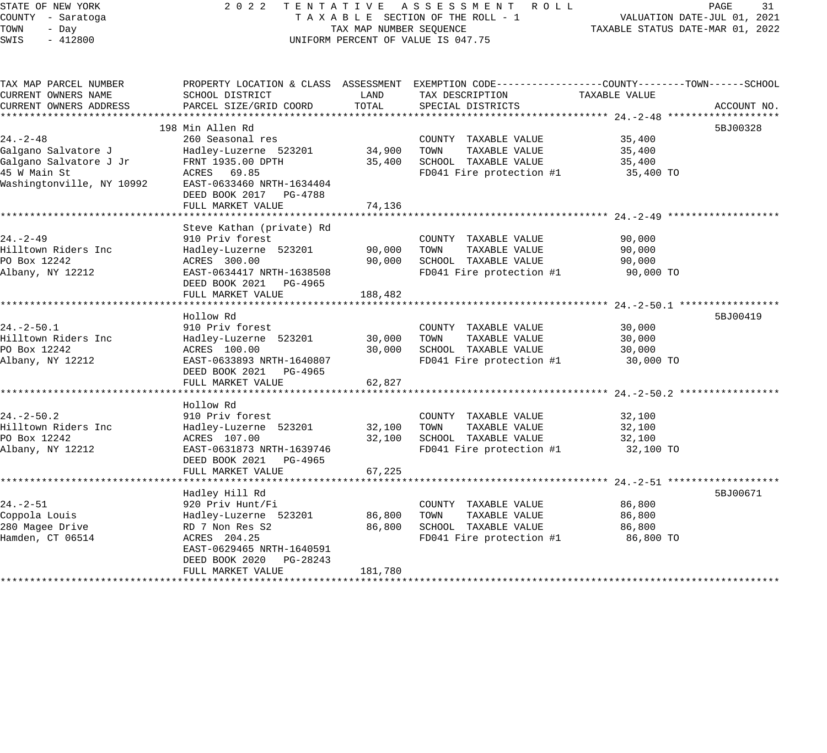# STATE OF NEW YORK 2 0 2 2 T E N T A T I V E A S S E S S M E N T R O L L PAGE 31 COUNTY - Saratoga T A X A B L E SECTION OF THE ROLL - 1 VALUATION DATE-JUL 01, 2021 UNIFORM PERCENT OF VALUE IS 047.75

| TAX MAP PARCEL NUMBER     | PROPERTY LOCATION & CLASS ASSESSMENT EXEMPTION CODE---------------COUNTY-------TOWN-----SCHOOL |         |                          |               |             |
|---------------------------|------------------------------------------------------------------------------------------------|---------|--------------------------|---------------|-------------|
| CURRENT OWNERS NAME       | SCHOOL DISTRICT                                                                                | LAND    | TAX DESCRIPTION          | TAXABLE VALUE |             |
| CURRENT OWNERS ADDRESS    | PARCEL SIZE/GRID COORD                                                                         | TOTAL   | SPECIAL DISTRICTS        |               | ACCOUNT NO. |
|                           |                                                                                                |         |                          |               |             |
|                           | 198 Min Allen Rd                                                                               |         |                          |               | 5BJ00328    |
| $24. - 2 - 48$            | 260 Seasonal res                                                                               |         | COUNTY TAXABLE VALUE     | 35,400        |             |
| Galgano Salvatore J       | Hadley-Luzerne 523201                                                                          | 34,900  | TOWN<br>TAXABLE VALUE    | 35,400        |             |
| Galgano Salvatore J Jr    | FRNT 1935.00 DPTH                                                                              | 35,400  | SCHOOL TAXABLE VALUE     | 35,400        |             |
| 45 W Main St              | ACRES 69.85                                                                                    |         | FD041 Fire protection #1 | 35,400 TO     |             |
| Washingtonville, NY 10992 | EAST-0633460 NRTH-1634404                                                                      |         |                          |               |             |
|                           | DEED BOOK 2017 PG-4788                                                                         |         |                          |               |             |
|                           | FULL MARKET VALUE                                                                              | 74,136  |                          |               |             |
|                           |                                                                                                |         |                          |               |             |
|                           | Steve Kathan (private) Rd                                                                      |         |                          |               |             |
| $24. - 2 - 49$            | 910 Priv forest                                                                                |         | COUNTY TAXABLE VALUE     | 90,000        |             |
| Hilltown Riders Inc       | Hadley-Luzerne 523201                                                                          | 90,000  | TOWN<br>TAXABLE VALUE    | 90,000        |             |
| PO Box 12242              | ACRES 300.00                                                                                   | 90,000  | SCHOOL TAXABLE VALUE     | 90,000        |             |
| Albany, NY 12212          | EAST-0634417 NRTH-1638508                                                                      |         | FD041 Fire protection #1 | 90,000 TO     |             |
|                           | DEED BOOK 2021 PG-4965                                                                         |         |                          |               |             |
|                           | FULL MARKET VALUE                                                                              | 188,482 |                          |               |             |
|                           |                                                                                                |         |                          |               |             |
|                           | Hollow Rd                                                                                      |         |                          |               | 5BJ00419    |
| $24. - 2 - 50.1$          | 910 Priv forest                                                                                |         | COUNTY TAXABLE VALUE     | 30,000        |             |
| Hilltown Riders Inc       | Hadley-Luzerne 523201                                                                          | 30,000  | TAXABLE VALUE<br>TOWN    | 30,000        |             |
| PO Box 12242              | ACRES 100.00                                                                                   | 30,000  | SCHOOL TAXABLE VALUE     | 30,000        |             |
| Albany, NY 12212          | EAST-0633893 NRTH-1640807                                                                      |         | FD041 Fire protection #1 | 30,000 TO     |             |
|                           | DEED BOOK 2021 PG-4965                                                                         |         |                          |               |             |
|                           | FULL MARKET VALUE                                                                              | 62,827  |                          |               |             |
|                           |                                                                                                |         |                          |               |             |
|                           | Hollow Rd                                                                                      |         |                          |               |             |
| $24. - 2 - 50.2$          | 910 Priv forest                                                                                |         | COUNTY TAXABLE VALUE     | 32,100        |             |
| Hilltown Riders Inc       | Hadley-Luzerne 523201                                                                          | 32,100  | TOWN<br>TAXABLE VALUE    | 32,100        |             |
| PO Box 12242              | ACRES 107.00                                                                                   | 32,100  | SCHOOL TAXABLE VALUE     | 32,100        |             |
| Albany, NY 12212          | EAST-0631873 NRTH-1639746                                                                      |         | FD041 Fire protection #1 | 32,100 TO     |             |
|                           | DEED BOOK 2021<br>PG-4965                                                                      |         |                          |               |             |
|                           | FULL MARKET VALUE                                                                              | 67,225  |                          |               |             |
|                           |                                                                                                |         |                          |               |             |
|                           | Hadley Hill Rd                                                                                 |         |                          |               | 5BJ00671    |
| $24. - 2 - 51$            | 920 Priv Hunt/Fi                                                                               |         | COUNTY TAXABLE VALUE     | 86,800        |             |
| Coppola Louis             | Hadley-Luzerne 523201                                                                          | 86,800  | TOWN<br>TAXABLE VALUE    | 86,800        |             |
| 280 Magee Drive           | RD 7 Non Res S2                                                                                | 86,800  | SCHOOL TAXABLE VALUE     | 86,800        |             |
| Hamden, CT 06514          | ACRES 204.25                                                                                   |         | FD041 Fire protection #1 | 86,800 TO     |             |
|                           | EAST-0629465 NRTH-1640591                                                                      |         |                          |               |             |
|                           | DEED BOOK 2020<br>PG-28243                                                                     |         |                          |               |             |
|                           | FULL MARKET VALUE                                                                              | 181,780 |                          |               |             |
|                           |                                                                                                |         |                          |               |             |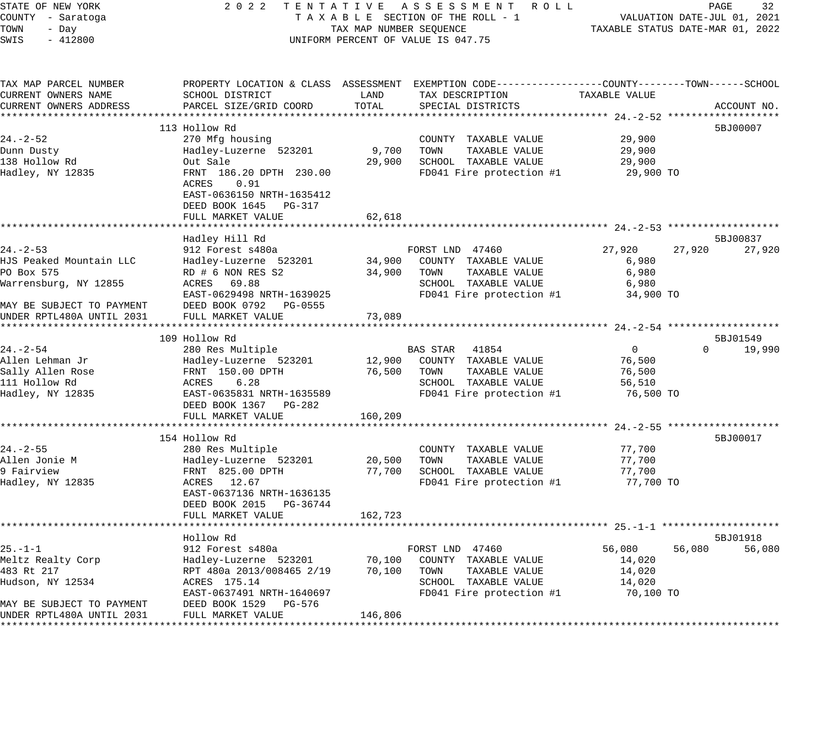| STATE OF NEW YORK         | 2022                               |                                  | TENTATIVE ASSESSMENT ROLL                                                                        |                | PAGE                        | 32          |
|---------------------------|------------------------------------|----------------------------------|--------------------------------------------------------------------------------------------------|----------------|-----------------------------|-------------|
| COUNTY - Saratoga         |                                    |                                  | TAXABLE SECTION OF THE ROLL - 1                                                                  |                | VALUATION DATE-JUL 01, 2021 |             |
| TOWN<br>- Day             | TAX MAP NUMBER SEQUENCE            | TAXABLE STATUS DATE-MAR 01, 2022 |                                                                                                  |                |                             |             |
| SWIS<br>$-412800$         | UNIFORM PERCENT OF VALUE IS 047.75 |                                  |                                                                                                  |                |                             |             |
|                           |                                    |                                  |                                                                                                  |                |                             |             |
| TAX MAP PARCEL NUMBER     |                                    |                                  | PROPERTY LOCATION & CLASS ASSESSMENT EXEMPTION CODE----------------COUNTY-------TOWN------SCHOOL |                |                             |             |
| CURRENT OWNERS NAME       | SCHOOL DISTRICT                    | LAND                             | TAX DESCRIPTION                                                                                  | TAXABLE VALUE  |                             |             |
| CURRENT OWNERS ADDRESS    | PARCEL SIZE/GRID COORD             | TOTAL                            | SPECIAL DISTRICTS                                                                                |                |                             | ACCOUNT NO. |
|                           |                                    |                                  |                                                                                                  |                |                             |             |
|                           | 113 Hollow Rd                      |                                  |                                                                                                  |                |                             | 5BJ00007    |
| $24. - 2 - 52$            | 270 Mfg housing                    |                                  | COUNTY TAXABLE VALUE                                                                             | 29,900         |                             |             |
| Dunn Dusty                | Hadley-Luzerne 523201              | 9,700                            | TOWN<br>TAXABLE VALUE                                                                            | 29,900         |                             |             |
| 138 Hollow Rd             | Out Sale                           | 29,900                           | SCHOOL TAXABLE VALUE                                                                             | 29,900         |                             |             |
| Hadley, NY 12835          | FRNT 186.20 DPTH 230.00            |                                  | FD041 Fire protection #1                                                                         | 29,900 TO      |                             |             |
|                           | 0.91<br>ACRES                      |                                  |                                                                                                  |                |                             |             |
|                           | EAST-0636150 NRTH-1635412          |                                  |                                                                                                  |                |                             |             |
|                           | DEED BOOK 1645 PG-317              |                                  |                                                                                                  |                |                             |             |
|                           | FULL MARKET VALUE                  | 62,618                           |                                                                                                  |                |                             |             |
|                           | *********************              |                                  |                                                                                                  |                |                             |             |
|                           | Hadley Hill Rd                     |                                  |                                                                                                  |                |                             | 5BJ00837    |
| $24. - 2 - 53$            | 912 Forest s480a                   |                                  | FORST LND 47460                                                                                  | 27,920         | 27,920                      | 27,920      |
| HJS Peaked Mountain LLC   | Hadley-Luzerne 523201              | 34,900                           | COUNTY TAXABLE VALUE                                                                             | 6,980          |                             |             |
| PO Box 575                | RD # 6 NON RES S2                  | 34,900                           | TAXABLE VALUE<br>TOWN                                                                            | 6,980          |                             |             |
| Warrensburg, NY 12855     | ACRES 69.88                        |                                  | SCHOOL TAXABLE VALUE                                                                             | 6,980          |                             |             |
|                           | EAST-0629498 NRTH-1639025          |                                  | FD041 Fire protection #1                                                                         | 34,900 TO      |                             |             |
| MAY BE SUBJECT TO PAYMENT | DEED BOOK 0792 PG-0555             |                                  |                                                                                                  |                |                             |             |
| UNDER RPTL480A UNTIL 2031 | FULL MARKET VALUE                  | 73,089                           |                                                                                                  |                |                             |             |
|                           |                                    |                                  |                                                                                                  |                |                             |             |
|                           | 109 Hollow Rd                      |                                  |                                                                                                  |                |                             | 5BJ01549    |
| $24. - 2 - 54$            | 280 Res Multiple                   |                                  | BAS STAR 41854                                                                                   | $\overline{0}$ | $\Omega$                    | 19,990      |
| Allen Lehman Jr           | Hadley-Luzerne 523201              | 12,900                           | COUNTY TAXABLE VALUE                                                                             | 76,500         |                             |             |
| Sally Allen Rose          | FRNT 150.00 DPTH                   | 76,500                           | TOWN<br>TAXABLE VALUE                                                                            | 76,500         |                             |             |
| 111 Hollow Rd             | ACRES<br>6.28                      |                                  | SCHOOL TAXABLE VALUE                                                                             | 56,510         |                             |             |
| Hadley, NY 12835          | EAST-0635831 NRTH-1635589          |                                  | FD041 Fire protection #1                                                                         | 76,500 TO      |                             |             |
|                           | DEED BOOK 1367 PG-282              |                                  |                                                                                                  |                |                             |             |
|                           | FULL MARKET VALUE                  | 160,209                          |                                                                                                  |                |                             |             |
|                           |                                    |                                  |                                                                                                  |                |                             |             |
|                           | 154 Hollow Rd                      |                                  |                                                                                                  |                |                             | 5BJ00017    |
| $24. - 2 - 55$            | 280 Res Multiple                   |                                  | COUNTY TAXABLE VALUE                                                                             | 77,700         |                             |             |
| Allen Jonie M             | Hadley-Luzerne 523201              | 20,500                           | TOWN<br>TAXABLE VALUE                                                                            | 77,700         |                             |             |
| 9 Fairview                | FRNT 825.00 DPTH                   | 77,700                           | SCHOOL TAXABLE VALUE                                                                             | 77,700         |                             |             |
| Hadley, NY 12835          | ACRES 12.67                        |                                  | FD041 Fire protection #1                                                                         | 77,700 TO      |                             |             |
|                           | EAST-0637136 NRTH-1636135          |                                  |                                                                                                  |                |                             |             |
|                           | DEED BOOK 2015 PG-36744            |                                  |                                                                                                  |                |                             |             |
|                           | FULL MARKET VALUE                  | 162,723                          |                                                                                                  |                |                             |             |
|                           |                                    |                                  |                                                                                                  |                |                             |             |
|                           | Hollow Rd                          |                                  |                                                                                                  |                |                             | 5BJ01918    |
| $25. - 1 - 1$             | 912 Forest s480a                   |                                  | FORST LND 47460                                                                                  | 56,080         | 56,080                      | 56,080      |
| Meltz Realty Corp         | Hadley-Luzerne 523201              | 70,100                           | COUNTY TAXABLE VALUE                                                                             | 14,020         |                             |             |
| 483 Rt 217                | RPT 480a 2013/008465 2/19          | 70,100                           | TOWN<br>TAXABLE VALUE                                                                            | 14,020         |                             |             |
| Hudson, NY 12534          | ACRES 175.14                       |                                  | SCHOOL TAXABLE VALUE                                                                             | 14,020         |                             |             |
|                           | EAST-0637491 NRTH-1640697          |                                  | FD041 Fire protection #1                                                                         | 70,100 TO      |                             |             |
| MAY BE SUBJECT TO PAYMENT | DEED BOOK 1529 PG-576              |                                  |                                                                                                  |                |                             |             |
| UNDER RPTL480A UNTIL 2031 | FULL MARKET VALUE                  | 146,806                          |                                                                                                  |                |                             |             |
|                           |                                    |                                  |                                                                                                  |                |                             |             |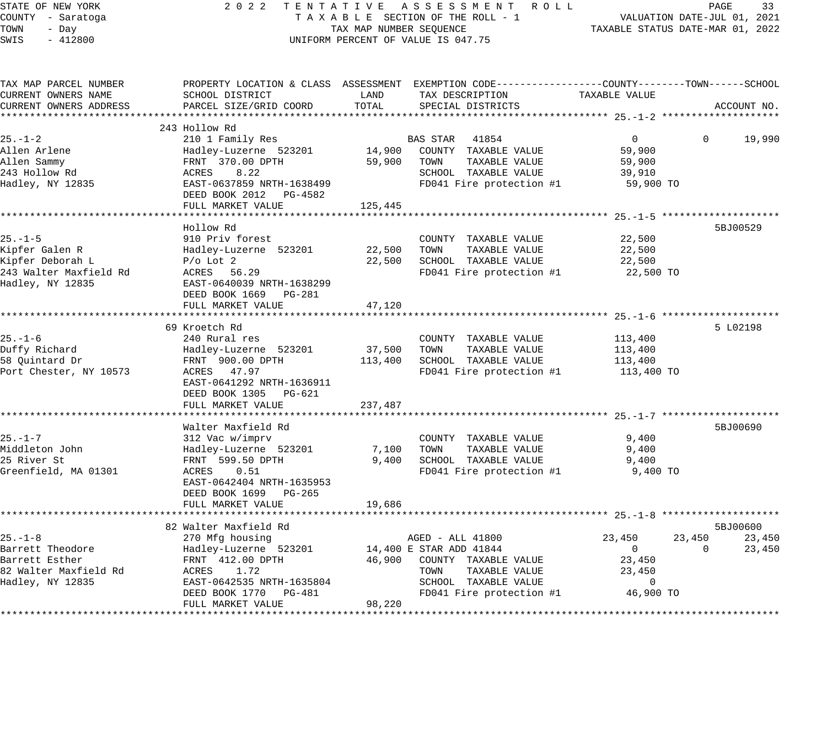| STATE OF NEW YORK<br>COUNTY - Saratoga<br>TOWN<br>- Day<br>SWIS<br>$-412800$                      |                                                                                                                                                           | TAX MAP NUMBER SEQUENCE | 2022 TENTATIVE ASSESSMENT ROLL<br>TAXABLE SECTION OF THE ROLL - 1<br>UNIFORM PERCENT OF VALUE IS 047.75                                                 |                                                                       | PAGE<br>33<br>VALUATION DATE-JUL 01, 2021<br>TAXABLE STATUS DATE-MAR 01, 2022 |
|---------------------------------------------------------------------------------------------------|-----------------------------------------------------------------------------------------------------------------------------------------------------------|-------------------------|---------------------------------------------------------------------------------------------------------------------------------------------------------|-----------------------------------------------------------------------|-------------------------------------------------------------------------------|
| TAX MAP PARCEL NUMBER<br>CURRENT OWNERS NAME<br>CURRENT OWNERS ADDRESS                            | SCHOOL DISTRICT<br>PARCEL SIZE/GRID COORD                                                                                                                 | LAND<br>TOTAL           | PROPERTY LOCATION & CLASS ASSESSMENT EXEMPTION CODE----------------COUNTY-------TOWN------SCHOOL<br>TAX DESCRIPTION<br>SPECIAL DISTRICTS                | TAXABLE VALUE                                                         | ACCOUNT NO.                                                                   |
|                                                                                                   |                                                                                                                                                           |                         |                                                                                                                                                         |                                                                       |                                                                               |
|                                                                                                   | 243 Hollow Rd                                                                                                                                             |                         |                                                                                                                                                         |                                                                       |                                                                               |
| $25. - 1 - 2$<br>Allen Arlene<br>Allen Sammy<br>243 Hollow Rd<br>Hadley, NY 12835                 | 210 1 Family Res<br>Hadley-Luzerne 523201<br>FRNT 370.00 DPTH<br>ACRES<br>8.22<br>EAST-0637859 NRTH-1638499                                               | 14,900<br>59,900        | BAS STAR<br>41854<br>COUNTY TAXABLE VALUE<br>TOWN<br>TAXABLE VALUE<br>SCHOOL TAXABLE VALUE<br>FD041 Fire protection #1                                  | $\overline{0}$<br>59,900<br>59,900<br>39,910<br>59,900 TO             | $\Omega$<br>19,990                                                            |
|                                                                                                   | DEED BOOK 2012 PG-4582                                                                                                                                    |                         |                                                                                                                                                         |                                                                       |                                                                               |
|                                                                                                   | FULL MARKET VALUE                                                                                                                                         | 125,445                 |                                                                                                                                                         |                                                                       |                                                                               |
| $25. - 1 - 5$<br>Kipfer Galen R<br>Kipfer Deborah L<br>243 Walter Maxfield Rd<br>Hadley, NY 12835 | Hollow Rd<br>910 Priv forest<br>Hadley-Luzerne 523201<br>$P/O$ Lot 2<br>ACRES 56.29<br>EAST-0640039 NRTH-1638299                                          | 22,500<br>22,500        | COUNTY TAXABLE VALUE<br>TOWN<br>TAXABLE VALUE<br>SCHOOL TAXABLE VALUE<br>FD041 Fire protection #1                                                       | 22,500<br>22,500<br>22,500<br>22,500 TO                               | 5BJ00529                                                                      |
|                                                                                                   | DEED BOOK 1669 PG-281<br>FULL MARKET VALUE                                                                                                                | 47,120                  |                                                                                                                                                         |                                                                       |                                                                               |
|                                                                                                   |                                                                                                                                                           |                         |                                                                                                                                                         |                                                                       |                                                                               |
| $25. - 1 - 6$<br>Duffy Richard<br>58 Quintard Dr<br>Port Chester, NY 10573                        | 69 Kroetch Rd<br>240 Rural res<br>Hadley-Luzerne 523201<br>FRNT 900.00 DPTH<br>ACRES 47.97<br>EAST-0641292 NRTH-1636911<br>DEED BOOK 1305 PG-621          | 37,500<br>113,400       | COUNTY TAXABLE VALUE<br>TOWN<br>TAXABLE VALUE<br>SCHOOL TAXABLE VALUE<br>FD041 Fire protection #1                                                       | 113,400<br>113,400<br>113,400<br>113,400 TO                           | 5 L02198                                                                      |
|                                                                                                   | FULL MARKET VALUE                                                                                                                                         | 237,487                 |                                                                                                                                                         |                                                                       |                                                                               |
| $25. - 1 - 7$                                                                                     | Walter Maxfield Rd<br>312 Vac w/imprv                                                                                                                     |                         | COUNTY TAXABLE VALUE                                                                                                                                    | 9,400                                                                 | 5BJ00690                                                                      |
| Middleton John<br>25 River St<br>Greenfield, MA 01301                                             | Hadley-Luzerne 523201<br>FRNT 599.50 DPTH<br>ACRES 0.51<br>EAST-0642404 NRTH-1635953<br>DEED BOOK 1699 PG-265                                             | 7,100<br>9,400          | TAXABLE VALUE<br>TOWN<br>SCHOOL TAXABLE VALUE<br>FD041 Fire protection #1                                                                               | 9,400<br>9,400<br>9,400 TO                                            |                                                                               |
|                                                                                                   | FULL MARKET VALUE                                                                                                                                         | 19,686                  |                                                                                                                                                         |                                                                       |                                                                               |
|                                                                                                   |                                                                                                                                                           |                         |                                                                                                                                                         |                                                                       |                                                                               |
| $25. - 1 - 8$<br>Barrett Theodore<br>Barrett Esther<br>82 Walter Maxfield Rd<br>Hadley, NY 12835  | 82 Walter Maxfield Rd<br>270 Mfg housing<br>Hadley-Luzerne 523201<br>FRNT 412.00 DPTH<br>ACRES 1.72<br>EAST-0642535 NRTH-1635804<br>DEED BOOK 1770 PG-481 |                         | AGED - ALL 41800<br>14,400 E STAR ADD 41844<br>46,900 COUNTY TAXABLE VALUE<br>TOWN<br>TAXABLE VALUE<br>SCHOOL TAXABLE VALUE<br>FD041 Fire protection #1 | 23,450<br>$\overline{0}$<br>23,450<br>23,450<br>$\Omega$<br>46,900 TO | 5BJ00600<br>23,450<br>23,450<br>23,450<br>$\Omega$                            |
|                                                                                                   | FULL MARKET VALUE                                                                                                                                         | 98,220                  |                                                                                                                                                         |                                                                       |                                                                               |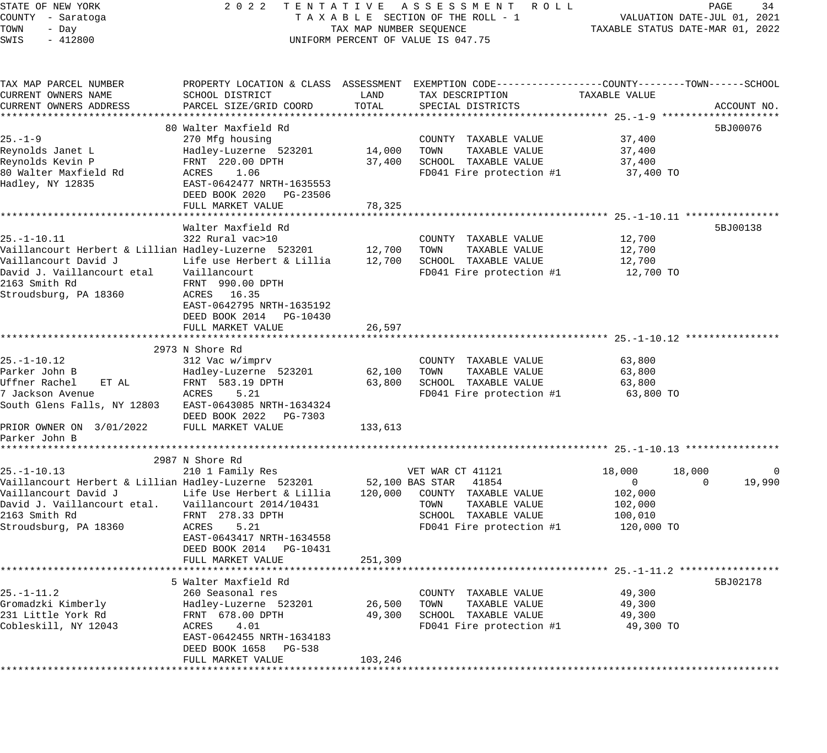STATE OF NEW YORK 2 0 2 2 T E N T A T I V E A S S E S S M E N T R O L L PAGE 34 COUNTY - Saratoga T A X A B L E SECTION OF THE ROLL - 1 VALUATION DATE-JUL 01, 2021 TOWN - Day TAX MAP NUMBER SEQUENCE TAXABLE STATUS DATE-MAR 01, 2022 SWIS - 412800 CONTROLLY THE UNIFORM PERCENT OF VALUE IS 047.75 TAX MAP PARCEL NUMBER PROPERTY LOCATION & CLASS ASSESSMENT EXEMPTION CODE------------------COUNTY--------TOWN------SCHOOL CURRENT OWNERS NAME SCHOOL DISTRICT LAND TAX DESCRIPTION TAXABLE VALUE CURRENT OWNERS ADDRESS PARCEL SIZE/GRID COORD TOTAL SPECIAL DISTRICTS ACCOUNT NO. \*\*\*\*\*\*\*\*\*\*\*\*\*\*\*\*\*\*\*\*\*\*\*\*\*\*\*\*\*\*\*\*\*\*\*\*\*\*\*\*\*\*\*\*\*\*\*\*\*\*\*\*\*\*\*\*\*\*\*\*\*\*\*\*\*\*\*\*\*\*\*\*\*\*\*\*\*\*\*\*\*\*\*\*\*\*\*\*\*\*\*\*\*\*\*\*\*\*\*\*\*\*\* 25.-1-9 \*\*\*\*\*\*\*\*\*\*\*\*\*\*\*\*\*\*\*\* 80 Walter Maxfield Rd 5BJ00076 (1989) 880 March 2012 12:30 March 2012 12:30 March 2014 12:30 March 2014 12:30 Ma 25.-1-9 270 Mfg housing COUNTY TAXABLE VALUE 37,400 Reynolds Janet L Hadley-Luzerne 523201 14,000 TOWN TAXABLE VALUE 37,400 Reynolds Kevin P FRNT 220.00 DPTH 37,400 SCHOOL TAXABLE VALUE 37,400 80 Walter Maxfield Rd ACRES 1.06 FD041 Fire protection #1 37,400 TO Hadley, NY 12835 EAST-0642477 NRTH-1635553 DEED BOOK 2020 PG-23506 FULL MARKET VALUE 78,325 \*\*\*\*\*\*\*\*\*\*\*\*\*\*\*\*\*\*\*\*\*\*\*\*\*\*\*\*\*\*\*\*\*\*\*\*\*\*\*\*\*\*\*\*\*\*\*\*\*\*\*\*\*\*\*\*\*\*\*\*\*\*\*\*\*\*\*\*\*\*\*\*\*\*\*\*\*\*\*\*\*\*\*\*\*\*\*\*\*\*\*\*\*\*\*\*\*\*\*\*\*\*\* 25.-1-10.11 \*\*\*\*\*\*\*\*\*\*\*\*\*\*\*\* Walter Maxfield Rd 5BJ00138 25.-1-10.11 322 Rural vac>10 COUNTY TAXABLE VALUE 12,700 Vaillancourt Herbert & Lillian Hadley-Luzerne 523201 12,700 TOWN TAXABLE VALUE 12,700 Vaillancourt David J Life use Herbert & Lillia 12,700 SCHOOL TAXABLE VALUE 12,700 David J. Vaillancourt etal Vaillancourt FD041 Fire protection #1 12,700 TO 2163 Smith Rd FRNT 990.00 DPTH Stroudsburg, PA 18360 ACRES 16.35 EAST-0642795 NRTH-1635192 DEED BOOK 2014 PG-10430 -<br>FULL MARKET VALUE 26,597 \*\*\*\*\*\*\*\*\*\*\*\*\*\*\*\*\*\*\*\*\*\*\*\*\*\*\*\*\*\*\*\*\*\*\*\*\*\*\*\*\*\*\*\*\*\*\*\*\*\*\*\*\*\*\*\*\*\*\*\*\*\*\*\*\*\*\*\*\*\*\*\*\*\*\*\*\*\*\*\*\*\*\*\*\*\*\*\*\*\*\*\*\*\*\*\*\*\*\*\*\*\*\* 25.-1-10.12 \*\*\*\*\*\*\*\*\*\*\*\*\*\*\*\* 2973 N Shore Rd 25.-1-10.12 312 Vac w/imprv COUNTY TAXABLE VALUE 63,800 Parker John B Hadley-Luzerne 523201 62,100 TOWN TAXABLE VALUE 63,800 Uffner Rachel ET AL FRNT 583.19 DPTH 63,800 SCHOOL TAXABLE VALUE 63,800 7 Jackson Avenue ACRES 5.21 FD041 Fire protection #1 63,800 TO South Glens Falls, NY 12803 EAST-0643085 NRTH-1634324 DEED BOOK 2022 PG-7303 PRIOR OWNER ON 3/01/2022 FULL MARKET VALUE 133,613 Parker John B \*\*\*\*\*\*\*\*\*\*\*\*\*\*\*\*\*\*\*\*\*\*\*\*\*\*\*\*\*\*\*\*\*\*\*\*\*\*\*\*\*\*\*\*\*\*\*\*\*\*\*\*\*\*\*\*\*\*\*\*\*\*\*\*\*\*\*\*\*\*\*\*\*\*\*\*\*\*\*\*\*\*\*\*\*\*\*\*\*\*\*\*\*\*\*\*\*\*\*\*\*\*\* 25.-1-10.13 \*\*\*\*\*\*\*\*\*\*\*\*\*\*\*\* 2987 N Shore Rd 25.-1-10.13 210 1 Family Res VET WAR CT 41121 18,000 18,000 18,000 0 Vaillancourt Herbert & Lillian Hadley-Luzerne 523201 52,100 BAS STAR 41854 0 0 19,990 Vaillancourt David J Life Use Herbert & Lillia 120,000 COUNTY TAXABLE VALUE 102,000 David J. Vaillancourt etal. Vaillancourt 2014/10431 TOWN TAXABLE VALUE 102,000 2163 Smith Rd FRNT 278.33 DPTH SCHOOL TAXABLE VALUE 100,010 Stroudsburg, PA 18360 ACRES 5.21 FD041 Fire protection #1 120,000 TO EAST-0643417 NRTH-1634558 DEED BOOK 2014 PG-10431 FULL MARKET VALUE 251,309 \*\*\*\*\*\*\*\*\*\*\*\*\*\*\*\*\*\*\*\*\*\*\*\*\*\*\*\*\*\*\*\*\*\*\*\*\*\*\*\*\*\*\*\*\*\*\*\*\*\*\*\*\*\*\*\*\*\*\*\*\*\*\*\*\*\*\*\*\*\*\*\*\*\*\*\*\*\*\*\*\*\*\*\*\*\*\*\*\*\*\*\*\*\*\*\*\*\*\*\*\*\*\* 25.-1-11.2 \*\*\*\*\*\*\*\*\*\*\*\*\*\*\*\*\* 5 Walter Maxfield Rd 5BJ02178 25.-1-11.2 260 Seasonal res COUNTY TAXABLE VALUE 49,300 Gromadzki Kimberly Hadley-Luzerne 523201 26,500 TOWN TAXABLE VALUE 49,300 231 Little York Rd FRNT 678.00 DPTH 49,300 SCHOOL TAXABLE VALUE 49,300 Cobleskill, NY 12043 ACRES 4.01 FD041 Fire protection #1 49,300 TO EAST-0642455 NRTH-1634183 DEED BOOK 1658 PG-538

\*\*\*\*\*\*\*\*\*\*\*\*\*\*\*\*\*\*\*\*\*\*\*\*\*\*\*\*\*\*\*\*\*\*\*\*\*\*\*\*\*\*\*\*\*\*\*\*\*\*\*\*\*\*\*\*\*\*\*\*\*\*\*\*\*\*\*\*\*\*\*\*\*\*\*\*\*\*\*\*\*\*\*\*\*\*\*\*\*\*\*\*\*\*\*\*\*\*\*\*\*\*\*\*\*\*\*\*\*\*\*\*\*\*\*\*\*\*\*\*\*\*\*\*\*\*\*\*\*\*\*\*

FULL MARKET VALUE 103,246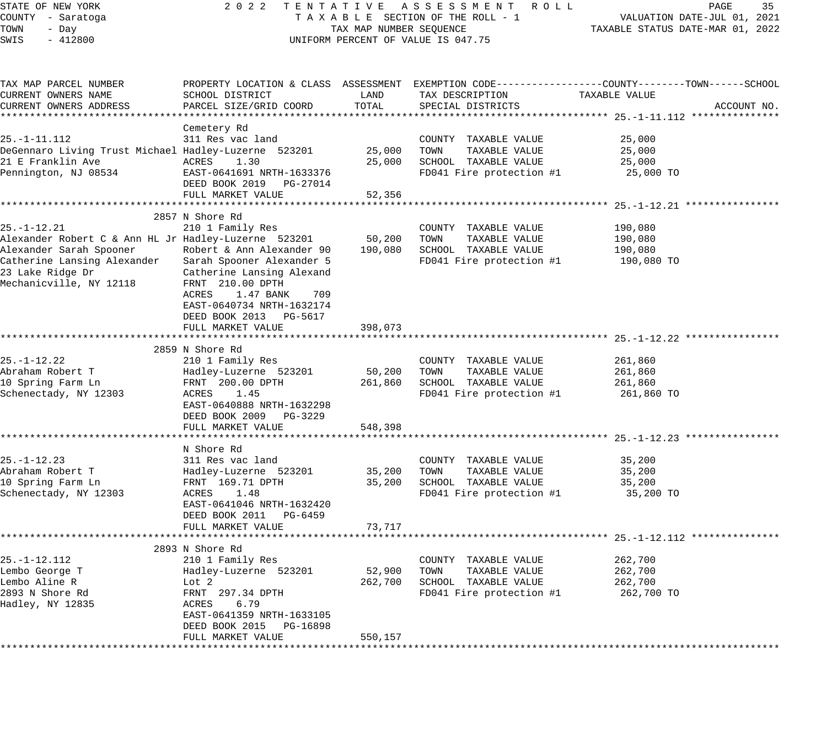# STATE OF NEW YORK 2 0 2 2 T E N T A T I V E A S S E S S M E N T R O L L PAGE 35 COUNTY - Saratoga T A X A B L E SECTION OF THE ROLL - 1 VALUATION DATE-JUL 01, 2021 UNIFORM PERCENT OF VALUE IS 047.75

TOWN - DALUATION DATE-JUL 01, 2021<br>TAXABLE STATUS DATE-MAR 01, 2022

| TAX MAP PARCEL NUMBER                                |                                |         |                                               | PROPERTY LOCATION & CLASS ASSESSMENT EXEMPTION CODE----------------COUNTY-------TOWN------SCHOOL |
|------------------------------------------------------|--------------------------------|---------|-----------------------------------------------|--------------------------------------------------------------------------------------------------|
| CURRENT OWNERS NAME                                  | SCHOOL DISTRICT                | LAND    | TAX DESCRIPTION                               | TAXABLE VALUE                                                                                    |
| CURRENT OWNERS ADDRESS                               | PARCEL SIZE/GRID COORD         | TOTAL   | SPECIAL DISTRICTS                             | ACCOUNT NO.                                                                                      |
|                                                      |                                |         |                                               |                                                                                                  |
|                                                      | Cemetery Rd                    |         |                                               |                                                                                                  |
| $25. - 1 - 11.112$                                   | 311 Res vac land               |         | COUNTY TAXABLE VALUE                          | 25,000                                                                                           |
| DeGennaro Living Trust Michael Hadley-Luzerne 523201 |                                | 25,000  | TOWN<br>TAXABLE VALUE                         | 25,000                                                                                           |
| 21 E Franklin Ave                                    | ACRES<br>1.30                  | 25,000  | SCHOOL TAXABLE VALUE                          | 25,000                                                                                           |
| Pennington, NJ 08534                                 | EAST-0641691 NRTH-1633376      |         | FD041 Fire protection #1                      | 25,000 TO                                                                                        |
|                                                      | DEED BOOK 2019 PG-27014        |         |                                               |                                                                                                  |
|                                                      | FULL MARKET VALUE              | 52,356  |                                               |                                                                                                  |
|                                                      |                                |         |                                               |                                                                                                  |
|                                                      | 2857 N Shore Rd                |         |                                               |                                                                                                  |
| $25. - 1 - 12.21$                                    | 210 1 Family Res               |         | COUNTY TAXABLE VALUE                          | 190,080                                                                                          |
| Alexander Robert C & Ann HL Jr Hadley-Luzerne 523201 |                                | 50,200  | TOWN<br>TAXABLE VALUE                         | 190,080                                                                                          |
| Alexander Sarah Spooner                              | Robert & Ann Alexander 90      | 190,080 | SCHOOL TAXABLE VALUE                          | 190,080                                                                                          |
| Catherine Lansing Alexander                          | Sarah Spooner Alexander 5      |         | FD041 Fire protection #1                      | 190,080 TO                                                                                       |
| 23 Lake Ridge Dr                                     | Catherine Lansing Alexand      |         |                                               |                                                                                                  |
| Mechanicville, NY 12118                              | FRNT 210.00 DPTH               |         |                                               |                                                                                                  |
|                                                      | ACRES<br>1.47 BANK<br>709      |         |                                               |                                                                                                  |
|                                                      | EAST-0640734 NRTH-1632174      |         |                                               |                                                                                                  |
|                                                      | DEED BOOK 2013 PG-5617         |         |                                               |                                                                                                  |
|                                                      | FULL MARKET VALUE              | 398,073 |                                               |                                                                                                  |
|                                                      |                                |         |                                               |                                                                                                  |
|                                                      | 2859 N Shore Rd                |         |                                               |                                                                                                  |
| 25.-1-12.22                                          | 210 1 Family Res               |         | COUNTY TAXABLE VALUE                          | 261,860                                                                                          |
| Abraham Robert T                                     | Hadley-Luzerne 523201          | 50,200  | TOWN<br>TAXABLE VALUE                         | 261,860                                                                                          |
| 10 Spring Farm Ln                                    | FRNT 200.00 DPTH               | 261,860 | SCHOOL TAXABLE VALUE                          | 261,860                                                                                          |
| Schenectady, NY 12303                                | ACRES<br>1.45                  |         | FD041 Fire protection #1                      | 261,860 TO                                                                                       |
|                                                      | EAST-0640888 NRTH-1632298      |         |                                               |                                                                                                  |
|                                                      | DEED BOOK 2009<br>PG-3229      |         |                                               |                                                                                                  |
|                                                      | FULL MARKET VALUE              | 548,398 |                                               |                                                                                                  |
|                                                      |                                |         |                                               |                                                                                                  |
|                                                      | N Shore Rd                     |         |                                               |                                                                                                  |
| 25. -1-12. 23                                        | 311 Res vac land               |         | COUNTY TAXABLE VALUE                          | 35,200                                                                                           |
| Abraham Robert T                                     | Hadley-Luzerne 523201          | 35,200  | TOWN<br>TAXABLE VALUE                         | 35,200                                                                                           |
| 10 Spring Farm Ln                                    | FRNT 169.71 DPTH               | 35,200  | SCHOOL TAXABLE VALUE                          | 35,200                                                                                           |
| Schenectady, NY 12303                                | ACRES<br>1.48                  |         | FD041 Fire protection #1                      | 35,200 TO                                                                                        |
|                                                      | EAST-0641046 NRTH-1632420      |         |                                               |                                                                                                  |
|                                                      | DEED BOOK 2011 PG-6459         |         |                                               |                                                                                                  |
|                                                      | FULL MARKET VALUE              | 73,717  |                                               | *********** 25.-1-12.112 ***                                                                     |
|                                                      |                                |         |                                               |                                                                                                  |
|                                                      | 2893 N Shore Rd                |         |                                               |                                                                                                  |
| $25. - 1 - 12.112$<br>Lembo George T                 | 210 1 Family Res               | 52,900  | COUNTY TAXABLE VALUE                          | 262,700                                                                                          |
| Lembo Aline R                                        | Hadley-Luzerne 523201<br>Lot 2 | 262,700 | TOWN<br>TAXABLE VALUE<br>SCHOOL TAXABLE VALUE | 262,700<br>262,700                                                                               |
| 2893 N Shore Rd                                      | FRNT 297.34 DPTH               |         |                                               | 262,700 TO                                                                                       |
| Hadley, NY 12835                                     | ACRES<br>6.79                  |         | FD041 Fire protection #1                      |                                                                                                  |
|                                                      | EAST-0641359 NRTH-1633105      |         |                                               |                                                                                                  |
|                                                      | DEED BOOK 2015 PG-16898        |         |                                               |                                                                                                  |
|                                                      | FULL MARKET VALUE              | 550,157 |                                               |                                                                                                  |
|                                                      |                                |         |                                               |                                                                                                  |
|                                                      |                                |         |                                               |                                                                                                  |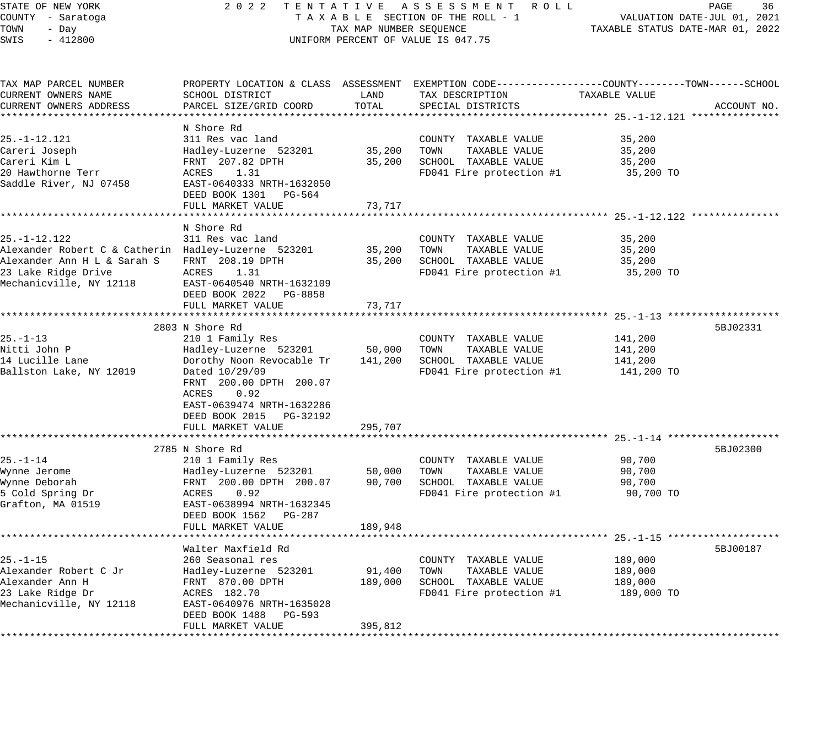#### STATE OF NEW YORK 2 0 2 2 T E N T A T I V E A S S E S S M E N T R O L L PAGE 36 COUNTY - Saratoga T A X A B L E SECTION OF THE ROLL - 1 VALUATION DATE-JUL 01, 2021 X A B L E SECTION OF THE ROLL - 1<br>TAXABLE STATUS DATE-MAR 01, 2022<br>--UNIFORM PERCENT OF VALUE IS 047.75

| TAX MAP PARCEL NUMBER                               |                                                  |         | PROPERTY LOCATION & CLASS ASSESSMENT EXEMPTION CODE----------------COUNTY-------TOWN------SCHOOL |               |             |
|-----------------------------------------------------|--------------------------------------------------|---------|--------------------------------------------------------------------------------------------------|---------------|-------------|
| CURRENT OWNERS NAME                                 | SCHOOL DISTRICT                                  | LAND    | TAX DESCRIPTION                                                                                  | TAXABLE VALUE |             |
| CURRENT OWNERS ADDRESS                              | PARCEL SIZE/GRID COORD                           | TOTAL   | SPECIAL DISTRICTS                                                                                |               | ACCOUNT NO. |
|                                                     |                                                  |         |                                                                                                  |               |             |
|                                                     | N Shore Rd                                       |         |                                                                                                  |               |             |
| $25. - 1 - 12.121$                                  | 311 Res vac land                                 |         | COUNTY TAXABLE VALUE                                                                             | 35,200        |             |
| Careri Joseph                                       | Hadley-Luzerne 523201                            | 35,200  | TOWN<br>TAXABLE VALUE                                                                            | 35,200        |             |
| Careri Kim L                                        | FRNT 207.82 DPTH                                 | 35,200  | SCHOOL TAXABLE VALUE                                                                             | 35,200        |             |
| 20 Hawthorne Terr                                   | ACRES 1.31                                       |         | FD041 Fire protection #1                                                                         | 35,200 TO     |             |
| Saddle River, NJ 07458                              | EAST-0640333 NRTH-1632050                        |         |                                                                                                  |               |             |
|                                                     | DEED BOOK 1301 PG-564                            |         |                                                                                                  |               |             |
|                                                     | FULL MARKET VALUE                                | 73,717  |                                                                                                  |               |             |
|                                                     |                                                  |         |                                                                                                  |               |             |
|                                                     | N Shore Rd                                       |         |                                                                                                  |               |             |
| $25. - 1 - 12.122$                                  | 311 Res vac land                                 |         | COUNTY TAXABLE VALUE                                                                             | 35,200        |             |
| Alexander Robert C & Catherin Hadley-Luzerne 523201 |                                                  | 35,200  | TOWN<br>TAXABLE VALUE                                                                            | 35,200        |             |
| Alexander Ann H L & Sarah S     FRNT  208.19 DPTH   |                                                  | 35,200  | SCHOOL TAXABLE VALUE                                                                             | 35,200        |             |
| 23 Lake Ridge Drive                                 | ACRES 1.31                                       |         | FD041 Fire protection #1                                                                         | 35,200 TO     |             |
| Mechanicville, NY 12118                             | EAST-0640540 NRTH-1632109                        |         |                                                                                                  |               |             |
|                                                     | DEED BOOK 2022 PG-8858                           |         |                                                                                                  |               |             |
|                                                     | FULL MARKET VALUE                                | 73,717  |                                                                                                  |               |             |
|                                                     |                                                  |         |                                                                                                  |               |             |
|                                                     | 2803 N Shore Rd                                  |         |                                                                                                  |               | 5BJ02331    |
| $25. - 1 - 13$                                      | 210 1 Family Res                                 |         | COUNTY TAXABLE VALUE                                                                             | 141,200       |             |
| Nitti John P                                        | Hadley-Luzerne 523201                            | 50,000  | TOWN TAXABLE VALUE                                                                               | 141,200       |             |
| 14 Lucille Lane                                     | Dorothy Noon Revocable Tr                        | 141,200 | SCHOOL TAXABLE VALUE                                                                             | 141,200       |             |
| Ballston Lake, NY 12019                             | Dated 10/29/09                                   |         | FD041 Fire protection #1                                                                         | 141,200 TO    |             |
|                                                     | FRNT 200.00 DPTH 200.07                          |         |                                                                                                  |               |             |
|                                                     | ACRES<br>0.92                                    |         |                                                                                                  |               |             |
|                                                     | EAST-0639474 NRTH-1632286                        |         |                                                                                                  |               |             |
|                                                     | DEED BOOK 2015 PG-32192                          |         |                                                                                                  |               |             |
|                                                     | FULL MARKET VALUE                                | 295,707 |                                                                                                  |               |             |
|                                                     |                                                  |         |                                                                                                  |               |             |
|                                                     | 2785 N Shore Rd                                  |         |                                                                                                  |               | 5BJ02300    |
| $25. - 1 - 14$                                      | 210 1 Family Res                                 |         | COUNTY TAXABLE VALUE                                                                             | 90,700        |             |
| Wynne Jerome                                        |                                                  | 50,000  | TOWN<br>TAXABLE VALUE                                                                            | 90,700        |             |
| Wynne Deborah                                       | Hadley-Luzerne 523201<br>FRNT 200.00 DPTH 200.07 | 90,700  | SCHOOL TAXABLE VALUE                                                                             | 90,700        |             |
| 5 Cold Spring Dr                                    | ACRES 0.92                                       |         | FD041 Fire protection #1                                                                         | 90,700 TO     |             |
| Grafton, MA 01519                                   | EAST-0638994 NRTH-1632345                        |         |                                                                                                  |               |             |
|                                                     | DEED BOOK 1562 PG-287                            |         |                                                                                                  |               |             |
|                                                     | FULL MARKET VALUE                                | 189,948 |                                                                                                  |               |             |
|                                                     |                                                  |         |                                                                                                  |               |             |
|                                                     | Walter Maxfield Rd                               |         |                                                                                                  |               | 5BJ00187    |
| $25. - 1 - 15$                                      | 260 Seasonal res                                 |         | COUNTY TAXABLE VALUE                                                                             | 189,000       |             |
| Alexander Robert C Jr                               | Hadley-Luzerne 523201                            | 91,400  | TOWN<br>TAXABLE VALUE                                                                            | 189,000       |             |
| Alexander Ann H                                     | FRNT 870.00 DPTH                                 | 189,000 | SCHOOL TAXABLE VALUE                                                                             | 189,000       |             |
| 23 Lake Ridge Dr                                    | ACRES 182.70                                     |         | FD041 Fire protection #1                                                                         | 189,000 TO    |             |
| Mechanicville, NY 12118                             | EAST-0640976 NRTH-1635028                        |         |                                                                                                  |               |             |
|                                                     | DEED BOOK 1488 PG-593                            |         |                                                                                                  |               |             |
|                                                     | FULL MARKET VALUE                                | 395,812 |                                                                                                  |               |             |
|                                                     |                                                  |         |                                                                                                  |               |             |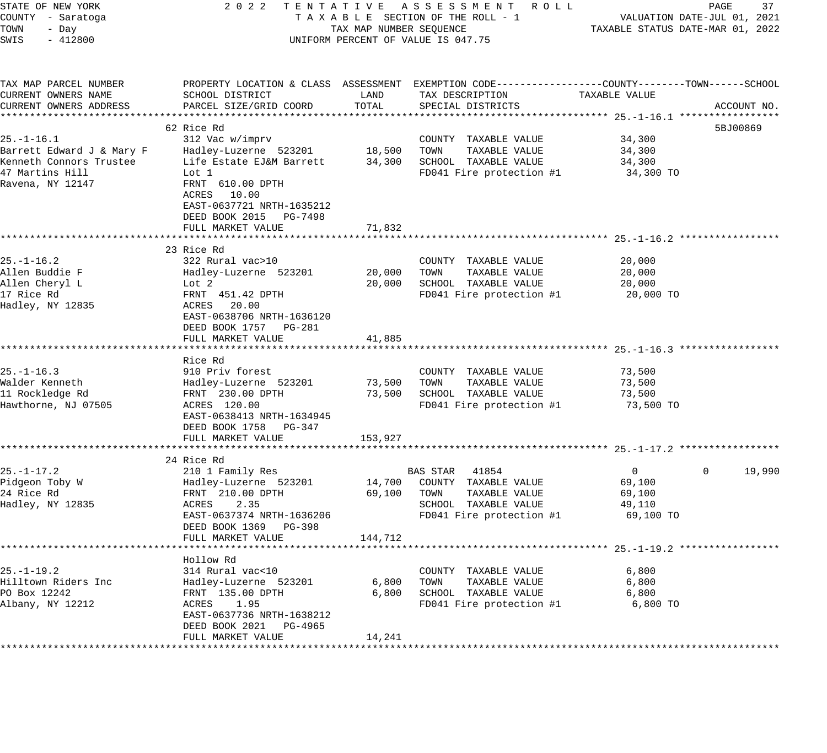| STATE OF NEW YORK                                           |                                                     |                                  | 2022 TENTATIVE ASSESSMENT ROLL                                                                   |                | PAGE                   | 37 |
|-------------------------------------------------------------|-----------------------------------------------------|----------------------------------|--------------------------------------------------------------------------------------------------|----------------|------------------------|----|
| COUNTY - Saratoga                                           | TAXABLE SECTION OF THE ROLL - 1                     | VALUATION DATE-JUL 01, 2021      |                                                                                                  |                |                        |    |
| TOWN<br>- Day                                               |                                                     | TAXABLE STATUS DATE-MAR 01, 2022 |                                                                                                  |                |                        |    |
| $-412800$<br>SWIS                                           |                                                     | TAX MAP NUMBER SEQUENCE          | UNIFORM PERCENT OF VALUE IS 047.75                                                               |                |                        |    |
|                                                             |                                                     |                                  |                                                                                                  |                |                        |    |
| TAX MAP PARCEL NUMBER                                       |                                                     |                                  | PROPERTY LOCATION & CLASS ASSESSMENT EXEMPTION CODE----------------COUNTY-------TOWN------SCHOOL |                |                        |    |
| CURRENT OWNERS NAME                                         | SCHOOL DISTRICT                                     | LAND                             | TAX DESCRIPTION                                                                                  | TAXABLE VALUE  |                        |    |
| CURRENT OWNERS ADDRESS                                      | PARCEL SIZE/GRID COORD                              | TOTAL                            | SPECIAL DISTRICTS                                                                                |                | ACCOUNT NO.            |    |
|                                                             |                                                     |                                  |                                                                                                  |                |                        |    |
|                                                             | 62 Rice Rd                                          |                                  |                                                                                                  |                | 5BJ00869               |    |
| $25. - 1 - 16.1$                                            | 312 Vac w/imprv                                     |                                  | COUNTY TAXABLE VALUE                                                                             | 34,300         |                        |    |
|                                                             | Hadley-Luzerne 523201 18,500 TOWN                   |                                  | TAXABLE VALUE                                                                                    | 34,300         |                        |    |
| 25.-1-10.1<br>Barrett Edward J & Mary F<br>Allemare Trustee | Life Estate EJ&M Barrett                            |                                  | 34,300 SCHOOL TAXABLE VALUE                                                                      | 34,300         |                        |    |
| 47 Martins Hill                                             | Lot 1                                               |                                  | FD041 Fire protection #1                                                                         | 34,300 TO      |                        |    |
| Ravena, NY 12147                                            | FRNT 610.00 DPTH<br>ACRES 10.00                     |                                  |                                                                                                  |                |                        |    |
|                                                             | EAST-0637721 NRTH-1635212<br>DEED BOOK 2015 PG-7498 |                                  |                                                                                                  |                |                        |    |
|                                                             | FULL MARKET VALUE                                   | 71,832                           |                                                                                                  |                |                        |    |
|                                                             |                                                     |                                  |                                                                                                  |                |                        |    |
|                                                             | 23 Rice Rd                                          |                                  |                                                                                                  |                |                        |    |
| $25. - 1 - 16.2$                                            | 322 Rural vac>10                                    |                                  | COUNTY TAXABLE VALUE                                                                             | 20,000         |                        |    |
| Allen Buddie F                                              | Hadley-Luzerne 523201                               | 20,000                           | TAXABLE VALUE<br>TOWN                                                                            | 20,000         |                        |    |
| Allen Cheryl L                                              | Lot 2                                               | 20,000                           | SCHOOL TAXABLE VALUE                                                                             | 20,000         |                        |    |
| 17 Rice Rd                                                  | FRNT 451.42 DPTH                                    |                                  | FD041 Fire protection #1                                                                         | 20,000 TO      |                        |    |
| Hadley, NY 12835                                            | ACRES 20.00                                         |                                  |                                                                                                  |                |                        |    |
|                                                             | EAST-0638706 NRTH-1636120                           |                                  |                                                                                                  |                |                        |    |
|                                                             | DEED BOOK 1757 PG-281                               |                                  |                                                                                                  |                |                        |    |
|                                                             | FULL MARKET VALUE                                   | 41,885                           |                                                                                                  |                |                        |    |
|                                                             |                                                     |                                  |                                                                                                  |                |                        |    |
|                                                             | Rice Rd                                             |                                  |                                                                                                  |                |                        |    |
| $25. - 1 - 16.3$                                            | 910 Priv forest                                     |                                  | COUNTY TAXABLE VALUE                                                                             | 73,500         |                        |    |
| Walder Kenneth                                              | Hadley-Luzerne 523201                               | 73,500                           | TOWN<br>TAXABLE VALUE                                                                            | 73,500         |                        |    |
| 11 Rockledge Rd                                             | FRNT 230.00 DPTH                                    | 73,500                           | SCHOOL TAXABLE VALUE                                                                             | 73,500         |                        |    |
| Hawthorne, NJ 07505                                         | ACRES 120.00                                        |                                  | FD041 Fire protection #1                                                                         | 73,500 TO      |                        |    |
|                                                             | EAST-0638413 NRTH-1634945                           |                                  |                                                                                                  |                |                        |    |
|                                                             | DEED BOOK 1758 PG-347                               |                                  |                                                                                                  |                |                        |    |
|                                                             | FULL MARKET VALUE                                   | 153,927                          |                                                                                                  |                |                        |    |
|                                                             |                                                     |                                  |                                                                                                  |                |                        |    |
|                                                             | 24 Rice Rd                                          |                                  |                                                                                                  |                |                        |    |
| $25. - 1 - 17.2$                                            | 210 1 Family Res                                    |                                  | BAS STAR 41854                                                                                   | $\overline{0}$ | 19,990<br>$\mathbf{0}$ |    |
| Pidgeon Toby W                                              | Hadley-Luzerne 523201                               | 14,700                           | COUNTY TAXABLE VALUE                                                                             |                |                        |    |
| 24 Rice Rd                                                  |                                                     |                                  |                                                                                                  | 69,100         |                        |    |
|                                                             | FRNT 210.00 DPTH<br>ACRES                           | 69,100                           | TAXABLE VALUE<br>TOWN                                                                            | 69,100         |                        |    |
| Hadley, NY 12835                                            | 2.35                                                |                                  | SCHOOL TAXABLE VALUE                                                                             | 49,110         |                        |    |
|                                                             | EAST-0637374 NRTH-1636206                           |                                  | FD041 Fire protection #1                                                                         | 69,100 TO      |                        |    |
|                                                             | DEED BOOK 1369 PG-398                               |                                  |                                                                                                  |                |                        |    |
|                                                             | FULL MARKET VALUE                                   | 144,712                          |                                                                                                  |                |                        |    |
|                                                             |                                                     |                                  |                                                                                                  |                |                        |    |
|                                                             | Hollow Rd                                           |                                  |                                                                                                  |                |                        |    |
| $25. - 1 - 19.2$                                            | 314 Rural vac<10                                    |                                  | COUNTY TAXABLE VALUE                                                                             | 6,800          |                        |    |
| Hilltown Riders Inc                                         | Hadley-Luzerne 523201                               | 6,800                            | TAXABLE VALUE<br>TOWN                                                                            | 6,800          |                        |    |
| PO Box 12242                                                | FRNT 135.00 DPTH                                    | 6,800                            | SCHOOL TAXABLE VALUE                                                                             | 6,800          |                        |    |
| Albany, NY 12212                                            | 1.95<br>ACRES                                       |                                  | FD041 Fire protection #1                                                                         | 6,800 TO       |                        |    |
|                                                             | EAST-0637736 NRTH-1638212                           |                                  |                                                                                                  |                |                        |    |
|                                                             | DEED BOOK 2021<br>PG-4965                           |                                  |                                                                                                  |                |                        |    |
|                                                             | FULL MARKET VALUE                                   | 14,241                           |                                                                                                  |                |                        |    |
|                                                             |                                                     |                                  |                                                                                                  |                |                        |    |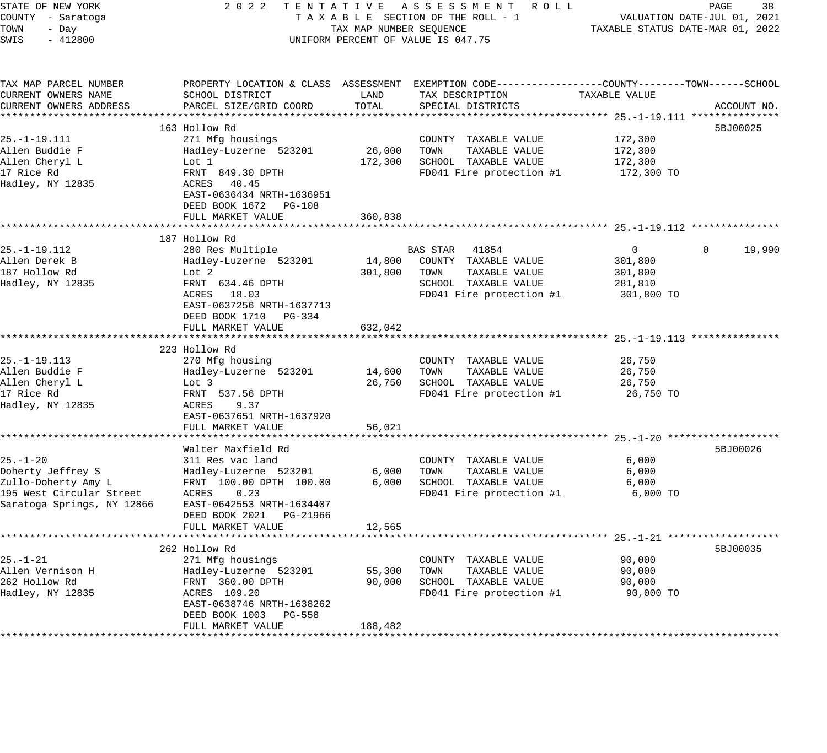| STATE OF NEW YORK<br>COUNTY - Saratoga<br>TOWN<br>- Day<br>SWIS<br>$-412800$                                         | 2 0 2 2                                                                                                                                                                                                                    | TAX MAP NUMBER SEQUENCE                      | TENTATIVE ASSESSMENT<br>R O L L<br>TAXABLE SECTION OF THE ROLL - 1<br>UNIFORM PERCENT OF VALUE IS 047.75               |                                                                                      | 38<br>PAGE<br>VALUATION DATE-JUL 01, 2021<br>TAXABLE STATUS DATE-MAR 01, 2022 |
|----------------------------------------------------------------------------------------------------------------------|----------------------------------------------------------------------------------------------------------------------------------------------------------------------------------------------------------------------------|----------------------------------------------|------------------------------------------------------------------------------------------------------------------------|--------------------------------------------------------------------------------------|-------------------------------------------------------------------------------|
| TAX MAP PARCEL NUMBER<br>CURRENT OWNERS NAME<br>CURRENT OWNERS ADDRESS                                               | PROPERTY LOCATION & CLASS ASSESSMENT<br>SCHOOL DISTRICT<br>PARCEL SIZE/GRID COORD                                                                                                                                          | LAND<br>TOTAL                                | EXEMPTION CODE----------------COUNTY-------TOWN------SCHOOL<br>TAX DESCRIPTION<br>SPECIAL DISTRICTS                    | TAXABLE VALUE                                                                        | ACCOUNT NO.                                                                   |
| $25. - 1 - 19.111$<br>Allen Buddie F<br>Allen Cheryl L<br>17 Rice Rd<br>Hadley, NY 12835                             | 163 Hollow Rd<br>271 Mfg housings<br>Hadley-Luzerne 523201<br>Lot 1<br>FRNT 849.30 DPTH<br>40.45<br>ACRES<br>EAST-0636434 NRTH-1636951<br>DEED BOOK 1672 PG-108                                                            | 26,000<br>172,300                            | COUNTY TAXABLE VALUE<br>TOWN<br>TAXABLE VALUE<br>SCHOOL TAXABLE VALUE<br>FD041 Fire protection #1                      | 172,300<br>172,300<br>172,300<br>172,300 TO                                          | 5BJ00025                                                                      |
|                                                                                                                      | FULL MARKET VALUE                                                                                                                                                                                                          | 360,838                                      | ****************************** 25.-1-19.112 ***                                                                        |                                                                                      |                                                                               |
| 25. -1-19.112<br>Allen Derek B<br>187 Hollow Rd<br>Hadley, NY 12835                                                  | 187 Hollow Rd<br>280 Res Multiple<br>Hadley-Luzerne 523201<br>Lot <sub>2</sub><br>FRNT 634.46 DPTH<br>18.03<br>ACRES<br>EAST-0637256 NRTH-1637713<br>DEED BOOK 1710 PG-334<br>FULL MARKET VALUE<br>*********************** | 14,800<br>301,800<br>632,042                 | BAS STAR<br>41854<br>COUNTY TAXABLE VALUE<br>TOWN<br>TAXABLE VALUE<br>SCHOOL TAXABLE VALUE<br>FD041 Fire protection #1 | $\Omega$<br>301,800<br>301,800<br>281,810<br>301,800 TO<br>********* 25. -1-19.113 * | 19,990<br>$\Omega$                                                            |
| 25. -1-19.113<br>Allen Buddie F<br>Allen Cheryl L<br>17 Rice Rd<br>Hadley, NY 12835                                  | 223 Hollow Rd<br>270 Mfg housing<br>Hadley-Luzerne 523201<br>Lot 3<br>FRNT 537.56 DPTH<br>9.37<br>ACRES<br>EAST-0637651 NRTH-1637920<br>FULL MARKET VALUE                                                                  | 14,600<br>26,750<br>56,021                   | COUNTY TAXABLE VALUE<br>TOWN<br>TAXABLE VALUE<br>SCHOOL TAXABLE VALUE<br>FD041 Fire protection #1                      | 26,750<br>26,750<br>26,750<br>26,750 TO                                              |                                                                               |
| $25. - 1 - 20$<br>Doherty Jeffrey S<br>Zullo-Doherty Amy L<br>195 West Circular Street<br>Saratoga Springs, NY 12866 | *******************<br>Walter Maxfield Rd<br>311 Res vac land<br>Hadley-Luzerne 523201<br>FRNT 100.00 DPTH 100.00<br>ACRES<br>0.23<br>EAST-0642553 NRTH-1634407<br>DEED BOOK 2021<br>PG-21966<br>FULL MARKET VALUE         | *******<br>6,000<br>6,000<br>12,565          | COUNTY TAXABLE VALUE<br>TAXABLE VALUE<br>TOWN<br>SCHOOL TAXABLE VALUE<br>FD041 Fire protection #1                      | 6,000<br>6,000<br>6,000<br>6,000 TO                                                  | 5BJ00026                                                                      |
| $25. - 1 - 21$<br>Allen Vernison H<br>262 Hollow Rd<br>Hadley, NY 12835                                              | 262 Hollow Rd<br>271 Mfg housings<br>Hadley-Luzerne 523201<br>FRNT 360.00 DPTH<br>ACRES 109.20<br>EAST-0638746 NRTH-1638262<br>DEED BOOK 1003 PG-558<br>FULL MARKET VALUE                                                  | 55,300<br>90,000<br>188,482<br>************* | COUNTY TAXABLE VALUE<br>TAXABLE VALUE<br>TOWN<br>SCHOOL TAXABLE VALUE<br>FD041 Fire protection #1                      | 90,000<br>90,000<br>90,000<br>90,000 TO                                              | 5BJ00035                                                                      |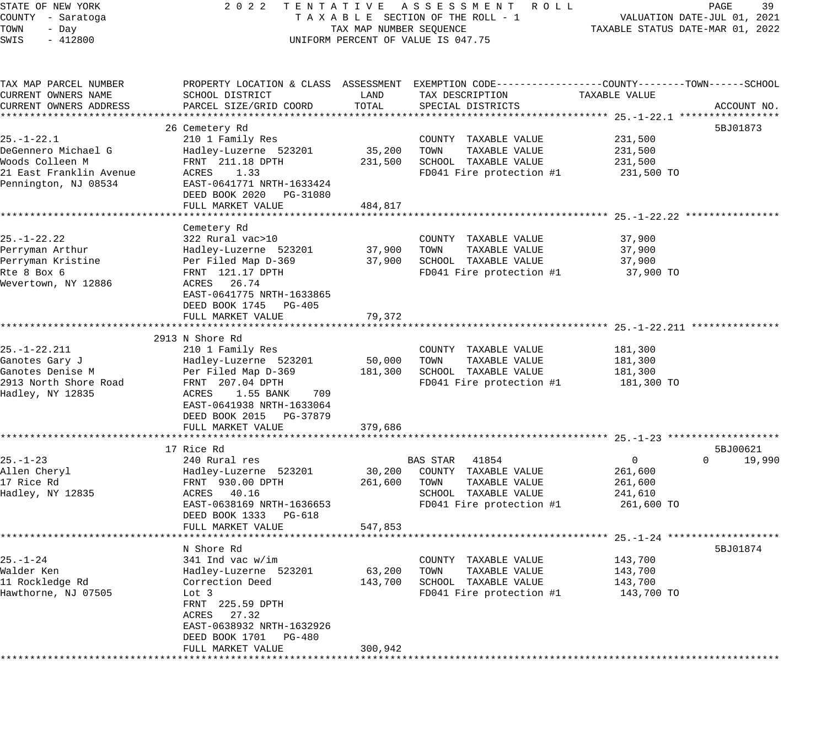STATE OF NEW YORK 2 0 2 2 T E N T A T I V E A S S E S S M E N T R O L L PAGE 39 COUNTY - Saratoga T A X A B L E SECTION OF THE ROLL - 1 VALUATION DATE-JUL 01, 2021 TOWN - Day TAX MAP NUMBER SEQUENCE TAXABLE STATUS DATE-MAR 01, 2022 SWIS - 412800 CONTROLLY THE UNIFORM PERCENT OF VALUE IS 047.75 TAX MAP PARCEL NUMBER PROPERTY LOCATION & CLASS ASSESSMENT EXEMPTION CODE------------------COUNTY--------TOWN------SCHOOL CURRENT OWNERS NAME SCHOOL DISTRICT LAND TAX DESCRIPTION TAXABLE VALUE CURRENT OWNERS ADDRESS PARCEL SIZE/GRID COORD TOTAL SPECIAL DISTRICTS ACCOUNT NO. \*\*\*\*\*\*\*\*\*\*\*\*\*\*\*\*\*\*\*\*\*\*\*\*\*\*\*\*\*\*\*\*\*\*\*\*\*\*\*\*\*\*\*\*\*\*\*\*\*\*\*\*\*\*\*\*\*\*\*\*\*\*\*\*\*\*\*\*\*\*\*\*\*\*\*\*\*\*\*\*\*\*\*\*\*\*\*\*\*\*\*\*\*\*\*\*\*\*\*\*\*\*\* 25.-1-22.1 \*\*\*\*\*\*\*\*\*\*\*\*\*\*\*\*\* 26 Cemetery Rd 5BJ01873 25.-1-22.1 210 1 Family Res COUNTY TAXABLE VALUE 231,500 DeGennero Michael G Hadley-Luzerne 523201 35,200 TOWN TAXABLE VALUE 231,500 Woods Colleen M FRNT 211.18 DPTH 231,500 SCHOOL TAXABLE VALUE 231,500 21 East Franklin Avenue ACRES 1.33 FD041 Fire protection #1 231,500 TO Pennington, NJ 08534 EAST-0641771 NRTH-1633424 DEED BOOK 2020 PG-31080 FULL MARKET VALUE 484,817 \*\*\*\*\*\*\*\*\*\*\*\*\*\*\*\*\*\*\*\*\*\*\*\*\*\*\*\*\*\*\*\*\*\*\*\*\*\*\*\*\*\*\*\*\*\*\*\*\*\*\*\*\*\*\*\*\*\*\*\*\*\*\*\*\*\*\*\*\*\*\*\*\*\*\*\*\*\*\*\*\*\*\*\*\*\*\*\*\*\*\*\*\*\*\*\*\*\*\*\*\*\*\* 25.-1-22.22 \*\*\*\*\*\*\*\*\*\*\*\*\*\*\*\* Cemetery Rd 25.-1-22.22 322 Rural vac>10 COUNTY TAXABLE VALUE 37,900 Perryman Arthur Hadley-Luzerne 523201 37,900 TOWN TAXABLE VALUE 37,900 Perryman Kristine Per Filed Map D-369 37,900 SCHOOL TAXABLE VALUE 37,900 Rte 8 Box 6 FRNT 121.17 DPTH FOOT FD041 Fire protection #1 37,900 TO Wevertown, NY 12886 ACRES 26.74 EAST-0641775 NRTH-1633865 DEED BOOK 1745 PG-405 FULL MARKET VALUE 79,372 \*\*\*\*\*\*\*\*\*\*\*\*\*\*\*\*\*\*\*\*\*\*\*\*\*\*\*\*\*\*\*\*\*\*\*\*\*\*\*\*\*\*\*\*\*\*\*\*\*\*\*\*\*\*\*\*\*\*\*\*\*\*\*\*\*\*\*\*\*\*\*\*\*\*\*\*\*\*\*\*\*\*\*\*\*\*\*\*\*\*\*\*\*\*\*\*\*\*\*\*\*\*\* 25.-1-22.211 \*\*\*\*\*\*\*\*\*\*\*\*\*\*\* 2913 N Shore Rd 25.-1-22.211 210 1 Family Res COUNTY TAXABLE VALUE 181,300 Ganotes Gary J Hadley-Luzerne 523201 50,000 TOWN TAXABLE VALUE 181,300 Ganotes Denise M Per Filed Map D-369 181,300 SCHOOL TAXABLE VALUE 181,300 2913 North Shore Road FRNT 207.04 DPTH FOOT FD041 Fire protection #1 181,300 TO Hadley, NY 12835 ACRES 1.55 BANK 709 EAST-0641938 NRTH-1633064 DEED BOOK 2015 PG-37879 FULL MARKET VALUE 379,686 \*\*\*\*\*\*\*\*\*\*\*\*\*\*\*\*\*\*\*\*\*\*\*\*\*\*\*\*\*\*\*\*\*\*\*\*\*\*\*\*\*\*\*\*\*\*\*\*\*\*\*\*\*\*\*\*\*\*\*\*\*\*\*\*\*\*\*\*\*\*\*\*\*\*\*\*\*\*\*\*\*\*\*\*\*\*\*\*\*\*\*\*\*\*\*\*\*\*\*\*\*\*\* 25.-1-23 \*\*\*\*\*\*\*\*\*\*\*\*\*\*\*\*\*\*\* 17 Rice Rd 5BJ00621 25.-1-23 240 Rural res BAS STAR 41854 0 0 19,990 Allen Cheryl Hadley-Luzerne 523201 30,200 COUNTY TAXABLE VALUE 261,600 17 Rice Rd FRNT 930.00 DPTH 261,600 TOWN TAXABLE VALUE 261,600 Hadley, NY 12835 ACRES 40.16 SCHOOL TAXABLE VALUE 241,610 EAST-0638169 NRTH-1636653 FD041 Fire protection #1 261,600 TO DEED BOOK 1333 PG-618 FULL MARKET VALUE 547,853 \*\*\*\*\*\*\*\*\*\*\*\*\*\*\*\*\*\*\*\*\*\*\*\*\*\*\*\*\*\*\*\*\*\*\*\*\*\*\*\*\*\*\*\*\*\*\*\*\*\*\*\*\*\*\*\*\*\*\*\*\*\*\*\*\*\*\*\*\*\*\*\*\*\*\*\*\*\*\*\*\*\*\*\*\*\*\*\*\*\*\*\*\*\*\*\*\*\*\*\*\*\*\* 25.-1-24 \*\*\*\*\*\*\*\*\*\*\*\*\*\*\*\*\*\*\* N Shore Rd 5BJ01874 25.-1-24 341 Ind vac w/im COUNTY TAXABLE VALUE 143,700 Walder Ken Hadley-Luzerne 523201 63,200 TOWN TAXABLE VALUE 143,700 11 Rockledge Rd Correction Deed 143,700 SCHOOL TAXABLE VALUE 143,700 Hawthorne, NJ 07505 Lot 3 Lot 3 Lot 2 Research 2011 Fire protection #1 143,700 TO FRNT 225.59 DPTH FRNT 225.59 DPTH<br>ACRES 27.32 EAST-0638932 NRTH-1632926 DEED BOOK 1701 PG-480 FULL MARKET VALUE 300,942 \*\*\*\*\*\*\*\*\*\*\*\*\*\*\*\*\*\*\*\*\*\*\*\*\*\*\*\*\*\*\*\*\*\*\*\*\*\*\*\*\*\*\*\*\*\*\*\*\*\*\*\*\*\*\*\*\*\*\*\*\*\*\*\*\*\*\*\*\*\*\*\*\*\*\*\*\*\*\*\*\*\*\*\*\*\*\*\*\*\*\*\*\*\*\*\*\*\*\*\*\*\*\*\*\*\*\*\*\*\*\*\*\*\*\*\*\*\*\*\*\*\*\*\*\*\*\*\*\*\*\*\*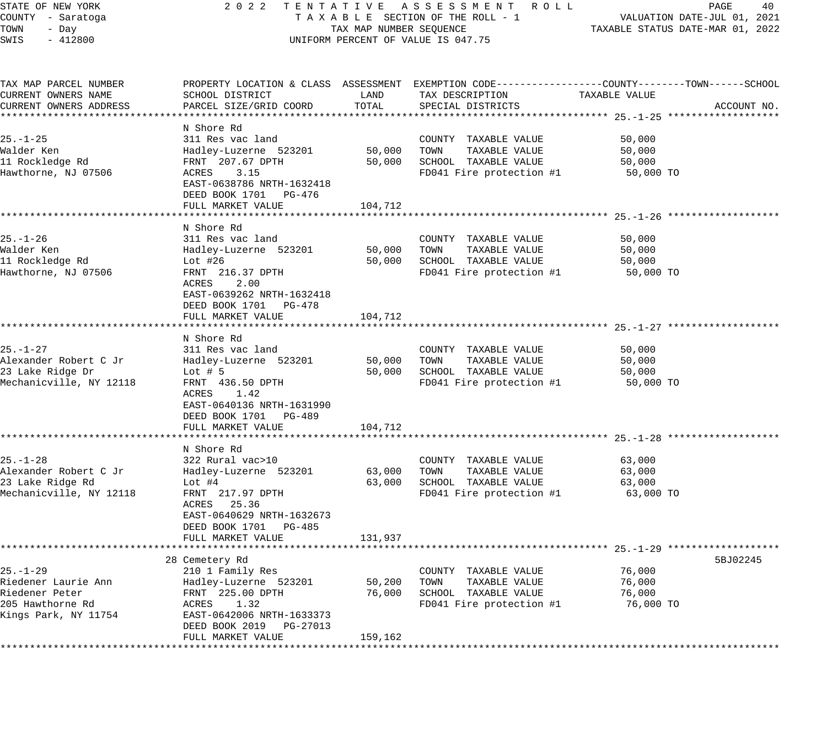STATE OF NEW YORK 2 0 2 2 T E N T A T I V E A S S E S S M E N T R O L L PAGE 40 COUNTY - Saratoga T A X A B L E SECTION OF THE ROLL - 1 VALUATION DATE-JUL 01, 2021 TOWN - Day TAX MAP NUMBER SEQUENCE TAXABLE STATUS DATE-MAR 01, 2022 SWIS - 412800 CONTROLLY THE UNIFORM PERCENT OF VALUE IS 047.75 TAX MAP PARCEL NUMBER PROPERTY LOCATION & CLASS ASSESSMENT EXEMPTION CODE------------------COUNTY--------TOWN------SCHOOL CURRENT OWNERS NAME SCHOOL DISTRICT LAND TAX DESCRIPTION TAXABLE VALUE CURRENT OWNERS ADDRESS PARCEL SIZE/GRID COORD TOTAL SPECIAL DISTRICTS ACCOUNT NO. \*\*\*\*\*\*\*\*\*\*\*\*\*\*\*\*\*\*\*\*\*\*\*\*\*\*\*\*\*\*\*\*\*\*\*\*\*\*\*\*\*\*\*\*\*\*\*\*\*\*\*\*\*\*\*\*\*\*\*\*\*\*\*\*\*\*\*\*\*\*\*\*\*\*\*\*\*\*\*\*\*\*\*\*\*\*\*\*\*\*\*\*\*\*\*\*\*\*\*\*\*\*\* 25.-1-25 \*\*\*\*\*\*\*\*\*\*\*\*\*\*\*\*\*\*\* N Shore Rd 25.-1-25 311 Res vac land COUNTY TAXABLE VALUE 50,000 Walder Ken Hadley-Luzerne 523201 50,000 TOWN TAXABLE VALUE 50,000 11 Rockledge Rd FRNT 207.67 DPTH 50,000 SCHOOL TAXABLE VALUE 50,000 Hawthorne, NJ 07506 ACRES 3.15 FD041 Fire protection #1 50,000 TO EAST-0638786 NRTH-1632418 DEED BOOK 1701 PG-476 FULL MARKET VALUE 104,712 \*\*\*\*\*\*\*\*\*\*\*\*\*\*\*\*\*\*\*\*\*\*\*\*\*\*\*\*\*\*\*\*\*\*\*\*\*\*\*\*\*\*\*\*\*\*\*\*\*\*\*\*\*\*\*\*\*\*\*\*\*\*\*\*\*\*\*\*\*\*\*\*\*\*\*\*\*\*\*\*\*\*\*\*\*\*\*\*\*\*\*\*\*\*\*\*\*\*\*\*\*\*\* 25.-1-26 \*\*\*\*\*\*\*\*\*\*\*\*\*\*\*\*\*\*\* N Shore Rd 25.-1-26 311 Res vac land COUNTY TAXABLE VALUE 50,000 Walder Ken Hadley-Luzerne 523201 50,000 TOWN TAXABLE VALUE 50,000 11 Rockledge Rd Lot #26 50,000 SCHOOL TAXABLE VALUE 50,000 Hawthorne, NJ 07506 FRNT 216.37 DPTH FROM FD041 Fire protection #1 50,000 TO ACRES 2.00 EAST-0639262 NRTH-1632418 DEED BOOK 1701 PG-478 FULL MARKET VALUE 104,712 \*\*\*\*\*\*\*\*\*\*\*\*\*\*\*\*\*\*\*\*\*\*\*\*\*\*\*\*\*\*\*\*\*\*\*\*\*\*\*\*\*\*\*\*\*\*\*\*\*\*\*\*\*\*\*\*\*\*\*\*\*\*\*\*\*\*\*\*\*\*\*\*\*\*\*\*\*\*\*\*\*\*\*\*\*\*\*\*\*\*\*\*\*\*\*\*\*\*\*\*\*\*\* 25.-1-27 \*\*\*\*\*\*\*\*\*\*\*\*\*\*\*\*\*\*\* N Shore Rd 25.-1-27 311 Res vac land COUNTY TAXABLE VALUE 50,000 Alexander Robert C Jr Hadley-Luzerne 523201 50,000 TOWN TAXABLE VALUE 50,000 23 Lake Ridge Dr Lot # 5 50,000 SCHOOL TAXABLE VALUE 50,000 Mechanicville, NY 12118 FRNT 436.50 DPTH FROM FD041 Fire protection #1 50,000 TO ACRES 1.42 EAST-0640136 NRTH-1631990 DEED BOOK 1701 PG-489 FULL MARKET VALUE 104,712 \*\*\*\*\*\*\*\*\*\*\*\*\*\*\*\*\*\*\*\*\*\*\*\*\*\*\*\*\*\*\*\*\*\*\*\*\*\*\*\*\*\*\*\*\*\*\*\*\*\*\*\*\*\*\*\*\*\*\*\*\*\*\*\*\*\*\*\*\*\*\*\*\*\*\*\*\*\*\*\*\*\*\*\*\*\*\*\*\*\*\*\*\*\*\*\*\*\*\*\*\*\*\* 25.-1-28 \*\*\*\*\*\*\*\*\*\*\*\*\*\*\*\*\*\*\* N Shore Rd<br>322 Rural vac>10 25.-1-28 322 Rural vac>10 COUNTY TAXABLE VALUE 63,000 Alexander Robert C Jr Hadley-Luzerne 523201 63,000 TOWN TAXABLE VALUE 63,000 23 Lake Ridge Rd Lot #4 63,000 SCHOOL TAXABLE VALUE 63,000 Mechanicville, NY 12118 FRNT 217.97 DPTH FOOT FD041 Fire protection #1 63,000 TO ACRES 25.36 EAST-0640629 NRTH-1632673 DEED BOOK 1701 PG-485 FULL MARKET VALUE 131,937 \*\*\*\*\*\*\*\*\*\*\*\*\*\*\*\*\*\*\*\*\*\*\*\*\*\*\*\*\*\*\*\*\*\*\*\*\*\*\*\*\*\*\*\*\*\*\*\*\*\*\*\*\*\*\*\*\*\*\*\*\*\*\*\*\*\*\*\*\*\*\*\*\*\*\*\*\*\*\*\*\*\*\*\*\*\*\*\*\*\*\*\*\*\*\*\*\*\*\*\*\*\*\* 25.-1-29 \*\*\*\*\*\*\*\*\*\*\*\*\*\*\*\*\*\*\* 28 Cemetery Rd 5BJ02245 25.-1-29 210 1 Family Res COUNTY TAXABLE VALUE 76,000

\*\*\*\*\*\*\*\*\*\*\*\*\*\*\*\*\*\*\*\*\*\*\*\*\*\*\*\*\*\*\*\*\*\*\*\*\*\*\*\*\*\*\*\*\*\*\*\*\*\*\*\*\*\*\*\*\*\*\*\*\*\*\*\*\*\*\*\*\*\*\*\*\*\*\*\*\*\*\*\*\*\*\*\*\*\*\*\*\*\*\*\*\*\*\*\*\*\*\*\*\*\*\*\*\*\*\*\*\*\*\*\*\*\*\*\*\*\*\*\*\*\*\*\*\*\*\*\*\*\*\*\*

DEED BOOK 2019 PG-27013<br>FULL MARKET VALUE 159,162

Riedener Laurie Ann Hadley-Luzerne 523201 50,200 TOWN TAXABLE VALUE 76,000 Riedener Peter FRNT 225.00 DPTH 76,000 SCHOOL TAXABLE VALUE 76,000 205 Hawthorne Rd ACRES 1.32 FD041 Fire protection #1 76,000 TO Kings Park, NY 11754 EAST-0642006 NRTH-1633373 DEED BOOK 2019 PG-27013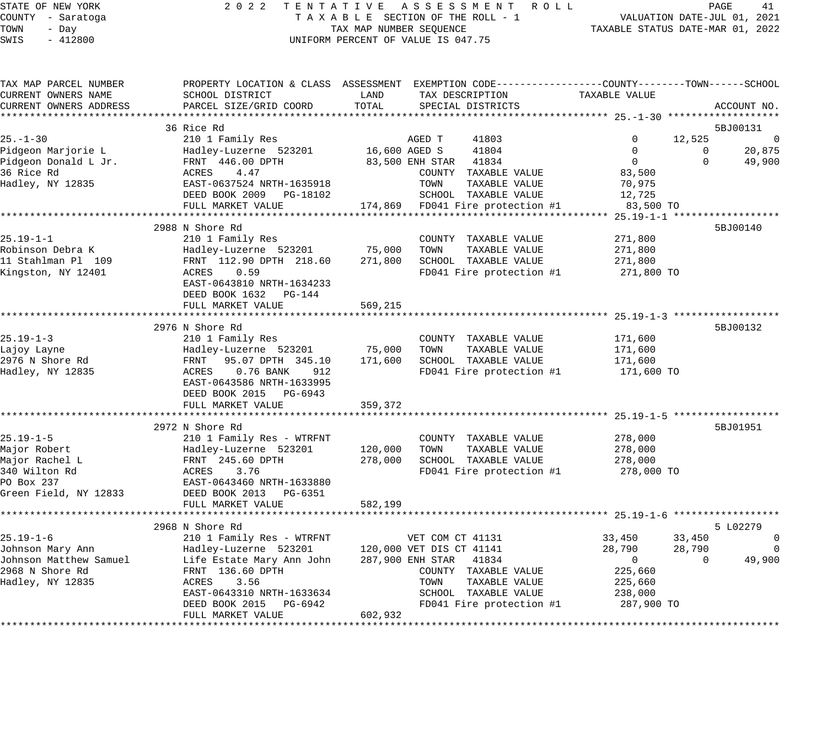### STATE OF NEW YORK 2 0 2 2 T E N T A T I V E A S S E S S M E N T R O L L PAGE 41 COUNTY - Saratoga T A X A B L E SECTION OF THE ROLL - 1 VALUATION DATE-JUL 01, 2021 TAX MAP NUMBER SEQUENCE TAXABLE STATUS DATE-MAR 01, 2022 UNIFORM PERCENT OF VALUE IS 047.75

| TAX MAP PARCEL NUMBER  | PROPERTY LOCATION & CLASS ASSESSMENT EXEMPTION CODE----------------COUNTY-------TOWN------SCHOOL |               |                                     |                |                                         |                |
|------------------------|--------------------------------------------------------------------------------------------------|---------------|-------------------------------------|----------------|-----------------------------------------|----------------|
| CURRENT OWNERS NAME    | SCHOOL DISTRICT                                                                                  | LAND          | TAX DESCRIPTION                     | TAXABLE VALUE  |                                         |                |
| CURRENT OWNERS ADDRESS | PARCEL SIZE/GRID COORD                                                                           | TOTAL         | SPECIAL DISTRICTS                   |                |                                         | ACCOUNT NO.    |
|                        |                                                                                                  |               |                                     |                |                                         |                |
|                        | 36 Rice Rd                                                                                       |               |                                     |                |                                         | 5BJ00131       |
| $25. - 1 - 30$         | 210 1 Family Res                                                                                 |               | AGED T<br>41803                     | 0              | 12,525                                  | 0              |
| Pidgeon Marjorie L     | Hadley-Luzerne 523201                                                                            | 16,600 AGED S | 41804                               | 0              | $\mathbf 0$                             | 20,875         |
| Pidgeon Donald L Jr.   | FRNT 446.00 DPTH                                                                                 |               | 83,500 ENH STAR 41834               | $\overline{0}$ | $\Omega$                                | 49,900         |
| 36 Rice Rd             | ACRES<br>4.47                                                                                    |               | COUNTY TAXABLE VALUE                | 83,500         |                                         |                |
| Hadley, NY 12835       | EAST-0637524 NRTH-1635918                                                                        |               | TOWN<br>TAXABLE VALUE               | 70,975         |                                         |                |
|                        | DEED BOOK 2009 PG-18102                                                                          |               | SCHOOL TAXABLE VALUE                | 12,725         |                                         |                |
|                        | FULL MARKET VALUE                                                                                |               | 174,869 FD041 Fire protection #1    | 83,500 TO      |                                         |                |
|                        |                                                                                                  |               |                                     |                | ********** 25.19-1-1 ****************** |                |
|                        | 2988 N Shore Rd                                                                                  |               |                                     |                |                                         | 5BJ00140       |
| $25.19 - 1 - 1$        | 210 1 Family Res                                                                                 |               | COUNTY TAXABLE VALUE                | 271,800        |                                         |                |
| Robinson Debra K       | Hadley-Luzerne 523201 75,000                                                                     |               | TOWN<br>TAXABLE VALUE               | 271,800        |                                         |                |
| 11 Stahlman Pl 109     | FRNT 112.90 DPTH 218.60                                                                          | 271,800       | SCHOOL TAXABLE VALUE                | 271,800        |                                         |                |
| Kingston, NY 12401     | ACRES<br>0.59                                                                                    |               | FD041 Fire protection #1            | 271,800 TO     |                                         |                |
|                        | EAST-0643810 NRTH-1634233                                                                        |               |                                     |                |                                         |                |
|                        | DEED BOOK 1632 PG-144                                                                            |               |                                     |                |                                         |                |
|                        | FULL MARKET VALUE                                                                                | 569,215       |                                     |                |                                         |                |
|                        |                                                                                                  |               |                                     |                |                                         |                |
|                        | 2976 N Shore Rd                                                                                  |               |                                     |                |                                         | 5BJ00132       |
| $25.19 - 1 - 3$        | 210 1 Family Res                                                                                 |               | COUNTY TAXABLE VALUE                | 171,600        |                                         |                |
| Lajoy Layne            | Hadley-Luzerne 523201                                                                            | 75,000        | TOWN<br>TAXABLE VALUE               | 171,600        |                                         |                |
| 2976 N Shore Rd        | FRNT 95.07 DPTH 345.10                                                                           | 171,600       | SCHOOL TAXABLE VALUE                | 171,600        |                                         |                |
| Hadley, NY 12835       | ACRES<br>$0.76$ BANK<br>912                                                                      |               | FD041 Fire protection #1            | 171,600 TO     |                                         |                |
|                        | EAST-0643586 NRTH-1633995                                                                        |               |                                     |                |                                         |                |
|                        | DEED BOOK 2015 PG-6943                                                                           |               |                                     |                |                                         |                |
|                        | FULL MARKET VALUE                                                                                | 359,372       |                                     |                |                                         |                |
|                        |                                                                                                  |               |                                     |                |                                         |                |
|                        | 2972 N Shore Rd                                                                                  |               |                                     |                |                                         | 5BJ01951       |
| $25.19 - 1 - 5$        | 210 1 Family Res - WTRFNT                                                                        |               | COUNTY TAXABLE VALUE                | 278,000        |                                         |                |
| Major Robert           | Hadley-Luzerne 523201                                                                            | 120,000       | TOWN<br>TAXABLE VALUE               | 278,000        |                                         |                |
| Major Rachel L         | FRNT 245.60 DPTH                                                                                 | 278,000       | SCHOOL TAXABLE VALUE                | 278,000        |                                         |                |
| 340 Wilton Rd          | ACRES<br>3.76                                                                                    |               | FD041 Fire protection #1 278,000 TO |                |                                         |                |
| PO Box 237             | EAST-0643460 NRTH-1633880                                                                        |               |                                     |                |                                         |                |
| Green Field, NY 12833  | DEED BOOK 2013 PG-6351                                                                           |               |                                     |                |                                         |                |
|                        | FULL MARKET VALUE                                                                                | 582,199       |                                     |                |                                         |                |
|                        |                                                                                                  |               |                                     |                |                                         |                |
|                        | 2968 N Shore Rd                                                                                  |               |                                     |                |                                         | 5 L02279       |
| $25.19 - 1 - 6$        | 210 1 Family Res - WTRFNT                                                                        |               | VET COM CT 41131                    | 33,450         | 33,450                                  | $\overline{0}$ |
| Johnson Mary Ann       | Hadley-Luzerne 523201                                                                            |               | 120,000 VET DIS CT 41141            | 28,790         | 28,790                                  | $\overline{0}$ |
| Johnson Matthew Samuel | Life Estate Mary Ann John                                                                        |               | 287,900 ENH STAR 41834              | $\overline{0}$ | $\Omega$                                | 49,900         |
| 2968 N Shore Rd        | FRNT 136.60 DPTH                                                                                 |               | COUNTY TAXABLE VALUE                | 225,660        |                                         |                |
| Hadley, NY 12835       | ACRES<br>3.56                                                                                    |               | TAXABLE VALUE<br>TOWN               | 225,660        |                                         |                |
|                        | EAST-0643310 NRTH-1633634                                                                        |               | SCHOOL TAXABLE VALUE                | 238,000        |                                         |                |
|                        | DEED BOOK 2015 PG-6942                                                                           |               | FD041 Fire protection #1            | 287,900 TO     |                                         |                |
|                        | FULL MARKET VALUE                                                                                | 602,932       |                                     |                |                                         |                |
|                        |                                                                                                  |               |                                     |                |                                         |                |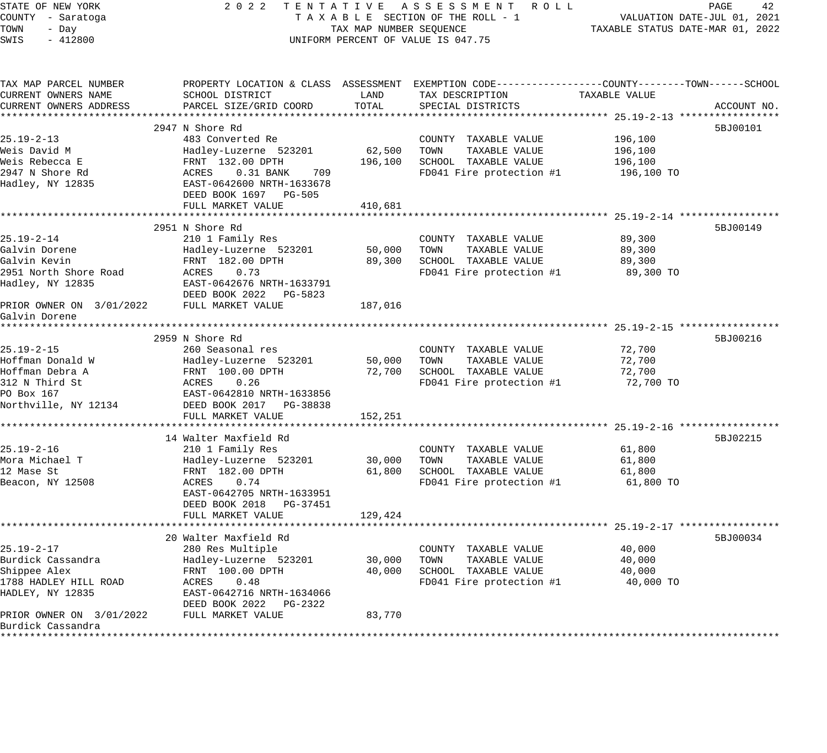| STATE OF NEW YORK<br>COUNTY - Saratoga<br>TOWN<br>- Day<br>$-412800$<br>SWIS | 2 0 2 2<br>TENTATIVE ASSESSMENT ROLL<br>TAXABLE SECTION OF THE ROLL - 1<br>TAX MAP NUMBER SEQUENCE<br>UNIFORM PERCENT OF VALUE IS 047.75 | 42<br>PAGE<br>VALUATION DATE-JUL 01, 2021<br>TAXABLE STATUS DATE-MAR 01, 2022 |                                                                                                                   |                                                  |             |
|------------------------------------------------------------------------------|------------------------------------------------------------------------------------------------------------------------------------------|-------------------------------------------------------------------------------|-------------------------------------------------------------------------------------------------------------------|--------------------------------------------------|-------------|
| TAX MAP PARCEL NUMBER<br>CURRENT OWNERS NAME                                 | SCHOOL DISTRICT                                                                                                                          | LAND                                                                          | PROPERTY LOCATION & CLASS ASSESSMENT EXEMPTION CODE---------------COUNTY-------TOWN-----SCHOOL<br>TAX DESCRIPTION | TAXABLE VALUE                                    |             |
| CURRENT OWNERS ADDRESS                                                       | PARCEL SIZE/GRID COORD                                                                                                                   | TOTAL                                                                         | SPECIAL DISTRICTS                                                                                                 |                                                  | ACCOUNT NO. |
|                                                                              | 2947 N Shore Rd                                                                                                                          |                                                                               |                                                                                                                   |                                                  | 5BJ00101    |
| $25.19 - 2 - 13$                                                             | 483 Converted Re                                                                                                                         |                                                                               | COUNTY TAXABLE VALUE                                                                                              | 196,100                                          |             |
| Weis David M                                                                 | Hadley-Luzerne 523201                                                                                                                    | 62,500                                                                        | TOWN<br>TAXABLE VALUE                                                                                             | 196,100                                          |             |
| Weis Rebecca E                                                               | FRNT 132.00 DPTH                                                                                                                         | 196,100                                                                       | SCHOOL TAXABLE VALUE                                                                                              | 196,100                                          |             |
| 2947 N Shore Rd                                                              | ACRES<br>$0.31$ BANK<br>709                                                                                                              |                                                                               | FD041 Fire protection #1                                                                                          | 196,100 TO                                       |             |
| Hadley, NY 12835                                                             | EAST-0642600 NRTH-1633678<br>DEED BOOK 1697 PG-505                                                                                       |                                                                               |                                                                                                                   |                                                  |             |
|                                                                              | FULL MARKET VALUE                                                                                                                        | 410,681                                                                       |                                                                                                                   |                                                  |             |
|                                                                              |                                                                                                                                          | *************                                                                 |                                                                                                                   |                                                  |             |
|                                                                              | 2951 N Shore Rd                                                                                                                          |                                                                               |                                                                                                                   |                                                  | 5BJ00149    |
| $25.19 - 2 - 14$                                                             | 210 1 Family Res                                                                                                                         |                                                                               | COUNTY TAXABLE VALUE<br>TOWN                                                                                      | 89,300                                           |             |
| Galvin Dorene<br>Galvin Kevin                                                | Hadley-Luzerne 523201<br>FRNT 182.00 DPTH                                                                                                | 50,000<br>89,300                                                              | TAXABLE VALUE<br>SCHOOL TAXABLE VALUE                                                                             | 89,300<br>89,300                                 |             |
| 2951 North Shore Road                                                        | ACRES<br>0.73                                                                                                                            |                                                                               | FD041 Fire protection #1                                                                                          | 89,300 TO                                        |             |
| Hadley, NY 12835                                                             | EAST-0642676 NRTH-1633791<br>DEED BOOK 2022 PG-5823                                                                                      |                                                                               |                                                                                                                   |                                                  |             |
| PRIOR OWNER ON 3/01/2022<br>Galvin Dorene                                    | FULL MARKET VALUE                                                                                                                        | 187,016                                                                       |                                                                                                                   |                                                  |             |
|                                                                              |                                                                                                                                          |                                                                               |                                                                                                                   |                                                  |             |
|                                                                              | 2959 N Shore Rd                                                                                                                          |                                                                               |                                                                                                                   |                                                  | 5BJ00216    |
| $25.19 - 2 - 15$                                                             | 260 Seasonal res                                                                                                                         |                                                                               | COUNTY TAXABLE VALUE                                                                                              | 72,700                                           |             |
| Hoffman Donald W                                                             | Hadley-Luzerne 523201                                                                                                                    | 50,000                                                                        | TAXABLE VALUE<br>TOWN                                                                                             | 72,700                                           |             |
| Hoffman Debra A                                                              | FRNT 100.00 DPTH                                                                                                                         | 72,700                                                                        | SCHOOL TAXABLE VALUE                                                                                              | 72,700                                           |             |
| 312 N Third St                                                               | ACRES<br>0.26                                                                                                                            |                                                                               | FD041 Fire protection #1                                                                                          | 72,700 TO                                        |             |
| PO Box 167                                                                   | EAST-0642810 NRTH-1633856                                                                                                                |                                                                               |                                                                                                                   |                                                  |             |
| Northville, NY 12134                                                         | DEED BOOK 2017 PG-38838<br>FULL MARKET VALUE                                                                                             | 152,251                                                                       |                                                                                                                   |                                                  |             |
|                                                                              |                                                                                                                                          |                                                                               |                                                                                                                   |                                                  |             |
|                                                                              | 14 Walter Maxfield Rd                                                                                                                    |                                                                               |                                                                                                                   |                                                  | 5BJ02215    |
| $25.19 - 2 - 16$                                                             | 210 1 Family Res                                                                                                                         |                                                                               | COUNTY TAXABLE VALUE                                                                                              | 61,800                                           |             |
| Mora Michael T                                                               | Hadley-Luzerne 523201                                                                                                                    | 30,000                                                                        | TAXABLE VALUE<br>TOWN                                                                                             | 61,800                                           |             |
| 12 Mase St                                                                   | FRNT 182.00 DPTH                                                                                                                         | 61,800                                                                        | SCHOOL TAXABLE VALUE                                                                                              | 61,800                                           |             |
| Beacon, NY 12508                                                             | ACRES<br>0.74                                                                                                                            |                                                                               | FD041 Fire protection #1                                                                                          | 61,800 TO                                        |             |
|                                                                              | EAST-0642705 NRTH-1633951                                                                                                                |                                                                               |                                                                                                                   |                                                  |             |
|                                                                              | DEED BOOK 2018 PG-37451                                                                                                                  |                                                                               |                                                                                                                   |                                                  |             |
|                                                                              | FULL MARKET VALUE                                                                                                                        | 129,424                                                                       |                                                                                                                   |                                                  |             |
|                                                                              | *******************                                                                                                                      |                                                                               |                                                                                                                   | ********************** 25.19-2-17 ************** |             |
|                                                                              | 20 Walter Maxfield Rd                                                                                                                    |                                                                               |                                                                                                                   |                                                  | 5BJ00034    |
| $25.19 - 2 - 17$<br>Burdick Cassandra                                        | 280 Res Multiple<br>Hadley-Luzerne 523201                                                                                                | 30,000                                                                        | COUNTY TAXABLE VALUE<br>TOWN<br>TAXABLE VALUE                                                                     | 40,000<br>40,000                                 |             |
| Shippee Alex                                                                 | FRNT 100.00 DPTH                                                                                                                         | 40,000                                                                        | SCHOOL TAXABLE VALUE                                                                                              | 40,000                                           |             |
| 1788 HADLEY HILL ROAD                                                        | 0.48<br>ACRES                                                                                                                            |                                                                               | FD041 Fire protection #1                                                                                          | 40,000 TO                                        |             |
| HADLEY, NY 12835                                                             | EAST-0642716 NRTH-1634066<br>DEED BOOK 2022 PG-2322                                                                                      |                                                                               |                                                                                                                   |                                                  |             |
| PRIOR OWNER ON 3/01/2022                                                     | FULL MARKET VALUE                                                                                                                        | 83,770                                                                        |                                                                                                                   |                                                  |             |
| Burdick Cassandra                                                            |                                                                                                                                          |                                                                               |                                                                                                                   |                                                  |             |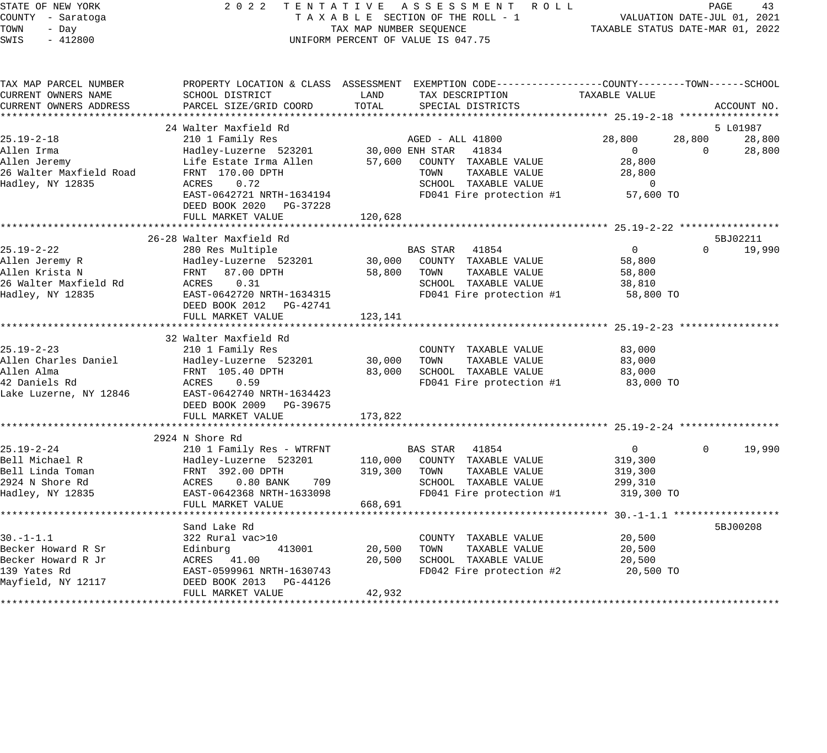### STATE OF NEW YORK 2 0 2 2 T E N T A T I V E A S S E S S M E N T R O L L PAGE 43 COUNTY - Saratoga T A X A B L E SECTION OF THE ROLL - 1 VALUATION DATE-JUL 01, 2021 TOWN - Day TAX MAP NUMBER SEQUENCE TAXABLE STATUS DATE-MAR 01, 2022 TOWN - Day TOWN - Day CONSER SEQUENCE<br>SWIS - 412800 UNIFORM PERCENT OF VALUE IS 047.75

| TAX MAP PARCEL NUMBER<br>CURRENT OWNERS NAME                                                      | SCHOOL DISTRICT                                                                                                                                               | LAND                          | PROPERTY LOCATION & CLASS ASSESSMENT EXEMPTION CODE---------------COUNTY-------TOWN------SCHOOL<br>TAX DESCRIPTION            | TAXABLE VALUE                                                 |                                             |
|---------------------------------------------------------------------------------------------------|---------------------------------------------------------------------------------------------------------------------------------------------------------------|-------------------------------|-------------------------------------------------------------------------------------------------------------------------------|---------------------------------------------------------------|---------------------------------------------|
| CURRENT OWNERS ADDRESS                                                                            | PARCEL SIZE/GRID COORD                                                                                                                                        | TOTAL                         | SPECIAL DISTRICTS                                                                                                             |                                                               | ACCOUNT NO.                                 |
| $25.19 - 2 - 18$<br>Allen Irma                                                                    | 24 Walter Maxfield Rd<br>210 1 Family Res<br>Hadley-Luzerne 523201 30,000 ENH STAR                                                                            |                               | AGED - ALL 41800<br>41834                                                                                                     | 28,800<br>$\overline{0}$                                      | 5 L01987<br>28,800<br>28,800<br>0<br>28,800 |
| Allen Jeremy<br>26 Walter Maxfield Road<br>Hadley, NY 12835                                       | Life Estate Irma Allen<br>FRNT 170.00 DPTH<br>ACRES<br>0.72<br>EAST-0642721 NRTH-1634194<br>DEED BOOK 2020 PG-37228<br>FULL MARKET VALUE                      | 120,628                       | 57,600 COUNTY TAXABLE VALUE<br>TOWN<br>TAXABLE VALUE<br>SCHOOL TAXABLE VALUE<br>FD041 Fire protection #1                      | 28,800<br>28,800<br>$\mathbf 0$<br>57,600 TO                  |                                             |
|                                                                                                   | 26-28 Walter Maxfield Rd                                                                                                                                      |                               |                                                                                                                               |                                                               | 5BJ02211                                    |
| $25.19 - 2 - 22$<br>Allen Jeremy R<br>Allen Krista N<br>26 Walter Maxfield Rd<br>Hadley, NY 12835 | 280 Res Multiple<br>Hadley-Luzerne 523201<br>FRNT 87.00 DPTH<br>ACRES<br>0.31<br>EAST-0642720 NRTH-1634315<br>DEED BOOK 2012    PG-42741<br>FULL MARKET VALUE | 58,800<br>123,141             | BAS STAR<br>41854<br>30,000 COUNTY TAXABLE VALUE<br>TOWN<br>TAXABLE VALUE<br>SCHOOL TAXABLE VALUE<br>FD041 Fire protection #1 | $\overline{0}$<br>58,800<br>58,800<br>38,810<br>58,800 TO     | $\Omega$<br>19,990                          |
|                                                                                                   | 32 Walter Maxfield Rd                                                                                                                                         |                               |                                                                                                                               |                                                               |                                             |
| $25.19 - 2 - 23$<br>Allen Charles Daniel<br>Allen Alma<br>42 Daniels Rd<br>Lake Luzerne, NY 12846 | 210 1 Family Res<br>Hadley-Luzerne 523201<br>FRNT 105.40 DPTH<br>ACRES<br>0.59<br>EAST-0642740 NRTH-1634423<br>DEED BOOK 2009 PG-39675<br>FULL MARKET VALUE   | 30,000<br>83,000<br>173,822   | COUNTY TAXABLE VALUE<br>TAXABLE VALUE<br>TOWN<br>SCHOOL TAXABLE VALUE<br>FD041 Fire protection #1                             | 83,000<br>83,000<br>83,000<br>83,000 TO                       |                                             |
|                                                                                                   | 2924 N Shore Rd                                                                                                                                               |                               |                                                                                                                               |                                                               |                                             |
| $25.19 - 2 - 24$<br>Bell Michael R<br>Bell Linda Toman<br>2924 N Shore Rd<br>Hadley, NY 12835     | 210 1 Family Res - WTRFNT<br>Hadley-Luzerne 523201<br>FRNT 392.00 DPTH<br>ACRES<br>$0.80$ BANK<br>709<br>EAST-0642368 NRTH-1633098<br>FULL MARKET VALUE       | 110,000<br>319,300<br>668,691 | BAS STAR 41854<br>COUNTY TAXABLE VALUE<br>TOWN<br>TAXABLE VALUE<br>SCHOOL TAXABLE VALUE<br>FD041 Fire protection #1           | $\overline{0}$<br>319,300<br>319,300<br>299,310<br>319,300 TO | 19,990<br>$\Omega$                          |
|                                                                                                   | Sand Lake Rd                                                                                                                                                  |                               |                                                                                                                               |                                                               | 5BJ00208                                    |
| $30. - 1 - 1.1$<br>Becker Howard R Sr<br>Becker Howard R Jr<br>139 Yates Rd<br>Mayfield, NY 12117 | 322 Rural vac>10<br>413001<br>Edinburg<br>ACRES 41.00<br>EAST-0599961 NRTH-1630743<br>DEED BOOK 2013 PG-44126                                                 | 20,500<br>20,500<br>42,932    | COUNTY TAXABLE VALUE<br>TOWN<br>TAXABLE VALUE<br>SCHOOL TAXABLE VALUE<br>FD042 Fire protection #2                             | 20,500<br>20,500<br>20,500<br>20,500 TO                       |                                             |
|                                                                                                   | FULL MARKET VALUE                                                                                                                                             |                               |                                                                                                                               |                                                               |                                             |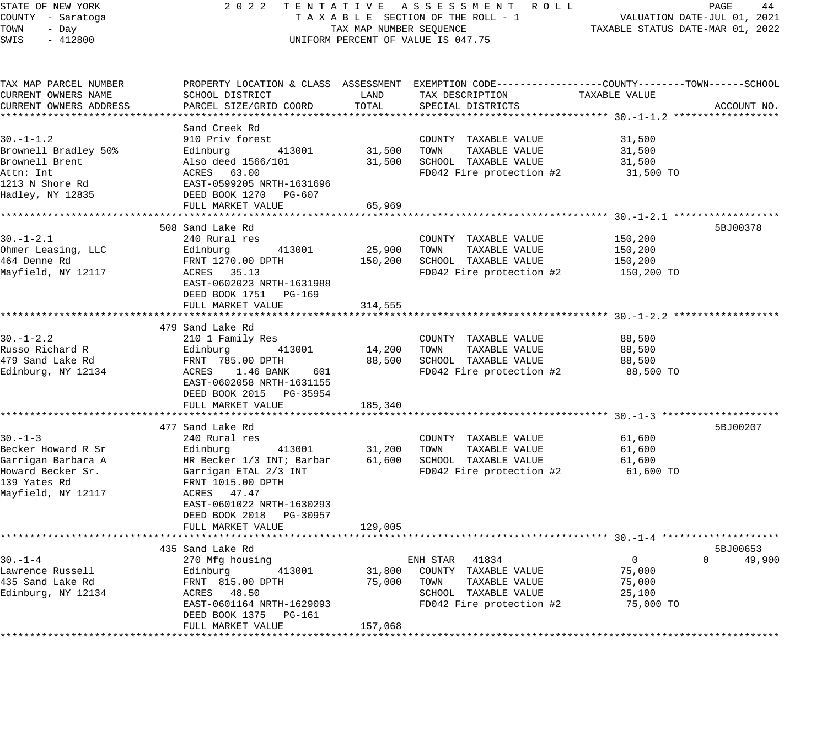### STATE OF NEW YORK 2 0 2 2 T E N T A T I V E A S S E S S M E N T R O L L PAGE 44 COUNTY - Saratoga T A X A B L E SECTION OF THE ROLL - 1 VALUATION DATE-JUL 01, 2021 X A B L E SECTION OF THE ROLL  $-$  1  $\overline{X}$  TAXABLE STATUS DATE-MAR 01, 2022 UNIFORM PERCENT OF VALUE IS 047.75

| TAX MAP PARCEL NUMBER<br>CURRENT OWNERS NAME | SCHOOL DISTRICT                                                                         | LAND    | TAX DESCRIPTION          | PROPERTY LOCATION & CLASS ASSESSMENT EXEMPTION CODE----------------COUNTY-------TOWN------SCHOOL<br>TAXABLE VALUE |             |
|----------------------------------------------|-----------------------------------------------------------------------------------------|---------|--------------------------|-------------------------------------------------------------------------------------------------------------------|-------------|
| CURRENT OWNERS ADDRESS                       | PARCEL SIZE/GRID COORD                                                                  | TOTAL   | SPECIAL DISTRICTS        |                                                                                                                   | ACCOUNT NO. |
|                                              |                                                                                         |         |                          |                                                                                                                   |             |
|                                              | Sand Creek Rd                                                                           |         |                          |                                                                                                                   |             |
| $30. - 1 - 1.2$                              | 910 Priv forest                                                                         |         | COUNTY TAXABLE VALUE     | 31,500                                                                                                            |             |
| Brownell Bradley 50%                         | Edinburg<br>413001                                                                      | 31,500  | TOWN<br>TAXABLE VALUE    | 31,500                                                                                                            |             |
| Brownell Brent                               |                                                                                         | 31,500  | SCHOOL TAXABLE VALUE     | 31,500                                                                                                            |             |
| Attn: Int                                    | Also deed 1566/101<br>ACRES 63.00<br>EAST-0599205 NRTH-1631696<br>DEED BOOK 1270 PG-607 |         | FD042 Fire protection #2 | 31,500 TO                                                                                                         |             |
| 1213 N Shore Rd                              |                                                                                         |         |                          |                                                                                                                   |             |
| Hadley, NY 12835                             | DEED BOOK 1270 PG-607                                                                   |         |                          |                                                                                                                   |             |
|                                              | FULL MARKET VALUE                                                                       | 65,969  |                          |                                                                                                                   |             |
|                                              |                                                                                         |         |                          |                                                                                                                   |             |
|                                              | 508 Sand Lake Rd                                                                        |         |                          | 5BJ00378                                                                                                          |             |
| $30. - 1 - 2.1$                              | 240 Rural res                                                                           |         | COUNTY TAXABLE VALUE     | 150,200                                                                                                           |             |
| Ohmer Leasing, LLC                           | 413001<br>Edinburg                                                                      | 25,900  | TAXABLE VALUE<br>TOWN    | 150,200                                                                                                           |             |
| 464 Denne Rd                                 | FRNT 1270.00 DPTH                                                                       | 150,200 | SCHOOL TAXABLE VALUE     | 150,200                                                                                                           |             |
| Mayfield, NY 12117                           | ACRES 35.13                                                                             |         | FD042 Fire protection #2 | 150,200 TO                                                                                                        |             |
|                                              | EAST-0602023 NRTH-1631988                                                               |         |                          |                                                                                                                   |             |
|                                              | DEED BOOK 1751 PG-169                                                                   |         |                          |                                                                                                                   |             |
|                                              | FULL MARKET VALUE                                                                       | 314,555 |                          |                                                                                                                   |             |
|                                              |                                                                                         |         |                          |                                                                                                                   |             |
|                                              | 479 Sand Lake Rd                                                                        |         |                          |                                                                                                                   |             |
| $30. - 1 - 2.2$                              | 210 1 Family Res                                                                        |         | COUNTY TAXABLE VALUE     | 88,500                                                                                                            |             |
| Russo Richard R                              | Edinburg 413001                                                                         | 14,200  | TOWN TAXABLE VALUE       | 88,500                                                                                                            |             |
| 479 Sand Lake Rd                             | FRNT 785.00 DPTH                                                                        | 88,500  | SCHOOL TAXABLE VALUE     | 88,500                                                                                                            |             |
| Edinburg, NY 12134                           | ACRES 1.46 BANK<br>601                                                                  |         | FD042 Fire protection #2 | 88,500 TO                                                                                                         |             |
|                                              | EAST-0602058 NRTH-1631155                                                               |         |                          |                                                                                                                   |             |
|                                              | DEED BOOK 2015 PG-35954                                                                 |         |                          |                                                                                                                   |             |
|                                              | FULL MARKET VALUE                                                                       | 185,340 |                          |                                                                                                                   |             |
|                                              |                                                                                         |         |                          |                                                                                                                   |             |
|                                              | 477 Sand Lake Rd                                                                        |         |                          | 5BJ00207                                                                                                          |             |
| $30 - 1 - 3$                                 | 240 Rural res                                                                           |         | COUNTY TAXABLE VALUE     | 61,600                                                                                                            |             |
| Becker Howard R Sr                           | Edinburg<br>413001                                                                      | 31,200  | TOWN<br>TAXABLE VALUE    | 61,600                                                                                                            |             |
| Garrigan Barbara A                           | HR Becker 1/3 INT; Barbar                                                               | 61,600  | SCHOOL TAXABLE VALUE     | 61,600                                                                                                            |             |
| Howard Becker Sr.                            | HR Becker 1/3 INT; Bar<br>Garrigan ETAL 2/3 INT                                         |         | FD042 Fire protection #2 | 61,600 TO                                                                                                         |             |
| 139 Yates Rd                                 | FRNT 1015.00 DPTH                                                                       |         |                          |                                                                                                                   |             |
| Mayfield, NY 12117                           | ACRES 47.47                                                                             |         |                          |                                                                                                                   |             |
|                                              | EAST-0601022 NRTH-1630293                                                               |         |                          |                                                                                                                   |             |
|                                              | DEED BOOK 2018 PG-30957                                                                 |         |                          |                                                                                                                   |             |
|                                              | FULL MARKET VALUE                                                                       | 129,005 |                          |                                                                                                                   |             |
|                                              | ************************                                                                |         |                          |                                                                                                                   |             |
|                                              | 435 Sand Lake Rd                                                                        |         |                          | 5BJ00653                                                                                                          |             |
| $30. - 1 - 4$                                | 270 Mfg housing                                                                         |         | ENH STAR 41834           | 0<br>$\Omega$                                                                                                     | 49,900      |
| Lawrence Russell                             | Edinburg 413001                                                                         | 31,800  | COUNTY TAXABLE VALUE     | 75,000                                                                                                            |             |
| 435 Sand Lake Rd                             | FRNT 815.00 DPTH                                                                        | 75,000  | TOWN<br>TAXABLE VALUE    | 75,000                                                                                                            |             |
| Edinburg, NY 12134                           | ACRES 48.50                                                                             |         | SCHOOL TAXABLE VALUE     | 25,100                                                                                                            |             |
|                                              | EAST-0601164 NRTH-1629093                                                               |         | FD042 Fire protection #2 | 75,000 TO                                                                                                         |             |
|                                              | DEED BOOK 1375 PG-161                                                                   |         |                          |                                                                                                                   |             |
|                                              | FULL MARKET VALUE                                                                       | 157,068 |                          |                                                                                                                   |             |
|                                              |                                                                                         |         |                          |                                                                                                                   |             |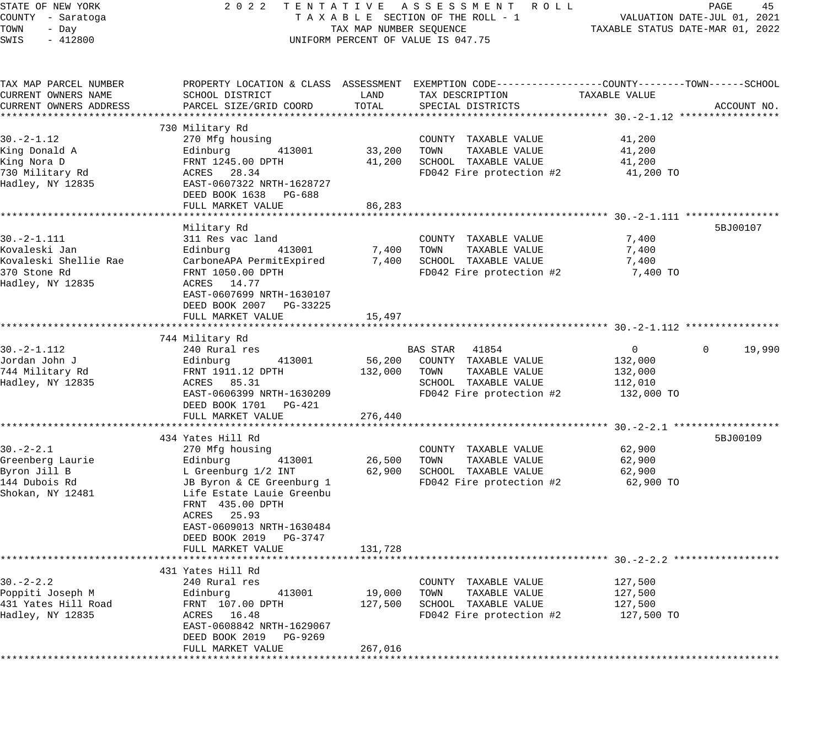| STATE OF NEW YORK      | 2 0 2 2                   |                         | TENTATIVE ASSESSMENT ROLL                                                                       |                                  | 45<br>PAGE                  |
|------------------------|---------------------------|-------------------------|-------------------------------------------------------------------------------------------------|----------------------------------|-----------------------------|
| COUNTY - Saratoga      |                           |                         | TAXABLE SECTION OF THE ROLL - 1                                                                 |                                  | VALUATION DATE-JUL 01, 2021 |
| TOWN<br>- Day          |                           | TAX MAP NUMBER SEQUENCE |                                                                                                 | TAXABLE STATUS DATE-MAR 01, 2022 |                             |
| SWIS<br>$-412800$      |                           |                         | UNIFORM PERCENT OF VALUE IS 047.75                                                              |                                  |                             |
|                        |                           |                         |                                                                                                 |                                  |                             |
| TAX MAP PARCEL NUMBER  |                           |                         | PROPERTY LOCATION & CLASS ASSESSMENT EXEMPTION CODE---------------COUNTY-------TOWN------SCHOOL |                                  |                             |
| CURRENT OWNERS NAME    | SCHOOL DISTRICT           | LAND                    | TAX DESCRIPTION                                                                                 | TAXABLE VALUE                    |                             |
| CURRENT OWNERS ADDRESS | PARCEL SIZE/GRID COORD    | TOTAL                   | SPECIAL DISTRICTS                                                                               |                                  | ACCOUNT NO.                 |
|                        |                           |                         |                                                                                                 |                                  |                             |
|                        | 730 Military Rd           |                         |                                                                                                 |                                  |                             |
| $30. -2 - 1.12$        | 270 Mfg housing           |                         | COUNTY TAXABLE VALUE                                                                            | 41,200                           |                             |
| King Donald A          | Edinburg<br>413001        | 33,200                  | TOWN<br>TAXABLE VALUE                                                                           | 41,200                           |                             |
| King Nora D            | FRNT 1245.00 DPTH         | 41,200                  | SCHOOL TAXABLE VALUE                                                                            | 41,200                           |                             |
| 730 Military Rd        | ACRES 28.34               |                         | FD042 Fire protection #2                                                                        | 41,200 TO                        |                             |
| Hadley, NY 12835       | EAST-0607322 NRTH-1628727 |                         |                                                                                                 |                                  |                             |
|                        | DEED BOOK 1638 PG-688     |                         |                                                                                                 |                                  |                             |
|                        | FULL MARKET VALUE         | 86,283                  |                                                                                                 |                                  |                             |
|                        |                           |                         |                                                                                                 |                                  |                             |
|                        | Military Rd               |                         |                                                                                                 |                                  | 5BJ00107                    |
| $30. -2 - 1.111$       | 311 Res vac land          |                         | COUNTY TAXABLE VALUE                                                                            | 7,400                            |                             |
| Kovaleski Jan          | Edinburg<br>413001        | 7,400                   | TAXABLE VALUE<br>TOWN                                                                           | 7,400                            |                             |
| Kovaleski Shellie Rae  | CarboneAPA PermitExpired  | 7,400                   | SCHOOL TAXABLE VALUE                                                                            | 7,400                            |                             |
| 370 Stone Rd           | FRNT 1050.00 DPTH         |                         | FD042 Fire protection #2                                                                        | 7,400 TO                         |                             |
| Hadley, NY 12835       | ACRES 14.77               |                         |                                                                                                 |                                  |                             |
|                        |                           |                         |                                                                                                 |                                  |                             |
|                        | EAST-0607699 NRTH-1630107 |                         |                                                                                                 |                                  |                             |
|                        | DEED BOOK 2007 PG-33225   |                         |                                                                                                 |                                  |                             |
|                        | FULL MARKET VALUE         | 15,497                  |                                                                                                 |                                  |                             |
|                        |                           |                         |                                                                                                 |                                  |                             |
|                        | 744 Military Rd           |                         |                                                                                                 |                                  |                             |
| $30. -2 - 1.112$       | 240 Rural res             |                         | BAS STAR 41854                                                                                  | $\overline{0}$                   | 19,990<br>$\mathbf{0}$      |
| Jordan John J          | Edinburg<br>413001        | 56,200                  | COUNTY TAXABLE VALUE                                                                            | 132,000                          |                             |
| 744 Military Rd        | FRNT 1911.12 DPTH         | 132,000                 | TAXABLE VALUE<br>TOWN                                                                           | 132,000                          |                             |
| Hadley, NY 12835       | ACRES 85.31               |                         | SCHOOL TAXABLE VALUE                                                                            | 112,010                          |                             |
|                        | EAST-0606399 NRTH-1630209 |                         | FD042 Fire protection #2                                                                        | 132,000 TO                       |                             |
|                        | DEED BOOK 1701<br>PG-421  |                         |                                                                                                 |                                  |                             |
|                        | FULL MARKET VALUE         | 276,440                 |                                                                                                 |                                  |                             |
|                        |                           |                         |                                                                                                 |                                  |                             |
|                        | 434 Yates Hill Rd         |                         |                                                                                                 |                                  | 5BJ00109                    |
| $30. -2 - 2.1$         | 270 Mfg housing           |                         | COUNTY TAXABLE VALUE                                                                            | 62,900                           |                             |
| Greenberg Laurie       | Edinburg<br>413001        | 26,500                  | TOWN<br>TAXABLE VALUE                                                                           | 62,900                           |                             |
| Byron Jill B           | L Greenburg 1/2 INT       | 62,900                  | SCHOOL TAXABLE VALUE                                                                            | 62,900                           |                             |
| 144 Dubois Rd          | JB Byron & CE Greenburg 1 |                         | FD042 Fire protection #2                                                                        | 62,900 TO                        |                             |
| Shokan, NY 12481       | Life Estate Lauie Greenbu |                         |                                                                                                 |                                  |                             |
|                        | FRNT 435.00 DPTH          |                         |                                                                                                 |                                  |                             |
|                        | ACRES 25.93               |                         |                                                                                                 |                                  |                             |
|                        | EAST-0609013 NRTH-1630484 |                         |                                                                                                 |                                  |                             |
|                        | DEED BOOK 2019<br>PG-3747 |                         |                                                                                                 |                                  |                             |
|                        | FULL MARKET VALUE         | 131,728                 |                                                                                                 |                                  |                             |
|                        |                           |                         |                                                                                                 |                                  |                             |
|                        | 431 Yates Hill Rd         |                         |                                                                                                 |                                  |                             |
| 30.-2-2.2              | 240 Rural res             |                         | COUNTY TAXABLE VALUE                                                                            | 127,500                          |                             |
| Poppiti Joseph M       | Edinburg<br>413001        | 19,000                  | TAXABLE VALUE<br>TOWN                                                                           | 127,500                          |                             |
| 431 Yates Hill Road    | FRNT 107.00 DPTH          | 127,500                 | SCHOOL TAXABLE VALUE                                                                            | 127,500                          |                             |
| Hadley, NY 12835       | ACRES 16.48               |                         | FD042 Fire protection #2                                                                        | 127,500 TO                       |                             |
|                        | EAST-0608842 NRTH-1629067 |                         |                                                                                                 |                                  |                             |
|                        | DEED BOOK 2019<br>PG-9269 |                         |                                                                                                 |                                  |                             |
|                        | FULL MARKET VALUE         | 267,016                 |                                                                                                 |                                  |                             |
|                        |                           |                         |                                                                                                 |                                  |                             |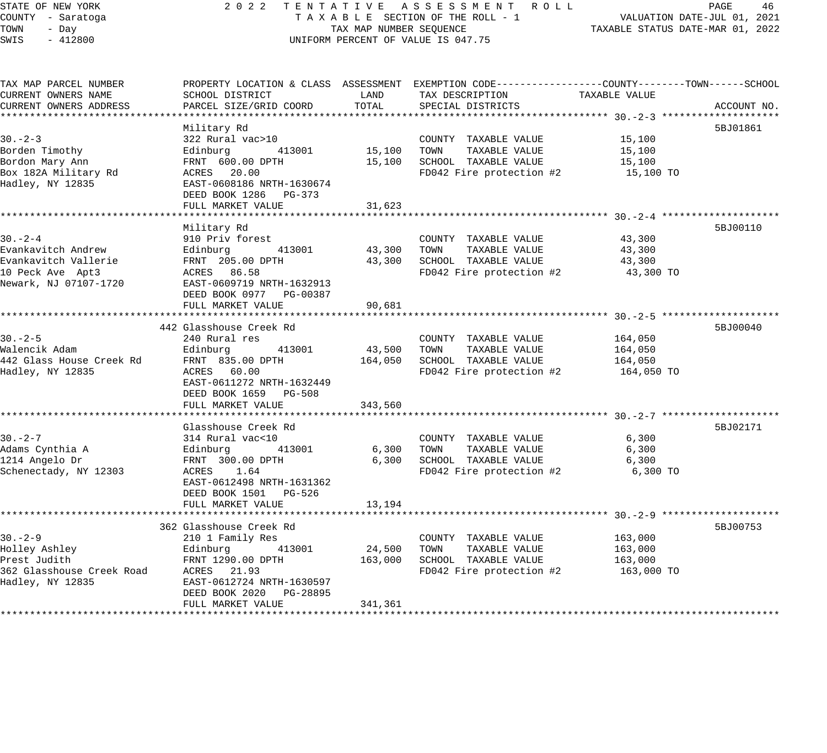# STATE OF NEW YORK 2 0 2 2 T E N T A T I V E A S S E S S M E N T R O L L PAGE 46 COUNTY - Saratoga T A X A B L E SECTION OF THE ROLL - 1 VALUATION DATE-JUL 01, 2021 TAX A B L E SECTION OF THE ROLL - 1<br>TAXABLE STATUS DATE-MAR 01, 2022 UNIFORM PERCENT OF VALUE IS 047.75

| TAX MAP PARCEL NUMBER                 |                                 |         | PROPERTY LOCATION & CLASS ASSESSMENT EXEMPTION CODE----------------COUNTY-------TOWN-----SCHOOL |               |             |
|---------------------------------------|---------------------------------|---------|-------------------------------------------------------------------------------------------------|---------------|-------------|
| CURRENT OWNERS NAME                   | SCHOOL DISTRICT                 | LAND    | TAX DESCRIPTION                                                                                 | TAXABLE VALUE |             |
| CURRENT OWNERS ADDRESS                | PARCEL SIZE/GRID COORD          | TOTAL   | SPECIAL DISTRICTS                                                                               |               | ACCOUNT NO. |
|                                       |                                 |         |                                                                                                 |               |             |
|                                       | Military Rd                     |         |                                                                                                 |               | 5BJ01861    |
| $30 - 2 - 3$                          | 322 Rural vac>10                |         | COUNTY TAXABLE VALUE                                                                            | 15,100        |             |
| Borden Timothy                        | 413001<br>Edinburg              |         | 15,100 TOWN TAXABLE VALUE                                                                       | 15,100        |             |
| Bordon Mary Ann                       | FRNT 600.00 DPTH                |         | 15,100 SCHOOL TAXABLE VALUE                                                                     | 15,100        |             |
| Box 182A Military Rd                  | ACRES 20.00                     |         | FD042 Fire protection #2                                                                        | 15,100 TO     |             |
| Hadley, NY 12835                      | EAST-0608186 NRTH-1630674       |         |                                                                                                 |               |             |
|                                       | DEED BOOK 1286 PG-373           |         |                                                                                                 |               |             |
|                                       | FULL MARKET VALUE               | 31,623  |                                                                                                 |               |             |
|                                       |                                 |         |                                                                                                 |               |             |
|                                       | Military Rd                     |         |                                                                                                 |               | 5BJ00110    |
| $30 - 2 - 4$                          | 910 Priv forest                 |         | COUNTY TAXABLE VALUE                                                                            | 43,300        |             |
| Evankavitch Andrew                    | Edinburg 413001                 |         | 43,300 TOWN TAXABLE VALUE                                                                       | 43,300        |             |
| Evankavitch Vallerie                  | FRNT 205.00 DPTH                |         | 43,300 SCHOOL TAXABLE VALUE                                                                     | 43,300        |             |
| 10 Peck Ave Apt3                      | ACRES 86.58                     |         | FD042 Fire protection #2                                                                        | 43,300 TO     |             |
| Newark, NJ 07107-1720                 | EAST-0609719 NRTH-1632913       |         |                                                                                                 |               |             |
|                                       | DEED BOOK 0977 PG-00387         |         |                                                                                                 |               |             |
|                                       | FULL MARKET VALUE               | 90,681  |                                                                                                 |               |             |
|                                       |                                 |         |                                                                                                 |               |             |
|                                       | 442 Glasshouse Creek Rd         |         |                                                                                                 |               | 5BJ00040    |
| $30 - 2 - 5$                          | 240 Rural res                   |         | COUNTY TAXABLE VALUE                                                                            | 164,050       |             |
|                                       |                                 |         |                                                                                                 |               |             |
| Walencik Adam                         | 413001<br>Edinburg              |         | 43,500 TOWN TAXABLE VALUE                                                                       | 164,050       |             |
| 442 Glass House Creek Rd              | FRNT 835.00 DPTH<br>ACRES 60.00 |         | 164,050 SCHOOL TAXABLE VALUE                                                                    | 164,050       |             |
| Hadley, NY 12835                      |                                 |         | FD042 Fire protection #2                                                                        | 164,050 TO    |             |
|                                       | EAST-0611272 NRTH-1632449       |         |                                                                                                 |               |             |
|                                       | DEED BOOK 1659 PG-508           |         |                                                                                                 |               |             |
|                                       | FULL MARKET VALUE               | 343,560 |                                                                                                 |               |             |
|                                       |                                 |         |                                                                                                 |               |             |
|                                       | Glasshouse Creek Rd             |         |                                                                                                 |               | 5BJ02171    |
| $30. -2 - 7$                          | 314 Rural vac<10                |         | COUNTY TAXABLE VALUE                                                                            | 6,300         |             |
| Adams Cynthia A                       | Edinburg<br>413001              |         | 6,300 TOWN<br>TAXABLE VALUE                                                                     | 6,300         |             |
| 1214 Angelo Dr                        | FRNT 300.00 DPTH                |         | 6,300 SCHOOL TAXABLE VALUE                                                                      | 6,300         |             |
| Schenectady, NY 12303                 | ACRES 1.64                      |         | FD042 Fire protection #2                                                                        | 6,300 TO      |             |
|                                       | EAST-0612498 NRTH-1631362       |         |                                                                                                 |               |             |
|                                       | DEED BOOK 1501 PG-526           |         |                                                                                                 |               |             |
|                                       | FULL MARKET VALUE               | 13,194  |                                                                                                 |               |             |
|                                       |                                 |         |                                                                                                 |               |             |
|                                       | 362 Glasshouse Creek Rd         |         |                                                                                                 |               | 5BJ00753    |
| $30 - 2 - 9$                          | 210 1 Family Res                |         | COUNTY TAXABLE VALUE                                                                            | 163,000       |             |
| Holley Ashley                         | 413001<br>Edinburg              | 24,500  | TOWN<br>TAXABLE VALUE                                                                           | 163,000       |             |
| Prest Judith                          | FRNT 1290.00 DPTH               | 163,000 | SCHOOL TAXABLE VALUE                                                                            | 163,000       |             |
| 362 Glasshouse Creek Road ACRES 21.93 |                                 |         | FD042 Fire protection #2                                                                        | 163,000 TO    |             |
| Hadley, NY 12835                      | EAST-0612724 NRTH-1630597       |         |                                                                                                 |               |             |
|                                       | DEED BOOK 2020 PG-28895         |         |                                                                                                 |               |             |
|                                       | FULL MARKET VALUE               | 341,361 |                                                                                                 |               |             |
|                                       |                                 |         |                                                                                                 |               |             |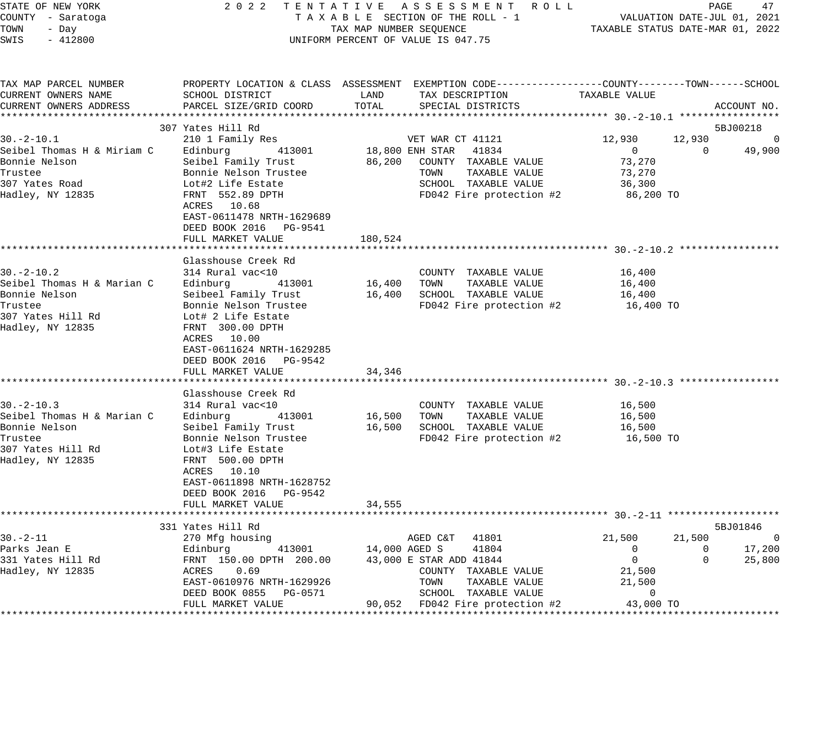| STATE OF NEW YORK<br>COUNTY - Saratoga<br>TOWN<br>- Day<br>SWIS<br>$-412800$                                       |                                                                                                                                                                                                    | TAX MAP NUMBER SEQUENCE | 2022 TENTATIVE ASSESSMENT ROLL<br>TAXABLE SECTION OF THE ROLL - 1<br>UNIFORM PERCENT OF VALUE IS 047.75                                 | VALUATION DATE-JUL 01, 2021<br>TAXABLE STATUS DATE-MAR 01, 2022               | PAGE                     | 47                                 |
|--------------------------------------------------------------------------------------------------------------------|----------------------------------------------------------------------------------------------------------------------------------------------------------------------------------------------------|-------------------------|-----------------------------------------------------------------------------------------------------------------------------------------|-------------------------------------------------------------------------------|--------------------------|------------------------------------|
| TAX MAP PARCEL NUMBER<br>CURRENT OWNERS NAME<br>CURRENT OWNERS ADDRESS                                             | SCHOOL DISTRICT<br>PARCEL SIZE/GRID COORD                                                                                                                                                          | LAND<br>TOTAL           | PROPERTY LOCATION & CLASS ASSESSMENT EXEMPTION CODE---------------COUNTY-------TOWN------SCHOOL<br>TAX DESCRIPTION<br>SPECIAL DISTRICTS | TAXABLE VALUE                                                                 |                          | ACCOUNT NO.                        |
|                                                                                                                    |                                                                                                                                                                                                    |                         |                                                                                                                                         |                                                                               |                          |                                    |
|                                                                                                                    | 307 Yates Hill Rd                                                                                                                                                                                  |                         |                                                                                                                                         |                                                                               |                          | 5BJ00218                           |
| $30. -2 - 10.1$<br>Seibel Thomas H & Miriam C<br>Bonnie Nelson<br>Trustee                                          | 210 1 Family Res<br>413001<br>Edinburg<br>Seibel Family Trust<br>Bonnie Nelson Trustee                                                                                                             |                         | VET WAR CT 41121<br>18,800 ENH STAR 41834<br>86,200 COUNTY TAXABLE VALUE<br>TOWN<br>TAXABLE VALUE                                       | 12,930<br>$\overline{0}$<br>73,270<br>73,270                                  | 12,930<br>$\overline{0}$ | $\overline{0}$<br>49,900           |
| 307 Yates Road<br>Hadley, NY 12835                                                                                 | Lot#2 Life Estate<br>FRNT 552.89 DPTH<br>ACRES 10.68<br>EAST-0611478 NRTH-1629689                                                                                                                  |                         | SCHOOL TAXABLE VALUE<br>FD042 Fire protection #2                                                                                        | 36,300<br>86,200 TO                                                           |                          |                                    |
|                                                                                                                    | DEED BOOK 2016 PG-9541<br>FULL MARKET VALUE                                                                                                                                                        | 180,524                 |                                                                                                                                         |                                                                               |                          |                                    |
|                                                                                                                    | Glasshouse Creek Rd                                                                                                                                                                                |                         |                                                                                                                                         |                                                                               |                          |                                    |
| $30 - 2 - 10.2$<br>Seibel Thomas H & Marian C<br>Bonnie Nelson<br>Trustee                                          | 314 Rural vac<10<br>Edinburg<br>413001<br>Seibeel Family Trust<br>Bonnie Nelson Trustee                                                                                                            | 16,400 TOWN             | COUNTY TAXABLE VALUE<br>TAXABLE VALUE<br>16,400 SCHOOL TAXABLE VALUE<br>FD042 Fire protection #2                                        | 16,400<br>16,400<br>16,400<br>16,400 TO                                       |                          |                                    |
| 307 Yates Hill Rd<br>Hadley, NY 12835                                                                              | Lot# 2 Life Estate<br>FRNT 300.00 DPTH<br>ACRES 10.00<br>EAST-0611624 NRTH-1629285<br>DEED BOOK 2016 PG-9542<br>FULL MARKET VALUE                                                                  | 34,346                  |                                                                                                                                         |                                                                               |                          |                                    |
|                                                                                                                    |                                                                                                                                                                                                    |                         |                                                                                                                                         |                                                                               |                          |                                    |
| $30 - 2 - 10.3$<br>Seibel Thomas H & Marian C<br>Bonnie Nelson<br>Trustee<br>307 Yates Hill Rd<br>Hadley, NY 12835 | Glasshouse Creek Rd<br>314 Rural vac<10<br>Edinburg<br>413001<br>Seibel Family Trust<br>Bonnie Nelson Trustee<br>Lot#3 Life Estate<br>FRNT 500.00 DPTH<br>ACRES 10.10<br>EAST-0611898 NRTH-1628752 | 16,500 TOWN             | COUNTY TAXABLE VALUE<br>TAXABLE VALUE<br>16,500 SCHOOL TAXABLE VALUE<br>FD042 Fire protection #2                                        | 16,500<br>16,500<br>16,500<br>16,500 TO                                       |                          |                                    |
|                                                                                                                    | DEED BOOK 2016 PG-9542                                                                                                                                                                             |                         |                                                                                                                                         |                                                                               |                          |                                    |
|                                                                                                                    | FULL MARKET VALUE                                                                                                                                                                                  | 34,555                  |                                                                                                                                         |                                                                               |                          |                                    |
|                                                                                                                    | 331 Yates Hill Rd                                                                                                                                                                                  |                         |                                                                                                                                         |                                                                               |                          | 5BJ01846                           |
| $30. - 2 - 11$<br>Parks Jean E<br>331 Yates Hill Rd<br>Hadley, NY 12835                                            | 270 Mfg housing<br>Edinburg 413001<br>FRNT 150.00 DPTH 200.00<br>413001<br>ACRES 0.69<br>EAST-0610976 NRTH-1629926<br>DEED BOOK 0855 PG-0571                                                       | 14,000 AGED S           | AGED C&T<br>41801<br>41804<br>43,000 E STAR ADD 41844<br>COUNTY TAXABLE VALUE<br>TOWN<br>TAXABLE VALUE<br>SCHOOL TAXABLE VALUE          | 21,500<br>$\overline{0}$<br>$\overline{0}$<br>21,500<br>21,500<br>$\mathbf 0$ | 21,500<br>$\Omega$<br>0  | $\overline{0}$<br>17,200<br>25,800 |
|                                                                                                                    | FULL MARKET VALUE                                                                                                                                                                                  |                         | 90,052 FD042 Fire protection #2 43,000 TO                                                                                               |                                                                               |                          |                                    |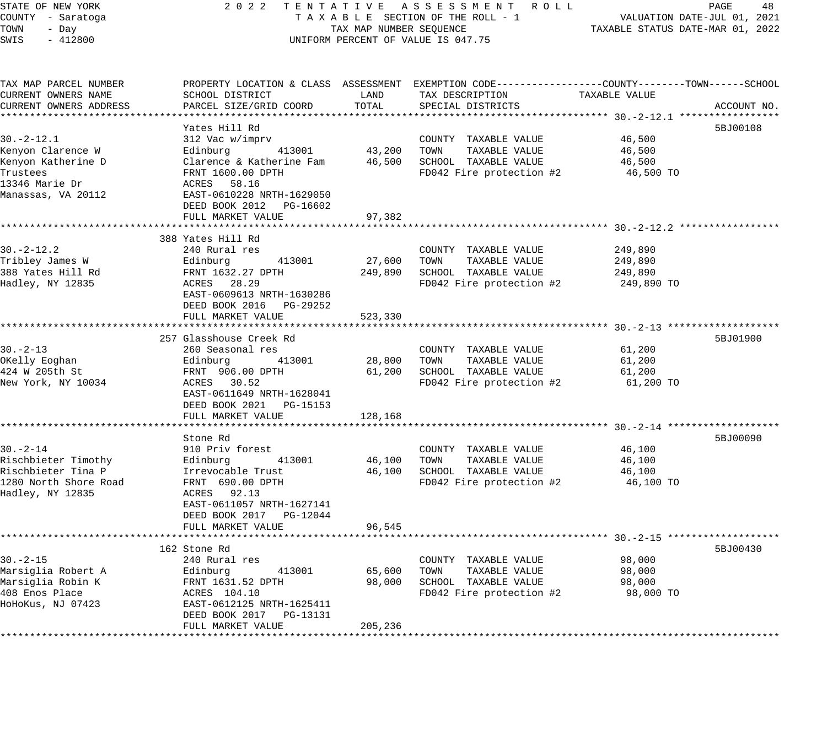| STATE OF NEW YORK                           | 2 0 2 2                                     |         | TENTATIVE ASSESSMENT ROLL                                                                        |                                           | PAGE<br>48                  |  |
|---------------------------------------------|---------------------------------------------|---------|--------------------------------------------------------------------------------------------------|-------------------------------------------|-----------------------------|--|
| COUNTY - Saratoga                           |                                             |         | TAXABLE SECTION OF THE ROLL - 1                                                                  |                                           | VALUATION DATE-JUL 01, 2021 |  |
| TOWN<br>- Day                               | TAX MAP NUMBER SEQUENCE                     |         |                                                                                                  | TAXABLE STATUS DATE-MAR 01, 2022          |                             |  |
| SWIS<br>$-412800$                           |                                             |         | UNIFORM PERCENT OF VALUE IS 047.75                                                               |                                           |                             |  |
|                                             |                                             |         |                                                                                                  |                                           |                             |  |
| TAX MAP PARCEL NUMBER                       |                                             |         | PROPERTY LOCATION & CLASS ASSESSMENT EXEMPTION CODE----------------COUNTY-------TOWN------SCHOOL |                                           |                             |  |
| CURRENT OWNERS NAME                         | SCHOOL DISTRICT                             | LAND    | TAX DESCRIPTION                                                                                  | TAXABLE VALUE                             |                             |  |
| CURRENT OWNERS ADDRESS                      | PARCEL SIZE/GRID COORD                      | TOTAL   | SPECIAL DISTRICTS                                                                                |                                           | ACCOUNT NO.                 |  |
|                                             |                                             |         |                                                                                                  |                                           |                             |  |
|                                             | Yates Hill Rd                               |         |                                                                                                  |                                           | 5BJ00108                    |  |
| $30. -2 - 12.1$                             | 312 Vac w/imprv                             |         | COUNTY TAXABLE VALUE                                                                             | 46,500                                    |                             |  |
| Kenyon Clarence W                           | Edinburg<br>413001                          | 43,200  | TOWN<br>TAXABLE VALUE                                                                            | 46,500                                    |                             |  |
| Kenyon Katherine D                          | Clarence & Katherine Fam                    | 46,500  | SCHOOL TAXABLE VALUE                                                                             | 46,500                                    |                             |  |
| Trustees                                    | FRNT 1600.00 DPTH                           |         | FD042 Fire protection #2                                                                         | 46,500 TO                                 |                             |  |
| 13346 Marie Dr                              | ACRES 58.16                                 |         |                                                                                                  |                                           |                             |  |
| Manassas, VA 20112                          | EAST-0610228 NRTH-1629050                   |         |                                                                                                  |                                           |                             |  |
|                                             | DEED BOOK 2012 PG-16602                     |         |                                                                                                  |                                           |                             |  |
|                                             | FULL MARKET VALUE<br>********************** | 97,382  |                                                                                                  |                                           |                             |  |
|                                             | 388 Yates Hill Rd                           |         |                                                                                                  |                                           |                             |  |
| $30. -2 - 12.2$                             | 240 Rural res                               |         | COUNTY TAXABLE VALUE                                                                             | 249,890                                   |                             |  |
| Tribley James W                             | 413001<br>Edinburg                          | 27,600  | TOWN<br>TAXABLE VALUE                                                                            | 249,890                                   |                             |  |
| 388 Yates Hill Rd                           | FRNT 1632.27 DPTH                           | 249,890 | SCHOOL TAXABLE VALUE                                                                             | 249,890                                   |                             |  |
| Hadley, NY 12835                            | ACRES 28.29                                 |         | FD042 Fire protection #2                                                                         | 249,890 TO                                |                             |  |
|                                             | EAST-0609613 NRTH-1630286                   |         |                                                                                                  |                                           |                             |  |
|                                             | DEED BOOK 2016 PG-29252                     |         |                                                                                                  |                                           |                             |  |
|                                             | FULL MARKET VALUE                           | 523,330 |                                                                                                  |                                           |                             |  |
|                                             |                                             |         |                                                                                                  |                                           |                             |  |
|                                             | 257 Glasshouse Creek Rd                     |         |                                                                                                  |                                           | 5BJ01900                    |  |
| $30. -2 - 13$                               | 260 Seasonal res                            |         | COUNTY TAXABLE VALUE                                                                             | 61,200                                    |                             |  |
| OKelly Eoghan                               | Edinburg<br>413001                          | 28,800  | TAXABLE VALUE<br>TOWN                                                                            | 61,200                                    |                             |  |
| 424 W 205th St                              | FRNT 906.00 DPTH                            | 61,200  | SCHOOL TAXABLE VALUE                                                                             | 61,200                                    |                             |  |
| New York, NY 10034                          | ACRES 30.52                                 |         | FD042 Fire protection #2                                                                         | 61,200 TO                                 |                             |  |
|                                             | EAST-0611649 NRTH-1628041                   |         |                                                                                                  |                                           |                             |  |
|                                             | DEED BOOK 2021    PG-15153                  |         |                                                                                                  |                                           |                             |  |
|                                             | FULL MARKET VALUE                           | 128,168 |                                                                                                  |                                           |                             |  |
|                                             |                                             |         |                                                                                                  |                                           |                             |  |
|                                             | Stone Rd                                    |         |                                                                                                  |                                           | 5BJ00090                    |  |
| $30. - 2 - 14$                              | 910 Priv forest                             |         | COUNTY TAXABLE VALUE                                                                             | 46,100                                    |                             |  |
| Rischbieter Timothy                         | 413001<br>Edinburg                          | 46,100  | TOWN<br>TAXABLE VALUE                                                                            | 46,100                                    |                             |  |
| Rischbieter Tina P<br>1280 North Shore Road | Irrevocable Trust                           | 46,100  | SCHOOL TAXABLE VALUE<br>FD042 Fire protection #2                                                 | 46,100                                    |                             |  |
| Hadley, NY 12835                            | FRNT 690.00 DPTH<br>ACRES 92.13             |         |                                                                                                  | 46,100 TO                                 |                             |  |
|                                             | EAST-0611057 NRTH-1627141                   |         |                                                                                                  |                                           |                             |  |
|                                             | DEED BOOK 2017 PG-12044                     |         |                                                                                                  |                                           |                             |  |
|                                             | FULL MARKET VALUE                           | 96,545  |                                                                                                  |                                           |                             |  |
|                                             | ***********************                     |         |                                                                                                  | ********** 30. -2-15 ******************** |                             |  |
|                                             | 162 Stone Rd                                |         |                                                                                                  |                                           | 5BJ00430                    |  |
| $30. - 2 - 15$                              | 240 Rural res                               |         | COUNTY TAXABLE VALUE                                                                             | 98,000                                    |                             |  |
| Marsiglia Robert A                          | Edinburg<br>413001                          | 65,600  | TOWN<br>TAXABLE VALUE                                                                            | 98,000                                    |                             |  |
| Marsiglia Robin K                           | FRNT 1631.52 DPTH                           | 98,000  | SCHOOL TAXABLE VALUE                                                                             | 98,000                                    |                             |  |
| 408 Enos Place                              | ACRES 104.10                                |         | FD042 Fire protection #2                                                                         | 98,000 TO                                 |                             |  |
| HoHoKus, NJ 07423                           | EAST-0612125 NRTH-1625411                   |         |                                                                                                  |                                           |                             |  |
|                                             | DEED BOOK 2017 PG-13131                     |         |                                                                                                  |                                           |                             |  |
|                                             | FULL MARKET VALUE                           | 205,236 |                                                                                                  |                                           |                             |  |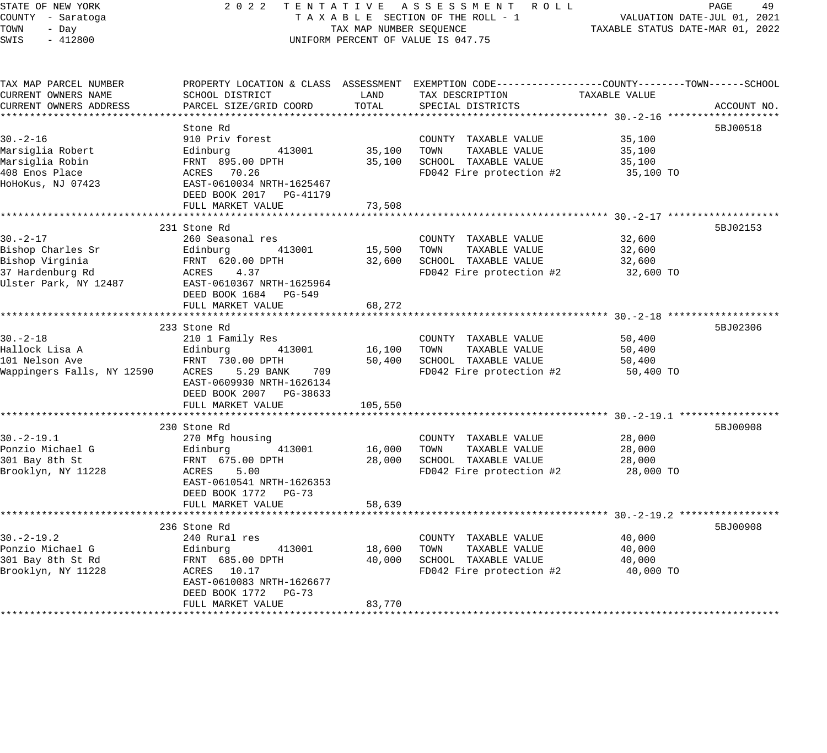## STATE OF NEW YORK 2 0 2 2 T E N T A T I V E A S S E S S M E N T R O L L PAGE 49 COUNTY - Saratoga T A X A B L E SECTION OF THE ROLL - 1 VALUATION DATE-JUL 01, 2021 X A B L E SECTION OF THE KOLL - 1 TAXABLE STATUS DATE-MAR 01, 2022 UNIFORM PERCENT OF VALUE IS 047.75

| TAX MAP PARCEL NUMBER                        |                           |             | PROPERTY LOCATION & CLASS ASSESSMENT EXEMPTION CODE---------------COUNTY-------TOWN------SCHOOL |               |             |
|----------------------------------------------|---------------------------|-------------|-------------------------------------------------------------------------------------------------|---------------|-------------|
| CURRENT OWNERS NAME                          | SCHOOL DISTRICT           | LAND        | TAX DESCRIPTION                                                                                 | TAXABLE VALUE |             |
| CURRENT OWNERS ADDRESS                       | PARCEL SIZE/GRID COORD    | TOTAL       | SPECIAL DISTRICTS                                                                               |               | ACCOUNT NO. |
|                                              |                           |             |                                                                                                 |               |             |
|                                              | Stone Rd                  |             |                                                                                                 |               | 5BJ00518    |
| $30. - 2 - 16$                               | 910 Priv forest           |             | COUNTY TAXABLE VALUE                                                                            | 35,100        |             |
| Marsiglia Robert                             | 413001<br>Edinburg        |             | 35,100 TOWN TAXABLE VALUE                                                                       | 35,100        |             |
| Marsiglia Robin                              | FRNT 895.00 DPTH          |             | 35,100 SCHOOL TAXABLE VALUE                                                                     | 35,100        |             |
| 408 Enos Place                               | ACRES 70.26               |             | FD042 Fire protection $#2$ 35,100 TO                                                            |               |             |
| HoHoKus, NJ 07423                            | EAST-0610034 NRTH-1625467 |             |                                                                                                 |               |             |
|                                              | DEED BOOK 2017 PG-41179   |             |                                                                                                 |               |             |
|                                              | FULL MARKET VALUE         | 73,508      |                                                                                                 |               |             |
|                                              |                           |             |                                                                                                 |               |             |
|                                              | 231 Stone Rd              |             |                                                                                                 |               | 5BJ02153    |
| $30. - 2 - 17$                               | 260 Seasonal res          |             | COUNTY TAXABLE VALUE                                                                            | 32,600        |             |
| Bishop Charles Sr                            | Edinburg 413001           |             | 15,500 TOWN<br>TAXABLE VALUE                                                                    | 32,600        |             |
| Bishop Virginia                              | FRNT 620.00 DPTH          |             | 32,600 SCHOOL TAXABLE VALUE                                                                     | 32,600        |             |
| 37 Hardenburg Rd                             | ACRES 4.37                |             | FD042 Fire protection #2                                                                        | 32,600 TO     |             |
| Ulster Park, NY 12487                        | EAST-0610367 NRTH-1625964 |             |                                                                                                 |               |             |
|                                              | DEED BOOK 1684 PG-549     |             |                                                                                                 |               |             |
|                                              |                           |             |                                                                                                 |               |             |
|                                              | FULL MARKET VALUE         | 68,272      |                                                                                                 |               |             |
|                                              |                           |             |                                                                                                 |               | 5BJ02306    |
|                                              | 233 Stone Rd              |             |                                                                                                 |               |             |
| $30. - 2 - 18$                               | 210 1 Family Res          |             | COUNTY TAXABLE VALUE                                                                            | 50,400        |             |
| Hallock Lisa A                               | 413001<br>Edinburg        |             | 16,100 TOWN<br>TAXABLE VALUE                                                                    | 50,400        |             |
| 101 Nelson Ave<br>Wappingers Falls, NY 12590 | FRNT 730.00 DPTH          |             | 50,400 SCHOOL TAXABLE VALUE                                                                     | 50,400        |             |
|                                              | ACRES 5.29 BANK<br>709    |             | FD042 Fire protection #2                                                                        | 50,400 TO     |             |
|                                              | EAST-0609930 NRTH-1626134 |             |                                                                                                 |               |             |
|                                              | DEED BOOK 2007 PG-38633   |             |                                                                                                 |               |             |
|                                              | FULL MARKET VALUE         | 105,550     |                                                                                                 |               |             |
|                                              |                           |             |                                                                                                 |               |             |
|                                              | 230 Stone Rd              |             |                                                                                                 |               | 5BJ00908    |
| $30. -2 - 19.1$                              | 270 Mfg housing           |             | COUNTY TAXABLE VALUE                                                                            | 28,000        |             |
| Ponzio Michael G                             | 413001<br>Edinburg        | 16,000 TOWN | TAXABLE VALUE                                                                                   | 28,000        |             |
| 301 Bay 8th St                               | FRNT 675.00 DPTH          | 28,000      | SCHOOL TAXABLE VALUE                                                                            | 28,000        |             |
| Brooklyn, NY 11228                           | 5.00<br>ACRES             |             | FD042 Fire protection #2                                                                        | 28,000 TO     |             |
|                                              | EAST-0610541 NRTH-1626353 |             |                                                                                                 |               |             |
|                                              | DEED BOOK 1772 PG-73      |             |                                                                                                 |               |             |
|                                              | FULL MARKET VALUE         | 58,639      |                                                                                                 |               |             |
|                                              |                           |             |                                                                                                 |               |             |
|                                              | 236 Stone Rd              |             |                                                                                                 |               | 5BJ00908    |
| $30. -2 - 19.2$                              | 240 Rural res             |             | COUNTY TAXABLE VALUE                                                                            | 40,000        |             |
| Ponzio Michael G                             | 413001<br>Edinburg        | 18,600      | TOWN<br>TAXABLE VALUE                                                                           | 40,000        |             |
| 301 Bay 8th St Rd                            | FRNT 685.00 DPTH          | 40,000      | SCHOOL TAXABLE VALUE                                                                            | 40,000        |             |
| Brooklyn, NY 11228                           | ACRES 10.17               |             | FD042 Fire protection #2                                                                        | 40,000 TO     |             |
|                                              | EAST-0610083 NRTH-1626677 |             |                                                                                                 |               |             |
|                                              | DEED BOOK 1772 PG-73      |             |                                                                                                 |               |             |
|                                              | FULL MARKET VALUE         | 83,770      |                                                                                                 |               |             |
|                                              |                           |             |                                                                                                 |               |             |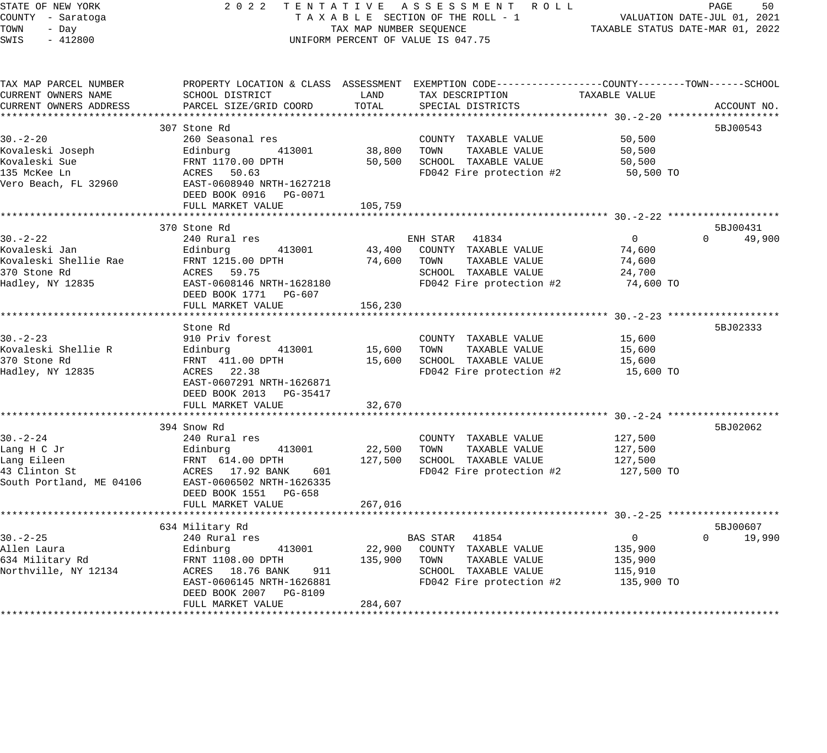## STATE OF NEW YORK 2 0 2 2 T E N T A T I V E A S S E S S M E N T R O L L PAGE 50 COUNTY - Saratoga T A X A B L E SECTION OF THE ROLL - 1 VALUATION DATE-JUL 01, 2021 TAX A B L E SECTION OF THE ROLL - 1<br>TAX MAP NUMBER SEQUENCE TAXABLE STATUS DATE-MAR 01, 2022 UNIFORM PERCENT OF VALUE IS 047.75

| TAX MAP PARCEL NUMBER<br>CURRENT OWNERS NAME               | PROPERTY LOCATION & CLASS ASSESSMENT EXEMPTION CODE---------------COUNTY-------TOWN------SCHOOL<br>SCHOOL DISTRICT | LAND        | TAX DESCRIPTION                      | TAXABLE VALUE  |                    |
|------------------------------------------------------------|--------------------------------------------------------------------------------------------------------------------|-------------|--------------------------------------|----------------|--------------------|
| CURRENT OWNERS ADDRESS                                     | PARCEL SIZE/GRID COORD                                                                                             | TOTAL       | SPECIAL DISTRICTS                    |                | ACCOUNT NO.        |
|                                                            | 307 Stone Rd                                                                                                       |             |                                      |                | 5BJ00543           |
| $30 - 2 - 20$                                              | 260 Seasonal res                                                                                                   |             | COUNTY TAXABLE VALUE                 | 50,500         |                    |
| Kovaleski Joseph                                           | 413001<br>Edinburg                                                                                                 | 38,800      | TOWN<br>TAXABLE VALUE                | 50,500         |                    |
| Kovaleski Sue                                              | FRNT 1170.00 DPTH                                                                                                  | 50,500      | SCHOOL TAXABLE VALUE                 | 50,500         |                    |
| 135 McKee Ln                                               | ACRES 50.63                                                                                                        |             | FD042 Fire protection $#2$ 50,500 TO |                |                    |
| Vero Beach, FL 32960                                       | EAST-0608940 NRTH-1627218                                                                                          |             |                                      |                |                    |
|                                                            | DEED BOOK 0916    PG-0071                                                                                          |             |                                      |                |                    |
|                                                            | FULL MARKET VALUE                                                                                                  | 105,759     |                                      |                |                    |
|                                                            |                                                                                                                    |             |                                      |                |                    |
|                                                            | 370 Stone Rd                                                                                                       |             |                                      |                | 5BJ00431           |
| $30. - 2 - 22$                                             | 240 Rural res                                                                                                      |             | ENH STAR 41834                       | $\overline{0}$ | $\Omega$<br>49,900 |
| Kovaleski Jan                                              | Edinburg 413001                                                                                                    |             | 43,400 COUNTY TAXABLE VALUE          | 74,600         |                    |
| Kovaleski Shellie Rae                                      | FRNT 1215.00 DPTH                                                                                                  | 74,600      | TOWN<br>TAXABLE VALUE                | 74,600         |                    |
| 370 Stone Rd                                               | ACRES 59.75                                                                                                        |             | SCHOOL TAXABLE VALUE                 | 24,700         |                    |
| Hadley, NY 12835                                           | EAST-0608146 NRTH-1628180                                                                                          |             | FD042 Fire protection #2             | 74,600 TO      |                    |
|                                                            | DEED BOOK 1771 PG-607<br>FULL MARKET VALUE                                                                         | 156,230     |                                      |                |                    |
|                                                            |                                                                                                                    |             |                                      |                |                    |
|                                                            | Stone Rd                                                                                                           |             |                                      |                | 5BJ02333           |
| $30. - 2 - 23$                                             | 910 Priv forest                                                                                                    |             | COUNTY TAXABLE VALUE                 | 15,600         |                    |
| Kovaleski Shellie R                                        | Edinburg 413001                                                                                                    | 15,600 TOWN | TAXABLE VALUE                        | 15,600         |                    |
| 370 Stone Rd                                               | FRNT 411.00 DPTH                                                                                                   |             | 15,600 SCHOOL TAXABLE VALUE          | 15,600         |                    |
| Hadley, NY 12835                                           | ACRES 22.38                                                                                                        |             | FD042 Fire protection #2             | 15,600 TO      |                    |
|                                                            | EAST-0607291 NRTH-1626871                                                                                          |             |                                      |                |                    |
|                                                            | DEED BOOK 2013 PG-35417                                                                                            |             |                                      |                |                    |
|                                                            | FULL MARKET VALUE                                                                                                  | 32,670      |                                      |                |                    |
|                                                            |                                                                                                                    |             |                                      |                |                    |
|                                                            | 394 Snow Rd                                                                                                        |             |                                      |                | 5BJ02062           |
| $30. -2 - 24$                                              | 240 Rural res                                                                                                      |             | COUNTY TAXABLE VALUE                 | 127,500        |                    |
| Lang H C Jr                                                | 413001<br>Edinburg                                                                                                 | 22,500      | TOWN<br>TAXABLE VALUE                | 127,500        |                    |
| Lang Eileen                                                | FRNT 614.00 DPTH                                                                                                   | 127,500     | SCHOOL TAXABLE VALUE                 | 127,500        |                    |
| 13 Clinton St<br>43 Clinton St<br>South Portland, ME 04106 | ACRES 17.92 BANK<br>601<br>EAST-0606502 NRTH-1626335                                                               |             | FD042 Fire protection #2             | 127,500 TO     |                    |
|                                                            | DEED BOOK 1551 PG-658                                                                                              |             |                                      |                |                    |
|                                                            | FULL MARKET VALUE                                                                                                  | 267,016     |                                      |                |                    |
|                                                            |                                                                                                                    |             |                                      |                |                    |
|                                                            | 634 Military Rd                                                                                                    |             |                                      |                | 5BJ00607           |
| $30. - 2 - 25$                                             | 240 Rural res                                                                                                      |             | BAS STAR 41854                       | $\overline{0}$ | $0 \t 19,990$      |
| Allen Laura                                                | 413001<br>Edinburg                                                                                                 |             | 22,900 COUNTY TAXABLE VALUE          | 135,900        |                    |
| 634 Military Rd                                            | FRNT 1108.00 DPTH                                                                                                  | 135,900     | TOWN<br>TAXABLE VALUE                | 135,900        |                    |
| Northville, NY 12134                                       | ACRES 18.76 BANK 911                                                                                               |             | SCHOOL TAXABLE VALUE                 | 115,910        |                    |
|                                                            | EAST-0606145 NRTH-1626881                                                                                          |             | FD042 Fire protection #2             | 135,900 TO     |                    |
|                                                            | DEED BOOK 2007 PG-8109                                                                                             |             |                                      |                |                    |
|                                                            | FULL MARKET VALUE                                                                                                  | 284,607     |                                      |                |                    |
|                                                            |                                                                                                                    |             |                                      |                |                    |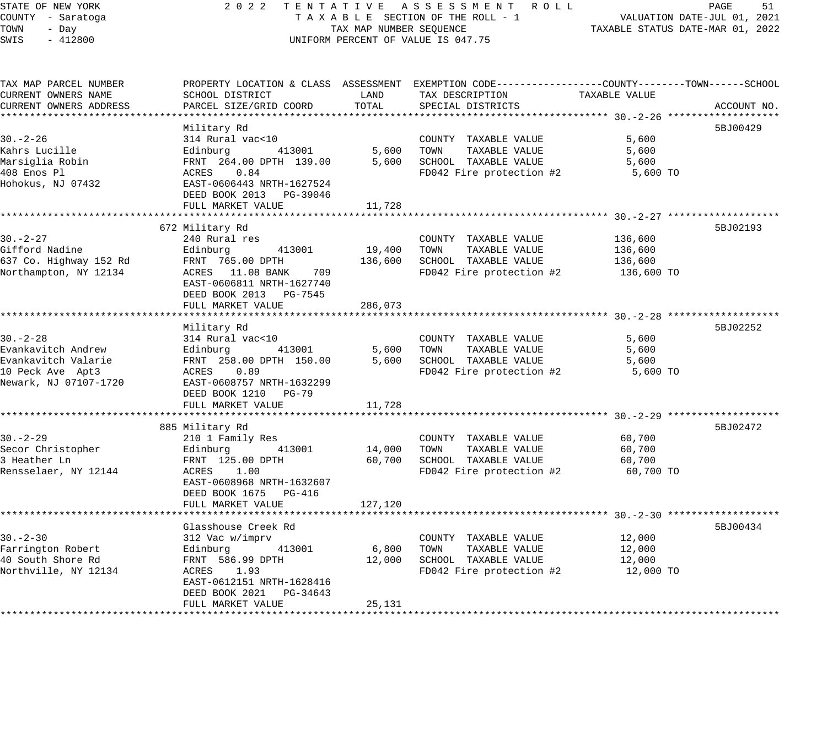# STATE OF NEW YORK 2 0 2 2 T E N T A T I V E A S S E S S M E N T R O L L PAGE 51 COUNTY - Saratoga T A X A B L E SECTION OF THE ROLL - 1 VALUATION DATE-JUL 01, 2021 TAX A B L E SECTION OF THE ROLL - 1<br>TAXABLE STATUS DATE-MAR 01, 2022<br>TAXABLE STATUS DATE-MAR 01, 2022 UNIFORM PERCENT OF VALUE IS 047.75

| TAX MAP PARCEL NUMBER<br>CURRENT OWNERS NAME<br>CURRENT OWNERS ADDRESS | SCHOOL DISTRICT<br>PARCEL SIZE/GRID COORD | LAND<br>TOTAL | PROPERTY LOCATION & CLASS ASSESSMENT EXEMPTION CODE---------------COUNTY-------TOWN------SCHOOL<br>TAX DESCRIPTION<br>SPECIAL DISTRICTS | TAXABLE VALUE | ACCOUNT NO. |
|------------------------------------------------------------------------|-------------------------------------------|---------------|-----------------------------------------------------------------------------------------------------------------------------------------|---------------|-------------|
|                                                                        |                                           |               |                                                                                                                                         |               |             |
|                                                                        | Military Rd                               |               |                                                                                                                                         |               | 5BJ00429    |
| $30. - 2 - 26$                                                         | 314 Rural vac<10                          |               | COUNTY TAXABLE VALUE                                                                                                                    | 5,600         |             |
| Kahrs Lucille                                                          | Edinburg<br>413001                        | 5,600         | TOWN<br>TAXABLE VALUE                                                                                                                   | 5,600         |             |
| Marsiglia Robin                                                        | FRNT 264.00 DPTH 139.00                   | 5,600         | SCHOOL TAXABLE VALUE                                                                                                                    | 5,600         |             |
| 408 Enos Pl                                                            | ACRES 0.84                                |               | FD042 Fire protection #2                                                                                                                | 5,600 TO      |             |
| Hohokus, NJ 07432                                                      | EAST-0606443 NRTH-1627524                 |               |                                                                                                                                         |               |             |
|                                                                        | DEED BOOK 2013 PG-39046                   |               |                                                                                                                                         |               |             |
|                                                                        | FULL MARKET VALUE                         | 11,728        |                                                                                                                                         |               |             |
|                                                                        |                                           |               |                                                                                                                                         |               |             |
|                                                                        | 672 Military Rd                           |               |                                                                                                                                         |               | 5BJ02193    |
| $30. - 2 - 27$                                                         | 240 Rural res                             |               | COUNTY TAXABLE VALUE                                                                                                                    | 136,600       |             |
| Gifford Nadine                                                         | 413001<br>Edinburg                        | 19,400        | TOWN<br>TAXABLE VALUE                                                                                                                   | 136,600       |             |
| 637 Co. Highway 152 Rd                                                 | FRNT 765.00 DPTH                          | 136,600       | SCHOOL TAXABLE VALUE                                                                                                                    | 136,600       |             |
| Northampton, NY 12134                                                  | ACRES 11.08 BANK<br>709                   |               | FD042 Fire protection #2                                                                                                                | 136,600 TO    |             |
|                                                                        | EAST-0606811 NRTH-1627740                 |               |                                                                                                                                         |               |             |
|                                                                        | DEED BOOK 2013 PG-7545                    |               |                                                                                                                                         |               |             |
|                                                                        | FULL MARKET VALUE                         | 286,073       |                                                                                                                                         |               |             |
|                                                                        |                                           |               |                                                                                                                                         |               |             |
|                                                                        | Military Rd                               |               |                                                                                                                                         |               | 5BJ02252    |
| $30. - 2 - 28$                                                         | 314 Rural vac<10                          |               | COUNTY TAXABLE VALUE                                                                                                                    | 5,600         |             |
| Evankavitch Andrew                                                     | Edinburg<br>413001                        | 5,600         | TOWN<br>TAXABLE VALUE                                                                                                                   | 5,600         |             |
| Evankavitch Valarie                                                    | FRNT 258.00 DPTH 150.00                   | 5,600         | SCHOOL TAXABLE VALUE                                                                                                                    | 5,600         |             |
| 10 Peck Ave Apt3                                                       | ACRES 0.89                                |               | FD042 Fire protection #2                                                                                                                | 5,600 TO      |             |
| Newark, NJ 07107-1720                                                  | EAST-0608757 NRTH-1632299                 |               |                                                                                                                                         |               |             |
|                                                                        | DEED BOOK 1210 PG-79                      |               |                                                                                                                                         |               |             |
|                                                                        | FULL MARKET VALUE                         | 11,728        |                                                                                                                                         |               |             |
|                                                                        |                                           |               |                                                                                                                                         |               |             |
|                                                                        | 885 Military Rd                           |               |                                                                                                                                         |               | 5BJ02472    |
| $30. - 2 - 29$                                                         | 210 1 Family Res                          |               | COUNTY TAXABLE VALUE                                                                                                                    | 60,700        |             |
| Secor Christopher                                                      | 413001<br>Edinburg                        | 14,000        | TOWN<br>TAXABLE VALUE                                                                                                                   | 60,700        |             |
| 3 Heather Ln                                                           | FRNT 125.00 DPTH                          | 60,700        | SCHOOL TAXABLE VALUE                                                                                                                    | 60,700        |             |
| Rensselaer, NY 12144                                                   | 1.00<br>ACRES                             |               | FD042 Fire protection #2                                                                                                                | 60,700 TO     |             |
|                                                                        | EAST-0608968 NRTH-1632607                 |               |                                                                                                                                         |               |             |
|                                                                        | DEED BOOK 1675 PG-416                     |               |                                                                                                                                         |               |             |
|                                                                        | FULL MARKET VALUE                         | 127,120       |                                                                                                                                         |               |             |
|                                                                        |                                           |               |                                                                                                                                         |               |             |
|                                                                        | Glasshouse Creek Rd                       |               |                                                                                                                                         |               | 5BJ00434    |
| $30 - 2 - 30$                                                          | 312 Vac w/imprv                           |               | COUNTY TAXABLE VALUE                                                                                                                    | 12,000        |             |
| Farrington Robert                                                      | 413001<br>Edinburg                        | 6,800         | TOWN<br>TAXABLE VALUE                                                                                                                   | 12,000        |             |
| 40 South Shore Rd                                                      | FRNT 586.99 DPTH                          | 12,000        | SCHOOL TAXABLE VALUE                                                                                                                    | 12,000        |             |
| Northville, NY 12134                                                   | ACRES 1.93                                |               | FD042 Fire protection #2                                                                                                                | 12,000 TO     |             |
|                                                                        | EAST-0612151 NRTH-1628416                 |               |                                                                                                                                         |               |             |
|                                                                        | DEED BOOK 2021<br>PG-34643                |               |                                                                                                                                         |               |             |
|                                                                        | FULL MARKET VALUE                         | 25,131        |                                                                                                                                         |               |             |
|                                                                        |                                           |               |                                                                                                                                         |               |             |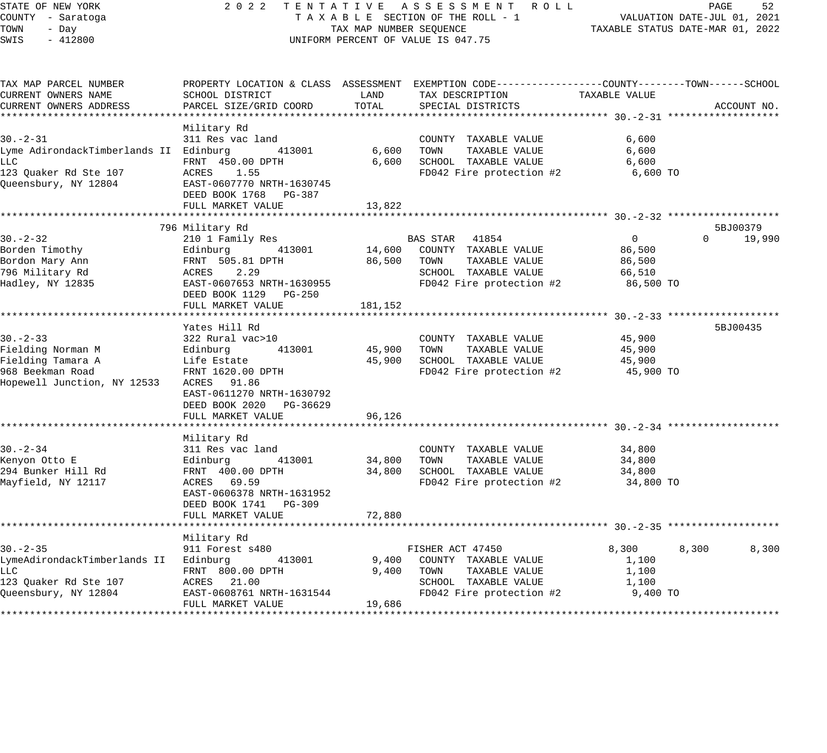# STATE OF NEW YORK 2 0 2 2 T E N T A T I V E A S S E S S M E N T R O L L PAGE 52 COUNTY - Saratoga T A X A B L E SECTION OF THE ROLL - 1 VALUATION DATE-JUL 01, 2021 TAX A B L E SECTION OF THE ROLL - 1<br>TAX MAP NUMBER SEQUENCE TAXABLE STATUS DATE-MAR 01, 2022 UNIFORM PERCENT OF VALUE IS 047.75

| TAX MAP PARCEL NUMBER<br>CURRENT OWNERS NAME<br>CURRENT OWNERS ADDRESS                                                 | SCHOOL DISTRICT<br>PARCEL SIZE/GRID COORD                                                                                                               | LAND<br>TOTAL               | PROPERTY LOCATION & CLASS ASSESSMENT EXEMPTION CODE---------------COUNTY-------TOWN------SCHOOL<br>TAX DESCRIPTION<br>SPECIAL DISTRICTS | TAXABLE VALUE                                             | ACCOUNT NO.        |
|------------------------------------------------------------------------------------------------------------------------|---------------------------------------------------------------------------------------------------------------------------------------------------------|-----------------------------|-----------------------------------------------------------------------------------------------------------------------------------------|-----------------------------------------------------------|--------------------|
| $30. - 2 - 31$<br>Lyme AdirondackTimberlands II Edinburg<br>LLC<br>123 Ouaker Rd Ste 107<br>Queensbury, NY 12804       | Military Rd<br>311 Res vac land<br>413001<br>FRNT 450.00 DPTH<br>ACRES 1.55<br>EAST-0607770 NRTH-1630745<br>DEED BOOK 1768 PG-387<br>FULL MARKET VALUE  | 6,600<br>6,600<br>13,822    | COUNTY TAXABLE VALUE<br>TOWN<br>TAXABLE VALUE<br>SCHOOL TAXABLE VALUE<br>FD042 Fire protection #2                                       | 6,600<br>6,600<br>6,600<br>6,600 TO                       |                    |
|                                                                                                                        | 796 Military Rd                                                                                                                                         |                             |                                                                                                                                         |                                                           | 5BJ00379           |
| $30 - 2 - 32$<br>Borden Timothy<br>Bordon Mary Ann<br>796 Military Rd<br>Hadley, NY 12835                              | 210 1 Family Res<br>Edinburg<br>413001<br>FRNT 505.81 DPTH<br>ACRES 2.29<br>EAST-0607653 NRTH-1630955<br>DEED BOOK 1129<br>PG-250<br>FULL MARKET VALUE  | 14,600<br>86,500<br>181,152 | BAS STAR 41854<br>COUNTY TAXABLE VALUE<br>TOWN<br>TAXABLE VALUE<br>SCHOOL TAXABLE VALUE<br>FD042 Fire protection #2                     | $\overline{0}$<br>86,500<br>86,500<br>66,510<br>86,500 TO | $\Omega$<br>19,990 |
|                                                                                                                        | Yates Hill Rd                                                                                                                                           |                             |                                                                                                                                         |                                                           | 5BJ00435           |
| $30 - 2 - 33$<br>Fielding Norman M<br>Fielding Tamara A<br>968 Beekman Road<br>Hopewell Junction, NY 12533 ACRES 91.86 | 322 Rural vac>10<br>413001<br>Edinburg<br>Life Estate<br>FRNT 1620.00 DPTH<br>EAST-0611270 NRTH-1630792<br>DEED BOOK 2020 PG-36629<br>FULL MARKET VALUE | 45,900<br>45,900<br>96,126  | COUNTY TAXABLE VALUE<br>TOWN<br>TAXABLE VALUE<br>SCHOOL TAXABLE VALUE<br>FD042 Fire protection #2                                       | 45,900<br>45,900<br>45,900<br>45,900 TO                   |                    |
|                                                                                                                        | Military Rd                                                                                                                                             |                             |                                                                                                                                         |                                                           |                    |
| $30 - 2 - 34$<br>Kenyon Otto E<br>294 Bunker Hill Rd<br>Mayfield, NY 12117                                             | 311 Res vac land<br>413001<br>Edinburg<br>FRNT 400.00 DPTH<br>ACRES 69.59<br>EAST-0606378 NRTH-1631952<br>DEED BOOK 1741 PG-309<br>FULL MARKET VALUE    | 34,800<br>34,800<br>72,880  | COUNTY TAXABLE VALUE<br>TOWN<br>TAXABLE VALUE<br>SCHOOL TAXABLE VALUE<br>FD042 Fire protection #2                                       | 34,800<br>34,800<br>34,800<br>34,800 TO                   |                    |
|                                                                                                                        |                                                                                                                                                         |                             |                                                                                                                                         |                                                           |                    |
| $30 - 2 - 35$<br>LymeAdirondackTimberlands II Edinburg<br>LLC<br>123 Ouaker Rd Ste 107<br>Oueensbury, NY 12804         | Military Rd<br>911 Forest s480<br>413001<br>FRNT 800.00 DPTH<br>ACRES 21.00<br>EAST-0608761 NRTH-1631544                                                | 9,400<br>9,400              | FISHER ACT 47450<br>COUNTY TAXABLE VALUE<br>TOWN<br>TAXABLE VALUE<br>SCHOOL TAXABLE VALUE<br>FD042 Fire protection #2                   | 8,300<br>1,100<br>1,100<br>1,100<br>9,400 TO              | 8,300<br>8,300     |
|                                                                                                                        | FULL MARKET VALUE                                                                                                                                       | 19,686                      |                                                                                                                                         |                                                           |                    |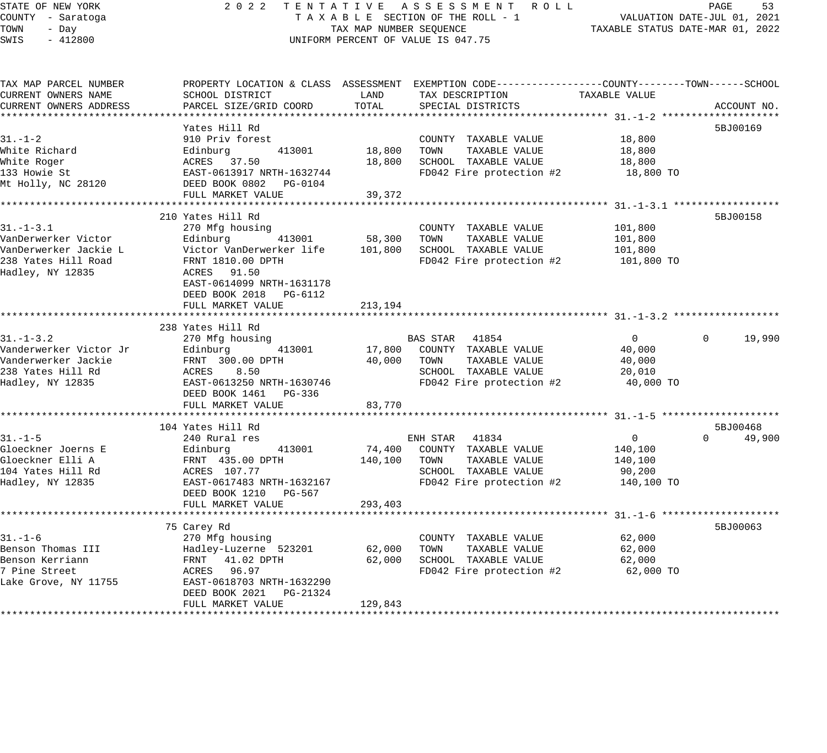# STATE OF NEW YORK 2 0 2 2 T E N T A T I V E A S S E S S M E N T R O L L PAGE 53 COUNTY - Saratoga T A X A B L E SECTION OF THE ROLL - 1 VALUATION DATE-JUL 01, 2021 TAX A B L E SECTION OF THE ROLL - 1<br>TAXABLE STATUS DATE-MAR 01, 2022 UNIFORM PERCENT OF VALUE IS 047.75

| TAX MAP PARCEL NUMBER<br>CURRENT OWNERS NAME                                                              | PROPERTY LOCATION & CLASS ASSESSMENT EXEMPTION CODE----------------COUNTY-------TOWN------SCHOOL<br>SCHOOL DISTRICT                                                       | LAND                        | TAX DESCRIPTION                                                                                                        | TAXABLE VALUE                                                |                                |
|-----------------------------------------------------------------------------------------------------------|---------------------------------------------------------------------------------------------------------------------------------------------------------------------------|-----------------------------|------------------------------------------------------------------------------------------------------------------------|--------------------------------------------------------------|--------------------------------|
| CURRENT OWNERS ADDRESS                                                                                    | PARCEL SIZE/GRID COORD                                                                                                                                                    | TOTAL                       | SPECIAL DISTRICTS                                                                                                      |                                                              | ACCOUNT NO.                    |
| $31. - 1 - 2$                                                                                             | Yates Hill Rd<br>910 Priv forest                                                                                                                                          |                             | COUNTY TAXABLE VALUE                                                                                                   | 18,800                                                       | 5BJ00169                       |
| White Richard<br>White Roger<br>133 Howie St<br>Mt Holly, NC 28120                                        | 413001<br>Edinburg<br>ACRES 37.50<br>EAST-0613917 NRTH-1632744<br>DEED BOOK 0802 PG-0104                                                                                  | 18,800<br>18,800            | TOWN<br>TAXABLE VALUE<br>SCHOOL TAXABLE VALUE<br>FD042 Fire protection #2                                              | 18,800<br>18,800<br>18,800 TO                                |                                |
|                                                                                                           | FULL MARKET VALUE                                                                                                                                                         | 39,372                      |                                                                                                                        |                                                              |                                |
| $31. - 1 - 3.1$<br>VanDerwerker Victor<br>VanDerwerker Jackie L                                           | 210 Yates Hill Rd<br>270 Mfg housing<br>Edinburg<br>413001<br>Victor VanDerwerker life                                                                                    | 58,300<br>101,800           | COUNTY TAXABLE VALUE<br>TOWN<br>TAXABLE VALUE<br>SCHOOL TAXABLE VALUE                                                  | 101,800<br>101,800<br>101,800                                | 5BJ00158                       |
| 238 Yates Hill Road<br>Hadley, NY 12835                                                                   | FRNT 1810.00 DPTH<br>ACRES 91.50<br>EAST-0614099 NRTH-1631178<br>DEED BOOK 2018 PG-6112<br>FULL MARKET VALUE                                                              | 213,194                     | FD042 Fire protection #2                                                                                               | 101,800 TO                                                   |                                |
|                                                                                                           |                                                                                                                                                                           |                             |                                                                                                                        |                                                              |                                |
| $31. - 1 - 3.2$<br>Vanderwerker Victor Jr<br>Vanderwerker Jackie<br>238 Yates Hill Rd<br>Hadley, NY 12835 | 238 Yates Hill Rd<br>270 Mfg housing<br>Edinburg<br>413001<br>FRNT 300.00 DPTH<br>8.50<br>ACRES<br>EAST-0613250 NRTH-1630746                                              | 17,800<br>40,000            | BAS STAR<br>41854<br>COUNTY TAXABLE VALUE<br>TAXABLE VALUE<br>TOWN<br>SCHOOL TAXABLE VALUE<br>FD042 Fire protection #2 | $\mathbf{0}$<br>40,000<br>40,000<br>20,010<br>40,000 TO      | 19,990<br>$\Omega$             |
|                                                                                                           | DEED BOOK 1461 PG-336<br>FULL MARKET VALUE                                                                                                                                | 83,770                      |                                                                                                                        |                                                              |                                |
|                                                                                                           |                                                                                                                                                                           |                             |                                                                                                                        |                                                              |                                |
| $31. - 1 - 5$<br>Gloeckner Joerns E<br>Gloeckner Elli A<br>104 Yates Hill Rd<br>Hadley, NY 12835          | 104 Yates Hill Rd<br>240 Rural res<br>413001<br>Edinburg<br>FRNT 435.00 DPTH<br>ACRES 107.77<br>EAST-0617483 NRTH-1632167<br>DEED BOOK 1210 PG-567                        | 74,400<br>140,100           | ENH STAR 41834<br>COUNTY TAXABLE VALUE<br>TOWN<br>TAXABLE VALUE<br>SCHOOL TAXABLE VALUE<br>FD042 Fire protection #2    | $\overline{0}$<br>140,100<br>140,100<br>90,200<br>140,100 TO | 5BJ00468<br>$\Omega$<br>49,900 |
|                                                                                                           | FULL MARKET VALUE                                                                                                                                                         | 293,403                     |                                                                                                                        |                                                              |                                |
| $31. - 1 - 6$<br>Benson Thomas III<br>Benson Kerriann<br>7 Pine Street<br>Lake Grove, NY 11755            | 75 Carey Rd<br>270 Mfg housing<br>Hadley-Luzerne 523201<br>FRNT 41.02 DPTH<br>ACRES 96.97<br>EAST-0618703 NRTH-1632290<br>DEED BOOK 2021<br>PG-21324<br>FULL MARKET VALUE | 62,000<br>62,000<br>129,843 | COUNTY TAXABLE VALUE<br>TAXABLE VALUE<br>TOWN<br>SCHOOL TAXABLE VALUE<br>FD042 Fire protection #2                      | 62,000<br>62,000<br>62,000<br>62,000 TO                      | 5BJ00063                       |
|                                                                                                           |                                                                                                                                                                           |                             |                                                                                                                        |                                                              |                                |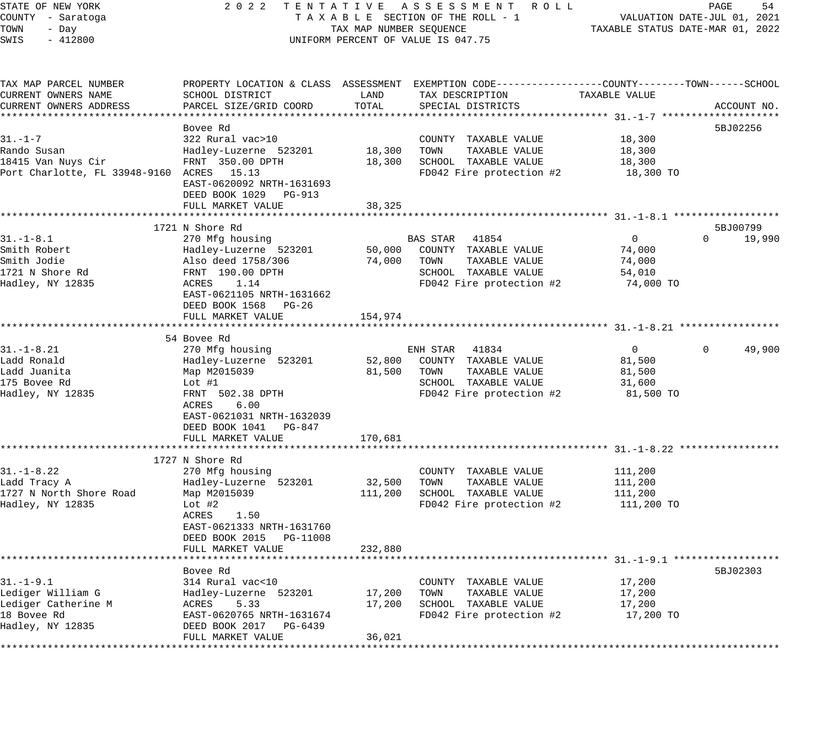# STATE OF NEW YORK 2 0 2 2 T E N T A T I V E A S S E S S M E N T R O L L PAGE 54 COUNTY - Saratoga T A X A B L E SECTION OF THE ROLL - 1 VALUATION DATE-JUL 01, 2021 UNIFORM PERCENT OF VALUE IS 047.75

| TAX MAP PARCEL NUMBER<br>CURRENT OWNERS NAME | PROPERTY LOCATION & CLASS ASSESSMENT EXEMPTION CODE----------------COUNTY-------TOWN------SCHOOL<br>SCHOOL DISTRICT | LAND    | TAX DESCRIPTION          | TAXABLE VALUE  |                    |
|----------------------------------------------|---------------------------------------------------------------------------------------------------------------------|---------|--------------------------|----------------|--------------------|
| CURRENT OWNERS ADDRESS                       | PARCEL SIZE/GRID COORD                                                                                              | TOTAL   | SPECIAL DISTRICTS        |                | ACCOUNT NO.        |
|                                              |                                                                                                                     |         |                          |                |                    |
|                                              | Bovee Rd                                                                                                            |         |                          |                | 5BJ02256           |
| $31. - 1 - 7$                                | 322 Rural vac>10                                                                                                    |         | COUNTY TAXABLE VALUE     | 18,300         |                    |
| Rando Susan                                  | Hadley-Luzerne 523201                                                                                               | 18,300  | TOWN<br>TAXABLE VALUE    | 18,300         |                    |
| 18415 Van Nuys Cir                           | FRNT 350.00 DPTH                                                                                                    | 18,300  | SCHOOL TAXABLE VALUE     | 18,300         |                    |
| Port Charlotte, FL 33948-9160 ACRES 15.13    |                                                                                                                     |         | FD042 Fire protection #2 | 18,300 TO      |                    |
|                                              | EAST-0620092 NRTH-1631693                                                                                           |         |                          |                |                    |
|                                              | DEED BOOK 1029 PG-913                                                                                               |         |                          |                |                    |
|                                              | FULL MARKET VALUE                                                                                                   | 38,325  |                          |                |                    |
|                                              |                                                                                                                     |         |                          |                |                    |
|                                              | 1721 N Shore Rd                                                                                                     |         |                          |                | 5BJ00799           |
| $31. - 1 - 8.1$                              | 270 Mfg housing                                                                                                     |         | BAS STAR 41854           | $\overline{0}$ | $\Omega$<br>19,990 |
| Smith Robert                                 | Hadley-Luzerne 523201                                                                                               | 50,000  | COUNTY TAXABLE VALUE     | 74,000         |                    |
| Smith Jodie                                  | Also deed 1758/306                                                                                                  | 74,000  | TOWN<br>TAXABLE VALUE    | 74,000         |                    |
| 1721 N Shore Rd                              | FRNT 190.00 DPTH                                                                                                    |         | SCHOOL TAXABLE VALUE     | 54,010         |                    |
| Hadley, NY 12835                             | ACRES<br>1.14                                                                                                       |         | FD042 Fire protection #2 | 74,000 TO      |                    |
|                                              |                                                                                                                     |         |                          |                |                    |
|                                              | EAST-0621105 NRTH-1631662                                                                                           |         |                          |                |                    |
|                                              | DEED BOOK 1568 PG-26                                                                                                |         |                          |                |                    |
|                                              | FULL MARKET VALUE                                                                                                   | 154,974 |                          |                |                    |
|                                              | 54 Bovee Rd                                                                                                         |         |                          |                |                    |
| $31. - 1 - 8.21$                             |                                                                                                                     |         |                          |                | 49,900<br>$\Omega$ |
|                                              | 270 Mfg housing                                                                                                     |         | ENH STAR<br>41834        | $\overline{0}$ |                    |
| Ladd Ronald                                  | Hadley-Luzerne 523201                                                                                               | 52,800  | COUNTY TAXABLE VALUE     | 81,500         |                    |
| Ladd Juanita                                 | Map M2015039                                                                                                        | 81,500  | TOWN<br>TAXABLE VALUE    | 81,500         |                    |
| 175 Bovee Rd                                 | Lot $#1$                                                                                                            |         | SCHOOL TAXABLE VALUE     | 31,600         |                    |
| Hadley, NY 12835                             | FRNT 502.38 DPTH                                                                                                    |         | FD042 Fire protection #2 | 81,500 TO      |                    |
|                                              | 6.00<br>ACRES                                                                                                       |         |                          |                |                    |
|                                              | EAST-0621031 NRTH-1632039                                                                                           |         |                          |                |                    |
|                                              | DEED BOOK 1041 PG-847                                                                                               |         |                          |                |                    |
|                                              | FULL MARKET VALUE                                                                                                   | 170,681 |                          |                |                    |
|                                              |                                                                                                                     |         |                          |                |                    |
|                                              | 1727 N Shore Rd                                                                                                     |         |                          |                |                    |
| $31. - 1 - 8.22$                             | 270 Mfg housing                                                                                                     |         | COUNTY TAXABLE VALUE     | 111,200        |                    |
| Ladd Tracy A                                 | Hadley-Luzerne 523201                                                                                               | 32,500  | TOWN<br>TAXABLE VALUE    | 111,200        |                    |
| 1727 N North Shore Road                      | Map M2015039                                                                                                        | 111,200 | SCHOOL TAXABLE VALUE     | 111,200        |                    |
| Hadley, NY 12835                             | Lot $#2$                                                                                                            |         | FD042 Fire protection #2 | 111,200 TO     |                    |
|                                              | 1.50<br>ACRES                                                                                                       |         |                          |                |                    |
|                                              | EAST-0621333 NRTH-1631760                                                                                           |         |                          |                |                    |
|                                              | DEED BOOK 2015 PG-11008                                                                                             |         |                          |                |                    |
|                                              | FULL MARKET VALUE                                                                                                   | 232,880 |                          |                |                    |
|                                              | ************************                                                                                            |         |                          |                |                    |
|                                              | Bovee Rd                                                                                                            |         |                          |                | 5BJ02303           |
| $31. - 1 - 9.1$                              | 314 Rural vac<10                                                                                                    |         | COUNTY TAXABLE VALUE     | 17,200         |                    |
| Lediger William G                            | Hadley-Luzerne 523201                                                                                               | 17,200  | TOWN<br>TAXABLE VALUE    | 17,200         |                    |
| Lediger Catherine M                          | 5.33<br>ACRES                                                                                                       | 17,200  | SCHOOL TAXABLE VALUE     | 17,200         |                    |
| 18 Bovee Rd                                  | EAST-0620765 NRTH-1631674                                                                                           |         | FD042 Fire protection #2 | 17,200 TO      |                    |
| Hadley, NY 12835                             | DEED BOOK 2017 PG-6439                                                                                              |         |                          |                |                    |
|                                              | FULL MARKET VALUE                                                                                                   | 36,021  |                          |                |                    |
|                                              |                                                                                                                     |         |                          |                |                    |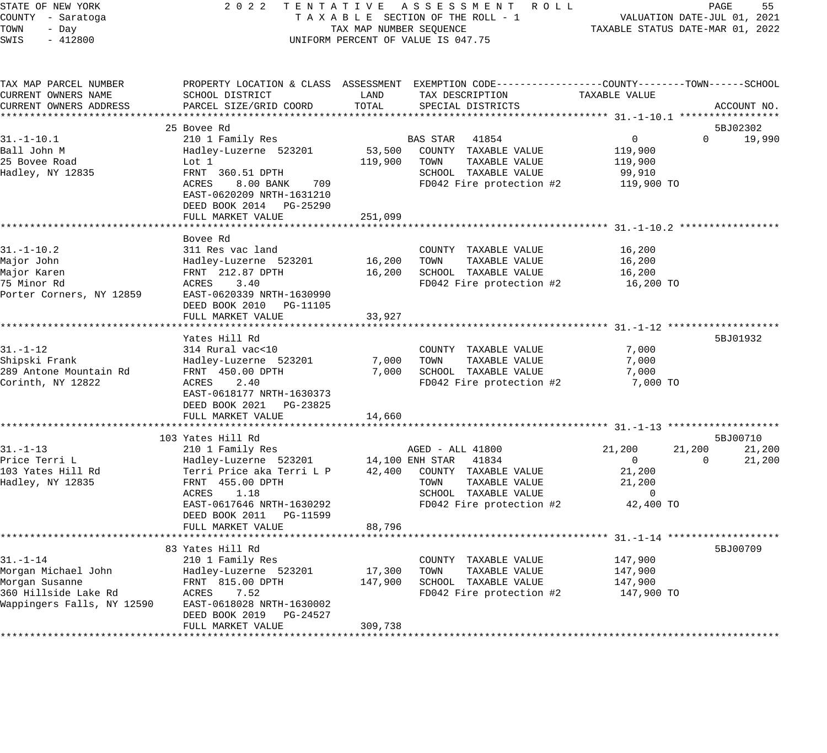| STATE OF NEW YORK<br>COUNTY - Saratoga                                                                        |                                                                                                                                                                                 |                              | 2022 TENTATIVE ASSESSMENT ROLL<br>TAXABLE SECTION OF THE ROLL - 1                                                                              |                                                                |                    | PAGE<br>55<br>VALUATION DATE-JUL 01, 2021 |
|---------------------------------------------------------------------------------------------------------------|---------------------------------------------------------------------------------------------------------------------------------------------------------------------------------|------------------------------|------------------------------------------------------------------------------------------------------------------------------------------------|----------------------------------------------------------------|--------------------|-------------------------------------------|
| TOWN<br>- Day<br>SWIS<br>$-412800$                                                                            |                                                                                                                                                                                 | TAX MAP NUMBER SEQUENCE      | UNIFORM PERCENT OF VALUE IS 047.75                                                                                                             | TAXABLE STATUS DATE-MAR 01, 2022                               |                    |                                           |
| TAX MAP PARCEL NUMBER<br>CURRENT OWNERS NAME<br>CURRENT OWNERS ADDRESS                                        | SCHOOL DISTRICT<br>PARCEL SIZE/GRID COORD                                                                                                                                       | LAND<br>TOTAL                | PROPERTY LOCATION & CLASS ASSESSMENT EXEMPTION CODE----------------COUNTY-------TOWN-----SCHOOL<br>TAX DESCRIPTION<br>SPECIAL DISTRICTS        | TAXABLE VALUE                                                  |                    | ACCOUNT NO.                               |
| ***********************                                                                                       | 25 Bovee Rd                                                                                                                                                                     |                              |                                                                                                                                                |                                                                |                    | 5BJ02302                                  |
| $31. - 1 - 10.1$<br>Ball John M<br>25 Bovee Road<br>Hadley, NY 12835                                          | 210 1 Family Res<br>Hadley-Luzerne 523201<br>Lot 1<br>FRNT 360.51 DPTH<br>ACRES<br>8.00 BANK<br>709<br>EAST-0620209 NRTH-1631210<br>DEED BOOK 2014 PG-25290                     | 53,500<br>119,900            | BAS STAR<br>41854<br>COUNTY TAXABLE VALUE<br>TOWN<br>TAXABLE VALUE<br>SCHOOL TAXABLE VALUE<br>FD042 Fire protection #2                         | $\mathbf{0}$<br>119,900<br>119,900<br>99,910<br>119,900 TO     | $\Omega$           | 19,990                                    |
|                                                                                                               | FULL MARKET VALUE<br>*************************                                                                                                                                  | 251,099                      |                                                                                                                                                |                                                                |                    |                                           |
| $31. - 1 - 10.2$<br>Major John<br>Major Karen<br>75 Minor Rd<br>Porter Corners, NY 12859                      | Bovee Rd<br>311 Res vac land<br>Hadley-Luzerne 523201<br>FRNT 212.87 DPTH<br>ACRES<br>3.40<br>EAST-0620339 NRTH-1630990<br>DEED BOOK 2010 PG-11105                              | 16,200<br>16,200             | COUNTY TAXABLE VALUE<br>TOWN<br>TAXABLE VALUE<br>SCHOOL TAXABLE VALUE<br>FD042 Fire protection #2                                              | 16,200<br>16,200<br>16,200<br>16,200 TO                        |                    |                                           |
|                                                                                                               | FULL MARKET VALUE                                                                                                                                                               | 33,927                       |                                                                                                                                                |                                                                |                    |                                           |
|                                                                                                               | ********************<br>Yates Hill Rd                                                                                                                                           |                              |                                                                                                                                                |                                                                |                    | 5BJ01932                                  |
| $31. - 1 - 12$<br>Shipski Frank<br>289 Antone Mountain Rd<br>Corinth, NY 12822                                | 314 Rural vac<10<br>Hadley-Luzerne 523201<br>FRNT 450.00 DPTH<br>ACRES<br>2.40<br>EAST-0618177 NRTH-1630373<br>DEED BOOK 2021 PG-23825                                          | 7,000<br>7,000               | COUNTY TAXABLE VALUE<br>TOWN<br>TAXABLE VALUE<br>SCHOOL TAXABLE VALUE<br>FD042 Fire protection #2                                              | 7,000<br>7,000<br>7,000<br>7,000 TO                            |                    |                                           |
|                                                                                                               | FULL MARKET VALUE                                                                                                                                                               | 14,660                       |                                                                                                                                                |                                                                |                    |                                           |
|                                                                                                               | 103 Yates Hill Rd                                                                                                                                                               |                              |                                                                                                                                                |                                                                |                    | 5BJ00710                                  |
| $31. - 1 - 13$<br>Price Terri L<br>103 Yates Hill Rd<br>Hadley, NY 12835                                      | 210 1 Family Res<br>Hadley-Luzerne 523201<br>Terri Price aka Terri L P<br>FRNT 455.00 DPTH<br>1.18<br>ACRES<br>EAST-0617646 NRTH-1630292<br>DEED BOOK 2011<br>PG-11599          | 42,400                       | AGED - ALL 41800<br>14,100 ENH STAR 41834<br>COUNTY TAXABLE VALUE<br>TOWN<br>TAXABLE VALUE<br>SCHOOL TAXABLE VALUE<br>FD042 Fire protection #2 | 21,200<br>$\overline{0}$<br>21,200<br>21,200<br>0<br>42,400 TO | 21,200<br>$\Omega$ | 21,200<br>21,200                          |
|                                                                                                               | FULL MARKET VALUE                                                                                                                                                               | 88,796                       |                                                                                                                                                |                                                                |                    |                                           |
| $31. - 1 - 14$<br>Morgan Michael John<br>Morgan Susanne<br>360 Hillside Lake Rd<br>Wappingers Falls, NY 12590 | 83 Yates Hill Rd<br>210 1 Family Res<br>Hadley-Luzerne 523201<br>FRNT 815.00 DPTH<br>ACRES<br>7.52<br>EAST-0618028 NRTH-1630002<br>DEED BOOK 2019 PG-24527<br>FULL MARKET VALUE | 17,300<br>147,900<br>309,738 | COUNTY TAXABLE VALUE<br>TOWN<br>TAXABLE VALUE<br>SCHOOL TAXABLE VALUE<br>FD042 Fire protection #2                                              | 147,900<br>147,900<br>147,900<br>147,900 TO                    |                    | 5BJ00709                                  |
|                                                                                                               |                                                                                                                                                                                 |                              |                                                                                                                                                |                                                                |                    |                                           |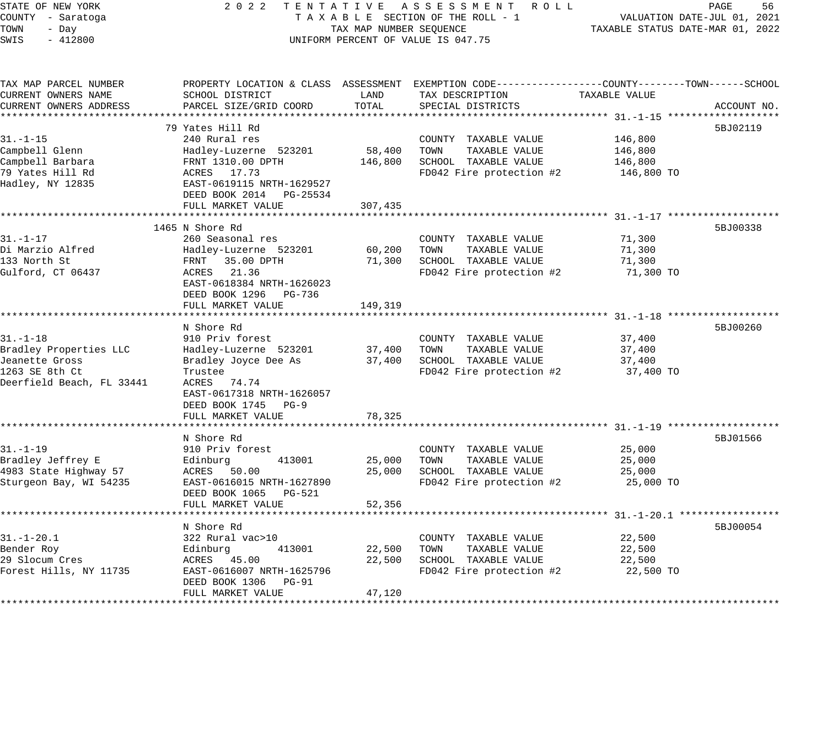# STATE OF NEW YORK 2 0 2 2 T E N T A T I V E A S S E S S M E N T R O L L PAGE 56 COUNTY - Saratoga T A X A B L E SECTION OF THE ROLL - 1 VALUATION DATE-JUL 01, 2021 TOWN - Day TAX MAP NUMBER SEQUENCE TAXABLE STATUS DATE-MAR 01, 2022 TOWN - Day TOWN - Day CONSER SEQUENCE<br>SWIS - 412800 UNIFORM PERCENT OF VALUE IS 047.75

| TAX MAP PARCEL NUMBER<br>CURRENT OWNERS NAME<br>CURRENT OWNERS ADDRESS                                    | SCHOOL DISTRICT<br>PARCEL SIZE/GRID COORD                                                                                                                                                | LAND<br>TOTAL                | PROPERTY LOCATION & CLASS ASSESSMENT EXEMPTION CODE---------------COUNTY-------TOWN------SCHOOL<br>TAX DESCRIPTION<br>SPECIAL DISTRICTS | TAXABLE VALUE                               | ACCOUNT NO. |
|-----------------------------------------------------------------------------------------------------------|------------------------------------------------------------------------------------------------------------------------------------------------------------------------------------------|------------------------------|-----------------------------------------------------------------------------------------------------------------------------------------|---------------------------------------------|-------------|
| $31. - 1 - 15$<br>Campbell Glenn<br>Campbell Barbara<br>79 Yates Hill Rd<br>Hadley, NY 12835              | 79 Yates Hill Rd<br>240 Rural res<br>Hadley-Luzerne 523201<br>FRNT 1310.00 DPTH<br>ACRES 17.73<br>EAST-0619115 NRTH-1629527<br>DEED BOOK 2014 PG-25534<br>FULL MARKET VALUE              | 58,400<br>146,800<br>307,435 | COUNTY TAXABLE VALUE<br>TAXABLE VALUE<br>TOWN<br>SCHOOL TAXABLE VALUE<br>FD042 Fire protection #2                                       | 146,800<br>146,800<br>146,800<br>146,800 TO | 5BJ02119    |
| $31. - 1 - 17$<br>Di Marzio Alfred<br>133 North St<br>Gulford, CT 06437                                   | 1465 N Shore Rd<br>260 Seasonal res<br>Hadley-Luzerne 523201<br>FRNT 35.00 DPTH<br>ACRES 21.36<br>EAST-0618384 NRTH-1626023<br>DEED BOOK 1296 PG-736<br>FULL MARKET VALUE                | 60,200<br>71,300<br>149,319  | COUNTY TAXABLE VALUE<br>TOWN<br>TAXABLE VALUE<br>SCHOOL TAXABLE VALUE<br>FD042 Fire protection #2                                       | 71,300<br>71,300<br>71,300<br>71,300 TO     | 5BJ00338    |
| $31. - 1 - 18$<br>Bradley Properties LLC<br>Jeanette Gross<br>1263 SE 8th Ct<br>Deerfield Beach, FL 33441 | N Shore Rd<br>910 Priv forest<br>Hadley-Luzerne 523201 37,400<br>Bradley Joyce Dee As<br>Trustee<br>ACRES 74.74<br>EAST-0617318 NRTH-1626057<br>DEED BOOK 1745 PG-9<br>FULL MARKET VALUE | 37,400<br>78,325             | COUNTY TAXABLE VALUE<br>TOWN<br>TAXABLE VALUE<br>SCHOOL TAXABLE VALUE<br>FD042 Fire protection #2                                       | 37,400<br>37,400<br>37,400<br>37,400 TO     | 5BJ00260    |
| $31. - 1 - 19$<br>Bradley Jeffrey E<br>4983 State Highway 57<br>Sturgeon Bay, WI 54235                    | N Shore Rd<br>910 Priv forest<br>413001<br>Edinburg<br>ACRES<br>50.00<br>EAST-0616015 NRTH-1627890<br>DEED BOOK 1065 PG-521<br>FULL MARKET VALUE                                         | 25,000<br>25,000<br>52,356   | COUNTY TAXABLE VALUE<br>TOWN TAXABLE VALUE<br>SCHOOL TAXABLE VALUE<br>FD042 Fire protection #2                                          | 25,000<br>25,000<br>25,000<br>25,000 TO     | 5BJ01566    |
| $31. - 1 - 20.1$<br>Bender Roy<br>29 Slocum Cres<br>Forest Hills, NY 11735                                | N Shore Rd<br>322 Rural vac>10<br>Edinburg<br>413001<br>ACRES 45.00<br>EAST-0616007 NRTH-1625796<br>DEED BOOK 1306 PG-91<br>FULL MARKET VALUE                                            | 22,500<br>22,500<br>47,120   | COUNTY TAXABLE VALUE<br>TAXABLE VALUE<br>TOWN<br>SCHOOL TAXABLE VALUE<br>FD042 Fire protection #2                                       | 22,500<br>22,500<br>22,500<br>22,500 TO     | 5BJ00054    |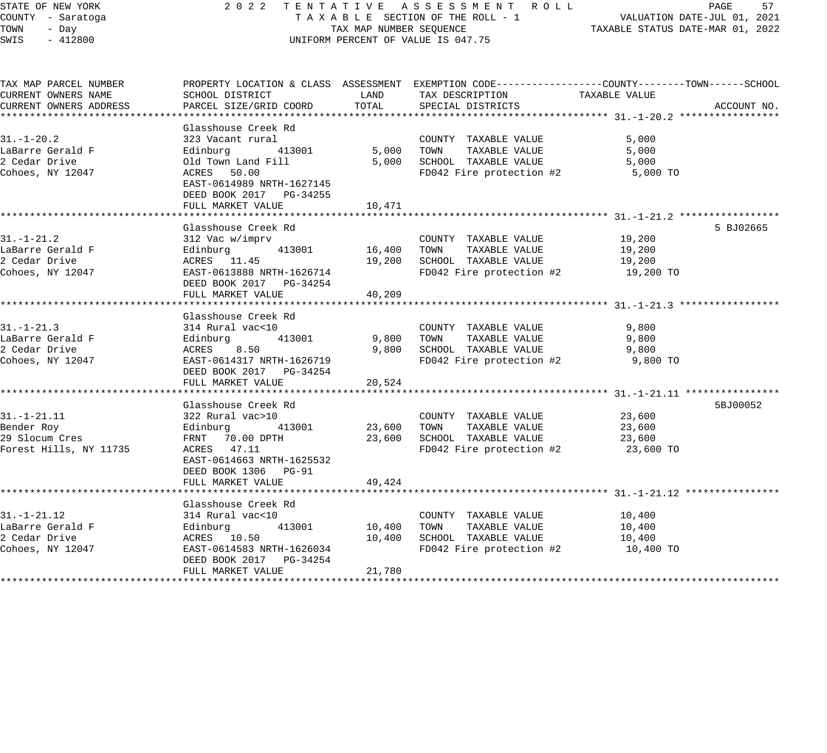### STATE OF NEW YORK 2 0 2 2 T E N T A T I V E A S S E S S M E N T R O L L PAGE 57 COUNTY - Saratoga T A X A B L E SECTION OF THE ROLL - 1 VALUATION DATE-JUL 01, 2021 TOWN - Day TAX MAP NUMBER SEQUENCE TAXABLE STATUS DATE-MAR 01, 2022 SWIS - 412800 CONTROLLY THE UNIFORM PERCENT OF VALUE IS 047.75

| TAX MAP PARCEL NUMBER                              |                                               |        | PROPERTY LOCATION & CLASS ASSESSMENT EXEMPTION CODE----------------COUNTY-------TOWN------SCHOOL |           |             |
|----------------------------------------------------|-----------------------------------------------|--------|--------------------------------------------------------------------------------------------------|-----------|-------------|
| CURRENT OWNERS NAME                                | SCHOOL DISTRICT                               | LAND   | TAX DESCRIPTION TAXABLE VALUE                                                                    |           |             |
| CURRENT OWNERS ADDRESS                             | PARCEL SIZE/GRID COORD                        | TOTAL  | SPECIAL DISTRICTS                                                                                |           | ACCOUNT NO. |
|                                                    |                                               |        |                                                                                                  |           |             |
|                                                    | Glasshouse Creek Rd                           |        |                                                                                                  |           |             |
| $31. - 1 - 20.2$                                   | 323 Vacant rural                              |        | COUNTY TAXABLE VALUE                                                                             | 5,000     |             |
| LaBarre Gerald F                                   | Edinburg 413001                               |        | 5,000 TOWN<br>TAXABLE VALUE                                                                      | 5,000     |             |
| 2 Cedar Drive                                      | Old Town Land Fill                            |        | 5,000 SCHOOL TAXABLE VALUE                                                                       | 5,000     |             |
| Cohoes, NY 12047                                   | ACRES 50.00                                   |        | FD042 Fire protection #2                                                                         | 5,000 TO  |             |
|                                                    | EAST-0614989 NRTH-1627145                     |        |                                                                                                  |           |             |
|                                                    | DEED BOOK 2017 PG-34255                       |        |                                                                                                  |           |             |
|                                                    | FULL MARKET VALUE 10,471                      |        |                                                                                                  |           |             |
|                                                    |                                               |        |                                                                                                  |           |             |
|                                                    | Glasshouse Creek Rd                           |        |                                                                                                  |           | 5 BJ02665   |
| $31. - 1 - 21.2$                                   | 312 Vac w/imprv                               |        | COUNTY TAXABLE VALUE 19,200                                                                      |           |             |
| LaBarre Gerald F                                   | 413001 16,400<br>Edinburg                     |        | TOWN<br>TAXABLE VALUE                                                                            | 19,200    |             |
| 2 Cedar Drive                                      | ACRES 11.45                                   | 19,200 | SCHOOL TAXABLE VALUE                                                                             | 19,200    |             |
| Cohoes, NY 12047                                   | EAST-0613888 NRTH-1626714                     |        | FD042 Fire protection #2 19,200 TO                                                               |           |             |
|                                                    | DEED BOOK 2017    PG-34254                    |        |                                                                                                  |           |             |
|                                                    | FULL MARKET VALUE                             | 40,209 |                                                                                                  |           |             |
|                                                    |                                               |        |                                                                                                  |           |             |
|                                                    | Glasshouse Creek Rd                           |        |                                                                                                  |           |             |
| $31. - 1 - 21.3$                                   | 314 Rural vac<10                              |        | COUNTY TAXABLE VALUE                                                                             | 9,800     |             |
| LaBarre Gerald F                                   |                                               | 9,800  | TOWN<br>TAXABLE VALUE                                                                            | 9,800     |             |
| 2 Cedar Drive                                      | Edinburg 413001<br>ACRES 8.50<br>ACRES 8.50   | 9,800  | SCHOOL TAXABLE VALUE                                                                             | 9,800     |             |
| Cohoes, NY 12047                                   | -------<br>EAST-0614317 NRTH-1626719          |        | FD042 Fire protection #2 9,800 TO                                                                |           |             |
|                                                    | DEED BOOK 2017    PG-34254                    |        |                                                                                                  |           |             |
|                                                    | FULL MARKET VALUE                             | 20,524 |                                                                                                  |           |             |
|                                                    |                                               |        |                                                                                                  |           |             |
|                                                    | Glasshouse Creek Rd                           |        |                                                                                                  |           | 5BJ00052    |
| $31. - 1 - 21.11$                                  | 322 Rural vac>10                              |        | COUNTY TAXABLE VALUE                                                                             | 23,600    |             |
| Bender Roy                                         | Edinburg 413001 23,600                        |        | TOWN<br>TAXABLE VALUE                                                                            | 23,600    |             |
| 29 Slocum Cres                                     |                                               | 23,600 | SCHOOL TAXABLE VALUE                                                                             | 23,600    |             |
| Forest Hills, NY 11735                             | FRNT 70.00 DPTH<br>ACRES 47.11<br>ACRES 47.11 |        | FD042 Fire protection #2                                                                         | 23,600 TO |             |
|                                                    | EAST-0614663 NRTH-1625532                     |        |                                                                                                  |           |             |
|                                                    | DEED BOOK 1306 PG-91                          |        |                                                                                                  |           |             |
|                                                    | FULL MARKET VALUE                             | 49,424 |                                                                                                  |           |             |
|                                                    |                                               |        |                                                                                                  |           |             |
|                                                    | Glasshouse Creek Rd                           |        |                                                                                                  |           |             |
| $31. - 1 - 21.12$                                  | 314 Rural vac<10                              |        | COUNTY TAXABLE VALUE 10,400                                                                      |           |             |
|                                                    | 413001                                        |        | 10,400 TOWN TAXABLE VALUE                                                                        | 10,400    |             |
| LaBarre Gerald F<br>2 Sedes Princ<br>2 Cedar Drive |                                               | 10,400 | SCHOOL TAXABLE VALUE                                                                             | 10,400    |             |
| Cohoes, NY 12047                                   | EAST-0614583 NRTH-1626034                     |        | FD042 Fire protection $#2$ 10,400 TO                                                             |           |             |
|                                                    | DEED BOOK 2017    PG-34254                    |        |                                                                                                  |           |             |
|                                                    | FULL MARKET VALUE                             | 21,780 |                                                                                                  |           |             |
|                                                    |                                               |        |                                                                                                  |           |             |
|                                                    |                                               |        |                                                                                                  |           |             |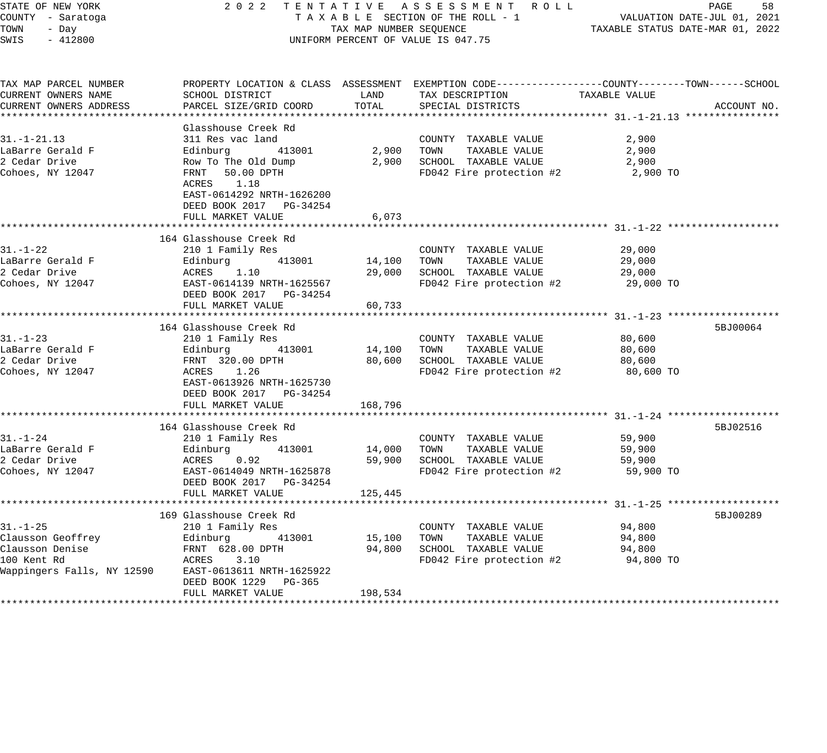| STATE OF NEW YORK<br>COUNTY - Saratoga | 2 0 2 2                                           |                                  | TENTATIVE ASSESSMENT ROLL<br>TAXABLE SECTION OF THE ROLL - 1                                     |                     | PAGE<br>58<br>VALUATION DATE-JUL 01, 2021 |
|----------------------------------------|---------------------------------------------------|----------------------------------|--------------------------------------------------------------------------------------------------|---------------------|-------------------------------------------|
| TOWN<br>- Day                          | TAX MAP NUMBER SEQUENCE                           | TAXABLE STATUS DATE-MAR 01, 2022 |                                                                                                  |                     |                                           |
| SWIS<br>$-412800$                      |                                                   |                                  | UNIFORM PERCENT OF VALUE IS 047.75                                                               |                     |                                           |
| TAX MAP PARCEL NUMBER                  |                                                   |                                  | PROPERTY LOCATION & CLASS ASSESSMENT EXEMPTION CODE----------------COUNTY-------TOWN------SCHOOL |                     |                                           |
| CURRENT OWNERS NAME                    | SCHOOL DISTRICT                                   | LAND                             | TAX DESCRIPTION                                                                                  | TAXABLE VALUE       |                                           |
| CURRENT OWNERS ADDRESS                 | PARCEL SIZE/GRID COORD                            | TOTAL                            | SPECIAL DISTRICTS                                                                                |                     | ACCOUNT NO.                               |
|                                        |                                                   |                                  |                                                                                                  |                     |                                           |
|                                        | Glasshouse Creek Rd                               |                                  |                                                                                                  |                     |                                           |
| $31. - 1 - 21.13$                      | 311 Res vac land                                  |                                  | COUNTY TAXABLE VALUE                                                                             | 2,900               |                                           |
| LaBarre Gerald F<br>2 Cedar Drive      | Edinburg<br>413001<br>Row To The Old Dump         | 2,900<br>2,900                   | TOWN<br>TAXABLE VALUE<br>SCHOOL TAXABLE VALUE                                                    | 2,900<br>2,900      |                                           |
| Cohoes, NY 12047                       | FRNT 50.00 DPTH                                   |                                  | FD042 Fire protection #2                                                                         | 2,900 TO            |                                           |
|                                        | ACRES<br>1.18                                     |                                  |                                                                                                  |                     |                                           |
|                                        | EAST-0614292 NRTH-1626200                         |                                  |                                                                                                  |                     |                                           |
|                                        | DEED BOOK 2017 PG-34254                           |                                  |                                                                                                  |                     |                                           |
|                                        | FULL MARKET VALUE<br>**************************** | 6,073                            | ******************************* 31.-1-22 *******                                                 |                     |                                           |
|                                        | 164 Glasshouse Creek Rd                           |                                  |                                                                                                  |                     |                                           |
| $31. - 1 - 22$                         | 210 1 Family Res                                  |                                  | COUNTY TAXABLE VALUE                                                                             | 29,000              |                                           |
| LaBarre Gerald F                       | 413001<br>Edinburg                                | 14,100                           | TOWN<br>TAXABLE VALUE                                                                            | 29,000              |                                           |
| 2 Cedar Drive                          | ACRES 1.10                                        | 29,000                           | SCHOOL TAXABLE VALUE                                                                             | 29,000              |                                           |
| Cohoes, NY 12047                       | EAST-0614139 NRTH-1625567                         |                                  | FD042 Fire protection #2                                                                         | 29,000 TO           |                                           |
|                                        | DEED BOOK 2017 PG-34254                           |                                  |                                                                                                  |                     |                                           |
|                                        | FULL MARKET VALUE                                 | 60,733                           |                                                                                                  |                     |                                           |
|                                        |                                                   |                                  |                                                                                                  |                     |                                           |
|                                        | 164 Glasshouse Creek Rd                           |                                  |                                                                                                  |                     | 5BJ00064                                  |
| $31. - 1 - 23$<br>LaBarre Gerald F     | 210 1 Family Res<br>413001                        |                                  | COUNTY TAXABLE VALUE<br>TOWN<br>TAXABLE VALUE                                                    | 80,600              |                                           |
| 2 Cedar Drive                          | Edinburg<br>FRNT 320.00 DPTH                      | 14,100<br>80,600                 | SCHOOL TAXABLE VALUE                                                                             | 80,600<br>80,600    |                                           |
| Cohoes, NY 12047                       | ACRES 1.26                                        |                                  | FD042 Fire protection #2                                                                         | 80,600 TO           |                                           |
|                                        | EAST-0613926 NRTH-1625730                         |                                  |                                                                                                  |                     |                                           |
|                                        | DEED BOOK 2017 PG-34254                           |                                  |                                                                                                  |                     |                                           |
|                                        | FULL MARKET VALUE                                 | 168,796                          |                                                                                                  |                     |                                           |
|                                        |                                                   |                                  |                                                                                                  |                     |                                           |
|                                        | 164 Glasshouse Creek Rd                           |                                  |                                                                                                  |                     | 5BJ02516                                  |
| $31. - 1 - 24$                         | 210 1 Family Res                                  |                                  | COUNTY TAXABLE VALUE                                                                             | 59,900              |                                           |
| LaBarre Gerald F                       | 413001<br>Edinburg                                | 14,000                           | TAXABLE VALUE<br>TOWN                                                                            | 59,900              |                                           |
| 2 Cedar Drive<br>Cohoes, NY 12047      | ACRES<br>0.92<br>EAST-0614049 NRTH-1625878        | 59,900                           | SCHOOL TAXABLE VALUE<br>FD042 Fire protection #2                                                 | 59,900<br>59,900 TO |                                           |
|                                        | DEED BOOK 2017 PG-34254                           |                                  |                                                                                                  |                     |                                           |
|                                        | FULL MARKET VALUE                                 | 125,445                          |                                                                                                  |                     |                                           |
|                                        |                                                   |                                  |                                                                                                  |                     |                                           |
|                                        | 169 Glasshouse Creek Rd                           |                                  |                                                                                                  |                     | 5BJ00289                                  |
| $31. - 1 - 25$                         | 210 1 Family Res                                  |                                  | COUNTY TAXABLE VALUE                                                                             | 94,800              |                                           |
| Clausson Geoffrey                      | Edinburg<br>413001                                | 15,100                           | TOWN<br>TAXABLE VALUE                                                                            | 94,800              |                                           |
| Clausson Denise                        | FRNT 628.00 DPTH                                  | 94,800                           | SCHOOL TAXABLE VALUE                                                                             | 94,800              |                                           |
| 100 Kent Rd                            | ACRES<br>3.10                                     |                                  | FD042 Fire protection #2                                                                         | 94,800 TO           |                                           |
| Wappingers Falls, NY 12590             | EAST-0613611 NRTH-1625922                         |                                  |                                                                                                  |                     |                                           |
|                                        | DEED BOOK 1229<br>PG-365<br>FULL MARKET VALUE     |                                  |                                                                                                  |                     |                                           |
|                                        |                                                   | 198,534                          |                                                                                                  |                     |                                           |
|                                        |                                                   |                                  |                                                                                                  |                     |                                           |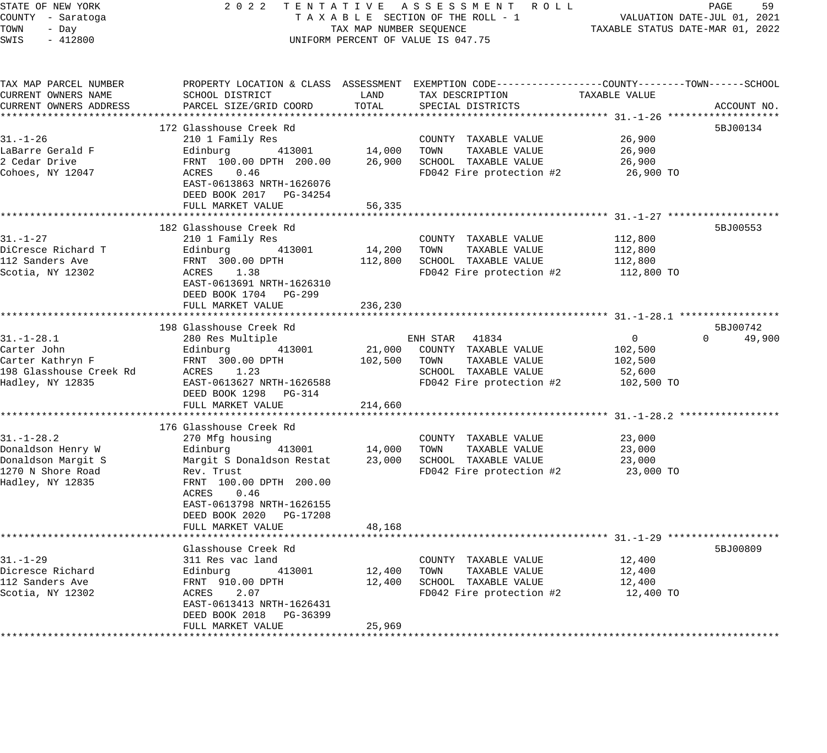| STATE OF NEW YORK<br>COUNTY - Saratoga<br>TOWN<br>- Day<br>SWIS<br>$-412800$ |                                                                                | TAX MAP NUMBER SEOUENCE | 2022 TENTATIVE ASSESSMENT ROLL<br>TAXABLE SECTION OF THE ROLL - 1<br>UNIFORM PERCENT OF VALUE IS 047.75                                  | VALUATION DATE-JUL 01, 2021<br>TAXABLE STATUS DATE-MAR 01, 2022 | 59<br>PAGE         |
|------------------------------------------------------------------------------|--------------------------------------------------------------------------------|-------------------------|------------------------------------------------------------------------------------------------------------------------------------------|-----------------------------------------------------------------|--------------------|
| TAX MAP PARCEL NUMBER<br>CURRENT OWNERS NAME<br>CURRENT OWNERS ADDRESS       | SCHOOL DISTRICT<br>PARCEL SIZE/GRID COORD                                      | LAND<br>TOTAL           | PROPERTY LOCATION & CLASS ASSESSMENT EXEMPTION CODE----------------COUNTY-------TOWN------SCHOOL<br>TAX DESCRIPTION<br>SPECIAL DISTRICTS | TAXABLE VALUE                                                   | ACCOUNT NO.        |
|                                                                              |                                                                                |                         |                                                                                                                                          |                                                                 |                    |
|                                                                              | 172 Glasshouse Creek Rd                                                        |                         |                                                                                                                                          |                                                                 | 5BJ00134           |
| 31.-1-26                                                                     | 210 1 Family Res                                                               |                         | COUNTY TAXABLE VALUE                                                                                                                     | 26,900                                                          |                    |
| LaBarre Gerald F                                                             | 413001<br>Edinburg                                                             | 14,000 TOWN             | TAXABLE VALUE                                                                                                                            | 26,900                                                          |                    |
| 2 Cedar Drive                                                                | FRNT 100.00 DPTH 200.00                                                        |                         | 26,900 SCHOOL TAXABLE VALUE                                                                                                              | 26,900                                                          |                    |
| Cohoes, NY 12047                                                             | ACRES<br>0.46<br>EAST-0613863 NRTH-1626076<br>DEED BOOK 2017 PG-34254          |                         | FD042 Fire protection #2                                                                                                                 | 26,900 TO                                                       |                    |
|                                                                              | FULL MARKET VALUE                                                              | 56,335                  |                                                                                                                                          |                                                                 |                    |
|                                                                              |                                                                                |                         |                                                                                                                                          |                                                                 |                    |
| $31. - 1 - 27$                                                               | 182 Glasshouse Creek Rd<br>210 1 Family Res                                    |                         | COUNTY TAXABLE VALUE                                                                                                                     | 112,800                                                         | 5BJ00553           |
| DiCresce Richard T                                                           | Edinburg<br>413001                                                             |                         | 14,200 TOWN<br>TAXABLE VALUE                                                                                                             | 112,800                                                         |                    |
| 112 Sanders Ave                                                              | FRNT 300.00 DPTH                                                               |                         | 112,800 SCHOOL TAXABLE VALUE                                                                                                             | 112,800                                                         |                    |
| Scotia, NY 12302                                                             | ACRES 1.38                                                                     |                         | FD042 Fire protection #2                                                                                                                 | 112,800 TO                                                      |                    |
|                                                                              | EAST-0613691 NRTH-1626310<br>DEED BOOK 1704 PG-299                             |                         |                                                                                                                                          |                                                                 |                    |
|                                                                              | FULL MARKET VALUE                                                              | 236,230                 |                                                                                                                                          |                                                                 |                    |
|                                                                              | 198 Glasshouse Creek Rd                                                        |                         |                                                                                                                                          |                                                                 | 5BJ00742           |
| $31.-1-28.1$                                                                 | 280 Res Multiple                                                               |                         | ENH STAR 41834                                                                                                                           | $\overline{0}$                                                  | $\Omega$<br>49,900 |
| Carter John                                                                  | Edinburg<br>413001                                                             |                         | 21,000 COUNTY TAXABLE VALUE                                                                                                              | 102,500                                                         |                    |
| Carter Kathryn F                                                             | FRNT 300.00 DPTH                                                               | 102,500                 | TAXABLE VALUE<br>TOWN                                                                                                                    | 102,500                                                         |                    |
| 198 Glasshouse Creek Rd                                                      | ACRES 1.23                                                                     |                         | SCHOOL TAXABLE VALUE                                                                                                                     | 52,600                                                          |                    |
| Hadley, NY 12835                                                             | EAST-0613627 NRTH-1626588                                                      |                         | FD042 Fire protection #2                                                                                                                 | 102,500 TO                                                      |                    |
|                                                                              | DEED BOOK 1298 PG-314                                                          |                         |                                                                                                                                          |                                                                 |                    |
|                                                                              | FULL MARKET VALUE                                                              | 214,660                 |                                                                                                                                          |                                                                 |                    |
|                                                                              |                                                                                |                         |                                                                                                                                          |                                                                 |                    |
|                                                                              | 176 Glasshouse Creek Rd                                                        |                         |                                                                                                                                          |                                                                 |                    |
| $31. - 1 - 28.2$                                                             | 270 Mfg housing                                                                |                         | COUNTY TAXABLE VALUE                                                                                                                     | 23,000                                                          |                    |
| Donaldson Henry W                                                            | 413001<br>Edinburg<br>Edinburg             413001<br>Margit S Donaldson Restat | 14,000                  | TOWN<br>TAXABLE VALUE                                                                                                                    | 23,000                                                          |                    |
| Donaldson Margit S                                                           |                                                                                | 23,000                  | SCHOOL TAXABLE VALUE                                                                                                                     | 23,000                                                          |                    |
| 1270 N Shore Road                                                            | Rev. Trust                                                                     |                         | FD042 Fire protection #2                                                                                                                 | 23,000 TO                                                       |                    |
| Hadley, NY 12835                                                             | FRNT 100.00 DPTH 200.00<br>ACRES<br>0.46                                       |                         |                                                                                                                                          |                                                                 |                    |
|                                                                              | EAST-0613798 NRTH-1626155                                                      |                         |                                                                                                                                          |                                                                 |                    |
|                                                                              | DEED BOOK 2020 PG-17208                                                        |                         |                                                                                                                                          |                                                                 |                    |
|                                                                              | FULL MARKET VALUE                                                              | 48,168                  |                                                                                                                                          |                                                                 |                    |
|                                                                              |                                                                                |                         |                                                                                                                                          |                                                                 |                    |
|                                                                              | Glasshouse Creek Rd                                                            |                         |                                                                                                                                          |                                                                 | 5BJ00809           |
| 31.-1-29                                                                     | 311 Res vac land                                                               |                         | COUNTY TAXABLE VALUE                                                                                                                     | 12,400                                                          |                    |
| Dicresce Richard                                                             | Edinburg<br>----- 212<br>413001                                                |                         | 12,400 TOWN<br>TAXABLE VALUE                                                                                                             | 12,400                                                          |                    |
| 112 Sanders Ave                                                              | FRNT 910.00 DPTH                                                               | 12,400                  | SCHOOL TAXABLE VALUE                                                                                                                     | 12,400                                                          |                    |
| Scotia, NY 12302                                                             | ACRES<br>2.07                                                                  |                         | FD042 Fire protection #2                                                                                                                 | 12,400 TO                                                       |                    |
|                                                                              | EAST-0613413 NRTH-1626431                                                      |                         |                                                                                                                                          |                                                                 |                    |
|                                                                              | DEED BOOK 2018 PG-36399                                                        |                         |                                                                                                                                          |                                                                 |                    |
|                                                                              | FULL MARKET VALUE                                                              | 25,969                  |                                                                                                                                          |                                                                 |                    |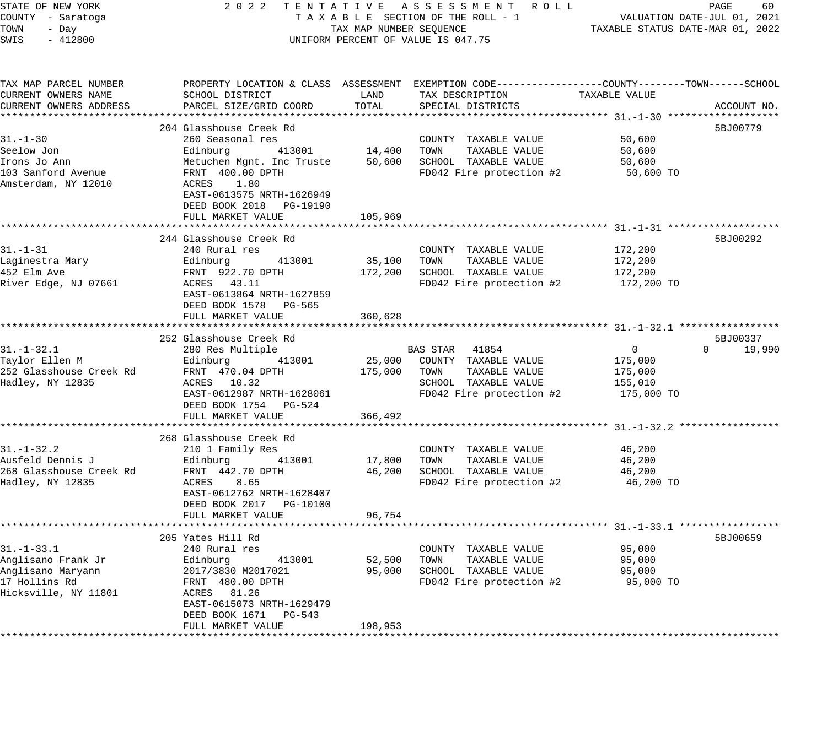| STATE OF NEW YORK<br>COUNTY - Saratoga<br>TOWN<br>- Day |                                                                                            | TAX MAP NUMBER SEQUENCE | 2022 TENTATIVE ASSESSMENT ROLL<br>TAXABLE SECTION OF THE ROLL - 1                               | VALUATION DATE-JUL 01, 2021<br>TAXABLE STATUS DATE-MAR 01, 2022 | PAGE<br>60         |
|---------------------------------------------------------|--------------------------------------------------------------------------------------------|-------------------------|-------------------------------------------------------------------------------------------------|-----------------------------------------------------------------|--------------------|
| SWIS<br>$-412800$                                       |                                                                                            |                         | UNIFORM PERCENT OF VALUE IS 047.75                                                              |                                                                 |                    |
| TAX MAP PARCEL NUMBER                                   |                                                                                            |                         | PROPERTY LOCATION & CLASS ASSESSMENT EXEMPTION CODE---------------COUNTY-------TOWN------SCHOOL |                                                                 |                    |
| CURRENT OWNERS NAME<br>CURRENT OWNERS ADDRESS           | SCHOOL DISTRICT<br>PARCEL SIZE/GRID COORD                                                  | LAND<br>TOTAL           | TAX DESCRIPTION<br>SPECIAL DISTRICTS                                                            | TAXABLE VALUE                                                   | ACCOUNT NO.        |
|                                                         |                                                                                            |                         |                                                                                                 |                                                                 |                    |
|                                                         | 204 Glasshouse Creek Rd                                                                    |                         |                                                                                                 |                                                                 | 5BJ00779           |
| $31. - 1 - 30$<br>Seelow Jon                            | 260 Seasonal res<br>Edinburg<br>413001                                                     |                         | COUNTY TAXABLE VALUE<br>14,400 TOWN<br>TAXABLE VALUE                                            | 50,600<br>50,600                                                |                    |
| Irons Jo Ann                                            | Metuchen Mgnt. Inc Truste                                                                  |                         | 50,600 SCHOOL TAXABLE VALUE                                                                     | 50,600                                                          |                    |
| 103 Sanford Avenue<br>Amsterdam, NY 12010               | FRNT 400.00 DPTH<br>ACRES 1.80<br>EAST-0613575 NRTH-1626949<br>DEED BOOK 2018 PG-19190     |                         | FD042 Fire protection #2                                                                        | 50,600 TO                                                       |                    |
|                                                         | FULL MARKET VALUE<br>***********************                                               | 105,969                 |                                                                                                 |                                                                 |                    |
|                                                         | 244 Glasshouse Creek Rd                                                                    |                         |                                                                                                 |                                                                 | 5BJ00292           |
| $31. - 1 - 31$                                          | 240 Rural res                                                                              |                         | COUNTY TAXABLE VALUE                                                                            | 172,200                                                         |                    |
| Laginestra Mary                                         | 413001<br>Edinburg                                                                         | 35,100 TOWN             | TAXABLE VALUE                                                                                   | 172,200                                                         |                    |
| 452 Elm Ave                                             | FRNT 922.70 DPTH                                                                           |                         | 172,200 SCHOOL TAXABLE VALUE                                                                    | 172,200                                                         |                    |
| River Edge, NJ 07661                                    | ACRES 43.11<br>EAST-0613864 NRTH-1627859<br>DEED BOOK 1578 PG-565                          |                         | FD042 Fire protection #2                                                                        | 172,200 TO                                                      |                    |
|                                                         | FULL MARKET VALUE                                                                          | 360,628                 |                                                                                                 |                                                                 |                    |
|                                                         | 252 Glasshouse Creek Rd                                                                    |                         |                                                                                                 |                                                                 | 5BJ00337           |
| $31. - 1 - 32.1$                                        | 280 Res Multiple                                                                           |                         | BAS STAR 41854                                                                                  | $\overline{0}$                                                  | $\Omega$<br>19,990 |
| Taylor Ellen M                                          | Edinburg<br>413001                                                                         |                         | 25,000 COUNTY TAXABLE VALUE                                                                     | 175,000                                                         |                    |
| 252 Glasshouse Creek Rd                                 | FRNT 470.04 DPTH                                                                           | 175,000                 | TAXABLE VALUE<br>TOWN                                                                           | 175,000                                                         |                    |
| Hadley, NY 12835                                        | ACRES 10.32                                                                                |                         | SCHOOL TAXABLE VALUE                                                                            | 155,010                                                         |                    |
|                                                         | EAST-0612987 NRTH-1628061<br>DEED BOOK 1754 PG-524<br>FULL MARKET VALUE                    | 366,492                 | FD042 Fire protection #2                                                                        | 175,000 TO                                                      |                    |
|                                                         | **************************                                                                 |                         | ****************************** 31.-1-32.2 *****************                                     |                                                                 |                    |
|                                                         | 268 Glasshouse Creek Rd                                                                    |                         |                                                                                                 |                                                                 |                    |
| $31. - 1 - 32.2$                                        | 210 1 Family Res                                                                           |                         | COUNTY TAXABLE VALUE                                                                            | 46,200                                                          |                    |
| Ausfeld Dennis J                                        | 413001<br>Edinburg                                                                         | 17,800                  | TOWN<br>TAXABLE VALUE                                                                           | 46,200                                                          |                    |
| 268 Glasshouse Creek Rd                                 | FRNT 442.70 DPTH                                                                           | 46,200                  | SCHOOL TAXABLE VALUE                                                                            | 46,200                                                          |                    |
| Hadley, NY 12835                                        | ACRES<br>8.65<br>EAST-0612762 NRTH-1628407<br>DEED BOOK 2017 PG-10100<br>FULL MARKET VALUE | 96,754                  | FD042 Fire protection #2                                                                        | 46,200 TO                                                       |                    |
|                                                         | **************************                                                                 | * * * * * * * * * * *   |                                                                                                 |                                                                 |                    |
|                                                         | 205 Yates Hill Rd                                                                          |                         |                                                                                                 |                                                                 | 5BJ00659           |
| $31. - 1 - 33.1$                                        | 240 Rural res                                                                              |                         | COUNTY TAXABLE VALUE                                                                            | 95,000                                                          |                    |
| Anglisano Frank Jr                                      | 413001<br>Edinburg                                                                         | 52,500                  | TOWN<br>TAXABLE VALUE                                                                           | 95,000                                                          |                    |
| Anglisano Maryann                                       | 2017/3830 M2017021                                                                         | 95,000                  | SCHOOL TAXABLE VALUE                                                                            | 95,000                                                          |                    |
| 17 Hollins Rd<br>Hicksville, NY 11801                   | FRNT 480.00 DPTH<br>ACRES 81.26<br>EAST-0615073 NRTH-1629479<br>DEED BOOK 1671 PG-543      |                         | FD042 Fire protection #2                                                                        | 95,000 TO                                                       |                    |
|                                                         | FULL MARKET VALUE                                                                          | 198,953                 |                                                                                                 |                                                                 |                    |
|                                                         |                                                                                            |                         |                                                                                                 |                                                                 |                    |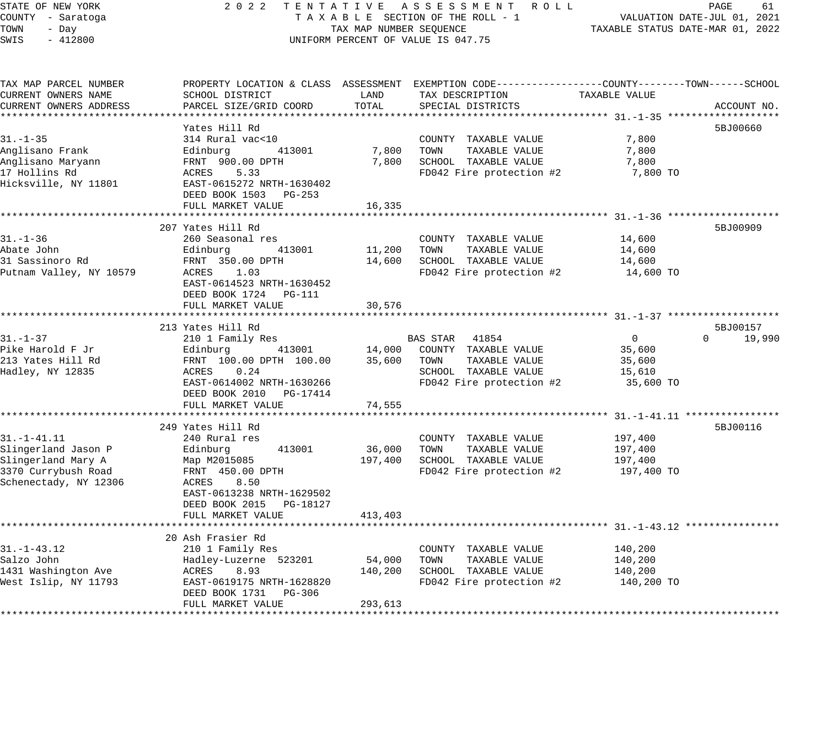## STATE OF NEW YORK 2 0 2 2 T E N T A T I V E A S S E S S M E N T R O L L PAGE 61 COUNTY - Saratoga T A X A B L E SECTION OF THE ROLL - 1 VALUATION DATE-JUL 01, 2021 TAX A B L B SECTION OF THE ROLL - 1<br>TAXABLE STATUS DATE-MAR 01, 2022 UNIFORM PERCENT OF VALUE IS 047.75

| TAX MAP PARCEL NUMBER   | PROPERTY LOCATION & CLASS ASSESSMENT EXEMPTION CODE----------------COUNTY-------TOWN------SCHOOL                                                        |         |                                       |                |                    |
|-------------------------|---------------------------------------------------------------------------------------------------------------------------------------------------------|---------|---------------------------------------|----------------|--------------------|
| CURRENT OWNERS NAME     | SCHOOL DISTRICT                                                                                                                                         | LAND    | TAX DESCRIPTION                       | TAXABLE VALUE  |                    |
| CURRENT OWNERS ADDRESS  | PARCEL SIZE/GRID COORD                                                                                                                                  | TOTAL   | SPECIAL DISTRICTS                     |                | ACCOUNT NO.        |
|                         |                                                                                                                                                         |         |                                       |                |                    |
|                         | Yates Hill Rd                                                                                                                                           |         |                                       |                | 5BJ00660           |
| $31. - 1 - 35$          | 314 Rural vac<10                                                                                                                                        |         | COUNTY TAXABLE VALUE                  | 7,800          |                    |
| Anglisano Frank         | Edinburg 413001                                                                                                                                         | 7,800   | TOWN<br>TAXABLE VALUE                 | 7,800          |                    |
| Anglisano Maryann       | $\begin{tabular}{ll} \texttt{EQUH1100} & \texttt{S} & \texttt{S} \\ \texttt{FRNT} & 900.00 \texttt{DPTH} \\ & \texttt{S} & \texttt{S} \\ \end{tabular}$ | 7,800   | SCHOOL TAXABLE VALUE                  | 7,800          |                    |
| 17 Hollins Rd           | ACRES<br>5.33                                                                                                                                           |         | FD042 Fire protection #2              | 7,800 TO       |                    |
| Hicksville, NY 11801    | EAST-0615272 NRTH-1630402                                                                                                                               |         |                                       |                |                    |
|                         | DEED BOOK 1503 PG-253                                                                                                                                   |         |                                       |                |                    |
|                         | FULL MARKET VALUE                                                                                                                                       | 16,335  |                                       |                |                    |
|                         |                                                                                                                                                         |         |                                       |                |                    |
|                         | 207 Yates Hill Rd                                                                                                                                       |         |                                       |                | 5BJ00909           |
| $31. - 1 - 36$          | 260 Seasonal res                                                                                                                                        |         | COUNTY TAXABLE VALUE                  | 14,600         |                    |
| Abate John              | Edinburg 413001                                                                                                                                         | 11,200  | TOWN<br>TAXABLE VALUE                 | 14,600         |                    |
| 31 Sassinoro Rd         | Edinbury<br>FRNT 350.00 DPTH                                                                                                                            | 14,600  | SCHOOL TAXABLE VALUE                  | 14,600         |                    |
| Putnam Valley, NY 10579 | ACRES 1.03                                                                                                                                              |         | FD042 Fire protection $#2$ 14,600 TO  |                |                    |
|                         | EAST-0614523 NRTH-1630452                                                                                                                               |         |                                       |                |                    |
|                         | DEED BOOK 1724    PG-111                                                                                                                                |         |                                       |                |                    |
|                         | FULL MARKET VALUE                                                                                                                                       | 30,576  |                                       |                |                    |
|                         |                                                                                                                                                         |         |                                       |                |                    |
|                         | 213 Yates Hill Rd                                                                                                                                       |         |                                       |                | 5BJ00157           |
| 31. –1–37               | 210 1 Family Res                                                                                                                                        |         | BAS STAR 41854                        | $\overline{0}$ | $\Omega$<br>19,990 |
| Pike Harold F Jr        |                                                                                                                                                         |         |                                       | 35,600         |                    |
| 213 Yates Hill Rd       |                                                                                                                                                         |         |                                       | 35,600         |                    |
| Hadley, NY 12835        | ACRES<br>0.24                                                                                                                                           |         | SCHOOL TAXABLE VALUE                  | 15,610         |                    |
|                         | EAST-0614002 NRTH-1630266                                                                                                                               |         | FD042 Fire protection #2              | 35,600 TO      |                    |
|                         | DEED BOOK 2010 PG-17414                                                                                                                                 |         |                                       |                |                    |
|                         | FULL MARKET VALUE                                                                                                                                       | 74,555  |                                       |                |                    |
|                         |                                                                                                                                                         |         |                                       |                |                    |
|                         | 249 Yates Hill Rd                                                                                                                                       |         |                                       |                | 5BJ00116           |
| $31. - 1 - 41.11$       | 240 Rural res                                                                                                                                           |         | COUNTY TAXABLE VALUE                  | 197,400        |                    |
| Slingerland Jason P     | 413001<br>Edinburg<br>Map M2015085                                                                                                                      | 36,000  | TAXABLE VALUE<br>TOWN                 | 197,400        |                    |
| Slingerland Mary A      |                                                                                                                                                         | 197,400 | SCHOOL TAXABLE VALUE                  | 197,400        |                    |
| 3370 Currybush Road     | FRNT 450.00 DPTH                                                                                                                                        |         | FD042 Fire protection $#2$ 197,400 TO |                |                    |
| Schenectady, NY 12306   | ACRES<br>8.50                                                                                                                                           |         |                                       |                |                    |
|                         | EAST-0613238 NRTH-1629502                                                                                                                               |         |                                       |                |                    |
|                         | DEED BOOK 2015 PG-18127                                                                                                                                 |         |                                       |                |                    |
|                         | FULL MARKET VALUE                                                                                                                                       | 413,403 |                                       |                |                    |
|                         |                                                                                                                                                         |         |                                       |                |                    |
|                         | 20 Ash Frasier Rd                                                                                                                                       |         |                                       |                |                    |
| $31. - 1 - 43.12$       | 210 1 Family Res                                                                                                                                        |         | COUNTY TAXABLE VALUE                  | 140,200        |                    |
| Salzo John              | Hadley-Luzerne 523201                                                                                                                                   | 54,000  | TOWN<br>TAXABLE VALUE                 | 140,200        |                    |
| 1431 Washington Ave     | ACRES 8.93                                                                                                                                              | 140,200 | SCHOOL TAXABLE VALUE                  | 140,200        |                    |
| West Islip, NY 11793    | EAST-0619175 NRTH-1628820                                                                                                                               |         | FD042 Fire protection #2              | 140,200 TO     |                    |
|                         | DEED BOOK 1731 PG-306                                                                                                                                   |         |                                       |                |                    |
|                         | FULL MARKET VALUE                                                                                                                                       | 293,613 |                                       |                |                    |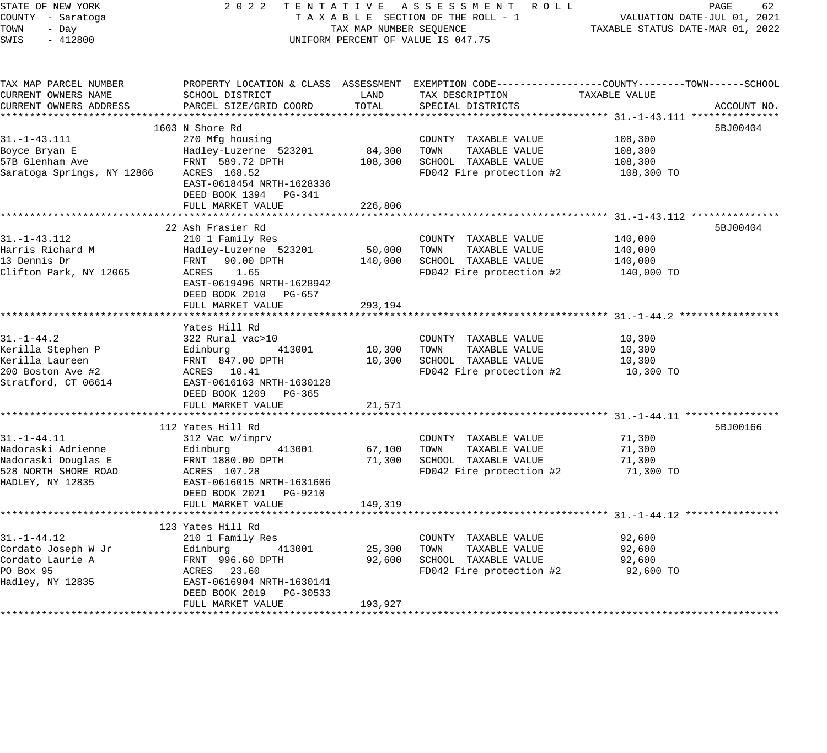STATE OF NEW YORK 2 0 2 2 T E N T A T I V E A S S E S S M E N T R O L L PAGE 62 COUNTY - Saratoga T A X A B L E SECTION OF THE ROLL - 1 VALUATION DATE-JUL 01, 2021 TOWN - Day TAX MAP NUMBER SEQUENCE TAXABLE STATUS DATE-MAR 01, 2022 SWIS - 412800 CONTROLLY THE UNIFORM PERCENT OF VALUE IS 047.75 TAX MAP PARCEL NUMBER PROPERTY LOCATION & CLASS ASSESSMENT EXEMPTION CODE------------------COUNTY--------TOWN------SCHOOL CURRENT OWNERS NAME SCHOOL DISTRICT LAND TAX DESCRIPTION TAXABLE VALUE CURRENT OWNERS ADDRESS PARCEL SIZE/GRID COORD TOTAL SPECIAL DISTRICTS ACCOUNT NO. \*\*\*\*\*\*\*\*\*\*\*\*\*\*\*\*\*\*\*\*\*\*\*\*\*\*\*\*\*\*\*\*\*\*\*\*\*\*\*\*\*\*\*\*\*\*\*\*\*\*\*\*\*\*\*\*\*\*\*\*\*\*\*\*\*\*\*\*\*\*\*\*\*\*\*\*\*\*\*\*\*\*\*\*\*\*\*\*\*\*\*\*\*\*\*\*\*\*\*\*\*\*\* 31.-1-43.111 \*\*\*\*\*\*\*\*\*\*\*\*\*\*\*  $1603$  N Shore Rd  $5BJ00404$ 31.-1-43.111 270 Mfg housing COUNTY TAXABLE VALUE 108,300 Boyce Bryan E Hadley-Luzerne 523201 84,300 TOWN TAXABLE VALUE 108,300 57B Glenham Ave FRNT 589.72 DPTH 108,300 SCHOOL TAXABLE VALUE 108,300 Saratoga Springs, NY 12866 ACRES 168.52 FD042 Fire protection #2 108,300 TO EAST-0618454 NRTH-1628336 DEED BOOK 1394 PG-341 FULL MARKET VALUE 226,806 \*\*\*\*\*\*\*\*\*\*\*\*\*\*\*\*\*\*\*\*\*\*\*\*\*\*\*\*\*\*\*\*\*\*\*\*\*\*\*\*\*\*\*\*\*\*\*\*\*\*\*\*\*\*\*\*\*\*\*\*\*\*\*\*\*\*\*\*\*\*\*\*\*\*\*\*\*\*\*\*\*\*\*\*\*\*\*\*\*\*\*\*\*\*\*\*\*\*\*\*\*\*\* 31.-1-43.112 \*\*\*\*\*\*\*\*\*\*\*\*\*\*\* 22 Ash Frasier Rd 5BJ00404 31.-1-43.112 210 1 Family Res COUNTY TAXABLE VALUE 140,000 Harris Richard M Hadley-Luzerne 523201 50,000 TOWN TAXABLE VALUE 140,000 13 Dennis Dr FRNT 90.00 DPTH 140,000 SCHOOL TAXABLE VALUE 140,000 Clifton Park, NY 12065 ACRES 1.65 FD042 Fire protection #2 140,000 TO EAST-0619496 NRTH-1628942 DEED BOOK 2010 PG-657 FULL MARKET VALUE 293,194 \*\*\*\*\*\*\*\*\*\*\*\*\*\*\*\*\*\*\*\*\*\*\*\*\*\*\*\*\*\*\*\*\*\*\*\*\*\*\*\*\*\*\*\*\*\*\*\*\*\*\*\*\*\*\*\*\*\*\*\*\*\*\*\*\*\*\*\*\*\*\*\*\*\*\*\*\*\*\*\*\*\*\*\*\*\*\*\*\*\*\*\*\*\*\*\*\*\*\*\*\*\*\* 31.-1-44.2 \*\*\*\*\*\*\*\*\*\*\*\*\*\*\*\*\* Yates Hill Rd 31.-1-44.2 322 Rural vac>10 COUNTY TAXABLE VALUE 10,300 Kerilla Stephen P Edinburg 413001 10,300 TOWN TAXABLE VALUE 10,300 Kerilla Laureen FRNT 847.00 DPTH 10,300 SCHOOL TAXABLE VALUE 10,300 200 Boston Ave #2 ACRES 10.41 FD042 Fire protection #2 10,300 TO Stratford, CT 06614 EAST-0616163 NRTH-1630128 DEED BOOK 1209 PG-365 FULL MARKET VALUE 21,571 \*\*\*\*\*\*\*\*\*\*\*\*\*\*\*\*\*\*\*\*\*\*\*\*\*\*\*\*\*\*\*\*\*\*\*\*\*\*\*\*\*\*\*\*\*\*\*\*\*\*\*\*\*\*\*\*\*\*\*\*\*\*\*\*\*\*\*\*\*\*\*\*\*\*\*\*\*\*\*\*\*\*\*\*\*\*\*\*\*\*\*\*\*\*\*\*\*\*\*\*\*\*\* 31.-1-44.11 \*\*\*\*\*\*\*\*\*\*\*\*\*\*\*\* 112 Yates Hill Rd 5BJ00166 (1999) 12 September 112 September 112 September 112 September 112 September 113 September 113 September 113 September 113 September 113 September 113 September 113 September 113 September 113 Sep 31.-1-44.11 312 Vac w/imprv COUNTY TAXABLE VALUE 71,300 Nadoraski Adrienne Edinburg 413001 67,100 TOWN TAXABLE VALUE 71,300 Nadoraski Douglas E FRNT 1880.00 DPTH 71,300 SCHOOL TAXABLE VALUE 71,300 528 NORTH SHORE ROAD ACRES 107.28 FD042 Fire protection #2 71,300 TO HADLEY, NY 12835 EAST-0616015 NRTH-1631606 DEED BOOK 2021 PG-9210 FULL MARKET VALUE 149,319 \*\*\*\*\*\*\*\*\*\*\*\*\*\*\*\*\*\*\*\*\*\*\*\*\*\*\*\*\*\*\*\*\*\*\*\*\*\*\*\*\*\*\*\*\*\*\*\*\*\*\*\*\*\*\*\*\*\*\*\*\*\*\*\*\*\*\*\*\*\*\*\*\*\*\*\*\*\*\*\*\*\*\*\*\*\*\*\*\*\*\*\*\*\*\*\*\*\*\*\*\*\*\* 31.-1-44.12 \*\*\*\*\*\*\*\*\*\*\*\*\*\*\*\* 123 Yates Hill Rd 31.-1-44.12 210 1 Family Res COUNTY TAXABLE VALUE 92,600 Cordato Joseph W Jr Edinburg 413001 25,300 TOWN TAXABLE VALUE 92,600 Cordato Laurie A FRNT 996.60 DPTH 92,600 SCHOOL TAXABLE VALUE 92,600 PO Box 95 ACRES 23.60 FD042 Fire protection #2 92,600 TO Hadley, NY 12835 EAST-0616904 NRTH-1630141

\*\*\*\*\*\*\*\*\*\*\*\*\*\*\*\*\*\*\*\*\*\*\*\*\*\*\*\*\*\*\*\*\*\*\*\*\*\*\*\*\*\*\*\*\*\*\*\*\*\*\*\*\*\*\*\*\*\*\*\*\*\*\*\*\*\*\*\*\*\*\*\*\*\*\*\*\*\*\*\*\*\*\*\*\*\*\*\*\*\*\*\*\*\*\*\*\*\*\*\*\*\*\*\*\*\*\*\*\*\*\*\*\*\*\*\*\*\*\*\*\*\*\*\*\*\*\*\*\*\*\*\*

DEED BOOK 2019 PG-30533

FULL MARKET VALUE 193,927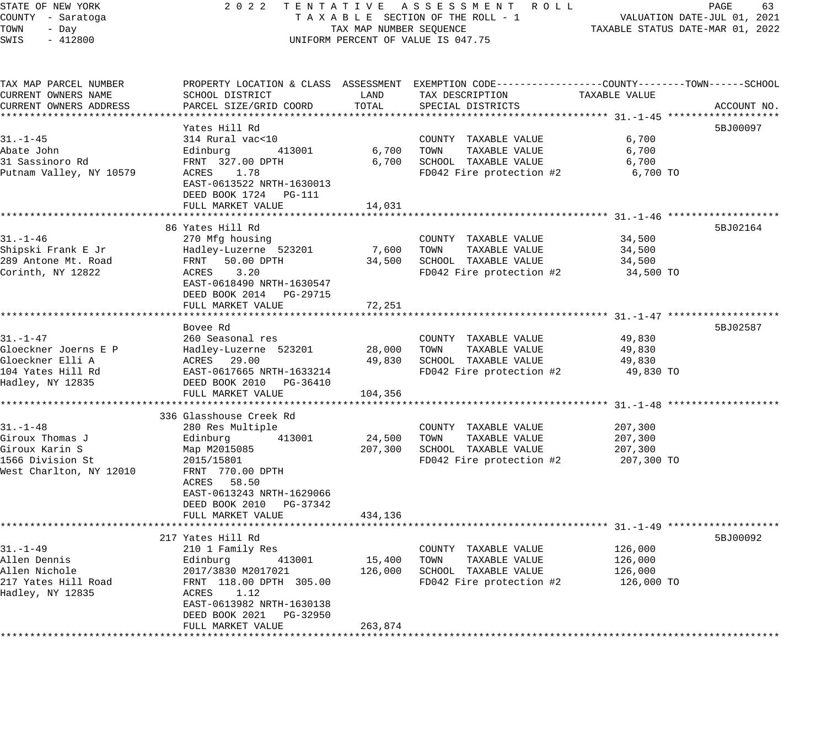## STATE OF NEW YORK 2 0 2 2 T E N T A T I V E A S S E S S M E N T R O L L PAGE 63 COUNTY - Saratoga T A X A B L E SECTION OF THE ROLL - 1 VALUATION DATE-JUL 01, 2021 TAX MAP NUMBER SEQUENCE TAXABLE STATUS DATE-MAR 01, 2022 UNIFORM PERCENT OF VALUE IS 047.75

| TAX MAP PARCEL NUMBER   |                            |         | PROPERTY LOCATION & CLASS ASSESSMENT EXEMPTION CODE----------------COUNTY-------TOWN------SCHOOL |               |             |
|-------------------------|----------------------------|---------|--------------------------------------------------------------------------------------------------|---------------|-------------|
| CURRENT OWNERS NAME     | SCHOOL DISTRICT            | LAND    | TAX DESCRIPTION                                                                                  | TAXABLE VALUE |             |
| CURRENT OWNERS ADDRESS  | PARCEL SIZE/GRID COORD     | TOTAL   | SPECIAL DISTRICTS                                                                                |               | ACCOUNT NO. |
| *********************   |                            |         |                                                                                                  |               |             |
|                         | Yates Hill Rd              |         |                                                                                                  |               | 5BJ00097    |
| $31. - 1 - 45$          | 314 Rural vac<10           |         | COUNTY TAXABLE VALUE                                                                             | 6,700         |             |
| Abate John              | Edinburg<br>413001         | 6,700   | TAXABLE VALUE<br>TOWN                                                                            | 6,700         |             |
| 31 Sassinoro Rd         | FRNT 327.00 DPTH           | 6,700   | SCHOOL TAXABLE VALUE                                                                             | 6,700         |             |
| Putnam Valley, NY 10579 | 1.78<br>ACRES              |         | FD042 Fire protection #2                                                                         | 6,700 TO      |             |
|                         | EAST-0613522 NRTH-1630013  |         |                                                                                                  |               |             |
|                         | DEED BOOK 1724 PG-111      |         |                                                                                                  |               |             |
|                         | FULL MARKET VALUE          | 14,031  |                                                                                                  |               |             |
|                         |                            |         |                                                                                                  |               |             |
|                         | 86 Yates Hill Rd           |         |                                                                                                  |               | 5BJ02164    |
| $31. - 1 - 46$          | 270 Mfg housing            |         | COUNTY TAXABLE VALUE                                                                             | 34,500        |             |
| Shipski Frank E Jr      | Hadley-Luzerne 523201      | 7,600   | TOWN<br>TAXABLE VALUE                                                                            | 34,500        |             |
| 289 Antone Mt. Road     | FRNT 50.00 DPTH            | 34,500  | SCHOOL TAXABLE VALUE                                                                             | 34,500        |             |
| Corinth, NY 12822       | 3.20<br>ACRES              |         | FD042 Fire protection #2                                                                         | 34,500 TO     |             |
|                         | EAST-0618490 NRTH-1630547  |         |                                                                                                  |               |             |
|                         | DEED BOOK 2014 PG-29715    |         |                                                                                                  |               |             |
|                         | FULL MARKET VALUE          | 72,251  |                                                                                                  |               |             |
|                         |                            |         |                                                                                                  |               |             |
|                         | Bovee Rd                   |         |                                                                                                  |               | 5BJ02587    |
| 31.-1-47                | 260 Seasonal res           |         | COUNTY TAXABLE VALUE                                                                             | 49,830        |             |
| Gloeckner Joerns E P    | Hadley-Luzerne 523201      | 28,000  | TOWN<br>TAXABLE VALUE                                                                            | 49,830        |             |
| Gloeckner Elli A        | 29.00<br>ACRES             | 49,830  | SCHOOL TAXABLE VALUE                                                                             | 49,830        |             |
| 104 Yates Hill Rd       | EAST-0617665 NRTH-1633214  |         | FD042 Fire protection #2                                                                         | 49,830 TO     |             |
| Hadley, NY 12835        | DEED BOOK 2010<br>PG-36410 |         |                                                                                                  |               |             |
|                         | FULL MARKET VALUE          | 104,356 |                                                                                                  |               |             |
|                         |                            |         |                                                                                                  |               |             |
|                         | 336 Glasshouse Creek Rd    |         |                                                                                                  |               |             |
| $31. - 1 - 48$          | 280 Res Multiple           |         | COUNTY TAXABLE VALUE                                                                             | 207,300       |             |
| Giroux Thomas J         | 413001                     | 24,500  | TOWN<br>TAXABLE VALUE                                                                            | 207,300       |             |
| Giroux Karin S          | Edinburg                   | 207,300 | SCHOOL TAXABLE VALUE                                                                             | 207,300       |             |
|                         | Map M2015085               |         |                                                                                                  |               |             |
| 1566 Division St        | 2015/15801                 |         | FD042 Fire protection #2                                                                         | 207,300 TO    |             |
| West Charlton, NY 12010 | FRNT 770.00 DPTH           |         |                                                                                                  |               |             |
|                         | ACRES 58.50                |         |                                                                                                  |               |             |
|                         | EAST-0613243 NRTH-1629066  |         |                                                                                                  |               |             |
|                         | DEED BOOK 2010<br>PG-37342 |         |                                                                                                  |               |             |
|                         | FULL MARKET VALUE          | 434,136 |                                                                                                  |               |             |
|                         |                            |         |                                                                                                  |               |             |
|                         | 217 Yates Hill Rd          |         |                                                                                                  |               | 5BJ00092    |
| $31. - 1 - 49$          | 210 1 Family Res           |         | COUNTY TAXABLE VALUE                                                                             | 126,000       |             |
| Allen Dennis            | Edinburg<br>413001         | 15,400  | TOWN<br>TAXABLE VALUE                                                                            | 126,000       |             |
| Allen Nichole           | 2017/3830 M2017021         | 126,000 | SCHOOL TAXABLE VALUE                                                                             | 126,000       |             |
| 217 Yates Hill Road     | FRNT 118.00 DPTH 305.00    |         | FD042 Fire protection #2                                                                         | 126,000 TO    |             |
| Hadley, NY 12835        | ACRES<br>1.12              |         |                                                                                                  |               |             |
|                         | EAST-0613982 NRTH-1630138  |         |                                                                                                  |               |             |
|                         | DEED BOOK 2021<br>PG-32950 |         |                                                                                                  |               |             |
|                         | FULL MARKET VALUE          | 263,874 |                                                                                                  |               |             |
|                         |                            |         |                                                                                                  |               |             |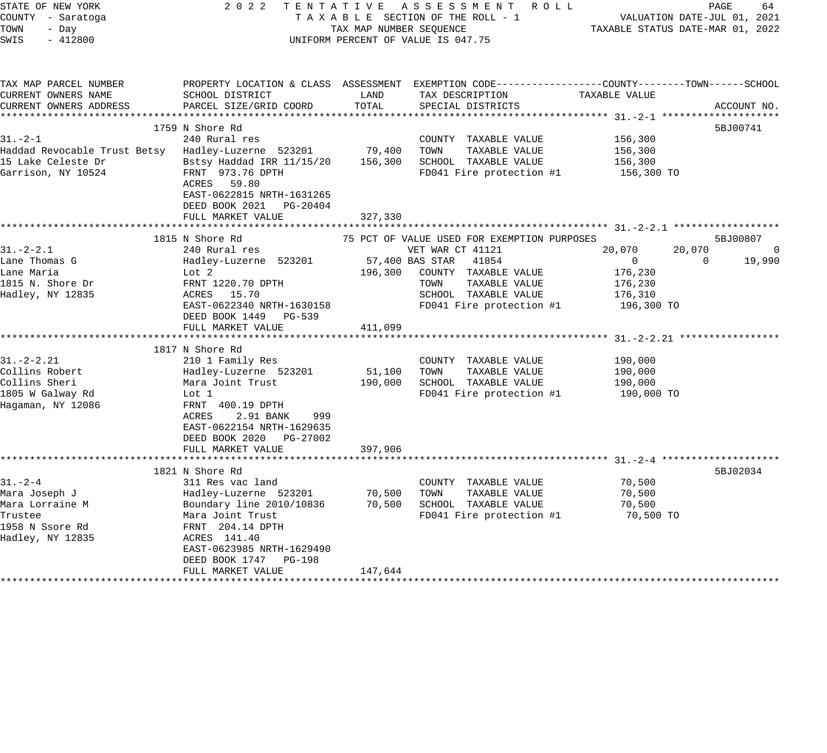| STATE OF NEW YORK<br>COUNTY - Saratoga<br>TOWN<br>- Day<br>SWIS<br>$-412800$                                                                                                           | 2 0 2 2                                                                                                                                                                                                                                                                                                                                                                                                         | TAX MAP NUMBER SEQUENCE                            | TENTATIVE ASSESSMENT ROLL<br>TAXABLE SECTION OF THE ROLL - 1<br>UNIFORM PERCENT OF VALUE IS 047.75                                                                                                                                                                                                    |                                                                                                                     | PAGE<br>64<br>VALUATION DATE-JUL 01, 2021<br>TAXABLE STATUS DATE-MAR 01, 2022 |
|----------------------------------------------------------------------------------------------------------------------------------------------------------------------------------------|-----------------------------------------------------------------------------------------------------------------------------------------------------------------------------------------------------------------------------------------------------------------------------------------------------------------------------------------------------------------------------------------------------------------|----------------------------------------------------|-------------------------------------------------------------------------------------------------------------------------------------------------------------------------------------------------------------------------------------------------------------------------------------------------------|---------------------------------------------------------------------------------------------------------------------|-------------------------------------------------------------------------------|
| TAX MAP PARCEL NUMBER<br>CURRENT OWNERS NAME<br>CURRENT OWNERS ADDRESS                                                                                                                 | SCHOOL DISTRICT<br>PARCEL SIZE/GRID COORD                                                                                                                                                                                                                                                                                                                                                                       | LAND<br>TOTAL                                      | PROPERTY LOCATION & CLASS ASSESSMENT EXEMPTION CODE----------------COUNTY-------TOWN------SCHOOL<br>TAX DESCRIPTION<br>SPECIAL DISTRICTS                                                                                                                                                              | TAXABLE VALUE                                                                                                       | ACCOUNT NO.                                                                   |
|                                                                                                                                                                                        | 1759 N Shore Rd                                                                                                                                                                                                                                                                                                                                                                                                 |                                                    |                                                                                                                                                                                                                                                                                                       |                                                                                                                     | 5BJ00741                                                                      |
| $31 - 2 - 1$<br>Haddad Revocable Trust Betsy<br>15 Lake Celeste Dr<br>Garrison, NY 10524                                                                                               | 240 Rural res<br>Hadley-Luzerne 523201<br>Bstsy Haddad IRR 11/15/20<br>FRNT 973.76 DPTH<br>ACRES 59.80<br>EAST-0622815 NRTH-1631265<br>DEED BOOK 2021<br>PG-20404<br>FULL MARKET VALUE                                                                                                                                                                                                                          | 79,400<br>156,300<br>327,330                       | COUNTY TAXABLE VALUE<br>TAXABLE VALUE<br>TOWN<br>SCHOOL TAXABLE VALUE<br>FD041 Fire protection #1                                                                                                                                                                                                     | 156,300<br>156,300<br>156,300<br>156,300 TO                                                                         |                                                                               |
|                                                                                                                                                                                        |                                                                                                                                                                                                                                                                                                                                                                                                                 |                                                    |                                                                                                                                                                                                                                                                                                       |                                                                                                                     |                                                                               |
| $31. - 2 - 2.1$<br>Lane Thomas G<br>Lane Maria<br>1815 N. Shore Dr<br>Hadley, NY 12835<br>$31. - 2 - 2.21$<br>Collins Robert<br>Collins Sheri<br>1805 W Galway Rd<br>Hagaman, NY 12086 | 1815 N Shore Rd<br>240 Rural res<br>Hadley-Luzerne 523201<br>Lot 2<br>FRNT 1220.70 DPTH<br>ACRES 15.70<br>EAST-0622340 NRTH-1630158<br>DEED BOOK 1449<br>PG-539<br>FULL MARKET VALUE<br>1817 N Shore Rd<br>210 1 Family Res<br>Hadley-Luzerne 523201<br>Mara Joint Trust<br>Lot 1<br>FRNT 400.19 DPTH<br>ACRES<br>2.91 BANK<br>999<br>EAST-0622154 NRTH-1629635<br>DEED BOOK 2020 PG-27002<br>FULL MARKET VALUE | 196,300<br>411,099<br>51,100<br>190,000<br>397,906 | 75 PCT OF VALUE USED FOR EXEMPTION PURPOSES<br>VET WAR CT 41121<br>57,400 BAS STAR<br>41854<br>COUNTY TAXABLE VALUE<br>TOWN<br>TAXABLE VALUE<br>SCHOOL TAXABLE VALUE<br>FD041 Fire protection #1<br>COUNTY TAXABLE VALUE<br>TOWN<br>TAXABLE VALUE<br>SCHOOL TAXABLE VALUE<br>FD041 Fire protection #1 | 20,070<br>$\mathbf 0$<br>176,230<br>176,230<br>176,310<br>196,300 TO<br>190,000<br>190,000<br>190,000<br>190,000 TO | 5BJ00807<br>20,070<br>$\Omega$<br>$\mathbf 0$<br>19,990                       |
| $31 - 2 - 4$<br>Mara Joseph J<br>Mara Lorraine M<br>Trustee<br>1958 N Ssore Rd<br>Hadley, NY 12835                                                                                     | 1821 N Shore Rd<br>311 Res vac land<br>Hadley-Luzerne 523201<br>Boundary line 2010/10836<br>Mara Joint Trust<br>FRNT 204.14 DPTH<br>ACRES 141.40<br>EAST-0623985 NRTH-1629490<br>DEED BOOK 1747 PG-198<br>FULL MARKET VALUE                                                                                                                                                                                     | 70,500<br>70,500<br>147,644                        | COUNTY TAXABLE VALUE<br>TOWN<br>TAXABLE VALUE<br>SCHOOL TAXABLE VALUE<br>FD041 Fire protection #1                                                                                                                                                                                                     | 70,500<br>70,500<br>70,500<br>70,500 TO                                                                             | 5BJ02034                                                                      |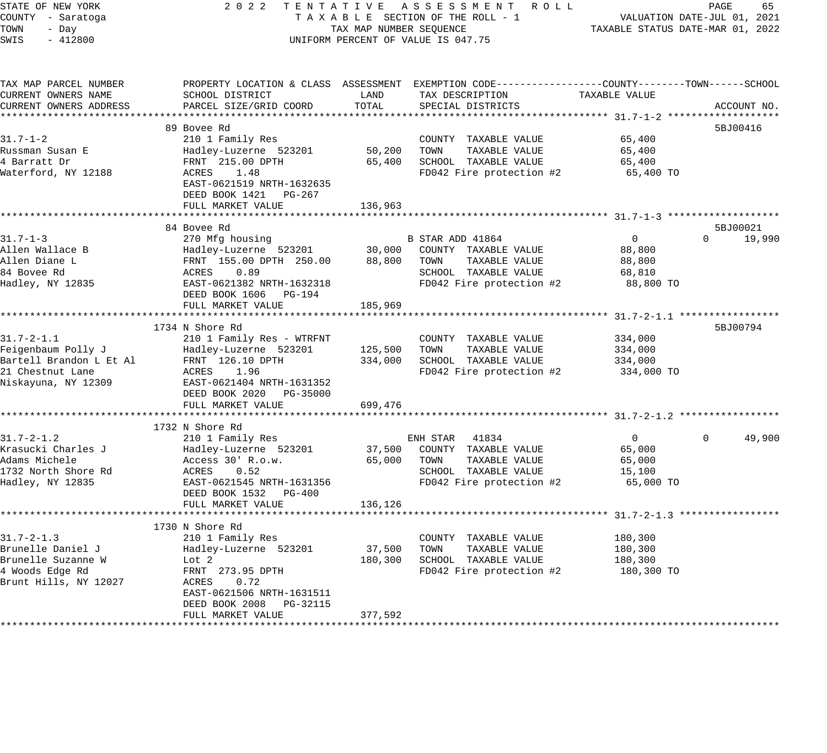## STATE OF NEW YORK 2 0 2 2 T E N T A T I V E A S S E S S M E N T R O L L PAGE 65 COUNTY - Saratoga T A X A B L E SECTION OF THE ROLL - 1 VALUATION DATE-JUL 01, 2021 X A B L E SECTION OF THE ROLL - 1 WILLIAM CONTROLLED STATUS DATE-MAR 01, 2022 UNIFORM PERCENT OF VALUE IS 047.75

| TAX MAP PARCEL NUMBER   | PROPERTY LOCATION & CLASS ASSESSMENT EXEMPTION CODE---------------COUNTY-------TOWN------SCHOOL |         |                          |                |                    |
|-------------------------|-------------------------------------------------------------------------------------------------|---------|--------------------------|----------------|--------------------|
| CURRENT OWNERS NAME     | SCHOOL DISTRICT                                                                                 | LAND    | TAX DESCRIPTION          | TAXABLE VALUE  |                    |
| CURRENT OWNERS ADDRESS  | PARCEL SIZE/GRID COORD                                                                          | TOTAL   | SPECIAL DISTRICTS        |                | ACCOUNT NO.        |
|                         |                                                                                                 |         |                          |                |                    |
|                         | 89 Boyee Rd                                                                                     |         |                          |                | 5BJ00416           |
| $31.7 - 1 - 2$          | 210 1 Family Res                                                                                |         | COUNTY TAXABLE VALUE     | 65,400         |                    |
| Russman Susan E         | Hadley-Luzerne 523201                                                                           | 50,200  | TOWN<br>TAXABLE VALUE    | 65,400         |                    |
| 4 Barratt Dr            | FRNT 215.00 DPTH                                                                                | 65,400  | SCHOOL TAXABLE VALUE     | 65,400         |                    |
| Waterford, NY 12188     | 1.48<br>ACRES                                                                                   |         | FD042 Fire protection #2 | 65,400 TO      |                    |
|                         | EAST-0621519 NRTH-1632635                                                                       |         |                          |                |                    |
|                         | DEED BOOK 1421<br>PG-267                                                                        |         |                          |                |                    |
|                         |                                                                                                 |         |                          |                |                    |
|                         | FULL MARKET VALUE                                                                               | 136,963 |                          |                |                    |
|                         |                                                                                                 |         |                          |                |                    |
|                         | 84 Bovee Rd                                                                                     |         |                          |                | 5BJ00021           |
| $31.7 - 1 - 3$          | 270 Mfg housing                                                                                 |         | B STAR ADD 41864         | $\mathbf{0}$   | $\Omega$<br>19,990 |
| Allen Wallace B         | Hadley-Luzerne 523201                                                                           | 30,000  | COUNTY TAXABLE VALUE     | 88,800         |                    |
| Allen Diane L           | FRNT 155.00 DPTH 250.00                                                                         | 88,800  | TOWN<br>TAXABLE VALUE    | 88,800         |                    |
| 84 Bovee Rd             | ACRES<br>0.89                                                                                   |         | SCHOOL TAXABLE VALUE     | 68,810         |                    |
| Hadley, NY 12835        | EAST-0621382 NRTH-1632318                                                                       |         | FD042 Fire protection #2 | 88,800 TO      |                    |
|                         | DEED BOOK 1606 PG-194                                                                           |         |                          |                |                    |
|                         | FULL MARKET VALUE                                                                               | 185,969 |                          |                |                    |
|                         |                                                                                                 |         |                          |                |                    |
|                         | 1734 N Shore Rd                                                                                 |         |                          |                | 5BJ00794           |
| $31.7 - 2 - 1.1$        | 210 1 Family Res - WTRFNT                                                                       |         | COUNTY TAXABLE VALUE     | 334,000        |                    |
| Feigenbaum Polly J      | Hadley-Luzerne 523201                                                                           | 125,500 | TAXABLE VALUE<br>TOWN    | 334,000        |                    |
| Bartell Brandon L Et Al | FRNT 126.10 DPTH                                                                                | 334,000 | SCHOOL TAXABLE VALUE     | 334,000        |                    |
| 21 Chestnut Lane        | ACRES<br>1.96                                                                                   |         | FD042 Fire protection #2 | 334,000 TO     |                    |
| Niskayuna, NY 12309     | EAST-0621404 NRTH-1631352                                                                       |         |                          |                |                    |
|                         | DEED BOOK 2020 PG-35000                                                                         |         |                          |                |                    |
|                         | FULL MARKET VALUE                                                                               | 699,476 |                          |                |                    |
|                         |                                                                                                 |         |                          |                |                    |
|                         | 1732 N Shore Rd                                                                                 |         |                          |                |                    |
| $31.7 - 2 - 1.2$        | 210 1 Family Res                                                                                |         | ENH STAR 41834           | $\overline{0}$ | 49,900<br>$\Omega$ |
| Krasucki Charles J      | Hadley-Luzerne 523201                                                                           | 37,500  | COUNTY TAXABLE VALUE     | 65,000         |                    |
| Adams Michele           | Access 30' R.o.w.                                                                               | 65,000  | TAXABLE VALUE<br>TOWN    | 65,000         |                    |
| 1732 North Shore Rd     | ACRES<br>0.52                                                                                   |         | SCHOOL TAXABLE VALUE     | 15,100         |                    |
|                         |                                                                                                 |         |                          |                |                    |
| Hadley, NY 12835        | EAST-0621545 NRTH-1631356                                                                       |         | FD042 Fire protection #2 | 65,000 TO      |                    |
|                         | DEED BOOK 1532<br>PG-400                                                                        |         |                          |                |                    |
|                         | FULL MARKET VALUE                                                                               | 136,126 |                          |                |                    |
|                         |                                                                                                 |         |                          |                |                    |
|                         | 1730 N Shore Rd                                                                                 |         |                          |                |                    |
| $31.7 - 2 - 1.3$        | 210 1 Family Res                                                                                |         | COUNTY TAXABLE VALUE     | 180,300        |                    |
| Brunelle Daniel J       | Hadley-Luzerne 523201                                                                           | 37,500  | TOWN<br>TAXABLE VALUE    | 180,300        |                    |
| Brunelle Suzanne W      | Lot 2                                                                                           | 180,300 | SCHOOL TAXABLE VALUE     | 180,300        |                    |
| 4 Woods Edge Rd         | FRNT 273.95 DPTH                                                                                |         | FD042 Fire protection #2 | 180,300 TO     |                    |
| Brunt Hills, NY 12027   | ACRES<br>0.72                                                                                   |         |                          |                |                    |
|                         | EAST-0621506 NRTH-1631511                                                                       |         |                          |                |                    |
|                         | DEED BOOK 2008<br>PG-32115                                                                      |         |                          |                |                    |
|                         | FULL MARKET VALUE                                                                               | 377,592 |                          |                |                    |
|                         |                                                                                                 |         |                          |                |                    |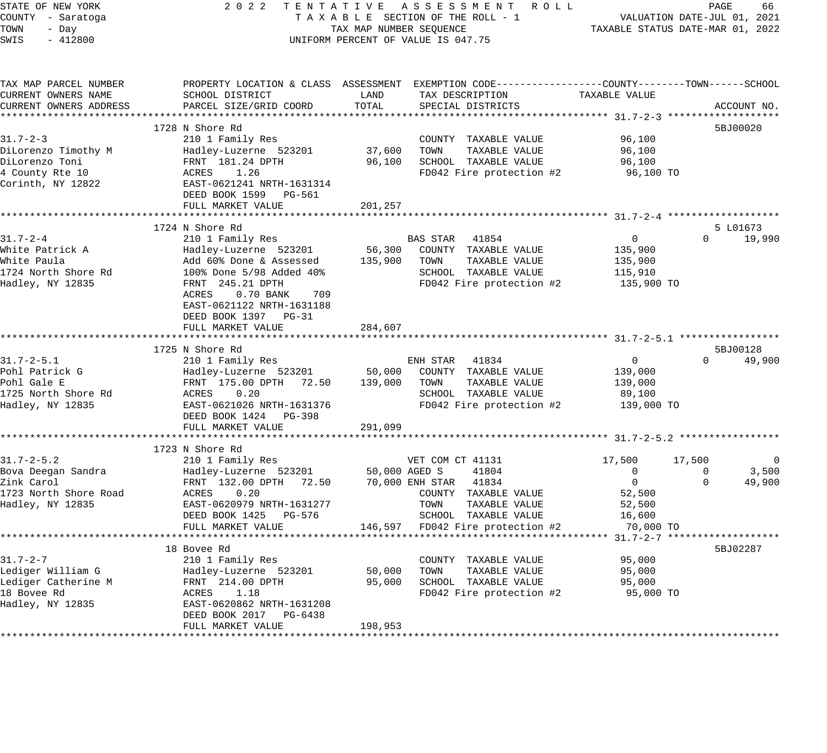STATE OF NEW YORK 2 0 2 2 T E N T A T I V E A S S E S S M E N T R O L L PAGE 66 COUNTY - Saratoga T A X A B L E SECTION OF THE ROLL - 1 VALUATION DATE-JUL 01, 2021 TOWN - Day TAX MAP NUMBER SEQUENCE TAXABLE STATUS DATE-MAR 01, 2022 SWIS - 412800 CONTROLLY THE UNIFORM PERCENT OF VALUE IS 047.75 TAX MAP PARCEL NUMBER PROPERTY LOCATION & CLASS ASSESSMENT EXEMPTION CODE------------------COUNTY--------TOWN------SCHOOL CURRENT OWNERS NAME SCHOOL DISTRICT LAND TAX DESCRIPTION TAXABLE VALUE CURRENT OWNERS ADDRESS PARCEL SIZE/GRID COORD TOTAL SPECIAL DISTRICTS ACCOUNT NO. \*\*\*\*\*\*\*\*\*\*\*\*\*\*\*\*\*\*\*\*\*\*\*\*\*\*\*\*\*\*\*\*\*\*\*\*\*\*\*\*\*\*\*\*\*\*\*\*\*\*\*\*\*\*\*\*\*\*\*\*\*\*\*\*\*\*\*\*\*\*\*\*\*\*\*\*\*\*\*\*\*\*\*\*\*\*\*\*\*\*\*\*\*\*\*\*\*\*\*\*\*\*\* 31.7-2-3 \*\*\*\*\*\*\*\*\*\*\*\*\*\*\*\*\*\*\* 1728 N Shore Rd 5BJ00020 31.7-2-3 210 1 Family Res COUNTY TAXABLE VALUE 96,100 DiLorenzo Timothy M Hadley-Luzerne 523201 37,600 TOWN TAXABLE VALUE 96,100 DiLorenzo Toni FRNT 181.24 DPTH 96,100 SCHOOL TAXABLE VALUE 96,100 4 County Rte 10 ACRES 1.26 FD042 Fire protection #2 96,100 TO Corinth, NY 12822 EAST-0621241 NRTH-1631314 DEED BOOK 1599 PG-561 FULL MARKET VALUE 201,257 \*\*\*\*\*\*\*\*\*\*\*\*\*\*\*\*\*\*\*\*\*\*\*\*\*\*\*\*\*\*\*\*\*\*\*\*\*\*\*\*\*\*\*\*\*\*\*\*\*\*\*\*\*\*\*\*\*\*\*\*\*\*\*\*\*\*\*\*\*\*\*\*\*\*\*\*\*\*\*\*\*\*\*\*\*\*\*\*\*\*\*\*\*\*\*\*\*\*\*\*\*\*\* 31.7-2-4 \*\*\*\*\*\*\*\*\*\*\*\*\*\*\*\*\*\*\* 1724 N Shore Rd 5 L01673 31.7-2-4 210 1 Family Res BAS STAR 41854 0 0 19,990 White Patrick A Hadley-Luzerne 523201 56,300 COUNTY TAXABLE VALUE 135,900 White Paula Add 60% Done & Assessed 135,900 TOWN TAXABLE VALUE 135,900 1724 North Shore Rd 100% Done 5/98 Added 40% SCHOOL TAXABLE VALUE 115,910 Hadley, NY 12835 FRNT 245.21 DPTH FD042 Fire protection #2 135,900 TO ACRES 0.70 BANK 709 EAST-0621122 NRTH-1631188 DEED BOOK 1397 PG-31 FULL MARKET VALUE 284,607 \*\*\*\*\*\*\*\*\*\*\*\*\*\*\*\*\*\*\*\*\*\*\*\*\*\*\*\*\*\*\*\*\*\*\*\*\*\*\*\*\*\*\*\*\*\*\*\*\*\*\*\*\*\*\*\*\*\*\*\*\*\*\*\*\*\*\*\*\*\*\*\*\*\*\*\*\*\*\*\*\*\*\*\*\*\*\*\*\*\*\*\*\*\*\*\*\*\*\*\*\*\*\* 31.7-2-5.1 \*\*\*\*\*\*\*\*\*\*\*\*\*\*\*\*\* 1725 N Shore Rd 5BJ00128 31.7-2-5.1 210 1 Family Res ENH STAR 41834 0 0 49,900 Pohl Patrick G Hadley-Luzerne 523201 50,000 COUNTY TAXABLE VALUE 139,000 Pohl Gale E FRNT 175.00 DPTH 72.50 139,000 TOWN TAXABLE VALUE 139,000 1725 North Shore Rd ACRES 0.20 SCHOOL TAXABLE VALUE 89,100 Hadley, NY 12835 EAST-0621026 NRTH-1631376 FD042 Fire protection #2 139,000 TO DEED BOOK 1424 PG-398 FULL MARKET VALUE 291,099 \*\*\*\*\*\*\*\*\*\*\*\*\*\*\*\*\*\*\*\*\*\*\*\*\*\*\*\*\*\*\*\*\*\*\*\*\*\*\*\*\*\*\*\*\*\*\*\*\*\*\*\*\*\*\*\*\*\*\*\*\*\*\*\*\*\*\*\*\*\*\*\*\*\*\*\*\*\*\*\*\*\*\*\*\*\*\*\*\*\*\*\*\*\*\*\*\*\*\*\*\*\*\* 31.7-2-5.2 \*\*\*\*\*\*\*\*\*\*\*\*\*\*\*\*\* 1723 N Shore Rd 31.7-2-5.2 210 1 Family Res VET COM CT 41131 17,500 17,500 0 Bova Deegan Sandra Hadley-Luzerne 523201 50,000 AGED S 41804 0 0 3,500 Zink Carol FRNT 132.00 DPTH 72.50 70,000 ENH STAR 41834 0 0 49,900 1723 North Shore Road ACRES 0.20 COUNTY TAXABLE VALUE 52,500 Hadley, NY 12835 EAST-0620979 NRTH-1631277 TOWN TAXABLE VALUE 52,500 DEED BOOK 1425 PG-576 SCHOOL TAXABLE VALUE 16,600 FULL MARKET VALUE 146,597 FD042 Fire protection #2 70,000 TO \*\*\*\*\*\*\*\*\*\*\*\*\*\*\*\*\*\*\*\*\*\*\*\*\*\*\*\*\*\*\*\*\*\*\*\*\*\*\*\*\*\*\*\*\*\*\*\*\*\*\*\*\*\*\*\*\*\*\*\*\*\*\*\*\*\*\*\*\*\*\*\*\*\*\*\*\*\*\*\*\*\*\*\*\*\*\*\*\*\*\*\*\*\*\*\*\*\*\*\*\*\*\* 31.7-2-7 \*\*\*\*\*\*\*\*\*\*\*\*\*\*\*\*\*\*\* 18 Bovee Rd 5BJ02287 31.7-2-7 210 1 Family Res COUNTY TAXABLE VALUE 95,000 Lediger William G Hadley-Luzerne 523201 50,000 TOWN TAXABLE VALUE 95,000 Lediger Catherine M FRNT 214.00 DPTH 95,000 SCHOOL TAXABLE VALUE 95,000 18 Bovee Rd ACRES 1.18 FD042 Fire protection #2 95,000 TO Hadley, NY 12835 EAST-0620862 NRTH-1631208 DEED BOOK 2017 PG-6438 EEED BOOK 2017 FG-0450<br>FULL MARKET VALUE 198,953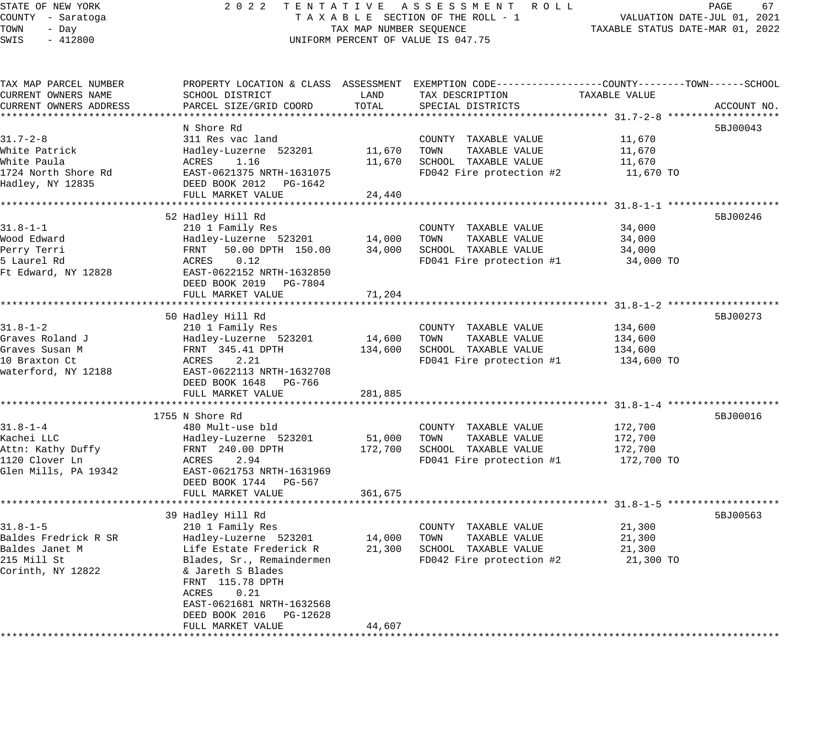## STATE OF NEW YORK 2 0 2 2 T E N T A T I V E A S S E S S M E N T R O L L PAGE 67 COUNTY - Saratoga T A X A B L E SECTION OF THE ROLL - 1 VALUATION DATE-JUL 01, 2021 TAX MAP NUMBER SEQUENCE TAXABLE STATUS DATE-MAR 01, 2022 UNIFORM PERCENT OF VALUE IS 047.75

| TAX MAP PARCEL NUMBER  | PROPERTY LOCATION & CLASS ASSESSMENT EXEMPTION CODE----------------COUNTY-------TOWN-----SCHOOL |         |                          |               |             |
|------------------------|-------------------------------------------------------------------------------------------------|---------|--------------------------|---------------|-------------|
| CURRENT OWNERS NAME    | SCHOOL DISTRICT                                                                                 | LAND    | TAX DESCRIPTION          | TAXABLE VALUE |             |
| CURRENT OWNERS ADDRESS | PARCEL SIZE/GRID COORD                                                                          | TOTAL   | SPECIAL DISTRICTS        |               | ACCOUNT NO. |
|                        |                                                                                                 |         |                          |               |             |
|                        | N Shore Rd                                                                                      |         |                          |               | 5BJ00043    |
| $31.7 - 2 - 8$         | 311 Res vac land                                                                                |         | COUNTY TAXABLE VALUE     | 11,670        |             |
| White Patrick          | Hadley-Luzerne 523201                                                                           | 11,670  | TOWN<br>TAXABLE VALUE    | 11,670        |             |
| White Paula            | ACRES<br>1.16                                                                                   | 11,670  | SCHOOL TAXABLE VALUE     | 11,670        |             |
| 1724 North Shore Rd    | EAST-0621375 NRTH-1631075                                                                       |         | FD042 Fire protection #2 | 11,670 TO     |             |
| Hadley, NY 12835       | DEED BOOK 2012 PG-1642                                                                          |         |                          |               |             |
|                        | FULL MARKET VALUE                                                                               | 24,440  |                          |               |             |
|                        |                                                                                                 |         |                          |               |             |
|                        |                                                                                                 |         |                          |               |             |
|                        | 52 Hadley Hill Rd                                                                               |         |                          |               | 5BJ00246    |
| $31.8 - 1 - 1$         | 210 1 Family Res                                                                                |         | COUNTY TAXABLE VALUE     | 34,000        |             |
| Wood Edward            | Hadley-Luzerne 523201                                                                           | 14,000  | TOWN<br>TAXABLE VALUE    | 34,000        |             |
| Perry Terri            | FRNT 50.00 DPTH 150.00                                                                          | 34,000  | SCHOOL TAXABLE VALUE     | 34,000        |             |
| 5 Laurel Rd            | ACRES<br>0.12                                                                                   |         | FD041 Fire protection #1 | 34,000 TO     |             |
| Ft Edward, NY 12828    | EAST-0622152 NRTH-1632850                                                                       |         |                          |               |             |
|                        | DEED BOOK 2019    PG-7804                                                                       |         |                          |               |             |
|                        | FULL MARKET VALUE                                                                               | 71,204  |                          |               |             |
|                        |                                                                                                 |         |                          |               |             |
|                        | 50 Hadley Hill Rd                                                                               |         |                          |               | 5BJ00273    |
| $31.8 - 1 - 2$         | 210 1 Family Res                                                                                |         | COUNTY TAXABLE VALUE     | 134,600       |             |
| Graves Roland J        | Hadley-Luzerne 523201                                                                           | 14,600  | TOWN<br>TAXABLE VALUE    | 134,600       |             |
| Graves Susan M         | FRNT 345.41 DPTH                                                                                | 134,600 | SCHOOL TAXABLE VALUE     | 134,600       |             |
| 10 Braxton Ct          | 2.21<br>ACRES                                                                                   |         | FD041 Fire protection #1 | 134,600 TO    |             |
| waterford, NY 12188    | EAST-0622113 NRTH-1632708                                                                       |         |                          |               |             |
|                        | DEED BOOK 1648 PG-766                                                                           |         |                          |               |             |
|                        | FULL MARKET VALUE                                                                               | 281,885 |                          |               |             |
|                        |                                                                                                 |         |                          |               |             |
|                        | 1755 N Shore Rd                                                                                 |         |                          |               | 5BJ00016    |
| $31.8 - 1 - 4$         |                                                                                                 |         |                          |               |             |
|                        | 480 Mult-use bld                                                                                |         | COUNTY TAXABLE VALUE     | 172,700       |             |
| Kachei LLC             | Hadley-Luzerne 523201                                                                           | 51,000  | TAXABLE VALUE<br>TOWN    | 172,700       |             |
| Attn: Kathy Duffy      | FRNT 240.00 DPTH                                                                                | 172,700 | SCHOOL TAXABLE VALUE     | 172,700       |             |
| 1120 Clover Ln         | ACRES<br>2.94                                                                                   |         | FD041 Fire protection #1 | 172,700 TO    |             |
| Glen Mills, PA 19342   | EAST-0621753 NRTH-1631969                                                                       |         |                          |               |             |
|                        | DEED BOOK 1744 PG-567                                                                           |         |                          |               |             |
|                        | FULL MARKET VALUE                                                                               | 361,675 |                          |               |             |
|                        |                                                                                                 |         |                          |               |             |
|                        | 39 Hadley Hill Rd                                                                               |         |                          |               | 5BJ00563    |
| $31.8 - 1 - 5$         | 210 1 Family Res                                                                                |         | COUNTY TAXABLE VALUE     | 21,300        |             |
| Baldes Fredrick R SR   | Hadley-Luzerne 523201 14,000                                                                    |         | TOWN<br>TAXABLE VALUE    | 21,300        |             |
| Baldes Janet M         | Life Estate Frederick R                                                                         | 21,300  | SCHOOL TAXABLE VALUE     | 21,300        |             |
| 215 Mill St            | Blades, Sr., Remaindermen                                                                       |         | FD042 Fire protection #2 | 21,300 TO     |             |
| Corinth, NY 12822      | & Jareth S Blades                                                                               |         |                          |               |             |
|                        | FRNT 115.78 DPTH                                                                                |         |                          |               |             |
|                        | ACRES<br>0.21                                                                                   |         |                          |               |             |
|                        | EAST-0621681 NRTH-1632568                                                                       |         |                          |               |             |
|                        | DEED BOOK 2016<br>PG-12628                                                                      |         |                          |               |             |
|                        | FULL MARKET VALUE                                                                               | 44,607  |                          |               |             |
|                        |                                                                                                 |         |                          |               |             |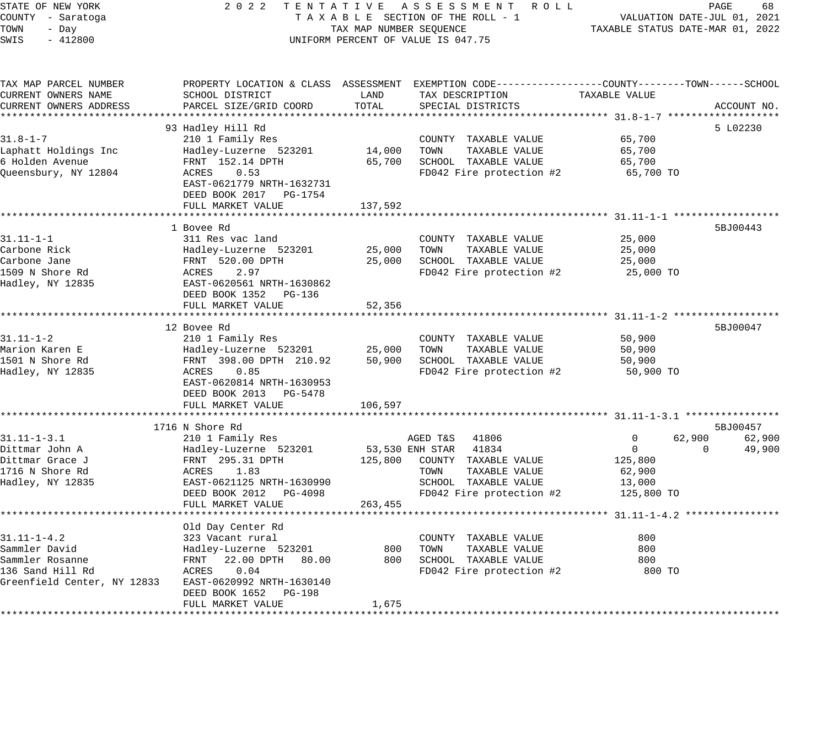| STATE OF NEW YORK |           |  |
|-------------------|-----------|--|
| COUNTY - Saratoga |           |  |
| TOWN              | - Dav     |  |
| SWIS              | $-412800$ |  |

# STATE OF NEW YORK 2 0 2 2 T E N T A T I V E A S S E S S M E N T R O L L PAGE 68 COUNTY - Saratoga T A X A B L E SECTION OF THE ROLL - 1 VALUATION DATE-JUL 01, 2021 TOWN - Day TAX MAP NUMBER SEQUENCE TAXABLE STATUS DATE-MAR 01, 2022 SWIS - 412800 CONTROLL CONTROL CONTROL UNIFORM PERCENT OF VALUE IS 047.75

| TAX MAP PARCEL NUMBER       | PROPERTY LOCATION & CLASS ASSESSMENT EXEMPTION CODE----------------COUNTY-------TOWN-----SCHOOL |              |                       |                          |                |          |             |
|-----------------------------|-------------------------------------------------------------------------------------------------|--------------|-----------------------|--------------------------|----------------|----------|-------------|
| CURRENT OWNERS NAME         | SCHOOL DISTRICT                                                                                 | LAND         |                       | TAX DESCRIPTION          | TAXABLE VALUE  |          |             |
| CURRENT OWNERS ADDRESS      | PARCEL SIZE/GRID COORD                                                                          | TOTAL        |                       | SPECIAL DISTRICTS        |                |          | ACCOUNT NO. |
|                             |                                                                                                 |              |                       |                          |                |          |             |
|                             | 93 Hadley Hill Rd                                                                               |              |                       |                          |                |          | 5 L02230    |
| $31.8 - 1 - 7$              | 210 1 Family Res                                                                                |              |                       | COUNTY TAXABLE VALUE     | 65,700         |          |             |
| Laphatt Holdings Inc        | Hadley-Luzerne 523201                                                                           | 14,000       | TOWN                  | TAXABLE VALUE            | 65,700         |          |             |
| 6 Holden Avenue             | FRNT 152.14 DPTH                                                                                | 65,700       |                       | SCHOOL TAXABLE VALUE     | 65,700         |          |             |
| Queensbury, NY 12804        | ACRES 0.53                                                                                      |              |                       | FD042 Fire protection #2 | 65,700 TO      |          |             |
|                             | EAST-0621779 NRTH-1632731                                                                       |              |                       |                          |                |          |             |
|                             | DEED BOOK 2017 PG-1754                                                                          |              |                       |                          |                |          |             |
|                             | FULL MARKET VALUE                                                                               | 137,592      |                       |                          |                |          |             |
|                             | **********************                                                                          | ************ |                       |                          |                |          |             |
|                             | 1 Bovee Rd                                                                                      |              |                       |                          |                |          | 5BJ00443    |
| $31.11 - 1 - 1$             | 311 Res vac land                                                                                |              |                       | COUNTY TAXABLE VALUE     | 25,000         |          |             |
| Carbone Rick                | Hadley-Luzerne 523201                                                                           | 25,000       | TOWN                  | TAXABLE VALUE            | 25,000         |          |             |
| Carbone Jane                | FRNT 520.00 DPTH                                                                                | 25,000       |                       | SCHOOL TAXABLE VALUE     | 25,000         |          |             |
| 1509 N Shore Rd             | ACRES<br>2.97                                                                                   |              |                       | FD042 Fire protection #2 | 25,000 TO      |          |             |
| Hadley, NY 12835            | EAST-0620561 NRTH-1630862                                                                       |              |                       |                          |                |          |             |
|                             | DEED BOOK 1352 PG-136                                                                           |              |                       |                          |                |          |             |
|                             | FULL MARKET VALUE                                                                               | 52,356       |                       |                          |                |          |             |
|                             |                                                                                                 |              |                       |                          |                |          |             |
|                             | 12 Bovee Rd                                                                                     |              |                       |                          |                |          | 5BJ00047    |
| $31.11 - 1 - 2$             | 210 1 Family Res                                                                                |              |                       | COUNTY TAXABLE VALUE     | 50,900         |          |             |
| Marion Karen E              | Hadley-Luzerne 523201                                                                           | 25,000       | TOWN                  | TAXABLE VALUE            | 50,900         |          |             |
| 1501 N Shore Rd             | FRNT 398.00 DPTH 210.92                                                                         | 50,900       |                       | SCHOOL TAXABLE VALUE     | 50,900         |          |             |
| Hadley, NY 12835            | ACRES<br>0.85                                                                                   |              |                       | FD042 Fire protection #2 | 50,900 TO      |          |             |
|                             | EAST-0620814 NRTH-1630953                                                                       |              |                       |                          |                |          |             |
|                             | DEED BOOK 2013 PG-5478                                                                          |              |                       |                          |                |          |             |
|                             | FULL MARKET VALUE                                                                               | 106,597      |                       |                          |                |          |             |
|                             |                                                                                                 |              |                       |                          |                |          |             |
|                             | 1716 N Shore Rd                                                                                 |              |                       |                          |                |          | 5BJ00457    |
| $31.11 - 1 - 3.1$           | 210 1 Family Res                                                                                |              | AGED T&S 41806        |                          | 0              | 62,900   | 62,900      |
| Dittmar John A              | Hadley-Luzerne 523201                                                                           |              | 53,530 ENH STAR 41834 |                          | $\overline{0}$ | $\Omega$ | 49,900      |
| Dittmar Grace J             | FRNT 295.31 DPTH                                                                                | 125,800      |                       | COUNTY TAXABLE VALUE     | 125,800        |          |             |
| 1716 N Shore Rd             | 1.83<br>ACRES                                                                                   |              | TOWN                  | TAXABLE VALUE            | 62,900         |          |             |
| Hadley, NY 12835            | EAST-0621125 NRTH-1630990                                                                       |              |                       | SCHOOL TAXABLE VALUE     | 13,000         |          |             |
|                             | DEED BOOK 2012 PG-4098                                                                          |              |                       | FD042 Fire protection #2 | 125,800 TO     |          |             |
|                             | FULL MARKET VALUE                                                                               | 263,455      |                       |                          |                |          |             |
|                             |                                                                                                 |              |                       |                          |                |          |             |
|                             | Old Day Center Rd                                                                               |              |                       |                          |                |          |             |
| $31.11 - 1 - 4.2$           | 323 Vacant rural                                                                                |              |                       | COUNTY TAXABLE VALUE     | 800            |          |             |
| Sammler David               | Hadley-Luzerne 523201                                                                           | 800          | TOWN                  | TAXABLE VALUE            | 800            |          |             |
| Sammler Rosanne             | FRNT 22.00 DPTH 80.00                                                                           | 800          |                       | SCHOOL TAXABLE VALUE     | 800            |          |             |
| 136 Sand Hill Rd            | ACRES<br>0.04                                                                                   |              |                       | FD042 Fire protection #2 | 800 TO         |          |             |
| Greenfield Center, NY 12833 | EAST-0620992 NRTH-1630140                                                                       |              |                       |                          |                |          |             |
|                             | DEED BOOK 1652 PG-198                                                                           |              |                       |                          |                |          |             |
|                             | FULL MARKET VALUE                                                                               | 1,675        |                       |                          |                |          |             |
|                             |                                                                                                 |              |                       |                          |                |          |             |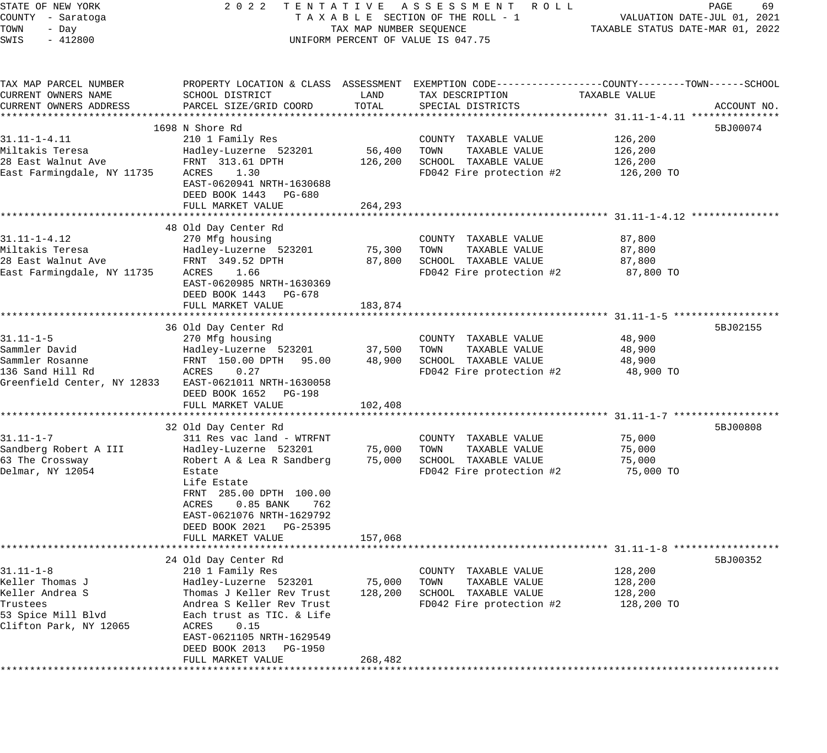STATE OF NEW YORK 2 0 2 2 T E N T A T I V E A S S E S S M E N T R O L L PAGE 69 COUNTY - Saratoga T A X A B L E SECTION OF THE ROLL - 1 VALUATION DATE-JUL 01, 2021 TOWN - Day TAX MAP NUMBER SEQUENCE TAXABLE STATUS DATE-MAR 01, 2022 SWIS - 412800 CONTROLLY THE UNIFORM PERCENT OF VALUE IS 047.75 TAX MAP PARCEL NUMBER PROPERTY LOCATION & CLASS ASSESSMENT EXEMPTION CODE------------------COUNTY--------TOWN------SCHOOL CURRENT OWNERS NAME SCHOOL DISTRICT LAND TAX DESCRIPTION TAXABLE VALUE CURRENT OWNERS ADDRESS PARCEL SIZE/GRID COORD TOTAL SPECIAL DISTRICTS ACCOUNT NO. \*\*\*\*\*\*\*\*\*\*\*\*\*\*\*\*\*\*\*\*\*\*\*\*\*\*\*\*\*\*\*\*\*\*\*\*\*\*\*\*\*\*\*\*\*\*\*\*\*\*\*\*\*\*\*\*\*\*\*\*\*\*\*\*\*\*\*\*\*\*\*\*\*\*\*\*\*\*\*\*\*\*\*\*\*\*\*\*\*\*\*\*\*\*\*\*\*\*\*\*\*\*\* 31.11-1-4.11 \*\*\*\*\*\*\*\*\*\*\*\*\*\*\*  $1698$  N Shore Rd  $5BJ00074$ 31.11-1-4.11 210 1 Family Res COUNTY TAXABLE VALUE 126,200 Miltakis Teresa Hadley-Luzerne 523201 56,400 TOWN TAXABLE VALUE 126,200 28 East Walnut Ave FRNT 313.61 DPTH 126,200 SCHOOL TAXABLE VALUE 126,200 East Farmingdale, NY 11735 ACRES 1.30 FOO42 Fire protection #2 126,200 TO EAST-0620941 NRTH-1630688 DEED BOOK 1443 PG-680 ELLED BOOK 1445 FG-000<br>FULL MARKET VALUE 264,293 \*\*\*\*\*\*\*\*\*\*\*\*\*\*\*\*\*\*\*\*\*\*\*\*\*\*\*\*\*\*\*\*\*\*\*\*\*\*\*\*\*\*\*\*\*\*\*\*\*\*\*\*\*\*\*\*\*\*\*\*\*\*\*\*\*\*\*\*\*\*\*\*\*\*\*\*\*\*\*\*\*\*\*\*\*\*\*\*\*\*\*\*\*\*\*\*\*\*\*\*\*\*\* 31.11-1-4.12 \*\*\*\*\*\*\*\*\*\*\*\*\*\*\* 48 Old Day Center Rd 31.11-1-4.12 270 Mfg housing COUNTY TAXABLE VALUE 87,800 Miltakis Teresa Hadley-Luzerne 523201 75,300 TOWN TAXABLE VALUE 87,800 28 East Walnut Ave FRNT 349.52 DPTH 87,800 SCHOOL TAXABLE VALUE 87,800 East Farmingdale, NY 11735 ACRES 1.66 FD042 Fire protection #2 87,800 TO EAST-0620985 NRTH-1630369 DEED BOOK 1443 PG-678

FULL MARKET VALUE 183,874 \*\*\*\*\*\*\*\*\*\*\*\*\*\*\*\*\*\*\*\*\*\*\*\*\*\*\*\*\*\*\*\*\*\*\*\*\*\*\*\*\*\*\*\*\*\*\*\*\*\*\*\*\*\*\*\*\*\*\*\*\*\*\*\*\*\*\*\*\*\*\*\*\*\*\*\*\*\*\*\*\*\*\*\*\*\*\*\*\*\*\*\*\*\*\*\*\*\*\*\*\*\*\* 31.11-1-5 \*\*\*\*\*\*\*\*\*\*\*\*\*\*\*\*\*\* 36 Old Day Center Rd 5BJ02155 (1989) 36 Old Day Center Rd 5BJ02155 (1989) 36 Old Day Center Rd 31.11-1-5 270 Mfg housing COUNTY TAXABLE VALUE 48,900 Sammler David Hadley-Luzerne 523201 37,500 TOWN TAXABLE VALUE 48,900 Sammler Rosanne FRNT 150.00 DPTH 95.00 48,900 SCHOOL TAXABLE VALUE 48,900 136 Sand Hill Rd ACRES 0.27 FD042 Fire protection #2 48,900 TO Greenfield Center, NY 12833 EAST-0621011 NRTH-1630058 DEED BOOK 1652 PG-198 FULL MARKET VALUE 102,408 \*\*\*\*\*\*\*\*\*\*\*\*\*\*\*\*\*\*\*\*\*\*\*\*\*\*\*\*\*\*\*\*\*\*\*\*\*\*\*\*\*\*\*\*\*\*\*\*\*\*\*\*\*\*\*\*\*\*\*\*\*\*\*\*\*\*\*\*\*\*\*\*\*\*\*\*\*\*\*\*\*\*\*\*\*\*\*\*\*\*\*\*\*\*\*\*\*\*\*\*\*\*\* 31.11-1-7 \*\*\*\*\*\*\*\*\*\*\*\*\*\*\*\*\*\* 32 Old Day Center Rd 5BJ00808 (1999) 32 Old Day Center Rd 5BJ00808 (1999) 32 Old Day Center Rd 5BJ00808 (1999) 31.11-1-7 311 Res vac land - WTRFNT COUNTY TAXABLE VALUE 75,000 Sandberg Robert A III Hadley-Luzerne 523201 75,000 TOWN TAXABLE VALUE 75,000 63 The Crossway Robert A & Lea R Sandberg 75,000 SCHOOL TAXABLE VALUE 75,000 Delmar, NY 12054 Estate FD042 Fire protection #2 75,000 TO Life Estate FRNT 285.00 DPTH 100.00 ACRES 0.85 BANK 762 EAST-0621076 NRTH-1629792 DEED BOOK 2021 PG-25395 FULL MARKET VALUE 157,068 \*\*\*\*\*\*\*\*\*\*\*\*\*\*\*\*\*\*\*\*\*\*\*\*\*\*\*\*\*\*\*\*\*\*\*\*\*\*\*\*\*\*\*\*\*\*\*\*\*\*\*\*\*\*\*\*\*\*\*\*\*\*\*\*\*\*\*\*\*\*\*\*\*\*\*\*\*\*\*\*\*\*\*\*\*\*\*\*\*\*\*\*\*\*\*\*\*\*\*\*\*\*\* 31.11-1-8 \*\*\*\*\*\*\*\*\*\*\*\*\*\*\*\*\*\*  $24$  Old Day Center Rd  $5BJ00352$ 31.11-1-8 210 1 Family Res COUNTY TAXABLE VALUE 128,200 Keller Thomas J Hadley-Luzerne 523201 75,000 TOWN TAXABLE VALUE 128,200 Keller Andrea S Thomas J Keller Rev Trust 128,200 SCHOOL TAXABLE VALUE 128,200 Trustees Andrea S Keller Rev Trust FD042 Fire protection #2 128,200 TO 53 Spice Mill Blvd Each trust as TIC. & Life Clifton Park, NY 12065 ACRES 0.15 EAST-0621105 NRTH-1629549 DEED BOOK 2013 PG-1950 FULL MARKET VALUE 268,482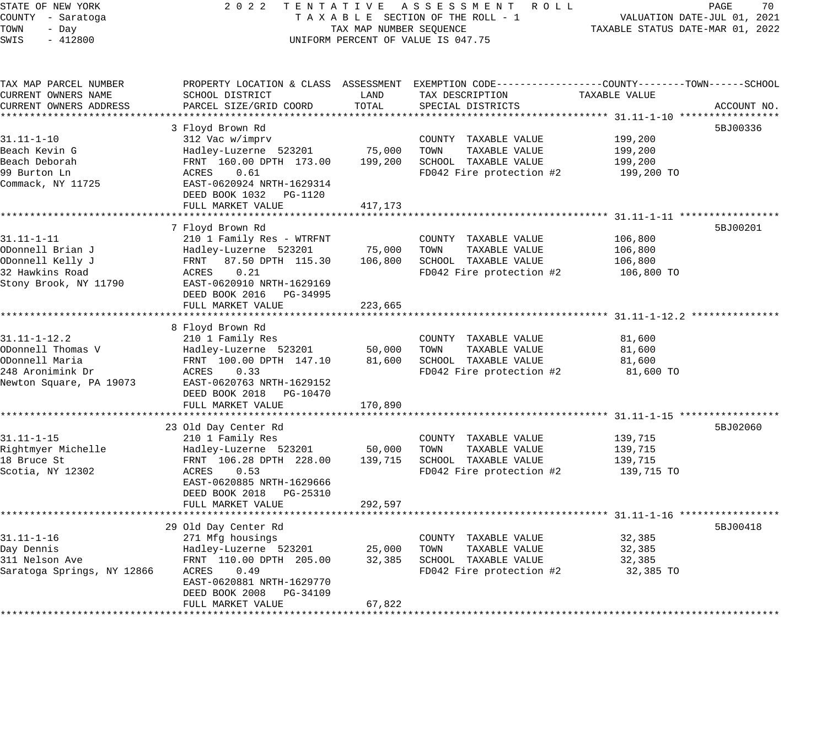STATE OF NEW YORK 2 0 2 2 T E N T A T I V E A S S E S S M E N T R O L L PAGE 70 COUNTY - Saratoga T A X A B L E SECTION OF THE ROLL - 1 VALUATION DATE-JUL 01, 2021 TOWN - Day TAX MAP NUMBER SEQUENCE TAXABLE STATUS DATE-MAR 01, 2022 SWIS - 412800 CONTROLLY THE UNIFORM PERCENT OF VALUE IS 047.75 TAX MAP PARCEL NUMBER PROPERTY LOCATION & CLASS ASSESSMENT EXEMPTION CODE------------------COUNTY--------TOWN------SCHOOL CURRENT OWNERS NAME SCHOOL DISTRICT LAND TAX DESCRIPTION TAXABLE VALUE CURRENT OWNERS ADDRESS PARCEL SIZE/GRID COORD TOTAL SPECIAL DISTRICTS ACCOUNT NO. \*\*\*\*\*\*\*\*\*\*\*\*\*\*\*\*\*\*\*\*\*\*\*\*\*\*\*\*\*\*\*\*\*\*\*\*\*\*\*\*\*\*\*\*\*\*\*\*\*\*\*\*\*\*\*\*\*\*\*\*\*\*\*\*\*\*\*\*\*\*\*\*\*\*\*\*\*\*\*\*\*\*\*\*\*\*\*\*\*\*\*\*\*\*\*\*\*\*\*\*\*\*\* 31.11-1-10 \*\*\*\*\*\*\*\*\*\*\*\*\*\*\*\*\* 3 Floyd Brown Rd 5BJ00336 31.11-1-10 312 Vac w/imprv COUNTY TAXABLE VALUE 199,200 Beach Kevin G Hadley-Luzerne 523201 75,000 TOWN TAXABLE VALUE 199,200 Beach Deborah FRNT 160.00 DPTH 173.00 199,200 SCHOOL TAXABLE VALUE 199,200 99 Burton Ln ACRES 0.61 FD042 Fire protection #2 199,200 TO Commack, NY 11725 EAST-0620924 NRTH-1629314 DEED BOOK 1032 PG-1120 FULL MARKET VALUE 417,173 \*\*\*\*\*\*\*\*\*\*\*\*\*\*\*\*\*\*\*\*\*\*\*\*\*\*\*\*\*\*\*\*\*\*\*\*\*\*\*\*\*\*\*\*\*\*\*\*\*\*\*\*\*\*\*\*\*\*\*\*\*\*\*\*\*\*\*\*\*\*\*\*\*\*\*\*\*\*\*\*\*\*\*\*\*\*\*\*\*\*\*\*\*\*\*\*\*\*\*\*\*\*\* 31.11-1-11 \*\*\*\*\*\*\*\*\*\*\*\*\*\*\*\*\* 7 Floyd Brown Rd 5BJ00201 31.11-1-11 210 1 Family Res - WTRFNT COUNTY TAXABLE VALUE 106,800 ODonnell Brian J Hadley-Luzerne 523201 75,000 TOWN TAXABLE VALUE 106,800 ODonnell Kelly J FRNT 87.50 DPTH 115.30 106,800 SCHOOL TAXABLE VALUE 106,800 32 Hawkins Road ACRES 0.21 FD042 Fire protection #2 106,800 TO Stony Brook, NY 11790 EAST-0620910 NRTH-1629169 DEED BOOK 2016 PG-34995 FULL MARKET VALUE 223,665 \*\*\*\*\*\*\*\*\*\*\*\*\*\*\*\*\*\*\*\*\*\*\*\*\*\*\*\*\*\*\*\*\*\*\*\*\*\*\*\*\*\*\*\*\*\*\*\*\*\*\*\*\*\*\*\*\*\*\*\*\*\*\*\*\*\*\*\*\*\*\*\*\*\*\*\*\*\*\*\*\*\*\*\*\*\*\*\*\*\*\*\*\*\*\*\*\*\*\*\*\*\*\* 31.11-1-12.2 \*\*\*\*\*\*\*\*\*\*\*\*\*\*\* 8 Floyd Brown Rd 31.11-1-12.2 210 1 Family Res COUNTY TAXABLE VALUE 81,600 ODonnell Thomas V Hadley-Luzerne 523201 50,000 TOWN TAXABLE VALUE 81,600 ODonnell Maria FRNT 100.00 DPTH 147.10 81,600 SCHOOL TAXABLE VALUE 81,600 248 Aronimink Dr ACRES 0.33 FD042 Fire protection #2 81,600 TO Newton Square, PA 19073 EAST-0620763 NRTH-1629152 DEED BOOK 2018 PG-10470 FULL MARKET VALUE 170,890 \*\*\*\*\*\*\*\*\*\*\*\*\*\*\*\*\*\*\*\*\*\*\*\*\*\*\*\*\*\*\*\*\*\*\*\*\*\*\*\*\*\*\*\*\*\*\*\*\*\*\*\*\*\*\*\*\*\*\*\*\*\*\*\*\*\*\*\*\*\*\*\*\*\*\*\*\*\*\*\*\*\*\*\*\*\*\*\*\*\*\*\*\*\*\*\*\*\*\*\*\*\*\* 31.11-1-15 \*\*\*\*\*\*\*\*\*\*\*\*\*\*\*\*\* 23 Old Day Center Rd 5BJ02060 31.11-1-15 210 1 Family Res COUNTY TAXABLE VALUE 139,715 Rightmyer Michelle Hadley-Luzerne 523201 50,000 TOWN TAXABLE VALUE 139,715 18 Bruce St FRNT 106.28 DPTH 228.00 139,715 SCHOOL TAXABLE VALUE 139,715 Scotia, NY 12302 ACRES 0.53 FD042 Fire protection #2 139,715 TO EAST-0620885 NRTH-1629666 DEED BOOK 2018 PG-25310 FULL MARKET VALUE 292,597 \*\*\*\*\*\*\*\*\*\*\*\*\*\*\*\*\*\*\*\*\*\*\*\*\*\*\*\*\*\*\*\*\*\*\*\*\*\*\*\*\*\*\*\*\*\*\*\*\*\*\*\*\*\*\*\*\*\*\*\*\*\*\*\*\*\*\*\*\*\*\*\*\*\*\*\*\*\*\*\*\*\*\*\*\*\*\*\*\*\*\*\*\*\*\*\*\*\*\*\*\*\*\* 31.11-1-16 \*\*\*\*\*\*\*\*\*\*\*\*\*\*\*\*\* 29 Old Day Center Rd 5BJ00418 31.11-1-16 271 Mfg housings COUNTY TAXABLE VALUE 32,385 Day Dennis Hadley-Luzerne 523201 25,000 TOWN TAXABLE VALUE 32,385 311 Nelson Ave FRNT 110.00 DPTH 205.00 32,385 SCHOOL TAXABLE VALUE 32,385 Saratoga Springs, NY 12866 ACRES 0.49 FD042 Fire protection #2 32,385 TO EAST-0620881 NRTH-1629770 DEED BOOK 2008 PG-34109 FULL MARKET VALUE 67,822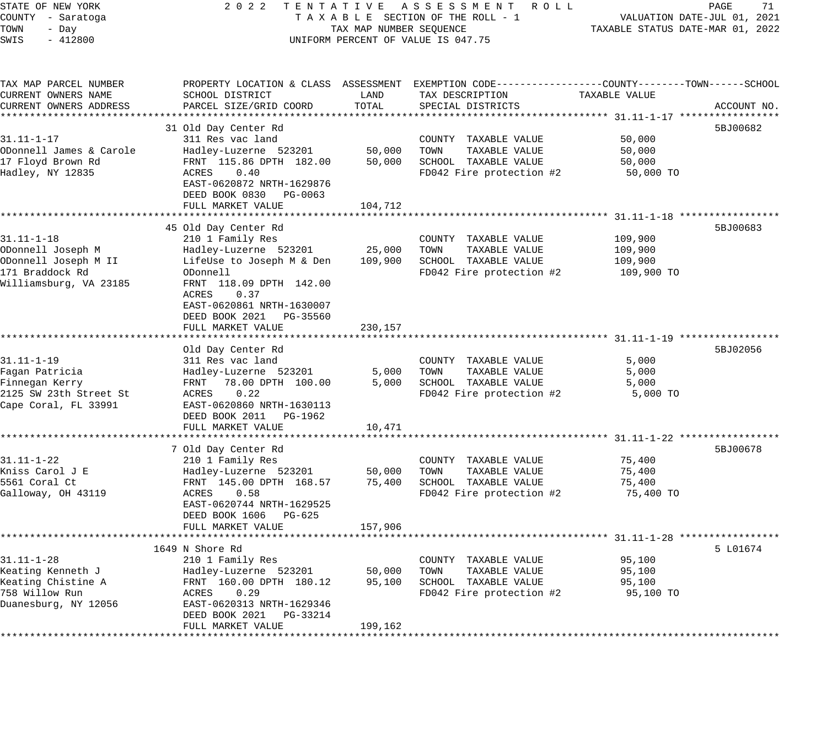| STATE OF NEW YORK                                                   | 2 0 2 2<br>TENTATIVE                                                    |                                  | A S S E S S M E N T<br>ROLL ROLL                             |                                         | 71<br>PAGE  |  |
|---------------------------------------------------------------------|-------------------------------------------------------------------------|----------------------------------|--------------------------------------------------------------|-----------------------------------------|-------------|--|
| COUNTY - Saratoga                                                   | TAXABLE SECTION OF THE ROLL - 1                                         | VALUATION DATE-JUL 01, 2021      |                                                              |                                         |             |  |
| TOWN<br>- Day                                                       | TAX MAP NUMBER SEQUENCE                                                 | TAXABLE STATUS DATE-MAR 01, 2022 |                                                              |                                         |             |  |
| SWIS<br>$-412800$                                                   |                                                                         |                                  | UNIFORM PERCENT OF VALUE IS 047.75                           |                                         |             |  |
| TAX MAP PARCEL NUMBER                                               | PROPERTY LOCATION & CLASS ASSESSMENT                                    |                                  | EXEMPTION CODE-----------------COUNTY-------TOWN------SCHOOL |                                         |             |  |
| CURRENT OWNERS NAME<br>CURRENT OWNERS ADDRESS<br>****************** | SCHOOL DISTRICT<br>PARCEL SIZE/GRID COORD                               | LAND<br>TOTAL                    | TAX DESCRIPTION<br>SPECIAL DISTRICTS                         | TAXABLE VALUE                           | ACCOUNT NO. |  |
|                                                                     | 31 Old Day Center Rd                                                    |                                  |                                                              |                                         | 5BJ00682    |  |
| $31.11 - 1 - 17$                                                    | 311 Res vac land                                                        |                                  | COUNTY TAXABLE VALUE                                         | 50,000                                  |             |  |
| ODonnell James & Carole                                             | Hadley-Luzerne 523201                                                   | 50,000                           | TOWN<br>TAXABLE VALUE                                        | 50,000                                  |             |  |
| 17 Floyd Brown Rd                                                   | FRNT 115.86 DPTH 182.00                                                 | 50,000                           | SCHOOL TAXABLE VALUE                                         | 50,000                                  |             |  |
| Hadley, NY 12835                                                    | 0.40<br>ACRES<br>EAST-0620872 NRTH-1629876<br>DEED BOOK 0830<br>PG-0063 |                                  | FD042 Fire protection #2                                     | 50,000 TO                               |             |  |
|                                                                     | FULL MARKET VALUE                                                       | 104,712                          |                                                              |                                         |             |  |
|                                                                     | 45 Old Day Center Rd                                                    |                                  |                                                              |                                         | 5BJ00683    |  |
| $31.11 - 1 - 18$                                                    | 210 1 Family Res                                                        |                                  | COUNTY TAXABLE VALUE                                         | 109,900                                 |             |  |
| ODonnell Joseph M                                                   | Hadley-Luzerne 523201                                                   | 25,000                           | TOWN<br>TAXABLE VALUE                                        | 109,900                                 |             |  |
| ODonnell Joseph M II                                                | LifeUse to Joseph M & Den                                               | 109,900                          | SCHOOL TAXABLE VALUE                                         | 109,900                                 |             |  |
| 171 Braddock Rd                                                     | ODonnell                                                                |                                  | FD042 Fire protection #2                                     | 109,900 TO                              |             |  |
| Williamsburg, VA 23185                                              | FRNT 118.09 DPTH 142.00                                                 |                                  |                                                              |                                         |             |  |
|                                                                     | ACRES<br>0.37                                                           |                                  |                                                              |                                         |             |  |
|                                                                     | EAST-0620861 NRTH-1630007<br>DEED BOOK 2021<br>PG-35560                 |                                  |                                                              |                                         |             |  |
|                                                                     | FULL MARKET VALUE                                                       | 230,157                          |                                                              |                                         |             |  |
|                                                                     |                                                                         |                                  |                                                              | ******************** 31.11-1-19         |             |  |
|                                                                     | Old Day Center Rd                                                       |                                  |                                                              |                                         | 5BJ02056    |  |
| $31.11 - 1 - 19$                                                    | 311 Res vac land                                                        |                                  | COUNTY TAXABLE VALUE                                         | 5,000                                   |             |  |
| Fagan Patricia                                                      | Hadley-Luzerne 523201                                                   | 5,000                            | TOWN<br>TAXABLE VALUE                                        | 5,000                                   |             |  |
| Finnegan Kerry                                                      | 78.00 DPTH 100.00<br>FRNT                                               | 5,000                            | SCHOOL TAXABLE VALUE                                         | 5,000                                   |             |  |
| 2125 SW 23th Street St<br>Cape Coral, FL 33991                      | 0.22<br>ACRES<br>EAST-0620860 NRTH-1630113                              |                                  | FD042 Fire protection #2                                     | 5,000 TO                                |             |  |
|                                                                     | DEED BOOK 2011<br>PG-1962                                               |                                  |                                                              |                                         |             |  |
|                                                                     | FULL MARKET VALUE                                                       | 10,471                           |                                                              |                                         |             |  |
|                                                                     | ******************                                                      |                                  |                                                              | *********************** 31.11-1-22 **** |             |  |
|                                                                     | 7 Old Day Center Rd                                                     |                                  |                                                              |                                         | 5BJ00678    |  |
| $31.11 - 1 - 22$                                                    | 210 1 Family Res                                                        |                                  | COUNTY TAXABLE VALUE                                         | 75,400                                  |             |  |
| Kniss Carol J E                                                     | Hadley-Luzerne 523201                                                   | 50,000                           | TOWN<br>TAXABLE VALUE                                        | 75,400                                  |             |  |
| 5561 Coral Ct<br>Galloway, OH 43119                                 | FRNT 145.00 DPTH 168.57<br>ACRES<br>0.58                                | 75,400                           | SCHOOL TAXABLE VALUE<br>FD042 Fire protection #2             | 75,400<br>75,400 TO                     |             |  |
|                                                                     | EAST-0620744 NRTH-1629525                                               |                                  |                                                              |                                         |             |  |
|                                                                     | DEED BOOK 1606<br>PG-625                                                |                                  |                                                              |                                         |             |  |
|                                                                     | FULL MARKET VALUE                                                       | 157,906                          |                                                              |                                         |             |  |
|                                                                     |                                                                         |                                  |                                                              |                                         |             |  |
|                                                                     | 1649 N Shore Rd                                                         |                                  |                                                              |                                         | 5 L01674    |  |
| $31.11 - 1 - 28$                                                    | 210 1 Family Res                                                        |                                  | COUNTY TAXABLE VALUE                                         | 95,100                                  |             |  |
| Keating Kenneth J                                                   | Hadley-Luzerne 523201                                                   | 50,000                           | TOWN<br>TAXABLE VALUE                                        | 95,100                                  |             |  |
| Keating Chistine A<br>758 Willow Run                                | FRNT 160.00 DPTH 180.12<br>0.29<br>ACRES                                | 95,100                           | SCHOOL TAXABLE VALUE<br>FD042 Fire protection #2             | 95,100<br>95,100 TO                     |             |  |
| Duanesburg, NY 12056                                                | EAST-0620313 NRTH-1629346                                               |                                  |                                                              |                                         |             |  |
|                                                                     | DEED BOOK 2021<br>PG-33214                                              |                                  |                                                              |                                         |             |  |
|                                                                     | סוונות ואת היסטס מא                                                     | 100, 162                         |                                                              |                                         |             |  |

FULL MARKET VALUE 199,162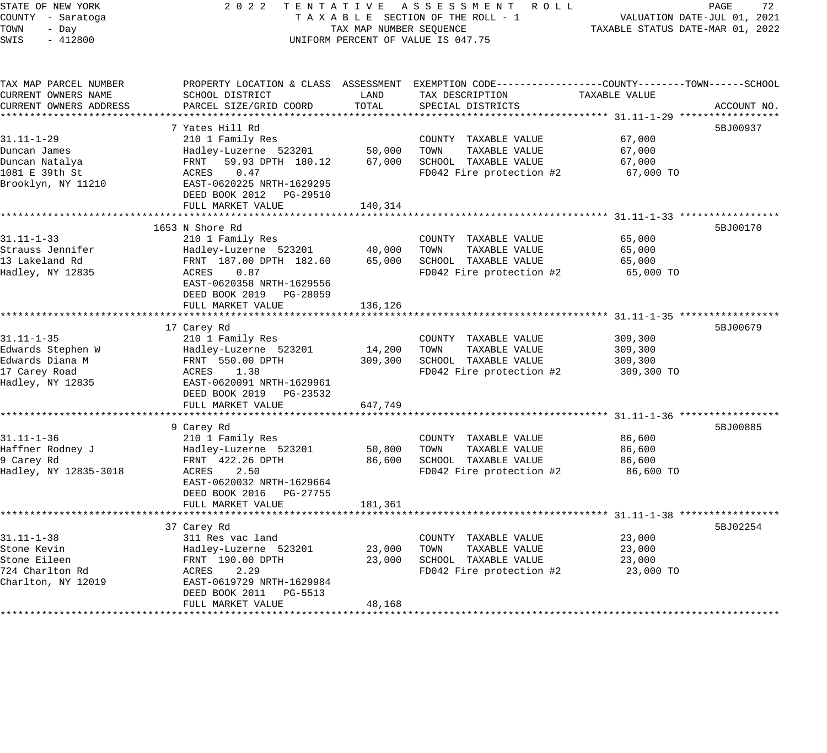| STATE OF NEW YORK      | 2 0 2 2                                              |                                  | TENTATIVE ASSESSMENT ROLL                                                                      |               | 72<br>PAGE  |
|------------------------|------------------------------------------------------|----------------------------------|------------------------------------------------------------------------------------------------|---------------|-------------|
| COUNTY - Saratoga      | TAXABLE SECTION OF THE ROLL - 1                      |                                  | VALUATION DATE-JUL 01, 2021                                                                    |               |             |
| TOWN<br>- Day          | TAX MAP NUMBER SEQUENCE                              | TAXABLE STATUS DATE-MAR 01, 2022 |                                                                                                |               |             |
| SWIS<br>$-412800$      |                                                      |                                  | UNIFORM PERCENT OF VALUE IS 047.75                                                             |               |             |
|                        |                                                      |                                  |                                                                                                |               |             |
| TAX MAP PARCEL NUMBER  |                                                      |                                  | PROPERTY LOCATION & CLASS ASSESSMENT EXEMPTION CODE---------------COUNTY-------TOWN-----SCHOOL |               |             |
| CURRENT OWNERS NAME    | SCHOOL DISTRICT                                      | LAND                             | TAX DESCRIPTION                                                                                | TAXABLE VALUE |             |
| CURRENT OWNERS ADDRESS | PARCEL SIZE/GRID COORD                               | TOTAL                            | SPECIAL DISTRICTS                                                                              |               | ACCOUNT NO. |
|                        |                                                      |                                  |                                                                                                |               |             |
|                        | 7 Yates Hill Rd                                      |                                  |                                                                                                |               | 5BJ00937    |
| $31.11 - 1 - 29$       | 210 1 Family Res                                     |                                  | COUNTY TAXABLE VALUE                                                                           | 67,000        |             |
| Duncan James           | Hadley-Luzerne 523201                                | 50,000                           | TOWN<br>TAXABLE VALUE                                                                          | 67,000        |             |
| Duncan Natalya         | 59.93 DPTH 180.12<br>FRNT                            | 67,000                           | SCHOOL TAXABLE VALUE                                                                           | 67,000        |             |
| 1081 E 39th St         | ACRES<br>0.47                                        |                                  | FD042 Fire protection #2                                                                       | 67,000 TO     |             |
| Brooklyn, NY 11210     | EAST-0620225 NRTH-1629295                            |                                  |                                                                                                |               |             |
|                        | DEED BOOK 2012    PG-29510                           |                                  |                                                                                                |               |             |
|                        | FULL MARKET VALUE                                    | 140,314                          |                                                                                                |               |             |
|                        | 1653 N Shore Rd                                      |                                  |                                                                                                |               | 5BJ00170    |
| $31.11 - 1 - 33$       | 210 1 Family Res                                     |                                  | COUNTY TAXABLE VALUE                                                                           | 65,000        |             |
| Strauss Jennifer       | Hadley-Luzerne 523201                                | 40,000                           | TOWN<br>TAXABLE VALUE                                                                          | 65,000        |             |
| 13 Lakeland Rd         | FRNT 187.00 DPTH 182.60                              | 65,000                           | SCHOOL TAXABLE VALUE                                                                           | 65,000        |             |
| Hadley, NY 12835       | ACRES 0.87                                           |                                  | FD042 Fire protection #2                                                                       | 65,000 TO     |             |
|                        | EAST-0620358 NRTH-1629556                            |                                  |                                                                                                |               |             |
|                        | DEED BOOK 2019 PG-28059                              |                                  |                                                                                                |               |             |
|                        | FULL MARKET VALUE                                    | 136,126                          |                                                                                                |               |             |
|                        |                                                      |                                  |                                                                                                |               |             |
|                        | 17 Carey Rd                                          |                                  |                                                                                                |               | 5BJ00679    |
| $31.11 - 1 - 35$       | 210 1 Family Res                                     |                                  | COUNTY TAXABLE VALUE                                                                           | 309,300       |             |
| Edwards Stephen W      | Hadley-Luzerne 523201                                | 14,200                           | TOWN<br>TAXABLE VALUE                                                                          | 309,300       |             |
| Edwards Diana M        | FRNT 550.00 DPTH                                     | 309,300                          | SCHOOL TAXABLE VALUE                                                                           | 309,300       |             |
| 17 Carey Road          | ACRES<br>1.38                                        |                                  | FD042 Fire protection #2                                                                       | 309,300 TO    |             |
| Hadley, NY 12835       | EAST-0620091 NRTH-1629961                            |                                  |                                                                                                |               |             |
|                        | DEED BOOK 2019 PG-23532                              |                                  |                                                                                                |               |             |
|                        | FULL MARKET VALUE                                    | 647,749                          |                                                                                                |               |             |
|                        |                                                      |                                  |                                                                                                |               |             |
|                        | 9 Carey Rd                                           |                                  |                                                                                                |               | 5BJ00885    |
| $31.11 - 1 - 36$       | 210 1 Family Res                                     |                                  | COUNTY TAXABLE VALUE                                                                           | 86,600        |             |
| Haffner Rodney J       | Hadley-Luzerne 523201                                | 50,800                           | TAXABLE VALUE<br>TOWN                                                                          | 86,600        |             |
| 9 Carey Rd             | FRNT 422.26 DPTH                                     | 86,600                           | SCHOOL TAXABLE VALUE                                                                           | 86,600        |             |
| Hadley, NY 12835-3018  | ACRES<br>2.50                                        |                                  | FD042 Fire protection #2                                                                       | 86,600 TO     |             |
|                        | EAST-0620032 NRTH-1629664<br>DEED BOOK 2016 PG-27755 |                                  |                                                                                                |               |             |
|                        | FULL MARKET VALUE                                    | 181,361                          |                                                                                                |               |             |
|                        | *********************                                | **********                       | ******************************* 31.11-1-38 *****************                                   |               |             |
|                        | 37 Carey Rd                                          |                                  |                                                                                                |               | 5BJ02254    |
| $31.11 - 1 - 38$       | 311 Res vac land                                     |                                  | COUNTY TAXABLE VALUE                                                                           | 23,000        |             |
| Stone Kevin            | Hadley-Luzerne 523201                                | 23,000                           | TOWN<br>TAXABLE VALUE                                                                          | 23,000        |             |
| Stone Eileen           | FRNT 190.00 DPTH                                     | 23,000                           | SCHOOL TAXABLE VALUE                                                                           | 23,000        |             |
| 724 Charlton Rd        | ACRES<br>2.29                                        |                                  | FD042 Fire protection #2                                                                       | 23,000 TO     |             |
| Charlton, NY 12019     | EAST-0619729 NRTH-1629984                            |                                  |                                                                                                |               |             |
|                        | DEED BOOK 2011<br>PG-5513                            |                                  |                                                                                                |               |             |
|                        | FULL MARKET VALUE                                    | 48,168                           |                                                                                                |               |             |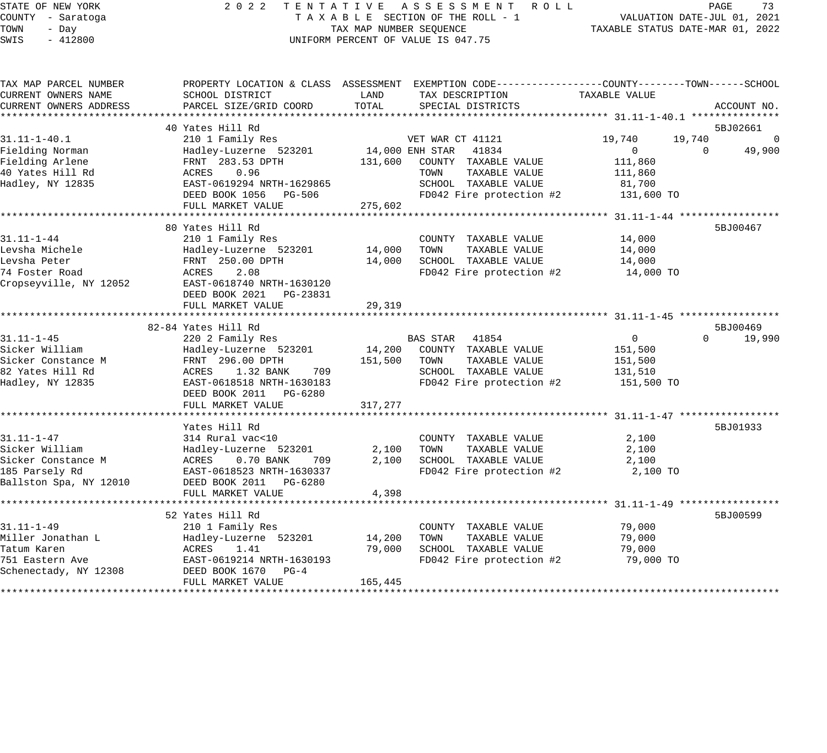### STATE OF NEW YORK 2 0 2 2 T E N T A T I V E A S S E S S M E N T R O L L PAGE 73 COUNTY - Saratoga T A X A B L E SECTION OF THE ROLL - 1 VALUATION DATE-JUL 01, 2021 TAX MAP NUMBER SEQUENCE TAXABLE STATUS DATE-MAR 01, 2022 UNIFORM PERCENT OF VALUE IS 047.75

| TAX MAP PARCEL NUMBER  |                           |         | PROPERTY LOCATION & CLASS ASSESSMENT EXEMPTION CODE---------------COUNTY-------TOWN-----SCHOOL |                |                       |
|------------------------|---------------------------|---------|------------------------------------------------------------------------------------------------|----------------|-----------------------|
| CURRENT OWNERS NAME    | SCHOOL DISTRICT           | LAND    | TAX DESCRIPTION                                                                                | TAXABLE VALUE  |                       |
| CURRENT OWNERS ADDRESS | PARCEL SIZE/GRID COORD    | TOTAL   | SPECIAL DISTRICTS                                                                              |                | ACCOUNT NO.           |
|                        |                           |         |                                                                                                |                |                       |
|                        | 40 Yates Hill Rd          |         |                                                                                                |                | 5BJ02661              |
| $31.11 - 1 - 40.1$     | 210 1 Family Res          |         | VET WAR CT 41121                                                                               | 19,740         | 19,740<br>$\mathbf 0$ |
| Fielding Norman        | Hadley-Luzerne 523201     |         | 14,000 ENH STAR 41834                                                                          | $\overline{0}$ | $\Omega$<br>49,900    |
| Fielding Arlene        | FRNT 283.53 DPTH          | 131,600 | COUNTY TAXABLE VALUE                                                                           | 111,860        |                       |
| 40 Yates Hill Rd       | 0.96<br>ACRES             |         | TOWN<br>TAXABLE VALUE                                                                          | 111,860        |                       |
| Hadley, NY 12835       | EAST-0619294 NRTH-1629865 |         | SCHOOL TAXABLE VALUE                                                                           | 81,700         |                       |
|                        | DEED BOOK 1056 PG-506     |         | FD042 Fire protection #2                                                                       | 131,600 TO     |                       |
|                        | FULL MARKET VALUE         | 275,602 |                                                                                                |                |                       |
|                        |                           |         |                                                                                                |                |                       |
|                        | 80 Yates Hill Rd          |         |                                                                                                |                | 5BJ00467              |
| $31.11 - 1 - 44$       | 210 1 Family Res          |         | COUNTY TAXABLE VALUE                                                                           | 14,000         |                       |
| Levsha Michele         | Hadley-Luzerne 523201     | 14,000  | TOWN<br>TAXABLE VALUE                                                                          | 14,000         |                       |
| Levsha Peter           | FRNT 250.00 DPTH          | 14,000  | SCHOOL TAXABLE VALUE                                                                           | 14,000         |                       |
| 74 Foster Road         | 2.08<br>ACRES             |         | FD042 Fire protection #2                                                                       | 14,000 TO      |                       |
| Cropseyville, NY 12052 | EAST-0618740 NRTH-1630120 |         |                                                                                                |                |                       |
|                        | DEED BOOK 2021 PG-23831   |         |                                                                                                |                |                       |
|                        | FULL MARKET VALUE         | 29,319  |                                                                                                |                |                       |
|                        |                           |         |                                                                                                |                |                       |
|                        | 82-84 Yates Hill Rd       |         |                                                                                                |                | 5BJ00469              |
| $31.11 - 1 - 45$       | 220 2 Family Res          |         | BAS STAR 41854                                                                                 | $\overline{0}$ | $\Omega$<br>19,990    |
| Sicker William         | Hadley-Luzerne 523201     |         | 14,200 COUNTY TAXABLE VALUE                                                                    | 151,500        |                       |
| Sicker Constance M     | FRNT 296.00 DPTH          | 151,500 | TOWN<br>TAXABLE VALUE                                                                          | 151,500        |                       |
| 82 Yates Hill Rd       | ACRES<br>1.32 BANK<br>709 |         | SCHOOL TAXABLE VALUE                                                                           | 131,510        |                       |
| Hadley, NY 12835       | EAST-0618518 NRTH-1630183 |         | FD042 Fire protection #2                                                                       | 151,500 TO     |                       |
|                        | DEED BOOK 2011 PG-6280    |         |                                                                                                |                |                       |
|                        | FULL MARKET VALUE         | 317,277 |                                                                                                |                |                       |
|                        |                           |         |                                                                                                |                |                       |
|                        | Yates Hill Rd             |         |                                                                                                |                | 5BJ01933              |
| $31.11 - 1 - 47$       | 314 Rural vac<10          |         | COUNTY TAXABLE VALUE                                                                           | 2,100          |                       |
| Sicker William         | Hadley-Luzerne 523201     | 2,100   | TOWN<br>TAXABLE VALUE                                                                          | 2,100          |                       |
| Sicker Constance M     | ACRES<br>0.70 BANK<br>709 | 2,100   | SCHOOL TAXABLE VALUE                                                                           | 2,100          |                       |
| 185 Parsely Rd         | EAST-0618523 NRTH-1630337 |         | FD042 Fire protection #2                                                                       | 2,100 TO       |                       |
| Ballston Spa, NY 12010 | DEED BOOK 2011    PG-6280 |         |                                                                                                |                |                       |
|                        | FULL MARKET VALUE         | 4,398   |                                                                                                |                |                       |
|                        |                           |         |                                                                                                |                |                       |
|                        | 52 Yates Hill Rd          |         |                                                                                                |                | 5BJ00599              |
| $31.11 - 1 - 49$       | 210 1 Family Res          |         | COUNTY TAXABLE VALUE                                                                           | 79,000         |                       |
| Miller Jonathan L      | Hadley-Luzerne 523201     | 14,200  | TOWN<br>TAXABLE VALUE                                                                          | 79,000         |                       |
| Tatum Karen            | ACRES<br>1.41             | 79,000  | SCHOOL TAXABLE VALUE                                                                           | 79,000         |                       |
| 751 Eastern Ave        | EAST-0619214 NRTH-1630193 |         | FD042 Fire protection #2                                                                       | 79,000 TO      |                       |
| Schenectady, NY 12308  | DEED BOOK 1670 PG-4       |         |                                                                                                |                |                       |
|                        | FULL MARKET VALUE         | 165,445 |                                                                                                |                |                       |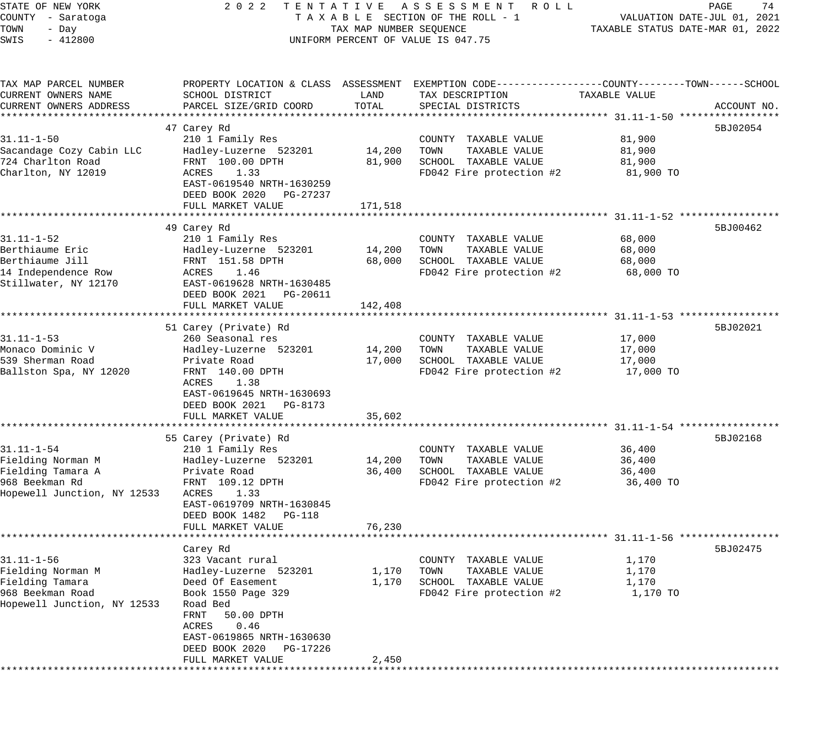STATE OF NEW YORK 2 0 2 2 T E N T A T I V E A S S E S S M E N T R O L L PAGE 74 COUNTY - Saratoga T A X A B L E SECTION OF THE ROLL - 1 VALUATION DATE-JUL 01, 2021 TOWN - Day TAX MAP NUMBER SEQUENCE TAXABLE STATUS DATE-MAR 01, 2022 TOWN - Day (TAX MAP NUMBER SEQUENCE)<br>SWIS - 412800 (SWIS - 412800) TAX MAP PARCEL NUMBER PROPERTY LOCATION & CLASS ASSESSMENT EXEMPTION CODE------------------COUNTY--------TOWN------SCHOOL

| SCHOOL DISTRICT                                                                                                                                                                                                                                     | LAND                                                                                                                          | TAX DESCRIPTION                                                                                      | TAXABLE VALUE                           |                              |
|-----------------------------------------------------------------------------------------------------------------------------------------------------------------------------------------------------------------------------------------------------|-------------------------------------------------------------------------------------------------------------------------------|------------------------------------------------------------------------------------------------------|-----------------------------------------|------------------------------|
|                                                                                                                                                                                                                                                     |                                                                                                                               |                                                                                                      |                                         | ACCOUNT NO.                  |
| 47 Carey Rd<br>210 1 Family Res<br>Hadley-Luzerne 523201<br>FRNT 100.00 DPTH<br>ACRES<br>1.33<br>EAST-0619540 NRTH-1630259<br>DEED BOOK 2020<br>PG-27237<br>FULL MARKET VALUE                                                                       | 14,200<br>81,900<br>171,518                                                                                                   | COUNTY TAXABLE VALUE<br>TOWN<br>TAXABLE VALUE<br>SCHOOL TAXABLE VALUE<br>FD042 Fire protection #2    | 81,900<br>81,900<br>81,900<br>81,900 TO | 5BJ02054                     |
|                                                                                                                                                                                                                                                     |                                                                                                                               |                                                                                                      |                                         |                              |
| 210 1 Family Res<br>Hadley-Luzerne 523201<br>FRNT 151.58 DPTH<br>ACRES<br>1.46<br>EAST-0619628 NRTH-1630485<br>DEED BOOK 2021<br>PG-20611                                                                                                           | 14,200<br>68,000                                                                                                              | COUNTY<br>TAXABLE VALUE<br>TAXABLE VALUE<br>TOWN<br>SCHOOL TAXABLE VALUE<br>FD042 Fire protection #2 | 68,000<br>68,000<br>68,000<br>68,000 TO | 5BJ00462                     |
| **************************                                                                                                                                                                                                                          |                                                                                                                               |                                                                                                      |                                         |                              |
| 51 Carey (Private) Rd<br>260 Seasonal res<br>Hadley-Luzerne 523201<br>Private Road<br>FRNT 140.00 DPTH<br>1.38<br>ACRES<br>EAST-0619645 NRTH-1630693<br>DEED BOOK 2021<br>PG-8173<br>FULL MARKET VALUE                                              | 14,200<br>17,000<br>35,602                                                                                                    | COUNTY TAXABLE VALUE<br>TOWN<br>TAXABLE VALUE<br>SCHOOL TAXABLE VALUE<br>FD042 Fire protection #2    | 17,000<br>17,000<br>17,000<br>17,000 TO | 5BJ02021                     |
|                                                                                                                                                                                                                                                     |                                                                                                                               |                                                                                                      |                                         | 5BJ02168                     |
| 210 1 Family Res<br>Hadley-Luzerne 523201<br>Private Road<br>FRNT 109.12 DPTH<br>Hopewell Junction, NY 12533<br>ACRES<br>1.33<br>EAST-0619709 NRTH-1630845<br>DEED BOOK 1482<br>$PG-118$                                                            | 14,200<br>36,400                                                                                                              | COUNTY TAXABLE VALUE<br>TOWN<br>TAXABLE VALUE<br>SCHOOL TAXABLE VALUE<br>FD042 Fire protection #2    | 36,400<br>36,400<br>36,400<br>36,400 TO |                              |
|                                                                                                                                                                                                                                                     |                                                                                                                               |                                                                                                      |                                         |                              |
| Carey Rd<br>323 Vacant rural<br>Hadley-Luzerne 523201<br>Deed Of Easement<br>Book 1550 Page 329<br>Hopewell Junction, NY 12533<br>Road Bed<br>FRNT<br>50.00 DPTH<br><b>ACRES</b><br>0.46<br>EAST-0619865 NRTH-1630630<br>DEED BOOK 2020<br>PG-17226 | 1,170<br>1,170                                                                                                                | COUNTY TAXABLE VALUE<br>TAXABLE VALUE<br>TOWN<br>SCHOOL TAXABLE VALUE<br>FD042 Fire protection #2    | 1,170<br>1,170<br>1,170<br>1,170 TO     | 5BJ02475                     |
|                                                                                                                                                                                                                                                     | PARCEL SIZE/GRID COORD<br>49 Carey Rd<br>FULL MARKET VALUE<br>55 Carey (Private) Rd<br>FULL MARKET VALUE<br>FULL MARKET VALUE | TOTAL<br>142,408<br>76,230<br>2,450                                                                  | SPECIAL DISTRICTS                       | ******** 31.11-1-56 ******** |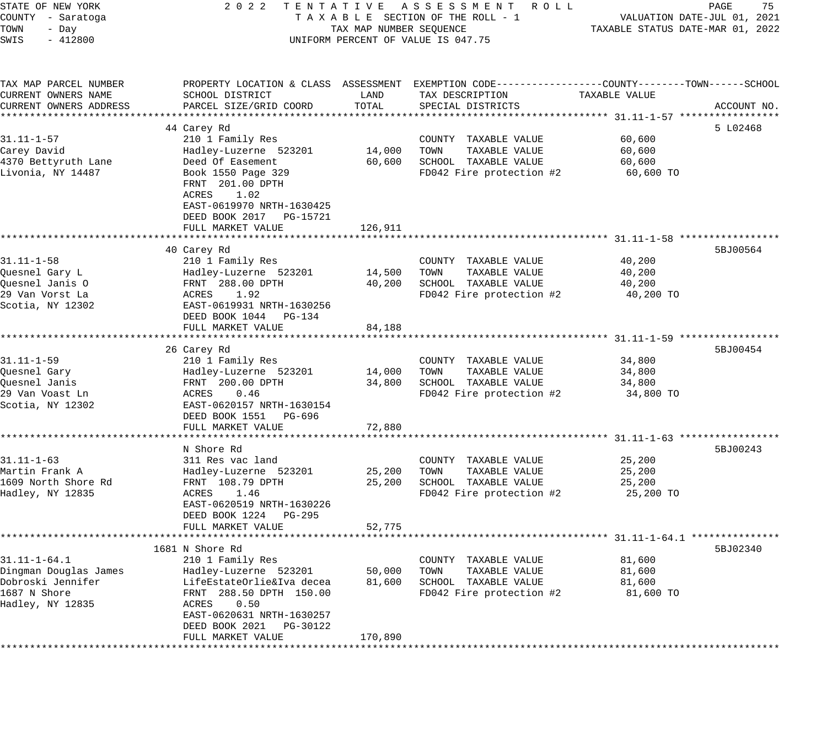| STATE OF NEW YORK<br>COUNTY - Saratoga<br>TOWN<br>- Day<br>SWIS<br>$-412800$                         | 2 0 2 2                                                                                                                                                                                                               | TAX MAP NUMBER SEQUENCE     | TENTATIVE ASSESSMENT ROLL<br>TAXABLE SECTION OF THE ROLL - 1<br>UNIFORM PERCENT OF VALUE IS 047.75                                      |                                         | PAGE<br>75<br>VALUATION DATE-JUL 01, 2021<br>TAXABLE STATUS DATE-MAR 01, 2022 |
|------------------------------------------------------------------------------------------------------|-----------------------------------------------------------------------------------------------------------------------------------------------------------------------------------------------------------------------|-----------------------------|-----------------------------------------------------------------------------------------------------------------------------------------|-----------------------------------------|-------------------------------------------------------------------------------|
| TAX MAP PARCEL NUMBER<br>CURRENT OWNERS NAME<br>CURRENT OWNERS ADDRESS                               | SCHOOL DISTRICT<br>PARCEL SIZE/GRID COORD                                                                                                                                                                             | LAND<br>TOTAL               | PROPERTY LOCATION & CLASS ASSESSMENT EXEMPTION CODE---------------COUNTY-------TOWN------SCHOOL<br>TAX DESCRIPTION<br>SPECIAL DISTRICTS | TAXABLE VALUE                           | ACCOUNT NO.                                                                   |
| $31.11 - 1 - 57$<br>Carey David<br>4370 Bettyruth Lane<br>Livonia, NY 14487                          | 44 Carey Rd<br>210 1 Family Res<br>Hadley-Luzerne 523201<br>Deed Of Easement<br>Book 1550 Page 329<br>FRNT 201.00 DPTH<br>ACRES<br>1.02<br>EAST-0619970 NRTH-1630425<br>DEED BOOK 2017 PG-15721<br>FULL MARKET VALUE  | 14,000<br>60,600<br>126,911 | COUNTY TAXABLE VALUE<br>TAXABLE VALUE<br>TOWN<br>SCHOOL TAXABLE VALUE<br>FD042 Fire protection #2                                       | 60,600<br>60,600<br>60,600<br>60,600 TO | 5 L02468                                                                      |
|                                                                                                      |                                                                                                                                                                                                                       |                             |                                                                                                                                         |                                         |                                                                               |
| $31.11 - 1 - 58$<br>Quesnel Gary L<br>Quesnel Janis O<br>29 Van Vorst La<br>Scotia, NY 12302         | 40 Carey Rd<br>210 1 Family Res<br>Hadley-Luzerne 523201<br>FRNT 288.00 DPTH<br>ACRES 1.92<br>EAST-0619931 NRTH-1630256<br>DEED BOOK 1044 PG-134                                                                      | 14,500<br>40,200            | COUNTY TAXABLE VALUE<br>TAXABLE VALUE<br>TOWN<br>SCHOOL TAXABLE VALUE<br>FD042 Fire protection #2                                       | 40,200<br>40,200<br>40,200<br>40,200 TO | 5BJ00564                                                                      |
|                                                                                                      | FULL MARKET VALUE                                                                                                                                                                                                     | 84,188                      |                                                                                                                                         |                                         |                                                                               |
| $31.11 - 1 - 59$<br>Quesnel Gary<br>Quesnel Janis<br>29 Van Voast Ln<br>Scotia, NY 12302             | 26 Carey Rd<br>210 1 Family Res<br>Hadley-Luzerne 523201<br>FRNT 200.00 DPTH<br>ACRES<br>0.46<br>EAST-0620157 NRTH-1630154<br>DEED BOOK 1551 PG-696<br>FULL MARKET VALUE                                              | 14,000<br>34,800<br>72,880  | COUNTY TAXABLE VALUE<br>TAXABLE VALUE<br>TOWN<br>SCHOOL TAXABLE VALUE<br>FD042 Fire protection #2                                       | 34,800<br>34,800<br>34,800<br>34,800 TO | 5BJ00454                                                                      |
|                                                                                                      | N Shore Rd                                                                                                                                                                                                            |                             |                                                                                                                                         |                                         | 5BJ00243                                                                      |
| $31.11 - 1 - 63$<br>Martin Frank A<br>1609 North Shore Rd<br>Hadley, NY 12835                        | 311 Res vac land<br>Hadley-Luzerne 523201<br>FRNT 108.79 DPTH<br>1.46<br>ACRES<br>EAST-0620519 NRTH-1630226<br>DEED BOOK 1224 PG-295<br>FULL MARKET VALUE                                                             | 25,200<br>25,200<br>52,775  | COUNTY TAXABLE VALUE<br>TAXABLE VALUE<br>TOWN<br>SCHOOL TAXABLE VALUE<br>FD042 Fire protection #2                                       | 25,200<br>25,200<br>25,200<br>25,200 TO |                                                                               |
|                                                                                                      |                                                                                                                                                                                                                       |                             |                                                                                                                                         |                                         |                                                                               |
| $31.11 - 1 - 64.1$<br>Dingman Douglas James<br>Dobroski Jennifer<br>1687 N Shore<br>Hadley, NY 12835 | 1681 N Shore Rd<br>210 1 Family Res<br>Hadley-Luzerne 523201<br>LifeEstateOrlie&Iva decea<br>FRNT 288.50 DPTH 150.00<br>0.50<br>ACRES<br>EAST-0620631 NRTH-1630257<br>DEED BOOK 2021<br>PG-30122<br>FULL MARKET VALUE | 50,000<br>81,600<br>170,890 | TAXABLE VALUE<br>COUNTY<br>TOWN<br>TAXABLE VALUE<br>SCHOOL<br>TAXABLE VALUE<br>FD042 Fire protection #2                                 | 81,600<br>81,600<br>81,600<br>81,600 TO | 5BJ02340                                                                      |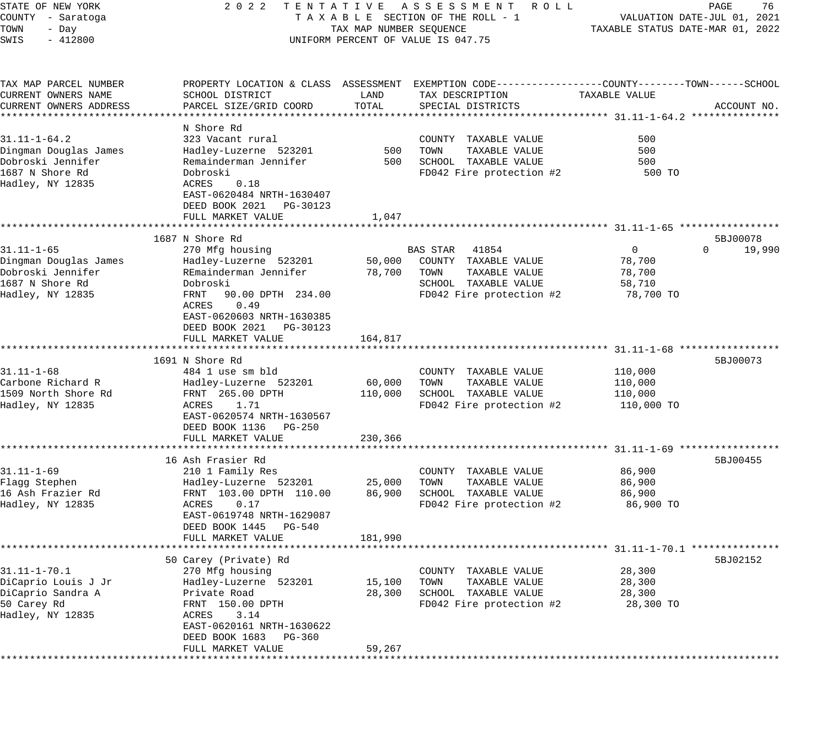| STATE OF NEW YORK      | 2 0 2 2                                         |                         | TENTATIVE ASSESSMENT<br>ROLL ROLL                                                              |                                  | PAGE<br>76                  |
|------------------------|-------------------------------------------------|-------------------------|------------------------------------------------------------------------------------------------|----------------------------------|-----------------------------|
| COUNTY - Saratoga      |                                                 |                         | TAXABLE SECTION OF THE ROLL - 1                                                                |                                  | VALUATION DATE-JUL 01, 2021 |
| TOWN<br>- Day          |                                                 | TAX MAP NUMBER SEQUENCE |                                                                                                | TAXABLE STATUS DATE-MAR 01, 2022 |                             |
| SWIS<br>$-412800$      |                                                 |                         | UNIFORM PERCENT OF VALUE IS 047.75                                                             |                                  |                             |
| TAX MAP PARCEL NUMBER  |                                                 |                         | PROPERTY LOCATION & CLASS ASSESSMENT EXEMPTION CODE---------------COUNTY-------TOWN-----SCHOOL |                                  |                             |
| CURRENT OWNERS NAME    | SCHOOL DISTRICT                                 | LAND                    | TAX DESCRIPTION                                                                                | TAXABLE VALUE                    |                             |
| CURRENT OWNERS ADDRESS | PARCEL SIZE/GRID COORD                          | TOTAL                   | SPECIAL DISTRICTS                                                                              |                                  | ACCOUNT NO.                 |
|                        |                                                 |                         |                                                                                                |                                  |                             |
|                        | N Shore Rd                                      |                         |                                                                                                |                                  |                             |
| $31.11 - 1 - 64.2$     | 323 Vacant rural                                |                         | COUNTY TAXABLE VALUE                                                                           | 500                              |                             |
| Dingman Douglas James  | Hadley-Luzerne 523201                           | 500                     | TOWN<br>TAXABLE VALUE                                                                          | 500                              |                             |
| Dobroski Jennifer      | Remainderman Jennifer                           | 500                     | SCHOOL TAXABLE VALUE                                                                           | 500                              |                             |
| 1687 N Shore Rd        | Dobroski                                        |                         | FD042 Fire protection #2                                                                       | 500 TO                           |                             |
| Hadley, NY 12835       | 0.18<br>ACRES                                   |                         |                                                                                                |                                  |                             |
|                        | EAST-0620484 NRTH-1630407                       |                         |                                                                                                |                                  |                             |
|                        | DEED BOOK 2021 PG-30123                         |                         |                                                                                                |                                  |                             |
|                        | FULL MARKET VALUE                               | 1,047                   |                                                                                                |                                  |                             |
|                        |                                                 |                         |                                                                                                |                                  |                             |
|                        | 1687 N Shore Rd                                 |                         |                                                                                                |                                  | 5BJ00078                    |
| $31.11 - 1 - 65$       | 270 Mfg housing                                 |                         | BAS STAR<br>41854                                                                              | 0                                | 19,990<br>$\Omega$          |
| Dingman Douglas James  | Hadley-Luzerne 523201                           | 50,000                  | COUNTY TAXABLE VALUE                                                                           | 78,700                           |                             |
| Dobroski Jennifer      | REmainderman Jennifer                           | 78,700                  | TOWN<br>TAXABLE VALUE                                                                          | 78,700                           |                             |
| 1687 N Shore Rd        | Dobroski                                        |                         | SCHOOL TAXABLE VALUE                                                                           | 58,710                           |                             |
| Hadley, NY 12835       | 90.00 DPTH 234.00<br>FRNT                       |                         | FD042 Fire protection #2                                                                       | 78,700 TO                        |                             |
|                        | ACRES<br>0.49                                   |                         |                                                                                                |                                  |                             |
|                        | EAST-0620603 NRTH-1630385                       |                         |                                                                                                |                                  |                             |
|                        | DEED BOOK 2021 PG-30123                         |                         |                                                                                                |                                  |                             |
|                        | FULL MARKET VALUE<br>************************** | 164,817                 |                                                                                                |                                  |                             |
|                        | 1691 N Shore Rd                                 |                         |                                                                                                |                                  | 5BJ00073                    |
| $31.11 - 1 - 68$       | 484 1 use sm bld                                |                         | COUNTY TAXABLE VALUE                                                                           | 110,000                          |                             |
| Carbone Richard R      | Hadley-Luzerne 523201                           | 60,000                  | TOWN<br>TAXABLE VALUE                                                                          | 110,000                          |                             |
| 1509 North Shore Rd    | FRNT 265.00 DPTH                                | 110,000                 | SCHOOL TAXABLE VALUE                                                                           | 110,000                          |                             |
| Hadley, NY 12835       | ACRES<br>1.71                                   |                         | FD042 Fire protection #2                                                                       | 110,000 TO                       |                             |
|                        | EAST-0620574 NRTH-1630567                       |                         |                                                                                                |                                  |                             |
|                        | DEED BOOK 1136 PG-250                           |                         |                                                                                                |                                  |                             |
|                        | FULL MARKET VALUE                               | 230,366                 |                                                                                                |                                  |                             |
|                        |                                                 |                         | ************************************ 31.11-1-69 **********                                     |                                  |                             |
|                        | 16 Ash Frasier Rd                               |                         |                                                                                                |                                  | 5BJ00455                    |
| $31.11 - 1 - 69$       | 210 1 Family Res                                |                         | COUNTY TAXABLE VALUE                                                                           | 86,900                           |                             |
| Flagg Stephen          | Hadley-Luzerne 523201                           | 25,000                  | TAXABLE VALUE<br>TOWN                                                                          | 86,900                           |                             |
| 16 Ash Frazier Rd      | FRNT 103.00 DPTH 110.00                         | 86,900                  | SCHOOL TAXABLE VALUE                                                                           | 86,900                           |                             |
| Hadley, NY 12835       | ACRES<br>0.17                                   |                         | FD042 Fire protection #2                                                                       | 86,900 TO                        |                             |
|                        | EAST-0619748 NRTH-1629087                       |                         |                                                                                                |                                  |                             |
|                        | DEED BOOK 1445 PG-540                           |                         |                                                                                                |                                  |                             |
|                        | FULL MARKET VALUE                               | 181,990                 |                                                                                                |                                  |                             |
|                        |                                                 |                         |                                                                                                |                                  |                             |
|                        | 50 Carey (Private) Rd                           |                         |                                                                                                |                                  | 5BJ02152                    |
| 31.11-1-70.1           | 270 Mfg housing                                 |                         | TAXABLE VALUE<br>COUNTY                                                                        | 28,300                           |                             |
| DiCaprio Louis J Jr    | Hadley-Luzerne 523201                           | 15,100                  | TOWN<br>TAXABLE VALUE                                                                          | 28,300                           |                             |
| DiCaprio Sandra A      | Private Road                                    | 28,300                  | SCHOOL TAXABLE VALUE                                                                           | 28,300                           |                             |
| 50 Carey Rd            | FRNT 150.00 DPTH                                |                         | FD042 Fire protection #2                                                                       | 28,300 TO                        |                             |
| Hadley, NY 12835       | ACRES<br>3.14                                   |                         |                                                                                                |                                  |                             |
|                        | EAST-0620161 NRTH-1630622                       |                         |                                                                                                |                                  |                             |
|                        | DEED BOOK 1683<br>PG-360                        |                         |                                                                                                |                                  |                             |
|                        | FULL MARKET VALUE                               | 59,267                  |                                                                                                |                                  |                             |
|                        |                                                 |                         |                                                                                                |                                  |                             |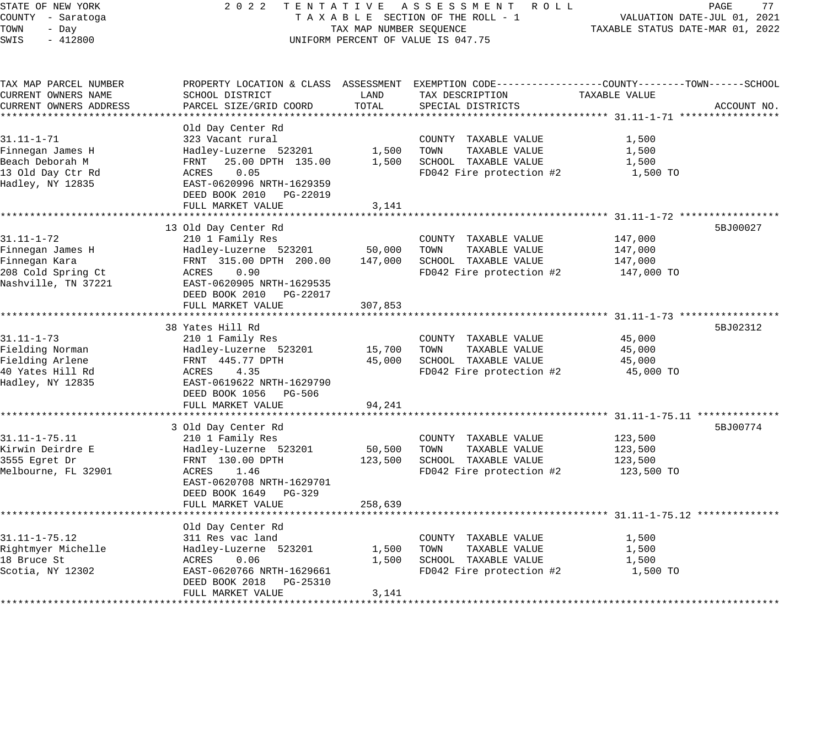STATE OF NEW YORK 2 0 2 2 T E N T A T I V E A S S E S S M E N T R O L L PAGE 77 COUNTY - Saratoga T A X A B L E SECTION OF THE ROLL - 1 VALUATION DATE-JUL 01, 2021 TOWN - Day TAX MAP NUMBER SEQUENCE TAXABLE STATUS DATE-MAR 01, 2022 SWIS - 412800 CONTROLLY THE UNIFORM PERCENT OF VALUE IS 047.75 TAX MAP PARCEL NUMBER PROPERTY LOCATION & CLASS ASSESSMENT EXEMPTION CODE------------------COUNTY--------TOWN------SCHOOL CURRENT OWNERS NAME SCHOOL DISTRICT LAND TAX DESCRIPTION TAXABLE VALUE CURRENT OWNERS ADDRESS PARCEL SIZE/GRID COORD TOTAL SPECIAL DISTRICTS ACCOUNT NO. \*\*\*\*\*\*\*\*\*\*\*\*\*\*\*\*\*\*\*\*\*\*\*\*\*\*\*\*\*\*\*\*\*\*\*\*\*\*\*\*\*\*\*\*\*\*\*\*\*\*\*\*\*\*\*\*\*\*\*\*\*\*\*\*\*\*\*\*\*\*\*\*\*\*\*\*\*\*\*\*\*\*\*\*\*\*\*\*\*\*\*\*\*\*\*\*\*\*\*\*\*\*\* 31.11-1-71 \*\*\*\*\*\*\*\*\*\*\*\*\*\*\*\*\* Old Day Center Rd 31.11-1-71 323 Vacant rural COUNTY TAXABLE VALUE 1,500 Finnegan James H Hadley-Luzerne 523201 1,500 TOWN TAXABLE VALUE 1,500 Beach Deborah M FRNT 25.00 DPTH 135.00 1,500 SCHOOL TAXABLE VALUE 1,500 13 Old Day Ctr Rd ACRES 0.05 FD042 Fire protection #2 1,500 TO Hadley, NY 12835 EAST-0620996 NRTH-1629359 DEED BOOK 2010 PG-22019 DEED BOOK 2010 PG-22019<br>FULL MARKET VALUE 3,141 \*\*\*\*\*\*\*\*\*\*\*\*\*\*\*\*\*\*\*\*\*\*\*\*\*\*\*\*\*\*\*\*\*\*\*\*\*\*\*\*\*\*\*\*\*\*\*\*\*\*\*\*\*\*\*\*\*\*\*\*\*\*\*\*\*\*\*\*\*\*\*\*\*\*\*\*\*\*\*\*\*\*\*\*\*\*\*\*\*\*\*\*\*\*\*\*\*\*\*\*\*\*\* 31.11-1-72 \*\*\*\*\*\*\*\*\*\*\*\*\*\*\*\*\* 13 Old Day Center Rd 5BJ00027 (1999) 13 Old Day Center Rd 5BJ00027 (1999) 13 Old Day Center Rd 5BJ00027 (1999) 31.11-1-72 210 1 Family Res COUNTY TAXABLE VALUE 147,000 Finnegan James H Hadley-Luzerne 523201 50,000 TOWN TAXABLE VALUE 147,000 Finnegan Kara FRNT 315.00 DPTH 200.00 147,000 SCHOOL TAXABLE VALUE 147,000 208 Cold Spring Ct ACRES 0.90 FD042 Fire protection #2 147,000 TO Nashville, TN 37221 EAST-0620905 NRTH-1629535 DEED BOOK 2010 PG-22017 FULL MARKET VALUE 307,853 \*\*\*\*\*\*\*\*\*\*\*\*\*\*\*\*\*\*\*\*\*\*\*\*\*\*\*\*\*\*\*\*\*\*\*\*\*\*\*\*\*\*\*\*\*\*\*\*\*\*\*\*\*\*\*\*\*\*\*\*\*\*\*\*\*\*\*\*\*\*\*\*\*\*\*\*\*\*\*\*\*\*\*\*\*\*\*\*\*\*\*\*\*\*\*\*\*\*\*\*\*\*\* 31.11-1-73 \*\*\*\*\*\*\*\*\*\*\*\*\*\*\*\*\* 38 Yates Hill Rd 5BJ02312 38 Yates Hill Rd 5BJ02312 38 Yates Hill Rd 5BJ02312 5 SBJ02312 31.11-1-73 210 1 Family Res COUNTY TAXABLE VALUE 45,000 Fielding Norman Hadley-Luzerne 523201 15,700 TOWN TAXABLE VALUE 45,000 Fielding Arlene FRNT 445.77 DPTH 45,000 SCHOOL TAXABLE VALUE 45,000 40 Yates Hill Rd ACRES 4.35 FD042 Fire protection #2 45,000 TO Hadley, NY 12835 EAST-0619622 NRTH-1629790 DEED BOOK 1056 PG-506 FULL MARKET VALUE 94,241 \*\*\*\*\*\*\*\*\*\*\*\*\*\*\*\*\*\*\*\*\*\*\*\*\*\*\*\*\*\*\*\*\*\*\*\*\*\*\*\*\*\*\*\*\*\*\*\*\*\*\*\*\*\*\*\*\*\*\*\*\*\*\*\*\*\*\*\*\*\*\*\*\*\*\*\*\*\*\*\*\*\*\*\*\*\*\*\*\*\*\*\*\*\*\*\*\*\*\*\*\*\*\* 31.11-1-75.11 \*\*\*\*\*\*\*\*\*\*\*\*\*\* 3 Old Day Center Rd 5BJ00774 31.11-1-75.11 210 1 Family Res COUNTY TAXABLE VALUE 123,500 Kirwin Deirdre E Hadley-Luzerne 523201 50,500 TOWN TAXABLE VALUE 123,500 3555 Egret Dr FRNT 130.00 DPTH 123,500 SCHOOL TAXABLE VALUE 123,500 Melbourne, FL 32901 ACRES 1.46 FD042 Fire protection #2 123,500 TO EAST-0620708 NRTH-1629701 DEED BOOK 1649 PG-329 FULL MARKET VALUE 258,639 \*\*\*\*\*\*\*\*\*\*\*\*\*\*\*\*\*\*\*\*\*\*\*\*\*\*\*\*\*\*\*\*\*\*\*\*\*\*\*\*\*\*\*\*\*\*\*\*\*\*\*\*\*\*\*\*\*\*\*\*\*\*\*\*\*\*\*\*\*\*\*\*\*\*\*\*\*\*\*\*\*\*\*\*\*\*\*\*\*\*\*\*\*\*\*\*\*\*\*\*\*\*\* 31.11-1-75.12 \*\*\*\*\*\*\*\*\*\*\*\*\*\* Old Day Center Rd 31.11-1-75.12 311 Res vac land COUNTY TAXABLE VALUE 1,500 Rightmyer Michelle Hadley-Luzerne 523201 1,500 TOWN TAXABLE VALUE 1,500 18 Bruce St ACRES 0.06 1,500 SCHOOL TAXABLE VALUE 1,500

Scotia, NY 12302 EAST-0620766 NRTH-1629661 FD042 Fire protection #2  $1,500$  TO

\*\*\*\*\*\*\*\*\*\*\*\*\*\*\*\*\*\*\*\*\*\*\*\*\*\*\*\*\*\*\*\*\*\*\*\*\*\*\*\*\*\*\*\*\*\*\*\*\*\*\*\*\*\*\*\*\*\*\*\*\*\*\*\*\*\*\*\*\*\*\*\*\*\*\*\*\*\*\*\*\*\*\*\*\*\*\*\*\*\*\*\*\*\*\*\*\*\*\*\*\*\*\*\*\*\*\*\*\*\*\*\*\*\*\*\*\*\*\*\*\*\*\*\*\*\*\*\*\*\*\*\*

DEED BOOK 2018 PG-25310

FULL MARKET VALUE 3, 141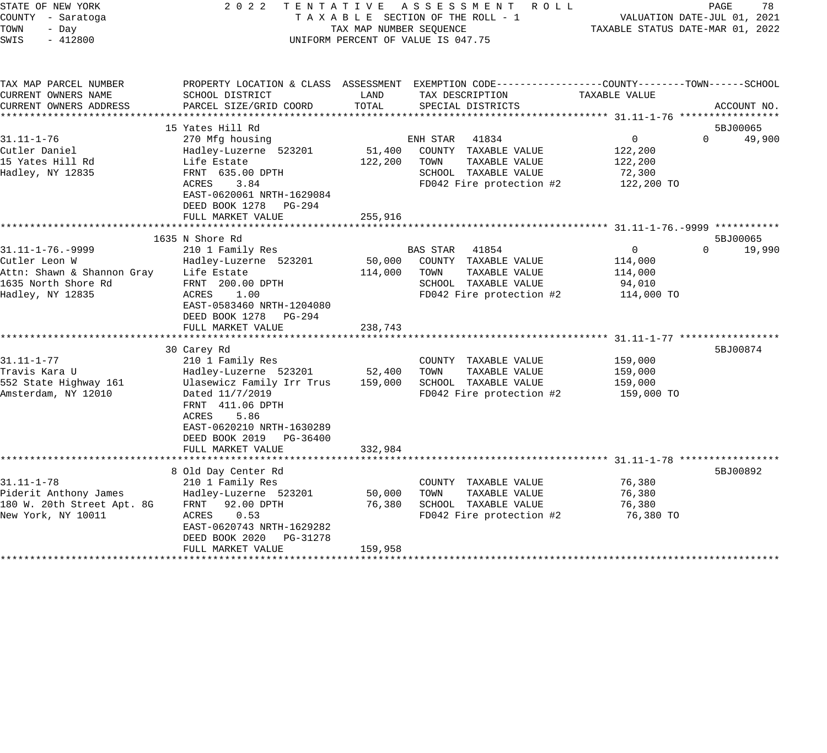| STATE OF NEW YORK          | 2 0 2 2<br>TENTATIVE       |                         | ASSESSMENT ROLL                                                                                  |                | PAGE<br>78                       |
|----------------------------|----------------------------|-------------------------|--------------------------------------------------------------------------------------------------|----------------|----------------------------------|
| COUNTY - Saratoga          |                            |                         | TAXABLE SECTION OF THE ROLL - 1                                                                  |                | VALUATION DATE-JUL 01, 2021      |
| TOWN<br>- Day              |                            | TAX MAP NUMBER SEQUENCE |                                                                                                  |                | TAXABLE STATUS DATE-MAR 01, 2022 |
| $-412800$<br>SWIS          |                            |                         | UNIFORM PERCENT OF VALUE IS 047.75                                                               |                |                                  |
|                            |                            |                         |                                                                                                  |                |                                  |
|                            |                            |                         |                                                                                                  |                |                                  |
| TAX MAP PARCEL NUMBER      |                            |                         | PROPERTY LOCATION & CLASS ASSESSMENT EXEMPTION CODE----------------COUNTY-------TOWN------SCHOOL |                |                                  |
| CURRENT OWNERS NAME        | SCHOOL DISTRICT            | LAND                    | TAX DESCRIPTION                                                                                  | TAXABLE VALUE  |                                  |
| CURRENT OWNERS ADDRESS     | PARCEL SIZE/GRID COORD     | TOTAL                   | SPECIAL DISTRICTS                                                                                |                | ACCOUNT NO.                      |
|                            |                            |                         |                                                                                                  |                |                                  |
|                            | 15 Yates Hill Rd           |                         |                                                                                                  |                | 5BJ00065                         |
| $31.11 - 1 - 76$           | 270 Mfg housing            |                         | ENH STAR<br>41834                                                                                | 0              | $\Omega$<br>49,900               |
| Cutler Daniel              | Hadley-Luzerne 523201      | 51,400                  | COUNTY TAXABLE VALUE                                                                             | 122,200        |                                  |
| 15 Yates Hill Rd           | Life Estate                | 122,200                 | TAXABLE VALUE<br>TOWN                                                                            | 122,200        |                                  |
| Hadley, NY 12835           | FRNT 635.00 DPTH           |                         | SCHOOL TAXABLE VALUE                                                                             | 72,300         |                                  |
|                            | ACRES<br>3.84              |                         | FD042 Fire protection #2                                                                         | 122,200 TO     |                                  |
|                            | EAST-0620061 NRTH-1629084  |                         |                                                                                                  |                |                                  |
|                            | DEED BOOK 1278 PG-294      |                         |                                                                                                  |                |                                  |
|                            | FULL MARKET VALUE          | 255,916                 |                                                                                                  |                |                                  |
|                            |                            |                         |                                                                                                  |                |                                  |
|                            | 1635 N Shore Rd            |                         |                                                                                                  |                | 5BJ00065                         |
| $31.11 - 1 - 76. - 9999$   | 210 1 Family Res           |                         | BAS STAR<br>41854                                                                                | $\overline{0}$ | $\Omega$<br>19,990               |
| Cutler Leon W              | Hadley-Luzerne 523201      | 50,000                  | COUNTY TAXABLE VALUE                                                                             | 114,000        |                                  |
| Attn: Shawn & Shannon Gray | Life Estate                | 114,000                 | TAXABLE VALUE<br>TOWN                                                                            | 114,000        |                                  |
|                            |                            |                         |                                                                                                  |                |                                  |
| 1635 North Shore Rd        | FRNT 200.00 DPTH           |                         | SCHOOL TAXABLE VALUE                                                                             | 94,010         |                                  |
| Hadley, NY 12835           | ACRES<br>1.00              |                         | FD042 Fire protection #2                                                                         | 114,000 TO     |                                  |
|                            | EAST-0583460 NRTH-1204080  |                         |                                                                                                  |                |                                  |
|                            | DEED BOOK 1278<br>PG-294   |                         |                                                                                                  |                |                                  |
|                            | FULL MARKET VALUE          | 238,743                 |                                                                                                  |                |                                  |
|                            |                            |                         |                                                                                                  |                |                                  |
|                            | 30 Carey Rd                |                         |                                                                                                  |                | 5BJ00874                         |
| $31.11 - 1 - 77$           | 210 1 Family Res           |                         | COUNTY TAXABLE VALUE                                                                             | 159,000        |                                  |
| Travis Kara U              | Hadley-Luzerne 523201      | 52,400                  | TOWN<br>TAXABLE VALUE                                                                            | 159,000        |                                  |
| 552 State Highway 161      | Ulasewicz Family Irr Trus  | 159,000                 | SCHOOL TAXABLE VALUE                                                                             | 159,000        |                                  |
| Amsterdam, NY 12010        | Dated 11/7/2019            |                         | FD042 Fire protection #2                                                                         | 159,000 TO     |                                  |
|                            | FRNT 411.06 DPTH           |                         |                                                                                                  |                |                                  |
|                            | ACRES<br>5.86              |                         |                                                                                                  |                |                                  |
|                            | EAST-0620210 NRTH-1630289  |                         |                                                                                                  |                |                                  |
|                            | DEED BOOK 2019 PG-36400    |                         |                                                                                                  |                |                                  |
|                            | FULL MARKET VALUE          | 332,984                 |                                                                                                  |                |                                  |
|                            |                            |                         |                                                                                                  |                |                                  |
|                            | 8 Old Day Center Rd        |                         |                                                                                                  |                | 5BJ00892                         |
| $31.11 - 1 - 78$           | 210 1 Family Res           |                         | COUNTY TAXABLE VALUE                                                                             | 76,380         |                                  |
| Piderit Anthony James      | Hadley-Luzerne 523201      | 50,000                  | TAXABLE VALUE<br>TOWN                                                                            | 76,380         |                                  |
| 180 W. 20th Street Apt. 8G | FRNT 92.00 DPTH            | 76,380                  | SCHOOL TAXABLE VALUE                                                                             | 76,380         |                                  |
| New York, NY 10011         | ACRES<br>0.53              |                         | FD042 Fire protection #2                                                                         | 76,380 TO      |                                  |
|                            | EAST-0620743 NRTH-1629282  |                         |                                                                                                  |                |                                  |
|                            |                            |                         |                                                                                                  |                |                                  |
|                            | DEED BOOK 2020<br>PG-31278 |                         |                                                                                                  |                |                                  |
|                            | FULL MARKET VALUE          | 159,958                 |                                                                                                  |                |                                  |
|                            |                            |                         |                                                                                                  |                |                                  |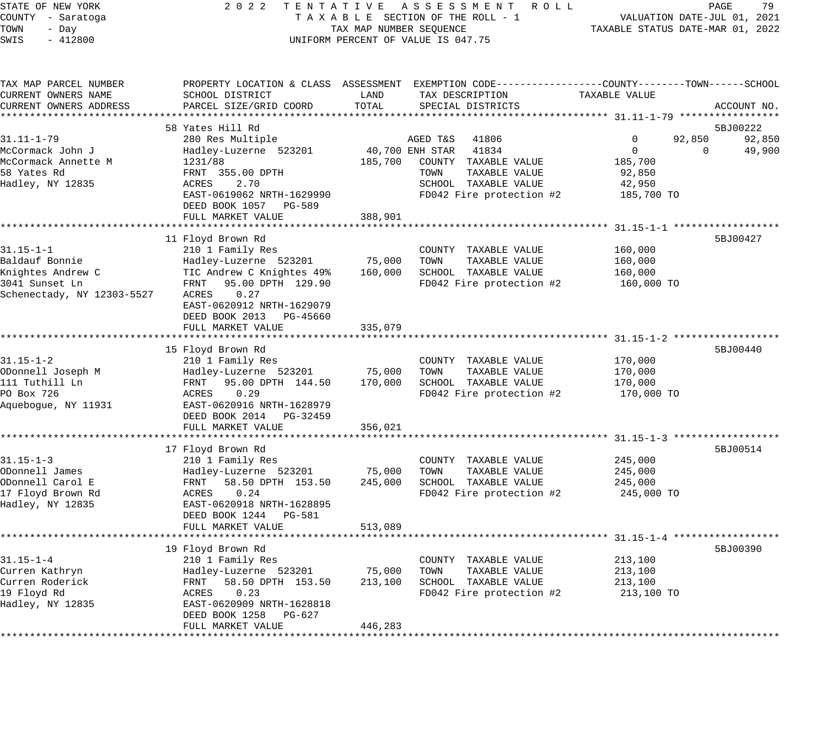STATE OF NEW YORK 2 0 2 2 T E N T A T I V E A S S E S S M E N T R O L L PAGE 79 COUNTY - Saratoga T A X A B L E SECTION OF THE ROLL - 1 VALUATION DATE-JUL 01, 2021 TOWN - Day TAX MAP NUMBER SEQUENCE TAXABLE STATUS DATE-MAR 01, 2022 SWIS - 412800 CONTROLLY THE UNIFORM PERCENT OF VALUE IS 047.75 TAX MAP PARCEL NUMBER PROPERTY LOCATION & CLASS ASSESSMENT EXEMPTION CODE------------------COUNTY--------TOWN------SCHOOL CURRENT OWNERS NAME SCHOOL DISTRICT LAND TAX DESCRIPTION TAXABLE VALUE CURRENT OWNERS ADDRESS PARCEL SIZE/GRID COORD TOTAL SPECIAL DISTRICTS ACCOUNT NO. \*\*\*\*\*\*\*\*\*\*\*\*\*\*\*\*\*\*\*\*\*\*\*\*\*\*\*\*\*\*\*\*\*\*\*\*\*\*\*\*\*\*\*\*\*\*\*\*\*\*\*\*\*\*\*\*\*\*\*\*\*\*\*\*\*\*\*\*\*\*\*\*\*\*\*\*\*\*\*\*\*\*\*\*\*\*\*\*\*\*\*\*\*\*\*\*\*\*\*\*\*\*\* 31.11-1-79 \*\*\*\*\*\*\*\*\*\*\*\*\*\*\*\*\* 58 Yates Hill Rd 5BJ00222 Superintensity of the state of the state of the state of the state of the state of the state of the state of the state of the state of the state of the state of the state of the state of the state 31.11-1-79 280 Res Multiple AGED T&S 41806 0 92,850 92,850 McCormack John J Hadley-Luzerne 523201 40,700 ENH STAR 41834 0 0 49,900 McCormack Annette M 1231/88 185,700 COUNTY TAXABLE VALUE 185,700 58 Yates Rd FRNT 355.00 DPTH TOWN TAXABLE VALUE 92,850 Hadley, NY 12835 ACRES 2.70 SCHOOL TAXABLE VALUE 42,950 EAST-0619062 NRTH-1629990 FD042 Fire protection #2 185,700 TO DEED BOOK 1057 PG-589 FULL MARKET VALUE 388,901 \*\*\*\*\*\*\*\*\*\*\*\*\*\*\*\*\*\*\*\*\*\*\*\*\*\*\*\*\*\*\*\*\*\*\*\*\*\*\*\*\*\*\*\*\*\*\*\*\*\*\*\*\*\*\*\*\*\*\*\*\*\*\*\*\*\*\*\*\*\*\*\*\*\*\*\*\*\*\*\*\*\*\*\*\*\*\*\*\*\*\*\*\*\*\*\*\*\*\*\*\*\*\* 31.15-1-1 \*\*\*\*\*\*\*\*\*\*\*\*\*\*\*\*\*\* 11 Floyd Brown Rd 5BJ00427 31.15-1-1 210 1 Family Res COUNTY TAXABLE VALUE 160,000 Baldauf Bonnie Hadley-Luzerne 523201 75,000 TOWN TAXABLE VALUE 160,000 Knightes Andrew C TIC Andrew C Knightes 49% 160,000 SCHOOL TAXABLE VALUE 160,000 3041 Sunset Ln FRNT 95.00 DPTH 129.90 FD042 Fire protection #2 160,000 TO Schenectady, NY 12303-5527 ACRES 0.27 EAST-0620912 NRTH-1629079 DEED BOOK 2013 PG-45660 FULL MARKET VALUE 335,079 \*\*\*\*\*\*\*\*\*\*\*\*\*\*\*\*\*\*\*\*\*\*\*\*\*\*\*\*\*\*\*\*\*\*\*\*\*\*\*\*\*\*\*\*\*\*\*\*\*\*\*\*\*\*\*\*\*\*\*\*\*\*\*\*\*\*\*\*\*\*\*\*\*\*\*\*\*\*\*\*\*\*\*\*\*\*\*\*\*\*\*\*\*\*\*\*\*\*\*\*\*\*\* 31.15-1-2 \*\*\*\*\*\*\*\*\*\*\*\*\*\*\*\*\*\* 15 Floyd Brown Rd 5BJ00440 31.15-1-2 210 1 Family Res COUNTY TAXABLE VALUE 170,000 ODonnell Joseph M Hadley-Luzerne 523201 75,000 TOWN TAXABLE VALUE 170,000 111 Tuthill Ln FRNT 95.00 DPTH 144.50 170,000 SCHOOL TAXABLE VALUE 170,000 PO Box 726 ACRES 0.29 FD042 Fire protection #2 170,000 TO Aquebogue, NY 11931 EAST-0620916 NRTH-1628979 DEED BOOK 2014 PG-32459 DEED BOOK 2014 PG-32459<br>FULL MARKET VALUE 356,021 \*\*\*\*\*\*\*\*\*\*\*\*\*\*\*\*\*\*\*\*\*\*\*\*\*\*\*\*\*\*\*\*\*\*\*\*\*\*\*\*\*\*\*\*\*\*\*\*\*\*\*\*\*\*\*\*\*\*\*\*\*\*\*\*\*\*\*\*\*\*\*\*\*\*\*\*\*\*\*\*\*\*\*\*\*\*\*\*\*\*\*\*\*\*\*\*\*\*\*\*\*\*\* 31.15-1-3 \*\*\*\*\*\*\*\*\*\*\*\*\*\*\*\*\*\* 17 Floyd Brown Rd 5BJ00514 31.15-1-3 210 1 Family Res COUNTY TAXABLE VALUE 245,000 ODonnell James Hadley-Luzerne 523201 75,000 TOWN TAXABLE VALUE 245,000 ODonnell Carol E FRNT 58.50 DPTH 153.50 245,000 SCHOOL TAXABLE VALUE 245,000 17 Floyd Brown Rd ACRES 0.24 FD042 Fire protection #2 245,000 TO Hadley, NY 12835 EAST-0620918 NRTH-1628895 DEED BOOK 1244 PG-581 FULL MARKET VALUE 513,089

\*\*\*\*\*\*\*\*\*\*\*\*\*\*\*\*\*\*\*\*\*\*\*\*\*\*\*\*\*\*\*\*\*\*\*\*\*\*\*\*\*\*\*\*\*\*\*\*\*\*\*\*\*\*\*\*\*\*\*\*\*\*\*\*\*\*\*\*\*\*\*\*\*\*\*\*\*\*\*\*\*\*\*\*\*\*\*\*\*\*\*\*\*\*\*\*\*\*\*\*\*\*\* 31.15-1-4 \*\*\*\*\*\*\*\*\*\*\*\*\*\*\*\*\*\*

 19 Floyd Brown Rd 5BJ00390 31.15-1-4 210 1 Family Res COUNTY TAXABLE VALUE 213,100 Curren Kathryn Hadley-Luzerne 523201 75,000 TOWN TAXABLE VALUE 213,100 Curren Roderick FRNT 58.50 DPTH 153.50 213,100 SCHOOL TAXABLE VALUE 213,100

19 Floyd Rd ACRES 0.23 FD042 Fire protection #2 213,100 TO Hadley, NY 12835 EAST-0620909 NRTH-1628818 DEED BOOK 1258 PG-627 FULL MARKET VALUE 446,283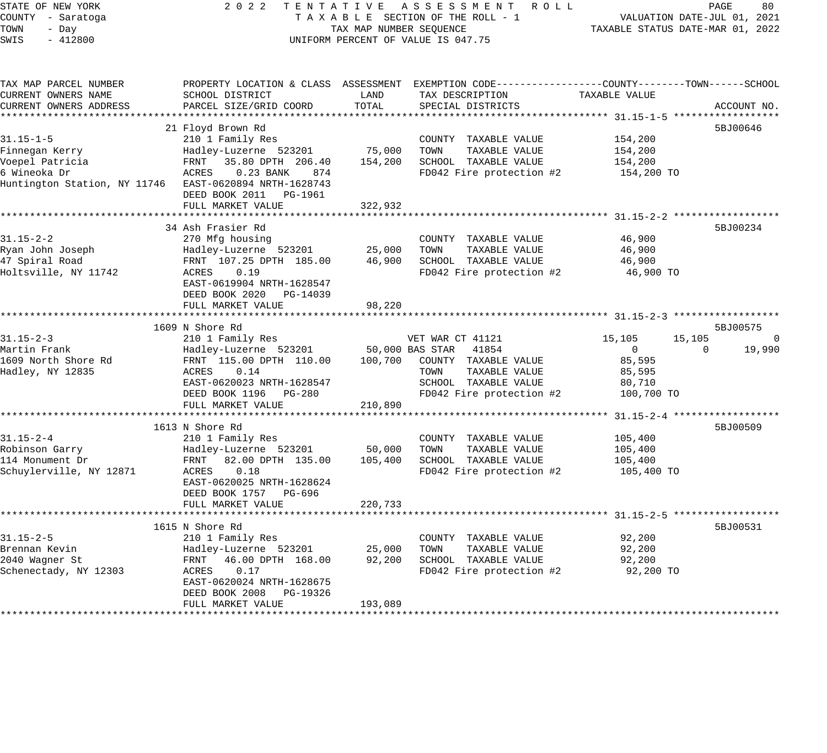STATE OF NEW YORK 2 0 2 2 T E N T A T I V E A S S E S S M E N T R O L L PAGE 80 COUNTY - Saratoga T A X A B L E SECTION OF THE ROLL - 1 VALUATION DATE-JUL 01, 2021 TOWN - Day TAX MAP NUMBER SEQUENCE TAXABLE STATUS DATE-MAR 01, 2022 SWIS - 412800 CONTROLLY THE UNIFORM PERCENT OF VALUE IS 047.75 TAX MAP PARCEL NUMBER PROPERTY LOCATION & CLASS ASSESSMENT EXEMPTION CODE------------------COUNTY--------TOWN------SCHOOL CURRENT OWNERS NAME SCHOOL DISTRICT LAND TAX DESCRIPTION TAXABLE VALUE CURRENT OWNERS ADDRESS PARCEL SIZE/GRID COORD TOTAL SPECIAL DISTRICTS ACCOUNT NO. \*\*\*\*\*\*\*\*\*\*\*\*\*\*\*\*\*\*\*\*\*\*\*\*\*\*\*\*\*\*\*\*\*\*\*\*\*\*\*\*\*\*\*\*\*\*\*\*\*\*\*\*\*\*\*\*\*\*\*\*\*\*\*\*\*\*\*\*\*\*\*\*\*\*\*\*\*\*\*\*\*\*\*\*\*\*\*\*\*\*\*\*\*\*\*\*\*\*\*\*\*\*\* 31.15-1-5 \*\*\*\*\*\*\*\*\*\*\*\*\*\*\*\*\*\* 21 Floyd Brown Rd 5BJ00646 31.15-1-5 210 1 Family Res COUNTY TAXABLE VALUE 154,200 Finnegan Kerry Hadley-Luzerne 523201 75,000 TOWN TAXABLE VALUE 154,200 Voepel Patricia FRNT 35.80 DPTH 206.40 154,200 SCHOOL TAXABLE VALUE 154,200 6 Wineoka Dr ACRES 0.23 BANK 874 FD042 Fire protection #2 154,200 TO Huntington Station, NY 11746 EAST-0620894 NRTH-1628743 DEED BOOK 2011 PG-1961 FULL MARKET VALUE 322,932 \*\*\*\*\*\*\*\*\*\*\*\*\*\*\*\*\*\*\*\*\*\*\*\*\*\*\*\*\*\*\*\*\*\*\*\*\*\*\*\*\*\*\*\*\*\*\*\*\*\*\*\*\*\*\*\*\*\*\*\*\*\*\*\*\*\*\*\*\*\*\*\*\*\*\*\*\*\*\*\*\*\*\*\*\*\*\*\*\*\*\*\*\*\*\*\*\*\*\*\*\*\*\* 31.15-2-2 \*\*\*\*\*\*\*\*\*\*\*\*\*\*\*\*\*\* 34 Ash Frasier Rd 5BJ00234 31.15-2-2 270 Mfg housing COUNTY TAXABLE VALUE 46,900 Ryan John Joseph Hadley-Luzerne 523201 25,000 TOWN TAXABLE VALUE 46,900 47 Spiral Road FRNT 107.25 DPTH 185.00 46,900 SCHOOL TAXABLE VALUE 46,900 Holtsville, NY 11742 ACRES 0.19 FD042 Fire protection #2 46,900 TO EAST-0619904 NRTH-1628547 DEED BOOK 2020 PG-14039 FULL MARKET VALUE 98,220 \*\*\*\*\*\*\*\*\*\*\*\*\*\*\*\*\*\*\*\*\*\*\*\*\*\*\*\*\*\*\*\*\*\*\*\*\*\*\*\*\*\*\*\*\*\*\*\*\*\*\*\*\*\*\*\*\*\*\*\*\*\*\*\*\*\*\*\*\*\*\*\*\*\*\*\*\*\*\*\*\*\*\*\*\*\*\*\*\*\*\*\*\*\*\*\*\*\*\*\*\*\*\* 31.15-2-3 \*\*\*\*\*\*\*\*\*\*\*\*\*\*\*\*\*\*  $1609$  N Shore Rd  $5BJ00575$ 31.15-2-3 210 1 Family Res VET WAR CT 41121 15,105 15,105 0 Martin Frank Hadley-Luzerne 523201 50,000 BAS STAR 41854 0 0 19,990 1609 North Shore Rd FRNT 115.00 DPTH 110.00 100,700 COUNTY TAXABLE VALUE 85,595 Hadley, NY 12835 ACRES 0.14 TOWN TAXABLE VALUE 85,595 EAST-0620023 NRTH-1628547 SCHOOL TAXABLE VALUE 80,710 DEED BOOK 1196 PG-280 FD042 Fire protection #2 100,700 TO FULL MARKET VALUE 210,890 \*\*\*\*\*\*\*\*\*\*\*\*\*\*\*\*\*\*\*\*\*\*\*\*\*\*\*\*\*\*\*\*\*\*\*\*\*\*\*\*\*\*\*\*\*\*\*\*\*\*\*\*\*\*\*\*\*\*\*\*\*\*\*\*\*\*\*\*\*\*\*\*\*\*\*\*\*\*\*\*\*\*\*\*\*\*\*\*\*\*\*\*\*\*\*\*\*\*\*\*\*\*\* 31.15-2-4 \*\*\*\*\*\*\*\*\*\*\*\*\*\*\*\*\*\*  $1613$  N Shore Rd  $5BJ00509$ 31.15-2-4 210 1 Family Res COUNTY TAXABLE VALUE 105,400 Robinson Garry Hadley-Luzerne 523201 50,000 TOWN TAXABLE VALUE 105,400 114 Monument Dr FRNT 82.00 DPTH 135.00 105,400 SCHOOL TAXABLE VALUE 105,400 Schuylerville, NY 12871 ACRES 0.18 FD042 Fire protection #2 105,400 TO EAST-0620025 NRTH-1628624 DEED BOOK 1757 PG-696 FULL MARKET VALUE 220,733 \*\*\*\*\*\*\*\*\*\*\*\*\*\*\*\*\*\*\*\*\*\*\*\*\*\*\*\*\*\*\*\*\*\*\*\*\*\*\*\*\*\*\*\*\*\*\*\*\*\*\*\*\*\*\*\*\*\*\*\*\*\*\*\*\*\*\*\*\*\*\*\*\*\*\*\*\*\*\*\*\*\*\*\*\*\*\*\*\*\*\*\*\*\*\*\*\*\*\*\*\*\*\* 31.15-2-5 \*\*\*\*\*\*\*\*\*\*\*\*\*\*\*\*\*\* 1615 N Shore Rd 31.15-2-5 210 1 Family Res COUNTY TAXABLE VALUE 92,200 Brennan Kevin Hadley-Luzerne 523201 25,000 TOWN TAXABLE VALUE 92,200 2040 Wagner St FRNT 46.00 DPTH 168.00 92,200 SCHOOL TAXABLE VALUE 92,200 Schenectady, NY 12303 ACRES 0.17 FD042 Fire protection #2 92,200 TO EAST-0620024 NRTH-1628675 DEED BOOK 2008 PG-19326 FULL MARKET VALUE 193,089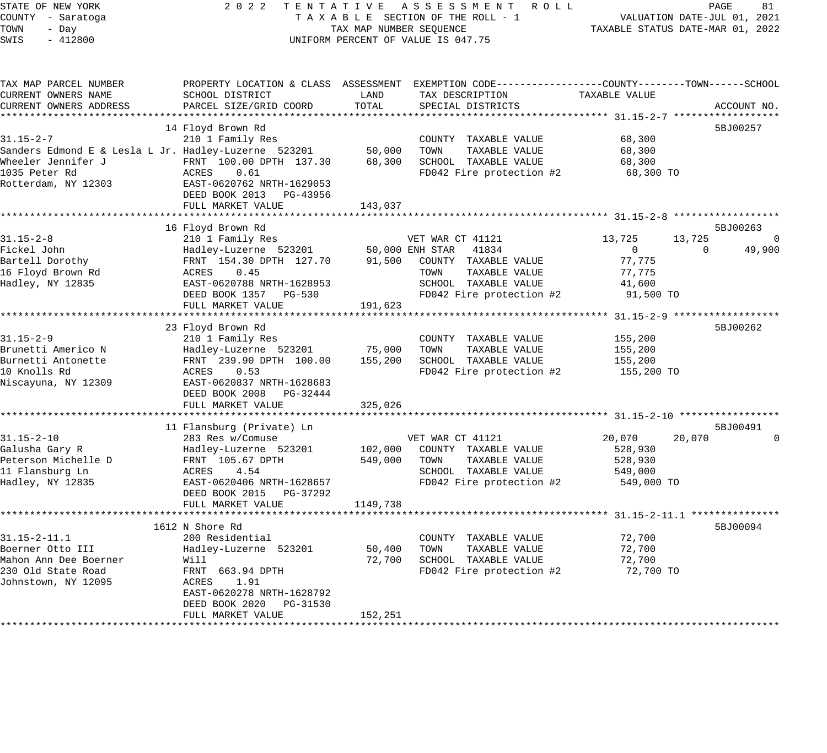### STATE OF NEW YORK 2 0 2 2 T E N T A T I V E A S S E S S M E N T R O L L PAGE 81 COUNTY - Saratoga T A X A B L E SECTION OF THE ROLL - 1 VALUATION DATE-JUL 01, 2021 X A B L E SECTION OF THE ROLL - 1<br>TAX MAP NUMBER SEQUENCE TAXABLE STATUS DATE-MAR 01, 2022 UNIFORM PERCENT OF VALUE IS 047.75

| TAX MAP PARCEL NUMBER                                |                            |          | PROPERTY LOCATION & CLASS ASSESSMENT EXEMPTION CODE----------------COUNTY-------TOWN------SCHOOL |                               |                |
|------------------------------------------------------|----------------------------|----------|--------------------------------------------------------------------------------------------------|-------------------------------|----------------|
| CURRENT OWNERS NAME                                  | SCHOOL DISTRICT            | LAND     | TAX DESCRIPTION                                                                                  | TAXABLE VALUE                 |                |
| CURRENT OWNERS ADDRESS                               | PARCEL SIZE/GRID COORD     | TOTAL    | SPECIAL DISTRICTS                                                                                |                               | ACCOUNT NO.    |
|                                                      |                            |          |                                                                                                  |                               |                |
|                                                      | 14 Floyd Brown Rd          |          |                                                                                                  |                               | 5BJ00257       |
| $31.15 - 2 - 7$                                      | 210 1 Family Res           |          | COUNTY TAXABLE VALUE                                                                             | 68,300                        |                |
| Sanders Edmond E & Lesla L Jr. Hadley-Luzerne 523201 |                            | 50,000   | TOWN<br>TAXABLE VALUE                                                                            | 68,300                        |                |
| Wheeler Jennifer J                                   | FRNT 100.00 DPTH 137.30    | 68,300   | SCHOOL TAXABLE VALUE                                                                             | 68,300                        |                |
| 1035 Peter Rd                                        | ACRES<br>0.61              |          | FD042 Fire protection #2                                                                         | 68,300 TO                     |                |
| Rotterdam, NY 12303                                  | EAST-0620762 NRTH-1629053  |          |                                                                                                  |                               |                |
|                                                      | DEED BOOK 2013 PG-43956    |          |                                                                                                  |                               |                |
|                                                      | FULL MARKET VALUE          | 143,037  |                                                                                                  |                               |                |
|                                                      |                            |          |                                                                                                  |                               |                |
|                                                      | 16 Floyd Brown Rd          |          |                                                                                                  |                               | 5BJ00263       |
| $31.15 - 2 - 8$                                      | 210 1 Family Res           |          | VET WAR CT 41121                                                                                 | 13,725<br>13,725              | $\overline{0}$ |
| Fickel John                                          | Hadley-Luzerne 523201      |          | 50,000 ENH STAR 41834                                                                            | $\overline{0}$<br>$\mathbf 0$ | 49,900         |
| Bartell Dorothy                                      | FRNT 154.30 DPTH 127.70    | 91,500   | COUNTY TAXABLE VALUE                                                                             | 77,775                        |                |
| 16 Floyd Brown Rd                                    | ACRES<br>0.45              |          | TOWN<br>TAXABLE VALUE                                                                            | 77,775                        |                |
| Hadley, NY 12835                                     | EAST-0620788 NRTH-1628953  |          | SCHOOL TAXABLE VALUE                                                                             | 41,600                        |                |
|                                                      | DEED BOOK 1357 PG-530      |          |                                                                                                  | 91,500 TO                     |                |
|                                                      |                            |          | FD042 Fire protection #2                                                                         |                               |                |
|                                                      | FULL MARKET VALUE          | 191,623  |                                                                                                  |                               |                |
|                                                      |                            |          |                                                                                                  |                               |                |
|                                                      | 23 Floyd Brown Rd          |          |                                                                                                  |                               | 5BJ00262       |
| $31.15 - 2 - 9$                                      | 210 1 Family Res           |          | COUNTY TAXABLE VALUE                                                                             | 155,200                       |                |
| Brunetti Americo N                                   | Hadley-Luzerne 523201      | 75,000   | TOWN<br>TAXABLE VALUE                                                                            | 155,200                       |                |
| Burnetti Antonette                                   | FRNT 239.90 DPTH 100.00    | 155,200  | SCHOOL TAXABLE VALUE                                                                             | 155,200                       |                |
| 10 Knolls Rd                                         | 0.53<br>ACRES              |          | FD042 Fire protection #2                                                                         | 155,200 TO                    |                |
| Niscayuna, NY 12309                                  | EAST-0620837 NRTH-1628683  |          |                                                                                                  |                               |                |
|                                                      | DEED BOOK 2008 PG-32444    |          |                                                                                                  |                               |                |
|                                                      | FULL MARKET VALUE          | 325,026  |                                                                                                  |                               |                |
|                                                      |                            |          |                                                                                                  |                               |                |
|                                                      | 11 Flansburg (Private) Ln  |          |                                                                                                  |                               | 5BJ00491       |
| $31.15 - 2 - 10$                                     | 283 Res w/Comuse           |          | VET WAR CT 41121                                                                                 | 20,070<br>20,070              | $\Omega$       |
| Galusha Gary R                                       | Hadley-Luzerne 523201      | 102,000  | COUNTY TAXABLE VALUE                                                                             | 528,930                       |                |
| Peterson Michelle D                                  | FRNT 105.67 DPTH           | 549,000  | TOWN<br>TAXABLE VALUE                                                                            | 528,930                       |                |
| 11 Flansburg Ln                                      | ACRES<br>4.54              |          | SCHOOL TAXABLE VALUE                                                                             | 549,000                       |                |
| Hadley, NY 12835                                     | EAST-0620406 NRTH-1628657  |          | FD042 Fire protection #2                                                                         | 549,000 TO                    |                |
|                                                      | DEED BOOK 2015 PG-37292    |          |                                                                                                  |                               |                |
|                                                      | FULL MARKET VALUE          | 1149,738 |                                                                                                  |                               |                |
|                                                      |                            |          |                                                                                                  |                               |                |
|                                                      | 1612 N Shore Rd            |          |                                                                                                  |                               | 5BJ00094       |
| $31.15 - 2 - 11.1$                                   | 200 Residential            |          | COUNTY TAXABLE VALUE                                                                             | 72,700                        |                |
| Boerner Otto III                                     | Hadley-Luzerne 523201      | 50,400   | TOWN<br>TAXABLE VALUE                                                                            | 72,700                        |                |
| Mahon Ann Dee Boerner                                | Will                       | 72,700   | SCHOOL TAXABLE VALUE                                                                             | 72,700                        |                |
| 230 Old State Road                                   | FRNT 663.94 DPTH           |          | FD042 Fire protection #2                                                                         | 72,700 TO                     |                |
|                                                      | ACRES<br>1.91              |          |                                                                                                  |                               |                |
| Johnstown, NY 12095                                  |                            |          |                                                                                                  |                               |                |
|                                                      | EAST-0620278 NRTH-1628792  |          |                                                                                                  |                               |                |
|                                                      | DEED BOOK 2020<br>PG-31530 |          |                                                                                                  |                               |                |
|                                                      | FULL MARKET VALUE          | 152,251  |                                                                                                  |                               |                |
|                                                      |                            |          |                                                                                                  |                               |                |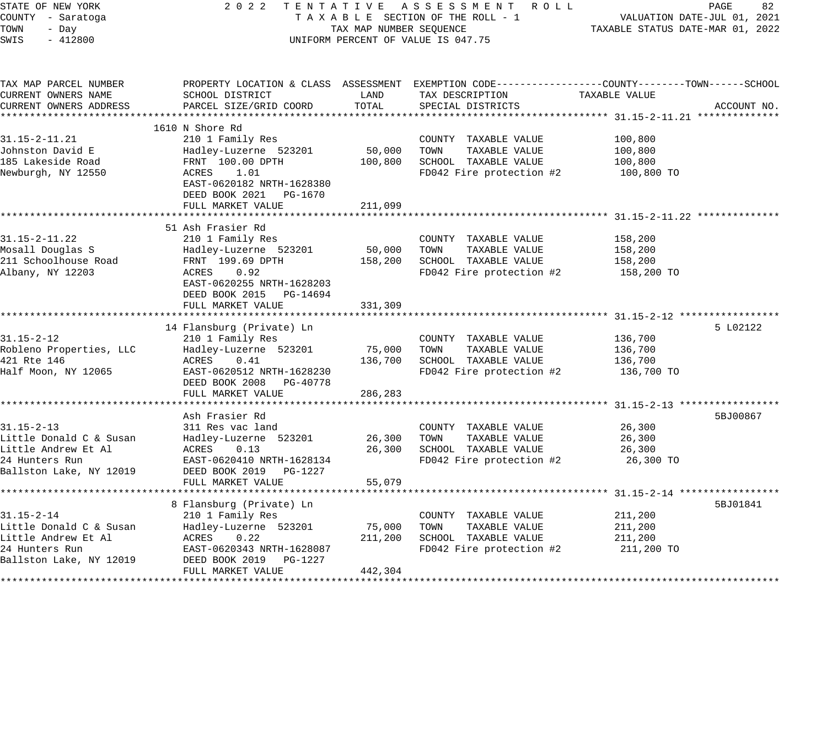| STATE OF NEW YORK<br>COUNTY - Saratoga<br>TOWN<br>- Day<br>SWIS<br>$-412800$ | 2 0 2 2                                                 | TAX MAP NUMBER SEQUENCE | TENTATIVE ASSESSMENT ROLL<br>TAXABLE SECTION OF THE ROLL - 1<br>UNIFORM PERCENT OF VALUE IS 047.75                | TAXABLE STATUS DATE-MAR 01, 2022 | PAGE<br>82<br>VALUATION DATE-JUL 01, 2021 |
|------------------------------------------------------------------------------|---------------------------------------------------------|-------------------------|-------------------------------------------------------------------------------------------------------------------|----------------------------------|-------------------------------------------|
| TAX MAP PARCEL NUMBER<br>CURRENT OWNERS NAME                                 | SCHOOL DISTRICT                                         | LAND                    | PROPERTY LOCATION & CLASS ASSESSMENT EXEMPTION CODE---------------COUNTY-------TOWN-----SCHOOL<br>TAX DESCRIPTION | TAXABLE VALUE                    |                                           |
| CURRENT OWNERS ADDRESS                                                       | PARCEL SIZE/GRID COORD                                  | TOTAL                   | SPECIAL DISTRICTS                                                                                                 |                                  | ACCOUNT NO.                               |
|                                                                              |                                                         |                         |                                                                                                                   |                                  |                                           |
| $31.15 - 2 - 11.21$                                                          | 1610 N Shore Rd<br>210 1 Family Res                     |                         | COUNTY TAXABLE VALUE                                                                                              | 100,800                          |                                           |
| Johnston David E                                                             | Hadley-Luzerne 523201                                   | 50,000                  | TOWN<br>TAXABLE VALUE                                                                                             | 100,800                          |                                           |
| 185 Lakeside Road                                                            | FRNT 100.00 DPTH                                        | 100,800                 | SCHOOL TAXABLE VALUE                                                                                              | 100,800                          |                                           |
| Newburgh, NY 12550                                                           | ACRES<br>1.01<br>EAST-0620182 NRTH-1628380              |                         | FD042 Fire protection #2                                                                                          | 100,800 TO                       |                                           |
|                                                                              | DEED BOOK 2021<br>PG-1670                               |                         |                                                                                                                   |                                  |                                           |
|                                                                              | FULL MARKET VALUE                                       | 211,099                 |                                                                                                                   |                                  |                                           |
|                                                                              |                                                         |                         |                                                                                                                   |                                  |                                           |
|                                                                              | 51 Ash Frasier Rd                                       |                         |                                                                                                                   |                                  |                                           |
| $31.15 - 2 - 11.22$                                                          | 210 1 Family Res                                        |                         | COUNTY TAXABLE VALUE                                                                                              | 158,200                          |                                           |
| Mosall Douglas S<br>211 Schoolhouse Road                                     | Hadley-Luzerne 523201<br>FRNT 199.69 DPTH               | 50,000<br>158,200       | TOWN<br>TAXABLE VALUE<br>SCHOOL TAXABLE VALUE                                                                     | 158,200                          |                                           |
| Albany, NY 12203                                                             | ACRES<br>0.92                                           |                         | FD042 Fire protection #2                                                                                          | 158,200<br>158,200 TO            |                                           |
|                                                                              | EAST-0620255 NRTH-1628203<br>DEED BOOK 2015<br>PG-14694 |                         |                                                                                                                   |                                  |                                           |
|                                                                              | FULL MARKET VALUE                                       | 331,309                 |                                                                                                                   |                                  |                                           |
|                                                                              |                                                         |                         |                                                                                                                   |                                  |                                           |
|                                                                              | 14 Flansburg (Private) Ln                               |                         |                                                                                                                   |                                  | 5 L02122                                  |
| $31.15 - 2 - 12$<br>Robleno Properties, LLC                                  | 210 1 Family Res                                        | 75,000                  | COUNTY TAXABLE VALUE<br>TAXABLE VALUE                                                                             | 136,700<br>136,700               |                                           |
| 421 Rte 146                                                                  | Hadley-Luzerne 523201<br>ACRES<br>0.41                  | 136,700                 | TOWN<br>SCHOOL TAXABLE VALUE                                                                                      | 136,700                          |                                           |
| Half Moon, NY 12065                                                          | EAST-0620512 NRTH-1628230                               |                         | FD042 Fire protection #2                                                                                          | 136,700 TO                       |                                           |
|                                                                              | DEED BOOK 2008<br>PG-40778                              |                         |                                                                                                                   |                                  |                                           |
|                                                                              | FULL MARKET VALUE                                       | 286,283                 |                                                                                                                   |                                  |                                           |
|                                                                              |                                                         |                         | ************************************ 31.15-2-13 ************                                                      |                                  |                                           |
|                                                                              | Ash Frasier Rd                                          |                         |                                                                                                                   |                                  | 5BJ00867                                  |
| $31.15 - 2 - 13$                                                             | 311 Res vac land                                        |                         | COUNTY TAXABLE VALUE                                                                                              | 26,300                           |                                           |
| Little Donald C & Susan                                                      | Hadley-Luzerne 523201                                   | 26,300                  | TAXABLE VALUE<br>TOWN                                                                                             | 26,300                           |                                           |
| Little Andrew Et Al                                                          | ACRES<br>0.13                                           | 26,300                  | SCHOOL TAXABLE VALUE                                                                                              | 26,300                           |                                           |
| 24 Hunters Run                                                               | EAST-0620410 NRTH-1628134                               |                         | FD042 Fire protection #2                                                                                          | 26,300 TO                        |                                           |
| Ballston Lake, NY 12019                                                      | DEED BOOK 2019 PG-1227                                  |                         |                                                                                                                   |                                  |                                           |
|                                                                              | FULL MARKET VALUE                                       | 55,079                  |                                                                                                                   |                                  |                                           |
|                                                                              | 8 Flansburg (Private) Ln                                |                         |                                                                                                                   |                                  | 5BJ01841                                  |
| $31.15 - 2 - 14$                                                             | 210 1 Family Res                                        |                         | COUNTY TAXABLE VALUE                                                                                              | 211,200                          |                                           |
| Little Donald C & Susan                                                      | Hadley-Luzerne 523201                                   | 75,000                  | TOWN<br>TAXABLE VALUE                                                                                             | 211,200                          |                                           |
| Little Andrew Et Al                                                          | ACRES<br>0.22                                           | 211,200                 | SCHOOL TAXABLE VALUE                                                                                              | 211,200                          |                                           |
| 24 Hunters Run                                                               | EAST-0620343 NRTH-1628087                               |                         | FD042 Fire protection #2                                                                                          | 211,200 TO                       |                                           |
| Ballston Lake, NY 12019                                                      | DEED BOOK 2019 PG-1227                                  |                         |                                                                                                                   |                                  |                                           |
|                                                                              | FULL MARKET VALUE                                       | 442,304                 |                                                                                                                   |                                  |                                           |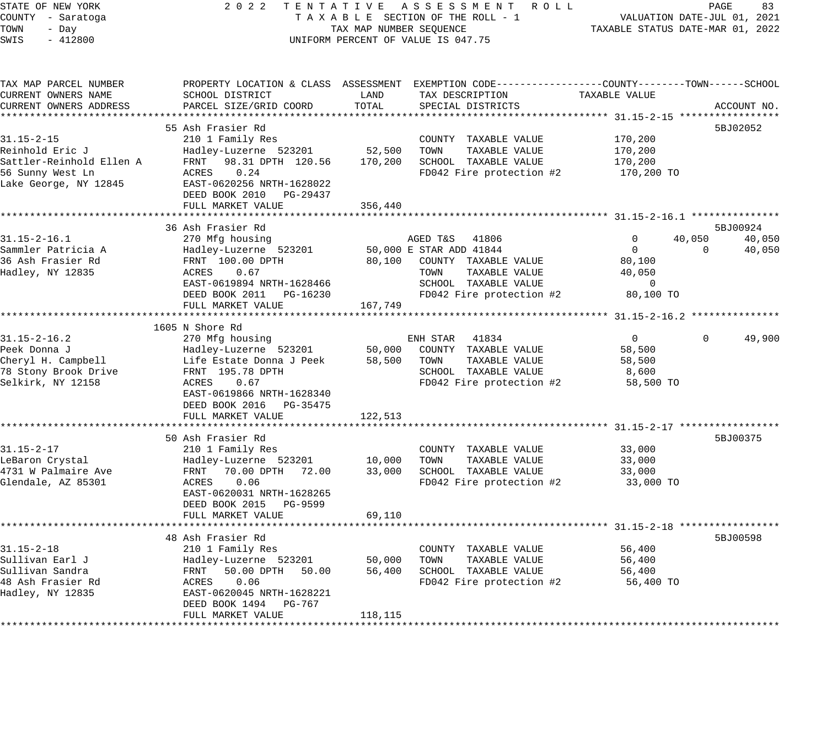STATE OF NEW YORK 2 0 2 2 T E N T A T I V E A S S E S S M E N T R O L L PAGE 83 COUNTY - Saratoga T A X A B L E SECTION OF THE ROLL - 1 VALUATION DATE-JUL 01, 2021 TOWN - Day TAX MAP NUMBER SEQUENCE TAXABLE STATUS DATE-MAR 01, 2022 SWIS - 412800 CONTROLLY THE UNIFORM PERCENT OF VALUE IS 047.75 TAX MAP PARCEL NUMBER PROPERTY LOCATION & CLASS ASSESSMENT EXEMPTION CODE------------------COUNTY--------TOWN------SCHOOL CURRENT OWNERS NAME SCHOOL DISTRICT LAND TAX DESCRIPTION TAXABLE VALUE CURRENT OWNERS ADDRESS PARCEL SIZE/GRID COORD TOTAL SPECIAL DISTRICTS ACCOUNT NO. \*\*\*\*\*\*\*\*\*\*\*\*\*\*\*\*\*\*\*\*\*\*\*\*\*\*\*\*\*\*\*\*\*\*\*\*\*\*\*\*\*\*\*\*\*\*\*\*\*\*\*\*\*\*\*\*\*\*\*\*\*\*\*\*\*\*\*\*\*\*\*\*\*\*\*\*\*\*\*\*\*\*\*\*\*\*\*\*\*\*\*\*\*\*\*\*\*\*\*\*\*\*\* 31.15-2-15 \*\*\*\*\*\*\*\*\*\*\*\*\*\*\*\*\* 55 Ash Frasier Rd 5BJ02052 31.15-2-15 210 1 Family Res COUNTY TAXABLE VALUE 170,200 Reinhold Eric J Hadley-Luzerne 523201 52,500 TOWN TAXABLE VALUE 170,200 Sattler-Reinhold Ellen A FRNT 98.31 DPTH 120.56 170,200 SCHOOL TAXABLE VALUE 170,200 56 Sunny West Ln ACRES 0.24 FD042 Fire protection #2 170,200 TO Lake George, NY 12845 EAST-0620256 NRTH-1628022 DEED BOOK 2010 PG-29437 FULL MARKET VALUE 356,440 \*\*\*\*\*\*\*\*\*\*\*\*\*\*\*\*\*\*\*\*\*\*\*\*\*\*\*\*\*\*\*\*\*\*\*\*\*\*\*\*\*\*\*\*\*\*\*\*\*\*\*\*\*\*\*\*\*\*\*\*\*\*\*\*\*\*\*\*\*\*\*\*\*\*\*\*\*\*\*\*\*\*\*\*\*\*\*\*\*\*\*\*\*\*\*\*\*\*\*\*\*\*\* 31.15-2-16.1 \*\*\*\*\*\*\*\*\*\*\*\*\*\*\* 36 Ash Frasier Rd 5BJ00924 31.15-2-16.1 270 Mfg housing AGED T&S 41806 0 40,050 40,050 Sammler Patricia A Hadley-Luzerne 523201 50,000 E STAR ADD 41844 0 0 40,050 36 Ash Frasier Rd FRNT 100.00 DPTH 80,100 COUNTY TAXABLE VALUE 80,100 Hadley, NY 12835 ACRES 0.67 TOWN TAXABLE VALUE 40,050 EAST-0619894 NRTH-1628466 SCHOOL TAXABLE VALUE 0 DEED BOOK 2011 PG-16230 FD042 Fire protection #2 80,100 TO FULL MARKET VALUE 167,749 \*\*\*\*\*\*\*\*\*\*\*\*\*\*\*\*\*\*\*\*\*\*\*\*\*\*\*\*\*\*\*\*\*\*\*\*\*\*\*\*\*\*\*\*\*\*\*\*\*\*\*\*\*\*\*\*\*\*\*\*\*\*\*\*\*\*\*\*\*\*\*\*\*\*\*\*\*\*\*\*\*\*\*\*\*\*\*\*\*\*\*\*\*\*\*\*\*\*\*\*\*\*\* 31.15-2-16.2 \*\*\*\*\*\*\*\*\*\*\*\*\*\*\* 1605 N Shore Rd 31.15-2-16.2 270 Mfg housing ENH STAR 41834 0 0 49,900 Peek Donna J Hadley-Luzerne 523201 50,000 COUNTY TAXABLE VALUE 58,500 Cheryl H. Campbell Life Estate Donna J Peek 58,500 TOWN TAXABLE VALUE 58,500 78 Stony Brook Drive FRNT 195.78 DPTH SCHOOL TAXABLE VALUE 8,600 Selkirk, NY 12158 ACRES 0.67 FD042 Fire protection #2 58,500 TO EAST-0619866 NRTH-1628340 DEED BOOK 2016 PG-35475 FULL MARKET VALUE 122,513 \*\*\*\*\*\*\*\*\*\*\*\*\*\*\*\*\*\*\*\*\*\*\*\*\*\*\*\*\*\*\*\*\*\*\*\*\*\*\*\*\*\*\*\*\*\*\*\*\*\*\*\*\*\*\*\*\*\*\*\*\*\*\*\*\*\*\*\*\*\*\*\*\*\*\*\*\*\*\*\*\*\*\*\*\*\*\*\*\*\*\*\*\*\*\*\*\*\*\*\*\*\*\* 31.15-2-17 \*\*\*\*\*\*\*\*\*\*\*\*\*\*\*\*\* 50 Ash Frasier Rd 5BJ00375 31.15-2-17 210 1 Family Res COUNTY TAXABLE VALUE 33,000 LeBaron Crystal Hadley-Luzerne 523201 10,000 TOWN TAXABLE VALUE 33,000 4731 W Palmaire Ave FRNT 70.00 DPTH 72.00 33,000 SCHOOL TAXABLE VALUE 33,000 Glendale, AZ 85301 ACRES 0.06 FD042 Fire protection #2 33,000 TO EAST-0620031 NRTH-1628265 DEED BOOK 2015 PG-9599 FULL MARKET VALUE 69,110 \*\*\*\*\*\*\*\*\*\*\*\*\*\*\*\*\*\*\*\*\*\*\*\*\*\*\*\*\*\*\*\*\*\*\*\*\*\*\*\*\*\*\*\*\*\*\*\*\*\*\*\*\*\*\*\*\*\*\*\*\*\*\*\*\*\*\*\*\*\*\*\*\*\*\*\*\*\*\*\*\*\*\*\*\*\*\*\*\*\*\*\*\*\*\*\*\*\*\*\*\*\*\* 31.15-2-18 \*\*\*\*\*\*\*\*\*\*\*\*\*\*\*\*\* 48 Ash Frasier Rd 5BJ00598 31.15-2-18 210 1 Family Res COUNTY TAXABLE VALUE 56,400 Sullivan Earl J Hadley-Luzerne 523201 50,000 TOWN TAXABLE VALUE 56,400 Sullivan Sandra FRNT 50.00 DPTH 50.00 56,400 SCHOOL TAXABLE VALUE 56,400 48 Ash Frasier Rd ACRES 0.06 FD042 Fire protection #2 56,400 TO Hadley, NY 12835 EAST-0620045 NRTH-1628221 DEED BOOK 1494 PG-767

\*\*\*\*\*\*\*\*\*\*\*\*\*\*\*\*\*\*\*\*\*\*\*\*\*\*\*\*\*\*\*\*\*\*\*\*\*\*\*\*\*\*\*\*\*\*\*\*\*\*\*\*\*\*\*\*\*\*\*\*\*\*\*\*\*\*\*\*\*\*\*\*\*\*\*\*\*\*\*\*\*\*\*\*\*\*\*\*\*\*\*\*\*\*\*\*\*\*\*\*\*\*\*\*\*\*\*\*\*\*\*\*\*\*\*\*\*\*\*\*\*\*\*\*\*\*\*\*\*\*\*\*

FULL MARKET VALUE 118,115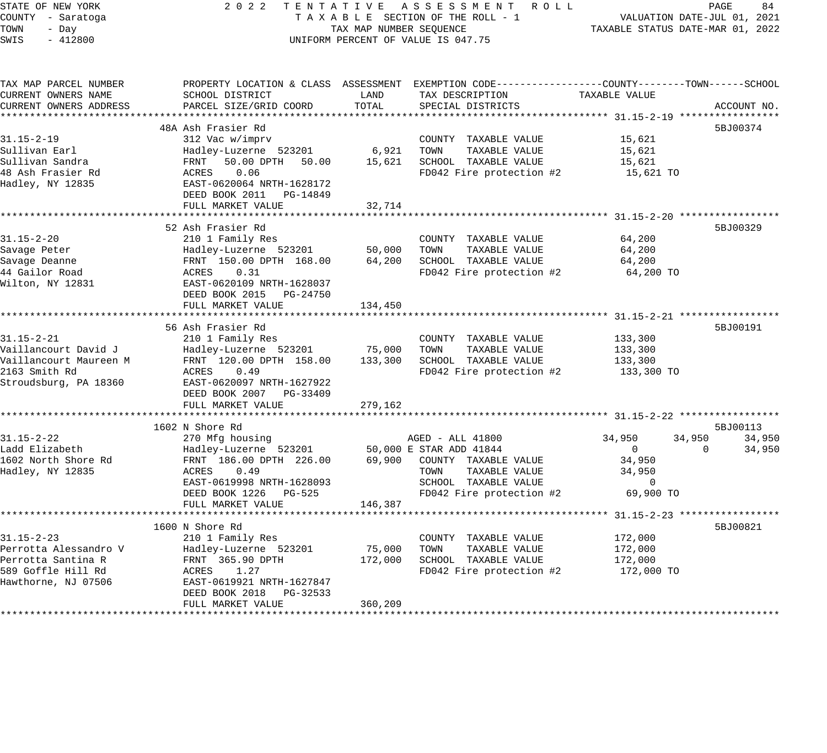| STATE OF NEW YORK                       | 2 0 2 2<br>TENTATIVE                            |                             | ASSESSMENT ROLL                                                                                  |                                        | PAGE<br>84                  |
|-----------------------------------------|-------------------------------------------------|-----------------------------|--------------------------------------------------------------------------------------------------|----------------------------------------|-----------------------------|
| COUNTY - Saratoga                       |                                                 |                             | TAXABLE SECTION OF THE ROLL - 1                                                                  |                                        | VALUATION DATE-JUL 01, 2021 |
| TOWN<br>- Day                           |                                                 | TAX MAP NUMBER SEQUENCE     |                                                                                                  | TAXABLE STATUS DATE-MAR 01, 2022       |                             |
| SWIS<br>$-412800$                       |                                                 |                             | UNIFORM PERCENT OF VALUE IS 047.75                                                               |                                        |                             |
| TAX MAP PARCEL NUMBER                   |                                                 |                             | PROPERTY LOCATION & CLASS ASSESSMENT EXEMPTION CODE----------------COUNTY-------TOWN------SCHOOL |                                        |                             |
| CURRENT OWNERS NAME                     | SCHOOL DISTRICT                                 | LAND                        | TAX DESCRIPTION                                                                                  | TAXABLE VALUE                          |                             |
| CURRENT OWNERS ADDRESS                  | PARCEL SIZE/GRID COORD                          | TOTAL                       | SPECIAL DISTRICTS                                                                                |                                        | ACCOUNT NO.                 |
|                                         |                                                 |                             |                                                                                                  |                                        |                             |
|                                         | 48A Ash Frasier Rd                              |                             |                                                                                                  |                                        | 5BJ00374                    |
| $31.15 - 2 - 19$                        | 312 Vac w/imprv                                 |                             | COUNTY TAXABLE VALUE                                                                             | 15,621                                 |                             |
| Sullivan Earl                           | Hadley-Luzerne 523201                           | 6,921                       | TOWN<br>TAXABLE VALUE                                                                            | 15,621                                 |                             |
| Sullivan Sandra                         | 50.00 DPTH<br>FRNT<br>50.00                     | 15,621                      | SCHOOL TAXABLE VALUE                                                                             | 15,621                                 |                             |
| 48 Ash Frasier Rd                       | ACRES<br>0.06                                   |                             | FD042 Fire protection #2                                                                         | 15,621 TO                              |                             |
| Hadley, NY 12835                        | EAST-0620064 NRTH-1628172                       |                             |                                                                                                  |                                        |                             |
|                                         | DEED BOOK 2011<br>PG-14849<br>FULL MARKET VALUE | 32,714                      |                                                                                                  |                                        |                             |
|                                         |                                                 |                             |                                                                                                  |                                        |                             |
|                                         | 52 Ash Frasier Rd                               |                             |                                                                                                  |                                        | 5BJ00329                    |
| $31.15 - 2 - 20$                        | 210 1 Family Res                                |                             | COUNTY TAXABLE VALUE                                                                             | 64,200                                 |                             |
| Savage Peter                            | Hadley-Luzerne 523201                           | 50,000                      | TAXABLE VALUE<br>TOWN                                                                            | 64,200                                 |                             |
| Savage Deanne                           | FRNT 150.00 DPTH 168.00                         | 64,200                      | SCHOOL TAXABLE VALUE                                                                             | 64,200                                 |                             |
| 44 Gailor Road                          | ACRES<br>0.31                                   |                             | FD042 Fire protection #2                                                                         | 64,200 TO                              |                             |
| Wilton, NY 12831                        | EAST-0620109 NRTH-1628037                       |                             |                                                                                                  |                                        |                             |
|                                         | DEED BOOK 2015<br>PG-24750                      |                             |                                                                                                  |                                        |                             |
|                                         | FULL MARKET VALUE                               | 134,450                     |                                                                                                  |                                        |                             |
|                                         |                                                 |                             |                                                                                                  |                                        |                             |
|                                         | 56 Ash Frasier Rd                               |                             |                                                                                                  |                                        | 5BJ00191                    |
| $31.15 - 2 - 21$                        | 210 1 Family Res                                |                             | COUNTY TAXABLE VALUE                                                                             | 133,300                                |                             |
| Vaillancourt David J                    | Hadley-Luzerne 523201                           | 75,000                      | TAXABLE VALUE<br>TOWN                                                                            | 133,300                                |                             |
| Vaillancourt Maureen M<br>2163 Smith Rd | FRNT 120.00 DPTH 158.00<br>ACRES<br>0.49        | 133,300                     | SCHOOL TAXABLE VALUE                                                                             | 133,300<br>133,300 TO                  |                             |
| Stroudsburg, PA 18360                   | EAST-0620097 NRTH-1627922                       |                             | FD042 Fire protection #2                                                                         |                                        |                             |
|                                         | DEED BOOK 2007 PG-33409                         |                             |                                                                                                  |                                        |                             |
|                                         | FULL MARKET VALUE                               | 279,162                     |                                                                                                  |                                        |                             |
|                                         | ***********************                         | * * * * * * * * * * * * * * |                                                                                                  |                                        |                             |
|                                         | 1602 N Shore Rd                                 |                             |                                                                                                  |                                        | 5BJ00113                    |
| $31.15 - 2 - 22$                        | 270 Mfg housing                                 |                             | AGED - ALL 41800                                                                                 | 34,950<br>34,950                       | 34,950                      |
| Ladd Elizabeth                          | Hadley-Luzerne 523201                           |                             | 50,000 E STAR ADD 41844                                                                          | $\mathbf{0}$                           | $\Omega$<br>34,950          |
| 1602 North Shore Rd                     | FRNT 186.00 DPTH 226.00                         | 69,900                      | COUNTY TAXABLE VALUE                                                                             | 34,950                                 |                             |
| Hadley, NY 12835                        | ACRES<br>0.49                                   |                             | TOWN<br>TAXABLE VALUE                                                                            | 34,950                                 |                             |
|                                         | EAST-0619998 NRTH-1628093                       |                             | SCHOOL TAXABLE VALUE                                                                             | $\mathbf 0$                            |                             |
|                                         | DEED BOOK 1226<br>PG-525                        |                             | FD042 Fire protection #2                                                                         | 69,900 TO                              |                             |
|                                         | FULL MARKET VALUE                               | 146,387                     |                                                                                                  |                                        |                             |
|                                         | 1600 N Shore Rd                                 |                             |                                                                                                  | ********* 31.15-2-23 ***************** | 5BJ00821                    |
| $31.15 - 2 - 23$                        | 210 1 Family Res                                |                             | COUNTY TAXABLE VALUE                                                                             | 172,000                                |                             |
| Perrotta Alessandro V                   | Hadley-Luzerne 523201                           | 75,000                      | TOWN<br>TAXABLE VALUE                                                                            | 172,000                                |                             |
| Perrotta Santina R                      | FRNT 365.90 DPTH                                | 172,000                     | SCHOOL TAXABLE VALUE                                                                             | 172,000                                |                             |
| 589 Goffle Hill Rd                      | ACRES<br>1.27                                   |                             | FD042 Fire protection #2                                                                         | 172,000 TO                             |                             |
| Hawthorne, NJ 07506                     | EAST-0619921 NRTH-1627847                       |                             |                                                                                                  |                                        |                             |
|                                         | DEED BOOK 2018<br>PG-32533                      |                             |                                                                                                  |                                        |                             |
|                                         | FULL MARKET VALUE                               | 360,209                     |                                                                                                  |                                        |                             |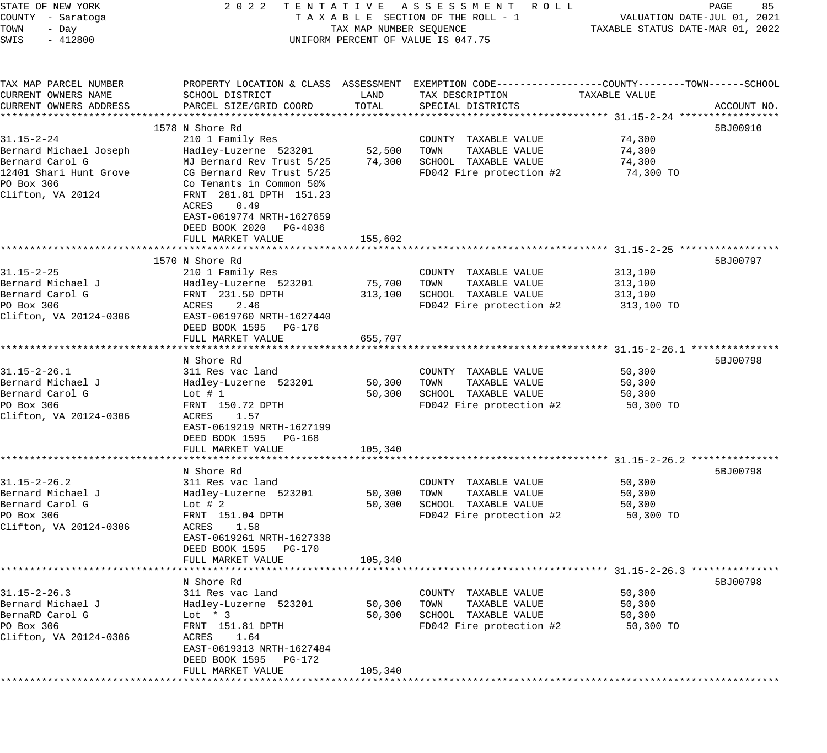| PROPERTY LOCATION & CLASS ASSESSMENT EXEMPTION CODE----------------COUNTY-------TOWN------SCHOOL<br>CURRENT OWNERS NAME<br>SCHOOL DISTRICT<br>LAND<br>TAX DESCRIPTION<br>TAXABLE VALUE<br>TOTAL<br>CURRENT OWNERS ADDRESS<br>PARCEL SIZE/GRID COORD<br>SPECIAL DISTRICTS<br>ACCOUNT NO.<br>5BJ00910<br>1578 N Shore Rd<br>$31.15 - 2 - 24$<br>74,300<br>210 1 Family Res<br>COUNTY TAXABLE VALUE<br>Hadley-Luzerne 523201<br>52,500<br>TOWN<br>TAXABLE VALUE<br>74,300<br>Bernard Michael Joseph<br>Bernard Carol G<br>MJ Bernard Rev Trust 5/25<br>74,300<br>SCHOOL TAXABLE VALUE<br>74,300<br>CG Bernard Rev Trust 5/25<br>FD042 Fire protection #2<br>12401 Shari Hunt Grove<br>74,300 TO<br>PO Box 306<br>Co Tenants in Common 50%<br>FRNT 281.81 DPTH 151.23<br>0.49<br>ACRES<br>EAST-0619774 NRTH-1627659<br>DEED BOOK 2020 PG-4036<br>FULL MARKET VALUE<br>155,602<br>1570 N Shore Rd<br>5BJ00797<br>$31.15 - 2 - 25$<br>210 1 Family Res<br>COUNTY TAXABLE VALUE<br>313,100<br>Hadley-Luzerne 523201<br>75,700<br>TOWN<br>TAXABLE VALUE<br>313,100<br>Bernard Carol G<br>FRNT 231.50 DPTH<br>313,100<br>SCHOOL TAXABLE VALUE<br>313,100<br>PO Box 306<br>FD042 Fire protection #2<br>2.46<br>ACRES<br>313,100 TO<br>EAST-0619760 NRTH-1627440<br>DEED BOOK 1595 PG-176<br>FULL MARKET VALUE<br>655,707<br>5BJ00798<br>N Shore Rd<br>$31.15 - 2 - 26.1$<br>311 Res vac land<br>COUNTY TAXABLE VALUE<br>50,300<br>Bernard Michael J<br>Hadley-Luzerne 523201<br>50,300 TOWN<br>TAXABLE VALUE<br>50,300<br>SCHOOL TAXABLE VALUE<br>50,300<br>Lot # $1$<br>50,300<br>PO Box 306<br>FD042 Fire protection #2<br>FRNT 150.72 DPTH<br>50,300 TO<br>1.57<br>ACRES<br>EAST-0619219 NRTH-1627199<br>DEED BOOK 1595 PG-168<br>FULL MARKET VALUE<br>105,340<br>5BJ00798<br>N Shore Rd<br>$31.15 - 2 - 26.2$<br>311 Res vac land<br>COUNTY TAXABLE VALUE<br>50,300<br>Bernard Michael J<br>Hadley-Luzerne 523201<br>50,300<br>TOWN<br>TAXABLE VALUE<br>50,300<br>Bernard Carol G<br>50,300<br>SCHOOL TAXABLE VALUE<br>Lot $#2$<br>50,300<br>PO Box 306<br>FRNT 151.04 DPTH<br>FD042 Fire protection #2<br>50,300 TO<br>ACRES 1.58<br>EAST-0619261 NRTH-1627338<br>DEED BOOK 1595 PG-170<br>FULL MARKET VALUE<br>105,340<br>N Shore Rd<br>5BJ00798<br>$31.15 - 2 - 26.3$<br>311 Res vac land<br>COUNTY TAXABLE VALUE<br>50,300<br>Bernard Michael J<br>TAXABLE VALUE<br>Hadley-Luzerne 523201<br>50,300<br>TOWN<br>50,300<br>BernaRD Carol G<br>SCHOOL TAXABLE VALUE<br>Lot $*$ 3<br>50,300<br>50,300<br>PO Box 306<br>FD042 Fire protection #2<br>FRNT 151.81 DPTH<br>50,300 TO<br>1.64<br>ACRES<br>EAST-0619313 NRTH-1627484<br>DEED BOOK 1595<br>PG-172<br>105,340<br>FULL MARKET VALUE | STATE OF NEW YORK<br>COUNTY - Saratoga<br>TOWN<br>- Day<br>$-412800$<br>SWIS | TAX MAP NUMBER SEQUENCE | 2022 TENTATIVE ASSESSMENT ROLL<br>TAXABLE SECTION OF THE ROLL - 1<br>UNIFORM PERCENT OF VALUE IS 047.75 | VALUATION DATE-JUL 01, 2021<br>TAXABLE STATUS DATE-MAR 01, 2022 | PAGE<br>85 |
|--------------------------------------------------------------------------------------------------------------------------------------------------------------------------------------------------------------------------------------------------------------------------------------------------------------------------------------------------------------------------------------------------------------------------------------------------------------------------------------------------------------------------------------------------------------------------------------------------------------------------------------------------------------------------------------------------------------------------------------------------------------------------------------------------------------------------------------------------------------------------------------------------------------------------------------------------------------------------------------------------------------------------------------------------------------------------------------------------------------------------------------------------------------------------------------------------------------------------------------------------------------------------------------------------------------------------------------------------------------------------------------------------------------------------------------------------------------------------------------------------------------------------------------------------------------------------------------------------------------------------------------------------------------------------------------------------------------------------------------------------------------------------------------------------------------------------------------------------------------------------------------------------------------------------------------------------------------------------------------------------------------------------------------------------------------------------------------------------------------------------------------------------------------------------------------------------------------------------------------------------------------------------------------------------------------------------------------------------------------------------------------------------------------------------------------------------------------------------------------------------------------------------------------------------------------------------------------------------------------------------------------------------------------------------------------|------------------------------------------------------------------------------|-------------------------|---------------------------------------------------------------------------------------------------------|-----------------------------------------------------------------|------------|
|                                                                                                                                                                                                                                                                                                                                                                                                                                                                                                                                                                                                                                                                                                                                                                                                                                                                                                                                                                                                                                                                                                                                                                                                                                                                                                                                                                                                                                                                                                                                                                                                                                                                                                                                                                                                                                                                                                                                                                                                                                                                                                                                                                                                                                                                                                                                                                                                                                                                                                                                                                                                                                                                                      | TAX MAP PARCEL NUMBER                                                        |                         |                                                                                                         |                                                                 |            |
|                                                                                                                                                                                                                                                                                                                                                                                                                                                                                                                                                                                                                                                                                                                                                                                                                                                                                                                                                                                                                                                                                                                                                                                                                                                                                                                                                                                                                                                                                                                                                                                                                                                                                                                                                                                                                                                                                                                                                                                                                                                                                                                                                                                                                                                                                                                                                                                                                                                                                                                                                                                                                                                                                      |                                                                              |                         |                                                                                                         |                                                                 |            |
|                                                                                                                                                                                                                                                                                                                                                                                                                                                                                                                                                                                                                                                                                                                                                                                                                                                                                                                                                                                                                                                                                                                                                                                                                                                                                                                                                                                                                                                                                                                                                                                                                                                                                                                                                                                                                                                                                                                                                                                                                                                                                                                                                                                                                                                                                                                                                                                                                                                                                                                                                                                                                                                                                      |                                                                              |                         |                                                                                                         |                                                                 |            |
|                                                                                                                                                                                                                                                                                                                                                                                                                                                                                                                                                                                                                                                                                                                                                                                                                                                                                                                                                                                                                                                                                                                                                                                                                                                                                                                                                                                                                                                                                                                                                                                                                                                                                                                                                                                                                                                                                                                                                                                                                                                                                                                                                                                                                                                                                                                                                                                                                                                                                                                                                                                                                                                                                      |                                                                              |                         |                                                                                                         |                                                                 |            |
|                                                                                                                                                                                                                                                                                                                                                                                                                                                                                                                                                                                                                                                                                                                                                                                                                                                                                                                                                                                                                                                                                                                                                                                                                                                                                                                                                                                                                                                                                                                                                                                                                                                                                                                                                                                                                                                                                                                                                                                                                                                                                                                                                                                                                                                                                                                                                                                                                                                                                                                                                                                                                                                                                      |                                                                              |                         |                                                                                                         |                                                                 |            |
|                                                                                                                                                                                                                                                                                                                                                                                                                                                                                                                                                                                                                                                                                                                                                                                                                                                                                                                                                                                                                                                                                                                                                                                                                                                                                                                                                                                                                                                                                                                                                                                                                                                                                                                                                                                                                                                                                                                                                                                                                                                                                                                                                                                                                                                                                                                                                                                                                                                                                                                                                                                                                                                                                      |                                                                              |                         |                                                                                                         |                                                                 |            |
|                                                                                                                                                                                                                                                                                                                                                                                                                                                                                                                                                                                                                                                                                                                                                                                                                                                                                                                                                                                                                                                                                                                                                                                                                                                                                                                                                                                                                                                                                                                                                                                                                                                                                                                                                                                                                                                                                                                                                                                                                                                                                                                                                                                                                                                                                                                                                                                                                                                                                                                                                                                                                                                                                      |                                                                              |                         |                                                                                                         |                                                                 |            |
|                                                                                                                                                                                                                                                                                                                                                                                                                                                                                                                                                                                                                                                                                                                                                                                                                                                                                                                                                                                                                                                                                                                                                                                                                                                                                                                                                                                                                                                                                                                                                                                                                                                                                                                                                                                                                                                                                                                                                                                                                                                                                                                                                                                                                                                                                                                                                                                                                                                                                                                                                                                                                                                                                      | Clifton, VA 20124                                                            |                         |                                                                                                         |                                                                 |            |
|                                                                                                                                                                                                                                                                                                                                                                                                                                                                                                                                                                                                                                                                                                                                                                                                                                                                                                                                                                                                                                                                                                                                                                                                                                                                                                                                                                                                                                                                                                                                                                                                                                                                                                                                                                                                                                                                                                                                                                                                                                                                                                                                                                                                                                                                                                                                                                                                                                                                                                                                                                                                                                                                                      |                                                                              |                         |                                                                                                         |                                                                 |            |
|                                                                                                                                                                                                                                                                                                                                                                                                                                                                                                                                                                                                                                                                                                                                                                                                                                                                                                                                                                                                                                                                                                                                                                                                                                                                                                                                                                                                                                                                                                                                                                                                                                                                                                                                                                                                                                                                                                                                                                                                                                                                                                                                                                                                                                                                                                                                                                                                                                                                                                                                                                                                                                                                                      |                                                                              |                         |                                                                                                         |                                                                 |            |
|                                                                                                                                                                                                                                                                                                                                                                                                                                                                                                                                                                                                                                                                                                                                                                                                                                                                                                                                                                                                                                                                                                                                                                                                                                                                                                                                                                                                                                                                                                                                                                                                                                                                                                                                                                                                                                                                                                                                                                                                                                                                                                                                                                                                                                                                                                                                                                                                                                                                                                                                                                                                                                                                                      |                                                                              |                         |                                                                                                         |                                                                 |            |
|                                                                                                                                                                                                                                                                                                                                                                                                                                                                                                                                                                                                                                                                                                                                                                                                                                                                                                                                                                                                                                                                                                                                                                                                                                                                                                                                                                                                                                                                                                                                                                                                                                                                                                                                                                                                                                                                                                                                                                                                                                                                                                                                                                                                                                                                                                                                                                                                                                                                                                                                                                                                                                                                                      | Bernard Michael J                                                            |                         |                                                                                                         |                                                                 |            |
|                                                                                                                                                                                                                                                                                                                                                                                                                                                                                                                                                                                                                                                                                                                                                                                                                                                                                                                                                                                                                                                                                                                                                                                                                                                                                                                                                                                                                                                                                                                                                                                                                                                                                                                                                                                                                                                                                                                                                                                                                                                                                                                                                                                                                                                                                                                                                                                                                                                                                                                                                                                                                                                                                      |                                                                              |                         |                                                                                                         |                                                                 |            |
|                                                                                                                                                                                                                                                                                                                                                                                                                                                                                                                                                                                                                                                                                                                                                                                                                                                                                                                                                                                                                                                                                                                                                                                                                                                                                                                                                                                                                                                                                                                                                                                                                                                                                                                                                                                                                                                                                                                                                                                                                                                                                                                                                                                                                                                                                                                                                                                                                                                                                                                                                                                                                                                                                      |                                                                              |                         |                                                                                                         |                                                                 |            |
|                                                                                                                                                                                                                                                                                                                                                                                                                                                                                                                                                                                                                                                                                                                                                                                                                                                                                                                                                                                                                                                                                                                                                                                                                                                                                                                                                                                                                                                                                                                                                                                                                                                                                                                                                                                                                                                                                                                                                                                                                                                                                                                                                                                                                                                                                                                                                                                                                                                                                                                                                                                                                                                                                      | Clifton, VA 20124-0306                                                       |                         |                                                                                                         |                                                                 |            |
|                                                                                                                                                                                                                                                                                                                                                                                                                                                                                                                                                                                                                                                                                                                                                                                                                                                                                                                                                                                                                                                                                                                                                                                                                                                                                                                                                                                                                                                                                                                                                                                                                                                                                                                                                                                                                                                                                                                                                                                                                                                                                                                                                                                                                                                                                                                                                                                                                                                                                                                                                                                                                                                                                      |                                                                              |                         |                                                                                                         |                                                                 |            |
|                                                                                                                                                                                                                                                                                                                                                                                                                                                                                                                                                                                                                                                                                                                                                                                                                                                                                                                                                                                                                                                                                                                                                                                                                                                                                                                                                                                                                                                                                                                                                                                                                                                                                                                                                                                                                                                                                                                                                                                                                                                                                                                                                                                                                                                                                                                                                                                                                                                                                                                                                                                                                                                                                      |                                                                              |                         |                                                                                                         |                                                                 |            |
|                                                                                                                                                                                                                                                                                                                                                                                                                                                                                                                                                                                                                                                                                                                                                                                                                                                                                                                                                                                                                                                                                                                                                                                                                                                                                                                                                                                                                                                                                                                                                                                                                                                                                                                                                                                                                                                                                                                                                                                                                                                                                                                                                                                                                                                                                                                                                                                                                                                                                                                                                                                                                                                                                      |                                                                              |                         |                                                                                                         |                                                                 |            |
|                                                                                                                                                                                                                                                                                                                                                                                                                                                                                                                                                                                                                                                                                                                                                                                                                                                                                                                                                                                                                                                                                                                                                                                                                                                                                                                                                                                                                                                                                                                                                                                                                                                                                                                                                                                                                                                                                                                                                                                                                                                                                                                                                                                                                                                                                                                                                                                                                                                                                                                                                                                                                                                                                      |                                                                              |                         |                                                                                                         |                                                                 |            |
|                                                                                                                                                                                                                                                                                                                                                                                                                                                                                                                                                                                                                                                                                                                                                                                                                                                                                                                                                                                                                                                                                                                                                                                                                                                                                                                                                                                                                                                                                                                                                                                                                                                                                                                                                                                                                                                                                                                                                                                                                                                                                                                                                                                                                                                                                                                                                                                                                                                                                                                                                                                                                                                                                      | Bernard Carol G                                                              |                         |                                                                                                         |                                                                 |            |
|                                                                                                                                                                                                                                                                                                                                                                                                                                                                                                                                                                                                                                                                                                                                                                                                                                                                                                                                                                                                                                                                                                                                                                                                                                                                                                                                                                                                                                                                                                                                                                                                                                                                                                                                                                                                                                                                                                                                                                                                                                                                                                                                                                                                                                                                                                                                                                                                                                                                                                                                                                                                                                                                                      |                                                                              |                         |                                                                                                         |                                                                 |            |
|                                                                                                                                                                                                                                                                                                                                                                                                                                                                                                                                                                                                                                                                                                                                                                                                                                                                                                                                                                                                                                                                                                                                                                                                                                                                                                                                                                                                                                                                                                                                                                                                                                                                                                                                                                                                                                                                                                                                                                                                                                                                                                                                                                                                                                                                                                                                                                                                                                                                                                                                                                                                                                                                                      | Clifton, VA 20124-0306                                                       |                         |                                                                                                         |                                                                 |            |
|                                                                                                                                                                                                                                                                                                                                                                                                                                                                                                                                                                                                                                                                                                                                                                                                                                                                                                                                                                                                                                                                                                                                                                                                                                                                                                                                                                                                                                                                                                                                                                                                                                                                                                                                                                                                                                                                                                                                                                                                                                                                                                                                                                                                                                                                                                                                                                                                                                                                                                                                                                                                                                                                                      |                                                                              |                         |                                                                                                         |                                                                 |            |
|                                                                                                                                                                                                                                                                                                                                                                                                                                                                                                                                                                                                                                                                                                                                                                                                                                                                                                                                                                                                                                                                                                                                                                                                                                                                                                                                                                                                                                                                                                                                                                                                                                                                                                                                                                                                                                                                                                                                                                                                                                                                                                                                                                                                                                                                                                                                                                                                                                                                                                                                                                                                                                                                                      |                                                                              |                         |                                                                                                         |                                                                 |            |
|                                                                                                                                                                                                                                                                                                                                                                                                                                                                                                                                                                                                                                                                                                                                                                                                                                                                                                                                                                                                                                                                                                                                                                                                                                                                                                                                                                                                                                                                                                                                                                                                                                                                                                                                                                                                                                                                                                                                                                                                                                                                                                                                                                                                                                                                                                                                                                                                                                                                                                                                                                                                                                                                                      |                                                                              |                         |                                                                                                         |                                                                 |            |
|                                                                                                                                                                                                                                                                                                                                                                                                                                                                                                                                                                                                                                                                                                                                                                                                                                                                                                                                                                                                                                                                                                                                                                                                                                                                                                                                                                                                                                                                                                                                                                                                                                                                                                                                                                                                                                                                                                                                                                                                                                                                                                                                                                                                                                                                                                                                                                                                                                                                                                                                                                                                                                                                                      |                                                                              |                         |                                                                                                         |                                                                 |            |
|                                                                                                                                                                                                                                                                                                                                                                                                                                                                                                                                                                                                                                                                                                                                                                                                                                                                                                                                                                                                                                                                                                                                                                                                                                                                                                                                                                                                                                                                                                                                                                                                                                                                                                                                                                                                                                                                                                                                                                                                                                                                                                                                                                                                                                                                                                                                                                                                                                                                                                                                                                                                                                                                                      |                                                                              |                         |                                                                                                         |                                                                 |            |
|                                                                                                                                                                                                                                                                                                                                                                                                                                                                                                                                                                                                                                                                                                                                                                                                                                                                                                                                                                                                                                                                                                                                                                                                                                                                                                                                                                                                                                                                                                                                                                                                                                                                                                                                                                                                                                                                                                                                                                                                                                                                                                                                                                                                                                                                                                                                                                                                                                                                                                                                                                                                                                                                                      |                                                                              |                         |                                                                                                         |                                                                 |            |
|                                                                                                                                                                                                                                                                                                                                                                                                                                                                                                                                                                                                                                                                                                                                                                                                                                                                                                                                                                                                                                                                                                                                                                                                                                                                                                                                                                                                                                                                                                                                                                                                                                                                                                                                                                                                                                                                                                                                                                                                                                                                                                                                                                                                                                                                                                                                                                                                                                                                                                                                                                                                                                                                                      | Clifton, VA 20124-0306                                                       |                         |                                                                                                         |                                                                 |            |
|                                                                                                                                                                                                                                                                                                                                                                                                                                                                                                                                                                                                                                                                                                                                                                                                                                                                                                                                                                                                                                                                                                                                                                                                                                                                                                                                                                                                                                                                                                                                                                                                                                                                                                                                                                                                                                                                                                                                                                                                                                                                                                                                                                                                                                                                                                                                                                                                                                                                                                                                                                                                                                                                                      |                                                                              |                         |                                                                                                         |                                                                 |            |
|                                                                                                                                                                                                                                                                                                                                                                                                                                                                                                                                                                                                                                                                                                                                                                                                                                                                                                                                                                                                                                                                                                                                                                                                                                                                                                                                                                                                                                                                                                                                                                                                                                                                                                                                                                                                                                                                                                                                                                                                                                                                                                                                                                                                                                                                                                                                                                                                                                                                                                                                                                                                                                                                                      |                                                                              |                         |                                                                                                         |                                                                 |            |
|                                                                                                                                                                                                                                                                                                                                                                                                                                                                                                                                                                                                                                                                                                                                                                                                                                                                                                                                                                                                                                                                                                                                                                                                                                                                                                                                                                                                                                                                                                                                                                                                                                                                                                                                                                                                                                                                                                                                                                                                                                                                                                                                                                                                                                                                                                                                                                                                                                                                                                                                                                                                                                                                                      |                                                                              |                         |                                                                                                         |                                                                 |            |
|                                                                                                                                                                                                                                                                                                                                                                                                                                                                                                                                                                                                                                                                                                                                                                                                                                                                                                                                                                                                                                                                                                                                                                                                                                                                                                                                                                                                                                                                                                                                                                                                                                                                                                                                                                                                                                                                                                                                                                                                                                                                                                                                                                                                                                                                                                                                                                                                                                                                                                                                                                                                                                                                                      |                                                                              |                         |                                                                                                         |                                                                 |            |
|                                                                                                                                                                                                                                                                                                                                                                                                                                                                                                                                                                                                                                                                                                                                                                                                                                                                                                                                                                                                                                                                                                                                                                                                                                                                                                                                                                                                                                                                                                                                                                                                                                                                                                                                                                                                                                                                                                                                                                                                                                                                                                                                                                                                                                                                                                                                                                                                                                                                                                                                                                                                                                                                                      |                                                                              |                         |                                                                                                         |                                                                 |            |
|                                                                                                                                                                                                                                                                                                                                                                                                                                                                                                                                                                                                                                                                                                                                                                                                                                                                                                                                                                                                                                                                                                                                                                                                                                                                                                                                                                                                                                                                                                                                                                                                                                                                                                                                                                                                                                                                                                                                                                                                                                                                                                                                                                                                                                                                                                                                                                                                                                                                                                                                                                                                                                                                                      |                                                                              |                         |                                                                                                         |                                                                 |            |
|                                                                                                                                                                                                                                                                                                                                                                                                                                                                                                                                                                                                                                                                                                                                                                                                                                                                                                                                                                                                                                                                                                                                                                                                                                                                                                                                                                                                                                                                                                                                                                                                                                                                                                                                                                                                                                                                                                                                                                                                                                                                                                                                                                                                                                                                                                                                                                                                                                                                                                                                                                                                                                                                                      |                                                                              |                         |                                                                                                         |                                                                 |            |
|                                                                                                                                                                                                                                                                                                                                                                                                                                                                                                                                                                                                                                                                                                                                                                                                                                                                                                                                                                                                                                                                                                                                                                                                                                                                                                                                                                                                                                                                                                                                                                                                                                                                                                                                                                                                                                                                                                                                                                                                                                                                                                                                                                                                                                                                                                                                                                                                                                                                                                                                                                                                                                                                                      | Clifton, VA 20124-0306                                                       |                         |                                                                                                         |                                                                 |            |
|                                                                                                                                                                                                                                                                                                                                                                                                                                                                                                                                                                                                                                                                                                                                                                                                                                                                                                                                                                                                                                                                                                                                                                                                                                                                                                                                                                                                                                                                                                                                                                                                                                                                                                                                                                                                                                                                                                                                                                                                                                                                                                                                                                                                                                                                                                                                                                                                                                                                                                                                                                                                                                                                                      |                                                                              |                         |                                                                                                         |                                                                 |            |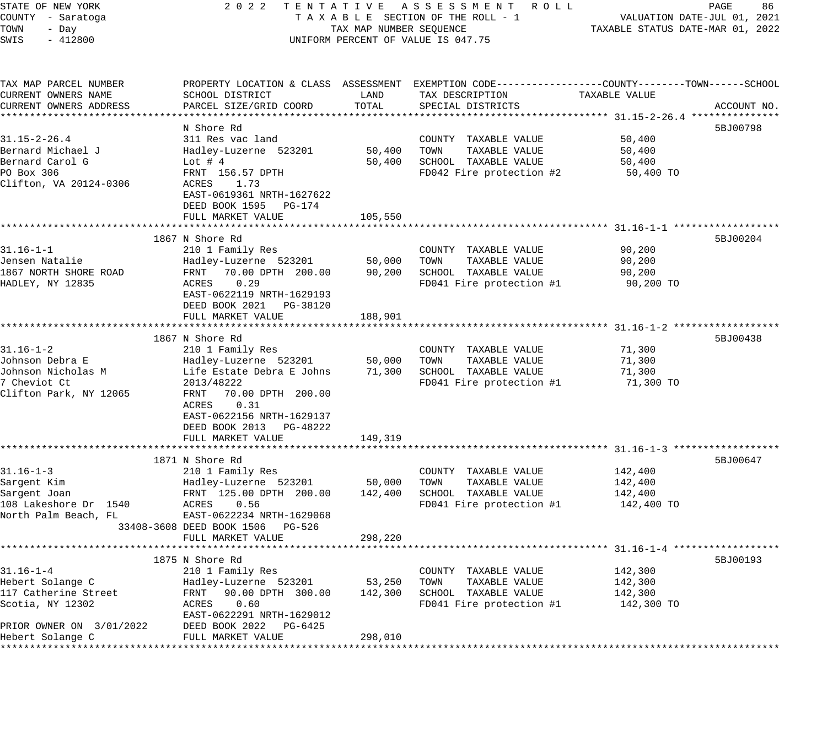| STATE OF NEW YORK                            | 2 0 2 2                                              |                         | TENTATIVE ASSESSMENT ROLL                                                                        |                                  | PAGE<br>86                  |
|----------------------------------------------|------------------------------------------------------|-------------------------|--------------------------------------------------------------------------------------------------|----------------------------------|-----------------------------|
| COUNTY - Saratoga                            |                                                      |                         | TAXABLE SECTION OF THE ROLL - 1                                                                  |                                  | VALUATION DATE-JUL 01, 2021 |
| TOWN<br>- Day                                |                                                      | TAX MAP NUMBER SEQUENCE |                                                                                                  | TAXABLE STATUS DATE-MAR 01, 2022 |                             |
| $-412800$<br>SWIS                            |                                                      |                         | UNIFORM PERCENT OF VALUE IS 047.75                                                               |                                  |                             |
|                                              |                                                      |                         |                                                                                                  |                                  |                             |
| TAX MAP PARCEL NUMBER                        |                                                      |                         | PROPERTY LOCATION & CLASS ASSESSMENT EXEMPTION CODE----------------COUNTY-------TOWN------SCHOOL |                                  |                             |
| CURRENT OWNERS NAME                          | SCHOOL DISTRICT                                      | LAND                    | TAX DESCRIPTION                                                                                  | TAXABLE VALUE                    |                             |
| CURRENT OWNERS ADDRESS                       | PARCEL SIZE/GRID COORD                               | TOTAL                   | SPECIAL DISTRICTS                                                                                |                                  | ACCOUNT NO.                 |
|                                              |                                                      |                         |                                                                                                  |                                  |                             |
|                                              | N Shore Rd                                           |                         |                                                                                                  |                                  | 5BJ00798                    |
| $31.15 - 2 - 26.4$                           | 311 Res vac land                                     |                         | COUNTY TAXABLE VALUE                                                                             | 50,400                           |                             |
| Bernard Michael J                            | Hadley-Luzerne 523201                                | 50,400                  | TOWN<br>TAXABLE VALUE                                                                            | 50,400                           |                             |
| Bernard Carol G                              | Lot # $4$                                            | 50,400                  | SCHOOL TAXABLE VALUE                                                                             | 50,400                           |                             |
| PO Box 306                                   | FRNT 156.57 DPTH                                     |                         | FD042 Fire protection #2                                                                         | 50,400 TO                        |                             |
| Clifton, VA 20124-0306                       | ACRES<br>1.73<br>EAST-0619361 NRTH-1627622           |                         |                                                                                                  |                                  |                             |
|                                              | DEED BOOK 1595 PG-174                                |                         |                                                                                                  |                                  |                             |
|                                              | FULL MARKET VALUE                                    | 105,550                 |                                                                                                  |                                  |                             |
|                                              |                                                      |                         |                                                                                                  |                                  |                             |
|                                              | 1867 N Shore Rd                                      |                         |                                                                                                  |                                  | 5BJ00204                    |
| $31.16 - 1 - 1$                              | 210 1 Family Res                                     |                         | COUNTY TAXABLE VALUE                                                                             | 90,200                           |                             |
| Jensen Natalie                               | Hadley-Luzerne 523201                                | 50,000                  | TAXABLE VALUE<br>TOWN                                                                            | 90,200                           |                             |
| 1867 NORTH SHORE ROAD                        | FRNT 70.00 DPTH 200.00                               | 90,200                  | SCHOOL TAXABLE VALUE                                                                             | 90,200                           |                             |
| HADLEY, NY 12835                             | 0.29<br>ACRES                                        |                         | FD041 Fire protection #1                                                                         | 90,200 TO                        |                             |
|                                              | EAST-0622119 NRTH-1629193                            |                         |                                                                                                  |                                  |                             |
|                                              | DEED BOOK 2021 PG-38120                              |                         |                                                                                                  |                                  |                             |
|                                              | FULL MARKET VALUE                                    | 188,901                 |                                                                                                  |                                  |                             |
|                                              |                                                      |                         |                                                                                                  |                                  |                             |
|                                              | 1867 N Shore Rd                                      |                         |                                                                                                  |                                  | 5BJ00438                    |
| $31.16 - 1 - 2$                              | 210 1 Family Res                                     |                         | COUNTY TAXABLE VALUE                                                                             | 71,300                           |                             |
| Johnson Debra E                              | Hadley-Luzerne 523201                                | 50,000                  | TAXABLE VALUE<br>TOWN                                                                            | 71,300                           |                             |
| Johnson Nicholas M                           | Life Estate Debra E Johns                            | 71,300                  | SCHOOL TAXABLE VALUE                                                                             | 71,300                           |                             |
| 7 Cheviot Ct                                 | 2013/48222                                           |                         | FD041 Fire protection #1                                                                         | 71,300 TO                        |                             |
| Clifton Park, NY 12065                       | 70.00 DPTH 200.00<br>FRNT                            |                         |                                                                                                  |                                  |                             |
|                                              | 0.31<br>ACRES                                        |                         |                                                                                                  |                                  |                             |
|                                              | EAST-0622156 NRTH-1629137<br>DEED BOOK 2013 PG-48222 |                         |                                                                                                  |                                  |                             |
|                                              | FULL MARKET VALUE                                    | 149,319                 |                                                                                                  |                                  |                             |
|                                              |                                                      |                         |                                                                                                  |                                  |                             |
|                                              | 1871 N Shore Rd                                      |                         |                                                                                                  |                                  | 5BJ00647                    |
| $31.16 - 1 - 3$                              | 210 1 Family Res                                     |                         | COUNTY TAXABLE VALUE                                                                             | 142,400                          |                             |
| Sargent Kim                                  | Hadley-Luzerne 523201                                | 50,000                  | TAXABLE VALUE<br>TOWN                                                                            | 142,400                          |                             |
| Sargent Joan                                 | FRNT 125.00 DPTH 200.00                              | 142,400                 | SCHOOL TAXABLE VALUE                                                                             | 142,400                          |                             |
| 108 Lakeshore Dr 1540                        | ACRES<br>0.56                                        |                         | FD041 Fire protection #1                                                                         | 142,400 TO                       |                             |
| North Palm Beach, FL                         | EAST-0622234 NRTH-1629068                            |                         |                                                                                                  |                                  |                             |
|                                              | 33408-3608 DEED BOOK 1506 PG-526                     |                         |                                                                                                  |                                  |                             |
|                                              | FULL MARKET VALUE                                    | 298,220                 |                                                                                                  |                                  |                             |
|                                              |                                                      |                         |                                                                                                  |                                  |                             |
|                                              | 1875 N Shore Rd                                      |                         |                                                                                                  |                                  | 5BJ00193                    |
| 31.16-1-4                                    | 210 1 Family Res                                     |                         | TAXABLE VALUE<br>COUNTY                                                                          | 142,300                          |                             |
| Hebert Solange C                             | Hadley-Luzerne 523201                                | 53,250                  | TOWN<br>TAXABLE VALUE                                                                            | 142,300                          |                             |
| 117 Catherine Street                         | FRNT<br>90.00 DPTH 300.00                            | 142,300                 | SCHOOL TAXABLE VALUE                                                                             | 142,300                          |                             |
| Scotia, NY 12302                             | 0.60<br>ACRES                                        |                         | FD041 Fire protection #1                                                                         | 142,300 TO                       |                             |
|                                              | EAST-0622291 NRTH-1629012                            |                         |                                                                                                  |                                  |                             |
| PRIOR OWNER ON 3/01/2022<br>Hebert Solange C | DEED BOOK 2022<br>PG-6425                            | 298,010                 |                                                                                                  |                                  |                             |
|                                              | FULL MARKET VALUE                                    |                         |                                                                                                  |                                  |                             |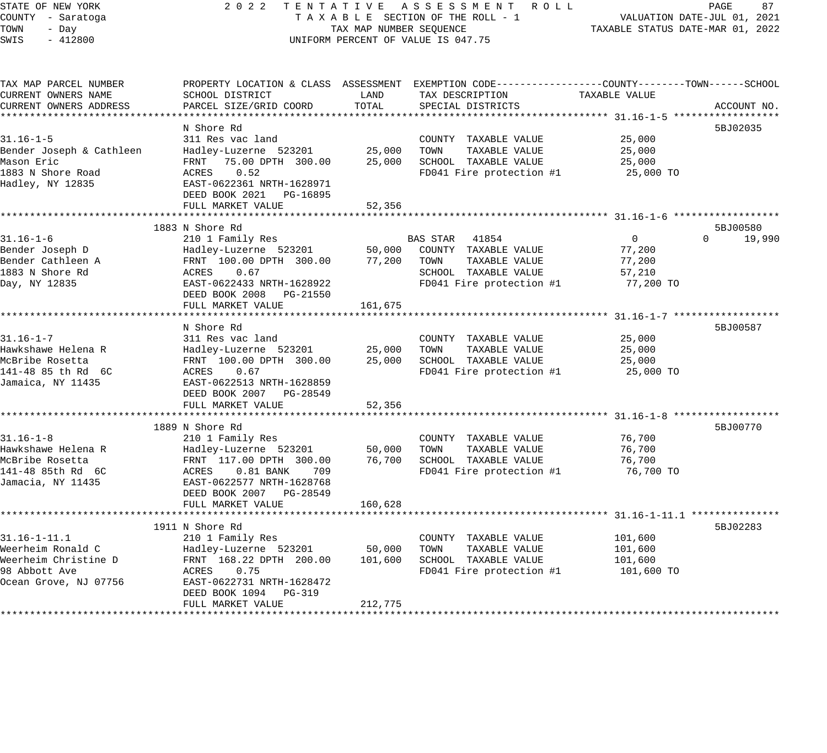## STATE OF NEW YORK 2 0 2 2 T E N T A T I V E A S S E S S M E N T R O L L PAGE 87 COUNTY - Saratoga T A X A B L E SECTION OF THE ROLL - 1 VALUATION DATE-JUL 01, 2021 TAX A B L E SECTION OF THE ROLL - 1<br>TAXABLE STATUS DATE-MAR 01, 2022 UNIFORM PERCENT OF VALUE IS 047.75

| TAX MAP PARCEL NUMBER    | PROPERTY LOCATION & CLASS ASSESSMENT EXEMPTION CODE----------------COUNTY-------TOWN------SCHOOL |         |                          |                |                    |
|--------------------------|--------------------------------------------------------------------------------------------------|---------|--------------------------|----------------|--------------------|
| CURRENT OWNERS NAME      | SCHOOL DISTRICT                                                                                  | LAND    | TAX DESCRIPTION          | TAXABLE VALUE  |                    |
| CURRENT OWNERS ADDRESS   | PARCEL SIZE/GRID COORD                                                                           | TOTAL   | SPECIAL DISTRICTS        |                | ACCOUNT NO.        |
|                          |                                                                                                  |         |                          |                |                    |
|                          | N Shore Rd                                                                                       |         |                          |                | 5BJ02035           |
| $31.16 - 1 - 5$          | 311 Res vac land                                                                                 |         | COUNTY TAXABLE VALUE     | 25,000         |                    |
| Bender Joseph & Cathleen | Hadley-Luzerne 523201                                                                            | 25,000  | TOWN<br>TAXABLE VALUE    | 25,000         |                    |
| Mason Eric               | 75.00 DPTH 300.00<br>FRNT                                                                        | 25,000  | SCHOOL TAXABLE VALUE     | 25,000         |                    |
| 1883 N Shore Road        | ACRES<br>0.52                                                                                    |         | FD041 Fire protection #1 | 25,000 TO      |                    |
| Hadley, NY 12835         | EAST-0622361 NRTH-1628971                                                                        |         |                          |                |                    |
|                          | DEED BOOK 2021<br>PG-16895                                                                       |         |                          |                |                    |
|                          | FULL MARKET VALUE                                                                                | 52,356  |                          |                |                    |
|                          | 1883 N Shore Rd                                                                                  |         |                          |                | 5BJ00580           |
| $31.16 - 1 - 6$          | 210 1 Family Res                                                                                 |         | BAS STAR 41854           | $\overline{0}$ | $\Omega$<br>19,990 |
| Bender Joseph D          | Hadley-Luzerne 523201                                                                            | 50,000  | COUNTY TAXABLE VALUE     | 77,200         |                    |
| Bender Cathleen A        | FRNT 100.00 DPTH 300.00                                                                          | 77,200  | TAXABLE VALUE<br>TOWN    | 77,200         |                    |
| 1883 N Shore Rd          | ACRES<br>0.67                                                                                    |         | SCHOOL TAXABLE VALUE     | 57,210         |                    |
| Day, NY 12835            | EAST-0622433 NRTH-1628922                                                                        |         | FD041 Fire protection #1 | 77,200 TO      |                    |
|                          | PG-21550                                                                                         |         |                          |                |                    |
|                          | DEED BOOK 2008<br>FULL MARKET VALUE                                                              | 161,675 |                          |                |                    |
|                          |                                                                                                  |         |                          |                |                    |
|                          | N Shore Rd                                                                                       |         |                          |                | 5BJ00587           |
| $31.16 - 1 - 7$          | 311 Res vac land                                                                                 |         | COUNTY TAXABLE VALUE     | 25,000         |                    |
| Hawkshawe Helena R       | Hadley-Luzerne 523201                                                                            | 25,000  | TOWN<br>TAXABLE VALUE    | 25,000         |                    |
| McBribe Rosetta          | FRNT 100.00 DPTH 300.00                                                                          | 25,000  | SCHOOL TAXABLE VALUE     | 25,000         |                    |
| 141-48 85 th Rd 6C       | ACRES<br>0.67                                                                                    |         | FD041 Fire protection #1 | 25,000 TO      |                    |
| Jamaica, NY 11435        | EAST-0622513 NRTH-1628859                                                                        |         |                          |                |                    |
|                          | DEED BOOK 2007 PG-28549                                                                          |         |                          |                |                    |
|                          | FULL MARKET VALUE                                                                                | 52,356  |                          |                |                    |
|                          |                                                                                                  |         |                          |                |                    |
|                          | 1889 N Shore Rd                                                                                  |         |                          |                | 5BJ00770           |
| $31.16 - 1 - 8$          | 210 1 Family Res                                                                                 |         | COUNTY TAXABLE VALUE     | 76,700         |                    |
| Hawkshawe Helena R       | Hadley-Luzerne 523201                                                                            | 50,000  | TOWN<br>TAXABLE VALUE    | 76,700         |                    |
| McBribe Rosetta          | FRNT 117.00 DPTH 300.00                                                                          | 76,700  | SCHOOL TAXABLE VALUE     | 76,700         |                    |
| 141-48 85th Rd 6C        | ACRES<br>$0.81$ BANK<br>709                                                                      |         | FD041 Fire protection #1 | 76,700 TO      |                    |
| Jamacia, NY 11435        | EAST-0622577 NRTH-1628768                                                                        |         |                          |                |                    |
|                          | DEED BOOK 2007 PG-28549                                                                          |         |                          |                |                    |
|                          | FULL MARKET VALUE                                                                                | 160,628 |                          |                |                    |
|                          |                                                                                                  |         |                          |                |                    |
|                          | 1911 N Shore Rd                                                                                  |         |                          |                | 5BJ02283           |
| $31.16 - 1 - 11.1$       | 210 1 Family Res                                                                                 |         | COUNTY TAXABLE VALUE     | 101,600        |                    |
| Weerheim Ronald C        | Hadley-Luzerne 523201                                                                            | 50,000  | TOWN<br>TAXABLE VALUE    | 101,600        |                    |
| Weerheim Christine D     | FRNT 168.22 DPTH 200.00                                                                          | 101,600 | SCHOOL TAXABLE VALUE     | 101,600        |                    |
| 98 Abbott Ave            | ACRES<br>0.75                                                                                    |         | FD041 Fire protection #1 | 101,600 TO     |                    |
| Ocean Grove, NJ 07756    | EAST-0622731 NRTH-1628472                                                                        |         |                          |                |                    |
|                          | DEED BOOK 1094<br>PG-319                                                                         |         |                          |                |                    |
|                          | FULL MARKET VALUE                                                                                | 212,775 |                          |                |                    |
|                          |                                                                                                  |         |                          |                |                    |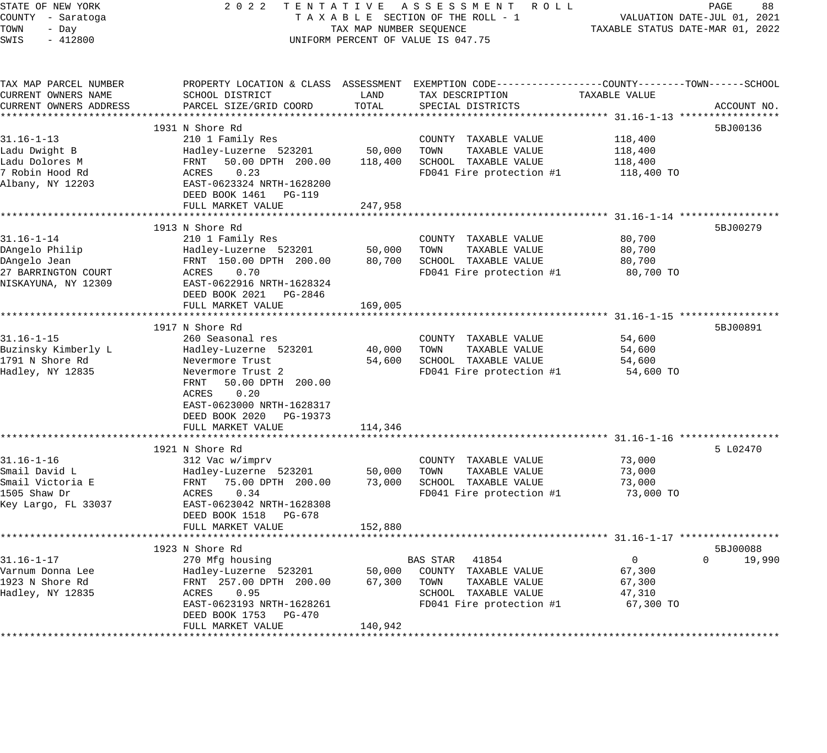| STATE OF NEW YORK<br>COUNTY - Saratoga       |                                                                                              |                         | 2022 TENTATIVE ASSESSMENT ROLL<br>TAXABLE SECTION OF THE ROLL - 1                                                 |                                  | PAGE<br>88<br>VALUATION DATE-JUL 01, 2021 |
|----------------------------------------------|----------------------------------------------------------------------------------------------|-------------------------|-------------------------------------------------------------------------------------------------------------------|----------------------------------|-------------------------------------------|
| TOWN<br>- Day<br>SWIS<br>$-412800$           |                                                                                              | TAX MAP NUMBER SEQUENCE | UNIFORM PERCENT OF VALUE IS 047.75                                                                                | TAXABLE STATUS DATE-MAR 01, 2022 |                                           |
| TAX MAP PARCEL NUMBER<br>CURRENT OWNERS NAME | SCHOOL DISTRICT                                                                              | LAND                    | PROPERTY LOCATION & CLASS ASSESSMENT EXEMPTION CODE---------------COUNTY-------TOWN-----SCHOOL<br>TAX DESCRIPTION | TAXABLE VALUE                    |                                           |
| CURRENT OWNERS ADDRESS                       | PARCEL SIZE/GRID COORD                                                                       | TOTAL                   | SPECIAL DISTRICTS                                                                                                 |                                  | ACCOUNT NO.                               |
|                                              |                                                                                              |                         |                                                                                                                   |                                  |                                           |
|                                              | 1931 N Shore Rd                                                                              |                         |                                                                                                                   |                                  | 5BJ00136                                  |
| $31.16 - 1 - 13$<br>Ladu Dwight B            | 210 1 Family Res                                                                             | 50,000                  | COUNTY TAXABLE VALUE<br>TOWN<br>TAXABLE VALUE                                                                     | 118,400                          |                                           |
| Ladu Dolores M                               | Hadley-Luzerne 523201<br>50.00 DPTH 200.00<br>FRNT                                           | 118,400                 | SCHOOL TAXABLE VALUE                                                                                              | 118,400<br>118,400               |                                           |
| 7 Robin Hood Rd                              | ACRES<br>0.23                                                                                |                         | FD041 Fire protection #1                                                                                          | 118,400 TO                       |                                           |
| Albany, NY 12203                             | EAST-0623324 NRTH-1628200<br>DEED BOOK 1461 PG-119                                           |                         |                                                                                                                   |                                  |                                           |
|                                              | FULL MARKET VALUE                                                                            | 247,958                 |                                                                                                                   |                                  |                                           |
|                                              |                                                                                              |                         |                                                                                                                   |                                  |                                           |
|                                              | 1913 N Shore Rd                                                                              |                         |                                                                                                                   |                                  | 5BJ00279                                  |
| $31.16 - 1 - 14$<br>DAngelo Philip           | 210 1 Family Res<br>Hadley-Luzerne 523201                                                    | 50,000                  | COUNTY TAXABLE VALUE<br>TOWN<br>TAXABLE VALUE                                                                     | 80,700<br>80,700                 |                                           |
| DAngelo Jean                                 | FRNT 150.00 DPTH 200.00                                                                      | 80,700                  | SCHOOL TAXABLE VALUE                                                                                              | 80,700                           |                                           |
| 27 BARRINGTON COURT                          | 0.70<br>ACRES                                                                                |                         | FD041 Fire protection #1                                                                                          | 80,700 TO                        |                                           |
| NISKAYUNA, NY 12309                          | EAST-0622916 NRTH-1628324<br>DEED BOOK 2021 PG-2846                                          |                         |                                                                                                                   |                                  |                                           |
|                                              | FULL MARKET VALUE                                                                            | 169,005                 |                                                                                                                   |                                  |                                           |
|                                              |                                                                                              |                         |                                                                                                                   |                                  |                                           |
|                                              | 1917 N Shore Rd                                                                              |                         |                                                                                                                   |                                  | 5BJ00891                                  |
| $31.16 - 1 - 15$                             | 260 Seasonal res                                                                             |                         | COUNTY TAXABLE VALUE                                                                                              | 54,600                           |                                           |
| Buzinsky Kimberly L                          | Hadley-Luzerne 523201                                                                        | 40,000                  | TAXABLE VALUE<br>TOWN                                                                                             | 54,600                           |                                           |
| 1791 N Shore Rd<br>Hadley, NY 12835          | Nevermore Trust<br>Nevermore Trust 2                                                         |                         | 54,600 SCHOOL TAXABLE VALUE<br>FD041 Fire protection #1                                                           | 54,600<br>54,600 TO              |                                           |
|                                              | FRNT 50.00 DPTH 200.00<br>ACRES 0.20<br>EAST-0623000 NRTH-1628317<br>DEED BOOK 2020 PG-19373 |                         |                                                                                                                   |                                  |                                           |
|                                              | FULL MARKET VALUE                                                                            | 114,346                 |                                                                                                                   |                                  |                                           |
|                                              | *************************                                                                    |                         |                                                                                                                   |                                  |                                           |
|                                              | 1921 N Shore Rd                                                                              |                         |                                                                                                                   |                                  | 5 L02470                                  |
| $31.16 - 1 - 16$                             | 312 Vac w/imprv                                                                              |                         | COUNTY TAXABLE VALUE                                                                                              | 73,000                           |                                           |
| Smail David L                                | Hadley-Luzerne 523201                                                                        | 50,000                  | TOWN<br>TAXABLE VALUE                                                                                             | 73,000                           |                                           |
| Smail Victoria E                             | FRNT<br>75.00 DPTH 200.00                                                                    | 73,000                  | SCHOOL TAXABLE VALUE                                                                                              | 73,000                           |                                           |
| 1505 Shaw Dr                                 | 0.34<br>ACRES                                                                                |                         | FD041 Fire protection #1                                                                                          | 73,000 TO                        |                                           |
| Key Largo, FL 33037                          | EAST-0623042 NRTH-1628308                                                                    |                         |                                                                                                                   |                                  |                                           |
|                                              | DEED BOOK 1518 PG-678<br>FULL MARKET VALUE                                                   | 152,880                 |                                                                                                                   |                                  |                                           |
|                                              |                                                                                              |                         |                                                                                                                   |                                  |                                           |
|                                              | 1923 N Shore Rd                                                                              |                         |                                                                                                                   |                                  | 5BJ00088                                  |
| $31.16 - 1 - 17$                             | 270 Mfg housing                                                                              |                         | BAS STAR 41854                                                                                                    | $\overline{0}$                   | $\Omega$<br>19,990                        |
| Varnum Donna Lee                             | Hadley-Luzerne 523201                                                                        | 50,000                  | COUNTY TAXABLE VALUE                                                                                              | 67,300                           |                                           |
| 1923 N Shore Rd                              | FRNT 257.00 DPTH 200.00                                                                      | 67,300                  | TOWN<br>TAXABLE VALUE                                                                                             | 67,300                           |                                           |
| Hadley, NY 12835                             | ACRES 0.95                                                                                   |                         | SCHOOL TAXABLE VALUE                                                                                              | 47,310                           |                                           |
|                                              | EAST-0623193 NRTH-1628261<br>DEED BOOK 1753 PG-470                                           |                         | FD041 Fire protection #1                                                                                          | 67,300 TO                        |                                           |
|                                              | FULL MARKET VALUE                                                                            | 140,942                 |                                                                                                                   |                                  |                                           |
|                                              |                                                                                              |                         |                                                                                                                   |                                  |                                           |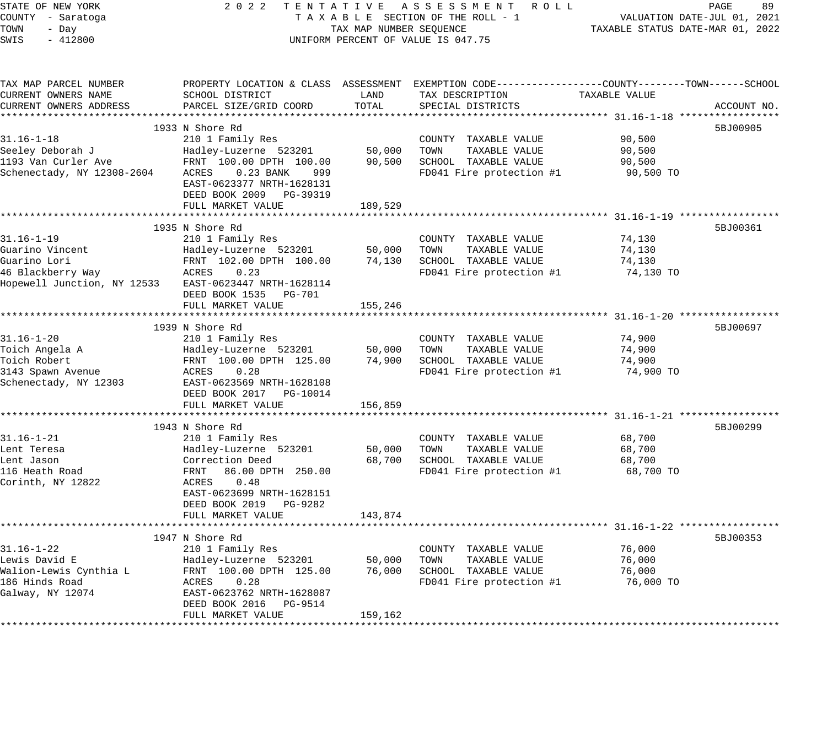STATE OF NEW YORK 2 0 2 2 T E N T A T I V E A S S E S S M E N T R O L L PAGE 89 COUNTY - Saratoga T A X A B L E SECTION OF THE ROLL - 1 VALUATION DATE-JUL 01, 2021 TOWN - Day TAX MAP NUMBER SEQUENCE TAXABLE STATUS DATE-MAR 01, 2022 SWIS - 412800 CONTROLLY THE UNIFORM PERCENT OF VALUE IS 047.75 TAX MAP PARCEL NUMBER PROPERTY LOCATION & CLASS ASSESSMENT EXEMPTION CODE------------------COUNTY--------TOWN------SCHOOL CURRENT OWNERS NAME SCHOOL DISTRICT LAND TAX DESCRIPTION TAXABLE VALUE CURRENT OWNERS ADDRESS PARCEL SIZE/GRID COORD TOTAL SPECIAL DISTRICTS ACCOUNT NO. \*\*\*\*\*\*\*\*\*\*\*\*\*\*\*\*\*\*\*\*\*\*\*\*\*\*\*\*\*\*\*\*\*\*\*\*\*\*\*\*\*\*\*\*\*\*\*\*\*\*\*\*\*\*\*\*\*\*\*\*\*\*\*\*\*\*\*\*\*\*\*\*\*\*\*\*\*\*\*\*\*\*\*\*\*\*\*\*\*\*\*\*\*\*\*\*\*\*\*\*\*\*\* 31.16-1-18 \*\*\*\*\*\*\*\*\*\*\*\*\*\*\*\*\* 1933 N Shore Rd 5BJ00905 31.16-1-18 210 1 Family Res COUNTY TAXABLE VALUE 90,500 Seeley Deborah J Hadley-Luzerne 523201 50,000 TOWN TAXABLE VALUE 90,500 1193 Van Curler Ave FRNT 100.00 DPTH 100.00 90,500 SCHOOL TAXABLE VALUE 90,500 Schenectady, NY 12308-2604 ACRES 0.23 BANK 999 FD041 Fire protection #1 90,500 TO EAST-0623377 NRTH-1628131 DEED BOOK 2009 PG-39319 FULL MARKET VALUE 189,529 \*\*\*\*\*\*\*\*\*\*\*\*\*\*\*\*\*\*\*\*\*\*\*\*\*\*\*\*\*\*\*\*\*\*\*\*\*\*\*\*\*\*\*\*\*\*\*\*\*\*\*\*\*\*\*\*\*\*\*\*\*\*\*\*\*\*\*\*\*\*\*\*\*\*\*\*\*\*\*\*\*\*\*\*\*\*\*\*\*\*\*\*\*\*\*\*\*\*\*\*\*\*\* 31.16-1-19 \*\*\*\*\*\*\*\*\*\*\*\*\*\*\*\*\* 1935 N Shore Rd 5BJ00361 N Shore Rd 5BJ00361 N Shore Rd 5BJ00361 N Shore Rd 5BJ00361 N Shore Rd 5BJ00361 N Shore Rd 31.16-1-19 210 1 Family Res COUNTY TAXABLE VALUE 74,130 Guarino Vincent Hadley-Luzerne 523201 50,000 TOWN TAXABLE VALUE 74,130 Guarino Lori FRNT 102.00 DPTH 100.00 74,130 SCHOOL TAXABLE VALUE 74,130 46 Blackberry Way ACRES 0.23 FD041 Fire protection #1 74,130 TO Hopewell Junction, NY 12533 EAST-0623447 NRTH-1628114 DEED BOOK 1535 PG-701 FULL MARKET VALUE 155,246 \*\*\*\*\*\*\*\*\*\*\*\*\*\*\*\*\*\*\*\*\*\*\*\*\*\*\*\*\*\*\*\*\*\*\*\*\*\*\*\*\*\*\*\*\*\*\*\*\*\*\*\*\*\*\*\*\*\*\*\*\*\*\*\*\*\*\*\*\*\*\*\*\*\*\*\*\*\*\*\*\*\*\*\*\*\*\*\*\*\*\*\*\*\*\*\*\*\*\*\*\*\*\* 31.16-1-20 \*\*\*\*\*\*\*\*\*\*\*\*\*\*\*\*\*  $1939$  N Shore Rd  $5BJ00697$ 31.16-1-20 210 1 Family Res COUNTY TAXABLE VALUE 74,900 Toich Angela A Hadley-Luzerne 523201 50,000 TOWN TAXABLE VALUE 74,900 Toich Robert FRNT 100.00 DPTH 125.00 74,900 SCHOOL TAXABLE VALUE 74,900 3143 Spawn Avenue ACRES 0.28 FD041 Fire protection #1 74,900 TO Schenectady, NY 12303 EAST-0623569 NRTH-1628108 DEED BOOK 2017 PG-10014 FULL MARKET VALUE 156,859 \*\*\*\*\*\*\*\*\*\*\*\*\*\*\*\*\*\*\*\*\*\*\*\*\*\*\*\*\*\*\*\*\*\*\*\*\*\*\*\*\*\*\*\*\*\*\*\*\*\*\*\*\*\*\*\*\*\*\*\*\*\*\*\*\*\*\*\*\*\*\*\*\*\*\*\*\*\*\*\*\*\*\*\*\*\*\*\*\*\*\*\*\*\*\*\*\*\*\*\*\*\*\* 31.16-1-21 \*\*\*\*\*\*\*\*\*\*\*\*\*\*\*\*\* 1943 N Shore Rd 5BJ00299 31.16-1-21 210 1 Family Res COUNTY TAXABLE VALUE 68,700 Lent Teresa Hadley-Luzerne 523201 50,000 TOWN TAXABLE VALUE 68,700 Lent Jason Correction Deed 68,700 SCHOOL TAXABLE VALUE 68,700 116 Heath Road FRNT 86.00 DPTH 250.00 FD041 Fire protection #1 68,700 TO Lent Jason<br>116 Heath Road<br>Corinth, NY 12822 EAST-0623699 NRTH-1628151 DEED BOOK 2019 PG-9282 FULL MARKET VALUE 143,874 \*\*\*\*\*\*\*\*\*\*\*\*\*\*\*\*\*\*\*\*\*\*\*\*\*\*\*\*\*\*\*\*\*\*\*\*\*\*\*\*\*\*\*\*\*\*\*\*\*\*\*\*\*\*\*\*\*\*\*\*\*\*\*\*\*\*\*\*\*\*\*\*\*\*\*\*\*\*\*\*\*\*\*\*\*\*\*\*\*\*\*\*\*\*\*\*\*\*\*\*\*\*\* 31.16-1-22 \*\*\*\*\*\*\*\*\*\*\*\*\*\*\*\*\* 1947 N Shore Rd 5BJ00353 31.16-1-22 210 1 Family Res COUNTY TAXABLE VALUE 76,000 Lewis David E Hadley-Luzerne 523201 50,000 TOWN TAXABLE VALUE 76,000 Walion-Lewis Cynthia L FRNT 100.00 DPTH 125.00 76,000 SCHOOL TAXABLE VALUE 76,000 186 Hinds Road ACRES 0.28 FD041 Fire protection #1 76,000 TO Galway, NY 12074 EAST-0623762 NRTH-1628087 DEED BOOK 2016 PG-9514 FULL MARKET VALUE 159,162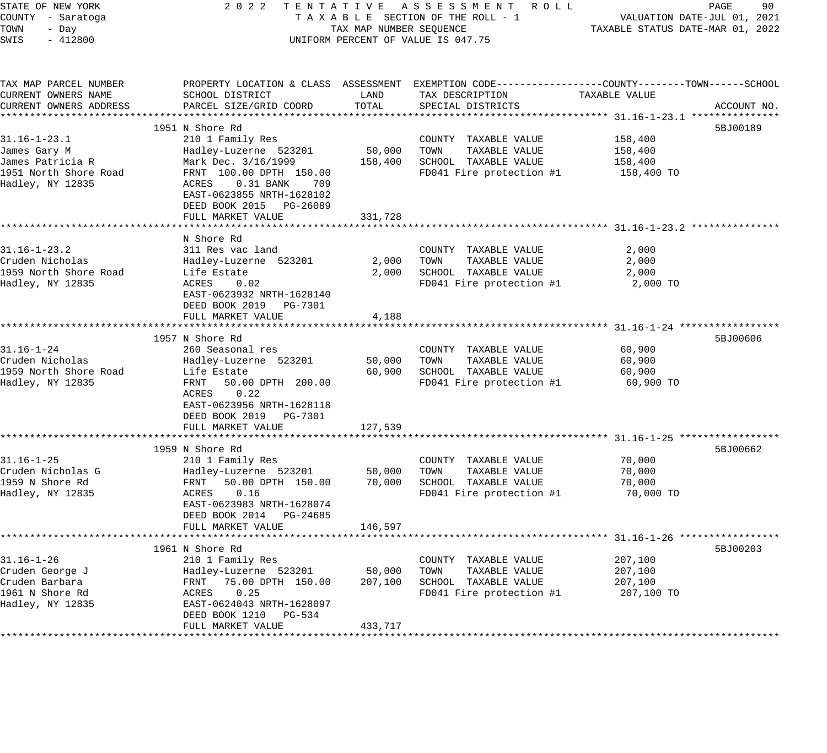| STATE OF NEW YORK                            |                                            |         | 2022 TENTATIVE ASSESSMENT ROLL                                                                                    |               | PAGE<br>90                  |
|----------------------------------------------|--------------------------------------------|---------|-------------------------------------------------------------------------------------------------------------------|---------------|-----------------------------|
| COUNTY - Saratoga                            |                                            |         | TAXABLE SECTION OF THE ROLL - 1                                                                                   |               | VALUATION DATE-JUL 01, 2021 |
| TOWN<br>- Day                                | TAX MAP NUMBER SEQUENCE                    |         | TAXABLE STATUS DATE-MAR 01, 2022                                                                                  |               |                             |
| SWIS<br>$-412800$                            |                                            |         | UNIFORM PERCENT OF VALUE IS 047.75                                                                                |               |                             |
|                                              |                                            |         |                                                                                                                   |               |                             |
| TAX MAP PARCEL NUMBER<br>CURRENT OWNERS NAME | SCHOOL DISTRICT                            | LAND    | PROPERTY LOCATION & CLASS ASSESSMENT EXEMPTION CODE---------------COUNTY-------TOWN-----SCHOOL<br>TAX DESCRIPTION | TAXABLE VALUE |                             |
| CURRENT OWNERS ADDRESS                       | PARCEL SIZE/GRID COORD                     | TOTAL   | SPECIAL DISTRICTS                                                                                                 |               | ACCOUNT NO.                 |
|                                              |                                            |         |                                                                                                                   |               |                             |
|                                              | 1951 N Shore Rd                            |         |                                                                                                                   |               | 5BJ00189                    |
| $31.16 - 1 - 23.1$                           | 210 1 Family Res                           |         | COUNTY TAXABLE VALUE                                                                                              | 158,400       |                             |
| James Gary M                                 | Hadley-Luzerne 523201                      | 50,000  | TOWN<br>TAXABLE VALUE                                                                                             | 158,400       |                             |
| James Patricia R                             | Mark Dec. 3/16/1999                        | 158,400 | SCHOOL TAXABLE VALUE                                                                                              | 158,400       |                             |
| 1951 North Shore Road                        | FRNT 100.00 DPTH 150.00                    |         | FD041 Fire protection #1                                                                                          | 158,400 TO    |                             |
| Hadley, NY 12835                             | $0.31$ BANK<br>ACRES<br>709                |         |                                                                                                                   |               |                             |
|                                              | EAST-0623855 NRTH-1628102                  |         |                                                                                                                   |               |                             |
|                                              | DEED BOOK 2015 PG-26089                    |         |                                                                                                                   |               |                             |
|                                              | FULL MARKET VALUE                          | 331,728 |                                                                                                                   |               |                             |
|                                              |                                            |         |                                                                                                                   |               |                             |
|                                              | N Shore Rd                                 |         |                                                                                                                   |               |                             |
| $31.16 - 1 - 23.2$                           | 311 Res vac land                           |         | COUNTY TAXABLE VALUE                                                                                              | 2,000         |                             |
| Cruden Nicholas                              | Hadley-Luzerne 523201                      | 2,000   | TOWN<br>TAXABLE VALUE                                                                                             | 2,000         |                             |
| 1959 North Shore Road                        | Life Estate                                | 2,000   | SCHOOL TAXABLE VALUE<br>FD041 Fire protection #1                                                                  | 2,000         |                             |
| Hadley, NY 12835                             | ACRES<br>0.02<br>EAST-0623932 NRTH-1628140 |         |                                                                                                                   | 2,000 TO      |                             |
|                                              | DEED BOOK 2019 PG-7301                     |         |                                                                                                                   |               |                             |
|                                              | FULL MARKET VALUE                          | 4,188   |                                                                                                                   |               |                             |
|                                              | ***********************                    |         | ********************************** 31.16-1-24 *****                                                               |               |                             |
|                                              | 1957 N Shore Rd                            |         |                                                                                                                   |               | 5BJ00606                    |
| $31.16 - 1 - 24$                             | 260 Seasonal res                           |         | COUNTY TAXABLE VALUE                                                                                              | 60,900        |                             |
| Cruden Nicholas                              | Hadley-Luzerne 523201                      | 50,000  | TOWN<br>TAXABLE VALUE                                                                                             | 60,900        |                             |
| 1959 North Shore Road                        | Life Estate                                | 60,900  | SCHOOL TAXABLE VALUE                                                                                              | 60,900        |                             |
| Hadley, NY 12835                             | FRNT<br>50.00 DPTH 200.00                  |         | FD041 Fire protection #1                                                                                          | 60,900 TO     |                             |
|                                              | ACRES<br>0.22                              |         |                                                                                                                   |               |                             |
|                                              | EAST-0623956 NRTH-1628118                  |         |                                                                                                                   |               |                             |
|                                              | DEED BOOK 2019 PG-7301                     |         |                                                                                                                   |               |                             |
|                                              | FULL MARKET VALUE                          | 127,539 |                                                                                                                   |               |                             |
|                                              | 1959 N Shore Rd                            |         |                                                                                                                   |               | 5BJ00662                    |
| $31.16 - 1 - 25$                             | 210 1 Family Res                           |         | COUNTY TAXABLE VALUE                                                                                              | 70,000        |                             |
| Cruden Nicholas G                            | Hadley-Luzerne 523201                      | 50,000  | TAXABLE VALUE<br>TOWN                                                                                             | 70,000        |                             |
| 1959 N Shore Rd                              | FRNT<br>50.00 DPTH 150.00                  | 70,000  | SCHOOL TAXABLE VALUE                                                                                              | 70,000        |                             |
| Hadley, NY 12835                             | ACRES<br>0.16                              |         | FD041 Fire protection #1                                                                                          | 70,000 TO     |                             |
|                                              | EAST-0623983 NRTH-1628074                  |         |                                                                                                                   |               |                             |
|                                              | DEED BOOK 2014 PG-24685                    |         |                                                                                                                   |               |                             |
|                                              | FULL MARKET VALUE                          | 146,597 |                                                                                                                   |               |                             |
|                                              |                                            |         |                                                                                                                   |               |                             |
|                                              | 1961 N Shore Rd                            |         |                                                                                                                   |               | 5BJ00203                    |
| $31.16 - 1 - 26$                             | 210 1 Family Res                           |         | COUNTY TAXABLE VALUE                                                                                              | 207,100       |                             |
| Cruden George J                              | Hadley-Luzerne 523201                      | 50,000  | TAXABLE VALUE<br>TOWN                                                                                             | 207,100       |                             |
| Cruden Barbara                               | FRNT<br>75.00 DPTH 150.00                  | 207,100 | SCHOOL TAXABLE VALUE                                                                                              | 207,100       |                             |
| 1961 N Shore Rd                              | ACRES<br>0.25                              |         | FD041 Fire protection #1                                                                                          | 207,100 TO    |                             |
| Hadley, NY 12835                             | EAST-0624043 NRTH-1628097                  |         |                                                                                                                   |               |                             |
|                                              | DEED BOOK 1210 PG-534<br>FULL MARKET VALUE | 433,717 |                                                                                                                   |               |                             |
|                                              |                                            |         |                                                                                                                   |               |                             |
|                                              |                                            |         |                                                                                                                   |               |                             |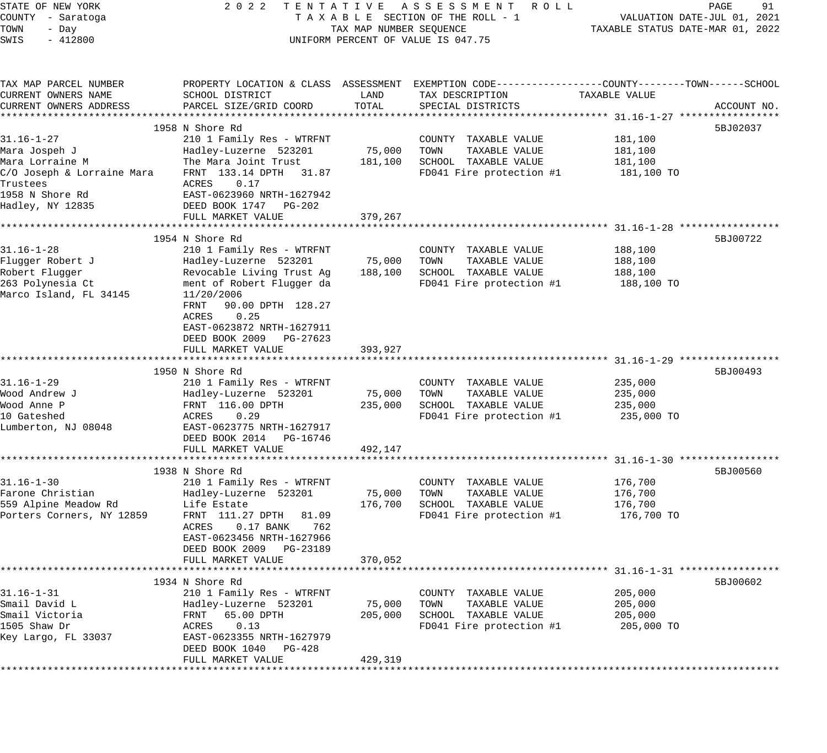| STATE OF NEW YORK                            | 2 0 2 2                     |                         | TENTATIVE ASSESSMENT ROLL                                                                                          |                                  | PAGE<br>91                  |
|----------------------------------------------|-----------------------------|-------------------------|--------------------------------------------------------------------------------------------------------------------|----------------------------------|-----------------------------|
| COUNTY - Saratoga                            |                             |                         | TAXABLE SECTION OF THE ROLL - 1                                                                                    |                                  | VALUATION DATE-JUL 01, 2021 |
| TOWN<br>- Day                                |                             | TAX MAP NUMBER SEQUENCE |                                                                                                                    | TAXABLE STATUS DATE-MAR 01, 2022 |                             |
| SWIS<br>$-412800$                            |                             |                         | UNIFORM PERCENT OF VALUE IS 047.75                                                                                 |                                  |                             |
|                                              |                             |                         |                                                                                                                    |                                  |                             |
| TAX MAP PARCEL NUMBER<br>CURRENT OWNERS NAME | SCHOOL DISTRICT             | LAND                    | PROPERTY LOCATION & CLASS ASSESSMENT EXEMPTION CODE---------------COUNTY-------TOWN------SCHOOL<br>TAX DESCRIPTION | TAXABLE VALUE                    |                             |
| CURRENT OWNERS ADDRESS                       | PARCEL SIZE/GRID COORD      | TOTAL                   | SPECIAL DISTRICTS                                                                                                  |                                  | ACCOUNT NO.                 |
|                                              |                             |                         |                                                                                                                    |                                  |                             |
|                                              | 1958 N Shore Rd             |                         |                                                                                                                    |                                  | 5BJ02037                    |
| $31.16 - 1 - 27$                             | 210 1 Family Res - WTRFNT   |                         | COUNTY TAXABLE VALUE                                                                                               | 181,100                          |                             |
| Mara Jospeh J                                | Hadley-Luzerne 523201       | 75,000                  | TOWN<br>TAXABLE VALUE                                                                                              | 181,100                          |                             |
| Mara Lorraine M                              | The Mara Joint Trust        | 181,100                 | SCHOOL TAXABLE VALUE                                                                                               | 181,100                          |                             |
| C/O Joseph & Lorraine Mara                   | FRNT 133.14 DPTH<br>31.87   |                         | FD041 Fire protection #1                                                                                           | 181,100 TO                       |                             |
| Trustees                                     | ACRES<br>0.17               |                         |                                                                                                                    |                                  |                             |
| 1958 N Shore Rd                              | EAST-0623960 NRTH-1627942   |                         |                                                                                                                    |                                  |                             |
| Hadley, NY 12835                             | DEED BOOK 1747 PG-202       |                         |                                                                                                                    |                                  |                             |
|                                              | FULL MARKET VALUE           | 379,267                 |                                                                                                                    |                                  |                             |
|                                              |                             |                         |                                                                                                                    |                                  |                             |
|                                              | 1954 N Shore Rd             |                         |                                                                                                                    |                                  | 5BJ00722                    |
| $31.16 - 1 - 28$                             | 210 1 Family Res - WTRFNT   |                         | COUNTY TAXABLE VALUE                                                                                               | 188,100                          |                             |
| Flugger Robert J                             | Hadley-Luzerne 523201       | 75,000                  | TOWN<br>TAXABLE VALUE                                                                                              | 188,100                          |                             |
| Robert Flugger                               | Revocable Living Trust Ag   | 188,100                 | SCHOOL TAXABLE VALUE                                                                                               | 188,100                          |                             |
| 263 Polynesia Ct                             | ment of Robert Flugger da   |                         | FD041 Fire protection #1                                                                                           | 188,100 TO                       |                             |
| Marco Island, FL 34145                       | 11/20/2006                  |                         |                                                                                                                    |                                  |                             |
|                                              | FRNT<br>90.00 DPTH 128.27   |                         |                                                                                                                    |                                  |                             |
|                                              | ACRES<br>0.25               |                         |                                                                                                                    |                                  |                             |
|                                              | EAST-0623872 NRTH-1627911   |                         |                                                                                                                    |                                  |                             |
|                                              | DEED BOOK 2009<br>PG-27623  |                         |                                                                                                                    |                                  |                             |
|                                              | FULL MARKET VALUE           | 393,927                 |                                                                                                                    |                                  |                             |
|                                              |                             |                         |                                                                                                                    |                                  |                             |
|                                              | 1950 N Shore Rd             |                         |                                                                                                                    |                                  | 5BJ00493                    |
| $31.16 - 1 - 29$                             | 210 1 Family Res - WTRFNT   |                         | COUNTY TAXABLE VALUE                                                                                               | 235,000                          |                             |
| Wood Andrew J                                | Hadley-Luzerne 523201       | 75,000                  | TOWN<br>TAXABLE VALUE                                                                                              | 235,000                          |                             |
| Wood Anne P                                  | FRNT 116.00 DPTH            | 235,000                 | SCHOOL TAXABLE VALUE                                                                                               | 235,000                          |                             |
| 10 Gateshed                                  | ACRES<br>0.29               |                         | FD041 Fire protection #1                                                                                           | 235,000 TO                       |                             |
| Lumberton, NJ 08048                          | EAST-0623775 NRTH-1627917   |                         |                                                                                                                    |                                  |                             |
|                                              | DEED BOOK 2014 PG-16746     | 492,147                 |                                                                                                                    |                                  |                             |
|                                              | FULL MARKET VALUE           |                         |                                                                                                                    |                                  |                             |
|                                              | 1938 N Shore Rd             |                         |                                                                                                                    |                                  | 5BJ00560                    |
| $31.16 - 1 - 30$                             | 210 1 Family Res - WTRFNT   |                         | COUNTY TAXABLE VALUE                                                                                               | 176,700                          |                             |
| Farone Christian                             | Hadley-Luzerne 523201       | 75,000                  | TOWN<br>TAXABLE VALUE                                                                                              | 176,700                          |                             |
| 559 Alpine Meadow Rd                         | Life Estate                 | 176,700                 | SCHOOL TAXABLE VALUE                                                                                               | 176,700                          |                             |
| Porters Corners, NY 12859                    | FRNT 111.27 DPTH<br>81.09   |                         | FD041 Fire protection #1                                                                                           | 176,700 TO                       |                             |
|                                              | ACRES<br>$0.17$ BANK<br>762 |                         |                                                                                                                    |                                  |                             |
|                                              | EAST-0623456 NRTH-1627966   |                         |                                                                                                                    |                                  |                             |
|                                              | DEED BOOK 2009<br>PG-23189  |                         |                                                                                                                    |                                  |                             |
|                                              | FULL MARKET VALUE           | 370,052                 |                                                                                                                    |                                  |                             |
|                                              |                             |                         |                                                                                                                    |                                  |                             |
|                                              | 1934 N Shore Rd             |                         |                                                                                                                    |                                  | 5BJ00602                    |
| $31.16 - 1 - 31$                             | 210 1 Family Res - WTRFNT   |                         | TAXABLE VALUE<br>COUNTY                                                                                            | 205,000                          |                             |
| Smail David L                                | Hadley-Luzerne 523201       | 75,000                  | TOWN<br>TAXABLE VALUE                                                                                              | 205,000                          |                             |
| Smail Victoria                               | 65.00 DPTH<br>FRNT          | 205,000                 | SCHOOL TAXABLE VALUE                                                                                               | 205,000                          |                             |
| 1505 Shaw Dr                                 | ACRES<br>0.13               |                         | FD041 Fire protection #1                                                                                           | 205,000 TO                       |                             |
| Key Largo, FL 33037                          | EAST-0623355 NRTH-1627979   |                         |                                                                                                                    |                                  |                             |
|                                              | DEED BOOK 1040<br>PG-428    |                         |                                                                                                                    |                                  |                             |
|                                              | FULL MARKET VALUE           | 429,319                 |                                                                                                                    |                                  |                             |
| **************                               |                             |                         |                                                                                                                    |                                  |                             |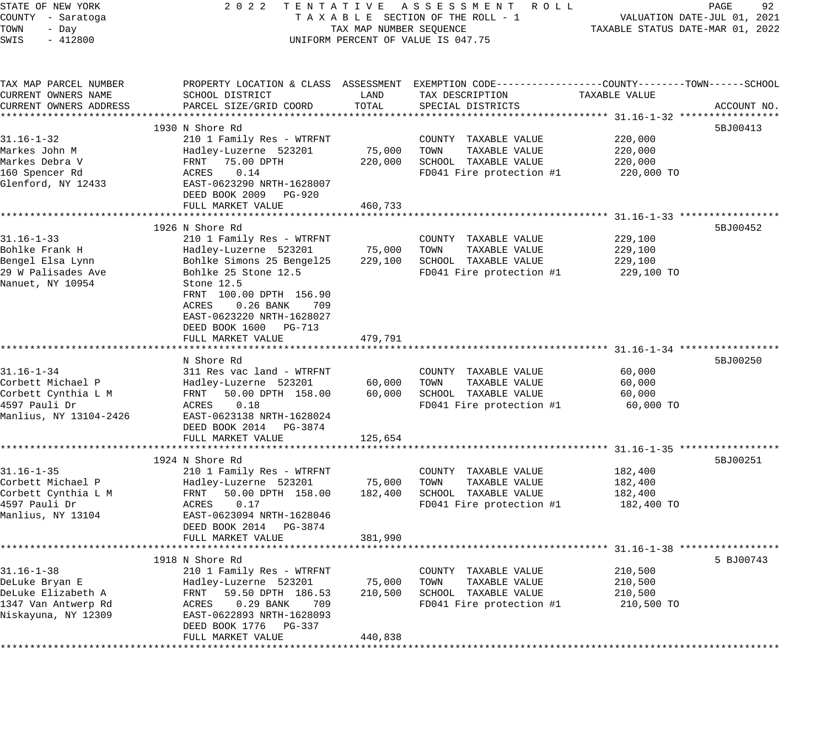| STATE OF NEW YORK<br>COUNTY - Saratoga<br>TOWN<br>- Day<br>SWIS<br>$-412800$                            |                                                                                                                                                                                                                                                                               |                                          | 2022 TENTATIVE ASSESSMENT ROLL<br>TAXABLE SECTION OF THE ROLL - 1<br>TAXABLE SECTION OF THE ROLL - 1<br>TAXABLE STATUS DATE-JUL 01, 2021<br>UNIFORM PERCENT OF VALUE IS 047.75 |                                             | PAGE<br>92  |
|---------------------------------------------------------------------------------------------------------|-------------------------------------------------------------------------------------------------------------------------------------------------------------------------------------------------------------------------------------------------------------------------------|------------------------------------------|--------------------------------------------------------------------------------------------------------------------------------------------------------------------------------|---------------------------------------------|-------------|
| TAX MAP PARCEL NUMBER<br>CURRENT OWNERS NAME<br>CURRENT OWNERS ADDRESS                                  | PROPERTY LOCATION & CLASS ASSESSMENT EXEMPTION CODE----------------COUNTY-------TOWN------SCHOOL<br>SCHOOL DISTRICT<br>PARCEL SIZE/GRID COORD                                                                                                                                 | LAND<br>TOTAL                            | TAX DESCRIPTION<br>SPECIAL DISTRICTS                                                                                                                                           | TAXABLE VALUE                               | ACCOUNT NO. |
| $31.16 - 1 - 32$<br>Markes John M<br>Markes Debra V<br>160 Spencer Rd<br>Glenford, NY 12433             | 1930 N Shore Rd<br>210 1 Family Res - WTRFNT<br>Hadley-Luzerne 523201<br>FRNT 75.00 DPTH<br>ACRES 0.14<br>EAST-0623290 NRTH-1628007<br>DEED BOOK 2009 PG-920<br>FULL MARKET VALUE                                                                                             | 75,000 TOWN<br>220,000<br>460,733        | COUNTY TAXABLE VALUE<br>TAXABLE VALUE<br>SCHOOL TAXABLE VALUE<br>FD041 Fire protection $#1$ 220,000 TO                                                                         | 220,000<br>220,000<br>220,000               | 5BJ00413    |
|                                                                                                         | ********************************                                                                                                                                                                                                                                              | * * * * * * * * * * * * *                |                                                                                                                                                                                |                                             |             |
| $31.16 - 1 - 33$<br>Bohlke Frank H<br>Bengel Elsa Lynn<br>29 W Palisades Ave<br>Nanuet, NY 10954        | 1926 N Shore Rd<br>210 1 Family Res - WTRFNT<br>Hadley-Luzerne 523201<br>Bohlke Simons 25 Bengel25<br>Bohlke 25 Stone 12.5<br>Stone 12.5<br>FRNT 100.00 DPTH 156.90<br>ACRES<br>$0.26$ BANK<br>709<br>EAST-0623220 NRTH-1628027<br>DEED BOOK 1600 PG-713<br>FULL MARKET VALUE | 75,000<br>229,100<br>479,791             | COUNTY TAXABLE VALUE<br>TOWN<br>TAXABLE VALUE<br>SCHOOL TAXABLE VALUE<br>FD041 Fire protection #1                                                                              | 229,100<br>229,100<br>229,100<br>229,100 TO | 5BJ00452    |
|                                                                                                         | ******************************<br>N Shore Rd                                                                                                                                                                                                                                  | * * * * * * * * * * * *                  |                                                                                                                                                                                |                                             | 5BJ00250    |
| $31.16 - 1 - 34$<br>Corbett Michael P<br>Corbett Cynthia L M<br>4597 Pauli Dr<br>Manlius, NY 13104-2426 | 311 Res vac land - WTRFNT<br>311 Res vac Ianu - wirrini<br>Hadley-Luzerne 523201<br>FRNT 50.00 DPTH 158.00<br>ACRES<br>0.18<br>EAST-0623138 NRTH-1628024<br>DEED BOOK 2014 PG-3874                                                                                            | 60,000<br>60,000                         | COUNTY TAXABLE VALUE<br>TOWN<br>TAXABLE VALUE<br>SCHOOL TAXABLE VALUE<br>FD041 Fire protection #1                                                                              | 60,000<br>60,000<br>60,000<br>60,000 TO     |             |
|                                                                                                         | FULL MARKET VALUE                                                                                                                                                                                                                                                             | 125,654                                  |                                                                                                                                                                                |                                             |             |
| $31.16 - 1 - 35$                                                                                        | 1924 N Shore Rd<br>210 1 Family Res - WTRFNT<br>DEED BOOK 2014 PG-3874                                                                                                                                                                                                        | 75,000<br>182,400                        | COUNTY TAXABLE VALUE<br>TOWN<br>TAXABLE VALUE<br>SCHOOL TAXABLE VALUE<br>FD041 Fire protection $#1$ 182,400 TO                                                                 | 182,400<br>182,400<br>182,400               | 5BJ00251    |
|                                                                                                         | FULL MARKET VALUE                                                                                                                                                                                                                                                             | 381,990                                  |                                                                                                                                                                                |                                             |             |
|                                                                                                         | 1918 N Shore Rd                                                                                                                                                                                                                                                               |                                          |                                                                                                                                                                                |                                             | 5 BJ00743   |
| $31.16 - 1 - 38$<br>DeLuke Bryan E<br>DeLuke Elizabeth A<br>1347 Van Antwerp Rd<br>Niskayuna, NY 12309  | 210 1 Family Res - WTRFNT<br>Hadley-Luzerne 523201<br>FRNT<br>59.50 DPTH 186.53<br>0.29 BANK<br>ACRES<br>709<br>EAST-0622893 NRTH-1628093<br>DEED BOOK 1776<br>PG-337<br>FULL MARKET VALUE<br>* * * * * * * * * * * * * * * * *                                               | 75,000<br>210,500<br>440,838<br>******** | TAXABLE VALUE<br>COUNTY<br>TAXABLE VALUE<br>TOWN<br>SCHOOL TAXABLE VALUE<br>FD041 Fire protection #1                                                                           | 210,500<br>210,500<br>210,500<br>210,500 TO |             |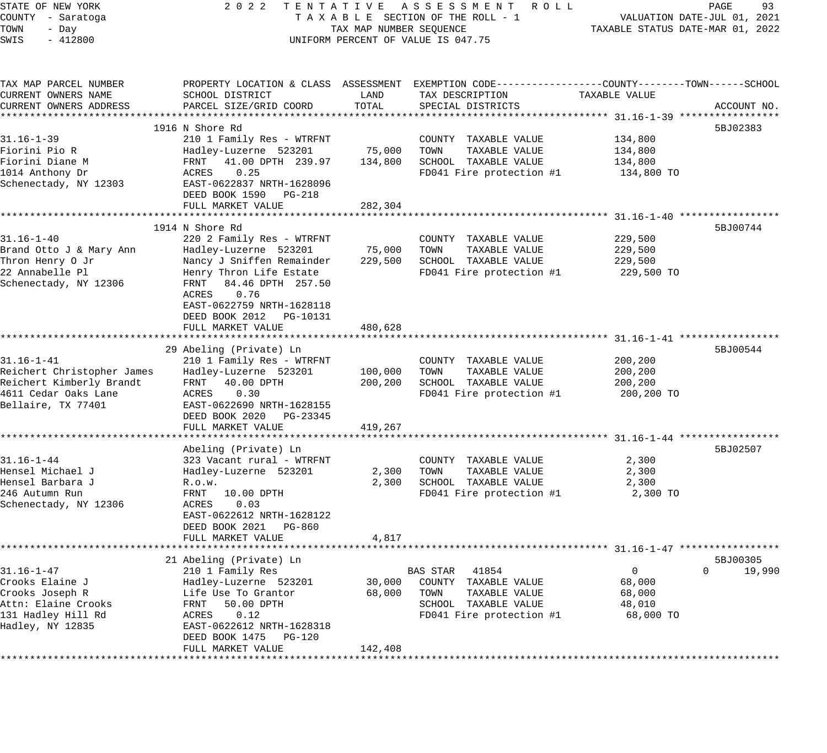| STATE OF NEW YORK<br>COUNTY - Saratoga<br>TOWN<br>- Day<br>$-412800$<br>SWIS                                             | 2 0 2 2<br>TENTATIVE ASSESSMENT ROLL<br>TAXABLE SECTION OF THE ROLL - 1<br>TAX MAP NUMBER SEQUENCE<br>UNIFORM PERCENT OF VALUE IS 047.75                                                                                                     | TAXABLE STATUS DATE-MAR 01, 2022         | PAGE<br>93<br>VALUATION DATE-JUL 01, 2021                                                                                              |                                              |                         |
|--------------------------------------------------------------------------------------------------------------------------|----------------------------------------------------------------------------------------------------------------------------------------------------------------------------------------------------------------------------------------------|------------------------------------------|----------------------------------------------------------------------------------------------------------------------------------------|----------------------------------------------|-------------------------|
| TAX MAP PARCEL NUMBER<br>CURRENT OWNERS NAME<br>CURRENT OWNERS ADDRESS                                                   | SCHOOL DISTRICT<br>PARCEL SIZE/GRID COORD                                                                                                                                                                                                    | LAND<br>TOTAL                            | PROPERTY LOCATION & CLASS ASSESSMENT EXEMPTION CODE---------------COUNTY-------TOWN-----SCHOOL<br>TAX DESCRIPTION<br>SPECIAL DISTRICTS | TAXABLE VALUE                                | ACCOUNT NO.             |
| $31.16 - 1 - 39$<br>Fiorini Pio R<br>Fiorini Diane M<br>1014 Anthony Dr<br>Schenectady, NY 12303                         | 1916 N Shore Rd<br>210 1 Family Res - WTRFNT<br>Hadley-Luzerne 523201<br>41.00 DPTH 239.97<br>FRNT<br>ACRES<br>0.25<br>EAST-0622837 NRTH-1628096<br>DEED BOOK 1590 PG-218<br>FULL MARKET VALUE                                               | 75,000<br>134,800<br>282,304             | COUNTY TAXABLE VALUE<br>TOWN<br>TAXABLE VALUE<br>SCHOOL TAXABLE VALUE<br>FD041 Fire protection #1                                      | 134,800<br>134,800<br>134,800<br>134,800 TO  | 5BJ02383                |
| $31.16 - 1 - 40$<br>Brand Otto J & Mary Ann<br>Thron Henry O Jr<br>22 Annabelle Pl<br>Schenectady, NY 12306              | 1914 N Shore Rd<br>220 2 Family Res - WTRFNT<br>Hadley-Luzerne 523201<br>Nancy J Sniffen Remainder<br>Henry Thron Life Estate<br>84.46 DPTH 257.50<br>FRNT<br>0.76<br>ACRES<br>EAST-0622759 NRTH-1628118<br>DEED BOOK 2012 PG-10131          | 75,000<br>229,500                        | COUNTY TAXABLE VALUE<br>TOWN<br>TAXABLE VALUE<br>SCHOOL TAXABLE VALUE<br>FD041 Fire protection #1                                      | 229,500<br>229,500<br>229,500<br>229,500 TO  | 5BJ00744                |
| $31.16 - 1 - 41$<br>Reichert Christopher James<br>Reichert Kimberly Brandt<br>4611 Cedar Oaks Lane<br>Bellaire, TX 77401 | FULL MARKET VALUE<br>29 Abeling (Private) Ln<br>210 1 Family Res - WTRFNT<br>Hadley-Luzerne 523201<br>40.00 DPTH<br>FRNT<br>ACRES<br>0.30<br>EAST-0622690 NRTH-1628155<br>DEED BOOK 2020 PG-23345<br>FULL MARKET VALUE                       | 480,628<br>100,000<br>200,200<br>419,267 | COUNTY TAXABLE VALUE<br>TOWN<br>TAXABLE VALUE<br>SCHOOL TAXABLE VALUE<br>FD041 Fire protection #1                                      | 200,200<br>200,200<br>200,200<br>200,200 TO  | 5BJ00544                |
| $31.16 - 1 - 44$<br>Hensel Michael J<br>Hensel Barbara J<br>246 Autumn Run<br>Schenectady, NY 12306                      | Abeling (Private) Ln<br>323 Vacant rural - WTRFNT<br>Hadley-Luzerne 523201<br>R.o.w.<br>FRNT<br>10.00 DPTH<br>ACRES<br>0.03<br>EAST-0622612 NRTH-1628122<br>DEED BOOK 2021 PG-860<br>FULL MARKET VALUE                                       | 2,300<br>2,300<br>4,817                  | COUNTY TAXABLE VALUE<br>TAXABLE VALUE<br>TOWN<br>SCHOOL TAXABLE VALUE<br>FD041 Fire protection #1                                      | 2,300<br>2,300<br>2,300<br>2,300 TO          | 5BJ02507                |
| $31.16 - 1 - 47$<br>Crooks Elaine J<br>Crooks Joseph R<br>Attn: Elaine Crooks<br>131 Hadley Hill Rd<br>Hadley, NY 12835  | 21 Abeling (Private) Ln<br>210 1 Family Res<br>Hadley-Luzerne 523201<br>Life Use To Grantor<br>FRNT<br>50.00 DPTH<br>ACRES<br>0.12<br>EAST-0622612 NRTH-1628318<br>DEED BOOK 1475<br><b>PG-120</b><br>FULL MARKET VALUE<br>***************** | 30,000<br>68,000<br>142,408              | <b>BAS STAR</b><br>41854<br>COUNTY<br>TAXABLE VALUE<br>TOWN<br>TAXABLE VALUE<br>SCHOOL TAXABLE VALUE<br>FD041 Fire protection #1       | 0<br>68,000<br>68,000<br>48,010<br>68,000 TO | 5BJ00305<br>0<br>19,990 |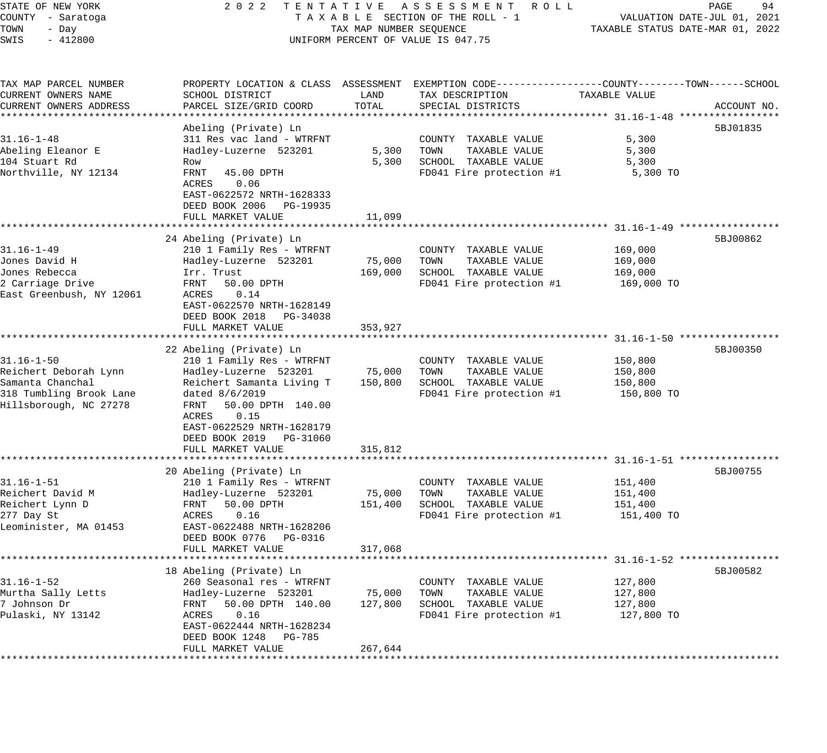| STATE OF NEW YORK        | 2 0 2 2                   |                         | TENTATIVE ASSESSMENT ROLL                                                                      |                                  | PAGE<br>94                  |
|--------------------------|---------------------------|-------------------------|------------------------------------------------------------------------------------------------|----------------------------------|-----------------------------|
| COUNTY - Saratoga        |                           |                         | TAXABLE SECTION OF THE ROLL - 1                                                                |                                  | VALUATION DATE-JUL 01, 2021 |
| TOWN<br>- Day            |                           | TAX MAP NUMBER SEQUENCE |                                                                                                | TAXABLE STATUS DATE-MAR 01, 2022 |                             |
| SWIS<br>$-412800$        |                           |                         | UNIFORM PERCENT OF VALUE IS 047.75                                                             |                                  |                             |
|                          |                           |                         |                                                                                                |                                  |                             |
| TAX MAP PARCEL NUMBER    |                           |                         | PROPERTY LOCATION & CLASS ASSESSMENT EXEMPTION CODE---------------COUNTY-------TOWN-----SCHOOL |                                  |                             |
| CURRENT OWNERS NAME      | SCHOOL DISTRICT           | LAND                    | TAX DESCRIPTION                                                                                | TAXABLE VALUE                    |                             |
| CURRENT OWNERS ADDRESS   | PARCEL SIZE/GRID COORD    | TOTAL                   | SPECIAL DISTRICTS                                                                              |                                  | ACCOUNT NO.                 |
|                          |                           |                         |                                                                                                |                                  |                             |
|                          | Abeling (Private) Ln      |                         |                                                                                                |                                  | 5BJ01835                    |
| $31.16 - 1 - 48$         | 311 Res vac land - WTRFNT |                         | COUNTY TAXABLE VALUE                                                                           | 5,300                            |                             |
| Abeling Eleanor E        | Hadley-Luzerne 523201     | 5,300                   | TAXABLE VALUE<br>TOWN                                                                          | 5,300                            |                             |
| 104 Stuart Rd            | Row                       | 5,300                   | SCHOOL TAXABLE VALUE                                                                           | 5,300                            |                             |
| Northville, NY 12134     | FRNT<br>45.00 DPTH        |                         | FD041 Fire protection #1                                                                       | 5,300 TO                         |                             |
|                          | 0.06<br>ACRES             |                         |                                                                                                |                                  |                             |
|                          | EAST-0622572 NRTH-1628333 |                         |                                                                                                |                                  |                             |
|                          | DEED BOOK 2006 PG-19935   |                         |                                                                                                |                                  |                             |
|                          | FULL MARKET VALUE         | 11,099                  |                                                                                                |                                  |                             |
|                          |                           |                         |                                                                                                |                                  |                             |
|                          | 24 Abeling (Private) Ln   |                         |                                                                                                |                                  | 5BJ00862                    |
| 31.16-1-49               | 210 1 Family Res - WTRFNT |                         | COUNTY TAXABLE VALUE                                                                           | 169,000                          |                             |
| Jones David H            | Hadley-Luzerne 523201     | 75,000                  | TAXABLE VALUE<br>TOWN                                                                          | 169,000                          |                             |
| Jones Rebecca            | Irr. Trust                | 169,000                 | SCHOOL TAXABLE VALUE                                                                           | 169,000                          |                             |
| 2 Carriage Drive         | FRNT<br>50.00 DPTH        |                         | FD041 Fire protection #1                                                                       | 169,000 TO                       |                             |
| East Greenbush, NY 12061 | 0.14<br>ACRES             |                         |                                                                                                |                                  |                             |
|                          | EAST-0622570 NRTH-1628149 |                         |                                                                                                |                                  |                             |
|                          | DEED BOOK 2018 PG-34038   |                         |                                                                                                |                                  |                             |
|                          | FULL MARKET VALUE         | 353,927                 |                                                                                                |                                  |                             |
|                          |                           |                         |                                                                                                |                                  |                             |
|                          | 22 Abeling (Private) Ln   |                         |                                                                                                |                                  | 5BJ00350                    |
| $31.16 - 1 - 50$         | 210 1 Family Res - WTRFNT |                         | COUNTY TAXABLE VALUE                                                                           | 150,800                          |                             |
| Reichert Deborah Lynn    | Hadley-Luzerne 523201     | 75,000                  | TAXABLE VALUE<br>TOWN                                                                          | 150,800                          |                             |
| Samanta Chanchal         | Reichert Samanta Living T | 150,800                 | SCHOOL TAXABLE VALUE                                                                           | 150,800                          |                             |
| 318 Tumbling Brook Lane  | dated 8/6/2019            |                         | FD041 Fire protection #1                                                                       | 150,800 TO                       |                             |
| Hillsborough, NC 27278   | 50.00 DPTH 140.00<br>FRNT |                         |                                                                                                |                                  |                             |
|                          | 0.15<br>ACRES             |                         |                                                                                                |                                  |                             |
|                          | EAST-0622529 NRTH-1628179 |                         |                                                                                                |                                  |                             |
|                          | DEED BOOK 2019 PG-31060   |                         |                                                                                                |                                  |                             |
|                          | FULL MARKET VALUE         | 315,812                 |                                                                                                |                                  |                             |
|                          |                           |                         |                                                                                                |                                  |                             |
|                          | 20 Abeling (Private) Ln   |                         |                                                                                                |                                  | 5BJ00755                    |
| $31.16 - 1 - 51$         | 210 1 Family Res - WTRFNT |                         | COUNTY TAXABLE VALUE                                                                           | 151,400                          |                             |
| Reichert David M         | Hadley-Luzerne 523201     | 75,000                  | TOWN<br>TAXABLE VALUE                                                                          | 151,400                          |                             |
| Reichert Lynn D          | FRNT<br>50.00 DPTH        | 151,400                 | SCHOOL TAXABLE VALUE                                                                           | 151,400                          |                             |
| 277 Day St               | 0.16<br>ACRES             |                         | FD041 Fire protection #1                                                                       | 151,400 TO                       |                             |
| Leominister, MA 01453    | EAST-0622488 NRTH-1628206 |                         |                                                                                                |                                  |                             |
|                          | DEED BOOK 0776<br>PG-0316 |                         |                                                                                                |                                  |                             |
|                          | FULL MARKET VALUE         | 317,068                 |                                                                                                |                                  |                             |
|                          |                           |                         |                                                                                                |                                  |                             |
|                          | 18 Abeling (Private) Ln   |                         |                                                                                                |                                  | 5BJ00582                    |
| $31.16 - 1 - 52$         | 260 Seasonal res - WTRFNT |                         | COUNTY TAXABLE VALUE                                                                           | 127,800                          |                             |
| Murtha Sally Letts       | Hadley-Luzerne 523201     | 75,000                  | TOWN<br>TAXABLE VALUE                                                                          | 127,800                          |                             |
| 7 Johnson Dr             | 50.00 DPTH 140.00<br>FRNT | 127,800                 | SCHOOL TAXABLE VALUE                                                                           | 127,800                          |                             |
| Pulaski, NY 13142        | 0.16<br>ACRES             |                         | FD041 Fire protection #1                                                                       | 127,800 TO                       |                             |
|                          | EAST-0622444 NRTH-1628234 |                         |                                                                                                |                                  |                             |
|                          | DEED BOOK 1248 PG-785     |                         |                                                                                                |                                  |                             |
|                          | FULL MARKET VALUE         | 267,644                 |                                                                                                |                                  |                             |
|                          |                           |                         |                                                                                                |                                  |                             |
|                          |                           |                         |                                                                                                |                                  |                             |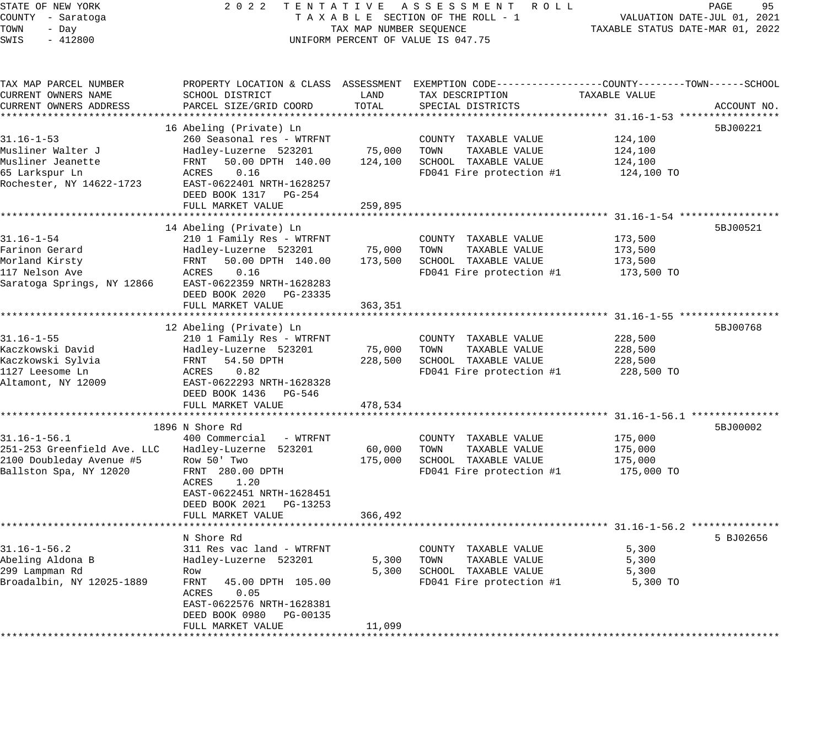STATE OF NEW YORK 2 0 2 2 T E N T A T I V E A S S E S S M E N T R O L L PAGE 95 COUNTY - Saratoga T A X A B L E SECTION OF THE ROLL - 1 VALUATION DATE-JUL 01, 2021 TOWN - Day TAX MAP NUMBER SEQUENCE TAXABLE STATUS DATE-MAR 01, 2022 SWIS - 412800 CONTROLLY THE UNIFORM PERCENT OF VALUE IS 047.75 TAX MAP PARCEL NUMBER PROPERTY LOCATION & CLASS ASSESSMENT EXEMPTION CODE------------------COUNTY--------TOWN------SCHOOL CURRENT OWNERS NAME SCHOOL DISTRICT LAND TAX DESCRIPTION TAXABLE VALUE CURRENT OWNERS ADDRESS PARCEL SIZE/GRID COORD TOTAL SPECIAL DISTRICTS ACCOUNT NO. \*\*\*\*\*\*\*\*\*\*\*\*\*\*\*\*\*\*\*\*\*\*\*\*\*\*\*\*\*\*\*\*\*\*\*\*\*\*\*\*\*\*\*\*\*\*\*\*\*\*\*\*\*\*\*\*\*\*\*\*\*\*\*\*\*\*\*\*\*\*\*\*\*\*\*\*\*\*\*\*\*\*\*\*\*\*\*\*\*\*\*\*\*\*\*\*\*\*\*\*\*\*\* 31.16-1-53 \*\*\*\*\*\*\*\*\*\*\*\*\*\*\*\*\* 16 Abeling (Private) Ln 5BJ00221 31.16-1-53 260 Seasonal res - WTRFNT COUNTY TAXABLE VALUE 124,100 Musliner Walter J Hadley-Luzerne 523201 75,000 TOWN TAXABLE VALUE 124,100 Musliner Jeanette FRNT 50.00 DPTH 140.00 124,100 SCHOOL TAXABLE VALUE 124,100 65 Larkspur Ln ACRES 0.16 FD041 Fire protection #1 124,100 TO Rochester, NY 14622-1723 EAST-0622401 NRTH-1628257 DEED BOOK 1317 PG-254 FULL MARKET VALUE 259,895 \*\*\*\*\*\*\*\*\*\*\*\*\*\*\*\*\*\*\*\*\*\*\*\*\*\*\*\*\*\*\*\*\*\*\*\*\*\*\*\*\*\*\*\*\*\*\*\*\*\*\*\*\*\*\*\*\*\*\*\*\*\*\*\*\*\*\*\*\*\*\*\*\*\*\*\*\*\*\*\*\*\*\*\*\*\*\*\*\*\*\*\*\*\*\*\*\*\*\*\*\*\*\* 31.16-1-54 \*\*\*\*\*\*\*\*\*\*\*\*\*\*\*\*\* 14 Abeling (Private) Ln 5BJ00521 31.16-1-54 210 1 Family Res - WTRFNT COUNTY TAXABLE VALUE 173,500 Farinon Gerard Hadley-Luzerne 523201 75,000 TOWN TAXABLE VALUE 173,500 Morland Kirsty FRNT 50.00 DPTH 140.00 173,500 SCHOOL TAXABLE VALUE 173,500 117 Nelson Ave ACRES 0.16 FD041 Fire protection #1 173,500 TO Saratoga Springs, NY 12866 EAST-0622359 NRTH-1628283 DEED BOOK 2020 PG-23335 FULL MARKET VALUE 363,351 \*\*\*\*\*\*\*\*\*\*\*\*\*\*\*\*\*\*\*\*\*\*\*\*\*\*\*\*\*\*\*\*\*\*\*\*\*\*\*\*\*\*\*\*\*\*\*\*\*\*\*\*\*\*\*\*\*\*\*\*\*\*\*\*\*\*\*\*\*\*\*\*\*\*\*\*\*\*\*\*\*\*\*\*\*\*\*\*\*\*\*\*\*\*\*\*\*\*\*\*\*\*\* 31.16-1-55 \*\*\*\*\*\*\*\*\*\*\*\*\*\*\*\*\* 12 Abeling (Private) Ln 5BJ00768 31.16-1-55 210 1 Family Res - WTRFNT COUNTY TAXABLE VALUE 228,500 Kaczkowski David Hadley-Luzerne 523201 75,000 TOWN TAXABLE VALUE 228,500 Kaczkowski Sylvia FRNT 54.50 DPTH 228,500 SCHOOL TAXABLE VALUE 228,500 1127 Leesome Ln ACRES 0.82 FD041 Fire protection #1 228,500 TO Altamont, NY 12009 EAST-0622293 NRTH-1628328 DEED BOOK 1436 PG-546 ELL BOOK 1430 FG-340<br>FULL MARKET VALUE 478,534 \*\*\*\*\*\*\*\*\*\*\*\*\*\*\*\*\*\*\*\*\*\*\*\*\*\*\*\*\*\*\*\*\*\*\*\*\*\*\*\*\*\*\*\*\*\*\*\*\*\*\*\*\*\*\*\*\*\*\*\*\*\*\*\*\*\*\*\*\*\*\*\*\*\*\*\*\*\*\*\*\*\*\*\*\*\*\*\*\*\*\*\*\*\*\*\*\*\*\*\*\*\*\* 31.16-1-56.1 \*\*\*\*\*\*\*\*\*\*\*\*\*\*\*  $1896$  N Shore Rd  $5BJ00002$ 31.16-1-56.1 400 Commercial - WTRFNT COUNTY TAXABLE VALUE 175,000 251-253 Greenfield Ave. LLC Hadley-Luzerne 523201 60,000 TOWN TAXABLE VALUE 175,000 2100 Doubleday Avenue #5 Row 50' Two 175,000 SCHOOL TAXABLE VALUE 175,000 Ballston Spa, NY 12020 FRNT 280.00 DPTH FROM FD041 Fire protection #1 175,000 TO ACRES 1.20 EAST-0622451 NRTH-1628451 DEED BOOK 2021 PG-13253 FULL MARKET VALUE 366,492 \*\*\*\*\*\*\*\*\*\*\*\*\*\*\*\*\*\*\*\*\*\*\*\*\*\*\*\*\*\*\*\*\*\*\*\*\*\*\*\*\*\*\*\*\*\*\*\*\*\*\*\*\*\*\*\*\*\*\*\*\*\*\*\*\*\*\*\*\*\*\*\*\*\*\*\*\*\*\*\*\*\*\*\*\*\*\*\*\*\*\*\*\*\*\*\*\*\*\*\*\*\*\* 31.16-1-56.2 \*\*\*\*\*\*\*\*\*\*\*\*\*\*\* N Shore Rd 5 BJ02656 31.16-1-56.2 311 Res vac land - WTRFNT COUNTY TAXABLE VALUE 5,300 Abeling Aldona B Hadley-Luzerne 523201 5,300 TOWN TAXABLE VALUE 5,300 299 Lampman Rd Row 5,300 SCHOOL TAXABLE VALUE 5,300 Broadalbin, NY 12025-1889 FRNT 45.00 DPTH 105.00 FD041 Fire protection #1 5,300 TO ACRES 0.05 EAST-0622576 NRTH-1628381 DEED BOOK 0980 PG-00135 FULL MARKET VALUE 11,099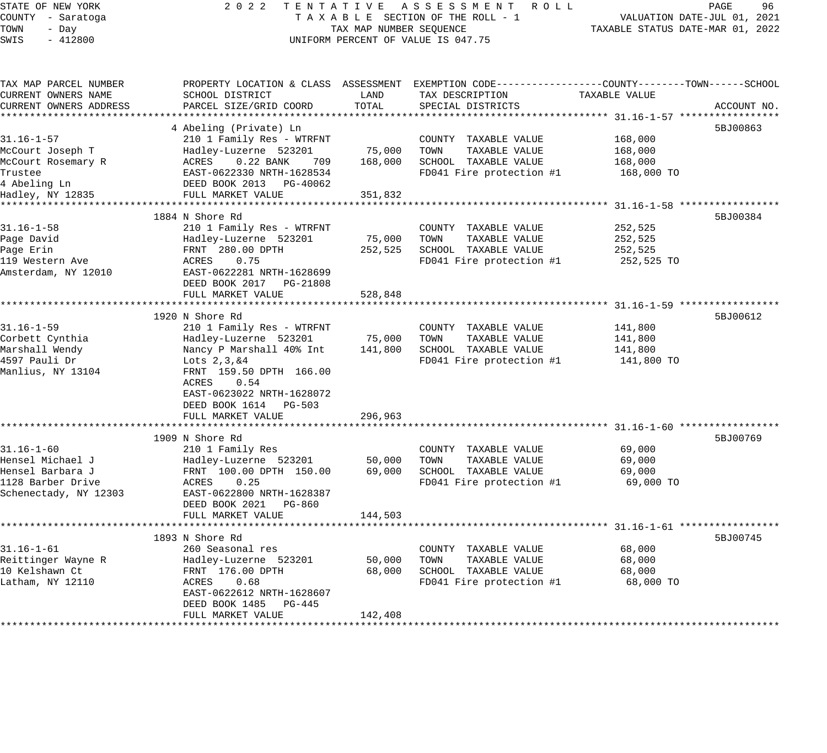STATE OF NEW YORK 2 0 2 2 T E N T A T I V E A S S E S S M E N T R O L L PAGE 96 COUNTY - Saratoga T A X A B L E SECTION OF THE ROLL - 1 VALUATION DATE-JUL 01, 2021 TOWN - Day TAX MAP NUMBER SEQUENCE TAXABLE STATUS DATE-MAR 01, 2022 SHALL OF REACTION OF THE ROLL -<br>COUNTY - Saratoga (COUNTY - Day TAX MAP NUMBER SEQUENCE)<br>SWIS - 412800 (INIFORM PERCENT OF VALUE IS 047.75 TAX MAP PARCEL NUMBER PROPERTY LOCATION & CLASS ASSESSMENT EXEMPTION CODE------------------COUNTY--------TOWN------SCHOOL CURRENT OWNERS NAME SCHOOL DISTRICT LAND TAX DESCRIPTION TAXABLE VALUE CURRENT OWNERS ADDRESS PARCEL SIZE/GRID COORD TOTAL SPECIAL DISTRICTS ACCOUNT NO. \*\*\*\*\*\*\*\*\*\*\*\*\*\*\*\*\*\*\*\*\*\*\*\*\*\*\*\*\*\*\*\*\*\*\*\*\*\*\*\*\*\*\*\*\*\*\*\*\*\*\*\*\*\*\*\*\*\*\*\*\*\*\*\*\*\*\*\*\*\*\*\*\*\*\*\*\*\*\*\*\*\*\*\*\*\*\*\*\*\*\*\*\*\*\*\*\*\*\*\*\*\*\* 31.16-1-57 \*\*\*\*\*\*\*\*\*\*\*\*\*\*\*\*\* 4 Abeling (Private) Ln 5BJ00863 31.16-1-57 210 1 Family Res - WTRFNT COUNTY TAXABLE VALUE 168,000 McCourt Joseph T Hadley-Luzerne 523201 75,000 TOWN TAXABLE VALUE 168,000 McCourt Rosemary R ACRES 0.22 BANK 709 168,000 SCHOOL TAXABLE VALUE 168,000 Trustee EAST-0622330 NRTH-1628534 FD041 Fire protection #1 168,000 TO 4 Abeling Ln DEED BOOK 2013 PG-40062 Hadley, NY 12835 FULL MARKET VALUE 351,832 \*\*\*\*\*\*\*\*\*\*\*\*\*\*\*\*\*\*\*\*\*\*\*\*\*\*\*\*\*\*\*\*\*\*\*\*\*\*\*\*\*\*\*\*\*\*\*\*\*\*\*\*\*\*\*\*\*\*\*\*\*\*\*\*\*\*\*\*\*\*\*\*\*\*\*\*\*\*\*\*\*\*\*\*\*\*\*\*\*\*\*\*\*\*\*\*\*\*\*\*\*\*\* 31.16-1-58 \*\*\*\*\*\*\*\*\*\*\*\*\*\*\*\*\*  $1884$  N Shore Rd  $5BJ00384$ 31.16-1-58 210 1 Family Res - WTRFNT COUNTY TAXABLE VALUE 252,525 Page David Hadley-Luzerne 523201 75,000 TOWN TAXABLE VALUE 252,525 Page Erin FRNT 280.00 DPTH 252,525 SCHOOL TAXABLE VALUE 252,525 119 Western Ave ACRES 0.75 FD041 Fire protection #1 252,525 TO Amsterdam, NY 12010 EAST-0622281 NRTH-1628699 DEED BOOK 2017 PG-21808 FULL MARKET VALUE 528,848 \*\*\*\*\*\*\*\*\*\*\*\*\*\*\*\*\*\*\*\*\*\*\*\*\*\*\*\*\*\*\*\*\*\*\*\*\*\*\*\*\*\*\*\*\*\*\*\*\*\*\*\*\*\*\*\*\*\*\*\*\*\*\*\*\*\*\*\*\*\*\*\*\*\*\*\*\*\*\*\*\*\*\*\*\*\*\*\*\*\*\*\*\*\*\*\*\*\*\*\*\*\*\* 31.16-1-59 \*\*\*\*\*\*\*\*\*\*\*\*\*\*\*\*\* 1920 N Shore Rd 5BJ00612 31.16-1-59 210 1 Family Res - WTRFNT COUNTY TAXABLE VALUE 141,800 Corbett Cynthia Hadley-Luzerne 523201 75,000 TOWN TAXABLE VALUE 141,800 Marshall Wendy Nancy P Marshall 40% Int 141,800 SCHOOL TAXABLE VALUE 141,800 4597 Pauli Dr Lots 2,3,&4 FD041 Fire protection #1 141,800 TO Manlius, NY 13104 FRNT 159.50 DPTH 166.00 ACRES 0.54 EAST-0623022 NRTH-1628072 DEED BOOK 1614 PG-503 FULL MARKET VALUE 296,963 \*\*\*\*\*\*\*\*\*\*\*\*\*\*\*\*\*\*\*\*\*\*\*\*\*\*\*\*\*\*\*\*\*\*\*\*\*\*\*\*\*\*\*\*\*\*\*\*\*\*\*\*\*\*\*\*\*\*\*\*\*\*\*\*\*\*\*\*\*\*\*\*\*\*\*\*\*\*\*\*\*\*\*\*\*\*\*\*\*\*\*\*\*\*\*\*\*\*\*\*\*\*\* 31.16-1-60 \*\*\*\*\*\*\*\*\*\*\*\*\*\*\*\*\*  $1909$  N Shore Rd  $5BJ00769$ 31.16-1-60 210 1 Family Res COUNTY TAXABLE VALUE 69,000 Hensel Michael J Hadley-Luzerne 523201 50,000 TOWN TAXABLE VALUE 69,000 Hensel Barbara J FRNT 100.00 DPTH 150.00 69,000 SCHOOL TAXABLE VALUE 69,000 1128 Barber Drive ACRES 0.25 FD041 Fire protection #1 69,000 TO Schenectady, NY 12303 EAST-0622800 NRTH-1628387 DEED BOOK 2021 PG-860 FULL MARKET VALUE 144,503 \*\*\*\*\*\*\*\*\*\*\*\*\*\*\*\*\*\*\*\*\*\*\*\*\*\*\*\*\*\*\*\*\*\*\*\*\*\*\*\*\*\*\*\*\*\*\*\*\*\*\*\*\*\*\*\*\*\*\*\*\*\*\*\*\*\*\*\*\*\*\*\*\*\*\*\*\*\*\*\*\*\*\*\*\*\*\*\*\*\*\*\*\*\*\*\*\*\*\*\*\*\*\* 31.16-1-61 \*\*\*\*\*\*\*\*\*\*\*\*\*\*\*\*\* 1893 N Shore Rd 5BJ00745 31.16-1-61 260 Seasonal res COUNTY TAXABLE VALUE 68,000 Reittinger Wayne R Hadley-Luzerne 523201 50,000 TOWN TAXABLE VALUE 68,000 10 Kelshawn Ct FRNT 176.00 DPTH 68,000 SCHOOL TAXABLE VALUE 68,000 Latham, NY 12110 ACRES 0.68 FD041 Fire protection #1 68,000 TO EAST-0622612 NRTH-1628607 DEED BOOK 1485 PG-445 FULL MARKET VALUE 142,408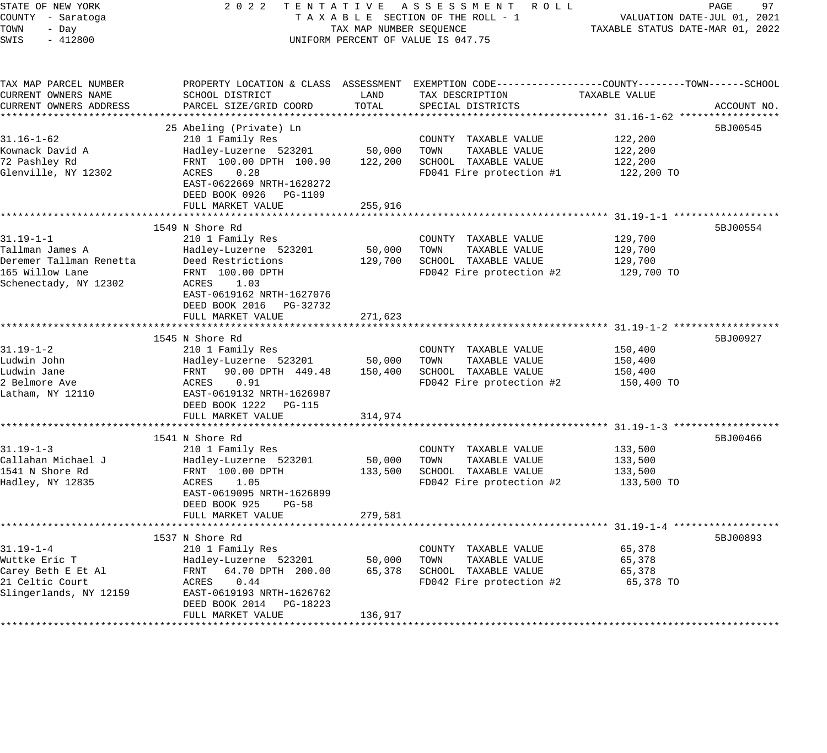| STATE OF NEW YORK<br>COUNTY - Saratoga<br>TOWN<br>- Day<br>$-412800$<br>SWIS                              | 2 0 2 2<br>TENTATIVE ASSESSMENT ROLL<br>TAXABLE SECTION OF THE ROLL - 1<br>TAX MAP NUMBER SEQUENCE<br>UNIFORM PERCENT OF VALUE IS 047.75                                                                        | 97<br>PAGE<br>VALUATION DATE-JUL 01, 2021<br>TAXABLE STATUS DATE-MAR 01, 2022 |                                                                                                                                          |                                             |             |
|-----------------------------------------------------------------------------------------------------------|-----------------------------------------------------------------------------------------------------------------------------------------------------------------------------------------------------------------|-------------------------------------------------------------------------------|------------------------------------------------------------------------------------------------------------------------------------------|---------------------------------------------|-------------|
| TAX MAP PARCEL NUMBER<br>CURRENT OWNERS NAME<br>CURRENT OWNERS ADDRESS                                    | SCHOOL DISTRICT<br>PARCEL SIZE/GRID COORD                                                                                                                                                                       | LAND<br>TOTAL                                                                 | PROPERTY LOCATION & CLASS ASSESSMENT EXEMPTION CODE----------------COUNTY-------TOWN------SCHOOL<br>TAX DESCRIPTION<br>SPECIAL DISTRICTS | TAXABLE VALUE                               | ACCOUNT NO. |
| $31.16 - 1 - 62$<br>Kownack David A<br>72 Pashley Rd<br>Glenville, NY 12302                               | 25 Abeling (Private) Ln<br>210 1 Family Res<br>Hadley-Luzerne 523201<br>FRNT 100.00 DPTH 100.90<br>0.28<br>ACRES<br>EAST-0622669 NRTH-1628272<br>DEED BOOK 0926 PG-1109<br>FULL MARKET VALUE                    | 50,000<br>122,200<br>255,916                                                  | COUNTY TAXABLE VALUE<br>TOWN<br>TAXABLE VALUE<br>SCHOOL TAXABLE VALUE<br>FD041 Fire protection #1                                        | 122,200<br>122,200<br>122,200<br>122,200 TO | 5BJ00545    |
| $31.19 - 1 - 1$<br>Tallman James A<br>Deremer Tallman Renetta<br>165 Willow Lane<br>Schenectady, NY 12302 | 1549 N Shore Rd<br>210 1 Family Res<br>Hadley-Luzerne 523201<br>Deed Restrictions<br>FRNT 100.00 DPTH<br>ACRES<br>1.03<br>EAST-0619162 NRTH-1627076<br>DEED BOOK 2016 PG-32732<br>FULL MARKET VALUE             | 50,000<br>129,700<br>271,623                                                  | COUNTY TAXABLE VALUE<br>TOWN<br>TAXABLE VALUE<br>SCHOOL TAXABLE VALUE<br>FD042 Fire protection #2                                        | 129,700<br>129,700<br>129,700<br>129,700 TO | 5BJ00554    |
| $31.19 - 1 - 2$<br>Ludwin John<br>Ludwin Jane<br>2 Belmore Ave<br>Latham, NY 12110                        | **********************<br>1545 N Shore Rd<br>210 1 Family Res<br>Hadley-Luzerne 523201<br>90.00 DPTH 449.48<br>FRNT<br>ACRES<br>0.91<br>EAST-0619132 NRTH-1626987<br>DEED BOOK 1222 PG-115<br>FULL MARKET VALUE | 50,000<br>150,400<br>314,974                                                  | COUNTY TAXABLE VALUE<br>TOWN<br>TAXABLE VALUE<br>SCHOOL TAXABLE VALUE<br>FD042 Fire protection #2                                        | 150,400<br>150,400<br>150,400<br>150,400 TO | 5BJ00927    |
| $31.19 - 1 - 3$<br>Callahan Michael J<br>1541 N Shore Rd<br>Hadley, NY 12835                              | 1541 N Shore Rd<br>210 1 Family Res<br>Hadley-Luzerne 523201<br>FRNT 100.00 DPTH<br>ACRES<br>1.05<br>EAST-0619095 NRTH-1626899<br>DEED BOOK 925<br>PG-58<br>FULL MARKET VALUE                                   | 50,000<br>133,500<br>279,581                                                  | COUNTY TAXABLE VALUE<br>TAXABLE VALUE<br>TOWN<br>SCHOOL TAXABLE VALUE<br>FD042 Fire protection #2                                        | 133,500<br>133,500<br>133,500<br>133,500 TO | 5BJ00466    |
| $31.19 - 1 - 4$<br>Wuttke Eric T<br>Carey Beth E Et Al<br>21 Celtic Court<br>Slingerlands, NY 12159       | 1537 N Shore Rd<br>210 1 Family Res<br>Hadley-Luzerne 523201<br>64.70 DPTH 200.00<br>FRNT<br>ACRES<br>0.44<br>EAST-0619193 NRTH-1626762<br>DEED BOOK 2014 PG-18223<br>FULL MARKET VALUE                         | 50,000<br>65,378<br>136,917                                                   | COUNTY TAXABLE VALUE<br>TAXABLE VALUE<br>TOWN<br>SCHOOL TAXABLE VALUE<br>FD042 Fire protection #2                                        | 65,378<br>65,378<br>65,378<br>65,378 TO     | 5BJ00893    |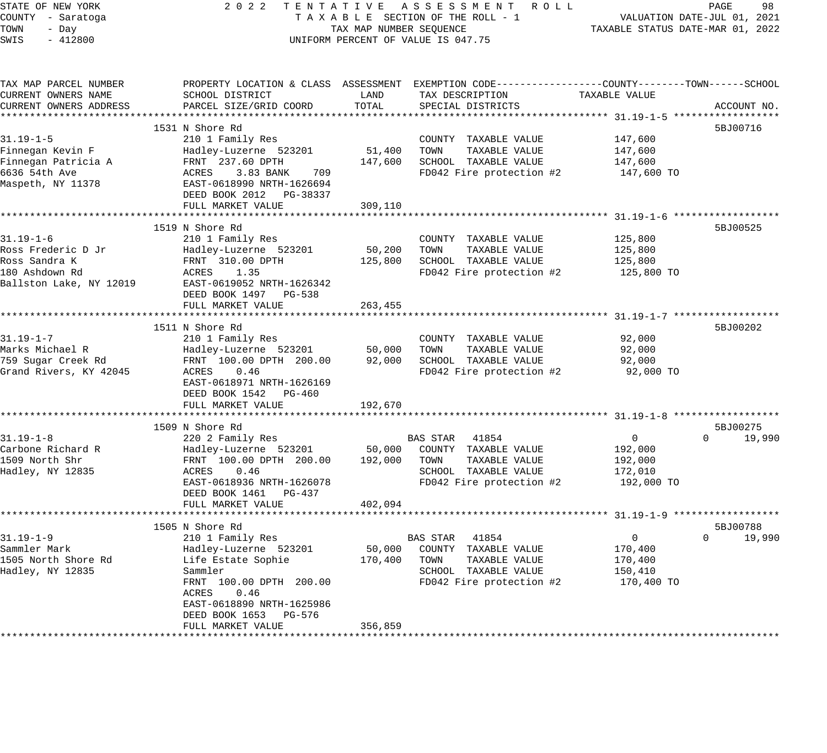| STATE OF NEW YORK       | 2 0 2 2                                      |                                  | TENTATIVE ASSESSMENT ROLL                                                                        |                                                        | 98<br>PAGE                  |
|-------------------------|----------------------------------------------|----------------------------------|--------------------------------------------------------------------------------------------------|--------------------------------------------------------|-----------------------------|
| COUNTY - Saratoga       |                                              |                                  | TAXABLE SECTION OF THE ROLL - 1                                                                  |                                                        | VALUATION DATE-JUL 01, 2021 |
| TOWN<br>- Day           | TAX MAP NUMBER SEQUENCE                      | TAXABLE STATUS DATE-MAR 01, 2022 |                                                                                                  |                                                        |                             |
| SWIS<br>$-412800$       |                                              |                                  | UNIFORM PERCENT OF VALUE IS 047.75                                                               |                                                        |                             |
|                         |                                              |                                  |                                                                                                  |                                                        |                             |
| TAX MAP PARCEL NUMBER   |                                              |                                  | PROPERTY LOCATION & CLASS ASSESSMENT EXEMPTION CODE----------------COUNTY-------TOWN------SCHOOL |                                                        |                             |
| CURRENT OWNERS NAME     | SCHOOL DISTRICT                              | LAND                             | TAX DESCRIPTION                                                                                  | TAXABLE VALUE                                          |                             |
| CURRENT OWNERS ADDRESS  | PARCEL SIZE/GRID COORD                       | TOTAL                            | SPECIAL DISTRICTS                                                                                |                                                        | ACCOUNT NO.                 |
|                         |                                              |                                  |                                                                                                  |                                                        |                             |
|                         | 1531 N Shore Rd                              |                                  |                                                                                                  |                                                        | 5BJ00716                    |
| $31.19 - 1 - 5$         | 210 1 Family Res                             |                                  | COUNTY TAXABLE VALUE                                                                             | 147,600                                                |                             |
| Finnegan Kevin F        | Hadley-Luzerne 523201                        | 51,400                           | TOWN<br>TAXABLE VALUE                                                                            | 147,600                                                |                             |
| Finnegan Patricia A     | FRNT 237.60 DPTH                             | 147,600                          | SCHOOL TAXABLE VALUE                                                                             | 147,600                                                |                             |
| 6636 54th Ave           | ACRES<br>3.83 BANK<br>709                    |                                  | FD042 Fire protection #2                                                                         | 147,600 TO                                             |                             |
| Maspeth, NY 11378       | EAST-0618990 NRTH-1626694                    |                                  |                                                                                                  |                                                        |                             |
|                         | DEED BOOK 2012 PG-38337                      |                                  |                                                                                                  |                                                        |                             |
|                         | FULL MARKET VALUE                            | 309,110                          |                                                                                                  |                                                        |                             |
|                         | ***********************                      | * * * * * * * * * *              |                                                                                                  | ************************ 31.19-1-6 ******************* |                             |
|                         | 1519 N Shore Rd                              |                                  |                                                                                                  |                                                        | 5BJ00525                    |
| $31.19 - 1 - 6$         | 210 1 Family Res                             |                                  | COUNTY TAXABLE VALUE                                                                             | 125,800                                                |                             |
| Ross Frederic D Jr      | Hadley-Luzerne 523201                        | 50,200                           | TOWN<br>TAXABLE VALUE                                                                            | 125,800                                                |                             |
| Ross Sandra K           | FRNT 310.00 DPTH                             | 125,800                          | SCHOOL TAXABLE VALUE                                                                             | 125,800                                                |                             |
| 180 Ashdown Rd          | ACRES<br>1.35                                |                                  | FD042 Fire protection #2                                                                         | 125,800 TO                                             |                             |
| Ballston Lake, NY 12019 | EAST-0619052 NRTH-1626342                    |                                  |                                                                                                  |                                                        |                             |
|                         | DEED BOOK 1497 PG-538                        |                                  |                                                                                                  |                                                        |                             |
|                         | FULL MARKET VALUE                            | 263,455                          |                                                                                                  |                                                        |                             |
|                         | ************************                     | *********                        |                                                                                                  | ************************ 31.19-1-7 ******************* |                             |
|                         | 1511 N Shore Rd                              |                                  |                                                                                                  |                                                        | 5BJ00202                    |
| $31.19 - 1 - 7$         | 210 1 Family Res                             |                                  | COUNTY TAXABLE VALUE                                                                             | 92,000                                                 |                             |
| Marks Michael R         | Hadley-Luzerne 523201                        | 50,000                           | TOWN<br>TAXABLE VALUE                                                                            | 92,000                                                 |                             |
| 759 Sugar Creek Rd      | FRNT 100.00 DPTH 200.00                      | 92,000                           | SCHOOL TAXABLE VALUE                                                                             | 92,000                                                 |                             |
| Grand Rivers, KY 42045  | ACRES<br>0.46                                |                                  | FD042 Fire protection #2                                                                         | 92,000 TO                                              |                             |
|                         | EAST-0618971 NRTH-1626169                    |                                  |                                                                                                  |                                                        |                             |
|                         | DEED BOOK 1542 PG-460                        |                                  |                                                                                                  |                                                        |                             |
|                         | FULL MARKET VALUE<br>*********************** | 192,670<br>***********           |                                                                                                  |                                                        |                             |
|                         | 1509 N Shore Rd                              |                                  |                                                                                                  |                                                        | 5BJ00275                    |
| $31.19 - 1 - 8$         | 220 2 Family Res                             |                                  | BAS STAR<br>41854                                                                                | 0                                                      | 19,990<br>0                 |
| Carbone Richard R       | Hadley-Luzerne 523201                        | 50,000                           | COUNTY TAXABLE VALUE                                                                             | 192,000                                                |                             |
| 1509 North Shr          | FRNT 100.00 DPTH 200.00                      | 192,000                          | TOWN<br>TAXABLE VALUE                                                                            | 192,000                                                |                             |
| Hadley, NY 12835        | ACRES<br>0.46                                |                                  | SCHOOL TAXABLE VALUE                                                                             | 172,010                                                |                             |
|                         | EAST-0618936 NRTH-1626078                    |                                  | FD042 Fire protection #2                                                                         | 192,000 TO                                             |                             |
|                         | DEED BOOK 1461<br>PG-437                     |                                  |                                                                                                  |                                                        |                             |
|                         | FULL MARKET VALUE                            | 402,094                          |                                                                                                  |                                                        |                             |
|                         |                                              |                                  |                                                                                                  |                                                        |                             |
|                         | 1505 N Shore Rd                              |                                  |                                                                                                  |                                                        | 5BJ00788                    |
| $31.19 - 1 - 9$         | 210 1 Family Res                             |                                  | 41854<br>BAS STAR                                                                                | $\mathbf 0$                                            | 19,990<br>$\Omega$          |
| Sammler Mark            | Hadley-Luzerne 523201                        | 50,000                           | COUNTY TAXABLE VALUE                                                                             | 170,400                                                |                             |
| 1505 North Shore Rd     | Life Estate Sophie                           | 170,400                          | TOWN<br>TAXABLE VALUE                                                                            | 170,400                                                |                             |
| Hadley, NY 12835        | Sammler                                      |                                  | SCHOOL TAXABLE VALUE                                                                             | 150,410                                                |                             |
|                         | FRNT 100.00 DPTH 200.00                      |                                  | FD042 Fire protection #2                                                                         | 170,400 TO                                             |                             |
|                         | ACRES<br>0.46                                |                                  |                                                                                                  |                                                        |                             |
|                         | EAST-0618890 NRTH-1625986                    |                                  |                                                                                                  |                                                        |                             |
|                         | DEED BOOK 1653<br>PG-576                     |                                  |                                                                                                  |                                                        |                             |
|                         | FULL MARKET VALUE                            | 356,859                          |                                                                                                  |                                                        |                             |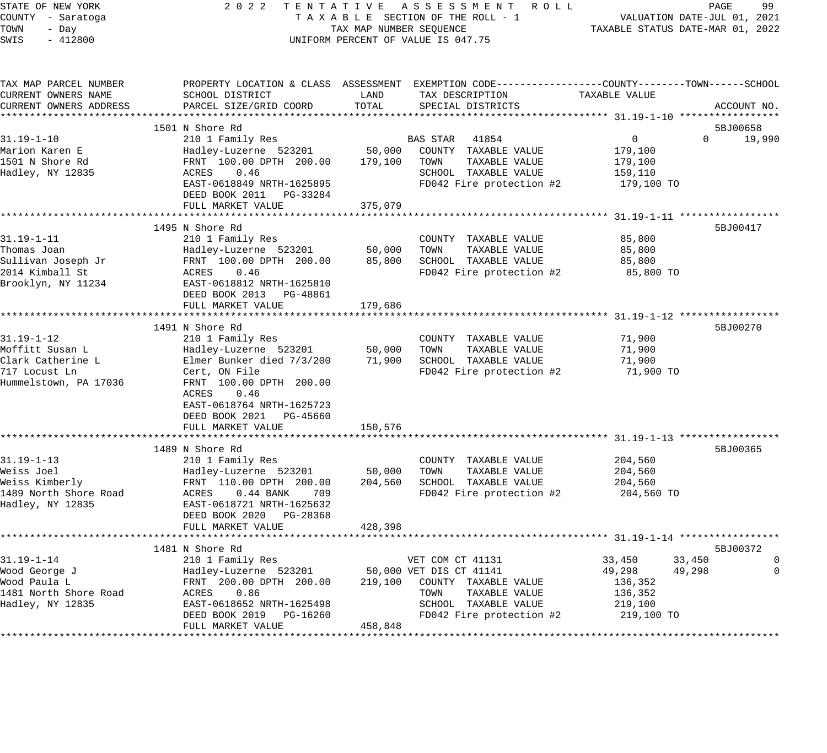| COUNTY - Saratoga<br>TAXABLE SECTION OF THE ROLL - 1<br>VALUATION DATE-JUL 01, 2021<br>TOWN<br>TAX MAP NUMBER SEQUENCE<br>TAXABLE STATUS DATE-MAR 01, 2022<br>- Day<br>SWIS<br>$-412800$<br>UNIFORM PERCENT OF VALUE IS 047.75<br>TAX MAP PARCEL NUMBER<br>PROPERTY LOCATION & CLASS ASSESSMENT EXEMPTION CODE---------------COUNTY-------TOWN------SCHOOL<br>CURRENT OWNERS NAME<br>SCHOOL DISTRICT<br>LAND<br>TAX DESCRIPTION<br>TAXABLE VALUE<br>PARCEL SIZE/GRID COORD<br>TOTAL<br>SPECIAL DISTRICTS<br>CURRENT OWNERS ADDRESS<br>1501 N Shore Rd<br>5BJ00658<br>$31.19 - 1 - 10$<br>210 1 Family Res<br><b>BAS STAR</b><br>41854<br>$\mathbf{0}$<br>$\Omega$<br>50,000<br>Hadley-Luzerne 523201<br>COUNTY TAXABLE VALUE<br>179,100<br>1501 N Shore Rd<br>FRNT 100.00 DPTH 200.00<br>179,100<br>TOWN<br>TAXABLE VALUE<br>179,100<br>ACRES<br>0.46<br>SCHOOL TAXABLE VALUE<br>159,110<br>EAST-0618849 NRTH-1625895<br>FD042 Fire protection #2<br>179,100 TO<br>DEED BOOK 2011 PG-33284<br>FULL MARKET VALUE<br>375,079<br>*************************<br>***********<br>****************************** 31.19-1-11 ******************<br>1495 N Shore Rd<br>5BJ00417<br>$31.19 - 1 - 11$<br>210 1 Family Res<br>85,800<br>COUNTY TAXABLE VALUE<br>Thomas Joan<br>50,000<br>Hadley-Luzerne 523201<br>TOWN<br>TAXABLE VALUE<br>85,800<br>Sullivan Joseph Jr<br>FRNT 100.00 DPTH 200.00<br>85,800<br>SCHOOL TAXABLE VALUE<br>85,800<br>2014 Kimball St<br>FD042 Fire protection #2<br>ACRES<br>0.46<br>85,800 TO<br>Brooklyn, NY 11234<br>EAST-0618812 NRTH-1625810<br>DEED BOOK 2013 PG-48861<br>FULL MARKET VALUE<br>179,686<br>********** 31.19-1-12 **************<br>1491 N Shore Rd<br>5BJ00270<br>$31.19 - 1 - 12$<br>210 1 Family Res<br>71,900<br>COUNTY TAXABLE VALUE<br>Moffitt Susan L<br>Hadley-Luzerne 523201<br>50,000<br>TOWN<br>TAXABLE VALUE<br>71,900<br>Clark Catherine L<br>Elmer Bunker died 7/3/200<br>71,900<br>SCHOOL TAXABLE VALUE<br>71,900<br>717 Locust Ln<br>FD042 Fire protection #2<br>71,900 TO<br>Cert, ON File<br>Hummelstown, PA 17036<br>FRNT 100.00 DPTH 200.00<br>0.46<br>ACRES<br>EAST-0618764 NRTH-1625723<br>DEED BOOK 2021 PG-45660<br>150,576<br>FULL MARKET VALUE<br>*********** 31.19-1-13 **************<br>1489 N Shore Rd<br>5BJ00365<br>31.19-1-13<br>210 1 Family Res<br>COUNTY TAXABLE VALUE<br>204,560<br>Weiss Joel<br>Hadley-Luzerne 523201<br>50,000<br>TOWN<br>TAXABLE VALUE<br>204,560<br>Weiss Kimberly<br>FRNT 110.00 DPTH 200.00<br>204,560<br>SCHOOL TAXABLE VALUE<br>204,560<br>1489 North Shore Road<br>FD042 Fire protection #2<br>204,560 TO<br>ACRES<br>$0.44$ BANK<br>709<br>Hadley, NY 12835<br>EAST-0618721 NRTH-1625632<br>DEED BOOK 2020<br>PG-28368<br>FULL MARKET VALUE<br>428,398<br>1481 N Shore Rd<br>5BJ00372<br>$31.19 - 1 - 14$<br>33,450<br>210 1 Family Res<br>VET COM CT 41131<br>33,450<br>0<br>49,298<br>Wood George J<br>Hadley-Luzerne 523201<br>50,000 VET DIS CT 41141<br>49,298<br>0<br>Wood Paula L<br>FRNT 200.00 DPTH 200.00<br>219,100<br>COUNTY TAXABLE VALUE<br>136,352<br>1481 North Shore Road<br>TAXABLE VALUE<br>ACRES<br>0.86<br>TOWN<br>136,352<br>SCHOOL TAXABLE VALUE<br>Hadley, NY 12835<br>EAST-0618652 NRTH-1625498<br>219,100<br>DEED BOOK 2019<br>FD042 Fire protection #2<br>219,100 TO<br>PG-16260<br>FULL MARKET VALUE<br>458,848 | STATE OF NEW YORK | 2 0 2 2<br>TENTATIVE | ASSESSMENT ROLL | 99<br>PAGE  |
|-------------------------------------------------------------------------------------------------------------------------------------------------------------------------------------------------------------------------------------------------------------------------------------------------------------------------------------------------------------------------------------------------------------------------------------------------------------------------------------------------------------------------------------------------------------------------------------------------------------------------------------------------------------------------------------------------------------------------------------------------------------------------------------------------------------------------------------------------------------------------------------------------------------------------------------------------------------------------------------------------------------------------------------------------------------------------------------------------------------------------------------------------------------------------------------------------------------------------------------------------------------------------------------------------------------------------------------------------------------------------------------------------------------------------------------------------------------------------------------------------------------------------------------------------------------------------------------------------------------------------------------------------------------------------------------------------------------------------------------------------------------------------------------------------------------------------------------------------------------------------------------------------------------------------------------------------------------------------------------------------------------------------------------------------------------------------------------------------------------------------------------------------------------------------------------------------------------------------------------------------------------------------------------------------------------------------------------------------------------------------------------------------------------------------------------------------------------------------------------------------------------------------------------------------------------------------------------------------------------------------------------------------------------------------------------------------------------------------------------------------------------------------------------------------------------------------------------------------------------------------------------------------------------------------------------------------------------------------------------------------------------------------------------------------------------------------------------------------------------------------------------------------------------------------------------------------------------------------------------------------------------------------------------------------------------------------------------------------|-------------------|----------------------|-----------------|-------------|
|                                                                                                                                                                                                                                                                                                                                                                                                                                                                                                                                                                                                                                                                                                                                                                                                                                                                                                                                                                                                                                                                                                                                                                                                                                                                                                                                                                                                                                                                                                                                                                                                                                                                                                                                                                                                                                                                                                                                                                                                                                                                                                                                                                                                                                                                                                                                                                                                                                                                                                                                                                                                                                                                                                                                                                                                                                                                                                                                                                                                                                                                                                                                                                                                                                                                                                                                                 |                   |                      |                 |             |
|                                                                                                                                                                                                                                                                                                                                                                                                                                                                                                                                                                                                                                                                                                                                                                                                                                                                                                                                                                                                                                                                                                                                                                                                                                                                                                                                                                                                                                                                                                                                                                                                                                                                                                                                                                                                                                                                                                                                                                                                                                                                                                                                                                                                                                                                                                                                                                                                                                                                                                                                                                                                                                                                                                                                                                                                                                                                                                                                                                                                                                                                                                                                                                                                                                                                                                                                                 |                   |                      |                 |             |
|                                                                                                                                                                                                                                                                                                                                                                                                                                                                                                                                                                                                                                                                                                                                                                                                                                                                                                                                                                                                                                                                                                                                                                                                                                                                                                                                                                                                                                                                                                                                                                                                                                                                                                                                                                                                                                                                                                                                                                                                                                                                                                                                                                                                                                                                                                                                                                                                                                                                                                                                                                                                                                                                                                                                                                                                                                                                                                                                                                                                                                                                                                                                                                                                                                                                                                                                                 |                   |                      |                 |             |
|                                                                                                                                                                                                                                                                                                                                                                                                                                                                                                                                                                                                                                                                                                                                                                                                                                                                                                                                                                                                                                                                                                                                                                                                                                                                                                                                                                                                                                                                                                                                                                                                                                                                                                                                                                                                                                                                                                                                                                                                                                                                                                                                                                                                                                                                                                                                                                                                                                                                                                                                                                                                                                                                                                                                                                                                                                                                                                                                                                                                                                                                                                                                                                                                                                                                                                                                                 |                   |                      |                 |             |
|                                                                                                                                                                                                                                                                                                                                                                                                                                                                                                                                                                                                                                                                                                                                                                                                                                                                                                                                                                                                                                                                                                                                                                                                                                                                                                                                                                                                                                                                                                                                                                                                                                                                                                                                                                                                                                                                                                                                                                                                                                                                                                                                                                                                                                                                                                                                                                                                                                                                                                                                                                                                                                                                                                                                                                                                                                                                                                                                                                                                                                                                                                                                                                                                                                                                                                                                                 |                   |                      |                 |             |
|                                                                                                                                                                                                                                                                                                                                                                                                                                                                                                                                                                                                                                                                                                                                                                                                                                                                                                                                                                                                                                                                                                                                                                                                                                                                                                                                                                                                                                                                                                                                                                                                                                                                                                                                                                                                                                                                                                                                                                                                                                                                                                                                                                                                                                                                                                                                                                                                                                                                                                                                                                                                                                                                                                                                                                                                                                                                                                                                                                                                                                                                                                                                                                                                                                                                                                                                                 |                   |                      |                 |             |
|                                                                                                                                                                                                                                                                                                                                                                                                                                                                                                                                                                                                                                                                                                                                                                                                                                                                                                                                                                                                                                                                                                                                                                                                                                                                                                                                                                                                                                                                                                                                                                                                                                                                                                                                                                                                                                                                                                                                                                                                                                                                                                                                                                                                                                                                                                                                                                                                                                                                                                                                                                                                                                                                                                                                                                                                                                                                                                                                                                                                                                                                                                                                                                                                                                                                                                                                                 |                   |                      |                 | ACCOUNT NO. |
|                                                                                                                                                                                                                                                                                                                                                                                                                                                                                                                                                                                                                                                                                                                                                                                                                                                                                                                                                                                                                                                                                                                                                                                                                                                                                                                                                                                                                                                                                                                                                                                                                                                                                                                                                                                                                                                                                                                                                                                                                                                                                                                                                                                                                                                                                                                                                                                                                                                                                                                                                                                                                                                                                                                                                                                                                                                                                                                                                                                                                                                                                                                                                                                                                                                                                                                                                 |                   |                      |                 |             |
|                                                                                                                                                                                                                                                                                                                                                                                                                                                                                                                                                                                                                                                                                                                                                                                                                                                                                                                                                                                                                                                                                                                                                                                                                                                                                                                                                                                                                                                                                                                                                                                                                                                                                                                                                                                                                                                                                                                                                                                                                                                                                                                                                                                                                                                                                                                                                                                                                                                                                                                                                                                                                                                                                                                                                                                                                                                                                                                                                                                                                                                                                                                                                                                                                                                                                                                                                 |                   |                      |                 |             |
|                                                                                                                                                                                                                                                                                                                                                                                                                                                                                                                                                                                                                                                                                                                                                                                                                                                                                                                                                                                                                                                                                                                                                                                                                                                                                                                                                                                                                                                                                                                                                                                                                                                                                                                                                                                                                                                                                                                                                                                                                                                                                                                                                                                                                                                                                                                                                                                                                                                                                                                                                                                                                                                                                                                                                                                                                                                                                                                                                                                                                                                                                                                                                                                                                                                                                                                                                 |                   |                      |                 | 19,990      |
|                                                                                                                                                                                                                                                                                                                                                                                                                                                                                                                                                                                                                                                                                                                                                                                                                                                                                                                                                                                                                                                                                                                                                                                                                                                                                                                                                                                                                                                                                                                                                                                                                                                                                                                                                                                                                                                                                                                                                                                                                                                                                                                                                                                                                                                                                                                                                                                                                                                                                                                                                                                                                                                                                                                                                                                                                                                                                                                                                                                                                                                                                                                                                                                                                                                                                                                                                 | Marion Karen E    |                      |                 |             |
|                                                                                                                                                                                                                                                                                                                                                                                                                                                                                                                                                                                                                                                                                                                                                                                                                                                                                                                                                                                                                                                                                                                                                                                                                                                                                                                                                                                                                                                                                                                                                                                                                                                                                                                                                                                                                                                                                                                                                                                                                                                                                                                                                                                                                                                                                                                                                                                                                                                                                                                                                                                                                                                                                                                                                                                                                                                                                                                                                                                                                                                                                                                                                                                                                                                                                                                                                 |                   |                      |                 |             |
|                                                                                                                                                                                                                                                                                                                                                                                                                                                                                                                                                                                                                                                                                                                                                                                                                                                                                                                                                                                                                                                                                                                                                                                                                                                                                                                                                                                                                                                                                                                                                                                                                                                                                                                                                                                                                                                                                                                                                                                                                                                                                                                                                                                                                                                                                                                                                                                                                                                                                                                                                                                                                                                                                                                                                                                                                                                                                                                                                                                                                                                                                                                                                                                                                                                                                                                                                 | Hadley, NY 12835  |                      |                 |             |
|                                                                                                                                                                                                                                                                                                                                                                                                                                                                                                                                                                                                                                                                                                                                                                                                                                                                                                                                                                                                                                                                                                                                                                                                                                                                                                                                                                                                                                                                                                                                                                                                                                                                                                                                                                                                                                                                                                                                                                                                                                                                                                                                                                                                                                                                                                                                                                                                                                                                                                                                                                                                                                                                                                                                                                                                                                                                                                                                                                                                                                                                                                                                                                                                                                                                                                                                                 |                   |                      |                 |             |
|                                                                                                                                                                                                                                                                                                                                                                                                                                                                                                                                                                                                                                                                                                                                                                                                                                                                                                                                                                                                                                                                                                                                                                                                                                                                                                                                                                                                                                                                                                                                                                                                                                                                                                                                                                                                                                                                                                                                                                                                                                                                                                                                                                                                                                                                                                                                                                                                                                                                                                                                                                                                                                                                                                                                                                                                                                                                                                                                                                                                                                                                                                                                                                                                                                                                                                                                                 |                   |                      |                 |             |
|                                                                                                                                                                                                                                                                                                                                                                                                                                                                                                                                                                                                                                                                                                                                                                                                                                                                                                                                                                                                                                                                                                                                                                                                                                                                                                                                                                                                                                                                                                                                                                                                                                                                                                                                                                                                                                                                                                                                                                                                                                                                                                                                                                                                                                                                                                                                                                                                                                                                                                                                                                                                                                                                                                                                                                                                                                                                                                                                                                                                                                                                                                                                                                                                                                                                                                                                                 |                   |                      |                 |             |
|                                                                                                                                                                                                                                                                                                                                                                                                                                                                                                                                                                                                                                                                                                                                                                                                                                                                                                                                                                                                                                                                                                                                                                                                                                                                                                                                                                                                                                                                                                                                                                                                                                                                                                                                                                                                                                                                                                                                                                                                                                                                                                                                                                                                                                                                                                                                                                                                                                                                                                                                                                                                                                                                                                                                                                                                                                                                                                                                                                                                                                                                                                                                                                                                                                                                                                                                                 |                   |                      |                 |             |
|                                                                                                                                                                                                                                                                                                                                                                                                                                                                                                                                                                                                                                                                                                                                                                                                                                                                                                                                                                                                                                                                                                                                                                                                                                                                                                                                                                                                                                                                                                                                                                                                                                                                                                                                                                                                                                                                                                                                                                                                                                                                                                                                                                                                                                                                                                                                                                                                                                                                                                                                                                                                                                                                                                                                                                                                                                                                                                                                                                                                                                                                                                                                                                                                                                                                                                                                                 |                   |                      |                 |             |
|                                                                                                                                                                                                                                                                                                                                                                                                                                                                                                                                                                                                                                                                                                                                                                                                                                                                                                                                                                                                                                                                                                                                                                                                                                                                                                                                                                                                                                                                                                                                                                                                                                                                                                                                                                                                                                                                                                                                                                                                                                                                                                                                                                                                                                                                                                                                                                                                                                                                                                                                                                                                                                                                                                                                                                                                                                                                                                                                                                                                                                                                                                                                                                                                                                                                                                                                                 |                   |                      |                 |             |
|                                                                                                                                                                                                                                                                                                                                                                                                                                                                                                                                                                                                                                                                                                                                                                                                                                                                                                                                                                                                                                                                                                                                                                                                                                                                                                                                                                                                                                                                                                                                                                                                                                                                                                                                                                                                                                                                                                                                                                                                                                                                                                                                                                                                                                                                                                                                                                                                                                                                                                                                                                                                                                                                                                                                                                                                                                                                                                                                                                                                                                                                                                                                                                                                                                                                                                                                                 |                   |                      |                 |             |
|                                                                                                                                                                                                                                                                                                                                                                                                                                                                                                                                                                                                                                                                                                                                                                                                                                                                                                                                                                                                                                                                                                                                                                                                                                                                                                                                                                                                                                                                                                                                                                                                                                                                                                                                                                                                                                                                                                                                                                                                                                                                                                                                                                                                                                                                                                                                                                                                                                                                                                                                                                                                                                                                                                                                                                                                                                                                                                                                                                                                                                                                                                                                                                                                                                                                                                                                                 |                   |                      |                 |             |
|                                                                                                                                                                                                                                                                                                                                                                                                                                                                                                                                                                                                                                                                                                                                                                                                                                                                                                                                                                                                                                                                                                                                                                                                                                                                                                                                                                                                                                                                                                                                                                                                                                                                                                                                                                                                                                                                                                                                                                                                                                                                                                                                                                                                                                                                                                                                                                                                                                                                                                                                                                                                                                                                                                                                                                                                                                                                                                                                                                                                                                                                                                                                                                                                                                                                                                                                                 |                   |                      |                 |             |
|                                                                                                                                                                                                                                                                                                                                                                                                                                                                                                                                                                                                                                                                                                                                                                                                                                                                                                                                                                                                                                                                                                                                                                                                                                                                                                                                                                                                                                                                                                                                                                                                                                                                                                                                                                                                                                                                                                                                                                                                                                                                                                                                                                                                                                                                                                                                                                                                                                                                                                                                                                                                                                                                                                                                                                                                                                                                                                                                                                                                                                                                                                                                                                                                                                                                                                                                                 |                   |                      |                 |             |
|                                                                                                                                                                                                                                                                                                                                                                                                                                                                                                                                                                                                                                                                                                                                                                                                                                                                                                                                                                                                                                                                                                                                                                                                                                                                                                                                                                                                                                                                                                                                                                                                                                                                                                                                                                                                                                                                                                                                                                                                                                                                                                                                                                                                                                                                                                                                                                                                                                                                                                                                                                                                                                                                                                                                                                                                                                                                                                                                                                                                                                                                                                                                                                                                                                                                                                                                                 |                   |                      |                 |             |
|                                                                                                                                                                                                                                                                                                                                                                                                                                                                                                                                                                                                                                                                                                                                                                                                                                                                                                                                                                                                                                                                                                                                                                                                                                                                                                                                                                                                                                                                                                                                                                                                                                                                                                                                                                                                                                                                                                                                                                                                                                                                                                                                                                                                                                                                                                                                                                                                                                                                                                                                                                                                                                                                                                                                                                                                                                                                                                                                                                                                                                                                                                                                                                                                                                                                                                                                                 |                   |                      |                 |             |
|                                                                                                                                                                                                                                                                                                                                                                                                                                                                                                                                                                                                                                                                                                                                                                                                                                                                                                                                                                                                                                                                                                                                                                                                                                                                                                                                                                                                                                                                                                                                                                                                                                                                                                                                                                                                                                                                                                                                                                                                                                                                                                                                                                                                                                                                                                                                                                                                                                                                                                                                                                                                                                                                                                                                                                                                                                                                                                                                                                                                                                                                                                                                                                                                                                                                                                                                                 |                   |                      |                 |             |
|                                                                                                                                                                                                                                                                                                                                                                                                                                                                                                                                                                                                                                                                                                                                                                                                                                                                                                                                                                                                                                                                                                                                                                                                                                                                                                                                                                                                                                                                                                                                                                                                                                                                                                                                                                                                                                                                                                                                                                                                                                                                                                                                                                                                                                                                                                                                                                                                                                                                                                                                                                                                                                                                                                                                                                                                                                                                                                                                                                                                                                                                                                                                                                                                                                                                                                                                                 |                   |                      |                 |             |
|                                                                                                                                                                                                                                                                                                                                                                                                                                                                                                                                                                                                                                                                                                                                                                                                                                                                                                                                                                                                                                                                                                                                                                                                                                                                                                                                                                                                                                                                                                                                                                                                                                                                                                                                                                                                                                                                                                                                                                                                                                                                                                                                                                                                                                                                                                                                                                                                                                                                                                                                                                                                                                                                                                                                                                                                                                                                                                                                                                                                                                                                                                                                                                                                                                                                                                                                                 |                   |                      |                 |             |
|                                                                                                                                                                                                                                                                                                                                                                                                                                                                                                                                                                                                                                                                                                                                                                                                                                                                                                                                                                                                                                                                                                                                                                                                                                                                                                                                                                                                                                                                                                                                                                                                                                                                                                                                                                                                                                                                                                                                                                                                                                                                                                                                                                                                                                                                                                                                                                                                                                                                                                                                                                                                                                                                                                                                                                                                                                                                                                                                                                                                                                                                                                                                                                                                                                                                                                                                                 |                   |                      |                 |             |
|                                                                                                                                                                                                                                                                                                                                                                                                                                                                                                                                                                                                                                                                                                                                                                                                                                                                                                                                                                                                                                                                                                                                                                                                                                                                                                                                                                                                                                                                                                                                                                                                                                                                                                                                                                                                                                                                                                                                                                                                                                                                                                                                                                                                                                                                                                                                                                                                                                                                                                                                                                                                                                                                                                                                                                                                                                                                                                                                                                                                                                                                                                                                                                                                                                                                                                                                                 |                   |                      |                 |             |
|                                                                                                                                                                                                                                                                                                                                                                                                                                                                                                                                                                                                                                                                                                                                                                                                                                                                                                                                                                                                                                                                                                                                                                                                                                                                                                                                                                                                                                                                                                                                                                                                                                                                                                                                                                                                                                                                                                                                                                                                                                                                                                                                                                                                                                                                                                                                                                                                                                                                                                                                                                                                                                                                                                                                                                                                                                                                                                                                                                                                                                                                                                                                                                                                                                                                                                                                                 |                   |                      |                 |             |
|                                                                                                                                                                                                                                                                                                                                                                                                                                                                                                                                                                                                                                                                                                                                                                                                                                                                                                                                                                                                                                                                                                                                                                                                                                                                                                                                                                                                                                                                                                                                                                                                                                                                                                                                                                                                                                                                                                                                                                                                                                                                                                                                                                                                                                                                                                                                                                                                                                                                                                                                                                                                                                                                                                                                                                                                                                                                                                                                                                                                                                                                                                                                                                                                                                                                                                                                                 |                   |                      |                 |             |
|                                                                                                                                                                                                                                                                                                                                                                                                                                                                                                                                                                                                                                                                                                                                                                                                                                                                                                                                                                                                                                                                                                                                                                                                                                                                                                                                                                                                                                                                                                                                                                                                                                                                                                                                                                                                                                                                                                                                                                                                                                                                                                                                                                                                                                                                                                                                                                                                                                                                                                                                                                                                                                                                                                                                                                                                                                                                                                                                                                                                                                                                                                                                                                                                                                                                                                                                                 |                   |                      |                 |             |
|                                                                                                                                                                                                                                                                                                                                                                                                                                                                                                                                                                                                                                                                                                                                                                                                                                                                                                                                                                                                                                                                                                                                                                                                                                                                                                                                                                                                                                                                                                                                                                                                                                                                                                                                                                                                                                                                                                                                                                                                                                                                                                                                                                                                                                                                                                                                                                                                                                                                                                                                                                                                                                                                                                                                                                                                                                                                                                                                                                                                                                                                                                                                                                                                                                                                                                                                                 |                   |                      |                 |             |
|                                                                                                                                                                                                                                                                                                                                                                                                                                                                                                                                                                                                                                                                                                                                                                                                                                                                                                                                                                                                                                                                                                                                                                                                                                                                                                                                                                                                                                                                                                                                                                                                                                                                                                                                                                                                                                                                                                                                                                                                                                                                                                                                                                                                                                                                                                                                                                                                                                                                                                                                                                                                                                                                                                                                                                                                                                                                                                                                                                                                                                                                                                                                                                                                                                                                                                                                                 |                   |                      |                 |             |
|                                                                                                                                                                                                                                                                                                                                                                                                                                                                                                                                                                                                                                                                                                                                                                                                                                                                                                                                                                                                                                                                                                                                                                                                                                                                                                                                                                                                                                                                                                                                                                                                                                                                                                                                                                                                                                                                                                                                                                                                                                                                                                                                                                                                                                                                                                                                                                                                                                                                                                                                                                                                                                                                                                                                                                                                                                                                                                                                                                                                                                                                                                                                                                                                                                                                                                                                                 |                   |                      |                 |             |
|                                                                                                                                                                                                                                                                                                                                                                                                                                                                                                                                                                                                                                                                                                                                                                                                                                                                                                                                                                                                                                                                                                                                                                                                                                                                                                                                                                                                                                                                                                                                                                                                                                                                                                                                                                                                                                                                                                                                                                                                                                                                                                                                                                                                                                                                                                                                                                                                                                                                                                                                                                                                                                                                                                                                                                                                                                                                                                                                                                                                                                                                                                                                                                                                                                                                                                                                                 |                   |                      |                 |             |
|                                                                                                                                                                                                                                                                                                                                                                                                                                                                                                                                                                                                                                                                                                                                                                                                                                                                                                                                                                                                                                                                                                                                                                                                                                                                                                                                                                                                                                                                                                                                                                                                                                                                                                                                                                                                                                                                                                                                                                                                                                                                                                                                                                                                                                                                                                                                                                                                                                                                                                                                                                                                                                                                                                                                                                                                                                                                                                                                                                                                                                                                                                                                                                                                                                                                                                                                                 |                   |                      |                 |             |
|                                                                                                                                                                                                                                                                                                                                                                                                                                                                                                                                                                                                                                                                                                                                                                                                                                                                                                                                                                                                                                                                                                                                                                                                                                                                                                                                                                                                                                                                                                                                                                                                                                                                                                                                                                                                                                                                                                                                                                                                                                                                                                                                                                                                                                                                                                                                                                                                                                                                                                                                                                                                                                                                                                                                                                                                                                                                                                                                                                                                                                                                                                                                                                                                                                                                                                                                                 |                   |                      |                 |             |
|                                                                                                                                                                                                                                                                                                                                                                                                                                                                                                                                                                                                                                                                                                                                                                                                                                                                                                                                                                                                                                                                                                                                                                                                                                                                                                                                                                                                                                                                                                                                                                                                                                                                                                                                                                                                                                                                                                                                                                                                                                                                                                                                                                                                                                                                                                                                                                                                                                                                                                                                                                                                                                                                                                                                                                                                                                                                                                                                                                                                                                                                                                                                                                                                                                                                                                                                                 |                   |                      |                 |             |
|                                                                                                                                                                                                                                                                                                                                                                                                                                                                                                                                                                                                                                                                                                                                                                                                                                                                                                                                                                                                                                                                                                                                                                                                                                                                                                                                                                                                                                                                                                                                                                                                                                                                                                                                                                                                                                                                                                                                                                                                                                                                                                                                                                                                                                                                                                                                                                                                                                                                                                                                                                                                                                                                                                                                                                                                                                                                                                                                                                                                                                                                                                                                                                                                                                                                                                                                                 |                   |                      |                 |             |
|                                                                                                                                                                                                                                                                                                                                                                                                                                                                                                                                                                                                                                                                                                                                                                                                                                                                                                                                                                                                                                                                                                                                                                                                                                                                                                                                                                                                                                                                                                                                                                                                                                                                                                                                                                                                                                                                                                                                                                                                                                                                                                                                                                                                                                                                                                                                                                                                                                                                                                                                                                                                                                                                                                                                                                                                                                                                                                                                                                                                                                                                                                                                                                                                                                                                                                                                                 |                   |                      |                 |             |
|                                                                                                                                                                                                                                                                                                                                                                                                                                                                                                                                                                                                                                                                                                                                                                                                                                                                                                                                                                                                                                                                                                                                                                                                                                                                                                                                                                                                                                                                                                                                                                                                                                                                                                                                                                                                                                                                                                                                                                                                                                                                                                                                                                                                                                                                                                                                                                                                                                                                                                                                                                                                                                                                                                                                                                                                                                                                                                                                                                                                                                                                                                                                                                                                                                                                                                                                                 |                   |                      |                 |             |
|                                                                                                                                                                                                                                                                                                                                                                                                                                                                                                                                                                                                                                                                                                                                                                                                                                                                                                                                                                                                                                                                                                                                                                                                                                                                                                                                                                                                                                                                                                                                                                                                                                                                                                                                                                                                                                                                                                                                                                                                                                                                                                                                                                                                                                                                                                                                                                                                                                                                                                                                                                                                                                                                                                                                                                                                                                                                                                                                                                                                                                                                                                                                                                                                                                                                                                                                                 |                   |                      |                 |             |
|                                                                                                                                                                                                                                                                                                                                                                                                                                                                                                                                                                                                                                                                                                                                                                                                                                                                                                                                                                                                                                                                                                                                                                                                                                                                                                                                                                                                                                                                                                                                                                                                                                                                                                                                                                                                                                                                                                                                                                                                                                                                                                                                                                                                                                                                                                                                                                                                                                                                                                                                                                                                                                                                                                                                                                                                                                                                                                                                                                                                                                                                                                                                                                                                                                                                                                                                                 |                   |                      |                 |             |
|                                                                                                                                                                                                                                                                                                                                                                                                                                                                                                                                                                                                                                                                                                                                                                                                                                                                                                                                                                                                                                                                                                                                                                                                                                                                                                                                                                                                                                                                                                                                                                                                                                                                                                                                                                                                                                                                                                                                                                                                                                                                                                                                                                                                                                                                                                                                                                                                                                                                                                                                                                                                                                                                                                                                                                                                                                                                                                                                                                                                                                                                                                                                                                                                                                                                                                                                                 |                   |                      |                 |             |
|                                                                                                                                                                                                                                                                                                                                                                                                                                                                                                                                                                                                                                                                                                                                                                                                                                                                                                                                                                                                                                                                                                                                                                                                                                                                                                                                                                                                                                                                                                                                                                                                                                                                                                                                                                                                                                                                                                                                                                                                                                                                                                                                                                                                                                                                                                                                                                                                                                                                                                                                                                                                                                                                                                                                                                                                                                                                                                                                                                                                                                                                                                                                                                                                                                                                                                                                                 |                   |                      |                 |             |
|                                                                                                                                                                                                                                                                                                                                                                                                                                                                                                                                                                                                                                                                                                                                                                                                                                                                                                                                                                                                                                                                                                                                                                                                                                                                                                                                                                                                                                                                                                                                                                                                                                                                                                                                                                                                                                                                                                                                                                                                                                                                                                                                                                                                                                                                                                                                                                                                                                                                                                                                                                                                                                                                                                                                                                                                                                                                                                                                                                                                                                                                                                                                                                                                                                                                                                                                                 |                   |                      |                 |             |
|                                                                                                                                                                                                                                                                                                                                                                                                                                                                                                                                                                                                                                                                                                                                                                                                                                                                                                                                                                                                                                                                                                                                                                                                                                                                                                                                                                                                                                                                                                                                                                                                                                                                                                                                                                                                                                                                                                                                                                                                                                                                                                                                                                                                                                                                                                                                                                                                                                                                                                                                                                                                                                                                                                                                                                                                                                                                                                                                                                                                                                                                                                                                                                                                                                                                                                                                                 |                   |                      |                 |             |
|                                                                                                                                                                                                                                                                                                                                                                                                                                                                                                                                                                                                                                                                                                                                                                                                                                                                                                                                                                                                                                                                                                                                                                                                                                                                                                                                                                                                                                                                                                                                                                                                                                                                                                                                                                                                                                                                                                                                                                                                                                                                                                                                                                                                                                                                                                                                                                                                                                                                                                                                                                                                                                                                                                                                                                                                                                                                                                                                                                                                                                                                                                                                                                                                                                                                                                                                                 |                   |                      |                 |             |
|                                                                                                                                                                                                                                                                                                                                                                                                                                                                                                                                                                                                                                                                                                                                                                                                                                                                                                                                                                                                                                                                                                                                                                                                                                                                                                                                                                                                                                                                                                                                                                                                                                                                                                                                                                                                                                                                                                                                                                                                                                                                                                                                                                                                                                                                                                                                                                                                                                                                                                                                                                                                                                                                                                                                                                                                                                                                                                                                                                                                                                                                                                                                                                                                                                                                                                                                                 |                   |                      |                 |             |
|                                                                                                                                                                                                                                                                                                                                                                                                                                                                                                                                                                                                                                                                                                                                                                                                                                                                                                                                                                                                                                                                                                                                                                                                                                                                                                                                                                                                                                                                                                                                                                                                                                                                                                                                                                                                                                                                                                                                                                                                                                                                                                                                                                                                                                                                                                                                                                                                                                                                                                                                                                                                                                                                                                                                                                                                                                                                                                                                                                                                                                                                                                                                                                                                                                                                                                                                                 |                   |                      |                 |             |
|                                                                                                                                                                                                                                                                                                                                                                                                                                                                                                                                                                                                                                                                                                                                                                                                                                                                                                                                                                                                                                                                                                                                                                                                                                                                                                                                                                                                                                                                                                                                                                                                                                                                                                                                                                                                                                                                                                                                                                                                                                                                                                                                                                                                                                                                                                                                                                                                                                                                                                                                                                                                                                                                                                                                                                                                                                                                                                                                                                                                                                                                                                                                                                                                                                                                                                                                                 |                   |                      |                 |             |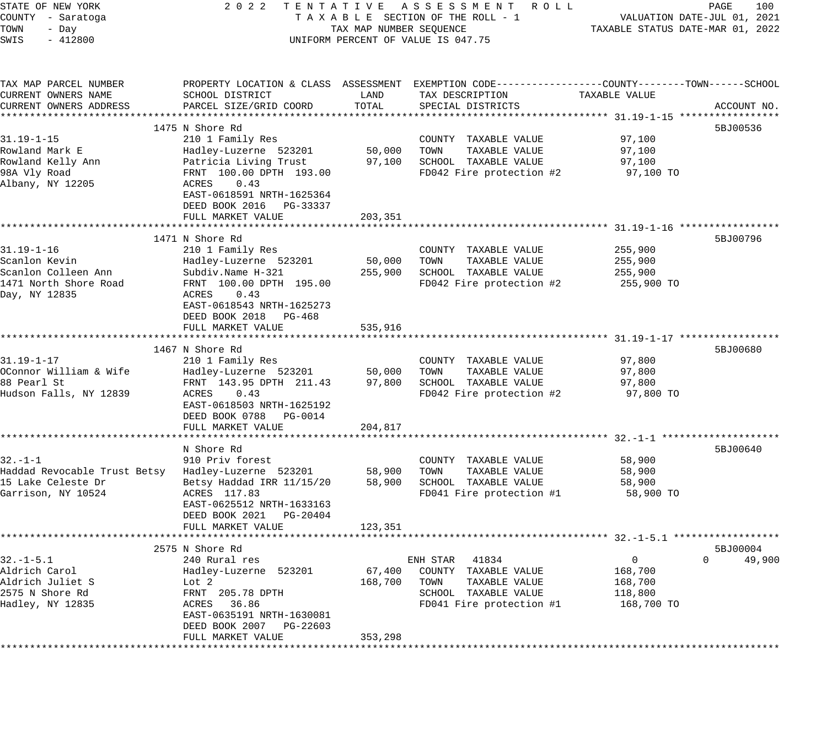| STATE OF NEW YORK<br>COUNTY - Saratoga<br>TOWN<br>- Day<br>SWIS<br>$-412800$                                    | 2022 TENTATIVE ASSESSMENT ROLL<br>TAXABLE SECTION OF THE ROLL - 1<br>TAX MAP NUMBER SEQUENCE<br>UNIFORM PERCENT OF VALUE IS 047.75                                                                               | PAGE<br>100<br>VALUATION DATE-JUL 01, 2021<br>TAXABLE STATUS DATE-MAR 01, 2022 |                                                                                                                                          |                                                               |                         |
|-----------------------------------------------------------------------------------------------------------------|------------------------------------------------------------------------------------------------------------------------------------------------------------------------------------------------------------------|--------------------------------------------------------------------------------|------------------------------------------------------------------------------------------------------------------------------------------|---------------------------------------------------------------|-------------------------|
| TAX MAP PARCEL NUMBER<br>CURRENT OWNERS NAME<br>CURRENT OWNERS ADDRESS                                          | SCHOOL DISTRICT<br>PARCEL SIZE/GRID COORD                                                                                                                                                                        | LAND<br>TOTAL                                                                  | PROPERTY LOCATION & CLASS ASSESSMENT EXEMPTION CODE----------------COUNTY-------TOWN------SCHOOL<br>TAX DESCRIPTION<br>SPECIAL DISTRICTS | TAXABLE VALUE                                                 | ACCOUNT NO.             |
|                                                                                                                 |                                                                                                                                                                                                                  |                                                                                |                                                                                                                                          |                                                               |                         |
| $31.19 - 1 - 15$<br>Rowland Mark E<br>Rowland Kelly Ann<br>98A Vly Road<br>Albany, NY 12205                     | 1475 N Shore Rd<br>210 1 Family Res<br>Hadley-Luzerne 523201<br>Patricia Living Trust<br>FRNT 100.00 DPTH 193.00<br>ACRES<br>0.43<br>EAST-0618591 NRTH-1625364<br>DEED BOOK 2016 PG-33337<br>FULL MARKET VALUE   | 50,000<br>97,100<br>203,351                                                    | COUNTY TAXABLE VALUE<br>TAXABLE VALUE<br>TOWN<br>SCHOOL TAXABLE VALUE<br>FD042 Fire protection #2                                        | 97,100<br>97,100<br>97,100<br>97,100 TO                       | 5BJ00536                |
|                                                                                                                 | *************************                                                                                                                                                                                        |                                                                                |                                                                                                                                          |                                                               |                         |
| $31.19 - 1 - 16$<br>Scanlon Kevin<br>Scanlon Colleen Ann<br>1471 North Shore Road<br>Day, NY 12835              | 1471 N Shore Rd<br>210 1 Family Res<br>Hadley-Luzerne 523201<br>Subdiv.Name H-321<br>FRNT 100.00 DPTH 195.00<br>0.43<br>ACRES<br>EAST-0618543 NRTH-1625273<br>DEED BOOK 2018 PG-468<br>FULL MARKET VALUE         | 50,000<br>255,900<br>535,916                                                   | COUNTY TAXABLE VALUE<br>TOWN<br>TAXABLE VALUE<br>SCHOOL TAXABLE VALUE<br>FD042 Fire protection #2                                        | 255,900<br>255,900<br>255,900<br>255,900 TO                   | 5BJ00796                |
|                                                                                                                 |                                                                                                                                                                                                                  |                                                                                |                                                                                                                                          |                                                               |                         |
| $31.19 - 1 - 17$<br>OConnor William & Wife<br>88 Pearl St<br>Hudson Falls, NY 12839                             | 1467 N Shore Rd<br>210 1 Family Res<br>Hadley-Luzerne 523201<br>FRNT 143.95 DPTH 211.43<br>ACRES<br>0.43<br>EAST-0618503 NRTH-1625192<br>DEED BOOK 0788 PG-0014<br>FULL MARKET VALUE                             | 50,000<br>97,800<br>204,817                                                    | COUNTY TAXABLE VALUE<br>TOWN<br>TAXABLE VALUE<br>SCHOOL TAXABLE VALUE<br>FD042 Fire protection #2                                        | 97,800<br>97,800<br>97,800<br>97,800 TO                       | 5BJ00680                |
|                                                                                                                 | *************************                                                                                                                                                                                        | * * * * * * * * * * * * * *                                                    |                                                                                                                                          |                                                               |                         |
| $32. - 1 - 1$<br>Haddad Revocable Trust Betsy Hadley-Luzerne 523201<br>15 Lake Celeste Dr<br>Garrison, NY 10524 | N Shore Rd<br>910 Priv forest<br>Betsy Haddad IRR 11/15/20<br>ACRES 117.83<br>EAST-0625512 NRTH-1633163<br>DEED BOOK 2021 PG-20404<br>FULL MARKET VALUE                                                          | 58,900<br>58,900<br>123,351                                                    | COUNTY TAXABLE VALUE<br>TAXABLE VALUE<br>TOWN<br>SCHOOL TAXABLE VALUE<br>FD041 Fire protection #1                                        | 58,900<br>58,900<br>58,900<br>58,900 TO                       | 5BJ00640                |
|                                                                                                                 |                                                                                                                                                                                                                  |                                                                                |                                                                                                                                          |                                                               |                         |
| $32. - 1 - 5.1$<br>Aldrich Carol<br>Aldrich Juliet S<br>2575 N Shore Rd<br>Hadley, NY 12835                     | 2575 N Shore Rd<br>240 Rural res<br>Hadley-Luzerne 523201<br>Lot 2<br>FRNT 205.78 DPTH<br>36.86<br>ACRES<br>EAST-0635191 NRTH-1630081<br>DEED BOOK 2007<br>PG-22603<br>FULL MARKET VALUE<br>******************** | 67,400<br>168,700<br>353,298                                                   | 41834<br>ENH STAR<br>COUNTY TAXABLE VALUE<br>TOWN<br>TAXABLE VALUE<br>SCHOOL TAXABLE VALUE<br>FD041 Fire protection #1                   | $\overline{0}$<br>168,700<br>168,700<br>118,800<br>168,700 TO | 5BJ00004<br>0<br>49,900 |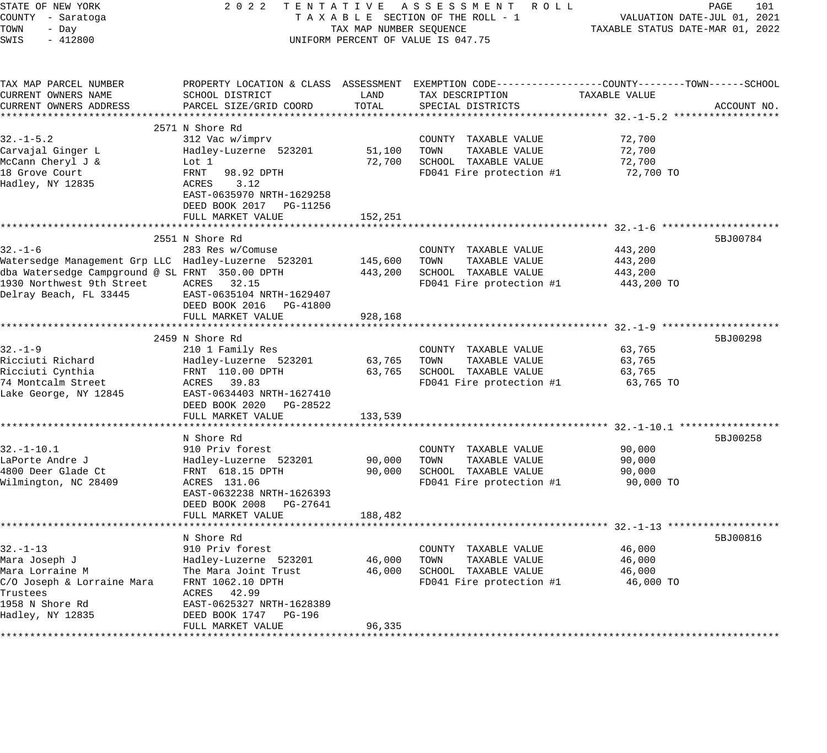| STATE OF NEW YORK<br>COUNTY - Saratoga<br>TOWN<br>- Day<br>SWIS<br>$-412800$ | 2 0 2 2                                                                                                                                      | TAX MAP NUMBER SEQUENCE | TENTATIVE ASSESSMENT ROLL<br>TAXABLE SECTION OF THE ROLL - 1<br>UNIFORM PERCENT OF VALUE IS 047.75 | TAXABLE STATUS DATE-MAR 01, 2022                     | PAGE<br>101<br>VALUATION DATE-JUL 01, 2021 |
|------------------------------------------------------------------------------|----------------------------------------------------------------------------------------------------------------------------------------------|-------------------------|----------------------------------------------------------------------------------------------------|------------------------------------------------------|--------------------------------------------|
| TAX MAP PARCEL NUMBER<br>CURRENT OWNERS NAME<br>CURRENT OWNERS ADDRESS       | PROPERTY LOCATION & CLASS ASSESSMENT EXEMPTION CODE----------------COUNTY-------TOWN-----SCHOOL<br>SCHOOL DISTRICT<br>PARCEL SIZE/GRID COORD | LAND<br>TOTAL           | TAX DESCRIPTION<br>SPECIAL DISTRICTS                                                               | TAXABLE VALUE                                        | ACCOUNT NO.                                |
|                                                                              | 2571 N Shore Rd                                                                                                                              |                         |                                                                                                    |                                                      |                                            |
| $32. - 1 - 5.2$                                                              | 312 Vac w/imprv                                                                                                                              |                         | COUNTY TAXABLE VALUE                                                                               | 72,700                                               |                                            |
| Carvajal Ginger L                                                            | Hadley-Luzerne 523201                                                                                                                        | 51,100                  | TOWN<br>TAXABLE VALUE                                                                              | 72,700                                               |                                            |
| McCann Cheryl J &                                                            | Lot 1                                                                                                                                        | 72,700                  | SCHOOL TAXABLE VALUE                                                                               | 72,700                                               |                                            |
| 18 Grove Court<br>Hadley, NY 12835                                           | FRNT<br>98.92 DPTH<br>ACRES<br>3.12<br>EAST-0635970 NRTH-1629258<br>DEED BOOK 2017 PG-11256<br>FULL MARKET VALUE                             | 152,251                 | FD041 Fire protection #1                                                                           | 72,700 TO                                            |                                            |
|                                                                              |                                                                                                                                              |                         |                                                                                                    |                                                      |                                            |
|                                                                              | 2551 N Shore Rd                                                                                                                              |                         |                                                                                                    |                                                      | 5BJ00784                                   |
| $32. - 1 - 6$                                                                | 283 Res w/Comuse                                                                                                                             |                         | COUNTY TAXABLE VALUE                                                                               | 443,200                                              |                                            |
| Watersedge Management Grp LLC Hadley-Luzerne 523201                          |                                                                                                                                              | 145,600                 | TOWN<br>TAXABLE VALUE                                                                              | 443,200                                              |                                            |
| dba Watersedge Campground @ SL FRNT 350.00 DPTH                              |                                                                                                                                              | 443,200                 | SCHOOL TAXABLE VALUE                                                                               | 443,200                                              |                                            |
| 1930 Northwest 9th Street<br>Delray Beach, FL 33445                          | ACRES 32.15<br>EAST-0635104 NRTH-1629407<br>DEED BOOK 2016 PG-41800                                                                          |                         | FD041 Fire protection #1                                                                           | 443,200 TO                                           |                                            |
|                                                                              | FULL MARKET VALUE                                                                                                                            | 928,168                 |                                                                                                    |                                                      |                                            |
|                                                                              | 2459 N Shore Rd                                                                                                                              |                         |                                                                                                    |                                                      | 5BJ00298                                   |
| $32. - 1 - 9$                                                                | 210 1 Family Res                                                                                                                             |                         | COUNTY TAXABLE VALUE                                                                               | 63,765                                               |                                            |
| Ricciuti Richard                                                             | Hadley-Luzerne 523201                                                                                                                        | 63,765                  | TOWN<br>TAXABLE VALUE                                                                              | 63,765                                               |                                            |
| Ricciuti Cynthia                                                             | FRNT 110.00 DPTH                                                                                                                             | 63,765                  | SCHOOL TAXABLE VALUE                                                                               | 63,765                                               |                                            |
| 74 Montcalm Street<br>Lake George, NY 12845                                  | 39.83<br>ACRES<br>EAST-0634403 NRTH-1627410<br>DEED BOOK 2020 PG-28522<br>FULL MARKET VALUE                                                  | 133,539                 | FD041 Fire protection #1                                                                           | 63,765 TO                                            |                                            |
|                                                                              |                                                                                                                                              |                         |                                                                                                    | ** $32. - 1 - 10.1$ ****                             |                                            |
|                                                                              | N Shore Rd                                                                                                                                   |                         |                                                                                                    |                                                      | 5BJ00258                                   |
| $32. - 1 - 10.1$                                                             | 910 Priv forest                                                                                                                              |                         | COUNTY TAXABLE VALUE                                                                               | 90,000                                               |                                            |
| LaPorte Andre J                                                              | Hadley-Luzerne 523201                                                                                                                        | 90,000                  | TOWN<br>TAXABLE VALUE                                                                              | 90,000                                               |                                            |
| 4800 Deer Glade Ct                                                           | FRNT 618.15 DPTH                                                                                                                             | 90,000                  | SCHOOL TAXABLE VALUE                                                                               | 90,000                                               |                                            |
| Wilmington, NC 28409                                                         | ACRES 131.06<br>EAST-0632238 NRTH-1626393<br>DEED BOOK 2008 PG-27641<br>FULL MARKET VALUE                                                    | 188,482                 | FD041 Fire protection #1                                                                           | 90,000 TO                                            |                                            |
|                                                                              | ******************                                                                                                                           |                         |                                                                                                    | ************************ 32.-1-13 ****************** |                                            |
|                                                                              | N Shore Rd                                                                                                                                   |                         |                                                                                                    |                                                      | 5BJ00816                                   |
| 32.-1-13                                                                     | 910 Priv forest                                                                                                                              |                         | COUNTY TAXABLE VALUE                                                                               | 46,000                                               |                                            |
| Mara Joseph J                                                                | Hadley-Luzerne 523201                                                                                                                        | 46,000                  | TOWN<br>TAXABLE VALUE                                                                              | 46,000                                               |                                            |
| Mara Lorraine M<br>C/O Joseph & Lorraine Mara                                | The Mara Joint Trust<br>FRNT 1062.10 DPTH                                                                                                    | 46,000                  | SCHOOL TAXABLE VALUE<br>FD041 Fire protection #1                                                   | 46,000<br>46,000 TO                                  |                                            |
| Trustees                                                                     | ACRES 42.99                                                                                                                                  |                         |                                                                                                    |                                                      |                                            |
| 1958 N Shore Rd                                                              | EAST-0625327 NRTH-1628389                                                                                                                    |                         |                                                                                                    |                                                      |                                            |
| Hadley, NY 12835                                                             | DEED BOOK 1747<br>PG-196                                                                                                                     |                         |                                                                                                    |                                                      |                                            |
|                                                                              | FULL MARKET VALUE                                                                                                                            | 96,335                  |                                                                                                    |                                                      |                                            |
|                                                                              |                                                                                                                                              |                         |                                                                                                    |                                                      |                                            |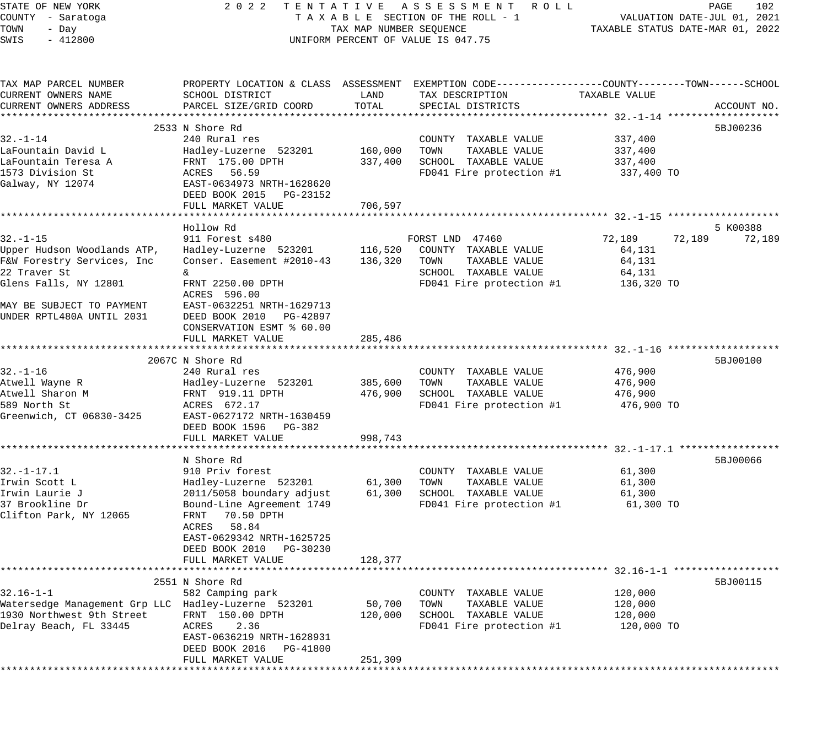STATE OF NEW YORK 2 0 2 2 T E N T A T I V E A S S E S S M E N T R O L L PAGE 102 COUNTY - Saratoga T A X A B L E SECTION OF THE ROLL - 1 VALUATION DATE-JUL 01, 2021 TOWN - Day TAX MAP NUMBER SEQUENCE TAXABLE STATUS DATE-MAR 01, 2022 SWIS - 412800 CONTROLLY THE UNIFORM PERCENT OF VALUE IS 047.75 TAX MAP PARCEL NUMBER PROPERTY LOCATION & CLASS ASSESSMENT EXEMPTION CODE------------------COUNTY--------TOWN------SCHOOL CURRENT OWNERS NAME SCHOOL DISTRICT LAND TAX DESCRIPTION TAXABLE VALUE CURRENT OWNERS ADDRESS PARCEL SIZE/GRID COORD TOTAL SPECIAL DISTRICTS ACCOUNT NO. \*\*\*\*\*\*\*\*\*\*\*\*\*\*\*\*\*\*\*\*\*\*\*\*\*\*\*\*\*\*\*\*\*\*\*\*\*\*\*\*\*\*\*\*\*\*\*\*\*\*\*\*\*\*\*\*\*\*\*\*\*\*\*\*\*\*\*\*\*\*\*\*\*\*\*\*\*\*\*\*\*\*\*\*\*\*\*\*\*\*\*\*\*\*\*\*\*\*\*\*\*\*\* 32.-1-14 \*\*\*\*\*\*\*\*\*\*\*\*\*\*\*\*\*\*\* 2533 N Shore Rd 5BJ00236 32.-1-14 240 Rural res COUNTY TAXABLE VALUE 337,400 LaFountain David L Hadley-Luzerne 523201 160,000 TOWN TAXABLE VALUE 337,400 LaFountain Teresa A FRNT 175.00 DPTH 337,400 SCHOOL TAXABLE VALUE 337,400 1573 Division St ACRES 56.59 FD041 Fire protection #1 337,400 TO Galway, NY 12074 EAST-0634973 NRTH-1628620 DEED BOOK 2015 PG-23152 FULL MARKET VALUE 706,597 \*\*\*\*\*\*\*\*\*\*\*\*\*\*\*\*\*\*\*\*\*\*\*\*\*\*\*\*\*\*\*\*\*\*\*\*\*\*\*\*\*\*\*\*\*\*\*\*\*\*\*\*\*\*\*\*\*\*\*\*\*\*\*\*\*\*\*\*\*\*\*\*\*\*\*\*\*\*\*\*\*\*\*\*\*\*\*\*\*\*\*\*\*\*\*\*\*\*\*\*\*\*\* 32.-1-15 \*\*\*\*\*\*\*\*\*\*\*\*\*\*\*\*\*\*\* Hollow Rd 5 K00388 32.-1-15 911 Forest s480 FORST LND 47460 72,189 72,189 72,189 Upper Hudson Woodlands ATP, Hadley-Luzerne 523201 116,520 COUNTY TAXABLE VALUE 64,131 F&W Forestry Services, Inc Conser. Easement #2010-43 136,320 TOWN TAXABLE VALUE 64,131 22 Traver St  $\&$   $\&$   $\&$ Glens Falls, NY 12801 FRNT 2250.00 DPTH FD041 Fire protection #1 136,320 TO ACRES 596.00 MAY BE SUBJECT TO PAYMENT EAST-0632251 NRTH-1629713 UNDER RPTL480A UNTIL 2031 DEED BOOK 2010 PG-42897 CONSERVATION ESMT % 60.00 FULL MARKET VALUE 285,486 \*\*\*\*\*\*\*\*\*\*\*\*\*\*\*\*\*\*\*\*\*\*\*\*\*\*\*\*\*\*\*\*\*\*\*\*\*\*\*\*\*\*\*\*\*\*\*\*\*\*\*\*\*\*\*\*\*\*\*\*\*\*\*\*\*\*\*\*\*\*\*\*\*\*\*\*\*\*\*\*\*\*\*\*\*\*\*\*\*\*\*\*\*\*\*\*\*\*\*\*\*\*\* 32.-1-16 \*\*\*\*\*\*\*\*\*\*\*\*\*\*\*\*\*\*\* 2067C N Shore Rd 5BJ00100 N Shore Rd 5BJ00100 N Shore Rd 5BJ00100 N SHORE SHORE SHORE SHORE SHORE SHORE SHORE SHORE SHORE SHORE SHORE SHORE SHORE SHORE SHORE SHORE SHORE SHORE SHORE SHORE SHORE SHORE SHORE SHORE SHORE SHOR 32.-1-16 240 Rural res COUNTY TAXABLE VALUE 476,900 Atwell Wayne R Hadley-Luzerne 523201 385,600 TOWN TAXABLE VALUE 476,900 Atwell Sharon M FRNT 919.11 DPTH 476,900 SCHOOL TAXABLE VALUE 476,900 589 North St ACRES 672.17 FD041 Fire protection #1 476,900 TO Greenwich, CT 06830-3425 EAST-0627172 NRTH-1630459 DEED BOOK 1596 PG-382 FULL MARKET VALUE 998,743 \*\*\*\*\*\*\*\*\*\*\*\*\*\*\*\*\*\*\*\*\*\*\*\*\*\*\*\*\*\*\*\*\*\*\*\*\*\*\*\*\*\*\*\*\*\*\*\*\*\*\*\*\*\*\*\*\*\*\*\*\*\*\*\*\*\*\*\*\*\*\*\*\*\*\*\*\*\*\*\*\*\*\*\*\*\*\*\*\*\*\*\*\*\*\*\*\*\*\*\*\*\*\* 32.-1-17.1 \*\*\*\*\*\*\*\*\*\*\*\*\*\*\*\*\* N Shore Rd 5BJ00066 N Shore Rd 5BJ00066 N Shore Rd 5BJ00066 N Shore Rd 5BJ00066 N Shore Rd 5BJ00066 N Shore Rd 32.-1-17.1 910 Priv forest COUNTY TAXABLE VALUE 61,300 Irwin Scott L Hadley-Luzerne 523201 61,300 TOWN TAXABLE VALUE 61,300 Irwin Laurie J 2011/5058 boundary adjust 61,300 SCHOOL TAXABLE VALUE 61,300 37 Brookline Dr Bound-Line Agreement 1749 FD041 Fire protection #1 61,300 TO Clifton Park, NY 12065 FRNT 70.50 DPTH ACRES 58.84 EAST-0629342 NRTH-1625725 DEED BOOK 2010 PG-30230 FULL MARKET VALUE 128,377 \*\*\*\*\*\*\*\*\*\*\*\*\*\*\*\*\*\*\*\*\*\*\*\*\*\*\*\*\*\*\*\*\*\*\*\*\*\*\*\*\*\*\*\*\*\*\*\*\*\*\*\*\*\*\*\*\*\*\*\*\*\*\*\*\*\*\*\*\*\*\*\*\*\*\*\*\*\*\*\*\*\*\*\*\*\*\*\*\*\*\*\*\*\*\*\*\*\*\*\*\*\*\* 32.16-1-1 \*\*\*\*\*\*\*\*\*\*\*\*\*\*\*\*\*\* 2551 N Shore Rd 5BJ00115 32.16-1-1 582 Camping park COUNTY TAXABLE VALUE 120,000 Watersedge Management Grp LLC Hadley-Luzerne 523201 50,700 TOWN TAXABLE VALUE 120,000 1930 Northwest 9th Street FRNT 150.00 DPTH 120,000 SCHOOL TAXABLE VALUE 120,000 Delray Beach, FL 33445 ACRES 2.36 FD041 Fire protection #1 120,000 TO EAST-0636219 NRTH-1628931 DEED BOOK 2016 PG-41800 FULL MARKET VALUE 251,309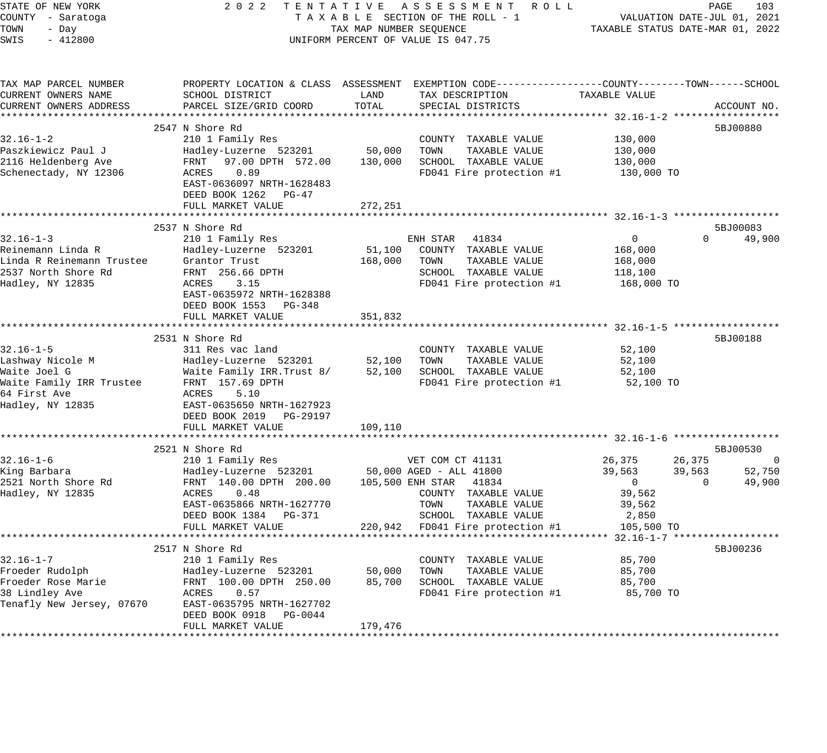| STATE OF NEW YORK                    | 2 0 2 2<br>TENTATIVE                          |                                  | ASSESSMENT ROLL                                              |                                                              | PAGE     | 103                |
|--------------------------------------|-----------------------------------------------|----------------------------------|--------------------------------------------------------------|--------------------------------------------------------------|----------|--------------------|
| COUNTY - Saratoga                    |                                               |                                  | TAXABLE SECTION OF THE ROLL - 1                              | VALUATION DATE-JUL 01, 2021                                  |          |                    |
| TOWN<br>- Day                        | TAX MAP NUMBER SEQUENCE                       | TAXABLE STATUS DATE-MAR 01, 2022 |                                                              |                                                              |          |                    |
| SWIS<br>$-412800$                    |                                               |                                  | UNIFORM PERCENT OF VALUE IS 047.75                           |                                                              |          |                    |
|                                      |                                               |                                  |                                                              |                                                              |          |                    |
| TAX MAP PARCEL NUMBER                | PROPERTY LOCATION & CLASS ASSESSMENT          |                                  | EXEMPTION CODE-----------------COUNTY-------TOWN------SCHOOL |                                                              |          |                    |
| CURRENT OWNERS NAME                  | SCHOOL DISTRICT                               | LAND                             | TAX DESCRIPTION                                              | TAXABLE VALUE                                                |          |                    |
| CURRENT OWNERS ADDRESS               | PARCEL SIZE/GRID COORD                        | TOTAL                            | SPECIAL DISTRICTS                                            |                                                              |          | ACCOUNT NO.        |
|                                      |                                               |                                  |                                                              |                                                              |          |                    |
|                                      | 2547 N Shore Rd                               |                                  |                                                              |                                                              |          | 5BJ00880           |
| $32.16 - 1 - 2$                      | 210 1 Family Res                              |                                  | COUNTY TAXABLE VALUE                                         | 130,000                                                      |          |                    |
| Paszkiewicz Paul J                   | Hadley-Luzerne 523201                         | 50,000                           | TOWN<br>TAXABLE VALUE                                        | 130,000                                                      |          |                    |
| 2116 Heldenberg Ave                  | FRNT<br>97.00 DPTH 572.00                     | 130,000                          | SCHOOL TAXABLE VALUE                                         | 130,000                                                      |          |                    |
| Schenectady, NY 12306                | 0.89<br>ACRES                                 |                                  | FD041 Fire protection #1                                     | 130,000 TO                                                   |          |                    |
|                                      | EAST-0636097 NRTH-1628483                     |                                  |                                                              |                                                              |          |                    |
|                                      | DEED BOOK 1262<br>PG-47                       |                                  |                                                              |                                                              |          |                    |
|                                      | FULL MARKET VALUE                             | 272,251                          |                                                              |                                                              |          |                    |
|                                      | **************************                    | ************                     |                                                              | *******************************32.16-1-3 ******************* |          |                    |
|                                      | 2537 N Shore Rd                               |                                  |                                                              |                                                              |          | 5BJ00083           |
| $32.16 - 1 - 3$                      | 210 1 Family Res                              |                                  | ENH STAR<br>41834                                            | $\mathbf 0$                                                  | $\Omega$ | 49,900             |
| Reinemann Linda R                    | Hadley-Luzerne 523201                         | 51,100                           | COUNTY TAXABLE VALUE                                         | 168,000                                                      |          |                    |
| Linda R Reinemann Trustee            | Grantor Trust                                 | 168,000                          | TOWN<br>TAXABLE VALUE                                        | 168,000                                                      |          |                    |
| 2537 North Shore Rd                  | FRNT 256.66 DPTH                              |                                  | SCHOOL TAXABLE VALUE                                         | 118,100                                                      |          |                    |
| Hadley, NY 12835                     | ACRES<br>3.15                                 |                                  | FD041 Fire protection #1                                     | 168,000 TO                                                   |          |                    |
|                                      | EAST-0635972 NRTH-1628388                     |                                  |                                                              |                                                              |          |                    |
|                                      | DEED BOOK 1553<br>PG-348<br>FULL MARKET VALUE | 351,832                          |                                                              |                                                              |          |                    |
|                                      |                                               |                                  |                                                              |                                                              |          |                    |
|                                      | 2531 N Shore Rd                               |                                  |                                                              |                                                              |          | 5BJ00188           |
| $32.16 - 1 - 5$                      | 311 Res vac land                              |                                  | COUNTY TAXABLE VALUE                                         | 52,100                                                       |          |                    |
| Lashway Nicole M                     | Hadley-Luzerne 523201                         | 52,100                           | TAXABLE VALUE<br>TOWN                                        | 52,100                                                       |          |                    |
| Waite Joel G                         | Waite Family IRR. Trust 8/                    | 52,100                           | SCHOOL TAXABLE VALUE                                         | 52,100                                                       |          |                    |
| Waite Family IRR Trustee             | FRNT 157.69 DPTH                              |                                  | FD041 Fire protection #1                                     | 52,100 TO                                                    |          |                    |
| 64 First Ave                         | <b>ACRES</b><br>5.10                          |                                  |                                                              |                                                              |          |                    |
| Hadley, NY 12835                     | EAST-0635650 NRTH-1627923                     |                                  |                                                              |                                                              |          |                    |
|                                      | DEED BOOK 2019<br>PG-29197                    |                                  |                                                              |                                                              |          |                    |
|                                      | FULL MARKET VALUE                             | 109,110                          |                                                              |                                                              |          |                    |
|                                      |                                               |                                  |                                                              | ********* 32.16-1-6                                          |          | ****************** |
|                                      | 2521 N Shore Rd                               |                                  |                                                              |                                                              |          | 5BJ00530           |
| $32.16 - 1 - 6$                      | 210 1 Family Res                              |                                  | VET COM CT 41131                                             | 26,375                                                       | 26,375   | 0                  |
| King Barbara                         | Hadley-Luzerne 523201                         |                                  | 50,000 AGED - ALL 41800                                      | 39,563                                                       | 39,563   | 52,750             |
| 2521 North Shore Rd                  | FRNT 140.00 DPTH 200.00                       |                                  | 105,500 ENH STAR<br>41834                                    | $\mathbf 0$                                                  | $\Omega$ | 49,900             |
| Hadley, NY 12835                     | ACRES<br>0.48                                 |                                  | COUNTY TAXABLE VALUE                                         | 39,562                                                       |          |                    |
|                                      | EAST-0635866 NRTH-1627770                     |                                  | TOWN<br>TAXABLE VALUE                                        | 39,562                                                       |          |                    |
|                                      | DEED BOOK 1384<br>PG-371                      |                                  | SCHOOL TAXABLE VALUE                                         | 2,850                                                        |          |                    |
|                                      | FULL MARKET VALUE                             | 220,942                          | FD041 Fire protection #1                                     | 105,500 TO                                                   |          |                    |
|                                      |                                               |                                  |                                                              | $32.16 - 1 - 7$ *******************                          |          |                    |
|                                      | 2517 N Shore Rd                               |                                  |                                                              |                                                              |          | 5BJ00236           |
| $32.16 - 1 - 7$                      | 210 1 Family Res                              |                                  | COUNTY TAXABLE VALUE                                         | 85,700                                                       |          |                    |
| Froeder Rudolph                      | Hadley-Luzerne 523201                         | 50,000                           | TOWN<br>TAXABLE VALUE                                        | 85,700                                                       |          |                    |
| Froeder Rose Marie<br>38 Lindley Ave | FRNT 100.00 DPTH 250.00<br>ACRES<br>0.57      | 85,700                           | SCHOOL TAXABLE VALUE<br>FD041 Fire protection #1             | 85,700<br>85,700 TO                                          |          |                    |
| Tenafly New Jersey, 07670            | EAST-0635795 NRTH-1627702                     |                                  |                                                              |                                                              |          |                    |
|                                      | DEED BOOK 0918<br>PG-0044                     |                                  |                                                              |                                                              |          |                    |
|                                      | FULL MARKET VALUE                             | 179,476                          |                                                              |                                                              |          |                    |
|                                      |                                               |                                  |                                                              |                                                              |          |                    |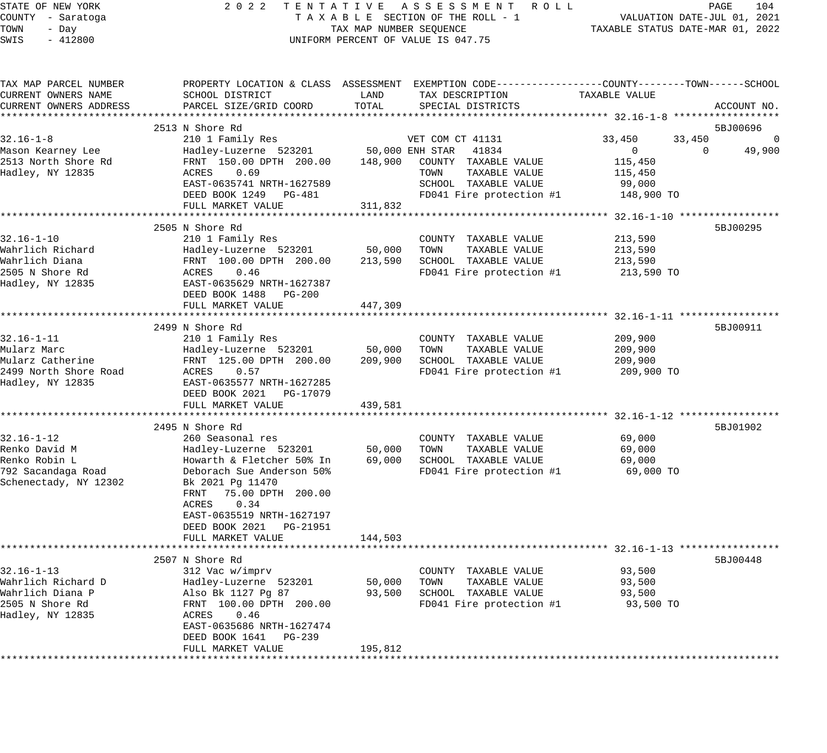### STATE OF NEW YORK 2 0 2 2 T E N T A T I V E A S S E S S M E N T R O L L PAGE 104 COUNTY - Saratoga T A X A B L E SECTION OF THE ROLL - 1 VALUATION DATE-JUL 01, 2021 X A B L E SECTION OF THE ROLL - 1 WELL STATUS DATE-MAR 01, 2022<br>TAX MAP NUMBER SEQUENCE TAXABLE STATUS DATE-MAR 01, 2022 UNIFORM PERCENT OF VALUE IS 047.75

| TAX MAP PARCEL NUMBER                       | PROPERTY LOCATION & CLASS ASSESSMENT EXEMPTION CODE----------------COUNTY-------TOWN------SCHOOL |                  |                                               |                                                     |                    |
|---------------------------------------------|--------------------------------------------------------------------------------------------------|------------------|-----------------------------------------------|-----------------------------------------------------|--------------------|
| CURRENT OWNERS NAME                         | SCHOOL DISTRICT                                                                                  | LAND             | TAX DESCRIPTION                               | TAXABLE VALUE                                       |                    |
| CURRENT OWNERS ADDRESS                      | PARCEL SIZE/GRID COORD                                                                           | TOTAL            | SPECIAL DISTRICTS                             |                                                     | ACCOUNT NO.        |
|                                             |                                                                                                  |                  |                                               |                                                     |                    |
|                                             | 2513 N Shore Rd                                                                                  |                  |                                               |                                                     | 5BJ00696           |
| $32.16 - 1 - 8$                             | 210 1 Family Res                                                                                 |                  | VET COM CT 41131                              | 33,450<br>33,450                                    | 0                  |
| Mason Kearney Lee                           | Hadley-Luzerne 523201                                                                            |                  | 50,000 ENH STAR<br>41834                      | $\mathbf{0}$                                        | $\Omega$<br>49,900 |
| 2513 North Shore Rd                         | FRNT 150.00 DPTH 200.00                                                                          | 148,900          | COUNTY TAXABLE VALUE                          | 115,450                                             |                    |
| Hadley, NY 12835                            | 0.69<br>ACRES                                                                                    |                  | TOWN<br>TAXABLE VALUE                         | 115,450                                             |                    |
|                                             | EAST-0635741 NRTH-1627589                                                                        |                  | SCHOOL TAXABLE VALUE                          | 99,000                                              |                    |
|                                             | DEED BOOK 1249 PG-481                                                                            |                  | FD041 Fire protection #1                      | 148,900 TO                                          |                    |
|                                             | FULL MARKET VALUE                                                                                | 311,832          |                                               |                                                     |                    |
|                                             |                                                                                                  |                  |                                               |                                                     |                    |
|                                             | 2505 N Shore Rd                                                                                  |                  |                                               |                                                     | 5BJ00295           |
| $32.16 - 1 - 10$                            | 210 1 Family Res                                                                                 |                  | COUNTY TAXABLE VALUE                          | 213,590                                             |                    |
| Wahrlich Richard                            | Hadley-Luzerne 523201                                                                            | 50,000           | TOWN<br>TAXABLE VALUE                         | 213,590                                             |                    |
| Wahrlich Diana                              | FRNT 100.00 DPTH 200.00                                                                          | 213,590          | SCHOOL TAXABLE VALUE                          | 213,590                                             |                    |
| 2505 N Shore Rd                             | ACRES<br>0.46                                                                                    |                  | FD041 Fire protection #1                      | 213,590 TO                                          |                    |
| Hadley, NY 12835                            | EAST-0635629 NRTH-1627387                                                                        |                  |                                               |                                                     |                    |
|                                             | DEED BOOK 1488 PG-200                                                                            |                  |                                               |                                                     |                    |
|                                             | FULL MARKET VALUE                                                                                | 447,309          |                                               |                                                     |                    |
|                                             |                                                                                                  |                  |                                               |                                                     |                    |
|                                             | 2499 N Shore Rd                                                                                  |                  |                                               |                                                     | 5BJ00911           |
| $32.16 - 1 - 11$                            | 210 1 Family Res                                                                                 |                  | COUNTY TAXABLE VALUE                          | 209,900                                             |                    |
| Mularz Marc                                 | Hadley-Luzerne 523201                                                                            | 50,000           | TOWN<br>TAXABLE VALUE                         | 209,900                                             |                    |
| Mularz Catherine                            | FRNT 125.00 DPTH 200.00                                                                          | 209,900          | SCHOOL TAXABLE VALUE                          | 209,900                                             |                    |
| 2499 North Shore Road                       | ACRES<br>0.57                                                                                    |                  | FD041 Fire protection #1                      | 209,900 TO                                          |                    |
| Hadley, NY 12835                            | EAST-0635577 NRTH-1627285                                                                        |                  |                                               |                                                     |                    |
|                                             | DEED BOOK 2021 PG-17079                                                                          |                  |                                               |                                                     |                    |
|                                             | FULL MARKET VALUE<br>**********************                                                      | 439,581          |                                               |                                                     |                    |
|                                             |                                                                                                  |                  |                                               | ********************* 32.16-1-12 ****************** |                    |
|                                             | 2495 N Shore Rd                                                                                  |                  |                                               |                                                     | 5BJ01902           |
| $32.16 - 1 - 12$                            | 260 Seasonal res                                                                                 |                  | COUNTY TAXABLE VALUE                          | 69,000                                              |                    |
| Renko David M<br>Renko Robin L              | Hadley-Luzerne 523201                                                                            | 50,000<br>69,000 | TOWN<br>TAXABLE VALUE<br>SCHOOL TAXABLE VALUE | 69,000                                              |                    |
|                                             | Howarth & Fletcher 50% In<br>Deborach Sue Anderson 50%                                           |                  |                                               | 69,000<br>69,000 TO                                 |                    |
| 792 Sacandaga Road<br>Schenectady, NY 12302 |                                                                                                  |                  | FD041 Fire protection #1                      |                                                     |                    |
|                                             | Bk 2021 Pg 11470<br>FRNT<br>75.00 DPTH 200.00                                                    |                  |                                               |                                                     |                    |
|                                             | ACRES<br>0.34                                                                                    |                  |                                               |                                                     |                    |
|                                             | EAST-0635519 NRTH-1627197                                                                        |                  |                                               |                                                     |                    |
|                                             | DEED BOOK 2021 PG-21951                                                                          |                  |                                               |                                                     |                    |
|                                             | FULL MARKET VALUE                                                                                | 144,503          |                                               |                                                     |                    |
|                                             |                                                                                                  |                  |                                               |                                                     |                    |
|                                             | 2507 N Shore Rd                                                                                  |                  |                                               |                                                     | 5BJ00448           |
| $32.16 - 1 - 13$                            | 312 Vac w/imprv                                                                                  |                  | COUNTY TAXABLE VALUE                          | 93,500                                              |                    |
| Wahrlich Richard D                          | Hadley-Luzerne 523201                                                                            | 50,000           | TAXABLE VALUE<br>TOWN                         | 93,500                                              |                    |
| Wahrlich Diana P                            | Also Bk 1127 Pg 87                                                                               | 93,500           | SCHOOL TAXABLE VALUE                          | 93,500                                              |                    |
| 2505 N Shore Rd                             | FRNT 100.00 DPTH 200.00                                                                          |                  | FD041 Fire protection #1                      | 93,500 TO                                           |                    |
| Hadley, NY 12835                            | ACRES<br>0.46                                                                                    |                  |                                               |                                                     |                    |
|                                             | EAST-0635686 NRTH-1627474                                                                        |                  |                                               |                                                     |                    |
|                                             | DEED BOOK 1641<br>PG-239                                                                         |                  |                                               |                                                     |                    |
|                                             | FULL MARKET VALUE                                                                                | 195,812          |                                               |                                                     |                    |
|                                             |                                                                                                  |                  |                                               |                                                     |                    |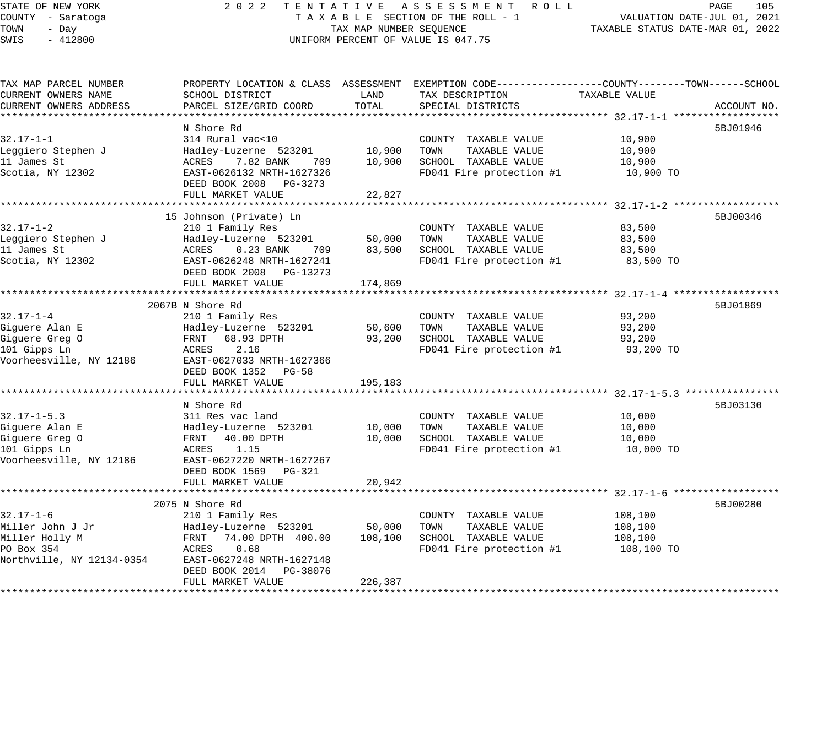|     |           | TATE OF NEW YORK |  |  |
|-----|-----------|------------------|--|--|
|     |           | DUNTY - Saratoga |  |  |
| DMN | - Dav     |                  |  |  |
| WIS | $-412800$ |                  |  |  |
|     |           |                  |  |  |

## STATE OF NEW YORK 2 0 2 2 T E N T A T I V E A S S E S S M E N T R O L L PAGE 105 COUNTY - Saratoga T A X A B L E SECTION OF THE ROLL - 1 VALUATION DATE-JUL 01, 2021 TOWN - Day TAX MAP NUMBER SEQUENCE TAXABLE STATUS DATE-MAR 01, 2022 UNIFORM PERCENT OF VALUE IS 047.75

| TAX MAP PARCEL NUMBER     |                           |         | PROPERTY LOCATION & CLASS ASSESSMENT EXEMPTION CODE----------------COUNTY-------TOWN------SCHOOL |               |             |
|---------------------------|---------------------------|---------|--------------------------------------------------------------------------------------------------|---------------|-------------|
| CURRENT OWNERS NAME       | SCHOOL DISTRICT           | LAND    | TAX DESCRIPTION                                                                                  | TAXABLE VALUE |             |
| CURRENT OWNERS ADDRESS    | PARCEL SIZE/GRID COORD    | TOTAL   | SPECIAL DISTRICTS                                                                                |               | ACCOUNT NO. |
|                           |                           |         |                                                                                                  |               |             |
|                           | N Shore Rd                |         |                                                                                                  |               | 5BJ01946    |
| $32.17 - 1 - 1$           | 314 Rural vac<10          |         | COUNTY TAXABLE VALUE                                                                             | 10,900        |             |
| Leggiero Stephen J        | Hadley-Luzerne 523201     | 10,900  | TOWN<br>TAXABLE VALUE                                                                            | 10,900        |             |
| 11 James St               | 7.82 BANK<br>ACRES<br>709 | 10,900  | SCHOOL TAXABLE VALUE                                                                             | 10,900        |             |
| Scotia, NY 12302          | EAST-0626132 NRTH-1627326 |         | FD041 Fire protection #1                                                                         | 10,900 TO     |             |
|                           | DEED BOOK 2008 PG-3273    |         |                                                                                                  |               |             |
|                           | FULL MARKET VALUE         | 22,827  |                                                                                                  |               |             |
|                           |                           |         |                                                                                                  |               |             |
|                           | 15 Johnson (Private) Ln   |         |                                                                                                  |               | 5BJ00346    |
| $32.17 - 1 - 2$           | 210 1 Family Res          |         | COUNTY TAXABLE VALUE                                                                             | 83,500        |             |
| Leggiero Stephen J        | Hadley-Luzerne 523201     | 50,000  | TOWN<br>TAXABLE VALUE                                                                            | 83,500        |             |
| 11 James St               | ACRES 0.23 BANK<br>709    | 83,500  | SCHOOL TAXABLE VALUE                                                                             | 83,500        |             |
| Scotia, NY 12302          | EAST-0626248 NRTH-1627241 |         | FD041 Fire protection #1                                                                         | 83,500 TO     |             |
|                           | DEED BOOK 2008 PG-13273   |         |                                                                                                  |               |             |
|                           | FULL MARKET VALUE         | 174,869 |                                                                                                  |               |             |
|                           |                           |         |                                                                                                  |               |             |
|                           | 2067B N Shore Rd          |         |                                                                                                  |               | 5BJ01869    |
| $32.17 - 1 - 4$           | 210 1 Family Res          |         | COUNTY TAXABLE VALUE                                                                             | 93,200        |             |
| Giquere Alan E            | Hadley-Luzerne 523201     | 50,600  | TOWN<br>TAXABLE VALUE                                                                            | 93,200        |             |
| Giguere Greg O            | FRNT<br>68.93 DPTH        | 93,200  | SCHOOL TAXABLE VALUE                                                                             | 93,200        |             |
| 101 Gipps Ln              | 2.16<br>ACRES             |         | FD041 Fire protection #1                                                                         | 93,200 TO     |             |
| Voorheesville, NY 12186   | EAST-0627033 NRTH-1627366 |         |                                                                                                  |               |             |
|                           | DEED BOOK 1352 PG-58      |         |                                                                                                  |               |             |
|                           | FULL MARKET VALUE         | 195,183 |                                                                                                  |               |             |
|                           |                           |         |                                                                                                  |               |             |
|                           | N Shore Rd                |         |                                                                                                  |               | 5BJ03130    |
| $32.17 - 1 - 5.3$         | 311 Res vac land          |         | COUNTY TAXABLE VALUE                                                                             | 10,000        |             |
| Giquere Alan E            | Hadley-Luzerne 523201     | 10,000  | TOWN<br>TAXABLE VALUE                                                                            | 10,000        |             |
| Giguere Greg O            | FRNT 40.00 DPTH           | 10,000  | SCHOOL TAXABLE VALUE                                                                             | 10,000        |             |
| 101 Gipps Ln              | ACRES 1.15                |         | FD041 Fire protection #1                                                                         | 10,000 TO     |             |
| Voorheesville, NY 12186   | EAST-0627220 NRTH-1627267 |         |                                                                                                  |               |             |
|                           | DEED BOOK 1569 PG-321     |         |                                                                                                  |               |             |
|                           | FULL MARKET VALUE         | 20,942  |                                                                                                  |               |             |
|                           |                           |         |                                                                                                  |               |             |
|                           | 2075 N Shore Rd           |         |                                                                                                  |               | 5BJ00280    |
| $32.17 - 1 - 6$           | 210 1 Family Res          |         | COUNTY TAXABLE VALUE                                                                             | 108,100       |             |
| Miller John J Jr          | Hadley-Luzerne 523201     | 50,000  | TOWN<br>TAXABLE VALUE                                                                            | 108,100       |             |
| Miller Holly M            | FRNT 74.00 DPTH 400.00    | 108,100 | SCHOOL TAXABLE VALUE                                                                             | 108,100       |             |
| PO Box 354                | 0.68<br>ACRES             |         | FD041 Fire protection #1                                                                         | 108,100 TO    |             |
| Northville, NY 12134-0354 | EAST-0627248 NRTH-1627148 |         |                                                                                                  |               |             |
|                           | DEED BOOK 2014 PG-38076   |         |                                                                                                  |               |             |
|                           | FULL MARKET VALUE         | 226,387 |                                                                                                  |               |             |
|                           |                           |         |                                                                                                  |               |             |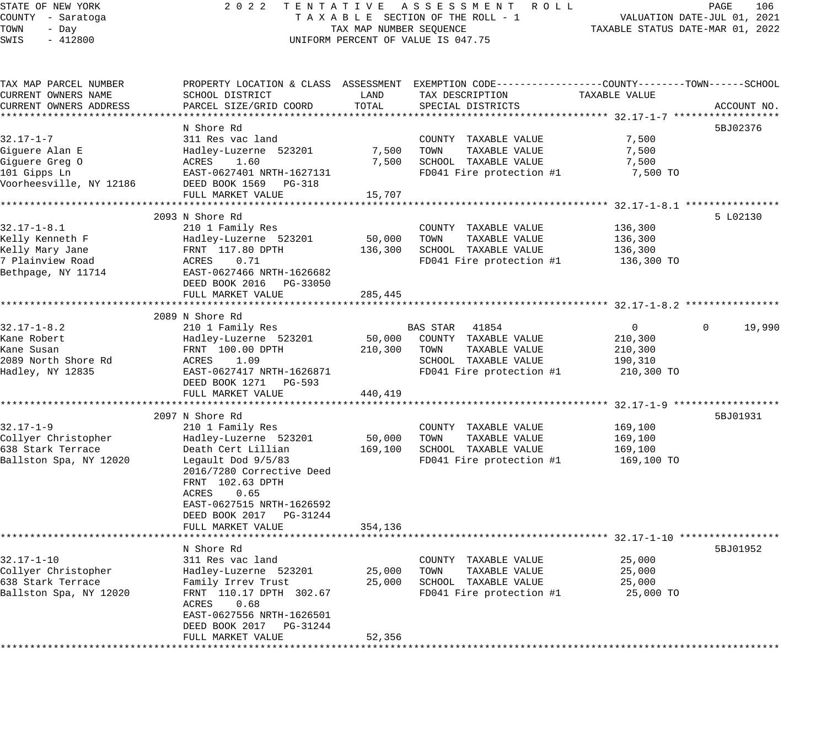# STATE OF NEW YORK 2 0 2 2 T E N T A T I V E A S S E S S M E N T R O L L PAGE 106 COUNTY - Saratoga T A X A B L E SECTION OF THE ROLL - 1 VALUATION DATE-JUL 01, 2021 UNIFORM PERCENT OF VALUE IS 047.75

TOWN - DALUATION DATE-JUL 01, 2021<br>TAXABLE STATUS DATE-MAR 01, 2022

| TAX MAP PARCEL NUMBER   | PROPERTY LOCATION & CLASS ASSESSMENT EXEMPTION CODE----------------COUNTY-------TOWN-----SCHOOL |         |                                    |                                         |                        |
|-------------------------|-------------------------------------------------------------------------------------------------|---------|------------------------------------|-----------------------------------------|------------------------|
| CURRENT OWNERS NAME     | SCHOOL DISTRICT                                                                                 | LAND    | TAX DESCRIPTION                    | TAXABLE VALUE                           |                        |
| CURRENT OWNERS ADDRESS  | PARCEL SIZE/GRID COORD                                                                          | TOTAL   | SPECIAL DISTRICTS                  |                                         | ACCOUNT NO.            |
|                         |                                                                                                 |         | ********************************** | **************** 32.17-1-7 ************ |                        |
|                         | N Shore Rd                                                                                      |         |                                    |                                         | 5BJ02376               |
| $32.17 - 1 - 7$         | 311 Res vac land                                                                                |         | COUNTY TAXABLE VALUE               | 7,500                                   |                        |
| Giguere Alan E          | Hadley-Luzerne 523201                                                                           | 7,500   | TAXABLE VALUE<br>TOWN              | 7,500                                   |                        |
| Giguere Greg O          | 1.60<br>ACRES                                                                                   | 7,500   | SCHOOL TAXABLE VALUE               | 7,500                                   |                        |
| 101 Gipps Ln            | EAST-0627401 NRTH-1627131                                                                       |         | FD041 Fire protection #1           | 7,500 TO                                |                        |
|                         |                                                                                                 |         |                                    |                                         |                        |
| Voorheesville, NY 12186 | DEED BOOK 1569 PG-318                                                                           |         |                                    |                                         |                        |
|                         | FULL MARKET VALUE                                                                               | 15,707  |                                    |                                         |                        |
|                         |                                                                                                 |         |                                    |                                         |                        |
|                         | 2093 N Shore Rd                                                                                 |         |                                    |                                         | 5 L02130               |
| $32.17 - 1 - 8.1$       | 210 1 Family Res                                                                                |         | COUNTY TAXABLE VALUE               | 136,300                                 |                        |
| Kelly Kenneth F         | Hadley-Luzerne 523201                                                                           | 50,000  | TOWN<br>TAXABLE VALUE              | 136,300                                 |                        |
| Kelly Mary Jane         | FRNT 117.80 DPTH                                                                                | 136,300 | SCHOOL TAXABLE VALUE               | 136,300                                 |                        |
| 7 Plainview Road        | ACRES<br>0.71                                                                                   |         | FD041 Fire protection #1           | 136,300 TO                              |                        |
| Bethpage, NY 11714      | EAST-0627466 NRTH-1626682                                                                       |         |                                    |                                         |                        |
|                         | DEED BOOK 2016 PG-33050                                                                         |         |                                    |                                         |                        |
|                         | FULL MARKET VALUE                                                                               | 285,445 |                                    |                                         |                        |
|                         |                                                                                                 |         |                                    |                                         |                        |
|                         | 2089 N Shore Rd                                                                                 |         |                                    |                                         |                        |
| $32.17 - 1 - 8.2$       | 210 1 Family Res                                                                                |         | BAS STAR<br>41854                  | $\mathbf 0$                             | 19,990<br>$\mathbf{0}$ |
| Kane Robert             | Hadley-Luzerne 523201                                                                           | 50,000  | COUNTY TAXABLE VALUE               | 210,300                                 |                        |
| Kane Susan              | FRNT 100.00 DPTH                                                                                | 210,300 | TOWN<br>TAXABLE VALUE              | 210,300                                 |                        |
| 2089 North Shore Rd     | ACRES<br>1.09                                                                                   |         | SCHOOL TAXABLE VALUE               |                                         |                        |
|                         |                                                                                                 |         |                                    | 190,310                                 |                        |
| Hadley, NY 12835        | EAST-0627417 NRTH-1626871                                                                       |         | FD041 Fire protection #1           | 210,300 TO                              |                        |
|                         | DEED BOOK 1271 PG-593                                                                           |         |                                    |                                         |                        |
|                         | FULL MARKET VALUE                                                                               | 440,419 |                                    |                                         |                        |
|                         |                                                                                                 |         |                                    |                                         |                        |
|                         | 2097 N Shore Rd                                                                                 |         |                                    |                                         | 5BJ01931               |
| $32.17 - 1 - 9$         | 210 1 Family Res                                                                                |         | COUNTY TAXABLE VALUE               | 169,100                                 |                        |
| Collyer Christopher     | Hadley-Luzerne 523201                                                                           | 50,000  | TAXABLE VALUE<br>TOWN              | 169,100                                 |                        |
| 638 Stark Terrace       | Death Cert Lillian                                                                              | 169,100 | SCHOOL TAXABLE VALUE               | 169,100                                 |                        |
| Ballston Spa, NY 12020  | Legault Dod 9/5/83                                                                              |         | FD041 Fire protection #1           | 169,100 TO                              |                        |
|                         | 2016/7280 Corrective Deed                                                                       |         |                                    |                                         |                        |
|                         | FRNT 102.63 DPTH                                                                                |         |                                    |                                         |                        |
|                         | ACRES<br>0.65                                                                                   |         |                                    |                                         |                        |
|                         | EAST-0627515 NRTH-1626592                                                                       |         |                                    |                                         |                        |
|                         | DEED BOOK 2017 PG-31244                                                                         |         |                                    |                                         |                        |
|                         | FULL MARKET VALUE                                                                               | 354,136 |                                    |                                         |                        |
|                         |                                                                                                 |         |                                    |                                         |                        |
|                         | N Shore Rd                                                                                      |         |                                    |                                         | 5BJ01952               |
|                         |                                                                                                 |         |                                    |                                         |                        |
| $32.17 - 1 - 10$        | 311 Res vac land                                                                                |         | COUNTY TAXABLE VALUE               | 25,000                                  |                        |
| Collyer Christopher     | Hadley-Luzerne 523201                                                                           | 25,000  | TOWN<br>TAXABLE VALUE              | 25,000                                  |                        |
| 638 Stark Terrace       | Family Irrev Trust                                                                              | 25,000  | SCHOOL TAXABLE VALUE               | 25,000                                  |                        |
| Ballston Spa, NY 12020  | FRNT 110.17 DPTH 302.67                                                                         |         | FD041 Fire protection #1           | 25,000 TO                               |                        |
|                         | ACRES<br>0.68                                                                                   |         |                                    |                                         |                        |
|                         | EAST-0627556 NRTH-1626501                                                                       |         |                                    |                                         |                        |
|                         | DEED BOOK 2017    PG-31244                                                                      |         |                                    |                                         |                        |
|                         | FULL MARKET VALUE                                                                               | 52,356  |                                    |                                         |                        |
|                         |                                                                                                 |         |                                    |                                         |                        |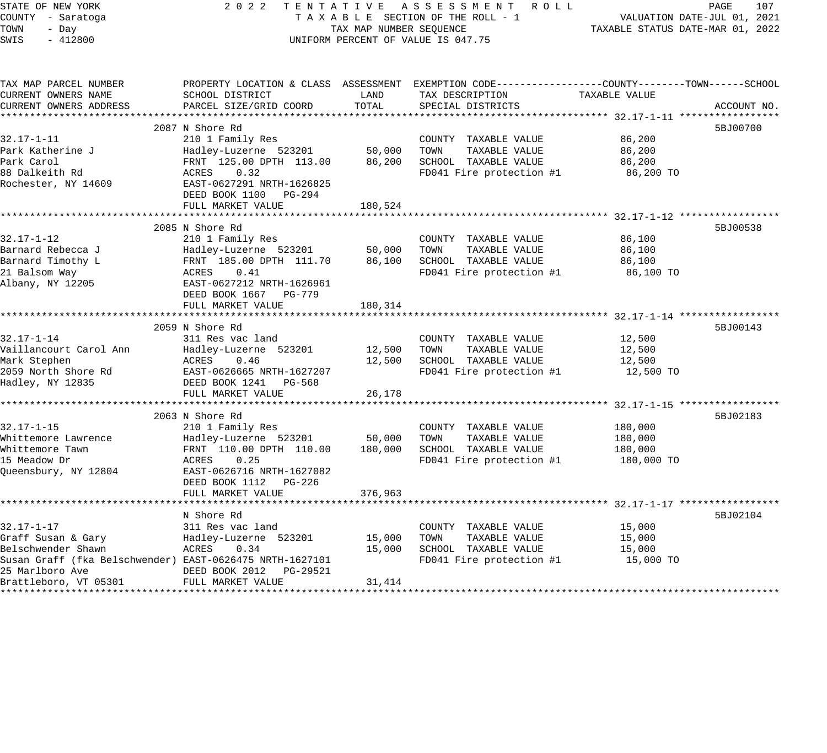| STATE OF NEW YORK                                        | 2 0 2 2                                          |                                                                 | TENTATIVE ASSESSMENT ROLL<br>PAGE<br>107<br>TAXABLE SECTION OF THE ROLL - 1                    |                             |             |  |
|----------------------------------------------------------|--------------------------------------------------|-----------------------------------------------------------------|------------------------------------------------------------------------------------------------|-----------------------------|-------------|--|
| COUNTY - Saratoga                                        |                                                  | VALUATION DATE-JUL 01, 2021<br>TAXABLE STATUS DATE-MAR 01, 2022 |                                                                                                |                             |             |  |
| TOWN<br>- Day                                            | TAX MAP NUMBER SEQUENCE                          |                                                                 |                                                                                                |                             |             |  |
| SWIS<br>$-412800$                                        |                                                  |                                                                 | UNIFORM PERCENT OF VALUE IS 047.75                                                             |                             |             |  |
| TAX MAP PARCEL NUMBER                                    |                                                  |                                                                 | PROPERTY LOCATION & CLASS ASSESSMENT EXEMPTION CODE---------------COUNTY-------TOWN-----SCHOOL |                             |             |  |
| CURRENT OWNERS NAME                                      | SCHOOL DISTRICT                                  | LAND                                                            | TAX DESCRIPTION                                                                                | TAXABLE VALUE               |             |  |
| CURRENT OWNERS ADDRESS                                   | PARCEL SIZE/GRID COORD                           | TOTAL                                                           | SPECIAL DISTRICTS                                                                              |                             | ACCOUNT NO. |  |
|                                                          |                                                  |                                                                 |                                                                                                |                             |             |  |
|                                                          | 2087 N Shore Rd                                  |                                                                 |                                                                                                |                             | 5BJ00700    |  |
| $32.17 - 1 - 11$                                         | 210 1 Family Res                                 |                                                                 | COUNTY TAXABLE VALUE                                                                           | 86,200                      |             |  |
| Park Katherine J                                         | Hadley-Luzerne 523201                            | 50,000                                                          | TAXABLE VALUE<br>TOWN                                                                          | 86,200                      |             |  |
| Park Carol                                               | FRNT 125.00 DPTH 113.00                          | 86,200                                                          | SCHOOL TAXABLE VALUE                                                                           | 86,200                      |             |  |
| 88 Dalkeith Rd                                           | ACRES<br>0.32                                    |                                                                 | FD041 Fire protection #1                                                                       | 86,200 TO                   |             |  |
| Rochester, NY 14609                                      | EAST-0627291 NRTH-1626825                        |                                                                 |                                                                                                |                             |             |  |
|                                                          | DEED BOOK 1100<br>PG-294<br>FULL MARKET VALUE    | 180,524                                                         |                                                                                                |                             |             |  |
|                                                          |                                                  |                                                                 |                                                                                                |                             |             |  |
|                                                          | 2085 N Shore Rd                                  |                                                                 |                                                                                                |                             | 5BJ00538    |  |
| $32.17 - 1 - 12$                                         | 210 1 Family Res                                 |                                                                 | COUNTY TAXABLE VALUE                                                                           | 86,100                      |             |  |
| Barnard Rebecca J                                        | Hadley-Luzerne 523201                            | 50,000                                                          | TOWN<br>TAXABLE VALUE                                                                          | 86,100                      |             |  |
| Barnard Timothy L                                        | FRNT 185.00 DPTH 111.70                          | 86,100                                                          | SCHOOL TAXABLE VALUE                                                                           | 86,100                      |             |  |
| 21 Balsom Way                                            | ACRES<br>0.41                                    |                                                                 | FD041 Fire protection #1                                                                       | 86,100 TO                   |             |  |
| Albany, NY 12205                                         | EAST-0627212 NRTH-1626961                        |                                                                 |                                                                                                |                             |             |  |
|                                                          | DEED BOOK 1667 PG-779                            |                                                                 |                                                                                                |                             |             |  |
|                                                          | FULL MARKET VALUE                                | 180,314                                                         |                                                                                                |                             |             |  |
|                                                          |                                                  |                                                                 |                                                                                                |                             |             |  |
|                                                          | 2059 N Shore Rd                                  |                                                                 |                                                                                                |                             | 5BJ00143    |  |
| $32.17 - 1 - 14$                                         | 311 Res vac land                                 |                                                                 | COUNTY TAXABLE VALUE                                                                           | 12,500                      |             |  |
| Vaillancourt Carol Ann                                   | Hadley-Luzerne 523201                            | 12,500                                                          | TAXABLE VALUE<br>TOWN                                                                          | 12,500                      |             |  |
| Mark Stephen                                             | ACRES<br>0.46                                    | 12,500                                                          | SCHOOL TAXABLE VALUE                                                                           | 12,500                      |             |  |
| 2059 North Shore Rd                                      | EAST-0626665 NRTH-1627207                        |                                                                 | FD041 Fire protection #1                                                                       | 12,500 TO                   |             |  |
| Hadley, NY 12835                                         | DEED BOOK 1241 PG-568                            |                                                                 |                                                                                                |                             |             |  |
|                                                          | FULL MARKET VALUE<br>*************************** | 26,178<br>************                                          |                                                                                                |                             |             |  |
|                                                          |                                                  |                                                                 |                                                                                                |                             |             |  |
| $32.17 - 1 - 15$                                         | 2063 N Shore Rd<br>210 1 Family Res              |                                                                 | COUNTY TAXABLE VALUE                                                                           | 180,000                     | 5BJ02183    |  |
| Whittemore Lawrence                                      | Hadley-Luzerne 523201                            | 50,000                                                          | TOWN<br>TAXABLE VALUE                                                                          | 180,000                     |             |  |
| Whittemore Tawn                                          | FRNT 110.00 DPTH 110.00                          | 180,000                                                         | SCHOOL TAXABLE VALUE                                                                           | 180,000                     |             |  |
| 15 Meadow Dr                                             | ACRES<br>0.25                                    |                                                                 | FD041 Fire protection #1                                                                       | 180,000 TO                  |             |  |
| Queensbury, NY 12804                                     | EAST-0626716 NRTH-1627082                        |                                                                 |                                                                                                |                             |             |  |
|                                                          | DEED BOOK 1112<br>PG-226                         |                                                                 |                                                                                                |                             |             |  |
|                                                          | FULL MARKET VALUE                                | 376,963                                                         |                                                                                                |                             |             |  |
|                                                          | ***********************                          |                                                                 |                                                                                                | ********** 32.17-1-17 ***** |             |  |
|                                                          | N Shore Rd                                       |                                                                 |                                                                                                |                             | 5BJ02104    |  |
| $32.17 - 1 - 17$                                         | 311 Res vac land                                 |                                                                 | COUNTY TAXABLE VALUE                                                                           | 15,000                      |             |  |
| Graff Susan & Gary                                       | Hadley-Luzerne 523201                            | 15,000                                                          | TOWN<br>TAXABLE VALUE                                                                          | 15,000                      |             |  |
| Belschwender Shawn                                       | ACRES<br>0.34                                    | 15,000                                                          | SCHOOL TAXABLE VALUE                                                                           | 15,000                      |             |  |
| Susan Graff (fka Belschwender) EAST-0626475 NRTH-1627101 |                                                  |                                                                 | FD041 Fire protection #1                                                                       | 15,000 TO                   |             |  |
| 25 Marlboro Ave                                          | DEED BOOK 2012<br>PG-29521                       |                                                                 |                                                                                                |                             |             |  |
| Brattleboro, VT 05301                                    | FULL MARKET VALUE                                | 31,414                                                          |                                                                                                |                             |             |  |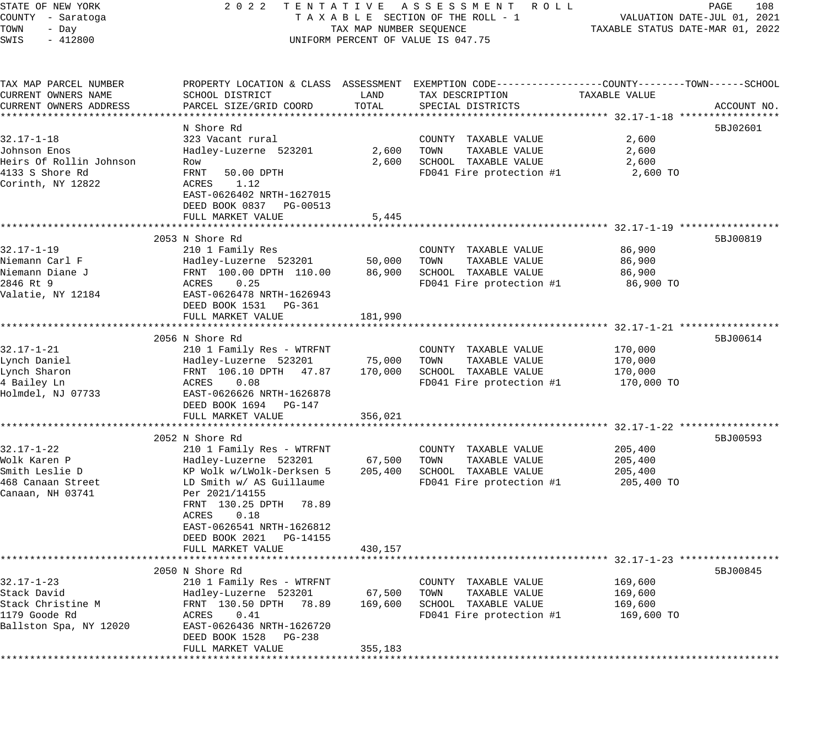| STATE OF NEW YORK       | 2 0 2 2                    |                         | TENTATIVE ASSESSMENT ROLL                                                                      |                                  | 108<br>PAGE                 |
|-------------------------|----------------------------|-------------------------|------------------------------------------------------------------------------------------------|----------------------------------|-----------------------------|
| COUNTY - Saratoga       |                            |                         | TAXABLE SECTION OF THE ROLL - 1                                                                |                                  | VALUATION DATE-JUL 01, 2021 |
| TOWN<br>- Day           |                            | TAX MAP NUMBER SEQUENCE |                                                                                                | TAXABLE STATUS DATE-MAR 01, 2022 |                             |
| SWIS<br>$-412800$       |                            |                         | UNIFORM PERCENT OF VALUE IS 047.75                                                             |                                  |                             |
|                         |                            |                         |                                                                                                |                                  |                             |
| TAX MAP PARCEL NUMBER   |                            |                         | PROPERTY LOCATION & CLASS ASSESSMENT EXEMPTION CODE---------------COUNTY-------TOWN-----SCHOOL |                                  |                             |
| CURRENT OWNERS NAME     | SCHOOL DISTRICT            | LAND                    | TAX DESCRIPTION                                                                                | TAXABLE VALUE                    |                             |
| CURRENT OWNERS ADDRESS  | PARCEL SIZE/GRID COORD     | TOTAL                   | SPECIAL DISTRICTS                                                                              |                                  | ACCOUNT NO.                 |
|                         |                            |                         |                                                                                                |                                  |                             |
|                         | N Shore Rd                 |                         |                                                                                                |                                  | 5BJ02601                    |
| $32.17 - 1 - 18$        | 323 Vacant rural           |                         | COUNTY TAXABLE VALUE                                                                           | 2,600                            |                             |
| Johnson Enos            | Hadley-Luzerne 523201      | 2,600                   | TAXABLE VALUE<br>TOWN                                                                          | 2,600                            |                             |
| Heirs Of Rollin Johnson | Row                        | 2,600                   | SCHOOL TAXABLE VALUE                                                                           | 2,600                            |                             |
| 4133 S Shore Rd         | FRNT<br>50.00 DPTH         |                         | FD041 Fire protection #1                                                                       | 2,600 TO                         |                             |
| Corinth, NY 12822       | 1.12<br>ACRES              |                         |                                                                                                |                                  |                             |
|                         | EAST-0626402 NRTH-1627015  |                         |                                                                                                |                                  |                             |
|                         | DEED BOOK 0837 PG-00513    |                         |                                                                                                |                                  |                             |
|                         | FULL MARKET VALUE          | 5,445                   |                                                                                                |                                  |                             |
|                         |                            |                         |                                                                                                |                                  |                             |
|                         | 2053 N Shore Rd            |                         |                                                                                                |                                  | 5BJ00819                    |
| $32.17 - 1 - 19$        | 210 1 Family Res           |                         | COUNTY TAXABLE VALUE                                                                           | 86,900                           |                             |
| Niemann Carl F          | Hadley-Luzerne 523201      | 50,000                  | TAXABLE VALUE<br>TOWN                                                                          | 86,900                           |                             |
| Niemann Diane J         | FRNT 100.00 DPTH 110.00    | 86,900                  | SCHOOL TAXABLE VALUE                                                                           | 86,900                           |                             |
| 2846 Rt 9               | 0.25<br>ACRES              |                         | FD041 Fire protection #1                                                                       | 86,900 TO                        |                             |
| Valatie, NY 12184       | EAST-0626478 NRTH-1626943  |                         |                                                                                                |                                  |                             |
|                         | DEED BOOK 1531    PG-361   |                         |                                                                                                |                                  |                             |
|                         | FULL MARKET VALUE          | 181,990                 |                                                                                                |                                  |                             |
|                         |                            |                         |                                                                                                |                                  |                             |
|                         | 2056 N Shore Rd            |                         |                                                                                                |                                  | 5BJ00614                    |
| $32.17 - 1 - 21$        | 210 1 Family Res - WTRFNT  |                         | COUNTY TAXABLE VALUE                                                                           | 170,000                          |                             |
| Lynch Daniel            | Hadley-Luzerne 523201      | 75,000                  | TAXABLE VALUE<br>TOWN                                                                          | 170,000                          |                             |
| Lynch Sharon            | FRNT 106.10 DPTH 47.87     | 170,000                 | SCHOOL TAXABLE VALUE                                                                           | 170,000                          |                             |
| 4 Bailey Ln             | 0.08<br>ACRES              |                         | FD041 Fire protection #1                                                                       | 170,000 TO                       |                             |
| Holmdel, NJ 07733       | EAST-0626626 NRTH-1626878  |                         |                                                                                                |                                  |                             |
|                         | DEED BOOK 1694 PG-147      |                         |                                                                                                |                                  |                             |
|                         | FULL MARKET VALUE          | 356,021                 |                                                                                                |                                  |                             |
|                         |                            |                         |                                                                                                |                                  |                             |
|                         | 2052 N Shore Rd            |                         |                                                                                                |                                  | 5BJ00593                    |
| $32.17 - 1 - 22$        | 210 1 Family Res - WTRFNT  |                         | COUNTY TAXABLE VALUE                                                                           | 205,400                          |                             |
| Wolk Karen P            | Hadley-Luzerne 523201      | 67,500                  | TOWN<br>TAXABLE VALUE                                                                          | 205,400                          |                             |
| Smith Leslie D          | KP Wolk w/LWolk-Derksen 5  | 205,400                 | SCHOOL TAXABLE VALUE                                                                           | 205,400                          |                             |
| 468 Canaan Street       | LD Smith w/ AS Guillaume   |                         | FD041 Fire protection #1                                                                       | 205,400 TO                       |                             |
| Canaan, NH 03741        | Per 2021/14155             |                         |                                                                                                |                                  |                             |
|                         | FRNT 130.25 DPTH<br>78.89  |                         |                                                                                                |                                  |                             |
|                         | 0.18<br>ACRES              |                         |                                                                                                |                                  |                             |
|                         | EAST-0626541 NRTH-1626812  |                         |                                                                                                |                                  |                             |
|                         | DEED BOOK 2021<br>PG-14155 |                         |                                                                                                |                                  |                             |
|                         | FULL MARKET VALUE          | 430,157                 |                                                                                                |                                  |                             |
|                         |                            |                         |                                                                                                |                                  |                             |
|                         | 2050 N Shore Rd            |                         |                                                                                                |                                  | 5BJ00845                    |
| 32.17-1-23              | 210 1 Family Res - WTRFNT  |                         | COUNTY TAXABLE VALUE                                                                           | 169,600                          |                             |
| Stack David             | Hadley-Luzerne 523201      | 67,500                  | TOWN<br>TAXABLE VALUE                                                                          | 169,600                          |                             |
| Stack Christine M       | FRNT 130.50 DPTH 78.89     | 169,600                 | SCHOOL TAXABLE VALUE                                                                           | 169,600                          |                             |
| 1179 Goode Rd           | ACRES<br>0.41              |                         | FD041 Fire protection #1                                                                       | 169,600 TO                       |                             |
| Ballston Spa, NY 12020  | EAST-0626436 NRTH-1626720  |                         |                                                                                                |                                  |                             |
|                         | DEED BOOK 1528<br>PG-238   |                         |                                                                                                |                                  |                             |
|                         | FULL MARKET VALUE          | 355,183                 |                                                                                                |                                  |                             |
|                         |                            |                         |                                                                                                |                                  |                             |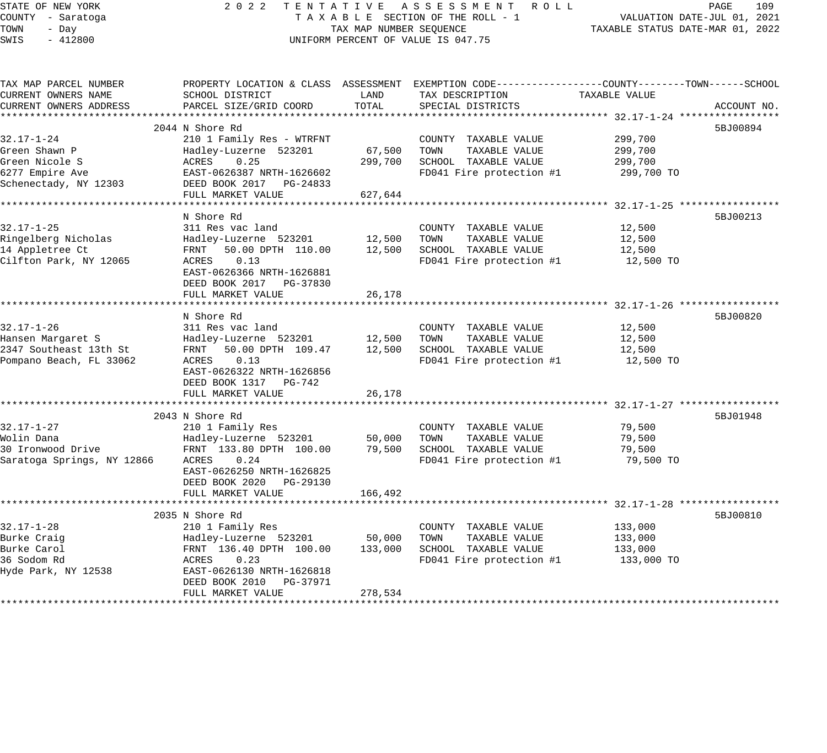| STATE OF NEW YORK<br>COUNTY - Saratoga<br>TOWN<br>- Day<br>SWIS<br>$-412800$                    | 2 0 2 2                                                                                                                                                                                                    | TAX MAP NUMBER SEQUENCE                  | TENTATIVE ASSESSMENT ROLL<br>TAXABLE SECTION OF THE ROLL - 1<br>UNIFORM PERCENT OF VALUE IS 047.75                                     | TAXABLE STATUS DATE-MAR 01, 2022                                                                 | PAGE<br>109<br>VALUATION DATE-JUL 01, 2021 |
|-------------------------------------------------------------------------------------------------|------------------------------------------------------------------------------------------------------------------------------------------------------------------------------------------------------------|------------------------------------------|----------------------------------------------------------------------------------------------------------------------------------------|--------------------------------------------------------------------------------------------------|--------------------------------------------|
| TAX MAP PARCEL NUMBER<br>CURRENT OWNERS NAME<br>CURRENT OWNERS ADDRESS                          | SCHOOL DISTRICT<br>PARCEL SIZE/GRID COORD                                                                                                                                                                  | LAND<br>TOTAL<br>***************         | PROPERTY LOCATION & CLASS ASSESSMENT EXEMPTION CODE---------------COUNTY-------TOWN-----SCHOOL<br>TAX DESCRIPTION<br>SPECIAL DISTRICTS | TAXABLE VALUE<br>*************************** 32.17-1-24 *********                                | ACCOUNT NO.                                |
| $32.17 - 1 - 24$<br>Green Shawn P<br>Green Nicole S<br>6277 Empire Ave<br>Schenectady, NY 12303 | 2044 N Shore Rd<br>210 1 Family Res - WTRFNT<br>Hadley-Luzerne 523201<br>ACRES<br>0.25<br>EAST-0626387 NRTH-1626602<br>DEED BOOK 2017 PG-24833<br>FULL MARKET VALUE<br>*****************                   | 67,500<br>299,700<br>627,644<br>******** | COUNTY TAXABLE VALUE<br>TOWN<br>TAXABLE VALUE<br>SCHOOL TAXABLE VALUE<br>FD041 Fire protection #1                                      | 299,700<br>299,700<br>299,700<br>299,700 TO<br>********** 32.17-1-25 ******************          | 5BJ00894                                   |
| $32.17 - 1 - 25$<br>Ringelberg Nicholas<br>14 Appletree Ct<br>Cilfton Park, NY 12065            | N Shore Rd<br>311 Res vac land<br>Hadley-Luzerne 523201<br>50.00 DPTH 110.00<br>FRNT<br>ACRES<br>0.13<br>EAST-0626366 NRTH-1626881<br>DEED BOOK 2017 PG-37830<br>FULL MARKET VALUE<br>******************** | 12,500<br>12,500<br>26,178               | COUNTY TAXABLE VALUE<br>TAXABLE VALUE<br>TOWN<br>SCHOOL TAXABLE VALUE<br>FD041 Fire protection #1                                      | 12,500<br>12,500<br>12,500<br>12,500 TO<br>*********************** 32.17-1-26 ****************** | 5BJ00213                                   |
| $32.17 - 1 - 26$<br>Hansen Margaret S<br>2347 Southeast 13th St<br>Pompano Beach, FL 33062      | N Shore Rd<br>311 Res vac land<br>Hadley-Luzerne 523201<br>FRNT<br>50.00 DPTH 109.47<br>ACRES<br>0.13<br>EAST-0626322 NRTH-1626856<br>DEED BOOK 1317 PG-742<br>FULL MARKET VALUE                           | 12,500<br>12,500<br>26,178               | COUNTY TAXABLE VALUE<br>TOWN<br>TAXABLE VALUE<br>SCHOOL TAXABLE VALUE<br>FD041 Fire protection #1                                      | 12,500<br>12,500<br>12,500<br>12,500 TO                                                          | 5BJ00820                                   |
|                                                                                                 | *********************                                                                                                                                                                                      |                                          |                                                                                                                                        | *** 32.17-1-27 *****                                                                             |                                            |
| $32.17 - 1 - 27$<br>Wolin Dana<br>30 Ironwood Drive<br>Saratoga Springs, NY 12866               | 2043 N Shore Rd<br>210 1 Family Res<br>Hadley-Luzerne 523201<br>FRNT 133.80 DPTH 100.00<br>0.24<br>ACRES<br>EAST-0626250 NRTH-1626825<br>DEED BOOK 2020 PG-29130<br>FULL MARKET VALUE                      | 50,000<br>79,500<br>166,492              | COUNTY TAXABLE VALUE<br>TOWN<br>TAXABLE VALUE<br>SCHOOL TAXABLE VALUE<br>FD041 Fire protection #1                                      | 79,500<br>79,500<br>79,500<br>79,500 TO                                                          | 5BJ01948                                   |
|                                                                                                 | ********************                                                                                                                                                                                       |                                          |                                                                                                                                        | *********************** 32.17-1-28 *****                                                         |                                            |
| $32.17 - 1 - 28$<br>Burke Craig<br>Burke Carol<br>36 Sodom Rd<br>Hyde Park, NY 12538            | 2035 N Shore Rd<br>210 1 Family Res<br>Hadley-Luzerne 523201<br>FRNT 136.40 DPTH 100.00<br>ACRES<br>0.23<br>EAST-0626130 NRTH-1626818<br>DEED BOOK 2010<br>PG-37971<br>FULL MARKET VALUE                   | 50,000<br>133,000<br>278,534             | COUNTY TAXABLE VALUE<br>TOWN<br>TAXABLE VALUE<br>SCHOOL TAXABLE VALUE<br>FD041 Fire protection #1                                      | 133,000<br>133,000<br>133,000<br>133,000 TO                                                      | 5BJ00810                                   |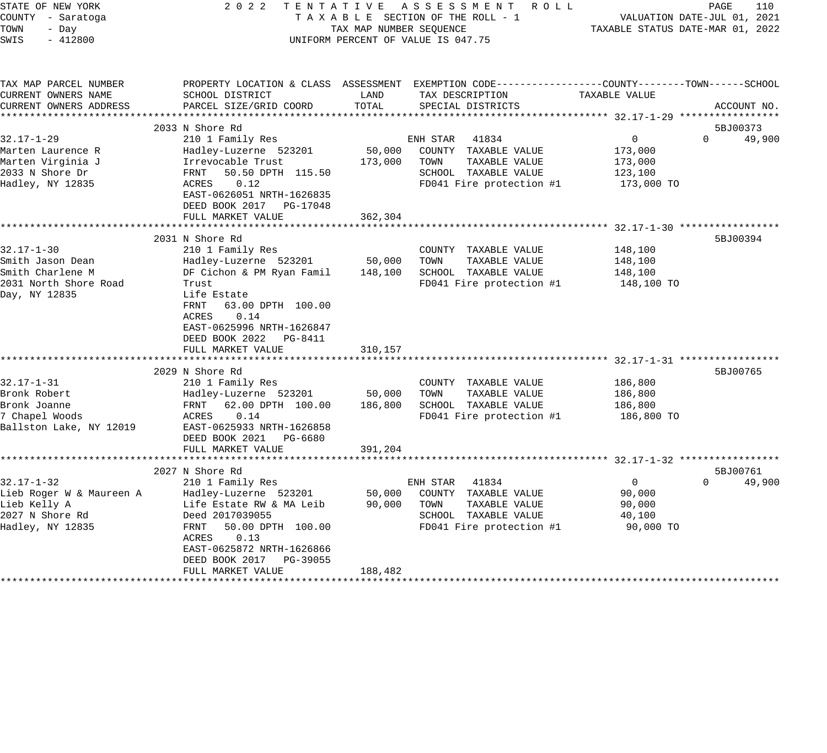| STATE OF NEW YORK<br>COUNTY - Saratoga<br>TOWN<br>- Day<br>SWIS<br>$-412800$                        | 2 0 2 2                                                                                                                                                                                                                                     | TAX MAP NUMBER SEQUENCE      | TENTATIVE ASSESSMENT<br>R O L L<br>TAXABLE SECTION OF THE ROLL - 1<br>UNIFORM PERCENT OF VALUE IS 047.75                                 |                                                            | PAGE<br>110<br>VALUATION DATE-JUL 01, 2021<br>TAXABLE STATUS DATE-MAR 01, 2022 |
|-----------------------------------------------------------------------------------------------------|---------------------------------------------------------------------------------------------------------------------------------------------------------------------------------------------------------------------------------------------|------------------------------|------------------------------------------------------------------------------------------------------------------------------------------|------------------------------------------------------------|--------------------------------------------------------------------------------|
| TAX MAP PARCEL NUMBER<br>CURRENT OWNERS NAME<br>CURRENT OWNERS ADDRESS                              | SCHOOL DISTRICT<br>PARCEL SIZE/GRID COORD                                                                                                                                                                                                   | LAND<br>TOTAL                | PROPERTY LOCATION & CLASS ASSESSMENT EXEMPTION CODE----------------COUNTY-------TOWN------SCHOOL<br>TAX DESCRIPTION<br>SPECIAL DISTRICTS | TAXABLE VALUE                                              | ACCOUNT NO.                                                                    |
|                                                                                                     | ******************************                                                                                                                                                                                                              |                              |                                                                                                                                          |                                                            |                                                                                |
| $32.17 - 1 - 29$<br>Marten Laurence R<br>Marten Virginia J<br>2033 N Shore Dr<br>Hadley, NY 12835   | 2033 N Shore Rd<br>210 1 Family Res<br>Hadley-Luzerne 523201<br>Irrevocable Trust<br>50.50 DPTH 115.50<br>FRNT<br>ACRES<br>0.12<br>EAST-0626051 NRTH-1626835<br>DEED BOOK 2017 PG-17048<br>FULL MARKET VALUE                                | 50,000<br>173,000<br>362,304 | ENH STAR 41834<br>COUNTY TAXABLE VALUE<br>TOWN<br>TAXABLE VALUE<br>SCHOOL TAXABLE VALUE<br>FD041 Fire protection #1                      | $\mathbf 0$<br>173,000<br>173,000<br>123,100<br>173,000 TO | 5BJ00373<br>$\Omega$<br>49,900                                                 |
|                                                                                                     |                                                                                                                                                                                                                                             |                              |                                                                                                                                          |                                                            |                                                                                |
| $32.17 - 1 - 30$<br>Smith Jason Dean<br>Smith Charlene M<br>2031 North Shore Road<br>Day, NY 12835  | 2031 N Shore Rd<br>210 1 Family Res<br>Hadley-Luzerne 523201<br>DF Cichon & PM Ryan Famil<br>Trust<br>Life Estate<br>FRNT<br>63.00 DPTH 100.00<br>ACRES<br>0.14<br>EAST-0625996 NRTH-1626847<br>DEED BOOK 2022 PG-8411<br>FULL MARKET VALUE | 50,000<br>148,100<br>310,157 | COUNTY TAXABLE VALUE<br>TOWN<br>TAXABLE VALUE<br>SCHOOL TAXABLE VALUE<br>FD041 Fire protection #1                                        | 148,100<br>148,100<br>148,100<br>148,100 TO                | 5BJ00394                                                                       |
| $32.17 - 1 - 31$<br>Bronk Robert<br>Bronk Joanne<br>7 Chapel Woods<br>Ballston Lake, NY 12019       | 2029 N Shore Rd<br>210 1 Family Res<br>Hadley-Luzerne 523201<br>FRNT<br>62.00 DPTH 100.00<br>ACRES<br>0.14<br>EAST-0625933 NRTH-1626858<br>DEED BOOK 2021 PG-6680<br>FULL MARKET VALUE                                                      | 50,000<br>186,800<br>391,204 | COUNTY TAXABLE VALUE<br>TOWN<br>TAXABLE VALUE<br>SCHOOL TAXABLE VALUE<br>FD041 Fire protection #1                                        | 186,800<br>186,800<br>186,800<br>186,800 TO                | 5BJ00765                                                                       |
|                                                                                                     |                                                                                                                                                                                                                                             |                              |                                                                                                                                          |                                                            |                                                                                |
| $32.17 - 1 - 32$<br>Lieb Roger W & Maureen A<br>Lieb Kelly A<br>2027 N Shore Rd<br>Hadley, NY 12835 | 2027 N Shore Rd<br>210 1 Family Res<br>Hadley-Luzerne 523201<br>Life Estate RW & MA Leib<br>Deed 2017039055<br>FRNT<br>50.00 DPTH 100.00<br>0.13<br>ACRES<br>EAST-0625872 NRTH-1626866<br>DEED BOOK 2017 PG-39055<br>FULL MARKET VALUE      | 50,000<br>90,000<br>188,482  | 41834<br>ENH STAR<br>COUNTY TAXABLE VALUE<br>TOWN<br>TAXABLE VALUE<br>SCHOOL TAXABLE VALUE<br>FD041 Fire protection #1                   | $\mathbf{0}$<br>90,000<br>90,000<br>40,100<br>90,000 TO    | 5BJ00761<br>$\Omega$<br>49,900                                                 |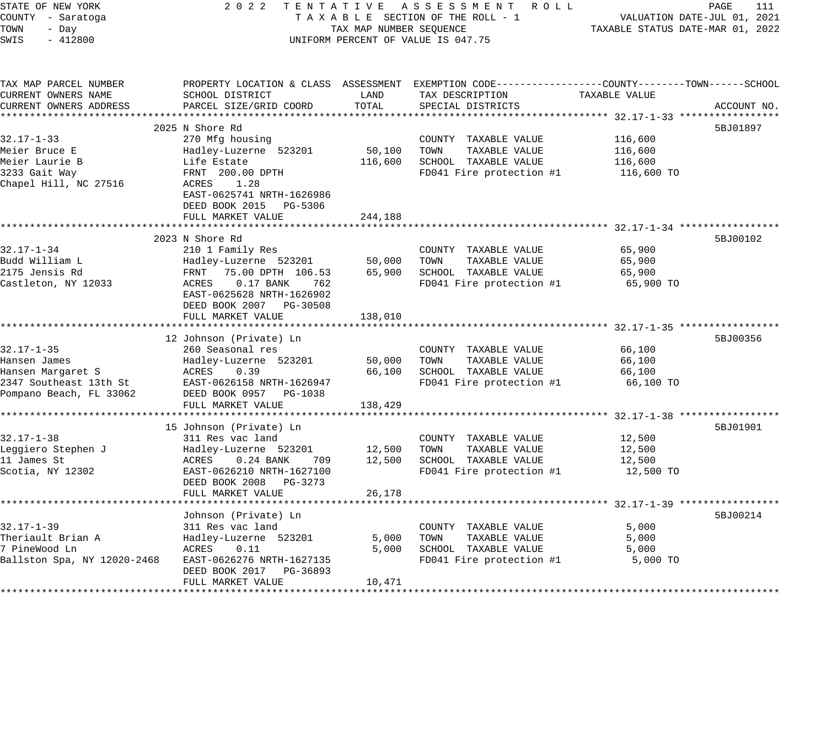| STATE OF NEW YORK<br>COUNTY - Saratoga<br>TOWN<br>- Day<br>SWIS<br>$-412800$ | 2 0 2 2                                                                                                  | TAX MAP NUMBER SEQUENCE | TENTATIVE ASSESSMENT ROLL<br>TAXABLE SECTION OF THE ROLL - 1<br>UNIFORM PERCENT OF VALUE IS 047.75 | TAXABLE STATUS DATE-MAR 01, 2022 | PAGE<br>111<br>VALUATION DATE-JUL 01, 2021 |
|------------------------------------------------------------------------------|----------------------------------------------------------------------------------------------------------|-------------------------|----------------------------------------------------------------------------------------------------|----------------------------------|--------------------------------------------|
| TAX MAP PARCEL NUMBER                                                        |                                                                                                          |                         | PROPERTY LOCATION & CLASS ASSESSMENT EXEMPTION CODE---------------COUNTY-------TOWN-----SCHOOL     |                                  |                                            |
| CURRENT OWNERS NAME                                                          | SCHOOL DISTRICT                                                                                          | LAND                    | TAX DESCRIPTION                                                                                    | TAXABLE VALUE                    |                                            |
| CURRENT OWNERS ADDRESS                                                       | PARCEL SIZE/GRID COORD                                                                                   | TOTAL                   | SPECIAL DISTRICTS                                                                                  |                                  | ACCOUNT NO.                                |
|                                                                              |                                                                                                          |                         |                                                                                                    |                                  |                                            |
| $32.17 - 1 - 33$                                                             | 2025 N Shore Rd<br>270 Mfg housing                                                                       |                         | COUNTY TAXABLE VALUE                                                                               | 116,600                          | 5BJ01897                                   |
| Meier Bruce E                                                                | Hadley-Luzerne 523201                                                                                    | 50,100                  | TOWN<br>TAXABLE VALUE                                                                              | 116,600                          |                                            |
| Meier Laurie B                                                               | Life Estate                                                                                              | 116,600                 | SCHOOL TAXABLE VALUE                                                                               | 116,600                          |                                            |
| 3233 Gait Way                                                                | FRNT 200.00 DPTH                                                                                         |                         | FD041 Fire protection #1                                                                           | 116,600 TO                       |                                            |
| Chapel Hill, NC 27516                                                        | 1.28<br>ACRES<br>EAST-0625741 NRTH-1626986<br>DEED BOOK 2015 PG-5306<br>FULL MARKET VALUE                | 244,188                 |                                                                                                    |                                  |                                            |
|                                                                              | ************************                                                                                 |                         | *********************************** 32.17-1-34 ******************                                  |                                  |                                            |
|                                                                              | 2023 N Shore Rd                                                                                          |                         |                                                                                                    |                                  | 5BJ00102                                   |
| $32.17 - 1 - 34$                                                             | 210 1 Family Res                                                                                         |                         | COUNTY TAXABLE VALUE                                                                               | 65,900                           |                                            |
| Budd William L                                                               | Hadley-Luzerne 523201                                                                                    | 50,000                  | TOWN<br>TAXABLE VALUE                                                                              | 65,900                           |                                            |
| 2175 Jensis Rd                                                               | FRNT 75.00 DPTH 106.53                                                                                   | 65,900                  | SCHOOL TAXABLE VALUE                                                                               | 65,900                           |                                            |
| Castleton, NY 12033                                                          | ACRES<br>$0.17$ BANK<br>762<br>EAST-0625628 NRTH-1626902<br>DEED BOOK 2007 PG-30508<br>FULL MARKET VALUE | 138,010                 | FD041 Fire protection #1                                                                           | 65,900 TO                        |                                            |
|                                                                              | 12 Johnson (Private) Ln                                                                                  |                         |                                                                                                    |                                  | 5BJ00356                                   |
| $32.17 - 1 - 35$                                                             | 260 Seasonal res                                                                                         |                         | COUNTY TAXABLE VALUE                                                                               | 66,100                           |                                            |
| Hansen James                                                                 | Hadley-Luzerne 523201                                                                                    | 50,000                  | TAXABLE VALUE<br>TOWN                                                                              | 66,100                           |                                            |
| Hansen Margaret S                                                            | ACRES<br>0.39                                                                                            | 66,100                  | SCHOOL TAXABLE VALUE                                                                               | 66,100                           |                                            |
| 2347 Southeast 13th St                                                       | EAST-0626158 NRTH-1626947                                                                                |                         | FD041 Fire protection #1                                                                           | 66,100 TO                        |                                            |
| Pompano Beach, FL 33062                                                      | DEED BOOK 0957 PG-1038                                                                                   |                         |                                                                                                    |                                  |                                            |
|                                                                              | FULL MARKET VALUE                                                                                        | 138,429                 |                                                                                                    |                                  |                                            |
|                                                                              | 15 Johnson (Private) Ln                                                                                  |                         |                                                                                                    |                                  | 5BJ01901                                   |
| $32.17 - 1 - 38$                                                             | 311 Res vac land                                                                                         |                         | COUNTY TAXABLE VALUE                                                                               | 12,500                           |                                            |
| Leggiero Stephen J                                                           | Hadley-Luzerne 523201                                                                                    | 12,500                  | TOWN<br>TAXABLE VALUE                                                                              | 12,500                           |                                            |
| 11 James St                                                                  | ACRES<br>$0.24$ BANK<br>709                                                                              | 12,500                  | SCHOOL TAXABLE VALUE                                                                               | 12,500                           |                                            |
| Scotia, NY 12302                                                             | EAST-0626210 NRTH-1627100                                                                                |                         | FD041 Fire protection #1                                                                           | 12,500 TO                        |                                            |
|                                                                              | DEED BOOK 2008 PG-3273                                                                                   |                         |                                                                                                    |                                  |                                            |
|                                                                              | FULL MARKET VALUE                                                                                        | 26,178                  |                                                                                                    |                                  |                                            |
|                                                                              |                                                                                                          |                         | *************************************32.17-1-39 *****************                                  |                                  |                                            |
| $32.17 - 1 - 39$                                                             | Johnson (Private) Ln<br>311 Res vac land                                                                 |                         | COUNTY TAXABLE VALUE                                                                               | 5,000                            | 5BJ00214                                   |
| Theriault Brian A                                                            | Hadley-Luzerne 523201                                                                                    | 5,000                   | TOWN<br>TAXABLE VALUE                                                                              | 5,000                            |                                            |
| 7 PineWood Ln                                                                | ACRES<br>0.11                                                                                            | 5,000                   | SCHOOL TAXABLE VALUE                                                                               | 5,000                            |                                            |
| Ballston Spa, NY 12020-2468                                                  | EAST-0626276 NRTH-1627135                                                                                |                         | FD041 Fire protection #1                                                                           | 5,000 TO                         |                                            |
|                                                                              | DEED BOOK 2017 PG-36893                                                                                  |                         |                                                                                                    |                                  |                                            |
|                                                                              | FULL MARKET VALUE                                                                                        | 10,471                  |                                                                                                    |                                  |                                            |
|                                                                              |                                                                                                          |                         |                                                                                                    |                                  |                                            |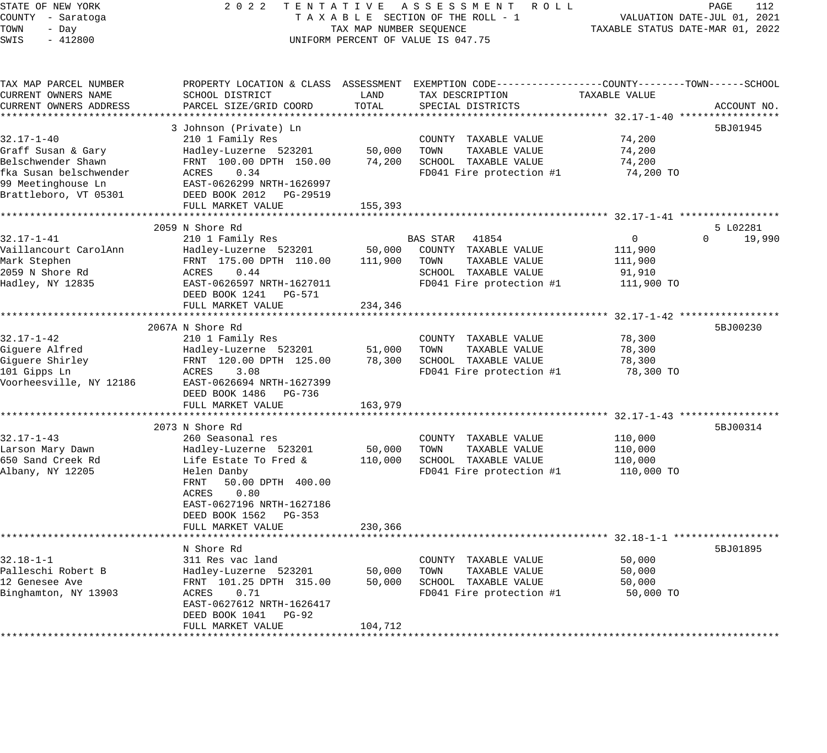| STATE OF NEW YORK          | 2 0 2 2<br>TENTATIVE                 |                                  | A S S E S S M E N T<br>R O L L                               |                                                       | PAGE<br>112                 |
|----------------------------|--------------------------------------|----------------------------------|--------------------------------------------------------------|-------------------------------------------------------|-----------------------------|
| COUNTY - Saratoga          |                                      |                                  | TAXABLE SECTION OF THE ROLL - 1                              |                                                       | VALUATION DATE-JUL 01, 2021 |
| TOWN<br>- Day              | TAX MAP NUMBER SEQUENCE              | TAXABLE STATUS DATE-MAR 01, 2022 |                                                              |                                                       |                             |
| SWIS<br>$-412800$          |                                      |                                  | UNIFORM PERCENT OF VALUE IS 047.75                           |                                                       |                             |
|                            |                                      |                                  |                                                              |                                                       |                             |
| TAX MAP PARCEL NUMBER      | PROPERTY LOCATION & CLASS ASSESSMENT |                                  | EXEMPTION CODE-----------------COUNTY-------TOWN------SCHOOL |                                                       |                             |
| CURRENT OWNERS NAME        | SCHOOL DISTRICT                      | LAND                             | TAX DESCRIPTION                                              | TAXABLE VALUE                                         |                             |
| CURRENT OWNERS ADDRESS     | PARCEL SIZE/GRID COORD               | TOTAL                            | SPECIAL DISTRICTS                                            |                                                       | ACCOUNT NO.                 |
| ************************** |                                      |                                  |                                                              |                                                       |                             |
|                            | 3 Johnson (Private) Ln               |                                  |                                                              |                                                       | 5BJ01945                    |
| 32.17-1-40                 | 210 1 Family Res                     |                                  | COUNTY TAXABLE VALUE                                         | 74,200                                                |                             |
| Graff Susan & Gary         | Hadley-Luzerne 523201                | 50,000                           | TOWN<br>TAXABLE VALUE                                        | 74,200                                                |                             |
| Belschwender Shawn         | FRNT 100.00 DPTH 150.00              | 74,200                           | SCHOOL TAXABLE VALUE                                         | 74,200                                                |                             |
| fka Susan belschwender     | ACRES<br>0.34                        |                                  | FD041 Fire protection #1                                     | 74,200 TO                                             |                             |
| 99 Meetinghouse Ln         | EAST-0626299 NRTH-1626997            |                                  |                                                              |                                                       |                             |
| Brattleboro, VT 05301      | DEED BOOK 2012<br>PG-29519           |                                  |                                                              |                                                       |                             |
|                            | FULL MARKET VALUE                    | 155,393                          |                                                              |                                                       |                             |
|                            |                                      |                                  |                                                              | ******************** 32.17-1-41 ******************    |                             |
|                            | 2059 N Shore Rd                      |                                  |                                                              |                                                       | 5 L02281                    |
| 32.17-1-41                 | 210 1 Family Res                     |                                  | BAS STAR<br>41854                                            | $\Omega$                                              | $\Omega$<br>19,990          |
| Vaillancourt CarolAnn      | Hadley-Luzerne 523201                | 50,000                           | COUNTY TAXABLE VALUE                                         | 111,900                                               |                             |
| Mark Stephen               | FRNT 175.00 DPTH 110.00              | 111,900                          | TAXABLE VALUE<br>TOWN                                        | 111,900                                               |                             |
| 2059 N Shore Rd            | ACRES<br>0.44                        |                                  | SCHOOL TAXABLE VALUE                                         | 91,910                                                |                             |
| Hadley, NY 12835           | EAST-0626597 NRTH-1627011            |                                  | FD041 Fire protection #1                                     | 111,900 TO                                            |                             |
|                            | DEED BOOK 1241<br>PG-571             |                                  |                                                              |                                                       |                             |
|                            | FULL MARKET VALUE                    | 234,346                          |                                                              |                                                       |                             |
| *********                  |                                      |                                  |                                                              | *********************** 32.17-1-42 ****************** |                             |
|                            | 2067A N Shore Rd                     |                                  |                                                              |                                                       | 5BJ00230                    |
| $32.17 - 1 - 42$           | 210 1 Family Res                     |                                  | COUNTY TAXABLE VALUE                                         | 78,300                                                |                             |
| Giguere Alfred             | Hadley-Luzerne 523201                | 51,000                           | TAXABLE VALUE<br>TOWN                                        | 78,300                                                |                             |
| Giguere Shirley            | FRNT 120.00 DPTH 125.00              | 78,300                           | SCHOOL TAXABLE VALUE                                         | 78,300                                                |                             |
| 101 Gipps Ln               | ACRES<br>3.08                        |                                  | FD041 Fire protection #1                                     | 78,300 TO                                             |                             |
| Voorheesville, NY 12186    | EAST-0626694 NRTH-1627399            |                                  |                                                              |                                                       |                             |
|                            | DEED BOOK 1486<br>PG-736             |                                  |                                                              |                                                       |                             |
|                            | FULL MARKET VALUE                    | 163,979                          |                                                              |                                                       |                             |
|                            |                                      | *******                          |                                                              | *********** 32.17-1-43 *****                          |                             |
|                            | 2073 N Shore Rd                      |                                  |                                                              |                                                       | 5BJ00314                    |
| $32.17 - 1 - 43$           | 260 Seasonal res                     |                                  | COUNTY TAXABLE VALUE                                         | 110,000                                               |                             |
| Larson Mary Dawn           | Hadley-Luzerne 523201                | 50,000                           | TOWN<br>TAXABLE VALUE                                        | 110,000                                               |                             |
| 650 Sand Creek Rd          | Life Estate To Fred &                | 110,000                          | SCHOOL TAXABLE VALUE                                         | 110,000                                               |                             |
| Albany, NY 12205           | Helen Danby                          |                                  | FD041 Fire protection #1                                     | 110,000 TO                                            |                             |
|                            | FRNT<br>50.00 DPTH 400.00            |                                  |                                                              |                                                       |                             |
|                            | 0.80<br>ACRES                        |                                  |                                                              |                                                       |                             |
|                            | EAST-0627196 NRTH-1627186            |                                  |                                                              |                                                       |                             |
|                            | DEED BOOK 1562<br>$PG-353$           |                                  |                                                              |                                                       |                             |
|                            | FULL MARKET VALUE                    | 230,366                          |                                                              |                                                       |                             |
|                            |                                      |                                  |                                                              | $32.18 - 1 - 1$ ****************                      |                             |
|                            | N Shore Rd                           |                                  |                                                              |                                                       | 5BJ01895                    |
| 32.18-1-1                  | 311 Res vac land                     |                                  | COUNTY TAXABLE VALUE                                         | 50,000                                                |                             |
| Palleschi Robert B         | Hadley-Luzerne 523201                | 50,000                           | TOWN<br>TAXABLE VALUE                                        | 50,000                                                |                             |
| 12 Genesee Ave             | FRNT 101.25 DPTH 315.00              | 50,000                           | SCHOOL TAXABLE VALUE                                         |                                                       |                             |
| Binghamton, NY 13903       | 0.71                                 |                                  |                                                              | 50,000                                                |                             |
|                            | ACRES                                |                                  | FD041 Fire protection #1                                     | 50,000 TO                                             |                             |
|                            | EAST-0627612 NRTH-1626417            |                                  |                                                              |                                                       |                             |
|                            | DEED BOOK 1041<br>$PG-92$            |                                  |                                                              |                                                       |                             |
|                            | FULL MARKET VALUE                    | 104,712                          |                                                              |                                                       |                             |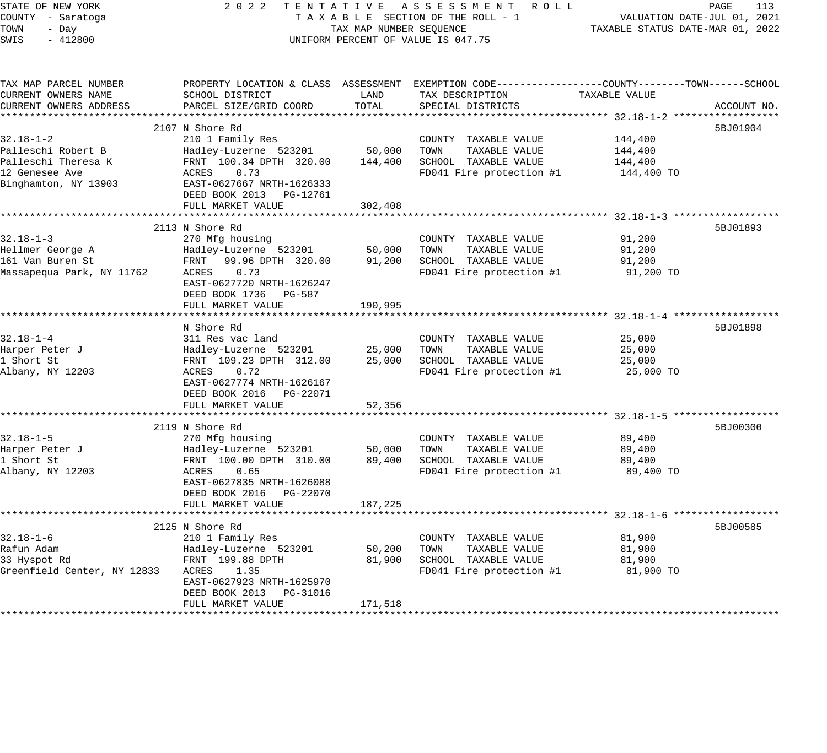| STATE OF NEW YORK<br>COUNTY - Saratoga | 2 0 2 2                                      | TENTATIVE                        | ASSESSMENT ROLL<br>TAXABLE SECTION OF THE ROLL - 1                                             |               | PAGE<br>113<br>VALUATION DATE-JUL 01, 2021 |
|----------------------------------------|----------------------------------------------|----------------------------------|------------------------------------------------------------------------------------------------|---------------|--------------------------------------------|
| TOWN<br>- Day                          |                                              | TAXABLE STATUS DATE-MAR 01, 2022 |                                                                                                |               |                                            |
| SWIS<br>$-412800$                      |                                              | TAX MAP NUMBER SEQUENCE          | UNIFORM PERCENT OF VALUE IS 047.75                                                             |               |                                            |
|                                        |                                              |                                  |                                                                                                |               |                                            |
| TAX MAP PARCEL NUMBER                  |                                              |                                  | PROPERTY LOCATION & CLASS ASSESSMENT EXEMPTION CODE---------------COUNTY-------TOWN-----SCHOOL |               |                                            |
| CURRENT OWNERS NAME                    | SCHOOL DISTRICT                              | LAND                             | TAX DESCRIPTION                                                                                | TAXABLE VALUE |                                            |
| CURRENT OWNERS ADDRESS                 | PARCEL SIZE/GRID COORD                       | TOTAL                            | SPECIAL DISTRICTS                                                                              |               | ACCOUNT NO.                                |
|                                        |                                              |                                  |                                                                                                |               |                                            |
|                                        | 2107 N Shore Rd                              |                                  |                                                                                                |               | 5BJ01904                                   |
| $32.18 - 1 - 2$                        | 210 1 Family Res                             |                                  | COUNTY TAXABLE VALUE                                                                           | 144,400       |                                            |
| Palleschi Robert B                     | Hadley-Luzerne 523201                        | 50,000                           | TOWN<br>TAXABLE VALUE                                                                          | 144,400       |                                            |
| Palleschi Theresa K                    | FRNT 100.34 DPTH 320.00                      | 144,400                          | SCHOOL TAXABLE VALUE                                                                           | 144,400       |                                            |
| 12 Genesee Ave                         | ACRES<br>0.73                                |                                  | FD041 Fire protection #1                                                                       | 144,400 TO    |                                            |
| Binghamton, NY 13903                   | EAST-0627667 NRTH-1626333                    |                                  |                                                                                                |               |                                            |
|                                        | DEED BOOK 2013 PG-12761<br>FULL MARKET VALUE | 302,408                          |                                                                                                |               |                                            |
|                                        |                                              |                                  |                                                                                                |               |                                            |
|                                        | 2113 N Shore Rd                              |                                  |                                                                                                |               | 5BJ01893                                   |
| $32.18 - 1 - 3$                        | 270 Mfg housing                              |                                  | COUNTY TAXABLE VALUE                                                                           | 91,200        |                                            |
| Hellmer George A                       | Hadley-Luzerne 523201                        | 50,000                           | TOWN<br>TAXABLE VALUE                                                                          | 91,200        |                                            |
| 161 Van Buren St                       | 99.96 DPTH 320.00<br>FRNT                    | 91,200                           | SCHOOL TAXABLE VALUE                                                                           | 91,200        |                                            |
| Massapequa Park, NY 11762              | ACRES<br>0.73                                |                                  | FD041 Fire protection #1                                                                       | 91,200 TO     |                                            |
|                                        | EAST-0627720 NRTH-1626247                    |                                  |                                                                                                |               |                                            |
|                                        | DEED BOOK 1736 PG-587                        |                                  |                                                                                                |               |                                            |
|                                        | FULL MARKET VALUE                            | 190,995                          |                                                                                                |               |                                            |
|                                        |                                              |                                  |                                                                                                |               |                                            |
|                                        | N Shore Rd                                   |                                  |                                                                                                |               | 5BJ01898                                   |
| $32.18 - 1 - 4$                        | 311 Res vac land                             |                                  | COUNTY TAXABLE VALUE                                                                           | 25,000        |                                            |
| Harper Peter J                         | Hadley-Luzerne 523201                        | 25,000                           | TOWN<br>TAXABLE VALUE                                                                          | 25,000        |                                            |
| 1 Short St                             | FRNT 109.23 DPTH 312.00                      | 25,000                           | SCHOOL TAXABLE VALUE                                                                           | 25,000        |                                            |
| Albany, NY 12203                       | 0.72<br>ACRES                                |                                  | FD041 Fire protection #1                                                                       | 25,000 TO     |                                            |
|                                        | EAST-0627774 NRTH-1626167                    |                                  |                                                                                                |               |                                            |
|                                        | DEED BOOK 2016 PG-22071<br>FULL MARKET VALUE | 52,356                           |                                                                                                |               |                                            |
|                                        |                                              |                                  |                                                                                                |               |                                            |
|                                        | 2119 N Shore Rd                              |                                  |                                                                                                |               | 5BJ00300                                   |
| $32.18 - 1 - 5$                        | 270 Mfg housing                              |                                  | COUNTY TAXABLE VALUE                                                                           | 89,400        |                                            |
| Harper Peter J                         | Hadley-Luzerne 523201                        | 50,000                           | TAXABLE VALUE<br>TOWN                                                                          | 89,400        |                                            |
| 1 Short St                             | FRNT 100.00 DPTH 310.00                      | 89,400                           | SCHOOL TAXABLE VALUE                                                                           | 89,400        |                                            |
| Albany, NY 12203                       | ACRES<br>0.65                                |                                  | FD041 Fire protection #1                                                                       | 89,400 TO     |                                            |
|                                        | EAST-0627835 NRTH-1626088                    |                                  |                                                                                                |               |                                            |
|                                        | DEED BOOK 2016 PG-22070                      |                                  |                                                                                                |               |                                            |
|                                        | FULL MARKET VALUE                            | 187,225                          |                                                                                                |               |                                            |
|                                        | ************************                     | **********                       | *********************************** 32.18-1-6 *******************                              |               |                                            |
|                                        | 2125 N Shore Rd                              |                                  |                                                                                                |               | 5BJ00585                                   |
| $32.18 - 1 - 6$                        | 210 1 Family Res                             |                                  | COUNTY TAXABLE VALUE                                                                           | 81,900        |                                            |
| Rafun Adam                             | Hadley-Luzerne 523201                        | 50,200                           | TOWN<br>TAXABLE VALUE                                                                          | 81,900        |                                            |
| 33 Hyspot Rd                           | FRNT 199.88 DPTH                             | 81,900                           | SCHOOL TAXABLE VALUE                                                                           | 81,900        |                                            |
| Greenfield Center, NY 12833            | ACRES<br>1.35                                |                                  | FD041 Fire protection #1                                                                       | 81,900 TO     |                                            |
|                                        | EAST-0627923 NRTH-1625970                    |                                  |                                                                                                |               |                                            |
|                                        | DEED BOOK 2013 PG-31016                      |                                  |                                                                                                |               |                                            |
|                                        | FULL MARKET VALUE                            | 171,518                          |                                                                                                |               |                                            |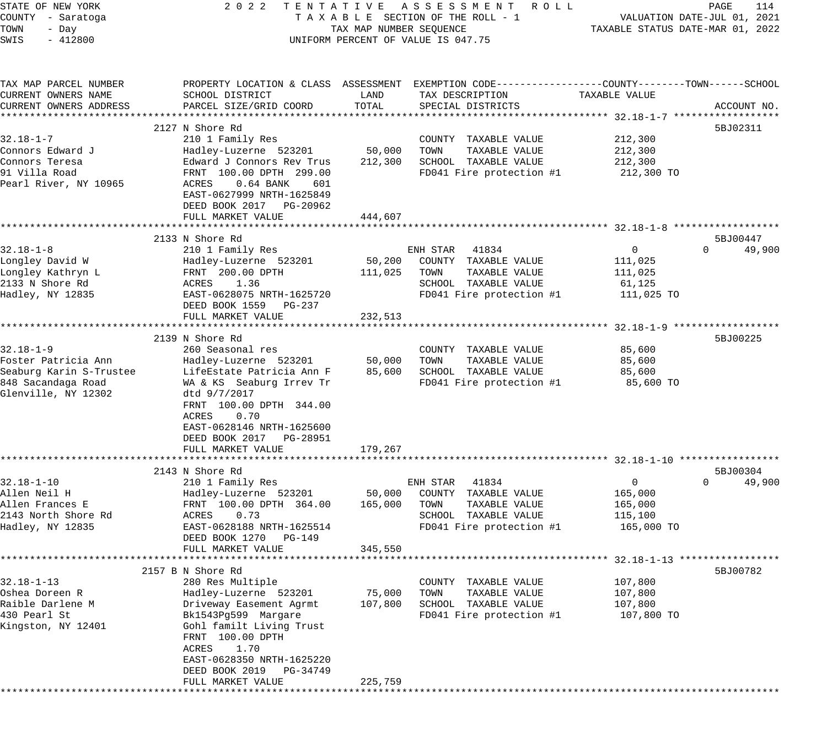| STATE OF NEW YORK                             | 2 0 2 2                                                                                         |                         | TENTATIVE ASSESSMENT ROLL                        |                                  | PAGE<br>114                 |
|-----------------------------------------------|-------------------------------------------------------------------------------------------------|-------------------------|--------------------------------------------------|----------------------------------|-----------------------------|
| COUNTY - Saratoga<br>TOWN<br>- Day            |                                                                                                 | TAX MAP NUMBER SEQUENCE | TAXABLE SECTION OF THE ROLL - 1                  | TAXABLE STATUS DATE-MAR 01, 2022 | VALUATION DATE-JUL 01, 2021 |
| $-412800$<br>SWIS                             |                                                                                                 |                         | UNIFORM PERCENT OF VALUE IS 047.75               |                                  |                             |
|                                               |                                                                                                 |                         |                                                  |                                  |                             |
| TAX MAP PARCEL NUMBER                         | PROPERTY LOCATION & CLASS ASSESSMENT EXEMPTION CODE---------------COUNTY-------TOWN------SCHOOL |                         |                                                  |                                  |                             |
| CURRENT OWNERS NAME                           | SCHOOL DISTRICT                                                                                 | LAND                    | TAX DESCRIPTION                                  | TAXABLE VALUE                    |                             |
| CURRENT OWNERS ADDRESS                        | PARCEL SIZE/GRID COORD                                                                          | TOTAL                   | SPECIAL DISTRICTS                                |                                  | ACCOUNT NO.                 |
|                                               |                                                                                                 |                         |                                                  |                                  |                             |
| $32.18 - 1 - 7$                               | 2127 N Shore Rd<br>210 1 Family Res                                                             |                         |                                                  | 212,300                          | 5BJ02311                    |
| Connors Edward J                              | Hadley-Luzerne 523201                                                                           | 50,000                  | COUNTY TAXABLE VALUE<br>TOWN<br>TAXABLE VALUE    | 212,300                          |                             |
| Connors Teresa                                | Edward J Connors Rev Trus                                                                       | 212,300                 | SCHOOL TAXABLE VALUE                             | 212,300                          |                             |
| 91 Villa Road                                 | FRNT 100.00 DPTH 299.00                                                                         |                         | FD041 Fire protection #1                         | 212,300 TO                       |                             |
| Pearl River, NY 10965                         | ACRES<br>$0.64$ BANK<br>601                                                                     |                         |                                                  |                                  |                             |
|                                               | EAST-0627999 NRTH-1625849                                                                       |                         |                                                  |                                  |                             |
|                                               | DEED BOOK 2017 PG-20962                                                                         |                         |                                                  |                                  |                             |
|                                               | FULL MARKET VALUE                                                                               | 444,607                 |                                                  |                                  |                             |
|                                               |                                                                                                 |                         |                                                  |                                  |                             |
|                                               | 2133 N Shore Rd                                                                                 |                         |                                                  |                                  | 5BJ00447                    |
| $32.18 - 1 - 8$                               | 210 1 Family Res                                                                                |                         | ENH STAR<br>41834                                | 0                                | 49,900<br>$\Omega$          |
| Longley David W<br>Longley Kathryn L          | Hadley-Luzerne 523201<br>FRNT 200.00 DPTH                                                       | 50,200<br>111,025       | COUNTY TAXABLE VALUE<br>TAXABLE VALUE<br>TOWN    | 111,025<br>111,025               |                             |
| 2133 N Shore Rd                               | ACRES<br>1.36                                                                                   |                         | SCHOOL TAXABLE VALUE                             | 61,125                           |                             |
| Hadley, NY 12835                              | EAST-0628075 NRTH-1625720                                                                       |                         | FD041 Fire protection #1                         | 111,025 TO                       |                             |
|                                               | DEED BOOK 1559 PG-237                                                                           |                         |                                                  |                                  |                             |
|                                               | FULL MARKET VALUE                                                                               | 232,513                 |                                                  |                                  |                             |
|                                               |                                                                                                 |                         |                                                  |                                  |                             |
|                                               | 2139 N Shore Rd                                                                                 |                         |                                                  |                                  | 5BJ00225                    |
| $32.18 - 1 - 9$                               | 260 Seasonal res                                                                                |                         | COUNTY TAXABLE VALUE                             | 85,600                           |                             |
| Foster Patricia Ann                           | Hadley-Luzerne 523201                                                                           | 50,000                  | TAXABLE VALUE<br>TOWN                            | 85,600                           |                             |
| Seaburg Karin S-Trustee<br>848 Sacandaga Road | LifeEstate Patricia Ann F                                                                       | 85,600                  | SCHOOL TAXABLE VALUE<br>FD041 Fire protection #1 | 85,600<br>85,600 TO              |                             |
| Glenville, NY 12302                           | WA & KS Seaburg Irrev Tr<br>dtd 9/7/2017                                                        |                         |                                                  |                                  |                             |
|                                               | FRNT 100.00 DPTH 344.00                                                                         |                         |                                                  |                                  |                             |
|                                               | ACRES<br>0.70                                                                                   |                         |                                                  |                                  |                             |
|                                               | EAST-0628146 NRTH-1625600                                                                       |                         |                                                  |                                  |                             |
|                                               | DEED BOOK 2017 PG-28951                                                                         |                         |                                                  |                                  |                             |
|                                               | FULL MARKET VALUE                                                                               | 179,267                 |                                                  |                                  |                             |
|                                               |                                                                                                 |                         |                                                  |                                  |                             |
|                                               | 2143 N Shore Rd                                                                                 |                         |                                                  |                                  | 5BJ00304<br>$\Omega$        |
| $32.18 - 1 - 10$<br>Allen Neil H              | 210 1 Family Res<br>Hadley-Luzerne 523201                                                       | 50,000                  | 41834<br>ENH STAR<br>COUNTY TAXABLE VALUE        | $\overline{0}$<br>165,000        | 49,900                      |
| Allen Frances E                               | FRNT 100.00 DPTH 364.00                                                                         | 165,000                 | TAXABLE VALUE<br>TOWN                            | 165,000                          |                             |
| 2143 North Shore Rd                           | 0.73<br>ACRES                                                                                   |                         | SCHOOL TAXABLE VALUE                             | 115,100                          |                             |
| Hadley, NY 12835                              | EAST-0628188 NRTH-1625514                                                                       |                         | FD041 Fire protection #1                         | 165,000 TO                       |                             |
|                                               | DEED BOOK 1270<br>PG-149                                                                        |                         |                                                  |                                  |                             |
|                                               | FULL MARKET VALUE                                                                               | 345,550                 |                                                  |                                  |                             |
|                                               |                                                                                                 |                         |                                                  |                                  |                             |
|                                               | 2157 B N Shore Rd                                                                               |                         |                                                  |                                  | 5BJ00782                    |
| $32.18 - 1 - 13$                              | 280 Res Multiple                                                                                |                         | COUNTY TAXABLE VALUE                             | 107,800                          |                             |
| Oshea Doreen R<br>Raible Darlene M            | Hadley-Luzerne 523201<br>Driveway Easement Agrmt                                                | 75,000<br>107,800       | TAXABLE VALUE<br>TOWN<br>SCHOOL TAXABLE VALUE    | 107,800<br>107,800               |                             |
| 430 Pearl St                                  | Bk1543Pg599 Margare                                                                             |                         | FD041 Fire protection #1                         | 107,800 TO                       |                             |
| Kingston, NY 12401                            | Gohl familt Living Trust                                                                        |                         |                                                  |                                  |                             |
|                                               | FRNT 100.00 DPTH                                                                                |                         |                                                  |                                  |                             |
|                                               | ACRES<br>1.70                                                                                   |                         |                                                  |                                  |                             |
|                                               | EAST-0628350 NRTH-1625220                                                                       |                         |                                                  |                                  |                             |
|                                               | DEED BOOK 2019<br>PG-34749                                                                      |                         |                                                  |                                  |                             |
|                                               | FULL MARKET VALUE                                                                               | 225,759                 |                                                  |                                  |                             |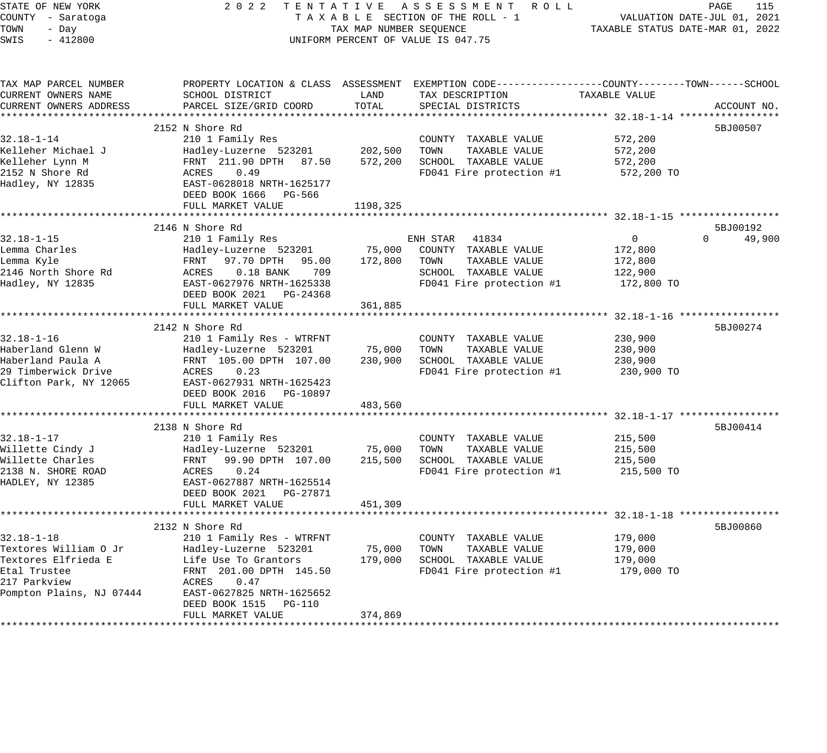| TAXABLE STATUS DATE-MAR 01, 2022<br>TOWN<br>- Day<br>TAX MAP NUMBER SEQUENCE<br>$-412800$<br>UNIFORM PERCENT OF VALUE IS 047.75<br>SWIS<br>CURRENT OWNERS NAME<br>SCHOOL DISTRICT<br>LAND<br>TAX DESCRIPTION<br>TAXABLE VALUE<br>CURRENT OWNERS ADDRESS<br>PARCEL SIZE/GRID COORD<br>TOTAL<br>SPECIAL DISTRICTS<br>2152 N Shore Rd<br>5BJ00507<br>$32.18 - 1 - 14$<br>210 1 Family Res<br>COUNTY TAXABLE VALUE<br>572,200<br>202,500<br>Kelleher Michael J<br>TOWN<br>TAXABLE VALUE<br>Hadley-Luzerne 523201<br>572,200<br>Kelleher Lynn M<br>FRNT 211.90 DPTH 87.50<br>SCHOOL TAXABLE VALUE<br>572,200<br>572,200<br>0.49<br>FD041 Fire protection #1<br>ACRES<br>572,200 TO<br>EAST-0628018 NRTH-1625177<br>DEED BOOK 1666 PG-566<br>1198,325<br>FULL MARKET VALUE<br>2146 N Shore Rd<br>5BJ00192<br>$32.18 - 1 - 15$<br>ENH STAR 41834<br>$\overline{0}$<br>$\Omega$<br>210 1 Family Res<br>Lemma Charles<br>75,000<br>Hadley-Luzerne 523201<br>COUNTY TAXABLE VALUE<br>172,800<br>Lemma Kyle<br>FRNT<br>97.70 DPTH 95.00<br>172,800<br>TOWN<br>TAXABLE VALUE<br>172,800<br>2146 North Shore Rd<br>ACRES<br>$0.18$ BANK<br>709<br>SCHOOL TAXABLE VALUE<br>122,900<br>Hadley, NY 12835<br>EAST-0627976 NRTH-1625338<br>FD041 Fire protection #1<br>172,800 TO<br>DEED BOOK 2021 PG-24368<br>FULL MARKET VALUE<br>361,885<br>2142 N Shore Rd<br>5BJ00274<br>210 1 Family Res - WTRFNT<br>230,900<br>COUNTY TAXABLE VALUE<br>75,000<br>Hadley-Luzerne 523201<br>TOWN<br>TAXABLE VALUE<br>230,900<br>Haberland Paula A<br>FRNT 105.00 DPTH 107.00<br>SCHOOL TAXABLE VALUE<br>230,900<br>230,900<br>FD041 Fire protection #1<br>ACRES<br>0.23<br>230,900 TO<br>EAST-0627931 NRTH-1625423<br>DEED BOOK 2016 PG-10897<br>FULL MARKET VALUE<br>483,560<br>2138 N Shore Rd<br>5BJ00414<br>$32.18 - 1 - 17$<br>210 1 Family Res<br>COUNTY TAXABLE VALUE<br>215,500<br>Willette Cindy J<br>Hadley-Luzerne 523201<br>75,000<br>TOWN<br>TAXABLE VALUE<br>215,500<br>Willette Charles<br>FRNT<br>99.90 DPTH 107.00<br>215,500<br>SCHOOL TAXABLE VALUE<br>215,500<br>2138 N. SHORE ROAD<br>ACRES<br>0.24<br>FD041 Fire protection #1<br>215,500 TO<br>HADLEY, NY 12385<br>EAST-0627887 NRTH-1625514<br>DEED BOOK 2021 PG-27871<br>FULL MARKET VALUE<br>451,309<br>5BJ00860<br>2132 N Shore Rd<br>$32.18 - 1 - 18$<br>210 1 Family Res - WTRFNT<br>179,000<br>COUNTY TAXABLE VALUE<br>Textores William O Jr<br>Hadley-Luzerne 523201<br>75,000<br>TAXABLE VALUE<br>179,000<br>TOWN<br>Textores Elfrieda E<br>Life Use To Grantors<br>179,000<br>SCHOOL TAXABLE VALUE<br>179,000<br>Etal Trustee<br>FD041 Fire protection #1<br>FRNT 201.00 DPTH 145.50<br>179,000 TO<br>217 Parkview<br>ACRES<br>0.47<br>Pompton Plains, NJ 07444<br>EAST-0627825 NRTH-1625652<br>DEED BOOK 1515 PG-110<br>FULL MARKET VALUE<br>374,869 | STATE OF NEW YORK<br>COUNTY - Saratoga | 2022 TENTATIVE ASSESSMENT ROLL<br>TAXABLE SECTION OF THE ROLL - 1 | PAGE<br>115<br>VALUATION DATE-JUL 01, 2021 |  |  |
|------------------------------------------------------------------------------------------------------------------------------------------------------------------------------------------------------------------------------------------------------------------------------------------------------------------------------------------------------------------------------------------------------------------------------------------------------------------------------------------------------------------------------------------------------------------------------------------------------------------------------------------------------------------------------------------------------------------------------------------------------------------------------------------------------------------------------------------------------------------------------------------------------------------------------------------------------------------------------------------------------------------------------------------------------------------------------------------------------------------------------------------------------------------------------------------------------------------------------------------------------------------------------------------------------------------------------------------------------------------------------------------------------------------------------------------------------------------------------------------------------------------------------------------------------------------------------------------------------------------------------------------------------------------------------------------------------------------------------------------------------------------------------------------------------------------------------------------------------------------------------------------------------------------------------------------------------------------------------------------------------------------------------------------------------------------------------------------------------------------------------------------------------------------------------------------------------------------------------------------------------------------------------------------------------------------------------------------------------------------------------------------------------------------------------------------------------------------------------------------------------------------------------------------------------------------------------------------------------------------------------------------------------------------------------------------------------------------------------------------------------------------------------------------------------------|----------------------------------------|-------------------------------------------------------------------|--------------------------------------------|--|--|
| PROPERTY LOCATION & CLASS ASSESSMENT EXEMPTION CODE---------------COUNTY-------TOWN-----SCHOOL<br>ACCOUNT NO.<br>49,900                                                                                                                                                                                                                                                                                                                                                                                                                                                                                                                                                                                                                                                                                                                                                                                                                                                                                                                                                                                                                                                                                                                                                                                                                                                                                                                                                                                                                                                                                                                                                                                                                                                                                                                                                                                                                                                                                                                                                                                                                                                                                                                                                                                                                                                                                                                                                                                                                                                                                                                                                                                                                                                                                    |                                        |                                                                   |                                            |  |  |
|                                                                                                                                                                                                                                                                                                                                                                                                                                                                                                                                                                                                                                                                                                                                                                                                                                                                                                                                                                                                                                                                                                                                                                                                                                                                                                                                                                                                                                                                                                                                                                                                                                                                                                                                                                                                                                                                                                                                                                                                                                                                                                                                                                                                                                                                                                                                                                                                                                                                                                                                                                                                                                                                                                                                                                                                            |                                        |                                                                   |                                            |  |  |
|                                                                                                                                                                                                                                                                                                                                                                                                                                                                                                                                                                                                                                                                                                                                                                                                                                                                                                                                                                                                                                                                                                                                                                                                                                                                                                                                                                                                                                                                                                                                                                                                                                                                                                                                                                                                                                                                                                                                                                                                                                                                                                                                                                                                                                                                                                                                                                                                                                                                                                                                                                                                                                                                                                                                                                                                            | TAX MAP PARCEL NUMBER                  |                                                                   |                                            |  |  |
|                                                                                                                                                                                                                                                                                                                                                                                                                                                                                                                                                                                                                                                                                                                                                                                                                                                                                                                                                                                                                                                                                                                                                                                                                                                                                                                                                                                                                                                                                                                                                                                                                                                                                                                                                                                                                                                                                                                                                                                                                                                                                                                                                                                                                                                                                                                                                                                                                                                                                                                                                                                                                                                                                                                                                                                                            |                                        |                                                                   |                                            |  |  |
|                                                                                                                                                                                                                                                                                                                                                                                                                                                                                                                                                                                                                                                                                                                                                                                                                                                                                                                                                                                                                                                                                                                                                                                                                                                                                                                                                                                                                                                                                                                                                                                                                                                                                                                                                                                                                                                                                                                                                                                                                                                                                                                                                                                                                                                                                                                                                                                                                                                                                                                                                                                                                                                                                                                                                                                                            |                                        |                                                                   |                                            |  |  |
|                                                                                                                                                                                                                                                                                                                                                                                                                                                                                                                                                                                                                                                                                                                                                                                                                                                                                                                                                                                                                                                                                                                                                                                                                                                                                                                                                                                                                                                                                                                                                                                                                                                                                                                                                                                                                                                                                                                                                                                                                                                                                                                                                                                                                                                                                                                                                                                                                                                                                                                                                                                                                                                                                                                                                                                                            |                                        |                                                                   |                                            |  |  |
|                                                                                                                                                                                                                                                                                                                                                                                                                                                                                                                                                                                                                                                                                                                                                                                                                                                                                                                                                                                                                                                                                                                                                                                                                                                                                                                                                                                                                                                                                                                                                                                                                                                                                                                                                                                                                                                                                                                                                                                                                                                                                                                                                                                                                                                                                                                                                                                                                                                                                                                                                                                                                                                                                                                                                                                                            |                                        |                                                                   |                                            |  |  |
|                                                                                                                                                                                                                                                                                                                                                                                                                                                                                                                                                                                                                                                                                                                                                                                                                                                                                                                                                                                                                                                                                                                                                                                                                                                                                                                                                                                                                                                                                                                                                                                                                                                                                                                                                                                                                                                                                                                                                                                                                                                                                                                                                                                                                                                                                                                                                                                                                                                                                                                                                                                                                                                                                                                                                                                                            |                                        |                                                                   |                                            |  |  |
|                                                                                                                                                                                                                                                                                                                                                                                                                                                                                                                                                                                                                                                                                                                                                                                                                                                                                                                                                                                                                                                                                                                                                                                                                                                                                                                                                                                                                                                                                                                                                                                                                                                                                                                                                                                                                                                                                                                                                                                                                                                                                                                                                                                                                                                                                                                                                                                                                                                                                                                                                                                                                                                                                                                                                                                                            |                                        |                                                                   |                                            |  |  |
|                                                                                                                                                                                                                                                                                                                                                                                                                                                                                                                                                                                                                                                                                                                                                                                                                                                                                                                                                                                                                                                                                                                                                                                                                                                                                                                                                                                                                                                                                                                                                                                                                                                                                                                                                                                                                                                                                                                                                                                                                                                                                                                                                                                                                                                                                                                                                                                                                                                                                                                                                                                                                                                                                                                                                                                                            | 2152 N Shore Rd                        |                                                                   |                                            |  |  |
|                                                                                                                                                                                                                                                                                                                                                                                                                                                                                                                                                                                                                                                                                                                                                                                                                                                                                                                                                                                                                                                                                                                                                                                                                                                                                                                                                                                                                                                                                                                                                                                                                                                                                                                                                                                                                                                                                                                                                                                                                                                                                                                                                                                                                                                                                                                                                                                                                                                                                                                                                                                                                                                                                                                                                                                                            | Hadley, NY 12835                       |                                                                   |                                            |  |  |
|                                                                                                                                                                                                                                                                                                                                                                                                                                                                                                                                                                                                                                                                                                                                                                                                                                                                                                                                                                                                                                                                                                                                                                                                                                                                                                                                                                                                                                                                                                                                                                                                                                                                                                                                                                                                                                                                                                                                                                                                                                                                                                                                                                                                                                                                                                                                                                                                                                                                                                                                                                                                                                                                                                                                                                                                            |                                        |                                                                   |                                            |  |  |
|                                                                                                                                                                                                                                                                                                                                                                                                                                                                                                                                                                                                                                                                                                                                                                                                                                                                                                                                                                                                                                                                                                                                                                                                                                                                                                                                                                                                                                                                                                                                                                                                                                                                                                                                                                                                                                                                                                                                                                                                                                                                                                                                                                                                                                                                                                                                                                                                                                                                                                                                                                                                                                                                                                                                                                                                            |                                        |                                                                   |                                            |  |  |
|                                                                                                                                                                                                                                                                                                                                                                                                                                                                                                                                                                                                                                                                                                                                                                                                                                                                                                                                                                                                                                                                                                                                                                                                                                                                                                                                                                                                                                                                                                                                                                                                                                                                                                                                                                                                                                                                                                                                                                                                                                                                                                                                                                                                                                                                                                                                                                                                                                                                                                                                                                                                                                                                                                                                                                                                            |                                        |                                                                   |                                            |  |  |
|                                                                                                                                                                                                                                                                                                                                                                                                                                                                                                                                                                                                                                                                                                                                                                                                                                                                                                                                                                                                                                                                                                                                                                                                                                                                                                                                                                                                                                                                                                                                                                                                                                                                                                                                                                                                                                                                                                                                                                                                                                                                                                                                                                                                                                                                                                                                                                                                                                                                                                                                                                                                                                                                                                                                                                                                            |                                        |                                                                   |                                            |  |  |
|                                                                                                                                                                                                                                                                                                                                                                                                                                                                                                                                                                                                                                                                                                                                                                                                                                                                                                                                                                                                                                                                                                                                                                                                                                                                                                                                                                                                                                                                                                                                                                                                                                                                                                                                                                                                                                                                                                                                                                                                                                                                                                                                                                                                                                                                                                                                                                                                                                                                                                                                                                                                                                                                                                                                                                                                            |                                        |                                                                   |                                            |  |  |
|                                                                                                                                                                                                                                                                                                                                                                                                                                                                                                                                                                                                                                                                                                                                                                                                                                                                                                                                                                                                                                                                                                                                                                                                                                                                                                                                                                                                                                                                                                                                                                                                                                                                                                                                                                                                                                                                                                                                                                                                                                                                                                                                                                                                                                                                                                                                                                                                                                                                                                                                                                                                                                                                                                                                                                                                            |                                        |                                                                   |                                            |  |  |
|                                                                                                                                                                                                                                                                                                                                                                                                                                                                                                                                                                                                                                                                                                                                                                                                                                                                                                                                                                                                                                                                                                                                                                                                                                                                                                                                                                                                                                                                                                                                                                                                                                                                                                                                                                                                                                                                                                                                                                                                                                                                                                                                                                                                                                                                                                                                                                                                                                                                                                                                                                                                                                                                                                                                                                                                            |                                        |                                                                   |                                            |  |  |
|                                                                                                                                                                                                                                                                                                                                                                                                                                                                                                                                                                                                                                                                                                                                                                                                                                                                                                                                                                                                                                                                                                                                                                                                                                                                                                                                                                                                                                                                                                                                                                                                                                                                                                                                                                                                                                                                                                                                                                                                                                                                                                                                                                                                                                                                                                                                                                                                                                                                                                                                                                                                                                                                                                                                                                                                            |                                        |                                                                   |                                            |  |  |
|                                                                                                                                                                                                                                                                                                                                                                                                                                                                                                                                                                                                                                                                                                                                                                                                                                                                                                                                                                                                                                                                                                                                                                                                                                                                                                                                                                                                                                                                                                                                                                                                                                                                                                                                                                                                                                                                                                                                                                                                                                                                                                                                                                                                                                                                                                                                                                                                                                                                                                                                                                                                                                                                                                                                                                                                            |                                        |                                                                   |                                            |  |  |
|                                                                                                                                                                                                                                                                                                                                                                                                                                                                                                                                                                                                                                                                                                                                                                                                                                                                                                                                                                                                                                                                                                                                                                                                                                                                                                                                                                                                                                                                                                                                                                                                                                                                                                                                                                                                                                                                                                                                                                                                                                                                                                                                                                                                                                                                                                                                                                                                                                                                                                                                                                                                                                                                                                                                                                                                            |                                        |                                                                   |                                            |  |  |
|                                                                                                                                                                                                                                                                                                                                                                                                                                                                                                                                                                                                                                                                                                                                                                                                                                                                                                                                                                                                                                                                                                                                                                                                                                                                                                                                                                                                                                                                                                                                                                                                                                                                                                                                                                                                                                                                                                                                                                                                                                                                                                                                                                                                                                                                                                                                                                                                                                                                                                                                                                                                                                                                                                                                                                                                            |                                        |                                                                   |                                            |  |  |
|                                                                                                                                                                                                                                                                                                                                                                                                                                                                                                                                                                                                                                                                                                                                                                                                                                                                                                                                                                                                                                                                                                                                                                                                                                                                                                                                                                                                                                                                                                                                                                                                                                                                                                                                                                                                                                                                                                                                                                                                                                                                                                                                                                                                                                                                                                                                                                                                                                                                                                                                                                                                                                                                                                                                                                                                            |                                        |                                                                   |                                            |  |  |
|                                                                                                                                                                                                                                                                                                                                                                                                                                                                                                                                                                                                                                                                                                                                                                                                                                                                                                                                                                                                                                                                                                                                                                                                                                                                                                                                                                                                                                                                                                                                                                                                                                                                                                                                                                                                                                                                                                                                                                                                                                                                                                                                                                                                                                                                                                                                                                                                                                                                                                                                                                                                                                                                                                                                                                                                            | $32.18 - 1 - 16$                       |                                                                   |                                            |  |  |
|                                                                                                                                                                                                                                                                                                                                                                                                                                                                                                                                                                                                                                                                                                                                                                                                                                                                                                                                                                                                                                                                                                                                                                                                                                                                                                                                                                                                                                                                                                                                                                                                                                                                                                                                                                                                                                                                                                                                                                                                                                                                                                                                                                                                                                                                                                                                                                                                                                                                                                                                                                                                                                                                                                                                                                                                            | Haberland Glenn W                      |                                                                   |                                            |  |  |
|                                                                                                                                                                                                                                                                                                                                                                                                                                                                                                                                                                                                                                                                                                                                                                                                                                                                                                                                                                                                                                                                                                                                                                                                                                                                                                                                                                                                                                                                                                                                                                                                                                                                                                                                                                                                                                                                                                                                                                                                                                                                                                                                                                                                                                                                                                                                                                                                                                                                                                                                                                                                                                                                                                                                                                                                            |                                        |                                                                   |                                            |  |  |
|                                                                                                                                                                                                                                                                                                                                                                                                                                                                                                                                                                                                                                                                                                                                                                                                                                                                                                                                                                                                                                                                                                                                                                                                                                                                                                                                                                                                                                                                                                                                                                                                                                                                                                                                                                                                                                                                                                                                                                                                                                                                                                                                                                                                                                                                                                                                                                                                                                                                                                                                                                                                                                                                                                                                                                                                            | 29 Timberwick Drive                    |                                                                   |                                            |  |  |
|                                                                                                                                                                                                                                                                                                                                                                                                                                                                                                                                                                                                                                                                                                                                                                                                                                                                                                                                                                                                                                                                                                                                                                                                                                                                                                                                                                                                                                                                                                                                                                                                                                                                                                                                                                                                                                                                                                                                                                                                                                                                                                                                                                                                                                                                                                                                                                                                                                                                                                                                                                                                                                                                                                                                                                                                            | Clifton Park, NY 12065                 |                                                                   |                                            |  |  |
|                                                                                                                                                                                                                                                                                                                                                                                                                                                                                                                                                                                                                                                                                                                                                                                                                                                                                                                                                                                                                                                                                                                                                                                                                                                                                                                                                                                                                                                                                                                                                                                                                                                                                                                                                                                                                                                                                                                                                                                                                                                                                                                                                                                                                                                                                                                                                                                                                                                                                                                                                                                                                                                                                                                                                                                                            |                                        |                                                                   |                                            |  |  |
|                                                                                                                                                                                                                                                                                                                                                                                                                                                                                                                                                                                                                                                                                                                                                                                                                                                                                                                                                                                                                                                                                                                                                                                                                                                                                                                                                                                                                                                                                                                                                                                                                                                                                                                                                                                                                                                                                                                                                                                                                                                                                                                                                                                                                                                                                                                                                                                                                                                                                                                                                                                                                                                                                                                                                                                                            |                                        |                                                                   |                                            |  |  |
|                                                                                                                                                                                                                                                                                                                                                                                                                                                                                                                                                                                                                                                                                                                                                                                                                                                                                                                                                                                                                                                                                                                                                                                                                                                                                                                                                                                                                                                                                                                                                                                                                                                                                                                                                                                                                                                                                                                                                                                                                                                                                                                                                                                                                                                                                                                                                                                                                                                                                                                                                                                                                                                                                                                                                                                                            |                                        |                                                                   |                                            |  |  |
|                                                                                                                                                                                                                                                                                                                                                                                                                                                                                                                                                                                                                                                                                                                                                                                                                                                                                                                                                                                                                                                                                                                                                                                                                                                                                                                                                                                                                                                                                                                                                                                                                                                                                                                                                                                                                                                                                                                                                                                                                                                                                                                                                                                                                                                                                                                                                                                                                                                                                                                                                                                                                                                                                                                                                                                                            |                                        |                                                                   |                                            |  |  |
|                                                                                                                                                                                                                                                                                                                                                                                                                                                                                                                                                                                                                                                                                                                                                                                                                                                                                                                                                                                                                                                                                                                                                                                                                                                                                                                                                                                                                                                                                                                                                                                                                                                                                                                                                                                                                                                                                                                                                                                                                                                                                                                                                                                                                                                                                                                                                                                                                                                                                                                                                                                                                                                                                                                                                                                                            |                                        |                                                                   |                                            |  |  |
|                                                                                                                                                                                                                                                                                                                                                                                                                                                                                                                                                                                                                                                                                                                                                                                                                                                                                                                                                                                                                                                                                                                                                                                                                                                                                                                                                                                                                                                                                                                                                                                                                                                                                                                                                                                                                                                                                                                                                                                                                                                                                                                                                                                                                                                                                                                                                                                                                                                                                                                                                                                                                                                                                                                                                                                                            |                                        |                                                                   |                                            |  |  |
|                                                                                                                                                                                                                                                                                                                                                                                                                                                                                                                                                                                                                                                                                                                                                                                                                                                                                                                                                                                                                                                                                                                                                                                                                                                                                                                                                                                                                                                                                                                                                                                                                                                                                                                                                                                                                                                                                                                                                                                                                                                                                                                                                                                                                                                                                                                                                                                                                                                                                                                                                                                                                                                                                                                                                                                                            |                                        |                                                                   |                                            |  |  |
|                                                                                                                                                                                                                                                                                                                                                                                                                                                                                                                                                                                                                                                                                                                                                                                                                                                                                                                                                                                                                                                                                                                                                                                                                                                                                                                                                                                                                                                                                                                                                                                                                                                                                                                                                                                                                                                                                                                                                                                                                                                                                                                                                                                                                                                                                                                                                                                                                                                                                                                                                                                                                                                                                                                                                                                                            |                                        |                                                                   |                                            |  |  |
|                                                                                                                                                                                                                                                                                                                                                                                                                                                                                                                                                                                                                                                                                                                                                                                                                                                                                                                                                                                                                                                                                                                                                                                                                                                                                                                                                                                                                                                                                                                                                                                                                                                                                                                                                                                                                                                                                                                                                                                                                                                                                                                                                                                                                                                                                                                                                                                                                                                                                                                                                                                                                                                                                                                                                                                                            |                                        |                                                                   |                                            |  |  |
|                                                                                                                                                                                                                                                                                                                                                                                                                                                                                                                                                                                                                                                                                                                                                                                                                                                                                                                                                                                                                                                                                                                                                                                                                                                                                                                                                                                                                                                                                                                                                                                                                                                                                                                                                                                                                                                                                                                                                                                                                                                                                                                                                                                                                                                                                                                                                                                                                                                                                                                                                                                                                                                                                                                                                                                                            |                                        |                                                                   |                                            |  |  |
|                                                                                                                                                                                                                                                                                                                                                                                                                                                                                                                                                                                                                                                                                                                                                                                                                                                                                                                                                                                                                                                                                                                                                                                                                                                                                                                                                                                                                                                                                                                                                                                                                                                                                                                                                                                                                                                                                                                                                                                                                                                                                                                                                                                                                                                                                                                                                                                                                                                                                                                                                                                                                                                                                                                                                                                                            |                                        |                                                                   |                                            |  |  |
|                                                                                                                                                                                                                                                                                                                                                                                                                                                                                                                                                                                                                                                                                                                                                                                                                                                                                                                                                                                                                                                                                                                                                                                                                                                                                                                                                                                                                                                                                                                                                                                                                                                                                                                                                                                                                                                                                                                                                                                                                                                                                                                                                                                                                                                                                                                                                                                                                                                                                                                                                                                                                                                                                                                                                                                                            |                                        |                                                                   |                                            |  |  |
|                                                                                                                                                                                                                                                                                                                                                                                                                                                                                                                                                                                                                                                                                                                                                                                                                                                                                                                                                                                                                                                                                                                                                                                                                                                                                                                                                                                                                                                                                                                                                                                                                                                                                                                                                                                                                                                                                                                                                                                                                                                                                                                                                                                                                                                                                                                                                                                                                                                                                                                                                                                                                                                                                                                                                                                                            |                                        |                                                                   |                                            |  |  |
|                                                                                                                                                                                                                                                                                                                                                                                                                                                                                                                                                                                                                                                                                                                                                                                                                                                                                                                                                                                                                                                                                                                                                                                                                                                                                                                                                                                                                                                                                                                                                                                                                                                                                                                                                                                                                                                                                                                                                                                                                                                                                                                                                                                                                                                                                                                                                                                                                                                                                                                                                                                                                                                                                                                                                                                                            |                                        |                                                                   |                                            |  |  |
|                                                                                                                                                                                                                                                                                                                                                                                                                                                                                                                                                                                                                                                                                                                                                                                                                                                                                                                                                                                                                                                                                                                                                                                                                                                                                                                                                                                                                                                                                                                                                                                                                                                                                                                                                                                                                                                                                                                                                                                                                                                                                                                                                                                                                                                                                                                                                                                                                                                                                                                                                                                                                                                                                                                                                                                                            |                                        |                                                                   |                                            |  |  |
|                                                                                                                                                                                                                                                                                                                                                                                                                                                                                                                                                                                                                                                                                                                                                                                                                                                                                                                                                                                                                                                                                                                                                                                                                                                                                                                                                                                                                                                                                                                                                                                                                                                                                                                                                                                                                                                                                                                                                                                                                                                                                                                                                                                                                                                                                                                                                                                                                                                                                                                                                                                                                                                                                                                                                                                                            |                                        |                                                                   |                                            |  |  |
|                                                                                                                                                                                                                                                                                                                                                                                                                                                                                                                                                                                                                                                                                                                                                                                                                                                                                                                                                                                                                                                                                                                                                                                                                                                                                                                                                                                                                                                                                                                                                                                                                                                                                                                                                                                                                                                                                                                                                                                                                                                                                                                                                                                                                                                                                                                                                                                                                                                                                                                                                                                                                                                                                                                                                                                                            |                                        |                                                                   |                                            |  |  |
|                                                                                                                                                                                                                                                                                                                                                                                                                                                                                                                                                                                                                                                                                                                                                                                                                                                                                                                                                                                                                                                                                                                                                                                                                                                                                                                                                                                                                                                                                                                                                                                                                                                                                                                                                                                                                                                                                                                                                                                                                                                                                                                                                                                                                                                                                                                                                                                                                                                                                                                                                                                                                                                                                                                                                                                                            |                                        |                                                                   |                                            |  |  |
|                                                                                                                                                                                                                                                                                                                                                                                                                                                                                                                                                                                                                                                                                                                                                                                                                                                                                                                                                                                                                                                                                                                                                                                                                                                                                                                                                                                                                                                                                                                                                                                                                                                                                                                                                                                                                                                                                                                                                                                                                                                                                                                                                                                                                                                                                                                                                                                                                                                                                                                                                                                                                                                                                                                                                                                                            |                                        |                                                                   |                                            |  |  |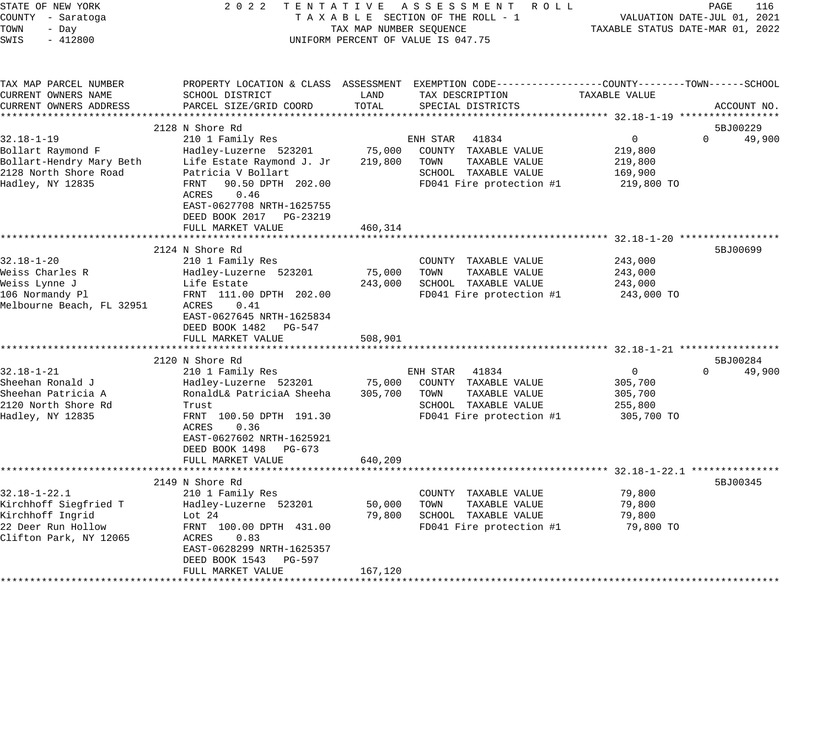| STATE OF NEW YORK<br>COUNTY - Saratoga<br>TOWN<br>- Day<br>$-412800$<br>SWIS                                    | 2 0 2 2                                                                                                                                                                                                                                       | TAX MAP NUMBER SEQUENCE      | TENTATIVE ASSESSMENT ROLL<br>TAXABLE SECTION OF THE ROLL - 1<br>UNIFORM PERCENT OF VALUE IS 047.75                                       | TAXABLE STATUS DATE-MAR 01, 2022                            | PAGE<br>116<br>VALUATION DATE-JUL 01, 2021 |
|-----------------------------------------------------------------------------------------------------------------|-----------------------------------------------------------------------------------------------------------------------------------------------------------------------------------------------------------------------------------------------|------------------------------|------------------------------------------------------------------------------------------------------------------------------------------|-------------------------------------------------------------|--------------------------------------------|
| TAX MAP PARCEL NUMBER<br>CURRENT OWNERS NAME<br>CURRENT OWNERS ADDRESS<br>*************************             | SCHOOL DISTRICT<br>PARCEL SIZE/GRID COORD                                                                                                                                                                                                     | LAND<br>TOTAL                | PROPERTY LOCATION & CLASS ASSESSMENT EXEMPTION CODE----------------COUNTY-------TOWN------SCHOOL<br>TAX DESCRIPTION<br>SPECIAL DISTRICTS | TAXABLE VALUE                                               | ACCOUNT NO.                                |
| $32.18 - 1 - 19$<br>Bollart Raymond F<br>Bollart-Hendry Mary Beth<br>2128 North Shore Road<br>Hadley, NY 12835  | 2128 N Shore Rd<br>210 1 Family Res<br>Hadley-Luzerne 523201<br>Life Estate Raymond J. Jr<br>Patricia V Bollart<br>FRNT<br>90.50 DPTH 202.00<br>ACRES<br>0.46<br>EAST-0627708 NRTH-1625755<br>DEED BOOK 2017    PG-23219<br>FULL MARKET VALUE | 75,000<br>219,800<br>460,314 | ENH STAR<br>41834<br>COUNTY TAXABLE VALUE<br>TOWN<br>TAXABLE VALUE<br>SCHOOL TAXABLE VALUE<br>FD041 Fire protection #1                   | 0<br>219,800<br>219,800<br>169,900<br>219,800 TO            | 5BJ00229<br>$\Omega$<br>49,900             |
| $32.18 - 1 - 20$<br>Weiss Charles R<br>Weiss Lynne J<br>106 Normandy Pl<br>Melbourne Beach, FL 32951            | 2124 N Shore Rd<br>210 1 Family Res<br>Hadley-Luzerne 523201<br>Life Estate<br>FRNT 111.00 DPTH 202.00<br>ACRES<br>0.41<br>EAST-0627645 NRTH-1625834<br>DEED BOOK 1482<br>PG-547<br>FULL MARKET VALUE                                         | 75,000<br>243,000<br>508,901 | COUNTY TAXABLE VALUE<br>TOWN<br>TAXABLE VALUE<br>SCHOOL TAXABLE VALUE<br>FD041 Fire protection #1                                        | 243,000<br>243,000<br>243,000<br>243,000 TO                 | 5BJ00699                                   |
| $32.18 - 1 - 21$<br>Sheehan Ronald J<br>Sheehan Patricia A<br>2120 North Shore Rd<br>Hadley, NY 12835           | 2120 N Shore Rd<br>210 1 Family Res<br>Hadley-Luzerne 523201<br>RonaldL& PatriciaA Sheeha<br>Trust<br>FRNT 100.50 DPTH 191.30<br>ACRES<br>0.36<br>EAST-0627602 NRTH-1625921<br>DEED BOOK 1498 PG-673<br>FULL MARKET VALUE                     | 75,000<br>305,700<br>640,209 | ENH STAR 41834<br>COUNTY TAXABLE VALUE<br>TOWN<br>TAXABLE VALUE<br>SCHOOL TAXABLE VALUE<br>FD041 Fire protection #1                      | $\mathbf{0}$<br>305,700<br>305,700<br>255,800<br>305,700 TO | 5BJ00284<br>$\Omega$<br>49,900             |
| $32.18 - 1 - 22.1$<br>Kirchhoff Siegfried T<br>Kirchhoff Ingrid<br>22 Deer Run Hollow<br>Clifton Park, NY 12065 | 2149 N Shore Rd<br>210 1 Family Res<br>Hadley-Luzerne 523201<br>Lot $24$<br>FRNT 100.00 DPTH 431.00<br>0.83<br>ACRES<br>EAST-0628299 NRTH-1625357<br>DEED BOOK 1543<br>PG-597<br>FULL MARKET VALUE                                            | 50,000<br>79,800<br>167,120  | COUNTY TAXABLE VALUE<br>TAXABLE VALUE<br>TOWN<br>SCHOOL TAXABLE VALUE<br>FD041 Fire protection #1                                        | 79,800<br>79,800<br>79,800<br>79,800 TO                     | 5BJ00345                                   |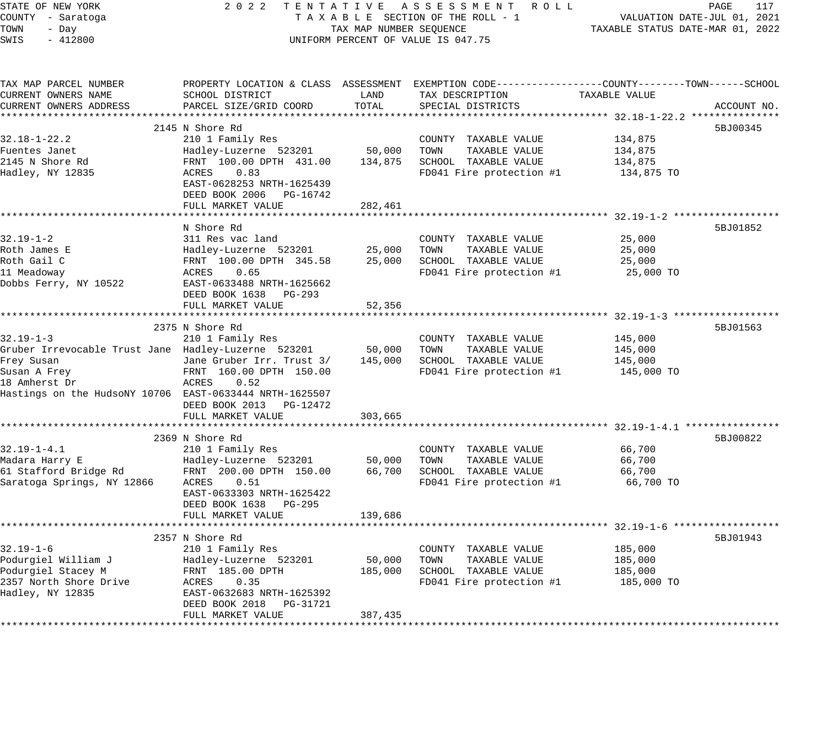| STATE OF NEW YORK                                       | 2 0 2 2                                       |                         | TENTATIVE ASSESSMENT ROLL                                                                       |                                                     | PAGE<br>117                 |
|---------------------------------------------------------|-----------------------------------------------|-------------------------|-------------------------------------------------------------------------------------------------|-----------------------------------------------------|-----------------------------|
| COUNTY - Saratoga                                       |                                               |                         | TAXABLE SECTION OF THE ROLL - 1                                                                 |                                                     | VALUATION DATE-JUL 01, 2021 |
| TOWN<br>- Day                                           |                                               | TAX MAP NUMBER SEQUENCE |                                                                                                 | TAXABLE STATUS DATE-MAR 01, 2022                    |                             |
| SWIS<br>$-412800$                                       |                                               |                         | UNIFORM PERCENT OF VALUE IS 047.75                                                              |                                                     |                             |
|                                                         |                                               |                         |                                                                                                 |                                                     |                             |
| TAX MAP PARCEL NUMBER                                   |                                               |                         | PROPERTY LOCATION & CLASS ASSESSMENT EXEMPTION CODE----------------COUNTY-------TOWN-----SCHOOL |                                                     |                             |
| CURRENT OWNERS NAME                                     | SCHOOL DISTRICT                               | LAND                    | TAX DESCRIPTION                                                                                 | TAXABLE VALUE                                       |                             |
| CURRENT OWNERS ADDRESS                                  | PARCEL SIZE/GRID COORD                        | TOTAL                   | SPECIAL DISTRICTS                                                                               |                                                     | ACCOUNT NO.                 |
|                                                         |                                               |                         |                                                                                                 |                                                     |                             |
|                                                         | 2145 N Shore Rd                               |                         |                                                                                                 |                                                     | 5BJ00345                    |
| $32.18 - 1 - 22.2$                                      | 210 1 Family Res                              |                         | COUNTY TAXABLE VALUE                                                                            | 134,875                                             |                             |
| Fuentes Janet                                           | Hadley-Luzerne 523201                         | 50,000                  | TOWN<br>TAXABLE VALUE                                                                           | 134,875                                             |                             |
| 2145 N Shore Rd                                         | FRNT 100.00 DPTH 431.00<br>0.83               | 134,875                 | SCHOOL TAXABLE VALUE                                                                            | 134,875                                             |                             |
| Hadley, NY 12835                                        | ACRES<br>EAST-0628253 NRTH-1625439            |                         | FD041 Fire protection #1                                                                        | 134,875 TO                                          |                             |
|                                                         | DEED BOOK 2006 PG-16742                       |                         |                                                                                                 |                                                     |                             |
|                                                         | FULL MARKET VALUE                             | 282,461                 |                                                                                                 |                                                     |                             |
|                                                         |                                               |                         |                                                                                                 |                                                     |                             |
|                                                         | N Shore Rd                                    |                         |                                                                                                 |                                                     | 5BJ01852                    |
| $32.19 - 1 - 2$                                         | 311 Res vac land                              |                         | COUNTY TAXABLE VALUE                                                                            | 25,000                                              |                             |
| Roth James E                                            | Hadley-Luzerne 523201                         | 25,000                  | TOWN<br>TAXABLE VALUE                                                                           | 25,000                                              |                             |
| Roth Gail C                                             | FRNT 100.00 DPTH 345.58                       | 25,000                  | SCHOOL TAXABLE VALUE                                                                            | 25,000                                              |                             |
| 11 Meadoway                                             | 0.65<br>ACRES                                 |                         | FD041 Fire protection #1                                                                        | 25,000 TO                                           |                             |
| Dobbs Ferry, NY 10522                                   | EAST-0633488 NRTH-1625662                     |                         |                                                                                                 |                                                     |                             |
|                                                         | DEED BOOK 1638 PG-293                         |                         |                                                                                                 |                                                     |                             |
|                                                         | FULL MARKET VALUE                             | 52,356                  |                                                                                                 |                                                     |                             |
|                                                         | ***************************                   |                         | *********************************** 32.19-1-3 ******                                            |                                                     |                             |
|                                                         | 2375 N Shore Rd                               |                         |                                                                                                 |                                                     | 5BJ01563                    |
| $32.19 - 1 - 3$                                         | 210 1 Family Res                              |                         | COUNTY TAXABLE VALUE                                                                            | 145,000                                             |                             |
| Gruber Irrevocable Trust Jane Hadley-Luzerne 523201     |                                               | 50,000                  | TOWN<br>TAXABLE VALUE                                                                           | 145,000                                             |                             |
| Frey Susan                                              | Jane Gruber Irr. Trust 3/                     | 145,000                 | SCHOOL TAXABLE VALUE                                                                            | 145,000                                             |                             |
| Susan A Frey<br>18 Amherst Dr                           | FRNT 160.00 DPTH 150.00<br>ACRES<br>0.52      |                         | FD041 Fire protection #1                                                                        | 145,000 TO                                          |                             |
| Hastings on the HudsoNY 10706 EAST-0633444 NRTH-1625507 |                                               |                         |                                                                                                 |                                                     |                             |
|                                                         | DEED BOOK 2013 PG-12472                       |                         |                                                                                                 |                                                     |                             |
|                                                         | FULL MARKET VALUE                             | 303,665                 |                                                                                                 |                                                     |                             |
|                                                         | *******************************               |                         |                                                                                                 |                                                     |                             |
|                                                         | 2369 N Shore Rd                               |                         |                                                                                                 |                                                     | 5BJ00822                    |
| $32.19 - 1 - 4.1$                                       | 210 1 Family Res                              |                         | COUNTY TAXABLE VALUE                                                                            | 66,700                                              |                             |
| Madara Harry E                                          | Hadley-Luzerne 523201                         | 50,000                  | TOWN<br>TAXABLE VALUE                                                                           | 66,700                                              |                             |
| 61 Stafford Bridge Rd                                   | FRNT 200.00 DPTH 150.00                       | 66,700                  | SCHOOL TAXABLE VALUE                                                                            | 66,700                                              |                             |
| Saratoga Springs, NY 12866                              | 0.51<br>ACRES                                 |                         | FD041 Fire protection #1                                                                        | 66,700 TO                                           |                             |
|                                                         | EAST-0633303 NRTH-1625422                     |                         |                                                                                                 |                                                     |                             |
|                                                         | DEED BOOK 1638 PG-295                         |                         |                                                                                                 |                                                     |                             |
|                                                         | FULL MARKET VALUE<br>************************ | 139,686                 |                                                                                                 |                                                     |                             |
|                                                         |                                               |                         |                                                                                                 | ********************* 32.19-1-6 ******************* |                             |
|                                                         | 2357 N Shore Rd                               |                         |                                                                                                 |                                                     | 5BJ01943                    |
| $32.19 - 1 - 6$<br>Podurgiel William J                  | 210 1 Family Res                              | 50,000                  | COUNTY TAXABLE VALUE<br>TOWN<br>TAXABLE VALUE                                                   | 185,000<br>185,000                                  |                             |
| Podurgiel Stacey M                                      | Hadley-Luzerne 523201<br>FRNT 185.00 DPTH     | 185,000                 | SCHOOL TAXABLE VALUE                                                                            | 185,000                                             |                             |
| 2357 North Shore Drive                                  | ACRES<br>0.35                                 |                         | FD041 Fire protection #1                                                                        | 185,000 TO                                          |                             |
| Hadley, NY 12835                                        | EAST-0632683 NRTH-1625392                     |                         |                                                                                                 |                                                     |                             |
|                                                         | DEED BOOK 2018<br>PG-31721                    |                         |                                                                                                 |                                                     |                             |
|                                                         | FULL MARKET VALUE                             | 387,435                 |                                                                                                 |                                                     |                             |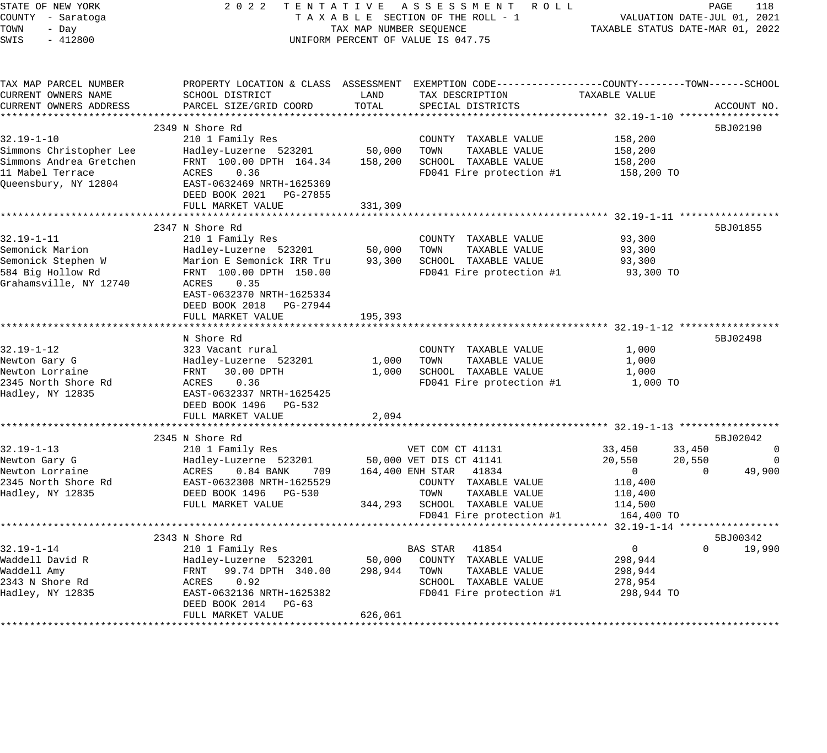| STATE OF NEW YORK<br>COUNTY - Saratoga<br>TOWN<br>- Day<br>SWIS<br>$-412800$ |                                           | TAX MAP NUMBER SEQUENCE | 2022 TENTATIVE ASSESSMENT ROLL<br>TAXABLE SECTION OF THE ROLL - 1<br>UNIFORM PERCENT OF VALUE IS 047.75                                |                | PAGE<br>118<br>VALUATION DATE-JUL 01, 2021<br>TAXABLE STATUS DATE-MAR 01, 2022 |
|------------------------------------------------------------------------------|-------------------------------------------|-------------------------|----------------------------------------------------------------------------------------------------------------------------------------|----------------|--------------------------------------------------------------------------------|
| TAX MAP PARCEL NUMBER<br>CURRENT OWNERS NAME<br>CURRENT OWNERS ADDRESS       | SCHOOL DISTRICT<br>PARCEL SIZE/GRID COORD | LAND<br>TOTAL           | PROPERTY LOCATION & CLASS ASSESSMENT EXEMPTION CODE---------------COUNTY-------TOWN-----SCHOOL<br>TAX DESCRIPTION<br>SPECIAL DISTRICTS | TAXABLE VALUE  | ACCOUNT NO.                                                                    |
|                                                                              |                                           |                         |                                                                                                                                        |                |                                                                                |
| $32.19 - 1 - 10$                                                             | 2349 N Shore Rd<br>210 1 Family Res       |                         | COUNTY TAXABLE VALUE                                                                                                                   | 158,200        | 5BJ02190                                                                       |
| Simmons Christopher Lee                                                      | Hadley-Luzerne 523201                     | 50,000                  | TOWN<br>TAXABLE VALUE                                                                                                                  | 158,200        |                                                                                |
| Simmons Andrea Gretchen                                                      | FRNT 100.00 DPTH 164.34                   | 158,200                 | SCHOOL TAXABLE VALUE                                                                                                                   | 158,200        |                                                                                |
| 11 Mabel Terrace                                                             | ACRES<br>0.36                             |                         | FD041 Fire protection #1                                                                                                               | 158,200 TO     |                                                                                |
| Queensbury, NY 12804                                                         | EAST-0632469 NRTH-1625369                 |                         |                                                                                                                                        |                |                                                                                |
|                                                                              | DEED BOOK 2021 PG-27855                   |                         |                                                                                                                                        |                |                                                                                |
|                                                                              | FULL MARKET VALUE                         | 331,309                 |                                                                                                                                        |                |                                                                                |
|                                                                              | 2347 N Shore Rd                           |                         |                                                                                                                                        |                | 5BJ01855                                                                       |
| $32.19 - 1 - 11$                                                             | 210 1 Family Res                          |                         | COUNTY TAXABLE VALUE                                                                                                                   | 93,300         |                                                                                |
| Semonick Marion                                                              | Hadley-Luzerne 523201                     | 50,000                  | TOWN<br>TAXABLE VALUE                                                                                                                  | 93,300         |                                                                                |
| Semonick Stephen W                                                           | Marion E Semonick IRR Tru                 | 93,300                  | SCHOOL TAXABLE VALUE                                                                                                                   | 93,300         |                                                                                |
| 584 Big Hollow Rd                                                            | FRNT 100.00 DPTH 150.00                   |                         | FD041 Fire protection #1                                                                                                               | 93,300 TO      |                                                                                |
| Grahamsville, NY 12740                                                       | ACRES<br>0.35                             |                         |                                                                                                                                        |                |                                                                                |
|                                                                              | EAST-0632370 NRTH-1625334                 |                         |                                                                                                                                        |                |                                                                                |
|                                                                              | DEED BOOK 2018 PG-27944                   |                         |                                                                                                                                        |                |                                                                                |
|                                                                              | FULL MARKET VALUE                         | 195,393                 |                                                                                                                                        |                |                                                                                |
|                                                                              | N Shore Rd                                |                         |                                                                                                                                        |                | 5BJ02498                                                                       |
| $32.19 - 1 - 12$                                                             | 323 Vacant rural                          |                         | COUNTY TAXABLE VALUE                                                                                                                   | 1,000          |                                                                                |
| Newton Gary G                                                                | Hadley-Luzerne 523201                     | 1,000                   | TOWN<br>TAXABLE VALUE                                                                                                                  | 1,000          |                                                                                |
| Newton Lorraine                                                              | FRNT 30.00 DPTH                           |                         | 1,000 SCHOOL TAXABLE VALUE                                                                                                             | 1,000          |                                                                                |
| 2345 North Shore Rd                                                          | ACRES<br>0.36                             |                         | FD041 Fire protection #1                                                                                                               | 1,000 TO       |                                                                                |
| Hadley, NY 12835                                                             | EAST-0632337 NRTH-1625425                 |                         |                                                                                                                                        |                |                                                                                |
|                                                                              | DEED BOOK 1496 PG-532                     |                         |                                                                                                                                        |                |                                                                                |
|                                                                              | FULL MARKET VALUE                         | 2,094                   |                                                                                                                                        |                |                                                                                |
|                                                                              | 2345 N Shore Rd                           |                         |                                                                                                                                        |                | 5BJ02042                                                                       |
| $32.19 - 1 - 13$                                                             | 210 1 Family Res                          |                         | VET COM CT 41131                                                                                                                       | 33,450         | 33,450<br>$\mathbf 0$                                                          |
| Newton Gary G                                                                | Hadley-Luzerne 523201                     |                         | 50,000 VET DIS CT 41141                                                                                                                | 20,550         | 20,550<br>0                                                                    |
| Newton Lorraine                                                              | ACRES<br>0.84 BANK 709                    |                         | 164,400 ENH STAR 41834                                                                                                                 | $\overline{0}$ | 49,900<br>$\Omega$                                                             |
| 2345 North Shore Rd                                                          | EAST-0632308 NRTH-1625529                 |                         | COUNTY TAXABLE VALUE                                                                                                                   | 110,400        |                                                                                |
| Hadley, NY 12835                                                             | DEED BOOK 1496 PG-530                     |                         | TOWN<br>TAXABLE VALUE                                                                                                                  | 110,400        |                                                                                |
|                                                                              | FULL MARKET VALUE                         |                         | 344,293 SCHOOL TAXABLE VALUE                                                                                                           | 114,500        |                                                                                |
|                                                                              | **************************************    |                         | FD041 Fire protection #1                                                                                                               | 164,400 TO     |                                                                                |
|                                                                              | 2343 N Shore Rd                           |                         |                                                                                                                                        |                | 5BJ00342                                                                       |
| $32.19 - 1 - 14$                                                             | 210 1 Family Res                          |                         | BAS STAR 41854                                                                                                                         | $\overline{0}$ | $\Omega$<br>19,990                                                             |
| Waddell David R                                                              | Hadley-Luzerne 523201                     | 50,000                  | COUNTY TAXABLE VALUE                                                                                                                   | 298,944        |                                                                                |
| Waddell Amy                                                                  | 99.74 DPTH 340.00<br>FRNT                 | 298,944                 | TOWN<br>TAXABLE VALUE                                                                                                                  | 298,944        |                                                                                |
| 2343 N Shore Rd                                                              | 0.92<br>ACRES                             |                         | SCHOOL TAXABLE VALUE                                                                                                                   | 278,954        |                                                                                |
| Hadley, NY 12835                                                             | EAST-0632136 NRTH-1625382                 |                         | FD041 Fire protection #1                                                                                                               | 298,944 TO     |                                                                                |
|                                                                              | DEED BOOK 2014 PG-63                      |                         |                                                                                                                                        |                |                                                                                |
|                                                                              | FULL MARKET VALUE                         | 626,061                 |                                                                                                                                        |                |                                                                                |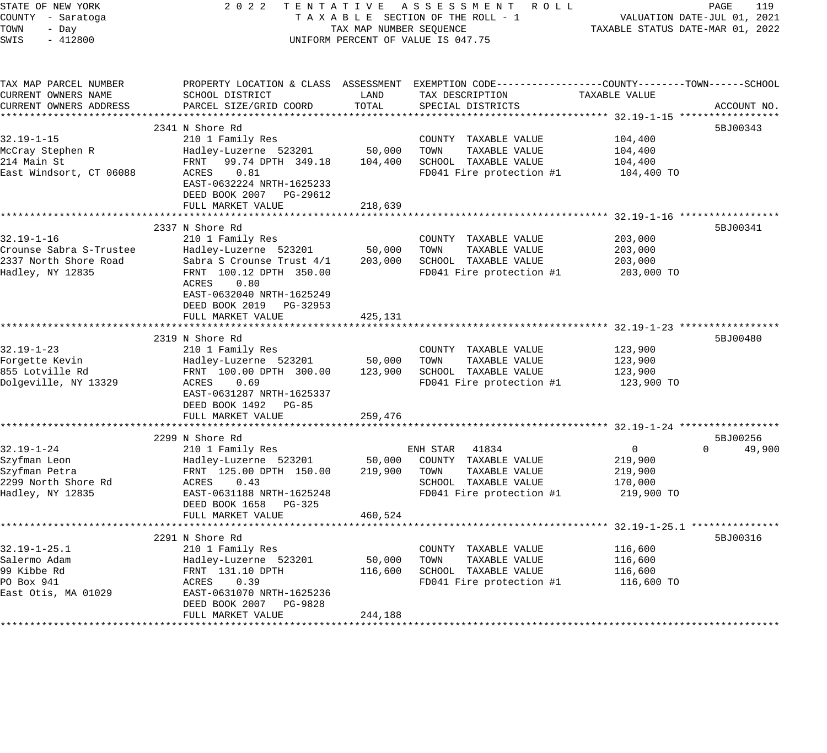| STATE OF NEW YORK                  | 2 0 2 2<br>TENTATIVE                      |                                  | A S S E S S M E N T<br>R O L L                              |                                                  | 119<br>PAGE        |
|------------------------------------|-------------------------------------------|----------------------------------|-------------------------------------------------------------|--------------------------------------------------|--------------------|
| COUNTY - Saratoga                  | TAXABLE SECTION OF THE ROLL - 1           |                                  | VALUATION DATE-JUL 01, 2021                                 |                                                  |                    |
| TOWN<br>- Day                      | TAX MAP NUMBER SEQUENCE                   | TAXABLE STATUS DATE-MAR 01, 2022 |                                                             |                                                  |                    |
| SWIS<br>$-412800$                  |                                           |                                  | UNIFORM PERCENT OF VALUE IS 047.75                          |                                                  |                    |
|                                    |                                           |                                  |                                                             |                                                  |                    |
| TAX MAP PARCEL NUMBER              | PROPERTY LOCATION & CLASS ASSESSMENT      |                                  | EXEMPTION CODE----------------COUNTY-------TOWN------SCHOOL |                                                  |                    |
| CURRENT OWNERS NAME                | SCHOOL DISTRICT                           | LAND                             | TAX DESCRIPTION                                             | TAXABLE VALUE                                    |                    |
| CURRENT OWNERS ADDRESS             | PARCEL SIZE/GRID COORD                    | TOTAL                            | SPECIAL DISTRICTS                                           |                                                  | ACCOUNT NO.        |
|                                    |                                           |                                  |                                                             |                                                  |                    |
|                                    | 2341 N Shore Rd                           |                                  |                                                             |                                                  | 5BJ00343           |
| $32.19 - 1 - 15$                   | 210 1 Family Res                          |                                  | COUNTY TAXABLE VALUE                                        | 104,400                                          |                    |
| McCray Stephen R                   | Hadley-Luzerne 523201                     | 50,000                           | TOWN<br>TAXABLE VALUE                                       | 104,400                                          |                    |
| 214 Main St                        | FRNT<br>99.74 DPTH 349.18                 | 104,400                          | SCHOOL TAXABLE VALUE                                        | 104,400                                          |                    |
| East Windsort, CT 06088            | ACRES<br>0.81                             |                                  | FD041 Fire protection #1                                    | 104,400 TO                                       |                    |
|                                    | EAST-0632224 NRTH-1625233                 |                                  |                                                             |                                                  |                    |
|                                    | DEED BOOK 2007<br>PG-29612                |                                  |                                                             |                                                  |                    |
|                                    | FULL MARKET VALUE                         | 218,639                          |                                                             |                                                  |                    |
|                                    |                                           |                                  |                                                             | ******************** 32.19-1-16 **************** |                    |
|                                    | 2337 N Shore Rd                           |                                  |                                                             |                                                  | 5BJ00341           |
| 32.19-1-16                         | 210 1 Family Res                          |                                  | COUNTY TAXABLE VALUE                                        | 203,000                                          |                    |
| Crounse Sabra S-Trustee            | Hadley-Luzerne 523201                     | 50,000                           | TOWN<br>TAXABLE VALUE                                       | 203,000                                          |                    |
| 2337 North Shore Road              | Sabra S Crounse Trust 4/1                 | 203,000                          | SCHOOL TAXABLE VALUE                                        | 203,000                                          |                    |
| Hadley, NY 12835                   | FRNT 100.12 DPTH 350.00<br>ACRES<br>0.80  |                                  | FD041 Fire protection #1                                    | 203,000 TO                                       |                    |
|                                    | EAST-0632040 NRTH-1625249                 |                                  |                                                             |                                                  |                    |
|                                    | DEED BOOK 2019<br>PG-32953                |                                  |                                                             |                                                  |                    |
|                                    | FULL MARKET VALUE                         | 425,131                          |                                                             |                                                  |                    |
|                                    |                                           |                                  |                                                             |                                                  |                    |
|                                    | 2319 N Shore Rd                           |                                  |                                                             |                                                  | 5BJ00480           |
| $32.19 - 1 - 23$                   | 210 1 Family Res                          |                                  | COUNTY<br>TAXABLE VALUE                                     | 123,900                                          |                    |
| Forgette Kevin                     | Hadley-Luzerne 523201                     | 50,000                           | TAXABLE VALUE<br>TOWN                                       | 123,900                                          |                    |
| 855 Lotville Rd                    | FRNT 100.00 DPTH 300.00                   | 123,900                          | SCHOOL TAXABLE VALUE                                        | 123,900                                          |                    |
| Dolgeville, NY 13329               | 0.69<br>ACRES                             |                                  | FD041 Fire protection #1                                    | 123,900 TO                                       |                    |
|                                    | EAST-0631287 NRTH-1625337                 |                                  |                                                             |                                                  |                    |
|                                    | DEED BOOK 1492<br><b>PG-85</b>            |                                  |                                                             |                                                  |                    |
|                                    | FULL MARKET VALUE                         | 259,476                          |                                                             |                                                  |                    |
|                                    |                                           |                                  |                                                             |                                                  |                    |
|                                    | 2299 N Shore Rd                           |                                  |                                                             |                                                  | 5BJ00256           |
| $32.19 - 1 - 24$                   | 210 1 Family Res                          |                                  | ENH STAR<br>41834                                           | $\Omega$                                         | $\Omega$<br>49,900 |
| Szyfman Leon                       | Hadley-Luzerne 523201                     | 50,000                           | COUNTY TAXABLE VALUE                                        | 219,900                                          |                    |
| Szyfman Petra                      | FRNT 125.00 DPTH 150.00                   | 219,900                          | TAXABLE VALUE<br>TOWN                                       | 219,900                                          |                    |
| 2299 North Shore Rd                | ACRES<br>0.43                             |                                  | SCHOOL TAXABLE VALUE                                        | 170,000                                          |                    |
| Hadley, NY 12835                   | EAST-0631188 NRTH-1625248                 |                                  | FD041 Fire protection #1                                    | 219,900 TO                                       |                    |
|                                    | DEED BOOK 1658<br>PG-325                  |                                  |                                                             |                                                  |                    |
|                                    | FULL MARKET VALUE                         | 460,524                          |                                                             |                                                  |                    |
|                                    |                                           |                                  |                                                             | ************************ 32.19-1-25.1 ********   |                    |
|                                    | 2291 N Shore Rd                           |                                  |                                                             |                                                  | 5BJ00316           |
| $32.19 - 1 - 25.1$<br>Salermo Adam | 210 1 Family Res                          |                                  | COUNTY TAXABLE VALUE                                        | 116,600                                          |                    |
| 99 Kibbe Rd                        | Hadley-Luzerne 523201<br>FRNT 131.10 DPTH | 50,000<br>116,600                | TAXABLE VALUE<br>TOWN<br>SCHOOL TAXABLE VALUE               | 116,600<br>116,600                               |                    |
| PO Box 941                         | ACRES<br>0.39                             |                                  | FD041 Fire protection #1                                    | 116,600 TO                                       |                    |
| East Otis, MA 01029                | EAST-0631070 NRTH-1625236                 |                                  |                                                             |                                                  |                    |
|                                    | DEED BOOK 2007<br>PG-9828                 |                                  |                                                             |                                                  |                    |
|                                    | FULL MARKET VALUE                         | 244,188                          |                                                             |                                                  |                    |
|                                    |                                           |                                  |                                                             |                                                  |                    |
|                                    |                                           |                                  |                                                             |                                                  |                    |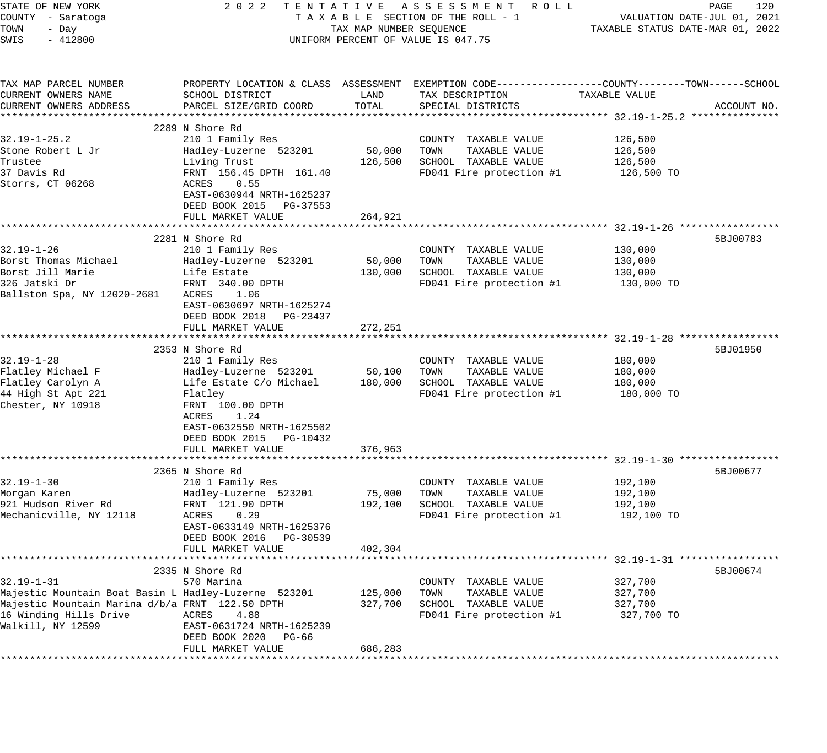| STATE OF NEW YORK                                    | 2 0 2 2                   |                         | TENTATIVE ASSESSMENT ROLL                                                                      |               | PAGE<br>120                      |
|------------------------------------------------------|---------------------------|-------------------------|------------------------------------------------------------------------------------------------|---------------|----------------------------------|
| COUNTY - Saratoga                                    |                           |                         | TAXABLE SECTION OF THE ROLL - 1                                                                |               | VALUATION DATE-JUL 01, 2021      |
| TOWN<br>- Day                                        |                           | TAX MAP NUMBER SEQUENCE |                                                                                                |               | TAXABLE STATUS DATE-MAR 01, 2022 |
| SWIS<br>$-412800$                                    |                           |                         | UNIFORM PERCENT OF VALUE IS 047.75                                                             |               |                                  |
|                                                      |                           |                         |                                                                                                |               |                                  |
| TAX MAP PARCEL NUMBER                                |                           |                         | PROPERTY LOCATION & CLASS ASSESSMENT EXEMPTION CODE---------------COUNTY-------TOWN-----SCHOOL |               |                                  |
| CURRENT OWNERS NAME                                  | SCHOOL DISTRICT           | LAND                    | TAX DESCRIPTION                                                                                | TAXABLE VALUE |                                  |
| CURRENT OWNERS ADDRESS                               | PARCEL SIZE/GRID COORD    | TOTAL                   | SPECIAL DISTRICTS                                                                              |               | ACCOUNT NO.                      |
|                                                      |                           |                         |                                                                                                |               |                                  |
|                                                      | 2289 N Shore Rd           |                         |                                                                                                |               |                                  |
| $32.19 - 1 - 25.2$                                   | 210 1 Family Res          |                         | COUNTY TAXABLE VALUE                                                                           | 126,500       |                                  |
|                                                      |                           |                         |                                                                                                |               |                                  |
| Stone Robert L Jr                                    | Hadley-Luzerne 523201     | 50,000                  | TOWN<br>TAXABLE VALUE                                                                          | 126,500       |                                  |
| Trustee                                              | Living Trust              | 126,500                 | SCHOOL TAXABLE VALUE                                                                           | 126,500       |                                  |
| 37 Davis Rd                                          | FRNT 156.45 DPTH 161.40   |                         | FD041 Fire protection #1                                                                       | 126,500 TO    |                                  |
| Storrs, CT 06268                                     | ACRES<br>0.55             |                         |                                                                                                |               |                                  |
|                                                      | EAST-0630944 NRTH-1625237 |                         |                                                                                                |               |                                  |
|                                                      | DEED BOOK 2015 PG-37553   |                         |                                                                                                |               |                                  |
|                                                      | FULL MARKET VALUE         | 264,921                 |                                                                                                |               |                                  |
|                                                      |                           |                         |                                                                                                |               |                                  |
|                                                      | 2281 N Shore Rd           |                         |                                                                                                |               | 5BJ00783                         |
| $32.19 - 1 - 26$                                     | 210 1 Family Res          |                         | COUNTY TAXABLE VALUE                                                                           | 130,000       |                                  |
| Borst Thomas Michael                                 | Hadley-Luzerne 523201     | 50,000                  | TAXABLE VALUE<br>TOWN                                                                          | 130,000       |                                  |
| Borst Jill Marie                                     | Life Estate               | 130,000                 | SCHOOL TAXABLE VALUE                                                                           | 130,000       |                                  |
| 326 Jatski Dr                                        | FRNT 340.00 DPTH          |                         | FD041 Fire protection #1                                                                       | 130,000 TO    |                                  |
| Ballston Spa, NY 12020-2681                          | ACRES<br>1.06             |                         |                                                                                                |               |                                  |
|                                                      | EAST-0630697 NRTH-1625274 |                         |                                                                                                |               |                                  |
|                                                      | DEED BOOK 2018 PG-23437   |                         |                                                                                                |               |                                  |
|                                                      | FULL MARKET VALUE         | 272,251                 |                                                                                                |               |                                  |
|                                                      |                           |                         |                                                                                                |               |                                  |
|                                                      | 2353 N Shore Rd           |                         |                                                                                                |               | 5BJ01950                         |
| $32.19 - 1 - 28$                                     | 210 1 Family Res          |                         | COUNTY TAXABLE VALUE                                                                           | 180,000       |                                  |
| Flatley Michael F                                    | Hadley-Luzerne 523201     | 50,100                  | TAXABLE VALUE<br>TOWN                                                                          | 180,000       |                                  |
|                                                      |                           |                         | SCHOOL TAXABLE VALUE                                                                           |               |                                  |
| Flatley Carolyn A                                    | Life Estate C/o Michael   | 180,000                 |                                                                                                | 180,000       |                                  |
| 44 High St Apt 221                                   | Flatley                   |                         | FD041 Fire protection #1                                                                       | 180,000 TO    |                                  |
| Chester, NY 10918                                    | FRNT 100.00 DPTH          |                         |                                                                                                |               |                                  |
|                                                      | ACRES<br>1.24             |                         |                                                                                                |               |                                  |
|                                                      | EAST-0632550 NRTH-1625502 |                         |                                                                                                |               |                                  |
|                                                      | DEED BOOK 2015 PG-10432   |                         |                                                                                                |               |                                  |
|                                                      | FULL MARKET VALUE         | 376,963                 |                                                                                                |               |                                  |
|                                                      |                           |                         |                                                                                                |               |                                  |
|                                                      | 2365 N Shore Rd           |                         |                                                                                                |               | 5BJ00677                         |
| $32.19 - 1 - 30$                                     | 210 1 Family Res          |                         | COUNTY TAXABLE VALUE                                                                           | 192,100       |                                  |
| Morgan Karen                                         | Hadley-Luzerne 523201     | 75,000                  | TAXABLE VALUE<br>TOWN                                                                          | 192,100       |                                  |
| 921 Hudson River Rd                                  | FRNT 121.90 DPTH          | 192,100                 | SCHOOL TAXABLE VALUE                                                                           | 192,100       |                                  |
| Mechanicville, NY 12118                              | ACRES<br>0.29             |                         | FD041 Fire protection #1                                                                       | 192,100 TO    |                                  |
|                                                      | EAST-0633149 NRTH-1625376 |                         |                                                                                                |               |                                  |
|                                                      | DEED BOOK 2016 PG-30539   |                         |                                                                                                |               |                                  |
|                                                      | FULL MARKET VALUE         | 402,304                 |                                                                                                |               |                                  |
|                                                      |                           |                         |                                                                                                |               |                                  |
|                                                      | 2335 N Shore Rd           |                         |                                                                                                |               | 5BJ00674                         |
| $32.19 - 1 - 31$                                     | 570 Marina                |                         | COUNTY TAXABLE VALUE                                                                           | 327,700       |                                  |
| Majestic Mountain Boat Basin L Hadley-Luzerne 523201 |                           | 125,000                 | TOWN<br>TAXABLE VALUE                                                                          | 327,700       |                                  |
| Majestic Mountain Marina d/b/a FRNT 122.50 DPTH      |                           | 327,700                 | SCHOOL TAXABLE VALUE                                                                           | 327,700       |                                  |
| 16 Winding Hills Drive                               | ACRES<br>4.88             |                         | FD041 Fire protection #1                                                                       | 327,700 TO    |                                  |
| Walkill, NY 12599                                    | EAST-0631724 NRTH-1625239 |                         |                                                                                                |               |                                  |
|                                                      | DEED BOOK 2020<br>PG-66   |                         |                                                                                                |               |                                  |
|                                                      | FULL MARKET VALUE         | 686,283                 |                                                                                                |               |                                  |
|                                                      |                           |                         |                                                                                                |               |                                  |
|                                                      |                           |                         |                                                                                                |               |                                  |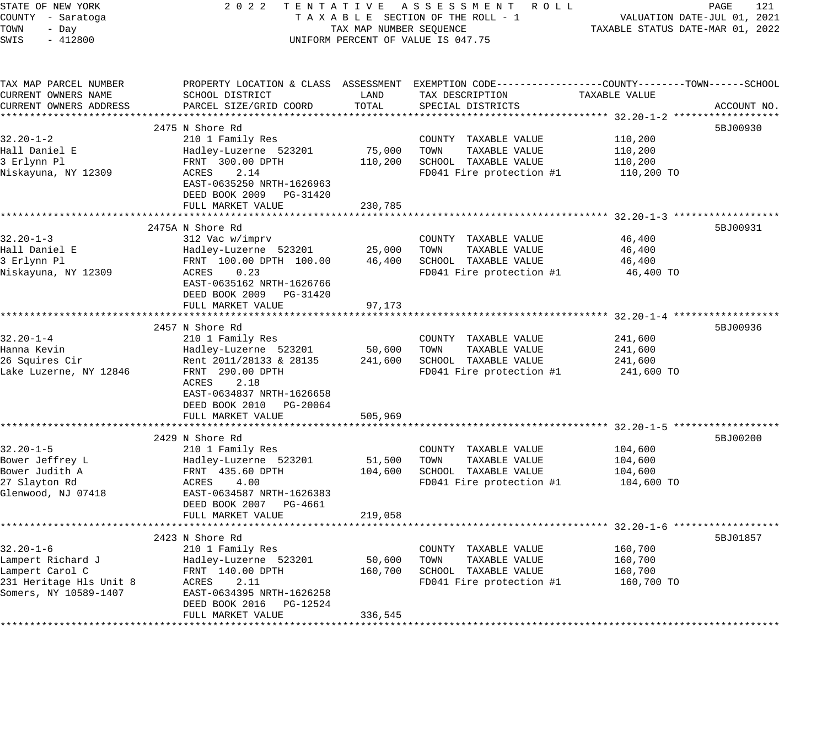| STATE OF NEW YORK       | 2 0 2 2<br>TENTATIVE       |                         | ASSESSMENT ROLL                                                                                 |                                  | PAGE<br>121                 |
|-------------------------|----------------------------|-------------------------|-------------------------------------------------------------------------------------------------|----------------------------------|-----------------------------|
| COUNTY - Saratoga       |                            |                         | TAXABLE SECTION OF THE ROLL - 1                                                                 |                                  | VALUATION DATE-JUL 01, 2021 |
| TOWN<br>- Day           |                            | TAX MAP NUMBER SEQUENCE |                                                                                                 | TAXABLE STATUS DATE-MAR 01, 2022 |                             |
| SWIS<br>$-412800$       |                            |                         | UNIFORM PERCENT OF VALUE IS 047.75                                                              |                                  |                             |
|                         |                            |                         |                                                                                                 |                                  |                             |
| TAX MAP PARCEL NUMBER   |                            |                         | PROPERTY LOCATION & CLASS ASSESSMENT EXEMPTION CODE---------------COUNTY-------TOWN------SCHOOL |                                  |                             |
| CURRENT OWNERS NAME     | SCHOOL DISTRICT            | LAND                    | TAX DESCRIPTION                                                                                 | TAXABLE VALUE                    |                             |
| CURRENT OWNERS ADDRESS  | PARCEL SIZE/GRID COORD     | TOTAL                   | SPECIAL DISTRICTS                                                                               |                                  | ACCOUNT NO.                 |
|                         |                            |                         |                                                                                                 |                                  |                             |
|                         | 2475 N Shore Rd            |                         |                                                                                                 |                                  | 5BJ00930                    |
| $32.20 - 1 - 2$         | 210 1 Family Res           |                         | COUNTY TAXABLE VALUE                                                                            | 110,200                          |                             |
| Hall Daniel E           | Hadley-Luzerne 523201      | 75,000                  | TOWN<br>TAXABLE VALUE                                                                           | 110,200                          |                             |
| 3 Erlynn Pl             | FRNT 300.00 DPTH           | 110,200                 | SCHOOL TAXABLE VALUE                                                                            | 110,200                          |                             |
| Niskayuna, NY 12309     | ACRES<br>2.14              |                         | FD041 Fire protection #1                                                                        | 110,200 TO                       |                             |
|                         | EAST-0635250 NRTH-1626963  |                         |                                                                                                 |                                  |                             |
|                         | DEED BOOK 2009 PG-31420    |                         |                                                                                                 |                                  |                             |
|                         | FULL MARKET VALUE          | 230,785                 |                                                                                                 |                                  |                             |
|                         |                            |                         |                                                                                                 |                                  |                             |
|                         | 2475A N Shore Rd           |                         |                                                                                                 |                                  | 5BJ00931                    |
| $32.20 - 1 - 3$         | 312 Vac w/imprv            |                         | COUNTY TAXABLE VALUE                                                                            | 46,400                           |                             |
| Hall Daniel E           | Hadley-Luzerne 523201      | 25,000                  | TOWN<br>TAXABLE VALUE                                                                           | 46,400                           |                             |
| 3 Erlynn Pl             | FRNT 100.00 DPTH 100.00    | 46,400                  | SCHOOL TAXABLE VALUE                                                                            | 46,400                           |                             |
| Niskayuna, NY 12309     | ACRES<br>0.23              |                         | FD041 Fire protection #1                                                                        | 46,400 TO                        |                             |
|                         | EAST-0635162 NRTH-1626766  |                         |                                                                                                 |                                  |                             |
|                         | DEED BOOK 2009 PG-31420    |                         |                                                                                                 |                                  |                             |
|                         | FULL MARKET VALUE          | 97,173                  |                                                                                                 |                                  |                             |
|                         |                            |                         |                                                                                                 |                                  |                             |
|                         | 2457 N Shore Rd            |                         |                                                                                                 |                                  | 5BJ00936                    |
| $32.20 - 1 - 4$         | 210 1 Family Res           |                         | COUNTY TAXABLE VALUE                                                                            | 241,600                          |                             |
| Hanna Kevin             |                            | 50,600                  | TOWN                                                                                            | 241,600                          |                             |
|                         | Hadley-Luzerne 523201      |                         | TAXABLE VALUE                                                                                   |                                  |                             |
| 26 Squires Cir          | Rent 2011/28133 & 28135    | 241,600                 | SCHOOL TAXABLE VALUE                                                                            | 241,600                          |                             |
| Lake Luzerne, NY 12846  | FRNT 290.00 DPTH           |                         | FD041 Fire protection #1                                                                        | 241,600 TO                       |                             |
|                         | 2.18<br>ACRES              |                         |                                                                                                 |                                  |                             |
|                         | EAST-0634837 NRTH-1626658  |                         |                                                                                                 |                                  |                             |
|                         | DEED BOOK 2010 PG-20064    |                         |                                                                                                 |                                  |                             |
|                         | FULL MARKET VALUE          | 505,969                 |                                                                                                 |                                  |                             |
|                         |                            |                         |                                                                                                 |                                  |                             |
|                         | 2429 N Shore Rd            |                         |                                                                                                 |                                  | 5BJ00200                    |
| $32.20 - 1 - 5$         | 210 1 Family Res           |                         | COUNTY TAXABLE VALUE                                                                            | 104,600                          |                             |
| Bower Jeffrey L         | Hadley-Luzerne 523201      | 51,500                  | TOWN<br>TAXABLE VALUE                                                                           | 104,600                          |                             |
| Bower Judith A          | FRNT 435.60 DPTH           | 104,600                 | SCHOOL TAXABLE VALUE                                                                            | 104,600                          |                             |
| 27 Slayton Rd           | ACRES<br>4.00              |                         | FD041 Fire protection #1                                                                        | 104,600 TO                       |                             |
| Glenwood, NJ 07418      | EAST-0634587 NRTH-1626383  |                         |                                                                                                 |                                  |                             |
|                         | DEED BOOK 2007 PG-4661     |                         |                                                                                                 |                                  |                             |
|                         | FULL MARKET VALUE          | 219,058                 |                                                                                                 |                                  |                             |
|                         | **********************     |                         |                                                                                                 |                                  |                             |
|                         | 2423 N Shore Rd            |                         |                                                                                                 |                                  | 5BJ01857                    |
| $32.20 - 1 - 6$         | 210 1 Family Res           |                         | COUNTY TAXABLE VALUE                                                                            | 160,700                          |                             |
| Lampert Richard J       | Hadley-Luzerne 523201      | 50,600                  | TOWN<br>TAXABLE VALUE                                                                           | 160,700                          |                             |
| Lampert Carol C         | FRNT 140.00 DPTH           | 160,700                 | SCHOOL TAXABLE VALUE                                                                            | 160,700                          |                             |
| 231 Heritage Hls Unit 8 | ACRES<br>2.11              |                         | FD041 Fire protection #1                                                                        | 160,700 TO                       |                             |
| Somers, NY 10589-1407   | EAST-0634395 NRTH-1626258  |                         |                                                                                                 |                                  |                             |
|                         | DEED BOOK 2016<br>PG-12524 |                         |                                                                                                 |                                  |                             |
|                         | FULL MARKET VALUE          | 336,545                 |                                                                                                 |                                  |                             |
|                         |                            |                         |                                                                                                 |                                  |                             |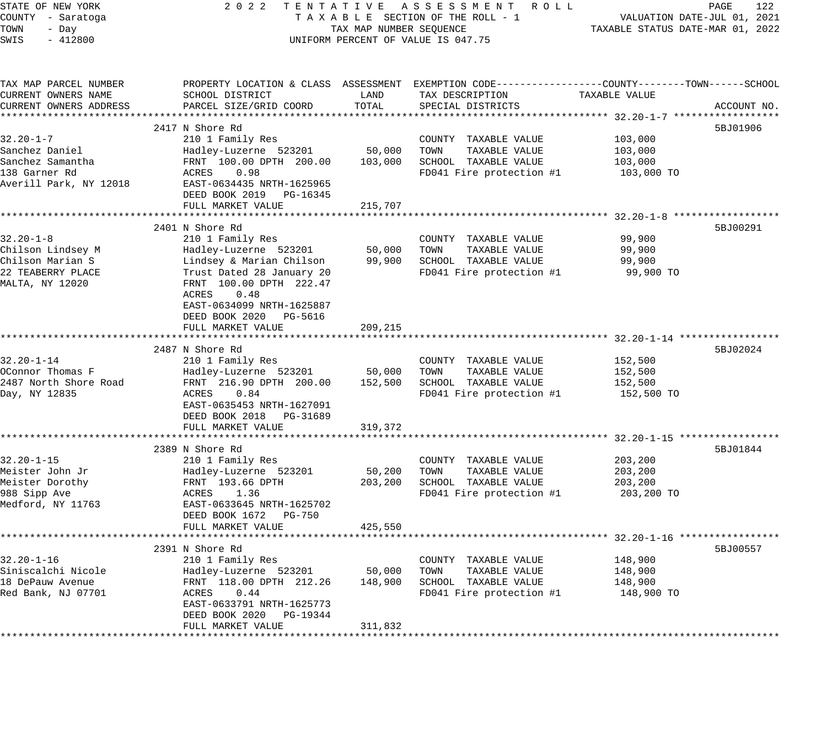| STATE OF NEW YORK                  | 2 0 2 2<br>TENTATIVE                                 |                         | ASSESSMENT ROLL                                                                                 |                                                      | PAGE<br>122                 |
|------------------------------------|------------------------------------------------------|-------------------------|-------------------------------------------------------------------------------------------------|------------------------------------------------------|-----------------------------|
| COUNTY - Saratoga                  |                                                      |                         | TAXABLE SECTION OF THE ROLL - 1                                                                 |                                                      | VALUATION DATE-JUL 01, 2021 |
| TOWN<br>- Day                      |                                                      | TAX MAP NUMBER SEQUENCE |                                                                                                 | TAXABLE STATUS DATE-MAR 01, 2022                     |                             |
| SWIS<br>$-412800$                  |                                                      |                         | UNIFORM PERCENT OF VALUE IS 047.75                                                              |                                                      |                             |
| TAX MAP PARCEL NUMBER              |                                                      |                         | PROPERTY LOCATION & CLASS ASSESSMENT EXEMPTION CODE----------------COUNTY-------TOWN-----SCHOOL |                                                      |                             |
| CURRENT OWNERS NAME                | SCHOOL DISTRICT                                      | LAND                    | TAX DESCRIPTION                                                                                 | TAXABLE VALUE                                        |                             |
| CURRENT OWNERS ADDRESS             | PARCEL SIZE/GRID COORD                               | TOTAL                   | SPECIAL DISTRICTS                                                                               |                                                      | ACCOUNT NO.                 |
| ***********************            | ******************************                       |                         |                                                                                                 |                                                      |                             |
|                                    | 2417 N Shore Rd                                      |                         |                                                                                                 |                                                      | 5BJ01906                    |
| $32.20 - 1 - 7$                    | 210 1 Family Res                                     | 50,000                  | COUNTY TAXABLE VALUE<br>TOWN                                                                    | 103,000                                              |                             |
| Sanchez Daniel<br>Sanchez Samantha | Hadley-Luzerne 523201                                |                         | TAXABLE VALUE<br>SCHOOL TAXABLE VALUE                                                           | 103,000                                              |                             |
| 138 Garner Rd                      | FRNT 100.00 DPTH 200.00<br>0.98<br>ACRES             | 103,000                 | FD041 Fire protection #1                                                                        | 103,000                                              |                             |
| Averill Park, NY 12018             | EAST-0634435 NRTH-1625965                            |                         |                                                                                                 | 103,000 TO                                           |                             |
|                                    | DEED BOOK 2019 PG-16345                              |                         |                                                                                                 |                                                      |                             |
|                                    | FULL MARKET VALUE                                    | 215,707                 |                                                                                                 |                                                      |                             |
|                                    |                                                      | ********                |                                                                                                 | *********** 32.20-1-8 ******************             |                             |
|                                    | 2401 N Shore Rd                                      |                         |                                                                                                 |                                                      | 5BJ00291                    |
| $32.20 - 1 - 8$                    | 210 1 Family Res                                     |                         | COUNTY TAXABLE VALUE                                                                            | 99,900                                               |                             |
| Chilson Lindsey M                  | Hadley-Luzerne 523201                                | 50,000                  | TOWN<br>TAXABLE VALUE                                                                           | 99,900                                               |                             |
| Chilson Marian S                   | Lindsey & Marian Chilson                             | 99,900                  | SCHOOL TAXABLE VALUE                                                                            | 99,900                                               |                             |
| 22 TEABERRY PLACE                  | Trust Dated 28 January 20                            |                         | FD041 Fire protection #1                                                                        | 99,900 TO                                            |                             |
| MALTA, NY 12020                    | FRNT 100.00 DPTH 222.47                              |                         |                                                                                                 |                                                      |                             |
|                                    | ACRES<br>0.48                                        |                         |                                                                                                 |                                                      |                             |
|                                    | EAST-0634099 NRTH-1625887                            |                         |                                                                                                 |                                                      |                             |
|                                    | DEED BOOK 2020 PG-5616                               |                         |                                                                                                 |                                                      |                             |
|                                    | FULL MARKET VALUE                                    | 209,215                 |                                                                                                 |                                                      |                             |
|                                    |                                                      |                         |                                                                                                 |                                                      |                             |
|                                    | 2487 N Shore Rd                                      |                         |                                                                                                 |                                                      | 5BJ02024                    |
| $32.20 - 1 - 14$                   | 210 1 Family Res                                     |                         | COUNTY TAXABLE VALUE                                                                            | 152,500                                              |                             |
| OConnor Thomas F                   | Hadley-Luzerne 523201                                | 50,000                  | TOWN<br>TAXABLE VALUE                                                                           | 152,500                                              |                             |
| 2487 North Shore Road              | FRNT 216.90 DPTH 200.00                              | 152,500                 | SCHOOL TAXABLE VALUE                                                                            | 152,500                                              |                             |
| Day, NY 12835                      | ACRES<br>0.84                                        |                         | FD041 Fire protection #1                                                                        | 152,500 TO                                           |                             |
|                                    | EAST-0635453 NRTH-1627091<br>DEED BOOK 2018 PG-31689 |                         |                                                                                                 |                                                      |                             |
|                                    | FULL MARKET VALUE                                    | 319,372                 |                                                                                                 |                                                      |                             |
|                                    |                                                      |                         |                                                                                                 | ********************** 32.20-1-15 ****************** |                             |
|                                    | 2389 N Shore Rd                                      |                         |                                                                                                 |                                                      | 5BJ01844                    |
| $32.20 - 1 - 15$                   | 210 1 Family Res                                     |                         | COUNTY TAXABLE VALUE                                                                            | 203,200                                              |                             |
| Meister John Jr                    | Hadley-Luzerne 523201                                | 50,200                  | TOWN<br>TAXABLE VALUE                                                                           | 203,200                                              |                             |
| Meister Dorothy                    | FRNT 193.66 DPTH                                     | 203,200                 | SCHOOL TAXABLE VALUE                                                                            | 203,200                                              |                             |
| 988 Sipp Ave                       | 1.36<br>ACRES                                        |                         | FD041 Fire protection #1                                                                        | 203,200 TO                                           |                             |
| Medford, NY 11763                  | EAST-0633645 NRTH-1625702                            |                         |                                                                                                 |                                                      |                             |
|                                    | DEED BOOK 1672 PG-750                                |                         |                                                                                                 |                                                      |                             |
|                                    | FULL MARKET VALUE                                    | 425,550                 |                                                                                                 |                                                      |                             |
| ***********                        | *******************************                      |                         |                                                                                                 |                                                      |                             |
|                                    | 2391 N Shore Rd                                      |                         |                                                                                                 |                                                      | 5BJ00557                    |
| $32.20 - 1 - 16$                   | 210 1 Family Res                                     |                         | COUNTY TAXABLE VALUE                                                                            | 148,900                                              |                             |
| Siniscalchi Nicole                 | Hadley-Luzerne 523201                                | 50,000                  | TOWN<br>TAXABLE VALUE                                                                           | 148,900                                              |                             |
| 18 DePauw Avenue                   | FRNT 118.00 DPTH 212.26                              | 148,900                 | SCHOOL TAXABLE VALUE                                                                            | 148,900                                              |                             |
| Red Bank, NJ 07701                 | ACRES<br>0.44                                        |                         | FD041 Fire protection #1                                                                        | 148,900 TO                                           |                             |
|                                    | EAST-0633791 NRTH-1625773                            |                         |                                                                                                 |                                                      |                             |
|                                    | DEED BOOK 2020 PG-19344                              |                         |                                                                                                 |                                                      |                             |
|                                    | FULL MARKET VALUE                                    | 311,832                 |                                                                                                 |                                                      |                             |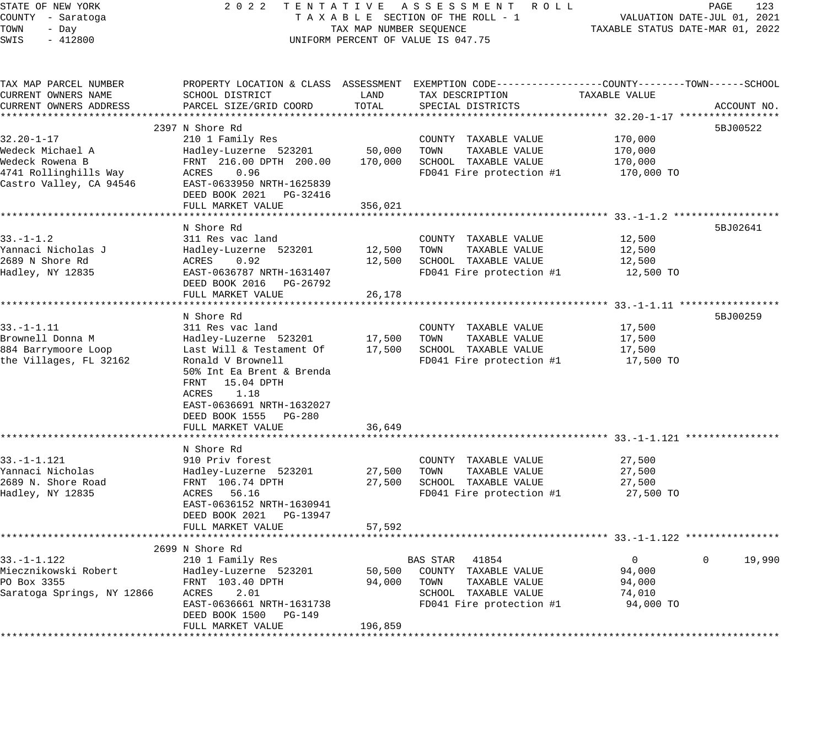| STATE OF NEW YORK          | 2 0 2 2<br>TENTATIVE                 |                         | A S S E S S M E N T<br>R O L L                               |                                                 | PAGE<br>123                 |
|----------------------------|--------------------------------------|-------------------------|--------------------------------------------------------------|-------------------------------------------------|-----------------------------|
| COUNTY - Saratoga          |                                      |                         | TAXABLE SECTION OF THE ROLL - 1                              |                                                 | VALUATION DATE-JUL 01, 2021 |
| TOWN<br>- Day              |                                      | TAX MAP NUMBER SEQUENCE |                                                              | TAXABLE STATUS DATE-MAR 01, 2022                |                             |
| SWIS<br>$-412800$          |                                      |                         | UNIFORM PERCENT OF VALUE IS 047.75                           |                                                 |                             |
|                            |                                      |                         |                                                              |                                                 |                             |
| TAX MAP PARCEL NUMBER      | PROPERTY LOCATION & CLASS ASSESSMENT |                         | EXEMPTION CODE-----------------COUNTY-------TOWN------SCHOOL |                                                 |                             |
| CURRENT OWNERS NAME        | SCHOOL DISTRICT                      | LAND                    | TAX DESCRIPTION                                              | TAXABLE VALUE                                   |                             |
| CURRENT OWNERS ADDRESS     | PARCEL SIZE/GRID COORD               | TOTAL                   | SPECIAL DISTRICTS                                            |                                                 | ACCOUNT NO.                 |
| *************************  |                                      |                         |                                                              |                                                 |                             |
|                            | 2397 N Shore Rd                      |                         |                                                              |                                                 | 5BJ00522                    |
| 32.20-1-17                 | 210 1 Family Res                     |                         | COUNTY TAXABLE VALUE                                         | 170,000                                         |                             |
| Wedeck Michael A           | Hadley-Luzerne 523201                | 50,000                  | TOWN<br>TAXABLE VALUE                                        | 170,000                                         |                             |
| Wedeck Rowena B            | FRNT 216.00 DPTH 200.00              | 170,000                 | SCHOOL TAXABLE VALUE                                         | 170,000                                         |                             |
|                            | 0.96                                 |                         |                                                              |                                                 |                             |
| 4741 Rollinghills Way      | ACRES                                |                         | FD041 Fire protection #1                                     | 170,000 TO                                      |                             |
| Castro Valley, CA 94546    | EAST-0633950 NRTH-1625839            |                         |                                                              |                                                 |                             |
|                            | DEED BOOK 2021<br>PG-32416           |                         |                                                              |                                                 |                             |
|                            | FULL MARKET VALUE                    | 356,021                 |                                                              |                                                 |                             |
|                            | ******************                   |                         |                                                              |                                                 |                             |
|                            | N Shore Rd                           |                         |                                                              |                                                 | 5BJ02641                    |
| $33. - 1 - 1.2$            | 311 Res vac land                     |                         | COUNTY TAXABLE VALUE                                         | 12,500                                          |                             |
| Yannaci Nicholas J         | Hadley-Luzerne 523201                | 12,500                  | TOWN<br>TAXABLE VALUE                                        | 12,500                                          |                             |
| 2689 N Shore Rd            | ACRES<br>0.92                        | 12,500                  | SCHOOL TAXABLE VALUE                                         | 12,500                                          |                             |
| Hadley, NY 12835           | EAST-0636787 NRTH-1631407            |                         | FD041 Fire protection #1                                     | 12,500 TO                                       |                             |
|                            | DEED BOOK 2016<br>PG-26792           |                         |                                                              |                                                 |                             |
|                            | FULL MARKET VALUE                    | 26,178                  |                                                              |                                                 |                             |
|                            | ******************                   |                         |                                                              | ********************* 33.-1-1.11 ************** |                             |
|                            | N Shore Rd                           |                         |                                                              |                                                 | 5BJ00259                    |
| $33. - 1 - 1.11$           | 311 Res vac land                     |                         | COUNTY TAXABLE VALUE                                         | 17,500                                          |                             |
| Brownell Donna M           | Hadley-Luzerne 523201                | 17,500                  | TOWN<br>TAXABLE VALUE                                        | 17,500                                          |                             |
|                            |                                      |                         |                                                              |                                                 |                             |
| 884 Barrymoore Loop        | Last Will & Testament Of             | 17,500                  | SCHOOL TAXABLE VALUE                                         | 17,500                                          |                             |
| the Villages, FL 32162     | Ronald V Brownell                    |                         | FD041 Fire protection #1                                     | 17,500 TO                                       |                             |
|                            | 50% Int Ea Brent & Brenda            |                         |                                                              |                                                 |                             |
|                            | 15.04 DPTH<br>FRNT                   |                         |                                                              |                                                 |                             |
|                            | 1.18<br>ACRES                        |                         |                                                              |                                                 |                             |
|                            | EAST-0636691 NRTH-1632027            |                         |                                                              |                                                 |                             |
|                            | DEED BOOK 1555<br>PG-280             |                         |                                                              |                                                 |                             |
|                            | FULL MARKET VALUE                    | 36,649                  |                                                              |                                                 |                             |
|                            |                                      |                         |                                                              | ********************* 33.-1-1.121               |                             |
|                            | N Shore Rd                           |                         |                                                              |                                                 |                             |
| $33. - 1 - 1.121$          | 910 Priv forest                      |                         | COUNTY TAXABLE VALUE                                         | 27,500                                          |                             |
| Yannaci Nicholas           | Hadley-Luzerne 523201                | 27,500                  | TOWN<br>TAXABLE VALUE                                        | 27,500                                          |                             |
| 2689 N. Shore Road         | FRNT 106.74 DPTH                     | 27,500                  | SCHOOL TAXABLE VALUE                                         | 27,500                                          |                             |
| Hadley, NY 12835           | 56.16<br>ACRES                       |                         | FD041 Fire protection #1                                     | 27,500 TO                                       |                             |
|                            | EAST-0636152 NRTH-1630941            |                         |                                                              |                                                 |                             |
|                            | DEED BOOK 2021<br>PG-13947           |                         |                                                              |                                                 |                             |
|                            | FULL MARKET VALUE                    | 57,592                  |                                                              |                                                 |                             |
|                            |                                      |                         |                                                              |                                                 |                             |
|                            |                                      |                         |                                                              |                                                 |                             |
|                            | 2699 N Shore Rd                      |                         |                                                              |                                                 |                             |
| $33. - 1 - 1.122$          | 210 1 Family Res                     |                         | <b>BAS STAR</b><br>41854                                     | $\overline{0}$                                  | 19,990<br>0                 |
| Miecznikowski Robert       | Hadley-Luzerne 523201                | 50,500                  | COUNTY TAXABLE VALUE                                         | 94,000                                          |                             |
| PO Box 3355                | FRNT 103.40 DPTH                     | 94,000                  | TOWN<br>TAXABLE VALUE                                        | 94,000                                          |                             |
| Saratoga Springs, NY 12866 | ACRES<br>2.01                        |                         | SCHOOL TAXABLE VALUE                                         | 74,010                                          |                             |
|                            | EAST-0636661 NRTH-1631738            |                         | FD041 Fire protection #1                                     | 94,000 TO                                       |                             |
|                            | DEED BOOK 1500<br>PG-149             |                         |                                                              |                                                 |                             |
|                            | FULL MARKET VALUE                    | 196,859                 |                                                              |                                                 |                             |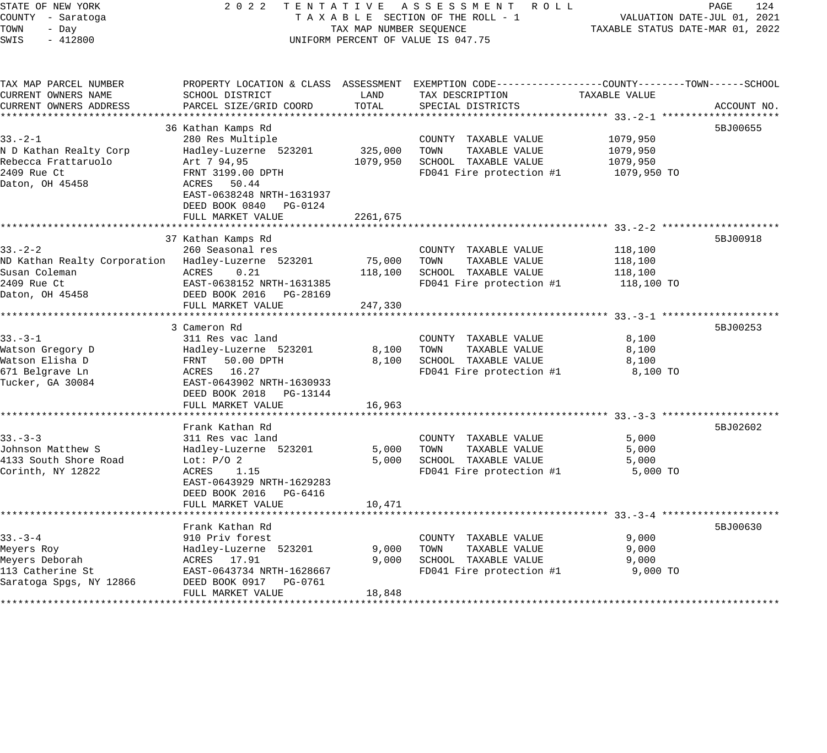| STATE OF NEW YORK<br>COUNTY - Saratoga<br>TOWN<br>- Day<br>SWIS<br>$-412800$                       | 2 0 2 2                                                                                                                                                                   | TAX MAP NUMBER SEQUENCE    | TENTATIVE ASSESSMENT ROLL<br>TAXABLE SECTION OF THE ROLL - 1<br>UNIFORM PERCENT OF VALUE IS 047.75                                       | TAXABLE STATUS DATE-MAR 01, 2022                | PAGE<br>124<br>VALUATION DATE-JUL 01, 2021 |
|----------------------------------------------------------------------------------------------------|---------------------------------------------------------------------------------------------------------------------------------------------------------------------------|----------------------------|------------------------------------------------------------------------------------------------------------------------------------------|-------------------------------------------------|--------------------------------------------|
| TAX MAP PARCEL NUMBER<br>CURRENT OWNERS NAME<br>CURRENT OWNERS ADDRESS                             | SCHOOL DISTRICT<br>PARCEL SIZE/GRID COORD                                                                                                                                 | LAND<br>TOTAL              | PROPERTY LOCATION & CLASS ASSESSMENT EXEMPTION CODE----------------COUNTY-------TOWN------SCHOOL<br>TAX DESCRIPTION<br>SPECIAL DISTRICTS | TAXABLE VALUE                                   | ACCOUNT NO.                                |
|                                                                                                    |                                                                                                                                                                           |                            |                                                                                                                                          |                                                 |                                            |
| $33 - 2 - 1$<br>N D Kathan Realty Corp<br>Rebecca Frattaruolo<br>2409 Rue Ct<br>Daton, OH 45458    | 36 Kathan Kamps Rd<br>280 Res Multiple<br>Hadley-Luzerne 523201<br>Art 7 94,95<br>FRNT 3199.00 DPTH<br>ACRES 50.44<br>EAST-0638248 NRTH-1631937<br>DEED BOOK 0840 PG-0124 | 325,000<br>1079,950        | COUNTY TAXABLE VALUE<br>TAXABLE VALUE<br>TOWN<br>SCHOOL TAXABLE VALUE<br>FD041 Fire protection #1                                        | 1079,950<br>1079,950<br>1079,950<br>1079,950 TO | 5BJ00655                                   |
|                                                                                                    | FULL MARKET VALUE                                                                                                                                                         | 2261,675                   |                                                                                                                                          |                                                 |                                            |
|                                                                                                    |                                                                                                                                                                           |                            |                                                                                                                                          |                                                 |                                            |
| $33 - 2 - 2$<br>ND Kathan Realty Corporation Hadley-Luzerne 523201<br>Susan Coleman<br>2409 Rue Ct | 37 Kathan Kamps Rd<br>260 Seasonal res<br>0.21<br>ACRES<br>EAST-0638152 NRTH-1631385                                                                                      | 75,000<br>118,100          | COUNTY TAXABLE VALUE<br>TOWN<br>TAXABLE VALUE<br>SCHOOL TAXABLE VALUE<br>FD041 Fire protection #1                                        | 118,100<br>118,100<br>118,100<br>118,100 TO     | 5BJ00918                                   |
| Daton, OH 45458                                                                                    | DEED BOOK 2016 PG-28169                                                                                                                                                   |                            |                                                                                                                                          |                                                 |                                            |
|                                                                                                    | FULL MARKET VALUE                                                                                                                                                         | 247,330                    |                                                                                                                                          |                                                 |                                            |
|                                                                                                    | ********************************                                                                                                                                          |                            |                                                                                                                                          |                                                 |                                            |
| $33 - 3 - 1$<br>Watson Gregory D<br>Watson Elisha D<br>671 Belgrave Ln<br>Tucker, GA 30084         | 3 Cameron Rd<br>311 Res vac land<br>Hadley-Luzerne 523201<br>FRNT 50.00 DPTH<br>ACRES 16.27<br>EAST-0643902 NRTH-1630933<br>DEED BOOK 2018<br>PG-13144                    | 8,100<br>8,100             | COUNTY TAXABLE VALUE<br>TAXABLE VALUE<br>TOWN<br>SCHOOL TAXABLE VALUE<br>FD041 Fire protection #1                                        | 8,100<br>8,100<br>8,100<br>8,100 TO             | 5BJ00253                                   |
|                                                                                                    | FULL MARKET VALUE                                                                                                                                                         | 16,963                     |                                                                                                                                          |                                                 |                                            |
| $33 - 3 - 3$<br>Johnson Matthew S<br>4133 South Shore Road<br>Corinth, NY 12822                    | Frank Kathan Rd<br>311 Res vac land<br>Hadley-Luzerne 523201<br>Lot: $P/O$ 2<br>ACRES<br>1.15<br>EAST-0643929 NRTH-1629283<br>DEED BOOK 2016<br>PG-6416                   | ********<br>5,000<br>5,000 | COUNTY TAXABLE VALUE<br>TOWN<br>TAXABLE VALUE<br>SCHOOL TAXABLE VALUE<br>FD041 Fire protection #1                                        | 5,000<br>5,000<br>5,000<br>5,000 TO             | 5BJ02602                                   |
|                                                                                                    | FULL MARKET VALUE                                                                                                                                                         | 10,471                     |                                                                                                                                          |                                                 |                                            |
| $33 - 3 - 4$<br>Meyers Roy<br>Meyers Deborah<br>113 Catherine St<br>Saratoga Spgs, NY 12866        | Frank Kathan Rd<br>910 Priv forest<br>Hadley-Luzerne 523201<br>ACRES 17.91<br>EAST-0643734 NRTH-1628667<br>DEED BOOK 0917 PG-0761<br>FULL MARKET VALUE                    | 9,000<br>9,000<br>18,848   | COUNTY TAXABLE VALUE<br>TOWN<br>TAXABLE VALUE<br>SCHOOL TAXABLE VALUE<br>FD041 Fire protection #1                                        | 9,000<br>9,000<br>9,000<br>9,000 TO             | 5BJ00630                                   |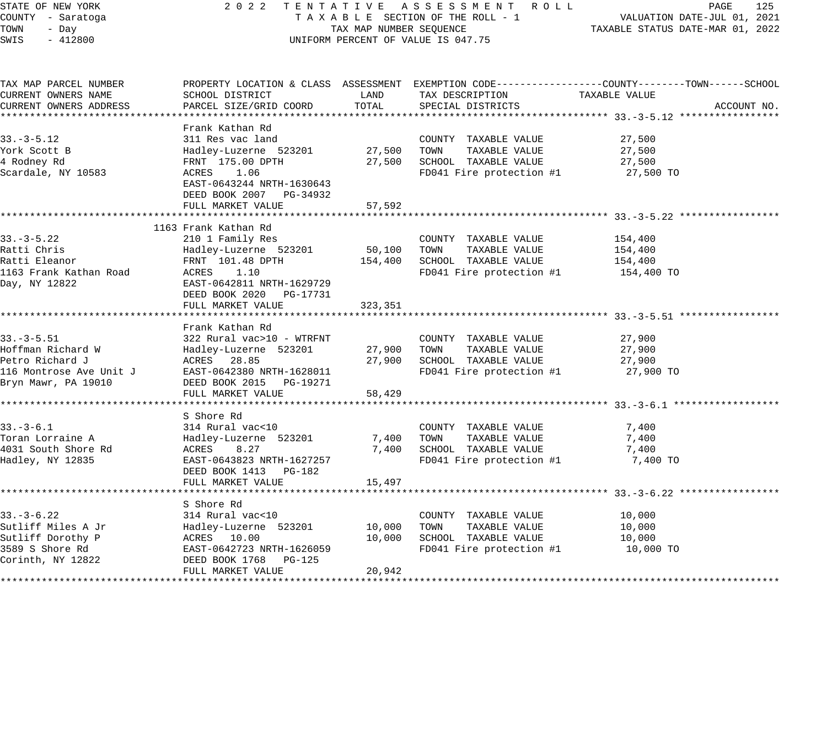STATE OF NEW YORK 2 0 2 2 T E N T A T I V E A S S E S S M E N T R O L L PAGE 125 COUNTY - Saratoga T A X A B L E SECTION OF THE ROLL - 1 VALUATION DATE-JUL 01, 2021

# UNIFORM PERCENT OF VALUE IS 047.75

| TAX MAP PARCEL NUMBER                   |                                                                                            |             |                                      | PROPERTY LOCATION & CLASS ASSESSMENT EXEMPTION CODE---------------COUNTY-------TOWN------SCHOOL |             |
|-----------------------------------------|--------------------------------------------------------------------------------------------|-------------|--------------------------------------|-------------------------------------------------------------------------------------------------|-------------|
| CURRENT OWNERS NAME                     | SCHOOL DISTRICT                                                                            | LAND        | TAX DESCRIPTION                      | TAXABLE VALUE                                                                                   |             |
| CURRENT OWNERS ADDRESS                  | PARCEL SIZE/GRID COORD                                                                     | TOTAL       | SPECIAL DISTRICTS                    |                                                                                                 | ACCOUNT NO. |
|                                         |                                                                                            |             |                                      |                                                                                                 |             |
|                                         | Frank Kathan Rd                                                                            |             |                                      |                                                                                                 |             |
| $33. - 3 - 5.12$                        | 311 Res vac land                                                                           |             | COUNTY TAXABLE VALUE                 | 27,500                                                                                          |             |
| York Scott B                            | Hadley-Luzerne 523201                                                                      | 27,500 TOWN | TAXABLE VALUE                        | 27,500                                                                                          |             |
| 4 Rodney Rd                             | FRNT 175.00 DPTH                                                                           | 27,500      | SCHOOL TAXABLE VALUE                 | 27,500                                                                                          |             |
| Scardale, NY 10583                      | ACRES 1.06                                                                                 |             | FD041 Fire protection #1             | 27,500 TO                                                                                       |             |
|                                         | EAST-0643244 NRTH-1630643                                                                  |             |                                      |                                                                                                 |             |
|                                         | DEED BOOK 2007 PG-34932                                                                    |             |                                      |                                                                                                 |             |
|                                         | FULL MARKET VALUE                                                                          | 57,592      |                                      |                                                                                                 |             |
|                                         |                                                                                            |             |                                      |                                                                                                 |             |
|                                         | 1163 Frank Kathan Rd                                                                       |             |                                      |                                                                                                 |             |
| $33. - 3 - 5.22$                        | 210 1 Family Res                                                                           |             | COUNTY TAXABLE VALUE                 | 154,400                                                                                         |             |
| Ratti Chris                             | Hadley-Luzerne 523201 50,100                                                               |             | TOWN<br>TAXABLE VALUE                | 154,400                                                                                         |             |
| Ratti Eleanor                           | FRNT 101.48 DPTH                                                                           | 154,400     | SCHOOL TAXABLE VALUE                 | 154,400                                                                                         |             |
| 1163 Frank Kathan Road                  | ACRES 1.10                                                                                 |             | FD041 Fire protection #1             | 154,400 TO                                                                                      |             |
| Day, NY 12822                           | EAST-0642811 NRTH-1629729                                                                  |             |                                      |                                                                                                 |             |
|                                         | DEED BOOK 2020 PG-17731                                                                    |             |                                      |                                                                                                 |             |
|                                         | FULL MARKET VALUE                                                                          | 323,351     |                                      |                                                                                                 |             |
|                                         |                                                                                            |             |                                      |                                                                                                 |             |
|                                         | Frank Kathan Rd                                                                            |             |                                      |                                                                                                 |             |
| $33. - 3 - 5.51$                        | 322 Rural vac>10 - WTRFNT                                                                  |             | COUNTY TAXABLE VALUE                 | 27,900                                                                                          |             |
| Hoffman Richard W<br>Dotro Pichard J    | Hadley-Luzerne 523201<br>ACRES 28.85                                                       |             | 27,900 TOWN TAXABLE VALUE            | 27,900                                                                                          |             |
| Petro Richard J                         |                                                                                            | 27,900      | SCHOOL TAXABLE VALUE                 | 27,900                                                                                          |             |
|                                         |                                                                                            |             | $FD041$ Fire protection #1 27,900 TO |                                                                                                 |             |
|                                         | 116 Montrose Ave Unit J<br>Bryn Mawr, PA 19010<br>Bryn Mawr, PA 19010<br>FILL MARKET VALUE |             |                                      |                                                                                                 |             |
|                                         | FULL MARKET VALUE                                                                          | 58,429      |                                      |                                                                                                 |             |
|                                         |                                                                                            |             |                                      |                                                                                                 |             |
|                                         | S Shore Rd                                                                                 |             |                                      |                                                                                                 |             |
| $33. - 3 - 6.1$                         | 314 Rural vac<10                                                                           |             | COUNTY TAXABLE VALUE                 | 7,400                                                                                           |             |
| Toran Lorraine A                        | Hadley-Luzerne 523201                                                                      | 7,400       | TAXABLE VALUE<br>TOWN                | 7,400                                                                                           |             |
| 4031 South Shore Rd                     | <b>ACRES</b><br>8.27                                                                       | 7,400       | SCHOOL TAXABLE VALUE                 | 7,400                                                                                           |             |
| Hadley, NY 12835                        | EAST-0643823 NRTH-1627257                                                                  |             | FD041 Fire protection #1             | 7,400 TO                                                                                        |             |
|                                         | DEED BOOK 1413 PG-182                                                                      |             |                                      |                                                                                                 |             |
|                                         | FULL MARKET VALUE                                                                          | 15,497      |                                      |                                                                                                 |             |
|                                         |                                                                                            |             |                                      |                                                                                                 |             |
|                                         | S Shore Rd                                                                                 |             |                                      |                                                                                                 |             |
| $33. - 3 - 6.22$                        | 314 Rural vac<10                                                                           |             | COUNTY TAXABLE VALUE                 | 10,000                                                                                          |             |
| Sutliff Miles A Jr<br>Sutliff Dorothy P | Hadley-Luzerne 523201<br>ACRES 10.00                                                       | 10,000      | TOWN<br>TAXABLE VALUE                | 10,000                                                                                          |             |
|                                         |                                                                                            | 10,000      | SCHOOL TAXABLE VALUE                 | 10,000                                                                                          |             |
| 3589 S Shore Rd                         | EAST-0642723 NRTH-1626059                                                                  |             | FD041 Fire protection #1             | 10,000 TO                                                                                       |             |
| Corinth, NY 12822                       | DEED BOOK 1768 PG-125                                                                      |             |                                      |                                                                                                 |             |
|                                         | FULL MARKET VALUE                                                                          | 20,942      |                                      |                                                                                                 |             |
|                                         |                                                                                            |             |                                      |                                                                                                 |             |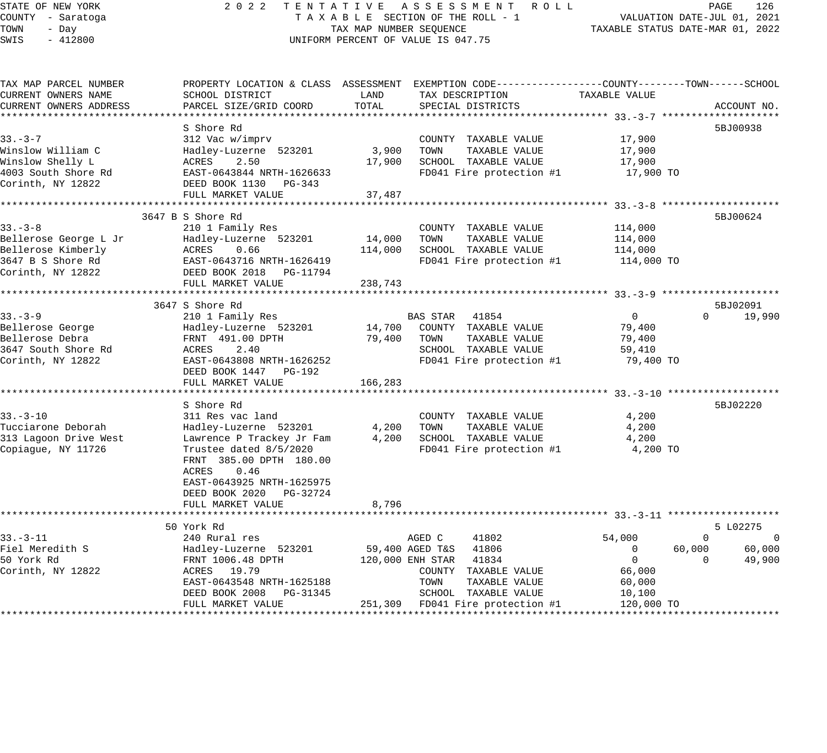## STATE OF NEW YORK 2 0 2 2 T E N T A T I V E A S S E S S M E N T R O L L PAGE 126 COUNTY - Saratoga T A X A B L E SECTION OF THE ROLL - 1 VALUATION DATE-JUL 01, 2021 UNIFORM PERCENT OF VALUE IS 047.75

| TAX MAP PARCEL NUMBER  |                           |         | PROPERTY LOCATION & CLASS ASSESSMENT EXEMPTION CODE----------------COUNTY-------TOWN-----SCHOOL |                |                      |
|------------------------|---------------------------|---------|-------------------------------------------------------------------------------------------------|----------------|----------------------|
| CURRENT OWNERS NAME    | SCHOOL DISTRICT           | LAND    | TAX DESCRIPTION                                                                                 | TAXABLE VALUE  |                      |
| CURRENT OWNERS ADDRESS | PARCEL SIZE/GRID COORD    | TOTAL   | SPECIAL DISTRICTS                                                                               |                | ACCOUNT NO.          |
|                        |                           |         |                                                                                                 |                |                      |
|                        | S Shore Rd                |         |                                                                                                 |                | 5BJ00938             |
| $33 - 3 - 7$           | 312 Vac w/imprv           |         | COUNTY TAXABLE VALUE                                                                            | 17,900         |                      |
| Winslow William C      | Hadley-Luzerne 523201     | 3,900   | TOWN<br>TAXABLE VALUE                                                                           | 17,900         |                      |
| Winslow Shelly L       | ACRES<br>2.50             | 17,900  | SCHOOL TAXABLE VALUE                                                                            | 17,900         |                      |
| 4003 South Shore Rd    | EAST-0643844 NRTH-1626633 |         | FD041 Fire protection #1                                                                        | 17,900 TO      |                      |
| Corinth, NY 12822      | DEED BOOK 1130<br>PG-343  |         |                                                                                                 |                |                      |
|                        | FULL MARKET VALUE         | 37,487  |                                                                                                 |                |                      |
|                        |                           |         |                                                                                                 |                |                      |
|                        | 3647 B S Shore Rd         |         |                                                                                                 |                | 5BJ00624             |
| $33 - 3 - 8$           | 210 1 Family Res          |         | COUNTY TAXABLE VALUE                                                                            | 114,000        |                      |
| Bellerose George L Jr  | Hadley-Luzerne 523201     | 14,000  | TOWN<br>TAXABLE VALUE                                                                           | 114,000        |                      |
| Bellerose Kimberly     | 0.66<br>ACRES             | 114,000 | SCHOOL TAXABLE VALUE                                                                            | 114,000        |                      |
| 3647 B S Shore Rd      | EAST-0643716 NRTH-1626419 |         | FD041 Fire protection #1                                                                        | 114,000 TO     |                      |
| Corinth, NY 12822      | DEED BOOK 2018 PG-11794   |         |                                                                                                 |                |                      |
|                        | FULL MARKET VALUE         | 238,743 |                                                                                                 |                |                      |
|                        |                           |         |                                                                                                 |                |                      |
|                        | 3647 S Shore Rd           |         |                                                                                                 |                | 5BJ02091             |
| $33 - 3 - 9$           | 210 1 Family Res          |         | BAS STAR 41854                                                                                  | $\overline{0}$ | $\Omega$<br>19,990   |
| Bellerose George       | Hadley-Luzerne 523201     | 14,700  | COUNTY TAXABLE VALUE                                                                            | 79,400         |                      |
| Bellerose Debra        | FRNT 491.00 DPTH          | 79,400  | TOWN<br>TAXABLE VALUE                                                                           | 79,400         |                      |
| 3647 South Shore Rd    | 2.40<br>ACRES             |         | SCHOOL TAXABLE VALUE                                                                            | 59,410         |                      |
| Corinth, NY 12822      | EAST-0643808 NRTH-1626252 |         | FD041 Fire protection #1                                                                        | 79,400 TO      |                      |
|                        | DEED BOOK 1447 PG-192     |         |                                                                                                 |                |                      |
|                        | FULL MARKET VALUE         | 166,283 |                                                                                                 |                |                      |
|                        |                           |         |                                                                                                 |                |                      |
|                        | S Shore Rd                |         |                                                                                                 |                | 5BJ02220             |
| $33 - 3 - 10$          | 311 Res vac land          |         | COUNTY TAXABLE VALUE                                                                            | 4,200          |                      |
| Tucciarone Deborah     | Hadley-Luzerne 523201     | 4,200   | TOWN<br>TAXABLE VALUE                                                                           | 4,200          |                      |
| 313 Lagoon Drive West  | Lawrence P Trackey Jr Fam | 4,200   | SCHOOL TAXABLE VALUE                                                                            | 4,200          |                      |
| Copiague, NY 11726     | Trustee dated 8/5/2020    |         | FD041 Fire protection #1                                                                        | 4,200 TO       |                      |
|                        | FRNT 385.00 DPTH 180.00   |         |                                                                                                 |                |                      |
|                        | ACRES<br>0.46             |         |                                                                                                 |                |                      |
|                        | EAST-0643925 NRTH-1625975 |         |                                                                                                 |                |                      |
|                        | DEED BOOK 2020 PG-32724   |         |                                                                                                 |                |                      |
|                        | FULL MARKET VALUE         | 8,796   |                                                                                                 |                |                      |
|                        |                           |         |                                                                                                 |                |                      |
|                        | 50 York Rd                |         |                                                                                                 |                | 5 L02275             |
| $33. - 3 - 11$         | 240 Rural res             |         | AGED C<br>41802                                                                                 | 54,000         | $\Omega$<br>$\Omega$ |
| Fiel Meredith S        | Hadley-Luzerne 523201     |         | 59,400 AGED T&S 41806                                                                           | $\overline{0}$ | 60,000<br>60,000     |
| 50 York Rd             | FRNT 1006.48 DPTH         |         | 120,000 ENH STAR 41834                                                                          | $\overline{0}$ | 49,900<br>$\Omega$   |
| Corinth, NY 12822      | ACRES 19.79               |         | COUNTY TAXABLE VALUE                                                                            | 66,000         |                      |
|                        | EAST-0643548 NRTH-1625188 |         | TOWN<br>TAXABLE VALUE                                                                           | 60,000         |                      |
|                        | DEED BOOK 2008 PG-31345   |         | SCHOOL TAXABLE VALUE                                                                            | 10,100         |                      |
|                        | FULL MARKET VALUE         |         | 251,309 FD041 Fire protection #1                                                                | 120,000 TO     |                      |
|                        |                           |         |                                                                                                 |                |                      |
|                        |                           |         |                                                                                                 |                |                      |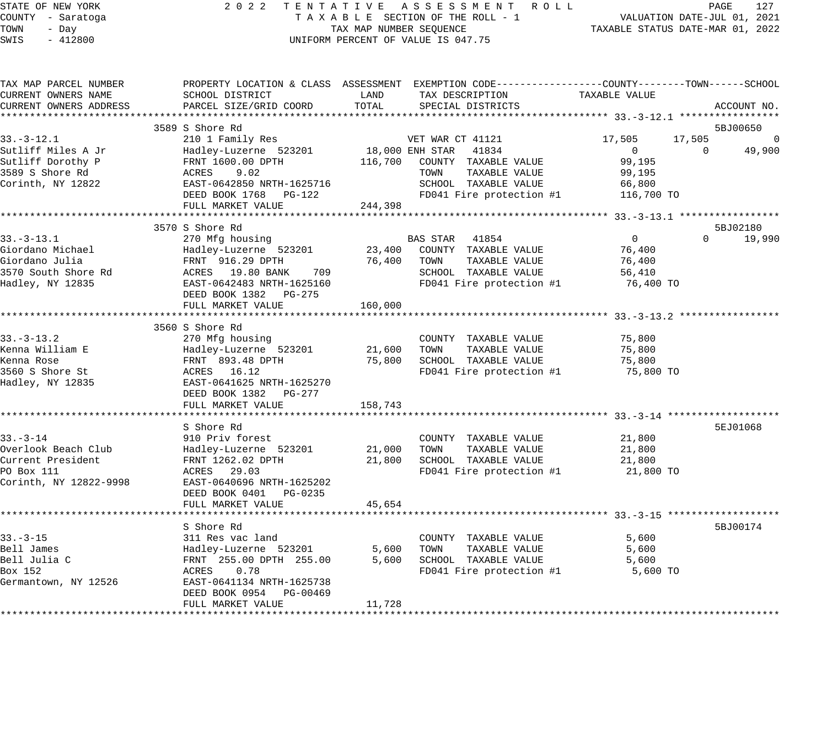#### STATE OF NEW YORK 2 0 2 2 T E N T A T I V E A S S E S S M E N T R O L L PAGE 127 COUNTY - Saratoga T A X A B L E SECTION OF THE ROLL - 1 VALUATION DATE-JUL 01, 2021 X A B L E SECTION OF THE ROLL  $-$  1  $\overline{X}$  TAXABLE STATUS DATE-MAR 01, 2022 UNIFORM PERCENT OF VALUE IS 047.75

| TAX MAP PARCEL NUMBER<br>CURRENT OWNERS NAME | PROPERTY LOCATION & CLASS ASSESSMENT EXEMPTION CODE----------------COUNTY-------TOWN------SCHOOL<br>SCHOOL DISTRICT | LAND    | TAX DESCRIPTION                    | TAXABLE VALUE  |          |                            |
|----------------------------------------------|---------------------------------------------------------------------------------------------------------------------|---------|------------------------------------|----------------|----------|----------------------------|
| CURRENT OWNERS ADDRESS                       | PARCEL SIZE/GRID COORD                                                                                              | TOTAL   | SPECIAL DISTRICTS                  |                |          | ACCOUNT NO.                |
|                                              |                                                                                                                     |         |                                    |                |          |                            |
| $33. - 3 - 12.1$                             | 3589 S Shore Rd                                                                                                     |         | VET WAR CT 41121                   | 17,505         | 17,505   | 5BJ00650<br>$\overline{0}$ |
| Sutliff Miles A Jr                           | 210 1 Family Res<br>Hadley-Luzerne 523201                                                                           |         | 18,000 ENH STAR 41834              | $\overline{0}$ | $\Omega$ | 49,900                     |
| Sutliff Dorothy P                            | FRNT 1600.00 DPTH                                                                                                   |         | 116,700 COUNTY TAXABLE VALUE       | 99,195         |          |                            |
| 3589 S Shore Rd                              | ACRES<br>9.02                                                                                                       |         | TAXABLE VALUE<br>TOWN              | 99,195         |          |                            |
| Corinth, NY 12822                            | EAST-0642850 NRTH-1625716                                                                                           |         | SCHOOL TAXABLE VALUE               | 66,800         |          |                            |
|                                              | DEED BOOK 1768 PG-122                                                                                               |         | FD041 Fire protection #1           | 116,700 TO     |          |                            |
|                                              | FULL MARKET VALUE                                                                                                   | 244,398 |                                    |                |          |                            |
|                                              |                                                                                                                     |         |                                    |                |          |                            |
|                                              | 3570 S Shore Rd                                                                                                     |         |                                    |                |          | 5BJ02180                   |
| $33. - 3 - 13.1$                             | 270 Mfg housing                                                                                                     |         | BAS STAR 41854                     | $\overline{0}$ | $\Omega$ | 19,990                     |
| Giordano Michael                             | Hadley-Luzerne 523201                                                                                               |         | 23,400 COUNTY TAXABLE VALUE        | 76,400         |          |                            |
| Giordano Julia                               | FRNT 916.29 DPTH                                                                                                    | 76,400  | TAXABLE VALUE<br>TOWN              | 76,400         |          |                            |
| 3570 South Shore Rd                          | ACRES 19.80 BANK 709                                                                                                |         | SCHOOL TAXABLE VALUE               | 56,410         |          |                            |
| Hadley, NY 12835                             | EAST-0642483 NRTH-1625160                                                                                           |         | FD041 Fire protection #1           | 76,400 TO      |          |                            |
|                                              | DEED BOOK 1382 PG-275                                                                                               |         |                                    |                |          |                            |
|                                              | FULL MARKET VALUE                                                                                                   | 160,000 |                                    |                |          |                            |
|                                              |                                                                                                                     |         |                                    |                |          |                            |
|                                              | 3560 S Shore Rd                                                                                                     |         |                                    |                |          |                            |
| $33. - 3 - 13.2$                             | 270 Mfg housing                                                                                                     |         | COUNTY TAXABLE VALUE               | 75,800         |          |                            |
| Kenna William E                              | Hadley-Luzerne 523201                                                                                               | 21,600  | TAXABLE VALUE<br>TOWN              | 75,800         |          |                            |
| Kenna Rose                                   | FRNT 893.48 DPTH                                                                                                    | 75,800  | SCHOOL TAXABLE VALUE               | 75,800         |          |                            |
| 3560 S Shore St                              | ACRES 16.12                                                                                                         |         | FD041 Fire protection #1           | 75,800 TO      |          |                            |
| Hadley, NY 12835                             | EAST-0641625 NRTH-1625270                                                                                           |         |                                    |                |          |                            |
|                                              | DEED BOOK 1382    PG-277                                                                                            |         |                                    |                |          |                            |
|                                              | FULL MARKET VALUE                                                                                                   | 158,743 |                                    |                |          |                            |
|                                              |                                                                                                                     |         |                                    |                |          |                            |
|                                              | S Shore Rd                                                                                                          |         |                                    |                |          | 5EJ01068                   |
| $33 - 3 - 14$                                | 910 Priv forest                                                                                                     |         | COUNTY TAXABLE VALUE               | 21,800         |          |                            |
| Overlook Beach Club                          | Hadley-Luzerne 523201                                                                                               | 21,000  | TOWN<br>TAXABLE VALUE              | 21,800         |          |                            |
| Current President                            | FRNT 1262.02 DPTH                                                                                                   | 21,800  | SCHOOL TAXABLE VALUE               | 21,800         |          |                            |
| PO Box 111                                   | ACRES 29.03                                                                                                         |         | FD041 Fire protection #1 21,800 TO |                |          |                            |
| Corinth, NY 12822-9998                       | EAST-0640696 NRTH-1625202                                                                                           |         |                                    |                |          |                            |
|                                              | DEED BOOK 0401 PG-0235                                                                                              |         |                                    |                |          |                            |
|                                              | FULL MARKET VALUE                                                                                                   | 45,654  |                                    |                |          |                            |
|                                              |                                                                                                                     |         |                                    |                |          |                            |
|                                              | S Shore Rd                                                                                                          |         |                                    |                |          | 5BJ00174                   |
| $33 - 3 - 15$                                | 311 Res vac land                                                                                                    |         | COUNTY TAXABLE VALUE               | 5,600          |          |                            |
| Bell James                                   | Hadley-Luzerne 523201                                                                                               | 5,600   | TAXABLE VALUE<br>TOWN              | 5,600          |          |                            |
| Bell Julia C                                 | FRNT 255.00 DPTH 255.00                                                                                             | 5,600   | SCHOOL TAXABLE VALUE               | 5,600          |          |                            |
| Box 152                                      | ACRES 0.78                                                                                                          |         | FD041 Fire protection #1           | 5,600 TO       |          |                            |
| Germantown, NY 12526                         | EAST-0641134 NRTH-1625738                                                                                           |         |                                    |                |          |                            |
|                                              | DEED BOOK 0954 PG-00469                                                                                             |         |                                    |                |          |                            |
|                                              | FULL MARKET VALUE                                                                                                   | 11,728  |                                    |                |          |                            |
|                                              |                                                                                                                     |         |                                    |                |          |                            |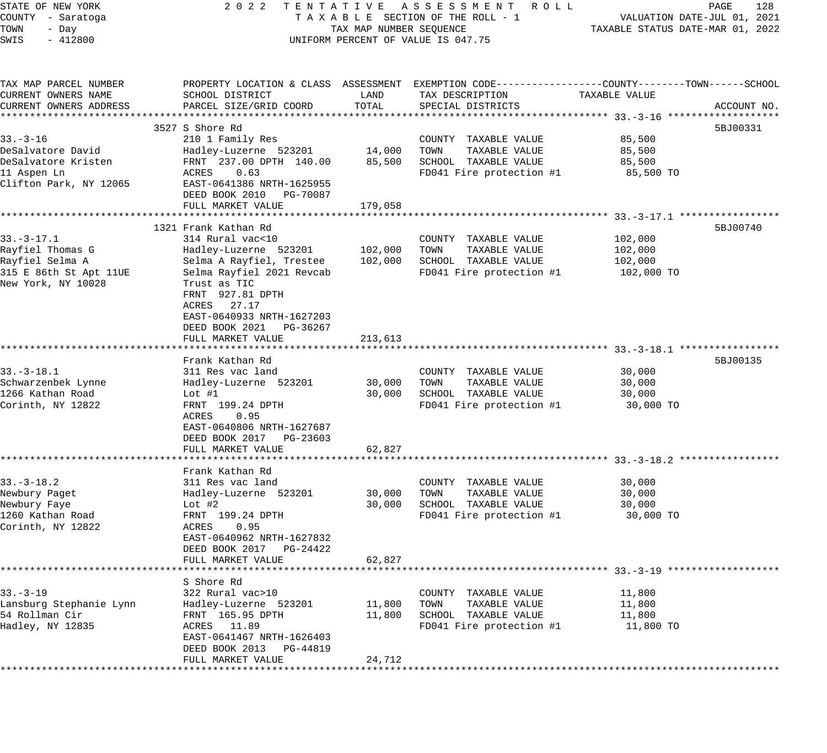| STATE OF NEW YORK       | 2 0 2 2                                      |                         | TENTATIVE ASSESSMENT ROLL                                                                        |               | PAGE<br>128                      |
|-------------------------|----------------------------------------------|-------------------------|--------------------------------------------------------------------------------------------------|---------------|----------------------------------|
| COUNTY - Saratoga       |                                              |                         | TAXABLE SECTION OF THE ROLL - 1                                                                  |               | VALUATION DATE-JUL 01, 2021      |
| TOWN<br>- Day           |                                              | TAX MAP NUMBER SEQUENCE |                                                                                                  |               | TAXABLE STATUS DATE-MAR 01, 2022 |
| $-412800$<br>SWIS       |                                              |                         | UNIFORM PERCENT OF VALUE IS 047.75                                                               |               |                                  |
|                         |                                              |                         |                                                                                                  |               |                                  |
| TAX MAP PARCEL NUMBER   |                                              |                         | PROPERTY LOCATION & CLASS ASSESSMENT EXEMPTION CODE----------------COUNTY-------TOWN------SCHOOL |               |                                  |
| CURRENT OWNERS NAME     | SCHOOL DISTRICT                              | LAND                    | TAX DESCRIPTION                                                                                  | TAXABLE VALUE |                                  |
| CURRENT OWNERS ADDRESS  | PARCEL SIZE/GRID COORD                       | TOTAL                   | SPECIAL DISTRICTS                                                                                |               | ACCOUNT NO.                      |
|                         |                                              |                         |                                                                                                  |               |                                  |
|                         | 3527 S Shore Rd                              |                         |                                                                                                  |               | 5BJ00331                         |
| $33. - 3 - 16$          | 210 1 Family Res                             |                         | COUNTY TAXABLE VALUE                                                                             | 85,500        |                                  |
| DeSalvatore David       | Hadley-Luzerne 523201                        |                         | 14,000 TOWN<br>TAXABLE VALUE                                                                     | 85,500        |                                  |
| DeSalvatore Kristen     | FRNT 237.00 DPTH 140.00                      |                         | 85,500 SCHOOL TAXABLE VALUE                                                                      | 85,500        |                                  |
| 11 Aspen Ln             | ACRES 0.63                                   |                         | FD041 Fire protection #1                                                                         | 85,500 TO     |                                  |
| Clifton Park, NY 12065  | EAST-0641386 NRTH-1625955                    |                         |                                                                                                  |               |                                  |
|                         | DEED BOOK 2010 PG-70087                      |                         |                                                                                                  |               |                                  |
|                         | FULL MARKET VALUE                            | 179,058                 |                                                                                                  |               |                                  |
|                         |                                              |                         |                                                                                                  |               |                                  |
|                         | 1321 Frank Kathan Rd                         |                         |                                                                                                  |               | 5BJ00740                         |
| $33. - 3 - 17.1$        | 314 Rural vac<10                             |                         | COUNTY TAXABLE VALUE                                                                             | 102,000       |                                  |
| Rayfiel Thomas G        | Hadley-Luzerne 523201                        | 102,000                 | TAXABLE VALUE<br>TOWN                                                                            | 102,000       |                                  |
| Rayfiel Selma A         | Selma A Rayfiel, Trestee                     | 102,000                 | SCHOOL TAXABLE VALUE                                                                             | 102,000       |                                  |
| 315 E 86th St Apt 11UE  | Selma Rayfiel 2021 Revcab                    |                         | FD041 Fire protection #1                                                                         | 102,000 TO    |                                  |
| New York, NY 10028      | Trust as TIC                                 |                         |                                                                                                  |               |                                  |
|                         | FRNT 927.81 DPTH<br>ACRES 27.17              |                         |                                                                                                  |               |                                  |
|                         | EAST-0640933 NRTH-1627203                    |                         |                                                                                                  |               |                                  |
|                         |                                              |                         |                                                                                                  |               |                                  |
|                         | DEED BOOK 2021 PG-36267<br>FULL MARKET VALUE |                         |                                                                                                  |               |                                  |
|                         |                                              | 213,613                 |                                                                                                  |               |                                  |
|                         | Frank Kathan Rd                              |                         |                                                                                                  |               | 5BJ00135                         |
| $33. - 3 - 18.1$        | 311 Res vac land                             |                         | COUNTY TAXABLE VALUE                                                                             | 30,000        |                                  |
| Schwarzenbek Lynne      | Hadley-Luzerne 523201                        | 30,000                  | TAXABLE VALUE<br>TOWN                                                                            | 30,000        |                                  |
| 1266 Kathan Road        | Lot $#1$                                     | 30,000                  | SCHOOL TAXABLE VALUE                                                                             | 30,000        |                                  |
| Corinth, NY 12822       | FRNT 199.24 DPTH                             |                         | FD041 Fire protection #1                                                                         | 30,000 TO     |                                  |
|                         | 0.95<br>ACRES                                |                         |                                                                                                  |               |                                  |
|                         | EAST-0640806 NRTH-1627687                    |                         |                                                                                                  |               |                                  |
|                         | DEED BOOK 2017 PG-23603                      |                         |                                                                                                  |               |                                  |
|                         | FULL MARKET VALUE                            | 62,827                  |                                                                                                  |               |                                  |
|                         |                                              |                         |                                                                                                  |               |                                  |
|                         | Frank Kathan Rd                              |                         |                                                                                                  |               |                                  |
| $33. - 3 - 18.2$        | 311 Res vac land                             |                         | COUNTY TAXABLE VALUE                                                                             | 30,000        |                                  |
| Newbury Paget           | Hadley-Luzerne 523201                        | 30,000                  | TAXABLE VALUE<br>TOWN                                                                            | 30,000        |                                  |
| Newbury Faye            | Lot #2                                       | 30,000                  | SCHOOL TAXABLE VALUE                                                                             | 30,000        |                                  |
| 1260 Kathan Road        | FRNT 199.24 DPTH                             |                         | FD041 Fire protection #1                                                                         | 30,000 TO     |                                  |
| Corinth, NY 12822       | ACRES<br>0.95                                |                         |                                                                                                  |               |                                  |
|                         | EAST-0640962 NRTH-1627832                    |                         |                                                                                                  |               |                                  |
|                         | DEED BOOK 2017<br>PG-24422                   |                         |                                                                                                  |               |                                  |
|                         | FULL MARKET VALUE                            | 62,827                  |                                                                                                  |               |                                  |
|                         | * * * * * * * * * * * * * * * * * * *        |                         |                                                                                                  |               |                                  |
|                         | S Shore Rd                                   |                         |                                                                                                  |               |                                  |
| $33. - 3 - 19$          | 322 Rural vac>10                             |                         | TAXABLE VALUE<br>COUNTY                                                                          | 11,800        |                                  |
| Lansburg Stephanie Lynn | Hadley-Luzerne 523201                        | 11,800                  | TOWN<br>TAXABLE VALUE                                                                            | 11,800        |                                  |
| 54 Rollman Cir          | FRNT 165.95 DPTH                             | 11,800                  | SCHOOL TAXABLE VALUE                                                                             | 11,800        |                                  |
| Hadley, NY 12835        | ACRES 11.89                                  |                         | FD041 Fire protection #1                                                                         | 11,800 TO     |                                  |
|                         | EAST-0641467 NRTH-1626403                    |                         |                                                                                                  |               |                                  |
|                         | DEED BOOK 2013<br>PG-44819                   |                         |                                                                                                  |               |                                  |
|                         | FULL MARKET VALUE                            | 24,712                  |                                                                                                  |               |                                  |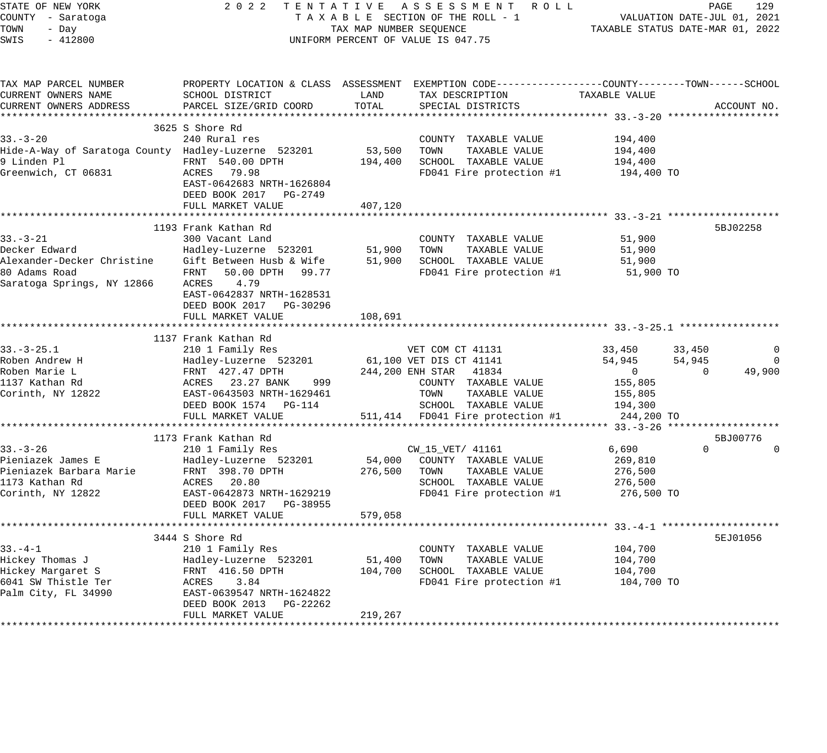| STATE OF NEW YORK<br>COUNTY - Saratoga<br>TOWN<br>- Day<br>$-412800$<br>SWIS |                                                                                                | TAX MAP NUMBER SEQUENCE | 2022 TENTATIVE ASSESSMENT ROLL<br>TAXABLE SECTION OF THE ROLL - 1<br>UNIFORM PERCENT OF VALUE IS 047.75 |                          | PAGE<br>VALUATION DATE-JUL 01, 2021<br>TAXABLE STATUS DATE-MAR 01, 2022 | 129         |
|------------------------------------------------------------------------------|------------------------------------------------------------------------------------------------|-------------------------|---------------------------------------------------------------------------------------------------------|--------------------------|-------------------------------------------------------------------------|-------------|
| TAX MAP PARCEL NUMBER                                                        | PROPERTY LOCATION & CLASS ASSESSMENT EXEMPTION CODE---------------COUNTY-------TOWN-----SCHOOL |                         |                                                                                                         |                          |                                                                         |             |
| CURRENT OWNERS NAME                                                          | SCHOOL DISTRICT                                                                                | LAND                    | TAX DESCRIPTION                                                                                         | TAXABLE VALUE            |                                                                         |             |
| CURRENT OWNERS ADDRESS                                                       | PARCEL SIZE/GRID COORD                                                                         | TOTAL                   | SPECIAL DISTRICTS                                                                                       |                          | ACCOUNT NO.                                                             |             |
|                                                                              | 3625 S Shore Rd                                                                                |                         |                                                                                                         |                          |                                                                         |             |
| $33 - 3 - 20$                                                                | 240 Rural res                                                                                  |                         | COUNTY TAXABLE VALUE                                                                                    | 194,400                  |                                                                         |             |
| Hide-A-Way of Saratoga County Hadley-Luzerne 523201                          |                                                                                                | 53,500                  | TOWN<br>TAXABLE VALUE                                                                                   | 194,400                  |                                                                         |             |
| 9 Linden Pl                                                                  | FRNT 540.00 DPTH                                                                               | 194,400                 | SCHOOL TAXABLE VALUE                                                                                    | 194,400                  |                                                                         |             |
| Greenwich, CT 06831                                                          | ACRES 79.98<br>EAST-0642683 NRTH-1626804<br>DEED BOOK 2017 PG-2749<br>FULL MARKET VALUE        | 407,120                 | FD041 Fire protection #1                                                                                | 194,400 TO               |                                                                         |             |
|                                                                              |                                                                                                |                         |                                                                                                         |                          |                                                                         |             |
|                                                                              | 1193 Frank Kathan Rd                                                                           |                         |                                                                                                         |                          | 5BJ02258                                                                |             |
| $33. - 3 - 21$                                                               | 300 Vacant Land                                                                                |                         | COUNTY TAXABLE VALUE                                                                                    | 51,900                   |                                                                         |             |
| Decker Edward                                                                | Hadley-Luzerne 523201                                                                          | 51,900                  | TOWN<br>TAXABLE VALUE                                                                                   | 51,900                   |                                                                         |             |
| Alexander-Decker Christine Gift Between Husb & Wife                          |                                                                                                | 51,900                  | SCHOOL TAXABLE VALUE                                                                                    | 51,900                   |                                                                         |             |
| 80 Adams Road<br>Saratoga Springs, NY 12866 ACRES 4.79                       | FRNT 50.00 DPTH 99.77<br>EAST-0642837 NRTH-1628531<br>DEED BOOK 2017 PG-30296                  |                         | FD041 Fire protection #1                                                                                | 51,900 TO                |                                                                         |             |
|                                                                              | FULL MARKET VALUE                                                                              | 108,691                 |                                                                                                         |                          |                                                                         |             |
|                                                                              | *************************                                                                      |                         |                                                                                                         |                          |                                                                         |             |
|                                                                              | 1137 Frank Kathan Rd                                                                           |                         |                                                                                                         |                          |                                                                         |             |
| $33. - 3 - 25.1$                                                             | 210 1 Family Res                                                                               |                         | VET COM CT 41131                                                                                        | 33,450                   | 33,450                                                                  | 0           |
| Roben Andrew H<br>Roben Marie L                                              | Hadley-Luzerne 523201                                                                          |                         | 61,100 VET DIS CT 41141                                                                                 | 54,945<br>$\overline{0}$ | 54,945<br>$\mathbf{0}$                                                  | 0<br>49,900 |
| 1137 Kathan Rd                                                               | FRNT 427.47 DPTH<br>ACRES 23.27 BANK<br>999                                                    |                         | 244,200 ENH STAR 41834<br>COUNTY TAXABLE VALUE                                                          | 155,805                  |                                                                         |             |
| Corinth, NY 12822                                                            | EAST-0643503 NRTH-1629461                                                                      |                         | TOWN<br>TAXABLE VALUE                                                                                   | 155,805                  |                                                                         |             |
|                                                                              | DEED BOOK 1574 PG-114                                                                          |                         | SCHOOL TAXABLE VALUE                                                                                    | 194,300                  |                                                                         |             |
|                                                                              | FULL MARKET VALUE                                                                              |                         | 511,414 FD041 Fire protection #1                                                                        | 244,200 TO               |                                                                         |             |
|                                                                              |                                                                                                |                         |                                                                                                         |                          |                                                                         |             |
|                                                                              | 1173 Frank Kathan Rd                                                                           |                         |                                                                                                         |                          | 5BJ00776                                                                |             |
| $33. - 3 - 26$                                                               | 210 1 Family Res                                                                               |                         | CW_15_VET/ 41161                                                                                        | 6,690                    | $\Omega$                                                                | 0           |
| Pieniazek James E                                                            | Hadley-Luzerne 523201                                                                          | 54,000                  | COUNTY TAXABLE VALUE                                                                                    | 269,810                  |                                                                         |             |
| Pieniazek Barbara Marie<br>1173 Kathan Rd                                    | FRNT 398.70 DPTH<br>ACRES 20.80                                                                | 276,500                 | TOWN<br>TAXABLE VALUE<br>SCHOOL TAXABLE VALUE                                                           | 276,500<br>276,500       |                                                                         |             |
| Corinth, NY 12822                                                            | EAST-0642873 NRTH-1629219                                                                      |                         | FD041 Fire protection #1                                                                                | 276,500 TO               |                                                                         |             |
|                                                                              | DEED BOOK 2017 PG-38955                                                                        |                         |                                                                                                         |                          |                                                                         |             |
|                                                                              | FULL MARKET VALUE                                                                              | 579,058                 |                                                                                                         |                          |                                                                         |             |
|                                                                              |                                                                                                |                         |                                                                                                         |                          |                                                                         |             |
|                                                                              | 3444 S Shore Rd                                                                                |                         |                                                                                                         |                          | 5EJ01056                                                                |             |
| $33. - 4 - 1$                                                                | 210 1 Family Res                                                                               |                         | COUNTY TAXABLE VALUE                                                                                    | 104,700                  |                                                                         |             |
| Hickey Thomas J                                                              | Hadley-Luzerne 523201                                                                          | 51,400                  | TAXABLE VALUE<br>TOWN                                                                                   | 104,700                  |                                                                         |             |
| Hickey Margaret S                                                            | FRNT 416.50 DPTH                                                                               | 104,700                 | SCHOOL TAXABLE VALUE                                                                                    | 104,700                  |                                                                         |             |
| 6041 SW Thistle Ter                                                          | ACRES<br>3.84                                                                                  |                         | FD041 Fire protection #1                                                                                | 104,700 TO               |                                                                         |             |
| Palm City, FL 34990                                                          | EAST-0639547 NRTH-1624822<br>DEED BOOK 2013 PG-22262                                           |                         |                                                                                                         |                          |                                                                         |             |
|                                                                              | FULL MARKET VALUE                                                                              | 219,267                 |                                                                                                         |                          |                                                                         |             |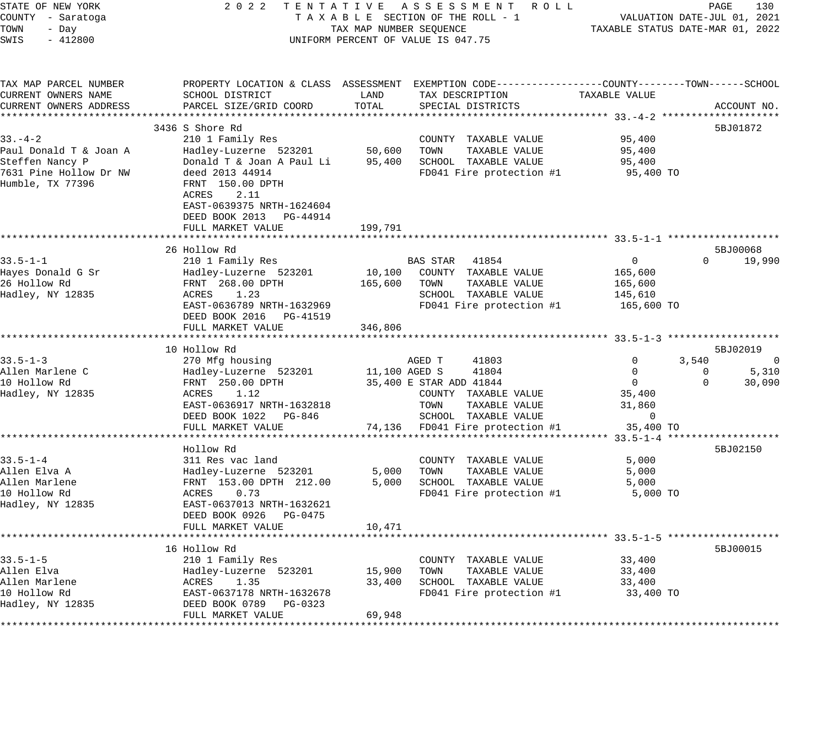| STATE OF NEW YORK                          | 2 0 2 2                                             |                         | TENTATIVE ASSESSMENT ROLL                                                                      |                                  | PAGE                        | 130                |
|--------------------------------------------|-----------------------------------------------------|-------------------------|------------------------------------------------------------------------------------------------|----------------------------------|-----------------------------|--------------------|
| COUNTY - Saratoga                          |                                                     |                         | TAXABLE SECTION OF THE ROLL - 1                                                                |                                  | VALUATION DATE-JUL 01, 2021 |                    |
| TOWN<br>- Day                              |                                                     | TAX MAP NUMBER SEQUENCE |                                                                                                | TAXABLE STATUS DATE-MAR 01, 2022 |                             |                    |
| SWIS<br>$-412800$                          |                                                     |                         | UNIFORM PERCENT OF VALUE IS 047.75                                                             |                                  |                             |                    |
| TAX MAP PARCEL NUMBER                      |                                                     |                         | PROPERTY LOCATION & CLASS ASSESSMENT EXEMPTION CODE---------------COUNTY-------TOWN-----SCHOOL |                                  |                             |                    |
| CURRENT OWNERS NAME                        | SCHOOL DISTRICT                                     | LAND                    | TAX DESCRIPTION                                                                                | TAXABLE VALUE                    |                             |                    |
| CURRENT OWNERS ADDRESS                     | PARCEL SIZE/GRID COORD                              | TOTAL                   | SPECIAL DISTRICTS                                                                              |                                  |                             | ACCOUNT NO.        |
|                                            |                                                     |                         |                                                                                                |                                  |                             |                    |
|                                            | 3436 S Shore Rd                                     |                         |                                                                                                |                                  |                             | 5BJ01872           |
| $33 - 4 - 2$                               | 210 1 Family Res                                    |                         | COUNTY TAXABLE VALUE                                                                           | 95,400                           |                             |                    |
| Paul Donald T & Joan A                     | Hadley-Luzerne 523201                               | 50,600                  | TOWN<br>TAXABLE VALUE                                                                          | 95,400                           |                             |                    |
| Steffen Nancy P                            | Donald T & Joan A Paul Li                           | 95,400                  | SCHOOL TAXABLE VALUE                                                                           | 95,400                           |                             |                    |
| 7631 Pine Hollow Dr NW<br>Humble, TX 77396 | deed 2013 44914<br>FRNT 150.00 DPTH                 |                         | FD041 Fire protection #1                                                                       | 95,400 TO                        |                             |                    |
|                                            | ACRES<br>2.11<br>EAST-0639375 NRTH-1624604          |                         |                                                                                                |                                  |                             |                    |
|                                            | DEED BOOK 2013 PG-44914                             |                         |                                                                                                |                                  |                             |                    |
|                                            | FULL MARKET VALUE                                   | 199,791                 |                                                                                                |                                  |                             |                    |
|                                            |                                                     |                         |                                                                                                |                                  |                             |                    |
| $33.5 - 1 - 1$                             | 26 Hollow Rd<br>210 1 Family Res                    |                         | BAS STAR 41854                                                                                 | $\overline{0}$                   | $\Omega$                    | 5BJ00068<br>19,990 |
| Hayes Donald G Sr                          | Hadley-Luzerne 523201                               | 10,100                  | COUNTY TAXABLE VALUE                                                                           | 165,600                          |                             |                    |
| 26 Hollow Rd                               | FRNT 268.00 DPTH                                    | 165,600                 | TOWN<br>TAXABLE VALUE                                                                          | 165,600                          |                             |                    |
| Hadley, NY 12835                           | ACRES<br>1.23                                       |                         | SCHOOL TAXABLE VALUE                                                                           | 145,610                          |                             |                    |
|                                            | EAST-0636789 NRTH-1632969                           |                         | FD041 Fire protection #1                                                                       | 165,600 TO                       |                             |                    |
|                                            | DEED BOOK 2016 PG-41519                             |                         |                                                                                                |                                  |                             |                    |
|                                            | FULL MARKET VALUE                                   | 346,806                 |                                                                                                |                                  |                             |                    |
|                                            |                                                     |                         |                                                                                                |                                  |                             |                    |
|                                            | 10 Hollow Rd                                        |                         |                                                                                                |                                  |                             | 5BJ02019           |
| $33.5 - 1 - 3$                             | 270 Mfg housing                                     |                         | AGED T<br>41803                                                                                | 0                                | 3,540                       | $\mathbf 0$        |
| Allen Marlene C                            | Hadley-Luzerne 523201                               | 11,100 AGED S           | 41804                                                                                          | $\overline{0}$                   | 0                           | 5,310              |
| 10 Hollow Rd                               | FRNT 250.00 DPTH                                    |                         | 35,400 E STAR ADD 41844                                                                        | $\overline{0}$                   | $\Omega$                    | 30,090             |
| Hadley, NY 12835                           | ACRES<br>1.12                                       |                         | COUNTY TAXABLE VALUE                                                                           | 35,400                           |                             |                    |
|                                            | EAST-0636917 NRTH-1632818                           |                         | TOWN<br>TAXABLE VALUE                                                                          | 31,860                           |                             |                    |
|                                            | DEED BOOK 1022 PG-846                               |                         | SCHOOL TAXABLE VALUE                                                                           | $\overline{0}$                   |                             |                    |
|                                            | FULL MARKET VALUE                                   | 74,136                  | FD041 Fire protection #1                                                                       | 35,400 TO                        |                             |                    |
|                                            |                                                     |                         |                                                                                                | ********** 33.5-1-4 ***          |                             |                    |
|                                            | Hollow Rd                                           |                         |                                                                                                |                                  |                             | 5BJ02150           |
| $33.5 - 1 - 4$                             | 311 Res vac land                                    |                         | COUNTY TAXABLE VALUE                                                                           | 5,000                            |                             |                    |
| Allen Elva A                               | Hadley-Luzerne 523201                               | 5,000                   | TOWN<br>TAXABLE VALUE                                                                          | 5,000                            |                             |                    |
| Allen Marlene                              | FRNT 153.00 DPTH 212.00                             | 5,000                   | SCHOOL TAXABLE VALUE                                                                           | 5,000                            |                             |                    |
| 10 Hollow Rd                               | ACRES<br>0.73                                       |                         | FD041 Fire protection #1                                                                       | 5,000 TO                         |                             |                    |
| Hadley, NY 12835                           | EAST-0637013 NRTH-1632621<br>DEED BOOK 0926 PG-0475 |                         |                                                                                                |                                  |                             |                    |
|                                            | FULL MARKET VALUE                                   | 10,471                  |                                                                                                |                                  |                             |                    |
|                                            |                                                     |                         |                                                                                                |                                  |                             | 5BJ00015           |
| $33.5 - 1 - 5$                             | 16 Hollow Rd<br>210 1 Family Res                    |                         | COUNTY TAXABLE VALUE                                                                           | 33,400                           |                             |                    |
| Allen Elva                                 | Hadley-Luzerne 523201                               | 15,900                  | TAXABLE VALUE<br>TOWN                                                                          | 33,400                           |                             |                    |
| Allen Marlene                              | 1.35<br>ACRES                                       | 33,400                  | SCHOOL TAXABLE VALUE                                                                           | 33,400                           |                             |                    |
| 10 Hollow Rd                               | EAST-0637178 NRTH-1632678                           |                         | FD041 Fire protection #1                                                                       | 33,400 TO                        |                             |                    |
| Hadley, NY 12835                           | DEED BOOK 0789 PG-0323                              |                         |                                                                                                |                                  |                             |                    |
|                                            | FULL MARKET VALUE                                   | 69,948                  |                                                                                                |                                  |                             |                    |
|                                            |                                                     |                         |                                                                                                |                                  |                             |                    |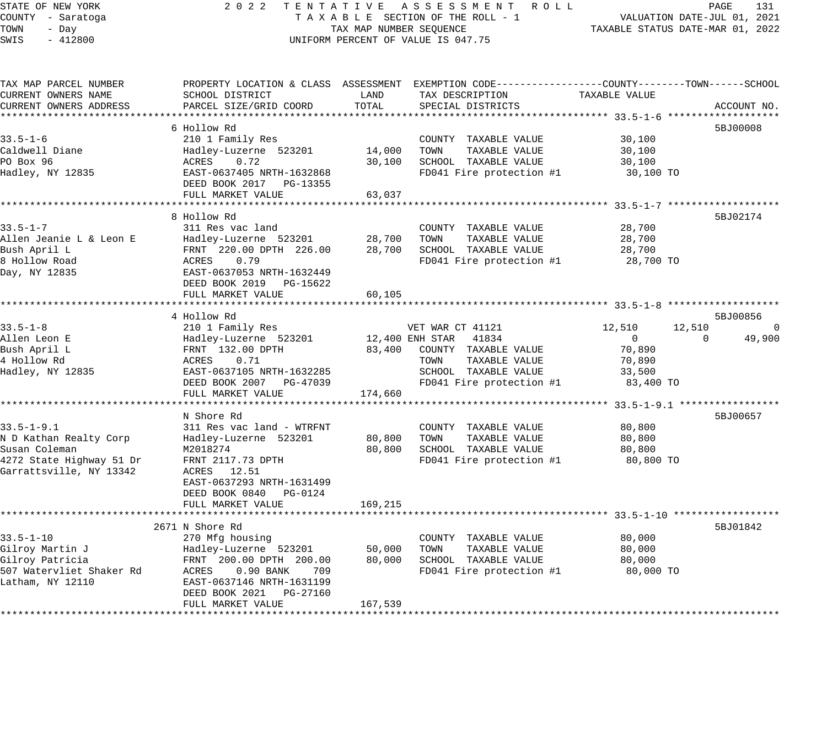#### STATE OF NEW YORK 2 0 2 2 T E N T A T I V E A S S E S S M E N T R O L L PAGE 131 COUNTY - Saratoga T A X A B L E SECTION OF THE ROLL - 1 VALUATION DATE-JUL 01, 2021 TAX A B L E SECTION OF THE ROLL - 1<br>TAXABLE STATUS DATE-MAR 01, 2022 UNIFORM PERCENT OF VALUE IS 047.75

| 6 Hollow Rd<br>5BJ00008<br>210 1 Family Res<br>30,100<br>COUNTY TAXABLE VALUE<br>14,000<br>TAXABLE VALUE<br>Hadley-Luzerne 523201<br>TOWN<br>30,100<br>PO Box 96<br>ACRES<br>0.72<br>30,100<br>SCHOOL TAXABLE VALUE<br>30,100<br>EAST-0637405 NRTH-1632868<br>FD041 Fire protection #1<br>30,100 TO<br>DEED BOOK 2017 PG-13355<br>63,037<br>FULL MARKET VALUE<br>8 Hollow Rd<br>5BJ02174<br>$33.5 - 1 - 7$<br>311 Res vac land<br>COUNTY TAXABLE VALUE<br>28,700<br>Allen Jeanie L & Leon E<br>28,700<br>TOWN<br>TAXABLE VALUE<br>28,700<br>Hadley-Luzerne 523201<br>Bush April L<br>28,700<br>SCHOOL TAXABLE VALUE<br>FRNT 220.00 DPTH 226.00<br>28,700<br>0.79<br>8 Hollow Road<br>ACRES<br>FD041 Fire protection #1<br>28,700 TO<br>EAST-0637053 NRTH-1632449<br>DEED BOOK 2019<br>PG-15622<br>FULL MARKET VALUE<br>60,105<br>4 Hollow Rd<br>5BJ00856<br>$33.5 - 1 - 8$<br>210 1 Family Res<br>12,510<br>12,510<br>VET WAR CT 41121<br>0<br>49,900<br>Allen Leon E<br>Hadley-Luzerne 523201<br>12,400 ENH STAR<br>41834<br>$\Omega$<br>$\Omega$<br>70,890<br>Bush April L<br>FRNT 132.00 DPTH<br>83,400<br>COUNTY TAXABLE VALUE<br>4 Hollow Rd<br>0.71<br>TAXABLE VALUE<br>ACRES<br>TOWN<br>70,890<br>Hadley, NY 12835<br>EAST-0637105 NRTH-1632285<br>SCHOOL TAXABLE VALUE<br>33,500<br>FD041 Fire protection #1<br>DEED BOOK 2007 PG-47039<br>83,400 TO<br>FULL MARKET VALUE<br>174,660<br>***********************************<br>N Shore Rd<br>5BJ00657<br>$33.5 - 1 - 9.1$<br>311 Res vac land - WTRFNT<br>COUNTY TAXABLE VALUE<br>80,800<br>80,800<br>TOWN<br>TAXABLE VALUE<br>Hadley-Luzerne 523201<br>80,800<br>80,800<br>SCHOOL TAXABLE VALUE<br>M2018274<br>80,800<br>4272 State Highway 51 Dr<br>FRNT 2117.73 DPTH<br>FD041 Fire protection #1<br>80,800 TO<br>ACRES 12.51<br>EAST-0637293 NRTH-1631499<br>DEED BOOK 0840<br>PG-0124<br>FULL MARKET VALUE<br>169,215<br>2671 N Shore Rd<br>5BJ01842<br>$33.5 - 1 - 10$<br>270 Mfg housing<br>80,000<br>COUNTY TAXABLE VALUE<br>TAXABLE VALUE<br>Gilroy Martin J<br>Hadley-Luzerne 523201<br>50,000<br>TOWN<br>80,000<br>Gilroy Patricia<br>FRNT 200.00 DPTH 200.00<br>80,000<br>SCHOOL TAXABLE VALUE<br>80,000<br>507 Watervliet Shaker Rd<br>FD041 Fire protection #1<br>ACRES<br>$0.90$ BANK<br>709<br>80,000 TO<br>Latham, NY 12110<br>EAST-0637146 NRTH-1631199<br>DEED BOOK 2021<br>PG-27160<br>167,539<br>FULL MARKET VALUE | TAX MAP PARCEL NUMBER<br>CURRENT OWNERS NAME | SCHOOL DISTRICT        | LAND  | PROPERTY LOCATION & CLASS ASSESSMENT EXEMPTION CODE----------------COUNTY-------TOWN------SCHOOL<br>TAX DESCRIPTION | TAXABLE VALUE |             |
|------------------------------------------------------------------------------------------------------------------------------------------------------------------------------------------------------------------------------------------------------------------------------------------------------------------------------------------------------------------------------------------------------------------------------------------------------------------------------------------------------------------------------------------------------------------------------------------------------------------------------------------------------------------------------------------------------------------------------------------------------------------------------------------------------------------------------------------------------------------------------------------------------------------------------------------------------------------------------------------------------------------------------------------------------------------------------------------------------------------------------------------------------------------------------------------------------------------------------------------------------------------------------------------------------------------------------------------------------------------------------------------------------------------------------------------------------------------------------------------------------------------------------------------------------------------------------------------------------------------------------------------------------------------------------------------------------------------------------------------------------------------------------------------------------------------------------------------------------------------------------------------------------------------------------------------------------------------------------------------------------------------------------------------------------------------------------------------------------------------------------------------------------------------------------------------------------------------------------------------------------------------------------------------------------------------------------------------------------------------------------------------------|----------------------------------------------|------------------------|-------|---------------------------------------------------------------------------------------------------------------------|---------------|-------------|
|                                                                                                                                                                                                                                                                                                                                                                                                                                                                                                                                                                                                                                                                                                                                                                                                                                                                                                                                                                                                                                                                                                                                                                                                                                                                                                                                                                                                                                                                                                                                                                                                                                                                                                                                                                                                                                                                                                                                                                                                                                                                                                                                                                                                                                                                                                                                                                                                | CURRENT OWNERS ADDRESS                       | PARCEL SIZE/GRID COORD | TOTAL | SPECIAL DISTRICTS                                                                                                   |               | ACCOUNT NO. |
|                                                                                                                                                                                                                                                                                                                                                                                                                                                                                                                                                                                                                                                                                                                                                                                                                                                                                                                                                                                                                                                                                                                                                                                                                                                                                                                                                                                                                                                                                                                                                                                                                                                                                                                                                                                                                                                                                                                                                                                                                                                                                                                                                                                                                                                                                                                                                                                                |                                              |                        |       |                                                                                                                     |               |             |
|                                                                                                                                                                                                                                                                                                                                                                                                                                                                                                                                                                                                                                                                                                                                                                                                                                                                                                                                                                                                                                                                                                                                                                                                                                                                                                                                                                                                                                                                                                                                                                                                                                                                                                                                                                                                                                                                                                                                                                                                                                                                                                                                                                                                                                                                                                                                                                                                | $33.5 - 1 - 6$                               |                        |       |                                                                                                                     |               |             |
|                                                                                                                                                                                                                                                                                                                                                                                                                                                                                                                                                                                                                                                                                                                                                                                                                                                                                                                                                                                                                                                                                                                                                                                                                                                                                                                                                                                                                                                                                                                                                                                                                                                                                                                                                                                                                                                                                                                                                                                                                                                                                                                                                                                                                                                                                                                                                                                                | Caldwell Diane                               |                        |       |                                                                                                                     |               |             |
|                                                                                                                                                                                                                                                                                                                                                                                                                                                                                                                                                                                                                                                                                                                                                                                                                                                                                                                                                                                                                                                                                                                                                                                                                                                                                                                                                                                                                                                                                                                                                                                                                                                                                                                                                                                                                                                                                                                                                                                                                                                                                                                                                                                                                                                                                                                                                                                                |                                              |                        |       |                                                                                                                     |               |             |
|                                                                                                                                                                                                                                                                                                                                                                                                                                                                                                                                                                                                                                                                                                                                                                                                                                                                                                                                                                                                                                                                                                                                                                                                                                                                                                                                                                                                                                                                                                                                                                                                                                                                                                                                                                                                                                                                                                                                                                                                                                                                                                                                                                                                                                                                                                                                                                                                | Hadley, NY 12835                             |                        |       |                                                                                                                     |               |             |
|                                                                                                                                                                                                                                                                                                                                                                                                                                                                                                                                                                                                                                                                                                                                                                                                                                                                                                                                                                                                                                                                                                                                                                                                                                                                                                                                                                                                                                                                                                                                                                                                                                                                                                                                                                                                                                                                                                                                                                                                                                                                                                                                                                                                                                                                                                                                                                                                |                                              |                        |       |                                                                                                                     |               |             |
|                                                                                                                                                                                                                                                                                                                                                                                                                                                                                                                                                                                                                                                                                                                                                                                                                                                                                                                                                                                                                                                                                                                                                                                                                                                                                                                                                                                                                                                                                                                                                                                                                                                                                                                                                                                                                                                                                                                                                                                                                                                                                                                                                                                                                                                                                                                                                                                                |                                              |                        |       |                                                                                                                     |               |             |
|                                                                                                                                                                                                                                                                                                                                                                                                                                                                                                                                                                                                                                                                                                                                                                                                                                                                                                                                                                                                                                                                                                                                                                                                                                                                                                                                                                                                                                                                                                                                                                                                                                                                                                                                                                                                                                                                                                                                                                                                                                                                                                                                                                                                                                                                                                                                                                                                |                                              |                        |       |                                                                                                                     |               |             |
|                                                                                                                                                                                                                                                                                                                                                                                                                                                                                                                                                                                                                                                                                                                                                                                                                                                                                                                                                                                                                                                                                                                                                                                                                                                                                                                                                                                                                                                                                                                                                                                                                                                                                                                                                                                                                                                                                                                                                                                                                                                                                                                                                                                                                                                                                                                                                                                                |                                              |                        |       |                                                                                                                     |               |             |
|                                                                                                                                                                                                                                                                                                                                                                                                                                                                                                                                                                                                                                                                                                                                                                                                                                                                                                                                                                                                                                                                                                                                                                                                                                                                                                                                                                                                                                                                                                                                                                                                                                                                                                                                                                                                                                                                                                                                                                                                                                                                                                                                                                                                                                                                                                                                                                                                |                                              |                        |       |                                                                                                                     |               |             |
|                                                                                                                                                                                                                                                                                                                                                                                                                                                                                                                                                                                                                                                                                                                                                                                                                                                                                                                                                                                                                                                                                                                                                                                                                                                                                                                                                                                                                                                                                                                                                                                                                                                                                                                                                                                                                                                                                                                                                                                                                                                                                                                                                                                                                                                                                                                                                                                                |                                              |                        |       |                                                                                                                     |               |             |
|                                                                                                                                                                                                                                                                                                                                                                                                                                                                                                                                                                                                                                                                                                                                                                                                                                                                                                                                                                                                                                                                                                                                                                                                                                                                                                                                                                                                                                                                                                                                                                                                                                                                                                                                                                                                                                                                                                                                                                                                                                                                                                                                                                                                                                                                                                                                                                                                | Day, NY 12835                                |                        |       |                                                                                                                     |               |             |
|                                                                                                                                                                                                                                                                                                                                                                                                                                                                                                                                                                                                                                                                                                                                                                                                                                                                                                                                                                                                                                                                                                                                                                                                                                                                                                                                                                                                                                                                                                                                                                                                                                                                                                                                                                                                                                                                                                                                                                                                                                                                                                                                                                                                                                                                                                                                                                                                |                                              |                        |       |                                                                                                                     |               |             |
|                                                                                                                                                                                                                                                                                                                                                                                                                                                                                                                                                                                                                                                                                                                                                                                                                                                                                                                                                                                                                                                                                                                                                                                                                                                                                                                                                                                                                                                                                                                                                                                                                                                                                                                                                                                                                                                                                                                                                                                                                                                                                                                                                                                                                                                                                                                                                                                                |                                              |                        |       |                                                                                                                     |               |             |
|                                                                                                                                                                                                                                                                                                                                                                                                                                                                                                                                                                                                                                                                                                                                                                                                                                                                                                                                                                                                                                                                                                                                                                                                                                                                                                                                                                                                                                                                                                                                                                                                                                                                                                                                                                                                                                                                                                                                                                                                                                                                                                                                                                                                                                                                                                                                                                                                |                                              |                        |       |                                                                                                                     |               |             |
|                                                                                                                                                                                                                                                                                                                                                                                                                                                                                                                                                                                                                                                                                                                                                                                                                                                                                                                                                                                                                                                                                                                                                                                                                                                                                                                                                                                                                                                                                                                                                                                                                                                                                                                                                                                                                                                                                                                                                                                                                                                                                                                                                                                                                                                                                                                                                                                                |                                              |                        |       |                                                                                                                     |               |             |
|                                                                                                                                                                                                                                                                                                                                                                                                                                                                                                                                                                                                                                                                                                                                                                                                                                                                                                                                                                                                                                                                                                                                                                                                                                                                                                                                                                                                                                                                                                                                                                                                                                                                                                                                                                                                                                                                                                                                                                                                                                                                                                                                                                                                                                                                                                                                                                                                |                                              |                        |       |                                                                                                                     |               |             |
|                                                                                                                                                                                                                                                                                                                                                                                                                                                                                                                                                                                                                                                                                                                                                                                                                                                                                                                                                                                                                                                                                                                                                                                                                                                                                                                                                                                                                                                                                                                                                                                                                                                                                                                                                                                                                                                                                                                                                                                                                                                                                                                                                                                                                                                                                                                                                                                                |                                              |                        |       |                                                                                                                     |               |             |
|                                                                                                                                                                                                                                                                                                                                                                                                                                                                                                                                                                                                                                                                                                                                                                                                                                                                                                                                                                                                                                                                                                                                                                                                                                                                                                                                                                                                                                                                                                                                                                                                                                                                                                                                                                                                                                                                                                                                                                                                                                                                                                                                                                                                                                                                                                                                                                                                |                                              |                        |       |                                                                                                                     |               |             |
|                                                                                                                                                                                                                                                                                                                                                                                                                                                                                                                                                                                                                                                                                                                                                                                                                                                                                                                                                                                                                                                                                                                                                                                                                                                                                                                                                                                                                                                                                                                                                                                                                                                                                                                                                                                                                                                                                                                                                                                                                                                                                                                                                                                                                                                                                                                                                                                                |                                              |                        |       |                                                                                                                     |               |             |
|                                                                                                                                                                                                                                                                                                                                                                                                                                                                                                                                                                                                                                                                                                                                                                                                                                                                                                                                                                                                                                                                                                                                                                                                                                                                                                                                                                                                                                                                                                                                                                                                                                                                                                                                                                                                                                                                                                                                                                                                                                                                                                                                                                                                                                                                                                                                                                                                |                                              |                        |       |                                                                                                                     |               |             |
|                                                                                                                                                                                                                                                                                                                                                                                                                                                                                                                                                                                                                                                                                                                                                                                                                                                                                                                                                                                                                                                                                                                                                                                                                                                                                                                                                                                                                                                                                                                                                                                                                                                                                                                                                                                                                                                                                                                                                                                                                                                                                                                                                                                                                                                                                                                                                                                                |                                              |                        |       |                                                                                                                     |               |             |
|                                                                                                                                                                                                                                                                                                                                                                                                                                                                                                                                                                                                                                                                                                                                                                                                                                                                                                                                                                                                                                                                                                                                                                                                                                                                                                                                                                                                                                                                                                                                                                                                                                                                                                                                                                                                                                                                                                                                                                                                                                                                                                                                                                                                                                                                                                                                                                                                |                                              |                        |       |                                                                                                                     |               |             |
|                                                                                                                                                                                                                                                                                                                                                                                                                                                                                                                                                                                                                                                                                                                                                                                                                                                                                                                                                                                                                                                                                                                                                                                                                                                                                                                                                                                                                                                                                                                                                                                                                                                                                                                                                                                                                                                                                                                                                                                                                                                                                                                                                                                                                                                                                                                                                                                                |                                              |                        |       |                                                                                                                     |               |             |
|                                                                                                                                                                                                                                                                                                                                                                                                                                                                                                                                                                                                                                                                                                                                                                                                                                                                                                                                                                                                                                                                                                                                                                                                                                                                                                                                                                                                                                                                                                                                                                                                                                                                                                                                                                                                                                                                                                                                                                                                                                                                                                                                                                                                                                                                                                                                                                                                | N D Kathan Realty Corp                       |                        |       |                                                                                                                     |               |             |
|                                                                                                                                                                                                                                                                                                                                                                                                                                                                                                                                                                                                                                                                                                                                                                                                                                                                                                                                                                                                                                                                                                                                                                                                                                                                                                                                                                                                                                                                                                                                                                                                                                                                                                                                                                                                                                                                                                                                                                                                                                                                                                                                                                                                                                                                                                                                                                                                | Susan Coleman                                |                        |       |                                                                                                                     |               |             |
|                                                                                                                                                                                                                                                                                                                                                                                                                                                                                                                                                                                                                                                                                                                                                                                                                                                                                                                                                                                                                                                                                                                                                                                                                                                                                                                                                                                                                                                                                                                                                                                                                                                                                                                                                                                                                                                                                                                                                                                                                                                                                                                                                                                                                                                                                                                                                                                                |                                              |                        |       |                                                                                                                     |               |             |
|                                                                                                                                                                                                                                                                                                                                                                                                                                                                                                                                                                                                                                                                                                                                                                                                                                                                                                                                                                                                                                                                                                                                                                                                                                                                                                                                                                                                                                                                                                                                                                                                                                                                                                                                                                                                                                                                                                                                                                                                                                                                                                                                                                                                                                                                                                                                                                                                | Garrattsville, NY 13342                      |                        |       |                                                                                                                     |               |             |
|                                                                                                                                                                                                                                                                                                                                                                                                                                                                                                                                                                                                                                                                                                                                                                                                                                                                                                                                                                                                                                                                                                                                                                                                                                                                                                                                                                                                                                                                                                                                                                                                                                                                                                                                                                                                                                                                                                                                                                                                                                                                                                                                                                                                                                                                                                                                                                                                |                                              |                        |       |                                                                                                                     |               |             |
|                                                                                                                                                                                                                                                                                                                                                                                                                                                                                                                                                                                                                                                                                                                                                                                                                                                                                                                                                                                                                                                                                                                                                                                                                                                                                                                                                                                                                                                                                                                                                                                                                                                                                                                                                                                                                                                                                                                                                                                                                                                                                                                                                                                                                                                                                                                                                                                                |                                              |                        |       |                                                                                                                     |               |             |
|                                                                                                                                                                                                                                                                                                                                                                                                                                                                                                                                                                                                                                                                                                                                                                                                                                                                                                                                                                                                                                                                                                                                                                                                                                                                                                                                                                                                                                                                                                                                                                                                                                                                                                                                                                                                                                                                                                                                                                                                                                                                                                                                                                                                                                                                                                                                                                                                |                                              |                        |       |                                                                                                                     |               |             |
|                                                                                                                                                                                                                                                                                                                                                                                                                                                                                                                                                                                                                                                                                                                                                                                                                                                                                                                                                                                                                                                                                                                                                                                                                                                                                                                                                                                                                                                                                                                                                                                                                                                                                                                                                                                                                                                                                                                                                                                                                                                                                                                                                                                                                                                                                                                                                                                                |                                              |                        |       |                                                                                                                     |               |             |
|                                                                                                                                                                                                                                                                                                                                                                                                                                                                                                                                                                                                                                                                                                                                                                                                                                                                                                                                                                                                                                                                                                                                                                                                                                                                                                                                                                                                                                                                                                                                                                                                                                                                                                                                                                                                                                                                                                                                                                                                                                                                                                                                                                                                                                                                                                                                                                                                |                                              |                        |       |                                                                                                                     |               |             |
|                                                                                                                                                                                                                                                                                                                                                                                                                                                                                                                                                                                                                                                                                                                                                                                                                                                                                                                                                                                                                                                                                                                                                                                                                                                                                                                                                                                                                                                                                                                                                                                                                                                                                                                                                                                                                                                                                                                                                                                                                                                                                                                                                                                                                                                                                                                                                                                                |                                              |                        |       |                                                                                                                     |               |             |
|                                                                                                                                                                                                                                                                                                                                                                                                                                                                                                                                                                                                                                                                                                                                                                                                                                                                                                                                                                                                                                                                                                                                                                                                                                                                                                                                                                                                                                                                                                                                                                                                                                                                                                                                                                                                                                                                                                                                                                                                                                                                                                                                                                                                                                                                                                                                                                                                |                                              |                        |       |                                                                                                                     |               |             |
|                                                                                                                                                                                                                                                                                                                                                                                                                                                                                                                                                                                                                                                                                                                                                                                                                                                                                                                                                                                                                                                                                                                                                                                                                                                                                                                                                                                                                                                                                                                                                                                                                                                                                                                                                                                                                                                                                                                                                                                                                                                                                                                                                                                                                                                                                                                                                                                                |                                              |                        |       |                                                                                                                     |               |             |
|                                                                                                                                                                                                                                                                                                                                                                                                                                                                                                                                                                                                                                                                                                                                                                                                                                                                                                                                                                                                                                                                                                                                                                                                                                                                                                                                                                                                                                                                                                                                                                                                                                                                                                                                                                                                                                                                                                                                                                                                                                                                                                                                                                                                                                                                                                                                                                                                |                                              |                        |       |                                                                                                                     |               |             |
|                                                                                                                                                                                                                                                                                                                                                                                                                                                                                                                                                                                                                                                                                                                                                                                                                                                                                                                                                                                                                                                                                                                                                                                                                                                                                                                                                                                                                                                                                                                                                                                                                                                                                                                                                                                                                                                                                                                                                                                                                                                                                                                                                                                                                                                                                                                                                                                                |                                              |                        |       |                                                                                                                     |               |             |
|                                                                                                                                                                                                                                                                                                                                                                                                                                                                                                                                                                                                                                                                                                                                                                                                                                                                                                                                                                                                                                                                                                                                                                                                                                                                                                                                                                                                                                                                                                                                                                                                                                                                                                                                                                                                                                                                                                                                                                                                                                                                                                                                                                                                                                                                                                                                                                                                |                                              |                        |       |                                                                                                                     |               |             |
|                                                                                                                                                                                                                                                                                                                                                                                                                                                                                                                                                                                                                                                                                                                                                                                                                                                                                                                                                                                                                                                                                                                                                                                                                                                                                                                                                                                                                                                                                                                                                                                                                                                                                                                                                                                                                                                                                                                                                                                                                                                                                                                                                                                                                                                                                                                                                                                                |                                              |                        |       |                                                                                                                     |               |             |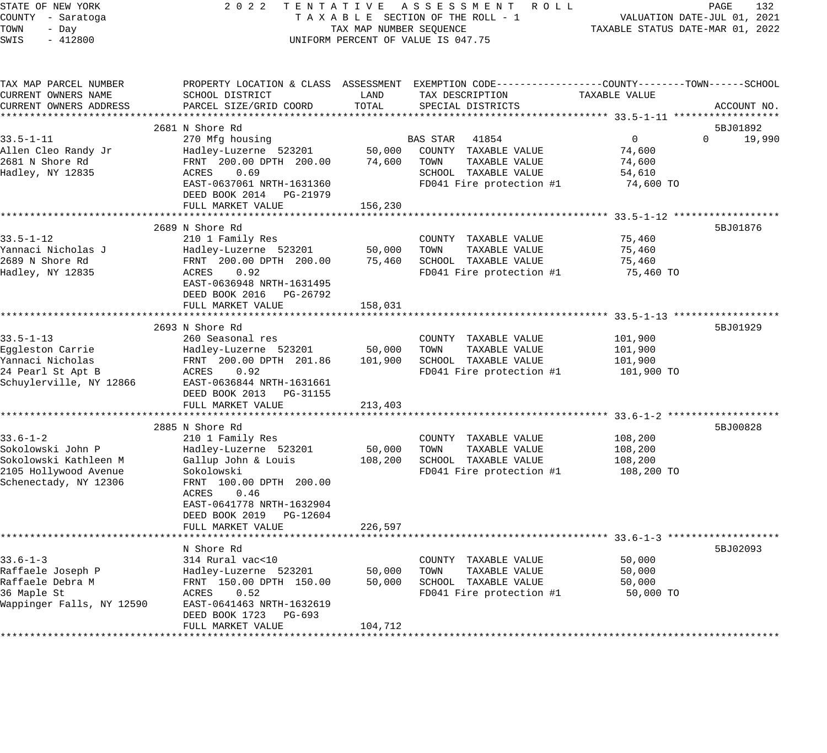| STATE OF NEW YORK                     | 2 0 2 2<br>TENTATIVE                                |                         | A S S E S S M E N T<br>R O L L                              |                                                        | PAGE<br>132                 |
|---------------------------------------|-----------------------------------------------------|-------------------------|-------------------------------------------------------------|--------------------------------------------------------|-----------------------------|
| COUNTY - Saratoga                     |                                                     |                         | TAXABLE SECTION OF THE ROLL - 1                             |                                                        | VALUATION DATE-JUL 01, 2021 |
| TOWN<br>- Day                         |                                                     | TAX MAP NUMBER SEQUENCE |                                                             | TAXABLE STATUS DATE-MAR 01, 2022                       |                             |
| SWIS<br>$-412800$                     |                                                     |                         | UNIFORM PERCENT OF VALUE IS 047.75                          |                                                        |                             |
|                                       |                                                     |                         |                                                             |                                                        |                             |
| TAX MAP PARCEL NUMBER                 | PROPERTY LOCATION & CLASS ASSESSMENT                |                         | EXEMPTION CODE----------------COUNTY-------TOWN------SCHOOL |                                                        |                             |
| CURRENT OWNERS NAME                   | SCHOOL DISTRICT                                     | LAND                    | TAX DESCRIPTION                                             | TAXABLE VALUE                                          |                             |
| CURRENT OWNERS ADDRESS                | PARCEL SIZE/GRID COORD                              | TOTAL                   | SPECIAL DISTRICTS                                           |                                                        | ACCOUNT NO.                 |
|                                       |                                                     |                         |                                                             |                                                        |                             |
|                                       | 2681 N Shore Rd                                     |                         |                                                             |                                                        | 5BJ01892                    |
| $33.5 - 1 - 11$                       | 270 Mfg housing                                     |                         | BAS STAR<br>41854                                           | 0                                                      | $\Omega$<br>19,990          |
| Allen Cleo Randy Jr                   | Hadley-Luzerne 523201                               | 50,000                  | COUNTY TAXABLE VALUE                                        | 74,600                                                 |                             |
| 2681 N Shore Rd                       | FRNT 200.00 DPTH 200.00                             | 74,600                  | TOWN<br>TAXABLE VALUE                                       | 74,600                                                 |                             |
| Hadley, NY 12835                      | 0.69<br>ACRES                                       |                         | SCHOOL TAXABLE VALUE                                        | 54,610                                                 |                             |
|                                       | EAST-0637061 NRTH-1631360                           |                         | FD041 Fire protection #1                                    | 74,600 TO                                              |                             |
|                                       | DEED BOOK 2014<br>PG-21979                          |                         |                                                             |                                                        |                             |
|                                       | FULL MARKET VALUE                                   | 156,230                 |                                                             |                                                        |                             |
|                                       |                                                     |                         |                                                             | ************************ 33.5-1-12 ******************* |                             |
|                                       | 2689 N Shore Rd                                     |                         |                                                             |                                                        | 5BJ01876                    |
| 33.5-1-12                             | 210 1 Family Res                                    |                         | COUNTY<br>TAXABLE VALUE                                     | 75,460                                                 |                             |
| Yannaci Nicholas J<br>2689 N Shore Rd | Hadley-Luzerne 523201                               | 50,000                  | TOWN<br>TAXABLE VALUE                                       | 75,460                                                 |                             |
| Hadley, NY 12835                      | FRNT 200.00 DPTH 200.00<br>ACRES<br>0.92            | 75,460                  | SCHOOL TAXABLE VALUE<br>FD041 Fire protection #1            | 75,460<br>75,460 TO                                    |                             |
|                                       | EAST-0636948 NRTH-1631495                           |                         |                                                             |                                                        |                             |
|                                       | DEED BOOK 2016<br>PG-26792                          |                         |                                                             |                                                        |                             |
|                                       | FULL MARKET VALUE                                   | 158,031                 |                                                             |                                                        |                             |
|                                       |                                                     |                         |                                                             | ******* 33.5-1-13 ******                               |                             |
|                                       | 2693 N Shore Rd                                     |                         |                                                             |                                                        | 5BJ01929                    |
| $33.5 - 1 - 13$                       | 260 Seasonal res                                    |                         | COUNTY TAXABLE VALUE                                        | 101,900                                                |                             |
| Eggleston Carrie                      | Hadley-Luzerne 523201                               | 50,000                  | TOWN<br>TAXABLE VALUE                                       | 101,900                                                |                             |
| Yannaci Nicholas                      | FRNT 200.00 DPTH 201.86                             | 101,900                 | SCHOOL TAXABLE VALUE                                        | 101,900                                                |                             |
| 24 Pearl St Apt B                     | ACRES<br>0.92                                       |                         | FD041 Fire protection #1                                    | 101,900 TO                                             |                             |
| Schuylerville, NY 12866               | EAST-0636844 NRTH-1631661                           |                         |                                                             |                                                        |                             |
|                                       | DEED BOOK 2013<br>PG-31155                          |                         |                                                             |                                                        |                             |
|                                       | FULL MARKET VALUE                                   | 213,403                 |                                                             |                                                        |                             |
|                                       |                                                     |                         |                                                             |                                                        |                             |
|                                       | 2885 N Shore Rd                                     |                         |                                                             |                                                        | 5BJ00828                    |
| $33.6 - 1 - 2$                        | 210 1 Family Res                                    |                         | COUNTY TAXABLE VALUE                                        | 108,200                                                |                             |
| Sokolowski John P                     | Hadley-Luzerne 523201                               | 50,000                  | TAXABLE VALUE<br>TOWN                                       | 108,200                                                |                             |
| Sokolowski Kathleen M                 | Gallup John & Louis                                 | 108,200                 | SCHOOL TAXABLE VALUE                                        | 108,200                                                |                             |
| 2105 Hollywood Avenue                 | Sokolowski                                          |                         | FD041 Fire protection #1                                    | 108,200 TO                                             |                             |
| Schenectady, NY 12306                 | FRNT 100.00 DPTH 200.00                             |                         |                                                             |                                                        |                             |
|                                       | ACRES<br>0.46                                       |                         |                                                             |                                                        |                             |
|                                       | EAST-0641778 NRTH-1632904                           |                         |                                                             |                                                        |                             |
|                                       | DEED BOOK 2019<br>PG-12604                          |                         |                                                             |                                                        |                             |
|                                       | FULL MARKET VALUE<br>****************************** | 226,597                 |                                                             |                                                        |                             |
|                                       | N Shore Rd                                          |                         |                                                             |                                                        | 5BJ02093                    |
| $33.6 - 1 - 3$                        | 314 Rural vac<10                                    |                         | COUNTY<br>TAXABLE VALUE                                     | 50,000                                                 |                             |
| Raffaele Joseph P                     | Hadley-Luzerne 523201                               | 50,000                  | TOWN<br>TAXABLE VALUE                                       | 50,000                                                 |                             |
| Raffaele Debra M                      | FRNT 150.00 DPTH 150.00                             | 50,000                  | SCHOOL TAXABLE VALUE                                        | 50,000                                                 |                             |
| 36 Maple St                           | ACRES<br>0.52                                       |                         | FD041 Fire protection #1                                    | 50,000 TO                                              |                             |
| Wappinger Falls, NY 12590             | EAST-0641463 NRTH-1632619                           |                         |                                                             |                                                        |                             |
|                                       | DEED BOOK 1723<br>PG-693                            |                         |                                                             |                                                        |                             |
|                                       | FULL MARKET VALUE                                   | 104,712                 |                                                             |                                                        |                             |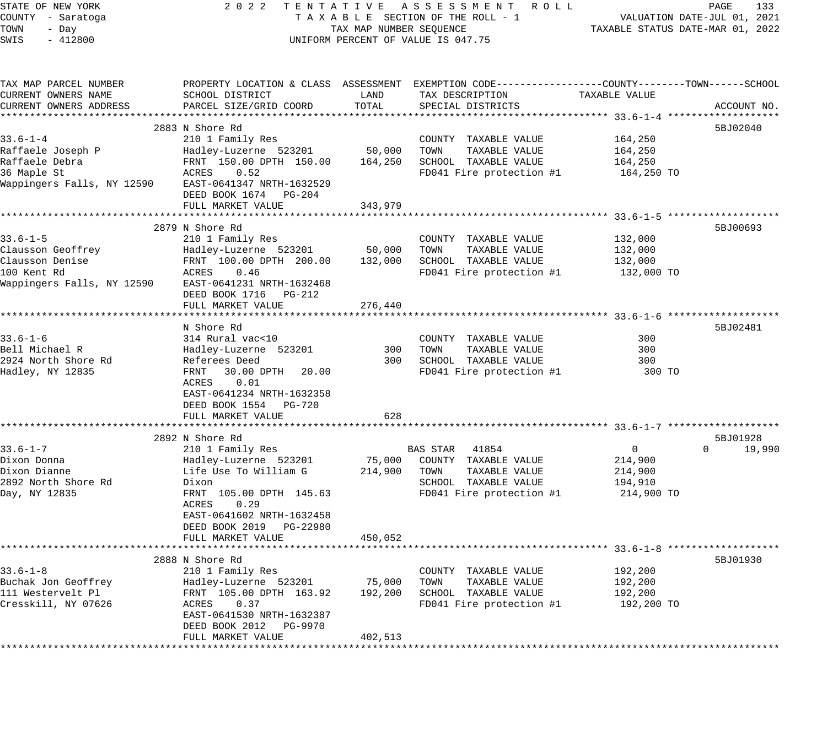| STATE OF NEW YORK<br>COUNTY - Saratoga<br>TOWN<br>- Day<br>$-412800$<br>SWIS | 2 0 2 2<br>TENTATIVE                       | TAX MAP NUMBER SEQUENCE | A S S E S S M E N T R O L L<br>TAXABLE SECTION OF THE ROLL - 1<br>UNIFORM PERCENT OF VALUE IS 047.75 |               | PAGE<br>133<br>VALUATION DATE-JUL 01, 2021<br>TAXABLE STATUS DATE-MAR 01, 2022 |
|------------------------------------------------------------------------------|--------------------------------------------|-------------------------|------------------------------------------------------------------------------------------------------|---------------|--------------------------------------------------------------------------------|
|                                                                              |                                            |                         |                                                                                                      |               |                                                                                |
| TAX MAP PARCEL NUMBER                                                        |                                            |                         | PROPERTY LOCATION & CLASS ASSESSMENT EXEMPTION CODE----------------COUNTY-------TOWN------SCHOOL     |               |                                                                                |
| CURRENT OWNERS NAME                                                          | SCHOOL DISTRICT                            | LAND                    | TAX DESCRIPTION                                                                                      | TAXABLE VALUE |                                                                                |
| CURRENT OWNERS ADDRESS                                                       | PARCEL SIZE/GRID COORD                     | TOTAL                   | SPECIAL DISTRICTS                                                                                    |               | ACCOUNT NO.                                                                    |
|                                                                              |                                            |                         |                                                                                                      |               |                                                                                |
|                                                                              | 2883 N Shore Rd                            |                         |                                                                                                      |               | 5BJ02040                                                                       |
| $33.6 - 1 - 4$                                                               | 210 1 Family Res                           |                         | COUNTY TAXABLE VALUE                                                                                 | 164,250       |                                                                                |
| Raffaele Joseph P                                                            | Hadley-Luzerne 523201                      | 50,000                  | TOWN<br>TAXABLE VALUE                                                                                | 164,250       |                                                                                |
| Raffaele Debra                                                               | FRNT 150.00 DPTH 150.00                    | 164,250                 | SCHOOL TAXABLE VALUE                                                                                 | 164,250       |                                                                                |
| 36 Maple St<br>Wappingers Falls, NY 12590                                    | ACRES<br>0.52<br>EAST-0641347 NRTH-1632529 |                         | FD041 Fire protection #1                                                                             | 164,250 TO    |                                                                                |
|                                                                              | DEED BOOK 1674 PG-204                      |                         |                                                                                                      |               |                                                                                |
|                                                                              | FULL MARKET VALUE                          | 343,979                 |                                                                                                      |               |                                                                                |
|                                                                              |                                            |                         |                                                                                                      |               |                                                                                |
|                                                                              | 2879 N Shore Rd                            |                         |                                                                                                      |               | 5BJ00693                                                                       |
| $33.6 - 1 - 5$                                                               | 210 1 Family Res                           |                         | COUNTY TAXABLE VALUE                                                                                 | 132,000       |                                                                                |
| Clausson Geoffrey                                                            | Hadley-Luzerne 523201                      | 50,000                  | TOWN<br>TAXABLE VALUE                                                                                | 132,000       |                                                                                |
| Clausson Denise                                                              | FRNT 100.00 DPTH 200.00                    | 132,000                 | SCHOOL TAXABLE VALUE                                                                                 | 132,000       |                                                                                |
| 100 Kent Rd                                                                  | ACRES<br>0.46                              |                         | FD041 Fire protection #1                                                                             | 132,000 TO    |                                                                                |
| Wappingers Falls, NY 12590                                                   | EAST-0641231 NRTH-1632468                  |                         |                                                                                                      |               |                                                                                |
|                                                                              | DEED BOOK 1716 PG-212                      |                         |                                                                                                      |               |                                                                                |
|                                                                              | FULL MARKET VALUE                          | 276,440                 |                                                                                                      |               |                                                                                |
|                                                                              |                                            |                         |                                                                                                      |               |                                                                                |
|                                                                              | N Shore Rd                                 |                         |                                                                                                      |               | 5BJ02481                                                                       |
| $33.6 - 1 - 6$                                                               | 314 Rural vac<10                           |                         | COUNTY TAXABLE VALUE                                                                                 | 300           |                                                                                |
| Bell Michael R<br>2924 North Shore Rd                                        | Hadley-Luzerne 523201<br>Referees Deed     | 300<br>300              | TAXABLE VALUE<br>TOWN<br>SCHOOL TAXABLE VALUE                                                        | 300<br>300    |                                                                                |
| Hadley, NY 12835                                                             | FRNT<br>30.00 DPTH<br>20.00                |                         | FD041 Fire protection #1                                                                             | 300 TO        |                                                                                |
|                                                                              | 0.01<br>ACRES                              |                         |                                                                                                      |               |                                                                                |
|                                                                              | EAST-0641234 NRTH-1632358                  |                         |                                                                                                      |               |                                                                                |
|                                                                              | DEED BOOK 1554 PG-720                      |                         |                                                                                                      |               |                                                                                |
|                                                                              | FULL MARKET VALUE                          | 628                     |                                                                                                      |               |                                                                                |
|                                                                              |                                            |                         |                                                                                                      |               |                                                                                |
|                                                                              | 2892 N Shore Rd                            |                         |                                                                                                      |               | 5BJ01928                                                                       |
| $33.6 - 1 - 7$                                                               | 210 1 Family Res                           |                         | BAS STAR<br>41854                                                                                    | $\mathbf 0$   | $\Omega$<br>19,990                                                             |
| Dixon Donna                                                                  | Hadley-Luzerne 523201                      | 75,000                  | COUNTY TAXABLE VALUE                                                                                 | 214,900       |                                                                                |
| Dixon Dianne                                                                 | Life Use To William G                      | 214,900                 | TOWN<br>TAXABLE VALUE                                                                                | 214,900       |                                                                                |
| 2892 North Shore Rd                                                          | Dixon                                      |                         | SCHOOL TAXABLE VALUE                                                                                 | 194,910       |                                                                                |
| Day, NY 12835                                                                | FRNT 105.00 DPTH 145.63                    |                         | FD041 Fire protection #1                                                                             | 214,900 TO    |                                                                                |
|                                                                              | ACRES<br>0.29                              |                         |                                                                                                      |               |                                                                                |
|                                                                              | EAST-0641602 NRTH-1632458                  |                         |                                                                                                      |               |                                                                                |
|                                                                              | DEED BOOK 2019 PG-22980                    |                         |                                                                                                      |               |                                                                                |
|                                                                              | FULL MARKET VALUE                          | 450,052                 |                                                                                                      |               |                                                                                |
|                                                                              | 2888 N Shore Rd                            |                         |                                                                                                      |               | 5BJ01930                                                                       |
| $33.6 - 1 - 8$                                                               | 210 1 Family Res                           |                         | COUNTY TAXABLE VALUE                                                                                 | 192,200       |                                                                                |
| Buchak Jon Geoffrey                                                          | Hadley-Luzerne 523201                      | 75,000                  | TOWN<br>TAXABLE VALUE                                                                                | 192,200       |                                                                                |
| 111 Westervelt Pl                                                            | FRNT 105.00 DPTH 163.92                    | 192,200                 | SCHOOL TAXABLE VALUE                                                                                 | 192,200       |                                                                                |
| Cresskill, NY 07626                                                          | ACRES<br>0.37                              |                         | FD041 Fire protection #1                                                                             | 192,200 TO    |                                                                                |
|                                                                              | EAST-0641530 NRTH-1632387                  |                         |                                                                                                      |               |                                                                                |
|                                                                              | DEED BOOK 2012 PG-9970                     |                         |                                                                                                      |               |                                                                                |
|                                                                              | FULL MARKET VALUE                          | 402,513                 |                                                                                                      |               |                                                                                |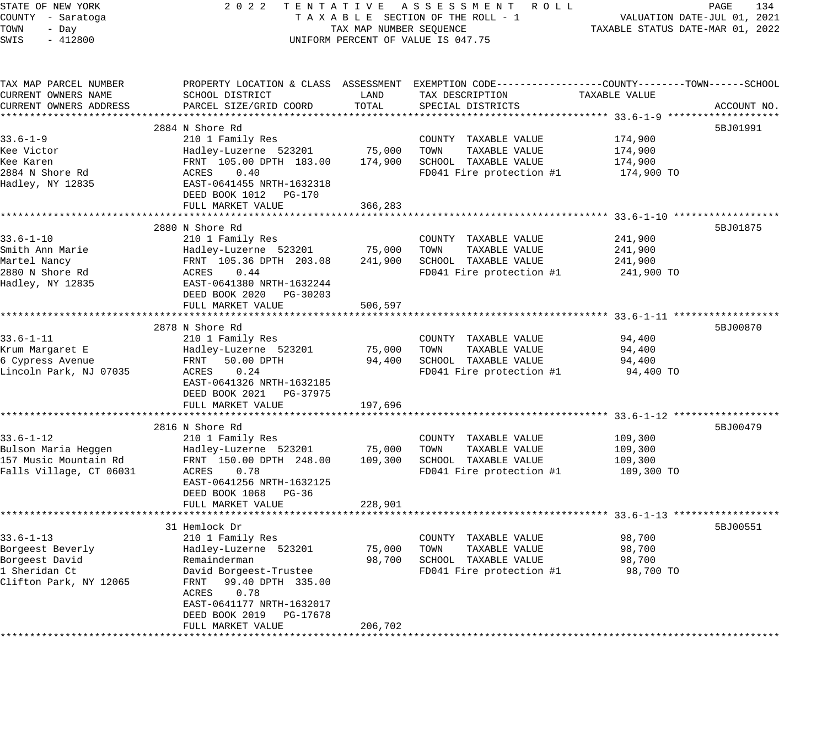| STATE OF NEW YORK               | 2 0 2 2<br>TENTATIVE                                       | ASSESSMENT ROLL<br>PAGE<br>134   |                                                                                                 |                          |             |
|---------------------------------|------------------------------------------------------------|----------------------------------|-------------------------------------------------------------------------------------------------|--------------------------|-------------|
| COUNTY - Saratoga               | TAXABLE SECTION OF THE ROLL - 1                            |                                  | VALUATION DATE-JUL 01, 2021                                                                     |                          |             |
| TOWN<br>- Day                   | TAX MAP NUMBER SEQUENCE                                    | TAXABLE STATUS DATE-MAR 01, 2022 |                                                                                                 |                          |             |
| SWIS<br>$-412800$               |                                                            |                                  | UNIFORM PERCENT OF VALUE IS 047.75                                                              |                          |             |
|                                 |                                                            |                                  |                                                                                                 |                          |             |
| TAX MAP PARCEL NUMBER           |                                                            |                                  | PROPERTY LOCATION & CLASS ASSESSMENT EXEMPTION CODE---------------COUNTY-------TOWN------SCHOOL |                          |             |
| CURRENT OWNERS NAME             | SCHOOL DISTRICT                                            | LAND                             | TAX DESCRIPTION                                                                                 | TAXABLE VALUE            |             |
| CURRENT OWNERS ADDRESS          | PARCEL SIZE/GRID COORD                                     | TOTAL                            | SPECIAL DISTRICTS                                                                               |                          | ACCOUNT NO. |
|                                 |                                                            |                                  |                                                                                                 |                          |             |
|                                 | 2884 N Shore Rd                                            |                                  |                                                                                                 |                          | 5BJ01991    |
| $33.6 - 1 - 9$                  | 210 1 Family Res                                           |                                  | COUNTY TAXABLE VALUE                                                                            | 174,900                  |             |
| Kee Victor                      | Hadley-Luzerne 523201                                      | 75,000                           | TOWN<br>TAXABLE VALUE                                                                           | 174,900                  |             |
| Kee Karen                       | FRNT 105.00 DPTH 183.00                                    | 174,900                          | SCHOOL TAXABLE VALUE                                                                            | 174,900                  |             |
| 2884 N Shore Rd                 | ACRES<br>0.40                                              |                                  | FD041 Fire protection #1                                                                        | 174,900 TO               |             |
| Hadley, NY 12835                | EAST-0641455 NRTH-1632318                                  |                                  |                                                                                                 |                          |             |
|                                 | DEED BOOK 1012<br>PG-170                                   |                                  |                                                                                                 |                          |             |
|                                 | FULL MARKET VALUE<br>************************************* | 366,283<br>*************         |                                                                                                 |                          |             |
|                                 |                                                            |                                  |                                                                                                 |                          |             |
|                                 | 2880 N Shore Rd                                            |                                  |                                                                                                 |                          | 5BJ01875    |
| 33.6-1-10                       | 210 1 Family Res                                           |                                  | COUNTY TAXABLE VALUE<br>TOWN                                                                    | 241,900                  |             |
| Smith Ann Marie<br>Martel Nancy | Hadley-Luzerne 523201                                      | 75,000<br>241,900                | TAXABLE VALUE<br>SCHOOL TAXABLE VALUE                                                           | 241,900                  |             |
| 2880 N Shore Rd                 | FRNT 105.36 DPTH 203.08<br>ACRES<br>0.44                   |                                  | FD041 Fire protection #1                                                                        | 241,900                  |             |
| Hadley, NY 12835                | EAST-0641380 NRTH-1632244                                  |                                  |                                                                                                 | 241,900 TO               |             |
|                                 | DEED BOOK 2020<br>PG-30203                                 |                                  |                                                                                                 |                          |             |
|                                 | FULL MARKET VALUE                                          | 506,597                          |                                                                                                 |                          |             |
|                                 |                                                            |                                  |                                                                                                 | ******* 33.6-1-11 ****** |             |
|                                 | 2878 N Shore Rd                                            |                                  |                                                                                                 |                          | 5BJ00870    |
| $33.6 - 1 - 11$                 | 210 1 Family Res                                           |                                  | COUNTY TAXABLE VALUE                                                                            | 94,400                   |             |
| Krum Margaret E                 | Hadley-Luzerne 523201                                      | 75,000                           | TOWN<br>TAXABLE VALUE                                                                           | 94,400                   |             |
| 6 Cypress Avenue                | FRNT<br>50.00 DPTH                                         | 94,400                           | SCHOOL TAXABLE VALUE                                                                            | 94,400                   |             |
| Lincoln Park, NJ 07035          | 0.24<br>ACRES                                              |                                  | FD041 Fire protection #1                                                                        | 94,400 TO                |             |
|                                 | EAST-0641326 NRTH-1632185                                  |                                  |                                                                                                 |                          |             |
|                                 | DEED BOOK 2021<br>PG-37975                                 |                                  |                                                                                                 |                          |             |
|                                 | FULL MARKET VALUE                                          | 197,696                          |                                                                                                 |                          |             |
|                                 |                                                            |                                  |                                                                                                 |                          |             |
|                                 | 2816 N Shore Rd                                            |                                  |                                                                                                 |                          | 5BJ00479    |
| $33.6 - 1 - 12$                 | 210 1 Family Res                                           |                                  | COUNTY TAXABLE VALUE                                                                            | 109,300                  |             |
| Bulson Maria Heggen             | Hadley-Luzerne 523201                                      | 75,000                           | TOWN<br>TAXABLE VALUE                                                                           | 109,300                  |             |
| 157 Music Mountain Rd           | FRNT 150.00 DPTH 248.00                                    | 109,300                          | SCHOOL TAXABLE VALUE                                                                            | 109,300                  |             |
| Falls Village, CT 06031         | 0.78<br>ACRES                                              |                                  | FD041 Fire protection #1                                                                        | 109,300 TO               |             |
|                                 | EAST-0641256 NRTH-1632125                                  |                                  |                                                                                                 |                          |             |
|                                 | DEED BOOK 1068<br>PG-36                                    |                                  |                                                                                                 |                          |             |
|                                 | FULL MARKET VALUE                                          | 228,901                          |                                                                                                 |                          |             |
|                                 | ***********************                                    | * * * * * * * * * * * * *        | ********************************** 33.6–1–13 ******                                             |                          |             |
|                                 | 31 Hemlock Dr                                              |                                  |                                                                                                 |                          | 5BJ00551    |
| $33.6 - 1 - 13$                 | 210 1 Family Res                                           |                                  | COUNTY<br>TAXABLE VALUE                                                                         | 98,700                   |             |
| Borgeest Beverly                | Hadley-Luzerne 523201                                      | 75,000                           | TOWN<br>TAXABLE VALUE                                                                           | 98,700                   |             |
| Borgeest David                  | Remainderman                                               | 98,700                           | SCHOOL TAXABLE VALUE                                                                            | 98,700                   |             |
| 1 Sheridan Ct                   | David Borgeest-Trustee                                     |                                  | FD041 Fire protection #1                                                                        | 98,700 TO                |             |
| Clifton Park, NY 12065          | 99.40 DPTH 335.00<br>FRNT                                  |                                  |                                                                                                 |                          |             |
|                                 | ACRES<br>0.78                                              |                                  |                                                                                                 |                          |             |
|                                 | EAST-0641177 NRTH-1632017                                  |                                  |                                                                                                 |                          |             |
|                                 | DEED BOOK 2019<br>PG-17678                                 |                                  |                                                                                                 |                          |             |
|                                 | FULL MARKET VALUE                                          | 206,702                          |                                                                                                 |                          |             |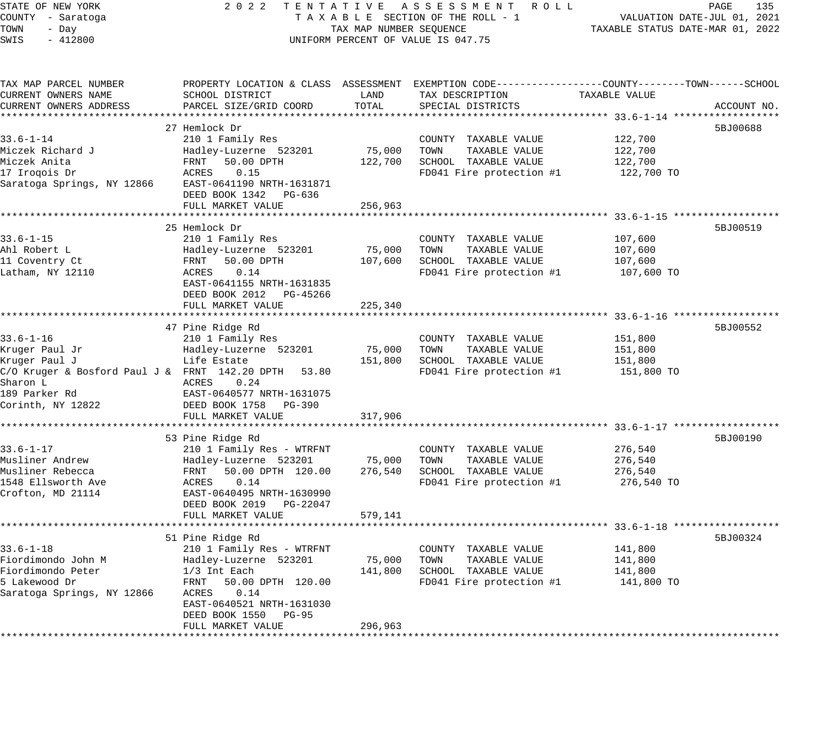STATE OF NEW YORK 2 0 2 2 T E N T A T I V E A S S E S S M E N T R O L L PAGE 135 COUNTY - Saratoga T A X A B L E SECTION OF THE ROLL - 1 VALUATION DATE-JUL 01, 2021 TOWN - Day TAX MAP NUMBER SEQUENCE TAXABLE STATUS DATE-MAR 01, 2022 SWIS - 412800 CONTROLLY THE UNIFORM PERCENT OF VALUE IS 047.75 TAX MAP PARCEL NUMBER PROPERTY LOCATION & CLASS ASSESSMENT EXEMPTION CODE------------------COUNTY--------TOWN------SCHOOL CURRENT OWNERS NAME SCHOOL DISTRICT LAND TAX DESCRIPTION TAXABLE VALUE CURRENT OWNERS ADDRESS PARCEL SIZE/GRID COORD TOTAL SPECIAL DISTRICTS ACCOUNT NO. \*\*\*\*\*\*\*\*\*\*\*\*\*\*\*\*\*\*\*\*\*\*\*\*\*\*\*\*\*\*\*\*\*\*\*\*\*\*\*\*\*\*\*\*\*\*\*\*\*\*\*\*\*\*\*\*\*\*\*\*\*\*\*\*\*\*\*\*\*\*\*\*\*\*\*\*\*\*\*\*\*\*\*\*\*\*\*\*\*\*\*\*\*\*\*\*\*\*\*\*\*\*\* 33.6-1-14 \*\*\*\*\*\*\*\*\*\*\*\*\*\*\*\*\*\*  $27$  Hemlock Dr  $5BJ00688$ 33.6-1-14 210 1 Family Res COUNTY TAXABLE VALUE 122,700 Miczek Richard J Hadley-Luzerne 523201 75,000 TOWN TAXABLE VALUE 122,700 Miczek Anita FRNT 50.00 DPTH 122,700 SCHOOL TAXABLE VALUE 122,700 17 Iroqois Dr ACRES 0.15 FD041 Fire protection #1 122,700 TO Saratoga Springs, NY 12866 EAST-0641190 NRTH-1631871 DEED BOOK 1342 PG-636 FULL MARKET VALUE 256,963 \*\*\*\*\*\*\*\*\*\*\*\*\*\*\*\*\*\*\*\*\*\*\*\*\*\*\*\*\*\*\*\*\*\*\*\*\*\*\*\*\*\*\*\*\*\*\*\*\*\*\*\*\*\*\*\*\*\*\*\*\*\*\*\*\*\*\*\*\*\*\*\*\*\*\*\*\*\*\*\*\*\*\*\*\*\*\*\*\*\*\*\*\*\*\*\*\*\*\*\*\*\*\* 33.6-1-15 \*\*\*\*\*\*\*\*\*\*\*\*\*\*\*\*\*\*  $25$  Hemlock Dr  $5BJ00519$ 33.6-1-15 210 1 Family Res COUNTY TAXABLE VALUE 107,600 Ahl Robert L Hadley-Luzerne 523201 75,000 TOWN TAXABLE VALUE 107,600 11 Coventry Ct FRNT 50.00 DPTH 107,600 SCHOOL TAXABLE VALUE 107,600 Latham, NY 12110 ACRES 0.14 FD041 Fire protection #1 107,600 TO EAST-0641155 NRTH-1631835 DEED BOOK 2012 PG-45266 FULL MARKET VALUE 225,340 \*\*\*\*\*\*\*\*\*\*\*\*\*\*\*\*\*\*\*\*\*\*\*\*\*\*\*\*\*\*\*\*\*\*\*\*\*\*\*\*\*\*\*\*\*\*\*\*\*\*\*\*\*\*\*\*\*\*\*\*\*\*\*\*\*\*\*\*\*\*\*\*\*\*\*\*\*\*\*\*\*\*\*\*\*\*\*\*\*\*\*\*\*\*\*\*\*\*\*\*\*\*\* 33.6-1-16 \*\*\*\*\*\*\*\*\*\*\*\*\*\*\*\*\*\* 47 Pine Ridge Rd 5BJ00552 (1999) 47 Pine Ridge Rd 58 September 2014 1999 59 September 2014 59 September 2014 5 33.6-1-16 210 1 Family Res COUNTY TAXABLE VALUE 151,800 Kruger Paul Jr Hadley-Luzerne 523201 75,000 TOWN TAXABLE VALUE 151,800 Kruger Paul J Life Estate 151,800 SCHOOL TAXABLE VALUE 151,800 C/O Kruger & Bosford Paul J & FRNT 142.20 DPTH 53.80 FD041 Fire protection #1 151,800 TO Sharon L<br>
ACRES 0.24 189 Parker Rd EAST-0640577 NRTH-1631075 Corinth, NY 12822 DEED BOOK 1758 PG-390 FULL MARKET VALUE 317,906 \*\*\*\*\*\*\*\*\*\*\*\*\*\*\*\*\*\*\*\*\*\*\*\*\*\*\*\*\*\*\*\*\*\*\*\*\*\*\*\*\*\*\*\*\*\*\*\*\*\*\*\*\*\*\*\*\*\*\*\*\*\*\*\*\*\*\*\*\*\*\*\*\*\*\*\*\*\*\*\*\*\*\*\*\*\*\*\*\*\*\*\*\*\*\*\*\*\*\*\*\*\*\* 33.6-1-17 \*\*\*\*\*\*\*\*\*\*\*\*\*\*\*\*\*\* 53 Pine Ridge Rd 5BJ00190 (58 September 2014) 53 Pine Ridge Rd 5BJ00190 (58 September 2014) 53 Pine Ridge Rd 5 33.6-1-17 210 1 Family Res - WTRFNT COUNTY TAXABLE VALUE 276,540 Musliner Andrew Hadley-Luzerne 523201 75,000 TOWN TAXABLE VALUE 276,540 Musliner Rebecca FRNT 50.00 DPTH 120.00 276,540 SCHOOL TAXABLE VALUE 276,540 1548 Ellsworth Ave ACRES 0.14 FD041 Fire protection #1 276,540 TO Crofton, MD 21114 EAST-0640495 NRTH-1630990 DEED BOOK 2019 PG-22047 FULL MARKET VALUE 579,141 \*\*\*\*\*\*\*\*\*\*\*\*\*\*\*\*\*\*\*\*\*\*\*\*\*\*\*\*\*\*\*\*\*\*\*\*\*\*\*\*\*\*\*\*\*\*\*\*\*\*\*\*\*\*\*\*\*\*\*\*\*\*\*\*\*\*\*\*\*\*\*\*\*\*\*\*\*\*\*\*\*\*\*\*\*\*\*\*\*\*\*\*\*\*\*\*\*\*\*\*\*\*\* 33.6-1-18 \*\*\*\*\*\*\*\*\*\*\*\*\*\*\*\*\*\* 51 Pine Ridge Rd 5BJ00324 (Stephen Research 1996) 55300324 (Stephen Research 1996) 55300324 (Stephen Research 1997) 33.6-1-18 210 1 Family Res - WTRFNT COUNTY TAXABLE VALUE 141,800 Fiordimondo John M Hadley-Luzerne 523201 75,000 TOWN TAXABLE VALUE 141,800 Fiordimondo Peter 1/3 Int Each 141,800 SCHOOL TAXABLE VALUE 141,800 5 Lakewood Dr FRNT 50.00 DPTH 120.00 FD041 Fire protection #1 141,800 TO Saratoga Springs, NY 12866 ACRES 0.14 EAST-0640521 NRTH-1631030 DEED BOOK 1550 PG-95 FULL MARKET VALUE 296,963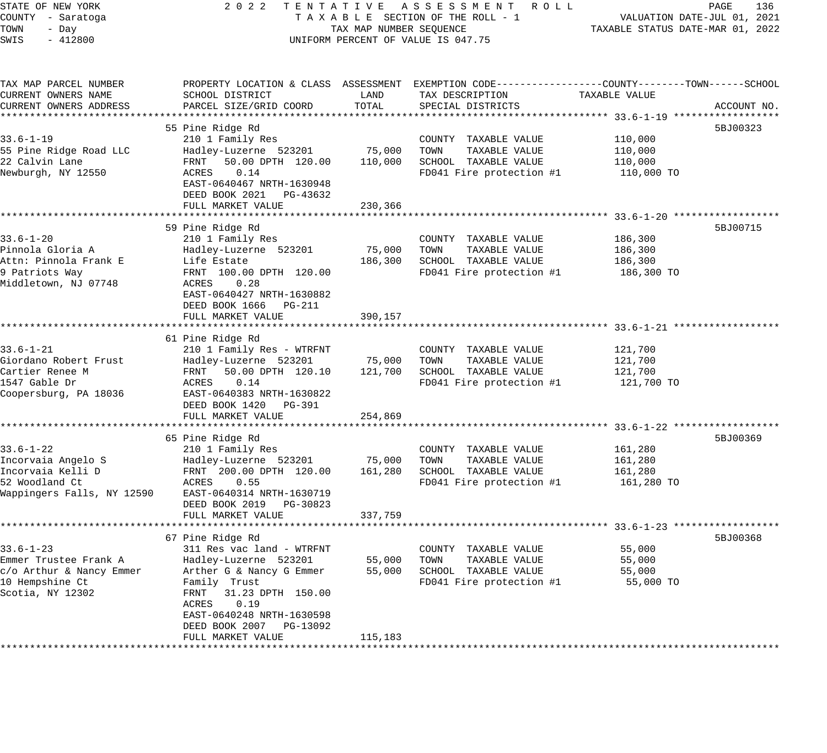| STATE OF NEW YORK<br>COUNTY - Saratoga                                            | 2 0 2 2<br>TENTATIVE<br>TAXABLE SECTION OF THE ROLL - 1                                 | A S S E S S M E N T R O L L<br>PAGE<br>136<br>VALUATION DATE-JUL 01, 2021 |                                                                                                                     |                                                    |             |
|-----------------------------------------------------------------------------------|-----------------------------------------------------------------------------------------|---------------------------------------------------------------------------|---------------------------------------------------------------------------------------------------------------------|----------------------------------------------------|-------------|
| TOWN<br>- Day<br>SWIS<br>$-412800$                                                | TAX MAP NUMBER SEQUENCE<br>UNIFORM PERCENT OF VALUE IS 047.75                           | TAXABLE STATUS DATE-MAR 01, 2022                                          |                                                                                                                     |                                                    |             |
| TAX MAP PARCEL NUMBER<br>CURRENT OWNERS NAME                                      | SCHOOL DISTRICT                                                                         | LAND                                                                      | PROPERTY LOCATION & CLASS ASSESSMENT EXEMPTION CODE----------------COUNTY-------TOWN------SCHOOL<br>TAX DESCRIPTION | TAXABLE VALUE                                      |             |
| CURRENT OWNERS ADDRESS                                                            | PARCEL SIZE/GRID COORD                                                                  | TOTAL                                                                     | SPECIAL DISTRICTS                                                                                                   |                                                    | ACCOUNT NO. |
|                                                                                   | 55 Pine Ridge Rd                                                                        |                                                                           |                                                                                                                     |                                                    | 5BJ00323    |
| $33.6 - 1 - 19$<br>55 Pine Ridge Road LLC<br>22 Calvin Lane<br>Newburgh, NY 12550 | 210 1 Family Res<br>Hadley-Luzerne 523201<br>FRNT<br>50.00 DPTH 120.00<br>ACRES<br>0.14 | 75,000<br>110,000                                                         | COUNTY TAXABLE VALUE<br>TAXABLE VALUE<br>TOWN<br>SCHOOL TAXABLE VALUE<br>FD041 Fire protection #1                   | 110,000<br>110,000<br>110,000<br>110,000 TO        |             |
|                                                                                   | EAST-0640467 NRTH-1630948<br>DEED BOOK 2021<br>PG-43632                                 |                                                                           |                                                                                                                     |                                                    |             |
|                                                                                   | FULL MARKET VALUE                                                                       | 230,366                                                                   |                                                                                                                     |                                                    |             |
|                                                                                   |                                                                                         |                                                                           |                                                                                                                     |                                                    |             |
|                                                                                   | 59 Pine Ridge Rd                                                                        |                                                                           |                                                                                                                     |                                                    | 5BJ00715    |
| $33.6 - 1 - 20$                                                                   | 210 1 Family Res                                                                        |                                                                           | COUNTY TAXABLE VALUE                                                                                                | 186,300                                            |             |
| Pinnola Gloria A                                                                  | Hadley-Luzerne 523201                                                                   | 75,000                                                                    | TOWN<br>TAXABLE VALUE                                                                                               | 186,300                                            |             |
| Attn: Pinnola Frank E<br>9 Patriots Way                                           | Life Estate<br>FRNT 100.00 DPTH 120.00                                                  | 186,300                                                                   | SCHOOL TAXABLE VALUE<br>FD041 Fire protection #1                                                                    | 186,300                                            |             |
| Middletown, NJ 07748                                                              | ACRES<br>0.28<br>EAST-0640427 NRTH-1630882<br>DEED BOOK 1666<br>PG-211                  |                                                                           |                                                                                                                     | 186,300 TO                                         |             |
|                                                                                   | FULL MARKET VALUE                                                                       | 390,157                                                                   |                                                                                                                     |                                                    |             |
|                                                                                   | ********************                                                                    | **************                                                            | ·************************************ 33.6-1-21 *******************                                                 |                                                    |             |
|                                                                                   | 61 Pine Ridge Rd                                                                        |                                                                           |                                                                                                                     |                                                    |             |
| $33.6 - 1 - 21$                                                                   | 210 1 Family Res - WTRFNT                                                               |                                                                           | COUNTY TAXABLE VALUE<br>TOWN<br>TAXABLE VALUE                                                                       | 121,700                                            |             |
| Giordano Robert Frust<br>Cartier Renee M                                          | Hadley-Luzerne 523201<br>FRNT<br>50.00 DPTH 120.10                                      | 75,000<br>121,700                                                         | SCHOOL TAXABLE VALUE                                                                                                | 121,700<br>121,700                                 |             |
| 1547 Gable Dr<br>Coopersburg, PA 18036                                            | 0.14<br>ACRES<br>EAST-0640383 NRTH-1630822<br>DEED BOOK 1420<br>PG-391                  |                                                                           | FD041 Fire protection #1                                                                                            | 121,700 TO                                         |             |
|                                                                                   | FULL MARKET VALUE                                                                       | 254,869                                                                   |                                                                                                                     |                                                    |             |
|                                                                                   |                                                                                         |                                                                           |                                                                                                                     |                                                    |             |
| $33.6 - 1 - 22$                                                                   | 65 Pine Ridge Rd                                                                        |                                                                           |                                                                                                                     |                                                    | 5BJ00369    |
| Incorvaia Angelo S                                                                | 210 1 Family Res<br>Hadley-Luzerne 523201                                               | 75,000                                                                    | COUNTY TAXABLE VALUE<br>TOWN<br>TAXABLE VALUE                                                                       | 161,280<br>161,280                                 |             |
| Incorvaia Kelli D                                                                 | FRNT 200.00 DPTH 120.00                                                                 | 161,280                                                                   | SCHOOL TAXABLE VALUE                                                                                                | 161,280                                            |             |
| 52 Woodland Ct                                                                    | ACRES<br>0.55                                                                           |                                                                           | FD041 Fire protection #1                                                                                            | 161,280 TO                                         |             |
| Wappingers Falls, NY 12590                                                        | EAST-0640314 NRTH-1630719<br>DEED BOOK 2019<br>PG-30823                                 |                                                                           |                                                                                                                     |                                                    |             |
|                                                                                   | FULL MARKET VALUE                                                                       | 337,759                                                                   |                                                                                                                     | ********************* 33.6-1-23 ****************** |             |
|                                                                                   | 67 Pine Ridge Rd                                                                        |                                                                           |                                                                                                                     |                                                    | 5BJ00368    |
| $33.6 - 1 - 23$                                                                   | 311 Res vac land - WTRFNT                                                               |                                                                           | COUNTY TAXABLE VALUE                                                                                                | 55,000                                             |             |
| Emmer Trustee Frank A                                                             | Hadley-Luzerne 523201                                                                   | 55,000                                                                    | TOWN<br>TAXABLE VALUE                                                                                               | 55,000                                             |             |
| c/o Arthur & Nancy Emmer                                                          | Arther G & Nancy G Emmer                                                                | 55,000                                                                    | SCHOOL TAXABLE VALUE                                                                                                | 55,000                                             |             |
| 10 Hempshine Ct<br>Scotia, NY 12302                                               | Family Trust<br>FRNT<br>31.23 DPTH 150.00<br>ACRES<br>0.19<br>EAST-0640248 NRTH-1630598 |                                                                           | FD041 Fire protection #1                                                                                            | 55,000 TO                                          |             |
|                                                                                   | DEED BOOK 2007<br>PG-13092                                                              |                                                                           |                                                                                                                     |                                                    |             |
|                                                                                   | FULL MARKET VALUE                                                                       | 115,183                                                                   |                                                                                                                     |                                                    |             |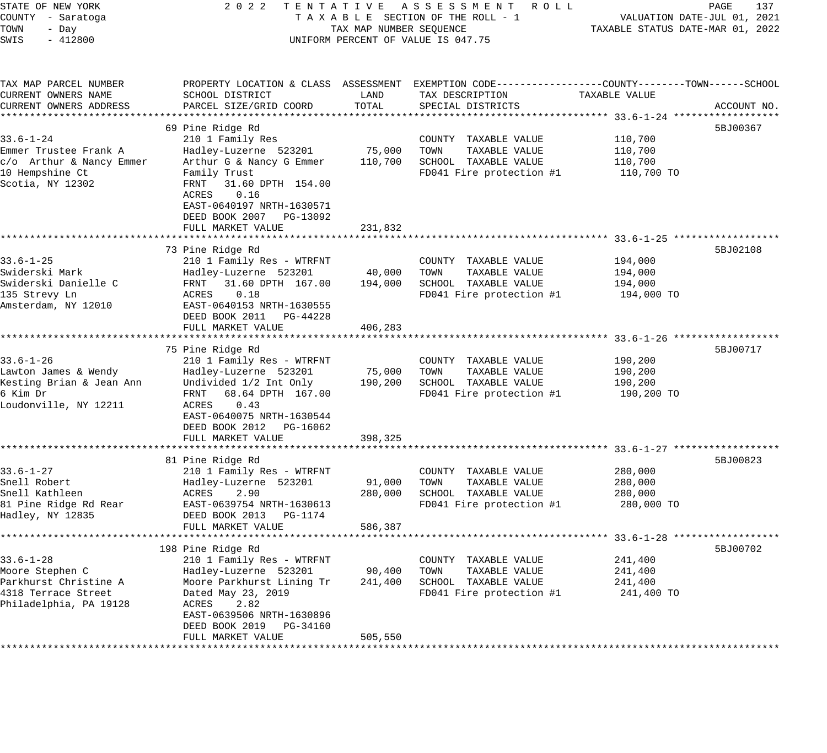| STATE OF NEW YORK<br>COUNTY - Saratoga<br>TOWN<br>- Day<br>SWIS<br>$-412800$                                 | 2 0 2 2<br>TENTATIVE ASSESSMENT ROLL<br>TAXABLE SECTION OF THE ROLL - 1<br>TAX MAP NUMBER SEQUENCE<br>UNIFORM PERCENT OF VALUE IS 047.75                                                                                             | PAGE<br>137<br>VALUATION DATE-JUL 01, 2021<br>TAXABLE STATUS DATE-MAR 01, 2022 |                                                                                                                                         |                                             |             |
|--------------------------------------------------------------------------------------------------------------|--------------------------------------------------------------------------------------------------------------------------------------------------------------------------------------------------------------------------------------|--------------------------------------------------------------------------------|-----------------------------------------------------------------------------------------------------------------------------------------|---------------------------------------------|-------------|
| TAX MAP PARCEL NUMBER<br>CURRENT OWNERS NAME<br>CURRENT OWNERS ADDRESS                                       | SCHOOL DISTRICT<br>PARCEL SIZE/GRID COORD                                                                                                                                                                                            | LAND<br>TOTAL                                                                  | PROPERTY LOCATION & CLASS ASSESSMENT EXEMPTION CODE---------------COUNTY-------TOWN------SCHOOL<br>TAX DESCRIPTION<br>SPECIAL DISTRICTS | TAXABLE VALUE                               | ACCOUNT NO. |
| $33.6 - 1 - 24$<br>Emmer Trustee Frank A<br>c/o Arthur & Nancy Emmer<br>10 Hempshine Ct<br>Scotia, NY 12302  | 69 Pine Ridge Rd<br>210 1 Family Res<br>Hadley-Luzerne 523201<br>Arthur G & Nancy G Emmer<br>Family Trust<br>31.60 DPTH 154.00<br>FRNT<br>ACRES<br>0.16<br>EAST-0640197 NRTH-1630571<br>DEED BOOK 2007 PG-13092<br>FULL MARKET VALUE | 75,000<br>110,700<br>231,832                                                   | COUNTY TAXABLE VALUE<br>TOWN<br>TAXABLE VALUE<br>SCHOOL TAXABLE VALUE<br>FD041 Fire protection #1                                       | 110,700<br>110,700<br>110,700<br>110,700 TO | 5BJ00367    |
|                                                                                                              |                                                                                                                                                                                                                                      |                                                                                |                                                                                                                                         |                                             |             |
| $33.6 - 1 - 25$<br>Swiderski Mark<br>Swiderski Danielle C<br>135 Strevy Ln<br>Amsterdam, NY 12010            | 73 Pine Ridge Rd<br>210 1 Family Res - WTRFNT<br>Hadley-Luzerne 523201<br>FRNT<br>31.60 DPTH 167.00<br>ACRES<br>0.18<br>EAST-0640153 NRTH-1630555<br>DEED BOOK 2011 PG-44228<br>FULL MARKET VALUE                                    | 40,000<br>194,000<br>406,283                                                   | COUNTY TAXABLE VALUE<br>TAXABLE VALUE<br>TOWN<br>SCHOOL TAXABLE VALUE<br>FD041 Fire protection #1                                       | 194,000<br>194,000<br>194,000<br>194,000 TO | 5BJ02108    |
|                                                                                                              |                                                                                                                                                                                                                                      |                                                                                |                                                                                                                                         |                                             |             |
| $33.6 - 1 - 26$<br>Lawton James & Wendy<br>Kesting Brian & Jean Ann<br>6 Kim Dr<br>Loudonville, NY 12211     | 75 Pine Ridge Rd<br>210 1 Family Res - WTRFNT<br>Hadley-Luzerne 523201<br>Undivided 1/2 Int Only<br>FRNT<br>68.64 DPTH 167.00<br>0.43<br>ACRES<br>EAST-0640075 NRTH-1630544<br>DEED BOOK 2012 PG-16062<br>FULL MARKET VALUE          | 75,000<br>190,200<br>398,325                                                   | COUNTY TAXABLE VALUE<br>TAXABLE VALUE<br>TOWN<br>SCHOOL TAXABLE VALUE<br>FD041 Fire protection #1                                       | 190,200<br>190,200<br>190,200<br>190,200 TO | 5BJ00717    |
|                                                                                                              | 81 Pine Ridge Rd                                                                                                                                                                                                                     |                                                                                |                                                                                                                                         |                                             | 5BJ00823    |
| $33.6 - 1 - 27$<br>Snell Robert<br>Snell Kathleen<br>81 Pine Ridge Rd Rear<br>Hadley, NY 12835               | 210 1 Family Res - WTRFNT<br>Hadley-Luzerne 523201<br>2.90<br>ACRES<br>EAST-0639754 NRTH-1630613<br>DEED BOOK 2013 PG-1174<br>FULL MARKET VALUE                                                                                      | 91,000<br>280,000<br>586,387                                                   | COUNTY TAXABLE VALUE<br>TAXABLE VALUE<br>TOWN<br>SCHOOL TAXABLE VALUE<br>FD041 Fire protection #1                                       | 280,000<br>280,000<br>280,000<br>280,000 TO |             |
|                                                                                                              |                                                                                                                                                                                                                                      |                                                                                |                                                                                                                                         |                                             |             |
| $33.6 - 1 - 28$<br>Moore Stephen C<br>Parkhurst Christine A<br>4318 Terrace Street<br>Philadelphia, PA 19128 | 198 Pine Ridge Rd<br>210 1 Family Res - WTRFNT<br>Hadley-Luzerne 523201<br>Moore Parkhurst Lining Tr<br>Dated May 23, 2019<br>2.82<br>ACRES<br>EAST-0639506 NRTH-1630896<br>DEED BOOK 2019<br>PG-34160<br>FULL MARKET VALUE          | 90,400<br>241,400<br>505,550                                                   | TAXABLE VALUE<br>COUNTY<br>TOWN<br>TAXABLE VALUE<br>SCHOOL TAXABLE VALUE<br>FD041 Fire protection #1                                    | 241,400<br>241,400<br>241,400<br>241,400 TO | 5BJ00702    |
|                                                                                                              |                                                                                                                                                                                                                                      |                                                                                |                                                                                                                                         |                                             |             |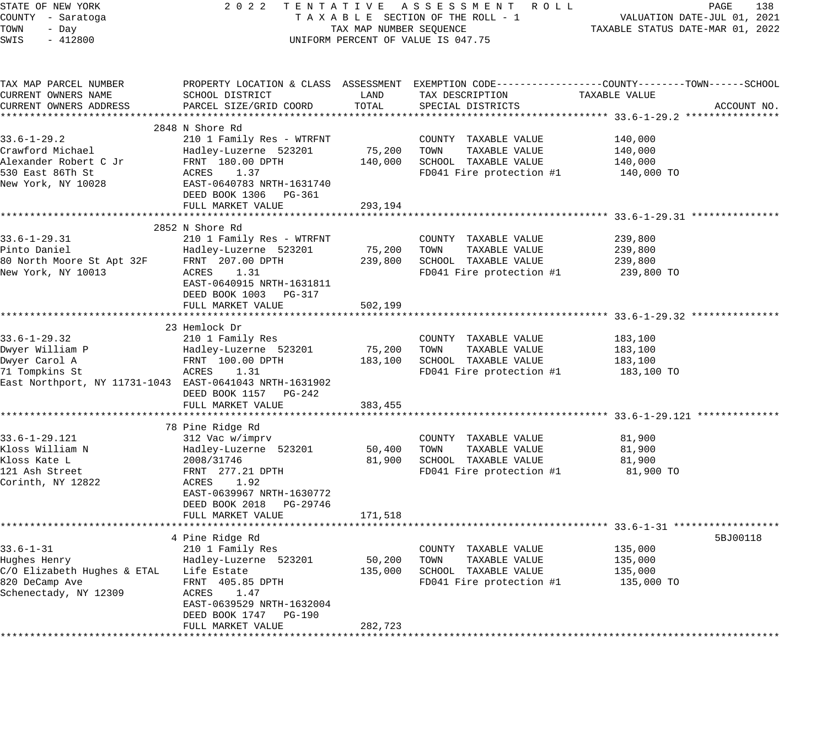| STATE OF NEW YORK<br>COUNTY - Saratoga<br>TOWN<br>- Day<br>SWIS<br>$-412800$                                                        | 2022 TENTATIVE ASSESSMENT ROLL<br>TAXABLE SECTION OF THE ROLL - 1<br>TAX MAP NUMBER SEQUENCE<br>UNIFORM PERCENT OF VALUE IS 047.75                                                                   | PAGE<br>138<br>VALUATION DATE-JUL 01, 2021<br>TAXABLE STATUS DATE-MAR 01, 2022 |                                                                                                                  |                                                                                                                                 |
|-------------------------------------------------------------------------------------------------------------------------------------|------------------------------------------------------------------------------------------------------------------------------------------------------------------------------------------------------|--------------------------------------------------------------------------------|------------------------------------------------------------------------------------------------------------------|---------------------------------------------------------------------------------------------------------------------------------|
| TAX MAP PARCEL NUMBER<br>CURRENT OWNERS NAME<br>CURRENT OWNERS ADDRESS                                                              | SCHOOL DISTRICT<br>PARCEL SIZE/GRID COORD                                                                                                                                                            | LAND<br>TOTAL                                                                  | TAX DESCRIPTION<br>SPECIAL DISTRICTS                                                                             | PROPERTY LOCATION & CLASS ASSESSMENT EXEMPTION CODE----------------COUNTY-------TOWN-----SCHOOL<br>TAXABLE VALUE<br>ACCOUNT NO. |
| $33.6 - 1 - 29.2$<br>Crawford Michael<br>Alexander Robert C Jr<br>530 East 86Th St<br>New York, NY 10028                            | 2848 N Shore Rd<br>210 1 Family Res - WTRFNT<br>Hadley-Luzerne 523201<br>FRNT 180.00 DPTH<br>ACRES 1.37<br>EAST-0640783 NRTH-1631740<br>DEED BOOK 1306 PG-361<br>FULL MARKET VALUE                   | 75,200<br>293,194                                                              | COUNTY TAXABLE VALUE<br>TOWN<br>TAXABLE VALUE<br>140,000 SCHOOL TAXABLE VALUE<br>FD041 Fire protection #1        | 140,000<br>140,000<br>140,000<br>140,000 TO                                                                                     |
| $33.6 - 1 - 29.31$<br>Pinto Daniel<br>80 North Moore St Apt 32F<br>New York, NY 10013                                               | 2852 N Shore Rd<br>210 1 Family Res - WTRFNT<br>Hadley-Luzerne 523201<br>FRNT 207.00 DPTH<br>ACRES 1.31<br>EAST-0640915 NRTH-1631811<br>DEED BOOK 1003 PG-317<br>FULL MARKET VALUE                   | 502,199                                                                        | COUNTY TAXABLE VALUE<br>75,200 TOWN<br>TAXABLE VALUE<br>239,800 SCHOOL TAXABLE VALUE<br>FD041 Fire protection #1 | 239,800<br>239,800<br>239,800<br>239,800 TO                                                                                     |
| $33.6 - 1 - 29.32$<br>Dwyer William P<br>Dwyer Carol A<br>71 Tompkins St<br>East Northport, NY 11731-1043 EAST-0641043 NRTH-1631902 | ***********************<br>23 Hemlock Dr<br>210 1 Family Res<br>Hadley-Luzerne 523201<br>FRNT 100.00 DPTH<br>ACRES 1.31<br>DEED BOOK 1157 PG-242<br>FULL MARKET VALUE                                | 75,200<br>383,455                                                              | COUNTY TAXABLE VALUE<br>TAXABLE VALUE<br>TOWN<br>183,100 SCHOOL TAXABLE VALUE<br>FD041 Fire protection #1        | 183,100<br>183,100<br>183,100<br>183,100 TO                                                                                     |
| 33.6-1-29.121<br>Kloss William N<br>Kloss Kate L<br>121 Ash Street<br>Corinth, NY 12822                                             | 78 Pine Ridge Rd<br>312 Vac w/imprv<br>Hadley-Luzerne 523201<br>2008/31746<br>FRNT 277.21 DPTH<br>ACRES 1.92<br>EAST-0639967 NRTH-1630772<br>DEED BOOK 2018 PG-29746<br>FULL MARKET VALUE            | 50,400<br>81,900<br>171,518                                                    | COUNTY TAXABLE VALUE<br>TOWN<br>TAXABLE VALUE<br>SCHOOL TAXABLE VALUE<br>FD041 Fire protection #1                | 81,900<br>81,900<br>81,900<br>81,900 TO                                                                                         |
| $33.6 - 1 - 31$<br>Hughes Henry<br>C/O Elizabeth Hughes & ETAL Life Estate<br>820 DeCamp Ave<br>Schenectady, NY 12309               | ***********************<br>4 Pine Ridge Rd<br>210 1 Family Res<br>Hadley-Luzerne 523201<br>FRNT 405.85 DPTH<br>ACRES 1.47<br>EAST-0639529 NRTH-1632004<br>DEED BOOK 1747 PG-190<br>FULL MARKET VALUE | * * * * * * * * * * * * *<br>50,200<br>135,000<br>282,723                      | COUNTY TAXABLE VALUE<br>TOWN<br>TAXABLE VALUE<br>SCHOOL TAXABLE VALUE<br>FD041 Fire protection #1                | 5BJ00118<br>135,000<br>135,000<br>135,000<br>135,000 TO                                                                         |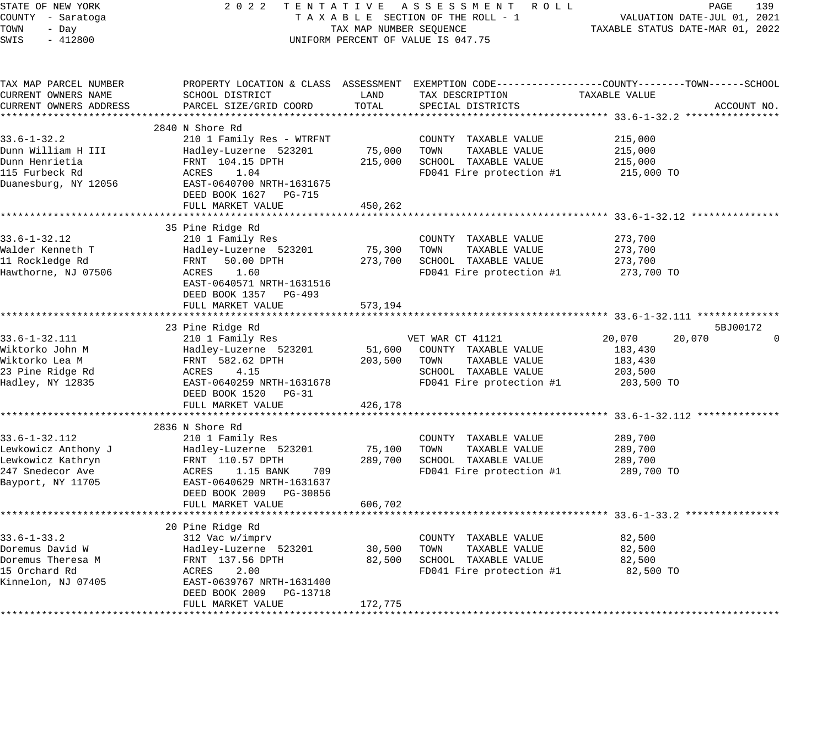| STATE OF NEW YORK<br>COUNTY - Saratoga<br>TOWN<br>- Day<br>$-412800$<br>SWIS | 2 0 2 2<br>TENTATIVE ASSESSMENT ROLL<br>TAXABLE SECTION OF THE ROLL - 1<br>TAX MAP NUMBER SEQUENCE<br>UNIFORM PERCENT OF VALUE IS 047.75 | PAGE<br>139<br>VALUATION DATE-JUL 01, 2021<br>TAXABLE STATUS DATE-MAR 01, 2022 |                              |                                                                                                                  |             |
|------------------------------------------------------------------------------|------------------------------------------------------------------------------------------------------------------------------------------|--------------------------------------------------------------------------------|------------------------------|------------------------------------------------------------------------------------------------------------------|-------------|
| TAX MAP PARCEL NUMBER<br>CURRENT OWNERS NAME                                 | SCHOOL DISTRICT                                                                                                                          | LAND                                                                           | TAX DESCRIPTION              | PROPERTY LOCATION & CLASS ASSESSMENT EXEMPTION CODE----------------COUNTY-------TOWN-----SCHOOL<br>TAXABLE VALUE |             |
| CURRENT OWNERS ADDRESS                                                       | PARCEL SIZE/GRID COORD                                                                                                                   | TOTAL                                                                          | SPECIAL DISTRICTS            |                                                                                                                  | ACCOUNT NO. |
|                                                                              |                                                                                                                                          |                                                                                |                              |                                                                                                                  |             |
|                                                                              | 2840 N Shore Rd                                                                                                                          |                                                                                |                              |                                                                                                                  |             |
| $33.6 - 1 - 32.2$                                                            | 210 1 Family Res - WTRFNT                                                                                                                |                                                                                | COUNTY TAXABLE VALUE         | 215,000                                                                                                          |             |
| Dunn William H III                                                           | Hadley-Luzerne 523201                                                                                                                    |                                                                                | 75,000 TOWN<br>TAXABLE VALUE | 215,000                                                                                                          |             |
| Dunn Henrietia                                                               | FRNT 104.15 DPTH                                                                                                                         |                                                                                | 215,000 SCHOOL TAXABLE VALUE | 215,000                                                                                                          |             |
| 115 Furbeck Rd                                                               | ACRES<br>1.04                                                                                                                            |                                                                                | FD041 Fire protection #1     | 215,000 TO                                                                                                       |             |
| Duanesburg, NY 12056                                                         | EAST-0640700 NRTH-1631675                                                                                                                |                                                                                |                              |                                                                                                                  |             |
|                                                                              | DEED BOOK 1627 PG-715                                                                                                                    |                                                                                |                              |                                                                                                                  |             |
|                                                                              | FULL MARKET VALUE                                                                                                                        | 450,262                                                                        |                              |                                                                                                                  |             |
|                                                                              |                                                                                                                                          |                                                                                |                              |                                                                                                                  |             |
| $33.6 - 1 - 32.12$                                                           | 35 Pine Ridge Rd<br>210 1 Family Res                                                                                                     |                                                                                | COUNTY TAXABLE VALUE         | 273,700                                                                                                          |             |
| Walder Kenneth T                                                             | Hadley-Luzerne 523201                                                                                                                    | 75,300                                                                         | TOWN<br>TAXABLE VALUE        | 273,700                                                                                                          |             |
| 11 Rockledge Rd                                                              | FRNT<br>50.00 DPTH                                                                                                                       |                                                                                | 273,700 SCHOOL TAXABLE VALUE | 273,700                                                                                                          |             |
| Hawthorne, NJ 07506                                                          | ACRES 1.60                                                                                                                               |                                                                                | FD041 Fire protection #1     | 273,700 TO                                                                                                       |             |
|                                                                              | EAST-0640571 NRTH-1631516                                                                                                                |                                                                                |                              |                                                                                                                  |             |
|                                                                              | DEED BOOK 1357 PG-493                                                                                                                    |                                                                                |                              |                                                                                                                  |             |
|                                                                              | FULL MARKET VALUE                                                                                                                        | 573,194                                                                        |                              |                                                                                                                  |             |
|                                                                              |                                                                                                                                          |                                                                                |                              | ************************************* 33.6-1-32.111 *****                                                        |             |
|                                                                              | 23 Pine Ridge Rd                                                                                                                         |                                                                                |                              | 5BJ00172                                                                                                         |             |
| $33.6 - 1 - 32.111$                                                          | 210 1 Family Res                                                                                                                         |                                                                                | VET WAR CT 41121             | 20,070<br>20,070                                                                                                 |             |
| Wiktorko John M                                                              | Hadley-Luzerne 523201                                                                                                                    | 51,600                                                                         | COUNTY TAXABLE VALUE         | 183,430                                                                                                          |             |
| Wiktorko Lea M                                                               | FRNT 582.62 DPTH                                                                                                                         | 203,500                                                                        | TOWN<br>TAXABLE VALUE        | 183,430                                                                                                          |             |
| 23 Pine Ridge Rd                                                             | ACRES 4.15                                                                                                                               |                                                                                | SCHOOL TAXABLE VALUE         | 203,500                                                                                                          |             |
| Hadley, NY 12835                                                             | EAST-0640259 NRTH-1631678                                                                                                                |                                                                                | FD041 Fire protection #1     | 203,500 TO                                                                                                       |             |
|                                                                              | DEED BOOK 1520 PG-31                                                                                                                     |                                                                                |                              |                                                                                                                  |             |
|                                                                              | FULL MARKET VALUE                                                                                                                        | 426,178                                                                        |                              | ******************************* 33.6-1-32.112 *************                                                      |             |
|                                                                              | 2836 N Shore Rd                                                                                                                          |                                                                                |                              |                                                                                                                  |             |
| $33.6 - 1 - 32.112$                                                          | 210 1 Family Res                                                                                                                         |                                                                                | COUNTY TAXABLE VALUE         | 289,700                                                                                                          |             |
| Lewkowicz Anthony J                                                          | Hadley-Luzerne 523201                                                                                                                    | 75,100                                                                         | TAXABLE VALUE<br>TOWN        | 289,700                                                                                                          |             |
| Lewkowicz Kathryn                                                            | FRNT 110.57 DPTH                                                                                                                         | 289,700                                                                        | SCHOOL TAXABLE VALUE         | 289,700                                                                                                          |             |
| 247 Snedecor Ave                                                             | ACRES 1.15 BANK<br>709                                                                                                                   |                                                                                | FD041 Fire protection #1     | 289,700 TO                                                                                                       |             |
| Bayport, NY 11705                                                            | EAST-0640629 NRTH-1631637                                                                                                                |                                                                                |                              |                                                                                                                  |             |
|                                                                              | DEED BOOK 2009 PG-30856                                                                                                                  |                                                                                |                              |                                                                                                                  |             |
|                                                                              | FULL MARKET VALUE                                                                                                                        | 606,702                                                                        |                              |                                                                                                                  |             |
|                                                                              |                                                                                                                                          |                                                                                |                              |                                                                                                                  |             |
|                                                                              | 20 Pine Ridge Rd                                                                                                                         |                                                                                |                              |                                                                                                                  |             |
| $33.6 - 1 - 33.2$                                                            | 312 Vac w/imprv                                                                                                                          |                                                                                | COUNTY TAXABLE VALUE         | 82,500                                                                                                           |             |
| Doremus David W                                                              | Hadley-Luzerne 523201                                                                                                                    | 30,500                                                                         | TOWN<br>TAXABLE VALUE        | 82,500                                                                                                           |             |
| Doremus Theresa M                                                            | FRNT 137.56 DPTH                                                                                                                         | 82,500                                                                         | SCHOOL TAXABLE VALUE         | 82,500                                                                                                           |             |
| 15 Orchard Rd                                                                | ACRES<br>2.00                                                                                                                            |                                                                                | FD041 Fire protection #1     | 82,500 TO                                                                                                        |             |
| Kinnelon, NJ 07405                                                           | EAST-0639767 NRTH-1631400                                                                                                                |                                                                                |                              |                                                                                                                  |             |
|                                                                              | DEED BOOK 2009 PG-13718                                                                                                                  |                                                                                |                              |                                                                                                                  |             |
|                                                                              | FULL MARKET VALUE                                                                                                                        | 172,775                                                                        |                              |                                                                                                                  |             |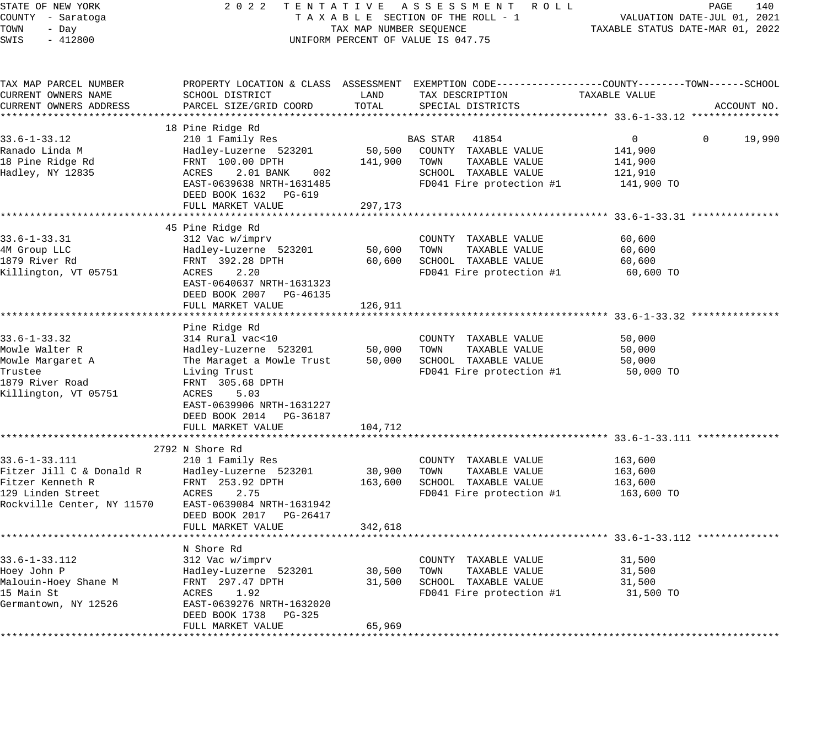| STATE OF NEW YORK<br>COUNTY - Saratoga<br>TOWN<br>- Day<br>$-412800$<br>SWIS | 2 0 2 2<br>TENTATIVE ASSESSMENT ROLL<br>TAXABLE SECTION OF THE ROLL - 1<br>TAX MAP NUMBER SEQUENCE<br>UNIFORM PERCENT OF VALUE IS 047.75 | PAGE<br>140<br>VALUATION DATE-JUL 01, 2021<br>TAXABLE STATUS DATE-MAR 01, 2022 |                                                                                                                                         |                     |             |
|------------------------------------------------------------------------------|------------------------------------------------------------------------------------------------------------------------------------------|--------------------------------------------------------------------------------|-----------------------------------------------------------------------------------------------------------------------------------------|---------------------|-------------|
| TAX MAP PARCEL NUMBER<br>CURRENT OWNERS NAME<br>CURRENT OWNERS ADDRESS       | SCHOOL DISTRICT<br>PARCEL SIZE/GRID COORD                                                                                                | LAND<br>TOTAL                                                                  | PROPERTY LOCATION & CLASS ASSESSMENT EXEMPTION CODE---------------COUNTY-------TOWN------SCHOOL<br>TAX DESCRIPTION<br>SPECIAL DISTRICTS | TAXABLE VALUE       | ACCOUNT NO. |
|                                                                              |                                                                                                                                          |                                                                                |                                                                                                                                         |                     |             |
|                                                                              | 18 Pine Ridge Rd                                                                                                                         |                                                                                |                                                                                                                                         |                     |             |
| $33.6 - 1 - 33.12$                                                           | 210 1 Family Res                                                                                                                         |                                                                                | BAS STAR<br>41854                                                                                                                       | $\mathbf{0}$        | 19,990<br>0 |
| Ranado Linda M                                                               | Hadley-Luzerne 523201                                                                                                                    | 50,500                                                                         | COUNTY TAXABLE VALUE                                                                                                                    | 141,900             |             |
| 18 Pine Ridge Rd                                                             | FRNT 100.00 DPTH                                                                                                                         | 141,900                                                                        | TOWN<br>TAXABLE VALUE                                                                                                                   | 141,900             |             |
| Hadley, NY 12835                                                             | ACRES<br>2.01 BANK<br>002                                                                                                                |                                                                                | SCHOOL TAXABLE VALUE                                                                                                                    | 121,910             |             |
|                                                                              | EAST-0639638 NRTH-1631485                                                                                                                |                                                                                | FD041 Fire protection #1                                                                                                                | 141,900 TO          |             |
|                                                                              | DEED BOOK 1632 PG-619<br>FULL MARKET VALUE                                                                                               | 297,173                                                                        |                                                                                                                                         |                     |             |
|                                                                              | ************************                                                                                                                 | *************                                                                  | *************************************33.6-1-33.31 ***************                                                                       |                     |             |
|                                                                              | 45 Pine Ridge Rd                                                                                                                         |                                                                                |                                                                                                                                         |                     |             |
| $33.6 - 1 - 33.31$                                                           | 312 Vac w/imprv                                                                                                                          |                                                                                | COUNTY TAXABLE VALUE                                                                                                                    | 60,600              |             |
| 4M Group LLC                                                                 | Hadley-Luzerne 523201                                                                                                                    | 50,600                                                                         | TOWN<br>TAXABLE VALUE                                                                                                                   | 60,600              |             |
| 1879 River Rd                                                                | FRNT 392.28 DPTH                                                                                                                         | 60,600                                                                         | SCHOOL TAXABLE VALUE                                                                                                                    | 60,600              |             |
| Killington, VT 05751                                                         | ACRES<br>2.20                                                                                                                            |                                                                                | FD041 Fire protection #1                                                                                                                | 60,600 TO           |             |
|                                                                              | EAST-0640637 NRTH-1631323                                                                                                                |                                                                                |                                                                                                                                         |                     |             |
|                                                                              | DEED BOOK 2007 PG-46135                                                                                                                  |                                                                                |                                                                                                                                         |                     |             |
|                                                                              | FULL MARKET VALUE                                                                                                                        | 126,911                                                                        |                                                                                                                                         |                     |             |
|                                                                              |                                                                                                                                          | * * * * * * * * * * *                                                          | ********************************** 33.6–1–33.32 ****************                                                                        |                     |             |
|                                                                              | Pine Ridge Rd                                                                                                                            |                                                                                |                                                                                                                                         |                     |             |
| $33.6 - 1 - 33.32$                                                           | 314 Rural vac<10                                                                                                                         |                                                                                | COUNTY TAXABLE VALUE                                                                                                                    | 50,000              |             |
| Mowle Walter R                                                               | Hadley-Luzerne 523201                                                                                                                    | 50,000                                                                         | TOWN<br>TAXABLE VALUE                                                                                                                   | 50,000              |             |
| Mowle Margaret A<br>Trustee                                                  | The Maraget a Mowle Trust<br>Living Trust                                                                                                | 50,000                                                                         | SCHOOL TAXABLE VALUE<br>FD041 Fire protection #1                                                                                        | 50,000<br>50,000 TO |             |
| 1879 River Road                                                              | FRNT 305.68 DPTH                                                                                                                         |                                                                                |                                                                                                                                         |                     |             |
| Killington, VT 05751                                                         | ACRES<br>5.03                                                                                                                            |                                                                                |                                                                                                                                         |                     |             |
|                                                                              | EAST-0639906 NRTH-1631227                                                                                                                |                                                                                |                                                                                                                                         |                     |             |
|                                                                              | DEED BOOK 2014 PG-36187                                                                                                                  |                                                                                |                                                                                                                                         |                     |             |
|                                                                              | FULL MARKET VALUE                                                                                                                        | 104,712                                                                        |                                                                                                                                         |                     |             |
|                                                                              |                                                                                                                                          |                                                                                | ·*********************************** 33.6-1-33.111 ***************                                                                      |                     |             |
|                                                                              | 2792 N Shore Rd                                                                                                                          |                                                                                |                                                                                                                                         |                     |             |
| $33.6 - 1 - 33.111$                                                          | 210 1 Family Res                                                                                                                         |                                                                                | COUNTY TAXABLE VALUE                                                                                                                    | 163,600             |             |
| Fitzer Jill C & Donald R                                                     | Hadley-Luzerne 523201                                                                                                                    | 30,900                                                                         | TOWN<br>TAXABLE VALUE                                                                                                                   | 163,600             |             |
| Fitzer Kenneth R                                                             | FRNT 253.92 DPTH                                                                                                                         | 163,600                                                                        | SCHOOL TAXABLE VALUE                                                                                                                    | 163,600             |             |
| 129 Linden Street                                                            | ACRES<br>2.75                                                                                                                            |                                                                                | FD041 Fire protection #1                                                                                                                | 163,600 TO          |             |
| Rockville Center, NY 11570                                                   | EAST-0639084 NRTH-1631942<br>PG-26417                                                                                                    |                                                                                |                                                                                                                                         |                     |             |
|                                                                              | DEED BOOK 2017<br>FULL MARKET VALUE                                                                                                      | 342,618                                                                        |                                                                                                                                         |                     |             |
|                                                                              |                                                                                                                                          |                                                                                |                                                                                                                                         |                     |             |
|                                                                              | N Shore Rd                                                                                                                               |                                                                                |                                                                                                                                         |                     |             |
| $33.6 - 1 - 33.112$                                                          | 312 Vac w/imprv                                                                                                                          |                                                                                | COUNTY TAXABLE VALUE                                                                                                                    | 31,500              |             |
| Hoey John P                                                                  | Hadley-Luzerne 523201                                                                                                                    | 30,500                                                                         | TAXABLE VALUE<br>TOWN                                                                                                                   | 31,500              |             |
| Malouin-Hoey Shane M                                                         | FRNT 297.47 DPTH                                                                                                                         | 31,500                                                                         | SCHOOL TAXABLE VALUE                                                                                                                    | 31,500              |             |
| 15 Main St                                                                   | ACRES<br>1.92                                                                                                                            |                                                                                | FD041 Fire protection #1                                                                                                                | 31,500 TO           |             |
| Germantown, NY 12526                                                         | EAST-0639276 NRTH-1632020                                                                                                                |                                                                                |                                                                                                                                         |                     |             |
|                                                                              | DEED BOOK 1738<br>PG-325                                                                                                                 |                                                                                |                                                                                                                                         |                     |             |
|                                                                              | FULL MARKET VALUE                                                                                                                        | 65,969                                                                         |                                                                                                                                         |                     |             |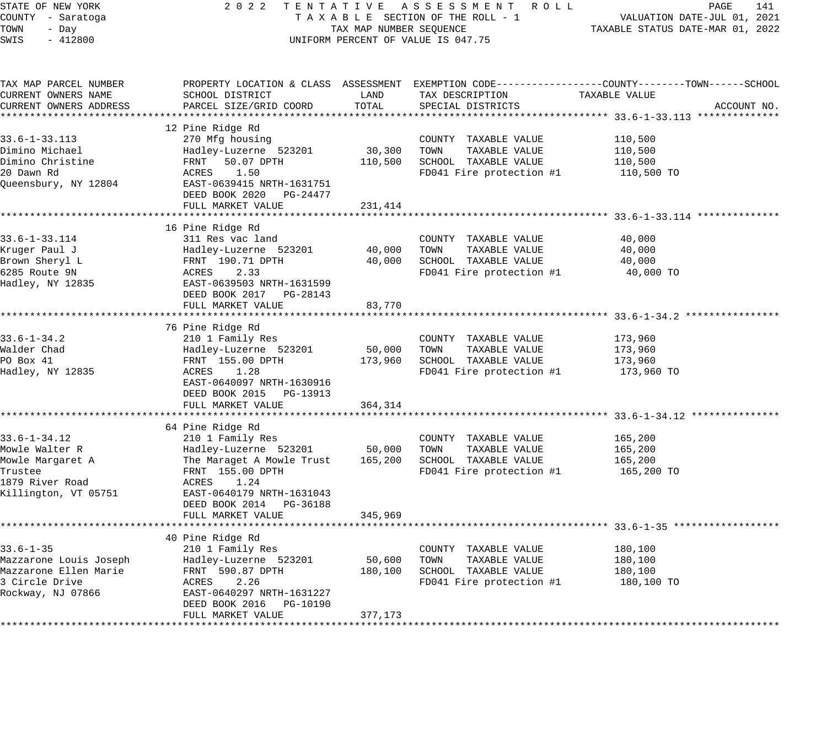| STATE OF NEW YORK<br>COUNTY - Saratoga       | 2 0 2 2<br>TENTATIVE ASSESSMENT ROLL<br>TAXABLE SECTION OF THE ROLL - 1 | PAGE<br>141<br>VALUATION DATE-JUL 01, 2021 |                                                  |                                                                                                                  |
|----------------------------------------------|-------------------------------------------------------------------------|--------------------------------------------|--------------------------------------------------|------------------------------------------------------------------------------------------------------------------|
| TOWN<br>- Day<br>SWIS<br>$-412800$           | TAX MAP NUMBER SEQUENCE<br>UNIFORM PERCENT OF VALUE IS 047.75           | TAXABLE STATUS DATE-MAR 01, 2022           |                                                  |                                                                                                                  |
|                                              |                                                                         |                                            |                                                  |                                                                                                                  |
| TAX MAP PARCEL NUMBER<br>CURRENT OWNERS NAME | SCHOOL DISTRICT                                                         | LAND                                       | TAX DESCRIPTION                                  | PROPERTY LOCATION & CLASS ASSESSMENT EXEMPTION CODE----------------COUNTY-------TOWN-----SCHOOL<br>TAXABLE VALUE |
| CURRENT OWNERS ADDRESS                       | PARCEL SIZE/GRID COORD                                                  | TOTAL                                      | SPECIAL DISTRICTS                                | ACCOUNT NO.                                                                                                      |
|                                              |                                                                         |                                            |                                                  |                                                                                                                  |
|                                              | 12 Pine Ridge Rd                                                        |                                            |                                                  |                                                                                                                  |
| $33.6 - 1 - 33.113$                          | 270 Mfg housing                                                         |                                            | COUNTY TAXABLE VALUE                             | 110,500                                                                                                          |
| Dimino Michael                               | Hadley-Luzerne 523201                                                   | 30,300                                     | TOWN<br>TAXABLE VALUE                            | 110,500                                                                                                          |
| Dimino Christine                             | FRNT<br>50.07 DPTH                                                      | 110,500                                    | SCHOOL TAXABLE VALUE                             | 110,500                                                                                                          |
| 20 Dawn Rd                                   | ACRES<br>1.50                                                           |                                            | FD041 Fire protection #1                         | 110,500 TO                                                                                                       |
| Queensbury, NY 12804                         | EAST-0639415 NRTH-1631751                                               |                                            |                                                  |                                                                                                                  |
|                                              | DEED BOOK 2020 PG-24477                                                 |                                            |                                                  |                                                                                                                  |
|                                              | FULL MARKET VALUE                                                       | 231,414                                    |                                                  |                                                                                                                  |
|                                              | 16 Pine Ridge Rd                                                        |                                            |                                                  |                                                                                                                  |
| 33.6-1-33.114                                | 311 Res vac land                                                        |                                            | COUNTY TAXABLE VALUE                             | 40,000                                                                                                           |
| Kruger Paul J                                | Hadley-Luzerne 523201                                                   | 40,000                                     | TOWN<br>TAXABLE VALUE                            | 40,000                                                                                                           |
| Brown Sheryl L                               | FRNT 190.71 DPTH                                                        | 40,000                                     | SCHOOL TAXABLE VALUE                             | 40,000                                                                                                           |
| 6285 Route 9N                                | ACRES<br>2.33                                                           |                                            | FD041 Fire protection #1                         | 40,000 TO                                                                                                        |
| Hadley, NY 12835                             | EAST-0639503 NRTH-1631599                                               |                                            |                                                  |                                                                                                                  |
|                                              | DEED BOOK 2017 PG-28143                                                 |                                            |                                                  |                                                                                                                  |
|                                              | FULL MARKET VALUE                                                       | 83,770                                     |                                                  |                                                                                                                  |
|                                              |                                                                         |                                            |                                                  |                                                                                                                  |
|                                              | 76 Pine Ridge Rd                                                        |                                            |                                                  |                                                                                                                  |
| $33.6 - 1 - 34.2$                            | 210 1 Family Res                                                        |                                            | COUNTY TAXABLE VALUE                             | 173,960                                                                                                          |
| Walder Chad<br>PO Box 41                     | Hadley-Luzerne 523201                                                   | 50,000                                     | TOWN<br>TAXABLE VALUE                            | 173,960                                                                                                          |
| Hadley, NY 12835                             | FRNT 155.00 DPTH<br>ACRES<br>1.28                                       | 173,960                                    | SCHOOL TAXABLE VALUE<br>FD041 Fire protection #1 | 173,960<br>173,960 TO                                                                                            |
|                                              | EAST-0640097 NRTH-1630916                                               |                                            |                                                  |                                                                                                                  |
|                                              | DEED BOOK 2015 PG-13913                                                 |                                            |                                                  |                                                                                                                  |
|                                              | FULL MARKET VALUE                                                       | 364,314                                    |                                                  |                                                                                                                  |
|                                              |                                                                         |                                            |                                                  |                                                                                                                  |
|                                              | 64 Pine Ridge Rd                                                        |                                            |                                                  |                                                                                                                  |
| $33.6 - 1 - 34.12$                           | 210 1 Family Res                                                        |                                            | COUNTY TAXABLE VALUE                             | 165,200                                                                                                          |
| Mowle Walter R                               | Hadley-Luzerne 523201                                                   | 50,000                                     | TOWN<br>TAXABLE VALUE                            | 165,200                                                                                                          |
| Mowle Margaret A                             | The Maraget A Mowle Trust                                               | 165,200                                    | SCHOOL TAXABLE VALUE                             | 165,200                                                                                                          |
| Trustee                                      | FRNT 155.00 DPTH                                                        |                                            | FD041 Fire protection #1                         | 165,200 TO                                                                                                       |
| 1879 River Road                              | ACRES<br>1.24                                                           |                                            |                                                  |                                                                                                                  |
| Killington, VT 05751                         | EAST-0640179 NRTH-1631043                                               |                                            |                                                  |                                                                                                                  |
|                                              | DEED BOOK 2014 PG-36188<br>FULL MARKET VALUE                            | 345,969                                    |                                                  |                                                                                                                  |
|                                              | ***********************                                                 | *************                              |                                                  | *************************************53.6-1-35 *********                                                         |
|                                              | 40 Pine Ridge Rd                                                        |                                            |                                                  |                                                                                                                  |
| $33.6 - 1 - 35$                              | 210 1 Family Res                                                        |                                            | COUNTY TAXABLE VALUE                             | 180,100                                                                                                          |
| Mazzarone Louis Joseph                       | Hadley-Luzerne 523201                                                   | 50,600                                     | TOWN<br>TAXABLE VALUE                            | 180,100                                                                                                          |
| Mazzarone Ellen Marie                        | FRNT 590.87 DPTH                                                        | 180,100                                    | SCHOOL TAXABLE VALUE                             | 180,100                                                                                                          |
| 3 Circle Drive                               | ACRES<br>2.26                                                           |                                            | FD041 Fire protection #1                         | 180,100 TO                                                                                                       |
| Rockway, NJ 07866                            | EAST-0640297 NRTH-1631227                                               |                                            |                                                  |                                                                                                                  |
|                                              | DEED BOOK 2016<br>PG-10190                                              |                                            |                                                  |                                                                                                                  |
|                                              | FULL MARKET VALUE                                                       | 377,173                                    |                                                  |                                                                                                                  |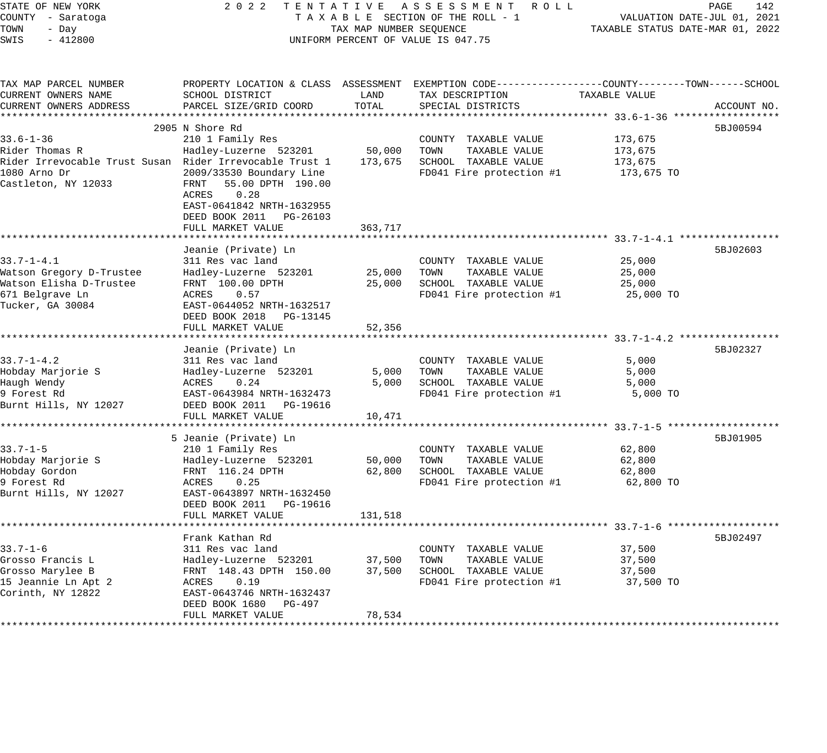| STATE OF NEW YORK                                       | 2 0 2 2<br>TENTATIVE ASSESSMENT ROLL                                                                                           | PAGE<br>142                      |                                                                                                  |               |             |
|---------------------------------------------------------|--------------------------------------------------------------------------------------------------------------------------------|----------------------------------|--------------------------------------------------------------------------------------------------|---------------|-------------|
| COUNTY - Saratoga                                       | TAXABLE SECTION OF THE ROLL - 1                                                                                                |                                  | VALUATION DATE-JUL 01, 2021                                                                      |               |             |
| TOWN<br>- Day                                           | TAX MAP NUMBER SEQUENCE                                                                                                        | TAXABLE STATUS DATE-MAR 01, 2022 |                                                                                                  |               |             |
| SWIS<br>$-412800$                                       |                                                                                                                                |                                  | UNIFORM PERCENT OF VALUE IS 047.75                                                               |               |             |
| TAX MAP PARCEL NUMBER                                   |                                                                                                                                |                                  | PROPERTY LOCATION & CLASS ASSESSMENT EXEMPTION CODE----------------COUNTY-------TOWN------SCHOOL |               |             |
| CURRENT OWNERS NAME                                     | SCHOOL DISTRICT                                                                                                                | LAND                             | TAX DESCRIPTION                                                                                  | TAXABLE VALUE |             |
| CURRENT OWNERS ADDRESS                                  | PARCEL SIZE/GRID COORD                                                                                                         | TOTAL                            | SPECIAL DISTRICTS                                                                                |               | ACCOUNT NO. |
|                                                         |                                                                                                                                |                                  |                                                                                                  |               |             |
|                                                         | 2905 N Shore Rd                                                                                                                |                                  |                                                                                                  |               | 5BJ00594    |
| $33.6 - 1 - 36$                                         | 210 1 Family Res                                                                                                               |                                  | COUNTY TAXABLE VALUE                                                                             | 173,675       |             |
| Rider Thomas R                                          | Hadley-Luzerne 523201                                                                                                          | 50,000                           | TOWN<br>TAXABLE VALUE                                                                            | 173,675       |             |
| Rider Irrevocable Trust Susan Rider Irrevocable Trust 1 |                                                                                                                                | 173,675                          | SCHOOL TAXABLE VALUE                                                                             | 173,675       |             |
| 1080 Arno Dr<br>Castleton, NY 12033                     | 2009/33530 Boundary Line<br>55.00 DPTH 190.00<br>FRNT<br>0.28<br>ACRES<br>EAST-0641842 NRTH-1632955<br>DEED BOOK 2011 PG-26103 |                                  | FD041 Fire protection #1                                                                         | 173,675 TO    |             |
|                                                         | FULL MARKET VALUE                                                                                                              | 363,717                          |                                                                                                  |               |             |
|                                                         |                                                                                                                                |                                  |                                                                                                  |               |             |
| $33.7 - 1 - 4.1$                                        | Jeanie (Private) Ln<br>311 Res vac land                                                                                        |                                  | COUNTY TAXABLE VALUE                                                                             | 25,000        | 5BJ02603    |
| Watson Gregory D-Trustee                                | Hadley-Luzerne 523201                                                                                                          | 25,000                           | TOWN<br>TAXABLE VALUE                                                                            | 25,000        |             |
| Watson Elisha D-Trustee                                 | FRNT 100.00 DPTH                                                                                                               | 25,000                           | SCHOOL TAXABLE VALUE                                                                             | 25,000        |             |
| 671 Belgrave Ln                                         | ACRES<br>0.57                                                                                                                  |                                  | FD041 Fire protection #1                                                                         | 25,000 TO     |             |
| Tucker, GA 30084                                        | EAST-0644052 NRTH-1632517<br>DEED BOOK 2018 PG-13145                                                                           |                                  |                                                                                                  |               |             |
|                                                         | FULL MARKET VALUE<br>*******************                                                                                       | 52,356                           | ******************************** 33.7-1-4.2 *****                                                |               |             |
|                                                         | Jeanie (Private) Ln                                                                                                            |                                  |                                                                                                  |               | 5BJ02327    |
| $33.7 - 1 - 4.2$                                        | 311 Res vac land                                                                                                               |                                  | COUNTY TAXABLE VALUE                                                                             | 5,000         |             |
| Hobday Marjorie S                                       | Hadley-Luzerne 523201                                                                                                          | 5,000                            | TOWN<br>TAXABLE VALUE                                                                            | 5,000         |             |
| Haugh Wendy                                             | ACRES<br>0.24                                                                                                                  | 5,000                            | SCHOOL TAXABLE VALUE                                                                             | 5,000         |             |
| 9 Forest Rd                                             | EAST-0643984 NRTH-1632473                                                                                                      |                                  | FD041 Fire protection #1                                                                         | 5,000 TO      |             |
| Burnt Hills, NY 12027                                   | DEED BOOK 2011    PG-19616                                                                                                     |                                  |                                                                                                  |               |             |
|                                                         | FULL MARKET VALUE                                                                                                              | 10,471                           |                                                                                                  |               |             |
|                                                         |                                                                                                                                |                                  |                                                                                                  |               |             |
|                                                         | 5 Jeanie (Private) Ln                                                                                                          |                                  |                                                                                                  |               | 5BJ01905    |
| $33.7 - 1 - 5$                                          | 210 1 Family Res                                                                                                               |                                  | COUNTY TAXABLE VALUE                                                                             | 62,800        |             |
| Hobday Marjorie S                                       | Hadley-Luzerne 523201                                                                                                          | 50,000                           | TOWN<br>TAXABLE VALUE                                                                            | 62,800        |             |
| Hobday Gordon<br>9 Forest Rd                            | FRNT 116.24 DPTH<br>ACRES<br>0.25                                                                                              | 62,800                           | SCHOOL TAXABLE VALUE                                                                             | 62,800        |             |
| Burnt Hills, NY 12027                                   | EAST-0643897 NRTH-1632450<br>DEED BOOK 2011 PG-19616<br>FULL MARKET VALUE                                                      | 131,518                          | FD041 Fire protection #1                                                                         | 62,800 TO     |             |
|                                                         |                                                                                                                                |                                  |                                                                                                  |               |             |
|                                                         | Frank Kathan Rd                                                                                                                |                                  |                                                                                                  |               | 5BJ02497    |
| $33.7 - 1 - 6$                                          | 311 Res vac land                                                                                                               |                                  | COUNTY TAXABLE VALUE                                                                             | 37,500        |             |
| Grosso Francis L                                        | Hadley-Luzerne 523201                                                                                                          | 37,500                           | TOWN<br>TAXABLE VALUE                                                                            | 37,500        |             |
| Grosso Marylee B                                        | FRNT 148.43 DPTH 150.00                                                                                                        | 37,500                           | SCHOOL TAXABLE VALUE                                                                             | 37,500        |             |
| 15 Jeannie Ln Apt 2                                     | ACRES<br>0.19                                                                                                                  |                                  | FD041 Fire protection #1                                                                         | 37,500 TO     |             |
| Corinth, NY 12822                                       | EAST-0643746 NRTH-1632437                                                                                                      |                                  |                                                                                                  |               |             |
|                                                         | DEED BOOK 1680<br>PG-497                                                                                                       |                                  |                                                                                                  |               |             |
|                                                         | FULL MARKET VALUE                                                                                                              | 78,534                           |                                                                                                  |               |             |
|                                                         |                                                                                                                                |                                  |                                                                                                  |               |             |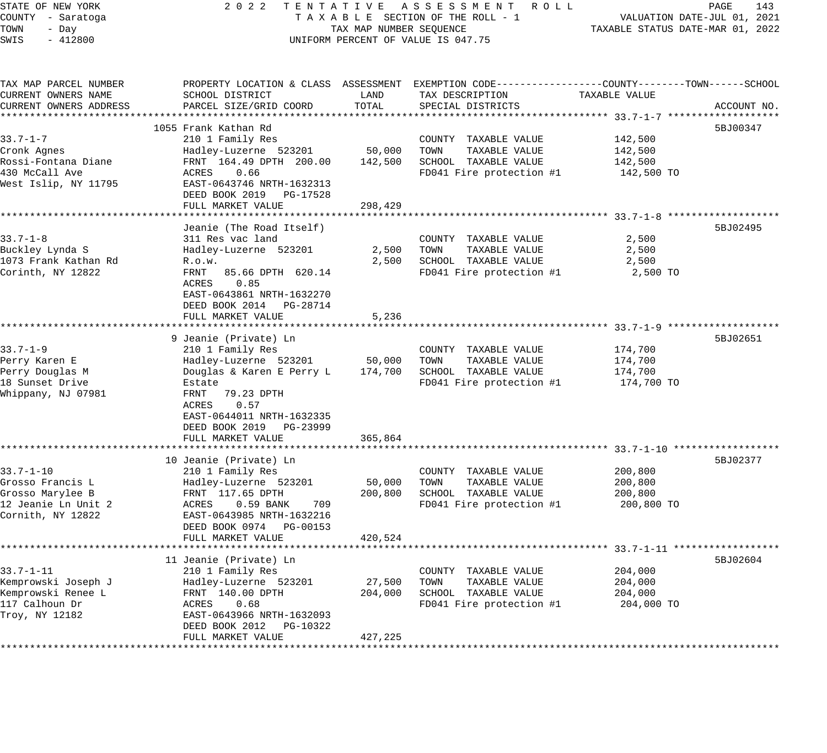## STATE OF NEW YORK 2 0 2 2 T E N T A T I V E A S S E S S M E N T R O L L PAGE 143 COUNTY - Saratoga T A X A B L E SECTION OF THE ROLL - 1 VALUATION DATE-JUL 01, 2021 UNIFORM PERCENT OF VALUE IS 047.75

TOWN - DALUATION DATE-JUL 01, 2021<br>TAXABLE STATUS DATE-MAR 01, 2022

| TAX MAP PARCEL NUMBER<br>CURRENT OWNERS NAME<br>CURRENT OWNERS ADDRESS                                                | PROPERTY LOCATION & CLASS ASSESSMENT<br>SCHOOL DISTRICT<br>PARCEL SIZE/GRID COORD                                                                                                                                                | LAND<br>TOTAL                | EXEMPTION CODE-----------------COUNTY-------TOWN------SCHOOL<br>TAX DESCRIPTION<br>SPECIAL DISTRICTS | TAXABLE VALUE                                                                          | ACCOUNT NO. |
|-----------------------------------------------------------------------------------------------------------------------|----------------------------------------------------------------------------------------------------------------------------------------------------------------------------------------------------------------------------------|------------------------------|------------------------------------------------------------------------------------------------------|----------------------------------------------------------------------------------------|-------------|
| *******************<br>$33.7 - 1 - 7$<br>Cronk Agnes<br>Rossi-Fontana Diane<br>430 McCall Ave<br>West Islip, NY 11795 | 1055 Frank Kathan Rd<br>210 1 Family Res<br>Hadley-Luzerne 523201<br>FRNT 164.49 DPTH 200.00<br>0.66<br>ACRES<br>EAST-0643746 NRTH-1632313<br>DEED BOOK 2019<br>PG-17528<br>FULL MARKET VALUE                                    | 50,000<br>142,500<br>298,429 | COUNTY TAXABLE VALUE<br>TOWN<br>TAXABLE VALUE<br>SCHOOL TAXABLE VALUE<br>FD041 Fire protection #1    | 142,500<br>142,500<br>142,500<br>142,500 TO                                            | 5BJ00347    |
| $33.7 - 1 - 8$<br>Buckley Lynda S<br>1073 Frank Kathan Rd<br>Corinth, NY 12822                                        | Jeanie (The Road Itself)<br>311 Res vac land<br>Hadley-Luzerne 523201<br>R.0.W.<br>85.66 DPTH 620.14<br>FRNT<br>0.85<br>ACRES<br>EAST-0643861 NRTH-1632270<br>DEED BOOK 2014<br>PG-28714<br>FULL MARKET VALUE                    | 2,500<br>2,500<br>5,236      | COUNTY TAXABLE VALUE<br>TOWN<br>TAXABLE VALUE<br>SCHOOL TAXABLE VALUE<br>FD041 Fire protection #1    | ************************ 33.7-1-8<br>2,500<br>2,500<br>2,500<br>2,500 TO               | 5BJ02495    |
| $33.7 - 1 - 9$<br>Perry Karen E<br>Perry Douglas M<br>18 Sunset Drive<br>Whippany, NJ 07981                           | 9 Jeanie (Private) Ln<br>210 1 Family Res<br>Hadley-Luzerne 523201<br>Douglas & Karen E Perry L<br>Estate<br>79.23 DPTH<br>FRNT<br>0.57<br>ACRES<br>EAST-0644011 NRTH-1632335<br>DEED BOOK 2019<br>PG-23999<br>FULL MARKET VALUE | 50,000<br>174,700<br>365,864 | COUNTY TAXABLE VALUE<br>TAXABLE VALUE<br>TOWN<br>SCHOOL TAXABLE VALUE<br>FD041 Fire protection #1    | 174,700<br>174,700<br>174,700<br>174,700 TO                                            | 5BJ02651    |
| $33.7 - 1 - 10$<br>Grosso Francis L<br>Grosso Marylee B<br>12 Jeanie Ln Unit 2<br>Cornith, NY 12822                   | 10 Jeanie (Private) Ln<br>210 1 Family Res<br>Hadley-Luzerne 523201<br>FRNT 117.65 DPTH<br>0.59 BANK<br>ACRES<br>709<br>EAST-0643985 NRTH-1632216<br>DEED BOOK 0974 PG-00153<br>FULL MARKET VALUE<br>*******************         | 50,000<br>200,800<br>420,524 | COUNTY TAXABLE VALUE<br>TOWN<br>TAXABLE VALUE<br>SCHOOL TAXABLE VALUE<br>FD041 Fire protection #1    | 200,800<br>200,800<br>200,800<br>200,800 TO                                            | 5BJ02377    |
| $33.7 - 1 - 11$<br>Kemprowski Joseph J<br>Kemprowski Renee L<br>117 Calhoun Dr<br>Troy, NY 12182                      | 11 Jeanie (Private) Ln<br>210 1 Family Res<br>Hadley-Luzerne 523201<br>FRNT 140.00 DPTH<br>0.68<br>ACRES<br>EAST-0643966 NRTH-1632093<br>DEED BOOK 2012<br>PG-10322<br>FULL MARKET VALUE                                         | 27,500<br>204,000<br>427,225 | COUNTY TAXABLE VALUE<br>TOWN<br>TAXABLE VALUE<br>SCHOOL TAXABLE VALUE<br>FD041 Fire protection #1    | ********** 33.7-1-11 ******************<br>204,000<br>204,000<br>204,000<br>204,000 TO | 5BJ02604    |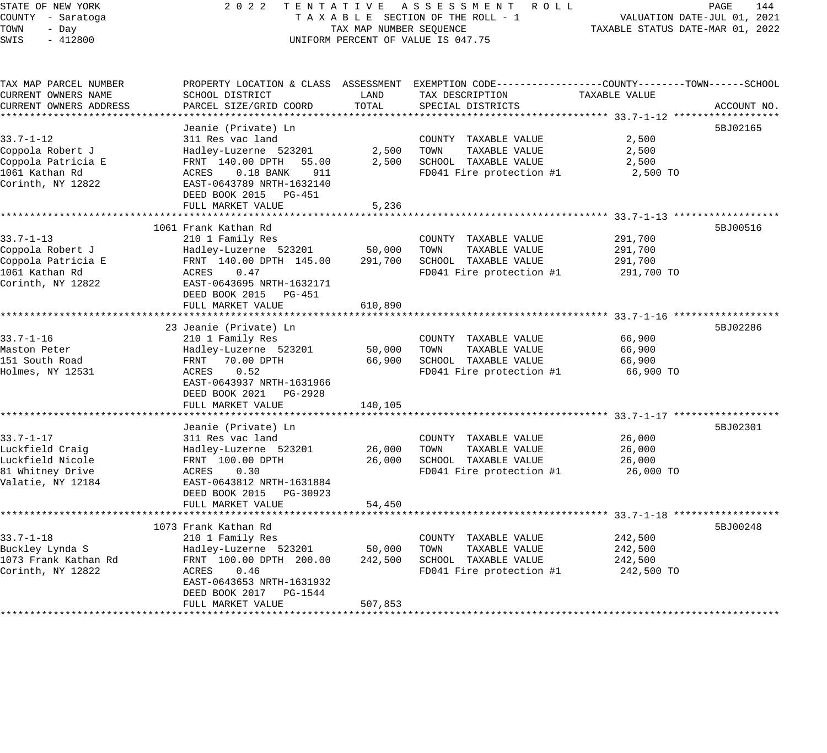STATE OF NEW YORK 2 0 2 2 T E N T A T I V E A S S E S S M E N T R O L L PAGE 144 COUNTY - Saratoga T A X A B L E SECTION OF THE ROLL - 1 VALUATION DATE-JUL 01, 2021

# TOWER SECTION OF THE ROLL - 1 TAXABLE STATUS DATE-MAR 01, 2022 UNIFORM PERCENT OF VALUE IS 047.75

| TAX MAP PARCEL NUMBER  |                             |         | PROPERTY LOCATION & CLASS ASSESSMENT EXEMPTION CODE----------------COUNTY-------TOWN------SCHOOL |               |             |
|------------------------|-----------------------------|---------|--------------------------------------------------------------------------------------------------|---------------|-------------|
| CURRENT OWNERS NAME    | SCHOOL DISTRICT             | LAND    | TAX DESCRIPTION                                                                                  | TAXABLE VALUE |             |
| CURRENT OWNERS ADDRESS | PARCEL SIZE/GRID COORD      | TOTAL   | SPECIAL DISTRICTS                                                                                |               | ACCOUNT NO. |
|                        |                             |         |                                                                                                  |               |             |
|                        | Jeanie (Private) Ln         |         |                                                                                                  |               | 5BJ02165    |
| $33.7 - 1 - 12$        | 311 Res vac land            |         | COUNTY TAXABLE VALUE                                                                             | 2,500         |             |
| Coppola Robert J       | Hadley-Luzerne 523201       | 2,500   | TOWN<br>TAXABLE VALUE                                                                            | 2,500         |             |
| Coppola Patricia E     | FRNT 140.00 DPTH<br>55.00   | 2,500   | SCHOOL TAXABLE VALUE                                                                             | 2,500         |             |
| 1061 Kathan Rd         | $0.18$ BANK<br>911<br>ACRES |         | FD041 Fire protection #1                                                                         | 2,500 TO      |             |
| Corinth, NY 12822      | EAST-0643789 NRTH-1632140   |         |                                                                                                  |               |             |
|                        | DEED BOOK 2015 PG-451       |         |                                                                                                  |               |             |
|                        | FULL MARKET VALUE           | 5,236   |                                                                                                  |               |             |
|                        |                             |         |                                                                                                  |               |             |
|                        | 1061 Frank Kathan Rd        |         |                                                                                                  |               | 5BJ00516    |
| $33.7 - 1 - 13$        | 210 1 Family Res            |         | COUNTY TAXABLE VALUE                                                                             | 291,700       |             |
| Coppola Robert J       | Hadley-Luzerne 523201       | 50,000  | TOWN<br>TAXABLE VALUE                                                                            | 291,700       |             |
| Coppola Patricia E     | FRNT 140.00 DPTH 145.00     | 291,700 | SCHOOL TAXABLE VALUE                                                                             |               |             |
|                        | ACRES<br>0.47               |         |                                                                                                  | 291,700       |             |
| 1061 Kathan Rd         |                             |         | FD041 Fire protection #1                                                                         | 291,700 TO    |             |
| Corinth, NY 12822      | EAST-0643695 NRTH-1632171   |         |                                                                                                  |               |             |
|                        | DEED BOOK 2015<br>PG-451    |         |                                                                                                  |               |             |
|                        | FULL MARKET VALUE           | 610,890 |                                                                                                  |               |             |
|                        |                             |         |                                                                                                  |               |             |
|                        | 23 Jeanie (Private) Ln      |         |                                                                                                  |               | 5BJ02286    |
| 33.7-1-16              | 210 1 Family Res            |         | COUNTY TAXABLE VALUE                                                                             | 66,900        |             |
| Maston Peter           | Hadley-Luzerne 523201       | 50,000  | TOWN<br>TAXABLE VALUE                                                                            | 66,900        |             |
| 151 South Road         | FRNT 70.00 DPTH             | 66,900  | SCHOOL TAXABLE VALUE                                                                             | 66,900        |             |
| Holmes, NY 12531       | 0.52<br>ACRES               |         | FD041 Fire protection #1                                                                         | 66,900 TO     |             |
|                        | EAST-0643937 NRTH-1631966   |         |                                                                                                  |               |             |
|                        | DEED BOOK 2021 PG-2928      |         |                                                                                                  |               |             |
|                        | FULL MARKET VALUE           | 140,105 |                                                                                                  |               |             |
|                        |                             |         |                                                                                                  |               |             |
|                        | Jeanie (Private) Ln         |         |                                                                                                  |               | 5BJ02301    |
| $33.7 - 1 - 17$        | 311 Res vac land            |         | COUNTY TAXABLE VALUE                                                                             | 26,000        |             |
| Luckfield Craig        | Hadley-Luzerne 523201       | 26,000  | TAXABLE VALUE<br>TOWN                                                                            | 26,000        |             |
| Luckfield Nicole       | FRNT 100.00 DPTH            | 26,000  | SCHOOL TAXABLE VALUE                                                                             | 26,000        |             |
| 81 Whitney Drive       | 0.30<br>ACRES               |         | FD041 Fire protection #1                                                                         | 26,000 TO     |             |
| Valatie, NY 12184      | EAST-0643812 NRTH-1631884   |         |                                                                                                  |               |             |
|                        | DEED BOOK 2015<br>PG-30923  |         |                                                                                                  |               |             |
|                        | FULL MARKET VALUE           | 54,450  |                                                                                                  |               |             |
|                        |                             |         |                                                                                                  |               |             |
|                        | 1073 Frank Kathan Rd        |         |                                                                                                  |               | 5BJ00248    |
| $33.7 - 1 - 18$        | 210 1 Family Res            |         | COUNTY TAXABLE VALUE                                                                             | 242,500       |             |
| Buckley Lynda S        | Hadley-Luzerne 523201       | 50,000  | TOWN<br>TAXABLE VALUE                                                                            | 242,500       |             |
| 1073 Frank Kathan Rd   | FRNT 100.00 DPTH 200.00     | 242,500 | SCHOOL TAXABLE VALUE                                                                             | 242,500       |             |
| Corinth, NY 12822      | 0.46<br>ACRES               |         | FD041 Fire protection #1                                                                         | 242,500 TO    |             |
|                        | EAST-0643653 NRTH-1631932   |         |                                                                                                  |               |             |
|                        | DEED BOOK 2017 PG-1544      |         |                                                                                                  |               |             |
|                        | FULL MARKET VALUE           | 507,853 |                                                                                                  |               |             |
|                        |                             |         |                                                                                                  |               |             |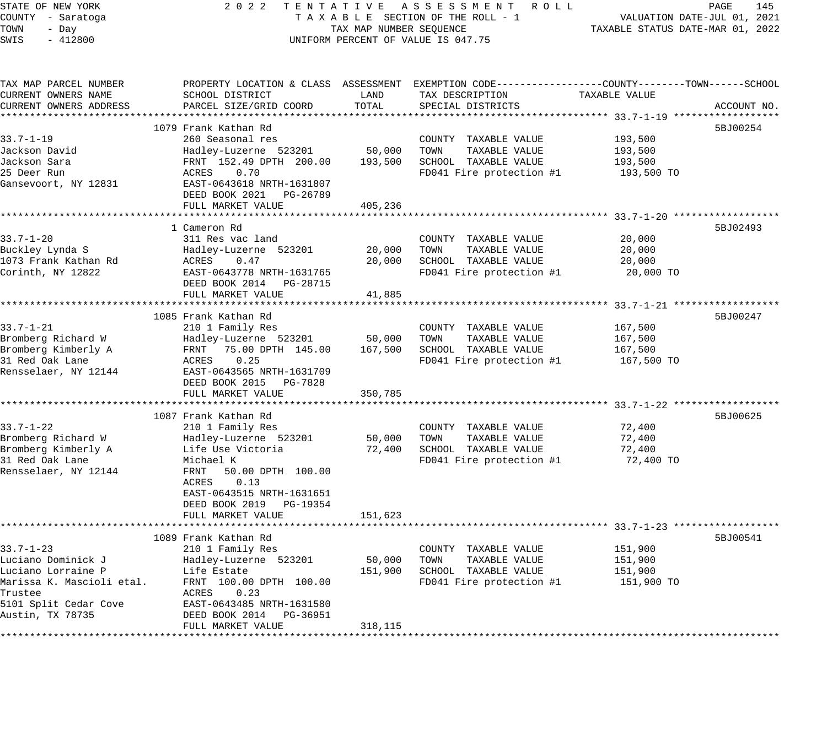| STATE OF NEW YORK                         | 2 0 2 2                                              |                         | TENTATIVE ASSESSMENT ROLL                                                                       |                                  | 145<br>PAGE                 |
|-------------------------------------------|------------------------------------------------------|-------------------------|-------------------------------------------------------------------------------------------------|----------------------------------|-----------------------------|
| COUNTY - Saratoga                         |                                                      |                         | TAXABLE SECTION OF THE ROLL - 1                                                                 |                                  | VALUATION DATE-JUL 01, 2021 |
| TOWN<br>- Day                             |                                                      | TAX MAP NUMBER SEQUENCE |                                                                                                 | TAXABLE STATUS DATE-MAR 01, 2022 |                             |
| SWIS<br>$-412800$                         |                                                      |                         | UNIFORM PERCENT OF VALUE IS 047.75                                                              |                                  |                             |
|                                           |                                                      |                         |                                                                                                 |                                  |                             |
| TAX MAP PARCEL NUMBER                     |                                                      |                         | PROPERTY LOCATION & CLASS ASSESSMENT EXEMPTION CODE---------------COUNTY-------TOWN------SCHOOL |                                  |                             |
| CURRENT OWNERS NAME                       | SCHOOL DISTRICT                                      | LAND                    | TAX DESCRIPTION                                                                                 | TAXABLE VALUE                    |                             |
| CURRENT OWNERS ADDRESS                    | PARCEL SIZE/GRID COORD                               | TOTAL                   | SPECIAL DISTRICTS                                                                               |                                  | ACCOUNT NO.                 |
|                                           |                                                      |                         |                                                                                                 |                                  |                             |
|                                           | 1079 Frank Kathan Rd                                 |                         |                                                                                                 |                                  | 5BJ00254                    |
| $33.7 - 1 - 19$                           | 260 Seasonal res                                     |                         | COUNTY TAXABLE VALUE                                                                            | 193,500                          |                             |
| Jackson David                             | Hadley-Luzerne 523201                                | 50,000                  | TOWN<br>TAXABLE VALUE                                                                           | 193,500                          |                             |
| Jackson Sara                              | FRNT 152.49 DPTH 200.00                              | 193,500                 | SCHOOL TAXABLE VALUE                                                                            | 193,500                          |                             |
| 25 Deer Run                               | ACRES<br>0.70                                        |                         | FD041 Fire protection #1                                                                        | 193,500 TO                       |                             |
| Gansevoort, NY 12831                      | EAST-0643618 NRTH-1631807                            |                         |                                                                                                 |                                  |                             |
|                                           | DEED BOOK 2021 PG-26789                              |                         |                                                                                                 |                                  |                             |
|                                           | FULL MARKET VALUE                                    | 405,236                 |                                                                                                 |                                  |                             |
|                                           |                                                      |                         |                                                                                                 |                                  |                             |
|                                           | 1 Cameron Rd                                         |                         |                                                                                                 |                                  | 5BJ02493                    |
| $33.7 - 1 - 20$                           | 311 Res vac land                                     |                         | COUNTY TAXABLE VALUE                                                                            | 20,000                           |                             |
| Buckley Lynda S                           | Hadley-Luzerne 523201                                | 20,000                  | TOWN<br>TAXABLE VALUE                                                                           | 20,000                           |                             |
| 1073 Frank Kathan Rd                      | ACRES<br>0.47                                        | 20,000                  | SCHOOL TAXABLE VALUE                                                                            | 20,000                           |                             |
| Corinth, NY 12822                         | EAST-0643778 NRTH-1631765<br>DEED BOOK 2014 PG-28715 |                         | FD041 Fire protection #1                                                                        | 20,000 TO                        |                             |
|                                           | FULL MARKET VALUE                                    | 41,885                  |                                                                                                 |                                  |                             |
|                                           |                                                      |                         |                                                                                                 |                                  |                             |
|                                           | 1085 Frank Kathan Rd                                 |                         |                                                                                                 |                                  | 5BJ00247                    |
| $33.7 - 1 - 21$                           | 210 1 Family Res                                     |                         | COUNTY TAXABLE VALUE                                                                            | 167,500                          |                             |
| Bromberg Richard W                        | Hadley-Luzerne 523201                                | 50,000                  | TOWN<br>TAXABLE VALUE                                                                           | 167,500                          |                             |
| Bromberg Kimberly A                       | FRNT<br>75.00 DPTH 145.00                            | 167,500                 | SCHOOL TAXABLE VALUE                                                                            | 167,500                          |                             |
| 31 Red Oak Lane                           | ACRES<br>0.25                                        |                         | FD041 Fire protection #1                                                                        | 167,500 TO                       |                             |
| Rensselaer, NY 12144                      | EAST-0643565 NRTH-1631709                            |                         |                                                                                                 |                                  |                             |
|                                           | DEED BOOK 2015 PG-7828                               |                         |                                                                                                 |                                  |                             |
|                                           | FULL MARKET VALUE                                    | 350,785                 |                                                                                                 |                                  |                             |
|                                           |                                                      |                         |                                                                                                 |                                  |                             |
|                                           | 1087 Frank Kathan Rd                                 |                         |                                                                                                 |                                  | 5BJ00625                    |
| $33.7 - 1 - 22$                           | 210 1 Family Res                                     |                         | COUNTY TAXABLE VALUE                                                                            | 72,400                           |                             |
| Bromberg Richard W<br>Bromberg Kimberly A | Hadley-Luzerne 523201                                | 50,000                  | TOWN<br>TAXABLE VALUE<br>SCHOOL TAXABLE VALUE                                                   | 72,400<br>72,400                 |                             |
| 31 Red Oak Lane                           | Life Use Victoria<br>Michael K                       | 72,400                  | FD041 Fire protection #1                                                                        | 72,400 TO                        |                             |
| Rensselaer, NY 12144                      | FRNT<br>50.00 DPTH 100.00                            |                         |                                                                                                 |                                  |                             |
|                                           | ACRES<br>0.13                                        |                         |                                                                                                 |                                  |                             |
|                                           | EAST-0643515 NRTH-1631651                            |                         |                                                                                                 |                                  |                             |
|                                           | DEED BOOK 2019 PG-19354                              |                         |                                                                                                 |                                  |                             |
|                                           | FULL MARKET VALUE                                    | 151,623                 |                                                                                                 |                                  |                             |
|                                           |                                                      |                         |                                                                                                 |                                  |                             |
|                                           | 1089 Frank Kathan Rd                                 |                         |                                                                                                 |                                  | 5BJ00541                    |
| $33.7 - 1 - 23$                           | 210 1 Family Res                                     |                         | COUNTY TAXABLE VALUE                                                                            | 151,900                          |                             |
| Luciano Dominick J                        | Hadley-Luzerne 523201                                | 50,000                  | TOWN<br>TAXABLE VALUE                                                                           | 151,900                          |                             |
| Luciano Lorraine P                        | Life Estate                                          | 151,900                 | SCHOOL TAXABLE VALUE                                                                            | 151,900                          |                             |
| Marissa K. Mascioli etal.                 | FRNT 100.00 DPTH 100.00                              |                         | FD041 Fire protection #1                                                                        | 151,900 TO                       |                             |
| Trustee                                   | 0.23<br>ACRES                                        |                         |                                                                                                 |                                  |                             |
| 5101 Split Cedar Cove                     | EAST-0643485 NRTH-1631580                            |                         |                                                                                                 |                                  |                             |
| Austin, TX 78735                          | DEED BOOK 2014<br>PG-36951                           |                         |                                                                                                 |                                  |                             |
|                                           | FULL MARKET VALUE                                    | 318,115                 |                                                                                                 |                                  |                             |
|                                           |                                                      |                         |                                                                                                 |                                  |                             |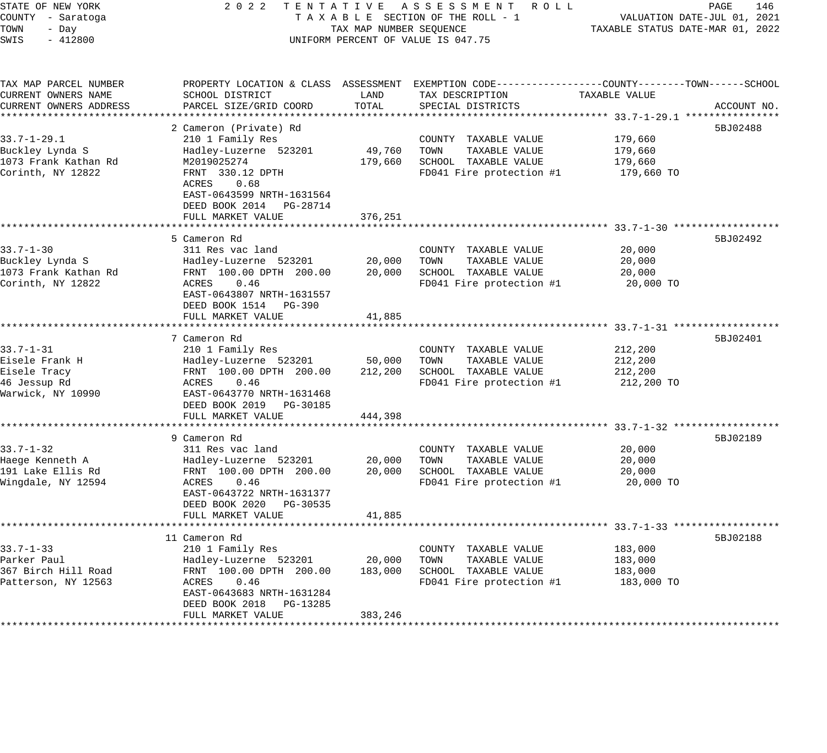| STATE OF NEW YORK<br>COUNTY - Saratoga<br>TOWN<br>- Day<br>SWIS<br>$-412800$           | 2 0 2 2                                                                                                                                                                                | TAX MAP NUMBER SEQUENCE      | TENTATIVE ASSESSMENT ROLL<br>TAXABLE SECTION OF THE ROLL - 1<br>UNIFORM PERCENT OF VALUE IS 047.75                                       | TAXABLE STATUS DATE-MAR 01, 2022            | PAGE<br>146<br>VALUATION DATE-JUL 01, 2021 |
|----------------------------------------------------------------------------------------|----------------------------------------------------------------------------------------------------------------------------------------------------------------------------------------|------------------------------|------------------------------------------------------------------------------------------------------------------------------------------|---------------------------------------------|--------------------------------------------|
| TAX MAP PARCEL NUMBER<br>CURRENT OWNERS NAME<br>CURRENT OWNERS ADDRESS                 | SCHOOL DISTRICT<br>PARCEL SIZE/GRID COORD                                                                                                                                              | LAND<br>TOTAL                | PROPERTY LOCATION & CLASS ASSESSMENT EXEMPTION CODE----------------COUNTY-------TOWN------SCHOOL<br>TAX DESCRIPTION<br>SPECIAL DISTRICTS | TAXABLE VALUE                               | ACCOUNT NO.                                |
| $33.7 - 1 - 29.1$<br>Buckley Lynda S<br>1073 Frank Kathan Rd<br>Corinth, NY 12822      | 2 Cameron (Private) Rd<br>210 1 Family Res<br>Hadley-Luzerne 523201<br>M2019025274<br>FRNT 330.12 DPTH<br>ACRES<br>0.68<br>EAST-0643599 NRTH-1631564<br>DEED BOOK 2014 PG-28714        | 49,760<br>179,660            | COUNTY TAXABLE VALUE<br>TOWN<br>TAXABLE VALUE<br>SCHOOL TAXABLE VALUE<br>FD041 Fire protection #1                                        | 179,660<br>179,660<br>179,660<br>179,660 TO | 5BJ02488                                   |
|                                                                                        | FULL MARKET VALUE<br>************************                                                                                                                                          | 376,251                      |                                                                                                                                          |                                             |                                            |
| $33.7 - 1 - 30$<br>Buckley Lynda S<br>1073 Frank Kathan Rd<br>Corinth, NY 12822        | 5 Cameron Rd<br>311 Res vac land<br>Hadley-Luzerne 523201<br>FRNT 100.00 DPTH 200.00<br>0.46<br>ACRES<br>EAST-0643807 NRTH-1631557<br>DEED BOOK 1514 PG-390                            | 20,000<br>20,000             | COUNTY TAXABLE VALUE<br>TAXABLE VALUE<br>TOWN<br>SCHOOL TAXABLE VALUE<br>FD041 Fire protection #1                                        | 20,000<br>20,000<br>20,000<br>20,000 TO     | 5BJ02492                                   |
|                                                                                        | FULL MARKET VALUE                                                                                                                                                                      | 41,885                       |                                                                                                                                          |                                             |                                            |
| $33.7 - 1 - 31$<br>Eisele Frank H<br>Eisele Tracy<br>46 Jessup Rd<br>Warwick, NY 10990 | 7 Cameron Rd<br>210 1 Family Res<br>Hadley-Luzerne 523201<br>FRNT 100.00 DPTH 200.00<br>ACRES<br>0.46<br>EAST-0643770 NRTH-1631468<br>DEED BOOK 2019<br>PG-30185                       | 50,000<br>212,200            | COUNTY TAXABLE VALUE<br>TOWN<br>TAXABLE VALUE<br>SCHOOL TAXABLE VALUE<br>FD041 Fire protection #1                                        | 212,200<br>212,200<br>212,200<br>212,200 TO | 5BJ02401                                   |
|                                                                                        | FULL MARKET VALUE                                                                                                                                                                      | 444,398                      |                                                                                                                                          |                                             |                                            |
| $33.7 - 1 - 32$<br>Haege Kenneth A<br>191 Lake Ellis Rd<br>Wingdale, NY 12594          | 9 Cameron Rd<br>311 Res vac land<br>Hadley-Luzerne 523201<br>FRNT 100.00 DPTH 200.00<br>ACRES<br>0.46<br>EAST-0643722 NRTH-1631377<br>DEED BOOK 2020 PG-30535<br>FULL MARKET VALUE     | 20,000<br>20,000<br>41,885   | COUNTY TAXABLE VALUE<br>TOWN<br>TAXABLE VALUE<br>SCHOOL TAXABLE VALUE<br>FD041 Fire protection #1                                        | 20,000<br>20,000<br>20,000<br>20,000 TO     | 5BJ02189                                   |
|                                                                                        |                                                                                                                                                                                        |                              | ************************************33.7-1-33 *****************                                                                          |                                             |                                            |
| $33.7 - 1 - 33$<br>Parker Paul<br>367 Birch Hill Road<br>Patterson, NY 12563           | 11 Cameron Rd<br>210 1 Family Res<br>Hadley-Luzerne 523201<br>FRNT 100.00 DPTH 200.00<br>0.46<br>ACRES<br>EAST-0643683 NRTH-1631284<br>DEED BOOK 2018<br>PG-13285<br>FULL MARKET VALUE | 20,000<br>183,000<br>383,246 | COUNTY TAXABLE VALUE<br>TAXABLE VALUE<br>TOWN<br>SCHOOL TAXABLE VALUE<br>FD041 Fire protection #1                                        | 183,000<br>183,000<br>183,000<br>183,000 TO | 5BJ02188                                   |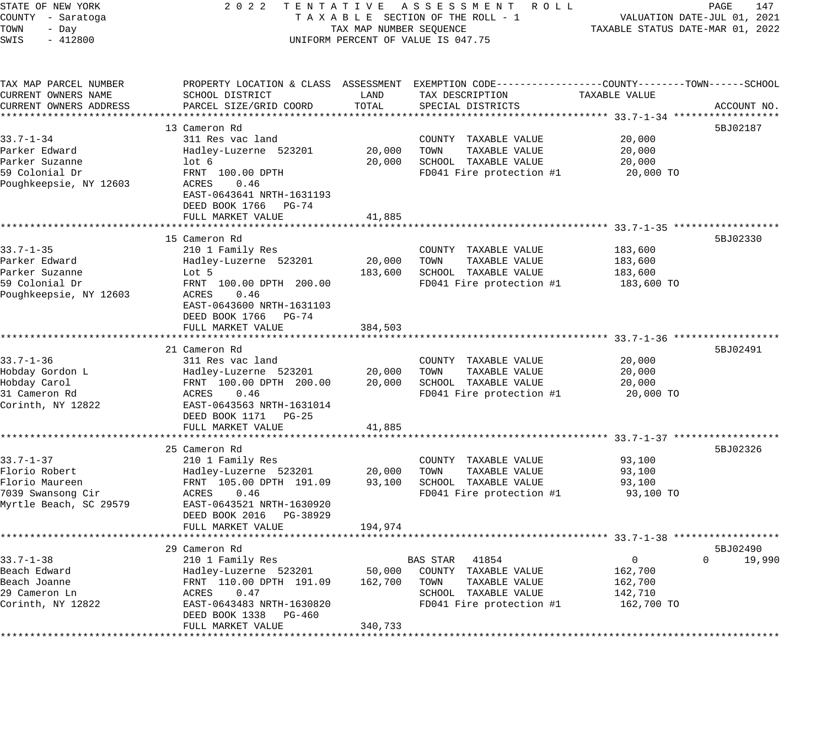| STATE OF NEW YORK<br>COUNTY - Saratoga<br>TOWN<br>- Day<br>SWIS<br>$-412800$                         | 2 0 2 2                                                                                                                                                           | TAX MAP NUMBER SEQUENCE | TENTATIVE ASSESSMENT<br>R O L L<br>TAXABLE SECTION OF THE ROLL - 1<br>UNIFORM PERCENT OF VALUE IS 047.75                      | TAXABLE STATUS DATE-MAR 01, 2022                           | PAGE<br>147<br>VALUATION DATE-JUL 01, 2021 |
|------------------------------------------------------------------------------------------------------|-------------------------------------------------------------------------------------------------------------------------------------------------------------------|-------------------------|-------------------------------------------------------------------------------------------------------------------------------|------------------------------------------------------------|--------------------------------------------|
| TAX MAP PARCEL NUMBER<br>CURRENT OWNERS NAME<br>CURRENT OWNERS ADDRESS<br>************************** | PROPERTY LOCATION & CLASS ASSESSMENT<br>SCHOOL DISTRICT<br>PARCEL SIZE/GRID COORD                                                                                 | LAND<br>TOTAL           | EXEMPTION CODE-----------------COUNTY-------TOWN------SCHOOL<br>TAX DESCRIPTION<br>SPECIAL DISTRICTS                          | TAXABLE VALUE                                              | ACCOUNT NO.                                |
|                                                                                                      | 13 Cameron Rd                                                                                                                                                     |                         |                                                                                                                               |                                                            | 5BJ02187                                   |
| $33.7 - 1 - 34$                                                                                      | 311 Res vac land                                                                                                                                                  |                         | COUNTY TAXABLE VALUE                                                                                                          | 20,000                                                     |                                            |
| Parker Edward                                                                                        | Hadley-Luzerne 523201                                                                                                                                             | 20,000                  | TAXABLE VALUE<br>TOWN                                                                                                         | 20,000                                                     |                                            |
| Parker Suzanne                                                                                       | lot <sub>6</sub>                                                                                                                                                  | 20,000                  | SCHOOL TAXABLE VALUE                                                                                                          | 20,000                                                     |                                            |
| 59 Colonial Dr                                                                                       | FRNT 100.00 DPTH                                                                                                                                                  |                         | FD041 Fire protection #1                                                                                                      | 20,000 TO                                                  |                                            |
| Poughkeepsie, NY 12603                                                                               | ACRES<br>0.46<br>EAST-0643641 NRTH-1631193<br>DEED BOOK 1766<br>PG-74                                                                                             |                         |                                                                                                                               |                                                            |                                            |
|                                                                                                      | FULL MARKET VALUE<br>**********************                                                                                                                       | 41,885                  |                                                                                                                               |                                                            |                                            |
|                                                                                                      | 15 Cameron Rd                                                                                                                                                     |                         |                                                                                                                               |                                                            | 5BJ02330                                   |
| $33.7 - 1 - 35$                                                                                      | 210 1 Family Res                                                                                                                                                  |                         | COUNTY TAXABLE VALUE                                                                                                          | 183,600                                                    |                                            |
| Parker Edward                                                                                        | Hadley-Luzerne 523201                                                                                                                                             | 20,000                  | TOWN<br>TAXABLE VALUE                                                                                                         | 183,600                                                    |                                            |
| Parker Suzanne                                                                                       | Lot 5                                                                                                                                                             | 183,600                 | SCHOOL TAXABLE VALUE                                                                                                          | 183,600                                                    |                                            |
| 59 Colonial Dr                                                                                       | FRNT 100.00 DPTH 200.00                                                                                                                                           |                         | FD041 Fire protection #1                                                                                                      | 183,600 TO                                                 |                                            |
| Poughkeepsie, NY 12603                                                                               | ACRES<br>0.46<br>EAST-0643600 NRTH-1631103<br>DEED BOOK 1766<br>PG-74<br>FULL MARKET VALUE                                                                        | 384,503                 |                                                                                                                               |                                                            |                                            |
|                                                                                                      | ****************************                                                                                                                                      |                         |                                                                                                                               |                                                            |                                            |
| $33.7 - 1 - 36$<br>Hobday Gordon L<br>Hobday Carol<br>31 Cameron Rd<br>Corinth, NY 12822             | 21 Cameron Rd<br>311 Res vac land<br>Hadley-Luzerne 523201<br>FRNT 100.00 DPTH 200.00<br>ACRES<br>0.46<br>EAST-0643563 NRTH-1631014<br>DEED BOOK 1171<br>PG-25    | 20,000<br>20,000        | COUNTY TAXABLE VALUE<br>TOWN<br>TAXABLE VALUE<br>SCHOOL TAXABLE VALUE<br>FD041 Fire protection #1                             | 20,000<br>20,000<br>20,000<br>20,000 TO                    | 5BJ02491                                   |
|                                                                                                      | FULL MARKET VALUE<br>*********************                                                                                                                        | 41,885                  |                                                                                                                               | ********************* 33.7-1-37 ******************         |                                            |
| $33.7 - 1 - 37$<br>Florio Robert<br>Florio Maureen<br>7039 Swansong Cir<br>Myrtle Beach, SC 29579    | 25 Cameron Rd<br>210 1 Family Res<br>Hadley-Luzerne 523201<br>FRNT 105.00 DPTH 191.09<br>ACRES<br>0.46<br>EAST-0643521 NRTH-1630920<br>DEED BOOK 2016<br>PG-38929 | 20,000<br>93,100        | COUNTY TAXABLE VALUE<br>TAXABLE VALUE<br>TOWN<br>SCHOOL TAXABLE VALUE<br>FD041 Fire protection #1                             | 93,100<br>93,100<br>93,100<br>93,100 TO                    | 5BJ02326                                   |
|                                                                                                      | FULL MARKET VALUE                                                                                                                                                 | 194,974                 |                                                                                                                               |                                                            |                                            |
|                                                                                                      |                                                                                                                                                                   |                         |                                                                                                                               |                                                            |                                            |
|                                                                                                      | 29 Cameron Rd                                                                                                                                                     |                         |                                                                                                                               |                                                            | 5BJ02490                                   |
| $33.7 - 1 - 38$<br>Beach Edward<br>Beach Joanne<br>29 Cameron Ln<br>Corinth, NY 12822                | 210 1 Family Res<br>Hadley-Luzerne 523201<br>FRNT 110.00 DPTH 191.09<br>ACRES<br>0.47<br>EAST-0643483 NRTH-1630820                                                | 50,000<br>162,700       | <b>BAS STAR</b><br>41854<br>COUNTY TAXABLE VALUE<br>TOWN<br>TAXABLE VALUE<br>SCHOOL TAXABLE VALUE<br>FD041 Fire protection #1 | $\mathbf 0$<br>162,700<br>162,700<br>142,710<br>162,700 TO | 19,990<br>$\Omega$                         |
| ***********************                                                                              | DEED BOOK 1338<br>PG-460<br>FULL MARKET VALUE<br>*************************                                                                                        | 340,733<br>************ |                                                                                                                               |                                                            |                                            |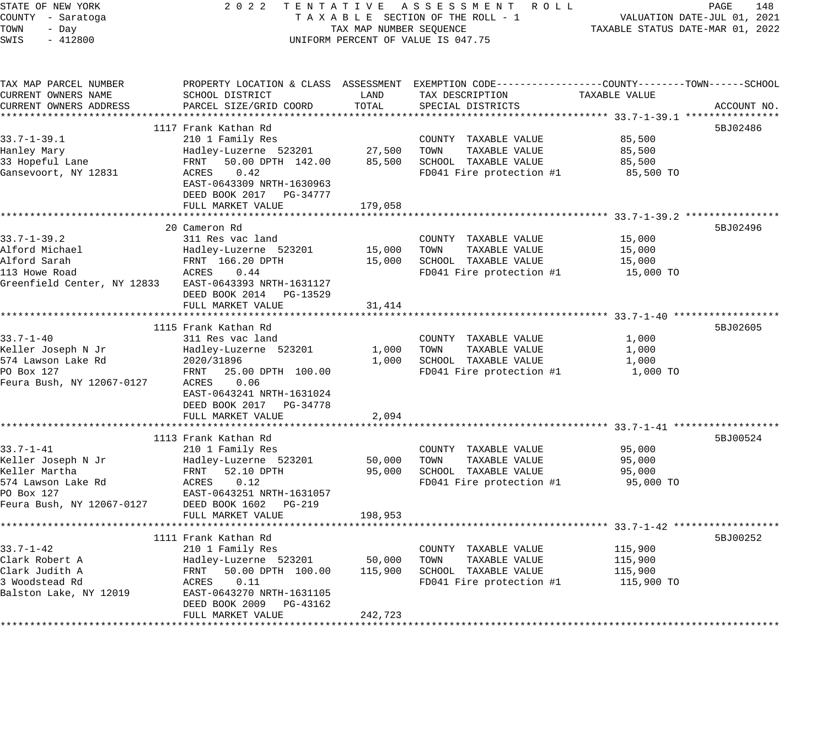| STATE OF NEW YORK<br>COUNTY - Saratoga<br>TOWN<br>- Day | 2 0 2 2                                            | TAX MAP NUMBER SEQUENCE | TENTATIVE ASSESSMENT ROLL<br>TAXABLE SECTION OF THE ROLL - 1                                                        | TAXABLE STATUS DATE-MAR 01, 2022 | PAGE<br>148<br>VALUATION DATE-JUL 01, 2021 |
|---------------------------------------------------------|----------------------------------------------------|-------------------------|---------------------------------------------------------------------------------------------------------------------|----------------------------------|--------------------------------------------|
| SWIS<br>$-412800$                                       |                                                    |                         | UNIFORM PERCENT OF VALUE IS 047.75                                                                                  |                                  |                                            |
| TAX MAP PARCEL NUMBER<br>CURRENT OWNERS NAME            | SCHOOL DISTRICT                                    | LAND                    | PROPERTY LOCATION & CLASS ASSESSMENT EXEMPTION CODE----------------COUNTY-------TOWN------SCHOOL<br>TAX DESCRIPTION | TAXABLE VALUE                    |                                            |
| CURRENT OWNERS ADDRESS                                  | PARCEL SIZE/GRID COORD                             | TOTAL                   | SPECIAL DISTRICTS                                                                                                   |                                  | ACCOUNT NO.                                |
|                                                         |                                                    |                         |                                                                                                                     |                                  |                                            |
|                                                         | 1117 Frank Kathan Rd                               |                         |                                                                                                                     |                                  | 5BJ02486                                   |
| $33.7 - 1 - 39.1$                                       | 210 1 Family Res                                   | 27,500                  | COUNTY TAXABLE VALUE<br>TOWN<br>TAXABLE VALUE                                                                       | 85,500<br>85,500                 |                                            |
| Hanley Mary<br>33 Hopeful Lane                          | Hadley-Luzerne 523201<br>50.00 DPTH 142.00<br>FRNT | 85,500                  | SCHOOL TAXABLE VALUE                                                                                                | 85,500                           |                                            |
| Gansevoort, NY 12831                                    | 0.42<br>ACRES                                      |                         | FD041 Fire protection #1                                                                                            | 85,500 TO                        |                                            |
|                                                         | EAST-0643309 NRTH-1630963                          |                         |                                                                                                                     |                                  |                                            |
|                                                         | DEED BOOK 2017 PG-34777                            |                         |                                                                                                                     |                                  |                                            |
|                                                         | FULL MARKET VALUE                                  | 179,058                 |                                                                                                                     |                                  |                                            |
|                                                         |                                                    |                         |                                                                                                                     |                                  |                                            |
|                                                         | 20 Cameron Rd                                      |                         |                                                                                                                     |                                  | 5BJ02496                                   |
| $33.7 - 1 - 39.2$                                       | 311 Res vac land                                   |                         | COUNTY TAXABLE VALUE                                                                                                | 15,000                           |                                            |
| Alford Michael                                          | Hadley-Luzerne 523201                              | 15,000                  | TAXABLE VALUE<br>TOWN                                                                                               | 15,000                           |                                            |
| Alford Sarah<br>113 Howe Road                           | FRNT 166.20 DPTH<br>ACRES<br>0.44                  | 15,000                  | SCHOOL TAXABLE VALUE<br>FD041 Fire protection #1                                                                    | 15,000<br>15,000 TO              |                                            |
| Greenfield Center, NY 12833                             | EAST-0643393 NRTH-1631127                          |                         |                                                                                                                     |                                  |                                            |
|                                                         | DEED BOOK 2014 PG-13529                            |                         |                                                                                                                     |                                  |                                            |
|                                                         | FULL MARKET VALUE                                  | 31,414                  |                                                                                                                     |                                  |                                            |
|                                                         | ************************                           |                         |                                                                                                                     |                                  |                                            |
|                                                         | 1115 Frank Kathan Rd                               |                         |                                                                                                                     |                                  | 5BJ02605                                   |
| $33.7 - 1 - 40$                                         | 311 Res vac land                                   |                         | COUNTY TAXABLE VALUE                                                                                                | 1,000                            |                                            |
| Keller Joseph N Jr                                      | Hadley-Luzerne 523201                              | 1,000                   | TOWN<br>TAXABLE VALUE                                                                                               | 1,000                            |                                            |
| 574 Lawson Lake Rd                                      | 2020/31896                                         | 1,000                   | SCHOOL TAXABLE VALUE                                                                                                | 1,000                            |                                            |
| PO Box 127<br>Feura Bush, NY 12067-0127                 | FRNT<br>25.00 DPTH 100.00<br>0.06<br>ACRES         |                         | FD041 Fire protection #1                                                                                            | 1,000 TO                         |                                            |
|                                                         | EAST-0643241 NRTH-1631024                          |                         |                                                                                                                     |                                  |                                            |
|                                                         | DEED BOOK 2017 PG-34778                            |                         |                                                                                                                     |                                  |                                            |
|                                                         | FULL MARKET VALUE                                  | 2,094                   |                                                                                                                     |                                  |                                            |
|                                                         |                                                    | <b>*************</b>    |                                                                                                                     |                                  |                                            |
|                                                         | 1113 Frank Kathan Rd                               |                         |                                                                                                                     |                                  | 5BJ00524                                   |
| $33.7 - 1 - 41$                                         | 210 1 Family Res                                   |                         | COUNTY TAXABLE VALUE                                                                                                | 95,000                           |                                            |
| Keller Joseph N Jr                                      | Hadley-Luzerne 523201                              | 50,000                  | TOWN<br>TAXABLE VALUE                                                                                               | 95,000                           |                                            |
| Keller Martha                                           | 52.10 DPTH<br>FRNT                                 | 95,000                  | SCHOOL TAXABLE VALUE                                                                                                | 95,000                           |                                            |
| 574 Lawson Lake Rd                                      | ACRES<br>0.12                                      |                         | FD041 Fire protection #1                                                                                            | 95,000 TO                        |                                            |
| PO Box 127                                              | EAST-0643251 NRTH-1631057                          |                         |                                                                                                                     |                                  |                                            |
| Feura Bush, NY 12067-0127                               | DEED BOOK 1602<br>PG-219<br>FULL MARKET VALUE      | 198,953                 |                                                                                                                     |                                  |                                            |
|                                                         | ************************                           |                         |                                                                                                                     |                                  |                                            |
|                                                         | 1111 Frank Kathan Rd                               |                         |                                                                                                                     |                                  | 5BJ00252                                   |
| $33.7 - 1 - 42$                                         | 210 1 Family Res                                   |                         | COUNTY TAXABLE VALUE                                                                                                | 115,900                          |                                            |
| Clark Robert A                                          | Hadley-Luzerne 523201                              | 50,000                  | TOWN<br>TAXABLE VALUE                                                                                               | 115,900                          |                                            |
| Clark Judith A                                          | FRNT<br>50.00 DPTH 100.00                          | 115,900                 | SCHOOL TAXABLE VALUE                                                                                                | 115,900                          |                                            |
| 3 Woodstead Rd                                          | ACRES<br>0.11                                      |                         | FD041 Fire protection #1                                                                                            | 115,900 TO                       |                                            |
| Balston Lake, NY 12019                                  | EAST-0643270 NRTH-1631105                          |                         |                                                                                                                     |                                  |                                            |
|                                                         | DEED BOOK 2009<br>PG-43162                         |                         |                                                                                                                     |                                  |                                            |
|                                                         | FULL MARKET VALUE                                  | 242,723                 |                                                                                                                     |                                  |                                            |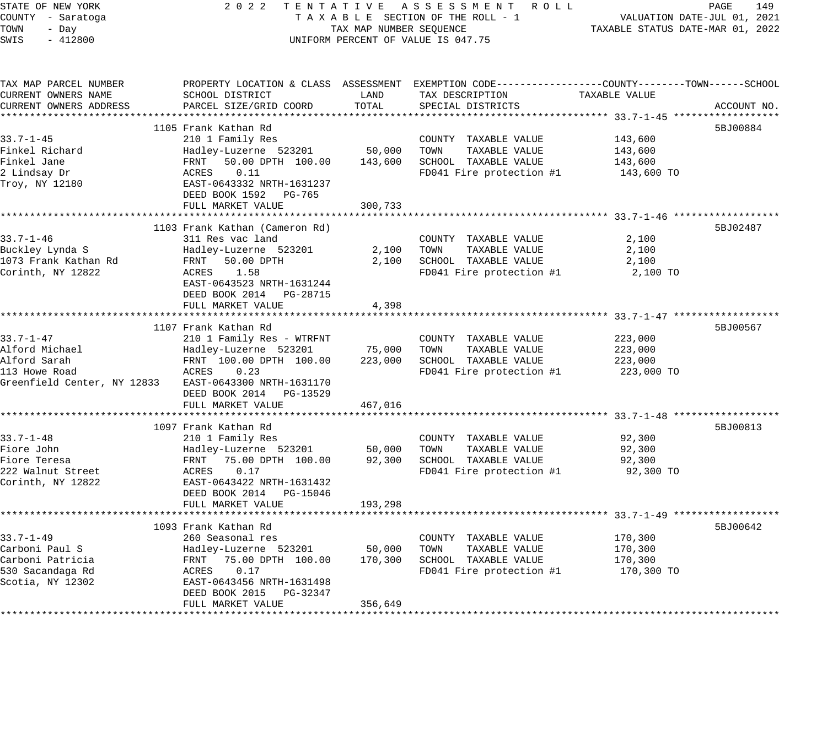STATE OF NEW YORK 2 0 2 2 T E N T A T I V E A S S E S S M E N T R O L L PAGE 149 COUNTY - Saratoga T A X A B L E SECTION OF THE ROLL - 1 VALUATION DATE-JUL 01, 2021

# TAX MAP NUMBER SEQUENCE TAXABLE STATUS DATE-MAR 01, 2022 UNIFORM PERCENT OF VALUE IS 047.75

|                                               |                                                       |         | PROPERTY LOCATION & CLASS ASSESSMENT EXEMPTION CODE----------------COUNTY-------TOWN------SCHOOL |               |             |
|-----------------------------------------------|-------------------------------------------------------|---------|--------------------------------------------------------------------------------------------------|---------------|-------------|
| TAX MAP PARCEL NUMBER                         | SCHOOL DISTRICT                                       | LAND    |                                                                                                  | TAXABLE VALUE |             |
| CURRENT OWNERS NAME<br>CURRENT OWNERS ADDRESS | PARCEL SIZE/GRID COORD                                | TOTAL   | TAX DESCRIPTION<br>SPECIAL DISTRICTS                                                             |               | ACCOUNT NO. |
|                                               |                                                       |         |                                                                                                  |               |             |
|                                               | 1105 Frank Kathan Rd                                  |         |                                                                                                  |               | 5BJ00884    |
| $33.7 - 1 - 45$                               | 210 1 Family Res                                      |         |                                                                                                  |               |             |
|                                               |                                                       |         | COUNTY TAXABLE VALUE                                                                             | 143,600       |             |
| Finkel Richard                                | Hadley-Luzerne 523201                                 | 50,000  | TOWN<br>TAXABLE VALUE                                                                            | 143,600       |             |
| Finkel Jane                                   | 50.00 DPTH 100.00<br>FRNT                             | 143,600 | SCHOOL TAXABLE VALUE                                                                             | 143,600       |             |
| 2 Lindsay Dr                                  | ACRES<br>0.11                                         |         | FD041 Fire protection #1                                                                         | 143,600 TO    |             |
| Troy, NY 12180                                | EAST-0643332 NRTH-1631237                             |         |                                                                                                  |               |             |
|                                               | DEED BOOK 1592 PG-765                                 |         |                                                                                                  |               |             |
|                                               | FULL MARKET VALUE                                     | 300,733 |                                                                                                  |               |             |
|                                               |                                                       |         |                                                                                                  |               |             |
|                                               | 1103 Frank Kathan (Cameron Rd)                        |         |                                                                                                  |               | 5BJ02487    |
| $33.7 - 1 - 46$                               | 311 Res vac land                                      |         | COUNTY TAXABLE VALUE                                                                             | 2,100         |             |
| Buckley Lynda S                               | Hadley-Luzerne 523201                                 | 2,100   | TOWN<br>TAXABLE VALUE                                                                            | 2,100         |             |
| 1073 Frank Kathan Rd                          | 50.00 DPTH<br>FRNT                                    | 2,100   | SCHOOL TAXABLE VALUE                                                                             | 2,100         |             |
| Corinth, NY 12822                             | 1.58<br>ACRES                                         |         | FD041 Fire protection #1                                                                         | 2,100 TO      |             |
|                                               | EAST-0643523 NRTH-1631244                             |         |                                                                                                  |               |             |
|                                               | DEED BOOK 2014 PG-28715                               |         |                                                                                                  |               |             |
|                                               | FULL MARKET VALUE                                     | 4,398   |                                                                                                  |               |             |
|                                               |                                                       |         |                                                                                                  |               |             |
|                                               | 1107 Frank Kathan Rd                                  |         |                                                                                                  |               | 5BJ00567    |
| $33.7 - 1 - 47$                               | 210 1 Family Res - WTRFNT                             |         | COUNTY TAXABLE VALUE                                                                             | 223,000       |             |
| Alford Michael                                | Hadley-Luzerne 523201                                 | 75,000  | TOWN<br>TAXABLE VALUE                                                                            | 223,000       |             |
| Alford Sarah                                  | FRNT 100.00 DPTH 100.00                               | 223,000 | SCHOOL TAXABLE VALUE                                                                             | 223,000       |             |
| 113 Howe Road                                 | ACRES<br>0.23                                         |         | FD041 Fire protection #1                                                                         | 223,000 TO    |             |
|                                               | Greenfield Center, NY 12833 EAST-0643300 NRTH-1631170 |         |                                                                                                  |               |             |
|                                               | DEED BOOK 2014 PG-13529                               |         |                                                                                                  |               |             |
|                                               | FULL MARKET VALUE                                     | 467,016 |                                                                                                  |               |             |
|                                               |                                                       |         |                                                                                                  |               |             |
|                                               | 1097 Frank Kathan Rd                                  |         |                                                                                                  |               | 5BJ00813    |
| $33.7 - 1 - 48$                               | 210 1 Family Res                                      |         | COUNTY TAXABLE VALUE                                                                             | 92,300        |             |
| Fiore John                                    | Hadley-Luzerne 523201                                 | 50,000  | TOWN<br>TAXABLE VALUE                                                                            | 92,300        |             |
| Fiore Teresa                                  | 75.00 DPTH 100.00<br>FRNT                             | 92,300  | SCHOOL TAXABLE VALUE                                                                             | 92,300        |             |
| 222 Walnut Street                             | 0.17<br>ACRES                                         |         | FD041 Fire protection #1                                                                         | 92,300 TO     |             |
| Corinth, NY 12822                             | EAST-0643422 NRTH-1631432                             |         |                                                                                                  |               |             |
|                                               | DEED BOOK 2014 PG-15046                               |         |                                                                                                  |               |             |
|                                               | FULL MARKET VALUE                                     | 193,298 |                                                                                                  |               |             |
|                                               |                                                       |         |                                                                                                  |               |             |
|                                               | 1093 Frank Kathan Rd                                  |         |                                                                                                  |               | 5BJ00642    |
| $33.7 - 1 - 49$                               | 260 Seasonal res                                      |         | COUNTY TAXABLE VALUE                                                                             | 170,300       |             |
| Carboni Paul S                                | Hadley-Luzerne 523201                                 | 50,000  | TOWN<br>TAXABLE VALUE                                                                            | 170,300       |             |
| Carboni Patricia                              | FRNT 75.00 DPTH 100.00                                | 170,300 | SCHOOL TAXABLE VALUE                                                                             | 170,300       |             |
| 530 Sacandaga Rd                              | 0.17<br>ACRES                                         |         | FD041 Fire protection #1                                                                         | 170,300 TO    |             |
| Scotia, NY 12302                              | EAST-0643456 NRTH-1631498                             |         |                                                                                                  |               |             |
|                                               | DEED BOOK 2015<br>PG-32347                            |         |                                                                                                  |               |             |
|                                               | FULL MARKET VALUE                                     | 356,649 |                                                                                                  |               |             |
|                                               |                                                       |         |                                                                                                  |               |             |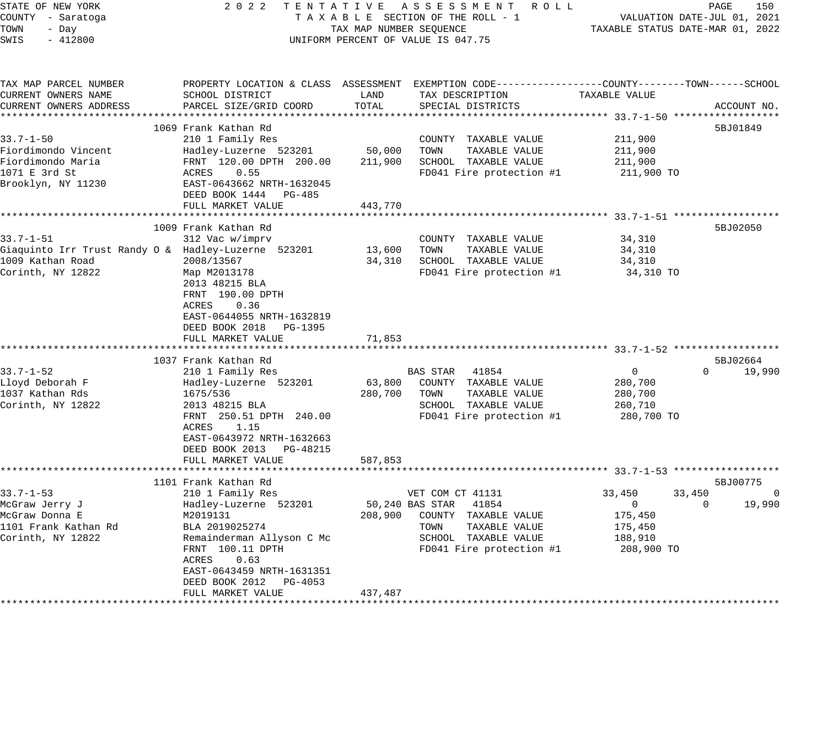| STATE OF NEW YORK<br>COUNTY - Saratoga<br>TOWN<br>- Day<br>$-412800$<br>SWIS |                                         | TAX MAP NUMBER SEQUENCE | 2022 TENTATIVE ASSESSMENT ROLL<br>TAXABLE SECTION OF THE ROLL - 1<br>UNIFORM PERCENT OF VALUE IS 047.75 |                | PAGE<br>150<br>VALUATION DATE-JUL 01, 2021<br>TAXABLE STATUS DATE-MAR 01, 2022 |
|------------------------------------------------------------------------------|-----------------------------------------|-------------------------|---------------------------------------------------------------------------------------------------------|----------------|--------------------------------------------------------------------------------|
| TAX MAP PARCEL NUMBER                                                        |                                         |                         | PROPERTY LOCATION & CLASS ASSESSMENT EXEMPTION CODE----------------COUNTY-------TOWN------SCHOOL        |                |                                                                                |
| CURRENT OWNERS NAME                                                          | SCHOOL DISTRICT                         | LAND                    | TAX DESCRIPTION                                                                                         | TAXABLE VALUE  |                                                                                |
| CURRENT OWNERS ADDRESS                                                       | PARCEL SIZE/GRID COORD                  | TOTAL                   | SPECIAL DISTRICTS                                                                                       |                | ACCOUNT NO.                                                                    |
|                                                                              | 1069 Frank Kathan Rd                    |                         |                                                                                                         |                | 5BJ01849                                                                       |
| $33.7 - 1 - 50$                                                              | 210 1 Family Res                        |                         | COUNTY TAXABLE VALUE                                                                                    | 211,900        |                                                                                |
| Fiordimondo Vincent                                                          | Hadley-Luzerne 523201                   | 50,000                  | TOWN<br>TAXABLE VALUE                                                                                   | 211,900        |                                                                                |
| Fiordimondo Maria                                                            | FRNT 120.00 DPTH 200.00                 | 211,900                 | SCHOOL TAXABLE VALUE                                                                                    | 211,900        |                                                                                |
| 1071 E 3rd St                                                                | 0.55<br>ACRES                           |                         | FD041 Fire protection #1                                                                                | 211,900 TO     |                                                                                |
| Brooklyn, NY 11230                                                           | EAST-0643662 NRTH-1632045               |                         |                                                                                                         |                |                                                                                |
|                                                                              | DEED BOOK 1444 PG-485                   |                         |                                                                                                         |                |                                                                                |
|                                                                              | FULL MARKET VALUE                       | 443,770                 |                                                                                                         |                |                                                                                |
|                                                                              |                                         |                         |                                                                                                         |                | 5BJ02050                                                                       |
| 33.7-1-51                                                                    | 1009 Frank Kathan Rd<br>312 Vac w/imprv |                         | COUNTY TAXABLE VALUE                                                                                    | 34,310         |                                                                                |
| Giaquinto Irr Trust Randy O & Hadley-Luzerne 523201                          |                                         | 13,600                  | TOWN<br>TAXABLE VALUE                                                                                   | 34,310         |                                                                                |
| 1009 Kathan Road                                                             | 2008/13567                              | 34,310                  | SCHOOL TAXABLE VALUE                                                                                    | 34,310         |                                                                                |
| Corinth, NY 12822                                                            | Map M2013178                            |                         | FD041 Fire protection #1                                                                                | 34,310 TO      |                                                                                |
|                                                                              | 2013 48215 BLA                          |                         |                                                                                                         |                |                                                                                |
|                                                                              | FRNT 190.00 DPTH                        |                         |                                                                                                         |                |                                                                                |
|                                                                              | ACRES<br>0.36                           |                         |                                                                                                         |                |                                                                                |
|                                                                              | EAST-0644055 NRTH-1632819               |                         |                                                                                                         |                |                                                                                |
|                                                                              | DEED BOOK 2018 PG-1395                  |                         |                                                                                                         |                |                                                                                |
|                                                                              | FULL MARKET VALUE                       | 71,853                  |                                                                                                         |                |                                                                                |
|                                                                              | 1037 Frank Kathan Rd                    |                         |                                                                                                         |                | 5BJ02664                                                                       |
| $33.7 - 1 - 52$                                                              | 210 1 Family Res                        |                         | BAS STAR 41854                                                                                          | $\overline{0}$ | 19,990<br>$\Omega$                                                             |
| Lloyd Deborah F                                                              | Hadley-Luzerne 523201                   |                         | 63,800 COUNTY TAXABLE VALUE                                                                             | 280,700        |                                                                                |
| 1037 Kathan Rds                                                              | 1675/536                                | 280,700                 | TOWN<br>TAXABLE VALUE                                                                                   | 280,700        |                                                                                |
| Corinth, NY 12822                                                            | 2013 48215 BLA                          |                         | SCHOOL TAXABLE VALUE                                                                                    | 260,710        |                                                                                |
|                                                                              | FRNT 250.51 DPTH 240.00                 |                         | FD041 Fire protection #1                                                                                | 280,700 TO     |                                                                                |
|                                                                              | ACRES<br>1.15                           |                         |                                                                                                         |                |                                                                                |
|                                                                              | EAST-0643972 NRTH-1632663               |                         |                                                                                                         |                |                                                                                |
|                                                                              | DEED BOOK 2013 PG-48215                 |                         |                                                                                                         |                |                                                                                |
|                                                                              | FULL MARKET VALUE                       | 587,853                 |                                                                                                         |                |                                                                                |
|                                                                              | 1101 Frank Kathan Rd                    |                         |                                                                                                         |                | 5BJ00775                                                                       |
| $33.7 - 1 - 53$                                                              | 210 1 Family Res                        |                         | VET COM CT 41131                                                                                        | 33,450         | 33,450<br>$\overline{0}$                                                       |
| McGraw Jerry J                                                               | Hadley-Luzerne 523201                   |                         | 50,240 BAS STAR 41854                                                                                   | $\overline{0}$ | 19,990<br>$\mathbf{0}$                                                         |
| McGraw Donna E                                                               | M2019131                                |                         | 208,900 COUNTY TAXABLE VALUE                                                                            | 175,450        |                                                                                |
| 1101 Frank Kathan Rd                                                         | BLA 2019025274                          |                         | TOWN<br>TAXABLE VALUE                                                                                   | 175,450        |                                                                                |
| Corinth, NY 12822                                                            | Remainderman Allyson C Mc               |                         | SCHOOL TAXABLE VALUE                                                                                    | 188,910        |                                                                                |
|                                                                              | FRNT 100.11 DPTH                        |                         | FD041 Fire protection #1                                                                                | 208,900 TO     |                                                                                |
|                                                                              | ACRES<br>0.63                           |                         |                                                                                                         |                |                                                                                |
|                                                                              | EAST-0643459 NRTH-1631351               |                         |                                                                                                         |                |                                                                                |
|                                                                              | DEED BOOK 2012<br>PG-4053               |                         |                                                                                                         |                |                                                                                |
|                                                                              | FULL MARKET VALUE                       | 437,487                 |                                                                                                         |                |                                                                                |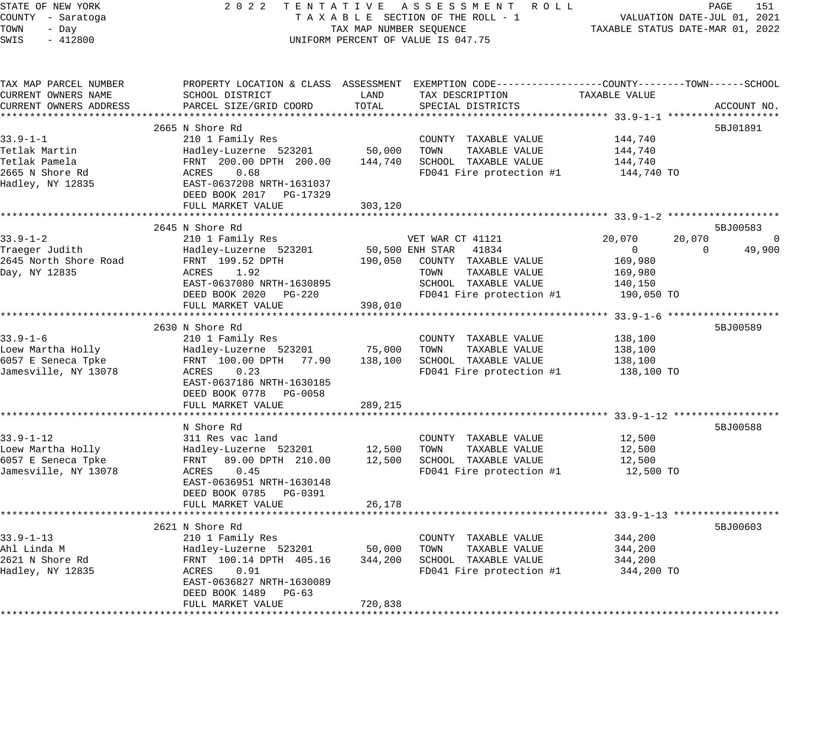STATE OF NEW YORK 2 0 2 2 T E N T A T I V E A S S E S S M E N T R O L L PAGE 151 COUNTY - Saratoga T A X A B L E SECTION OF THE ROLL - 1 VALUATION DATE-JUL 01, 2021 TOWN - Day TAX MAP NUMBER SEQUENCE TAXABLE STATUS DATE-MAR 01, 2022 SWIS - 412800 CONTROLLY THE UNIFORM PERCENT OF VALUE IS 047.75 TAX MAP PARCEL NUMBER PROPERTY LOCATION & CLASS ASSESSMENT EXEMPTION CODE------------------COUNTY--------TOWN------SCHOOL CURRENT OWNERS NAME SCHOOL DISTRICT LAND TAX DESCRIPTION TAXABLE VALUE CURRENT OWNERS ADDRESS PARCEL SIZE/GRID COORD TOTAL SPECIAL DISTRICTS ACCOUNT NO. \*\*\*\*\*\*\*\*\*\*\*\*\*\*\*\*\*\*\*\*\*\*\*\*\*\*\*\*\*\*\*\*\*\*\*\*\*\*\*\*\*\*\*\*\*\*\*\*\*\*\*\*\*\*\*\*\*\*\*\*\*\*\*\*\*\*\*\*\*\*\*\*\*\*\*\*\*\*\*\*\*\*\*\*\*\*\*\*\*\*\*\*\*\*\*\*\*\*\*\*\*\*\* 33.9-1-1 \*\*\*\*\*\*\*\*\*\*\*\*\*\*\*\*\*\*\* 2665 N Shore Rd 5BJ01891 33.9-1-1 210 1 Family Res COUNTY TAXABLE VALUE 144,740 Tetlak Martin Hadley-Luzerne 523201 50,000 TOWN TAXABLE VALUE 144,740 Tetlak Pamela FRNT 200.00 DPTH 200.00 144,740 SCHOOL TAXABLE VALUE 144,740 2665 N Shore Rd ACRES 0.68 FD041 Fire protection #1 144,740 TO Hadley, NY 12835 EAST-0637208 NRTH-1631037 DEED BOOK 2017 PG-17329 DEED BOOK 2017 PG-17329<br>FULL MARKET VALUE 303,120 \*\*\*\*\*\*\*\*\*\*\*\*\*\*\*\*\*\*\*\*\*\*\*\*\*\*\*\*\*\*\*\*\*\*\*\*\*\*\*\*\*\*\*\*\*\*\*\*\*\*\*\*\*\*\*\*\*\*\*\*\*\*\*\*\*\*\*\*\*\*\*\*\*\*\*\*\*\*\*\*\*\*\*\*\*\*\*\*\*\*\*\*\*\*\*\*\*\*\*\*\*\*\* 33.9-1-2 \*\*\*\*\*\*\*\*\*\*\*\*\*\*\*\*\*\*\* 2645 N Shore Rd 5BJ00583 33.9-1-2 210 1 Family Res VET WAR CT 41121 20,070 20,070 0 Traeger Judith Hadley-Luzerne 523201 50,500 ENH STAR 41834 0 0 49,900 2645 North Shore Road FRNT 199.52 DPTH 190,050 COUNTY TAXABLE VALUE 169,980 Day, NY 12835 ACRES 1.92 TOWN TAXABLE VALUE 169,980 EAST-0637080 NRTH-1630895 SCHOOL TAXABLE VALUE 140,150 DEED BOOK 2020 PG-220 FD041 Fire protection #1 190,050 TO FULL MARKET VALUE 398,010 \*\*\*\*\*\*\*\*\*\*\*\*\*\*\*\*\*\*\*\*\*\*\*\*\*\*\*\*\*\*\*\*\*\*\*\*\*\*\*\*\*\*\*\*\*\*\*\*\*\*\*\*\*\*\*\*\*\*\*\*\*\*\*\*\*\*\*\*\*\*\*\*\*\*\*\*\*\*\*\*\*\*\*\*\*\*\*\*\*\*\*\*\*\*\*\*\*\*\*\*\*\*\* 33.9-1-6 \*\*\*\*\*\*\*\*\*\*\*\*\*\*\*\*\*\*\* 2630 N Shore Rd 5BJ00589 33.9-1-6 210 1 Family Res COUNTY TAXABLE VALUE 138,100 Loew Martha Holly Hadley-Luzerne 523201 75,000 TOWN TAXABLE VALUE 138,100 6057 E Seneca Tpke FRNT 100.00 DPTH 77.90 138,100 SCHOOL TAXABLE VALUE 138,100 Jamesville, NY 13078 ACRES 0.23 FD041 Fire protection #1 138,100 TO EAST-0637186 NRTH-1630185 DEED BOOK 0778 PG-0058 FULL MARKET VALUE 289,215 \*\*\*\*\*\*\*\*\*\*\*\*\*\*\*\*\*\*\*\*\*\*\*\*\*\*\*\*\*\*\*\*\*\*\*\*\*\*\*\*\*\*\*\*\*\*\*\*\*\*\*\*\*\*\*\*\*\*\*\*\*\*\*\*\*\*\*\*\*\*\*\*\*\*\*\*\*\*\*\*\*\*\*\*\*\*\*\*\*\*\*\*\*\*\*\*\*\*\*\*\*\*\* 33.9-1-12 \*\*\*\*\*\*\*\*\*\*\*\*\*\*\*\*\*\* N Shore Rd 5BJ00588 Part of the Shore Rd 5BJ00588 Part of the Shore Rd 5BJ00588 Part of the Shore Rd 5BJ00588 33.9-1-12 311 Res vac land COUNTY TAXABLE VALUE 12,500 Loew Martha Holly Hadley-Luzerne 523201 12,500 TOWN TAXABLE VALUE 12,500 6057 E Seneca Tpke FRNT 89.00 DPTH 210.00 12,500 SCHOOL TAXABLE VALUE 12,500 Jamesville, NY 13078 ACRES 0.45 FD041 Fire protection #1 12,500 TO EAST-0636951 NRTH-1630148 DEED BOOK 0785 PG-0391 FULL MARKET VALUE 26,178 \*\*\*\*\*\*\*\*\*\*\*\*\*\*\*\*\*\*\*\*\*\*\*\*\*\*\*\*\*\*\*\*\*\*\*\*\*\*\*\*\*\*\*\*\*\*\*\*\*\*\*\*\*\*\*\*\*\*\*\*\*\*\*\*\*\*\*\*\*\*\*\*\*\*\*\*\*\*\*\*\*\*\*\*\*\*\*\*\*\*\*\*\*\*\*\*\*\*\*\*\*\*\* 33.9-1-13 \*\*\*\*\*\*\*\*\*\*\*\*\*\*\*\*\*\*  $2621$  N Shore Rd  $58$ J00603 33.9-1-13 210 1 Family Res COUNTY TAXABLE VALUE 344,200 Ahl Linda M Hadley-Luzerne 523201 50,000 TOWN TAXABLE VALUE 344,200 2621 N Shore Rd FRNT 100.14 DPTH 405.16 344,200 SCHOOL TAXABLE VALUE 344,200 Hadley, NY 12835 ACRES 0.91 FD041 Fire protection #1 344,200 TO EAST-0636827 NRTH-1630089 DEED BOOK 1489 PG-63 FULL MARKET VALUE 720,838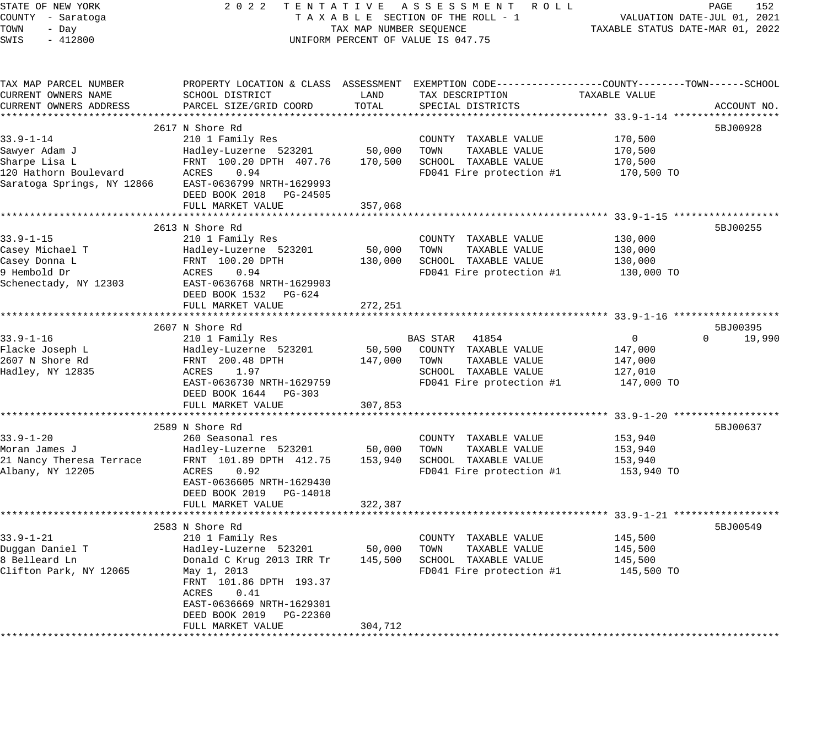| STATE OF NEW YORK                | 2 0 2 2<br>TENTATIVE                       |                         | ASSESSMENT ROLL                                                                                  |                                                             | PAGE<br>152                 |
|----------------------------------|--------------------------------------------|-------------------------|--------------------------------------------------------------------------------------------------|-------------------------------------------------------------|-----------------------------|
| COUNTY - Saratoga                |                                            |                         | TAXABLE SECTION OF THE ROLL - 1                                                                  |                                                             | VALUATION DATE-JUL 01, 2021 |
| TOWN<br>- Day                    |                                            | TAX MAP NUMBER SEQUENCE |                                                                                                  | TAXABLE STATUS DATE-MAR 01, 2022                            |                             |
| SWIS<br>$-412800$                |                                            |                         | UNIFORM PERCENT OF VALUE IS 047.75                                                               |                                                             |                             |
|                                  |                                            |                         |                                                                                                  |                                                             |                             |
| TAX MAP PARCEL NUMBER            |                                            |                         | PROPERTY LOCATION & CLASS ASSESSMENT EXEMPTION CODE----------------COUNTY-------TOWN------SCHOOL |                                                             |                             |
| CURRENT OWNERS NAME              | SCHOOL DISTRICT                            | LAND                    | TAX DESCRIPTION                                                                                  | TAXABLE VALUE                                               |                             |
| CURRENT OWNERS ADDRESS           | PARCEL SIZE/GRID COORD                     | TOTAL                   | SPECIAL DISTRICTS                                                                                |                                                             | ACCOUNT NO.                 |
|                                  |                                            |                         |                                                                                                  |                                                             |                             |
|                                  | 2617 N Shore Rd                            |                         |                                                                                                  |                                                             | 5BJ00928                    |
| $33.9 - 1 - 14$                  | 210 1 Family Res                           |                         | COUNTY TAXABLE VALUE                                                                             | 170,500                                                     |                             |
| Sawyer Adam J                    | Hadley-Luzerne 523201                      | 50,000                  | TOWN<br>TAXABLE VALUE                                                                            | 170,500                                                     |                             |
| Sharpe Lisa L                    | FRNT 100.20 DPTH 407.76                    | 170,500                 | SCHOOL TAXABLE VALUE                                                                             | 170,500                                                     |                             |
| 120 Hathorn Boulevard            | 0.94<br>ACRES                              |                         | FD041 Fire protection #1                                                                         | 170,500 TO                                                  |                             |
| Saratoga Springs, NY 12866       | EAST-0636799 NRTH-1629993                  |                         |                                                                                                  |                                                             |                             |
|                                  | DEED BOOK 2018 PG-24505                    |                         |                                                                                                  |                                                             |                             |
|                                  | FULL MARKET VALUE<br>********************* | 357,068                 |                                                                                                  |                                                             |                             |
|                                  |                                            | **********              |                                                                                                  | ******************************53.9-1-15 ******************* |                             |
|                                  | 2613 N Shore Rd                            |                         |                                                                                                  |                                                             | 5BJ00255                    |
| $33.9 - 1 - 15$                  | 210 1 Family Res                           |                         | COUNTY TAXABLE VALUE                                                                             | 130,000                                                     |                             |
| Casey Michael T<br>Casey Donna L | Hadley-Luzerne 523201<br>FRNT 100.20 DPTH  | 50,000<br>130,000       | TOWN<br>TAXABLE VALUE<br>SCHOOL TAXABLE VALUE                                                    | 130,000                                                     |                             |
| 9 Hembold Dr                     | ACRES<br>0.94                              |                         | FD041 Fire protection #1                                                                         | 130,000<br>130,000 TO                                       |                             |
| Schenectady, NY 12303            | EAST-0636768 NRTH-1629903                  |                         |                                                                                                  |                                                             |                             |
|                                  | DEED BOOK 1532 PG-624                      |                         |                                                                                                  |                                                             |                             |
|                                  | FULL MARKET VALUE                          | 272,251                 |                                                                                                  |                                                             |                             |
|                                  | ***********************                    | *********               |                                                                                                  | ********************* 33.9-1-16 *******************         |                             |
|                                  | 2607 N Shore Rd                            |                         |                                                                                                  |                                                             | 5BJ00395                    |
| $33.9 - 1 - 16$                  | 210 1 Family Res                           |                         | 41854<br>BAS STAR                                                                                | $\Omega$                                                    | 19,990<br>$\Omega$          |
| Flacke Joseph L                  | Hadley-Luzerne 523201                      | 50,500                  | COUNTY TAXABLE VALUE                                                                             | 147,000                                                     |                             |
| 2607 N Shore Rd                  | FRNT 200.48 DPTH                           | 147,000                 | TOWN<br>TAXABLE VALUE                                                                            | 147,000                                                     |                             |
| Hadley, NY 12835                 | ACRES<br>1.97                              |                         | SCHOOL TAXABLE VALUE                                                                             | 127,010                                                     |                             |
|                                  | EAST-0636730 NRTH-1629759                  |                         | FD041 Fire protection #1                                                                         | 147,000 TO                                                  |                             |
|                                  | DEED BOOK 1644 PG-303                      |                         |                                                                                                  |                                                             |                             |
|                                  | FULL MARKET VALUE                          | 307,853                 |                                                                                                  |                                                             |                             |
|                                  | **********************                     | **********              |                                                                                                  | ***************** 33.9-1-20 *******************             |                             |
|                                  | 2589 N Shore Rd                            |                         |                                                                                                  |                                                             | 5BJ00637                    |
| $33.9 - 1 - 20$                  | 260 Seasonal res                           |                         | COUNTY TAXABLE VALUE                                                                             | 153,940                                                     |                             |
| Moran James J                    | Hadley-Luzerne 523201                      | 50,000                  | TOWN<br>TAXABLE VALUE                                                                            | 153,940                                                     |                             |
| 21 Nancy Theresa Terrace         | FRNT 101.89 DPTH 412.75                    | 153,940                 | SCHOOL TAXABLE VALUE                                                                             | 153,940                                                     |                             |
| Albany, NY 12205                 | ACRES<br>0.92                              |                         | FD041 Fire protection #1                                                                         | 153,940 TO                                                  |                             |
|                                  | EAST-0636605 NRTH-1629430                  |                         |                                                                                                  |                                                             |                             |
|                                  | DEED BOOK 2019 PG-14018                    |                         |                                                                                                  |                                                             |                             |
|                                  | FULL MARKET VALUE                          | 322,387                 |                                                                                                  |                                                             |                             |
|                                  |                                            |                         |                                                                                                  |                                                             |                             |
|                                  | 2583 N Shore Rd                            |                         |                                                                                                  |                                                             | 5BJ00549                    |
| $33.9 - 1 - 21$                  | 210 1 Family Res                           |                         | COUNTY TAXABLE VALUE                                                                             | 145,500                                                     |                             |
| Duggan Daniel T                  | Hadley-Luzerne 523201                      | 50,000                  | TAXABLE VALUE<br>TOWN                                                                            | 145,500                                                     |                             |
| 8 Belleard Ln                    | Donald C Krug 2013 IRR Tr                  | 145,500                 | SCHOOL TAXABLE VALUE                                                                             | 145,500                                                     |                             |
| Clifton Park, NY 12065           | May 1, 2013                                |                         | FD041 Fire protection #1                                                                         | 145,500 TO                                                  |                             |
|                                  | FRNT 101.86 DPTH 193.37                    |                         |                                                                                                  |                                                             |                             |
|                                  | ACRES<br>0.41                              |                         |                                                                                                  |                                                             |                             |
|                                  | EAST-0636669 NRTH-1629301                  |                         |                                                                                                  |                                                             |                             |
|                                  | DEED BOOK 2019<br>PG-22360                 |                         |                                                                                                  |                                                             |                             |
|                                  | FULL MARKET VALUE                          | 304,712                 |                                                                                                  |                                                             |                             |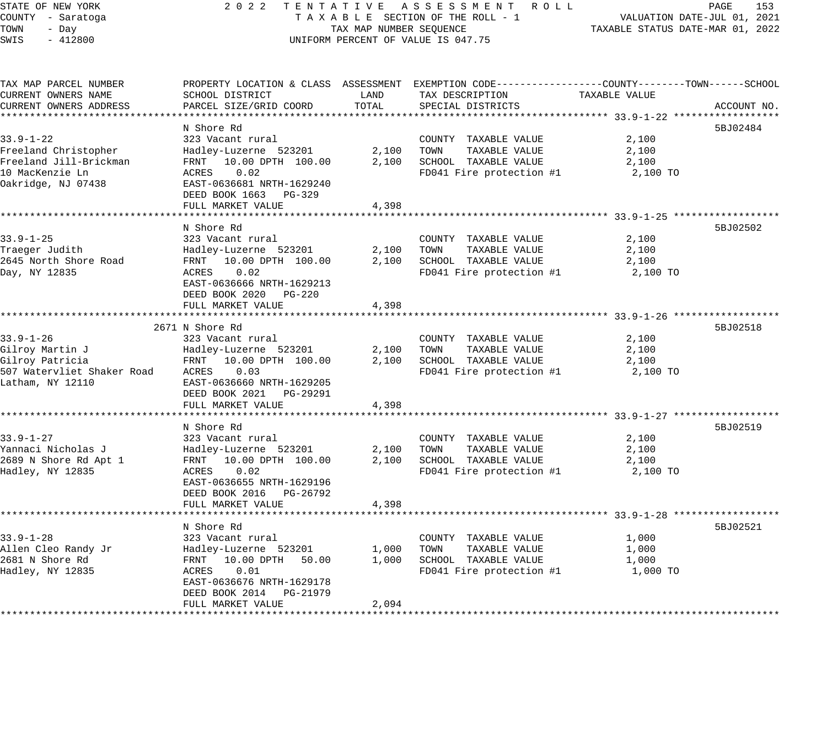### STATE OF NEW YORK 2 0 2 2 T E N T A T I V E A S S E S S M E N T R O L L PAGE 153 COUNTY - Saratoga T A X A B L E SECTION OF THE ROLL - 1 VALUATION DATE-JUL 01, 2021 X A B L E SECTION OF THE ROLL - 1 VALUATION DATE-JUL UI, 2021<br>TAX MAP NUMBER SEQUENCE TAXABLE STATUS DATE-MAR 01, 2022 UNIFORM PERCENT OF VALUE IS 047.75

| TAX MAP PARCEL NUMBER      | PROPERTY LOCATION & CLASS ASSESSMENT EXEMPTION CODE----------------COUNTY-------TOWN------SCHOOL |       |                             |               |             |
|----------------------------|--------------------------------------------------------------------------------------------------|-------|-----------------------------|---------------|-------------|
| CURRENT OWNERS NAME        | SCHOOL DISTRICT                                                                                  | LAND  | TAX DESCRIPTION             | TAXABLE VALUE |             |
| CURRENT OWNERS ADDRESS     | PARCEL SIZE/GRID COORD                                                                           | TOTAL | SPECIAL DISTRICTS           |               | ACCOUNT NO. |
|                            |                                                                                                  |       |                             |               |             |
|                            | N Shore Rd                                                                                       |       |                             |               | 5BJ02484    |
| $33.9 - 1 - 22$            | 323 Vacant rural                                                                                 |       | COUNTY TAXABLE VALUE        | 2,100         |             |
| Freeland Christopher       | Hadley-Luzerne 523201                                                                            |       | 2,100 TOWN<br>TAXABLE VALUE | 2,100         |             |
| Freeland Jill-Brickman     | FRNT 10.00 DPTH 100.00                                                                           |       | 2,100 SCHOOL TAXABLE VALUE  | 2,100         |             |
| 10 MacKenzie Ln            | 0.02<br>ACRES                                                                                    |       | FD041 Fire protection #1    | 2,100 TO      |             |
| Oakridge, NJ 07438         | EAST-0636681 NRTH-1629240                                                                        |       |                             |               |             |
|                            | DEED BOOK 1663 PG-329                                                                            |       |                             |               |             |
|                            | FULL MARKET VALUE                                                                                | 4,398 |                             |               |             |
|                            |                                                                                                  |       |                             |               |             |
|                            |                                                                                                  |       |                             |               | 5BJ02502    |
|                            | N Shore Rd                                                                                       |       |                             |               |             |
| $33.9 - 1 - 25$            | 323 Vacant rural                                                                                 |       | COUNTY TAXABLE VALUE        | 2,100         |             |
| Traeger Judith             | Hadley-Luzerne 523201                                                                            |       | 2,100 TOWN<br>TAXABLE VALUE | 2,100         |             |
| 2645 North Shore Road      | FRNT 10.00 DPTH 100.00                                                                           |       | 2,100 SCHOOL TAXABLE VALUE  | 2,100         |             |
| Day, NY 12835              | ACRES<br>0.02                                                                                    |       | FD041 Fire protection #1    | 2,100 TO      |             |
|                            | EAST-0636666 NRTH-1629213                                                                        |       |                             |               |             |
|                            | DEED BOOK 2020 PG-220                                                                            |       |                             |               |             |
|                            | FULL MARKET VALUE                                                                                | 4,398 |                             |               |             |
|                            |                                                                                                  |       |                             |               |             |
|                            | 2671 N Shore Rd                                                                                  |       |                             |               | 5BJ02518    |
| $33.9 - 1 - 26$            | 323 Vacant rural                                                                                 |       | COUNTY TAXABLE VALUE        | 2,100         |             |
| Gilroy Martin J            | Hadley-Luzerne 523201                                                                            |       | 2,100 TOWN<br>TAXABLE VALUE | 2,100         |             |
| Gilroy Patricia            | FRNT 10.00 DPTH 100.00                                                                           | 2,100 | SCHOOL TAXABLE VALUE        | 2,100         |             |
| 507 Watervliet Shaker Road | 0.03<br>ACRES                                                                                    |       | FD041 Fire protection #1    | 2,100 TO      |             |
| Latham, NY 12110           | EAST-0636660 NRTH-1629205                                                                        |       |                             |               |             |
|                            | DEED BOOK 2021 PG-29291                                                                          |       |                             |               |             |
|                            | FULL MARKET VALUE                                                                                | 4,398 |                             |               |             |
|                            |                                                                                                  |       |                             |               |             |
|                            | N Shore Rd                                                                                       |       |                             |               | 5BJ02519    |
| $33.9 - 1 - 27$            | 323 Vacant rural                                                                                 |       | COUNTY TAXABLE VALUE        | 2,100         |             |
| Yannaci Nicholas J         | Hadley-Luzerne 523201                                                                            | 2,100 | TOWN<br>TAXABLE VALUE       | 2,100         |             |
| 2689 N Shore Rd Apt 1      | FRNT 10.00 DPTH 100.00                                                                           | 2,100 | SCHOOL TAXABLE VALUE        | 2,100         |             |
| Hadley, NY 12835           | 0.02<br>ACRES                                                                                    |       | FD041 Fire protection #1    | 2,100 TO      |             |
|                            | EAST-0636655 NRTH-1629196                                                                        |       |                             |               |             |
|                            |                                                                                                  |       |                             |               |             |
|                            | DEED BOOK 2016 PG-26792                                                                          |       |                             |               |             |
|                            | FULL MARKET VALUE                                                                                | 4,398 |                             |               |             |
|                            |                                                                                                  |       |                             |               |             |
|                            | N Shore Rd                                                                                       |       |                             |               | 5BJ02521    |
| $33.9 - 1 - 28$            | 323 Vacant rural                                                                                 |       | COUNTY TAXABLE VALUE        | 1,000         |             |
| Allen Cleo Randy Jr        | Hadley-Luzerne 523201                                                                            | 1,000 | TOWN<br>TAXABLE VALUE       | 1,000         |             |
| 2681 N Shore Rd            | FRNT 10.00 DPTH 50.00                                                                            | 1,000 | SCHOOL TAXABLE VALUE        | 1,000         |             |
| Hadley, NY 12835           | 0.01<br>ACRES                                                                                    |       | FD041 Fire protection #1    | 1,000 TO      |             |
|                            | EAST-0636676 NRTH-1629178                                                                        |       |                             |               |             |
|                            | DEED BOOK 2014 PG-21979                                                                          |       |                             |               |             |
|                            | FULL MARKET VALUE                                                                                | 2,094 |                             |               |             |
|                            |                                                                                                  |       |                             |               |             |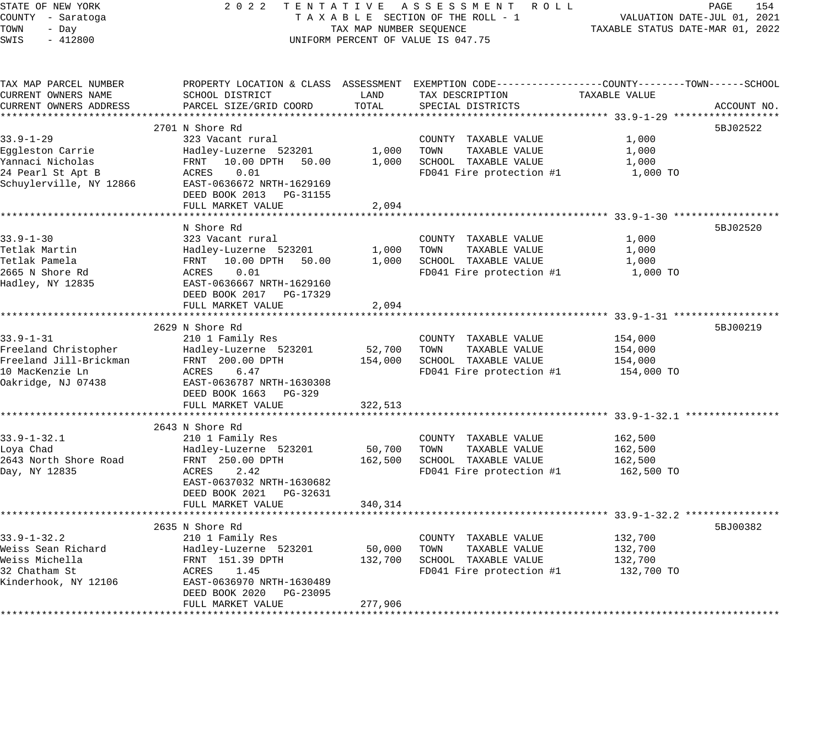| STATE OF NEW YORK<br>COUNTY - Saratoga<br>TOWN<br>- Day<br>SWIS<br>$-412800$ | 2 0 2 2                                                 | TAX MAP NUMBER SEQUENCE | TENTATIVE ASSESSMENT ROLL<br>TAXABLE SECTION OF THE ROLL - 1<br>UNIFORM PERCENT OF VALUE IS 047.75 | TAXABLE STATUS DATE-MAR 01, 2022     | PAGE<br>154<br>VALUATION DATE-JUL 01, 2021 |
|------------------------------------------------------------------------------|---------------------------------------------------------|-------------------------|----------------------------------------------------------------------------------------------------|--------------------------------------|--------------------------------------------|
|                                                                              |                                                         |                         |                                                                                                    |                                      |                                            |
| TAX MAP PARCEL NUMBER                                                        |                                                         |                         | PROPERTY LOCATION & CLASS ASSESSMENT EXEMPTION CODE---------------COUNTY-------TOWN-----SCHOOL     |                                      |                                            |
| CURRENT OWNERS NAME                                                          | SCHOOL DISTRICT                                         | LAND                    | TAX DESCRIPTION                                                                                    | TAXABLE VALUE                        |                                            |
| CURRENT OWNERS ADDRESS                                                       | PARCEL SIZE/GRID COORD                                  | TOTAL                   | SPECIAL DISTRICTS                                                                                  |                                      | ACCOUNT NO.                                |
|                                                                              |                                                         |                         |                                                                                                    |                                      |                                            |
| $33.9 - 1 - 29$                                                              | 2701 N Shore Rd                                         |                         |                                                                                                    |                                      | 5BJ02522                                   |
| Eggleston Carrie                                                             | 323 Vacant rural<br>Hadley-Luzerne 523201               | 1,000                   | COUNTY TAXABLE VALUE<br>TAXABLE VALUE<br>TOWN                                                      | 1,000<br>1,000                       |                                            |
| Yannaci Nicholas                                                             | 10.00 DPTH<br>FRNT<br>50.00                             | 1,000                   | SCHOOL TAXABLE VALUE                                                                               | 1,000                                |                                            |
| 24 Pearl St Apt B                                                            | ACRES<br>0.01                                           |                         | FD041 Fire protection #1                                                                           | 1,000 TO                             |                                            |
| Schuylerville, NY 12866                                                      | EAST-0636672 NRTH-1629169                               |                         |                                                                                                    |                                      |                                            |
|                                                                              | DEED BOOK 2013 PG-31155                                 |                         |                                                                                                    |                                      |                                            |
|                                                                              | FULL MARKET VALUE                                       | 2,094                   |                                                                                                    |                                      |                                            |
|                                                                              |                                                         |                         |                                                                                                    |                                      |                                            |
|                                                                              | N Shore Rd                                              |                         |                                                                                                    |                                      | 5BJ02520                                   |
| $33.9 - 1 - 30$                                                              | 323 Vacant rural                                        |                         | COUNTY TAXABLE VALUE                                                                               | 1,000                                |                                            |
| Tetlak Martin                                                                | Hadley-Luzerne 523201                                   | 1,000                   | TOWN<br>TAXABLE VALUE                                                                              | 1,000                                |                                            |
| Tetlak Pamela                                                                | FRNT 10.00 DPTH<br>50.00                                | 1,000                   | SCHOOL TAXABLE VALUE                                                                               | 1,000                                |                                            |
| 2665 N Shore Rd<br>Hadley, NY 12835                                          | ACRES<br>0.01                                           |                         | FD041 Fire protection #1                                                                           | 1,000 TO                             |                                            |
|                                                                              | EAST-0636667 NRTH-1629160<br>DEED BOOK 2017<br>PG-17329 |                         |                                                                                                    |                                      |                                            |
|                                                                              | FULL MARKET VALUE                                       | 2,094                   |                                                                                                    |                                      |                                            |
|                                                                              |                                                         |                         |                                                                                                    |                                      |                                            |
|                                                                              | 2629 N Shore Rd                                         |                         |                                                                                                    |                                      | 5BJ00219                                   |
| $33.9 - 1 - 31$                                                              | 210 1 Family Res                                        |                         | COUNTY TAXABLE VALUE                                                                               | 154,000                              |                                            |
| Freeland Christopher                                                         | Hadley-Luzerne 523201                                   | 52,700                  | TAXABLE VALUE<br>TOWN                                                                              | 154,000                              |                                            |
| Freeland Jill-Brickman                                                       | FRNT 200.00 DPTH                                        | 154,000                 | SCHOOL TAXABLE VALUE                                                                               | 154,000                              |                                            |
| 10 MacKenzie Ln                                                              | 6.47<br>ACRES                                           |                         | FD041 Fire protection #1                                                                           | 154,000 TO                           |                                            |
| Oakridge, NJ 07438                                                           | EAST-0636787 NRTH-1630308                               |                         |                                                                                                    |                                      |                                            |
|                                                                              | DEED BOOK 1663 PG-329                                   |                         |                                                                                                    |                                      |                                            |
|                                                                              | FULL MARKET VALUE                                       | 322,513                 |                                                                                                    |                                      |                                            |
|                                                                              | 2643 N Shore Rd                                         |                         |                                                                                                    |                                      |                                            |
| $33.9 - 1 - 32.1$                                                            | 210 1 Family Res                                        |                         | COUNTY TAXABLE VALUE                                                                               | 162,500                              |                                            |
| Loya Chad                                                                    | Hadley-Luzerne 523201                                   | 50,700                  | TAXABLE VALUE<br>TOWN                                                                              | 162,500                              |                                            |
| 2643 North Shore Road                                                        | FRNT 250.00 DPTH                                        | 162,500                 | SCHOOL TAXABLE VALUE                                                                               | 162,500                              |                                            |
| Day, NY 12835                                                                | ACRES<br>2.42                                           |                         | FD041 Fire protection #1                                                                           | 162,500 TO                           |                                            |
|                                                                              | EAST-0637032 NRTH-1630682                               |                         |                                                                                                    |                                      |                                            |
|                                                                              | DEED BOOK 2021 PG-32631                                 |                         |                                                                                                    |                                      |                                            |
|                                                                              | FULL MARKET VALUE                                       | 340,314                 |                                                                                                    |                                      |                                            |
|                                                                              |                                                         |                         |                                                                                                    | ********** 33.9-1-32.2 ************* |                                            |
|                                                                              | 2635 N Shore Rd                                         |                         |                                                                                                    |                                      | 5BJ00382                                   |
| $33.9 - 1 - 32.2$                                                            | 210 1 Family Res                                        |                         | COUNTY TAXABLE VALUE<br>TOWN                                                                       | 132,700                              |                                            |
| Weiss Sean Richard<br>Weiss Michella                                         | Hadley-Luzerne 523201<br>FRNT 151.39 DPTH               | 50,000<br>132,700       | TAXABLE VALUE<br>SCHOOL TAXABLE VALUE                                                              | 132,700<br>132,700                   |                                            |
| 32 Chatham St                                                                | ACRES<br>1.45                                           |                         | FD041 Fire protection #1                                                                           | 132,700 TO                           |                                            |
| Kinderhook, NY 12106                                                         | EAST-0636970 NRTH-1630489                               |                         |                                                                                                    |                                      |                                            |
|                                                                              | DEED BOOK 2020<br>PG-23095                              |                         |                                                                                                    |                                      |                                            |
|                                                                              | FULL MARKET VALUE                                       | 277,906                 |                                                                                                    |                                      |                                            |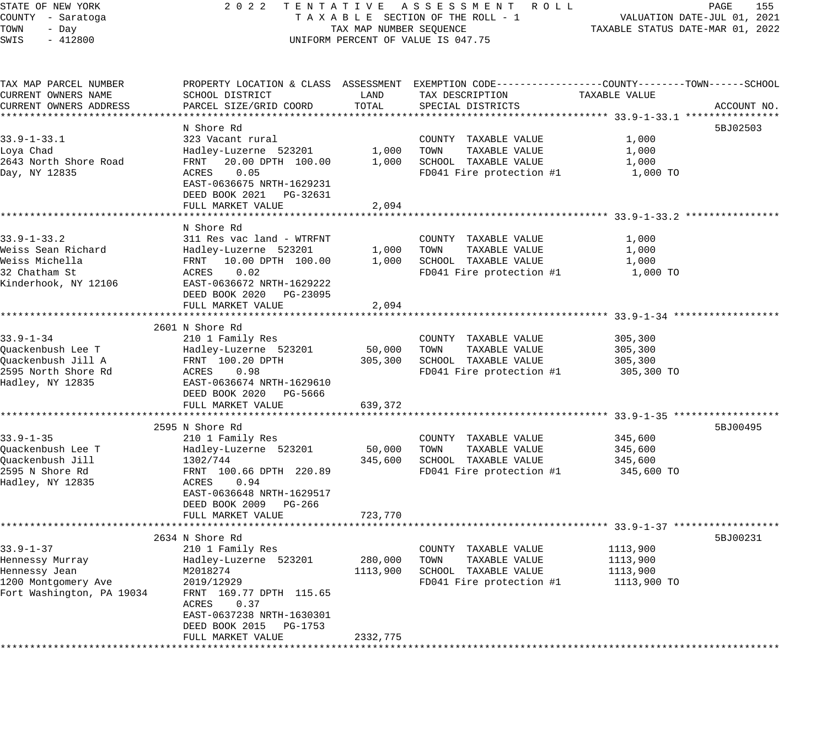STATE OF NEW YORK 2 0 2 2 T E N T A T I V E A S S E S S M E N T R O L L PAGE 155 COUNTY - Saratoga T A X A B L E SECTION OF THE ROLL - 1 VALUATION DATE-JUL 01, 2021 TOWN - Day TAX MAP NUMBER SEQUENCE TAXABLE STATUS DATE-MAR 01, 2022 SWIS - 412800 UNIFORM PERCENT OF VALUE IS 047.75 TAX MAP PARCEL NUMBER PROPERTY LOCATION & CLASS ASSESSMENT EXEMPTION CODE------------------COUNTY--------TOWN------SCHOOL CURRENT OWNERS NAME SCHOOL DISTRICT LAND TAX DESCRIPTION TAXABLE VALUE CURRENT OWNERS ADDRESS PARCEL SIZE/GRID COORD TOTAL SPECIAL DISTRICTS ACCOUNT NO. \*\*\*\*\*\*\*\*\*\*\*\*\*\*\*\*\*\*\*\*\*\*\*\*\*\*\*\*\*\*\*\*\*\*\*\*\*\*\*\*\*\*\*\*\*\*\*\*\*\*\*\*\*\*\*\*\*\*\*\*\*\*\*\*\*\*\*\*\*\*\*\*\*\*\*\*\*\*\*\*\*\*\*\*\*\*\*\*\*\*\*\*\*\*\*\*\*\*\*\*\*\*\* 33.9-1-33.1 \*\*\*\*\*\*\*\*\*\*\*\*\*\*\*\* N Shore Rd 5BJ02503 33.9-1-33.1 323 Vacant rural COUNTY TAXABLE VALUE 1,000 Loya Chad Hadley-Luzerne 523201 1,000 TOWN TAXABLE VALUE 1,000 2643 North Shore Road FRNT 20.00 DPTH 100.00 1,000 SCHOOL TAXABLE VALUE 1,000 Day, NY 12835 ACRES 0.05 FD041 Fire protection #1 1,000 TO EAST-0636675 NRTH-1629231 DEED BOOK 2021 PG-32631 FULL MARKET VALUE 2,094 \*\*\*\*\*\*\*\*\*\*\*\*\*\*\*\*\*\*\*\*\*\*\*\*\*\*\*\*\*\*\*\*\*\*\*\*\*\*\*\*\*\*\*\*\*\*\*\*\*\*\*\*\*\*\*\*\*\*\*\*\*\*\*\*\*\*\*\*\*\*\*\*\*\*\*\*\*\*\*\*\*\*\*\*\*\*\*\*\*\*\*\*\*\*\*\*\*\*\*\*\*\*\* 33.9-1-33.2 \*\*\*\*\*\*\*\*\*\*\*\*\*\*\*\* N Shore Rd 33.9-1-33.2 311 Res vac land - WTRFNT COUNTY TAXABLE VALUE 1,000 Weiss Sean Richard Hadley-Luzerne 523201 1,000 TOWN TAXABLE VALUE 1,000 Weiss Michella FRNT 10.00 DPTH 100.00 1,000 SCHOOL TAXABLE VALUE 1,000 32 Chatham St ACRES 0.02 FD041 Fire protection #1 1,000 TO Kinderhook, NY 12106 EAST-0636672 NRTH-1629222 DEED BOOK 2020 PG-23095 FULL MARKET VALUE 2005 \*\*\*\*\*\*\*\*\*\*\*\*\*\*\*\*\*\*\*\*\*\*\*\*\*\*\*\*\*\*\*\*\*\*\*\*\*\*\*\*\*\*\*\*\*\*\*\*\*\*\*\*\*\*\*\*\*\*\*\*\*\*\*\*\*\*\*\*\*\*\*\*\*\*\*\*\*\*\*\*\*\*\*\*\*\*\*\*\*\*\*\*\*\*\*\*\*\*\*\*\*\*\* 33.9-1-34 \*\*\*\*\*\*\*\*\*\*\*\*\*\*\*\*\*\* 2601 N Shore Rd 33.9-1-34 210 1 Family Res COUNTY TAXABLE VALUE 305,300 Quackenbush Lee T Hadley-Luzerne 523201 50,000 TOWN TAXABLE VALUE 305,300 Quackenbush Jill A FRNT 100.20 DPTH 305,300 SCHOOL TAXABLE VALUE 305,300 2595 North Shore Rd ACRES 0.98 FD041 Fire protection #1 305,300 TO Hadley, NY 12835 EAST-0636674 NRTH-1629610 93.9-1-34<br>Quackenbush Lee T<br>Quackenbush Jill A FRNT 100.20 DPTH<br>2595 North Shore Rd<br>Hadley, NY 12835 EAST-0636674 NRTH-1629610<br>DEED BOOK 2020 PG-5666 FULL MARKET VALUE 639,372 \*\*\*\*\*\*\*\*\*\*\*\*\*\*\*\*\*\*\*\*\*\*\*\*\*\*\*\*\*\*\*\*\*\*\*\*\*\*\*\*\*\*\*\*\*\*\*\*\*\*\*\*\*\*\*\*\*\*\*\*\*\*\*\*\*\*\*\*\*\*\*\*\*\*\*\*\*\*\*\*\*\*\*\*\*\*\*\*\*\*\*\*\*\*\*\*\*\*\*\*\*\*\* 33.9-1-35 \*\*\*\*\*\*\*\*\*\*\*\*\*\*\*\*\*\* 2595 N Shore Rd 5BJ00495 33.9-1-35 210 1 Family Res COUNTY TAXABLE VALUE 345,600 Quackenbush Lee T Hadley-Luzerne 523201 50,000 TOWN TAXABLE VALUE 345,600 Quackenbush Jill 1302/744 345,600 SCHOOL TAXABLE VALUE 345,600 2595 N Shore Rd FRNT 100.66 DPTH 220.89 FD041 Fire protection #1 345,600 TO 2333 N SHOIC RG<br>Hadley, NY 12835 EAST-0636648 NRTH-1629517 DEED BOOK 2009 PG-266 FULL MARKET VALUE 723,770 \*\*\*\*\*\*\*\*\*\*\*\*\*\*\*\*\*\*\*\*\*\*\*\*\*\*\*\*\*\*\*\*\*\*\*\*\*\*\*\*\*\*\*\*\*\*\*\*\*\*\*\*\*\*\*\*\*\*\*\*\*\*\*\*\*\*\*\*\*\*\*\*\*\*\*\*\*\*\*\*\*\*\*\*\*\*\*\*\*\*\*\*\*\*\*\*\*\*\*\*\*\*\* 33.9-1-37 \*\*\*\*\*\*\*\*\*\*\*\*\*\*\*\*\*\* 2634 N Shore Rd 5BJ00231 33.9-1-37 210 1 Family Res COUNTY TAXABLE VALUE 1113,900 Hennessy Murray Hadley-Luzerne 523201 280,000 TOWN TAXABLE VALUE 1113,900 Hennessy Jean M2018274 1113,900 SCHOOL TAXABLE VALUE 1113,900 1200 Montgomery Ave 2019/12929 FD041 Fire protection #1 1113,900 TO Fort Washington, PA 19034 FRNT 169.77 DPTH 115.65 ACRES 0.37 EAST-0637238 NRTH-1630301 DEED BOOK 2015 PG-1753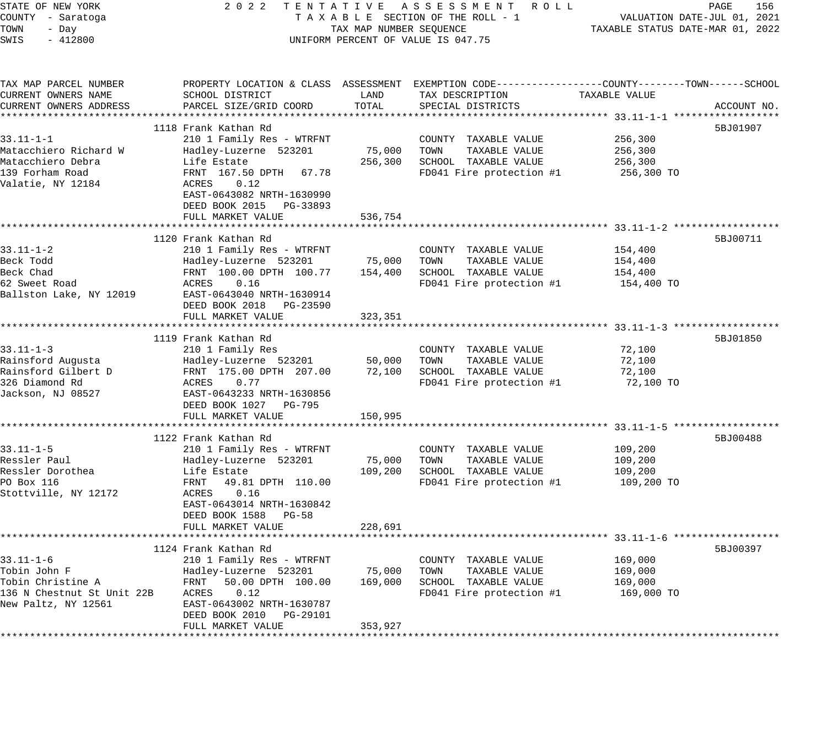| STATE OF NEW YORK<br>COUNTY - Saratoga<br>TOWN<br>- Day<br>SWIS<br>$-412800$ | 2 0 2 2<br>TENTATIVE ASSESSMENT ROLL<br>TAXABLE SECTION OF THE ROLL - 1<br>TAX MAP NUMBER SEQUENCE<br>UNIFORM PERCENT OF VALUE IS 047.75 | PAGE<br>156<br>VALUATION DATE-JUL 01, 2021<br>TAXABLE STATUS DATE-MAR 01, 2022 |                                                                                                                                          |                       |             |
|------------------------------------------------------------------------------|------------------------------------------------------------------------------------------------------------------------------------------|--------------------------------------------------------------------------------|------------------------------------------------------------------------------------------------------------------------------------------|-----------------------|-------------|
| TAX MAP PARCEL NUMBER<br>CURRENT OWNERS NAME<br>CURRENT OWNERS ADDRESS       | SCHOOL DISTRICT<br>PARCEL SIZE/GRID COORD                                                                                                | LAND<br>TOTAL                                                                  | PROPERTY LOCATION & CLASS ASSESSMENT EXEMPTION CODE----------------COUNTY-------TOWN------SCHOOL<br>TAX DESCRIPTION<br>SPECIAL DISTRICTS | TAXABLE VALUE         | ACCOUNT NO. |
|                                                                              | 1118 Frank Kathan Rd                                                                                                                     |                                                                                |                                                                                                                                          |                       | 5BJ01907    |
| $33.11 - 1 - 1$                                                              | 210 1 Family Res - WTRFNT                                                                                                                |                                                                                | COUNTY TAXABLE VALUE                                                                                                                     | 256,300               |             |
| Matacchiero Richard W                                                        | Hadley-Luzerne 523201                                                                                                                    | 75,000                                                                         | TOWN<br>TAXABLE VALUE                                                                                                                    | 256,300               |             |
| Matacchiero Debra                                                            | Life Estate                                                                                                                              | 256,300                                                                        | SCHOOL TAXABLE VALUE                                                                                                                     | 256,300               |             |
| 139 Forham Road                                                              | FRNT 167.50 DPTH<br>67.78                                                                                                                |                                                                                | FD041 Fire protection #1                                                                                                                 | 256,300 TO            |             |
| Valatie, NY 12184                                                            | ACRES<br>0.12                                                                                                                            |                                                                                |                                                                                                                                          |                       |             |
|                                                                              | EAST-0643082 NRTH-1630990                                                                                                                |                                                                                |                                                                                                                                          |                       |             |
|                                                                              | DEED BOOK 2015 PG-33893                                                                                                                  |                                                                                |                                                                                                                                          |                       |             |
|                                                                              | FULL MARKET VALUE                                                                                                                        | 536,754                                                                        |                                                                                                                                          |                       |             |
|                                                                              | ****************************                                                                                                             |                                                                                |                                                                                                                                          |                       |             |
|                                                                              | 1120 Frank Kathan Rd                                                                                                                     |                                                                                |                                                                                                                                          |                       | 5BJ00711    |
| $33.11 - 1 - 2$                                                              | 210 1 Family Res - WTRFNT                                                                                                                |                                                                                | COUNTY TAXABLE VALUE                                                                                                                     | 154,400               |             |
| Beck Todd                                                                    | Hadley-Luzerne 523201                                                                                                                    | 75,000                                                                         | TAXABLE VALUE<br>TOWN                                                                                                                    | 154,400               |             |
| Beck Chad<br>62 Sweet Road                                                   | FRNT 100.00 DPTH 100.77<br>ACRES<br>0.16                                                                                                 | 154,400                                                                        | SCHOOL TAXABLE VALUE<br>FD041 Fire protection #1                                                                                         | 154,400<br>154,400 TO |             |
| Ballston Lake, NY 12019                                                      | EAST-0643040 NRTH-1630914                                                                                                                |                                                                                |                                                                                                                                          |                       |             |
|                                                                              | DEED BOOK 2018 PG-23590                                                                                                                  |                                                                                |                                                                                                                                          |                       |             |
|                                                                              | FULL MARKET VALUE                                                                                                                        | 323,351                                                                        |                                                                                                                                          |                       |             |
|                                                                              |                                                                                                                                          |                                                                                |                                                                                                                                          |                       |             |
|                                                                              | 1119 Frank Kathan Rd                                                                                                                     |                                                                                |                                                                                                                                          |                       | 5BJ01850    |
| $33.11 - 1 - 3$                                                              | 210 1 Family Res                                                                                                                         |                                                                                | COUNTY TAXABLE VALUE                                                                                                                     | 72,100                |             |
| Rainsford Augusta                                                            | Hadley-Luzerne 523201                                                                                                                    | 50,000                                                                         | TOWN<br>TAXABLE VALUE                                                                                                                    | 72,100                |             |
| Rainsford Gilbert D                                                          | FRNT 175.00 DPTH 207.00                                                                                                                  | 72,100                                                                         | SCHOOL TAXABLE VALUE                                                                                                                     | 72,100                |             |
| 326 Diamond Rd                                                               | ACRES<br>0.77                                                                                                                            |                                                                                | FD041 Fire protection #1                                                                                                                 | 72,100 TO             |             |
| Jackson, NJ 08527                                                            | EAST-0643233 NRTH-1630856                                                                                                                |                                                                                |                                                                                                                                          |                       |             |
|                                                                              | DEED BOOK 1027 PG-795                                                                                                                    |                                                                                |                                                                                                                                          |                       |             |
|                                                                              | FULL MARKET VALUE                                                                                                                        | 150,995                                                                        |                                                                                                                                          |                       |             |
|                                                                              | 1122 Frank Kathan Rd                                                                                                                     |                                                                                |                                                                                                                                          |                       | 5BJ00488    |
| $33.11 - 1 - 5$                                                              | 210 1 Family Res - WTRFNT                                                                                                                |                                                                                | COUNTY TAXABLE VALUE                                                                                                                     | 109,200               |             |
| Ressler Paul                                                                 | Hadley-Luzerne 523201                                                                                                                    | 75,000                                                                         | TOWN<br>TAXABLE VALUE                                                                                                                    | 109,200               |             |
| Ressler Dorothea                                                             | Life Estate                                                                                                                              | 109,200                                                                        | SCHOOL TAXABLE VALUE                                                                                                                     | 109,200               |             |
| PO Box 116                                                                   | FRNT<br>49.81 DPTH 110.00                                                                                                                |                                                                                | FD041 Fire protection #1                                                                                                                 | 109,200 TO            |             |
| Stottville, NY 12172                                                         | ACRES<br>0.16                                                                                                                            |                                                                                |                                                                                                                                          |                       |             |
|                                                                              | EAST-0643014 NRTH-1630842                                                                                                                |                                                                                |                                                                                                                                          |                       |             |
|                                                                              | DEED BOOK 1588<br><b>PG-58</b>                                                                                                           |                                                                                |                                                                                                                                          |                       |             |
|                                                                              | FULL MARKET VALUE                                                                                                                        | 228,691                                                                        |                                                                                                                                          |                       |             |
|                                                                              |                                                                                                                                          |                                                                                |                                                                                                                                          |                       |             |
|                                                                              | 1124 Frank Kathan Rd                                                                                                                     |                                                                                |                                                                                                                                          |                       | 5BJ00397    |
| $33.11 - 1 - 6$                                                              | 210 1 Family Res - WTRFNT                                                                                                                |                                                                                | COUNTY TAXABLE VALUE                                                                                                                     | 169,000               |             |
| Tobin John F                                                                 | Hadley-Luzerne 523201                                                                                                                    | 75,000                                                                         | TOWN<br>TAXABLE VALUE                                                                                                                    | 169,000               |             |
| Tobin Christine A                                                            | FRNT<br>50.00 DPTH 100.00                                                                                                                | 169,000                                                                        | SCHOOL TAXABLE VALUE                                                                                                                     | 169,000               |             |
| 136 N Chestnut St Unit 22B<br>New Paltz, NY 12561                            | ACRES<br>0.12<br>EAST-0643002 NRTH-1630787                                                                                               |                                                                                | FD041 Fire protection #1                                                                                                                 | 169,000 TO            |             |
|                                                                              | DEED BOOK 2010<br>PG-29101                                                                                                               |                                                                                |                                                                                                                                          |                       |             |
|                                                                              | FULL MARKET VALUE                                                                                                                        | 353,927                                                                        |                                                                                                                                          |                       |             |
|                                                                              |                                                                                                                                          |                                                                                |                                                                                                                                          |                       |             |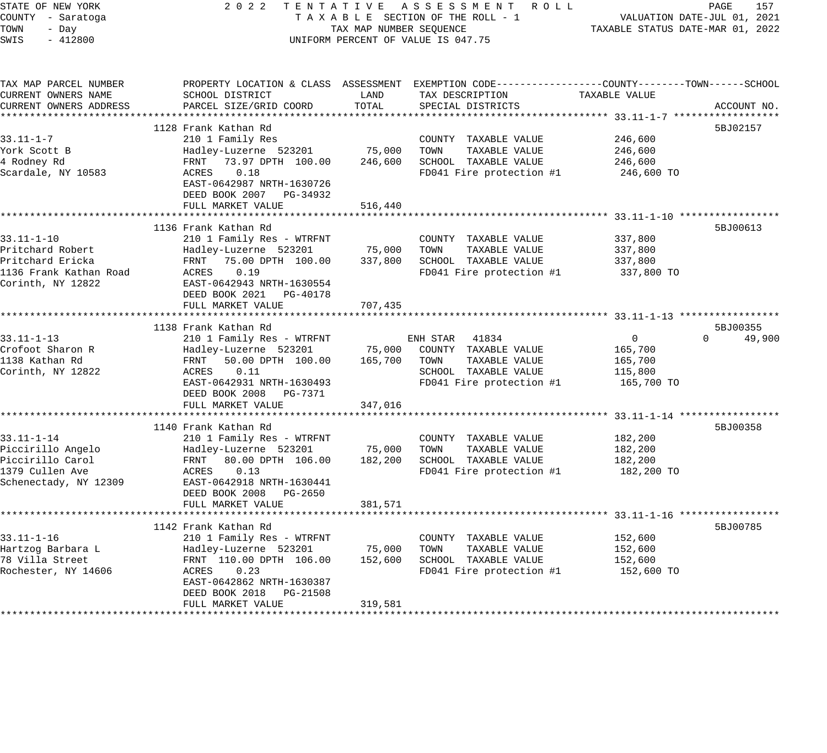| STATE OF NEW YORK<br>COUNTY - Saratoga<br>TOWN<br>- Day<br>$-412800$<br>SWIS                      | 2 0 2 2                                                                                                                                                                                             | TAX MAP NUMBER SEQUENCE      | TENTATIVE ASSESSMENT ROLL<br>TAXABLE SECTION OF THE ROLL - 1<br>UNIFORM PERCENT OF VALUE IS 047.75                                     | TAXABLE STATUS DATE-MAR 01, 2022                | PAGE<br>157<br>VALUATION DATE-JUL 01, 2021 |
|---------------------------------------------------------------------------------------------------|-----------------------------------------------------------------------------------------------------------------------------------------------------------------------------------------------------|------------------------------|----------------------------------------------------------------------------------------------------------------------------------------|-------------------------------------------------|--------------------------------------------|
| TAX MAP PARCEL NUMBER<br>CURRENT OWNERS NAME<br>CURRENT OWNERS ADDRESS                            | SCHOOL DISTRICT<br>PARCEL SIZE/GRID COORD                                                                                                                                                           | LAND<br>TOTAL                | PROPERTY LOCATION & CLASS ASSESSMENT EXEMPTION CODE---------------COUNTY-------TOWN-----SCHOOL<br>TAX DESCRIPTION<br>SPECIAL DISTRICTS | TAXABLE VALUE                                   | ACCOUNT NO.                                |
|                                                                                                   |                                                                                                                                                                                                     |                              |                                                                                                                                        |                                                 |                                            |
| 33.11-1-7<br>York Scott B<br>4 Rodney Rd<br>Scardale, NY 10583                                    | 1128 Frank Kathan Rd<br>210 1 Family Res<br>Hadley-Luzerne 523201<br>FRNT 73.97 DPTH 100.00<br>ACRES<br>0.18<br>EAST-0642987 NRTH-1630726<br>DEED BOOK 2007 PG-34932                                | 75,000<br>246,600            | COUNTY TAXABLE VALUE<br>TOWN<br>TAXABLE VALUE<br>SCHOOL TAXABLE VALUE<br>FD041 Fire protection #1                                      | 246,600<br>246,600<br>246,600<br>246,600 TO     | 5BJ02157                                   |
|                                                                                                   | FULL MARKET VALUE                                                                                                                                                                                   | 516,440                      |                                                                                                                                        |                                                 |                                            |
| 33.11-1-10<br>Pritchard Robert<br>Pritchard Ericka<br>1136 Frank Kathan Road<br>Corinth, NY 12822 | 1136 Frank Kathan Rd<br>210 1 Family Res - WTRFNT<br>Hadley-Luzerne 523201<br>FRNT 75.00 DPTH 100.00<br>ACRES<br>0.19<br>EAST-0642943 NRTH-1630554<br>DEED BOOK 2021 PG-40178<br>FULL MARKET VALUE  | 75,000<br>337,800<br>707,435 | COUNTY TAXABLE VALUE<br>TOWN<br>TAXABLE VALUE<br>SCHOOL TAXABLE VALUE<br>FD041 Fire protection #1                                      | 337,800<br>337,800<br>337,800<br>337,800 TO     | 5BJ00613                                   |
|                                                                                                   |                                                                                                                                                                                                     |                              |                                                                                                                                        |                                                 |                                            |
| $33.11 - 1 - 13$<br>Crofoot Sharon R<br>1138 Kathan Rd<br>Corinth, NY 12822                       | 1138 Frank Kathan Rd<br>210 1 Family Res - WTRFNT<br>Hadley-Luzerne 523201<br>FRNT<br>50.00 DPTH 100.00<br>0.11<br>ACRES                                                                            | 75,000<br>165,700            | 41834<br>ENH STAR<br>COUNTY TAXABLE VALUE<br>TOWN<br>TAXABLE VALUE<br>SCHOOL TAXABLE VALUE                                             | $\overline{0}$<br>165,700<br>165,700<br>115,800 | 5BJ00355<br>$\Omega$<br>49,900             |
|                                                                                                   | EAST-0642931 NRTH-1630493<br>DEED BOOK 2008 PG-7371<br>FULL MARKET VALUE                                                                                                                            | 347,016                      | FD041 Fire protection #1                                                                                                               | 165,700 TO                                      |                                            |
| 33.11-1-14<br>Piccirillo Angelo<br>Piccirillo Carol<br>1379 Cullen Ave<br>Schenectady, NY 12309   | 1140 Frank Kathan Rd<br>210 1 Family Res - WTRFNT<br>Hadley-Luzerne 523201<br>FRNT 80.00 DPTH 106.00<br>ACRES<br>0.13<br>EAST-0642918 NRTH-1630441<br>DEED BOOK 2008 PG-2650                        | 75,000<br>182,200            | COUNTY TAXABLE VALUE<br>TAXABLE VALUE<br>TOWN<br>SCHOOL TAXABLE VALUE<br>FD041 Fire protection #1                                      | 182,200<br>182,200<br>182,200<br>182,200 TO     | 5BJ00358                                   |
|                                                                                                   | FULL MARKET VALUE                                                                                                                                                                                   | 381,571                      |                                                                                                                                        |                                                 |                                            |
| $33.11 - 1 - 16$<br>Hartzog Barbara L<br>78 Villa Street<br>Rochester, NY 14606                   | 1142 Frank Kathan Rd<br>210 1 Family Res - WTRFNT<br>Hadley-Luzerne 523201<br>FRNT 110.00 DPTH 106.00<br>ACRES<br>0.23<br>EAST-0642862 NRTH-1630387<br>DEED BOOK 2018 PG-21508<br>FULL MARKET VALUE | 75,000<br>152,600<br>319,581 | COUNTY TAXABLE VALUE<br>TOWN<br>TAXABLE VALUE<br>SCHOOL TAXABLE VALUE<br>FD041 Fire protection #1                                      | 152,600<br>152,600<br>152,600<br>152,600 TO     | 5BJ00785                                   |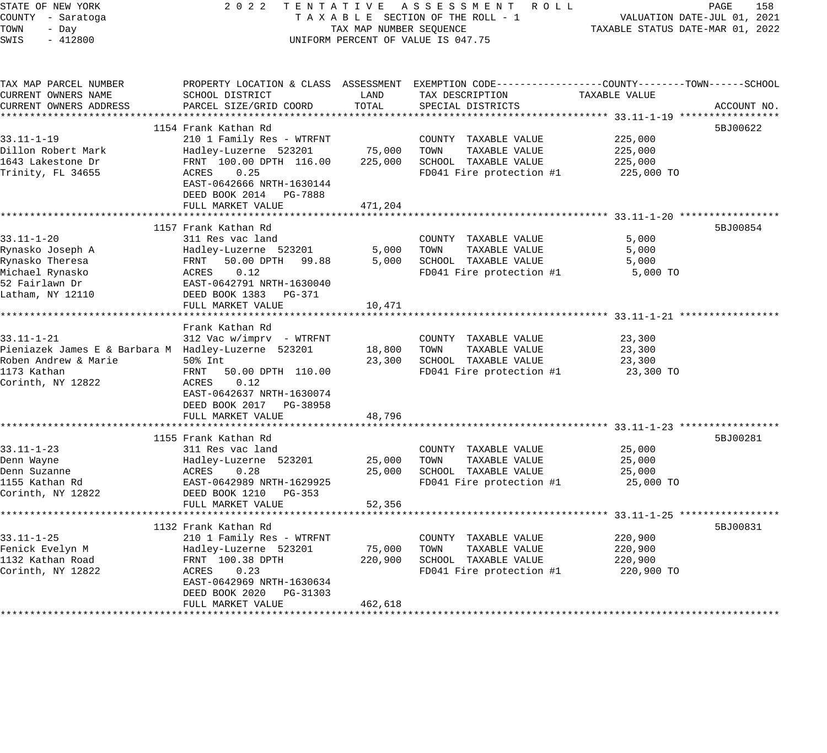| PROPERTY LOCATION & CLASS ASSESSMENT EXEMPTION CODE---------------COUNTY-------TOWN-----SCHOOL<br>TAX MAP PARCEL NUMBER<br>CURRENT OWNERS NAME<br>SCHOOL DISTRICT<br>LAND<br>TAX DESCRIPTION<br>TAXABLE VALUE<br>CURRENT OWNERS ADDRESS<br>TOTAL<br>PARCEL SIZE/GRID COORD<br>SPECIAL DISTRICTS<br>ACCOUNT NO.<br>1154 Frank Kathan Rd<br>5BJ00622<br>$33.11 - 1 - 19$<br>210 1 Family Res - WTRFNT<br>225,000<br>COUNTY TAXABLE VALUE<br>Dillon Robert Mark<br>75,000<br>TOWN<br>225,000<br>Hadley-Luzerne 523201<br>TAXABLE VALUE<br>1643 Lakestone Dr<br>225,000<br>SCHOOL TAXABLE VALUE<br>FRNT 100.00 DPTH 116.00<br>225,000<br>Trinity, FL 34655<br>0.25<br>FD041 Fire protection #1<br>ACRES<br>225,000 TO<br>EAST-0642666 NRTH-1630144<br>DEED BOOK 2014 PG-7888<br>471,204<br>FULL MARKET VALUE<br>1157 Frank Kathan Rd<br>5BJ00854<br>$33.11 - 1 - 20$<br>311 Res vac land<br>COUNTY TAXABLE VALUE<br>5,000<br>5,000<br>TAXABLE VALUE<br>5,000<br>Rynasko Joseph A<br>Hadley-Luzerne 523201<br>TOWN<br>Rynasko Theresa<br>FRNT<br>50.00 DPTH 99.88<br>5,000<br>SCHOOL TAXABLE VALUE<br>5,000<br>Michael Rynasko<br>ACRES<br>0.12<br>FD041 Fire protection #1<br>5,000 TO<br>52 Fairlawn Dr<br>EAST-0642791 NRTH-1630040<br>Latham, NY 12110<br>DEED BOOK 1383 PG-371<br>FULL MARKET VALUE<br>10,471<br>Frank Kathan Rd<br>$33.11 - 1 - 21$<br>312 Vac w/imprv - WTRFNT<br>COUNTY TAXABLE VALUE<br>23,300<br>Pieniazek James E & Barbara M Hadley-Luzerne 523201<br>18,800<br>TOWN<br>TAXABLE VALUE<br>23,300<br>Roben Andrew & Marie<br>SCHOOL TAXABLE VALUE<br>23,300<br>50% Int<br>23,300<br>1173 Kathan<br>FD041 Fire protection #1<br>FRNT<br>50.00 DPTH 110.00<br>23,300 TO<br>Corinth, NY 12822<br>0.12<br>ACRES<br>EAST-0642637 NRTH-1630074<br>DEED BOOK 2017 PG-38958<br>FULL MARKET VALUE<br>48,796<br>*************<br>*************************************33.11-1-23 *****************<br>1155 Frank Kathan Rd<br>5BJ00281<br>$33.11 - 1 - 23$<br>311 Res vac land<br>COUNTY TAXABLE VALUE<br>25,000<br>TOWN<br>TAXABLE VALUE<br>Denn Wayne<br>Hadley-Luzerne 523201<br>25,000<br>25,000<br>Denn Suzanne<br>ACRES<br>0.28<br>25,000<br>SCHOOL TAXABLE VALUE<br>25,000<br>FD041 Fire protection #1<br>1155 Kathan Rd<br>EAST-0642989 NRTH-1629925<br>25,000 TO<br>Corinth, NY 12822<br>DEED BOOK 1210 PG-353<br>FULL MARKET VALUE<br>52,356<br>5BJ00831<br>1132 Frank Kathan Rd<br>$33.11 - 1 - 25$<br>210 1 Family Res - WTRFNT<br>220,900<br>COUNTY TAXABLE VALUE<br>Fenick Evelyn M<br>75,000<br>TAXABLE VALUE<br>220,900<br>Hadley-Luzerne 523201<br>TOWN<br>1132 Kathan Road<br>FRNT 100.38 DPTH<br>220,900<br>SCHOOL TAXABLE VALUE<br>220,900<br>Corinth, NY 12822<br>FD041 Fire protection #1<br>ACRES<br>0.23<br>220,900 TO<br>EAST-0642969 NRTH-1630634<br>DEED BOOK 2020<br>PG-31303<br>FULL MARKET VALUE<br>462,618 | STATE OF NEW YORK<br>COUNTY - Saratoga<br>TOWN<br>- Day<br>SWIS<br>$-412800$ | 2022<br>TENTATIVE ASSESSMENT ROLL<br>TAXABLE SECTION OF THE ROLL - 1<br>TAX MAP NUMBER SEQUENCE<br>UNIFORM PERCENT OF VALUE IS 047.75 | PAGE<br>158<br>VALUATION DATE-JUL 01, 2021<br>TAXABLE STATUS DATE-MAR 01, 2022 |  |  |
|------------------------------------------------------------------------------------------------------------------------------------------------------------------------------------------------------------------------------------------------------------------------------------------------------------------------------------------------------------------------------------------------------------------------------------------------------------------------------------------------------------------------------------------------------------------------------------------------------------------------------------------------------------------------------------------------------------------------------------------------------------------------------------------------------------------------------------------------------------------------------------------------------------------------------------------------------------------------------------------------------------------------------------------------------------------------------------------------------------------------------------------------------------------------------------------------------------------------------------------------------------------------------------------------------------------------------------------------------------------------------------------------------------------------------------------------------------------------------------------------------------------------------------------------------------------------------------------------------------------------------------------------------------------------------------------------------------------------------------------------------------------------------------------------------------------------------------------------------------------------------------------------------------------------------------------------------------------------------------------------------------------------------------------------------------------------------------------------------------------------------------------------------------------------------------------------------------------------------------------------------------------------------------------------------------------------------------------------------------------------------------------------------------------------------------------------------------------------------------------------------------------------------------------------------------------------------------------------------------------------------------------------------------------------------------------------------------------------------------------------------------------------------------------------------------------------------------------------------|------------------------------------------------------------------------------|---------------------------------------------------------------------------------------------------------------------------------------|--------------------------------------------------------------------------------|--|--|
|                                                                                                                                                                                                                                                                                                                                                                                                                                                                                                                                                                                                                                                                                                                                                                                                                                                                                                                                                                                                                                                                                                                                                                                                                                                                                                                                                                                                                                                                                                                                                                                                                                                                                                                                                                                                                                                                                                                                                                                                                                                                                                                                                                                                                                                                                                                                                                                                                                                                                                                                                                                                                                                                                                                                                                                                                                                      |                                                                              |                                                                                                                                       |                                                                                |  |  |
|                                                                                                                                                                                                                                                                                                                                                                                                                                                                                                                                                                                                                                                                                                                                                                                                                                                                                                                                                                                                                                                                                                                                                                                                                                                                                                                                                                                                                                                                                                                                                                                                                                                                                                                                                                                                                                                                                                                                                                                                                                                                                                                                                                                                                                                                                                                                                                                                                                                                                                                                                                                                                                                                                                                                                                                                                                                      |                                                                              |                                                                                                                                       |                                                                                |  |  |
|                                                                                                                                                                                                                                                                                                                                                                                                                                                                                                                                                                                                                                                                                                                                                                                                                                                                                                                                                                                                                                                                                                                                                                                                                                                                                                                                                                                                                                                                                                                                                                                                                                                                                                                                                                                                                                                                                                                                                                                                                                                                                                                                                                                                                                                                                                                                                                                                                                                                                                                                                                                                                                                                                                                                                                                                                                                      |                                                                              |                                                                                                                                       |                                                                                |  |  |
|                                                                                                                                                                                                                                                                                                                                                                                                                                                                                                                                                                                                                                                                                                                                                                                                                                                                                                                                                                                                                                                                                                                                                                                                                                                                                                                                                                                                                                                                                                                                                                                                                                                                                                                                                                                                                                                                                                                                                                                                                                                                                                                                                                                                                                                                                                                                                                                                                                                                                                                                                                                                                                                                                                                                                                                                                                                      |                                                                              |                                                                                                                                       |                                                                                |  |  |
|                                                                                                                                                                                                                                                                                                                                                                                                                                                                                                                                                                                                                                                                                                                                                                                                                                                                                                                                                                                                                                                                                                                                                                                                                                                                                                                                                                                                                                                                                                                                                                                                                                                                                                                                                                                                                                                                                                                                                                                                                                                                                                                                                                                                                                                                                                                                                                                                                                                                                                                                                                                                                                                                                                                                                                                                                                                      |                                                                              |                                                                                                                                       |                                                                                |  |  |
|                                                                                                                                                                                                                                                                                                                                                                                                                                                                                                                                                                                                                                                                                                                                                                                                                                                                                                                                                                                                                                                                                                                                                                                                                                                                                                                                                                                                                                                                                                                                                                                                                                                                                                                                                                                                                                                                                                                                                                                                                                                                                                                                                                                                                                                                                                                                                                                                                                                                                                                                                                                                                                                                                                                                                                                                                                                      |                                                                              |                                                                                                                                       |                                                                                |  |  |
|                                                                                                                                                                                                                                                                                                                                                                                                                                                                                                                                                                                                                                                                                                                                                                                                                                                                                                                                                                                                                                                                                                                                                                                                                                                                                                                                                                                                                                                                                                                                                                                                                                                                                                                                                                                                                                                                                                                                                                                                                                                                                                                                                                                                                                                                                                                                                                                                                                                                                                                                                                                                                                                                                                                                                                                                                                                      |                                                                              |                                                                                                                                       |                                                                                |  |  |
|                                                                                                                                                                                                                                                                                                                                                                                                                                                                                                                                                                                                                                                                                                                                                                                                                                                                                                                                                                                                                                                                                                                                                                                                                                                                                                                                                                                                                                                                                                                                                                                                                                                                                                                                                                                                                                                                                                                                                                                                                                                                                                                                                                                                                                                                                                                                                                                                                                                                                                                                                                                                                                                                                                                                                                                                                                                      |                                                                              |                                                                                                                                       |                                                                                |  |  |
|                                                                                                                                                                                                                                                                                                                                                                                                                                                                                                                                                                                                                                                                                                                                                                                                                                                                                                                                                                                                                                                                                                                                                                                                                                                                                                                                                                                                                                                                                                                                                                                                                                                                                                                                                                                                                                                                                                                                                                                                                                                                                                                                                                                                                                                                                                                                                                                                                                                                                                                                                                                                                                                                                                                                                                                                                                                      |                                                                              |                                                                                                                                       |                                                                                |  |  |
|                                                                                                                                                                                                                                                                                                                                                                                                                                                                                                                                                                                                                                                                                                                                                                                                                                                                                                                                                                                                                                                                                                                                                                                                                                                                                                                                                                                                                                                                                                                                                                                                                                                                                                                                                                                                                                                                                                                                                                                                                                                                                                                                                                                                                                                                                                                                                                                                                                                                                                                                                                                                                                                                                                                                                                                                                                                      |                                                                              |                                                                                                                                       |                                                                                |  |  |
|                                                                                                                                                                                                                                                                                                                                                                                                                                                                                                                                                                                                                                                                                                                                                                                                                                                                                                                                                                                                                                                                                                                                                                                                                                                                                                                                                                                                                                                                                                                                                                                                                                                                                                                                                                                                                                                                                                                                                                                                                                                                                                                                                                                                                                                                                                                                                                                                                                                                                                                                                                                                                                                                                                                                                                                                                                                      |                                                                              |                                                                                                                                       |                                                                                |  |  |
|                                                                                                                                                                                                                                                                                                                                                                                                                                                                                                                                                                                                                                                                                                                                                                                                                                                                                                                                                                                                                                                                                                                                                                                                                                                                                                                                                                                                                                                                                                                                                                                                                                                                                                                                                                                                                                                                                                                                                                                                                                                                                                                                                                                                                                                                                                                                                                                                                                                                                                                                                                                                                                                                                                                                                                                                                                                      |                                                                              |                                                                                                                                       |                                                                                |  |  |
|                                                                                                                                                                                                                                                                                                                                                                                                                                                                                                                                                                                                                                                                                                                                                                                                                                                                                                                                                                                                                                                                                                                                                                                                                                                                                                                                                                                                                                                                                                                                                                                                                                                                                                                                                                                                                                                                                                                                                                                                                                                                                                                                                                                                                                                                                                                                                                                                                                                                                                                                                                                                                                                                                                                                                                                                                                                      |                                                                              |                                                                                                                                       |                                                                                |  |  |
|                                                                                                                                                                                                                                                                                                                                                                                                                                                                                                                                                                                                                                                                                                                                                                                                                                                                                                                                                                                                                                                                                                                                                                                                                                                                                                                                                                                                                                                                                                                                                                                                                                                                                                                                                                                                                                                                                                                                                                                                                                                                                                                                                                                                                                                                                                                                                                                                                                                                                                                                                                                                                                                                                                                                                                                                                                                      |                                                                              |                                                                                                                                       |                                                                                |  |  |
|                                                                                                                                                                                                                                                                                                                                                                                                                                                                                                                                                                                                                                                                                                                                                                                                                                                                                                                                                                                                                                                                                                                                                                                                                                                                                                                                                                                                                                                                                                                                                                                                                                                                                                                                                                                                                                                                                                                                                                                                                                                                                                                                                                                                                                                                                                                                                                                                                                                                                                                                                                                                                                                                                                                                                                                                                                                      |                                                                              |                                                                                                                                       |                                                                                |  |  |
|                                                                                                                                                                                                                                                                                                                                                                                                                                                                                                                                                                                                                                                                                                                                                                                                                                                                                                                                                                                                                                                                                                                                                                                                                                                                                                                                                                                                                                                                                                                                                                                                                                                                                                                                                                                                                                                                                                                                                                                                                                                                                                                                                                                                                                                                                                                                                                                                                                                                                                                                                                                                                                                                                                                                                                                                                                                      |                                                                              |                                                                                                                                       |                                                                                |  |  |
|                                                                                                                                                                                                                                                                                                                                                                                                                                                                                                                                                                                                                                                                                                                                                                                                                                                                                                                                                                                                                                                                                                                                                                                                                                                                                                                                                                                                                                                                                                                                                                                                                                                                                                                                                                                                                                                                                                                                                                                                                                                                                                                                                                                                                                                                                                                                                                                                                                                                                                                                                                                                                                                                                                                                                                                                                                                      |                                                                              |                                                                                                                                       |                                                                                |  |  |
|                                                                                                                                                                                                                                                                                                                                                                                                                                                                                                                                                                                                                                                                                                                                                                                                                                                                                                                                                                                                                                                                                                                                                                                                                                                                                                                                                                                                                                                                                                                                                                                                                                                                                                                                                                                                                                                                                                                                                                                                                                                                                                                                                                                                                                                                                                                                                                                                                                                                                                                                                                                                                                                                                                                                                                                                                                                      |                                                                              |                                                                                                                                       |                                                                                |  |  |
|                                                                                                                                                                                                                                                                                                                                                                                                                                                                                                                                                                                                                                                                                                                                                                                                                                                                                                                                                                                                                                                                                                                                                                                                                                                                                                                                                                                                                                                                                                                                                                                                                                                                                                                                                                                                                                                                                                                                                                                                                                                                                                                                                                                                                                                                                                                                                                                                                                                                                                                                                                                                                                                                                                                                                                                                                                                      |                                                                              |                                                                                                                                       |                                                                                |  |  |
|                                                                                                                                                                                                                                                                                                                                                                                                                                                                                                                                                                                                                                                                                                                                                                                                                                                                                                                                                                                                                                                                                                                                                                                                                                                                                                                                                                                                                                                                                                                                                                                                                                                                                                                                                                                                                                                                                                                                                                                                                                                                                                                                                                                                                                                                                                                                                                                                                                                                                                                                                                                                                                                                                                                                                                                                                                                      |                                                                              |                                                                                                                                       |                                                                                |  |  |
|                                                                                                                                                                                                                                                                                                                                                                                                                                                                                                                                                                                                                                                                                                                                                                                                                                                                                                                                                                                                                                                                                                                                                                                                                                                                                                                                                                                                                                                                                                                                                                                                                                                                                                                                                                                                                                                                                                                                                                                                                                                                                                                                                                                                                                                                                                                                                                                                                                                                                                                                                                                                                                                                                                                                                                                                                                                      |                                                                              |                                                                                                                                       |                                                                                |  |  |
|                                                                                                                                                                                                                                                                                                                                                                                                                                                                                                                                                                                                                                                                                                                                                                                                                                                                                                                                                                                                                                                                                                                                                                                                                                                                                                                                                                                                                                                                                                                                                                                                                                                                                                                                                                                                                                                                                                                                                                                                                                                                                                                                                                                                                                                                                                                                                                                                                                                                                                                                                                                                                                                                                                                                                                                                                                                      |                                                                              |                                                                                                                                       |                                                                                |  |  |
|                                                                                                                                                                                                                                                                                                                                                                                                                                                                                                                                                                                                                                                                                                                                                                                                                                                                                                                                                                                                                                                                                                                                                                                                                                                                                                                                                                                                                                                                                                                                                                                                                                                                                                                                                                                                                                                                                                                                                                                                                                                                                                                                                                                                                                                                                                                                                                                                                                                                                                                                                                                                                                                                                                                                                                                                                                                      |                                                                              |                                                                                                                                       |                                                                                |  |  |
|                                                                                                                                                                                                                                                                                                                                                                                                                                                                                                                                                                                                                                                                                                                                                                                                                                                                                                                                                                                                                                                                                                                                                                                                                                                                                                                                                                                                                                                                                                                                                                                                                                                                                                                                                                                                                                                                                                                                                                                                                                                                                                                                                                                                                                                                                                                                                                                                                                                                                                                                                                                                                                                                                                                                                                                                                                                      |                                                                              |                                                                                                                                       |                                                                                |  |  |
|                                                                                                                                                                                                                                                                                                                                                                                                                                                                                                                                                                                                                                                                                                                                                                                                                                                                                                                                                                                                                                                                                                                                                                                                                                                                                                                                                                                                                                                                                                                                                                                                                                                                                                                                                                                                                                                                                                                                                                                                                                                                                                                                                                                                                                                                                                                                                                                                                                                                                                                                                                                                                                                                                                                                                                                                                                                      |                                                                              |                                                                                                                                       |                                                                                |  |  |
|                                                                                                                                                                                                                                                                                                                                                                                                                                                                                                                                                                                                                                                                                                                                                                                                                                                                                                                                                                                                                                                                                                                                                                                                                                                                                                                                                                                                                                                                                                                                                                                                                                                                                                                                                                                                                                                                                                                                                                                                                                                                                                                                                                                                                                                                                                                                                                                                                                                                                                                                                                                                                                                                                                                                                                                                                                                      |                                                                              |                                                                                                                                       |                                                                                |  |  |
|                                                                                                                                                                                                                                                                                                                                                                                                                                                                                                                                                                                                                                                                                                                                                                                                                                                                                                                                                                                                                                                                                                                                                                                                                                                                                                                                                                                                                                                                                                                                                                                                                                                                                                                                                                                                                                                                                                                                                                                                                                                                                                                                                                                                                                                                                                                                                                                                                                                                                                                                                                                                                                                                                                                                                                                                                                                      |                                                                              |                                                                                                                                       |                                                                                |  |  |
|                                                                                                                                                                                                                                                                                                                                                                                                                                                                                                                                                                                                                                                                                                                                                                                                                                                                                                                                                                                                                                                                                                                                                                                                                                                                                                                                                                                                                                                                                                                                                                                                                                                                                                                                                                                                                                                                                                                                                                                                                                                                                                                                                                                                                                                                                                                                                                                                                                                                                                                                                                                                                                                                                                                                                                                                                                                      |                                                                              |                                                                                                                                       |                                                                                |  |  |
|                                                                                                                                                                                                                                                                                                                                                                                                                                                                                                                                                                                                                                                                                                                                                                                                                                                                                                                                                                                                                                                                                                                                                                                                                                                                                                                                                                                                                                                                                                                                                                                                                                                                                                                                                                                                                                                                                                                                                                                                                                                                                                                                                                                                                                                                                                                                                                                                                                                                                                                                                                                                                                                                                                                                                                                                                                                      |                                                                              |                                                                                                                                       |                                                                                |  |  |
|                                                                                                                                                                                                                                                                                                                                                                                                                                                                                                                                                                                                                                                                                                                                                                                                                                                                                                                                                                                                                                                                                                                                                                                                                                                                                                                                                                                                                                                                                                                                                                                                                                                                                                                                                                                                                                                                                                                                                                                                                                                                                                                                                                                                                                                                                                                                                                                                                                                                                                                                                                                                                                                                                                                                                                                                                                                      |                                                                              |                                                                                                                                       |                                                                                |  |  |
|                                                                                                                                                                                                                                                                                                                                                                                                                                                                                                                                                                                                                                                                                                                                                                                                                                                                                                                                                                                                                                                                                                                                                                                                                                                                                                                                                                                                                                                                                                                                                                                                                                                                                                                                                                                                                                                                                                                                                                                                                                                                                                                                                                                                                                                                                                                                                                                                                                                                                                                                                                                                                                                                                                                                                                                                                                                      |                                                                              |                                                                                                                                       |                                                                                |  |  |
|                                                                                                                                                                                                                                                                                                                                                                                                                                                                                                                                                                                                                                                                                                                                                                                                                                                                                                                                                                                                                                                                                                                                                                                                                                                                                                                                                                                                                                                                                                                                                                                                                                                                                                                                                                                                                                                                                                                                                                                                                                                                                                                                                                                                                                                                                                                                                                                                                                                                                                                                                                                                                                                                                                                                                                                                                                                      |                                                                              |                                                                                                                                       |                                                                                |  |  |
|                                                                                                                                                                                                                                                                                                                                                                                                                                                                                                                                                                                                                                                                                                                                                                                                                                                                                                                                                                                                                                                                                                                                                                                                                                                                                                                                                                                                                                                                                                                                                                                                                                                                                                                                                                                                                                                                                                                                                                                                                                                                                                                                                                                                                                                                                                                                                                                                                                                                                                                                                                                                                                                                                                                                                                                                                                                      |                                                                              |                                                                                                                                       |                                                                                |  |  |
|                                                                                                                                                                                                                                                                                                                                                                                                                                                                                                                                                                                                                                                                                                                                                                                                                                                                                                                                                                                                                                                                                                                                                                                                                                                                                                                                                                                                                                                                                                                                                                                                                                                                                                                                                                                                                                                                                                                                                                                                                                                                                                                                                                                                                                                                                                                                                                                                                                                                                                                                                                                                                                                                                                                                                                                                                                                      |                                                                              |                                                                                                                                       |                                                                                |  |  |
|                                                                                                                                                                                                                                                                                                                                                                                                                                                                                                                                                                                                                                                                                                                                                                                                                                                                                                                                                                                                                                                                                                                                                                                                                                                                                                                                                                                                                                                                                                                                                                                                                                                                                                                                                                                                                                                                                                                                                                                                                                                                                                                                                                                                                                                                                                                                                                                                                                                                                                                                                                                                                                                                                                                                                                                                                                                      |                                                                              |                                                                                                                                       |                                                                                |  |  |
|                                                                                                                                                                                                                                                                                                                                                                                                                                                                                                                                                                                                                                                                                                                                                                                                                                                                                                                                                                                                                                                                                                                                                                                                                                                                                                                                                                                                                                                                                                                                                                                                                                                                                                                                                                                                                                                                                                                                                                                                                                                                                                                                                                                                                                                                                                                                                                                                                                                                                                                                                                                                                                                                                                                                                                                                                                                      |                                                                              |                                                                                                                                       |                                                                                |  |  |
|                                                                                                                                                                                                                                                                                                                                                                                                                                                                                                                                                                                                                                                                                                                                                                                                                                                                                                                                                                                                                                                                                                                                                                                                                                                                                                                                                                                                                                                                                                                                                                                                                                                                                                                                                                                                                                                                                                                                                                                                                                                                                                                                                                                                                                                                                                                                                                                                                                                                                                                                                                                                                                                                                                                                                                                                                                                      |                                                                              |                                                                                                                                       |                                                                                |  |  |
|                                                                                                                                                                                                                                                                                                                                                                                                                                                                                                                                                                                                                                                                                                                                                                                                                                                                                                                                                                                                                                                                                                                                                                                                                                                                                                                                                                                                                                                                                                                                                                                                                                                                                                                                                                                                                                                                                                                                                                                                                                                                                                                                                                                                                                                                                                                                                                                                                                                                                                                                                                                                                                                                                                                                                                                                                                                      |                                                                              |                                                                                                                                       |                                                                                |  |  |
|                                                                                                                                                                                                                                                                                                                                                                                                                                                                                                                                                                                                                                                                                                                                                                                                                                                                                                                                                                                                                                                                                                                                                                                                                                                                                                                                                                                                                                                                                                                                                                                                                                                                                                                                                                                                                                                                                                                                                                                                                                                                                                                                                                                                                                                                                                                                                                                                                                                                                                                                                                                                                                                                                                                                                                                                                                                      |                                                                              |                                                                                                                                       |                                                                                |  |  |
|                                                                                                                                                                                                                                                                                                                                                                                                                                                                                                                                                                                                                                                                                                                                                                                                                                                                                                                                                                                                                                                                                                                                                                                                                                                                                                                                                                                                                                                                                                                                                                                                                                                                                                                                                                                                                                                                                                                                                                                                                                                                                                                                                                                                                                                                                                                                                                                                                                                                                                                                                                                                                                                                                                                                                                                                                                                      |                                                                              |                                                                                                                                       |                                                                                |  |  |
|                                                                                                                                                                                                                                                                                                                                                                                                                                                                                                                                                                                                                                                                                                                                                                                                                                                                                                                                                                                                                                                                                                                                                                                                                                                                                                                                                                                                                                                                                                                                                                                                                                                                                                                                                                                                                                                                                                                                                                                                                                                                                                                                                                                                                                                                                                                                                                                                                                                                                                                                                                                                                                                                                                                                                                                                                                                      |                                                                              |                                                                                                                                       |                                                                                |  |  |
|                                                                                                                                                                                                                                                                                                                                                                                                                                                                                                                                                                                                                                                                                                                                                                                                                                                                                                                                                                                                                                                                                                                                                                                                                                                                                                                                                                                                                                                                                                                                                                                                                                                                                                                                                                                                                                                                                                                                                                                                                                                                                                                                                                                                                                                                                                                                                                                                                                                                                                                                                                                                                                                                                                                                                                                                                                                      |                                                                              |                                                                                                                                       |                                                                                |  |  |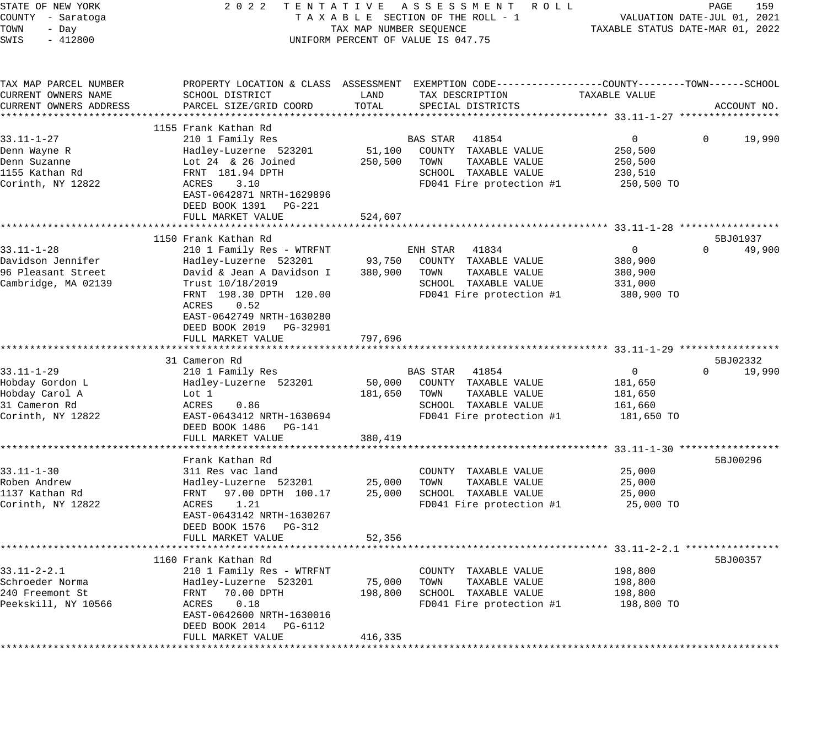| STATE OF NEW YORK<br>COUNTY - Saratoga<br>TOWN<br>- Day<br>SWIS<br>$-412800$ | 2 0 2 2                                       | TAX MAP NUMBER SEQUENCE | TENTATIVE ASSESSMENT ROLL<br>TAXABLE SECTION OF THE ROLL - 1<br>UNIFORM PERCENT OF VALUE IS 047.75 |                | PAGE<br>159<br>VALUATION DATE-JUL 01, 2021<br>TAXABLE STATUS DATE-MAR 01, 2022 |
|------------------------------------------------------------------------------|-----------------------------------------------|-------------------------|----------------------------------------------------------------------------------------------------|----------------|--------------------------------------------------------------------------------|
| TAX MAP PARCEL NUMBER                                                        |                                               |                         | PROPERTY LOCATION & CLASS ASSESSMENT EXEMPTION CODE---------------COUNTY-------TOWN------SCHOOL    |                |                                                                                |
| CURRENT OWNERS NAME<br>CURRENT OWNERS ADDRESS                                | SCHOOL DISTRICT<br>PARCEL SIZE/GRID COORD     | LAND<br>TOTAL           | TAX DESCRIPTION<br>SPECIAL DISTRICTS                                                               | TAXABLE VALUE  | ACCOUNT NO.                                                                    |
|                                                                              |                                               |                         |                                                                                                    |                |                                                                                |
|                                                                              | 1155 Frank Kathan Rd                          |                         |                                                                                                    |                |                                                                                |
| $33.11 - 1 - 27$                                                             | 210 1 Family Res                              |                         | 41854<br>BAS STAR                                                                                  | $\overline{0}$ | 19,990<br>0                                                                    |
| Denn Wayne R                                                                 | Hadley-Luzerne 523201                         | 51,100                  | COUNTY TAXABLE VALUE                                                                               | 250,500        |                                                                                |
| Denn Suzanne                                                                 | Lot $24 \& 26$ Joined                         | 250,500                 | TAXABLE VALUE<br>TOWN                                                                              | 250,500        |                                                                                |
| 1155 Kathan Rd                                                               | FRNT 181.94 DPTH                              |                         | SCHOOL TAXABLE VALUE                                                                               | 230,510        |                                                                                |
| Corinth, NY 12822                                                            | 3.10<br>ACRES                                 |                         | FD041 Fire protection #1                                                                           | 250,500 TO     |                                                                                |
|                                                                              | EAST-0642871 NRTH-1629896                     |                         |                                                                                                    |                |                                                                                |
|                                                                              | DEED BOOK 1391<br>PG-221                      |                         |                                                                                                    |                |                                                                                |
|                                                                              | FULL MARKET VALUE                             | 524,607                 |                                                                                                    |                |                                                                                |
|                                                                              | 1150 Frank Kathan Rd                          |                         |                                                                                                    |                | 5BJ01937                                                                       |
| $33.11 - 1 - 28$                                                             | 210 1 Family Res - WTRFNT                     |                         | ENH STAR<br>41834                                                                                  | 0              | 49,900<br>$\Omega$                                                             |
| Davidson Jennifer                                                            | Hadley-Luzerne 523201                         | 93,750                  | COUNTY TAXABLE VALUE                                                                               | 380,900        |                                                                                |
| 96 Pleasant Street                                                           | David & Jean A Davidson I                     | 380,900                 | TOWN<br>TAXABLE VALUE                                                                              | 380,900        |                                                                                |
| Cambridge, MA 02139                                                          | Trust 10/18/2019                              |                         | SCHOOL TAXABLE VALUE                                                                               | 331,000        |                                                                                |
|                                                                              | FRNT 198.30 DPTH 120.00                       |                         | FD041 Fire protection #1                                                                           | 380,900 TO     |                                                                                |
|                                                                              | ACRES<br>0.52                                 |                         |                                                                                                    |                |                                                                                |
|                                                                              | EAST-0642749 NRTH-1630280                     |                         |                                                                                                    |                |                                                                                |
|                                                                              | DEED BOOK 2019 PG-32901                       |                         |                                                                                                    |                |                                                                                |
|                                                                              | FULL MARKET VALUE                             | 797,696                 |                                                                                                    |                |                                                                                |
|                                                                              |                                               |                         |                                                                                                    |                |                                                                                |
| $33.11 - 1 - 29$                                                             | 31 Cameron Rd                                 |                         |                                                                                                    | 0              | 5BJ02332<br>19,990<br>$\Omega$                                                 |
| Hobday Gordon L                                                              | 210 1 Family Res<br>Hadley-Luzerne 523201     | 50,000                  | BAS STAR<br>41854<br>COUNTY TAXABLE VALUE                                                          | 181,650        |                                                                                |
| Hobday Carol A                                                               | Lot 1                                         | 181,650                 | TAXABLE VALUE<br>TOWN                                                                              | 181,650        |                                                                                |
| 31 Cameron Rd                                                                | ACRES<br>0.86                                 |                         | SCHOOL TAXABLE VALUE                                                                               | 161,660        |                                                                                |
| Corinth, NY 12822                                                            | EAST-0643412 NRTH-1630694                     |                         | FD041 Fire protection #1                                                                           | 181,650 TO     |                                                                                |
|                                                                              | DEED BOOK 1486<br>PG-141                      |                         |                                                                                                    |                |                                                                                |
|                                                                              | FULL MARKET VALUE                             | 380,419                 |                                                                                                    |                |                                                                                |
|                                                                              |                                               |                         |                                                                                                    |                |                                                                                |
|                                                                              | Frank Kathan Rd                               |                         |                                                                                                    |                | 5BJ00296                                                                       |
| $33.11 - 1 - 30$                                                             | 311 Res vac land                              |                         | COUNTY TAXABLE VALUE                                                                               | 25,000         |                                                                                |
| Roben Andrew                                                                 | Hadley-Luzerne 523201                         | 25,000                  | TAXABLE VALUE<br>TOWN                                                                              | 25,000         |                                                                                |
| 1137 Kathan Rd                                                               | FRNT<br>97.00 DPTH 100.17                     | 25,000                  | SCHOOL TAXABLE VALUE                                                                               | 25,000         |                                                                                |
| Corinth, NY 12822                                                            | ACRES<br>1.21                                 |                         | FD041 Fire protection #1                                                                           | 25,000 TO      |                                                                                |
|                                                                              | EAST-0643142 NRTH-1630267                     |                         |                                                                                                    |                |                                                                                |
|                                                                              | DEED BOOK 1576<br>PG-312<br>FULL MARKET VALUE | 52,356                  |                                                                                                    |                |                                                                                |
|                                                                              |                                               |                         |                                                                                                    |                |                                                                                |
|                                                                              | 1160 Frank Kathan Rd                          |                         |                                                                                                    |                | 5BJ00357                                                                       |
| 33.11-2-2.1                                                                  | 210 1 Family Res - WTRFNT                     |                         | TAXABLE VALUE<br>COUNTY                                                                            | 198,800        |                                                                                |
| Schroeder Norma                                                              | Hadley-Luzerne 523201                         | 75,000                  | TOWN<br>TAXABLE VALUE                                                                              | 198,800        |                                                                                |
| 240 Freemont St                                                              | 70.00 DPTH<br>FRNT                            | 198,800                 | SCHOOL<br>TAXABLE VALUE                                                                            | 198,800        |                                                                                |
| Peekskill, NY 10566                                                          | 0.18<br>ACRES                                 |                         | FD041 Fire protection #1                                                                           | 198,800 TO     |                                                                                |
|                                                                              | EAST-0642600 NRTH-1630016                     |                         |                                                                                                    |                |                                                                                |
|                                                                              | DEED BOOK 2014<br>PG-6112                     |                         |                                                                                                    |                |                                                                                |
|                                                                              | FULL MARKET VALUE                             | 416,335                 |                                                                                                    |                |                                                                                |
|                                                                              | ***********************                       |                         |                                                                                                    |                |                                                                                |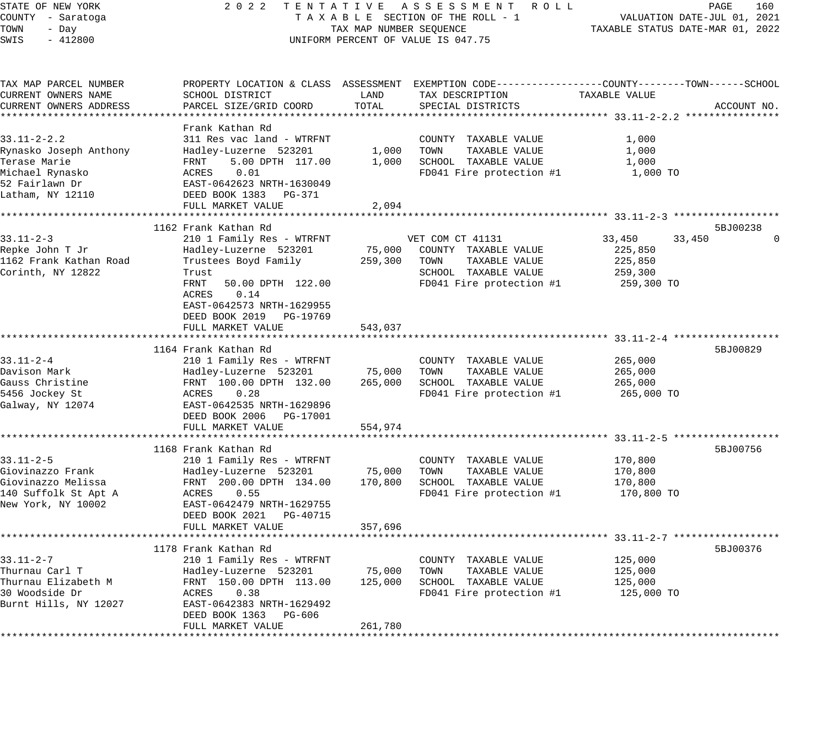| STATE OF NEW YORK         | 2 0 2 2<br>TENTATIVE                                    |                         | ASSESSMENT ROLL                                              |                                                         | PAGE<br>160 |
|---------------------------|---------------------------------------------------------|-------------------------|--------------------------------------------------------------|---------------------------------------------------------|-------------|
| COUNTY - Saratoga         |                                                         |                         | TAXABLE SECTION OF THE ROLL - 1                              | VALUATION DATE-JUL 01, 2021                             |             |
| TOWN<br>- Day             |                                                         | TAX MAP NUMBER SEQUENCE |                                                              | TAXABLE STATUS DATE-MAR 01, 2022                        |             |
| SWIS<br>$-412800$         |                                                         |                         | UNIFORM PERCENT OF VALUE IS 047.75                           |                                                         |             |
|                           |                                                         |                         |                                                              |                                                         |             |
| TAX MAP PARCEL NUMBER     | PROPERTY LOCATION & CLASS ASSESSMENT                    |                         | EXEMPTION CODE-----------------COUNTY-------TOWN------SCHOOL |                                                         |             |
| CURRENT OWNERS NAME       | SCHOOL DISTRICT                                         | LAND                    | TAX DESCRIPTION                                              | TAXABLE VALUE                                           |             |
| CURRENT OWNERS ADDRESS    | PARCEL SIZE/GRID COORD                                  | TOTAL                   | SPECIAL DISTRICTS                                            |                                                         | ACCOUNT NO. |
|                           |                                                         |                         |                                                              |                                                         |             |
|                           | Frank Kathan Rd                                         |                         |                                                              |                                                         |             |
| $33.11 - 2 - 2.2$         | 311 Res vac land - WTRFNT                               |                         | COUNTY TAXABLE VALUE                                         | 1,000                                                   |             |
| Rynasko Joseph Anthony    | Hadley-Luzerne 523201                                   | 1,000                   | TOWN<br>TAXABLE VALUE                                        | 1,000                                                   |             |
| Terase Marie              | FRNT<br>5.00 DPTH 117.00                                | 1,000                   | SCHOOL TAXABLE VALUE                                         | 1,000                                                   |             |
| Michael Rynasko           | 0.01<br>ACRES                                           |                         | FD041 Fire protection #1                                     | 1,000 TO                                                |             |
| 52 Fairlawn Dr            | EAST-0642623 NRTH-1630049                               |                         |                                                              |                                                         |             |
| Latham, NY 12110          | DEED BOOK 1383<br>PG-371                                |                         |                                                              |                                                         |             |
|                           | FULL MARKET VALUE                                       | 2,094                   |                                                              |                                                         |             |
| ************************* | *******************************                         | **************          |                                                              | ************************* 33.11-2-3 ******************* |             |
|                           | 1162 Frank Kathan Rd                                    |                         |                                                              |                                                         | 5BJ00238    |
| $33.11 - 2 - 3$           | 210 1 Family Res - WTRFNT                               |                         | VET COM CT 41131                                             | 33,450<br>33,450                                        |             |
| Repke John T Jr           | Hadley-Luzerne 523201                                   | 75,000                  | COUNTY TAXABLE VALUE                                         | 225,850                                                 |             |
| 1162 Frank Kathan Road    | Trustees Boyd Family                                    | 259,300                 | TOWN<br>TAXABLE VALUE                                        | 225,850                                                 |             |
| Corinth, NY 12822         | Trust                                                   |                         | SCHOOL TAXABLE VALUE                                         | 259,300                                                 |             |
|                           | FRNT<br>50.00 DPTH 122.00                               |                         | FD041 Fire protection #1                                     | 259,300 TO                                              |             |
|                           | ACRES<br>0.14                                           |                         |                                                              |                                                         |             |
|                           | EAST-0642573 NRTH-1629955<br>DEED BOOK 2019<br>PG-19769 |                         |                                                              |                                                         |             |
|                           | FULL MARKET VALUE                                       | 543,037                 |                                                              |                                                         |             |
|                           |                                                         |                         |                                                              |                                                         |             |
|                           | 1164 Frank Kathan Rd                                    |                         |                                                              |                                                         | 5BJ00829    |
| 33.11-2-4                 | 210 1 Family Res - WTRFNT                               |                         | COUNTY TAXABLE VALUE                                         | 265,000                                                 |             |
| Davison Mark              | Hadley-Luzerne 523201                                   | 75,000                  | TOWN<br>TAXABLE VALUE                                        | 265,000                                                 |             |
| Gauss Christine           | FRNT 100.00 DPTH 132.00                                 | 265,000                 | SCHOOL TAXABLE VALUE                                         | 265,000                                                 |             |
| 5456 Jockey St            | 0.28<br>ACRES                                           |                         | FD041 Fire protection #1                                     | 265,000 TO                                              |             |
| Galway, NY 12074          | EAST-0642535 NRTH-1629896                               |                         |                                                              |                                                         |             |
|                           | DEED BOOK 2006<br>PG-17001                              |                         |                                                              |                                                         |             |
|                           | FULL MARKET VALUE                                       | 554,974                 |                                                              |                                                         |             |
|                           | *******************                                     |                         |                                                              | $33.11 - 2 - 5$                                         |             |
|                           | 1168 Frank Kathan Rd                                    |                         |                                                              |                                                         | 5BJ00756    |
| $33.11 - 2 - 5$           | 210 1 Family Res - WTRFNT                               |                         | COUNTY TAXABLE VALUE                                         | 170,800                                                 |             |
| Giovinazzo Frank          | Hadley-Luzerne 523201                                   | 75,000                  | TOWN<br>TAXABLE VALUE                                        | 170,800                                                 |             |
| Giovinazzo Melissa        | FRNT 200.00 DPTH 134.00                                 | 170,800                 | SCHOOL TAXABLE VALUE                                         | 170,800                                                 |             |
| 140 Suffolk St Apt A      | ACRES<br>0.55                                           |                         | FD041 Fire protection #1                                     | 170,800 TO                                              |             |
| New York, NY 10002        | EAST-0642479 NRTH-1629755                               |                         |                                                              |                                                         |             |
|                           | DEED BOOK 2021<br>PG-40715                              |                         |                                                              |                                                         |             |
|                           | FULL MARKET VALUE                                       | 357,696                 |                                                              |                                                         |             |
|                           |                                                         |                         |                                                              | ************************* 33.11-2-7 ******************* |             |
|                           | 1178 Frank Kathan Rd                                    |                         |                                                              |                                                         | 5BJ00376    |
| $33.11 - 2 - 7$           | 210 1 Family Res - WTRFNT                               |                         | COUNTY<br>TAXABLE VALUE                                      | 125,000                                                 |             |
| Thurnau Carl T            | Hadley-Luzerne 523201                                   | 75,000                  | TOWN<br>TAXABLE VALUE                                        | 125,000                                                 |             |
| Thurnau Elizabeth M       | FRNT 150.00 DPTH 113.00                                 | 125,000                 | SCHOOL TAXABLE VALUE                                         | 125,000                                                 |             |
| 30 Woodside Dr            | ACRES<br>0.38                                           |                         | FD041 Fire protection #1                                     | 125,000 TO                                              |             |
| Burnt Hills, NY 12027     | EAST-0642383 NRTH-1629492<br>DEED BOOK 1363<br>PG-606   |                         |                                                              |                                                         |             |
|                           | FULL MARKET VALUE                                       | 261,780                 |                                                              |                                                         |             |
|                           |                                                         |                         |                                                              |                                                         |             |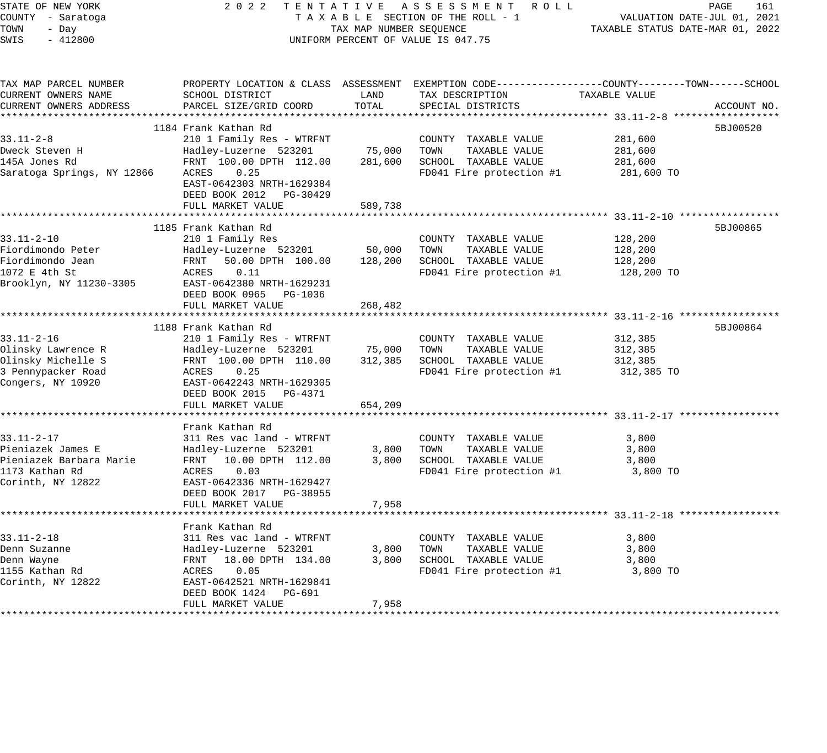| STATE OF NEW YORK<br>COUNTY - Saratoga<br>TOWN<br>- Day<br>$-412800$<br>SWIS | 2 0 2 2<br>TENTATIVE ASSESSMENT ROLL<br>TAXABLE SECTION OF THE ROLL - 1<br>TAX MAP NUMBER SEQUENCE<br>UNIFORM PERCENT OF VALUE IS 047.75      | PAGE<br>161<br>VALUATION DATE-JUL 01, 2021<br>TAXABLE STATUS DATE-MAR 01, 2022 |                                               |                    |             |
|------------------------------------------------------------------------------|-----------------------------------------------------------------------------------------------------------------------------------------------|--------------------------------------------------------------------------------|-----------------------------------------------|--------------------|-------------|
| TAX MAP PARCEL NUMBER<br>CURRENT OWNERS NAME<br>CURRENT OWNERS ADDRESS       | PROPERTY LOCATION & CLASS ASSESSMENT EXEMPTION CODE----------------COUNTY-------TOWN------SCHOOL<br>SCHOOL DISTRICT<br>PARCEL SIZE/GRID COORD | LAND<br>TOTAL                                                                  | TAX DESCRIPTION<br>SPECIAL DISTRICTS          | TAXABLE VALUE      | ACCOUNT NO. |
|                                                                              |                                                                                                                                               |                                                                                |                                               |                    |             |
|                                                                              | 1184 Frank Kathan Rd                                                                                                                          |                                                                                |                                               |                    | 5BJ00520    |
| $33.11 - 2 - 8$                                                              | 210 1 Family Res - WTRFNT                                                                                                                     |                                                                                | COUNTY TAXABLE VALUE                          | 281,600            |             |
| Dweck Steven H<br>145A Jones Rd                                              | Hadley-Luzerne 523201<br>FRNT 100.00 DPTH 112.00                                                                                              | 75,000<br>281,600                                                              | TOWN<br>TAXABLE VALUE<br>SCHOOL TAXABLE VALUE | 281,600<br>281,600 |             |
| Saratoga Springs, NY 12866                                                   | 0.25<br>ACRES                                                                                                                                 |                                                                                | FD041 Fire protection #1                      | 281,600 TO         |             |
|                                                                              | EAST-0642303 NRTH-1629384<br>DEED BOOK 2012 PG-30429<br>FULL MARKET VALUE                                                                     | 589,738                                                                        |                                               |                    |             |
|                                                                              |                                                                                                                                               |                                                                                |                                               |                    |             |
|                                                                              | 1185 Frank Kathan Rd                                                                                                                          |                                                                                |                                               |                    | 5BJ00865    |
| 33.11-2-10                                                                   | 210 1 Family Res                                                                                                                              |                                                                                | COUNTY TAXABLE VALUE                          | 128,200            |             |
| Fiordimondo Peter                                                            | Hadley-Luzerne 523201                                                                                                                         | 50,000                                                                         | TOWN<br>TAXABLE VALUE                         | 128,200            |             |
| Fiordimondo Jean                                                             | FRNT<br>50.00 DPTH 100.00                                                                                                                     | 128,200                                                                        | SCHOOL TAXABLE VALUE                          | 128,200            |             |
| 1072 E 4th St                                                                | ACRES<br>0.11                                                                                                                                 |                                                                                | FD041 Fire protection #1                      | 128,200 TO         |             |
| Brooklyn, NY 11230-3305                                                      | EAST-0642380 NRTH-1629231                                                                                                                     |                                                                                |                                               |                    |             |
|                                                                              | DEED BOOK 0965 PG-1036                                                                                                                        |                                                                                |                                               |                    |             |
|                                                                              | FULL MARKET VALUE                                                                                                                             | 268,482                                                                        |                                               |                    |             |
|                                                                              | 1188 Frank Kathan Rd                                                                                                                          |                                                                                |                                               |                    | 5BJ00864    |
| $33.11 - 2 - 16$                                                             | 210 1 Family Res - WTRFNT                                                                                                                     |                                                                                | COUNTY TAXABLE VALUE                          | 312,385            |             |
| Olinsky Lawrence R                                                           | Hadley-Luzerne 523201                                                                                                                         | 75,000                                                                         | TAXABLE VALUE<br>TOWN                         | 312,385            |             |
| Olinsky Michelle S                                                           | FRNT 100.00 DPTH 110.00                                                                                                                       | 312,385                                                                        | SCHOOL TAXABLE VALUE                          | 312,385            |             |
| 3 Pennypacker Road                                                           | ACRES<br>0.25                                                                                                                                 |                                                                                | FD041 Fire protection #1                      | 312,385 TO         |             |
| Congers, NY 10920                                                            | EAST-0642243 NRTH-1629305<br>DEED BOOK 2015 PG-4371                                                                                           |                                                                                |                                               |                    |             |
|                                                                              | FULL MARKET VALUE                                                                                                                             | 654,209                                                                        |                                               |                    |             |
|                                                                              |                                                                                                                                               |                                                                                |                                               |                    |             |
|                                                                              | Frank Kathan Rd                                                                                                                               |                                                                                |                                               |                    |             |
| 33.11-2-17                                                                   | 311 Res vac land - WTRFNT                                                                                                                     |                                                                                | COUNTY TAXABLE VALUE                          | 3,800              |             |
| Pieniazek James E<br>Pieniazek Barbara Marie                                 | Hadley-Luzerne 523201<br>FRNT 10.00 DPTH 112.00                                                                                               | 3,800<br>3,800                                                                 | TOWN<br>TAXABLE VALUE<br>SCHOOL TAXABLE VALUE | 3,800<br>3,800     |             |
| 1173 Kathan Rd                                                               | 0.03<br>ACRES                                                                                                                                 |                                                                                | FD041 Fire protection #1                      | 3,800 TO           |             |
| Corinth, NY 12822                                                            | EAST-0642336 NRTH-1629427                                                                                                                     |                                                                                |                                               |                    |             |
|                                                                              | DEED BOOK 2017 PG-38955                                                                                                                       |                                                                                |                                               |                    |             |
|                                                                              | FULL MARKET VALUE                                                                                                                             | 7,958                                                                          |                                               |                    |             |
|                                                                              |                                                                                                                                               |                                                                                |                                               |                    |             |
|                                                                              | Frank Kathan Rd                                                                                                                               |                                                                                |                                               |                    |             |
| 33.11-2-18                                                                   | 311 Res vac land - WTRFNT                                                                                                                     |                                                                                | COUNTY TAXABLE VALUE                          | 3,800              |             |
| Denn Suzanne                                                                 | Hadley-Luzerne 523201                                                                                                                         | 3,800                                                                          | TAXABLE VALUE<br>TOWN                         | 3,800              |             |
| Denn Wayne                                                                   | FRNT<br>18.00 DPTH 134.00                                                                                                                     | 3,800                                                                          | SCHOOL TAXABLE VALUE                          | 3,800              |             |
| 1155 Kathan Rd                                                               | ACRES<br>0.05                                                                                                                                 |                                                                                | FD041 Fire protection #1                      | 3,800 TO           |             |
| Corinth, NY 12822                                                            | EAST-0642521 NRTH-1629841<br>DEED BOOK 1424<br>PG-691                                                                                         |                                                                                |                                               |                    |             |
|                                                                              | FULL MARKET VALUE                                                                                                                             | 7,958                                                                          |                                               |                    |             |
|                                                                              |                                                                                                                                               |                                                                                |                                               |                    |             |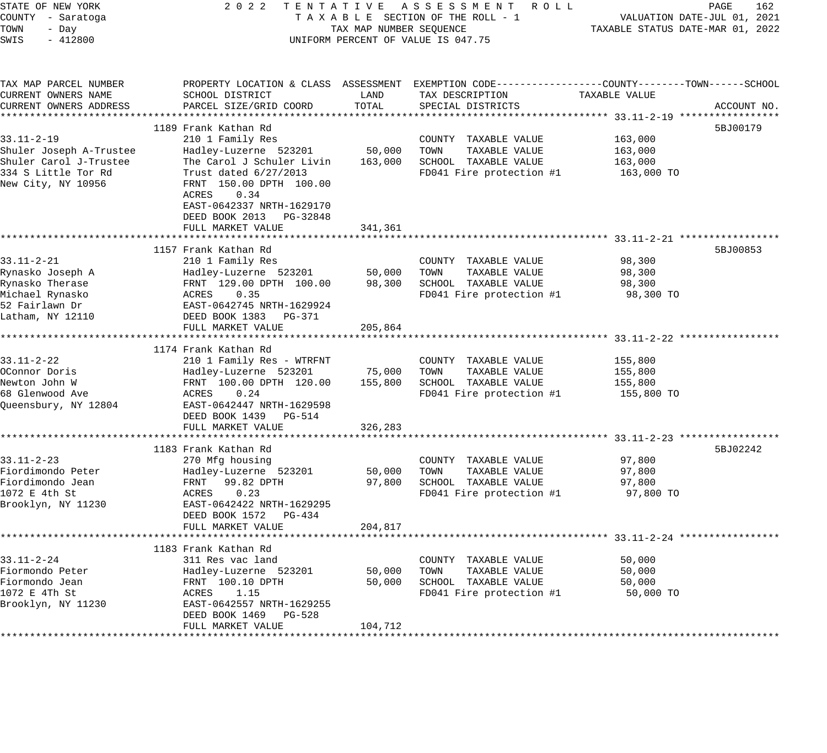| 2 0 2 2<br>STATE OF NEW YORK<br>TENTATIVE ASSESSMENT ROLL<br>COUNTY - Saratoga<br>TAXABLE SECTION OF THE ROLL - 1<br>TOWN<br>TAX MAP NUMBER SEQUENCE<br>- Day<br>$-412800$<br>UNIFORM PERCENT OF VALUE IS 047.75<br>SWIS |                                                                                                                                                                                                                                                  |                              | PAGE<br>162<br>VALUATION DATE-JUL 01, 2021<br>TAXABLE STATUS DATE-MAR 01, 2022                                                          |                                             |             |
|--------------------------------------------------------------------------------------------------------------------------------------------------------------------------------------------------------------------------|--------------------------------------------------------------------------------------------------------------------------------------------------------------------------------------------------------------------------------------------------|------------------------------|-----------------------------------------------------------------------------------------------------------------------------------------|---------------------------------------------|-------------|
| TAX MAP PARCEL NUMBER<br>CURRENT OWNERS NAME<br>CURRENT OWNERS ADDRESS                                                                                                                                                   | SCHOOL DISTRICT<br>PARCEL SIZE/GRID COORD                                                                                                                                                                                                        | LAND<br>TOTAL                | PROPERTY LOCATION & CLASS ASSESSMENT EXEMPTION CODE----------------COUNTY-------TOWN-----SCHOOL<br>TAX DESCRIPTION<br>SPECIAL DISTRICTS | TAXABLE VALUE                               | ACCOUNT NO. |
| $33.11 - 2 - 19$<br>Shuler Joseph A-Trustee<br>Shuler Carol J-Trustee<br>334 S Little Tor Rd<br>New City, NY 10956                                                                                                       | 1189 Frank Kathan Rd<br>210 1 Family Res<br>Hadley-Luzerne 523201<br>The Carol J Schuler Livin<br>Trust dated 6/27/2013<br>FRNT 150.00 DPTH 100.00<br>ACRES<br>0.34<br>EAST-0642337 NRTH-1629170<br>DEED BOOK 2013 PG-32848<br>FULL MARKET VALUE | 50,000<br>163,000<br>341,361 | COUNTY TAXABLE VALUE<br>TOWN<br>TAXABLE VALUE<br>SCHOOL TAXABLE VALUE<br>FD041 Fire protection #1                                       | 163,000<br>163,000<br>163,000<br>163,000 TO | 5BJ00179    |
|                                                                                                                                                                                                                          |                                                                                                                                                                                                                                                  |                              |                                                                                                                                         |                                             |             |
| $33.11 - 2 - 21$<br>Rynasko Joseph A<br>Rynasko Therase<br>Michael Rynasko<br>52 Fairlawn Dr<br>Latham, NY 12110                                                                                                         | 1157 Frank Kathan Rd<br>210 1 Family Res<br>Hadley-Luzerne 523201<br>FRNT 129.00 DPTH 100.00<br>ACRES<br>0.35<br>EAST-0642745 NRTH-1629924<br>DEED BOOK 1383 PG-371<br>FULL MARKET VALUE                                                         | 50,000<br>98,300<br>205,864  | COUNTY TAXABLE VALUE<br>TOWN<br>TAXABLE VALUE<br>SCHOOL TAXABLE VALUE<br>FD041 Fire protection #1                                       | 98,300<br>98,300<br>98,300<br>98,300 TO     | 5BJ00853    |
| $33.11 - 2 - 22$<br>OConnor Doris<br>Newton John W<br>68 Glenwood Ave<br>Queensbury, NY 12804                                                                                                                            | 1174 Frank Kathan Rd<br>210 1 Family Res - WTRFNT<br>Hadley-Luzerne 523201<br>FRNT 100.00 DPTH 120.00<br>ACRES<br>0.24<br>EAST-0642447 NRTH-1629598<br>DEED BOOK 1439 PG-514<br>FULL MARKET VALUE                                                | 75,000<br>155,800<br>326,283 | COUNTY TAXABLE VALUE<br>TAXABLE VALUE<br>TOWN<br>SCHOOL TAXABLE VALUE<br>FD041 Fire protection #1                                       | 155,800<br>155,800<br>155,800<br>155,800 TO |             |
|                                                                                                                                                                                                                          |                                                                                                                                                                                                                                                  |                              |                                                                                                                                         | ************ 33.11-2-23 **************      |             |
| 33.11-2-23<br>Fiordimondo Peter<br>Fiordimondo Jean<br>1072 E 4th St<br>Brooklyn, NY 11230                                                                                                                               | 1183 Frank Kathan Rd<br>270 Mfg housing<br>Hadley-Luzerne 523201<br>99.82 DPTH<br>FRNT<br>ACRES<br>0.23<br>EAST-0642422 NRTH-1629295<br>DEED BOOK 1572 PG-434                                                                                    | 50,000<br>97,800             | COUNTY TAXABLE VALUE<br>TOWN<br>TAXABLE VALUE<br>SCHOOL TAXABLE VALUE<br>FD041 Fire protection #1                                       | 97,800<br>97,800<br>97,800<br>97,800 TO     | 5BJ02242    |
|                                                                                                                                                                                                                          | FULL MARKET VALUE                                                                                                                                                                                                                                | 204,817                      |                                                                                                                                         |                                             |             |
| $33.11 - 2 - 24$<br>Fiormondo Peter<br>Fiormondo Jean<br>1072 E 4Th St<br>Brooklyn, NY 11230                                                                                                                             | 1183 Frank Kathan Rd<br>311 Res vac land<br>Hadley-Luzerne 523201<br>FRNT 100.10 DPTH<br>ACRES<br>1.15<br>EAST-0642557 NRTH-1629255<br>DEED BOOK 1469<br>PG-528<br>FULL MARKET VALUE                                                             | 50,000<br>50,000<br>104,712  | COUNTY TAXABLE VALUE<br>TOWN<br>TAXABLE VALUE<br>SCHOOL TAXABLE VALUE<br>FD041 Fire protection #1                                       | 50,000<br>50,000<br>50,000<br>50,000 TO     |             |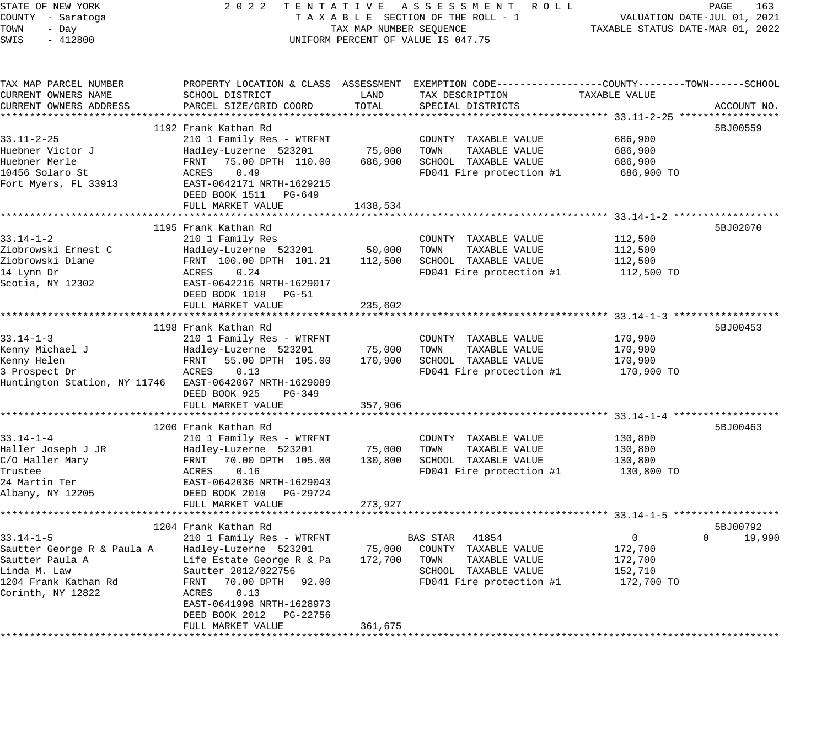| STATE OF NEW YORK                         | 2 0 2 2<br>TENTATIVE                             |                                   | ASSESSMENT ROLL                                                                                  |                                                        | PAGE<br>163                 |
|-------------------------------------------|--------------------------------------------------|-----------------------------------|--------------------------------------------------------------------------------------------------|--------------------------------------------------------|-----------------------------|
| COUNTY - Saratoga                         |                                                  |                                   | TAXABLE SECTION OF THE ROLL - 1                                                                  |                                                        | VALUATION DATE-JUL 01, 2021 |
| TOWN<br>- Day                             |                                                  | TAX MAP NUMBER SEQUENCE           |                                                                                                  | TAXABLE STATUS DATE-MAR 01, 2022                       |                             |
| SWIS<br>$-412800$                         |                                                  |                                   | UNIFORM PERCENT OF VALUE IS 047.75                                                               |                                                        |                             |
|                                           |                                                  |                                   |                                                                                                  |                                                        |                             |
| TAX MAP PARCEL NUMBER                     |                                                  |                                   | PROPERTY LOCATION & CLASS ASSESSMENT EXEMPTION CODE----------------COUNTY-------TOWN------SCHOOL |                                                        |                             |
| CURRENT OWNERS NAME                       | SCHOOL DISTRICT                                  | LAND                              | TAX DESCRIPTION                                                                                  | TAXABLE VALUE                                          |                             |
| CURRENT OWNERS ADDRESS                    | PARCEL SIZE/GRID COORD                           | TOTAL                             | SPECIAL DISTRICTS                                                                                |                                                        | ACCOUNT NO.                 |
|                                           |                                                  |                                   |                                                                                                  |                                                        |                             |
|                                           | 1192 Frank Kathan Rd                             |                                   |                                                                                                  |                                                        | 5BJ00559                    |
| $33.11 - 2 - 25$                          | 210 1 Family Res - WTRFNT                        |                                   | COUNTY TAXABLE VALUE                                                                             | 686,900                                                |                             |
| Huebner Victor J                          | Hadley-Luzerne 523201                            | 75,000                            | TOWN<br>TAXABLE VALUE                                                                            | 686,900                                                |                             |
| Huebner Merle                             | FRNT<br>75.00 DPTH 110.00                        | 686,900                           | SCHOOL TAXABLE VALUE                                                                             | 686,900                                                |                             |
| 10456 Solaro St                           | ACRES<br>0.49                                    |                                   | FD041 Fire protection #1                                                                         | 686,900 TO                                             |                             |
| Fort Myers, FL 33913                      | EAST-0642171 NRTH-1629215                        |                                   |                                                                                                  |                                                        |                             |
|                                           | DEED BOOK 1511<br>PG-649                         |                                   |                                                                                                  |                                                        |                             |
|                                           | FULL MARKET VALUE<br>************************    | 1438,534<br>* * * * * * * * * * * |                                                                                                  |                                                        |                             |
|                                           |                                                  |                                   |                                                                                                  |                                                        |                             |
| $33.14 - 1 - 2$                           | 1195 Frank Kathan Rd                             |                                   |                                                                                                  |                                                        | 5BJ02070                    |
| Ziobrowski Ernest C                       | 210 1 Family Res                                 | 50,000                            | COUNTY TAXABLE VALUE<br>TAXABLE VALUE<br>TOWN                                                    | 112,500                                                |                             |
| Ziobrowski Diane                          | Hadley-Luzerne 523201<br>FRNT 100.00 DPTH 101.21 | 112,500                           | SCHOOL TAXABLE VALUE                                                                             | 112,500<br>112,500                                     |                             |
| 14 Lynn Dr                                | ACRES<br>0.24                                    |                                   | FD041 Fire protection #1                                                                         | 112,500 TO                                             |                             |
| Scotia, NY 12302                          | EAST-0642216 NRTH-1629017                        |                                   |                                                                                                  |                                                        |                             |
|                                           | DEED BOOK 1018 PG-51                             |                                   |                                                                                                  |                                                        |                             |
|                                           | FULL MARKET VALUE                                | 235,602                           |                                                                                                  |                                                        |                             |
|                                           | ******************************                   |                                   |                                                                                                  | ************************ 33.14-1-3 ******************* |                             |
|                                           | 1198 Frank Kathan Rd                             |                                   |                                                                                                  |                                                        | 5BJ00453                    |
| $33.14 - 1 - 3$                           | 210 1 Family Res - WTRFNT                        |                                   | COUNTY TAXABLE VALUE                                                                             | 170,900                                                |                             |
| Kenny Michael J                           | Hadley-Luzerne 523201                            | 75,000                            | TAXABLE VALUE<br>TOWN                                                                            | 170,900                                                |                             |
| Kenny Helen                               | FRNT<br>55.00 DPTH 105.00                        | 170,900                           | SCHOOL TAXABLE VALUE                                                                             | 170,900                                                |                             |
| 3 Prospect Dr                             | ACRES<br>0.13                                    |                                   | FD041 Fire protection #1                                                                         | 170,900 TO                                             |                             |
| Huntington Station, NY 11746              | EAST-0642067 NRTH-1629089                        |                                   |                                                                                                  |                                                        |                             |
|                                           | DEED BOOK 925<br>PG-349                          |                                   |                                                                                                  |                                                        |                             |
|                                           | FULL MARKET VALUE                                | 357,906                           |                                                                                                  |                                                        |                             |
|                                           |                                                  | **********                        |                                                                                                  |                                                        |                             |
|                                           | 1200 Frank Kathan Rd                             |                                   |                                                                                                  |                                                        | 5BJ00463                    |
| $33.14 - 1 - 4$                           | 210 1 Family Res - WTRFNT                        |                                   | COUNTY TAXABLE VALUE                                                                             | 130,800                                                |                             |
| Haller Joseph J JR                        | Hadley-Luzerne 523201                            | 75,000                            | TOWN<br>TAXABLE VALUE                                                                            | 130,800                                                |                             |
| C/O Haller Mary                           | FRNT<br>70.00 DPTH 105.00                        | 130,800                           | SCHOOL TAXABLE VALUE                                                                             | 130,800                                                |                             |
| Trustee                                   | ACRES<br>0.16                                    |                                   | FD041 Fire protection #1                                                                         | 130,800 TO                                             |                             |
| 24 Martin Ter                             | EAST-0642036 NRTH-1629043                        |                                   |                                                                                                  |                                                        |                             |
| Albany, NY 12205                          | DEED BOOK 2010<br>PG-29724                       |                                   |                                                                                                  |                                                        |                             |
|                                           | FULL MARKET VALUE                                | 273,927                           |                                                                                                  |                                                        |                             |
|                                           |                                                  |                                   |                                                                                                  |                                                        |                             |
|                                           | 1204 Frank Kathan Rd                             |                                   |                                                                                                  |                                                        | 5BJ00792                    |
| $33.14 - 1 - 5$                           | 210 1 Family Res - WTRFNT                        |                                   | 41854<br>BAS STAR                                                                                | $\mathbf 0$                                            | 19,990<br>$\Omega$          |
| Sautter George R & Paula A                | Hadley-Luzerne 523201                            | 75,000                            | COUNTY TAXABLE VALUE                                                                             | 172,700                                                |                             |
| Sautter Paula A                           | Life Estate George R & Pa                        | 172,700                           | TOWN<br>TAXABLE VALUE                                                                            | 172,700                                                |                             |
| Linda M. Law                              | Sautter 2012/022756                              |                                   | SCHOOL TAXABLE VALUE                                                                             | 152,710                                                |                             |
| 1204 Frank Kathan Rd<br>Corinth, NY 12822 | 70.00 DPTH<br>FRNT<br>92.00<br>0.13<br>ACRES     |                                   | FD041 Fire protection #1                                                                         | 172,700 TO                                             |                             |
|                                           | EAST-0641998 NRTH-1628973                        |                                   |                                                                                                  |                                                        |                             |
|                                           | DEED BOOK 2012<br>PG-22756                       |                                   |                                                                                                  |                                                        |                             |
|                                           | FULL MARKET VALUE                                | 361,675                           |                                                                                                  |                                                        |                             |
|                                           |                                                  |                                   |                                                                                                  |                                                        |                             |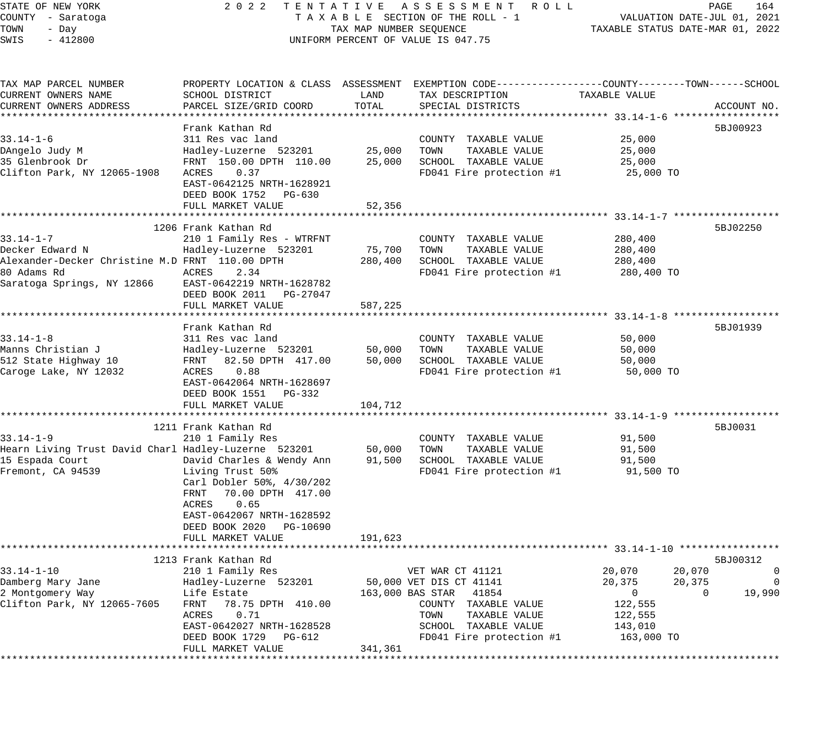### STATE OF NEW YORK 2 0 2 2 T E N T A T I V E A S S E S S M E N T R O L L PAGE 164 COUNTY - Saratoga T A X A B L E SECTION OF THE ROLL - 1 VALUATION DATE-JUL 01, 2021 UNIFORM PERCENT OF VALUE IS 047.75

| TAX MAP PARCEL NUMBER<br>CURRENT OWNERS NAME<br>CURRENT OWNERS ADDRESS                                                             | PROPERTY LOCATION & CLASS ASSESSMENT<br>SCHOOL DISTRICT<br>PARCEL SIZE/GRID COORD                                                                                                                                                                 | LAND<br>TOTAL                                   | TAX DESCRIPTION<br>SPECIAL DISTRICTS                                                                                                                                       | EXEMPTION CODE-----------------COUNTY-------TOWN------SCHOOL<br>TAXABLE VALUE                         | ACCOUNT NO.                                             |
|------------------------------------------------------------------------------------------------------------------------------------|---------------------------------------------------------------------------------------------------------------------------------------------------------------------------------------------------------------------------------------------------|-------------------------------------------------|----------------------------------------------------------------------------------------------------------------------------------------------------------------------------|-------------------------------------------------------------------------------------------------------|---------------------------------------------------------|
| $33.14 - 1 - 6$<br>DAngelo Judy M<br>35 Glenbrook Dr<br>Clifton Park, NY 12065-1908                                                | Frank Kathan Rd<br>311 Res vac land<br>Hadley-Luzerne 523201<br>FRNT 150.00 DPTH 110.00<br>ACRES<br>0.37<br>EAST-0642125 NRTH-1628921<br>DEED BOOK 1752 PG-630<br>FULL MARKET VALUE                                                               | * * * * * * * * *<br>25,000<br>25,000<br>52,356 | COUNTY TAXABLE VALUE<br>TOWN<br>TAXABLE VALUE<br>SCHOOL TAXABLE VALUE<br>FD041 Fire protection #1                                                                          | ******************************** 33.14-1-6 ******<br>25,000<br>25,000<br>25,000<br>25,000 TO          | 5BJ00923                                                |
| $33.14 - 1 - 7$<br>Decker Edward N<br>Alexander-Decker Christine M.D FRNT 110.00 DPTH<br>80 Adams Rd<br>Saratoga Springs, NY 12866 | 1206 Frank Kathan Rd<br>210 1 Family Res - WTRFNT<br>Hadley-Luzerne 523201<br>ACRES<br>2.34<br>EAST-0642219 NRTH-1628782<br>DEED BOOK 2011 PG-27047<br>FULL MARKET VALUE                                                                          | 75,700<br>280,400<br>587,225                    | COUNTY TAXABLE VALUE<br>TOWN<br>TAXABLE VALUE<br>SCHOOL TAXABLE VALUE<br>FD041 Fire protection #1                                                                          | 280,400<br>280,400<br>280,400<br>280,400 TO                                                           | 5BJ02250                                                |
| $33.14 - 1 - 8$<br>Manns Christian J<br>512 State Highway 10<br>Caroge Lake, NY 12032                                              | Frank Kathan Rd<br>311 Res vac land<br>Hadley-Luzerne 523201<br>FRNT<br>82.50 DPTH 417.00<br>ACRES<br>0.88<br>EAST-0642064 NRTH-1628697<br>DEED BOOK 1551<br>PG-332<br>FULL MARKET VALUE                                                          | 50,000<br>50,000<br>104,712                     | COUNTY TAXABLE VALUE<br>TAXABLE VALUE<br>TOWN<br>SCHOOL TAXABLE VALUE<br>FD041 Fire protection #1                                                                          | 50,000<br>50,000<br>50,000<br>50,000 TO                                                               | 5BJ01939                                                |
| $33.14 - 1 - 9$<br>Hearn Living Trust David Charl Hadley-Luzerne 523201<br>15 Espada Court<br>Fremont, CA 94539                    | 1211 Frank Kathan Rd<br>210 1 Family Res<br>David Charles & Wendy Ann<br>Living Trust 50%<br>Carl Dobler 50%, 4/30/202<br>70.00 DPTH 417.00<br>FRNT<br>0.65<br>ACRES<br>EAST-0642067 NRTH-1628592<br>DEED BOOK 2020 PG-10690<br>FULL MARKET VALUE | ********<br>50,000<br>91,500<br>191,623         | COUNTY TAXABLE VALUE<br>TOWN<br>TAXABLE VALUE<br>SCHOOL TAXABLE VALUE<br>FD041 Fire protection #1                                                                          | ********** 33.14-1-9 **************<br>91,500<br>91,500<br>91,500<br>91,500 TO                        | 5BJ0031                                                 |
| $33.14 - 1 - 10$<br>Damberg Mary Jane<br>2 Montgomery Way<br>Clifton Park, NY 12065-7605                                           | 1213 Frank Kathan Rd<br>210 1 Family Res<br>Hadley-Luzerne 523201<br>Life Estate<br>FRNT<br>78.75 DPTH 410.00<br>0.71<br>ACRES<br>EAST-0642027 NRTH-1628528<br>DEED BOOK 1729<br>PG-612<br>FULL MARKET VALUE                                      | 341,361                                         | VET WAR CT 41121<br>50,000 VET DIS CT 41141<br>163,000 BAS STAR 41854<br>COUNTY TAXABLE VALUE<br>TOWN<br>TAXABLE VALUE<br>SCHOOL TAXABLE VALUE<br>FD041 Fire protection #1 | 20,070<br>20,070<br>20,375<br>20,375<br>$\overline{0}$<br>122,555<br>122,555<br>143,010<br>163,000 TO | 5BJ00312<br>$\mathbf{0}$<br>0<br>19,990<br>$\mathbf{0}$ |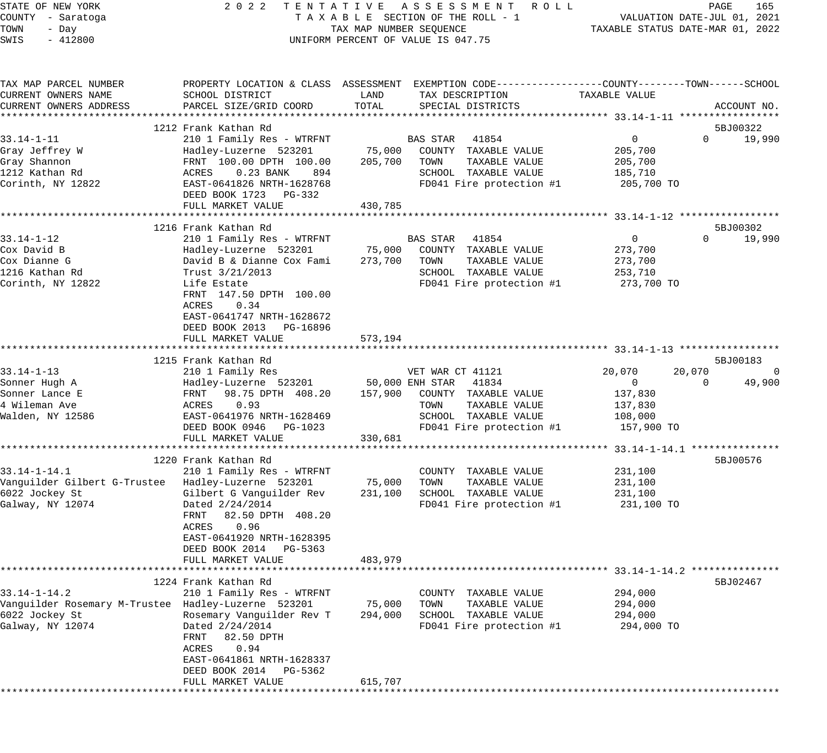| STATE OF NEW YORK<br>COUNTY - Saratoga<br>TOWN<br>- Day<br>SWIS<br>$-412800$ |                                                                                                                                                 | TAX MAP NUMBER SEQUENCE | 2022 TENTATIVE ASSESSMENT ROLL<br>TAXABLE SECTION OF THE ROLL - 1<br>UNIFORM PERCENT OF VALUE IS 047.75 |                                                | PAGE<br>165<br>VALUATION DATE-JUL 01, 2021<br>TAXABLE STATUS DATE-MAR 01, 2022 |
|------------------------------------------------------------------------------|-------------------------------------------------------------------------------------------------------------------------------------------------|-------------------------|---------------------------------------------------------------------------------------------------------|------------------------------------------------|--------------------------------------------------------------------------------|
| TAX MAP PARCEL NUMBER<br>CURRENT OWNERS NAME<br>CURRENT OWNERS ADDRESS       | PROPERTY LOCATION & CLASS ASSESSMENT EXEMPTION CODE-----------------COUNTY--------TOWN------SCHOOL<br>SCHOOL DISTRICT<br>PARCEL SIZE/GRID COORD | LAND<br>TOTAL           | TAX DESCRIPTION<br>SPECIAL DISTRICTS                                                                    | TAXABLE VALUE                                  | ACCOUNT NO.                                                                    |
|                                                                              |                                                                                                                                                 |                         |                                                                                                         |                                                |                                                                                |
|                                                                              | 1212 Frank Kathan Rd                                                                                                                            |                         |                                                                                                         |                                                | 5BJ00322                                                                       |
| $33.14 - 1 - 11$                                                             | 210 1 Family Res - WTRFNT                                                                                                                       |                         | <b>BAS STAR</b> 41854                                                                                   | $\overline{0}$                                 | $\Omega$<br>19,990                                                             |
| Gray Jeffrey W                                                               | Hadley-Luzerne 523201                                                                                                                           |                         | 75,000 COUNTY TAXABLE VALUE                                                                             | 205,700                                        |                                                                                |
| Gray Shannon                                                                 | FRNT 100.00 DPTH 100.00                                                                                                                         |                         | 205,700 TOWN<br>TAXABLE VALUE                                                                           | 205,700                                        |                                                                                |
| 1212 Kathan Rd<br>Corinth, NY 12822                                          | 0.23 BANK 894<br>ACRES<br>EAST-0641826 NRTH-1628768                                                                                             |                         | SCHOOL TAXABLE VALUE<br>FD041 Fire protection #1                                                        | 185,710<br>205,700 TO                          |                                                                                |
|                                                                              | DEED BOOK 1723 PG-332<br>FULL MARKET VALUE                                                                                                      | 430,785                 |                                                                                                         |                                                |                                                                                |
|                                                                              |                                                                                                                                                 |                         |                                                                                                         |                                                |                                                                                |
|                                                                              | 1216 Frank Kathan Rd                                                                                                                            |                         |                                                                                                         |                                                | 5BJ00302                                                                       |
| 33.14-1-12                                                                   | 210 1 Family Res - WTRFNT                                                                                                                       |                         | BAS STAR<br>41854                                                                                       | $\overline{0}$                                 | $\Omega$<br>19,990                                                             |
| Cox David B                                                                  | Hadley-Luzerne 523201                                                                                                                           |                         | 75,000 COUNTY TAXABLE VALUE                                                                             | 273,700                                        |                                                                                |
| Cox Dianne G                                                                 | David B & Dianne Cox Fami                                                                                                                       | 273,700                 | TAXABLE VALUE<br>TOWN                                                                                   | 273,700                                        |                                                                                |
| 1216 Kathan Rd                                                               | Trust $3/21/2013$                                                                                                                               |                         | SCHOOL TAXABLE VALUE                                                                                    | 253,710                                        |                                                                                |
| Corinth, NY 12822                                                            | Life Estate                                                                                                                                     |                         | FD041 Fire protection #1                                                                                | 273,700 TO                                     |                                                                                |
|                                                                              | FRNT 147.50 DPTH 100.00                                                                                                                         |                         |                                                                                                         |                                                |                                                                                |
|                                                                              | ACRES<br>0.34                                                                                                                                   |                         |                                                                                                         |                                                |                                                                                |
|                                                                              | EAST-0641747 NRTH-1628672                                                                                                                       |                         |                                                                                                         |                                                |                                                                                |
|                                                                              | DEED BOOK 2013 PG-16896                                                                                                                         |                         |                                                                                                         |                                                |                                                                                |
|                                                                              | FULL MARKET VALUE                                                                                                                               | 573,194                 |                                                                                                         |                                                |                                                                                |
|                                                                              | 1215 Frank Kathan Rd                                                                                                                            |                         |                                                                                                         |                                                | 5BJ00183                                                                       |
| $33.14 - 1 - 13$                                                             | 210 1 Family Res                                                                                                                                |                         | VET WAR CT 41121                                                                                        | 20,070                                         | 20,070<br>0                                                                    |
| Sonner Hugh A                                                                | Hadley-Luzerne 523201                                                                                                                           |                         | 50,000 ENH STAR 41834                                                                                   | $\overline{\phantom{0}}$                       | $\mathbf 0$<br>49,900                                                          |
| Sonner Lance E                                                               | FRNT 98.75 DPTH 408.20                                                                                                                          |                         | 157,900 COUNTY TAXABLE VALUE                                                                            | 137,830                                        |                                                                                |
| 4 Wileman Ave                                                                | ACRES<br>0.93                                                                                                                                   |                         | TOWN<br>TAXABLE VALUE                                                                                   | 137,830                                        |                                                                                |
| Walden, NY 12586                                                             | EAST-0641976 NRTH-1628469                                                                                                                       |                         | SCHOOL TAXABLE VALUE                                                                                    | 108,000                                        |                                                                                |
|                                                                              | DEED BOOK 0946 PG-1023                                                                                                                          |                         | FD041 Fire protection #1                                                                                | 157,900 TO                                     |                                                                                |
|                                                                              | FULL MARKET VALUE                                                                                                                               | 330,681                 |                                                                                                         |                                                |                                                                                |
|                                                                              |                                                                                                                                                 |                         |                                                                                                         |                                                |                                                                                |
|                                                                              | 1220 Frank Kathan Rd                                                                                                                            |                         |                                                                                                         |                                                | 5BJ00576                                                                       |
| $33.14 - 1 - 14.1$                                                           | 210 1 Family Res - WTRFNT                                                                                                                       |                         | COUNTY TAXABLE VALUE                                                                                    | 231,100                                        |                                                                                |
| Vanquilder Gilbert G-Trustee Hadley-Luzerne 523201                           |                                                                                                                                                 | 75,000                  | TOWN<br>TAXABLE VALUE                                                                                   | 231,100                                        |                                                                                |
| 6022 Jockey St                                                               | Gilbert G Vanguilder Rev                                                                                                                        | 231,100                 | SCHOOL TAXABLE VALUE                                                                                    | 231,100                                        |                                                                                |
| Galway, NY 12074                                                             | Dated 2/24/2014                                                                                                                                 |                         | FD041 Fire protection #1                                                                                | 231,100 TO                                     |                                                                                |
|                                                                              | FRNT 82.50 DPTH 408.20                                                                                                                          |                         |                                                                                                         |                                                |                                                                                |
|                                                                              | ACRES<br>0.96<br>EAST-0641920 NRTH-1628395                                                                                                      |                         |                                                                                                         |                                                |                                                                                |
|                                                                              | DEED BOOK 2014 PG-5363                                                                                                                          |                         |                                                                                                         |                                                |                                                                                |
|                                                                              | FULL MARKET VALUE                                                                                                                               | 483,979                 |                                                                                                         |                                                |                                                                                |
|                                                                              |                                                                                                                                                 |                         |                                                                                                         | ***************** 33.14-1-14.2 *************** |                                                                                |
|                                                                              | 1224 Frank Kathan Rd                                                                                                                            |                         |                                                                                                         |                                                | 5BJ02467                                                                       |
| $33.14 - 1 - 14.2$                                                           | 210 1 Family Res - WTRFNT                                                                                                                       |                         | COUNTY TAXABLE VALUE                                                                                    | 294,000                                        |                                                                                |
| Vanguilder Rosemary M-Trustee Hadley-Luzerne 523201                          |                                                                                                                                                 | 75,000                  | TAXABLE VALUE<br>TOWN                                                                                   | 294,000                                        |                                                                                |
| 6022 Jockey St                                                               | Rosemary Vanguilder Rev T                                                                                                                       | 294,000                 | SCHOOL TAXABLE VALUE                                                                                    | 294,000                                        |                                                                                |
| Galway, NY 12074                                                             | Dated 2/24/2014                                                                                                                                 |                         | FD041 Fire protection #1                                                                                | 294,000 TO                                     |                                                                                |
|                                                                              | 82.50 DPTH<br>FRNT                                                                                                                              |                         |                                                                                                         |                                                |                                                                                |
|                                                                              | ACRES<br>0.94                                                                                                                                   |                         |                                                                                                         |                                                |                                                                                |
|                                                                              | EAST-0641861 NRTH-1628337                                                                                                                       |                         |                                                                                                         |                                                |                                                                                |
|                                                                              | DEED BOOK 2014<br>PG-5362                                                                                                                       |                         |                                                                                                         |                                                |                                                                                |
|                                                                              | FULL MARKET VALUE                                                                                                                               | 615,707                 |                                                                                                         |                                                |                                                                                |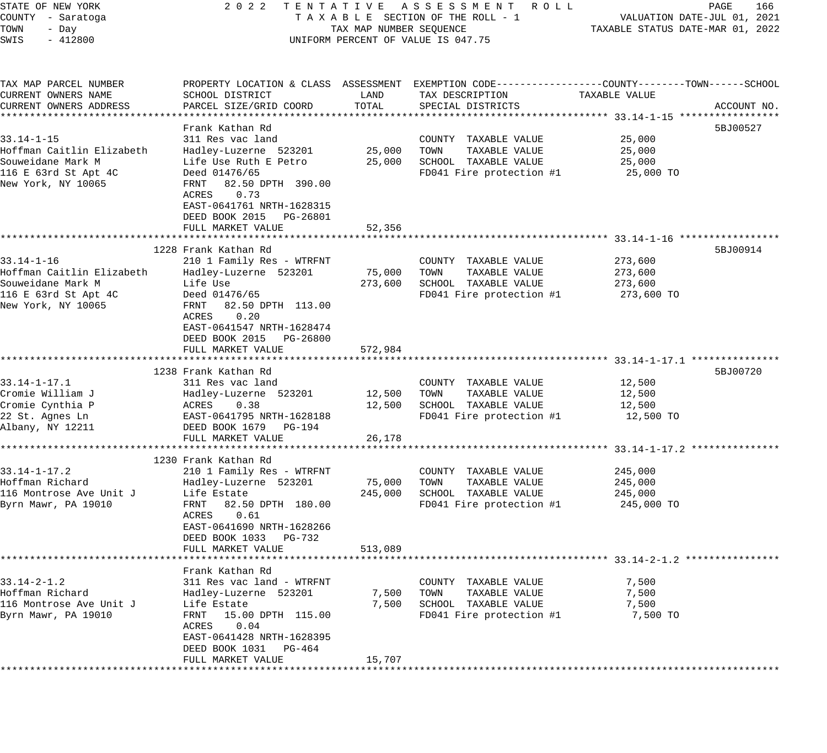| STATE OF NEW YORK<br>COUNTY - Saratoga<br>TOWN<br>- Day<br>SWIS<br>$-412800$                                     | 2 0 2 2                                                                                                                                                                                                                            | TAX MAP NUMBER SEQUENCE      | TENTATIVE ASSESSMENT ROLL<br>TAXABLE SECTION OF THE ROLL - 1<br>UNIFORM PERCENT OF VALUE IS 047.75                                       | TAXABLE STATUS DATE-MAR 01, 2022            | PAGE<br>166<br>VALUATION DATE-JUL 01, 2021 |
|------------------------------------------------------------------------------------------------------------------|------------------------------------------------------------------------------------------------------------------------------------------------------------------------------------------------------------------------------------|------------------------------|------------------------------------------------------------------------------------------------------------------------------------------|---------------------------------------------|--------------------------------------------|
| TAX MAP PARCEL NUMBER<br>CURRENT OWNERS NAME<br>CURRENT OWNERS ADDRESS                                           | SCHOOL DISTRICT<br>PARCEL SIZE/GRID COORD                                                                                                                                                                                          | LAND<br>TOTAL                | PROPERTY LOCATION & CLASS ASSESSMENT EXEMPTION CODE----------------COUNTY-------TOWN------SCHOOL<br>TAX DESCRIPTION<br>SPECIAL DISTRICTS | TAXABLE VALUE                               | ACCOUNT NO.                                |
| $33.14 - 1 - 15$<br>Hoffman Caitlin Elizabeth<br>Souweidane Mark M<br>116 E 63rd St Apt 4C<br>New York, NY 10065 | Frank Kathan Rd<br>311 Res vac land<br>Hadley-Luzerne 523201<br>Life Use Ruth E Petro<br>Deed 01476/65<br>FRNT 82.50 DPTH 390.00<br>0.73<br>ACRES<br>EAST-0641761 NRTH-1628315<br>DEED BOOK 2015 PG-26801<br>FULL MARKET VALUE     | 25,000<br>25,000<br>52,356   | COUNTY TAXABLE VALUE<br>TAXABLE VALUE<br>TOWN<br>SCHOOL TAXABLE VALUE<br>FD041 Fire protection #1                                        | 25,000<br>25,000<br>25,000<br>25,000 TO     | 5BJ00527                                   |
| $33.14 - 1 - 16$<br>Hoffman Caitlin Elizabeth<br>Souweidane Mark M<br>116 E 63rd St Apt 4C<br>New York, NY 10065 | 1228 Frank Kathan Rd<br>210 1 Family Res - WTRFNT<br>Hadley-Luzerne 523201<br>Life Use<br>Deed 01476/65<br>FRNT<br>82.50 DPTH 113.00<br>0.20<br>ACRES<br>EAST-0641547 NRTH-1628474<br>DEED BOOK 2015 PG-26800<br>FULL MARKET VALUE | 75,000<br>273,600<br>572,984 | COUNTY TAXABLE VALUE<br>TAXABLE VALUE<br>TOWN<br>SCHOOL TAXABLE VALUE<br>FD041 Fire protection #1                                        | 273,600<br>273,600<br>273,600<br>273,600 TO | 5BJ00914                                   |
| $33.14 - 1 - 17.1$<br>Cromie William J<br>Cromie Cynthia P<br>22 St. Agnes Ln<br>Albany, NY 12211                | 1238 Frank Kathan Rd<br>311 Res vac land<br>Hadley-Luzerne 523201<br>ACRES<br>0.38<br>EAST-0641795 NRTH-1628188<br>DEED BOOK 1679 PG-194<br>FULL MARKET VALUE                                                                      | 12,500<br>12,500<br>26,178   | COUNTY TAXABLE VALUE<br>TAXABLE VALUE<br>TOWN<br>SCHOOL TAXABLE VALUE<br>FD041 Fire protection #1                                        | 12,500<br>12,500<br>12,500<br>12,500 TO     | 5BJ00720                                   |
| $33.14 - 1 - 17.2$<br>Hoffman Richard<br>116 Montrose Ave Unit J<br>Byrn Mawr, PA 19010                          | 1230 Frank Kathan Rd<br>210 1 Family Res - WTRFNT<br>Hadley-Luzerne 523201<br>Life Estate<br>82.50 DPTH 180.00<br>FRNT<br>0.61<br>ACRES<br>EAST-0641690 NRTH-1628266<br>DEED BOOK 1033 PG-732<br>FULL MARKET VALUE                 | 75,000<br>245,000<br>513,089 | COUNTY TAXABLE VALUE<br>TAXABLE VALUE<br>TOWN<br>SCHOOL TAXABLE VALUE<br>FD041 Fire protection #1                                        | 245,000<br>245,000<br>245,000<br>245,000 TO |                                            |
| $33.14 - 2 - 1.2$<br>Hoffman Richard<br>116 Montrose Ave Unit J<br>Byrn Mawr, PA 19010                           | Frank Kathan Rd<br>311 Res vac land - WTRFNT<br>Hadley-Luzerne 523201<br>Life Estate<br>FRNT 15.00 DPTH 115.00<br>ACRES 0.04<br>EAST-0641428 NRTH-1628395<br>DEED BOOK 1031 PG-464<br>FULL MARKET VALUE                            | 7,500<br>7,500<br>15,707     | COUNTY TAXABLE VALUE<br>TOWN<br>TAXABLE VALUE<br>SCHOOL TAXABLE VALUE<br>FD041 Fire protection #1                                        | 7,500<br>7,500<br>7,500<br>7,500 TO         |                                            |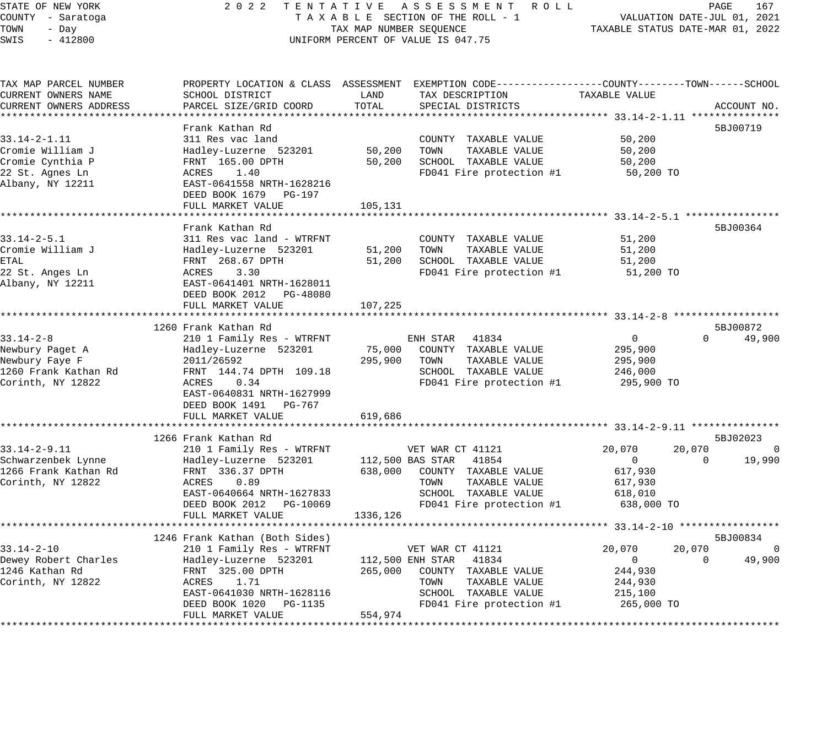### STATE OF NEW YORK 2 0 2 2 T E N T A T I V E A S S E S S M E N T R O L L PAGE 167 COUNTY - Saratoga T A X A B L E SECTION OF THE ROLL - 1 VALUATION DATE-JUL 01, 2021 TAX A B L E SECTION OF THE ROLL - T<br>TAXABLE STATUS DATE-MAR 01, 2022<br>--UNIFORM PERCENT OF VALUE IS 047.75

| TAX MAP PARCEL NUMBER  |                                                         |          | PROPERTY LOCATION & CLASS ASSESSMENT EXEMPTION CODE---------------COUNTY-------TOWN-----SCHOOL |                |                          |
|------------------------|---------------------------------------------------------|----------|------------------------------------------------------------------------------------------------|----------------|--------------------------|
| CURRENT OWNERS NAME    | SCHOOL DISTRICT                                         | LAND     | TAX DESCRIPTION                                                                                | TAXABLE VALUE  |                          |
| CURRENT OWNERS ADDRESS | PARCEL SIZE/GRID COORD                                  | TOTAL    | SPECIAL DISTRICTS                                                                              |                | ACCOUNT NO.              |
|                        |                                                         |          |                                                                                                |                |                          |
|                        | Frank Kathan Rd                                         |          |                                                                                                |                | 5BJ00719                 |
| $33.14 - 2 - 1.11$     | 311 Res vac land                                        |          | COUNTY TAXABLE VALUE                                                                           | 50,200         |                          |
| Cromie William J       | Hadley-Luzerne 523201                                   | 50,200   | TOWN<br>TAXABLE VALUE                                                                          | 50,200         |                          |
| Cromie Cynthia P       | FRNT 165.00 DPTH                                        | 50,200   | SCHOOL TAXABLE VALUE                                                                           | 50,200         |                          |
| 22 St. Agnes Ln        | ACRES 1.40                                              |          | FD041 Fire protection #1                                                                       | 50,200 TO      |                          |
| Albany, NY 12211       | EAST-0641558 NRTH-1628216                               |          |                                                                                                |                |                          |
|                        | DEED BOOK 1679 PG-197                                   |          |                                                                                                |                |                          |
|                        | FULL MARKET VALUE                                       | 105,131  |                                                                                                |                |                          |
|                        |                                                         |          |                                                                                                |                |                          |
|                        | Frank Kathan Rd                                         |          |                                                                                                |                | 5BJ00364                 |
| $33.14 - 2 - 5.1$      | 311 Res vac land - WTRFNT                               |          | COUNTY TAXABLE VALUE                                                                           | 51,200         |                          |
| Cromie William J       | Hadley-Luzerne 523201                                   |          | 51,200 TOWN<br>TAXABLE VALUE                                                                   | 51,200         |                          |
| ETAL                   | FRNT 268.67 DPTH                                        |          | 51,200 SCHOOL TAXABLE VALUE                                                                    | 51,200         |                          |
| 22 St. Anges Ln        | ACRES<br>3.30                                           |          | FD041 Fire protection #1                                                                       | 51,200 TO      |                          |
| Albany, NY 12211       | EAST-0641401 NRTH-1628011                               |          |                                                                                                |                |                          |
|                        | DEED BOOK 2012 PG-48080                                 |          |                                                                                                |                |                          |
|                        | FULL MARKET VALUE                                       | 107,225  |                                                                                                |                |                          |
|                        |                                                         |          |                                                                                                |                |                          |
|                        | 1260 Frank Kathan Rd                                    |          |                                                                                                |                | 5BJ00872                 |
| $33.14 - 2 - 8$        | 210 1 Family Res - WTRFNT                               |          | ENH STAR 41834                                                                                 | $\overline{0}$ | $\Omega$<br>49,900       |
| Newbury Paget A        | Hadley-Luzerne 523201                                   | 75,000   | COUNTY TAXABLE VALUE                                                                           | 295,900        |                          |
| Newbury Faye F         | 2011/26592                                              | 295,900  | TOWN<br>TAXABLE VALUE                                                                          | 295,900        |                          |
| 1260 Frank Kathan Rd   | FRNT 144.74 DPTH 109.18                                 |          | SCHOOL TAXABLE VALUE                                                                           | 246,000        |                          |
| Corinth, NY 12822      | ACRES 0.34                                              |          | FD041 Fire protection #1                                                                       | 295,900 TO     |                          |
|                        | EAST-0640831 NRTH-1627999                               |          |                                                                                                |                |                          |
|                        | DEED BOOK 1491 PG-767                                   |          |                                                                                                |                |                          |
|                        | FULL MARKET VALUE                                       | 619,686  |                                                                                                |                |                          |
|                        |                                                         |          |                                                                                                |                |                          |
|                        | 1266 Frank Kathan Rd                                    |          |                                                                                                |                | 5BJ02023                 |
| $33.14 - 2 - 9.11$     | 210 1 Family Res - WTRFNT                               |          | VET WAR CT 41121                                                                               | 20,070         | 20,070<br>$\overline{0}$ |
| Schwarzenbek Lynne     | Hadley-Luzerne 523201                                   |          | 112,500 BAS STAR 41854                                                                         | $\overline{0}$ | 19,990<br>$\Omega$       |
| 1266 Frank Kathan Rd   | FRNT 336.37 DPTH                                        |          | 638,000 COUNTY TAXABLE VALUE                                                                   | 617,930        |                          |
| Corinth, NY 12822      | ACRES<br>0.89                                           |          | TOWN<br>TAXABLE VALUE                                                                          | 617,930        |                          |
|                        |                                                         |          | SCHOOL TAXABLE VALUE                                                                           | 618,010        |                          |
|                        | EAST-0640664 NRTH-1627833<br>DEED BOOK 2012    PG-10069 |          | FD041 Fire protection #1                                                                       | 638,000 TO     |                          |
|                        | FULL MARKET VALUE                                       | 1336,126 |                                                                                                |                |                          |
|                        |                                                         |          |                                                                                                |                |                          |
|                        | 1246 Frank Kathan (Both Sides)                          |          |                                                                                                |                | 5BJ00834                 |
| $33.14 - 2 - 10$       | 210 1 Family Res - WTRFNT                               |          | VET WAR CT 41121                                                                               | 20,070         | 20,070<br>$\overline{0}$ |
| Dewey Robert Charles   |                                                         |          | 112,500 ENH STAR 41834                                                                         | $\overline{0}$ | 49,900<br>$\Omega$       |
| 1246 Kathan Rd         | Hadley-Luzerne 523201                                   |          |                                                                                                |                |                          |
|                        | FRNT 325.00 DPTH<br>ACRES 1.71                          |          | 265,000 COUNTY TAXABLE VALUE<br>TOWN<br>TAXABLE VALUE                                          | 244,930        |                          |
| Corinth, NY 12822      |                                                         |          | SCHOOL TAXABLE VALUE                                                                           | 244,930        |                          |
|                        | EAST-0641030 NRTH-1628116                               |          |                                                                                                | 215,100        |                          |
|                        | DEED BOOK 1020 PG-1135                                  |          | FD041 Fire protection #1                                                                       | 265,000 TO     |                          |
|                        | FULL MARKET VALUE                                       | 554,974  |                                                                                                |                |                          |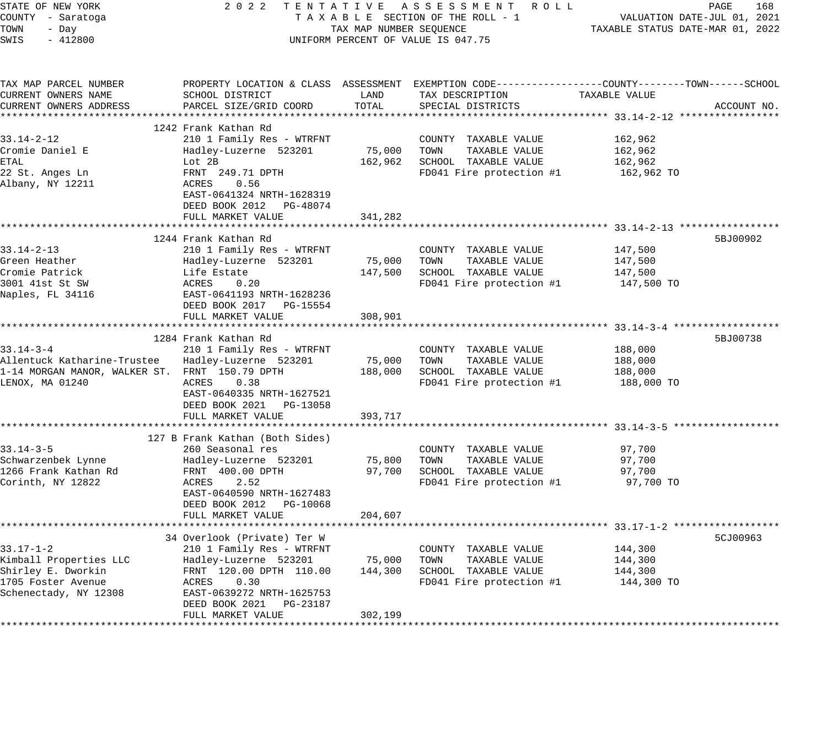| - Day<br>$-412800$<br>TAX MAP PARCEL NUMBER<br>CURRENT OWNERS NAME<br>CURRENT OWNERS ADDRESS<br>$33.14 - 2 - 12$<br>Cromie Daniel E<br>22 St. Anges Ln<br>Albany, NY 12211<br>$33.14 - 2 - 13$<br>Green Heather<br>Cromie Patrick<br>3001 41st St SW<br>Naples, FL 34116<br>Allentuck Katharine-Trustee<br>1-14 MORGAN MANOR, WALKER ST. FRNT 150.79 DPTH<br>LENOX, MA 01240<br>Schwarzenbek Lynne<br>1266 Frank Kathan Rd<br>Corinth, NY 12822 | SCHOOL DISTRICT<br>PARCEL SIZE/GRID COORD<br>1242 Frank Kathan Rd<br>210 1 Family Res - WTRFNT<br>Hadley-Luzerne 523201<br>Lot 2B<br>FRNT 249.71 DPTH<br>ACRES<br>0.56<br>EAST-0641324 NRTH-1628319<br>DEED BOOK 2012 PG-48074<br>FULL MARKET VALUE<br>************************<br>1244 Frank Kathan Rd<br>210 1 Family Res - WTRFNT<br>Hadley-Luzerne 523201<br>Life Estate<br>ACRES<br>0.20<br>EAST-0641193 NRTH-1628236<br>DEED BOOK 2017 PG-15554<br>FULL MARKET VALUE<br>1284 Frank Kathan Rd<br>210 1 Family Res - WTRFNT<br>Hadley-Luzerne 523201<br>ACRES<br>0.38<br>EAST-0640335 NRTH-1627521<br>DEED BOOK 2021 PG-13058<br>FULL MARKET VALUE<br>127 B Frank Kathan (Both Sides)<br>260 Seasonal res<br>Hadley-Luzerne 523201<br>FRNT 400.00 DPTH<br>2.52<br>ACRES<br>EAST-0640590 NRTH-1627483<br>DEED BOOK 2012 PG-10068<br>FULL MARKET VALUE<br>34 Overlook (Private) Ter W<br>210 1 Family Res - WTRFNT | TAX MAP NUMBER SEOUENCE<br>LAND<br>TOTAL<br>75,000<br>162,962<br>341,282<br>75,000<br>147,500<br>308,901<br>75,000<br>188,000<br>393,717<br>75,800<br>97,700<br>204,607 | UNIFORM PERCENT OF VALUE IS 047.75<br>PROPERTY LOCATION & CLASS ASSESSMENT EXEMPTION CODE----------------COUNTY-------TOWN------SCHOOL<br>TAX DESCRIPTION<br>SPECIAL DISTRICTS<br>COUNTY TAXABLE VALUE<br>TOWN<br>TAXABLE VALUE<br>SCHOOL TAXABLE VALUE<br>FD041 Fire protection #1<br>COUNTY TAXABLE VALUE<br>TAXABLE VALUE<br>TOWN<br>SCHOOL TAXABLE VALUE<br>FD041 Fire protection #1<br>COUNTY TAXABLE VALUE<br>TOWN<br>TAXABLE VALUE<br>SCHOOL TAXABLE VALUE<br>FD041 Fire protection #1<br>COUNTY TAXABLE VALUE<br>TAXABLE VALUE<br>TOWN<br>SCHOOL TAXABLE VALUE<br>FD041 Fire protection #1<br>COUNTY TAXABLE VALUE | TAXABLE STATUS DATE-MAR 01, 2022<br>TAXABLE VALUE<br>162,962<br>162,962<br>162,962<br>162,962 TO<br>147,500<br>147,500<br>147,500<br>147,500 TO<br>188,000<br>188,000<br>188,000<br>188,000 TO<br>97,700<br>97,700<br>97,700<br>97,700 TO<br>144,300 | ACCOUNT NO.<br>5BJ00902<br>5BJ00738<br>5CJ00963 |
|-------------------------------------------------------------------------------------------------------------------------------------------------------------------------------------------------------------------------------------------------------------------------------------------------------------------------------------------------------------------------------------------------------------------------------------------------|----------------------------------------------------------------------------------------------------------------------------------------------------------------------------------------------------------------------------------------------------------------------------------------------------------------------------------------------------------------------------------------------------------------------------------------------------------------------------------------------------------------------------------------------------------------------------------------------------------------------------------------------------------------------------------------------------------------------------------------------------------------------------------------------------------------------------------------------------------------------------------------------------------------------|-------------------------------------------------------------------------------------------------------------------------------------------------------------------------|----------------------------------------------------------------------------------------------------------------------------------------------------------------------------------------------------------------------------------------------------------------------------------------------------------------------------------------------------------------------------------------------------------------------------------------------------------------------------------------------------------------------------------------------------------------------------------------------------------------------------|------------------------------------------------------------------------------------------------------------------------------------------------------------------------------------------------------------------------------------------------------|-------------------------------------------------|
|                                                                                                                                                                                                                                                                                                                                                                                                                                                 |                                                                                                                                                                                                                                                                                                                                                                                                                                                                                                                                                                                                                                                                                                                                                                                                                                                                                                                      |                                                                                                                                                                         |                                                                                                                                                                                                                                                                                                                                                                                                                                                                                                                                                                                                                            |                                                                                                                                                                                                                                                      |                                                 |
| $33.17 - 1 - 2$                                                                                                                                                                                                                                                                                                                                                                                                                                 |                                                                                                                                                                                                                                                                                                                                                                                                                                                                                                                                                                                                                                                                                                                                                                                                                                                                                                                      |                                                                                                                                                                         |                                                                                                                                                                                                                                                                                                                                                                                                                                                                                                                                                                                                                            |                                                                                                                                                                                                                                                      |                                                 |
| Kimball Properties LLC<br>Shirley E. Dworkin<br>1705 Foster Avenue<br>Schenectady, NY 12308                                                                                                                                                                                                                                                                                                                                                     | Hadley-Luzerne 523201<br>FRNT 120.00 DPTH 110.00<br>ACRES<br>0.30<br>EAST-0639272 NRTH-1625753<br>DEED BOOK 2021<br>PG-23187<br>FULL MARKET VALUE                                                                                                                                                                                                                                                                                                                                                                                                                                                                                                                                                                                                                                                                                                                                                                    | 75,000<br>144,300<br>302,199                                                                                                                                            | TOWN<br>TAXABLE VALUE<br>SCHOOL TAXABLE VALUE<br>FD041 Fire protection #1                                                                                                                                                                                                                                                                                                                                                                                                                                                                                                                                                  | 144,300<br>144,300<br>144,300 TO                                                                                                                                                                                                                     |                                                 |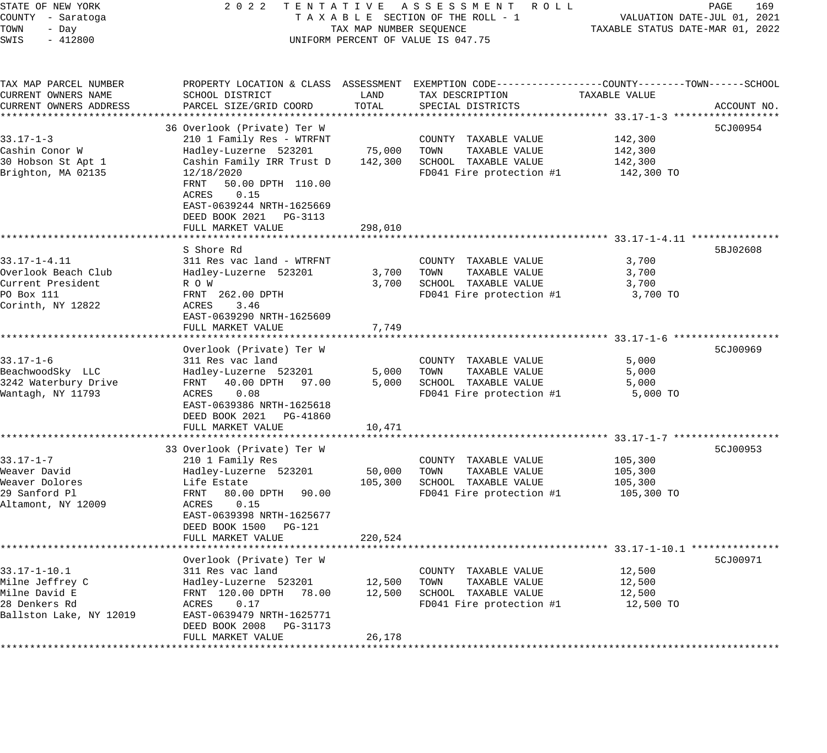| STATE OF NEW YORK<br>COUNTY - Saratoga<br>TOWN<br>- Day<br>SWIS<br>$-412800$                       | 2 0 2 2                                                                                                                                                                                                                           | TAX MAP NUMBER SEQUENCE | TENTATIVE ASSESSMENT ROLL<br>TAXABLE SECTION OF THE ROLL - 1<br>UNIFORM PERCENT OF VALUE IS 047.75                | TAXABLE STATUS DATE-MAR 01, 2022            | PAGE<br>169<br>VALUATION DATE-JUL 01, 2021 |
|----------------------------------------------------------------------------------------------------|-----------------------------------------------------------------------------------------------------------------------------------------------------------------------------------------------------------------------------------|-------------------------|-------------------------------------------------------------------------------------------------------------------|---------------------------------------------|--------------------------------------------|
| TAX MAP PARCEL NUMBER<br>CURRENT OWNERS NAME                                                       | SCHOOL DISTRICT                                                                                                                                                                                                                   | LAND                    | PROPERTY LOCATION & CLASS ASSESSMENT EXEMPTION CODE---------------COUNTY-------TOWN-----SCHOOL<br>TAX DESCRIPTION | TAXABLE VALUE                               |                                            |
| CURRENT OWNERS ADDRESS                                                                             | PARCEL SIZE/GRID COORD                                                                                                                                                                                                            | TOTAL                   | SPECIAL DISTRICTS                                                                                                 |                                             | ACCOUNT NO.                                |
|                                                                                                    |                                                                                                                                                                                                                                   |                         |                                                                                                                   |                                             |                                            |
| $33.17 - 1 - 3$<br>Cashin Conor W<br>30 Hobson St Apt 1<br>Brighton, MA 02135                      | 36 Overlook (Private) Ter W<br>210 1 Family Res - WTRFNT<br>Hadley-Luzerne 523201<br>Cashin Family IRR Trust D<br>12/18/2020<br>50.00 DPTH 110.00<br>FRNT<br>ACRES<br>0.15<br>EAST-0639244 NRTH-1625669<br>DEED BOOK 2021 PG-3113 | 75,000<br>142,300       | COUNTY TAXABLE VALUE<br>TOWN<br>TAXABLE VALUE<br>SCHOOL TAXABLE VALUE<br>FD041 Fire protection #1                 | 142,300<br>142,300<br>142,300<br>142,300 TO | 5CJ00954                                   |
|                                                                                                    | FULL MARKET VALUE                                                                                                                                                                                                                 | 298,010                 |                                                                                                                   |                                             |                                            |
|                                                                                                    | S Shore Rd                                                                                                                                                                                                                        |                         |                                                                                                                   |                                             | 5BJ02608                                   |
| $33.17 - 1 - 4.11$<br>Overlook Beach Club<br>Current President<br>PO Box 111<br>Corinth, NY 12822  | 311 Res vac land - WTRFNT<br>Hadley-Luzerne 523201<br>R O W<br>FRNT 262.00 DPTH<br>3.46<br>ACRES<br>EAST-0639290 NRTH-1625609                                                                                                     | 3,700<br>3,700          | COUNTY TAXABLE VALUE<br>TOWN<br>TAXABLE VALUE<br>SCHOOL TAXABLE VALUE<br>FD041 Fire protection #1                 | 3,700<br>3,700<br>3,700<br>3,700 TO         |                                            |
|                                                                                                    | FULL MARKET VALUE                                                                                                                                                                                                                 | 7,749                   |                                                                                                                   |                                             |                                            |
| $33.17 - 1 - 6$<br>BeachwoodSky LLC<br>3242 Waterbury Drive<br>Wantagh, NY 11793                   | Overlook (Private) Ter W<br>311 Res vac land<br>Hadley-Luzerne 523201<br>40.00 DPTH<br>FRNT<br>97.00<br>ACRES<br>0.08<br>EAST-0639386 NRTH-1625618<br>DEED BOOK 2021 PG-41860                                                     | 5,000<br>5,000          | COUNTY TAXABLE VALUE<br>TOWN<br>TAXABLE VALUE<br>SCHOOL TAXABLE VALUE<br>FD041 Fire protection #1                 | 5,000<br>5,000<br>5,000<br>5,000 TO         | 5CJ00969                                   |
|                                                                                                    | FULL MARKET VALUE                                                                                                                                                                                                                 | 10,471                  |                                                                                                                   |                                             |                                            |
| $33.17 - 1 - 7$<br>Weaver David<br>Weaver Dolores<br>29 Sanford Pl<br>Altamont, NY 12009           | 33 Overlook (Private) Ter W<br>210 1 Family Res<br>Hadley-Luzerne 523201<br>Life Estate<br>FRNT<br>80.00 DPTH<br>90.00<br>ACRES<br>0.15                                                                                           | 50,000<br>105,300       | COUNTY TAXABLE VALUE<br>TOWN<br>TAXABLE VALUE<br>SCHOOL TAXABLE VALUE<br>FD041 Fire protection #1                 | 105,300<br>105,300<br>105,300<br>105,300 TO | 5CJ00953                                   |
|                                                                                                    | EAST-0639398 NRTH-1625677<br>DEED BOOK 1500 PG-121<br>FULL MARKET VALUE                                                                                                                                                           | 220,524                 |                                                                                                                   |                                             |                                            |
|                                                                                                    | Overlook (Private) Ter W                                                                                                                                                                                                          |                         |                                                                                                                   |                                             | 5CJ00971                                   |
| $33.17 - 1 - 10.1$<br>Milne Jeffrey C<br>Milne David E<br>28 Denkers Rd<br>Ballston Lake, NY 12019 | 311 Res vac land<br>Hadley-Luzerne 523201<br>FRNT 120.00 DPTH<br>78.00<br>0.17<br>ACRES<br>EAST-0639479 NRTH-1625771                                                                                                              | 12,500<br>12,500        | COUNTY TAXABLE VALUE<br>TAXABLE VALUE<br>TOWN<br>SCHOOL TAXABLE VALUE<br>FD041 Fire protection #1                 | 12,500<br>12,500<br>12,500<br>12,500 TO     |                                            |
| ***************                                                                                    | DEED BOOK 2008<br>PG-31173<br>FULL MARKET VALUE                                                                                                                                                                                   | 26,178                  |                                                                                                                   |                                             |                                            |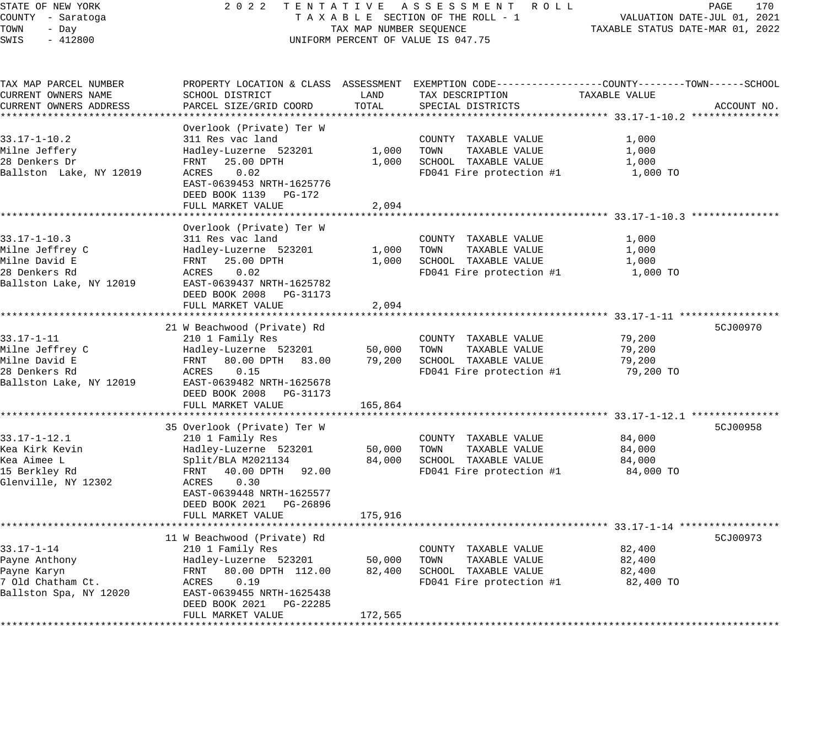### STATE OF NEW YORK 2 0 2 2 T E N T A T I V E A S S E S S M E N T R O L L PAGE 170 COUNTY - Saratoga T A X A B L E SECTION OF THE ROLL - 1 VALUATION DATE-JUL 01, 2021 UNIFORM PERCENT OF VALUE IS 047.75

VALUATION FAIR SON SE, ...<br>TAXABLE STATUS DATE-MAR 01, 2022

| TAX MAP PARCEL NUMBER<br>CURRENT OWNERS NAME<br>CURRENT OWNERS ADDRESS                             | PROPERTY LOCATION & CLASS ASSESSMENT<br>SCHOOL DISTRICT<br>PARCEL SIZE/GRID COORD                                                                                                                                     | LAND<br>TOTAL               | EXEMPTION CODE-----------------COUNTY-------TOWN------SCHOOL<br>TAX DESCRIPTION<br>SPECIAL DISTRICTS | TAXABLE VALUE                           | ACCOUNT NO. |
|----------------------------------------------------------------------------------------------------|-----------------------------------------------------------------------------------------------------------------------------------------------------------------------------------------------------------------------|-----------------------------|------------------------------------------------------------------------------------------------------|-----------------------------------------|-------------|
| $33.17 - 1 - 10.2$<br>Milne Jeffery<br>28 Denkers Dr<br>Ballston Lake, NY 12019                    | Overlook (Private) Ter W<br>311 Res vac land<br>Hadley-Luzerne 523201<br>FRNT 25.00 DPTH<br>0.02<br>ACRES<br>EAST-0639453 NRTH-1625776<br>DEED BOOK 1139 PG-172<br>FULL MARKET VALUE                                  | 1,000<br>1,000<br>2,094     | COUNTY TAXABLE VALUE<br>TOWN<br>TAXABLE VALUE<br>SCHOOL TAXABLE VALUE<br>FD041 Fire protection #1    | 1,000<br>1,000<br>1,000<br>1,000 TO     |             |
| $33.17 - 1 - 10.3$<br>Milne Jeffrey C<br>Milne David E<br>28 Denkers Rd<br>Ballston Lake, NY 12019 | **********************<br>Overlook (Private) Ter W<br>311 Res vac land<br>Hadley-Luzerne 523201<br>FRNT<br>25.00 DPTH<br>0.02<br>ACRES<br>EAST-0639437 NRTH-1625782<br>DEED BOOK 2008 PG-31173<br>FULL MARKET VALUE   | 1,000<br>1,000<br>2,094     | COUNTY TAXABLE VALUE<br>TOWN<br>TAXABLE VALUE<br>SCHOOL TAXABLE VALUE<br>FD041 Fire protection #1    | 1,000<br>1,000<br>1,000<br>1,000 TO     |             |
| $33.17 - 1 - 11$<br>Milne Jeffrey C<br>Milne David E<br>28 Denkers Rd<br>Ballston Lake, NY 12019   | 21 W Beachwood (Private) Rd<br>210 1 Family Res<br>Hadley-Luzerne 523201<br>FRNT 80.00 DPTH 83.00<br>ACRES<br>0.15<br>EAST-0639482 NRTH-1625678<br>DEED BOOK 2008 PG-31173<br>FULL MARKET VALUE                       | 50,000<br>79,200<br>165,864 | COUNTY TAXABLE VALUE<br>TOWN<br>TAXABLE VALUE<br>SCHOOL TAXABLE VALUE<br>FD041 Fire protection #1    | 79,200<br>79,200<br>79,200<br>79,200 TO | 5CJ00970    |
| $33.17 - 1 - 12.1$<br>Kea Kirk Kevin<br>Kea Aimee L<br>15 Berkley Rd<br>Glenville, NY 12302        | 35 Overlook (Private) Ter W<br>210 1 Family Res<br>Hadley-Luzerne 523201<br>Split/BLA M2021134<br>FRNT 40.00 DPTH 92.00<br>0.30<br>ACRES<br>EAST-0639448 NRTH-1625577<br>DEED BOOK 2021 PG-26896<br>FULL MARKET VALUE | 50,000<br>84,000<br>175,916 | COUNTY TAXABLE VALUE<br>TOWN<br>TAXABLE VALUE<br>SCHOOL TAXABLE VALUE<br>FD041 Fire protection #1    | 84,000<br>84,000<br>84,000<br>84,000 TO | 5CJ00958    |
| $33.17 - 1 - 14$<br>Payne Anthony<br>Payne Karyn<br>7 Old Chatham Ct.<br>Ballston Spa, NY 12020    | 11 W Beachwood (Private) Rd<br>210 1 Family Res<br>Hadley-Luzerne 523201<br>FRNT 80.00 DPTH 112.00<br>ACRES<br>0.19<br>EAST-0639455 NRTH-1625438<br>DEED BOOK 2021 PG-22285<br>FULL MARKET VALUE                      | 50,000<br>82,400<br>172,565 | COUNTY TAXABLE VALUE<br>TOWN<br>TAXABLE VALUE<br>SCHOOL TAXABLE VALUE<br>FD041 Fire protection #1    | 82,400<br>82,400<br>82,400<br>82,400 TO | 5CJ00973    |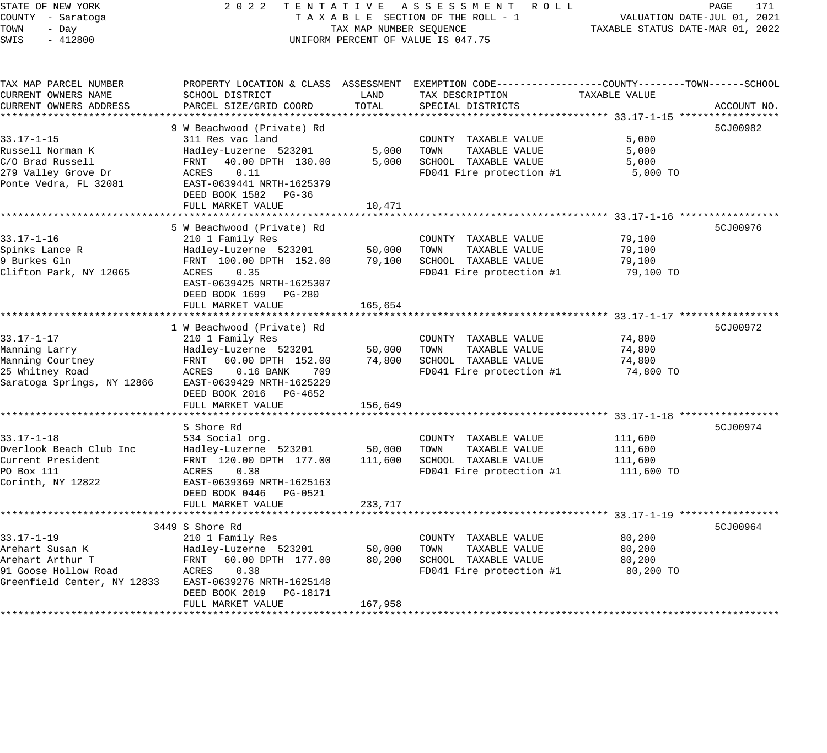### STATE OF NEW YORK 2 0 2 2 T E N T A T I V E A S S E S S M E N T R O L L PAGE 171 COUNTY - Saratoga T A X A B L E SECTION OF THE ROLL - 1 VALUATION DATE-JUL 01, 2021 X A B L E SECTION OF THE KOLL - 1 TAXABLE STATUS DATE-MAR 01, 2022 UNIFORM PERCENT OF VALUE IS 047.75

| TAX MAP PARCEL NUMBER                                |                                                                                                 |         | PROPERTY LOCATION & CLASS ASSESSMENT EXEMPTION CODE----------------COUNTY-------TOWN------SCHOOL |               |             |
|------------------------------------------------------|-------------------------------------------------------------------------------------------------|---------|--------------------------------------------------------------------------------------------------|---------------|-------------|
| CURRENT OWNERS NAME                                  | SCHOOL DISTRICT                                                                                 | LAND    | TAX DESCRIPTION                                                                                  | TAXABLE VALUE |             |
| CURRENT OWNERS ADDRESS                               | PARCEL SIZE/GRID COORD                                                                          | TOTAL   | SPECIAL DISTRICTS                                                                                |               | ACCOUNT NO. |
|                                                      |                                                                                                 |         |                                                                                                  |               |             |
|                                                      | 9 W Beachwood (Private) Rd                                                                      |         |                                                                                                  |               | 5CJ00982    |
| $33.17 - 1 - 15$                                     | 311 Res vac land                                                                                |         | COUNTY TAXABLE VALUE                                                                             | 5,000         |             |
| Russell Norman K                                     | Hadley-Luzerne 523201                                                                           |         | 5,000 TOWN<br>TAXABLE VALUE                                                                      | 5,000         |             |
| C/O Brad Russell                                     | FRNT 40.00 DPTH 130.00                                                                          |         | 5,000 SCHOOL TAXABLE VALUE                                                                       | 5,000         |             |
| 279 Valley Grove Dr                                  | ACRES 0.11                                                                                      |         | FD041 Fire protection #1                                                                         | 5,000 TO      |             |
| Ponte Vedra, FL 32081                                | EAST-0639441 NRTH-1625379                                                                       |         |                                                                                                  |               |             |
|                                                      | DEED BOOK 1582 PG-36                                                                            |         |                                                                                                  |               |             |
|                                                      | FULL MARKET VALUE                                                                               | 10,471  |                                                                                                  |               |             |
|                                                      |                                                                                                 |         |                                                                                                  |               |             |
|                                                      | 5 W Beachwood (Private) Rd                                                                      |         |                                                                                                  |               | 5CJ00976    |
| $33.17 - 1 - 16$                                     | 210 1 Family Res                                                                                |         | COUNTY TAXABLE VALUE                                                                             | 79,100        |             |
| Spinks Lance R                                       | Hadley-Luzerne 523201                                                                           |         | 50,000 TOWN<br>TAXABLE VALUE                                                                     | 79,100        |             |
| 9 Burkes Gln                                         |                                                                                                 |         | FRNT 100.00 DPTH 152.00 79,100 SCHOOL TAXABLE VALUE                                              | 79,100        |             |
|                                                      | ACRES 0.35                                                                                      |         |                                                                                                  |               |             |
| Clifton Park, NY 12065                               |                                                                                                 |         | FD041 Fire protection #1                                                                         | 79,100 TO     |             |
|                                                      | EAST-0639425 NRTH-1625307                                                                       |         |                                                                                                  |               |             |
|                                                      | DEED BOOK 1699 PG-280                                                                           |         |                                                                                                  |               |             |
|                                                      | FULL MARKET VALUE                                                                               | 165,654 |                                                                                                  |               |             |
|                                                      |                                                                                                 |         |                                                                                                  |               |             |
|                                                      | 1 W Beachwood (Private) Rd                                                                      |         |                                                                                                  |               | 5CJ00972    |
| $33.17 - 1 - 17$                                     | 210 1 Family Res                                                                                |         | COUNTY TAXABLE VALUE                                                                             | 74,800        |             |
| Manning Larry                                        | Hadley-Luzerne 523201                                                                           |         | 50,000 TOWN<br>TAXABLE VALUE                                                                     | 74,800        |             |
| Manning Courtney                                     | FRNT 60.00 DPTH 152.00 74,800 SCHOOL TAXABLE VALUE<br>ACRES 0.16 BANK 709 FD041 Fire protection |         |                                                                                                  | 74,800        |             |
| 25 Whitney Road                                      | ACRES   0.16 BANK   709                                                                         |         | FD041 Fire protection #1                                                                         | 74,800 TO     |             |
| Saratoga Springs, NY 12866 EAST-0639429 NRTH-1625229 |                                                                                                 |         |                                                                                                  |               |             |
|                                                      | DEED BOOK 2016 PG-4652                                                                          |         |                                                                                                  |               |             |
|                                                      | FULL MARKET VALUE                                                                               | 156,649 |                                                                                                  |               |             |
|                                                      |                                                                                                 |         |                                                                                                  |               |             |
|                                                      | S Shore Rd                                                                                      |         |                                                                                                  |               | 5CJ00974    |
| $33.17 - 1 - 18$                                     | 534 Social org.                                                                                 |         | COUNTY TAXABLE VALUE                                                                             | 111,600       |             |
| Overlook Beach Club Inc                              | Hadley-Luzerne 523201 50,000 TOWN                                                               |         | TAXABLE VALUE                                                                                    | 111,600       |             |
| Current President                                    | FRNT 120.00 DPTH 177.00 111,600 SCHOOL TAXABLE VALUE                                            |         |                                                                                                  | 111,600       |             |
| PO Box 111                                           | 0.38<br>ACRES                                                                                   |         | FD041 Fire protection #1                                                                         | 111,600 TO    |             |
| Corinth, NY 12822                                    | EAST-0639369 NRTH-1625163                                                                       |         |                                                                                                  |               |             |
|                                                      | DEED BOOK 0446 PG-0521                                                                          |         |                                                                                                  |               |             |
|                                                      | FULL MARKET VALUE                                                                               | 233,717 |                                                                                                  |               |             |
|                                                      |                                                                                                 |         |                                                                                                  |               |             |
|                                                      | 3449 S Shore Rd                                                                                 |         |                                                                                                  |               | 5CJ00964    |
| $33.17 - 1 - 19$                                     | 210 1 Family Res                                                                                |         | COUNTY TAXABLE VALUE                                                                             | 80,200        |             |
| Arehart Susan K                                      | Hadley-Luzerne 523201                                                                           | 50,000  | TOWN<br>TAXABLE VALUE                                                                            | 80,200        |             |
| Arehart Arthur T                                     | FRNT 60.00 DPTH 177.00                                                                          | 80,200  | SCHOOL TAXABLE VALUE                                                                             | 80,200        |             |
| 91 Goose Hollow Road                                 | ACRES<br>0.38                                                                                   |         | FD041 Fire protection #1                                                                         | 80,200 TO     |             |
|                                                      | Greenfield Center, NY 12833 EAST-0639276 NRTH-1625148                                           |         |                                                                                                  |               |             |
|                                                      | DEED BOOK 2019    PG-18171                                                                      |         |                                                                                                  |               |             |
|                                                      | FULL MARKET VALUE                                                                               | 167,958 |                                                                                                  |               |             |
|                                                      |                                                                                                 |         |                                                                                                  |               |             |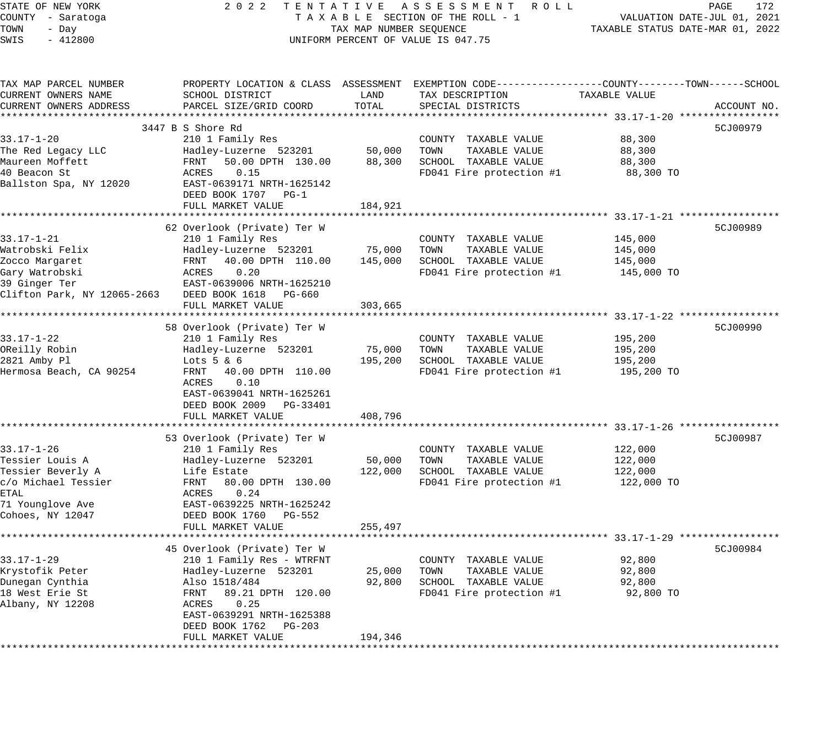STATE OF NEW YORK 2 0 2 2 T E N T A T I V E A S S E S S M E N T R O L L PAGE 172 COUNTY - Saratoga T A X A B L E SECTION OF THE ROLL - 1 VALUATION DATE-JUL 01, 2021 TOWN - Day TAX MAP NUMBER SEQUENCE TAXABLE STATUS DATE-MAR 01, 2022 SWIS - 412800 CONTROLLY THE UNIFORM PERCENT OF VALUE IS 047.75 TAX MAP PARCEL NUMBER PROPERTY LOCATION & CLASS ASSESSMENT EXEMPTION CODE------------------COUNTY--------TOWN------SCHOOL CURRENT OWNERS NAME SCHOOL DISTRICT LAND TAX DESCRIPTION TAXABLE VALUE CURRENT OWNERS ADDRESS PARCEL SIZE/GRID COORD TOTAL SPECIAL DISTRICTS ACCOUNT NO. \*\*\*\*\*\*\*\*\*\*\*\*\*\*\*\*\*\*\*\*\*\*\*\*\*\*\*\*\*\*\*\*\*\*\*\*\*\*\*\*\*\*\*\*\*\*\*\*\*\*\*\*\*\*\*\*\*\*\*\*\*\*\*\*\*\*\*\*\*\*\*\*\*\*\*\*\*\*\*\*\*\*\*\*\*\*\*\*\*\*\*\*\*\*\*\*\*\*\*\*\*\*\* 33.17-1-20 \*\*\*\*\*\*\*\*\*\*\*\*\*\*\*\*\* 3447 B S Shore Rd 5CJ00979 33.17-1-20 210 1 Family Res COUNTY TAXABLE VALUE 88,300 The Red Legacy LLC Hadley-Luzerne 523201 50,000 TOWN TAXABLE VALUE 88,300 Maureen Moffett FRNT 50.00 DPTH 130.00 88,300 SCHOOL TAXABLE VALUE 88,300 40 Beacon St ACRES 0.15 FD041 Fire protection #1 88,300 TO Ballston Spa, NY 12020 EAST-0639171 NRTH-1625142 DEED BOOK 1707 PG-1 FULL MARKET VALUE 184,921 \*\*\*\*\*\*\*\*\*\*\*\*\*\*\*\*\*\*\*\*\*\*\*\*\*\*\*\*\*\*\*\*\*\*\*\*\*\*\*\*\*\*\*\*\*\*\*\*\*\*\*\*\*\*\*\*\*\*\*\*\*\*\*\*\*\*\*\*\*\*\*\*\*\*\*\*\*\*\*\*\*\*\*\*\*\*\*\*\*\*\*\*\*\*\*\*\*\*\*\*\*\*\* 33.17-1-21 \*\*\*\*\*\*\*\*\*\*\*\*\*\*\*\*\* 62 Overlook (Private) Ter W 5CJ00989 33.17-1-21 210 1 Family Res COUNTY TAXABLE VALUE 145,000 Watrobski Felix Hadley-Luzerne 523201 75,000 TOWN TAXABLE VALUE 145,000 Zocco Margaret FRNT 40.00 DPTH 110.00 145,000 SCHOOL TAXABLE VALUE 145,000 Gary Watrobski ACRES 0.20 FD041 Fire protection #1 145,000 TO 39 Ginger Ter **EAST-0639006 NRTH-1625210** Clifton Park, NY 12065-2663 DEED BOOK 1618 PG-660 FULL MARKET VALUE 303,665 \*\*\*\*\*\*\*\*\*\*\*\*\*\*\*\*\*\*\*\*\*\*\*\*\*\*\*\*\*\*\*\*\*\*\*\*\*\*\*\*\*\*\*\*\*\*\*\*\*\*\*\*\*\*\*\*\*\*\*\*\*\*\*\*\*\*\*\*\*\*\*\*\*\*\*\*\*\*\*\*\*\*\*\*\*\*\*\*\*\*\*\*\*\*\*\*\*\*\*\*\*\*\* 33.17-1-22 \*\*\*\*\*\*\*\*\*\*\*\*\*\*\*\*\* 58 Overlook (Private) Ter W 5CJ00990 33.17-1-22 210 1 Family Res COUNTY TAXABLE VALUE 195,200 OReilly Robin Hadley-Luzerne 523201 75,000 TOWN TAXABLE VALUE 195,200 2821 Amby Pl Lots 5 & 6 195,200 SCHOOL TAXABLE VALUE 195,200 Hermosa Beach, CA 90254 FRNT 40.00 DPTH 110.00 FD041 Fire protection #1 195,200 TO ACRES 0.10 EAST-0639041 NRTH-1625261 DEED BOOK 2009 PG-33401 FULL MARKET VALUE 408,796 \*\*\*\*\*\*\*\*\*\*\*\*\*\*\*\*\*\*\*\*\*\*\*\*\*\*\*\*\*\*\*\*\*\*\*\*\*\*\*\*\*\*\*\*\*\*\*\*\*\*\*\*\*\*\*\*\*\*\*\*\*\*\*\*\*\*\*\*\*\*\*\*\*\*\*\*\*\*\*\*\*\*\*\*\*\*\*\*\*\*\*\*\*\*\*\*\*\*\*\*\*\*\* 33.17-1-26 \*\*\*\*\*\*\*\*\*\*\*\*\*\*\*\*\* 53 Overlook (Private) Ter W 5CJ00987 33.17-1-26 210 1 Family Res COUNTY TAXABLE VALUE 122,000 Tessier Louis A Hadley-Luzerne 523201 50,000 TOWN TAXABLE VALUE 122,000 Tessier Beverly A Life Estate 122,000 SCHOOL TAXABLE VALUE 122,000 c/o Michael Tessier FRNT 80.00 DPTH 130.00 FD041 Fire protection #1 122,000 TO ETAL **ACRES** 0.24 71 Younglove Ave EAST-0639225 NRTH-1625242 Cohoes, NY 12047 DEED BOOK 1760 PG-552 FULL MARKET VALUE 255,497 \*\*\*\*\*\*\*\*\*\*\*\*\*\*\*\*\*\*\*\*\*\*\*\*\*\*\*\*\*\*\*\*\*\*\*\*\*\*\*\*\*\*\*\*\*\*\*\*\*\*\*\*\*\*\*\*\*\*\*\*\*\*\*\*\*\*\*\*\*\*\*\*\*\*\*\*\*\*\*\*\*\*\*\*\*\*\*\*\*\*\*\*\*\*\*\*\*\*\*\*\*\*\* 33.17-1-29 \*\*\*\*\*\*\*\*\*\*\*\*\*\*\*\*\* 45 Overlook (Private) Ter W 5CJ00984 33.17-1-29 210 1 Family Res - WTRFNT COUNTY TAXABLE VALUE 92,800 Krystofik Peter Hadley-Luzerne 523201 25,000 TOWN TAXABLE VALUE 92,800 Dunegan Cynthia Also 1518/484 92,800 SCHOOL TAXABLE VALUE 92,800 18 West Erie St FRNT 89.21 DPTH 120.00 FD041 Fire protection #1 92,800 TO Albany, NY 12208 ACRES 0.25 EAST-0639291 NRTH-1625388 DEED BOOK 1762 PG-203 FULL MARKET VALUE 194,346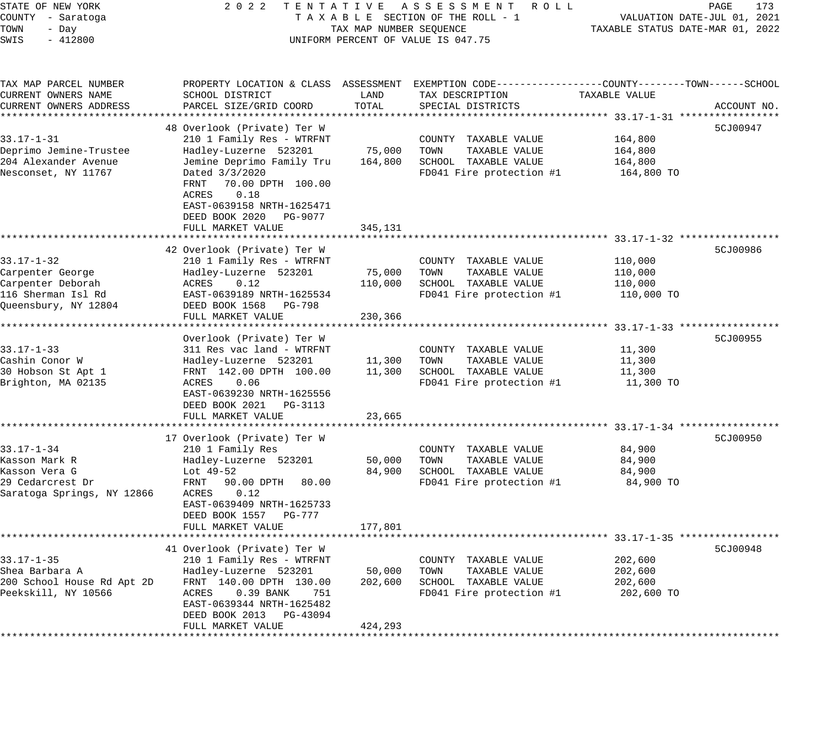| STATE OF NEW YORK<br>COUNTY - Saratoga<br>TOWN<br>- Day<br>SWIS<br>$-412800$                            | 2 0 2 2                                                                                                                                                                                                                                    | TENTATIVE<br>TAX MAP NUMBER SEQUENCE | A S S E S S M E N T<br>R O L L<br>TAXABLE SECTION OF THE ROLL - 1<br>UNIFORM PERCENT OF VALUE IS 047.75                                                  | TAXABLE STATUS DATE-MAR 01, 2022                                       | 173<br>PAGE<br>VALUATION DATE-JUL 01, 2021 |
|---------------------------------------------------------------------------------------------------------|--------------------------------------------------------------------------------------------------------------------------------------------------------------------------------------------------------------------------------------------|--------------------------------------|----------------------------------------------------------------------------------------------------------------------------------------------------------|------------------------------------------------------------------------|--------------------------------------------|
| TAX MAP PARCEL NUMBER<br>CURRENT OWNERS NAME<br>CURRENT OWNERS ADDRESS                                  | PROPERTY LOCATION & CLASS ASSESSMENT<br>SCHOOL DISTRICT<br>PARCEL SIZE/GRID COORD                                                                                                                                                          | LAND<br>TOTAL                        | EXEMPTION CODE-----------------COUNTY-------TOWN------SCHOOL<br>TAX DESCRIPTION<br>SPECIAL DISTRICTS                                                     | TAXABLE VALUE                                                          | ACCOUNT NO.                                |
| $33.17 - 1 - 31$<br>Deprimo Jemine-Trustee<br>204 Alexander Avenue<br>Nesconset, NY 11767               | 48 Overlook (Private) Ter W<br>210 1 Family Res - WTRFNT<br>Hadley-Luzerne 523201<br>Jemine Deprimo Family Tru<br>Dated $3/3/2020$<br>70.00 DPTH 100.00<br>FRNT<br>ACRES<br>0.18<br>EAST-0639158 NRTH-1625471<br>DEED BOOK 2020<br>PG-9077 | 75,000<br>164,800                    | COUNTY TAXABLE VALUE<br>TOWN<br>TAXABLE VALUE<br>SCHOOL TAXABLE VALUE<br>FD041 Fire protection #1                                                        | 164,800<br>164,800<br>164,800<br>164,800 TO                            | 5CJ00947                                   |
|                                                                                                         | FULL MARKET VALUE<br>****************************                                                                                                                                                                                          | 345,131<br>***********               | ************************************ 33.17-1-32 *****                                                                                                    |                                                                        |                                            |
| $33.17 - 1 - 32$<br>Carpenter George<br>Carpenter Deborah<br>116 Sherman Isl Rd<br>Queensbury, NY 12804 | 42 Overlook (Private) Ter W<br>210 1 Family Res - WTRFNT<br>Hadley-Luzerne 523201<br>ACRES<br>0.12<br>EAST-0639189 NRTH-1625534<br>DEED BOOK 1568<br>PG-798                                                                                | 75,000<br>110,000                    | COUNTY TAXABLE VALUE<br>TOWN<br>TAXABLE VALUE<br>SCHOOL TAXABLE VALUE<br>FD041 Fire protection #1                                                        | 110,000<br>110,000<br>110,000<br>110,000 TO                            | 5CJ00986                                   |
|                                                                                                         | FULL MARKET VALUE                                                                                                                                                                                                                          | 230,366                              |                                                                                                                                                          |                                                                        |                                            |
| $33.17 - 1 - 33$<br>Cashin Conor W<br>30 Hobson St Apt 1<br>Brighton, MA 02135                          | ******************<br>Overlook (Private) Ter W<br>311 Res vac land - WTRFNT<br>Hadley-Luzerne 523201<br>FRNT 142.00 DPTH 100.00<br>ACRES<br>0.06<br>EAST-0639230 NRTH-1625556<br>DEED BOOK 2021<br>PG-3113                                 | 11,300<br>11,300                     | COUNTY TAXABLE VALUE<br>TAXABLE VALUE<br>TOWN<br>SCHOOL TAXABLE VALUE<br>FD041 Fire protection #1                                                        | ********** 33.17-1-33 *****<br>11,300<br>11,300<br>11,300<br>11,300 TO | 5CJ00955                                   |
|                                                                                                         | FULL MARKET VALUE                                                                                                                                                                                                                          | 23,665                               |                                                                                                                                                          |                                                                        |                                            |
| $33.17 - 1 - 34$<br>Kasson Mark R<br>Kasson Vera G<br>29 Cedarcrest Dr<br>Saratoga Springs, NY 12866    | **********************<br>17 Overlook (Private) Ter W<br>210 1 Family Res<br>Hadley-Luzerne 523201<br>Lot 49-52<br>90.00 DPTH<br>FRNT<br>80.00<br>ACRES<br>0.12<br>EAST-0639409 NRTH-1625733<br>DEED BOOK 1557<br>PG-777                   | ***************<br>50,000<br>84,900  | ********************************** 33.17-1-34 *****<br>COUNTY TAXABLE VALUE<br>TOWN<br>TAXABLE VALUE<br>SCHOOL TAXABLE VALUE<br>FD041 Fire protection #1 | 84,900<br>84,900<br>84,900<br>84,900 TO                                | 5CJ00950                                   |
|                                                                                                         | FULL MARKET VALUE                                                                                                                                                                                                                          | 177,801                              |                                                                                                                                                          |                                                                        |                                            |
| ************<br>$33.17 - 1 - 35$<br>Shea Barbara A<br>200 School House Rd Apt 2D<br>Peekskill, NY 10566 | 41 Overlook (Private) Ter W<br>210 1 Family Res - WTRFNT<br>Hadley-Luzerne 523201<br>FRNT 140.00 DPTH 130.00<br>ACRES<br>0.39 BANK<br>751<br>EAST-0639344 NRTH-1625482                                                                     | 50,000<br>202,600                    | COUNTY TAXABLE VALUE<br>TOWN<br>TAXABLE VALUE<br>SCHOOL TAXABLE VALUE<br>FD041 Fire protection #1                                                        | 202,600<br>202,600<br>202,600<br>202,600 TO                            | 5CJ00948                                   |
|                                                                                                         | DEED BOOK 2013<br>PG-43094<br>FULL MARKET VALUE                                                                                                                                                                                            | 424,293<br>* * * * * * * * * * *     |                                                                                                                                                          |                                                                        |                                            |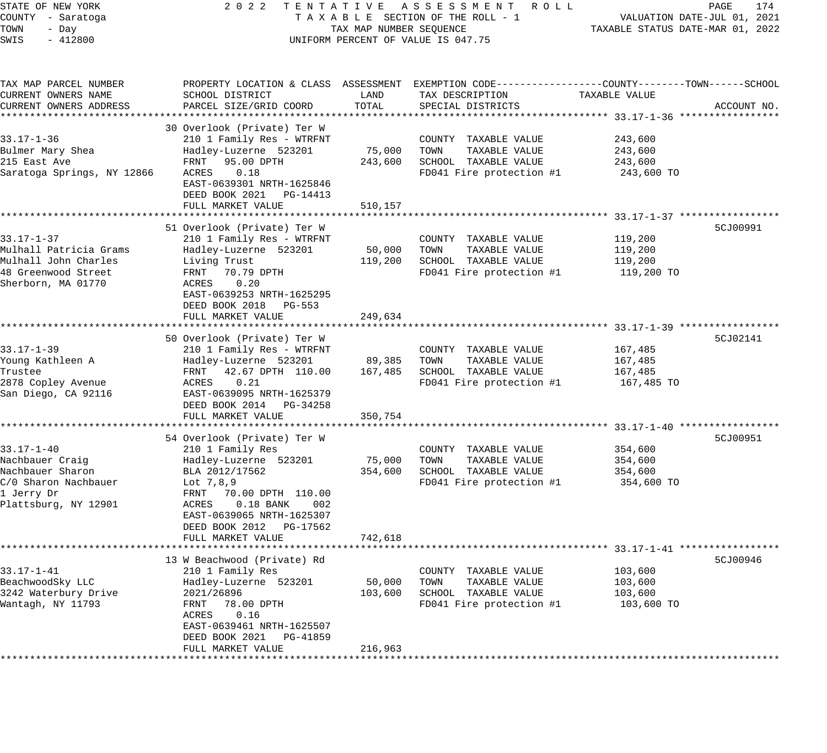STATE OF NEW YORK 2 0 2 2 T E N T A T I V E A S S E S S M E N T R O L L PAGE 174 COUNTY - Saratoga T A X A B L E SECTION OF THE ROLL - 1 VALUATION DATE-JUL 01, 2021 TOWN - Day TAX MAP NUMBER SEQUENCE TAXABLE STATUS DATE-MAR 01, 2022 SWIS - 412800 CONTROLLY THE UNIFORM PERCENT OF VALUE IS 047.75 TAX MAP PARCEL NUMBER PROPERTY LOCATION & CLASS ASSESSMENT EXEMPTION CODE------------------COUNTY--------TOWN------SCHOOL CURRENT OWNERS NAME SCHOOL DISTRICT LAND TAX DESCRIPTION TAXABLE VALUE CURRENT OWNERS ADDRESS PARCEL SIZE/GRID COORD TOTAL SPECIAL DISTRICTS ACCOUNT NO. \*\*\*\*\*\*\*\*\*\*\*\*\*\*\*\*\*\*\*\*\*\*\*\*\*\*\*\*\*\*\*\*\*\*\*\*\*\*\*\*\*\*\*\*\*\*\*\*\*\*\*\*\*\*\*\*\*\*\*\*\*\*\*\*\*\*\*\*\*\*\*\*\*\*\*\*\*\*\*\*\*\*\*\*\*\*\*\*\*\*\*\*\*\*\*\*\*\*\*\*\*\*\* 33.17-1-36 \*\*\*\*\*\*\*\*\*\*\*\*\*\*\*\*\* 30 Overlook (Private) Ter W 33.17-1-36 210 1 Family Res - WTRFNT COUNTY TAXABLE VALUE 243,600 Bulmer Mary Shea Hadley-Luzerne 523201 75,000 TOWN TAXABLE VALUE 243,600 215 East Ave FRNT 95.00 DPTH 243,600 SCHOOL TAXABLE VALUE 243,600 Saratoga Springs, NY 12866 ACRES 0.18 FD041 Fire protection #1 243,600 TO EAST-0639301 NRTH-1625846 DEED BOOK 2021 PG-14413 FULL MARKET VALUE 510,157 \*\*\*\*\*\*\*\*\*\*\*\*\*\*\*\*\*\*\*\*\*\*\*\*\*\*\*\*\*\*\*\*\*\*\*\*\*\*\*\*\*\*\*\*\*\*\*\*\*\*\*\*\*\*\*\*\*\*\*\*\*\*\*\*\*\*\*\*\*\*\*\*\*\*\*\*\*\*\*\*\*\*\*\*\*\*\*\*\*\*\*\*\*\*\*\*\*\*\*\*\*\*\* 33.17-1-37 \*\*\*\*\*\*\*\*\*\*\*\*\*\*\*\*\* 51 Overlook (Private) Ter W 5CJ00991 33.17-1-37 210 1 Family Res - WTRFNT COUNTY TAXABLE VALUE 119,200 Mulhall Patricia Grams Hadley-Luzerne 523201 50,000 TOWN TAXABLE VALUE 119,200 Mulhall John Charles Living Trust 119,200 SCHOOL TAXABLE VALUE 119,200 48 Greenwood Street FRNT 70.79 DPTH FOOT FD041 Fire protection #1 119,200 TO Sherborn, MA 01770 ACRES 0.20 EAST-0639253 NRTH-1625295 DEED BOOK 2018 PG-553 FULL MARKET VALUE 249,634 \*\*\*\*\*\*\*\*\*\*\*\*\*\*\*\*\*\*\*\*\*\*\*\*\*\*\*\*\*\*\*\*\*\*\*\*\*\*\*\*\*\*\*\*\*\*\*\*\*\*\*\*\*\*\*\*\*\*\*\*\*\*\*\*\*\*\*\*\*\*\*\*\*\*\*\*\*\*\*\*\*\*\*\*\*\*\*\*\*\*\*\*\*\*\*\*\*\*\*\*\*\*\* 33.17-1-39 \*\*\*\*\*\*\*\*\*\*\*\*\*\*\*\*\* 50 Overlook (Private) Ter W 5CJ02141 33.17-1-39 210 1 Family Res - WTRFNT COUNTY TAXABLE VALUE 167,485 Young Kathleen A Hadley-Luzerne 523201 89,385 TOWN TAXABLE VALUE 167,485 Trustee FRNT 42.67 DPTH 110.00 167,485 SCHOOL TAXABLE VALUE 167,485 2878 Copley Avenue ACRES 0.21 FD041 Fire protection #1 167,485 TO San Diego, CA 92116 EAST-0639095 NRTH-1625379 DEED BOOK 2014 PG-34258 FULL MARKET VALUE 350,754 \*\*\*\*\*\*\*\*\*\*\*\*\*\*\*\*\*\*\*\*\*\*\*\*\*\*\*\*\*\*\*\*\*\*\*\*\*\*\*\*\*\*\*\*\*\*\*\*\*\*\*\*\*\*\*\*\*\*\*\*\*\*\*\*\*\*\*\*\*\*\*\*\*\*\*\*\*\*\*\*\*\*\*\*\*\*\*\*\*\*\*\*\*\*\*\*\*\*\*\*\*\*\* 33.17-1-40 \*\*\*\*\*\*\*\*\*\*\*\*\*\*\*\*\* 54 Overlook (Private) Ter W 5CJ00951 33.17-1-40 210 1 Family Res COUNTY TAXABLE VALUE 354,600 Nachbauer Craig Hadley-Luzerne 523201 75,000 TOWN TAXABLE VALUE 354,600 Nachbauer Sharon BLA 2012/17562 354,600 SCHOOL TAXABLE VALUE 354,600 C/0 Sharon Nachbauer Lot 7,8,9 FD041 Fire protection #1 354,600 TO 1 Jerry Dr FRNT 70.00 DPTH 110.00 Plattsburg, NY 12901 ACRES 0.18 BANK 002 EAST-0639065 NRTH-1625307 DEED BOOK 2012 PG-17562 FULL MARKET VALUE 742,618 \*\*\*\*\*\*\*\*\*\*\*\*\*\*\*\*\*\*\*\*\*\*\*\*\*\*\*\*\*\*\*\*\*\*\*\*\*\*\*\*\*\*\*\*\*\*\*\*\*\*\*\*\*\*\*\*\*\*\*\*\*\*\*\*\*\*\*\*\*\*\*\*\*\*\*\*\*\*\*\*\*\*\*\*\*\*\*\*\*\*\*\*\*\*\*\*\*\*\*\*\*\*\* 33.17-1-41 \*\*\*\*\*\*\*\*\*\*\*\*\*\*\*\*\* 13 W Beachwood (Private) Rd 5CJ00946 33.17-1-41 210 1 Family Res COUNTY TAXABLE VALUE 103,600 BeachwoodSky LLC Hadley-Luzerne 523201 50,000 TOWN TAXABLE VALUE 103,600 3242 Waterbury Drive 2021/26896 103,600 SCHOOL TAXABLE VALUE 103,600 Wantagh, NY 11793 FRNT 78.00 DPTH FD041 Fire protection #1 103,600 TO ACRES 0.16 EAST-0639461 NRTH-1625507 DEED BOOK 2021 PG-41859 FULL MARKET VALUE 216,963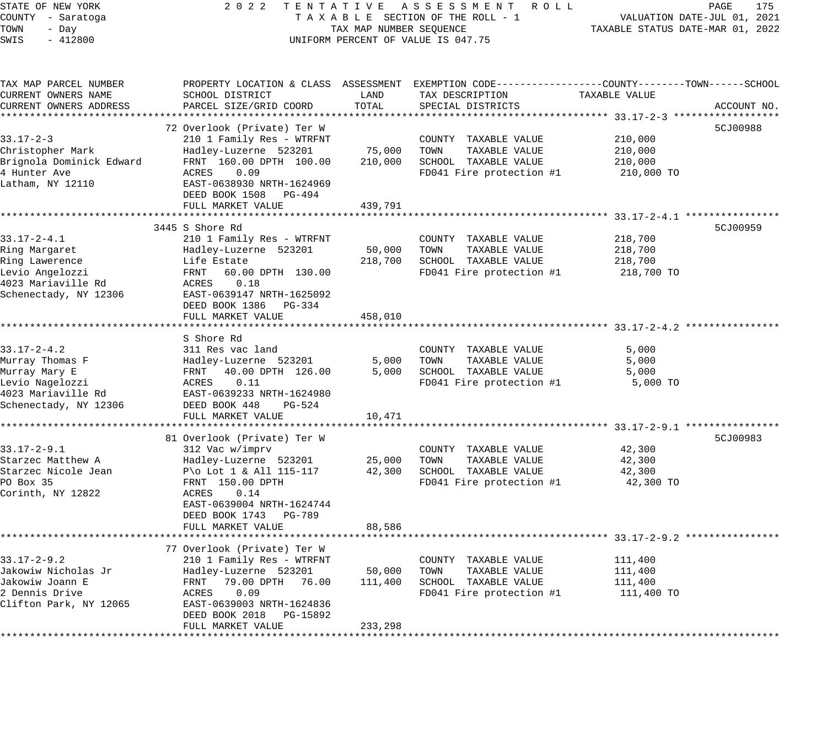| STATE OF NEW YORK                  | 2 0 2 2<br>TENTATIVE                                  |                         | ASSESSMENT ROLL                                                                                  |                                                     | PAGE<br>175                 |
|------------------------------------|-------------------------------------------------------|-------------------------|--------------------------------------------------------------------------------------------------|-----------------------------------------------------|-----------------------------|
| COUNTY - Saratoga<br>TOWN<br>- Day |                                                       | TAX MAP NUMBER SEQUENCE | TAXABLE SECTION OF THE ROLL - 1                                                                  | TAXABLE STATUS DATE-MAR 01, 2022                    | VALUATION DATE-JUL 01, 2021 |
| SWIS<br>$-412800$                  |                                                       |                         | UNIFORM PERCENT OF VALUE IS 047.75                                                               |                                                     |                             |
|                                    |                                                       |                         |                                                                                                  |                                                     |                             |
| TAX MAP PARCEL NUMBER              |                                                       |                         | PROPERTY LOCATION & CLASS ASSESSMENT EXEMPTION CODE----------------COUNTY-------TOWN------SCHOOL |                                                     |                             |
| CURRENT OWNERS NAME                | SCHOOL DISTRICT                                       | LAND                    | TAX DESCRIPTION                                                                                  | TAXABLE VALUE                                       |                             |
| CURRENT OWNERS ADDRESS             | PARCEL SIZE/GRID COORD                                | TOTAL                   | SPECIAL DISTRICTS                                                                                |                                                     | ACCOUNT NO.                 |
| * * * * *                          | ***************                                       | **************          | ************************************* 33.17-2-3 *********                                        |                                                     |                             |
|                                    | 72 Overlook (Private) Ter W                           |                         |                                                                                                  |                                                     | 5CJ00988                    |
| $33.17 - 2 - 3$                    | 210 1 Family Res - WTRFNT                             |                         | COUNTY TAXABLE VALUE                                                                             | 210,000                                             |                             |
| Christopher Mark                   | Hadley-Luzerne 523201                                 | 75,000                  | TAXABLE VALUE<br>TOWN                                                                            | 210,000                                             |                             |
| Brignola Dominick Edward           | FRNT 160.00 DPTH 100.00                               | 210,000                 | SCHOOL TAXABLE VALUE                                                                             | 210,000                                             |                             |
| 4 Hunter Ave<br>Latham, NY 12110   | ACRES<br>0.09                                         |                         | FD041 Fire protection #1                                                                         | 210,000 TO                                          |                             |
|                                    | EAST-0638930 NRTH-1624969<br>DEED BOOK 1508<br>PG-494 |                         |                                                                                                  |                                                     |                             |
|                                    | FULL MARKET VALUE                                     | 439,791                 |                                                                                                  |                                                     |                             |
|                                    | ********************                                  | ***********             |                                                                                                  | ************************ 33.17-2-4.1 ************** |                             |
|                                    | 3445 S Shore Rd                                       |                         |                                                                                                  |                                                     | 5CJ00959                    |
| $33.17 - 2 - 4.1$                  | 210 1 Family Res - WTRFNT                             |                         | COUNTY TAXABLE VALUE                                                                             | 218,700                                             |                             |
| Ring Margaret                      | Hadley-Luzerne 523201                                 | 50,000                  | TAXABLE VALUE<br>TOWN                                                                            | 218,700                                             |                             |
| Ring Lawerence                     | Life Estate                                           | 218,700                 | SCHOOL TAXABLE VALUE                                                                             | 218,700                                             |                             |
| Levio Angelozzi                    | FRNT<br>60.00 DPTH 130.00                             |                         | FD041 Fire protection #1                                                                         | 218,700 TO                                          |                             |
| 4023 Mariaville Rd                 | ACRES<br>0.18                                         |                         |                                                                                                  |                                                     |                             |
| Schenectady, NY 12306              | EAST-0639147 NRTH-1625092                             |                         |                                                                                                  |                                                     |                             |
|                                    | DEED BOOK 1386 PG-334                                 |                         |                                                                                                  |                                                     |                             |
|                                    | FULL MARKET VALUE<br>*****************                | 458,010                 |                                                                                                  |                                                     |                             |
|                                    |                                                       |                         |                                                                                                  | ********************* 33.17-2-4.2 **                |                             |
| $33.17 - 2 - 4.2$                  | S Shore Rd<br>311 Res vac land                        |                         |                                                                                                  | 5,000                                               |                             |
| Murray Thomas F                    | Hadley-Luzerne 523201                                 | 5,000                   | COUNTY TAXABLE VALUE<br>TOWN<br>TAXABLE VALUE                                                    | 5,000                                               |                             |
| Murray Mary E                      | 40.00 DPTH 126.00<br>FRNT                             | 5,000                   | SCHOOL TAXABLE VALUE                                                                             | 5,000                                               |                             |
| Levio Nagelozzi                    | ACRES<br>0.11                                         |                         | FD041 Fire protection #1                                                                         | 5,000 TO                                            |                             |
| 4023 Mariaville Rd                 | EAST-0639233 NRTH-1624980                             |                         |                                                                                                  |                                                     |                             |
| Schenectady, NY 12306              | DEED BOOK 448<br>$PG-524$                             |                         |                                                                                                  |                                                     |                             |
|                                    | FULL MARKET VALUE                                     | 10,471                  |                                                                                                  |                                                     |                             |
|                                    |                                                       |                         |                                                                                                  |                                                     |                             |
|                                    | 81 Overlook (Private) Ter W                           |                         |                                                                                                  |                                                     | 5CJ00983                    |
| $33.17 - 2 - 9.1$                  | 312 Vac w/imprv                                       |                         | COUNTY TAXABLE VALUE                                                                             | 42,300                                              |                             |
| Starzec Matthew A                  | Hadley-Luzerne 523201                                 | 25,000                  | TAXABLE VALUE<br>TOWN                                                                            | 42,300                                              |                             |
| Starzec Nicole Jean                | P\o Lot 1 & All $115-117$                             | 42,300                  | SCHOOL TAXABLE VALUE                                                                             | 42,300                                              |                             |
| PO Box 35                          | FRNT 150.00 DPTH                                      |                         | FD041 Fire protection #1                                                                         | 42,300 TO                                           |                             |
| Corinth, NY 12822                  | 0.14<br>ACRES                                         |                         |                                                                                                  |                                                     |                             |
|                                    | EAST-0639004 NRTH-1624744<br>DEED BOOK 1743<br>PG-789 |                         |                                                                                                  |                                                     |                             |
|                                    | FULL MARKET VALUE                                     | 88,586                  |                                                                                                  |                                                     |                             |
|                                    |                                                       |                         |                                                                                                  |                                                     |                             |
|                                    | 77 Overlook (Private) Ter W                           |                         |                                                                                                  |                                                     |                             |
| $33.17 - 2 - 9.2$                  | 210 1 Family Res - WTRFNT                             |                         | COUNTY<br>TAXABLE VALUE                                                                          | 111,400                                             |                             |
| Jakowiw Nicholas Jr                | Hadley-Luzerne 523201                                 | 50,000                  | TAXABLE VALUE<br>TOWN                                                                            | 111,400                                             |                             |
| Jakowiw Joann E                    | 79.00 DPTH<br>FRNT<br>76.00                           | 111,400                 | SCHOOL TAXABLE VALUE                                                                             | 111,400                                             |                             |
| 2 Dennis Drive                     | 0.09<br>ACRES                                         |                         | FD041 Fire protection #1                                                                         | 111,400 TO                                          |                             |
| Clifton Park, NY 12065             | EAST-0639003 NRTH-1624836                             |                         |                                                                                                  |                                                     |                             |
|                                    | DEED BOOK 2018<br>PG-15892                            |                         |                                                                                                  |                                                     |                             |
|                                    | FULL MARKET VALUE                                     | 233,298                 |                                                                                                  |                                                     |                             |
|                                    |                                                       |                         |                                                                                                  |                                                     |                             |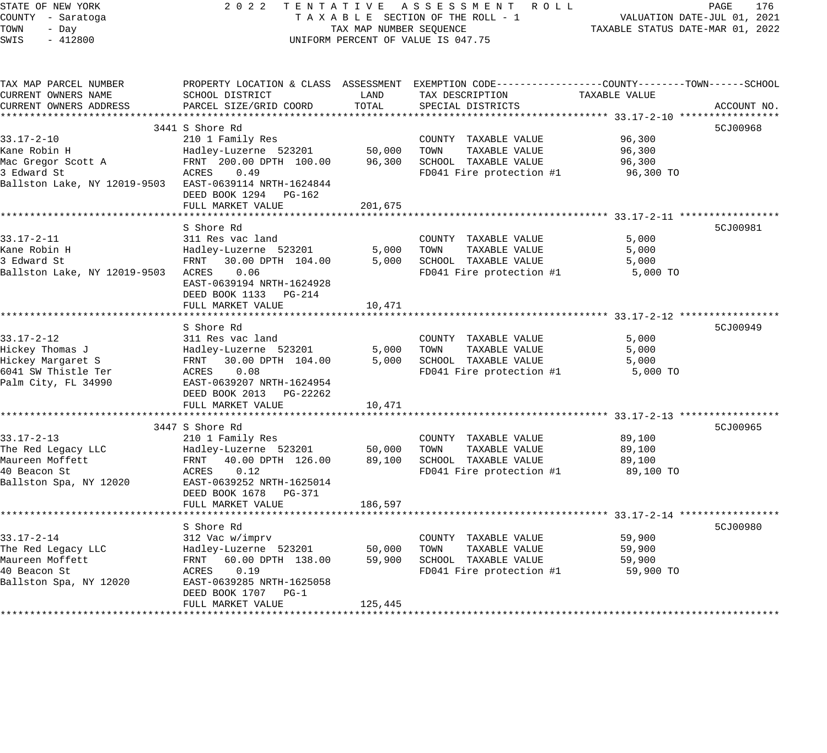STATE OF NEW YORK 2 0 2 2 T E N T A T I V E A S S E S S M E N T R O L L PAGE 176 COUNTY - Saratoga T A X A B L E SECTION OF THE ROLL - 1 VALUATION DATE-JUL 01, 2021 TOWN - Day TAX MAP NUMBER SEQUENCE TAXABLE STATUS DATE-MAR 01, 2022 SWIS - 412800 UNIFORM PERCENT OF VALUE IS 047.75 TAX MAP PARCEL NUMBER PROPERTY LOCATION & CLASS ASSESSMENT EXEMPTION CODE------------------COUNTY--------TOWN------SCHOOL CURRENT OWNERS NAME SCHOOL DISTRICT LAND TAX DESCRIPTION TAXABLE VALUE CURRENT OWNERS ADDRESS PARCEL SIZE/GRID COORD TOTAL SPECIAL DISTRICTS ACCOUNT NO. \*\*\*\*\*\*\*\*\*\*\*\*\*\*\*\*\*\*\*\*\*\*\*\*\*\*\*\*\*\*\*\*\*\*\*\*\*\*\*\*\*\*\*\*\*\*\*\*\*\*\*\*\*\*\*\*\*\*\*\*\*\*\*\*\*\*\*\*\*\*\*\*\*\*\*\*\*\*\*\*\*\*\*\*\*\*\*\*\*\*\*\*\*\*\*\*\*\*\*\*\*\*\* 33.17-2-10 \*\*\*\*\*\*\*\*\*\*\*\*\*\*\*\*\* 3441 S Shore Rd 5CJ00968 (Separate Separate Separate Separate Separate Separate Separate Separate Se 33.17-2-10 210 1 Family Res COUNTY TAXABLE VALUE 96,300 Kane Robin H Hadley-Luzerne 523201 50,000 TOWN TAXABLE VALUE 96,300 Mac Gregor Scott A FRNT 200.00 DPTH 100.00 96,300 SCHOOL TAXABLE VALUE 96,300 3 Edward St ACRES 0.49 FD041 Fire protection #1 96,300 TO Ballston Lake, NY 12019-9503 EAST-0639114 NRTH-1624844 DEED BOOK 1294 PG-162 FULL MARKET VALUE 201,675 \*\*\*\*\*\*\*\*\*\*\*\*\*\*\*\*\*\*\*\*\*\*\*\*\*\*\*\*\*\*\*\*\*\*\*\*\*\*\*\*\*\*\*\*\*\*\*\*\*\*\*\*\*\*\*\*\*\*\*\*\*\*\*\*\*\*\*\*\*\*\*\*\*\*\*\*\*\*\*\*\*\*\*\*\*\*\*\*\*\*\*\*\*\*\*\*\*\*\*\*\*\*\* 33.17-2-11 \*\*\*\*\*\*\*\*\*\*\*\*\*\*\*\*\* S Shore Rd 5CJ00981 33.17-2-11 311 Res vac land COUNTY TAXABLE VALUE 5,000 Kane Robin H Hadley-Luzerne 523201 5,000 TOWN TAXABLE VALUE 5,000 3 Edward St FRNT 30.00 DPTH 104.00 5,000 SCHOOL TAXABLE VALUE 5,000 Ballston Lake, NY 12019-9503 ACRES 0.06 FD041 Fire protection #1 5,000 TO EAST-0639194 NRTH-1624928 DEED BOOK 1133 PG-214 FULL MARKET VALUE 10,471 \*\*\*\*\*\*\*\*\*\*\*\*\*\*\*\*\*\*\*\*\*\*\*\*\*\*\*\*\*\*\*\*\*\*\*\*\*\*\*\*\*\*\*\*\*\*\*\*\*\*\*\*\*\*\*\*\*\*\*\*\*\*\*\*\*\*\*\*\*\*\*\*\*\*\*\*\*\*\*\*\*\*\*\*\*\*\*\*\*\*\*\*\*\*\*\*\*\*\*\*\*\*\* 33.17-2-12 \*\*\*\*\*\*\*\*\*\*\*\*\*\*\*\*\* S Shore Rd 5CJ00949 33.17-2-12 311 Res vac land COUNTY TAXABLE VALUE 5,000 Hickey Thomas J Hadley-Luzerne 523201 5,000 TOWN TAXABLE VALUE 5,000 Hickey Margaret S FRNT 30.00 DPTH 104.00 5,000 SCHOOL TAXABLE VALUE 5,000 6041 SW Thistle Ter ACRES 0.08 FD041 Fire protection #1 5,000 TO Palm City, FL 34990 EAST-0639207 NRTH-1624954 DEED BOOK 2013 PG-22262 FULL MARKET VALUE 10,471 \*\*\*\*\*\*\*\*\*\*\*\*\*\*\*\*\*\*\*\*\*\*\*\*\*\*\*\*\*\*\*\*\*\*\*\*\*\*\*\*\*\*\*\*\*\*\*\*\*\*\*\*\*\*\*\*\*\*\*\*\*\*\*\*\*\*\*\*\*\*\*\*\*\*\*\*\*\*\*\*\*\*\*\*\*\*\*\*\*\*\*\*\*\*\*\*\*\*\*\*\*\*\* 33.17-2-13 \*\*\*\*\*\*\*\*\*\*\*\*\*\*\*\*\* 3447 S Shore Rd 5CJ00965 33.17-2-13 210 1 Family Res COUNTY TAXABLE VALUE 89,100 The Red Legacy LLC Hadley-Luzerne 523201 50,000 TOWN TAXABLE VALUE 89,100 Maureen Moffett FRNT 40.00 DPTH 126.00 89,100 SCHOOL TAXABLE VALUE 89,100 40 Beacon St ACRES 0.12 FD041 Fire protection #1 89,100 TO Ballston Spa, NY 12020 EAST-0639252 NRTH-1625014 DEED BOOK 1678 PG-371 FULL MARKET VALUE 186,597 \*\*\*\*\*\*\*\*\*\*\*\*\*\*\*\*\*\*\*\*\*\*\*\*\*\*\*\*\*\*\*\*\*\*\*\*\*\*\*\*\*\*\*\*\*\*\*\*\*\*\*\*\*\*\*\*\*\*\*\*\*\*\*\*\*\*\*\*\*\*\*\*\*\*\*\*\*\*\*\*\*\*\*\*\*\*\*\*\*\*\*\*\*\*\*\*\*\*\*\*\*\*\* 33.17-2-14 \*\*\*\*\*\*\*\*\*\*\*\*\*\*\*\*\* S Shore Rd 5CJ00980 S Shore Rd 5CJ00980 S Shore Rd 5CJ00980 S Shore Rd 5CJ00980 S Shore Rd 5CJ00980 S Shore Rd 33.17-2-14 312 Vac w/imprv COUNTY TAXABLE VALUE 59,900 The Red Legacy LLC Hadley-Luzerne 523201 50,000 TOWN TAXABLE VALUE 59,900 Maureen Moffett FRNT 60.00 DPTH 138.00 59,900 SCHOOL TAXABLE VALUE 59,900 40 Beacon St ACRES 0.19 FD041 Fire protection #1 59,900 TO Ballston Spa, NY 12020 EAST-0639285 NRTH-1625058 DEED BOOK 1707 PG-1 FULL MARKET VALUE 125,445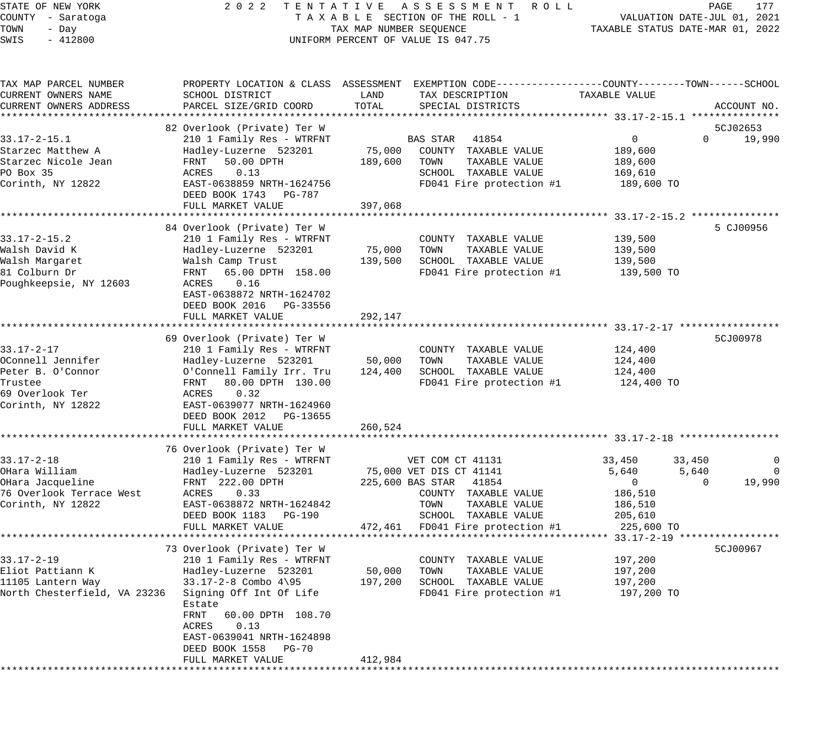# STATE OF NEW YORK 2 0 2 2 T E N T A T I V E A S S E S S M E N T R O L L PAGE 177 COUNTY - Saratoga T A X A B L E SECTION OF THE ROLL - 1 VALUATION DATE-JUL 01, 2021 UNIFORM PERCENT OF VALUE IS 047.75

| TAX MAP PARCEL NUMBER        |                                                      |         | PROPERTY LOCATION & CLASS ASSESSMENT EXEMPTION CODE---------------COUNTY-------TOWN------SCHOOL |               |                                     |
|------------------------------|------------------------------------------------------|---------|-------------------------------------------------------------------------------------------------|---------------|-------------------------------------|
| CURRENT OWNERS NAME          | SCHOOL DISTRICT                                      | LAND    | TAX DESCRIPTION                                                                                 | TAXABLE VALUE |                                     |
| CURRENT OWNERS ADDRESS       | PARCEL SIZE/GRID COORD                               | TOTAL   | SPECIAL DISTRICTS                                                                               |               | ACCOUNT NO.                         |
|                              |                                                      |         |                                                                                                 |               |                                     |
|                              | 82 Overlook (Private) Ter W                          |         |                                                                                                 |               | 5CJ02653                            |
| $33.17 - 2 - 15.1$           | 210 1 Family Res - WTRFNT                            |         | <b>BAS STAR</b><br>41854                                                                        | $\mathbf 0$   | $\Omega$<br>19,990                  |
| Starzec Matthew A            | Hadley-Luzerne 523201                                | 75,000  | COUNTY TAXABLE VALUE                                                                            | 189,600       |                                     |
| Starzec Nicole Jean          | 50.00 DPTH<br>FRNT                                   | 189,600 | TAXABLE VALUE<br>TOWN                                                                           | 189,600       |                                     |
| PO Box 35                    | 0.13<br>ACRES                                        |         | SCHOOL TAXABLE VALUE                                                                            | 169,610       |                                     |
| Corinth, NY 12822            | EAST-0638859 NRTH-1624756                            |         | FD041 Fire protection #1                                                                        | 189,600 TO    |                                     |
|                              | DEED BOOK 1743<br>PG-787                             |         |                                                                                                 |               |                                     |
|                              | FULL MARKET VALUE                                    | 397,068 |                                                                                                 |               |                                     |
|                              |                                                      |         |                                                                                                 |               |                                     |
|                              | 84 Overlook (Private) Ter W                          |         |                                                                                                 |               | 5 CJ00956                           |
| $33.17 - 2 - 15.2$           | 210 1 Family Res - WTRFNT                            |         | COUNTY TAXABLE VALUE                                                                            | 139,500       |                                     |
| Walsh David K                | Hadley-Luzerne 523201                                | 75,000  | TOWN<br>TAXABLE VALUE                                                                           | 139,500       |                                     |
| Walsh Margaret               | Walsh Camp Trust                                     | 139,500 | SCHOOL TAXABLE VALUE                                                                            | 139,500       |                                     |
| 81 Colburn Dr                | 65.00 DPTH 158.00<br>FRNT                            |         | FD041 Fire protection #1                                                                        | 139,500 TO    |                                     |
| Poughkeepsie, NY 12603       | 0.16<br>ACRES                                        |         |                                                                                                 |               |                                     |
|                              |                                                      |         |                                                                                                 |               |                                     |
|                              | EAST-0638872 NRTH-1624702<br>DEED BOOK 2016 PG-33556 |         |                                                                                                 |               |                                     |
|                              |                                                      |         |                                                                                                 |               |                                     |
|                              | FULL MARKET VALUE                                    | 292,147 |                                                                                                 |               |                                     |
|                              |                                                      |         |                                                                                                 |               | 5CJ00978                            |
|                              | 69 Overlook (Private) Ter W                          |         |                                                                                                 |               |                                     |
| $33.17 - 2 - 17$             | 210 1 Family Res - WTRFNT                            |         | COUNTY TAXABLE VALUE                                                                            | 124,400       |                                     |
| OConnell Jennifer            | Hadley-Luzerne 523201                                | 50,000  | TOWN<br>TAXABLE VALUE                                                                           | 124,400       |                                     |
| Peter B. O'Connor            | O'Connell Family Irr. Tru                            | 124,400 | SCHOOL TAXABLE VALUE                                                                            | 124,400       |                                     |
| Trustee                      | 80.00 DPTH 130.00<br>FRNT                            |         | FD041 Fire protection #1                                                                        | 124,400 TO    |                                     |
| 69 Overlook Ter              | 0.32<br>ACRES                                        |         |                                                                                                 |               |                                     |
| Corinth, NY 12822            | EAST-0639077 NRTH-1624960                            |         |                                                                                                 |               |                                     |
|                              | DEED BOOK 2012 PG-13655                              |         |                                                                                                 |               |                                     |
|                              | FULL MARKET VALUE                                    | 260,524 |                                                                                                 |               |                                     |
|                              | *************************                            |         |                                                                                                 |               |                                     |
|                              | 76 Overlook (Private) Ter W                          |         |                                                                                                 |               |                                     |
| $33.17 - 2 - 18$             | 210 1 Family Res - WTRFNT                            |         | VET COM CT 41131                                                                                | 33,450        | 33,450<br>$\mathbf 0$               |
| OHara William                | Hadley-Luzerne 523201                                |         | 75,000 VET DIS CT 41141                                                                         | 5,640         | 5,640<br>$\Omega$                   |
| OHara Jacqueline             | FRNT 222.00 DPTH                                     |         | 225,600 BAS STAR<br>41854                                                                       | $\mathbf 0$   | 19,990<br>$\Omega$                  |
| 76 Overlook Terrace West     | ACRES<br>0.33                                        |         | COUNTY TAXABLE VALUE                                                                            | 186,510       |                                     |
| Corinth, NY 12822            | EAST-0638872 NRTH-1624842                            |         | TOWN<br>TAXABLE VALUE                                                                           | 186,510       |                                     |
|                              | DEED BOOK 1183 PG-190                                |         | SCHOOL TAXABLE VALUE                                                                            | 205,610       |                                     |
|                              | FULL MARKET VALUE                                    | 472,461 | FD041 Fire protection #1                                                                        | 225,600 TO    |                                     |
|                              | ************************                             |         | ********************************                                                                |               | $33.17 - 2 - 19$ ****************** |
|                              | 73 Overlook (Private) Ter W                          |         |                                                                                                 |               | 5CJ00967                            |
| $33.17 - 2 - 19$             | 210 1 Family Res - WTRFNT                            |         | COUNTY TAXABLE VALUE                                                                            | 197,200       |                                     |
| Eliot Pattiann K             | Hadley-Luzerne 523201                                | 50,000  | TOWN<br>TAXABLE VALUE                                                                           | 197,200       |                                     |
| 11105 Lantern Way            | $33.17 - 2 - 8$ Combo $4\$ 95                        | 197,200 | SCHOOL TAXABLE VALUE                                                                            | 197,200       |                                     |
| North Chesterfield, VA 23236 | Signing Off Int Of Life                              |         | FD041 Fire protection #1                                                                        | 197,200 TO    |                                     |
|                              | Estate                                               |         |                                                                                                 |               |                                     |
|                              | FRNT<br>60.00 DPTH 108.70                            |         |                                                                                                 |               |                                     |
|                              | ACRES<br>0.13                                        |         |                                                                                                 |               |                                     |
|                              | EAST-0639041 NRTH-1624898                            |         |                                                                                                 |               |                                     |
|                              | DEED BOOK 1558<br>PG-70                              |         |                                                                                                 |               |                                     |
|                              | FULL MARKET VALUE                                    | 412,984 |                                                                                                 |               |                                     |
|                              |                                                      |         |                                                                                                 |               |                                     |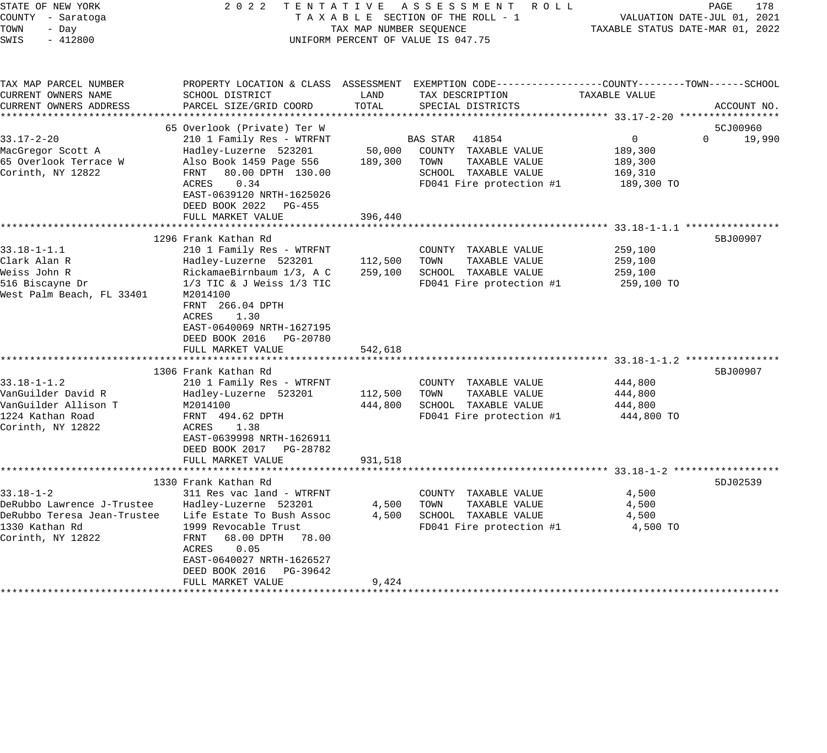| 178<br>PAGE<br>VALUATION DATE-JUL 01, 2021<br>TAXABLE STATUS DATE-MAR 01, 2022                                                                                                                                                                                                                                                                                                                                                                   |                                              | 5CJ00960                                                                                                                                |                                                                                                                                                      |                   |                        | 5BJ00907                                                                                                                                                                                                                                                                                                                             |                                                                           | 5DJ02539             |
|--------------------------------------------------------------------------------------------------------------------------------------------------------------------------------------------------------------------------------------------------------------------------------------------------------------------------------------------------------------------------------------------------------------------------------------------------|----------------------------------------------|-----------------------------------------------------------------------------------------------------------------------------------------|------------------------------------------------------------------------------------------------------------------------------------------------------|-------------------|------------------------|--------------------------------------------------------------------------------------------------------------------------------------------------------------------------------------------------------------------------------------------------------------------------------------------------------------------------------------|---------------------------------------------------------------------------|----------------------|
|                                                                                                                                                                                                                                                                                                                                                                                                                                                  | TAXABLE VALUE                                |                                                                                                                                         | 189,300<br>189,300<br>169,310                                                                                                                        |                   |                        | 259,100<br>259,100<br>259,100<br>444,800<br>444,800<br>444,800                                                                                                                                                                                                                                                                       |                                                                           |                      |
| TENTATIVE ASSESSMENT<br>ROLL ROLL<br>TAXABLE SECTION OF THE ROLL - 1<br>UNIFORM PERCENT OF VALUE IS 047.75                                                                                                                                                                                                                                                                                                                                       | TAX DESCRIPTION                              |                                                                                                                                         | COUNTY TAXABLE VALUE<br>TOWN<br>TAXABLE VALUE<br>SCHOOL TAXABLE VALUE<br>FD041 Fire protection #1                                                    |                   |                        | COUNTY TAXABLE VALUE<br>TOWN<br>TAXABLE VALUE<br>SCHOOL TAXABLE VALUE<br>FD041 Fire protection #1<br>COUNTY TAXABLE VALUE<br>TAXABLE VALUE<br>TOWN<br>SCHOOL TAXABLE VALUE<br>FD041 Fire protection #1                                                                                                                               |                                                                           |                      |
| TAX MAP NUMBER SEQUENCE                                                                                                                                                                                                                                                                                                                                                                                                                          | LAND                                         |                                                                                                                                         | 50,000<br>189,300                                                                                                                                    | 396,440           |                        | 112,500<br>259,100<br>542,618<br>112,500<br>444,800                                                                                                                                                                                                                                                                                  | 931,518                                                                   |                      |
| 2 0 2 2                                                                                                                                                                                                                                                                                                                                                                                                                                          | SCHOOL DISTRICT                              | 65 Overlook (Private) Ter W                                                                                                             | Hadley-Luzerne 523201<br>Also Book 1459 Page 556<br>80.00 DPTH 130.00<br>FRNT<br>ACRES<br>0.34<br>EAST-0639120 NRTH-1625026<br>DEED BOOK 2022 PG-455 | FULL MARKET VALUE | ********************** | 210 1 Family Res - WTRFNT<br>Hadley-Luzerne 523201<br>RickamaeBirnbaum 1/3, A C<br>$1/3$ TIC & J Weiss $1/3$ TIC<br>M2014100<br>FRNT 266.04 DPTH<br>ACRES<br>1.30<br>EAST-0640069 NRTH-1627195<br>DEED BOOK 2016 PG-20780<br>FULL MARKET VALUE<br>210 1 Family Res - WTRFNT<br>Hadley-Luzerne 523201<br>M2014100<br>FRNT 494.62 DPTH | EAST-0639998 NRTH-1626911<br>DEED BOOK 2017 PG-28782<br>FULL MARKET VALUE | 1330 Frank Kathan Rd |
| STATE OF NEW YORK<br>COUNTY - Saratoga<br>TOWN<br>- Day<br>SWIS<br>$-412800$                                                                                                                                                                                                                                                                                                                                                                     | TAX MAP PARCEL NUMBER<br>CURRENT OWNERS NAME |                                                                                                                                         |                                                                                                                                                      |                   |                        | $33.18 - 1 - 1.1$<br>Clark Alan R<br>Weiss John R<br>516 Biscayne Dr<br>$33.18 - 1 - 1.2$<br>VanGuilder Allison T<br>1224 Kathan Road                                                                                                                                                                                                |                                                                           |                      |
| PROPERTY LOCATION & CLASS ASSESSMENT EXEMPTION CODE----------------COUNTY-------TOWN------SCHOOL<br>CURRENT OWNERS ADDRESS<br>PARCEL SIZE/GRID COORD<br>TOTAL<br>SPECIAL DISTRICTS<br>ACCOUNT NO.<br>$\Omega$<br>210 1 Family Res - WTRFNT<br>BAS STAR<br>41854<br>$\overline{0}$<br>19,990<br>189,300 TO<br>1296 Frank Kathan Rd<br>5BJ00907<br>259,100 TO<br>1306 Frank Kathan Rd<br>444,800 TO<br>ACRES<br>1.38<br>************************** | $33.17 - 2 - 20$                             | MacGregor Scott A<br>65 Overlook Terrace W<br>Corinth, NY 12822<br>West Palm Beach, FL 33401<br>VanGuilder David R<br>Corinth, NY 12822 |                                                                                                                                                      |                   |                        |                                                                                                                                                                                                                                                                                                                                      |                                                                           |                      |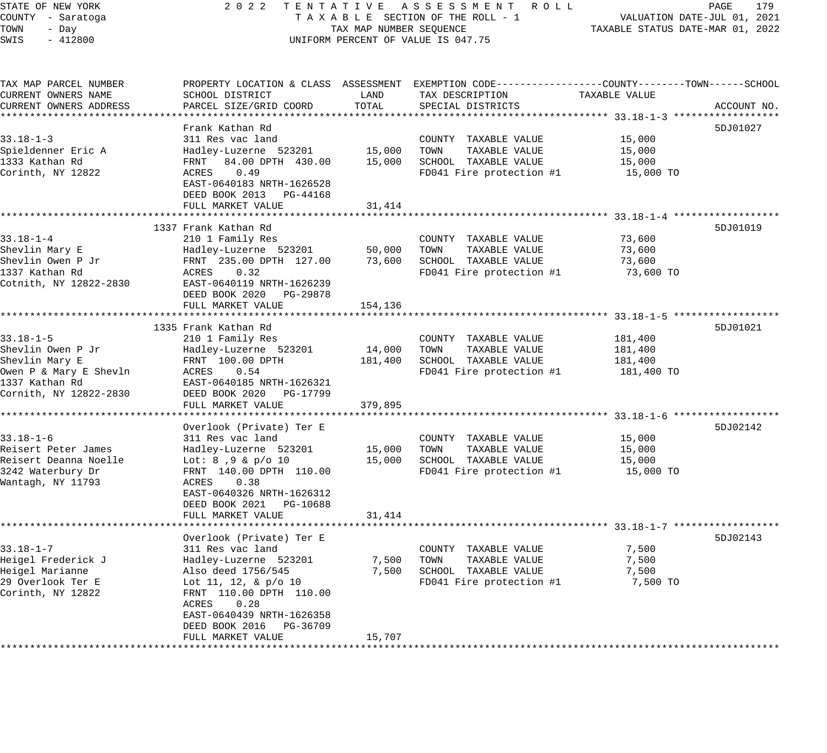## STATE OF NEW YORK 2 0 2 2 T E N T A T I V E A S S E S S M E N T R O L L PAGE 179 COUNTY - Saratoga T A X A B L E SECTION OF THE ROLL - 1 VALUATION DATE-JUL 01, 2021 UNIFORM PERCENT OF VALUE IS 047.75

TOWN - DALUATION DATE-JUL 01, 2021<br>TAXABLE STATUS DATE-MAR 01, 2022

| TAX MAP PARCEL NUMBER  |                                                                                                        |         | PROPERTY LOCATION & CLASS ASSESSMENT EXEMPTION CODE----------------COUNTY-------TOWN------SCHOOL     |               |             |
|------------------------|--------------------------------------------------------------------------------------------------------|---------|------------------------------------------------------------------------------------------------------|---------------|-------------|
| CURRENT OWNERS NAME    | SCHOOL DISTRICT                                                                                        | LAND    | TAX DESCRIPTION                                                                                      | TAXABLE VALUE |             |
| CURRENT OWNERS ADDRESS | PARCEL SIZE/GRID COORD                                                                                 | TOTAL   | SPECIAL DISTRICTS                                                                                    |               | ACCOUNT NO. |
|                        |                                                                                                        |         |                                                                                                      |               |             |
|                        | Frank Kathan Rd                                                                                        |         |                                                                                                      |               | 5DJ01027    |
| $33.18 - 1 - 3$        | 311 Res vac land                                                                                       |         | COUNTY TAXABLE VALUE                                                                                 | 15,000        |             |
|                        |                                                                                                        |         |                                                                                                      |               |             |
| Spieldenner Eric A     | Hadley-Luzerne 523201 15,000<br>FRNT 84.00 DPTH 430.00 15,000                                          |         | TOWN      TAXABLE VALUE<br>SCHOOL   TAXABLE VALUE                                                    | 15,000        |             |
| 1333 Kathan Rd         |                                                                                                        |         |                                                                                                      | 15,000        |             |
| Corinth, NY 12822      | ACRES 0.49                                                                                             |         | FD041 Fire protection $#1$ 15,000 TO                                                                 |               |             |
|                        | EAST-0640183 NRTH-1626528                                                                              |         |                                                                                                      |               |             |
|                        | DEED BOOK 2013 PG-44168                                                                                |         |                                                                                                      |               |             |
|                        | FULL MARKET VALUE                                                                                      | 31,414  |                                                                                                      |               |             |
|                        |                                                                                                        |         |                                                                                                      |               |             |
|                        | 1337 Frank Kathan Rd                                                                                   |         |                                                                                                      |               | 5DJ01019    |
| $33.18 - 1 - 4$        | 210 1 Family Res                                                                                       |         | COUNTY TAXABLE VALUE                                                                                 | 73,600        |             |
| Shevlin Mary E         |                                                                                                        |         |                                                                                                      | 73,600        |             |
| Shevlin Owen P Jr      | Hadley-Luzerne 523201 50,000 TOWN TAXABLE VALUE<br>FRNT 235.00 DPTH 127.00 73,600 SCHOOL TAXABLE VALUE |         |                                                                                                      | 73,600        |             |
|                        |                                                                                                        |         |                                                                                                      |               |             |
| 1337 Kathan Rd         | ACRES 0.32                                                                                             |         | FD041 Fire protection $#1$ 73,600 TO                                                                 |               |             |
| Cotnith, NY 12822-2830 | EAST-0640119 NRTH-1626239                                                                              |         |                                                                                                      |               |             |
|                        | DEED BOOK 2020 PG-29878                                                                                |         |                                                                                                      |               |             |
|                        | FULL MARKET VALUE                                                                                      | 154,136 |                                                                                                      |               |             |
|                        |                                                                                                        |         |                                                                                                      |               |             |
|                        | 1335 Frank Kathan Rd                                                                                   |         |                                                                                                      |               | 5DJ01021    |
| $33.18 - 1 - 5$        | 210 1 Family Res                                                                                       |         | COUNTY TAXABLE VALUE                                                                                 | 181,400       |             |
| Shevlin Owen P Jr      | Hadley-Luzerne 523201                                                                                  | 14,000  | TOWN TAXABLE VALUE                                                                                   | 181,400       |             |
| Shevlin Mary E         | FRNT 100.00 DPTH                                                                                       |         | 181,400 SCHOOL TAXABLE VALUE                                                                         | 181,400       |             |
| Owen P & Mary E Shevln | ACRES 0.54                                                                                             |         | FD041 Fire protection #1 181,400 TO                                                                  |               |             |
| 1337 Kathan Rd         | EAST-0640185 NRTH-1626321                                                                              |         |                                                                                                      |               |             |
| Cornith, NY 12822-2830 | DEED BOOK 2020 PG-17799                                                                                |         |                                                                                                      |               |             |
|                        |                                                                                                        |         |                                                                                                      |               |             |
|                        | FULL MARKET VALUE                                                                                      | 379,895 |                                                                                                      |               |             |
|                        |                                                                                                        |         |                                                                                                      |               |             |
|                        | Overlook (Private) Ter E                                                                               |         |                                                                                                      |               | 5DJ02142    |
| $33.18 - 1 - 6$        | 311 Res vac land                                                                                       |         | COUNTY TAXABLE VALUE                                                                                 | 15,000        |             |
| Reisert Peter James    |                                                                                                        |         | $\text{Hadley-Luzerne}$ 523201 $\text{Hadley-Luzerne}$ 523201 $\text{Hab}$ 15,000 TOWN TAXABLE VALUE | 15,000        |             |
| Reisert Deanna Noelle  | Lot: 8,9 & p/o 10                                                                                      |         |                                                                                                      | 15,000        |             |
| 3242 Waterbury Dr      | FRNT 140.00 DPTH 110.00                                                                                |         | FD041 Fire protection #1 15,000 TO                                                                   |               |             |
| Wantagh, NY 11793      | ACRES<br>0.38                                                                                          |         |                                                                                                      |               |             |
|                        | EAST-0640326 NRTH-1626312                                                                              |         |                                                                                                      |               |             |
|                        | DEED BOOK 2021 PG-10688                                                                                |         |                                                                                                      |               |             |
|                        | FULL MARKET VALUE                                                                                      | 31,414  |                                                                                                      |               |             |
|                        |                                                                                                        |         |                                                                                                      |               |             |
|                        |                                                                                                        |         |                                                                                                      |               |             |
|                        | Overlook (Private) Ter E                                                                               |         |                                                                                                      |               | 5DJ02143    |
| $33.18 - 1 - 7$        | 311 Res vac land                                                                                       |         | COUNTY TAXABLE VALUE                                                                                 | 7,500         |             |
| Heigel Frederick J     | Hadley-Luzerne 523201                                                                                  |         | 7,500 TOWN<br>TAXABLE VALUE                                                                          | 7,500         |             |
| Heigel Marianne        | Also deed 1756/545<br>Lot 11, 12, & p/o 10                                                             |         | 7,500 SCHOOL TAXABLE VALUE                                                                           | 7,500         |             |
| 29 Overlook Ter E      |                                                                                                        |         | FD041 Fire protection #1                                                                             | 7,500 TO      |             |
| Corinth, NY 12822      | FRNT 110.00 DPTH 110.00                                                                                |         |                                                                                                      |               |             |
|                        | ACRES<br>0.28                                                                                          |         |                                                                                                      |               |             |
|                        | EAST-0640439 NRTH-1626358                                                                              |         |                                                                                                      |               |             |
|                        | DEED BOOK 2016 PG-36709                                                                                |         |                                                                                                      |               |             |
|                        | FULL MARKET VALUE                                                                                      | 15,707  |                                                                                                      |               |             |
|                        |                                                                                                        |         |                                                                                                      |               |             |
|                        |                                                                                                        |         |                                                                                                      |               |             |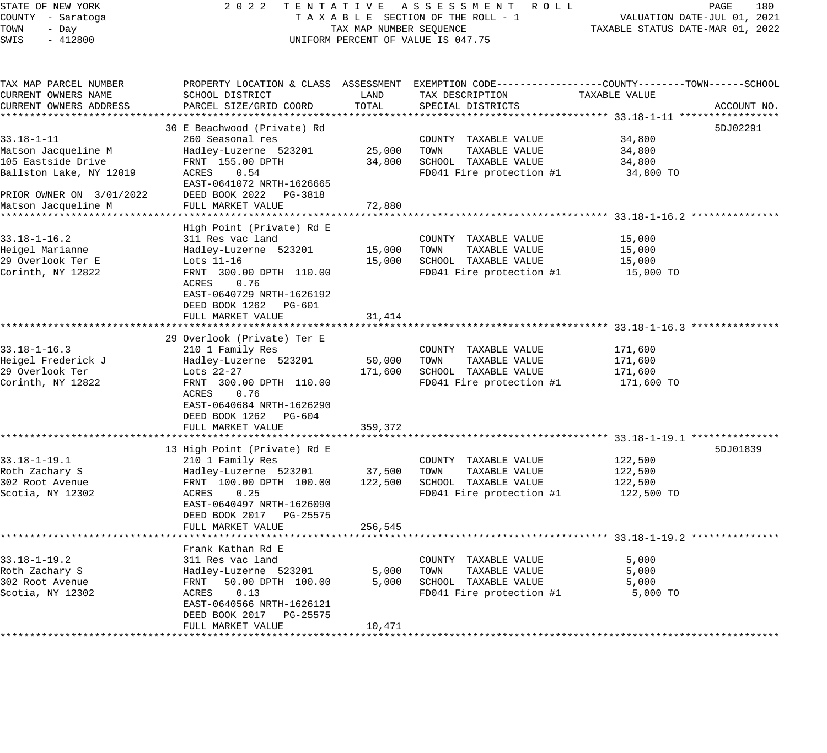### STATE OF NEW YORK 2 0 2 2 T E N T A T I V E A S S E S S M E N T R O L L PAGE 180 COUNTY - Saratoga T A X A B L E SECTION OF THE ROLL - 1 VALUATION DATE-JUL 01, 2021 X A B L E SECTION OF THE ROLL - 1 WELL TAXABLE STATUS DATE-MAR 01, 2022 UNIFORM PERCENT OF VALUE IS 047.75

| TAX MAP PARCEL NUMBER<br>CURRENT OWNERS NAME                                             | SCHOOL DISTRICT                                                                                                                                                      | LAND              | TAX DESCRIPTION                                                                                   | PROPERTY LOCATION & CLASS ASSESSMENT EXEMPTION CODE---------------COUNTY-------TOWN------SCHOOL<br>TAXABLE VALUE |
|------------------------------------------------------------------------------------------|----------------------------------------------------------------------------------------------------------------------------------------------------------------------|-------------------|---------------------------------------------------------------------------------------------------|------------------------------------------------------------------------------------------------------------------|
| CURRENT OWNERS ADDRESS                                                                   | PARCEL SIZE/GRID COORD                                                                                                                                               | TOTAL             | SPECIAL DISTRICTS                                                                                 | ACCOUNT NO.                                                                                                      |
|                                                                                          | 30 E Beachwood (Private) Rd                                                                                                                                          |                   |                                                                                                   | 5DJ02291                                                                                                         |
| $33.18 - 1 - 11$<br>Matson Jacqueline M<br>105 Eastside Drive<br>Ballston Lake, NY 12019 | 260 Seasonal res<br>Hadley-Luzerne 523201<br>FRNT 155.00 DPTH<br>ACRES<br>0.54                                                                                       | 25,000<br>34,800  | COUNTY TAXABLE VALUE<br>TOWN<br>TAXABLE VALUE<br>SCHOOL TAXABLE VALUE<br>FD041 Fire protection #1 | 34,800<br>34,800<br>34,800<br>34,800 TO                                                                          |
| PRIOR OWNER ON 3/01/2022                                                                 | EAST-0641072 NRTH-1626665<br>DEED BOOK 2022 PG-3818                                                                                                                  |                   |                                                                                                   |                                                                                                                  |
| Matson Jacqueline M                                                                      | FULL MARKET VALUE                                                                                                                                                    | 72,880            |                                                                                                   |                                                                                                                  |
|                                                                                          | High Point (Private) Rd E                                                                                                                                            |                   |                                                                                                   |                                                                                                                  |
| $33.18 - 1 - 16.2$<br>Heigel Marianne<br>29 Overlook Ter E<br>Corinth, NY 12822          | 311 Res vac land<br>Hadley-Luzerne 523201<br>Lots $11-16$<br>FRNT 300.00 DPTH 110.00<br>ACRES<br>0.76<br>EAST-0640729 NRTH-1626192                                   | 15,000<br>15,000  | COUNTY TAXABLE VALUE<br>TOWN<br>TAXABLE VALUE<br>SCHOOL TAXABLE VALUE<br>FD041 Fire protection #1 | 15,000<br>15,000<br>15,000<br>15,000 TO                                                                          |
|                                                                                          | DEED BOOK 1262 PG-601<br>FULL MARKET VALUE                                                                                                                           | 31,414            |                                                                                                   |                                                                                                                  |
|                                                                                          | 29 Overlook (Private) Ter E                                                                                                                                          |                   |                                                                                                   |                                                                                                                  |
| $33.18 - 1 - 16.3$<br>Heigel Frederick J<br>29 Overlook Ter<br>Corinth, NY 12822         | 210 1 Family Res<br>Hadley-Luzerne 523201<br>Lots 22-27<br>FRNT 300.00 DPTH 110.00<br>ACRES<br>0.76<br>EAST-0640684 NRTH-1626290<br>DEED BOOK 1262 PG-604            | 50,000<br>171,600 | COUNTY TAXABLE VALUE<br>TOWN<br>TAXABLE VALUE<br>SCHOOL TAXABLE VALUE<br>FD041 Fire protection #1 | 171,600<br>171,600<br>171,600<br>171,600 TO                                                                      |
|                                                                                          | FULL MARKET VALUE                                                                                                                                                    | 359,372           |                                                                                                   |                                                                                                                  |
| $33.18 - 1 - 19.1$                                                                       | 13 High Point (Private) Rd E<br>210 1 Family Res                                                                                                                     |                   | COUNTY TAXABLE VALUE                                                                              | 5DJ01839<br>122,500                                                                                              |
| Roth Zachary S<br>302 Root Avenue<br>Scotia, NY 12302                                    | Hadley-Luzerne 523201<br>FRNT 100.00 DPTH 100.00<br>ACRES<br>0.25<br>EAST-0640497 NRTH-1626090<br>DEED BOOK 2017 PG-25575                                            | 37,500<br>122,500 | TOWN<br>TAXABLE VALUE<br>SCHOOL TAXABLE VALUE<br>FD041 Fire protection #1                         | 122,500<br>122,500<br>122,500 TO                                                                                 |
|                                                                                          | FULL MARKET VALUE                                                                                                                                                    | 256,545           |                                                                                                   |                                                                                                                  |
|                                                                                          |                                                                                                                                                                      |                   |                                                                                                   |                                                                                                                  |
| $33.18 - 1 - 19.2$<br>Roth Zachary S<br>302 Root Avenue<br>Scotia, NY 12302              | Frank Kathan Rd E<br>311 Res vac land<br>Hadley-Luzerne 523201<br>FRNT<br>50.00 DPTH 100.00<br>0.13<br>ACRES<br>EAST-0640566 NRTH-1626121<br>DEED BOOK 2017 PG-25575 | 5,000<br>5,000    | COUNTY TAXABLE VALUE<br>TOWN<br>TAXABLE VALUE<br>SCHOOL TAXABLE VALUE<br>FD041 Fire protection #1 | 5,000<br>5,000<br>5,000<br>5,000 TO                                                                              |
|                                                                                          | FULL MARKET VALUE                                                                                                                                                    | 10,471            |                                                                                                   |                                                                                                                  |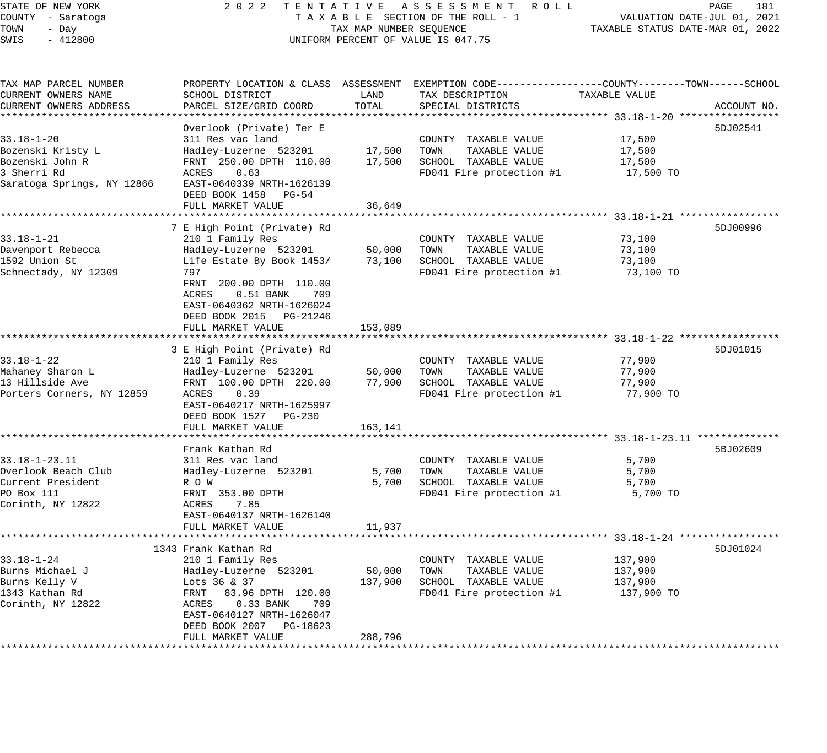#### STATE OF NEW YORK 2 0 2 2 T E N T A T I V E A S S E S S M E N T R O L L PAGE 181 COUNTY - Saratoga T A X A B L E SECTION OF THE ROLL - 1 VALUATION DATE-JUL 01, 2021 TOWN - Day TAX MAP NUMBER SEQUENCE TAXABLE STATUS DATE-MAR 01, 2022 SWIS - 412800 CONTROLLY THE UNIFORM PERCENT OF VALUE IS 047.75

| TAX MAP PARCEL NUMBER<br>CURRENT OWNERS NAME | SCHOOL DISTRICT             | LAND    | PROPERTY LOCATION & CLASS ASSESSMENT EXEMPTION CODE---------------COUNTY-------TOWN------SCHOOL<br>TAX DESCRIPTION | TAXABLE VALUE |             |
|----------------------------------------------|-----------------------------|---------|--------------------------------------------------------------------------------------------------------------------|---------------|-------------|
| CURRENT OWNERS ADDRESS                       | PARCEL SIZE/GRID COORD      | TOTAL   | SPECIAL DISTRICTS                                                                                                  |               | ACCOUNT NO. |
|                                              |                             |         |                                                                                                                    |               |             |
|                                              | Overlook (Private) Ter E    |         |                                                                                                                    |               | 5DJ02541    |
| $33.18 - 1 - 20$                             | 311 Res vac land            |         | COUNTY TAXABLE VALUE                                                                                               | 17,500        |             |
| Bozenski Kristy L                            | Hadley-Luzerne 523201       | 17,500  | TOWN<br>TAXABLE VALUE                                                                                              | 17,500        |             |
| Bozenski John R                              | FRNT 250.00 DPTH 110.00     | 17,500  | SCHOOL TAXABLE VALUE                                                                                               | 17,500        |             |
| 3 Sherri Rd                                  | 0.63<br>ACRES               |         | FD041 Fire protection #1                                                                                           | 17,500 TO     |             |
| Saratoga Springs, NY 12866                   | EAST-0640339 NRTH-1626139   |         |                                                                                                                    |               |             |
|                                              | DEED BOOK 1458 PG-54        |         |                                                                                                                    |               |             |
|                                              | FULL MARKET VALUE           | 36,649  |                                                                                                                    |               |             |
|                                              | 7 E High Point (Private) Rd |         |                                                                                                                    |               | 5DJ00996    |
| $33.18 - 1 - 21$                             | 210 1 Family Res            |         | COUNTY TAXABLE VALUE                                                                                               | 73,100        |             |
| Davenport Rebecca                            | Hadley-Luzerne 523201       | 50,000  | TAXABLE VALUE<br>TOWN                                                                                              | 73,100        |             |
| 1592 Union St                                | Life Estate By Book 1453/   | 73,100  | SCHOOL TAXABLE VALUE                                                                                               | 73,100        |             |
| Schnectady, NY 12309                         | 797                         |         | FD041 Fire protection #1                                                                                           | 73,100 TO     |             |
|                                              | FRNT 200.00 DPTH 110.00     |         |                                                                                                                    |               |             |
|                                              | ACRES<br>0.51 BANK<br>709   |         |                                                                                                                    |               |             |
|                                              | EAST-0640362 NRTH-1626024   |         |                                                                                                                    |               |             |
|                                              | DEED BOOK 2015 PG-21246     |         |                                                                                                                    |               |             |
|                                              | FULL MARKET VALUE           | 153,089 |                                                                                                                    |               |             |
|                                              |                             |         |                                                                                                                    |               |             |
|                                              | 3 E High Point (Private) Rd |         |                                                                                                                    |               | 5DJ01015    |
| $33.18 - 1 - 22$                             | 210 1 Family Res            |         | COUNTY TAXABLE VALUE                                                                                               | 77,900        |             |
| Mahaney Sharon L                             | Hadley-Luzerne 523201       | 50,000  | TAXABLE VALUE<br>TOWN                                                                                              | 77,900        |             |
| 13 Hillside Ave                              | FRNT 100.00 DPTH 220.00     | 77,900  | SCHOOL TAXABLE VALUE                                                                                               | 77,900        |             |
| Porters Corners, NY 12859                    | ACRES<br>0.39               |         | FD041 Fire protection #1                                                                                           | 77,900 TO     |             |
|                                              | EAST-0640217 NRTH-1625997   |         |                                                                                                                    |               |             |
|                                              | DEED BOOK 1527 PG-230       |         |                                                                                                                    |               |             |
|                                              | FULL MARKET VALUE           | 163,141 |                                                                                                                    |               |             |
|                                              |                             |         |                                                                                                                    |               |             |
|                                              | Frank Kathan Rd             |         |                                                                                                                    |               | 5BJ02609    |
| $33.18 - 1 - 23.11$                          | 311 Res vac land            |         | COUNTY TAXABLE VALUE                                                                                               | 5,700         |             |
| Overlook Beach Club                          | Hadley-Luzerne 523201       | 5,700   | TOWN<br>TAXABLE VALUE                                                                                              | 5,700         |             |
| Current President                            | R O W                       | 5,700   | SCHOOL TAXABLE VALUE                                                                                               | 5,700         |             |
| PO Box 111                                   | FRNT 353.00 DPTH            |         | FD041 Fire protection #1                                                                                           | 5,700 TO      |             |
| Corinth, NY 12822                            | 7.85<br>ACRES               |         |                                                                                                                    |               |             |
|                                              | EAST-0640137 NRTH-1626140   |         |                                                                                                                    |               |             |
|                                              | FULL MARKET VALUE           | 11,937  |                                                                                                                    |               |             |
|                                              |                             |         |                                                                                                                    |               |             |
|                                              | 1343 Frank Kathan Rd        |         |                                                                                                                    |               | 5DJ01024    |
| $33.18 - 1 - 24$                             | 210 1 Family Res            |         | COUNTY TAXABLE VALUE                                                                                               | 137,900       |             |
| Burns Michael J                              | Hadley-Luzerne 523201       | 50,000  | TOWN<br>TAXABLE VALUE                                                                                              | 137,900       |             |
| Burns Kelly V                                | Lots 36 & 37                | 137,900 | SCHOOL TAXABLE VALUE                                                                                               | 137,900       |             |
| 1343 Kathan Rd                               | FRNT<br>83.96 DPTH 120.00   |         | FD041 Fire protection #1                                                                                           | 137,900 TO    |             |
| Corinth, NY 12822                            | ACRES<br>0.33 BANK<br>709   |         |                                                                                                                    |               |             |
|                                              | EAST-0640127 NRTH-1626047   |         |                                                                                                                    |               |             |
|                                              | DEED BOOK 2007 PG-18623     |         |                                                                                                                    |               |             |
|                                              | FULL MARKET VALUE           | 288,796 |                                                                                                                    |               |             |
|                                              |                             |         |                                                                                                                    |               |             |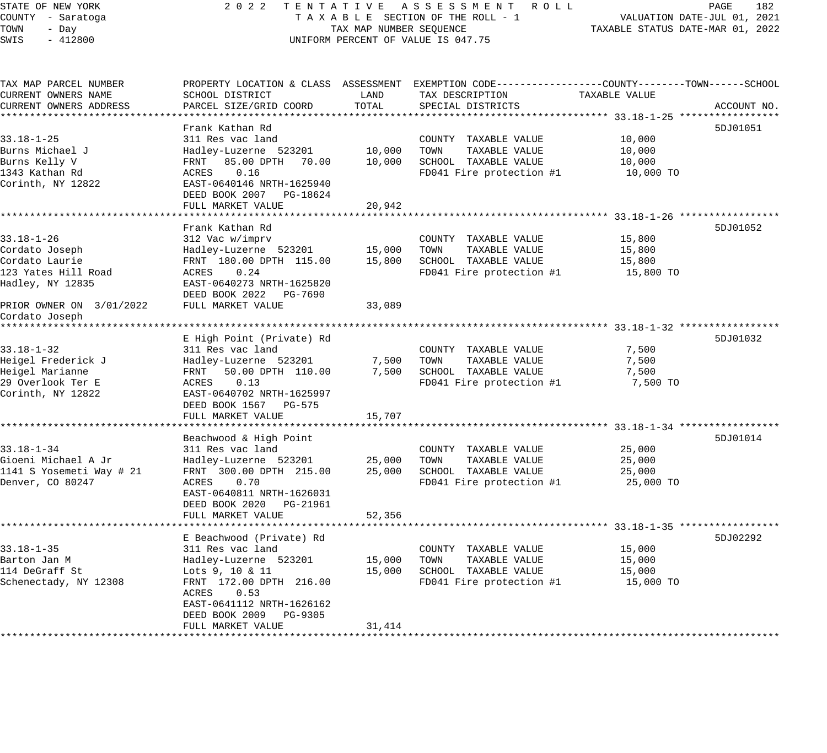| COUNTY - Saratoga<br>TAXABLE SECTION OF THE ROLL - 1<br>VALUATION DATE-JUL 01, 2021<br>TOWN<br>TAX MAP NUMBER SEQUENCE<br>TAXABLE STATUS DATE-MAR 01, 2022<br>- Day<br>SWIS<br>$-412800$<br>UNIFORM PERCENT OF VALUE IS 047.75<br>PROPERTY LOCATION & CLASS ASSESSMENT EXEMPTION CODE----------------COUNTY-------TOWN------SCHOOL<br>CURRENT OWNERS NAME<br>SCHOOL DISTRICT<br>LAND<br>TAX DESCRIPTION<br>TAXABLE VALUE<br>TOTAL<br>CURRENT OWNERS ADDRESS<br>PARCEL SIZE/GRID COORD<br>SPECIAL DISTRICTS<br>ACCOUNT NO.<br>Frank Kathan Rd<br>5DJ01051<br>$33.18 - 1 - 25$<br>311 Res vac land<br>10,000<br>COUNTY TAXABLE VALUE<br>TOWN<br>Burns Michael J<br>Hadley-Luzerne 523201<br>10,000<br>TAXABLE VALUE<br>10,000<br>SCHOOL TAXABLE VALUE<br>Burns Kelly V<br>FRNT 85.00 DPTH 70.00<br>10,000<br>10,000<br>FD041 Fire protection #1<br>1343 Kathan Rd<br>ACRES<br>0.16<br>10,000 TO<br>Corinth, NY 12822<br>EAST-0640146 NRTH-1625940<br>DEED BOOK 2007<br>PG-18624<br>FULL MARKET VALUE<br>20,942<br>*******************<br>************************ 33.18-1-26 *****************<br>Frank Kathan Rd<br>5DJ01052<br>33.18-1-26<br>312 Vac w/imprv<br>COUNTY TAXABLE VALUE<br>15,800<br>Hadley-Luzerne 523201<br>15,000<br>TOWN<br>TAXABLE VALUE<br>Cordato Joseph<br>15,800<br>Cordato Laurie<br>FRNT 180.00 DPTH 115.00<br>15,800<br>SCHOOL TAXABLE VALUE<br>15,800<br>123 Yates Hill Road<br>ACRES<br>0.24<br>FD041 Fire protection #1<br>15,800 TO<br>Hadley, NY 12835<br>EAST-0640273 NRTH-1625820<br>DEED BOOK 2022 PG-7690<br>FULL MARKET VALUE<br>PRIOR OWNER ON 3/01/2022<br>33,089<br>Cordato Joseph<br>***************<br>E High Point (Private) Rd<br>5DJ01032<br>7,500<br>311 Res vac land<br>COUNTY TAXABLE VALUE<br>Hadley-Luzerne 523201<br>7,500<br>TOWN<br>TAXABLE VALUE<br>7,500<br>50.00 DPTH 110.00<br>7,500<br>SCHOOL TAXABLE VALUE<br>FRNT<br>7,500<br>0.13<br>FD041 Fire protection #1<br>ACRES<br>7,500 TO<br>EAST-0640702 NRTH-1625997<br>DEED BOOK 1567<br>PG-575<br>FULL MARKET VALUE<br>15,707<br>Beachwood & High Point<br>5DJ01014<br>$33.18 - 1 - 34$<br>311 Res vac land<br>COUNTY TAXABLE VALUE<br>25,000<br>Gioeni Michael A Jr<br>Hadley-Luzerne 523201<br>25,000<br>TOWN<br>TAXABLE VALUE<br>25,000<br>1141 S Yosemeti Way # 21<br>FRNT 300.00 DPTH 215.00<br>25,000<br>SCHOOL TAXABLE VALUE<br>25,000<br>Denver, CO 80247<br>FD041 Fire protection #1<br>ACRES<br>0.70<br>25,000 TO<br>EAST-0640811 NRTH-1626031<br>DEED BOOK 2020<br>PG-21961<br>FULL MARKET VALUE<br>52,356<br>********************************** 33.18-1-35 ******************<br>***********************<br>***************<br>E Beachwood (Private) Rd<br>5DJ02292<br>$33.18 - 1 - 35$<br>311 Res vac land<br>COUNTY TAXABLE VALUE<br>15,000<br>Barton Jan M<br>Hadley-Luzerne 523201<br>15,000<br>TOWN<br>TAXABLE VALUE<br>15,000<br>114 DeGraff St<br>15,000<br>SCHOOL TAXABLE VALUE<br>15,000<br>Lots 9, 10 & 11<br>FRNT 172.00 DPTH 216.00<br>FD041 Fire protection #1<br>Schenectady, NY 12308<br>15,000 TO<br>0.53<br>ACRES<br>EAST-0641112 NRTH-1626162<br>DEED BOOK 2009<br>PG-9305<br>FULL MARKET VALUE<br>31,414 | STATE OF NEW YORK     | 2 0 2 2<br>TENTATIVE | ASSESSMENT ROLL | PAGE<br>182 |
|-------------------------------------------------------------------------------------------------------------------------------------------------------------------------------------------------------------------------------------------------------------------------------------------------------------------------------------------------------------------------------------------------------------------------------------------------------------------------------------------------------------------------------------------------------------------------------------------------------------------------------------------------------------------------------------------------------------------------------------------------------------------------------------------------------------------------------------------------------------------------------------------------------------------------------------------------------------------------------------------------------------------------------------------------------------------------------------------------------------------------------------------------------------------------------------------------------------------------------------------------------------------------------------------------------------------------------------------------------------------------------------------------------------------------------------------------------------------------------------------------------------------------------------------------------------------------------------------------------------------------------------------------------------------------------------------------------------------------------------------------------------------------------------------------------------------------------------------------------------------------------------------------------------------------------------------------------------------------------------------------------------------------------------------------------------------------------------------------------------------------------------------------------------------------------------------------------------------------------------------------------------------------------------------------------------------------------------------------------------------------------------------------------------------------------------------------------------------------------------------------------------------------------------------------------------------------------------------------------------------------------------------------------------------------------------------------------------------------------------------------------------------------------------------------------------------------------------------------------------------------------------------------------------------------------------------------------------------------------------------------------------------------------------------------------------------------------------------------------------------------------------------------|-----------------------|----------------------|-----------------|-------------|
|                                                                                                                                                                                                                                                                                                                                                                                                                                                                                                                                                                                                                                                                                                                                                                                                                                                                                                                                                                                                                                                                                                                                                                                                                                                                                                                                                                                                                                                                                                                                                                                                                                                                                                                                                                                                                                                                                                                                                                                                                                                                                                                                                                                                                                                                                                                                                                                                                                                                                                                                                                                                                                                                                                                                                                                                                                                                                                                                                                                                                                                                                                                                                 |                       |                      |                 |             |
|                                                                                                                                                                                                                                                                                                                                                                                                                                                                                                                                                                                                                                                                                                                                                                                                                                                                                                                                                                                                                                                                                                                                                                                                                                                                                                                                                                                                                                                                                                                                                                                                                                                                                                                                                                                                                                                                                                                                                                                                                                                                                                                                                                                                                                                                                                                                                                                                                                                                                                                                                                                                                                                                                                                                                                                                                                                                                                                                                                                                                                                                                                                                                 |                       |                      |                 |             |
|                                                                                                                                                                                                                                                                                                                                                                                                                                                                                                                                                                                                                                                                                                                                                                                                                                                                                                                                                                                                                                                                                                                                                                                                                                                                                                                                                                                                                                                                                                                                                                                                                                                                                                                                                                                                                                                                                                                                                                                                                                                                                                                                                                                                                                                                                                                                                                                                                                                                                                                                                                                                                                                                                                                                                                                                                                                                                                                                                                                                                                                                                                                                                 |                       |                      |                 |             |
|                                                                                                                                                                                                                                                                                                                                                                                                                                                                                                                                                                                                                                                                                                                                                                                                                                                                                                                                                                                                                                                                                                                                                                                                                                                                                                                                                                                                                                                                                                                                                                                                                                                                                                                                                                                                                                                                                                                                                                                                                                                                                                                                                                                                                                                                                                                                                                                                                                                                                                                                                                                                                                                                                                                                                                                                                                                                                                                                                                                                                                                                                                                                                 |                       |                      |                 |             |
|                                                                                                                                                                                                                                                                                                                                                                                                                                                                                                                                                                                                                                                                                                                                                                                                                                                                                                                                                                                                                                                                                                                                                                                                                                                                                                                                                                                                                                                                                                                                                                                                                                                                                                                                                                                                                                                                                                                                                                                                                                                                                                                                                                                                                                                                                                                                                                                                                                                                                                                                                                                                                                                                                                                                                                                                                                                                                                                                                                                                                                                                                                                                                 | TAX MAP PARCEL NUMBER |                      |                 |             |
|                                                                                                                                                                                                                                                                                                                                                                                                                                                                                                                                                                                                                                                                                                                                                                                                                                                                                                                                                                                                                                                                                                                                                                                                                                                                                                                                                                                                                                                                                                                                                                                                                                                                                                                                                                                                                                                                                                                                                                                                                                                                                                                                                                                                                                                                                                                                                                                                                                                                                                                                                                                                                                                                                                                                                                                                                                                                                                                                                                                                                                                                                                                                                 |                       |                      |                 |             |
|                                                                                                                                                                                                                                                                                                                                                                                                                                                                                                                                                                                                                                                                                                                                                                                                                                                                                                                                                                                                                                                                                                                                                                                                                                                                                                                                                                                                                                                                                                                                                                                                                                                                                                                                                                                                                                                                                                                                                                                                                                                                                                                                                                                                                                                                                                                                                                                                                                                                                                                                                                                                                                                                                                                                                                                                                                                                                                                                                                                                                                                                                                                                                 |                       |                      |                 |             |
|                                                                                                                                                                                                                                                                                                                                                                                                                                                                                                                                                                                                                                                                                                                                                                                                                                                                                                                                                                                                                                                                                                                                                                                                                                                                                                                                                                                                                                                                                                                                                                                                                                                                                                                                                                                                                                                                                                                                                                                                                                                                                                                                                                                                                                                                                                                                                                                                                                                                                                                                                                                                                                                                                                                                                                                                                                                                                                                                                                                                                                                                                                                                                 |                       |                      |                 |             |
|                                                                                                                                                                                                                                                                                                                                                                                                                                                                                                                                                                                                                                                                                                                                                                                                                                                                                                                                                                                                                                                                                                                                                                                                                                                                                                                                                                                                                                                                                                                                                                                                                                                                                                                                                                                                                                                                                                                                                                                                                                                                                                                                                                                                                                                                                                                                                                                                                                                                                                                                                                                                                                                                                                                                                                                                                                                                                                                                                                                                                                                                                                                                                 |                       |                      |                 |             |
|                                                                                                                                                                                                                                                                                                                                                                                                                                                                                                                                                                                                                                                                                                                                                                                                                                                                                                                                                                                                                                                                                                                                                                                                                                                                                                                                                                                                                                                                                                                                                                                                                                                                                                                                                                                                                                                                                                                                                                                                                                                                                                                                                                                                                                                                                                                                                                                                                                                                                                                                                                                                                                                                                                                                                                                                                                                                                                                                                                                                                                                                                                                                                 |                       |                      |                 |             |
|                                                                                                                                                                                                                                                                                                                                                                                                                                                                                                                                                                                                                                                                                                                                                                                                                                                                                                                                                                                                                                                                                                                                                                                                                                                                                                                                                                                                                                                                                                                                                                                                                                                                                                                                                                                                                                                                                                                                                                                                                                                                                                                                                                                                                                                                                                                                                                                                                                                                                                                                                                                                                                                                                                                                                                                                                                                                                                                                                                                                                                                                                                                                                 |                       |                      |                 |             |
|                                                                                                                                                                                                                                                                                                                                                                                                                                                                                                                                                                                                                                                                                                                                                                                                                                                                                                                                                                                                                                                                                                                                                                                                                                                                                                                                                                                                                                                                                                                                                                                                                                                                                                                                                                                                                                                                                                                                                                                                                                                                                                                                                                                                                                                                                                                                                                                                                                                                                                                                                                                                                                                                                                                                                                                                                                                                                                                                                                                                                                                                                                                                                 |                       |                      |                 |             |
|                                                                                                                                                                                                                                                                                                                                                                                                                                                                                                                                                                                                                                                                                                                                                                                                                                                                                                                                                                                                                                                                                                                                                                                                                                                                                                                                                                                                                                                                                                                                                                                                                                                                                                                                                                                                                                                                                                                                                                                                                                                                                                                                                                                                                                                                                                                                                                                                                                                                                                                                                                                                                                                                                                                                                                                                                                                                                                                                                                                                                                                                                                                                                 |                       |                      |                 |             |
|                                                                                                                                                                                                                                                                                                                                                                                                                                                                                                                                                                                                                                                                                                                                                                                                                                                                                                                                                                                                                                                                                                                                                                                                                                                                                                                                                                                                                                                                                                                                                                                                                                                                                                                                                                                                                                                                                                                                                                                                                                                                                                                                                                                                                                                                                                                                                                                                                                                                                                                                                                                                                                                                                                                                                                                                                                                                                                                                                                                                                                                                                                                                                 |                       |                      |                 |             |
|                                                                                                                                                                                                                                                                                                                                                                                                                                                                                                                                                                                                                                                                                                                                                                                                                                                                                                                                                                                                                                                                                                                                                                                                                                                                                                                                                                                                                                                                                                                                                                                                                                                                                                                                                                                                                                                                                                                                                                                                                                                                                                                                                                                                                                                                                                                                                                                                                                                                                                                                                                                                                                                                                                                                                                                                                                                                                                                                                                                                                                                                                                                                                 |                       |                      |                 |             |
|                                                                                                                                                                                                                                                                                                                                                                                                                                                                                                                                                                                                                                                                                                                                                                                                                                                                                                                                                                                                                                                                                                                                                                                                                                                                                                                                                                                                                                                                                                                                                                                                                                                                                                                                                                                                                                                                                                                                                                                                                                                                                                                                                                                                                                                                                                                                                                                                                                                                                                                                                                                                                                                                                                                                                                                                                                                                                                                                                                                                                                                                                                                                                 |                       |                      |                 |             |
|                                                                                                                                                                                                                                                                                                                                                                                                                                                                                                                                                                                                                                                                                                                                                                                                                                                                                                                                                                                                                                                                                                                                                                                                                                                                                                                                                                                                                                                                                                                                                                                                                                                                                                                                                                                                                                                                                                                                                                                                                                                                                                                                                                                                                                                                                                                                                                                                                                                                                                                                                                                                                                                                                                                                                                                                                                                                                                                                                                                                                                                                                                                                                 |                       |                      |                 |             |
|                                                                                                                                                                                                                                                                                                                                                                                                                                                                                                                                                                                                                                                                                                                                                                                                                                                                                                                                                                                                                                                                                                                                                                                                                                                                                                                                                                                                                                                                                                                                                                                                                                                                                                                                                                                                                                                                                                                                                                                                                                                                                                                                                                                                                                                                                                                                                                                                                                                                                                                                                                                                                                                                                                                                                                                                                                                                                                                                                                                                                                                                                                                                                 |                       |                      |                 |             |
|                                                                                                                                                                                                                                                                                                                                                                                                                                                                                                                                                                                                                                                                                                                                                                                                                                                                                                                                                                                                                                                                                                                                                                                                                                                                                                                                                                                                                                                                                                                                                                                                                                                                                                                                                                                                                                                                                                                                                                                                                                                                                                                                                                                                                                                                                                                                                                                                                                                                                                                                                                                                                                                                                                                                                                                                                                                                                                                                                                                                                                                                                                                                                 |                       |                      |                 |             |
|                                                                                                                                                                                                                                                                                                                                                                                                                                                                                                                                                                                                                                                                                                                                                                                                                                                                                                                                                                                                                                                                                                                                                                                                                                                                                                                                                                                                                                                                                                                                                                                                                                                                                                                                                                                                                                                                                                                                                                                                                                                                                                                                                                                                                                                                                                                                                                                                                                                                                                                                                                                                                                                                                                                                                                                                                                                                                                                                                                                                                                                                                                                                                 |                       |                      |                 |             |
|                                                                                                                                                                                                                                                                                                                                                                                                                                                                                                                                                                                                                                                                                                                                                                                                                                                                                                                                                                                                                                                                                                                                                                                                                                                                                                                                                                                                                                                                                                                                                                                                                                                                                                                                                                                                                                                                                                                                                                                                                                                                                                                                                                                                                                                                                                                                                                                                                                                                                                                                                                                                                                                                                                                                                                                                                                                                                                                                                                                                                                                                                                                                                 |                       |                      |                 |             |
|                                                                                                                                                                                                                                                                                                                                                                                                                                                                                                                                                                                                                                                                                                                                                                                                                                                                                                                                                                                                                                                                                                                                                                                                                                                                                                                                                                                                                                                                                                                                                                                                                                                                                                                                                                                                                                                                                                                                                                                                                                                                                                                                                                                                                                                                                                                                                                                                                                                                                                                                                                                                                                                                                                                                                                                                                                                                                                                                                                                                                                                                                                                                                 |                       |                      |                 |             |
|                                                                                                                                                                                                                                                                                                                                                                                                                                                                                                                                                                                                                                                                                                                                                                                                                                                                                                                                                                                                                                                                                                                                                                                                                                                                                                                                                                                                                                                                                                                                                                                                                                                                                                                                                                                                                                                                                                                                                                                                                                                                                                                                                                                                                                                                                                                                                                                                                                                                                                                                                                                                                                                                                                                                                                                                                                                                                                                                                                                                                                                                                                                                                 |                       |                      |                 |             |
|                                                                                                                                                                                                                                                                                                                                                                                                                                                                                                                                                                                                                                                                                                                                                                                                                                                                                                                                                                                                                                                                                                                                                                                                                                                                                                                                                                                                                                                                                                                                                                                                                                                                                                                                                                                                                                                                                                                                                                                                                                                                                                                                                                                                                                                                                                                                                                                                                                                                                                                                                                                                                                                                                                                                                                                                                                                                                                                                                                                                                                                                                                                                                 |                       |                      |                 |             |
|                                                                                                                                                                                                                                                                                                                                                                                                                                                                                                                                                                                                                                                                                                                                                                                                                                                                                                                                                                                                                                                                                                                                                                                                                                                                                                                                                                                                                                                                                                                                                                                                                                                                                                                                                                                                                                                                                                                                                                                                                                                                                                                                                                                                                                                                                                                                                                                                                                                                                                                                                                                                                                                                                                                                                                                                                                                                                                                                                                                                                                                                                                                                                 |                       |                      |                 |             |
|                                                                                                                                                                                                                                                                                                                                                                                                                                                                                                                                                                                                                                                                                                                                                                                                                                                                                                                                                                                                                                                                                                                                                                                                                                                                                                                                                                                                                                                                                                                                                                                                                                                                                                                                                                                                                                                                                                                                                                                                                                                                                                                                                                                                                                                                                                                                                                                                                                                                                                                                                                                                                                                                                                                                                                                                                                                                                                                                                                                                                                                                                                                                                 |                       |                      |                 |             |
|                                                                                                                                                                                                                                                                                                                                                                                                                                                                                                                                                                                                                                                                                                                                                                                                                                                                                                                                                                                                                                                                                                                                                                                                                                                                                                                                                                                                                                                                                                                                                                                                                                                                                                                                                                                                                                                                                                                                                                                                                                                                                                                                                                                                                                                                                                                                                                                                                                                                                                                                                                                                                                                                                                                                                                                                                                                                                                                                                                                                                                                                                                                                                 |                       |                      |                 |             |
|                                                                                                                                                                                                                                                                                                                                                                                                                                                                                                                                                                                                                                                                                                                                                                                                                                                                                                                                                                                                                                                                                                                                                                                                                                                                                                                                                                                                                                                                                                                                                                                                                                                                                                                                                                                                                                                                                                                                                                                                                                                                                                                                                                                                                                                                                                                                                                                                                                                                                                                                                                                                                                                                                                                                                                                                                                                                                                                                                                                                                                                                                                                                                 | $33.18 - 1 - 32$      |                      |                 |             |
|                                                                                                                                                                                                                                                                                                                                                                                                                                                                                                                                                                                                                                                                                                                                                                                                                                                                                                                                                                                                                                                                                                                                                                                                                                                                                                                                                                                                                                                                                                                                                                                                                                                                                                                                                                                                                                                                                                                                                                                                                                                                                                                                                                                                                                                                                                                                                                                                                                                                                                                                                                                                                                                                                                                                                                                                                                                                                                                                                                                                                                                                                                                                                 | Heigel Frederick J    |                      |                 |             |
|                                                                                                                                                                                                                                                                                                                                                                                                                                                                                                                                                                                                                                                                                                                                                                                                                                                                                                                                                                                                                                                                                                                                                                                                                                                                                                                                                                                                                                                                                                                                                                                                                                                                                                                                                                                                                                                                                                                                                                                                                                                                                                                                                                                                                                                                                                                                                                                                                                                                                                                                                                                                                                                                                                                                                                                                                                                                                                                                                                                                                                                                                                                                                 | Heigel Marianne       |                      |                 |             |
|                                                                                                                                                                                                                                                                                                                                                                                                                                                                                                                                                                                                                                                                                                                                                                                                                                                                                                                                                                                                                                                                                                                                                                                                                                                                                                                                                                                                                                                                                                                                                                                                                                                                                                                                                                                                                                                                                                                                                                                                                                                                                                                                                                                                                                                                                                                                                                                                                                                                                                                                                                                                                                                                                                                                                                                                                                                                                                                                                                                                                                                                                                                                                 | 29 Overlook Ter E     |                      |                 |             |
|                                                                                                                                                                                                                                                                                                                                                                                                                                                                                                                                                                                                                                                                                                                                                                                                                                                                                                                                                                                                                                                                                                                                                                                                                                                                                                                                                                                                                                                                                                                                                                                                                                                                                                                                                                                                                                                                                                                                                                                                                                                                                                                                                                                                                                                                                                                                                                                                                                                                                                                                                                                                                                                                                                                                                                                                                                                                                                                                                                                                                                                                                                                                                 | Corinth, NY 12822     |                      |                 |             |
|                                                                                                                                                                                                                                                                                                                                                                                                                                                                                                                                                                                                                                                                                                                                                                                                                                                                                                                                                                                                                                                                                                                                                                                                                                                                                                                                                                                                                                                                                                                                                                                                                                                                                                                                                                                                                                                                                                                                                                                                                                                                                                                                                                                                                                                                                                                                                                                                                                                                                                                                                                                                                                                                                                                                                                                                                                                                                                                                                                                                                                                                                                                                                 |                       |                      |                 |             |
|                                                                                                                                                                                                                                                                                                                                                                                                                                                                                                                                                                                                                                                                                                                                                                                                                                                                                                                                                                                                                                                                                                                                                                                                                                                                                                                                                                                                                                                                                                                                                                                                                                                                                                                                                                                                                                                                                                                                                                                                                                                                                                                                                                                                                                                                                                                                                                                                                                                                                                                                                                                                                                                                                                                                                                                                                                                                                                                                                                                                                                                                                                                                                 |                       |                      |                 |             |
|                                                                                                                                                                                                                                                                                                                                                                                                                                                                                                                                                                                                                                                                                                                                                                                                                                                                                                                                                                                                                                                                                                                                                                                                                                                                                                                                                                                                                                                                                                                                                                                                                                                                                                                                                                                                                                                                                                                                                                                                                                                                                                                                                                                                                                                                                                                                                                                                                                                                                                                                                                                                                                                                                                                                                                                                                                                                                                                                                                                                                                                                                                                                                 |                       |                      |                 |             |
|                                                                                                                                                                                                                                                                                                                                                                                                                                                                                                                                                                                                                                                                                                                                                                                                                                                                                                                                                                                                                                                                                                                                                                                                                                                                                                                                                                                                                                                                                                                                                                                                                                                                                                                                                                                                                                                                                                                                                                                                                                                                                                                                                                                                                                                                                                                                                                                                                                                                                                                                                                                                                                                                                                                                                                                                                                                                                                                                                                                                                                                                                                                                                 |                       |                      |                 |             |
|                                                                                                                                                                                                                                                                                                                                                                                                                                                                                                                                                                                                                                                                                                                                                                                                                                                                                                                                                                                                                                                                                                                                                                                                                                                                                                                                                                                                                                                                                                                                                                                                                                                                                                                                                                                                                                                                                                                                                                                                                                                                                                                                                                                                                                                                                                                                                                                                                                                                                                                                                                                                                                                                                                                                                                                                                                                                                                                                                                                                                                                                                                                                                 |                       |                      |                 |             |
|                                                                                                                                                                                                                                                                                                                                                                                                                                                                                                                                                                                                                                                                                                                                                                                                                                                                                                                                                                                                                                                                                                                                                                                                                                                                                                                                                                                                                                                                                                                                                                                                                                                                                                                                                                                                                                                                                                                                                                                                                                                                                                                                                                                                                                                                                                                                                                                                                                                                                                                                                                                                                                                                                                                                                                                                                                                                                                                                                                                                                                                                                                                                                 |                       |                      |                 |             |
|                                                                                                                                                                                                                                                                                                                                                                                                                                                                                                                                                                                                                                                                                                                                                                                                                                                                                                                                                                                                                                                                                                                                                                                                                                                                                                                                                                                                                                                                                                                                                                                                                                                                                                                                                                                                                                                                                                                                                                                                                                                                                                                                                                                                                                                                                                                                                                                                                                                                                                                                                                                                                                                                                                                                                                                                                                                                                                                                                                                                                                                                                                                                                 |                       |                      |                 |             |
|                                                                                                                                                                                                                                                                                                                                                                                                                                                                                                                                                                                                                                                                                                                                                                                                                                                                                                                                                                                                                                                                                                                                                                                                                                                                                                                                                                                                                                                                                                                                                                                                                                                                                                                                                                                                                                                                                                                                                                                                                                                                                                                                                                                                                                                                                                                                                                                                                                                                                                                                                                                                                                                                                                                                                                                                                                                                                                                                                                                                                                                                                                                                                 |                       |                      |                 |             |
|                                                                                                                                                                                                                                                                                                                                                                                                                                                                                                                                                                                                                                                                                                                                                                                                                                                                                                                                                                                                                                                                                                                                                                                                                                                                                                                                                                                                                                                                                                                                                                                                                                                                                                                                                                                                                                                                                                                                                                                                                                                                                                                                                                                                                                                                                                                                                                                                                                                                                                                                                                                                                                                                                                                                                                                                                                                                                                                                                                                                                                                                                                                                                 |                       |                      |                 |             |
|                                                                                                                                                                                                                                                                                                                                                                                                                                                                                                                                                                                                                                                                                                                                                                                                                                                                                                                                                                                                                                                                                                                                                                                                                                                                                                                                                                                                                                                                                                                                                                                                                                                                                                                                                                                                                                                                                                                                                                                                                                                                                                                                                                                                                                                                                                                                                                                                                                                                                                                                                                                                                                                                                                                                                                                                                                                                                                                                                                                                                                                                                                                                                 |                       |                      |                 |             |
|                                                                                                                                                                                                                                                                                                                                                                                                                                                                                                                                                                                                                                                                                                                                                                                                                                                                                                                                                                                                                                                                                                                                                                                                                                                                                                                                                                                                                                                                                                                                                                                                                                                                                                                                                                                                                                                                                                                                                                                                                                                                                                                                                                                                                                                                                                                                                                                                                                                                                                                                                                                                                                                                                                                                                                                                                                                                                                                                                                                                                                                                                                                                                 |                       |                      |                 |             |
|                                                                                                                                                                                                                                                                                                                                                                                                                                                                                                                                                                                                                                                                                                                                                                                                                                                                                                                                                                                                                                                                                                                                                                                                                                                                                                                                                                                                                                                                                                                                                                                                                                                                                                                                                                                                                                                                                                                                                                                                                                                                                                                                                                                                                                                                                                                                                                                                                                                                                                                                                                                                                                                                                                                                                                                                                                                                                                                                                                                                                                                                                                                                                 |                       |                      |                 |             |
|                                                                                                                                                                                                                                                                                                                                                                                                                                                                                                                                                                                                                                                                                                                                                                                                                                                                                                                                                                                                                                                                                                                                                                                                                                                                                                                                                                                                                                                                                                                                                                                                                                                                                                                                                                                                                                                                                                                                                                                                                                                                                                                                                                                                                                                                                                                                                                                                                                                                                                                                                                                                                                                                                                                                                                                                                                                                                                                                                                                                                                                                                                                                                 |                       |                      |                 |             |
|                                                                                                                                                                                                                                                                                                                                                                                                                                                                                                                                                                                                                                                                                                                                                                                                                                                                                                                                                                                                                                                                                                                                                                                                                                                                                                                                                                                                                                                                                                                                                                                                                                                                                                                                                                                                                                                                                                                                                                                                                                                                                                                                                                                                                                                                                                                                                                                                                                                                                                                                                                                                                                                                                                                                                                                                                                                                                                                                                                                                                                                                                                                                                 |                       |                      |                 |             |
|                                                                                                                                                                                                                                                                                                                                                                                                                                                                                                                                                                                                                                                                                                                                                                                                                                                                                                                                                                                                                                                                                                                                                                                                                                                                                                                                                                                                                                                                                                                                                                                                                                                                                                                                                                                                                                                                                                                                                                                                                                                                                                                                                                                                                                                                                                                                                                                                                                                                                                                                                                                                                                                                                                                                                                                                                                                                                                                                                                                                                                                                                                                                                 |                       |                      |                 |             |
|                                                                                                                                                                                                                                                                                                                                                                                                                                                                                                                                                                                                                                                                                                                                                                                                                                                                                                                                                                                                                                                                                                                                                                                                                                                                                                                                                                                                                                                                                                                                                                                                                                                                                                                                                                                                                                                                                                                                                                                                                                                                                                                                                                                                                                                                                                                                                                                                                                                                                                                                                                                                                                                                                                                                                                                                                                                                                                                                                                                                                                                                                                                                                 |                       |                      |                 |             |
|                                                                                                                                                                                                                                                                                                                                                                                                                                                                                                                                                                                                                                                                                                                                                                                                                                                                                                                                                                                                                                                                                                                                                                                                                                                                                                                                                                                                                                                                                                                                                                                                                                                                                                                                                                                                                                                                                                                                                                                                                                                                                                                                                                                                                                                                                                                                                                                                                                                                                                                                                                                                                                                                                                                                                                                                                                                                                                                                                                                                                                                                                                                                                 |                       |                      |                 |             |
|                                                                                                                                                                                                                                                                                                                                                                                                                                                                                                                                                                                                                                                                                                                                                                                                                                                                                                                                                                                                                                                                                                                                                                                                                                                                                                                                                                                                                                                                                                                                                                                                                                                                                                                                                                                                                                                                                                                                                                                                                                                                                                                                                                                                                                                                                                                                                                                                                                                                                                                                                                                                                                                                                                                                                                                                                                                                                                                                                                                                                                                                                                                                                 |                       |                      |                 |             |
|                                                                                                                                                                                                                                                                                                                                                                                                                                                                                                                                                                                                                                                                                                                                                                                                                                                                                                                                                                                                                                                                                                                                                                                                                                                                                                                                                                                                                                                                                                                                                                                                                                                                                                                                                                                                                                                                                                                                                                                                                                                                                                                                                                                                                                                                                                                                                                                                                                                                                                                                                                                                                                                                                                                                                                                                                                                                                                                                                                                                                                                                                                                                                 |                       |                      |                 |             |
|                                                                                                                                                                                                                                                                                                                                                                                                                                                                                                                                                                                                                                                                                                                                                                                                                                                                                                                                                                                                                                                                                                                                                                                                                                                                                                                                                                                                                                                                                                                                                                                                                                                                                                                                                                                                                                                                                                                                                                                                                                                                                                                                                                                                                                                                                                                                                                                                                                                                                                                                                                                                                                                                                                                                                                                                                                                                                                                                                                                                                                                                                                                                                 |                       |                      |                 |             |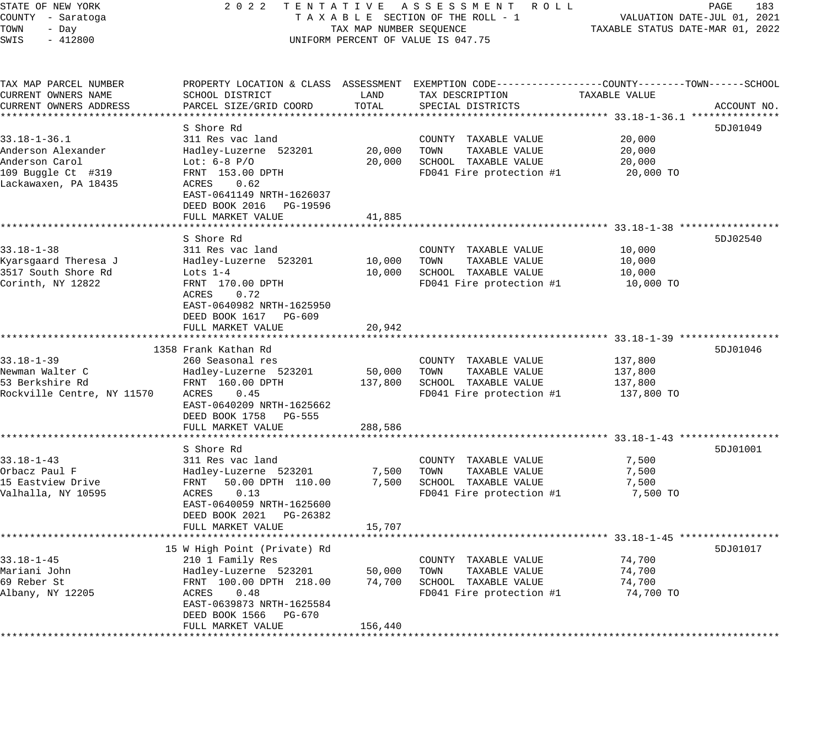|                                                                                                                                                                                       |                                                                           |                                                                                                   |                                                                                                                                                                          | PAGE<br>183<br>VALUATION DATE-JUL 01, 2021<br>TAXABLE STATUS DATE-MAR 01, 2022                                                                                                                                       |
|---------------------------------------------------------------------------------------------------------------------------------------------------------------------------------------|---------------------------------------------------------------------------|---------------------------------------------------------------------------------------------------|--------------------------------------------------------------------------------------------------------------------------------------------------------------------------|----------------------------------------------------------------------------------------------------------------------------------------------------------------------------------------------------------------------|
| SCHOOL DISTRICT<br>PARCEL SIZE/GRID COORD                                                                                                                                             | LAND<br>TOTAL                                                             | TAX DESCRIPTION<br>SPECIAL DISTRICTS                                                              | TAXABLE VALUE                                                                                                                                                            | ACCOUNT NO.                                                                                                                                                                                                          |
| S Shore Rd<br>311 Res vac land<br>Hadley-Luzerne 523201<br>Lot: $6-8$ P/O<br>FRNT 153.00 DPTH<br>ACRES 0.62<br>EAST-0641149 NRTH-1626037<br>DEED BOOK 2016 PG-19596                   | 20,000                                                                    | COUNTY TAXABLE VALUE<br>TOWN<br>TAXABLE VALUE<br>SCHOOL TAXABLE VALUE                             | 20,000<br>20,000<br>20,000<br>20,000 TO                                                                                                                                  | 5DJ01049                                                                                                                                                                                                             |
|                                                                                                                                                                                       |                                                                           |                                                                                                   |                                                                                                                                                                          |                                                                                                                                                                                                                      |
| S Shore Rd<br>311 Res vac land<br>Hadley-Luzerne 523201<br>Lots $1-4$<br>FRNT 170.00 DPTH<br>ACRES<br>0.72<br>EAST-0640982 NRTH-1625950<br>DEED BOOK 1617 PG-609<br>FULL MARKET VALUE | 10,000<br>10,000<br>20,942                                                | COUNTY TAXABLE VALUE<br>TAXABLE VALUE<br>TOWN<br>SCHOOL TAXABLE VALUE                             | 10,000<br>10,000<br>10,000<br>10,000 TO                                                                                                                                  | 5DJ02540                                                                                                                                                                                                             |
|                                                                                                                                                                                       |                                                                           |                                                                                                   |                                                                                                                                                                          | 5DJ01046                                                                                                                                                                                                             |
| 260 Seasonal res<br>Hadley-Luzerne 523201<br>FRNT 160.00 DPTH<br>ACRES 0.45<br>EAST-0640209 NRTH-1625662<br>DEED BOOK 1758 PG-555                                                     | 50,000                                                                    | COUNTY TAXABLE VALUE<br>TOWN<br>TAXABLE VALUE<br>SCHOOL TAXABLE VALUE                             | 137,800<br>137,800<br>137,800<br>137,800 TO                                                                                                                              |                                                                                                                                                                                                                      |
| FULL MARKET VALUE                                                                                                                                                                     | 288,586                                                                   |                                                                                                   |                                                                                                                                                                          |                                                                                                                                                                                                                      |
| S Shore Rd<br>311 Res vac land<br>Hadley-Luzerne 523201<br>FRNT<br>50.00 DPTH 110.00<br>0.13<br>ACRES<br>EAST-0640059 NRTH-1625600<br>DEED BOOK 2021 PG-26382<br>FULL MARKET VALUE    | 15,707                                                                    | COUNTY TAXABLE VALUE<br>TOWN<br>TAXABLE VALUE<br>FD041 Fire protection #1                         | 7,500<br>7,500<br>7,500<br>7,500 TO                                                                                                                                      | 5DJ01001                                                                                                                                                                                                             |
|                                                                                                                                                                                       |                                                                           |                                                                                                   |                                                                                                                                                                          |                                                                                                                                                                                                                      |
| 210 1 Family Res<br>Hadley-Luzerne 523201<br>FRNT 100.00 DPTH 218.00<br>ACRES<br>0.48<br>EAST-0639873 NRTH-1625584<br>DEED BOOK 1566 PG-670                                           | 74,700                                                                    | COUNTY TAXABLE VALUE<br>TAXABLE VALUE<br>TOWN<br>SCHOOL TAXABLE VALUE<br>FD041 Fire protection #1 | 74,700<br>74,700<br>74,700<br>74,700 TO                                                                                                                                  | 5DJ01017                                                                                                                                                                                                             |
|                                                                                                                                                                                       | FULL MARKET VALUE<br>1358 Frank Kathan Rd<br>15 W High Point (Private) Rd | 41,885<br>137,800<br>50,000                                                                       | TAXABLE SECTION OF THE ROLL - 1<br>TAX MAP NUMBER SEQUENCE<br>UNIFORM PERCENT OF VALUE IS 047.75<br>20,000<br>* * * * * * * * * *<br>7,500<br>7,500 SCHOOL TAXABLE VALUE | 2022 TENTATIVE ASSESSMENT ROLL<br>PROPERTY LOCATION & CLASS ASSESSMENT EXEMPTION CODE---------------COUNTY-------TOWN-----SCHOOL<br>FD041 Fire protection #1<br>FD041 Fire protection #1<br>FD041 Fire protection #1 |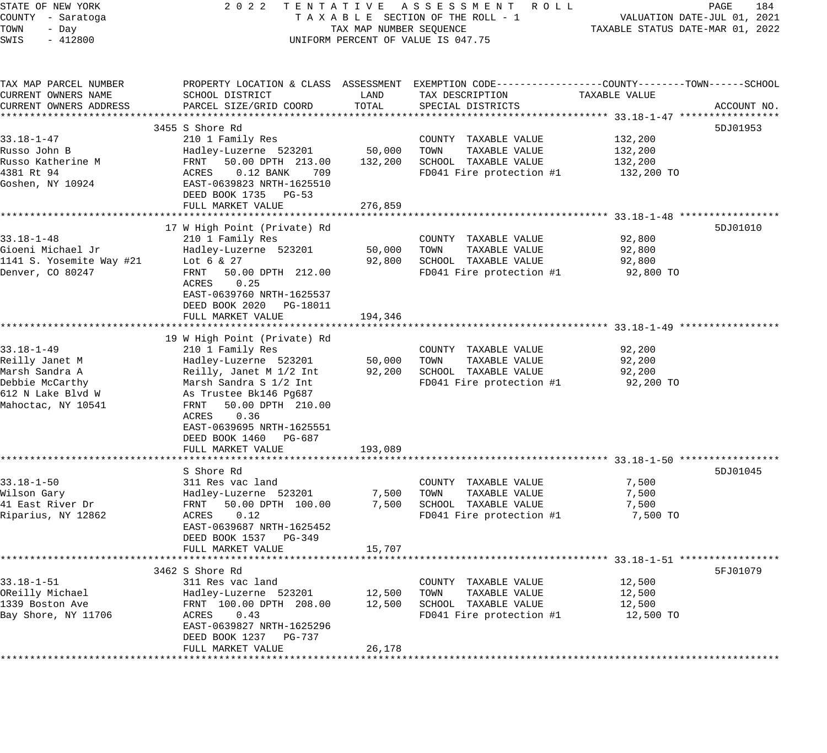| STATE OF NEW YORK<br>COUNTY - Saratoga<br>TOWN<br>- Day<br>SWIS<br>$-412800$                                       | 2022 TENTATIVE ASSESSMENT ROLL<br>UNIFORM PERCENT OF VALUE IS 047.75                                                                                                                                                                                                                                             | TAXABLE SECTION OF THE ROLL - 1<br>TAXABLE SECTION OF THE ROLL - 1<br>TAXABLE STATUS DATE-MAR 01, 2022 | PAGE<br>184                                                                                       |                                         |             |
|--------------------------------------------------------------------------------------------------------------------|------------------------------------------------------------------------------------------------------------------------------------------------------------------------------------------------------------------------------------------------------------------------------------------------------------------|--------------------------------------------------------------------------------------------------------|---------------------------------------------------------------------------------------------------|-----------------------------------------|-------------|
| TAX MAP PARCEL NUMBER<br>CURRENT OWNERS NAME<br>CURRENT OWNERS ADDRESS                                             | PROPERTY LOCATION & CLASS ASSESSMENT EXEMPTION CODE-----------------COUNTY--------TOWN------SCHOOL<br>SCHOOL DISTRICT<br>PARCEL SIZE/GRID COORD                                                                                                                                                                  | LAND<br>TOTAL                                                                                          | TAX DESCRIPTION<br>SPECIAL DISTRICTS                                                              | TAXABLE VALUE                           | ACCOUNT NO. |
| 33.18-1-47<br>Russo John B<br>Russo Katherine M<br>4381 Rt 94<br>Goshen, NY 10924                                  | 3455 S Shore Rd<br>210 1 Family Res<br>Hadley-Luzerne 523201 50,000<br>Hadley-Luzerne 523201 50,000 TOWN TAXABLE VALUE<br>FRNT 50.00 DPTH 213.00 132,200 SCHOOL TAXABLE VALUE<br>ACRES 0.12 BANK 709 FD041 Fire protection #1<br>EAST-0639823 NRTH-1625510<br>DEED BOOK 1735 PG-53<br>FULL MARKET VALUE          | 276,859                                                                                                | COUNTY TAXABLE VALUE<br>TAXABLE VALUE<br>$FD041$ Fire protection #1 $132,200$ TO                  | 132,200<br>132,200<br>132,200           | 5DJ01953    |
| $33.18 - 1 - 48$<br>Gioeni Michael Jr<br>1141 S. Yosemite Way #21<br>Denver, CO 80247                              | 17 W High Point (Private) Rd<br>210 1 Family Res<br>Hadley-Luzerne 523201<br>Lot 6 & 27<br>FRNT 50.00 DPTH 212.00<br>0.25<br>ACRES<br>EAST-0639760 NRTH-1625537<br>DEED BOOK 2020 PG-18011<br>FULL MARKET VALUE                                                                                                  | 50,000<br>92,800<br>194,346                                                                            | COUNTY TAXABLE VALUE<br>TOWN<br>TAXABLE VALUE<br>SCHOOL TAXABLE VALUE<br>FD041 Fire protection #1 | 92,800<br>92,800<br>92,800<br>92,800 TO | 5DJ01010    |
| $33.18 - 1 - 49$<br>Reilly Janet M<br>Marsh Sandra A<br>Debbie McCarthy<br>612 N Lake Blvd W<br>Mahoctac, NY 10541 | 19 W High Point (Private) Rd<br>210 1 Family Res<br>Hadley-Luzerne 523201<br>Reilly, Janet M 1/2 Int 92,200<br>Reilly, Janet M 1/2 Int<br>Marsh Sandra S 1/2 Int<br>As Trustee Bk146 Pg687<br>FRNT 50.00 DPTH 210.00<br>ACRES<br>0.36<br>EAST-0639695 NRTH-1625551<br>DEED BOOK 1460 PG-687<br>FULL MARKET VALUE | 50,000<br>193,089                                                                                      | COUNTY TAXABLE VALUE<br>TOWN<br>TAXABLE VALUE<br>SCHOOL TAXABLE VALUE<br>FD041 Fire protection #1 | 92,200<br>92,200<br>92,200<br>92,200 TO |             |
| $33.18 - 1 - 50$<br>Wilson Gary<br>41 East River Dr<br>Riparius, NY 12862                                          | S Shore Rd<br>311 Res vac land<br>Hadley-Luzerne 523201<br>FRNT 50.00.ppm<br>FRNT 50.00 DPTH 100.00<br>ACRES 0.12<br>EAST-0639687 NRTH-1625452<br>DEED BOOK 1537 PG-349<br>FULL MARKET VALUE                                                                                                                     | 7,500<br>7,500<br>15,707                                                                               | COUNTY TAXABLE VALUE<br>TOWN<br>TAXABLE VALUE<br>SCHOOL TAXABLE VALUE<br>FD041 Fire protection #1 | 7,500<br>7,500<br>7,500<br>7,500 TO     | 5DJ01045    |
| $33.18 - 1 - 51$<br>OReilly Michael<br>1339 Boston Ave<br>Bay Shore, NY 11706                                      | 3462 S Shore Rd<br>311 Res vac land<br>Hadley-Luzerne 523201<br>FRNT 100.00 DPTH 208.00<br>ACRES<br>0.43<br>EAST-0639827 NRTH-1625296<br>DEED BOOK 1237 PG-737<br>FULL MARKET VALUE                                                                                                                              | 12,500<br>12,500<br>26,178                                                                             | COUNTY TAXABLE VALUE<br>TOWN<br>TAXABLE VALUE<br>SCHOOL TAXABLE VALUE<br>FD041 Fire protection #1 | 12,500<br>12,500<br>12,500<br>12,500 TO | 5FJ01079    |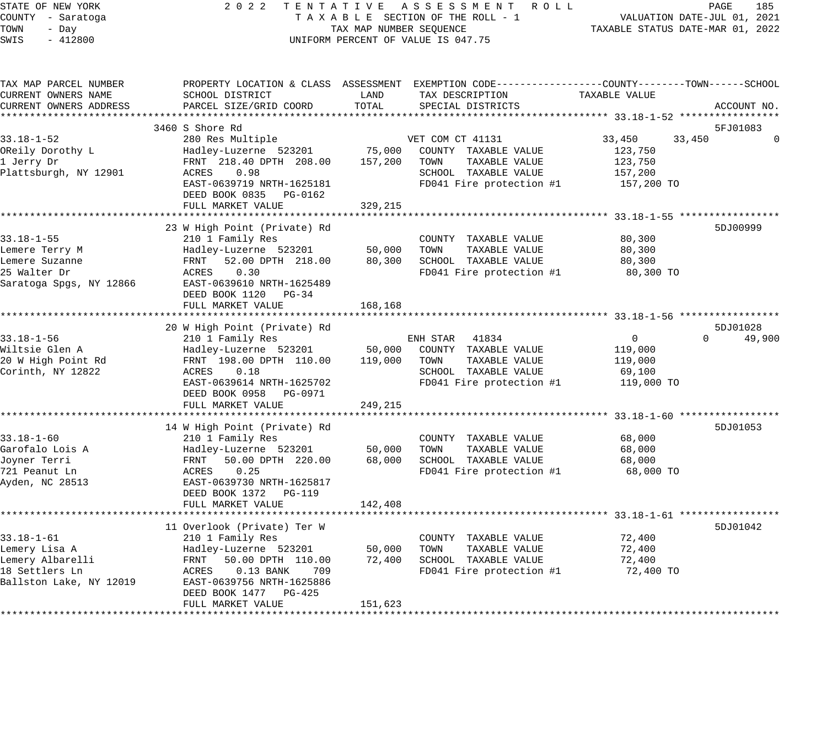| STATE OF NEW YORK<br>COUNTY - Saratoga<br>TOWN<br>- Day<br>$-412800$<br>SWIS                       |                                                                                                                                                                                                   | TAX MAP NUMBER SEQUENCE<br>UNIFORM PERCENT OF VALUE IS 047.75 | 2022 TENTATIVE ASSESSMENT ROLL<br>TAXABLE SECTION OF THE ROLL - 1                                                      | TAXABLE STATUS DATE-MAR 01, 2022                                | PAGE<br>185<br>VALUATION DATE-JUL 01, 2021 |
|----------------------------------------------------------------------------------------------------|---------------------------------------------------------------------------------------------------------------------------------------------------------------------------------------------------|---------------------------------------------------------------|------------------------------------------------------------------------------------------------------------------------|-----------------------------------------------------------------|--------------------------------------------|
| TAX MAP PARCEL NUMBER<br>CURRENT OWNERS NAME<br>CURRENT OWNERS ADDRESS                             | PROPERTY LOCATION & CLASS ASSESSMENT EXEMPTION CODE---------------COUNTY-------TOWN-----SCHOOL<br>SCHOOL DISTRICT<br>PARCEL SIZE/GRID COORD                                                       | LAND<br>TOTAL                                                 | TAX DESCRIPTION<br>SPECIAL DISTRICTS                                                                                   | TAXABLE VALUE                                                   | ACCOUNT NO.                                |
| *******************                                                                                |                                                                                                                                                                                                   |                                                               |                                                                                                                        |                                                                 |                                            |
|                                                                                                    | 3460 S Shore Rd                                                                                                                                                                                   |                                                               |                                                                                                                        |                                                                 | 5FJ01083                                   |
| $33.18 - 1 - 52$<br>OReily Dorothy L<br>1 Jerry Dr<br>Plattsburgh, NY 12901                        | 280 Res Multiple<br>Hadley-Luzerne 523201<br>FRNT 218.40 DPTH 208.00<br>0.98<br>ACRES<br>EAST-0639719 NRTH-1625181<br>DEED BOOK 0835<br>PG-0162<br>FULL MARKET VALUE                              | 75,000<br>157,200<br>329,215                                  | VET COM CT 41131<br>COUNTY TAXABLE VALUE<br>TOWN<br>TAXABLE VALUE<br>SCHOOL TAXABLE VALUE<br>FD041 Fire protection #1  | 33,450<br>33,450<br>123,750<br>123,750<br>157,200<br>157,200 TO | $\mathbf 0$                                |
|                                                                                                    |                                                                                                                                                                                                   |                                                               |                                                                                                                        |                                                                 |                                            |
| $33.18 - 1 - 55$<br>Lemere Terry M<br>Lemere Suzanne<br>25 Walter Dr<br>Saratoga Spgs, NY 12866    | 23 W High Point (Private) Rd<br>210 1 Family Res<br>Hadley-Luzerne 523201<br>FRNT 52.00 DPTH 218.00<br>0.30<br>ACRES<br>EAST-0639610 NRTH-1625489<br>DEED BOOK 1120 PG-34<br>FULL MARKET VALUE    | 50,000<br>80,300<br>168,168                                   | COUNTY TAXABLE VALUE<br>TOWN<br>TAXABLE VALUE<br>SCHOOL TAXABLE VALUE<br>FD041 Fire protection #1                      | 80,300<br>80,300<br>80,300<br>80,300 TO                         | 5DJ00999                                   |
|                                                                                                    | ***********************                                                                                                                                                                           |                                                               |                                                                                                                        |                                                                 |                                            |
| $33.18 - 1 - 56$<br>Wiltsie Glen A<br>20 W High Point Rd<br>Corinth, NY 12822                      | 20 W High Point (Private) Rd<br>210 1 Family Res<br>Hadley-Luzerne 523201<br>FRNT 198.00 DPTH 110.00<br>0.18<br>ACRES<br>EAST-0639614 NRTH-1625702<br>DEED BOOK 0958 PG-0971<br>FULL MARKET VALUE | 50,000<br>119,000<br>249,215                                  | ENH STAR<br>41834<br>COUNTY TAXABLE VALUE<br>TOWN<br>TAXABLE VALUE<br>SCHOOL TAXABLE VALUE<br>FD041 Fire protection #1 | $\mathbf{0}$<br>119,000<br>119,000<br>69,100<br>119,000 TO      | 5DJ01028<br>$\Omega$<br>49,900             |
|                                                                                                    | 14 W High Point (Private) Rd                                                                                                                                                                      |                                                               |                                                                                                                        |                                                                 | 5DJ01053                                   |
| $33.18 - 1 - 60$<br>Garofalo Lois A<br>Joyner Terri<br>721 Peanut Ln<br>Ayden, NC 28513            | 210 1 Family Res<br>Hadley-Luzerne 523201<br>FRNT<br>50.00 DPTH 220.00<br>0.25<br>ACRES<br>EAST-0639730 NRTH-1625817<br>DEED BOOK 1372 PG-119                                                     | 50,000<br>68,000                                              | COUNTY TAXABLE VALUE<br>TOWN<br>TAXABLE VALUE<br>SCHOOL TAXABLE VALUE<br>FD041 Fire protection #1                      | 68,000<br>68,000<br>68,000<br>68,000 TO                         |                                            |
|                                                                                                    | FULL MARKET VALUE                                                                                                                                                                                 | 142,408                                                       |                                                                                                                        |                                                                 |                                            |
| $33.18 - 1 - 61$<br>Lemery Lisa A<br>Lemery Albarelli<br>18 Settlers Ln<br>Ballston Lake, NY 12019 | 11 Overlook (Private) Ter W<br>210 1 Family Res<br>Hadley-Luzerne 523201<br>FRNT<br>50.00 DPTH 110.00<br>ACRES<br>$0.13$ BANK<br>709<br>EAST-0639756 NRTH-1625886<br>DEED BOOK 1477 PG-425        | 50,000<br>72,400                                              | COUNTY TAXABLE VALUE<br>TOWN<br>TAXABLE VALUE<br>SCHOOL TAXABLE VALUE<br>FD041 Fire protection #1                      | 72,400<br>72,400<br>72,400<br>72,400 TO                         | 5DJ01042                                   |
|                                                                                                    |                                                                                                                                                                                                   |                                                               |                                                                                                                        |                                                                 |                                            |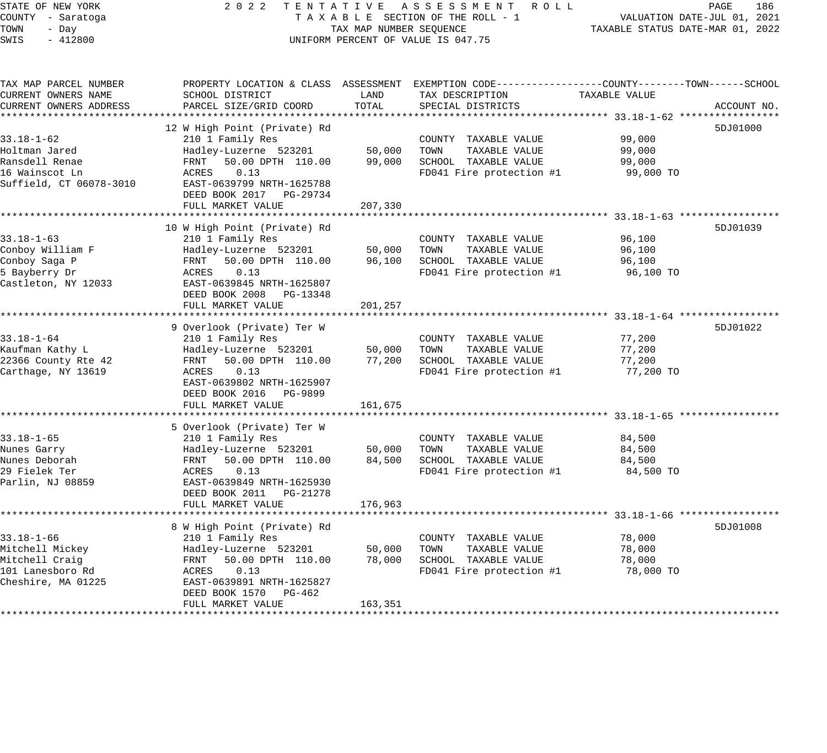STATE OF NEW YORK 2 0 2 2 T E N T A T I V E A S S E S S M E N T R O L L PAGE 186 COUNTY - Saratoga T A X A B L E SECTION OF THE ROLL - 1 VALUATION DATE-JUL 01, 2021 TOWN - Day TAX MAP NUMBER SEQUENCE TAXABLE STATUS DATE-MAR 01, 2022 SWIS - 412800 CONTROLLY THE UNIFORM PERCENT OF VALUE IS 047.75

TAX MAP PARCEL NUMBER PROPERTY LOCATION & CLASS ASSESSMENT EXEMPTION CODE------------------COUNTY--------TOWN------SCHOOL CURRENT OWNERS NAME SCHOOL DISTRICT LAND TAX DESCRIPTION TAXABLE VALUE CURRENT OWNERS ADDRESS PARCEL SIZE/GRID COORD TOTAL SPECIAL DISTRICTS ACCOUNT NO. \*\*\*\*\*\*\*\*\*\*\*\*\*\*\*\*\*\*\*\*\*\*\*\*\*\*\*\*\*\*\*\*\*\*\*\*\*\*\*\*\*\*\*\*\*\*\*\*\*\*\*\*\*\*\*\*\*\*\*\*\*\*\*\*\*\*\*\*\*\*\*\*\*\*\*\*\*\*\*\*\*\*\*\*\*\*\*\*\*\*\*\*\*\*\*\*\*\*\*\*\*\*\* 33.18-1-62 \*\*\*\*\*\*\*\*\*\*\*\*\*\*\*\*\* 12 W High Point (Private) Rd 33.18-1-62 210 1 Family Res COUNTY TAXABLE VALUE 99,000 Holtman Jared Hadley-Luzerne 523201 50,000 TOWN TAXABLE VALUE 99,000 Ransdell Renae FRNT 50.00 DPTH 110.00 99,000 SCHOOL TAXABLE VALUE 99,000 16 Wainscot Ln ACRES 0.13 FD041 Fire protection #1 99,000 TO Suffield, CT 06078-3010 EAST-0639799 NRTH-1625788 DEED BOOK 2017 PG-29734 DEED BOOK 2017 PG-29734<br>FULL MARKET VALUE 207,330 \*\*\*\*\*\*\*\*\*\*\*\*\*\*\*\*\*\*\*\*\*\*\*\*\*\*\*\*\*\*\*\*\*\*\*\*\*\*\*\*\*\*\*\*\*\*\*\*\*\*\*\*\*\*\*\*\*\*\*\*\*\*\*\*\*\*\*\*\*\*\*\*\*\*\*\*\*\*\*\*\*\*\*\*\*\*\*\*\*\*\*\*\*\*\*\*\*\*\*\*\*\*\* 33.18-1-63 \*\*\*\*\*\*\*\*\*\*\*\*\*\*\*\*\* 10 W High Point (Private) Rd 33.18-1-63 210 1 Family Res COUNTY TAXABLE VALUE 96,100 Conboy William F Hadley-Luzerne 523201 50,000 TOWN TAXABLE VALUE 96,100 Conboy Saga P FRNT 50.00 DPTH 110.00 96,100 SCHOOL TAXABLE VALUE 96,100 5 Bayberry Dr ACRES 0.13 FD041 Fire protection #1 96,100 TO Castleton, NY 12033 EAST-0639845 NRTH-1625807 DEED BOOK 2008 PG-13348 FULL MARKET VALUE 201,257 \*\*\*\*\*\*\*\*\*\*\*\*\*\*\*\*\*\*\*\*\*\*\*\*\*\*\*\*\*\*\*\*\*\*\*\*\*\*\*\*\*\*\*\*\*\*\*\*\*\*\*\*\*\*\*\*\*\*\*\*\*\*\*\*\*\*\*\*\*\*\*\*\*\*\*\*\*\*\*\*\*\*\*\*\*\*\*\*\*\*\*\*\*\*\*\*\*\*\*\*\*\*\* 33.18-1-64 \*\*\*\*\*\*\*\*\*\*\*\*\*\*\*\*\* 9 Overlook (Private) Ter W 5DJ01022 33.18-1-64 210 1 Family Res COUNTY TAXABLE VALUE 77,200 Kaufman Kathy L Hadley-Luzerne 523201 50,000 TOWN TAXABLE VALUE 77,200 22366 County Rte 42 FRNT 50.00 DPTH 110.00 77,200 SCHOOL TAXABLE VALUE 77,200 Carthage, NY 13619 ACRES 0.13 FD041 Fire protection #1 77,200 TO EAST-0639802 NRTH-1625907 DEED BOOK 2016 PG-9899 FULL MARKET VALUE 161,675 \*\*\*\*\*\*\*\*\*\*\*\*\*\*\*\*\*\*\*\*\*\*\*\*\*\*\*\*\*\*\*\*\*\*\*\*\*\*\*\*\*\*\*\*\*\*\*\*\*\*\*\*\*\*\*\*\*\*\*\*\*\*\*\*\*\*\*\*\*\*\*\*\*\*\*\*\*\*\*\*\*\*\*\*\*\*\*\*\*\*\*\*\*\*\*\*\*\*\*\*\*\*\* 33.18-1-65 \*\*\*\*\*\*\*\*\*\*\*\*\*\*\*\*\* 5 Overlook (Private) Ter W 33.18-1-65 210 1 Family Res COUNTY TAXABLE VALUE 84,500 Nunes Garry Hadley-Luzerne 523201 50,000 TOWN TAXABLE VALUE 84,500 Nunes Deborah FRNT 50.00 DPTH 110.00 84,500 SCHOOL TAXABLE VALUE 84,500 29 Fielek Ter ACRES 0.13 FD041 Fire protection #1 84,500 TO Parlin, NJ 08859 EAST-0639849 NRTH-1625930 DEED BOOK 2011 PG-21278 FULL MARKET VALUE 176,963 \*\*\*\*\*\*\*\*\*\*\*\*\*\*\*\*\*\*\*\*\*\*\*\*\*\*\*\*\*\*\*\*\*\*\*\*\*\*\*\*\*\*\*\*\*\*\*\*\*\*\*\*\*\*\*\*\*\*\*\*\*\*\*\*\*\*\*\*\*\*\*\*\*\*\*\*\*\*\*\*\*\*\*\*\*\*\*\*\*\*\*\*\*\*\*\*\*\*\*\*\*\*\* 33.18-1-66 \*\*\*\*\*\*\*\*\*\*\*\*\*\*\*\*\* 8 W High Point (Private) Rd 5DJ01008 3DJ01008 5DJ01008 5DJ01008 5DJ01008 5DJ01008 5DJ01008 5DJ01008 5DJ01008 5DJ01008 5DJ01008 5DJ01008 5DJ01008 5DJ01008 5DJ01008 5DJ01008 5DJ01008 5DJ01008 5DJ01008 5DJ01008 5DJ01008 5DJ01 33.18-1-66 210 1 Family Res COUNTY TAXABLE VALUE 78,000 Mitchell Mickey Hadley-Luzerne 523201 50,000 TOWN TAXABLE VALUE 78,000 Mitchell Craig FRNT 50.00 DPTH 110.00 78,000 SCHOOL TAXABLE VALUE 78,000 101 Lanesboro Rd ACRES 0.13 FD041 Fire protection #1 78,000 TO Cheshire, MA 01225 EAST-0639891 NRTH-1625827 DEED BOOK 1570 PG-462 FULL MARKET VALUE 163,351 \*\*\*\*\*\*\*\*\*\*\*\*\*\*\*\*\*\*\*\*\*\*\*\*\*\*\*\*\*\*\*\*\*\*\*\*\*\*\*\*\*\*\*\*\*\*\*\*\*\*\*\*\*\*\*\*\*\*\*\*\*\*\*\*\*\*\*\*\*\*\*\*\*\*\*\*\*\*\*\*\*\*\*\*\*\*\*\*\*\*\*\*\*\*\*\*\*\*\*\*\*\*\*\*\*\*\*\*\*\*\*\*\*\*\*\*\*\*\*\*\*\*\*\*\*\*\*\*\*\*\*\*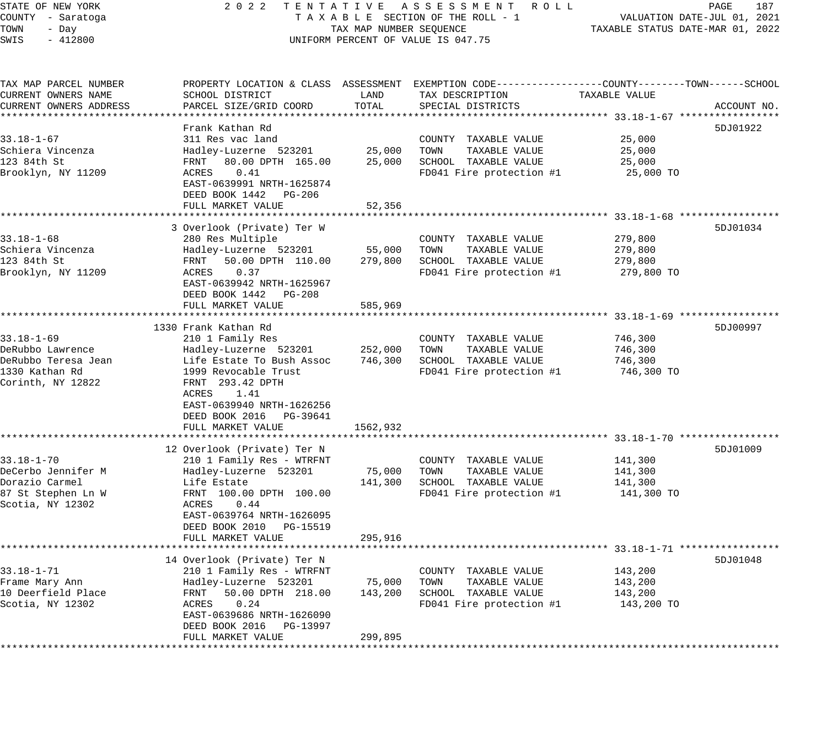# STATE OF NEW YORK 2 0 2 2 T E N T A T I V E A S S E S S M E N T R O L L PAGE 187 COUNTY - Saratoga T A X A B L E SECTION OF THE ROLL - 1 VALUATION DATE-JUL 01, 2021 UNIFORM PERCENT OF VALUE IS 047.75

| TAX MAP PARCEL NUMBER<br>CURRENT OWNERS NAME<br>CURRENT OWNERS ADDRESS                             | PROPERTY LOCATION & CLASS ASSESSMENT<br>SCHOOL DISTRICT<br>PARCEL SIZE/GRID COORD                                                                                                                                                                                     | LAND<br>TOTAL                            | EXEMPTION CODE-----------------COUNTY-------TOWN------SCHOOL<br>TAX DESCRIPTION<br>SPECIAL DISTRICTS | TAXABLE VALUE                                                                | ACCOUNT NO. |
|----------------------------------------------------------------------------------------------------|-----------------------------------------------------------------------------------------------------------------------------------------------------------------------------------------------------------------------------------------------------------------------|------------------------------------------|------------------------------------------------------------------------------------------------------|------------------------------------------------------------------------------|-------------|
| $33.18 - 1 - 67$<br>Schiera Vincenza<br>123 84th St<br>Brooklyn, NY 11209                          | Frank Kathan Rd<br>311 Res vac land<br>Hadley-Luzerne 523201<br>FRNT<br>80.00 DPTH 165.00<br>0.41<br>ACRES<br>EAST-0639991 NRTH-1625874<br>DEED BOOK 1442 PG-206<br>FULL MARKET VALUE                                                                                 | 25,000<br>25,000<br>52,356               | COUNTY TAXABLE VALUE<br>TOWN<br>TAXABLE VALUE<br>SCHOOL TAXABLE VALUE<br>FD041 Fire protection #1    | 25,000<br>25,000<br>25,000<br>25,000 TO                                      | 5DJ01922    |
| $33.18 - 1 - 68$<br>Schiera Vincenza<br>123 84th St<br>Brooklyn, NY 11209                          | *******************<br>3 Overlook (Private) Ter W<br>280 Res Multiple<br>Hadley-Luzerne 523201<br>50.00 DPTH 110.00<br>FRNT<br>ACRES<br>0.37<br>EAST-0639942 NRTH-1625967<br>DEED BOOK 1442 PG-208<br>FULL MARKET VALUE                                               | 55,000<br>279,800<br>585,969             | COUNTY TAXABLE VALUE<br>TOWN<br>TAXABLE VALUE<br>SCHOOL TAXABLE VALUE<br>FD041 Fire protection #1    | ************ 33.18-1-68 *****<br>279,800<br>279,800<br>279,800<br>279,800 TO | 5DJ01034    |
| $33.18 - 1 - 69$<br>DeRubbo Lawrence<br>DeRubbo Teresa Jean<br>1330 Kathan Rd<br>Corinth, NY 12822 | 1330 Frank Kathan Rd<br>210 1 Family Res<br>Hadley-Luzerne 523201<br>Life Estate To Bush Assoc<br>1999 Revocable Trust<br>FRNT 293.42 DPTH<br>ACRES<br>1.41<br>EAST-0639940 NRTH-1626256<br>DEED BOOK 2016 PG-39641                                                   | 252,000<br>746,300                       | COUNTY TAXABLE VALUE<br>TAXABLE VALUE<br>TOWN<br>SCHOOL TAXABLE VALUE<br>FD041 Fire protection #1    | 746,300<br>746,300<br>746,300<br>746,300 TO                                  | 5DJ00997    |
| $33.18 - 1 - 70$<br>DeCerbo Jennifer M<br>Dorazio Carmel<br>87 St Stephen Ln W<br>Scotia, NY 12302 | FULL MARKET VALUE<br>12 Overlook (Private) Ter N<br>210 1 Family Res - WTRFNT<br>Hadley-Luzerne 523201<br>Life Estate<br>FRNT 100.00 DPTH 100.00<br>ACRES<br>0.44<br>EAST-0639764 NRTH-1626095<br>DEED BOOK 2010 PG-15519<br>FULL MARKET VALUE<br>******************* | 1562,932<br>75,000<br>141,300<br>295,916 | COUNTY TAXABLE VALUE<br>TOWN<br>TAXABLE VALUE<br>SCHOOL TAXABLE VALUE<br>FD041 Fire protection #1    | 141,300<br>141,300<br>141,300<br>141,300 TO                                  | 5DJ01009    |
| $33.18 - 1 - 71$<br>Frame Mary Ann<br>10 Deerfield Place<br>Scotia, NY 12302                       | 14 Overlook (Private) Ter N<br>210 1 Family Res - WTRFNT<br>Hadley-Luzerne 523201<br>50.00 DPTH 218.00<br>FRNT<br>0.24<br>ACRES<br>EAST-0639686 NRTH-1626090<br>DEED BOOK 2016<br>PG-13997<br>FULL MARKET VALUE                                                       | 75,000<br>143,200<br>299,895             | COUNTY TAXABLE VALUE<br>TOWN<br>TAXABLE VALUE<br>SCHOOL TAXABLE VALUE<br>FD041 Fire protection #1    | 143,200<br>143,200<br>143,200<br>143,200 TO                                  | 5DJ01048    |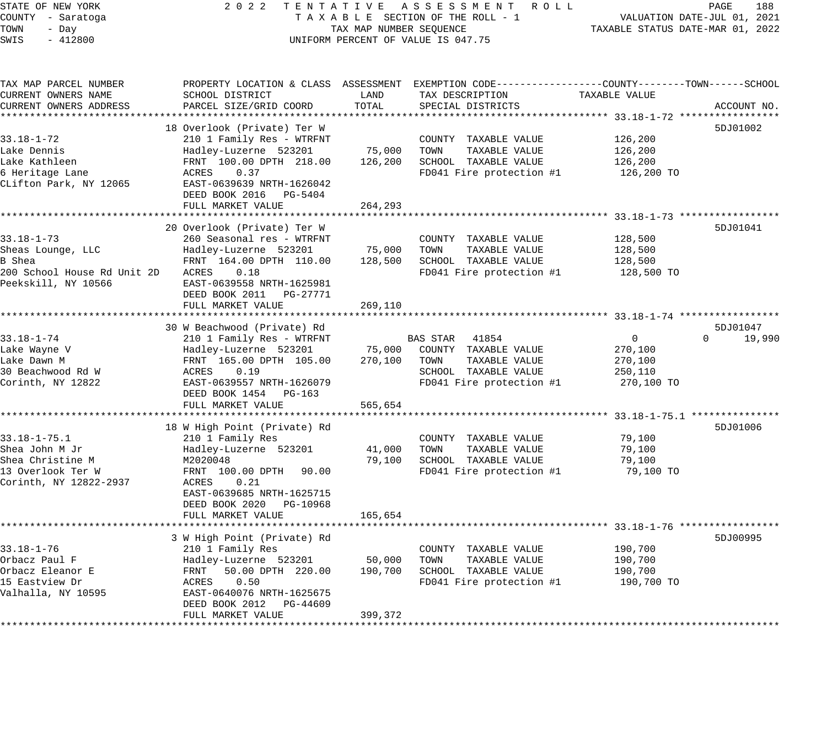## STATE OF NEW YORK 2 0 2 2 T E N T A T I V E A S S E S S M E N T R O L L PAGE 188 COUNTY - Saratoga T A X A B L E SECTION OF THE ROLL - 1 VALUATION DATE-JUL 01, 2021 X A B L E SECTION OF THE ROLL - 1 WILLIAM CONTROLLED STATUS DATE-MAR 01, 2022 UNIFORM PERCENT OF VALUE IS 047.75

| TAX MAP PARCEL NUMBER<br>CURRENT OWNERS NAME<br>CURRENT OWNERS ADDRESS                                  | PROPERTY LOCATION & CLASS ASSESSMENT EXEMPTION CODE----------------COUNTY-------TOWN------SCHOOL<br>SCHOOL DISTRICT<br>PARCEL SIZE/GRID COORD                                                             | LAND<br>TOTAL                | TAX DESCRIPTION<br>SPECIAL DISTRICTS                                                                                | TAXABLE VALUE                                    | ACCOUNT NO.        |
|---------------------------------------------------------------------------------------------------------|-----------------------------------------------------------------------------------------------------------------------------------------------------------------------------------------------------------|------------------------------|---------------------------------------------------------------------------------------------------------------------|--------------------------------------------------|--------------------|
|                                                                                                         |                                                                                                                                                                                                           |                              |                                                                                                                     |                                                  | 5DJ01002           |
| $33.18 - 1 - 72$<br>Lake Dennis<br>Lake Kathleen<br>6 Heritage Lane<br>CLifton Park, NY 12065           | 18 Overlook (Private) Ter W<br>210 1 Family Res - WTRFNT<br>Hadley-Luzerne 523201<br>FRNT 100.00 DPTH 218.00<br>ACRES<br>0.37<br>EAST-0639639 NRTH-1626042<br>DEED BOOK 2016 PG-5404<br>FULL MARKET VALUE | 75,000<br>126,200<br>264,293 | COUNTY TAXABLE VALUE<br>TOWN<br>TAXABLE VALUE<br>SCHOOL TAXABLE VALUE<br>FD041 Fire protection #1                   | 126,200<br>126,200<br>126,200<br>126,200 TO      |                    |
|                                                                                                         | 20 Overlook (Private) Ter W                                                                                                                                                                               |                              |                                                                                                                     |                                                  | 5DJ01041           |
| $33.18 - 1 - 73$<br>Sheas Lounge, LLC<br>B Shea<br>200 School House Rd Unit 2D<br>Peekskill, NY 10566   | 260 Seasonal res - WTRFNT<br>Hadley-Luzerne 523201<br>FRNT 164.00 DPTH 110.00<br>0.18<br>ACRES<br>EAST-0639558 NRTH-1625981<br>DEED BOOK 2011<br>PG-27771<br>FULL MARKET VALUE                            | 75,000<br>128,500<br>269,110 | COUNTY TAXABLE VALUE<br>TOWN<br>TAXABLE VALUE<br>SCHOOL TAXABLE VALUE<br>FD041 Fire protection #1                   | 128,500<br>128,500<br>128,500<br>128,500 TO      |                    |
|                                                                                                         | 30 W Beachwood (Private) Rd                                                                                                                                                                               |                              |                                                                                                                     |                                                  | 5DJ01047           |
| $33.18 - 1 - 74$<br>Lake Wayne V<br>Lake Dawn M<br>30 Beachwood Rd W<br>Corinth, NY 12822               | 210 1 Family Res - WTRFNT<br>Hadley-Luzerne 523201<br>FRNT 165.00 DPTH 105.00<br>ACRES<br>0.19<br>EAST-0639557 NRTH-1626079<br>DEED BOOK 1454 PG-163<br>FULL MARKET VALUE                                 | 75,000<br>270,100<br>565,654 | BAS STAR 41854<br>COUNTY TAXABLE VALUE<br>TOWN<br>TAXABLE VALUE<br>SCHOOL TAXABLE VALUE<br>FD041 Fire protection #1 | 0<br>270,100<br>270,100<br>250,110<br>270,100 TO | $\Omega$<br>19,990 |
|                                                                                                         | 18 W High Point (Private) Rd                                                                                                                                                                              |                              |                                                                                                                     |                                                  | 5DJ01006           |
| $33.18 - 1 - 75.1$<br>Shea John M Jr<br>Shea Christine M<br>13 Overlook Ter W<br>Corinth, NY 12822-2937 | 210 1 Family Res<br>Hadley-Luzerne 523201<br>M2020048<br>FRNT 100.00 DPTH<br>90.00<br>ACRES<br>0.21<br>EAST-0639685 NRTH-1625715<br>DEED BOOK 2020 PG-10968                                               | 41,000<br>79,100             | COUNTY TAXABLE VALUE<br>TAXABLE VALUE<br>TOWN<br>SCHOOL TAXABLE VALUE<br>FD041 Fire protection #1                   | 79,100<br>79,100<br>79,100<br>79,100 TO          |                    |
|                                                                                                         | FULL MARKET VALUE                                                                                                                                                                                         | 165,654                      |                                                                                                                     |                                                  |                    |
| $33.18 - 1 - 76$<br>Orbacz Paul F<br>Orbacz Eleanor E<br>15 Eastview Dr<br>Valhalla, NY 10595           | 3 W High Point (Private) Rd<br>210 1 Family Res<br>Hadley-Luzerne 523201<br>FRNT<br>50.00 DPTH 220.00<br>ACRES<br>0.50<br>EAST-0640076 NRTH-1625675<br>DEED BOOK 2012 PG-44609<br>FULL MARKET VALUE       | 50,000<br>190,700<br>399,372 | COUNTY TAXABLE VALUE<br>TOWN<br>TAXABLE VALUE<br>SCHOOL TAXABLE VALUE<br>FD041 Fire protection #1                   | 190,700<br>190,700<br>190,700<br>190,700 TO      | 5DJ00995           |
|                                                                                                         |                                                                                                                                                                                                           |                              |                                                                                                                     |                                                  |                    |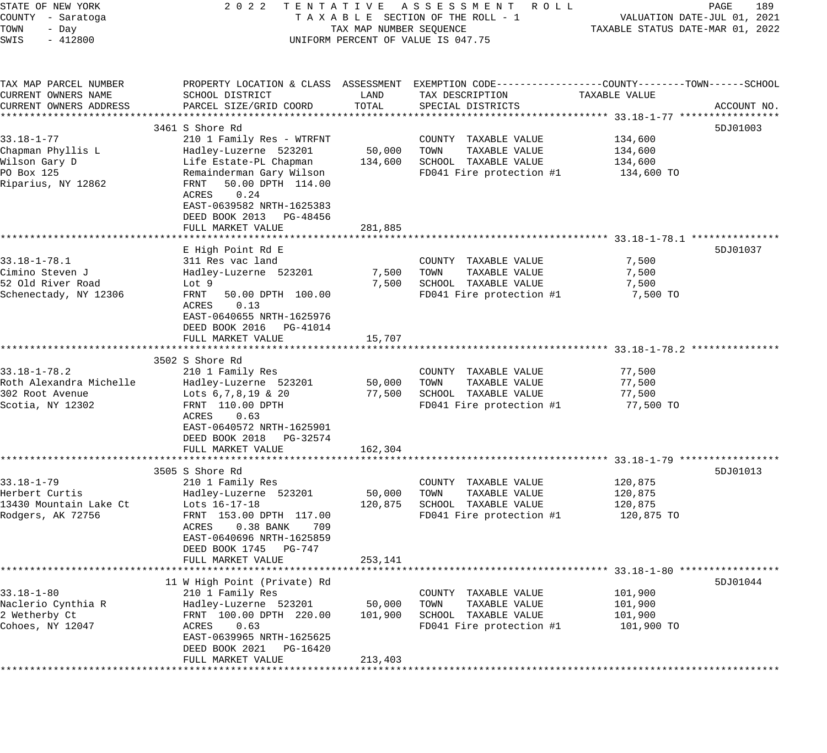| STATE OF NEW YORK                  | 2 0 2 2                                              |                         | TENTATIVE ASSESSMENT ROLL                                                                      |                                  | PAGE<br>189                 |
|------------------------------------|------------------------------------------------------|-------------------------|------------------------------------------------------------------------------------------------|----------------------------------|-----------------------------|
| COUNTY - Saratoga                  |                                                      |                         | TAXABLE SECTION OF THE ROLL - 1                                                                |                                  | VALUATION DATE-JUL 01, 2021 |
| TOWN<br>- Day<br>SWIS<br>$-412800$ |                                                      | TAX MAP NUMBER SEQUENCE | UNIFORM PERCENT OF VALUE IS 047.75                                                             | TAXABLE STATUS DATE-MAR 01, 2022 |                             |
|                                    |                                                      |                         |                                                                                                |                                  |                             |
| TAX MAP PARCEL NUMBER              |                                                      |                         | PROPERTY LOCATION & CLASS ASSESSMENT EXEMPTION CODE---------------COUNTY-------TOWN-----SCHOOL |                                  |                             |
| CURRENT OWNERS NAME                | SCHOOL DISTRICT                                      | LAND                    | TAX DESCRIPTION                                                                                | TAXABLE VALUE                    |                             |
| CURRENT OWNERS ADDRESS             | PARCEL SIZE/GRID COORD                               | TOTAL                   | SPECIAL DISTRICTS                                                                              |                                  | ACCOUNT NO.                 |
|                                    | 3461 S Shore Rd                                      |                         |                                                                                                |                                  | 5DJ01003                    |
| $33.18 - 1 - 77$                   | 210 1 Family Res - WTRFNT                            |                         | COUNTY TAXABLE VALUE                                                                           | 134,600                          |                             |
| Chapman Phyllis L                  | Hadley-Luzerne 523201                                | 50,000                  | TOWN<br>TAXABLE VALUE                                                                          | 134,600                          |                             |
| Wilson Gary D                      | Life Estate-PL Chapman                               | 134,600                 | SCHOOL TAXABLE VALUE                                                                           | 134,600                          |                             |
| PO Box 125                         | Remainderman Gary Wilson                             |                         | FD041 Fire protection #1                                                                       | 134,600 TO                       |                             |
| Riparius, NY 12862                 | 50.00 DPTH 114.00<br>FRNT<br>ACRES<br>0.24           |                         |                                                                                                |                                  |                             |
|                                    | EAST-0639582 NRTH-1625383<br>DEED BOOK 2013 PG-48456 |                         |                                                                                                |                                  |                             |
|                                    | FULL MARKET VALUE                                    | 281,885                 |                                                                                                |                                  |                             |
|                                    | E High Point Rd E                                    |                         |                                                                                                |                                  | 5DJ01037                    |
| $33.18 - 1 - 78.1$                 | 311 Res vac land                                     |                         | COUNTY TAXABLE VALUE                                                                           | 7,500                            |                             |
| Cimino Steven J                    | Hadley-Luzerne 523201                                | 7,500                   | TAXABLE VALUE<br>TOWN                                                                          | 7,500                            |                             |
| 52 Old River Road                  | Lot 9                                                | 7,500                   | SCHOOL TAXABLE VALUE                                                                           | 7,500                            |                             |
| Schenectady, NY 12306              | FRNT<br>50.00 DPTH 100.00                            |                         | FD041 Fire protection #1                                                                       | 7,500 TO                         |                             |
|                                    | 0.13<br>ACRES                                        |                         |                                                                                                |                                  |                             |
|                                    | EAST-0640655 NRTH-1625976                            |                         |                                                                                                |                                  |                             |
|                                    | DEED BOOK 2016 PG-41014                              |                         |                                                                                                |                                  |                             |
|                                    | FULL MARKET VALUE                                    | 15,707                  |                                                                                                |                                  |                             |
|                                    | 3502 S Shore Rd                                      |                         |                                                                                                |                                  |                             |
| $33.18 - 1 - 78.2$                 | 210 1 Family Res                                     |                         | COUNTY TAXABLE VALUE                                                                           | 77,500                           |                             |
| Roth Alexandra Michelle            | Hadley-Luzerne 523201                                | 50,000                  | TAXABLE VALUE<br>TOWN                                                                          | 77,500                           |                             |
| 302 Root Avenue                    | Lots $6, 7, 8, 19$ & 20                              | 77,500                  | SCHOOL TAXABLE VALUE                                                                           | 77,500                           |                             |
| Scotia, NY 12302                   | FRNT 110.00 DPTH                                     |                         | FD041 Fire protection #1                                                                       | 77,500 TO                        |                             |
|                                    | ACRES<br>0.63                                        |                         |                                                                                                |                                  |                             |
|                                    | EAST-0640572 NRTH-1625901                            |                         |                                                                                                |                                  |                             |
|                                    | DEED BOOK 2018 PG-32574                              |                         |                                                                                                |                                  |                             |
|                                    | FULL MARKET VALUE                                    | 162,304                 |                                                                                                |                                  |                             |
|                                    |                                                      |                         |                                                                                                |                                  |                             |
| $33.18 - 1 - 79$                   | 3505 S Shore Rd<br>210 1 Family Res                  |                         | COUNTY TAXABLE VALUE                                                                           | 120,875                          | 5DJ01013                    |
| Herbert Curtis                     | Hadley-Luzerne 523201                                | 50,000                  | TAXABLE VALUE<br>TOWN                                                                          | 120,875                          |                             |
| 13430 Mountain Lake Ct             | Lots 16-17-18                                        | 120,875                 | SCHOOL TAXABLE VALUE                                                                           | 120,875                          |                             |
| Rodgers, AK 72756                  | FRNT 153.00 DPTH 117.00                              |                         | FD041 Fire protection #1                                                                       | 120,875 TO                       |                             |
|                                    | ACRES<br>$0.38$ BANK<br>709                          |                         |                                                                                                |                                  |                             |
|                                    | EAST-0640696 NRTH-1625859                            |                         |                                                                                                |                                  |                             |
|                                    | DEED BOOK 1745<br>PG-747                             |                         |                                                                                                |                                  |                             |
|                                    | FULL MARKET VALUE                                    | 253,141                 |                                                                                                |                                  |                             |
|                                    |                                                      |                         |                                                                                                |                                  |                             |
|                                    | 11 W High Point (Private) Rd                         |                         |                                                                                                |                                  | 5DJ01044                    |
| $33.18 - 1 - 80$                   | 210 1 Family Res                                     |                         | COUNTY TAXABLE VALUE                                                                           | 101,900                          |                             |
| Naclerio Cynthia R                 | Hadley-Luzerne 523201<br>FRNT 100.00 DPTH 220.00     | 50,000                  | TOWN<br>TAXABLE VALUE                                                                          | 101,900                          |                             |
| 2 Wetherby Ct<br>Cohoes, NY 12047  | ACRES<br>0.63                                        | 101,900                 | SCHOOL TAXABLE VALUE<br>FD041 Fire protection #1                                               | 101,900<br>101,900 TO            |                             |
|                                    | EAST-0639965 NRTH-1625625                            |                         |                                                                                                |                                  |                             |
|                                    | DEED BOOK 2021<br>PG-16420                           |                         |                                                                                                |                                  |                             |
|                                    | FULL MARKET VALUE                                    | 213,403                 |                                                                                                |                                  |                             |
|                                    |                                                      |                         |                                                                                                |                                  |                             |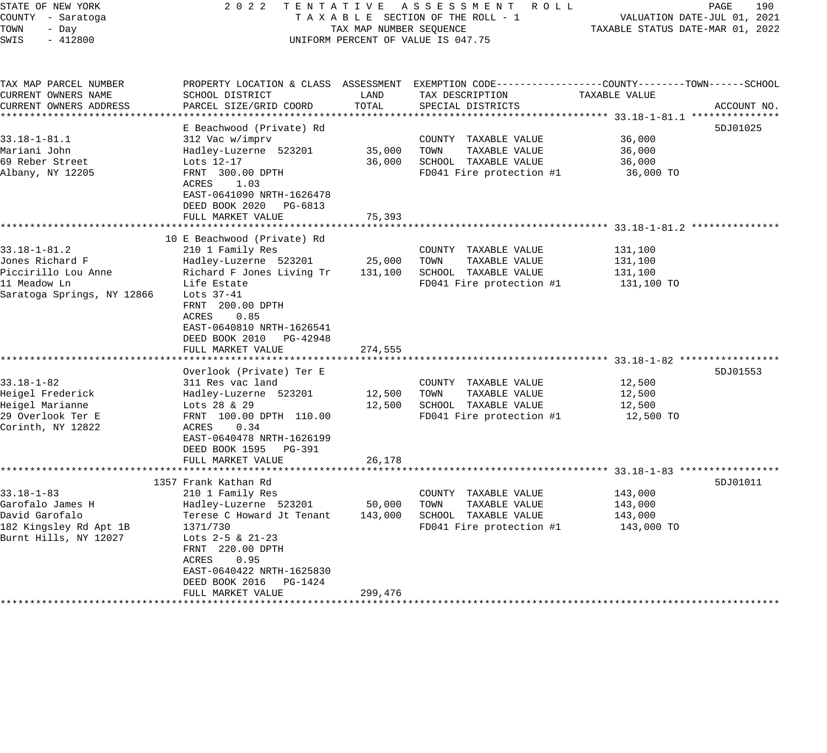| STATE OF NEW YORK<br>COUNTY - Saratoga<br>TOWN<br>- Day<br>SWIS<br>$-412800$                               | 2 0 2 2                                                                                                                                                                                                                                                                                   | TAX MAP NUMBER SEQUENCE      | TENTATIVE ASSESSMENT ROLL<br>TAXABLE SECTION OF THE ROLL - 1<br>UNIFORM PERCENT OF VALUE IS 047.75                                                               | TAXABLE STATUS DATE-MAR 01, 2022            | PAGE<br>190<br>VALUATION DATE-JUL 01, 2021 |
|------------------------------------------------------------------------------------------------------------|-------------------------------------------------------------------------------------------------------------------------------------------------------------------------------------------------------------------------------------------------------------------------------------------|------------------------------|------------------------------------------------------------------------------------------------------------------------------------------------------------------|---------------------------------------------|--------------------------------------------|
| TAX MAP PARCEL NUMBER<br>CURRENT OWNERS NAME<br>CURRENT OWNERS ADDRESS                                     | SCHOOL DISTRICT<br>PARCEL SIZE/GRID COORD                                                                                                                                                                                                                                                 | LAND<br>TOTAL                | PROPERTY LOCATION & CLASS ASSESSMENT EXEMPTION CODE---------------COUNTY-------TOWN------SCHOOL<br>TAX DESCRIPTION<br>SPECIAL DISTRICTS                          | TAXABLE VALUE                               | ACCOUNT NO.                                |
| $33.18 - 1 - 81.1$<br>Mariani John<br>69 Reber Street<br>Albany, NY 12205                                  | E Beachwood (Private) Rd<br>312 Vac w/imprv<br>Hadley-Luzerne 523201<br>Lots 12-17<br>FRNT 300.00 DPTH<br>1.03<br>ACRES<br>EAST-0641090 NRTH-1626478<br>DEED BOOK 2020 PG-6813<br>FULL MARKET VALUE                                                                                       | 35,000<br>36,000<br>75,393   | COUNTY TAXABLE VALUE<br>TOWN<br>TAXABLE VALUE<br>SCHOOL TAXABLE VALUE<br>FD041 Fire protection #1                                                                | 36,000<br>36,000<br>36,000<br>36,000 TO     | 5DJ01025                                   |
|                                                                                                            |                                                                                                                                                                                                                                                                                           |                              |                                                                                                                                                                  |                                             |                                            |
| $33.18 - 1 - 81.2$<br>Jones Richard F<br>Piccirillo Lou Anne<br>11 Meadow Ln<br>Saratoga Springs, NY 12866 | 10 E Beachwood (Private) Rd<br>210 1 Family Res<br>Hadley-Luzerne 523201<br>Richard F Jones Living Tr<br>Life Estate<br>Lots 37-41<br>FRNT 200.00 DPTH<br><b>ACRES</b><br>0.85<br>EAST-0640810 NRTH-1626541<br>DEED BOOK 2010 PG-42948<br>FULL MARKET VALUE<br>************************** | 25,000<br>274,555            | COUNTY TAXABLE VALUE<br>TOWN<br>TAXABLE VALUE<br>131,100 SCHOOL TAXABLE VALUE<br>FD041 Fire protection #1<br>********************************* 33.18-1-82 ****** | 131,100<br>131,100<br>131,100<br>131,100 TO |                                            |
| $33.18 - 1 - 82$<br>Heigel Frederick<br>Heigel Marianne<br>29 Overlook Ter E<br>Corinth, NY 12822          | Overlook (Private) Ter E<br>311 Res vac land<br>Hadley-Luzerne 523201<br>Lots 28 & 29<br>FRNT 100.00 DPTH 110.00<br>ACRES<br>0.34<br>EAST-0640478 NRTH-1626199<br>DEED BOOK 1595 PG-391<br>FULL MARKET VALUE                                                                              | 12,500<br>12,500<br>26,178   | COUNTY TAXABLE VALUE<br>TAXABLE VALUE<br>TOWN<br>SCHOOL TAXABLE VALUE<br>FD041 Fire protection #1                                                                | 12,500<br>12,500<br>12,500<br>12,500 TO     | 5DJ01553                                   |
| $33.18 - 1 - 83$<br>Garofalo James H<br>David Garofalo<br>182 Kingsley Rd Apt 1B<br>Burnt Hills, NY 12027  | 1357 Frank Kathan Rd<br>210 1 Family Res<br>Hadley-Luzerne 523201<br>Terese C Howard Jt Tenant<br>1371/730<br>Lots $2-5$ & $21-23$<br>FRNT 220.00 DPTH<br>ACRES<br>0.95<br>EAST-0640422 NRTH-1625830<br>DEED BOOK 2016<br>PG-1424<br>FULL MARKET VALUE                                    | 50,000<br>143,000<br>299,476 | COUNTY TAXABLE VALUE<br>TOWN<br>TAXABLE VALUE<br>SCHOOL TAXABLE VALUE<br>FD041 Fire protection #1<br>*******************************                             | 143,000<br>143,000<br>143,000<br>143,000 TO | 5DJ01011                                   |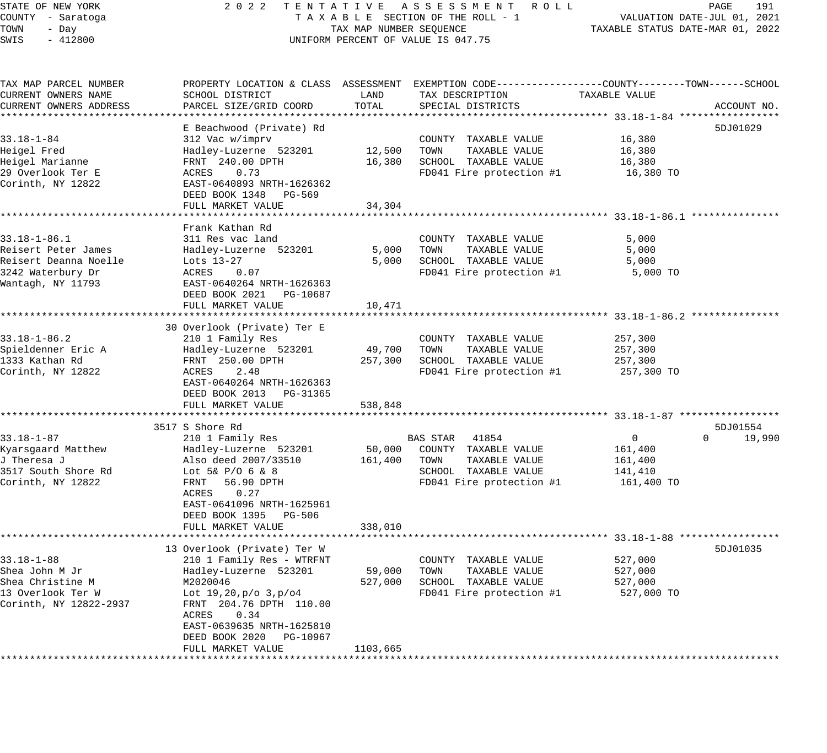## STATE OF NEW YORK 2 0 2 2 T E N T A T I V E A S S E S S M E N T R O L L PAGE 191 COUNTY - Saratoga T A X A B L E SECTION OF THE ROLL - 1 VALUATION DATE-JUL 01, 2021 X A B L E SECTION OF THE ROLL - 1 WELL STATUS DATE-MAR 01, 2022<br>TAX MAP NUMBER SEQUENCE TAXABLE STATUS DATE-MAR 01, 2022 UNIFORM PERCENT OF VALUE IS 047.75

| TAX MAP PARCEL NUMBER  | PROPERTY LOCATION & CLASS ASSESSMENT EXEMPTION CODE----------------COUNTY-------TOWN------SCHOOL |                           |                          |                                       |                    |
|------------------------|--------------------------------------------------------------------------------------------------|---------------------------|--------------------------|---------------------------------------|--------------------|
| CURRENT OWNERS NAME    | SCHOOL DISTRICT                                                                                  | LAND                      | TAX DESCRIPTION          | TAXABLE VALUE                         |                    |
| CURRENT OWNERS ADDRESS | PARCEL SIZE/GRID COORD                                                                           | TOTAL                     | SPECIAL DISTRICTS        |                                       | ACCOUNT NO.        |
|                        |                                                                                                  |                           |                          | **************** 33.18-1-84 ********* |                    |
|                        | E Beachwood (Private) Rd                                                                         |                           |                          |                                       | 5DJ01029           |
| $33.18 - 1 - 84$       | 312 Vac w/imprv                                                                                  |                           | COUNTY TAXABLE VALUE     | 16,380                                |                    |
| Heigel Fred            | Hadley-Luzerne 523201                                                                            | 12,500                    | TOWN<br>TAXABLE VALUE    | 16,380                                |                    |
| Heigel Marianne        | FRNT 240.00 DPTH                                                                                 | 16,380                    | SCHOOL TAXABLE VALUE     | 16,380                                |                    |
| 29 Overlook Ter E      | ACRES<br>0.73                                                                                    |                           | FD041 Fire protection #1 | 16,380 TO                             |                    |
| Corinth, NY 12822      | EAST-0640893 NRTH-1626362                                                                        |                           |                          |                                       |                    |
|                        | DEED BOOK 1348 PG-569                                                                            |                           |                          |                                       |                    |
|                        |                                                                                                  |                           |                          |                                       |                    |
|                        | FULL MARKET VALUE                                                                                | 34,304                    |                          |                                       |                    |
|                        |                                                                                                  |                           |                          |                                       |                    |
|                        | Frank Kathan Rd                                                                                  |                           |                          |                                       |                    |
| $33.18 - 1 - 86.1$     | 311 Res vac land                                                                                 |                           | COUNTY TAXABLE VALUE     | 5,000                                 |                    |
| Reisert Peter James    | Hadley-Luzerne 523201                                                                            | 5,000                     | TOWN<br>TAXABLE VALUE    | 5,000                                 |                    |
| Reisert Deanna Noelle  | Lots 13-27                                                                                       | 5,000                     | SCHOOL TAXABLE VALUE     | 5,000                                 |                    |
| 3242 Waterbury Dr      | ACRES<br>0.07                                                                                    |                           | FD041 Fire protection #1 | 5,000 TO                              |                    |
| Wantagh, NY 11793      | EAST-0640264 NRTH-1626363                                                                        |                           |                          |                                       |                    |
|                        | DEED BOOK 2021 PG-10687                                                                          |                           |                          |                                       |                    |
|                        | FULL MARKET VALUE                                                                                | 10,471                    |                          |                                       |                    |
|                        |                                                                                                  |                           |                          |                                       |                    |
|                        | 30 Overlook (Private) Ter E                                                                      |                           |                          |                                       |                    |
| $33.18 - 1 - 86.2$     | 210 1 Family Res                                                                                 |                           | COUNTY TAXABLE VALUE     | 257,300                               |                    |
| Spieldenner Eric A     | Hadley-Luzerne 523201                                                                            | 49,700                    | TOWN<br>TAXABLE VALUE    | 257,300                               |                    |
| 1333 Kathan Rd         | FRNT 250.00 DPTH                                                                                 | 257,300                   | SCHOOL TAXABLE VALUE     | 257,300                               |                    |
| Corinth, NY 12822      | 2.48<br>ACRES                                                                                    |                           | FD041 Fire protection #1 | 257,300 TO                            |                    |
|                        |                                                                                                  |                           |                          |                                       |                    |
|                        | EAST-0640264 NRTH-1626363                                                                        |                           |                          |                                       |                    |
|                        | DEED BOOK 2013 PG-31365                                                                          |                           |                          |                                       |                    |
|                        | FULL MARKET VALUE<br>**************************                                                  | 538,848                   |                          |                                       |                    |
|                        |                                                                                                  | * * * * * * * * * * * * * |                          |                                       |                    |
|                        | 3517 S Shore Rd                                                                                  |                           |                          |                                       | 5DJ01554           |
| $33.18 - 1 - 87$       | 210 1 Family Res                                                                                 |                           | BAS STAR 41854           | 0                                     | $\Omega$<br>19,990 |
| Kyarsgaard Matthew     | Hadley-Luzerne 523201                                                                            | 50,000                    | COUNTY TAXABLE VALUE     | 161,400                               |                    |
| J Theresa J            | Also deed 2007/33510                                                                             | 161,400                   | TOWN<br>TAXABLE VALUE    | 161,400                               |                    |
| 3517 South Shore Rd    | Lot $5\& P/O \; 6 \; \& 8$                                                                       |                           | SCHOOL TAXABLE VALUE     | 141,410                               |                    |
| Corinth, NY 12822      | FRNT<br>56.90 DPTH                                                                               |                           | FD041 Fire protection #1 | 161,400 TO                            |                    |
|                        | ACRES<br>0.27                                                                                    |                           |                          |                                       |                    |
|                        | EAST-0641096 NRTH-1625961                                                                        |                           |                          |                                       |                    |
|                        | DEED BOOK 1395 PG-506                                                                            |                           |                          |                                       |                    |
|                        | FULL MARKET VALUE                                                                                | 338,010                   |                          |                                       |                    |
|                        |                                                                                                  |                           |                          |                                       |                    |
|                        | 13 Overlook (Private) Ter W                                                                      |                           |                          |                                       | 5DJ01035           |
| $33.18 - 1 - 88$       | 210 1 Family Res - WTRFNT                                                                        |                           | COUNTY TAXABLE VALUE     | 527,000                               |                    |
| Shea John M Jr         | Hadley-Luzerne 523201                                                                            | 59,000                    | TOWN<br>TAXABLE VALUE    | 527,000                               |                    |
| Shea Christine M       | M2020046                                                                                         |                           | SCHOOL TAXABLE VALUE     |                                       |                    |
|                        |                                                                                                  | 527,000                   |                          | 527,000                               |                    |
| 13 Overlook Ter W      | Lot 19,20,p/o 3,p/o4                                                                             |                           | FD041 Fire protection #1 | 527,000 TO                            |                    |
| Corinth, NY 12822-2937 | FRNT 204.76 DPTH 110.00                                                                          |                           |                          |                                       |                    |
|                        | ACRES<br>0.34                                                                                    |                           |                          |                                       |                    |
|                        | EAST-0639635 NRTH-1625810                                                                        |                           |                          |                                       |                    |
|                        | DEED BOOK 2020<br>PG-10967                                                                       |                           |                          |                                       |                    |
|                        | FULL MARKET VALUE                                                                                | 1103,665                  |                          |                                       |                    |
|                        |                                                                                                  |                           |                          |                                       |                    |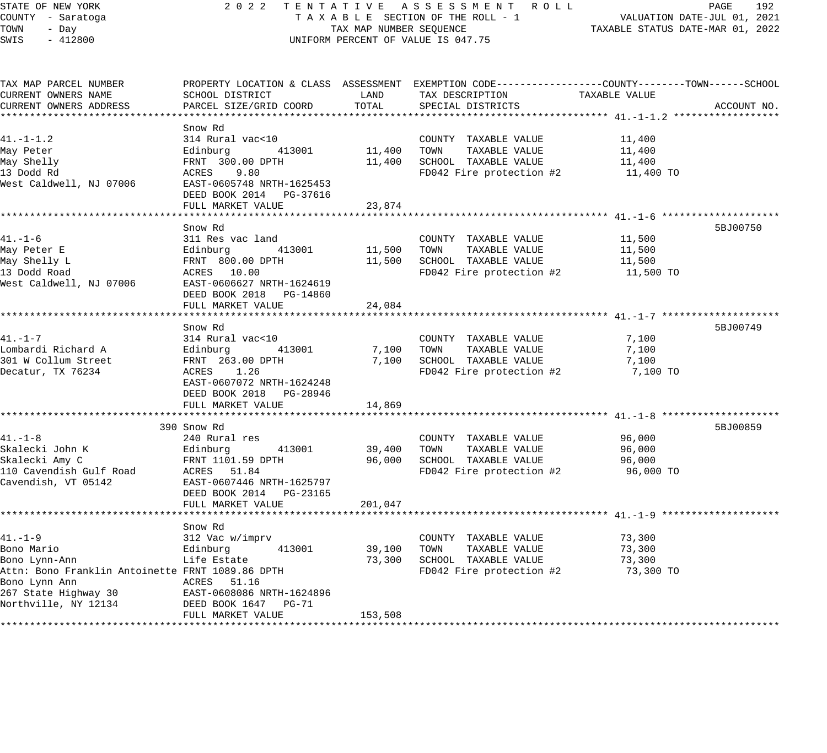STATE OF NEW YORK 2 0 2 2 T E N T A T I V E A S S E S S M E N T R O L L PAGE 192 COUNTY - Saratoga T A X A B L E SECTION OF THE ROLL - 1 VALUATION DATE-JUL 01, 2021 TOWN - Day TAX MAP NUMBER SEQUENCE TAXABLE STATUS DATE-MAR 01, 2022 SWIS - 412800 CONTROLLY THE UNIFORM PERCENT OF VALUE IS 047.75 TAX MAP PARCEL NUMBER PROPERTY LOCATION & CLASS ASSESSMENT EXEMPTION CODE------------------COUNTY--------TOWN------SCHOOL CURRENT OWNERS NAME SCHOOL DISTRICT LAND TAX DESCRIPTION TAXABLE VALUE CURRENT OWNERS ADDRESS PARCEL SIZE/GRID COORD TOTAL SPECIAL DISTRICTS ACCOUNT NO. \*\*\*\*\*\*\*\*\*\*\*\*\*\*\*\*\*\*\*\*\*\*\*\*\*\*\*\*\*\*\*\*\*\*\*\*\*\*\*\*\*\*\*\*\*\*\*\*\*\*\*\*\*\*\*\*\*\*\*\*\*\*\*\*\*\*\*\*\*\*\*\*\*\*\*\*\*\*\*\*\*\*\*\*\*\*\*\*\*\*\*\*\*\*\*\*\*\*\*\*\*\*\* 41.-1-1.2 \*\*\*\*\*\*\*\*\*\*\*\*\*\*\*\*\*\* Snow Rd 41.-1-1.2 314 Rural vac<10 COUNTY TAXABLE VALUE 11,400 May Peter Edinburg 413001 11,400 TOWN TAXABLE VALUE 11,400 May Shelly FRNT 300.00 DPTH 11,400 SCHOOL TAXABLE VALUE 11,400 13 Dodd Rd ACRES 9.80 FD042 Fire protection #2 11,400 TO West Caldwell, NJ 07006 EAST-0605748 NRTH-1625453 DEED BOOK 2014 PG-37616 FULL MARKET VALUE 23,874 \*\*\*\*\*\*\*\*\*\*\*\*\*\*\*\*\*\*\*\*\*\*\*\*\*\*\*\*\*\*\*\*\*\*\*\*\*\*\*\*\*\*\*\*\*\*\*\*\*\*\*\*\*\*\*\*\*\*\*\*\*\*\*\*\*\*\*\*\*\*\*\*\*\*\*\*\*\*\*\*\*\*\*\*\*\*\*\*\*\*\*\*\*\*\*\*\*\*\*\*\*\*\* 41.-1-6 \*\*\*\*\*\*\*\*\*\*\*\*\*\*\*\*\*\*\*\* Snow Rd 5BJ00750 41.-1-6 311 Res vac land COUNTY TAXABLE VALUE 11,500 May Peter E Edinburg 413001 11,500 TOWN TAXABLE VALUE 11,500 May Shelly L FRNT 800.00 DPTH 11,500 SCHOOL TAXABLE VALUE 11,500 13 Dodd Road ACRES 10.00 FD042 Fire protection #2 11,500 TO West Caldwell, NJ 07006 EAST-0606627 NRTH-1624619 DEED BOOK 2018 PG-14860 FULL MARKET VALUE 24,084 \*\*\*\*\*\*\*\*\*\*\*\*\*\*\*\*\*\*\*\*\*\*\*\*\*\*\*\*\*\*\*\*\*\*\*\*\*\*\*\*\*\*\*\*\*\*\*\*\*\*\*\*\*\*\*\*\*\*\*\*\*\*\*\*\*\*\*\*\*\*\*\*\*\*\*\*\*\*\*\*\*\*\*\*\*\*\*\*\*\*\*\*\*\*\*\*\*\*\*\*\*\*\* 41.-1-7 \*\*\*\*\*\*\*\*\*\*\*\*\*\*\*\*\*\*\*\* Snow Rd 5BJ00749 41.-1-7 314 Rural vac<10 COUNTY TAXABLE VALUE 7,100 Lombardi Richard A Edinburg 413001 7,100 TOWN TAXABLE VALUE 7,100 301 W Collum Street FRNT 263.00 DPTH 7,100 SCHOOL TAXABLE VALUE 7,100 Decatur, TX 76234 ACRES 1.26 FD042 Fire protection #2 7,100 TO EAST-0607072 NRTH-1624248 DEED BOOK 2018 PG-28946 FULL MARKET VALUE 14,869 \*\*\*\*\*\*\*\*\*\*\*\*\*\*\*\*\*\*\*\*\*\*\*\*\*\*\*\*\*\*\*\*\*\*\*\*\*\*\*\*\*\*\*\*\*\*\*\*\*\*\*\*\*\*\*\*\*\*\*\*\*\*\*\*\*\*\*\*\*\*\*\*\*\*\*\*\*\*\*\*\*\*\*\*\*\*\*\*\*\*\*\*\*\*\*\*\*\*\*\*\*\*\* 41.-1-8 \*\*\*\*\*\*\*\*\*\*\*\*\*\*\*\*\*\*\*\* 390 Snow Rd 5BJ00859 41.-1-8 240 Rural res COUNTY TAXABLE VALUE 96,000 Skalecki John K Edinburg 413001 39,400 TOWN TAXABLE VALUE 96,000 Skalecki Amy C FRNT 1101.59 DPTH 96,000 SCHOOL TAXABLE VALUE 96,000 110 Cavendish Gulf Road ACRES 51.84 FD042 Fire protection #2 96,000 TO Cavendish, VT 05142 EAST-0607446 NRTH-1625797 DEED BOOK 2014 PG-23165 FULL MARKET VALUE 201,047 \*\*\*\*\*\*\*\*\*\*\*\*\*\*\*\*\*\*\*\*\*\*\*\*\*\*\*\*\*\*\*\*\*\*\*\*\*\*\*\*\*\*\*\*\*\*\*\*\*\*\*\*\*\*\*\*\*\*\*\*\*\*\*\*\*\*\*\*\*\*\*\*\*\*\*\*\*\*\*\*\*\*\*\*\*\*\*\*\*\*\*\*\*\*\*\*\*\*\*\*\*\*\* 41.-1-9 \*\*\*\*\*\*\*\*\*\*\*\*\*\*\*\*\*\*\*\* Snow Rd 41.-1-9 312 Vac w/imprv COUNTY TAXABLE VALUE 73,300 Bono Mario Edinburg 413001 39,100 TOWN TAXABLE VALUE 73,300 Bono Lynn-Ann Life Estate 73,300 SCHOOL TAXABLE VALUE 73,300 Attn: Bono Franklin Antoinette FRNT 1089.86 DPTH FROM FROM FOOT FOOT FOR FIRE protection #2 73,300 TO Bono Lynn Ann Acres 51.16 267 State Highway 30 EAST-0608086 NRTH-1624896 Northville, NY 12134 DEED BOOK 1647 PG-71

\*\*\*\*\*\*\*\*\*\*\*\*\*\*\*\*\*\*\*\*\*\*\*\*\*\*\*\*\*\*\*\*\*\*\*\*\*\*\*\*\*\*\*\*\*\*\*\*\*\*\*\*\*\*\*\*\*\*\*\*\*\*\*\*\*\*\*\*\*\*\*\*\*\*\*\*\*\*\*\*\*\*\*\*\*\*\*\*\*\*\*\*\*\*\*\*\*\*\*\*\*\*\*\*\*\*\*\*\*\*\*\*\*\*\*\*\*\*\*\*\*\*\*\*\*\*\*\*\*\*\*\*

FULL MARKET VALUE 153,508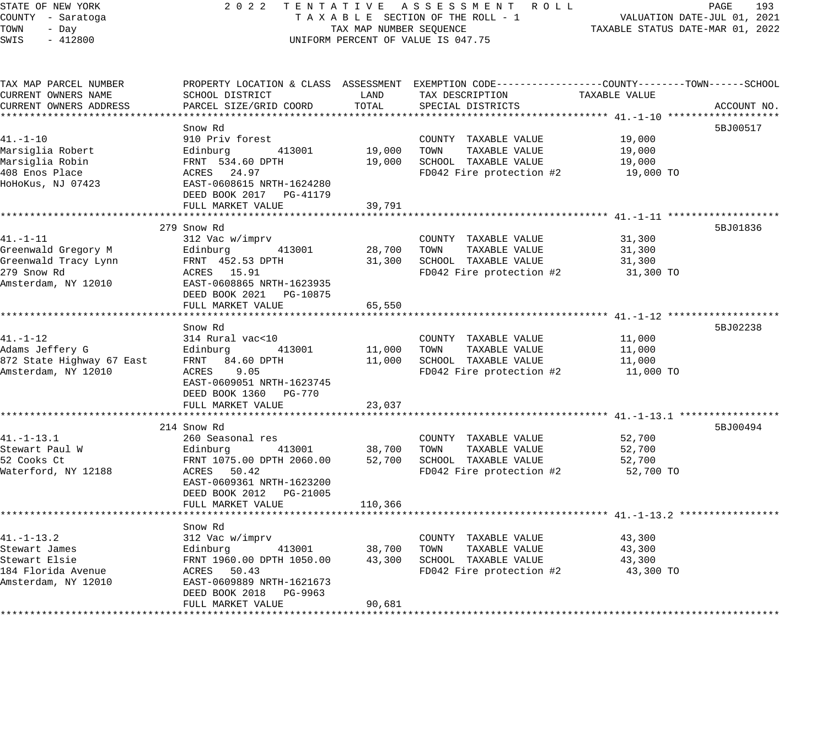## STATE OF NEW YORK 2 0 2 2 T E N T A T I V E A S S E S S M E N T R O L L PAGE 193 COUNTY - Saratoga T A X A B L E SECTION OF THE ROLL - 1 VALUATION DATE-JUL 01, 2021 TAX MAP NUMBER SEQUENCE TAXABLE STATUS DATE-MAR 01, 2022 UNIFORM PERCENT OF VALUE IS 047.75

| TAX MAP PARCEL NUMBER  |                                               |         | PROPERTY LOCATION & CLASS ASSESSMENT EXEMPTION CODE----------------COUNTY-------TOWN------SCHOOL |               |             |
|------------------------|-----------------------------------------------|---------|--------------------------------------------------------------------------------------------------|---------------|-------------|
| CURRENT OWNERS NAME    | SCHOOL DISTRICT                               | LAND    | TAX DESCRIPTION                                                                                  | TAXABLE VALUE |             |
| CURRENT OWNERS ADDRESS | PARCEL SIZE/GRID COORD                        | TOTAL   | SPECIAL DISTRICTS                                                                                |               | ACCOUNT NO. |
|                        |                                               |         |                                                                                                  |               |             |
|                        | Snow Rd                                       |         |                                                                                                  |               | 5BJ00517    |
| 41.-1-10               | 910 Priv forest                               |         | COUNTY TAXABLE VALUE                                                                             | 19,000        |             |
| Marsiglia Robert       | Edinburg 413001                               | 19,000  | TOWN<br>TAXABLE VALUE                                                                            | 19,000        |             |
| Marsiqlia Robin        |                                               | 19,000  | SCHOOL TAXABLE VALUE                                                                             | 19,000        |             |
| 408 Enos Place         | FRNT 534.60 DPTH<br>ACRES 24.97               |         | FD042 Fire protection #2                                                                         | 19,000 TO     |             |
| HoHoKus, NJ 07423      | EAST-0608615 NRTH-1624280                     |         |                                                                                                  |               |             |
|                        | DEED BOOK 2017 PG-41179                       |         |                                                                                                  |               |             |
|                        | FULL MARKET VALUE                             | 39,791  |                                                                                                  |               |             |
|                        |                                               |         |                                                                                                  |               |             |
|                        | 279 Snow Rd                                   |         |                                                                                                  |               | 5BJ01836    |
| 41.-1-11               | 312 Vac w/imprv                               |         | COUNTY TAXABLE VALUE                                                                             | 31,300        |             |
| Greenwald Gregory M    | Edinburg<br>413001 28,700                     |         | TOWN<br>TAXABLE VALUE                                                                            | 31,300        |             |
| Greenwald Tracy Lynn   |                                               | 31,300  | SCHOOL TAXABLE VALUE                                                                             | 31,300        |             |
| 279 Snow Rd            | FRNT 452.53 DPTH<br>ACRES 15.91               |         | FD042 Fire protection #2                                                                         | 31,300 TO     |             |
|                        | Amsterdam, NY 12010 EAST-0608865 NRTH-1623935 |         |                                                                                                  |               |             |
|                        | DEED BOOK 2021    PG-10875                    |         |                                                                                                  |               |             |
|                        | FULL MARKET VALUE                             | 65,550  |                                                                                                  |               |             |
|                        |                                               |         |                                                                                                  |               |             |
|                        | Snow Rd                                       |         |                                                                                                  |               | 5BJ02238    |
| 41.-1-12               | 314 Rural vac<10                              |         | COUNTY TAXABLE VALUE                                                                             | 11,000        |             |
|                        | 413001 11,000                                 |         | TOWN<br>TAXABLE VALUE                                                                            | 11,000        |             |
|                        |                                               | 11,000  | SCHOOL TAXABLE VALUE                                                                             | 11,000        |             |
|                        |                                               |         | FD042 Fire protection $#2$ 11,000 TO                                                             |               |             |
|                        | EAST-0609051 NRTH-1623745                     |         |                                                                                                  |               |             |
|                        | DEED BOOK 1360 PG-770                         |         |                                                                                                  |               |             |
|                        | FULL MARKET VALUE                             | 23,037  |                                                                                                  |               |             |
|                        |                                               |         |                                                                                                  |               |             |
|                        | 214 Snow Rd                                   |         |                                                                                                  |               | 5BJ00494    |
| 41.-1-13.1             | 260 Seasonal res                              |         | COUNTY TAXABLE VALUE                                                                             | 52,700        |             |
| Stewart Paul W         | 413001 38,700                                 |         | TAXABLE VALUE<br>TOWN                                                                            | 52,700        |             |
| 52 Cooks Ct            | Edinburg 113001<br>FRNT 1075.00 DPTH 2060.00  | 52,700  | SCHOOL TAXABLE VALUE                                                                             | 52,700        |             |
| Waterford, NY 12188    | ACRES 50.42                                   |         | FD042 Fire protection $#2$ 52,700 TO                                                             |               |             |
|                        | EAST-0609361 NRTH-1623200                     |         |                                                                                                  |               |             |
|                        | DEED BOOK 2012    PG-21005                    |         |                                                                                                  |               |             |
|                        | FULL MARKET VALUE                             | 110,366 |                                                                                                  |               |             |
|                        |                                               |         |                                                                                                  |               |             |
|                        | Snow Rd                                       |         |                                                                                                  |               |             |
| 41.-1-13.2             | 312 Vac w/imprv                               |         | COUNTY TAXABLE VALUE                                                                             | 43,300        |             |
| Stewart James          | 413001 38,700                                 |         | TAXABLE VALUE<br>TOWN                                                                            | 43,300        |             |
| Stewart Elsie          | Edinburg 413001<br>FRNT 1960.00 DPTH 1050.00  | 43,300  | SCHOOL TAXABLE VALUE                                                                             | 43,300        |             |
| 184 Florida Avenue     |                                               |         | FD042 Fire protection #2                                                                         | 43,300 TO     |             |
| Amsterdam, NY 12010    | ACRES 50.43<br>EAST-0609889 NRTH-1621673      |         |                                                                                                  |               |             |
|                        | DEED BOOK 2018<br>PG-9963                     |         |                                                                                                  |               |             |
|                        | FULL MARKET VALUE                             | 90,681  |                                                                                                  |               |             |
|                        |                                               |         |                                                                                                  |               |             |
|                        |                                               |         |                                                                                                  |               |             |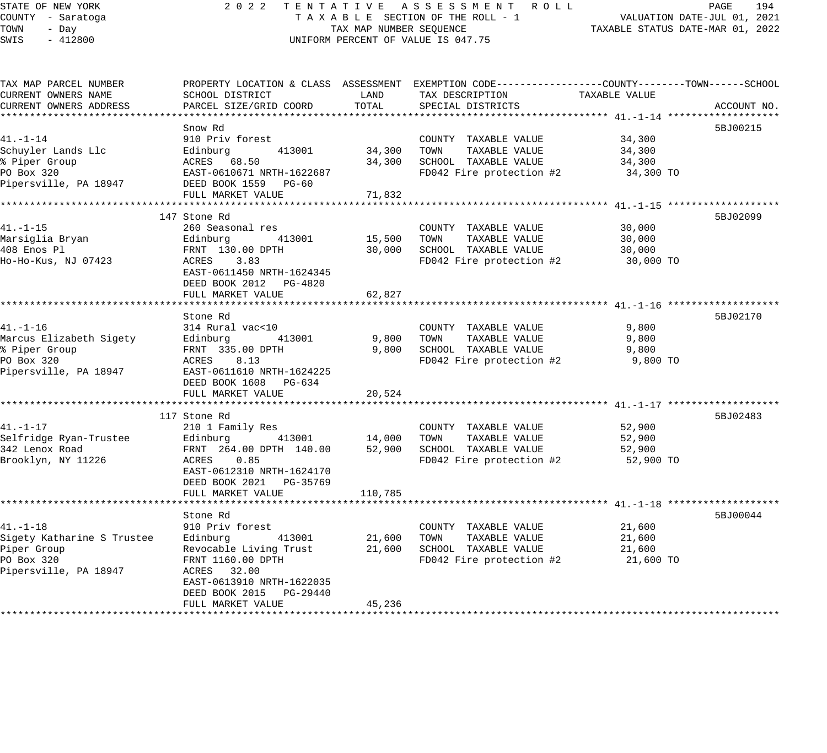## STATE OF NEW YORK 2 0 2 2 T E N T A T I V E A S S E S S M E N T R O L L PAGE 194 COUNTY - Saratoga T A X A B L E SECTION OF THE ROLL - 1 VALUATION DATE-JUL 01, 2021 UNIFORM PERCENT OF VALUE IS 047.75

| TAX MAP PARCEL NUMBER      |                           |             | PROPERTY LOCATION & CLASS ASSESSMENT EXEMPTION CODE----------------COUNTY-------TOWN------SCHOOL |               |             |
|----------------------------|---------------------------|-------------|--------------------------------------------------------------------------------------------------|---------------|-------------|
| CURRENT OWNERS NAME        | SCHOOL DISTRICT           | LAND        | TAX DESCRIPTION                                                                                  | TAXABLE VALUE |             |
| CURRENT OWNERS ADDRESS     | PARCEL SIZE/GRID COORD    | TOTAL       | SPECIAL DISTRICTS                                                                                |               | ACCOUNT NO. |
|                            |                           |             |                                                                                                  |               |             |
|                            | Snow Rd                   |             |                                                                                                  |               | 5BJ00215    |
| $41. - 1 - 14$             | 910 Priv forest           |             | COUNTY TAXABLE VALUE                                                                             | 34,300        |             |
| Schuyler Lands Llc         | 413001<br>Edinburg        |             | 34,300 TOWN<br>TAXABLE VALUE                                                                     | 34,300        |             |
| % Piper Group              | ACRES 68.50               | 34,300      | SCHOOL TAXABLE VALUE                                                                             | 34,300        |             |
| PO Box 320                 | EAST-0610671 NRTH-1622687 |             | FD042 Fire protection #2                                                                         | 34,300 TO     |             |
| Pipersville, PA 18947      | DEED BOOK 1559 PG-60      |             |                                                                                                  |               |             |
|                            | FULL MARKET VALUE         | 71,832      |                                                                                                  |               |             |
|                            |                           |             |                                                                                                  |               |             |
|                            | 147 Stone Rd              |             |                                                                                                  |               | 5BJ02099    |
| $41. - 1 - 15$             | 260 Seasonal res          |             | COUNTY TAXABLE VALUE                                                                             | 30,000        |             |
| Marsiglia Bryan            | 413001<br>Edinburg        | 15,500      | TOWN TAXABLE VALUE                                                                               | 30,000        |             |
| 408 Enos Pl                | FRNT 130.00 DPTH          | 30,000      | SCHOOL TAXABLE VALUE                                                                             | 30,000        |             |
| Ho-Ho-Kus, NJ 07423        | ACRES 3.83                |             | FD042 Fire protection #2 30,000 TO                                                               |               |             |
|                            | EAST-0611450 NRTH-1624345 |             |                                                                                                  |               |             |
|                            | DEED BOOK 2012 PG-4820    |             |                                                                                                  |               |             |
|                            | FULL MARKET VALUE         | 62,827      |                                                                                                  |               |             |
|                            |                           |             |                                                                                                  |               |             |
|                            | Stone Rd                  |             |                                                                                                  |               | 5BJ02170    |
| $41. - 1 - 16$             | 314 Rural vac<10          |             | COUNTY TAXABLE VALUE                                                                             | 9,800         |             |
| Marcus Elizabeth Sigety    | Edinburg 413001           | 9,800       | TOWN<br>TAXABLE VALUE                                                                            | 9,800         |             |
| % Piper Group              | FRNT 335.00 DPTH          | 9,800       | SCHOOL TAXABLE VALUE                                                                             | 9,800         |             |
| PO Box 320                 | ACRES 8.13                |             | FD042 Fire protection #2                                                                         | 9,800 TO      |             |
| Pipersville, PA 18947      |                           |             |                                                                                                  |               |             |
|                            | EAST-0611610 NRTH-1624225 |             |                                                                                                  |               |             |
|                            | DEED BOOK 1608 PG-634     |             |                                                                                                  |               |             |
|                            | FULL MARKET VALUE         | 20,524      |                                                                                                  |               |             |
|                            |                           |             |                                                                                                  |               | 5BJ02483    |
|                            | 117 Stone Rd              |             |                                                                                                  |               |             |
| $41. - 1 - 17$             | 210 1 Family Res          |             | COUNTY TAXABLE VALUE                                                                             | 52,900        |             |
| Selfridge Ryan-Trustee     | Edinburg 413001           | 14,000 TOWN | TAXABLE VALUE                                                                                    | 52,900        |             |
| 342 Lenox Road             | FRNT 264.00 DPTH 140.00   | 52,900      | SCHOOL TAXABLE VALUE                                                                             | 52,900        |             |
| Brooklyn, NY 11226         | ACRES 0.85                |             | FD042 Fire protection #2                                                                         | 52,900 TO     |             |
|                            | EAST-0612310 NRTH-1624170 |             |                                                                                                  |               |             |
|                            | DEED BOOK 2021 PG-35769   |             |                                                                                                  |               |             |
|                            | FULL MARKET VALUE         | 110,785     |                                                                                                  |               |             |
|                            |                           |             |                                                                                                  |               |             |
|                            | Stone Rd                  |             |                                                                                                  |               | 5BJ00044    |
| $41. - 1 - 18$             | 910 Priv forest           |             | COUNTY TAXABLE VALUE                                                                             | 21,600        |             |
| Sigety Katharine S Trustee | Edinburg 413001           | 21,600      | TAXABLE VALUE<br>TOWN                                                                            | 21,600        |             |
| Piper Group                | Revocable Living Trust    | 21,600      | SCHOOL TAXABLE VALUE                                                                             | 21,600        |             |
| PO Box 320                 | FRNT 1160.00 DPTH         |             | FD042 Fire protection #2                                                                         | 21,600 TO     |             |
| Pipersville, PA 18947      | ACRES 32.00               |             |                                                                                                  |               |             |
|                            | EAST-0613910 NRTH-1622035 |             |                                                                                                  |               |             |
|                            | DEED BOOK 2015 PG-29440   |             |                                                                                                  |               |             |
|                            | FULL MARKET VALUE         | 45,236      |                                                                                                  |               |             |
|                            |                           |             |                                                                                                  |               |             |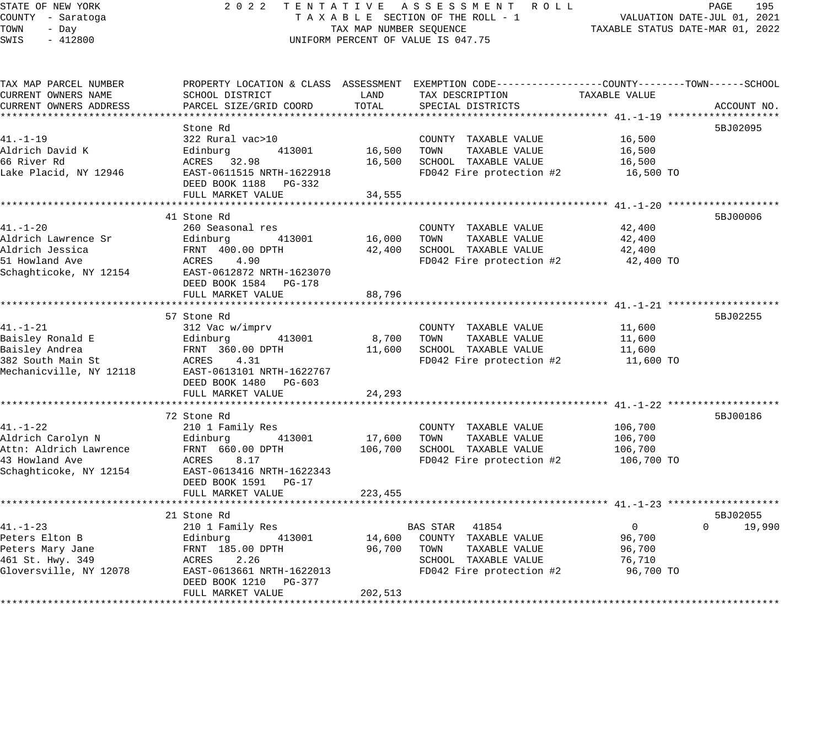# STATE OF NEW YORK 2 0 2 2 T E N T A T I V E A S S E S S M E N T R O L L PAGE 195 COUNTY - Saratoga T A X A B L E SECTION OF THE ROLL - 1 VALUATION DATE-JUL 01, 2021 UNIFORM PERCENT OF VALUE IS 047.75

TAXABLE STATUS DATE-JUL 01, 2021<br>TAXABLE STATUS DATE-MAR 01, 2022

| TAX MAP PARCEL NUMBER                             |                                                   |             | PROPERTY LOCATION & CLASS ASSESSMENT EXEMPTION CODE----------------COUNTY-------TOWN------SCHOOL |                            |                    |
|---------------------------------------------------|---------------------------------------------------|-------------|--------------------------------------------------------------------------------------------------|----------------------------|--------------------|
| CURRENT OWNERS NAME                               | SCHOOL DISTRICT                                   | LAND        | TAX DESCRIPTION                                                                                  | TAXABLE VALUE              |                    |
| CURRENT OWNERS ADDRESS                            |                                                   |             |                                                                                                  |                            |                    |
|                                                   |                                                   |             |                                                                                                  |                            |                    |
|                                                   | Stone Rd                                          |             |                                                                                                  |                            | 5BJ02095           |
| 41.-1-19                                          | 322 Rural vac>10                                  |             | COUNTY TAXABLE VALUE                                                                             | 16,500                     |                    |
| Aldrich David K                                   | Edinburg<br>413001                                |             | 16,500 TOWN TAXABLE VALUE                                                                        | 16,500                     |                    |
| 66 River Rd                                       | ACRES 32.98                                       | 16,500      | SCHOOL TAXABLE VALUE                                                                             | 16,500                     |                    |
| Lake Placid, NY 12946                             | EAST-0611515 NRTH-1622918                         |             | FD042 Fire protection #2 16,500 TO                                                               |                            |                    |
|                                                   | DEED BOOK 1188 PG-332                             |             |                                                                                                  |                            |                    |
|                                                   |                                                   |             |                                                                                                  |                            |                    |
|                                                   | FULL MARKET VALUE                                 | 34,555      |                                                                                                  |                            |                    |
|                                                   |                                                   |             |                                                                                                  |                            |                    |
|                                                   | 41 Stone Rd                                       |             |                                                                                                  |                            | 5BJ00006           |
| 41.-1-20                                          | 260 Seasonal res                                  |             | COUNTY TAXABLE VALUE                                                                             | 42,400                     |                    |
| Aldrich Lawrence Sr                               | 413001                                            | 16,000 TOWN | TAXABLE VALUE                                                                                    | 42,400                     |                    |
| Aldrich Jessica                                   |                                                   |             | 42,400 SCHOOL TAXABLE VALUE                                                                      | 42,400                     |                    |
| 51 Howland Ave                                    | Edinburg 413001<br>FRNT 400.00 DPTH<br>ACRES 4.90 |             | FD042 Fire protection #2                                                                         | 42,400 TO                  |                    |
| Schaghticoke, NY 12154 EAST-0612872 NRTH-1623070  |                                                   |             |                                                                                                  |                            |                    |
|                                                   | DEED BOOK 1584 PG-178                             |             |                                                                                                  |                            |                    |
|                                                   | FULL MARKET VALUE                                 | 88,796      |                                                                                                  |                            |                    |
|                                                   |                                                   |             |                                                                                                  |                            |                    |
|                                                   | 57 Stone Rd                                       |             |                                                                                                  |                            | 5BJ02255           |
| $41. - 1 - 21$                                    | 312 Vac w/imprv                                   |             | COUNTY TAXABLE VALUE                                                                             |                            |                    |
| Baisley Ronald E                                  | Edinburg<br>413001                                | 8,700 TOWN  | TAXABLE VALUE                                                                                    | 11,600<br>11.600<br>11,600 |                    |
| Baisley Andrea                                    |                                                   |             | 11,600 SCHOOL TAXABLE VALUE                                                                      | 11,600                     |                    |
|                                                   | FRNT 360.00 DPTH<br>ACRES 4.31                    |             | FD042 Fire protection #2                                                                         |                            |                    |
| 382 South Main St                                 |                                                   |             |                                                                                                  | 11,600 TO                  |                    |
| Mechanicville, NY 12118 EAST-0613101 NRTH-1622767 |                                                   |             |                                                                                                  |                            |                    |
|                                                   | DEED BOOK 1480 PG-603                             |             |                                                                                                  |                            |                    |
|                                                   | FULL MARKET VALUE                                 | 24,293      |                                                                                                  |                            |                    |
|                                                   |                                                   |             |                                                                                                  |                            |                    |
|                                                   | 72 Stone Rd                                       |             |                                                                                                  |                            | 5BJ00186           |
|                                                   |                                                   |             | COUNTY TAXABLE VALUE                                                                             | 106,700                    |                    |
|                                                   |                                                   |             | 17,600 TOWN<br>TAXABLE VALUE                                                                     | 106,700                    |                    |
|                                                   |                                                   |             | 106,700 SCHOOL TAXABLE VALUE                                                                     | 106,700                    |                    |
|                                                   |                                                   |             | FD042 Fire protection #2                                                                         | 106,700 TO                 |                    |
| Schaghticoke, NY 12154 EAST-0613416 NRTH-1622343  |                                                   |             |                                                                                                  |                            |                    |
|                                                   | DEED BOOK 1591    PG-17                           |             |                                                                                                  |                            |                    |
|                                                   | FULL MARKET VALUE                                 | 223,455     |                                                                                                  |                            |                    |
|                                                   |                                                   |             |                                                                                                  |                            |                    |
|                                                   | 21 Stone Rd                                       |             |                                                                                                  |                            | 5BJ02055           |
| $41. - 1 - 23$                                    |                                                   |             | BAS STAR 41854                                                                                   | $\overline{0}$             | $\Omega$<br>19,990 |
| Peters Elton B                                    | 210 1 Family Res<br>Edinburg              41      |             | 14,600 COUNTY TAXABLE VALUE                                                                      | 96,700                     |                    |
|                                                   | 413001                                            |             |                                                                                                  |                            |                    |
| Peters Mary Jane                                  | FRNT 185.00 DPTH<br>ACRES 2.26                    | 96,700 TOWN | TAXABLE VALUE                                                                                    | 96,700                     |                    |
| 461 St. Hwy. 349                                  |                                                   |             | SCHOOL TAXABLE VALUE                                                                             | 76,710                     |                    |
| Gloversville, NY 12078                            | EAST-0613661 NRTH-1622013                         |             | FD042 Fire protection #2                                                                         | 96,700 TO                  |                    |
|                                                   | DEED BOOK 1210 PG-377                             |             |                                                                                                  |                            |                    |
|                                                   | FULL MARKET VALUE                                 | 202,513     |                                                                                                  |                            |                    |
|                                                   |                                                   |             |                                                                                                  |                            |                    |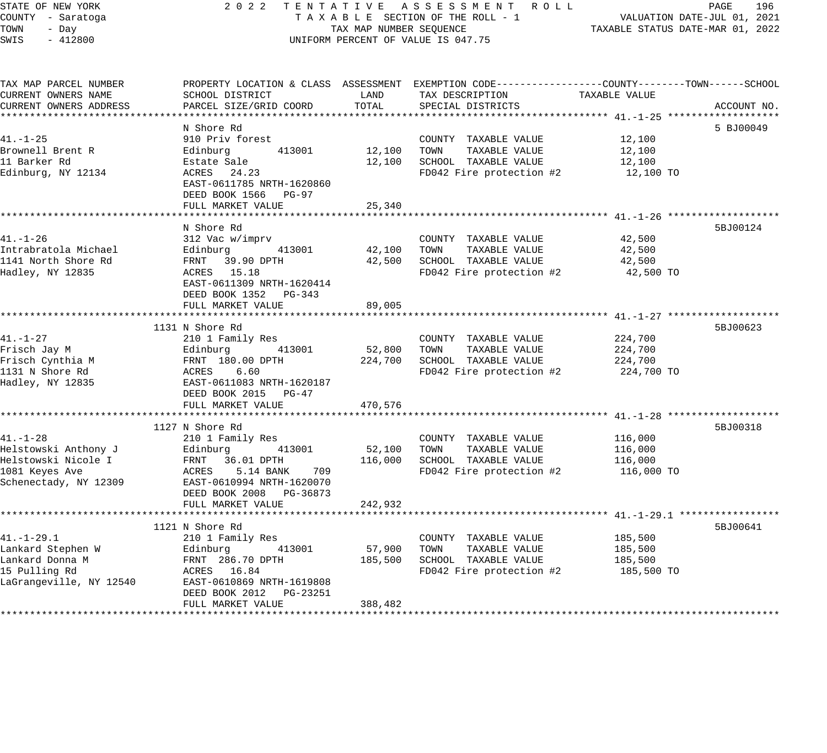## STATE OF NEW YORK 2 0 2 2 T E N T A T I V E A S S E S S M E N T R O L L PAGE 196 COUNTY - Saratoga T A X A B L E SECTION OF THE ROLL - 1 VALUATION DATE-JUL 01, 2021 TOWER SECTION OF THE ROLL - 1 TAXABLE STATUS DATE-MAR 01, 2022 UNIFORM PERCENT OF VALUE IS 047.75

| TAX MAP PARCEL NUMBER<br>CURRENT OWNERS NAME<br>CURRENT OWNERS ADDRESS | PROPERTY LOCATION & CLASS ASSESSMENT EXEMPTION CODE---------------COUNTY-------TOWN------SCHOOL<br>SCHOOL DISTRICT<br>PARCEL SIZE/GRID COORD | LAND<br>TOTAL | TAX DESCRIPTION<br>SPECIAL DISTRICTS | TAXABLE VALUE | ACCOUNT NO. |
|------------------------------------------------------------------------|----------------------------------------------------------------------------------------------------------------------------------------------|---------------|--------------------------------------|---------------|-------------|
|                                                                        |                                                                                                                                              |               |                                      |               |             |
|                                                                        | N Shore Rd                                                                                                                                   |               |                                      |               | 5 BJ00049   |
| $41. - 1 - 25$                                                         | 910 Priv forest                                                                                                                              |               | COUNTY TAXABLE VALUE                 | 12,100        |             |
| Brownell Brent R                                                       | 413001<br>Edinburg                                                                                                                           | 12,100        | TOWN<br>TAXABLE VALUE                | 12,100        |             |
| 11 Barker Rd                                                           | Estate Sale                                                                                                                                  | 12,100        | SCHOOL TAXABLE VALUE                 | 12,100        |             |
| Edinburg, NY 12134                                                     | ACRES 24.23<br>EAST-0611785 NRTH-1620860<br>DEED BOOK 1566 PG-97                                                                             |               | FD042 Fire protection #2             | 12,100 TO     |             |
|                                                                        | FULL MARKET VALUE                                                                                                                            | 25,340        |                                      |               |             |
|                                                                        | N Shore Rd                                                                                                                                   |               |                                      |               | 5BJ00124    |
| $41. - 1 - 26$                                                         | 312 Vac w/imprv                                                                                                                              |               | COUNTY TAXABLE VALUE                 | 42,500        |             |
| Intrabratola Michael                                                   | Edinburg<br>413001                                                                                                                           | 42,100        | TOWN<br>TAXABLE VALUE                | 42,500        |             |
| 1141 North Shore Rd                                                    | FRNT 39.90 DPTH                                                                                                                              | 42,500        | SCHOOL TAXABLE VALUE                 | 42,500        |             |
| Hadley, NY 12835                                                       | ACRES 15.18                                                                                                                                  |               | FD042 Fire protection #2             | 42,500 TO     |             |
|                                                                        | EAST-0611309 NRTH-1620414<br>DEED BOOK 1352 PG-343<br>FULL MARKET VALUE                                                                      | 89,005        |                                      |               |             |
|                                                                        |                                                                                                                                              |               |                                      |               |             |
|                                                                        | 1131 N Shore Rd                                                                                                                              |               |                                      |               | 5BJ00623    |
| 41.-1-27                                                               | 210 1 Family Res                                                                                                                             |               | COUNTY TAXABLE VALUE                 | 224,700       |             |
| Frisch Jay M                                                           | 413001<br>Edinburg                                                                                                                           | 52,800        | TOWN<br>TAXABLE VALUE                | 224,700       |             |
| Frisch Cynthia M                                                       | FRNT 180.00 DPTH                                                                                                                             | 224,700       | SCHOOL TAXABLE VALUE                 | 224,700       |             |
| 1131 N Shore Rd                                                        | ACRES<br>6.60                                                                                                                                |               | FD042 Fire protection #2             | 224,700 TO    |             |
| Hadley, NY 12835                                                       | EAST-0611083 NRTH-1620187                                                                                                                    |               |                                      |               |             |
|                                                                        | DEED BOOK 2015 PG-47                                                                                                                         |               |                                      |               |             |
|                                                                        | FULL MARKET VALUE                                                                                                                            | 470,576       |                                      |               |             |
|                                                                        |                                                                                                                                              |               |                                      |               |             |
|                                                                        | 1127 N Shore Rd                                                                                                                              |               |                                      |               | 5BJ00318    |
| $41. - 1 - 28$                                                         | 210 1 Family Res                                                                                                                             |               | COUNTY TAXABLE VALUE                 | 116,000       |             |
| Helstowski Anthony J                                                   | Edinburg<br>413001                                                                                                                           | 52,100        | TAXABLE VALUE<br>TOWN                | 116,000       |             |
| Helstowski Nicole I                                                    | FRNT 36.01 DPTH                                                                                                                              | 116,000       | SCHOOL TAXABLE VALUE                 | 116,000       |             |
| 1081 Keyes Ave<br>Schenectady, NY 12309                                | ACRES<br>5.14 BANK<br>709<br>EAST-0610994 NRTH-1620070<br>DEED BOOK 2008 PG-36873                                                            |               | FD042 Fire protection #2             | 116,000 TO    |             |
|                                                                        | FULL MARKET VALUE                                                                                                                            | 242,932       |                                      |               |             |
|                                                                        |                                                                                                                                              |               |                                      |               |             |
|                                                                        | 1121 N Shore Rd                                                                                                                              |               |                                      |               | 5BJ00641    |
| $41. - 1 - 29.1$                                                       | 210 1 Family Res                                                                                                                             |               | COUNTY TAXABLE VALUE                 | 185,500       |             |
| Lankard Stephen W                                                      | Edinburg<br>413001                                                                                                                           | 57,900        | TAXABLE VALUE<br>TOWN                | 185,500       |             |
| Lankard Donna M                                                        | FRNT 286.70 DPTH                                                                                                                             | 185,500       | SCHOOL TAXABLE VALUE                 | 185,500       |             |
| 15 Pulling Rd                                                          | ACRES 16.84                                                                                                                                  |               | FD042 Fire protection #2             | 185,500 TO    |             |
| LaGrangeville, NY 12540                                                | EAST-0610869 NRTH-1619808<br>DEED BOOK 2012    PG-23251                                                                                      |               |                                      |               |             |
|                                                                        | FULL MARKET VALUE                                                                                                                            | 388,482       |                                      |               |             |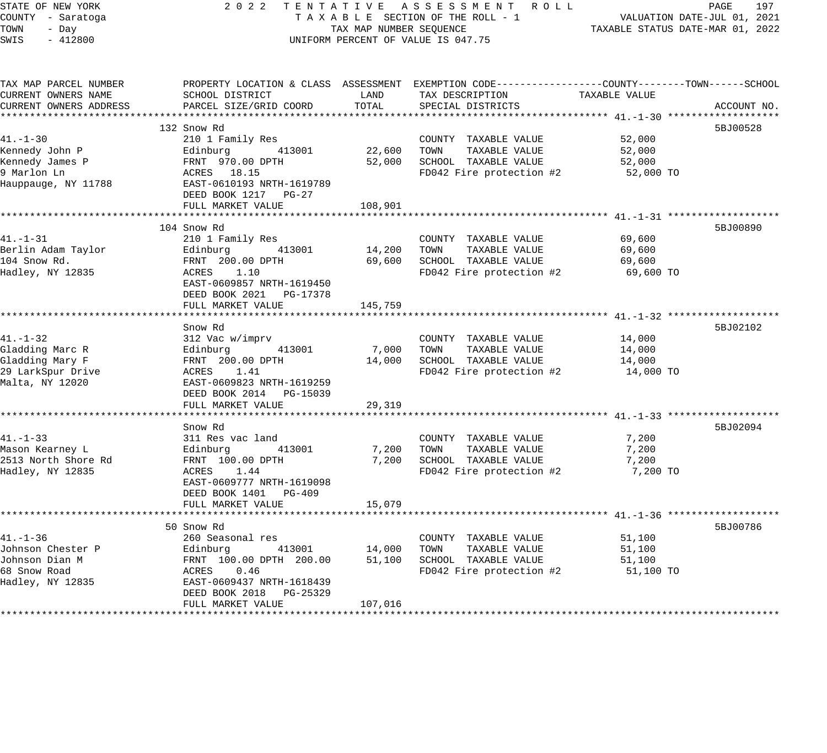| STATE OF NEW YORK |  |           |  |  |  |
|-------------------|--|-----------|--|--|--|
| COUNTY - Saratoga |  |           |  |  |  |
| TOWN              |  | - Day     |  |  |  |
| <b>OTMP</b>       |  | $-412800$ |  |  |  |

#### STATE OF NEW YORK 2 0 2 2 T E N T A T I V E A S S E S S M E N T R O L L PAGE 197 COUNTY - Saratoga T A X A B L E SECTION OF THE ROLL - 1 VALUATION DATE-JUL 01, 2021 TOWN - Day TAX MAP NUMBER SEQUENCE TAXABLE STATUS DATE-MAR 01, 2022 SWIS - 412800 CONTROLLY THE UNIFORM PERCENT OF VALUE IS 047.75

| TAX MAP PARCEL NUMBER  | PROPERTY LOCATION & CLASS ASSESSMENT EXEMPTION CODE----------------COUNTY-------TOWN------SCHOOL |         |                                    |               |             |
|------------------------|--------------------------------------------------------------------------------------------------|---------|------------------------------------|---------------|-------------|
| CURRENT OWNERS NAME    | SCHOOL DISTRICT                                                                                  | LAND    | TAX DESCRIPTION                    | TAXABLE VALUE |             |
| CURRENT OWNERS ADDRESS | PARCEL SIZE/GRID COORD                                                                           | TOTAL   | SPECIAL DISTRICTS                  |               | ACCOUNT NO. |
|                        |                                                                                                  |         |                                    |               |             |
|                        | 132 Snow Rd                                                                                      |         |                                    |               | 5BJ00528    |
| $41. - 1 - 30$         | 210 1 Family Res                                                                                 |         | COUNTY TAXABLE VALUE               | 52,000        |             |
| Kennedy John P         | Edinburg 413001                                                                                  | 22,600  | TOWN<br>TAXABLE VALUE              | 52,000        |             |
| Kennedy James P        | FRNT 970.00 DPTH                                                                                 | 52,000  | SCHOOL TAXABLE VALUE               | 52,000        |             |
| 9 Marlon Ln            | ACRES 18.15                                                                                      |         | FD042 Fire protection #2 52,000 TO |               |             |
| Hauppauge, NY 11788    | EAST-0610193 NRTH-1619789                                                                        |         |                                    |               |             |
|                        |                                                                                                  |         |                                    |               |             |
|                        | DEED BOOK 1217 PG-27                                                                             |         |                                    |               |             |
|                        | FULL MARKET VALUE                                                                                | 108,901 |                                    |               |             |
|                        |                                                                                                  |         |                                    |               |             |
|                        | 104 Snow Rd                                                                                      |         |                                    |               | 5BJ00890    |
| $41. - 1 - 31$         | 210 1 Family Res                                                                                 |         | COUNTY TAXABLE VALUE               | 69,600        |             |
| Berlin Adam Taylor     | Edinburg 413001                                                                                  | 14,200  | TOWN TAXABLE VALUE                 | 69,600        |             |
| 104 Snow Rd.           | FRNT 200.00 DPTH                                                                                 | 69,600  | SCHOOL TAXABLE VALUE               | 69,600        |             |
| Hadley, NY 12835       | ACRES 1.10                                                                                       |         | FD042 Fire protection #2           | 69,600 TO     |             |
|                        | EAST-0609857 NRTH-1619450                                                                        |         |                                    |               |             |
|                        | DEED BOOK 2021 PG-17378                                                                          |         |                                    |               |             |
|                        | FULL MARKET VALUE                                                                                | 145,759 |                                    |               |             |
|                        |                                                                                                  |         |                                    |               |             |
|                        | Snow Rd                                                                                          |         |                                    |               | 5BJ02102    |
| $41. - 1 - 32$         | 312 Vac w/imprv                                                                                  |         | COUNTY TAXABLE VALUE               | 14,000        |             |
| Gladding Marc R        | Edinburg 413001                                                                                  |         | 7,000 TOWN<br>TAXABLE VALUE        | 14,000        |             |
| Gladding Mary F        | FRNT 200.00 DPTH                                                                                 |         | 14,000 SCHOOL TAXABLE VALUE        | 14,000        |             |
| 29 LarkSpur Drive      | ACRES 1.41                                                                                       |         | FD042 Fire protection #2           | 14,000 TO     |             |
| Malta, NY 12020        | EAST-0609823 NRTH-1619259                                                                        |         |                                    |               |             |
|                        | DEED BOOK 2014 PG-15039                                                                          |         |                                    |               |             |
|                        |                                                                                                  |         |                                    |               |             |
|                        | FULL MARKET VALUE                                                                                | 29,319  |                                    |               |             |
|                        |                                                                                                  |         |                                    |               |             |
|                        | Snow Rd                                                                                          |         |                                    |               | 5BJ02094    |
| $41. - 1 - 33$         | 311 Res vac land                                                                                 |         | COUNTY TAXABLE VALUE               | 7,200         |             |
| Mason Kearney L        | Edinburg 413001                                                                                  | 7,200   | TOWN<br>TAXABLE VALUE              | 7,200         |             |
| 2513 North Shore Rd    | FRNT 100.00 DPTH                                                                                 | 7,200   | SCHOOL TAXABLE VALUE               | 7,200         |             |
| Hadley, NY 12835       | ACRES 1.44                                                                                       |         | FD042 Fire protection #2           | 7,200 TO      |             |
|                        | EAST-0609777 NRTH-1619098                                                                        |         |                                    |               |             |
|                        | DEED BOOK 1401 PG-409                                                                            |         |                                    |               |             |
|                        | FULL MARKET VALUE                                                                                | 15,079  |                                    |               |             |
|                        |                                                                                                  |         |                                    |               |             |
|                        | 50 Snow Rd                                                                                       |         |                                    |               | 5BJ00786    |
| $41. - 1 - 36$         | 260 Seasonal res                                                                                 |         | COUNTY TAXABLE VALUE               | 51,100        |             |
| Johnson Chester P      | 413001 14,000<br>Edinburg                                                                        |         | TOWN<br>TAXABLE VALUE              | 51,100        |             |
| Johnson Dian M         | FRNT 100.00 DPTH 200.00                                                                          | 51,100  | SCHOOL TAXABLE VALUE               | 51,100        |             |
| 68 Snow Road           | 0.46<br>ACRES                                                                                    |         | FD042 Fire protection #2           | 51,100 TO     |             |
| Hadley, NY 12835       | EAST-0609437 NRTH-1618439                                                                        |         |                                    |               |             |
|                        | DEED BOOK 2018 PG-25329                                                                          |         |                                    |               |             |
|                        | FULL MARKET VALUE                                                                                | 107,016 |                                    |               |             |
|                        |                                                                                                  |         |                                    |               |             |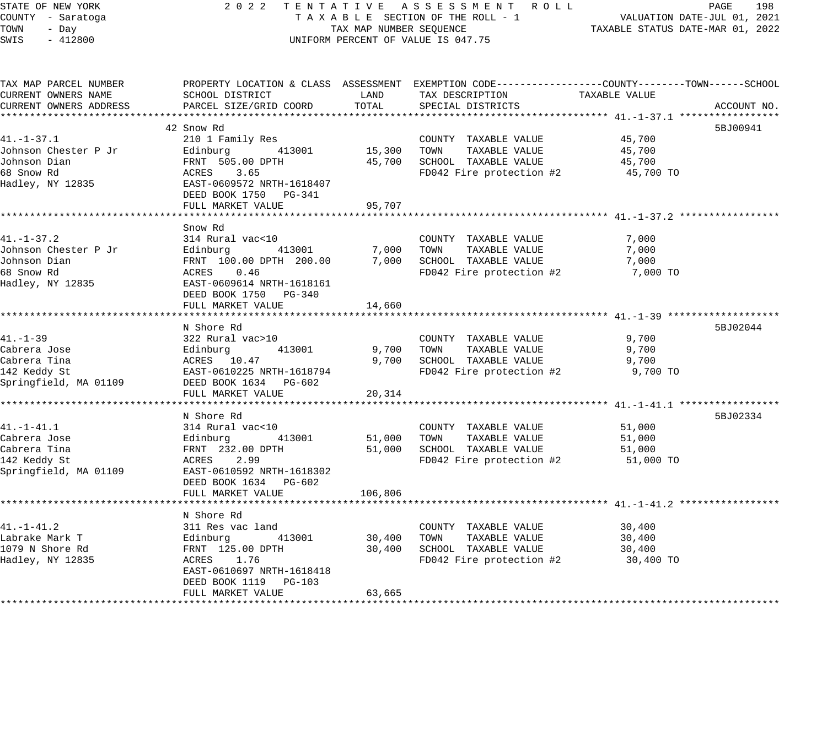| STATE OF NEW YORK      |                                                                                                  |                         | 2022 TENTATIVE ASSESSMENT ROLL     |                                  | PAGE<br>198 |
|------------------------|--------------------------------------------------------------------------------------------------|-------------------------|------------------------------------|----------------------------------|-------------|
| COUNTY - Saratoga      |                                                                                                  |                         | TAXABLE SECTION OF THE ROLL - 1    | VALUATION DATE-JUL 01, 2021      |             |
| TOWN<br>- Day          |                                                                                                  | TAX MAP NUMBER SEQUENCE |                                    | TAXABLE STATUS DATE-MAR 01, 2022 |             |
| SWIS<br>$-412800$      |                                                                                                  |                         | UNIFORM PERCENT OF VALUE IS 047.75 |                                  |             |
|                        |                                                                                                  |                         |                                    |                                  |             |
| TAX MAP PARCEL NUMBER  | PROPERTY LOCATION & CLASS ASSESSMENT EXEMPTION CODE----------------COUNTY-------TOWN------SCHOOL |                         |                                    |                                  |             |
| CURRENT OWNERS NAME    | SCHOOL DISTRICT                                                                                  | LAND                    | TAX DESCRIPTION                    | TAXABLE VALUE                    |             |
| CURRENT OWNERS ADDRESS | PARCEL SIZE/GRID COORD                                                                           | TOTAL                   | SPECIAL DISTRICTS                  |                                  | ACCOUNT NO. |
|                        |                                                                                                  |                         |                                    |                                  |             |
|                        | 42 Snow Rd                                                                                       |                         |                                    |                                  | 5BJ00941    |
| $41. - 1 - 37.1$       | 210 1 Family Res                                                                                 |                         | COUNTY TAXABLE VALUE               | 45,700                           |             |
| Johnson Chester P Jr   | 413001<br>Edinburg                                                                               | 15,300 TOWN             | TAXABLE VALUE                      | 45,700                           |             |
| Johnson Dian           | FRNT 505.00 DPTH                                                                                 |                         | 45,700 SCHOOL TAXABLE VALUE        | 45,700                           |             |
| 68 Snow Rd             | ACRES<br>3.65                                                                                    |                         | FD042 Fire protection #2           | 45,700 TO                        |             |
| Hadley, NY 12835       | EAST-0609572 NRTH-1618407                                                                        |                         |                                    |                                  |             |
|                        | DEED BOOK 1750 PG-341                                                                            |                         |                                    |                                  |             |
|                        | FULL MARKET VALUE                                                                                | 95,707                  |                                    |                                  |             |
|                        |                                                                                                  |                         |                                    |                                  |             |
|                        | Snow Rd                                                                                          |                         |                                    |                                  |             |
| $41. - 1 - 37.2$       | 314 Rural vac<10                                                                                 |                         | COUNTY TAXABLE VALUE               | 7,000                            |             |
| Johnson Chester P Jr   | Edinburg<br>413001                                                                               |                         | 7,000 TOWN<br>TAXABLE VALUE        | 7,000                            |             |
| Johnson Dian           | FRNT 100.00 DPTH 200.00                                                                          |                         | 7,000 SCHOOL TAXABLE VALUE         | 7,000                            |             |
| 68 Snow Rd             | ACRES 0.46                                                                                       |                         | FD042 Fire protection #2           | 7,000 TO                         |             |
| Hadley, NY 12835       | EAST-0609614 NRTH-1618161                                                                        |                         |                                    |                                  |             |
|                        | DEED BOOK 1750 PG-340                                                                            |                         |                                    |                                  |             |
|                        | FULL MARKET VALUE                                                                                | 14,660                  |                                    |                                  |             |
|                        | *********************************                                                                |                         |                                    |                                  |             |
|                        | N Shore Rd                                                                                       |                         |                                    |                                  | 5BJ02044    |
| 41.-1-39               | 322 Rural vac>10                                                                                 |                         | COUNTY TAXABLE VALUE               | 9,700                            |             |
| Cabrera Jose           | Edinburg<br>413001                                                                               |                         | TAXABLE VALUE<br>9,700 TOWN        | 9,700                            |             |
| Cabrera Tina           | ACRES 10.47                                                                                      |                         | 9,700 SCHOOL TAXABLE VALUE         | 9,700                            |             |
| 142 Keddy St           | EAST-0610225 NRTH-1618794                                                                        |                         | FD042 Fire protection #2           | 9,700 TO                         |             |
| Springfield, MA 01109  | DEED BOOK 1634 PG-602                                                                            |                         |                                    |                                  |             |
|                        | FULL MARKET VALUE                                                                                | 20,314                  |                                    |                                  |             |
|                        |                                                                                                  |                         |                                    |                                  |             |
|                        | N Shore Rd                                                                                       |                         |                                    |                                  | 5BJ02334    |
| 41.-1-41.1             | 314 Rural vac<10                                                                                 |                         | COUNTY TAXABLE VALUE               | 51,000                           |             |
| Cabrera Jose           | Edinburg<br>413001                                                                               | 51,000                  | TOWN<br>TAXABLE VALUE              | 51,000                           |             |
| Cabrera Tina           | FRNT 232.00 DPTH                                                                                 |                         | 51,000 SCHOOL TAXABLE VALUE        | 51,000                           |             |
| 142 Keddy St           | 2.99<br>ACRES                                                                                    |                         | FD042 Fire protection #2           | 51,000 TO                        |             |
| Springfield, MA 01109  | EAST-0610592 NRTH-1618302                                                                        |                         |                                    |                                  |             |
|                        | DEED BOOK 1634 PG-602                                                                            |                         |                                    |                                  |             |
|                        | FULL MARKET VALUE                                                                                | 106,806                 |                                    |                                  |             |
|                        |                                                                                                  |                         |                                    |                                  |             |
|                        | N Shore Rd                                                                                       |                         |                                    |                                  |             |
| $41. - 1 - 41.2$       | 311 Res vac land                                                                                 |                         | COUNTY TAXABLE VALUE               | 30,400                           |             |
| Labrake Mark T         | 413001<br>Edinburg                                                                               |                         | 30,400 TOWN<br>TAXABLE VALUE       | 30,400                           |             |
| 1079 N Shore Rd        | FRNT 125.00 DPTH                                                                                 |                         | 30,400 SCHOOL TAXABLE VALUE        | 30,400                           |             |
| Hadley, NY 12835       | ACRES 1.76                                                                                       |                         | FD042 Fire protection #2           | 30,400 TO                        |             |
|                        | EAST-0610697 NRTH-1618418                                                                        |                         |                                    |                                  |             |
|                        | DEED BOOK 1119 PG-103                                                                            |                         |                                    |                                  |             |
|                        | FULL MARKET VALUE                                                                                | 63,665                  |                                    |                                  |             |
|                        |                                                                                                  |                         |                                    |                                  |             |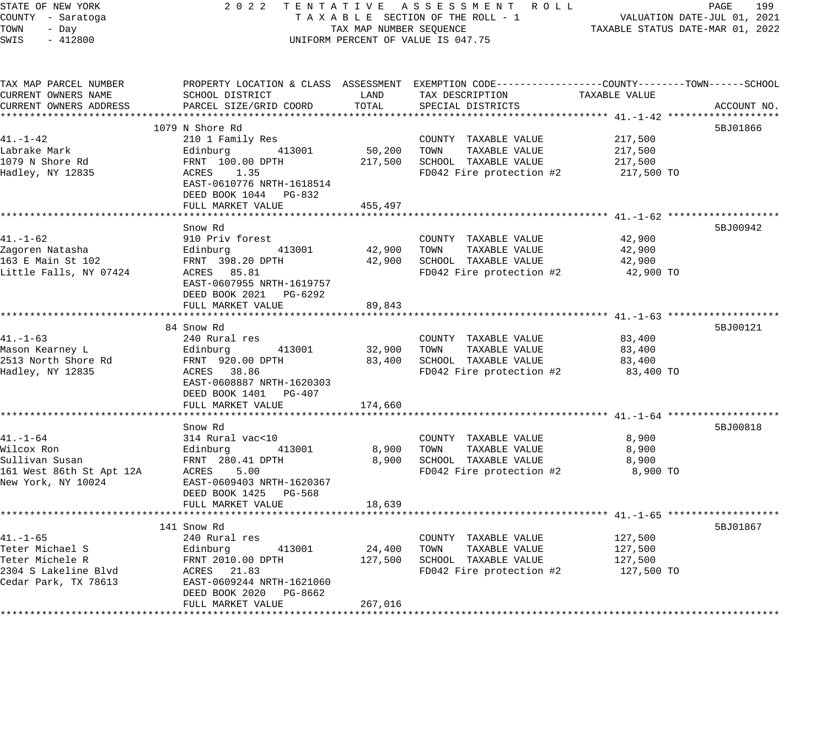| STATE OF NEW YORK      | 2 0 2 2                                                                                        |                         | TENTATIVE ASSESSMENT ROLL                  |                                  | PAGE<br>199                 |
|------------------------|------------------------------------------------------------------------------------------------|-------------------------|--------------------------------------------|----------------------------------|-----------------------------|
| COUNTY - Saratoga      |                                                                                                |                         | TAXABLE SECTION OF THE ROLL - 1            |                                  | VALUATION DATE-JUL 01, 2021 |
| TOWN<br>- Day          |                                                                                                | TAX MAP NUMBER SEQUENCE |                                            | TAXABLE STATUS DATE-MAR 01, 2022 |                             |
| $-412800$<br>SWIS      |                                                                                                |                         | UNIFORM PERCENT OF VALUE IS 047.75         |                                  |                             |
| TAX MAP PARCEL NUMBER  | PROPERTY LOCATION & CLASS ASSESSMENT EXEMPTION CODE---------------COUNTY-------TOWN-----SCHOOL |                         |                                            |                                  |                             |
| CURRENT OWNERS NAME    | SCHOOL DISTRICT                                                                                | LAND                    | TAX DESCRIPTION                            | TAXABLE VALUE                    |                             |
| CURRENT OWNERS ADDRESS | PARCEL SIZE/GRID COORD                                                                         | TOTAL                   | SPECIAL DISTRICTS                          |                                  | ACCOUNT NO.                 |
|                        |                                                                                                |                         |                                            |                                  |                             |
|                        | 1079 N Shore Rd                                                                                |                         |                                            |                                  | 5BJ01866                    |
| $41. - 1 - 42$         | 210 1 Family Res                                                                               |                         | COUNTY TAXABLE VALUE                       | 217,500                          |                             |
| Labrake Mark           | Edinburg 413001                                                                                | 50,200                  | TOWN<br>TAXABLE VALUE                      | 217,500                          |                             |
| 1079 N Shore Rd        | FRNT 100.00 DPTH                                                                               |                         | 217,500 SCHOOL TAXABLE VALUE               | 217,500                          |                             |
| Hadley, NY 12835       | ACRES<br>1.35                                                                                  |                         | FD042 Fire protection #2                   | 217,500 TO                       |                             |
|                        | EAST-0610776 NRTH-1618514                                                                      |                         |                                            |                                  |                             |
|                        | DEED BOOK 1044 PG-832<br>FULL MARKET VALUE                                                     | 455,497                 |                                            |                                  |                             |
|                        |                                                                                                |                         |                                            |                                  |                             |
|                        | Snow Rd                                                                                        |                         |                                            |                                  | 5BJ00942                    |
| 41.-1-62               | 910 Priv forest                                                                                |                         | COUNTY TAXABLE VALUE                       | 42,900                           |                             |
| Zagoren Natasha        | Edinburg<br>413001                                                                             |                         | 42,900 TOWN TAXABLE VALUE                  | 42,900                           |                             |
| 163 E Main St 102      | FRNT 398.20 DPTH                                                                               |                         | 42,900 SCHOOL TAXABLE VALUE                | 42,900                           |                             |
| Little Falls, NY 07424 | ACRES 85.81                                                                                    |                         | FD042 Fire protection #2                   | 42,900 TO                        |                             |
|                        | EAST-0607955 NRTH-1619757                                                                      |                         |                                            |                                  |                             |
|                        | DEED BOOK 2021 PG-6292                                                                         |                         |                                            |                                  |                             |
|                        | FULL MARKET VALUE                                                                              | 89,843                  |                                            |                                  |                             |
|                        |                                                                                                |                         |                                            |                                  |                             |
| $41. - 1 - 63$         | 84 Snow Rd<br>240 Rural res                                                                    |                         | COUNTY TAXABLE VALUE                       | 83,400                           | 5BJ00121                    |
| Mason Kearney L        | 413001<br>Edinburg                                                                             |                         | 32,900 TOWN<br>TAXABLE VALUE               | 83,400                           |                             |
| 2513 North Shore Rd    | FRNT 920.00 DPTH                                                                               |                         | 83,400 SCHOOL TAXABLE VALUE                | 83,400                           |                             |
| Hadley, NY 12835       | ACRES 38.86                                                                                    |                         | FD042 Fire protection #2                   | 83,400 TO                        |                             |
|                        | EAST-0608887 NRTH-1620303                                                                      |                         |                                            |                                  |                             |
|                        | DEED BOOK 1401 PG-407                                                                          |                         |                                            |                                  |                             |
|                        | FULL MARKET VALUE                                                                              | 174,660                 |                                            |                                  |                             |
|                        |                                                                                                |                         |                                            |                                  |                             |
|                        | Snow Rd                                                                                        |                         |                                            |                                  | 5BJ00818                    |
| 41.-1-64               | 314 Rural vac<10                                                                               |                         | COUNTY TAXABLE VALUE                       | 8,900                            |                             |
|                        |                                                                                                | 8,900<br>8,900          | TOWN TAXABLE VALUE<br>SCHOOL TAXABLE VALUE | 8,900<br>8,900                   |                             |
|                        |                                                                                                |                         | FD042 Fire protection #2                   | 8,900 TO                         |                             |
|                        |                                                                                                |                         |                                            |                                  |                             |
|                        | DEED BOOK 1425 PG-568                                                                          |                         |                                            |                                  |                             |
|                        | FULL MARKET VALUE                                                                              | 18,639                  |                                            |                                  |                             |
|                        | ************************                                                                       | * * * * * * * * * * *   |                                            |                                  |                             |
|                        | 141 Snow Rd                                                                                    |                         |                                            |                                  | 5BJ01867                    |
| 41.-1-65               | 240 Rural res                                                                                  |                         | COUNTY TAXABLE VALUE                       | 127,500                          |                             |
| Teter Michael S        | Edinburg<br>413001                                                                             | 24,400 TOWN             | TAXABLE VALUE                              | 127,500                          |                             |
| Teter Michele R        | FRNT 2010.00 DPTH                                                                              |                         | 127,500 SCHOOL TAXABLE VALUE               | 127,500                          |                             |
| 2304 S Lakeline Blvd   | ACRES 21.83                                                                                    |                         | FD042 Fire protection #2                   | 127,500 TO                       |                             |
| Cedar Park, TX 78613   | EAST-0609244 NRTH-1621060<br>DEED BOOK 2020 PG-8662                                            |                         |                                            |                                  |                             |
|                        | FULL MARKET VALUE                                                                              | 267,016                 |                                            |                                  |                             |
|                        |                                                                                                |                         |                                            |                                  |                             |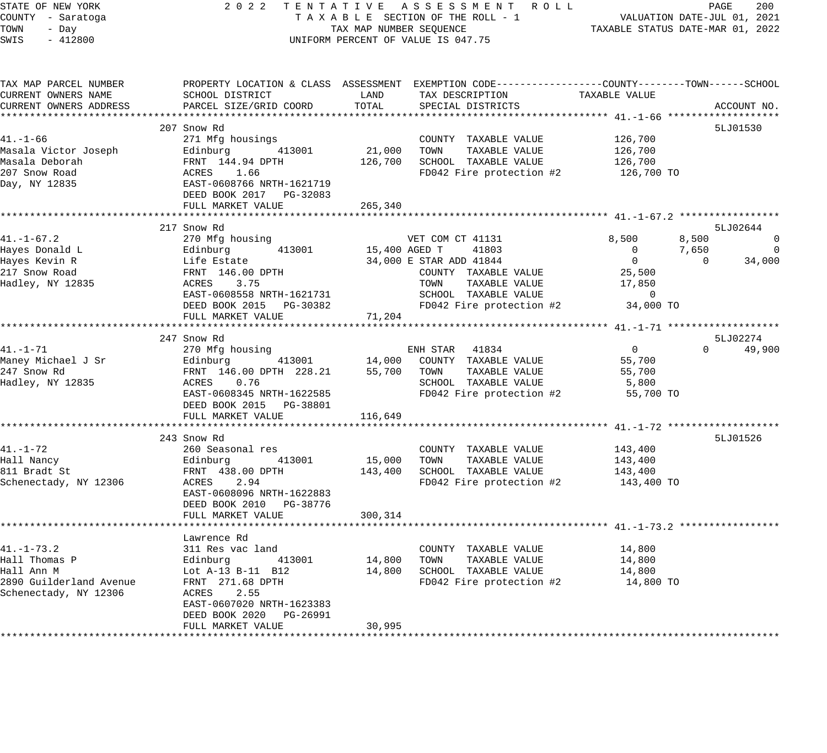| STATE OF NEW YORK<br>COUNTY - Saratoga<br>TOWN<br>- Day<br>$-412800$<br>SWIS | 2 0 2 2                                                                                                         | TAX MAP NUMBER SEQUENCE | TENTATIVE ASSESSMENT ROLL<br>TAXABLE SECTION OF THE ROLL - 1<br>UNIFORM PERCENT OF VALUE IS 047.75                  | VALUATION DATE-JUL 01, 2021<br>TAXABLE STATUS DATE-MAR 01, 2022 | PAGE           | 200            |
|------------------------------------------------------------------------------|-----------------------------------------------------------------------------------------------------------------|-------------------------|---------------------------------------------------------------------------------------------------------------------|-----------------------------------------------------------------|----------------|----------------|
| TAX MAP PARCEL NUMBER<br>CURRENT OWNERS NAME                                 | SCHOOL DISTRICT                                                                                                 | LAND                    | PROPERTY LOCATION & CLASS ASSESSMENT EXEMPTION CODE----------------COUNTY-------TOWN------SCHOOL<br>TAX DESCRIPTION | TAXABLE VALUE                                                   |                |                |
| CURRENT OWNERS ADDRESS                                                       | PARCEL SIZE/GRID COORD                                                                                          | TOTAL                   | SPECIAL DISTRICTS                                                                                                   |                                                                 |                | ACCOUNT NO.    |
|                                                                              | 207 Snow Rd                                                                                                     |                         |                                                                                                                     |                                                                 |                | 5LJ01530       |
| 41.-1-66                                                                     | 271 Mfg housings                                                                                                |                         | COUNTY TAXABLE VALUE                                                                                                | 126,700                                                         |                |                |
| Masala Victor Joseph                                                         |                                                                                                                 | 21,000 TOWN             | TAXABLE VALUE                                                                                                       | 126,700                                                         |                |                |
| Masala Deborah                                                               |                                                                                                                 |                         | 126,700 SCHOOL TAXABLE VALUE                                                                                        | 126,700                                                         |                |                |
| 207 Snow Road<br>Day, NY 12835                                               | Edinburg     413001<br>FRNT 144.94 DPTH<br>ACRES   1.66<br>EAST-0608766 NRTH-1621719<br>DEED BOOK 2017 PG-32083 |                         | FD042 Fire protection #2                                                                                            | 126,700 TO                                                      |                |                |
|                                                                              | FULL MARKET VALUE                                                                                               | 265,340                 |                                                                                                                     |                                                                 |                |                |
|                                                                              | 217 Snow Rd                                                                                                     |                         |                                                                                                                     |                                                                 |                | 5LJ02644       |
| 41.-1-67.2                                                                   | 270 Mfg housing                                                                                                 |                         | VET COM CT 41131                                                                                                    | 8,500                                                           | 8,500          | $\overline{0}$ |
| Hayes Donald L                                                               | 413001<br>Edinburg                                                                                              | 15,400 AGED T           | 41803                                                                                                               | $\overline{0}$                                                  | 7,650          | $\overline{0}$ |
| Hayes Kevin R                                                                | Edinburg 4130<br>Life Estate<br>FRNT 146.00 DPTH<br>ACRES 3.75                                                  |                         | 34,000 E STAR ADD 41844                                                                                             | $\overline{0}$                                                  | $\overline{0}$ | 34,000         |
| 217 Snow Road                                                                |                                                                                                                 |                         | COUNTY TAXABLE VALUE                                                                                                | 25,500                                                          |                |                |
| Hadley, NY 12835                                                             |                                                                                                                 |                         | TOWN<br>TAXABLE VALUE                                                                                               | 17,850                                                          |                |                |
|                                                                              | EAST-0608558 NRTH-1621731                                                                                       |                         | SCHOOL TAXABLE VALUE                                                                                                | $\overline{0}$                                                  |                |                |
|                                                                              | DEED BOOK 2015 PG-30382                                                                                         |                         | FD042 Fire protection #2                                                                                            | 34,000 TO                                                       |                |                |
|                                                                              | FULL MARKET VALUE                                                                                               | 71,204                  |                                                                                                                     |                                                                 |                |                |
|                                                                              | 247 Snow Rd                                                                                                     |                         |                                                                                                                     |                                                                 |                | 5LJ02274       |
| 41.–1–71                                                                     | 270 Mfg housing                                                                                                 |                         | ENH STAR 41834                                                                                                      | $\overline{0}$                                                  | $\Omega$       | 49,900         |
| Maney Michael J Sr                                                           |                                                                                                                 |                         | 413001 14,000 COUNTY TAXABLE VALUE                                                                                  | 55,700                                                          |                |                |
| 247 Snow Rd                                                                  | Edinburg 413001<br>FRNT 146.00 DPTH 228.21                                                                      | 55,700                  | TOWN<br>TAXABLE VALUE                                                                                               | 55,700                                                          |                |                |
| Hadley, NY 12835                                                             | ACRES 0.76                                                                                                      |                         | SCHOOL TAXABLE VALUE                                                                                                | 5,800                                                           |                |                |
|                                                                              | EAST-0608345 NRTH-1622585                                                                                       |                         | FD042 Fire protection #2                                                                                            | 55,700 TO                                                       |                |                |
|                                                                              | DEED BOOK 2015 PG-38801                                                                                         |                         |                                                                                                                     |                                                                 |                |                |
|                                                                              | FULL MARKET VALUE                                                                                               | 116,649                 |                                                                                                                     |                                                                 |                |                |
|                                                                              | 243 Snow Rd                                                                                                     |                         |                                                                                                                     |                                                                 |                | 5LJ01526       |
| 41.-1-72                                                                     | 260 Seasonal res                                                                                                |                         | COUNTY TAXABLE VALUE                                                                                                | 143,400                                                         |                |                |
| Hall Nancy                                                                   | 413001<br>Edinburg<br>FRNT 438                                                                                  | 15,000 TOWN             | TAXABLE VALUE                                                                                                       | 143,400                                                         |                |                |
| 811 Bradt St                                                                 | FRNT 438.00 DPTH<br>ACRES 2.94                                                                                  |                         | 143,400 SCHOOL TAXABLE VALUE                                                                                        | 143,400                                                         |                |                |
| Schenectady, NY 12306                                                        | ACRES<br>2.94                                                                                                   |                         | FD042 Fire protection $#2$ 143,400 TO                                                                               |                                                                 |                |                |
|                                                                              | EAST-0608096 NRTH-1622883                                                                                       |                         |                                                                                                                     |                                                                 |                |                |
|                                                                              | DEED BOOK 2010 PG-38776                                                                                         |                         |                                                                                                                     |                                                                 |                |                |
|                                                                              | FULL MARKET VALUE                                                                                               | 300,314                 |                                                                                                                     |                                                                 |                |                |
|                                                                              | Lawrence Rd                                                                                                     |                         |                                                                                                                     |                                                                 |                |                |
| $41. - 1 - 73.2$                                                             | 311 Res vac land                                                                                                |                         | COUNTY TAXABLE VALUE                                                                                                | 14,800                                                          |                |                |
| Hall Thomas P                                                                | 413001<br>Edinburg                                                                                              | 14,800 TOWN             | TAXABLE VALUE                                                                                                       | 14,800                                                          |                |                |
| Hall Ann M                                                                   | Lot A-13 B-11 B12                                                                                               |                         | 14,800 SCHOOL TAXABLE VALUE                                                                                         | 14,800                                                          |                |                |
| 2890 Guilderland Avenue                                                      | FRNT 271.68 DPTH                                                                                                |                         | FD042 Fire protection #2 14,800 TO                                                                                  |                                                                 |                |                |
| Schenectady, NY 12306                                                        | ACRES 2.55                                                                                                      |                         |                                                                                                                     |                                                                 |                |                |
|                                                                              | EAST-0607020 NRTH-1623383<br>DEED BOOK 2020 PG-26991                                                            |                         |                                                                                                                     |                                                                 |                |                |

FULL MARKET VALUE 30,995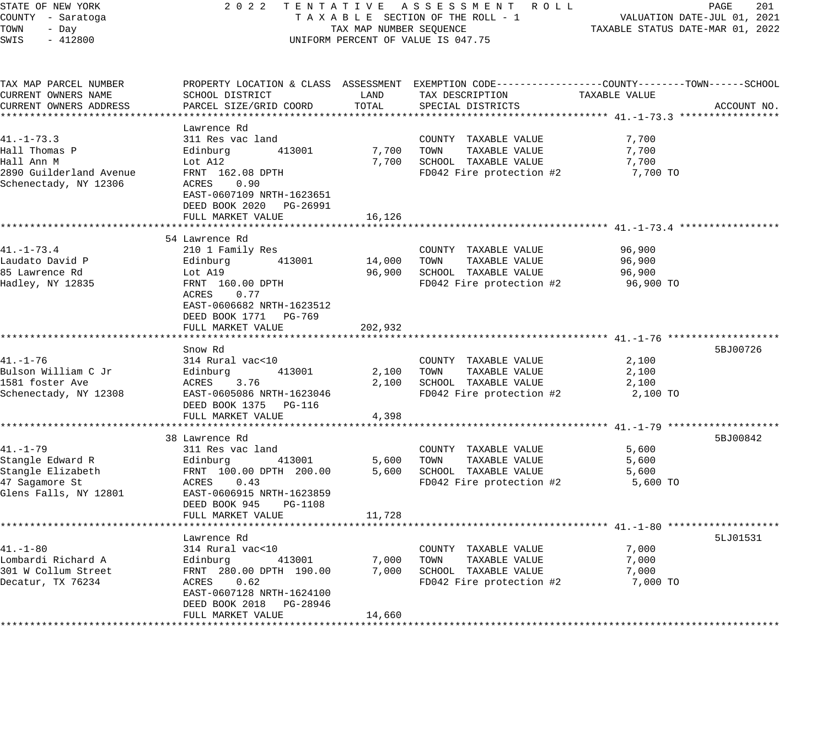| STATE OF NEW YORK<br>COUNTY - Saratoga<br>TOWN<br>- Day<br>SWIS<br>$-412800$ |                                           | TAX MAP NUMBER SEQUENCE | 2022 TENTATIVE ASSESSMENT ROLL<br>TAXABLE SECTION OF THE ROLL - 1<br>UNIFORM PERCENT OF VALUE IS 047.75                                 | VALUATION DATE-JUL 01, 2021<br>TAXABLE STATUS DATE-MAR 01, 2022 | PAGE<br>201 |
|------------------------------------------------------------------------------|-------------------------------------------|-------------------------|-----------------------------------------------------------------------------------------------------------------------------------------|-----------------------------------------------------------------|-------------|
| TAX MAP PARCEL NUMBER<br>CURRENT OWNERS NAME<br>CURRENT OWNERS ADDRESS       | SCHOOL DISTRICT<br>PARCEL SIZE/GRID COORD | LAND<br>TOTAL           | PROPERTY LOCATION & CLASS ASSESSMENT EXEMPTION CODE----------------COUNTY-------TOWN-----SCHOOL<br>TAX DESCRIPTION<br>SPECIAL DISTRICTS | TAXABLE VALUE                                                   | ACCOUNT NO. |
|                                                                              | Lawrence Rd                               |                         |                                                                                                                                         |                                                                 |             |
| $41. - 1 - 73.3$                                                             | 311 Res vac land                          |                         | COUNTY TAXABLE VALUE                                                                                                                    | 7,700                                                           |             |
| Hall Thomas P                                                                | Edinburg<br>413001                        | 7,700                   | TOWN<br>TAXABLE VALUE                                                                                                                   | 7,700                                                           |             |
| Hall Ann M                                                                   | Lot A12                                   |                         | 7,700 SCHOOL TAXABLE VALUE                                                                                                              | 7,700                                                           |             |
| 2890 Guilderland Avenue                                                      | FRNT 162.08 DPTH                          |                         | FD042 Fire protection #2                                                                                                                | 7,700 TO                                                        |             |
| Schenectady, NY 12306                                                        | ACRES<br>0.90                             |                         |                                                                                                                                         |                                                                 |             |
|                                                                              | EAST-0607109 NRTH-1623651                 |                         |                                                                                                                                         |                                                                 |             |
|                                                                              | DEED BOOK 2020 PG-26991                   |                         |                                                                                                                                         |                                                                 |             |
|                                                                              | FULL MARKET VALUE                         | 16,126                  |                                                                                                                                         |                                                                 |             |
|                                                                              |                                           |                         |                                                                                                                                         |                                                                 |             |
|                                                                              | 54 Lawrence Rd                            |                         |                                                                                                                                         |                                                                 |             |
| $41. - 1 - 73.4$<br>Laudato David P                                          | 210 1 Family Res                          |                         | COUNTY TAXABLE VALUE<br>14,000 TOWN<br>TAXABLE VALUE                                                                                    | 96,900                                                          |             |
| 85 Lawrence Rd                                                               | Edinburg<br>413001<br>Lot A19             |                         | 96,900 SCHOOL TAXABLE VALUE                                                                                                             | 96,900<br>96,900                                                |             |
| Hadley, NY 12835                                                             | FRNT 160.00 DPTH                          |                         | FD042 Fire protection #2                                                                                                                | 96,900 TO                                                       |             |
|                                                                              | ACRES<br>0.77                             |                         |                                                                                                                                         |                                                                 |             |
|                                                                              | EAST-0606682 NRTH-1623512                 |                         |                                                                                                                                         |                                                                 |             |
|                                                                              | DEED BOOK 1771 PG-769                     |                         |                                                                                                                                         |                                                                 |             |
|                                                                              | FULL MARKET VALUE                         | 202,932                 |                                                                                                                                         |                                                                 |             |
|                                                                              |                                           |                         |                                                                                                                                         |                                                                 |             |
|                                                                              | Snow Rd                                   |                         |                                                                                                                                         |                                                                 | 5BJ00726    |
| $41. - 1 - 76$                                                               | 314 Rural vac<10                          |                         | COUNTY TAXABLE VALUE                                                                                                                    | 2,100                                                           |             |
| Bulson William C Jr                                                          | Edinburg<br>413001                        |                         | 2,100 TOWN<br>TAXABLE VALUE                                                                                                             | 2,100                                                           |             |
| 1581 foster Ave                                                              | ACRES<br>3.76                             |                         | 2,100 SCHOOL TAXABLE VALUE                                                                                                              | 2,100                                                           |             |
| Schenectady, NY 12308                                                        | EAST-0605086 NRTH-1623046                 |                         | FD042 Fire protection #2                                                                                                                | 2,100 TO                                                        |             |
|                                                                              | DEED BOOK 1375 PG-116                     |                         |                                                                                                                                         |                                                                 |             |
|                                                                              | FULL MARKET VALUE                         | 4,398                   |                                                                                                                                         |                                                                 |             |
|                                                                              |                                           |                         |                                                                                                                                         |                                                                 |             |
| $41. - 1 - 79$                                                               | 38 Lawrence Rd                            |                         |                                                                                                                                         |                                                                 | 5BJ00842    |
| Stangle Edward R                                                             | 311 Res vac land<br>413001<br>Edinburg    | 5,600                   | COUNTY TAXABLE VALUE<br>TAXABLE VALUE<br>TOWN                                                                                           | 5,600<br>5,600                                                  |             |
| Stangle Elizabeth                                                            | FRNT 100.00 DPTH 200.00                   |                         | 5,600 SCHOOL TAXABLE VALUE                                                                                                              | 5,600                                                           |             |
| 47 Sagamore St                                                               | ACRES 0.43                                |                         | FD042 Fire protection #2                                                                                                                | 5,600 TO                                                        |             |
| Glens Falls, NY 12801                                                        | EAST-0606915 NRTH-1623859                 |                         |                                                                                                                                         |                                                                 |             |
|                                                                              | DEED BOOK 945 PG-1108                     |                         |                                                                                                                                         |                                                                 |             |
|                                                                              | FULL MARKET VALUE                         | 11,728                  |                                                                                                                                         |                                                                 |             |
|                                                                              |                                           |                         |                                                                                                                                         |                                                                 |             |
|                                                                              | Lawrence Rd                               |                         |                                                                                                                                         |                                                                 | 5LJ01531    |
| $41. - 1 - 80$                                                               | 314 Rural vac<10                          |                         | COUNTY TAXABLE VALUE                                                                                                                    | 7,000                                                           |             |
| Lombardi Richard A                                                           | Edinburg<br>413001                        | 7,000                   | TAXABLE VALUE<br>TOWN                                                                                                                   | 7,000                                                           |             |
| 301 W Collum Street                                                          | FRNT 280.00 DPTH 190.00                   |                         | 7,000 SCHOOL TAXABLE VALUE                                                                                                              | 7,000                                                           |             |
| Decatur, TX 76234                                                            | ACRES<br>0.62                             |                         | FD042 Fire protection #2                                                                                                                | 7,000 TO                                                        |             |
|                                                                              | EAST-0607128 NRTH-1624100                 |                         |                                                                                                                                         |                                                                 |             |
|                                                                              | DEED BOOK 2018 PG-28946                   |                         |                                                                                                                                         |                                                                 |             |
|                                                                              | FULL MARKET VALUE                         | 14,660                  |                                                                                                                                         |                                                                 |             |
|                                                                              |                                           |                         |                                                                                                                                         |                                                                 |             |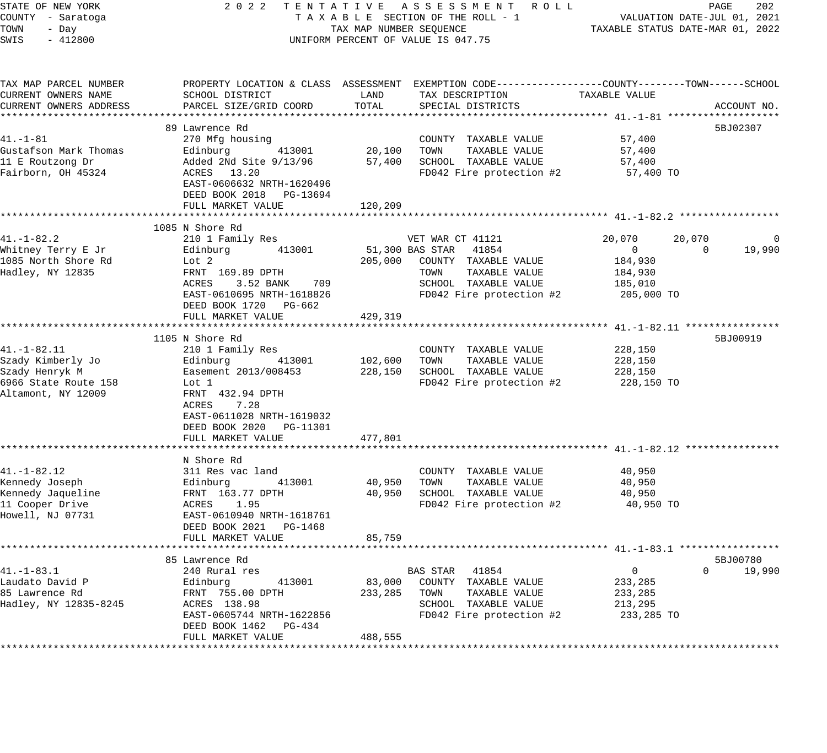| STATE OF NEW YORK<br>COUNTY - Saratoga<br>TOWN<br>- Day<br>SWIS<br>$-412800$                    |                                                                                                                                                                                        |                   | 2022 TENTATIVE ASSESSMENT ROLL<br>UNIFORM PERCENT OF VALUE IS 047.75                                                                                           |                                                              |                          |             |
|-------------------------------------------------------------------------------------------------|----------------------------------------------------------------------------------------------------------------------------------------------------------------------------------------|-------------------|----------------------------------------------------------------------------------------------------------------------------------------------------------------|--------------------------------------------------------------|--------------------------|-------------|
| TAX MAP PARCEL NUMBER<br>CURRENT OWNERS NAME<br>CURRENT OWNERS ADDRESS                          | PROPERTY LOCATION & CLASS ASSESSMENT EXEMPTION CODE----------------COUNTY-------TOWN------SCHOOL<br>SCHOOL DISTRICT<br>PARCEL SIZE/GRID COORD                                          | LAND<br>TOTAL     | TAX DESCRIPTION<br>SPECIAL DISTRICTS                                                                                                                           | TAXABLE VALUE                                                |                          | ACCOUNT NO. |
| $41. - 1 - 81$<br>Gustafson Mark Thomas<br>11 E Routzong Dr<br>Fairborn, OH 45324               | 89 Lawrence Rd<br>270 Mfg housing<br>Edinburg 413001 20,100 TOWN<br>Added 2Nd Site 9/13/96<br>ACRES 13.20<br>EAST-0606632 NRTH-1620496<br>DEED BOOK 2018 PG-13694<br>FULL MARKET VALUE | 120,209           | COUNTY TAXABLE VALUE<br>TAXABLE VALUE<br>57,400 SCHOOL TAXABLE VALUE<br>FD042 Fire protection $#2$ 57,400 TO                                                   | 57,400<br>57,400<br>57,400                                   | 5BJ02307                 |             |
|                                                                                                 | ****************************                                                                                                                                                           |                   |                                                                                                                                                                |                                                              |                          |             |
| 41.-1-82.2<br>Whitney Terry E Jr<br>1085 North Shore Rd<br>Hadley, NY 12835                     | 1085 N Shore Rd<br>210 1 Family Res<br>Edinburg 413001<br>Lot 2<br>FRNT 169.89 DPTH<br>ACRES<br>3.52 BANK 709<br>EAST-0610695 NRTH-1618826<br>DEED BOOK 1720 PG-662                    |                   | VET WAR CT 41121<br>51,300 BAS STAR 41854<br>205,000 COUNTY TAXABLE VALUE<br>TAXABLE VALUE<br>TOWN<br>SCHOOL TAXABLE VALUE 185,010<br>FD042 Fire protection #2 | 20,070<br>$\overline{0}$<br>184,930<br>184,930<br>205,000 TO | 20,070<br>$\overline{0}$ | 0<br>19,990 |
|                                                                                                 | FULL MARKET VALUE                                                                                                                                                                      | 429,319           |                                                                                                                                                                |                                                              |                          |             |
|                                                                                                 |                                                                                                                                                                                        |                   |                                                                                                                                                                |                                                              |                          |             |
| $41. - 1 - 82.11$<br>Altamont, NY 12009                                                         | 1105 N Shore Rd<br>210 1 Family Res<br>Edinburg 413001<br>FRNT 432.94 DPTH<br>ACRES<br>7.28<br>EAST-0611028 NRTH-1619032<br>DEED BOOK 2020 PG-11301<br>FULL MARKET VALUE               | 477,801           | COUNTY TAXABLE VALUE<br>FD042 Fire protection #2                                                                                                               | 228,150<br>228,150<br>228,150<br>228,150 TO                  | 5BJ00919                 |             |
|                                                                                                 |                                                                                                                                                                                        |                   |                                                                                                                                                                |                                                              |                          |             |
| $41. - 1 - 82.12$<br>Kennedy Joseph<br>Kennedy Jaqueline<br>11 Cooper Drive<br>Howell, NJ 07731 | N Shore Rd<br>311 Res vac land<br>Edinburg 413001<br>FRNT 163.77 DPTH<br>ACRES 1.95<br>EAST-0610940 NRTH-1618761<br>THE 2011 NRTH-1618761<br>DEED BOOK 2021 PG-1468                    | 40,950<br>40,950  | COUNTY TAXABLE VALUE<br>TOWN<br>TAXABLE VALUE<br>SCHOOL TAXABLE VALUE<br>FD042 Fire protection $#2$ 40,950 TO                                                  | 40,950<br>40,950<br>40,950                                   |                          |             |
|                                                                                                 | FULL MARKET VALUE                                                                                                                                                                      | 85,759            |                                                                                                                                                                |                                                              |                          |             |
|                                                                                                 |                                                                                                                                                                                        |                   |                                                                                                                                                                |                                                              |                          |             |
| $41. - 1 - 83.1$<br>Laudato David P<br>85 Lawrence Rd<br>Hadley, NY 12835-8245                  | 85 Lawrence Rd<br>240 Rural res<br>Edinburg<br>413001<br>FRNT 755.00 DPTH<br>ACRES 138.98<br>EAST-0605744 NRTH-1622856<br>DEED BOOK 1462<br>PG-434                                     | 83,000<br>233,285 | BAS STAR<br>41854<br>COUNTY TAXABLE VALUE<br>TAXABLE VALUE<br>TOWN<br>SCHOOL TAXABLE VALUE<br>FD042 Fire protection #2                                         | 0<br>233,285<br>233,285<br>213,295<br>233,285 TO             | 5BJ00780<br>$\Omega$     | 19,990      |
|                                                                                                 | FULL MARKET VALUE                                                                                                                                                                      | 488,555           |                                                                                                                                                                |                                                              |                          |             |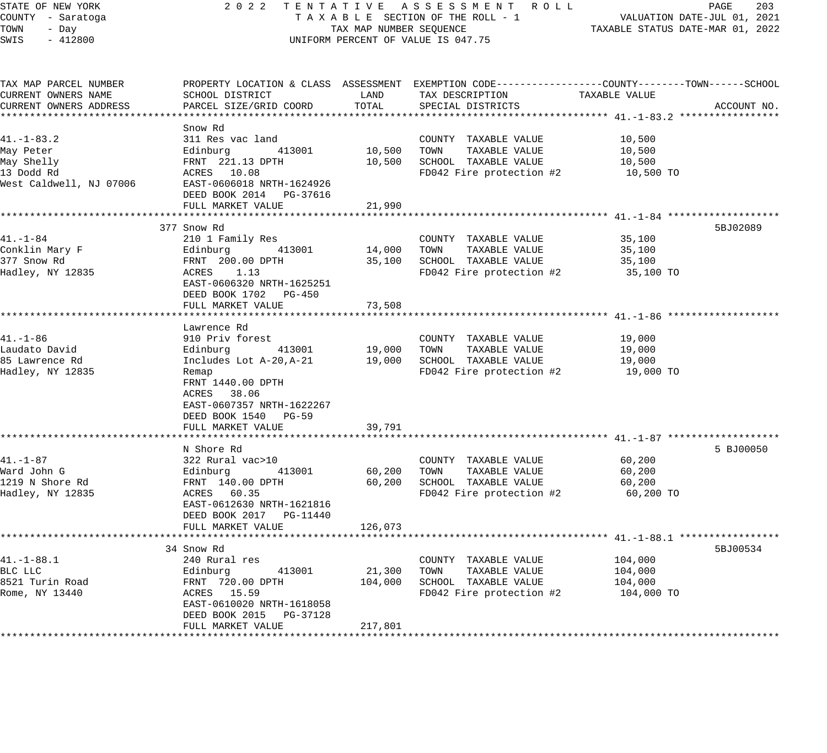STATE OF NEW YORK 2 0 2 2 T E N T A T I V E A S S E S S M E N T R O L L PAGE 203 COUNTY - Saratoga T A X A B L E SECTION OF THE ROLL - 1 VALUATION DATE-JUL 01, 2021 TOWN - Day TAX MAP NUMBER SEQUENCE TAXABLE STATUS DATE-MAR 01, 2022 SWIS - 412800 UNIFORM PERCENT OF VALUE IS 047.75 TAX MAP PARCEL NUMBER PROPERTY LOCATION & CLASS ASSESSMENT EXEMPTION CODE------------------COUNTY--------TOWN------SCHOOL CURRENT OWNERS NAME SCHOOL DISTRICT LAND TAX DESCRIPTION TAXABLE VALUE CURRENT OWNERS ADDRESS PARCEL SIZE/GRID COORD TOTAL SPECIAL DISTRICTS ACCOUNT NO. \*\*\*\*\*\*\*\*\*\*\*\*\*\*\*\*\*\*\*\*\*\*\*\*\*\*\*\*\*\*\*\*\*\*\*\*\*\*\*\*\*\*\*\*\*\*\*\*\*\*\*\*\*\*\*\*\*\*\*\*\*\*\*\*\*\*\*\*\*\*\*\*\*\*\*\*\*\*\*\*\*\*\*\*\*\*\*\*\*\*\*\*\*\*\*\*\*\*\*\*\*\*\* 41.-1-83.2 \*\*\*\*\*\*\*\*\*\*\*\*\*\*\*\*\* Snow Rd 41.-1-83.2 311 Res vac land COUNTY TAXABLE VALUE 10,500 May Peter Edinburg 413001 10,500 TOWN TAXABLE VALUE 10,500 May Shelly FRNT 221.13 DPTH 10,500 SCHOOL TAXABLE VALUE 10,500 13 Dodd Rd ACRES 10.08 FD042 Fire protection #2 10,500 TO West Caldwell, NJ 07006 EAST-0606018 NRTH-1624926 DEED BOOK 2014 PG-37616 FULL MARKET VALUE 21,990 \*\*\*\*\*\*\*\*\*\*\*\*\*\*\*\*\*\*\*\*\*\*\*\*\*\*\*\*\*\*\*\*\*\*\*\*\*\*\*\*\*\*\*\*\*\*\*\*\*\*\*\*\*\*\*\*\*\*\*\*\*\*\*\*\*\*\*\*\*\*\*\*\*\*\*\*\*\*\*\*\*\*\*\*\*\*\*\*\*\*\*\*\*\*\*\*\*\*\*\*\*\*\* 41.-1-84 \*\*\*\*\*\*\*\*\*\*\*\*\*\*\*\*\*\*\* 377 Snow Rd 5BJ02089 41.-1-84 210 1 Family Res COUNTY TAXABLE VALUE 35,100 Conklin Mary F Edinburg 413001 14,000 TOWN TAXABLE VALUE 35,100 377 Snow Rd FRNT 200.00 DPTH 35,100 SCHOOL TAXABLE VALUE 35,100 Hadley, NY 12835 ACRES 1.13 FD042 Fire protection #2 35,100 TO EAST-0606320 NRTH-1625251 DEED BOOK 1702 PG-450 FULL MARKET VALUE 73,508 \*\*\*\*\*\*\*\*\*\*\*\*\*\*\*\*\*\*\*\*\*\*\*\*\*\*\*\*\*\*\*\*\*\*\*\*\*\*\*\*\*\*\*\*\*\*\*\*\*\*\*\*\*\*\*\*\*\*\*\*\*\*\*\*\*\*\*\*\*\*\*\*\*\*\*\*\*\*\*\*\*\*\*\*\*\*\*\*\*\*\*\*\*\*\*\*\*\*\*\*\*\*\* 41.-1-86 \*\*\*\*\*\*\*\*\*\*\*\*\*\*\*\*\*\*\* Lawrence Rd 41.-1-86 910 Priv forest COUNTY TAXABLE VALUE 19,000 Laudato David Edinburg 413001 19,000 TOWN TAXABLE VALUE 19,000 85 Lawrence Rd Includes Lot A-20,A-21 19,000 SCHOOL TAXABLE VALUE 19,000 Hadley, NY 12835 Remap FD042 Fire protection #2 19,000 TO FRNT 1440.00 DPTH ACRES 38.06 EAST-0607357 NRTH-1622267 DEED BOOK 1540 PG-59 FULL MARKET VALUE 39,791 \*\*\*\*\*\*\*\*\*\*\*\*\*\*\*\*\*\*\*\*\*\*\*\*\*\*\*\*\*\*\*\*\*\*\*\*\*\*\*\*\*\*\*\*\*\*\*\*\*\*\*\*\*\*\*\*\*\*\*\*\*\*\*\*\*\*\*\*\*\*\*\*\*\*\*\*\*\*\*\*\*\*\*\*\*\*\*\*\*\*\*\*\*\*\*\*\*\*\*\*\*\*\* 41.-1-87 \*\*\*\*\*\*\*\*\*\*\*\*\*\*\*\*\*\*\* N Shore Rd 5 BJ00050 N Shore Rd 5 BJ00050 N Shore Rd 5 BJ00050 N Shore Rd 5 BJ00050 N Shore Rd 5 BJ00050 N Shore Rd 41.-1-87 322 Rural vac>10 COUNTY TAXABLE VALUE 60,200 Ward John G Edinburg 413001 60,200 TOWN TAXABLE VALUE 60,200 1219 N Shore Rd FRNT 140.00 DPTH 60,200 SCHOOL TAXABLE VALUE 60,200 Hadley, NY 12835 ACRES 60.35 FD042 Fire protection #2 60,200 TO EAST-0612630 NRTH-1621816 DEED BOOK 2017 PG-11440 FULL MARKET VALUE 126,073 \*\*\*\*\*\*\*\*\*\*\*\*\*\*\*\*\*\*\*\*\*\*\*\*\*\*\*\*\*\*\*\*\*\*\*\*\*\*\*\*\*\*\*\*\*\*\*\*\*\*\*\*\*\*\*\*\*\*\*\*\*\*\*\*\*\*\*\*\*\*\*\*\*\*\*\*\*\*\*\*\*\*\*\*\*\*\*\*\*\*\*\*\*\*\*\*\*\*\*\*\*\*\* 41.-1-88.1 \*\*\*\*\*\*\*\*\*\*\*\*\*\*\*\*\* 34 Snow Rd 5BJ00534 41.-1-88.1 240 Rural res COUNTY TAXABLE VALUE 104,000 BLC LLC Edinburg 413001 21,300 TOWN TAXABLE VALUE 104,000 8521 Turin Road FRNT 720.00 DPTH 104,000 SCHOOL TAXABLE VALUE 104,000 Rome, NY 13440 ACRES 15.59 FD042 Fire protection #2 104,000 TO EAST-0610020 NRTH-1618058 DEED BOOK 2015 PG-37128

\*\*\*\*\*\*\*\*\*\*\*\*\*\*\*\*\*\*\*\*\*\*\*\*\*\*\*\*\*\*\*\*\*\*\*\*\*\*\*\*\*\*\*\*\*\*\*\*\*\*\*\*\*\*\*\*\*\*\*\*\*\*\*\*\*\*\*\*\*\*\*\*\*\*\*\*\*\*\*\*\*\*\*\*\*\*\*\*\*\*\*\*\*\*\*\*\*\*\*\*\*\*\*\*\*\*\*\*\*\*\*\*\*\*\*\*\*\*\*\*\*\*\*\*\*\*\*\*\*\*\*\*

FULL MARKET VALUE 217,801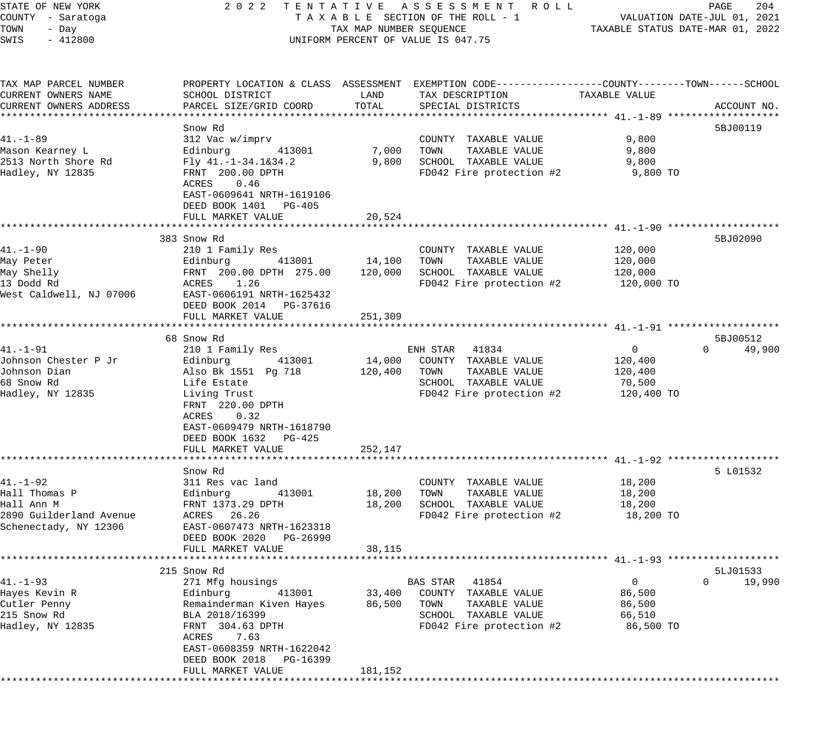| STATE OF NEW YORK       |                            |                         | 2022 TENTATIVE ASSESSMENT ROLL                                                                  |               | PAGE<br>204                      |
|-------------------------|----------------------------|-------------------------|-------------------------------------------------------------------------------------------------|---------------|----------------------------------|
| COUNTY - Saratoga       |                            |                         | TAXABLE SECTION OF THE ROLL - 1                                                                 |               | VALUATION DATE-JUL 01, 2021      |
| TOWN<br>- Day           |                            | TAX MAP NUMBER SEQUENCE |                                                                                                 |               | TAXABLE STATUS DATE-MAR 01, 2022 |
| SWIS<br>$-412800$       |                            |                         | UNIFORM PERCENT OF VALUE IS 047.75                                                              |               |                                  |
|                         |                            |                         |                                                                                                 |               |                                  |
| TAX MAP PARCEL NUMBER   |                            |                         | PROPERTY LOCATION & CLASS ASSESSMENT EXEMPTION CODE---------------COUNTY-------TOWN------SCHOOL |               |                                  |
| CURRENT OWNERS NAME     | SCHOOL DISTRICT            | LAND                    | TAX DESCRIPTION                                                                                 | TAXABLE VALUE |                                  |
| CURRENT OWNERS ADDRESS  | PARCEL SIZE/GRID COORD     | TOTAL                   | SPECIAL DISTRICTS                                                                               |               | ACCOUNT NO.                      |
|                         |                            |                         |                                                                                                 |               |                                  |
|                         | Snow Rd                    |                         |                                                                                                 |               | 5BJ00119                         |
| $41. - 1 - 89$          |                            |                         |                                                                                                 | 9,800         |                                  |
|                         | 312 Vac w/imprv            |                         | COUNTY TAXABLE VALUE                                                                            |               |                                  |
| Mason Kearney L         | Edinburg<br>413001         | 7,000                   | TOWN<br>TAXABLE VALUE                                                                           | 9,800         |                                  |
| 2513 North Shore Rd     | Fly 41.-1-34.1&34.2        | 9,800                   | SCHOOL TAXABLE VALUE                                                                            | 9,800         |                                  |
| Hadley, NY 12835        | FRNT 200.00 DPTH           |                         | FD042 Fire protection #2                                                                        | 9,800 TO      |                                  |
|                         | 0.46<br>ACRES              |                         |                                                                                                 |               |                                  |
|                         | EAST-0609641 NRTH-1619106  |                         |                                                                                                 |               |                                  |
|                         | DEED BOOK 1401 PG-405      |                         |                                                                                                 |               |                                  |
|                         | FULL MARKET VALUE          | 20,524                  |                                                                                                 |               |                                  |
|                         |                            |                         |                                                                                                 |               |                                  |
|                         | 383 Snow Rd                |                         |                                                                                                 |               | 5BJ02090                         |
| 41.–1–90                | 210 1 Family Res           |                         | COUNTY TAXABLE VALUE                                                                            | 120,000       |                                  |
| May Peter               | Edinburg<br>413001         | 14,100                  | TAXABLE VALUE<br>TOWN                                                                           | 120,000       |                                  |
| May Shelly              | FRNT 200.00 DPTH 275.00    | 120,000                 | SCHOOL TAXABLE VALUE                                                                            | 120,000       |                                  |
| 13 Dodd Rd              | ACRES 1.26                 |                         | FD042 Fire protection #2                                                                        | 120,000 TO    |                                  |
| West Caldwell, NJ 07006 | EAST-0606191 NRTH-1625432  |                         |                                                                                                 |               |                                  |
|                         | DEED BOOK 2014 PG-37616    |                         |                                                                                                 |               |                                  |
|                         |                            |                         |                                                                                                 |               |                                  |
|                         | FULL MARKET VALUE          | 251,309                 |                                                                                                 |               |                                  |
|                         |                            |                         |                                                                                                 |               |                                  |
|                         | 68 Snow Rd                 |                         |                                                                                                 |               | 5BJ00512                         |
| $41. - 1 - 91$          | 210 1 Family Res           |                         | ENH STAR 41834                                                                                  | $\mathbf{0}$  | $\Omega$<br>49,900               |
| Johnson Chester P Jr    | Edinburg<br>413001         | 14,000                  | COUNTY TAXABLE VALUE                                                                            | 120,400       |                                  |
| Johnson Dian            | Also Bk 1551 Pg 718        | 120,400                 | TOWN<br>TAXABLE VALUE                                                                           | 120,400       |                                  |
| 68 Snow Rd              | Life Estate                |                         | SCHOOL TAXABLE VALUE                                                                            | 70,500        |                                  |
| Hadley, NY 12835        | Living Trust               |                         | FD042 Fire protection #2                                                                        | 120,400 TO    |                                  |
|                         | FRNT 220.00 DPTH           |                         |                                                                                                 |               |                                  |
|                         | ACRES<br>0.32              |                         |                                                                                                 |               |                                  |
|                         | EAST-0609479 NRTH-1618790  |                         |                                                                                                 |               |                                  |
|                         | DEED BOOK 1632 PG-425      |                         |                                                                                                 |               |                                  |
|                         | FULL MARKET VALUE          | 252,147                 |                                                                                                 |               |                                  |
|                         |                            |                         |                                                                                                 |               |                                  |
|                         | Snow Rd                    |                         |                                                                                                 |               | 5 L01532                         |
| $41. - 1 - 92$          | 311 Res vac land           |                         | COUNTY TAXABLE VALUE                                                                            | 18,200        |                                  |
| Hall Thomas P           | Edinburg<br>413001         | 18,200                  | TOWN<br>TAXABLE VALUE                                                                           | 18,200        |                                  |
| Hall Ann M              | FRNT 1373.29 DPTH          | 18,200                  | SCHOOL TAXABLE VALUE                                                                            | 18,200        |                                  |
|                         |                            |                         |                                                                                                 |               |                                  |
| 2890 Guilderland Avenue | ACRES 26.26                |                         | FD042 Fire protection #2                                                                        | 18,200 TO     |                                  |
| Schenectady, NY 12306   | EAST-0607473 NRTH-1623318  |                         |                                                                                                 |               |                                  |
|                         | DEED BOOK 2020<br>PG-26990 |                         |                                                                                                 |               |                                  |
|                         | FULL MARKET VALUE          | 38,115                  |                                                                                                 |               |                                  |
|                         |                            |                         |                                                                                                 |               |                                  |
|                         | 215 Snow Rd                |                         |                                                                                                 |               | 5LJ01533                         |
| $41. - 1 - 93$          | 271 Mfg housings           |                         | BAS STAR 41854                                                                                  | $\mathbf{0}$  | $\Omega$<br>19,990               |
| Hayes Kevin R           | Edinburg<br>413001         | 33,400                  | COUNTY TAXABLE VALUE                                                                            | 86,500        |                                  |
| Cutler Penny            | Remainderman Kiven Hayes   | 86,500                  | TOWN<br>TAXABLE VALUE                                                                           | 86,500        |                                  |
| 215 Snow Rd             | BLA 2018/16399             |                         | SCHOOL TAXABLE VALUE                                                                            | 66,510        |                                  |
| Hadley, NY 12835        | FRNT 304.63 DPTH           |                         | FD042 Fire protection #2                                                                        | 86,500 TO     |                                  |
|                         | ACRES 7.63                 |                         |                                                                                                 |               |                                  |
|                         | EAST-0608359 NRTH-1622042  |                         |                                                                                                 |               |                                  |
|                         | DEED BOOK 2018<br>PG-16399 |                         |                                                                                                 |               |                                  |
|                         | FULL MARKET VALUE          | 181,152                 |                                                                                                 |               |                                  |
|                         |                            |                         |                                                                                                 |               |                                  |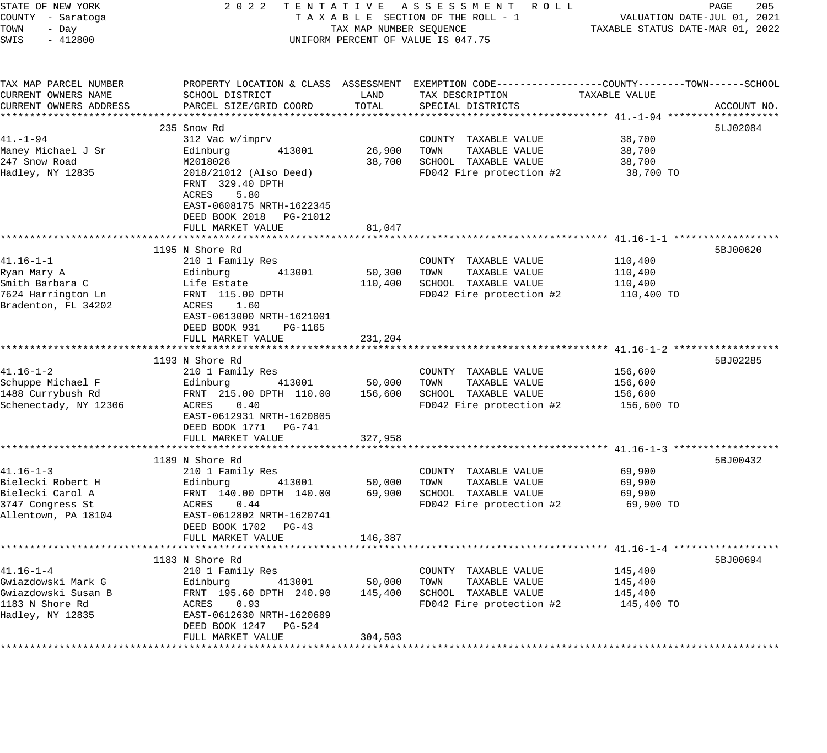| STATE OF NEW YORK<br>COUNTY - Saratoga     | 2 0 2 2                                                     |                         | TENTATIVE ASSESSMENT ROLL<br>TAXABLE SECTION OF THE ROLL - 1                                     | VALUATION DATE-JUL 01, 2021      | PAGE<br>205 |
|--------------------------------------------|-------------------------------------------------------------|-------------------------|--------------------------------------------------------------------------------------------------|----------------------------------|-------------|
| TOWN<br>- Day<br>SWIS<br>$-412800$         |                                                             | TAX MAP NUMBER SEQUENCE | UNIFORM PERCENT OF VALUE IS 047.75                                                               | TAXABLE STATUS DATE-MAR 01, 2022 |             |
| TAX MAP PARCEL NUMBER                      |                                                             |                         | PROPERTY LOCATION & CLASS ASSESSMENT EXEMPTION CODE----------------COUNTY-------TOWN------SCHOOL |                                  |             |
| CURRENT OWNERS NAME                        | SCHOOL DISTRICT                                             | LAND                    | TAX DESCRIPTION                                                                                  | TAXABLE VALUE                    |             |
| CURRENT OWNERS ADDRESS                     | PARCEL SIZE/GRID COORD                                      | TOTAL                   | SPECIAL DISTRICTS                                                                                |                                  | ACCOUNT NO. |
|                                            | 235 Snow Rd                                                 |                         |                                                                                                  |                                  | 5LJ02084    |
| $41. - 1 - 94$                             | 312 Vac w/imprv                                             |                         | COUNTY TAXABLE VALUE                                                                             | 38,700                           |             |
| Maney Michael J Sr                         | 413001<br>Edinburg                                          | 26,900                  | TOWN<br>TAXABLE VALUE                                                                            | 38,700                           |             |
| 247 Snow Road                              | M2018026                                                    | 38,700                  | SCHOOL TAXABLE VALUE                                                                             | 38,700                           |             |
| Hadley, NY 12835                           | 2018/21012 (Also Deed)<br>FRNT 329.40 DPTH<br>ACRES<br>5.80 |                         | FD042 Fire protection #2                                                                         | 38,700 TO                        |             |
|                                            | EAST-0608175 NRTH-1622345<br>DEED BOOK 2018 PG-21012        |                         |                                                                                                  |                                  |             |
|                                            | FULL MARKET VALUE                                           | 81,047                  |                                                                                                  |                                  |             |
|                                            | 1195 N Shore Rd                                             |                         |                                                                                                  |                                  | 5BJ00620    |
| $41.16 - 1 - 1$                            | 210 1 Family Res                                            |                         | COUNTY TAXABLE VALUE                                                                             | 110,400                          |             |
| Ryan Mary A                                | Edinburg<br>413001                                          | 50,300                  | TOWN<br>TAXABLE VALUE                                                                            | 110,400                          |             |
| Smith Barbara C                            | Life Estate                                                 | 110,400                 | SCHOOL TAXABLE VALUE                                                                             | 110,400                          |             |
| 7624 Harrington Ln                         | FRNT 115.00 DPTH                                            |                         | FD042 Fire protection #2                                                                         | 110,400 TO                       |             |
| Bradenton, FL 34202                        | ACRES<br>1.60                                               |                         |                                                                                                  |                                  |             |
|                                            | EAST-0613000 NRTH-1621001                                   |                         |                                                                                                  |                                  |             |
|                                            | DEED BOOK 931<br>PG-1165                                    |                         |                                                                                                  |                                  |             |
|                                            | FULL MARKET VALUE                                           | 231,204                 |                                                                                                  |                                  |             |
|                                            |                                                             |                         |                                                                                                  |                                  |             |
|                                            | 1193 N Shore Rd                                             |                         |                                                                                                  |                                  | 5BJ02285    |
| $41.16 - 1 - 2$                            | 210 1 Family Res                                            |                         | COUNTY TAXABLE VALUE                                                                             | 156,600                          |             |
| Schuppe Michael F                          | 413001<br>Edinburg                                          | 50,000                  | TOWN<br>TAXABLE VALUE                                                                            | 156,600                          |             |
| 1488 Currybush Rd<br>Schenectady, NY 12306 | FRNT 215.00 DPTH 110.00<br>ACRES 0.40                       | 156,600                 | SCHOOL TAXABLE VALUE<br>FD042 Fire protection #2                                                 | 156,600<br>156,600 TO            |             |
|                                            | EAST-0612931 NRTH-1620805                                   |                         |                                                                                                  |                                  |             |
|                                            | DEED BOOK 1771 PG-741                                       |                         |                                                                                                  |                                  |             |
|                                            | FULL MARKET VALUE                                           | 327,958                 |                                                                                                  |                                  |             |
|                                            |                                                             |                         |                                                                                                  |                                  |             |
|                                            | 1189 N Shore Rd                                             |                         |                                                                                                  |                                  | 5BJ00432    |
| $41.16 - 1 - 3$                            | 210 1 Family Res                                            |                         | COUNTY TAXABLE VALUE                                                                             | 69,900                           |             |
| Bielecki Robert H                          | Edinburg<br>413001                                          | 50,000                  | TOWN<br>TAXABLE VALUE                                                                            | 69,900                           |             |
| Bielecki Carol A                           | FRNT 140.00 DPTH 140.00                                     | 69,900                  | SCHOOL TAXABLE VALUE                                                                             | 69,900                           |             |
| 3747 Congress St                           | ACRES 0.44                                                  |                         | FD042 Fire protection #2                                                                         | 69,900 TO                        |             |
| Allentown, PA 18104                        | EAST-0612802 NRTH-1620741                                   |                         |                                                                                                  |                                  |             |
|                                            | DEED BOOK 1702 PG-43                                        |                         |                                                                                                  |                                  |             |
|                                            | FULL MARKET VALUE                                           | 146,387                 |                                                                                                  |                                  |             |
|                                            | 1183 N Shore Rd                                             |                         |                                                                                                  |                                  | 5BJ00694    |
| $41.16 - 1 - 4$                            | 210 1 Family Res                                            |                         | COUNTY TAXABLE VALUE                                                                             | 145,400                          |             |
| Gwiazdowski Mark G                         | Edinburg<br>413001                                          | 50,000                  | TAXABLE VALUE<br>TOWN                                                                            | 145,400                          |             |
| Gwiazdowski Susan B                        | FRNT 195.60 DPTH 240.90                                     | 145,400                 | SCHOOL TAXABLE VALUE                                                                             | 145,400                          |             |
| 1183 N Shore Rd                            | 0.93<br>ACRES                                               |                         | FD042 Fire protection #2                                                                         | 145,400 TO                       |             |
| Hadley, NY 12835                           | EAST-0612630 NRTH-1620689                                   |                         |                                                                                                  |                                  |             |
|                                            | DEED BOOK 1247<br>PG-524                                    |                         |                                                                                                  |                                  |             |
|                                            | FULL MARKET VALUE                                           | 304,503                 |                                                                                                  |                                  |             |
|                                            | ************************                                    | ******************      |                                                                                                  |                                  |             |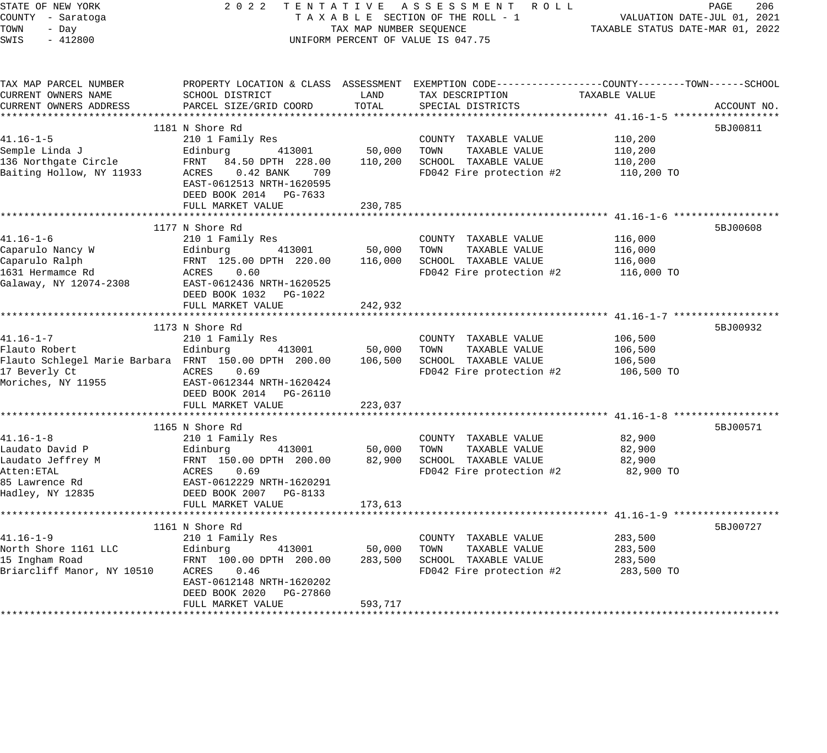| STATE OF NEW YORK                                     | 2 0 2 2                                                            |                         | TENTATIVE ASSESSMENT ROLL                                                                      |                                                                 | PAGE<br>206 |
|-------------------------------------------------------|--------------------------------------------------------------------|-------------------------|------------------------------------------------------------------------------------------------|-----------------------------------------------------------------|-------------|
| COUNTY - Saratoga<br>TOWN                             |                                                                    | TAX MAP NUMBER SEQUENCE | TAXABLE SECTION OF THE ROLL - 1                                                                | VALUATION DATE-JUL 01, 2021<br>TAXABLE STATUS DATE-MAR 01, 2022 |             |
| - Day<br>SWIS<br>$-412800$                            |                                                                    |                         | UNIFORM PERCENT OF VALUE IS 047.75                                                             |                                                                 |             |
|                                                       |                                                                    |                         |                                                                                                |                                                                 |             |
| TAX MAP PARCEL NUMBER                                 |                                                                    |                         | PROPERTY LOCATION & CLASS ASSESSMENT EXEMPTION CODE---------------COUNTY-------TOWN-----SCHOOL |                                                                 |             |
| CURRENT OWNERS NAME                                   | SCHOOL DISTRICT                                                    | LAND                    | TAX DESCRIPTION                                                                                | TAXABLE VALUE                                                   |             |
| CURRENT OWNERS ADDRESS                                | PARCEL SIZE/GRID COORD                                             | TOTAL                   | SPECIAL DISTRICTS                                                                              |                                                                 | ACCOUNT NO. |
|                                                       | 1181 N Shore Rd                                                    |                         |                                                                                                |                                                                 | 5BJ00811    |
| $41.16 - 1 - 5$                                       | 210 1 Family Res                                                   |                         | COUNTY TAXABLE VALUE                                                                           | 110,200                                                         |             |
| Semple Linda J                                        | 413001<br>Edinburg                                                 | 50,000                  | TOWN<br>TAXABLE VALUE                                                                          | 110,200                                                         |             |
| 136 Northgate Circle                                  | FRNT 84.50 DPTH 228.00                                             | 110,200                 | SCHOOL TAXABLE VALUE                                                                           | 110,200                                                         |             |
| Baiting Hollow, NY 11933                              | ACRES 0.42 BANK<br>709                                             |                         | FD042 Fire protection #2                                                                       | 110,200 TO                                                      |             |
|                                                       | EAST-0612513 NRTH-1620595                                          |                         |                                                                                                |                                                                 |             |
|                                                       | DEED BOOK 2014 PG-7633                                             |                         |                                                                                                |                                                                 |             |
|                                                       | FULL MARKET VALUE                                                  | 230,785                 |                                                                                                |                                                                 |             |
|                                                       |                                                                    |                         |                                                                                                |                                                                 |             |
|                                                       | 1177 N Shore Rd                                                    |                         |                                                                                                |                                                                 | 5BJ00608    |
| $41.16 - 1 - 6$                                       | 210 1 Family Res                                                   |                         | COUNTY TAXABLE VALUE                                                                           | 116,000                                                         |             |
| Caparulo Nancy W                                      | 413001<br>Edinburg                                                 | 50,000                  | TOWN<br>TAXABLE VALUE                                                                          | 116,000                                                         |             |
| Caparulo Ralph                                        | FRNT 125.00 DPTH 220.00                                            | 116,000                 | SCHOOL TAXABLE VALUE                                                                           | 116,000                                                         |             |
| 1631 Hermamce Rd<br>Galaway, NY 12074-2308            | ACRES<br>0.60<br>EAST-0612436 NRTH-1620525                         |                         | FD042 Fire protection #2                                                                       | 116,000 TO                                                      |             |
|                                                       | DEED BOOK 1032 PG-1022                                             |                         |                                                                                                |                                                                 |             |
|                                                       | FULL MARKET VALUE                                                  | 242,932                 |                                                                                                |                                                                 |             |
|                                                       |                                                                    |                         |                                                                                                |                                                                 |             |
|                                                       | 1173 N Shore Rd                                                    |                         |                                                                                                |                                                                 | 5BJ00932    |
| $41.16 - 1 - 7$                                       | 210 1 Family Res                                                   |                         | COUNTY TAXABLE VALUE                                                                           | 106,500                                                         |             |
| Flauto Robert                                         | 413001<br>Edinburg                                                 | 50,000                  | TOWN<br>TAXABLE VALUE                                                                          | 106,500                                                         |             |
| Flauto Schlegel Marie Barbara FRNT 150.00 DPTH 200.00 |                                                                    | 106,500                 | SCHOOL TAXABLE VALUE                                                                           | 106,500                                                         |             |
| 17 Beverly Ct                                         | ACRES 0.69                                                         |                         | FD042 Fire protection #2                                                                       | 106,500 TO                                                      |             |
| Moriches, NY 11955                                    | EAST-0612344 NRTH-1620424                                          |                         |                                                                                                |                                                                 |             |
|                                                       | DEED BOOK 2014 PG-26110                                            |                         |                                                                                                |                                                                 |             |
|                                                       | FULL MARKET VALUE                                                  | 223,037                 |                                                                                                |                                                                 |             |
|                                                       |                                                                    |                         |                                                                                                |                                                                 |             |
|                                                       | 1165 N Shore Rd                                                    |                         |                                                                                                |                                                                 | 5BJ00571    |
| $41.16 - 1 - 8$                                       | 210 1 Family Res                                                   |                         | COUNTY TAXABLE VALUE                                                                           | 82,900                                                          |             |
| Laudato David P                                       | 413001<br>Edinburg 413001<br>FRNT 150.00 DPTH 200.00<br>ACRES 0.69 | 50,000                  | TAXABLE VALUE<br>TOWN                                                                          | 82,900                                                          |             |
| Laudato Jeffrey M                                     |                                                                    | 82,900                  | SCHOOL TAXABLE VALUE                                                                           | 82,900                                                          |             |
| Atten:ETAL<br>85 Lawrence Rd                          |                                                                    |                         | FD042 Fire protection #2                                                                       | 82,900 TO                                                       |             |
| Hadley, NY 12835                                      | EAST-0612229 NRTH-1620291<br>DEED BOOK 2007 PG-8133                |                         |                                                                                                |                                                                 |             |
|                                                       | FULL MARKET VALUE                                                  | 173,613                 |                                                                                                |                                                                 |             |
|                                                       |                                                                    |                         |                                                                                                |                                                                 |             |
|                                                       | 1161 N Shore Rd                                                    |                         |                                                                                                |                                                                 | 5BJ00727    |
| 41.16-1-9                                             | 210 1 Family Res                                                   |                         | COUNTY TAXABLE VALUE                                                                           | 283,500                                                         |             |
| North Shore 1161 LLC                                  | 413001<br>Edinburg                                                 | 50,000                  | TOWN<br>TAXABLE VALUE                                                                          | 283,500                                                         |             |
| 15 Ingham Road                                        | FRNT 100.00 DPTH 200.00                                            | 283,500                 | SCHOOL TAXABLE VALUE                                                                           | 283,500                                                         |             |
| Briarcliff Manor, NY 10510                            | ACRES<br>0.46                                                      |                         | FD042 Fire protection #2                                                                       | 283,500 TO                                                      |             |
|                                                       | EAST-0612148 NRTH-1620202                                          |                         |                                                                                                |                                                                 |             |
|                                                       | DEED BOOK 2020<br>PG-27860                                         |                         |                                                                                                |                                                                 |             |
|                                                       | FULL MARKET VALUE                                                  | 593,717                 |                                                                                                |                                                                 |             |
|                                                       |                                                                    |                         |                                                                                                |                                                                 |             |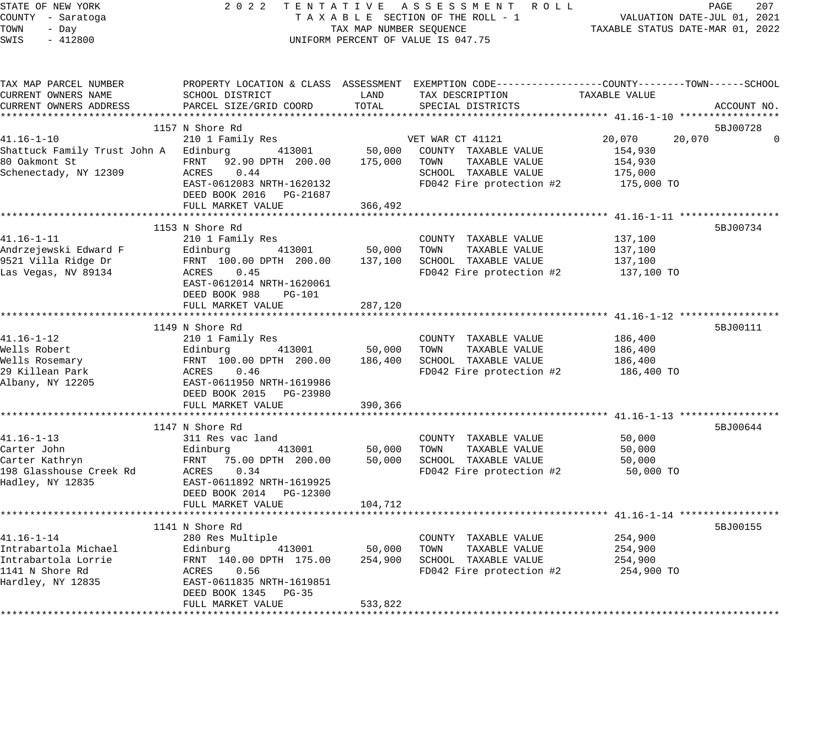| STATE OF NEW YORK<br>COUNTY - Saratoga<br>TOWN<br>- Day<br>SWIS<br>$-412800$ | 2 0 2 2<br>TENTATIVE ASSESSMENT ROLL<br>TAXABLE SECTION OF THE ROLL - 1<br>TAX MAP NUMBER SEQUENCE<br>UNIFORM PERCENT OF VALUE IS 047.75 | TAXABLE STATUS DATE-MAR 01, 2022 | PAGE<br>207<br>VALUATION DATE-JUL 01, 2021                                                                        |                  |             |
|------------------------------------------------------------------------------|------------------------------------------------------------------------------------------------------------------------------------------|----------------------------------|-------------------------------------------------------------------------------------------------------------------|------------------|-------------|
| TAX MAP PARCEL NUMBER<br>CURRENT OWNERS NAME                                 | SCHOOL DISTRICT                                                                                                                          | LAND                             | PROPERTY LOCATION & CLASS ASSESSMENT EXEMPTION CODE---------------COUNTY-------TOWN-----SCHOOL<br>TAX DESCRIPTION | TAXABLE VALUE    |             |
| CURRENT OWNERS ADDRESS                                                       | PARCEL SIZE/GRID COORD                                                                                                                   | TOTAL                            | SPECIAL DISTRICTS                                                                                                 |                  | ACCOUNT NO. |
|                                                                              | 1157 N Shore Rd                                                                                                                          |                                  |                                                                                                                   |                  | 5BJ00728    |
| $41.16 - 1 - 10$                                                             | 210 1 Family Res                                                                                                                         |                                  | VET WAR CT 41121                                                                                                  | 20,070<br>20,070 | $\Omega$    |
| Shattuck Family Trust John A Edinburg                                        | 413001                                                                                                                                   | 50,000                           | COUNTY TAXABLE VALUE                                                                                              | 154,930          |             |
| 80 Oakmont St                                                                | FRNT 92.90 DPTH 200.00                                                                                                                   | 175,000                          | TAXABLE VALUE<br>TOWN                                                                                             | 154,930          |             |
| Schenectady, NY 12309                                                        | 0.44<br>ACRES                                                                                                                            |                                  | SCHOOL TAXABLE VALUE                                                                                              | 175,000          |             |
|                                                                              | EAST-0612083 NRTH-1620132                                                                                                                |                                  | FD042 Fire protection #2                                                                                          | 175,000 TO       |             |
|                                                                              | DEED BOOK 2016 PG-21687                                                                                                                  |                                  |                                                                                                                   |                  |             |
|                                                                              | FULL MARKET VALUE                                                                                                                        | 366,492                          |                                                                                                                   |                  |             |
|                                                                              | 1153 N Shore Rd                                                                                                                          |                                  |                                                                                                                   |                  | 5BJ00734    |
| $41.16 - 1 - 11$                                                             | 210 1 Family Res                                                                                                                         |                                  | COUNTY TAXABLE VALUE                                                                                              | 137,100          |             |
| Andrzejewski Edward F                                                        | Edinburg<br>413001                                                                                                                       | 50,000                           | TAXABLE VALUE<br>TOWN                                                                                             | 137,100          |             |
| 9521 Villa Ridge Dr                                                          | FRNT 100.00 DPTH 200.00                                                                                                                  | 137,100                          | SCHOOL TAXABLE VALUE                                                                                              | 137,100          |             |
| Las Vegas, NV 89134                                                          | ACRES<br>0.45                                                                                                                            |                                  | FD042 Fire protection #2                                                                                          | 137,100 TO       |             |
|                                                                              | EAST-0612014 NRTH-1620061                                                                                                                |                                  |                                                                                                                   |                  |             |
|                                                                              | DEED BOOK 988<br><b>PG-101</b>                                                                                                           |                                  |                                                                                                                   |                  |             |
|                                                                              | FULL MARKET VALUE                                                                                                                        | 287,120                          | ********************************** 41.16-1-12 *****                                                               |                  |             |
|                                                                              |                                                                                                                                          |                                  |                                                                                                                   |                  | 5BJ00111    |
| $41.16 - 1 - 12$                                                             | 1149 N Shore Rd<br>210 1 Family Res                                                                                                      |                                  | COUNTY TAXABLE VALUE                                                                                              | 186,400          |             |
| Wells Robert                                                                 | 413001<br>Edinburg                                                                                                                       | 50,000                           | TOWN<br>TAXABLE VALUE                                                                                             | 186,400          |             |
| Wells Rosemary                                                               | FRNT 100.00 DPTH 200.00                                                                                                                  | 186,400                          | SCHOOL TAXABLE VALUE                                                                                              | 186,400          |             |
| 29 Killean Park                                                              | ACRES<br>0.46                                                                                                                            |                                  | FD042 Fire protection #2                                                                                          | 186,400 TO       |             |
| Albany, NY 12205                                                             | EAST-0611950 NRTH-1619986                                                                                                                |                                  |                                                                                                                   |                  |             |
|                                                                              | DEED BOOK 2015 PG-23980                                                                                                                  |                                  |                                                                                                                   |                  |             |
|                                                                              | FULL MARKET VALUE                                                                                                                        | 390,366                          |                                                                                                                   |                  |             |
|                                                                              |                                                                                                                                          |                                  |                                                                                                                   |                  |             |
|                                                                              | 1147 N Shore Rd                                                                                                                          |                                  |                                                                                                                   |                  | 5BJ00644    |
| $41.16 - 1 - 13$                                                             | 311 Res vac land                                                                                                                         |                                  | COUNTY TAXABLE VALUE                                                                                              | 50,000           |             |
| Carter John<br>Carter Kathryn                                                | 413001<br>Edinburg<br>FRNT 75.00 DPTH 200.00                                                                                             | 50,000<br>50,000                 | TAXABLE VALUE<br>TOWN<br>SCHOOL TAXABLE VALUE                                                                     | 50,000<br>50,000 |             |
| 198 Glasshouse Creek Rd                                                      | ACRES<br>0.34                                                                                                                            |                                  | FD042 Fire protection #2                                                                                          | 50,000 TO        |             |
| Hadley, NY 12835                                                             | EAST-0611892 NRTH-1619925                                                                                                                |                                  |                                                                                                                   |                  |             |
|                                                                              | DEED BOOK 2014 PG-12300                                                                                                                  |                                  |                                                                                                                   |                  |             |
|                                                                              | FULL MARKET VALUE                                                                                                                        | 104,712                          |                                                                                                                   |                  |             |
|                                                                              |                                                                                                                                          |                                  |                                                                                                                   |                  |             |
|                                                                              | 1141 N Shore Rd                                                                                                                          |                                  |                                                                                                                   |                  | 5BJ00155    |
| $41.16 - 1 - 14$                                                             | 280 Res Multiple                                                                                                                         |                                  | COUNTY TAXABLE VALUE                                                                                              | 254,900          |             |
| Intrabartola Michael                                                         | Edinburg<br>413001                                                                                                                       | 50,000                           | TAXABLE VALUE<br>TOWN                                                                                             | 254,900          |             |
| Intrabartola Lorrie                                                          | FRNT 140.00 DPTH 175.00                                                                                                                  | 254,900                          | SCHOOL TAXABLE VALUE                                                                                              | 254,900          |             |
| 1141 N Shore Rd<br>Hardley, NY 12835                                         | ACRES<br>0.56<br>EAST-0611835 NRTH-1619851                                                                                               |                                  | FD042 Fire protection #2                                                                                          | 254,900 TO       |             |
|                                                                              | DEED BOOK 1345<br>$PG-35$                                                                                                                |                                  |                                                                                                                   |                  |             |
|                                                                              | FULL MARKET VALUE                                                                                                                        | 533,822                          |                                                                                                                   |                  |             |
|                                                                              |                                                                                                                                          |                                  |                                                                                                                   |                  |             |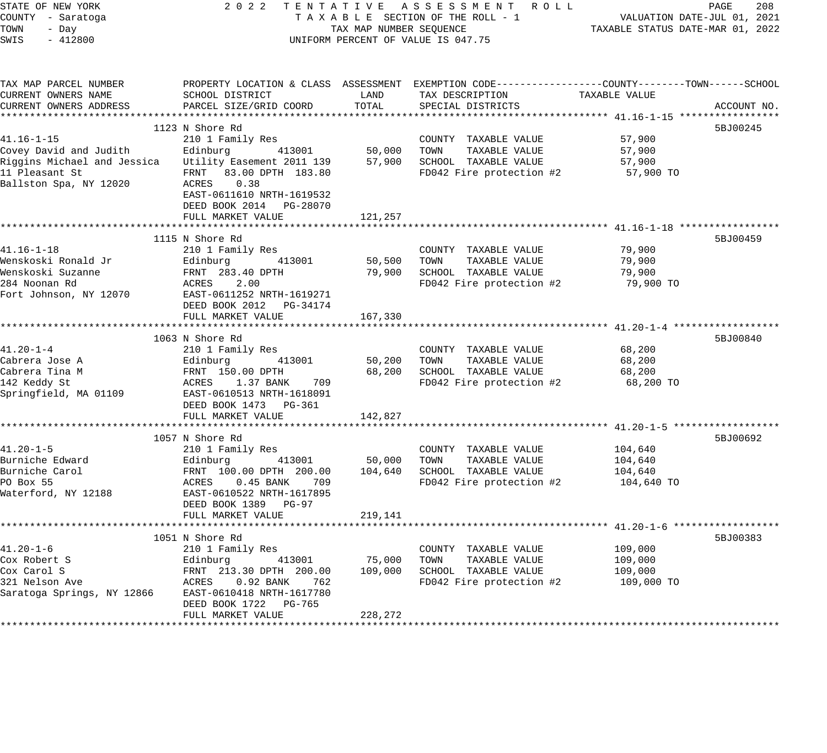| STATE OF NEW YORK<br>COUNTY - Saratoga<br>TOWN<br>- Day |                                                                   | TAX MAP NUMBER SEQUENCE         | 2022 TENTATIVE ASSESSMENT ROLL<br>TAXABLE SECTION OF THE ROLL - 1                                                 | TAXABLE STATUS DATE-MAR 01, 2022 | PAGE<br>208<br>VALUATION DATE-JUL 01, 2021 |
|---------------------------------------------------------|-------------------------------------------------------------------|---------------------------------|-------------------------------------------------------------------------------------------------------------------|----------------------------------|--------------------------------------------|
| SWIS<br>$-412800$                                       |                                                                   |                                 | UNIFORM PERCENT OF VALUE IS 047.75                                                                                |                                  |                                            |
| TAX MAP PARCEL NUMBER<br>CURRENT OWNERS NAME            | SCHOOL DISTRICT<br>PARCEL SIZE/GRID COORD                         | LAND<br>TOTAL                   | PROPERTY LOCATION & CLASS ASSESSMENT EXEMPTION CODE---------------COUNTY-------TOWN-----SCHOOL<br>TAX DESCRIPTION | TAXABLE VALUE                    |                                            |
| CURRENT OWNERS ADDRESS                                  |                                                                   |                                 | SPECIAL DISTRICTS                                                                                                 |                                  | ACCOUNT NO.                                |
|                                                         | 1123 N Shore Rd                                                   |                                 |                                                                                                                   |                                  | 5BJ00245                                   |
| $41.16 - 1 - 15$                                        | 210 1 Family Res                                                  |                                 | COUNTY TAXABLE VALUE                                                                                              | 57,900                           |                                            |
| Covey David and Judith                                  | Edinburg<br>413001                                                | 50,000                          | TOWN<br>TAXABLE VALUE                                                                                             | 57,900                           |                                            |
| Riggins Michael and Jessica                             | Utility Easement 2011 139                                         | 57,900                          | SCHOOL TAXABLE VALUE                                                                                              | 57,900                           |                                            |
| 11 Pleasant St<br>Ballston Spa, NY 12020                | FRNT 83.00 DPTH 183.80<br>ACRES 0.38<br>EAST-0611610 NRTH-1619532 |                                 | FD042 Fire protection #2                                                                                          | 57,900 TO                        |                                            |
|                                                         | DEED BOOK 2014 PG-28070                                           |                                 |                                                                                                                   |                                  |                                            |
|                                                         | FULL MARKET VALUE                                                 | 121,257                         |                                                                                                                   |                                  |                                            |
|                                                         | ******************************                                    |                                 |                                                                                                                   |                                  |                                            |
| $41.16 - 1 - 18$                                        | 1115 N Shore Rd                                                   |                                 | COUNTY TAXABLE VALUE                                                                                              | 79,900                           | 5BJ00459                                   |
| Wenskoski Ronald Jr                                     | 210 1 Family Res<br>413001<br>Edinburg                            | 50,500                          | TAXABLE VALUE<br>TOWN                                                                                             | 79,900                           |                                            |
| Wenskoski Suzanne                                       | FRNT 283.40 DPTH                                                  |                                 | 79,900 SCHOOL TAXABLE VALUE                                                                                       | 79,900                           |                                            |
| 284 Noonan Rd                                           | 2.00<br>ACRES                                                     |                                 | FD042 Fire protection #2                                                                                          | 79,900 TO                        |                                            |
| Fort Johnson, NY 12070                                  | EAST-0611252 NRTH-1619271<br>DEED BOOK 2012 PG-34174              |                                 |                                                                                                                   |                                  |                                            |
|                                                         | FULL MARKET VALUE                                                 | 167,330                         |                                                                                                                   |                                  |                                            |
|                                                         | 1063 N Shore Rd                                                   |                                 |                                                                                                                   |                                  | 5BJ00840                                   |
| $41.20 - 1 - 4$                                         | 210 1 Family Res                                                  |                                 | COUNTY TAXABLE VALUE                                                                                              | 68,200                           |                                            |
| Cabrera Jose A                                          | 413001<br>Edinburg                                                | 50,200                          | TOWN<br>TAXABLE VALUE                                                                                             | 68,200                           |                                            |
| Cabrera Tina M                                          | FRNT 150.00 DPTH                                                  | 68,200                          | SCHOOL TAXABLE VALUE                                                                                              | 68,200                           |                                            |
| 142 Keddy St                                            | ACRES<br>1.37 BANK<br>709                                         |                                 | FD042 Fire protection #2                                                                                          | 68,200 TO                        |                                            |
| Springfield, MA 01109                                   | EAST-0610513 NRTH-1618091                                         |                                 |                                                                                                                   |                                  |                                            |
|                                                         | DEED BOOK 1473 PG-361                                             |                                 |                                                                                                                   |                                  |                                            |
|                                                         | FULL MARKET VALUE                                                 | 142,827                         |                                                                                                                   |                                  |                                            |
|                                                         |                                                                   |                                 |                                                                                                                   |                                  |                                            |
|                                                         | 1057 N Shore Rd                                                   |                                 |                                                                                                                   |                                  | 5BJ00692                                   |
| $41.20 - 1 - 5$                                         | 210 1 Family Res                                                  |                                 | COUNTY TAXABLE VALUE                                                                                              | 104,640                          |                                            |
| Burniche Edward<br>Burniche Carol                       | Edinburg<br>413001                                                | 50,000                          | TOWN<br>TAXABLE VALUE                                                                                             | 104,640                          |                                            |
| PO Box 55                                               | FRNT 100.00 DPTH 200.00<br>ACRES<br>$0.45$ BANK<br>709            |                                 | 104,640 SCHOOL TAXABLE VALUE<br>FD042 Fire protection #2                                                          | 104,640<br>104,640 TO            |                                            |
| Waterford, NY 12188                                     | EAST-0610522 NRTH-1617895<br>DEED BOOK 1389 PG-97                 |                                 |                                                                                                                   |                                  |                                            |
|                                                         | FULL MARKET VALUE<br>*************************                    | 219,141<br>******************** |                                                                                                                   |                                  |                                            |
|                                                         |                                                                   |                                 |                                                                                                                   |                                  |                                            |
| $41.20 - 1 - 6$                                         | 1051 N Shore Rd                                                   |                                 |                                                                                                                   | 109,000                          | 5BJ00383                                   |
| Cox Robert S                                            | 210 1 Family Res<br>Edinburg<br>413001                            | 75,000                          | COUNTY TAXABLE VALUE<br>TOWN<br>TAXABLE VALUE                                                                     | 109,000                          |                                            |
| Cox Carol S                                             | FRNT 213.30 DPTH 200.00                                           | 109,000                         | SCHOOL TAXABLE VALUE                                                                                              | 109,000                          |                                            |
| 321 Nelson Ave                                          | ACRES<br>$0.92$ BANK<br>762                                       |                                 | FD042 Fire protection #2                                                                                          | 109,000 TO                       |                                            |
| Saratoga Springs, NY 12866                              | EAST-0610418 NRTH-1617780<br>DEED BOOK 1722 PG-765                |                                 |                                                                                                                   |                                  |                                            |
|                                                         | FULL MARKET VALUE                                                 | 228,272                         |                                                                                                                   |                                  |                                            |
|                                                         |                                                                   |                                 |                                                                                                                   |                                  |                                            |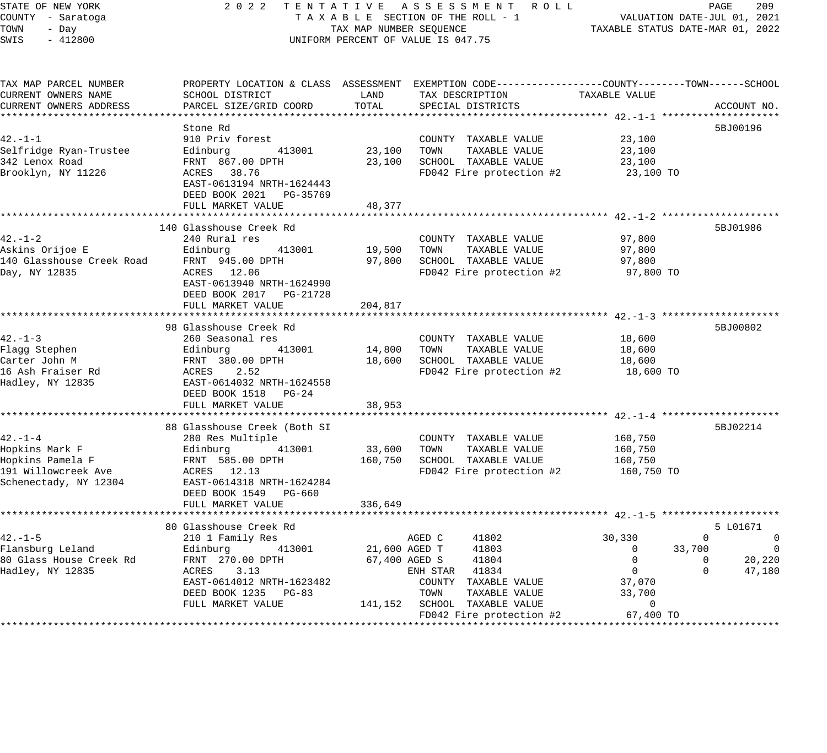## STATE OF NEW YORK 2 0 2 2 T E N T A T I V E A S S E S S M E N T R O L L PAGE 209 COUNTY - Saratoga T A X A B L E SECTION OF THE ROLL - 1 VALUATION DATE-JUL 01, 2021 X A B L E SECTION OF THE ROLL - 1 WILLIAM CONTROLLED STATUS DATE-MAR 01, 2022 UNIFORM PERCENT OF VALUE IS 047.75

| TAX MAP PARCEL NUMBER<br>CURRENT OWNERS NAME                                                       | SCHOOL DISTRICT                                                                                                                                                             | LAND              | PROPERTY LOCATION & CLASS ASSESSMENT EXEMPTION CODE----------------COUNTY-------TOWN------SCHOOL<br>TAX DESCRIPTION | TAXABLE VALUE                                                       |                                                                                          |
|----------------------------------------------------------------------------------------------------|-----------------------------------------------------------------------------------------------------------------------------------------------------------------------------|-------------------|---------------------------------------------------------------------------------------------------------------------|---------------------------------------------------------------------|------------------------------------------------------------------------------------------|
| CURRENT OWNERS ADDRESS                                                                             | PARCEL SIZE/GRID COORD                                                                                                                                                      | TOTAL             | SPECIAL DISTRICTS                                                                                                   |                                                                     | ACCOUNT NO.                                                                              |
|                                                                                                    | Stone Rd                                                                                                                                                                    |                   |                                                                                                                     |                                                                     | 5BJ00196                                                                                 |
| $42. - 1 - 1$<br>Selfridge Ryan-Trustee<br>342 Lenox Road<br>Brooklyn, NY 11226                    | 910 Priv forest<br>413001<br>Edinburg<br>FRNT 867.00 DPTH<br>ACRES 38.76                                                                                                    | 23,100<br>23,100  | COUNTY TAXABLE VALUE<br>TOWN<br>TAXABLE VALUE<br>SCHOOL TAXABLE VALUE<br>FD042 Fire protection #2                   | 23,100<br>23,100<br>23,100<br>23,100 TO                             |                                                                                          |
|                                                                                                    | EAST-0613194 NRTH-1624443<br>DEED BOOK 2021 PG-35769<br>FULL MARKET VALUE                                                                                                   | 48,377            |                                                                                                                     |                                                                     |                                                                                          |
|                                                                                                    |                                                                                                                                                                             |                   |                                                                                                                     |                                                                     |                                                                                          |
| $42. - 1 - 2$<br>Askins Orijoe E<br>140 Glasshouse Creek Road FRNT 945.00 DPTH<br>Day, NY 12835    | 140 Glasshouse Creek Rd<br>240 Rural res<br>413001<br>Edinburg<br>ACRES 12.06<br>EAST-0613940 NRTH-1624990<br>DEED BOOK 2017 PG-21728                                       | 19,500<br>97,800  | COUNTY TAXABLE VALUE<br>TOWN<br>TAXABLE VALUE<br>SCHOOL TAXABLE VALUE<br>FD042 Fire protection #2                   | 97,800<br>97,800<br>97,800<br>97,800 TO                             | 5BJ01986                                                                                 |
|                                                                                                    | FULL MARKET VALUE                                                                                                                                                           | 204,817           |                                                                                                                     |                                                                     |                                                                                          |
|                                                                                                    |                                                                                                                                                                             |                   |                                                                                                                     |                                                                     |                                                                                          |
| $42. - 1 - 3$<br>Flagg Stephen<br>Carter John M<br>16 Ash Fraiser Rd<br>Hadley, NY 12835           | 98 Glasshouse Creek Rd<br>260 Seasonal res<br>Edinburg<br>FRNT 380.00 DPTH<br>ACRES 2.52<br>COMPO614032 NRTH<br>413001<br>EAST-0614032 NRTH-1624558<br>DEED BOOK 1518 PG-24 | 14,800<br>18,600  | COUNTY TAXABLE VALUE<br>TOWN<br>TAXABLE VALUE<br>SCHOOL TAXABLE VALUE<br>FD042 Fire protection #2                   | 18,600<br>18,600<br>18,600<br>18,600 TO                             | 5BJ00802                                                                                 |
|                                                                                                    | FULL MARKET VALUE                                                                                                                                                           | 38,953            |                                                                                                                     |                                                                     |                                                                                          |
| $42 - 1 - 4$<br>Hopkins Mark F<br>Hopkins Pamela F<br>191 Willowcreek Ave<br>Schenectady, NY 12304 | 88 Glasshouse Creek (Both SI<br>280 Res Multiple<br>Edinburg<br>413001<br>FRNT 585.00 DPTH<br>ACRES 12.13<br>EAST-0614318 NRTH-1624284<br>DEED BOOK 1549 PG-660             | 33,600<br>160,750 | COUNTY TAXABLE VALUE<br>TAXABLE VALUE<br>TOWN<br>SCHOOL TAXABLE VALUE<br>FD042 Fire protection #2                   | 160,750<br>160,750<br>160,750<br>160,750 TO                         | 5BJ02214                                                                                 |
|                                                                                                    | FULL MARKET VALUE                                                                                                                                                           | 336,649           |                                                                                                                     |                                                                     |                                                                                          |
|                                                                                                    | 80 Glasshouse Creek Rd                                                                                                                                                      |                   |                                                                                                                     |                                                                     | 5 L01671                                                                                 |
| $42. -1 - 5$<br>Flansburg Leland<br>80 Glass House Creek Rd<br>Hadley, NY 12835                    | 210 1 Family Res<br>413001<br>Edinburg<br>FRNT 270.00 DPTH<br>ACRES 3.13                                                                                                    | 21,600 AGED T     | AGED C<br>41802<br>41803<br>67,400 AGED S<br>41804<br>ENH STAR 41834                                                | 30,330<br>33,700<br>$\mathbf 0$<br>$\overline{0}$<br>$\overline{0}$ | $\overline{0}$<br>$\Omega$<br>$\overline{0}$<br>20,220<br>$\Omega$<br>$\Omega$<br>47,180 |
|                                                                                                    | EAST-0614012 NRTH-1623482<br>DEED BOOK 1235 PG-83<br>FULL MARKET VALUE                                                                                                      | 141,152           | COUNTY TAXABLE VALUE<br>TOWN<br>TAXABLE VALUE<br>SCHOOL TAXABLE VALUE<br>FD042 Fire protection #2                   | 37,070<br>33,700<br>$\mathbf{0}$<br>67,400 TO                       |                                                                                          |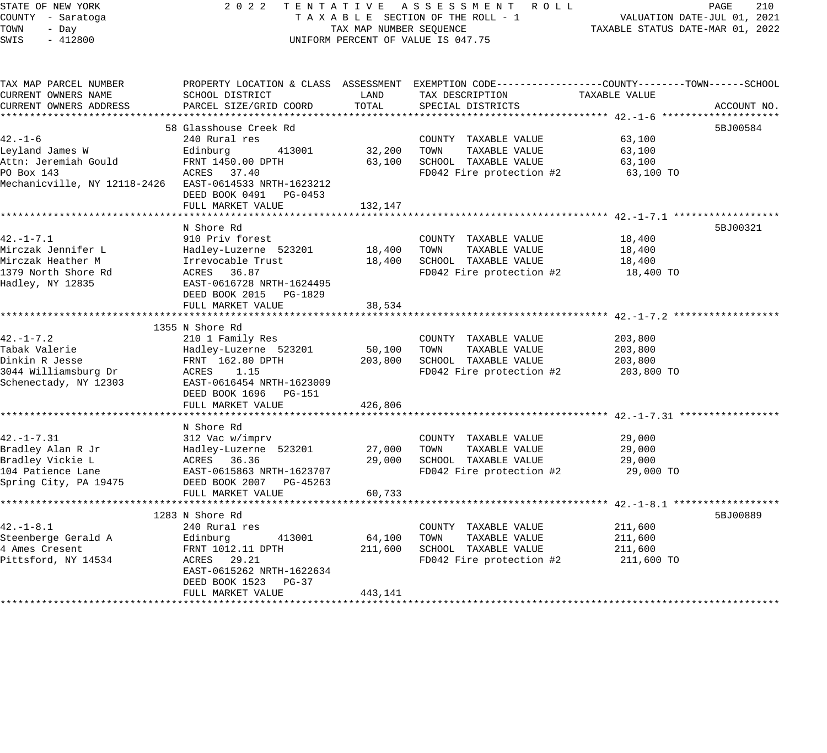STATE OF NEW YORK 2 0 2 2 T E N T A T I V E A S S E S S M E N T R O L L PAGE 210 COUNTY - Saratoga T A X A B L E SECTION OF THE ROLL - 1 VALUATION DATE-JUL 01, 2021 TOWN - Day TAX MAP NUMBER SEQUENCE TAXABLE STATUS DATE-MAR 01, 2022 SWIS - 412800 CONTROLLY THE UNIFORM PERCENT OF VALUE IS 047.75 TAX MAP PARCEL NUMBER PROPERTY LOCATION & CLASS ASSESSMENT EXEMPTION CODE------------------COUNTY--------TOWN------SCHOOL CURRENT OWNERS NAME SCHOOL DISTRICT LAND TAX DESCRIPTION TAXABLE VALUE CURRENT OWNERS ADDRESS PARCEL SIZE/GRID COORD TOTAL SPECIAL DISTRICTS ACCOUNT NO. \*\*\*\*\*\*\*\*\*\*\*\*\*\*\*\*\*\*\*\*\*\*\*\*\*\*\*\*\*\*\*\*\*\*\*\*\*\*\*\*\*\*\*\*\*\*\*\*\*\*\*\*\*\*\*\*\*\*\*\*\*\*\*\*\*\*\*\*\*\*\*\*\*\*\*\*\*\*\*\*\*\*\*\*\*\*\*\*\*\*\*\*\*\*\*\*\*\*\*\*\*\*\* 42.-1-6 \*\*\*\*\*\*\*\*\*\*\*\*\*\*\*\*\*\*\*\* 58 Glasshouse Creek Rd 5BJ00584 42.-1-6 240 Rural res COUNTY TAXABLE VALUE 63,100 Leyland James W Edinburg 413001 32,200 TOWN TAXABLE VALUE 63,100 Attn: Jeremiah Gould FRNT 1450.00 DPTH 63,100 SCHOOL TAXABLE VALUE 63,100 PO Box 143 ACRES 37.40 FD042 Fire protection #2 63,100 TO Mechanicville, NY 12118-2426 EAST-0614533 NRTH-1623212 DEED BOOK 0491 PG-0453 FULL MARKET VALUE 132,147 \*\*\*\*\*\*\*\*\*\*\*\*\*\*\*\*\*\*\*\*\*\*\*\*\*\*\*\*\*\*\*\*\*\*\*\*\*\*\*\*\*\*\*\*\*\*\*\*\*\*\*\*\*\*\*\*\*\*\*\*\*\*\*\*\*\*\*\*\*\*\*\*\*\*\*\*\*\*\*\*\*\*\*\*\*\*\*\*\*\*\*\*\*\*\*\*\*\*\*\*\*\*\* 42.-1-7.1 \*\*\*\*\*\*\*\*\*\*\*\*\*\*\*\*\*\* N Shore Rd 5BJ00321 42.-1-7.1 910 Priv forest COUNTY TAXABLE VALUE 18,400 Mirczak Jennifer L Hadley-Luzerne 523201 18,400 TOWN TAXABLE VALUE 18,400 Mirczak Heather M Irrevocable Trust 18,400 SCHOOL TAXABLE VALUE 18,400 1379 North Shore Rd ACRES 36.87 FD042 Fire protection #2 18,400 TO Hadley, NY 12835 EAST-0616728 NRTH-1624495 DEED BOOK 2015 PG-1829 FULL MARKET VALUE 38,534 \*\*\*\*\*\*\*\*\*\*\*\*\*\*\*\*\*\*\*\*\*\*\*\*\*\*\*\*\*\*\*\*\*\*\*\*\*\*\*\*\*\*\*\*\*\*\*\*\*\*\*\*\*\*\*\*\*\*\*\*\*\*\*\*\*\*\*\*\*\*\*\*\*\*\*\*\*\*\*\*\*\*\*\*\*\*\*\*\*\*\*\*\*\*\*\*\*\*\*\*\*\*\* 42.-1-7.2 \*\*\*\*\*\*\*\*\*\*\*\*\*\*\*\*\*\* 1355 N Shore Rd 42.-1-7.2 210 1 Family Res COUNTY TAXABLE VALUE 203,800 Tabak Valerie Hadley-Luzerne 523201 50,100 TOWN TAXABLE VALUE 203,800 Dinkin R Jesse FRNT 162.80 DPTH 203,800 SCHOOL TAXABLE VALUE 203,800 3044 Williamsburg Dr ACRES 1.15 FD042 Fire protection #2 203,800 TO Schenectady, NY 12303 EAST-0616454 NRTH-1623009 DEED BOOK 1696 PG-151 FULL MARKET VALUE 426,806 \*\*\*\*\*\*\*\*\*\*\*\*\*\*\*\*\*\*\*\*\*\*\*\*\*\*\*\*\*\*\*\*\*\*\*\*\*\*\*\*\*\*\*\*\*\*\*\*\*\*\*\*\*\*\*\*\*\*\*\*\*\*\*\*\*\*\*\*\*\*\*\*\*\*\*\*\*\*\*\*\*\*\*\*\*\*\*\*\*\*\*\*\*\*\*\*\*\*\*\*\*\*\* 42.-1-7.31 \*\*\*\*\*\*\*\*\*\*\*\*\*\*\*\*\* N Shore Rd 42.-1-7.31 312 Vac w/imprv COUNTY TAXABLE VALUE 29,000 Bradley Alan R Jr Hadley-Luzerne 523201 27,000 TOWN TAXABLE VALUE 29,000 Bradley Vickie L ACRES 36.36 29,000 SCHOOL TAXABLE VALUE 29,000 104 Patience Lane EAST-0615863 NRTH-1623707 FD042 Fire protection #2 29,000 TO Spring City, PA 19475 DEED BOOK 2007 PG-45263 FULL MARKET VALUE 60,733 \*\*\*\*\*\*\*\*\*\*\*\*\*\*\*\*\*\*\*\*\*\*\*\*\*\*\*\*\*\*\*\*\*\*\*\*\*\*\*\*\*\*\*\*\*\*\*\*\*\*\*\*\*\*\*\*\*\*\*\*\*\*\*\*\*\*\*\*\*\*\*\*\*\*\*\*\*\*\*\*\*\*\*\*\*\*\*\*\*\*\*\*\*\*\*\*\*\*\*\*\*\*\* 42.-1-8.1 \*\*\*\*\*\*\*\*\*\*\*\*\*\*\*\*\*\*  $1283$  N Shore Rd  $5BJ00889$ 42.-1-8.1 240 Rural res COUNTY TAXABLE VALUE 211,600 Steenberge Gerald A Edinburg 413001 64,100 TOWN TAXABLE VALUE 211,600 4 Ames Cresent FRNT 1012.11 DPTH 211,600 SCHOOL TAXABLE VALUE 211,600 Pittsford, NY 14534 ACRES 29.21 FD042 Fire protection #2 211,600 TO ------<br>EAST-0615262 NRTH-1622634<br>DEED BOOK 1523 PG-37

\*\*\*\*\*\*\*\*\*\*\*\*\*\*\*\*\*\*\*\*\*\*\*\*\*\*\*\*\*\*\*\*\*\*\*\*\*\*\*\*\*\*\*\*\*\*\*\*\*\*\*\*\*\*\*\*\*\*\*\*\*\*\*\*\*\*\*\*\*\*\*\*\*\*\*\*\*\*\*\*\*\*\*\*\*\*\*\*\*\*\*\*\*\*\*\*\*\*\*\*\*\*\*\*\*\*\*\*\*\*\*\*\*\*\*\*\*\*\*\*\*\*\*\*\*\*\*\*\*\*\*\*

EAST-0615262 NRTH-1622634

FULL MARKET VALUE 443,141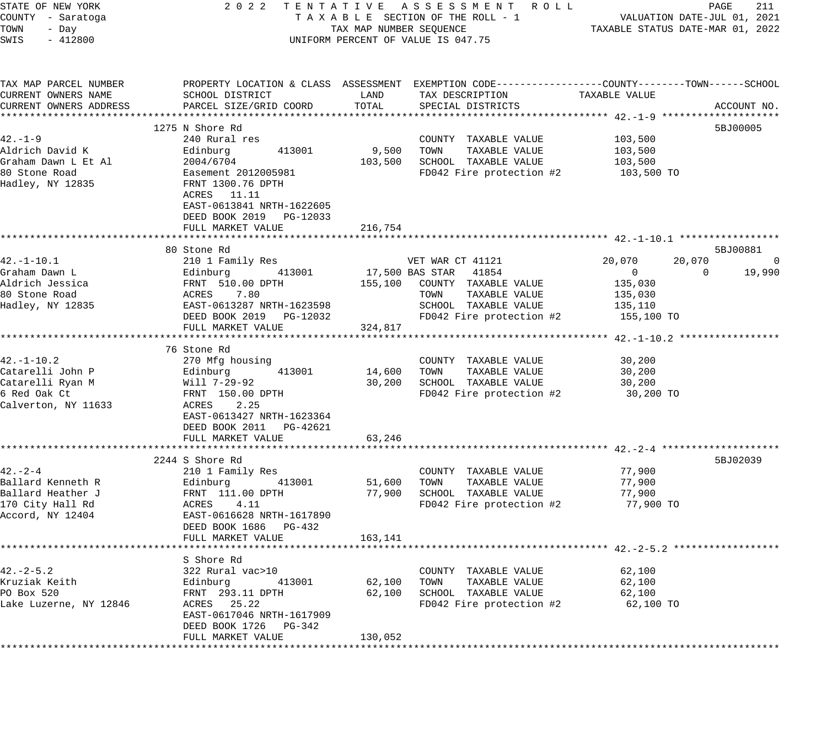| STATE OF NEW YORK      | 2022                               |                                  | TENTATIVE ASSESSMENT ROLL                                                                       |                | PAGE<br>211                 |
|------------------------|------------------------------------|----------------------------------|-------------------------------------------------------------------------------------------------|----------------|-----------------------------|
| COUNTY - Saratoga      |                                    |                                  | TAXABLE SECTION OF THE ROLL - 1                                                                 |                | VALUATION DATE-JUL 01, 2021 |
| TOWN<br>- Day          | TAX MAP NUMBER SEQUENCE            | TAXABLE STATUS DATE-MAR 01, 2022 |                                                                                                 |                |                             |
| $-412800$<br>SWIS      | UNIFORM PERCENT OF VALUE IS 047.75 |                                  |                                                                                                 |                |                             |
|                        |                                    |                                  |                                                                                                 |                |                             |
| TAX MAP PARCEL NUMBER  |                                    |                                  | PROPERTY LOCATION & CLASS ASSESSMENT EXEMPTION CODE---------------COUNTY-------TOWN------SCHOOL |                |                             |
| CURRENT OWNERS NAME    | SCHOOL DISTRICT                    | LAND                             | TAX DESCRIPTION                                                                                 | TAXABLE VALUE  |                             |
| CURRENT OWNERS ADDRESS | PARCEL SIZE/GRID COORD             | TOTAL                            | SPECIAL DISTRICTS                                                                               |                | ACCOUNT NO.                 |
|                        |                                    |                                  |                                                                                                 |                | * * * * * * *               |
|                        | 1275 N Shore Rd                    |                                  |                                                                                                 |                | 5BJ00005                    |
| $42. - 1 - 9$          | 240 Rural res                      |                                  | COUNTY TAXABLE VALUE                                                                            | 103,500        |                             |
| Aldrich David K        | 413001<br>Edinburg                 | 9,500                            | TOWN<br>TAXABLE VALUE                                                                           | 103,500        |                             |
| Graham Dawn L Et Al    | 2004/6704                          | 103,500                          | SCHOOL TAXABLE VALUE                                                                            | 103,500        |                             |
| 80 Stone Road          | Easement 2012005981                |                                  | FD042 Fire protection #2                                                                        | 103,500 TO     |                             |
| Hadley, NY 12835       | FRNT 1300.76 DPTH                  |                                  |                                                                                                 |                |                             |
|                        | ACRES 11.11                        |                                  |                                                                                                 |                |                             |
|                        | EAST-0613841 NRTH-1622605          |                                  |                                                                                                 |                |                             |
|                        | DEED BOOK 2019 PG-12033            |                                  |                                                                                                 |                |                             |
|                        | FULL MARKET VALUE                  | 216,754                          |                                                                                                 |                |                             |
|                        |                                    |                                  |                                                                                                 |                |                             |
|                        | 80 Stone Rd                        |                                  |                                                                                                 |                | 5BJ00881                    |
| $42. - 1 - 10.1$       | 210 1 Family Res                   |                                  | VET WAR CT 41121                                                                                | 20,070         | 20,070<br>$\overline{0}$    |
| Graham Dawn L          | Edinburg<br>413001                 |                                  | 41854<br>17,500 BAS STAR                                                                        | $\overline{0}$ | 19,990<br>$\Omega$          |
| Aldrich Jessica        | FRNT 510.00 DPTH                   |                                  | 155,100 COUNTY TAXABLE VALUE                                                                    | 135,030        |                             |
| 80 Stone Road          | ACRES 7.80                         |                                  | TAXABLE VALUE<br>TOWN                                                                           | 135,030        |                             |
| Hadley, NY 12835       | EAST-0613287 NRTH-1623598          |                                  | SCHOOL TAXABLE VALUE                                                                            | 135,110        |                             |
|                        | DEED BOOK 2019 PG-12032            |                                  | FD042 Fire protection #2                                                                        | 155,100 TO     |                             |
|                        | FULL MARKET VALUE                  | 324,817                          |                                                                                                 |                |                             |
|                        |                                    |                                  |                                                                                                 |                |                             |
|                        | 76 Stone Rd                        |                                  |                                                                                                 |                |                             |
| $42. - 1 - 10.2$       | 270 Mfg housing                    |                                  | COUNTY TAXABLE VALUE                                                                            | 30,200         |                             |
| Catarelli John P       | 413001                             | 14,600                           | TAXABLE VALUE<br>TOWN                                                                           | 30,200         |                             |
| Catarelli Ryan M       | Edinburg<br>Will 7-29-92           | 30,200                           | SCHOOL TAXABLE VALUE                                                                            | 30,200         |                             |
|                        |                                    |                                  |                                                                                                 |                |                             |
| 6 Red Oak Ct           | FRNT 150.00 DPTH<br>2.25           |                                  | FD042 Fire protection #2                                                                        | 30,200 TO      |                             |
| Calverton, NY 11633    | ACRES                              |                                  |                                                                                                 |                |                             |
|                        | EAST-0613427 NRTH-1623364          |                                  |                                                                                                 |                |                             |
|                        | DEED BOOK 2011 PG-42621            |                                  |                                                                                                 |                |                             |
|                        | FULL MARKET VALUE                  | 63,246                           |                                                                                                 |                |                             |
|                        |                                    |                                  |                                                                                                 |                |                             |
|                        | 2244 S Shore Rd                    |                                  |                                                                                                 |                | 5BJ02039                    |
| $42 - 2 - 4$           | 210 1 Family Res                   |                                  | COUNTY TAXABLE VALUE                                                                            | 77,900         |                             |
| Ballard Kenneth R      | Edinburg<br>413001                 | 51,600                           | TAXABLE VALUE<br>TOWN                                                                           | 77,900         |                             |
| Ballard Heather J      | FRNT 111.00 DPTH                   | 77,900                           | SCHOOL TAXABLE VALUE                                                                            | 77,900         |                             |
| 170 City Hall Rd       | ACRES<br>4.11                      |                                  | FD042 Fire protection #2                                                                        | 77,900 TO      |                             |
| Accord, NY 12404       | EAST-0616628 NRTH-1617890          |                                  |                                                                                                 |                |                             |
|                        | DEED BOOK 1686 PG-432              |                                  |                                                                                                 |                |                             |
|                        | FULL MARKET VALUE                  | 163,141                          |                                                                                                 |                |                             |
|                        |                                    |                                  |                                                                                                 |                |                             |
|                        | S Shore Rd                         |                                  |                                                                                                 |                |                             |
| 42.-2-5.2              | 322 Rural vac>10                   |                                  | COUNTY TAXABLE VALUE                                                                            | 62,100         |                             |
| Kruziak Keith          | Edinburg<br>413001                 | 62,100                           | TAXABLE VALUE<br>TOWN                                                                           | 62,100         |                             |
| PO Box 520             | FRNT 293.11 DPTH                   | 62,100                           | SCHOOL TAXABLE VALUE                                                                            | 62,100         |                             |
| Lake Luzerne, NY 12846 | 25.22<br>ACRES                     |                                  | FD042 Fire protection #2                                                                        | 62,100 TO      |                             |
|                        | EAST-0617046 NRTH-1617909          |                                  |                                                                                                 |                |                             |
|                        | DEED BOOK 1726<br>PG-342           |                                  |                                                                                                 |                |                             |
|                        | FULL MARKET VALUE                  | 130,052                          |                                                                                                 |                |                             |
|                        |                                    |                                  |                                                                                                 |                |                             |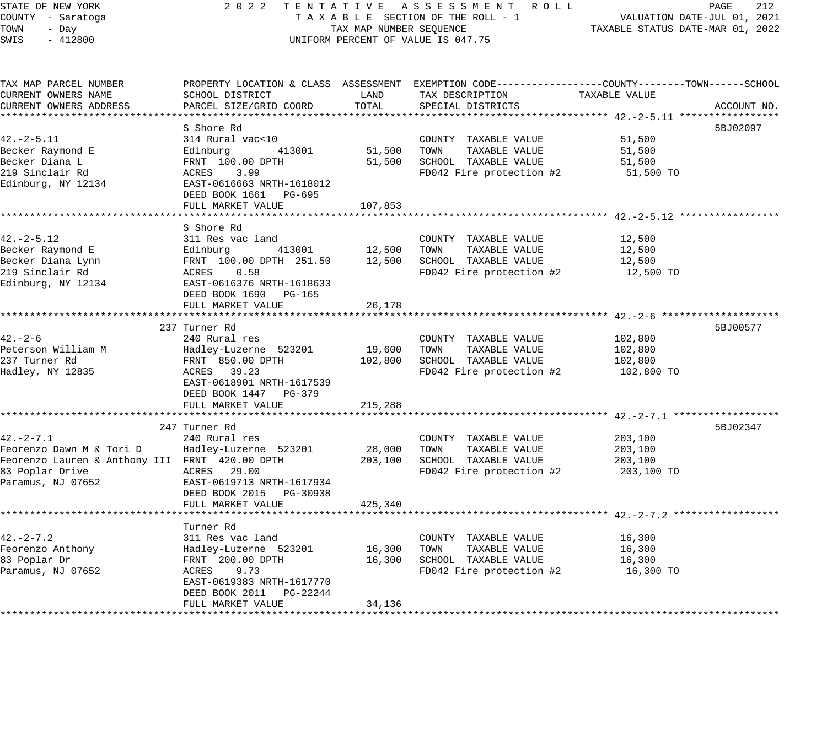STATE OF NEW YORK 2 0 2 2 T E N T A T I V E A S S E S S M E N T R O L L PAGE 212 COUNTY - Saratoga T A X A B L E SECTION OF THE ROLL - 1 VALUATION DATE-JUL 01, 2021 TOWN - Day TAX MAP NUMBER SEQUENCE TAXABLE STATUS DATE-MAR 01, 2022 SWIS - 412800 UNIFORM PERCENT OF VALUE IS 047.75 TAX MAP PARCEL NUMBER PROPERTY LOCATION & CLASS ASSESSMENT EXEMPTION CODE------------------COUNTY--------TOWN------SCHOOL CURRENT OWNERS NAME SCHOOL DISTRICT LAND TAX DESCRIPTION TAXABLE VALUE CURRENT OWNERS ADDRESS PARCEL SIZE/GRID COORD TOTAL SPECIAL DISTRICTS ACCOUNT NO. \*\*\*\*\*\*\*\*\*\*\*\*\*\*\*\*\*\*\*\*\*\*\*\*\*\*\*\*\*\*\*\*\*\*\*\*\*\*\*\*\*\*\*\*\*\*\*\*\*\*\*\*\*\*\*\*\*\*\*\*\*\*\*\*\*\*\*\*\*\*\*\*\*\*\*\*\*\*\*\*\*\*\*\*\*\*\*\*\*\*\*\*\*\*\*\*\*\*\*\*\*\*\* 42.-2-5.11 \*\*\*\*\*\*\*\*\*\*\*\*\*\*\*\*\* S Shore Rd 5BJ02097 42.-2-5.11 314 Rural vac<10 COUNTY TAXABLE VALUE 51,500 Becker Raymond E Edinburg 413001 51,500 TOWN TAXABLE VALUE 51,500 Becker Diana L FRNT 100.00 DPTH 51,500 SCHOOL TAXABLE VALUE 51,500 219 Sinclair Rd ACRES 3.99 FD042 Fire protection #2 51,500 TO Edinburg, NY 12134 EAST-0616663 NRTH-1618012 DEED BOOK 1661 PG-695 FULL MARKET VALUE 107,853 \*\*\*\*\*\*\*\*\*\*\*\*\*\*\*\*\*\*\*\*\*\*\*\*\*\*\*\*\*\*\*\*\*\*\*\*\*\*\*\*\*\*\*\*\*\*\*\*\*\*\*\*\*\*\*\*\*\*\*\*\*\*\*\*\*\*\*\*\*\*\*\*\*\*\*\*\*\*\*\*\*\*\*\*\*\*\*\*\*\*\*\*\*\*\*\*\*\*\*\*\*\*\* 42.-2-5.12 \*\*\*\*\*\*\*\*\*\*\*\*\*\*\*\*\* S Shore Rd 42.-2-5.12 311 Res vac land COUNTY TAXABLE VALUE 12,500 Becker Raymond E Edinburg 413001 12,500 TOWN TAXABLE VALUE 12,500 Becker Diana Lynn FRNT 100.00 DPTH 251.50 12,500 SCHOOL TAXABLE VALUE 12,500 219 Sinclair Rd ACRES 0.58 FD042 Fire protection #2 12,500 TO Edinburg, NY 12134 EAST-0616376 NRTH-1618633 DEED BOOK 1690 PG-165 FULL MARKET VALUE 26,178

\*\*\*\*\*\*\*\*\*\*\*\*\*\*\*\*\*\*\*\*\*\*\*\*\*\*\*\*\*\*\*\*\*\*\*\*\*\*\*\*\*\*\*\*\*\*\*\*\*\*\*\*\*\*\*\*\*\*\*\*\*\*\*\*\*\*\*\*\*\*\*\*\*\*\*\*\*\*\*\*\*\*\*\*\*\*\*\*\*\*\*\*\*\*\*\*\*\*\*\*\*\*\* 42.-2-6 \*\*\*\*\*\*\*\*\*\*\*\*\*\*\*\*\*\*\*\* 237 Turner Rd 5BJ00577 42.-2-6 240 Rural res COUNTY TAXABLE VALUE 102,800 Peterson William M Hadley-Luzerne 523201 19,600 TOWN TAXABLE VALUE 102,800 237 Turner Rd FRNT 850.00 DPTH 102,800 SCHOOL TAXABLE VALUE 102,800 Hadley, NY 12835 ACRES 39.23 FD042 Fire protection #2 102,800 TO EAST-0618901 NRTH-1617539 DEED BOOK 1447 PG-379 FULL MARKET VALUE 215,288 \*\*\*\*\*\*\*\*\*\*\*\*\*\*\*\*\*\*\*\*\*\*\*\*\*\*\*\*\*\*\*\*\*\*\*\*\*\*\*\*\*\*\*\*\*\*\*\*\*\*\*\*\*\*\*\*\*\*\*\*\*\*\*\*\*\*\*\*\*\*\*\*\*\*\*\*\*\*\*\*\*\*\*\*\*\*\*\*\*\*\*\*\*\*\*\*\*\*\*\*\*\*\* 42.-2-7.1 \*\*\*\*\*\*\*\*\*\*\*\*\*\*\*\*\*\* 247 Turner Rd 5BJ02347 42.-2-7.1 240 Rural res COUNTY TAXABLE VALUE 203,100 Feorenzo Dawn M & Tori D Hadley-Luzerne 523201 28,000 TOWN TAXABLE VALUE 203,100 Feorenzo Lauren & Anthony III FRNT 420.00 DPTH 203,100 SCHOOL TAXABLE VALUE 203,100 83 Poplar Drive ACRES 29.00 FD042 Fire protection #2 203,100 TO Paramus, NJ 07652 EAST-0619713 NRTH-1617934 DEED BOOK 2015 PG-30938 FULL MARKET VALUE 425,340 \*\*\*\*\*\*\*\*\*\*\*\*\*\*\*\*\*\*\*\*\*\*\*\*\*\*\*\*\*\*\*\*\*\*\*\*\*\*\*\*\*\*\*\*\*\*\*\*\*\*\*\*\*\*\*\*\*\*\*\*\*\*\*\*\*\*\*\*\*\*\*\*\*\*\*\*\*\*\*\*\*\*\*\*\*\*\*\*\*\*\*\*\*\*\*\*\*\*\*\*\*\*\* 42.-2-7.2 \*\*\*\*\*\*\*\*\*\*\*\*\*\*\*\*\*\* Turner Rd 42.-2-7.2 311 Res vac land COUNTY TAXABLE VALUE 16,300 Feorenzo Anthony Hadley-Luzerne 523201 16,300 TOWN TAXABLE VALUE 16,300 83 Poplar Dr FRNT 200.00 DPTH 16,300 SCHOOL TAXABLE VALUE 16,300 Paramus, NJ 07652 ACRES 9.73 FD042 Fire protection #2 16,300 TO 42.-2-7.2<br>
Feorenzo Anthony<br>
Easy and Hadley-Luzerne 523201<br>
B3 Poplar Dr<br>
Paramus, NJ 07652<br>
Paramus, NJ 07652<br>
EAST-0619383 NRTH-1617770 DEED BOOK 2011 PG-22244 FULL MARKET VALUE 34,136 \*\*\*\*\*\*\*\*\*\*\*\*\*\*\*\*\*\*\*\*\*\*\*\*\*\*\*\*\*\*\*\*\*\*\*\*\*\*\*\*\*\*\*\*\*\*\*\*\*\*\*\*\*\*\*\*\*\*\*\*\*\*\*\*\*\*\*\*\*\*\*\*\*\*\*\*\*\*\*\*\*\*\*\*\*\*\*\*\*\*\*\*\*\*\*\*\*\*\*\*\*\*\*\*\*\*\*\*\*\*\*\*\*\*\*\*\*\*\*\*\*\*\*\*\*\*\*\*\*\*\*\*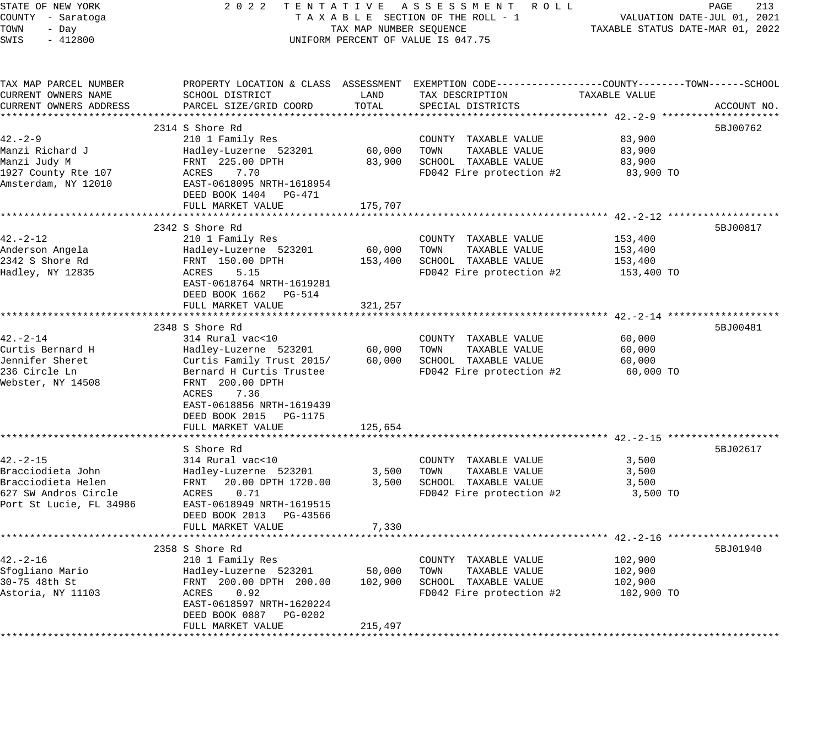STATE OF NEW YORK 2 0 2 2 T E N T A T I V E A S S E S S M E N T R O L L PAGE 213 COUNTY - Saratoga T A X A B L E SECTION OF THE ROLL - 1 VALUATION DATE-JUL 01, 2021 TOWN - Day TAX MAP NUMBER SEQUENCE TAXABLE STATUS DATE-MAR 01, 2022 SWIS - 412800 CONTROLLY THE UNIFORM PERCENT OF VALUE IS 047.75 TAX MAP PARCEL NUMBER PROPERTY LOCATION & CLASS ASSESSMENT EXEMPTION CODE------------------COUNTY--------TOWN------SCHOOL CURRENT OWNERS NAME SCHOOL DISTRICT LAND TAX DESCRIPTION TAXABLE VALUE CURRENT OWNERS ADDRESS PARCEL SIZE/GRID COORD TOTAL SPECIAL DISTRICTS ACCOUNT NO. \*\*\*\*\*\*\*\*\*\*\*\*\*\*\*\*\*\*\*\*\*\*\*\*\*\*\*\*\*\*\*\*\*\*\*\*\*\*\*\*\*\*\*\*\*\*\*\*\*\*\*\*\*\*\*\*\*\*\*\*\*\*\*\*\*\*\*\*\*\*\*\*\*\*\*\*\*\*\*\*\*\*\*\*\*\*\*\*\*\*\*\*\*\*\*\*\*\*\*\*\*\*\* 42.-2-9 \*\*\*\*\*\*\*\*\*\*\*\*\*\*\*\*\*\*\*\*  $2314$  S Shore Rd  $5BJ00762$ 42.-2-9 210 1 Family Res COUNTY TAXABLE VALUE 83,900 Manzi Richard J Hadley-Luzerne 523201 60,000 TOWN TAXABLE VALUE 83,900 Manzi Judy M FRNT 225.00 DPTH 83,900 SCHOOL TAXABLE VALUE 83,900 1927 County Rte 107 ACRES 7.70 FD042 Fire protection #2 83,900 TO Amsterdam, NY 12010 EAST-0618095 NRTH-1618954 DEED BOOK 1404 PG-471 DEED BOOK 1404 PG-471<br>FULL MARKET VALUE 175,707 \*\*\*\*\*\*\*\*\*\*\*\*\*\*\*\*\*\*\*\*\*\*\*\*\*\*\*\*\*\*\*\*\*\*\*\*\*\*\*\*\*\*\*\*\*\*\*\*\*\*\*\*\*\*\*\*\*\*\*\*\*\*\*\*\*\*\*\*\*\*\*\*\*\*\*\*\*\*\*\*\*\*\*\*\*\*\*\*\*\*\*\*\*\*\*\*\*\*\*\*\*\*\* 42.-2-12 \*\*\*\*\*\*\*\*\*\*\*\*\*\*\*\*\*\*\*  $2342$  S Shore Rd  $5BJ00817$ 42.-2-12 210 1 Family Res COUNTY TAXABLE VALUE 153,400 Anderson Angela Hadley-Luzerne 523201 60,000 TOWN TAXABLE VALUE 153,400 2342 S Shore Rd FRNT 150.00 DPTH 153,400 SCHOOL TAXABLE VALUE 153,400 Hadley, NY 12835 ACRES 5.15 FD042 Fire protection #2 153,400 TO EAST-0618764 NRTH-1619281 DEED BOOK 1662 PG-514 FULL MARKET VALUE 321,257 \*\*\*\*\*\*\*\*\*\*\*\*\*\*\*\*\*\*\*\*\*\*\*\*\*\*\*\*\*\*\*\*\*\*\*\*\*\*\*\*\*\*\*\*\*\*\*\*\*\*\*\*\*\*\*\*\*\*\*\*\*\*\*\*\*\*\*\*\*\*\*\*\*\*\*\*\*\*\*\*\*\*\*\*\*\*\*\*\*\*\*\*\*\*\*\*\*\*\*\*\*\*\* 42.-2-14 \*\*\*\*\*\*\*\*\*\*\*\*\*\*\*\*\*\*\* 2348 S Shore Rd 5BJ00481 42.-2-14 314 Rural vac<10 COUNTY TAXABLE VALUE 60,000 Curtis Bernard H Hadley-Luzerne 523201 60,000 TOWN TAXABLE VALUE 60,000 Jennifer Sheret Curtis Family Trust 2015/ 60,000 SCHOOL TAXABLE VALUE 60,000 236 Circle Ln Bernard H Curtis Trustee FD042 Fire protection #2 60,000 TO Webster, NY 14508 FRNT 200.00 DPTH ACRES 7.36 EAST-0618856 NRTH-1619439 DEED BOOK 2015 PG-1175 FULL MARKET VALUE 125,654 \*\*\*\*\*\*\*\*\*\*\*\*\*\*\*\*\*\*\*\*\*\*\*\*\*\*\*\*\*\*\*\*\*\*\*\*\*\*\*\*\*\*\*\*\*\*\*\*\*\*\*\*\*\*\*\*\*\*\*\*\*\*\*\*\*\*\*\*\*\*\*\*\*\*\*\*\*\*\*\*\*\*\*\*\*\*\*\*\*\*\*\*\*\*\*\*\*\*\*\*\*\*\* 42.-2-15 \*\*\*\*\*\*\*\*\*\*\*\*\*\*\*\*\*\*\* S Shore Rd 5BJ02617 42.-2-15 314 Rural vac<10 COUNTY TAXABLE VALUE 3,500 Bracciodieta John Hadley-Luzerne 523201 3,500 TOWN TAXABLE VALUE 3,500 Bracciodieta Helen FRNT 20.00 DPTH 1720.00 3,500 SCHOOL TAXABLE VALUE 3,500 627 SW Andros Circle ACRES 0.71 FD042 Fire protection #2 3,500 TO Port St Lucie, FL 34986 EAST-0618949 NRTH-1619515 DEED BOOK 2013 PG-43566 FULL MARKET VALUE 7,330 \*\*\*\*\*\*\*\*\*\*\*\*\*\*\*\*\*\*\*\*\*\*\*\*\*\*\*\*\*\*\*\*\*\*\*\*\*\*\*\*\*\*\*\*\*\*\*\*\*\*\*\*\*\*\*\*\*\*\*\*\*\*\*\*\*\*\*\*\*\*\*\*\*\*\*\*\*\*\*\*\*\*\*\*\*\*\*\*\*\*\*\*\*\*\*\*\*\*\*\*\*\*\* 42.-2-16 \*\*\*\*\*\*\*\*\*\*\*\*\*\*\*\*\*\*\* 2358 S Shore Rd 5BJ01940 42.-2-16 210 1 Family Res COUNTY TAXABLE VALUE 102,900 Sfogliano Mario Hadley-Luzerne 523201 50,000 TOWN TAXABLE VALUE 102,900 30-75 48th St FRNT 200.00 DPTH 200.00 102,900 SCHOOL TAXABLE VALUE 102,900 Astoria, NY 11103 ACRES 0.92 FD042 Fire protection #2 102,900 TO EAST-0618597 NRTH-1620224 DEED BOOK 0887 PG-0202 FULL MARKET VALUE 215,497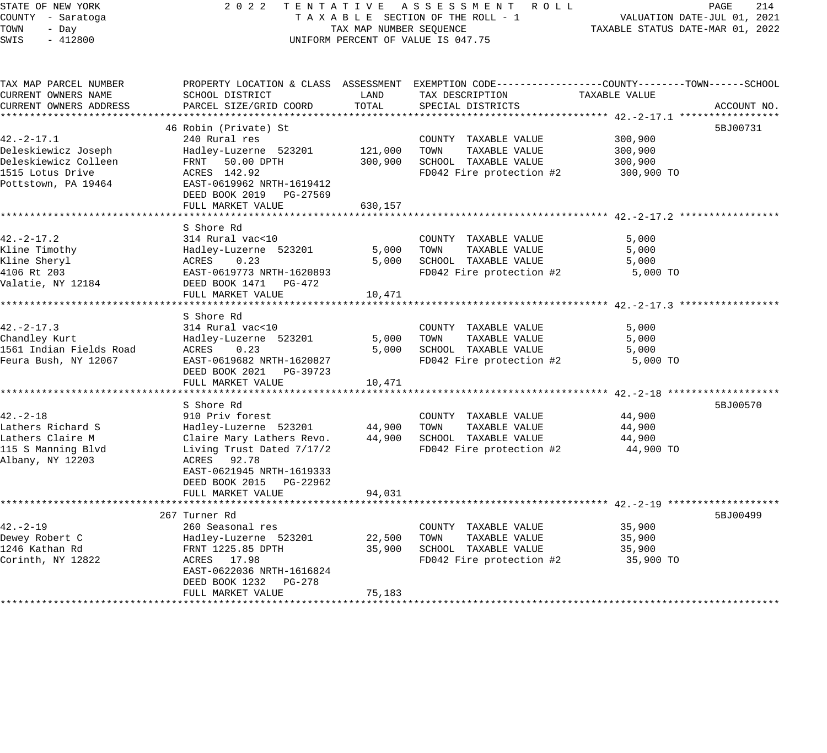STATE OF NEW YORK 2022 TENTATIVE ASSESSMENT ROLL COUNTY - Saratoga T A X A B L E SECTION OF THE ROLL - 1 VALUATION DATE-JUL 01, 2021 TOWN - Day TAX MAP NUMBER SEQUENCE TAXABLE STATUS DATE-MAR 01, 2022 SHALL OF REACTION OF THE ROLL -<br>COUNTY - Saratoga (COUNTY - Day TAX MAP NUMBER SEQUENCE)<br>SWIS - 412800 (INIFORM PERCENT OF VALUE IS 047.75 TAX MAP PARCEL NUMBER PROPERTY LOCATION & CLASS ASSESSMENT EXEMPTION CODE------------------COUNTY--------TOWN------SCHOOL CURRENT OWNERS NAME SCHOOL DISTRICT LAND TAX DESCRIPTION TAXABLE VALUE CURRENT OWNERS ADDRESS PARCEL SIZE/GRID COORD TOTAL SPECIAL DISTRICTS ACCOUNT NO. \*\*\*\*\*\*\*\*\*\*\*\*\*\*\*\*\*\*\*\*\*\*\*\*\*\*\*\*\*\*\*\*\*\*\*\*\*\*\*\*\*\*\*\*\*\*\*\*\*\*\*\*\*\*\*\*\*\*\*\*\*\*\*\*\*\*\*\*\*\*\*\*\*\*\*\*\*\*\*\*\*\*\*\*\*\*\*\*\*\*\*\*\*\*\*\*\*\*\*\*\*\*\* 42.-2-17.1 \*\*\*\*\*\*\*\*\*\*\*\*\*\*\*\*\* 46 Robin (Private) St 5BJ00731 42.-2-17.1 240 Rural res COUNTY TAXABLE VALUE 300,900 Deleskiewicz Joseph Hadley-Luzerne 523201 121,000 TOWN TAXABLE VALUE 300,900 Deleskiewicz Colleen FRNT 50.00 DPTH 300,900 SCHOOL TAXABLE VALUE 300,900 1515 Lotus Drive ACRES 142.92 FD042 Fire protection #2 300,900 TO Pottstown, PA 19464 EAST-0619962 NRTH-1619412 DEED BOOK 2019 PG-27569 FULL MARKET VALUE 630,157 \*\*\*\*\*\*\*\*\*\*\*\*\*\*\*\*\*\*\*\*\*\*\*\*\*\*\*\*\*\*\*\*\*\*\*\*\*\*\*\*\*\*\*\*\*\*\*\*\*\*\*\*\*\*\*\*\*\*\*\*\*\*\*\*\*\*\*\*\*\*\*\*\*\*\*\*\*\*\*\*\*\*\*\*\*\*\*\*\*\*\*\*\*\*\*\*\*\*\*\*\*\*\* 42.-2-17.2 \*\*\*\*\*\*\*\*\*\*\*\*\*\*\*\*\* S Shore Rd 42.-2-17.2 314 Rural vac<10 COUNTY TAXABLE VALUE 5,000 Kline Timothy Hadley-Luzerne 523201 5,000 TOWN TAXABLE VALUE 5,000 Kline Sheryl ACRES 0.23 5,000 SCHOOL TAXABLE VALUE 5,000 4106 Rt 203 EAST-0619773 NRTH-1620893 FD042 Fire protection #2 5,000 TO Valatie, NY 12184 DEED BOOK 1471 PG-472 FULL MARKET VALUE 10,471 \*\*\*\*\*\*\*\*\*\*\*\*\*\*\*\*\*\*\*\*\*\*\*\*\*\*\*\*\*\*\*\*\*\*\*\*\*\*\*\*\*\*\*\*\*\*\*\*\*\*\*\*\*\*\*\*\*\*\*\*\*\*\*\*\*\*\*\*\*\*\*\*\*\*\*\*\*\*\*\*\*\*\*\*\*\*\*\*\*\*\*\*\*\*\*\*\*\*\*\*\*\*\* 42.-2-17.3 \*\*\*\*\*\*\*\*\*\*\*\*\*\*\*\*\* S Shore Rd<br>314 Rural vac<10 42.-2-17.3 314 Rural vac<10 COUNTY TAXABLE VALUE 5,000 Chandley Kurt Hadley-Luzerne 523201 5,000 TOWN TAXABLE VALUE 5,000 1561 Indian Fields Road ACRES 0.23 5,000 SCHOOL TAXABLE VALUE 5,000 Feura Bush, NY 12067 EAST-0619682 NRTH-1620827 FD042 Fire protection #2 5,000 TO DEED BOOK 2021 PG-39723 FULL MARKET VALUE 10,471 \*\*\*\*\*\*\*\*\*\*\*\*\*\*\*\*\*\*\*\*\*\*\*\*\*\*\*\*\*\*\*\*\*\*\*\*\*\*\*\*\*\*\*\*\*\*\*\*\*\*\*\*\*\*\*\*\*\*\*\*\*\*\*\*\*\*\*\*\*\*\*\*\*\*\*\*\*\*\*\*\*\*\*\*\*\*\*\*\*\*\*\*\*\*\*\*\*\*\*\*\*\*\* 42.-2-18 \*\*\*\*\*\*\*\*\*\*\*\*\*\*\*\*\*\*\* S Shore Rd 5BJ00570 42.-2-18 910 Priv forest COUNTY TAXABLE VALUE 44,900 Lathers Richard S Hadley-Luzerne 523201 44,900 TOWN TAXABLE VALUE 44,900 Lathers Claire M Claire Mary Lathers Revo. 44,900 SCHOOL TAXABLE VALUE 44,900 115 S Manning Blvd Living Trust Dated 7/17/2 FD042 Fire protection #2 44,900 TO Albany, NY 12203 ACRES 92.78 EAST-0621945 NRTH-1619333 DEED BOOK 2015 PG-22962 FULL MARKET VALUE 94,031 \*\*\*\*\*\*\*\*\*\*\*\*\*\*\*\*\*\*\*\*\*\*\*\*\*\*\*\*\*\*\*\*\*\*\*\*\*\*\*\*\*\*\*\*\*\*\*\*\*\*\*\*\*\*\*\*\*\*\*\*\*\*\*\*\*\*\*\*\*\*\*\*\*\*\*\*\*\*\*\*\*\*\*\*\*\*\*\*\*\*\*\*\*\*\*\*\*\*\*\*\*\*\* 42.-2-19 \*\*\*\*\*\*\*\*\*\*\*\*\*\*\*\*\*\*\* 267 Turner Rd 5BJ00499 42.-2-19 260 Seasonal res COUNTY TAXABLE VALUE 35,900 Dewey Robert C Hadley-Luzerne 523201 22,500 TOWN TAXABLE VALUE 35,900 1246 Kathan Rd FRNT 1225.85 DPTH 35,900 SCHOOL TAXABLE VALUE 35,900 Corinth, NY 12822 ACRES 17.98 FD042 Fire protection #2 35,900 TO EAST-0622036 NRTH-1616824 DEED BOOK 1232 PG-278 FULL MARKET VALUE 75,183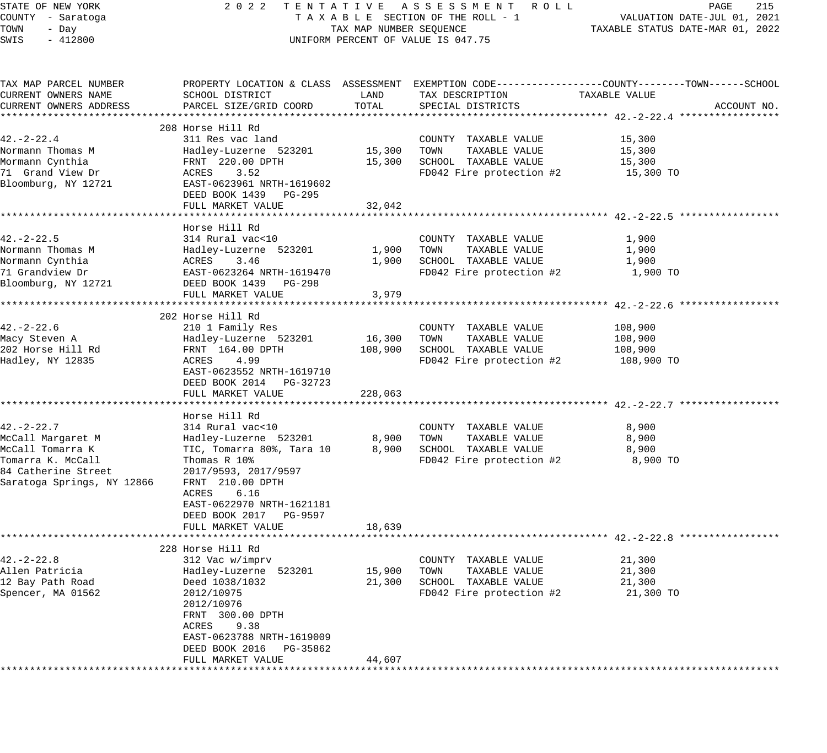| STATE OF NEW YORK          | 2 0 2 2                                    |                         | TENTATIVE ASSESSMENT ROLL                                                                      |                                  | 215<br>PAGE                 |
|----------------------------|--------------------------------------------|-------------------------|------------------------------------------------------------------------------------------------|----------------------------------|-----------------------------|
| COUNTY - Saratoga          |                                            |                         | TAXABLE SECTION OF THE ROLL - 1                                                                |                                  | VALUATION DATE-JUL 01, 2021 |
| TOWN<br>- Day              |                                            | TAX MAP NUMBER SEQUENCE |                                                                                                | TAXABLE STATUS DATE-MAR 01, 2022 |                             |
| SWIS<br>$-412800$          |                                            |                         | UNIFORM PERCENT OF VALUE IS 047.75                                                             |                                  |                             |
|                            |                                            |                         |                                                                                                |                                  |                             |
| TAX MAP PARCEL NUMBER      |                                            |                         | PROPERTY LOCATION & CLASS ASSESSMENT EXEMPTION CODE---------------COUNTY-------TOWN-----SCHOOL |                                  |                             |
| CURRENT OWNERS NAME        | SCHOOL DISTRICT                            | LAND                    | TAX DESCRIPTION                                                                                | TAXABLE VALUE                    |                             |
| CURRENT OWNERS ADDRESS     | PARCEL SIZE/GRID COORD                     | TOTAL                   | SPECIAL DISTRICTS                                                                              |                                  | ACCOUNT NO.                 |
|                            |                                            |                         |                                                                                                |                                  |                             |
| 42. – 2–22. 4              | 208 Horse Hill Rd<br>311 Res vac land      |                         | COUNTY TAXABLE VALUE                                                                           | 15,300                           |                             |
| Normann Thomas M           | Hadley-Luzerne 523201                      | 15,300                  | TOWN<br>TAXABLE VALUE                                                                          | 15,300                           |                             |
| Mormann Cynthia            | FRNT 220.00 DPTH                           | 15,300                  | SCHOOL TAXABLE VALUE                                                                           | 15,300                           |                             |
| 71 Grand View Dr           | ACRES<br>3.52                              |                         | FD042 Fire protection #2                                                                       | 15,300 TO                        |                             |
| Bloomburg, NY 12721        | EAST-0623961 NRTH-1619602                  |                         |                                                                                                |                                  |                             |
|                            |                                            |                         |                                                                                                |                                  |                             |
|                            | DEED BOOK 1439 PG-295<br>FULL MARKET VALUE | 32,042                  |                                                                                                |                                  |                             |
|                            |                                            |                         |                                                                                                |                                  |                             |
|                            | Horse Hill Rd                              |                         |                                                                                                |                                  |                             |
| $42. - 2 - 22.5$           | 314 Rural vac<10                           |                         | COUNTY TAXABLE VALUE                                                                           | 1,900                            |                             |
| Normann Thomas M           | Hadley-Luzerne 523201                      | 1,900                   | TOWN<br>TAXABLE VALUE                                                                          | 1,900                            |                             |
| Normann Cynthia            | ACRES<br>3.46                              | 1,900                   | SCHOOL TAXABLE VALUE                                                                           | 1,900                            |                             |
| 71 Grandview Dr            | EAST-0623264 NRTH-1619470                  |                         | FD042 Fire protection #2                                                                       | 1,900 TO                         |                             |
| Bloomburg, NY 12721        | DEED BOOK 1439 PG-298                      |                         |                                                                                                |                                  |                             |
|                            | FULL MARKET VALUE                          | 3,979                   |                                                                                                |                                  |                             |
|                            |                                            |                         |                                                                                                |                                  |                             |
|                            | 202 Horse Hill Rd                          |                         |                                                                                                |                                  |                             |
| $42. -2 - 22.6$            | 210 1 Family Res                           |                         | COUNTY TAXABLE VALUE                                                                           | 108,900                          |                             |
| Macy Steven A              | Hadley-Luzerne 523201                      | 16,300                  | TOWN<br>TAXABLE VALUE                                                                          | 108,900                          |                             |
| 202 Horse Hill Rd          | FRNT 164.00 DPTH                           | 108,900                 | SCHOOL TAXABLE VALUE                                                                           | 108,900                          |                             |
| Hadley, NY 12835           | ACRES<br>4.99                              |                         | FD042 Fire protection #2                                                                       | 108,900 TO                       |                             |
|                            | EAST-0623552 NRTH-1619710                  |                         |                                                                                                |                                  |                             |
|                            | DEED BOOK 2014 PG-32723                    |                         |                                                                                                |                                  |                             |
|                            | FULL MARKET VALUE                          | 228,063                 |                                                                                                |                                  |                             |
|                            |                                            |                         |                                                                                                |                                  |                             |
|                            | Horse Hill Rd                              |                         |                                                                                                |                                  |                             |
| 42. – 2–22. 7              | 314 Rural vac<10                           |                         | COUNTY TAXABLE VALUE                                                                           | 8,900                            |                             |
| McCall Margaret M          | Hadley-Luzerne 523201                      | 8,900                   | TAXABLE VALUE<br>TOWN                                                                          | 8,900                            |                             |
| McCall Tomarra K           | TIC, Tomarra 80%, Tara 10                  | 8,900                   | SCHOOL TAXABLE VALUE                                                                           | 8,900                            |                             |
| Tomarra K. McCall          | Thomas R 10%                               |                         | FD042 Fire protection #2                                                                       | 8,900 TO                         |                             |
| 84 Catherine Street        | 2017/9593, 2017/9597                       |                         |                                                                                                |                                  |                             |
| Saratoga Springs, NY 12866 | FRNT 210.00 DPTH                           |                         |                                                                                                |                                  |                             |
|                            | ACRES<br>6.16                              |                         |                                                                                                |                                  |                             |
|                            | EAST-0622970 NRTH-1621181                  |                         |                                                                                                |                                  |                             |
|                            | DEED BOOK 2017 PG-9597                     |                         |                                                                                                |                                  |                             |
|                            | FULL MARKET VALUE                          | 18,639                  |                                                                                                |                                  |                             |
|                            |                                            |                         |                                                                                                |                                  |                             |
|                            | 228 Horse Hill Rd                          |                         |                                                                                                |                                  |                             |
| 42.-2-22.8                 | 312 Vac w/imprv                            |                         | COUNTY<br>TAXABLE VALUE                                                                        | 21,300                           |                             |
| Allen Patricia             | Hadley-Luzerne 523201                      | 15,900                  | TOWN<br>TAXABLE VALUE                                                                          | 21,300                           |                             |
| 12 Bay Path Road           | Deed 1038/1032                             | 21,300                  | SCHOOL TAXABLE VALUE                                                                           | 21,300                           |                             |
| Spencer, MA 01562          | 2012/10975                                 |                         | FD042 Fire protection #2                                                                       | 21,300 TO                        |                             |
|                            | 2012/10976                                 |                         |                                                                                                |                                  |                             |
|                            | FRNT 300.00 DPTH                           |                         |                                                                                                |                                  |                             |
|                            | 9.38<br>ACRES                              |                         |                                                                                                |                                  |                             |
|                            | EAST-0623788 NRTH-1619009                  |                         |                                                                                                |                                  |                             |
|                            | DEED BOOK 2016<br>PG-35862                 |                         |                                                                                                |                                  |                             |
|                            | FULL MARKET VALUE                          | 44,607                  |                                                                                                |                                  |                             |
|                            |                                            |                         |                                                                                                |                                  |                             |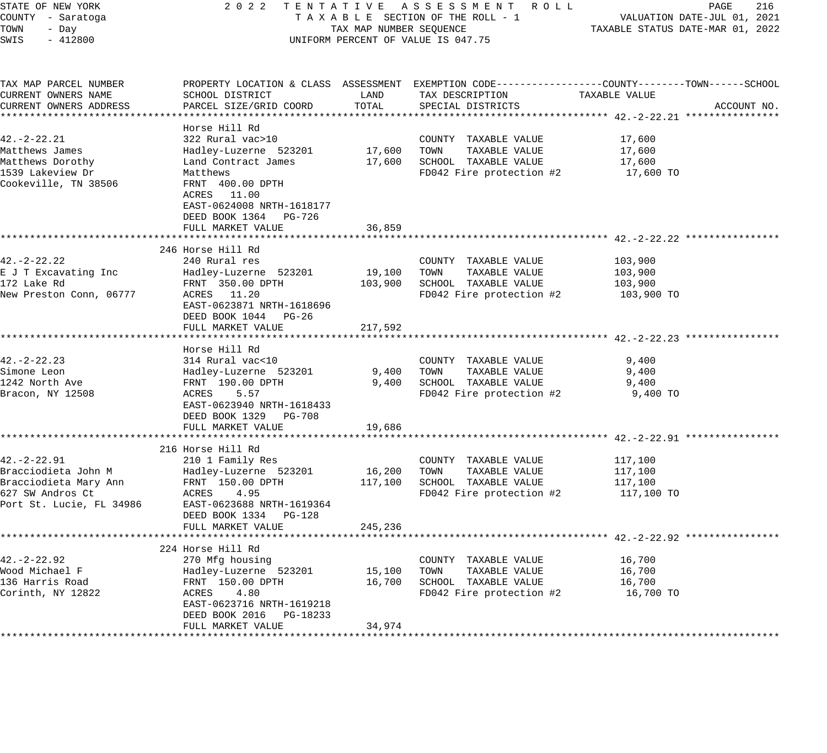| STATE OF NEW YORK<br>COUNTY - Saratoga       | 2 0 2 2                                                                                                                | TAX MAP NUMBER SEQUENCE          | TENTATIVE ASSESSMENT ROLL<br>TAXABLE SECTION OF THE ROLL - 1                                                        |                                                | PAGE<br>216<br>VALUATION DATE-JUL 01, 2021 |
|----------------------------------------------|------------------------------------------------------------------------------------------------------------------------|----------------------------------|---------------------------------------------------------------------------------------------------------------------|------------------------------------------------|--------------------------------------------|
| TOWN<br>- Day<br>SWIS<br>$-412800$           | UNIFORM PERCENT OF VALUE IS 047.75                                                                                     | TAXABLE STATUS DATE-MAR 01, 2022 |                                                                                                                     |                                                |                                            |
| TAX MAP PARCEL NUMBER<br>CURRENT OWNERS NAME | SCHOOL DISTRICT                                                                                                        | LAND                             | PROPERTY LOCATION & CLASS ASSESSMENT EXEMPTION CODE----------------COUNTY-------TOWN------SCHOOL<br>TAX DESCRIPTION | TAXABLE VALUE                                  |                                            |
| CURRENT OWNERS ADDRESS                       | PARCEL SIZE/GRID COORD                                                                                                 | TOTAL                            | SPECIAL DISTRICTS                                                                                                   |                                                | ACCOUNT NO.                                |
|                                              |                                                                                                                        |                                  |                                                                                                                     |                                                |                                            |
|                                              | Horse Hill Rd                                                                                                          |                                  |                                                                                                                     |                                                |                                            |
| $42. -2 - 22.21$                             | 322 Rural vac>10                                                                                                       |                                  | COUNTY TAXABLE VALUE                                                                                                | 17,600                                         |                                            |
| Matthews James                               | Hadley-Luzerne 523201                                                                                                  | 17,600                           | TOWN<br>TAXABLE VALUE                                                                                               | 17,600                                         |                                            |
| Matthews Dorothy                             | Land Contract James                                                                                                    | 17,600                           | SCHOOL TAXABLE VALUE                                                                                                | 17,600                                         |                                            |
| 1539 Lakeview Dr<br>Cookeville, TN 38506     | Matthews<br>FRNT 400.00 DPTH<br>ACRES 11.00<br>EAST-0624008 NRTH-1618177<br>DEED BOOK 1364 PG-726<br>FULL MARKET VALUE | 36,859                           | FD042 Fire protection #2                                                                                            | 17,600 TO                                      |                                            |
|                                              |                                                                                                                        |                                  |                                                                                                                     |                                                |                                            |
|                                              | 246 Horse Hill Rd                                                                                                      |                                  |                                                                                                                     |                                                |                                            |
| $42. -2 - 22.22$                             | 240 Rural res                                                                                                          |                                  | COUNTY TAXABLE VALUE                                                                                                | 103,900                                        |                                            |
| E J T Excavating Inc                         | Hadley-Luzerne 523201                                                                                                  | 19,100                           | TOWN<br>TAXABLE VALUE                                                                                               | 103,900                                        |                                            |
| 172 Lake Rd                                  | FRNT 350.00 DPTH                                                                                                       | 103,900                          | SCHOOL TAXABLE VALUE                                                                                                | 103,900                                        |                                            |
| New Preston Conn, 06777                      | ACRES 11.20<br>EAST-0623871 NRTH-1618696<br>DEED BOOK 1044 PG-26<br>FULL MARKET VALUE                                  | 217,592                          | FD042 Fire protection #2                                                                                            | 103,900 TO                                     |                                            |
|                                              |                                                                                                                        |                                  |                                                                                                                     | ********************* 42.-2-22.23 ************ |                                            |
| $42. -2 - 22.23$                             | Horse Hill Rd                                                                                                          |                                  |                                                                                                                     |                                                |                                            |
|                                              | 314 Rural vac<10                                                                                                       |                                  | COUNTY TAXABLE VALUE<br>TAXABLE VALUE<br>TOWN                                                                       | 9,400<br>9,400                                 |                                            |
| Simone Leon<br>1242 North Ave                | Hadley-Luzerne 523201<br>FRNT 190.00 DPTH                                                                              | 9,400<br>9,400                   | SCHOOL TAXABLE VALUE                                                                                                | 9,400                                          |                                            |
| Bracon, NY 12508                             | ACRES<br>5.57                                                                                                          |                                  | FD042 Fire protection #2                                                                                            | 9,400 TO                                       |                                            |
|                                              | EAST-0623940 NRTH-1618433<br>DEED BOOK 1329 PG-708                                                                     |                                  |                                                                                                                     |                                                |                                            |
|                                              | FULL MARKET VALUE<br>*******************************                                                                   | 19,686                           |                                                                                                                     |                                                |                                            |
|                                              | 216 Horse Hill Rd                                                                                                      |                                  |                                                                                                                     |                                                |                                            |
| $42. -2 - 22.91$                             | 210 1 Family Res                                                                                                       |                                  | COUNTY TAXABLE VALUE                                                                                                | 117,100                                        |                                            |
| Bracciodieta John M                          | Hadley-Luzerne 523201                                                                                                  | 16,200                           | TAXABLE VALUE<br>TOWN                                                                                               | 117,100                                        |                                            |
| Bracciodieta Mary Ann                        | FRNT 150.00 DPTH                                                                                                       | 117,100                          | SCHOOL TAXABLE VALUE                                                                                                | 117,100                                        |                                            |
| 627 SW Andros Ct                             | 4.95<br>ACRES                                                                                                          |                                  | FD042 Fire protection #2                                                                                            | 117,100 TO                                     |                                            |
| Port St. Lucie, FL 34986                     | EAST-0623688 NRTH-1619364<br>DEED BOOK 1334<br><b>PG-128</b>                                                           |                                  |                                                                                                                     |                                                |                                            |
|                                              | FULL MARKET VALUE                                                                                                      | 245,236                          |                                                                                                                     |                                                |                                            |
|                                              |                                                                                                                        |                                  |                                                                                                                     |                                                |                                            |
| $42. - 2 - 22.92$                            | 224 Horse Hill Rd<br>270 Mfg housing                                                                                   |                                  | COUNTY TAXABLE VALUE                                                                                                | 16,700                                         |                                            |
| Wood Michael F                               | Hadley-Luzerne 523201                                                                                                  | 15,100                           | TOWN<br>TAXABLE VALUE                                                                                               | 16,700                                         |                                            |
| 136 Harris Road                              | FRNT 150.00 DPTH                                                                                                       | 16,700                           | SCHOOL TAXABLE VALUE                                                                                                | 16,700                                         |                                            |
| Corinth, NY 12822                            | ACRES<br>4.80                                                                                                          |                                  | FD042 Fire protection #2                                                                                            | 16,700 TO                                      |                                            |
|                                              | EAST-0623716 NRTH-1619218                                                                                              |                                  |                                                                                                                     |                                                |                                            |
|                                              | DEED BOOK 2016 PG-18233                                                                                                |                                  |                                                                                                                     |                                                |                                            |
|                                              | FULL MARKET VALUE                                                                                                      | 34,974                           |                                                                                                                     |                                                |                                            |
|                                              |                                                                                                                        |                                  |                                                                                                                     |                                                |                                            |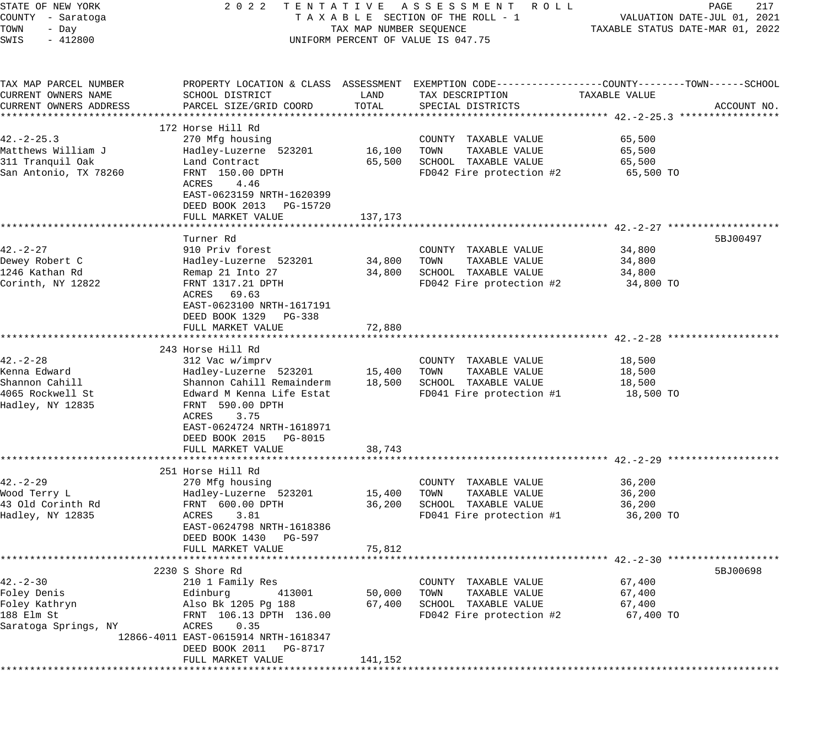| STATE OF NEW YORK                  | 2 0 2 2                                                           |                         | TENTATIVE ASSESSMENT<br>R O L L                                                                 |                                  | 217<br>PAGE                 |
|------------------------------------|-------------------------------------------------------------------|-------------------------|-------------------------------------------------------------------------------------------------|----------------------------------|-----------------------------|
| COUNTY - Saratoga                  |                                                                   |                         | TAXABLE SECTION OF THE ROLL - 1                                                                 |                                  | VALUATION DATE-JUL 01, 2021 |
| TOWN<br>- Day<br>SWIS<br>$-412800$ |                                                                   | TAX MAP NUMBER SEQUENCE | UNIFORM PERCENT OF VALUE IS 047.75                                                              | TAXABLE STATUS DATE-MAR 01, 2022 |                             |
|                                    |                                                                   |                         |                                                                                                 |                                  |                             |
| TAX MAP PARCEL NUMBER              |                                                                   |                         | PROPERTY LOCATION & CLASS ASSESSMENT EXEMPTION CODE---------------COUNTY-------TOWN------SCHOOL |                                  |                             |
| CURRENT OWNERS NAME                | SCHOOL DISTRICT                                                   | LAND                    | TAX DESCRIPTION                                                                                 | TAXABLE VALUE                    |                             |
| CURRENT OWNERS ADDRESS             | PARCEL SIZE/GRID COORD                                            | TOTAL                   | SPECIAL DISTRICTS                                                                               |                                  | ACCOUNT NO.                 |
|                                    | 172 Horse Hill Rd                                                 |                         |                                                                                                 |                                  |                             |
| $42. - 2 - 25.3$                   | 270 Mfg housing                                                   |                         | COUNTY TAXABLE VALUE                                                                            | 65,500                           |                             |
| Matthews William J                 | Hadley-Luzerne 523201                                             | 16,100                  | TOWN<br>TAXABLE VALUE                                                                           | 65,500                           |                             |
| 311 Tranquil Oak                   | Land Contract                                                     | 65,500                  | SCHOOL TAXABLE VALUE                                                                            | 65,500                           |                             |
| San Antonio, TX 78260              | FRNT 150.00 DPTH                                                  |                         | FD042 Fire protection #2                                                                        | 65,500 TO                        |                             |
|                                    | 4.46<br>ACRES                                                     |                         |                                                                                                 |                                  |                             |
|                                    | EAST-0623159 NRTH-1620399                                         |                         |                                                                                                 |                                  |                             |
|                                    | DEED BOOK 2013 PG-15720                                           |                         |                                                                                                 |                                  |                             |
|                                    | FULL MARKET VALUE                                                 | 137,173                 |                                                                                                 |                                  |                             |
|                                    | Turner Rd                                                         |                         |                                                                                                 |                                  | 5BJ00497                    |
| $42. - 2 - 27$                     | 910 Priv forest                                                   |                         | COUNTY TAXABLE VALUE                                                                            | 34,800                           |                             |
| Dewey Robert C                     | Hadley-Luzerne 523201                                             | 34,800                  | TAXABLE VALUE<br>TOWN                                                                           | 34,800                           |                             |
| 1246 Kathan Rd                     | Remap 21 Into 27                                                  | 34,800                  | SCHOOL TAXABLE VALUE                                                                            | 34,800                           |                             |
| Corinth, NY 12822                  | FRNT 1317.21 DPTH                                                 |                         | FD042 Fire protection #2                                                                        | 34,800 TO                        |                             |
|                                    | ACRES 69.63                                                       |                         |                                                                                                 |                                  |                             |
|                                    | EAST-0623100 NRTH-1617191                                         |                         |                                                                                                 |                                  |                             |
|                                    | DEED BOOK 1329<br>PG-338                                          |                         |                                                                                                 |                                  |                             |
|                                    | FULL MARKET VALUE                                                 | 72,880                  |                                                                                                 |                                  |                             |
|                                    |                                                                   |                         |                                                                                                 |                                  |                             |
|                                    | 243 Horse Hill Rd                                                 |                         |                                                                                                 |                                  |                             |
| $42. - 2 - 28$<br>Kenna Edward     | 312 Vac w/imprv<br>Hadley-Luzerne 523201                          | 15,400                  | COUNTY TAXABLE VALUE<br>TOWN<br>TAXABLE VALUE                                                   | 18,500<br>18,500                 |                             |
| Shannon Cahill                     | Shannon Cahill Remainderm                                         | 18,500                  | SCHOOL TAXABLE VALUE                                                                            | 18,500                           |                             |
| 4065 Rockwell St                   | Edward M Kenna Life Estat                                         |                         | FD041 Fire protection #1                                                                        | 18,500 TO                        |                             |
| Hadley, NY 12835                   | FRNT 590.00 DPTH                                                  |                         |                                                                                                 |                                  |                             |
|                                    | ACRES<br>3.75                                                     |                         |                                                                                                 |                                  |                             |
|                                    | EAST-0624724 NRTH-1618971                                         |                         |                                                                                                 |                                  |                             |
|                                    | DEED BOOK 2015 PG-8015                                            |                         |                                                                                                 |                                  |                             |
|                                    | FULL MARKET VALUE                                                 | 38,743                  |                                                                                                 |                                  |                             |
|                                    |                                                                   |                         |                                                                                                 |                                  |                             |
|                                    | 251 Horse Hill Rd                                                 |                         |                                                                                                 |                                  |                             |
| $42. - 2 - 29$                     | 270 Mfg housing                                                   |                         | COUNTY TAXABLE VALUE                                                                            | 36,200                           |                             |
| Wood Terry L<br>43 Old Corinth Rd  | Hadley-Luzerne 523201<br>FRNT 600.00 DPTH                         | 15,400                  | TAXABLE VALUE<br>TOWN<br>SCHOOL TAXABLE VALUE                                                   | 36,200                           |                             |
| Hadley, NY 12835                   | 3.81<br>ACRES                                                     | 36,200                  | FD041 Fire protection #1                                                                        | 36,200<br>36,200 TO              |                             |
|                                    | EAST-0624798 NRTH-1618386                                         |                         |                                                                                                 |                                  |                             |
|                                    | DEED BOOK 1430<br>PG-597                                          |                         |                                                                                                 |                                  |                             |
|                                    | FULL MARKET VALUE                                                 | 75,812                  |                                                                                                 |                                  |                             |
|                                    |                                                                   |                         |                                                                                                 |                                  |                             |
|                                    | 2230 S Shore Rd                                                   |                         |                                                                                                 |                                  | 5BJ00698                    |
| $42. - 2 - 30$                     | 210 1 Family Res                                                  |                         | COUNTY TAXABLE VALUE                                                                            | 67,400                           |                             |
| Foley Denis                        | Edinburg<br>413001                                                | 50,000                  | TOWN<br>TAXABLE VALUE                                                                           | 67,400                           |                             |
| Foley Kathryn                      | Also Bk 1205 Pg 188                                               | 67,400                  | SCHOOL TAXABLE VALUE                                                                            | 67,400                           |                             |
| 188 Elm St                         | FRNT 106.13 DPTH 136.00                                           |                         | FD042 Fire protection #2                                                                        | 67,400 TO                        |                             |
| Saratoga Springs, NY               | 0.35<br>ACRES                                                     |                         |                                                                                                 |                                  |                             |
|                                    | 12866-4011 EAST-0615914 NRTH-1618347<br>DEED BOOK 2011<br>PG-8717 |                         |                                                                                                 |                                  |                             |
|                                    | FULL MARKET VALUE                                                 | 141,152                 |                                                                                                 |                                  |                             |
|                                    | *****************************                                     |                         | **********************************                                                              |                                  |                             |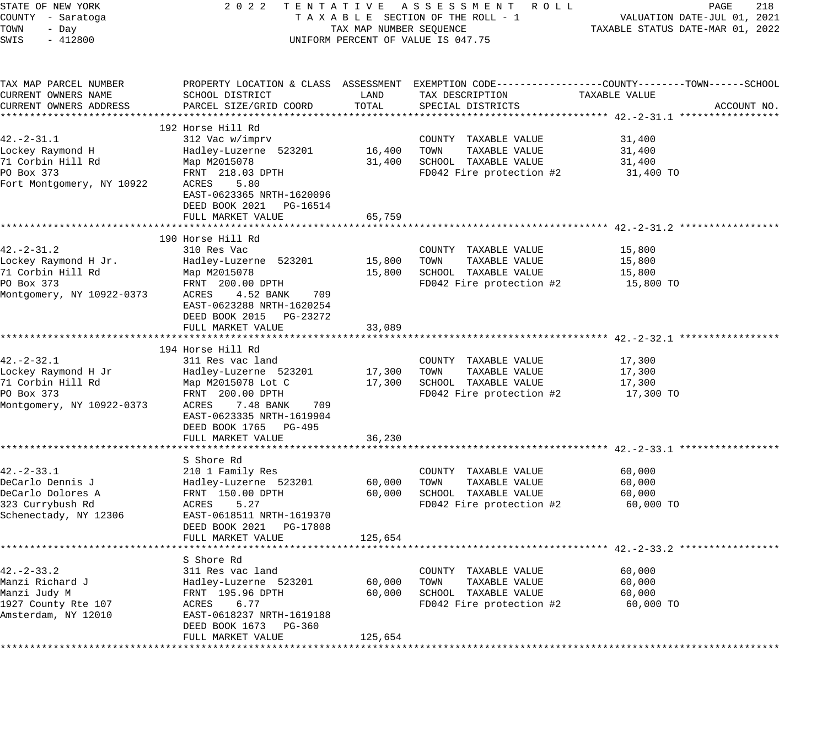| STATE OF NEW YORK               | 2 0 2 2                                                    |         | TENTATIVE ASSESSMENT ROLL                                                                       |                                                                 | 218<br>PAGE |
|---------------------------------|------------------------------------------------------------|---------|-------------------------------------------------------------------------------------------------|-----------------------------------------------------------------|-------------|
| COUNTY - Saratoga<br>TOWN       | TAXABLE SECTION OF THE ROLL - 1<br>TAX MAP NUMBER SEQUENCE |         |                                                                                                 | VALUATION DATE-JUL 01, 2021<br>TAXABLE STATUS DATE-MAR 01, 2022 |             |
| - Day<br>$-412800$<br>SWIS      |                                                            |         | UNIFORM PERCENT OF VALUE IS 047.75                                                              |                                                                 |             |
|                                 |                                                            |         |                                                                                                 |                                                                 |             |
| TAX MAP PARCEL NUMBER           |                                                            |         | PROPERTY LOCATION & CLASS ASSESSMENT EXEMPTION CODE---------------COUNTY-------TOWN------SCHOOL |                                                                 |             |
| CURRENT OWNERS NAME             | SCHOOL DISTRICT                                            | LAND    | TAX DESCRIPTION                                                                                 | TAXABLE VALUE                                                   |             |
| CURRENT OWNERS ADDRESS          | PARCEL SIZE/GRID COORD                                     | TOTAL   | SPECIAL DISTRICTS                                                                               |                                                                 | ACCOUNT NO. |
|                                 | 192 Horse Hill Rd                                          |         |                                                                                                 |                                                                 |             |
| $42. - 2 - 31.1$                | 312 Vac w/imprv                                            |         | COUNTY TAXABLE VALUE                                                                            | 31,400                                                          |             |
| Lockey Raymond H                | Hadley-Luzerne 523201                                      | 16,400  | TOWN<br>TAXABLE VALUE                                                                           | 31,400                                                          |             |
| 71 Corbin Hill Rd               | Map M2015078                                               | 31,400  | SCHOOL TAXABLE VALUE                                                                            | 31,400                                                          |             |
| PO Box 373                      | FRNT 218.03 DPTH                                           |         | FD042 Fire protection #2                                                                        | 31,400 TO                                                       |             |
| Fort Montgomery, NY 10922       | 5.80<br>ACRES                                              |         |                                                                                                 |                                                                 |             |
|                                 | EAST-0623365 NRTH-1620096                                  |         |                                                                                                 |                                                                 |             |
|                                 | DEED BOOK 2021<br>PG-16514                                 |         |                                                                                                 |                                                                 |             |
|                                 | FULL MARKET VALUE                                          | 65,759  |                                                                                                 |                                                                 |             |
|                                 |                                                            |         |                                                                                                 |                                                                 |             |
|                                 | 190 Horse Hill Rd                                          |         |                                                                                                 |                                                                 |             |
| $42. - 2 - 31.2$                | 310 Res Vac                                                |         | COUNTY TAXABLE VALUE                                                                            | 15,800                                                          |             |
| Lockey Raymond H Jr.            | Hadley-Luzerne 523201                                      | 15,800  | TAXABLE VALUE<br>TOWN<br>SCHOOL TAXABLE VALUE                                                   | 15,800                                                          |             |
| 71 Corbin Hill Rd<br>PO Box 373 | Map M2015078<br>FRNT 200.00 DPTH                           | 15,800  | FD042 Fire protection #2                                                                        | 15,800<br>15,800 TO                                             |             |
| Montgomery, NY 10922-0373       | 4.52 BANK<br>ACRES<br>709                                  |         |                                                                                                 |                                                                 |             |
|                                 | EAST-0623288 NRTH-1620254                                  |         |                                                                                                 |                                                                 |             |
|                                 | DEED BOOK 2015<br>PG-23272                                 |         |                                                                                                 |                                                                 |             |
|                                 | FULL MARKET VALUE                                          | 33,089  |                                                                                                 |                                                                 |             |
|                                 |                                                            |         |                                                                                                 |                                                                 |             |
|                                 | 194 Horse Hill Rd                                          |         |                                                                                                 |                                                                 |             |
| $42. - 2 - 32.1$                | 311 Res vac land                                           |         | COUNTY TAXABLE VALUE                                                                            | 17,300                                                          |             |
| Lockey Raymond H Jr             | Hadley-Luzerne 523201                                      | 17,300  | TOWN<br>TAXABLE VALUE                                                                           | 17,300                                                          |             |
| 71 Corbin Hill Rd               | Map M2015078 Lot C                                         | 17,300  | SCHOOL TAXABLE VALUE                                                                            | 17,300                                                          |             |
| PO Box 373                      | FRNT 200.00 DPTH                                           |         | FD042 Fire protection #2                                                                        | 17,300 TO                                                       |             |
| Montgomery, NY 10922-0373       | 7.48 BANK<br>709<br>ACRES                                  |         |                                                                                                 |                                                                 |             |
|                                 | EAST-0623335 NRTH-1619904<br>DEED BOOK 1765 PG-495         |         |                                                                                                 |                                                                 |             |
|                                 | FULL MARKET VALUE                                          | 36,230  |                                                                                                 |                                                                 |             |
|                                 |                                                            |         |                                                                                                 |                                                                 |             |
|                                 | S Shore Rd                                                 |         |                                                                                                 |                                                                 |             |
| $42. - 2 - 33.1$                | 210 1 Family Res                                           |         | COUNTY TAXABLE VALUE                                                                            | 60,000                                                          |             |
| DeCarlo Dennis J                | Hadley-Luzerne 523201                                      | 60,000  | TAXABLE VALUE<br>TOWN                                                                           | 60,000                                                          |             |
| DeCarlo Dolores A               | FRNT 150.00 DPTH                                           | 60,000  | SCHOOL TAXABLE VALUE                                                                            | 60,000                                                          |             |
| 323 Currybush Rd                | ACRES<br>5.27                                              |         | FD042 Fire protection #2                                                                        | 60,000 TO                                                       |             |
| Schenectady, NY 12306           | EAST-0618511 NRTH-1619370                                  |         |                                                                                                 |                                                                 |             |
|                                 | DEED BOOK 2021<br>PG-17808                                 |         |                                                                                                 |                                                                 |             |
|                                 | FULL MARKET VALUE                                          | 125,654 |                                                                                                 |                                                                 |             |
|                                 | S Shore Rd                                                 |         |                                                                                                 |                                                                 |             |
| $42 - 2 - 33.2$                 | 311 Res vac land                                           |         | TAXABLE VALUE<br>COUNTY                                                                         | 60,000                                                          |             |
| Manzi Richard J                 | Hadley-Luzerne 523201                                      | 60,000  | TAXABLE VALUE<br>TOWN                                                                           | 60,000                                                          |             |
| Manzi Judy M                    | FRNT 195.96 DPTH                                           | 60,000  | SCHOOL<br>TAXABLE VALUE                                                                         | 60,000                                                          |             |
| 1927 County Rte 107             | 6.77<br>ACRES                                              |         | FD042 Fire protection #2                                                                        | 60,000 TO                                                       |             |
| Amsterdam, NY 12010             | EAST-0618237 NRTH-1619188                                  |         |                                                                                                 |                                                                 |             |
|                                 | DEED BOOK 1673<br>$PG-360$                                 |         |                                                                                                 |                                                                 |             |
|                                 | FULL MARKET VALUE                                          | 125,654 |                                                                                                 |                                                                 |             |
|                                 |                                                            |         |                                                                                                 |                                                                 |             |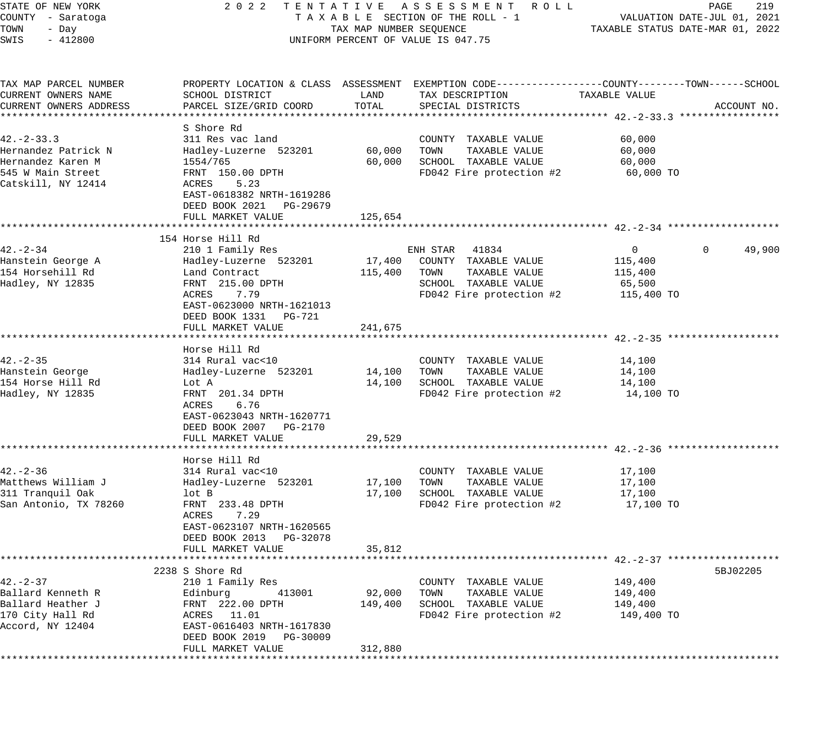| STATE OF NEW YORK                      | 2 0 2 2                                                                                         |                         | TENTATIVE ASSESSMENT ROLL                        |               | 219<br>PAGE                      |
|----------------------------------------|-------------------------------------------------------------------------------------------------|-------------------------|--------------------------------------------------|---------------|----------------------------------|
| COUNTY - Saratoga                      |                                                                                                 |                         | TAXABLE SECTION OF THE ROLL - 1                  |               | VALUATION DATE-JUL 01, 2021      |
| TOWN<br>- Day                          |                                                                                                 | TAX MAP NUMBER SEQUENCE |                                                  |               | TAXABLE STATUS DATE-MAR 01, 2022 |
| SWIS<br>$-412800$                      |                                                                                                 |                         | UNIFORM PERCENT OF VALUE IS 047.75               |               |                                  |
| TAX MAP PARCEL NUMBER                  | PROPERTY LOCATION & CLASS ASSESSMENT EXEMPTION CODE---------------COUNTY-------TOWN------SCHOOL |                         |                                                  |               |                                  |
| CURRENT OWNERS NAME                    | SCHOOL DISTRICT                                                                                 | LAND                    | TAX DESCRIPTION                                  | TAXABLE VALUE |                                  |
| CURRENT OWNERS ADDRESS                 | PARCEL SIZE/GRID COORD                                                                          | TOTAL                   | SPECIAL DISTRICTS                                |               | ACCOUNT NO.                      |
|                                        |                                                                                                 |                         |                                                  |               |                                  |
|                                        | S Shore Rd                                                                                      |                         |                                                  |               |                                  |
| $42 - 2 - 33.3$                        | 311 Res vac land                                                                                |                         | COUNTY TAXABLE VALUE                             | 60,000        |                                  |
| Hernandez Patrick N                    | Hadley-Luzerne 523201                                                                           | 60,000                  | TAXABLE VALUE<br>TOWN                            | 60,000        |                                  |
| Hernandez Karen M<br>545 W Main Street | 1554/765                                                                                        | 60,000                  | SCHOOL TAXABLE VALUE<br>FD042 Fire protection #2 | 60,000        |                                  |
| Catskill, NY 12414                     | FRNT 150.00 DPTH<br>5.23<br>ACRES                                                               |                         |                                                  | 60,000 TO     |                                  |
|                                        | EAST-0618382 NRTH-1619286                                                                       |                         |                                                  |               |                                  |
|                                        | DEED BOOK 2021 PG-29679                                                                         |                         |                                                  |               |                                  |
|                                        | FULL MARKET VALUE                                                                               | 125,654                 |                                                  |               |                                  |
|                                        |                                                                                                 |                         |                                                  |               |                                  |
|                                        | 154 Horse Hill Rd                                                                               |                         |                                                  |               |                                  |
| $42. - 2 - 34$                         | 210 1 Family Res                                                                                |                         | ENH STAR 41834                                   | $\mathbf{0}$  | 49,900<br>0                      |
| Hanstein George A                      | Hadley-Luzerne 523201                                                                           | 17,400                  | COUNTY TAXABLE VALUE                             | 115,400       |                                  |
| 154 Horsehill Rd                       | Land Contract                                                                                   | 115,400                 | TAXABLE VALUE<br>TOWN                            | 115,400       |                                  |
| Hadley, NY 12835                       | FRNT 215.00 DPTH                                                                                |                         | SCHOOL TAXABLE VALUE                             | 65,500        |                                  |
|                                        | 7.79<br>ACRES                                                                                   |                         | FD042 Fire protection #2                         | 115,400 TO    |                                  |
|                                        | EAST-0623000 NRTH-1621013                                                                       |                         |                                                  |               |                                  |
|                                        | DEED BOOK 1331 PG-721                                                                           |                         |                                                  |               |                                  |
|                                        | FULL MARKET VALUE                                                                               | 241,675                 |                                                  |               |                                  |
|                                        |                                                                                                 |                         |                                                  |               |                                  |
| $42. - 2 - 35$                         | Horse Hill Rd<br>314 Rural vac<10                                                               |                         | COUNTY TAXABLE VALUE                             | 14,100        |                                  |
| Hanstein George                        | Hadley-Luzerne 523201                                                                           | 14,100                  | TOWN<br>TAXABLE VALUE                            | 14,100        |                                  |
| 154 Horse Hill Rd                      | Lot A                                                                                           | 14,100                  | SCHOOL TAXABLE VALUE                             | 14,100        |                                  |
| Hadley, NY 12835                       | FRNT 201.34 DPTH                                                                                |                         | FD042 Fire protection #2                         | 14,100 TO     |                                  |
|                                        | 6.76<br>ACRES                                                                                   |                         |                                                  |               |                                  |
|                                        | EAST-0623043 NRTH-1620771                                                                       |                         |                                                  |               |                                  |
|                                        | DEED BOOK 2007 PG-2170                                                                          |                         |                                                  |               |                                  |
|                                        | FULL MARKET VALUE                                                                               | 29,529                  |                                                  |               |                                  |
|                                        |                                                                                                 |                         |                                                  |               |                                  |
|                                        | Horse Hill Rd                                                                                   |                         |                                                  |               |                                  |
| $42. - 2 - 36$                         | 314 Rural vac<10                                                                                |                         | COUNTY TAXABLE VALUE                             | 17,100        |                                  |
| Matthews William J                     | Hadley-Luzerne 523201                                                                           | 17,100                  | TAXABLE VALUE<br>TOWN                            | 17,100        |                                  |
| 311 Tranquil Oak                       | lot B                                                                                           | 17,100                  | SCHOOL TAXABLE VALUE                             | 17,100        |                                  |
| San Antonio, TX 78260                  | FRNT 233.48 DPTH                                                                                |                         | FD042 Fire protection #2                         | 17,100 TO     |                                  |
|                                        | ACRES<br>7.29                                                                                   |                         |                                                  |               |                                  |
|                                        | EAST-0623107 NRTH-1620565                                                                       |                         |                                                  |               |                                  |
|                                        | DEED BOOK 2013 PG-32078<br>FULL MARKET VALUE                                                    | 35,812                  |                                                  |               |                                  |
|                                        |                                                                                                 |                         |                                                  |               |                                  |
|                                        | 2238 S Shore Rd                                                                                 |                         |                                                  |               | 5BJ02205                         |
| $42. - 2 - 37$                         | 210 1 Family Res                                                                                |                         | COUNTY TAXABLE VALUE                             | 149,400       |                                  |
| Ballard Kenneth R                      | 413001<br>Edinburg                                                                              | 92,000                  | TAXABLE VALUE<br>TOWN                            | 149,400       |                                  |
| Ballard Heather J                      | FRNT 222.00 DPTH                                                                                | 149,400                 | SCHOOL TAXABLE VALUE                             | 149,400       |                                  |
| 170 City Hall Rd                       | ACRES 11.01                                                                                     |                         | FD042 Fire protection #2                         | 149,400 TO    |                                  |
| Accord, NY 12404                       | EAST-0616403 NRTH-1617830                                                                       |                         |                                                  |               |                                  |
|                                        | DEED BOOK 2019 PG-30009                                                                         |                         |                                                  |               |                                  |
|                                        | FULL MARKET VALUE                                                                               | 312,880                 |                                                  |               |                                  |
|                                        |                                                                                                 |                         |                                                  |               |                                  |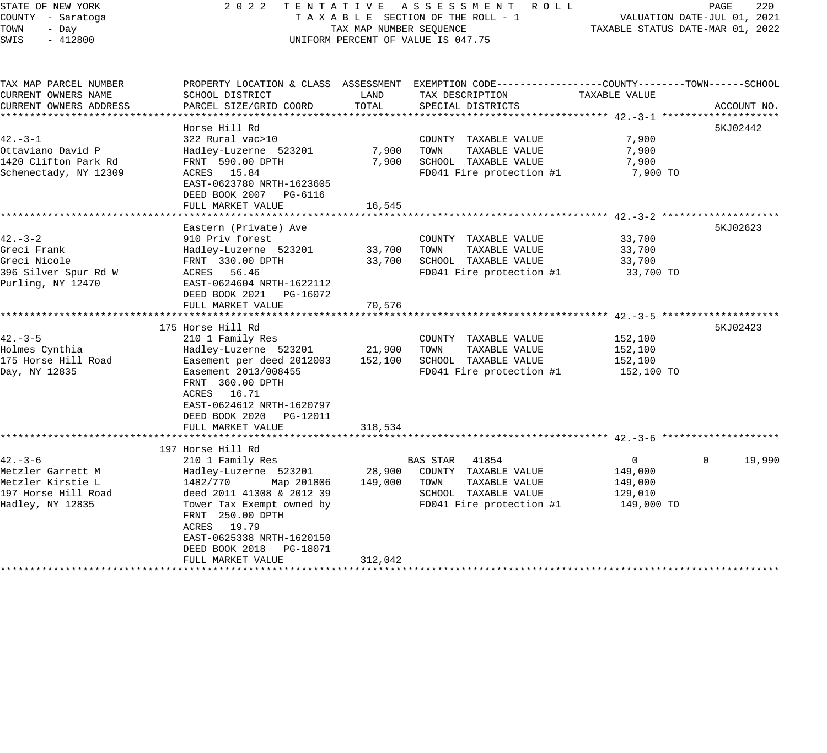#### STATE OF NEW YORK 2 0 2 2 T E N T A T I V E A S S E S S M E N T R O L L PAGE 220 COUNTY - Saratoga T A X A B L E SECTION OF THE ROLL - 1 VALUATION DATE-JUL 01, 2021 TOWN - Day TAX MAP NUMBER SEQUENCE TAXABLE STATUS DATE-MAR 01, 2022 SWIS - 412800 CONTROLLY THE UNIFORM PERCENT OF VALUE IS 047.75

| TAX MAP PARCEL NUMBER  |                                              |         | PROPERTY LOCATION & CLASS ASSESSMENT EXEMPTION CODE----------------COUNTY-------TOWN-----SCHOOL |                |                    |
|------------------------|----------------------------------------------|---------|-------------------------------------------------------------------------------------------------|----------------|--------------------|
| CURRENT OWNERS NAME    | SCHOOL DISTRICT                              | LAND    | TAX DESCRIPTION                                                                                 | TAXABLE VALUE  |                    |
| CURRENT OWNERS ADDRESS | PARCEL SIZE/GRID COORD                       | TOTAL   | SPECIAL DISTRICTS                                                                               |                | ACCOUNT NO.        |
|                        |                                              |         |                                                                                                 |                |                    |
|                        | Horse Hill Rd                                |         |                                                                                                 |                | 5KJ02442           |
| $42. -3 - 1$           | 322 Rural vac>10                             |         | COUNTY TAXABLE VALUE                                                                            | 7,900          |                    |
| Ottaviano David P      | Hadley-Luzerne 523201                        | 7,900   | TOWN<br>TAXABLE VALUE                                                                           | 7,900          |                    |
| 1420 Clifton Park Rd   | FRNT 590.00 DPTH                             | 7,900   | SCHOOL TAXABLE VALUE                                                                            | 7,900          |                    |
| Schenectady, NY 12309  | ACRES 15.84                                  |         | FD041 Fire protection #1                                                                        | 7,900 TO       |                    |
|                        | EAST-0623780 NRTH-1623605                    |         |                                                                                                 |                |                    |
|                        | DEED BOOK 2007 PG-6116                       |         |                                                                                                 |                |                    |
|                        | FULL MARKET VALUE                            | 16,545  |                                                                                                 |                |                    |
|                        |                                              |         |                                                                                                 |                |                    |
|                        | Eastern (Private) Ave                        |         |                                                                                                 |                | 5KJ02623           |
| $42 - 3 - 2$           | 910 Priv forest                              |         | COUNTY TAXABLE VALUE                                                                            | 33,700         |                    |
| Greci Frank            | Hadley-Luzerne 523201                        | 33,700  | TOWN<br>TAXABLE VALUE                                                                           | 33,700         |                    |
| Greci Nicole           | FRNT 330.00 DPTH                             | 33,700  | SCHOOL TAXABLE VALUE                                                                            | 33,700         |                    |
| 396 Silver Spur Rd W   | ACRES 56.46                                  |         | FD041 Fire protection #1                                                                        | 33,700 TO      |                    |
| Purling, NY 12470      | EAST-0624604 NRTH-1622112                    |         |                                                                                                 |                |                    |
|                        | DEED BOOK 2021<br>PG-16072                   |         |                                                                                                 |                |                    |
|                        | FULL MARKET VALUE                            | 70,576  |                                                                                                 |                |                    |
|                        |                                              |         |                                                                                                 |                |                    |
|                        | 175 Horse Hill Rd                            |         |                                                                                                 |                | 5KJ02423           |
| $42 - 3 - 5$           | 210 1 Family Res                             |         | COUNTY TAXABLE VALUE                                                                            | 152,100        |                    |
| Holmes Cynthia         | Hadley-Luzerne 523201                        | 21,900  | TOWN<br>TAXABLE VALUE                                                                           | 152,100        |                    |
| 175 Horse Hill Road    | Easement per deed 2012003                    | 152,100 | SCHOOL TAXABLE VALUE                                                                            | 152,100        |                    |
| Day, NY 12835          | Easement 2013/008455                         |         | FD041 Fire protection #1                                                                        | 152,100 TO     |                    |
|                        | FRNT 360.00 DPTH                             |         |                                                                                                 |                |                    |
|                        | ACRES 16.71                                  |         |                                                                                                 |                |                    |
|                        |                                              |         |                                                                                                 |                |                    |
|                        | EAST-0624612 NRTH-1620797                    |         |                                                                                                 |                |                    |
|                        | DEED BOOK 2020 PG-12011<br>FULL MARKET VALUE | 318,534 |                                                                                                 |                |                    |
|                        |                                              |         |                                                                                                 |                |                    |
|                        |                                              |         |                                                                                                 |                |                    |
|                        | 197 Horse Hill Rd                            |         |                                                                                                 |                |                    |
| $42 - 3 - 6$           | 210 1 Family Res                             |         | BAS STAR 41854                                                                                  | $\overline{0}$ | 19,990<br>$\Omega$ |
| Metzler Garrett M      | Hadley-Luzerne 523201                        | 28,900  | COUNTY TAXABLE VALUE                                                                            | 149,000        |                    |
| Metzler Kirstie L      | 1482/770<br>Map 201806                       | 149,000 | TOWN<br>TAXABLE VALUE                                                                           | 149,000        |                    |
| 197 Horse Hill Road    | deed 2011 41308 & 2012 39                    |         | SCHOOL TAXABLE VALUE                                                                            | 129,010        |                    |
| Hadley, NY 12835       | Tower Tax Exempt owned by                    |         | FD041 Fire protection #1                                                                        | 149,000 TO     |                    |
|                        | FRNT 250.00 DPTH                             |         |                                                                                                 |                |                    |
|                        | ACRES 19.79                                  |         |                                                                                                 |                |                    |
|                        | EAST-0625338 NRTH-1620150                    |         |                                                                                                 |                |                    |
|                        | DEED BOOK 2018 PG-18071                      |         |                                                                                                 |                |                    |
|                        | FULL MARKET VALUE                            | 312,042 |                                                                                                 |                |                    |
|                        |                                              |         |                                                                                                 |                |                    |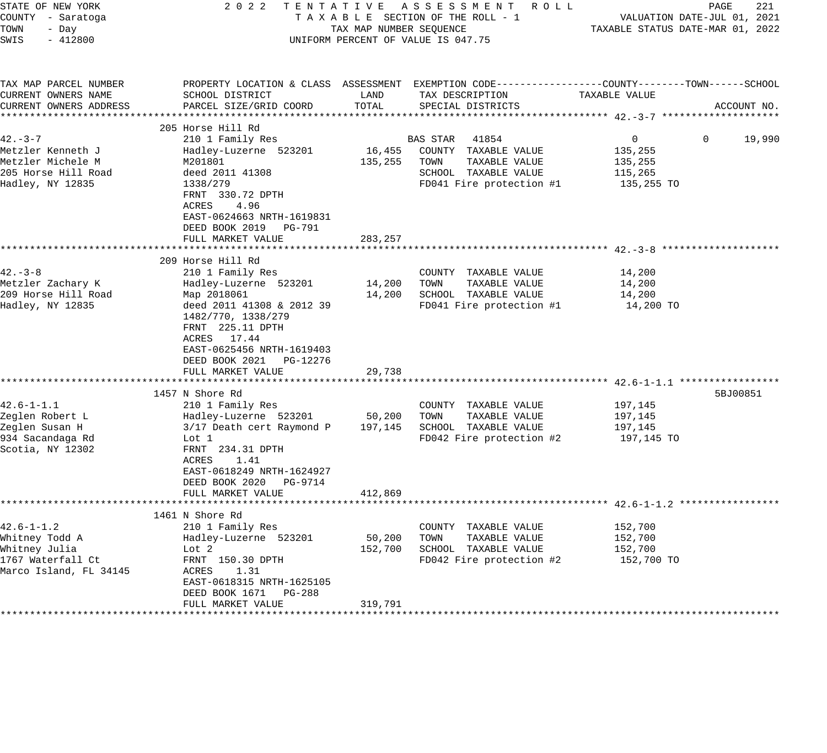| STATE OF NEW YORK<br>COUNTY - Saratoga<br>TOWN<br>- Day<br>SWIS<br>$-412800$                       |                                                                                                                                                                                                                                                  | TAX MAP NUMBER SEQUENCE      | 2022 TENTATIVE ASSESSMENT ROLL<br>TAXABLE SECTION OF THE ROLL - 1<br>UNIFORM PERCENT OF VALUE IS 047.75                    | PAGE<br>VALUATION DATE-JUL 01, 2021<br>TAXABLE STATUS DATE-MAR 01, 2022                                          | 221         |
|----------------------------------------------------------------------------------------------------|--------------------------------------------------------------------------------------------------------------------------------------------------------------------------------------------------------------------------------------------------|------------------------------|----------------------------------------------------------------------------------------------------------------------------|------------------------------------------------------------------------------------------------------------------|-------------|
| TAX MAP PARCEL NUMBER<br>CURRENT OWNERS NAME<br>CURRENT OWNERS ADDRESS                             | SCHOOL DISTRICT<br>PARCEL SIZE/GRID COORD                                                                                                                                                                                                        | LAND<br>TOTAL                | TAX DESCRIPTION<br>SPECIAL DISTRICTS                                                                                       | PROPERTY LOCATION & CLASS ASSESSMENT EXEMPTION CODE---------------COUNTY-------TOWN------SCHOOL<br>TAXABLE VALUE | ACCOUNT NO. |
|                                                                                                    | 205 Horse Hill Rd                                                                                                                                                                                                                                |                              |                                                                                                                            |                                                                                                                  |             |
| $42. -3 - 7$<br>Metzler Kenneth J<br>Metzler Michele M<br>205 Horse Hill Road<br>Hadley, NY 12835  | 210 1 Family Res<br>Hadley-Luzerne 523201<br>M201801<br>deed 2011 41308<br>1338/279<br>FRNT 330.72 DPTH<br>4.96<br>ACRES<br>EAST-0624663 NRTH-1619831                                                                                            | 135,255                      | BAS STAR 41854<br>16,455 COUNTY TAXABLE VALUE<br>TOWN<br>TAXABLE VALUE<br>SCHOOL TAXABLE VALUE<br>FD041 Fire protection #1 | $\overline{0}$<br>$\Omega$<br>135,255<br>135,255<br>115,265<br>135,255 TO                                        | 19,990      |
|                                                                                                    | DEED BOOK 2019 PG-791<br>FULL MARKET VALUE                                                                                                                                                                                                       | 283,257                      |                                                                                                                            |                                                                                                                  |             |
| $42. -3 - 8$<br>Metzler Zachary K<br>209 Horse Hill Road<br>Hadley, NY 12835                       | 209 Horse Hill Rd<br>210 1 Family Res<br>Hadley-Luzerne 523201<br>Map 2018061<br>deed 2011 41308 & 2012 39<br>1482/770, 1338/279<br>FRNT 225.11 DPTH<br>ACRES 17.44<br>EAST-0625456 NRTH-1619403<br>DEED BOOK 2021 PG-12276<br>FULL MARKET VALUE | 14,200<br>29,738             | COUNTY TAXABLE VALUE<br>TOWN<br>TAXABLE VALUE<br>14,200 SCHOOL TAXABLE VALUE<br>FD041 Fire protection #1                   | 14,200<br>14,200<br>14,200<br>14,200 TO                                                                          |             |
| $42.6 - 1 - 1.1$<br>Zeglen Robert L<br>Zeglen Susan H<br>934 Sacandaga Rd<br>Scotia, NY 12302      | 1457 N Shore Rd<br>210 1 Family Res<br>Hadley-Luzerne 523201<br>3/17 Death cert Raymond P<br>Lot 1<br>FRNT 234.31 DPTH<br>1.41<br>ACRES<br>EAST-0618249 NRTH-1624927<br>DEED BOOK 2020 PG-9714<br>FULL MARKET VALUE                              | 50,200<br>197,145<br>412,869 | COUNTY TAXABLE VALUE<br>TOWN<br>TAXABLE VALUE<br>SCHOOL TAXABLE VALUE<br>FD042 Fire protection #2                          | 197,145<br>197,145<br>197,145<br>197,145 TO                                                                      | 5BJ00851    |
| $42.6 - 1 - 1.2$<br>Whitney Todd A<br>Whitney Julia<br>1767 Waterfall Ct<br>Marco Island, FL 34145 | 1461 N Shore Rd<br>210 1 Family Res<br>Hadley-Luzerne 523201<br>Lot 2<br>FRNT 150.30 DPTH<br>ACRES<br>1.31<br>EAST-0618315 NRTH-1625105<br>DEED BOOK 1671 PG-288<br>FULL MARKET VALUE                                                            | 50,200<br>152,700<br>319,791 | COUNTY TAXABLE VALUE<br>TAXABLE VALUE<br>TOWN<br>SCHOOL TAXABLE VALUE<br>FD042 Fire protection #2                          | 152,700<br>152,700<br>152,700<br>152,700 TO                                                                      |             |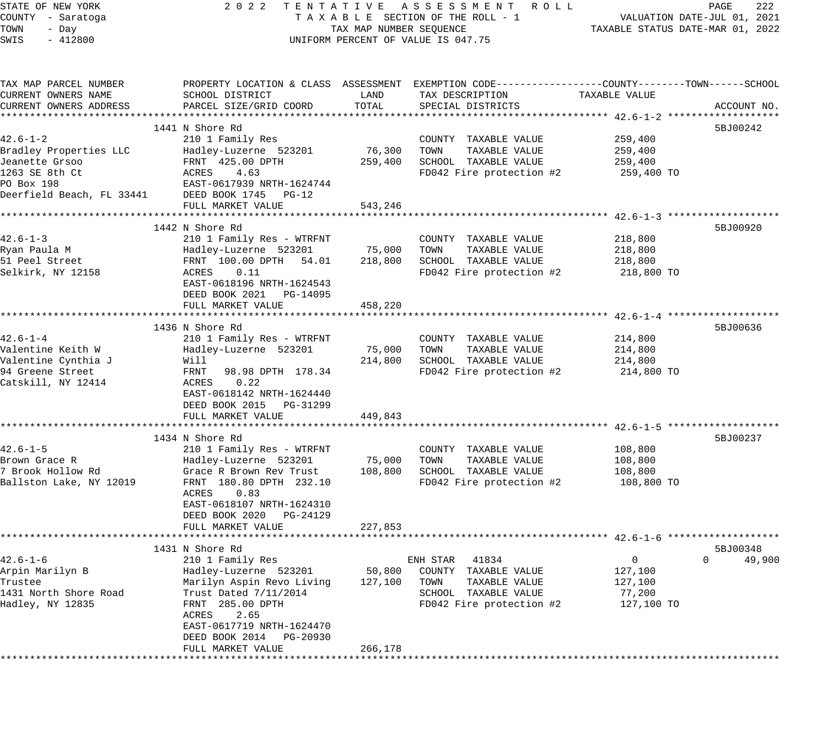STATE OF NEW YORK 2 0 2 2 T E N T A T I V E A S S E S S M E N T R O L L PAGE 222 COUNTY - Saratoga T A X A B L E SECTION OF THE ROLL - 1 VALUATION DATE-JUL 01, 2021 TOWN - Day TAX MAP NUMBER SEQUENCE TAXABLE STATUS DATE-MAR 01, 2022 SWIS - 412800 CONTROLLY THE UNIFORM PERCENT OF VALUE IS 047.75 TAX MAP PARCEL NUMBER PROPERTY LOCATION & CLASS ASSESSMENT EXEMPTION CODE-------------------COUNTY--------TOWN------SCHOOL CURRENT OWNERS NAME SCHOOL DISTRICT LAND TAX DESCRIPTION TAXABLE VALUE CURRENT OWNERS ADDRESS PARCEL SIZE/GRID COORD TOTAL SPECIAL DISTRICTS ACCOUNT NO. \*\*\*\*\*\*\*\*\*\*\*\*\*\*\*\*\*\*\*\*\*\*\*\*\*\*\*\*\*\*\*\*\*\*\*\*\*\*\*\*\*\*\*\*\*\*\*\*\*\*\*\*\*\*\*\*\*\*\*\*\*\*\*\*\*\*\*\*\*\*\*\*\*\*\*\*\*\*\*\*\*\*\*\*\*\*\*\*\*\*\*\*\*\*\*\*\*\*\*\*\*\*\* 42.6-1-2 \*\*\*\*\*\*\*\*\*\*\*\*\*\*\*\*\*\*\* 1441 N Shore Rd 5BJ00242 42.6-1-2 210 1 Family Res COUNTY TAXABLE VALUE 259,400 Bradley Properties LLC Hadley-Luzerne 523201 76,300 TOWN TAXABLE VALUE 259,400 Jeanette Grsoo FRNT 425.00 DPTH 259,400 SCHOOL TAXABLE VALUE 259,400 1263 SE 8th Ct ACRES 4.63 FD042 Fire protection #2 259,400 TO PO Box 198 **EAST-0617939** NRTH-1624744 Deerfield Beach, FL 33441 DEED BOOK 1745 PG-12 FULL MARKET VALUE 543,246 \*\*\*\*\*\*\*\*\*\*\*\*\*\*\*\*\*\*\*\*\*\*\*\*\*\*\*\*\*\*\*\*\*\*\*\*\*\*\*\*\*\*\*\*\*\*\*\*\*\*\*\*\*\*\*\*\*\*\*\*\*\*\*\*\*\*\*\*\*\*\*\*\*\*\*\*\*\*\*\*\*\*\*\*\*\*\*\*\*\*\*\*\*\*\*\*\*\*\*\*\*\*\* 42.6-1-3 \*\*\*\*\*\*\*\*\*\*\*\*\*\*\*\*\*\*\* 1442 N Shore Rd 5BJ00920 42.6-1-3 210 1 Family Res - WTRFNT COUNTY TAXABLE VALUE 218,800 Ryan Paula M Hadley-Luzerne 523201 75,000 TOWN TAXABLE VALUE 218,800 51 Peel Street FRNT 100.00 DPTH 54.01 218,800 SCHOOL TAXABLE VALUE 218,800 Selkirk, NY 12158 ACRES 0.11 FD042 Fire protection #2 218,800 TO EAST-0618196 NRTH-1624543 DEED BOOK 2021 PG-14095 FULL MARKET VALUE 458,220 \*\*\*\*\*\*\*\*\*\*\*\*\*\*\*\*\*\*\*\*\*\*\*\*\*\*\*\*\*\*\*\*\*\*\*\*\*\*\*\*\*\*\*\*\*\*\*\*\*\*\*\*\*\*\*\*\*\*\*\*\*\*\*\*\*\*\*\*\*\*\*\*\*\*\*\*\*\*\*\*\*\*\*\*\*\*\*\*\*\*\*\*\*\*\*\*\*\*\*\*\*\*\* 42.6-1-4 \*\*\*\*\*\*\*\*\*\*\*\*\*\*\*\*\*\*\*  $1436$  N Shore Rd  $5BJ00636$ 42.6-1-4 210 1 Family Res - WTRFNT COUNTY TAXABLE VALUE 214,800 Valentine Keith W Hadley-Luzerne 523201 75,000 TOWN TAXABLE VALUE 214,800 Valentine Cynthia J Will 214,800 SCHOOL TAXABLE VALUE 214,800 94 Greene Street FRNT 98.98 DPTH 178.34 FD042 Fire protection #2 214,800 TO Catskill, NY 12414 ACRES 0.22 EAST-0618142 NRTH-1624440 DEED BOOK 2015 PG-31299 FULL MARKET VALUE 449,843 \*\*\*\*\*\*\*\*\*\*\*\*\*\*\*\*\*\*\*\*\*\*\*\*\*\*\*\*\*\*\*\*\*\*\*\*\*\*\*\*\*\*\*\*\*\*\*\*\*\*\*\*\*\*\*\*\*\*\*\*\*\*\*\*\*\*\*\*\*\*\*\*\*\*\*\*\*\*\*\*\*\*\*\*\*\*\*\*\*\*\*\*\*\*\*\*\*\*\*\*\*\*\* 42.6-1-5 \*\*\*\*\*\*\*\*\*\*\*\*\*\*\*\*\*\*\*  $1434$  N Shore Rd  $5BJ00237$ 42.6-1-5 210 1 Family Res - WTRFNT COUNTY TAXABLE VALUE 108,800 Brown Grace R Hadley-Luzerne 523201 75,000 TOWN TAXABLE VALUE 108,800 7 Brook Hollow Rd Grace R Brown Rev Trust 108,800 SCHOOL TAXABLE VALUE 108,800 Ballston Lake, NY 12019 FRNT 180.80 DPTH 232.10 FD042 Fire protection #2 108,800 TO ACRES 0.83 EAST-0618107 NRTH-1624310 DEED BOOK 2020 PG-24129 FULL MARKET VALUE 227,853 \*\*\*\*\*\*\*\*\*\*\*\*\*\*\*\*\*\*\*\*\*\*\*\*\*\*\*\*\*\*\*\*\*\*\*\*\*\*\*\*\*\*\*\*\*\*\*\*\*\*\*\*\*\*\*\*\*\*\*\*\*\*\*\*\*\*\*\*\*\*\*\*\*\*\*\*\*\*\*\*\*\*\*\*\*\*\*\*\*\*\*\*\*\*\*\*\*\*\*\*\*\*\* 42.6-1-6 \*\*\*\*\*\*\*\*\*\*\*\*\*\*\*\*\*\*\*  $1431$  N Shore Rd  $5BJ00348$ 42.6-1-6 210 1 Family Res ENH STAR 41834 0 0 49,900 Arpin Marilyn B Hadley-Luzerne 523201 50,800 COUNTY TAXABLE VALUE 127,100 Trustee Marilyn Aspin Revo Living 127,100 TOWN TAXABLE VALUE 127,100 1431 North Shore Road Trust Dated 7/11/2014 SCHOOL TAXABLE VALUE 77,200 Hadley, NY 12835 FRNT 285.00 DPTH FD042 Fire protection #2 127,100 TO ACRES 2.65 EAST-0617719 NRTH-1624470 DEED BOOK 2014 PG-20930

\*\*\*\*\*\*\*\*\*\*\*\*\*\*\*\*\*\*\*\*\*\*\*\*\*\*\*\*\*\*\*\*\*\*\*\*\*\*\*\*\*\*\*\*\*\*\*\*\*\*\*\*\*\*\*\*\*\*\*\*\*\*\*\*\*\*\*\*\*\*\*\*\*\*\*\*\*\*\*\*\*\*\*\*\*\*\*\*\*\*\*\*\*\*\*\*\*\*\*\*\*\*\*\*\*\*\*\*\*\*\*\*\*\*\*\*\*\*\*\*\*\*\*\*\*\*\*\*\*\*\*\*

FULL MARKET VALUE 266,178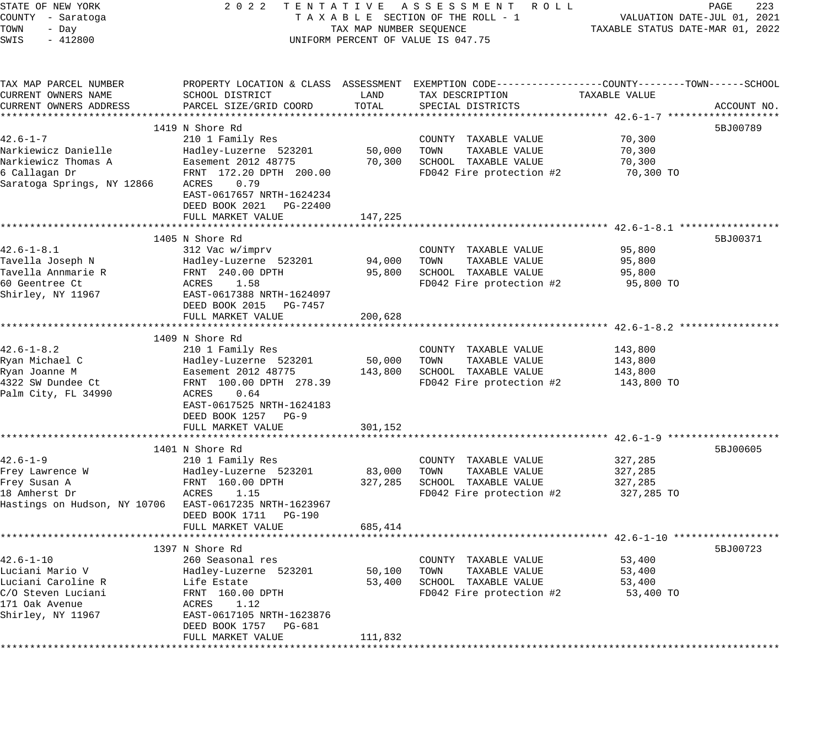| STATE OF NEW YORK<br>COUNTY - Saratoga<br>TOWN<br>- Day<br>SWIS<br>$-412800$ | 2 0 2 2<br>TENTATIVE ASSESSMENT ROLL<br>TAXABLE SECTION OF THE ROLL - 1<br>TAX MAP NUMBER SEQUENCE<br>UNIFORM PERCENT OF VALUE IS 047.75 |         |                                                                                                  | PAGE<br>223<br>VALUATION DATE-JUL 01, 2021<br>TAXABLE STATUS DATE-MAR 01, 2022 |             |
|------------------------------------------------------------------------------|------------------------------------------------------------------------------------------------------------------------------------------|---------|--------------------------------------------------------------------------------------------------|--------------------------------------------------------------------------------|-------------|
|                                                                              |                                                                                                                                          |         |                                                                                                  |                                                                                |             |
| TAX MAP PARCEL NUMBER                                                        |                                                                                                                                          |         | PROPERTY LOCATION & CLASS ASSESSMENT EXEMPTION CODE----------------COUNTY-------TOWN------SCHOOL |                                                                                |             |
| CURRENT OWNERS NAME                                                          | SCHOOL DISTRICT                                                                                                                          | LAND    | TAX DESCRIPTION                                                                                  | TAXABLE VALUE                                                                  |             |
| CURRENT OWNERS ADDRESS                                                       | PARCEL SIZE/GRID COORD                                                                                                                   | TOTAL   | SPECIAL DISTRICTS                                                                                |                                                                                | ACCOUNT NO. |
|                                                                              |                                                                                                                                          |         |                                                                                                  |                                                                                |             |
|                                                                              | 1419 N Shore Rd                                                                                                                          |         |                                                                                                  |                                                                                | 5BJ00789    |
| $42.6 - 1 - 7$                                                               | 210 1 Family Res                                                                                                                         |         | COUNTY TAXABLE VALUE                                                                             | 70,300                                                                         |             |
| Narkiewicz Danielle                                                          | Hadley-Luzerne 523201                                                                                                                    | 50,000  | TOWN<br>TAXABLE VALUE                                                                            | 70,300                                                                         |             |
| Narkiewicz Thomas A                                                          | Easement 2012 48775                                                                                                                      | 70,300  | SCHOOL TAXABLE VALUE                                                                             | 70,300                                                                         |             |
| 6 Callagan Dr                                                                | FRNT 172.20 DPTH 200.00                                                                                                                  |         | FD042 Fire protection #2                                                                         | 70,300 TO                                                                      |             |
| Saratoga Springs, NY 12866                                                   | 0.79<br>ACRES                                                                                                                            |         |                                                                                                  |                                                                                |             |
|                                                                              | EAST-0617657 NRTH-1624234                                                                                                                |         |                                                                                                  |                                                                                |             |
|                                                                              | DEED BOOK 2021 PG-22400                                                                                                                  |         |                                                                                                  |                                                                                |             |
|                                                                              | FULL MARKET VALUE                                                                                                                        | 147,225 |                                                                                                  |                                                                                |             |
|                                                                              | 1405 N Shore Rd                                                                                                                          |         |                                                                                                  |                                                                                | 5BJ00371    |
| $42.6 - 1 - 8.1$                                                             | 312 Vac w/imprv                                                                                                                          |         | COUNTY TAXABLE VALUE                                                                             | 95,800                                                                         |             |
| Tavella Joseph N                                                             | Hadley-Luzerne 523201                                                                                                                    | 94,000  | TAXABLE VALUE<br>TOWN                                                                            | 95,800                                                                         |             |
| Tavella Annmarie R                                                           | FRNT 240.00 DPTH                                                                                                                         | 95,800  | SCHOOL TAXABLE VALUE                                                                             | 95,800                                                                         |             |
| 60 Geentree Ct                                                               | ACRES<br>1.58                                                                                                                            |         | FD042 Fire protection #2                                                                         | 95,800 TO                                                                      |             |
| Shirley, NY 11967                                                            | EAST-0617388 NRTH-1624097                                                                                                                |         |                                                                                                  |                                                                                |             |
|                                                                              | DEED BOOK 2015 PG-7457                                                                                                                   |         |                                                                                                  |                                                                                |             |
|                                                                              | FULL MARKET VALUE                                                                                                                        | 200,628 |                                                                                                  |                                                                                |             |
|                                                                              |                                                                                                                                          |         |                                                                                                  |                                                                                |             |
|                                                                              | 1409 N Shore Rd                                                                                                                          |         |                                                                                                  |                                                                                |             |
| $42.6 - 1 - 8.2$                                                             | 210 1 Family Res                                                                                                                         |         | COUNTY TAXABLE VALUE                                                                             | 143,800                                                                        |             |
| Ryan Michael C                                                               | Hadley-Luzerne 523201                                                                                                                    | 50,000  | TAXABLE VALUE<br>TOWN                                                                            | 143,800                                                                        |             |
| Ryan Joanne M                                                                | Easement 2012 48775                                                                                                                      | 143,800 | SCHOOL TAXABLE VALUE                                                                             | 143,800                                                                        |             |
| 4322 SW Dundee Ct                                                            | FRNT 100.00 DPTH 278.39                                                                                                                  |         | FD042 Fire protection #2                                                                         | 143,800 TO                                                                     |             |
| Palm City, FL 34990                                                          | ACRES<br>0.64                                                                                                                            |         |                                                                                                  |                                                                                |             |
|                                                                              | EAST-0617525 NRTH-1624183                                                                                                                |         |                                                                                                  |                                                                                |             |
|                                                                              | DEED BOOK 1257 PG-9                                                                                                                      |         |                                                                                                  |                                                                                |             |
|                                                                              | FULL MARKET VALUE                                                                                                                        | 301,152 |                                                                                                  |                                                                                |             |
|                                                                              | 1401 N Shore Rd                                                                                                                          |         |                                                                                                  |                                                                                | 5BJ00605    |
| $42.6 - 1 - 9$                                                               | 210 1 Family Res                                                                                                                         |         | COUNTY TAXABLE VALUE                                                                             | 327,285                                                                        |             |
| Frey Lawrence W                                                              | Hadley-Luzerne 523201                                                                                                                    | 83,000  | TOWN<br>TAXABLE VALUE                                                                            | 327,285                                                                        |             |
| Frey Susan A                                                                 | FRNT 160.00 DPTH                                                                                                                         | 327,285 | SCHOOL TAXABLE VALUE                                                                             | 327,285                                                                        |             |
| 18 Amherst Dr                                                                | ACRES<br>1.15                                                                                                                            |         | FD042 Fire protection #2                                                                         | 327,285 TO                                                                     |             |
| Hastings on Hudson, NY 10706 EAST-0617235 NRTH-1623967                       |                                                                                                                                          |         |                                                                                                  |                                                                                |             |
|                                                                              | DEED BOOK 1711 PG-190                                                                                                                    |         |                                                                                                  |                                                                                |             |
|                                                                              | FULL MARKET VALUE                                                                                                                        | 685,414 |                                                                                                  |                                                                                |             |
|                                                                              |                                                                                                                                          |         |                                                                                                  |                                                                                |             |
|                                                                              | 1397 N Shore Rd                                                                                                                          |         |                                                                                                  |                                                                                | 5BJ00723    |
| $42.6 - 1 - 10$                                                              | 260 Seasonal res                                                                                                                         |         | COUNTY TAXABLE VALUE                                                                             | 53,400                                                                         |             |
| Luciani Mario V                                                              | Hadley-Luzerne 523201                                                                                                                    | 50,100  | TAXABLE VALUE<br>TOWN                                                                            | 53,400                                                                         |             |
| Luciani Caroline R                                                           | Life Estate                                                                                                                              | 53,400  | SCHOOL TAXABLE VALUE                                                                             | 53,400                                                                         |             |
| C/O Steven Luciani                                                           | FRNT 160.00 DPTH                                                                                                                         |         | FD042 Fire protection #2                                                                         | 53,400 TO                                                                      |             |
| 171 Oak Avenue                                                               | ACRES<br>1.12                                                                                                                            |         |                                                                                                  |                                                                                |             |
| Shirley, NY 11967                                                            | EAST-0617105 NRTH-1623876                                                                                                                |         |                                                                                                  |                                                                                |             |
|                                                                              | DEED BOOK 1757<br>PG-681<br>FULL MARKET VALUE                                                                                            | 111,832 |                                                                                                  |                                                                                |             |
|                                                                              |                                                                                                                                          |         |                                                                                                  |                                                                                |             |
|                                                                              |                                                                                                                                          |         |                                                                                                  |                                                                                |             |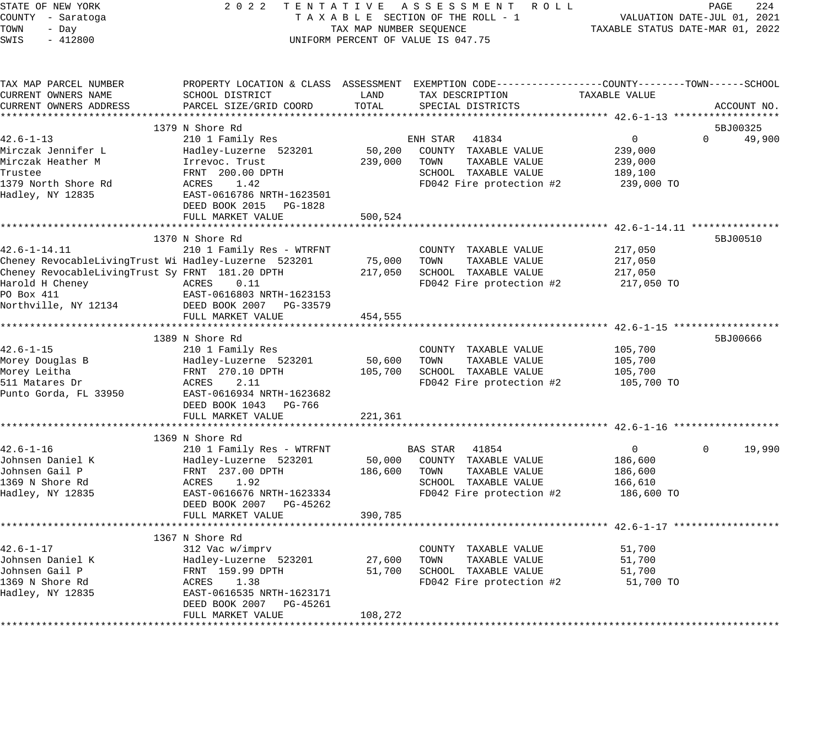| STATE OF NEW YORK<br>COUNTY - Saratoga<br>TOWN<br>- Day<br>SWIS<br>$-412800$                                                                                                           |                                                                                                                                                                                      | TAX MAP NUMBER SEQUENCE      | 2022 TENTATIVE ASSESSMENT ROLL<br>TAXABLE SECTION OF THE ROLL - 1<br>UNIFORM PERCENT OF VALUE IS 047.75                                 | TAXABLE STATUS DATE-MAR 01, 2022                              | PAGE<br>224<br>VALUATION DATE-JUL 01, 2021 |
|----------------------------------------------------------------------------------------------------------------------------------------------------------------------------------------|--------------------------------------------------------------------------------------------------------------------------------------------------------------------------------------|------------------------------|-----------------------------------------------------------------------------------------------------------------------------------------|---------------------------------------------------------------|--------------------------------------------|
| TAX MAP PARCEL NUMBER<br>CURRENT OWNERS NAME<br>CURRENT OWNERS ADDRESS                                                                                                                 | SCHOOL DISTRICT<br>PARCEL SIZE/GRID COORD                                                                                                                                            | LAND<br>TOTAL                | PROPERTY LOCATION & CLASS ASSESSMENT EXEMPTION CODE----------------COUNTY-------TOWN-----SCHOOL<br>TAX DESCRIPTION<br>SPECIAL DISTRICTS | TAXABLE VALUE                                                 | ACCOUNT NO.                                |
|                                                                                                                                                                                        |                                                                                                                                                                                      |                              |                                                                                                                                         |                                                               |                                            |
| $42.6 - 1 - 13$                                                                                                                                                                        | 1379 N Shore Rd<br>210 1 Family Res                                                                                                                                                  |                              | 41834<br>ENH STAR                                                                                                                       | $\mathbf{0}$                                                  | 5BJ00325<br>49,900<br>$\Omega$             |
| Mirczak Jennifer L<br>Mirczak Heather M<br>Trustee<br>1379 North Shore Rd<br>Hadley, NY 12835                                                                                          | Hadley-Luzerne 523201<br>Irrevoc. Trust<br>FRNT 200.00 DPTH<br>ACRES 1.42<br>EAST-0616786 NRTH-1623501<br>DEED BOOK 2015 PG-1828                                                     | 50,200<br>239,000            | COUNTY TAXABLE VALUE<br>TOWN<br>TAXABLE VALUE<br>SCHOOL TAXABLE VALUE<br>FD042 Fire protection #2                                       | 239,000<br>239,000<br>189,100<br>239,000 TO                   |                                            |
|                                                                                                                                                                                        | FULL MARKET VALUE                                                                                                                                                                    | 500,524                      |                                                                                                                                         |                                                               |                                            |
| $42.6 - 1 - 14.11$<br>Cheney RevocableLivingTrust Wi Hadley-Luzerne 523201<br>Cheney RevocableLivingTrust Sy FRNT 181.20 DPTH<br>Harold H Cheney<br>PO Box 411<br>Northville, NY 12134 | 1370 N Shore Rd<br>210 1 Family Res - WTRFNT<br>ACRES<br>0.11<br>EAST-0616803 NRTH-1623153<br>DEED BOOK 2007 PG-33579<br>FULL MARKET VALUE                                           | 75,000<br>217,050<br>454,555 | COUNTY TAXABLE VALUE<br>TOWN<br>TAXABLE VALUE<br>SCHOOL TAXABLE VALUE<br>FD042 Fire protection #2                                       | 217,050<br>217,050<br>217,050<br>217,050 TO                   | 5BJ00510                                   |
|                                                                                                                                                                                        |                                                                                                                                                                                      |                              |                                                                                                                                         |                                                               |                                            |
| $42.6 - 1 - 15$<br>Morey Douglas B<br>Morey Leitha<br>511 Matares Dr<br>Punto Gorda, FL 33950                                                                                          | 1389 N Shore Rd<br>210 1 Family Res<br>Hadley-Luzerne 523201<br>FRNT 270.10 DPTH<br>2.11<br>ACRES<br>EAST-0616934 NRTH-1623682<br>DEED BOOK 1043 PG-766                              | 50,600<br>105,700            | COUNTY TAXABLE VALUE<br>TOWN<br>TAXABLE VALUE<br>SCHOOL TAXABLE VALUE<br>FD042 Fire protection #2                                       | 105,700<br>105,700<br>105,700<br>105,700 TO                   | 5BJ00666                                   |
|                                                                                                                                                                                        | FULL MARKET VALUE                                                                                                                                                                    | 221,361                      |                                                                                                                                         |                                                               |                                            |
|                                                                                                                                                                                        |                                                                                                                                                                                      |                              |                                                                                                                                         |                                                               |                                            |
| $42.6 - 1 - 16$<br>Johnsen Daniel K<br>Johnsen Gail P<br>1369 N Shore Rd<br>Hadley, NY 12835                                                                                           | 1369 N Shore Rd<br>210 1 Family Res - WTRFNT<br>Hadley-Luzerne 523201<br>FRNT 237.00 DPTH<br>ACRES 1.92<br>EAST-0616676 NRTH-1623334<br>DEED BOOK 2007 PG-45262<br>FULL MARKET VALUE | 50,000<br>186,600<br>390,785 | BAS STAR 41854<br>COUNTY TAXABLE VALUE<br>TAXABLE VALUE<br>TOWN<br>SCHOOL TAXABLE VALUE<br>FD042 Fire protection #2                     | $\overline{0}$<br>186,600<br>186,600<br>166,610<br>186,600 TO | 19,990<br>$\Omega$                         |
|                                                                                                                                                                                        |                                                                                                                                                                                      |                              |                                                                                                                                         |                                                               |                                            |
| $42.6 - 1 - 17$<br>Johnsen Daniel K<br>Johnsen Gail P<br>1369 N Shore Rd<br>Hadley, NY 12835                                                                                           | 1367 N Shore Rd<br>312 Vac w/imprv<br>Hadley-Luzerne 523201<br>FRNT 159.99 DPTH<br>ACRES 1.38<br>EAST-0616535 NRTH-1623171<br>DEED BOOK 2007 PG-45261<br>FULL MARKET VALUE           | 27,600<br>51,700<br>108,272  | COUNTY TAXABLE VALUE<br>TOWN<br>TAXABLE VALUE<br>SCHOOL TAXABLE VALUE<br>FD042 Fire protection #2                                       | 51,700<br>51,700<br>51,700<br>51,700 TO                       |                                            |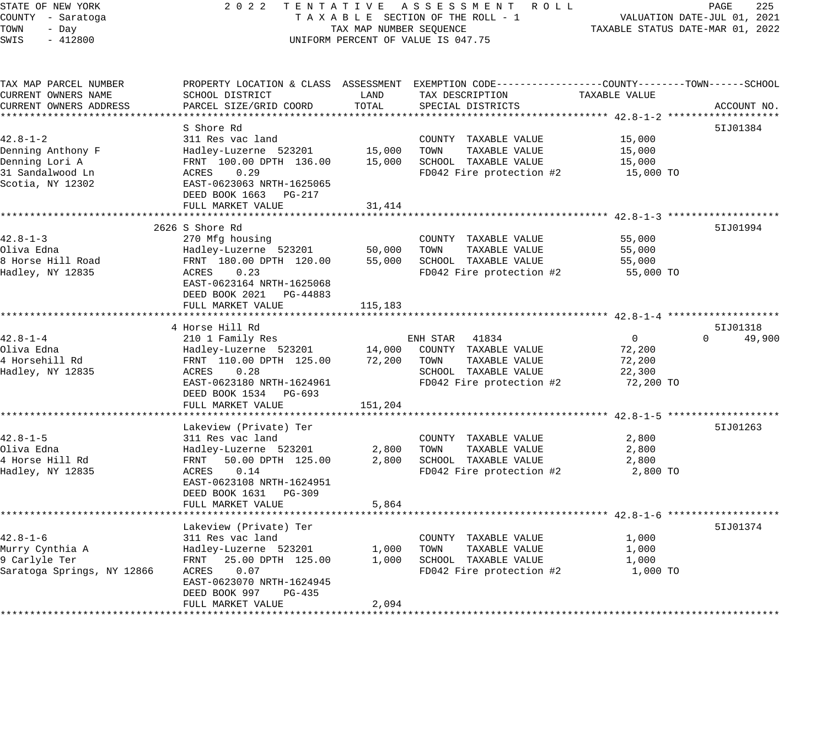STATE OF NEW YORK 2 0 2 2 T E N T A T I V E A S S E S S M E N T R O L L PAGE 225 COUNTY - Saratoga T A X A B L E SECTION OF THE ROLL - 1 VALUATION DATE-JUL 01, 2021 TOWN - Day TAX MAP NUMBER SEQUENCE TAXABLE STATUS DATE-MAR 01, 2022 SWIS - 412800 UNIFORM PERCENT OF VALUE IS 047.75 TAX MAP PARCEL NUMBER PROPERTY LOCATION & CLASS ASSESSMENT EXEMPTION CODE------------------COUNTY--------TOWN------SCHOOL CURRENT OWNERS NAME SCHOOL DISTRICT LAND TAX DESCRIPTION TAXABLE VALUE CURRENT OWNERS ADDRESS PARCEL SIZE/GRID COORD TOTAL SPECIAL DISTRICTS ACCOUNT NO. \*\*\*\*\*\*\*\*\*\*\*\*\*\*\*\*\*\*\*\*\*\*\*\*\*\*\*\*\*\*\*\*\*\*\*\*\*\*\*\*\*\*\*\*\*\*\*\*\*\*\*\*\*\*\*\*\*\*\*\*\*\*\*\*\*\*\*\*\*\*\*\*\*\*\*\*\*\*\*\*\*\*\*\*\*\*\*\*\*\*\*\*\*\*\*\*\*\*\*\*\*\*\* 42.8-1-2 \*\*\*\*\*\*\*\*\*\*\*\*\*\*\*\*\*\*\* S Shore Rd 5IJ01384 42.8-1-2 311 Res vac land COUNTY TAXABLE VALUE 15,000 Denning Anthony F Hadley-Luzerne 523201 15,000 TOWN TAXABLE VALUE 15,000 Denning Lori A FRNT 100.00 DPTH 136.00 15,000 SCHOOL TAXABLE VALUE 15,000 31 Sandalwood Ln ACRES 0.29 FD042 Fire protection #2 15,000 TO Scotia, NY 12302 EAST-0623063 NRTH-1625065 DEED BOOK 1663 PG-217 DEED BOOK 1663 PG-217<br>FULL MARKET VALUE 31,414 \*\*\*\*\*\*\*\*\*\*\*\*\*\*\*\*\*\*\*\*\*\*\*\*\*\*\*\*\*\*\*\*\*\*\*\*\*\*\*\*\*\*\*\*\*\*\*\*\*\*\*\*\*\*\*\*\*\*\*\*\*\*\*\*\*\*\*\*\*\*\*\*\*\*\*\*\*\*\*\*\*\*\*\*\*\*\*\*\*\*\*\*\*\*\*\*\*\*\*\*\*\*\* 42.8-1-3 \*\*\*\*\*\*\*\*\*\*\*\*\*\*\*\*\*\*\* 2626 S Shore Rd 5IJ01994 42.8-1-3 270 Mfg housing COUNTY TAXABLE VALUE 55,000 Oliva Edna Hadley-Luzerne 523201 50,000 TOWN TAXABLE VALUE 55,000 8 Horse Hill Road FRNT 180.00 DPTH 120.00 55,000 SCHOOL TAXABLE VALUE 55,000 Hadley, NY 12835 ACRES 0.23 FD042 Fire protection #2 55,000 TO 9 HOTEL HILL ROAD MANIFULATION DENTITY 180.00 DPTH<br>
EAST-0623164 NRTH-1625068<br>
EAST-0623164 NRTH-1625068 DEED BOOK 2021 PG-44883 FULL MARKET VALUE 115,183 \*\*\*\*\*\*\*\*\*\*\*\*\*\*\*\*\*\*\*\*\*\*\*\*\*\*\*\*\*\*\*\*\*\*\*\*\*\*\*\*\*\*\*\*\*\*\*\*\*\*\*\*\*\*\*\*\*\*\*\*\*\*\*\*\*\*\*\*\*\*\*\*\*\*\*\*\*\*\*\*\*\*\*\*\*\*\*\*\*\*\*\*\*\*\*\*\*\*\*\*\*\*\* 42.8-1-4 \*\*\*\*\*\*\*\*\*\*\*\*\*\*\*\*\*\*\* 4 Horse Hill Rd 42.8-1-4 210 1 Family Res ENH STAR 41834 0 0 49,900 Oliva Edna Hadley-Luzerne 523201 14,000 COUNTY TAXABLE VALUE 72,200 4 Horsehill Rd FRNT 110.00 DPTH 125.00 72,200 TOWN TAXABLE VALUE 72,200 Hadley, NY 12835 ACRES 0.28 SCHOOL TAXABLE VALUE 22,300 EAST-0623180 NRTH-1624961 FD042 Fire protection #2 72,200 TO DEED BOOK 1534 PG-693 FULL MARKET VALUE 151,204 \*\*\*\*\*\*\*\*\*\*\*\*\*\*\*\*\*\*\*\*\*\*\*\*\*\*\*\*\*\*\*\*\*\*\*\*\*\*\*\*\*\*\*\*\*\*\*\*\*\*\*\*\*\*\*\*\*\*\*\*\*\*\*\*\*\*\*\*\*\*\*\*\*\*\*\*\*\*\*\*\*\*\*\*\*\*\*\*\*\*\*\*\*\*\*\*\*\*\*\*\*\*\* 42.8-1-5 \*\*\*\*\*\*\*\*\*\*\*\*\*\*\*\*\*\*\* Lakeview (Private) Ter 5IJ01263 42.8-1-5 311 Res vac land COUNTY TAXABLE VALUE 2,800 Oliva Edna Hadley-Luzerne 523201 2,800 TOWN TAXABLE VALUE 2,800 4 Horse Hill Rd FRNT 50.00 DPTH 125.00 2,800 SCHOOL TAXABLE VALUE 2,800 Hadley, NY 12835 ACRES 0.14 FD042 Fire protection #2 2,800 TO EAST-0623108 NRTH-1624951 DEED BOOK 1631 PG-309 FULL MARKET VALUE 5,864

\*\*\*\*\*\*\*\*\*\*\*\*\*\*\*\*\*\*\*\*\*\*\*\*\*\*\*\*\*\*\*\*\*\*\*\*\*\*\*\*\*\*\*\*\*\*\*\*\*\*\*\*\*\*\*\*\*\*\*\*\*\*\*\*\*\*\*\*\*\*\*\*\*\*\*\*\*\*\*\*\*\*\*\*\*\*\*\*\*\*\*\*\*\*\*\*\*\*\*\*\*\*\* 42.8-1-6 \*\*\*\*\*\*\*\*\*\*\*\*\*\*\*\*\*\*\*

\*\*\*\*\*\*\*\*\*\*\*\*\*\*\*\*\*\*\*\*\*\*\*\*\*\*\*\*\*\*\*\*\*\*\*\*\*\*\*\*\*\*\*\*\*\*\*\*\*\*\*\*\*\*\*\*\*\*\*\*\*\*\*\*\*\*\*\*\*\*\*\*\*\*\*\*\*\*\*\*\*\*\*\*\*\*\*\*\*\*\*\*\*\*\*\*\*\*\*\*\*\*\*\*\*\*\*\*\*\*\*\*\*\*\*\*\*\*\*\*\*\*\*\*\*\*\*\*\*\*\*\*

42.8-1-6 311 Res vac land COUNTY TAXABLE VALUE 1,000 Murry Cynthia A Hadley-Luzerne 523201 1,000 TOWN TAXABLE VALUE 1,000 9 Carlyle Ter FRNT 25.00 DPTH 125.00 1,000 SCHOOL TAXABLE VALUE 1,000 Saratoga Springs, NY 12866 ACRES 0.07 FD042 Fire protection #2 1,000 TO

DEED BOOK 997 PG-435

FULL MARKET VALUE 2,094

EAST-0623070 NRTH-1624945

Lakeview (Private) Ter 5IJ01374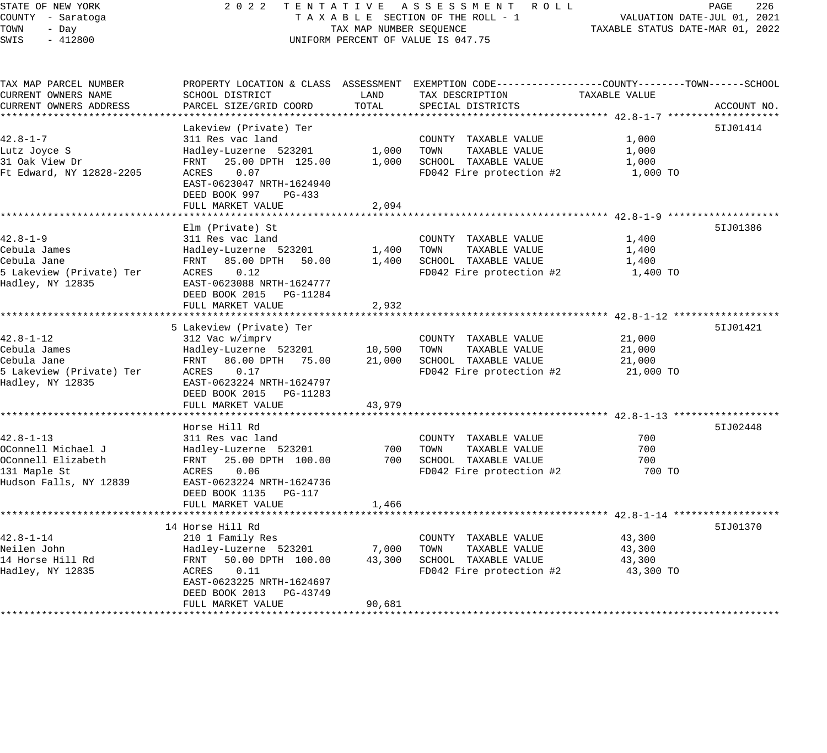# STATE OF NEW YORK 2 0 2 2 T E N T A T I V E A S S E S S M E N T R O L L PAGE 226 COUNTY - Saratoga T A X A B L E SECTION OF THE ROLL - 1 VALUATION DATE-JUL 01, 2021 TAX A B L E SECTION OF THE ROLL - 1<br>TAXABLE STATUS DATE-MAR 01, 2022 UNIFORM PERCENT OF VALUE IS 047.75

| TAX MAP PARCEL NUMBER    | PROPERTY LOCATION & CLASS ASSESSMENT EXEMPTION CODE---------------COUNTY-------TOWN------SCHOOL |        |                          |               |             |
|--------------------------|-------------------------------------------------------------------------------------------------|--------|--------------------------|---------------|-------------|
| CURRENT OWNERS NAME      | SCHOOL DISTRICT                                                                                 | LAND   | TAX DESCRIPTION          | TAXABLE VALUE |             |
| CURRENT OWNERS ADDRESS   | PARCEL SIZE/GRID COORD                                                                          | TOTAL  | SPECIAL DISTRICTS        |               | ACCOUNT NO. |
|                          |                                                                                                 |        |                          |               |             |
|                          | Lakeview (Private) Ter                                                                          |        |                          |               | 51J01414    |
| $42.8 - 1 - 7$           | 311 Res vac land                                                                                |        | COUNTY TAXABLE VALUE     | 1,000         |             |
| Lutz Joyce S             | Hadley-Luzerne 523201                                                                           | 1,000  | TOWN<br>TAXABLE VALUE    | 1,000         |             |
| 31 Oak View Dr           | 25.00 DPTH 125.00<br>FRNT                                                                       | 1,000  | SCHOOL TAXABLE VALUE     | 1,000         |             |
| Ft Edward, NY 12828-2205 | 0.07<br>ACRES                                                                                   |        | FD042 Fire protection #2 | 1,000 TO      |             |
|                          | EAST-0623047 NRTH-1624940                                                                       |        |                          |               |             |
|                          | DEED BOOK 997<br>$PG-433$                                                                       |        |                          |               |             |
|                          | FULL MARKET VALUE                                                                               | 2,094  |                          |               |             |
|                          | ******************                                                                              |        |                          |               |             |
|                          | Elm (Private) St                                                                                |        |                          |               | 51J01386    |
| $42.8 - 1 - 9$           | 311 Res vac land                                                                                |        | COUNTY TAXABLE VALUE     | 1,400         |             |
| Cebula James             | Hadley-Luzerne 523201                                                                           | 1,400  | TOWN<br>TAXABLE VALUE    | 1,400         |             |
| Cebula Jane              | FRNT<br>85.00 DPTH<br>50.00                                                                     | 1,400  | SCHOOL TAXABLE VALUE     | 1,400         |             |
| 5 Lakeview (Private) Ter | ACRES<br>0.12                                                                                   |        | FD042 Fire protection #2 | 1,400 TO      |             |
| Hadley, NY 12835         | EAST-0623088 NRTH-1624777                                                                       |        |                          |               |             |
|                          | DEED BOOK 2015<br>PG-11284                                                                      |        |                          |               |             |
|                          | FULL MARKET VALUE                                                                               | 2,932  |                          |               |             |
|                          |                                                                                                 |        |                          |               |             |
|                          | 5 Lakeview (Private) Ter                                                                        |        |                          |               | 51J01421    |
| 42.8-1-12                | 312 Vac w/imprv                                                                                 |        | COUNTY TAXABLE VALUE     | 21,000        |             |
| Cebula James             | Hadley-Luzerne 523201                                                                           | 10,500 | TOWN<br>TAXABLE VALUE    | 21,000        |             |
| Cebula Jane              | 86.00 DPTH 75.00<br>FRNT                                                                        | 21,000 | SCHOOL TAXABLE VALUE     | 21,000        |             |
| 5 Lakeview (Private) Ter | ACRES<br>0.17                                                                                   |        | FD042 Fire protection #2 | 21,000 TO     |             |
| Hadley, NY 12835         | EAST-0623224 NRTH-1624797                                                                       |        |                          |               |             |
|                          | DEED BOOK 2015<br>PG-11283                                                                      |        |                          |               |             |
|                          | FULL MARKET VALUE                                                                               | 43,979 |                          |               |             |
|                          |                                                                                                 |        |                          |               |             |
|                          | Horse Hill Rd                                                                                   |        |                          |               | 51J02448    |
| 42.8-1-13                | 311 Res vac land                                                                                |        | COUNTY TAXABLE VALUE     | 700           |             |
| OConnell Michael J       | Hadley-Luzerne 523201                                                                           | 700    | TOWN<br>TAXABLE VALUE    | 700           |             |
| OConnell Elizabeth       | FRNT<br>25.00 DPTH 100.00                                                                       | 700    | SCHOOL TAXABLE VALUE     | 700           |             |
| 131 Maple St             | 0.06<br>ACRES                                                                                   |        | FD042 Fire protection #2 | 700 TO        |             |
| Hudson Falls, NY 12839   | EAST-0623224 NRTH-1624736                                                                       |        |                          |               |             |
|                          | DEED BOOK 1135 PG-117                                                                           |        |                          |               |             |
|                          | FULL MARKET VALUE                                                                               | 1,466  |                          |               |             |
|                          |                                                                                                 |        |                          |               |             |
|                          | 14 Horse Hill Rd                                                                                |        |                          |               | 51J01370    |
| $42.8 - 1 - 14$          | 210 1 Family Res                                                                                |        | COUNTY TAXABLE VALUE     | 43,300        |             |
| Neilen John              | Hadley-Luzerne 523201                                                                           | 7,000  | TOWN<br>TAXABLE VALUE    | 43,300        |             |
| 14 Horse Hill Rd         | 50.00 DPTH 100.00<br>FRNT                                                                       | 43,300 | SCHOOL TAXABLE VALUE     | 43,300        |             |
| Hadley, NY 12835         | 0.11<br>ACRES                                                                                   |        | FD042 Fire protection #2 | 43,300 TO     |             |
|                          | EAST-0623225 NRTH-1624697                                                                       |        |                          |               |             |
|                          | DEED BOOK 2013<br>PG-43749                                                                      |        |                          |               |             |
|                          | FULL MARKET VALUE                                                                               | 90,681 |                          |               |             |
|                          |                                                                                                 |        |                          |               |             |
|                          |                                                                                                 |        |                          |               |             |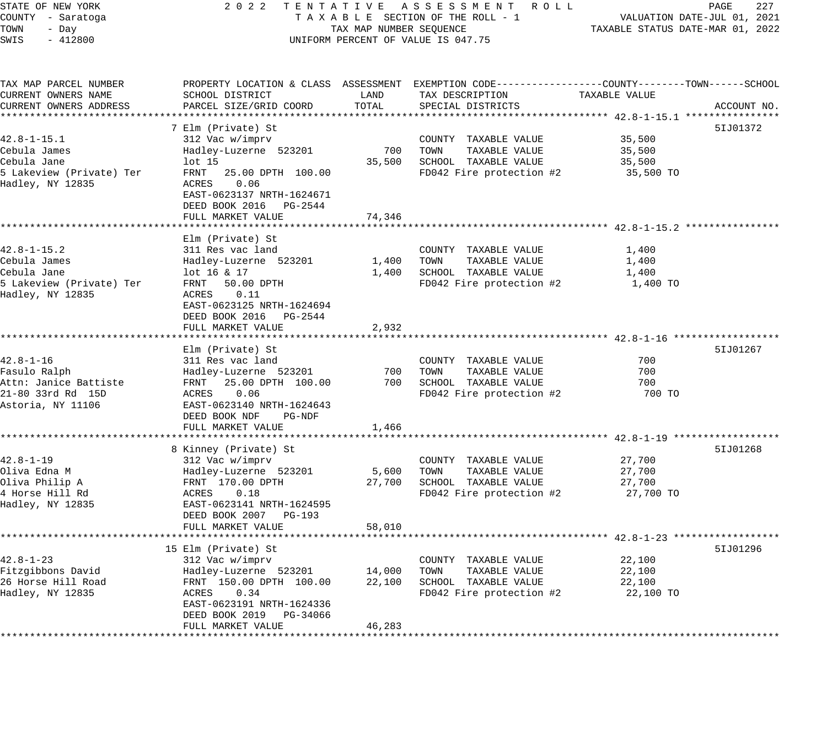| 2 0 2 2<br>STATE OF NEW YORK<br>TENTATIVE ASSESSMENT ROLL<br>COUNTY - Saratoga<br>TAXABLE SECTION OF THE ROLL - 1<br>TOWN<br>TAX MAP NUMBER SEQUENCE<br>- Day<br>SWIS<br>$-412800$<br>UNIFORM PERCENT OF VALUE IS 047.75 |                                                                                                                                                                                                                                    |                                       | 227<br>PAGE<br>VALUATION DATE-JUL 01, 2021<br>TAXABLE STATUS DATE-MAR 01, 2022                                                                                        |                                         |             |
|--------------------------------------------------------------------------------------------------------------------------------------------------------------------------------------------------------------------------|------------------------------------------------------------------------------------------------------------------------------------------------------------------------------------------------------------------------------------|---------------------------------------|-----------------------------------------------------------------------------------------------------------------------------------------------------------------------|-----------------------------------------|-------------|
| TAX MAP PARCEL NUMBER<br>CURRENT OWNERS NAME<br>CURRENT OWNERS ADDRESS                                                                                                                                                   | SCHOOL DISTRICT<br>PARCEL SIZE/GRID COORD                                                                                                                                                                                          | LAND<br>TOTAL                         | PROPERTY LOCATION & CLASS ASSESSMENT EXEMPTION CODE---------------COUNTY-------TOWN------SCHOOL<br>TAX DESCRIPTION<br>SPECIAL DISTRICTS                               | TAXABLE VALUE                           | ACCOUNT NO. |
| 42.8-1-15.1<br>Cebula James<br>Cebula Jane<br>5 Lakeview (Private) Ter<br>Hadley, NY 12835                                                                                                                               | 7 Elm (Private) St<br>312 Vac w/imprv<br>Hadley-Luzerne 523201<br>lot 15<br>FRNT<br>25.00 DPTH 100.00<br>ACRES<br>0.06<br>EAST-0623137 NRTH-1624671<br>DEED BOOK 2016 PG-2544<br>FULL MARKET VALUE                                 | 700<br>35,500<br>74,346               | COUNTY TAXABLE VALUE<br>TOWN<br>TAXABLE VALUE<br>SCHOOL TAXABLE VALUE<br>FD042 Fire protection #2                                                                     | 35,500<br>35,500<br>35,500<br>35,500 TO | 51J01372    |
| $42.8 - 1 - 15.2$<br>Cebula James<br>Cebula Jane<br>5 Lakeview (Private) Ter<br>Hadley, NY 12835                                                                                                                         | Elm (Private) St<br>311 Res vac land<br>Hadley-Luzerne 523201<br>lot 16 & 17<br>FRNT 50.00 DPTH<br>ACRES<br>0.11<br>EAST-0623125 NRTH-1624694<br>DEED BOOK 2016 PG-2544<br>FULL MARKET VALUE<br>********************************** | 1,400<br>1,400<br>2,932<br>********** | COUNTY TAXABLE VALUE<br>TOWN<br>TAXABLE VALUE<br>SCHOOL TAXABLE VALUE<br>FD042 Fire protection #2<br>********************************** 42.8-1-16 ******************* | 1,400<br>1,400<br>1,400<br>1,400 TO     |             |
| $42.8 - 1 - 16$<br>Fasulo Ralph<br>Attn: Janice Battiste<br>21-80 33rd Rd 15D<br>Astoria, NY 11106                                                                                                                       | Elm (Private) St<br>311 Res vac land<br>Hadley-Luzerne 523201<br>FRNT 25.00 DPTH 100.00<br>ACRES<br>0.06<br>EAST-0623140 NRTH-1624643<br>DEED BOOK NDF<br>PG-NDF<br>FULL MARKET VALUE                                              | 700<br>700<br>1,466                   | COUNTY TAXABLE VALUE<br>TOWN<br>TAXABLE VALUE<br>SCHOOL TAXABLE VALUE<br>FD042 Fire protection #2                                                                     | 700<br>700<br>700<br>700 TO             | 51J01267    |
| $42.8 - 1 - 19$<br>Oliva Edna M<br>Oliva Philip A<br>4 Horse Hill Rd<br>Hadley, NY 12835                                                                                                                                 | ********************<br>8 Kinney (Private) St<br>312 Vac w/imprv<br>Hadley-Luzerne 523201<br>FRNT 170.00 DPTH<br>ACRES<br>0.18<br>EAST-0623141 NRTH-1624595<br>DEED BOOK 2007<br>PG-193<br>FULL MARKET VALUE                       | 5,600<br>27,700<br>58,010             | COUNTY TAXABLE VALUE<br>TOWN<br>TAXABLE VALUE<br>SCHOOL TAXABLE VALUE<br>FD042 Fire protection #2                                                                     | 27,700<br>27,700<br>27,700<br>27,700 TO | 51J01268    |
| $42.8 - 1 - 23$<br>Fitzgibbons David<br>26 Horse Hill Road<br>Hadley, NY 12835                                                                                                                                           | 15 Elm (Private) St<br>312 Vac w/imprv<br>Hadley-Luzerne 523201<br>FRNT 150.00 DPTH 100.00<br>ACRES<br>0.34<br>EAST-0623191 NRTH-1624336<br>DEED BOOK 2019 PG-34066<br>FULL MARKET VALUE                                           | 14,000<br>22,100<br>46,283            | COUNTY TAXABLE VALUE<br>TOWN<br>TAXABLE VALUE<br>SCHOOL TAXABLE VALUE<br>FD042 Fire protection #2                                                                     | 22,100<br>22,100<br>22,100<br>22,100 TO | 51J01296    |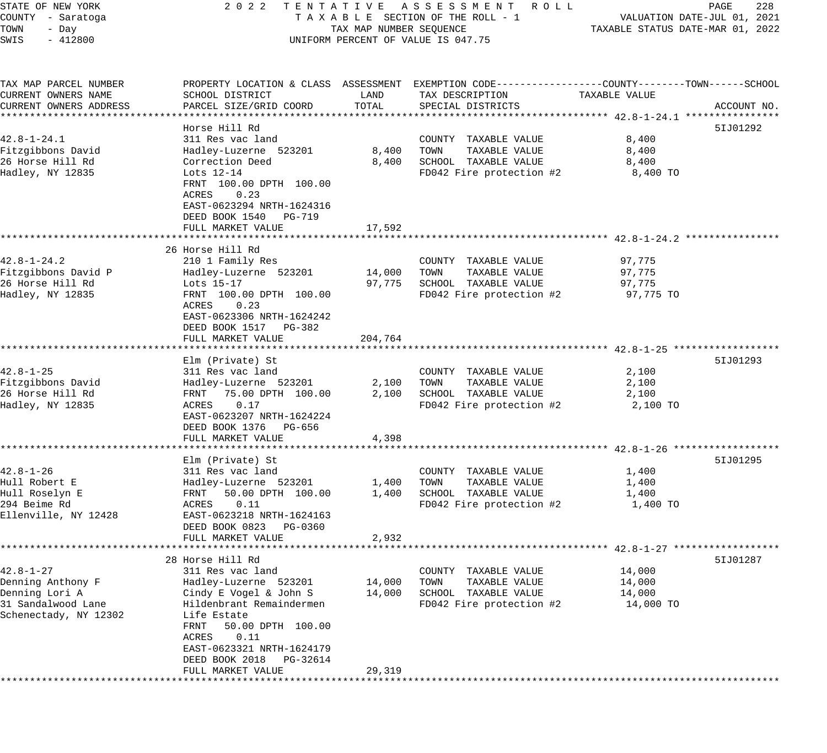| STATE OF NEW YORK<br>COUNTY - Saratoga<br>TOWN<br>- Day<br>SWIS<br>$-412800$                          | 2022 TENTATIVE ASSESSMENT ROLL<br>TAXABLE SECTION OF THE ROLL - 1<br>TAX MAP NUMBER SEQUENCE<br>UNIFORM PERCENT OF VALUE IS 047.75                                                                                      | PAGE<br>228<br>VALUATION DATE-JUL 01, 2021<br>TAXABLE STATUS DATE-MAR 01, 2022 |                                                                                                                                                                     |                                         |             |
|-------------------------------------------------------------------------------------------------------|-------------------------------------------------------------------------------------------------------------------------------------------------------------------------------------------------------------------------|--------------------------------------------------------------------------------|---------------------------------------------------------------------------------------------------------------------------------------------------------------------|-----------------------------------------|-------------|
| TAX MAP PARCEL NUMBER<br>CURRENT OWNERS NAME<br>CURRENT OWNERS ADDRESS                                | SCHOOL DISTRICT<br>PARCEL SIZE/GRID COORD                                                                                                                                                                               | LAND<br>TOTAL                                                                  | PROPERTY LOCATION & CLASS ASSESSMENT EXEMPTION CODE---------------COUNTY-------TOWN-----SCHOOL<br>TAX DESCRIPTION<br>SPECIAL DISTRICTS                              | TAXABLE VALUE                           | ACCOUNT NO. |
|                                                                                                       | Horse Hill Rd                                                                                                                                                                                                           |                                                                                |                                                                                                                                                                     |                                         | 51J01292    |
| $42.8 - 1 - 24.1$<br>Fitzgibbons David<br>26 Horse Hill Rd<br>Hadley, NY 12835                        | 311 Res vac land<br>Hadley-Luzerne 523201<br>Correction Deed<br>Lots 12-14<br>FRNT 100.00 DPTH 100.00<br>ACRES<br>0.23<br>EAST-0623294 NRTH-1624316                                                                     | 8,400<br>8,400                                                                 | COUNTY TAXABLE VALUE<br>TOWN<br>TAXABLE VALUE<br>SCHOOL TAXABLE VALUE<br>FD042 Fire protection #2                                                                   | 8,400<br>8,400<br>8,400<br>8,400 TO     |             |
|                                                                                                       | DEED BOOK 1540 PG-719<br>FULL MARKET VALUE                                                                                                                                                                              | 17,592                                                                         |                                                                                                                                                                     |                                         |             |
|                                                                                                       | 26 Horse Hill Rd                                                                                                                                                                                                        |                                                                                |                                                                                                                                                                     |                                         |             |
| $42.8 - 1 - 24.2$<br>Fitzgibbons David P<br>26 Horse Hill Rd<br>Hadley, NY 12835                      | 210 1 Family Res<br>Hadley-Luzerne 523201<br>Lots 15-17<br>FRNT 100.00 DPTH 100.00<br>ACRES<br>0.23<br>EAST-0623306 NRTH-1624242<br>DEED BOOK 1517 PG-382                                                               | 14,000 TOWN                                                                    | COUNTY TAXABLE VALUE<br>TAXABLE VALUE<br>97,775 SCHOOL TAXABLE VALUE<br>FD042 Fire protection #2                                                                    | 97,775<br>97,775<br>97,775<br>97,775 TO |             |
|                                                                                                       | FULL MARKET VALUE                                                                                                                                                                                                       | 204,764                                                                        |                                                                                                                                                                     |                                         |             |
| $42.8 - 1 - 25$<br>Fitzgibbons David<br>26 Horse Hill Rd<br>Hadley, NY 12835                          | *********************<br>Elm (Private) St<br>311 Res vac land<br>Hadley-Luzerne 523201<br>75.00 DPTH 100.00<br>FRNT<br>ACRES<br>0.17<br>EAST-0623207 NRTH-1624224                                                       | * * * * * * * * * * *<br>2,100<br>2,100                                        | ********************************** 42.8-1-25 *****************<br>COUNTY TAXABLE VALUE<br>TOWN<br>TAXABLE VALUE<br>SCHOOL TAXABLE VALUE<br>FD042 Fire protection #2 | 2,100<br>2,100<br>2,100<br>2,100 TO     | 51J01293    |
|                                                                                                       | DEED BOOK 1376 PG-656<br>FULL MARKET VALUE                                                                                                                                                                              | 4,398                                                                          |                                                                                                                                                                     |                                         |             |
|                                                                                                       |                                                                                                                                                                                                                         |                                                                                |                                                                                                                                                                     |                                         | 51J01295    |
| $42.8 - 1 - 26$<br>Hull Robert E<br>Hull Roselyn E<br>294 Beime Rd<br>Ellenville, NY 12428            | Elm (Private) St<br>311 Res vac land<br>Hadley-Luzerne 523201<br>FRNT<br>50.00 DPTH 100.00<br>0.11<br>ACRES<br>EAST-0623218 NRTH-1624163                                                                                | 1,400<br>1,400                                                                 | COUNTY TAXABLE VALUE<br>TOWN<br>TAXABLE VALUE<br>SCHOOL TAXABLE VALUE<br>FD042 Fire protection #2                                                                   | 1,400<br>1,400<br>1,400<br>1,400 TO     |             |
|                                                                                                       | DEED BOOK 0823 PG-0360<br>FULL MARKET VALUE                                                                                                                                                                             | 2,932                                                                          |                                                                                                                                                                     |                                         |             |
|                                                                                                       | 28 Horse Hill Rd                                                                                                                                                                                                        |                                                                                |                                                                                                                                                                     |                                         | 51J01287    |
| $42.8 - 1 - 27$<br>Denning Anthony F<br>Denning Lori A<br>31 Sandalwood Lane<br>Schenectady, NY 12302 | 311 Res vac land<br>Hadley-Luzerne 523201<br>Cindy E Vogel & John S<br>Hildenbrant Remaindermen<br>Life Estate<br>FRNT<br>50.00 DPTH 100.00<br>0.11<br>ACRES<br>EAST-0623321 NRTH-1624179<br>DEED BOOK 2018<br>PG-32614 | 14,000<br>14,000                                                               | COUNTY<br>TAXABLE VALUE<br>TAXABLE VALUE<br>TOWN<br>SCHOOL<br>TAXABLE VALUE<br>FD042 Fire protection #2                                                             | 14,000<br>14,000<br>14,000<br>14,000 TO |             |
|                                                                                                       | FULL MARKET VALUE                                                                                                                                                                                                       | 29,319                                                                         |                                                                                                                                                                     |                                         |             |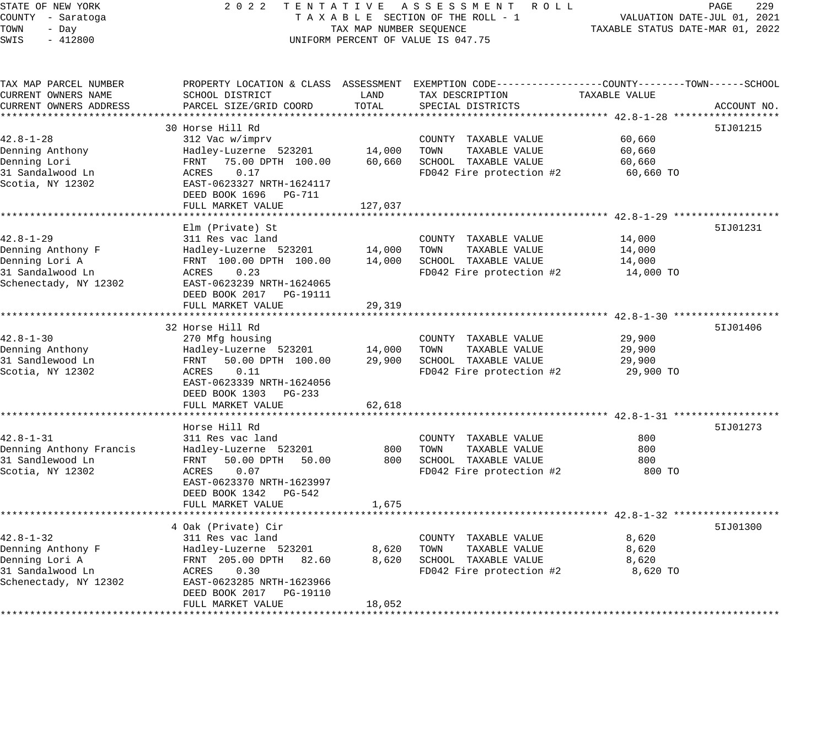| STATE OF NEW YORK<br>COUNTY - Saratoga<br>TOWN<br>- Day<br>SWIS<br>$-412800$ | 2 0 2 2<br>TENTATIVE                                                                           | TAX MAP NUMBER SEQUENCE | A S S E S S M E N T A O L L<br>TAXABLE SECTION OF THE ROLL - 1<br>UNIFORM PERCENT OF VALUE IS 047.75 | TAXABLE STATUS DATE-MAR 01, 2022 | PAGE<br>229<br>VALUATION DATE-JUL 01, 2021 |
|------------------------------------------------------------------------------|------------------------------------------------------------------------------------------------|-------------------------|------------------------------------------------------------------------------------------------------|----------------------------------|--------------------------------------------|
| TAX MAP PARCEL NUMBER                                                        | PROPERTY LOCATION & CLASS ASSESSMENT EXEMPTION CODE---------------COUNTY-------TOWN-----SCHOOL |                         |                                                                                                      |                                  |                                            |
| CURRENT OWNERS NAME                                                          | SCHOOL DISTRICT                                                                                | LAND                    | TAX DESCRIPTION                                                                                      | TAXABLE VALUE                    |                                            |
| CURRENT OWNERS ADDRESS                                                       | PARCEL SIZE/GRID COORD                                                                         | TOTAL                   | SPECIAL DISTRICTS                                                                                    |                                  | ACCOUNT NO.                                |
|                                                                              | 30 Horse Hill Rd                                                                               |                         |                                                                                                      |                                  | 51J01215                                   |
| $42.8 - 1 - 28$                                                              | 312 Vac w/imprv                                                                                |                         | COUNTY TAXABLE VALUE                                                                                 | 60,660                           |                                            |
| Denning Anthony                                                              | Hadley-Luzerne 523201                                                                          | 14,000                  | TAXABLE VALUE<br>TOWN                                                                                | 60,660                           |                                            |
| Denning Lori                                                                 | 75.00 DPTH 100.00<br>FRNT                                                                      | 60,660                  | SCHOOL TAXABLE VALUE                                                                                 | 60,660                           |                                            |
| 31 Sandalwood Ln                                                             | ACRES<br>0.17                                                                                  |                         | FD042 Fire protection #2                                                                             | 60,660 TO                        |                                            |
| Scotia, NY 12302                                                             | EAST-0623327 NRTH-1624117                                                                      |                         |                                                                                                      |                                  |                                            |
|                                                                              | DEED BOOK 1696 PG-711                                                                          |                         |                                                                                                      |                                  |                                            |
|                                                                              | FULL MARKET VALUE                                                                              | 127,037                 |                                                                                                      |                                  |                                            |
|                                                                              |                                                                                                |                         |                                                                                                      |                                  |                                            |
|                                                                              | Elm (Private) St                                                                               |                         |                                                                                                      |                                  | 51J01231                                   |
| 42.8-1-29<br>Denning Anthony F                                               | 311 Res vac land                                                                               | 14,000                  | COUNTY TAXABLE VALUE<br>TOWN<br>TAXABLE VALUE                                                        | 14,000                           |                                            |
| Denning Lori A                                                               | Hadley-Luzerne 523201<br>FRNT 100.00 DPTH 100.00                                               | 14,000                  | SCHOOL TAXABLE VALUE                                                                                 | 14,000<br>14,000                 |                                            |
| 31 Sandalwood Ln                                                             | ACRES<br>0.23                                                                                  |                         | FD042 Fire protection #2                                                                             | 14,000 TO                        |                                            |
| Schenectady, NY 12302                                                        | EAST-0623239 NRTH-1624065                                                                      |                         |                                                                                                      |                                  |                                            |
|                                                                              | DEED BOOK 2017 PG-19111                                                                        |                         |                                                                                                      |                                  |                                            |
|                                                                              | FULL MARKET VALUE                                                                              | 29,319                  |                                                                                                      |                                  |                                            |
|                                                                              |                                                                                                |                         |                                                                                                      |                                  |                                            |
|                                                                              | 32 Horse Hill Rd                                                                               |                         |                                                                                                      |                                  | 51J01406                                   |
| $42.8 - 1 - 30$                                                              | 270 Mfg housing                                                                                |                         | COUNTY TAXABLE VALUE                                                                                 | 29,900                           |                                            |
| Denning Anthony                                                              | Hadley-Luzerne 523201                                                                          | 14,000                  | TOWN<br>TAXABLE VALUE                                                                                | 29,900                           |                                            |
| 31 Sandlewood Ln                                                             | 50.00 DPTH 100.00<br>FRNT                                                                      | 29,900                  | SCHOOL TAXABLE VALUE                                                                                 | 29,900                           |                                            |
| Scotia, NY 12302                                                             | 0.11<br>ACRES                                                                                  |                         | FD042 Fire protection #2                                                                             | 29,900 TO                        |                                            |
|                                                                              | EAST-0623339 NRTH-1624056<br>DEED BOOK 1303 PG-233                                             |                         |                                                                                                      |                                  |                                            |
|                                                                              | FULL MARKET VALUE                                                                              | 62,618                  |                                                                                                      |                                  |                                            |
|                                                                              |                                                                                                |                         |                                                                                                      |                                  |                                            |
|                                                                              | Horse Hill Rd                                                                                  |                         |                                                                                                      |                                  | 51J01273                                   |
| $42.8 - 1 - 31$                                                              | 311 Res vac land                                                                               |                         | COUNTY TAXABLE VALUE                                                                                 | 800                              |                                            |
| Denning Anthony Francis                                                      | Hadley-Luzerne 523201                                                                          | 800                     | TAXABLE VALUE<br>TOWN                                                                                | 800                              |                                            |
| 31 Sandlewood Ln                                                             | FRNT<br>50.00 DPTH<br>50.00                                                                    | 800                     | SCHOOL TAXABLE VALUE                                                                                 | 800                              |                                            |
| Scotia, NY 12302                                                             | ACRES<br>0.07                                                                                  |                         | FD042 Fire protection #2                                                                             | 800 TO                           |                                            |
|                                                                              | EAST-0623370 NRTH-1623997                                                                      |                         |                                                                                                      |                                  |                                            |
|                                                                              | DEED BOOK 1342 PG-542                                                                          |                         |                                                                                                      |                                  |                                            |
|                                                                              | FULL MARKET VALUE                                                                              | 1,675                   |                                                                                                      |                                  |                                            |
|                                                                              | 4 Oak (Private) Cir                                                                            |                         |                                                                                                      |                                  | 51J01300                                   |
| $42.8 - 1 - 32$                                                              | 311 Res vac land                                                                               |                         | COUNTY TAXABLE VALUE                                                                                 | 8,620                            |                                            |
| Denning Anthony F                                                            | Hadley-Luzerne 523201                                                                          | 8,620                   | TOWN<br>TAXABLE VALUE                                                                                | 8,620                            |                                            |
| Denning Lori A                                                               | FRNT 205.00 DPTH 82.60                                                                         | 8,620                   | SCHOOL TAXABLE VALUE                                                                                 | 8,620                            |                                            |
| 31 Sandalwood Ln                                                             | ACRES<br>0.30                                                                                  |                         | FD042 Fire protection #2                                                                             | 8,620 TO                         |                                            |
| Schenectady, NY 12302                                                        | EAST-0623285 NRTH-1623966                                                                      |                         |                                                                                                      |                                  |                                            |
|                                                                              | DEED BOOK 2017 PG-19110                                                                        |                         |                                                                                                      |                                  |                                            |
|                                                                              | FULL MARKET VALUE                                                                              | 18,052                  |                                                                                                      |                                  |                                            |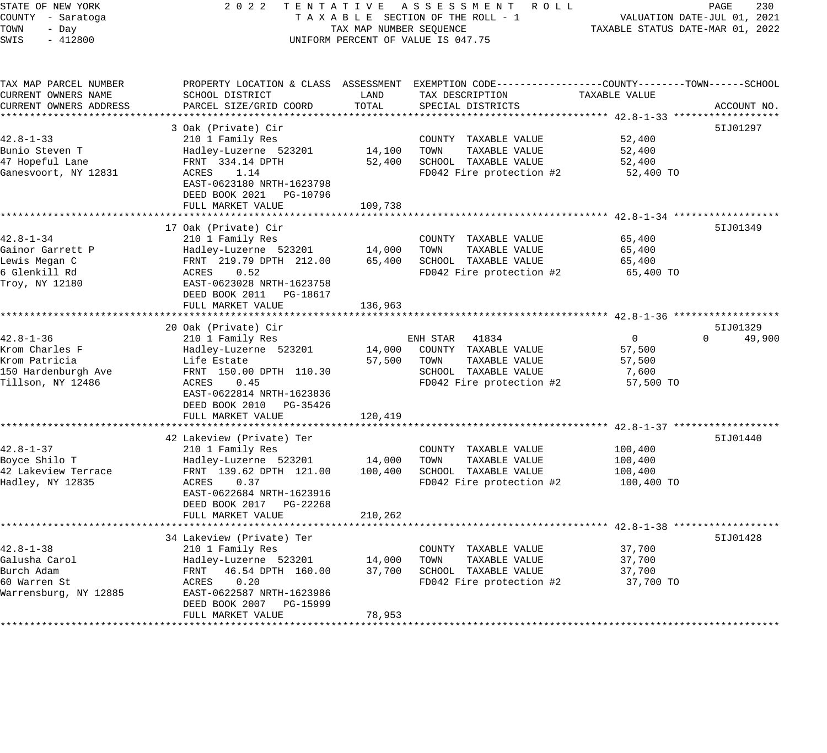# STATE OF NEW YORK 2 0 2 2 T E N T A T I V E A S S E S S M E N T R O L L PAGE 230 COUNTY - Saratoga T A X A B L E SECTION OF THE ROLL - 1 VALUATION DATE-JUL 01, 2021 X A B L E SECTION OF THE ROLL - 1 WILLIAM CONTROLLED STATUS DATE-MAR 01, 2022 UNIFORM PERCENT OF VALUE IS 047.75

| TAX MAP PARCEL NUMBER<br>CURRENT OWNERS NAME | PROPERTY LOCATION & CLASS ASSESSMENT<br>SCHOOL DISTRICT                                    | LAND    | EXEMPTION CODE-----------------COUNTY-------TOWN------SCHOOL<br>TAX DESCRIPTION | TAXABLE VALUE                                                 |                    |
|----------------------------------------------|--------------------------------------------------------------------------------------------|---------|---------------------------------------------------------------------------------|---------------------------------------------------------------|--------------------|
| CURRENT OWNERS ADDRESS                       | PARCEL SIZE/GRID COORD                                                                     | TOTAL   | SPECIAL DISTRICTS                                                               |                                                               | ACCOUNT NO.        |
|                                              | 3 Oak (Private) Cir                                                                        |         |                                                                                 |                                                               | 51J01297           |
| $42.8 - 1 - 33$                              | 210 1 Family Res                                                                           |         | COUNTY TAXABLE VALUE                                                            | 52,400                                                        |                    |
| Bunio Steven T                               | Hadley-Luzerne 523201                                                                      | 14,100  | TOWN<br>TAXABLE VALUE                                                           | 52,400                                                        |                    |
| 47 Hopeful Lane                              | FRNT 334.14 DPTH                                                                           | 52,400  | SCHOOL TAXABLE VALUE                                                            | 52,400                                                        |                    |
| Ganesvoort, NY 12831                         | 1.14<br>ACRES<br>EAST-0623180 NRTH-1623798<br>DEED BOOK 2021 PG-10796<br>FULL MARKET VALUE | 109,738 | FD042 Fire protection #2                                                        | 52,400 TO                                                     |                    |
|                                              |                                                                                            |         |                                                                                 |                                                               |                    |
|                                              | 17 Oak (Private) Cir                                                                       |         |                                                                                 |                                                               | 51J01349           |
| $42.8 - 1 - 34$                              | 210 1 Family Res                                                                           |         | COUNTY TAXABLE VALUE                                                            | 65,400                                                        |                    |
| Gainor Garrett P                             | Hadley-Luzerne 523201                                                                      | 14,000  | TOWN<br>TAXABLE VALUE                                                           | 65,400                                                        |                    |
| Lewis Megan C                                | FRNT 219.79 DPTH 212.00                                                                    | 65,400  | SCHOOL TAXABLE VALUE                                                            | 65,400                                                        |                    |
| 6 Glenkill Rd                                | 0.52<br>ACRES                                                                              |         | FD042 Fire protection #2                                                        | 65,400 TO                                                     |                    |
| Troy, NY 12180                               | EAST-0623028 NRTH-1623758<br>DEED BOOK 2011    PG-18617<br>FULL MARKET VALUE               | 136,963 |                                                                                 |                                                               |                    |
|                                              |                                                                                            |         |                                                                                 | ******************************** 42.8-1-36 ****************** |                    |
|                                              | 20 Oak (Private) Cir                                                                       |         |                                                                                 |                                                               | 51J01329           |
| $42.8 - 1 - 36$                              | 210 1 Family Res                                                                           |         | 41834<br>ENH STAR                                                               | $\overline{0}$                                                | $\Omega$<br>49,900 |
| Krom Charles F                               | Hadley-Luzerne 523201                                                                      | 14,000  | COUNTY TAXABLE VALUE                                                            | 57,500                                                        |                    |
| Krom Patricia                                | Life Estate                                                                                | 57,500  | TOWN<br>TAXABLE VALUE                                                           | 57,500                                                        |                    |
| 150 Hardenburgh Ave                          | FRNT 150.00 DPTH 110.30                                                                    |         | SCHOOL TAXABLE VALUE                                                            | 7,600                                                         |                    |
| Tillson, NY 12486                            | 0.45<br>ACRES<br>EAST-0622814 NRTH-1623836<br>DEED BOOK 2010 PG-35426                      |         | FD042 Fire protection #2                                                        | 57,500 TO                                                     |                    |
|                                              | FULL MARKET VALUE                                                                          | 120,419 |                                                                                 |                                                               |                    |
|                                              |                                                                                            |         |                                                                                 |                                                               |                    |
|                                              | 42 Lakeview (Private) Ter                                                                  |         |                                                                                 |                                                               | 51J01440           |
| $42.8 - 1 - 37$                              | 210 1 Family Res                                                                           |         | COUNTY TAXABLE VALUE                                                            | 100,400                                                       |                    |
| Boyce Shilo T                                | Hadley-Luzerne 523201                                                                      | 14,000  | TOWN<br>TAXABLE VALUE                                                           | 100,400                                                       |                    |
| 42 Lakeview Terrace                          | FRNT 139.62 DPTH 121.00                                                                    | 100,400 | SCHOOL TAXABLE VALUE                                                            | 100,400                                                       |                    |
| Hadley, NY 12835                             | ACRES<br>0.37<br>EAST-0622684 NRTH-1623916<br>DEED BOOK 2017 PG-22268                      |         | FD042 Fire protection #2                                                        | 100,400 TO                                                    |                    |
|                                              | FULL MARKET VALUE                                                                          | 210,262 |                                                                                 |                                                               |                    |
|                                              | *************************                                                                  |         | ******************************** 42.8-1-38 ***                                  |                                                               |                    |
|                                              | 34 Lakeview (Private) Ter                                                                  |         |                                                                                 |                                                               | 51J01428           |
| $42.8 - 1 - 38$                              | 210 1 Family Res                                                                           |         | COUNTY TAXABLE VALUE                                                            | 37,700                                                        |                    |
| Galusha Carol                                | Hadley-Luzerne 523201                                                                      | 14,000  | TOWN<br>TAXABLE VALUE                                                           | 37,700                                                        |                    |
| Burch Adam                                   | 46.54 DPTH 160.00<br>FRNT                                                                  | 37,700  | SCHOOL TAXABLE VALUE                                                            | 37,700                                                        |                    |
| 60 Warren St<br>Warrensburg, NY 12885        | 0.20<br>ACRES<br>EAST-0622587 NRTH-1623986<br>DEED BOOK 2007 PG-15999                      |         | FD042 Fire protection #2                                                        | 37,700 TO                                                     |                    |
|                                              | FULL MARKET VALUE                                                                          | 78,953  |                                                                                 |                                                               |                    |
|                                              |                                                                                            |         |                                                                                 |                                                               |                    |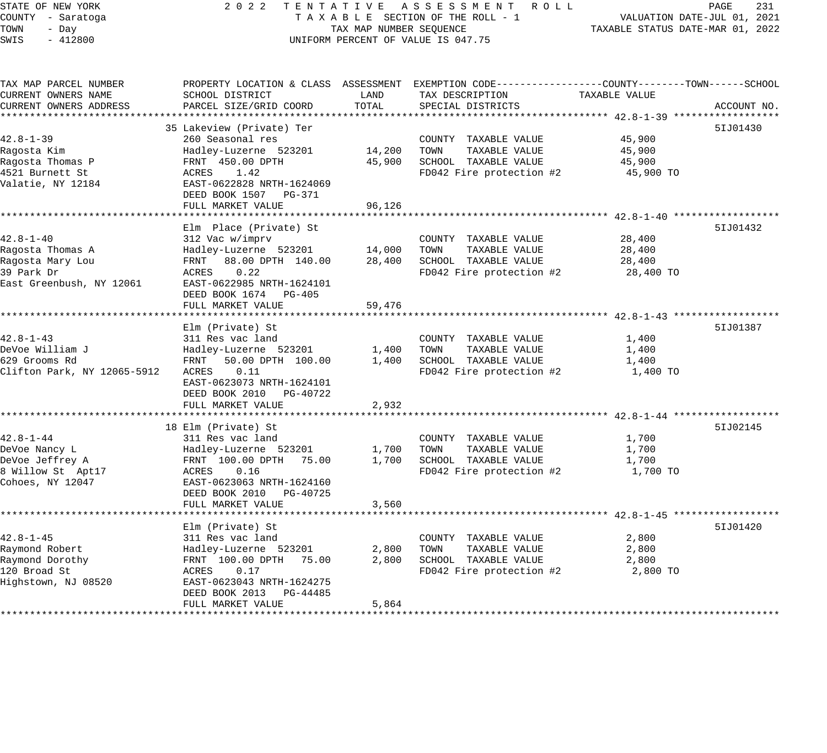# STATE OF NEW YORK 2 0 2 2 T E N T A T I V E A S S E S S M E N T R O L L PAGE 231 COUNTY - Saratoga T A X A B L E SECTION OF THE ROLL - 1 VALUATION DATE-JUL 01, 2021 TAX A B L E SECTION OF THE ROLL - 1<br>TAX MAP NUMBER SEQUENCE TAXABLE STATUS DATE-MAR 01, 2022 UNIFORM PERCENT OF VALUE IS 047.75

| TAX MAP PARCEL NUMBER<br>CURRENT OWNERS NAME             | PROPERTY LOCATION & CLASS ASSESSMENT EXEMPTION CODE----------------COUNTY-------TOWN------SCHOOL<br>SCHOOL DISTRICT | LAND                | TAX DESCRIPTION                                                       | TAXABLE VALUE       |             |
|----------------------------------------------------------|---------------------------------------------------------------------------------------------------------------------|---------------------|-----------------------------------------------------------------------|---------------------|-------------|
| CURRENT OWNERS ADDRESS                                   | PARCEL SIZE/GRID COORD                                                                                              | TOTAL               | SPECIAL DISTRICTS                                                     |                     | ACCOUNT NO. |
|                                                          | 35 Lakeview (Private) Ter                                                                                           |                     |                                                                       |                     | 51J01430    |
| $42.8 - 1 - 39$<br>Ragosta Kim                           | 260 Seasonal res<br>Hadley-Luzerne 523201<br>FRNT 450.00 DPTH                                                       | 14,200<br>45,900    | COUNTY TAXABLE VALUE<br>TOWN<br>TAXABLE VALUE<br>SCHOOL TAXABLE VALUE | 45,900<br>45,900    |             |
| Ragosta Thomas P<br>4521 Burnett St<br>Valatie, NY 12184 | ACRES<br>1.42<br>EAST-0622828 NRTH-1624069<br>DEED BOOK 1507 PG-371                                                 |                     | FD042 Fire protection #2                                              | 45,900<br>45,900 TO |             |
|                                                          | FULL MARKET VALUE<br>********************                                                                           | 96,126<br>********* |                                                                       |                     |             |
|                                                          | Elm Place (Private) St                                                                                              |                     |                                                                       |                     | 51J01432    |
| $42.8 - 1 - 40$                                          | 312 Vac w/imprv                                                                                                     |                     | COUNTY TAXABLE VALUE                                                  | 28,400              |             |
| Ragosta Thomas A                                         | Hadley-Luzerne 523201                                                                                               | 14,000              | TOWN<br>TAXABLE VALUE                                                 | 28,400              |             |
| Ragosta Mary Lou                                         | 88.00 DPTH 140.00<br>FRNT                                                                                           | 28,400              | SCHOOL TAXABLE VALUE                                                  | 28,400              |             |
| 39 Park Dr<br>East Greenbush, NY 12061                   | 0.22<br>ACRES<br>EAST-0622985 NRTH-1624101<br>DEED BOOK 1674 PG-405                                                 |                     | FD042 Fire protection #2                                              | 28,400 TO           |             |
|                                                          | FULL MARKET VALUE                                                                                                   | 59,476              |                                                                       |                     |             |
|                                                          |                                                                                                                     |                     |                                                                       |                     |             |
|                                                          | Elm (Private) St                                                                                                    |                     |                                                                       |                     | 51J01387    |
| $42.8 - 1 - 43$                                          | 311 Res vac land                                                                                                    |                     | COUNTY TAXABLE VALUE                                                  | 1,400               |             |
| DeVoe William J                                          | Hadley-Luzerne 523201                                                                                               | 1,400               | TOWN<br>TAXABLE VALUE                                                 | 1,400               |             |
| 629 Grooms Rd                                            | 50.00 DPTH 100.00<br>FRNT<br>0.11                                                                                   | 1,400               | SCHOOL TAXABLE VALUE                                                  | 1,400               |             |
| Clifton Park, NY 12065-5912                              | ACRES<br>EAST-0623073 NRTH-1624101<br>DEED BOOK 2010 PG-40722                                                       |                     | FD042 Fire protection #2                                              | 1,400 TO            |             |
|                                                          | FULL MARKET VALUE                                                                                                   | 2,932               |                                                                       |                     |             |
|                                                          |                                                                                                                     |                     |                                                                       |                     |             |
|                                                          | 18 Elm (Private) St                                                                                                 |                     |                                                                       |                     | 51J02145    |
| $42.8 - 1 - 44$                                          | 311 Res vac land                                                                                                    |                     | COUNTY TAXABLE VALUE                                                  | 1,700               |             |
| DeVoe Nancy L                                            | Hadley-Luzerne 523201                                                                                               | 1,700               | TOWN<br>TAXABLE VALUE                                                 | 1,700               |             |
| DeVoe Jeffrey A                                          | FRNT 100.00 DPTH 75.00                                                                                              | 1,700               | SCHOOL TAXABLE VALUE                                                  | 1,700               |             |
| 8 Willow St Apt17<br>Cohoes, NY 12047                    | ACRES<br>0.16<br>EAST-0623063 NRTH-1624160<br>DEED BOOK 2010 PG-40725                                               |                     | FD042 Fire protection #2                                              | 1,700 TO            |             |
|                                                          | FULL MARKET VALUE                                                                                                   | 3,560               |                                                                       |                     |             |
|                                                          |                                                                                                                     |                     |                                                                       |                     |             |
|                                                          | Elm (Private) St                                                                                                    |                     |                                                                       |                     | 5IJ01420    |
| $42.8 - 1 - 45$                                          | 311 Res vac land                                                                                                    |                     | COUNTY TAXABLE VALUE                                                  | 2,800               |             |
| Raymond Robert                                           | Hadley-Luzerne 523201                                                                                               | 2,800               | TOWN<br>TAXABLE VALUE                                                 | 2,800               |             |
| Raymond Dorothy<br>120 Broad St                          | FRNT 100.00 DPTH<br>75.00<br>ACRES<br>0.17                                                                          | 2,800               | SCHOOL TAXABLE VALUE<br>FD042 Fire protection #2                      | 2,800<br>2,800 TO   |             |
| Highstown, NJ 08520                                      | EAST-0623043 NRTH-1624275<br>DEED BOOK 2013 PG-44485                                                                |                     |                                                                       |                     |             |
|                                                          | FULL MARKET VALUE                                                                                                   | 5,864               |                                                                       |                     |             |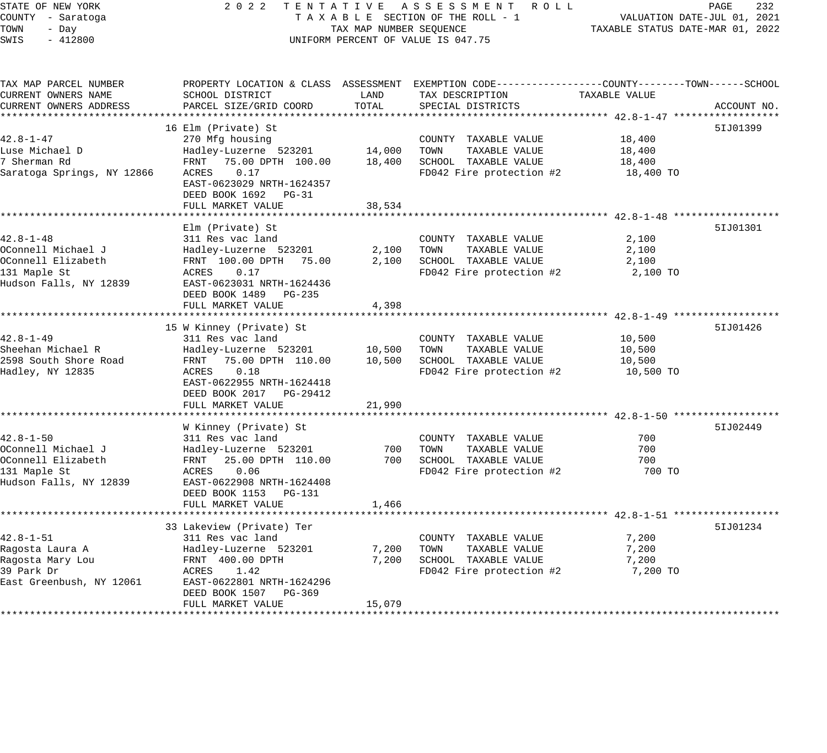| STATE OF NEW YORK<br>COUNTY - Saratoga | 2 0 2 2                                                                                        |                         | TENTATIVE ASSESSMENT ROLL<br>TAXABLE SECTION OF THE ROLL - 1 |                                  | PAGE<br>232<br>VALUATION DATE-JUL 01, 2021 |
|----------------------------------------|------------------------------------------------------------------------------------------------|-------------------------|--------------------------------------------------------------|----------------------------------|--------------------------------------------|
| TOWN<br>- Day<br>SWIS<br>$-412800$     |                                                                                                | TAX MAP NUMBER SEQUENCE | UNIFORM PERCENT OF VALUE IS 047.75                           | TAXABLE STATUS DATE-MAR 01, 2022 |                                            |
| TAX MAP PARCEL NUMBER                  | PROPERTY LOCATION & CLASS ASSESSMENT EXEMPTION CODE---------------COUNTY-------TOWN-----SCHOOL |                         |                                                              |                                  |                                            |
| CURRENT OWNERS NAME                    | SCHOOL DISTRICT                                                                                | LAND                    | TAX DESCRIPTION                                              | TAXABLE VALUE                    |                                            |
| CURRENT OWNERS ADDRESS                 | PARCEL SIZE/GRID COORD                                                                         | TOTAL                   | SPECIAL DISTRICTS                                            |                                  | ACCOUNT NO.                                |
|                                        |                                                                                                |                         |                                                              |                                  |                                            |
|                                        | 16 Elm (Private) St                                                                            |                         |                                                              |                                  | 51J01399                                   |
| $42.8 - 1 - 47$                        | 270 Mfg housing                                                                                |                         | COUNTY TAXABLE VALUE                                         | 18,400                           |                                            |
| Luse Michael D                         | Hadley-Luzerne 523201                                                                          | 14,000                  | TAXABLE VALUE<br>TOWN                                        | 18,400                           |                                            |
| 7 Sherman Rd                           | FRNT 75.00 DPTH 100.00                                                                         | 18,400                  | SCHOOL TAXABLE VALUE                                         | 18,400                           |                                            |
| Saratoga Springs, NY 12866             | ACRES<br>0.17<br>EAST-0623029 NRTH-1624357<br>DEED BOOK 1692 PG-31                             |                         | FD042 Fire protection #2                                     | 18,400 TO                        |                                            |
|                                        | FULL MARKET VALUE                                                                              | 38,534                  |                                                              |                                  |                                            |
|                                        |                                                                                                |                         |                                                              |                                  |                                            |
|                                        | Elm (Private) St                                                                               |                         |                                                              |                                  | 51J01301                                   |
| 42.8-1-48                              | 311 Res vac land                                                                               |                         | COUNTY TAXABLE VALUE                                         | 2,100                            |                                            |
| OConnell Michael J                     | Hadley-Luzerne 523201                                                                          | 2,100                   | TOWN<br>TAXABLE VALUE                                        | 2,100                            |                                            |
| OConnell Elizabeth<br>131 Maple St     | FRNT 100.00 DPTH 75.00<br>ACRES<br>0.17                                                        | 2,100                   | SCHOOL TAXABLE VALUE<br>FD042 Fire protection #2             | 2,100<br>2,100 TO                |                                            |
| Hudson Falls, NY 12839                 | EAST-0623031 NRTH-1624436                                                                      |                         |                                                              |                                  |                                            |
|                                        | DEED BOOK 1489 PG-235                                                                          |                         |                                                              |                                  |                                            |
|                                        | FULL MARKET VALUE                                                                              | 4,398                   |                                                              |                                  |                                            |
|                                        |                                                                                                |                         |                                                              |                                  |                                            |
|                                        | 15 W Kinney (Private) St                                                                       |                         |                                                              |                                  | 51J01426                                   |
| 42.8-1-49                              | 311 Res vac land                                                                               |                         | COUNTY TAXABLE VALUE                                         | 10,500                           |                                            |
| Sheehan Michael R                      | Hadley-Luzerne 523201                                                                          | 10,500                  | TOWN<br>TAXABLE VALUE                                        | 10,500                           |                                            |
| 2598 South Shore Road                  | FRNT 75.00 DPTH 110.00                                                                         | 10,500                  | SCHOOL TAXABLE VALUE                                         | 10,500                           |                                            |
| Hadley, NY 12835                       | 0.18<br>ACRES                                                                                  |                         | FD042 Fire protection #2                                     | 10,500 TO                        |                                            |
|                                        | EAST-0622955 NRTH-1624418<br>DEED BOOK 2017    PG-29412                                        |                         |                                                              |                                  |                                            |
|                                        | FULL MARKET VALUE                                                                              | 21,990                  |                                                              |                                  |                                            |
|                                        |                                                                                                |                         |                                                              |                                  |                                            |
|                                        | W Kinney (Private) St                                                                          |                         |                                                              |                                  | 51J02449                                   |
| 42.8-1-50                              | 311 Res vac land                                                                               |                         | COUNTY TAXABLE VALUE                                         | 700                              |                                            |
| OConnell Michael J                     | Hadley-Luzerne 523201                                                                          | 700                     | TAXABLE VALUE<br>TOWN                                        | 700                              |                                            |
| OConnell Elizabeth                     | FRNT 25.00 DPTH 110.00                                                                         | 700                     | SCHOOL TAXABLE VALUE                                         | 700                              |                                            |
| 131 Maple St                           | ACRES<br>0.06                                                                                  |                         | FD042 Fire protection #2                                     | 700 TO                           |                                            |
| Hudson Falls, NY 12839                 | EAST-0622908 NRTH-1624408                                                                      |                         |                                                              |                                  |                                            |
|                                        | DEED BOOK 1153 PG-131                                                                          |                         |                                                              |                                  |                                            |
|                                        | FULL MARKET VALUE<br>********************                                                      | 1,466                   |                                                              |                                  |                                            |
|                                        |                                                                                                |                         |                                                              |                                  |                                            |
| 42.8-1-51                              | 33 Lakeview (Private) Ter<br>311 Res vac land                                                  |                         |                                                              | 7,200                            | 51J01234                                   |
| Ragosta Laura A                        | Hadley-Luzerne 523201                                                                          | 7,200                   | COUNTY TAXABLE VALUE<br>TOWN<br>TAXABLE VALUE                | 7,200                            |                                            |
| Ragosta Mary Lou                       | FRNT 400.00 DPTH                                                                               | 7,200                   | SCHOOL TAXABLE VALUE                                         | 7,200                            |                                            |
| 39 Park Dr                             | ACRES<br>1.42                                                                                  |                         | FD042 Fire protection #2                                     | 7,200 TO                         |                                            |
| East Greenbush, NY 12061               | EAST-0622801 NRTH-1624296                                                                      |                         |                                                              |                                  |                                            |
|                                        | DEED BOOK 1507 PG-369                                                                          |                         |                                                              |                                  |                                            |
|                                        | FULL MARKET VALUE                                                                              | 15,079                  |                                                              |                                  |                                            |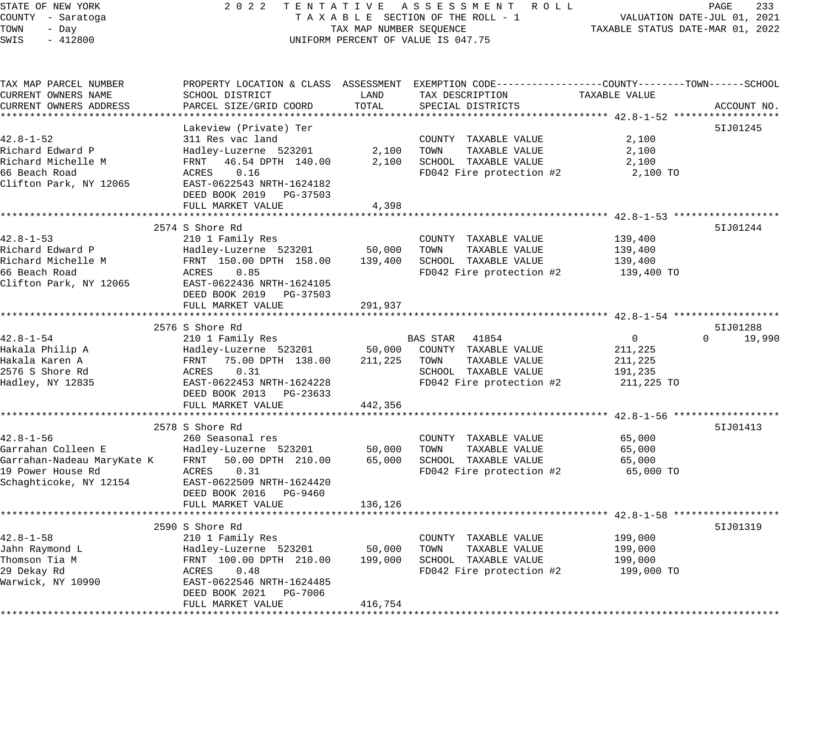# STATE OF NEW YORK 2 0 2 2 T E N T A T I V E A S S E S S M E N T R O L L PAGE 233 COUNTY - Saratoga T A X A B L E SECTION OF THE ROLL - 1 VALUATION DATE-JUL 01, 2021 TOWER SECTION OF THE ROLL - 1 TAXABLE STATUS DATE-MAR 01, 2022 UNIFORM PERCENT OF VALUE IS 047.75

| TAX MAP PARCEL NUMBER  | PROPERTY LOCATION & CLASS ASSESSMENT EXEMPTION CODE----------------COUNTY-------TOWN------SCHOOL |         |                          |                |                    |
|------------------------|--------------------------------------------------------------------------------------------------|---------|--------------------------|----------------|--------------------|
| CURRENT OWNERS NAME    | SCHOOL DISTRICT                                                                                  | LAND    | TAX DESCRIPTION          | TAXABLE VALUE  |                    |
| CURRENT OWNERS ADDRESS | PARCEL SIZE/GRID COORD                                                                           | TOTAL   | SPECIAL DISTRICTS        |                | ACCOUNT NO.        |
|                        | ************************                                                                         |         |                          |                |                    |
|                        | Lakeview (Private) Ter                                                                           |         |                          |                | 51J01245           |
| $42.8 - 1 - 52$        | 311 Res vac land                                                                                 |         | COUNTY TAXABLE VALUE     | 2,100          |                    |
| Richard Edward P       | Hadley-Luzerne 523201                                                                            | 2,100   | TOWN<br>TAXABLE VALUE    | 2,100          |                    |
| Richard Michelle M     | FRNT 46.54 DPTH 140.00                                                                           | 2,100   | SCHOOL TAXABLE VALUE     | 2,100          |                    |
| 66 Beach Road          | ACRES<br>0.16                                                                                    |         |                          |                |                    |
|                        |                                                                                                  |         | FD042 Fire protection #2 | 2,100 TO       |                    |
| Clifton Park, NY 12065 | EAST-0622543 NRTH-1624182                                                                        |         |                          |                |                    |
|                        | DEED BOOK 2019 PG-37503                                                                          |         |                          |                |                    |
|                        | FULL MARKET VALUE                                                                                | 4,398   |                          |                |                    |
|                        |                                                                                                  |         |                          |                |                    |
|                        | 2574 S Shore Rd                                                                                  |         |                          |                | 51J01244           |
| $42.8 - 1 - 53$        | 210 1 Family Res                                                                                 |         | COUNTY TAXABLE VALUE     | 139,400        |                    |
| Richard Edward P       | Hadley-Luzerne 523201                                                                            | 50,000  | TOWN<br>TAXABLE VALUE    | 139,400        |                    |
| Richard Michelle M     | FRNT 150.00 DPTH 158.00                                                                          | 139,400 | SCHOOL TAXABLE VALUE     | 139,400        |                    |
| 66 Beach Road          | 0.85<br>ACRES                                                                                    |         | FD042 Fire protection #2 | 139,400 TO     |                    |
| Clifton Park, NY 12065 | EAST-0622436 NRTH-1624105                                                                        |         |                          |                |                    |
|                        | DEED BOOK 2019 PG-37503                                                                          |         |                          |                |                    |
|                        | FULL MARKET VALUE                                                                                | 291,937 |                          |                |                    |
|                        |                                                                                                  |         |                          |                |                    |
|                        | 2576 S Shore Rd                                                                                  |         |                          |                | 5IJ01288           |
| $42.8 - 1 - 54$        | 210 1 Family Res                                                                                 |         | BAS STAR 41854           | $\overline{0}$ | $\Omega$<br>19,990 |
| Hakala Philip A        | Hadley-Luzerne 523201                                                                            | 50,000  | COUNTY TAXABLE VALUE     | 211,225        |                    |
| Hakala Karen A         | FRNT 75.00 DPTH 138.00                                                                           | 211,225 | TOWN<br>TAXABLE VALUE    | 211,225        |                    |
| 2576 S Shore Rd        | 0.31<br>ACRES                                                                                    |         | SCHOOL TAXABLE VALUE     |                |                    |
|                        |                                                                                                  |         |                          | 191,235        |                    |
| Hadley, NY 12835       | EAST-0622453 NRTH-1624228                                                                        |         | FD042 Fire protection #2 | 211,225 TO     |                    |
|                        | DEED BOOK 2013 PG-23633                                                                          |         |                          |                |                    |
|                        | FULL MARKET VALUE                                                                                | 442,356 |                          |                |                    |
|                        |                                                                                                  |         |                          |                |                    |
|                        | 2578 S Shore Rd                                                                                  |         |                          |                | 51J01413           |
| $42.8 - 1 - 56$        | 260 Seasonal res                                                                                 |         | COUNTY TAXABLE VALUE     | 65,000         |                    |
| Garrahan Colleen E     | Hadley-Luzerne 523201                                                                            | 50,000  | TAXABLE VALUE<br>TOWN    | 65,000         |                    |
|                        | Garrahan-Nadeau MaryKate K FRNT 50.00 DPTH 210.00                                                | 65,000  | SCHOOL TAXABLE VALUE     | 65,000         |                    |
| 19 Power House Rd      | 0.31<br>ACRES                                                                                    |         | FD042 Fire protection #2 | 65,000 TO      |                    |
| Schaghticoke, NY 12154 | EAST-0622509 NRTH-1624420                                                                        |         |                          |                |                    |
|                        | DEED BOOK 2016 PG-9460                                                                           |         |                          |                |                    |
|                        | FULL MARKET VALUE                                                                                | 136,126 |                          |                |                    |
|                        |                                                                                                  |         |                          |                |                    |
|                        | 2590 S Shore Rd                                                                                  |         |                          |                | 51J01319           |
| $42.8 - 1 - 58$        | 210 1 Family Res                                                                                 |         | COUNTY TAXABLE VALUE     | 199,000        |                    |
| Jahn Raymond L         | Hadley-Luzerne 523201                                                                            | 50,000  | TOWN<br>TAXABLE VALUE    | 199,000        |                    |
| Thomson Tia M          | FRNT 100.00 DPTH 210.00                                                                          | 199,000 | SCHOOL TAXABLE VALUE     | 199,000        |                    |
| 29 Dekay Rd            | 0.48<br>ACRES                                                                                    |         | FD042 Fire protection #2 | 199,000 TO     |                    |
| Warwick, NY 10990      | EAST-0622546 NRTH-1624485                                                                        |         |                          |                |                    |
|                        | DEED BOOK 2021 PG-7006                                                                           |         |                          |                |                    |
|                        | FULL MARKET VALUE                                                                                | 416,754 |                          |                |                    |
|                        |                                                                                                  |         |                          |                |                    |
|                        |                                                                                                  |         |                          |                |                    |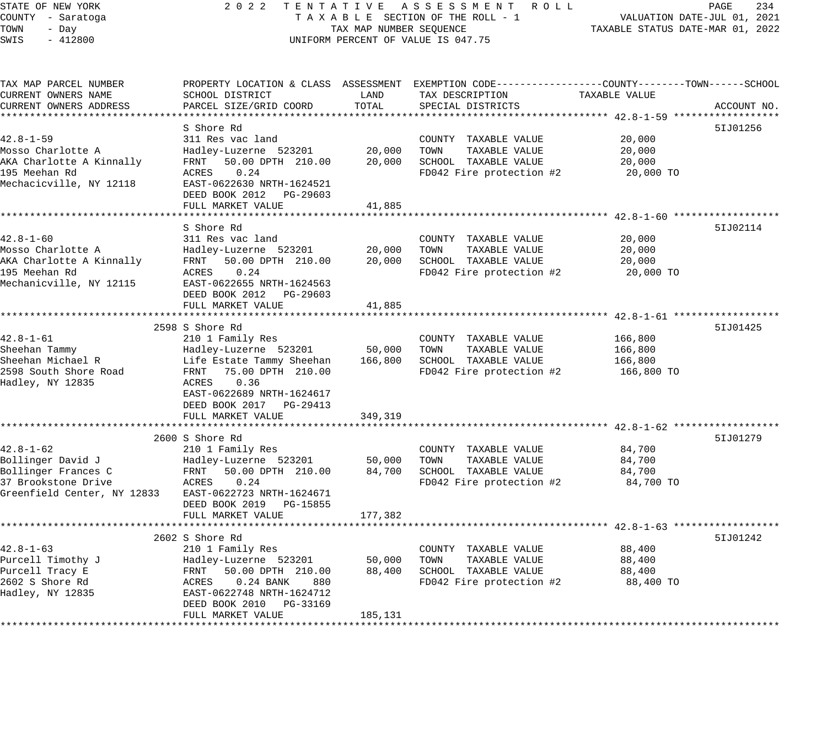STATE OF NEW YORK 2 0 2 2 T E N T A T I V E A S S E S S M E N T R O L L PAGE 234 COUNTY - Saratoga T A X A B L E SECTION OF THE ROLL - 1 VALUATION DATE-JUL 01, 2021 TOWN - Day TAX MAP NUMBER SEQUENCE TAXABLE STATUS DATE-MAR 01, 2022 SWIS - 412800 CONTROLLY THE UNIFORM PERCENT OF VALUE IS 047.75 TAX MAP PARCEL NUMBER PROPERTY LOCATION & CLASS ASSESSMENT EXEMPTION CODE------------------COUNTY--------TOWN------SCHOOL CURRENT OWNERS NAME SCHOOL DISTRICT LAND TAX DESCRIPTION TAXABLE VALUE CURRENT OWNERS ADDRESS PARCEL SIZE/GRID COORD TOTAL SPECIAL DISTRICTS ACCOUNT NO. \*\*\*\*\*\*\*\*\*\*\*\*\*\*\*\*\*\*\*\*\*\*\*\*\*\*\*\*\*\*\*\*\*\*\*\*\*\*\*\*\*\*\*\*\*\*\*\*\*\*\*\*\*\*\*\*\*\*\*\*\*\*\*\*\*\*\*\*\*\*\*\*\*\*\*\*\*\*\*\*\*\*\*\*\*\*\*\*\*\*\*\*\*\*\*\*\*\*\*\*\*\*\* 42.8-1-59 \*\*\*\*\*\*\*\*\*\*\*\*\*\*\*\*\*\* S Shore Rd 5IJ01256 42.8-1-59 311 Res vac land COUNTY TAXABLE VALUE 20,000 Mosso Charlotte A Hadley-Luzerne 523201 20,000 TOWN TAXABLE VALUE 20,000 AKA Charlotte A Kinnally FRNT 50.00 DPTH 210.00 20,000 SCHOOL TAXABLE VALUE 20,000 195 Meehan Rd ACRES 0.24 FD042 Fire protection #2 20,000 TO Mechacicville, NY 12118 EAST-0622630 NRTH-1624521 DEED BOOK 2012 PG-29603 FULL MARKET VALUE 41,885 \*\*\*\*\*\*\*\*\*\*\*\*\*\*\*\*\*\*\*\*\*\*\*\*\*\*\*\*\*\*\*\*\*\*\*\*\*\*\*\*\*\*\*\*\*\*\*\*\*\*\*\*\*\*\*\*\*\*\*\*\*\*\*\*\*\*\*\*\*\*\*\*\*\*\*\*\*\*\*\*\*\*\*\*\*\*\*\*\*\*\*\*\*\*\*\*\*\*\*\*\*\*\* 42.8-1-60 \*\*\*\*\*\*\*\*\*\*\*\*\*\*\*\*\*\* S Shore Rd 51J02114 42.8-1-60 311 Res vac land COUNTY TAXABLE VALUE 20,000 Mosso Charlotte A Hadley-Luzerne 523201 20,000 TOWN TAXABLE VALUE 20,000 AKA Charlotte A Kinnally FRNT 50.00 DPTH 210.00 20,000 SCHOOL TAXABLE VALUE 20,000 195 Meehan Rd ACRES 0.24 FD042 Fire protection #2 20,000 TO Mechanicville, NY 12115 EAST-0622655 NRTH-1624563 DEED BOOK 2012 PG-29603 FULL MARKET VALUE 41,885 \*\*\*\*\*\*\*\*\*\*\*\*\*\*\*\*\*\*\*\*\*\*\*\*\*\*\*\*\*\*\*\*\*\*\*\*\*\*\*\*\*\*\*\*\*\*\*\*\*\*\*\*\*\*\*\*\*\*\*\*\*\*\*\*\*\*\*\*\*\*\*\*\*\*\*\*\*\*\*\*\*\*\*\*\*\*\*\*\*\*\*\*\*\*\*\*\*\*\*\*\*\*\* 42.8-1-61 \*\*\*\*\*\*\*\*\*\*\*\*\*\*\*\*\*\* 2598 S Shore Rd 5IJ01425 42.8-1-61 210 1 Family Res COUNTY TAXABLE VALUE 166,800 Sheehan Tammy Hadley-Luzerne 523201 50,000 TOWN TAXABLE VALUE 166,800 Sheehan Michael R Life Estate Tammy Sheehan 166,800 SCHOOL TAXABLE VALUE 166,800 2598 South Shore Road FRNT 75.00 DPTH 210.00 FD042 Fire protection #2 166,800 TO Hadley, NY 12835 ACRES 0.36 EAST-0622689 NRTH-1624617 DEED BOOK 2017 PG-29413 FULL MARKET VALUE 349,319 \*\*\*\*\*\*\*\*\*\*\*\*\*\*\*\*\*\*\*\*\*\*\*\*\*\*\*\*\*\*\*\*\*\*\*\*\*\*\*\*\*\*\*\*\*\*\*\*\*\*\*\*\*\*\*\*\*\*\*\*\*\*\*\*\*\*\*\*\*\*\*\*\*\*\*\*\*\*\*\*\*\*\*\*\*\*\*\*\*\*\*\*\*\*\*\*\*\*\*\*\*\*\* 42.8-1-62 \*\*\*\*\*\*\*\*\*\*\*\*\*\*\*\*\*\* 2600 S Shore Rd 5IJ01279 42.8-1-62 210 1 Family Res COUNTY TAXABLE VALUE 84,700 Bollinger David J Hadley-Luzerne 523201 50,000 TOWN TAXABLE VALUE 84,700 Bollinger Frances C FRNT 50.00 DPTH 210.00 84,700 SCHOOL TAXABLE VALUE 84,700 37 Brookstone Drive ACRES 0.24 FD042 Fire protection #2 84,700 TO Greenfield Center, NY 12833 EAST-0622723 NRTH-1624671 DEED BOOK 2019 PG-15855 FULL MARKET VALUE 177,382 \*\*\*\*\*\*\*\*\*\*\*\*\*\*\*\*\*\*\*\*\*\*\*\*\*\*\*\*\*\*\*\*\*\*\*\*\*\*\*\*\*\*\*\*\*\*\*\*\*\*\*\*\*\*\*\*\*\*\*\*\*\*\*\*\*\*\*\*\*\*\*\*\*\*\*\*\*\*\*\*\*\*\*\*\*\*\*\*\*\*\*\*\*\*\*\*\*\*\*\*\*\*\* 42.8-1-63 \*\*\*\*\*\*\*\*\*\*\*\*\*\*\*\*\*\* 2602 S Shore Rd 5IJ01242 42.8-1-63 210 1 Family Res COUNTY TAXABLE VALUE 88,400 Purcell Timothy J Hadley-Luzerne 523201 50,000 TOWN TAXABLE VALUE 88,400 Purcell Tracy E FRNT 50.00 DPTH 210.00 88,400 SCHOOL TAXABLE VALUE 88,400 2602 S Shore Rd ACRES 0.24 BANK 880 FD042 Fire protection #2 88,400 TO Hadley, NY 12835 EAST-0622748 NRTH-1624712 DEED BOOK 2010 PG-33169

\*\*\*\*\*\*\*\*\*\*\*\*\*\*\*\*\*\*\*\*\*\*\*\*\*\*\*\*\*\*\*\*\*\*\*\*\*\*\*\*\*\*\*\*\*\*\*\*\*\*\*\*\*\*\*\*\*\*\*\*\*\*\*\*\*\*\*\*\*\*\*\*\*\*\*\*\*\*\*\*\*\*\*\*\*\*\*\*\*\*\*\*\*\*\*\*\*\*\*\*\*\*\*\*\*\*\*\*\*\*\*\*\*\*\*\*\*\*\*\*\*\*\*\*\*\*\*\*\*\*\*\*

FULL MARKET VALUE 185,131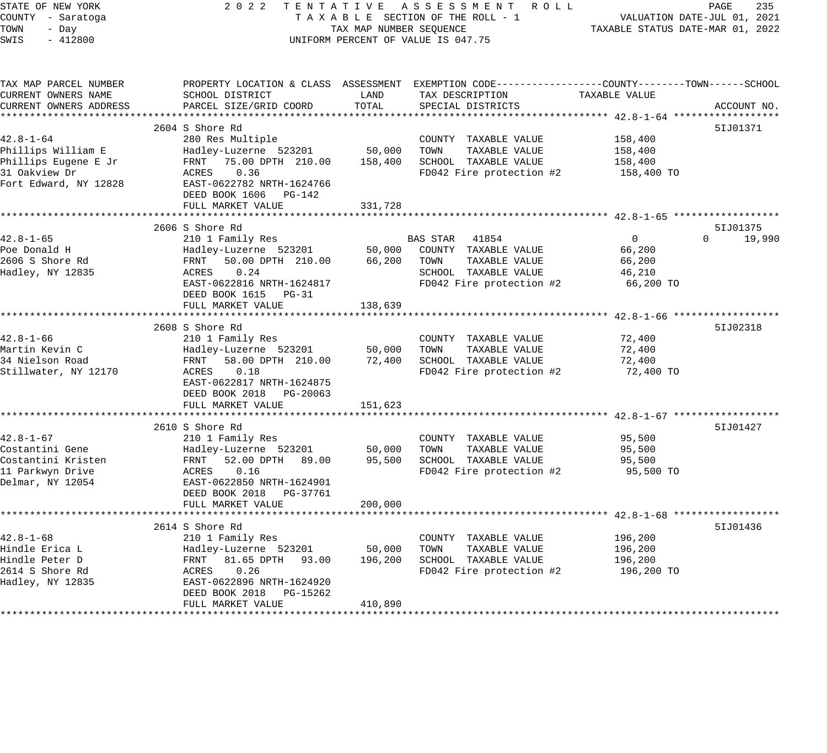| STATE OF NEW YORK<br>COUNTY - Saratoga<br>TOWN<br>- Day<br>$-412800$<br>SWIS                            | 2022                                                                                                                                                                                             | TAX MAP NUMBER SEQUENCE                   | TENTATIVE ASSESSMENT ROLL<br>TAXABLE SECTION OF THE ROLL - 1<br>UNIFORM PERCENT OF VALUE IS 047.75                  | TAXABLE STATUS DATE-MAR 01, 2022                          | PAGE<br>235<br>VALUATION DATE-JUL 01, 2021 |
|---------------------------------------------------------------------------------------------------------|--------------------------------------------------------------------------------------------------------------------------------------------------------------------------------------------------|-------------------------------------------|---------------------------------------------------------------------------------------------------------------------|-----------------------------------------------------------|--------------------------------------------|
| TAX MAP PARCEL NUMBER<br>CURRENT OWNERS NAME<br>CURRENT OWNERS ADDRESS                                  | PROPERTY LOCATION & CLASS ASSESSMENT EXEMPTION CODE---------------COUNTY-------TOWN-----SCHOOL<br>SCHOOL DISTRICT<br>PARCEL SIZE/GRID COORD                                                      | LAND<br>TOTAL                             | TAX DESCRIPTION<br>SPECIAL DISTRICTS                                                                                | TAXABLE VALUE                                             | ACCOUNT NO.                                |
|                                                                                                         |                                                                                                                                                                                                  |                                           |                                                                                                                     |                                                           |                                            |
| $42.8 - 1 - 64$<br>Phillips William E<br>Phillips Eugene E Jr<br>31 Oakview Dr<br>Fort Edward, NY 12828 | 2604 S Shore Rd<br>280 Res Multiple<br>Hadley-Luzerne 523201<br>FRNT 75.00 DPTH 210.00<br>ACRES<br>0.36<br>EAST-0622782 NRTH-1624766<br>DEED BOOK 1606 PG-142<br>FULL MARKET VALUE               | 50,000<br>158,400<br>331,728              | COUNTY TAXABLE VALUE<br>TOWN<br>TAXABLE VALUE<br>SCHOOL TAXABLE VALUE<br>FD042 Fire protection #2                   | 158,400<br>158,400<br>158,400<br>158,400 TO               | 51J01371                                   |
|                                                                                                         |                                                                                                                                                                                                  |                                           |                                                                                                                     |                                                           |                                            |
| 42.8-1-65<br>Poe Donald H<br>2606 S Shore Rd<br>Hadley, NY 12835                                        | 2606 S Shore Rd<br>210 1 Family Res<br>Hadley-Luzerne 523201<br>50.00 DPTH 210.00<br>FRNT<br>ACRES<br>0.24<br>EAST-0622816 NRTH-1624817<br>DEED BOOK 1615 PG-31<br>FULL MARKET VALUE             | 50,000<br>66,200<br>138,639               | BAS STAR 41854<br>COUNTY TAXABLE VALUE<br>TOWN<br>TAXABLE VALUE<br>SCHOOL TAXABLE VALUE<br>FD042 Fire protection #2 | $\overline{0}$<br>66,200<br>66,200<br>46,210<br>66,200 TO | 51J01375<br>$\Omega$<br>19,990             |
| $42.8 - 1 - 66$<br>Martin Kevin C<br>34 Nielson Road<br>Stillwater, NY 12170                            | 2608 S Shore Rd<br>210 1 Family Res<br>Hadley-Luzerne 523201<br>FRNT<br>58.00 DPTH 210.00<br>0.18<br>ACRES<br>EAST-0622817 NRTH-1624875<br>DEED BOOK 2018 PG-20063                               | 50,000<br>72,400                          | COUNTY TAXABLE VALUE<br>TOWN<br>TAXABLE VALUE<br>SCHOOL TAXABLE VALUE<br>FD042 Fire protection #2                   | 72,400<br>72,400<br>72,400<br>72,400 TO                   | 51J02318                                   |
|                                                                                                         | FULL MARKET VALUE                                                                                                                                                                                | 151,623                                   |                                                                                                                     |                                                           |                                            |
| 42.8-1-67<br>Costantini Gene<br>Costantini Kristen<br>11 Parkwyn Drive<br>Delmar, NY 12054              | ***************************<br>2610 S Shore Rd<br>210 1 Family Res<br>Hadley-Luzerne 523201<br>FRNT 52.00 DPTH 89.00<br>0.16<br>ACRES<br>EAST-0622850 NRTH-1624901<br>DEED BOOK 2018    PG-37761 | 50,000<br>95,500                          | COUNTY TAXABLE VALUE<br>TAXABLE VALUE<br>TOWN<br>SCHOOL TAXABLE VALUE<br>FD042 Fire protection #2                   | 95,500<br>95,500<br>95,500<br>95,500 TO                   | 51J01427                                   |
|                                                                                                         | FULL MARKET VALUE                                                                                                                                                                                | 200,000                                   |                                                                                                                     |                                                           |                                            |
| $42.8 - 1 - 68$<br>Hindle Erica L<br>Hindle Peter D<br>2614 S Shore Rd<br>Hadley, NY 12835              | 2614 S Shore Rd<br>210 1 Family Res<br>Hadley-Luzerne 523201<br>FRNT 81.65 DPTH 93.00<br>ACRES<br>0.26<br>EAST-0622896 NRTH-1624920<br>DEED BOOK 2018 PG-15262<br>FULL MARKET VALUE              | *********<br>50,000<br>196,200<br>410,890 | COUNTY TAXABLE VALUE<br>TOWN<br>TAXABLE VALUE<br>SCHOOL TAXABLE VALUE<br>FD042 Fire protection #2                   | 196,200<br>196,200<br>196,200<br>196,200 TO               | 51J01436                                   |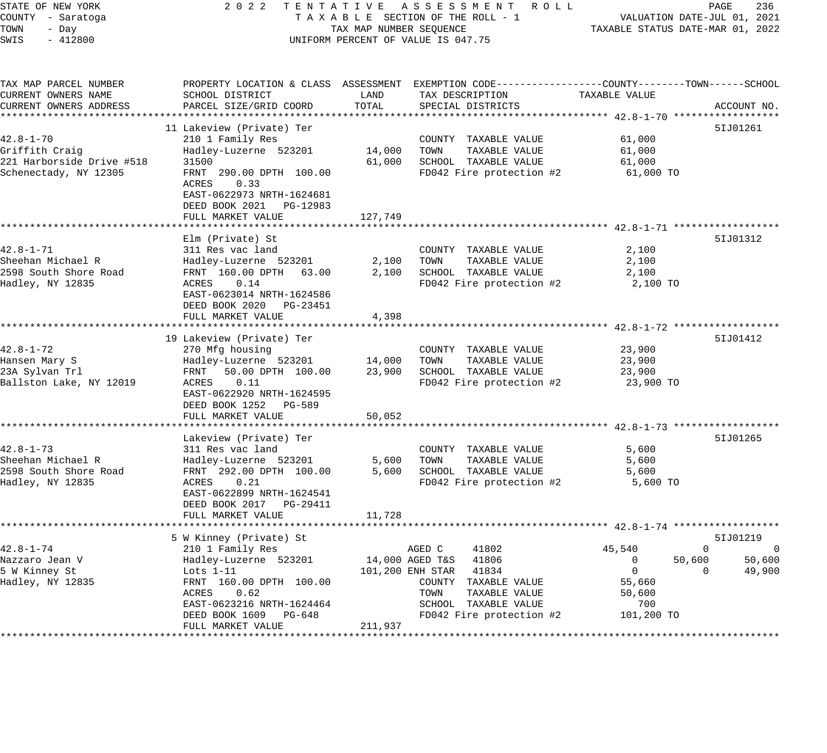| STATE OF NEW YORK<br>COUNTY - Saratoga<br>TOWN<br>- Day<br>SWIS<br>$-412800$ | 2 0 2 2                                                                                                               | TAX MAP NUMBER SEQUENCE | TENTATIVE ASSESSMENT ROLL<br>TAXABLE SECTION OF THE ROLL - 1<br>UNIFORM PERCENT OF VALUE IS 047.75                  | TAXABLE STATUS DATE-MAR 01, 2022 | PAGE<br>236<br>VALUATION DATE-JUL 01, 2021 |
|------------------------------------------------------------------------------|-----------------------------------------------------------------------------------------------------------------------|-------------------------|---------------------------------------------------------------------------------------------------------------------|----------------------------------|--------------------------------------------|
| TAX MAP PARCEL NUMBER<br>CURRENT OWNERS NAME                                 | SCHOOL DISTRICT                                                                                                       | LAND                    | PROPERTY LOCATION & CLASS ASSESSMENT EXEMPTION CODE----------------COUNTY-------TOWN------SCHOOL<br>TAX DESCRIPTION | TAXABLE VALUE                    |                                            |
| CURRENT OWNERS ADDRESS                                                       | PARCEL SIZE/GRID COORD                                                                                                | TOTAL                   | SPECIAL DISTRICTS                                                                                                   |                                  | ACCOUNT NO.                                |
|                                                                              | 11 Lakeview (Private) Ter                                                                                             |                         |                                                                                                                     |                                  | 51J01261                                   |
| $42.8 - 1 - 70$                                                              | 210 1 Family Res                                                                                                      |                         | COUNTY TAXABLE VALUE                                                                                                | 61,000                           |                                            |
| Griffith Craig                                                               | Hadley-Luzerne 523201                                                                                                 | 14,000                  | TOWN<br>TAXABLE VALUE                                                                                               | 61,000                           |                                            |
| 221 Harborside Drive #518                                                    | 31500                                                                                                                 | 61,000                  | SCHOOL TAXABLE VALUE                                                                                                | 61,000                           |                                            |
| Schenectady, NY 12305                                                        | FRNT 290.00 DPTH 100.00<br>ACRES<br>0.33<br>EAST-0622973 NRTH-1624681<br>DEED BOOK 2021 PG-12983<br>FULL MARKET VALUE | 127,749                 | FD042 Fire protection #2                                                                                            | 61,000 TO                        |                                            |
|                                                                              | ********************                                                                                                  |                         |                                                                                                                     |                                  |                                            |
|                                                                              | Elm (Private) St                                                                                                      |                         |                                                                                                                     |                                  | 51J01312                                   |
| $42.8 - 1 - 71$                                                              | 311 Res vac land                                                                                                      |                         | COUNTY TAXABLE VALUE                                                                                                | 2,100                            |                                            |
| Sheehan Michael R                                                            | Hadley-Luzerne 523201                                                                                                 | 2,100                   | TOWN<br>TAXABLE VALUE                                                                                               | 2,100                            |                                            |
| 2598 South Shore Road                                                        | FRNT 160.00 DPTH<br>63.00                                                                                             | 2,100                   | SCHOOL TAXABLE VALUE                                                                                                | 2,100                            |                                            |
| Hadley, NY 12835                                                             | 0.14<br>ACRES<br>EAST-0623014 NRTH-1624586<br>DEED BOOK 2020<br>PG-23451<br>FULL MARKET VALUE                         | 4,398                   | FD042 Fire protection #2                                                                                            | 2,100 TO                         |                                            |
|                                                                              |                                                                                                                       |                         |                                                                                                                     |                                  |                                            |
|                                                                              | 19 Lakeview (Private) Ter                                                                                             |                         |                                                                                                                     |                                  | 51J01412                                   |
| $42.8 - 1 - 72$                                                              | 270 Mfg housing                                                                                                       |                         | COUNTY TAXABLE VALUE                                                                                                | 23,900                           |                                            |
| Hansen Mary S                                                                | Hadley-Luzerne 523201                                                                                                 | 14,000                  | TAXABLE VALUE<br>TOWN                                                                                               | 23,900                           |                                            |
| 23A Sylvan Trl                                                               | 50.00 DPTH 100.00<br>FRNT                                                                                             | 23,900                  | SCHOOL TAXABLE VALUE                                                                                                | 23,900                           |                                            |
| Ballston Lake, NY 12019                                                      | 0.11<br>ACRES<br>EAST-0622920 NRTH-1624595<br>DEED BOOK 1252 PG-589                                                   |                         | FD042 Fire protection #2                                                                                            | 23,900 TO                        |                                            |
|                                                                              | FULL MARKET VALUE                                                                                                     | 50,052                  |                                                                                                                     |                                  |                                            |
|                                                                              | Lakeview (Private) Ter                                                                                                |                         |                                                                                                                     |                                  | 51J01265                                   |
| $42.8 - 1 - 73$                                                              | 311 Res vac land                                                                                                      |                         | COUNTY TAXABLE VALUE                                                                                                | 5,600                            |                                            |
| Sheehan Michael R                                                            | Hadley-Luzerne 523201                                                                                                 | 5,600                   | TOWN<br>TAXABLE VALUE                                                                                               | 5,600                            |                                            |
| 2598 South Shore Road                                                        | FRNT 292.00 DPTH 100.00                                                                                               | 5,600                   | SCHOOL TAXABLE VALUE                                                                                                | 5,600                            |                                            |
| Hadley, NY 12835                                                             | ACRES<br>0.21<br>EAST-0622899 NRTH-1624541<br>DEED BOOK 2017 PG-29411<br>FULL MARKET VALUE                            | 11,728                  | FD042 Fire protection #2                                                                                            | 5,600 TO                         |                                            |
|                                                                              |                                                                                                                       |                         |                                                                                                                     |                                  |                                            |
|                                                                              | 5 W Kinney (Private) St                                                                                               |                         |                                                                                                                     |                                  | 51J01219                                   |
| $42.8 - 1 - 74$                                                              | 210 1 Family Res                                                                                                      |                         | 41802<br>AGED C                                                                                                     | 45,540                           | $\mathbf 0$<br>$\mathbf 0$                 |
| Nazzaro Jean V                                                               | Hadley-Luzerne 523201                                                                                                 |                         | 14,000 AGED T&S<br>41806                                                                                            | 0                                | 50,600<br>50,600                           |
| 5 W Kinney St                                                                | Lots $1-11$                                                                                                           |                         | 101,200 ENH STAR<br>41834                                                                                           | $\overline{0}$                   | 49,900<br>$\cap$                           |
| Hadley, NY 12835                                                             | FRNT 160.00 DPTH 100.00                                                                                               |                         | COUNTY TAXABLE VALUE                                                                                                | 55,660                           |                                            |
|                                                                              | ACRES<br>0.62                                                                                                         |                         | TOWN<br>TAXABLE VALUE                                                                                               | 50,600                           |                                            |
|                                                                              | EAST-0623216 NRTH-1624464                                                                                             |                         | SCHOOL TAXABLE VALUE                                                                                                | 700                              |                                            |
|                                                                              | DEED BOOK 1609<br>PG-648<br>FULL MARKET VALUE                                                                         | 211,937                 | FD042 Fire protection #2                                                                                            | 101,200 TO                       |                                            |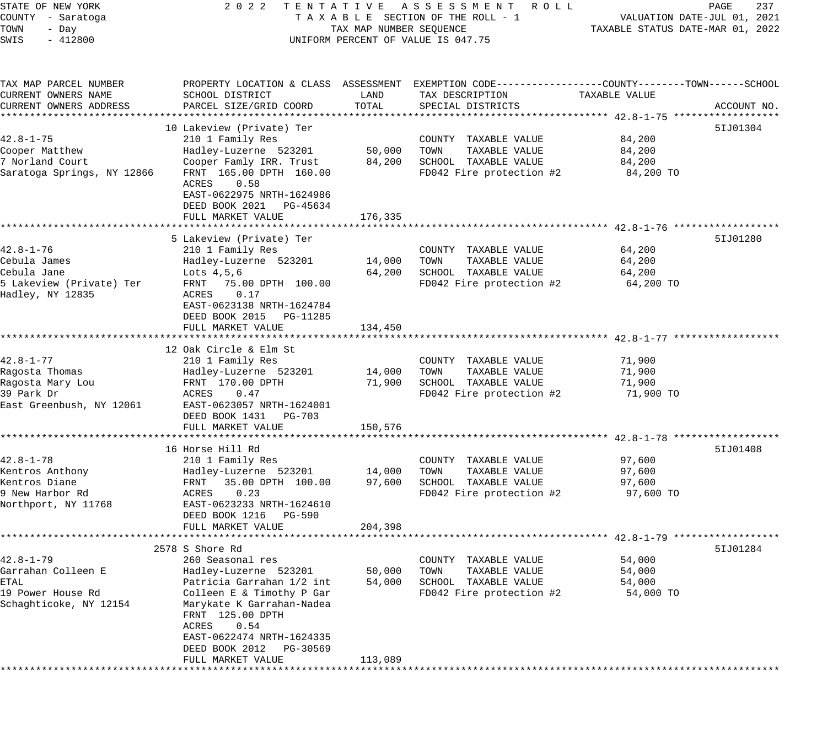| STATE OF NEW YORK                            | 2 0 2 2                                                                                            |                          | TENTATIVE ASSESSMENT ROLL                            |                                  | PAGE<br>237                 |
|----------------------------------------------|----------------------------------------------------------------------------------------------------|--------------------------|------------------------------------------------------|----------------------------------|-----------------------------|
| COUNTY - Saratoga                            |                                                                                                    |                          | TAXABLE SECTION OF THE ROLL - 1                      |                                  | VALUATION DATE-JUL 01, 2021 |
| TOWN<br>- Day                                |                                                                                                    | TAX MAP NUMBER SEQUENCE  |                                                      | TAXABLE STATUS DATE-MAR 01, 2022 |                             |
| $-412800$<br>SWIS                            |                                                                                                    |                          | UNIFORM PERCENT OF VALUE IS 047.75                   |                                  |                             |
|                                              |                                                                                                    |                          |                                                      |                                  |                             |
| TAX MAP PARCEL NUMBER                        | PROPERTY LOCATION & CLASS ASSESSMENT EXEMPTION CODE---------------COUNTY-------TOWN------SCHOOL    |                          |                                                      |                                  |                             |
| CURRENT OWNERS NAME                          | SCHOOL DISTRICT                                                                                    | LAND                     | TAX DESCRIPTION                                      | TAXABLE VALUE                    |                             |
| CURRENT OWNERS ADDRESS                       | PARCEL SIZE/GRID COORD                                                                             | TOTAL                    | SPECIAL DISTRICTS                                    |                                  | ACCOUNT NO.                 |
|                                              |                                                                                                    |                          |                                                      |                                  |                             |
|                                              | 10 Lakeview (Private) Ter                                                                          |                          |                                                      |                                  | 51J01304                    |
| $42.8 - 1 - 75$                              | 210 1 Family Res                                                                                   |                          | COUNTY TAXABLE VALUE                                 | 84,200                           |                             |
| Cooper Matthew                               | Hadley-Luzerne 523201                                                                              | 50,000                   | TAXABLE VALUE<br>TOWN                                | 84,200                           |                             |
| 7 Norland Court                              | Cooper Famly IRR. Trust                                                                            | 84,200                   | SCHOOL TAXABLE VALUE                                 | 84,200                           |                             |
| Saratoga Springs, NY 12866                   | FRNT 165.00 DPTH 160.00                                                                            |                          | FD042 Fire protection #2                             | 84,200 TO                        |                             |
|                                              | 0.58<br>ACRES<br>EAST-0622975 NRTH-1624986<br>DEED BOOK 2021 PG-45634<br>FULL MARKET VALUE         | 176,335                  |                                                      |                                  |                             |
|                                              |                                                                                                    |                          | ******************************* 42.8-1-76 *******    |                                  |                             |
|                                              | 5 Lakeview (Private) Ter                                                                           |                          |                                                      |                                  | 51J01280                    |
| 42.8-1-76                                    | 210 1 Family Res                                                                                   |                          |                                                      |                                  |                             |
|                                              |                                                                                                    |                          | COUNTY TAXABLE VALUE                                 | 64,200                           |                             |
| Cebula James                                 | Hadley-Luzerne 523201                                                                              | 14,000                   | TAXABLE VALUE<br>TOWN                                | 64,200                           |                             |
| Cebula Jane                                  | Lots 4,5,6                                                                                         | 64,200                   | SCHOOL TAXABLE VALUE                                 | 64,200                           |                             |
| 5 Lakeview (Private) Ter<br>Hadley, NY 12835 | FRNT 75.00 DPTH 100.00<br>0.17<br>ACRES<br>EAST-0623138 NRTH-1624784<br>DEED BOOK 2015<br>PG-11285 |                          | FD042 Fire protection #2                             | 64,200 TO                        |                             |
|                                              |                                                                                                    |                          |                                                      |                                  |                             |
|                                              | FULL MARKET VALUE<br>*****************************                                                 | 134,450<br>************* | ******************************** 42.8-1-77 ********* |                                  |                             |
|                                              |                                                                                                    |                          |                                                      |                                  |                             |
|                                              | 12 Oak Circle & Elm St                                                                             |                          |                                                      |                                  |                             |
| $42.8 - 1 - 77$                              | 210 1 Family Res                                                                                   |                          | COUNTY TAXABLE VALUE                                 | 71,900                           |                             |
| Ragosta Thomas                               | Hadley-Luzerne 523201                                                                              | 14,000                   | TAXABLE VALUE<br>TOWN                                | 71,900                           |                             |
| Ragosta Mary Lou                             | FRNT 170.00 DPTH                                                                                   | 71,900                   | SCHOOL TAXABLE VALUE                                 | 71,900                           |                             |
| 39 Park Dr<br>East Greenbush, NY 12061       | ACRES<br>0.47<br>EAST-0623057 NRTH-1624001                                                         |                          | FD042 Fire protection #2                             | 71,900 TO                        |                             |
|                                              | DEED BOOK 1431<br>PG-703                                                                           |                          |                                                      |                                  |                             |
|                                              | FULL MARKET VALUE                                                                                  | 150,576                  |                                                      |                                  |                             |
|                                              | *************************                                                                          |                          |                                                      |                                  |                             |
|                                              | 16 Horse Hill Rd                                                                                   |                          |                                                      |                                  | 51J01408                    |
| $42.8 - 1 - 78$                              | 210 1 Family Res                                                                                   |                          | COUNTY TAXABLE VALUE                                 | 97,600                           |                             |
| Kentros Anthony                              | Hadley-Luzerne 523201                                                                              | 14,000                   | TAXABLE VALUE<br>TOWN                                | 97,600                           |                             |
| Kentros Diane                                | FRNT<br>35.00 DPTH 100.00                                                                          | 97,600                   | SCHOOL TAXABLE VALUE                                 | 97,600                           |                             |
| 9 New Harbor Rd                              | 0.23<br>ACRES                                                                                      |                          | FD042 Fire protection #2                             | 97,600 TO                        |                             |
| Northport, NY 11768                          | EAST-0623233 NRTH-1624610                                                                          |                          |                                                      |                                  |                             |
|                                              | DEED BOOK 1216<br>PG-590                                                                           |                          |                                                      |                                  |                             |
|                                              | FULL MARKET VALUE                                                                                  | 204,398                  |                                                      |                                  |                             |
|                                              |                                                                                                    |                          |                                                      |                                  |                             |
|                                              | 2578 S Shore Rd                                                                                    |                          |                                                      |                                  | 51J01284                    |
| $42.8 - 1 - 79$                              | 260 Seasonal res                                                                                   |                          | COUNTY<br>TAXABLE VALUE                              | 54,000                           |                             |
| Garrahan Colleen E                           | Hadley-Luzerne 523201                                                                              | 50,000                   | TOWN<br>TAXABLE VALUE                                | 54,000                           |                             |
| ETAL                                         | Patricia Garrahan 1/2 int                                                                          | 54,000                   | SCHOOL TAXABLE VALUE                                 | 54,000                           |                             |
| 19 Power House Rd                            | Colleen E & Timothy P Gar                                                                          |                          | FD042 Fire protection #2                             | 54,000 TO                        |                             |
| Schaghticoke, NY 12154                       | Marykate K Garrahan-Nadea<br>FRNT 125.00 DPTH                                                      |                          |                                                      |                                  |                             |
|                                              | 0.54<br>ACRES                                                                                      |                          |                                                      |                                  |                             |
|                                              | EAST-0622474 NRTH-1624335                                                                          |                          |                                                      |                                  |                             |
|                                              | DEED BOOK 2012<br>PG-30569                                                                         |                          |                                                      |                                  |                             |
|                                              | FULL MARKET VALUE                                                                                  | 113,089                  |                                                      |                                  |                             |
|                                              | *************************                                                                          |                          |                                                      |                                  |                             |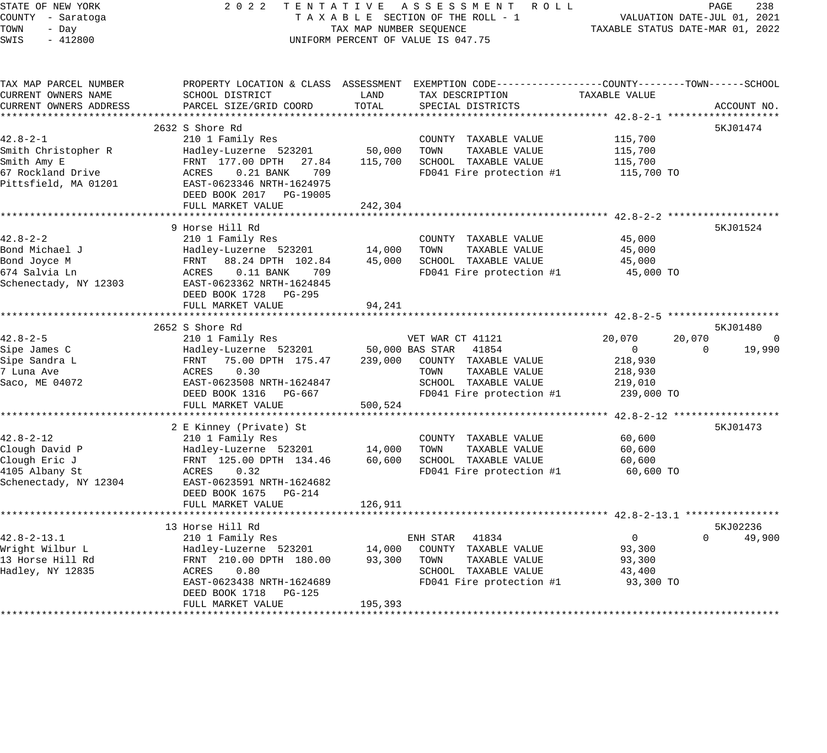| STATE OF NEW YORK<br>COUNTY - Saratoga<br>TOWN<br>- Day<br>SWIS<br>$-412800$ |                                                                                                  | TAX MAP NUMBER SEQUENCE | 2022 TENTATIVE ASSESSMENT ROLL<br>TAXABLE SECTION OF THE ROLL - 1<br>UNIFORM PERCENT OF VALUE IS 047.75 | TAXABLE STATUS DATE-MAR 01, 2022 | PAGE<br>VALUATION DATE-JUL 01, 2021 | 238    |
|------------------------------------------------------------------------------|--------------------------------------------------------------------------------------------------|-------------------------|---------------------------------------------------------------------------------------------------------|----------------------------------|-------------------------------------|--------|
| TAX MAP PARCEL NUMBER                                                        | PROPERTY LOCATION & CLASS ASSESSMENT EXEMPTION CODE----------------COUNTY-------TOWN------SCHOOL |                         |                                                                                                         |                                  |                                     |        |
| CURRENT OWNERS NAME                                                          | SCHOOL DISTRICT                                                                                  | LAND                    | TAX DESCRIPTION                                                                                         | TAXABLE VALUE                    |                                     |        |
| CURRENT OWNERS ADDRESS<br>**********************                             | PARCEL SIZE/GRID COORD                                                                           | TOTAL                   | SPECIAL DISTRICTS                                                                                       |                                  | ACCOUNT NO.                         |        |
|                                                                              | 2632 S Shore Rd                                                                                  |                         |                                                                                                         |                                  | 5KJ01474                            |        |
| $42.8 - 2 - 1$                                                               | 210 1 Family Res                                                                                 |                         | COUNTY TAXABLE VALUE                                                                                    | 115,700                          |                                     |        |
| Smith Christopher R                                                          | Hadley-Luzerne 523201                                                                            | 50,000                  | TOWN<br>TAXABLE VALUE                                                                                   | 115,700                          |                                     |        |
| Smith Amy E                                                                  | FRNT 177.00 DPTH 27.84                                                                           | 115,700                 | SCHOOL TAXABLE VALUE                                                                                    | 115,700                          |                                     |        |
| 67 Rockland Drive<br>Pittsfield, MA 01201                                    | ACRES<br>$0.21$ BANK<br>709<br>EAST-0623346 NRTH-1624975<br>DEED BOOK 2017 PG-19005              |                         | FD041 Fire protection #1                                                                                | 115,700 TO                       |                                     |        |
|                                                                              | FULL MARKET VALUE                                                                                | 242,304                 |                                                                                                         |                                  |                                     |        |
|                                                                              | 9 Horse Hill Rd                                                                                  |                         |                                                                                                         |                                  | 5KJ01524                            |        |
| $42.8 - 2 - 2$                                                               | 210 1 Family Res                                                                                 |                         | COUNTY TAXABLE VALUE                                                                                    | 45,000                           |                                     |        |
| Bond Michael J                                                               | Hadley-Luzerne 523201                                                                            | 14,000                  | TOWN<br>TAXABLE VALUE                                                                                   | 45,000                           |                                     |        |
| Bond Joyce M                                                                 | FRNT 88.24 DPTH 102.84                                                                           | 45,000                  | SCHOOL TAXABLE VALUE                                                                                    | 45,000                           |                                     |        |
| 674 Salvia Ln                                                                | ACRES<br>$0.11$ BANK<br>709                                                                      |                         | FD041 Fire protection #1                                                                                | 45,000 TO                        |                                     |        |
| Schenectady, NY 12303                                                        | EAST-0623362 NRTH-1624845<br>DEED BOOK 1728 PG-295<br>FULL MARKET VALUE                          | 94,241                  |                                                                                                         |                                  |                                     |        |
|                                                                              |                                                                                                  |                         |                                                                                                         |                                  |                                     |        |
|                                                                              | 2652 S Shore Rd                                                                                  |                         |                                                                                                         |                                  | 5KJ01480                            |        |
| 42.8-2-5                                                                     | 210 1 Family Res                                                                                 |                         | VET WAR CT 41121                                                                                        | 20,070                           | 20,070                              | 0      |
| Sipe James C                                                                 | Hadley-Luzerne 523201                                                                            |                         | 50,000 BAS STAR<br>41854                                                                                | $\overline{0}$                   | $\Omega$                            | 19,990 |
| Sipe Sandra L                                                                | FRNT 75.00 DPTH 175.47                                                                           | 239,000                 | COUNTY TAXABLE VALUE                                                                                    | 218,930                          |                                     |        |
| 7 Luna Ave                                                                   | ACRES<br>0.30                                                                                    |                         | TOWN<br>TAXABLE VALUE                                                                                   | 218,930                          |                                     |        |
| Saco, ME 04072                                                               | EAST-0623508 NRTH-1624847                                                                        |                         | SCHOOL TAXABLE VALUE                                                                                    | 219,010                          |                                     |        |
|                                                                              | DEED BOOK 1316 PG-667<br>FULL MARKET VALUE                                                       | 500,524                 | FD041 Fire protection #1                                                                                | 239,000 TO                       |                                     |        |
|                                                                              |                                                                                                  |                         |                                                                                                         |                                  |                                     |        |
|                                                                              | 2 E Kinney (Private) St                                                                          |                         |                                                                                                         |                                  | 5KJ01473                            |        |
| $42.8 - 2 - 12$                                                              | 210 1 Family Res                                                                                 |                         | COUNTY TAXABLE VALUE                                                                                    | 60,600                           |                                     |        |
| Clough David P                                                               | Hadley-Luzerne 523201                                                                            | 14,000                  | TOWN<br>TAXABLE VALUE                                                                                   | 60,600                           |                                     |        |
| Clough Eric J                                                                | FRNT 125.00 DPTH 134.46                                                                          | 60,600                  | SCHOOL TAXABLE VALUE                                                                                    | 60,600                           |                                     |        |
| 4105 Albany St                                                               | ACRES<br>0.32                                                                                    |                         | FD041 Fire protection #1                                                                                | 60,600 TO                        |                                     |        |
| Schenectady, NY 12304                                                        | EAST-0623591 NRTH-1624682                                                                        |                         |                                                                                                         |                                  |                                     |        |
|                                                                              | DEED BOOK 1675 PG-214                                                                            |                         |                                                                                                         |                                  |                                     |        |
|                                                                              | FULL MARKET VALUE                                                                                | 126,911                 |                                                                                                         |                                  |                                     |        |
|                                                                              |                                                                                                  |                         |                                                                                                         |                                  | 5KJ02236                            |        |
| $42.8 - 2 - 13.1$                                                            | 13 Horse Hill Rd<br>210 1 Family Res                                                             |                         | ENH STAR<br>41834                                                                                       | $\overline{0}$                   | $\Omega$                            | 49,900 |
| Wright Wilbur L                                                              | Hadley-Luzerne 523201                                                                            | 14,000                  | COUNTY TAXABLE VALUE                                                                                    | 93,300                           |                                     |        |
| 13 Horse Hill Rd                                                             | FRNT 210.00 DPTH 180.00                                                                          | 93,300                  | TOWN<br>TAXABLE VALUE                                                                                   | 93,300                           |                                     |        |
| Hadley, NY 12835                                                             | ACRES<br>0.80                                                                                    |                         | SCHOOL TAXABLE VALUE                                                                                    | 43,400                           |                                     |        |
|                                                                              | EAST-0623438 NRTH-1624689                                                                        |                         | FD041 Fire protection #1                                                                                | 93,300 TO                        |                                     |        |
|                                                                              | DEED BOOK 1718 PG-125                                                                            |                         |                                                                                                         |                                  |                                     |        |
|                                                                              | FULL MARKET VALUE                                                                                | 195,393                 |                                                                                                         |                                  |                                     |        |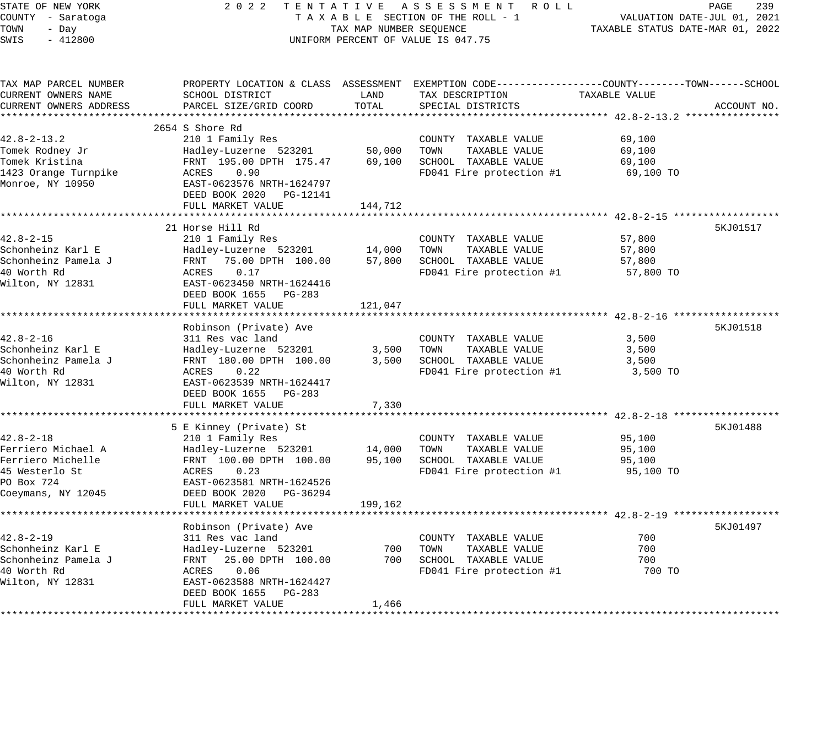| STATE OF NEW YORK            |                                            |                         | 2022 TENTATIVE ASSESSMENT ROLL                                                                 |                                  | PAGE<br>239                 |
|------------------------------|--------------------------------------------|-------------------------|------------------------------------------------------------------------------------------------|----------------------------------|-----------------------------|
| COUNTY - Saratoga            |                                            |                         | TAXABLE SECTION OF THE ROLL - 1                                                                |                                  | VALUATION DATE-JUL 01, 2021 |
| TOWN<br>- Day                |                                            | TAX MAP NUMBER SEQUENCE |                                                                                                | TAXABLE STATUS DATE-MAR 01, 2022 |                             |
| SWIS<br>$-412800$            |                                            |                         | UNIFORM PERCENT OF VALUE IS 047.75                                                             |                                  |                             |
| TAX MAP PARCEL NUMBER        |                                            |                         | PROPERTY LOCATION & CLASS ASSESSMENT EXEMPTION CODE---------------COUNTY-------TOWN-----SCHOOL |                                  |                             |
| CURRENT OWNERS NAME          | SCHOOL DISTRICT                            | LAND                    | TAX DESCRIPTION                                                                                | TAXABLE VALUE                    |                             |
| CURRENT OWNERS ADDRESS       | PARCEL SIZE/GRID COORD                     | TOTAL                   | SPECIAL DISTRICTS                                                                              |                                  | ACCOUNT NO.                 |
|                              | 2654 S Shore Rd                            |                         |                                                                                                |                                  |                             |
| $42.8 - 2 - 13.2$            | 210 1 Family Res                           |                         | COUNTY TAXABLE VALUE                                                                           | 69,100                           |                             |
| Tomek Rodney Jr              | Hadley-Luzerne 523201                      | 50,000                  | TOWN<br>TAXABLE VALUE                                                                          | 69,100                           |                             |
| Tomek Kristina               | FRNT 195.00 DPTH 175.47                    |                         | 69,100 SCHOOL TAXABLE VALUE                                                                    | 69,100                           |                             |
| 1423 Orange Turnpike         | ACRES<br>0.90                              |                         | FD041 Fire protection #1                                                                       | 69,100 TO                        |                             |
| Monroe, NY 10950             | EAST-0623576 NRTH-1624797                  |                         |                                                                                                |                                  |                             |
|                              | DEED BOOK 2020 PG-12141                    |                         |                                                                                                |                                  |                             |
|                              | FULL MARKET VALUE                          | 144,712                 |                                                                                                |                                  |                             |
|                              |                                            |                         |                                                                                                |                                  |                             |
|                              | 21 Horse Hill Rd                           |                         |                                                                                                |                                  | 5KJ01517                    |
| $42.8 - 2 - 15$              | 210 1 Family Res                           |                         | COUNTY TAXABLE VALUE                                                                           | 57,800                           |                             |
| Schonheinz Karl E            | Hadley-Luzerne 523201                      |                         | 14,000 TOWN<br>TAXABLE VALUE                                                                   | 57,800                           |                             |
| Schonheinz Pamela J          | FRNT 75.00 DPTH 100.00                     |                         | 57,800 SCHOOL TAXABLE VALUE                                                                    | 57,800                           |                             |
| 40 Worth Rd                  | 0.17<br>ACRES                              |                         | FD041 Fire protection #1                                                                       | 57,800 TO                        |                             |
| Wilton, NY 12831             | EAST-0623450 NRTH-1624416                  |                         |                                                                                                |                                  |                             |
|                              | DEED BOOK 1655 PG-283<br>FULL MARKET VALUE | 121,047                 |                                                                                                |                                  |                             |
|                              |                                            |                         |                                                                                                |                                  |                             |
|                              | Robinson (Private) Ave                     |                         |                                                                                                |                                  | 5KJ01518                    |
| $42.8 - 2 - 16$              | 311 Res vac land                           |                         | COUNTY TAXABLE VALUE                                                                           | 3,500                            |                             |
| Schonheinz Karl E            | Hadley-Luzerne 523201                      |                         | 3,500 TOWN<br>TAXABLE VALUE                                                                    | 3,500                            |                             |
| Schonheinz Pamela J          | FRNT 180.00 DPTH 100.00                    |                         | 3,500 SCHOOL TAXABLE VALUE                                                                     | 3,500                            |                             |
| 40 Worth Rd                  | ACRES 0.22                                 |                         | FD041 Fire protection #1                                                                       | 3,500 TO                         |                             |
| Wilton, NY 12831             | EAST-0623539 NRTH-1624417                  |                         |                                                                                                |                                  |                             |
|                              | DEED BOOK 1655 PG-283                      |                         |                                                                                                |                                  |                             |
|                              | FULL MARKET VALUE                          | 7,330                   |                                                                                                |                                  |                             |
|                              |                                            |                         |                                                                                                |                                  |                             |
|                              | 5 E Kinney (Private) St                    |                         |                                                                                                |                                  | 5KJ01488                    |
| $42.8 - 2 - 18$              | 210 1 Family Res                           |                         | COUNTY TAXABLE VALUE                                                                           | 95,100                           |                             |
| Ferriero Michael A           | Hadley-Luzerne 523201                      | 14,000                  | TAXABLE VALUE<br>TOWN                                                                          | 95,100                           |                             |
| Ferriero Michelle            | FRNT 100.00 DPTH 100.00                    |                         | 95,100 SCHOOL TAXABLE VALUE                                                                    | 95,100                           |                             |
| 45 Westerlo St<br>PO Box 724 | ACRES 0.23<br>EAST-0623581 NRTH-1624526    |                         | FD041 Fire protection #1                                                                       | 95,100 TO                        |                             |
| Coeymans, NY 12045           | DEED BOOK 2020 PG-36294                    |                         |                                                                                                |                                  |                             |
|                              | FULL MARKET VALUE                          | 199,162                 |                                                                                                |                                  |                             |
|                              |                                            |                         |                                                                                                |                                  |                             |
|                              | Robinson (Private) Ave                     |                         |                                                                                                |                                  | 5KJ01497                    |
| $42.8 - 2 - 19$              | 311 Res vac land                           |                         | COUNTY TAXABLE VALUE                                                                           | 700                              |                             |
| Schonheinz Karl E            | Hadley-Luzerne 523201                      | 700                     | TOWN<br>TAXABLE VALUE                                                                          | 700                              |                             |
| Schonheinz Pamela J          | FRNT 25.00 DPTH 100.00                     |                         | 700 SCHOOL TAXABLE VALUE                                                                       | 700                              |                             |
| 40 Worth Rd                  | 0.06<br>ACRES                              |                         | FD041 Fire protection #1                                                                       | 700 TO                           |                             |
| Wilton, NY 12831             | EAST-0623588 NRTH-1624427                  |                         |                                                                                                |                                  |                             |
|                              | DEED BOOK 1655 PG-283                      |                         |                                                                                                |                                  |                             |
|                              | FULL MARKET VALUE                          | 1,466                   |                                                                                                |                                  |                             |
|                              |                                            |                         |                                                                                                |                                  |                             |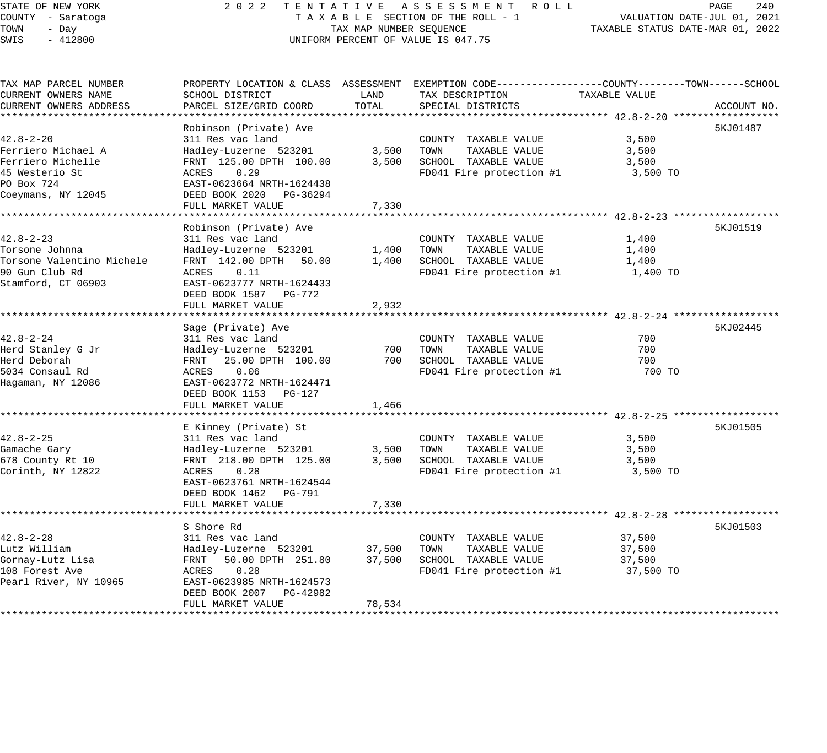# STATE OF NEW YORK 2 0 2 2 T E N T A T I V E A S S E S S M E N T R O L L PAGE 240 COUNTY - Saratoga T A X A B L E SECTION OF THE ROLL - 1 VALUATION DATE-JUL 01, 2021 X A B L E SECTION OF THE ROLL - 1 VALUATION DATE-JUL UI, 2021<br>TAX MAP NUMBER SEQUENCE TAXABLE STATUS DATE-MAR 01, 2022 UNIFORM PERCENT OF VALUE IS 047.75

| CURRENT OWNERS NAME<br>SCHOOL DISTRICT<br>TAX DESCRIPTION<br>TAXABLE VALUE<br>LAND<br>TOTAL<br>CURRENT OWNERS ADDRESS<br>PARCEL SIZE/GRID COORD<br>SPECIAL DISTRICTS<br>ACCOUNT NO.<br>Robinson (Private) Ave<br>5KJ01487<br>$42.8 - 2 - 20$<br>3,500<br>311 Res vac land<br>COUNTY TAXABLE VALUE<br>Ferriero Michael A<br>Hadley-Luzerne 523201<br>3,500<br>TOWN<br>TAXABLE VALUE<br>3,500<br>Ferriero Michelle<br>FRNT 125.00 DPTH 100.00<br>3,500<br>SCHOOL TAXABLE VALUE<br>3,500<br>ACRES<br>0.29<br>FD041 Fire protection #1<br>3,500 TO<br>EAST-0623664 NRTH-1624438<br>DEED BOOK 2020 PG-36294<br>FULL MARKET VALUE<br>7,330<br>Robinson (Private) Ave<br>5KJ01519<br>$42.8 - 2 - 23$<br>311 Res vac land<br>COUNTY TAXABLE VALUE<br>1,400<br>1,400<br>TOWN<br>TAXABLE VALUE<br>Torsone Johnna<br>Hadley-Luzerne 523201<br>1,400<br>SCHOOL TAXABLE VALUE<br>Torsone Valentino Michele<br>FRNT 142.00 DPTH 50.00<br>1,400<br>1,400<br>90 Gun Club Rd<br>ACRES<br>0.11<br>FD041 Fire protection #1<br>1,400 TO<br>Stamford, CT 06903<br>EAST-0623777 NRTH-1624433<br>DEED BOOK 1587 PG-772<br>FULL MARKET VALUE<br>2,932<br>5KJ02445<br>Sage (Private) Ave<br>700<br>$42.8 - 2 - 24$<br>311 Res vac land<br>COUNTY TAXABLE VALUE<br>700<br>700<br>Herd Stanley G Jr<br>Hadley-Luzerne 523201<br>TOWN<br>TAXABLE VALUE<br>Herd Deborah<br>FRNT 25.00 DPTH 100.00<br>700 SCHOOL TAXABLE VALUE<br>700<br>5034 Consaul Rd<br>0.06<br>FD041 Fire protection #1<br>700 TO<br>ACRES<br>Hagaman, NY 12086<br>EAST-0623772 NRTH-1624471<br>DEED BOOK 1153 PG-127<br>FULL MARKET VALUE<br>1,466<br>5KJ01505<br>E Kinney (Private) St<br>$42.8 - 2 - 25$<br>311 Res vac land<br>3,500<br>COUNTY TAXABLE VALUE<br>3,500<br>TAXABLE VALUE<br>Hadley-Luzerne 523201<br>TOWN<br>3,500<br>SCHOOL TAXABLE VALUE<br>678 County Rt 10<br>FRNT 218.00 DPTH 125.00<br>3,500<br>3,500<br>0.28<br>FD041 Fire protection #1<br>ACRES<br>3,500 TO<br>EAST-0623761 NRTH-1624544<br>DEED BOOK 1462 PG-791<br>7,330<br>FULL MARKET VALUE<br>5KJ01503<br>S Shore Rd<br>$42.8 - 2 - 28$<br>311 Res vac land<br>37,500<br>COUNTY TAXABLE VALUE<br>TAXABLE VALUE<br>Lutz William<br>Hadley-Luzerne 523201<br>37,500<br>TOWN<br>37,500<br>Gornay-Lutz Lisa<br>FRNT 50.00 DPTH 251.80<br>37,500<br>SCHOOL TAXABLE VALUE<br>37,500<br>108 Forest Ave<br>0.28<br>FD041 Fire protection #1<br>37,500 TO<br>ACRES<br>Pearl River, NY 10965<br>EAST-0623985 NRTH-1624573<br>DEED BOOK 2007 PG-42982<br>78,534<br>FULL MARKET VALUE | TAX MAP PARCEL NUMBER |  | PROPERTY LOCATION & CLASS ASSESSMENT EXEMPTION CODE----------------COUNTY-------TOWN------SCHOOL |  |
|---------------------------------------------------------------------------------------------------------------------------------------------------------------------------------------------------------------------------------------------------------------------------------------------------------------------------------------------------------------------------------------------------------------------------------------------------------------------------------------------------------------------------------------------------------------------------------------------------------------------------------------------------------------------------------------------------------------------------------------------------------------------------------------------------------------------------------------------------------------------------------------------------------------------------------------------------------------------------------------------------------------------------------------------------------------------------------------------------------------------------------------------------------------------------------------------------------------------------------------------------------------------------------------------------------------------------------------------------------------------------------------------------------------------------------------------------------------------------------------------------------------------------------------------------------------------------------------------------------------------------------------------------------------------------------------------------------------------------------------------------------------------------------------------------------------------------------------------------------------------------------------------------------------------------------------------------------------------------------------------------------------------------------------------------------------------------------------------------------------------------------------------------------------------------------------------------------------------------------------------------------------------------------------------------------------------------------------------------------------------------------------------------------------------------------------------------------------------------------------------------|-----------------------|--|--------------------------------------------------------------------------------------------------|--|
|                                                                                                                                                                                                                                                                                                                                                                                                                                                                                                                                                                                                                                                                                                                                                                                                                                                                                                                                                                                                                                                                                                                                                                                                                                                                                                                                                                                                                                                                                                                                                                                                                                                                                                                                                                                                                                                                                                                                                                                                                                                                                                                                                                                                                                                                                                                                                                                                                                                                                                   |                       |  |                                                                                                  |  |
|                                                                                                                                                                                                                                                                                                                                                                                                                                                                                                                                                                                                                                                                                                                                                                                                                                                                                                                                                                                                                                                                                                                                                                                                                                                                                                                                                                                                                                                                                                                                                                                                                                                                                                                                                                                                                                                                                                                                                                                                                                                                                                                                                                                                                                                                                                                                                                                                                                                                                                   |                       |  |                                                                                                  |  |
|                                                                                                                                                                                                                                                                                                                                                                                                                                                                                                                                                                                                                                                                                                                                                                                                                                                                                                                                                                                                                                                                                                                                                                                                                                                                                                                                                                                                                                                                                                                                                                                                                                                                                                                                                                                                                                                                                                                                                                                                                                                                                                                                                                                                                                                                                                                                                                                                                                                                                                   |                       |  |                                                                                                  |  |
|                                                                                                                                                                                                                                                                                                                                                                                                                                                                                                                                                                                                                                                                                                                                                                                                                                                                                                                                                                                                                                                                                                                                                                                                                                                                                                                                                                                                                                                                                                                                                                                                                                                                                                                                                                                                                                                                                                                                                                                                                                                                                                                                                                                                                                                                                                                                                                                                                                                                                                   |                       |  |                                                                                                  |  |
|                                                                                                                                                                                                                                                                                                                                                                                                                                                                                                                                                                                                                                                                                                                                                                                                                                                                                                                                                                                                                                                                                                                                                                                                                                                                                                                                                                                                                                                                                                                                                                                                                                                                                                                                                                                                                                                                                                                                                                                                                                                                                                                                                                                                                                                                                                                                                                                                                                                                                                   |                       |  |                                                                                                  |  |
|                                                                                                                                                                                                                                                                                                                                                                                                                                                                                                                                                                                                                                                                                                                                                                                                                                                                                                                                                                                                                                                                                                                                                                                                                                                                                                                                                                                                                                                                                                                                                                                                                                                                                                                                                                                                                                                                                                                                                                                                                                                                                                                                                                                                                                                                                                                                                                                                                                                                                                   |                       |  |                                                                                                  |  |
|                                                                                                                                                                                                                                                                                                                                                                                                                                                                                                                                                                                                                                                                                                                                                                                                                                                                                                                                                                                                                                                                                                                                                                                                                                                                                                                                                                                                                                                                                                                                                                                                                                                                                                                                                                                                                                                                                                                                                                                                                                                                                                                                                                                                                                                                                                                                                                                                                                                                                                   |                       |  |                                                                                                  |  |
|                                                                                                                                                                                                                                                                                                                                                                                                                                                                                                                                                                                                                                                                                                                                                                                                                                                                                                                                                                                                                                                                                                                                                                                                                                                                                                                                                                                                                                                                                                                                                                                                                                                                                                                                                                                                                                                                                                                                                                                                                                                                                                                                                                                                                                                                                                                                                                                                                                                                                                   | 45 Westerio St        |  |                                                                                                  |  |
|                                                                                                                                                                                                                                                                                                                                                                                                                                                                                                                                                                                                                                                                                                                                                                                                                                                                                                                                                                                                                                                                                                                                                                                                                                                                                                                                                                                                                                                                                                                                                                                                                                                                                                                                                                                                                                                                                                                                                                                                                                                                                                                                                                                                                                                                                                                                                                                                                                                                                                   | PO Box 724            |  |                                                                                                  |  |
|                                                                                                                                                                                                                                                                                                                                                                                                                                                                                                                                                                                                                                                                                                                                                                                                                                                                                                                                                                                                                                                                                                                                                                                                                                                                                                                                                                                                                                                                                                                                                                                                                                                                                                                                                                                                                                                                                                                                                                                                                                                                                                                                                                                                                                                                                                                                                                                                                                                                                                   | Coeymans, NY 12045    |  |                                                                                                  |  |
|                                                                                                                                                                                                                                                                                                                                                                                                                                                                                                                                                                                                                                                                                                                                                                                                                                                                                                                                                                                                                                                                                                                                                                                                                                                                                                                                                                                                                                                                                                                                                                                                                                                                                                                                                                                                                                                                                                                                                                                                                                                                                                                                                                                                                                                                                                                                                                                                                                                                                                   |                       |  |                                                                                                  |  |
|                                                                                                                                                                                                                                                                                                                                                                                                                                                                                                                                                                                                                                                                                                                                                                                                                                                                                                                                                                                                                                                                                                                                                                                                                                                                                                                                                                                                                                                                                                                                                                                                                                                                                                                                                                                                                                                                                                                                                                                                                                                                                                                                                                                                                                                                                                                                                                                                                                                                                                   |                       |  |                                                                                                  |  |
|                                                                                                                                                                                                                                                                                                                                                                                                                                                                                                                                                                                                                                                                                                                                                                                                                                                                                                                                                                                                                                                                                                                                                                                                                                                                                                                                                                                                                                                                                                                                                                                                                                                                                                                                                                                                                                                                                                                                                                                                                                                                                                                                                                                                                                                                                                                                                                                                                                                                                                   |                       |  |                                                                                                  |  |
|                                                                                                                                                                                                                                                                                                                                                                                                                                                                                                                                                                                                                                                                                                                                                                                                                                                                                                                                                                                                                                                                                                                                                                                                                                                                                                                                                                                                                                                                                                                                                                                                                                                                                                                                                                                                                                                                                                                                                                                                                                                                                                                                                                                                                                                                                                                                                                                                                                                                                                   |                       |  |                                                                                                  |  |
|                                                                                                                                                                                                                                                                                                                                                                                                                                                                                                                                                                                                                                                                                                                                                                                                                                                                                                                                                                                                                                                                                                                                                                                                                                                                                                                                                                                                                                                                                                                                                                                                                                                                                                                                                                                                                                                                                                                                                                                                                                                                                                                                                                                                                                                                                                                                                                                                                                                                                                   |                       |  |                                                                                                  |  |
|                                                                                                                                                                                                                                                                                                                                                                                                                                                                                                                                                                                                                                                                                                                                                                                                                                                                                                                                                                                                                                                                                                                                                                                                                                                                                                                                                                                                                                                                                                                                                                                                                                                                                                                                                                                                                                                                                                                                                                                                                                                                                                                                                                                                                                                                                                                                                                                                                                                                                                   |                       |  |                                                                                                  |  |
|                                                                                                                                                                                                                                                                                                                                                                                                                                                                                                                                                                                                                                                                                                                                                                                                                                                                                                                                                                                                                                                                                                                                                                                                                                                                                                                                                                                                                                                                                                                                                                                                                                                                                                                                                                                                                                                                                                                                                                                                                                                                                                                                                                                                                                                                                                                                                                                                                                                                                                   |                       |  |                                                                                                  |  |
|                                                                                                                                                                                                                                                                                                                                                                                                                                                                                                                                                                                                                                                                                                                                                                                                                                                                                                                                                                                                                                                                                                                                                                                                                                                                                                                                                                                                                                                                                                                                                                                                                                                                                                                                                                                                                                                                                                                                                                                                                                                                                                                                                                                                                                                                                                                                                                                                                                                                                                   |                       |  |                                                                                                  |  |
|                                                                                                                                                                                                                                                                                                                                                                                                                                                                                                                                                                                                                                                                                                                                                                                                                                                                                                                                                                                                                                                                                                                                                                                                                                                                                                                                                                                                                                                                                                                                                                                                                                                                                                                                                                                                                                                                                                                                                                                                                                                                                                                                                                                                                                                                                                                                                                                                                                                                                                   |                       |  |                                                                                                  |  |
|                                                                                                                                                                                                                                                                                                                                                                                                                                                                                                                                                                                                                                                                                                                                                                                                                                                                                                                                                                                                                                                                                                                                                                                                                                                                                                                                                                                                                                                                                                                                                                                                                                                                                                                                                                                                                                                                                                                                                                                                                                                                                                                                                                                                                                                                                                                                                                                                                                                                                                   |                       |  |                                                                                                  |  |
|                                                                                                                                                                                                                                                                                                                                                                                                                                                                                                                                                                                                                                                                                                                                                                                                                                                                                                                                                                                                                                                                                                                                                                                                                                                                                                                                                                                                                                                                                                                                                                                                                                                                                                                                                                                                                                                                                                                                                                                                                                                                                                                                                                                                                                                                                                                                                                                                                                                                                                   |                       |  |                                                                                                  |  |
|                                                                                                                                                                                                                                                                                                                                                                                                                                                                                                                                                                                                                                                                                                                                                                                                                                                                                                                                                                                                                                                                                                                                                                                                                                                                                                                                                                                                                                                                                                                                                                                                                                                                                                                                                                                                                                                                                                                                                                                                                                                                                                                                                                                                                                                                                                                                                                                                                                                                                                   |                       |  |                                                                                                  |  |
|                                                                                                                                                                                                                                                                                                                                                                                                                                                                                                                                                                                                                                                                                                                                                                                                                                                                                                                                                                                                                                                                                                                                                                                                                                                                                                                                                                                                                                                                                                                                                                                                                                                                                                                                                                                                                                                                                                                                                                                                                                                                                                                                                                                                                                                                                                                                                                                                                                                                                                   |                       |  |                                                                                                  |  |
|                                                                                                                                                                                                                                                                                                                                                                                                                                                                                                                                                                                                                                                                                                                                                                                                                                                                                                                                                                                                                                                                                                                                                                                                                                                                                                                                                                                                                                                                                                                                                                                                                                                                                                                                                                                                                                                                                                                                                                                                                                                                                                                                                                                                                                                                                                                                                                                                                                                                                                   |                       |  |                                                                                                  |  |
|                                                                                                                                                                                                                                                                                                                                                                                                                                                                                                                                                                                                                                                                                                                                                                                                                                                                                                                                                                                                                                                                                                                                                                                                                                                                                                                                                                                                                                                                                                                                                                                                                                                                                                                                                                                                                                                                                                                                                                                                                                                                                                                                                                                                                                                                                                                                                                                                                                                                                                   |                       |  |                                                                                                  |  |
|                                                                                                                                                                                                                                                                                                                                                                                                                                                                                                                                                                                                                                                                                                                                                                                                                                                                                                                                                                                                                                                                                                                                                                                                                                                                                                                                                                                                                                                                                                                                                                                                                                                                                                                                                                                                                                                                                                                                                                                                                                                                                                                                                                                                                                                                                                                                                                                                                                                                                                   |                       |  |                                                                                                  |  |
|                                                                                                                                                                                                                                                                                                                                                                                                                                                                                                                                                                                                                                                                                                                                                                                                                                                                                                                                                                                                                                                                                                                                                                                                                                                                                                                                                                                                                                                                                                                                                                                                                                                                                                                                                                                                                                                                                                                                                                                                                                                                                                                                                                                                                                                                                                                                                                                                                                                                                                   |                       |  |                                                                                                  |  |
|                                                                                                                                                                                                                                                                                                                                                                                                                                                                                                                                                                                                                                                                                                                                                                                                                                                                                                                                                                                                                                                                                                                                                                                                                                                                                                                                                                                                                                                                                                                                                                                                                                                                                                                                                                                                                                                                                                                                                                                                                                                                                                                                                                                                                                                                                                                                                                                                                                                                                                   |                       |  |                                                                                                  |  |
|                                                                                                                                                                                                                                                                                                                                                                                                                                                                                                                                                                                                                                                                                                                                                                                                                                                                                                                                                                                                                                                                                                                                                                                                                                                                                                                                                                                                                                                                                                                                                                                                                                                                                                                                                                                                                                                                                                                                                                                                                                                                                                                                                                                                                                                                                                                                                                                                                                                                                                   |                       |  |                                                                                                  |  |
|                                                                                                                                                                                                                                                                                                                                                                                                                                                                                                                                                                                                                                                                                                                                                                                                                                                                                                                                                                                                                                                                                                                                                                                                                                                                                                                                                                                                                                                                                                                                                                                                                                                                                                                                                                                                                                                                                                                                                                                                                                                                                                                                                                                                                                                                                                                                                                                                                                                                                                   |                       |  |                                                                                                  |  |
|                                                                                                                                                                                                                                                                                                                                                                                                                                                                                                                                                                                                                                                                                                                                                                                                                                                                                                                                                                                                                                                                                                                                                                                                                                                                                                                                                                                                                                                                                                                                                                                                                                                                                                                                                                                                                                                                                                                                                                                                                                                                                                                                                                                                                                                                                                                                                                                                                                                                                                   |                       |  |                                                                                                  |  |
|                                                                                                                                                                                                                                                                                                                                                                                                                                                                                                                                                                                                                                                                                                                                                                                                                                                                                                                                                                                                                                                                                                                                                                                                                                                                                                                                                                                                                                                                                                                                                                                                                                                                                                                                                                                                                                                                                                                                                                                                                                                                                                                                                                                                                                                                                                                                                                                                                                                                                                   |                       |  |                                                                                                  |  |
|                                                                                                                                                                                                                                                                                                                                                                                                                                                                                                                                                                                                                                                                                                                                                                                                                                                                                                                                                                                                                                                                                                                                                                                                                                                                                                                                                                                                                                                                                                                                                                                                                                                                                                                                                                                                                                                                                                                                                                                                                                                                                                                                                                                                                                                                                                                                                                                                                                                                                                   |                       |  |                                                                                                  |  |
|                                                                                                                                                                                                                                                                                                                                                                                                                                                                                                                                                                                                                                                                                                                                                                                                                                                                                                                                                                                                                                                                                                                                                                                                                                                                                                                                                                                                                                                                                                                                                                                                                                                                                                                                                                                                                                                                                                                                                                                                                                                                                                                                                                                                                                                                                                                                                                                                                                                                                                   | Gamache Gary          |  |                                                                                                  |  |
|                                                                                                                                                                                                                                                                                                                                                                                                                                                                                                                                                                                                                                                                                                                                                                                                                                                                                                                                                                                                                                                                                                                                                                                                                                                                                                                                                                                                                                                                                                                                                                                                                                                                                                                                                                                                                                                                                                                                                                                                                                                                                                                                                                                                                                                                                                                                                                                                                                                                                                   |                       |  |                                                                                                  |  |
|                                                                                                                                                                                                                                                                                                                                                                                                                                                                                                                                                                                                                                                                                                                                                                                                                                                                                                                                                                                                                                                                                                                                                                                                                                                                                                                                                                                                                                                                                                                                                                                                                                                                                                                                                                                                                                                                                                                                                                                                                                                                                                                                                                                                                                                                                                                                                                                                                                                                                                   | Corinth, NY 12822     |  |                                                                                                  |  |
|                                                                                                                                                                                                                                                                                                                                                                                                                                                                                                                                                                                                                                                                                                                                                                                                                                                                                                                                                                                                                                                                                                                                                                                                                                                                                                                                                                                                                                                                                                                                                                                                                                                                                                                                                                                                                                                                                                                                                                                                                                                                                                                                                                                                                                                                                                                                                                                                                                                                                                   |                       |  |                                                                                                  |  |
|                                                                                                                                                                                                                                                                                                                                                                                                                                                                                                                                                                                                                                                                                                                                                                                                                                                                                                                                                                                                                                                                                                                                                                                                                                                                                                                                                                                                                                                                                                                                                                                                                                                                                                                                                                                                                                                                                                                                                                                                                                                                                                                                                                                                                                                                                                                                                                                                                                                                                                   |                       |  |                                                                                                  |  |
|                                                                                                                                                                                                                                                                                                                                                                                                                                                                                                                                                                                                                                                                                                                                                                                                                                                                                                                                                                                                                                                                                                                                                                                                                                                                                                                                                                                                                                                                                                                                                                                                                                                                                                                                                                                                                                                                                                                                                                                                                                                                                                                                                                                                                                                                                                                                                                                                                                                                                                   |                       |  |                                                                                                  |  |
|                                                                                                                                                                                                                                                                                                                                                                                                                                                                                                                                                                                                                                                                                                                                                                                                                                                                                                                                                                                                                                                                                                                                                                                                                                                                                                                                                                                                                                                                                                                                                                                                                                                                                                                                                                                                                                                                                                                                                                                                                                                                                                                                                                                                                                                                                                                                                                                                                                                                                                   |                       |  |                                                                                                  |  |
|                                                                                                                                                                                                                                                                                                                                                                                                                                                                                                                                                                                                                                                                                                                                                                                                                                                                                                                                                                                                                                                                                                                                                                                                                                                                                                                                                                                                                                                                                                                                                                                                                                                                                                                                                                                                                                                                                                                                                                                                                                                                                                                                                                                                                                                                                                                                                                                                                                                                                                   |                       |  |                                                                                                  |  |
|                                                                                                                                                                                                                                                                                                                                                                                                                                                                                                                                                                                                                                                                                                                                                                                                                                                                                                                                                                                                                                                                                                                                                                                                                                                                                                                                                                                                                                                                                                                                                                                                                                                                                                                                                                                                                                                                                                                                                                                                                                                                                                                                                                                                                                                                                                                                                                                                                                                                                                   |                       |  |                                                                                                  |  |
|                                                                                                                                                                                                                                                                                                                                                                                                                                                                                                                                                                                                                                                                                                                                                                                                                                                                                                                                                                                                                                                                                                                                                                                                                                                                                                                                                                                                                                                                                                                                                                                                                                                                                                                                                                                                                                                                                                                                                                                                                                                                                                                                                                                                                                                                                                                                                                                                                                                                                                   |                       |  |                                                                                                  |  |
|                                                                                                                                                                                                                                                                                                                                                                                                                                                                                                                                                                                                                                                                                                                                                                                                                                                                                                                                                                                                                                                                                                                                                                                                                                                                                                                                                                                                                                                                                                                                                                                                                                                                                                                                                                                                                                                                                                                                                                                                                                                                                                                                                                                                                                                                                                                                                                                                                                                                                                   |                       |  |                                                                                                  |  |
|                                                                                                                                                                                                                                                                                                                                                                                                                                                                                                                                                                                                                                                                                                                                                                                                                                                                                                                                                                                                                                                                                                                                                                                                                                                                                                                                                                                                                                                                                                                                                                                                                                                                                                                                                                                                                                                                                                                                                                                                                                                                                                                                                                                                                                                                                                                                                                                                                                                                                                   |                       |  |                                                                                                  |  |
|                                                                                                                                                                                                                                                                                                                                                                                                                                                                                                                                                                                                                                                                                                                                                                                                                                                                                                                                                                                                                                                                                                                                                                                                                                                                                                                                                                                                                                                                                                                                                                                                                                                                                                                                                                                                                                                                                                                                                                                                                                                                                                                                                                                                                                                                                                                                                                                                                                                                                                   |                       |  |                                                                                                  |  |
|                                                                                                                                                                                                                                                                                                                                                                                                                                                                                                                                                                                                                                                                                                                                                                                                                                                                                                                                                                                                                                                                                                                                                                                                                                                                                                                                                                                                                                                                                                                                                                                                                                                                                                                                                                                                                                                                                                                                                                                                                                                                                                                                                                                                                                                                                                                                                                                                                                                                                                   |                       |  |                                                                                                  |  |
|                                                                                                                                                                                                                                                                                                                                                                                                                                                                                                                                                                                                                                                                                                                                                                                                                                                                                                                                                                                                                                                                                                                                                                                                                                                                                                                                                                                                                                                                                                                                                                                                                                                                                                                                                                                                                                                                                                                                                                                                                                                                                                                                                                                                                                                                                                                                                                                                                                                                                                   |                       |  |                                                                                                  |  |
|                                                                                                                                                                                                                                                                                                                                                                                                                                                                                                                                                                                                                                                                                                                                                                                                                                                                                                                                                                                                                                                                                                                                                                                                                                                                                                                                                                                                                                                                                                                                                                                                                                                                                                                                                                                                                                                                                                                                                                                                                                                                                                                                                                                                                                                                                                                                                                                                                                                                                                   |                       |  |                                                                                                  |  |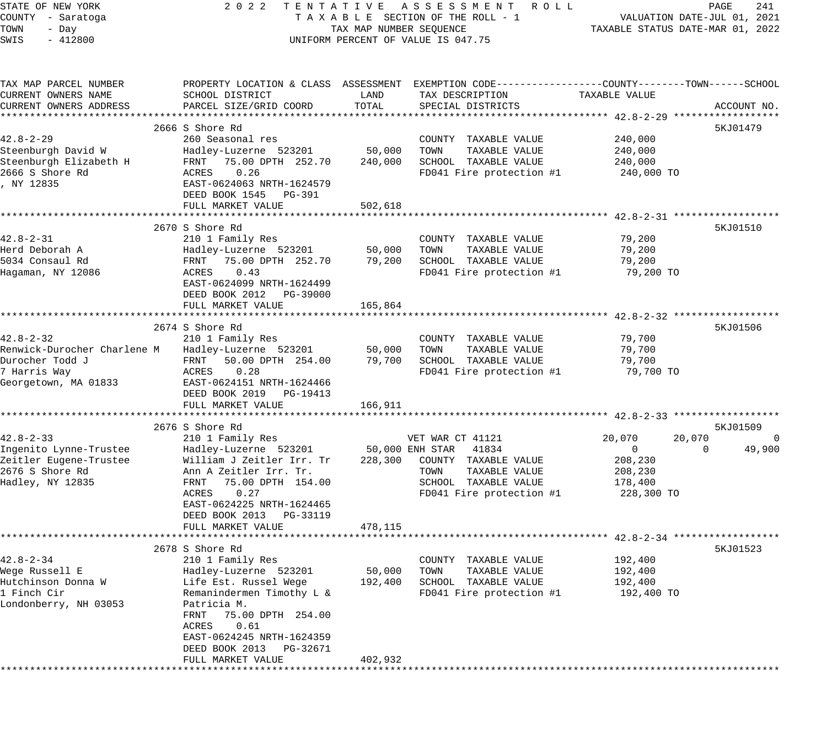| STATE OF NEW YORK           | 2 0 2 2                                 |                         | TENTATIVE ASSESSMENT<br>R O L L                                                                |                                       | PAGE<br>241                 |
|-----------------------------|-----------------------------------------|-------------------------|------------------------------------------------------------------------------------------------|---------------------------------------|-----------------------------|
| COUNTY - Saratoga           |                                         |                         | TAXABLE SECTION OF THE ROLL - 1                                                                |                                       | VALUATION DATE-JUL 01, 2021 |
| TOWN<br>- Day               |                                         | TAX MAP NUMBER SEQUENCE |                                                                                                | TAXABLE STATUS DATE-MAR 01, 2022      |                             |
| SWIS<br>$-412800$           |                                         |                         | UNIFORM PERCENT OF VALUE IS 047.75                                                             |                                       |                             |
|                             |                                         |                         |                                                                                                |                                       |                             |
| TAX MAP PARCEL NUMBER       |                                         |                         | PROPERTY LOCATION & CLASS ASSESSMENT EXEMPTION CODE---------------COUNTY-------TOWN-----SCHOOL |                                       |                             |
| CURRENT OWNERS NAME         | SCHOOL DISTRICT                         | LAND                    | TAX DESCRIPTION                                                                                | TAXABLE VALUE                         |                             |
| CURRENT OWNERS ADDRESS      | PARCEL SIZE/GRID COORD                  | TOTAL                   | SPECIAL DISTRICTS                                                                              |                                       | ACCOUNT NO.                 |
|                             |                                         |                         |                                                                                                |                                       |                             |
|                             | 2666 S Shore Rd                         |                         |                                                                                                |                                       | 5KJ01479                    |
| $42.8 - 2 - 29$             | 260 Seasonal res                        |                         | COUNTY TAXABLE VALUE                                                                           | 240,000                               |                             |
| Steenburgh David W          | Hadley-Luzerne 523201                   | 50,000                  | TOWN<br>TAXABLE VALUE                                                                          | 240,000                               |                             |
| Steenburgh Elizabeth H      | 75.00 DPTH 252.70<br>FRNT               | 240,000                 | SCHOOL TAXABLE VALUE                                                                           | 240,000                               |                             |
| 2666 S Shore Rd             | 0.26<br>ACRES                           |                         | FD041 Fire protection #1                                                                       | 240,000 TO                            |                             |
| , NY 12835                  | EAST-0624063 NRTH-1624579               |                         |                                                                                                |                                       |                             |
|                             | DEED BOOK 1545<br>PG-391                |                         |                                                                                                |                                       |                             |
|                             | FULL MARKET VALUE                       | 502,618                 |                                                                                                |                                       |                             |
|                             | ************************                |                         |                                                                                                |                                       |                             |
|                             | 2670 S Shore Rd                         |                         |                                                                                                |                                       | 5KJ01510                    |
| $42.8 - 2 - 31$             | 210 1 Family Res                        |                         | COUNTY TAXABLE VALUE                                                                           | 79,200                                |                             |
| Herd Deborah A              | Hadley-Luzerne 523201                   | 50,000                  | TAXABLE VALUE<br>TOWN                                                                          | 79,200                                |                             |
| 5034 Consaul Rd             | FRNT<br>75.00 DPTH 252.70               | 79,200                  | SCHOOL TAXABLE VALUE                                                                           | 79,200                                |                             |
| Hagaman, NY 12086           | 0.43<br>ACRES                           |                         | FD041 Fire protection #1                                                                       | 79,200 TO                             |                             |
|                             | EAST-0624099 NRTH-1624499               |                         |                                                                                                |                                       |                             |
|                             | DEED BOOK 2012    PG-39000              |                         |                                                                                                |                                       |                             |
|                             | FULL MARKET VALUE                       | 165,864                 |                                                                                                |                                       |                             |
|                             | * * * * * * * * * * * * * * * * * * * * |                         |                                                                                                | ************************ 42.8-2-32 ** |                             |
|                             | 2674 S Shore Rd                         |                         |                                                                                                |                                       | 5KJ01506                    |
| $42.8 - 2 - 32$             |                                         |                         |                                                                                                |                                       |                             |
|                             | 210 1 Family Res                        |                         | COUNTY TAXABLE VALUE                                                                           | 79,700                                |                             |
| Renwick-Durocher Charlene M | Hadley-Luzerne 523201                   | 50,000                  | TAXABLE VALUE<br>TOWN                                                                          | 79,700                                |                             |
| Durocher Todd J             | FRNT 50.00 DPTH 254.00                  | 79,700                  | SCHOOL TAXABLE VALUE                                                                           | 79,700                                |                             |
| 7 Harris Way                | 0.28<br>ACRES                           |                         | FD041 Fire protection #1                                                                       | 79,700 TO                             |                             |
| Georgetown, MA 01833        | EAST-0624151 NRTH-1624466               |                         |                                                                                                |                                       |                             |
|                             | DEED BOOK 2019 PG-19413                 |                         |                                                                                                |                                       |                             |
|                             | FULL MARKET VALUE                       | 166,911                 |                                                                                                |                                       |                             |
|                             |                                         |                         |                                                                                                |                                       |                             |
|                             | 2676 S Shore Rd                         |                         |                                                                                                |                                       | 5KJ01509                    |
| $42.8 - 2 - 33$             | 210 1 Family Res                        |                         | VET WAR CT 41121                                                                               | 20,070                                | 20,070                      |
| Ingenito Lynne-Trustee      | Hadley-Luzerne 523201                   |                         | 50,000 ENH STAR<br>41834                                                                       | $\overline{0}$                        | 49,900<br>$\Omega$          |
| Zeitler Eugene-Trustee      | William J Zeitler Irr. Tr               | 228,300                 | COUNTY TAXABLE VALUE                                                                           | 208,230                               |                             |
| 2676 S Shore Rd             | Ann A Zeitler Irr. Tr.                  |                         | TAXABLE VALUE<br>TOWN                                                                          | 208,230                               |                             |
| Hadley, NY 12835            | 75.00 DPTH 154.00<br>FRNT               |                         | SCHOOL TAXABLE VALUE                                                                           | 178,400                               |                             |
|                             | 0.27<br>ACRES                           |                         | FD041 Fire protection #1                                                                       | 228,300 TO                            |                             |
|                             | EAST-0624225 NRTH-1624465               |                         |                                                                                                |                                       |                             |
|                             | DEED BOOK 2013 PG-33119                 |                         |                                                                                                |                                       |                             |
|                             | FULL MARKET VALUE                       | 478,115                 |                                                                                                |                                       |                             |
|                             | **************************************  |                         | **************************** 42.8-2-34 *********                                               |                                       |                             |
|                             | 2678 S Shore Rd                         |                         |                                                                                                |                                       | 5KJ01523                    |
| 42.8-2-34                   | 210 1 Family Res                        |                         | COUNTY<br>TAXABLE VALUE                                                                        | 192,400                               |                             |
| Wege Russell E              | Hadley-Luzerne 523201                   | 50,000                  | TOWN<br>TAXABLE VALUE                                                                          | 192,400                               |                             |
| Hutchinson Donna W          | Life Est. Russel Wege                   | 192,400                 | SCHOOL TAXABLE VALUE                                                                           | 192,400                               |                             |
| 1 Finch Cir                 | Remanindermen Timothy L &               |                         | FD041 Fire protection #1                                                                       | 192,400 TO                            |                             |
| Londonberry, NH 03053       | Patricia M.                             |                         |                                                                                                |                                       |                             |
|                             | FRNT<br>75.00 DPTH 254.00               |                         |                                                                                                |                                       |                             |
|                             | ACRES<br>0.61                           |                         |                                                                                                |                                       |                             |
|                             | EAST-0624245 NRTH-1624359               |                         |                                                                                                |                                       |                             |
|                             | DEED BOOK 2013                          |                         |                                                                                                |                                       |                             |
|                             | PG-32671<br>FULL MARKET VALUE           | 402,932                 |                                                                                                |                                       |                             |
|                             |                                         |                         |                                                                                                |                                       |                             |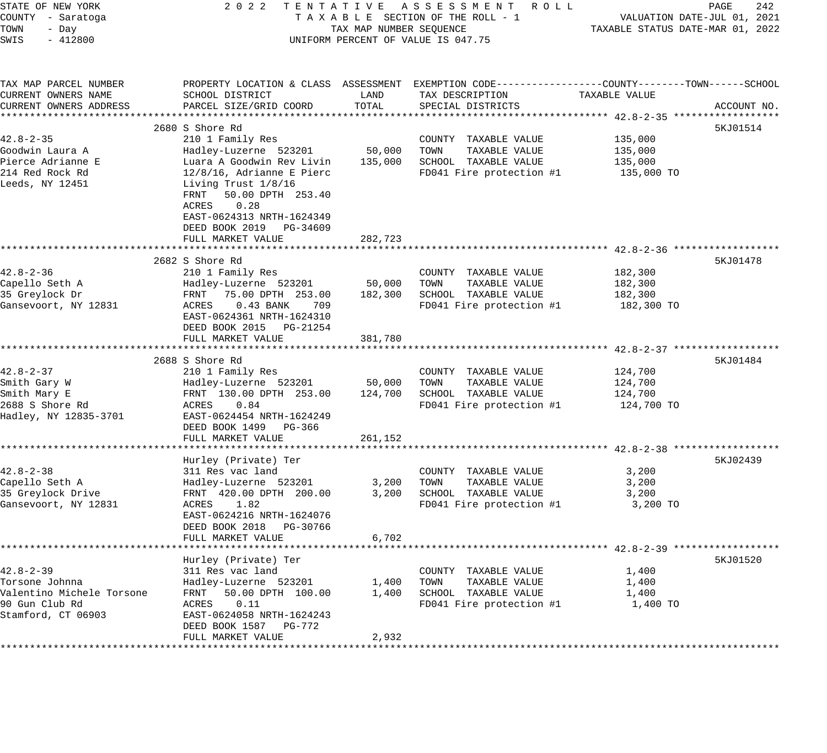| PAGE<br>242                                                                                             | ACCOUNT NO.                                                                                                                                  | 5KJ01514                                                                                                                                                                                                                                                                 | 5KJ01478                                                                                                                                                                                      | 5KJ01484                                                                                                                                                                            | 5KJ02439                                                                                                                                                                                   | 5KJ01520                                                                                                                                                                                   |
|---------------------------------------------------------------------------------------------------------|----------------------------------------------------------------------------------------------------------------------------------------------|--------------------------------------------------------------------------------------------------------------------------------------------------------------------------------------------------------------------------------------------------------------------------|-----------------------------------------------------------------------------------------------------------------------------------------------------------------------------------------------|-------------------------------------------------------------------------------------------------------------------------------------------------------------------------------------|--------------------------------------------------------------------------------------------------------------------------------------------------------------------------------------------|--------------------------------------------------------------------------------------------------------------------------------------------------------------------------------------------|
| VALUATION DATE-JUL 01, 2021<br>TAXABLE STATUS DATE-MAR 01, 2022                                         | TAXABLE VALUE                                                                                                                                | 135,000<br>135,000<br>135,000<br>135,000 TO                                                                                                                                                                                                                              | 182,300<br>182,300<br>182,300<br>182,300 TO                                                                                                                                                   | 124,700<br>124,700<br>124,700<br>124,700 TO                                                                                                                                         | 3,200<br>3,200<br>3,200<br>3,200 TO                                                                                                                                                        | 1,400<br>1,400<br>1,400<br>1,400 TO                                                                                                                                                        |
|                                                                                                         |                                                                                                                                              |                                                                                                                                                                                                                                                                          |                                                                                                                                                                                               |                                                                                                                                                                                     |                                                                                                                                                                                            |                                                                                                                                                                                            |
| 2022 TENTATIVE ASSESSMENT ROLL<br>TAXABLE SECTION OF THE ROLL - 1<br>UNIFORM PERCENT OF VALUE IS 047.75 | TAX DESCRIPTION<br>SPECIAL DISTRICTS                                                                                                         | COUNTY TAXABLE VALUE<br>TAXABLE VALUE<br>TOWN<br>SCHOOL TAXABLE VALUE<br>FD041 Fire protection #1                                                                                                                                                                        | COUNTY TAXABLE VALUE<br>TOWN<br>TAXABLE VALUE<br>SCHOOL TAXABLE VALUE<br>FD041 Fire protection #1                                                                                             | COUNTY TAXABLE VALUE<br>TOWN<br>TAXABLE VALUE<br>SCHOOL TAXABLE VALUE<br>FD041 Fire protection #1                                                                                   | COUNTY TAXABLE VALUE<br>TAXABLE VALUE<br>TOWN<br>SCHOOL TAXABLE VALUE<br>FD041 Fire protection #1                                                                                          | COUNTY TAXABLE VALUE<br>TOWN<br>TAXABLE VALUE<br>SCHOOL TAXABLE VALUE<br>FD041 Fire protection #1                                                                                          |
| TAX MAP NUMBER SEQUENCE                                                                                 | LAND<br>TOTAL                                                                                                                                | 50,000<br>135,000<br>282,723                                                                                                                                                                                                                                             | 50,000<br>182,300<br>381,780                                                                                                                                                                  | 50,000<br>124,700<br>261,152                                                                                                                                                        | 3,200<br>3,200<br>6,702                                                                                                                                                                    | 1,400<br>1,400<br>2,932                                                                                                                                                                    |
|                                                                                                         | PROPERTY LOCATION & CLASS ASSESSMENT EXEMPTION CODE---------------COUNTY-------TOWN------SCHOOL<br>SCHOOL DISTRICT<br>PARCEL SIZE/GRID COORD | 2680 S Shore Rd<br>210 1 Family Res<br>Hadley-Luzerne 523201<br>Luara A Goodwin Rev Livin<br>$12/8/16$ , Adrianne E Pierc<br>Living Trust 1/8/16<br>FRNT 50.00 DPTH 253.40<br>0.28<br>ACRES<br>EAST-0624313 NRTH-1624349<br>DEED BOOK 2019 PG-34609<br>FULL MARKET VALUE | 2682 S Shore Rd<br>210 1 Family Res<br>Hadley-Luzerne 523201<br>FRNT 75.00 DPTH 253.00<br>ACRES 0.43 BANK<br>709<br>EAST-0624361 NRTH-1624310<br>DEED BOOK 2015 PG-21254<br>FULL MARKET VALUE | 2688 S Shore Rd<br>210 1 Family Res<br>Hadley-Luzerne 523201<br>FRNT 130.00 DPTH 253.00<br>0.84<br>ACRES<br>EAST-0624454 NRTH-1624249<br>DEED BOOK 1499 PG-366<br>FULL MARKET VALUE | Hurley (Private) Ter<br>311 Res vac land<br>Hadley-Luzerne 523201<br>FRNT 420.00 DPTH 200.00<br>1.82<br>ACRES<br>EAST-0624216 NRTH-1624076<br>DEED BOOK 2018 PG-30766<br>FULL MARKET VALUE | Hurley (Private) Ter<br>311 Res vac land<br>Hadley-Luzerne 523201<br>50.00 DPTH 100.00<br>FRNT<br>0.11<br>ACRES<br>EAST-0624058 NRTH-1624243<br>DEED BOOK 1587 PG-772<br>FULL MARKET VALUE |
| STATE OF NEW YORK<br>COUNTY - Saratoga<br>TOWN<br>- Day<br>SWIS<br>$-412800$                            | TAX MAP PARCEL NUMBER<br>CURRENT OWNERS NAME<br>CURRENT OWNERS ADDRESS                                                                       | $42.8 - 2 - 35$<br>Goodwin Laura A<br>Pierce Adrianne E<br>214 Red Rock Rd<br>Leeds, NY 12451                                                                                                                                                                            | $42.8 - 2 - 36$<br>Capello Seth A<br>35 Greylock Dr<br>Gansevoort, NY 12831                                                                                                                   | 42.8-2-37<br>Smith Gary W<br>Smith Mary E<br>2688 S Shore Rd<br>Hadley, NY 12835-3701                                                                                               | $42.8 - 2 - 38$<br>Capello Seth A<br>35 Greylock Drive<br>Gansevoort, NY 12831                                                                                                             | $42.8 - 2 - 39$<br>Torsone Johnna<br>Valentino Michele Torsone<br>90 Gun Club Rd<br>Stamford, CT 06903                                                                                     |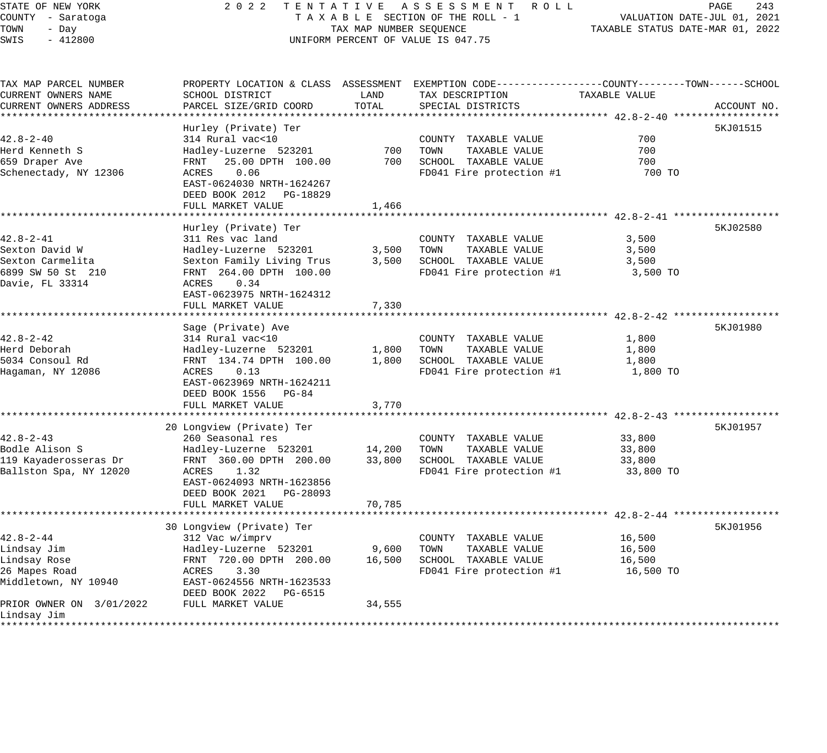# STATE OF NEW YORK 2 0 2 2 T E N T A T I V E A S S E S S M E N T R O L L PAGE 243 COUNTY - Saratoga T A X A B L E SECTION OF THE ROLL - 1 VALUATION DATE-JUL 01, 2021 UNIFORM PERCENT OF VALUE IS 047.75

TOWN - DALUATION DATE-JUL 01, 2021<br>TAXABLE STATUS DATE-MAR 01, 2022

| TAX MAP PARCEL NUMBER    |                            |        | PROPERTY LOCATION & CLASS ASSESSMENT EXEMPTION CODE----------------COUNTY-------TOWN------SCHOOL |               |             |
|--------------------------|----------------------------|--------|--------------------------------------------------------------------------------------------------|---------------|-------------|
| CURRENT OWNERS NAME      | SCHOOL DISTRICT            | LAND   | TAX DESCRIPTION                                                                                  | TAXABLE VALUE |             |
| CURRENT OWNERS ADDRESS   | PARCEL SIZE/GRID COORD     | TOTAL  | SPECIAL DISTRICTS                                                                                |               | ACCOUNT NO. |
|                          |                            |        |                                                                                                  |               |             |
|                          | Hurley (Private) Ter       |        |                                                                                                  |               | 5KJ01515    |
| $42.8 - 2 - 40$          | 314 Rural vac<10           |        | COUNTY TAXABLE VALUE                                                                             | 700           |             |
| Herd Kenneth S           | Hadley-Luzerne 523201      | 700    | TOWN<br>TAXABLE VALUE                                                                            | 700           |             |
| 659 Draper Ave           | 25.00 DPTH 100.00<br>FRNT  | 700    | SCHOOL TAXABLE VALUE                                                                             | 700           |             |
| Schenectady, NY 12306    | 0.06<br>ACRES              |        | FD041 Fire protection #1                                                                         | 700 TO        |             |
|                          | EAST-0624030 NRTH-1624267  |        |                                                                                                  |               |             |
|                          | DEED BOOK 2012<br>PG-18829 |        |                                                                                                  |               |             |
|                          | FULL MARKET VALUE          | 1,466  |                                                                                                  |               |             |
|                          |                            |        |                                                                                                  |               |             |
|                          | Hurley (Private) Ter       |        |                                                                                                  |               | 5KJ02580    |
| $42.8 - 2 - 41$          | 311 Res vac land           |        | COUNTY TAXABLE VALUE                                                                             | 3,500         |             |
| Sexton David W           | Hadley-Luzerne 523201      | 3,500  | TOWN<br>TAXABLE VALUE                                                                            | 3,500         |             |
| Sexton Carmelita         | Sexton Family Living Trus  | 3,500  | SCHOOL TAXABLE VALUE                                                                             | 3,500         |             |
| 6899 SW 50 St 210        | FRNT 264.00 DPTH 100.00    |        | FD041 Fire protection #1                                                                         | 3,500 TO      |             |
| Davie, FL 33314          | ACRES<br>0.34              |        |                                                                                                  |               |             |
|                          | EAST-0623975 NRTH-1624312  |        |                                                                                                  |               |             |
|                          | FULL MARKET VALUE          | 7,330  |                                                                                                  |               |             |
|                          |                            |        | ********************************* 42.8-2-42 *******                                              |               |             |
|                          | Sage (Private) Ave         |        |                                                                                                  |               | 5KJ01980    |
| $42.8 - 2 - 42$          | 314 Rural vac<10           |        | COUNTY TAXABLE VALUE                                                                             | 1,800         |             |
| Herd Deborah             | Hadley-Luzerne 523201      | 1,800  | TOWN<br>TAXABLE VALUE                                                                            | 1,800         |             |
| 5034 Consoul Rd          | FRNT 134.74 DPTH 100.00    | 1,800  | SCHOOL TAXABLE VALUE                                                                             | 1,800         |             |
| Hagaman, NY 12086        | 0.13<br>ACRES              |        | FD041 Fire protection #1                                                                         | 1,800 TO      |             |
|                          | EAST-0623969 NRTH-1624211  |        |                                                                                                  |               |             |
|                          | DEED BOOK 1556 PG-84       |        |                                                                                                  |               |             |
|                          | FULL MARKET VALUE          | 3,770  |                                                                                                  |               |             |
|                          |                            |        |                                                                                                  |               |             |
|                          | 20 Longview (Private) Ter  |        |                                                                                                  |               | 5KJ01957    |
| $42.8 - 2 - 43$          | 260 Seasonal res           |        | COUNTY TAXABLE VALUE                                                                             | 33,800        |             |
| Bodle Alison S           | Hadley-Luzerne 523201      | 14,200 | TOWN<br>TAXABLE VALUE                                                                            | 33,800        |             |
| 119 Kayaderosseras Dr    | FRNT 360.00 DPTH 200.00    | 33,800 | SCHOOL TAXABLE VALUE                                                                             | 33,800        |             |
| Ballston Spa, NY 12020   | ACRES<br>1.32              |        | FD041 Fire protection #1                                                                         | 33,800 TO     |             |
|                          | EAST-0624093 NRTH-1623856  |        |                                                                                                  |               |             |
|                          | DEED BOOK 2021 PG-28093    |        |                                                                                                  |               |             |
|                          | FULL MARKET VALUE          | 70,785 |                                                                                                  |               |             |
|                          | *************************  |        |                                                                                                  |               |             |
|                          | 30 Longview (Private) Ter  |        |                                                                                                  |               | 5KJ01956    |
| $42.8 - 2 - 44$          | 312 Vac w/imprv            |        | COUNTY TAXABLE VALUE                                                                             | 16,500        |             |
| Lindsay Jim              | Hadley-Luzerne 523201      | 9,600  | TOWN<br>TAXABLE VALUE                                                                            | 16,500        |             |
| Lindsay Rose             | FRNT 720.00 DPTH 200.00    | 16,500 | SCHOOL TAXABLE VALUE                                                                             | 16,500        |             |
| 26 Mapes Road            | ACRES<br>3.30              |        | FD041 Fire protection #1                                                                         | 16,500 TO     |             |
| Middletown, NY 10940     | EAST-0624556 NRTH-1623533  |        |                                                                                                  |               |             |
|                          | DEED BOOK 2022<br>PG-6515  |        |                                                                                                  |               |             |
| PRIOR OWNER ON 3/01/2022 | FULL MARKET VALUE          | 34,555 |                                                                                                  |               |             |
| Lindsay Jim              |                            |        |                                                                                                  |               |             |
|                          |                            |        |                                                                                                  |               |             |
|                          |                            |        |                                                                                                  |               |             |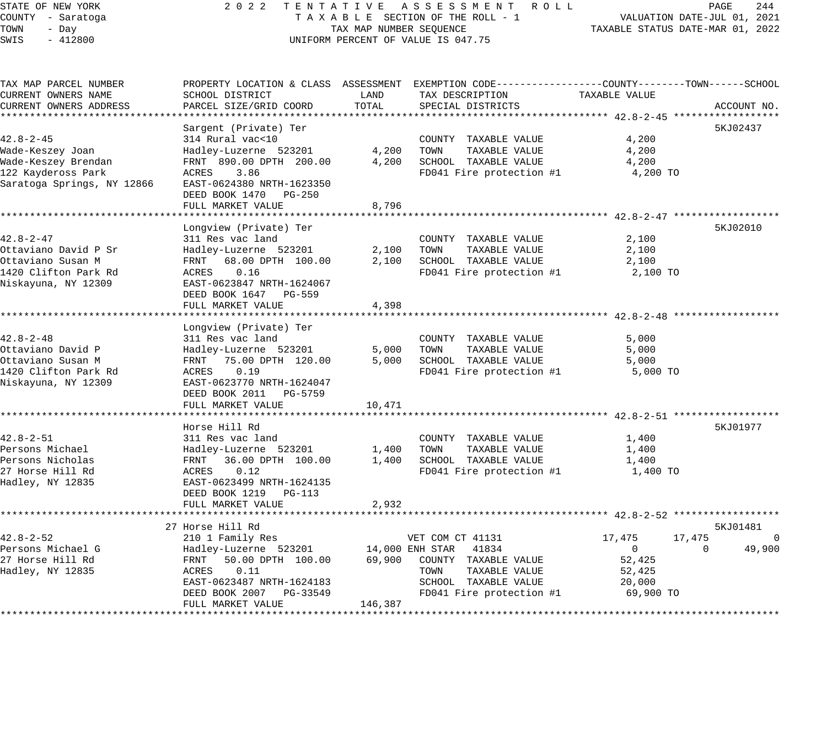# STATE OF NEW YORK 2 0 2 2 T E N T A T I V E A S S E S S M E N T R O L L PAGE 244 COUNTY - Saratoga T A X A B L E SECTION OF THE ROLL - 1 VALUATION DATE-JUL 01, 2021 TAX A B L E SECTION OF THE ROLL - 1<br>TAX MAP NUMBER SEQUENCE TAXABLE STATUS DATE-MAR 01, 2022 UNIFORM PERCENT OF VALUE IS 047.75

| TAX MAP PARCEL NUMBER      |                           |         | PROPERTY LOCATION & CLASS ASSESSMENT EXEMPTION CODE---------------COUNTY-------TOWN------SCHOOL |                  |                    |
|----------------------------|---------------------------|---------|-------------------------------------------------------------------------------------------------|------------------|--------------------|
| CURRENT OWNERS NAME        | SCHOOL DISTRICT           | LAND    | TAX DESCRIPTION                                                                                 | TAXABLE VALUE    |                    |
| CURRENT OWNERS ADDRESS     | PARCEL SIZE/GRID COORD    | TOTAL   | SPECIAL DISTRICTS                                                                               |                  | ACCOUNT NO.        |
|                            |                           |         |                                                                                                 |                  |                    |
|                            | Sargent (Private) Ter     |         |                                                                                                 |                  | 5KJ02437           |
| $42.8 - 2 - 45$            | 314 Rural vac<10          |         | COUNTY TAXABLE VALUE                                                                            | 4,200            |                    |
| Wade-Keszey Joan           | Hadley-Luzerne 523201     | 4,200   | TOWN<br>TAXABLE VALUE                                                                           | 4,200            |                    |
| Wade-Keszey Brendan        | FRNT 890.00 DPTH 200.00   | 4,200   | SCHOOL TAXABLE VALUE                                                                            | 4,200            |                    |
| 122 Kaydeross Park         | ACRES<br>3.86             |         | FD041 Fire protection #1                                                                        | 4,200 TO         |                    |
| Saratoga Springs, NY 12866 | EAST-0624380 NRTH-1623350 |         |                                                                                                 |                  |                    |
|                            | DEED BOOK 1470<br>PG-250  |         |                                                                                                 |                  |                    |
|                            | FULL MARKET VALUE         | 8,796   |                                                                                                 |                  |                    |
|                            | Longview (Private) Ter    |         |                                                                                                 |                  | 5KJ02010           |
| $42.8 - 2 - 47$            | 311 Res vac land          |         | COUNTY TAXABLE VALUE                                                                            | 2,100            |                    |
| Ottaviano David P Sr       | Hadley-Luzerne 523201     | 2,100   | TOWN<br>TAXABLE VALUE                                                                           | 2,100            |                    |
| Ottaviano Susan M          | FRNT 68.00 DPTH 100.00    | 2,100   | SCHOOL TAXABLE VALUE                                                                            | 2,100            |                    |
| 1420 Clifton Park Rd       | ACRES<br>0.16             |         | FD041 Fire protection #1                                                                        | 2,100 TO         |                    |
| Niskayuna, NY 12309        | EAST-0623847 NRTH-1624067 |         |                                                                                                 |                  |                    |
|                            | DEED BOOK 1647 PG-559     |         |                                                                                                 |                  |                    |
|                            | FULL MARKET VALUE         | 4,398   |                                                                                                 |                  |                    |
|                            |                           |         |                                                                                                 |                  |                    |
|                            | Longview (Private) Ter    |         |                                                                                                 |                  |                    |
| $42.8 - 2 - 48$            | 311 Res vac land          |         | COUNTY TAXABLE VALUE                                                                            | 5,000            |                    |
| Ottaviano David P          | Hadley-Luzerne 523201     | 5,000   | TAXABLE VALUE<br>TOWN                                                                           | 5,000            |                    |
| Ottaviano Susan M          | FRNT 75.00 DPTH 120.00    | 5,000   | SCHOOL TAXABLE VALUE                                                                            | 5,000            |                    |
| 1420 Clifton Park Rd       | 0.19<br>ACRES             |         | FD041 Fire protection #1                                                                        | 5,000 TO         |                    |
| Niskayuna, NY 12309        | EAST-0623770 NRTH-1624047 |         |                                                                                                 |                  |                    |
|                            | DEED BOOK 2011<br>PG-5759 |         |                                                                                                 |                  |                    |
|                            | FULL MARKET VALUE         | 10,471  |                                                                                                 |                  |                    |
|                            |                           |         |                                                                                                 |                  |                    |
|                            | Horse Hill Rd             |         |                                                                                                 |                  | 5KJ01977           |
| $42.8 - 2 - 51$            | 311 Res vac land          |         | COUNTY TAXABLE VALUE                                                                            | 1,400            |                    |
| Persons Michael            | Hadley-Luzerne 523201     | 1,400   | TAXABLE VALUE<br>TOWN                                                                           | 1,400            |                    |
| Persons Nicholas           | FRNT 36.00 DPTH 100.00    | 1,400   | SCHOOL TAXABLE VALUE                                                                            | 1,400            |                    |
| 27 Horse Hill Rd           | ACRES<br>0.12             |         | FD041 Fire protection #1                                                                        | 1,400 TO         |                    |
| Hadley, NY 12835           | EAST-0623499 NRTH-1624135 |         |                                                                                                 |                  |                    |
|                            | DEED BOOK 1219 PG-113     |         |                                                                                                 |                  |                    |
|                            | FULL MARKET VALUE         | 2,932   |                                                                                                 |                  |                    |
|                            |                           |         |                                                                                                 |                  |                    |
|                            | 27 Horse Hill Rd          |         |                                                                                                 |                  | 5KJ01481           |
| $42.8 - 2 - 52$            | 210 1 Family Res          |         | VET COM CT 41131                                                                                | 17,475<br>17,475 | $\overline{0}$     |
| Persons Michael G          | Hadley-Luzerne 523201     |         | 14,000 ENH STAR 41834                                                                           | $\mathbf{0}$     | 49,900<br>$\Omega$ |
| 27 Horse Hill Rd           | FRNT 50.00 DPTH 100.00    | 69,900  | COUNTY TAXABLE VALUE                                                                            | 52,425           |                    |
| Hadley, NY 12835           | 0.11<br>ACRES             |         | TOWN<br>TAXABLE VALUE                                                                           | 52,425           |                    |
|                            | EAST-0623487 NRTH-1624183 |         | SCHOOL TAXABLE VALUE                                                                            | 20,000           |                    |
|                            | DEED BOOK 2007 PG-33549   |         | FD041 Fire protection #1                                                                        | 69,900 TO        |                    |
|                            | FULL MARKET VALUE         | 146,387 |                                                                                                 |                  |                    |
|                            |                           |         |                                                                                                 |                  |                    |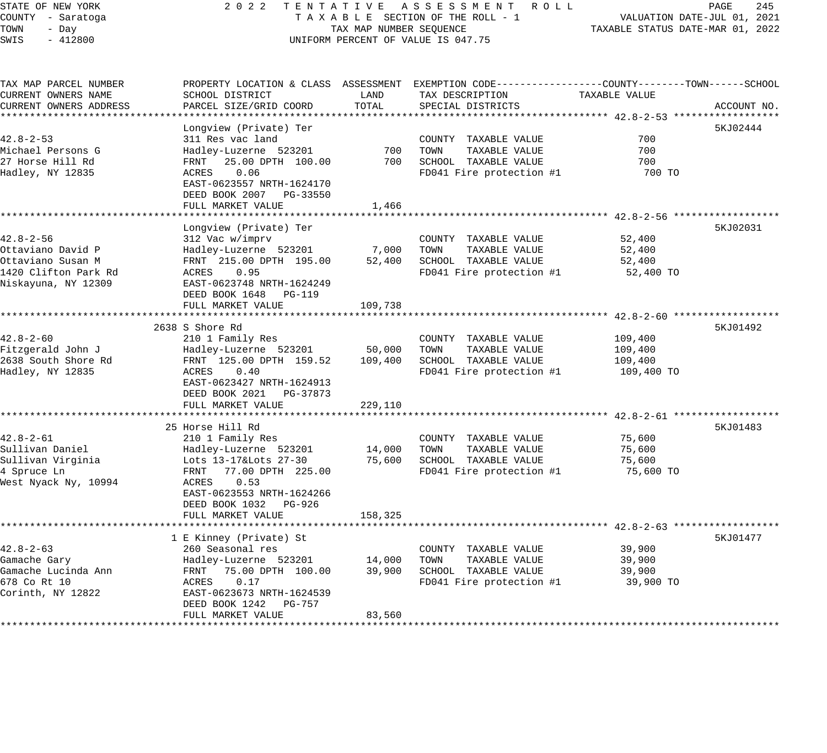# STATE OF NEW YORK 2 0 2 2 T E N T A T I V E A S S E S S M E N T R O L L PAGE 245 COUNTY - Saratoga T A X A B L E SECTION OF THE ROLL - 1 VALUATION DATE-JUL 01, 2021 TAX MAP NUMBER SEQUENCE TAXABLE STATUS DATE-MAR 01, 2022 UNIFORM PERCENT OF VALUE IS 047.75

| TAX MAP PARCEL NUMBER<br>CURRENT OWNERS NAME<br>CURRENT OWNERS ADDRESS | SCHOOL DISTRICT<br>PARCEL SIZE/GRID COORD | LAND<br>TOTAL | PROPERTY LOCATION & CLASS ASSESSMENT EXEMPTION CODE----------------COUNTY-------TOWN------SCHOOL<br>TAX DESCRIPTION<br>SPECIAL DISTRICTS | TAXABLE VALUE | ACCOUNT NO. |
|------------------------------------------------------------------------|-------------------------------------------|---------------|------------------------------------------------------------------------------------------------------------------------------------------|---------------|-------------|
|                                                                        |                                           |               |                                                                                                                                          |               |             |
|                                                                        | Longview (Private) Ter                    |               |                                                                                                                                          |               | 5KJ02444    |
| $42.8 - 2 - 53$                                                        | 311 Res vac land                          |               | COUNTY TAXABLE VALUE                                                                                                                     | 700           |             |
| Michael Persons G                                                      | Hadley-Luzerne 523201                     | 700           | TOWN<br>TAXABLE VALUE                                                                                                                    | 700           |             |
| 27 Horse Hill Rd                                                       | 25.00 DPTH 100.00<br>FRNT                 | 700           | SCHOOL TAXABLE VALUE                                                                                                                     | 700           |             |
| Hadley, NY 12835                                                       | ACRES<br>0.06                             |               | FD041 Fire protection #1                                                                                                                 | 700 TO        |             |
|                                                                        | EAST-0623557 NRTH-1624170                 |               |                                                                                                                                          |               |             |
|                                                                        | DEED BOOK 2007 PG-33550                   |               |                                                                                                                                          |               |             |
|                                                                        | FULL MARKET VALUE                         | 1,466         |                                                                                                                                          |               |             |
|                                                                        |                                           |               |                                                                                                                                          |               |             |
|                                                                        | Longview (Private) Ter                    |               |                                                                                                                                          |               | 5KJ02031    |
| $42.8 - 2 - 56$                                                        | 312 Vac w/imprv                           |               | COUNTY TAXABLE VALUE                                                                                                                     | 52,400        |             |
| Ottaviano David P                                                      | Hadley-Luzerne 523201                     | 7,000         | TOWN<br>TAXABLE VALUE                                                                                                                    | 52,400        |             |
| Ottaviano Susan M                                                      | FRNT 215.00 DPTH 195.00                   | 52,400        | SCHOOL TAXABLE VALUE                                                                                                                     | 52,400        |             |
| 1420 Clifton Park Rd                                                   | 0.95<br>ACRES                             |               | FD041 Fire protection #1                                                                                                                 | 52,400 TO     |             |
| Niskayuna, NY 12309                                                    | EAST-0623748 NRTH-1624249                 |               |                                                                                                                                          |               |             |
|                                                                        | DEED BOOK 1648 PG-119                     |               |                                                                                                                                          |               |             |
|                                                                        | FULL MARKET VALUE                         | 109,738       |                                                                                                                                          |               |             |
|                                                                        | 2638 S Shore Rd                           |               |                                                                                                                                          |               | 5KJ01492    |
| $42.8 - 2 - 60$                                                        | 210 1 Family Res                          |               | COUNTY TAXABLE VALUE                                                                                                                     | 109,400       |             |
| Fitzgerald John J                                                      | Hadley-Luzerne 523201                     | 50,000        | TOWN<br>TAXABLE VALUE                                                                                                                    | 109,400       |             |
| 2638 South Shore Rd                                                    | FRNT 125.00 DPTH 159.52                   | 109,400       | SCHOOL TAXABLE VALUE                                                                                                                     | 109,400       |             |
| Hadley, NY 12835                                                       | ACRES<br>0.40                             |               | FD041 Fire protection #1                                                                                                                 | 109,400 TO    |             |
|                                                                        | EAST-0623427 NRTH-1624913                 |               |                                                                                                                                          |               |             |
|                                                                        | DEED BOOK 2021 PG-37873                   |               |                                                                                                                                          |               |             |
|                                                                        | FULL MARKET VALUE                         | 229,110       |                                                                                                                                          |               |             |
|                                                                        |                                           |               |                                                                                                                                          |               |             |
|                                                                        | 25 Horse Hill Rd                          |               |                                                                                                                                          |               | 5KJ01483    |
| $42.8 - 2 - 61$                                                        | 210 1 Family Res                          |               | COUNTY TAXABLE VALUE                                                                                                                     | 75,600        |             |
| Sullivan Daniel                                                        | Hadley-Luzerne 523201                     | 14,000        | TOWN<br>TAXABLE VALUE                                                                                                                    | 75,600        |             |
| Sullivan Virginia                                                      | Lots 13-17&Lots 27-30                     | 75,600        | SCHOOL TAXABLE VALUE                                                                                                                     | 75,600        |             |
| 4 Spruce Ln                                                            | FRNT 77.00 DPTH 225.00                    |               | FD041 Fire protection #1                                                                                                                 | 75,600 TO     |             |
| West Nyack Ny, 10994                                                   | ACRES 0.53                                |               |                                                                                                                                          |               |             |
|                                                                        | EAST-0623553 NRTH-1624266                 |               |                                                                                                                                          |               |             |
|                                                                        | DEED BOOK 1032 PG-926                     |               |                                                                                                                                          |               |             |
|                                                                        | FULL MARKET VALUE                         | 158,325       |                                                                                                                                          |               |             |
|                                                                        |                                           |               |                                                                                                                                          |               |             |
|                                                                        | 1 E Kinney (Private) St                   |               |                                                                                                                                          |               | 5KJ01477    |
| $42.8 - 2 - 63$                                                        | 260 Seasonal res                          |               | COUNTY TAXABLE VALUE                                                                                                                     | 39,900        |             |
| Gamache Gary                                                           | Hadley-Luzerne 523201                     | 14,000        | TOWN<br>TAXABLE VALUE                                                                                                                    | 39,900        |             |
| Gamache Lucinda Ann                                                    | FRNT 75.00 DPTH 100.00                    | 39,900        | SCHOOL TAXABLE VALUE                                                                                                                     | 39,900        |             |
| 678 Co Rt 10                                                           | ACRES 0.17                                |               | FD041 Fire protection #1                                                                                                                 | 39,900 TO     |             |
| Corinth, NY 12822                                                      | EAST-0623673 NRTH-1624539                 |               |                                                                                                                                          |               |             |
|                                                                        | DEED BOOK 1242 PG-757                     |               |                                                                                                                                          |               |             |
|                                                                        | FULL MARKET VALUE                         | 83,560        |                                                                                                                                          |               |             |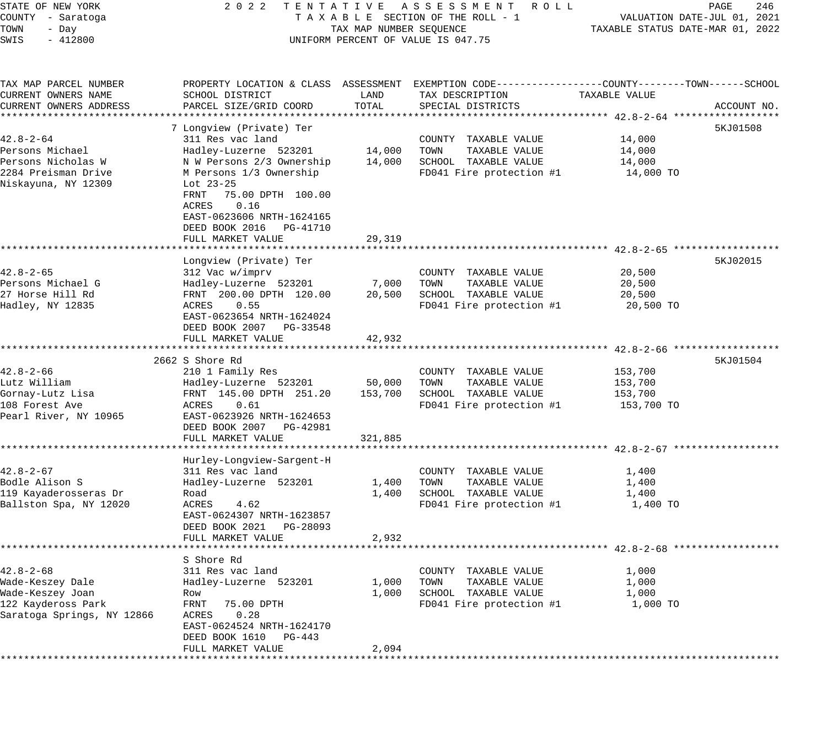| STATE OF NEW YORK<br>COUNTY - Saratoga | 2 0 2 2                                  |                         | TENTATIVE ASSESSMENT<br>R O L L<br>TAXABLE SECTION OF THE ROLL - 1                              |                                  | PAGE<br>246<br>VALUATION DATE-JUL 01, 2021 |
|----------------------------------------|------------------------------------------|-------------------------|-------------------------------------------------------------------------------------------------|----------------------------------|--------------------------------------------|
| TOWN<br>- Day                          |                                          | TAX MAP NUMBER SEQUENCE |                                                                                                 | TAXABLE STATUS DATE-MAR 01, 2022 |                                            |
| SWIS<br>$-412800$                      |                                          |                         | UNIFORM PERCENT OF VALUE IS 047.75                                                              |                                  |                                            |
| TAX MAP PARCEL NUMBER                  |                                          |                         | PROPERTY LOCATION & CLASS ASSESSMENT EXEMPTION CODE---------------COUNTY-------TOWN------SCHOOL |                                  |                                            |
| CURRENT OWNERS NAME                    | SCHOOL DISTRICT                          | LAND                    | TAX DESCRIPTION                                                                                 | TAXABLE VALUE                    |                                            |
| CURRENT OWNERS ADDRESS                 | PARCEL SIZE/GRID COORD                   | TOTAL                   | SPECIAL DISTRICTS                                                                               |                                  | ACCOUNT NO.                                |
|                                        |                                          |                         |                                                                                                 |                                  |                                            |
|                                        | 7 Longview (Private) Ter                 |                         |                                                                                                 |                                  | 5KJ01508                                   |
| $42.8 - 2 - 64$                        | 311 Res vac land                         |                         | COUNTY TAXABLE VALUE                                                                            | 14,000                           |                                            |
| Persons Michael                        | Hadley-Luzerne 523201                    | 14,000                  | TOWN<br>TAXABLE VALUE                                                                           | 14,000                           |                                            |
| Persons Nicholas W                     | N W Persons 2/3 Ownership                | 14,000                  | SCHOOL TAXABLE VALUE                                                                            | 14,000                           |                                            |
| 2284 Preisman Drive                    | M Persons 1/3 Ownership                  |                         | FD041 Fire protection #1                                                                        | 14,000 TO                        |                                            |
| Niskayuna, NY 12309                    | Lot $23-25$<br>75.00 DPTH 100.00<br>FRNT |                         |                                                                                                 |                                  |                                            |
|                                        | 0.16<br>ACRES                            |                         |                                                                                                 |                                  |                                            |
|                                        | EAST-0623606 NRTH-1624165                |                         |                                                                                                 |                                  |                                            |
|                                        | DEED BOOK 2016<br>PG-41710               |                         |                                                                                                 |                                  |                                            |
|                                        | FULL MARKET VALUE                        | 29,319                  |                                                                                                 |                                  |                                            |
|                                        |                                          |                         |                                                                                                 |                                  |                                            |
| $42.8 - 2 - 65$                        | Longview (Private) Ter                   |                         | COUNTY TAXABLE VALUE                                                                            | 20,500                           | 5KJ02015                                   |
| Persons Michael G                      | 312 Vac w/imprv<br>Hadley-Luzerne 523201 | 7,000                   | TOWN<br>TAXABLE VALUE                                                                           | 20,500                           |                                            |
| 27 Horse Hill Rd                       | FRNT 200.00 DPTH 120.00                  | 20,500                  | SCHOOL TAXABLE VALUE                                                                            | 20,500                           |                                            |
| Hadley, NY 12835                       | ACRES<br>0.55                            |                         | FD041 Fire protection #1                                                                        | 20,500 TO                        |                                            |
|                                        | EAST-0623654 NRTH-1624024                |                         |                                                                                                 |                                  |                                            |
|                                        | DEED BOOK 2007<br>PG-33548               |                         |                                                                                                 |                                  |                                            |
|                                        | FULL MARKET VALUE                        | 42,932                  |                                                                                                 |                                  |                                            |
|                                        |                                          |                         |                                                                                                 |                                  |                                            |
|                                        | 2662 S Shore Rd                          |                         |                                                                                                 |                                  | 5KJ01504                                   |
| $42.8 - 2 - 66$                        | 210 1 Family Res                         |                         | COUNTY TAXABLE VALUE                                                                            | 153,700                          |                                            |
| Lutz William                           | Hadley-Luzerne 523201                    | 50,000                  | TOWN<br>TAXABLE VALUE                                                                           | 153,700                          |                                            |
| Gornay-Lutz Lisa                       | FRNT 145.00 DPTH 251.20                  | 153,700                 | SCHOOL TAXABLE VALUE                                                                            | 153,700                          |                                            |
| 108 Forest Ave                         | 0.61<br>ACRES                            |                         | FD041 Fire protection #1                                                                        | 153,700 TO                       |                                            |
| Pearl River, NY 10965                  | EAST-0623926 NRTH-1624653                |                         |                                                                                                 |                                  |                                            |
|                                        | DEED BOOK 2007<br>PG-42981               |                         |                                                                                                 |                                  |                                            |
|                                        | FULL MARKET VALUE                        | 321,885                 |                                                                                                 |                                  |                                            |
|                                        | Hurley-Longview-Sargent-H                |                         |                                                                                                 |                                  |                                            |
| $42.8 - 2 - 67$                        | 311 Res vac land                         |                         | COUNTY TAXABLE VALUE                                                                            | 1,400                            |                                            |
| Bodle Alison S                         | Hadley-Luzerne 523201                    | 1,400                   | TOWN<br>TAXABLE VALUE                                                                           | 1,400                            |                                            |
| 119 Kayaderosseras Dr                  | Road                                     | 1,400                   | SCHOOL TAXABLE VALUE                                                                            | 1,400                            |                                            |
| Ballston Spa, NY 12020                 | ACRES<br>4.62                            |                         | FD041 Fire protection #1                                                                        | 1,400 TO                         |                                            |
|                                        | EAST-0624307 NRTH-1623857                |                         |                                                                                                 |                                  |                                            |
|                                        | DEED BOOK 2021<br>PG-28093               |                         |                                                                                                 |                                  |                                            |
|                                        | FULL MARKET VALUE                        | 2,932                   |                                                                                                 |                                  |                                            |
|                                        |                                          |                         |                                                                                                 |                                  |                                            |
|                                        | S Shore Rd                               |                         |                                                                                                 |                                  |                                            |
| $42.8 - 2 - 68$                        | 311 Res vac land                         |                         | COUNTY TAXABLE VALUE                                                                            | 1,000                            |                                            |
| Wade-Keszey Dale                       | Hadley-Luzerne 523201                    | 1,000                   | TAXABLE VALUE<br>TOWN                                                                           | 1,000                            |                                            |
| Wade-Keszey Joan                       | Row                                      | 1,000                   | SCHOOL TAXABLE VALUE                                                                            | 1,000                            |                                            |
| 122 Kaydeross Park                     | FRNT<br>75.00 DPTH                       |                         | FD041 Fire protection #1                                                                        | 1,000 TO                         |                                            |
| Saratoga Springs, NY 12866             | ACRES<br>0.28                            |                         |                                                                                                 |                                  |                                            |
|                                        | EAST-0624524 NRTH-1624170                |                         |                                                                                                 |                                  |                                            |
|                                        | DEED BOOK 1610<br>PG-443                 |                         |                                                                                                 |                                  |                                            |
|                                        | FULL MARKET VALUE                        | 2,094                   |                                                                                                 |                                  |                                            |
|                                        |                                          |                         |                                                                                                 |                                  |                                            |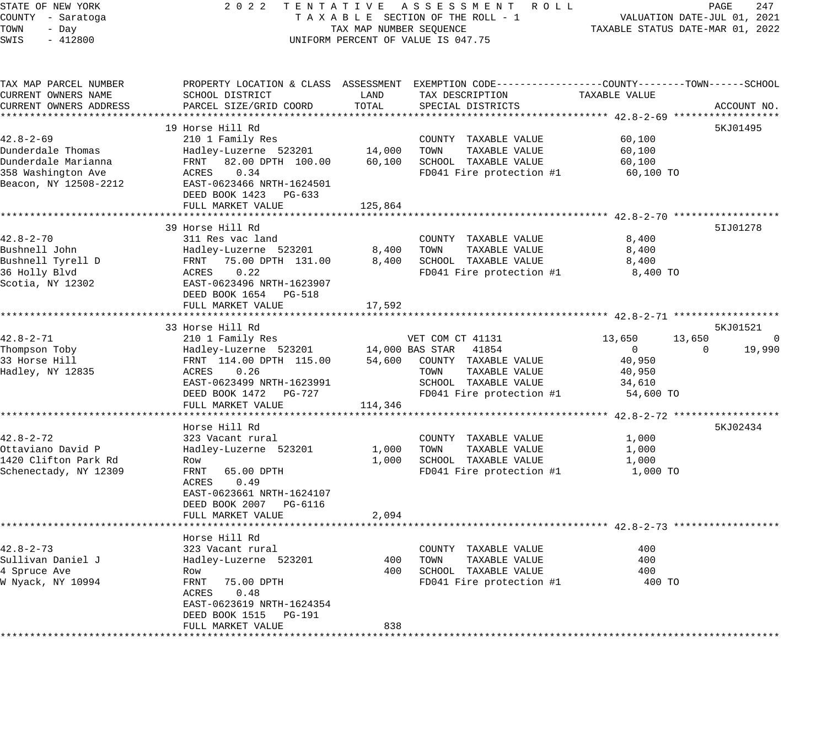STATE OF NEW YORK 2 0 2 2 T E N T A T I V E A S S E S S M E N T R O L L PAGE 247 COUNTY - Saratoga T A X A B L E SECTION OF THE ROLL - 1 VALUATION DATE-JUL 01, 2021 TOWN - Day TAX MAP NUMBER SEQUENCE TAXABLE STATUS DATE-MAR 01, 2022 SWIS - 412800 CONTROLLY THE UNIFORM PERCENT OF VALUE IS 047.75 TAX MAP PARCEL NUMBER PROPERTY LOCATION & CLASS ASSESSMENT EXEMPTION CODE------------------COUNTY--------TOWN------SCHOOL CURRENT OWNERS NAME SCHOOL DISTRICT LAND TAX DESCRIPTION TAXABLE VALUE CURRENT OWNERS ADDRESS PARCEL SIZE/GRID COORD TOTAL SPECIAL DISTRICTS ACCOUNT NO. \*\*\*\*\*\*\*\*\*\*\*\*\*\*\*\*\*\*\*\*\*\*\*\*\*\*\*\*\*\*\*\*\*\*\*\*\*\*\*\*\*\*\*\*\*\*\*\*\*\*\*\*\*\*\*\*\*\*\*\*\*\*\*\*\*\*\*\*\*\*\*\*\*\*\*\*\*\*\*\*\*\*\*\*\*\*\*\*\*\*\*\*\*\*\*\*\*\*\*\*\*\*\* 42.8-2-69 \*\*\*\*\*\*\*\*\*\*\*\*\*\*\*\*\*\* 19 Horse Hill Rd 42.8-2-69 210 1 Family Res COUNTY TAXABLE VALUE 60,100 Dunderdale Thomas Hadley-Luzerne 523201 14,000 TOWN TAXABLE VALUE 60,100 Dunderdale Marianna FRNT 82.00 DPTH 100.00 60,100 SCHOOL TAXABLE VALUE 60,100 358 Washington Ave ACRES 0.34 FD041 Fire protection #1 60,100 TO Beacon, NY 12508-2212 EAST-0623466 NRTH-1624501 DEED BOOK 1423 PG-633 FULL MARKET VALUE 125,864 \*\*\*\*\*\*\*\*\*\*\*\*\*\*\*\*\*\*\*\*\*\*\*\*\*\*\*\*\*\*\*\*\*\*\*\*\*\*\*\*\*\*\*\*\*\*\*\*\*\*\*\*\*\*\*\*\*\*\*\*\*\*\*\*\*\*\*\*\*\*\*\*\*\*\*\*\*\*\*\*\*\*\*\*\*\*\*\*\*\*\*\*\*\*\*\*\*\*\*\*\*\*\* 42.8-2-70 \*\*\*\*\*\*\*\*\*\*\*\*\*\*\*\*\*\* 39 Horse Hill Rd 5IJ01278 42.8-2-70 311 Res vac land COUNTY TAXABLE VALUE 8,400 Bushnell John Hadley-Luzerne 523201 8,400 TOWN TAXABLE VALUE 8,400 Bushnell Tyrell D FRNT 75.00 DPTH 131.00 8,400 SCHOOL TAXABLE VALUE 8,400 36 Holly Blvd ACRES 0.22 FD041 Fire protection #1 8,400 TO Scotia, NY 12302 EAST-0623496 NRTH-1623907 DEED BOOK 1654 PG-518 FULL MARKET VALUE 17,592 \*\*\*\*\*\*\*\*\*\*\*\*\*\*\*\*\*\*\*\*\*\*\*\*\*\*\*\*\*\*\*\*\*\*\*\*\*\*\*\*\*\*\*\*\*\*\*\*\*\*\*\*\*\*\*\*\*\*\*\*\*\*\*\*\*\*\*\*\*\*\*\*\*\*\*\*\*\*\*\*\*\*\*\*\*\*\*\*\*\*\*\*\*\*\*\*\*\*\*\*\*\*\* 42.8-2-71 \*\*\*\*\*\*\*\*\*\*\*\*\*\*\*\*\*\* 33 Horse Hill Rd 5KJ01521 (1989) 33 Horse Hill Rd 5KJ01521 (1989) 58 SMJ 58 SMJ 58 SMJ 58 SMJ 58 SMJ 58 SMJ 58 SMJ 58 SMJ 58 SMJ 58 SMJ 58 SMJ 58 SMJ 58 SMJ 58 SMJ 58 SMJ 58 SMJ 58 SMJ 58 SMJ 58 SMJ 58 SMJ 58 SMJ 58 SMJ 58 42.8-2-71 210 1 Family Res VET COM CT 41131 13,650 13,650 0 Thompson Toby Hadley-Luzerne 523201 14,000 BAS STAR 41854 0 0 19,990 33 Horse Hill FRNT 114.00 DPTH 115.00 54,600 COUNTY TAXABLE VALUE 40,950 Hadley, NY 12835 ACRES 0.26 TOWN TAXABLE VALUE 40,950 EAST-0623499 NRTH-1623991 SCHOOL TAXABLE VALUE 34,610 DEED BOOK 1472 PG-727 FD041 Fire protection #1 54,600 TO FULL MARKET VALUE 114,346 \*\*\*\*\*\*\*\*\*\*\*\*\*\*\*\*\*\*\*\*\*\*\*\*\*\*\*\*\*\*\*\*\*\*\*\*\*\*\*\*\*\*\*\*\*\*\*\*\*\*\*\*\*\*\*\*\*\*\*\*\*\*\*\*\*\*\*\*\*\*\*\*\*\*\*\*\*\*\*\*\*\*\*\*\*\*\*\*\*\*\*\*\*\*\*\*\*\*\*\*\*\*\* 42.8-2-72 \*\*\*\*\*\*\*\*\*\*\*\*\*\*\*\*\*\* Horse Hill Rd 5KJ02434 and 5KJ02434 and 5KJ02434 and 5KJ02434 and 5KJ02434 and 5KJ02434 and 5KJ02434 42.8-2-72 323 Vacant rural COUNTY TAXABLE VALUE 1,000 Ottaviano David P Hadley-Luzerne 523201 1,000 TOWN TAXABLE VALUE 1,000 1420 Clifton Park Rd Row 1,000 SCHOOL TAXABLE VALUE 1,000 Schenectady, NY 12309 FRNT 65.00 DPTH FOOT FD041 Fire protection #1 1,000 TO ACRES 0.49 EAST-0623661 NRTH-1624107 DEED BOOK 2007 PG-6116 FULL MARKET VALUE 2,094 \*\*\*\*\*\*\*\*\*\*\*\*\*\*\*\*\*\*\*\*\*\*\*\*\*\*\*\*\*\*\*\*\*\*\*\*\*\*\*\*\*\*\*\*\*\*\*\*\*\*\*\*\*\*\*\*\*\*\*\*\*\*\*\*\*\*\*\*\*\*\*\*\*\*\*\*\*\*\*\*\*\*\*\*\*\*\*\*\*\*\*\*\*\*\*\*\*\*\*\*\*\*\* 42.8-2-73 \*\*\*\*\*\*\*\*\*\*\*\*\*\*\*\*\*\* Horse Hill Rd 42.8-2-73 323 Vacant rural COUNTY TAXABLE VALUE 400 Sullivan Daniel J Hadley-Luzerne 523201 400 TOWN TAXABLE VALUE 400 4 Spruce Ave Row 400 SCHOOL TAXABLE VALUE 400 W Nyack, NY 10994 FRNT 75.00 DPTH FD041 Fire protection #1 400 TO ACRES 0.48 EAST-0623619 NRTH-1624354 DEED BOOK 1515 PG-191 FULL MARKET VALUE 838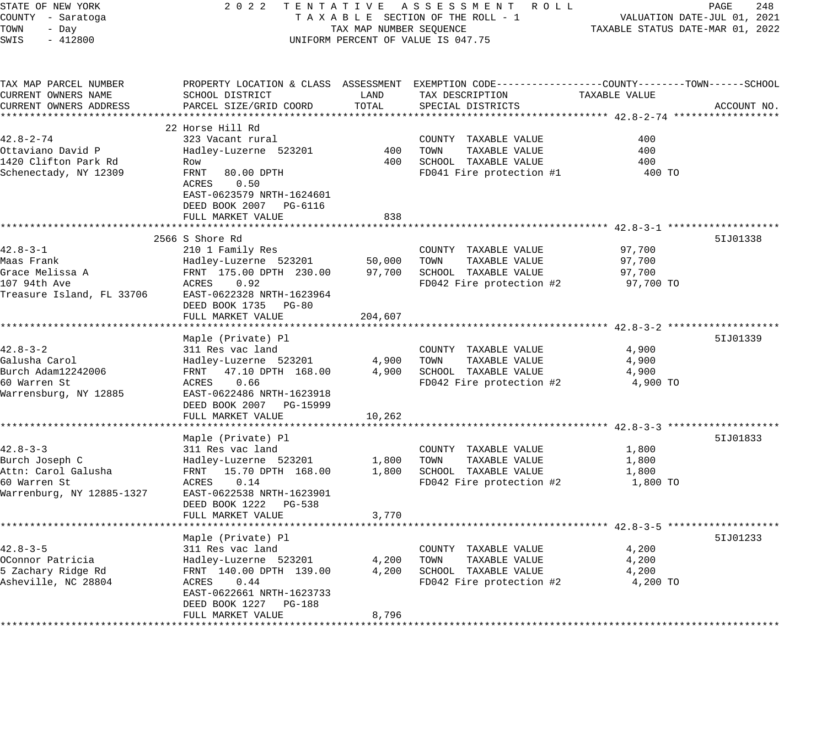| STATE OF NEW YORK<br>COUNTY - Saratoga<br>TOWN<br>- Day<br>SWIS<br>$-412800$                         | 2 0 2 2                                                                                                                                                                                 | TAX MAP NUMBER SEQUENCE                    | TENTATIVE ASSESSMENT ROLL<br>TAXABLE SECTION OF THE ROLL - 1<br>UNIFORM PERCENT OF VALUE IS 047.75                                     |                                         | PAGE<br>248<br>VALUATION DATE-JUL 01, 2021<br>TAXABLE STATUS DATE-MAR 01, 2022 |
|------------------------------------------------------------------------------------------------------|-----------------------------------------------------------------------------------------------------------------------------------------------------------------------------------------|--------------------------------------------|----------------------------------------------------------------------------------------------------------------------------------------|-----------------------------------------|--------------------------------------------------------------------------------|
| TAX MAP PARCEL NUMBER<br>CURRENT OWNERS NAME<br>CURRENT OWNERS ADDRESS                               | SCHOOL DISTRICT<br>PARCEL SIZE/GRID COORD                                                                                                                                               | LAND<br>TOTAL                              | PROPERTY LOCATION & CLASS ASSESSMENT EXEMPTION CODE---------------COUNTY-------TOWN-----SCHOOL<br>TAX DESCRIPTION<br>SPECIAL DISTRICTS | TAXABLE VALUE                           | ACCOUNT NO.                                                                    |
| $42.8 - 2 - 74$<br>Ottaviano David P<br>1420 Clifton Park Rd<br>Schenectady, NY 12309                | 22 Horse Hill Rd<br>323 Vacant rural<br>Hadley-Luzerne 523201<br>Row<br>FRNT<br>80.00 DPTH<br>ACRES<br>0.50<br>EAST-0623579 NRTH-1624601<br>DEED BOOK 2007 PG-6116                      | 400<br>400                                 | COUNTY TAXABLE VALUE<br>TOWN<br>TAXABLE VALUE<br>SCHOOL TAXABLE VALUE<br>FD041 Fire protection #1                                      | 400<br>400<br>400<br>400 TO             |                                                                                |
|                                                                                                      | FULL MARKET VALUE                                                                                                                                                                       | 838                                        |                                                                                                                                        |                                         |                                                                                |
| $42.8 - 3 - 1$<br>Maas Frank<br>Grace Melissa A<br>107 94th Ave<br>Treasure Island, FL 33706         | 2566 S Shore Rd<br>210 1 Family Res<br>Hadley-Luzerne 523201<br>FRNT 175.00 DPTH 230.00<br>ACRES<br>0.92<br>EAST-0622328 NRTH-1623964<br>DEED BOOK 1735 PG-80<br>FULL MARKET VALUE      | 50,000<br>97,700<br>204,607<br>*********** | COUNTY TAXABLE VALUE<br>TOWN<br>TAXABLE VALUE<br>SCHOOL TAXABLE VALUE<br>FD042 Fire protection #2                                      | 97,700<br>97,700<br>97,700<br>97,700 TO | 51J01338                                                                       |
| 42.8-3-2<br>Galusha Carol<br>Burch Adam12242006<br>60 Warren St<br>Warrensburg, NY 12885             | Maple (Private) Pl<br>311 Res vac land<br>Hadley-Luzerne 523201<br>FRNT 47.10 DPTH 168.00<br>0.66<br>ACRES<br>EAST-0622486 NRTH-1623918<br>DEED BOOK 2007 PG-15999<br>FULL MARKET VALUE | 4,900<br>4,900<br>10,262                   | COUNTY TAXABLE VALUE<br>TAXABLE VALUE<br>TOWN<br>SCHOOL TAXABLE VALUE<br>FD042 Fire protection #2                                      | 4,900<br>4,900<br>4,900<br>4,900 TO     | 51J01339                                                                       |
| $42.8 - 3 - 3$<br>Burch Joseph C<br>Attn: Carol Galusha<br>60 Warren St<br>Warrenburg, NY 12885-1327 | Maple (Private) Pl<br>311 Res vac land<br>Hadley-Luzerne 523201<br>FRNT 15.70 DPTH 168.00<br>ACRES<br>0.14<br>EAST-0622538 NRTH-1623901<br>DEED BOOK 1222 PG-538                        | 1,800<br>1,800                             | COUNTY TAXABLE VALUE<br>TOWN<br>TAXABLE VALUE<br>SCHOOL TAXABLE VALUE<br>FD042 Fire protection #2                                      | 1,800<br>1,800<br>1,800<br>1,800 TO     | 51J01833                                                                       |
|                                                                                                      | FULL MARKET VALUE                                                                                                                                                                       | 3,770                                      |                                                                                                                                        |                                         |                                                                                |
| $42.8 - 3 - 5$<br>OConnor Patricia<br>5 Zachary Ridge Rd<br>Asheville, NC 28804                      | Maple (Private) Pl<br>311 Res vac land<br>Hadley-Luzerne 523201<br>FRNT 140.00 DPTH 139.00<br>ACRES<br>0.44<br>EAST-0622661 NRTH-1623733<br>DEED BOOK 1227 PG-188<br>FULL MARKET VALUE  | 4,200<br>4,200<br>8,796                    | COUNTY TAXABLE VALUE<br>TOWN<br>TAXABLE VALUE<br>SCHOOL TAXABLE VALUE<br>FD042 Fire protection #2                                      | 4,200<br>4,200<br>4,200<br>4,200 TO     | 51J01233                                                                       |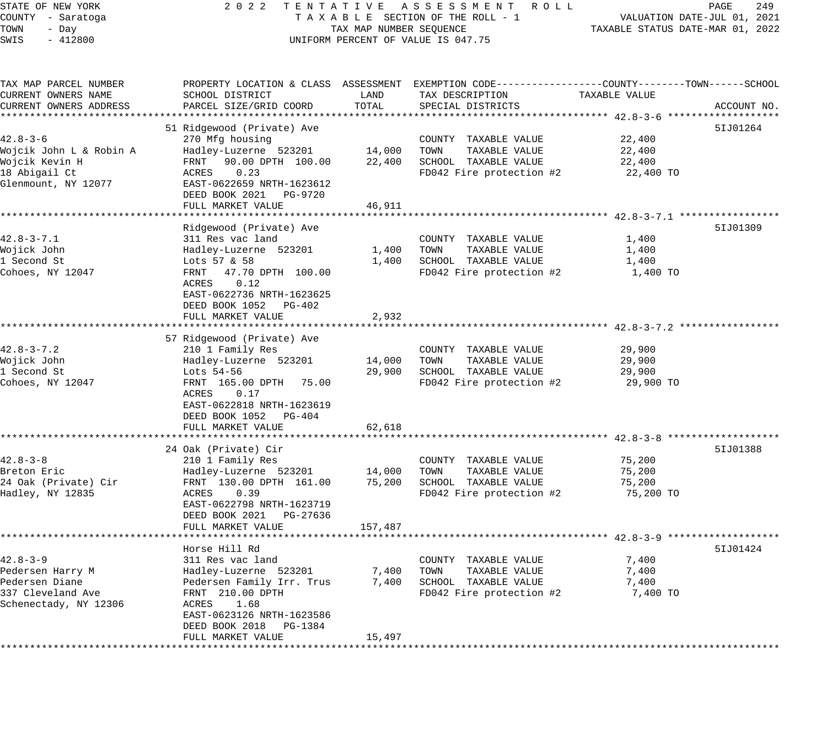| STATE OF NEW YORK       | 2 0 2 2                                    |                                  | TENTATIVE ASSESSMENT ROLL                                                                        |               | 249<br>PAGE                 |
|-------------------------|--------------------------------------------|----------------------------------|--------------------------------------------------------------------------------------------------|---------------|-----------------------------|
| COUNTY - Saratoga       |                                            |                                  | TAXABLE SECTION OF THE ROLL - 1                                                                  |               | VALUATION DATE-JUL 01, 2021 |
| TOWN<br>- Day           | TAX MAP NUMBER SEQUENCE                    | TAXABLE STATUS DATE-MAR 01, 2022 |                                                                                                  |               |                             |
| SWIS<br>$-412800$       |                                            |                                  | UNIFORM PERCENT OF VALUE IS 047.75                                                               |               |                             |
|                         |                                            |                                  |                                                                                                  |               |                             |
| TAX MAP PARCEL NUMBER   |                                            |                                  | PROPERTY LOCATION & CLASS ASSESSMENT EXEMPTION CODE----------------COUNTY-------TOWN------SCHOOL |               |                             |
| CURRENT OWNERS NAME     | SCHOOL DISTRICT                            | LAND                             | TAX DESCRIPTION                                                                                  | TAXABLE VALUE |                             |
| CURRENT OWNERS ADDRESS  | PARCEL SIZE/GRID COORD                     | TOTAL                            | SPECIAL DISTRICTS                                                                                |               | ACCOUNT NO.                 |
| ********************    | ********************                       |                                  |                                                                                                  |               |                             |
|                         | 51 Ridgewood (Private) Ave                 |                                  |                                                                                                  |               | 51J01264                    |
| $42.8 - 3 - 6$          | 270 Mfg housing                            |                                  | COUNTY TAXABLE VALUE                                                                             | 22,400        |                             |
| Wojcik John L & Robin A | Hadley-Luzerne 523201                      | 14,000                           | TOWN<br>TAXABLE VALUE                                                                            | 22,400        |                             |
| Wojcik Kevin H          | 90.00 DPTH 100.00<br>FRNT                  | 22,400                           | SCHOOL TAXABLE VALUE                                                                             | 22,400        |                             |
| 18 Abigail Ct           | 0.23<br>ACRES                              |                                  | FD042 Fire protection #2                                                                         | 22,400 TO     |                             |
| Glenmount, NY 12077     | EAST-0622659 NRTH-1623612                  |                                  |                                                                                                  |               |                             |
|                         | DEED BOOK 2021 PG-9720                     |                                  |                                                                                                  |               |                             |
|                         | FULL MARKET VALUE                          | 46,911                           |                                                                                                  |               |                             |
|                         | ***************************                |                                  |                                                                                                  |               |                             |
|                         | Ridgewood (Private) Ave                    |                                  |                                                                                                  |               | 5IJ01309                    |
| $42.8 - 3 - 7.1$        | 311 Res vac land                           |                                  | COUNTY TAXABLE VALUE                                                                             | 1,400         |                             |
| Wojick John             | Hadley-Luzerne 523201                      | 1,400                            | TOWN<br>TAXABLE VALUE                                                                            | 1,400         |                             |
| 1 Second St             | Lots 57 & 58                               | 1,400                            | SCHOOL TAXABLE VALUE                                                                             | 1,400         |                             |
| Cohoes, NY 12047        | 47.70 DPTH 100.00<br>FRNT<br>ACRES<br>0.12 |                                  | FD042 Fire protection #2                                                                         | 1,400 TO      |                             |
|                         | EAST-0622736 NRTH-1623625                  |                                  |                                                                                                  |               |                             |
|                         | DEED BOOK 1052 PG-402                      |                                  |                                                                                                  |               |                             |
|                         | FULL MARKET VALUE                          | 2,932                            |                                                                                                  |               |                             |
|                         | **************************                 | * * * * * * * * * * * * * *      |                                                                                                  |               |                             |
|                         | 57 Ridgewood (Private) Ave                 |                                  |                                                                                                  |               |                             |
| $42.8 - 3 - 7.2$        | 210 1 Family Res                           |                                  | COUNTY TAXABLE VALUE                                                                             | 29,900        |                             |
| Wojick John             | Hadley-Luzerne 523201                      | 14,000                           | TAXABLE VALUE<br>TOWN                                                                            | 29,900        |                             |
| 1 Second St             | Lots 54-56                                 | 29,900                           | SCHOOL TAXABLE VALUE                                                                             | 29,900        |                             |
| Cohoes, NY 12047        | FRNT 165.00 DPTH 75.00                     |                                  | FD042 Fire protection #2                                                                         | 29,900 TO     |                             |
|                         | ACRES<br>0.17                              |                                  |                                                                                                  |               |                             |
|                         | EAST-0622818 NRTH-1623619                  |                                  |                                                                                                  |               |                             |
|                         | DEED BOOK 1052 PG-404                      |                                  |                                                                                                  |               |                             |
|                         | FULL MARKET VALUE                          | 62,618                           |                                                                                                  |               |                             |
|                         |                                            |                                  |                                                                                                  |               |                             |
|                         | 24 Oak (Private) Cir                       |                                  |                                                                                                  |               | 51J01388                    |
| $42.8 - 3 - 8$          | 210 1 Family Res                           |                                  | COUNTY TAXABLE VALUE                                                                             | 75,200        |                             |
| Breton Eric             | Hadley-Luzerne 523201                      | 14,000                           | TOWN<br>TAXABLE VALUE                                                                            | 75,200        |                             |
| 24 Oak (Private) Cir    | FRNT 130.00 DPTH 161.00                    | 75,200                           | SCHOOL TAXABLE VALUE                                                                             | 75,200        |                             |
| Hadley, NY 12835        | ACRES<br>0.39                              |                                  | FD042 Fire protection #2                                                                         | 75,200 TO     |                             |
|                         | EAST-0622798 NRTH-1623719                  |                                  |                                                                                                  |               |                             |
|                         | DEED BOOK 2021<br>PG-27636                 |                                  |                                                                                                  |               |                             |
|                         | FULL MARKET VALUE                          | 157,487                          |                                                                                                  |               |                             |
|                         |                                            |                                  |                                                                                                  |               |                             |
|                         | Horse Hill Rd                              |                                  |                                                                                                  |               | 51J01424                    |
| $42.8 - 3 - 9$          | 311 Res vac land                           |                                  | COUNTY TAXABLE VALUE                                                                             | 7,400         |                             |
| Pedersen Harry M        | Hadley-Luzerne 523201                      | 7,400                            | TOWN<br>TAXABLE VALUE                                                                            | 7,400         |                             |
| Pedersen Diane          | Pedersen Family Irr. Trus                  | 7,400                            | SCHOOL TAXABLE VALUE                                                                             | 7,400         |                             |
| 337 Cleveland Ave       | FRNT 210.00 DPTH                           |                                  | FD042 Fire protection #2                                                                         | 7,400 TO      |                             |
| Schenectady, NY 12306   | ACRES<br>1.68                              |                                  |                                                                                                  |               |                             |
|                         | EAST-0623126 NRTH-1623586                  |                                  |                                                                                                  |               |                             |
|                         | DEED BOOK 2018 PG-1384                     |                                  |                                                                                                  |               |                             |
|                         | FULL MARKET VALUE                          | 15,497                           |                                                                                                  |               |                             |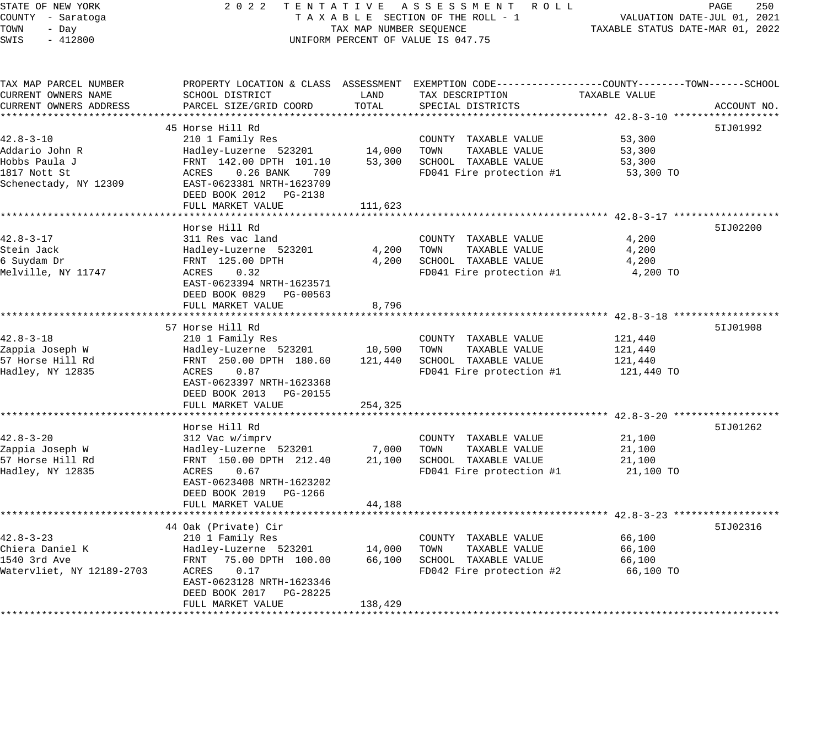STATE OF NEW YORK 2 0 2 2 T E N T A T I V E A S S E S S M E N T R O L L PAGE 250 COUNTY - Saratoga T A X A B L E SECTION OF THE ROLL - 1 VALUATION DATE-JUL 01, 2021 TOWN - Day TAX MAP NUMBER SEQUENCE TAXABLE STATUS DATE-MAR 01, 2022 SWIS - 412800 UNIFORM PERCENT OF VALUE IS 047.75 TAX MAP PARCEL NUMBER PROPERTY LOCATION & CLASS ASSESSMENT EXEMPTION CODE------------------COUNTY--------TOWN------SCHOOL CURRENT OWNERS NAME SCHOOL DISTRICT LAND TAX DESCRIPTION TAXABLE VALUE CURRENT OWNERS ADDRESS PARCEL SIZE/GRID COORD TOTAL SPECIAL DISTRICTS ACCOUNT NO. \*\*\*\*\*\*\*\*\*\*\*\*\*\*\*\*\*\*\*\*\*\*\*\*\*\*\*\*\*\*\*\*\*\*\*\*\*\*\*\*\*\*\*\*\*\*\*\*\*\*\*\*\*\*\*\*\*\*\*\*\*\*\*\*\*\*\*\*\*\*\*\*\*\*\*\*\*\*\*\*\*\*\*\*\*\*\*\*\*\*\*\*\*\*\*\*\*\*\*\*\*\*\* 42.8-3-10 \*\*\*\*\*\*\*\*\*\*\*\*\*\*\*\*\*\* 45 Horse Hill Rd 5IJ01992 42.8-3-10 210 1 Family Res COUNTY TAXABLE VALUE 53,300 Addario John R Hadley-Luzerne 523201 14,000 TOWN TAXABLE VALUE 53,300 Hobbs Paula J FRNT 142.00 DPTH 101.10 53,300 SCHOOL TAXABLE VALUE 53,300 1817 Nott St ACRES 0.26 BANK 709 FD041 Fire protection #1 53,300 TO Schenectady, NY 12309 EAST-0623381 NRTH-1623709 DEED BOOK 2012 PG-2138 FULL MARKET VALUE 111,623 \*\*\*\*\*\*\*\*\*\*\*\*\*\*\*\*\*\*\*\*\*\*\*\*\*\*\*\*\*\*\*\*\*\*\*\*\*\*\*\*\*\*\*\*\*\*\*\*\*\*\*\*\*\*\*\*\*\*\*\*\*\*\*\*\*\*\*\*\*\*\*\*\*\*\*\*\*\*\*\*\*\*\*\*\*\*\*\*\*\*\*\*\*\*\*\*\*\*\*\*\*\*\* 42.8-3-17 \*\*\*\*\*\*\*\*\*\*\*\*\*\*\*\*\*\* Horse Hill Rd 5IJ02200 42.8-3-17 311 Res vac land COUNTY TAXABLE VALUE 4,200 Stein Jack Hadley-Luzerne 523201 4,200 TOWN TAXABLE VALUE 4,200 6 Suydam Dr FRNT 125.00 DPTH 4,200 SCHOOL TAXABLE VALUE 4,200 Melville, NY 11747 ACRES 0.32 FD041 Fire protection #1 4,200 TO EAST-0623394 NRTH-1623571 DEED BOOK 0829 PG-00563 FULL MARKET VALUE 8,796 \*\*\*\*\*\*\*\*\*\*\*\*\*\*\*\*\*\*\*\*\*\*\*\*\*\*\*\*\*\*\*\*\*\*\*\*\*\*\*\*\*\*\*\*\*\*\*\*\*\*\*\*\*\*\*\*\*\*\*\*\*\*\*\*\*\*\*\*\*\*\*\*\*\*\*\*\*\*\*\*\*\*\*\*\*\*\*\*\*\*\*\*\*\*\*\*\*\*\*\*\*\*\* 42.8-3-18 \*\*\*\*\*\*\*\*\*\*\*\*\*\*\*\*\*\* 57 Horse Hill Rd 5IJ01908 42.8-3-18 210 1 Family Res COUNTY TAXABLE VALUE 121,440 Zappia Joseph W Hadley-Luzerne 523201 10,500 TOWN TAXABLE VALUE 121,440 57 Horse Hill Rd FRNT 250.00 DPTH 180.60 121,440 SCHOOL TAXABLE VALUE 121,440 Hadley, NY 12835 ACRES 0.87 FD041 Fire protection #1 121,440 TO EAST-0623397 NRTH-1623368 DEED BOOK 2013 PG-20155 FULL MARKET VALUE 254,325 \*\*\*\*\*\*\*\*\*\*\*\*\*\*\*\*\*\*\*\*\*\*\*\*\*\*\*\*\*\*\*\*\*\*\*\*\*\*\*\*\*\*\*\*\*\*\*\*\*\*\*\*\*\*\*\*\*\*\*\*\*\*\*\*\*\*\*\*\*\*\*\*\*\*\*\*\*\*\*\*\*\*\*\*\*\*\*\*\*\*\*\*\*\*\*\*\*\*\*\*\*\*\* 42.8-3-20 \*\*\*\*\*\*\*\*\*\*\*\*\*\*\*\*\*\* Horse Hill Rd 5IJ01262 42.8-3-20 312 Vac w/imprv COUNTY TAXABLE VALUE 21,100 Zappia Joseph W Hadley-Luzerne 523201 7,000 TOWN TAXABLE VALUE 21,100 57 Horse Hill Rd FRNT 150.00 DPTH 212.40 21,100 SCHOOL TAXABLE VALUE 21,100 Hadley, NY 12835 ACRES 0.67 FD041 Fire protection #1 21,100 TO EAST-0623408 NRTH-1623202 DEED BOOK 2019 PG-1266 FULL MARKET VALUE 44,188 \*\*\*\*\*\*\*\*\*\*\*\*\*\*\*\*\*\*\*\*\*\*\*\*\*\*\*\*\*\*\*\*\*\*\*\*\*\*\*\*\*\*\*\*\*\*\*\*\*\*\*\*\*\*\*\*\*\*\*\*\*\*\*\*\*\*\*\*\*\*\*\*\*\*\*\*\*\*\*\*\*\*\*\*\*\*\*\*\*\*\*\*\*\*\*\*\*\*\*\*\*\*\* 42.8-3-23 \*\*\*\*\*\*\*\*\*\*\*\*\*\*\*\*\*\* 44 Oak (Private) Cir 5IJ02316 42.8-3-23 210 1 Family Res COUNTY TAXABLE VALUE 66,100 Chiera Daniel K Hadley-Luzerne 523201 14,000 TOWN TAXABLE VALUE 66,100 1540 3rd Ave FRNT 75.00 DPTH 100.00 66,100 SCHOOL TAXABLE VALUE 66,100 Watervliet, NY 12189-2703 ACRES 0.17 FD042 Fire protection #2 66,100 TO EAST-0623128 NRTH-1623346 DEED BOOK 2017 PG-28225

\*\*\*\*\*\*\*\*\*\*\*\*\*\*\*\*\*\*\*\*\*\*\*\*\*\*\*\*\*\*\*\*\*\*\*\*\*\*\*\*\*\*\*\*\*\*\*\*\*\*\*\*\*\*\*\*\*\*\*\*\*\*\*\*\*\*\*\*\*\*\*\*\*\*\*\*\*\*\*\*\*\*\*\*\*\*\*\*\*\*\*\*\*\*\*\*\*\*\*\*\*\*\*\*\*\*\*\*\*\*\*\*\*\*\*\*\*\*\*\*\*\*\*\*\*\*\*\*\*\*\*\*

FULL MARKET VALUE 138,429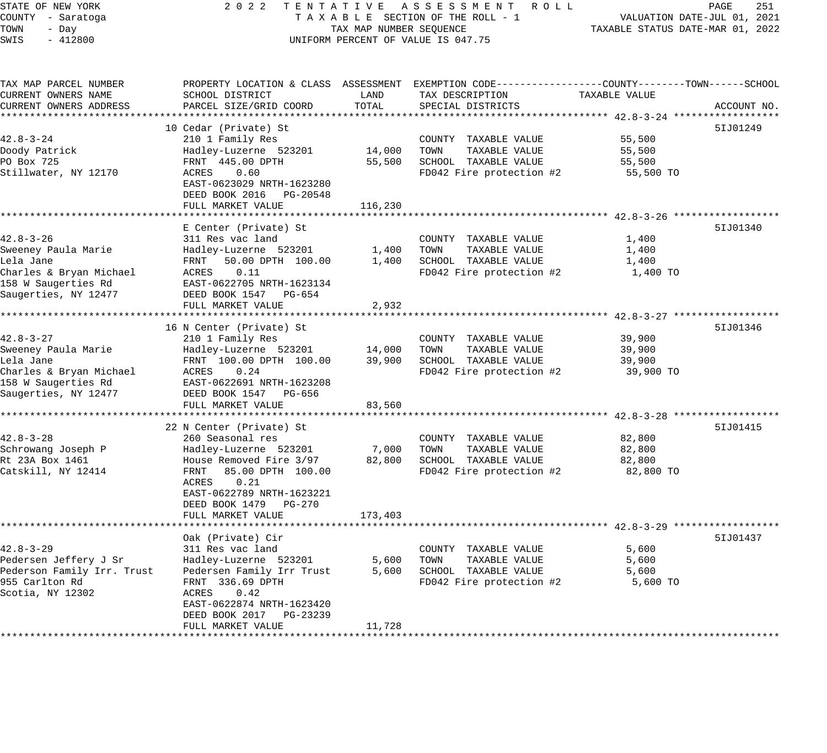# STATE OF NEW YORK 2 0 2 2 T E N T A T I V E A S S E S S M E N T R O L L PAGE 251 COUNTY - Saratoga T A X A B L E SECTION OF THE ROLL - 1 VALUATION DATE-JUL 01, 2021 TAX MAP NUMBER SEQUENCE TAXABLE STATUS DATE-MAR 01, 2022 UNIFORM PERCENT OF VALUE IS 047.75

| TAX MAP PARCEL NUMBER                 |                                                  |                 | PROPERTY LOCATION & CLASS ASSESSMENT EXEMPTION CODE----------------COUNTY-------TOWN-----SCHOOL |                     |             |
|---------------------------------------|--------------------------------------------------|-----------------|-------------------------------------------------------------------------------------------------|---------------------|-------------|
| CURRENT OWNERS NAME                   | SCHOOL DISTRICT                                  | LAND            | TAX DESCRIPTION                                                                                 | TAXABLE VALUE       |             |
| CURRENT OWNERS ADDRESS                | PARCEL SIZE/GRID COORD                           | TOTAL           | SPECIAL DISTRICTS                                                                               |                     | ACCOUNT NO. |
|                                       |                                                  |                 |                                                                                                 |                     |             |
|                                       | 10 Cedar (Private) St                            |                 |                                                                                                 |                     | 51J01249    |
| $42.8 - 3 - 24$                       | 210 1 Family Res                                 |                 | COUNTY TAXABLE VALUE                                                                            | 55,500              |             |
| Doody Patrick<br>PO Box 725           | Hadley-Luzerne 523201<br>FRNT 445.00 DPTH        | 14,000          | TOWN<br>TAXABLE VALUE<br>SCHOOL TAXABLE VALUE                                                   | 55,500              |             |
| Stillwater, NY 12170                  | 0.60<br>ACRES                                    | 55,500          | FD042 Fire protection #2                                                                        | 55,500<br>55,500 TO |             |
|                                       | EAST-0623029 NRTH-1623280                        |                 |                                                                                                 |                     |             |
|                                       | DEED BOOK 2016 PG-20548                          |                 |                                                                                                 |                     |             |
|                                       | FULL MARKET VALUE                                | 116,230         |                                                                                                 |                     |             |
|                                       | **********************                           |                 |                                                                                                 |                     |             |
|                                       | E Center (Private) St                            |                 |                                                                                                 |                     | 51J01340    |
| $42.8 - 3 - 26$                       | 311 Res vac land                                 |                 | COUNTY TAXABLE VALUE                                                                            | 1,400               |             |
| Sweeney Paula Marie                   | Hadley-Luzerne 523201                            | 1,400           | TOWN<br>TAXABLE VALUE                                                                           | 1,400               |             |
| Lela Jane                             | 50.00 DPTH 100.00<br>FRNT                        | 1,400           | SCHOOL TAXABLE VALUE                                                                            | 1,400               |             |
| Charles & Bryan Michael               | ACRES<br>0.11                                    |                 | FD042 Fire protection #2                                                                        | 1,400 TO            |             |
| 158 W Saugerties Rd                   | EAST-0622705 NRTH-1623134                        |                 |                                                                                                 |                     |             |
| Saugerties, NY 12477                  | DEED BOOK 1547 PG-654                            |                 |                                                                                                 |                     |             |
|                                       | FULL MARKET VALUE                                | 2,932           |                                                                                                 |                     |             |
|                                       |                                                  |                 |                                                                                                 |                     |             |
|                                       | 16 N Center (Private) St                         |                 |                                                                                                 |                     | 51J01346    |
| $42.8 - 3 - 27$                       | 210 1 Family Res                                 |                 | COUNTY TAXABLE VALUE                                                                            | 39,900              |             |
| Sweeney Paula Marie                   | Hadley-Luzerne 523201                            | 14,000          | TAXABLE VALUE<br>TOWN                                                                           | 39,900              |             |
| Lela Jane                             | FRNT 100.00 DPTH 100.00                          | 39,900          | SCHOOL TAXABLE VALUE                                                                            | 39,900              |             |
| Charles & Bryan Michael               | ACRES<br>0.24                                    |                 | FD042 Fire protection #2                                                                        | 39,900 TO           |             |
| 158 W Saugerties Rd                   | EAST-0622691 NRTH-1623208                        |                 |                                                                                                 |                     |             |
| Saugerties, NY 12477                  | DEED BOOK 1547 PG-656                            |                 |                                                                                                 |                     |             |
|                                       | FULL MARKET VALUE                                | 83,560          |                                                                                                 |                     |             |
|                                       |                                                  |                 |                                                                                                 |                     |             |
|                                       | 22 N Center (Private) St                         |                 |                                                                                                 |                     | 51J01415    |
| $42.8 - 3 - 28$                       | 260 Seasonal res                                 |                 | COUNTY TAXABLE VALUE                                                                            | 82,800              |             |
| Schrowang Joseph P<br>Rt 23A Box 1461 | Hadley-Luzerne 523201<br>House Removed Fire 3/97 | 7,000<br>82,800 | TOWN<br>TAXABLE VALUE<br>SCHOOL TAXABLE VALUE                                                   | 82,800<br>82,800    |             |
| Catskill, NY 12414                    | FRNT<br>85.00 DPTH 100.00                        |                 | FD042 Fire protection #2                                                                        | 82,800 TO           |             |
|                                       | 0.21<br>ACRES                                    |                 |                                                                                                 |                     |             |
|                                       | EAST-0622789 NRTH-1623221                        |                 |                                                                                                 |                     |             |
|                                       | DEED BOOK 1479    PG-270                         |                 |                                                                                                 |                     |             |
|                                       | FULL MARKET VALUE                                | 173,403         |                                                                                                 |                     |             |
|                                       |                                                  |                 |                                                                                                 |                     |             |
|                                       | Oak (Private) Cir                                |                 |                                                                                                 |                     | 51J01437    |
| $42.8 - 3 - 29$                       | 311 Res vac land                                 |                 | COUNTY TAXABLE VALUE                                                                            | 5,600               |             |
| Pedersen Jeffery J Sr                 | Hadley-Luzerne 523201                            | 5,600           | TOWN<br>TAXABLE VALUE                                                                           | 5,600               |             |
| Pederson Family Irr. Trust            | Pedersen Family Irr Trust                        | 5,600           | SCHOOL TAXABLE VALUE                                                                            | 5,600               |             |
| 955 Carlton Rd                        | FRNT 336.69 DPTH                                 |                 | FD042 Fire protection #2                                                                        | 5,600 TO            |             |
| Scotia, NY 12302                      | ACRES<br>0.42                                    |                 |                                                                                                 |                     |             |
|                                       | EAST-0622874 NRTH-1623420                        |                 |                                                                                                 |                     |             |
|                                       | DEED BOOK 2017<br>PG-23239                       |                 |                                                                                                 |                     |             |
|                                       | FULL MARKET VALUE                                | 11,728          |                                                                                                 |                     |             |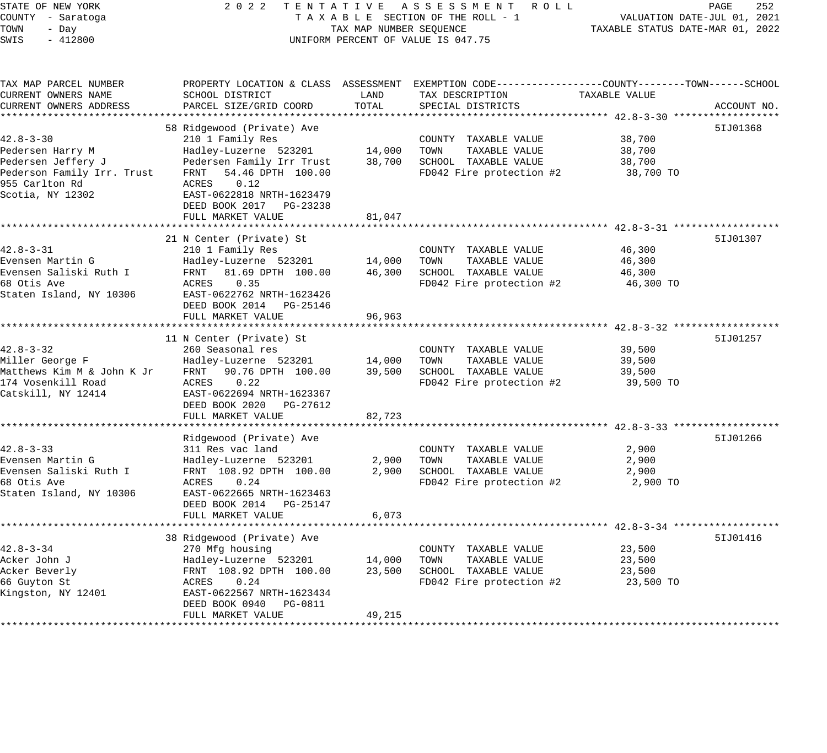| STATE OF NEW YORK          | 2 0 2 2                                        |                                  | TENTATIVE ASSESSMENT ROLL                                                                        |               | 252<br>PAGE |
|----------------------------|------------------------------------------------|----------------------------------|--------------------------------------------------------------------------------------------------|---------------|-------------|
| COUNTY - Saratoga          | TAXABLE SECTION OF THE ROLL - 1                | VALUATION DATE-JUL 01, 2021      |                                                                                                  |               |             |
| TOWN<br>- Day              | TAX MAP NUMBER SEQUENCE                        | TAXABLE STATUS DATE-MAR 01, 2022 |                                                                                                  |               |             |
| SWIS<br>$-412800$          |                                                |                                  | UNIFORM PERCENT OF VALUE IS 047.75                                                               |               |             |
|                            |                                                |                                  |                                                                                                  |               |             |
| TAX MAP PARCEL NUMBER      |                                                |                                  | PROPERTY LOCATION & CLASS ASSESSMENT EXEMPTION CODE----------------COUNTY-------TOWN------SCHOOL |               |             |
| CURRENT OWNERS NAME        | SCHOOL DISTRICT                                | LAND                             | TAX DESCRIPTION                                                                                  | TAXABLE VALUE |             |
| CURRENT OWNERS ADDRESS     | PARCEL SIZE/GRID COORD                         | TOTAL                            | SPECIAL DISTRICTS                                                                                |               | ACCOUNT NO. |
|                            |                                                |                                  |                                                                                                  |               |             |
|                            | 58 Ridgewood (Private) Ave                     |                                  |                                                                                                  |               | 51J01368    |
| $42.8 - 3 - 30$            | 210 1 Family Res                               |                                  | COUNTY TAXABLE VALUE                                                                             | 38,700        |             |
| Pedersen Harry M           | Hadley-Luzerne 523201                          | 14,000                           | TOWN<br>TAXABLE VALUE                                                                            | 38,700        |             |
| Pedersen Jeffery J         | Pedersen Family Irr Trust                      | 38,700                           | SCHOOL TAXABLE VALUE                                                                             | 38,700        |             |
| Pederson Family Irr. Trust | 54.46 DPTH 100.00<br>FRNT                      |                                  | FD042 Fire protection #2                                                                         | 38,700 TO     |             |
| 955 Carlton Rd             | 0.12<br>ACRES                                  |                                  |                                                                                                  |               |             |
| Scotia, NY 12302           | EAST-0622818 NRTH-1623479                      |                                  |                                                                                                  |               |             |
|                            | DEED BOOK 2017 PG-23238                        |                                  |                                                                                                  |               |             |
|                            | FULL MARKET VALUE<br>************************  | 81,047                           |                                                                                                  |               |             |
|                            |                                                |                                  |                                                                                                  |               | 51J01307    |
| $42.8 - 3 - 31$            | 21 N Center (Private) St                       |                                  |                                                                                                  | 46,300        |             |
| Evensen Martin G           | 210 1 Family Res<br>Hadley-Luzerne 523201      | 14,000                           | COUNTY TAXABLE VALUE<br>TOWN<br>TAXABLE VALUE                                                    | 46,300        |             |
| Evensen Saliski Ruth I     | FRNT<br>81.69 DPTH 100.00                      | 46,300                           | SCHOOL TAXABLE VALUE                                                                             | 46,300        |             |
| 68 Otis Ave                | 0.35<br>ACRES                                  |                                  | FD042 Fire protection #2                                                                         | 46,300 TO     |             |
| Staten Island, NY 10306    | EAST-0622762 NRTH-1623426                      |                                  |                                                                                                  |               |             |
|                            | DEED BOOK 2014 PG-25146                        |                                  |                                                                                                  |               |             |
|                            | FULL MARKET VALUE                              | 96,963                           |                                                                                                  |               |             |
|                            |                                                |                                  |                                                                                                  |               |             |
|                            | 11 N Center (Private) St                       |                                  |                                                                                                  |               | 51J01257    |
| $42.8 - 3 - 32$            | 260 Seasonal res                               |                                  | COUNTY TAXABLE VALUE                                                                             | 39,500        |             |
| Miller George F            | Hadley-Luzerne 523201                          | 14,000                           | TOWN<br>TAXABLE VALUE                                                                            | 39,500        |             |
| Matthews Kim M & John K Jr | FRNT<br>90.76 DPTH 100.00                      | 39,500                           | SCHOOL TAXABLE VALUE                                                                             | 39,500        |             |
| 174 Vosenkill Road         | ACRES<br>0.22                                  |                                  | FD042 Fire protection #2                                                                         | 39,500 TO     |             |
| Catskill, NY 12414         | EAST-0622694 NRTH-1623367                      |                                  |                                                                                                  |               |             |
|                            | DEED BOOK 2020 PG-27612                        |                                  |                                                                                                  |               |             |
|                            | FULL MARKET VALUE                              | 82,723                           |                                                                                                  |               |             |
|                            |                                                |                                  |                                                                                                  |               |             |
|                            | Ridgewood (Private) Ave                        |                                  |                                                                                                  |               | 51J01266    |
| $42.8 - 3 - 33$            | 311 Res vac land                               |                                  | COUNTY TAXABLE VALUE                                                                             | 2,900         |             |
| Evensen Martin G           | Hadley-Luzerne 523201                          | 2,900                            | TOWN<br>TAXABLE VALUE                                                                            | 2,900         |             |
| Evensen Saliski Ruth I     | FRNT 108.92 DPTH 100.00                        | 2,900                            | SCHOOL TAXABLE VALUE                                                                             | 2,900         |             |
| 68 Otis Ave                | 0.24<br>ACRES                                  |                                  | FD042 Fire protection #2                                                                         | 2,900 TO      |             |
| Staten Island, NY 10306    | EAST-0622665 NRTH-1623463                      |                                  |                                                                                                  |               |             |
|                            | DEED BOOK 2014 PG-25147                        |                                  |                                                                                                  |               |             |
|                            | FULL MARKET VALUE                              | 6,073                            |                                                                                                  |               |             |
|                            |                                                |                                  |                                                                                                  |               |             |
|                            | 38 Ridgewood (Private) Ave                     |                                  |                                                                                                  |               | 51J01416    |
| $42.8 - 3 - 34$            | 270 Mfg housing                                |                                  | COUNTY TAXABLE VALUE                                                                             | 23,500        |             |
| Acker John J               | Hadley-Luzerne 523201                          | 14,000                           | TOWN<br>TAXABLE VALUE                                                                            | 23,500        |             |
| Acker Beverly              | FRNT 108.92 DPTH 100.00                        | 23,500                           | SCHOOL TAXABLE VALUE                                                                             | 23,500        |             |
| 66 Guyton St               | ACRES<br>0.24                                  |                                  | FD042 Fire protection #2                                                                         | 23,500 TO     |             |
| Kingston, NY 12401         | EAST-0622567 NRTH-1623434                      |                                  |                                                                                                  |               |             |
|                            | DEED BOOK 0940<br>PG-0811<br>FULL MARKET VALUE | 49,215                           |                                                                                                  |               |             |
|                            |                                                |                                  |                                                                                                  |               |             |
|                            |                                                |                                  |                                                                                                  |               |             |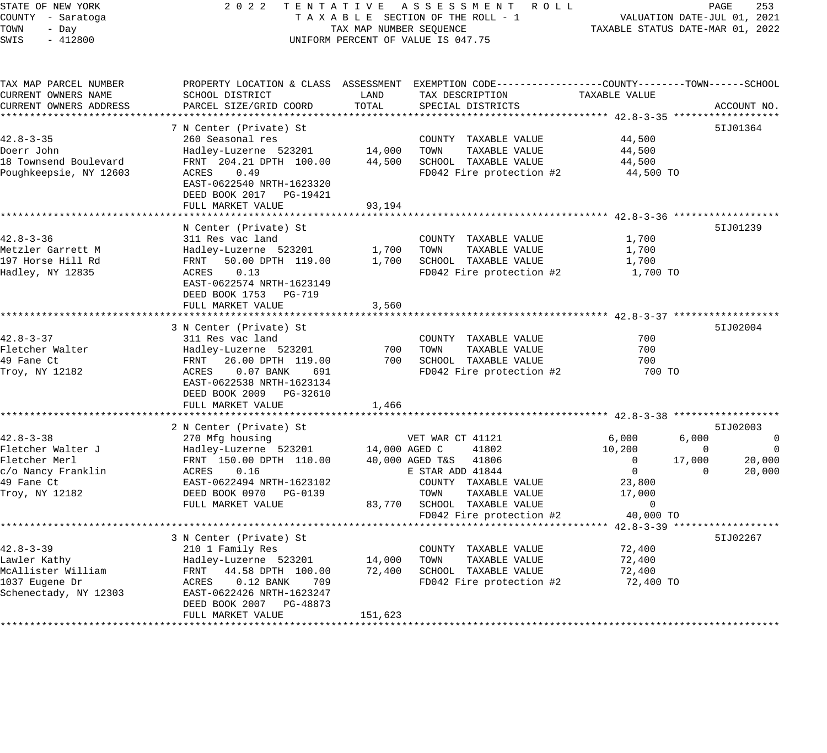| STATE OF NEW YORK<br>COUNTY - Saratoga       | 2 0 2 2<br>TENTATIVE                               |                         | A S S E S S M E N T R O L L<br>TAXABLE SECTION OF THE ROLL - 1                                                      | VALUATION DATE-JUL 01, 2021<br>TAXABLE STATUS DATE-MAR 01, 2022 | PAGE        | 253                   |
|----------------------------------------------|----------------------------------------------------|-------------------------|---------------------------------------------------------------------------------------------------------------------|-----------------------------------------------------------------|-------------|-----------------------|
| TOWN<br>- Day<br>$-412800$<br>SWIS           |                                                    | TAX MAP NUMBER SEQUENCE | UNIFORM PERCENT OF VALUE IS 047.75                                                                                  |                                                                 |             |                       |
| TAX MAP PARCEL NUMBER<br>CURRENT OWNERS NAME | SCHOOL DISTRICT                                    | LAND                    | PROPERTY LOCATION & CLASS ASSESSMENT EXEMPTION CODE----------------COUNTY-------TOWN------SCHOOL<br>TAX DESCRIPTION | TAXABLE VALUE                                                   |             |                       |
| CURRENT OWNERS ADDRESS                       | PARCEL SIZE/GRID COORD                             | TOTAL                   | SPECIAL DISTRICTS                                                                                                   |                                                                 |             | ACCOUNT NO.           |
|                                              |                                                    |                         |                                                                                                                     |                                                                 |             |                       |
|                                              | 7 N Center (Private) St                            |                         |                                                                                                                     |                                                                 |             | 51J01364              |
| $42.8 - 3 - 35$<br>Doerr John                | 260 Seasonal res                                   | 14,000                  | COUNTY TAXABLE VALUE<br>TOWN<br>TAXABLE VALUE                                                                       | 44,500<br>44,500                                                |             |                       |
| 18 Townsend Boulevard                        | Hadley-Luzerne 523201<br>FRNT 204.21 DPTH 100.00   | 44,500                  | SCHOOL TAXABLE VALUE                                                                                                | 44,500                                                          |             |                       |
| Poughkeepsie, NY 12603                       | 0.49<br>ACRES                                      |                         | FD042 Fire protection #2                                                                                            | 44,500 TO                                                       |             |                       |
|                                              | EAST-0622540 NRTH-1623320                          |                         |                                                                                                                     |                                                                 |             |                       |
|                                              | DEED BOOK 2017 PG-19421                            |                         |                                                                                                                     |                                                                 |             |                       |
|                                              | FULL MARKET VALUE                                  | 93,194                  |                                                                                                                     |                                                                 |             |                       |
|                                              |                                                    |                         |                                                                                                                     |                                                                 |             |                       |
|                                              | N Center (Private) St                              |                         |                                                                                                                     |                                                                 |             | 51J01239              |
| $42.8 - 3 - 36$                              | 311 Res vac land                                   |                         | COUNTY TAXABLE VALUE                                                                                                | 1,700                                                           |             |                       |
| Metzler Garrett M<br>197 Horse Hill Rd       | Hadley-Luzerne 523201<br>50.00 DPTH 119.00<br>FRNT | 1,700<br>1,700          | TOWN<br>TAXABLE VALUE<br>SCHOOL TAXABLE VALUE                                                                       | 1,700<br>1,700                                                  |             |                       |
| Hadley, NY 12835                             | ACRES<br>0.13                                      |                         | FD042 Fire protection #2                                                                                            | 1,700 TO                                                        |             |                       |
|                                              | EAST-0622574 NRTH-1623149                          |                         |                                                                                                                     |                                                                 |             |                       |
|                                              | DEED BOOK 1753 PG-719                              |                         |                                                                                                                     |                                                                 |             |                       |
|                                              | FULL MARKET VALUE                                  | 3,560                   |                                                                                                                     |                                                                 |             |                       |
|                                              |                                                    |                         |                                                                                                                     |                                                                 |             |                       |
|                                              | 3 N Center (Private) St                            |                         |                                                                                                                     |                                                                 |             | 51J02004              |
| $42.8 - 3 - 37$                              | 311 Res vac land                                   |                         | COUNTY TAXABLE VALUE                                                                                                | 700<br>700                                                      |             |                       |
| Fletcher Walter<br>49 Fane Ct                | Hadley-Luzerne 523201<br>FRNT<br>26.00 DPTH 119.00 | 700<br>700              | TOWN<br>TAXABLE VALUE<br>SCHOOL TAXABLE VALUE                                                                       | 700                                                             |             |                       |
| Troy, NY 12182                               | ACRES<br>$0.07$ BANK<br>691                        |                         | FD042 Fire protection #2                                                                                            | 700 TO                                                          |             |                       |
|                                              | EAST-0622538 NRTH-1623134                          |                         |                                                                                                                     |                                                                 |             |                       |
|                                              | DEED BOOK 2009 PG-32610                            |                         |                                                                                                                     |                                                                 |             |                       |
|                                              | FULL MARKET VALUE                                  | 1,466                   |                                                                                                                     |                                                                 |             |                       |
|                                              |                                                    |                         |                                                                                                                     |                                                                 |             |                       |
|                                              | 2 N Center (Private) St                            |                         |                                                                                                                     |                                                                 |             | 51J02003              |
| $42.8 - 3 - 38$                              | 270 Mfg housing                                    |                         | VET WAR CT 41121                                                                                                    | 6,000                                                           | 6,000       | $\mathbf 0$           |
| Fletcher Walter J<br>Fletcher Merl           | Hadley-Luzerne 523201<br>FRNT 150.00 DPTH 110.00   | 14,000 AGED C           | 41802<br>40,000 AGED T&S 41806                                                                                      | 10,200<br>$\mathbf{0}$                                          | 0<br>17,000 | $\mathbf 0$<br>20,000 |
| c/o Nancy Franklin                           | ACRES<br>0.16                                      |                         | E STAR ADD 41844                                                                                                    | $\overline{0}$                                                  | $\mathbf 0$ | 20,000                |
| 49 Fane Ct                                   | EAST-0622494 NRTH-1623102                          |                         | COUNTY TAXABLE VALUE                                                                                                | 23,800                                                          |             |                       |
| Troy, NY 12182                               | DEED BOOK 0970 PG-0139                             |                         | TOWN<br>TAXABLE VALUE                                                                                               | 17,000                                                          |             |                       |
|                                              | FULL MARKET VALUE                                  | 83,770                  | SCHOOL TAXABLE VALUE                                                                                                | $\mathbf 0$                                                     |             |                       |
|                                              |                                                    |                         | FD042 Fire protection #2                                                                                            | 40,000 TO                                                       |             |                       |
|                                              | ************************                           |                         | ************************************ 42.8-3-39 ******************                                                   |                                                                 |             |                       |
|                                              | 3 N Center (Private) St                            |                         |                                                                                                                     |                                                                 |             | 51J02267              |
| $42.8 - 3 - 39$                              | 210 1 Family Res                                   |                         | COUNTY TAXABLE VALUE                                                                                                | 72,400                                                          |             |                       |
| Lawler Kathy<br>McAllister William           | Hadley-Luzerne 523201<br>FRNT<br>44.58 DPTH 100.00 | 14,000<br>72,400        | TOWN<br>TAXABLE VALUE<br>SCHOOL TAXABLE VALUE                                                                       | 72,400<br>72,400                                                |             |                       |
| 1037 Eugene Dr                               | ACRES<br>$0.12$ BANK<br>709                        |                         | FD042 Fire protection #2                                                                                            | 72,400 TO                                                       |             |                       |
| Schenectady, NY 12303                        | EAST-0622426 NRTH-1623247                          |                         |                                                                                                                     |                                                                 |             |                       |
|                                              | DEED BOOK 2007 PG-48873                            |                         |                                                                                                                     |                                                                 |             |                       |
|                                              | FULL MARKET VALUE                                  | 151,623                 |                                                                                                                     |                                                                 |             |                       |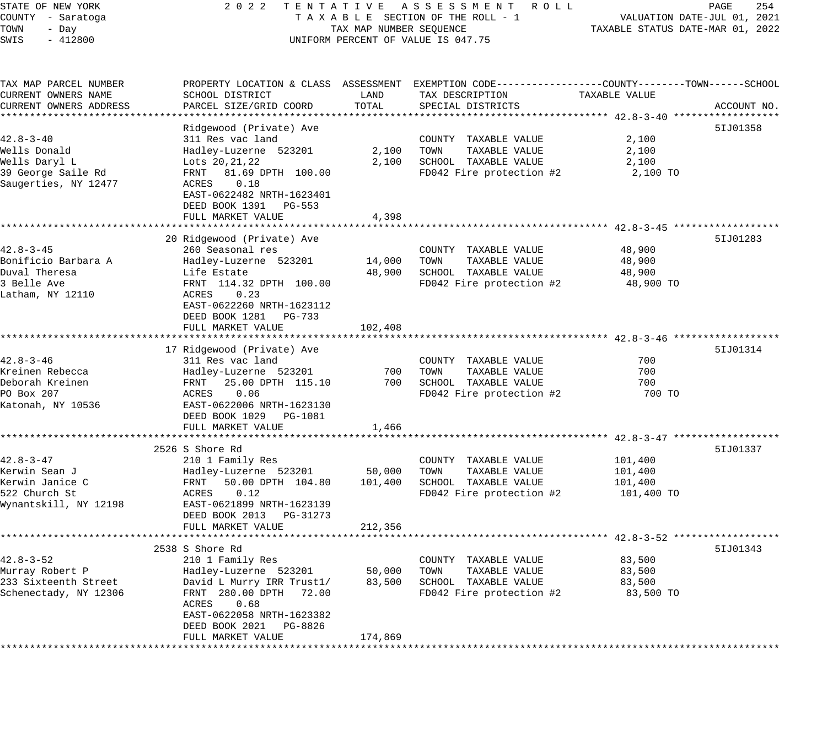| STATE OF NEW YORK<br>COUNTY - Saratoga<br>TOWN<br>- Day<br>SWIS<br>$-412800$                       | 2 0 2 2                                                                                                                                                                                                             | TAX MAP NUMBER SEQUENCE      | TENTATIVE ASSESSMENT ROLL<br>TAXABLE SECTION OF THE ROLL - 1<br>UNIFORM PERCENT OF VALUE IS 047.75                                       | TAXABLE STATUS DATE-MAR 01, 2022            | 254<br>PAGE<br>VALUATION DATE-JUL 01, 2021 |
|----------------------------------------------------------------------------------------------------|---------------------------------------------------------------------------------------------------------------------------------------------------------------------------------------------------------------------|------------------------------|------------------------------------------------------------------------------------------------------------------------------------------|---------------------------------------------|--------------------------------------------|
| TAX MAP PARCEL NUMBER<br>CURRENT OWNERS NAME<br>CURRENT OWNERS ADDRESS<br>************************ | SCHOOL DISTRICT<br>PARCEL SIZE/GRID COORD                                                                                                                                                                           | LAND<br>TOTAL                | PROPERTY LOCATION & CLASS ASSESSMENT EXEMPTION CODE----------------COUNTY-------TOWN------SCHOOL<br>TAX DESCRIPTION<br>SPECIAL DISTRICTS | TAXABLE VALUE                               | ACCOUNT NO.                                |
| $42.8 - 3 - 40$<br>Wells Donald<br>Wells Daryl L<br>39 George Saile Rd<br>Saugerties, NY 12477     | Ridgewood (Private) Ave<br>311 Res vac land<br>Hadley-Luzerne 523201<br>Lots 20, 21, 22<br>FRNT<br>81.69 DPTH 100.00<br>0.18<br>ACRES<br>EAST-0622482 NRTH-1623401<br>DEED BOOK 1391 PG-553<br>FULL MARKET VALUE    | 2,100<br>2,100<br>4,398      | COUNTY TAXABLE VALUE<br>TAXABLE VALUE<br>TOWN<br>SCHOOL TAXABLE VALUE<br>FD042 Fire protection #2                                        | 2,100<br>2,100<br>2,100<br>2,100 TO         | 51J01358                                   |
| $42.8 - 3 - 45$<br>Bonificio Barbara A<br>Duval Theresa<br>3 Belle Ave<br>Latham, NY 12110         | 20 Ridgewood (Private) Ave<br>260 Seasonal res<br>Hadley-Luzerne 523201<br>Life Estate<br>FRNT 114.32 DPTH 100.00<br>0.23<br>ACRES<br>EAST-0622260 NRTH-1623112<br>DEED BOOK 1281 PG-733<br>FULL MARKET VALUE       | 14,000<br>48,900<br>102,408  | COUNTY TAXABLE VALUE<br>TAXABLE VALUE<br>TOWN<br>SCHOOL TAXABLE VALUE<br>FD042 Fire protection #2                                        | 48,900<br>48,900<br>48,900<br>48,900 TO     | 51J01283                                   |
| $42.8 - 3 - 46$<br>Kreinen Rebecca<br>Deborah Kreinen<br>PO Box 207<br>Katonah, NY 10536           | 17 Ridgewood (Private) Ave<br>311 Res vac land<br>Hadley-Luzerne 523201<br>25.00 DPTH 115.10<br>FRNT<br>ACRES<br>0.06<br>EAST-0622006 NRTH-1623130<br>DEED BOOK 1029 PG-1081<br>FULL MARKET VALUE                   | 700<br>700<br>1,466          | COUNTY TAXABLE VALUE<br>TOWN<br>TAXABLE VALUE<br>SCHOOL TAXABLE VALUE<br>FD042 Fire protection #2                                        | 700<br>700<br>700<br>700 TO                 | 51J01314                                   |
| $42.8 - 3 - 47$<br>Kerwin Sean J<br>Kerwin Janice C<br>522 Church St<br>Wynantskill, NY 12198      | 2526 S Shore Rd<br>210 1 Family Res<br>Hadley-Luzerne 523201<br>FRNT<br>50.00 DPTH 104.80<br>0.12<br>ACRES<br>EAST-0621899 NRTH-1623139<br>DEED BOOK 2013 PG-31273<br>FULL MARKET VALUE                             | 50,000<br>101,400<br>212,356 | COUNTY TAXABLE VALUE<br>TAXABLE VALUE<br>TOWN<br>SCHOOL TAXABLE VALUE<br>FD042 Fire protection #2                                        | 101,400<br>101,400<br>101,400<br>101,400 TO | 51J01337                                   |
| $42.8 - 3 - 52$<br>Murray Robert P<br>233 Sixteenth Street<br>Schenectady, NY 12306                | 2538 S Shore Rd<br>210 1 Family Res<br>Hadley-Luzerne 523201<br>David L Murry IRR Trust1/<br>FRNT 280.00 DPTH<br>72.00<br>0.68<br>ACRES<br>EAST-0622058 NRTH-1623382<br>DEED BOOK 2021 PG-8826<br>FULL MARKET VALUE | 50,000<br>83,500<br>174,869  | COUNTY<br>TAXABLE VALUE<br>TOWN<br>TAXABLE VALUE<br>SCHOOL TAXABLE VALUE<br>FD042 Fire protection #2                                     | 83,500<br>83,500<br>83,500<br>83,500 TO     | 51J01343                                   |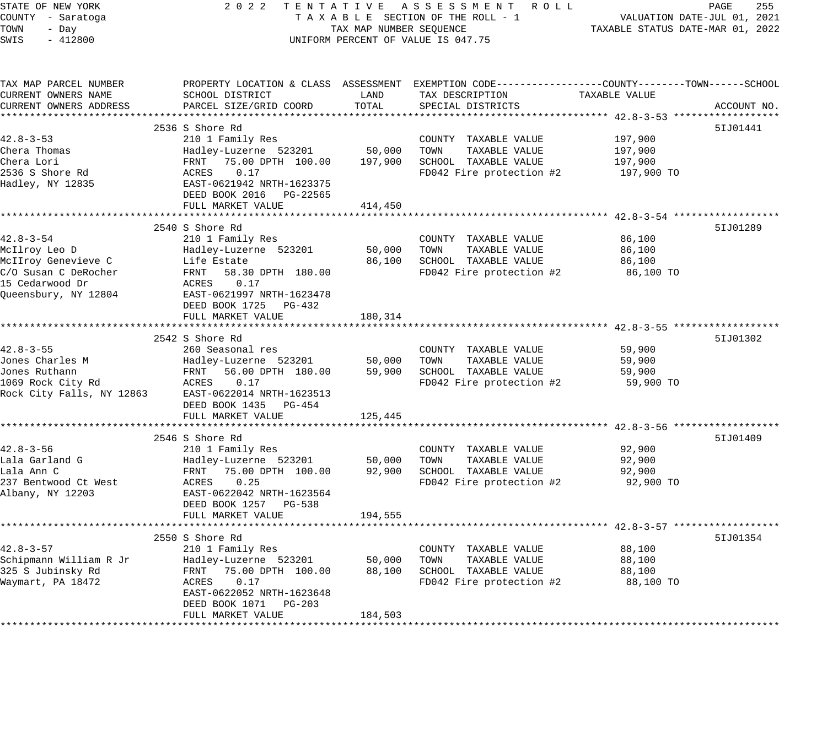| STATE OF NEW YORK                    | 2 0 2 2                                         |                                  | TENTATIVE ASSESSMENT ROLL                                                                        |                                                          | 255<br>PAGE                 |
|--------------------------------------|-------------------------------------------------|----------------------------------|--------------------------------------------------------------------------------------------------|----------------------------------------------------------|-----------------------------|
| COUNTY - Saratoga                    |                                                 |                                  | TAXABLE SECTION OF THE ROLL - 1                                                                  |                                                          | VALUATION DATE-JUL 01, 2021 |
| TOWN<br>- Day                        | TAX MAP NUMBER SEQUENCE                         | TAXABLE STATUS DATE-MAR 01, 2022 |                                                                                                  |                                                          |                             |
| SWIS<br>$-412800$                    |                                                 |                                  | UNIFORM PERCENT OF VALUE IS 047.75                                                               |                                                          |                             |
|                                      |                                                 |                                  |                                                                                                  |                                                          |                             |
| TAX MAP PARCEL NUMBER                |                                                 |                                  | PROPERTY LOCATION & CLASS ASSESSMENT EXEMPTION CODE----------------COUNTY-------TOWN------SCHOOL |                                                          |                             |
| CURRENT OWNERS NAME                  | SCHOOL DISTRICT                                 | LAND                             | TAX DESCRIPTION                                                                                  | TAXABLE VALUE                                            |                             |
| CURRENT OWNERS ADDRESS               | PARCEL SIZE/GRID COORD                          | TOTAL                            | SPECIAL DISTRICTS                                                                                |                                                          | ACCOUNT NO.                 |
|                                      |                                                 |                                  |                                                                                                  |                                                          |                             |
|                                      | 2536 S Shore Rd                                 |                                  |                                                                                                  |                                                          | 51J01441                    |
| $42.8 - 3 - 53$                      | 210 1 Family Res                                |                                  | COUNTY TAXABLE VALUE                                                                             | 197,900                                                  |                             |
| Chera Thomas                         | Hadley-Luzerne 523201                           | 50,000                           | TOWN<br>TAXABLE VALUE                                                                            | 197,900                                                  |                             |
| Chera Lori                           | FRNT 75.00 DPTH 100.00                          | 197,900                          | SCHOOL TAXABLE VALUE                                                                             | 197,900                                                  |                             |
| 2536 S Shore Rd                      | 0.17<br>ACRES                                   |                                  | FD042 Fire protection #2                                                                         | 197,900 TO                                               |                             |
| Hadley, NY 12835                     | EAST-0621942 NRTH-1623375                       |                                  |                                                                                                  |                                                          |                             |
|                                      | DEED BOOK 2016 PG-22565                         |                                  |                                                                                                  |                                                          |                             |
|                                      | FULL MARKET VALUE<br>************************** | 414,450                          |                                                                                                  | ************************** 42.8-3-54 ******************* |                             |
|                                      |                                                 |                                  |                                                                                                  |                                                          |                             |
| $42.8 - 3 - 54$                      | 2540 S Shore Rd                                 |                                  |                                                                                                  |                                                          | 51J01289                    |
|                                      | 210 1 Family Res                                | 50,000                           | COUNTY TAXABLE VALUE<br>TOWN<br>TAXABLE VALUE                                                    | 86,100<br>86,100                                         |                             |
| McIlroy Leo D<br>McIIroy Genevieve C | Hadley-Luzerne 523201<br>Life Estate            | 86,100                           | SCHOOL TAXABLE VALUE                                                                             | 86,100                                                   |                             |
| C/O Susan C DeRocher                 | FRNT<br>58.30 DPTH 180.00                       |                                  | FD042 Fire protection #2                                                                         | 86,100 TO                                                |                             |
| 15 Cedarwood Dr                      | ACRES<br>0.17                                   |                                  |                                                                                                  |                                                          |                             |
| Queensbury, NY 12804                 | EAST-0621997 NRTH-1623478                       |                                  |                                                                                                  |                                                          |                             |
|                                      | DEED BOOK 1725 PG-432                           |                                  |                                                                                                  |                                                          |                             |
|                                      | FULL MARKET VALUE                               | 180,314                          |                                                                                                  |                                                          |                             |
|                                      |                                                 |                                  |                                                                                                  |                                                          |                             |
|                                      | 2542 S Shore Rd                                 |                                  |                                                                                                  |                                                          | 51J01302                    |
| $42.8 - 3 - 55$                      | 260 Seasonal res                                |                                  | COUNTY TAXABLE VALUE                                                                             | 59,900                                                   |                             |
| Jones Charles M                      | Hadley-Luzerne 523201                           | 50,000                           | TAXABLE VALUE<br>TOWN                                                                            | 59,900                                                   |                             |
| Jones Ruthann                        | FRNT<br>56.00 DPTH 180.00                       | 59,900                           | SCHOOL TAXABLE VALUE                                                                             | 59,900                                                   |                             |
| 1069 Rock City Rd                    | ACRES<br>0.17                                   |                                  | FD042 Fire protection #2                                                                         | 59,900 TO                                                |                             |
| Rock City Falls, NY 12863            | EAST-0622014 NRTH-1623513                       |                                  |                                                                                                  |                                                          |                             |
|                                      | DEED BOOK 1435 PG-454                           |                                  |                                                                                                  |                                                          |                             |
|                                      | FULL MARKET VALUE                               | 125,445                          |                                                                                                  |                                                          |                             |
|                                      |                                                 |                                  |                                                                                                  |                                                          |                             |
|                                      | 2546 S Shore Rd                                 |                                  |                                                                                                  |                                                          | 51J01409                    |
| $42.8 - 3 - 56$                      | 210 1 Family Res                                |                                  | COUNTY TAXABLE VALUE                                                                             | 92,900                                                   |                             |
| Lala Garland G                       | Hadley-Luzerne 523201                           | 50,000                           | TOWN<br>TAXABLE VALUE                                                                            | 92,900                                                   |                             |
| Lala Ann C                           | FRNT<br>75.00 DPTH 100.00                       | 92,900                           | SCHOOL TAXABLE VALUE                                                                             | 92,900                                                   |                             |
| 237 Bentwood Ct West                 | 0.25<br>ACRES                                   |                                  | FD042 Fire protection #2                                                                         | 92,900 TO                                                |                             |
| Albany, NY 12203                     | EAST-0622042 NRTH-1623564                       |                                  |                                                                                                  |                                                          |                             |
|                                      | DEED BOOK 1257 PG-538                           |                                  |                                                                                                  |                                                          |                             |
|                                      | FULL MARKET VALUE                               | 194,555                          |                                                                                                  |                                                          |                             |
|                                      |                                                 |                                  |                                                                                                  |                                                          |                             |
|                                      | 2550 S Shore Rd                                 |                                  |                                                                                                  |                                                          | 51J01354                    |
| $42.8 - 3 - 57$                      | 210 1 Family Res                                |                                  | COUNTY TAXABLE VALUE                                                                             | 88,100                                                   |                             |
| Schipmann William R Jr               | Hadley-Luzerne 523201                           | 50,000                           | TAXABLE VALUE<br>TOWN                                                                            | 88,100                                                   |                             |
| 325 S Jubinsky Rd                    | FRNT<br>75.00 DPTH 100.00                       | 88,100                           | SCHOOL TAXABLE VALUE                                                                             | 88,100                                                   |                             |
| Waymart, PA 18472                    | ACRES<br>0.17                                   |                                  | FD042 Fire protection #2                                                                         | 88,100 TO                                                |                             |
|                                      | EAST-0622052 NRTH-1623648                       |                                  |                                                                                                  |                                                          |                             |
|                                      | DEED BOOK 1071<br>PG-203                        |                                  |                                                                                                  |                                                          |                             |
|                                      | FULL MARKET VALUE                               | 184,503                          |                                                                                                  |                                                          |                             |
|                                      |                                                 |                                  |                                                                                                  |                                                          |                             |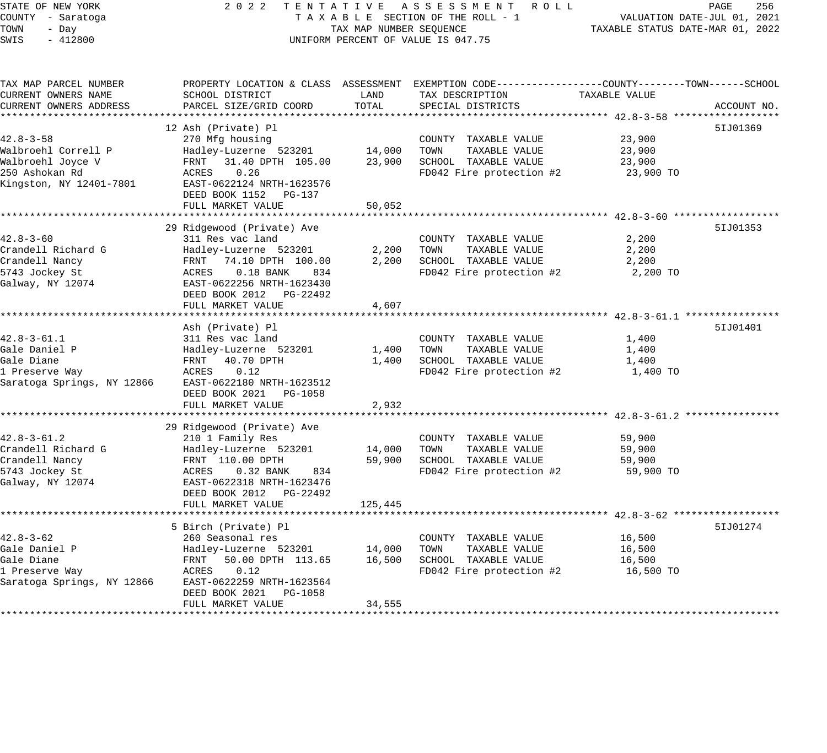STATE OF NEW YORK 2 0 2 2 T E N T A T I V E A S S E S S M E N T R O L L PAGE 256 COUNTY - Saratoga T A X A B L E SECTION OF THE ROLL - 1 VALUATION DATE-JUL 01, 2021 TOWN - Day TAX MAP NUMBER SEQUENCE TAXABLE STATUS DATE-MAR 01, 2022 SWIS - 412800 CONTROLLY THE UNIFORM PERCENT OF VALUE IS 047.75 TAX MAP PARCEL NUMBER PROPERTY LOCATION & CLASS ASSESSMENT EXEMPTION CODE------------------COUNTY--------TOWN------SCHOOL CURRENT OWNERS NAME SCHOOL DISTRICT LAND TAX DESCRIPTION TAXABLE VALUE CURRENT OWNERS ADDRESS PARCEL SIZE/GRID COORD TOTAL SPECIAL DISTRICTS ACCOUNT NO. \*\*\*\*\*\*\*\*\*\*\*\*\*\*\*\*\*\*\*\*\*\*\*\*\*\*\*\*\*\*\*\*\*\*\*\*\*\*\*\*\*\*\*\*\*\*\*\*\*\*\*\*\*\*\*\*\*\*\*\*\*\*\*\*\*\*\*\*\*\*\*\*\*\*\*\*\*\*\*\*\*\*\*\*\*\*\*\*\*\*\*\*\*\*\*\*\*\*\*\*\*\*\* 42.8-3-58 \*\*\*\*\*\*\*\*\*\*\*\*\*\*\*\*\*\* 12 Ash (Private) Pl 5IJ01369 42.8-3-58 270 Mfg housing COUNTY TAXABLE VALUE 23,900 Walbroehl Correll P Hadley-Luzerne 523201 14,000 TOWN TAXABLE VALUE 23,900 Walbroehl Joyce V FRNT 31.40 DPTH 105.00 23,900 SCHOOL TAXABLE VALUE 23,900 250 Ashokan Rd ACRES 0.26 FD042 Fire protection #2 23,900 TO Kingston, NY 12401-7801 EAST-0622124 NRTH-1623576 DEED BOOK 1152 PG-137 FULL MARKET VALUE 50,052 \*\*\*\*\*\*\*\*\*\*\*\*\*\*\*\*\*\*\*\*\*\*\*\*\*\*\*\*\*\*\*\*\*\*\*\*\*\*\*\*\*\*\*\*\*\*\*\*\*\*\*\*\*\*\*\*\*\*\*\*\*\*\*\*\*\*\*\*\*\*\*\*\*\*\*\*\*\*\*\*\*\*\*\*\*\*\*\*\*\*\*\*\*\*\*\*\*\*\*\*\*\*\* 42.8-3-60 \*\*\*\*\*\*\*\*\*\*\*\*\*\*\*\*\*\* 29 Ridgewood (Private) Ave 5IJ01353 (1999) 1999 (1999) 1999 (1999) 1999 (1999) 1999 (1999) 1999 (1999) 1999 (1 42.8-3-60 311 Res vac land COUNTY TAXABLE VALUE 2,200 Crandell Richard G Hadley-Luzerne 523201 2,200 TOWN TAXABLE VALUE 2,200 Crandell Nancy FRNT 74.10 DPTH 100.00 2,200 SCHOOL TAXABLE VALUE 2,200 5743 Jockey St ACRES 0.18 BANK 834 FD042 Fire protection #2 2,200 TO Galway, NY 12074 EAST-0622256 NRTH-1623430 DEED BOOK 2012 PG-22492 FULL MARKET VALUE 4,607 \*\*\*\*\*\*\*\*\*\*\*\*\*\*\*\*\*\*\*\*\*\*\*\*\*\*\*\*\*\*\*\*\*\*\*\*\*\*\*\*\*\*\*\*\*\*\*\*\*\*\*\*\*\*\*\*\*\*\*\*\*\*\*\*\*\*\*\*\*\*\*\*\*\*\*\*\*\*\*\*\*\*\*\*\*\*\*\*\*\*\*\*\*\*\*\*\*\*\*\*\*\*\* 42.8-3-61.1 \*\*\*\*\*\*\*\*\*\*\*\*\*\*\*\* Ash (Private) Pl 5IJ01401 42.8-3-61.1 311 Res vac land COUNTY TAXABLE VALUE 1,400 Gale Daniel P Hadley-Luzerne 523201 1,400 TOWN TAXABLE VALUE 1,400 Gale Diane FRNT 40.70 DPTH 1,400 SCHOOL TAXABLE VALUE 1,400 1 Preserve Way ACRES 0.12 FD042 Fire protection #2 1,400 TO Saratoga Springs, NY 12866 EAST-0622180 NRTH-1623512 DEED BOOK 2021 PG-1058 FULL MARKET VALUE 2,932 \*\*\*\*\*\*\*\*\*\*\*\*\*\*\*\*\*\*\*\*\*\*\*\*\*\*\*\*\*\*\*\*\*\*\*\*\*\*\*\*\*\*\*\*\*\*\*\*\*\*\*\*\*\*\*\*\*\*\*\*\*\*\*\*\*\*\*\*\*\*\*\*\*\*\*\*\*\*\*\*\*\*\*\*\*\*\*\*\*\*\*\*\*\*\*\*\*\*\*\*\*\*\* 42.8-3-61.2 \*\*\*\*\*\*\*\*\*\*\*\*\*\*\*\* 29 Ridgewood (Private) Ave<br>210 1 Family Res 42.8-3-61.2 210 1 Family Res COUNTY TAXABLE VALUE 59,900 Crandell Richard G Hadley-Luzerne 523201 14,000 TOWN TAXABLE VALUE 59,900 Crandell Nancy FRNT 110.00 DPTH 59,900 SCHOOL TAXABLE VALUE 59,900 5743 Jockey St ACRES 0.32 BANK 834 FD042 Fire protection #2 59,900 TO Galway, NY 12074 EAST-0622318 NRTH-1623476 DEED BOOK 2012 PG-22492 FULL MARKET VALUE 125,445 \*\*\*\*\*\*\*\*\*\*\*\*\*\*\*\*\*\*\*\*\*\*\*\*\*\*\*\*\*\*\*\*\*\*\*\*\*\*\*\*\*\*\*\*\*\*\*\*\*\*\*\*\*\*\*\*\*\*\*\*\*\*\*\*\*\*\*\*\*\*\*\*\*\*\*\*\*\*\*\*\*\*\*\*\*\*\*\*\*\*\*\*\*\*\*\*\*\*\*\*\*\*\* 42.8-3-62 \*\*\*\*\*\*\*\*\*\*\*\*\*\*\*\*\*\* 5 Birch (Private) Pl 5IJ01274 42.8-3-62 260 Seasonal res COUNTY TAXABLE VALUE 16,500 Gale Daniel P Hadley-Luzerne 523201 14,000 TOWN TAXABLE VALUE 16,500 Gale Diane FRNT 50.00 DPTH 113.65 16,500 SCHOOL TAXABLE VALUE 16,500 1 Preserve Way ACRES 0.12 FD042 Fire protection #2 16,500 TO Saratoga Springs, NY 12866 EAST-0622259 NRTH-1623564 DEED BOOK 2021 PG-1058 FULL MARKET VALUE 34,555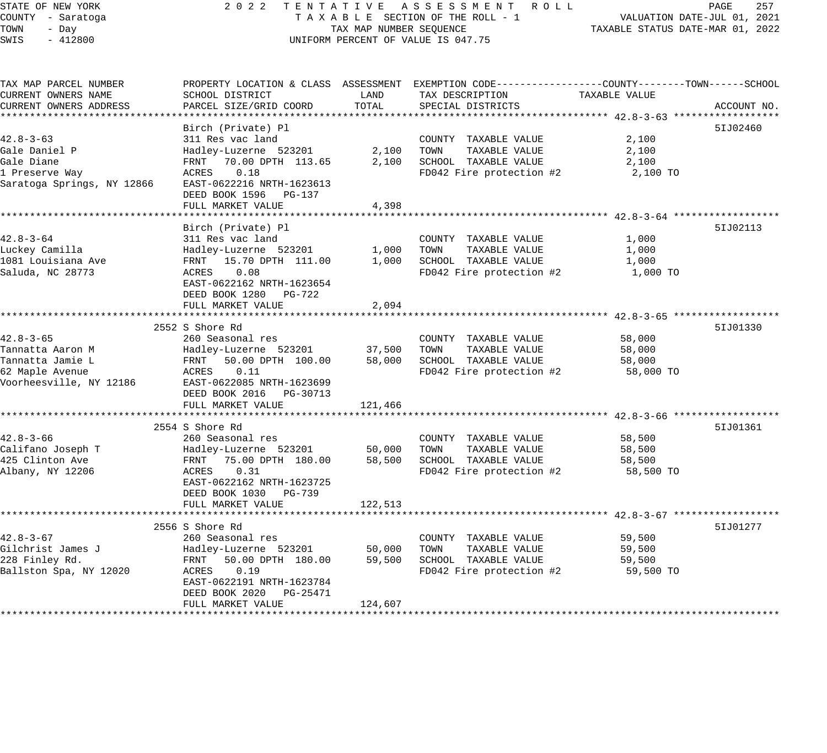## STATE OF NEW YORK 2 0 2 2 T E N T A T I V E A S S E S S M E N T R O L L PAGE 257 COUNTY - Saratoga T A X A B L E SECTION OF THE ROLL - 1 VALUATION DATE-JUL 01, 2021 X A B L E SECTION OF THE KOLL - 1 TAXABLE STATUS DATE-MAR 01, 2022 UNIFORM PERCENT OF VALUE IS 047.75

| TAX MAP PARCEL NUMBER<br>CURRENT OWNERS NAME | PROPERTY LOCATION & CLASS ASSESSMENT EXEMPTION CODE----------------COUNTY-------TOWN------SCHOOL<br>SCHOOL DISTRICT | LAND    | TAX DESCRIPTION          | TAXABLE VALUE |             |
|----------------------------------------------|---------------------------------------------------------------------------------------------------------------------|---------|--------------------------|---------------|-------------|
| CURRENT OWNERS ADDRESS                       | PARCEL SIZE/GRID COORD                                                                                              | TOTAL   | SPECIAL DISTRICTS        |               | ACCOUNT NO. |
|                                              | Birch (Private) Pl                                                                                                  |         |                          |               | 51J02460    |
| $42.8 - 3 - 63$                              | 311 Res vac land                                                                                                    |         | COUNTY TAXABLE VALUE     | 2,100         |             |
| Gale Daniel P                                | Hadley-Luzerne 523201                                                                                               | 2,100   | TOWN<br>TAXABLE VALUE    | 2,100         |             |
| Gale Diane                                   | FRNT 70.00 DPTH 113.65                                                                                              | 2,100   | SCHOOL TAXABLE VALUE     | 2,100         |             |
| 1 Preserve Way                               | ACRES<br>0.18                                                                                                       |         | FD042 Fire protection #2 | 2,100 TO      |             |
| Saratoga Springs, NY 12866                   | EAST-0622216 NRTH-1623613                                                                                           |         |                          |               |             |
|                                              | DEED BOOK 1596<br>PG-137                                                                                            |         |                          |               |             |
|                                              | FULL MARKET VALUE                                                                                                   | 4,398   |                          |               |             |
|                                              |                                                                                                                     |         |                          |               |             |
|                                              | Birch (Private) Pl                                                                                                  |         |                          |               | 51J02113    |
| $42.8 - 3 - 64$                              | 311 Res vac land                                                                                                    |         | COUNTY TAXABLE VALUE     | 1,000         |             |
| Luckey Camilla                               | Hadley-Luzerne 523201                                                                                               | 1,000   | TAXABLE VALUE<br>TOWN    | 1,000         |             |
| 1081 Louisiana Ave                           | FRNT 15.70 DPTH 111.00                                                                                              | 1,000   | SCHOOL TAXABLE VALUE     | 1,000         |             |
| Saluda, NC 28773                             | ACRES<br>0.08                                                                                                       |         | FD042 Fire protection #2 | 1,000 TO      |             |
|                                              | EAST-0622162 NRTH-1623654                                                                                           |         |                          |               |             |
|                                              | DEED BOOK 1280 PG-722                                                                                               |         |                          |               |             |
|                                              | FULL MARKET VALUE                                                                                                   | 2,094   |                          |               |             |
|                                              |                                                                                                                     |         |                          |               |             |
|                                              | 2552 S Shore Rd                                                                                                     |         |                          |               | 51J01330    |
| $42.8 - 3 - 65$                              | 260 Seasonal res                                                                                                    |         | COUNTY TAXABLE VALUE     | 58,000        |             |
| Tannatta Aaron M                             | Hadley-Luzerne 523201                                                                                               | 37,500  | TOWN<br>TAXABLE VALUE    | 58,000        |             |
| Tannatta Jamie L                             | FRNT 50.00 DPTH 100.00                                                                                              | 58,000  | SCHOOL TAXABLE VALUE     | 58,000        |             |
| 62 Maple Avenue                              | 0.11<br>ACRES                                                                                                       |         | FD042 Fire protection #2 | 58,000 TO     |             |
| Voorheesville, NY 12186                      | EAST-0622085 NRTH-1623699                                                                                           |         |                          |               |             |
|                                              | DEED BOOK 2016 PG-30713                                                                                             |         |                          |               |             |
|                                              | FULL MARKET VALUE                                                                                                   | 121,466 |                          |               |             |
|                                              |                                                                                                                     |         |                          |               |             |
|                                              | 2554 S Shore Rd                                                                                                     |         |                          |               | 51J01361    |
| $42.8 - 3 - 66$                              | 260 Seasonal res                                                                                                    |         | COUNTY TAXABLE VALUE     | 58,500        |             |
| Califano Joseph T                            | Hadley-Luzerne 523201                                                                                               | 50,000  | TOWN<br>TAXABLE VALUE    | 58,500        |             |
| 425 Clinton Ave                              | FRNT 75.00 DPTH 180.00                                                                                              | 58,500  | SCHOOL TAXABLE VALUE     | 58,500        |             |
| Albany, NY 12206                             | 0.31<br>ACRES                                                                                                       |         | FD042 Fire protection #2 | 58,500 TO     |             |
|                                              | EAST-0622162 NRTH-1623725                                                                                           |         |                          |               |             |
|                                              | DEED BOOK 1030 PG-739                                                                                               |         |                          |               |             |
|                                              | FULL MARKET VALUE                                                                                                   | 122,513 |                          |               |             |
|                                              | 2556 S Shore Rd                                                                                                     |         |                          |               | 51J01277    |
| $42.8 - 3 - 67$                              | 260 Seasonal res                                                                                                    |         | COUNTY TAXABLE VALUE     | 59,500        |             |
| Gilchrist James J                            | Hadley-Luzerne 523201                                                                                               | 50,000  | TOWN<br>TAXABLE VALUE    | 59,500        |             |
| 228 Finley Rd.                               | FRNT 50.00 DPTH 180.00                                                                                              | 59,500  | SCHOOL TAXABLE VALUE     | 59,500        |             |
| Ballston Spa, NY 12020                       | 0.19<br>ACRES                                                                                                       |         | FD042 Fire protection #2 | 59,500 TO     |             |
|                                              | EAST-0622191 NRTH-1623784                                                                                           |         |                          |               |             |
|                                              | DEED BOOK 2020<br>PG-25471                                                                                          |         |                          |               |             |
|                                              | FULL MARKET VALUE                                                                                                   | 124,607 |                          |               |             |
|                                              |                                                                                                                     |         |                          |               |             |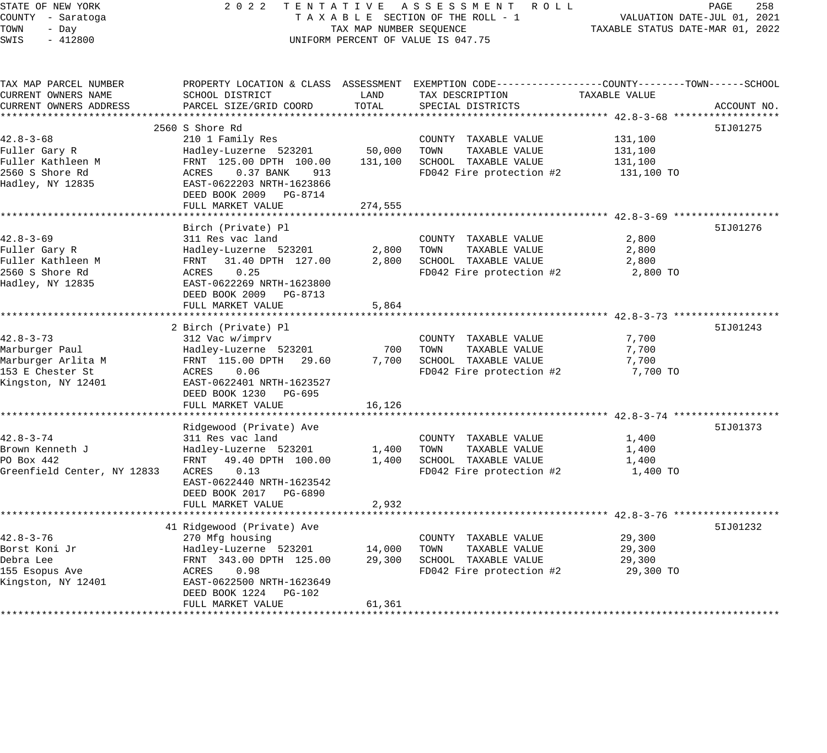STATE OF NEW YORK 2 0 2 2 T E N T A T I V E A S S E S S M E N T R O L L PAGE 258 COUNTY - Saratoga T A X A B L E SECTION OF THE ROLL - 1 VALUATION DATE-JUL 01, 2021 TOWN - Day TAX MAP NUMBER SEQUENCE TAXABLE STATUS DATE-MAR 01, 2022 SWIS - 412800 CONTROLLY THE UNIFORM PERCENT OF VALUE IS 047.75 TAX MAP PARCEL NUMBER PROPERTY LOCATION & CLASS ASSESSMENT EXEMPTION CODE---------------COUNTY--------TOWN------SCHOOL CURRENT OWNERS NAME SCHOOL DISTRICT LAND TAX DESCRIPTION TAXABLE VALUE CURRENT OWNERS ADDRESS PARCEL SIZE/GRID COORD TOTAL SPECIAL DISTRICTS ACCOUNT NO. \*\*\*\*\*\*\*\*\*\*\*\*\*\*\*\*\*\*\*\*\*\*\*\*\*\*\*\*\*\*\*\*\*\*\*\*\*\*\*\*\*\*\*\*\*\*\*\*\*\*\*\*\*\*\*\*\*\*\*\*\*\*\*\*\*\*\*\*\*\*\*\*\*\*\*\*\*\*\*\*\*\*\*\*\*\*\*\*\*\*\*\*\*\*\*\*\*\*\*\*\*\*\* 42.8-3-68 \*\*\*\*\*\*\*\*\*\*\*\*\*\*\*\*\*\* 2560 S Shore Rd 5IJ01275 42.8-3-68 210 1 Family Res COUNTY TAXABLE VALUE 131,100 Fuller Gary R Hadley-Luzerne 523201 50,000 TOWN TAXABLE VALUE 131,100 Fuller Kathleen M FRNT 125.00 DPTH 100.00 131,100 SCHOOL TAXABLE VALUE 131,100 2560 S Shore Rd ACRES 0.37 BANK 913 FD042 Fire protection #2 131,100 TO Hadley, NY 12835 EAST-0622203 NRTH-1623866 DEED BOOK 2009 PG-8714 FULL MARKET VALUE 274,555 \*\*\*\*\*\*\*\*\*\*\*\*\*\*\*\*\*\*\*\*\*\*\*\*\*\*\*\*\*\*\*\*\*\*\*\*\*\*\*\*\*\*\*\*\*\*\*\*\*\*\*\*\*\*\*\*\*\*\*\*\*\*\*\*\*\*\*\*\*\*\*\*\*\*\*\*\*\*\*\*\*\*\*\*\*\*\*\*\*\*\*\*\*\*\*\*\*\*\*\*\*\*\* 42.8-3-69 \*\*\*\*\*\*\*\*\*\*\*\*\*\*\*\*\*\* Birch (Private) Pl 5IJ01276 42.8-3-69 311 Res vac land COUNTY TAXABLE VALUE 2,800 Fuller Gary R Hadley-Luzerne 523201 2,800 TOWN TAXABLE VALUE 2,800 Fuller Kathleen M FRNT 31.40 DPTH 127.00 2,800 SCHOOL TAXABLE VALUE 2,800 2560 S Shore Rd ACRES 0.25 FD042 Fire protection #2 2,800 TO Hadley, NY 12835 EAST-0622269 NRTH-1623800 DEED BOOK 2009 PG-8713 FULL MARKET VALUE 5,864 \*\*\*\*\*\*\*\*\*\*\*\*\*\*\*\*\*\*\*\*\*\*\*\*\*\*\*\*\*\*\*\*\*\*\*\*\*\*\*\*\*\*\*\*\*\*\*\*\*\*\*\*\*\*\*\*\*\*\*\*\*\*\*\*\*\*\*\*\*\*\*\*\*\*\*\*\*\*\*\*\*\*\*\*\*\*\*\*\*\*\*\*\*\*\*\*\*\*\*\*\*\*\* 42.8-3-73 \*\*\*\*\*\*\*\*\*\*\*\*\*\*\*\*\*\* 2 Birch (Private) Pl 5IJ01243 42.8-3-73 312 Vac w/imprv COUNTY TAXABLE VALUE 7,700 Marburger Paul Hadley-Luzerne 523201 700 TOWN TAXABLE VALUE 7,700 Marburger Arlita M FRNT 115.00 DPTH 29.60 7,700 SCHOOL TAXABLE VALUE 7,700 153 E Chester St ACRES 0.06 FD042 Fire protection #2 7,700 TO Kingston, NY 12401 EAST-0622401 NRTH-1623527 DEED BOOK 1230 PG-695 FULL MARKET VALUE 16,126 \*\*\*\*\*\*\*\*\*\*\*\*\*\*\*\*\*\*\*\*\*\*\*\*\*\*\*\*\*\*\*\*\*\*\*\*\*\*\*\*\*\*\*\*\*\*\*\*\*\*\*\*\*\*\*\*\*\*\*\*\*\*\*\*\*\*\*\*\*\*\*\*\*\*\*\*\*\*\*\*\*\*\*\*\*\*\*\*\*\*\*\*\*\*\*\*\*\*\*\*\*\*\* 42.8-3-74 \*\*\*\*\*\*\*\*\*\*\*\*\*\*\*\*\*\* Ridgewood (Private) Ave 5IJ01373 (1999) 1999 (1999) 1999 (1999) 1999 (1999) 1999 (1999) 1999 (1999) 1999 (1999) 1999 (1999) 1999 (1999) 1999 (1999) 1999 (1999) 1999 (1999) 1999 (1999) 1999 (1999) 1999 (1999) 1999 (1999) 19 42.8-3-74 311 Res vac land COUNTY TAXABLE VALUE 1,400 Brown Kenneth J Hadley-Luzerne 523201 1,400 TOWN TAXABLE VALUE 1,400 PO Box 442 FRNT 49.40 DPTH 100.00 1,400 SCHOOL TAXABLE VALUE 1,400 Greenfield Center, NY 12833 ACRES 0.13 FD042 Fire protection #2 1,400 TO EAST-0622440 NRTH-1623542 DEED BOOK 2017 PG-6890 FULL MARKET VALUE 2,932 \*\*\*\*\*\*\*\*\*\*\*\*\*\*\*\*\*\*\*\*\*\*\*\*\*\*\*\*\*\*\*\*\*\*\*\*\*\*\*\*\*\*\*\*\*\*\*\*\*\*\*\*\*\*\*\*\*\*\*\*\*\*\*\*\*\*\*\*\*\*\*\*\*\*\*\*\*\*\*\*\*\*\*\*\*\*\*\*\*\*\*\*\*\*\*\*\*\*\*\*\*\*\* 42.8-3-76 \*\*\*\*\*\*\*\*\*\*\*\*\*\*\*\*\*\* 41 Ridgewood (Private) Ave 5IJ01232 42.8-3-76 270 Mfg housing COUNTY TAXABLE VALUE 29,300 Borst Koni Jr Hadley-Luzerne 523201 14,000 TOWN TAXABLE VALUE 29,300 Debra Lee FRNT 343.00 DPTH 125.00 29,300 SCHOOL TAXABLE VALUE 29,300 155 Esopus Ave ACRES 0.98 FD042 Fire protection #2 29,300 TO Kingston, NY 12401 EAST-0622500 NRTH-1623649 DEED BOOK 1224 PG-102 FULL MARKET VALUE 61,361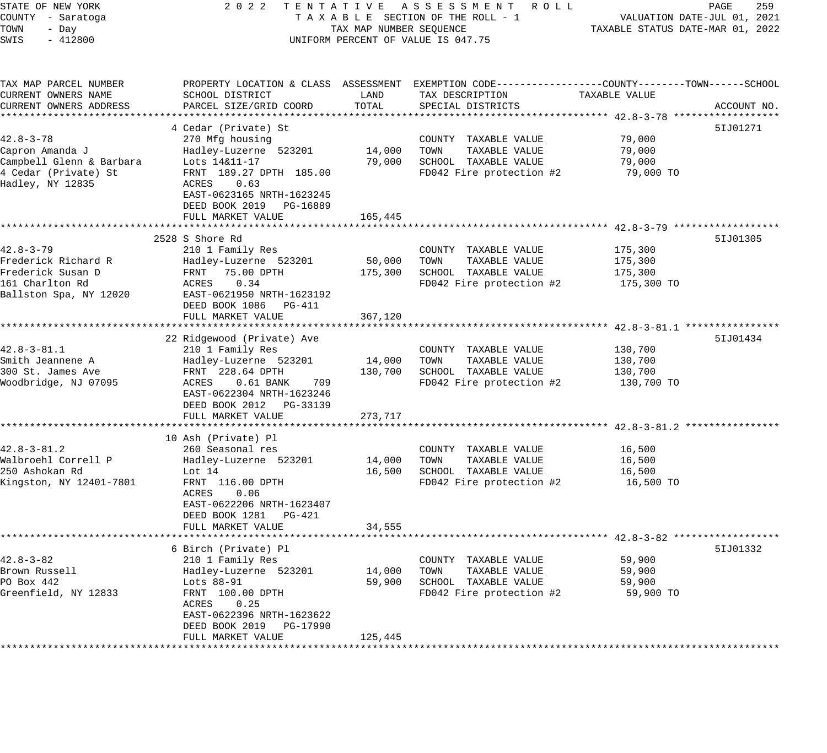| STATE OF NEW YORK<br>COUNTY - Saratoga<br>TOWN<br>- Day<br>SWIS<br>$-412800$                               | 2022 TENTATIVE ASSESSMENT ROLL<br>TAXABLE SECTION OF THE ROLL - 1<br>TAX MAP NUMBER SEQUENCE<br>UNIFORM PERCENT OF VALUE IS 047.75                                                                      |                              | 259<br>PAGE<br>VALUATION DATE-JUL 01, 2021<br>TAXABLE STATUS DATE-MAR 01, 2022                                                          |                                             |             |
|------------------------------------------------------------------------------------------------------------|---------------------------------------------------------------------------------------------------------------------------------------------------------------------------------------------------------|------------------------------|-----------------------------------------------------------------------------------------------------------------------------------------|---------------------------------------------|-------------|
| TAX MAP PARCEL NUMBER<br>CURRENT OWNERS NAME<br>CURRENT OWNERS ADDRESS                                     | SCHOOL DISTRICT<br>PARCEL SIZE/GRID COORD                                                                                                                                                               | LAND<br>TOTAL                | PROPERTY LOCATION & CLASS ASSESSMENT EXEMPTION CODE----------------COUNTY-------TOWN-----SCHOOL<br>TAX DESCRIPTION<br>SPECIAL DISTRICTS | TAXABLE VALUE                               | ACCOUNT NO. |
|                                                                                                            |                                                                                                                                                                                                         |                              |                                                                                                                                         |                                             |             |
| $42.8 - 3 - 78$<br>Capron Amanda J<br>Campbell Glenn & Barbara<br>4 Cedar (Private) St<br>Hadley, NY 12835 | 4 Cedar (Private) St<br>270 Mfg housing<br>Hadley-Luzerne 523201<br>Lots 14&11-17<br>FRNT 189.27 DPTH 185.00<br>ACRES<br>0.63<br>EAST-0623165 NRTH-1623245<br>DEED BOOK 2019 PG-16889                   | 14,000<br>79,000             | COUNTY TAXABLE VALUE<br>TOWN<br>TAXABLE VALUE<br>SCHOOL TAXABLE VALUE<br>FD042 Fire protection #2                                       | 79,000<br>79,000<br>79,000<br>79,000 TO     | 51J01271    |
|                                                                                                            | FULL MARKET VALUE                                                                                                                                                                                       | 165,445                      |                                                                                                                                         |                                             |             |
| $42.8 - 3 - 79$<br>Frederick Richard R<br>Frederick Susan D<br>161 Charlton Rd<br>Ballston Spa, NY 12020   | 2528 S Shore Rd<br>210 1 Family Res<br>Hadley-Luzerne 523201<br>FRNT<br>75.00 DPTH<br>ACRES<br>0.34<br>EAST-0621950 NRTH-1623192<br>DEED BOOK 1086 PG-411<br>FULL MARKET VALUE                          | 50,000<br>175,300<br>367,120 | COUNTY TAXABLE VALUE<br>TOWN<br>TAXABLE VALUE<br>SCHOOL TAXABLE VALUE<br>FD042 Fire protection #2                                       | 175,300<br>175,300<br>175,300<br>175,300 TO | 51J01305    |
|                                                                                                            |                                                                                                                                                                                                         |                              | ********************************** 42.8-3-81.1 *****************                                                                        |                                             |             |
| $42.8 - 3 - 81.1$<br>Smith Jeannene A<br>300 St. James Ave<br>Woodbridge, NJ 07095                         | 22 Ridgewood (Private) Ave<br>210 1 Family Res<br>Hadley-Luzerne 523201<br>FRNT 228.64 DPTH<br>$0.61$ BANK<br>ACRES<br>709<br>EAST-0622304 NRTH-1623246<br>DEED BOOK 2012 PG-33139<br>FULL MARKET VALUE | 14,000<br>130,700<br>273,717 | COUNTY TAXABLE VALUE<br>TAXABLE VALUE<br>TOWN<br>SCHOOL TAXABLE VALUE<br>FD042 Fire protection #2                                       | 130,700<br>130,700<br>130,700<br>130,700 TO | 51J01434    |
|                                                                                                            |                                                                                                                                                                                                         |                              |                                                                                                                                         |                                             |             |
| $42.8 - 3 - 81.2$<br>Walbroehl Correll P<br>250 Ashokan Rd<br>Kingston, NY 12401-7801                      | 10 Ash (Private) Pl<br>260 Seasonal res<br>Hadley-Luzerne 523201<br>Lot $14$<br>FRNT 116.00 DPTH<br>ACRES<br>0.06<br>EAST-0622206 NRTH-1623407<br>DEED BOOK 1281 PG-421                                 | 14,000<br>16,500             | COUNTY TAXABLE VALUE<br>TOWN<br>TAXABLE VALUE<br>SCHOOL TAXABLE VALUE<br>FD042 Fire protection $#2$ 16,500 TO                           | 16,500<br>16,500<br>16,500                  |             |
|                                                                                                            | FULL MARKET VALUE                                                                                                                                                                                       | 34,555                       |                                                                                                                                         |                                             |             |
| $42.8 - 3 - 82$<br>Brown Russell<br>PO Box 442<br>Greenfield, NY 12833                                     | 6 Birch (Private) Pl<br>210 1 Family Res<br>Hadley-Luzerne 523201<br>Lots 88-91<br>FRNT 100.00 DPTH<br>ACRES<br>0.25<br>EAST-0622396 NRTH-1623622<br>DEED BOOK 2019<br>PG-17990<br>FULL MARKET VALUE    | 14,000<br>59,900<br>125,445  | COUNTY TAXABLE VALUE<br>TAXABLE VALUE<br>TOWN<br>SCHOOL TAXABLE VALUE<br>FD042 Fire protection #2                                       | 59,900<br>59,900<br>59,900<br>59,900 TO     | 51J01332    |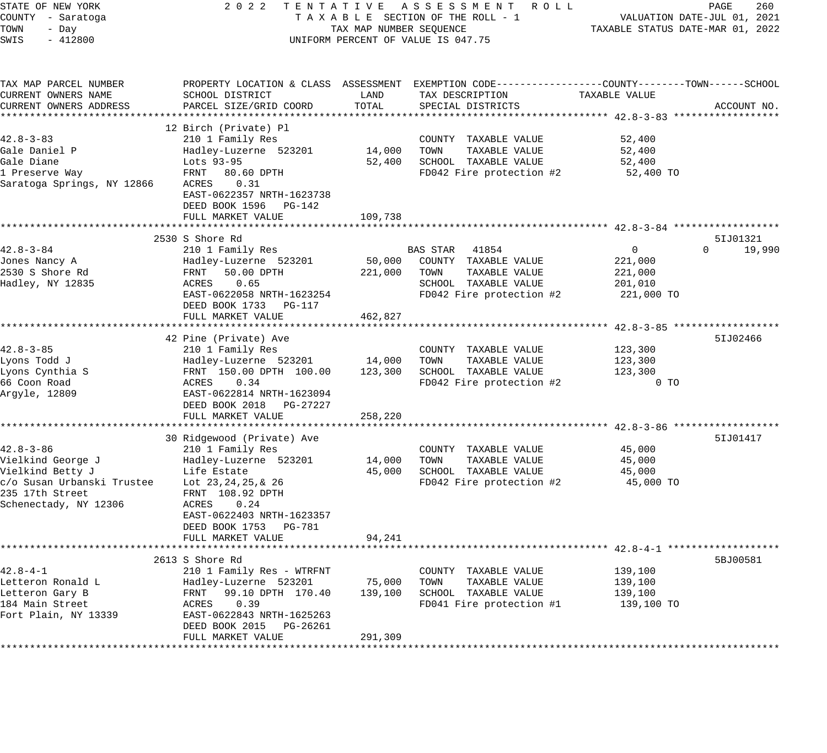| STATE OF NEW YORK                            | 2 0 2 2                                                          |                         | TENTATIVE ASSESSMENT<br>R O L L                                                                 |                                  | PAGE<br>260                 |
|----------------------------------------------|------------------------------------------------------------------|-------------------------|-------------------------------------------------------------------------------------------------|----------------------------------|-----------------------------|
| COUNTY - Saratoga                            |                                                                  |                         | TAXABLE SECTION OF THE ROLL - 1                                                                 |                                  | VALUATION DATE-JUL 01, 2021 |
| TOWN<br>- Day                                |                                                                  | TAX MAP NUMBER SEQUENCE |                                                                                                 | TAXABLE STATUS DATE-MAR 01, 2022 |                             |
| SWIS<br>$-412800$                            |                                                                  |                         | UNIFORM PERCENT OF VALUE IS 047.75                                                              |                                  |                             |
| TAX MAP PARCEL NUMBER                        |                                                                  |                         | PROPERTY LOCATION & CLASS ASSESSMENT EXEMPTION CODE---------------COUNTY-------TOWN------SCHOOL |                                  |                             |
| CURRENT OWNERS NAME                          | SCHOOL DISTRICT                                                  | LAND                    | TAX DESCRIPTION                                                                                 | TAXABLE VALUE                    |                             |
| CURRENT OWNERS ADDRESS                       | PARCEL SIZE/GRID COORD                                           | TOTAL                   | SPECIAL DISTRICTS                                                                               |                                  | ACCOUNT NO.                 |
|                                              |                                                                  |                         |                                                                                                 |                                  |                             |
|                                              | 12 Birch (Private) Pl                                            |                         |                                                                                                 |                                  |                             |
| 42.8-3-83                                    | 210 1 Family Res                                                 |                         | COUNTY TAXABLE VALUE                                                                            | 52,400                           |                             |
| Gale Daniel P                                | Hadley-Luzerne 523201                                            | 14,000                  | TOWN<br>TAXABLE VALUE                                                                           | 52,400                           |                             |
| Gale Diane                                   | Lots 93-95                                                       | 52,400                  | SCHOOL TAXABLE VALUE                                                                            | 52,400                           |                             |
| 1 Preserve Way<br>Saratoga Springs, NY 12866 | FRNT<br>80.60 DPTH<br>0.31<br>ACRES<br>EAST-0622357 NRTH-1623738 |                         | FD042 Fire protection #2                                                                        | 52,400 TO                        |                             |
|                                              | DEED BOOK 1596 PG-142                                            |                         |                                                                                                 |                                  |                             |
|                                              | FULL MARKET VALUE                                                | 109,738                 |                                                                                                 |                                  |                             |
|                                              |                                                                  |                         |                                                                                                 |                                  |                             |
|                                              | 2530 S Shore Rd                                                  |                         |                                                                                                 |                                  | 51J01321                    |
| 42.8-3-84                                    | 210 1 Family Res                                                 |                         | BAS STAR<br>41854                                                                               | $\mathbf 0$                      | 19,990<br>$\Omega$          |
| Jones Nancy A<br>2530 S Shore Rd             | Hadley-Luzerne 523201<br>FRNT 50.00 DPTH                         | 50,000<br>221,000       | COUNTY TAXABLE VALUE<br>TOWN<br>TAXABLE VALUE                                                   | 221,000<br>221,000               |                             |
| Hadley, NY 12835                             | 0.65<br>ACRES                                                    |                         | SCHOOL TAXABLE VALUE                                                                            | 201,010                          |                             |
|                                              | EAST-0622058 NRTH-1623254                                        |                         | FD042 Fire protection #2                                                                        | 221,000 TO                       |                             |
|                                              | DEED BOOK 1733 PG-117                                            |                         |                                                                                                 |                                  |                             |
|                                              | FULL MARKET VALUE                                                | 462,827                 |                                                                                                 |                                  |                             |
|                                              |                                                                  |                         |                                                                                                 |                                  |                             |
|                                              | 42 Pine (Private) Ave                                            |                         |                                                                                                 |                                  | 51J02466                    |
| $42.8 - 3 - 85$                              | 210 1 Family Res                                                 |                         | COUNTY TAXABLE VALUE                                                                            | 123,300                          |                             |
| Lyons Todd J                                 | Hadley-Luzerne 523201                                            | 14,000                  | TAXABLE VALUE<br>TOWN                                                                           | 123,300                          |                             |
| Lyons Cynthia S                              | FRNT 150.00 DPTH 100.00                                          | 123,300                 | SCHOOL TAXABLE VALUE                                                                            | 123,300                          |                             |
| 66 Coon Road                                 | 0.34<br>ACRES                                                    |                         | FD042 Fire protection #2                                                                        | 0 <sub>T</sub>                   |                             |
| Argyle, 12809                                | EAST-0622814 NRTH-1623094                                        |                         |                                                                                                 |                                  |                             |
|                                              | DEED BOOK 2018<br>PG-27227                                       |                         |                                                                                                 |                                  |                             |
|                                              | FULL MARKET VALUE                                                | 258,220                 |                                                                                                 |                                  |                             |
|                                              |                                                                  |                         | *********************************** 42.8-3-86 ******************                                |                                  |                             |
|                                              | 30 Ridgewood (Private) Ave                                       |                         |                                                                                                 |                                  | 51J01417                    |
| 42.8-3-86<br>Vielkind George J               | 210 1 Family Res<br>Hadley-Luzerne 523201                        | 14,000                  | COUNTY TAXABLE VALUE<br>TAXABLE VALUE<br>TOWN                                                   | 45,000<br>45,000                 |                             |
| Vielkind Betty J                             | Life Estate                                                      | 45,000                  | SCHOOL TAXABLE VALUE                                                                            | 45,000                           |                             |
| c/o Susan Urbanski Trustee                   | Lot 23, 24, 25, & 26                                             |                         | FD042 Fire protection #2                                                                        | 45,000 TO                        |                             |
| 235 17th Street                              | FRNT 108.92 DPTH                                                 |                         |                                                                                                 |                                  |                             |
| Schenectady, NY 12306                        | ACRES<br>0.24                                                    |                         |                                                                                                 |                                  |                             |
|                                              | EAST-0622403 NRTH-1623357                                        |                         |                                                                                                 |                                  |                             |
|                                              | DEED BOOK 1753<br>PG-781                                         |                         |                                                                                                 |                                  |                             |
|                                              | FULL MARKET VALUE                                                | 94,241                  |                                                                                                 |                                  |                             |
|                                              |                                                                  |                         |                                                                                                 |                                  |                             |
|                                              | 2613 S Shore Rd                                                  |                         |                                                                                                 |                                  | 5BJ00581                    |
| 42.8-4-1                                     | 210 1 Family Res - WTRFNT                                        |                         | TAXABLE VALUE<br>COUNTY                                                                         | 139,100                          |                             |
| Letteron Ronald L                            | Hadley-Luzerne 523201                                            | 75,000                  | TOWN<br>TAXABLE VALUE                                                                           | 139,100                          |                             |
| Letteron Gary B                              | 99.10 DPTH 170.40<br>FRNT                                        | 139,100                 | SCHOOL TAXABLE VALUE                                                                            | 139,100                          |                             |
| 184 Main Street                              | 0.39<br>ACRES                                                    |                         | FD041 Fire protection #1                                                                        | 139,100 TO                       |                             |
| Fort Plain, NY 13339                         | EAST-0622843 NRTH-1625263                                        |                         |                                                                                                 |                                  |                             |
|                                              | DEED BOOK 2015<br>PG-26261                                       |                         |                                                                                                 |                                  |                             |
|                                              | FULL MARKET VALUE                                                | 291,309                 |                                                                                                 |                                  |                             |
|                                              |                                                                  |                         |                                                                                                 |                                  |                             |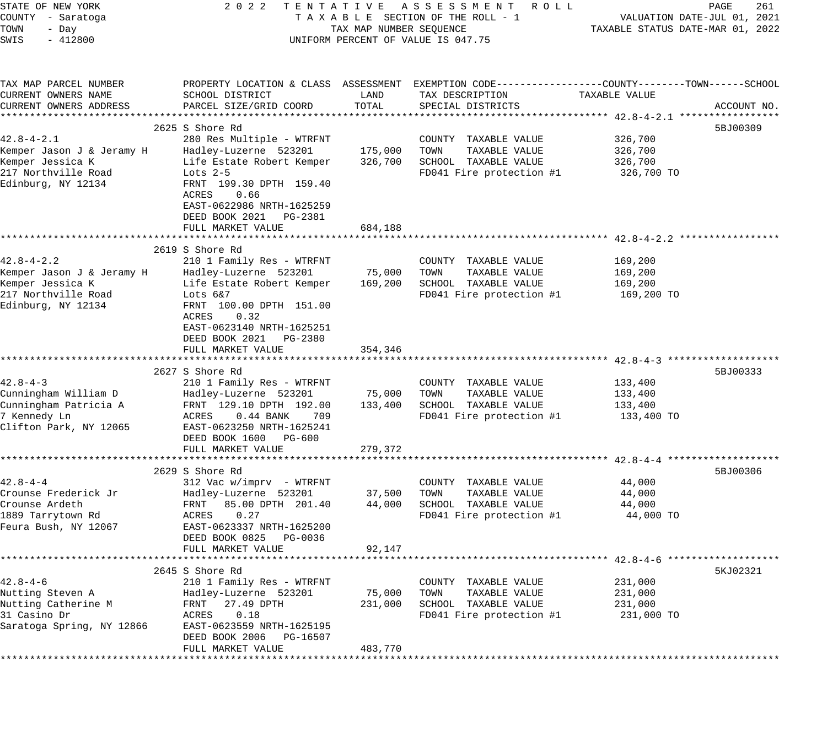| STATE OF NEW YORK                             | 2 0 2 2                                                                                         |                         | TENTATIVE ASSESSMENT ROLL                     |                    | PAGE<br>261                      |
|-----------------------------------------------|-------------------------------------------------------------------------------------------------|-------------------------|-----------------------------------------------|--------------------|----------------------------------|
| COUNTY - Saratoga                             |                                                                                                 |                         | TAXABLE SECTION OF THE ROLL - 1               |                    | VALUATION DATE-JUL 01, 2021      |
| TOWN<br>- Day<br>SWIS<br>$-412800$            |                                                                                                 | TAX MAP NUMBER SEQUENCE | UNIFORM PERCENT OF VALUE IS 047.75            |                    | TAXABLE STATUS DATE-MAR 01, 2022 |
|                                               |                                                                                                 |                         |                                               |                    |                                  |
| TAX MAP PARCEL NUMBER                         | PROPERTY LOCATION & CLASS ASSESSMENT EXEMPTION CODE---------------COUNTY-------TOWN------SCHOOL |                         |                                               |                    |                                  |
| CURRENT OWNERS NAME                           | SCHOOL DISTRICT                                                                                 | LAND                    | TAX DESCRIPTION                               | TAXABLE VALUE      |                                  |
| CURRENT OWNERS ADDRESS                        | PARCEL SIZE/GRID COORD                                                                          | TOTAL                   | SPECIAL DISTRICTS                             |                    | ACCOUNT NO.                      |
|                                               |                                                                                                 |                         |                                               |                    |                                  |
|                                               | 2625 S Shore Rd                                                                                 |                         |                                               |                    | 5BJ00309                         |
| $42.8 - 4 - 2.1$                              | 280 Res Multiple - WTRFNT                                                                       | 175,000                 | COUNTY TAXABLE VALUE                          | 326,700            |                                  |
| Kemper Jason J & Jeramy H<br>Kemper Jessica K | Hadley-Luzerne 523201<br>Life Estate Robert Kemper                                              | 326,700                 | TOWN<br>TAXABLE VALUE<br>SCHOOL TAXABLE VALUE | 326,700<br>326,700 |                                  |
| 217 Northville Road                           | Lots $2-5$                                                                                      |                         | FD041 Fire protection #1                      | 326,700 TO         |                                  |
| Edinburg, NY 12134                            | FRNT 199.30 DPTH 159.40                                                                         |                         |                                               |                    |                                  |
|                                               | ACRES<br>0.66                                                                                   |                         |                                               |                    |                                  |
|                                               | EAST-0622986 NRTH-1625259                                                                       |                         |                                               |                    |                                  |
|                                               | DEED BOOK 2021 PG-2381                                                                          |                         |                                               |                    |                                  |
|                                               | FULL MARKET VALUE                                                                               | 684,188                 |                                               |                    |                                  |
|                                               |                                                                                                 |                         |                                               |                    |                                  |
|                                               | 2619 S Shore Rd                                                                                 |                         |                                               |                    |                                  |
| $42.8 - 4 - 2.2$                              | 210 1 Family Res - WTRFNT                                                                       |                         | COUNTY TAXABLE VALUE                          | 169,200            |                                  |
| Kemper Jason J & Jeramy H                     | Hadley-Luzerne 523201                                                                           | 75,000                  | TOWN<br>TAXABLE VALUE                         | 169,200            |                                  |
| Kemper Jessica K                              | Life Estate Robert Kemper                                                                       | 169,200                 | SCHOOL TAXABLE VALUE                          | 169,200            |                                  |
| 217 Northville Road                           | Lots 6&7                                                                                        |                         | FD041 Fire protection #1                      | 169,200 TO         |                                  |
| Edinburg, NY 12134                            | FRNT 100.00 DPTH 151.00                                                                         |                         |                                               |                    |                                  |
|                                               | 0.32<br>ACRES                                                                                   |                         |                                               |                    |                                  |
|                                               | EAST-0623140 NRTH-1625251                                                                       |                         |                                               |                    |                                  |
|                                               | DEED BOOK 2021<br>PG-2380                                                                       |                         |                                               |                    |                                  |
|                                               | FULL MARKET VALUE                                                                               | 354,346                 |                                               |                    |                                  |
|                                               |                                                                                                 |                         |                                               |                    |                                  |
| $42.8 - 4 - 3$                                | 2627 S Shore Rd<br>210 1 Family Res - WTRFNT                                                    |                         | COUNTY TAXABLE VALUE                          | 133,400            | 5BJ00333                         |
| Cunningham William D                          | Hadley-Luzerne 523201                                                                           | 75,000                  | TAXABLE VALUE<br>TOWN                         | 133,400            |                                  |
| Cunningham Patricia A                         | FRNT 129.10 DPTH 192.00                                                                         | 133,400                 | SCHOOL TAXABLE VALUE                          | 133,400            |                                  |
| 7 Kennedy Ln                                  | ACRES<br>$0.44$ BANK<br>709                                                                     |                         | FD041 Fire protection #1                      | 133,400 TO         |                                  |
| Clifton Park, NY 12065                        | EAST-0623250 NRTH-1625241                                                                       |                         |                                               |                    |                                  |
|                                               | DEED BOOK 1600 PG-600                                                                           |                         |                                               |                    |                                  |
|                                               | FULL MARKET VALUE                                                                               | 279,372                 |                                               |                    |                                  |
|                                               |                                                                                                 |                         |                                               |                    |                                  |
|                                               | 2629 S Shore Rd                                                                                 |                         |                                               |                    | 5BJ00306                         |
| $42.8 - 4 - 4$                                | 312 Vac w/imprv - WTRFNT                                                                        |                         | COUNTY TAXABLE VALUE                          | 44,000             |                                  |
| Crounse Frederick Jr                          | Hadley-Luzerne 523201                                                                           | 37,500                  | TOWN<br>TAXABLE VALUE                         | 44,000             |                                  |
| Crounse Ardeth                                | FRNT<br>85.00 DPTH 201.40                                                                       | 44,000                  | SCHOOL TAXABLE VALUE                          | 44,000             |                                  |
| 1889 Tarrytown Rd                             | 0.27<br>ACRES                                                                                   |                         | FD041 Fire protection #1                      | 44,000 TO          |                                  |
| Feura Bush, NY 12067                          | EAST-0623337 NRTH-1625200                                                                       |                         |                                               |                    |                                  |
|                                               | DEED BOOK 0825<br>PG-0036                                                                       |                         |                                               |                    |                                  |
|                                               | FULL MARKET VALUE                                                                               | 92,147                  |                                               |                    |                                  |
|                                               |                                                                                                 |                         |                                               |                    |                                  |
| $42.8 - 4 - 6$                                | 2645 S Shore Rd<br>210 1 Family Res - WTRFNT                                                    |                         |                                               | 231,000            | 5KJ02321                         |
| Nutting Steven A                              | Hadley-Luzerne 523201                                                                           | 75,000                  | COUNTY TAXABLE VALUE<br>TOWN<br>TAXABLE VALUE | 231,000            |                                  |
| Nutting Catherine M                           | 27.49 DPTH<br>FRNT                                                                              | 231,000                 | SCHOOL TAXABLE VALUE                          | 231,000            |                                  |
| 31 Casino Dr                                  | ACRES<br>0.18                                                                                   |                         | FD041 Fire protection #1                      | 231,000 TO         |                                  |
| Saratoga Spring, NY 12866                     | EAST-0623559 NRTH-1625195                                                                       |                         |                                               |                    |                                  |
|                                               | DEED BOOK 2006<br>PG-16507                                                                      |                         |                                               |                    |                                  |
|                                               | FULL MARKET VALUE                                                                               | 483,770                 |                                               |                    |                                  |
|                                               |                                                                                                 |                         |                                               |                    |                                  |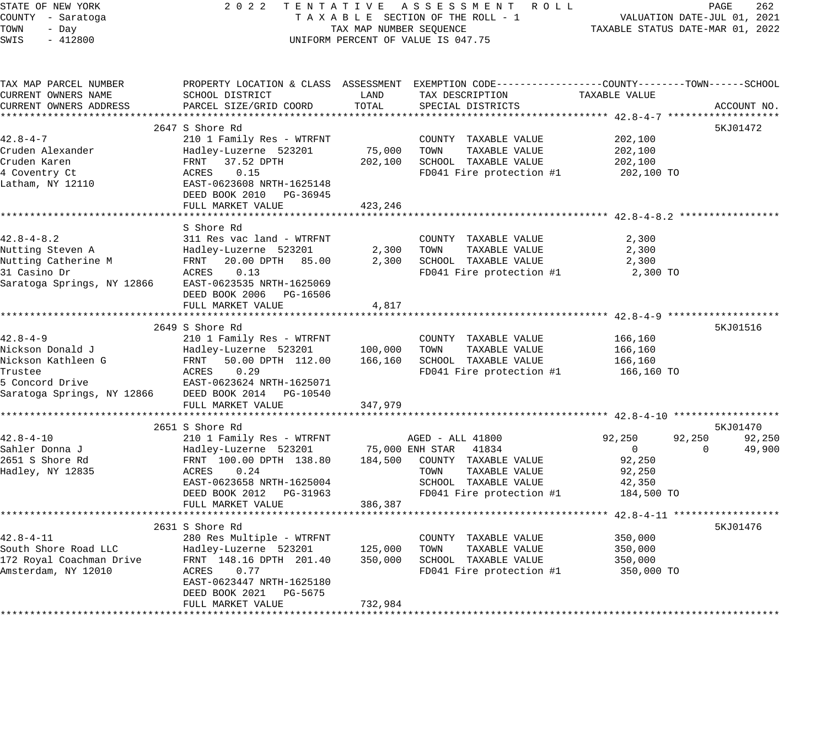| STATE OF NEW YORK                      | 2022                                         |         | TENTATIVE ASSESSMENT ROLL                                                                      |               | PAGE<br>262        |
|----------------------------------------|----------------------------------------------|---------|------------------------------------------------------------------------------------------------|---------------|--------------------|
| COUNTY - Saratoga                      | TAXABLE SECTION OF THE ROLL - 1              |         | VALUATION DATE-JUL 01, 2021                                                                    |               |                    |
| TOWN<br>- Day                          | TAX MAP NUMBER SEQUENCE                      |         | TAXABLE STATUS DATE-MAR 01, 2022                                                               |               |                    |
| SWIS<br>$-412800$                      |                                              |         | UNIFORM PERCENT OF VALUE IS 047.75                                                             |               |                    |
|                                        |                                              |         |                                                                                                |               |                    |
| TAX MAP PARCEL NUMBER                  |                                              |         | PROPERTY LOCATION & CLASS ASSESSMENT EXEMPTION CODE---------------COUNTY-------TOWN-----SCHOOL |               |                    |
| CURRENT OWNERS NAME                    | SCHOOL DISTRICT                              | LAND    | TAX DESCRIPTION                                                                                | TAXABLE VALUE |                    |
| CURRENT OWNERS ADDRESS                 | PARCEL SIZE/GRID COORD                       | TOTAL   | SPECIAL DISTRICTS                                                                              |               | ACCOUNT NO.        |
|                                        |                                              |         |                                                                                                |               |                    |
|                                        | 2647 S Shore Rd                              |         |                                                                                                |               | 5KJ01472           |
| $42.8 - 4 - 7$                         | 210 1 Family Res - WTRFNT                    |         | COUNTY TAXABLE VALUE                                                                           | 202,100       |                    |
| Cruden Alexander                       | Hadley-Luzerne 523201                        | 75,000  | TOWN<br>TAXABLE VALUE                                                                          | 202,100       |                    |
| Cruden Karen                           | FRNT<br>37.52 DPTH                           | 202,100 | SCHOOL TAXABLE VALUE                                                                           | 202,100       |                    |
| 4 Coventry Ct                          | 0.15<br>ACRES                                |         | FD041 Fire protection #1                                                                       | 202,100 TO    |                    |
| Latham, NY 12110                       | EAST-0623608 NRTH-1625148                    |         |                                                                                                |               |                    |
|                                        | DEED BOOK 2010 PG-36945                      |         |                                                                                                |               |                    |
|                                        | FULL MARKET VALUE                            | 423,246 |                                                                                                |               |                    |
|                                        |                                              |         |                                                                                                |               |                    |
|                                        | S Shore Rd                                   |         |                                                                                                |               |                    |
| $42.8 - 4 - 8.2$                       | 311 Res vac land - WTRFNT                    |         | COUNTY TAXABLE VALUE                                                                           | 2,300         |                    |
| Nutting Steven A                       | Hadley-Luzerne 523201                        | 2,300   | TAXABLE VALUE<br>TOWN                                                                          | 2,300         |                    |
| Nutting Catherine M                    | FRNT<br>20.00 DPTH 85.00                     | 2,300   | SCHOOL TAXABLE VALUE                                                                           | 2,300         |                    |
| 31 Casino Dr                           | ACRES<br>0.13                                |         | FD041 Fire protection #1                                                                       | 2,300 TO      |                    |
| Saratoga Springs, NY 12866             | EAST-0623535 NRTH-1625069                    |         |                                                                                                |               |                    |
|                                        | DEED BOOK 2006 PG-16506                      |         |                                                                                                |               |                    |
|                                        | FULL MARKET VALUE                            | 4,817   |                                                                                                |               |                    |
|                                        |                                              |         |                                                                                                |               |                    |
|                                        | 2649 S Shore Rd                              |         |                                                                                                |               | 5KJ01516           |
| $42.8 - 4 - 9$                         | 210 1 Family Res - WTRFNT                    |         | COUNTY TAXABLE VALUE                                                                           | 166,160       |                    |
| Nickson Donald J<br>Nickson Kathleen G | Hadley-Luzerne 523201                        | 100,000 | TOWN<br>TAXABLE VALUE<br>SCHOOL TAXABLE VALUE                                                  | 166,160       |                    |
| Trustee                                | FRNT<br>50.00 DPTH 112.00<br>0.29            | 166,160 |                                                                                                | 166,160       |                    |
| 5 Concord Drive                        | ACRES<br>EAST-0623624 NRTH-1625071           |         | FD041 Fire protection #1                                                                       | 166,160 TO    |                    |
|                                        |                                              |         |                                                                                                |               |                    |
| Saratoga Springs, NY 12866             | DEED BOOK 2014 PG-10540<br>FULL MARKET VALUE | 347,979 |                                                                                                |               |                    |
|                                        |                                              |         |                                                                                                |               |                    |
|                                        | 2651 S Shore Rd                              |         |                                                                                                |               | 5KJ01470           |
| $42.8 - 4 - 10$                        | 210 1 Family Res - WTRFNT                    |         | AGED - ALL 41800                                                                               | 92,250        | 92,250<br>92,250   |
| Sahler Donna J                         | Hadley-Luzerne 523201                        |         | 75,000 ENH STAR<br>41834                                                                       | $\mathbf{0}$  | $\Omega$<br>49,900 |
| 2651 S Shore Rd                        | FRNT 100.00 DPTH 138.80                      | 184,500 | COUNTY TAXABLE VALUE                                                                           | 92,250        |                    |
| Hadley, NY 12835                       | ACRES<br>0.24                                |         | TAXABLE VALUE<br>TOWN                                                                          | 92,250        |                    |
|                                        | EAST-0623658 NRTH-1625004                    |         | SCHOOL TAXABLE VALUE                                                                           | 42,350        |                    |
|                                        | DEED BOOK 2012 PG-31963                      |         | FD041 Fire protection #1                                                                       | 184,500 TO    |                    |
|                                        | FULL MARKET VALUE                            | 386,387 |                                                                                                |               |                    |
|                                        |                                              |         |                                                                                                |               |                    |
|                                        | 2631 S Shore Rd                              |         |                                                                                                |               | 5KJ01476           |
| $42.8 - 4 - 11$                        | 280 Res Multiple - WTRFNT                    |         | COUNTY TAXABLE VALUE                                                                           | 350,000       |                    |
| South Shore Road LLC                   | Hadley-Luzerne 523201                        | 125,000 | TAXABLE VALUE<br>TOWN                                                                          | 350,000       |                    |
| 172 Royal Coachman Drive               | FRNT 148.16 DPTH 201.40                      | 350,000 | SCHOOL TAXABLE VALUE                                                                           | 350,000       |                    |
| Amsterdam, NY 12010                    | ACRES<br>0.77                                |         | FD041 Fire protection #1                                                                       | 350,000 TO    |                    |
|                                        | EAST-0623447 NRTH-1625180                    |         |                                                                                                |               |                    |
|                                        | DEED BOOK 2021<br>PG-5675                    |         |                                                                                                |               |                    |
|                                        | FULL MARKET VALUE                            | 732,984 |                                                                                                |               |                    |
|                                        |                                              |         |                                                                                                |               |                    |
|                                        |                                              |         |                                                                                                |               |                    |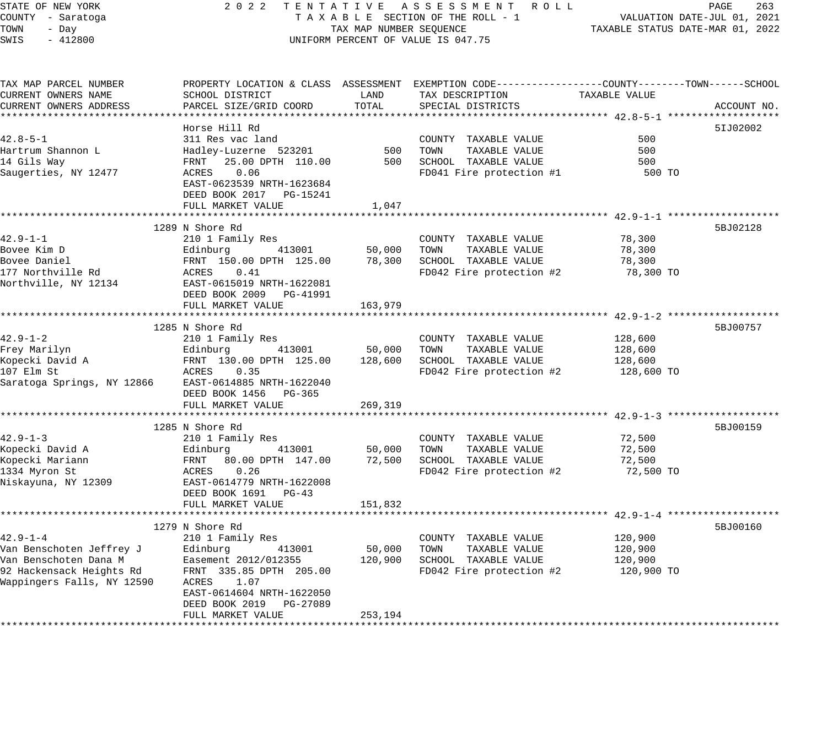#### STATE OF NEW YORK 2 0 2 2 T E N T A T I V E A S S E S S M E N T R O L L PAGE 263 COUNTY - Saratoga T A X A B L E SECTION OF THE ROLL - 1 VALUATION DATE-JUL 01, 2021 TOWN - Day TAX MAP NUMBER SEQUENCE TAXABLE STATUS DATE-MAR 01, 2022 SWIS - 412800 CONTROLLY THE UNIFORM PERCENT OF VALUE IS 047.75

| TAX MAP PARCEL NUMBER<br>CURRENT OWNERS NAME | PROPERTY LOCATION & CLASS ASSESSMENT<br>SCHOOL DISTRICT                                       | LAND             | EXEMPTION CODE-----------------COUNTY--------TOWN------SCHOOL<br>TAX DESCRIPTION | TAXABLE VALUE    |             |
|----------------------------------------------|-----------------------------------------------------------------------------------------------|------------------|----------------------------------------------------------------------------------|------------------|-------------|
| CURRENT OWNERS ADDRESS                       | PARCEL SIZE/GRID COORD                                                                        | TOTAL            | SPECIAL DISTRICTS                                                                |                  | ACCOUNT NO. |
|                                              | Horse Hill Rd                                                                                 |                  |                                                                                  |                  | 51J02002    |
| $42.8 - 5 - 1$                               | 311 Res vac land                                                                              |                  | COUNTY TAXABLE VALUE                                                             | 500              |             |
| Hartrum Shannon L                            | Hadley-Luzerne 523201                                                                         | 500              | TOWN<br>TAXABLE VALUE                                                            | 500              |             |
| 14 Gils Way                                  | 25.00 DPTH 110.00<br>FRNT                                                                     | 500              | SCHOOL TAXABLE VALUE                                                             | 500              |             |
| Saugerties, NY 12477                         | 0.06<br>ACRES<br>EAST-0623539 NRTH-1623684<br>DEED BOOK 2017    PG-15241<br>FULL MARKET VALUE | 1,047            | FD041 Fire protection #1                                                         | 500 TO           |             |
|                                              | ************************************                                                          |                  |                                                                                  |                  |             |
|                                              | 1289 N Shore Rd                                                                               |                  |                                                                                  |                  | 5BJ02128    |
| 42.9-1-1                                     | 210 1 Family Res                                                                              |                  | COUNTY TAXABLE VALUE                                                             | 78,300           |             |
| Bovee Kim D                                  | 413001<br>Edinburg                                                                            | 50,000           | TOWN<br>TAXABLE VALUE                                                            | 78,300           |             |
| Bovee Daniel                                 | FRNT 150.00 DPTH 125.00                                                                       | 78,300           | SCHOOL TAXABLE VALUE                                                             | 78,300           |             |
| 177 Northville Rd                            | ACRES<br>0.41                                                                                 |                  | FD042 Fire protection #2                                                         | 78,300 TO        |             |
| Northville, NY 12134                         | EAST-0615019 NRTH-1622081<br>DEED BOOK 2009 PG-41991<br>FULL MARKET VALUE                     | 163,979          |                                                                                  |                  |             |
|                                              |                                                                                               |                  |                                                                                  |                  |             |
|                                              | 1285 N Shore Rd                                                                               |                  |                                                                                  |                  | 5BJ00757    |
| $42.9 - 1 - 2$                               | 210 1 Family Res                                                                              |                  | COUNTY TAXABLE VALUE                                                             | 128,600          |             |
| Frey Marilyn                                 | Edinburg<br>413001                                                                            | 50,000           | TOWN<br>TAXABLE VALUE                                                            | 128,600          |             |
| Kopecki David A                              | FRNT 130.00 DPTH 125.00                                                                       | 128,600          | SCHOOL TAXABLE VALUE                                                             | 128,600          |             |
| 107 Elm St                                   | ACRES<br>0.35                                                                                 |                  | FD042 Fire protection #2                                                         | 128,600 TO       |             |
| Saratoga Springs, NY 12866                   | EAST-0614885 NRTH-1622040<br>DEED BOOK 1456 PG-365                                            |                  |                                                                                  |                  |             |
|                                              | FULL MARKET VALUE                                                                             | 269,319          |                                                                                  |                  |             |
|                                              |                                                                                               |                  |                                                                                  |                  |             |
|                                              | 1285 N Shore Rd                                                                               |                  |                                                                                  |                  | 5BJ00159    |
| $42.9 - 1 - 3$                               | 210 1 Family Res                                                                              |                  | COUNTY TAXABLE VALUE                                                             | 72,500           |             |
| Kopecki David A<br>Kopecki Mariann           | Edinburg<br>413001<br>FRNT<br>80.00 DPTH 147.00                                               | 50,000<br>72,500 | TOWN<br>TAXABLE VALUE<br>SCHOOL TAXABLE VALUE                                    | 72,500<br>72,500 |             |
| 1334 Myron St                                | 0.26<br>ACRES                                                                                 |                  | FD042 Fire protection #2                                                         | 72,500 TO        |             |
| Niskayuna, NY 12309                          | EAST-0614779 NRTH-1622008                                                                     |                  |                                                                                  |                  |             |
|                                              | DEED BOOK 1691 PG-43                                                                          |                  |                                                                                  |                  |             |
|                                              | FULL MARKET VALUE                                                                             | 151,832          |                                                                                  |                  |             |
|                                              |                                                                                               |                  |                                                                                  |                  |             |
|                                              | 1279 N Shore Rd                                                                               |                  |                                                                                  |                  | 5BJ00160    |
| $42.9 - 1 - 4$                               | 210 1 Family Res                                                                              |                  | COUNTY TAXABLE VALUE                                                             | 120,900          |             |
| Van Benschoten Jeffrey J                     | Edinburg<br>413001                                                                            | 50,000           | TOWN<br>TAXABLE VALUE                                                            | 120,900          |             |
| Van Benschoten Dana M                        | Easement 2012/012355                                                                          | 120,900          | SCHOOL TAXABLE VALUE                                                             | 120,900          |             |
| 92 Hackensack Heights Rd                     | FRNT 335.85 DPTH 205.00                                                                       |                  | FD042 Fire protection #2                                                         | 120,900 TO       |             |
| Wappingers Falls, NY 12590                   | ACRES<br>1.07<br>EAST-0614604 NRTH-1622050<br>DEED BOOK 2019<br>PG-27089                      |                  |                                                                                  |                  |             |
|                                              | FULL MARKET VALUE                                                                             | 253,194          |                                                                                  |                  |             |
|                                              |                                                                                               |                  |                                                                                  |                  |             |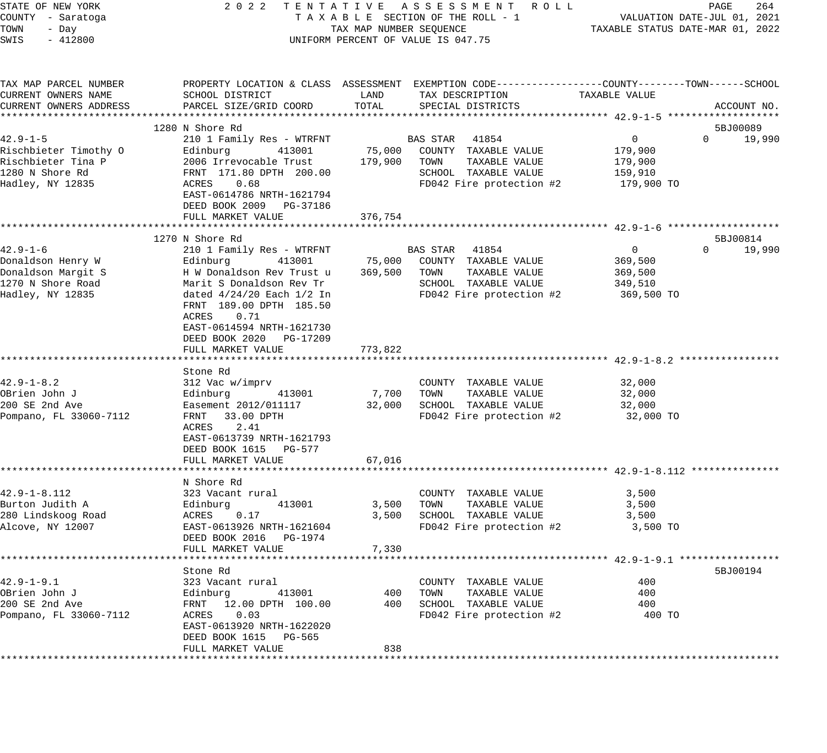| STATE OF NEW YORK<br>COUNTY - Saratoga<br>TOWN<br>- Day | 2022 TENTATIVE ASSESSMENT ROLL<br>TAXABLE SECTION OF THE ROLL - 1<br>TAX MAP NUMBER SEQUENCE | PAGE<br>264<br>VALUATION DATE-JUL 01, 2021<br>TAXABLE STATUS DATE-MAR 01, 2022 |                                                                                                 |               |                    |
|---------------------------------------------------------|----------------------------------------------------------------------------------------------|--------------------------------------------------------------------------------|-------------------------------------------------------------------------------------------------|---------------|--------------------|
| SWIS<br>$-412800$                                       |                                                                                              |                                                                                | UNIFORM PERCENT OF VALUE IS 047.75                                                              |               |                    |
| TAX MAP PARCEL NUMBER                                   |                                                                                              |                                                                                | PROPERTY LOCATION & CLASS ASSESSMENT EXEMPTION CODE---------------COUNTY-------TOWN------SCHOOL |               |                    |
| CURRENT OWNERS NAME                                     | SCHOOL DISTRICT                                                                              | LAND                                                                           | TAX DESCRIPTION                                                                                 | TAXABLE VALUE |                    |
| CURRENT OWNERS ADDRESS                                  | PARCEL SIZE/GRID COORD                                                                       | TOTAL                                                                          | SPECIAL DISTRICTS                                                                               |               | ACCOUNT NO.        |
|                                                         | 1280 N Shore Rd                                                                              |                                                                                |                                                                                                 |               | 5BJ00089           |
| $42.9 - 1 - 5$                                          | 210 1 Family Res - WTRFNT                                                                    |                                                                                | BAS STAR 41854                                                                                  | $\mathbf{0}$  | 19,990<br>$\Omega$ |
| Rischbieter Timothy O                                   | Edinburg<br>413001                                                                           | 75,000                                                                         | COUNTY TAXABLE VALUE                                                                            | 179,900       |                    |
| Rischbieter Tina P                                      | 2006 Irrevocable Trust                                                                       | 179,900                                                                        | TOWN<br>TAXABLE VALUE                                                                           | 179,900       |                    |
| 1280 N Shore Rd                                         | FRNT 171.80 DPTH 200.00                                                                      |                                                                                | SCHOOL TAXABLE VALUE                                                                            | 159,910       |                    |
| Hadley, NY 12835                                        | 0.68<br>ACRES                                                                                |                                                                                | FD042 Fire protection #2                                                                        | 179,900 TO    |                    |
|                                                         | EAST-0614786 NRTH-1621794                                                                    |                                                                                |                                                                                                 |               |                    |
|                                                         | DEED BOOK 2009<br>PG-37186<br>FULL MARKET VALUE                                              | 376,754                                                                        |                                                                                                 |               |                    |
|                                                         |                                                                                              |                                                                                |                                                                                                 |               |                    |
|                                                         | 1270 N Shore Rd                                                                              |                                                                                |                                                                                                 |               | 5BJ00814           |
| $42.9 - 1 - 6$                                          | 210 1 Family Res - WTRFNT                                                                    |                                                                                | BAS STAR 41854                                                                                  | $\mathbf{0}$  | $\Omega$<br>19,990 |
| Donaldson Henry W                                       | Edinburg<br>413001                                                                           | 75,000                                                                         | COUNTY TAXABLE VALUE                                                                            | 369,500       |                    |
| Donaldson Margit S                                      | H W Donaldson Rev Trust u                                                                    | 369,500                                                                        | TOWN<br>TAXABLE VALUE                                                                           | 369,500       |                    |
| 1270 N Shore Road                                       | Marit S Donaldson Rev Tr                                                                     |                                                                                | SCHOOL TAXABLE VALUE                                                                            | 349,510       |                    |
| Hadley, NY 12835                                        | dated $4/24/20$ Each $1/2$ In<br>FRNT 189.00 DPTH 185.50                                     |                                                                                | FD042 Fire protection #2                                                                        | 369,500 TO    |                    |
|                                                         | 0.71<br>ACRES                                                                                |                                                                                |                                                                                                 |               |                    |
|                                                         | EAST-0614594 NRTH-1621730                                                                    |                                                                                |                                                                                                 |               |                    |
|                                                         | DEED BOOK 2020<br>PG-17209                                                                   |                                                                                |                                                                                                 |               |                    |
|                                                         | FULL MARKET VALUE                                                                            | 773,822                                                                        |                                                                                                 |               |                    |
|                                                         |                                                                                              |                                                                                |                                                                                                 |               |                    |
| $42.9 - 1 - 8.2$                                        | Stone Rd<br>312 Vac w/imprv                                                                  |                                                                                | COUNTY TAXABLE VALUE                                                                            | 32,000        |                    |
| OBrien John J                                           | Edinburg<br>413001                                                                           | 7,700                                                                          | TAXABLE VALUE<br>TOWN                                                                           | 32,000        |                    |
| 200 SE 2nd Ave                                          | Easement 2012/011117                                                                         | 32,000                                                                         | SCHOOL TAXABLE VALUE                                                                            | 32,000        |                    |
| Pompano, FL 33060-7112                                  | FRNT<br>33.00 DPTH                                                                           |                                                                                | FD042 Fire protection #2                                                                        | 32,000 TO     |                    |
|                                                         | ACRES<br>2.41                                                                                |                                                                                |                                                                                                 |               |                    |
|                                                         | EAST-0613739 NRTH-1621793                                                                    |                                                                                |                                                                                                 |               |                    |
|                                                         | DEED BOOK 1615 PG-577                                                                        |                                                                                |                                                                                                 |               |                    |
|                                                         | FULL MARKET VALUE                                                                            | 67,016                                                                         |                                                                                                 |               |                    |
|                                                         | N Shore Rd                                                                                   |                                                                                |                                                                                                 |               |                    |
| $42.9 - 1 - 8.112$                                      | 323 Vacant rural                                                                             |                                                                                | COUNTY TAXABLE VALUE                                                                            | 3,500         |                    |
| Burton Judith A                                         | 413001<br>Edinburg                                                                           | 3,500                                                                          | TOWN<br>TAXABLE VALUE                                                                           | 3,500         |                    |
| 280 Lindskoog Road                                      | ACRES<br>0.17                                                                                | 3,500                                                                          | SCHOOL TAXABLE VALUE                                                                            | 3,500         |                    |
| Alcove, NY 12007                                        | EAST-0613926 NRTH-1621604                                                                    |                                                                                | FD042 Fire protection #2                                                                        | 3,500 TO      |                    |
|                                                         | DEED BOOK 2016 PG-1974                                                                       |                                                                                |                                                                                                 |               |                    |
|                                                         | FULL MARKET VALUE                                                                            | 7,330                                                                          |                                                                                                 |               |                    |
|                                                         | Stone Rd                                                                                     |                                                                                |                                                                                                 |               | 5BJ00194           |
| $42.9 - 1 - 9.1$                                        | 323 Vacant rural                                                                             |                                                                                | COUNTY TAXABLE VALUE                                                                            | 400           |                    |
| OBrien John J                                           | Edinburg<br>413001                                                                           | 400                                                                            | TOWN<br>TAXABLE VALUE                                                                           | 400           |                    |
| 200 SE 2nd Ave                                          | FRNT 12.00 DPTH 100.00                                                                       | 400                                                                            | SCHOOL TAXABLE VALUE                                                                            | 400           |                    |
| Pompano, FL 33060-7112                                  | ACRES<br>0.03                                                                                |                                                                                | FD042 Fire protection #2                                                                        | 400 TO        |                    |
|                                                         | EAST-0613920 NRTH-1622020                                                                    |                                                                                |                                                                                                 |               |                    |
|                                                         | DEED BOOK 1615 PG-565<br>FULL MARKET VALUE                                                   | 838                                                                            |                                                                                                 |               |                    |
|                                                         |                                                                                              |                                                                                |                                                                                                 |               |                    |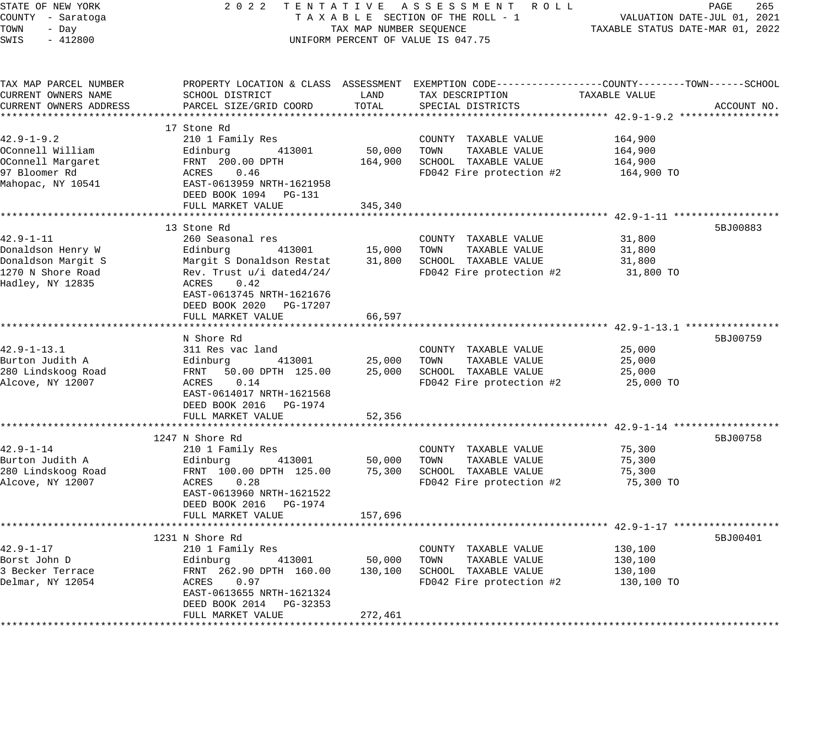| STATE OF NEW YORK                      | 2 0 2 2                                    |                                  | TENTATIVE ASSESSMENT ROLL                                                                        |                                                         | PAGE<br>265 |
|----------------------------------------|--------------------------------------------|----------------------------------|--------------------------------------------------------------------------------------------------|---------------------------------------------------------|-------------|
| COUNTY - Saratoga                      | TAXABLE SECTION OF THE ROLL - 1            |                                  | VALUATION DATE-JUL 01, 2021                                                                      |                                                         |             |
| TOWN<br>- Day                          | TAX MAP NUMBER SEQUENCE                    | TAXABLE STATUS DATE-MAR 01, 2022 |                                                                                                  |                                                         |             |
| SWIS<br>$-412800$                      |                                            |                                  | UNIFORM PERCENT OF VALUE IS 047.75                                                               |                                                         |             |
| TAX MAP PARCEL NUMBER                  |                                            |                                  | PROPERTY LOCATION & CLASS ASSESSMENT EXEMPTION CODE----------------COUNTY-------TOWN------SCHOOL |                                                         |             |
| CURRENT OWNERS NAME                    | SCHOOL DISTRICT                            | LAND                             | TAX DESCRIPTION                                                                                  | TAXABLE VALUE                                           |             |
| CURRENT OWNERS ADDRESS                 | PARCEL SIZE/GRID COORD                     | TOTAL                            | SPECIAL DISTRICTS                                                                                |                                                         | ACCOUNT NO. |
|                                        |                                            |                                  |                                                                                                  |                                                         |             |
|                                        | 17 Stone Rd                                |                                  |                                                                                                  |                                                         |             |
| $42.9 - 1 - 9.2$                       | 210 1 Family Res                           |                                  | COUNTY TAXABLE VALUE                                                                             | 164,900                                                 |             |
| OConnell William                       | 413001<br>Edinburg                         | 50,000                           | TOWN<br>TAXABLE VALUE                                                                            | 164,900                                                 |             |
| OConnell Margaret                      | FRNT 200.00 DPTH                           | 164,900                          | SCHOOL TAXABLE VALUE                                                                             | 164,900                                                 |             |
| 97 Bloomer Rd                          | 0.46<br>ACRES                              |                                  | FD042 Fire protection #2                                                                         | 164,900 TO                                              |             |
| Mahopac, NY 10541                      | EAST-0613959 NRTH-1621958                  |                                  |                                                                                                  |                                                         |             |
|                                        | DEED BOOK 1094 PG-131                      |                                  |                                                                                                  |                                                         |             |
|                                        | FULL MARKET VALUE                          | 345,340                          |                                                                                                  |                                                         |             |
|                                        | ********************************           | **********                       |                                                                                                  | ************************* 42.9-1-11 ******************* |             |
|                                        | 13 Stone Rd                                |                                  |                                                                                                  |                                                         | 5BJ00883    |
| $42.9 - 1 - 11$                        | 260 Seasonal res                           |                                  | COUNTY TAXABLE VALUE                                                                             | 31,800                                                  |             |
| Donaldson Henry W                      | 413001<br>Edinburg                         | 15,000                           | TOWN<br>TAXABLE VALUE                                                                            | 31,800                                                  |             |
| Donaldson Margit S                     | Margit S Donaldson Restat                  | 31,800                           | SCHOOL TAXABLE VALUE                                                                             | 31,800                                                  |             |
| 1270 N Shore Road<br>Hadley, NY 12835  | Rev. Trust u/i dated4/24/<br>0.42<br>ACRES |                                  | FD042 Fire protection #2                                                                         | 31,800 TO                                               |             |
|                                        | EAST-0613745 NRTH-1621676                  |                                  |                                                                                                  |                                                         |             |
|                                        | DEED BOOK 2020 PG-17207                    |                                  |                                                                                                  |                                                         |             |
|                                        | FULL MARKET VALUE                          | 66,597                           |                                                                                                  |                                                         |             |
|                                        |                                            |                                  |                                                                                                  |                                                         |             |
|                                        | N Shore Rd                                 |                                  |                                                                                                  |                                                         | 5BJ00759    |
| $42.9 - 1 - 13.1$                      | 311 Res vac land                           |                                  | COUNTY TAXABLE VALUE                                                                             | 25,000                                                  |             |
| Burton Judith A                        | Edinburg<br>413001                         | 25,000                           | TAXABLE VALUE<br>TOWN                                                                            | 25,000                                                  |             |
| 280 Lindskoog Road                     | FRNT<br>50.00 DPTH 125.00                  | 25,000                           | SCHOOL TAXABLE VALUE                                                                             | 25,000                                                  |             |
| Alcove, NY 12007                       | ACRES<br>0.14                              |                                  | FD042 Fire protection #2                                                                         | 25,000 TO                                               |             |
|                                        | EAST-0614017 NRTH-1621568                  |                                  |                                                                                                  |                                                         |             |
|                                        | DEED BOOK 2016 PG-1974                     |                                  |                                                                                                  |                                                         |             |
|                                        | FULL MARKET VALUE                          | 52,356                           |                                                                                                  |                                                         |             |
|                                        |                                            |                                  |                                                                                                  |                                                         |             |
|                                        | 1247 N Shore Rd                            |                                  |                                                                                                  |                                                         | 5BJ00758    |
| $42.9 - 1 - 14$                        | 210 1 Family Res                           |                                  | COUNTY TAXABLE VALUE                                                                             | 75,300                                                  |             |
| Burton Judith A                        | 413001<br>Edinburg                         | 50,000                           | TOWN<br>TAXABLE VALUE                                                                            | 75,300                                                  |             |
| 280 Lindskoog Road<br>Alcove, NY 12007 | FRNT 100.00 DPTH 125.00<br>ACRES<br>0.28   | 75,300                           | SCHOOL TAXABLE VALUE                                                                             | 75,300                                                  |             |
|                                        | EAST-0613960 NRTH-1621522                  |                                  | FD042 Fire protection #2                                                                         | 75,300 TO                                               |             |
|                                        | DEED BOOK 2016 PG-1974                     |                                  |                                                                                                  |                                                         |             |
|                                        | FULL MARKET VALUE                          | 157,696                          |                                                                                                  |                                                         |             |
|                                        |                                            |                                  |                                                                                                  |                                                         |             |
|                                        | 1231 N Shore Rd                            |                                  |                                                                                                  |                                                         | 5BJ00401    |
| $42.9 - 1 - 17$                        | 210 1 Family Res                           |                                  | COUNTY TAXABLE VALUE                                                                             | 130,100                                                 |             |
| Borst John D                           | 413001<br>Edinburg                         | 50,000                           | TAXABLE VALUE<br>TOWN                                                                            | 130,100                                                 |             |
| 3 Becker Terrace                       | FRNT 262.90 DPTH 160.00                    | 130,100                          | SCHOOL TAXABLE VALUE                                                                             | 130,100                                                 |             |
| Delmar, NY 12054                       | ACRES<br>0.97                              |                                  | FD042 Fire protection #2                                                                         | 130,100 TO                                              |             |
|                                        | EAST-0613655 NRTH-1621324                  |                                  |                                                                                                  |                                                         |             |
|                                        | DEED BOOK 2014 PG-32353                    |                                  |                                                                                                  |                                                         |             |
|                                        | FULL MARKET VALUE                          | 272,461                          |                                                                                                  |                                                         |             |
|                                        |                                            |                                  |                                                                                                  |                                                         |             |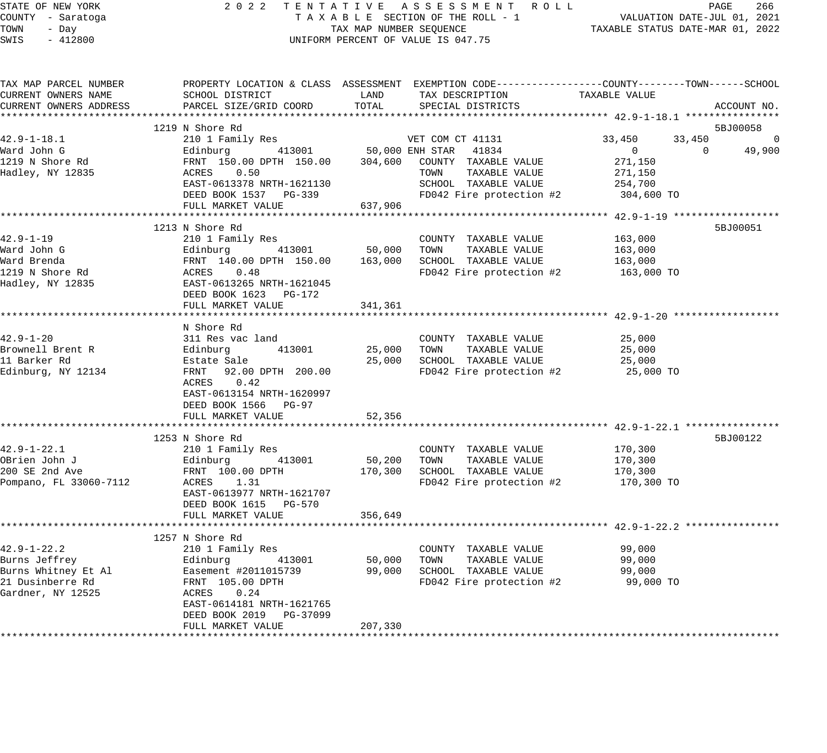## STATE OF NEW YORK 2 0 2 2 T E N T A T I V E A S S E S S M E N T R O L L PAGE 266 COUNTY - Saratoga T A X A B L E SECTION OF THE ROLL - 1 VALUATION DATE-JUL 01, 2021 TAX MAP NUMBER SEQUENCE TAXABLE STATUS DATE-MAR 01, 2022 UNIFORM PERCENT OF VALUE IS 047.75

| TAX MAP PARCEL NUMBER<br>CURRENT OWNERS NAME | SCHOOL DISTRICT                                      | LAND    | PROPERTY LOCATION & CLASS ASSESSMENT EXEMPTION CODE---------------COUNTY-------TOWN------SCHOOL<br>TAX DESCRIPTION | TAXABLE VALUE    |                    |
|----------------------------------------------|------------------------------------------------------|---------|--------------------------------------------------------------------------------------------------------------------|------------------|--------------------|
| CURRENT OWNERS ADDRESS                       | PARCEL SIZE/GRID COORD                               | TOTAL   | SPECIAL DISTRICTS                                                                                                  |                  | ACCOUNT NO.        |
|                                              | 1219 N Shore Rd                                      |         |                                                                                                                    |                  | 5BJ00058           |
| $42.9 - 1 - 18.1$                            | 210 1 Family Res                                     |         | VET COM CT 41131                                                                                                   | 33,450<br>33,450 | $\Omega$           |
| Ward John G                                  | Edinburg 413001 50,000 ENH STAR 41834                |         |                                                                                                                    | $\mathbf 0$      | 49,900<br>$\Omega$ |
| 1219 N Shore Rd                              | FRNT 150.00 DPTH 150.00 304,600 COUNTY TAXABLE VALUE |         |                                                                                                                    | 271,150          |                    |
| Hadley, NY 12835                             | ACRES 0.50                                           |         | TAXABLE VALUE<br>TOWN                                                                                              | 271,150          |                    |
|                                              | EAST-0613378 NRTH-1621130                            |         | SCHOOL TAXABLE VALUE                                                                                               | 254,700          |                    |
|                                              | DEED BOOK 1537 PG-339                                |         | FD042 Fire protection #2                                                                                           | 304,600 TO       |                    |
|                                              | FULL MARKET VALUE                                    | 637,906 |                                                                                                                    |                  |                    |
|                                              |                                                      |         |                                                                                                                    |                  |                    |
|                                              | 1213 N Shore Rd                                      |         |                                                                                                                    |                  | 5BJ00051           |
| $42.9 - 1 - 19$                              | 210 1 Family Res                                     |         | COUNTY TAXABLE VALUE                                                                                               | 163,000          |                    |
| Ward John G                                  | 413001<br>Edinburg                                   | 50,000  | TAXABLE VALUE<br>TOWN                                                                                              | 163,000          |                    |
| Ward Brenda                                  | FRNT 140.00 DPTH 150.00                              | 163,000 | SCHOOL TAXABLE VALUE                                                                                               | 163,000          |                    |
| 1219 N Shore Rd                              | ACRES 0.48                                           |         | FD042 Fire protection #2                                                                                           | 163,000 TO       |                    |
| Hadley, NY 12835                             | EAST-0613265 NRTH-1621045                            |         |                                                                                                                    |                  |                    |
|                                              | DEED BOOK 1623 PG-172                                |         |                                                                                                                    |                  |                    |
|                                              | FULL MARKET VALUE                                    | 341,361 |                                                                                                                    |                  |                    |
|                                              |                                                      |         |                                                                                                                    |                  |                    |
|                                              | N Shore Rd                                           |         |                                                                                                                    |                  |                    |
| $42.9 - 1 - 20$                              | 311 Res vac land                                     |         | COUNTY TAXABLE VALUE                                                                                               | 25,000           |                    |
| Brownell Brent R                             | 413001<br>Edinburg                                   | 25,000  | TOWN<br>TAXABLE VALUE                                                                                              | 25,000           |                    |
| 11 Barker Rd                                 | Estate Sale                                          | 25,000  | SCHOOL TAXABLE VALUE                                                                                               | 25,000           |                    |
| Edinburg, NY 12134                           | FRNT 92.00 DPTH 200.00                               |         | FD042 Fire protection #2                                                                                           | 25,000 TO        |                    |
|                                              | 0.42<br>ACRES                                        |         |                                                                                                                    |                  |                    |
|                                              | EAST-0613154 NRTH-1620997                            |         |                                                                                                                    |                  |                    |
|                                              | DEED BOOK 1566 PG-97                                 |         |                                                                                                                    |                  |                    |
|                                              | FULL MARKET VALUE                                    | 52,356  |                                                                                                                    |                  |                    |
|                                              |                                                      |         |                                                                                                                    |                  |                    |
|                                              | 1253 N Shore Rd                                      |         |                                                                                                                    |                  | 5BJ00122           |
| $42.9 - 1 - 22.1$                            | 210 1 Family Res                                     |         | COUNTY TAXABLE VALUE                                                                                               | 170,300          |                    |
| OBrien John J                                | Edinburg 413001                                      | 50,200  | TAXABLE VALUE<br>TOWN                                                                                              | 170,300          |                    |
| 200 SE 2nd Ave                               | FRNT 100.00 DPTH                                     | 170,300 | SCHOOL TAXABLE VALUE                                                                                               | 170,300          |                    |
| Pompano, FL 33060-7112                       | ACRES 1.31                                           |         | FD042 Fire protection #2                                                                                           | 170,300 TO       |                    |
|                                              | EAST-0613977 NRTH-1621707                            |         |                                                                                                                    |                  |                    |
|                                              | DEED BOOK 1615 PG-570                                |         |                                                                                                                    |                  |                    |
|                                              | FULL MARKET VALUE                                    | 356,649 |                                                                                                                    |                  |                    |
|                                              |                                                      |         |                                                                                                                    |                  |                    |
|                                              | 1257 N Shore Rd                                      |         |                                                                                                                    |                  |                    |
| $42.9 - 1 - 22.2$                            | 210 1 Family Res                                     |         | COUNTY TAXABLE VALUE                                                                                               | 99,000           |                    |
| Burns Jeffrey                                | 413001<br>Edinburg                                   | 50,000  | TOWN<br>TAXABLE VALUE                                                                                              | 99,000           |                    |
| $\overline{r}$<br>Burns Whitney Et Al        | Easement #2011015739                                 | 99,000  | SCHOOL TAXABLE VALUE                                                                                               | 99,000           |                    |
| 21 Dusinberre Rd                             | FRNT 105.00 DPTH                                     |         | FD042 Fire protection #2                                                                                           | 99,000 TO        |                    |
| Gardner, NY 12525                            | 0.24<br>ACRES                                        |         |                                                                                                                    |                  |                    |
|                                              | EAST-0614181 NRTH-1621765                            |         |                                                                                                                    |                  |                    |
|                                              | DEED BOOK 2019 PG-37099                              |         |                                                                                                                    |                  |                    |
|                                              | FULL MARKET VALUE                                    | 207,330 |                                                                                                                    |                  |                    |
|                                              |                                                      |         |                                                                                                                    |                  |                    |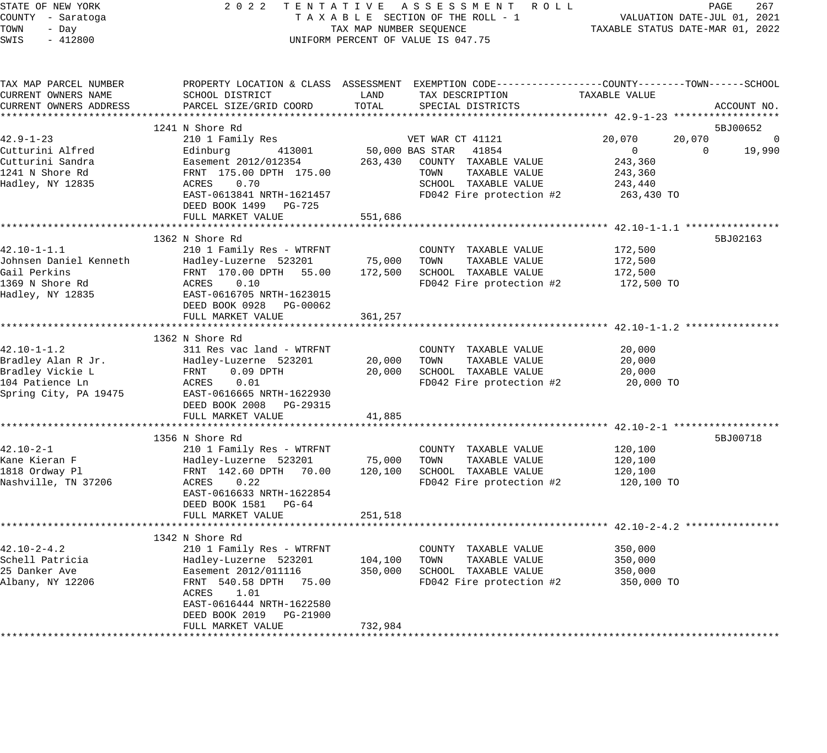| STATE OF NEW YORK      | 2 0 2 2                   |                         | TENTATIVE ASSESSMENT ROLL                                                                        |                                  | PAGE<br>267    |
|------------------------|---------------------------|-------------------------|--------------------------------------------------------------------------------------------------|----------------------------------|----------------|
| COUNTY - Saratoga      |                           |                         | TAXABLE SECTION OF THE ROLL - 1                                                                  | VALUATION DATE-JUL 01, 2021      |                |
| TOWN<br>- Day          |                           | TAX MAP NUMBER SEQUENCE |                                                                                                  | TAXABLE STATUS DATE-MAR 01, 2022 |                |
| $-412800$<br>SWIS      |                           |                         | UNIFORM PERCENT OF VALUE IS 047.75                                                               |                                  |                |
|                        |                           |                         |                                                                                                  |                                  |                |
| TAX MAP PARCEL NUMBER  |                           |                         | PROPERTY LOCATION & CLASS ASSESSMENT EXEMPTION CODE----------------COUNTY-------TOWN------SCHOOL |                                  |                |
| CURRENT OWNERS NAME    | SCHOOL DISTRICT           | LAND                    | TAX DESCRIPTION                                                                                  | TAXABLE VALUE                    |                |
| CURRENT OWNERS ADDRESS | PARCEL SIZE/GRID COORD    | TOTAL                   | SPECIAL DISTRICTS                                                                                |                                  | ACCOUNT NO.    |
|                        |                           |                         |                                                                                                  |                                  |                |
|                        | 1241 N Shore Rd           |                         |                                                                                                  |                                  | 5BJ00652       |
| 42.9-1-23              | 210 1 Family Res          |                         | VET WAR CT 41121                                                                                 | 20,070<br>20,070                 | $\overline{0}$ |
| Cutturini Alfred       | 413001<br>Edinburg        |                         | 50,000 BAS STAR 41854                                                                            | $\overline{0}$<br>$\Omega$       | 19,990         |
| Cutturini Sandra       | Easement 2012/012354      | 263,430                 | COUNTY TAXABLE VALUE                                                                             | 243,360                          |                |
| 1241 N Shore Rd        | FRNT 175.00 DPTH 175.00   |                         | TOWN<br>TAXABLE VALUE                                                                            | 243,360                          |                |
| Hadley, NY 12835       | 0.70<br>ACRES             |                         | SCHOOL TAXABLE VALUE                                                                             | 243,440                          |                |
|                        | EAST-0613841 NRTH-1621457 |                         | FD042 Fire protection #2                                                                         | 263,430 TO                       |                |
|                        | DEED BOOK 1499 PG-725     |                         |                                                                                                  |                                  |                |
|                        | FULL MARKET VALUE         | 551,686                 |                                                                                                  |                                  |                |
|                        |                           |                         |                                                                                                  |                                  |                |
|                        | 1362 N Shore Rd           |                         |                                                                                                  |                                  | 5BJ02163       |
| 42.10-1-1.1            | 210 1 Family Res - WTRFNT |                         | COUNTY TAXABLE VALUE                                                                             | 172,500                          |                |
| Johnsen Daniel Kenneth | Hadley-Luzerne 523201     | 75,000                  | TOWN TAXABLE VALUE                                                                               | 172,500                          |                |
| Gail Perkins           | FRNT 170.00 DPTH 55.00    | 172,500                 | SCHOOL TAXABLE VALUE                                                                             | 172,500                          |                |
| 1369 N Shore Rd        | ACRES<br>0.10             |                         | FD042 Fire protection #2                                                                         | 172,500 TO                       |                |
| Hadley, NY 12835       |                           |                         |                                                                                                  |                                  |                |
|                        | EAST-0616705 NRTH-1623015 |                         |                                                                                                  |                                  |                |
|                        | DEED BOOK 0928 PG-00062   |                         |                                                                                                  |                                  |                |
|                        | FULL MARKET VALUE         | 361,257                 |                                                                                                  |                                  |                |
|                        |                           |                         |                                                                                                  |                                  |                |
|                        | 1362 N Shore Rd           |                         |                                                                                                  |                                  |                |
| 42.10-1-1.2            | 311 Res vac land - WTRFNT |                         | COUNTY TAXABLE VALUE                                                                             | 20,000                           |                |
| Bradley Alan R Jr.     | Hadley-Luzerne 523201     | 20,000                  | TOWN<br>TAXABLE VALUE                                                                            | 20,000                           |                |
| Bradley Vickie L       | FRNT<br>$0.09$ DPTH       | 20,000                  | SCHOOL TAXABLE VALUE                                                                             | 20,000                           |                |
| 104 Patience Ln        | ACRES<br>0.01             |                         | FD042 Fire protection #2                                                                         | 20,000 TO                        |                |
| Spring City, PA 19475  | EAST-0616665 NRTH-1622930 |                         |                                                                                                  |                                  |                |
|                        | DEED BOOK 2008 PG-29315   |                         |                                                                                                  |                                  |                |
|                        | FULL MARKET VALUE         | 41,885                  |                                                                                                  |                                  |                |
|                        |                           |                         |                                                                                                  |                                  |                |
|                        | 1356 N Shore Rd           |                         |                                                                                                  |                                  | 5BJ00718       |
| 42.10-2-1              | 210 1 Family Res - WTRFNT |                         | COUNTY TAXABLE VALUE                                                                             | 120,100                          |                |
| Kane Kieran F          | Hadley-Luzerne 523201     | 75,000                  | TOWN<br>TAXABLE VALUE                                                                            | 120,100                          |                |
| 1818 Ordway Pl         | FRNT 142.60 DPTH 70.00    | 120,100                 | SCHOOL TAXABLE VALUE                                                                             | 120,100                          |                |
| Nashville, TN 37206    | ACRES 0.22                |                         | FD042 Fire protection #2                                                                         | 120,100 TO                       |                |
|                        | EAST-0616633 NRTH-1622854 |                         |                                                                                                  |                                  |                |
|                        | DEED BOOK 1581 PG-64      |                         |                                                                                                  |                                  |                |
|                        | FULL MARKET VALUE         | 251,518                 |                                                                                                  |                                  |                |
|                        |                           |                         |                                                                                                  |                                  |                |
|                        | 1342 N Shore Rd           |                         |                                                                                                  |                                  |                |
| $42.10 - 2 - 4.2$      | 210 1 Family Res - WTRFNT |                         | COUNTY TAXABLE VALUE                                                                             | 350,000                          |                |
| Schell Patricia        | Hadley-Luzerne 523201     | 104,100                 | TAXABLE VALUE<br>TOWN                                                                            | 350,000                          |                |
| 25 Danker Ave          | Easement 2012/011116      | 350,000                 | SCHOOL TAXABLE VALUE                                                                             | 350,000                          |                |
| Albany, NY 12206       | FRNT 540.58 DPTH 75.00    |                         | FD042 Fire protection #2                                                                         | 350,000 TO                       |                |
|                        | 1.01<br>ACRES             |                         |                                                                                                  |                                  |                |
|                        | EAST-0616444 NRTH-1622580 |                         |                                                                                                  |                                  |                |
|                        | DEED BOOK 2019 PG-21900   |                         |                                                                                                  |                                  |                |
|                        | FULL MARKET VALUE         | 732,984                 |                                                                                                  |                                  |                |
|                        |                           |                         |                                                                                                  |                                  |                |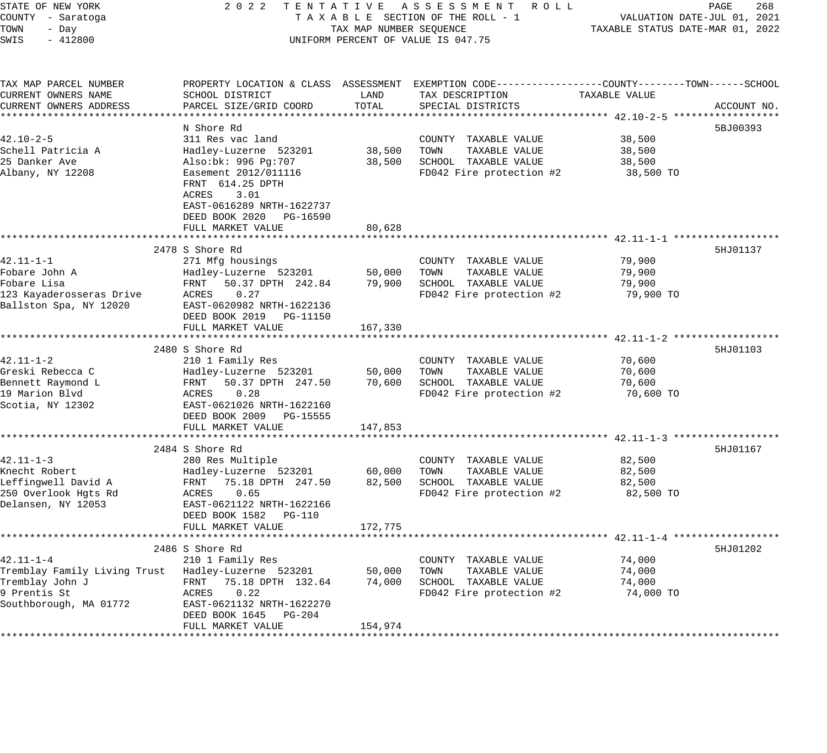| STATE OF NEW YORK<br>COUNTY - Saratoga<br>TOWN<br>- Day | 2 0 2 2<br>TENTATIVE                                                                      | TAX MAP NUMBER SEQUENCE | A S S E S S M E N T R O L L<br>TAXABLE SECTION OF THE ROLL - 1                                                    | TAXABLE STATUS DATE-MAR 01, 2022 | PAGE<br>268<br>VALUATION DATE-JUL 01, 2021 |
|---------------------------------------------------------|-------------------------------------------------------------------------------------------|-------------------------|-------------------------------------------------------------------------------------------------------------------|----------------------------------|--------------------------------------------|
| SWIS<br>$-412800$                                       |                                                                                           |                         | UNIFORM PERCENT OF VALUE IS 047.75                                                                                |                                  |                                            |
| TAX MAP PARCEL NUMBER<br>CURRENT OWNERS NAME            | SCHOOL DISTRICT                                                                           | LAND                    | PROPERTY LOCATION & CLASS ASSESSMENT EXEMPTION CODE---------------COUNTY-------TOWN-----SCHOOL<br>TAX DESCRIPTION | TAXABLE VALUE                    |                                            |
| CURRENT OWNERS ADDRESS                                  | PARCEL SIZE/GRID COORD                                                                    | TOTAL                   | SPECIAL DISTRICTS                                                                                                 |                                  | ACCOUNT NO.                                |
| * * * * * * * * * * * * * * * * * * *                   | ***********************                                                                   |                         |                                                                                                                   |                                  |                                            |
|                                                         | N Shore Rd                                                                                |                         |                                                                                                                   |                                  | 5BJ00393                                   |
| $42.10 - 2 - 5$<br>Schell Patricia A                    | 311 Res vac land<br>Hadley-Luzerne 523201                                                 | 38,500                  | COUNTY TAXABLE VALUE<br>TOWN<br>TAXABLE VALUE                                                                     | 38,500<br>38,500                 |                                            |
| 25 Danker Ave                                           | Also:bk: 996 Pg:707                                                                       | 38,500                  | SCHOOL TAXABLE VALUE                                                                                              | 38,500                           |                                            |
| Albany, NY 12208                                        | Easement 2012/011116                                                                      |                         | FD042 Fire protection #2                                                                                          | 38,500 TO                        |                                            |
|                                                         | FRNT 614.25 DPTH<br>ACRES<br>3.01<br>EAST-0616289 NRTH-1622737<br>DEED BOOK 2020 PG-16590 |                         |                                                                                                                   |                                  |                                            |
|                                                         | FULL MARKET VALUE                                                                         | 80,628                  |                                                                                                                   |                                  |                                            |
|                                                         |                                                                                           |                         |                                                                                                                   |                                  |                                            |
|                                                         | 2478 S Shore Rd                                                                           |                         |                                                                                                                   |                                  | 5HJ01137                                   |
| 42.11-1-1                                               | 271 Mfg housings                                                                          |                         | COUNTY TAXABLE VALUE                                                                                              | 79,900                           |                                            |
| Fobare John A                                           | Hadley-Luzerne 523201                                                                     | 50,000                  | TOWN<br>TAXABLE VALUE                                                                                             | 79,900                           |                                            |
| Fobare Lisa                                             | FRNT<br>50.37 DPTH 242.84                                                                 | 79,900                  | SCHOOL TAXABLE VALUE                                                                                              | 79,900                           |                                            |
| 123 Kayaderosseras Drive                                | 0.27<br>ACRES                                                                             |                         | FD042 Fire protection #2                                                                                          | 79,900 TO                        |                                            |
| Ballston Spa, NY 12020                                  | EAST-0620982 NRTH-1622136<br>DEED BOOK 2019 PG-11150<br>FULL MARKET VALUE                 | 167,330                 |                                                                                                                   |                                  |                                            |
|                                                         |                                                                                           |                         |                                                                                                                   | ********* 42.11-1-2 ******       |                                            |
|                                                         | 2480 S Shore Rd                                                                           |                         |                                                                                                                   |                                  | 5HJ01103                                   |
| $42.11 - 1 - 2$                                         | 210 1 Family Res                                                                          |                         | COUNTY TAXABLE VALUE                                                                                              | 70,600                           |                                            |
| Greski Rebecca C                                        | Hadley-Luzerne 523201                                                                     | 50,000                  | TOWN<br>TAXABLE VALUE                                                                                             | 70,600                           |                                            |
| Bennett Raymond L                                       | FRNT<br>50.37 DPTH 247.50                                                                 | 70,600                  | SCHOOL TAXABLE VALUE                                                                                              | 70,600                           |                                            |
| 19 Marion Blvd                                          | 0.28<br>ACRES                                                                             |                         | FD042 Fire protection #2                                                                                          | 70,600 TO                        |                                            |
| Scotia, NY 12302                                        | EAST-0621026 NRTH-1622160                                                                 |                         |                                                                                                                   |                                  |                                            |
|                                                         | DEED BOOK 2009 PG-15555                                                                   |                         |                                                                                                                   |                                  |                                            |
|                                                         | FULL MARKET VALUE<br>*************************                                            | 147,853                 |                                                                                                                   |                                  |                                            |
|                                                         |                                                                                           |                         |                                                                                                                   |                                  |                                            |
| $42.11 - 1 - 3$                                         | 2484 S Shore Rd<br>280 Res Multiple                                                       |                         | COUNTY TAXABLE VALUE                                                                                              | 82,500                           | 5HJ01167                                   |
| Knecht Robert                                           | Hadley-Luzerne 523201                                                                     | 60,000                  | TOWN<br>TAXABLE VALUE                                                                                             | 82,500                           |                                            |
| Leffingwell David A                                     | FRNT<br>75.18 DPTH 247.50                                                                 | 82,500                  | SCHOOL TAXABLE VALUE                                                                                              | 82,500                           |                                            |
| 250 Overlook Hgts Rd                                    | 0.65<br>ACRES                                                                             |                         | FD042 Fire protection #2                                                                                          | 82,500 TO                        |                                            |
| Delansen, NY 12053                                      | EAST-0621122 NRTH-1622166                                                                 |                         |                                                                                                                   |                                  |                                            |
|                                                         | DEED BOOK 1582<br>PG-110                                                                  |                         |                                                                                                                   |                                  |                                            |
|                                                         | FULL MARKET VALUE                                                                         | 172,775                 |                                                                                                                   |                                  |                                            |
|                                                         |                                                                                           |                         |                                                                                                                   |                                  |                                            |
|                                                         | 2486 S Shore Rd                                                                           |                         |                                                                                                                   |                                  | 5HJ01202                                   |
| $42.11 - 1 - 4$                                         | 210 1 Family Res                                                                          |                         | COUNTY TAXABLE VALUE                                                                                              | 74,000                           |                                            |
| Tremblay Family Living Trust                            | Hadley-Luzerne 523201                                                                     | 50,000                  | TAXABLE VALUE<br>TOWN                                                                                             | 74,000                           |                                            |
| Tremblay John J                                         | FRNT<br>75.18 DPTH 132.64                                                                 | 74,000                  | SCHOOL TAXABLE VALUE                                                                                              | 74,000                           |                                            |
| 9 Prentis St<br>Southborough, MA 01772                  | ACRES<br>0.22<br>EAST-0621132 NRTH-1622270                                                |                         | FD042 Fire protection #2                                                                                          | 74,000 TO                        |                                            |
|                                                         | DEED BOOK 1645<br>PG-204                                                                  |                         |                                                                                                                   |                                  |                                            |
|                                                         | FULL MARKET VALUE                                                                         | 154,974                 |                                                                                                                   |                                  |                                            |
|                                                         |                                                                                           |                         |                                                                                                                   |                                  |                                            |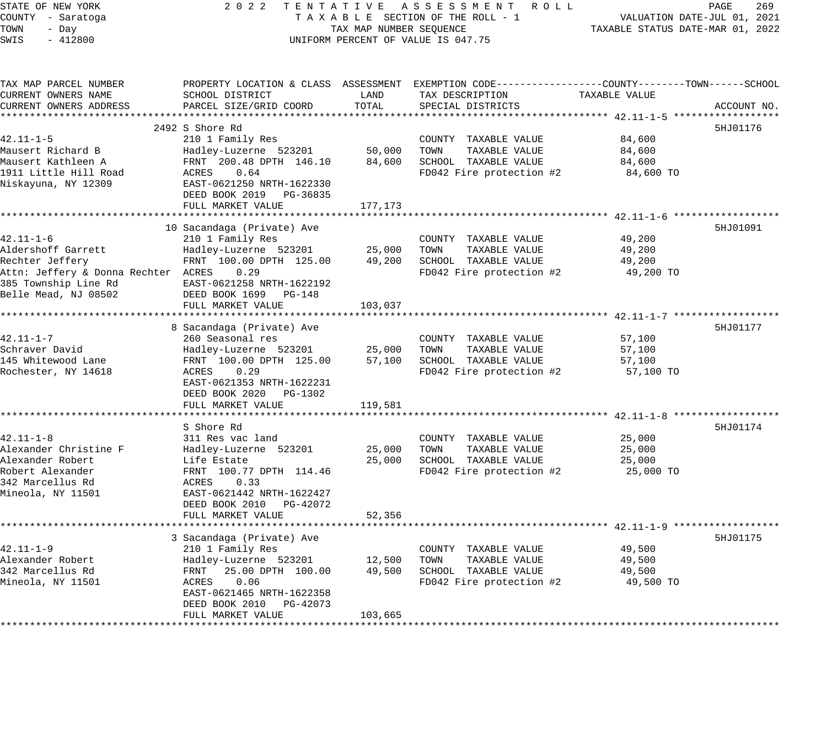STATE OF NEW YORK 2 0 2 2 T E N T A T I V E A S S E S S M E N T R O L L PAGE 269 COUNTY - Saratoga T A X A B L E SECTION OF THE ROLL - 1 VALUATION DATE-JUL 01, 2021 TOWN - Day TAX MAP NUMBER SEQUENCE TAXABLE STATUS DATE-MAR 01, 2022 SWIS - 412800 UNIFORM PERCENT OF VALUE IS 047.75 TAX MAP PARCEL NUMBER PROPERTY LOCATION & CLASS ASSESSMENT EXEMPTION CODE------------------COUNTY--------TOWN------SCHOOL CURRENT OWNERS NAME SCHOOL DISTRICT LAND TAX DESCRIPTION TAXABLE VALUE CURRENT OWNERS ADDRESS PARCEL SIZE/GRID COORD TOTAL SPECIAL DISTRICTS ACCOUNT NO. \*\*\*\*\*\*\*\*\*\*\*\*\*\*\*\*\*\*\*\*\*\*\*\*\*\*\*\*\*\*\*\*\*\*\*\*\*\*\*\*\*\*\*\*\*\*\*\*\*\*\*\*\*\*\*\*\*\*\*\*\*\*\*\*\*\*\*\*\*\*\*\*\*\*\*\*\*\*\*\*\*\*\*\*\*\*\*\*\*\*\*\*\*\*\*\*\*\*\*\*\*\*\* 42.11-1-5 \*\*\*\*\*\*\*\*\*\*\*\*\*\*\*\*\*\*  $2492$  S Shore Rd  $5HJ01176$ 42.11-1-5 210 1 Family Res COUNTY TAXABLE VALUE 84,600 Mausert Richard B Hadley-Luzerne 523201 50,000 TOWN TAXABLE VALUE 84,600 Mausert Kathleen A FRNT 200.48 DPTH 146.10 84,600 SCHOOL TAXABLE VALUE 84,600 1911 Little Hill Road ACRES 0.64 FD042 Fire protection #2 84,600 TO Niskayuna, NY 12309 EAST-0621250 NRTH-1622330 DEED BOOK 2019 PG-36835 FULL MARKET VALUE 177, 173 \*\*\*\*\*\*\*\*\*\*\*\*\*\*\*\*\*\*\*\*\*\*\*\*\*\*\*\*\*\*\*\*\*\*\*\*\*\*\*\*\*\*\*\*\*\*\*\*\*\*\*\*\*\*\*\*\*\*\*\*\*\*\*\*\*\*\*\*\*\*\*\*\*\*\*\*\*\*\*\*\*\*\*\*\*\*\*\*\*\*\*\*\*\*\*\*\*\*\*\*\*\*\* 42.11-1-6 \*\*\*\*\*\*\*\*\*\*\*\*\*\*\*\*\*\* 10 Sacandaga (Private) Ave 5HJ01091 (1999) 1999 (1999) 1999 (1999) 1999 (1999) 1999 (1999) 1999 (1999) 1999 (1 42.11-1-6 210 1 Family Res COUNTY TAXABLE VALUE 49,200 Aldershoff Garrett Hadley-Luzerne 523201 25,000 TOWN TAXABLE VALUE 49,200 Rechter Jeffery FRNT 100.00 DPTH 125.00 49,200 SCHOOL TAXABLE VALUE 49,200 Attn: Jeffery & Donna Rechter ACRES 0.29 FD042 Fire protection #2 49,200 TO 385 Township Line Rd EAST-0621258 NRTH-1622192 Belle Mead, NJ 08502 DEED BOOK 1699 PG-148 FULL MARKET VALUE 103,037 \*\*\*\*\*\*\*\*\*\*\*\*\*\*\*\*\*\*\*\*\*\*\*\*\*\*\*\*\*\*\*\*\*\*\*\*\*\*\*\*\*\*\*\*\*\*\*\*\*\*\*\*\*\*\*\*\*\*\*\*\*\*\*\*\*\*\*\*\*\*\*\*\*\*\*\*\*\*\*\*\*\*\*\*\*\*\*\*\*\*\*\*\*\*\*\*\*\*\*\*\*\*\* 42.11-1-7 \*\*\*\*\*\*\*\*\*\*\*\*\*\*\*\*\*\* 8 Sacandaga (Private) Ave 5HJ01177 (1999) 8 Sacandaga (Private) Ave 5HJ01177 (1999) 5HJ01177 (1999) 5HJ01177 ( 42.11-1-7 260 Seasonal res COUNTY TAXABLE VALUE 57,100 Schraver David Hadley-Luzerne 523201 25,000 TOWN TAXABLE VALUE 57,100 145 Whitewood Lane FRNT 100.00 DPTH 125.00 57,100 SCHOOL TAXABLE VALUE 57,100 Rochester, NY 14618 ACRES 0.29 FD042 Fire protection #2 57,100 TO EAST-0621353 NRTH-1622231 DEED BOOK 2020 PG-1302 FULL MARKET VALUE 119,581 \*\*\*\*\*\*\*\*\*\*\*\*\*\*\*\*\*\*\*\*\*\*\*\*\*\*\*\*\*\*\*\*\*\*\*\*\*\*\*\*\*\*\*\*\*\*\*\*\*\*\*\*\*\*\*\*\*\*\*\*\*\*\*\*\*\*\*\*\*\*\*\*\*\*\*\*\*\*\*\*\*\*\*\*\*\*\*\*\*\*\*\*\*\*\*\*\*\*\*\*\*\*\* 42.11-1-8 \*\*\*\*\*\*\*\*\*\*\*\*\*\*\*\*\*\* S Shore Rd 5HJ01174 42.11-1-8 311 Res vac land COUNTY TAXABLE VALUE 25,000 Alexander Christine F Hadley-Luzerne 523201 25,000 TOWN TAXABLE VALUE 25,000 Alexander Robert Life Estate 25,000 SCHOOL TAXABLE VALUE 25,000 Robert Alexander FRNT 100.77 DPTH 114.46 FD042 Fire protection #2 25,000 TO 342 Marcellus Rd ACRES 0.33 Mineola, NY 11501 EAST-0621442 NRTH-1622427 DEED BOOK 2010 PG-42072 FULL MARKET VALUE 52,356 \*\*\*\*\*\*\*\*\*\*\*\*\*\*\*\*\*\*\*\*\*\*\*\*\*\*\*\*\*\*\*\*\*\*\*\*\*\*\*\*\*\*\*\*\*\*\*\*\*\*\*\*\*\*\*\*\*\*\*\*\*\*\*\*\*\*\*\*\*\*\*\*\*\*\*\*\*\*\*\*\*\*\*\*\*\*\*\*\*\*\*\*\*\*\*\*\*\*\*\*\*\*\* 42.11-1-9 \*\*\*\*\*\*\*\*\*\*\*\*\*\*\*\*\*\* 3 Sacandaga (Private) Ave 5HJ01175 (1999) 3 Sacandaga (Private) Ave 5HJ01175 (1999) 3 Sacandaga (Private) 5HJ01175 42.11-1-9 210 1 Family Res COUNTY TAXABLE VALUE 49,500 Alexander Robert Hadley-Luzerne 523201 12,500 TOWN TAXABLE VALUE 49,500 342 Marcellus Rd FRNT 25.00 DPTH 100.00 49,500 SCHOOL TAXABLE VALUE 49,500 Mineola, NY 11501 ACRES 0.06 FD042 Fire protection #2 49,500 TO EAST-0621465 NRTH-1622358 DEED BOOK 2010 PG-42073

\*\*\*\*\*\*\*\*\*\*\*\*\*\*\*\*\*\*\*\*\*\*\*\*\*\*\*\*\*\*\*\*\*\*\*\*\*\*\*\*\*\*\*\*\*\*\*\*\*\*\*\*\*\*\*\*\*\*\*\*\*\*\*\*\*\*\*\*\*\*\*\*\*\*\*\*\*\*\*\*\*\*\*\*\*\*\*\*\*\*\*\*\*\*\*\*\*\*\*\*\*\*\*\*\*\*\*\*\*\*\*\*\*\*\*\*\*\*\*\*\*\*\*\*\*\*\*\*\*\*\*\*

FULL MARKET VALUE 103,665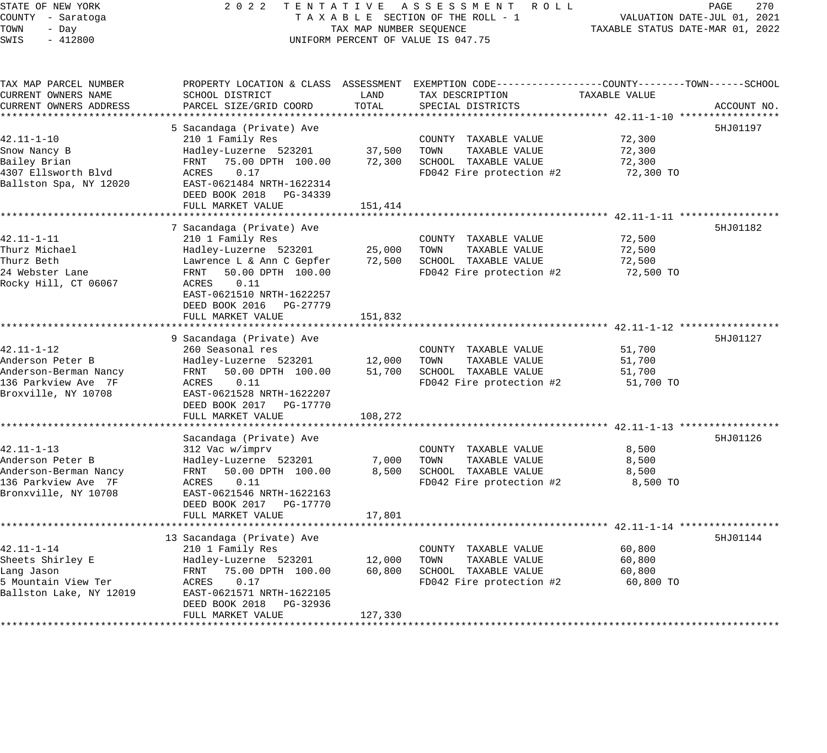| STATE OF NEW YORK<br>COUNTY - Saratoga<br>TOWN<br>- Day<br>SWIS<br>$-412800$ | 2 0 2 2                                                 | TENTATIVE<br>TAX MAP NUMBER SEQUENCE | ASSESSMENT<br>R O L L<br>TAXABLE SECTION OF THE ROLL - 1<br>UNIFORM PERCENT OF VALUE IS 047.75 | TAXABLE STATUS DATE-MAR 01, 2022          | PAGE<br>270<br>VALUATION DATE-JUL 01, 2021 |
|------------------------------------------------------------------------------|---------------------------------------------------------|--------------------------------------|------------------------------------------------------------------------------------------------|-------------------------------------------|--------------------------------------------|
|                                                                              |                                                         |                                      |                                                                                                |                                           |                                            |
| TAX MAP PARCEL NUMBER<br>CURRENT OWNERS NAME                                 | PROPERTY LOCATION & CLASS ASSESSMENT<br>SCHOOL DISTRICT | LAND                                 | EXEMPTION CODE-----------------COUNTY-------TOWN------SCHOOL<br>TAX DESCRIPTION                | TAXABLE VALUE                             |                                            |
| CURRENT OWNERS ADDRESS                                                       | PARCEL SIZE/GRID COORD                                  | TOTAL                                | SPECIAL DISTRICTS<br>************************************ 42.11-1-10 ****                      |                                           | ACCOUNT NO.                                |
|                                                                              | 5 Sacandaga (Private) Ave                               |                                      |                                                                                                |                                           | 5HJ01197                                   |
| 42.11-1-10                                                                   | 210 1 Family Res                                        |                                      | COUNTY TAXABLE VALUE                                                                           | 72,300                                    |                                            |
| Snow Nancy B                                                                 | Hadley-Luzerne 523201                                   | 37,500                               | TOWN<br>TAXABLE VALUE                                                                          | 72,300                                    |                                            |
| Bailey Brian                                                                 | 75.00 DPTH 100.00<br>FRNT                               | 72,300                               | SCHOOL TAXABLE VALUE                                                                           | 72,300                                    |                                            |
| 4307 Ellsworth Blvd                                                          | ACRES<br>0.17                                           |                                      | FD042 Fire protection #2                                                                       | 72,300 TO                                 |                                            |
| Ballston Spa, NY 12020                                                       | EAST-0621484 NRTH-1622314                               |                                      |                                                                                                |                                           |                                            |
|                                                                              | DEED BOOK 2018<br>PG-34339                              |                                      |                                                                                                |                                           |                                            |
|                                                                              | FULL MARKET VALUE                                       | 151,414                              |                                                                                                |                                           |                                            |
|                                                                              | *******************                                     | ********************                 |                                                                                                | ************************ 42.11-1-11 ****  |                                            |
|                                                                              | 7 Sacandaga (Private) Ave                               |                                      |                                                                                                |                                           | 5HJ01182                                   |
| 42.11-1-11                                                                   | 210 1 Family Res                                        |                                      | COUNTY TAXABLE VALUE                                                                           | 72,500                                    |                                            |
| Thurz Michael<br>Thurz Beth                                                  | Hadley-Luzerne 523201<br>Lawrence L & Ann C Gepfer      | 25,000<br>72,500                     | TOWN<br>TAXABLE VALUE<br>SCHOOL TAXABLE VALUE                                                  | 72,500<br>72,500                          |                                            |
| 24 Webster Lane                                                              | 50.00 DPTH 100.00<br>FRNT                               |                                      | FD042 Fire protection #2                                                                       | 72,500 TO                                 |                                            |
| Rocky Hill, CT 06067                                                         | ACRES<br>0.11                                           |                                      |                                                                                                |                                           |                                            |
|                                                                              | EAST-0621510 NRTH-1622257                               |                                      |                                                                                                |                                           |                                            |
|                                                                              | DEED BOOK 2016<br>PG-27779                              |                                      |                                                                                                |                                           |                                            |
|                                                                              | FULL MARKET VALUE                                       | 151,832                              |                                                                                                |                                           |                                            |
|                                                                              |                                                         |                                      |                                                                                                |                                           |                                            |
|                                                                              | 9 Sacandaga (Private) Ave                               |                                      |                                                                                                |                                           | 5HJ01127                                   |
| $42.11 - 1 - 12$                                                             | 260 Seasonal res                                        |                                      | COUNTY TAXABLE VALUE                                                                           | 51,700                                    |                                            |
| Anderson Peter B                                                             | Hadley-Luzerne 523201                                   | 12,000                               | TOWN<br>TAXABLE VALUE                                                                          | 51,700                                    |                                            |
| Anderson-Berman Nancy                                                        | FRNT<br>50.00 DPTH 100.00                               | 51,700                               | SCHOOL TAXABLE VALUE                                                                           | 51,700                                    |                                            |
| 136 Parkview Ave 7F                                                          | 0.11<br>ACRES                                           |                                      | FD042 Fire protection #2                                                                       | 51,700 TO                                 |                                            |
| Broxville, NY 10708                                                          | EAST-0621528 NRTH-1622207<br>DEED BOOK 2017             |                                      |                                                                                                |                                           |                                            |
|                                                                              | PG-17770<br>FULL MARKET VALUE                           | 108,272                              |                                                                                                |                                           |                                            |
|                                                                              | *******************                                     |                                      | ***************************** 42.11-1-13 *****                                                 |                                           |                                            |
|                                                                              | Sacandaga (Private) Ave                                 |                                      |                                                                                                |                                           | 5HJ01126                                   |
| $42.11 - 1 - 13$                                                             | 312 Vac w/imprv                                         |                                      | COUNTY TAXABLE VALUE                                                                           | 8,500                                     |                                            |
| Anderson Peter B                                                             | Hadley-Luzerne 523201                                   | 7,000                                | TOWN<br>TAXABLE VALUE                                                                          | 8,500                                     |                                            |
| Anderson-Berman Nancy                                                        | 50.00 DPTH 100.00<br>FRNT                               | 8,500                                | SCHOOL TAXABLE VALUE                                                                           | 8,500                                     |                                            |
| 136 Parkview Ave 7F                                                          | ACRES<br>0.11                                           |                                      | FD042 Fire protection #2                                                                       | 8,500 TO                                  |                                            |
| Bronxville, NY 10708                                                         | EAST-0621546 NRTH-1622163                               |                                      |                                                                                                |                                           |                                            |
|                                                                              | DEED BOOK 2017<br>PG-17770                              |                                      |                                                                                                |                                           |                                            |
|                                                                              | FULL MARKET VALUE                                       | 17,801                               |                                                                                                |                                           |                                            |
|                                                                              | **************************                              |                                      |                                                                                                | ************************ 42.11-1-14 ***** |                                            |
|                                                                              | 13 Sacandaga (Private) Ave                              |                                      |                                                                                                |                                           | 5HJ01144                                   |
| $42.11 - 1 - 14$<br>Sheets Shirley E                                         | 210 1 Family Res<br>Hadley-Luzerne 523201               | 12,000                               | COUNTY TAXABLE VALUE<br>TAXABLE VALUE<br>TOWN                                                  | 60,800<br>60,800                          |                                            |
| Lang Jason                                                                   | 75.00 DPTH 100.00<br>FRNT                               | 60,800                               | SCHOOL TAXABLE VALUE                                                                           | 60,800                                    |                                            |
| 5 Mountain View Ter                                                          | 0.17<br>ACRES                                           |                                      | FD042 Fire protection #2                                                                       | 60,800 TO                                 |                                            |
| Ballston Lake, NY 12019                                                      | EAST-0621571 NRTH-1622105                               |                                      |                                                                                                |                                           |                                            |
|                                                                              | DEED BOOK 2018<br>PG-32936                              |                                      |                                                                                                |                                           |                                            |
|                                                                              | FULL MARKET VALUE                                       | 127,330                              |                                                                                                |                                           |                                            |
|                                                                              | **************************                              |                                      |                                                                                                |                                           |                                            |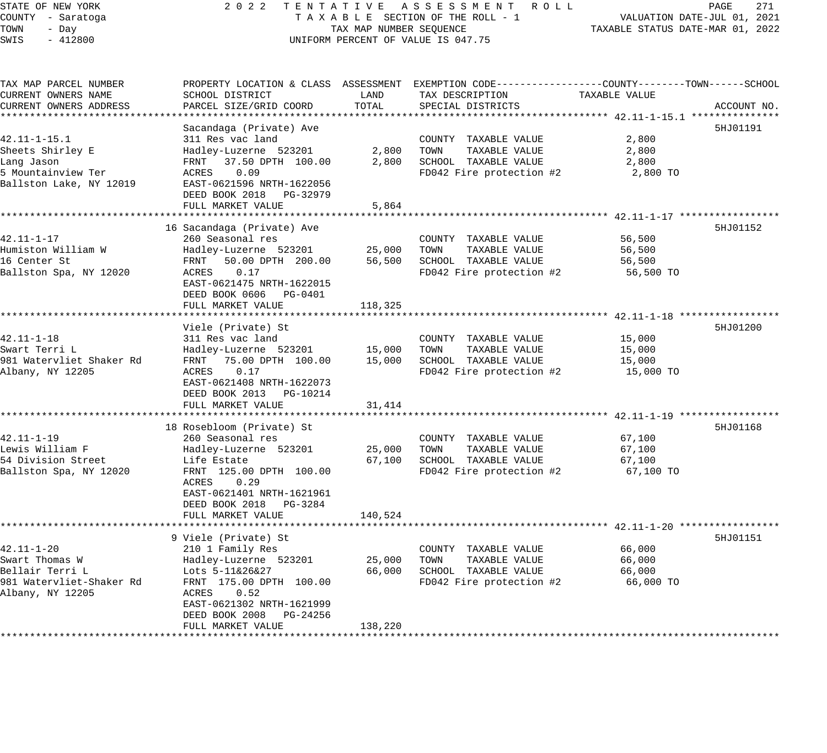#### STATE OF NEW YORK 2 0 2 2 T E N T A T I V E A S S E S S M E N T R O L L PAGE 271 COUNTY - Saratoga T A X A B L E SECTION OF THE ROLL - 1 VALUATION DATE-JUL 01, 2021 TOWN - Day TAX MAP NUMBER SEQUENCE TAXABLE STATUS DATE-MAR 01, 2022 SWIS - 412800 CONTROLLY THE UNIFORM PERCENT OF VALUE IS 047.75

TAX MAP PARCEL NUMBER PROPERTY LOCATION & CLASS ASSESSMENT EXEMPTION CODE------------------COUNTY--------TOWN------SCHOOL

CURRENT OWNERS NAME SCHOOL DISTRICT LAND TAX DESCRIPTION TAXABLE VALUE CURRENT OWNERS ADDRESS PARCEL SIZE/GRID COORD TOTAL SPECIAL DISTRICTS ACCOUNT NO. \*\*\*\*\*\*\*\*\*\*\*\*\*\*\*\*\*\*\*\*\*\*\*\*\*\*\*\*\*\*\*\*\*\*\*\*\*\*\*\*\*\*\*\*\*\*\*\*\*\*\*\*\*\*\*\*\*\*\*\*\*\*\*\*\*\*\*\*\*\*\*\*\*\*\*\*\*\*\*\*\*\*\*\*\*\*\*\*\*\*\*\*\*\*\*\*\*\*\*\*\*\*\* 42.11-1-15.1 \*\*\*\*\*\*\*\*\*\*\*\*\*\*\* Sacandaga (Private) Ave 5HJ01191 (1999) 1999 (1999) 1999 (1999) 1999 (1999) 1999 (1999) 1999 (1999) 1999 (1999) 199 42.11-1-15.1 311 Res vac land COUNTY TAXABLE VALUE 2,800 Sheets Shirley E Hadley-Luzerne 523201 2,800 TOWN TAXABLE VALUE 2,800 Lang Jason FRNT 37.50 DPTH 100.00 2,800 SCHOOL TAXABLE VALUE 2,800 5 Mountainview Ter ACRES 0.09 FD042 Fire protection #2 2,800 TO Ballston Lake, NY 12019 EAST-0621596 NRTH-1622056 DEED BOOK 2018 PG-32979 DEED BOOK 2018 PG-32979<br>FULL MARKET VALUE 5,864 \*\*\*\*\*\*\*\*\*\*\*\*\*\*\*\*\*\*\*\*\*\*\*\*\*\*\*\*\*\*\*\*\*\*\*\*\*\*\*\*\*\*\*\*\*\*\*\*\*\*\*\*\*\*\*\*\*\*\*\*\*\*\*\*\*\*\*\*\*\*\*\*\*\*\*\*\*\*\*\*\*\*\*\*\*\*\*\*\*\*\*\*\*\*\*\*\*\*\*\*\*\*\* 42.11-1-17 \*\*\*\*\*\*\*\*\*\*\*\*\*\*\*\*\* 16 Sacandaga (Private) Ave 5HJ01152 (1999) 16 September 1999) 16 September 2014 16 September 2014 16 September 2014 42.11-1-17 260 Seasonal res COUNTY TAXABLE VALUE 56,500 Humiston William W Hadley-Luzerne 523201 25,000 TOWN TAXABLE VALUE 56,500 16 Center St FRNT 50.00 DPTH 200.00 56,500 SCHOOL TAXABLE VALUE 56,500 Ballston Spa, NY 12020 ACRES 0.17 FD042 Fire protection #2 56,500 TO EAST-0621475 NRTH-1622015 DEED BOOK 0606 PG-0401 FULL MARKET VALUE 118,325 \*\*\*\*\*\*\*\*\*\*\*\*\*\*\*\*\*\*\*\*\*\*\*\*\*\*\*\*\*\*\*\*\*\*\*\*\*\*\*\*\*\*\*\*\*\*\*\*\*\*\*\*\*\*\*\*\*\*\*\*\*\*\*\*\*\*\*\*\*\*\*\*\*\*\*\*\*\*\*\*\*\*\*\*\*\*\*\*\*\*\*\*\*\*\*\*\*\*\*\*\*\*\* 42.11-1-18 \*\*\*\*\*\*\*\*\*\*\*\*\*\*\*\*\* Viele (Private) St 42.11-1-18 311 Res vac land COUNTY TAXABLE VALUE 15,000 Swart Terri L Hadley-Luzerne 523201 15,000 TOWN TAXABLE VALUE 15,000 981 Watervliet Shaker Rd FRNT 75.00 DPTH 100.00 15,000 SCHOOL TAXABLE VALUE 15,000 Albany, NY 12205 ACRES 0.17 FD042 Fire protection #2 15,000 TO EAST-0621408 NRTH-1622073 DEED BOOK 2013 PG-10214 FULL MARKET VALUE 31,414 \*\*\*\*\*\*\*\*\*\*\*\*\*\*\*\*\*\*\*\*\*\*\*\*\*\*\*\*\*\*\*\*\*\*\*\*\*\*\*\*\*\*\*\*\*\*\*\*\*\*\*\*\*\*\*\*\*\*\*\*\*\*\*\*\*\*\*\*\*\*\*\*\*\*\*\*\*\*\*\*\*\*\*\*\*\*\*\*\*\*\*\*\*\*\*\*\*\*\*\*\*\*\* 42.11-1-19 \*\*\*\*\*\*\*\*\*\*\*\*\*\*\*\*\* 18 Rosebloom (Private) St 5HJ01168 42.11-1-19 260 Seasonal res COUNTY TAXABLE VALUE 67,100 Lewis William F Hadley-Luzerne 523201 25,000 TOWN TAXABLE VALUE 67,100 54 Division Street Life Estate 67,100 SCHOOL TAXABLE VALUE 67,100 Ballston Spa, NY 12020 FRNT 125.00 DPTH 100.00 FD042 Fire protection #2 67,100 TO ACRES 0.29 EAST-0621401 NRTH-1621961 DEED BOOK 2018 PG-3284 FULL MARKET VALUE 140,524 \*\*\*\*\*\*\*\*\*\*\*\*\*\*\*\*\*\*\*\*\*\*\*\*\*\*\*\*\*\*\*\*\*\*\*\*\*\*\*\*\*\*\*\*\*\*\*\*\*\*\*\*\*\*\*\*\*\*\*\*\*\*\*\*\*\*\*\*\*\*\*\*\*\*\*\*\*\*\*\*\*\*\*\*\*\*\*\*\*\*\*\*\*\*\*\*\*\*\*\*\*\*\* 42.11-1-20 \*\*\*\*\*\*\*\*\*\*\*\*\*\*\*\*\* 9 Viele (Private) St 42.11-1-20 210 1 Family Res COUNTY TAXABLE VALUE 66,000 Swart Thomas W Hadley-Luzerne 523201 25,000 TOWN TAXABLE VALUE 66,000 Bellair Terri Louis 1946 Lots 5-11&26&27 66,000 SCHOOL TAXABLE VALUE 66,000 66,000 981 Watervliet-Shaker Rd FRNT 175.00 DPTH 100.00 FD042 Fire protection #2 66,000 TO Albany, NY 12205 ACRES 0.52 EAST-0621302 NRTH-1621999 DEED BOOK 2008 PG-24256 FULL MARKET VALUE 138,220 \*\*\*\*\*\*\*\*\*\*\*\*\*\*\*\*\*\*\*\*\*\*\*\*\*\*\*\*\*\*\*\*\*\*\*\*\*\*\*\*\*\*\*\*\*\*\*\*\*\*\*\*\*\*\*\*\*\*\*\*\*\*\*\*\*\*\*\*\*\*\*\*\*\*\*\*\*\*\*\*\*\*\*\*\*\*\*\*\*\*\*\*\*\*\*\*\*\*\*\*\*\*\*\*\*\*\*\*\*\*\*\*\*\*\*\*\*\*\*\*\*\*\*\*\*\*\*\*\*\*\*\*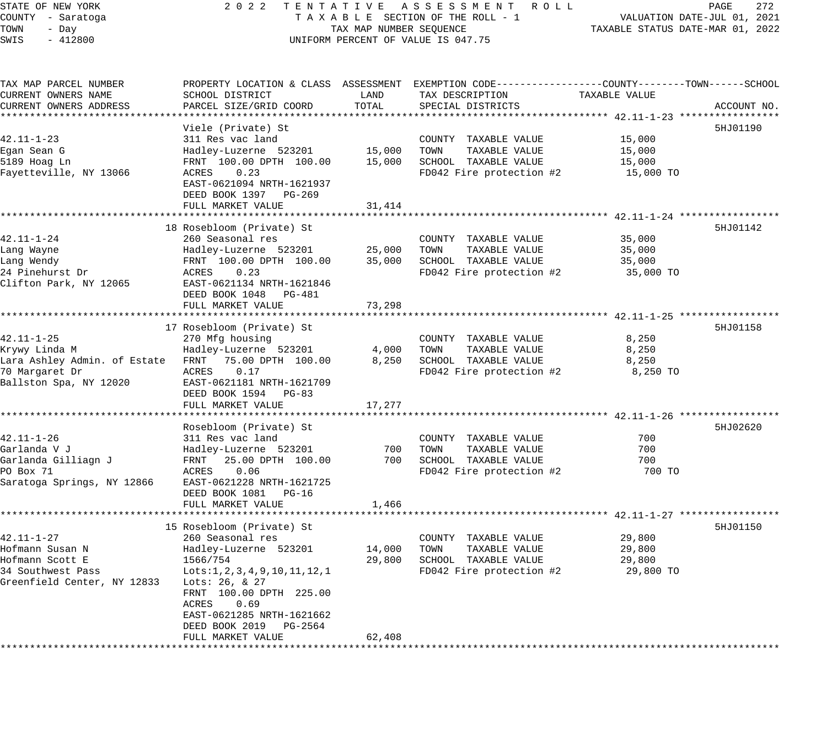# STATE OF NEW YORK 2 0 2 2 T E N T A T I V E A S S E S S M E N T R O L L PAGE 272 COUNTY - Saratoga T A X A B L E SECTION OF THE ROLL - 1 VALUATION DATE-JUL 01, 2021 UNIFORM PERCENT OF VALUE IS 047.75

TOWN - DALUATION DATE-JUL 01, 2021<br>TAXABLE STATUS DATE-MAR 01, 2022

| TAX MAP PARCEL NUMBER                               |                                           |           | PROPERTY LOCATION & CLASS ASSESSMENT EXEMPTION CODE----------------COUNTY-------TOWN------SCHOOL |                                                             |             |
|-----------------------------------------------------|-------------------------------------------|-----------|--------------------------------------------------------------------------------------------------|-------------------------------------------------------------|-------------|
| CURRENT OWNERS NAME                                 | SCHOOL DISTRICT                           | LAND      | TAX DESCRIPTION                                                                                  | TAXABLE VALUE                                               |             |
| CURRENT OWNERS ADDRESS                              | PARCEL SIZE/GRID COORD                    | TOTAL     | SPECIAL DISTRICTS                                                                                |                                                             | ACCOUNT NO. |
|                                                     |                                           |           |                                                                                                  |                                                             |             |
|                                                     | Viele (Private) St                        |           |                                                                                                  |                                                             | 5HJ01190    |
| 42.11-1-23                                          | 311 Res vac land                          |           | COUNTY TAXABLE VALUE                                                                             | 15,000                                                      |             |
| Egan Sean G                                         | Hadley-Luzerne 523201                     | 15,000    | TOWN<br>TAXABLE VALUE                                                                            | 15,000                                                      |             |
| 5189 Hoag Ln                                        | FRNT 100.00 DPTH 100.00                   | 15,000    | SCHOOL TAXABLE VALUE                                                                             | 15,000                                                      |             |
| Fayetteville, NY 13066                              | ACRES<br>0.23                             |           | FD042 Fire protection #2                                                                         | 15,000 TO                                                   |             |
|                                                     | EAST-0621094 NRTH-1621937                 |           |                                                                                                  |                                                             |             |
|                                                     | DEED BOOK 1397 PG-269                     |           |                                                                                                  |                                                             |             |
|                                                     | FULL MARKET VALUE                         | 31,414    |                                                                                                  |                                                             |             |
|                                                     |                                           |           |                                                                                                  |                                                             |             |
|                                                     | 18 Rosebloom (Private) St                 |           |                                                                                                  |                                                             | 5HJ01142    |
| $42.11 - 1 - 24$                                    | 260 Seasonal res                          |           | COUNTY TAXABLE VALUE                                                                             | 35,000                                                      |             |
| Lang Wayne                                          | Hadley-Luzerne 523201                     | 25,000    | TOWN<br>TAXABLE VALUE                                                                            | 35,000                                                      |             |
| Lang Wendy                                          | FRNT 100.00 DPTH 100.00                   | 35,000    | SCHOOL TAXABLE VALUE                                                                             | 35,000                                                      |             |
| 24 Pinehurst Dr                                     | 0.23<br>ACRES                             |           | FD042 Fire protection #2                                                                         | 35,000 TO                                                   |             |
| Clifton Park, NY 12065                              | EAST-0621134 NRTH-1621846                 |           |                                                                                                  |                                                             |             |
|                                                     | DEED BOOK 1048<br>PG-481                  |           |                                                                                                  |                                                             |             |
|                                                     | FULL MARKET VALUE                         | 73,298    |                                                                                                  |                                                             |             |
|                                                     |                                           |           |                                                                                                  |                                                             |             |
|                                                     | 17 Rosebloom (Private) St                 |           |                                                                                                  |                                                             | 5HJ01158    |
| $42.11 - 1 - 25$                                    | 270 Mfg housing                           |           | COUNTY TAXABLE VALUE                                                                             | 8,250                                                       |             |
| Krywy Linda M                                       | Hadley-Luzerne 523201                     | 4,000     | TAXABLE VALUE<br>TOWN                                                                            | 8,250                                                       |             |
| Lara Ashley Admin. of Estate FRNT 75.00 DPTH 100.00 |                                           | 8,250     | SCHOOL TAXABLE VALUE                                                                             | 8,250                                                       |             |
| 70 Margaret Dr                                      | ACRES<br>0.17                             |           | FD042 Fire protection #2                                                                         | 8,250 TO                                                    |             |
| Ballston Spa, NY 12020                              | EAST-0621181 NRTH-1621709                 |           |                                                                                                  |                                                             |             |
|                                                     | DEED BOOK 1594 PG-83<br>FULL MARKET VALUE |           |                                                                                                  |                                                             |             |
|                                                     |                                           | 17,277    |                                                                                                  |                                                             |             |
|                                                     | Rosebloom (Private) St                    |           |                                                                                                  |                                                             | 5HJ02620    |
| $42.11 - 1 - 26$                                    | 311 Res vac land                          |           | COUNTY TAXABLE VALUE                                                                             | 700                                                         |             |
| Garlanda V J                                        | Hadley-Luzerne 523201                     | 700       | TOWN<br>TAXABLE VALUE                                                                            | 700                                                         |             |
| Garlanda Gilliagn J                                 | FRNT<br>25.00 DPTH 100.00                 | 700       | SCHOOL TAXABLE VALUE                                                                             | 700                                                         |             |
| PO Box 71                                           | ACRES<br>0.06                             |           | FD042 Fire protection #2                                                                         | 700 TO                                                      |             |
| Saratoga Springs, NY 12866                          | EAST-0621228 NRTH-1621725                 |           |                                                                                                  |                                                             |             |
|                                                     | DEED BOOK 1081<br>PG-16                   |           |                                                                                                  |                                                             |             |
|                                                     | FULL MARKET VALUE                         | 1,466     |                                                                                                  |                                                             |             |
|                                                     | *********************                     | ********* |                                                                                                  | ****************************** 42.11-1-27 ***************** |             |
|                                                     | 15 Rosebloom (Private) St                 |           |                                                                                                  |                                                             | 5HJ01150    |
| 42.11-1-27                                          | 260 Seasonal res                          |           | COUNTY TAXABLE VALUE                                                                             | 29,800                                                      |             |
| Hofmann Susan N                                     | Hadley-Luzerne 523201                     | 14,000    | TOWN<br>TAXABLE VALUE                                                                            | 29,800                                                      |             |
| Hofmann Scott E                                     | 1566/754                                  | 29,800    | SCHOOL TAXABLE VALUE                                                                             | 29,800                                                      |             |
| 34 Southwest Pass                                   | Lots: 1, 2, 3, 4, 9, 10, 11, 12, 1        |           | FD042 Fire protection #2                                                                         | 29,800 TO                                                   |             |
| Greenfield Center, NY 12833                         | Lots: 26, & 27                            |           |                                                                                                  |                                                             |             |
|                                                     | FRNT 100.00 DPTH 225.00                   |           |                                                                                                  |                                                             |             |
|                                                     | ACRES<br>0.69                             |           |                                                                                                  |                                                             |             |
|                                                     | EAST-0621285 NRTH-1621662                 |           |                                                                                                  |                                                             |             |
|                                                     | DEED BOOK 2019<br>PG-2564                 |           |                                                                                                  |                                                             |             |
|                                                     | FULL MARKET VALUE                         | 62,408    |                                                                                                  |                                                             |             |
|                                                     |                                           |           |                                                                                                  |                                                             |             |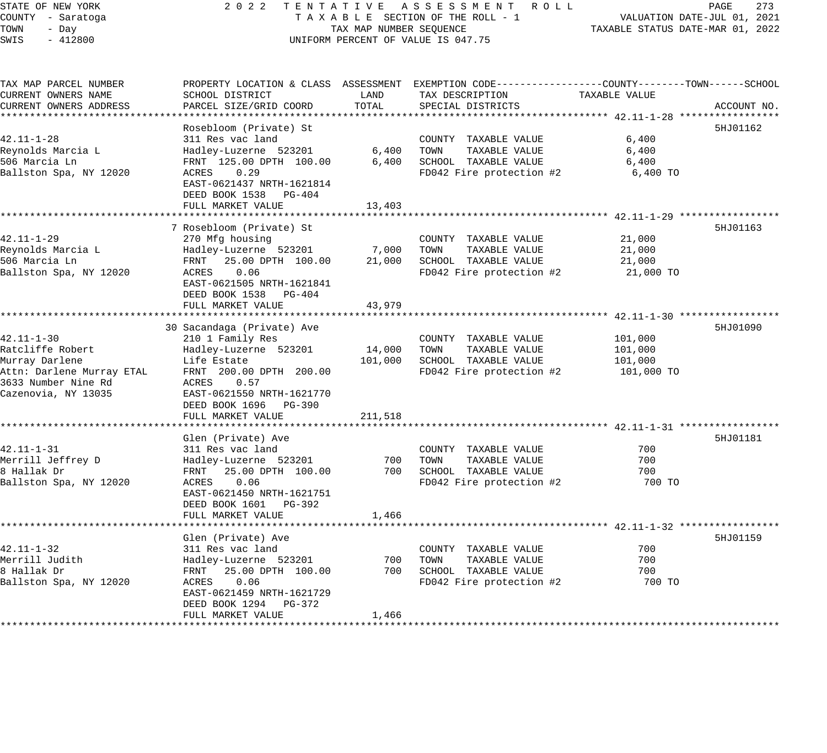## STATE OF NEW YORK 2 0 2 2 T E N T A T I V E A S S E S S M E N T R O L L PAGE 273 COUNTY - Saratoga T A X A B L E SECTION OF THE ROLL - 1 VALUATION DATE-JUL 01, 2021 TAX A B L E SECTION OF THE ROLL - T<br>TAXABLE STATUS DATE-MAR 01, 2022<br>--UNIFORM PERCENT OF VALUE IS 047.75

| TAX MAP PARCEL NUMBER  |                                                   |         | PROPERTY LOCATION & CLASS ASSESSMENT EXEMPTION CODE----------------COUNTY-------TOWN------SCHOOL |               |             |
|------------------------|---------------------------------------------------|---------|--------------------------------------------------------------------------------------------------|---------------|-------------|
| CURRENT OWNERS NAME    | SCHOOL DISTRICT                                   | LAND    | TAX DESCRIPTION                                                                                  | TAXABLE VALUE |             |
| CURRENT OWNERS ADDRESS | PARCEL SIZE/GRID COORD                            | TOTAL   | SPECIAL DISTRICTS                                                                                |               | ACCOUNT NO. |
|                        |                                                   |         |                                                                                                  |               |             |
|                        | Rosebloom (Private) St                            |         |                                                                                                  |               | 5HJ01162    |
| 42.11-1-28             | 311 Res vac land                                  |         | COUNTY TAXABLE VALUE                                                                             | 6,400         |             |
| Reynolds Marcia L      | Hadley-Luzerne 523201                             | 6,400   | TOWN<br>TAXABLE VALUE                                                                            | 6,400         |             |
| 506 Marcia Ln          | FRNT 125.00 DPTH 100.00                           | 6,400   | SCHOOL TAXABLE VALUE                                                                             | 6,400         |             |
| Ballston Spa, NY 12020 | 0.29<br>ACRES                                     |         | FD042 Fire protection #2                                                                         | 6,400 TO      |             |
|                        | EAST-0621437 NRTH-1621814                         |         |                                                                                                  |               |             |
|                        | DEED BOOK 1538<br>PG-404                          |         |                                                                                                  |               |             |
|                        | FULL MARKET VALUE                                 | 13,403  |                                                                                                  |               |             |
|                        |                                                   |         |                                                                                                  |               |             |
|                        | 7 Rosebloom (Private) St                          |         |                                                                                                  |               | 5HJ01163    |
| 42.11-1-29             | 270 Mfg housing                                   |         | COUNTY TAXABLE VALUE                                                                             | 21,000        |             |
| Reynolds Marcia L      | Hadley-Luzerne 523201                             | 7,000   | TOWN<br>TAXABLE VALUE                                                                            | 21,000        |             |
| 506 Marcia Ln          | FRNT 25.00 DPTH 100.00                            | 21,000  | SCHOOL TAXABLE VALUE                                                                             | 21,000        |             |
| Ballston Spa, NY 12020 | 0.06<br>ACRES                                     |         | FD042 Fire protection #2                                                                         | 21,000 TO     |             |
|                        | EAST-0621505 NRTH-1621841                         |         |                                                                                                  |               |             |
|                        | DEED BOOK 1538<br>PG-404                          |         |                                                                                                  |               |             |
|                        | FULL MARKET VALUE                                 | 43,979  |                                                                                                  |               |             |
|                        |                                                   |         |                                                                                                  |               |             |
|                        | 30 Sacandaga (Private) Ave                        |         |                                                                                                  |               | 5HJ01090    |
| 42.11-1-30             | 210 1 Family Res                                  |         | COUNTY TAXABLE VALUE                                                                             | 101,000       |             |
| Ratcliffe Robert       | Hadley-Luzerne 523201                             | 14,000  | TAXABLE VALUE<br>TOWN                                                                            | 101,000       |             |
| Murray Darlene         | Life Estate                                       | 101,000 | SCHOOL TAXABLE VALUE                                                                             | 101,000       |             |
|                        | Attn: Darlene Murray ETAL FRNT 200.00 DPTH 200.00 |         |                                                                                                  |               |             |
| 3633 Number Nine Rd    |                                                   |         | FD042 Fire protection #2                                                                         | 101,000 TO    |             |
| Cazenovia, NY 13035    | ACRES 0.57<br>EAST-0621550 NRTH-1621770           |         |                                                                                                  |               |             |
|                        |                                                   |         |                                                                                                  |               |             |
|                        | DEED BOOK 1696 PG-390                             |         |                                                                                                  |               |             |
|                        | FULL MARKET VALUE                                 | 211,518 |                                                                                                  |               |             |
|                        |                                                   |         |                                                                                                  |               |             |
|                        | Glen (Private) Ave                                |         |                                                                                                  |               | 5HJ01181    |
| 42.11-1-31             | 311 Res vac land                                  |         | COUNTY TAXABLE VALUE                                                                             | 700           |             |
| Merrill Jeffrey D      | Hadley-Luzerne 523201                             | 700     | TOWN<br>TAXABLE VALUE                                                                            | 700           |             |
| 8 Hallak Dr            | FRNT 25.00 DPTH 100.00                            | 700     | SCHOOL TAXABLE VALUE                                                                             | 700           |             |
| Ballston Spa, NY 12020 | ACRES 0.06                                        |         | FD042 Fire protection #2                                                                         | 700 TO        |             |
|                        | EAST-0621450 NRTH-1621751                         |         |                                                                                                  |               |             |
|                        | DEED BOOK 1601 PG-392                             |         |                                                                                                  |               |             |
|                        | FULL MARKET VALUE                                 | 1,466   |                                                                                                  |               |             |
|                        |                                                   |         |                                                                                                  |               |             |
|                        | Glen (Private) Ave                                |         |                                                                                                  |               | 5HJ01159    |
| 42.11-1-32             | 311 Res vac land                                  |         | COUNTY TAXABLE VALUE                                                                             | 700           |             |
| Merrill Judith         | Hadley-Luzerne 523201                             | 700     | TOWN<br>TAXABLE VALUE                                                                            | 700           |             |
| 8 Hallak Dr            | 25.00 DPTH 100.00<br>FRNT                         | 700     | SCHOOL TAXABLE VALUE                                                                             | 700           |             |
| Ballston Spa, NY 12020 | ACRES 0.06                                        |         | FD042 Fire protection #2                                                                         | 700 TO        |             |
|                        | EAST-0621459 NRTH-1621729                         |         |                                                                                                  |               |             |
|                        | DEED BOOK 1294 PG-372                             |         |                                                                                                  |               |             |
|                        | FULL MARKET VALUE                                 | 1,466   |                                                                                                  |               |             |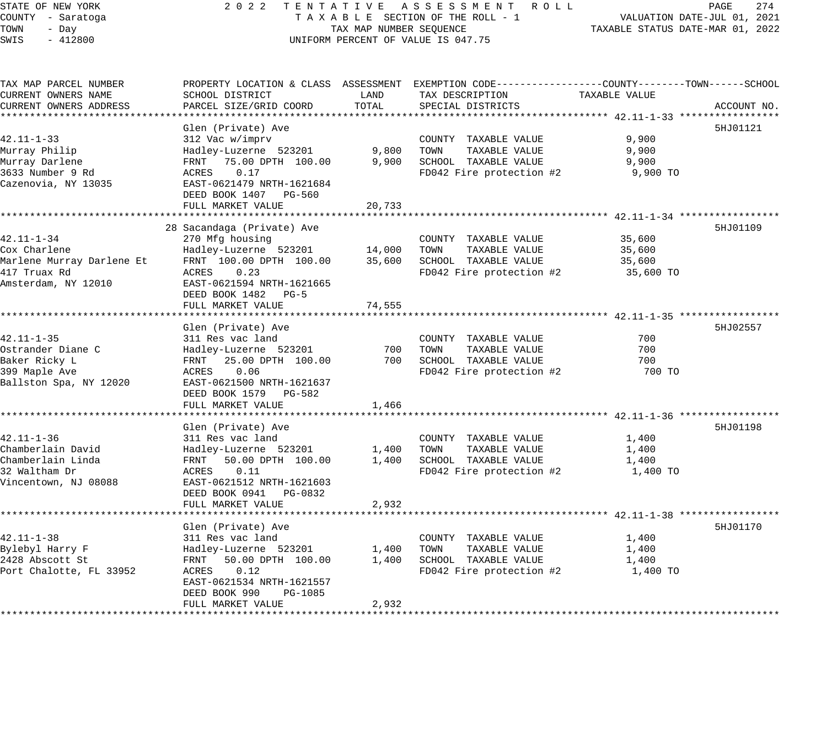## STATE OF NEW YORK 2 0 2 2 T E N T A T I V E A S S E S S M E N T R O L L PAGE 274 COUNTY - Saratoga T A X A B L E SECTION OF THE ROLL - 1 VALUATION DATE-JUL 01, 2021 TAX A B L E SECTION OF THE ROLL - 1<br>TAXABLE STATUS DATE-MAR 01, 2022 UNIFORM PERCENT OF VALUE IS 047.75

| TAX MAP PARCEL NUMBER     | PROPERTY LOCATION & CLASS ASSESSMENT EXEMPTION CODE----------------COUNTY-------TOWN------SCHOOL |        |                          |               |             |
|---------------------------|--------------------------------------------------------------------------------------------------|--------|--------------------------|---------------|-------------|
| CURRENT OWNERS NAME       | SCHOOL DISTRICT                                                                                  | LAND   | TAX DESCRIPTION          | TAXABLE VALUE |             |
| CURRENT OWNERS ADDRESS    | PARCEL SIZE/GRID COORD                                                                           | TOTAL  | SPECIAL DISTRICTS        |               | ACCOUNT NO. |
|                           |                                                                                                  |        |                          |               |             |
|                           | Glen (Private) Ave                                                                               |        |                          |               | 5HJ01121    |
| $42.11 - 1 - 33$          | 312 Vac w/imprv                                                                                  |        | COUNTY TAXABLE VALUE     | 9,900         |             |
| Murray Philip             | Hadley-Luzerne 523201                                                                            | 9,800  | TOWN<br>TAXABLE VALUE    | 9,900         |             |
| Murray Darlene            | FRNT 75.00 DPTH 100.00                                                                           | 9,900  | SCHOOL TAXABLE VALUE     | 9,900         |             |
| 3633 Number 9 Rd          | ACRES<br>0.17                                                                                    |        | FD042 Fire protection #2 | 9,900 TO      |             |
| Cazenovia, NY 13035       | EAST-0621479 NRTH-1621684                                                                        |        |                          |               |             |
|                           | DEED BOOK 1407 PG-560                                                                            |        |                          |               |             |
|                           | FULL MARKET VALUE                                                                                | 20,733 |                          |               |             |
|                           | ***************************                                                                      |        |                          |               |             |
|                           | 28 Sacandaga (Private) Ave                                                                       |        |                          |               | 5HJ01109    |
| $42.11 - 1 - 34$          | 270 Mfg housing                                                                                  |        | COUNTY TAXABLE VALUE     | 35,600        |             |
| Cox Charlene              | Hadley-Luzerne 523201                                                                            | 14,000 | TOWN<br>TAXABLE VALUE    | 35,600        |             |
| Marlene Murray Darlene Et | FRNT 100.00 DPTH 100.00                                                                          | 35,600 | SCHOOL TAXABLE VALUE     | 35,600        |             |
| 417 Truax Rd              | 0.23<br>ACRES                                                                                    |        | FD042 Fire protection #2 | 35,600 TO     |             |
| Amsterdam, NY 12010       | EAST-0621594 NRTH-1621665                                                                        |        |                          |               |             |
|                           | DEED BOOK 1482 PG-5                                                                              |        |                          |               |             |
|                           | FULL MARKET VALUE                                                                                | 74,555 |                          |               |             |
|                           |                                                                                                  |        |                          |               |             |
|                           | Glen (Private) Ave                                                                               |        |                          |               | 5HJ02557    |
| $42.11 - 1 - 35$          | 311 Res vac land                                                                                 |        | COUNTY TAXABLE VALUE     | 700           |             |
| Ostrander Diane C         | Hadley-Luzerne 523201                                                                            | 700    | TOWN<br>TAXABLE VALUE    | 700           |             |
| Baker Ricky L             | FRNT 25.00 DPTH 100.00                                                                           | 700    | SCHOOL TAXABLE VALUE     | 700           |             |
| 399 Maple Ave             | 0.06<br>ACRES                                                                                    |        | FD042 Fire protection #2 | 700 TO        |             |
| Ballston Spa, NY 12020    | EAST-0621500 NRTH-1621637                                                                        |        |                          |               |             |
|                           | DEED BOOK 1579 PG-582                                                                            |        |                          |               |             |
|                           | FULL MARKET VALUE                                                                                | 1,466  |                          |               |             |
|                           |                                                                                                  |        |                          |               |             |
|                           | Glen (Private) Ave                                                                               |        |                          |               | 5HJ01198    |
| $42.11 - 1 - 36$          | 311 Res vac land                                                                                 |        | COUNTY TAXABLE VALUE     | 1,400         |             |
|                           |                                                                                                  |        | TOWN                     |               |             |
| Chamberlain David         | Hadley-Luzerne 523201                                                                            | 1,400  | TAXABLE VALUE            | 1,400         |             |
| Chamberlain Linda         | FRNT 50.00 DPTH 100.00                                                                           | 1,400  | SCHOOL TAXABLE VALUE     | 1,400         |             |
| 32 Waltham Dr             | 0.11<br>ACRES                                                                                    |        | FD042 Fire protection #2 | 1,400 TO      |             |
| Vincentown, NJ 08088      | EAST-0621512 NRTH-1621603                                                                        |        |                          |               |             |
|                           | DEED BOOK 0941 PG-0832                                                                           |        |                          |               |             |
|                           | FULL MARKET VALUE                                                                                | 2,932  |                          |               |             |
|                           |                                                                                                  |        |                          |               |             |
|                           | Glen (Private) Ave                                                                               |        |                          |               | 5HJ01170    |
| $42.11 - 1 - 38$          | 311 Res vac land                                                                                 |        | COUNTY TAXABLE VALUE     | 1,400         |             |
| Bylebyl Harry F           | Hadley-Luzerne 523201                                                                            | 1,400  | TAXABLE VALUE<br>TOWN    | 1,400         |             |
| 2428 Abscott St           | FRNT 50.00 DPTH 100.00                                                                           | 1,400  | SCHOOL TAXABLE VALUE     | 1,400         |             |
| Port Chalotte, FL 33952   | 0.12<br>ACRES                                                                                    |        | FD042 Fire protection #2 | 1,400 TO      |             |
|                           | EAST-0621534 NRTH-1621557                                                                        |        |                          |               |             |
|                           | DEED BOOK 990<br>PG-1085                                                                         |        |                          |               |             |
|                           | FULL MARKET VALUE                                                                                | 2,932  |                          |               |             |
|                           |                                                                                                  |        |                          |               |             |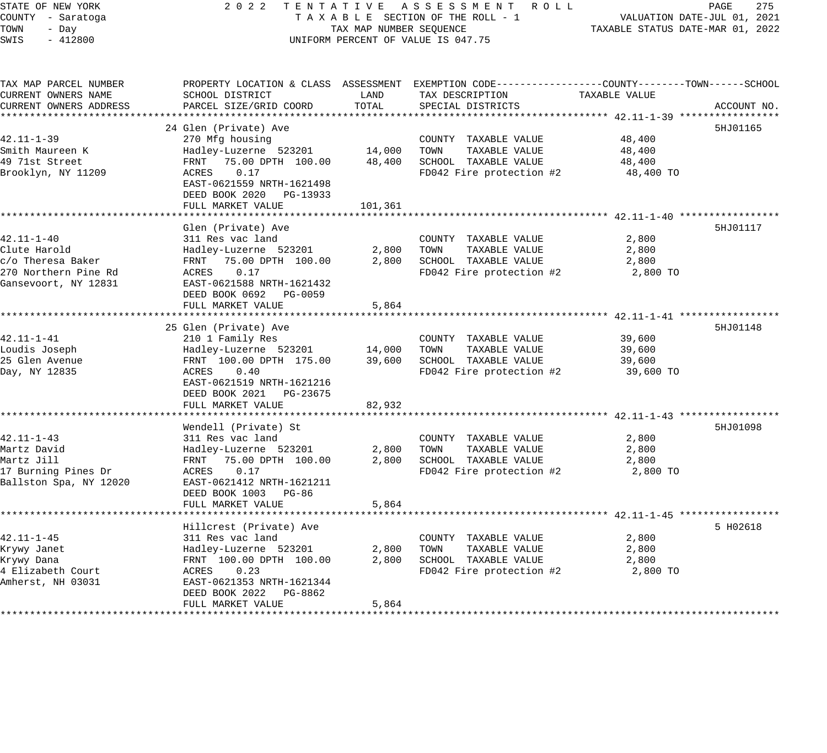| STATE OF NEW YORK<br>COUNTY - Saratoga<br>TOWN<br>- Day<br>SWIS<br>$-412800$                          | 2 0 2 2<br>TENTATIVE ASSESSMENT ROLL<br>TAXABLE SECTION OF THE ROLL - 1<br>TAX MAP NUMBER SEQUENCE<br>UNIFORM PERCENT OF VALUE IS 047.75                                                                          | PAGE<br>275<br>VALUATION DATE-JUL 01, 2021<br>TAXABLE STATUS DATE-MAR 01, 2022 |                                                                                                                                         |                                         |             |
|-------------------------------------------------------------------------------------------------------|-------------------------------------------------------------------------------------------------------------------------------------------------------------------------------------------------------------------|--------------------------------------------------------------------------------|-----------------------------------------------------------------------------------------------------------------------------------------|-----------------------------------------|-------------|
| TAX MAP PARCEL NUMBER<br>CURRENT OWNERS NAME<br>CURRENT OWNERS ADDRESS                                | SCHOOL DISTRICT<br>PARCEL SIZE/GRID COORD                                                                                                                                                                         | LAND<br>TOTAL                                                                  | PROPERTY LOCATION & CLASS ASSESSMENT EXEMPTION CODE----------------COUNTY-------TOWN-----SCHOOL<br>TAX DESCRIPTION<br>SPECIAL DISTRICTS | TAXABLE VALUE                           | ACCOUNT NO. |
| $42.11 - 1 - 39$<br>Smith Maureen K<br>49 71st Street<br>Brooklyn, NY 11209                           | 24 Glen (Private) Ave<br>270 Mfg housing<br>Hadley-Luzerne 523201<br>FRNT<br>75.00 DPTH 100.00<br>0.17<br>ACRES<br>EAST-0621559 NRTH-1621498<br>DEED BOOK 2020 PG-13933<br>FULL MARKET VALUE                      | 14,000<br>48,400<br>101,361                                                    | COUNTY TAXABLE VALUE<br>TOWN<br>TAXABLE VALUE<br>SCHOOL TAXABLE VALUE<br>FD042 Fire protection #2                                       | 48,400<br>48,400<br>48,400<br>48,400 TO | 5HJ01165    |
| $42.11 - 1 - 40$<br>Clute Harold<br>c/o Theresa Baker<br>270 Northern Pine Rd<br>Gansevoort, NY 12831 | Glen (Private) Ave<br>311 Res vac land<br>Hadley-Luzerne 523201<br>FRNT 75.00 DPTH 100.00<br>ACRES<br>0.17<br>EAST-0621588 NRTH-1621432<br>DEED BOOK 0692 PG-0059<br>FULL MARKET VALUE<br>*********************** | 2,800<br>2,800<br>5,864                                                        | COUNTY TAXABLE VALUE<br>TAXABLE VALUE<br>TOWN<br>SCHOOL TAXABLE VALUE<br>FD042 Fire protection #2                                       | 2,800<br>2,800<br>2,800<br>2,800 TO     | 5HJ01117    |
| $42.11 - 1 - 41$<br>Loudis Joseph<br>25 Glen Avenue<br>Day, NY 12835                                  | 25 Glen (Private) Ave<br>210 1 Family Res<br>Hadley-Luzerne 523201<br>FRNT 100.00 DPTH 175.00<br>ACRES<br>0.40<br>EAST-0621519 NRTH-1621216<br>DEED BOOK 2021 PG-23675<br>FULL MARKET VALUE                       | 14,000<br>39,600<br>82,932                                                     | COUNTY TAXABLE VALUE<br>TOWN<br>TAXABLE VALUE<br>SCHOOL TAXABLE VALUE<br>FD042 Fire protection #2                                       | 39,600<br>39,600<br>39,600<br>39,600 TO | 5HJ01148    |
| $42.11 - 1 - 43$<br>Martz David<br>Martz Jill<br>17 Burning Pines Dr<br>Ballston Spa, NY 12020        | Wendell (Private) St<br>311 Res vac land<br>Hadley-Luzerne 523201<br>FRNT 75.00 DPTH 100.00<br>ACRES<br>0.17<br>EAST-0621412 NRTH-1621211<br>DEED BOOK 1003 PG-86<br>FULL MARKET VALUE                            | 2,800<br>2,800<br>5,864                                                        | COUNTY TAXABLE VALUE<br>TAXABLE VALUE<br>TOWN<br>SCHOOL TAXABLE VALUE<br>FD042 Fire protection #2                                       | 2,800<br>2,800<br>2,800<br>2,800 TO     | 5HJ01098    |
| $42.11 - 1 - 45$<br>Krywy Janet<br>Krywy Dana<br>4 Elizabeth Court<br>Amherst, NH 03031               | Hillcrest (Private) Ave<br>311 Res vac land<br>Hadley-Luzerne 523201<br>FRNT 100.00 DPTH 100.00<br>ACRES<br>0.23<br>EAST-0621353 NRTH-1621344<br>DEED BOOK 2022<br>PG-8862<br>FULL MARKET VALUE                   | 2,800<br>2,800<br>5,864                                                        | COUNTY TAXABLE VALUE<br>TOWN<br>TAXABLE VALUE<br>SCHOOL TAXABLE VALUE<br>FD042 Fire protection #2                                       | 2,800<br>2,800<br>2,800<br>2,800 TO     | 5 H02618    |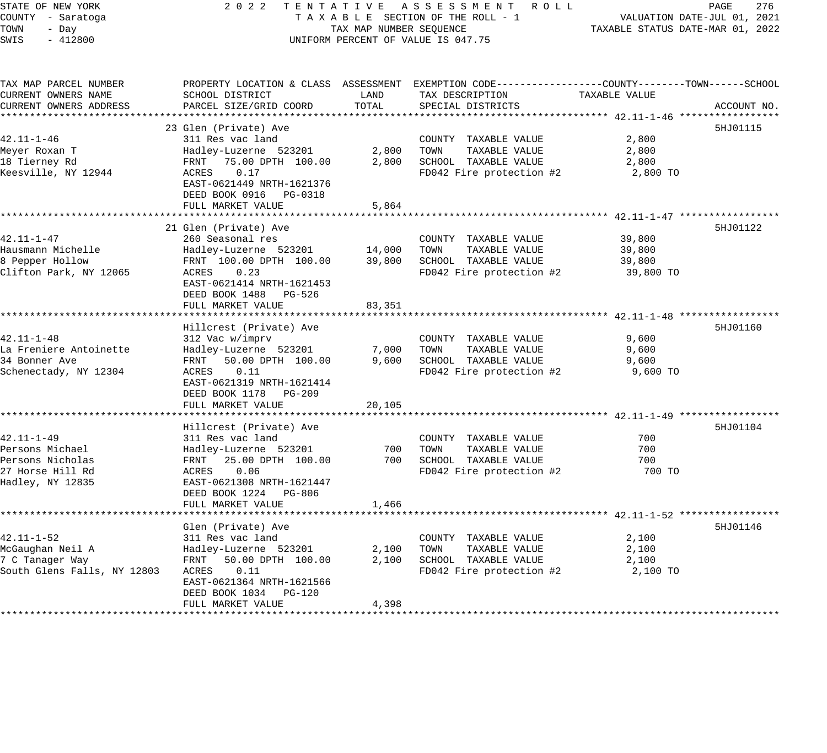## STATE OF NEW YORK 2 0 2 2 T E N T A T I V E A S S E S S M E N T R O L L PAGE 276 COUNTY - Saratoga T A X A B L E SECTION OF THE ROLL - 1 VALUATION DATE-JUL 01, 2021 X A B L E SECTION OF THE ROLL - 1 VALUATION DATE-JUL UI, 2021<br>TAX MAP NUMBER SEQUENCE TAXABLE STATUS DATE-MAR 01, 2022 UNIFORM PERCENT OF VALUE IS 047.75

| TAX MAP PARCEL NUMBER<br>CURRENT OWNERS NAME | SCHOOL DISTRICT                                                      | LAND   | PROPERTY LOCATION & CLASS ASSESSMENT EXEMPTION CODE---------------COUNTY-------TOWN------SCHOOL<br>TAX DESCRIPTION | TAXABLE VALUE |             |
|----------------------------------------------|----------------------------------------------------------------------|--------|--------------------------------------------------------------------------------------------------------------------|---------------|-------------|
| CURRENT OWNERS ADDRESS                       | PARCEL SIZE/GRID COORD                                               | TOTAL  | SPECIAL DISTRICTS                                                                                                  |               | ACCOUNT NO. |
|                                              | 23 Glen (Private) Ave                                                |        |                                                                                                                    |               | 5HJ01115    |
| $42.11 - 1 - 46$                             | 311 Res vac land                                                     |        | COUNTY TAXABLE VALUE                                                                                               | 2,800         |             |
| Meyer Roxan T                                | Hadley-Luzerne 523201                                                | 2,800  | TOWN<br>TAXABLE VALUE                                                                                              | 2,800         |             |
| 18 Tierney Rd                                | FRNT 75.00 DPTH 100.00                                               | 2,800  | SCHOOL TAXABLE VALUE                                                                                               | 2,800         |             |
| Keesville, NY 12944                          | 0.17<br>ACRES<br>EAST-0621449 NRTH-1621376<br>DEED BOOK 0916 PG-0318 |        | FD042 Fire protection #2                                                                                           | 2,800 TO      |             |
|                                              | FULL MARKET VALUE                                                    | 5,864  |                                                                                                                    |               |             |
|                                              |                                                                      |        |                                                                                                                    |               |             |
|                                              | 21 Glen (Private) Ave                                                |        |                                                                                                                    |               | 5HJ01122    |
| $42.11 - 1 - 47$                             | 260 Seasonal res                                                     |        | COUNTY TAXABLE VALUE                                                                                               | 39,800        |             |
| Hausmann Michelle                            | Hadley-Luzerne 523201                                                | 14,000 | TAXABLE VALUE<br>TOWN                                                                                              | 39,800        |             |
| 8 Pepper Hollow                              | FRNT 100.00 DPTH 100.00                                              | 39,800 | SCHOOL TAXABLE VALUE                                                                                               | 39,800        |             |
| Clifton Park, NY 12065                       | 0.23<br>ACRES<br>EAST-0621414 NRTH-1621453<br>DEED BOOK 1488 PG-526  |        | FD042 Fire protection #2                                                                                           | 39,800 TO     |             |
|                                              | FULL MARKET VALUE                                                    | 83,351 |                                                                                                                    |               |             |
|                                              |                                                                      |        |                                                                                                                    |               |             |
| $42.11 - 1 - 48$                             | Hillcrest (Private) Ave                                              |        |                                                                                                                    | 9,600         | 5HJ01160    |
|                                              | 312 Vac w/imprv                                                      |        | COUNTY TAXABLE VALUE<br>TOWN<br>TAXABLE VALUE                                                                      |               |             |
| La Freniere Antoinette                       | Hadley-Luzerne 523201<br>FRNT                                        | 7,000  |                                                                                                                    | 9,600         |             |
| 34 Bonner Ave<br>Schenectady, NY 12304       | 50.00 DPTH 100.00<br>0.11<br>ACRES                                   | 9,600  | SCHOOL TAXABLE VALUE<br>FD042 Fire protection #2                                                                   | 9,600         |             |
|                                              | EAST-0621319 NRTH-1621414                                            |        |                                                                                                                    | 9,600 TO      |             |
|                                              | DEED BOOK 1178 PG-209                                                |        |                                                                                                                    |               |             |
|                                              | FULL MARKET VALUE                                                    | 20,105 |                                                                                                                    |               |             |
|                                              |                                                                      |        |                                                                                                                    |               |             |
|                                              | Hillcrest (Private) Ave                                              |        |                                                                                                                    |               | 5HJ01104    |
| $42.11 - 1 - 49$                             | 311 Res vac land                                                     |        | COUNTY TAXABLE VALUE                                                                                               | 700           |             |
| Persons Michael                              | Hadley-Luzerne 523201                                                | 700    | TOWN<br>TAXABLE VALUE                                                                                              | 700           |             |
| Persons Nicholas                             | FRNT<br>25.00 DPTH 100.00                                            | 700    | SCHOOL TAXABLE VALUE                                                                                               | 700           |             |
| 27 Horse Hill Rd                             | 0.06<br>ACRES                                                        |        | FD042 Fire protection #2                                                                                           | 700 TO        |             |
| Hadley, NY 12835                             | EAST-0621308 NRTH-1621447<br>DEED BOOK 1224 PG-806                   |        |                                                                                                                    |               |             |
|                                              | FULL MARKET VALUE                                                    | 1,466  |                                                                                                                    |               |             |
|                                              |                                                                      |        |                                                                                                                    |               |             |
|                                              | Glen (Private) Ave                                                   |        |                                                                                                                    |               | 5HJ01146    |
| $42.11 - 1 - 52$                             | 311 Res vac land                                                     |        | COUNTY TAXABLE VALUE                                                                                               | 2,100         |             |
| McGaughan Neil A                             | Hadley-Luzerne 523201                                                | 2,100  | TOWN<br>TAXABLE VALUE                                                                                              | 2,100         |             |
| 7 C Tanager Way                              | FRNT<br>50.00 DPTH 100.00                                            | 2,100  | SCHOOL TAXABLE VALUE                                                                                               | 2,100         |             |
| South Glens Falls, NY 12803                  | 0.11<br>ACRES<br>EAST-0621364 NRTH-1621566<br>DEED BOOK 1034 PG-120  |        | FD042 Fire protection #2                                                                                           | 2,100 TO      |             |
|                                              | FULL MARKET VALUE                                                    | 4,398  |                                                                                                                    |               |             |
|                                              |                                                                      |        |                                                                                                                    |               |             |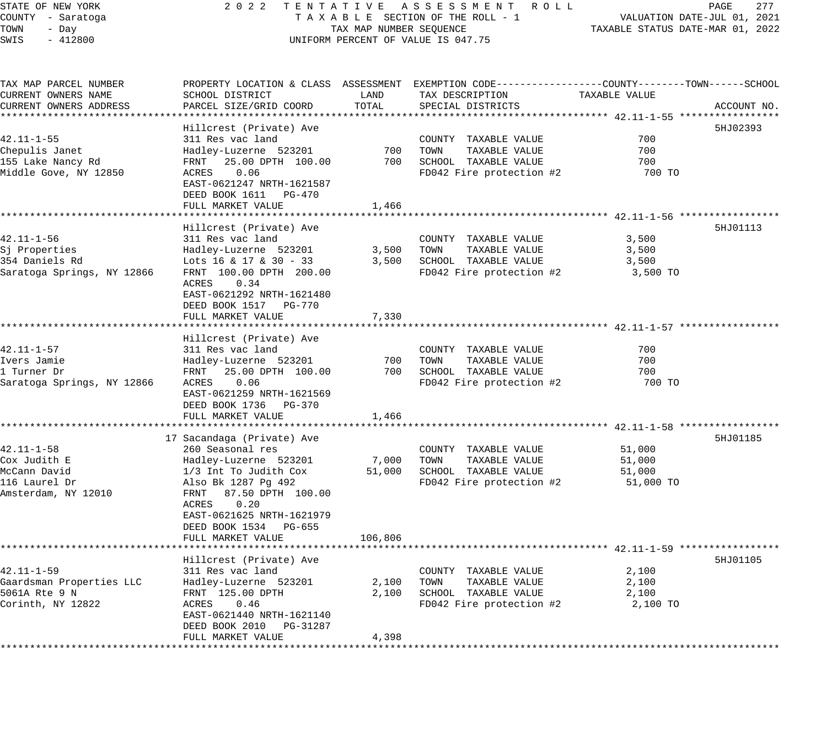#### STATE OF NEW YORK 2 0 2 2 T E N T A T I V E A S S E S S M E N T R O L L PAGE 277 COUNTY - Saratoga T A X A B L E SECTION OF THE ROLL - 1 VALUATION DATE-JUL 01, 2021 TOWN - Day TAX MAP NUMBER SEQUENCE TAXABLE STATUS DATE-MAR 01, 2022 SWIS - 412800 CONTROLLY THE UNIFORM PERCENT OF VALUE IS 047.75

TAX MAP PARCEL NUMBER PROPERTY LOCATION & CLASS ASSESSMENT EXEMPTION CODE------------------COUNTY--------TOWN------SCHOOL CURRENT OWNERS NAME SCHOOL DISTRICT LAND TAX DESCRIPTION TAXABLE VALUE CURRENT OWNERS ADDRESS PARCEL SIZE/GRID COORD TOTAL SPECIAL DISTRICTS ACCOUNT NO. \*\*\*\*\*\*\*\*\*\*\*\*\*\*\*\*\*\*\*\*\*\*\*\*\*\*\*\*\*\*\*\*\*\*\*\*\*\*\*\*\*\*\*\*\*\*\*\*\*\*\*\*\*\*\*\*\*\*\*\*\*\*\*\*\*\*\*\*\*\*\*\*\*\*\*\*\*\*\*\*\*\*\*\*\*\*\*\*\*\*\*\*\*\*\*\*\*\*\*\*\*\*\* 42.11-1-55 \*\*\*\*\*\*\*\*\*\*\*\*\*\*\*\*\* Hillcrest (Private) Ave 5HJ02393 42.11-1-55 311 Res vac land COUNTY TAXABLE VALUE 700 Chepulis Janet Hadley-Luzerne 523201 700 TOWN TAXABLE VALUE 700 155 Lake Nancy Rd FRNT 25.00 DPTH 100.00 700 SCHOOL TAXABLE VALUE 700 Middle Gove, NY 12850 ACRES 0.06 FD042 Fire protection #2 700 TO EAST-0621247 NRTH-1621587 DEED BOOK 1611 PG-470 FULL MARKET VALUE 1,466 \*\*\*\*\*\*\*\*\*\*\*\*\*\*\*\*\*\*\*\*\*\*\*\*\*\*\*\*\*\*\*\*\*\*\*\*\*\*\*\*\*\*\*\*\*\*\*\*\*\*\*\*\*\*\*\*\*\*\*\*\*\*\*\*\*\*\*\*\*\*\*\*\*\*\*\*\*\*\*\*\*\*\*\*\*\*\*\*\*\*\*\*\*\*\*\*\*\*\*\*\*\*\* 42.11-1-56 \*\*\*\*\*\*\*\*\*\*\*\*\*\*\*\*\* Hillcrest (Private) Ave 5HJ01113 42.11-1-56 311 Res vac land COUNTY TAXABLE VALUE 3,500 Sj Properties Hadley-Luzerne 523201 3,500 TOWN TAXABLE VALUE 3,500 354 Daniels Rd Lots 16 & 17 & 30 - 33 3,500 SCHOOL TAXABLE VALUE 3,500 Saratoga Springs, NY 12866 FRNT 100.00 DPTH 200.00 FD042 Fire protection #2 3,500 TO ACRES 0.34 EAST-0621292 NRTH-1621480 DEED BOOK 1517 PG-770 FULL MARKET VALUE 7,330 \*\*\*\*\*\*\*\*\*\*\*\*\*\*\*\*\*\*\*\*\*\*\*\*\*\*\*\*\*\*\*\*\*\*\*\*\*\*\*\*\*\*\*\*\*\*\*\*\*\*\*\*\*\*\*\*\*\*\*\*\*\*\*\*\*\*\*\*\*\*\*\*\*\*\*\*\*\*\*\*\*\*\*\*\*\*\*\*\*\*\*\*\*\*\*\*\*\*\*\*\*\*\* 42.11-1-57 \*\*\*\*\*\*\*\*\*\*\*\*\*\*\*\*\* Hillcrest (Private) Ave 42.11-1-57 311 Res vac land COUNTY TAXABLE VALUE 700 Ivers Jamie Hadley-Luzerne 523201 700 TOWN TAXABLE VALUE 700 1 Turner Dr FRNT 25.00 DPTH 100.00 700 SCHOOL TAXABLE VALUE 700 Saratoga Springs, NY 12866 ACRES 0.06 FD042 Fire protection #2 700 TO EAST-0621259 NRTH-1621569 DEED BOOK 1736 PG-370 FULL MARKET VALUE 1,466 \*\*\*\*\*\*\*\*\*\*\*\*\*\*\*\*\*\*\*\*\*\*\*\*\*\*\*\*\*\*\*\*\*\*\*\*\*\*\*\*\*\*\*\*\*\*\*\*\*\*\*\*\*\*\*\*\*\*\*\*\*\*\*\*\*\*\*\*\*\*\*\*\*\*\*\*\*\*\*\*\*\*\*\*\*\*\*\*\*\*\*\*\*\*\*\*\*\*\*\*\*\*\* 42.11-1-58 \*\*\*\*\*\*\*\*\*\*\*\*\*\*\*\*\* 17 Sacandaga (Private) Ave 5HJ01185 (1999) 1996 (1999) 1997 (1999) 1998 (1999) 1998 (1999) 1998 (1999) 1999 (1 42.11-1-58 260 Seasonal res COUNTY TAXABLE VALUE 51,000 Cox Judith E Hadley-Luzerne 523201 7,000 TOWN TAXABLE VALUE 51,000 McCann David 1/3 Int To Judith Cox 51,000 SCHOOL TAXABLE VALUE 51,000 116 Laurel Dr Also Bk 1287 Pg 492 FD042 Fire protection #2 51,000 TO Amsterdam, NY 12010 FRNT 87.50 DPTH 100.00 ACRES 0.20 EAST-0621625 NRTH-1621979 DEED BOOK 1534 PG-655 FULL MARKET VALUE 106,806 \*\*\*\*\*\*\*\*\*\*\*\*\*\*\*\*\*\*\*\*\*\*\*\*\*\*\*\*\*\*\*\*\*\*\*\*\*\*\*\*\*\*\*\*\*\*\*\*\*\*\*\*\*\*\*\*\*\*\*\*\*\*\*\*\*\*\*\*\*\*\*\*\*\*\*\*\*\*\*\*\*\*\*\*\*\*\*\*\*\*\*\*\*\*\*\*\*\*\*\*\*\*\* 42.11-1-59 \*\*\*\*\*\*\*\*\*\*\*\*\*\*\*\*\* Hillcrest (Private) Ave 5HJ01105 42.11-1-59 311 Res vac land COUNTY TAXABLE VALUE 2,100 Gaardsman Properties LLC Hadley-Luzerne 523201 2,100 TOWN TAXABLE VALUE 2,100 5061A Rte 9 N FRNT 125.00 DPTH 2,100 SCHOOL TAXABLE VALUE 2,100 Corinth, NY 12822  $ACRES$  0.46  $FDO42$  Fire protection #2  $2,100$  TO EAST-0621440 NRTH-1621140 DEED BOOK 2010 PG-31287 FULL MARKET VALUE 4,398 \*\*\*\*\*\*\*\*\*\*\*\*\*\*\*\*\*\*\*\*\*\*\*\*\*\*\*\*\*\*\*\*\*\*\*\*\*\*\*\*\*\*\*\*\*\*\*\*\*\*\*\*\*\*\*\*\*\*\*\*\*\*\*\*\*\*\*\*\*\*\*\*\*\*\*\*\*\*\*\*\*\*\*\*\*\*\*\*\*\*\*\*\*\*\*\*\*\*\*\*\*\*\*\*\*\*\*\*\*\*\*\*\*\*\*\*\*\*\*\*\*\*\*\*\*\*\*\*\*\*\*\*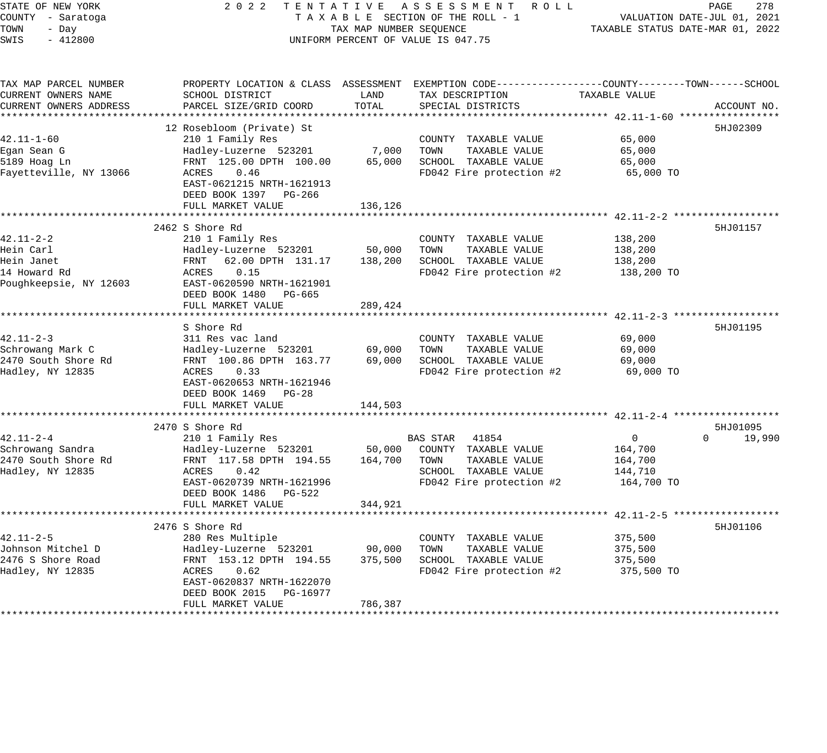| STATE OF NEW YORK      | 2 0 2 2<br>TENTATIVE       |                         | ASSESSMENT ROLL                                                                                |                                  | PAGE<br>278                 |
|------------------------|----------------------------|-------------------------|------------------------------------------------------------------------------------------------|----------------------------------|-----------------------------|
| COUNTY - Saratoga      |                            |                         | TAXABLE SECTION OF THE ROLL - 1                                                                |                                  | VALUATION DATE-JUL 01, 2021 |
| TOWN<br>- Day          |                            | TAX MAP NUMBER SEQUENCE |                                                                                                | TAXABLE STATUS DATE-MAR 01, 2022 |                             |
| SWIS<br>$-412800$      |                            |                         | UNIFORM PERCENT OF VALUE IS 047.75                                                             |                                  |                             |
|                        |                            |                         |                                                                                                |                                  |                             |
| TAX MAP PARCEL NUMBER  |                            |                         | PROPERTY LOCATION & CLASS ASSESSMENT EXEMPTION CODE---------------COUNTY-------TOWN-----SCHOOL |                                  |                             |
| CURRENT OWNERS NAME    | SCHOOL DISTRICT            | LAND                    | TAX DESCRIPTION                                                                                | TAXABLE VALUE                    |                             |
| CURRENT OWNERS ADDRESS | PARCEL SIZE/GRID COORD     | TOTAL                   | SPECIAL DISTRICTS                                                                              |                                  | ACCOUNT NO.                 |
|                        |                            |                         |                                                                                                |                                  |                             |
|                        | 12 Rosebloom (Private) St  |                         |                                                                                                |                                  | 5HJ02309                    |
| $42.11 - 1 - 60$       | 210 1 Family Res           |                         | COUNTY TAXABLE VALUE                                                                           | 65,000                           |                             |
| Egan Sean G            | Hadley-Luzerne 523201      | 7,000                   | TOWN<br>TAXABLE VALUE                                                                          | 65,000                           |                             |
| 5189 Hoag Ln           | FRNT 125.00 DPTH 100.00    | 65,000                  | SCHOOL TAXABLE VALUE                                                                           | 65,000                           |                             |
| Fayetteville, NY 13066 | ACRES<br>0.46              |                         | FD042 Fire protection #2                                                                       | 65,000 TO                        |                             |
|                        | EAST-0621215 NRTH-1621913  |                         |                                                                                                |                                  |                             |
|                        | DEED BOOK 1397 PG-266      |                         |                                                                                                |                                  |                             |
|                        | FULL MARKET VALUE          | 136,126                 |                                                                                                |                                  |                             |
|                        |                            |                         |                                                                                                |                                  |                             |
|                        | 2462 S Shore Rd            |                         |                                                                                                |                                  | 5HJ01157                    |
| $42.11 - 2 - 2$        | 210 1 Family Res           |                         | COUNTY TAXABLE VALUE                                                                           | 138,200                          |                             |
| Hein Carl              | Hadley-Luzerne 523201      | 50,000                  | TOWN<br>TAXABLE VALUE                                                                          | 138,200                          |                             |
| Hein Janet             | FRNT<br>62.00 DPTH 131.17  | 138,200                 | SCHOOL TAXABLE VALUE                                                                           | 138,200                          |                             |
| 14 Howard Rd           | 0.15<br>ACRES              |                         | FD042 Fire protection #2                                                                       | 138,200 TO                       |                             |
| Poughkeepsie, NY 12603 | EAST-0620590 NRTH-1621901  |                         |                                                                                                |                                  |                             |
|                        | DEED BOOK 1480 PG-665      |                         |                                                                                                |                                  |                             |
|                        | FULL MARKET VALUE          | 289,424                 |                                                                                                |                                  |                             |
|                        |                            |                         |                                                                                                | ********************* 42.11-2-3  |                             |
|                        | S Shore Rd                 |                         |                                                                                                |                                  | 5HJ01195                    |
| $42.11 - 2 - 3$        | 311 Res vac land           |                         | COUNTY TAXABLE VALUE                                                                           | 69,000                           |                             |
| Schrowang Mark C       | Hadley-Luzerne 523201      | 69,000                  | TOWN<br>TAXABLE VALUE                                                                          | 69,000                           |                             |
| 2470 South Shore Rd    | FRNT 100.86 DPTH 163.77    | 69,000                  | SCHOOL TAXABLE VALUE                                                                           | 69,000                           |                             |
| Hadley, NY 12835       | ACRES<br>0.33              |                         | FD042 Fire protection #2                                                                       | 69,000 TO                        |                             |
|                        | EAST-0620653 NRTH-1621946  |                         |                                                                                                |                                  |                             |
|                        | DEED BOOK 1469 PG-28       |                         |                                                                                                |                                  |                             |
|                        | FULL MARKET VALUE          | 144,503                 |                                                                                                |                                  |                             |
|                        |                            |                         |                                                                                                |                                  |                             |
|                        | 2470 S Shore Rd            |                         |                                                                                                |                                  | 5HJ01095                    |
| $42.11 - 2 - 4$        | 210 1 Family Res           |                         | BAS STAR<br>41854                                                                              | $\overline{0}$                   | $\Omega$<br>19,990          |
| Schrowang Sandra       | Hadley-Luzerne 523201      | 50,000                  | COUNTY TAXABLE VALUE                                                                           | 164,700                          |                             |
| 2470 South Shore Rd    | FRNT 117.58 DPTH 194.55    | 164,700                 | TAXABLE VALUE<br>TOWN                                                                          | 164,700                          |                             |
| Hadley, NY 12835       | ACRES<br>0.42              |                         | SCHOOL TAXABLE VALUE                                                                           | 144,710                          |                             |
|                        | EAST-0620739 NRTH-1621996  |                         | FD042 Fire protection #2                                                                       | 164,700 TO                       |                             |
|                        | DEED BOOK 1486<br>PG-522   |                         |                                                                                                |                                  |                             |
|                        | FULL MARKET VALUE          | 344,921                 |                                                                                                |                                  |                             |
|                        |                            |                         |                                                                                                |                                  |                             |
|                        | 2476 S Shore Rd            |                         |                                                                                                |                                  | 5HJ01106                    |
| $42.11 - 2 - 5$        | 280 Res Multiple           |                         | COUNTY TAXABLE VALUE                                                                           | 375,500                          |                             |
| Johnson Mitchel D      | Hadley-Luzerne 523201      | 90,000                  | TOWN<br>TAXABLE VALUE                                                                          | 375,500                          |                             |
| 2476 S Shore Road      | FRNT 153.12 DPTH 194.55    | 375,500                 | SCHOOL TAXABLE VALUE                                                                           | 375,500                          |                             |
| Hadley, NY 12835       | ACRES<br>0.62              |                         | FD042 Fire protection #2                                                                       | 375,500 TO                       |                             |
|                        | EAST-0620837 NRTH-1622070  |                         |                                                                                                |                                  |                             |
|                        | DEED BOOK 2015<br>PG-16977 |                         |                                                                                                |                                  |                             |
|                        | FULL MARKET VALUE          | 786,387                 |                                                                                                |                                  |                             |
|                        |                            |                         |                                                                                                |                                  |                             |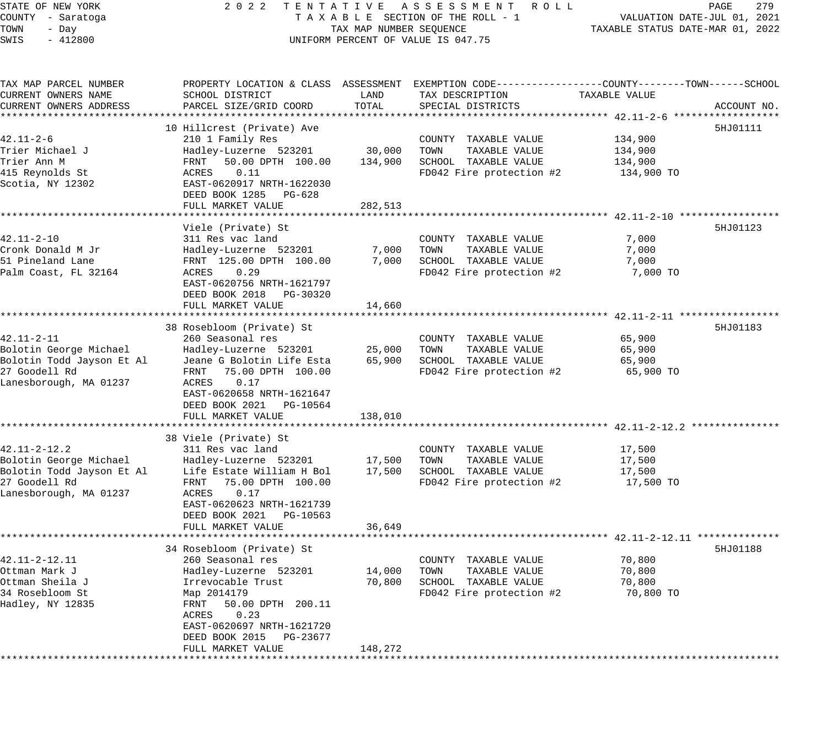STATE OF NEW YORK 2 0 2 2 T E N T A T I V E A S S E S S M E N T R O L L PAGE 279 COUNTY - Saratoga T A X A B L E SECTION OF THE ROLL - 1 VALUATION DATE-JUL 01, 2021 TOWN - Day TAX MAP NUMBER SEQUENCE TAXABLE STATUS DATE-MAR 01, 2022 SWIS - 412800 CONTROLLY THE UNIFORM PERCENT OF VALUE IS 047.75 TAX MAP PARCEL NUMBER PROPERTY LOCATION & CLASS ASSESSMENT EXEMPTION CODE------------------COUNTY--------TOWN------SCHOOL CURRENT OWNERS NAME SCHOOL DISTRICT LAND TAX DESCRIPTION TAXABLE VALUE CURRENT OWNERS ADDRESS PARCEL SIZE/GRID COORD TOTAL SPECIAL DISTRICTS ACCOUNT NO. \*\*\*\*\*\*\*\*\*\*\*\*\*\*\*\*\*\*\*\*\*\*\*\*\*\*\*\*\*\*\*\*\*\*\*\*\*\*\*\*\*\*\*\*\*\*\*\*\*\*\*\*\*\*\*\*\*\*\*\*\*\*\*\*\*\*\*\*\*\*\*\*\*\*\*\*\*\*\*\*\*\*\*\*\*\*\*\*\*\*\*\*\*\*\*\*\*\*\*\*\*\*\* 42.11-2-6 \*\*\*\*\*\*\*\*\*\*\*\*\*\*\*\*\*\* 10 Hillcrest (Private) Ave 5HJ01111 42.11-2-6 210 1 Family Res COUNTY TAXABLE VALUE 134,900 Trier Michael J Hadley-Luzerne 523201 30,000 TOWN TAXABLE VALUE 134,900 Trier Ann M FRNT 50.00 DPTH 100.00 134,900 SCHOOL TAXABLE VALUE 134,900 415 Reynolds St ACRES 0.11 FD042 Fire protection #2 134,900 TO Scotia, NY 12302 EAST-0620917 NRTH-1622030 DEED BOOK 1285 PG-628 FULL MARKET VALUE 282, 513 \*\*\*\*\*\*\*\*\*\*\*\*\*\*\*\*\*\*\*\*\*\*\*\*\*\*\*\*\*\*\*\*\*\*\*\*\*\*\*\*\*\*\*\*\*\*\*\*\*\*\*\*\*\*\*\*\*\*\*\*\*\*\*\*\*\*\*\*\*\*\*\*\*\*\*\*\*\*\*\*\*\*\*\*\*\*\*\*\*\*\*\*\*\*\*\*\*\*\*\*\*\*\* 42.11-2-10 \*\*\*\*\*\*\*\*\*\*\*\*\*\*\*\*\* Viele (Private) St 5HJ01123 42.11-2-10 311 Res vac land COUNTY TAXABLE VALUE 7,000 Cronk Donald M Jr Hadley-Luzerne 523201 7,000 TOWN TAXABLE VALUE 7,000 51 Pineland Lane FRNT 125.00 DPTH 100.00 7,000 SCHOOL TAXABLE VALUE 7,000 Palm Coast, FL 32164 ACRES 0.29 FD042 Fire protection #2 7,000 TO EAST-0620756 NRTH-1621797 DEED BOOK 2018 PG-30320 FULL MARKET VALUE 14,660 \*\*\*\*\*\*\*\*\*\*\*\*\*\*\*\*\*\*\*\*\*\*\*\*\*\*\*\*\*\*\*\*\*\*\*\*\*\*\*\*\*\*\*\*\*\*\*\*\*\*\*\*\*\*\*\*\*\*\*\*\*\*\*\*\*\*\*\*\*\*\*\*\*\*\*\*\*\*\*\*\*\*\*\*\*\*\*\*\*\*\*\*\*\*\*\*\*\*\*\*\*\*\* 42.11-2-11 \*\*\*\*\*\*\*\*\*\*\*\*\*\*\*\*\* 38 Rosebloom (Private) St 5HJ01183 42.11-2-11 260 Seasonal res COUNTY TAXABLE VALUE 65,900 Bolotin George Michael Hadley-Luzerne 523201 25,000 TOWN TAXABLE VALUE 65,900 Bolotin Todd Jayson Et Al Jeane G Bolotin Life Esta 65,900 SCHOOL TAXABLE VALUE 65,900 27 Goodell Rd FRNT 75.00 DPTH 100.00 FD042 Fire protection #2 65,900 TO Lanesborough, MA 01237 ACRES 0.17 EAST-0620658 NRTH-1621647 DEED BOOK 2021 PG-10564 FULL MARKET VALUE 138,010 \*\*\*\*\*\*\*\*\*\*\*\*\*\*\*\*\*\*\*\*\*\*\*\*\*\*\*\*\*\*\*\*\*\*\*\*\*\*\*\*\*\*\*\*\*\*\*\*\*\*\*\*\*\*\*\*\*\*\*\*\*\*\*\*\*\*\*\*\*\*\*\*\*\*\*\*\*\*\*\*\*\*\*\*\*\*\*\*\*\*\*\*\*\*\*\*\*\*\*\*\*\*\* 42.11-2-12.2 \*\*\*\*\*\*\*\*\*\*\*\*\*\*\* 38 Viele (Private) St 42.11-2-12.2 311 Res vac land COUNTY TAXABLE VALUE 17,500 Bolotin George Michael Hadley-Luzerne 523201 17,500 TOWN TAXABLE VALUE 17,500 Bolotin Todd Jayson Et Al Life Estate William H Bol 17,500 SCHOOL TAXABLE VALUE 17,500 27 Goodell Rd FRNT 75.00 DPTH 100.00 FD042 Fire protection #2 17,500 TO Lanesborough, MA 01237 ACRES 0.17 EAST-0620623 NRTH-1621739 DEED BOOK 2021 PG-10563 FULL MARKET VALUE 36,649 \*\*\*\*\*\*\*\*\*\*\*\*\*\*\*\*\*\*\*\*\*\*\*\*\*\*\*\*\*\*\*\*\*\*\*\*\*\*\*\*\*\*\*\*\*\*\*\*\*\*\*\*\*\*\*\*\*\*\*\*\*\*\*\*\*\*\*\*\*\*\*\*\*\*\*\*\*\*\*\*\*\*\*\*\*\*\*\*\*\*\*\*\*\*\*\*\*\*\*\*\*\*\* 42.11-2-12.11 \*\*\*\*\*\*\*\*\*\*\*\*\*\* 34 Rosebloom (Private) St 42.11-2-12.11 260 Seasonal res COUNTY TAXABLE VALUE 70,800 Ottman Mark J Hadley-Luzerne 523201 14,000 TOWN TAXABLE VALUE 70,800 Ottman Sheila J Irrevocable Trust 70,800 SCHOOL TAXABLE VALUE 70,800 34 Rosebloom St Map 2014179 FD042 Fire protection #2 70,800 TO Hadley, NY 12835 FRNT 50.00 DPTH 200.11 ACRES 0.23 EAST-0620697 NRTH-1621720 DEED BOOK 2015 PG-23677

\*\*\*\*\*\*\*\*\*\*\*\*\*\*\*\*\*\*\*\*\*\*\*\*\*\*\*\*\*\*\*\*\*\*\*\*\*\*\*\*\*\*\*\*\*\*\*\*\*\*\*\*\*\*\*\*\*\*\*\*\*\*\*\*\*\*\*\*\*\*\*\*\*\*\*\*\*\*\*\*\*\*\*\*\*\*\*\*\*\*\*\*\*\*\*\*\*\*\*\*\*\*\*\*\*\*\*\*\*\*\*\*\*\*\*\*\*\*\*\*\*\*\*\*\*\*\*\*\*\*\*\*

FULL MARKET VALUE 148,272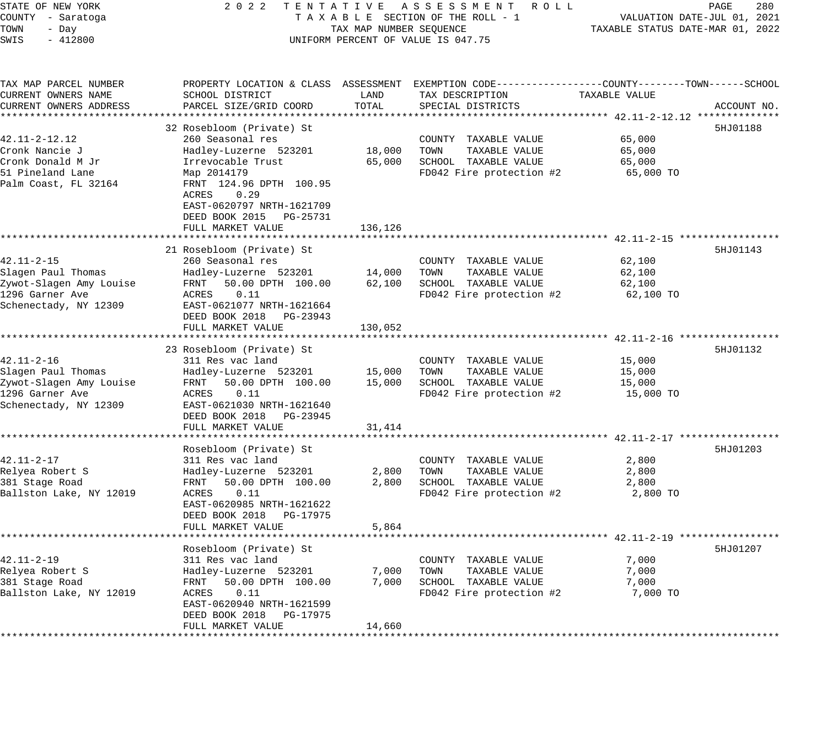| STATE OF NEW YORK<br>COUNTY - Saratoga<br>TOWN<br>- Day<br>SWIS<br>$-412800$                                  | 2 0 2 2<br>TENTATIVE ASSESSMENT<br>TAXABLE SECTION OF THE ROLL - 1<br>TAX MAP NUMBER SEQUENCE<br>UNIFORM PERCENT OF VALUE IS 047.75                                                                                                                          | 280<br>R O L L<br>PAGE<br>VALUATION DATE-JUL 01, 2021<br>TAXABLE STATUS DATE-MAR 01, 2022 |                                                                                                                                                                |                                                                         |             |
|---------------------------------------------------------------------------------------------------------------|--------------------------------------------------------------------------------------------------------------------------------------------------------------------------------------------------------------------------------------------------------------|-------------------------------------------------------------------------------------------|----------------------------------------------------------------------------------------------------------------------------------------------------------------|-------------------------------------------------------------------------|-------------|
| TAX MAP PARCEL NUMBER<br>CURRENT OWNERS NAME<br>CURRENT OWNERS ADDRESS                                        | SCHOOL DISTRICT<br>PARCEL SIZE/GRID COORD<br>********************                                                                                                                                                                                            | LAND<br>TOTAL<br>********                                                                 | PROPERTY LOCATION & CLASS ASSESSMENT EXEMPTION CODE----------------COUNTY-------TOWN-----SCHOOL<br>TAX DESCRIPTION<br>SPECIAL DISTRICTS                        | TAXABLE VALUE                                                           | ACCOUNT NO. |
| 42.11-2-12.12<br>Cronk Nancie J<br>Cronk Donald M Jr<br>51 Pineland Lane<br>Palm Coast, FL 32164              | 32 Rosebloom (Private) St<br>260 Seasonal res<br>Hadley-Luzerne 523201<br>Irrevocable Trust<br>Map 2014179<br>FRNT 124.96 DPTH 100.95<br>0.29<br>ACRES<br>EAST-0620797 NRTH-1621709<br>DEED BOOK 2015<br>PG-25731<br>FULL MARKET VALUE<br>****************** | 18,000<br>65,000<br>136,126                                                               | COUNTY TAXABLE VALUE<br>TOWN<br>TAXABLE VALUE<br>SCHOOL TAXABLE VALUE<br>FD042 Fire protection #2                                                              | 65,000<br>65,000<br>65,000<br>65,000 TO                                 | 5HJ01188    |
| $42.11 - 2 - 15$<br>Slagen Paul Thomas<br>Zywot-Slagen Amy Louise<br>1296 Garner Ave<br>Schenectady, NY 12309 | 21 Rosebloom (Private) St<br>260 Seasonal res<br>Hadley-Luzerne 523201<br>FRNT<br>50.00 DPTH 100.00<br>ACRES<br>0.11<br>EAST-0621077 NRTH-1621664<br>DEED BOOK 2018 PG-23943<br>FULL MARKET VALUE<br>* * * * * * * * * * * * * * * * * * *                   | 14,000<br>62,100<br>130,052                                                               | COUNTY TAXABLE VALUE<br>TOWN<br>TAXABLE VALUE<br>SCHOOL TAXABLE VALUE<br>FD042 Fire protection #2                                                              | ** 42.11-2-15 **************<br>62,100<br>62,100<br>62,100<br>62,100 TO | 5HJ01143    |
| $42.11 - 2 - 16$<br>Slagen Paul Thomas<br>Zywot-Slagen Amy Louise<br>1296 Garner Ave<br>Schenectady, NY 12309 | 23 Rosebloom (Private) St<br>311 Res vac land<br>Hadley-Luzerne 523201<br>50.00 DPTH 100.00<br>FRNT<br>0.11<br>ACRES<br>EAST-0621030 NRTH-1621640<br>DEED BOOK 2018 PG-23945<br>FULL MARKET VALUE                                                            | 15,000<br>15,000<br>31,414                                                                | COUNTY TAXABLE VALUE<br>TOWN<br>TAXABLE VALUE<br>SCHOOL TAXABLE VALUE<br>FD042 Fire protection #2                                                              | 15,000<br>15,000<br>15,000<br>15,000 TO                                 | 5HJ01132    |
| $42.11 - 2 - 17$<br>Relyea Robert S<br>381 Stage Road<br>Ballston Lake, NY 12019                              | * * * * * * * * * * * * * * * * * * *<br>Rosebloom (Private) St<br>311 Res vac land<br>Hadley-Luzerne 523201<br>50.00 DPTH 100.00<br>FRNT<br>0.11<br>ACRES<br>EAST-0620985 NRTH-1621622<br>DEED BOOK 2018<br>PG-17975<br>FULL MARKET VALUE                   | * * * * * * * * * *<br>2,800<br>2,800<br>5,864                                            | ******************************** 42.11-2-17 *************<br>COUNTY TAXABLE VALUE<br>TOWN<br>TAXABLE VALUE<br>SCHOOL TAXABLE VALUE<br>FD042 Fire protection #2 | 2,800<br>2,800<br>2,800<br>2,800 TO                                     | 5HJ01203    |
| $42.11 - 2 - 19$<br>Relyea Robert S<br>381 Stage Road<br>Ballston Lake, NY 12019                              | Rosebloom (Private) St<br>311 Res vac land<br>Hadley-Luzerne 523201<br>50.00 DPTH 100.00<br>FRNT<br>ACRES<br>0.11<br>EAST-0620940 NRTH-1621599<br>DEED BOOK 2018<br>PG-17975<br>FULL MARKET VALUE                                                            | 7,000<br>7,000<br>14,660                                                                  | COUNTY TAXABLE VALUE<br>TAXABLE VALUE<br>TOWN<br>SCHOOL TAXABLE VALUE<br>FD042 Fire protection #2                                                              | 7,000<br>7,000<br>7,000<br>7,000 TO                                     | 5HJ01207    |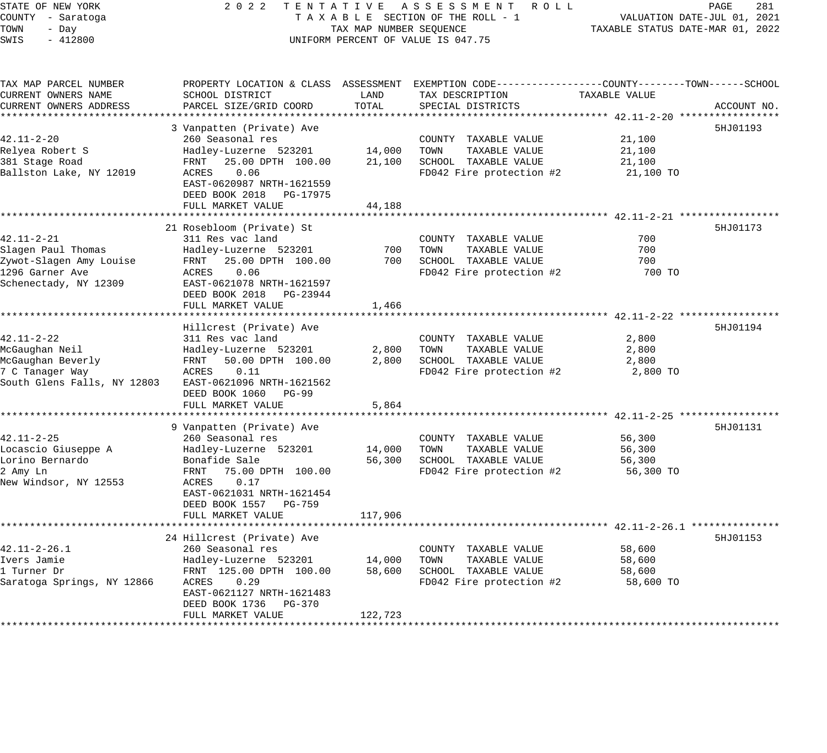STATE OF NEW YORK 2 0 2 2 T E N T A T I V E A S S E S S M E N T R O L L PAGE 281 COUNTY - Saratoga T A X A B L E SECTION OF THE ROLL - 1 VALUATION DATE-JUL 01, 2021 TOWN - Day TAX MAP NUMBER SEQUENCE TAXABLE STATUS DATE-MAR 01, 2022 SWIS - 412800 UNIFORM PERCENT OF VALUE IS 047.75 TAX MAP PARCEL NUMBER PROPERTY LOCATION & CLASS ASSESSMENT EXEMPTION CODE------------------COUNTY--------TOWN------SCHOOL CURRENT OWNERS NAME SCHOOL DISTRICT LAND TAX DESCRIPTION TAXABLE VALUE CURRENT OWNERS ADDRESS PARCEL SIZE/GRID COORD TOTAL SPECIAL DISTRICTS ACCOUNT NO. \*\*\*\*\*\*\*\*\*\*\*\*\*\*\*\*\*\*\*\*\*\*\*\*\*\*\*\*\*\*\*\*\*\*\*\*\*\*\*\*\*\*\*\*\*\*\*\*\*\*\*\*\*\*\*\*\*\*\*\*\*\*\*\*\*\*\*\*\*\*\*\*\*\*\*\*\*\*\*\*\*\*\*\*\*\*\*\*\*\*\*\*\*\*\*\*\*\*\*\*\*\*\* 42.11-2-20 \*\*\*\*\*\*\*\*\*\*\*\*\*\*\*\*\* 3 Vanpatten (Private) Ave 5HJ01193 (1999) 3 September 1999) 3 September 1999 1999 5HJ01193 (1999) 5HJ01193 (19 42.11-2-20 260 Seasonal res COUNTY TAXABLE VALUE 21,100 Relyea Robert S Hadley-Luzerne 523201 14,000 TOWN TAXABLE VALUE 21,100 381 Stage Road FRNT 25.00 DPTH 100.00 21,100 SCHOOL TAXABLE VALUE 21,100 Ballston Lake, NY 12019 ACRES 0.06 FD042 Fire protection #2 21,100 TO EAST-0620987 NRTH-1621559 DEED BOOK 2018 PG-17975 FULL MARKET VALUE 44,188 \*\*\*\*\*\*\*\*\*\*\*\*\*\*\*\*\*\*\*\*\*\*\*\*\*\*\*\*\*\*\*\*\*\*\*\*\*\*\*\*\*\*\*\*\*\*\*\*\*\*\*\*\*\*\*\*\*\*\*\*\*\*\*\*\*\*\*\*\*\*\*\*\*\*\*\*\*\*\*\*\*\*\*\*\*\*\*\*\*\*\*\*\*\*\*\*\*\*\*\*\*\*\* 42.11-2-21 \*\*\*\*\*\*\*\*\*\*\*\*\*\*\*\*\* 21 Rosebloom (Private) St 5HJ01173 42.11-2-21 311 Res vac land COUNTY TAXABLE VALUE 700 Slagen Paul Thomas Hadley-Luzerne 523201 700 TOWN TAXABLE VALUE 700 Zywot-Slagen Amy Louise FRNT 25.00 DPTH 100.00 700 SCHOOL TAXABLE VALUE 700 1296 Garner Ave ACRES 0.06 FD042 Fire protection #2 700 TO Schenectady, NY 12309 EAST-0621078 NRTH-1621597 DEED BOOK 2018 PG-23944 FULL MARKET VALUE 1,466 \*\*\*\*\*\*\*\*\*\*\*\*\*\*\*\*\*\*\*\*\*\*\*\*\*\*\*\*\*\*\*\*\*\*\*\*\*\*\*\*\*\*\*\*\*\*\*\*\*\*\*\*\*\*\*\*\*\*\*\*\*\*\*\*\*\*\*\*\*\*\*\*\*\*\*\*\*\*\*\*\*\*\*\*\*\*\*\*\*\*\*\*\*\*\*\*\*\*\*\*\*\*\* 42.11-2-22 \*\*\*\*\*\*\*\*\*\*\*\*\*\*\*\*\* Hillcrest (Private) Ave 5HJ01194 42.11-2-22 311 Res vac land COUNTY TAXABLE VALUE 2,800 McGaughan Neil Hadley-Luzerne 523201 2,800 TOWN TAXABLE VALUE 2,800 McGaughan Beverly FRNT 50.00 DPTH 100.00 2,800 SCHOOL TAXABLE VALUE 2,800 7 C Tanager Way ACRES 0.11 FD042 Fire protection #2 2,800 TO South Glens Falls, NY 12803 EAST-0621096 NRTH-1621562 DEED BOOK 1060 PG-99 FULL MARKET VALUE 5,864 \*\*\*\*\*\*\*\*\*\*\*\*\*\*\*\*\*\*\*\*\*\*\*\*\*\*\*\*\*\*\*\*\*\*\*\*\*\*\*\*\*\*\*\*\*\*\*\*\*\*\*\*\*\*\*\*\*\*\*\*\*\*\*\*\*\*\*\*\*\*\*\*\*\*\*\*\*\*\*\*\*\*\*\*\*\*\*\*\*\*\*\*\*\*\*\*\*\*\*\*\*\*\* 42.11-2-25 \*\*\*\*\*\*\*\*\*\*\*\*\*\*\*\*\* 9 Vanpatten (Private) Ave 5HJ01131 (1999) 1996 (1999) 1997 (1999) 1997 (1998) 1997 (1998) 1998 (1999) 1998 (19 42.11-2-25 260 Seasonal res COUNTY TAXABLE VALUE 56,300 Locascio Giuseppe A Hadley-Luzerne 523201 14,000 TOWN TAXABLE VALUE 56,300 Lorino Bernardo Bonafide Sale 56,300 SCHOOL TAXABLE VALUE 56,300 2 Amy Ln FRNT 75.00 DPTH 100.00 FD042 Fire protection #2 56,300 TO New Windsor, NY 12553 ACRES 0.17 EAST-0621031 NRTH-1621454 DEED BOOK 1557 PG-759 FULL MARKET VALUE 117,906 \*\*\*\*\*\*\*\*\*\*\*\*\*\*\*\*\*\*\*\*\*\*\*\*\*\*\*\*\*\*\*\*\*\*\*\*\*\*\*\*\*\*\*\*\*\*\*\*\*\*\*\*\*\*\*\*\*\*\*\*\*\*\*\*\*\*\*\*\*\*\*\*\*\*\*\*\*\*\*\*\*\*\*\*\*\*\*\*\*\*\*\*\*\*\*\*\*\*\*\*\*\*\* 42.11-2-26.1 \*\*\*\*\*\*\*\*\*\*\*\*\*\*\* 24 Hillcrest (Private) Ave 5HJ01153 42.11-2-26.1 260 Seasonal res COUNTY TAXABLE VALUE 58,600

Ivers Jamie Hadley-Luzerne 523201 14,000 TOWN TAXABLE VALUE 58,600 1 Turner Dr FRNT 125.00 DPTH 100.00 58,600 SCHOOL TAXABLE VALUE 58,600 Saratoga Springs, NY 12866 ACRES 0.29 FD042 Fire protection #2 58,600 TO

\*\*\*\*\*\*\*\*\*\*\*\*\*\*\*\*\*\*\*\*\*\*\*\*\*\*\*\*\*\*\*\*\*\*\*\*\*\*\*\*\*\*\*\*\*\*\*\*\*\*\*\*\*\*\*\*\*\*\*\*\*\*\*\*\*\*\*\*\*\*\*\*\*\*\*\*\*\*\*\*\*\*\*\*\*\*\*\*\*\*\*\*\*\*\*\*\*\*\*\*\*\*\*\*\*\*\*\*\*\*\*\*\*\*\*\*\*\*\*\*\*\*\*\*\*\*\*\*\*\*\*\*

DEED BOOK 1736 PG-370

FULL MARKET VALUE 122,723

EAST-0621127 NRTH-1621483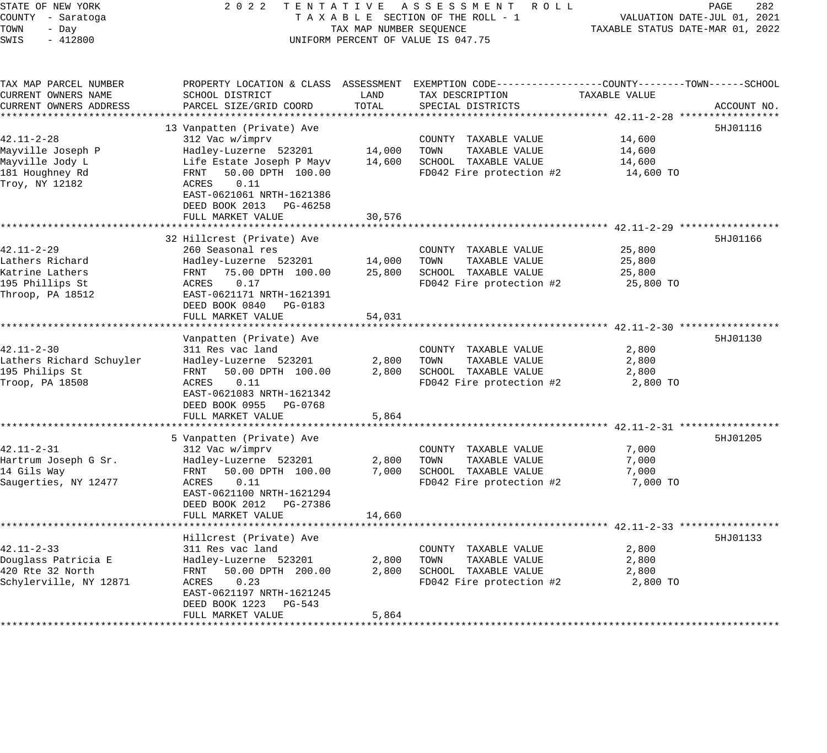| STATE OF NEW YORK<br>COUNTY - Saratoga<br>TOWN<br>- Day<br>SWIS<br>$-412800$                  | 2 0 2 2<br>TENTATIVE ASSESSMENT ROLL<br>TAXABLE SECTION OF THE ROLL - 1<br>TAX MAP NUMBER SEQUENCE<br>UNIFORM PERCENT OF VALUE IS 047.75                                                                                                 | PAGE<br>282<br>VALUATION DATE-JUL 01, 2021<br>TAXABLE STATUS DATE-MAR 01, 2022 |                                                                                                                                         |                                         |             |
|-----------------------------------------------------------------------------------------------|------------------------------------------------------------------------------------------------------------------------------------------------------------------------------------------------------------------------------------------|--------------------------------------------------------------------------------|-----------------------------------------------------------------------------------------------------------------------------------------|-----------------------------------------|-------------|
| TAX MAP PARCEL NUMBER<br>CURRENT OWNERS NAME<br>CURRENT OWNERS ADDRESS                        | SCHOOL DISTRICT<br>PARCEL SIZE/GRID COORD                                                                                                                                                                                                | LAND<br>TOTAL                                                                  | PROPERTY LOCATION & CLASS ASSESSMENT EXEMPTION CODE----------------COUNTY-------TOWN-----SCHOOL<br>TAX DESCRIPTION<br>SPECIAL DISTRICTS | TAXABLE VALUE                           | ACCOUNT NO. |
| 42.11-2-28<br>Mayville Joseph P<br>Mayville Jody L<br>181 Houghney Rd<br>Troy, NY 12182       | *************************<br>13 Vanpatten (Private) Ave<br>312 Vac w/imprv<br>Hadley-Luzerne 523201<br>Life Estate Joseph P Mayv<br>50.00 DPTH 100.00<br>FRNT<br>ACRES<br>0.11<br>EAST-0621061 NRTH-1621386<br>DEED BOOK 2013 PG-46258   | 14,000<br>14,600                                                               | COUNTY TAXABLE VALUE<br>TOWN<br>TAXABLE VALUE<br>SCHOOL TAXABLE VALUE<br>FD042 Fire protection #2                                       | 14,600<br>14,600<br>14,600<br>14,600 TO | 5HJ01116    |
| $42.11 - 2 - 29$<br>Lathers Richard<br>Katrine Lathers<br>195 Phillips St<br>Throop, PA 18512 | FULL MARKET VALUE<br>32 Hillcrest (Private) Ave<br>260 Seasonal res<br>Hadley-Luzerne 523201<br>75.00 DPTH 100.00<br>FRNT<br>0.17<br>ACRES<br>EAST-0621171 NRTH-1621391<br>DEED BOOK 0840 PG-0183                                        | 30,576<br>14,000<br>25,800                                                     | COUNTY TAXABLE VALUE<br>TAXABLE VALUE<br>TOWN<br>SCHOOL TAXABLE VALUE<br>FD042 Fire protection #2                                       | 25,800<br>25,800<br>25,800<br>25,800 TO | 5HJ01166    |
| $42.11 - 2 - 30$<br>Lathers Richard Schuyler<br>195 Philips St<br>Troop, PA 18508             | FULL MARKET VALUE<br>*****************<br>Vanpatten (Private) Ave<br>311 Res vac land<br>Hadley-Luzerne 523201<br>50.00 DPTH 100.00<br>FRNT<br>ACRES<br>0.11<br>EAST-0621083 NRTH-1621342<br>DEED BOOK 0955 PG-0768<br>FULL MARKET VALUE | 54,031<br>2,800<br>2,800<br>5,864                                              | COUNTY TAXABLE VALUE<br>TAXABLE VALUE<br>TOWN<br>SCHOOL TAXABLE VALUE<br>FD042 Fire protection #2                                       | 2,800<br>2,800<br>2,800<br>2,800 TO     | 5HJ01130    |
| $42.11 - 2 - 31$<br>Hartrum Joseph G Sr.<br>14 Gils Way<br>Saugerties, NY 12477               | 5 Vanpatten (Private) Ave<br>312 Vac w/imprv<br>Hadley-Luzerne 523201<br>FRNT<br>50.00 DPTH 100.00<br>ACRES<br>0.11<br>EAST-0621100 NRTH-1621294<br>DEED BOOK 2012 PG-27386<br>FULL MARKET VALUE                                         | 2,800<br>7,000<br>14,660                                                       | COUNTY TAXABLE VALUE<br>TAXABLE VALUE<br>TOWN<br>SCHOOL TAXABLE VALUE<br>FD042 Fire protection #2                                       | 7,000<br>7,000<br>7,000<br>7,000 TO     | 5HJ01205    |
| $42.11 - 2 - 33$<br>Douglass Patricia E<br>420 Rte 32 North<br>Schylerville, NY 12871         | Hillcrest (Private) Ave<br>311 Res vac land<br>Hadley-Luzerne 523201<br>50.00 DPTH 200.00<br>FRNT<br>0.23<br>ACRES<br>EAST-0621197 NRTH-1621245<br>DEED BOOK 1223<br>PG-543<br>FULL MARKET VALUE                                         | 2,800<br>2,800<br>5,864                                                        | COUNTY TAXABLE VALUE<br>TOWN<br>TAXABLE VALUE<br>SCHOOL TAXABLE VALUE<br>FD042 Fire protection #2                                       | 2,800<br>2,800<br>2,800<br>2,800 TO     | 5HJ01133    |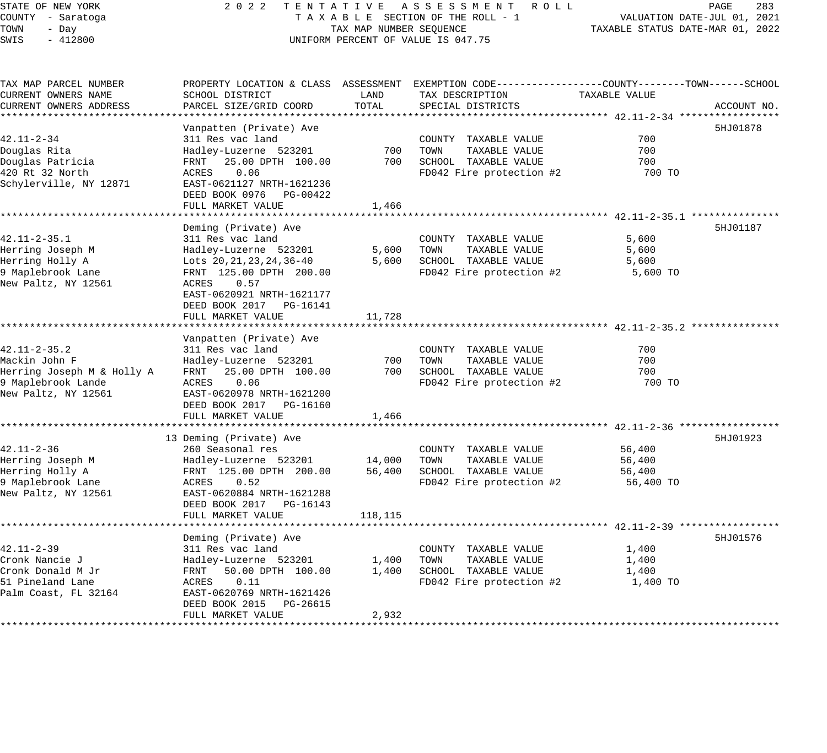#### STATE OF NEW YORK 2 0 2 2 T E N T A T I V E A S S E S S M E N T R O L L PAGE 283 COUNTY - Saratoga T A X A B L E SECTION OF THE ROLL - 1 VALUATION DATE-JUL 01, 2021 TOWN - Day TAX MAP NUMBER SEQUENCE TAXABLE STATUS DATE-MAR 01, 2022 SWIS - 412800 CONTROLLY THE UNIFORM PERCENT OF VALUE IS 047.75

TAX MAP PARCEL NUMBER PROPERTY LOCATION & CLASS ASSESSMENT EXEMPTION CODE------------------COUNTY--------TOWN------SCHOOL CURRENT OWNERS NAME SCHOOL DISTRICT LAND TAX DESCRIPTION TAXABLE VALUE CURRENT OWNERS ADDRESS PARCEL SIZE/GRID COORD TOTAL SPECIAL DISTRICTS ACCOUNT NO. \*\*\*\*\*\*\*\*\*\*\*\*\*\*\*\*\*\*\*\*\*\*\*\*\*\*\*\*\*\*\*\*\*\*\*\*\*\*\*\*\*\*\*\*\*\*\*\*\*\*\*\*\*\*\*\*\*\*\*\*\*\*\*\*\*\*\*\*\*\*\*\*\*\*\*\*\*\*\*\*\*\*\*\*\*\*\*\*\*\*\*\*\*\*\*\*\*\*\*\*\*\*\* 42.11-2-34 \*\*\*\*\*\*\*\*\*\*\*\*\*\*\*\*\* Vanpatten (Private) Ave 5HJ01878 (1999) (1999) (1999) (1999) (1999) (1999) (1999) (1999) (1999) (1999) (1999) (1999) 42.11-2-34 311 Res vac land COUNTY TAXABLE VALUE 700 Douglas Rita Hadley-Luzerne 523201 700 TOWN TAXABLE VALUE 700 Douglas Patricia FRNT 25.00 DPTH 100.00 700 SCHOOL TAXABLE VALUE 700 420 Rt 32 North ACRES 0.06 FD042 Fire protection #2 700 TO Schylerville, NY 12871 EAST-0621127 NRTH-1621236 DEED BOOK 0976 PG-00422 DEED BOOK 0976 PG-00422<br>FULL MARKET VALUE 1,466 \*\*\*\*\*\*\*\*\*\*\*\*\*\*\*\*\*\*\*\*\*\*\*\*\*\*\*\*\*\*\*\*\*\*\*\*\*\*\*\*\*\*\*\*\*\*\*\*\*\*\*\*\*\*\*\*\*\*\*\*\*\*\*\*\*\*\*\*\*\*\*\*\*\*\*\*\*\*\*\*\*\*\*\*\*\*\*\*\*\*\*\*\*\*\*\*\*\*\*\*\*\*\* 42.11-2-35.1 \*\*\*\*\*\*\*\*\*\*\*\*\*\*\* Deming (Private) Ave 5HJ01187 (1999) 31 (1999) 55 (1999) 55 (1999) 56 (1999) 56 (1999) 56 (1999) 56 (1999) 56 (1999) 56 (1999) 56 (1999) 56 (1999) 56 (1999) 56 (1999) 56 (1999) 56 (1999) 56 (1999) 56 (1999) 56 (1999) 56 (1 42.11-2-35.1 311 Res vac land COUNTY TAXABLE VALUE 5,600 Herring Joseph M Hadley-Luzerne 523201 5,600 TOWN TAXABLE VALUE 5,600 Herring Holly A Lots 20,21,23,24,36-40 5,600 SCHOOL TAXABLE VALUE 5,600 9 Maplebrook Lane FRNT 125.00 DPTH 200.00 FD042 Fire protection #2 5,600 TO New Paltz, NY 12561 ACRES 0.57 EAST-0620921 NRTH-1621177 DEED BOOK 2017 PG-16141 FULL MARKET VALUE 11,728 \*\*\*\*\*\*\*\*\*\*\*\*\*\*\*\*\*\*\*\*\*\*\*\*\*\*\*\*\*\*\*\*\*\*\*\*\*\*\*\*\*\*\*\*\*\*\*\*\*\*\*\*\*\*\*\*\*\*\*\*\*\*\*\*\*\*\*\*\*\*\*\*\*\*\*\*\*\*\*\*\*\*\*\*\*\*\*\*\*\*\*\*\*\*\*\*\*\*\*\*\*\*\* 42.11-2-35.2 \*\*\*\*\*\*\*\*\*\*\*\*\*\*\* Vanpatten (Private) Ave 42.11-2-35.2 311 Res vac land COUNTY TAXABLE VALUE 700 Mackin John F Hadley-Luzerne 523201 700 TOWN TAXABLE VALUE 700 Herring Joseph M & Holly A FRNT 25.00 DPTH 100.00 700 SCHOOL TAXABLE VALUE 700 9 Maplebrook Lande ACRES 0.06 FD042 Fire protection #2 700 TO New Paltz, NY 12561 EAST-0620978 NRTH-1621200 DEED BOOK 2017 PG-16160 FULL MARKET VALUE 1,466 \*\*\*\*\*\*\*\*\*\*\*\*\*\*\*\*\*\*\*\*\*\*\*\*\*\*\*\*\*\*\*\*\*\*\*\*\*\*\*\*\*\*\*\*\*\*\*\*\*\*\*\*\*\*\*\*\*\*\*\*\*\*\*\*\*\*\*\*\*\*\*\*\*\*\*\*\*\*\*\*\*\*\*\*\*\*\*\*\*\*\*\*\*\*\*\*\*\*\*\*\*\*\* 42.11-2-36 \*\*\*\*\*\*\*\*\*\*\*\*\*\*\*\*\* 13 Deming (Private) Ave 5HJ01923 42.11-2-36 260 Seasonal res COUNTY TAXABLE VALUE 56,400 Herring Joseph M Hadley-Luzerne 523201 14,000 TOWN TAXABLE VALUE 56,400 Herring Holly A FRNT 125.00 DPTH 200.00 56,400 SCHOOL TAXABLE VALUE 56,400 9 Maplebrook Lane ACRES 0.52 FD042 Fire protection #2 56,400 TO New Paltz, NY 12561 EAST-0620884 NRTH-1621288 DEED BOOK 2017 PG-16143 FULL MARKET VALUE 118,115 \*\*\*\*\*\*\*\*\*\*\*\*\*\*\*\*\*\*\*\*\*\*\*\*\*\*\*\*\*\*\*\*\*\*\*\*\*\*\*\*\*\*\*\*\*\*\*\*\*\*\*\*\*\*\*\*\*\*\*\*\*\*\*\*\*\*\*\*\*\*\*\*\*\*\*\*\*\*\*\*\*\*\*\*\*\*\*\*\*\*\*\*\*\*\*\*\*\*\*\*\*\*\* 42.11-2-39 \*\*\*\*\*\*\*\*\*\*\*\*\*\*\*\*\* Deming (Private) Ave 5HJ01576 (1999) 31 (1999) 31 (1999) 32 (1999) 32 (1999) 35 (1999) 55 (1999) 56 (1999) 56 (1999) 56 (1999) 56 (1999) 36 (1999) 36 (1999) 36 (1999) 36 (1999) 37 (1999) 36 (1999) 37 (1999) 37 (1999) 37 (1 42.11-2-39 311 Res vac land COUNTY TAXABLE VALUE 1,400 Cronk Nancie J Hadley-Luzerne 523201 1,400 TOWN TAXABLE VALUE 1,400 Cronk Donald M Jr FRNT 50.00 DPTH 100.00 1,400 SCHOOL TAXABLE VALUE 1,400 51 Pineland Lane ACRES 0.11 FD042 Fire protection #2 1,400 TO Palm Coast, FL 32164 EAST-0620769 NRTH-1621426 DEED BOOK 2015 PG-26615 FULL MARKET VALUE 2,932 \*\*\*\*\*\*\*\*\*\*\*\*\*\*\*\*\*\*\*\*\*\*\*\*\*\*\*\*\*\*\*\*\*\*\*\*\*\*\*\*\*\*\*\*\*\*\*\*\*\*\*\*\*\*\*\*\*\*\*\*\*\*\*\*\*\*\*\*\*\*\*\*\*\*\*\*\*\*\*\*\*\*\*\*\*\*\*\*\*\*\*\*\*\*\*\*\*\*\*\*\*\*\*\*\*\*\*\*\*\*\*\*\*\*\*\*\*\*\*\*\*\*\*\*\*\*\*\*\*\*\*\*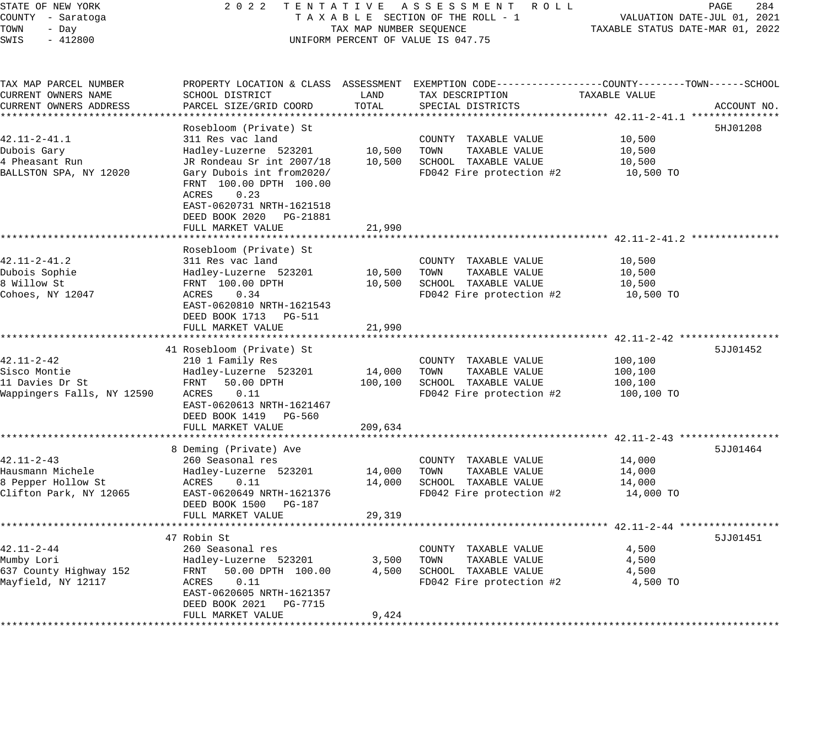| STATE OF NEW YORK                        | 2 0 2 2<br>TENTATIVE                                 |                                  | ASSESSMENT ROLL<br>TAXABLE SECTION OF THE ROLL - 1           |                                            | PAGE<br>284 |
|------------------------------------------|------------------------------------------------------|----------------------------------|--------------------------------------------------------------|--------------------------------------------|-------------|
| COUNTY - Saratoga<br>TOWN<br>- Day       |                                                      | TAXABLE STATUS DATE-MAR 01, 2022 | VALUATION DATE-JUL 01, 2021                                  |                                            |             |
| SWIS<br>$-412800$                        |                                                      | TAX MAP NUMBER SEQUENCE          | UNIFORM PERCENT OF VALUE IS 047.75                           |                                            |             |
|                                          |                                                      |                                  |                                                              |                                            |             |
| TAX MAP PARCEL NUMBER                    | PROPERTY LOCATION & CLASS ASSESSMENT                 |                                  | EXEMPTION CODE-----------------COUNTY-------TOWN------SCHOOL |                                            |             |
| CURRENT OWNERS NAME                      | SCHOOL DISTRICT                                      | LAND                             | TAX DESCRIPTION                                              | TAXABLE VALUE                              |             |
| CURRENT OWNERS ADDRESS                   | PARCEL SIZE/GRID COORD                               | TOTAL                            | SPECIAL DISTRICTS                                            |                                            | ACCOUNT NO. |
|                                          |                                                      |                                  |                                                              |                                            |             |
|                                          | Rosebloom (Private) St                               |                                  |                                                              |                                            | 5HJ01208    |
| 42.11-2-41.1                             | 311 Res vac land                                     |                                  | COUNTY TAXABLE VALUE                                         | 10,500                                     |             |
| Dubois Gary                              | Hadley-Luzerne 523201                                | 10,500                           | TOWN<br>TAXABLE VALUE                                        | 10,500                                     |             |
| 4 Pheasant Run<br>BALLSTON SPA, NY 12020 | JR Rondeau Sr int 2007/18                            | 10,500                           | SCHOOL TAXABLE VALUE<br>FD042 Fire protection #2             | 10,500                                     |             |
|                                          | Gary Dubois int from2020/<br>FRNT 100.00 DPTH 100.00 |                                  |                                                              | 10,500 TO                                  |             |
|                                          | ACRES<br>0.23                                        |                                  |                                                              |                                            |             |
|                                          | EAST-0620731 NRTH-1621518                            |                                  |                                                              |                                            |             |
|                                          | DEED BOOK 2020<br>PG-21881<br>FULL MARKET VALUE      | 21,990                           |                                                              |                                            |             |
|                                          |                                                      |                                  |                                                              |                                            |             |
|                                          | Rosebloom (Private) St                               |                                  |                                                              |                                            |             |
| $42.11 - 2 - 41.2$                       | 311 Res vac land                                     |                                  | COUNTY TAXABLE VALUE                                         | 10,500                                     |             |
| Dubois Sophie                            | Hadley-Luzerne 523201                                | 10,500                           | TOWN<br>TAXABLE VALUE                                        | 10,500                                     |             |
| 8 Willow St                              | FRNT 100.00 DPTH                                     | 10,500                           | SCHOOL TAXABLE VALUE                                         | 10,500                                     |             |
| Cohoes, NY 12047                         | ACRES<br>0.34                                        |                                  | FD042 Fire protection #2                                     | 10,500 TO                                  |             |
|                                          | EAST-0620810 NRTH-1621543                            |                                  |                                                              |                                            |             |
|                                          | DEED BOOK 1713 PG-511                                |                                  |                                                              |                                            |             |
|                                          | FULL MARKET VALUE<br>*****************               | 21,990                           |                                                              | ***** 42.11-2-42 **                        |             |
|                                          | 41 Rosebloom (Private) St                            |                                  |                                                              |                                            | 5JJ01452    |
| $42.11 - 2 - 42$                         | 210 1 Family Res                                     |                                  | COUNTY TAXABLE VALUE                                         | 100,100                                    |             |
| Sisco Montie                             | Hadley-Luzerne 523201                                | 14,000                           | TOWN<br>TAXABLE VALUE                                        | 100,100                                    |             |
| 11 Davies Dr St                          | 50.00 DPTH<br>FRNT                                   | 100,100                          | SCHOOL TAXABLE VALUE                                         | 100,100                                    |             |
| Wappingers Falls, NY 12590               | 0.11<br>ACRES                                        |                                  | FD042 Fire protection #2                                     | 100,100 TO                                 |             |
|                                          | EAST-0620613 NRTH-1621467                            |                                  |                                                              |                                            |             |
|                                          | DEED BOOK 1419 PG-560                                |                                  |                                                              |                                            |             |
|                                          | FULL MARKET VALUE                                    | 209,634                          |                                                              |                                            |             |
|                                          | *******************                                  |                                  |                                                              |                                            |             |
|                                          | 8 Deming (Private) Ave                               |                                  |                                                              |                                            | 5JJ01464    |
| 42.11-2-43<br>Hausmann Michele           | 260 Seasonal res<br>Hadley-Luzerne 523201            | 14,000                           | COUNTY TAXABLE VALUE<br>TOWN<br>TAXABLE VALUE                | 14,000<br>14,000                           |             |
| 8 Pepper Hollow St                       | ACRES<br>0.11                                        | 14,000                           | SCHOOL TAXABLE VALUE                                         | 14,000                                     |             |
| Clifton Park, NY 12065                   | EAST-0620649 NRTH-1621376                            |                                  | FD042 Fire protection #2                                     | 14,000 TO                                  |             |
|                                          | DEED BOOK 1500<br>PG-187                             |                                  |                                                              |                                            |             |
|                                          | FULL MARKET VALUE                                    | 29,319                           |                                                              |                                            |             |
|                                          |                                                      |                                  |                                                              | ************************ 42.11-2-44 ****** |             |
|                                          | 47 Robin St                                          |                                  |                                                              |                                            | 5JJ01451    |
| $42.11 - 2 - 44$                         | 260 Seasonal res                                     |                                  | COUNTY TAXABLE VALUE                                         | 4,500                                      |             |
| Mumby Lori                               | Hadley-Luzerne 523201                                | 3,500                            | TAXABLE VALUE<br>TOWN                                        | 4,500                                      |             |
| 637 County Highway 152                   | FRNT<br>50.00 DPTH 100.00                            | 4,500                            | SCHOOL TAXABLE VALUE                                         | 4,500                                      |             |
| Mayfield, NY 12117                       | ACRES<br>0.11<br>EAST-0620605 NRTH-1621357           |                                  | FD042 Fire protection #2                                     | 4,500 TO                                   |             |
|                                          | DEED BOOK 2021<br>PG-7715                            |                                  |                                                              |                                            |             |
|                                          | FULL MARKET VALUE                                    | 9,424                            |                                                              |                                            |             |
|                                          |                                                      |                                  |                                                              |                                            |             |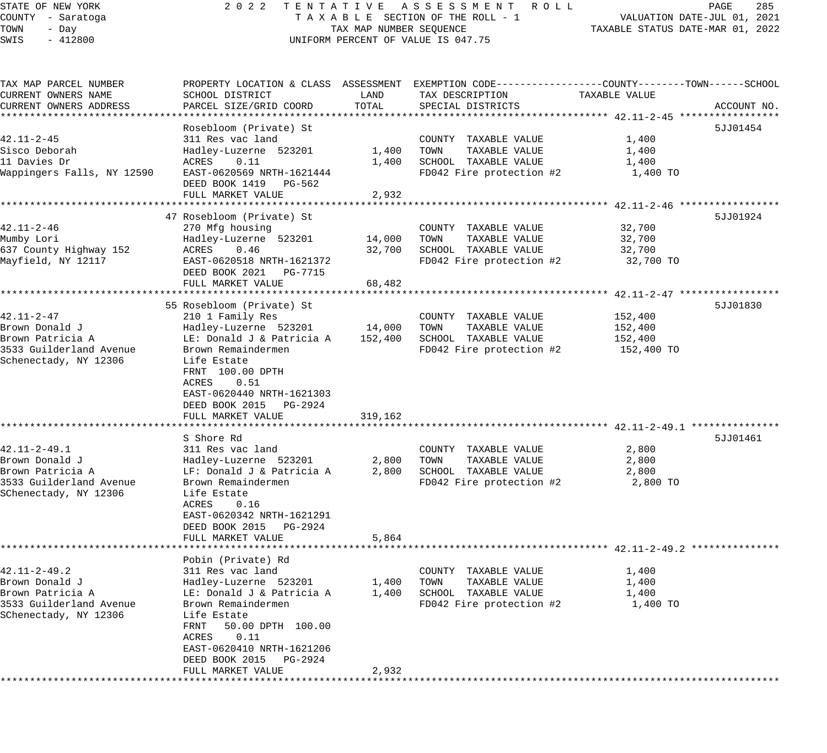STATE OF NEW YORK 2 0 2 2 T E N T A T I V E A S S E S S M E N T R O L L PAGE 285 COUNTY - Saratoga T A X A B L E SECTION OF THE ROLL - 1 VALUATION DATE-JUL 01, 2021 TOWN - Day TAX MAP NUMBER SEQUENCE TAXABLE STATUS DATE-MAR 01, 2022 SWIS - 412800 CONTROLLY THE UNIFORM PERCENT OF VALUE IS 047.75 TAX MAP PARCEL NUMBER PROPERTY LOCATION & CLASS ASSESSMENT EXEMPTION CODE------------------COUNTY--------TOWN------SCHOOL CURRENT OWNERS NAME SCHOOL DISTRICT LAND TAX DESCRIPTION TAXABLE VALUE CURRENT OWNERS ADDRESS PARCEL SIZE/GRID COORD TOTAL SPECIAL DISTRICTS ACCOUNT NO. \*\*\*\*\*\*\*\*\*\*\*\*\*\*\*\*\*\*\*\*\*\*\*\*\*\*\*\*\*\*\*\*\*\*\*\*\*\*\*\*\*\*\*\*\*\*\*\*\*\*\*\*\*\*\*\*\*\*\*\*\*\*\*\*\*\*\*\*\*\*\*\*\*\*\*\*\*\*\*\*\*\*\*\*\*\*\*\*\*\*\*\*\*\*\*\*\*\*\*\*\*\*\* 42.11-2-45 \*\*\*\*\*\*\*\*\*\*\*\*\*\*\*\*\* Rosebloom (Private) St 5JJ01454 42.11-2-45 311 Res vac land COUNTY TAXABLE VALUE 1,400 Sisco Deborah Hadley-Luzerne 523201 1,400 TOWN TAXABLE VALUE 1,400 11 Davies Dr ACRES 0.11 1,400 SCHOOL TAXABLE VALUE 1,400 Wappingers Falls, NY 12590 EAST-0620569 NRTH-1621444 FD042 Fire protection #2 1,400 TO DEED BOOK 1419 PG-562 PEED BOOK III, IS 502<br>FULL MARKET VALUE 2,932 \*\*\*\*\*\*\*\*\*\*\*\*\*\*\*\*\*\*\*\*\*\*\*\*\*\*\*\*\*\*\*\*\*\*\*\*\*\*\*\*\*\*\*\*\*\*\*\*\*\*\*\*\*\*\*\*\*\*\*\*\*\*\*\*\*\*\*\*\*\*\*\*\*\*\*\*\*\*\*\*\*\*\*\*\*\*\*\*\*\*\*\*\*\*\*\*\*\*\*\*\*\*\* 42.11-2-46 \*\*\*\*\*\*\*\*\*\*\*\*\*\*\*\*\* 47 Rosebloom (Private) St 5JJ01924 42.11-2-46 270 Mfg housing COUNTY TAXABLE VALUE 32,700 Mumby Lori Hadley-Luzerne 523201 14,000 TOWN TAXABLE VALUE 32,700 637 County Highway 152 ACRES 0.46 32,700 SCHOOL TAXABLE VALUE 32,700 Mayfield, NY 12117 EAST-0620518 NRTH-1621372 FD042 Fire protection #2 32,700 TO DEED BOOK 2021 PG-7715 FULL MARKET VALUE 68,482 \*\*\*\*\*\*\*\*\*\*\*\*\*\*\*\*\*\*\*\*\*\*\*\*\*\*\*\*\*\*\*\*\*\*\*\*\*\*\*\*\*\*\*\*\*\*\*\*\*\*\*\*\*\*\*\*\*\*\*\*\*\*\*\*\*\*\*\*\*\*\*\*\*\*\*\*\*\*\*\*\*\*\*\*\*\*\*\*\*\*\*\*\*\*\*\*\*\*\*\*\*\*\* 42.11-2-47 \*\*\*\*\*\*\*\*\*\*\*\*\*\*\*\*\* 55 Rosebloom (Private) St 5JJ01830 42.11-2-47 210 1 Family Res COUNTY TAXABLE VALUE 152,400 Brown Donald J Hadley-Luzerne 523201 14,000 TOWN TAXABLE VALUE 152,400 Brown Patricia A LE: Donald J & Patricia A 152,400 SCHOOL TAXABLE VALUE 152,400 3533 Guilderland Avenue Brown Remaindermen FD042 Fire protection #2 152,400 TO Schenectady, NY 12306 Life Estate FRNT 100.00 DPTH ACRES 0.51 EAST-0620440 NRTH-1621303 DEED BOOK 2015 PG-2924 FULL MARKET VALUE 319,162 \*\*\*\*\*\*\*\*\*\*\*\*\*\*\*\*\*\*\*\*\*\*\*\*\*\*\*\*\*\*\*\*\*\*\*\*\*\*\*\*\*\*\*\*\*\*\*\*\*\*\*\*\*\*\*\*\*\*\*\*\*\*\*\*\*\*\*\*\*\*\*\*\*\*\*\*\*\*\*\*\*\*\*\*\*\*\*\*\*\*\*\*\*\*\*\*\*\*\*\*\*\*\* 42.11-2-49.1 \*\*\*\*\*\*\*\*\*\*\*\*\*\*\* S Shore Rd 5JJ01461 42.11-2-49.1 311 Res vac land COUNTY TAXABLE VALUE 2,800 Brown Donald J Hadley-Luzerne 523201 2,800 TOWN TAXABLE VALUE 2,800 Brown Patricia A LF: Donald J & Patricia A 2,800 SCHOOL TAXABLE VALUE 2,800 3533 Guilderland Avenue Brown Remaindermen FD042 Fire protection #2 2,800 TO SChenectady, NY 12306 Life Estate ACRES 0.16 EAST-0620342 NRTH-1621291 DEED BOOK 2015 PG-2924 FULL MARKET VALUE 5,864 \*\*\*\*\*\*\*\*\*\*\*\*\*\*\*\*\*\*\*\*\*\*\*\*\*\*\*\*\*\*\*\*\*\*\*\*\*\*\*\*\*\*\*\*\*\*\*\*\*\*\*\*\*\*\*\*\*\*\*\*\*\*\*\*\*\*\*\*\*\*\*\*\*\*\*\*\*\*\*\*\*\*\*\*\*\*\*\*\*\*\*\*\*\*\*\*\*\*\*\*\*\*\* 42.11-2-49.2 \*\*\*\*\*\*\*\*\*\*\*\*\*\*\* Pobin (Private) Rd 42.11-2-49.2 311 Res vac land COUNTY TAXABLE VALUE 1,400 Brown Donald J Hadley-Luzerne 523201 1,400 TOWN TAXABLE VALUE 1,400 Brown Patricia A LE: Donald J & Patricia A 1,400 SCHOOL TAXABLE VALUE 1,400 3533 Guilderland Avenue Brown Remaindermen FD042 Fire protection #2 1,400 TO SChenectady, NY 12306 Life Estate FRNT 50.00 DPTH 100.00 ACRES 0.11 EAST-0620410 NRTH-1621206 DEED BOOK 2015 PG-2924

\*\*\*\*\*\*\*\*\*\*\*\*\*\*\*\*\*\*\*\*\*\*\*\*\*\*\*\*\*\*\*\*\*\*\*\*\*\*\*\*\*\*\*\*\*\*\*\*\*\*\*\*\*\*\*\*\*\*\*\*\*\*\*\*\*\*\*\*\*\*\*\*\*\*\*\*\*\*\*\*\*\*\*\*\*\*\*\*\*\*\*\*\*\*\*\*\*\*\*\*\*\*\*\*\*\*\*\*\*\*\*\*\*\*\*\*\*\*\*\*\*\*\*\*\*\*\*\*\*\*\*\*

FULL MARKET VALUE 2,932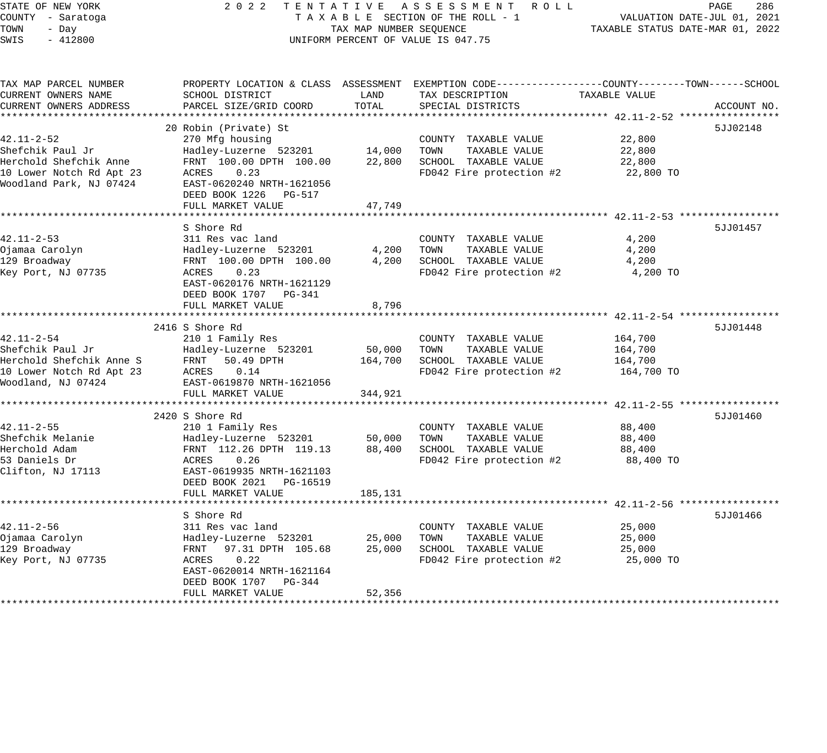| TAXABLE SECTION OF THE ROLL - 1<br>COUNTY - Saratoga<br>VALUATION DATE-JUL 01, 2021<br>TOWN<br>- Day<br>TAX MAP NUMBER SEOUENCE<br>TAXABLE STATUS DATE-MAR 01, 2022<br>$-412800$<br>SWIS<br>UNIFORM PERCENT OF VALUE IS 047.75<br>PROPERTY LOCATION & CLASS ASSESSMENT EXEMPTION CODE---------------COUNTY-------TOWN-----SCHOOL<br>TAX MAP PARCEL NUMBER<br>CURRENT OWNERS NAME<br>SCHOOL DISTRICT<br>TAXABLE VALUE<br>LAND<br>TAX DESCRIPTION<br>TOTAL<br>CURRENT OWNERS ADDRESS<br>PARCEL SIZE/GRID COORD<br>SPECIAL DISTRICTS<br>20 Robin (Private) St<br>$42.11 - 2 - 52$<br>270 Mfg housing<br>COUNTY TAXABLE VALUE<br>22,800<br>Shefchik Paul Jr<br>14,000<br>TOWN<br>TAXABLE VALUE<br>22,800<br>Hadley-Luzerne 523201<br>Herchold Shefchik Anne<br>FRNT 100.00 DPTH 100.00<br>SCHOOL TAXABLE VALUE<br>22,800<br>22,800<br>10 Lower Notch Rd Apt 23<br>ACRES<br>0.23<br>FD042 Fire protection #2<br>22,800 TO<br>Woodland Park, NJ 07424<br>EAST-0620240 NRTH-1621056<br>DEED BOOK 1226<br>PG-517<br>FULL MARKET VALUE<br>47,749<br>S Shore Rd<br>$42.11 - 2 - 53$<br>311 Res vac land<br>COUNTY TAXABLE VALUE<br>4,200<br>Ojamaa Carolyn<br>4,200<br>TOWN<br>TAXABLE VALUE<br>4,200<br>Hadley-Luzerne 523201<br>129 Broadway<br>FRNT 100.00 DPTH 100.00<br>4,200<br>SCHOOL TAXABLE VALUE<br>4,200<br>Key Port, NJ 07735<br>FD042 Fire protection #2<br>ACRES<br>0.23<br>4,200 TO<br>EAST-0620176 NRTH-1621129<br>DEED BOOK 1707<br>PG-341<br>FULL MARKET VALUE<br>8,796<br>*********************** 42.11-2-54 ***<br>**************<br>2416 S Shore Rd<br>$42.11 - 2 - 54$<br>210 1 Family Res<br>COUNTY TAXABLE VALUE<br>164,700<br>Shefchik Paul Jr<br>50,000<br>TOWN<br>TAXABLE VALUE<br>Hadley-Luzerne 523201<br>164,700<br>Herchold Shefchik Anne S<br>FRNT<br>50.49 DPTH<br>164,700<br>SCHOOL TAXABLE VALUE<br>164,700<br>0.14<br>FD042 Fire protection #2<br>10 Lower Notch Rd Apt 23<br>ACRES<br>164,700 TO<br>Woodland, NJ 07424<br>EAST-0619870 NRTH-1621056<br>FULL MARKET VALUE<br>344,921<br>2420 S Shore Rd<br>$42.11 - 2 - 55$<br>210 1 Family Res<br>COUNTY TAXABLE VALUE<br>88,400<br>Shefchik Melanie<br>Hadley-Luzerne 523201<br>50,000<br>TOWN<br>TAXABLE VALUE<br>88,400<br>Herchold Adam<br>FRNT 112.26 DPTH 119.13<br>88,400<br>SCHOOL TAXABLE VALUE<br>88,400<br>53 Daniels Dr<br>0.26<br>ACRES<br>FD042 Fire protection #2<br>88,400 TO<br>Clifton, NJ 17113<br>EAST-0619935 NRTH-1621103<br>DEED BOOK 2021 PG-16519<br>185,131<br>FULL MARKET VALUE<br>S Shore Rd<br>$42.11 - 2 - 56$<br>311 Res vac land<br>25,000<br>COUNTY TAXABLE VALUE | STATE OF NEW YORK | 2 0 2 2 | TENTATIVE | ASSESSMENT ROLL | PAGE<br>286 |
|-------------------------------------------------------------------------------------------------------------------------------------------------------------------------------------------------------------------------------------------------------------------------------------------------------------------------------------------------------------------------------------------------------------------------------------------------------------------------------------------------------------------------------------------------------------------------------------------------------------------------------------------------------------------------------------------------------------------------------------------------------------------------------------------------------------------------------------------------------------------------------------------------------------------------------------------------------------------------------------------------------------------------------------------------------------------------------------------------------------------------------------------------------------------------------------------------------------------------------------------------------------------------------------------------------------------------------------------------------------------------------------------------------------------------------------------------------------------------------------------------------------------------------------------------------------------------------------------------------------------------------------------------------------------------------------------------------------------------------------------------------------------------------------------------------------------------------------------------------------------------------------------------------------------------------------------------------------------------------------------------------------------------------------------------------------------------------------------------------------------------------------------------------------------------------------------------------------------------------------------------------------------------------------------------------------------------------------------------------------------------------------------------------------------------------------------------------------------------------------------------------------------------------------------------------------------------------|-------------------|---------|-----------|-----------------|-------------|
|                                                                                                                                                                                                                                                                                                                                                                                                                                                                                                                                                                                                                                                                                                                                                                                                                                                                                                                                                                                                                                                                                                                                                                                                                                                                                                                                                                                                                                                                                                                                                                                                                                                                                                                                                                                                                                                                                                                                                                                                                                                                                                                                                                                                                                                                                                                                                                                                                                                                                                                                                                               |                   |         |           |                 |             |
|                                                                                                                                                                                                                                                                                                                                                                                                                                                                                                                                                                                                                                                                                                                                                                                                                                                                                                                                                                                                                                                                                                                                                                                                                                                                                                                                                                                                                                                                                                                                                                                                                                                                                                                                                                                                                                                                                                                                                                                                                                                                                                                                                                                                                                                                                                                                                                                                                                                                                                                                                                               |                   |         |           |                 |             |
|                                                                                                                                                                                                                                                                                                                                                                                                                                                                                                                                                                                                                                                                                                                                                                                                                                                                                                                                                                                                                                                                                                                                                                                                                                                                                                                                                                                                                                                                                                                                                                                                                                                                                                                                                                                                                                                                                                                                                                                                                                                                                                                                                                                                                                                                                                                                                                                                                                                                                                                                                                               |                   |         |           |                 |             |
|                                                                                                                                                                                                                                                                                                                                                                                                                                                                                                                                                                                                                                                                                                                                                                                                                                                                                                                                                                                                                                                                                                                                                                                                                                                                                                                                                                                                                                                                                                                                                                                                                                                                                                                                                                                                                                                                                                                                                                                                                                                                                                                                                                                                                                                                                                                                                                                                                                                                                                                                                                               |                   |         |           |                 |             |
|                                                                                                                                                                                                                                                                                                                                                                                                                                                                                                                                                                                                                                                                                                                                                                                                                                                                                                                                                                                                                                                                                                                                                                                                                                                                                                                                                                                                                                                                                                                                                                                                                                                                                                                                                                                                                                                                                                                                                                                                                                                                                                                                                                                                                                                                                                                                                                                                                                                                                                                                                                               |                   |         |           |                 |             |
|                                                                                                                                                                                                                                                                                                                                                                                                                                                                                                                                                                                                                                                                                                                                                                                                                                                                                                                                                                                                                                                                                                                                                                                                                                                                                                                                                                                                                                                                                                                                                                                                                                                                                                                                                                                                                                                                                                                                                                                                                                                                                                                                                                                                                                                                                                                                                                                                                                                                                                                                                                               |                   |         |           |                 | ACCOUNT NO. |
|                                                                                                                                                                                                                                                                                                                                                                                                                                                                                                                                                                                                                                                                                                                                                                                                                                                                                                                                                                                                                                                                                                                                                                                                                                                                                                                                                                                                                                                                                                                                                                                                                                                                                                                                                                                                                                                                                                                                                                                                                                                                                                                                                                                                                                                                                                                                                                                                                                                                                                                                                                               |                   |         |           |                 | 5JJ02148    |
|                                                                                                                                                                                                                                                                                                                                                                                                                                                                                                                                                                                                                                                                                                                                                                                                                                                                                                                                                                                                                                                                                                                                                                                                                                                                                                                                                                                                                                                                                                                                                                                                                                                                                                                                                                                                                                                                                                                                                                                                                                                                                                                                                                                                                                                                                                                                                                                                                                                                                                                                                                               |                   |         |           |                 |             |
|                                                                                                                                                                                                                                                                                                                                                                                                                                                                                                                                                                                                                                                                                                                                                                                                                                                                                                                                                                                                                                                                                                                                                                                                                                                                                                                                                                                                                                                                                                                                                                                                                                                                                                                                                                                                                                                                                                                                                                                                                                                                                                                                                                                                                                                                                                                                                                                                                                                                                                                                                                               |                   |         |           |                 |             |
|                                                                                                                                                                                                                                                                                                                                                                                                                                                                                                                                                                                                                                                                                                                                                                                                                                                                                                                                                                                                                                                                                                                                                                                                                                                                                                                                                                                                                                                                                                                                                                                                                                                                                                                                                                                                                                                                                                                                                                                                                                                                                                                                                                                                                                                                                                                                                                                                                                                                                                                                                                               |                   |         |           |                 |             |
|                                                                                                                                                                                                                                                                                                                                                                                                                                                                                                                                                                                                                                                                                                                                                                                                                                                                                                                                                                                                                                                                                                                                                                                                                                                                                                                                                                                                                                                                                                                                                                                                                                                                                                                                                                                                                                                                                                                                                                                                                                                                                                                                                                                                                                                                                                                                                                                                                                                                                                                                                                               |                   |         |           |                 |             |
|                                                                                                                                                                                                                                                                                                                                                                                                                                                                                                                                                                                                                                                                                                                                                                                                                                                                                                                                                                                                                                                                                                                                                                                                                                                                                                                                                                                                                                                                                                                                                                                                                                                                                                                                                                                                                                                                                                                                                                                                                                                                                                                                                                                                                                                                                                                                                                                                                                                                                                                                                                               |                   |         |           |                 |             |
|                                                                                                                                                                                                                                                                                                                                                                                                                                                                                                                                                                                                                                                                                                                                                                                                                                                                                                                                                                                                                                                                                                                                                                                                                                                                                                                                                                                                                                                                                                                                                                                                                                                                                                                                                                                                                                                                                                                                                                                                                                                                                                                                                                                                                                                                                                                                                                                                                                                                                                                                                                               |                   |         |           |                 |             |
|                                                                                                                                                                                                                                                                                                                                                                                                                                                                                                                                                                                                                                                                                                                                                                                                                                                                                                                                                                                                                                                                                                                                                                                                                                                                                                                                                                                                                                                                                                                                                                                                                                                                                                                                                                                                                                                                                                                                                                                                                                                                                                                                                                                                                                                                                                                                                                                                                                                                                                                                                                               |                   |         |           |                 |             |
|                                                                                                                                                                                                                                                                                                                                                                                                                                                                                                                                                                                                                                                                                                                                                                                                                                                                                                                                                                                                                                                                                                                                                                                                                                                                                                                                                                                                                                                                                                                                                                                                                                                                                                                                                                                                                                                                                                                                                                                                                                                                                                                                                                                                                                                                                                                                                                                                                                                                                                                                                                               |                   |         |           |                 |             |
|                                                                                                                                                                                                                                                                                                                                                                                                                                                                                                                                                                                                                                                                                                                                                                                                                                                                                                                                                                                                                                                                                                                                                                                                                                                                                                                                                                                                                                                                                                                                                                                                                                                                                                                                                                                                                                                                                                                                                                                                                                                                                                                                                                                                                                                                                                                                                                                                                                                                                                                                                                               |                   |         |           |                 | 5JJ01457    |
|                                                                                                                                                                                                                                                                                                                                                                                                                                                                                                                                                                                                                                                                                                                                                                                                                                                                                                                                                                                                                                                                                                                                                                                                                                                                                                                                                                                                                                                                                                                                                                                                                                                                                                                                                                                                                                                                                                                                                                                                                                                                                                                                                                                                                                                                                                                                                                                                                                                                                                                                                                               |                   |         |           |                 |             |
|                                                                                                                                                                                                                                                                                                                                                                                                                                                                                                                                                                                                                                                                                                                                                                                                                                                                                                                                                                                                                                                                                                                                                                                                                                                                                                                                                                                                                                                                                                                                                                                                                                                                                                                                                                                                                                                                                                                                                                                                                                                                                                                                                                                                                                                                                                                                                                                                                                                                                                                                                                               |                   |         |           |                 |             |
|                                                                                                                                                                                                                                                                                                                                                                                                                                                                                                                                                                                                                                                                                                                                                                                                                                                                                                                                                                                                                                                                                                                                                                                                                                                                                                                                                                                                                                                                                                                                                                                                                                                                                                                                                                                                                                                                                                                                                                                                                                                                                                                                                                                                                                                                                                                                                                                                                                                                                                                                                                               |                   |         |           |                 |             |
|                                                                                                                                                                                                                                                                                                                                                                                                                                                                                                                                                                                                                                                                                                                                                                                                                                                                                                                                                                                                                                                                                                                                                                                                                                                                                                                                                                                                                                                                                                                                                                                                                                                                                                                                                                                                                                                                                                                                                                                                                                                                                                                                                                                                                                                                                                                                                                                                                                                                                                                                                                               |                   |         |           |                 |             |
|                                                                                                                                                                                                                                                                                                                                                                                                                                                                                                                                                                                                                                                                                                                                                                                                                                                                                                                                                                                                                                                                                                                                                                                                                                                                                                                                                                                                                                                                                                                                                                                                                                                                                                                                                                                                                                                                                                                                                                                                                                                                                                                                                                                                                                                                                                                                                                                                                                                                                                                                                                               |                   |         |           |                 |             |
|                                                                                                                                                                                                                                                                                                                                                                                                                                                                                                                                                                                                                                                                                                                                                                                                                                                                                                                                                                                                                                                                                                                                                                                                                                                                                                                                                                                                                                                                                                                                                                                                                                                                                                                                                                                                                                                                                                                                                                                                                                                                                                                                                                                                                                                                                                                                                                                                                                                                                                                                                                               |                   |         |           |                 |             |
|                                                                                                                                                                                                                                                                                                                                                                                                                                                                                                                                                                                                                                                                                                                                                                                                                                                                                                                                                                                                                                                                                                                                                                                                                                                                                                                                                                                                                                                                                                                                                                                                                                                                                                                                                                                                                                                                                                                                                                                                                                                                                                                                                                                                                                                                                                                                                                                                                                                                                                                                                                               |                   |         |           |                 |             |
|                                                                                                                                                                                                                                                                                                                                                                                                                                                                                                                                                                                                                                                                                                                                                                                                                                                                                                                                                                                                                                                                                                                                                                                                                                                                                                                                                                                                                                                                                                                                                                                                                                                                                                                                                                                                                                                                                                                                                                                                                                                                                                                                                                                                                                                                                                                                                                                                                                                                                                                                                                               |                   |         |           |                 | 5JJ01448    |
|                                                                                                                                                                                                                                                                                                                                                                                                                                                                                                                                                                                                                                                                                                                                                                                                                                                                                                                                                                                                                                                                                                                                                                                                                                                                                                                                                                                                                                                                                                                                                                                                                                                                                                                                                                                                                                                                                                                                                                                                                                                                                                                                                                                                                                                                                                                                                                                                                                                                                                                                                                               |                   |         |           |                 |             |
|                                                                                                                                                                                                                                                                                                                                                                                                                                                                                                                                                                                                                                                                                                                                                                                                                                                                                                                                                                                                                                                                                                                                                                                                                                                                                                                                                                                                                                                                                                                                                                                                                                                                                                                                                                                                                                                                                                                                                                                                                                                                                                                                                                                                                                                                                                                                                                                                                                                                                                                                                                               |                   |         |           |                 |             |
|                                                                                                                                                                                                                                                                                                                                                                                                                                                                                                                                                                                                                                                                                                                                                                                                                                                                                                                                                                                                                                                                                                                                                                                                                                                                                                                                                                                                                                                                                                                                                                                                                                                                                                                                                                                                                                                                                                                                                                                                                                                                                                                                                                                                                                                                                                                                                                                                                                                                                                                                                                               |                   |         |           |                 |             |
|                                                                                                                                                                                                                                                                                                                                                                                                                                                                                                                                                                                                                                                                                                                                                                                                                                                                                                                                                                                                                                                                                                                                                                                                                                                                                                                                                                                                                                                                                                                                                                                                                                                                                                                                                                                                                                                                                                                                                                                                                                                                                                                                                                                                                                                                                                                                                                                                                                                                                                                                                                               |                   |         |           |                 |             |
|                                                                                                                                                                                                                                                                                                                                                                                                                                                                                                                                                                                                                                                                                                                                                                                                                                                                                                                                                                                                                                                                                                                                                                                                                                                                                                                                                                                                                                                                                                                                                                                                                                                                                                                                                                                                                                                                                                                                                                                                                                                                                                                                                                                                                                                                                                                                                                                                                                                                                                                                                                               |                   |         |           |                 |             |
|                                                                                                                                                                                                                                                                                                                                                                                                                                                                                                                                                                                                                                                                                                                                                                                                                                                                                                                                                                                                                                                                                                                                                                                                                                                                                                                                                                                                                                                                                                                                                                                                                                                                                                                                                                                                                                                                                                                                                                                                                                                                                                                                                                                                                                                                                                                                                                                                                                                                                                                                                                               |                   |         |           |                 |             |
|                                                                                                                                                                                                                                                                                                                                                                                                                                                                                                                                                                                                                                                                                                                                                                                                                                                                                                                                                                                                                                                                                                                                                                                                                                                                                                                                                                                                                                                                                                                                                                                                                                                                                                                                                                                                                                                                                                                                                                                                                                                                                                                                                                                                                                                                                                                                                                                                                                                                                                                                                                               |                   |         |           |                 | 5JJ01460    |
|                                                                                                                                                                                                                                                                                                                                                                                                                                                                                                                                                                                                                                                                                                                                                                                                                                                                                                                                                                                                                                                                                                                                                                                                                                                                                                                                                                                                                                                                                                                                                                                                                                                                                                                                                                                                                                                                                                                                                                                                                                                                                                                                                                                                                                                                                                                                                                                                                                                                                                                                                                               |                   |         |           |                 |             |
|                                                                                                                                                                                                                                                                                                                                                                                                                                                                                                                                                                                                                                                                                                                                                                                                                                                                                                                                                                                                                                                                                                                                                                                                                                                                                                                                                                                                                                                                                                                                                                                                                                                                                                                                                                                                                                                                                                                                                                                                                                                                                                                                                                                                                                                                                                                                                                                                                                                                                                                                                                               |                   |         |           |                 |             |
|                                                                                                                                                                                                                                                                                                                                                                                                                                                                                                                                                                                                                                                                                                                                                                                                                                                                                                                                                                                                                                                                                                                                                                                                                                                                                                                                                                                                                                                                                                                                                                                                                                                                                                                                                                                                                                                                                                                                                                                                                                                                                                                                                                                                                                                                                                                                                                                                                                                                                                                                                                               |                   |         |           |                 |             |
|                                                                                                                                                                                                                                                                                                                                                                                                                                                                                                                                                                                                                                                                                                                                                                                                                                                                                                                                                                                                                                                                                                                                                                                                                                                                                                                                                                                                                                                                                                                                                                                                                                                                                                                                                                                                                                                                                                                                                                                                                                                                                                                                                                                                                                                                                                                                                                                                                                                                                                                                                                               |                   |         |           |                 |             |
|                                                                                                                                                                                                                                                                                                                                                                                                                                                                                                                                                                                                                                                                                                                                                                                                                                                                                                                                                                                                                                                                                                                                                                                                                                                                                                                                                                                                                                                                                                                                                                                                                                                                                                                                                                                                                                                                                                                                                                                                                                                                                                                                                                                                                                                                                                                                                                                                                                                                                                                                                                               |                   |         |           |                 |             |
|                                                                                                                                                                                                                                                                                                                                                                                                                                                                                                                                                                                                                                                                                                                                                                                                                                                                                                                                                                                                                                                                                                                                                                                                                                                                                                                                                                                                                                                                                                                                                                                                                                                                                                                                                                                                                                                                                                                                                                                                                                                                                                                                                                                                                                                                                                                                                                                                                                                                                                                                                                               |                   |         |           |                 |             |
|                                                                                                                                                                                                                                                                                                                                                                                                                                                                                                                                                                                                                                                                                                                                                                                                                                                                                                                                                                                                                                                                                                                                                                                                                                                                                                                                                                                                                                                                                                                                                                                                                                                                                                                                                                                                                                                                                                                                                                                                                                                                                                                                                                                                                                                                                                                                                                                                                                                                                                                                                                               |                   |         |           |                 |             |
|                                                                                                                                                                                                                                                                                                                                                                                                                                                                                                                                                                                                                                                                                                                                                                                                                                                                                                                                                                                                                                                                                                                                                                                                                                                                                                                                                                                                                                                                                                                                                                                                                                                                                                                                                                                                                                                                                                                                                                                                                                                                                                                                                                                                                                                                                                                                                                                                                                                                                                                                                                               |                   |         |           |                 |             |
|                                                                                                                                                                                                                                                                                                                                                                                                                                                                                                                                                                                                                                                                                                                                                                                                                                                                                                                                                                                                                                                                                                                                                                                                                                                                                                                                                                                                                                                                                                                                                                                                                                                                                                                                                                                                                                                                                                                                                                                                                                                                                                                                                                                                                                                                                                                                                                                                                                                                                                                                                                               |                   |         |           |                 | 5JJ01466    |
|                                                                                                                                                                                                                                                                                                                                                                                                                                                                                                                                                                                                                                                                                                                                                                                                                                                                                                                                                                                                                                                                                                                                                                                                                                                                                                                                                                                                                                                                                                                                                                                                                                                                                                                                                                                                                                                                                                                                                                                                                                                                                                                                                                                                                                                                                                                                                                                                                                                                                                                                                                               |                   |         |           |                 |             |
| Ojamaa Carolyn<br>25,000<br>TOWN<br>TAXABLE VALUE<br>25,000<br>Hadley-Luzerne 523201                                                                                                                                                                                                                                                                                                                                                                                                                                                                                                                                                                                                                                                                                                                                                                                                                                                                                                                                                                                                                                                                                                                                                                                                                                                                                                                                                                                                                                                                                                                                                                                                                                                                                                                                                                                                                                                                                                                                                                                                                                                                                                                                                                                                                                                                                                                                                                                                                                                                                          |                   |         |           |                 |             |
| 129 Broadway<br>SCHOOL TAXABLE VALUE<br>FRNT 97.31 DPTH 105.68<br>25,000<br>25,000<br>0.22                                                                                                                                                                                                                                                                                                                                                                                                                                                                                                                                                                                                                                                                                                                                                                                                                                                                                                                                                                                                                                                                                                                                                                                                                                                                                                                                                                                                                                                                                                                                                                                                                                                                                                                                                                                                                                                                                                                                                                                                                                                                                                                                                                                                                                                                                                                                                                                                                                                                                    |                   |         |           |                 |             |
| Key Port, NJ 07735<br>FD042 Fire protection #2<br>25,000 TO<br>ACRES<br>EAST-0620014 NRTH-1621164                                                                                                                                                                                                                                                                                                                                                                                                                                                                                                                                                                                                                                                                                                                                                                                                                                                                                                                                                                                                                                                                                                                                                                                                                                                                                                                                                                                                                                                                                                                                                                                                                                                                                                                                                                                                                                                                                                                                                                                                                                                                                                                                                                                                                                                                                                                                                                                                                                                                             |                   |         |           |                 |             |
| DEED BOOK 1707<br>PG-344                                                                                                                                                                                                                                                                                                                                                                                                                                                                                                                                                                                                                                                                                                                                                                                                                                                                                                                                                                                                                                                                                                                                                                                                                                                                                                                                                                                                                                                                                                                                                                                                                                                                                                                                                                                                                                                                                                                                                                                                                                                                                                                                                                                                                                                                                                                                                                                                                                                                                                                                                      |                   |         |           |                 |             |
| FULL MARKET VALUE<br>52,356                                                                                                                                                                                                                                                                                                                                                                                                                                                                                                                                                                                                                                                                                                                                                                                                                                                                                                                                                                                                                                                                                                                                                                                                                                                                                                                                                                                                                                                                                                                                                                                                                                                                                                                                                                                                                                                                                                                                                                                                                                                                                                                                                                                                                                                                                                                                                                                                                                                                                                                                                   |                   |         |           |                 |             |
|                                                                                                                                                                                                                                                                                                                                                                                                                                                                                                                                                                                                                                                                                                                                                                                                                                                                                                                                                                                                                                                                                                                                                                                                                                                                                                                                                                                                                                                                                                                                                                                                                                                                                                                                                                                                                                                                                                                                                                                                                                                                                                                                                                                                                                                                                                                                                                                                                                                                                                                                                                               |                   |         |           |                 |             |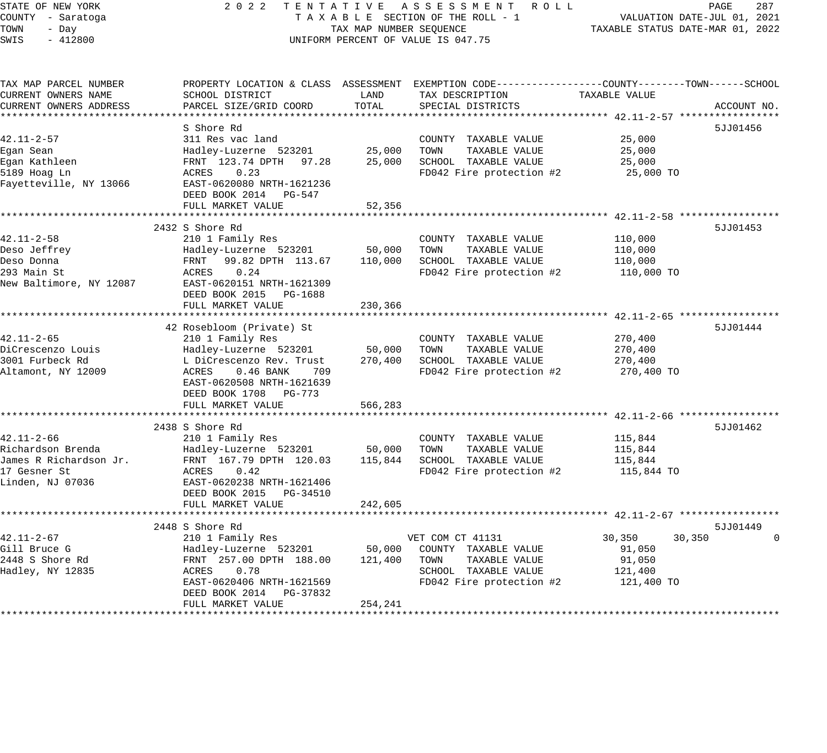STATE OF NEW YORK 2 0 2 2 T E N T A T I V E A S S E S S M E N T R O L L PAGE 287 COUNTY - Saratoga T A X A B L E SECTION OF THE ROLL - 1 VALUATION DATE-JUL 01, 2021 TOWN - Day TAX MAP NUMBER SEQUENCE TAXABLE STATUS DATE-MAR 01, 2022 SWIS - 412800 CONTROLLY THE UNIFORM PERCENT OF VALUE IS 047.75 TAX MAP PARCEL NUMBER PROPERTY LOCATION & CLASS ASSESSMENT EXEMPTION CODE------------------COUNTY--------TOWN------SCHOOL CURRENT OWNERS NAME SCHOOL DISTRICT LAND TAX DESCRIPTION TAXABLE VALUE CURRENT OWNERS ADDRESS PARCEL SIZE/GRID COORD TOTAL SPECIAL DISTRICTS ACCOUNT NO. \*\*\*\*\*\*\*\*\*\*\*\*\*\*\*\*\*\*\*\*\*\*\*\*\*\*\*\*\*\*\*\*\*\*\*\*\*\*\*\*\*\*\*\*\*\*\*\*\*\*\*\*\*\*\*\*\*\*\*\*\*\*\*\*\*\*\*\*\*\*\*\*\*\*\*\*\*\*\*\*\*\*\*\*\*\*\*\*\*\*\*\*\*\*\*\*\*\*\*\*\*\*\* 42.11-2-57 \*\*\*\*\*\*\*\*\*\*\*\*\*\*\*\*\* S Shore Rd 5JJ01456 42.11-2-57 311 Res vac land COUNTY TAXABLE VALUE 25,000 Egan Sean Hadley-Luzerne 523201 25,000 TOWN TAXABLE VALUE 25,000 Egan Kathleen FRNT 123.74 DPTH 97.28 25,000 SCHOOL TAXABLE VALUE 25,000 5189 Hoag Ln ACRES 0.23 FD042 Fire protection #2 25,000 TO Fayetteville, NY 13066 EAST-0620080 NRTH-1621236 DEED BOOK 2014 PG-547 FULL MARKET VALUE 52,356 \*\*\*\*\*\*\*\*\*\*\*\*\*\*\*\*\*\*\*\*\*\*\*\*\*\*\*\*\*\*\*\*\*\*\*\*\*\*\*\*\*\*\*\*\*\*\*\*\*\*\*\*\*\*\*\*\*\*\*\*\*\*\*\*\*\*\*\*\*\*\*\*\*\*\*\*\*\*\*\*\*\*\*\*\*\*\*\*\*\*\*\*\*\*\*\*\*\*\*\*\*\*\* 42.11-2-58 \*\*\*\*\*\*\*\*\*\*\*\*\*\*\*\*\* 2432 S Shore Rd 5JJ01453 42.11-2-58 210 1 Family Res COUNTY TAXABLE VALUE 110,000 Deso Jeffrey Hadley-Luzerne 523201 50,000 TOWN TAXABLE VALUE 110,000 Deso Donna FRNT 99.82 DPTH 113.67 110,000 SCHOOL TAXABLE VALUE 110,000 293 Main St ACRES 0.24 FD042 Fire protection #2 110,000 TO New Baltimore, NY 12087 EAST-0620151 NRTH-1621309 DEED BOOK 2015 PG-1688 FULL MARKET VALUE 230,366 \*\*\*\*\*\*\*\*\*\*\*\*\*\*\*\*\*\*\*\*\*\*\*\*\*\*\*\*\*\*\*\*\*\*\*\*\*\*\*\*\*\*\*\*\*\*\*\*\*\*\*\*\*\*\*\*\*\*\*\*\*\*\*\*\*\*\*\*\*\*\*\*\*\*\*\*\*\*\*\*\*\*\*\*\*\*\*\*\*\*\*\*\*\*\*\*\*\*\*\*\*\*\* 42.11-2-65 \*\*\*\*\*\*\*\*\*\*\*\*\*\*\*\*\* 42 Rosebloom (Private) St 5JJ01444 42.11-2-65 210 1 Family Res COUNTY TAXABLE VALUE 270,400 DiCrescenzo Louis Hadley-Luzerne 523201 50,000 TOWN TAXABLE VALUE 270,400 3001 Furbeck Rd L DiCrescenzo Rev. Trust 270,400 SCHOOL TAXABLE VALUE 270,400 Altamont, NY 12009 ACRES 0.46 BANK 709 FD042 Fire protection #2 270,400 TO EAST-0620508 NRTH-1621639 DEED BOOK 1708 PG-773 FULL MARKET VALUE 566,283 \*\*\*\*\*\*\*\*\*\*\*\*\*\*\*\*\*\*\*\*\*\*\*\*\*\*\*\*\*\*\*\*\*\*\*\*\*\*\*\*\*\*\*\*\*\*\*\*\*\*\*\*\*\*\*\*\*\*\*\*\*\*\*\*\*\*\*\*\*\*\*\*\*\*\*\*\*\*\*\*\*\*\*\*\*\*\*\*\*\*\*\*\*\*\*\*\*\*\*\*\*\*\* 42.11-2-66 \*\*\*\*\*\*\*\*\*\*\*\*\*\*\*\*\* 2438 S Shore Rd 5JJ01462 42.11-2-66 210 1 Family Res COUNTY TAXABLE VALUE 115,844 Richardson Brenda Hadley-Luzerne 523201 50,000 TOWN TAXABLE VALUE 115,844 James R Richardson Jr. FRNT 167.79 DPTH 120.03 115,844 SCHOOL TAXABLE VALUE 115,844 17 Gesner St ACRES 0.42 FD042 Fire protection #2 115,844 TO Linden, NJ 07036 EAST-0620238 NRTH-1621406 DEED BOOK 2015 PG-34510 FULL MARKET VALUE 242,605 \*\*\*\*\*\*\*\*\*\*\*\*\*\*\*\*\*\*\*\*\*\*\*\*\*\*\*\*\*\*\*\*\*\*\*\*\*\*\*\*\*\*\*\*\*\*\*\*\*\*\*\*\*\*\*\*\*\*\*\*\*\*\*\*\*\*\*\*\*\*\*\*\*\*\*\*\*\*\*\*\*\*\*\*\*\*\*\*\*\*\*\*\*\*\*\*\*\*\*\*\*\*\* 42.11-2-67 \*\*\*\*\*\*\*\*\*\*\*\*\*\*\*\*\* 2448 S Shore Rd 5JJ01449 42.11-2-67 210 1 Family Res VET COM CT 41131 30,350 30,350 0 Gill Bruce G Hadley-Luzerne 523201 50,000 COUNTY TAXABLE VALUE 91,050 2448 S Shore Rd FRNT 257.00 DPTH 188.00 121,400 TOWN TAXABLE VALUE 91,050 Hadley, NY 12835 ACRES 0.78 SCHOOL TAXABLE VALUE 121,400 EAST-0620406 NRTH-1621569 FD042 Fire protection #2 121,400 TO

\*\*\*\*\*\*\*\*\*\*\*\*\*\*\*\*\*\*\*\*\*\*\*\*\*\*\*\*\*\*\*\*\*\*\*\*\*\*\*\*\*\*\*\*\*\*\*\*\*\*\*\*\*\*\*\*\*\*\*\*\*\*\*\*\*\*\*\*\*\*\*\*\*\*\*\*\*\*\*\*\*\*\*\*\*\*\*\*\*\*\*\*\*\*\*\*\*\*\*\*\*\*\*\*\*\*\*\*\*\*\*\*\*\*\*\*\*\*\*\*\*\*\*\*\*\*\*\*\*\*\*\*

DEED BOOK 2014 PG-37832

FULL MARKET VALUE 254,241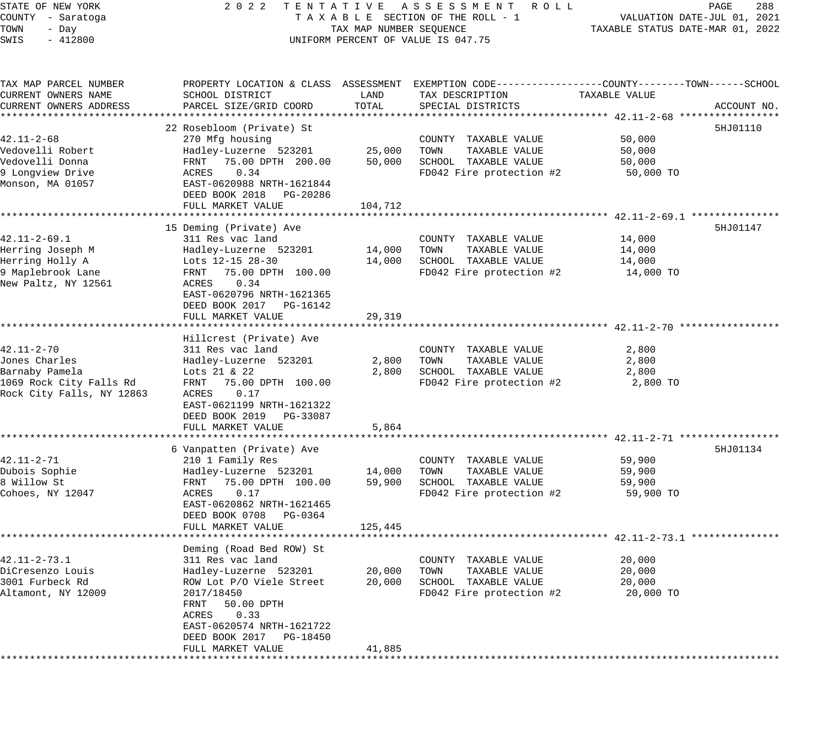STATE OF NEW YORK 2 0 2 2 T E N T A T I V E A S S E S S M E N T R O L L PAGE 288 COUNTY - Saratoga T A X A B L E SECTION OF THE ROLL - 1 VALUATION DATE-JUL 01, 2021 TOWN - Day TAX MAP NUMBER SEQUENCE TAXABLE STATUS DATE-MAR 01, 2022 SWIS - 412800 CONTROLLY THE UNIFORM PERCENT OF VALUE IS 047.75 TAX MAP PARCEL NUMBER PROPERTY LOCATION & CLASS ASSESSMENT EXEMPTION CODE------------------COUNTY--------TOWN------SCHOOL CURRENT OWNERS NAME SCHOOL DISTRICT LAND TAX DESCRIPTION TAXABLE VALUE CURRENT OWNERS ADDRESS PARCEL SIZE/GRID COORD TOTAL SPECIAL DISTRICTS ACCOUNT NO. \*\*\*\*\*\*\*\*\*\*\*\*\*\*\*\*\*\*\*\*\*\*\*\*\*\*\*\*\*\*\*\*\*\*\*\*\*\*\*\*\*\*\*\*\*\*\*\*\*\*\*\*\*\*\*\*\*\*\*\*\*\*\*\*\*\*\*\*\*\*\*\*\*\*\*\*\*\*\*\*\*\*\*\*\*\*\*\*\*\*\*\*\*\*\*\*\*\*\*\*\*\*\* 42.11-2-68 \*\*\*\*\*\*\*\*\*\*\*\*\*\*\*\*\* 22 Rosebloom (Private) St 5HJ01110 42.11-2-68 270 Mfg housing COUNTY TAXABLE VALUE 50,000 Vedovelli Robert Hadley-Luzerne 523201 25,000 TOWN TAXABLE VALUE 50,000 Vedovelli Donna FRNT 75.00 DPTH 200.00 50,000 SCHOOL TAXABLE VALUE 50,000 9 Longview Drive ACRES 0.34 FD042 Fire protection #2 50,000 TO Monson, MA 01057 EAST-0620988 NRTH-1621844 DEED BOOK 2018 PG-20286 FULL MARKET VALUE 104,712 \*\*\*\*\*\*\*\*\*\*\*\*\*\*\*\*\*\*\*\*\*\*\*\*\*\*\*\*\*\*\*\*\*\*\*\*\*\*\*\*\*\*\*\*\*\*\*\*\*\*\*\*\*\*\*\*\*\*\*\*\*\*\*\*\*\*\*\*\*\*\*\*\*\*\*\*\*\*\*\*\*\*\*\*\*\*\*\*\*\*\*\*\*\*\*\*\*\*\*\*\*\*\* 42.11-2-69.1 \*\*\*\*\*\*\*\*\*\*\*\*\*\*\* 15 Deming (Private) Ave 5HJ01147 42.11-2-69.1 311 Res vac land COUNTY TAXABLE VALUE 14,000 Herring Joseph M Hadley-Luzerne 523201 14,000 TOWN TAXABLE VALUE 14,000 Herring Holly A Lots 12-15 28-30 14,000 SCHOOL TAXABLE VALUE 14,000 9 Maplebrook Lane FRNT 75.00 DPTH 100.00 FD042 Fire protection #2 14,000 TO New Paltz, NY 12561 ACRES 0.34 EAST-0620796 NRTH-1621365 DEED BOOK 2017 PG-16142 FULL MARKET VALUE 29,319 \*\*\*\*\*\*\*\*\*\*\*\*\*\*\*\*\*\*\*\*\*\*\*\*\*\*\*\*\*\*\*\*\*\*\*\*\*\*\*\*\*\*\*\*\*\*\*\*\*\*\*\*\*\*\*\*\*\*\*\*\*\*\*\*\*\*\*\*\*\*\*\*\*\*\*\*\*\*\*\*\*\*\*\*\*\*\*\*\*\*\*\*\*\*\*\*\*\*\*\*\*\*\* 42.11-2-70 \*\*\*\*\*\*\*\*\*\*\*\*\*\*\*\*\* Hillcrest (Private) Ave 42.11-2-70 311 Res vac land COUNTY TAXABLE VALUE 2,800 Jones Charles Hadley-Luzerne 523201 2,800 TOWN TAXABLE VALUE 2,800 Barnaby Pamela Lots 21 & 22 2,800 SCHOOL TAXABLE VALUE 2,800 1069 Rock City Falls Rd FRNT 75.00 DPTH 100.00 FD042 Fire protection #2 2,800 TO Rock City Falls, NY 12863 ACRES 0.17 EAST-0621199 NRTH-1621322 DEED BOOK 2019 PG-33087 FULL MARKET VALUE 5,864 \*\*\*\*\*\*\*\*\*\*\*\*\*\*\*\*\*\*\*\*\*\*\*\*\*\*\*\*\*\*\*\*\*\*\*\*\*\*\*\*\*\*\*\*\*\*\*\*\*\*\*\*\*\*\*\*\*\*\*\*\*\*\*\*\*\*\*\*\*\*\*\*\*\*\*\*\*\*\*\*\*\*\*\*\*\*\*\*\*\*\*\*\*\*\*\*\*\*\*\*\*\*\* 42.11-2-71 \*\*\*\*\*\*\*\*\*\*\*\*\*\*\*\*\* 6 Vanpatten (Private) Ave 5HJ01134 42.11-2-71 210 1 Family Res COUNTY TAXABLE VALUE 59,900 Dubois Sophie Hadley-Luzerne 523201 14,000 TOWN TAXABLE VALUE 59,900 8 Willow St FRNT 75.00 DPTH 100.00 59,900 SCHOOL TAXABLE VALUE 59,900 Cohoes, NY 12047 ACRES 0.17 FD042 Fire protection #2 59,900 TO EAST-0620862 NRTH-1621465 DEED BOOK 0708 PG-0364 FULL MARKET VALUE 125, 445 \*\*\*\*\*\*\*\*\*\*\*\*\*\*\*\*\*\*\*\*\*\*\*\*\*\*\*\*\*\*\*\*\*\*\*\*\*\*\*\*\*\*\*\*\*\*\*\*\*\*\*\*\*\*\*\*\*\*\*\*\*\*\*\*\*\*\*\*\*\*\*\*\*\*\*\*\*\*\*\*\*\*\*\*\*\*\*\*\*\*\*\*\*\*\*\*\*\*\*\*\*\*\* 42.11-2-73.1 \*\*\*\*\*\*\*\*\*\*\*\*\*\*\* Deming (Road Bed ROW) St 42.11-2-73.1 311 Res vac land COUNTY TAXABLE VALUE 20,000 DiCresenzo Louis Hadley-Luzerne 523201 20,000 TOWN TAXABLE VALUE 20,000 3001 Furbeck Rd ROW Lot P/O Viele Street 20,000 SCHOOL TAXABLE VALUE 20,000 Altamont, NY 12009 2017/18450 FD042 Fire protection #2 20,000 TO FRNT 50.00 DPTH ACRES 0.33 EAST-0620574 NRTH-1621722 DEED BOOK 2017 PG-18450 FULL MARKET VALUE 41,885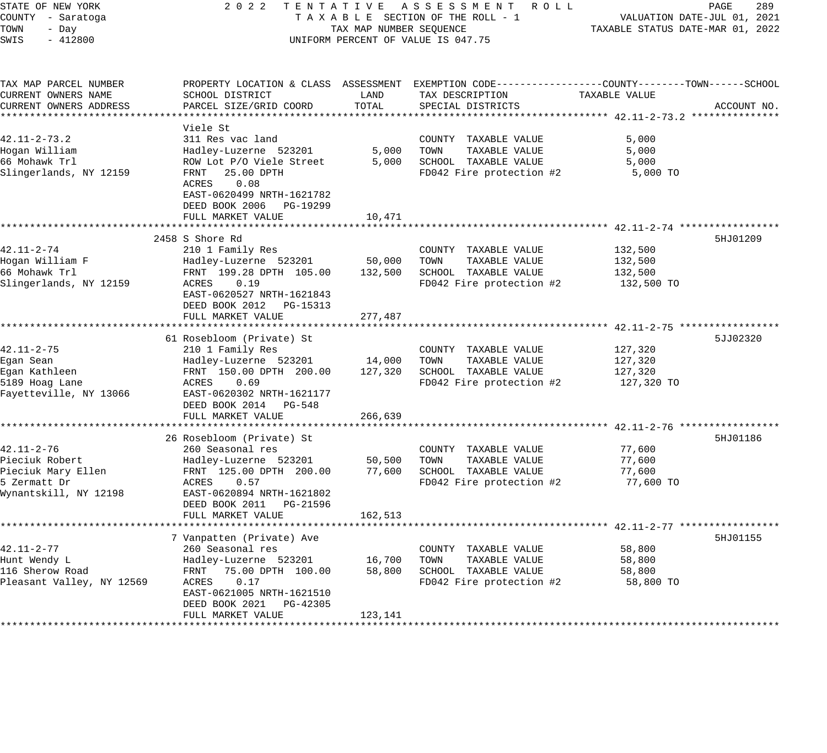| STATE OF NEW YORK<br>COUNTY - Saratoga<br>TOWN<br>- Day<br>SWIS<br>$-412800$ | 2022                                                                                        | TAX MAP NUMBER SEQUENCE                      | TENTATIVE ASSESSMENT ROLL<br>TAXABLE SECTION OF THE ROLL - 1<br>UNIFORM PERCENT OF VALUE IS 047.75                 |                  | PAGE<br>289<br>VALUATION DATE-JUL 01, 2021<br>TAXABLE STATUS DATE-MAR 01, 2022 |
|------------------------------------------------------------------------------|---------------------------------------------------------------------------------------------|----------------------------------------------|--------------------------------------------------------------------------------------------------------------------|------------------|--------------------------------------------------------------------------------|
| TAX MAP PARCEL NUMBER<br>CURRENT OWNERS NAME                                 | SCHOOL DISTRICT                                                                             | LAND                                         | PROPERTY LOCATION & CLASS ASSESSMENT EXEMPTION CODE----------------COUNTY-------TOWN-----SCHOOL<br>TAX DESCRIPTION | TAXABLE VALUE    |                                                                                |
| CURRENT OWNERS ADDRESS                                                       | PARCEL SIZE/GRID COORD                                                                      | TOTAL                                        | SPECIAL DISTRICTS                                                                                                  |                  | ACCOUNT NO.                                                                    |
|                                                                              | Viele St                                                                                    |                                              |                                                                                                                    |                  |                                                                                |
| $42.11 - 2 - 73.2$                                                           | 311 Res vac land                                                                            |                                              | COUNTY TAXABLE VALUE                                                                                               | 5,000            |                                                                                |
| Hogan William                                                                | Hadley-Luzerne 523201                                                                       | 5,000                                        | TOWN<br>TAXABLE VALUE                                                                                              | 5,000            |                                                                                |
| 66 Mohawk Trl                                                                | ROW Lot P/O Viele Street                                                                    | 5,000                                        | SCHOOL TAXABLE VALUE                                                                                               | 5,000            |                                                                                |
| Slingerlands, NY 12159                                                       | FRNT<br>25.00 DPTH<br>ACRES<br>0.08<br>EAST-0620499 NRTH-1621782<br>DEED BOOK 2006 PG-19299 |                                              | FD042 Fire protection #2                                                                                           | 5,000 TO         |                                                                                |
|                                                                              | FULL MARKET VALUE<br>*************************                                              | 10,471                                       |                                                                                                                    |                  |                                                                                |
|                                                                              | 2458 S Shore Rd                                                                             |                                              |                                                                                                                    |                  | 5HJ01209                                                                       |
| $42.11 - 2 - 74$                                                             | 210 1 Family Res                                                                            |                                              | COUNTY TAXABLE VALUE                                                                                               | 132,500          |                                                                                |
| Hogan William F                                                              | Hadley-Luzerne 523201                                                                       | 50,000                                       | TOWN<br>TAXABLE VALUE                                                                                              | 132,500          |                                                                                |
| 66 Mohawk Trl                                                                | FRNT 199.28 DPTH 105.00                                                                     | 132,500                                      | SCHOOL TAXABLE VALUE                                                                                               | 132,500          |                                                                                |
| Slingerlands, NY 12159                                                       | ACRES<br>0.19<br>EAST-0620527 NRTH-1621843<br>DEED BOOK 2012 PG-15313                       |                                              | FD042 Fire protection #2                                                                                           | 132,500 TO       |                                                                                |
|                                                                              | FULL MARKET VALUE                                                                           | 277,487                                      |                                                                                                                    |                  |                                                                                |
|                                                                              | 61 Rosebloom (Private) St                                                                   |                                              |                                                                                                                    |                  | 5JJ02320                                                                       |
| $42.11 - 2 - 75$                                                             | 210 1 Family Res                                                                            |                                              | COUNTY TAXABLE VALUE                                                                                               | 127,320          |                                                                                |
| Egan Sean                                                                    | Hadley-Luzerne 523201                                                                       | 14,000                                       | TAXABLE VALUE<br>TOWN                                                                                              | 127,320          |                                                                                |
| Egan Kathleen                                                                | FRNT 150.00 DPTH 200.00                                                                     | 127,320                                      | SCHOOL TAXABLE VALUE                                                                                               | 127,320          |                                                                                |
| 5189 Hoag Lane                                                               | ACRES<br>0.69                                                                               |                                              | FD042 Fire protection #2                                                                                           | 127,320 TO       |                                                                                |
| Fayetteville, NY 13066                                                       | EAST-0620302 NRTH-1621177                                                                   |                                              |                                                                                                                    |                  |                                                                                |
|                                                                              | DEED BOOK 2014 PG-548                                                                       |                                              |                                                                                                                    |                  |                                                                                |
|                                                                              | FULL MARKET VALUE                                                                           | 266,639                                      |                                                                                                                    |                  |                                                                                |
|                                                                              |                                                                                             |                                              |                                                                                                                    |                  |                                                                                |
|                                                                              | 26 Rosebloom (Private) St                                                                   |                                              |                                                                                                                    |                  | 5HJ01186                                                                       |
| $42.11 - 2 - 76$<br>Pieciuk Robert                                           | 260 Seasonal res                                                                            |                                              | COUNTY TAXABLE VALUE                                                                                               | 77,600           |                                                                                |
| Pieciuk Mary Ellen                                                           | Hadley-Luzerne 523201<br>FRNT 125.00 DPTH 200.00                                            | 50,500<br>77,600                             | TAXABLE VALUE<br>TOWN<br>SCHOOL TAXABLE VALUE                                                                      | 77,600<br>77,600 |                                                                                |
| 5 Zermatt Dr                                                                 | ACRES<br>0.57                                                                               |                                              | FD042 Fire protection #2                                                                                           | 77,600 TO        |                                                                                |
| Wynantskill, NY 12198                                                        | EAST-0620894 NRTH-1621802<br>DEED BOOK 2011 PG-21596                                        |                                              |                                                                                                                    |                  |                                                                                |
|                                                                              | FULL MARKET VALUE                                                                           | 162,513<br>* * * * * * * * * * * * * * * * * |                                                                                                                    |                  |                                                                                |
|                                                                              | 7 Vanpatten (Private) Ave                                                                   |                                              |                                                                                                                    |                  | 5HJ01155                                                                       |
| $42.11 - 2 - 77$                                                             | 260 Seasonal res                                                                            |                                              | COUNTY TAXABLE VALUE                                                                                               | 58,800           |                                                                                |
| Hunt Wendy L                                                                 | Hadley-Luzerne 523201                                                                       | 16,700                                       | TAXABLE VALUE<br>TOWN                                                                                              | 58,800           |                                                                                |
| 116 Sherow Road                                                              | FRNT<br>75.00 DPTH 100.00                                                                   | 58,800                                       | SCHOOL TAXABLE VALUE                                                                                               | 58,800           |                                                                                |
| Pleasant Valley, NY 12569                                                    | ACRES<br>0.17                                                                               |                                              | FD042 Fire protection #2                                                                                           | 58,800 TO        |                                                                                |
|                                                                              | EAST-0621005 NRTH-1621510                                                                   |                                              |                                                                                                                    |                  |                                                                                |
|                                                                              | DEED BOOK 2021<br>PG-42305                                                                  |                                              |                                                                                                                    |                  |                                                                                |
|                                                                              | FULL MARKET VALUE                                                                           | 123,141                                      |                                                                                                                    |                  |                                                                                |
|                                                                              |                                                                                             |                                              |                                                                                                                    |                  |                                                                                |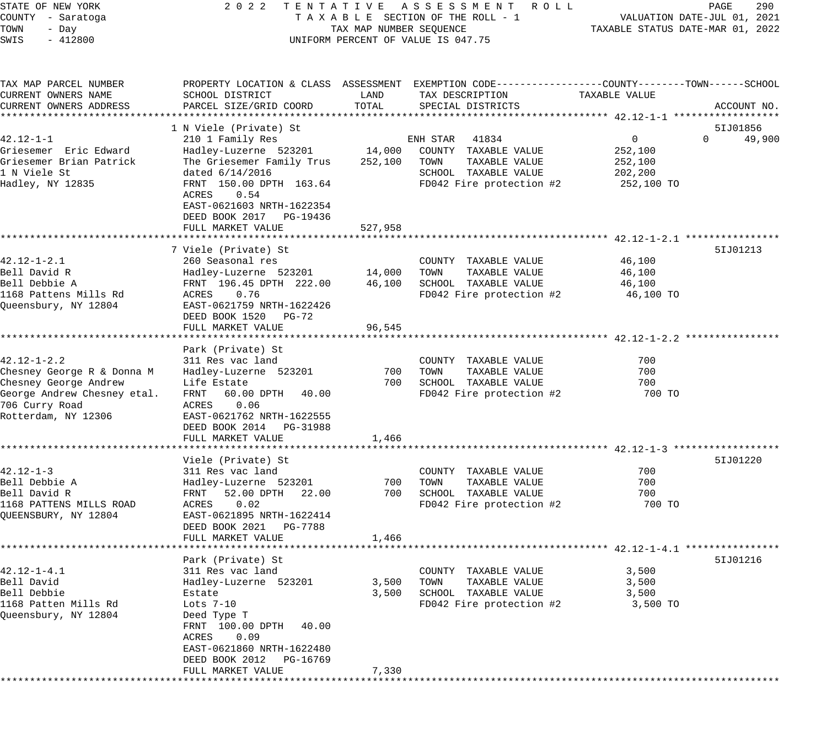| STATE OF NEW YORK                       | 2 0 2 2                                      |                         | TENTATIVE ASSESSMENT ROLL                                                                       |                                  | 290<br>PAGE                 |
|-----------------------------------------|----------------------------------------------|-------------------------|-------------------------------------------------------------------------------------------------|----------------------------------|-----------------------------|
| COUNTY - Saratoga                       |                                              |                         | TAXABLE SECTION OF THE ROLL - 1                                                                 |                                  | VALUATION DATE-JUL 01, 2021 |
| TOWN<br>- Day<br>$-412800$              |                                              | TAX MAP NUMBER SEQUENCE | UNIFORM PERCENT OF VALUE IS 047.75                                                              | TAXABLE STATUS DATE-MAR 01, 2022 |                             |
| SWIS                                    |                                              |                         |                                                                                                 |                                  |                             |
| TAX MAP PARCEL NUMBER                   |                                              |                         | PROPERTY LOCATION & CLASS ASSESSMENT EXEMPTION CODE---------------COUNTY-------TOWN------SCHOOL |                                  |                             |
| CURRENT OWNERS NAME                     | SCHOOL DISTRICT                              | LAND                    | TAX DESCRIPTION                                                                                 | TAXABLE VALUE                    |                             |
| CURRENT OWNERS ADDRESS                  | PARCEL SIZE/GRID COORD                       | TOTAL                   | SPECIAL DISTRICTS                                                                               |                                  | ACCOUNT NO.                 |
| *******************                     |                                              |                         |                                                                                                 |                                  |                             |
|                                         | 1 N Viele (Private) St                       |                         |                                                                                                 |                                  | 51J01856                    |
| $42.12 - 1 - 1$                         | 210 1 Family Res                             |                         | 41834<br>ENH STAR                                                                               | $\mathbf{0}$                     | $\Omega$<br>49,900          |
| Griesemer Eric Edward                   | Hadley-Luzerne 523201                        | 14,000                  | COUNTY TAXABLE VALUE                                                                            | 252,100                          |                             |
| Griesemer Brian Patrick<br>1 N Viele St | The Griesemer Family Trus<br>dated 6/14/2016 | 252,100                 | TAXABLE VALUE<br>TOWN<br>SCHOOL TAXABLE VALUE                                                   | 252,100                          |                             |
| Hadley, NY 12835                        | FRNT 150.00 DPTH 163.64                      |                         | FD042 Fire protection #2                                                                        | 202,200<br>252,100 TO            |                             |
|                                         | 0.54<br>ACRES<br>EAST-0621603 NRTH-1622354   |                         |                                                                                                 |                                  |                             |
|                                         | DEED BOOK 2017 PG-19436<br>FULL MARKET VALUE | 527,958                 |                                                                                                 |                                  |                             |
|                                         |                                              |                         |                                                                                                 |                                  |                             |
|                                         | 7 Viele (Private) St                         |                         |                                                                                                 |                                  | 51J01213                    |
| $42.12 - 1 - 2.1$                       | 260 Seasonal res                             |                         | COUNTY TAXABLE VALUE                                                                            | 46,100                           |                             |
| Bell David R                            | Hadley-Luzerne 523201                        | 14,000                  | TAXABLE VALUE<br>TOWN                                                                           | 46,100                           |                             |
| Bell Debbie A                           | FRNT 196.45 DPTH 222.00                      | 46,100                  | SCHOOL TAXABLE VALUE                                                                            | 46,100                           |                             |
| 1168 Pattens Mills Rd                   | 0.76<br>ACRES                                |                         | FD042 Fire protection #2                                                                        | 46,100 TO                        |                             |
| Oueensbury, NY 12804                    | EAST-0621759 NRTH-1622426                    |                         |                                                                                                 |                                  |                             |
|                                         | DEED BOOK 1520 PG-72                         |                         |                                                                                                 |                                  |                             |
|                                         | FULL MARKET VALUE                            | 96,545                  |                                                                                                 |                                  |                             |
|                                         | Park (Private) St                            |                         |                                                                                                 |                                  |                             |
| $42.12 - 1 - 2.2$                       | 311 Res vac land                             |                         | COUNTY TAXABLE VALUE                                                                            | 700                              |                             |
| Chesney George R & Donna M              | Hadley-Luzerne 523201                        | 700                     | TOWN<br>TAXABLE VALUE                                                                           | 700                              |                             |
| Chesney George Andrew                   | Life Estate                                  | 700                     | SCHOOL TAXABLE VALUE                                                                            | 700                              |                             |
| George Andrew Chesney etal.             | FRNT<br>60.00 DPTH<br>40.00                  |                         | FD042 Fire protection #2                                                                        | 700 TO                           |                             |
| 706 Curry Road                          | 0.06<br>ACRES                                |                         |                                                                                                 |                                  |                             |
| Rotterdam, NY 12306                     | EAST-0621762 NRTH-1622555                    |                         |                                                                                                 |                                  |                             |
|                                         | DEED BOOK 2014 PG-31988                      |                         |                                                                                                 |                                  |                             |
|                                         | FULL MARKET VALUE                            | 1,466                   |                                                                                                 |                                  |                             |
|                                         | Viele (Private) St                           |                         |                                                                                                 |                                  | 51J01220                    |
| $42.12 - 1 - 3$                         | 311 Res vac land                             |                         | COUNTY TAXABLE VALUE                                                                            | 700                              |                             |
| Bell Debbie A                           | Hadley-Luzerne 523201                        | 700                     | TOWN<br>TAXABLE VALUE                                                                           | 700                              |                             |
| Bell David R                            | 52.00 DPTH<br>22.00<br>FRNT                  | 700                     | SCHOOL TAXABLE VALUE                                                                            | 700                              |                             |
| 1168 PATTENS MILLS ROAD                 | 0.02<br>ACRES                                |                         | FD042 Fire protection #2                                                                        | 700 TO                           |                             |
| QUEENSBURY, NY 12804                    | EAST-0621895 NRTH-1622414                    |                         |                                                                                                 |                                  |                             |
|                                         | DEED BOOK 2021 PG-7788                       |                         |                                                                                                 |                                  |                             |
|                                         | FULL MARKET VALUE                            | 1,466                   |                                                                                                 |                                  |                             |
|                                         |                                              |                         |                                                                                                 |                                  |                             |
| $42.12 - 1 - 4.1$                       | Park (Private) St<br>311 Res vac land        |                         | COUNTY TAXABLE VALUE                                                                            | 3,500                            | 51J01216                    |
| Bell David                              | Hadley-Luzerne 523201                        | 3,500                   | TOWN<br>TAXABLE VALUE                                                                           | 3,500                            |                             |
| Bell Debbie                             | Estate                                       | 3,500                   | SCHOOL TAXABLE VALUE                                                                            | 3,500                            |                             |
| 1168 Patten Mills Rd                    | Lots $7-10$                                  |                         | FD042 Fire protection #2                                                                        | 3,500 TO                         |                             |
| Oueensbury, NY 12804                    | Deed Type T                                  |                         |                                                                                                 |                                  |                             |
|                                         | 40.00<br>FRNT 100.00 DPTH                    |                         |                                                                                                 |                                  |                             |
|                                         | ACRES<br>0.09                                |                         |                                                                                                 |                                  |                             |
|                                         | EAST-0621860 NRTH-1622480                    |                         |                                                                                                 |                                  |                             |
|                                         | DEED BOOK 2012<br>PG-16769                   |                         |                                                                                                 |                                  |                             |
|                                         | FULL MARKET VALUE                            | 7,330                   |                                                                                                 |                                  | *******************         |
|                                         |                                              |                         |                                                                                                 |                                  |                             |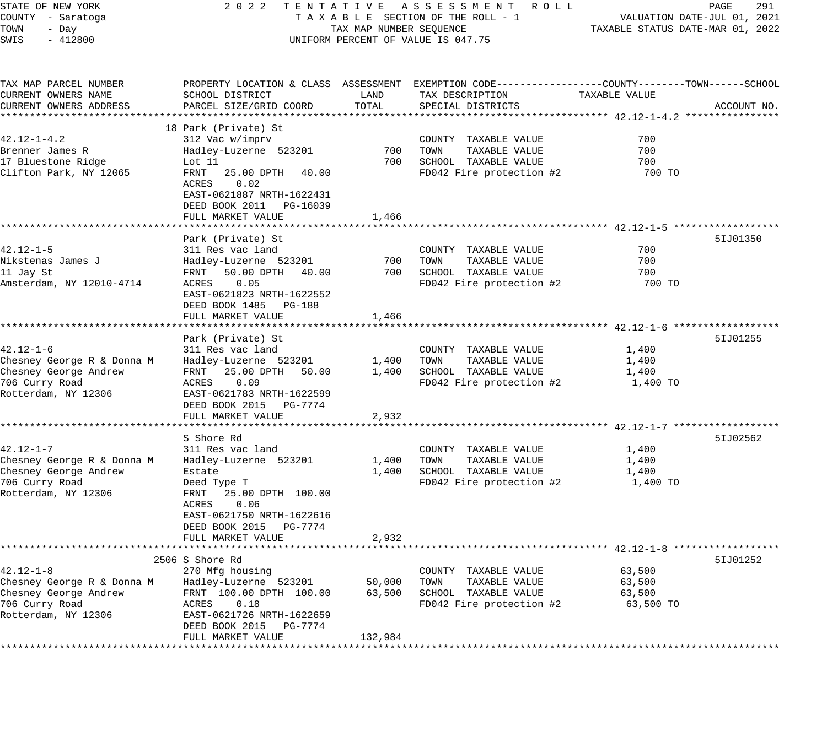| STATE OF NEW YORK          | 2 0 2 2                                             |                         | TENTATIVE ASSESSMENT ROLL                                                                      |                                  | PAGE<br>291                 |
|----------------------------|-----------------------------------------------------|-------------------------|------------------------------------------------------------------------------------------------|----------------------------------|-----------------------------|
| COUNTY - Saratoga          |                                                     |                         | TAXABLE SECTION OF THE ROLL - 1                                                                |                                  | VALUATION DATE-JUL 01, 2021 |
| TOWN<br>- Day              |                                                     | TAX MAP NUMBER SEQUENCE |                                                                                                | TAXABLE STATUS DATE-MAR 01, 2022 |                             |
| SWIS<br>$-412800$          |                                                     |                         | UNIFORM PERCENT OF VALUE IS 047.75                                                             |                                  |                             |
|                            |                                                     |                         |                                                                                                |                                  |                             |
| TAX MAP PARCEL NUMBER      |                                                     |                         | PROPERTY LOCATION & CLASS ASSESSMENT EXEMPTION CODE---------------COUNTY-------TOWN-----SCHOOL |                                  |                             |
| CURRENT OWNERS NAME        | SCHOOL DISTRICT                                     | LAND                    | TAX DESCRIPTION                                                                                | TAXABLE VALUE                    |                             |
| CURRENT OWNERS ADDRESS     | PARCEL SIZE/GRID COORD                              | TOTAL                   | SPECIAL DISTRICTS                                                                              |                                  | ACCOUNT NO.                 |
|                            | 18 Park (Private) St                                |                         |                                                                                                |                                  |                             |
| $42.12 - 1 - 4.2$          | 312 Vac w/imprv                                     |                         | COUNTY TAXABLE VALUE                                                                           | 700                              |                             |
| Brenner James R            | Hadley-Luzerne 523201                               | 700                     | TOWN<br>TAXABLE VALUE                                                                          | 700                              |                             |
| 17 Bluestone Ridge         | Lot 11                                              | 700                     | SCHOOL TAXABLE VALUE                                                                           | 700                              |                             |
| Clifton Park, NY 12065     | FRNT<br>25.00 DPTH<br>40.00                         |                         | FD042 Fire protection #2                                                                       | 700 TO                           |                             |
|                            | ACRES<br>0.02                                       |                         |                                                                                                |                                  |                             |
|                            | EAST-0621887 NRTH-1622431                           |                         |                                                                                                |                                  |                             |
|                            | DEED BOOK 2011 PG-16039                             |                         |                                                                                                |                                  |                             |
|                            | FULL MARKET VALUE                                   | 1,466                   |                                                                                                |                                  |                             |
|                            |                                                     |                         |                                                                                                |                                  |                             |
|                            | Park (Private) St                                   |                         |                                                                                                |                                  | 51J01350                    |
| $42.12 - 1 - 5$            | 311 Res vac land                                    |                         | COUNTY TAXABLE VALUE                                                                           | 700                              |                             |
| Nikstenas James J          | Hadley-Luzerne 523201                               | 700                     | TAXABLE VALUE<br>TOWN                                                                          | 700                              |                             |
| 11 Jay St                  | 50.00 DPTH<br>40.00<br>FRNT                         | 700                     | SCHOOL TAXABLE VALUE                                                                           | 700                              |                             |
| Amsterdam, NY 12010-4714   | 0.05<br>ACRES                                       |                         | FD042 Fire protection #2                                                                       | 700 TO                           |                             |
|                            | EAST-0621823 NRTH-1622552                           |                         |                                                                                                |                                  |                             |
|                            | DEED BOOK 1485 PG-188                               |                         |                                                                                                |                                  |                             |
|                            | FULL MARKET VALUE                                   | 1,466                   |                                                                                                |                                  |                             |
|                            | Park (Private) St                                   |                         |                                                                                                |                                  | 51J01255                    |
| $42.12 - 1 - 6$            | 311 Res vac land                                    |                         | COUNTY TAXABLE VALUE                                                                           | 1,400                            |                             |
| Chesney George R & Donna M | Hadley-Luzerne 523201                               | 1,400                   | TAXABLE VALUE<br>TOWN                                                                          | 1,400                            |                             |
| Chesney George Andrew      | 25.00 DPTH 50.00<br>FRNT                            | 1,400                   | SCHOOL TAXABLE VALUE                                                                           | 1,400                            |                             |
| 706 Curry Road             | 0.09<br>ACRES                                       |                         | FD042 Fire protection #2                                                                       | 1,400 TO                         |                             |
| Rotterdam, NY 12306        | EAST-0621783 NRTH-1622599                           |                         |                                                                                                |                                  |                             |
|                            | DEED BOOK 2015 PG-7774                              |                         |                                                                                                |                                  |                             |
|                            | FULL MARKET VALUE                                   | 2,932                   |                                                                                                |                                  |                             |
|                            |                                                     |                         |                                                                                                |                                  |                             |
|                            | S Shore Rd                                          |                         |                                                                                                |                                  | 51J02562                    |
| $42.12 - 1 - 7$            | 311 Res vac land                                    |                         | COUNTY TAXABLE VALUE                                                                           | 1,400                            |                             |
| Chesney George R & Donna M | Hadley-Luzerne 523201                               | 1,400                   | TAXABLE VALUE<br>TOWN                                                                          | 1,400                            |                             |
| Chesney George Andrew      | Estate                                              | 1,400                   | SCHOOL TAXABLE VALUE                                                                           | 1,400                            |                             |
| 706 Curry Road             | Deed Type T                                         |                         | FD042 Fire protection #2                                                                       | 1,400 TO                         |                             |
| Rotterdam, NY 12306        | 25.00 DPTH 100.00<br>FRNT                           |                         |                                                                                                |                                  |                             |
|                            | 0.06<br>ACRES                                       |                         |                                                                                                |                                  |                             |
|                            | EAST-0621750 NRTH-1622616<br>DEED BOOK 2015 PG-7774 |                         |                                                                                                |                                  |                             |
|                            | FULL MARKET VALUE                                   | 2,932                   |                                                                                                |                                  |                             |
|                            |                                                     |                         |                                                                                                |                                  |                             |
|                            | 2506 S Shore Rd                                     |                         |                                                                                                |                                  | 51J01252                    |
| $42.12 - 1 - 8$            | 270 Mfg housing                                     |                         | COUNTY TAXABLE VALUE                                                                           | 63,500                           |                             |
| Chesney George R & Donna M | Hadley-Luzerne 523201                               | 50,000                  | TOWN<br>TAXABLE VALUE                                                                          | 63,500                           |                             |
| Chesney George Andrew      | FRNT 100.00 DPTH 100.00                             | 63,500                  | SCHOOL TAXABLE VALUE                                                                           | 63,500                           |                             |
| 706 Curry Road             | 0.18<br>ACRES                                       |                         | FD042 Fire protection #2                                                                       | 63,500 TO                        |                             |
| Rotterdam, NY 12306        | EAST-0621726 NRTH-1622659                           |                         |                                                                                                |                                  |                             |
|                            | DEED BOOK 2015<br>PG-7774                           |                         |                                                                                                |                                  |                             |
|                            | FULL MARKET VALUE                                   | 132,984                 |                                                                                                |                                  |                             |
|                            |                                                     |                         |                                                                                                |                                  |                             |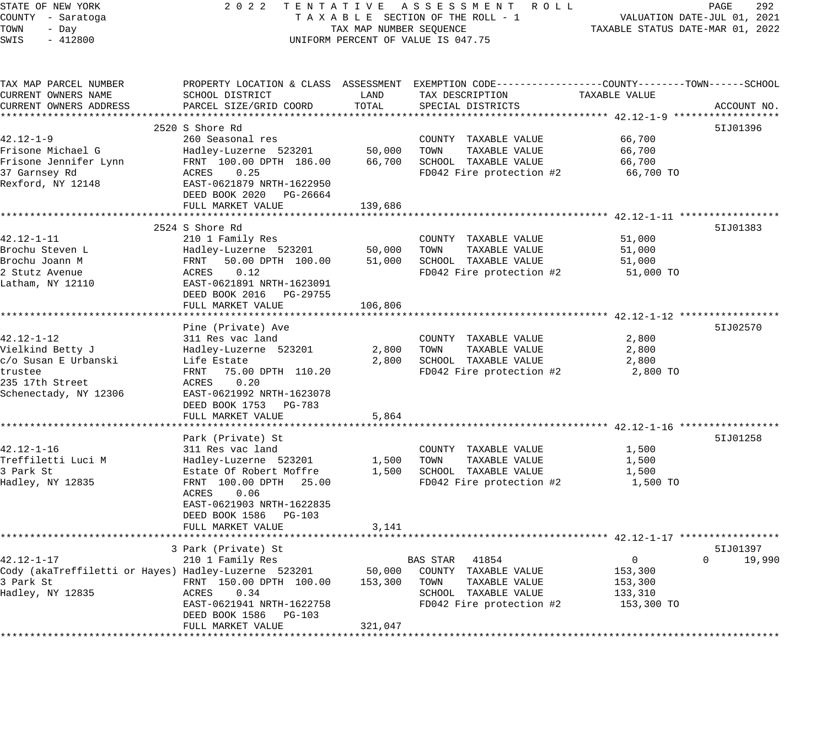| STATE OF NEW YORK                                    | 2 0 2 2<br>TENTATIVE                         |                         | A S S E S S M E N T<br>R O L L                               |                                                        | PAGE<br>292                 |
|------------------------------------------------------|----------------------------------------------|-------------------------|--------------------------------------------------------------|--------------------------------------------------------|-----------------------------|
| COUNTY - Saratoga                                    |                                              |                         | TAXABLE SECTION OF THE ROLL - 1                              |                                                        | VALUATION DATE-JUL 01, 2021 |
| TOWN<br>- Day                                        |                                              | TAX MAP NUMBER SEQUENCE |                                                              | TAXABLE STATUS DATE-MAR 01, 2022                       |                             |
| SWIS<br>$-412800$                                    |                                              |                         | UNIFORM PERCENT OF VALUE IS 047.75                           |                                                        |                             |
|                                                      |                                              |                         |                                                              |                                                        |                             |
| TAX MAP PARCEL NUMBER                                | PROPERTY LOCATION & CLASS ASSESSMENT         |                         | EXEMPTION CODE-----------------COUNTY-------TOWN------SCHOOL |                                                        |                             |
| CURRENT OWNERS NAME                                  | SCHOOL DISTRICT                              | LAND                    | TAX DESCRIPTION                                              | TAXABLE VALUE                                          |                             |
| CURRENT OWNERS ADDRESS                               | PARCEL SIZE/GRID COORD                       | TOTAL                   | SPECIAL DISTRICTS                                            |                                                        | ACCOUNT NO.                 |
|                                                      |                                              |                         |                                                              |                                                        |                             |
|                                                      | 2520 S Shore Rd                              |                         |                                                              |                                                        | 51J01396                    |
| $42.12 - 1 - 9$                                      | 260 Seasonal res                             |                         | COUNTY TAXABLE VALUE                                         | 66,700                                                 |                             |
| Frisone Michael G                                    | Hadley-Luzerne 523201                        | 50,000                  | TOWN<br>TAXABLE VALUE                                        | 66,700                                                 |                             |
| Frisone Jennifer Lynn                                | FRNT 100.00 DPTH 186.00                      | 66,700                  | SCHOOL TAXABLE VALUE                                         | 66,700                                                 |                             |
| 37 Garnsey Rd                                        | 0.25<br>ACRES                                |                         | FD042 Fire protection #2                                     | 66,700 TO                                              |                             |
| Rexford, NY 12148                                    | EAST-0621879 NRTH-1622950                    |                         |                                                              |                                                        |                             |
|                                                      | DEED BOOK 2020<br>PG-26664                   |                         |                                                              |                                                        |                             |
|                                                      | FULL MARKET VALUE<br>*********************** | 139,686                 |                                                              |                                                        |                             |
|                                                      |                                              |                         |                                                              | ************************ 42.12-1-11 ****************** |                             |
|                                                      | 2524 S Shore Rd                              |                         |                                                              |                                                        | 51J01383                    |
| 42.12-1-11                                           | 210 1 Family Res                             |                         | COUNTY TAXABLE VALUE                                         | 51,000                                                 |                             |
| Brochu Steven L<br>Brochu Joann M                    | Hadley-Luzerne 523201<br>FRNT                | 50,000                  | TOWN<br>TAXABLE VALUE                                        | 51,000                                                 |                             |
| 2 Stutz Avenue                                       | 50.00 DPTH 100.00<br>ACRES<br>0.12           | 51,000                  | SCHOOL TAXABLE VALUE<br>FD042 Fire protection #2             | 51,000                                                 |                             |
| Latham, NY 12110                                     | EAST-0621891 NRTH-1623091                    |                         |                                                              | 51,000 TO                                              |                             |
|                                                      | DEED BOOK 2016<br>PG-29755                   |                         |                                                              |                                                        |                             |
|                                                      | FULL MARKET VALUE                            | 106,806                 |                                                              |                                                        |                             |
|                                                      |                                              |                         |                                                              | ********* 42.12-1-12 ********                          |                             |
|                                                      | Pine (Private) Ave                           |                         |                                                              |                                                        | 51J02570                    |
| $42.12 - 1 - 12$                                     | 311 Res vac land                             |                         | COUNTY TAXABLE VALUE                                         | 2,800                                                  |                             |
| Vielkind Betty J                                     | Hadley-Luzerne 523201                        | 2,800                   | TOWN<br>TAXABLE VALUE                                        | 2,800                                                  |                             |
| c/o Susan E Urbanski                                 | Life Estate                                  | 2,800                   | SCHOOL TAXABLE VALUE                                         | 2,800                                                  |                             |
| trustee                                              | FRNT<br>75.00 DPTH 110.20                    |                         | FD042 Fire protection #2                                     | 2,800 TO                                               |                             |
| 235 17th Street                                      | ACRES<br>0.20                                |                         |                                                              |                                                        |                             |
| Schenectady, NY 12306                                | EAST-0621992 NRTH-1623078                    |                         |                                                              |                                                        |                             |
|                                                      | DEED BOOK 1753<br>PG-783                     |                         |                                                              |                                                        |                             |
|                                                      | FULL MARKET VALUE                            | 5,864                   |                                                              |                                                        |                             |
|                                                      |                                              |                         |                                                              | ************** 42.12-1-16 *******                      |                             |
|                                                      | Park (Private) St                            |                         |                                                              |                                                        | 51J01258                    |
| $42.12 - 1 - 16$                                     | 311 Res vac land                             |                         | COUNTY TAXABLE VALUE                                         | 1,500                                                  |                             |
| Treffiletti Luci M                                   | Hadley-Luzerne 523201                        | 1,500                   | TOWN<br>TAXABLE VALUE                                        | 1,500                                                  |                             |
| 3 Park St                                            | Estate Of Robert Moffre                      | 1,500                   | SCHOOL TAXABLE VALUE                                         | 1,500                                                  |                             |
| Hadley, NY 12835                                     | FRNT 100.00 DPTH<br>25.00                    |                         | FD042 Fire protection #2                                     | 1,500 TO                                               |                             |
|                                                      | 0.06<br>ACRES                                |                         |                                                              |                                                        |                             |
|                                                      | EAST-0621903 NRTH-1622835                    |                         |                                                              |                                                        |                             |
|                                                      | DEED BOOK 1586<br>PG-103                     |                         |                                                              |                                                        |                             |
|                                                      | FULL MARKET VALUE                            | 3,141                   |                                                              |                                                        |                             |
|                                                      | ************************                     |                         |                                                              |                                                        |                             |
|                                                      | 3 Park (Private) St                          |                         |                                                              |                                                        | 51J01397                    |
| $42.12 - 1 - 17$                                     | 210 1 Family Res                             |                         | <b>BAS STAR</b><br>41854                                     | $\mathbf{0}$                                           | $\Omega$<br>19,990          |
| Cody (akaTreffiletti or Hayes) Hadley-Luzerne 523201 |                                              | 50,000                  | COUNTY TAXABLE VALUE                                         | 153,300                                                |                             |
| 3 Park St                                            | FRNT 150.00 DPTH 100.00                      | 153,300                 | TOWN<br>TAXABLE VALUE                                        | 153,300                                                |                             |
| Hadley, NY 12835                                     | ACRES<br>0.34                                |                         | SCHOOL TAXABLE VALUE                                         | 133,310                                                |                             |
|                                                      | EAST-0621941 NRTH-1622758                    |                         | FD042 Fire protection #2                                     | 153,300 TO                                             |                             |
|                                                      | DEED BOOK 1586<br>PG-103                     |                         |                                                              |                                                        |                             |
|                                                      | FULL MARKET VALUE                            | 321,047                 |                                                              |                                                        |                             |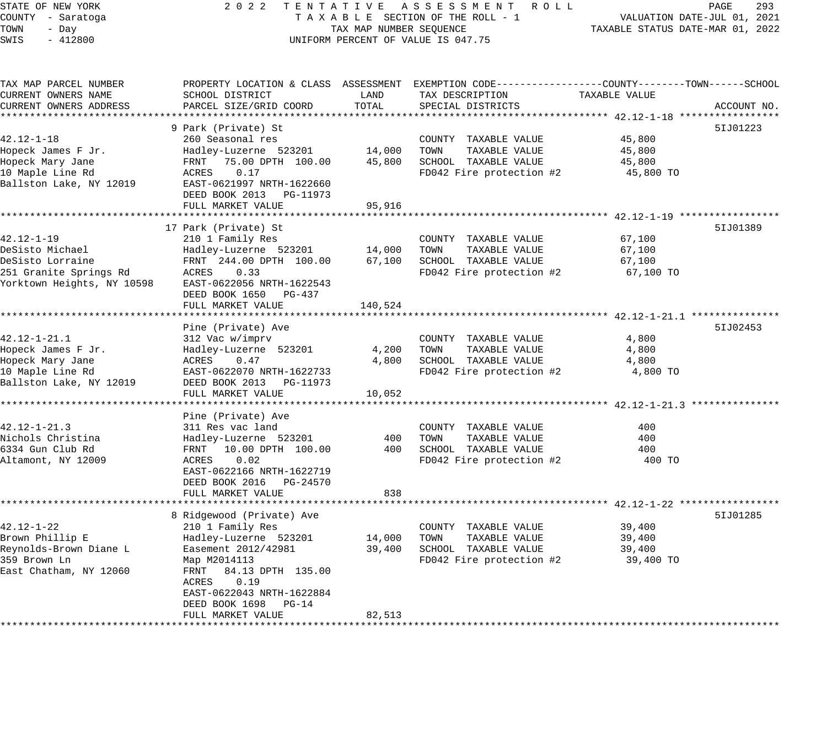#### STATE OF NEW YORK 2 0 2 2 T E N T A T I V E A S S E S S M E N T R O L L PAGE 293 COUNTY - Saratoga T A X A B L E SECTION OF THE ROLL - 1 VALUATION DATE-JUL 01, 2021 TOWN - Day TAX MAP NUMBER SEQUENCE TAXABLE STATUS DATE-MAR 01, 2022 SWIS - 412800 UNIFORM PERCENT OF VALUE IS 047.75

TAX MAP PARCEL NUMBER PROPERTY LOCATION & CLASS ASSESSMENT EXEMPTION CODE------------------COUNTY--------TOWN------SCHOOL CURRENT OWNERS NAME SCHOOL DISTRICT LAND TAX DESCRIPTION TAXABLE VALUE CURRENT OWNERS ADDRESS PARCEL SIZE/GRID COORD TOTAL SPECIAL DISTRICTS ACCOUNT NO. \*\*\*\*\*\*\*\*\*\*\*\*\*\*\*\*\*\*\*\*\*\*\*\*\*\*\*\*\*\*\*\*\*\*\*\*\*\*\*\*\*\*\*\*\*\*\*\*\*\*\*\*\*\*\*\*\*\*\*\*\*\*\*\*\*\*\*\*\*\*\*\*\*\*\*\*\*\*\*\*\*\*\*\*\*\*\*\*\*\*\*\*\*\*\*\*\*\*\*\*\*\*\* 42.12-1-18 \*\*\*\*\*\*\*\*\*\*\*\*\*\*\*\*\* 9 Park (Private) St 5IJ01223 42.12-1-18 260 Seasonal res COUNTY TAXABLE VALUE 45,800 Hopeck James F Jr. Hadley-Luzerne 523201 14,000 TOWN TAXABLE VALUE 45,800 Hopeck Mary Jane FRNT 75.00 DPTH 100.00 45,800 SCHOOL TAXABLE VALUE 45,800 10 Maple Line Rd ACRES 0.17 FD042 Fire protection #2 45,800 TO Ballston Lake, NY 12019 EAST-0621997 NRTH-1622660 DEED BOOK 2013 PG-11973 FULL MARKET VALUE 95,916 \*\*\*\*\*\*\*\*\*\*\*\*\*\*\*\*\*\*\*\*\*\*\*\*\*\*\*\*\*\*\*\*\*\*\*\*\*\*\*\*\*\*\*\*\*\*\*\*\*\*\*\*\*\*\*\*\*\*\*\*\*\*\*\*\*\*\*\*\*\*\*\*\*\*\*\*\*\*\*\*\*\*\*\*\*\*\*\*\*\*\*\*\*\*\*\*\*\*\*\*\*\*\* 42.12-1-19 \*\*\*\*\*\*\*\*\*\*\*\*\*\*\*\*\* 17 Park (Private) St 5IJ01389 42.12-1-19 210 1 Family Res COUNTY TAXABLE VALUE 67,100 DeSisto Michael Hadley-Luzerne 523201 14,000 TOWN TAXABLE VALUE 67,100 DeSisto Lorraine FRNT 244.00 DPTH 100.00 67,100 SCHOOL TAXABLE VALUE 67,100 251 Granite Springs Rd ACRES 0.33 FD042 Fire protection #2 67,100 TO Yorktown Heights, NY 10598 EAST-0622056 NRTH-1622543 DEED BOOK 1650 PG-437 FULL MARKET VALUE 157 140,524 \*\*\*\*\*\*\*\*\*\*\*\*\*\*\*\*\*\*\*\*\*\*\*\*\*\*\*\*\*\*\*\*\*\*\*\*\*\*\*\*\*\*\*\*\*\*\*\*\*\*\*\*\*\*\*\*\*\*\*\*\*\*\*\*\*\*\*\*\*\*\*\*\*\*\*\*\*\*\*\*\*\*\*\*\*\*\*\*\*\*\*\*\*\*\*\*\*\*\*\*\*\*\* 42.12-1-21.1 \*\*\*\*\*\*\*\*\*\*\*\*\*\*\* Pine (Private) Ave 5IJ02453 42.12-1-21.1 312 Vac w/imprv COUNTY TAXABLE VALUE 4,800 Hopeck James F Jr. Hadley-Luzerne 523201 4,200 TOWN TAXABLE VALUE 4,800 Hopeck Mary Jane ACRES 0.47 4,800 SCHOOL TAXABLE VALUE 4,800 10 Maple Line Rd EAST-0622070 NRTH-1622733 FD042 Fire protection #2 4,800 TO Ballston Lake, NY 12019 DEED BOOK 2013 PG-11973 FULL MARKET VALUE 10,052 \*\*\*\*\*\*\*\*\*\*\*\*\*\*\*\*\*\*\*\*\*\*\*\*\*\*\*\*\*\*\*\*\*\*\*\*\*\*\*\*\*\*\*\*\*\*\*\*\*\*\*\*\*\*\*\*\*\*\*\*\*\*\*\*\*\*\*\*\*\*\*\*\*\*\*\*\*\*\*\*\*\*\*\*\*\*\*\*\*\*\*\*\*\*\*\*\*\*\*\*\*\*\* 42.12-1-21.3 \*\*\*\*\*\*\*\*\*\*\*\*\*\*\* Pine (Private) Ave 42.12-1-21.3 311 Res vac land COUNTY TAXABLE VALUE 400 Nichols Christina Hadley-Luzerne 523201 400 TOWN TAXABLE VALUE 400 6334 Gun Club Rd FRNT 10.00 DPTH 100.00 400 SCHOOL TAXABLE VALUE 400 Altamont, NY 12009 ACRES 0.02 FD042 Fire protection #2 400 TO EAST-0622166 NRTH-1622719 DEED BOOK 2016 PG-24570 FULL MARKET VALUE 638 \*\*\*\*\*\*\*\*\*\*\*\*\*\*\*\*\*\*\*\*\*\*\*\*\*\*\*\*\*\*\*\*\*\*\*\*\*\*\*\*\*\*\*\*\*\*\*\*\*\*\*\*\*\*\*\*\*\*\*\*\*\*\*\*\*\*\*\*\*\*\*\*\*\*\*\*\*\*\*\*\*\*\*\*\*\*\*\*\*\*\*\*\*\*\*\*\*\*\*\*\*\*\* 42.12-1-22 \*\*\*\*\*\*\*\*\*\*\*\*\*\*\*\*\* 8 Ridgewood (Private) Ave 5IJ01285 (1999) 8 (1999) 8 ST (1999) 8 ST (1999) 8 ST (1999) 8 ST (1999) 8 ST (1999) 42.12-1-22 210 1 Family Res COUNTY TAXABLE VALUE 39,400 Brown Phillip E Hadley-Luzerne 523201 14,000 TOWN TAXABLE VALUE 39,400 Reynolds-Brown Diane L Easement 2012/42981 39,400 SCHOOL TAXABLE VALUE 39,400 359 Brown Ln Map M2014113 FD042 Fire protection #2 39,400 TO East Chatham, NY 12060 FRNT 84.13 DPTH 135.00 ACRES 0.19 EAST-0622043 NRTH-1622884 DEED BOOK 1698 PG-14 FULL MARKET VALUE 82,513 \*\*\*\*\*\*\*\*\*\*\*\*\*\*\*\*\*\*\*\*\*\*\*\*\*\*\*\*\*\*\*\*\*\*\*\*\*\*\*\*\*\*\*\*\*\*\*\*\*\*\*\*\*\*\*\*\*\*\*\*\*\*\*\*\*\*\*\*\*\*\*\*\*\*\*\*\*\*\*\*\*\*\*\*\*\*\*\*\*\*\*\*\*\*\*\*\*\*\*\*\*\*\*\*\*\*\*\*\*\*\*\*\*\*\*\*\*\*\*\*\*\*\*\*\*\*\*\*\*\*\*\*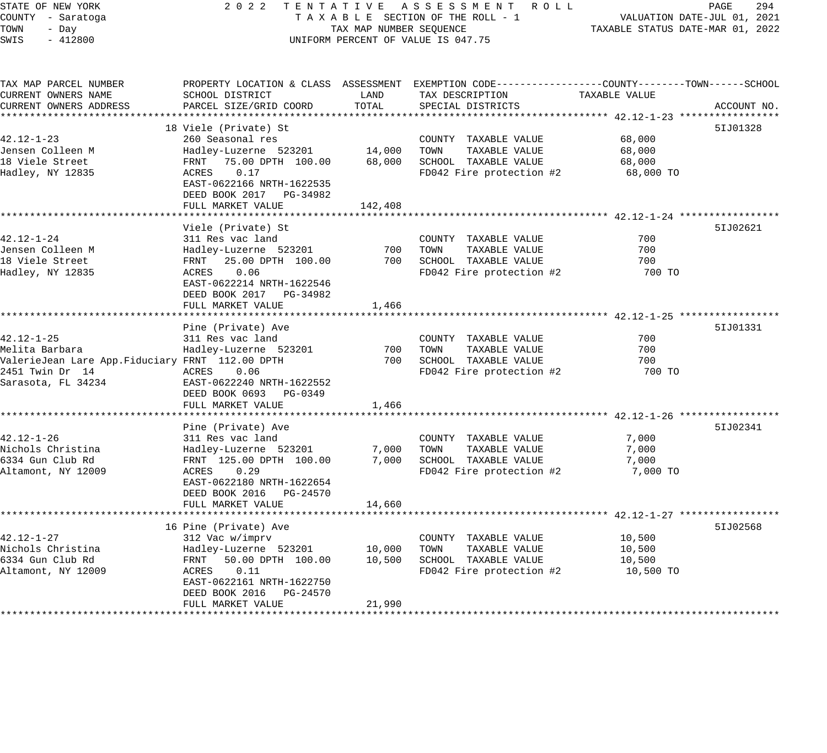STATE OF NEW YORK 2 0 2 2 T E N T A T I V E A S S E S S M E N T R O L L PAGE 294 COUNTY - Saratoga T A X A B L E SECTION OF THE ROLL - 1 VALUATION DATE-JUL 01, 2021 TOWN - Day TAX MAP NUMBER SEQUENCE TAXABLE STATUS DATE-MAR 01, 2022 SWIS - 412800 CONTROLLY THE UNIFORM PERCENT OF VALUE IS 047.75 TAX MAP PARCEL NUMBER PROPERTY LOCATION & CLASS ASSESSMENT EXEMPTION CODE------------------COUNTY--------TOWN------SCHOOL CURRENT OWNERS NAME SCHOOL DISTRICT LAND TAX DESCRIPTION TAXABLE VALUE CURRENT OWNERS ADDRESS PARCEL SIZE/GRID COORD TOTAL SPECIAL DISTRICTS ACCOUNT NO. \*\*\*\*\*\*\*\*\*\*\*\*\*\*\*\*\*\*\*\*\*\*\*\*\*\*\*\*\*\*\*\*\*\*\*\*\*\*\*\*\*\*\*\*\*\*\*\*\*\*\*\*\*\*\*\*\*\*\*\*\*\*\*\*\*\*\*\*\*\*\*\*\*\*\*\*\*\*\*\*\*\*\*\*\*\*\*\*\*\*\*\*\*\*\*\*\*\*\*\*\*\*\* 42.12-1-23 \*\*\*\*\*\*\*\*\*\*\*\*\*\*\*\*\* 18 Viele (Private) St 5IJ01328 42.12-1-23 260 Seasonal res COUNTY TAXABLE VALUE 68,000 Jensen Colleen M Hadley-Luzerne 523201 14,000 TOWN TAXABLE VALUE 68,000 18 Viele Street FRNT 75.00 DPTH 100.00 68,000 SCHOOL TAXABLE VALUE 68,000 Hadley, NY 12835 ACRES 0.17 FD042 Fire protection #2 68,000 TO EAST-0622166 NRTH-1622535 DEED BOOK 2017 PG-34982 FULL MARKET VALUE 142,408 \*\*\*\*\*\*\*\*\*\*\*\*\*\*\*\*\*\*\*\*\*\*\*\*\*\*\*\*\*\*\*\*\*\*\*\*\*\*\*\*\*\*\*\*\*\*\*\*\*\*\*\*\*\*\*\*\*\*\*\*\*\*\*\*\*\*\*\*\*\*\*\*\*\*\*\*\*\*\*\*\*\*\*\*\*\*\*\*\*\*\*\*\*\*\*\*\*\*\*\*\*\*\* 42.12-1-24 \*\*\*\*\*\*\*\*\*\*\*\*\*\*\*\*\* Viele (Private) St 5IJ02621 42.12-1-24 311 Res vac land COUNTY TAXABLE VALUE 700 Jensen Colleen M Hadley-Luzerne 523201 700 TOWN TAXABLE VALUE 700 18 Viele Street FRNT 25.00 DPTH 100.00 700 SCHOOL TAXABLE VALUE 700 Hadley, NY 12835 ACRES 0.06 FD042 Fire protection #2 700 TO From Colleen M<br>
Hadley-Luzerne 523201<br>
Hadley, NY 12835<br>
Hadley, NY 12835<br>
EAST-0622214 NRTH-1622546 DEED BOOK 2017 PG-34982 FULL MARKET VALUE 1,466 \*\*\*\*\*\*\*\*\*\*\*\*\*\*\*\*\*\*\*\*\*\*\*\*\*\*\*\*\*\*\*\*\*\*\*\*\*\*\*\*\*\*\*\*\*\*\*\*\*\*\*\*\*\*\*\*\*\*\*\*\*\*\*\*\*\*\*\*\*\*\*\*\*\*\*\*\*\*\*\*\*\*\*\*\*\*\*\*\*\*\*\*\*\*\*\*\*\*\*\*\*\*\* 42.12-1-25 \*\*\*\*\*\*\*\*\*\*\*\*\*\*\*\*\* Pine (Private) Ave 5IJ01331 42.12-1-25 311 Res vac land COUNTY TAXABLE VALUE 700 Melita Barbara Hadley-Luzerne 523201 700 TOWN TAXABLE VALUE 700 ValerieJean Lare App.Fiduciary FRNT 112.00 DPTH 700 SCHOOL TAXABLE VALUE 700 2451 Twin Dr 14 ACRES 0.06 FD042 Fire protection #2 700 TO 2451 Twin Dr 14<br>Sarasota, FL 34234 EAST-0622240 NRTH-1622552 DEED BOOK 0693 PG-0349 FULL MARKET VALUE 1,466 \*\*\*\*\*\*\*\*\*\*\*\*\*\*\*\*\*\*\*\*\*\*\*\*\*\*\*\*\*\*\*\*\*\*\*\*\*\*\*\*\*\*\*\*\*\*\*\*\*\*\*\*\*\*\*\*\*\*\*\*\*\*\*\*\*\*\*\*\*\*\*\*\*\*\*\*\*\*\*\*\*\*\*\*\*\*\*\*\*\*\*\*\*\*\*\*\*\*\*\*\*\*\* 42.12-1-26 \*\*\*\*\*\*\*\*\*\*\*\*\*\*\*\*\* Pine (Private) Ave 5IJ02341 42.12-1-26 311 Res vac land COUNTY TAXABLE VALUE 7,000 Nichols Christina Hadley-Luzerne 523201 7,000 TOWN TAXABLE VALUE 7,000 6334 Gun Club Rd FRNT 125.00 DPTH 100.00 7,000 SCHOOL TAXABLE VALUE 7,000 Altamont, NY 12009 ACRES 0.29 FD042 Fire protection #2 7,000 TO EAST-0622180 NRTH-1622654 DEED BOOK 2016 PG-24570 FULL MARKET VALUE 14,660 \*\*\*\*\*\*\*\*\*\*\*\*\*\*\*\*\*\*\*\*\*\*\*\*\*\*\*\*\*\*\*\*\*\*\*\*\*\*\*\*\*\*\*\*\*\*\*\*\*\*\*\*\*\*\*\*\*\*\*\*\*\*\*\*\*\*\*\*\*\*\*\*\*\*\*\*\*\*\*\*\*\*\*\*\*\*\*\*\*\*\*\*\*\*\*\*\*\*\*\*\*\*\* 42.12-1-27 \*\*\*\*\*\*\*\*\*\*\*\*\*\*\*\*\* 16 Pine (Private) Ave 5IJ02568 (1999) 16 Pine 1999 (1999) 16 Pine 1999 (1999) 16 Pine 1999 (1999) 16 Pine 199 42.12-1-27 312 Vac w/imprv COUNTY TAXABLE VALUE 10,500 Nichols Christina Hadley-Luzerne 523201 10,000 TOWN TAXABLE VALUE 10,500 6334 Gun Club Rd FRNT 50.00 DPTH 100.00 10,500 SCHOOL TAXABLE VALUE 10,500 Altamont, NY 12009 ACRES 0.11 FD042 Fire protection #2 10,500 TO EAST-0622161 NRTH-1622750 DEED BOOK 2016 PG-24570

\*\*\*\*\*\*\*\*\*\*\*\*\*\*\*\*\*\*\*\*\*\*\*\*\*\*\*\*\*\*\*\*\*\*\*\*\*\*\*\*\*\*\*\*\*\*\*\*\*\*\*\*\*\*\*\*\*\*\*\*\*\*\*\*\*\*\*\*\*\*\*\*\*\*\*\*\*\*\*\*\*\*\*\*\*\*\*\*\*\*\*\*\*\*\*\*\*\*\*\*\*\*\*\*\*\*\*\*\*\*\*\*\*\*\*\*\*\*\*\*\*\*\*\*\*\*\*\*\*\*\*\*

FULL MARKET VALUE 21,990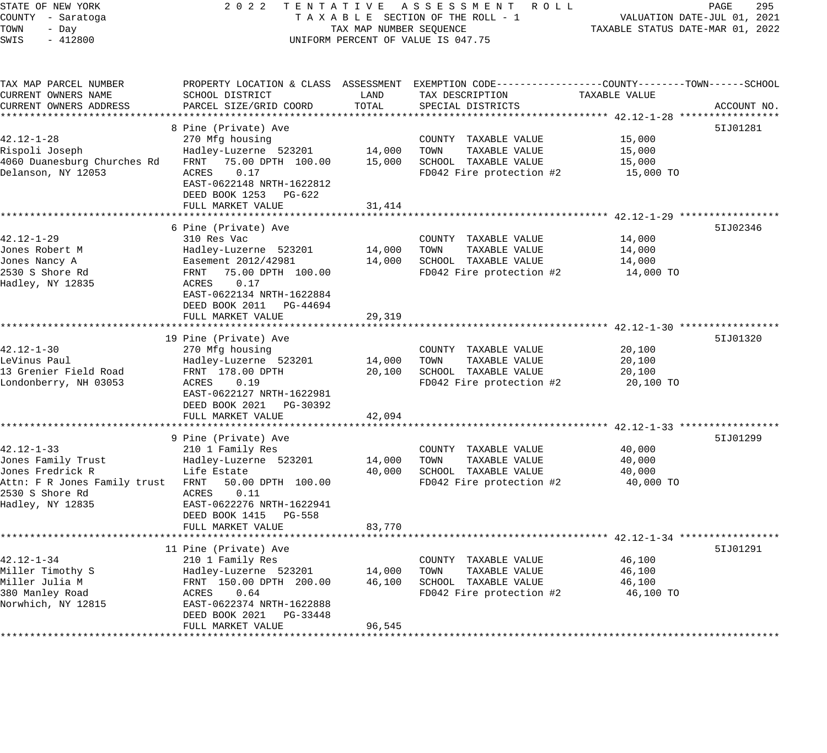| STATE OF NEW YORK<br>COUNTY - Saratoga<br>TOWN<br>- Day<br>$-412800$<br>SWIS | 2 0 2 2                                                                                         | TAX MAP NUMBER SEQUENCE | TENTATIVE ASSESSMENT ROLL<br>TAXABLE SECTION OF THE ROLL - 1<br>UNIFORM PERCENT OF VALUE IS 047.75                |                     | PAGE<br>295<br>VALUATION DATE-JUL 01, 2021<br>TAXABLE STATUS DATE-MAR 01, 2022 |
|------------------------------------------------------------------------------|-------------------------------------------------------------------------------------------------|-------------------------|-------------------------------------------------------------------------------------------------------------------|---------------------|--------------------------------------------------------------------------------|
| TAX MAP PARCEL NUMBER<br>CURRENT OWNERS NAME                                 | SCHOOL DISTRICT                                                                                 | LAND                    | PROPERTY LOCATION & CLASS ASSESSMENT EXEMPTION CODE---------------COUNTY-------TOWN-----SCHOOL<br>TAX DESCRIPTION | TAXABLE VALUE       |                                                                                |
| CURRENT OWNERS ADDRESS                                                       | PARCEL SIZE/GRID COORD                                                                          | TOTAL                   | SPECIAL DISTRICTS                                                                                                 |                     | ACCOUNT NO.                                                                    |
|                                                                              |                                                                                                 |                         |                                                                                                                   |                     |                                                                                |
|                                                                              | 8 Pine (Private) Ave                                                                            |                         |                                                                                                                   |                     | 51J01281                                                                       |
| $42.12 - 1 - 28$                                                             | 270 Mfg housing                                                                                 |                         | COUNTY TAXABLE VALUE                                                                                              | 15,000              |                                                                                |
| Rispoli Joseph                                                               | Hadley-Luzerne 523201                                                                           | 14,000                  | TOWN<br>TAXABLE VALUE                                                                                             | 15,000              |                                                                                |
| 4060 Duanesburg Churches Rd<br>Delanson, NY 12053                            | FRNT 75.00 DPTH 100.00<br>0.17<br>ACRES                                                         | 15,000                  | SCHOOL TAXABLE VALUE<br>FD042 Fire protection #2                                                                  | 15,000<br>15,000 TO |                                                                                |
|                                                                              | EAST-0622148 NRTH-1622812<br>DEED BOOK 1253 PG-622<br>FULL MARKET VALUE                         |                         |                                                                                                                   |                     |                                                                                |
|                                                                              |                                                                                                 | 31,414                  |                                                                                                                   |                     |                                                                                |
|                                                                              | 6 Pine (Private) Ave                                                                            |                         |                                                                                                                   |                     | 51J02346                                                                       |
| 42.12-1-29                                                                   | 310 Res Vac                                                                                     |                         | COUNTY TAXABLE VALUE                                                                                              | 14,000              |                                                                                |
| Jones Robert M                                                               | Hadley-Luzerne 523201                                                                           | 14,000                  | TOWN<br>TAXABLE VALUE                                                                                             | 14,000              |                                                                                |
| Jones Nancy A                                                                | Easement 2012/42981                                                                             | 14,000                  | SCHOOL TAXABLE VALUE                                                                                              | 14,000              |                                                                                |
| 2530 S Shore Rd<br>Hadley, NY 12835                                          | FRNT 75.00 DPTH 100.00<br>ACRES<br>0.17<br>EAST-0622134 NRTH-1622884<br>DEED BOOK 2011 PG-44694 |                         | FD042 Fire protection #2                                                                                          | 14,000 TO           |                                                                                |
|                                                                              | FULL MARKET VALUE                                                                               | 29,319                  |                                                                                                                   |                     |                                                                                |
|                                                                              |                                                                                                 | * * * * * * * * * * *   |                                                                                                                   |                     |                                                                                |
|                                                                              | 19 Pine (Private) Ave                                                                           |                         |                                                                                                                   |                     | 51J01320                                                                       |
| 42.12-1-30                                                                   | 270 Mfg housing                                                                                 |                         | COUNTY TAXABLE VALUE                                                                                              | 20,100              |                                                                                |
| LeVinus Paul                                                                 | Hadley-Luzerne 523201                                                                           | 14,000                  | TOWN<br>TAXABLE VALUE                                                                                             | 20,100              |                                                                                |
| 13 Grenier Field Road                                                        | FRNT 178.00 DPTH                                                                                | 20,100                  | SCHOOL TAXABLE VALUE                                                                                              | 20,100              |                                                                                |
| Londonberry, NH 03053                                                        | 0.19<br>ACRES<br>EAST-0622127 NRTH-1622981<br>DEED BOOK 2021 PG-30392                           |                         | FD042 Fire protection #2                                                                                          | 20,100 TO           |                                                                                |
|                                                                              | FULL MARKET VALUE<br>************************                                                   | 42,094<br>***********   |                                                                                                                   |                     |                                                                                |
|                                                                              | 9 Pine (Private) Ave                                                                            |                         | ********************************** 42.12-1-33 *****************                                                   |                     | 51J01299                                                                       |
| $42.12 - 1 - 33$                                                             | 210 1 Family Res                                                                                |                         | COUNTY TAXABLE VALUE                                                                                              | 40,000              |                                                                                |
| Jones Family Trust                                                           | Hadley-Luzerne 523201                                                                           | 14,000                  | TOWN<br>TAXABLE VALUE                                                                                             | 40,000              |                                                                                |
| Jones Fredrick R                                                             | Life Estate                                                                                     | 40,000                  | SCHOOL TAXABLE VALUE                                                                                              | 40,000              |                                                                                |
| Attn: F R Jones Family trust FRNT                                            | 50.00 DPTH 100.00                                                                               |                         | FD042 Fire protection #2                                                                                          | 40,000 TO           |                                                                                |
| 2530 S Shore Rd                                                              | 0.11<br>ACRES                                                                                   |                         |                                                                                                                   |                     |                                                                                |
| Hadley, NY 12835                                                             | EAST-0622276 NRTH-1622941                                                                       |                         |                                                                                                                   |                     |                                                                                |
|                                                                              | DEED BOOK 1415 PG-558                                                                           |                         |                                                                                                                   |                     |                                                                                |
|                                                                              | FULL MARKET VALUE                                                                               | 83,770                  |                                                                                                                   |                     |                                                                                |
|                                                                              |                                                                                                 |                         |                                                                                                                   |                     |                                                                                |
| $42.12 - 1 - 34$                                                             | 11 Pine (Private) Ave                                                                           |                         |                                                                                                                   |                     | 51J01291                                                                       |
| Miller Timothy S                                                             | 210 1 Family Res<br>Hadley-Luzerne 523201                                                       | 14,000                  | COUNTY TAXABLE VALUE<br>TOWN<br>TAXABLE VALUE                                                                     | 46,100<br>46,100    |                                                                                |
| Miller Julia M                                                               | FRNT 150.00 DPTH 200.00                                                                         | 46,100                  | SCHOOL TAXABLE VALUE                                                                                              | 46,100              |                                                                                |
| 380 Manley Road                                                              | 0.64<br>ACRES                                                                                   |                         | FD042 Fire protection #2                                                                                          | 46,100 TO           |                                                                                |
| Norwhich, NY 12815                                                           | EAST-0622374 NRTH-1622888<br>DEED BOOK 2021<br>PG-33448                                         |                         |                                                                                                                   |                     |                                                                                |

FULL MARKET VALUE 96,545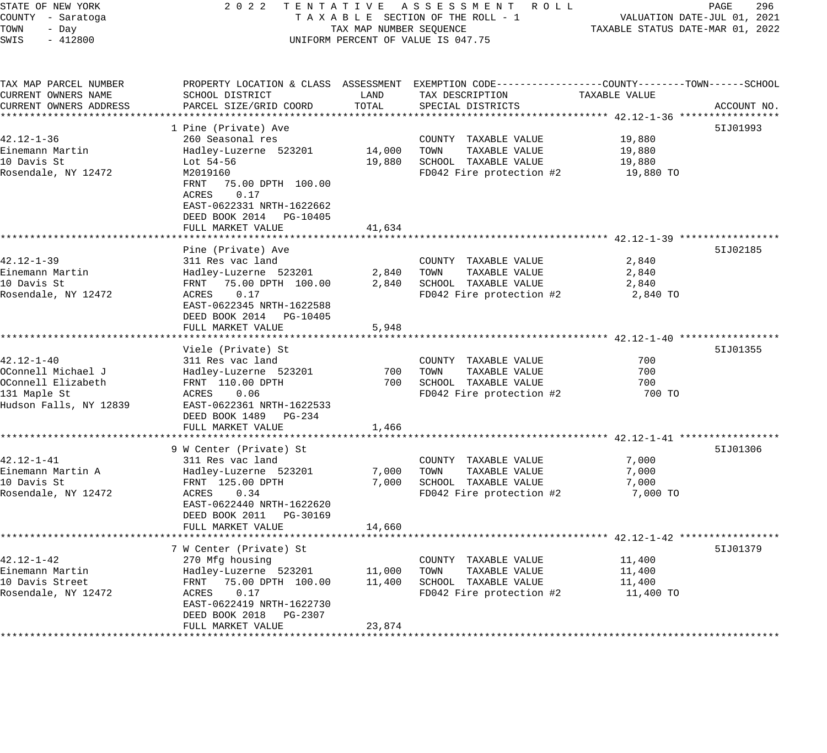| STATE OF NEW YORK<br>COUNTY - Saratoga         | 2 0 2 2<br>T E N T A T I V E<br>TAXABLE SECTION OF THE ROLL - 1                                                | ASSESSMENT ROLL<br>PAGE<br>296<br>VALUATION DATE-JUL 01, 2021 |                                                                                                                     |                                                           |             |
|------------------------------------------------|----------------------------------------------------------------------------------------------------------------|---------------------------------------------------------------|---------------------------------------------------------------------------------------------------------------------|-----------------------------------------------------------|-------------|
| TOWN<br>- Day                                  |                                                                                                                | TAX MAP NUMBER SEQUENCE                                       |                                                                                                                     | TAXABLE STATUS DATE-MAR 01, 2022                          |             |
| SWIS<br>$-412800$                              |                                                                                                                |                                                               | UNIFORM PERCENT OF VALUE IS 047.75                                                                                  |                                                           |             |
| TAX MAP PARCEL NUMBER<br>CURRENT OWNERS NAME   | SCHOOL DISTRICT                                                                                                | LAND                                                          | PROPERTY LOCATION & CLASS ASSESSMENT EXEMPTION CODE----------------COUNTY-------TOWN------SCHOOL<br>TAX DESCRIPTION | TAXABLE VALUE                                             |             |
| CURRENT OWNERS ADDRESS<br>******************** | PARCEL SIZE/GRID COORD<br>*************************                                                            | TOTAL<br>************                                         | SPECIAL DISTRICTS<br>************************************** 42.12-1-36 ******************                           |                                                           | ACCOUNT NO. |
|                                                | 1 Pine (Private) Ave                                                                                           |                                                               |                                                                                                                     |                                                           | 51J01993    |
| $42.12 - 1 - 36$                               | 260 Seasonal res                                                                                               |                                                               | COUNTY TAXABLE VALUE                                                                                                | 19,880                                                    |             |
| Einemann Martin                                | Hadley-Luzerne 523201                                                                                          | 14,000                                                        | TOWN<br>TAXABLE VALUE                                                                                               | 19,880                                                    |             |
| 10 Davis St                                    | Lot 54-56                                                                                                      | 19,880                                                        | SCHOOL TAXABLE VALUE                                                                                                | 19,880                                                    |             |
| Rosendale, NY 12472                            | M2019160<br>FRNT<br>75.00 DPTH 100.00<br>0.17<br>ACRES<br>EAST-0622331 NRTH-1622662<br>DEED BOOK 2014 PG-10405 |                                                               | FD042 Fire protection #2                                                                                            | 19,880 TO                                                 |             |
|                                                | FULL MARKET VALUE                                                                                              | 41,634                                                        |                                                                                                                     |                                                           |             |
|                                                | Pine (Private) Ave                                                                                             |                                                               |                                                                                                                     | **** 42.12-1-39 **************                            | 51J02185    |
| 42.12-1-39                                     | 311 Res vac land                                                                                               |                                                               | COUNTY TAXABLE VALUE                                                                                                | 2,840                                                     |             |
| Einemann Martin                                | Hadley-Luzerne 523201                                                                                          | 2,840                                                         | TOWN<br>TAXABLE VALUE                                                                                               | 2,840                                                     |             |
| 10 Davis St                                    | FRNT 75.00 DPTH 100.00                                                                                         | 2,840                                                         | SCHOOL TAXABLE VALUE                                                                                                | 2,840                                                     |             |
| Rosendale, NY 12472                            | 0.17<br>ACRES<br>EAST-0622345 NRTH-1622588<br>DEED BOOK 2014 PG-10405<br>FULL MARKET VALUE                     | 5,948                                                         | FD042 Fire protection #2                                                                                            | 2,840 TO                                                  |             |
|                                                | ******************                                                                                             |                                                               |                                                                                                                     | *************************** 42.12-1-40 ****************** |             |
| 42.12-1-40                                     | Viele (Private) St<br>311 Res vac land                                                                         |                                                               | COUNTY TAXABLE VALUE                                                                                                | 700                                                       | 51J01355    |
| OConnell Michael J                             | Hadley-Luzerne 523201                                                                                          | 700                                                           | TOWN<br>TAXABLE VALUE                                                                                               | 700                                                       |             |
| OConnell Elizabeth                             | FRNT 110.00 DPTH                                                                                               | 700                                                           | SCHOOL TAXABLE VALUE                                                                                                | 700                                                       |             |
| 131 Maple St                                   | ACRES<br>0.06                                                                                                  |                                                               | FD042 Fire protection #2                                                                                            | 700 TO                                                    |             |
| Hudson Falls, NY 12839                         | EAST-0622361 NRTH-1622533                                                                                      |                                                               |                                                                                                                     |                                                           |             |
|                                                | DEED BOOK 1489<br>PG-234                                                                                       |                                                               |                                                                                                                     |                                                           |             |
| *********************                          | FULL MARKET VALUE<br>*************************                                                                 | 1,466                                                         |                                                                                                                     |                                                           |             |
|                                                | 9 W Center (Private) St                                                                                        |                                                               |                                                                                                                     |                                                           | 51J01306    |
| 42.12-1-41                                     | 311 Res vac land                                                                                               |                                                               | COUNTY TAXABLE VALUE                                                                                                | 7,000                                                     |             |
| Einemann Martin A                              | Hadley-Luzerne 523201                                                                                          | 7,000                                                         | TOWN<br>TAXABLE VALUE                                                                                               | 7,000                                                     |             |
| 10 Davis St                                    | FRNT 125.00 DPTH                                                                                               | 7,000                                                         | SCHOOL TAXABLE VALUE                                                                                                | 7,000                                                     |             |
| Rosendale, NY 12472                            | ACRES<br>0.34                                                                                                  |                                                               | FD042 Fire protection #2                                                                                            | 7,000 TO                                                  |             |
|                                                | EAST-0622440 NRTH-1622620<br>DEED BOOK 2011 PG-30169                                                           |                                                               |                                                                                                                     |                                                           |             |
|                                                | FULL MARKET VALUE                                                                                              | 14,660                                                        |                                                                                                                     |                                                           |             |
|                                                |                                                                                                                | ***********                                                   | ************************************ 42.12-1-42 *****                                                               |                                                           |             |
|                                                | 7 W Center (Private) St                                                                                        |                                                               |                                                                                                                     |                                                           | 51J01379    |
| 42.12-1-42                                     | 270 Mfg housing                                                                                                |                                                               | COUNTY TAXABLE VALUE                                                                                                | 11,400                                                    |             |
| Einemann Martin                                | Hadley-Luzerne 523201                                                                                          | 11,000                                                        | TAXABLE VALUE<br>TOWN                                                                                               | 11,400                                                    |             |
| 10 Davis Street                                | 75.00 DPTH 100.00<br>FRNT                                                                                      | 11,400                                                        | SCHOOL TAXABLE VALUE                                                                                                | 11,400                                                    |             |
| Rosendale, NY 12472                            | ACRES<br>0.17<br>EAST-0622419 NRTH-1622730                                                                     |                                                               | FD042 Fire protection #2                                                                                            | 11,400 TO                                                 |             |
|                                                | DEED BOOK 2018<br>PG-2307                                                                                      |                                                               |                                                                                                                     |                                                           |             |
|                                                | FULL MARKET VALUE                                                                                              | 23,874                                                        |                                                                                                                     |                                                           |             |
|                                                |                                                                                                                |                                                               |                                                                                                                     |                                                           |             |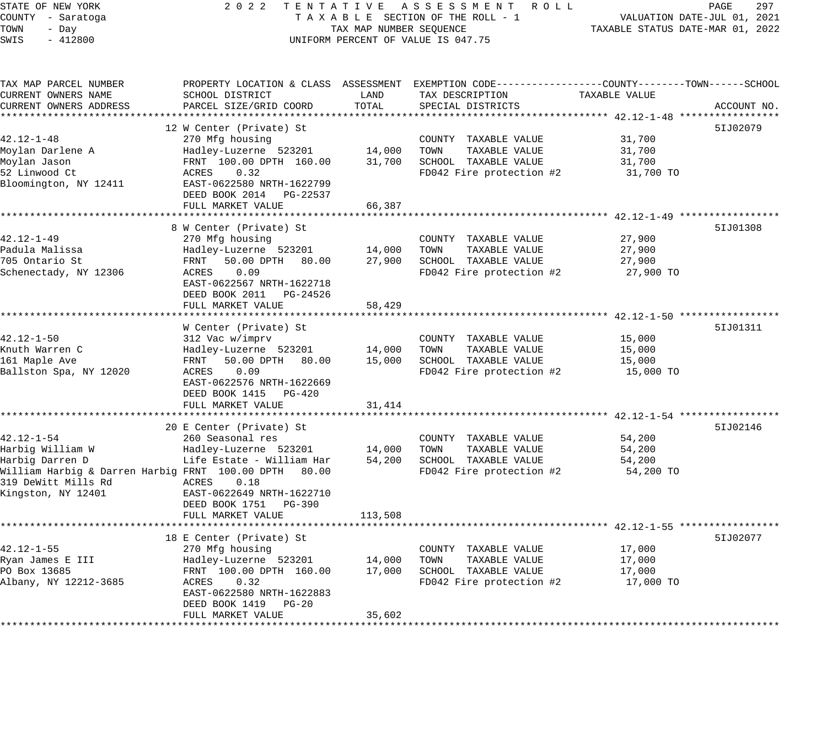STATE OF NEW YORK 2 0 2 2 T E N T A T I V E A S S E S S M E N T R O L L PAGE 297 COUNTY - Saratoga T A X A B L E SECTION OF THE ROLL - 1 VALUATION DATE-JUL 01, 2021 TOWN - Day TAX MAP NUMBER SEQUENCE TAXABLE STATUS DATE-MAR 01, 2022 SWIS - 412800 UNIFORM PERCENT OF VALUE IS 047.75 TAX MAP PARCEL NUMBER PROPERTY LOCATION & CLASS ASSESSMENT EXEMPTION CODE------------------COUNTY--------TOWN------SCHOOL CURRENT OWNERS NAME SCHOOL DISTRICT LAND TAX DESCRIPTION TAXABLE VALUE CURRENT OWNERS ADDRESS PARCEL SIZE/GRID COORD TOTAL SPECIAL DISTRICTS ACCOUNT NO. \*\*\*\*\*\*\*\*\*\*\*\*\*\*\*\*\*\*\*\*\*\*\*\*\*\*\*\*\*\*\*\*\*\*\*\*\*\*\*\*\*\*\*\*\*\*\*\*\*\*\*\*\*\*\*\*\*\*\*\*\*\*\*\*\*\*\*\*\*\*\*\*\*\*\*\*\*\*\*\*\*\*\*\*\*\*\*\*\*\*\*\*\*\*\*\*\*\*\*\*\*\*\* 42.12-1-48 \*\*\*\*\*\*\*\*\*\*\*\*\*\*\*\*\* 12 W Center (Private) St 5IJ02079 42.12-1-48 270 Mfg housing COUNTY TAXABLE VALUE 31,700 Moylan Darlene A Hadley-Luzerne 523201 14,000 TOWN TAXABLE VALUE 31,700 Moylan Jason FRNT 100.00 DPTH 160.00 31,700 SCHOOL TAXABLE VALUE 31,700 52 Linwood Ct ACRES 0.32 FD042 Fire protection #2 31,700 TO Bloomington, NY 12411 EAST-0622580 NRTH-1622799 DEED BOOK 2014 PG-22537 FULL MARKET VALUE 66,387 \*\*\*\*\*\*\*\*\*\*\*\*\*\*\*\*\*\*\*\*\*\*\*\*\*\*\*\*\*\*\*\*\*\*\*\*\*\*\*\*\*\*\*\*\*\*\*\*\*\*\*\*\*\*\*\*\*\*\*\*\*\*\*\*\*\*\*\*\*\*\*\*\*\*\*\*\*\*\*\*\*\*\*\*\*\*\*\*\*\*\*\*\*\*\*\*\*\*\*\*\*\*\* 42.12-1-49 \*\*\*\*\*\*\*\*\*\*\*\*\*\*\*\*\* 8 W Center (Private) St 5IJ01308 42.12-1-49 270 Mfg housing COUNTY TAXABLE VALUE 27,900 Padula Malissa Hadley-Luzerne 523201 14,000 TOWN TAXABLE VALUE 27,900 705 Ontario St FRNT 50.00 DPTH 80.00 27,900 SCHOOL TAXABLE VALUE 27,900 Schenectady, NY 12306 ACRES 0.09 FD042 Fire protection #2 27,900 TO EAST-0622567 NRTH-1622718 DEED BOOK 2011 PG-24526 FULL MARKET VALUE 58,429 \*\*\*\*\*\*\*\*\*\*\*\*\*\*\*\*\*\*\*\*\*\*\*\*\*\*\*\*\*\*\*\*\*\*\*\*\*\*\*\*\*\*\*\*\*\*\*\*\*\*\*\*\*\*\*\*\*\*\*\*\*\*\*\*\*\*\*\*\*\*\*\*\*\*\*\*\*\*\*\*\*\*\*\*\*\*\*\*\*\*\*\*\*\*\*\*\*\*\*\*\*\*\* 42.12-1-50 \*\*\*\*\*\*\*\*\*\*\*\*\*\*\*\*\* W Center (Private) St 5IJ01311 42.12-1-50 312 Vac w/imprv COUNTY TAXABLE VALUE 15,000 Knuth Warren C Hadley-Luzerne 523201 14,000 TOWN TAXABLE VALUE 15,000 161 Maple Ave FRNT 50.00 DPTH 80.00 15,000 SCHOOL TAXABLE VALUE 15,000 Ballston Spa, NY 12020 ACRES 0.09 FD042 Fire protection #2 15,000 TO EAST-0622576 NRTH-1622669 DEED BOOK 1415 PG-420 FULL MARKET VALUE 31,414 \*\*\*\*\*\*\*\*\*\*\*\*\*\*\*\*\*\*\*\*\*\*\*\*\*\*\*\*\*\*\*\*\*\*\*\*\*\*\*\*\*\*\*\*\*\*\*\*\*\*\*\*\*\*\*\*\*\*\*\*\*\*\*\*\*\*\*\*\*\*\*\*\*\*\*\*\*\*\*\*\*\*\*\*\*\*\*\*\*\*\*\*\*\*\*\*\*\*\*\*\*\*\* 42.12-1-54 \*\*\*\*\*\*\*\*\*\*\*\*\*\*\*\*\* 20 E Center (Private) St 5IJ02146 42.12-1-54 260 Seasonal res COUNTY TAXABLE VALUE 54,200 Harbig William W Hadley-Luzerne 523201 14,000 TOWN TAXABLE VALUE 54,200 Harbig Darren D Life Estate - William Har 54,200 SCHOOL TAXABLE VALUE 54,200 William Harbig & Darren Harbig FRNT 100.00 DPTH 80.00 FD042 Fire protection #2 54,200 TO 319 DeWitt Mills Rd ACRES 0.18 Kingston, NY 12401 EAST-0622649 NRTH-1622710 DEED BOOK 1751 PG-390 FULL MARKET VALUE 113,508 \*\*\*\*\*\*\*\*\*\*\*\*\*\*\*\*\*\*\*\*\*\*\*\*\*\*\*\*\*\*\*\*\*\*\*\*\*\*\*\*\*\*\*\*\*\*\*\*\*\*\*\*\*\*\*\*\*\*\*\*\*\*\*\*\*\*\*\*\*\*\*\*\*\*\*\*\*\*\*\*\*\*\*\*\*\*\*\*\*\*\*\*\*\*\*\*\*\*\*\*\*\*\* 42.12-1-55 \*\*\*\*\*\*\*\*\*\*\*\*\*\*\*\*\* 18 E Center (Private) St 5IJ02077 42.12-1-55 270 Mfg housing COUNTY TAXABLE VALUE 17,000 Ryan James E III Hadley-Luzerne 523201 14,000 TOWN TAXABLE VALUE 17,000 PO Box 13685 FRNT 100.00 DPTH 160.00 17,000 SCHOOL TAXABLE VALUE 17,000 Albany, NY 12212-3685 ACRES 0.32 FD042 Fire protection #2 17,000 TO EAST-0622580 NRTH-1622883 DEED BOOK 1419 PG-20 FULL MARKET VALUE 35,602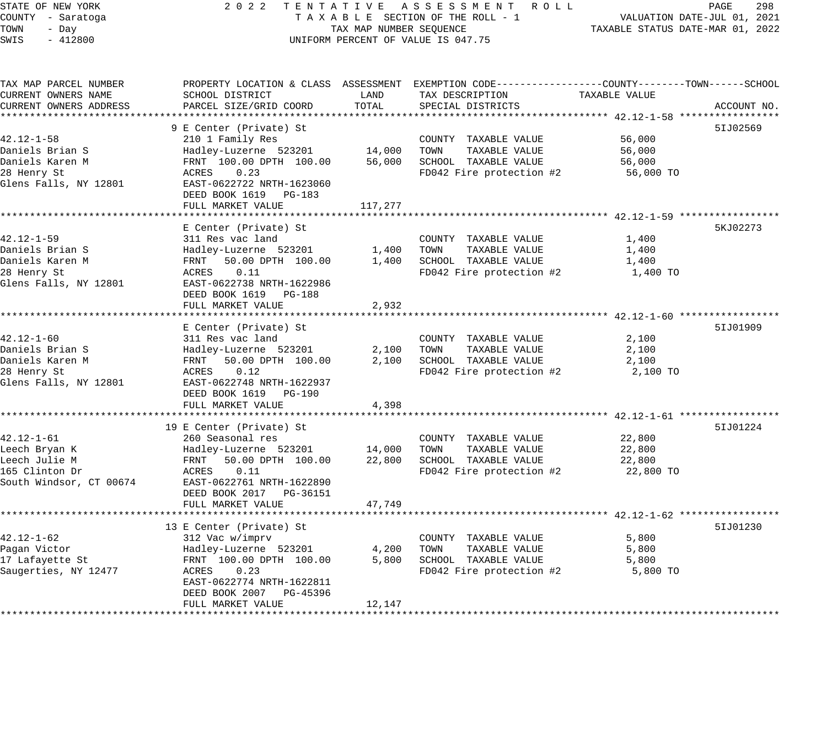# STATE OF NEW YORK 2 0 2 2 T E N T A T I V E A S S E S S M E N T R O L L PAGE 298 COUNTY - Saratoga T A X A B L E SECTION OF THE ROLL - 1 VALUATION DATE-JUL 01, 2021 TOWER SECTION OF THE ROLL - 1 TAXABLE STATUS DATE-MAR 01, 2022 UNIFORM PERCENT OF VALUE IS 047.75

| TAX MAP PARCEL NUMBER   | PROPERTY LOCATION & CLASS ASSESSMENT EXEMPTION CODE----------------COUNTY-------TOWN------SCHOOL |         |                          |               |             |
|-------------------------|--------------------------------------------------------------------------------------------------|---------|--------------------------|---------------|-------------|
| CURRENT OWNERS NAME     | SCHOOL DISTRICT                                                                                  | LAND    | TAX DESCRIPTION          | TAXABLE VALUE |             |
| CURRENT OWNERS ADDRESS  | PARCEL SIZE/GRID COORD                                                                           | TOTAL   | SPECIAL DISTRICTS        |               | ACCOUNT NO. |
| *******************     |                                                                                                  |         |                          |               |             |
|                         | 9 E Center (Private) St                                                                          |         |                          |               | 51J02569    |
| $42.12 - 1 - 58$        | 210 1 Family Res                                                                                 |         | COUNTY TAXABLE VALUE     | 56,000        |             |
| Daniels Brian S         | Hadley-Luzerne 523201                                                                            | 14,000  | TOWN<br>TAXABLE VALUE    | 56,000        |             |
| Daniels Karen M         | FRNT 100.00 DPTH 100.00                                                                          | 56,000  | SCHOOL TAXABLE VALUE     | 56,000        |             |
| 28 Henry St             | ACRES<br>0.23                                                                                    |         | FD042 Fire protection #2 | 56,000 TO     |             |
| Glens Falls, NY 12801   | EAST-0622722 NRTH-1623060                                                                        |         |                          |               |             |
|                         | DEED BOOK 1619 PG-183                                                                            |         |                          |               |             |
|                         | FULL MARKET VALUE                                                                                | 117,277 |                          |               |             |
|                         |                                                                                                  |         |                          |               |             |
|                         | E Center (Private) St                                                                            |         |                          |               | 5KJ02273    |
| $42.12 - 1 - 59$        | 311 Res vac land                                                                                 |         | COUNTY TAXABLE VALUE     | 1,400         |             |
| Daniels Brian S         | Hadley-Luzerne 523201                                                                            | 1,400   | TOWN<br>TAXABLE VALUE    | 1,400         |             |
| Daniels Karen M         | FRNT<br>50.00 DPTH 100.00                                                                        | 1,400   | SCHOOL TAXABLE VALUE     | 1,400         |             |
| 28 Henry St             | 0.11<br>ACRES                                                                                    |         | FD042 Fire protection #2 | 1,400 TO      |             |
| Glens Falls, NY 12801   | EAST-0622738 NRTH-1622986                                                                        |         |                          |               |             |
|                         | DEED BOOK 1619 PG-188                                                                            |         |                          |               |             |
|                         | FULL MARKET VALUE                                                                                | 2,932   |                          |               |             |
|                         |                                                                                                  |         |                          |               |             |
|                         | E Center (Private) St                                                                            |         |                          |               | 51J01909    |
| $42.12 - 1 - 60$        | 311 Res vac land                                                                                 |         | COUNTY TAXABLE VALUE     | 2,100         |             |
| Daniels Brian S         | Hadley-Luzerne 523201                                                                            | 2,100   | TOWN<br>TAXABLE VALUE    | 2,100         |             |
| Daniels Karen M         | 50.00 DPTH 100.00<br>FRNT                                                                        | 2,100   | SCHOOL TAXABLE VALUE     | 2,100         |             |
| 28 Henry St             | 0.12<br>ACRES                                                                                    |         | FD042 Fire protection #2 | 2,100 TO      |             |
| Glens Falls, NY 12801   | EAST-0622748 NRTH-1622937                                                                        |         |                          |               |             |
|                         | DEED BOOK 1619 PG-190                                                                            |         |                          |               |             |
|                         | FULL MARKET VALUE                                                                                | 4,398   |                          |               |             |
|                         |                                                                                                  |         |                          |               |             |
|                         | 19 E Center (Private) St                                                                         |         |                          |               | 51J01224    |
| $42.12 - 1 - 61$        | 260 Seasonal res                                                                                 |         | COUNTY TAXABLE VALUE     | 22,800        |             |
| Leech Bryan K           | Hadley-Luzerne 523201                                                                            | 14,000  | TOWN<br>TAXABLE VALUE    | 22,800        |             |
| Leech Julie M           | 50.00 DPTH 100.00<br>FRNT                                                                        | 22,800  | SCHOOL TAXABLE VALUE     | 22,800        |             |
| 165 Clinton Dr          | ACRES<br>0.11                                                                                    |         | FD042 Fire protection #2 | 22,800 TO     |             |
| South Windsor, CT 00674 | EAST-0622761 NRTH-1622890                                                                        |         |                          |               |             |
|                         | DEED BOOK 2017 PG-36151                                                                          |         |                          |               |             |
|                         | FULL MARKET VALUE                                                                                | 47,749  |                          |               |             |
|                         |                                                                                                  |         |                          |               |             |
|                         | 13 E Center (Private) St                                                                         |         |                          |               | 51J01230    |
| $42.12 - 1 - 62$        | 312 Vac w/imprv                                                                                  |         | COUNTY TAXABLE VALUE     | 5,800         |             |
| Pagan Victor            | Hadley-Luzerne 523201                                                                            | 4,200   | TOWN<br>TAXABLE VALUE    | 5,800         |             |
| 17 Lafayette St         | FRNT 100.00 DPTH 100.00                                                                          | 5,800   | SCHOOL TAXABLE VALUE     | 5,800         |             |
| Saugerties, NY 12477    | 0.23<br>ACRES                                                                                    |         | FD042 Fire protection #2 | 5,800 TO      |             |
|                         | EAST-0622774 NRTH-1622811                                                                        |         |                          |               |             |
|                         | DEED BOOK 2007 PG-45396                                                                          |         |                          |               |             |
|                         | FULL MARKET VALUE                                                                                | 12,147  |                          |               |             |
|                         |                                                                                                  |         |                          |               |             |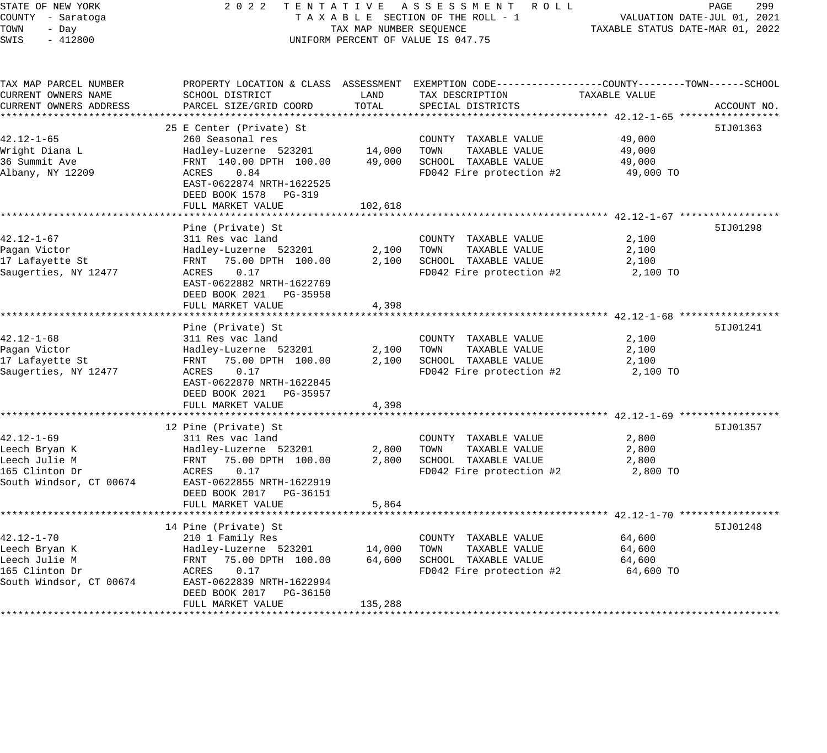STATE OF NEW YORK 2 0 2 2 T E N T A T I V E A S S E S S M E N T R O L L PAGE 299 COUNTY - Saratoga T A X A B L E SECTION OF THE ROLL - 1 VALUATION DATE-JUL 01, 2021 TOWN - Day TAX MAP NUMBER SEQUENCE TAXABLE STATUS DATE-MAR 01, 2022 SUINTY - SAFAIOGRAM SAND HERO HAND TAXABLE SECTION OF THE ROLL<br>TOWN - Day TAX MAP NUMBER SEQUENCE<br>SWIS - 412800 TOWN TERCENT OF VALUE IS 047.75 TAX MAP PARCEL NUMBER PROPERTY LOCATION & CLASS ASSESSMENT EXEMPTION CODE------------------COUNTY--------TOWN------SCHOOL CURRENT OWNERS NAME SCHOOL DISTRICT LAND TAX DESCRIPTION TAXABLE VALUE CURRENT OWNERS ADDRESS PARCEL SIZE/GRID COORD TOTAL SPECIAL DISTRICTS ACCOUNT NO. \*\*\*\*\*\*\*\*\*\*\*\*\*\*\*\*\*\*\*\*\*\*\*\*\*\*\*\*\*\*\*\*\*\*\*\*\*\*\*\*\*\*\*\*\*\*\*\*\*\*\*\*\*\*\*\*\*\*\*\*\*\*\*\*\*\*\*\*\*\*\*\*\*\*\*\*\*\*\*\*\*\*\*\*\*\*\*\*\*\*\*\*\*\*\*\*\*\*\*\*\*\*\* 42.12-1-65 \*\*\*\*\*\*\*\*\*\*\*\*\*\*\*\*\* 25 E Center (Private) St 5IJ01363 42.12-1-65 260 Seasonal res COUNTY TAXABLE VALUE 49,000 Wright Diana L Hadley-Luzerne 523201 14,000 TOWN TAXABLE VALUE 49,000 36 Summit Ave FRNT 140.00 DPTH 100.00 49,000 SCHOOL TAXABLE VALUE 49,000 Albany, NY 12209 ACRES 0.84 FD042 Fire protection #2 49,000 TO EAST-0622874 NRTH-1622525 DEED BOOK 1578 PG-319 FULL MARKET VALUE 102,618 \*\*\*\*\*\*\*\*\*\*\*\*\*\*\*\*\*\*\*\*\*\*\*\*\*\*\*\*\*\*\*\*\*\*\*\*\*\*\*\*\*\*\*\*\*\*\*\*\*\*\*\*\*\*\*\*\*\*\*\*\*\*\*\*\*\*\*\*\*\*\*\*\*\*\*\*\*\*\*\*\*\*\*\*\*\*\*\*\*\*\*\*\*\*\*\*\*\*\*\*\*\*\* 42.12-1-67 \*\*\*\*\*\*\*\*\*\*\*\*\*\*\*\*\* Pine (Private) St 5IJ01298 42.12-1-67 311 Res vac land COUNTY TAXABLE VALUE 2,100 Pagan Victor Hadley-Luzerne 523201 2,100 TOWN TAXABLE VALUE 2,100 17 Lafayette St FRNT 75.00 DPTH 100.00 2,100 SCHOOL TAXABLE VALUE 2,100 Saugerties, NY 12477 ACRES 0.17 FD042 Fire protection #2 2,100 TO EAST-0622882 NRTH-1622769 DEED BOOK 2021 PG-35958 FULL MARKET VALUE 4,398 \*\*\*\*\*\*\*\*\*\*\*\*\*\*\*\*\*\*\*\*\*\*\*\*\*\*\*\*\*\*\*\*\*\*\*\*\*\*\*\*\*\*\*\*\*\*\*\*\*\*\*\*\*\*\*\*\*\*\*\*\*\*\*\*\*\*\*\*\*\*\*\*\*\*\*\*\*\*\*\*\*\*\*\*\*\*\*\*\*\*\*\*\*\*\*\*\*\*\*\*\*\*\* 42.12-1-68 \*\*\*\*\*\*\*\*\*\*\*\*\*\*\*\*\* Pine (Private) St 5IJ01241 42.12-1-68 311 Res vac land COUNTY TAXABLE VALUE 2,100 Pagan Victor Hadley-Luzerne 523201 2,100 TOWN TAXABLE VALUE 2,100 17 Lafayette St FRNT 75.00 DPTH 100.00 2,100 SCHOOL TAXABLE VALUE 2,100 Saugerties, NY 12477 ACRES 0.17 FD042 Fire protection #2 2,100 TO EAST-0622870 NRTH-1622845 DEED BOOK 2021 PG-35957 FULL MARKET VALUE 4,398 \*\*\*\*\*\*\*\*\*\*\*\*\*\*\*\*\*\*\*\*\*\*\*\*\*\*\*\*\*\*\*\*\*\*\*\*\*\*\*\*\*\*\*\*\*\*\*\*\*\*\*\*\*\*\*\*\*\*\*\*\*\*\*\*\*\*\*\*\*\*\*\*\*\*\*\*\*\*\*\*\*\*\*\*\*\*\*\*\*\*\*\*\*\*\*\*\*\*\*\*\*\*\* 42.12-1-69 \*\*\*\*\*\*\*\*\*\*\*\*\*\*\*\*\* 12 Pine (Private) St 5IJ01357 42.12-1-69 311 Res vac land COUNTY TAXABLE VALUE 2,800 Leech Bryan K Hadley-Luzerne 523201 2,800 TOWN TAXABLE VALUE 2,800 Leech Julie M FRNT 75.00 DPTH 100.00 2,800 SCHOOL TAXABLE VALUE 2,800 165 Clinton Dr ACRES 0.17 FD042 Fire protection #2 2,800 TO South Windsor, CT 00674 EAST-0622855 NRTH-1622919 DEED BOOK 2017 PG-36151 FULL MARKET VALUE 5,864 \*\*\*\*\*\*\*\*\*\*\*\*\*\*\*\*\*\*\*\*\*\*\*\*\*\*\*\*\*\*\*\*\*\*\*\*\*\*\*\*\*\*\*\*\*\*\*\*\*\*\*\*\*\*\*\*\*\*\*\*\*\*\*\*\*\*\*\*\*\*\*\*\*\*\*\*\*\*\*\*\*\*\*\*\*\*\*\*\*\*\*\*\*\*\*\*\*\*\*\*\*\*\* 42.12-1-70 \*\*\*\*\*\*\*\*\*\*\*\*\*\*\*\*\* 14 Pine (Private) St 5IJ01248 42.12-1-70 210 1 Family Res COUNTY TAXABLE VALUE 64,600 Leech Bryan K Hadley-Luzerne 523201 14,000 TOWN TAXABLE VALUE 64,600 Leech Julie M FRNT 75.00 DPTH 100.00 64,600 SCHOOL TAXABLE VALUE 64,600 165 Clinton Dr ACRES 0.17 FD042 Fire protection #2 64,600 TO South Windsor, CT 00674 EAST-0622839 NRTH-1622994 DEED BOOK 2017 PG-36150

\*\*\*\*\*\*\*\*\*\*\*\*\*\*\*\*\*\*\*\*\*\*\*\*\*\*\*\*\*\*\*\*\*\*\*\*\*\*\*\*\*\*\*\*\*\*\*\*\*\*\*\*\*\*\*\*\*\*\*\*\*\*\*\*\*\*\*\*\*\*\*\*\*\*\*\*\*\*\*\*\*\*\*\*\*\*\*\*\*\*\*\*\*\*\*\*\*\*\*\*\*\*\*\*\*\*\*\*\*\*\*\*\*\*\*\*\*\*\*\*\*\*\*\*\*\*\*\*\*\*\*\*

FULL MARKET VALUE 135,288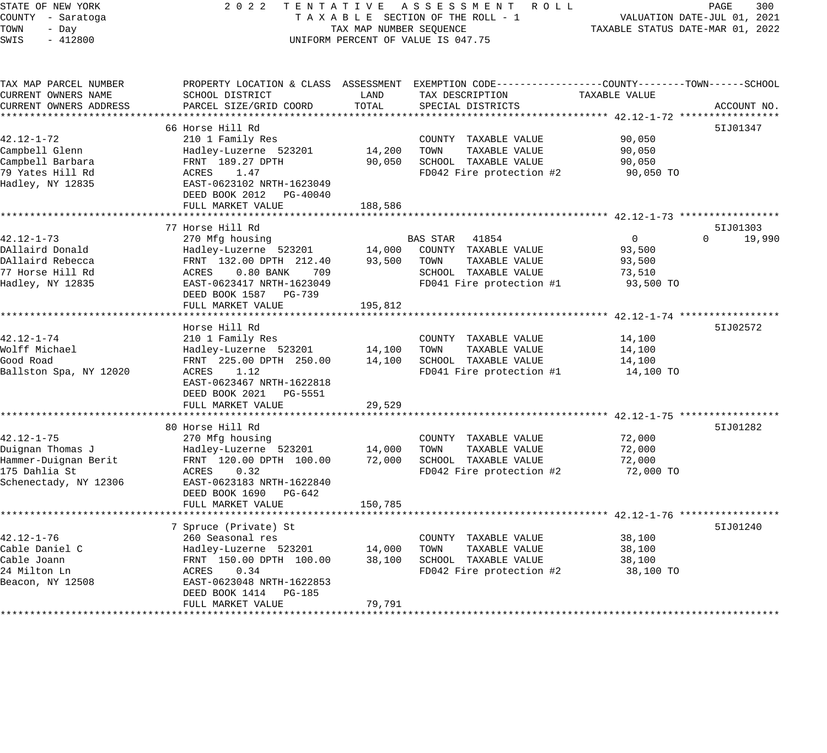# STATE OF NEW YORK 2 0 2 2 T E N T A T I V E A S S E S S M E N T R O L L PAGE 300 COUNTY - Saratoga T A X A B L E SECTION OF THE ROLL - 1 VALUATION DATE-JUL 01, 2021 TAX MAP NUMBER SEQUENCE TAXABLE STATUS DATE-MAR 01, 2022 UNIFORM PERCENT OF VALUE IS 047.75

| TAX MAP PARCEL NUMBER  | PROPERTY LOCATION & CLASS ASSESSMENT |         | EXEMPTION CODE-----------------COUNTY-------TOWN------SCHOOL |                |                    |
|------------------------|--------------------------------------|---------|--------------------------------------------------------------|----------------|--------------------|
| CURRENT OWNERS NAME    | SCHOOL DISTRICT                      | LAND    | TAX DESCRIPTION                                              | TAXABLE VALUE  |                    |
| CURRENT OWNERS ADDRESS | PARCEL SIZE/GRID COORD               | TOTAL   | SPECIAL DISTRICTS                                            |                | ACCOUNT NO.        |
|                        |                                      |         |                                                              |                |                    |
|                        | 66 Horse Hill Rd                     |         |                                                              |                | 51J01347           |
| 42.12-1-72             | 210 1 Family Res                     |         | COUNTY TAXABLE VALUE                                         | 90,050         |                    |
| Campbell Glenn         | Hadley-Luzerne 523201                | 14,200  | TOWN<br>TAXABLE VALUE                                        | 90,050         |                    |
| Campbell Barbara       | FRNT 189.27 DPTH                     | 90,050  | SCHOOL TAXABLE VALUE                                         | 90,050         |                    |
| 79 Yates Hill Rd       | ACRES<br>1.47                        |         | FD042 Fire protection #2                                     | 90,050 TO      |                    |
| Hadley, NY 12835       | EAST-0623102 NRTH-1623049            |         |                                                              |                |                    |
|                        | DEED BOOK 2012<br>PG-40040           |         |                                                              |                |                    |
|                        | FULL MARKET VALUE                    | 188,586 |                                                              |                |                    |
|                        |                                      |         |                                                              |                |                    |
|                        | 77 Horse Hill Rd                     |         |                                                              |                | 51J01303           |
| $42.12 - 1 - 73$       | 270 Mfg housing                      |         | BAS STAR<br>41854                                            | $\overline{0}$ | $\Omega$<br>19,990 |
| DAllaird Donald        | Hadley-Luzerne 523201                | 14,000  | COUNTY TAXABLE VALUE                                         | 93,500         |                    |
| DAllaird Rebecca       | FRNT 132.00 DPTH 212.40              | 93,500  | TOWN<br>TAXABLE VALUE                                        | 93,500         |                    |
| 77 Horse Hill Rd       | $0.80$ BANK<br>ACRES<br>709          |         | SCHOOL TAXABLE VALUE                                         | 73,510         |                    |
| Hadley, NY 12835       | EAST-0623417 NRTH-1623049            |         | FD041 Fire protection #1                                     | 93,500 TO      |                    |
|                        | DEED BOOK 1587<br>PG-739             |         |                                                              |                |                    |
|                        | FULL MARKET VALUE                    | 195,812 |                                                              |                |                    |
|                        |                                      |         |                                                              |                |                    |
|                        | Horse Hill Rd                        |         |                                                              |                | 51J02572           |
| 42.12-1-74             | 210 1 Family Res                     |         | COUNTY TAXABLE VALUE                                         | 14,100         |                    |
| Wolff Michael          | Hadley-Luzerne 523201                | 14,100  | TOWN<br>TAXABLE VALUE                                        | 14,100         |                    |
| Good Road              | FRNT 225.00 DPTH 250.00              | 14,100  | SCHOOL TAXABLE VALUE                                         | 14,100         |                    |
| Ballston Spa, NY 12020 | 1.12<br>ACRES                        |         | FD041 Fire protection #1                                     | 14,100 TO      |                    |
|                        | EAST-0623467 NRTH-1622818            |         |                                                              |                |                    |
|                        | DEED BOOK 2021<br>PG-5551            |         |                                                              |                |                    |
|                        | FULL MARKET VALUE                    | 29,529  |                                                              |                |                    |
|                        |                                      |         |                                                              |                |                    |
|                        | 80 Horse Hill Rd                     |         |                                                              |                | 51J01282           |
| $42.12 - 1 - 75$       | 270 Mfg housing                      |         | COUNTY TAXABLE VALUE                                         | 72,000         |                    |
| Duignan Thomas J       | Hadley-Luzerne 523201                | 14,000  | TOWN<br>TAXABLE VALUE                                        | 72,000         |                    |
| Hammer-Duignan Berit   | FRNT 120.00 DPTH 100.00              | 72,000  | SCHOOL TAXABLE VALUE                                         | 72,000         |                    |
| 175 Dahlia St          | 0.32<br>ACRES                        |         | FD042 Fire protection #2                                     | 72,000 TO      |                    |
| Schenectady, NY 12306  | EAST-0623183 NRTH-1622840            |         |                                                              |                |                    |
|                        | DEED BOOK 1690<br>$PG-642$           |         |                                                              |                |                    |
|                        | FULL MARKET VALUE                    | 150,785 |                                                              |                |                    |
|                        |                                      |         |                                                              |                |                    |
|                        | 7 Spruce (Private) St                |         |                                                              |                | 51J01240           |
| $42.12 - 1 - 76$       | 260 Seasonal res                     |         | COUNTY TAXABLE VALUE                                         | 38,100         |                    |
| Cable Daniel C         | Hadley-Luzerne 523201                | 14,000  | TOWN<br>TAXABLE VALUE                                        | 38,100         |                    |
| Cable Joann            | FRNT 150.00 DPTH 100.00              | 38,100  | SCHOOL TAXABLE VALUE                                         | 38,100         |                    |
| 24 Milton Ln           | ACRES<br>0.34                        |         | FD042 Fire protection #2                                     | 38,100 TO      |                    |
| Beacon, NY 12508       | EAST-0623048 NRTH-1622853            |         |                                                              |                |                    |
|                        | DEED BOOK 1414<br>PG-185             |         |                                                              |                |                    |
|                        | FULL MARKET VALUE                    | 79,791  |                                                              |                |                    |
|                        |                                      |         |                                                              |                |                    |
|                        |                                      |         |                                                              |                |                    |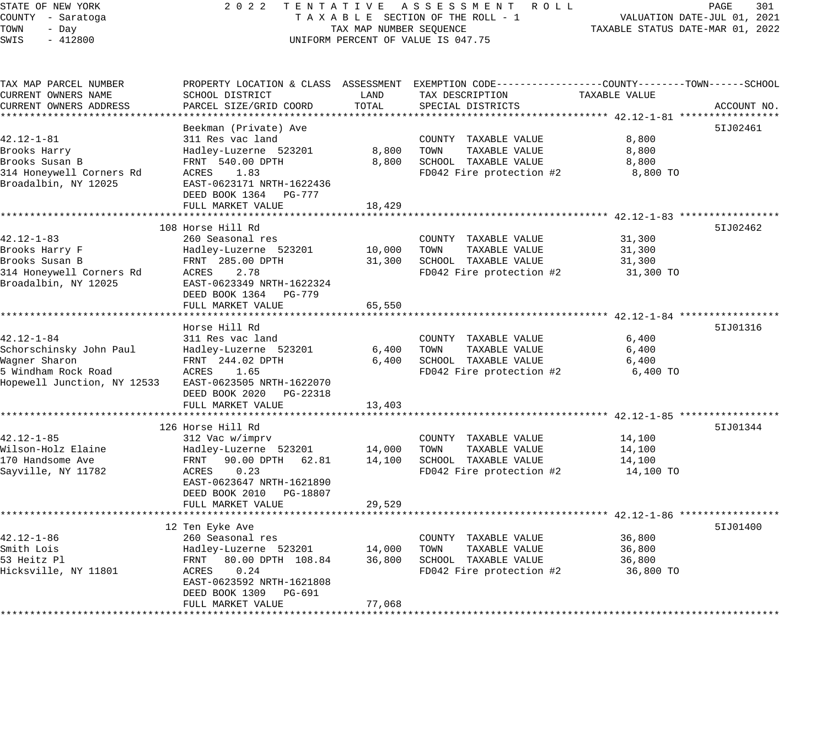# STATE OF NEW YORK 2 0 2 2 T E N T A T I V E A S S E S S M E N T R O L L PAGE 301 COUNTY - Saratoga T A X A B L E SECTION OF THE ROLL - 1 VALUATION DATE-JUL 01, 2021 TAX MAP NUMBER SEQUENCE TAXABLE STATUS DATE-MAR 01, 2022 UNIFORM PERCENT OF VALUE IS 047.75

| TAX MAP PARCEL NUMBER       |                                                |                  | PROPERTY LOCATION & CLASS ASSESSMENT EXEMPTION CODE----------------COUNTY-------TOWN------SCHOOL |                  |             |
|-----------------------------|------------------------------------------------|------------------|--------------------------------------------------------------------------------------------------|------------------|-------------|
| CURRENT OWNERS NAME         | SCHOOL DISTRICT                                | LAND             | TAX DESCRIPTION                                                                                  | TAXABLE VALUE    |             |
| CURRENT OWNERS ADDRESS      | PARCEL SIZE/GRID COORD                         | TOTAL            | SPECIAL DISTRICTS                                                                                |                  | ACCOUNT NO. |
|                             |                                                |                  |                                                                                                  |                  |             |
|                             | Beekman (Private) Ave                          |                  |                                                                                                  |                  | 51J02461    |
| $42.12 - 1 - 81$            | 311 Res vac land                               |                  | COUNTY TAXABLE VALUE                                                                             | 8,800            |             |
| Brooks Harry                | Hadley-Luzerne 523201                          | 8,800            | TOWN<br>TAXABLE VALUE                                                                            | 8,800            |             |
| Brooks Susan B              | FRNT 540.00 DPTH                               | 8,800            | SCHOOL TAXABLE VALUE                                                                             | 8,800            |             |
| 314 Honeywell Corners Rd    | ACRES<br>1.83                                  |                  | FD042 Fire protection #2                                                                         | 8,800 TO         |             |
| Broadalbin, NY 12025        | EAST-0623171 NRTH-1622436                      |                  |                                                                                                  |                  |             |
|                             | DEED BOOK 1364 PG-777                          |                  |                                                                                                  |                  |             |
|                             | FULL MARKET VALUE                              | 18,429           |                                                                                                  |                  |             |
|                             |                                                |                  |                                                                                                  |                  |             |
|                             | 108 Horse Hill Rd                              |                  |                                                                                                  |                  | 51J02462    |
| 42.12-1-83                  | 260 Seasonal res                               |                  | COUNTY TAXABLE VALUE                                                                             | 31,300           |             |
| Brooks Harry F              | Hadley-Luzerne 523201                          | 10,000           | TAXABLE VALUE<br>TOWN                                                                            | 31,300           |             |
| Brooks Susan B              | FRNT 285.00 DPTH                               | 31,300           | SCHOOL TAXABLE VALUE                                                                             | 31,300           |             |
| 314 Honeywell Corners Rd    | 2.78<br>ACRES                                  |                  | FD042 Fire protection #2                                                                         | 31,300 TO        |             |
| Broadalbin, NY 12025        | EAST-0623349 NRTH-1622324                      |                  |                                                                                                  |                  |             |
|                             | DEED BOOK 1364 PG-779                          |                  |                                                                                                  |                  |             |
|                             | FULL MARKET VALUE                              | 65,550           |                                                                                                  |                  |             |
|                             |                                                |                  |                                                                                                  |                  |             |
|                             | Horse Hill Rd                                  |                  |                                                                                                  |                  | 51J01316    |
| $42.12 - 1 - 84$            | 311 Res vac land                               |                  | COUNTY TAXABLE VALUE                                                                             | 6,400            |             |
| Schorschinsky John Paul     | Hadley-Luzerne 523201                          | 6,400            | TOWN<br>TAXABLE VALUE                                                                            | 6,400            |             |
| Wagner Sharon               | FRNT 244.02 DPTH                               | 6,400            | SCHOOL TAXABLE VALUE                                                                             | 6,400            |             |
| 5 Windham Rock Road         | 1.65<br>ACRES                                  |                  | FD042 Fire protection #2                                                                         | 6,400 TO         |             |
| Hopewell Junction, NY 12533 | EAST-0623505 NRTH-1622070                      |                  |                                                                                                  |                  |             |
|                             | DEED BOOK 2020 PG-22318                        |                  |                                                                                                  |                  |             |
|                             | FULL MARKET VALUE                              | 13,403           |                                                                                                  |                  |             |
|                             | 126 Horse Hill Rd                              |                  |                                                                                                  |                  |             |
| $42.12 - 1 - 85$            |                                                |                  |                                                                                                  |                  | 51J01344    |
| Wilson-Holz Elaine          | 312 Vac w/imprv                                |                  | COUNTY TAXABLE VALUE<br>TOWN                                                                     | 14,100           |             |
| 170 Handsome Ave            | Hadley-Luzerne 523201<br>FRNT 90.00 DPTH 62.81 | 14,000<br>14,100 | TAXABLE VALUE<br>SCHOOL TAXABLE VALUE                                                            | 14,100<br>14,100 |             |
| Sayville, NY 11782          | ACRES<br>0.23                                  |                  | FD042 Fire protection #2                                                                         | 14,100 TO        |             |
|                             | EAST-0623647 NRTH-1621890                      |                  |                                                                                                  |                  |             |
|                             | DEED BOOK 2010 PG-18807                        |                  |                                                                                                  |                  |             |
|                             | FULL MARKET VALUE                              | 29,529           |                                                                                                  |                  |             |
|                             |                                                |                  |                                                                                                  |                  |             |
|                             | 12 Ten Eyke Ave                                |                  |                                                                                                  |                  | 51J01400    |
| $42.12 - 1 - 86$            | 260 Seasonal res                               |                  | COUNTY TAXABLE VALUE                                                                             | 36,800           |             |
| Smith Lois                  | Hadley-Luzerne 523201                          | 14,000           | TOWN<br>TAXABLE VALUE                                                                            | 36,800           |             |
| 53 Heitz Pl                 | FRNT 80.00 DPTH 108.84                         | 36,800           | SCHOOL TAXABLE VALUE                                                                             | 36,800           |             |
| Hicksville, NY 11801        | ACRES<br>0.24                                  |                  | FD042 Fire protection #2                                                                         | 36,800 TO        |             |
|                             | EAST-0623592 NRTH-1621808                      |                  |                                                                                                  |                  |             |
|                             | DEED BOOK 1309 PG-691                          |                  |                                                                                                  |                  |             |
|                             | FULL MARKET VALUE                              | 77,068           |                                                                                                  |                  |             |
|                             |                                                |                  |                                                                                                  |                  |             |
|                             |                                                |                  |                                                                                                  |                  |             |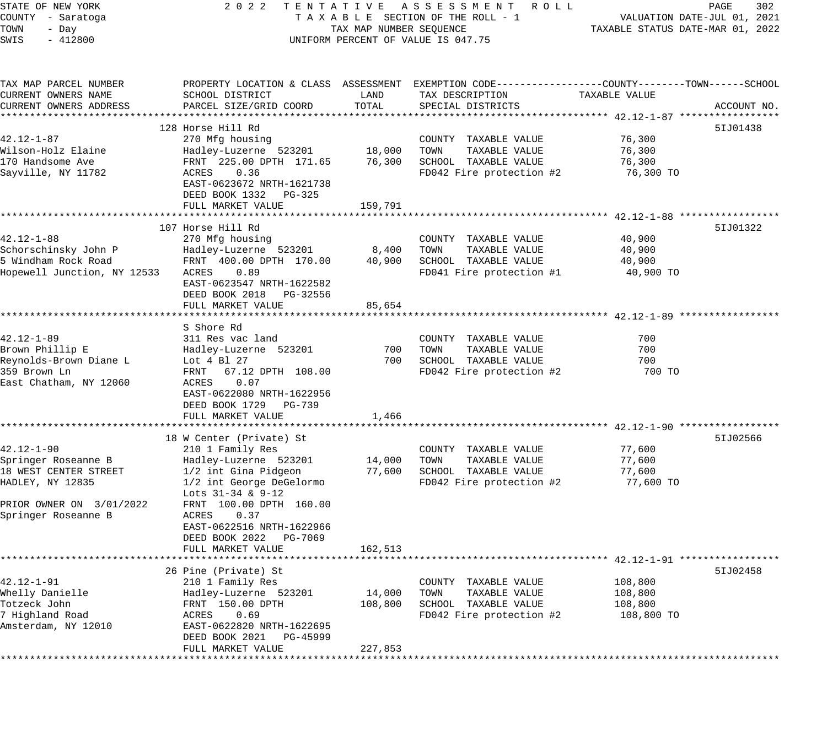STATE OF NEW YORK 2 0 2 2 T E N T A T I V E A S S E S S M E N T R O L L PAGE 302 COUNTY - Saratoga T A X A B L E SECTION OF THE ROLL - 1 VALUATION DATE-JUL 01, 2021 TOWN - Day TAX MAP NUMBER SEQUENCE TAXABLE STATUS DATE-MAR 01, 2022 SWIS - 412800 CONTROLLY THE UNIFORM PERCENT OF VALUE IS 047.75 TAX MAP PARCEL NUMBER PROPERTY LOCATION & CLASS ASSESSMENT EXEMPTION CODE------------------COUNTY--------TOWN------SCHOOL CURRENT OWNERS NAME SCHOOL DISTRICT LAND TAX DESCRIPTION TAXABLE VALUE CURRENT OWNERS ADDRESS PARCEL SIZE/GRID COORD TOTAL SPECIAL DISTRICTS ACCOUNT NO. \*\*\*\*\*\*\*\*\*\*\*\*\*\*\*\*\*\*\*\*\*\*\*\*\*\*\*\*\*\*\*\*\*\*\*\*\*\*\*\*\*\*\*\*\*\*\*\*\*\*\*\*\*\*\*\*\*\*\*\*\*\*\*\*\*\*\*\*\*\*\*\*\*\*\*\*\*\*\*\*\*\*\*\*\*\*\*\*\*\*\*\*\*\*\*\*\*\*\*\*\*\*\* 42.12-1-87 \*\*\*\*\*\*\*\*\*\*\*\*\*\*\*\*\* 128 Horse Hill Rd 42.12-1-87 270 Mfg housing COUNTY TAXABLE VALUE 76,300 Wilson-Holz Elaine Hadley-Luzerne 523201 18,000 TOWN TAXABLE VALUE 76,300 170 Handsome Ave FRNT 225.00 DPTH 171.65 76,300 SCHOOL TAXABLE VALUE 76,300 Sayville, NY 11782 ACRES 0.36 FD042 Fire protection #2 76,300 TO EAST-0623672 NRTH-1621738 DEED BOOK 1332 PG-325 FULL MARKET VALUE 159,791 \*\*\*\*\*\*\*\*\*\*\*\*\*\*\*\*\*\*\*\*\*\*\*\*\*\*\*\*\*\*\*\*\*\*\*\*\*\*\*\*\*\*\*\*\*\*\*\*\*\*\*\*\*\*\*\*\*\*\*\*\*\*\*\*\*\*\*\*\*\*\*\*\*\*\*\*\*\*\*\*\*\*\*\*\*\*\*\*\*\*\*\*\*\*\*\*\*\*\*\*\*\*\* 42.12-1-88 \*\*\*\*\*\*\*\*\*\*\*\*\*\*\*\*\* 107 Horse Hill Rd 5IJ01322 42.12-1-88 270 Mfg housing COUNTY TAXABLE VALUE 40,900 Schorschinsky John P Hadley-Luzerne 523201 8,400 TOWN TAXABLE VALUE 40,900 5 Windham Rock Road FRNT 400.00 DPTH 170.00 40,900 SCHOOL TAXABLE VALUE 40,900 Hopewell Junction, NY 12533 ACRES 0.89 FD041 Fire protection #1 40,900 TO EAST-0623547 NRTH-1622582 DEED BOOK 2018 PG-32556 FULL MARKET VALUE 85,654 \*\*\*\*\*\*\*\*\*\*\*\*\*\*\*\*\*\*\*\*\*\*\*\*\*\*\*\*\*\*\*\*\*\*\*\*\*\*\*\*\*\*\*\*\*\*\*\*\*\*\*\*\*\*\*\*\*\*\*\*\*\*\*\*\*\*\*\*\*\*\*\*\*\*\*\*\*\*\*\*\*\*\*\*\*\*\*\*\*\*\*\*\*\*\*\*\*\*\*\*\*\*\* 42.12-1-89 \*\*\*\*\*\*\*\*\*\*\*\*\*\*\*\*\* S Shore Rd 42.12-1-89 311 Res vac land COUNTY TAXABLE VALUE 700 Brown Phillip E Hadley-Luzerne 523201 700 TOWN TAXABLE VALUE 700 Reynolds-Brown Diane L Lot 4 Bl 27 700 SCHOOL TAXABLE VALUE 700 359 Brown Ln FRNT 67.12 DPTH 108.00 FD042 Fire protection #2 700 TO East Chatham, NY 12060 ACRES 0.07 EAST-0622080 NRTH-1622956 DEED BOOK 1729 PG-739 FULL MARKET VALUE 1,466 \*\*\*\*\*\*\*\*\*\*\*\*\*\*\*\*\*\*\*\*\*\*\*\*\*\*\*\*\*\*\*\*\*\*\*\*\*\*\*\*\*\*\*\*\*\*\*\*\*\*\*\*\*\*\*\*\*\*\*\*\*\*\*\*\*\*\*\*\*\*\*\*\*\*\*\*\*\*\*\*\*\*\*\*\*\*\*\*\*\*\*\*\*\*\*\*\*\*\*\*\*\*\* 42.12-1-90 \*\*\*\*\*\*\*\*\*\*\*\*\*\*\*\*\* 18 W Center (Private) St 5IJ02566 42.12-1-90 210 1 Family Res COUNTY TAXABLE VALUE 77,600 Springer Roseanne B Hadley-Luzerne 523201 14,000 TOWN TAXABLE VALUE 77,600 18 WEST CENTER STREET 1/2 int Gina Pidgeon 77,600 SCHOOL TAXABLE VALUE 77,600 HADLEY, NY 12835 1/2 int George DeGelormo FD042 Fire protection #2 77,600 TO Lots 31-34 & 9-12 PRIOR OWNER ON 3/01/2022 FRNT 100.00 DPTH 160.00 Springer Roseanne B ACRES 0.37 EAST-0622516 NRTH-1622966 DEED BOOK 2022 PG-7069 FULL MARKET VALUE 162,513 \*\*\*\*\*\*\*\*\*\*\*\*\*\*\*\*\*\*\*\*\*\*\*\*\*\*\*\*\*\*\*\*\*\*\*\*\*\*\*\*\*\*\*\*\*\*\*\*\*\*\*\*\*\*\*\*\*\*\*\*\*\*\*\*\*\*\*\*\*\*\*\*\*\*\*\*\*\*\*\*\*\*\*\*\*\*\*\*\*\*\*\*\*\*\*\*\*\*\*\*\*\*\* 42.12-1-91 \*\*\*\*\*\*\*\*\*\*\*\*\*\*\*\*\* 26 Pine (Private) St 5IJ02458 42.12-1-91 210 1 Family Res COUNTY TAXABLE VALUE 108,800 Whelly Danielle Hadley-Luzerne 523201 14,000 TOWN TAXABLE VALUE 108,800 Totzeck John FRNT 150.00 DPTH 108,800 SCHOOL TAXABLE VALUE 108,800 7 Highland Road ACRES 0.69 FD042 Fire protection #2 108,800 TO Amsterdam, NY 12010 EAST-0622820 NRTH-1622695 DEED BOOK 2021 PG-45999 FULL MARKET VALUE 227,853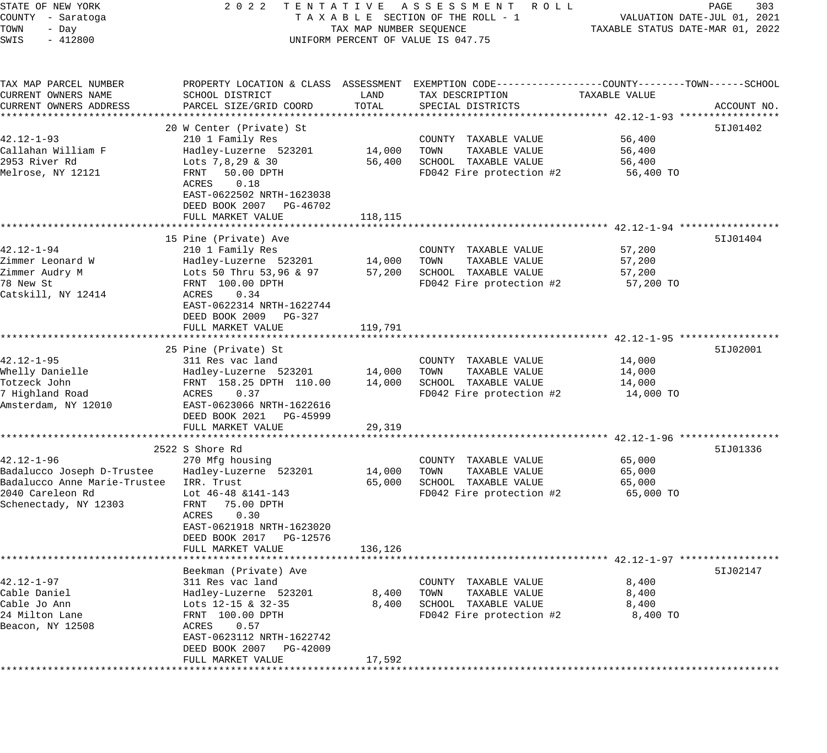| STATE OF NEW YORK                  | 2 0 2 2                                              |                         | TENTATIVE ASSESSMENT ROLL                                                                       |                                  | PAGE<br>303                 |
|------------------------------------|------------------------------------------------------|-------------------------|-------------------------------------------------------------------------------------------------|----------------------------------|-----------------------------|
| COUNTY - Saratoga<br>TOWN<br>- Day |                                                      | TAX MAP NUMBER SEQUENCE | TAXABLE SECTION OF THE ROLL - 1                                                                 | TAXABLE STATUS DATE-MAR 01, 2022 | VALUATION DATE-JUL 01, 2021 |
| $-412800$<br>SWIS                  |                                                      |                         | UNIFORM PERCENT OF VALUE IS 047.75                                                              |                                  |                             |
|                                    |                                                      |                         |                                                                                                 |                                  |                             |
| TAX MAP PARCEL NUMBER              |                                                      |                         | PROPERTY LOCATION & CLASS ASSESSMENT EXEMPTION CODE----------------COUNTY-------TOWN-----SCHOOL |                                  |                             |
| CURRENT OWNERS NAME                | SCHOOL DISTRICT                                      | LAND                    | TAX DESCRIPTION                                                                                 | TAXABLE VALUE                    |                             |
| CURRENT OWNERS ADDRESS             | PARCEL SIZE/GRID COORD                               | TOTAL                   | SPECIAL DISTRICTS                                                                               |                                  | ACCOUNT NO.                 |
|                                    | 20 W Center (Private) St                             |                         |                                                                                                 |                                  | 51J01402                    |
| $42.12 - 1 - 93$                   | 210 1 Family Res                                     |                         | COUNTY TAXABLE VALUE                                                                            | 56,400                           |                             |
| Callahan William F                 | Hadley-Luzerne 523201                                | 14,000                  | TOWN<br>TAXABLE VALUE                                                                           | 56,400                           |                             |
| 2953 River Rd                      | Lots $7, 8, 29$ & 30                                 | 56,400                  | SCHOOL TAXABLE VALUE                                                                            | 56,400                           |                             |
| Melrose, NY 12121                  | FRNT<br>50.00 DPTH                                   |                         | FD042 Fire protection #2                                                                        | 56,400 TO                        |                             |
|                                    | 0.18<br>ACRES                                        |                         |                                                                                                 |                                  |                             |
|                                    | EAST-0622502 NRTH-1623038                            |                         |                                                                                                 |                                  |                             |
|                                    | DEED BOOK 2007 PG-46702                              |                         |                                                                                                 |                                  |                             |
|                                    | FULL MARKET VALUE                                    | 118,115                 |                                                                                                 |                                  |                             |
|                                    | 15 Pine (Private) Ave                                |                         |                                                                                                 |                                  | 51J01404                    |
| $42.12 - 1 - 94$                   | 210 1 Family Res                                     |                         | COUNTY TAXABLE VALUE                                                                            | 57,200                           |                             |
| Zimmer Leonard W                   | Hadley-Luzerne 523201                                | 14,000                  | TAXABLE VALUE<br>TOWN                                                                           | 57,200                           |                             |
| Zimmer Audry M                     | Lots 50 Thru $53,96$ & 97                            | 57,200                  | SCHOOL TAXABLE VALUE                                                                            | 57,200                           |                             |
| 78 New St                          | FRNT 100.00 DPTH                                     |                         | FD042 Fire protection #2                                                                        | 57,200 TO                        |                             |
| Catskill, NY 12414                 | 0.34<br>ACRES                                        |                         |                                                                                                 |                                  |                             |
|                                    | EAST-0622314 NRTH-1622744                            |                         |                                                                                                 |                                  |                             |
|                                    | DEED BOOK 2009 PG-327                                |                         |                                                                                                 |                                  |                             |
|                                    | FULL MARKET VALUE                                    | 119,791                 |                                                                                                 |                                  |                             |
|                                    | 25 Pine (Private) St                                 |                         |                                                                                                 |                                  | 51J02001                    |
| $42.12 - 1 - 95$                   | 311 Res vac land                                     |                         | COUNTY TAXABLE VALUE                                                                            | 14,000                           |                             |
| Whelly Danielle                    | Hadley-Luzerne 523201                                | 14,000                  | TOWN<br>TAXABLE VALUE                                                                           | 14,000                           |                             |
| Totzeck John                       | FRNT 158.25 DPTH 110.00                              | 14,000                  | SCHOOL TAXABLE VALUE                                                                            | 14,000                           |                             |
| 7 Highland Road                    | ACRES<br>0.37                                        |                         | FD042 Fire protection #2                                                                        | 14,000 TO                        |                             |
| Amsterdam, NY 12010                | EAST-0623066 NRTH-1622616                            |                         |                                                                                                 |                                  |                             |
|                                    | DEED BOOK 2021 PG-45999                              |                         |                                                                                                 |                                  |                             |
|                                    | FULL MARKET VALUE                                    | 29,319                  |                                                                                                 |                                  |                             |
|                                    | 2522 S Shore Rd                                      |                         |                                                                                                 |                                  | 51J01336                    |
| $42.12 - 1 - 96$                   | 270 Mfg housing                                      |                         | COUNTY TAXABLE VALUE                                                                            | 65,000                           |                             |
| Badalucco Joseph D-Trustee         | Hadley-Luzerne 523201                                | 14,000                  | TAXABLE VALUE<br>TOWN                                                                           | 65,000                           |                             |
| Badalucco Anne Marie-Trustee       | IRR. Trust                                           | 65,000                  | SCHOOL TAXABLE VALUE                                                                            | 65,000                           |                             |
| 2040 Careleon Rd                   | Lot 46-48 &141-143                                   |                         | FD042 Fire protection #2                                                                        | 65,000 TO                        |                             |
| Schenectady, NY 12303              | FRNT<br>75.00 DPTH                                   |                         |                                                                                                 |                                  |                             |
|                                    | 0.30<br>ACRES                                        |                         |                                                                                                 |                                  |                             |
|                                    | EAST-0621918 NRTH-1623020<br>PG-12576                |                         |                                                                                                 |                                  |                             |
|                                    | DEED BOOK 2017<br>FULL MARKET VALUE                  | 136,126                 |                                                                                                 |                                  |                             |
|                                    |                                                      |                         |                                                                                                 |                                  |                             |
|                                    | Beekman (Private) Ave                                |                         |                                                                                                 |                                  | 51J02147                    |
| $42.12 - 1 - 97$                   | 311 Res vac land                                     |                         | COUNTY TAXABLE VALUE                                                                            | 8,400                            |                             |
| Cable Daniel                       | Hadley-Luzerne 523201                                | 8,400                   | TAXABLE VALUE<br>TOWN                                                                           | 8,400                            |                             |
| Cable Jo Ann                       | Lots 12-15 & 32-35                                   | 8,400                   | SCHOOL TAXABLE VALUE                                                                            | 8,400                            |                             |
| 24 Milton Lane                     | FRNT 100.00 DPTH                                     |                         | FD042 Fire protection #2                                                                        | 8,400 TO                         |                             |
| Beacon, NY 12508                   | 0.57<br>ACRES                                        |                         |                                                                                                 |                                  |                             |
|                                    | EAST-0623112 NRTH-1622742<br>DEED BOOK 2007 PG-42009 |                         |                                                                                                 |                                  |                             |
|                                    | FULL MARKET VALUE                                    | 17,592                  |                                                                                                 |                                  |                             |
| * * * * * * * * *                  |                                                      |                         |                                                                                                 |                                  |                             |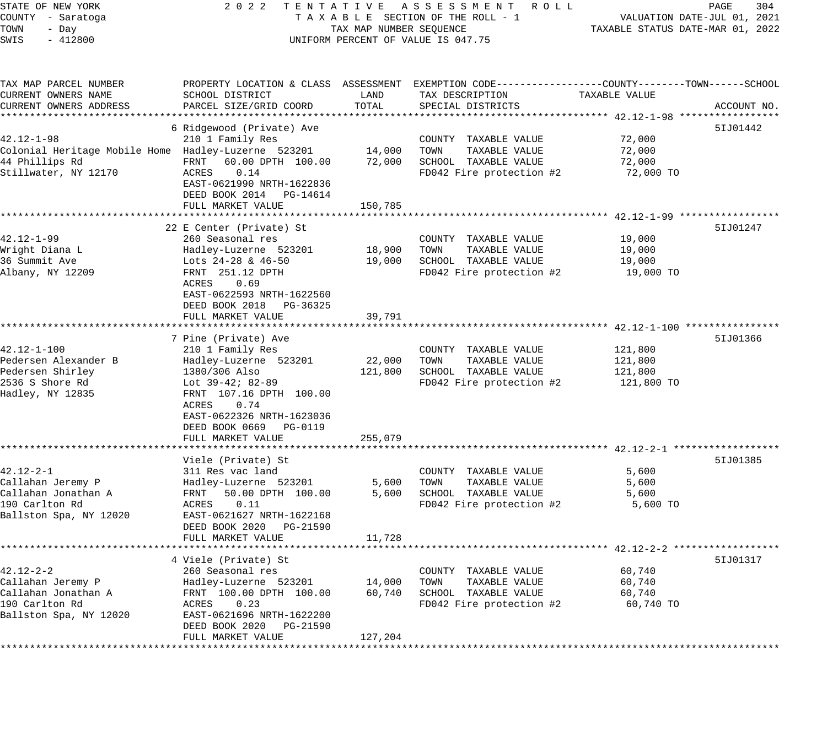STATE OF NEW YORK 2 0 2 2 T E N T A T I V E A S S E S S M E N T R O L L PAGE 304 COUNTY - Saratoga T A X A B L E SECTION OF THE ROLL - 1 VALUATION DATE-JUL 01, 2021 TOWN - Day TAX MAP NUMBER SEQUENCE TAXABLE STATUS DATE-MAR 01, 2022 SWIS - 412800 CONTROLLY THE UNIFORM PERCENT OF VALUE IS 047.75 TAX MAP PARCEL NUMBER PROPERTY LOCATION & CLASS ASSESSMENT EXEMPTION CODE------------------COUNTY--------TOWN------SCHOOL CURRENT OWNERS NAME SCHOOL DISTRICT LAND TAX DESCRIPTION TAXABLE VALUE CURRENT OWNERS ADDRESS PARCEL SIZE/GRID COORD TOTAL SPECIAL DISTRICTS ACCOUNT NO. \*\*\*\*\*\*\*\*\*\*\*\*\*\*\*\*\*\*\*\*\*\*\*\*\*\*\*\*\*\*\*\*\*\*\*\*\*\*\*\*\*\*\*\*\*\*\*\*\*\*\*\*\*\*\*\*\*\*\*\*\*\*\*\*\*\*\*\*\*\*\*\*\*\*\*\*\*\*\*\*\*\*\*\*\*\*\*\*\*\*\*\*\*\*\*\*\*\*\*\*\*\*\* 42.12-1-98 \*\*\*\*\*\*\*\*\*\*\*\*\*\*\*\*\* 6 Ridgewood (Private) Ave 5IJ01442 42.12-1-98 210 1 Family Res COUNTY TAXABLE VALUE 72,000 Colonial Heritage Mobile Home Hadley-Luzerne 523201 14,000 TOWN TAXABLE VALUE 72,000 44 Phillips Rd FRNT 60.00 DPTH 100.00 72,000 SCHOOL TAXABLE VALUE 72,000 Stillwater, NY 12170 ACRES 0.14 FD042 Fire protection #2 72,000 TO EAST-0621990 NRTH-1622836 DEED BOOK 2014 PG-14614 DEED BOOK 2014 PG-14614<br>FULL MARKET VALUE 150,785 \*\*\*\*\*\*\*\*\*\*\*\*\*\*\*\*\*\*\*\*\*\*\*\*\*\*\*\*\*\*\*\*\*\*\*\*\*\*\*\*\*\*\*\*\*\*\*\*\*\*\*\*\*\*\*\*\*\*\*\*\*\*\*\*\*\*\*\*\*\*\*\*\*\*\*\*\*\*\*\*\*\*\*\*\*\*\*\*\*\*\*\*\*\*\*\*\*\*\*\*\*\*\* 42.12-1-99 \*\*\*\*\*\*\*\*\*\*\*\*\*\*\*\*\* 22 E Center (Private) St 5IJ01247 42.12-1-99 260 Seasonal res COUNTY TAXABLE VALUE 19,000 Wright Diana L Hadley-Luzerne 523201 18,900 TOWN TAXABLE VALUE 19,000 36 Summit Ave Lots 24-28 & 46-50 19,000 SCHOOL TAXABLE VALUE 19,000 Albany, NY 12209 FRNT 251.12 DPTH FD042 Fire protection #2 19,000 TO ACRES 0.69 EAST-0622593 NRTH-1622560 DEED BOOK 2018 PG-36325 FULL MARKET VALUE 39,791 \*\*\*\*\*\*\*\*\*\*\*\*\*\*\*\*\*\*\*\*\*\*\*\*\*\*\*\*\*\*\*\*\*\*\*\*\*\*\*\*\*\*\*\*\*\*\*\*\*\*\*\*\*\*\*\*\*\*\*\*\*\*\*\*\*\*\*\*\*\*\*\*\*\*\*\*\*\*\*\*\*\*\*\*\*\*\*\*\*\*\*\*\*\*\*\*\*\*\*\*\*\*\* 42.12-1-100 \*\*\*\*\*\*\*\*\*\*\*\*\*\*\*\* 7 Pine (Private) Ave 5IJ01366 42.12-1-100 210 1 Family Res COUNTY TAXABLE VALUE 121,800 Pedersen Alexander B Hadley-Luzerne 523201 22,000 TOWN TAXABLE VALUE 121,800 Pedersen Shirley 1380/306 Also 121,800 SCHOOL TAXABLE VALUE 121,800 2536 S Shore Rd Lot 39-42; 82-89 FD042 Fire protection #2 121,800 TO Hadley, NY 12835 FRNT 107.16 DPTH 100.00 ACRES 0.74 EAST-0622326 NRTH-1623036 DEED BOOK 0669 PG-0119 FULL MARKET VALUE 255,079 \*\*\*\*\*\*\*\*\*\*\*\*\*\*\*\*\*\*\*\*\*\*\*\*\*\*\*\*\*\*\*\*\*\*\*\*\*\*\*\*\*\*\*\*\*\*\*\*\*\*\*\*\*\*\*\*\*\*\*\*\*\*\*\*\*\*\*\*\*\*\*\*\*\*\*\*\*\*\*\*\*\*\*\*\*\*\*\*\*\*\*\*\*\*\*\*\*\*\*\*\*\*\* 42.12-2-1 \*\*\*\*\*\*\*\*\*\*\*\*\*\*\*\*\*\* Viele (Private) St 5IJ01385 (Private ) St 51J01385 (Private ) St 51J01385 (Private ) St 51J01385 (Private ) St 51J01385 (Private ) St 51J01385 (Private ) St 51J01385 (Private ) St 51J01385 (Private ) St 51J01385 (Private ) 42.12-2-1 311 Res vac land COUNTY TAXABLE VALUE 5,600 Callahan Jeremy P Hadley-Luzerne 523201 5,600 TOWN TAXABLE VALUE 5,600 Callahan Jonathan A FRNT 50.00 DPTH 100.00 5,600 SCHOOL TAXABLE VALUE 5,600 190 Carlton Rd ACRES 0.11 FD042 Fire protection #2 5,600 TO Ballston Spa, NY 12020 EAST-0621627 NRTH-1622168 DEED BOOK 2020 PG-21590 FULL MARKET VALUE 11,728 \*\*\*\*\*\*\*\*\*\*\*\*\*\*\*\*\*\*\*\*\*\*\*\*\*\*\*\*\*\*\*\*\*\*\*\*\*\*\*\*\*\*\*\*\*\*\*\*\*\*\*\*\*\*\*\*\*\*\*\*\*\*\*\*\*\*\*\*\*\*\*\*\*\*\*\*\*\*\*\*\*\*\*\*\*\*\*\*\*\*\*\*\*\*\*\*\*\*\*\*\*\*\* 42.12-2-2 \*\*\*\*\*\*\*\*\*\*\*\*\*\*\*\*\*\* 4 Viele (Private) St 42.12-2-2 260 Seasonal res COUNTY TAXABLE VALUE 60,740 Callahan Jeremy P Hadley-Luzerne 523201 14,000 TOWN TAXABLE VALUE 60,740 Callahan Jonathan A FRNT 100.00 DPTH 100.00 60,740 SCHOOL TAXABLE VALUE 60,740 190 Carlton Rd ACRES 0.23 FD042 Fire protection #2 60,740 TO Ballston Spa, NY 12020 EAST-0621696 NRTH-1622200 DEED BOOK 2020 PG-21590

\*\*\*\*\*\*\*\*\*\*\*\*\*\*\*\*\*\*\*\*\*\*\*\*\*\*\*\*\*\*\*\*\*\*\*\*\*\*\*\*\*\*\*\*\*\*\*\*\*\*\*\*\*\*\*\*\*\*\*\*\*\*\*\*\*\*\*\*\*\*\*\*\*\*\*\*\*\*\*\*\*\*\*\*\*\*\*\*\*\*\*\*\*\*\*\*\*\*\*\*\*\*\*\*\*\*\*\*\*\*\*\*\*\*\*\*\*\*\*\*\*\*\*\*\*\*\*\*\*\*\*\*

FULL MARKET VALUE 127,204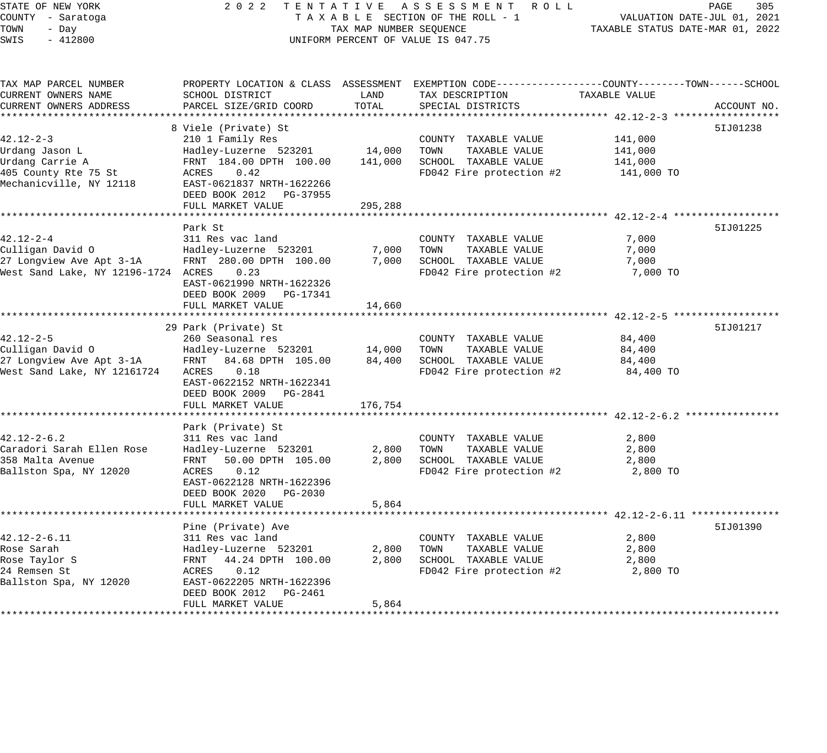| STATE OF NEW YORK                      | 2 0 2 2                                         |                         | TENTATIVE ASSESSMENT ROLL                                                                      |                                                    | PAGE<br>305                 |
|----------------------------------------|-------------------------------------------------|-------------------------|------------------------------------------------------------------------------------------------|----------------------------------------------------|-----------------------------|
| COUNTY - Saratoga                      |                                                 |                         | TAXABLE SECTION OF THE ROLL - 1                                                                |                                                    | VALUATION DATE-JUL 01, 2021 |
| TOWN<br>- Day                          |                                                 | TAX MAP NUMBER SEQUENCE |                                                                                                | TAXABLE STATUS DATE-MAR 01, 2022                   |                             |
| SWIS<br>$-412800$                      |                                                 |                         | UNIFORM PERCENT OF VALUE IS 047.75                                                             |                                                    |                             |
| TAX MAP PARCEL NUMBER                  |                                                 |                         | PROPERTY LOCATION & CLASS ASSESSMENT EXEMPTION CODE---------------COUNTY-------TOWN-----SCHOOL |                                                    |                             |
| CURRENT OWNERS NAME                    | SCHOOL DISTRICT                                 | LAND                    | TAX DESCRIPTION                                                                                | TAXABLE VALUE                                      |                             |
| CURRENT OWNERS ADDRESS                 | PARCEL SIZE/GRID COORD                          | TOTAL                   | SPECIAL DISTRICTS                                                                              |                                                    | ACCOUNT NO.                 |
|                                        |                                                 |                         |                                                                                                |                                                    |                             |
|                                        | 8 Viele (Private) St                            |                         |                                                                                                |                                                    | 51J01238                    |
| $42.12 - 2 - 3$<br>Urdang Jason L      | 210 1 Family Res<br>Hadley-Luzerne 523201       | 14,000                  | COUNTY TAXABLE VALUE<br>TOWN<br>TAXABLE VALUE                                                  | 141,000<br>141,000                                 |                             |
| Urdang Carrie A                        | FRNT 184.00 DPTH 100.00                         | 141,000                 | SCHOOL TAXABLE VALUE                                                                           | 141,000                                            |                             |
| 405 County Rte 75 St                   | ACRES<br>0.42                                   |                         | FD042 Fire protection #2                                                                       | 141,000 TO                                         |                             |
| Mechanicville, NY 12118                | EAST-0621837 NRTH-1622266                       |                         |                                                                                                |                                                    |                             |
|                                        | DEED BOOK 2012 PG-37955                         |                         |                                                                                                |                                                    |                             |
|                                        | FULL MARKET VALUE                               | 295,288                 |                                                                                                |                                                    |                             |
|                                        |                                                 |                         |                                                                                                |                                                    |                             |
|                                        | Park St                                         |                         |                                                                                                |                                                    | 51J01225                    |
| $42.12 - 2 - 4$                        | 311 Res vac land                                |                         | COUNTY TAXABLE VALUE                                                                           | 7,000                                              |                             |
| Culligan David O                       | Hadley-Luzerne 523201                           | 7,000                   | TAXABLE VALUE<br>TOWN                                                                          | 7,000                                              |                             |
| 27 Longview Ave Apt 3-1A               | FRNT 280.00 DPTH 100.00                         | 7,000                   | SCHOOL TAXABLE VALUE                                                                           | 7,000                                              |                             |
| West Sand Lake, NY 12196-1724 ACRES    | 0.23                                            |                         | FD042 Fire protection #2                                                                       | 7,000 TO                                           |                             |
|                                        | EAST-0621990 NRTH-1622326                       |                         |                                                                                                |                                                    |                             |
|                                        | DEED BOOK 2009<br>PG-17341<br>FULL MARKET VALUE | 14,660                  |                                                                                                |                                                    |                             |
|                                        |                                                 |                         |                                                                                                |                                                    |                             |
|                                        | 29 Park (Private) St                            |                         |                                                                                                |                                                    | 51J01217                    |
| $42.12 - 2 - 5$                        | 260 Seasonal res                                |                         | COUNTY TAXABLE VALUE                                                                           | 84,400                                             |                             |
| Culligan David O                       | Hadley-Luzerne 523201                           | 14,000                  | TAXABLE VALUE<br>TOWN                                                                          | 84,400                                             |                             |
| 27 Longview Ave Apt 3-1A               | FRNT<br>84.68 DPTH 105.00                       | 84,400                  | SCHOOL TAXABLE VALUE                                                                           | 84,400                                             |                             |
| West Sand Lake, NY 12161724            | 0.18<br>ACRES                                   |                         | FD042 Fire protection #2                                                                       | 84,400 TO                                          |                             |
|                                        | EAST-0622152 NRTH-1622341                       |                         |                                                                                                |                                                    |                             |
|                                        | DEED BOOK 2009 PG-2841                          |                         |                                                                                                |                                                    |                             |
|                                        | FULL MARKET VALUE<br>*******************        | 176,754                 |                                                                                                |                                                    |                             |
|                                        |                                                 |                         |                                                                                                |                                                    |                             |
| $42.12 - 2 - 6.2$                      | Park (Private) St<br>311 Res vac land           |                         | COUNTY TAXABLE VALUE                                                                           | 2,800                                              |                             |
| Caradori Sarah Ellen Rose              | Hadley-Luzerne 523201                           | 2,800                   | TAXABLE VALUE<br>TOWN                                                                          | 2,800                                              |                             |
| 358 Malta Avenue                       | FRNT<br>50.00 DPTH 105.00                       | 2,800                   | SCHOOL TAXABLE VALUE                                                                           | 2,800                                              |                             |
| Ballston Spa, NY 12020                 | ACRES<br>0.12                                   |                         | FD042 Fire protection #2                                                                       | 2,800 TO                                           |                             |
|                                        | EAST-0622128 NRTH-1622396                       |                         |                                                                                                |                                                    |                             |
|                                        | DEED BOOK 2020<br>PG-2030                       |                         |                                                                                                |                                                    |                             |
|                                        | FULL MARKET VALUE                               | 5,864                   |                                                                                                |                                                    |                             |
|                                        |                                                 |                         |                                                                                                | ********************* 42.12-2-6.11 *************** |                             |
|                                        | Pine (Private) Ave                              |                         |                                                                                                |                                                    | 51J01390                    |
| 42.12-2-6.11                           | 311 Res vac land                                |                         | COUNTY TAXABLE VALUE                                                                           | 2,800                                              |                             |
| Rose Sarah                             | Hadley-Luzerne 523201                           | 2,800                   | TOWN<br>TAXABLE VALUE                                                                          | 2,800                                              |                             |
| Rose Taylor S                          | 44.24 DPTH 100.00<br>FRNT                       | 2,800                   | SCHOOL TAXABLE VALUE                                                                           | 2,800                                              |                             |
| 24 Remsen St<br>Ballston Spa, NY 12020 | ACRES<br>0.12<br>EAST-0622205 NRTH-1622396      |                         | FD042 Fire protection #2                                                                       | 2,800 TO                                           |                             |
|                                        | DEED BOOK 2012<br>PG-2461                       |                         |                                                                                                |                                                    |                             |
|                                        | FULL MARKET VALUE                               | 5,864                   |                                                                                                |                                                    |                             |
|                                        |                                                 |                         |                                                                                                |                                                    |                             |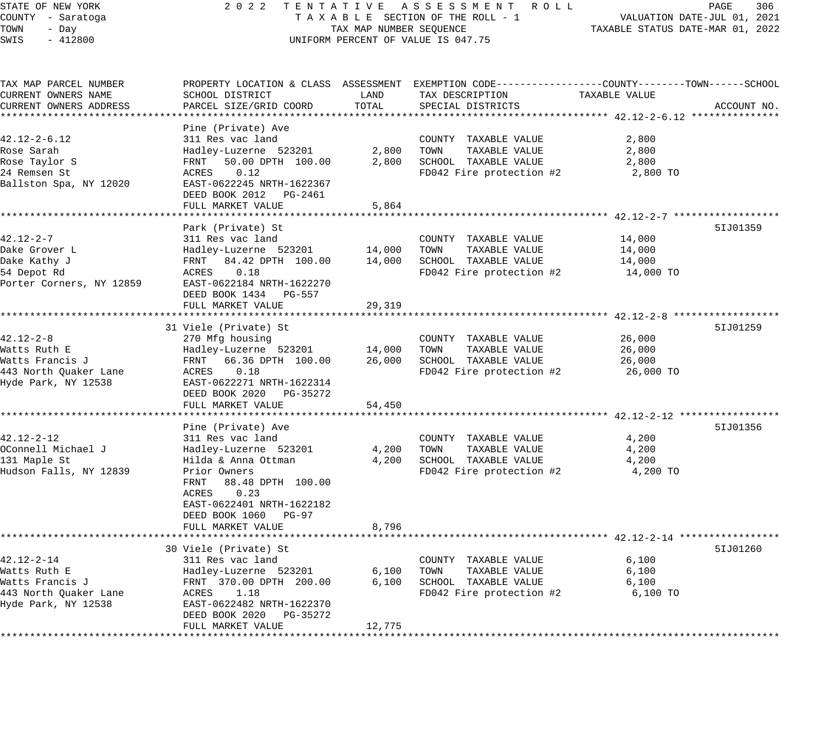# STATE OF NEW YORK 2 0 2 2 T E N T A T I V E A S S E S S M E N T R O L L PAGE 306 COUNTY - Saratoga T A X A B L E SECTION OF THE ROLL - 1 VALUATION DATE-JUL 01, 2021 TAX MAP NUMBER SEQUENCE TAXABLE STATUS DATE-MAR 01, 2022 UNIFORM PERCENT OF VALUE IS 047.75

| TAX MAP PARCEL NUMBER<br>CURRENT OWNERS NAME | SCHOOL DISTRICT                                  | LAND           | TAX DESCRIPTION                       | PROPERTY LOCATION & CLASS ASSESSMENT EXEMPTION CODE---------------COUNTY-------TOWN------SCHOOL<br>TAXABLE VALUE |             |
|----------------------------------------------|--------------------------------------------------|----------------|---------------------------------------|------------------------------------------------------------------------------------------------------------------|-------------|
| CURRENT OWNERS ADDRESS                       | PARCEL SIZE/GRID COORD                           | TOTAL          | SPECIAL DISTRICTS                     |                                                                                                                  | ACCOUNT NO. |
|                                              |                                                  |                |                                       |                                                                                                                  |             |
|                                              | Pine (Private) Ave                               |                |                                       |                                                                                                                  |             |
| $42.12 - 2 - 6.12$                           | 311 Res vac land                                 |                | COUNTY TAXABLE VALUE                  | 2,800                                                                                                            |             |
| Rose Sarah                                   | Hadley-Luzerne 523201                            | 2,800          | TOWN<br>TAXABLE VALUE                 | 2,800                                                                                                            |             |
| Rose Taylor S                                | 50.00 DPTH 100.00<br>FRNT                        | 2,800          | SCHOOL TAXABLE VALUE                  | 2,800                                                                                                            |             |
| 24 Remsen St                                 | 0.12<br>ACRES                                    |                | FD042 Fire protection #2              | 2,800 TO                                                                                                         |             |
| Ballston Spa, NY 12020                       | EAST-0622245 NRTH-1622367                        |                |                                       |                                                                                                                  |             |
|                                              | DEED BOOK 2012 PG-2461                           |                |                                       |                                                                                                                  |             |
|                                              | FULL MARKET VALUE                                | 5,864          |                                       |                                                                                                                  |             |
|                                              |                                                  |                |                                       |                                                                                                                  |             |
|                                              | Park (Private) St                                |                |                                       |                                                                                                                  | 51J01359    |
| $42.12 - 2 - 7$                              | 311 Res vac land                                 |                | COUNTY TAXABLE VALUE                  | 14,000                                                                                                           |             |
| Dake Grover L                                | Hadley-Luzerne 523201                            | 14,000         | TAXABLE VALUE<br>TOWN                 | 14,000                                                                                                           |             |
| Dake Kathy J                                 | FRNT 84.42 DPTH 100.00                           | 14,000         | SCHOOL TAXABLE VALUE                  | 14,000                                                                                                           |             |
| 54 Depot Rd                                  | ACRES<br>0.18                                    |                | FD042 Fire protection #2              | 14,000 TO                                                                                                        |             |
| Porter Corners, NY 12859                     | EAST-0622184 NRTH-1622270                        |                |                                       |                                                                                                                  |             |
|                                              | DEED BOOK 1434 PG-557                            |                |                                       |                                                                                                                  |             |
|                                              | FULL MARKET VALUE                                | 29,319         |                                       |                                                                                                                  |             |
|                                              | ********************                             |                |                                       | *********************** 42.12-2-8 ******                                                                         |             |
|                                              | 31 Viele (Private) St                            |                |                                       |                                                                                                                  | 51J01259    |
| $42.12 - 2 - 8$                              | 270 Mfg housing                                  |                | COUNTY TAXABLE VALUE                  | 26,000                                                                                                           |             |
| Watts Ruth E                                 | Hadley-Luzerne 523201                            | 14,000         | TOWN<br>TAXABLE VALUE                 | 26,000                                                                                                           |             |
| Watts Francis J                              | FRNT<br>66.36 DPTH 100.00                        | 26,000         | SCHOOL TAXABLE VALUE                  | 26,000                                                                                                           |             |
| 443 North Quaker Lane                        | ACRES<br>0.18                                    |                | FD042 Fire protection #2              | 26,000 TO                                                                                                        |             |
| Hyde Park, NY 12538                          | EAST-0622271 NRTH-1622314                        |                |                                       |                                                                                                                  |             |
|                                              | DEED BOOK 2020 PG-35272                          |                |                                       |                                                                                                                  |             |
|                                              | FULL MARKET VALUE                                | 54,450         |                                       |                                                                                                                  |             |
|                                              |                                                  |                |                                       |                                                                                                                  |             |
|                                              | Pine (Private) Ave                               |                |                                       |                                                                                                                  | 51J01356    |
| 42.12-2-12                                   | 311 Res vac land                                 |                | COUNTY TAXABLE VALUE                  | 4,200                                                                                                            |             |
| OConnell Michael J                           | Hadley-Luzerne 523201                            | 4,200          | TAXABLE VALUE<br>TOWN                 | 4,200                                                                                                            |             |
| 131 Maple St                                 | Hilda & Anna Ottman                              | 4,200          | SCHOOL TAXABLE VALUE                  | 4,200                                                                                                            |             |
| Hudson Falls, NY 12839                       | Prior Owners                                     |                | FD042 Fire protection #2              | 4,200 TO                                                                                                         |             |
|                                              | 88.48 DPTH 100.00<br>FRNT                        |                |                                       |                                                                                                                  |             |
|                                              | ACRES<br>0.23                                    |                |                                       |                                                                                                                  |             |
|                                              | EAST-0622401 NRTH-1622182                        |                |                                       |                                                                                                                  |             |
|                                              | DEED BOOK 1060<br>PG-97                          |                |                                       |                                                                                                                  |             |
|                                              | FULL MARKET VALUE                                | 8,796          |                                       |                                                                                                                  |             |
|                                              |                                                  |                |                                       |                                                                                                                  |             |
|                                              | 30 Viele (Private) St                            |                |                                       |                                                                                                                  | 51J01260    |
| $42.12 - 2 - 14$                             | 311 Res vac land                                 |                | COUNTY TAXABLE VALUE                  | 6,100                                                                                                            |             |
|                                              |                                                  |                | TOWN                                  |                                                                                                                  |             |
| Watts Ruth E<br>Watts Francis J              | Hadley-Luzerne 523201<br>FRNT 370.00 DPTH 200.00 | 6,100<br>6,100 | TAXABLE VALUE<br>SCHOOL TAXABLE VALUE | 6,100                                                                                                            |             |
|                                              |                                                  |                |                                       | 6,100                                                                                                            |             |
| 443 North Quaker Lane                        | ACRES<br>1.18                                    |                | FD042 Fire protection #2              | 6,100 TO                                                                                                         |             |
| Hyde Park, NY 12538                          | EAST-0622482 NRTH-1622370                        |                |                                       |                                                                                                                  |             |
|                                              | DEED BOOK 2020<br>PG-35272                       |                |                                       |                                                                                                                  |             |
|                                              | FULL MARKET VALUE                                | 12,775         |                                       |                                                                                                                  |             |
|                                              |                                                  |                |                                       |                                                                                                                  |             |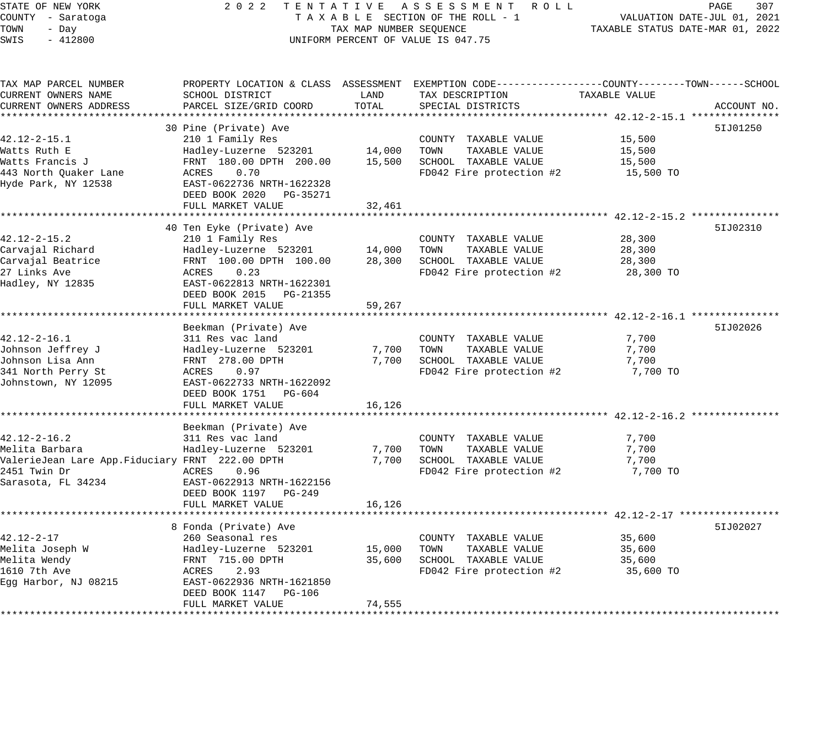# STATE OF NEW YORK 2 0 2 2 T E N T A T I V E A S S E S S M E N T R O L L PAGE 307 COUNTY - Saratoga T A X A B L E SECTION OF THE ROLL - 1 VALUATION DATE-JUL 01, 2021 X A B L E SECTION OF THE ROLL - 1<br>TAXABLE STATUS DATE-MAR 01, 2022<br>TAXABLE STATUS DATE-MAR 01, 2022 UNIFORM PERCENT OF VALUE IS 047.75

| TAX MAP PARCEL NUMBER<br>CURRENT OWNERS NAME    | PROPERTY LOCATION & CLASS ASSESSMENT EXEMPTION CODE---------------COUNTY-------TOWN------SCHOOL<br>SCHOOL DISTRICT | LAND   | TAX DESCRIPTION          | TAXABLE VALUE |             |
|-------------------------------------------------|--------------------------------------------------------------------------------------------------------------------|--------|--------------------------|---------------|-------------|
| CURRENT OWNERS ADDRESS                          | PARCEL SIZE/GRID COORD                                                                                             | TOTAL  | SPECIAL DISTRICTS        |               | ACCOUNT NO. |
|                                                 | 30 Pine (Private) Ave                                                                                              |        |                          |               | 51J01250    |
| $42.12 - 2 - 15.1$                              | 210 1 Family Res                                                                                                   |        | COUNTY TAXABLE VALUE     | 15,500        |             |
| Watts Ruth E                                    | Hadley-Luzerne 523201                                                                                              | 14,000 | TAXABLE VALUE<br>TOWN    | 15,500        |             |
| Watts Francis J                                 | FRNT 180.00 DPTH 200.00                                                                                            | 15,500 | SCHOOL TAXABLE VALUE     | 15,500        |             |
| 443 North Quaker Lane                           | ACRES<br>0.70                                                                                                      |        | FD042 Fire protection #2 | 15,500 TO     |             |
| Hyde Park, NY 12538                             | EAST-0622736 NRTH-1622328                                                                                          |        |                          |               |             |
|                                                 | DEED BOOK 2020 PG-35271                                                                                            |        |                          |               |             |
|                                                 | FULL MARKET VALUE                                                                                                  | 32,461 |                          |               |             |
|                                                 |                                                                                                                    |        |                          |               |             |
|                                                 | 40 Ten Eyke (Private) Ave                                                                                          |        |                          |               | 51J02310    |
| $42.12 - 2 - 15.2$                              | 210 1 Family Res                                                                                                   |        | COUNTY TAXABLE VALUE     | 28,300        |             |
| Carvajal Richard                                | Hadley-Luzerne 523201                                                                                              | 14,000 | TOWN<br>TAXABLE VALUE    | 28,300        |             |
| Carvajal Beatrice                               | FRNT 100.00 DPTH 100.00                                                                                            | 28,300 | SCHOOL TAXABLE VALUE     | 28,300        |             |
| 27 Links Ave                                    | ACRES<br>0.23                                                                                                      |        | FD042 Fire protection #2 | 28,300 TO     |             |
| Hadley, NY 12835                                | EAST-0622813 NRTH-1622301                                                                                          |        |                          |               |             |
|                                                 | DEED BOOK 2015 PG-21355                                                                                            |        |                          |               |             |
|                                                 | FULL MARKET VALUE                                                                                                  | 59,267 |                          |               |             |
|                                                 |                                                                                                                    |        |                          |               |             |
|                                                 | Beekman (Private) Ave                                                                                              |        |                          |               | 51J02026    |
| $42.12 - 2 - 16.1$                              | 311 Res vac land                                                                                                   |        | COUNTY TAXABLE VALUE     | 7,700         |             |
| Johnson Jeffrey J                               | Hadley-Luzerne 523201                                                                                              | 7,700  | TOWN<br>TAXABLE VALUE    | 7,700         |             |
| Johnson Lisa Ann                                | FRNT 278.00 DPTH                                                                                                   | 7,700  | SCHOOL TAXABLE VALUE     | 7,700         |             |
| 341 North Perry St                              | ACRES<br>0.97                                                                                                      |        | FD042 Fire protection #2 | 7,700 TO      |             |
| Johnstown, NY 12095                             | EAST-0622733 NRTH-1622092                                                                                          |        |                          |               |             |
|                                                 | DEED BOOK 1751 PG-604                                                                                              |        |                          |               |             |
|                                                 | FULL MARKET VALUE                                                                                                  | 16,126 |                          |               |             |
|                                                 |                                                                                                                    |        |                          |               |             |
|                                                 | Beekman (Private) Ave                                                                                              |        |                          |               |             |
| $42.12 - 2 - 16.2$                              | 311 Res vac land                                                                                                   |        | COUNTY TAXABLE VALUE     | 7,700         |             |
| Melita Barbara                                  | Hadley-Luzerne 523201                                                                                              | 7,700  | TOWN<br>TAXABLE VALUE    | 7,700         |             |
| ValerieJean Lare App.Fiduciary FRNT 222.00 DPTH |                                                                                                                    | 7,700  | SCHOOL TAXABLE VALUE     | 7,700         |             |
| 2451 Twin Dr                                    | ACRES<br>0.96                                                                                                      |        | FD042 Fire protection #2 | 7,700 TO      |             |
| Sarasota, FL 34234                              | EAST-0622913 NRTH-1622156                                                                                          |        |                          |               |             |
|                                                 | DEED BOOK 1197 PG-249                                                                                              |        |                          |               |             |
|                                                 | FULL MARKET VALUE                                                                                                  | 16,126 |                          |               |             |
|                                                 |                                                                                                                    |        |                          |               |             |
|                                                 | 8 Fonda (Private) Ave                                                                                              |        |                          |               | 51J02027    |
| $42.12 - 2 - 17$                                | 260 Seasonal res                                                                                                   |        | COUNTY TAXABLE VALUE     | 35,600        |             |
| Melita Joseph W                                 | Hadley-Luzerne 523201                                                                                              | 15,000 | TAXABLE VALUE<br>TOWN    | 35,600        |             |
| Melita Wendy                                    | FRNT 715.00 DPTH                                                                                                   | 35,600 | SCHOOL TAXABLE VALUE     | 35,600        |             |
| 1610 7th Ave                                    | 2.93<br>ACRES                                                                                                      |        | FD042 Fire protection #2 | 35,600 TO     |             |
| Egg Harbor, NJ 08215                            | EAST-0622936 NRTH-1621850                                                                                          |        |                          |               |             |
|                                                 | DEED BOOK 1147 PG-106                                                                                              |        |                          |               |             |
|                                                 | FULL MARKET VALUE                                                                                                  | 74,555 |                          |               |             |
|                                                 |                                                                                                                    |        |                          |               |             |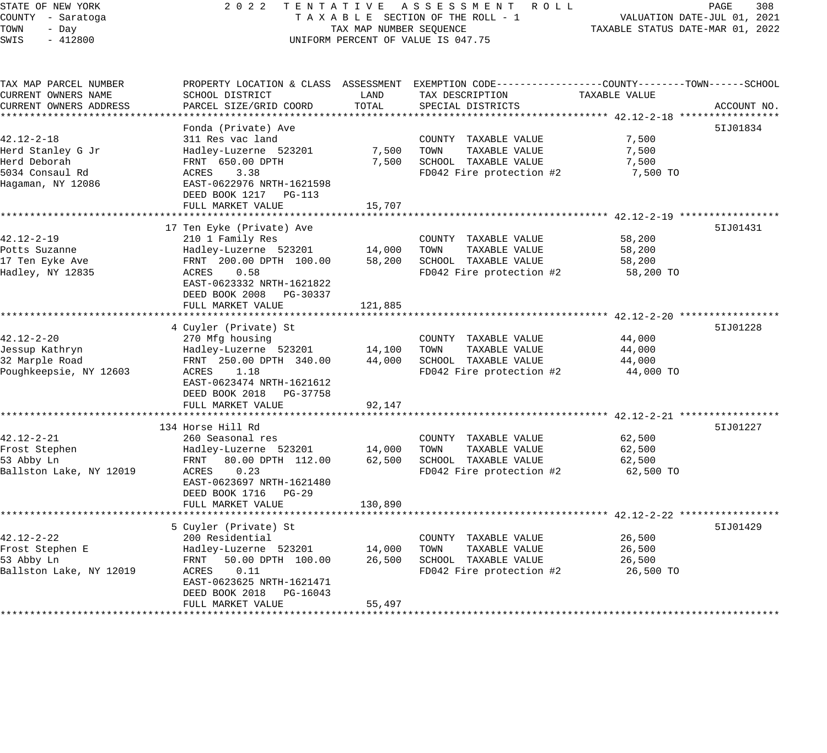# STATE OF NEW YORK 2 0 2 2 T E N T A T I V E A S S E S S M E N T R O L L PAGE 308 COUNTY - Saratoga T A X A B L E SECTION OF THE ROLL - 1 VALUATION DATE-JUL 01, 2021 X A B L E SECTION OF THE ROLL - 1 VALUATION DATE-JUL UI, 2021<br>TAX MAP NUMBER SEQUENCE TAXABLE STATUS DATE-MAR 01, 2022 UNIFORM PERCENT OF VALUE IS 047.75

| TAX MAP PARCEL NUMBER   | PROPERTY LOCATION & CLASS ASSESSMENT EXEMPTION CODE---------------COUNTY-------TOWN------SCHOOL |                      |                          |                                                      |             |
|-------------------------|-------------------------------------------------------------------------------------------------|----------------------|--------------------------|------------------------------------------------------|-------------|
| CURRENT OWNERS NAME     | SCHOOL DISTRICT                                                                                 | LAND                 | TAX DESCRIPTION          | TAXABLE VALUE                                        |             |
| CURRENT OWNERS ADDRESS  | PARCEL SIZE/GRID COORD                                                                          | TOTAL                | SPECIAL DISTRICTS        |                                                      | ACCOUNT NO. |
|                         |                                                                                                 |                      |                          |                                                      |             |
|                         | Fonda (Private) Ave                                                                             |                      |                          |                                                      | 51J01834    |
| $42.12 - 2 - 18$        | 311 Res vac land                                                                                |                      | COUNTY TAXABLE VALUE     | 7,500                                                |             |
| Herd Stanley G Jr       | Hadley-Luzerne 523201                                                                           | 7,500                | TOWN<br>TAXABLE VALUE    | 7,500                                                |             |
| Herd Deborah            | FRNT 650.00 DPTH                                                                                | 7,500                | SCHOOL TAXABLE VALUE     | 7,500                                                |             |
| 5034 Consaul Rd         | ACRES<br>3.38                                                                                   |                      | FD042 Fire protection #2 | 7,500 TO                                             |             |
| Hagaman, NY 12086       | EAST-0622976 NRTH-1621598                                                                       |                      |                          |                                                      |             |
|                         | DEED BOOK 1217 PG-113                                                                           |                      |                          |                                                      |             |
|                         | FULL MARKET VALUE                                                                               | 15,707<br>********** |                          |                                                      |             |
|                         | *********************                                                                           |                      |                          | *********************** 42.12-2-19 ***************** |             |
|                         | 17 Ten Eyke (Private) Ave                                                                       |                      |                          |                                                      | 51J01431    |
| $42.12 - 2 - 19$        | 210 1 Family Res                                                                                |                      | COUNTY TAXABLE VALUE     | 58,200                                               |             |
| Potts Suzanne           | Hadley-Luzerne 523201                                                                           | 14,000               | TOWN<br>TAXABLE VALUE    | 58,200                                               |             |
| 17 Ten Eyke Ave         | FRNT 200.00 DPTH 100.00                                                                         | 58,200               | SCHOOL TAXABLE VALUE     | 58,200                                               |             |
| Hadley, NY 12835        | ACRES<br>0.58                                                                                   |                      | FD042 Fire protection #2 | 58,200 TO                                            |             |
|                         | EAST-0623332 NRTH-1621822                                                                       |                      |                          |                                                      |             |
|                         | DEED BOOK 2008<br>PG-30337                                                                      |                      |                          |                                                      |             |
|                         | FULL MARKET VALUE                                                                               | 121,885              |                          |                                                      |             |
|                         |                                                                                                 |                      |                          |                                                      |             |
|                         | 4 Cuyler (Private) St                                                                           |                      |                          |                                                      | 51J01228    |
| $42.12 - 2 - 20$        | 270 Mfg housing                                                                                 |                      | COUNTY TAXABLE VALUE     | 44,000                                               |             |
| Jessup Kathryn          | Hadley-Luzerne 523201                                                                           | 14,100               | TOWN<br>TAXABLE VALUE    | 44,000                                               |             |
| 32 Marple Road          | FRNT 250.00 DPTH 340.00                                                                         | 44,000               | SCHOOL TAXABLE VALUE     | 44,000                                               |             |
| Poughkeepsie, NY 12603  | ACRES<br>1.18                                                                                   |                      | FD042 Fire protection #2 | 44,000 TO                                            |             |
|                         | EAST-0623474 NRTH-1621612                                                                       |                      |                          |                                                      |             |
|                         | DEED BOOK 2018<br>PG-37758                                                                      |                      |                          |                                                      |             |
|                         | FULL MARKET VALUE                                                                               | 92,147               |                          |                                                      |             |
|                         |                                                                                                 |                      |                          |                                                      |             |
|                         | 134 Horse Hill Rd                                                                               |                      |                          |                                                      | 51J01227    |
| $42.12 - 2 - 21$        | 260 Seasonal res                                                                                |                      | COUNTY TAXABLE VALUE     | 62,500                                               |             |
| Frost Stephen           | Hadley-Luzerne 523201                                                                           | 14,000               | TOWN<br>TAXABLE VALUE    | 62,500                                               |             |
| 53 Abby Ln              | 80.00 DPTH 112.00<br>FRNT                                                                       | 62,500               | SCHOOL TAXABLE VALUE     | 62,500                                               |             |
| Ballston Lake, NY 12019 | 0.23<br>ACRES                                                                                   |                      | FD042 Fire protection #2 | 62,500 TO                                            |             |
|                         | EAST-0623697 NRTH-1621480                                                                       |                      |                          |                                                      |             |
|                         | DEED BOOK 1716 PG-29                                                                            |                      |                          |                                                      |             |
|                         | FULL MARKET VALUE                                                                               | 130,890              |                          |                                                      |             |
|                         |                                                                                                 |                      |                          |                                                      |             |
|                         | 5 Cuyler (Private) St                                                                           |                      |                          |                                                      | 51J01429    |
| $42.12 - 2 - 22$        | 200 Residential                                                                                 |                      | COUNTY TAXABLE VALUE     | 26,500                                               |             |
| Frost Stephen E         | Hadley-Luzerne 523201                                                                           | 14,000               | TOWN<br>TAXABLE VALUE    | 26,500                                               |             |
| 53 Abby Ln              | FRNT<br>50.00 DPTH 100.00                                                                       | 26,500               | SCHOOL TAXABLE VALUE     | 26,500                                               |             |
| Ballston Lake, NY 12019 | 0.11<br>ACRES                                                                                   |                      | FD042 Fire protection #2 | 26,500 TO                                            |             |
|                         | EAST-0623625 NRTH-1621471                                                                       |                      |                          |                                                      |             |
|                         | DEED BOOK 2018<br>PG-16043                                                                      |                      |                          |                                                      |             |
|                         | FULL MARKET VALUE                                                                               | 55,497               |                          |                                                      |             |
|                         |                                                                                                 |                      |                          |                                                      |             |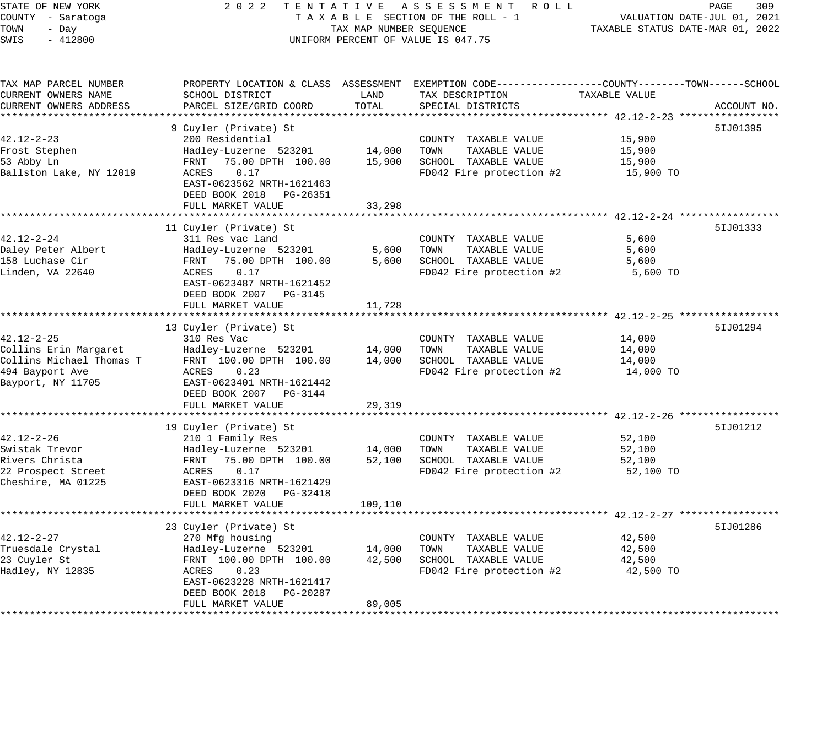STATE OF NEW YORK 2 0 2 2 T E N T A T I V E A S S E S S M E N T R O L L PAGE 309 COUNTY - Saratoga T A X A B L E SECTION OF THE ROLL - 1 VALUATION DATE-JUL 01, 2021 TOWN - Day TAX MAP NUMBER SEQUENCE TAXABLE STATUS DATE-MAR 01, 2022 SWIS - 412800 UNIFORM PERCENT OF VALUE IS 047.75 TAX MAP PARCEL NUMBER PROPERTY LOCATION & CLASS ASSESSMENT EXEMPTION CODE------------------COUNTY--------TOWN------SCHOOL CURRENT OWNERS NAME SCHOOL DISTRICT LAND TAX DESCRIPTION TAXABLE VALUE CURRENT OWNERS ADDRESS PARCEL SIZE/GRID COORD TOTAL SPECIAL DISTRICTS ACCOUNT NO. \*\*\*\*\*\*\*\*\*\*\*\*\*\*\*\*\*\*\*\*\*\*\*\*\*\*\*\*\*\*\*\*\*\*\*\*\*\*\*\*\*\*\*\*\*\*\*\*\*\*\*\*\*\*\*\*\*\*\*\*\*\*\*\*\*\*\*\*\*\*\*\*\*\*\*\*\*\*\*\*\*\*\*\*\*\*\*\*\*\*\*\*\*\*\*\*\*\*\*\*\*\*\* 42.12-2-23 \*\*\*\*\*\*\*\*\*\*\*\*\*\*\*\*\* 9 Cuyler (Private) St 5IJ01395 42.12-2-23 200 Residential COUNTY TAXABLE VALUE 15,900 Frost Stephen Hadley-Luzerne 523201 14,000 TOWN TAXABLE VALUE 15,900 53 Abby Ln FRNT 75.00 DPTH 100.00 15,900 SCHOOL TAXABLE VALUE 15,900 Ballston Lake, NY 12019 ACRES 0.17 FD042 Fire protection #2 15,900 TO EAST-0623562 NRTH-1621463 DEED BOOK 2018 PG-26351 FULL MARKET VALUE 33,298 \*\*\*\*\*\*\*\*\*\*\*\*\*\*\*\*\*\*\*\*\*\*\*\*\*\*\*\*\*\*\*\*\*\*\*\*\*\*\*\*\*\*\*\*\*\*\*\*\*\*\*\*\*\*\*\*\*\*\*\*\*\*\*\*\*\*\*\*\*\*\*\*\*\*\*\*\*\*\*\*\*\*\*\*\*\*\*\*\*\*\*\*\*\*\*\*\*\*\*\*\*\*\* 42.12-2-24 \*\*\*\*\*\*\*\*\*\*\*\*\*\*\*\*\* 11 Cuyler (Private) St 5IJ01333 42.12-2-24 311 Res vac land COUNTY TAXABLE VALUE 5,600 Daley Peter Albert Hadley-Luzerne 523201 5,600 TOWN TAXABLE VALUE 5,600 158 Luchase Cir FRNT 75.00 DPTH 100.00 5,600 SCHOOL TAXABLE VALUE 5,600 Linden, VA 22640 ACRES 0.17 FD042 Fire protection #2 5,600 TO EAST-0623487 NRTH-1621452 DEED BOOK 2007 PG-3145 FULL MARKET VALUE 11,728 \*\*\*\*\*\*\*\*\*\*\*\*\*\*\*\*\*\*\*\*\*\*\*\*\*\*\*\*\*\*\*\*\*\*\*\*\*\*\*\*\*\*\*\*\*\*\*\*\*\*\*\*\*\*\*\*\*\*\*\*\*\*\*\*\*\*\*\*\*\*\*\*\*\*\*\*\*\*\*\*\*\*\*\*\*\*\*\*\*\*\*\*\*\*\*\*\*\*\*\*\*\*\* 42.12-2-25 \*\*\*\*\*\*\*\*\*\*\*\*\*\*\*\*\* 13 Cuyler (Private) St 5IJ01294 42.12-2-25 310 Res Vac COUNTY TAXABLE VALUE 14,000 Collins Erin Margaret Hadley-Luzerne 523201 14,000 TOWN TAXABLE VALUE 14,000 Collins Michael Thomas T FRNT 100.00 DPTH 100.00 14,000 SCHOOL TAXABLE VALUE 14,000 494 Bayport Ave ACRES 0.23 FD042 Fire protection #2 14,000 TO Bayport, NY 11705 EAST-0623401 NRTH-1621442 DEED BOOK 2007 PG-3144 FULL MARKET VALUE 29,319 \*\*\*\*\*\*\*\*\*\*\*\*\*\*\*\*\*\*\*\*\*\*\*\*\*\*\*\*\*\*\*\*\*\*\*\*\*\*\*\*\*\*\*\*\*\*\*\*\*\*\*\*\*\*\*\*\*\*\*\*\*\*\*\*\*\*\*\*\*\*\*\*\*\*\*\*\*\*\*\*\*\*\*\*\*\*\*\*\*\*\*\*\*\*\*\*\*\*\*\*\*\*\* 42.12-2-26 \*\*\*\*\*\*\*\*\*\*\*\*\*\*\*\*\* 19 Cuyler (Private) St 5IJ01212 42.12-2-26 210 1 Family Res COUNTY TAXABLE VALUE 52,100 Swistak Trevor Hadley-Luzerne 523201 14,000 TOWN TAXABLE VALUE 52,100 Rivers Christa FRNT 75.00 DPTH 100.00 52,100 SCHOOL TAXABLE VALUE 52,100 22 Prospect Street ACRES 0.17 FD042 Fire protection #2 52,100 TO Cheshire, MA 01225 EAST-0623316 NRTH-1621429 DEED BOOK 2020 PG-32418 FULL MARKET VALUE 109,110 \*\*\*\*\*\*\*\*\*\*\*\*\*\*\*\*\*\*\*\*\*\*\*\*\*\*\*\*\*\*\*\*\*\*\*\*\*\*\*\*\*\*\*\*\*\*\*\*\*\*\*\*\*\*\*\*\*\*\*\*\*\*\*\*\*\*\*\*\*\*\*\*\*\*\*\*\*\*\*\*\*\*\*\*\*\*\*\*\*\*\*\*\*\*\*\*\*\*\*\*\*\*\* 42.12-2-27 \*\*\*\*\*\*\*\*\*\*\*\*\*\*\*\*\* 23 Cuyler (Private) St 5IJ01286 42.12-2-27 270 Mfg housing COUNTY TAXABLE VALUE 42,500 Truesdale Crystal Hadley-Luzerne 523201 14,000 TOWN TAXABLE VALUE 42,500

\*\*\*\*\*\*\*\*\*\*\*\*\*\*\*\*\*\*\*\*\*\*\*\*\*\*\*\*\*\*\*\*\*\*\*\*\*\*\*\*\*\*\*\*\*\*\*\*\*\*\*\*\*\*\*\*\*\*\*\*\*\*\*\*\*\*\*\*\*\*\*\*\*\*\*\*\*\*\*\*\*\*\*\*\*\*\*\*\*\*\*\*\*\*\*\*\*\*\*\*\*\*\*\*\*\*\*\*\*\*\*\*\*\*\*\*\*\*\*\*\*\*\*\*\*\*\*\*\*\*\*\*

23 Cuyler St FRNT 100.00 DPTH 100.00 42,500 SCHOOL TAXABLE VALUE 42,500 Hadley, NY 12835 ACRES 0.23 FD042 Fire protection #2 42,500 TO

DEED BOOK 2018 PG-20287

FULL MARKET VALUE 89,005

EAST-0623228 NRTH-1621417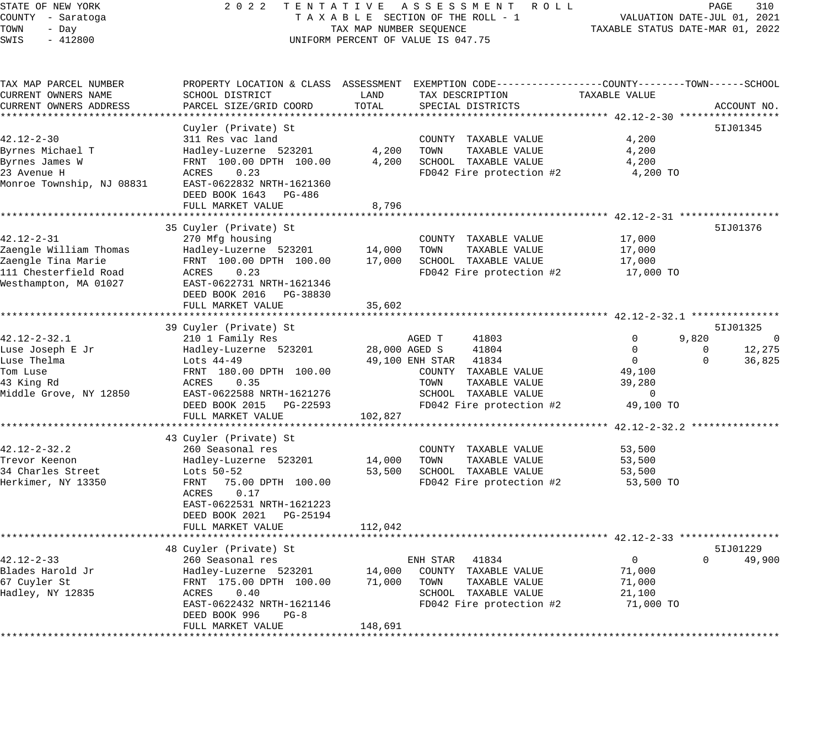# STATE OF NEW YORK 2 0 2 2 T E N T A T I V E A S S E S S M E N T R O L L PAGE 310 COUNTY - Saratoga T A X A B L E SECTION OF THE ROLL - 1 VALUATION DATE-JUL 01, 2021 TAX MAP NUMBER SEQUENCE TAXABLE STATUS DATE-MAR 01, 2022 UNIFORM PERCENT OF VALUE IS 047.75

| TAX MAP PARCEL NUMBER     | PROPERTY LOCATION & CLASS ASSESSMENT EXEMPTION CODE----------------COUNTY-------TOWN------SCHOOL |               |                          |               |                    |
|---------------------------|--------------------------------------------------------------------------------------------------|---------------|--------------------------|---------------|--------------------|
| CURRENT OWNERS NAME       | SCHOOL DISTRICT                                                                                  | LAND          | TAX DESCRIPTION          | TAXABLE VALUE |                    |
| CURRENT OWNERS ADDRESS    | PARCEL SIZE/GRID COORD                                                                           | TOTAL         | SPECIAL DISTRICTS        |               | ACCOUNT NO.        |
|                           |                                                                                                  |               |                          |               |                    |
|                           | Cuyler (Private) St                                                                              |               |                          |               | 51J01345           |
| $42.12 - 2 - 30$          | 311 Res vac land                                                                                 |               | COUNTY TAXABLE VALUE     | 4,200         |                    |
|                           |                                                                                                  | 4,200         | TAXABLE VALUE<br>TOWN    | 4,200         |                    |
| Byrnes Michael T          | Hadley-Luzerne 523201                                                                            |               |                          |               |                    |
| Byrnes James W            | FRNT 100.00 DPTH 100.00                                                                          | 4,200         | SCHOOL TAXABLE VALUE     | 4,200         |                    |
| 23 Avenue H               | ACRES<br>0.23                                                                                    |               | FD042 Fire protection #2 | 4,200 TO      |                    |
| Monroe Township, NJ 08831 | EAST-0622832 NRTH-1621360                                                                        |               |                          |               |                    |
|                           | DEED BOOK 1643<br>PG-486                                                                         |               |                          |               |                    |
|                           | FULL MARKET VALUE                                                                                | 8,796         |                          |               |                    |
|                           |                                                                                                  |               |                          |               |                    |
|                           | 35 Cuyler (Private) St                                                                           |               |                          |               | 51J01376           |
| $42.12 - 2 - 31$          | 270 Mfg housing                                                                                  |               | COUNTY TAXABLE VALUE     | 17,000        |                    |
| Zaengle William Thomas    | Hadley-Luzerne 523201                                                                            | 14,000        | TAXABLE VALUE<br>TOWN    | 17,000        |                    |
| Zaengle Tina Marie        | FRNT 100.00 DPTH 100.00                                                                          | 17,000        | SCHOOL TAXABLE VALUE     | 17,000        |                    |
| 111 Chesterfield Road     | 0.23<br>ACRES                                                                                    |               | FD042 Fire protection #2 | 17,000 TO     |                    |
|                           |                                                                                                  |               |                          |               |                    |
| Westhampton, MA 01027     | EAST-0622731 NRTH-1621346                                                                        |               |                          |               |                    |
|                           | DEED BOOK 2016 PG-38830                                                                          |               |                          |               |                    |
|                           | FULL MARKET VALUE                                                                                | 35,602        |                          |               |                    |
|                           |                                                                                                  |               |                          |               |                    |
|                           | 39 Cuyler (Private) St                                                                           |               |                          |               | 51J01325           |
| $42.12 - 2 - 32.1$        | 210 1 Family Res                                                                                 |               | AGED T<br>41803          | $\mathbf 0$   | 9,820<br>0         |
| Luse Joseph E Jr          | Hadley-Luzerne 523201                                                                            | 28,000 AGED S | 41804                    | $\mathbf 0$   | 12,275<br>0        |
| Luse Thelma               | Lots 44-49                                                                                       |               | 49,100 ENH STAR 41834    | $\mathbf{0}$  | $\Omega$<br>36,825 |
| Tom Luse                  | FRNT 180.00 DPTH 100.00                                                                          |               | COUNTY TAXABLE VALUE     | 49,100        |                    |
| 43 King Rd                | 0.35<br>ACRES                                                                                    |               | TOWN<br>TAXABLE VALUE    | 39,280        |                    |
| Middle Grove, NY 12850    | EAST-0622588 NRTH-1621276                                                                        |               | SCHOOL TAXABLE VALUE     | $\mathbf{0}$  |                    |
|                           |                                                                                                  |               |                          | 49,100 TO     |                    |
|                           | DEED BOOK 2015 PG-22593                                                                          |               | FD042 Fire protection #2 |               |                    |
|                           | FULL MARKET VALUE                                                                                | 102,827       |                          |               |                    |
|                           |                                                                                                  |               |                          |               |                    |
|                           | 43 Cuyler (Private) St                                                                           |               |                          |               |                    |
| $42.12 - 2 - 32.2$        | 260 Seasonal res                                                                                 |               | COUNTY TAXABLE VALUE     | 53,500        |                    |
| Trevor Keenon             | Hadley-Luzerne 523201                                                                            | 14,000        | TOWN<br>TAXABLE VALUE    | 53,500        |                    |
| 34 Charles Street         | Lots 50-52                                                                                       | 53,500        | SCHOOL TAXABLE VALUE     | 53,500        |                    |
| Herkimer, NY 13350        | 75.00 DPTH 100.00<br>FRNT                                                                        |               | FD042 Fire protection #2 | 53,500 TO     |                    |
|                           | ACRES<br>0.17                                                                                    |               |                          |               |                    |
|                           | EAST-0622531 NRTH-1621223                                                                        |               |                          |               |                    |
|                           | DEED BOOK 2021<br>PG-25194                                                                       |               |                          |               |                    |
|                           | FULL MARKET VALUE                                                                                | 112,042       |                          |               |                    |
|                           |                                                                                                  |               |                          |               |                    |
|                           |                                                                                                  |               |                          |               | 51J01229           |
|                           | 48 Cuyler (Private) St                                                                           |               |                          |               |                    |
| $42.12 - 2 - 33$          | 260 Seasonal res                                                                                 |               | ENH STAR 41834           | $\mathbf 0$   | $\Omega$<br>49,900 |
| Blades Harold Jr          | Hadley-Luzerne 523201                                                                            | 14,000        | COUNTY TAXABLE VALUE     | 71,000        |                    |
| 67 Cuyler St              | FRNT 175.00 DPTH 100.00                                                                          | 71,000        | TOWN<br>TAXABLE VALUE    | 71,000        |                    |
| Hadley, NY 12835          | 0.40<br>ACRES                                                                                    |               | SCHOOL TAXABLE VALUE     | 21,100        |                    |
|                           | EAST-0622432 NRTH-1621146                                                                        |               | FD042 Fire protection #2 | 71,000 TO     |                    |
|                           | DEED BOOK 996<br>$PG-8$                                                                          |               |                          |               |                    |
|                           | FULL MARKET VALUE                                                                                | 148,691       |                          |               |                    |
|                           |                                                                                                  |               |                          |               |                    |
|                           |                                                                                                  |               |                          |               |                    |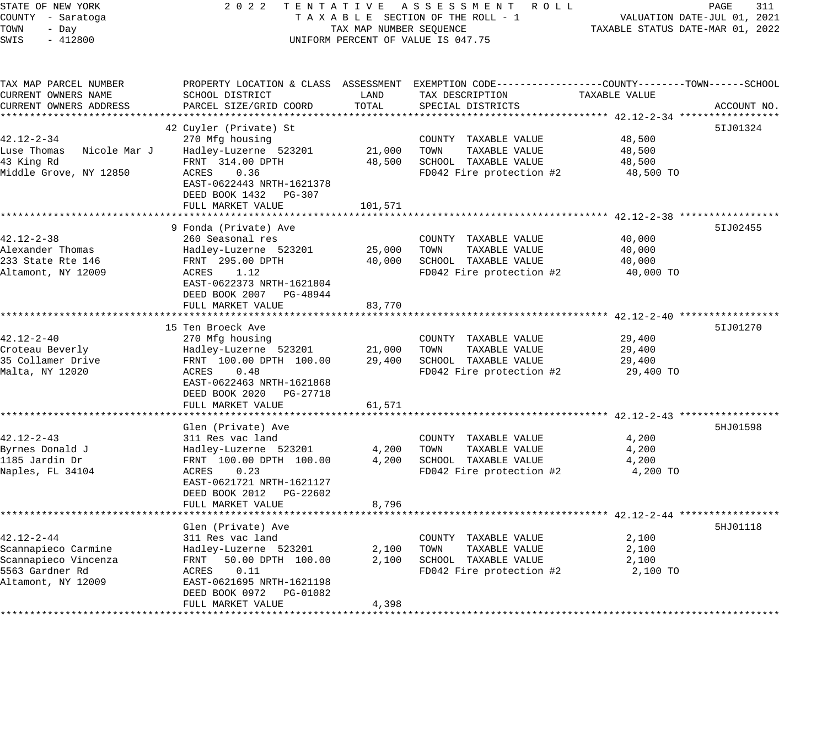# STATE OF NEW YORK 2 0 2 2 T E N T A T I V E A S S E S S M E N T R O L L PAGE 311 COUNTY - Saratoga T A X A B L E SECTION OF THE ROLL - 1 VALUATION DATE-JUL 01, 2021 TAX A B L E SECTION OF THE ROLL - 1<br>TAXABLE STATUS DATE-MAR 01, 2022 UNIFORM PERCENT OF VALUE IS 047.75

| TAX MAP PARCEL NUMBER<br>CURRENT OWNERS NAME<br>CURRENT OWNERS ADDRESS                                   | PROPERTY LOCATION & CLASS ASSESSMENT<br>SCHOOL DISTRICT<br>PARCEL SIZE/GRID COORD                                                                                                                            | LAND<br>TOTAL               | EXEMPTION CODE-----------------COUNTY-------TOWN------SCHOOL<br>TAX DESCRIPTION<br>SPECIAL DISTRICTS | TAXABLE VALUE                                                          | ACCOUNT NO. |
|----------------------------------------------------------------------------------------------------------|--------------------------------------------------------------------------------------------------------------------------------------------------------------------------------------------------------------|-----------------------------|------------------------------------------------------------------------------------------------------|------------------------------------------------------------------------|-------------|
| $42.12 - 2 - 34$<br>Luse Thomas<br>Nicole Mar J<br>43 King Rd<br>Middle Grove, NY 12850                  | 42 Cuyler (Private) St<br>270 Mfg housing<br>Hadley-Luzerne 523201<br>FRNT 314.00 DPTH<br>0.36<br>ACRES<br>EAST-0622443 NRTH-1621378<br>DEED BOOK 1432<br>PG-307<br>FULL MARKET VALUE                        | 21,000<br>48,500<br>101,571 | COUNTY TAXABLE VALUE<br>TOWN<br>TAXABLE VALUE<br>SCHOOL TAXABLE VALUE<br>FD042 Fire protection #2    | 48,500<br>48,500<br>48,500<br>48,500 TO                                | 51J01324    |
| $42.12 - 2 - 38$<br>Alexander Thomas<br>233 State Rte 146<br>Altamont, NY 12009                          | 9 Fonda (Private) Ave<br>260 Seasonal res<br>Hadley-Luzerne 523201<br>FRNT 295.00 DPTH<br>ACRES<br>1.12<br>EAST-0622373 NRTH-1621804<br>DEED BOOK 2007 PG-48944<br>FULL MARKET VALUE<br>******************** | 25,000<br>40,000<br>83,770  | COUNTY TAXABLE VALUE<br>TOWN<br>TAXABLE VALUE<br>SCHOOL TAXABLE VALUE<br>FD042 Fire protection #2    | 40,000<br>40,000<br>40,000<br>40,000 TO                                | 51J02455    |
| $42.12 - 2 - 40$<br>Croteau Beverly<br>35 Collamer Drive<br>Malta, NY 12020                              | 15 Ten Broeck Ave<br>270 Mfg housing<br>Hadley-Luzerne 523201<br>FRNT 100.00 DPTH 100.00<br>ACRES<br>0.48<br>EAST-0622463 NRTH-1621868<br>DEED BOOK 2020<br>PG-27718<br>FULL MARKET VALUE                    | 21,000<br>29,400<br>61,571  | COUNTY TAXABLE VALUE<br>TOWN<br>TAXABLE VALUE<br>SCHOOL TAXABLE VALUE<br>FD042 Fire protection #2    | $42.12 - 2 - 40$ **********<br>29,400<br>29,400<br>29,400<br>29,400 TO | 51J01270    |
| $42.12 - 2 - 43$<br>Byrnes Donald J<br>1185 Jardin Dr<br>Naples, FL 34104                                | Glen (Private) Ave<br>311 Res vac land<br>Hadley-Luzerne 523201<br>FRNT 100.00 DPTH 100.00<br>ACRES<br>0.23<br>EAST-0621721 NRTH-1621127<br>DEED BOOK 2012<br>PG-22602<br>FULL MARKET VALUE                  | 4,200<br>4,200<br>8,796     | COUNTY TAXABLE VALUE<br>TOWN<br>TAXABLE VALUE<br>SCHOOL TAXABLE VALUE<br>FD042 Fire protection #2    | 4,200<br>4,200<br>4,200<br>4,200 TO                                    | 5HJ01598    |
| $42.12 - 2 - 44$<br>Scannapieco Carmine<br>Scannapieco Vincenza<br>5563 Gardner Rd<br>Altamont, NY 12009 | Glen (Private) Ave<br>311 Res vac land<br>Hadley-Luzerne 523201<br>50.00 DPTH 100.00<br>FRNT<br>0.11<br>ACRES<br>EAST-0621695 NRTH-1621198<br>DEED BOOK 0972<br>PG-01082<br>FULL MARKET VALUE                | 2,100<br>2,100<br>4,398     | COUNTY TAXABLE VALUE<br>TOWN<br>TAXABLE VALUE<br>SCHOOL TAXABLE VALUE<br>FD042 Fire protection #2    | 2,100<br>2,100<br>2,100<br>2,100 TO                                    | 5HJ01118    |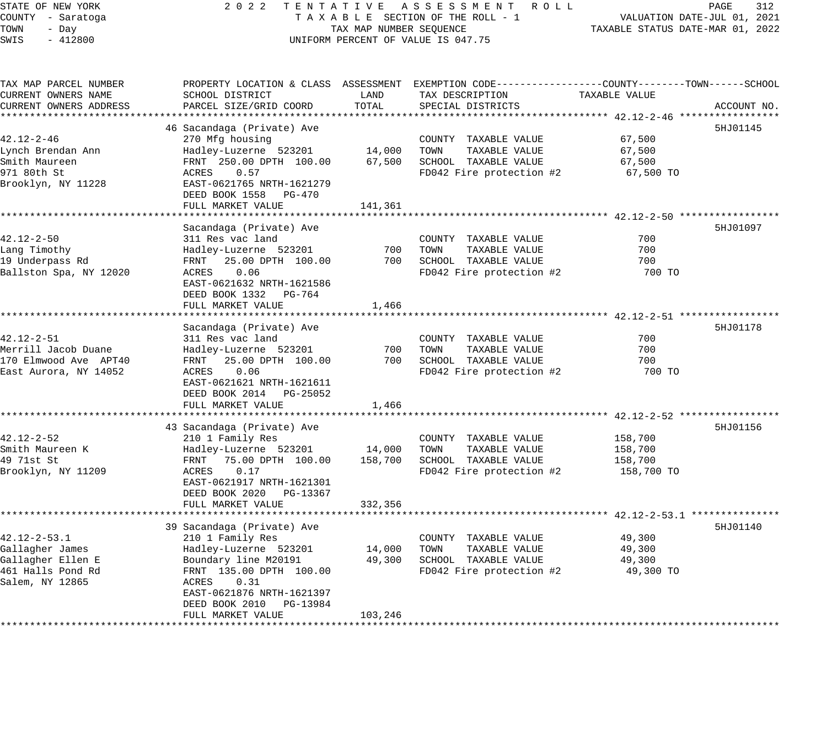| STATE OF NEW YORK<br>COUNTY - Saratoga       | 2 0 2 2                                        |                         | TENTATIVE ASSESSMENT ROLL<br>TAXABLE SECTION OF THE ROLL - 1                                                        |                                  | PAGE<br>312<br>VALUATION DATE-JUL 01, 2021 |  |
|----------------------------------------------|------------------------------------------------|-------------------------|---------------------------------------------------------------------------------------------------------------------|----------------------------------|--------------------------------------------|--|
| TOWN<br>- Day<br>$-412800$<br>SWIS           |                                                | TAX MAP NUMBER SEQUENCE | UNIFORM PERCENT OF VALUE IS 047.75                                                                                  | TAXABLE STATUS DATE-MAR 01, 2022 |                                            |  |
| TAX MAP PARCEL NUMBER<br>CURRENT OWNERS NAME | SCHOOL DISTRICT                                | LAND                    | PROPERTY LOCATION & CLASS ASSESSMENT EXEMPTION CODE----------------COUNTY-------TOWN------SCHOOL<br>TAX DESCRIPTION | TAXABLE VALUE                    |                                            |  |
| CURRENT OWNERS ADDRESS                       | PARCEL SIZE/GRID COORD                         | TOTAL                   | SPECIAL DISTRICTS                                                                                                   |                                  | ACCOUNT NO.                                |  |
|                                              | 46 Sacandaga (Private) Ave                     |                         |                                                                                                                     |                                  | 5HJ01145                                   |  |
| $42.12 - 2 - 46$                             | 270 Mfg housing                                |                         | COUNTY TAXABLE VALUE                                                                                                | 67,500                           |                                            |  |
| Lynch Brendan Ann                            | Hadley-Luzerne 523201                          | 14,000                  | TOWN<br>TAXABLE VALUE                                                                                               | 67,500                           |                                            |  |
| Smith Maureen                                | FRNT 250.00 DPTH 100.00                        | 67,500                  | SCHOOL TAXABLE VALUE                                                                                                | 67,500                           |                                            |  |
| 971 80th St                                  | 0.57<br>ACRES                                  |                         | FD042 Fire protection #2                                                                                            | 67,500 TO                        |                                            |  |
| Brooklyn, NY 11228                           | EAST-0621765 NRTH-1621279                      |                         |                                                                                                                     |                                  |                                            |  |
|                                              | DEED BOOK 1558 PG-470                          |                         |                                                                                                                     |                                  |                                            |  |
|                                              | FULL MARKET VALUE                              | 141,361                 |                                                                                                                     |                                  |                                            |  |
|                                              |                                                |                         |                                                                                                                     |                                  |                                            |  |
|                                              | Sacandaga (Private) Ave                        |                         |                                                                                                                     |                                  | 5HJ01097                                   |  |
| 42.12-2-50                                   | 311 Res vac land                               |                         | COUNTY TAXABLE VALUE                                                                                                | 700                              |                                            |  |
| Lang Timothy                                 | Hadley-Luzerne 523201                          | 700                     | TOWN<br>TAXABLE VALUE                                                                                               | 700                              |                                            |  |
| 19 Underpass Rd                              | 25.00 DPTH 100.00<br>FRNT                      | 700                     | SCHOOL TAXABLE VALUE                                                                                                | 700                              |                                            |  |
| Ballston Spa, NY 12020                       | ACRES<br>0.06<br>EAST-0621632 NRTH-1621586     |                         | FD042 Fire protection #2                                                                                            | 700 TO                           |                                            |  |
|                                              | DEED BOOK 1332 PG-764                          |                         |                                                                                                                     |                                  |                                            |  |
|                                              | FULL MARKET VALUE                              | 1,466                   |                                                                                                                     |                                  |                                            |  |
|                                              |                                                |                         |                                                                                                                     |                                  |                                            |  |
|                                              | Sacandaga (Private) Ave                        |                         |                                                                                                                     |                                  | 5HJ01178                                   |  |
| $42.12 - 2 - 51$                             | 311 Res vac land                               |                         | COUNTY TAXABLE VALUE                                                                                                | 700                              |                                            |  |
| Merrill Jacob Duane                          | Hadley-Luzerne 523201                          | 700                     | TOWN<br>TAXABLE VALUE                                                                                               | 700                              |                                            |  |
| 170 Elmwood Ave APT40                        | FRNT<br>25.00 DPTH 100.00                      | 700                     | SCHOOL TAXABLE VALUE                                                                                                | 700                              |                                            |  |
| East Aurora, NY 14052                        | ACRES<br>0.06                                  |                         | FD042 Fire protection #2                                                                                            | 700 TO                           |                                            |  |
|                                              | EAST-0621621 NRTH-1621611                      |                         |                                                                                                                     |                                  |                                            |  |
|                                              | DEED BOOK 2014 PG-25052                        |                         |                                                                                                                     |                                  |                                            |  |
|                                              | FULL MARKET VALUE                              | 1,466                   |                                                                                                                     |                                  |                                            |  |
|                                              |                                                |                         |                                                                                                                     |                                  |                                            |  |
| 42.12-2-52                                   | 43 Sacandaga (Private) Ave<br>210 1 Family Res |                         | COUNTY TAXABLE VALUE                                                                                                | 158,700                          | 5HJ01156                                   |  |
| Smith Maureen K                              | Hadley-Luzerne 523201                          | 14,000                  | TOWN<br>TAXABLE VALUE                                                                                               | 158,700                          |                                            |  |
| 49 71st St                                   | FRNT 75.00 DPTH 100.00                         | 158,700                 | SCHOOL TAXABLE VALUE                                                                                                | 158,700                          |                                            |  |
| Brooklyn, NY 11209                           | ACRES<br>0.17                                  |                         | FD042 Fire protection #2                                                                                            | 158,700 TO                       |                                            |  |
|                                              | EAST-0621917 NRTH-1621301                      |                         |                                                                                                                     |                                  |                                            |  |
|                                              | DEED BOOK 2020 PG-13367                        |                         |                                                                                                                     |                                  |                                            |  |
|                                              | FULL MARKET VALUE                              | 332,356                 |                                                                                                                     |                                  |                                            |  |
|                                              |                                                |                         |                                                                                                                     |                                  |                                            |  |
|                                              | 39 Sacandaga (Private) Ave                     |                         |                                                                                                                     |                                  | 5HJ01140                                   |  |
| 42.12-2-53.1                                 | 210 1 Family Res                               |                         | COUNTY TAXABLE VALUE                                                                                                | 49,300                           |                                            |  |
| Gallagher James                              | Hadley-Luzerne 523201                          | 14,000                  | TAXABLE VALUE<br>TOWN                                                                                               | 49,300                           |                                            |  |
| Gallagher Ellen E                            | Boundary line M20191                           | 49,300                  | SCHOOL TAXABLE VALUE                                                                                                | 49,300                           |                                            |  |
| 461 Halls Pond Rd                            | FRNT 135.00 DPTH 100.00                        |                         | FD042 Fire protection #2                                                                                            | 49,300 TO                        |                                            |  |
| Salem, NY 12865                              | ACRES<br>0.31<br>EAST-0621876 NRTH-1621397     |                         |                                                                                                                     |                                  |                                            |  |
|                                              | DEED BOOK 2010<br>PG-13984                     |                         |                                                                                                                     |                                  |                                            |  |
|                                              | FULL MARKET VALUE                              | 103,246                 |                                                                                                                     |                                  |                                            |  |
|                                              |                                                |                         |                                                                                                                     |                                  |                                            |  |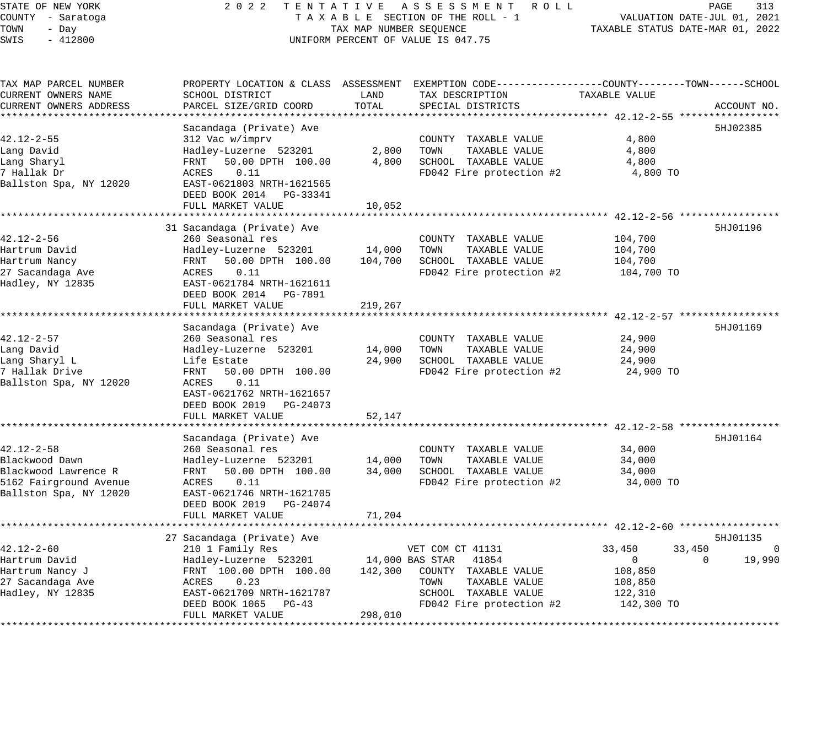# STATE OF NEW YORK 2 0 2 2 T E N T A T I V E A S S E S S M E N T R O L L PAGE 313 COUNTY - Saratoga T A X A B L E SECTION OF THE ROLL - 1 VALUATION DATE-JUL 01, 2021 A X A B L E SECTION OF THE ROLL - 1 VALUATION DATE-JUL 01, 2021<br>TAX MAP NUMBER SEQUENCE TAXABLE STATUS DATE-MAR 01, 2022 UNIFORM PERCENT OF VALUE IS 047.75

| SCHOOL DISTRICT<br>LAND<br>TAX DESCRIPTION<br>TAXABLE VALUE<br>PARCEL SIZE/GRID COORD<br>TOTAL<br>SPECIAL DISTRICTS<br>ACCOUNT NO.<br>Sacandaga (Private) Ave<br>5HJ02385<br>312 Vac w/imprv<br>4,800<br>COUNTY TAXABLE VALUE<br>2,800<br>TOWN<br>4,800<br>Hadley-Luzerne 523201<br>TAXABLE VALUE<br>50.00 DPTH 100.00<br>4,800<br>SCHOOL TAXABLE VALUE<br>4,800<br>FRNT<br>ACRES<br>0.11<br>FD042 Fire protection #2<br>4,800 TO<br>EAST-0621803 NRTH-1621565<br>DEED BOOK 2014 PG-33341<br>FULL MARKET VALUE<br>10,052<br>5HJ01196<br>31 Sacandaga (Private) Ave<br>104,700<br>260 Seasonal res<br>COUNTY TAXABLE VALUE<br>Hadley-Luzerne 523201<br>14,000<br>TOWN<br>TAXABLE VALUE<br>104,700<br>50.00 DPTH 100.00<br>104,700<br>SCHOOL TAXABLE VALUE<br>104,700<br>FRNT<br>0.11<br>FD042 Fire protection #2<br>ACRES<br>104,700 TO<br>Hadley, NY 12835<br>EAST-0621784 NRTH-1621611<br>DEED BOOK 2014 PG-7891<br>FULL MARKET VALUE<br>219,267<br>Sacandaga (Private) Ave<br>5HJ01169<br>24,900<br>260 Seasonal res<br>COUNTY TAXABLE VALUE<br>Lang David<br>Hadley-Luzerne 523201<br>14,000<br>TOWN<br>TAXABLE VALUE<br>24,900<br>24,900<br>SCHOOL TAXABLE VALUE<br>Life Estate<br>24,900<br>7 Hallak Drive<br>FRNT<br>50.00 DPTH 100.00<br>FD042 Fire protection #2<br>24,900 TO<br>Ballston Spa, NY 12020<br>0.11<br>ACRES<br>EAST-0621762 NRTH-1621657<br>DEED BOOK 2019 PG-24073<br>52,147<br>FULL MARKET VALUE<br>5HJ01164<br>Sacandaga (Private) Ave<br>$42.12 - 2 - 58$<br>34,000<br>260 Seasonal res<br>COUNTY TAXABLE VALUE<br>Blackwood Dawn<br>14,000<br>Hadley-Luzerne 523201<br>TOWN<br>TAXABLE VALUE<br>34,000<br>Blackwood Lawrence R<br>50.00 DPTH 100.00<br>34,000<br>SCHOOL TAXABLE VALUE<br>34,000<br>FRNT<br>5162 Fairground Avenue<br>FD042 Fire protection #2<br>ACRES<br>0.11<br>34,000 TO<br>Ballston Spa, NY 12020<br>EAST-0621746 NRTH-1621705<br>DEED BOOK 2019 PG-24074<br>71,204<br>FULL MARKET VALUE<br>27 Sacandaga (Private) Ave<br>5HJ01135<br>$42.12 - 2 - 60$<br>VET COM CT 41131<br>33,450<br>$\Omega$<br>210 1 Family Res<br>33,450<br>41854<br>19,990<br>Hartrum David<br>Hadley-Luzerne 523201<br>14,000 BAS STAR<br>$\overline{0}$<br>$\Omega$<br>Hartrum Nancy J<br>FRNT 100.00 DPTH 100.00<br>142,300<br>108,850<br>COUNTY TAXABLE VALUE<br>0.23<br>27 Sacandaga Ave<br>ACRES<br>TOWN<br>TAXABLE VALUE<br>108,850<br>Hadley, NY 12835<br>EAST-0621709 NRTH-1621787<br>SCHOOL TAXABLE VALUE<br>122,310<br>DEED BOOK 1065<br>$PG-43$<br>FD042 Fire protection #2<br>142,300 TO | TAX MAP PARCEL NUMBER  |                   |         | PROPERTY LOCATION & CLASS ASSESSMENT EXEMPTION CODE----------------COUNTY-------TOWN------SCHOOL |  |
|----------------------------------------------------------------------------------------------------------------------------------------------------------------------------------------------------------------------------------------------------------------------------------------------------------------------------------------------------------------------------------------------------------------------------------------------------------------------------------------------------------------------------------------------------------------------------------------------------------------------------------------------------------------------------------------------------------------------------------------------------------------------------------------------------------------------------------------------------------------------------------------------------------------------------------------------------------------------------------------------------------------------------------------------------------------------------------------------------------------------------------------------------------------------------------------------------------------------------------------------------------------------------------------------------------------------------------------------------------------------------------------------------------------------------------------------------------------------------------------------------------------------------------------------------------------------------------------------------------------------------------------------------------------------------------------------------------------------------------------------------------------------------------------------------------------------------------------------------------------------------------------------------------------------------------------------------------------------------------------------------------------------------------------------------------------------------------------------------------------------------------------------------------------------------------------------------------------------------------------------------------------------------------------------------------------------------------------------------------------------------------------------------------------------------------------------------------------------------------------------------------------------------|------------------------|-------------------|---------|--------------------------------------------------------------------------------------------------|--|
|                                                                                                                                                                                                                                                                                                                                                                                                                                                                                                                                                                                                                                                                                                                                                                                                                                                                                                                                                                                                                                                                                                                                                                                                                                                                                                                                                                                                                                                                                                                                                                                                                                                                                                                                                                                                                                                                                                                                                                                                                                                                                                                                                                                                                                                                                                                                                                                                                                                                                                                            | CURRENT OWNERS NAME    |                   |         |                                                                                                  |  |
|                                                                                                                                                                                                                                                                                                                                                                                                                                                                                                                                                                                                                                                                                                                                                                                                                                                                                                                                                                                                                                                                                                                                                                                                                                                                                                                                                                                                                                                                                                                                                                                                                                                                                                                                                                                                                                                                                                                                                                                                                                                                                                                                                                                                                                                                                                                                                                                                                                                                                                                            | CURRENT OWNERS ADDRESS |                   |         |                                                                                                  |  |
|                                                                                                                                                                                                                                                                                                                                                                                                                                                                                                                                                                                                                                                                                                                                                                                                                                                                                                                                                                                                                                                                                                                                                                                                                                                                                                                                                                                                                                                                                                                                                                                                                                                                                                                                                                                                                                                                                                                                                                                                                                                                                                                                                                                                                                                                                                                                                                                                                                                                                                                            |                        |                   |         |                                                                                                  |  |
|                                                                                                                                                                                                                                                                                                                                                                                                                                                                                                                                                                                                                                                                                                                                                                                                                                                                                                                                                                                                                                                                                                                                                                                                                                                                                                                                                                                                                                                                                                                                                                                                                                                                                                                                                                                                                                                                                                                                                                                                                                                                                                                                                                                                                                                                                                                                                                                                                                                                                                                            |                        |                   |         |                                                                                                  |  |
|                                                                                                                                                                                                                                                                                                                                                                                                                                                                                                                                                                                                                                                                                                                                                                                                                                                                                                                                                                                                                                                                                                                                                                                                                                                                                                                                                                                                                                                                                                                                                                                                                                                                                                                                                                                                                                                                                                                                                                                                                                                                                                                                                                                                                                                                                                                                                                                                                                                                                                                            | $42.12 - 2 - 55$       |                   |         |                                                                                                  |  |
|                                                                                                                                                                                                                                                                                                                                                                                                                                                                                                                                                                                                                                                                                                                                                                                                                                                                                                                                                                                                                                                                                                                                                                                                                                                                                                                                                                                                                                                                                                                                                                                                                                                                                                                                                                                                                                                                                                                                                                                                                                                                                                                                                                                                                                                                                                                                                                                                                                                                                                                            | Lang David             |                   |         |                                                                                                  |  |
|                                                                                                                                                                                                                                                                                                                                                                                                                                                                                                                                                                                                                                                                                                                                                                                                                                                                                                                                                                                                                                                                                                                                                                                                                                                                                                                                                                                                                                                                                                                                                                                                                                                                                                                                                                                                                                                                                                                                                                                                                                                                                                                                                                                                                                                                                                                                                                                                                                                                                                                            | Lang Sharyl            |                   |         |                                                                                                  |  |
|                                                                                                                                                                                                                                                                                                                                                                                                                                                                                                                                                                                                                                                                                                                                                                                                                                                                                                                                                                                                                                                                                                                                                                                                                                                                                                                                                                                                                                                                                                                                                                                                                                                                                                                                                                                                                                                                                                                                                                                                                                                                                                                                                                                                                                                                                                                                                                                                                                                                                                                            | 7 Hallak Dr            |                   |         |                                                                                                  |  |
|                                                                                                                                                                                                                                                                                                                                                                                                                                                                                                                                                                                                                                                                                                                                                                                                                                                                                                                                                                                                                                                                                                                                                                                                                                                                                                                                                                                                                                                                                                                                                                                                                                                                                                                                                                                                                                                                                                                                                                                                                                                                                                                                                                                                                                                                                                                                                                                                                                                                                                                            | Ballston Spa, NY 12020 |                   |         |                                                                                                  |  |
|                                                                                                                                                                                                                                                                                                                                                                                                                                                                                                                                                                                                                                                                                                                                                                                                                                                                                                                                                                                                                                                                                                                                                                                                                                                                                                                                                                                                                                                                                                                                                                                                                                                                                                                                                                                                                                                                                                                                                                                                                                                                                                                                                                                                                                                                                                                                                                                                                                                                                                                            |                        |                   |         |                                                                                                  |  |
|                                                                                                                                                                                                                                                                                                                                                                                                                                                                                                                                                                                                                                                                                                                                                                                                                                                                                                                                                                                                                                                                                                                                                                                                                                                                                                                                                                                                                                                                                                                                                                                                                                                                                                                                                                                                                                                                                                                                                                                                                                                                                                                                                                                                                                                                                                                                                                                                                                                                                                                            |                        |                   |         |                                                                                                  |  |
|                                                                                                                                                                                                                                                                                                                                                                                                                                                                                                                                                                                                                                                                                                                                                                                                                                                                                                                                                                                                                                                                                                                                                                                                                                                                                                                                                                                                                                                                                                                                                                                                                                                                                                                                                                                                                                                                                                                                                                                                                                                                                                                                                                                                                                                                                                                                                                                                                                                                                                                            |                        |                   |         |                                                                                                  |  |
|                                                                                                                                                                                                                                                                                                                                                                                                                                                                                                                                                                                                                                                                                                                                                                                                                                                                                                                                                                                                                                                                                                                                                                                                                                                                                                                                                                                                                                                                                                                                                                                                                                                                                                                                                                                                                                                                                                                                                                                                                                                                                                                                                                                                                                                                                                                                                                                                                                                                                                                            |                        |                   |         |                                                                                                  |  |
|                                                                                                                                                                                                                                                                                                                                                                                                                                                                                                                                                                                                                                                                                                                                                                                                                                                                                                                                                                                                                                                                                                                                                                                                                                                                                                                                                                                                                                                                                                                                                                                                                                                                                                                                                                                                                                                                                                                                                                                                                                                                                                                                                                                                                                                                                                                                                                                                                                                                                                                            | 42.12-2-56             |                   |         |                                                                                                  |  |
|                                                                                                                                                                                                                                                                                                                                                                                                                                                                                                                                                                                                                                                                                                                                                                                                                                                                                                                                                                                                                                                                                                                                                                                                                                                                                                                                                                                                                                                                                                                                                                                                                                                                                                                                                                                                                                                                                                                                                                                                                                                                                                                                                                                                                                                                                                                                                                                                                                                                                                                            | Hartrum David          |                   |         |                                                                                                  |  |
|                                                                                                                                                                                                                                                                                                                                                                                                                                                                                                                                                                                                                                                                                                                                                                                                                                                                                                                                                                                                                                                                                                                                                                                                                                                                                                                                                                                                                                                                                                                                                                                                                                                                                                                                                                                                                                                                                                                                                                                                                                                                                                                                                                                                                                                                                                                                                                                                                                                                                                                            | Hartrum Nancy          |                   |         |                                                                                                  |  |
|                                                                                                                                                                                                                                                                                                                                                                                                                                                                                                                                                                                                                                                                                                                                                                                                                                                                                                                                                                                                                                                                                                                                                                                                                                                                                                                                                                                                                                                                                                                                                                                                                                                                                                                                                                                                                                                                                                                                                                                                                                                                                                                                                                                                                                                                                                                                                                                                                                                                                                                            | 27 Sacandaga Ave       |                   |         |                                                                                                  |  |
|                                                                                                                                                                                                                                                                                                                                                                                                                                                                                                                                                                                                                                                                                                                                                                                                                                                                                                                                                                                                                                                                                                                                                                                                                                                                                                                                                                                                                                                                                                                                                                                                                                                                                                                                                                                                                                                                                                                                                                                                                                                                                                                                                                                                                                                                                                                                                                                                                                                                                                                            |                        |                   |         |                                                                                                  |  |
|                                                                                                                                                                                                                                                                                                                                                                                                                                                                                                                                                                                                                                                                                                                                                                                                                                                                                                                                                                                                                                                                                                                                                                                                                                                                                                                                                                                                                                                                                                                                                                                                                                                                                                                                                                                                                                                                                                                                                                                                                                                                                                                                                                                                                                                                                                                                                                                                                                                                                                                            |                        |                   |         |                                                                                                  |  |
|                                                                                                                                                                                                                                                                                                                                                                                                                                                                                                                                                                                                                                                                                                                                                                                                                                                                                                                                                                                                                                                                                                                                                                                                                                                                                                                                                                                                                                                                                                                                                                                                                                                                                                                                                                                                                                                                                                                                                                                                                                                                                                                                                                                                                                                                                                                                                                                                                                                                                                                            |                        |                   |         |                                                                                                  |  |
|                                                                                                                                                                                                                                                                                                                                                                                                                                                                                                                                                                                                                                                                                                                                                                                                                                                                                                                                                                                                                                                                                                                                                                                                                                                                                                                                                                                                                                                                                                                                                                                                                                                                                                                                                                                                                                                                                                                                                                                                                                                                                                                                                                                                                                                                                                                                                                                                                                                                                                                            |                        |                   |         |                                                                                                  |  |
|                                                                                                                                                                                                                                                                                                                                                                                                                                                                                                                                                                                                                                                                                                                                                                                                                                                                                                                                                                                                                                                                                                                                                                                                                                                                                                                                                                                                                                                                                                                                                                                                                                                                                                                                                                                                                                                                                                                                                                                                                                                                                                                                                                                                                                                                                                                                                                                                                                                                                                                            |                        |                   |         |                                                                                                  |  |
|                                                                                                                                                                                                                                                                                                                                                                                                                                                                                                                                                                                                                                                                                                                                                                                                                                                                                                                                                                                                                                                                                                                                                                                                                                                                                                                                                                                                                                                                                                                                                                                                                                                                                                                                                                                                                                                                                                                                                                                                                                                                                                                                                                                                                                                                                                                                                                                                                                                                                                                            | 42.12-2-57             |                   |         |                                                                                                  |  |
|                                                                                                                                                                                                                                                                                                                                                                                                                                                                                                                                                                                                                                                                                                                                                                                                                                                                                                                                                                                                                                                                                                                                                                                                                                                                                                                                                                                                                                                                                                                                                                                                                                                                                                                                                                                                                                                                                                                                                                                                                                                                                                                                                                                                                                                                                                                                                                                                                                                                                                                            |                        |                   |         |                                                                                                  |  |
|                                                                                                                                                                                                                                                                                                                                                                                                                                                                                                                                                                                                                                                                                                                                                                                                                                                                                                                                                                                                                                                                                                                                                                                                                                                                                                                                                                                                                                                                                                                                                                                                                                                                                                                                                                                                                                                                                                                                                                                                                                                                                                                                                                                                                                                                                                                                                                                                                                                                                                                            | Lang Sharyl L          |                   |         |                                                                                                  |  |
|                                                                                                                                                                                                                                                                                                                                                                                                                                                                                                                                                                                                                                                                                                                                                                                                                                                                                                                                                                                                                                                                                                                                                                                                                                                                                                                                                                                                                                                                                                                                                                                                                                                                                                                                                                                                                                                                                                                                                                                                                                                                                                                                                                                                                                                                                                                                                                                                                                                                                                                            |                        |                   |         |                                                                                                  |  |
|                                                                                                                                                                                                                                                                                                                                                                                                                                                                                                                                                                                                                                                                                                                                                                                                                                                                                                                                                                                                                                                                                                                                                                                                                                                                                                                                                                                                                                                                                                                                                                                                                                                                                                                                                                                                                                                                                                                                                                                                                                                                                                                                                                                                                                                                                                                                                                                                                                                                                                                            |                        |                   |         |                                                                                                  |  |
|                                                                                                                                                                                                                                                                                                                                                                                                                                                                                                                                                                                                                                                                                                                                                                                                                                                                                                                                                                                                                                                                                                                                                                                                                                                                                                                                                                                                                                                                                                                                                                                                                                                                                                                                                                                                                                                                                                                                                                                                                                                                                                                                                                                                                                                                                                                                                                                                                                                                                                                            |                        |                   |         |                                                                                                  |  |
|                                                                                                                                                                                                                                                                                                                                                                                                                                                                                                                                                                                                                                                                                                                                                                                                                                                                                                                                                                                                                                                                                                                                                                                                                                                                                                                                                                                                                                                                                                                                                                                                                                                                                                                                                                                                                                                                                                                                                                                                                                                                                                                                                                                                                                                                                                                                                                                                                                                                                                                            |                        |                   |         |                                                                                                  |  |
|                                                                                                                                                                                                                                                                                                                                                                                                                                                                                                                                                                                                                                                                                                                                                                                                                                                                                                                                                                                                                                                                                                                                                                                                                                                                                                                                                                                                                                                                                                                                                                                                                                                                                                                                                                                                                                                                                                                                                                                                                                                                                                                                                                                                                                                                                                                                                                                                                                                                                                                            |                        |                   |         |                                                                                                  |  |
|                                                                                                                                                                                                                                                                                                                                                                                                                                                                                                                                                                                                                                                                                                                                                                                                                                                                                                                                                                                                                                                                                                                                                                                                                                                                                                                                                                                                                                                                                                                                                                                                                                                                                                                                                                                                                                                                                                                                                                                                                                                                                                                                                                                                                                                                                                                                                                                                                                                                                                                            |                        |                   |         |                                                                                                  |  |
|                                                                                                                                                                                                                                                                                                                                                                                                                                                                                                                                                                                                                                                                                                                                                                                                                                                                                                                                                                                                                                                                                                                                                                                                                                                                                                                                                                                                                                                                                                                                                                                                                                                                                                                                                                                                                                                                                                                                                                                                                                                                                                                                                                                                                                                                                                                                                                                                                                                                                                                            |                        |                   |         |                                                                                                  |  |
|                                                                                                                                                                                                                                                                                                                                                                                                                                                                                                                                                                                                                                                                                                                                                                                                                                                                                                                                                                                                                                                                                                                                                                                                                                                                                                                                                                                                                                                                                                                                                                                                                                                                                                                                                                                                                                                                                                                                                                                                                                                                                                                                                                                                                                                                                                                                                                                                                                                                                                                            |                        |                   |         |                                                                                                  |  |
|                                                                                                                                                                                                                                                                                                                                                                                                                                                                                                                                                                                                                                                                                                                                                                                                                                                                                                                                                                                                                                                                                                                                                                                                                                                                                                                                                                                                                                                                                                                                                                                                                                                                                                                                                                                                                                                                                                                                                                                                                                                                                                                                                                                                                                                                                                                                                                                                                                                                                                                            |                        |                   |         |                                                                                                  |  |
|                                                                                                                                                                                                                                                                                                                                                                                                                                                                                                                                                                                                                                                                                                                                                                                                                                                                                                                                                                                                                                                                                                                                                                                                                                                                                                                                                                                                                                                                                                                                                                                                                                                                                                                                                                                                                                                                                                                                                                                                                                                                                                                                                                                                                                                                                                                                                                                                                                                                                                                            |                        |                   |         |                                                                                                  |  |
|                                                                                                                                                                                                                                                                                                                                                                                                                                                                                                                                                                                                                                                                                                                                                                                                                                                                                                                                                                                                                                                                                                                                                                                                                                                                                                                                                                                                                                                                                                                                                                                                                                                                                                                                                                                                                                                                                                                                                                                                                                                                                                                                                                                                                                                                                                                                                                                                                                                                                                                            |                        |                   |         |                                                                                                  |  |
|                                                                                                                                                                                                                                                                                                                                                                                                                                                                                                                                                                                                                                                                                                                                                                                                                                                                                                                                                                                                                                                                                                                                                                                                                                                                                                                                                                                                                                                                                                                                                                                                                                                                                                                                                                                                                                                                                                                                                                                                                                                                                                                                                                                                                                                                                                                                                                                                                                                                                                                            |                        |                   |         |                                                                                                  |  |
|                                                                                                                                                                                                                                                                                                                                                                                                                                                                                                                                                                                                                                                                                                                                                                                                                                                                                                                                                                                                                                                                                                                                                                                                                                                                                                                                                                                                                                                                                                                                                                                                                                                                                                                                                                                                                                                                                                                                                                                                                                                                                                                                                                                                                                                                                                                                                                                                                                                                                                                            |                        |                   |         |                                                                                                  |  |
|                                                                                                                                                                                                                                                                                                                                                                                                                                                                                                                                                                                                                                                                                                                                                                                                                                                                                                                                                                                                                                                                                                                                                                                                                                                                                                                                                                                                                                                                                                                                                                                                                                                                                                                                                                                                                                                                                                                                                                                                                                                                                                                                                                                                                                                                                                                                                                                                                                                                                                                            |                        |                   |         |                                                                                                  |  |
|                                                                                                                                                                                                                                                                                                                                                                                                                                                                                                                                                                                                                                                                                                                                                                                                                                                                                                                                                                                                                                                                                                                                                                                                                                                                                                                                                                                                                                                                                                                                                                                                                                                                                                                                                                                                                                                                                                                                                                                                                                                                                                                                                                                                                                                                                                                                                                                                                                                                                                                            |                        |                   |         |                                                                                                  |  |
|                                                                                                                                                                                                                                                                                                                                                                                                                                                                                                                                                                                                                                                                                                                                                                                                                                                                                                                                                                                                                                                                                                                                                                                                                                                                                                                                                                                                                                                                                                                                                                                                                                                                                                                                                                                                                                                                                                                                                                                                                                                                                                                                                                                                                                                                                                                                                                                                                                                                                                                            |                        |                   |         |                                                                                                  |  |
|                                                                                                                                                                                                                                                                                                                                                                                                                                                                                                                                                                                                                                                                                                                                                                                                                                                                                                                                                                                                                                                                                                                                                                                                                                                                                                                                                                                                                                                                                                                                                                                                                                                                                                                                                                                                                                                                                                                                                                                                                                                                                                                                                                                                                                                                                                                                                                                                                                                                                                                            |                        |                   |         |                                                                                                  |  |
|                                                                                                                                                                                                                                                                                                                                                                                                                                                                                                                                                                                                                                                                                                                                                                                                                                                                                                                                                                                                                                                                                                                                                                                                                                                                                                                                                                                                                                                                                                                                                                                                                                                                                                                                                                                                                                                                                                                                                                                                                                                                                                                                                                                                                                                                                                                                                                                                                                                                                                                            |                        |                   |         |                                                                                                  |  |
|                                                                                                                                                                                                                                                                                                                                                                                                                                                                                                                                                                                                                                                                                                                                                                                                                                                                                                                                                                                                                                                                                                                                                                                                                                                                                                                                                                                                                                                                                                                                                                                                                                                                                                                                                                                                                                                                                                                                                                                                                                                                                                                                                                                                                                                                                                                                                                                                                                                                                                                            |                        |                   |         |                                                                                                  |  |
|                                                                                                                                                                                                                                                                                                                                                                                                                                                                                                                                                                                                                                                                                                                                                                                                                                                                                                                                                                                                                                                                                                                                                                                                                                                                                                                                                                                                                                                                                                                                                                                                                                                                                                                                                                                                                                                                                                                                                                                                                                                                                                                                                                                                                                                                                                                                                                                                                                                                                                                            |                        |                   |         |                                                                                                  |  |
|                                                                                                                                                                                                                                                                                                                                                                                                                                                                                                                                                                                                                                                                                                                                                                                                                                                                                                                                                                                                                                                                                                                                                                                                                                                                                                                                                                                                                                                                                                                                                                                                                                                                                                                                                                                                                                                                                                                                                                                                                                                                                                                                                                                                                                                                                                                                                                                                                                                                                                                            |                        |                   |         |                                                                                                  |  |
|                                                                                                                                                                                                                                                                                                                                                                                                                                                                                                                                                                                                                                                                                                                                                                                                                                                                                                                                                                                                                                                                                                                                                                                                                                                                                                                                                                                                                                                                                                                                                                                                                                                                                                                                                                                                                                                                                                                                                                                                                                                                                                                                                                                                                                                                                                                                                                                                                                                                                                                            |                        |                   |         |                                                                                                  |  |
|                                                                                                                                                                                                                                                                                                                                                                                                                                                                                                                                                                                                                                                                                                                                                                                                                                                                                                                                                                                                                                                                                                                                                                                                                                                                                                                                                                                                                                                                                                                                                                                                                                                                                                                                                                                                                                                                                                                                                                                                                                                                                                                                                                                                                                                                                                                                                                                                                                                                                                                            |                        | FULL MARKET VALUE | 298,010 |                                                                                                  |  |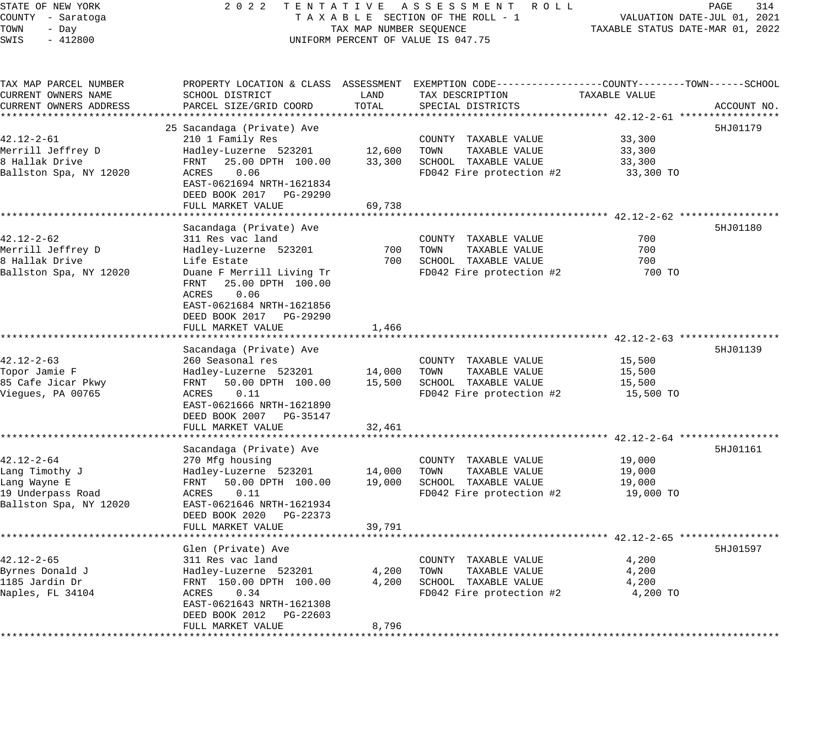| STATE OF NEW YORK                        | 2 0 2 2<br>TENTATIVE                                    |                         | A S S E S S M E N T<br>R O L L                               |                                                 | PAGE<br>314                 |
|------------------------------------------|---------------------------------------------------------|-------------------------|--------------------------------------------------------------|-------------------------------------------------|-----------------------------|
| COUNTY - Saratoga                        |                                                         |                         | TAXABLE SECTION OF THE ROLL - 1                              |                                                 | VALUATION DATE-JUL 01, 2021 |
| TOWN<br>- Day                            |                                                         | TAX MAP NUMBER SEQUENCE |                                                              | TAXABLE STATUS DATE-MAR 01, 2022                |                             |
| SWIS<br>$-412800$                        |                                                         |                         | UNIFORM PERCENT OF VALUE IS 047.75                           |                                                 |                             |
| TAX MAP PARCEL NUMBER                    | PROPERTY LOCATION & CLASS ASSESSMENT                    |                         | EXEMPTION CODE-----------------COUNTY-------TOWN------SCHOOL |                                                 |                             |
| CURRENT OWNERS NAME                      | SCHOOL DISTRICT                                         | LAND                    | TAX DESCRIPTION                                              | TAXABLE VALUE                                   |                             |
| CURRENT OWNERS ADDRESS                   | PARCEL SIZE/GRID COORD                                  | TOTAL                   | SPECIAL DISTRICTS                                            |                                                 | ACCOUNT NO.                 |
| **************************               |                                                         |                         |                                                              |                                                 |                             |
|                                          | 25 Sacandaga (Private) Ave                              |                         |                                                              |                                                 | 5HJ01179                    |
| $42.12 - 2 - 61$                         | 210 1 Family Res                                        |                         | COUNTY TAXABLE VALUE                                         | 33,300                                          |                             |
| Merrill Jeffrey D                        | Hadley-Luzerne 523201                                   | 12,600                  | TOWN<br>TAXABLE VALUE                                        | 33,300                                          |                             |
| 8 Hallak Drive<br>Ballston Spa, NY 12020 | FRNT<br>25.00 DPTH 100.00<br>0.06<br>ACRES              | 33,300                  | SCHOOL TAXABLE VALUE<br>FD042 Fire protection #2             | 33,300<br>33,300 TO                             |                             |
|                                          | EAST-0621694 NRTH-1621834                               |                         |                                                              |                                                 |                             |
|                                          | DEED BOOK 2017<br>PG-29290                              |                         |                                                              |                                                 |                             |
|                                          | FULL MARKET VALUE                                       | 69,738                  |                                                              |                                                 |                             |
|                                          | * * * * * * * * * * * * * * *                           |                         |                                                              | ******************** 42.12-2-62 *************** |                             |
|                                          | Sacandaga (Private) Ave                                 |                         |                                                              |                                                 | 5HJ01180                    |
| 42.12-2-62                               | 311 Res vac land                                        |                         | COUNTY<br>TAXABLE VALUE                                      | 700                                             |                             |
| Merrill Jeffrey D                        | Hadley-Luzerne 523201                                   | 700                     | TOWN<br>TAXABLE VALUE                                        | 700                                             |                             |
| 8 Hallak Drive                           | Life Estate                                             | 700                     | SCHOOL TAXABLE VALUE                                         | 700                                             |                             |
| Ballston Spa, NY 12020                   | Duane F Merrill Living Tr                               |                         | FD042 Fire protection #2                                     | 700 TO                                          |                             |
|                                          | FRNT<br>25.00 DPTH 100.00<br>0.06<br>ACRES              |                         |                                                              |                                                 |                             |
|                                          | EAST-0621684 NRTH-1621856                               |                         |                                                              |                                                 |                             |
|                                          | DEED BOOK 2017<br>PG-29290                              |                         |                                                              |                                                 |                             |
|                                          | FULL MARKET VALUE                                       | 1,466                   |                                                              |                                                 |                             |
|                                          | *****************                                       |                         |                                                              | $42.12 - 2 - 63$ ****                           |                             |
|                                          | Sacandaga (Private) Ave                                 |                         |                                                              |                                                 | 5HJ01139                    |
| $42.12 - 2 - 63$                         | 260 Seasonal res                                        |                         | COUNTY TAXABLE VALUE                                         | 15,500                                          |                             |
| Topor Jamie F                            | Hadley-Luzerne 523201                                   | 14,000                  | TOWN<br>TAXABLE VALUE                                        | 15,500                                          |                             |
| 85 Cafe Jicar Pkwy                       | 50.00 DPTH 100.00<br>FRNT                               | 15,500                  | SCHOOL TAXABLE VALUE                                         | 15,500                                          |                             |
| Viegues, PA 00765                        | 0.11<br>ACRES                                           |                         | FD042 Fire protection #2                                     | 15,500 TO                                       |                             |
|                                          | EAST-0621666 NRTH-1621890<br>DEED BOOK 2007<br>PG-35147 |                         |                                                              |                                                 |                             |
|                                          | FULL MARKET VALUE                                       | 32,461                  |                                                              |                                                 |                             |
|                                          | *******************                                     |                         |                                                              | ********** 42.12-2-64 ***                       |                             |
|                                          | Sacandaga (Private) Ave                                 |                         |                                                              |                                                 | 5HJ01161                    |
| $42.12 - 2 - 64$                         | 270 Mfg housing                                         |                         | COUNTY TAXABLE VALUE                                         | 19,000                                          |                             |
| Lang Timothy J                           | Hadley-Luzerne 523201                                   | 14,000                  | TOWN<br>TAXABLE VALUE                                        | 19,000                                          |                             |
| Lang Wayne E                             | FRNT<br>50.00 DPTH 100.00                               | 19,000                  | SCHOOL TAXABLE VALUE                                         | 19,000                                          |                             |
| 19 Underpass Road                        | 0.11<br>ACRES                                           |                         | FD042 Fire protection #2                                     | 19,000 TO                                       |                             |
| Ballston Spa, NY 12020                   | EAST-0621646 NRTH-1621934                               |                         |                                                              |                                                 |                             |
|                                          | DEED BOOK 2020<br>PG-22373<br>FULL MARKET VALUE         | 39,791                  |                                                              |                                                 |                             |
|                                          |                                                         |                         |                                                              | $*$ 42.12-2-65                                  |                             |
|                                          | Glen (Private) Ave                                      |                         |                                                              |                                                 | 5HJ01597                    |
| $42.12 - 2 - 65$                         | 311 Res vac land                                        |                         | COUNTY<br>TAXABLE VALUE                                      | 4,200                                           |                             |
| Byrnes Donald J                          | Hadley-Luzerne 523201                                   | 4,200                   | TOWN<br>TAXABLE VALUE                                        | 4,200                                           |                             |
| 1185 Jardin Dr                           | FRNT 150.00 DPTH 100.00                                 | 4,200                   | SCHOOL TAXABLE VALUE                                         | 4,200                                           |                             |
| Naples, FL 34104                         | 0.34<br>ACRES                                           |                         | FD042 Fire protection #2                                     | 4,200 TO                                        |                             |
|                                          | EAST-0621643 NRTH-1621308                               |                         |                                                              |                                                 |                             |
|                                          | DEED BOOK 2012<br>PG-22603                              |                         |                                                              |                                                 |                             |
|                                          | FULL MARKET VALUE                                       | 8,796                   |                                                              |                                                 |                             |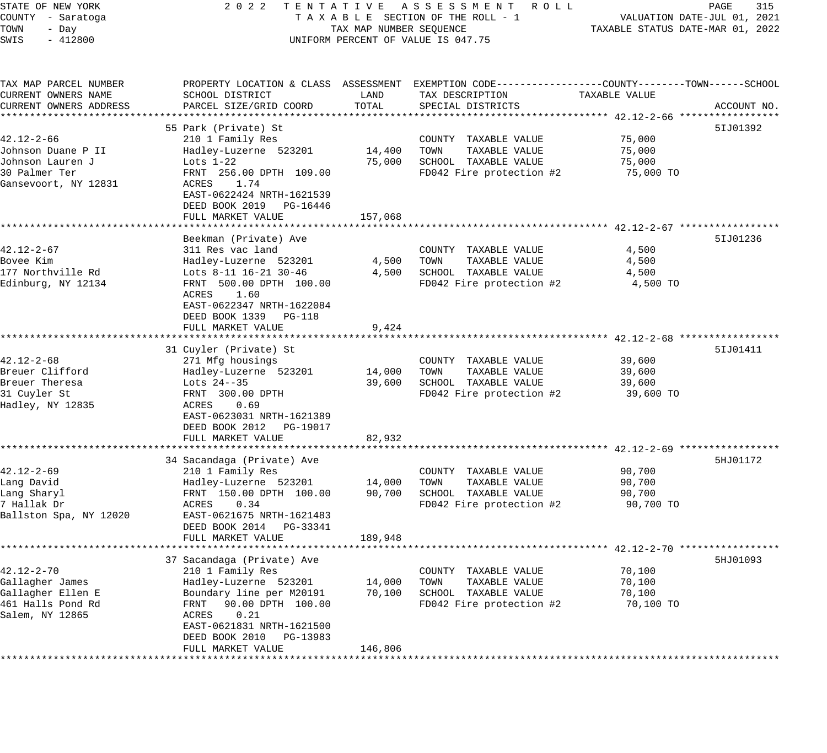| STATE OF NEW YORK                  | 2 0 2 2                                              |                         | TENTATIVE ASSESSMENT ROLL                                                                       |                                  | PAGE<br>315 |
|------------------------------------|------------------------------------------------------|-------------------------|-------------------------------------------------------------------------------------------------|----------------------------------|-------------|
| COUNTY - Saratoga                  | TAXABLE SECTION OF THE ROLL - 1                      |                         | VALUATION DATE-JUL 01, 2021                                                                     |                                  |             |
| TOWN<br>- Day<br>$-412800$<br>SWIS |                                                      | TAX MAP NUMBER SEQUENCE | UNIFORM PERCENT OF VALUE IS 047.75                                                              | TAXABLE STATUS DATE-MAR 01, 2022 |             |
|                                    |                                                      |                         |                                                                                                 |                                  |             |
| TAX MAP PARCEL NUMBER              |                                                      |                         | PROPERTY LOCATION & CLASS ASSESSMENT EXEMPTION CODE---------------COUNTY-------TOWN------SCHOOL |                                  |             |
| CURRENT OWNERS NAME                | SCHOOL DISTRICT                                      | LAND                    | TAX DESCRIPTION                                                                                 | TAXABLE VALUE                    |             |
| CURRENT OWNERS ADDRESS             | PARCEL SIZE/GRID COORD                               | TOTAL                   | SPECIAL DISTRICTS                                                                               |                                  | ACCOUNT NO. |
| ***************************        |                                                      |                         |                                                                                                 |                                  |             |
|                                    | 55 Park (Private) St                                 |                         |                                                                                                 |                                  | 51J01392    |
| $42.12 - 2 - 66$                   | 210 1 Family Res                                     |                         | COUNTY TAXABLE VALUE                                                                            | 75,000                           |             |
| Johnson Duane P II                 | Hadley-Luzerne 523201                                | 14,400                  | TOWN<br>TAXABLE VALUE                                                                           | 75,000                           |             |
| Johnson Lauren J                   | Lots $1-22$                                          | 75,000                  | SCHOOL TAXABLE VALUE                                                                            | 75,000                           |             |
| 30 Palmer Ter                      | FRNT 256.00 DPTH 109.00                              |                         | FD042 Fire protection #2                                                                        | 75,000 TO                        |             |
| Gansevoort, NY 12831               | 1.74<br>ACRES                                        |                         |                                                                                                 |                                  |             |
|                                    | EAST-0622424 NRTH-1621539                            |                         |                                                                                                 |                                  |             |
|                                    | DEED BOOK 2019 PG-16446                              |                         |                                                                                                 |                                  |             |
|                                    | FULL MARKET VALUE                                    | 157,068                 |                                                                                                 |                                  |             |
|                                    | Beekman (Private) Ave                                |                         |                                                                                                 |                                  | 51J01236    |
| $42.12 - 2 - 67$                   | 311 Res vac land                                     |                         | COUNTY TAXABLE VALUE                                                                            | 4,500                            |             |
| Bovee Kim                          | Hadley-Luzerne 523201                                | 4,500                   | TAXABLE VALUE<br>TOWN                                                                           | 4,500                            |             |
| 177 Northville Rd                  | Lots 8-11 16-21 30-46                                | 4,500                   | SCHOOL TAXABLE VALUE                                                                            | 4,500                            |             |
| Edinburg, NY 12134                 | FRNT 500.00 DPTH 100.00                              |                         | FD042 Fire protection #2                                                                        | 4,500 TO                         |             |
|                                    | 1.60<br>ACRES                                        |                         |                                                                                                 |                                  |             |
|                                    | EAST-0622347 NRTH-1622084                            |                         |                                                                                                 |                                  |             |
|                                    | DEED BOOK 1339 PG-118                                |                         |                                                                                                 |                                  |             |
|                                    | FULL MARKET VALUE                                    | 9,424                   |                                                                                                 |                                  |             |
|                                    |                                                      |                         |                                                                                                 |                                  |             |
|                                    | 31 Cuyler (Private) St                               |                         |                                                                                                 |                                  | 51J01411    |
| $42.12 - 2 - 68$                   | 271 Mfg housings                                     |                         | COUNTY TAXABLE VALUE                                                                            | 39,600                           |             |
| Breuer Clifford                    | Hadley-Luzerne 523201                                | 14,000                  | TOWN<br>TAXABLE VALUE                                                                           | 39,600                           |             |
| Breuer Theresa                     | Lots $24--35$                                        | 39,600                  | SCHOOL TAXABLE VALUE                                                                            | 39,600                           |             |
| 31 Cuyler St                       | FRNT 300.00 DPTH                                     |                         | FD042 Fire protection #2                                                                        | 39,600 TO                        |             |
| Hadley, NY 12835                   | 0.69<br>ACRES                                        |                         |                                                                                                 |                                  |             |
|                                    | EAST-0623031 NRTH-1621389<br>DEED BOOK 2012 PG-19017 |                         |                                                                                                 |                                  |             |
|                                    | FULL MARKET VALUE                                    | 82,932                  |                                                                                                 |                                  |             |
|                                    |                                                      |                         |                                                                                                 |                                  |             |
|                                    | 34 Sacandaga (Private) Ave                           |                         |                                                                                                 |                                  | 5HJ01172    |
| $42.12 - 2 - 69$                   | 210 1 Family Res                                     |                         | COUNTY TAXABLE VALUE                                                                            | 90,700                           |             |
| Lang David                         | Hadley-Luzerne 523201                                | 14,000                  | TAXABLE VALUE<br>TOWN                                                                           | 90,700                           |             |
| Lang Sharyl                        | FRNT 150.00 DPTH 100.00                              | 90,700                  | SCHOOL TAXABLE VALUE                                                                            | 90,700                           |             |
| 7 Hallak Dr                        | ACRES<br>0.34                                        |                         | FD042 Fire protection #2                                                                        | 90,700 TO                        |             |
| Ballston Spa, NY 12020             | EAST-0621675 NRTH-1621483                            |                         |                                                                                                 |                                  |             |
|                                    | DEED BOOK 2014 PG-33341                              |                         |                                                                                                 |                                  |             |
|                                    | FULL MARKET VALUE                                    | 189,948                 |                                                                                                 |                                  |             |
|                                    |                                                      |                         |                                                                                                 |                                  |             |
|                                    | 37 Sacandaga (Private) Ave                           |                         |                                                                                                 |                                  | 5HJ01093    |
| $42.12 - 2 - 70$                   | 210 1 Family Res                                     |                         | TAXABLE VALUE<br>COUNTY                                                                         | 70,100                           |             |
| Gallagher James                    | Hadley-Luzerne 523201                                | 14,000                  | TOWN<br>TAXABLE VALUE                                                                           | 70,100                           |             |
| Gallagher Ellen E                  | Boundary line per M20191                             | 70,100                  | SCHOOL<br>TAXABLE VALUE                                                                         | 70,100                           |             |
| 461 Halls Pond Rd                  | 90.00 DPTH 100.00<br>FRNT                            |                         | FD042 Fire protection #2                                                                        | 70,100 TO                        |             |
| Salem, NY 12865                    | ACRES<br>0.21                                        |                         |                                                                                                 |                                  |             |
|                                    | EAST-0621831 NRTH-1621500<br>PG-13983                |                         |                                                                                                 |                                  |             |
|                                    | DEED BOOK 2010<br>FULL MARKET VALUE                  | 146,806                 |                                                                                                 |                                  |             |
|                                    | ****************                                     |                         |                                                                                                 |                                  |             |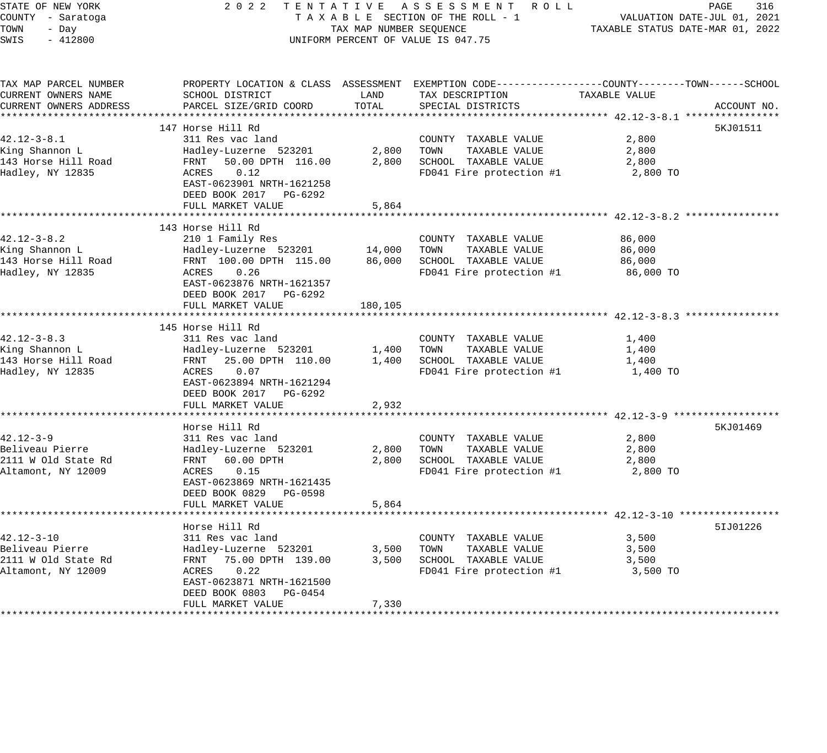| STATE OF NEW YORK<br>COUNTY - Saratoga<br>TOWN<br>- Day<br>SWIS<br>$-412800$     | 2 0 2 2<br>TENTATIVE ASSESSMENT ROLL<br>TAXABLE SECTION OF THE ROLL - 1<br>TAX MAP NUMBER SEQUENCE<br>UNIFORM PERCENT OF VALUE IS 047.75                                               | TAXABLE STATUS DATE-MAR 01, 2022 | PAGE<br>316<br>VALUATION DATE-JUL 01, 2021                                                                                               |                                                                                               |             |
|----------------------------------------------------------------------------------|----------------------------------------------------------------------------------------------------------------------------------------------------------------------------------------|----------------------------------|------------------------------------------------------------------------------------------------------------------------------------------|-----------------------------------------------------------------------------------------------|-------------|
|                                                                                  |                                                                                                                                                                                        |                                  |                                                                                                                                          |                                                                                               |             |
| TAX MAP PARCEL NUMBER<br>CURRENT OWNERS NAME<br>CURRENT OWNERS ADDRESS           | SCHOOL DISTRICT<br>PARCEL SIZE/GRID COORD                                                                                                                                              | LAND<br>TOTAL                    | PROPERTY LOCATION & CLASS ASSESSMENT EXEMPTION CODE----------------COUNTY-------TOWN------SCHOOL<br>TAX DESCRIPTION<br>SPECIAL DISTRICTS | TAXABLE VALUE                                                                                 | ACCOUNT NO. |
|                                                                                  |                                                                                                                                                                                        |                                  |                                                                                                                                          |                                                                                               |             |
|                                                                                  | 147 Horse Hill Rd                                                                                                                                                                      |                                  |                                                                                                                                          |                                                                                               | 5KJ01511    |
| $42.12 - 3 - 8.1$<br>King Shannon L<br>143 Horse Hill Road<br>Hadley, NY 12835   | 311 Res vac land<br>Hadley-Luzerne 523201<br>50.00 DPTH 116.00<br>FRNT<br>ACRES<br>0.12<br>EAST-0623901 NRTH-1621258<br>DEED BOOK 2017 PG-6292                                         | 2,800<br>2,800                   | COUNTY TAXABLE VALUE<br>TOWN<br>TAXABLE VALUE<br>SCHOOL TAXABLE VALUE<br>FD041 Fire protection #1                                        | 2,800<br>2,800<br>2,800<br>2,800 TO                                                           |             |
|                                                                                  | FULL MARKET VALUE                                                                                                                                                                      | 5,864                            |                                                                                                                                          |                                                                                               |             |
| $42.12 - 3 - 8.2$<br>King Shannon L<br>143 Horse Hill Road<br>Hadley, NY 12835   | 143 Horse Hill Rd<br>210 1 Family Res<br>Hadley-Luzerne 523201<br>FRNT 100.00 DPTH 115.00<br>ACRES<br>0.26<br>EAST-0623876 NRTH-1621357<br>DEED BOOK 2017 PG-6292<br>FULL MARKET VALUE | 14,000<br>86,000<br>180,105      | COUNTY TAXABLE VALUE<br>TAXABLE VALUE<br>TOWN<br>SCHOOL TAXABLE VALUE<br>FD041 Fire protection #1                                        | 86,000<br>86,000<br>86,000<br>86,000 TO                                                       |             |
|                                                                                  |                                                                                                                                                                                        |                                  |                                                                                                                                          |                                                                                               |             |
| $42.12 - 3 - 8.3$<br>King Shannon L<br>143 Horse Hill Road<br>Hadley, NY 12835   | 145 Horse Hill Rd<br>311 Res vac land<br>Hadley-Luzerne 523201<br>25.00 DPTH 110.00<br>FRNT<br>ACRES<br>0.07<br>EAST-0623894 NRTH-1621294<br>DEED BOOK 2017 PG-6292                    | 1,400<br>1,400                   | COUNTY TAXABLE VALUE<br>TAXABLE VALUE<br>TOWN<br>SCHOOL TAXABLE VALUE<br>FD041 Fire protection #1                                        | 1,400<br>1,400<br>1,400<br>1,400 TO                                                           |             |
|                                                                                  | FULL MARKET VALUE                                                                                                                                                                      | 2,932                            |                                                                                                                                          |                                                                                               |             |
| $42.12 - 3 - 9$<br>Beliveau Pierre<br>2111 W Old State Rd<br>Altamont, NY 12009  | Horse Hill Rd<br>311 Res vac land<br>Hadley-Luzerne 523201<br>FRNT 60.00 DPTH<br>ACRES<br>0.15<br>EAST-0623869 NRTH-1621435<br>DEED BOOK 0829<br>PG-0598                               | 2,800<br>2,800                   | COUNTY TAXABLE VALUE<br>TAXABLE VALUE<br>TOWN<br>SCHOOL TAXABLE VALUE<br>FD041 Fire protection #1                                        | 2,800<br>2,800<br>2,800<br>2,800 TO                                                           | 5KJ01469    |
|                                                                                  | FULL MARKET VALUE                                                                                                                                                                      | 5,864                            |                                                                                                                                          |                                                                                               |             |
| $42.12 - 3 - 10$<br>Beliveau Pierre<br>2111 W Old State Rd<br>Altamont, NY 12009 | Horse Hill Rd<br>311 Res vac land<br>Hadley-Luzerne 523201<br>FRNT 75.00 DPTH 139.00<br>ACRES<br>0.22<br>EAST-0623871 NRTH-1621500<br>DEED BOOK 0803 PG-0454                           | 3,500<br>3,500                   | COUNTY TAXABLE VALUE<br>TOWN<br>TAXABLE VALUE<br>SCHOOL TAXABLE VALUE<br>FD041 Fire protection #1                                        | ************************ 42.12-3-10 ******************<br>3,500<br>3,500<br>3,500<br>3,500 TO | 51J01226    |
|                                                                                  | FULL MARKET VALUE                                                                                                                                                                      | 7,330                            |                                                                                                                                          |                                                                                               |             |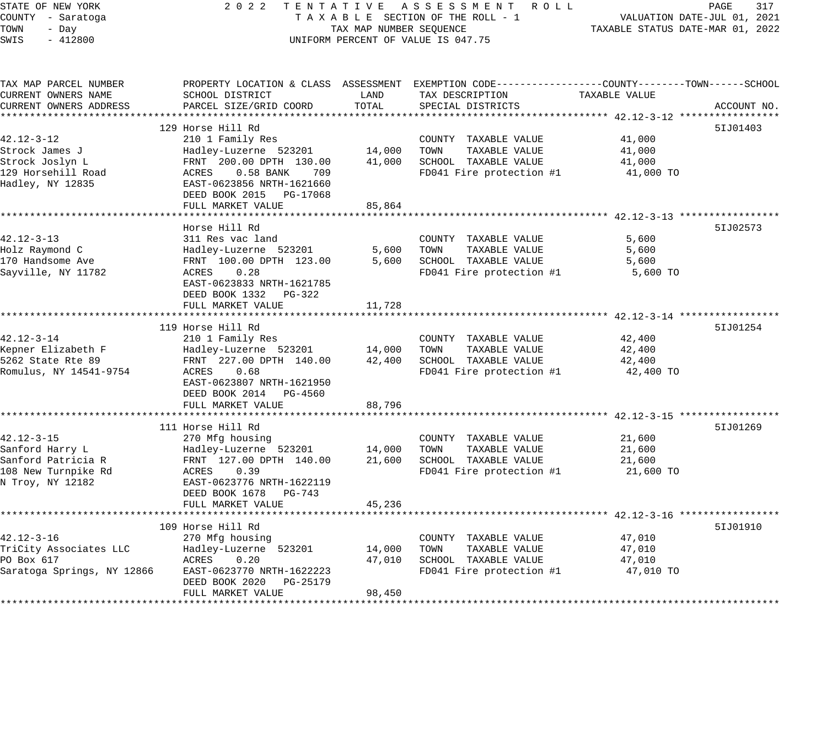| STATE OF NEW YORK<br>COUNTY - Saratoga<br>TOWN<br>- Day<br>$-412800$<br>SWIS |                                                      | TAX MAP NUMBER SEQUENCE | 2022 TENTATIVE ASSESSMENT ROLL<br>TAXABLE SECTION OF THE ROLL - 1<br>UNIFORM PERCENT OF VALUE IS 047.75 | TAXABLE STATUS DATE-MAR 01, 2022 | PAGE<br>317<br>VALUATION DATE-JUL 01, 2021 |
|------------------------------------------------------------------------------|------------------------------------------------------|-------------------------|---------------------------------------------------------------------------------------------------------|----------------------------------|--------------------------------------------|
| TAX MAP PARCEL NUMBER                                                        |                                                      |                         | PROPERTY LOCATION & CLASS ASSESSMENT EXEMPTION CODE----------------COUNTY-------TOWN------SCHOOL        |                                  |                                            |
| CURRENT OWNERS NAME                                                          | SCHOOL DISTRICT                                      | LAND                    | TAX DESCRIPTION                                                                                         | TAXABLE VALUE                    |                                            |
| CURRENT OWNERS ADDRESS                                                       | PARCEL SIZE/GRID COORD                               | TOTAL                   | SPECIAL DISTRICTS                                                                                       |                                  | ACCOUNT NO.                                |
|                                                                              | 129 Horse Hill Rd                                    |                         |                                                                                                         |                                  | 51J01403                                   |
| 42.12-3-12                                                                   | 210 1 Family Res                                     |                         | COUNTY TAXABLE VALUE                                                                                    | 41,000                           |                                            |
| Strock James J                                                               | Hadley-Luzerne 523201                                | 14,000                  | TOWN<br>TAXABLE VALUE                                                                                   | 41,000                           |                                            |
| Strock Joslyn L                                                              | FRNT 200.00 DPTH 130.00                              | 41,000                  | SCHOOL TAXABLE VALUE                                                                                    | 41,000                           |                                            |
| 129 Horsehill Road                                                           | 0.58 BANK<br>709<br>ACRES                            |                         | FD041 Fire protection #1                                                                                | 41,000 TO                        |                                            |
| Hadley, NY 12835                                                             | EAST-0623856 NRTH-1621660<br>DEED BOOK 2015 PG-17068 |                         |                                                                                                         |                                  |                                            |
|                                                                              | FULL MARKET VALUE                                    | 85,864                  |                                                                                                         |                                  |                                            |
|                                                                              |                                                      |                         |                                                                                                         |                                  |                                            |
|                                                                              | Horse Hill Rd                                        |                         |                                                                                                         |                                  | 51J02573                                   |
| $42.12 - 3 - 13$                                                             | 311 Res vac land                                     |                         | COUNTY TAXABLE VALUE<br>TOWN                                                                            | 5,600<br>5,600                   |                                            |
| Holz Raymond C<br>170 Handsome Ave                                           | Hadley-Luzerne 523201<br>FRNT 100.00 DPTH 123.00     | 5,600<br>5,600          | TAXABLE VALUE<br>SCHOOL TAXABLE VALUE                                                                   | 5,600                            |                                            |
| Sayville, NY 11782                                                           | 0.28<br>ACRES                                        |                         | FD041 Fire protection #1                                                                                | 5,600 TO                         |                                            |
|                                                                              | EAST-0623833 NRTH-1621785<br>DEED BOOK 1332 PG-322   |                         |                                                                                                         |                                  |                                            |
|                                                                              | FULL MARKET VALUE                                    | 11,728                  |                                                                                                         |                                  |                                            |
|                                                                              |                                                      |                         |                                                                                                         |                                  |                                            |
|                                                                              | 119 Horse Hill Rd                                    |                         |                                                                                                         |                                  | 51J01254                                   |
| $42.12 - 3 - 14$                                                             | 210 1 Family Res                                     |                         | COUNTY TAXABLE VALUE                                                                                    | 42,400                           |                                            |
| Kepner Elizabeth F                                                           | Hadley-Luzerne 523201                                | 14,000                  | TOWN<br>TAXABLE VALUE                                                                                   | 42,400                           |                                            |
| 5262 State Rte 89                                                            | FRNT 227.00 DPTH 140.00                              | 42,400                  | SCHOOL TAXABLE VALUE                                                                                    | 42,400                           |                                            |
| Romulus, NY 14541-9754                                                       | ACRES<br>0.68                                        |                         | FD041 Fire protection #1                                                                                | 42,400 TO                        |                                            |
|                                                                              | EAST-0623807 NRTH-1621950                            |                         |                                                                                                         |                                  |                                            |
|                                                                              | DEED BOOK 2014 PG-4560<br>FULL MARKET VALUE          | 88,796                  |                                                                                                         |                                  |                                            |
|                                                                              |                                                      |                         |                                                                                                         |                                  |                                            |
|                                                                              | 111 Horse Hill Rd                                    |                         |                                                                                                         |                                  | 51J01269                                   |
| $42.12 - 3 - 15$                                                             | 270 Mfg housing                                      |                         | COUNTY TAXABLE VALUE                                                                                    | 21,600                           |                                            |
| Sanford Harry L                                                              | Hadley-Luzerne 523201                                | 14,000                  | TOWN<br>TAXABLE VALUE                                                                                   | 21,600                           |                                            |
| Sanford Patricia R                                                           | FRNT 127.00 DPTH 140.00                              | 21,600                  | SCHOOL TAXABLE VALUE                                                                                    | 21,600                           |                                            |
| 108 New Turnpike Rd                                                          | 0.39<br>ACRES                                        |                         | FD041 Fire protection #1                                                                                | 21,600 TO                        |                                            |
| N Troy, NY 12182                                                             | EAST-0623776 NRTH-1622119                            |                         |                                                                                                         |                                  |                                            |
|                                                                              | DEED BOOK 1678 PG-743                                |                         |                                                                                                         |                                  |                                            |
|                                                                              | FULL MARKET VALUE                                    | 45,236                  |                                                                                                         |                                  |                                            |
|                                                                              |                                                      |                         |                                                                                                         |                                  |                                            |
| $42.12 - 3 - 16$                                                             | 109 Horse Hill Rd                                    |                         |                                                                                                         |                                  | 51J01910                                   |
| TriCity Associates LLC                                                       | 270 Mfg housing<br>Hadley-Luzerne 523201             | 14,000                  | COUNTY TAXABLE VALUE<br>TOWN<br>TAXABLE VALUE                                                           | 47,010<br>47,010                 |                                            |
| PO Box 617                                                                   | ACRES<br>0.20                                        | 47,010                  | SCHOOL TAXABLE VALUE                                                                                    | 47,010                           |                                            |
| Saratoga Springs, NY 12866                                                   | EAST-0623770 NRTH-1622223                            |                         | FD041 Fire protection #1                                                                                | 47,010 TO                        |                                            |
|                                                                              | DEED BOOK 2020<br>PG-25179                           |                         |                                                                                                         |                                  |                                            |
|                                                                              | FULL MARKET VALUE                                    | 98,450                  |                                                                                                         |                                  |                                            |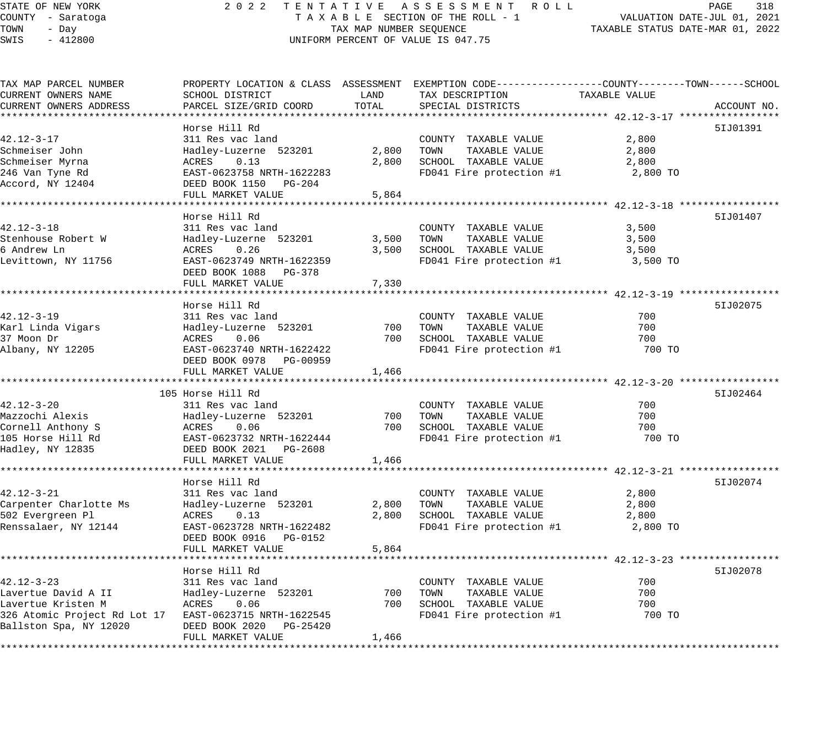# STATE OF NEW YORK 2 0 2 2 T E N T A T I V E A S S E S S M E N T R O L L PAGE 318 COUNTY - Saratoga T A X A B L E SECTION OF THE ROLL - 1 VALUATION DATE-JUL 01, 2021 UNIFORM PERCENT OF VALUE IS 047.75

TAXABLE STATUS DATE-JUL 01, 2021<br>TAXABLE STATUS DATE-MAR 01, 2022

| TAX MAP PARCEL NUMBER<br>CURRENT OWNERS NAME | SCHOOL DISTRICT                   | LAND  | PROPERTY LOCATION & CLASS ASSESSMENT EXEMPTION CODE----------------COUNTY-------TOWN------SCHOOL<br>TAX DESCRIPTION | TAXABLE VALUE |             |
|----------------------------------------------|-----------------------------------|-------|---------------------------------------------------------------------------------------------------------------------|---------------|-------------|
| CURRENT OWNERS ADDRESS                       | PARCEL SIZE/GRID COORD            | TOTAL | SPECIAL DISTRICTS                                                                                                   |               | ACCOUNT NO. |
|                                              |                                   |       |                                                                                                                     |               |             |
| $42.12 - 3 - 17$                             | Horse Hill Rd<br>311 Res vac land |       | COUNTY TAXABLE VALUE                                                                                                | 2,800         | 51J01391    |
| Schmeiser John                               | Hadley-Luzerne 523201             | 2,800 | TOWN<br>TAXABLE VALUE                                                                                               | 2,800         |             |
| Schmeiser Myrna                              | ACRES<br>0.13                     | 2,800 | SCHOOL TAXABLE VALUE                                                                                                | 2,800         |             |
| 246 Van Tyne Rd                              | EAST-0623758 NRTH-1622283         |       | FD041 Fire protection #1                                                                                            | 2,800 TO      |             |
| Accord, NY 12404                             | DEED BOOK 1150 PG-204             |       |                                                                                                                     |               |             |
|                                              | FULL MARKET VALUE                 | 5,864 |                                                                                                                     |               |             |
|                                              |                                   |       |                                                                                                                     |               |             |
|                                              | Horse Hill Rd                     |       |                                                                                                                     |               | 51J01407    |
| $42.12 - 3 - 18$                             | 311 Res vac land                  |       | COUNTY TAXABLE VALUE                                                                                                | 3,500         |             |
| Stenhouse Robert W                           | Hadley-Luzerne 523201             | 3,500 | TAXABLE VALUE<br>TOWN                                                                                               | 3,500         |             |
| 6 Andrew Ln                                  | ACRES<br>0.26                     | 3,500 | SCHOOL TAXABLE VALUE                                                                                                | 3,500         |             |
| Levittown, NY 11756                          | EAST-0623749 NRTH-1622359         |       | FD041 Fire protection #1                                                                                            | 3,500 TO      |             |
|                                              | DEED BOOK 1088 PG-378             |       |                                                                                                                     |               |             |
|                                              | FULL MARKET VALUE                 | 7,330 |                                                                                                                     |               |             |
|                                              |                                   |       |                                                                                                                     |               |             |
|                                              | Horse Hill Rd                     |       |                                                                                                                     |               | 51J02075    |
| $42.12 - 3 - 19$                             | 311 Res vac land                  |       | COUNTY TAXABLE VALUE                                                                                                | 700           |             |
| Karl Linda Vigars                            | Hadley-Luzerne 523201             | 700   | TOWN<br>TAXABLE VALUE                                                                                               | 700           |             |
| 37 Moon Dr                                   | ACRES<br>0.06                     | 700   | SCHOOL TAXABLE VALUE                                                                                                | 700           |             |
| Albany, NY 12205                             | EAST-0623740 NRTH-1622422         |       | FD041 Fire protection #1                                                                                            | 700 TO        |             |
|                                              | DEED BOOK 0978 PG-00959           |       |                                                                                                                     |               |             |
|                                              | FULL MARKET VALUE                 | 1,466 |                                                                                                                     |               |             |
|                                              |                                   |       |                                                                                                                     |               |             |
|                                              | 105 Horse Hill Rd                 |       |                                                                                                                     |               | 51J02464    |
| $42.12 - 3 - 20$                             | 311 Res vac land                  |       | COUNTY TAXABLE VALUE                                                                                                | 700           |             |
| Mazzochi Alexis                              | Hadley-Luzerne 523201             | 700   | TOWN<br>TAXABLE VALUE                                                                                               | 700           |             |
| Cornell Anthony S                            | ACRES<br>0.06                     | 700   | SCHOOL TAXABLE VALUE                                                                                                | 700           |             |
| 105 Horse Hill Rd                            | EAST-0623732 NRTH-1622444         |       | FD041 Fire protection #1                                                                                            | 700 TO        |             |
| Hadley, NY 12835                             | DEED BOOK 2021 PG-2608            |       |                                                                                                                     |               |             |
|                                              | FULL MARKET VALUE                 | 1,466 |                                                                                                                     |               |             |
|                                              |                                   |       |                                                                                                                     |               |             |
|                                              | Horse Hill Rd                     |       |                                                                                                                     |               | 51J02074    |
| $42.12 - 3 - 21$                             | 311 Res vac land                  |       | COUNTY TAXABLE VALUE                                                                                                | 2,800         |             |
| Carpenter Charlotte Ms                       | Hadley-Luzerne 523201             | 2,800 | TOWN<br>TAXABLE VALUE                                                                                               | 2,800         |             |
| 502 Evergreen Pl                             | 0.13<br>ACRES                     | 2,800 | SCHOOL TAXABLE VALUE                                                                                                | 2,800         |             |
| Renssalaer, NY 12144                         | EAST-0623728 NRTH-1622482         |       | FD041 Fire protection #1                                                                                            | 2,800 TO      |             |
|                                              | DEED BOOK 0916 PG-0152            |       |                                                                                                                     |               |             |
|                                              | FULL MARKET VALUE                 | 5,864 |                                                                                                                     |               |             |
|                                              | Horse Hill Rd                     |       |                                                                                                                     |               | 5IJ02078    |
| $42.12 - 3 - 23$                             | 311 Res vac land                  |       | COUNTY TAXABLE VALUE                                                                                                | 700           |             |
| Lavertue David A II                          | Hadley-Luzerne 523201             | 700   | TOWN<br>TAXABLE VALUE                                                                                               | 700           |             |
| Lavertue Kristen M                           | 0.06<br>ACRES                     | 700   | SCHOOL TAXABLE VALUE                                                                                                | 700           |             |
| 326 Atomic Project Rd Lot 17                 | EAST-0623715 NRTH-1622545         |       | FD041 Fire protection #1                                                                                            | 700 TO        |             |
| Ballston Spa, NY 12020                       | DEED BOOK 2020 PG-25420           |       |                                                                                                                     |               |             |
|                                              | FULL MARKET VALUE                 | 1,466 |                                                                                                                     |               |             |
|                                              |                                   |       |                                                                                                                     |               |             |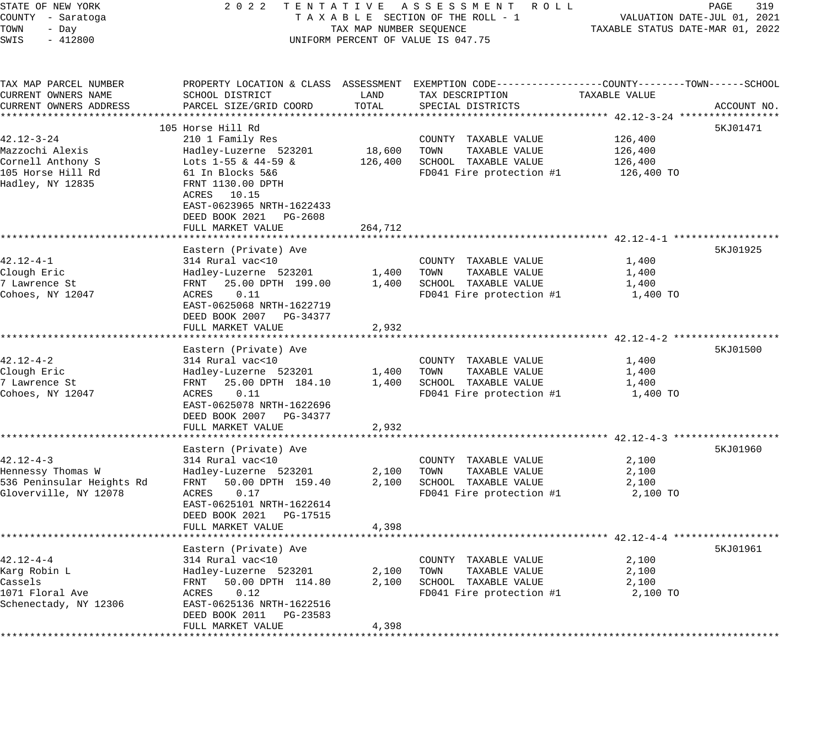| STATE OF NEW YORK<br>COUNTY - Saratoga | 2 0 2 2                                            |                                  | TENTATIVE ASSESSMENT ROLL<br>TAXABLE SECTION OF THE ROLL - 1                                     |                             | 319<br>PAGE<br>VALUATION DATE-JUL 01, 2021 |
|----------------------------------------|----------------------------------------------------|----------------------------------|--------------------------------------------------------------------------------------------------|-----------------------------|--------------------------------------------|
| TOWN<br>- Day                          |                                                    | TAXABLE STATUS DATE-MAR 01, 2022 |                                                                                                  |                             |                                            |
| SWIS<br>$-412800$                      |                                                    | TAX MAP NUMBER SEQUENCE          | UNIFORM PERCENT OF VALUE IS 047.75                                                               |                             |                                            |
| TAX MAP PARCEL NUMBER                  |                                                    |                                  | PROPERTY LOCATION & CLASS ASSESSMENT EXEMPTION CODE----------------COUNTY-------TOWN------SCHOOL |                             |                                            |
| CURRENT OWNERS NAME                    | SCHOOL DISTRICT                                    | LAND                             | TAX DESCRIPTION                                                                                  | TAXABLE VALUE               |                                            |
| CURRENT OWNERS ADDRESS                 | PARCEL SIZE/GRID COORD                             | TOTAL                            | SPECIAL DISTRICTS                                                                                |                             | ACCOUNT NO.                                |
| * * * * * * * * * * * * * * * * * *    |                                                    | *********                        | ************************************ 42.12-3-24 *********                                        |                             |                                            |
|                                        | 105 Horse Hill Rd                                  |                                  |                                                                                                  |                             | 5KJ01471                                   |
| $42.12 - 3 - 24$                       | 210 1 Family Res                                   |                                  | COUNTY TAXABLE VALUE                                                                             | 126,400                     |                                            |
| Mazzochi Alexis                        | Hadley-Luzerne 523201                              | 18,600                           | TOWN<br>TAXABLE VALUE                                                                            | 126,400                     |                                            |
| Cornell Anthony S                      | Lots 1-55 & $44-59$ &                              | 126,400                          | SCHOOL TAXABLE VALUE                                                                             | 126,400                     |                                            |
| 105 Horse Hill Rd                      | 61 In Blocks 5&6                                   |                                  | FD041 Fire protection #1                                                                         | 126,400 TO                  |                                            |
| Hadley, NY 12835                       | FRNT 1130.00 DPTH                                  |                                  |                                                                                                  |                             |                                            |
|                                        | 10.15<br>ACRES<br>EAST-0623965 NRTH-1622433        |                                  |                                                                                                  |                             |                                            |
|                                        | DEED BOOK 2021<br>PG-2608                          |                                  |                                                                                                  |                             |                                            |
|                                        | FULL MARKET VALUE                                  | 264,712                          |                                                                                                  |                             |                                            |
|                                        |                                                    |                                  |                                                                                                  |                             |                                            |
|                                        | Eastern (Private) Ave                              |                                  |                                                                                                  |                             | 5KJ01925                                   |
| $42.12 - 4 - 1$                        | 314 Rural vac<10                                   |                                  | COUNTY TAXABLE VALUE                                                                             | 1,400                       |                                            |
| Clough Eric                            | Hadley-Luzerne 523201                              | 1,400                            | TOWN<br>TAXABLE VALUE                                                                            | 1,400                       |                                            |
| 7 Lawrence St                          | FRNT<br>25.00 DPTH 199.00                          | 1,400                            | SCHOOL TAXABLE VALUE                                                                             | 1,400                       |                                            |
| Cohoes, NY 12047                       | ACRES<br>0.11                                      |                                  | FD041 Fire protection #1                                                                         | 1,400 TO                    |                                            |
|                                        | EAST-0625068 NRTH-1622719                          |                                  |                                                                                                  |                             |                                            |
|                                        | DEED BOOK 2007<br>PG-34377                         |                                  |                                                                                                  |                             |                                            |
|                                        | FULL MARKET VALUE                                  | 2,932                            |                                                                                                  |                             |                                            |
|                                        |                                                    |                                  |                                                                                                  | ********** 42.12-4-2 ****** |                                            |
|                                        | Eastern (Private) Ave                              |                                  |                                                                                                  |                             | 5KJ01500                                   |
| $42.12 - 4 - 2$                        | 314 Rural vac<10                                   |                                  | COUNTY TAXABLE VALUE                                                                             | 1,400                       |                                            |
| Clough Eric<br>7 Lawrence St           | Hadley-Luzerne 523201<br>25.00 DPTH 184.10<br>FRNT | 1,400<br>1,400                   | TAXABLE VALUE<br>TOWN<br>SCHOOL TAXABLE VALUE                                                    | 1,400<br>1,400              |                                            |
| Cohoes, NY 12047                       | ACRES<br>0.11                                      |                                  | FD041 Fire protection #1                                                                         | 1,400 TO                    |                                            |
|                                        | EAST-0625078 NRTH-1622696                          |                                  |                                                                                                  |                             |                                            |
|                                        | DEED BOOK 2007 PG-34377                            |                                  |                                                                                                  |                             |                                            |
|                                        | FULL MARKET VALUE                                  | 2,932                            |                                                                                                  |                             |                                            |
|                                        | *********************                              | * * * * * * * * * *              | ******************************** 42.12-4-3 ******                                                |                             |                                            |
|                                        | Eastern (Private) Ave                              |                                  |                                                                                                  |                             | 5KJ01960                                   |
| $42.12 - 4 - 3$                        | 314 Rural vac<10                                   |                                  | COUNTY TAXABLE VALUE                                                                             | 2,100                       |                                            |
| Hennessy Thomas W                      | Hadley-Luzerne 523201                              | 2,100                            | TAXABLE VALUE<br>TOWN                                                                            | 2,100                       |                                            |
| 536 Peninsular Heights Rd              | FRNT<br>50.00 DPTH 159.40                          | 2,100                            | SCHOOL TAXABLE VALUE                                                                             | 2,100                       |                                            |
| Gloverville, NY 12078                  | 0.17<br>ACRES                                      |                                  | FD041 Fire protection #1                                                                         | 2,100 TO                    |                                            |
|                                        | EAST-0625101 NRTH-1622614                          |                                  |                                                                                                  |                             |                                            |
|                                        | DEED BOOK 2021<br>PG-17515<br>FULL MARKET VALUE    | 4,398                            |                                                                                                  |                             |                                            |
|                                        |                                                    |                                  |                                                                                                  |                             |                                            |
|                                        | Eastern (Private) Ave                              |                                  |                                                                                                  |                             | 5KJ01961                                   |
| $42.12 - 4 - 4$                        | 314 Rural vac<10                                   |                                  | COUNTY TAXABLE VALUE                                                                             | 2,100                       |                                            |
| Karq Robin L                           | Hadley-Luzerne 523201                              | 2,100                            | TOWN<br>TAXABLE VALUE                                                                            | 2,100                       |                                            |
| Cassels                                | 50.00 DPTH 114.80<br>FRNT                          | 2,100                            | SCHOOL TAXABLE VALUE                                                                             | 2,100                       |                                            |
| 1071 Floral Ave                        | ACRES<br>0.12                                      |                                  | FD041 Fire protection #1                                                                         | 2,100 TO                    |                                            |
| Schenectady, NY 12306                  | EAST-0625136 NRTH-1622516                          |                                  |                                                                                                  |                             |                                            |
|                                        | DEED BOOK 2011<br>PG-23583                         |                                  |                                                                                                  |                             |                                            |
|                                        | FULL MARKET VALUE                                  | 4,398                            |                                                                                                  |                             |                                            |
|                                        |                                                    |                                  |                                                                                                  |                             |                                            |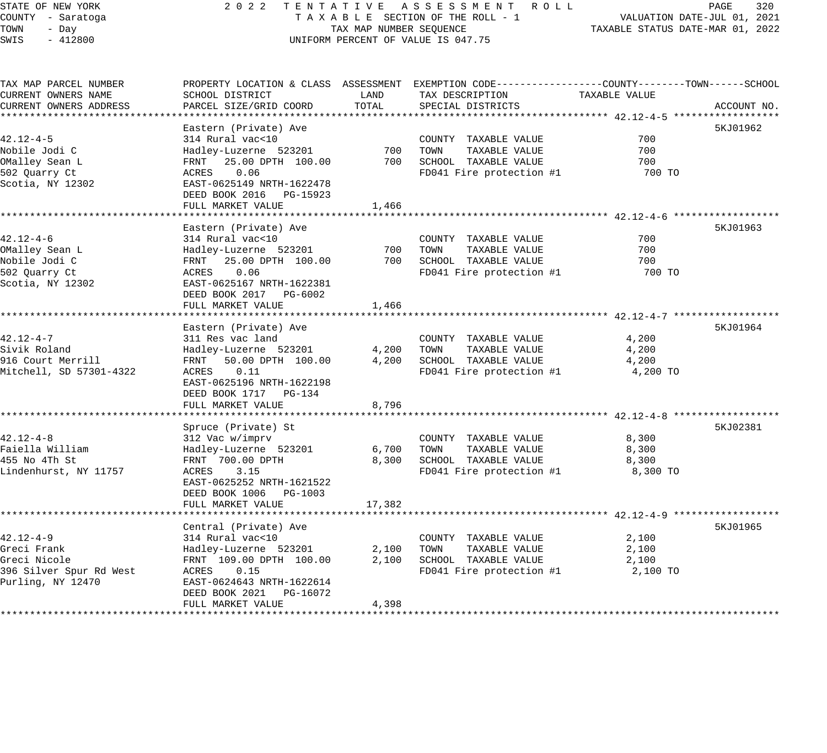# STATE OF NEW YORK 2 0 2 2 T E N T A T I V E A S S E S S M E N T R O L L PAGE 320 COUNTY - Saratoga T A X A B L E SECTION OF THE ROLL - 1 VALUATION DATE-JUL 01, 2021 TAX MAP NUMBER SEQUENCE TAXABLE STATUS DATE-MAR 01, 2022 UNIFORM PERCENT OF VALUE IS 047.75

| TAX MAP PARCEL NUMBER   | PROPERTY LOCATION & CLASS ASSESSMENT EXEMPTION CODE---------------COUNTY-------TOWN------SCHOOL |        |                          |               |             |
|-------------------------|-------------------------------------------------------------------------------------------------|--------|--------------------------|---------------|-------------|
| CURRENT OWNERS NAME     | SCHOOL DISTRICT                                                                                 | LAND   | TAX DESCRIPTION          | TAXABLE VALUE |             |
| CURRENT OWNERS ADDRESS  | PARCEL SIZE/GRID COORD                                                                          | TOTAL  | SPECIAL DISTRICTS        |               | ACCOUNT NO. |
|                         |                                                                                                 |        |                          |               |             |
|                         | Eastern (Private) Ave                                                                           |        |                          |               | 5KJ01962    |
| $42.12 - 4 - 5$         | 314 Rural vac<10                                                                                |        | COUNTY TAXABLE VALUE     | 700           |             |
| Nobile Jodi C           | Hadley-Luzerne 523201                                                                           | 700    | TOWN<br>TAXABLE VALUE    | 700           |             |
| OMalley Sean L          | 25.00 DPTH 100.00<br>FRNT                                                                       | 700    | SCHOOL TAXABLE VALUE     | 700           |             |
| 502 Quarry Ct           | ACRES<br>0.06                                                                                   |        | FD041 Fire protection #1 | 700 TO        |             |
| Scotia, NY 12302        | EAST-0625149 NRTH-1622478                                                                       |        |                          |               |             |
|                         | DEED BOOK 2016 PG-15923                                                                         |        |                          |               |             |
|                         | FULL MARKET VALUE                                                                               | 1,466  |                          |               |             |
|                         |                                                                                                 |        |                          |               |             |
|                         | Eastern (Private) Ave                                                                           |        |                          |               | 5KJ01963    |
| $42.12 - 4 - 6$         | 314 Rural vac<10                                                                                |        | COUNTY TAXABLE VALUE     | 700           |             |
| OMalley Sean L          | Hadley-Luzerne 523201                                                                           | 700    | TOWN<br>TAXABLE VALUE    | 700           |             |
| Nobile Jodi C           | 25.00 DPTH 100.00<br>FRNT                                                                       | 700    | SCHOOL TAXABLE VALUE     | 700           |             |
| 502 Ouarry Ct           | ACRES<br>0.06                                                                                   |        | FD041 Fire protection #1 | 700 TO        |             |
| Scotia, NY 12302        | EAST-0625167 NRTH-1622381                                                                       |        |                          |               |             |
|                         | DEED BOOK 2017 PG-6002                                                                          |        |                          |               |             |
|                         | FULL MARKET VALUE                                                                               | 1,466  |                          |               |             |
|                         |                                                                                                 |        |                          |               |             |
|                         | Eastern (Private) Ave                                                                           |        |                          |               | 5KJ01964    |
| $42.12 - 4 - 7$         | 311 Res vac land                                                                                |        | COUNTY TAXABLE VALUE     | 4,200         |             |
| Sivik Roland            | Hadley-Luzerne 523201                                                                           | 4,200  | TOWN<br>TAXABLE VALUE    | 4,200         |             |
| 916 Court Merrill       | FRNT 50.00 DPTH 100.00                                                                          | 4,200  | SCHOOL TAXABLE VALUE     | 4,200         |             |
| Mitchell, SD 57301-4322 | ACRES<br>0.11                                                                                   |        | FD041 Fire protection #1 | 4,200 TO      |             |
|                         | EAST-0625196 NRTH-1622198                                                                       |        |                          |               |             |
|                         | DEED BOOK 1717 PG-134                                                                           |        |                          |               |             |
|                         | FULL MARKET VALUE                                                                               | 8,796  |                          |               |             |
|                         |                                                                                                 |        |                          |               |             |
|                         | Spruce (Private) St                                                                             |        |                          |               | 5KJ02381    |
| $42.12 - 4 - 8$         | 312 Vac w/imprv                                                                                 |        | COUNTY TAXABLE VALUE     | 8,300         |             |
| Faiella William         | Hadley-Luzerne 523201                                                                           | 6,700  | TOWN<br>TAXABLE VALUE    | 8,300         |             |
| 455 No 4Th St           | FRNT 700.00 DPTH                                                                                | 8,300  | SCHOOL TAXABLE VALUE     | 8,300         |             |
| Lindenhurst, NY 11757   | 3.15<br>ACRES                                                                                   |        | FD041 Fire protection #1 | 8,300 TO      |             |
|                         | EAST-0625252 NRTH-1621522                                                                       |        |                          |               |             |
|                         | DEED BOOK 1006 PG-1003                                                                          |        |                          |               |             |
|                         | FULL MARKET VALUE                                                                               | 17,382 |                          |               |             |
|                         |                                                                                                 |        |                          |               |             |
|                         | Central (Private) Ave                                                                           |        |                          |               | 5KJ01965    |
| 42.12-4-9               | 314 Rural vac<10                                                                                |        | COUNTY TAXABLE VALUE     | 2,100         |             |
| Greci Frank             | Hadley-Luzerne 523201                                                                           | 2,100  | TOWN<br>TAXABLE VALUE    | 2,100         |             |
| Greci Nicole            | FRNT 109.00 DPTH 100.00                                                                         | 2,100  | SCHOOL TAXABLE VALUE     | 2,100         |             |
| 396 Silver Spur Rd West | 0.15<br>ACRES                                                                                   |        | FD041 Fire protection #1 | 2,100 TO      |             |
| Purling, NY 12470       | EAST-0624643 NRTH-1622614                                                                       |        |                          |               |             |
|                         | DEED BOOK 2021 PG-16072                                                                         |        |                          |               |             |
|                         | FULL MARKET VALUE                                                                               | 4,398  |                          |               |             |
|                         |                                                                                                 |        |                          |               |             |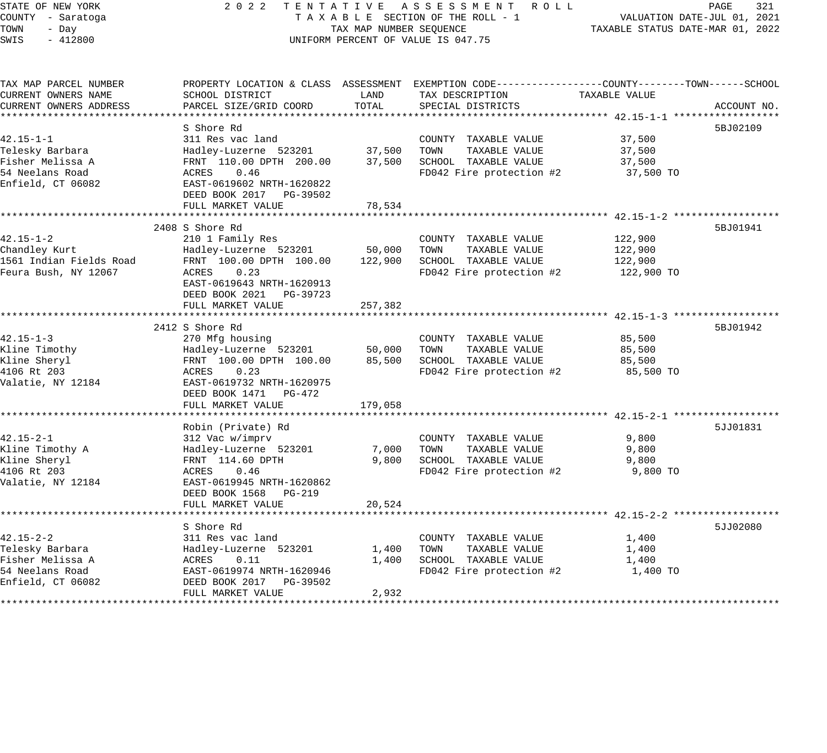STATE OF NEW YORK 2 0 2 2 T E N T A T I V E A S S E S S M E N T R O L L PAGE 321 COUNTY - Saratoga T A X A B L E SECTION OF THE ROLL - 1 VALUATION DATE-JUL 01, 2021 TOWN - Day TAX MAP NUMBER SEQUENCE TAXABLE STATUS DATE-MAR 01, 2022 SWIS - 412800 UNIFORM PERCENT OF VALUE IS 047.75 TAX MAP PARCEL NUMBER PROPERTY LOCATION & CLASS ASSESSMENT EXEMPTION CODE------------------COUNTY--------TOWN------SCHOOL CURRENT OWNERS NAME SCHOOL DISTRICT LAND TAX DESCRIPTION TAXABLE VALUE CURRENT OWNERS ADDRESS PARCEL SIZE/GRID COORD TOTAL SPECIAL DISTRICTS ACCOUNT NO. \*\*\*\*\*\*\*\*\*\*\*\*\*\*\*\*\*\*\*\*\*\*\*\*\*\*\*\*\*\*\*\*\*\*\*\*\*\*\*\*\*\*\*\*\*\*\*\*\*\*\*\*\*\*\*\*\*\*\*\*\*\*\*\*\*\*\*\*\*\*\*\*\*\*\*\*\*\*\*\*\*\*\*\*\*\*\*\*\*\*\*\*\*\*\*\*\*\*\*\*\*\*\* 42.15-1-1 \*\*\*\*\*\*\*\*\*\*\*\*\*\*\*\*\*\* S Shore Rd 5BJ02109 42.15-1-1 311 Res vac land COUNTY TAXABLE VALUE 37,500 Telesky Barbara Hadley-Luzerne 523201 37,500 TOWN TAXABLE VALUE 37,500 Fisher Melissa A FRNT 110.00 DPTH 200.00 37,500 SCHOOL TAXABLE VALUE 37,500 54 Neelans Road ACRES 0.46 FD042 Fire protection #2 37,500 TO Enfield, CT 06082 EAST-0619602 NRTH-1620822 DEED BOOK 2017 PG-39502 DEED BOOK 2017 PG-39502<br>FULL MARKET VALUE 78,534 \*\*\*\*\*\*\*\*\*\*\*\*\*\*\*\*\*\*\*\*\*\*\*\*\*\*\*\*\*\*\*\*\*\*\*\*\*\*\*\*\*\*\*\*\*\*\*\*\*\*\*\*\*\*\*\*\*\*\*\*\*\*\*\*\*\*\*\*\*\*\*\*\*\*\*\*\*\*\*\*\*\*\*\*\*\*\*\*\*\*\*\*\*\*\*\*\*\*\*\*\*\*\* 42.15-1-2 \*\*\*\*\*\*\*\*\*\*\*\*\*\*\*\*\*\* 2408 S Shore Rd 5BJ01941 42.15-1-2 210 1 Family Res COUNTY TAXABLE VALUE 122,900 Chandley Kurt Hadley-Luzerne 523201 50,000 TOWN TAXABLE VALUE 122,900 1561 Indian Fields Road FRNT 100.00 DPTH 100.00 122,900 SCHOOL TAXABLE VALUE 122,900 Feura Bush, NY 12067 ACRES 0.23 FD042 Fire protection #2 122,900 TO EAST-0619643 NRTH-1620913 DEED BOOK 2021 PG-39723 FULL MARKET VALUE 257,382 \*\*\*\*\*\*\*\*\*\*\*\*\*\*\*\*\*\*\*\*\*\*\*\*\*\*\*\*\*\*\*\*\*\*\*\*\*\*\*\*\*\*\*\*\*\*\*\*\*\*\*\*\*\*\*\*\*\*\*\*\*\*\*\*\*\*\*\*\*\*\*\*\*\*\*\*\*\*\*\*\*\*\*\*\*\*\*\*\*\*\*\*\*\*\*\*\*\*\*\*\*\*\* 42.15-1-3 \*\*\*\*\*\*\*\*\*\*\*\*\*\*\*\*\*\* 2412 S Shore Rd 5BJ01942 42.15-1-3 270 Mfg housing COUNTY TAXABLE VALUE 85,500 Kline Timothy Hadley-Luzerne 523201 50,000 TOWN TAXABLE VALUE 85,500 Kline Sheryl FRNT 100.00 DPTH 100.00 85,500 SCHOOL TAXABLE VALUE 85,500 4106 Rt 203 ACRES 0.23 FD042 Fire protection #2 85,500 TO Valatie, NY 12184 EAST-0619732 NRTH-1620975 DEED BOOK 1471 PG-472 FULL MARKET VALUE 179,058 \*\*\*\*\*\*\*\*\*\*\*\*\*\*\*\*\*\*\*\*\*\*\*\*\*\*\*\*\*\*\*\*\*\*\*\*\*\*\*\*\*\*\*\*\*\*\*\*\*\*\*\*\*\*\*\*\*\*\*\*\*\*\*\*\*\*\*\*\*\*\*\*\*\*\*\*\*\*\*\*\*\*\*\*\*\*\*\*\*\*\*\*\*\*\*\*\*\*\*\*\*\*\* 42.15-2-1 \*\*\*\*\*\*\*\*\*\*\*\*\*\*\*\*\*\* Robin (Private) Rd 42.15-2-1 312 Vac w/imprv COUNTY TAXABLE VALUE 9,800 Kline Timothy A Hadley-Luzerne 523201 7,000 TOWN TAXABLE VALUE 9,800 Kline Sheryl FRNT 114.60 DPTH 9,800 SCHOOL TAXABLE VALUE 9,800 4106 Rt 203 ACRES 0.46 FD042 Fire protection #2 9,800 TO Valatie, NY 12184 EAST-0619945 NRTH-1620862 DEED BOOK 1568 PG-219 FULL MARKET VALUE 20,524 \*\*\*\*\*\*\*\*\*\*\*\*\*\*\*\*\*\*\*\*\*\*\*\*\*\*\*\*\*\*\*\*\*\*\*\*\*\*\*\*\*\*\*\*\*\*\*\*\*\*\*\*\*\*\*\*\*\*\*\*\*\*\*\*\*\*\*\*\*\*\*\*\*\*\*\*\*\*\*\*\*\*\*\*\*\*\*\*\*\*\*\*\*\*\*\*\*\*\*\*\*\*\* 42.15-2-2 \*\*\*\*\*\*\*\*\*\*\*\*\*\*\*\*\*\* S Shore Rd 5JJ02080 42.15-2-2 311 Res vac land COUNTY TAXABLE VALUE 1,400 Telesky Barbara Hadley-Luzerne 523201 1,400 TOWN TAXABLE VALUE 1,400 Fisher Melissa A ACRES 0.11 1,400 SCHOOL TAXABLE VALUE 1,400 54 Neelans Road EAST-0619974 NRTH-1620946 FD042 Fire protection #2 1,400 TO Enfield, CT 06082 DEED BOOK 2017 PG-39502

\*\*\*\*\*\*\*\*\*\*\*\*\*\*\*\*\*\*\*\*\*\*\*\*\*\*\*\*\*\*\*\*\*\*\*\*\*\*\*\*\*\*\*\*\*\*\*\*\*\*\*\*\*\*\*\*\*\*\*\*\*\*\*\*\*\*\*\*\*\*\*\*\*\*\*\*\*\*\*\*\*\*\*\*\*\*\*\*\*\*\*\*\*\*\*\*\*\*\*\*\*\*\*\*\*\*\*\*\*\*\*\*\*\*\*\*\*\*\*\*\*\*\*\*\*\*\*\*\*\*\*\*

FULL MARKET VALUE 2,932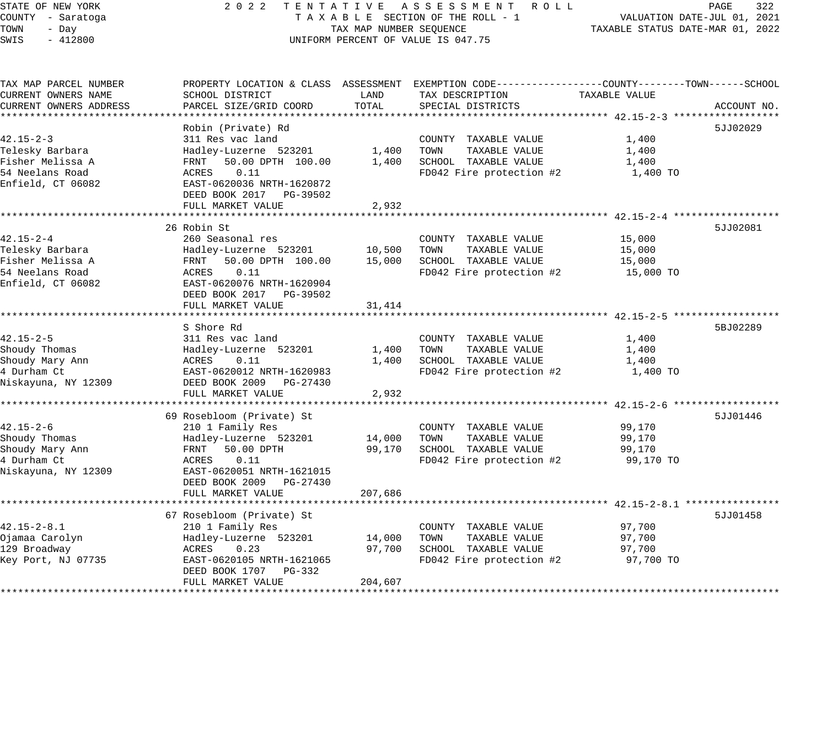| STATE OF NEW YORK |       |           |  |
|-------------------|-------|-----------|--|
| COUNTY - Saratoga |       |           |  |
| TOWN              | - Day |           |  |
| SWTS              |       | $-412800$ |  |

# STATE OF THE REW TAT IVE ASSESSMENT ROLL PAGE 322<br>TAXABLE SECTION OF THE ROLL - 1 VALUATION DATE-JUL 01, 2021 T A X A B L E SECTION OF THE ROLL - 1<br>TAX MAP NUMBER SEQUENCE SWIS - 412800 CONFORM PERCENT OF VALUE IS 047.75

| TAX MAP PARCEL NUMBER  |                               |                | PROPERTY LOCATION & CLASS ASSESSMENT EXEMPTION CODE----------------COUNTY-------TOWN-----SCHOOL |               |             |
|------------------------|-------------------------------|----------------|-------------------------------------------------------------------------------------------------|---------------|-------------|
| CURRENT OWNERS NAME    | SCHOOL DISTRICT               | LAND           | TAX DESCRIPTION                                                                                 | TAXABLE VALUE |             |
| CURRENT OWNERS ADDRESS | PARCEL SIZE/GRID COORD        | TOTAL          | SPECIAL DISTRICTS                                                                               |               | ACCOUNT NO. |
|                        |                               |                |                                                                                                 |               |             |
|                        | Robin (Private) Rd            |                |                                                                                                 |               | 5JJ02029    |
| $42.15 - 2 - 3$        | 311 Res vac land              |                | COUNTY TAXABLE VALUE                                                                            | 1,400         |             |
| Telesky Barbara        | Hadley-Luzerne 523201         | 1,400          | TOWN<br>TAXABLE VALUE                                                                           | 1,400         |             |
| Fisher Melissa A       | 50.00 DPTH 100.00<br>FRNT     | 1,400          | SCHOOL TAXABLE VALUE                                                                            | 1,400         |             |
| 54 Neelans Road        | 0.11<br>ACRES                 |                | FD042 Fire protection #2                                                                        | 1,400 TO      |             |
| Enfield, CT 06082      | EAST-0620036 NRTH-1620872     |                |                                                                                                 |               |             |
|                        | DEED BOOK 2017 PG-39502       |                |                                                                                                 |               |             |
|                        | FULL MARKET VALUE             | 2,932          |                                                                                                 |               |             |
|                        |                               |                |                                                                                                 |               |             |
|                        | 26 Robin St                   |                |                                                                                                 |               | 5JJ02081    |
| $42.15 - 2 - 4$        | 260 Seasonal res              |                | COUNTY TAXABLE VALUE                                                                            | 15,000        |             |
| Telesky Barbara        | Hadley-Luzerne 523201         | 10,500         | TOWN<br>TAXABLE VALUE                                                                           | 15,000        |             |
| Fisher Melissa A       | FRNT<br>50.00 DPTH 100.00     | 15,000         | SCHOOL TAXABLE VALUE                                                                            | 15,000        |             |
| 54 Neelans Road        | ACRES<br>0.11                 |                | FD042 Fire protection #2                                                                        | 15,000 TO     |             |
| Enfield, CT 06082      | EAST-0620076 NRTH-1620904     |                |                                                                                                 |               |             |
|                        | DEED BOOK 2017 PG-39502       |                |                                                                                                 |               |             |
|                        | FULL MARKET VALUE             | 31,414         |                                                                                                 |               |             |
|                        |                               |                |                                                                                                 |               |             |
|                        | S Shore Rd                    |                |                                                                                                 |               | 5BJ02289    |
| $42.15 - 2 - 5$        | 311 Res vac land              |                | COUNTY TAXABLE VALUE                                                                            | 1,400         |             |
| Shoudy Thomas          | Hadley-Luzerne 523201         | 1,400          | TAXABLE VALUE<br>TOWN                                                                           | 1,400         |             |
| Shoudy Mary Ann        | ACRES<br>0.11                 | 1,400          | SCHOOL TAXABLE VALUE                                                                            | 1,400         |             |
| 4 Durham Ct            | EAST-0620012 NRTH-1620983     |                | FD042 Fire protection #2                                                                        | 1,400 TO      |             |
| Niskayuna, NY 12309    | DEED BOOK 2009 PG-27430       |                |                                                                                                 |               |             |
|                        | FULL MARKET VALUE             | 2,932          |                                                                                                 |               |             |
|                        | ***************************** | ************** | ******************************* 42.15-2-6 *******                                               |               |             |
|                        | 69 Rosebloom (Private) St     |                |                                                                                                 |               | 5JJ01446    |
| $42.15 - 2 - 6$        | 210 1 Family Res              |                | COUNTY TAXABLE VALUE                                                                            | 99,170        |             |
| Shoudy Thomas          | Hadley-Luzerne 523201         | 14,000         | TAXABLE VALUE<br>TOWN                                                                           | 99,170        |             |
| Shoudy Mary Ann        | FRNT<br>50.00 DPTH            | 99,170         | SCHOOL TAXABLE VALUE                                                                            | 99,170        |             |
| 4 Durham Ct            | 0.11<br>ACRES                 |                | FD042 Fire protection #2                                                                        | 99,170 TO     |             |
| Niskayuna, NY 12309    | EAST-0620051 NRTH-1621015     |                |                                                                                                 |               |             |
|                        | DEED BOOK 2009 PG-27430       |                |                                                                                                 |               |             |
|                        | FULL MARKET VALUE             | 207,686        |                                                                                                 |               |             |
|                        |                               |                |                                                                                                 |               |             |
|                        | 67 Rosebloom (Private) St     |                |                                                                                                 |               | 5JJ01458    |
| $42.15 - 2 - 8.1$      | 210 1 Family Res              |                | COUNTY TAXABLE VALUE                                                                            | 97,700        |             |
| Ojamaa Carolyn         | Hadley-Luzerne 523201         | 14,000         | TOWN<br>TAXABLE VALUE                                                                           | 97,700        |             |
| 129 Broadway           | ACRES<br>0.23                 | 97,700         | SCHOOL TAXABLE VALUE                                                                            | 97,700        |             |
| Key Port, NJ 07735     | EAST-0620105 NRTH-1621065     |                | FD042 Fire protection #2                                                                        | 97,700 TO     |             |
|                        | DEED BOOK 1707 PG-332         |                |                                                                                                 |               |             |
|                        | FULL MARKET VALUE             | 204,607        |                                                                                                 |               |             |
|                        |                               |                |                                                                                                 |               |             |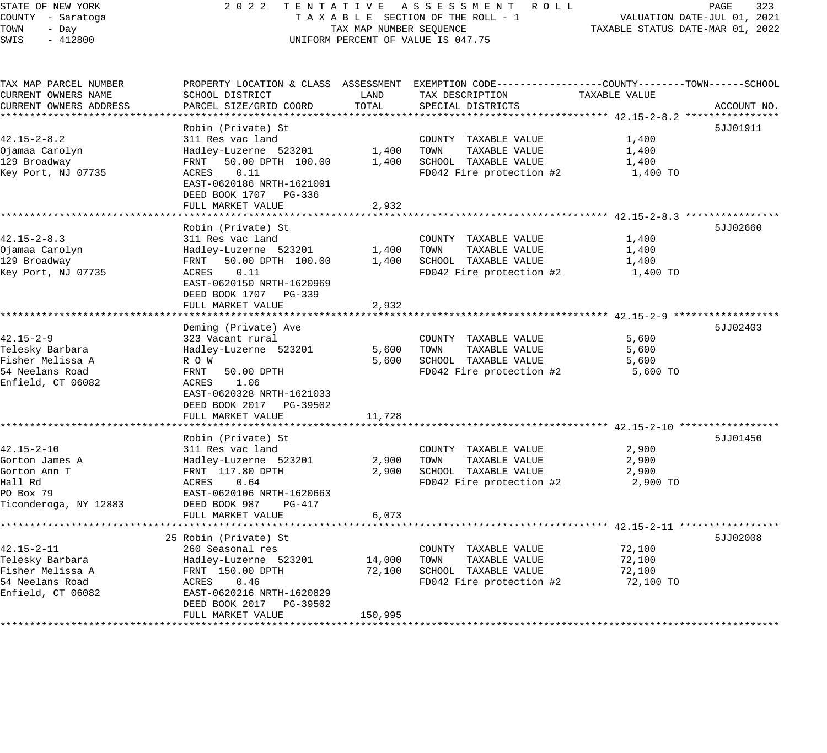# STATE OF NEW YORK 2 0 2 2 T E N T A T I V E A S S E S S M E N T R O L L PAGE 323 COUNTY - Saratoga T A X A B L E SECTION OF THE ROLL - 1 VALUATION DATE-JUL 01, 2021 TAX MAP NUMBER SEQUENCE  $\begin{array}{ccc}\n & \text{max} & \text{max} & \text{max} & \text{min} \\
\text{max} & \text{max} & \text{max} & \text{max} & \text{max} & \text{max} & \text{min} & \text{min} \\
\text{max} & \text{max} & \text{max} & \text{max} & \text{max} & \text{max} & \text{min} & \text{min} & \text{min}\n\end{array}$ UNIFORM PERCENT OF VALUE IS 047.75

| TAX MAP PARCEL NUMBER  | PROPERTY LOCATION & CLASS ASSESSMENT EXEMPTION CODE----------------COUNTY-------TOWN------SCHOOL |         |                          |               |             |
|------------------------|--------------------------------------------------------------------------------------------------|---------|--------------------------|---------------|-------------|
| CURRENT OWNERS NAME    | SCHOOL DISTRICT                                                                                  | LAND    | TAX DESCRIPTION          | TAXABLE VALUE |             |
| CURRENT OWNERS ADDRESS | PARCEL SIZE/GRID COORD                                                                           | TOTAL   | SPECIAL DISTRICTS        |               | ACCOUNT NO. |
|                        |                                                                                                  |         |                          |               |             |
|                        | Robin (Private) St                                                                               |         |                          |               | 5JJ01911    |
| $42.15 - 2 - 8.2$      | 311 Res vac land                                                                                 |         | COUNTY TAXABLE VALUE     | 1,400         |             |
| Ojamaa Carolyn         | Hadley-Luzerne 523201                                                                            | 1,400   | TOWN<br>TAXABLE VALUE    | 1,400         |             |
| 129 Broadway           | 50.00 DPTH 100.00<br>FRNT                                                                        | 1,400   | SCHOOL TAXABLE VALUE     | 1,400         |             |
| Key Port, NJ 07735     | 0.11<br>ACRES                                                                                    |         | FD042 Fire protection #2 | 1,400 TO      |             |
|                        | EAST-0620186 NRTH-1621001                                                                        |         |                          |               |             |
|                        | DEED BOOK 1707 PG-336                                                                            |         |                          |               |             |
|                        | FULL MARKET VALUE                                                                                | 2,932   |                          |               |             |
|                        |                                                                                                  |         |                          |               |             |
|                        | Robin (Private) St                                                                               |         |                          |               | 5JJ02660    |
| $42.15 - 2 - 8.3$      | 311 Res vac land                                                                                 |         | COUNTY TAXABLE VALUE     | 1,400         |             |
| Ojamaa Carolyn         | Hadley-Luzerne 523201                                                                            | 1,400   | TAXABLE VALUE<br>TOWN    | 1,400         |             |
| 129 Broadway           | FRNT<br>50.00 DPTH 100.00                                                                        | 1,400   | SCHOOL TAXABLE VALUE     | 1,400         |             |
| Key Port, NJ 07735     | ACRES<br>0.11                                                                                    |         | FD042 Fire protection #2 | 1,400 TO      |             |
|                        | EAST-0620150 NRTH-1620969                                                                        |         |                          |               |             |
|                        | DEED BOOK 1707 PG-339                                                                            |         |                          |               |             |
|                        | FULL MARKET VALUE                                                                                | 2,932   |                          |               |             |
|                        |                                                                                                  |         |                          |               |             |
|                        | Deming (Private) Ave                                                                             |         |                          |               | 5JJ02403    |
| $42.15 - 2 - 9$        | 323 Vacant rural                                                                                 |         | COUNTY TAXABLE VALUE     | 5,600         |             |
| Telesky Barbara        | Hadley-Luzerne 523201                                                                            | 5,600   | TOWN<br>TAXABLE VALUE    | 5,600         |             |
| Fisher Melissa A       | R O W                                                                                            | 5,600   | SCHOOL TAXABLE VALUE     | 5,600         |             |
| 54 Neelans Road        | FRNT 50.00 DPTH                                                                                  |         | FD042 Fire protection #2 | 5,600 TO      |             |
| Enfield, CT 06082      | ACRES<br>1.06                                                                                    |         |                          |               |             |
|                        | EAST-0620328 NRTH-1621033                                                                        |         |                          |               |             |
|                        | DEED BOOK 2017 PG-39502                                                                          |         |                          |               |             |
|                        | FULL MARKET VALUE                                                                                | 11,728  |                          |               |             |
|                        |                                                                                                  |         |                          |               |             |
|                        | Robin (Private) St                                                                               |         |                          |               | 5JJ01450    |
| $42.15 - 2 - 10$       | 311 Res vac land                                                                                 |         | COUNTY TAXABLE VALUE     | 2,900         |             |
| Gorton James A         | Hadley-Luzerne 523201                                                                            | 2,900   | TAXABLE VALUE<br>TOWN    | 2,900         |             |
| Gorton Ann T           | FRNT 117.80 DPTH                                                                                 | 2,900   | SCHOOL TAXABLE VALUE     | 2,900         |             |
| Hall Rd                | ACRES<br>0.64                                                                                    |         | FD042 Fire protection #2 | 2,900 TO      |             |
| PO Box 79              | EAST-0620106 NRTH-1620663                                                                        |         |                          |               |             |
| Ticonderoga, NY 12883  | DEED BOOK 987<br>PG-417                                                                          |         |                          |               |             |
|                        | FULL MARKET VALUE                                                                                | 6,073   |                          |               |             |
|                        |                                                                                                  |         |                          |               |             |
|                        | 25 Robin (Private) St                                                                            |         |                          |               | 5JJ02008    |
| $42.15 - 2 - 11$       | 260 Seasonal res                                                                                 |         | COUNTY TAXABLE VALUE     | 72,100        |             |
| Telesky Barbara        | Hadley-Luzerne 523201                                                                            | 14,000  | TAXABLE VALUE<br>TOWN    | 72,100        |             |
| Fisher Melissa A       | FRNT 150.00 DPTH                                                                                 | 72,100  | SCHOOL TAXABLE VALUE     | 72,100        |             |
| 54 Neelans Road        | ACRES<br>0.46                                                                                    |         | FD042 Fire protection #2 | 72,100 TO     |             |
| Enfield, CT 06082      | EAST-0620216 NRTH-1620829                                                                        |         |                          |               |             |
|                        | DEED BOOK 2017 PG-39502                                                                          |         |                          |               |             |
|                        | FULL MARKET VALUE                                                                                | 150,995 |                          |               |             |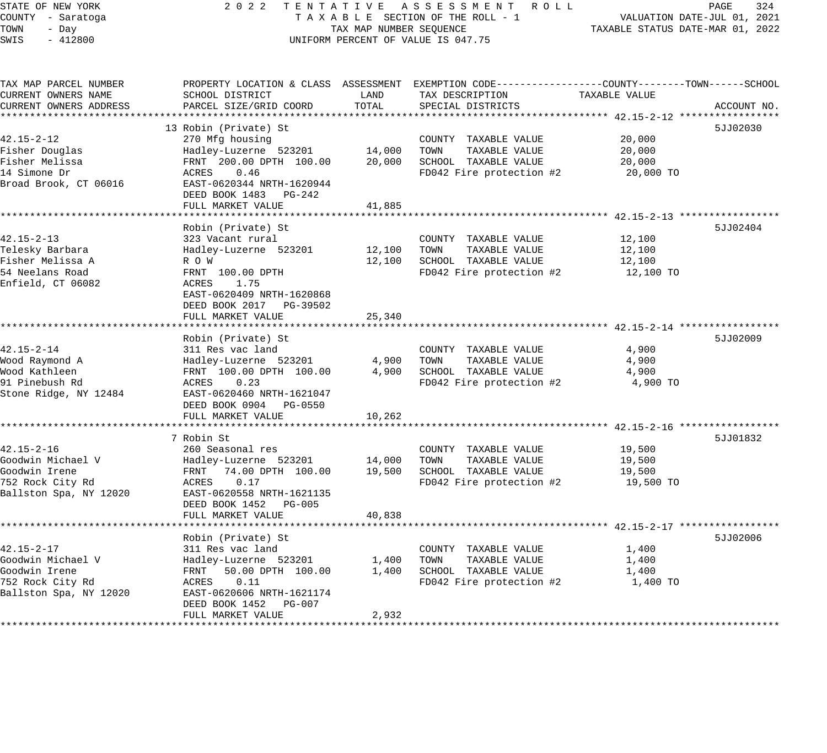STATE OF NEW YORK 2 0 2 2 T E N T A T I V E A S S E S S M E N T R O L L PAGE 324 COUNTY - Saratoga T A X A B L E SECTION OF THE ROLL - 1 VALUATION DATE-JUL 01, 2021 TOWN - Day TAX MAP NUMBER SEQUENCE TAXABLE STATUS DATE-MAR 01, 2022 SWIS - 412800 CONTROLLY THE UNIFORM PERCENT OF VALUE IS 047.75 TAX MAP PARCEL NUMBER PROPERTY LOCATION & CLASS ASSESSMENT EXEMPTION CODE------------------COUNTY--------TOWN------SCHOOL CURRENT OWNERS NAME SCHOOL DISTRICT LAND TAX DESCRIPTION TAXABLE VALUE CURRENT OWNERS ADDRESS PARCEL SIZE/GRID COORD TOTAL SPECIAL DISTRICTS ACCOUNT NO. \*\*\*\*\*\*\*\*\*\*\*\*\*\*\*\*\*\*\*\*\*\*\*\*\*\*\*\*\*\*\*\*\*\*\*\*\*\*\*\*\*\*\*\*\*\*\*\*\*\*\*\*\*\*\*\*\*\*\*\*\*\*\*\*\*\*\*\*\*\*\*\*\*\*\*\*\*\*\*\*\*\*\*\*\*\*\*\*\*\*\*\*\*\*\*\*\*\*\*\*\*\*\* 42.15-2-12 \*\*\*\*\*\*\*\*\*\*\*\*\*\*\*\*\* 13 Robin (Private) St 5JJ02030 42.15-2-12 270 Mfg housing COUNTY TAXABLE VALUE 20,000 Fisher Douglas Hadley-Luzerne 523201 14,000 TOWN TAXABLE VALUE 20,000 Fisher Melissa FRNT 200.00 DPTH 100.00 20,000 SCHOOL TAXABLE VALUE 20,000 14 Simone Dr ACRES 0.46 FD042 Fire protection #2 20,000 TO Broad Brook, CT 06016 EAST-0620344 NRTH-1620944 DEED BOOK 1483 PG-242 FULL MARKET VALUE 41,885 \*\*\*\*\*\*\*\*\*\*\*\*\*\*\*\*\*\*\*\*\*\*\*\*\*\*\*\*\*\*\*\*\*\*\*\*\*\*\*\*\*\*\*\*\*\*\*\*\*\*\*\*\*\*\*\*\*\*\*\*\*\*\*\*\*\*\*\*\*\*\*\*\*\*\*\*\*\*\*\*\*\*\*\*\*\*\*\*\*\*\*\*\*\*\*\*\*\*\*\*\*\*\* 42.15-2-13 \*\*\*\*\*\*\*\*\*\*\*\*\*\*\*\*\* Robin (Private) St 42.15-2-13 323 Vacant rural COUNTY TAXABLE VALUE 12,100 Telesky Barbara Hadley-Luzerne 523201 12,100 TOWN TAXABLE VALUE 12,100 Fisher Melissa A R O W R O W 22,100 SCHOOL TAXABLE VALUE 12,100 SCHOOL TAXABLE VALUE 54 Neelans Road FRNT 100.00 DPTH FD042 Fire protection #2 12,100 TO Enfield, CT 06082 ACRES 1.75 EAST-0620409 NRTH-1620868 DEED BOOK 2017 PG-39502 FULL MARKET VALUE 25,340 \*\*\*\*\*\*\*\*\*\*\*\*\*\*\*\*\*\*\*\*\*\*\*\*\*\*\*\*\*\*\*\*\*\*\*\*\*\*\*\*\*\*\*\*\*\*\*\*\*\*\*\*\*\*\*\*\*\*\*\*\*\*\*\*\*\*\*\*\*\*\*\*\*\*\*\*\*\*\*\*\*\*\*\*\*\*\*\*\*\*\*\*\*\*\*\*\*\*\*\*\*\*\* 42.15-2-14 \*\*\*\*\*\*\*\*\*\*\*\*\*\*\*\*\* Robin (Private) St 5JJ02009 Private 3 (St 5JJ02009 Private 3 (St 5JJ02009 Private 3 (St 5JJ02009 Private 3 (St 42.15-2-14 311 Res vac land COUNTY TAXABLE VALUE 4,900 Wood Raymond A Hadley-Luzerne 523201 4,900 TOWN TAXABLE VALUE 4,900 Wood Kathleen FRNT 100.00 DPTH 100.00 4,900 SCHOOL TAXABLE VALUE 4,900 91 Pinebush Rd ACRES 0.23 FD042 Fire protection #2 4,900 TO Stone Ridge, NY 12484 EAST-0620460 NRTH-1621047 DEED BOOK 0904 PG-0550 FULL MARKET VALUE 10,262 \*\*\*\*\*\*\*\*\*\*\*\*\*\*\*\*\*\*\*\*\*\*\*\*\*\*\*\*\*\*\*\*\*\*\*\*\*\*\*\*\*\*\*\*\*\*\*\*\*\*\*\*\*\*\*\*\*\*\*\*\*\*\*\*\*\*\*\*\*\*\*\*\*\*\*\*\*\*\*\*\*\*\*\*\*\*\*\*\*\*\*\*\*\*\*\*\*\*\*\*\*\*\* 42.15-2-16 \*\*\*\*\*\*\*\*\*\*\*\*\*\*\*\*\* 7 Robin St 5JJ01832 42.15-2-16 260 Seasonal res COUNTY TAXABLE VALUE 19,500 Goodwin Michael V Hadley-Luzerne 523201 14,000 TOWN TAXABLE VALUE 19,500 Goodwin Irene FRNT 74.00 DPTH 100.00 19,500 SCHOOL TAXABLE VALUE 19,500 752 Rock City Rd ACRES 0.17 FD042 Fire protection #2 19,500 TO Ballston Spa, NY 12020 EAST-0620558 NRTH-1621135 DEED BOOK 1452 PG-005 FULL MARKET VALUE 40,838 \*\*\*\*\*\*\*\*\*\*\*\*\*\*\*\*\*\*\*\*\*\*\*\*\*\*\*\*\*\*\*\*\*\*\*\*\*\*\*\*\*\*\*\*\*\*\*\*\*\*\*\*\*\*\*\*\*\*\*\*\*\*\*\*\*\*\*\*\*\*\*\*\*\*\*\*\*\*\*\*\*\*\*\*\*\*\*\*\*\*\*\*\*\*\*\*\*\*\*\*\*\*\* 42.15-2-17 \*\*\*\*\*\*\*\*\*\*\*\*\*\*\*\*\* Robin (Private) St 5JJ02006 42.15-2-17 311 Res vac land COUNTY TAXABLE VALUE 1,400 Goodwin Michael V Hadley-Luzerne 523201 1,400 TOWN TAXABLE VALUE 1,400 Goodwin Irene FRNT 50.00 DPTH 100.00 1,400 SCHOOL TAXABLE VALUE 1,400 752 Rock City Rd ACRES 0.11 FD042 Fire protection #2 1,400 TO

\*\*\*\*\*\*\*\*\*\*\*\*\*\*\*\*\*\*\*\*\*\*\*\*\*\*\*\*\*\*\*\*\*\*\*\*\*\*\*\*\*\*\*\*\*\*\*\*\*\*\*\*\*\*\*\*\*\*\*\*\*\*\*\*\*\*\*\*\*\*\*\*\*\*\*\*\*\*\*\*\*\*\*\*\*\*\*\*\*\*\*\*\*\*\*\*\*\*\*\*\*\*\*\*\*\*\*\*\*\*\*\*\*\*\*\*\*\*\*\*\*\*\*\*\*\*\*\*\*\*\*\*

Ballston Spa, NY 12020 EAST-0620606 NRTH-1621174 DEED BOOK 1452 PG-007

FULL MARKET VALUE 2,932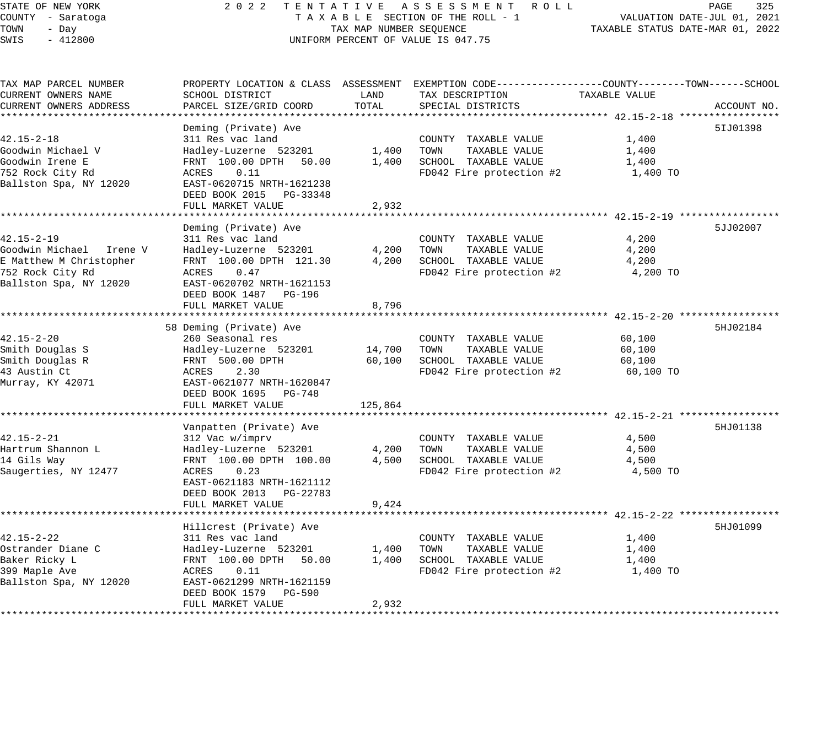# STATE OF NEW YORK 2 0 2 2 T E N T A T I V E A S S E S S M E N T R O L L PAGE 325 COUNTY - Saratoga T A X A B L E SECTION OF THE ROLL - 1 VALUATION DATE-JUL 01, 2021 TOWER SECTION OF THE ROLL - 1 TAXABLE STATUS DATE-MAR 01, 2022 UNIFORM PERCENT OF VALUE IS 047.75

| TAX MAP PARCEL NUMBER     |                                             |             | PROPERTY LOCATION & CLASS ASSESSMENT EXEMPTION CODE-----------------COUNTY-------TOWN-----SCHOOL |               |             |
|---------------------------|---------------------------------------------|-------------|--------------------------------------------------------------------------------------------------|---------------|-------------|
| CURRENT OWNERS NAME       | SCHOOL DISTRICT                             | LAND        | TAX DESCRIPTION                                                                                  | TAXABLE VALUE |             |
| CURRENT OWNERS ADDRESS    | PARCEL SIZE/GRID COORD                      | TOTAL       | SPECIAL DISTRICTS                                                                                |               | ACCOUNT NO. |
|                           |                                             |             |                                                                                                  |               |             |
|                           | Deming (Private) Ave                        |             |                                                                                                  |               | 51J01398    |
| $42.15 - 2 - 18$          | 311 Res vac land                            |             | COUNTY TAXABLE VALUE                                                                             | 1,400         |             |
| Goodwin Michael V         | Hadley-Luzerne 523201                       | 1,400       | TOWN<br>TAXABLE VALUE                                                                            | 1,400         |             |
| Goodwin Irene E           | FRNT 100.00 DPTH 50.00                      | 1,400       | SCHOOL TAXABLE VALUE                                                                             | 1,400         |             |
| 752 Rock City Rd          | ACRES<br>0.11                               |             | FD042 Fire protection #2                                                                         | 1,400 TO      |             |
| Ballston Spa, NY 12020    | EAST-0620715 NRTH-1621238                   |             |                                                                                                  |               |             |
|                           | DEED BOOK 2015 PG-33348                     |             |                                                                                                  |               |             |
|                           | FULL MARKET VALUE                           | 2,932       |                                                                                                  |               |             |
|                           |                                             |             |                                                                                                  |               |             |
|                           | Deming (Private) Ave                        |             |                                                                                                  |               | 5JJ02007    |
| $42.15 - 2 - 19$          | 311 Res vac land                            |             | COUNTY TAXABLE VALUE                                                                             | 4,200         |             |
| Goodwin Michael   Irene V | Hadley-Luzerne 523201                       | 4,200       | TAXABLE VALUE<br>TOWN                                                                            | 4,200         |             |
| E Matthew M Christopher   | FRNT 100.00 DPTH 121.30                     | 4,200       | SCHOOL TAXABLE VALUE                                                                             | 4,200         |             |
| 752 Rock City Rd          | ACRES<br>0.47                               |             | FD042 Fire protection #2                                                                         | 4,200 TO      |             |
| Ballston Spa, NY 12020    | EAST-0620702 NRTH-1621153                   |             |                                                                                                  |               |             |
|                           | DEED BOOK 1487 PG-196                       |             |                                                                                                  |               |             |
|                           | FULL MARKET VALUE                           | 8,796       |                                                                                                  |               |             |
|                           |                                             |             |                                                                                                  |               |             |
|                           |                                             |             |                                                                                                  |               | 5HJ02184    |
|                           | 58 Deming (Private) Ave<br>260 Seasonal res |             |                                                                                                  |               |             |
| $42.15 - 2 - 20$          |                                             |             | COUNTY TAXABLE VALUE                                                                             | 60,100        |             |
| Smith Douglas S           | Hadley-Luzerne 523201                       | 14,700 TOWN | TAXABLE VALUE                                                                                    | 60,100        |             |
| Smith Douglas R           | FRNT 500.00 DPTH                            | 60,100      | SCHOOL TAXABLE VALUE                                                                             | 60,100        |             |
| 43 Austin Ct              | 2.30<br>ACRES                               |             | FD042 Fire protection #2                                                                         | 60,100 TO     |             |
| Murray, KY 42071          | EAST-0621077 NRTH-1620847                   |             |                                                                                                  |               |             |
|                           | DEED BOOK 1695 PG-748                       |             |                                                                                                  |               |             |
|                           | FULL MARKET VALUE                           | 125,864     |                                                                                                  |               |             |
|                           |                                             |             |                                                                                                  |               |             |
|                           | Vanpatten (Private) Ave                     |             |                                                                                                  |               | 5HJ01138    |
| $42.15 - 2 - 21$          | 312 Vac w/imprv                             |             | COUNTY TAXABLE VALUE                                                                             | 4,500         |             |
| Hartrum Shannon L         | Hadley-Luzerne 523201                       | 4,200       | TOWN<br>TAXABLE VALUE                                                                            | 4,500         |             |
| 14 Gils Way               | FRNT 100.00 DPTH 100.00                     | 4,500       | SCHOOL TAXABLE VALUE                                                                             | 4,500         |             |
| Saugerties, NY 12477      | ACRES<br>0.23                               |             | FD042 Fire protection #2                                                                         | 4,500 TO      |             |
|                           | EAST-0621183 NRTH-1621112                   |             |                                                                                                  |               |             |
|                           | DEED BOOK 2013 PG-22783                     |             |                                                                                                  |               |             |
|                           | FULL MARKET VALUE                           | 9,424       |                                                                                                  |               |             |
|                           |                                             |             |                                                                                                  |               |             |
|                           | Hillcrest (Private) Ave                     |             |                                                                                                  |               | 5HJ01099    |
| $42.15 - 2 - 22$          | 311 Res vac land                            |             | COUNTY TAXABLE VALUE                                                                             | 1,400         |             |
| Ostrander Diane C         | Hadley-Luzerne 523201                       | 1,400       | TOWN<br>TAXABLE VALUE                                                                            | 1,400         |             |
| Baker Ricky L             | FRNT 100.00 DPTH 50.00                      | 1,400       | SCHOOL TAXABLE VALUE                                                                             | 1,400         |             |
| 399 Maple Ave             | ACRES<br>0.11                               |             | FD042 Fire protection #2                                                                         | 1,400 TO      |             |
| Ballston Spa, NY 12020    | EAST-0621299 NRTH-1621159                   |             |                                                                                                  |               |             |
|                           | DEED BOOK 1579 PG-590                       |             |                                                                                                  |               |             |
|                           | FULL MARKET VALUE                           | 2,932       |                                                                                                  |               |             |
|                           |                                             |             |                                                                                                  |               |             |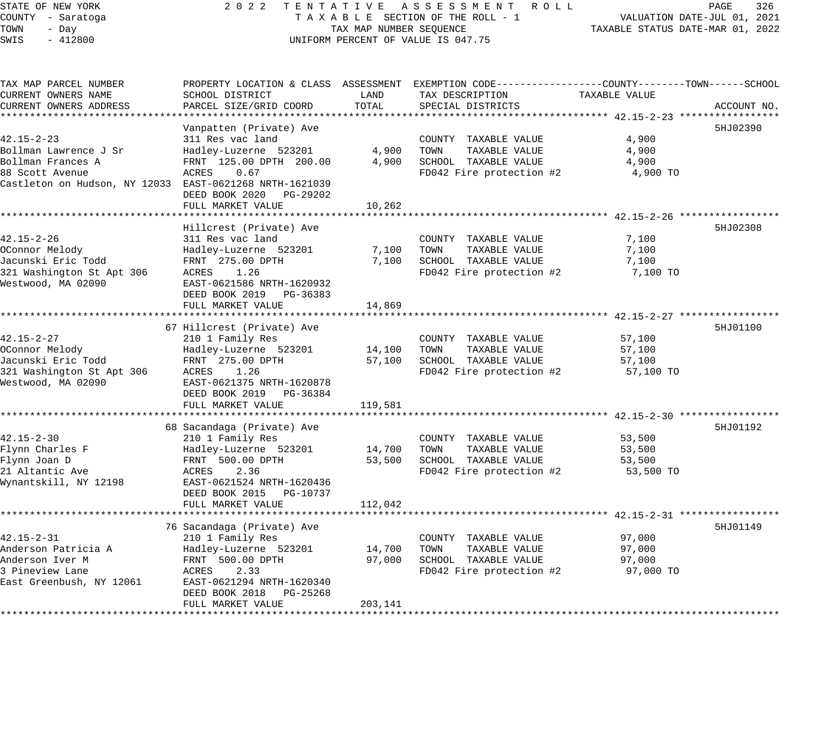### STATE OF NEW YORK 2 0 2 2 T E N T A T I V E A S S E S S M E N T R O L L PAGE 326 COUNTY - Saratoga T A X A B L E SECTION OF THE ROLL - 1 VALUATION DATE-JUL 01, 2021 X A B L E SECTION OF THE ROLL - 1 VALUATION DATE-JUL UI, 2021<br>TAX MAP NUMBER SEQUENCE TAXABLE STATUS DATE-MAR 01, 2022 UNIFORM PERCENT OF VALUE IS 047.75

| TAX MAP PARCEL NUMBER     | PROPERTY LOCATION & CLASS ASSESSMENT EXEMPTION CODE---------------COUNTY-------TOWN------SCHOOL |                     |                          |                                                                 |             |
|---------------------------|-------------------------------------------------------------------------------------------------|---------------------|--------------------------|-----------------------------------------------------------------|-------------|
| CURRENT OWNERS NAME       | SCHOOL DISTRICT                                                                                 | LAND                | TAX DESCRIPTION          | TAXABLE VALUE                                                   |             |
| CURRENT OWNERS ADDRESS    | PARCEL SIZE/GRID COORD                                                                          | TOTAL               | SPECIAL DISTRICTS        |                                                                 | ACCOUNT NO. |
|                           |                                                                                                 |                     |                          |                                                                 |             |
|                           | Vanpatten (Private) Ave                                                                         |                     |                          |                                                                 | 5HJ02390    |
| $42.15 - 2 - 23$          | 311 Res vac land                                                                                |                     | COUNTY TAXABLE VALUE     | 4,900                                                           |             |
| Bollman Lawrence J Sr     | Hadley-Luzerne 523201                                                                           | 4,900               | TOWN<br>TAXABLE VALUE    | 4,900                                                           |             |
| Bollman Frances A         | FRNT 125.00 DPTH 200.00                                                                         | 4,900               | SCHOOL TAXABLE VALUE     | 4,900                                                           |             |
| 88 Scott Avenue           | ACRES<br>0.67                                                                                   |                     | FD042 Fire protection #2 | 4,900 TO                                                        |             |
|                           | Castleton on Hudson, NY 12033 EAST-0621268 NRTH-1621039                                         |                     |                          |                                                                 |             |
|                           | DEED BOOK 2020 PG-29202                                                                         |                     |                          |                                                                 |             |
|                           | FULL MARKET VALUE                                                                               | 10,262<br>********* |                          |                                                                 |             |
|                           | *********************                                                                           |                     |                          | ********************************* 42.15-2-26 ****************** |             |
|                           | Hillcrest (Private) Ave                                                                         |                     |                          |                                                                 | 5HJ02308    |
| $42.15 - 2 - 26$          | 311 Res vac land                                                                                |                     | COUNTY TAXABLE VALUE     | 7,100                                                           |             |
| OConnor Melody            | Hadley-Luzerne 523201                                                                           | 7,100               | TOWN<br>TAXABLE VALUE    | 7,100                                                           |             |
| Jacunski Eric Todd        | FRNT 275.00 DPTH                                                                                | 7,100               | SCHOOL TAXABLE VALUE     | 7,100                                                           |             |
| 321 Washington St Apt 306 | ACRES<br>1.26                                                                                   |                     | FD042 Fire protection #2 | 7,100 TO                                                        |             |
| Westwood, MA 02090        | EAST-0621586 NRTH-1620932                                                                       |                     |                          |                                                                 |             |
|                           | DEED BOOK 2019 PG-36383                                                                         |                     |                          |                                                                 |             |
|                           | FULL MARKET VALUE                                                                               | 14,869              |                          |                                                                 |             |
|                           |                                                                                                 |                     |                          |                                                                 |             |
|                           | 67 Hillcrest (Private) Ave                                                                      |                     |                          |                                                                 | 5HJ01100    |
| $42.15 - 2 - 27$          | 210 1 Family Res                                                                                |                     | COUNTY TAXABLE VALUE     | 57,100                                                          |             |
| OConnor Melody            | Hadley-Luzerne 523201                                                                           | 14,100              | TOWN<br>TAXABLE VALUE    | 57,100                                                          |             |
| Jacunski Eric Todd        | FRNT 275.00 DPTH                                                                                | 57,100              | SCHOOL TAXABLE VALUE     | 57,100                                                          |             |
| 321 Washington St Apt 306 | ACRES 1.26                                                                                      |                     | FD042 Fire protection #2 | 57,100 TO                                                       |             |
| Westwood, MA 02090        | EAST-0621375 NRTH-1620878                                                                       |                     |                          |                                                                 |             |
|                           | DEED BOOK 2019 PG-36384                                                                         |                     |                          |                                                                 |             |
|                           | FULL MARKET VALUE                                                                               | 119,581             |                          |                                                                 |             |
|                           |                                                                                                 |                     |                          |                                                                 |             |
|                           | 68 Sacandaga (Private) Ave                                                                      |                     |                          |                                                                 | 5HJ01192    |
| $42.15 - 2 - 30$          | 210 1 Family Res                                                                                |                     | COUNTY TAXABLE VALUE     | 53,500                                                          |             |
| Flynn Charles F           | Hadley-Luzerne 523201                                                                           | 14,700              | TOWN<br>TAXABLE VALUE    | 53,500                                                          |             |
| Flynn Joan D              | FRNT 500.00 DPTH                                                                                | 53,500              | SCHOOL TAXABLE VALUE     | 53,500                                                          |             |
| 21 Altantic Ave           | 2.36<br>ACRES                                                                                   |                     | FD042 Fire protection #2 | 53,500 TO                                                       |             |
| Wynantskill, NY 12198     | EAST-0621524 NRTH-1620436                                                                       |                     |                          |                                                                 |             |
|                           | DEED BOOK 2015 PG-10737                                                                         |                     |                          |                                                                 |             |
|                           | FULL MARKET VALUE                                                                               | 112,042             |                          |                                                                 |             |
|                           |                                                                                                 |                     |                          |                                                                 |             |
|                           | 76 Sacandaga (Private) Ave                                                                      |                     |                          |                                                                 | 5HJ01149    |
| $42.15 - 2 - 31$          | 210 1 Family Res                                                                                |                     | COUNTY TAXABLE VALUE     | 97,000                                                          |             |
| Anderson Patricia A       | Hadley-Luzerne 523201                                                                           | 14,700              | TOWN<br>TAXABLE VALUE    | 97,000                                                          |             |
| Anderson Iver M           | FRNT 500.00 DPTH                                                                                | 97,000              | SCHOOL TAXABLE VALUE     | 97,000                                                          |             |
| 3 Pineview Lane           | 2.33<br>ACRES                                                                                   |                     | FD042 Fire protection #2 | 97,000 TO                                                       |             |
| East Greenbush, NY 12061  | EAST-0621294 NRTH-1620340                                                                       |                     |                          |                                                                 |             |
|                           | DEED BOOK 2018<br>PG-25268                                                                      |                     |                          |                                                                 |             |
|                           | FULL MARKET VALUE                                                                               | 203,141             |                          |                                                                 |             |
|                           |                                                                                                 |                     |                          |                                                                 |             |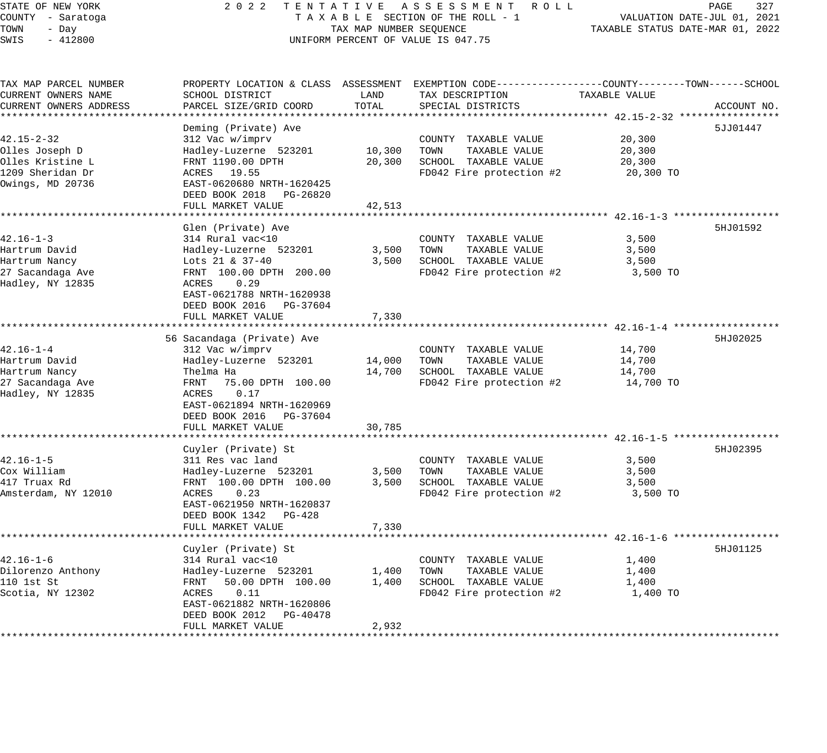## STATE OF NEW YORK 2 0 2 2 T E N T A T I V E A S S E S S M E N T R O L L PAGE 327 COUNTY - Saratoga T A X A B L E SECTION OF THE ROLL - 1 VALUATION DATE-JUL 01, 2021 TAX MAP NUMBER SEQUENCE TAXABLE STATUS DATE-MAR 01, 2022 UNIFORM PERCENT OF VALUE IS 047.75

| TAX MAP PARCEL NUMBER<br>CURRENT OWNERS NAME | PROPERTY LOCATION & CLASS ASSESSMENT<br>SCHOOL DISTRICT | LAND        | EXEMPTION CODE-----------------COUNTY-------TOWN------SCHOOL<br>TAX DESCRIPTION | TAXABLE VALUE |             |
|----------------------------------------------|---------------------------------------------------------|-------------|---------------------------------------------------------------------------------|---------------|-------------|
| CURRENT OWNERS ADDRESS                       | PARCEL SIZE/GRID COORD                                  | TOTAL       | SPECIAL DISTRICTS                                                               |               | ACCOUNT NO. |
|                                              | Deming (Private) Ave                                    |             |                                                                                 |               | 5JJ01447    |
| 42.15-2-32                                   | 312 Vac w/imprv                                         |             | COUNTY TAXABLE VALUE                                                            | 20,300        |             |
| Olles Joseph D                               | Hadley-Luzerne 523201                                   | 10,300      | TOWN<br>TAXABLE VALUE                                                           | 20,300        |             |
| Olles Kristine L                             | FRNT 1190.00 DPTH                                       | 20,300      | SCHOOL TAXABLE VALUE                                                            | 20,300        |             |
| 1209 Sheridan Dr                             | ACRES 19.55                                             |             | FD042 Fire protection #2                                                        | 20,300 TO     |             |
| Owings, MD 20736                             | EAST-0620680 NRTH-1620425                               |             |                                                                                 |               |             |
|                                              | DEED BOOK 2018 PG-26820                                 |             |                                                                                 |               |             |
|                                              | FULL MARKET VALUE                                       | 42,513      |                                                                                 |               |             |
|                                              |                                                         |             |                                                                                 |               |             |
|                                              | Glen (Private) Ave                                      |             |                                                                                 |               | 5HJ01592    |
| $42.16 - 1 - 3$                              | 314 Rural vac<10                                        |             | COUNTY TAXABLE VALUE                                                            | 3,500         |             |
| Hartrum David                                | Hadley-Luzerne 523201                                   | 3,500       | TAXABLE VALUE<br>TOWN                                                           | 3,500         |             |
| Hartrum Nancy                                | Lots 21 & $37-40$                                       | 3,500       | SCHOOL TAXABLE VALUE                                                            | 3,500         |             |
| 27 Sacandaga Ave                             | FRNT 100.00 DPTH 200.00                                 |             | FD042 Fire protection #2                                                        | 3,500 TO      |             |
| Hadley, NY 12835                             | 0.29<br>ACRES                                           |             |                                                                                 |               |             |
|                                              | EAST-0621788 NRTH-1620938                               |             |                                                                                 |               |             |
|                                              | DEED BOOK 2016    PG-37604                              |             |                                                                                 |               |             |
|                                              | FULL MARKET VALUE                                       | 7,330       |                                                                                 |               |             |
|                                              |                                                         | *********** |                                                                                 |               |             |
|                                              | 56 Sacandaga (Private) Ave                              |             |                                                                                 |               | 5HJ02025    |
| $42.16 - 1 - 4$                              | 312 Vac w/imprv                                         |             | COUNTY TAXABLE VALUE                                                            | 14,700        |             |
| Hartrum David                                | Hadley-Luzerne 523201                                   | 14,000      | TOWN<br>TAXABLE VALUE                                                           | 14,700        |             |
| Hartrum Nancy                                | Thelma Ha                                               | 14,700      | SCHOOL TAXABLE VALUE                                                            | 14,700        |             |
| 27 Sacandaga Ave                             | FRNT<br>75.00 DPTH 100.00                               |             | FD042 Fire protection #2                                                        | 14,700 TO     |             |
| Hadley, NY 12835                             | ACRES<br>0.17                                           |             |                                                                                 |               |             |
|                                              | EAST-0621894 NRTH-1620969                               |             |                                                                                 |               |             |
|                                              | DEED BOOK 2016 PG-37604                                 |             |                                                                                 |               |             |
|                                              | FULL MARKET VALUE                                       | 30,785      |                                                                                 |               |             |
|                                              | Cuyler (Private) St                                     |             |                                                                                 |               | 5HJ02395    |
| $42.16 - 1 - 5$                              | 311 Res vac land                                        |             | COUNTY TAXABLE VALUE                                                            | 3,500         |             |
| Cox William                                  | Hadley-Luzerne 523201                                   | 3,500       | TOWN<br>TAXABLE VALUE                                                           | 3,500         |             |
| 417 Truax Rd                                 | FRNT 100.00 DPTH 100.00                                 | 3,500       | SCHOOL TAXABLE VALUE                                                            | 3,500         |             |
| Amsterdam, NY 12010                          | ACRES<br>0.23                                           |             | FD042 Fire protection #2                                                        | 3,500 TO      |             |
|                                              | EAST-0621950 NRTH-1620837                               |             |                                                                                 |               |             |
|                                              | DEED BOOK 1342<br>PG-428                                |             |                                                                                 |               |             |
|                                              | FULL MARKET VALUE                                       | 7,330       |                                                                                 |               |             |
|                                              |                                                         |             |                                                                                 |               |             |
|                                              | Cuyler (Private) St                                     |             |                                                                                 |               | 5HJ01125    |
| $42.16 - 1 - 6$                              | 314 Rural vac<10                                        |             | COUNTY TAXABLE VALUE                                                            | 1,400         |             |
| Dilorenzo Anthony                            | Hadley-Luzerne 523201                                   | 1,400       | TAXABLE VALUE<br>TOWN                                                           | 1,400         |             |
| 110 1st St                                   | FRNT<br>50.00 DPTH 100.00                               | 1,400       | SCHOOL TAXABLE VALUE                                                            | 1,400         |             |
| Scotia, NY 12302                             | 0.11<br>ACRES                                           |             | FD042 Fire protection #2                                                        | 1,400 TO      |             |
|                                              | EAST-0621882 NRTH-1620806                               |             |                                                                                 |               |             |
|                                              | DEED BOOK 2012<br>PG-40478                              |             |                                                                                 |               |             |
|                                              | FULL MARKET VALUE                                       | 2,932       |                                                                                 |               |             |
|                                              |                                                         |             |                                                                                 |               |             |
|                                              |                                                         |             |                                                                                 |               |             |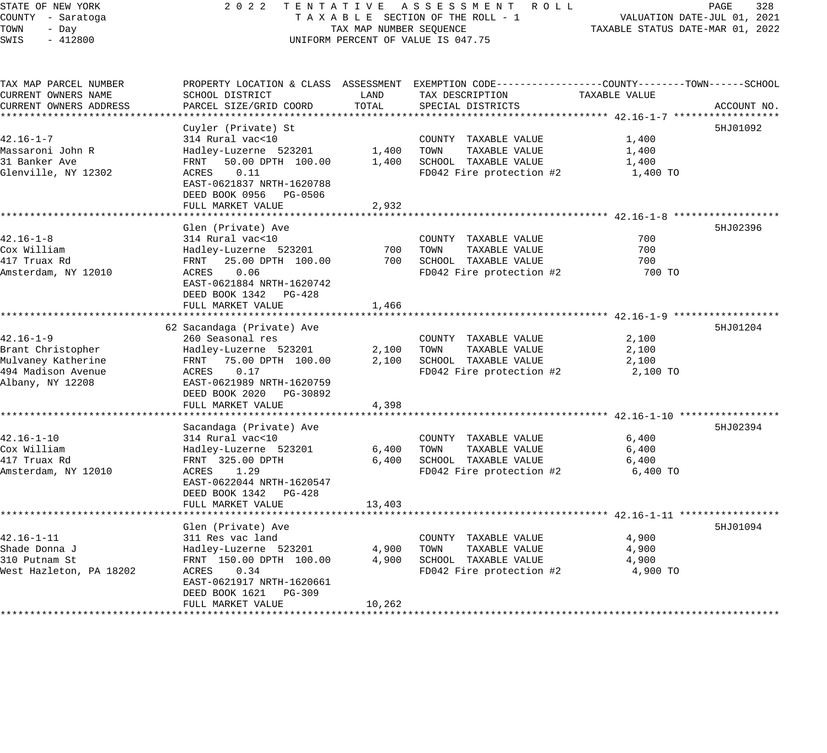### STATE OF NEW YORK 2 0 2 2 T E N T A T I V E A S S E S S M E N T R O L L PAGE 328 COUNTY - Saratoga T A X A B L E SECTION OF THE ROLL - 1 VALUATION DATE-JUL 01, 2021 X A B L E SECTION OF THE KOLL - 1 TAXABLE STATUS DATE-MAR 01, 2022 UNIFORM PERCENT OF VALUE IS 047.75

| TAX MAP PARCEL NUMBER   |                            |        | PROPERTY LOCATION & CLASS ASSESSMENT EXEMPTION CODE----------------COUNTY-------TOWN------SCHOOL |               |             |
|-------------------------|----------------------------|--------|--------------------------------------------------------------------------------------------------|---------------|-------------|
| CURRENT OWNERS NAME     | SCHOOL DISTRICT            | LAND   | TAX DESCRIPTION                                                                                  | TAXABLE VALUE |             |
| CURRENT OWNERS ADDRESS  | PARCEL SIZE/GRID COORD     | TOTAL  | SPECIAL DISTRICTS                                                                                |               | ACCOUNT NO. |
|                         |                            |        |                                                                                                  |               |             |
|                         | Cuyler (Private) St        |        |                                                                                                  |               | 5HJ01092    |
| $42.16 - 1 - 7$         | 314 Rural vac<10           |        | COUNTY TAXABLE VALUE                                                                             | 1,400         |             |
| Massaroni John R        | Hadley-Luzerne 523201      |        | 1,400 TOWN<br>TAXABLE VALUE                                                                      | 1,400         |             |
| 31 Banker Ave           | FRNT 50.00 DPTH 100.00     |        | 1,400 SCHOOL TAXABLE VALUE                                                                       | 1,400         |             |
| Glenville, NY 12302     | 0.11<br>ACRES              |        | FD042 Fire protection #2                                                                         | 1,400 TO      |             |
|                         | EAST-0621837 NRTH-1620788  |        |                                                                                                  |               |             |
|                         | DEED BOOK 0956 PG-0506     |        |                                                                                                  |               |             |
|                         | FULL MARKET VALUE          | 2,932  |                                                                                                  |               |             |
|                         |                            |        |                                                                                                  |               |             |
|                         |                            |        |                                                                                                  |               |             |
|                         | Glen (Private) Ave         |        |                                                                                                  |               | 5HJ02396    |
| $42.16 - 1 - 8$         | 314 Rural vac<10           |        | COUNTY TAXABLE VALUE                                                                             | 700           |             |
| Cox William             | Hadley-Luzerne 523201      | 700    | TOWN<br>TAXABLE VALUE                                                                            | 700           |             |
| 417 Truax Rd            | FRNT 25.00 DPTH 100.00     |        | 700 SCHOOL TAXABLE VALUE                                                                         | 700           |             |
| Amsterdam, NY 12010     | ACRES<br>0.06              |        | FD042 Fire protection #2                                                                         | 700 TO        |             |
|                         | EAST-0621884 NRTH-1620742  |        |                                                                                                  |               |             |
|                         | DEED BOOK 1342 PG-428      |        |                                                                                                  |               |             |
|                         | FULL MARKET VALUE          | 1,466  |                                                                                                  |               |             |
|                         |                            |        |                                                                                                  |               |             |
|                         | 62 Sacandaga (Private) Ave |        |                                                                                                  |               | 5HJ01204    |
| $42.16 - 1 - 9$         | 260 Seasonal res           |        | COUNTY TAXABLE VALUE                                                                             | 2,100         |             |
| Brant Christopher       | Hadley-Luzerne 523201      |        | 2,100 TOWN<br>TAXABLE VALUE                                                                      | 2,100         |             |
| Mulvaney Katherine      | FRNT 75.00 DPTH 100.00     | 2,100  | SCHOOL TAXABLE VALUE                                                                             | 2,100         |             |
| 494 Madison Avenue      | 0.17<br>ACRES              |        | FD042 Fire protection #2                                                                         | 2,100 TO      |             |
| Albany, NY 12208        | EAST-0621989 NRTH-1620759  |        |                                                                                                  |               |             |
|                         | DEED BOOK 2020 PG-30892    |        |                                                                                                  |               |             |
|                         | FULL MARKET VALUE          | 4,398  |                                                                                                  |               |             |
|                         |                            |        |                                                                                                  |               |             |
|                         | Sacandaga (Private) Ave    |        |                                                                                                  |               | 5HJ02394    |
| $42.16 - 1 - 10$        |                            |        |                                                                                                  |               |             |
|                         | 314 Rural vac<10           |        | COUNTY TAXABLE VALUE                                                                             | 6,400         |             |
| Cox William             | Hadley-Luzerne 523201      | 6,400  | TAXABLE VALUE<br>TOWN                                                                            | 6,400         |             |
| 417 Truax Rd            | FRNT 325.00 DPTH           | 6,400  | SCHOOL TAXABLE VALUE                                                                             | 6,400         |             |
| Amsterdam, NY 12010     | ACRES 1.29                 |        | FD042 Fire protection #2                                                                         | 6,400 TO      |             |
|                         | EAST-0622044 NRTH-1620547  |        |                                                                                                  |               |             |
|                         | DEED BOOK 1342 PG-428      |        |                                                                                                  |               |             |
|                         | FULL MARKET VALUE          | 13,403 |                                                                                                  |               |             |
|                         |                            |        |                                                                                                  |               |             |
|                         | Glen (Private) Ave         |        |                                                                                                  |               | 5HJ01094    |
| $42.16 - 1 - 11$        | 311 Res vac land           |        | COUNTY TAXABLE VALUE                                                                             | 4,900         |             |
| Shade Donna J           | Hadley-Luzerne 523201      | 4,900  | TOWN<br>TAXABLE VALUE                                                                            | 4,900         |             |
| 310 Putnam St           | FRNT 150.00 DPTH 100.00    | 4,900  | SCHOOL TAXABLE VALUE                                                                             | 4,900         |             |
| West Hazleton, PA 18202 | ACRES<br>0.34              |        | FD042 Fire protection #2                                                                         | 4,900 TO      |             |
|                         | EAST-0621917 NRTH-1620661  |        |                                                                                                  |               |             |
|                         | DEED BOOK 1621 PG-309      |        |                                                                                                  |               |             |
|                         | FULL MARKET VALUE          | 10,262 |                                                                                                  |               |             |
|                         |                            |        |                                                                                                  |               |             |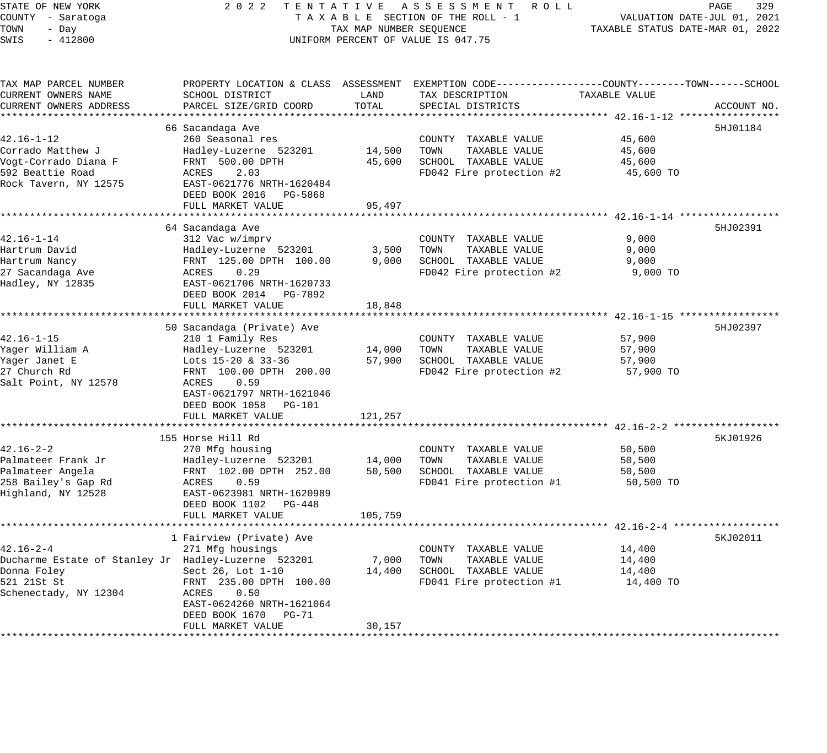| STATE OF NEW YORK                                   | 2 0 2 2<br>TENTATIVE                       |                                  | ASSESSMENT ROLL                                                                                  |                                                      | PAGE<br>329 |
|-----------------------------------------------------|--------------------------------------------|----------------------------------|--------------------------------------------------------------------------------------------------|------------------------------------------------------|-------------|
| COUNTY - Saratoga                                   | TAXABLE SECTION OF THE ROLL - 1            |                                  | VALUATION DATE-JUL 01, 2021                                                                      |                                                      |             |
| TOWN<br>- Day                                       | TAX MAP NUMBER SEQUENCE                    | TAXABLE STATUS DATE-MAR 01, 2022 |                                                                                                  |                                                      |             |
| SWIS<br>$-412800$                                   |                                            |                                  | UNIFORM PERCENT OF VALUE IS 047.75                                                               |                                                      |             |
|                                                     |                                            |                                  |                                                                                                  |                                                      |             |
| TAX MAP PARCEL NUMBER                               |                                            |                                  | PROPERTY LOCATION & CLASS ASSESSMENT EXEMPTION CODE----------------COUNTY-------TOWN------SCHOOL |                                                      |             |
| CURRENT OWNERS NAME                                 | SCHOOL DISTRICT                            | LAND                             | TAX DESCRIPTION                                                                                  | TAXABLE VALUE                                        |             |
| CURRENT OWNERS ADDRESS                              | PARCEL SIZE/GRID COORD                     | TOTAL                            | SPECIAL DISTRICTS                                                                                |                                                      | ACCOUNT NO. |
|                                                     |                                            |                                  |                                                                                                  |                                                      |             |
|                                                     | 66 Sacandaga Ave                           |                                  |                                                                                                  |                                                      | 5HJ01184    |
| $42.16 - 1 - 12$                                    | 260 Seasonal res                           |                                  | COUNTY TAXABLE VALUE                                                                             | 45,600                                               |             |
| Corrado Matthew J                                   | Hadley-Luzerne 523201                      | 14,500                           | TOWN<br>TAXABLE VALUE                                                                            | 45,600                                               |             |
| Vogt-Corrado Diana F                                | FRNT 500.00 DPTH                           | 45,600                           | SCHOOL TAXABLE VALUE                                                                             | 45,600                                               |             |
| 592 Beattie Road                                    | ACRES<br>2.03                              |                                  | FD042 Fire protection #2                                                                         | 45,600 TO                                            |             |
| Rock Tavern, NY 12575                               | EAST-0621776 NRTH-1620484                  |                                  |                                                                                                  |                                                      |             |
|                                                     | DEED BOOK 2016 PG-5868                     |                                  |                                                                                                  |                                                      |             |
|                                                     | FULL MARKET VALUE                          | 95,497<br>* * * * * * * * * *    |                                                                                                  |                                                      |             |
|                                                     |                                            |                                  |                                                                                                  | ********************** 42.16-1-14 ****************** |             |
|                                                     | 64 Sacandaga Ave                           |                                  |                                                                                                  |                                                      | 5HJ02391    |
| $42.16 - 1 - 14$                                    | 312 Vac w/imprv                            |                                  | COUNTY TAXABLE VALUE                                                                             | 9,000                                                |             |
| Hartrum David<br>Hartrum Nancy                      | Hadley-Luzerne 523201                      | 3,500<br>9,000                   | TOWN<br>TAXABLE VALUE<br>SCHOOL TAXABLE VALUE                                                    | 9,000                                                |             |
| 27 Sacandaga Ave                                    | FRNT 125.00 DPTH 100.00<br>ACRES<br>0.29   |                                  | FD042 Fire protection #2                                                                         | 9,000<br>9,000 TO                                    |             |
| Hadley, NY 12835                                    | EAST-0621706 NRTH-1620733                  |                                  |                                                                                                  |                                                      |             |
|                                                     | DEED BOOK 2014 PG-7892                     |                                  |                                                                                                  |                                                      |             |
|                                                     | FULL MARKET VALUE                          | 18,848                           |                                                                                                  |                                                      |             |
|                                                     | ***********************                    |                                  |                                                                                                  | ********************** 42.16-1-15 *****************  |             |
|                                                     | 50 Sacandaga (Private) Ave                 |                                  |                                                                                                  |                                                      | 5HJ02397    |
| 42.16-1-15                                          | 210 1 Family Res                           |                                  | COUNTY TAXABLE VALUE                                                                             | 57,900                                               |             |
| Yager William A                                     | Hadley-Luzerne 523201                      | 14,000                           | TAXABLE VALUE<br>TOWN                                                                            | 57,900                                               |             |
| Yager Janet E                                       | Lots 15-20 & 33-36                         | 57,900                           | SCHOOL TAXABLE VALUE                                                                             | 57,900                                               |             |
| 27 Church Rd                                        | FRNT 100.00 DPTH 200.00                    |                                  | FD042 Fire protection #2                                                                         | 57,900 TO                                            |             |
| Salt Point, NY 12578                                | ACRES<br>0.59                              |                                  |                                                                                                  |                                                      |             |
|                                                     | EAST-0621797 NRTH-1621046                  |                                  |                                                                                                  |                                                      |             |
|                                                     | DEED BOOK 1058<br>PG-101                   |                                  |                                                                                                  |                                                      |             |
|                                                     | FULL MARKET VALUE                          | 121,257                          |                                                                                                  |                                                      |             |
|                                                     |                                            |                                  |                                                                                                  |                                                      |             |
|                                                     | 155 Horse Hill Rd                          |                                  |                                                                                                  |                                                      | 5KJ01926    |
| $42.16 - 2 - 2$                                     | 270 Mfg housing                            |                                  | COUNTY TAXABLE VALUE                                                                             | 50,500                                               |             |
| Palmateer Frank Jr                                  | Hadley-Luzerne 523201                      | 14,000                           | TOWN<br>TAXABLE VALUE                                                                            | 50,500                                               |             |
| Palmateer Angela                                    | FRNT 102.00 DPTH 252.00                    | 50,500                           | SCHOOL TAXABLE VALUE                                                                             | 50,500                                               |             |
| 258 Bailey's Gap Rd                                 | ACRES<br>0.59                              |                                  | FD041 Fire protection #1                                                                         | 50,500 TO                                            |             |
| Highland, NY 12528                                  | EAST-0623981 NRTH-1620989                  |                                  |                                                                                                  |                                                      |             |
|                                                     | DEED BOOK 1102<br>PG-448                   |                                  |                                                                                                  |                                                      |             |
|                                                     | FULL MARKET VALUE                          | 105,759                          |                                                                                                  |                                                      |             |
|                                                     |                                            |                                  |                                                                                                  |                                                      |             |
|                                                     | 1 Fairview (Private) Ave                   |                                  |                                                                                                  |                                                      | 5KJ02011    |
| $42.16 - 2 - 4$                                     | 271 Mfg housings                           |                                  | COUNTY TAXABLE VALUE                                                                             | 14,400                                               |             |
| Ducharme Estate of Stanley Jr Hadley-Luzerne 523201 |                                            | 7,000                            | TOWN<br>TAXABLE VALUE                                                                            | 14,400                                               |             |
| Donna Foley                                         | Sect 26, Lot 1-10                          | 14,400                           | SCHOOL TAXABLE VALUE                                                                             | 14,400                                               |             |
| 521 21St St                                         | FRNT 235.00 DPTH 100.00                    |                                  | FD041 Fire protection #1                                                                         | 14,400 TO                                            |             |
| Schenectady, NY 12304                               | 0.50<br>ACRES<br>EAST-0624260 NRTH-1621064 |                                  |                                                                                                  |                                                      |             |
|                                                     | DEED BOOK 1670<br>$PG-71$                  |                                  |                                                                                                  |                                                      |             |
|                                                     | FULL MARKET VALUE                          | 30,157                           |                                                                                                  |                                                      |             |
|                                                     |                                            |                                  |                                                                                                  |                                                      |             |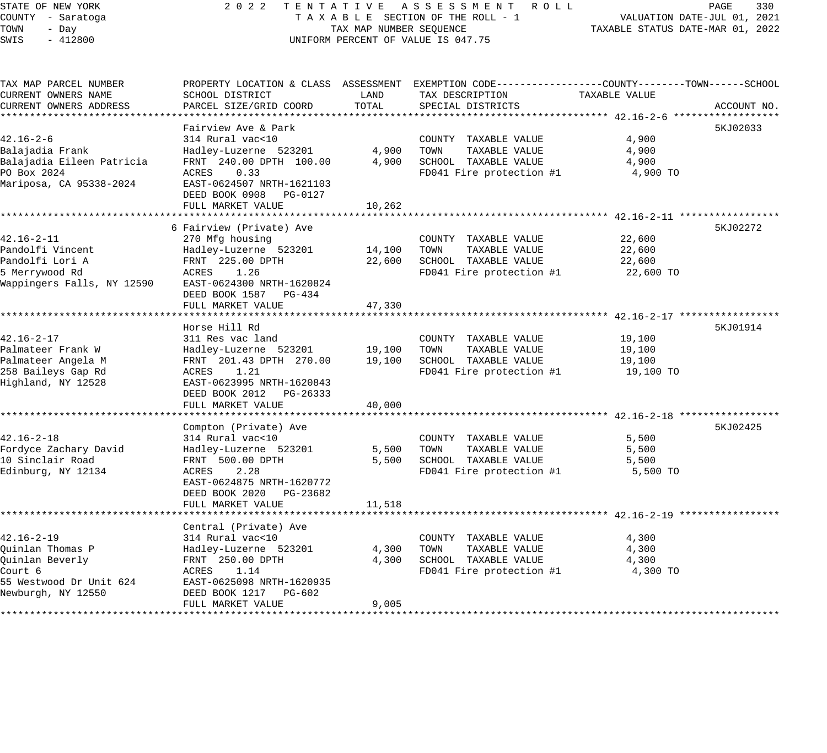# STATE OF NEW YORK 2 0 2 2 T E N T A T I V E A S S E S S M E N T R O L L PAGE 330 COUNTY - Saratoga T A X A B L E SECTION OF THE ROLL - 1 VALUATION DATE-JUL 01, 2021 TAX MAP NUMBER SEQUENCE TAXABLE STATUS DATE-MAR 01, 2022 UNIFORM PERCENT OF VALUE IS 047.75

| TAX MAP PARCEL NUMBER<br>CURRENT OWNERS NAME                                                                        | SCHOOL DISTRICT                                                                                                                           | LAND           | PROPERTY LOCATION & CLASS ASSESSMENT EXEMPTION CODE----------------COUNTY-------TOWN------SCHOOL<br>TAX DESCRIPTION | TAXABLE VALUE                       |             |
|---------------------------------------------------------------------------------------------------------------------|-------------------------------------------------------------------------------------------------------------------------------------------|----------------|---------------------------------------------------------------------------------------------------------------------|-------------------------------------|-------------|
| CURRENT OWNERS ADDRESS                                                                                              | PARCEL SIZE/GRID COORD                                                                                                                    | TOTAL          | SPECIAL DISTRICTS                                                                                                   |                                     | ACCOUNT NO. |
|                                                                                                                     | Fairview Ave & Park                                                                                                                       |                |                                                                                                                     |                                     | 5KJ02033    |
| $42.16 - 2 - 6$<br>Balajadia Frank<br>Balajadia Eileen Patricia                                                     | 314 Rural vac<10<br>Hadley-Luzerne 523201<br>FRNT 240.00 DPTH 100.00                                                                      | 4,900<br>4,900 | COUNTY TAXABLE VALUE<br>TOWN<br>TAXABLE VALUE<br>SCHOOL TAXABLE VALUE                                               | 4,900<br>4,900<br>4,900             |             |
| PO Box 2024<br>Mariposa, CA 95338-2024                                                                              | ACRES<br>0.33<br>EAST-0624507 NRTH-1621103<br>DEED BOOK 0908<br>PG-0127                                                                   |                | FD041 Fire protection #1                                                                                            | 4,900 TO                            |             |
|                                                                                                                     | FULL MARKET VALUE                                                                                                                         | 10,262         |                                                                                                                     |                                     |             |
|                                                                                                                     | 6 Fairview (Private) Ave                                                                                                                  |                |                                                                                                                     |                                     | 5KJ02272    |
| $42.16 - 2 - 11$<br>Pandolfi Vincent                                                                                | 270 Mfg housing<br>Hadley-Luzerne 523201                                                                                                  | 14,100         | COUNTY TAXABLE VALUE<br>TOWN<br>TAXABLE VALUE                                                                       | 22,600<br>22,600                    |             |
| Pandolfi Lori A<br>5 Merrywood Rd<br>Wappingers Falls, NY 12590                                                     | FRNT 225.00 DPTH<br>ACRES<br>1.26<br>EAST-0624300 NRTH-1620824<br>DEED BOOK 1587<br>PG-434                                                | 22,600         | SCHOOL TAXABLE VALUE<br>FD041 Fire protection #1                                                                    | 22,600<br>22,600 TO                 |             |
|                                                                                                                     | FULL MARKET VALUE                                                                                                                         | 47,330         |                                                                                                                     |                                     |             |
|                                                                                                                     | Horse Hill Rd                                                                                                                             |                |                                                                                                                     |                                     | 5KJ01914    |
| $42.16 - 2 - 17$<br>Palmateer Frank W                                                                               | 311 Res vac land<br>Hadley-Luzerne 523201                                                                                                 | 19,100         | COUNTY TAXABLE VALUE<br>TOWN<br>TAXABLE VALUE                                                                       | 19,100<br>19,100                    |             |
| Palmateer Angela M<br>258 Baileys Gap Rd<br>Highland, NY 12528                                                      | FRNT 201.43 DPTH 270.00<br>1.21<br>ACRES<br>EAST-0623995 NRTH-1620843<br>DEED BOOK 2012<br>PG-26333                                       | 19,100         | SCHOOL TAXABLE VALUE<br>FD041 Fire protection #1                                                                    | 19,100<br>19,100 TO                 |             |
|                                                                                                                     | FULL MARKET VALUE                                                                                                                         | 40,000         |                                                                                                                     |                                     |             |
|                                                                                                                     |                                                                                                                                           |                |                                                                                                                     |                                     |             |
| $42.16 - 2 - 18$<br>Fordyce Zachary David<br>10 Sinclair Road<br>Edinburg, NY 12134                                 | Compton (Private) Ave<br>314 Rural vac<10<br>Hadley-Luzerne 523201<br>FRNT 500.00 DPTH<br>2.28<br>ACRES<br>EAST-0624875 NRTH-1620772      | 5,500<br>5,500 | COUNTY TAXABLE VALUE<br>TAXABLE VALUE<br>TOWN<br>SCHOOL TAXABLE VALUE<br>FD041 Fire protection #1                   | 5,500<br>5,500<br>5,500<br>5,500 TO | 5KJ02425    |
|                                                                                                                     | DEED BOOK 2020 PG-23682<br>FULL MARKET VALUE                                                                                              | 11,518         |                                                                                                                     |                                     |             |
|                                                                                                                     |                                                                                                                                           |                |                                                                                                                     |                                     |             |
|                                                                                                                     | Central (Private) Ave                                                                                                                     |                |                                                                                                                     |                                     |             |
| $42.16 - 2 - 19$<br>Quinlan Thomas P<br>Ouinlan Beverly<br>Court 6<br>55 Westwood Dr Unit 624<br>Newburgh, NY 12550 | 314 Rural vac<10<br>Hadley-Luzerne 523201<br>FRNT 250.00 DPTH<br>ACRES<br>1.14<br>EAST-0625098 NRTH-1620935<br>DEED BOOK 1217<br>$PG-602$ | 4,300<br>4,300 | COUNTY TAXABLE VALUE<br>TOWN<br>TAXABLE VALUE<br>SCHOOL TAXABLE VALUE<br>FD041 Fire protection #1                   | 4,300<br>4,300<br>4,300<br>4,300 TO |             |
|                                                                                                                     | FULL MARKET VALUE                                                                                                                         | 9,005          |                                                                                                                     |                                     |             |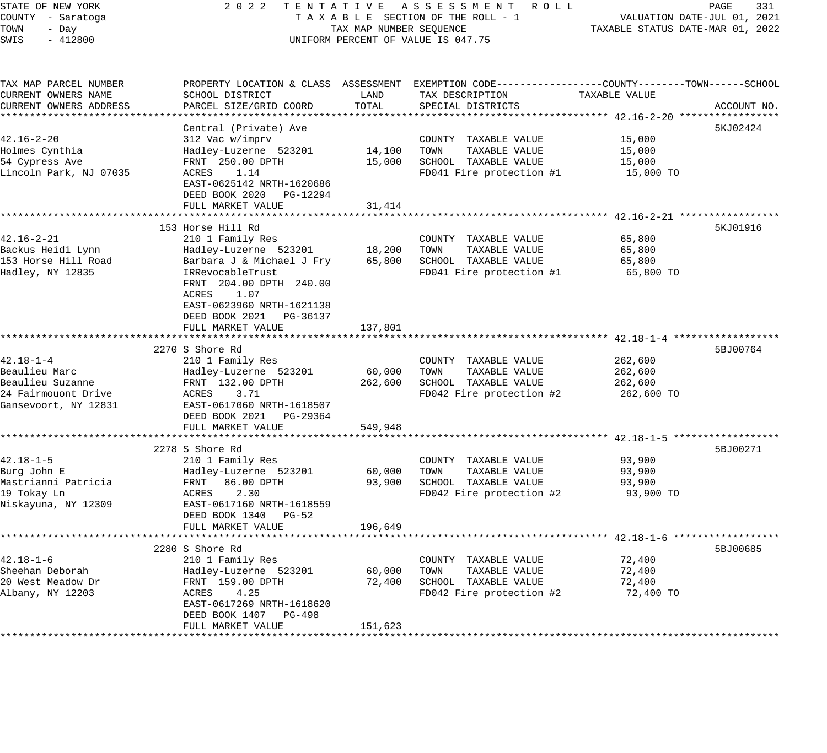STATE OF NEW YORK 2 0 2 2 T E N T A T I V E A S S E S S M E N T R O L L PAGE 331 COUNTY - Saratoga T A X A B L E SECTION OF THE ROLL - 1 VALUATION DATE-JUL 01, 2021 TOWN - Day TAX MAP NUMBER SEQUENCE TAXABLE STATUS DATE-MAR 01, 2022 SWIS - 412800 CONTROLLY THE UNIFORM PERCENT OF VALUE IS 047.75 TAX MAP PARCEL NUMBER PROPERTY LOCATION & CLASS ASSESSMENT EXEMPTION CODE------------------COUNTY--------TOWN------SCHOOL CURRENT OWNERS NAME SCHOOL DISTRICT LAND TAX DESCRIPTION TAXABLE VALUE CURRENT OWNERS ADDRESS PARCEL SIZE/GRID COORD TOTAL SPECIAL DISTRICTS ACCOUNT NO. \*\*\*\*\*\*\*\*\*\*\*\*\*\*\*\*\*\*\*\*\*\*\*\*\*\*\*\*\*\*\*\*\*\*\*\*\*\*\*\*\*\*\*\*\*\*\*\*\*\*\*\*\*\*\*\*\*\*\*\*\*\*\*\*\*\*\*\*\*\*\*\*\*\*\*\*\*\*\*\*\*\*\*\*\*\*\*\*\*\*\*\*\*\*\*\*\*\*\*\*\*\*\* 42.16-2-20 \*\*\*\*\*\*\*\*\*\*\*\*\*\*\*\*\* Central (Private) Ave 5KJ02424 (Private 5 Ave 5KJ02424 (Private 5 Ave 5 Ave 5 Ave 5 Ave 5 Ave 5 Ave 5 Ave 5 Ave 42.16-2-20 312 Vac w/imprv COUNTY TAXABLE VALUE 15,000 Holmes Cynthia Hadley-Luzerne 523201 14,100 TOWN TAXABLE VALUE 15,000 54 Cypress Ave FRNT 250.00 DPTH 15,000 SCHOOL TAXABLE VALUE 15,000 Lincoln Park, NJ 07035 ACRES 1.14 FD041 Fire protection #1 15,000 TO EAST-0625142 NRTH-1620686 DEED BOOK 2020 PG-12294 FULL MARKET VALUE 31,414 \*\*\*\*\*\*\*\*\*\*\*\*\*\*\*\*\*\*\*\*\*\*\*\*\*\*\*\*\*\*\*\*\*\*\*\*\*\*\*\*\*\*\*\*\*\*\*\*\*\*\*\*\*\*\*\*\*\*\*\*\*\*\*\*\*\*\*\*\*\*\*\*\*\*\*\*\*\*\*\*\*\*\*\*\*\*\*\*\*\*\*\*\*\*\*\*\*\*\*\*\*\*\* 42.16-2-21 \*\*\*\*\*\*\*\*\*\*\*\*\*\*\*\*\* 153 Horse Hill Rd 42.16-2-21 210 1 Family Res COUNTY TAXABLE VALUE 65,800 Backus Heidi Lynn Hadley-Luzerne 523201 18,200 TOWN TAXABLE VALUE 65,800 153 Horse Hill Road Barbara J & Michael J Fry 65,800 SCHOOL TAXABLE VALUE 65,800 Hadley, NY 12835 IRRevocableTrust FD041 Fire protection #1 65,800 TO FRNT 204.00 DPTH 240.00 ACRES 1.07 EAST-0623960 NRTH-1621138 DEED BOOK 2021 PG-36137 FULL MARKET VALUE 137,801 \*\*\*\*\*\*\*\*\*\*\*\*\*\*\*\*\*\*\*\*\*\*\*\*\*\*\*\*\*\*\*\*\*\*\*\*\*\*\*\*\*\*\*\*\*\*\*\*\*\*\*\*\*\*\*\*\*\*\*\*\*\*\*\*\*\*\*\*\*\*\*\*\*\*\*\*\*\*\*\*\*\*\*\*\*\*\*\*\*\*\*\*\*\*\*\*\*\*\*\*\*\*\* 42.18-1-4 \*\*\*\*\*\*\*\*\*\*\*\*\*\*\*\*\*\*  $2270$  S Shore Rd  $5BJ00764$ 42.18-1-4 210 1 Family Res COUNTY TAXABLE VALUE 262,600 Beaulieu Marc Hadley-Luzerne 523201 60,000 TOWN TAXABLE VALUE 262,600 Beaulieu Suzanne FRNT 132.00 DPTH 262,600 SCHOOL TAXABLE VALUE 262,600 24 Fairmouont Drive ACRES 3.71 FD042 Fire protection #2 262,600 TO Gansevoort, NY 12831 EAST-0617060 NRTH-1618507 DEED BOOK 2021 PG-29364 DEED BOOK 2021 PG-29364<br>FULL MARKET VALUE 549,948 \*\*\*\*\*\*\*\*\*\*\*\*\*\*\*\*\*\*\*\*\*\*\*\*\*\*\*\*\*\*\*\*\*\*\*\*\*\*\*\*\*\*\*\*\*\*\*\*\*\*\*\*\*\*\*\*\*\*\*\*\*\*\*\*\*\*\*\*\*\*\*\*\*\*\*\*\*\*\*\*\*\*\*\*\*\*\*\*\*\*\*\*\*\*\*\*\*\*\*\*\*\*\* 42.18-1-5 \*\*\*\*\*\*\*\*\*\*\*\*\*\*\*\*\*\* 2278 S Shore Rd 5BJ00271 42.18-1-5 210 1 Family Res COUNTY TAXABLE VALUE 93,900 Burg John E Hadley-Luzerne 523201 60,000 TOWN TAXABLE VALUE 93,900 Mastrianni Patricia FRNT 86.00 DPTH 93,900 SCHOOL TAXABLE VALUE 93,900 19 Tokay Ln ACRES 2.30 FD042 Fire protection #2 93,900 TO Niskayuna, NY 12309 EAST-0617160 NRTH-1618559 DEED BOOK 1340 PG-52 FULL MARKET VALUE 196,649 \*\*\*\*\*\*\*\*\*\*\*\*\*\*\*\*\*\*\*\*\*\*\*\*\*\*\*\*\*\*\*\*\*\*\*\*\*\*\*\*\*\*\*\*\*\*\*\*\*\*\*\*\*\*\*\*\*\*\*\*\*\*\*\*\*\*\*\*\*\*\*\*\*\*\*\*\*\*\*\*\*\*\*\*\*\*\*\*\*\*\*\*\*\*\*\*\*\*\*\*\*\*\* 42.18-1-6 \*\*\*\*\*\*\*\*\*\*\*\*\*\*\*\*\*\*  $2280$  S Shore Rd  $5BJ00685$ 42.18-1-6 210 1 Family Res COUNTY TAXABLE VALUE 72,400 Sheehan Deborah Hadley-Luzerne 523201 60,000 TOWN TAXABLE VALUE 72,400 20 West Meadow Dr FRNT 159.00 DPTH 72,400 SCHOOL TAXABLE VALUE 72,400 Albany, NY 12203 ACRES 4.25 FD042 Fire protection #2 72,400 TO EAST-0617269 NRTH-1618620 DEED BOOK 1407 PG-498 DEED BOOK 1407 PG-498<br>FULL MARKET VALUE 151,623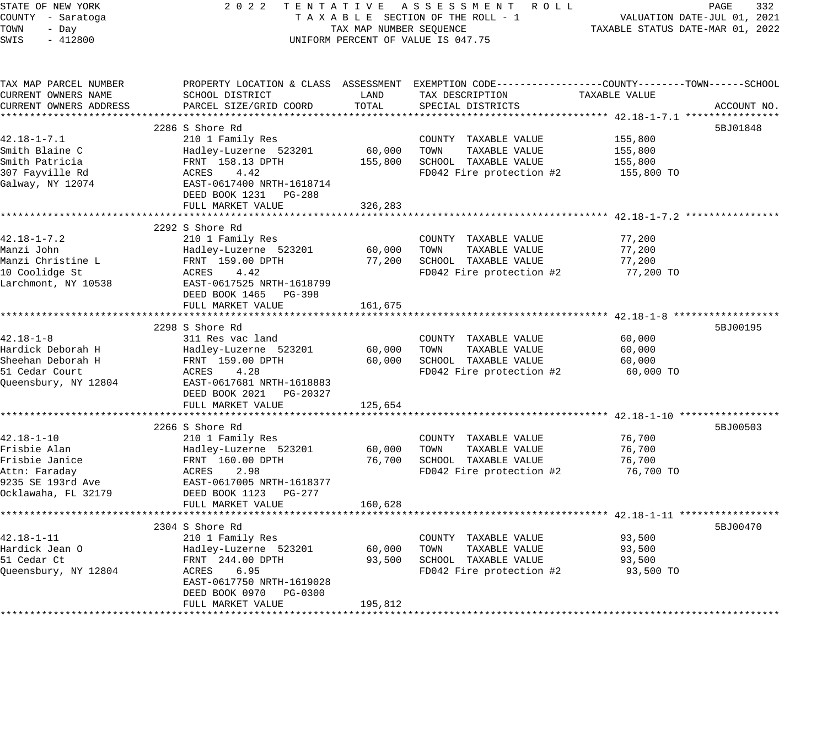| STATE OF NEW YORK<br>COUNTY - Saratoga<br>TOWN<br>- Day<br>SWIS<br>$-412800$ | 2022 TENTATIVE ASSESSMENT ROLL<br>TAXABLE SECTION OF THE ROLL - 1<br>TAX MAP NUMBER SEQUENCE<br>UNIFORM PERCENT OF VALUE IS 047.75 | PAGE<br>332<br>VALUATION DATE-JUL 01, 2021<br>TAXABLE STATUS DATE-MAR 01, 2022 |                                                                                                 |               |             |
|------------------------------------------------------------------------------|------------------------------------------------------------------------------------------------------------------------------------|--------------------------------------------------------------------------------|-------------------------------------------------------------------------------------------------|---------------|-------------|
| TAX MAP PARCEL NUMBER                                                        |                                                                                                                                    |                                                                                | PROPERTY LOCATION & CLASS ASSESSMENT EXEMPTION CODE---------------COUNTY-------TOWN------SCHOOL |               |             |
| CURRENT OWNERS NAME                                                          | SCHOOL DISTRICT                                                                                                                    | LAND                                                                           | TAX DESCRIPTION                                                                                 | TAXABLE VALUE |             |
| CURRENT OWNERS ADDRESS                                                       | PARCEL SIZE/GRID COORD                                                                                                             | TOTAL                                                                          | SPECIAL DISTRICTS                                                                               |               | ACCOUNT NO. |
|                                                                              | 2286 S Shore Rd                                                                                                                    |                                                                                |                                                                                                 |               | 5BJ01848    |
| $42.18 - 1 - 7.1$                                                            | 210 1 Family Res                                                                                                                   |                                                                                | COUNTY TAXABLE VALUE                                                                            | 155,800       |             |
| Smith Blaine C                                                               | Hadley-Luzerne 523201                                                                                                              | 60,000                                                                         | TOWN<br>TAXABLE VALUE                                                                           | 155,800       |             |
| Smith Patricia                                                               | FRNT 158.13 DPTH                                                                                                                   |                                                                                | 155,800 SCHOOL TAXABLE VALUE                                                                    | 155,800       |             |
| 307 Fayville Rd                                                              | ACRES<br>4.42                                                                                                                      |                                                                                | FD042 Fire protection #2                                                                        | 155,800 TO    |             |
| Galway, NY 12074                                                             | EAST-0617400 NRTH-1618714                                                                                                          |                                                                                |                                                                                                 |               |             |
|                                                                              | DEED BOOK 1231 PG-288                                                                                                              |                                                                                |                                                                                                 |               |             |
|                                                                              | FULL MARKET VALUE                                                                                                                  | 326,283                                                                        |                                                                                                 |               |             |
|                                                                              |                                                                                                                                    |                                                                                |                                                                                                 |               |             |
|                                                                              | 2292 S Shore Rd                                                                                                                    |                                                                                |                                                                                                 |               |             |
| $42.18 - 1 - 7.2$                                                            | 210 1 Family Res                                                                                                                   |                                                                                | COUNTY TAXABLE VALUE                                                                            | 77,200        |             |
| Manzi John                                                                   | Hadley-Luzerne 523201                                                                                                              |                                                                                | 60,000 TOWN<br>TAXABLE VALUE                                                                    | 77,200        |             |
| Manzi Christine L                                                            | FRNT 159.00 DPTH                                                                                                                   |                                                                                | 77,200 SCHOOL TAXABLE VALUE                                                                     | 77,200        |             |
| 10 Coolidge St                                                               | ACRES<br>4.42                                                                                                                      |                                                                                | FD042 Fire protection #2                                                                        | 77,200 TO     |             |
| Larchmont, NY 10538                                                          | EAST-0617525 NRTH-1618799                                                                                                          |                                                                                |                                                                                                 |               |             |
|                                                                              | DEED BOOK 1465 PG-398                                                                                                              |                                                                                |                                                                                                 |               |             |
|                                                                              | FULL MARKET VALUE                                                                                                                  | 161,675                                                                        |                                                                                                 |               |             |
|                                                                              |                                                                                                                                    |                                                                                |                                                                                                 |               |             |
| $42.18 - 1 - 8$                                                              | 2298 S Shore Rd<br>311 Res vac land                                                                                                |                                                                                | COUNTY TAXABLE VALUE                                                                            | 60,000        | 5BJ00195    |
| Hardick Deborah H                                                            | Hadley-Luzerne 523201                                                                                                              | 60,000                                                                         | TOWN<br>TAXABLE VALUE                                                                           | 60,000        |             |
| Sheehan Deborah H                                                            | FRNT 159.00 DPTH                                                                                                                   |                                                                                | 60,000 SCHOOL TAXABLE VALUE                                                                     | 60,000        |             |
| 51 Cedar Court                                                               | ACRES<br>4.28                                                                                                                      |                                                                                | FD042 Fire protection #2                                                                        | 60,000 TO     |             |
| Queensbury, NY 12804                                                         | EAST-0617681 NRTH-1618883                                                                                                          |                                                                                |                                                                                                 |               |             |
|                                                                              | DEED BOOK 2021 PG-20327                                                                                                            |                                                                                |                                                                                                 |               |             |
|                                                                              | FULL MARKET VALUE                                                                                                                  | 125,654                                                                        |                                                                                                 |               |             |
|                                                                              |                                                                                                                                    |                                                                                |                                                                                                 |               |             |
|                                                                              | 2266 S Shore Rd                                                                                                                    |                                                                                |                                                                                                 |               | 5BJ00503    |
| $42.18 - 1 - 10$                                                             | 210 1 Family Res                                                                                                                   |                                                                                | COUNTY TAXABLE VALUE                                                                            | 76,700        |             |
| Frisbie Alan                                                                 | Hadley-Luzerne 523201                                                                                                              | 60,000                                                                         | TAXABLE VALUE<br>TOWN                                                                           | 76,700        |             |
| Frisbie Janice                                                               | FRNT 160.00 DPTH                                                                                                                   |                                                                                | 76,700 SCHOOL TAXABLE VALUE                                                                     | 76,700        |             |
| Attn: Faraday                                                                | ACRES<br>2.98                                                                                                                      |                                                                                | FD042 Fire protection #2                                                                        | 76,700 TO     |             |
| 9235 SE 193rd Ave                                                            | EAST-0617005 NRTH-1618377                                                                                                          |                                                                                |                                                                                                 |               |             |
| Ocklawaha, FL 32179                                                          | DEED BOOK 1123 PG-277                                                                                                              |                                                                                |                                                                                                 |               |             |
|                                                                              | FULL MARKET VALUE                                                                                                                  | 160,628                                                                        |                                                                                                 |               |             |
|                                                                              |                                                                                                                                    |                                                                                |                                                                                                 |               |             |
| $42.18 - 1 - 11$                                                             | 2304 S Shore Rd<br>210 1 Family Res                                                                                                |                                                                                |                                                                                                 | 93,500        | 5BJ00470    |
| Hardick Jean O                                                               | Hadley-Luzerne 523201                                                                                                              | 60,000                                                                         | COUNTY TAXABLE VALUE<br>TAXABLE VALUE<br>TOWN                                                   | 93,500        |             |
| 51 Cedar Ct                                                                  | FRNT 244.00 DPTH                                                                                                                   | 93,500                                                                         | SCHOOL TAXABLE VALUE                                                                            | 93,500        |             |
| Queensbury, NY 12804                                                         | 6.95<br>ACRES                                                                                                                      |                                                                                | FD042 Fire protection #2                                                                        | 93,500 TO     |             |
|                                                                              | EAST-0617750 NRTH-1619028                                                                                                          |                                                                                |                                                                                                 |               |             |
|                                                                              | DEED BOOK 0970 PG-0300                                                                                                             |                                                                                |                                                                                                 |               |             |
|                                                                              | FULL MARKET VALUE                                                                                                                  | 195,812                                                                        |                                                                                                 |               |             |
|                                                                              |                                                                                                                                    |                                                                                |                                                                                                 |               |             |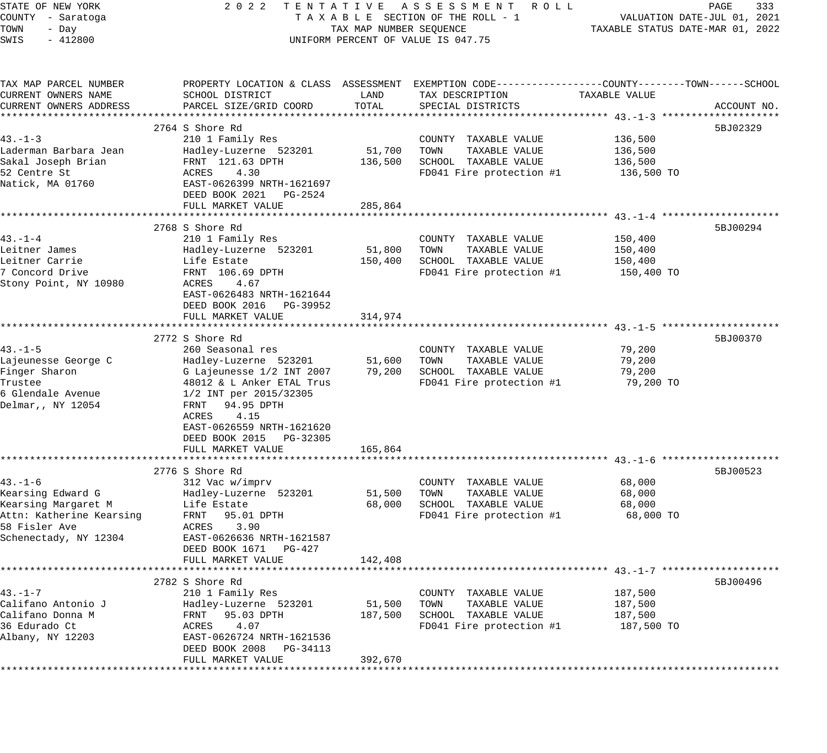| STATE OF NEW YORK        | 2 0 2 2                                                                                        |                         | TENTATIVE ASSESSMENT ROLL          |                                  | 333<br>PAGE                 |
|--------------------------|------------------------------------------------------------------------------------------------|-------------------------|------------------------------------|----------------------------------|-----------------------------|
| COUNTY - Saratoga        |                                                                                                |                         | TAXABLE SECTION OF THE ROLL - 1    |                                  | VALUATION DATE-JUL 01, 2021 |
| TOWN<br>- Day            |                                                                                                | TAX MAP NUMBER SEQUENCE |                                    | TAXABLE STATUS DATE-MAR 01, 2022 |                             |
| $-412800$<br>SWIS        |                                                                                                |                         | UNIFORM PERCENT OF VALUE IS 047.75 |                                  |                             |
|                          |                                                                                                |                         |                                    |                                  |                             |
| TAX MAP PARCEL NUMBER    | PROPERTY LOCATION & CLASS ASSESSMENT EXEMPTION CODE---------------COUNTY-------TOWN-----SCHOOL |                         |                                    |                                  |                             |
| CURRENT OWNERS NAME      | SCHOOL DISTRICT                                                                                | LAND                    | TAX DESCRIPTION                    | TAXABLE VALUE                    |                             |
| CURRENT OWNERS ADDRESS   | PARCEL SIZE/GRID COORD                                                                         | TOTAL                   | SPECIAL DISTRICTS                  |                                  | ACCOUNT NO.                 |
|                          |                                                                                                |                         |                                    |                                  |                             |
|                          | 2764 S Shore Rd                                                                                |                         |                                    |                                  | 5BJ02329                    |
| $43 - 1 - 3$             | 210 1 Family Res                                                                               |                         | COUNTY TAXABLE VALUE               | 136,500                          |                             |
| Laderman Barbara Jean    | Hadley-Luzerne 523201                                                                          | 51,700                  | TOWN<br>TAXABLE VALUE              | 136,500                          |                             |
| Sakal Joseph Brian       | FRNT 121.63 DPTH                                                                               | 136,500                 | SCHOOL TAXABLE VALUE               | 136,500                          |                             |
| 52 Centre St             | ACRES<br>4.30                                                                                  |                         | FD041 Fire protection #1           | 136,500 TO                       |                             |
| Natick, MA 01760         | EAST-0626399 NRTH-1621697                                                                      |                         |                                    |                                  |                             |
|                          | DEED BOOK 2021<br>PG-2524                                                                      |                         |                                    |                                  |                             |
|                          | FULL MARKET VALUE                                                                              | 285,864                 |                                    |                                  |                             |
|                          |                                                                                                |                         |                                    |                                  |                             |
|                          | 2768 S Shore Rd                                                                                |                         |                                    |                                  | 5BJ00294                    |
| $43. - 1 - 4$            | 210 1 Family Res                                                                               |                         | COUNTY TAXABLE VALUE               | 150,400                          |                             |
| Leitner James            | Hadley-Luzerne 523201                                                                          | 51,800                  | TAXABLE VALUE<br>TOWN              | 150,400                          |                             |
| Leitner Carrie           | Life Estate                                                                                    | 150,400                 | SCHOOL TAXABLE VALUE               | 150,400                          |                             |
| 7 Concord Drive          | FRNT 106.69 DPTH                                                                               |                         | FD041 Fire protection #1           | 150,400 TO                       |                             |
| Stony Point, NY 10980    | ACRES<br>4.67                                                                                  |                         |                                    |                                  |                             |
|                          | EAST-0626483 NRTH-1621644                                                                      |                         |                                    |                                  |                             |
|                          | DEED BOOK 2016 PG-39952                                                                        |                         |                                    |                                  |                             |
|                          | FULL MARKET VALUE                                                                              | 314,974                 |                                    |                                  |                             |
|                          |                                                                                                |                         |                                    |                                  |                             |
|                          | 2772 S Shore Rd                                                                                |                         |                                    |                                  | 5BJ00370                    |
| $43. - 1 - 5$            | 260 Seasonal res                                                                               |                         | COUNTY TAXABLE VALUE               | 79,200                           |                             |
| Lajeunesse George C      | Hadley-Luzerne 523201                                                                          | 51,600                  | TAXABLE VALUE<br>TOWN              | 79,200                           |                             |
| Finger Sharon            | G Lajeunesse 1/2 INT 2007                                                                      | 79,200                  | SCHOOL TAXABLE VALUE               | 79,200                           |                             |
| Trustee                  | 48012 & L Anker ETAL Trus                                                                      |                         | FD041 Fire protection #1           | 79,200 TO                        |                             |
| 6 Glendale Avenue        | 1/2 INT per 2015/32305                                                                         |                         |                                    |                                  |                             |
| Delmar,, NY 12054        | FRNT 94.95 DPTH                                                                                |                         |                                    |                                  |                             |
|                          | ACRES<br>4.15                                                                                  |                         |                                    |                                  |                             |
|                          | EAST-0626559 NRTH-1621620                                                                      |                         |                                    |                                  |                             |
|                          | DEED BOOK 2015 PG-32305                                                                        |                         |                                    |                                  |                             |
|                          | FULL MARKET VALUE                                                                              | 165,864                 |                                    |                                  |                             |
|                          |                                                                                                |                         |                                    |                                  |                             |
|                          | 2776 S Shore Rd                                                                                |                         |                                    |                                  | 5BJ00523                    |
| $43. - 1 - 6$            | 312 Vac w/imprv                                                                                |                         | COUNTY TAXABLE VALUE               | 68,000                           |                             |
| Kearsing Edward G        | Hadley-Luzerne 523201                                                                          | 51,500                  | TAXABLE VALUE<br>TOWN              | 68,000                           |                             |
| Kearsing Margaret M      | Life Estate                                                                                    | 68,000                  | SCHOOL TAXABLE VALUE               | 68,000                           |                             |
| Attn: Katherine Kearsing | FRNT<br>95.01 DPTH                                                                             |                         | FD041 Fire protection #1           | 68,000 TO                        |                             |
| 58 Fisler Ave            | ACRES<br>3.90                                                                                  |                         |                                    |                                  |                             |
| Schenectady, NY 12304    | EAST-0626636 NRTH-1621587                                                                      |                         |                                    |                                  |                             |
|                          | DEED BOOK 1671<br>$PG-427$                                                                     |                         |                                    |                                  |                             |
|                          | FULL MARKET VALUE                                                                              | 142,408                 |                                    |                                  |                             |
|                          |                                                                                                |                         |                                    |                                  |                             |
|                          | 2782 S Shore Rd                                                                                |                         |                                    |                                  | 5BJ00496                    |
| $43. - 1 - 7$            | 210 1 Family Res                                                                               |                         | COUNTY TAXABLE VALUE               | 187,500                          |                             |
| Califano Antonio J       | Hadley-Luzerne 523201                                                                          | 51,500                  | TOWN<br>TAXABLE VALUE              | 187,500                          |                             |
| Califano Donna M         | FRNT<br>95.03 DPTH                                                                             | 187,500                 | SCHOOL TAXABLE VALUE               | 187,500                          |                             |
| 36 Edurado Ct            | 4.07<br>ACRES                                                                                  |                         | FD041 Fire protection #1           | 187,500 TO                       |                             |
| Albany, NY 12203         | EAST-0626724 NRTH-1621536                                                                      |                         |                                    |                                  |                             |
|                          | DEED BOOK 2008<br>PG-34113                                                                     |                         |                                    |                                  |                             |
|                          | FULL MARKET VALUE                                                                              | 392,670                 |                                    |                                  |                             |
| ***********              | **********************                                                                         |                         |                                    |                                  |                             |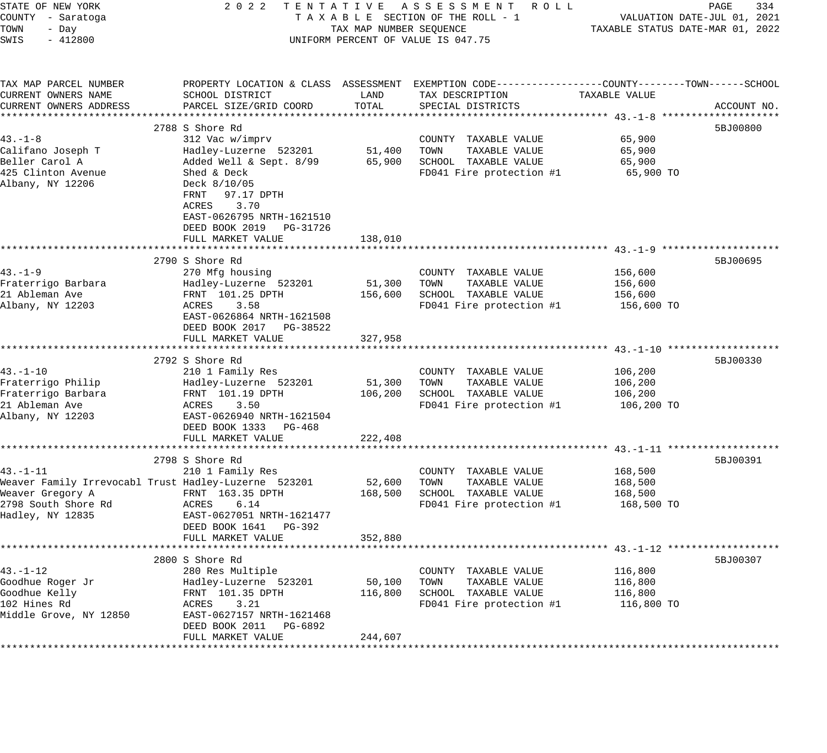| STATE OF NEW YORK<br>COUNTY - Saratoga<br>TOWN<br>- Day<br>SWIS<br>$-412800$ |                                                                                                                               | TAX MAP NUMBER SEQUENCE | 2022 TENTATIVE ASSESSMENT ROLL<br>TAXABLE SECTION OF THE ROLL - 1<br>UNIFORM PERCENT OF VALUE IS 047.75                                  | VALUATION DATE-JUL 01, 2021<br>TAXABLE STATUS DATE-MAR 01, 2022 | PAGE<br>334 |
|------------------------------------------------------------------------------|-------------------------------------------------------------------------------------------------------------------------------|-------------------------|------------------------------------------------------------------------------------------------------------------------------------------|-----------------------------------------------------------------|-------------|
| TAX MAP PARCEL NUMBER<br>CURRENT OWNERS NAME<br>CURRENT OWNERS ADDRESS       | SCHOOL DISTRICT<br>PARCEL SIZE/GRID COORD                                                                                     | LAND<br>TOTAL           | PROPERTY LOCATION & CLASS ASSESSMENT EXEMPTION CODE----------------COUNTY-------TOWN------SCHOOL<br>TAX DESCRIPTION<br>SPECIAL DISTRICTS | TAXABLE VALUE                                                   | ACCOUNT NO. |
|                                                                              |                                                                                                                               |                         |                                                                                                                                          |                                                                 | 5BJ00800    |
| $43. -1 - 8$<br>Califano Joseph T<br>Beller Carol A<br>425 Clinton Avenue    | 2788 S Shore Rd<br>312 Vac w/imprv<br>Hadley-Luzerne 523201 51,400<br>Added Well & Sept. 8/99<br>Shed & Deck                  | 65,900                  | COUNTY TAXABLE VALUE<br>TAXABLE VALUE<br>TOWN<br>SCHOOL TAXABLE VALUE<br>FD041 Fire protection #1                                        | 65,900<br>65,900<br>65,900<br>65,900 TO                         |             |
| Albany, NY 12206                                                             | Deck 8/10/05<br>FRNT 97.17 DPTH<br>ACRES<br>3.70<br>EAST-0626795 NRTH-1621510<br>DEED BOOK 2019 PG-31726<br>FULL MARKET VALUE | 138,010                 |                                                                                                                                          |                                                                 |             |
|                                                                              |                                                                                                                               |                         |                                                                                                                                          |                                                                 |             |
| $43. - 1 - 9$<br>Fraterrigo Barbara<br>21 Ableman Ave<br>Albany, NY 12203    | 2790 S Shore Rd<br>270 Mfg housing<br>Hadley-Luzerne 523201<br>FRNT 101.25 DPTH<br>3.58<br>ACRES<br>EAST-0626864 NRTH-1621508 | 51,300<br>156,600       | COUNTY TAXABLE VALUE<br>TAXABLE VALUE<br>TOWN<br>SCHOOL TAXABLE VALUE<br>FD041 Fire protection #1                                        | 156,600<br>156,600<br>156,600<br>156,600 TO                     | 5BJ00695    |
|                                                                              | DEED BOOK 2017 PG-38522<br>FULL MARKET VALUE                                                                                  | 327,958                 |                                                                                                                                          |                                                                 |             |
|                                                                              |                                                                                                                               |                         |                                                                                                                                          |                                                                 |             |
|                                                                              | 2792 S Shore Rd                                                                                                               |                         |                                                                                                                                          |                                                                 | 5BJ00330    |
| $43. - 1 - 10$<br>Fraterrigo Philip                                          | 210 1 Family Res                                                                                                              |                         | COUNTY TAXABLE VALUE<br>TOWN<br>TAXABLE VALUE                                                                                            | 106,200                                                         |             |
| Fraterrigo Barbara                                                           | Hadley-Luzerne 523201<br>FRNT 101.19 DPTH                                                                                     | 51,300<br>106,200       | SCHOOL TAXABLE VALUE                                                                                                                     | 106,200<br>106,200                                              |             |
| 21 Ableman Ave                                                               | ACRES<br>3.50                                                                                                                 |                         | FD041 Fire protection #1                                                                                                                 | 106,200 TO                                                      |             |
| Albany, NY 12203                                                             | EAST-0626940 NRTH-1621504<br>DEED BOOK 1333 PG-468                                                                            |                         |                                                                                                                                          |                                                                 |             |
|                                                                              | FULL MARKET VALUE                                                                                                             | 222,408                 |                                                                                                                                          |                                                                 |             |
|                                                                              | 2798 S Shore Rd                                                                                                               |                         |                                                                                                                                          |                                                                 | 5BJ00391    |
| $43. - 1 - 11$                                                               | 210 1 Family Res                                                                                                              |                         | COUNTY TAXABLE VALUE                                                                                                                     | 168,500                                                         |             |
|                                                                              | Weaver Family Irrevocabl Trust Hadley-Luzerne 523201                                                                          | 52,600                  | TAXABLE VALUE<br>TOWN                                                                                                                    | 168,500                                                         |             |
| Weaver Gregory A                                                             | FRNT 163.35 DPTH                                                                                                              | 168,500                 | SCHOOL TAXABLE VALUE                                                                                                                     | 168,500                                                         |             |
| 2798 South Shore Rd<br>Hadley, NY 12835                                      | 6.14<br>ACRES<br>EAST-0627051 NRTH-1621477<br>DEED BOOK 1641 PG-392                                                           |                         | FD041 Fire protection #1                                                                                                                 | 168,500 TO                                                      |             |
|                                                                              | FULL MARKET VALUE                                                                                                             | 352,880                 |                                                                                                                                          |                                                                 |             |
|                                                                              |                                                                                                                               |                         |                                                                                                                                          |                                                                 |             |
|                                                                              | 2800 S Shore Rd                                                                                                               |                         |                                                                                                                                          |                                                                 | 5BJ00307    |
| $43. - 1 - 12$                                                               | 280 Res Multiple                                                                                                              |                         | TAXABLE VALUE<br>COUNTY<br>TAXABLE VALUE                                                                                                 | 116,800                                                         |             |
| Goodhue Roger Jr<br>Goodhue Kelly                                            | Hadley-Luzerne 523201<br>FRNT 101.35 DPTH                                                                                     | 50,100<br>116,800       | TOWN<br>SCHOOL TAXABLE VALUE                                                                                                             | 116,800<br>116,800                                              |             |
| 102 Hines Rd                                                                 | ACRES<br>3.21                                                                                                                 |                         | FD041 Fire protection #1                                                                                                                 | 116,800 TO                                                      |             |
| Middle Grove, NY 12850                                                       | EAST-0627157 NRTH-1621468<br>DEED BOOK 2011<br>PG-6892                                                                        |                         |                                                                                                                                          |                                                                 |             |
|                                                                              | FULL MARKET VALUE                                                                                                             | 244,607                 |                                                                                                                                          |                                                                 |             |
|                                                                              |                                                                                                                               |                         |                                                                                                                                          |                                                                 |             |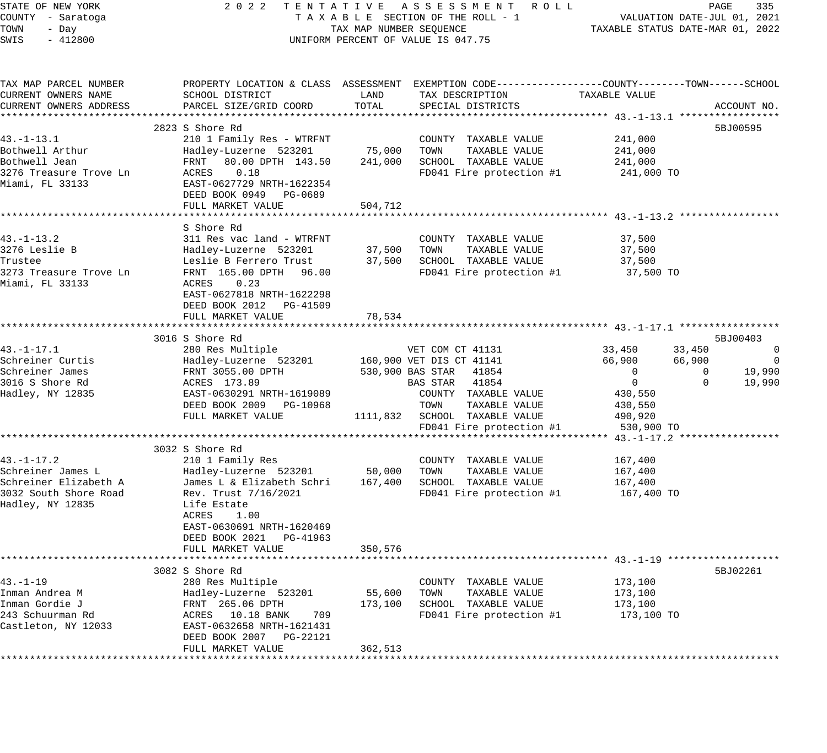| STATE OF NEW YORK      |                                                                                                  |                         | 2022 TENTATIVE ASSESSMENT ROLL      |                                                                 | PAGE               | 335            |
|------------------------|--------------------------------------------------------------------------------------------------|-------------------------|-------------------------------------|-----------------------------------------------------------------|--------------------|----------------|
| COUNTY - Saratoga      |                                                                                                  |                         | TAXABLE SECTION OF THE ROLL - 1     | VALUATION DATE-JUL 01, 2021<br>TAXABLE STATUS DATE-MAR 01, 2022 |                    |                |
| TOWN<br>- Day          |                                                                                                  | TAX MAP NUMBER SEQUENCE |                                     |                                                                 |                    |                |
| $-412800$<br>SWIS      |                                                                                                  |                         | UNIFORM PERCENT OF VALUE IS 047.75  |                                                                 |                    |                |
|                        |                                                                                                  |                         |                                     |                                                                 |                    |                |
| TAX MAP PARCEL NUMBER  | PROPERTY LOCATION & CLASS ASSESSMENT EXEMPTION CODE----------------COUNTY-------TOWN------SCHOOL |                         |                                     |                                                                 |                    |                |
| CURRENT OWNERS NAME    | SCHOOL DISTRICT                                                                                  | LAND                    | TAX DESCRIPTION                     | TAXABLE VALUE                                                   |                    |                |
| CURRENT OWNERS ADDRESS | PARCEL SIZE/GRID COORD                                                                           | TOTAL                   | SPECIAL DISTRICTS                   |                                                                 | ACCOUNT NO.        |                |
|                        | 2823 S Shore Rd                                                                                  |                         |                                     |                                                                 | 5BJ00595           |                |
| 43. –1–13.1            | 210 1 Family Res - WTRFNT                                                                        |                         | COUNTY TAXABLE VALUE                | 241,000                                                         |                    |                |
| Bothwell Arthur        | Hadley-Luzerne 523201                                                                            | 75,000 TOWN             | TAXABLE VALUE                       | 241,000                                                         |                    |                |
| Bothwell Jean          | FRNT 80.00 DPTH 143.50                                                                           |                         | 241,000 SCHOOL TAXABLE VALUE        | 241,000                                                         |                    |                |
| 3276 Treasure Trove Ln | ACRES 0.18                                                                                       |                         | FD041 Fire protection #1 241,000 TO |                                                                 |                    |                |
| Miami, FL 33133        | EAST-0627729 NRTH-1622354                                                                        |                         |                                     |                                                                 |                    |                |
|                        | DEED BOOK 0949 PG-0689                                                                           |                         |                                     |                                                                 |                    |                |
|                        | FULL MARKET VALUE                                                                                | 504,712                 |                                     |                                                                 |                    |                |
|                        |                                                                                                  |                         |                                     |                                                                 |                    |                |
|                        | S Shore Rd                                                                                       |                         |                                     |                                                                 |                    |                |
| $43. - 1 - 13.2$       | 311 Res vac land - WTRFNT                                                                        |                         | COUNTY TAXABLE VALUE                | 37,500                                                          |                    |                |
| 3276 Leslie B          | Hadley-Luzerne 523201                                                                            |                         | 37,500 TOWN<br>TAXABLE VALUE        | 37,500                                                          |                    |                |
| Trustee                | Leslie B Ferrero Trust                                                                           |                         | 37,500 SCHOOL TAXABLE VALUE         | 37,500                                                          |                    |                |
| 3273 Treasure Trove Ln | FRNT 165.00 DPTH 96.00                                                                           |                         | FD041 Fire protection #1            | 37,500 TO                                                       |                    |                |
| Miami, FL 33133        | ACRES 0.23                                                                                       |                         |                                     |                                                                 |                    |                |
|                        | EAST-0627818 NRTH-1622298                                                                        |                         |                                     |                                                                 |                    |                |
|                        | DEED BOOK 2012 PG-41509<br>FULL MARKET VALUE                                                     |                         |                                     |                                                                 |                    |                |
|                        |                                                                                                  | 78,534                  |                                     |                                                                 |                    |                |
|                        | 3016 S Shore Rd                                                                                  |                         |                                     |                                                                 | 5BJ00403           |                |
| $43. - 1 - 17.1$       | 280 Res Multiple                                                                                 |                         | VET COM CT 41131                    | 33,450                                                          | 33,450             | $\overline{0}$ |
| Schreiner Curtis       | Hadley-Luzerne 523201 160,900 VET DIS CT 41141                                                   |                         |                                     | 66,900                                                          | 66,900             | $\overline{0}$ |
| Schreiner James        | FRNT 3055.00 DPTH                                                                                |                         | 530,900 BAS STAR 41854              | $\overline{0}$                                                  | 19,990<br>0        |                |
| 3016 S Shore Rd        | ACRES 173.89                                                                                     |                         | BAS STAR 41854                      | $\overline{0}$                                                  | $\Omega$<br>19,990 |                |
| Hadley, NY 12835       | EAST-0630291 NRTH-1619089                                                                        |                         | COUNTY TAXABLE VALUE                | 430,550                                                         |                    |                |
|                        | DEED BOOK 2009 PG-10968                                                                          |                         | TOWN<br>TAXABLE VALUE               | 430,550                                                         |                    |                |
|                        | FULL MARKET VALUE                                                                                |                         | 1111,832 SCHOOL TAXABLE VALUE       | 490,920                                                         |                    |                |
|                        |                                                                                                  |                         | FD041 Fire protection #1            | 530,900 TO                                                      |                    |                |
|                        |                                                                                                  |                         |                                     |                                                                 |                    |                |
|                        | 3032 S Shore Rd                                                                                  |                         |                                     |                                                                 |                    |                |
| 43.-1-17.2             | 210 1 Family Res                                                                                 |                         | COUNTY TAXABLE VALUE                | 167,400                                                         |                    |                |
| Schreiner James L      | Hadley-Luzerne 523201 50,000 TOWN                                                                |                         | TAXABLE VALUE                       | 167,400                                                         |                    |                |
| Schreiner Elizabeth A  | James L & Elizabeth Schri                                                                        | 167,400                 | SCHOOL TAXABLE VALUE                | 167,400                                                         |                    |                |
| 3032 South Shore Road  | Rev. Trust 7/16/2021                                                                             |                         | FD041 Fire protection #1            | 167,400 TO                                                      |                    |                |
| Hadley, NY 12835       | Life Estate                                                                                      |                         |                                     |                                                                 |                    |                |
|                        | ACRES<br>1.00<br>EAST-0630691 NRTH-1620469                                                       |                         |                                     |                                                                 |                    |                |
|                        | DEED BOOK 2021 PG-41963                                                                          |                         |                                     |                                                                 |                    |                |
|                        | FULL MARKET VALUE                                                                                | 350,576                 |                                     |                                                                 |                    |                |
|                        |                                                                                                  |                         |                                     |                                                                 |                    |                |
|                        | 3082 S Shore Rd                                                                                  |                         |                                     |                                                                 | 5BJ02261           |                |
| $43. - 1 - 19$         | 280 Res Multiple                                                                                 |                         | COUNTY TAXABLE VALUE                | 173,100                                                         |                    |                |
| Inman Andrea M         | Hadley-Luzerne 523201                                                                            | 55,600                  | TAXABLE VALUE<br>TOWN               | 173,100                                                         |                    |                |
| Inman Gordie J         | FRNT 265.06 DPTH                                                                                 | 173,100                 | SCHOOL TAXABLE VALUE                | 173,100                                                         |                    |                |
| 243 Schuurman Rd       | ACRES 10.18 BANK<br>709                                                                          |                         | FD041 Fire protection #1            | 173,100 TO                                                      |                    |                |
| Castleton, NY 12033    | EAST-0632658 NRTH-1621431                                                                        |                         |                                     |                                                                 |                    |                |
|                        | DEED BOOK 2007 PG-22121                                                                          |                         |                                     |                                                                 |                    |                |
|                        | FULL MARKET VALUE                                                                                | 362,513                 |                                     |                                                                 |                    |                |
|                        |                                                                                                  |                         |                                     |                                                                 |                    |                |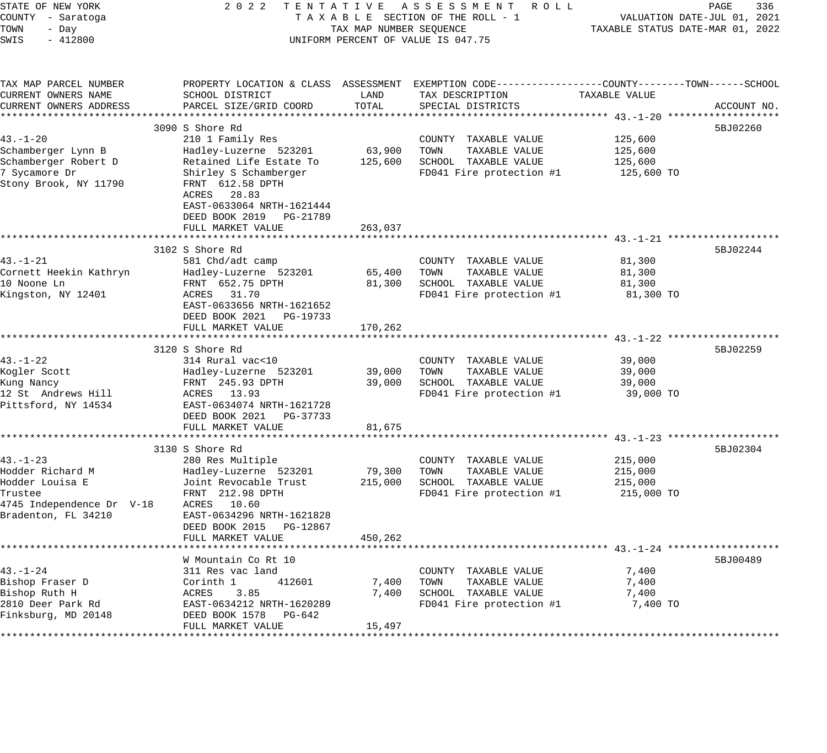| STATE OF NEW YORK<br>COUNTY - Saratoga<br>TOWN<br>- Day<br>SWIS<br>$-412800$ | 2 0 2 2<br>TENTATIVE ASSESSMENT<br>TAXABLE SECTION OF THE ROLL - 1<br>TAX MAP NUMBER SEQUENCE<br>UNIFORM PERCENT OF VALUE IS 047.75 | R O L L | PAGE<br>336<br>VALUATION DATE-JUL 01, 2021<br>TAXABLE STATUS DATE-MAR 01, 2022                 |               |                                                         |
|------------------------------------------------------------------------------|-------------------------------------------------------------------------------------------------------------------------------------|---------|------------------------------------------------------------------------------------------------|---------------|---------------------------------------------------------|
| TAX MAP PARCEL NUMBER                                                        |                                                                                                                                     |         | PROPERTY LOCATION & CLASS ASSESSMENT EXEMPTION CODE---------------COUNTY-------TOWN-----SCHOOL |               |                                                         |
| CURRENT OWNERS NAME                                                          | SCHOOL DISTRICT                                                                                                                     | LAND    | TAX DESCRIPTION                                                                                | TAXABLE VALUE |                                                         |
| CURRENT OWNERS ADDRESS                                                       | PARCEL SIZE/GRID COORD                                                                                                              | TOTAL   | SPECIAL DISTRICTS                                                                              |               | ACCOUNT NO.                                             |
|                                                                              | 3090 S Shore Rd                                                                                                                     |         |                                                                                                |               | 5BJ02260                                                |
| $43. - 1 - 20$                                                               | 210 1 Family Res                                                                                                                    |         | COUNTY TAXABLE VALUE                                                                           | 125,600       |                                                         |
| Schamberger Lynn B                                                           | Hadley-Luzerne 523201                                                                                                               | 63,900  | TOWN<br>TAXABLE VALUE                                                                          | 125,600       |                                                         |
| Schamberger Robert D                                                         | Retained Life Estate To                                                                                                             | 125,600 | SCHOOL TAXABLE VALUE                                                                           | 125,600       |                                                         |
| 7 Sycamore Dr<br>Stony Brook, NY 11790                                       | Shirley S Schamberger<br>FRNT 612.58 DPTH<br>ACRES<br>28.83<br>EAST-0633064 NRTH-1621444<br>DEED BOOK 2019 PG-21789                 |         | FD041 Fire protection #1                                                                       | 125,600 TO    |                                                         |
|                                                                              | FULL MARKET VALUE                                                                                                                   | 263,037 |                                                                                                |               |                                                         |
|                                                                              | *****************************                                                                                                       |         |                                                                                                |               |                                                         |
| $43. - 1 - 21$                                                               | 3102 S Shore Rd<br>581 Chd/adt camp                                                                                                 |         | COUNTY TAXABLE VALUE                                                                           | 81,300        | 5BJ02244                                                |
| Cornett Heekin Kathryn                                                       | Hadley-Luzerne 523201                                                                                                               | 65,400  | TOWN<br>TAXABLE VALUE                                                                          | 81,300        |                                                         |
| 10 Noone Ln                                                                  | FRNT 652.75 DPTH                                                                                                                    | 81,300  | SCHOOL TAXABLE VALUE                                                                           | 81,300        |                                                         |
| Kingston, NY 12401                                                           | 31.70<br>ACRES<br>EAST-0633656 NRTH-1621652<br>DEED BOOK 2021<br>PG-19733<br>FULL MARKET VALUE                                      | 170,262 | FD041 Fire protection #1                                                                       | 81,300 TO     |                                                         |
|                                                                              |                                                                                                                                     |         |                                                                                                |               |                                                         |
|                                                                              | 3120 S Shore Rd                                                                                                                     |         |                                                                                                |               | 5BJ02259                                                |
| $43. - 1 - 22$                                                               | 314 Rural vac<10                                                                                                                    |         | COUNTY TAXABLE VALUE                                                                           | 39,000        |                                                         |
| Kogler Scott                                                                 | Hadley-Luzerne 523201                                                                                                               | 39,000  | TOWN<br>TAXABLE VALUE                                                                          | 39,000        |                                                         |
| Kung Nancy                                                                   | FRNT 245.93 DPTH                                                                                                                    | 39,000  | SCHOOL TAXABLE VALUE                                                                           | 39,000        |                                                         |
| 12 St Andrews Hill<br>Pittsford, NY 14534                                    | ACRES 13.93<br>EAST-0634074 NRTH-1621728<br>DEED BOOK 2021 PG-37733<br>FULL MARKET VALUE                                            | 81,675  | FD041 Fire protection #1                                                                       | 39,000 TO     |                                                         |
|                                                                              | ***********************                                                                                                             |         |                                                                                                |               | ************************** 43.-1-23 ******************* |
|                                                                              | 3130 S Shore Rd                                                                                                                     |         |                                                                                                |               | 5BJ02304                                                |
| $43. - 1 - 23$                                                               | 280 Res Multiple                                                                                                                    |         | COUNTY TAXABLE VALUE                                                                           | 215,000       |                                                         |
| Hodder Richard M                                                             | Hadley-Luzerne 523201                                                                                                               | 79,300  | TOWN<br>TAXABLE VALUE                                                                          | 215,000       |                                                         |
| Hodder Louisa E                                                              | Joint Revocable Trust                                                                                                               | 215,000 | SCHOOL TAXABLE VALUE                                                                           | 215,000       |                                                         |
| Trustee                                                                      | FRNT 212.98 DPTH                                                                                                                    |         | FD041 Fire protection #1                                                                       | 215,000 TO    |                                                         |
| 4745 Independence Dr V-18                                                    | ACRES 10.60                                                                                                                         |         |                                                                                                |               |                                                         |
| Bradenton, FL 34210                                                          | EAST-0634296 NRTH-1621828<br>DEED BOOK 2015<br>PG-12867<br>FULL MARKET VALUE                                                        | 450,262 |                                                                                                |               |                                                         |
|                                                                              |                                                                                                                                     |         |                                                                                                |               |                                                         |
|                                                                              | W Mountain Co Rt 10                                                                                                                 |         |                                                                                                |               | 5BJ00489                                                |
| $43. - 1 - 24$                                                               | 311 Res vac land                                                                                                                    |         | COUNTY TAXABLE VALUE                                                                           | 7,400         |                                                         |
| Bishop Fraser D                                                              | 412601<br>Corinth 1                                                                                                                 | 7,400   | TOWN<br>TAXABLE VALUE                                                                          | 7,400         |                                                         |
| Bishop Ruth H                                                                | 3.85<br>ACRES                                                                                                                       | 7,400   | SCHOOL TAXABLE VALUE                                                                           | 7,400         |                                                         |
| 2810 Deer Park Rd<br>Finksburg, MD 20148                                     | EAST-0634212 NRTH-1620289<br>DEED BOOK 1578<br>PG-642                                                                               |         | FD041 Fire protection #1                                                                       | 7,400 TO      |                                                         |
| **********                                                                   | FULL MARKET VALUE                                                                                                                   | 15,497  |                                                                                                |               |                                                         |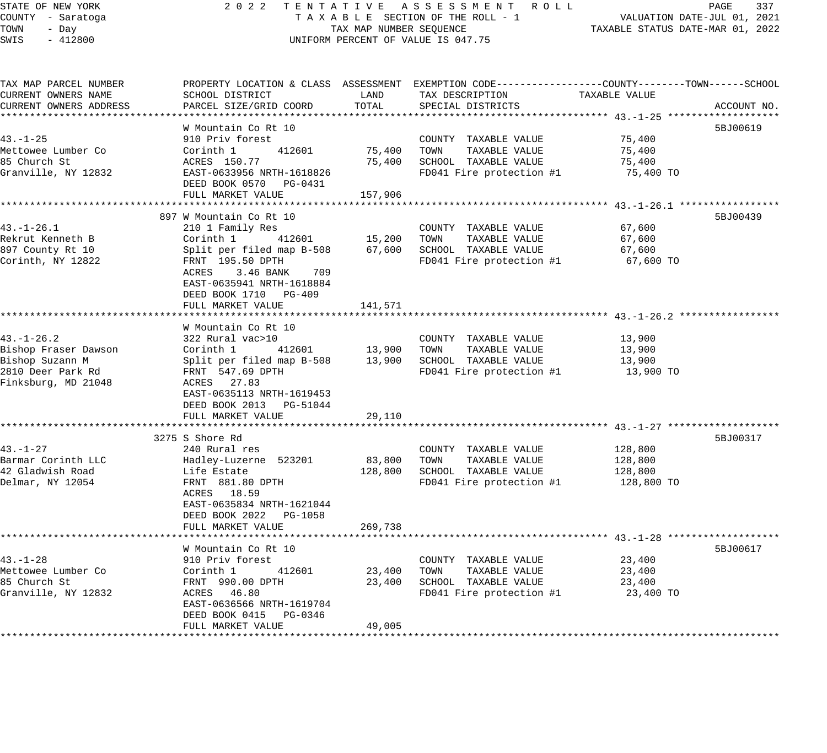| STATE OF NEW YORK |  |           |  |  |  |
|-------------------|--|-----------|--|--|--|
| COUNTY - Saratoga |  |           |  |  |  |
| TOWN              |  | - Day     |  |  |  |
| SWTS              |  | $-412800$ |  |  |  |

# STATE OF NEW YORK 2 0 2 2 T E N T A T I V E A S S E S S M E N T R O L L PAGE 337 COUNTY - Saratoga T A X A B L E SECTION OF THE ROLL - 1 VALUATION DATE-JUL 01, 2021 TOWN - Day TAX MAP NUMBER SEQUENCE TAXABLE STATUS DATE-MAR 01, 2022 SWIS - 412800 CONTROL CONTROL CONTROL UNIFORM PERCENT OF VALUE IS 047.75

| TAX MAP PARCEL NUMBER  |                                           |                       | PROPERTY LOCATION & CLASS ASSESSMENT EXEMPTION CODE---------------COUNTY-------TOWN------SCHOOL |               |             |
|------------------------|-------------------------------------------|-----------------------|-------------------------------------------------------------------------------------------------|---------------|-------------|
| CURRENT OWNERS NAME    | SCHOOL DISTRICT                           | LAND                  | TAX DESCRIPTION                                                                                 | TAXABLE VALUE |             |
| CURRENT OWNERS ADDRESS | PARCEL SIZE/GRID COORD                    | TOTAL                 | SPECIAL DISTRICTS                                                                               |               | ACCOUNT NO. |
|                        |                                           |                       |                                                                                                 |               |             |
|                        | W Mountain Co Rt 10                       |                       |                                                                                                 |               | 5BJ00619    |
| $43. - 1 - 25$         | 910 Priv forest                           |                       | COUNTY TAXABLE VALUE                                                                            | 75,400        |             |
| Mettowee Lumber Co     | Corinth 1<br>412601                       | 75,400                | TOWN TAXABLE VALUE                                                                              | 75,400        |             |
| 85 Church St           | ACRES 150.77<br>EAST-0633956 NRTH-1618826 | 75,400                | SCHOOL TAXABLE VALUE                                                                            | 75,400        |             |
| Granville, NY 12832    |                                           |                       | FD041 Fire protection #1                                                                        | 75,400 TO     |             |
|                        | DEED BOOK 0570 PG-0431                    |                       |                                                                                                 |               |             |
|                        | FULL MARKET VALUE                         | 157,906               |                                                                                                 |               |             |
|                        |                                           |                       |                                                                                                 |               |             |
|                        | 897 W Mountain Co Rt 10                   |                       |                                                                                                 |               | 5BJ00439    |
| 43.–1–26.1             | 210 1 Family Res                          |                       | COUNTY TAXABLE VALUE                                                                            | 67,600        |             |
| Rekrut Kenneth B       | Corinth 1<br>412601                       | 15,200 TOWN           | TAXABLE VALUE                                                                                   | 67,600        |             |
| 897 County Rt 10       | Split per filed map B-508                 | 67,600                | SCHOOL TAXABLE VALUE                                                                            | 67,600        |             |
| Corinth, NY 12822      | FRNT 195.50 DPTH                          |                       | FD041 Fire protection #1                                                                        | 67,600 TO     |             |
|                        | ACRES<br>3.46 BANK 709                    |                       |                                                                                                 |               |             |
|                        | EAST-0635941 NRTH-1618884                 |                       |                                                                                                 |               |             |
|                        | DEED BOOK 1710 PG-409                     |                       |                                                                                                 |               |             |
|                        | FULL MARKET VALUE                         | 141,571               |                                                                                                 |               |             |
|                        |                                           |                       |                                                                                                 |               |             |
|                        | W Mountain Co Rt 10                       |                       |                                                                                                 |               |             |
| $43. - 1 - 26.2$       | 322 Rural vac>10                          |                       | COUNTY TAXABLE VALUE                                                                            | 13,900        |             |
| Bishop Fraser Dawson   | Corinth 1                                 | 412601 13,900         | TOWN TAXABLE VALUE                                                                              | 13,900        |             |
| Bishop Suzann M        | Split per filed map B-508                 | 13,900                | SCHOOL TAXABLE VALUE                                                                            | 13,900        |             |
| 2810 Deer Park Rd      | FRNT 547.69 DPTH                          |                       | FD041 Fire protection #1                                                                        | 13,900 TO     |             |
| Finksburg, MD 21048    | ACRES 27.83                               |                       |                                                                                                 |               |             |
|                        | EAST-0635113 NRTH-1619453                 |                       |                                                                                                 |               |             |
|                        | DEED BOOK 2013 PG-51044                   |                       |                                                                                                 |               |             |
|                        | FULL MARKET VALUE                         | 29,110                |                                                                                                 |               |             |
|                        |                                           |                       |                                                                                                 |               |             |
|                        | 3275 S Shore Rd                           |                       |                                                                                                 |               | 5BJ00317    |
| 43.-1-27               | 240 Rural res                             |                       | COUNTY TAXABLE VALUE                                                                            | 128,800       |             |
| Barmar Corinth LLC     | Hadley-Luzerne 523201                     | 83,800                | TAXABLE VALUE<br>TOWN                                                                           | 128,800       |             |
| 42 Gladwish Road       | Life Estate                               | 128,800               | SCHOOL TAXABLE VALUE                                                                            | 128,800       |             |
| Delmar, NY 12054       | FRNT 881.80 DPTH                          |                       | FD041 Fire protection #1                                                                        | 128,800 TO    |             |
|                        | ACRES 18.59                               |                       |                                                                                                 |               |             |
|                        | EAST-0635834 NRTH-1621044                 |                       |                                                                                                 |               |             |
|                        | DEED BOOK 2022 PG-1058                    |                       |                                                                                                 |               |             |
|                        | FULL MARKET VALUE                         | 269,738               |                                                                                                 |               |             |
|                        | **************************                | * * * * * * * * * * * |                                                                                                 |               |             |
|                        | W Mountain Co Rt 10                       |                       |                                                                                                 |               | 5BJ00617    |
| $43. - 1 - 28$         |                                           |                       | COUNTY TAXABLE VALUE                                                                            | 23,400        |             |
| Mettowee Lumber Co     | 910 Priv forest<br>Corinth 1<br>412601    | 23,400                | TOWN<br>TAXABLE VALUE                                                                           | 23,400        |             |
| 85 Church St           | FRNT 990.00 DPTH                          | 23,400                | SCHOOL TAXABLE VALUE                                                                            | 23,400        |             |
| Granville, NY 12832    | ACRES 46.80                               |                       | FD041 Fire protection #1                                                                        | 23,400 TO     |             |
|                        | EAST-0636566 NRTH-1619704                 |                       |                                                                                                 |               |             |
|                        | DEED BOOK 0415 PG-0346                    |                       |                                                                                                 |               |             |
|                        | FULL MARKET VALUE                         | 49,005                |                                                                                                 |               |             |
|                        |                                           |                       |                                                                                                 |               |             |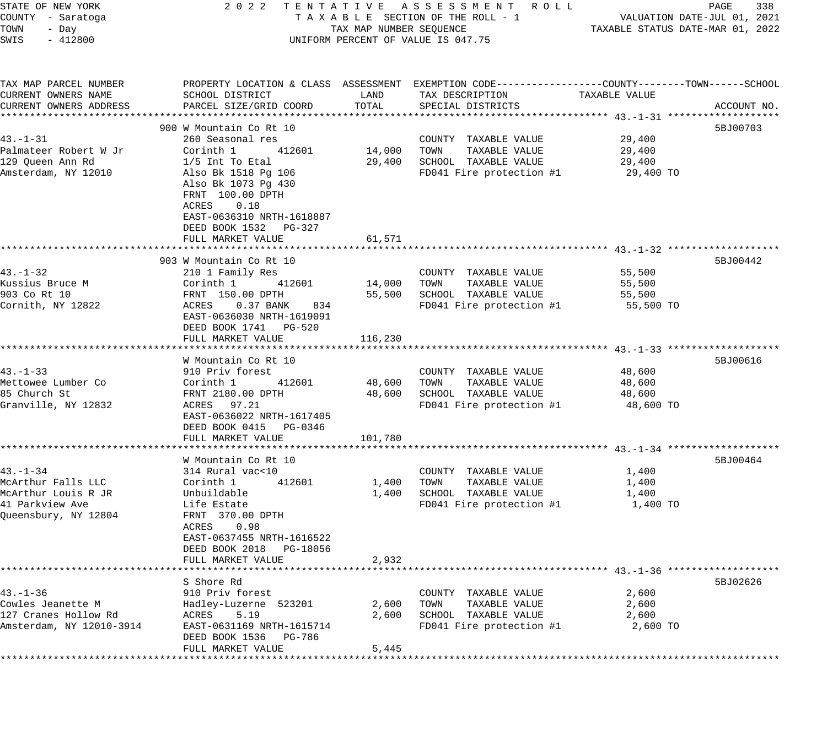| STATE OF NEW YORK                  | 2022                                       |                         | TENTATIVE ASSESSMENT ROLL                                                                        |                     | PAGE<br>338                      |
|------------------------------------|--------------------------------------------|-------------------------|--------------------------------------------------------------------------------------------------|---------------------|----------------------------------|
| COUNTY - Saratoga                  |                                            |                         | TAXABLE SECTION OF THE ROLL - 1                                                                  |                     | VALUATION DATE-JUL 01, 2021      |
| TOWN<br>- Day                      |                                            | TAX MAP NUMBER SEQUENCE |                                                                                                  |                     | TAXABLE STATUS DATE-MAR 01, 2022 |
| SWIS<br>$-412800$                  |                                            |                         | UNIFORM PERCENT OF VALUE IS 047.75                                                               |                     |                                  |
| TAX MAP PARCEL NUMBER              |                                            |                         | PROPERTY LOCATION & CLASS ASSESSMENT EXEMPTION CODE----------------COUNTY-------TOWN------SCHOOL |                     |                                  |
| CURRENT OWNERS NAME                | SCHOOL DISTRICT                            | LAND                    | TAX DESCRIPTION                                                                                  | TAXABLE VALUE       |                                  |
| CURRENT OWNERS ADDRESS             | PARCEL SIZE/GRID COORD                     | TOTAL                   | SPECIAL DISTRICTS                                                                                |                     | ACCOUNT NO.                      |
|                                    |                                            |                         |                                                                                                  |                     |                                  |
|                                    | 900 W Mountain Co Rt 10                    |                         |                                                                                                  |                     | 5BJ00703                         |
| $43. - 1 - 31$                     | 260 Seasonal res                           |                         | COUNTY TAXABLE VALUE                                                                             | 29,400              |                                  |
| Palmateer Robert W Jr              | Corinth 1<br>412601                        |                         | 14,000 TOWN<br>TAXABLE VALUE                                                                     | 29,400              |                                  |
| 129 Queen Ann Rd                   | $1/5$ Int To Etal                          | 29,400                  | SCHOOL TAXABLE VALUE                                                                             | 29,400              |                                  |
| Amsterdam, NY 12010                | Also Bk 1518 Pg 106<br>Also Bk 1073 Pg 430 |                         | FD041 Fire protection #1                                                                         | 29,400 TO           |                                  |
|                                    | FRNT 100.00 DPTH                           |                         |                                                                                                  |                     |                                  |
|                                    | ACRES<br>0.18                              |                         |                                                                                                  |                     |                                  |
|                                    | EAST-0636310 NRTH-1618887                  |                         |                                                                                                  |                     |                                  |
|                                    | DEED BOOK 1532 PG-327                      |                         |                                                                                                  |                     |                                  |
|                                    | FULL MARKET VALUE                          | 61,571                  |                                                                                                  |                     |                                  |
|                                    | 903 W Mountain Co Rt 10                    |                         |                                                                                                  |                     | 5BJ00442                         |
| $43. - 1 - 32$                     | 210 1 Family Res                           |                         | COUNTY TAXABLE VALUE                                                                             | 55,500              |                                  |
| Kussius Bruce M                    | 412601<br>Corinth 1                        | 14,000                  | TAXABLE VALUE<br>TOWN                                                                            | 55,500              |                                  |
| 903 Co Rt 10                       | FRNT 150.00 DPTH                           | 55,500                  | SCHOOL TAXABLE VALUE                                                                             | 55,500              |                                  |
| Cornith, NY 12822                  | ACRES 0.37 BANK<br>834                     |                         | FD041 Fire protection #1                                                                         | 55,500 TO           |                                  |
|                                    | EAST-0636030 NRTH-1619091                  |                         |                                                                                                  |                     |                                  |
|                                    | DEED BOOK 1741 PG-520                      |                         |                                                                                                  |                     |                                  |
|                                    | FULL MARKET VALUE                          | 116,230                 |                                                                                                  |                     |                                  |
|                                    |                                            |                         |                                                                                                  |                     |                                  |
|                                    | W Mountain Co Rt 10                        |                         |                                                                                                  |                     | 5BJ00616                         |
| $43. - 1 - 33$                     | 910 Priv forest                            |                         | COUNTY TAXABLE VALUE                                                                             | 48,600              |                                  |
| Mettowee Lumber Co<br>85 Church St | 412601<br>Corinth 1<br>FRNT 2180.00 DPTH   | 48,600 TOWN             | TAXABLE VALUE<br>SCHOOL TAXABLE VALUE                                                            | 48,600              |                                  |
| Granville, NY 12832                | ACRES 97.21                                | 48,600                  | FD041 Fire protection #1                                                                         | 48,600<br>48,600 TO |                                  |
|                                    | EAST-0636022 NRTH-1617405                  |                         |                                                                                                  |                     |                                  |
|                                    | DEED BOOK 0415 PG-0346                     |                         |                                                                                                  |                     |                                  |
|                                    | FULL MARKET VALUE                          | 101,780                 |                                                                                                  |                     |                                  |
|                                    |                                            |                         |                                                                                                  |                     |                                  |
|                                    | W Mountain Co Rt 10                        |                         |                                                                                                  |                     | 5BJ00464                         |
| $43. - 1 - 34$                     | 314 Rural vac<10                           |                         | COUNTY TAXABLE VALUE                                                                             | 1,400               |                                  |
| McArthur Falls LLC                 | Corinth 1<br>412601                        | 1,400                   | TAXABLE VALUE<br>TOWN                                                                            | 1,400               |                                  |
| McArthur Louis R JR                | Unbuildable                                | 1,400                   | SCHOOL TAXABLE VALUE                                                                             | 1,400               |                                  |
| 41 Parkview Ave                    | Life Estate                                |                         | FD041 Fire protection #1                                                                         | 1,400 TO            |                                  |
| Queensbury, NY 12804               | FRNT 370.00 DPTH                           |                         |                                                                                                  |                     |                                  |
|                                    | ACRES<br>0.98<br>EAST-0637455 NRTH-1616522 |                         |                                                                                                  |                     |                                  |
|                                    | DEED BOOK 2018 PG-18056                    |                         |                                                                                                  |                     |                                  |
|                                    | FULL MARKET VALUE                          | 2,932                   |                                                                                                  |                     |                                  |
|                                    | *********************                      |                         |                                                                                                  |                     |                                  |
|                                    | S Shore Rd                                 |                         |                                                                                                  |                     | 5BJ02626                         |
| $43. - 1 - 36$                     | 910 Priv forest                            |                         | COUNTY TAXABLE VALUE                                                                             | 2,600               |                                  |
| Cowles Jeanette M                  | Hadley-Luzerne 523201                      | 2,600                   | TAXABLE VALUE<br>TOWN                                                                            | 2,600               |                                  |
| 127 Cranes Hollow Rd               | ACRES<br>5.19                              | 2,600                   | SCHOOL TAXABLE VALUE                                                                             | 2,600               |                                  |
| Amsterdam, NY 12010-3914           | EAST-0631169 NRTH-1615714                  |                         | FD041 Fire protection #1                                                                         | 2,600 TO            |                                  |
|                                    | DEED BOOK 1536<br>PG-786                   |                         |                                                                                                  |                     |                                  |
|                                    | FULL MARKET VALUE                          | 5,445                   |                                                                                                  |                     |                                  |
|                                    | ******************                         |                         |                                                                                                  |                     |                                  |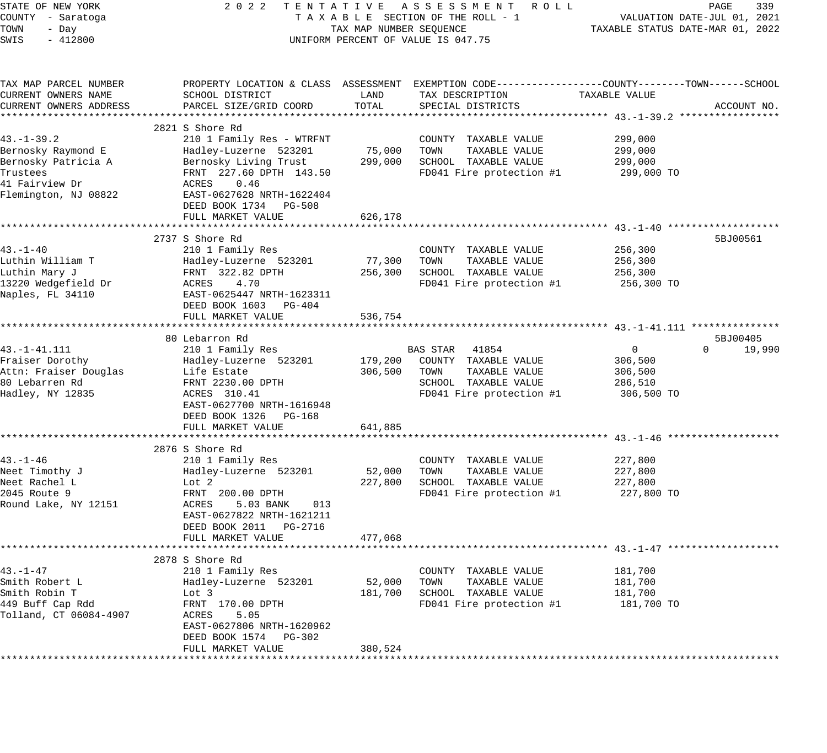| STATE OF NEW YORK      | 2 0 2 2                                                  |                         | TENTATIVE ASSESSMENT ROLL                                                                       |                | PAGE<br>339                      |
|------------------------|----------------------------------------------------------|-------------------------|-------------------------------------------------------------------------------------------------|----------------|----------------------------------|
| COUNTY - Saratoga      |                                                          |                         | TAXABLE SECTION OF THE ROLL - 1                                                                 |                | VALUATION DATE-JUL 01, 2021      |
| TOWN<br>- Day          |                                                          | TAX MAP NUMBER SEQUENCE |                                                                                                 |                | TAXABLE STATUS DATE-MAR 01, 2022 |
| SWIS<br>$-412800$      |                                                          |                         | UNIFORM PERCENT OF VALUE IS 047.75                                                              |                |                                  |
|                        |                                                          |                         |                                                                                                 |                |                                  |
| TAX MAP PARCEL NUMBER  |                                                          |                         | PROPERTY LOCATION & CLASS ASSESSMENT EXEMPTION CODE---------------COUNTY-------TOWN------SCHOOL |                |                                  |
| CURRENT OWNERS NAME    | SCHOOL DISTRICT                                          | LAND                    | TAX DESCRIPTION                                                                                 | TAXABLE VALUE  |                                  |
| CURRENT OWNERS ADDRESS | PARCEL SIZE/GRID COORD                                   | TOTAL                   | SPECIAL DISTRICTS                                                                               |                | ACCOUNT NO.                      |
|                        |                                                          |                         |                                                                                                 |                |                                  |
|                        | 2821 S Shore Rd                                          |                         |                                                                                                 |                |                                  |
| $43. - 1 - 39.2$       | 210 1 Family Res - WTRFNT                                |                         | COUNTY TAXABLE VALUE                                                                            | 299,000        |                                  |
| Bernosky Raymond E     | Hadley-Luzerne 523201                                    | 75,000                  | TAXABLE VALUE<br>TOWN                                                                           | 299,000        |                                  |
| Bernosky Patricia A    | Bernosky Living Trust                                    | 299,000                 | SCHOOL TAXABLE VALUE                                                                            | 299,000        |                                  |
| Trustees               | FRNT 227.60 DPTH 143.50                                  |                         | FD041 Fire protection #1                                                                        | 299,000 TO     |                                  |
| 41 Fairview Dr         | 0.46<br>ACRES                                            |                         |                                                                                                 |                |                                  |
| Flemington, NJ 08822   | EAST-0627628 NRTH-1622404                                |                         |                                                                                                 |                |                                  |
|                        | DEED BOOK 1734 PG-508                                    |                         |                                                                                                 |                |                                  |
|                        | FULL MARKET VALUE                                        | 626,178                 |                                                                                                 |                |                                  |
|                        |                                                          |                         |                                                                                                 |                |                                  |
| $43. -1 - 40$          | 2737 S Shore Rd                                          |                         |                                                                                                 |                | 5BJ00561                         |
|                        | 210 1 Family Res                                         |                         | COUNTY TAXABLE VALUE                                                                            | 256,300        |                                  |
| Luthin William T       | Hadley-Luzerne 523201                                    | 77,300                  | TAXABLE VALUE<br>TOWN                                                                           | 256,300        |                                  |
| Luthin Mary J          | FRNT 322.82 DPTH                                         | 256,300                 | SCHOOL TAXABLE VALUE                                                                            | 256,300        |                                  |
| 13220 Wedgefield Dr    | 4.70<br>ACRES                                            |                         | FD041 Fire protection #1                                                                        | 256,300 TO     |                                  |
| Naples, FL 34110       | EAST-0625447 NRTH-1623311                                |                         |                                                                                                 |                |                                  |
|                        | DEED BOOK 1603<br>PG-404<br>FULL MARKET VALUE            | 536,754                 |                                                                                                 |                |                                  |
|                        |                                                          |                         |                                                                                                 |                |                                  |
|                        | 80 Lebarron Rd                                           |                         |                                                                                                 |                | 5BJ00405                         |
| $43. -1 - 41.111$      | 210 1 Family Res                                         |                         | BAS STAR 41854                                                                                  | $\overline{0}$ | $\Omega$<br>19,990               |
| Fraiser Dorothy        | Hadley-Luzerne 523201                                    | 179,200                 | COUNTY TAXABLE VALUE                                                                            | 306,500        |                                  |
| Attn: Fraiser Douglas  | Life Estate                                              | 306,500                 | TAXABLE VALUE<br>TOWN                                                                           | 306,500        |                                  |
| 80 Lebarren Rd         | FRNT 2230.00 DPTH                                        |                         | SCHOOL TAXABLE VALUE                                                                            | 286,510        |                                  |
| Hadley, NY 12835       | ACRES 310.41                                             |                         | FD041 Fire protection #1                                                                        | 306,500 TO     |                                  |
|                        | EAST-0627700 NRTH-1616948                                |                         |                                                                                                 |                |                                  |
|                        | DEED BOOK 1326<br>PG-168                                 |                         |                                                                                                 |                |                                  |
|                        | FULL MARKET VALUE                                        | 641,885                 |                                                                                                 |                |                                  |
|                        |                                                          |                         |                                                                                                 |                |                                  |
|                        | 2876 S Shore Rd                                          |                         |                                                                                                 |                |                                  |
| $43. - 1 - 46$         | 210 1 Family Res                                         |                         | COUNTY TAXABLE VALUE                                                                            | 227,800        |                                  |
| Neet Timothy J         | Hadley-Luzerne 523201                                    | 52,000                  | TOWN<br>TAXABLE VALUE                                                                           | 227,800        |                                  |
| Neet Rachel L          | Lot 2                                                    | 227,800                 | SCHOOL TAXABLE VALUE                                                                            | 227,800        |                                  |
| 2045 Route 9           | FRNT 200.00 DPTH                                         |                         | FD041 Fire protection #1                                                                        | 227,800 TO     |                                  |
| Round Lake, NY 12151   | ACRES<br>5.03 BANK<br>013                                |                         |                                                                                                 |                |                                  |
|                        | EAST-0627822 NRTH-1621211                                |                         |                                                                                                 |                |                                  |
|                        | DEED BOOK 2011 PG-2716                                   |                         |                                                                                                 |                |                                  |
|                        | FULL MARKET VALUE                                        | 477,068                 |                                                                                                 |                |                                  |
|                        |                                                          |                         |                                                                                                 |                |                                  |
|                        | 2878 S Shore Rd                                          |                         |                                                                                                 |                |                                  |
| $43. - 1 - 47$         | 210 1 Family Res                                         |                         | TAXABLE VALUE<br>COUNTY                                                                         | 181,700        |                                  |
| Smith Robert L         | Hadley-Luzerne 523201                                    | 52,000                  | TAXABLE VALUE<br>TOWN                                                                           | 181,700        |                                  |
| Smith Robin T          | Lot 3                                                    | 181,700                 | SCHOOL TAXABLE VALUE                                                                            | 181,700        |                                  |
| 449 Buff Cap Rdd       | FRNT 170.00 DPTH                                         |                         | FD041 Fire protection #1                                                                        | 181,700 TO     |                                  |
| Tolland, CT 06084-4907 | ACRES<br>5.05                                            |                         |                                                                                                 |                |                                  |
|                        | EAST-0627806 NRTH-1620962                                |                         |                                                                                                 |                |                                  |
|                        | DEED BOOK 1574<br>PG-302                                 |                         |                                                                                                 |                |                                  |
|                        | FULL MARKET VALUE<br>* * * * * * * * * * * * * * * * * * | 380,524                 |                                                                                                 |                |                                  |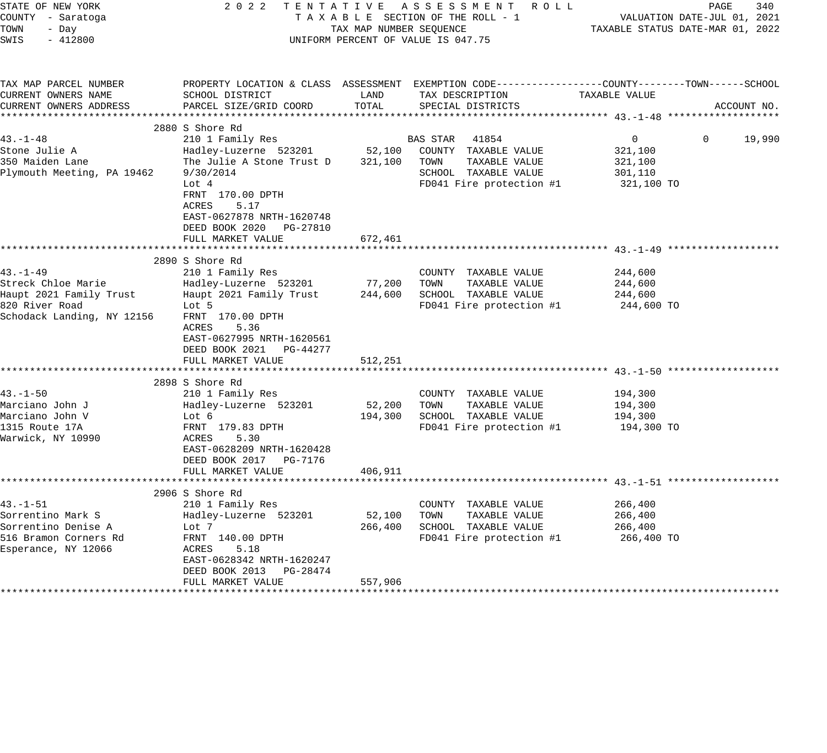| STATE OF NEW YORK<br>COUNTY - Saratoga<br>TOWN<br>- Day<br>SWIS<br>$-412800$                                                                                                                                   | 2022                                                                                                                                                                                                                                                                                                                                                                                                            | TAX MAP NUMBER SEQUENCE                                      | TENTATIVE ASSESSMENT ROLL<br>TAXABLE SECTION OF THE ROLL - 1<br>UNIFORM PERCENT OF VALUE IS 047.75                                                                                                     | PAGE<br>VALUATION DATE-JUL 01, 2021<br>TAXABLE STATUS DATE-MAR 01, 2022                                           | 340         |
|----------------------------------------------------------------------------------------------------------------------------------------------------------------------------------------------------------------|-----------------------------------------------------------------------------------------------------------------------------------------------------------------------------------------------------------------------------------------------------------------------------------------------------------------------------------------------------------------------------------------------------------------|--------------------------------------------------------------|--------------------------------------------------------------------------------------------------------------------------------------------------------------------------------------------------------|-------------------------------------------------------------------------------------------------------------------|-------------|
| TAX MAP PARCEL NUMBER<br>CURRENT OWNERS NAME<br>CURRENT OWNERS ADDRESS                                                                                                                                         | SCHOOL DISTRICT<br>PARCEL SIZE/GRID COORD                                                                                                                                                                                                                                                                                                                                                                       | LAND<br>TOTAL                                                | TAX DESCRIPTION<br>SPECIAL DISTRICTS                                                                                                                                                                   | PROPERTY LOCATION & CLASS ASSESSMENT EXEMPTION CODE----------------COUNTY-------TOWN------SCHOOL<br>TAXABLE VALUE | ACCOUNT NO. |
|                                                                                                                                                                                                                |                                                                                                                                                                                                                                                                                                                                                                                                                 |                                                              |                                                                                                                                                                                                        |                                                                                                                   |             |
| $43. -1 - 48$<br>Stone Julie A<br>350 Maiden Lane<br>Plymouth Meeting, PA 19462                                                                                                                                | 2880 S Shore Rd<br>210 1 Family Res<br>Hadley-Luzerne 523201<br>The Julie A Stone Trust D<br>9/30/2014<br>Lot 4<br>FRNT 170.00 DPTH<br>ACRES<br>5.17<br>EAST-0627878 NRTH-1620748<br>DEED BOOK 2020 PG-27810                                                                                                                                                                                                    |                                                              | BAS STAR 41854<br>52,100 COUNTY TAXABLE VALUE<br>TAXABLE VALUE<br>321,100 TOWN<br>SCHOOL TAXABLE VALUE<br>FD041 Fire protection #1                                                                     | $\overline{0}$<br>$\mathbf 0$<br>321,100<br>321,100<br>301,110<br>321,100 TO                                      | 19,990      |
|                                                                                                                                                                                                                | FULL MARKET VALUE                                                                                                                                                                                                                                                                                                                                                                                               | 672,461                                                      |                                                                                                                                                                                                        |                                                                                                                   |             |
|                                                                                                                                                                                                                |                                                                                                                                                                                                                                                                                                                                                                                                                 |                                                              |                                                                                                                                                                                                        |                                                                                                                   |             |
| $43. - 1 - 49$<br>Streck Chloe Marie<br>Haupt 2021 Family Trust<br>820 River Road<br>Schodack Landing, NY 12156<br>$43. - 1 - 50$<br>Marciano John J<br>Marciano John V<br>1315 Route 17A<br>Warwick, NY 10990 | 2890 S Shore Rd<br>210 1 Family Res<br>Hadley-Luzerne 523201<br>Haupt 2021 Family Trust<br>Lot 5<br>FRNT 170.00 DPTH<br>ACRES<br>5.36<br>EAST-0627995 NRTH-1620561<br>DEED BOOK 2021 PG-44277<br>FULL MARKET VALUE<br>2898 S Shore Rd<br>210 1 Family Res<br>Hadley-Luzerne 523201<br>Lot 6<br>FRNT 179.83 DPTH<br>ACRES<br>5.30<br>EAST-0628209 NRTH-1620428<br>DEED BOOK 2017    PG-7176<br>FULL MARKET VALUE | 77,200<br>244,600<br>512,251<br>52,200<br>194,300<br>406,911 | COUNTY TAXABLE VALUE<br>TOWN<br>TAXABLE VALUE<br>SCHOOL TAXABLE VALUE<br>FD041 Fire protection #1<br>COUNTY TAXABLE VALUE<br>TAXABLE VALUE<br>TOWN<br>SCHOOL TAXABLE VALUE<br>FD041 Fire protection #1 | 244,600<br>244,600<br>244,600<br>244,600 TO<br>194,300<br>194,300<br>194,300<br>194,300 TO                        |             |
| $43. - 1 - 51$<br>Sorrentino Mark S<br>Sorrentino Denise A<br>516 Bramon Corners Rd<br>Esperance, NY 12066                                                                                                     | 2906 S Shore Rd<br>210 1 Family Res<br>Hadley-Luzerne 523201<br>Lot 7<br>FRNT 140.00 DPTH<br>ACRES<br>5.18<br>EAST-0628342 NRTH-1620247<br>DEED BOOK 2013 PG-28474<br>FULL MARKET VALUE                                                                                                                                                                                                                         | 52,100<br>266,400<br>557,906                                 | COUNTY TAXABLE VALUE<br>TOWN<br>TAXABLE VALUE<br>SCHOOL TAXABLE VALUE<br>FD041 Fire protection #1                                                                                                      | 266,400<br>266,400<br>266,400<br>266,400 TO                                                                       |             |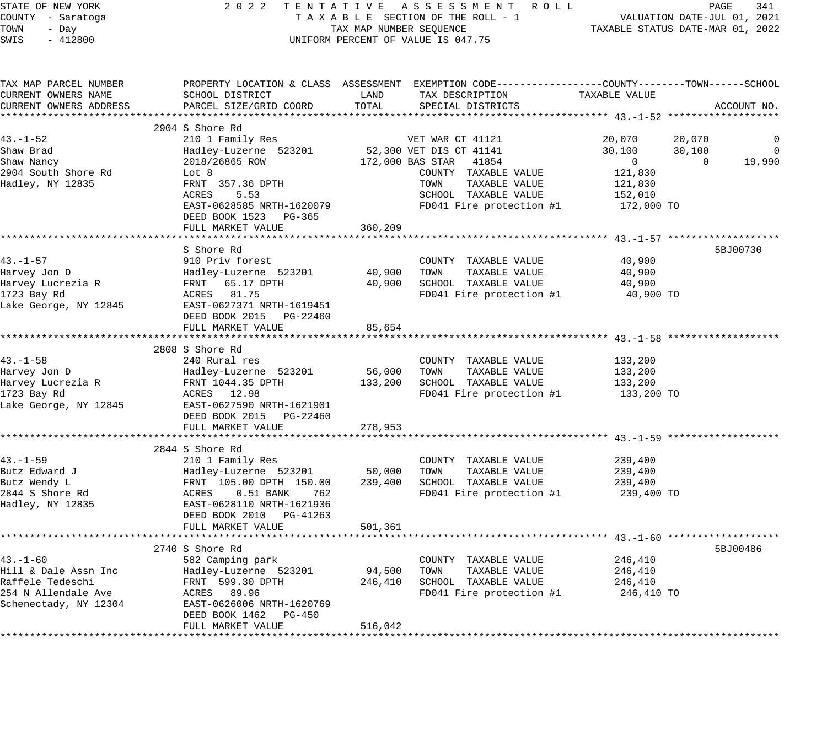| STATE OF NEW YORK<br>COUNTY - Saratoga<br>TOWN<br>- Day<br>SWIS<br>$-412800$ | 2022 TENTATIVE ASSESSMENT ROLL<br>TAXABLE SECTION OF THE ROLL - 1<br>TAX MAP NUMBER SEQUENCE<br>UNIFORM PERCENT OF VALUE IS 047.75 | PAGE<br>341<br>VALUATION DATE-JUL 01, 2021<br>TAXABLE STATUS DATE-MAR 01, 2022 |                                                                                                                                |
|------------------------------------------------------------------------------|------------------------------------------------------------------------------------------------------------------------------------|--------------------------------------------------------------------------------|--------------------------------------------------------------------------------------------------------------------------------|
| TAX MAP PARCEL NUMBER<br>CURRENT OWNERS NAME<br>CURRENT OWNERS ADDRESS       | SCHOOL DISTRICT<br>PARCEL SIZE/GRID COORD                                                                                          | TAX DESCRIPTION<br>LAND<br>TOTAL<br>SPECIAL DISTRICTS                          | PROPERTY LOCATION & CLASS ASSESSMENT EXEMPTION CODE---------------COUNTY-------TOWN-----SCHOOL<br>TAXABLE VALUE<br>ACCOUNT NO. |
|                                                                              |                                                                                                                                    |                                                                                |                                                                                                                                |
|                                                                              | 2904 S Shore Rd                                                                                                                    |                                                                                |                                                                                                                                |
| $43. - 1 - 52$<br>Shaw Brad                                                  | 210 1 Family Res<br>Hadley-Luzerne 523201                                                                                          | VET WAR CT 41121                                                               | 20,070<br>20,070<br>0<br>30,100<br>30,100<br>$\overline{0}$                                                                    |
| Shaw Nancy                                                                   | 2018/26865 ROW                                                                                                                     | 52,300 VET DIS CT 41141<br>172,000 BAS STAR 41854                              | 19,990<br>$\overline{0}$<br>$\overline{0}$                                                                                     |
| 2904 South Shore Rd                                                          | Lot 8                                                                                                                              | COUNTY TAXABLE VALUE                                                           | 121,830                                                                                                                        |
| Hadley, NY 12835                                                             | FRNT 357.36 DPTH                                                                                                                   | TOWN<br>TAXABLE VALUE                                                          | 121,830                                                                                                                        |
|                                                                              | ACRES<br>5.53                                                                                                                      | SCHOOL TAXABLE VALUE                                                           | 152,010                                                                                                                        |
|                                                                              | EAST-0628585 NRTH-1620079                                                                                                          | FD041 Fire protection #1                                                       | 172,000 TO                                                                                                                     |
|                                                                              | DEED BOOK 1523 PG-365                                                                                                              |                                                                                |                                                                                                                                |
|                                                                              | FULL MARKET VALUE                                                                                                                  | 360,209                                                                        |                                                                                                                                |
|                                                                              |                                                                                                                                    |                                                                                |                                                                                                                                |
| $43. - 1 - 57$                                                               | S Shore Rd<br>910 Priv forest                                                                                                      | COUNTY TAXABLE VALUE                                                           | 5BJ00730<br>40,900                                                                                                             |
| Harvey Jon D                                                                 |                                                                                                                                    | 40,900<br>TOWN<br>TAXABLE VALUE                                                | 40,900                                                                                                                         |
| Harvey Lucrezia R                                                            | Hadley-Luzerne 523201<br>FRNT 65.17 DPTH<br>-----                                                                                  | 40,900<br>SCHOOL TAXABLE VALUE                                                 | 40,900                                                                                                                         |
| 1723 Bay Rd                                                                  | ACRES 81.75                                                                                                                        | FD041 Fire protection #1                                                       | 40,900 TO                                                                                                                      |
| Lake George, NY 12845                                                        | EAST-0627371 NRTH-1619451                                                                                                          |                                                                                |                                                                                                                                |
|                                                                              | DEED BOOK 2015 PG-22460                                                                                                            |                                                                                |                                                                                                                                |
|                                                                              | FULL MARKET VALUE                                                                                                                  | 85,654                                                                         |                                                                                                                                |
|                                                                              |                                                                                                                                    |                                                                                |                                                                                                                                |
|                                                                              | 2808 S Shore Rd                                                                                                                    |                                                                                |                                                                                                                                |
| $43. - 1 - 58$                                                               | 240 Rural res                                                                                                                      | COUNTY TAXABLE VALUE                                                           | 133,200                                                                                                                        |
| Harvey Jon D                                                                 | Hadley-Luzerne 523201<br>FRNT 1044.35 DPTH                                                                                         | 56,000<br>TAXABLE VALUE<br>TOWN                                                | 133,200                                                                                                                        |
| Harvey Lucrezia R                                                            |                                                                                                                                    | 133,200 SCHOOL TAXABLE VALUE                                                   | 133,200                                                                                                                        |
| 1723 Bay Rd                                                                  | ACRES 12.98                                                                                                                        | FD041 Fire protection #1                                                       | 133,200 TO                                                                                                                     |
| Lake George, NY 12845                                                        | EAST-0627590 NRTH-1621901<br>DEED BOOK 2015 PG-22460                                                                               |                                                                                |                                                                                                                                |
|                                                                              | FULL MARKET VALUE                                                                                                                  | 278,953                                                                        |                                                                                                                                |
|                                                                              |                                                                                                                                    |                                                                                |                                                                                                                                |
|                                                                              | 2844 S Shore Rd                                                                                                                    |                                                                                |                                                                                                                                |
| $43. - 1 - 59$                                                               | 210 1 Family Res                                                                                                                   | COUNTY TAXABLE VALUE                                                           | 239,400                                                                                                                        |
| Butz Edward J                                                                | Hadley-Luzerne 523201                                                                                                              | 50,000<br>TAXABLE VALUE<br>TOWN                                                | 239,400                                                                                                                        |
| Butz Wendy L                                                                 | Hadley-Luzerne 523201<br>FRNT 105.00 DPTH 150.00<br>ACRES 0.51 BANK 762                                                            | 239,400 SCHOOL TAXABLE VALUE                                                   | 239,400                                                                                                                        |
| 2844 S Shore Rd                                                              |                                                                                                                                    | FD041 Fire protection #1                                                       | 239,400 TO                                                                                                                     |
| Hadley, NY 12835                                                             | EAST-0628110 NRTH-1621936                                                                                                          |                                                                                |                                                                                                                                |
|                                                                              | DEED BOOK 2010 PG-41263                                                                                                            |                                                                                |                                                                                                                                |
|                                                                              | FULL MARKET VALUE<br>************************************                                                                          | 501,361                                                                        |                                                                                                                                |
|                                                                              |                                                                                                                                    |                                                                                |                                                                                                                                |
| $43. - 1 - 60$                                                               | 2740 S Shore Rd                                                                                                                    | COUNTY TAXABLE VALUE                                                           | 5BJ00486<br>246,410                                                                                                            |
| Hill & Dale Assn Inc                                                         | 582 Camping park<br>Hadley-Luzerne 523201                                                                                          | 94,500<br>TOWN<br>TAXABLE VALUE                                                | 246,410                                                                                                                        |
| Raffele Tedeschi                                                             | FRNT 599.30 DPTH                                                                                                                   | 246,410<br>SCHOOL TAXABLE VALUE                                                | 246,410                                                                                                                        |
| 254 N Allendale Ave                                                          | ACRES 89.96                                                                                                                        | FD041 Fire protection #1                                                       | 246,410 TO                                                                                                                     |
| Schenectady, NY 12304                                                        | EAST-0626006 NRTH-1620769                                                                                                          |                                                                                |                                                                                                                                |
|                                                                              | DEED BOOK 1462 PG-450                                                                                                              |                                                                                |                                                                                                                                |
|                                                                              | FULL MARKET VALUE                                                                                                                  | 516,042                                                                        |                                                                                                                                |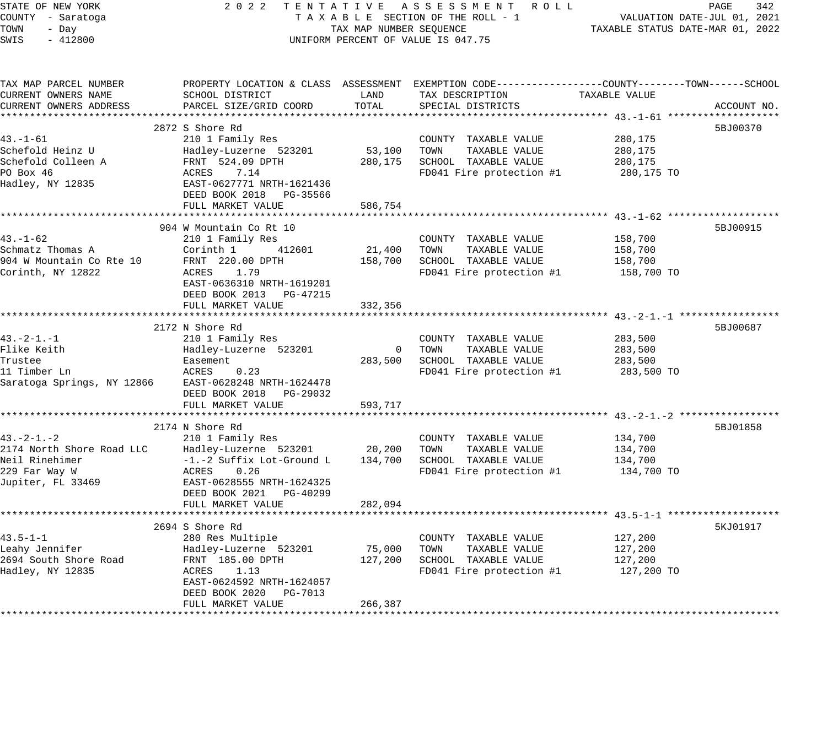STATE OF NEW YORK 2 0 2 2 T E N T A T I V E A S S E S S M E N T R O L L PAGE 342 COUNTY - Saratoga T A X A B L E SECTION OF THE ROLL - 1 VALUATION DATE-JUL 01, 2021 TOWN - Day TAX MAP NUMBER SEQUENCE TAXABLE STATUS DATE-MAR 01, 2022 SWIS - 412800 CONTROLLY THE UNIFORM PERCENT OF VALUE IS 047.75 TAX MAP PARCEL NUMBER PROPERTY LOCATION & CLASS ASSESSMENT EXEMPTION CODE------------------COUNTY--------TOWN------SCHOOL CURRENT OWNERS NAME SCHOOL DISTRICT LAND TAX DESCRIPTION TAXABLE VALUE CURRENT OWNERS ADDRESS PARCEL SIZE/GRID COORD TOTAL SPECIAL DISTRICTS ACCOUNT NO. \*\*\*\*\*\*\*\*\*\*\*\*\*\*\*\*\*\*\*\*\*\*\*\*\*\*\*\*\*\*\*\*\*\*\*\*\*\*\*\*\*\*\*\*\*\*\*\*\*\*\*\*\*\*\*\*\*\*\*\*\*\*\*\*\*\*\*\*\*\*\*\*\*\*\*\*\*\*\*\*\*\*\*\*\*\*\*\*\*\*\*\*\*\*\*\*\*\*\*\*\*\*\* 43.-1-61 \*\*\*\*\*\*\*\*\*\*\*\*\*\*\*\*\*\*\*  $2872$  S Shore Rd  $5BJ00370$ 43.-1-61 210 1 Family Res COUNTY TAXABLE VALUE 280,175 Schefold Heinz U Hadley-Luzerne 523201 53,100 TOWN TAXABLE VALUE 280,175 Schefold Colleen A FRNT 524.09 DPTH 280,175 SCHOOL TAXABLE VALUE 280,175 PO Box 46 ACRES 7.14 FD041 Fire protection #1 280,175 TO Hadley, NY 12835 EAST-0627771 NRTH-1621436 DEED BOOK 2018 PG-35566 FULL MARKET VALUE 586,754 \*\*\*\*\*\*\*\*\*\*\*\*\*\*\*\*\*\*\*\*\*\*\*\*\*\*\*\*\*\*\*\*\*\*\*\*\*\*\*\*\*\*\*\*\*\*\*\*\*\*\*\*\*\*\*\*\*\*\*\*\*\*\*\*\*\*\*\*\*\*\*\*\*\*\*\*\*\*\*\*\*\*\*\*\*\*\*\*\*\*\*\*\*\*\*\*\*\*\*\*\*\*\* 43.-1-62 \*\*\*\*\*\*\*\*\*\*\*\*\*\*\*\*\*\*\* 904 W Mountain Co Rt 10 5BJ00915 43.-1-62 210 1 Family Res COUNTY TAXABLE VALUE 158,700 Schmatz Thomas A Corinth 1 412601 21,400 TOWN TAXABLE VALUE 158,700 904 W Mountain Co Rte 10 FRNT 220.00 DPTH 158,700 SCHOOL TAXABLE VALUE 158,700 Corinth, NY 12822 ACRES 1.79 FD041 Fire protection #1 158,700 TO EAST-0636310 NRTH-1619201 DEED BOOK 2013 PG-47215 FULL MARKET VALUE 332,356 \*\*\*\*\*\*\*\*\*\*\*\*\*\*\*\*\*\*\*\*\*\*\*\*\*\*\*\*\*\*\*\*\*\*\*\*\*\*\*\*\*\*\*\*\*\*\*\*\*\*\*\*\*\*\*\*\*\*\*\*\*\*\*\*\*\*\*\*\*\*\*\*\*\*\*\*\*\*\*\*\*\*\*\*\*\*\*\*\*\*\*\*\*\*\*\*\*\*\*\*\*\*\* 43.-2-1.-1 \*\*\*\*\*\*\*\*\*\*\*\*\*\*\*\*\* 2172 N Shore Rd 5BJ00687 43.-2-1.-1 210 1 Family Res COUNTY TAXABLE VALUE 283,500 Flike Keith Hadley-Luzerne 523201 0 TOWN TAXABLE VALUE 283,500 Trustee Easement 283,500 SCHOOL TAXABLE VALUE 283,500 11 Timber Ln ACRES 0.23 FD041 Fire protection #1 283,500 TO Saratoga Springs, NY 12866 EAST-0628248 NRTH-1624478 DEED BOOK 2018 PG-29032 FULL MARKET VALUE 593,717 \*\*\*\*\*\*\*\*\*\*\*\*\*\*\*\*\*\*\*\*\*\*\*\*\*\*\*\*\*\*\*\*\*\*\*\*\*\*\*\*\*\*\*\*\*\*\*\*\*\*\*\*\*\*\*\*\*\*\*\*\*\*\*\*\*\*\*\*\*\*\*\*\*\*\*\*\*\*\*\*\*\*\*\*\*\*\*\*\*\*\*\*\*\*\*\*\*\*\*\*\*\*\* 43.-2-1.-2 \*\*\*\*\*\*\*\*\*\*\*\*\*\*\*\*\* 2174 N Shore Rd 5BJ01858 43.-2-1.-2 210 1 Family Res COUNTY TAXABLE VALUE 134,700 2174 North Shore Road LLC Hadley-Luzerne 523201 20,200 TOWN TAXABLE VALUE 134,700 Neil Rinehimer -1.-2 Suffix Lot-Ground L 134,700 SCHOOL TAXABLE VALUE 134,700 229 Far Way W ACRES 0.26 FD041 Fire protection #1 134,700 TO Jupiter, FL 33469 EAST-0628555 NRTH-1624325 DEED BOOK 2021 PG-40299 FULL MARKET VALUE 282,094 \*\*\*\*\*\*\*\*\*\*\*\*\*\*\*\*\*\*\*\*\*\*\*\*\*\*\*\*\*\*\*\*\*\*\*\*\*\*\*\*\*\*\*\*\*\*\*\*\*\*\*\*\*\*\*\*\*\*\*\*\*\*\*\*\*\*\*\*\*\*\*\*\*\*\*\*\*\*\*\*\*\*\*\*\*\*\*\*\*\*\*\*\*\*\*\*\*\*\*\*\*\*\* 43.5-1-1 \*\*\*\*\*\*\*\*\*\*\*\*\*\*\*\*\*\*\* 2694 S Shore Rd 5KJ01917 (1996) 2004 12:30 19:30 19:30 19:30 19:30 19:30 19:30 19:30 19:30 19:30 19:30 19:30 1 43.5-1-1 280 Res Multiple COUNTY TAXABLE VALUE 127,200 Leahy Jennifer Hadley-Luzerne 523201 75,000 TOWN TAXABLE VALUE 127,200 2694 South Shore Road FRNT 185.00 DPTH 127,200 SCHOOL TAXABLE VALUE 127,200 Hadley, NY 12835 ACRES 1.13 FD041 Fire protection #1 127,200 TO EAST-0624592 NRTH-1624057

\*\*\*\*\*\*\*\*\*\*\*\*\*\*\*\*\*\*\*\*\*\*\*\*\*\*\*\*\*\*\*\*\*\*\*\*\*\*\*\*\*\*\*\*\*\*\*\*\*\*\*\*\*\*\*\*\*\*\*\*\*\*\*\*\*\*\*\*\*\*\*\*\*\*\*\*\*\*\*\*\*\*\*\*\*\*\*\*\*\*\*\*\*\*\*\*\*\*\*\*\*\*\*\*\*\*\*\*\*\*\*\*\*\*\*\*\*\*\*\*\*\*\*\*\*\*\*\*\*\*\*\*

DEED BOOK 2020 PG-7013

FULL MARKET VALUE 266,387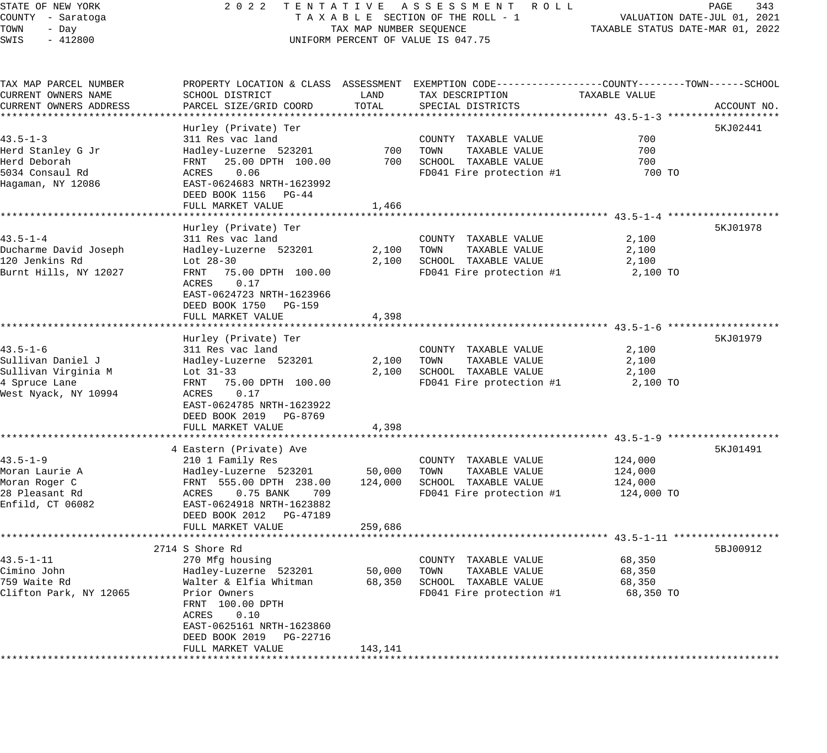#### STATE OF NEW YORK 2 0 2 2 T E N T A T I V E A S S E S S M E N T R O L L PAGE 343 COUNTY - Saratoga T A X A B L E SECTION OF THE ROLL - 1 VALUATION DATE-JUL 01, 2021 TOWN - Day TAX MAP NUMBER SEQUENCE TAXABLE STATUS DATE-MAR 01, 2022 SWIS - 412800 CONTROLLY THE UNIFORM PERCENT OF VALUE IS 047.75

TAX MAP PARCEL NUMBER PROPERTY LOCATION & CLASS ASSESSMENT EXEMPTION CODE------------------COUNTY--------TOWN------SCHOOL

CURRENT OWNERS NAME SCHOOL DISTRICT LAND TAX DESCRIPTION TAXABLE VALUE CURRENT OWNERS ADDRESS PARCEL SIZE/GRID COORD TOTAL SPECIAL DISTRICTS ACCOUNT NO. \*\*\*\*\*\*\*\*\*\*\*\*\*\*\*\*\*\*\*\*\*\*\*\*\*\*\*\*\*\*\*\*\*\*\*\*\*\*\*\*\*\*\*\*\*\*\*\*\*\*\*\*\*\*\*\*\*\*\*\*\*\*\*\*\*\*\*\*\*\*\*\*\*\*\*\*\*\*\*\*\*\*\*\*\*\*\*\*\*\*\*\*\*\*\*\*\*\*\*\*\*\*\* 43.5-1-3 \*\*\*\*\*\*\*\*\*\*\*\*\*\*\*\*\*\*\* Hurley (Private) Ter 5KJ02441 (1999) 1999 (1999) 1999 (1999) 1999 (1999) 1999 (1999) 1999 (1999) 1999 (1999) 1 43.5-1-3 311 Res vac land COUNTY TAXABLE VALUE 700 Herd Stanley G Jr Hadley-Luzerne 523201 700 TOWN TAXABLE VALUE 700 Herd Deborah FRNT 25.00 DPTH 100.00 700 SCHOOL TAXABLE VALUE 700 5034 Consaul Rd ACRES 0.06 FD041 Fire protection #1 700 TO Hagaman, NY 12086 EAST-0624683 NRTH-1623992 DEED BOOK 1156 PG-44 FULL MARKET VALUE 1,466 \*\*\*\*\*\*\*\*\*\*\*\*\*\*\*\*\*\*\*\*\*\*\*\*\*\*\*\*\*\*\*\*\*\*\*\*\*\*\*\*\*\*\*\*\*\*\*\*\*\*\*\*\*\*\*\*\*\*\*\*\*\*\*\*\*\*\*\*\*\*\*\*\*\*\*\*\*\*\*\*\*\*\*\*\*\*\*\*\*\*\*\*\*\*\*\*\*\*\*\*\*\*\* 43.5-1-4 \*\*\*\*\*\*\*\*\*\*\*\*\*\*\*\*\*\*\* Hurley (Private) Ter 5KJ01978 43.5-1-4 311 Res vac land COUNTY TAXABLE VALUE 2,100 Ducharme David Joseph Hadley-Luzerne 523201 2,100 TOWN TAXABLE VALUE 2,100 120 Jenkins Rd Lot 28-30 2,100 SCHOOL TAXABLE VALUE 2,100 Burnt Hills, NY 12027 FRNT 75.00 DPTH 100.00 FD041 Fire protection #1 2,100 TO ACRES 0.17 EAST-0624723 NRTH-1623966 DEED BOOK 1750 PG-159 FULL MARKET VALUE 4,398 \*\*\*\*\*\*\*\*\*\*\*\*\*\*\*\*\*\*\*\*\*\*\*\*\*\*\*\*\*\*\*\*\*\*\*\*\*\*\*\*\*\*\*\*\*\*\*\*\*\*\*\*\*\*\*\*\*\*\*\*\*\*\*\*\*\*\*\*\*\*\*\*\*\*\*\*\*\*\*\*\*\*\*\*\*\*\*\*\*\*\*\*\*\*\*\*\*\*\*\*\*\*\* 43.5-1-6 \*\*\*\*\*\*\*\*\*\*\*\*\*\*\*\*\*\*\* Hurley (Private) Ter 5KJ01979 43.5-1-6 311 Res vac land COUNTY TAXABLE VALUE 2,100 Sullivan Daniel J Hadley-Luzerne 523201 2,100 TOWN TAXABLE VALUE 2,100 Sullivan Virginia M Lot 31-33 2,100 SCHOOL TAXABLE VALUE 2,100 4 Spruce Lane FRNT 75.00 DPTH 100.00 FD041 Fire protection #1 2,100 TO West Nyack, NY 10994 ACRES 0.17 EAST-0624785 NRTH-1623922 DEED BOOK 2019 PG-8769 EAU1 0021101 -<br>DEED BOOK 2019 - PG-8769<br>FIILL MARKET VALUE - 4,398 \*\*\*\*\*\*\*\*\*\*\*\*\*\*\*\*\*\*\*\*\*\*\*\*\*\*\*\*\*\*\*\*\*\*\*\*\*\*\*\*\*\*\*\*\*\*\*\*\*\*\*\*\*\*\*\*\*\*\*\*\*\*\*\*\*\*\*\*\*\*\*\*\*\*\*\*\*\*\*\*\*\*\*\*\*\*\*\*\*\*\*\*\*\*\*\*\*\*\*\*\*\*\* 43.5-1-9 \*\*\*\*\*\*\*\*\*\*\*\*\*\*\*\*\*\*\* 4 Eastern (Private) Ave 5KJ01491 43.5-1-9 210 1 Family Res COUNTY TAXABLE VALUE 124,000 Moran Laurie A Hadley-Luzerne 523201 50,000 TOWN TAXABLE VALUE 124,000 Moran Roger C FRNT 555.00 DPTH 238.00 124,000 SCHOOL TAXABLE VALUE 124,000 28 Pleasant Rd ACRES 0.75 BANK 709 FD041 Fire protection #1 124,000 TO Enfild, CT 06082 EAST-0624918 NRTH-1623882 DEED BOOK 2012 PG-47189 FULL MARKET VALUE 259,686 \*\*\*\*\*\*\*\*\*\*\*\*\*\*\*\*\*\*\*\*\*\*\*\*\*\*\*\*\*\*\*\*\*\*\*\*\*\*\*\*\*\*\*\*\*\*\*\*\*\*\*\*\*\*\*\*\*\*\*\*\*\*\*\*\*\*\*\*\*\*\*\*\*\*\*\*\*\*\*\*\*\*\*\*\*\*\*\*\*\*\*\*\*\*\*\*\*\*\*\*\*\*\* 43.5-1-11 \*\*\*\*\*\*\*\*\*\*\*\*\*\*\*\*\*\* 2714 S Shore Rd 5BJ00912 43.5-1-11 270 Mfg housing COUNTY TAXABLE VALUE 68,350 Cimino John Hadley-Luzerne 523201 50,000 TOWN TAXABLE VALUE 68,350 759 Waite Rd Walter & Elfia Whitman 68,350 SCHOOL TAXABLE VALUE 68,350 Clifton Park, NY 12065 Prior Owners FD041 Fire protection #1 68,350 TO FRNT 100.00 DPTH ACRES 0.10 EAST-0625161 NRTH-1623860 DEED BOOK 2019 PG-22716 FULL MARKET VALUE 143,141 \*\*\*\*\*\*\*\*\*\*\*\*\*\*\*\*\*\*\*\*\*\*\*\*\*\*\*\*\*\*\*\*\*\*\*\*\*\*\*\*\*\*\*\*\*\*\*\*\*\*\*\*\*\*\*\*\*\*\*\*\*\*\*\*\*\*\*\*\*\*\*\*\*\*\*\*\*\*\*\*\*\*\*\*\*\*\*\*\*\*\*\*\*\*\*\*\*\*\*\*\*\*\*\*\*\*\*\*\*\*\*\*\*\*\*\*\*\*\*\*\*\*\*\*\*\*\*\*\*\*\*\*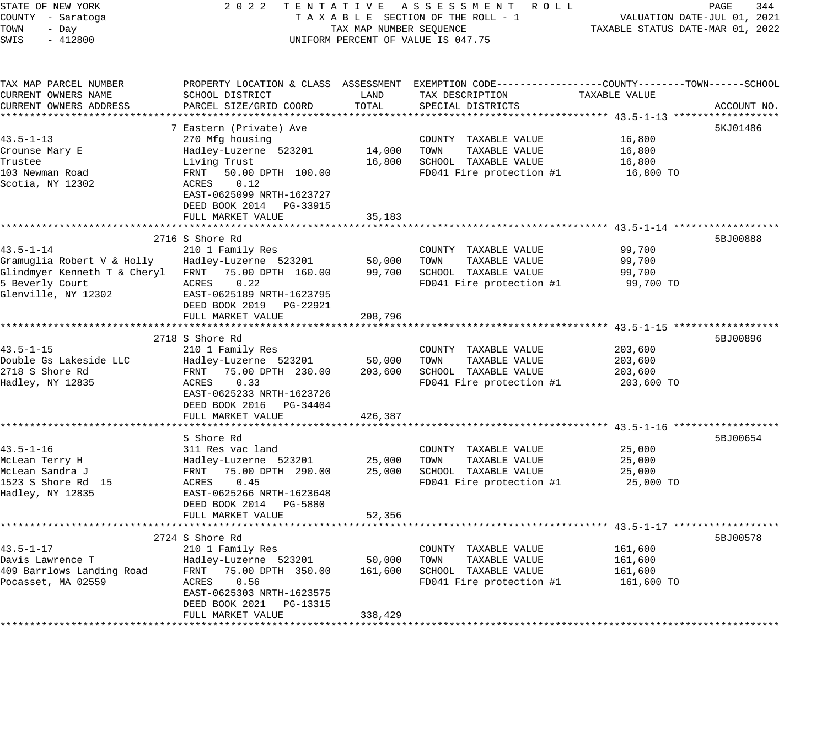| STATE OF NEW YORK<br>COUNTY - Saratoga<br>TOWN<br>- Day<br>SWIS<br>$-412800$ | 2 0 2 2                                                                      | TAX MAP NUMBER SEQUENCE | TENTATIVE ASSESSMENT ROLL<br>TAXABLE SECTION OF THE ROLL - 1<br>UNIFORM PERCENT OF VALUE IS 047.75                                       | TAXABLE STATUS DATE-MAR 01, 2022 | PAGE<br>344<br>VALUATION DATE-JUL 01, 2021 |
|------------------------------------------------------------------------------|------------------------------------------------------------------------------|-------------------------|------------------------------------------------------------------------------------------------------------------------------------------|----------------------------------|--------------------------------------------|
| TAX MAP PARCEL NUMBER<br>CURRENT OWNERS NAME<br>CURRENT OWNERS ADDRESS       | SCHOOL DISTRICT<br>PARCEL SIZE/GRID COORD                                    | LAND<br>TOTAL           | PROPERTY LOCATION & CLASS ASSESSMENT EXEMPTION CODE----------------COUNTY-------TOWN------SCHOOL<br>TAX DESCRIPTION<br>SPECIAL DISTRICTS | TAXABLE VALUE                    | ACCOUNT NO.                                |
|                                                                              |                                                                              |                         |                                                                                                                                          |                                  |                                            |
| $43.5 - 1 - 13$                                                              | 7 Eastern (Private) Ave                                                      |                         |                                                                                                                                          |                                  | 5KJ01486                                   |
| Crounse Mary E                                                               | 270 Mfg housing<br>Hadley-Luzerne 523201                                     | 14,000                  | COUNTY TAXABLE VALUE<br>TOWN<br>TAXABLE VALUE                                                                                            | 16,800<br>16,800                 |                                            |
| Trustee                                                                      | Living Trust                                                                 | 16,800                  | SCHOOL TAXABLE VALUE                                                                                                                     | 16,800                           |                                            |
| 103 Newman Road                                                              | 50.00 DPTH 100.00<br>FRNT                                                    |                         | FD041 Fire protection #1                                                                                                                 | 16,800 TO                        |                                            |
| Scotia, NY 12302                                                             | 0.12<br>ACRES<br>EAST-0625099 NRTH-1623727<br>DEED BOOK 2014 PG-33915        |                         |                                                                                                                                          |                                  |                                            |
|                                                                              | FULL MARKET VALUE                                                            | 35,183                  |                                                                                                                                          |                                  |                                            |
|                                                                              | 2716 S Shore Rd                                                              |                         |                                                                                                                                          |                                  | 5BJ00888                                   |
| $43.5 - 1 - 14$                                                              | 210 1 Family Res                                                             |                         | COUNTY TAXABLE VALUE                                                                                                                     | 99,700                           |                                            |
| Gramuglia Robert V & Holly                                                   | Hadley-Luzerne 523201                                                        | 50,000                  | TOWN<br>TAXABLE VALUE                                                                                                                    | 99,700                           |                                            |
| Glindmyer Kenneth T & Cheryl                                                 | FRNT 75.00 DPTH 160.00                                                       | 99,700                  | SCHOOL TAXABLE VALUE                                                                                                                     | 99,700                           |                                            |
| 5 Beverly Court                                                              | ACRES<br>0.22                                                                |                         | FD041 Fire protection #1                                                                                                                 | 99,700 TO                        |                                            |
| Glenville, NY 12302                                                          | EAST-0625189 NRTH-1623795<br>DEED BOOK 2019    PG-22921<br>FULL MARKET VALUE | 208,796                 |                                                                                                                                          |                                  |                                            |
|                                                                              |                                                                              |                         |                                                                                                                                          |                                  |                                            |
|                                                                              | 2718 S Shore Rd                                                              |                         |                                                                                                                                          |                                  | 5BJ00896                                   |
| $43.5 - 1 - 15$                                                              | 210 1 Family Res                                                             |                         | COUNTY TAXABLE VALUE                                                                                                                     | 203,600                          |                                            |
| Double Gs Lakeside LLC                                                       | Hadley-Luzerne 523201                                                        | 50,000                  | TOWN<br>TAXABLE VALUE                                                                                                                    | 203,600                          |                                            |
| 2718 S Shore Rd                                                              | FRNT 75.00 DPTH 230.00                                                       | 203,600                 | SCHOOL TAXABLE VALUE                                                                                                                     | 203,600                          |                                            |
| Hadley, NY 12835                                                             | 0.33<br>ACRES<br>EAST-0625233 NRTH-1623726<br>DEED BOOK 2016 PG-34404        |                         | FD041 Fire protection #1                                                                                                                 | 203,600 TO                       |                                            |
|                                                                              | FULL MARKET VALUE                                                            | 426,387                 |                                                                                                                                          |                                  |                                            |
|                                                                              | **********************                                                       |                         |                                                                                                                                          |                                  |                                            |
|                                                                              | S Shore Rd                                                                   |                         |                                                                                                                                          |                                  | 5BJ00654                                   |
| $43.5 - 1 - 16$                                                              | 311 Res vac land                                                             |                         | COUNTY TAXABLE VALUE                                                                                                                     | 25,000                           |                                            |
| McLean Terry H                                                               | Hadley-Luzerne 523201                                                        | 25,000                  | TAXABLE VALUE<br>TOWN                                                                                                                    | 25,000                           |                                            |
| McLean Sandra J                                                              | 75.00 DPTH 290.00<br>FRNT                                                    | 25,000                  | SCHOOL TAXABLE VALUE                                                                                                                     | 25,000                           |                                            |
| 1523 S Shore Rd 15                                                           | 0.45<br>ACRES                                                                |                         | FD041 Fire protection #1                                                                                                                 | 25,000 TO                        |                                            |
| Hadley, NY 12835                                                             | EAST-0625266 NRTH-1623648                                                    |                         |                                                                                                                                          |                                  |                                            |
|                                                                              | DEED BOOK 2014    PG-5880                                                    |                         |                                                                                                                                          |                                  |                                            |
|                                                                              | FULL MARKET VALUE                                                            | 52,356                  |                                                                                                                                          |                                  |                                            |
|                                                                              |                                                                              |                         |                                                                                                                                          |                                  |                                            |
| $43.5 - 1 - 17$                                                              | 2724 S Shore Rd                                                              |                         |                                                                                                                                          |                                  | 5BJ00578                                   |
|                                                                              | 210 1 Family Res                                                             | 50,000                  | COUNTY TAXABLE VALUE<br>TAXABLE VALUE                                                                                                    | 161,600                          |                                            |
| Davis Lawrence T<br>409 Barrlows Landing Road                                | Hadley-Luzerne 523201<br>75.00 DPTH 350.00<br>FRNT                           |                         | TOWN<br>SCHOOL TAXABLE VALUE                                                                                                             | 161,600<br>161,600               |                                            |
|                                                                              | 0.56                                                                         | 161,600                 |                                                                                                                                          |                                  |                                            |
| Pocasset, MA 02559                                                           | ACRES<br>EAST-0625303 NRTH-1623575<br>DEED BOOK 2021<br>PG-13315             |                         | FD041 Fire protection #1                                                                                                                 | 161,600 TO                       |                                            |
|                                                                              | FULL MARKET VALUE                                                            | 338,429                 |                                                                                                                                          |                                  |                                            |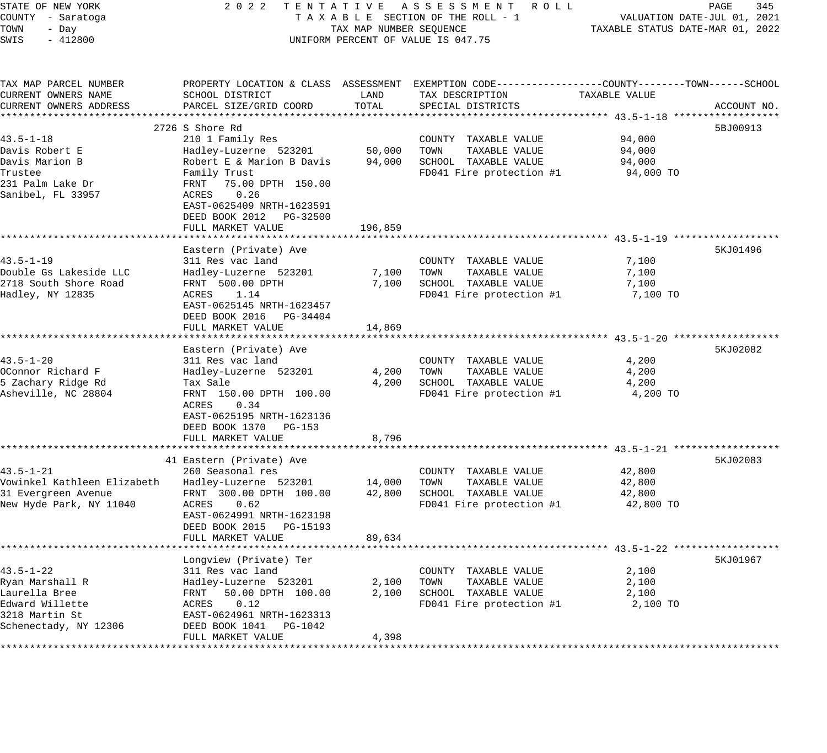| STATE OF NEW YORK                                        |                                                    |                         | 2022 TENTATIVE ASSESSMENT ROLL                                                                  |                                  | PAGE<br>345 |
|----------------------------------------------------------|----------------------------------------------------|-------------------------|-------------------------------------------------------------------------------------------------|----------------------------------|-------------|
| COUNTY - Saratoga                                        |                                                    |                         | TAXABLE SECTION OF THE ROLL - 1                                                                 | VALUATION DATE-JUL 01, 2021      |             |
| TOWN<br>- Day                                            |                                                    | TAX MAP NUMBER SEQUENCE |                                                                                                 | TAXABLE STATUS DATE-MAR 01, 2022 |             |
| $-412800$<br>SWIS                                        |                                                    |                         | UNIFORM PERCENT OF VALUE IS 047.75                                                              |                                  |             |
| TAX MAP PARCEL NUMBER                                    |                                                    |                         | PROPERTY LOCATION & CLASS ASSESSMENT EXEMPTION CODE----------------COUNTY-------TOWN-----SCHOOL |                                  |             |
| CURRENT OWNERS NAME                                      | SCHOOL DISTRICT                                    | LAND                    | TAX DESCRIPTION                                                                                 | TAXABLE VALUE                    |             |
| CURRENT OWNERS ADDRESS                                   | PARCEL SIZE/GRID COORD                             | TOTAL                   | SPECIAL DISTRICTS                                                                               |                                  | ACCOUNT NO. |
|                                                          |                                                    |                         |                                                                                                 |                                  |             |
|                                                          | 2726 S Shore Rd                                    |                         |                                                                                                 |                                  | 5BJ00913    |
| $43.5 - 1 - 18$                                          | 210 1 Family Res<br>Hadley-Luzerne 523201          | 50,000                  | COUNTY TAXABLE VALUE<br>TOWN                                                                    | 94,000                           |             |
| Davis Robert E<br>Davis Marion B                         | Robert E & Marion B Davis                          |                         | TAXABLE VALUE<br>94,000 SCHOOL TAXABLE VALUE                                                    | 94,000<br>94,000                 |             |
| Trustee                                                  | Family Trust                                       |                         | FD041 Fire protection $#1$ 94,000 TO                                                            |                                  |             |
| 231 Palm Lake Dr                                         | FRNT 75.00 DPTH 150.00                             |                         |                                                                                                 |                                  |             |
| Sanibel, FL 33957                                        | 0.26<br>ACRES                                      |                         |                                                                                                 |                                  |             |
|                                                          | EAST-0625409 NRTH-1623591                          |                         |                                                                                                 |                                  |             |
|                                                          | DEED BOOK 2012 PG-32500                            |                         |                                                                                                 |                                  |             |
|                                                          | FULL MARKET VALUE                                  | 196,859                 |                                                                                                 |                                  |             |
|                                                          |                                                    |                         |                                                                                                 |                                  |             |
|                                                          | Eastern (Private) Ave                              |                         |                                                                                                 |                                  | 5KJ01496    |
| $43.5 - 1 - 19$                                          | 311 Res vac land                                   |                         | COUNTY TAXABLE VALUE                                                                            | 7,100                            |             |
| Double Gs Lakeside LLC                                   | Hadley-Luzerne 523201                              | 7,100 TOWN              | TAXABLE VALUE                                                                                   | 7,100                            |             |
| 2718 South Shore Road                                    | FRNT 500.00 DPTH                                   |                         | 7,100 SCHOOL TAXABLE VALUE                                                                      | 7,100                            |             |
| Hadley, NY 12835                                         | ACRES 1.14                                         |                         | FD041 Fire protection #1                                                                        | 7,100 TO                         |             |
|                                                          | EAST-0625145 NRTH-1623457                          |                         |                                                                                                 |                                  |             |
|                                                          | DEED BOOK 2016 PG-34404                            |                         |                                                                                                 |                                  |             |
|                                                          | FULL MARKET VALUE                                  | 14,869                  |                                                                                                 |                                  |             |
|                                                          |                                                    |                         |                                                                                                 |                                  |             |
|                                                          | Eastern (Private) Ave                              |                         |                                                                                                 |                                  | 5KJ02082    |
| $43.5 - 1 - 20$                                          | 311 Res vac land                                   |                         | COUNTY TAXABLE VALUE                                                                            | 4,200                            |             |
| OConnor Richard F                                        | Hadley-Luzerne 523201                              |                         | 4,200 TOWN<br>TAXABLE VALUE                                                                     | 4,200                            |             |
| 5 Zachary Ridge Rd                                       | Tax Sale                                           |                         | 4,200 SCHOOL TAXABLE VALUE                                                                      | 4,200                            |             |
| Asheville, NC 28804                                      | FRNT 150.00 DPTH 100.00                            |                         | FD041 Fire protection #1                                                                        | 4,200 TO                         |             |
|                                                          | ACRES<br>0.34                                      |                         |                                                                                                 |                                  |             |
|                                                          | EAST-0625195 NRTH-1623136<br>DEED BOOK 1370 PG-153 |                         |                                                                                                 |                                  |             |
|                                                          | FULL MARKET VALUE                                  | 8,796                   |                                                                                                 |                                  |             |
|                                                          |                                                    |                         |                                                                                                 |                                  |             |
|                                                          | 41 Eastern (Private) Ave                           |                         |                                                                                                 |                                  | 5KJ02083    |
| $43.5 - 1 - 21$                                          | 260 Seasonal res                                   |                         | COUNTY TAXABLE VALUE                                                                            | 42,800                           |             |
| Vowinkel Kathleen Elizabeth Hadley-Luzerne 523201 14,000 |                                                    |                         | TOWN<br>TAXABLE VALUE                                                                           | 42,800                           |             |
| 31 Evergreen Avenue                                      | FRNT 300.00 DPTH 100.00 42,800                     |                         | SCHOOL TAXABLE VALUE                                                                            | 42,800                           |             |
| New Hyde Park, NY 11040                                  | ACRES<br>0.62                                      |                         | FD041 Fire protection #1                                                                        | 42,800 TO                        |             |
|                                                          | EAST-0624991 NRTH-1623198                          |                         |                                                                                                 |                                  |             |
|                                                          | DEED BOOK 2015 PG-15193                            |                         |                                                                                                 |                                  |             |
|                                                          | FULL MARKET VALUE                                  | 89,634                  |                                                                                                 |                                  |             |
|                                                          |                                                    |                         |                                                                                                 |                                  |             |
|                                                          | Longview (Private) Ter                             |                         |                                                                                                 |                                  | 5KJ01967    |
| $43.5 - 1 - 22$                                          | 311 Res vac land                                   |                         | COUNTY<br>TAXABLE VALUE                                                                         | 2,100                            |             |
| Ryan Marshall R                                          | Hadley-Luzerne 523201                              | 2,100                   | TOWN<br>TAXABLE VALUE                                                                           | 2,100                            |             |
| Laurella Bree                                            | 50.00 DPTH 100.00<br>FRNT                          | 2,100                   | SCHOOL TAXABLE VALUE                                                                            | 2,100                            |             |
| Edward Willette                                          | 0.12<br>ACRES                                      |                         | FD041 Fire protection #1                                                                        | 2,100 TO                         |             |
| 3218 Martin St                                           | EAST-0624961 NRTH-1623313                          |                         |                                                                                                 |                                  |             |
| Schenectady, NY 12306                                    | DEED BOOK 1041<br>PG-1042                          |                         |                                                                                                 |                                  |             |
|                                                          | FULL MARKET VALUE                                  | 4,398                   |                                                                                                 |                                  |             |
|                                                          |                                                    |                         |                                                                                                 |                                  |             |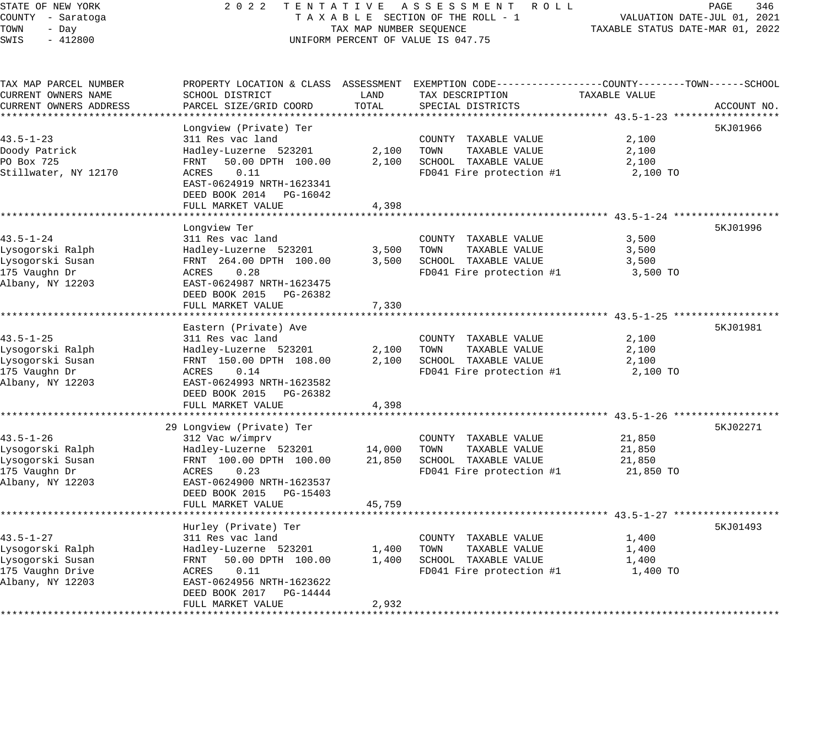### STATE OF NEW YORK 2 0 2 2 T E N T A T I V E A S S E S S M E N T R O L L PAGE 346 COUNTY - Saratoga T A X A B L E SECTION OF THE ROLL - 1 VALUATION DATE-JUL 01, 2021 X A B L E SECTION OF THE ROLL - 1 WELL PRODUCE TAXABLE STATUS DATE-MAR 01, 2022 UNIFORM PERCENT OF VALUE IS 047.75

| TAX MAP PARCEL NUMBER<br>CURRENT OWNERS NAME   | PROPERTY LOCATION & CLASS ASSESSMENT<br>SCHOOL DISTRICT                | LAND           | TAX DESCRIPTION                                                       | EXEMPTION CODE-----------------COUNTY-------TOWN------SCHOOL<br>TAXABLE VALUE |
|------------------------------------------------|------------------------------------------------------------------------|----------------|-----------------------------------------------------------------------|-------------------------------------------------------------------------------|
| CURRENT OWNERS ADDRESS                         | PARCEL SIZE/GRID COORD                                                 | TOTAL          | SPECIAL DISTRICTS                                                     | ACCOUNT NO.                                                                   |
|                                                | Longview (Private) Ter                                                 |                |                                                                       | 5KJ01966                                                                      |
| $43.5 - 1 - 23$<br>Doody Patrick<br>PO Box 725 | 311 Res vac land<br>Hadley-Luzerne 523201<br>FRNT<br>50.00 DPTH 100.00 | 2,100<br>2,100 | COUNTY TAXABLE VALUE<br>TOWN<br>TAXABLE VALUE<br>SCHOOL TAXABLE VALUE | 2,100<br>2,100<br>2,100                                                       |
| Stillwater, NY 12170                           | 0.11<br>ACRES<br>EAST-0624919 NRTH-1623341<br>DEED BOOK 2014 PG-16042  |                | FD041 Fire protection #1                                              | 2,100 TO                                                                      |
|                                                | FULL MARKET VALUE                                                      | 4,398          |                                                                       |                                                                               |
|                                                |                                                                        |                |                                                                       |                                                                               |
|                                                | Longview Ter                                                           |                |                                                                       | 5KJ01996                                                                      |
| $43.5 - 1 - 24$                                | 311 Res vac land                                                       |                | COUNTY TAXABLE VALUE                                                  | 3,500                                                                         |
| Lysogorski Ralph<br>Lysogorski Susan           | Hadley-Luzerne 523201<br>FRNT 264.00 DPTH 100.00                       | 3,500<br>3,500 | TAXABLE VALUE<br>TOWN<br>SCHOOL TAXABLE VALUE                         | 3,500<br>3,500                                                                |
| 175 Vaughn Dr                                  | 0.28<br>ACRES                                                          |                | FD041 Fire protection #1                                              | 3,500 TO                                                                      |
| Albany, NY 12203                               | EAST-0624987 NRTH-1623475<br>DEED BOOK 2015 PG-26382                   |                |                                                                       |                                                                               |
|                                                | FULL MARKET VALUE                                                      | 7,330          |                                                                       |                                                                               |
|                                                | ********************                                                   |                |                                                                       | ·*********************************** 43.5-1-25 *******************            |
|                                                | Eastern (Private) Ave                                                  |                |                                                                       | 5KJ01981                                                                      |
| $43.5 - 1 - 25$<br>Lysogorski Ralph            | 311 Res vac land<br>Hadley-Luzerne 523201                              | 2,100          | COUNTY TAXABLE VALUE<br>TOWN<br>TAXABLE VALUE                         | 2,100<br>2,100                                                                |
| Lysogorski Susan                               | FRNT 150.00 DPTH 108.00                                                | 2,100          | SCHOOL TAXABLE VALUE                                                  | 2,100                                                                         |
| 175 Vaughn Dr                                  | 0.14<br>ACRES                                                          |                | FD041 Fire protection #1                                              | 2,100 TO                                                                      |
| Albany, NY 12203                               | EAST-0624993 NRTH-1623582                                              |                |                                                                       |                                                                               |
|                                                | DEED BOOK 2015 PG-26382                                                |                |                                                                       |                                                                               |
|                                                | FULL MARKET VALUE                                                      | 4,398          |                                                                       |                                                                               |
|                                                |                                                                        |                |                                                                       |                                                                               |
|                                                | 29 Longview (Private) Ter                                              |                |                                                                       | 5KJ02271                                                                      |
| $43.5 - 1 - 26$                                | 312 Vac w/imprv                                                        |                | COUNTY TAXABLE VALUE                                                  | 21,850                                                                        |
| Lysogorski Ralph                               | Hadley-Luzerne 523201                                                  | 14,000         | TAXABLE VALUE<br>TOWN                                                 | 21,850                                                                        |
| Lysogorski Susan                               | FRNT 100.00 DPTH 100.00                                                | 21,850         | SCHOOL TAXABLE VALUE                                                  | 21,850                                                                        |
| 175 Vaughn Dr                                  | ACRES<br>0.23                                                          |                | FD041 Fire protection #1                                              | 21,850 TO                                                                     |
| Albany, NY 12203                               | EAST-0624900 NRTH-1623537                                              |                |                                                                       |                                                                               |
|                                                | DEED BOOK 2015 PG-15403                                                |                |                                                                       |                                                                               |
|                                                | FULL MARKET VALUE                                                      | 45,759         |                                                                       |                                                                               |
|                                                | Hurley (Private) Ter                                                   |                |                                                                       | 5KJ01493                                                                      |
| $43.5 - 1 - 27$                                | 311 Res vac land                                                       |                | COUNTY TAXABLE VALUE                                                  | 1,400                                                                         |
| Lysogorski Ralph                               | Hadley-Luzerne 523201                                                  | 1,400          | TAXABLE VALUE<br>TOWN                                                 | 1,400                                                                         |
| Lysogorski Susan                               | 50.00 DPTH 100.00<br>FRNT                                              | 1,400          | SCHOOL TAXABLE VALUE                                                  | 1,400                                                                         |
| 175 Vaughn Drive                               | 0.11<br>ACRES                                                          |                | FD041 Fire protection #1                                              | 1,400 TO                                                                      |
| Albany, NY 12203                               | EAST-0624956 NRTH-1623622                                              |                |                                                                       |                                                                               |
|                                                | DEED BOOK 2017 PG-14444                                                |                |                                                                       |                                                                               |
|                                                | FULL MARKET VALUE                                                      | 2,932          |                                                                       |                                                                               |
|                                                |                                                                        |                |                                                                       |                                                                               |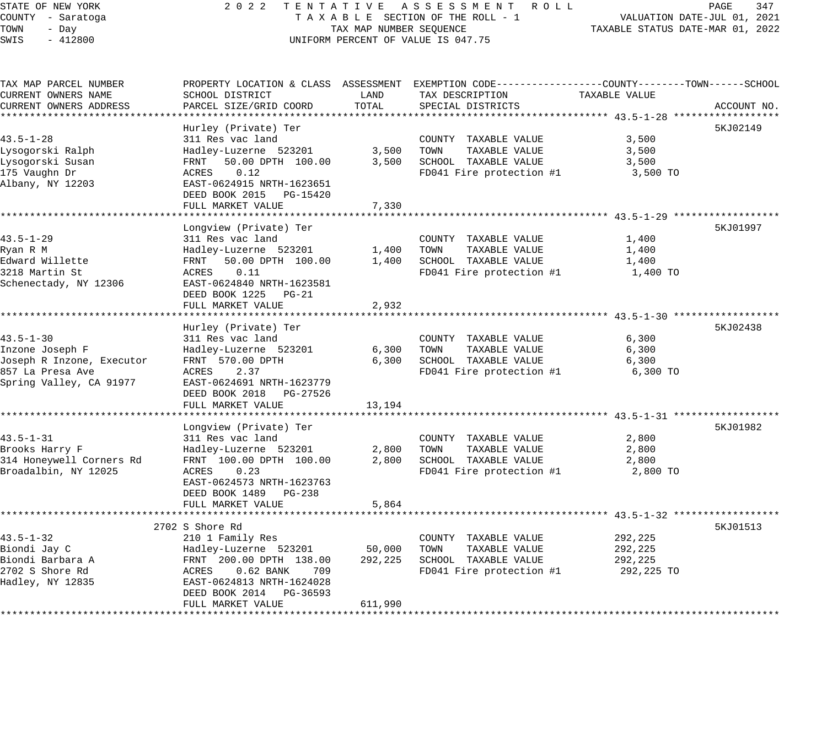## STATE OF NEW YORK 2 0 2 2 T E N T A T I V E A S S E S S M E N T R O L L PAGE 347 COUNTY - Saratoga T A X A B L E SECTION OF THE ROLL - 1 VALUATION DATE-JUL 01, 2021 TAX A B L E SECTION OF THE ROLL - 1<br>TAXABLE STATUS DATE-MAR 01, 2022 UNIFORM PERCENT OF VALUE IS 047.75

| TAX MAP PARCEL NUMBER     |                             |         | PROPERTY LOCATION & CLASS ASSESSMENT EXEMPTION CODE----------------COUNTY-------TOWN------SCHOOL |               |             |
|---------------------------|-----------------------------|---------|--------------------------------------------------------------------------------------------------|---------------|-------------|
| CURRENT OWNERS NAME       | SCHOOL DISTRICT             | LAND    | TAX DESCRIPTION                                                                                  | TAXABLE VALUE |             |
| CURRENT OWNERS ADDRESS    | PARCEL SIZE/GRID COORD      | TOTAL   | SPECIAL DISTRICTS                                                                                |               | ACCOUNT NO. |
|                           |                             |         |                                                                                                  |               |             |
|                           | Hurley (Private) Ter        |         |                                                                                                  |               | 5KJ02149    |
| $43.5 - 1 - 28$           | 311 Res vac land            |         | COUNTY TAXABLE VALUE                                                                             | 3,500         |             |
| Lysogorski Ralph          | Hadley-Luzerne 523201       | 3,500   | TOWN<br>TAXABLE VALUE                                                                            | 3,500         |             |
| Lysogorski Susan          | 50.00 DPTH 100.00<br>FRNT   | 3,500   | SCHOOL TAXABLE VALUE                                                                             | 3,500         |             |
| 175 Vaughn Dr             | 0.12<br>ACRES               |         | FD041 Fire protection #1                                                                         | 3,500 TO      |             |
| Albany, NY 12203          | EAST-0624915 NRTH-1623651   |         |                                                                                                  |               |             |
|                           | DEED BOOK 2015 PG-15420     |         |                                                                                                  |               |             |
|                           | FULL MARKET VALUE           | 7,330   |                                                                                                  |               |             |
|                           |                             |         |                                                                                                  |               |             |
|                           | Longview (Private) Ter      |         |                                                                                                  |               | 5KJ01997    |
| $43.5 - 1 - 29$           | 311 Res vac land            |         | COUNTY TAXABLE VALUE                                                                             | 1,400         |             |
| Ryan R M                  | Hadley-Luzerne 523201       | 1,400   | TOWN<br>TAXABLE VALUE                                                                            | 1,400         |             |
| Edward Willette           | FRNT 50.00 DPTH 100.00      | 1,400   | SCHOOL TAXABLE VALUE                                                                             | 1,400         |             |
| 3218 Martin St            | 0.11<br>ACRES               |         | FD041 Fire protection #1                                                                         | 1,400 TO      |             |
| Schenectady, NY 12306     | EAST-0624840 NRTH-1623581   |         |                                                                                                  |               |             |
|                           | DEED BOOK 1225 PG-21        |         |                                                                                                  |               |             |
|                           | FULL MARKET VALUE           | 2,932   |                                                                                                  |               |             |
|                           |                             |         |                                                                                                  |               |             |
|                           | Hurley (Private) Ter        |         |                                                                                                  |               | 5KJ02438    |
| $43.5 - 1 - 30$           | 311 Res vac land            |         | COUNTY TAXABLE VALUE                                                                             | 6,300         |             |
| Inzone Joseph F           | Hadley-Luzerne 523201       | 6,300   | TOWN<br>TAXABLE VALUE                                                                            | 6,300         |             |
| Joseph R Inzone, Executor | FRNT 570.00 DPTH            | 6,300   | SCHOOL TAXABLE VALUE                                                                             | 6,300         |             |
| 857 La Presa Ave          | ACRES<br>2.37               |         | FD041 Fire protection #1                                                                         | 6,300 TO      |             |
|                           |                             |         |                                                                                                  |               |             |
| Spring Valley, CA 91977   | EAST-0624691 NRTH-1623779   |         |                                                                                                  |               |             |
|                           | DEED BOOK 2018 PG-27526     |         |                                                                                                  |               |             |
|                           | FULL MARKET VALUE           | 13,194  |                                                                                                  |               |             |
|                           |                             |         |                                                                                                  |               |             |
|                           | Longview (Private) Ter      |         |                                                                                                  |               | 5KJ01982    |
| $43.5 - 1 - 31$           | 311 Res vac land            |         | COUNTY TAXABLE VALUE                                                                             | 2,800         |             |
| Brooks Harry F            | Hadley-Luzerne 523201       | 2,800   | TAXABLE VALUE<br>TOWN                                                                            | 2,800         |             |
| 314 Honeywell Corners Rd  | FRNT 100.00 DPTH 100.00     | 2,800   | SCHOOL TAXABLE VALUE                                                                             | 2,800         |             |
| Broadalbin, NY 12025      | 0.23<br>ACRES               |         | FD041 Fire protection #1                                                                         | 2,800 TO      |             |
|                           | EAST-0624573 NRTH-1623763   |         |                                                                                                  |               |             |
|                           | DEED BOOK 1489 PG-238       |         |                                                                                                  |               |             |
|                           | FULL MARKET VALUE           | 5,864   |                                                                                                  |               |             |
|                           |                             |         |                                                                                                  |               |             |
|                           | 2702 S Shore Rd             |         |                                                                                                  |               | 5KJ01513    |
| $43.5 - 1 - 32$           | 210 1 Family Res            |         | COUNTY TAXABLE VALUE                                                                             | 292,225       |             |
| Biondi Jay C              | Hadley-Luzerne 523201       | 50,000  | TOWN<br>TAXABLE VALUE                                                                            | 292,225       |             |
| Biondi Barbara A          | FRNT 200.00 DPTH 138.00     | 292,225 | SCHOOL TAXABLE VALUE                                                                             | 292,225       |             |
| 2702 S Shore Rd           | ACRES<br>$0.62$ BANK<br>709 |         | FD041 Fire protection #1                                                                         | 292,225 TO    |             |
| Hadley, NY 12835          | EAST-0624813 NRTH-1624028   |         |                                                                                                  |               |             |
|                           | DEED BOOK 2014<br>PG-36593  |         |                                                                                                  |               |             |
|                           | FULL MARKET VALUE           | 611,990 |                                                                                                  |               |             |
|                           |                             |         |                                                                                                  |               |             |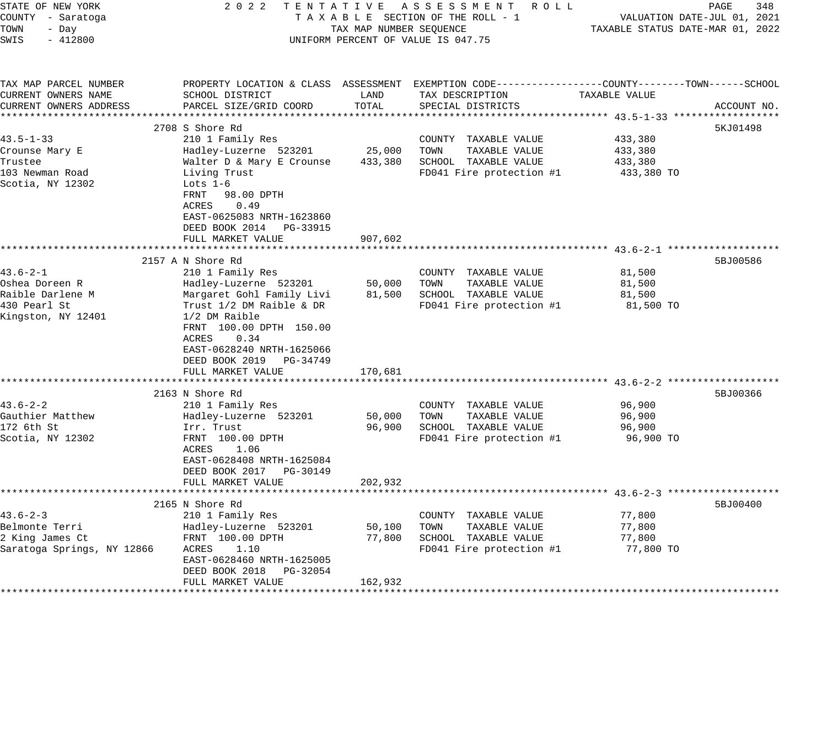| STATE OF NEW YORK<br>COUNTY - Saratoga<br>TOWN<br>- Day<br>SWIS<br>$-412800$               |                                                                                                                                                                                                                                                                   | TAX MAP NUMBER SEQUENCE     | 2022 TENTATIVE ASSESSMENT ROLL<br>TAXABLE SECTION OF THE ROLL - 1<br>UNIFORM PERCENT OF VALUE IS 047.75 | PAGE<br>348<br>VALUATION DATE-JUL 01, 2021<br>TAXABLE STATUS DATE-MAR 01, 2022                                                   |
|--------------------------------------------------------------------------------------------|-------------------------------------------------------------------------------------------------------------------------------------------------------------------------------------------------------------------------------------------------------------------|-----------------------------|---------------------------------------------------------------------------------------------------------|----------------------------------------------------------------------------------------------------------------------------------|
| TAX MAP PARCEL NUMBER<br>CURRENT OWNERS NAME<br>CURRENT OWNERS ADDRESS                     | SCHOOL DISTRICT<br>PARCEL SIZE/GRID COORD                                                                                                                                                                                                                         | LAND<br>TOTAL               | TAX DESCRIPTION<br>SPECIAL DISTRICTS                                                                    | PROPERTY LOCATION & CLASS ASSESSMENT EXEMPTION CODE----------------COUNTY-------TOWN------SCHOOL<br>TAXABLE VALUE<br>ACCOUNT NO. |
|                                                                                            |                                                                                                                                                                                                                                                                   |                             |                                                                                                         |                                                                                                                                  |
|                                                                                            | 2708 S Shore Rd                                                                                                                                                                                                                                                   |                             |                                                                                                         | 5KJ01498                                                                                                                         |
| $43.5 - 1 - 33$<br>Crounse Mary E<br>Trustee<br>103 Newman Road<br>Scotia, NY 12302        | 210 1 Family Res<br>Hadley-Luzerne 523201<br>Walter D & Mary E Crounse<br>Living Trust<br>Lots $1-6$<br>98.00 DPTH<br>FRNT<br>0.49<br>ACRES<br>EAST-0625083 NRTH-1623860<br>DEED BOOK 2014 PG-33915                                                               | 25,000<br>433,380           | COUNTY TAXABLE VALUE<br>TOWN<br>TAXABLE VALUE<br>SCHOOL TAXABLE VALUE<br>FD041 Fire protection #1       | 433,380<br>433,380<br>433,380<br>433,380 TO                                                                                      |
|                                                                                            | FULL MARKET VALUE                                                                                                                                                                                                                                                 | 907,602                     |                                                                                                         |                                                                                                                                  |
|                                                                                            |                                                                                                                                                                                                                                                                   | * * * * * * * * *           |                                                                                                         | ********************************* 43.6–2–1 ********************                                                                  |
| $43.6 - 2 - 1$<br>Oshea Doreen R<br>Raible Darlene M<br>430 Pearl St<br>Kingston, NY 12401 | 2157 A N Shore Rd<br>210 1 Family Res<br>Hadley-Luzerne 523201<br>Margaret Gohl Family Livi<br>Trust 1/2 DM Raible & DR<br>1/2 DM Raible<br>FRNT 100.00 DPTH 150.00<br>0.34<br>ACRES<br>EAST-0628240 NRTH-1625066<br>DEED BOOK 2019 PG-34749<br>FULL MARKET VALUE | 50,000<br>81,500<br>170,681 | COUNTY TAXABLE VALUE<br>TOWN<br>TAXABLE VALUE<br>SCHOOL TAXABLE VALUE<br>FD041 Fire protection #1       | 5BJ00586<br>81,500<br>81,500<br>81,500<br>81,500 TO                                                                              |
|                                                                                            |                                                                                                                                                                                                                                                                   |                             |                                                                                                         |                                                                                                                                  |
| $43.6 - 2 - 2$<br>Gauthier Matthew<br>172 6th St<br>Scotia, NY 12302                       | 2163 N Shore Rd<br>210 1 Family Res<br>Hadley-Luzerne 523201<br>Irr. Trust<br>FRNT 100.00 DPTH<br>ACRES<br>1.06<br>EAST-0628408 NRTH-1625084<br>DEED BOOK 2017 PG-30149<br>FULL MARKET VALUE                                                                      | 50,000<br>96,900<br>202,932 | COUNTY TAXABLE VALUE<br>TOWN<br>TAXABLE VALUE<br>SCHOOL TAXABLE VALUE<br>FD041 Fire protection #1       | 5BJ00366<br>96,900<br>96,900<br>96,900<br>96,900 TO                                                                              |
|                                                                                            | **********************                                                                                                                                                                                                                                            |                             |                                                                                                         |                                                                                                                                  |
| $43.6 - 2 - 3$<br>Belmonte Terri<br>2 King James Ct<br>Saratoga Springs, NY 12866          | 2165 N Shore Rd<br>210 1 Family Res<br>Hadley-Luzerne 523201<br>FRNT 100.00 DPTH<br>1.10<br>ACRES<br>EAST-0628460 NRTH-1625005<br>DEED BOOK 2018 PG-32054<br>FULL MARKET VALUE                                                                                    | 50,100<br>77,800<br>162,932 | COUNTY TAXABLE VALUE<br>TOWN<br>TAXABLE VALUE<br>SCHOOL TAXABLE VALUE<br>FD041 Fire protection #1       | 5BJ00400<br>77,800<br>77,800<br>77,800<br>77,800 TO                                                                              |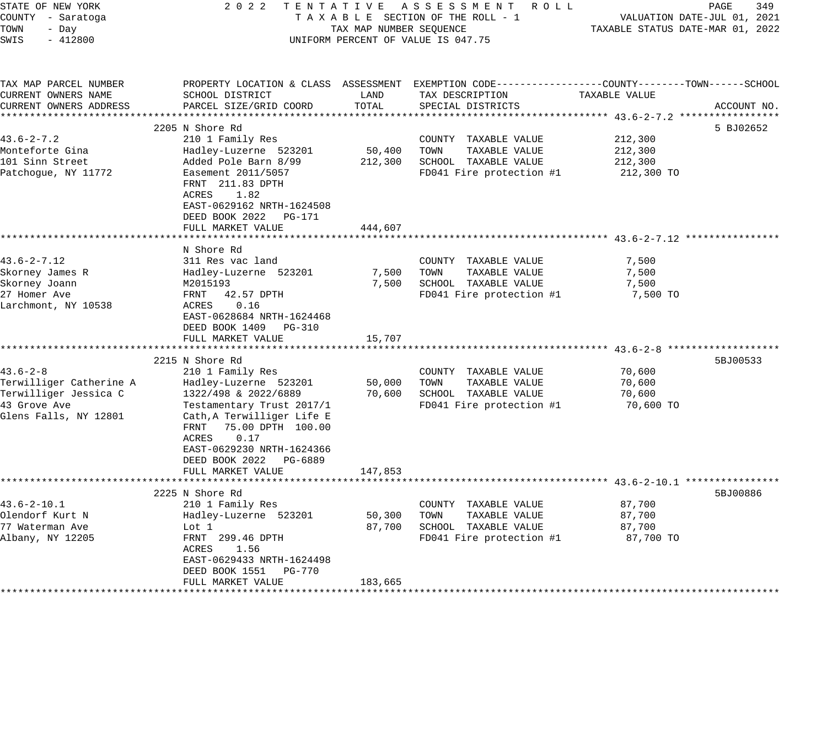| STATE OF NEW YORK<br>COUNTY - Saratoga<br>TOWN<br>- Day<br>SWIS<br>$-412800$ | 2 0 2 2                                                                                                                                                         | TAX MAP NUMBER SEQUENCE | TENTATIVE ASSESSMENT ROLL<br>TAXABLE SECTION OF THE ROLL - 1<br>UNIFORM PERCENT OF VALUE IS 047.75                  | TAXABLE STATUS DATE-MAR 01, 2022 | PAGE<br>349<br>VALUATION DATE-JUL 01, 2021 |
|------------------------------------------------------------------------------|-----------------------------------------------------------------------------------------------------------------------------------------------------------------|-------------------------|---------------------------------------------------------------------------------------------------------------------|----------------------------------|--------------------------------------------|
| TAX MAP PARCEL NUMBER<br>CURRENT OWNERS NAME                                 | SCHOOL DISTRICT                                                                                                                                                 | LAND                    | PROPERTY LOCATION & CLASS ASSESSMENT EXEMPTION CODE----------------COUNTY-------TOWN------SCHOOL<br>TAX DESCRIPTION | TAXABLE VALUE                    |                                            |
| CURRENT OWNERS ADDRESS                                                       | PARCEL SIZE/GRID COORD                                                                                                                                          | TOTAL                   | SPECIAL DISTRICTS                                                                                                   |                                  | ACCOUNT NO.                                |
|                                                                              |                                                                                                                                                                 |                         |                                                                                                                     |                                  |                                            |
|                                                                              | 2205 N Shore Rd                                                                                                                                                 |                         |                                                                                                                     |                                  | 5 BJ02652                                  |
| $43.6 - 2 - 7.2$                                                             | 210 1 Family Res                                                                                                                                                |                         | COUNTY TAXABLE VALUE                                                                                                | 212,300                          |                                            |
| Monteforte Gina                                                              | Hadley-Luzerne 523201                                                                                                                                           | 50,400                  | TOWN<br>TAXABLE VALUE                                                                                               | 212,300                          |                                            |
| 101 Sinn Street                                                              | Added Pole Barn 8/99                                                                                                                                            | 212,300                 | SCHOOL TAXABLE VALUE                                                                                                | 212,300                          |                                            |
| Patchoque, NY 11772                                                          | Easement 2011/5057                                                                                                                                              |                         | FD041 Fire protection #1                                                                                            | 212,300 TO                       |                                            |
|                                                                              | FRNT 211.83 DPTH                                                                                                                                                |                         |                                                                                                                     |                                  |                                            |
|                                                                              | ACRES<br>1.82<br>EAST-0629162 NRTH-1624508                                                                                                                      |                         |                                                                                                                     |                                  |                                            |
|                                                                              | DEED BOOK 2022<br>PG-171                                                                                                                                        |                         |                                                                                                                     |                                  |                                            |
|                                                                              | FULL MARKET VALUE                                                                                                                                               | 444,607                 |                                                                                                                     |                                  |                                            |
|                                                                              | N Shore Rd                                                                                                                                                      |                         |                                                                                                                     |                                  |                                            |
| $43.6 - 2 - 7.12$                                                            | 311 Res vac land                                                                                                                                                |                         | COUNTY TAXABLE VALUE                                                                                                | 7,500                            |                                            |
| Skorney James R                                                              | Hadley-Luzerne 523201                                                                                                                                           | 7,500                   | TOWN<br>TAXABLE VALUE                                                                                               | 7,500                            |                                            |
| Skorney Joann                                                                | M2015193                                                                                                                                                        | 7,500                   | SCHOOL TAXABLE VALUE                                                                                                | 7,500                            |                                            |
| 27 Homer Ave                                                                 | FRNT<br>42.57 DPTH                                                                                                                                              |                         | FD041 Fire protection #1                                                                                            | 7,500 TO                         |                                            |
| Larchmont, NY 10538                                                          | ACRES<br>0.16<br>EAST-0628684 NRTH-1624468<br>DEED BOOK 1409 PG-310                                                                                             |                         |                                                                                                                     |                                  |                                            |
|                                                                              | FULL MARKET VALUE                                                                                                                                               | 15,707                  |                                                                                                                     |                                  |                                            |
|                                                                              | *******************************                                                                                                                                 |                         |                                                                                                                     |                                  |                                            |
|                                                                              | 2215 N Shore Rd                                                                                                                                                 |                         |                                                                                                                     |                                  | 5BJ00533                                   |
| $43.6 - 2 - 8$                                                               | 210 1 Family Res                                                                                                                                                |                         | COUNTY TAXABLE VALUE                                                                                                | 70,600                           |                                            |
| Terwilliger Catherine A                                                      | Hadley-Luzerne 523201                                                                                                                                           | 50,000                  | TOWN<br>TAXABLE VALUE                                                                                               | 70,600                           |                                            |
| Terwilliger Jessica C                                                        | 1322/498 & 2022/6889                                                                                                                                            | 70,600                  | SCHOOL TAXABLE VALUE                                                                                                | 70,600                           |                                            |
| 43 Grove Ave<br>Glens Falls, NY 12801                                        | Testamentary Trust 2017/1<br>Cath, A Terwilliger Life E<br>75.00 DPTH 100.00<br>FRNT<br>ACRES<br>0.17<br>EAST-0629230 NRTH-1624366<br>DEED BOOK 2022<br>PG-6889 |                         | FD041 Fire protection #1                                                                                            | 70,600 TO                        |                                            |
|                                                                              | FULL MARKET VALUE                                                                                                                                               | 147,853                 |                                                                                                                     |                                  |                                            |
|                                                                              | 2225 N Shore Rd                                                                                                                                                 |                         |                                                                                                                     |                                  | 5BJ00886                                   |
| $43.6 - 2 - 10.1$                                                            | 210 1 Family Res                                                                                                                                                |                         | COUNTY TAXABLE VALUE                                                                                                | 87,700                           |                                            |
| Olendorf Kurt N                                                              | Hadley-Luzerne 523201                                                                                                                                           | 50,300                  | TAXABLE VALUE<br>TOWN                                                                                               | 87,700                           |                                            |
| 77 Waterman Ave                                                              | Lot 1                                                                                                                                                           | 87,700                  | SCHOOL TAXABLE VALUE                                                                                                | 87,700                           |                                            |
| Albany, NY 12205                                                             | FRNT 299.46 DPTH<br>ACRES<br>1.56<br>EAST-0629433 NRTH-1624498                                                                                                  |                         | FD041 Fire protection #1                                                                                            | 87,700 TO                        |                                            |
|                                                                              | DEED BOOK 1551<br>PG-770                                                                                                                                        |                         |                                                                                                                     |                                  |                                            |
|                                                                              | FULL MARKET VALUE                                                                                                                                               | 183,665                 |                                                                                                                     |                                  |                                            |
|                                                                              |                                                                                                                                                                 |                         |                                                                                                                     |                                  |                                            |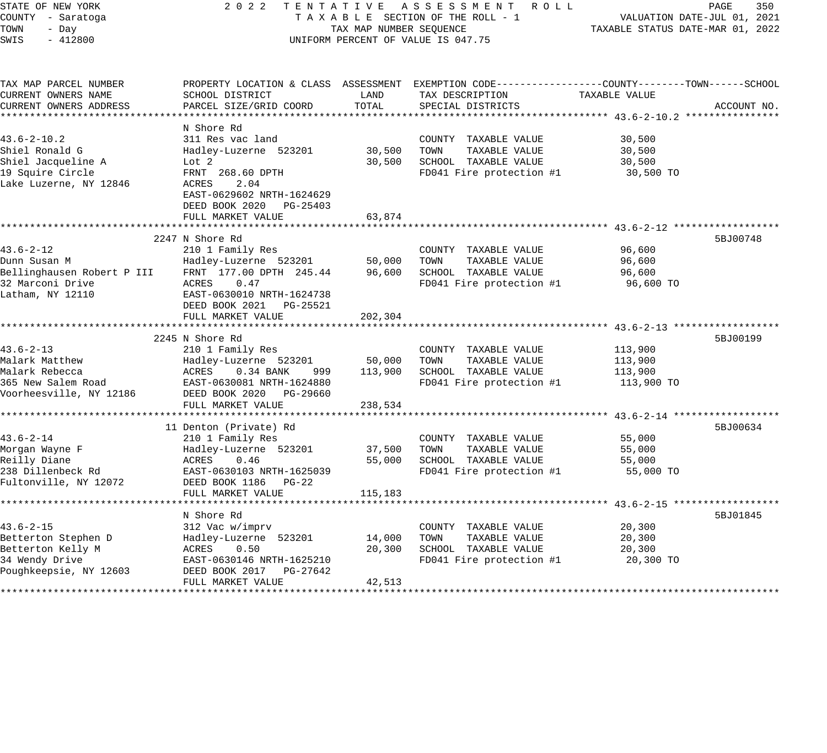| STATE OF NEW YORK<br>COUNTY - Saratoga<br>TOWN<br>- Day<br>SWIS<br>$-412800$ | 2 0 2 2                                          | TAX MAP NUMBER SEQUENCE | TENTATIVE ASSESSMENT<br>R O L L<br>TAXABLE SECTION OF THE ROLL - 1<br>UNIFORM PERCENT OF VALUE IS 047.75           | TAXABLE STATUS DATE-MAR 01, 2022 | PAGE<br>350<br>VALUATION DATE-JUL 01, 2021 |
|------------------------------------------------------------------------------|--------------------------------------------------|-------------------------|--------------------------------------------------------------------------------------------------------------------|----------------------------------|--------------------------------------------|
|                                                                              |                                                  |                         |                                                                                                                    |                                  |                                            |
| TAX MAP PARCEL NUMBER<br>CURRENT OWNERS NAME                                 | SCHOOL DISTRICT                                  | LAND                    | PROPERTY LOCATION & CLASS ASSESSMENT EXEMPTION CODE----------------COUNTY-------TOWN-----SCHOOL<br>TAX DESCRIPTION | TAXABLE VALUE                    |                                            |
| CURRENT OWNERS ADDRESS                                                       | PARCEL SIZE/GRID COORD                           | TOTAL                   | SPECIAL DISTRICTS                                                                                                  |                                  | ACCOUNT NO.                                |
|                                                                              |                                                  |                         |                                                                                                                    |                                  |                                            |
| $43.6 - 2 - 10.2$                                                            | N Shore Rd<br>311 Res vac land                   |                         |                                                                                                                    |                                  |                                            |
| Shiel Ronald G                                                               | Hadley-Luzerne 523201                            | 30,500                  | COUNTY TAXABLE VALUE<br>TOWN<br>TAXABLE VALUE                                                                      | 30,500<br>30,500                 |                                            |
| Shiel Jacqueline A                                                           | Lot 2                                            | 30,500                  | SCHOOL TAXABLE VALUE                                                                                               | 30,500                           |                                            |
| 19 Squire Circle                                                             | FRNT 268.60 DPTH                                 |                         | FD041 Fire protection #1                                                                                           | 30,500 TO                        |                                            |
| Lake Luzerne, NY 12846                                                       | ACRES<br>2.04                                    |                         |                                                                                                                    |                                  |                                            |
|                                                                              | EAST-0629602 NRTH-1624629                        |                         |                                                                                                                    |                                  |                                            |
|                                                                              | DEED BOOK 2020 PG-25403                          |                         |                                                                                                                    |                                  |                                            |
|                                                                              | FULL MARKET VALUE                                | 63,874                  |                                                                                                                    |                                  |                                            |
|                                                                              | *******************                              |                         | ****************************** 43.6-2-12 ****                                                                      |                                  |                                            |
|                                                                              | 2247 N Shore Rd                                  |                         |                                                                                                                    |                                  | 5BJ00748                                   |
| $43.6 - 2 - 12$                                                              | 210 1 Family Res                                 |                         | COUNTY TAXABLE VALUE                                                                                               | 96,600                           |                                            |
| Dunn Susan M<br>Bellinghausen Robert P III                                   | Hadley-Luzerne 523201<br>FRNT 177.00 DPTH 245.44 | 50,000<br>96,600        | TAXABLE VALUE<br>TOWN<br>SCHOOL TAXABLE VALUE                                                                      | 96,600<br>96,600                 |                                            |
| 32 Marconi Drive                                                             | ACRES<br>0.47                                    |                         | FD041 Fire protection #1                                                                                           | 96,600 TO                        |                                            |
| Latham, NY 12110                                                             | EAST-0630010 NRTH-1624738                        |                         |                                                                                                                    |                                  |                                            |
|                                                                              | DEED BOOK 2021    PG-25521                       |                         |                                                                                                                    |                                  |                                            |
|                                                                              | FULL MARKET VALUE                                | 202,304                 |                                                                                                                    |                                  |                                            |
|                                                                              |                                                  |                         |                                                                                                                    |                                  |                                            |
|                                                                              | 2245 N Shore Rd                                  |                         |                                                                                                                    |                                  | 5BJ00199                                   |
| $43.6 - 2 - 13$                                                              | 210 1 Family Res                                 |                         | COUNTY TAXABLE VALUE                                                                                               | 113,900                          |                                            |
| Malark Matthew                                                               | Hadley-Luzerne 523201                            | 50,000                  | TOWN<br>TAXABLE VALUE                                                                                              | 113,900                          |                                            |
| Malark Rebecca                                                               | ACRES<br>$0.34$ BANK<br>999                      | 113,900                 | SCHOOL TAXABLE VALUE                                                                                               | 113,900                          |                                            |
| 365 New Salem Road                                                           | EAST-0630081 NRTH-1624880                        |                         | FD041 Fire protection #1                                                                                           | 113,900 TO                       |                                            |
| Voorheesville, NY 12186                                                      | DEED BOOK 2020<br>PG-29660<br>FULL MARKET VALUE  |                         |                                                                                                                    |                                  |                                            |
|                                                                              | ********************                             | 238,534                 |                                                                                                                    | ******* 43.6-2-14                |                                            |
|                                                                              | 11 Denton (Private) Rd                           |                         |                                                                                                                    |                                  | 5BJ00634                                   |
| $43.6 - 2 - 14$                                                              | 210 1 Family Res                                 |                         | COUNTY TAXABLE VALUE                                                                                               | 55,000                           |                                            |
| Morgan Wayne F                                                               | Hadley-Luzerne 523201                            | 37,500                  | TOWN<br>TAXABLE VALUE                                                                                              | 55,000                           |                                            |
| Reilly Diane                                                                 | ACRES<br>0.46                                    | 55,000                  | SCHOOL TAXABLE VALUE                                                                                               | 55,000                           |                                            |
| 238 Dillenbeck Rd                                                            | EAST-0630103 NRTH-1625039                        |                         | FD041 Fire protection #1                                                                                           | 55,000 TO                        |                                            |
| Fultonville, NY 12072                                                        | DEED BOOK 1186 PG-22                             |                         |                                                                                                                    |                                  |                                            |
|                                                                              | FULL MARKET VALUE                                | 115,183                 |                                                                                                                    |                                  |                                            |
|                                                                              | ************************                         |                         | *********************************** 43.6-2-15 *******************                                                  |                                  |                                            |
|                                                                              | N Shore Rd                                       |                         |                                                                                                                    |                                  | 5BJ01845                                   |
| $43.6 - 2 - 15$<br>Betterton Stephen D                                       | 312 Vac w/imprv<br>Hadley-Luzerne 523201         | 14,000                  | COUNTY TAXABLE VALUE<br>TOWN<br>TAXABLE VALUE                                                                      | 20,300<br>20,300                 |                                            |
| Betterton Kelly M                                                            | ACRES<br>0.50                                    | 20,300                  | SCHOOL TAXABLE VALUE                                                                                               | 20,300                           |                                            |
| 34 Wendy Drive                                                               | EAST-0630146 NRTH-1625210                        |                         | FD041 Fire protection #1                                                                                           | 20,300 TO                        |                                            |
| Poughkeepsie, NY 12603                                                       | DEED BOOK 2017<br>PG-27642                       |                         |                                                                                                                    |                                  |                                            |
|                                                                              | FULL MARKET VALUE                                | 42,513                  |                                                                                                                    |                                  |                                            |
|                                                                              | ************************                         |                         |                                                                                                                    |                                  |                                            |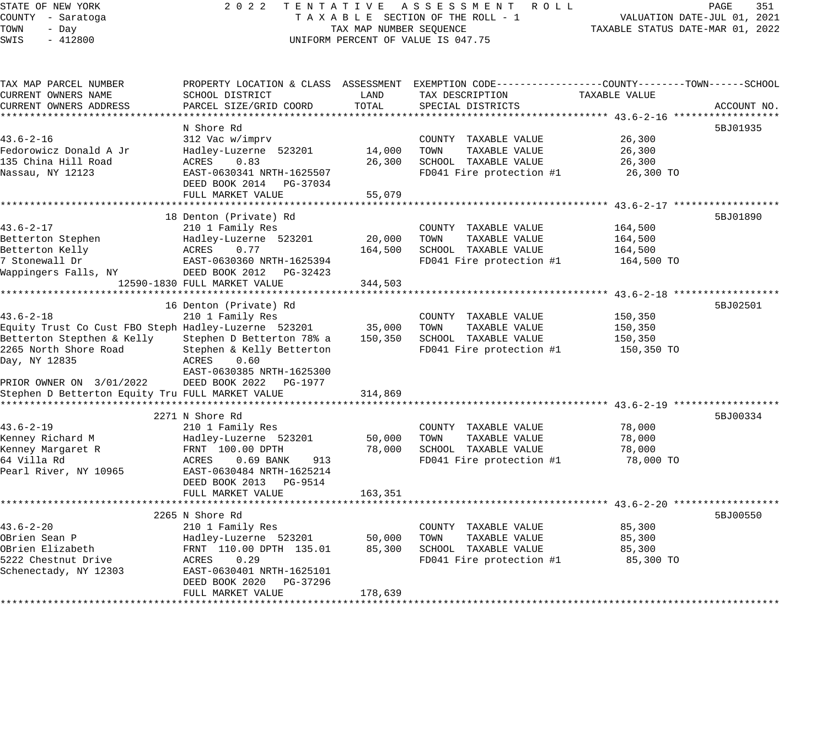# STATE OF NEW YORK 2 0 2 2 T E N T A T I V E A S S E S S M E N T R O L L PAGE 351 COUNTY - Saratoga T A X A B L E SECTION OF THE ROLL - 1 VALUATION DATE-JUL 01, 2021 X A B L E SECTION OF THE ROLL - 1<br>TAX MAP NUMBER SEQUENCE TAXABLE STATUS DATE-MAR 01, 2022 UNIFORM PERCENT OF VALUE IS 047.75

| TAX MAP PARCEL NUMBER<br>CURRENT OWNERS NAME<br>CURRENT OWNERS ADDRESS                                                                                                                                                          | SCHOOL DISTRICT<br>PARCEL SIZE/GRID COORD                                                                                                                                                   | LAND<br>TOTAL                | PROPERTY LOCATION & CLASS ASSESSMENT EXEMPTION CODE----------------COUNTY-------TOWN------SCHOOL<br>TAX DESCRIPTION<br>SPECIAL DISTRICTS | TAXABLE VALUE                               | ACCOUNT NO. |
|---------------------------------------------------------------------------------------------------------------------------------------------------------------------------------------------------------------------------------|---------------------------------------------------------------------------------------------------------------------------------------------------------------------------------------------|------------------------------|------------------------------------------------------------------------------------------------------------------------------------------|---------------------------------------------|-------------|
| $43.6 - 2 - 16$<br>Fedorowicz Donald A Jr<br>135 China Hill Road<br>Nassau, NY 12123                                                                                                                                            | N Shore Rd<br>312 Vac w/imprv<br>Hadley-Luzerne 523201<br>ACRES<br>0.83<br>EAST-0630341 NRTH-1625507<br>DEED BOOK 2014 PG-37034<br>FULL MARKET VALUE                                        | 14,000<br>26,300<br>55,079   | COUNTY TAXABLE VALUE<br>TOWN<br>TAXABLE VALUE<br>SCHOOL TAXABLE VALUE<br>FD041 Fire protection #1                                        | 26,300<br>26,300<br>26,300<br>26,300 TO     | 5BJ01935    |
| $43.6 - 2 - 17$<br>Betterton Stephen<br>Betterton Kelly<br>7 Stonewall Dr<br>Wappingers Falls, NY                                                                                                                               | 18 Denton (Private) Rd<br>210 1 Family Res<br>Hadley-Luzerne 523201<br>ACRES<br>0.77<br>EAST-0630360 NRTH-1625394<br>DEED BOOK 2012 PG-32423<br>12590-1830 FULL MARKET VALUE                | 20,000<br>164,500<br>344,503 | COUNTY TAXABLE VALUE<br>TOWN<br>TAXABLE VALUE<br>SCHOOL TAXABLE VALUE<br>FD041 Fire protection #1                                        | 164,500<br>164,500<br>164,500<br>164,500 TO | 5BJ01890    |
| $43.6 - 2 - 18$<br>Equity Trust Co Cust FBO Steph Hadley-Luzerne 523201<br>Betterton Stepthen & Kelly<br>2265 North Shore Road<br>Day, NY 12835<br>PRIOR OWNER ON 3/01/2022<br>Stephen D Betterton Equity Tru FULL MARKET VALUE | 16 Denton (Private) Rd<br>210 1 Family Res<br>Stephen D Betterton 78% a<br>Stephen & Kelly Betterton<br>0.60<br>ACRES<br>EAST-0630385 NRTH-1625300<br>DEED BOOK 2022 PG-1977                | 35,000<br>150,350<br>314,869 | COUNTY TAXABLE VALUE<br>TAXABLE VALUE<br>TOWN<br>SCHOOL TAXABLE VALUE<br>FD041 Fire protection #1                                        | 150,350<br>150,350<br>150,350<br>150,350 TO | 5BJ02501    |
| $43.6 - 2 - 19$<br>Kenney Richard M<br>Kenney Margaret R<br>64 Villa Rd<br>Pearl River, NY 10965                                                                                                                                | 2271 N Shore Rd<br>210 1 Family Res<br>Hadley-Luzerne 523201<br>FRNT 100.00 DPTH<br>ACRES<br>$0.69$ BANK<br>913<br>EAST-0630484 NRTH-1625214<br>DEED BOOK 2013 PG-9514<br>FULL MARKET VALUE | 50,000<br>78,000<br>163,351  | COUNTY TAXABLE VALUE<br>TOWN<br>TAXABLE VALUE<br>SCHOOL TAXABLE VALUE<br>FD041 Fire protection #1                                        | 78,000<br>78,000<br>78,000<br>78,000 TO     | 5BJ00334    |
| $43.6 - 2 - 20$<br>OBrien Sean P<br>OBrien Elizabeth<br>5222 Chestnut Drive<br>Schenectady, NY 12303                                                                                                                            | 2265 N Shore Rd<br>210 1 Family Res<br>Hadley-Luzerne 523201<br>FRNT 110.00 DPTH 135.01<br>0.29<br>ACRES<br>EAST-0630401 NRTH-1625101<br>DEED BOOK 2020<br>PG-37296<br>FULL MARKET VALUE    | 50,000<br>85,300<br>178,639  | COUNTY TAXABLE VALUE<br>TOWN<br>TAXABLE VALUE<br>SCHOOL TAXABLE VALUE<br>FD041 Fire protection #1                                        | 85,300<br>85,300<br>85,300<br>85,300 TO     | 5BJ00550    |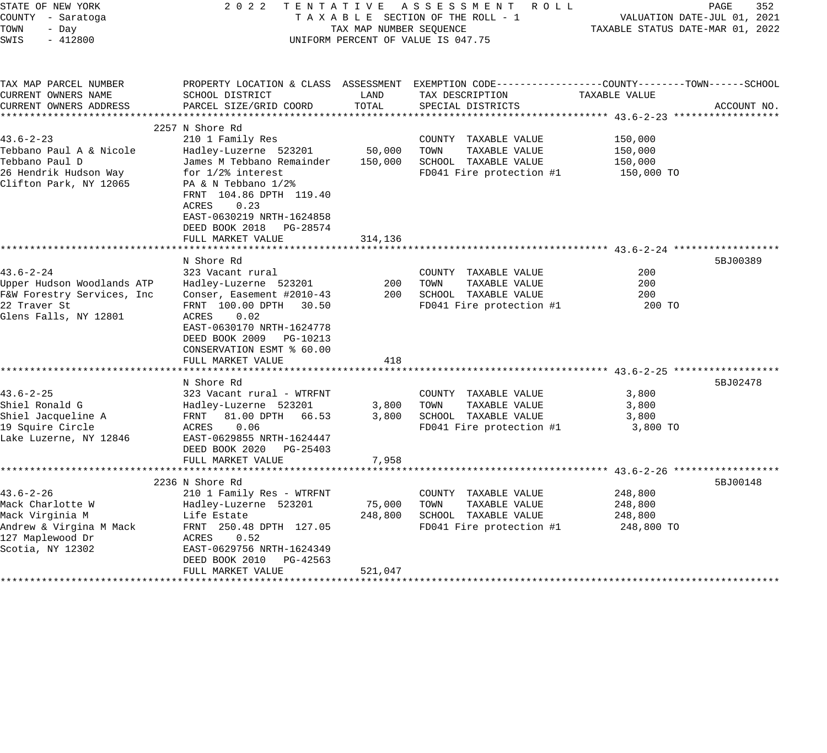| STATE OF NEW YORK<br>COUNTY - Saratoga<br>TOWN<br>- Day<br>SWIS<br>$-412800$                                              | 2 0 2 2                                                                                                                                                                                                                                        | TAX MAP NUMBER SEQUENCE      | TENTATIVE ASSESSMENT ROLL<br>TAXABLE SECTION OF THE ROLL - 1<br>UNIFORM PERCENT OF VALUE IS 047.75                                      | VALUATION DATE-JUL 01, 2021<br>TAXABLE STATUS DATE-MAR 01, 2022 | PAGE<br>352 |
|---------------------------------------------------------------------------------------------------------------------------|------------------------------------------------------------------------------------------------------------------------------------------------------------------------------------------------------------------------------------------------|------------------------------|-----------------------------------------------------------------------------------------------------------------------------------------|-----------------------------------------------------------------|-------------|
| TAX MAP PARCEL NUMBER<br>CURRENT OWNERS NAME<br>CURRENT OWNERS ADDRESS                                                    | SCHOOL DISTRICT<br>PARCEL SIZE/GRID COORD                                                                                                                                                                                                      | LAND<br>TOTAL                | PROPERTY LOCATION & CLASS ASSESSMENT EXEMPTION CODE----------------COUNTY-------TOWN-----SCHOOL<br>TAX DESCRIPTION<br>SPECIAL DISTRICTS | TAXABLE VALUE                                                   | ACCOUNT NO. |
|                                                                                                                           | 2257 N Shore Rd                                                                                                                                                                                                                                |                              |                                                                                                                                         |                                                                 |             |
| $43.6 - 2 - 23$<br>Tebbano Paul A & Nicole<br>Tebbano Paul D<br>26 Hendrik Hudson Way<br>Clifton Park, NY 12065           | 210 1 Family Res<br>Hadley-Luzerne 523201<br>James M Tebbano Remainder<br>for 1/2% interest<br>PA & N Tebbano 1/2%<br>FRNT 104.86 DPTH 119.40<br>ACRES<br>0.23<br>EAST-0630219 NRTH-1624858<br>DEED BOOK 2018<br>PG-28574<br>FULL MARKET VALUE | 50,000<br>150,000<br>314,136 | COUNTY TAXABLE VALUE<br>TAXABLE VALUE<br>TOWN<br>SCHOOL TAXABLE VALUE<br>FD041 Fire protection #1                                       | 150,000<br>150,000<br>150,000<br>150,000 TO                     |             |
| $43.6 - 2 - 24$<br>Upper Hudson Woodlands ATP<br>F&W Forestry Services, Inc<br>22 Traver St<br>Glens Falls, NY 12801      | N Shore Rd<br>323 Vacant rural<br>Hadley-Luzerne 523201<br>Conser, Easement #2010-43<br>FRNT 100.00 DPTH 30.50<br>ACRES<br>0.02<br>EAST-0630170 NRTH-1624778<br>DEED BOOK 2009 PG-10213<br>CONSERVATION ESMT % 60.00<br>FULL MARKET VALUE      | 200<br>200<br>418            | COUNTY TAXABLE VALUE<br>TOWN<br>TAXABLE VALUE<br>SCHOOL TAXABLE VALUE<br>FD041 Fire protection #1                                       | 200<br>200<br>200<br>200 TO                                     | 5BJ00389    |
|                                                                                                                           |                                                                                                                                                                                                                                                |                              |                                                                                                                                         |                                                                 |             |
| $43.6 - 2 - 25$<br>Shiel Ronald G<br>Shiel Jacqueline A<br>19 Squire Circle<br>Lake Luzerne, NY 12846                     | N Shore Rd<br>323 Vacant rural - WTRFNT<br>Hadley-Luzerne 523201<br>FRNT 81.00 DPTH 66.53<br>0.06<br>ACRES<br>EAST-0629855 NRTH-1624447                                                                                                        | 3,800<br>3,800               | COUNTY TAXABLE VALUE<br>TOWN<br>TAXABLE VALUE<br>SCHOOL TAXABLE VALUE<br>FD041 Fire protection #1                                       | 3,800<br>3,800<br>3,800<br>3,800 TO                             | 5BJ02478    |
|                                                                                                                           | DEED BOOK 2020 PG-25403                                                                                                                                                                                                                        |                              |                                                                                                                                         |                                                                 |             |
|                                                                                                                           | FULL MARKET VALUE<br>2236 N Shore Rd                                                                                                                                                                                                           | 7,958                        |                                                                                                                                         |                                                                 | 5BJ00148    |
| $43.6 - 2 - 26$<br>Mack Charlotte W<br>Mack Virginia M<br>Andrew & Virgina M Mack<br>127 Maplewood Dr<br>Scotia, NY 12302 | 210 1 Family Res - WTRFNT<br>Hadley-Luzerne 523201<br>Life Estate<br>FRNT 250.48 DPTH 127.05<br>0.52<br>ACRES<br>EAST-0629756 NRTH-1624349<br>DEED BOOK 2010<br>PG-42563<br>FULL MARKET VALUE                                                  | 75,000<br>248,800<br>521,047 | COUNTY TAXABLE VALUE<br>TOWN<br>TAXABLE VALUE<br>SCHOOL TAXABLE VALUE<br>FD041 Fire protection #1                                       | 248,800<br>248,800<br>248,800<br>248,800 TO                     |             |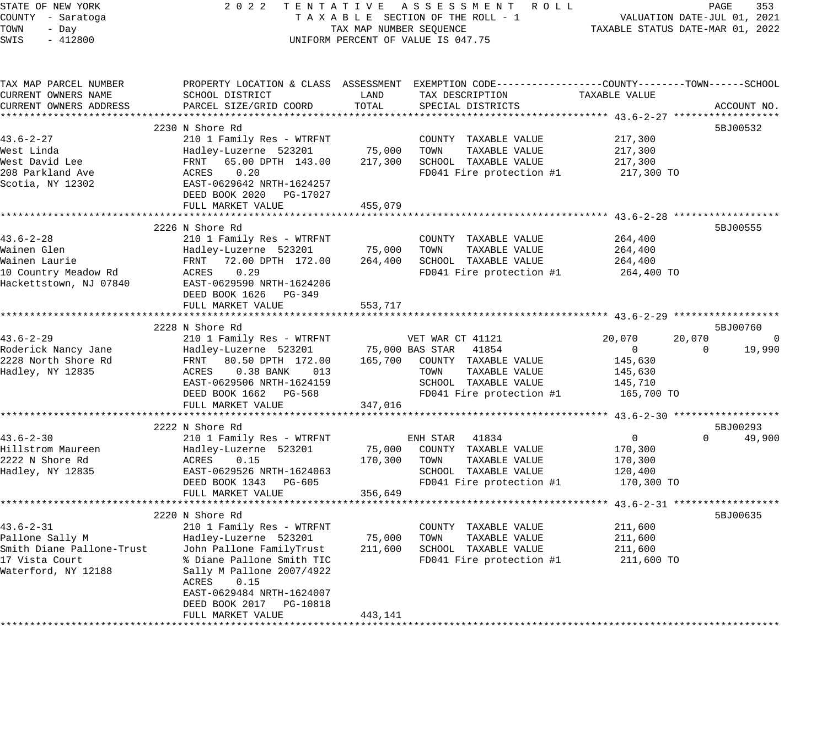| STATE OF NEW YORK         | 2 0 2 2<br>TENTATIVE               |                         | A S S E S S M E N T<br>R O L L                                                                   |                       | PAGE<br>353                      |
|---------------------------|------------------------------------|-------------------------|--------------------------------------------------------------------------------------------------|-----------------------|----------------------------------|
| COUNTY - Saratoga         |                                    |                         | TAXABLE SECTION OF THE ROLL - 1                                                                  |                       | VALUATION DATE-JUL 01, 2021      |
| TOWN<br>- Day             |                                    | TAX MAP NUMBER SEQUENCE |                                                                                                  |                       | TAXABLE STATUS DATE-MAR 01, 2022 |
| SWIS<br>$-412800$         |                                    |                         | UNIFORM PERCENT OF VALUE IS 047.75                                                               |                       |                                  |
|                           |                                    |                         |                                                                                                  |                       |                                  |
| TAX MAP PARCEL NUMBER     |                                    |                         | PROPERTY LOCATION & CLASS ASSESSMENT EXEMPTION CODE----------------COUNTY-------TOWN------SCHOOL |                       |                                  |
| CURRENT OWNERS NAME       | SCHOOL DISTRICT                    | LAND                    | TAX DESCRIPTION                                                                                  | TAXABLE VALUE         |                                  |
| CURRENT OWNERS ADDRESS    | PARCEL SIZE/GRID COORD             | TOTAL                   | SPECIAL DISTRICTS                                                                                |                       | ACCOUNT NO.                      |
|                           |                                    |                         |                                                                                                  |                       |                                  |
|                           | 2230 N Shore Rd                    |                         |                                                                                                  |                       | 5BJ00532                         |
| $43.6 - 2 - 27$           | 210 1 Family Res - WTRFNT          |                         | COUNTY TAXABLE VALUE                                                                             | 217,300               |                                  |
| West Linda                | Hadley-Luzerne 523201              | 75,000                  | TOWN<br>TAXABLE VALUE                                                                            | 217,300               |                                  |
| West David Lee            | FRNT<br>65.00 DPTH 143.00          | 217,300                 | SCHOOL TAXABLE VALUE                                                                             | 217,300               |                                  |
| 208 Parkland Ave          | 0.20<br>ACRES                      |                         | FD041 Fire protection #1                                                                         | 217,300 TO            |                                  |
| Scotia, NY 12302          | EAST-0629642 NRTH-1624257          |                         |                                                                                                  |                       |                                  |
|                           | DEED BOOK 2020<br>PG-17027         |                         |                                                                                                  |                       |                                  |
|                           | FULL MARKET VALUE                  | 455,079                 |                                                                                                  |                       |                                  |
|                           |                                    |                         |                                                                                                  |                       |                                  |
|                           | 2226 N Shore Rd                    |                         |                                                                                                  |                       | 5BJ00555                         |
| $43.6 - 2 - 28$           | 210 1 Family Res - WTRFNT          |                         | COUNTY TAXABLE VALUE                                                                             | 264,400               |                                  |
| Wainen Glen               | Hadley-Luzerne 523201              | 75,000                  | TOWN<br>TAXABLE VALUE                                                                            | 264,400               |                                  |
| Wainen Laurie             | 72.00 DPTH 172.00<br>FRNT          | 264,400                 | SCHOOL TAXABLE VALUE                                                                             | 264,400               |                                  |
| 10 Country Meadow Rd      | 0.29<br>ACRES                      |                         | FD041 Fire protection #1                                                                         | 264,400 TO            |                                  |
| Hackettstown, NJ 07840    | EAST-0629590 NRTH-1624206          |                         |                                                                                                  |                       |                                  |
|                           | DEED BOOK 1626<br>PG-349           |                         |                                                                                                  |                       |                                  |
|                           | FULL MARKET VALUE                  | 553,717                 |                                                                                                  |                       |                                  |
|                           | 2228 N Shore Rd                    |                         |                                                                                                  |                       | 5BJ00760                         |
| $43.6 - 2 - 29$           | 210 1 Family Res - WTRFNT          |                         | VET WAR CT 41121                                                                                 | 20,070                | 20,070<br>0                      |
| Roderick Nancy Jane       | Hadley-Luzerne 523201              |                         | 75,000 BAS STAR<br>41854                                                                         | 0                     | 19,990<br>$\Omega$               |
| 2228 North Shore Rd       | 80.50 DPTH 172.00<br>FRNT          | 165,700                 | COUNTY TAXABLE VALUE                                                                             | 145,630               |                                  |
| Hadley, NY 12835          | <b>ACRES</b><br>0.38 BANK<br>013   |                         | TAXABLE VALUE<br>TOWN                                                                            | 145,630               |                                  |
|                           | EAST-0629506 NRTH-1624159          |                         | SCHOOL TAXABLE VALUE                                                                             | 145,710               |                                  |
|                           | DEED BOOK 1662<br>PG-568           |                         | FD041 Fire protection #1                                                                         | 165,700 TO            |                                  |
|                           | FULL MARKET VALUE                  | 347,016                 |                                                                                                  |                       |                                  |
|                           | ********************************** |                         |                                                                                                  |                       |                                  |
|                           | 2222 N Shore Rd                    |                         |                                                                                                  |                       | 5BJ00293                         |
| $43.6 - 2 - 30$           | 210 1 Family Res - WTRFNT          |                         | ENH STAR<br>41834                                                                                | 0                     | 49,900<br>$\Omega$               |
| Hillstrom Maureen         | Hadley-Luzerne 523201              | 75,000                  | COUNTY TAXABLE VALUE                                                                             | 170,300               |                                  |
| 2222 N Shore Rd           | ACRES<br>0.15                      | 170,300                 | TOWN<br>TAXABLE VALUE                                                                            | 170,300               |                                  |
| Hadley, NY 12835          | EAST-0629526 NRTH-1624063          |                         | SCHOOL TAXABLE VALUE                                                                             | 120,400               |                                  |
|                           | DEED BOOK 1343 PG-605              |                         | FD041 Fire protection #1                                                                         | 170,300 TO            |                                  |
|                           | FULL MARKET VALUE                  | 356,649                 |                                                                                                  |                       |                                  |
|                           | ********************               |                         |                                                                                                  | ***** $43.6 - 2 - 31$ |                                  |
|                           | 2220 N Shore Rd                    |                         |                                                                                                  |                       | 5BJ00635                         |
| $43.6 - 2 - 31$           | 210 1 Family Res - WTRFNT          |                         | COUNTY TAXABLE VALUE                                                                             | 211,600               |                                  |
| Pallone Sally M           | Hadley-Luzerne 523201              | 75,000                  | TAXABLE VALUE<br>TOWN                                                                            | 211,600               |                                  |
| Smith Diane Pallone-Trust | John Pallone FamilyTrust           | 211,600                 | SCHOOL TAXABLE VALUE                                                                             | 211,600               |                                  |
| 17 Vista Court            | % Diane Pallone Smith TIC          |                         | FD041 Fire protection #1                                                                         | 211,600 TO            |                                  |
| Waterford, NY 12188       | Sally M Pallone 2007/4922          |                         |                                                                                                  |                       |                                  |
|                           | 0.15<br>ACRES                      |                         |                                                                                                  |                       |                                  |
|                           | EAST-0629484 NRTH-1624007          |                         |                                                                                                  |                       |                                  |
|                           | DEED BOOK 2017<br>PG-10818         |                         |                                                                                                  |                       |                                  |
|                           | FULL MARKET VALUE                  | 443,141                 |                                                                                                  |                       |                                  |
|                           |                                    | ************            |                                                                                                  |                       |                                  |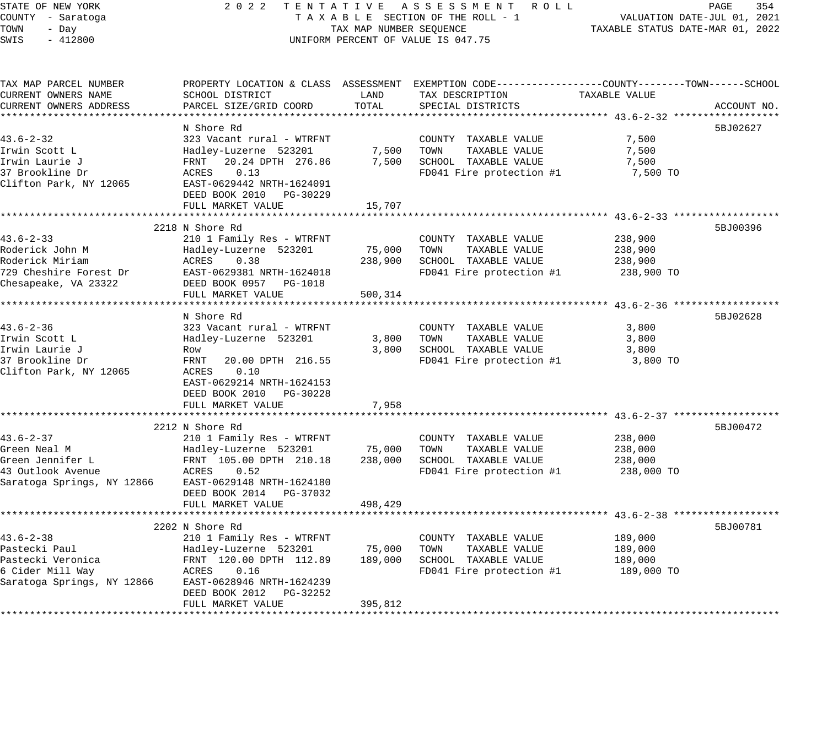| STATE OF NEW YORK                  |                                                  |                         | 2022 TENTATIVE ASSESSMENT ROLL                                                                 |                                  | PAGE<br>354                 |
|------------------------------------|--------------------------------------------------|-------------------------|------------------------------------------------------------------------------------------------|----------------------------------|-----------------------------|
| COUNTY - Saratoga                  |                                                  |                         | TAXABLE SECTION OF THE ROLL - 1                                                                |                                  | VALUATION DATE-JUL 01, 2021 |
| TOWN<br>- Day                      |                                                  | TAX MAP NUMBER SEQUENCE |                                                                                                | TAXABLE STATUS DATE-MAR 01, 2022 |                             |
| SWIS<br>$-412800$                  |                                                  |                         | UNIFORM PERCENT OF VALUE IS 047.75                                                             |                                  |                             |
|                                    |                                                  |                         |                                                                                                |                                  |                             |
| TAX MAP PARCEL NUMBER              |                                                  |                         | PROPERTY LOCATION & CLASS ASSESSMENT EXEMPTION CODE---------------COUNTY-------TOWN-----SCHOOL |                                  |                             |
| CURRENT OWNERS NAME                | SCHOOL DISTRICT                                  | LAND                    | TAX DESCRIPTION                                                                                | TAXABLE VALUE                    |                             |
| CURRENT OWNERS ADDRESS             | PARCEL SIZE/GRID COORD                           | TOTAL                   | SPECIAL DISTRICTS                                                                              |                                  | ACCOUNT NO.                 |
|                                    |                                                  |                         |                                                                                                |                                  |                             |
|                                    | N Shore Rd                                       |                         |                                                                                                |                                  | 5BJ02627                    |
| $43.6 - 2 - 32$                    | 323 Vacant rural - WTRFNT                        |                         | COUNTY TAXABLE VALUE                                                                           | 7,500                            |                             |
| Irwin Scott L                      | Hadley-Luzerne 523201                            |                         | 7,500 TOWN<br>TAXABLE VALUE                                                                    | 7,500                            |                             |
| Irwin Laurie J                     | FRNT<br>20.24 DPTH 276.86                        |                         | 7,500 SCHOOL TAXABLE VALUE                                                                     | 7,500                            |                             |
| 37 Brookline Dr                    | ACRES<br>0.13                                    |                         | FD041 Fire protection #1                                                                       | 7,500 TO                         |                             |
| Clifton Park, NY 12065             | EAST-0629442 NRTH-1624091                        |                         |                                                                                                |                                  |                             |
|                                    | DEED BOOK 2010 PG-30229                          |                         |                                                                                                |                                  |                             |
|                                    | FULL MARKET VALUE                                | 15,707                  |                                                                                                |                                  |                             |
|                                    |                                                  |                         |                                                                                                |                                  |                             |
|                                    | 2218 N Shore Rd                                  |                         |                                                                                                |                                  | 5BJ00396                    |
| $43.6 - 2 - 33$                    | 210 1 Family Res - WTRFNT                        |                         | COUNTY TAXABLE VALUE                                                                           | 238,900                          |                             |
| Roderick John M                    | Hadley-Luzerne 523201                            | 75,000                  | TOWN<br>TAXABLE VALUE                                                                          | 238,900                          |                             |
| Roderick Miriam                    | ACRES<br>0.38                                    |                         | 238,900 SCHOOL TAXABLE VALUE                                                                   | 238,900                          |                             |
| 729 Cheshire Forest Dr             | EAST-0629381 NRTH-1624018                        |                         | FD041 Fire protection #1                                                                       | 238,900 TO                       |                             |
| Chesapeake, VA 23322               | DEED BOOK 0957 PG-1018                           |                         |                                                                                                |                                  |                             |
|                                    | FULL MARKET VALUE                                | 500,314                 |                                                                                                |                                  |                             |
|                                    |                                                  |                         |                                                                                                |                                  |                             |
|                                    | N Shore Rd                                       |                         |                                                                                                |                                  | 5BJ02628                    |
| $43.6 - 2 - 36$                    | 323 Vacant rural - WTRFNT                        |                         | COUNTY TAXABLE VALUE                                                                           | 3,800                            |                             |
| Irwin Scott L                      | Hadley-Luzerne 523201                            | 3,800                   | TAXABLE VALUE<br>TOWN                                                                          | 3,800                            |                             |
| Irwin Laurie J                     | Row                                              | 3,800                   | SCHOOL TAXABLE VALUE                                                                           | 3,800                            |                             |
| 37 Brookline Dr                    | FRNT<br>20.00 DPTH 216.55                        |                         | FD041 Fire protection #1                                                                       | 3,800 TO                         |                             |
| Clifton Park, NY 12065             | ACRES<br>0.10                                    |                         |                                                                                                |                                  |                             |
|                                    | EAST-0629214 NRTH-1624153                        |                         |                                                                                                |                                  |                             |
|                                    | DEED BOOK 2010 PG-30228                          |                         |                                                                                                |                                  |                             |
|                                    | FULL MARKET VALUE                                | 7,958                   |                                                                                                |                                  |                             |
|                                    |                                                  |                         |                                                                                                |                                  |                             |
|                                    | 2212 N Shore Rd                                  |                         |                                                                                                |                                  | 5BJ00472                    |
| $43.6 - 2 - 37$                    | 210 1 Family Res - WTRFNT                        |                         | COUNTY TAXABLE VALUE                                                                           | 238,000                          |                             |
| Green Neal M                       | Hadley-Luzerne 523201                            | 75,000                  | TAXABLE VALUE<br>TOWN                                                                          | 238,000                          |                             |
| Green Jennifer L                   | FRNT 105.00 DPTH 210.18                          | 238,000                 | SCHOOL TAXABLE VALUE                                                                           | 238,000                          |                             |
| 43 Outlook Avenue                  | ACRES<br>0.52                                    |                         | FD041 Fire protection #1                                                                       | 238,000 TO                       |                             |
| Saratoga Springs, NY 12866         | EAST-0629148 NRTH-1624180                        |                         |                                                                                                |                                  |                             |
|                                    | DEED BOOK 2014 PG-37032                          |                         |                                                                                                |                                  |                             |
|                                    | FULL MARKET VALUE                                | 498,429                 |                                                                                                |                                  |                             |
|                                    |                                                  |                         | ************************************ 43.6-2-38 ******************                              |                                  |                             |
|                                    | 2202 N Shore Rd                                  |                         |                                                                                                |                                  | 5BJ00781                    |
| $43.6 - 2 - 38$                    | 210 1 Family Res - WTRFNT                        |                         | COUNTY TAXABLE VALUE                                                                           | 189,000                          |                             |
| Pastecki Paul<br>Pastecki Veronica | Hadley-Luzerne 523201<br>FRNT 120.00 DPTH 112.89 | 75,000                  | TOWN<br>TAXABLE VALUE                                                                          | 189,000                          |                             |
| 6 Cider Mill Way                   | ACRES<br>0.16                                    | 189,000                 | SCHOOL TAXABLE VALUE<br>FD041 Fire protection #1                                               | 189,000<br>189,000 TO            |                             |
|                                    | EAST-0628946 NRTH-1624239                        |                         |                                                                                                |                                  |                             |
| Saratoga Springs, NY 12866         | DEED BOOK 2012 PG-32252                          |                         |                                                                                                |                                  |                             |
|                                    | FULL MARKET VALUE                                | 395,812                 |                                                                                                |                                  |                             |
|                                    |                                                  |                         |                                                                                                |                                  |                             |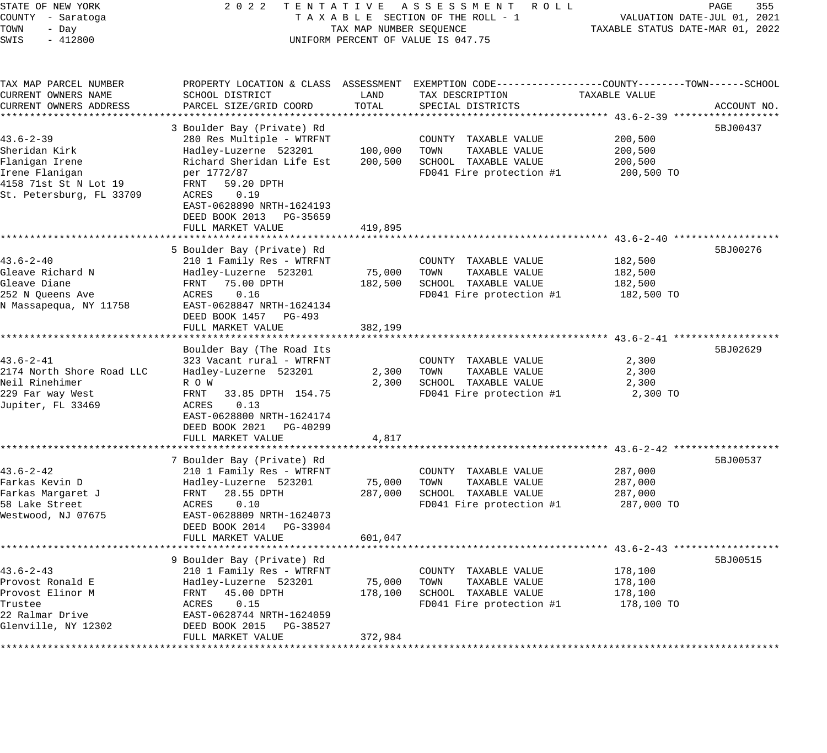| STATE OF NEW YORK<br>COUNTY - Saratoga<br>TOWN<br>- Day<br>SWIS<br>$-412800$                                              | 2 0 2 2                                                                                                                                                                                                                                          | TAX MAP NUMBER SEQUENCE       | TENTATIVE ASSESSMENT<br>R O L L<br>TAXABLE SECTION OF THE ROLL - 1<br>UNIFORM PERCENT OF VALUE IS 047.75                                | TAXABLE STATUS DATE-MAR 01, 2022            | PAGE<br>355<br>VALUATION DATE-JUL 01, 2021 |
|---------------------------------------------------------------------------------------------------------------------------|--------------------------------------------------------------------------------------------------------------------------------------------------------------------------------------------------------------------------------------------------|-------------------------------|-----------------------------------------------------------------------------------------------------------------------------------------|---------------------------------------------|--------------------------------------------|
| TAX MAP PARCEL NUMBER<br>CURRENT OWNERS NAME<br>CURRENT OWNERS ADDRESS<br>*************************                       | SCHOOL DISTRICT<br>PARCEL SIZE/GRID COORD                                                                                                                                                                                                        | LAND<br>TOTAL                 | PROPERTY LOCATION & CLASS ASSESSMENT EXEMPTION CODE---------------COUNTY-------TOWN------SCHOOL<br>TAX DESCRIPTION<br>SPECIAL DISTRICTS | TAXABLE VALUE                               | ACCOUNT NO.                                |
| $43.6 - 2 - 39$<br>Sheridan Kirk<br>Flanigan Irene<br>Irene Flanigan<br>4158 71st St N Lot 19<br>St. Petersburg, FL 33709 | 3 Boulder Bay (Private) Rd<br>280 Res Multiple - WTRFNT<br>Hadley-Luzerne 523201<br>Richard Sheridan Life Est<br>per 1772/87<br>FRNT<br>59.20 DPTH<br>ACRES<br>0.19<br>EAST-0628890 NRTH-1624193<br>DEED BOOK 2013 PG-35659<br>FULL MARKET VALUE | 100,000<br>200,500<br>419,895 | COUNTY TAXABLE VALUE<br>TAXABLE VALUE<br>TOWN<br>SCHOOL TAXABLE VALUE<br>FD041 Fire protection #1                                       | 200,500<br>200,500<br>200,500<br>200,500 TO | 5BJ00437                                   |
|                                                                                                                           |                                                                                                                                                                                                                                                  |                               |                                                                                                                                         |                                             |                                            |
| $43.6 - 2 - 40$<br>Gleave Richard N<br>Gleave Diane<br>252 N Queens Ave<br>N Massapequa, NY 11758                         | 5 Boulder Bay (Private) Rd<br>210 1 Family Res - WTRFNT<br>Hadley-Luzerne 523201<br>FRNT<br>75.00 DPTH<br>0.16<br>ACRES<br>EAST-0628847 NRTH-1624134<br>DEED BOOK 1457<br>PG-493                                                                 | 75,000<br>182,500             | COUNTY TAXABLE VALUE<br>TOWN<br>TAXABLE VALUE<br>SCHOOL TAXABLE VALUE<br>FD041 Fire protection #1                                       | 182,500<br>182,500<br>182,500<br>182,500 TO | 5BJ00276                                   |
|                                                                                                                           | FULL MARKET VALUE                                                                                                                                                                                                                                | 382,199                       |                                                                                                                                         |                                             |                                            |
| $43.6 - 2 - 41$<br>2174 North Shore Road LLC<br>Neil Rinehimer<br>229 Far way West<br>Jupiter, FL 33469                   | Boulder Bay (The Road Its<br>323 Vacant rural - WTRFNT<br>Hadley-Luzerne 523201<br>R O W<br>FRNT<br>33.85 DPTH 154.75<br>0.13<br>ACRES<br>EAST-0628800 NRTH-1624174<br>DEED BOOK 2021<br>PG-40299<br>FULL MARKET VALUE                           | 2,300<br>2,300<br>4,817       | COUNTY TAXABLE VALUE<br>TAXABLE VALUE<br>TOWN<br>SCHOOL TAXABLE VALUE<br>FD041 Fire protection #1                                       | 2,300<br>2,300<br>2,300<br>2,300 TO         | 5BJ02629                                   |
|                                                                                                                           |                                                                                                                                                                                                                                                  |                               |                                                                                                                                         |                                             |                                            |
| $43.6 - 2 - 42$<br>Farkas Kevin D<br>Farkas Margaret J<br>58 Lake Street<br>Westwood, NJ 07675                            | 7 Boulder Bay (Private) Rd<br>210 1 Family Res - WTRFNT<br>Hadley-Luzerne 523201<br>FRNT<br>28.55 DPTH<br>ACRES<br>0.10<br>EAST-0628809 NRTH-1624073<br>DEED BOOK 2014<br>PG-33904                                                               | 75,000<br>287,000             | COUNTY TAXABLE VALUE<br>TAXABLE VALUE<br>TOWN<br>SCHOOL TAXABLE VALUE<br>FD041 Fire protection #1                                       | 287,000<br>287,000<br>287,000<br>287,000 TO | 5BJ00537                                   |
|                                                                                                                           | FULL MARKET VALUE                                                                                                                                                                                                                                | 601,047                       |                                                                                                                                         |                                             |                                            |
| $43.6 - 2 - 43$<br>Provost Ronald E<br>Provost Elinor M<br>Trustee<br>22 Ralmar Drive<br>Glenville, NY 12302              | 9 Boulder Bay (Private) Rd<br>210 1 Family Res - WTRFNT<br>Hadley-Luzerne 523201<br>45.00 DPTH<br>FRNT<br>0.15<br>ACRES<br>EAST-0628744 NRTH-1624059<br>DEED BOOK 2015<br>PG-38527                                                               | 75,000<br>178,100             | COUNTY TAXABLE VALUE<br>TOWN<br>TAXABLE VALUE<br>SCHOOL<br>TAXABLE VALUE<br>FD041 Fire protection #1                                    | 178,100<br>178,100<br>178,100<br>178,100 TO | 5BJ00515                                   |
| *************                                                                                                             | FULL MARKET VALUE                                                                                                                                                                                                                                | 372,984                       |                                                                                                                                         |                                             |                                            |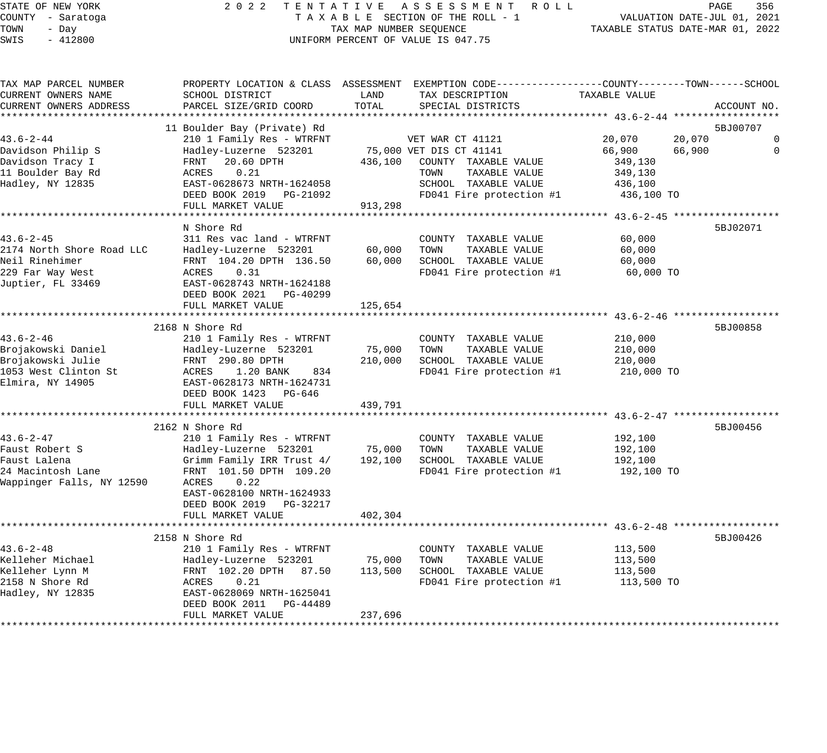### STATE OF NEW YORK 2 0 2 2 T E N T A T I V E A S S E S S M E N T R O L L PAGE 356 COUNTY - Saratoga T A X A B L E SECTION OF THE ROLL - 1 VALUATION DATE-JUL 01, 2021 X A B L E SECTION OF THE ROLL - 1 WILLIAM CONTROLLED STATUS DATE-MAR 01, 2022 UNIFORM PERCENT OF VALUE IS 047.75

| SCHOOL DISTRICT                                                                                                                                                                                        | LAND                                                                                                                       | TAX DESCRIPTION                                                       | TAXABLE VALUE                                                                                  |                                                                                                                                                                                                                                                                                                             |
|--------------------------------------------------------------------------------------------------------------------------------------------------------------------------------------------------------|----------------------------------------------------------------------------------------------------------------------------|-----------------------------------------------------------------------|------------------------------------------------------------------------------------------------|-------------------------------------------------------------------------------------------------------------------------------------------------------------------------------------------------------------------------------------------------------------------------------------------------------------|
|                                                                                                                                                                                                        |                                                                                                                            |                                                                       |                                                                                                | ACCOUNT NO.                                                                                                                                                                                                                                                                                                 |
| 11 Boulder Bay (Private) Rd                                                                                                                                                                            |                                                                                                                            |                                                                       |                                                                                                | 5BJ00707                                                                                                                                                                                                                                                                                                    |
| 210 1 Family Res - WTRFNT<br>Hadley-Luzerne 523201<br>20.60 DPTH<br>FRNT<br>ACRES<br>0.21<br>EAST-0628673 NRTH-1624058<br>DEED BOOK 2019 PG-21092                                                      | 436,100                                                                                                                    | COUNTY TAXABLE VALUE<br>TAXABLE VALUE<br>TOWN<br>SCHOOL TAXABLE VALUE | 20,070<br>66,900<br>349,130<br>349,130<br>436,100<br>436,100 TO                                | $\mathbf 0$<br>$\Omega$                                                                                                                                                                                                                                                                                     |
| FULL MARKET VALUE                                                                                                                                                                                      | 913,298                                                                                                                    |                                                                       |                                                                                                |                                                                                                                                                                                                                                                                                                             |
| N Shore Rd<br>311 Res vac land - WTRFNT<br>Hadley-Luzerne 523201<br>FRNT 104.20 DPTH 136.50<br>ACRES<br>0.31<br>EAST-0628743 NRTH-1624188<br>DEED BOOK 2021 PG-40299<br>FULL MARKET VALUE              | 60,000<br>60,000<br>125,654                                                                                                | COUNTY TAXABLE VALUE<br>TAXABLE VALUE<br>TOWN<br>SCHOOL TAXABLE VALUE | 60,000<br>60,000<br>60,000<br>60,000 TO                                                        | 5BJ02071                                                                                                                                                                                                                                                                                                    |
|                                                                                                                                                                                                        |                                                                                                                            |                                                                       |                                                                                                | 5BJ00858                                                                                                                                                                                                                                                                                                    |
| 210 1 Family Res - WTRFNT<br>Hadley-Luzerne 523201<br>FRNT 290.80 DPTH<br>1.20 BANK<br>ACRES<br>834<br>EAST-0628173 NRTH-1624731<br>DEED BOOK 1423 PG-646                                              | 75,000<br>210,000                                                                                                          | COUNTY TAXABLE VALUE<br>TOWN<br>TAXABLE VALUE<br>SCHOOL TAXABLE VALUE | 210,000<br>210,000<br>210,000<br>210,000 TO                                                    |                                                                                                                                                                                                                                                                                                             |
|                                                                                                                                                                                                        |                                                                                                                            |                                                                       |                                                                                                |                                                                                                                                                                                                                                                                                                             |
| 2162 N Shore Rd<br>210 1 Family Res - WTRFNT<br>Hadley-Luzerne 523201<br>Grimm Family IRR Trust 4/<br>FRNT 101.50 DPTH 109.20<br>ACRES<br>0.22<br>EAST-0628100 NRTH-1624933<br>DEED BOOK 2019 PG-32217 | 75,000<br>192,100                                                                                                          | COUNTY TAXABLE VALUE<br>TOWN<br>TAXABLE VALUE<br>SCHOOL TAXABLE VALUE | 192,100<br>192,100<br>192,100<br>192,100 TO                                                    | 5BJ00456                                                                                                                                                                                                                                                                                                    |
|                                                                                                                                                                                                        |                                                                                                                            |                                                                       |                                                                                                |                                                                                                                                                                                                                                                                                                             |
| 2158 N Shore Rd<br>210 1 Family Res - WTRFNT<br>Hadley-Luzerne 523201<br>FRNT 102.20 DPTH 87.50<br>0.21<br>ACRES<br>EAST-0628069 NRTH-1625041<br>DEED BOOK 2011<br>PG-44489<br>FULL MARKET VALUE       | 75,000<br>113,500<br>237,696                                                                                               | COUNTY TAXABLE VALUE<br>TAXABLE VALUE<br>TOWN<br>SCHOOL TAXABLE VALUE | 113,500<br>113,500<br>113,500<br>113,500 TO                                                    | 5BJ00426                                                                                                                                                                                                                                                                                                    |
|                                                                                                                                                                                                        | PARCEL SIZE/GRID COORD<br>***********************************<br>2168 N Shore Rd<br>FULL MARKET VALUE<br>FULL MARKET VALUE | TOTAL<br>439,791<br>402,304                                           | SPECIAL DISTRICTS<br>VET WAR CT 41121<br>75,000 VET DIS CT 41141<br>************************** | PROPERTY LOCATION & CLASS ASSESSMENT EXEMPTION CODE----------------COUNTY-------TOWN------SCHOOL<br>20,070<br>66,900<br>FD041 Fire protection #1<br>********* 43.6-2-45 *******************<br>FD041 Fire protection #1<br>FD041 Fire protection #1<br>FD041 Fire protection #1<br>FD041 Fire protection #1 |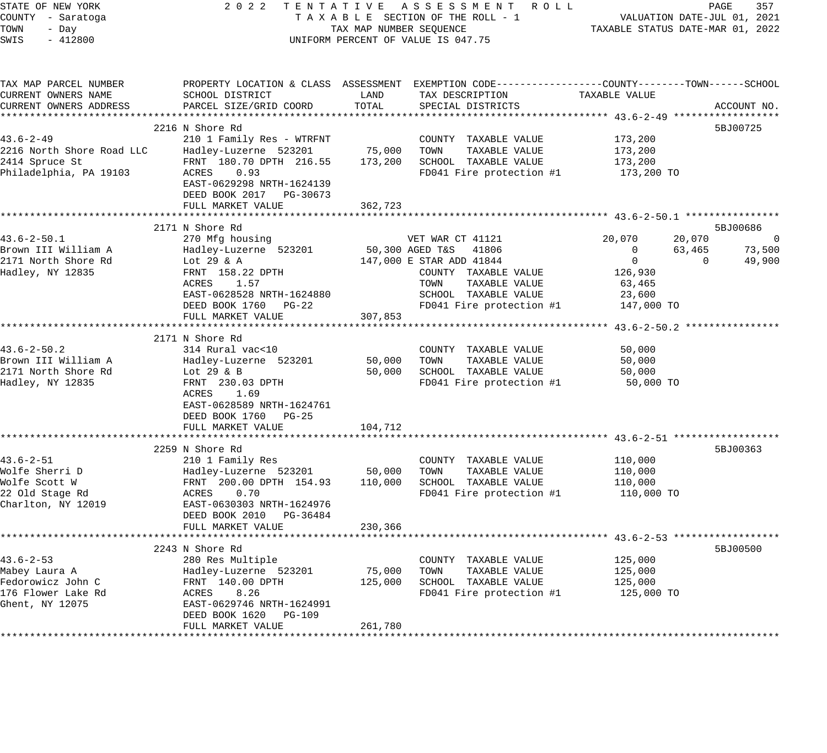| TAX MAP PARCEL NUMBER<br>PROPERTY LOCATION & CLASS ASSESSMENT EXEMPTION CODE---------------COUNTY-------TOWN------SCHOOL<br>CURRENT OWNERS NAME<br>SCHOOL DISTRICT<br>LAND<br>TAX DESCRIPTION<br>TAXABLE VALUE<br>TOTAL<br>CURRENT OWNERS ADDRESS<br>PARCEL SIZE/GRID COORD<br>SPECIAL DISTRICTS<br>2216 N Shore Rd<br>$43.6 - 2 - 49$<br>210 1 Family Res - WTRFNT<br>173,200<br>COUNTY TAXABLE VALUE<br>2216 North Shore Road LLC<br>Hadley-Luzerne 523201<br>75,000<br>TOWN<br>TAXABLE VALUE<br>173,200<br>2414 Spruce St<br>FRNT 180.70 DPTH 216.55<br>173,200<br>SCHOOL TAXABLE VALUE<br>173,200<br>Philadelphia, PA 19103<br>ACRES<br>0.93<br>FD041 Fire protection #1<br>173,200 TO<br>EAST-0629298 NRTH-1624139<br>DEED BOOK 2017 PG-30673<br>FULL MARKET VALUE<br>362,723<br>*********************** 43.6-2-50.1 ****************<br>**********<br>2171 N Shore Rd<br>$43.6 - 2 - 50.1$<br>270 Mfg housing<br>20,070<br>20,070<br>VET WAR CT 41121<br>Brown III William A<br>Hadley-Luzerne 523201<br>50,300 AGED T&S 41806<br>63,465<br>$\mathbf 0$<br>2171 North Shore Rd<br>147,000 E STAR ADD 41844<br>$\mathbf 0$<br>$\Omega$<br>Lot $29$ & $A$<br>Hadley, NY 12835<br>FRNT 158.22 DPTH<br>126,930<br>COUNTY TAXABLE VALUE<br>ACRES<br>1.57<br>TOWN<br>TAXABLE VALUE<br>63,465<br>EAST-0628528 NRTH-1624880<br>SCHOOL TAXABLE VALUE<br>23,600<br>DEED BOOK 1760 PG-22<br>FD041 Fire protection #1<br>147,000 TO<br>FULL MARKET VALUE<br>307,853<br>******* 43.6-2-50.2 **************<br>2171 N Shore Rd<br>$43.6 - 2 - 50.2$<br>314 Rural vac<10<br>COUNTY TAXABLE VALUE<br>50,000<br>Brown III William A<br>50,000<br>50,000<br>Hadley-Luzerne 523201<br>TOWN<br>TAXABLE VALUE<br>2171 North Shore Rd<br>Lot 29 & B<br>50,000<br>SCHOOL TAXABLE VALUE<br>50,000<br>Hadley, NY 12835<br>FRNT 230.03 DPTH<br>FD041 Fire protection #1<br>50,000 TO<br>ACRES<br>1.69<br>EAST-0628589 NRTH-1624761<br>DEED BOOK 1760 PG-25<br>FULL MARKET VALUE<br>104,712 | ACCOUNT NO.<br>5BJ00725 |
|------------------------------------------------------------------------------------------------------------------------------------------------------------------------------------------------------------------------------------------------------------------------------------------------------------------------------------------------------------------------------------------------------------------------------------------------------------------------------------------------------------------------------------------------------------------------------------------------------------------------------------------------------------------------------------------------------------------------------------------------------------------------------------------------------------------------------------------------------------------------------------------------------------------------------------------------------------------------------------------------------------------------------------------------------------------------------------------------------------------------------------------------------------------------------------------------------------------------------------------------------------------------------------------------------------------------------------------------------------------------------------------------------------------------------------------------------------------------------------------------------------------------------------------------------------------------------------------------------------------------------------------------------------------------------------------------------------------------------------------------------------------------------------------------------------------------------------------------------------------------------------------------------------------------------------------------------------------------|-------------------------|
|                                                                                                                                                                                                                                                                                                                                                                                                                                                                                                                                                                                                                                                                                                                                                                                                                                                                                                                                                                                                                                                                                                                                                                                                                                                                                                                                                                                                                                                                                                                                                                                                                                                                                                                                                                                                                                                                                                                                                                        |                         |
|                                                                                                                                                                                                                                                                                                                                                                                                                                                                                                                                                                                                                                                                                                                                                                                                                                                                                                                                                                                                                                                                                                                                                                                                                                                                                                                                                                                                                                                                                                                                                                                                                                                                                                                                                                                                                                                                                                                                                                        |                         |
|                                                                                                                                                                                                                                                                                                                                                                                                                                                                                                                                                                                                                                                                                                                                                                                                                                                                                                                                                                                                                                                                                                                                                                                                                                                                                                                                                                                                                                                                                                                                                                                                                                                                                                                                                                                                                                                                                                                                                                        |                         |
|                                                                                                                                                                                                                                                                                                                                                                                                                                                                                                                                                                                                                                                                                                                                                                                                                                                                                                                                                                                                                                                                                                                                                                                                                                                                                                                                                                                                                                                                                                                                                                                                                                                                                                                                                                                                                                                                                                                                                                        |                         |
|                                                                                                                                                                                                                                                                                                                                                                                                                                                                                                                                                                                                                                                                                                                                                                                                                                                                                                                                                                                                                                                                                                                                                                                                                                                                                                                                                                                                                                                                                                                                                                                                                                                                                                                                                                                                                                                                                                                                                                        |                         |
|                                                                                                                                                                                                                                                                                                                                                                                                                                                                                                                                                                                                                                                                                                                                                                                                                                                                                                                                                                                                                                                                                                                                                                                                                                                                                                                                                                                                                                                                                                                                                                                                                                                                                                                                                                                                                                                                                                                                                                        |                         |
|                                                                                                                                                                                                                                                                                                                                                                                                                                                                                                                                                                                                                                                                                                                                                                                                                                                                                                                                                                                                                                                                                                                                                                                                                                                                                                                                                                                                                                                                                                                                                                                                                                                                                                                                                                                                                                                                                                                                                                        |                         |
|                                                                                                                                                                                                                                                                                                                                                                                                                                                                                                                                                                                                                                                                                                                                                                                                                                                                                                                                                                                                                                                                                                                                                                                                                                                                                                                                                                                                                                                                                                                                                                                                                                                                                                                                                                                                                                                                                                                                                                        |                         |
|                                                                                                                                                                                                                                                                                                                                                                                                                                                                                                                                                                                                                                                                                                                                                                                                                                                                                                                                                                                                                                                                                                                                                                                                                                                                                                                                                                                                                                                                                                                                                                                                                                                                                                                                                                                                                                                                                                                                                                        | 5BJ00686                |
|                                                                                                                                                                                                                                                                                                                                                                                                                                                                                                                                                                                                                                                                                                                                                                                                                                                                                                                                                                                                                                                                                                                                                                                                                                                                                                                                                                                                                                                                                                                                                                                                                                                                                                                                                                                                                                                                                                                                                                        | $\mathbf 0$             |
|                                                                                                                                                                                                                                                                                                                                                                                                                                                                                                                                                                                                                                                                                                                                                                                                                                                                                                                                                                                                                                                                                                                                                                                                                                                                                                                                                                                                                                                                                                                                                                                                                                                                                                                                                                                                                                                                                                                                                                        | 73,500                  |
|                                                                                                                                                                                                                                                                                                                                                                                                                                                                                                                                                                                                                                                                                                                                                                                                                                                                                                                                                                                                                                                                                                                                                                                                                                                                                                                                                                                                                                                                                                                                                                                                                                                                                                                                                                                                                                                                                                                                                                        | 49,900                  |
|                                                                                                                                                                                                                                                                                                                                                                                                                                                                                                                                                                                                                                                                                                                                                                                                                                                                                                                                                                                                                                                                                                                                                                                                                                                                                                                                                                                                                                                                                                                                                                                                                                                                                                                                                                                                                                                                                                                                                                        |                         |
|                                                                                                                                                                                                                                                                                                                                                                                                                                                                                                                                                                                                                                                                                                                                                                                                                                                                                                                                                                                                                                                                                                                                                                                                                                                                                                                                                                                                                                                                                                                                                                                                                                                                                                                                                                                                                                                                                                                                                                        |                         |
|                                                                                                                                                                                                                                                                                                                                                                                                                                                                                                                                                                                                                                                                                                                                                                                                                                                                                                                                                                                                                                                                                                                                                                                                                                                                                                                                                                                                                                                                                                                                                                                                                                                                                                                                                                                                                                                                                                                                                                        |                         |
|                                                                                                                                                                                                                                                                                                                                                                                                                                                                                                                                                                                                                                                                                                                                                                                                                                                                                                                                                                                                                                                                                                                                                                                                                                                                                                                                                                                                                                                                                                                                                                                                                                                                                                                                                                                                                                                                                                                                                                        |                         |
|                                                                                                                                                                                                                                                                                                                                                                                                                                                                                                                                                                                                                                                                                                                                                                                                                                                                                                                                                                                                                                                                                                                                                                                                                                                                                                                                                                                                                                                                                                                                                                                                                                                                                                                                                                                                                                                                                                                                                                        |                         |
|                                                                                                                                                                                                                                                                                                                                                                                                                                                                                                                                                                                                                                                                                                                                                                                                                                                                                                                                                                                                                                                                                                                                                                                                                                                                                                                                                                                                                                                                                                                                                                                                                                                                                                                                                                                                                                                                                                                                                                        |                         |
|                                                                                                                                                                                                                                                                                                                                                                                                                                                                                                                                                                                                                                                                                                                                                                                                                                                                                                                                                                                                                                                                                                                                                                                                                                                                                                                                                                                                                                                                                                                                                                                                                                                                                                                                                                                                                                                                                                                                                                        |                         |
|                                                                                                                                                                                                                                                                                                                                                                                                                                                                                                                                                                                                                                                                                                                                                                                                                                                                                                                                                                                                                                                                                                                                                                                                                                                                                                                                                                                                                                                                                                                                                                                                                                                                                                                                                                                                                                                                                                                                                                        |                         |
|                                                                                                                                                                                                                                                                                                                                                                                                                                                                                                                                                                                                                                                                                                                                                                                                                                                                                                                                                                                                                                                                                                                                                                                                                                                                                                                                                                                                                                                                                                                                                                                                                                                                                                                                                                                                                                                                                                                                                                        |                         |
|                                                                                                                                                                                                                                                                                                                                                                                                                                                                                                                                                                                                                                                                                                                                                                                                                                                                                                                                                                                                                                                                                                                                                                                                                                                                                                                                                                                                                                                                                                                                                                                                                                                                                                                                                                                                                                                                                                                                                                        |                         |
|                                                                                                                                                                                                                                                                                                                                                                                                                                                                                                                                                                                                                                                                                                                                                                                                                                                                                                                                                                                                                                                                                                                                                                                                                                                                                                                                                                                                                                                                                                                                                                                                                                                                                                                                                                                                                                                                                                                                                                        |                         |
| ************************* 43.6-2-51 ****************                                                                                                                                                                                                                                                                                                                                                                                                                                                                                                                                                                                                                                                                                                                                                                                                                                                                                                                                                                                                                                                                                                                                                                                                                                                                                                                                                                                                                                                                                                                                                                                                                                                                                                                                                                                                                                                                                                                   |                         |
| 2259 N Shore Rd                                                                                                                                                                                                                                                                                                                                                                                                                                                                                                                                                                                                                                                                                                                                                                                                                                                                                                                                                                                                                                                                                                                                                                                                                                                                                                                                                                                                                                                                                                                                                                                                                                                                                                                                                                                                                                                                                                                                                        | 5BJ00363                |
| $43.6 - 2 - 51$<br>210 1 Family Res<br>COUNTY TAXABLE VALUE<br>110,000                                                                                                                                                                                                                                                                                                                                                                                                                                                                                                                                                                                                                                                                                                                                                                                                                                                                                                                                                                                                                                                                                                                                                                                                                                                                                                                                                                                                                                                                                                                                                                                                                                                                                                                                                                                                                                                                                                 |                         |
| Wolfe Sherri D<br>Hadley-Luzerne 523201<br>50,000<br>TOWN<br>TAXABLE VALUE<br>110,000                                                                                                                                                                                                                                                                                                                                                                                                                                                                                                                                                                                                                                                                                                                                                                                                                                                                                                                                                                                                                                                                                                                                                                                                                                                                                                                                                                                                                                                                                                                                                                                                                                                                                                                                                                                                                                                                                  |                         |
| Wolfe Scott W<br>FRNT 200.00 DPTH 154.93<br>SCHOOL TAXABLE VALUE<br>110,000<br>110,000<br>22 Old Stage Rd<br>0.70<br>FD041 Fire protection #1<br>110,000 TO<br>ACRES                                                                                                                                                                                                                                                                                                                                                                                                                                                                                                                                                                                                                                                                                                                                                                                                                                                                                                                                                                                                                                                                                                                                                                                                                                                                                                                                                                                                                                                                                                                                                                                                                                                                                                                                                                                                   |                         |
| Charlton, NY 12019<br>EAST-0630303 NRTH-1624976                                                                                                                                                                                                                                                                                                                                                                                                                                                                                                                                                                                                                                                                                                                                                                                                                                                                                                                                                                                                                                                                                                                                                                                                                                                                                                                                                                                                                                                                                                                                                                                                                                                                                                                                                                                                                                                                                                                        |                         |
| DEED BOOK 2010 PG-36484                                                                                                                                                                                                                                                                                                                                                                                                                                                                                                                                                                                                                                                                                                                                                                                                                                                                                                                                                                                                                                                                                                                                                                                                                                                                                                                                                                                                                                                                                                                                                                                                                                                                                                                                                                                                                                                                                                                                                |                         |
| FULL MARKET VALUE<br>230,366                                                                                                                                                                                                                                                                                                                                                                                                                                                                                                                                                                                                                                                                                                                                                                                                                                                                                                                                                                                                                                                                                                                                                                                                                                                                                                                                                                                                                                                                                                                                                                                                                                                                                                                                                                                                                                                                                                                                           |                         |
| ******************************                                                                                                                                                                                                                                                                                                                                                                                                                                                                                                                                                                                                                                                                                                                                                                                                                                                                                                                                                                                                                                                                                                                                                                                                                                                                                                                                                                                                                                                                                                                                                                                                                                                                                                                                                                                                                                                                                                                                         |                         |
| 2243 N Shore Rd                                                                                                                                                                                                                                                                                                                                                                                                                                                                                                                                                                                                                                                                                                                                                                                                                                                                                                                                                                                                                                                                                                                                                                                                                                                                                                                                                                                                                                                                                                                                                                                                                                                                                                                                                                                                                                                                                                                                                        | 5BJ00500                |
| $43.6 - 2 - 53$<br>280 Res Multiple<br>COUNTY TAXABLE VALUE<br>125,000                                                                                                                                                                                                                                                                                                                                                                                                                                                                                                                                                                                                                                                                                                                                                                                                                                                                                                                                                                                                                                                                                                                                                                                                                                                                                                                                                                                                                                                                                                                                                                                                                                                                                                                                                                                                                                                                                                 |                         |
| 75,000<br>Mabey Laura A<br>Hadley-Luzerne 523201<br>TOWN<br>TAXABLE VALUE<br>125,000                                                                                                                                                                                                                                                                                                                                                                                                                                                                                                                                                                                                                                                                                                                                                                                                                                                                                                                                                                                                                                                                                                                                                                                                                                                                                                                                                                                                                                                                                                                                                                                                                                                                                                                                                                                                                                                                                   |                         |
| Fedorowicz John C<br>SCHOOL TAXABLE VALUE<br>FRNT 140.00 DPTH<br>125,000<br>125,000                                                                                                                                                                                                                                                                                                                                                                                                                                                                                                                                                                                                                                                                                                                                                                                                                                                                                                                                                                                                                                                                                                                                                                                                                                                                                                                                                                                                                                                                                                                                                                                                                                                                                                                                                                                                                                                                                    |                         |
| 176 Flower Lake Rd<br>ACRES<br>8.26<br>FD041 Fire protection #1<br>125,000 TO                                                                                                                                                                                                                                                                                                                                                                                                                                                                                                                                                                                                                                                                                                                                                                                                                                                                                                                                                                                                                                                                                                                                                                                                                                                                                                                                                                                                                                                                                                                                                                                                                                                                                                                                                                                                                                                                                          |                         |
| Ghent, NY 12075<br>EAST-0629746 NRTH-1624991<br>DEED BOOK 1620<br><b>PG-109</b>                                                                                                                                                                                                                                                                                                                                                                                                                                                                                                                                                                                                                                                                                                                                                                                                                                                                                                                                                                                                                                                                                                                                                                                                                                                                                                                                                                                                                                                                                                                                                                                                                                                                                                                                                                                                                                                                                        |                         |
| FULL MARKET VALUE<br>261,780                                                                                                                                                                                                                                                                                                                                                                                                                                                                                                                                                                                                                                                                                                                                                                                                                                                                                                                                                                                                                                                                                                                                                                                                                                                                                                                                                                                                                                                                                                                                                                                                                                                                                                                                                                                                                                                                                                                                           |                         |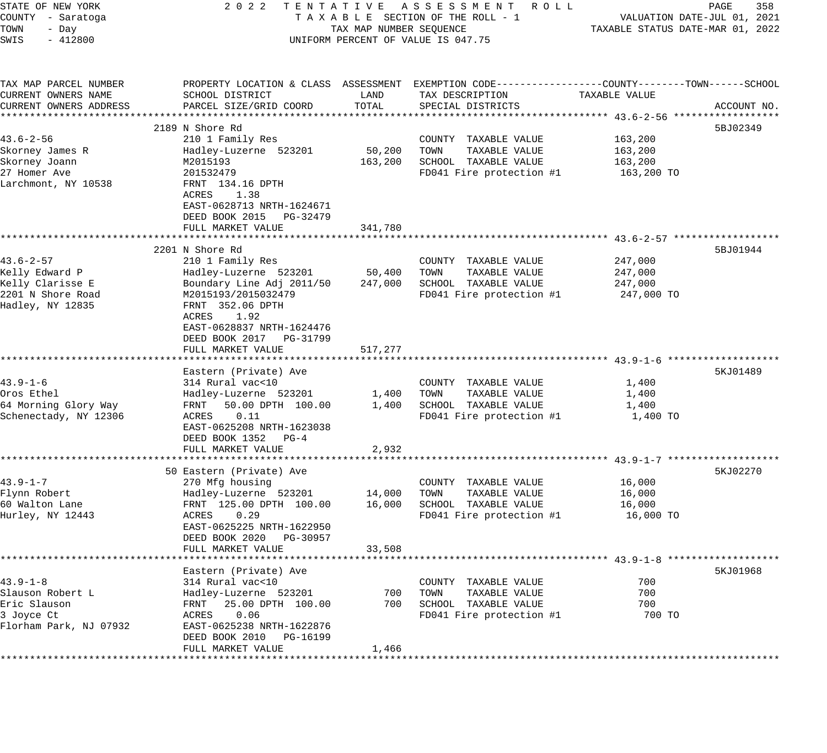| STATE OF NEW YORK      | 2 0 2 2                    |                         | TENTATIVE ASSESSMENT ROLL                                                                       |                                  | PAGE<br>358                 |
|------------------------|----------------------------|-------------------------|-------------------------------------------------------------------------------------------------|----------------------------------|-----------------------------|
| COUNTY - Saratoga      |                            |                         | TAXABLE SECTION OF THE ROLL - 1                                                                 |                                  | VALUATION DATE-JUL 01, 2021 |
| TOWN<br>- Day          |                            | TAX MAP NUMBER SEQUENCE |                                                                                                 | TAXABLE STATUS DATE-MAR 01, 2022 |                             |
| SWIS<br>$-412800$      |                            |                         | UNIFORM PERCENT OF VALUE IS 047.75                                                              |                                  |                             |
|                        |                            |                         |                                                                                                 |                                  |                             |
| TAX MAP PARCEL NUMBER  |                            |                         | PROPERTY LOCATION & CLASS ASSESSMENT EXEMPTION CODE---------------COUNTY-------TOWN------SCHOOL |                                  |                             |
| CURRENT OWNERS NAME    | SCHOOL DISTRICT            | LAND                    | TAX DESCRIPTION                                                                                 | TAXABLE VALUE                    |                             |
| CURRENT OWNERS ADDRESS | PARCEL SIZE/GRID COORD     | TOTAL                   | SPECIAL DISTRICTS                                                                               |                                  | ACCOUNT NO.                 |
|                        |                            |                         |                                                                                                 |                                  |                             |
|                        | 2189 N Shore Rd            |                         |                                                                                                 |                                  | 5BJ02349                    |
| $43.6 - 2 - 56$        | 210 1 Family Res           |                         | COUNTY TAXABLE VALUE                                                                            | 163,200                          |                             |
| Skorney James R        | Hadley-Luzerne 523201      | 50,200                  | TOWN<br>TAXABLE VALUE                                                                           | 163,200                          |                             |
| Skorney Joann          | M2015193                   | 163,200                 | SCHOOL TAXABLE VALUE                                                                            | 163,200                          |                             |
| 27 Homer Ave           | 201532479                  |                         | FD041 Fire protection #1                                                                        | 163,200 TO                       |                             |
| Larchmont, NY 10538    |                            |                         |                                                                                                 |                                  |                             |
|                        | FRNT 134.16 DPTH           |                         |                                                                                                 |                                  |                             |
|                        | ACRES<br>1.38              |                         |                                                                                                 |                                  |                             |
|                        | EAST-0628713 NRTH-1624671  |                         |                                                                                                 |                                  |                             |
|                        | DEED BOOK 2015 PG-32479    |                         |                                                                                                 |                                  |                             |
|                        | FULL MARKET VALUE          | 341,780                 |                                                                                                 |                                  |                             |
|                        |                            |                         |                                                                                                 |                                  |                             |
|                        | 2201 N Shore Rd            |                         |                                                                                                 |                                  | 5BJ01944                    |
| $43.6 - 2 - 57$        | 210 1 Family Res           |                         | COUNTY TAXABLE VALUE                                                                            | 247,000                          |                             |
| Kelly Edward P         | Hadley-Luzerne 523201      | 50,400                  | TAXABLE VALUE<br>TOWN                                                                           | 247,000                          |                             |
| Kelly Clarisse E       | Boundary Line Adj 2011/50  | 247,000                 | SCHOOL TAXABLE VALUE                                                                            | 247,000                          |                             |
| 2201 N Shore Road      | M2015193/2015032479        |                         | FD041 Fire protection #1                                                                        | 247,000 TO                       |                             |
| Hadley, NY 12835       | FRNT 352.06 DPTH           |                         |                                                                                                 |                                  |                             |
|                        | ACRES<br>1.92              |                         |                                                                                                 |                                  |                             |
|                        | EAST-0628837 NRTH-1624476  |                         |                                                                                                 |                                  |                             |
|                        | DEED BOOK 2017 PG-31799    |                         |                                                                                                 |                                  |                             |
|                        | FULL MARKET VALUE          | 517,277                 |                                                                                                 |                                  |                             |
|                        |                            |                         |                                                                                                 |                                  |                             |
|                        | Eastern (Private) Ave      |                         |                                                                                                 |                                  | 5KJ01489                    |
| $43.9 - 1 - 6$         | 314 Rural vac<10           |                         | COUNTY TAXABLE VALUE                                                                            | 1,400                            |                             |
| Oros Ethel             | Hadley-Luzerne 523201      | 1,400                   | TAXABLE VALUE<br>TOWN                                                                           | 1,400                            |                             |
| 64 Morning Glory Way   | FRNT<br>50.00 DPTH 100.00  | 1,400                   | SCHOOL TAXABLE VALUE                                                                            | 1,400                            |                             |
| Schenectady, NY 12306  | ACRES<br>0.11              |                         | FD041 Fire protection #1                                                                        | 1,400 TO                         |                             |
|                        |                            |                         |                                                                                                 |                                  |                             |
|                        | EAST-0625208 NRTH-1623038  |                         |                                                                                                 |                                  |                             |
|                        | DEED BOOK 1352 PG-4        |                         |                                                                                                 |                                  |                             |
|                        | FULL MARKET VALUE          | 2,932                   |                                                                                                 |                                  |                             |
|                        |                            |                         |                                                                                                 |                                  |                             |
|                        | 50 Eastern (Private) Ave   |                         |                                                                                                 |                                  | 5KJ02270                    |
| $43.9 - 1 - 7$         | 270 Mfg housing            |                         | COUNTY TAXABLE VALUE                                                                            | 16,000                           |                             |
| Flynn Robert           | Hadley-Luzerne 523201      | 14,000                  | TOWN<br>TAXABLE VALUE                                                                           | 16,000                           |                             |
| 60 Walton Lane         | FRNT 125.00 DPTH 100.00    | 16,000                  | SCHOOL TAXABLE VALUE                                                                            | 16,000                           |                             |
| Hurley, NY 12443       | ACRES<br>0.29              |                         | FD041 Fire protection #1                                                                        | 16,000 TO                        |                             |
|                        | EAST-0625225 NRTH-1622950  |                         |                                                                                                 |                                  |                             |
|                        | DEED BOOK 2020<br>PG-30957 |                         |                                                                                                 |                                  |                             |
|                        | FULL MARKET VALUE          | 33,508                  |                                                                                                 |                                  |                             |
|                        |                            |                         |                                                                                                 |                                  |                             |
|                        | Eastern (Private) Ave      |                         |                                                                                                 |                                  | 5KJ01968                    |
| $43.9 - 1 - 8$         | 314 Rural vac<10           |                         | COUNTY TAXABLE VALUE                                                                            | 700                              |                             |
| Slauson Robert L       | Hadley-Luzerne 523201      | 700                     | TOWN<br>TAXABLE VALUE                                                                           | 700                              |                             |
| Eric Slauson           | 25.00 DPTH 100.00<br>FRNT  | 700                     | SCHOOL TAXABLE VALUE                                                                            | 700                              |                             |
| 3 Joyce Ct             | ACRES<br>0.06              |                         | FD041 Fire protection #1                                                                        | 700 TO                           |                             |
| Florham Park, NJ 07932 | EAST-0625238 NRTH-1622876  |                         |                                                                                                 |                                  |                             |
|                        | DEED BOOK 2010 PG-16199    |                         |                                                                                                 |                                  |                             |
|                        | FULL MARKET VALUE          | 1,466                   |                                                                                                 |                                  |                             |
|                        |                            |                         |                                                                                                 |                                  |                             |
|                        |                            |                         |                                                                                                 |                                  |                             |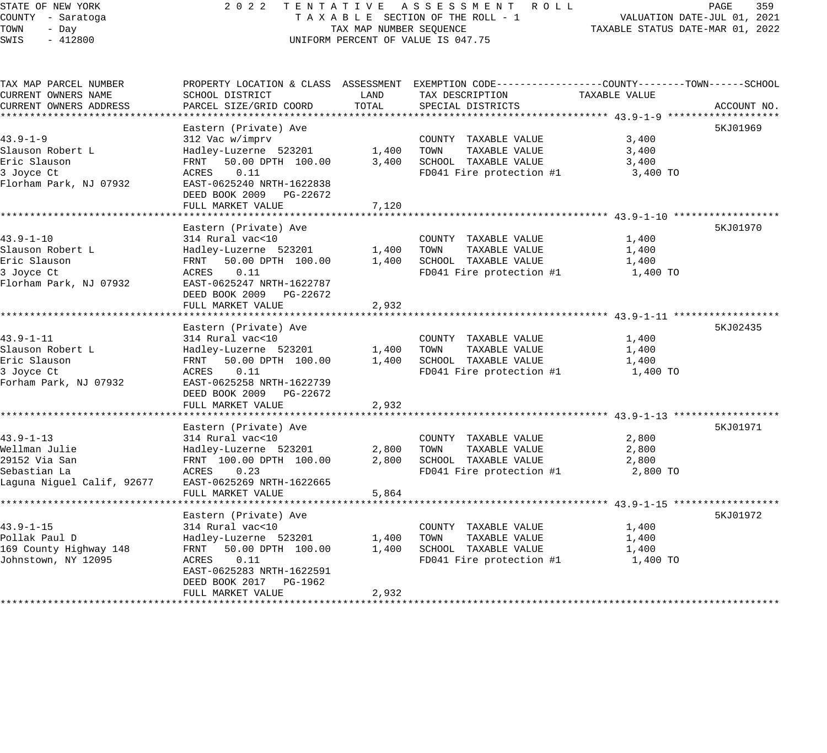#### STATE OF NEW YORK 2 0 2 2 T E N T A T I V E A S S E S S M E N T R O L L PAGE 359 COUNTY - Saratoga T A X A B L E SECTION OF THE ROLL - 1 VALUATION DATE-JUL 01, 2021 TOWN - Day TAX MAP NUMBER SEQUENCE TAXABLE STATUS DATE-MAR 01, 2022 SWIS - 412800 CONTROLLY THE UNIFORM PERCENT OF VALUE IS 047.75

| TAX MAP PARCEL NUMBER      |                           |       | PROPERTY LOCATION & CLASS ASSESSMENT EXEMPTION CODE----------------COUNTY-------TOWN------SCHOOL |               |             |
|----------------------------|---------------------------|-------|--------------------------------------------------------------------------------------------------|---------------|-------------|
| CURRENT OWNERS NAME        | SCHOOL DISTRICT           | LAND  | TAX DESCRIPTION                                                                                  | TAXABLE VALUE |             |
| CURRENT OWNERS ADDRESS     | PARCEL SIZE/GRID COORD    | TOTAL | SPECIAL DISTRICTS                                                                                |               | ACCOUNT NO. |
|                            |                           |       |                                                                                                  |               |             |
|                            | Eastern (Private) Ave     |       |                                                                                                  |               | 5KJ01969    |
| $43.9 - 1 - 9$             | 312 Vac w/imprv           |       | COUNTY TAXABLE VALUE                                                                             | 3,400         |             |
| Slauson Robert L           | Hadley-Luzerne 523201     | 1,400 | TOWN<br>TAXABLE VALUE                                                                            | 3,400         |             |
| Eric Slauson               | 50.00 DPTH 100.00<br>FRNT | 3,400 | SCHOOL TAXABLE VALUE                                                                             | 3,400         |             |
| 3 Joyce Ct                 | ACRES<br>0.11             |       | FD041 Fire protection #1                                                                         | 3,400 TO      |             |
| Florham Park, NJ 07932     | EAST-0625240 NRTH-1622838 |       |                                                                                                  |               |             |
|                            | DEED BOOK 2009 PG-22672   |       |                                                                                                  |               |             |
|                            | FULL MARKET VALUE         | 7,120 |                                                                                                  |               |             |
|                            |                           |       |                                                                                                  |               |             |
|                            | Eastern (Private) Ave     |       |                                                                                                  |               | 5KJ01970    |
| $43.9 - 1 - 10$            | 314 Rural vac<10          |       | COUNTY TAXABLE VALUE                                                                             | 1,400         |             |
| Slauson Robert L           | Hadley-Luzerne 523201     | 1,400 | TOWN<br>TAXABLE VALUE                                                                            | 1,400         |             |
| Eric Slauson               | FRNT 50.00 DPTH 100.00    | 1,400 | SCHOOL TAXABLE VALUE                                                                             | 1,400         |             |
| 3 Joyce Ct                 | ACRES<br>0.11             |       | FD041 Fire protection #1                                                                         | 1,400 TO      |             |
| Florham Park, NJ 07932     | EAST-0625247 NRTH-1622787 |       |                                                                                                  |               |             |
|                            | DEED BOOK 2009 PG-22672   |       |                                                                                                  |               |             |
|                            | FULL MARKET VALUE         | 2,932 |                                                                                                  |               |             |
|                            |                           |       |                                                                                                  |               |             |
|                            | Eastern (Private) Ave     |       |                                                                                                  |               | 5KJ02435    |
| $43.9 - 1 - 11$            | 314 Rural vac<10          |       | COUNTY TAXABLE VALUE                                                                             | 1,400         |             |
| Slauson Robert L           | Hadley-Luzerne 523201     | 1,400 | TOWN<br>TAXABLE VALUE                                                                            | 1,400         |             |
| Eric Slauson               | FRNT 50.00 DPTH 100.00    | 1,400 | SCHOOL TAXABLE VALUE                                                                             | 1,400         |             |
| 3 Joyce Ct                 | ACRES<br>0.11             |       | FD041 Fire protection #1                                                                         | 1,400 TO      |             |
| Forham Park, NJ 07932      | EAST-0625258 NRTH-1622739 |       |                                                                                                  |               |             |
|                            | DEED BOOK 2009 PG-22672   |       |                                                                                                  |               |             |
|                            | FULL MARKET VALUE         | 2,932 |                                                                                                  |               |             |
|                            |                           |       |                                                                                                  |               |             |
|                            | Eastern (Private) Ave     |       |                                                                                                  |               | 5KJ01971    |
| $43.9 - 1 - 13$            | 314 Rural vac<10          |       | COUNTY TAXABLE VALUE                                                                             | 2,800         |             |
| Wellman Julie              | Hadley-Luzerne 523201     | 2,800 | TAXABLE VALUE<br>TOWN                                                                            | 2,800         |             |
| 29152 Via San              | FRNT 100.00 DPTH 100.00   | 2,800 | SCHOOL TAXABLE VALUE                                                                             | 2,800         |             |
| Sebastian La               | ACRES<br>0.23             |       | FD041 Fire protection #1                                                                         | 2,800 TO      |             |
| Laguna Niguel Calif, 92677 | EAST-0625269 NRTH-1622665 |       |                                                                                                  |               |             |
|                            | FULL MARKET VALUE         | 5,864 |                                                                                                  |               |             |
|                            |                           |       |                                                                                                  |               |             |
|                            | Eastern (Private) Ave     |       |                                                                                                  |               | 5KJ01972    |
| 43.9-1-15                  | 314 Rural vac<10          |       | COUNTY TAXABLE VALUE                                                                             | 1,400         |             |
| Pollak Paul D              | Hadley-Luzerne 523201     | 1,400 | TAXABLE VALUE<br>TOWN                                                                            | 1,400         |             |
| 169 County Highway 148     | FRNT<br>50.00 DPTH 100.00 | 1,400 | SCHOOL TAXABLE VALUE                                                                             | 1,400         |             |
| Johnstown, NY 12095        | 0.11<br>ACRES             |       | FD041 Fire protection #1                                                                         | 1,400 TO      |             |
|                            | EAST-0625283 NRTH-1622591 |       |                                                                                                  |               |             |
|                            | DEED BOOK 2017 PG-1962    |       |                                                                                                  |               |             |
|                            | FULL MARKET VALUE         | 2,932 |                                                                                                  |               |             |
|                            |                           |       |                                                                                                  |               |             |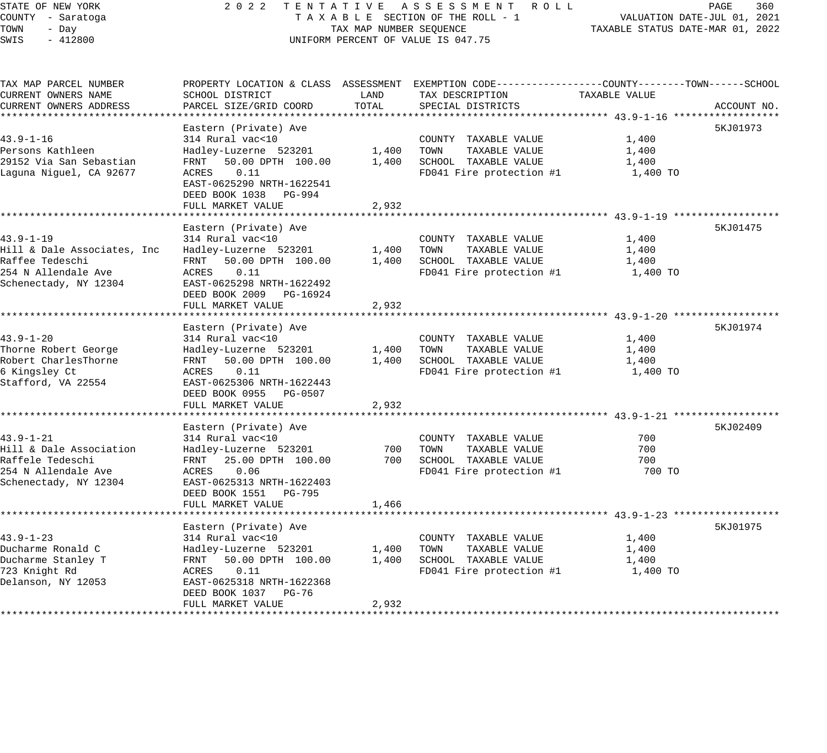# STATE OF NEW YORK 2 0 2 2 T E N T A T I V E A S S E S S M E N T R O L L PAGE 360 COUNTY - Saratoga T A X A B L E SECTION OF THE ROLL - 1 VALUATION DATE-JUL 01, 2021 X A B L E SECTION OF THE KOLL - 1 TAXABLE STATUS DATE-MAR 01, 2022 UNIFORM PERCENT OF VALUE IS 047.75

| TAX MAP PARCEL NUMBER       | PROPERTY LOCATION & CLASS ASSESSMENT EXEMPTION CODE----------------COUNTY-------TOWN-----SCHOOL |       |                          |                                                                 |             |
|-----------------------------|-------------------------------------------------------------------------------------------------|-------|--------------------------|-----------------------------------------------------------------|-------------|
| CURRENT OWNERS NAME         | SCHOOL DISTRICT                                                                                 | LAND  | TAX DESCRIPTION          | TAXABLE VALUE                                                   |             |
| CURRENT OWNERS ADDRESS      | PARCEL SIZE/GRID COORD                                                                          | TOTAL | SPECIAL DISTRICTS        |                                                                 | ACCOUNT NO. |
|                             |                                                                                                 |       |                          |                                                                 |             |
|                             | Eastern (Private) Ave                                                                           |       |                          |                                                                 | 5KJ01973    |
| $43.9 - 1 - 16$             | 314 Rural vac<10                                                                                |       | COUNTY TAXABLE VALUE     | 1,400                                                           |             |
| Persons Kathleen            | Hadley-Luzerne 523201                                                                           | 1,400 | TOWN<br>TAXABLE VALUE    | 1,400                                                           |             |
| 29152 Via San Sebastian     | 50.00 DPTH 100.00<br>FRNT                                                                       | 1,400 | SCHOOL TAXABLE VALUE     | 1,400                                                           |             |
| Laguna Niguel, CA 92677     | ACRES<br>0.11                                                                                   |       | FD041 Fire protection #1 | 1,400 TO                                                        |             |
|                             | EAST-0625290 NRTH-1622541                                                                       |       |                          |                                                                 |             |
|                             | DEED BOOK 1038 PG-994                                                                           |       |                          |                                                                 |             |
|                             | FULL MARKET VALUE<br>*******************                                                        | 2,932 |                          |                                                                 |             |
|                             |                                                                                                 |       |                          | ********************************** 43.9-1-19 ****************** |             |
|                             | Eastern (Private) Ave                                                                           |       |                          |                                                                 | 5KJ01475    |
| $43.9 - 1 - 19$             | 314 Rural vac<10                                                                                |       | COUNTY TAXABLE VALUE     | 1,400                                                           |             |
| Hill & Dale Associates, Inc | Hadley-Luzerne 523201                                                                           | 1,400 | TOWN<br>TAXABLE VALUE    | 1,400                                                           |             |
| Raffee Tedeschi             | FRNT 50.00 DPTH 100.00                                                                          | 1,400 | SCHOOL TAXABLE VALUE     | 1,400                                                           |             |
| 254 N Allendale Ave         | ACRES<br>0.11                                                                                   |       | FD041 Fire protection #1 | 1,400 TO                                                        |             |
| Schenectady, NY 12304       | EAST-0625298 NRTH-1622492                                                                       |       |                          |                                                                 |             |
|                             | DEED BOOK 2009 PG-16924                                                                         |       |                          |                                                                 |             |
|                             | FULL MARKET VALUE                                                                               | 2,932 |                          |                                                                 |             |
|                             |                                                                                                 |       |                          |                                                                 |             |
|                             | Eastern (Private) Ave                                                                           |       |                          |                                                                 | 5KJ01974    |
| $43.9 - 1 - 20$             | 314 Rural vac<10                                                                                |       | COUNTY TAXABLE VALUE     | 1,400                                                           |             |
| Thorne Robert George        | Hadley-Luzerne 523201                                                                           | 1,400 | TOWN<br>TAXABLE VALUE    | 1,400                                                           |             |
| Robert CharlesThorne        | 50.00 DPTH 100.00<br>FRNT                                                                       | 1,400 | SCHOOL TAXABLE VALUE     | 1,400                                                           |             |
| 6 Kingsley Ct               | ACRES<br>0.11                                                                                   |       | FD041 Fire protection #1 | 1,400 TO                                                        |             |
| Stafford, VA 22554          | EAST-0625306 NRTH-1622443                                                                       |       |                          |                                                                 |             |
|                             | DEED BOOK 0955 PG-0507                                                                          |       |                          |                                                                 |             |
|                             | FULL MARKET VALUE                                                                               | 2,932 |                          |                                                                 |             |
|                             |                                                                                                 |       |                          |                                                                 |             |
|                             | Eastern (Private) Ave                                                                           |       |                          |                                                                 | 5KJ02409    |
| $43.9 - 1 - 21$             | 314 Rural vac<10                                                                                |       | COUNTY TAXABLE VALUE     | 700                                                             |             |
| Hill & Dale Association     | Hadley-Luzerne 523201                                                                           | 700   | TOWN<br>TAXABLE VALUE    | 700                                                             |             |
| Raffele Tedeschi            | FRNT 25.00 DPTH 100.00                                                                          | 700   | SCHOOL TAXABLE VALUE     | 700                                                             |             |
| 254 N Allendale Ave         | ACRES<br>0.06                                                                                   |       | FD041 Fire protection #1 | 700 TO                                                          |             |
| Schenectady, NY 12304       | EAST-0625313 NRTH-1622403                                                                       |       |                          |                                                                 |             |
|                             | DEED BOOK 1551 PG-795                                                                           |       |                          |                                                                 |             |
|                             | FULL MARKET VALUE                                                                               | 1,466 |                          |                                                                 |             |
|                             |                                                                                                 |       |                          |                                                                 |             |
|                             | Eastern (Private) Ave                                                                           |       |                          |                                                                 | 5KJ01975    |
| $43.9 - 1 - 23$             | 314 Rural vac<10                                                                                |       | COUNTY TAXABLE VALUE     | 1,400                                                           |             |
| Ducharme Ronald C           | Hadley-Luzerne 523201                                                                           | 1,400 | TOWN<br>TAXABLE VALUE    | 1,400                                                           |             |
| Ducharme Stanley T          | FRNT<br>50.00 DPTH 100.00                                                                       | 1,400 | SCHOOL TAXABLE VALUE     | 1,400                                                           |             |
| 723 Knight Rd               | 0.11<br>ACRES                                                                                   |       | FD041 Fire protection #1 | 1,400 TO                                                        |             |
| Delanson, NY 12053          | EAST-0625318 NRTH-1622368                                                                       |       |                          |                                                                 |             |
|                             | DEED BOOK 1037 PG-76                                                                            |       |                          |                                                                 |             |
|                             | FULL MARKET VALUE                                                                               | 2,932 |                          |                                                                 |             |
|                             |                                                                                                 |       |                          |                                                                 |             |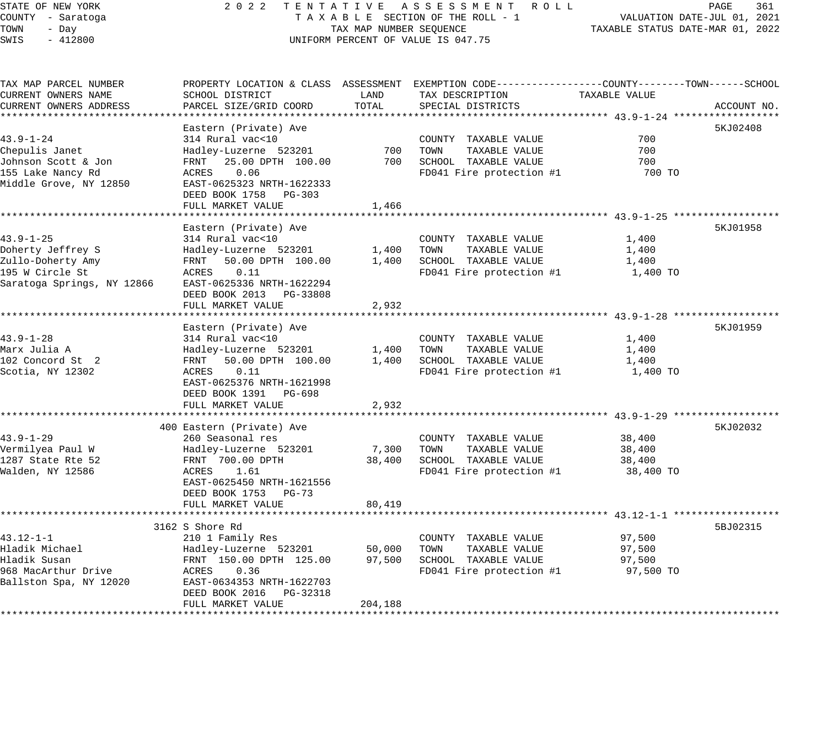### STATE OF NEW YORK 2 0 2 2 T E N T A T I V E A S S E S S M E N T R O L L PAGE 361 COUNTY - Saratoga T A X A B L E SECTION OF THE ROLL - 1 VALUATION DATE-JUL 01, 2021 TOWN - Day TAX MAP NUMBER SEQUENCE TAXABLE STATUS DATE-MAR 01, 2022 SWIS - 412800 CONTROLLY THE UNIFORM PERCENT OF VALUE IS 047.75

| TAX MAP PARCEL NUMBER                                |                           |         | PROPERTY LOCATION & CLASS ASSESSMENT EXEMPTION CODE---------------COUNTY-------TOWN-----SCHOOL |               |             |
|------------------------------------------------------|---------------------------|---------|------------------------------------------------------------------------------------------------|---------------|-------------|
| CURRENT OWNERS NAME                                  | SCHOOL DISTRICT           | LAND    | TAX DESCRIPTION                                                                                | TAXABLE VALUE |             |
| CURRENT OWNERS ADDRESS                               | PARCEL SIZE/GRID COORD    | TOTAL   | SPECIAL DISTRICTS                                                                              |               | ACCOUNT NO. |
|                                                      |                           |         |                                                                                                |               |             |
|                                                      | Eastern (Private) Ave     |         |                                                                                                |               | 5KJ02408    |
| $43.9 - 1 - 24$                                      | 314 Rural vac<10          |         | COUNTY TAXABLE VALUE                                                                           | 700           |             |
| Chepulis Janet                                       | Hadley-Luzerne 523201     | 700     | TOWN<br>TAXABLE VALUE                                                                          | 700           |             |
| Johnson Scott & Jon                                  | 25.00 DPTH 100.00<br>FRNT | 700     | SCHOOL TAXABLE VALUE                                                                           | 700           |             |
| 155 Lake Nancy Rd                                    | ACRES<br>0.06             |         | FD041 Fire protection #1                                                                       | 700 TO        |             |
| Middle Grove, NY 12850                               | EAST-0625323 NRTH-1622333 |         |                                                                                                |               |             |
|                                                      | DEED BOOK 1758 PG-303     |         |                                                                                                |               |             |
|                                                      | FULL MARKET VALUE         | 1,466   |                                                                                                |               |             |
|                                                      |                           |         |                                                                                                |               |             |
|                                                      | Eastern (Private) Ave     |         |                                                                                                |               | 5KJ01958    |
| $43.9 - 1 - 25$                                      | 314 Rural vac<10          |         | COUNTY TAXABLE VALUE                                                                           | 1,400         |             |
| Doherty Jeffrey S                                    | Hadley-Luzerne 523201     | 1,400   | TOWN<br>TAXABLE VALUE                                                                          | 1,400         |             |
| Zullo-Doherty Amy                                    | 50.00 DPTH 100.00<br>FRNT |         | 1,400 SCHOOL TAXABLE VALUE                                                                     | 1,400         |             |
| 195 W Circle St                                      | ACRES<br>0.11             |         | FD041 Fire protection #1                                                                       | 1,400 TO      |             |
| Saratoga Springs, NY 12866 EAST-0625336 NRTH-1622294 |                           |         |                                                                                                |               |             |
|                                                      | DEED BOOK 2013 PG-33808   |         |                                                                                                |               |             |
|                                                      | FULL MARKET VALUE         | 2,932   |                                                                                                |               |             |
|                                                      |                           |         |                                                                                                |               |             |
|                                                      | Eastern (Private) Ave     |         |                                                                                                |               | 5KJ01959    |
| $43.9 - 1 - 28$                                      | 314 Rural vac<10          |         | COUNTY TAXABLE VALUE                                                                           | 1,400         |             |
| Marx Julia A                                         | Hadley-Luzerne 523201     | 1,400   | TOWN<br>TAXABLE VALUE                                                                          | 1,400         |             |
| 102 Concord St 2                                     | FRNT<br>50.00 DPTH 100.00 | 1,400   | SCHOOL TAXABLE VALUE                                                                           | 1,400         |             |
| Scotia, NY 12302                                     | ACRES<br>0.11             |         | FD041 Fire protection #1                                                                       | 1,400 TO      |             |
|                                                      | EAST-0625376 NRTH-1621998 |         |                                                                                                |               |             |
|                                                      | DEED BOOK 1391 PG-698     |         |                                                                                                |               |             |
|                                                      | FULL MARKET VALUE         | 2,932   |                                                                                                |               |             |
|                                                      |                           |         |                                                                                                |               |             |
|                                                      | 400 Eastern (Private) Ave |         |                                                                                                |               | 5KJ02032    |
| $43.9 - 1 - 29$                                      | 260 Seasonal res          |         | COUNTY TAXABLE VALUE                                                                           | 38,400        |             |
| Vermilyea Paul W                                     | Hadley-Luzerne 523201     | 7,300   | TOWN<br>TAXABLE VALUE                                                                          | 38,400        |             |
| 1287 State Rte 52                                    | FRNT 700.00 DPTH          | 38,400  | SCHOOL TAXABLE VALUE                                                                           | 38,400        |             |
| Walden, NY 12586                                     | ACRES<br>1.61             |         | FD041 Fire protection #1 38,400 TO                                                             |               |             |
|                                                      | EAST-0625450 NRTH-1621556 |         |                                                                                                |               |             |
|                                                      | DEED BOOK 1753 PG-73      |         |                                                                                                |               |             |
|                                                      | FULL MARKET VALUE         | 80,419  |                                                                                                |               |             |
|                                                      |                           |         |                                                                                                |               |             |
|                                                      | 3162 S Shore Rd           |         |                                                                                                |               | 5BJ02315    |
| $43.12 - 1 - 1$                                      | 210 1 Family Res          |         | COUNTY TAXABLE VALUE                                                                           | 97,500        |             |
| Hladik Michael                                       | Hadley-Luzerne 523201     | 50,000  | TOWN<br>TAXABLE VALUE                                                                          | 97,500        |             |
| Hladik Susan                                         | FRNT 150.00 DPTH 125.00   | 97,500  | SCHOOL TAXABLE VALUE                                                                           | 97,500        |             |
| 968 MacArthur Drive                                  | ACRES<br>0.36             |         | FD041 Fire protection #1                                                                       | 97,500 TO     |             |
| Ballston Spa, NY 12020                               | EAST-0634353 NRTH-1622703 |         |                                                                                                |               |             |
|                                                      | DEED BOOK 2016 PG-32318   |         |                                                                                                |               |             |
|                                                      | FULL MARKET VALUE         | 204,188 |                                                                                                |               |             |
|                                                      |                           |         |                                                                                                |               |             |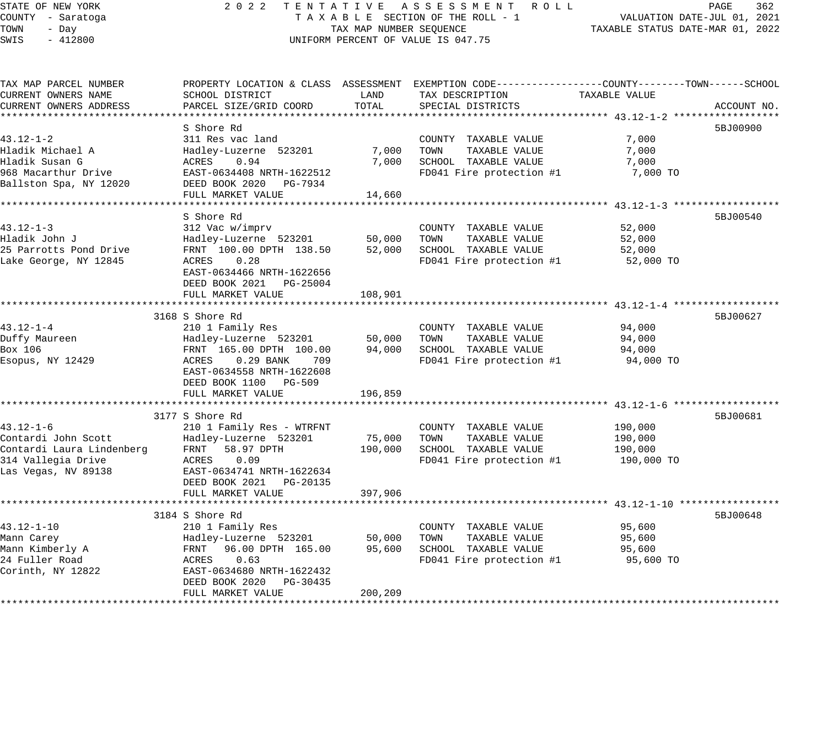| STATE OF NEW YORK |  |           |  |  |  |
|-------------------|--|-----------|--|--|--|
| COUNTY - Saratoga |  |           |  |  |  |
| TOWN              |  | - Day     |  |  |  |
| SMTS              |  | $-412800$ |  |  |  |

### STATE OF NEW YORK 2 0 2 2 T E N T A T I V E A S S E S S M E N T R O L L PAGE 362 COUNTY - Saratoga T A X A B L E SECTION OF THE ROLL - 1 VALUATION DATE-JUL 01, 2021 TAX A B L E SECTION OF THE ROLL - 1 VALUATION DATE-JUL 01, 2021<br>TAX MAP NUMBER SEQUENCE TAXABLE STATUS DATE-MAR 01, 2022 SWIS - 412800 CONFORM PERCENT OF VALUE IS 047.75

| TAX MAP PARCEL NUMBER                         |                                |         | PROPERTY LOCATION & CLASS ASSESSMENT EXEMPTION CODE----------------COUNTY-------TOWN------SCHOOL |               |             |
|-----------------------------------------------|--------------------------------|---------|--------------------------------------------------------------------------------------------------|---------------|-------------|
| CURRENT OWNERS NAME                           | SCHOOL DISTRICT                | LAND    | TAX DESCRIPTION                                                                                  | TAXABLE VALUE |             |
| CURRENT OWNERS ADDRESS                        | PARCEL SIZE/GRID COORD         | TOTAL   | SPECIAL DISTRICTS                                                                                |               | ACCOUNT NO. |
|                                               | S Shore Rd                     |         |                                                                                                  |               | 5BJ00900    |
| $43.12 - 1 - 2$                               | 311 Res vac land               |         | COUNTY TAXABLE VALUE                                                                             | 7,000         |             |
| Hladik Michael A                              | Hadley-Luzerne 523201          | 7,000   | TOWN<br>TAXABLE VALUE                                                                            | 7,000         |             |
| Hladik Susan G                                | 0.94<br>ACRES                  | 7,000   | SCHOOL TAXABLE VALUE                                                                             | 7,000         |             |
|                                               | EAST-0634408 NRTH-1622512      |         | FD041 Fire protection #1                                                                         | 7,000 TO      |             |
| 968 Macarthur Drive<br>Ballston Spa. NY 12020 | DEED BOOK 2020 PG-7934         |         |                                                                                                  |               |             |
|                                               | FULL MARKET VALUE              | 14,660  |                                                                                                  |               |             |
|                                               |                                |         |                                                                                                  |               |             |
|                                               | S Shore Rd                     |         |                                                                                                  |               | 5BJ00540    |
| $43.12 - 1 - 3$                               | 312 Vac w/imprv                |         | COUNTY TAXABLE VALUE                                                                             | 52,000        |             |
| Hladik John J                                 | Hadley-Luzerne 523201 50,000   |         | TOWN<br>TAXABLE VALUE                                                                            | 52,000        |             |
| 25 Parrotts Pond Drive                        | FRNT 100.00 DPTH 138.50 52,000 |         | SCHOOL TAXABLE VALUE                                                                             | 52,000        |             |
| Lake George, NY 12845                         | ACRES 0.28                     |         | FD041 Fire protection #1                                                                         | 52,000 TO     |             |
|                                               | EAST-0634466 NRTH-1622656      |         |                                                                                                  |               |             |
|                                               | DEED BOOK 2021 PG-25004        |         |                                                                                                  |               |             |
|                                               | FULL MARKET VALUE              | 108,901 |                                                                                                  |               |             |
|                                               |                                |         |                                                                                                  |               |             |
|                                               | 3168 S Shore Rd                |         |                                                                                                  |               | 5BJ00627    |
| $43.12 - 1 - 4$                               | 210 1 Family Res               |         | COUNTY TAXABLE VALUE                                                                             | 94,000        |             |
| Duffy Maureen                                 | Hadley-Luzerne 523201 50,000   |         | TOWN<br>TAXABLE VALUE                                                                            | 94,000        |             |
| Box 106                                       | FRNT 165.00 DPTH 100.00 94,000 |         | SCHOOL TAXABLE VALUE                                                                             | 94,000        |             |
| Esopus, NY 12429                              | $0.29$ BANK<br>ACRES<br>709    |         | FD041 Fire protection #1                                                                         | 94,000 TO     |             |
|                                               | EAST-0634558 NRTH-1622608      |         |                                                                                                  |               |             |
|                                               | DEED BOOK 1100 PG-509          |         |                                                                                                  |               |             |
|                                               | FULL MARKET VALUE              | 196,859 |                                                                                                  |               |             |
|                                               |                                |         |                                                                                                  |               |             |
|                                               | 3177 S Shore Rd                |         |                                                                                                  |               | 5BJ00681    |
| $43.12 - 1 - 6$                               | 210 1 Family Res - WTRFNT      |         | COUNTY TAXABLE VALUE                                                                             | 190,000       |             |
| Contardi John Scott                           | Hadley-Luzerne 523201          | 75,000  | TOWN<br>TAXABLE VALUE                                                                            | 190,000       |             |
| Contardi Laura Lindenberg FRNT 58.97 DPTH     |                                | 190,000 | SCHOOL TAXABLE VALUE                                                                             | 190,000       |             |
| 314 Vallegia Drive                            | ACRES<br>0.09                  |         | FD041 Fire protection #1                                                                         | 190,000 TO    |             |
| Las Vegas, NV 89138                           | EAST-0634741 NRTH-1622634      |         |                                                                                                  |               |             |
|                                               | DEED BOOK 2021    PG-20135     | 397,906 |                                                                                                  |               |             |
|                                               | FULL MARKET VALUE              |         |                                                                                                  |               |             |
|                                               | 3184 S Shore Rd                |         |                                                                                                  |               | 5BJ00648    |
| $43.12 - 1 - 10$                              | 210 1 Family Res               |         | COUNTY TAXABLE VALUE                                                                             | 95,600        |             |
| Mann Carey                                    | Hadley-Luzerne 523201          | 50,000  | TOWN<br>TAXABLE VALUE                                                                            | 95,600        |             |
| Mann Kimberly A                               | FRNT 96.00 DPTH 165.00         | 95,600  | SCHOOL TAXABLE VALUE                                                                             | 95,600        |             |
| 24 Fuller Road                                | ACRES 0.63                     |         | FD041 Fire protection #1                                                                         | 95,600 TO     |             |
| Corinth, NY 12822                             | EAST-0634680 NRTH-1622432      |         |                                                                                                  |               |             |
|                                               | DEED BOOK 2020 PG-30435        |         |                                                                                                  |               |             |
|                                               | FULL MARKET VALUE              | 200,209 |                                                                                                  |               |             |
|                                               |                                |         |                                                                                                  |               |             |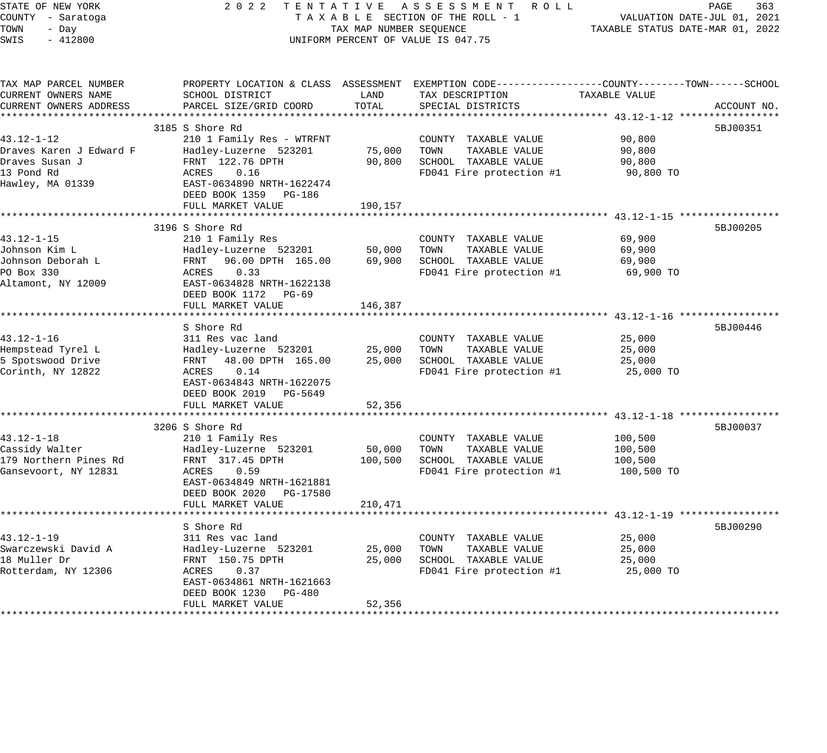| PAGE<br>363<br>VALUATION DATE-JUL 01, 2021<br>TAXABLE STATUS DATE-MAR 01, 2022                                  |
|-----------------------------------------------------------------------------------------------------------------|
| PROPERTY LOCATION & CLASS ASSESSMENT EXEMPTION CODE-----------------COUNTY-------TOWN-----SCHOOL<br>ACCOUNT NO. |
|                                                                                                                 |
| 5BJ00351                                                                                                        |
| 90,800 TO                                                                                                       |
|                                                                                                                 |
| ************************ 43.12-1-15 ****                                                                        |
| 5BJ00205<br>69,900 TO                                                                                           |
|                                                                                                                 |
| ******************************* 43.12-1-16 *****                                                                |
| 5BJ00446<br>25,000 TO                                                                                           |
|                                                                                                                 |
| 5BJ00037<br>100,500 TO                                                                                          |
|                                                                                                                 |
| ************************************ 43.12-1-19 *****************<br>5BJ00290                                   |
| 25,000 TO                                                                                                       |
|                                                                                                                 |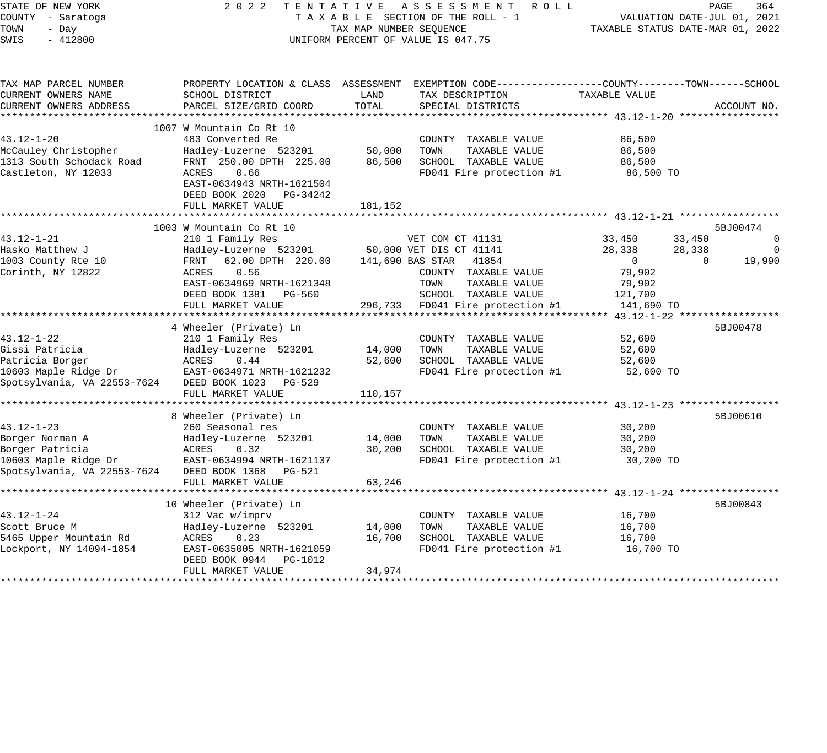| STATE OF NEW YORK<br>COUNTY - Saratoga<br>TOWN<br>- Day<br>$-412800$<br>SWIS | 2 0 2 2                                                                  | TAX MAP NUMBER SEOUENCE | TENTATIVE ASSESSMENT<br>R O L L<br>TAXABLE SECTION OF THE ROLL - 1<br>UNIFORM PERCENT OF VALUE IS 047.75          | TAXABLE STATUS DATE-MAR 01, 2022 | PAGE<br>364<br>VALUATION DATE-JUL 01, 2021 |
|------------------------------------------------------------------------------|--------------------------------------------------------------------------|-------------------------|-------------------------------------------------------------------------------------------------------------------|----------------------------------|--------------------------------------------|
| TAX MAP PARCEL NUMBER<br>CURRENT OWNERS NAME                                 | SCHOOL DISTRICT                                                          | LAND                    | PROPERTY LOCATION & CLASS ASSESSMENT EXEMPTION CODE---------------COUNTY-------TOWN-----SCHOOL<br>TAX DESCRIPTION | TAXABLE VALUE                    |                                            |
| CURRENT OWNERS ADDRESS                                                       | PARCEL SIZE/GRID COORD                                                   | TOTAL                   | SPECIAL DISTRICTS                                                                                                 |                                  | ACCOUNT NO.                                |
|                                                                              |                                                                          |                         |                                                                                                                   |                                  |                                            |
|                                                                              | 1007 W Mountain Co Rt 10                                                 |                         |                                                                                                                   |                                  |                                            |
| 43.12-1-20                                                                   | 483 Converted Re                                                         |                         | COUNTY TAXABLE VALUE                                                                                              | 86,500                           |                                            |
| McCauley Christopher                                                         | Hadley-Luzerne 523201                                                    | 50,000                  | TAXABLE VALUE<br>TOWN                                                                                             | 86,500                           |                                            |
| 1313 South Schodack Road                                                     | FRNT 250.00 DPTH 225.00                                                  | 86,500                  | SCHOOL TAXABLE VALUE                                                                                              | 86,500                           |                                            |
| Castleton, NY 12033                                                          | 0.66<br>ACRES<br>EAST-0634943 NRTH-1621504<br>DEED BOOK 2020<br>PG-34242 |                         | FD041 Fire protection #1                                                                                          | 86,500 TO                        |                                            |
|                                                                              | FULL MARKET VALUE                                                        | 181,152                 |                                                                                                                   |                                  |                                            |
|                                                                              | 1003 W Mountain Co Rt 10                                                 |                         |                                                                                                                   |                                  | 5BJ00474                                   |
| 43.12-1-21                                                                   | 210 1 Family Res                                                         |                         | VET COM CT 41131                                                                                                  | 33,450                           | $\mathbb O$<br>33,450                      |
| Hasko Matthew J                                                              | Hadley-Luzerne 523201                                                    |                         | 50,000 VET DIS CT 41141                                                                                           | 28,338                           | 28,338<br>0                                |
| 1003 County Rte 10                                                           | 62.00 DPTH 220.00<br>FRNT                                                |                         | 141,690 BAS STAR<br>41854                                                                                         | $\Omega$                         | $\Omega$<br>19,990                         |
| Corinth, NY 12822                                                            | ACRES<br>0.56                                                            |                         | COUNTY TAXABLE VALUE                                                                                              | 79,902                           |                                            |
|                                                                              | EAST-0634969 NRTH-1621348                                                |                         | TOWN<br>TAXABLE VALUE                                                                                             | 79,902                           |                                            |
|                                                                              | DEED BOOK 1381<br>PG-560                                                 |                         | SCHOOL TAXABLE VALUE                                                                                              | 121,700                          |                                            |
|                                                                              | FULL MARKET VALUE                                                        | 296,733                 | FD041 Fire protection #1                                                                                          | 141,690 TO                       |                                            |
|                                                                              |                                                                          |                         |                                                                                                                   |                                  |                                            |
|                                                                              | 4 Wheeler (Private) Ln                                                   |                         |                                                                                                                   |                                  | 5BJ00478                                   |
| 43.12-1-22                                                                   | 210 1 Family Res                                                         |                         | COUNTY TAXABLE VALUE                                                                                              | 52,600                           |                                            |
| Gissi Patricia                                                               | Hadley-Luzerne 523201                                                    | 14,000                  | TAXABLE VALUE<br>TOWN                                                                                             | 52,600                           |                                            |
| Patricia Borger                                                              | ACRES<br>0.44                                                            | 52,600                  | SCHOOL TAXABLE VALUE                                                                                              | 52,600                           |                                            |
| 10603 Maple Ridge Dr                                                         | EAST-0634971 NRTH-1621232                                                |                         | FD041 Fire protection #1                                                                                          | 52,600 TO                        |                                            |
| Spotsylvania, VA 22553-7624                                                  | DEED BOOK 1023<br>PG-529                                                 | 110,157                 |                                                                                                                   |                                  |                                            |
|                                                                              | FULL MARKET VALUE                                                        |                         |                                                                                                                   |                                  |                                            |
|                                                                              | 8 Wheeler (Private) Ln                                                   |                         |                                                                                                                   |                                  | 5BJ00610                                   |
| $43.12 - 1 - 23$                                                             | 260 Seasonal res                                                         |                         | COUNTY TAXABLE VALUE                                                                                              | 30,200                           |                                            |
| Borger Norman A                                                              | Hadley-Luzerne 523201                                                    | 14,000                  | TOWN<br>TAXABLE VALUE                                                                                             | 30,200                           |                                            |
| Borger Patricia                                                              | 0.32<br>ACRES                                                            | 30,200                  | SCHOOL TAXABLE VALUE                                                                                              | 30,200                           |                                            |
| 10603 Maple Ridge Dr                                                         | EAST-0634994 NRTH-1621137                                                |                         | FD041 Fire protection #1                                                                                          | 30,200 TO                        |                                            |
| Spotsylvania, VA 22553-7624                                                  | DEED BOOK 1368<br>PG-521                                                 |                         |                                                                                                                   |                                  |                                            |
|                                                                              | FULL MARKET VALUE                                                        | 63,246                  |                                                                                                                   |                                  |                                            |
|                                                                              |                                                                          |                         |                                                                                                                   |                                  |                                            |
|                                                                              | 10 Wheeler (Private) Ln                                                  |                         |                                                                                                                   |                                  | 5BJ00843                                   |
| 43.12-1-24                                                                   | 312 Vac w/imprv                                                          |                         | COUNTY TAXABLE VALUE                                                                                              | 16,700                           |                                            |
| Scott Bruce M                                                                | Hadley-Luzerne 523201                                                    | 14,000                  | TOWN<br>TAXABLE VALUE                                                                                             | 16,700                           |                                            |
| 5465 Upper Mountain Rd                                                       | ACRES<br>0.23                                                            | 16,700                  | SCHOOL TAXABLE VALUE                                                                                              | 16,700                           |                                            |
| Lockport, NY 14094-1854                                                      | EAST-0635005 NRTH-1621059<br>DEED BOOK 0944<br>PG-1012                   |                         | FD041 Fire protection #1                                                                                          | 16,700 TO                        |                                            |
|                                                                              | FULL MARKET VALUE                                                        | 34,974                  |                                                                                                                   |                                  |                                            |
|                                                                              |                                                                          |                         |                                                                                                                   |                                  |                                            |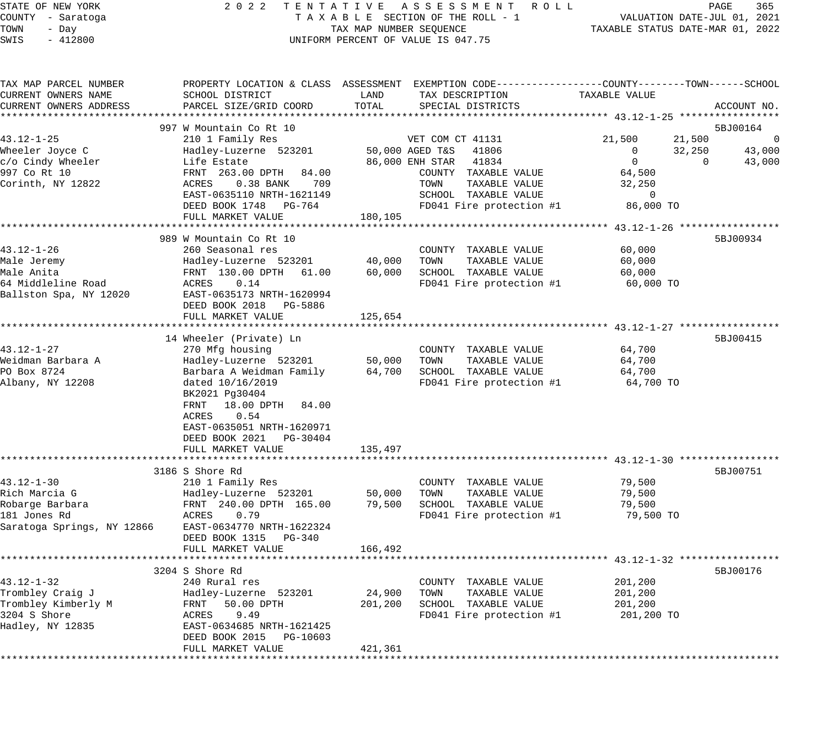STATE OF NEW YORK 2 0 2 2 T E N T A T I V E A S S E S S M E N T R O L L PAGE 365

### COUNTY - Saratoga T A X A B L E SECTION OF THE ROLL - 1 VALUATION DATE-JUL 01, 2021 X A B L E SECTION OF THE ROLL - 1 WELL STATUS DATE-MAR 01, 2022<br>TAX MAP NUMBER SEQUENCE TAXABLE STATUS DATE-MAR 01, 2022 UNIFORM PERCENT OF VALUE IS 047.75

| TAX MAP PARCEL NUMBER<br>CURRENT OWNERS NAME<br>CURRENT OWNERS ADDRESS                             | PROPERTY LOCATION & CLASS ASSESSMENT<br>SCHOOL DISTRICT<br>PARCEL SIZE/GRID COORD                                                                                                                                                          | LAND<br>TOTAL               | EXEMPTION CODE-----------------COUNTY-------TOWN------SCHOOL<br>TAX DESCRIPTION<br>SPECIAL DISTRICTS                          | <b>TAXABLE VALUE</b>                                         | ACCOUNT NO.                                 |
|----------------------------------------------------------------------------------------------------|--------------------------------------------------------------------------------------------------------------------------------------------------------------------------------------------------------------------------------------------|-----------------------------|-------------------------------------------------------------------------------------------------------------------------------|--------------------------------------------------------------|---------------------------------------------|
|                                                                                                    |                                                                                                                                                                                                                                            |                             |                                                                                                                               |                                                              |                                             |
| $43.12 - 1 - 25$<br>Wheeler Joyce C                                                                | 997 W Mountain Co Rt 10<br>210 1 Family Res<br>Hadley-Luzerne 523201                                                                                                                                                                       |                             | VET COM CT 41131<br>50,000 AGED T&S<br>41806                                                                                  | 21,500<br>0                                                  | 5BJ00164<br>21,500<br>0<br>32,250<br>43,000 |
| c/o Cindy Wheeler<br>997 Co Rt 10<br>Corinth, NY 12822                                             | Life Estate<br>FRNT 263.00 DPTH<br>84.00<br>ACRES<br>$0.38$ BANK<br>709<br>EAST-0635110 NRTH-1621149<br>DEED BOOK 1748<br>PG-764<br>FULL MARKET VALUE                                                                                      | 180,105                     | 86,000 ENH STAR<br>41834<br>COUNTY TAXABLE VALUE<br>TOWN<br>TAXABLE VALUE<br>SCHOOL TAXABLE VALUE<br>FD041 Fire protection #1 | $\mathbf 0$<br>64,500<br>32,250<br>$\mathbf{0}$<br>86,000 TO | 43,000<br>$\Omega$                          |
|                                                                                                    |                                                                                                                                                                                                                                            |                             |                                                                                                                               |                                                              |                                             |
| $43.12 - 1 - 26$<br>Male Jeremy<br>Male Anita<br>64 Middleline Road<br>Ballston Spa, NY 12020      | 989 W Mountain Co Rt 10<br>260 Seasonal res<br>Hadley-Luzerne 523201<br>FRNT 130.00 DPTH 61.00<br>ACRES<br>0.14<br>EAST-0635173 NRTH-1620994<br>DEED BOOK 2018 PG-5886                                                                     | 40,000<br>60,000            | COUNTY TAXABLE VALUE<br>TOWN<br>TAXABLE VALUE<br>SCHOOL TAXABLE VALUE<br>FD041 Fire protection #1                             | 60,000<br>60,000<br>60,000<br>60,000 TO                      | 5BJ00934                                    |
|                                                                                                    | FULL MARKET VALUE                                                                                                                                                                                                                          | 125,654                     |                                                                                                                               |                                                              |                                             |
|                                                                                                    | 14 Wheeler (Private) Ln                                                                                                                                                                                                                    |                             |                                                                                                                               |                                                              | 5BJ00415                                    |
| $43.12 - 1 - 27$<br>Weidman Barbara A<br>PO Box 8724<br>Albany, NY 12208                           | 270 Mfg housing<br>Hadley-Luzerne 523201<br>Barbara A Weidman Family<br>dated 10/16/2019<br>BK2021 Pg30404<br>FRNT<br>18.00 DPTH<br>84.00<br>0.54<br>ACRES<br>EAST-0635051 NRTH-1620971<br>DEED BOOK 2021<br>PG-30404<br>FULL MARKET VALUE | 50,000<br>64,700<br>135,497 | COUNTY TAXABLE VALUE<br>TAXABLE VALUE<br>TOWN<br>SCHOOL TAXABLE VALUE<br>FD041 Fire protection #1                             | 64,700<br>64,700<br>64,700<br>64,700 TO                      |                                             |
|                                                                                                    |                                                                                                                                                                                                                                            |                             |                                                                                                                               |                                                              |                                             |
| $43.12 - 1 - 30$<br>Rich Marcia G<br>Robarge Barbara<br>181 Jones Rd<br>Saratoga Springs, NY 12866 | 3186 S Shore Rd<br>210 1 Family Res<br>Hadley-Luzerne 523201<br>FRNT 240.00 DPTH 165.00<br>ACRES<br>0.79<br>EAST-0634770 NRTH-1622324<br>DEED BOOK 1315<br>PG-340<br>FULL MARKET VALUE                                                     | 50,000<br>79,500<br>166,492 | COUNTY TAXABLE VALUE<br>TOWN<br>TAXABLE VALUE<br>SCHOOL TAXABLE VALUE<br>FD041 Fire protection #1                             | 79,500<br>79,500<br>79,500<br>79,500 TO                      | 5BJ00751                                    |
|                                                                                                    | 3204 S Shore Rd                                                                                                                                                                                                                            |                             |                                                                                                                               |                                                              | 5BJ00176                                    |
| $43.12 - 1 - 32$<br>Trombley Craig J<br>Trombley Kimberly M<br>3204 S Shore<br>Hadley, NY 12835    | 240 Rural res<br>Hadley-Luzerne 523201<br>FRNT<br>50.00 DPTH<br>ACRES<br>9.49<br>EAST-0634685 NRTH-1621425<br>DEED BOOK 2015<br>PG-10603                                                                                                   | 24,900<br>201,200           | COUNTY TAXABLE VALUE<br>TOWN<br>TAXABLE VALUE<br>SCHOOL TAXABLE VALUE<br>FD041 Fire protection #1                             | 201,200<br>201,200<br>201,200<br>201,200 TO                  |                                             |
|                                                                                                    | FULL MARKET VALUE                                                                                                                                                                                                                          | 421,361                     |                                                                                                                               |                                                              |                                             |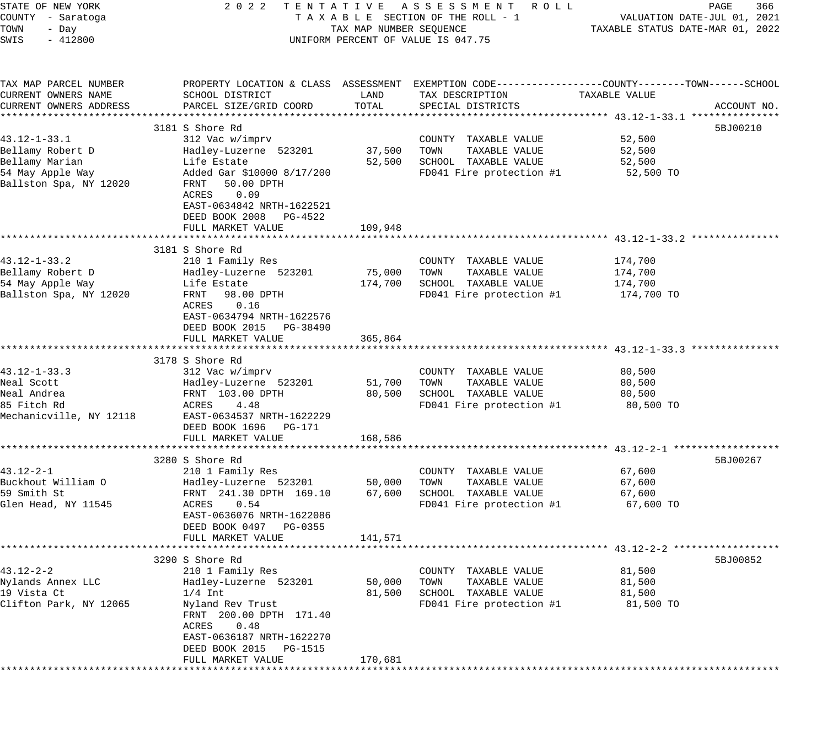| STATE OF NEW YORK<br>COUNTY - Saratoga<br>TOWN<br>- Day<br>SWIS<br>$-412800$                           | 2 0 2 2                                                                                                                                                                                                                     | TAX MAP NUMBER SEQUENCE      | TENTATIVE ASSESSMENT ROLL<br>TAXABLE SECTION OF THE ROLL - 1<br>UNIFORM PERCENT OF VALUE IS 047.75                                      | TAXABLE STATUS DATE-MAR 01, 2022            | PAGE<br>366<br>VALUATION DATE-JUL 01, 2021 |
|--------------------------------------------------------------------------------------------------------|-----------------------------------------------------------------------------------------------------------------------------------------------------------------------------------------------------------------------------|------------------------------|-----------------------------------------------------------------------------------------------------------------------------------------|---------------------------------------------|--------------------------------------------|
| TAX MAP PARCEL NUMBER<br>CURRENT OWNERS NAME<br>CURRENT OWNERS ADDRESS                                 | SCHOOL DISTRICT<br>PARCEL SIZE/GRID COORD                                                                                                                                                                                   | LAND<br>TOTAL                | PROPERTY LOCATION & CLASS ASSESSMENT EXEMPTION CODE---------------COUNTY-------TOWN------SCHOOL<br>TAX DESCRIPTION<br>SPECIAL DISTRICTS | TAXABLE VALUE                               | ACCOUNT NO.                                |
| $43.12 - 1 - 33.1$<br>Bellamy Robert D<br>Bellamy Marian<br>54 May Apple Way<br>Ballston Spa, NY 12020 | 3181 S Shore Rd<br>312 Vac w/imprv<br>Hadley-Luzerne 523201<br>Life Estate<br>Added Gar \$10000 8/17/200<br>FRNT<br>50.00 DPTH<br>ACRES<br>0.09<br>EAST-0634842 NRTH-1622521<br>DEED BOOK 2008 PG-4522<br>FULL MARKET VALUE | 37,500<br>52,500<br>109,948  | COUNTY TAXABLE VALUE<br>TOWN<br>TAXABLE VALUE<br>SCHOOL TAXABLE VALUE<br>FD041 Fire protection #1                                       | 52,500<br>52,500<br>52,500<br>52,500 TO     | 5BJ00210                                   |
| $43.12 - 1 - 33.2$<br>Bellamy Robert D<br>54 May Apple Way<br>Ballston Spa, NY 12020                   | 3181 S Shore Rd<br>210 1 Family Res<br>Hadley-Luzerne 523201<br>Life Estate<br>FRNT<br>98.00 DPTH<br><b>ACRES</b><br>0.16<br>EAST-0634794 NRTH-1622576<br>DEED BOOK 2015 PG-38490<br>FULL MARKET VALUE                      | 75,000<br>174,700<br>365,864 | COUNTY TAXABLE VALUE<br>TAXABLE VALUE<br>TOWN<br>SCHOOL TAXABLE VALUE<br>FD041 Fire protection #1                                       | 174,700<br>174,700<br>174,700<br>174,700 TO |                                            |
| $43.12 - 1 - 33.3$<br>Neal Scott<br>Neal Andrea<br>85 Fitch Rd<br>Mechanicville, NY 12118              | 3178 S Shore Rd<br>312 Vac w/imprv<br>Hadley-Luzerne 523201<br>FRNT 103.00 DPTH<br>4.48<br>ACRES<br>EAST-0634537 NRTH-1622229<br>DEED BOOK 1696 PG-171<br>FULL MARKET VALUE                                                 | 51,700<br>80,500<br>168,586  | COUNTY TAXABLE VALUE<br>TOWN<br>TAXABLE VALUE<br>SCHOOL TAXABLE VALUE<br>FD041 Fire protection #1                                       | 80,500<br>80,500<br>80,500<br>80,500 TO     |                                            |
| $43.12 - 2 - 1$<br>Buckhout William O<br>59 Smith St<br>Glen Head, NY 11545                            | 3280 S Shore Rd<br>210 1 Family Res<br>Hadley-Luzerne 523201<br>FRNT 241.30 DPTH 169.10<br>ACRES<br>0.54<br>EAST-0636076 NRTH-1622086<br>DEED BOOK 0497 PG-0355<br>FULL MARKET VALUE                                        | 50,000<br>67,600<br>141,571  | COUNTY TAXABLE VALUE<br>TAXABLE VALUE<br>TOWN<br>SCHOOL TAXABLE VALUE<br>FD041 Fire protection #1                                       | 67,600<br>67,600<br>67,600<br>67,600 TO     | 5BJ00267                                   |
| 43.12-2-2<br>Nylands Annex LLC<br>19 Vista Ct<br>Clifton Park, NY 12065<br>* * * * * * * * * * * *     | 3290 S Shore Rd<br>210 1 Family Res<br>Hadley-Luzerne 523201<br>$1/4$ Int<br>Nyland Rev Trust<br>FRNT 200.00 DPTH 171.40<br>0.48<br>ACRES<br>EAST-0636187 NRTH-1622270<br>DEED BOOK 2015<br>PG-1515<br>FULL MARKET VALUE    | 50,000<br>81,500<br>170,681  | COUNTY<br>TAXABLE VALUE<br>TOWN<br>TAXABLE VALUE<br>SCHOOL<br>TAXABLE VALUE<br>FD041 Fire protection #1                                 | 81,500<br>81,500<br>81,500<br>81,500 TO     | 5BJ00852                                   |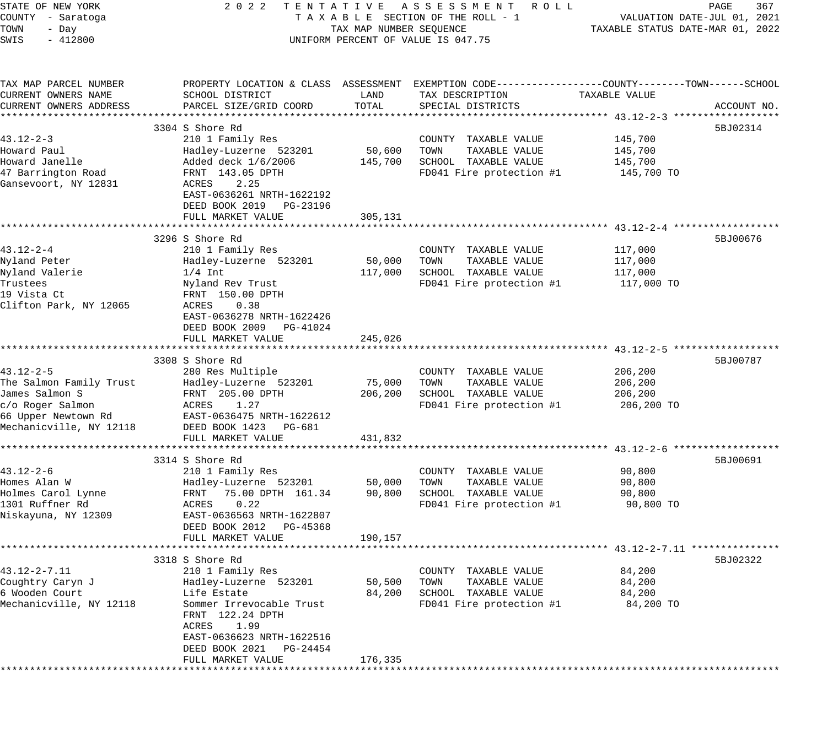| STATE OF NEW YORK                  | 2 0 2 2                                                                                        |                         | TENTATIVE ASSESSMENT ROLL                     |                                  | PAGE<br>367                 |
|------------------------------------|------------------------------------------------------------------------------------------------|-------------------------|-----------------------------------------------|----------------------------------|-----------------------------|
| COUNTY - Saratoga<br>TOWN<br>- Day |                                                                                                | TAX MAP NUMBER SEQUENCE | TAXABLE SECTION OF THE ROLL - 1               | TAXABLE STATUS DATE-MAR 01, 2022 | VALUATION DATE-JUL 01, 2021 |
| $-412800$<br>SWIS                  |                                                                                                |                         | UNIFORM PERCENT OF VALUE IS 047.75            |                                  |                             |
|                                    |                                                                                                |                         |                                               |                                  |                             |
| TAX MAP PARCEL NUMBER              | PROPERTY LOCATION & CLASS ASSESSMENT EXEMPTION CODE---------------COUNTY-------TOWN-----SCHOOL |                         |                                               |                                  |                             |
| CURRENT OWNERS NAME                | SCHOOL DISTRICT                                                                                | LAND                    | TAX DESCRIPTION                               | TAXABLE VALUE                    |                             |
| CURRENT OWNERS ADDRESS             | PARCEL SIZE/GRID COORD                                                                         | TOTAL                   | SPECIAL DISTRICTS                             |                                  | ACCOUNT NO.                 |
|                                    | 3304 S Shore Rd                                                                                |                         |                                               |                                  | 5BJ02314                    |
| $43.12 - 2 - 3$                    | 210 1 Family Res                                                                               |                         | COUNTY TAXABLE VALUE                          | 145,700                          |                             |
| Howard Paul                        | Hadley-Luzerne 523201                                                                          | 50,600                  | TOWN<br>TAXABLE VALUE                         | 145,700                          |                             |
| Howard Janelle                     | Added deck 1/6/2006                                                                            | 145,700                 | SCHOOL TAXABLE VALUE                          | 145,700                          |                             |
| 47 Barrington Road                 | FRNT 143.05 DPTH                                                                               |                         | FD041 Fire protection #1                      | 145,700 TO                       |                             |
| Gansevoort, NY 12831               | ACRES<br>2.25<br>EAST-0636261 NRTH-1622192<br>DEED BOOK 2019 PG-23196                          |                         |                                               |                                  |                             |
|                                    | FULL MARKET VALUE                                                                              | 305,131                 |                                               |                                  |                             |
|                                    | 3296 S Shore Rd                                                                                |                         |                                               |                                  | 5BJ00676                    |
| $43.12 - 2 - 4$                    | 210 1 Family Res                                                                               |                         | COUNTY TAXABLE VALUE                          | 117,000                          |                             |
| Nyland Peter                       | Hadley-Luzerne 523201                                                                          | 50,000                  | TAXABLE VALUE<br>TOWN                         | 117,000                          |                             |
| Nyland Valerie                     | $1/4$ Int                                                                                      | 117,000                 | SCHOOL TAXABLE VALUE                          | 117,000                          |                             |
| Trustees                           | Nyland Rev Trust                                                                               |                         | FD041 Fire protection #1                      | 117,000 TO                       |                             |
| 19 Vista Ct                        | FRNT 150.00 DPTH                                                                               |                         |                                               |                                  |                             |
| Clifton Park, NY 12065             | ACRES<br>0.38                                                                                  |                         |                                               |                                  |                             |
|                                    | EAST-0636278 NRTH-1622426                                                                      |                         |                                               |                                  |                             |
|                                    | DEED BOOK 2009 PG-41024                                                                        |                         |                                               |                                  |                             |
|                                    | FULL MARKET VALUE                                                                              | 245,026                 |                                               |                                  |                             |
|                                    | 3308 S Shore Rd                                                                                |                         |                                               |                                  | 5BJ00787                    |
| $43.12 - 2 - 5$                    | 280 Res Multiple                                                                               |                         | COUNTY TAXABLE VALUE                          | 206,200                          |                             |
| The Salmon Family Trust            | Hadley-Luzerne 523201                                                                          | 75,000                  | TOWN<br>TAXABLE VALUE                         | 206,200                          |                             |
| James Salmon S                     | FRNT 205.00 DPTH                                                                               | 206,200                 | SCHOOL TAXABLE VALUE                          | 206,200                          |                             |
| c/o Roger Salmon                   | ACRES<br>1.27                                                                                  |                         | FD041 Fire protection #1                      | 206,200 TO                       |                             |
| 66 Upper Newtown Rd                | EAST-0636475 NRTH-1622612                                                                      |                         |                                               |                                  |                             |
| Mechanicville, NY 12118            | DEED BOOK 1423 PG-681                                                                          |                         |                                               |                                  |                             |
|                                    | FULL MARKET VALUE                                                                              | 431,832                 |                                               |                                  |                             |
|                                    |                                                                                                |                         |                                               |                                  |                             |
|                                    | 3314 S Shore Rd                                                                                |                         |                                               |                                  | 5BJ00691                    |
| $43.12 - 2 - 6$                    | 210 1 Family Res                                                                               |                         | COUNTY TAXABLE VALUE                          | 90,800                           |                             |
| Homes Alan W<br>Holmes Carol Lynne | Hadley-Luzerne 523201<br>FRNT<br>75.00 DPTH 161.34                                             | 50,000<br>90,800        | TAXABLE VALUE<br>TOWN<br>SCHOOL TAXABLE VALUE | 90,800<br>90,800                 |                             |
| 1301 Ruffner Rd                    | 0.22<br>ACRES                                                                                  |                         | FD041 Fire protection #1                      | 90,800 TO                        |                             |
| Niskayuna, NY 12309                | EAST-0636563 NRTH-1622807                                                                      |                         |                                               |                                  |                             |
|                                    | DEED BOOK 2012 PG-45368                                                                        |                         |                                               |                                  |                             |
|                                    | FULL MARKET VALUE                                                                              | 190,157                 |                                               |                                  |                             |
|                                    |                                                                                                |                         |                                               |                                  |                             |
|                                    | 3318 S Shore Rd                                                                                |                         |                                               |                                  | 5BJ02322                    |
| 43.12-2-7.11                       | 210 1 Family Res                                                                               |                         | COUNTY TAXABLE VALUE                          | 84,200                           |                             |
| Coughtry Caryn J                   | Hadley-Luzerne 523201                                                                          | 50,500                  | TAXABLE VALUE<br>TOWN                         | 84,200                           |                             |
| 6 Wooden Court                     | Life Estate<br>Sommer Irrevocable Trust                                                        | 84,200                  | SCHOOL TAXABLE VALUE                          | 84,200                           |                             |
| Mechanicville, NY 12118            | FRNT 122.24 DPTH                                                                               |                         | FD041 Fire protection #1                      | 84,200 TO                        |                             |
|                                    | 1.99<br>ACRES                                                                                  |                         |                                               |                                  |                             |
|                                    | EAST-0636623 NRTH-1622516                                                                      |                         |                                               |                                  |                             |
|                                    | DEED BOOK 2021<br>PG-24454                                                                     |                         |                                               |                                  |                             |
|                                    | FULL MARKET VALUE                                                                              | 176,335                 |                                               |                                  |                             |
|                                    |                                                                                                |                         |                                               |                                  |                             |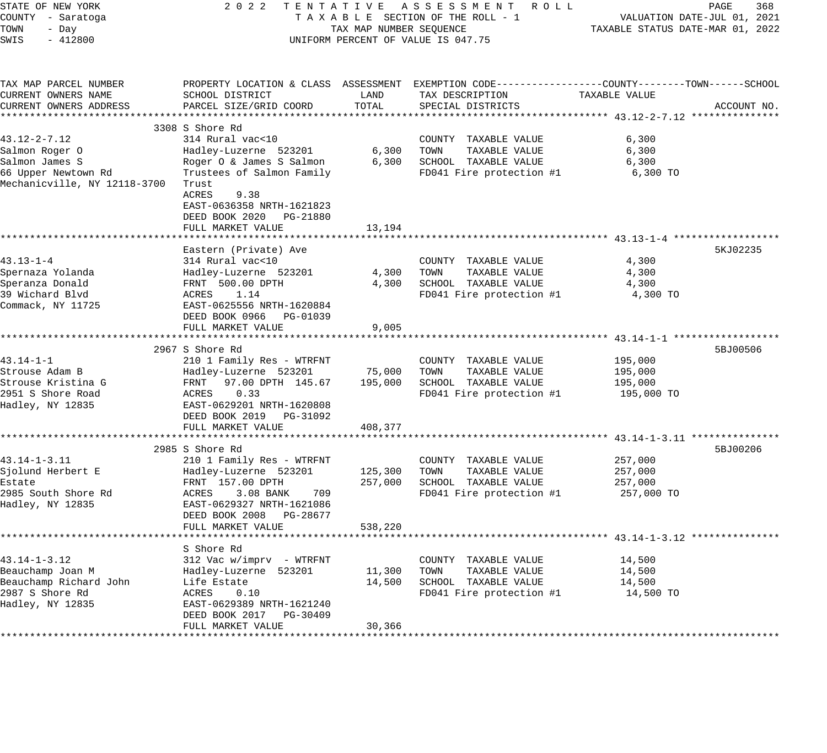| STATE OF NEW YORK<br>COUNTY - Saratoga     | 2 0 2 2<br>TENTATIVE                                                              |                         | ASSESSMENT ROLL<br>TAXABLE SECTION OF THE ROLL - 1                                              |                             | PAGE<br>368<br>VALUATION DATE-JUL 01, 2021 |
|--------------------------------------------|-----------------------------------------------------------------------------------|-------------------------|-------------------------------------------------------------------------------------------------|-----------------------------|--------------------------------------------|
| TOWN<br>- Day                              |                                                                                   | TAX MAP NUMBER SEQUENCE |                                                                                                 |                             | TAXABLE STATUS DATE-MAR 01, 2022           |
| SWIS<br>$-412800$                          |                                                                                   |                         | UNIFORM PERCENT OF VALUE IS 047.75                                                              |                             |                                            |
| TAX MAP PARCEL NUMBER                      |                                                                                   |                         | PROPERTY LOCATION & CLASS ASSESSMENT EXEMPTION CODE----------------COUNTY-------TOWN-----SCHOOL |                             |                                            |
| CURRENT OWNERS NAME                        | SCHOOL DISTRICT                                                                   | LAND                    | TAX DESCRIPTION                                                                                 | TAXABLE VALUE               |                                            |
| CURRENT OWNERS ADDRESS                     | PARCEL SIZE/GRID COORD                                                            | TOTAL                   | SPECIAL DISTRICTS                                                                               |                             | ACCOUNT NO.                                |
| **********************                     |                                                                                   |                         |                                                                                                 |                             |                                            |
|                                            | 3308 S Shore Rd                                                                   |                         |                                                                                                 |                             |                                            |
| $43.12 - 2 - 7.12$                         | 314 Rural vac<10                                                                  |                         | COUNTY TAXABLE VALUE                                                                            | 6,300                       |                                            |
| Salmon Roger O                             | Hadley-Luzerne 523201                                                             | 6,300                   | TAXABLE VALUE<br>TOWN                                                                           | 6,300                       |                                            |
| Salmon James S                             | Roger O & James S Salmon                                                          | 6,300                   | SCHOOL TAXABLE VALUE                                                                            | 6,300                       |                                            |
| 66 Upper Newtown Rd                        | Trustees of Salmon Family                                                         |                         | FD041 Fire protection #1                                                                        | 6,300 TO                    |                                            |
| Mechanicville, NY 12118-3700               | Trust<br>9.38<br>ACRES<br>EAST-0636358 NRTH-1621823<br>DEED BOOK 2020<br>PG-21880 |                         |                                                                                                 |                             |                                            |
|                                            | FULL MARKET VALUE                                                                 | 13,194                  |                                                                                                 |                             |                                            |
|                                            |                                                                                   |                         |                                                                                                 |                             |                                            |
|                                            | Eastern (Private) Ave                                                             |                         |                                                                                                 |                             | 5KJ02235                                   |
| $43.13 - 1 - 4$                            | 314 Rural vac<10                                                                  |                         | COUNTY TAXABLE VALUE                                                                            | 4,300                       |                                            |
| Spernaza Yolanda                           | Hadley-Luzerne 523201                                                             | 4,300                   | TOWN<br>TAXABLE VALUE                                                                           | 4,300                       |                                            |
| Speranza Donald                            | FRNT 500.00 DPTH                                                                  | 4,300                   | SCHOOL TAXABLE VALUE                                                                            | 4,300                       |                                            |
| 39 Wichard Blvd                            | ACRES<br>1.14                                                                     |                         | FD041 Fire protection #1                                                                        | 4,300 TO                    |                                            |
| Commack, NY 11725                          | EAST-0625556 NRTH-1620884<br>DEED BOOK 0966 PG-01039<br>FULL MARKET VALUE         | 9,005                   |                                                                                                 |                             |                                            |
|                                            |                                                                                   |                         |                                                                                                 | ********* 43.14-1-1 ******* |                                            |
|                                            | 2967 S Shore Rd                                                                   |                         |                                                                                                 |                             | 5BJ00506                                   |
| 43.14-1-1                                  | 210 1 Family Res - WTRFNT                                                         |                         | COUNTY TAXABLE VALUE                                                                            | 195,000                     |                                            |
| Strouse Adam B                             | Hadley-Luzerne 523201                                                             | 75,000                  | TAXABLE VALUE<br>TOWN                                                                           | 195,000                     |                                            |
| Strouse Kristina G                         | FRNT 97.00 DPTH 145.67                                                            | 195,000                 | SCHOOL TAXABLE VALUE                                                                            | 195,000                     |                                            |
| 2951 S Shore Road                          | ACRES<br>0.33                                                                     |                         | FD041 Fire protection #1                                                                        | 195,000 TO                  |                                            |
| Hadley, NY 12835                           | EAST-0629201 NRTH-1620808                                                         |                         |                                                                                                 |                             |                                            |
|                                            | DEED BOOK 2019 PG-31092                                                           |                         |                                                                                                 |                             |                                            |
|                                            | FULL MARKET VALUE                                                                 | 408,377                 |                                                                                                 |                             |                                            |
|                                            | *****************************                                                     | *************           | *********************************** 43.14-1-3.11 ***************                                |                             |                                            |
|                                            | 2985 S Shore Rd                                                                   |                         |                                                                                                 |                             | 5BJ00206                                   |
| $43.14 - 1 - 3.11$                         | 210 1 Family Res - WTRFNT                                                         |                         | COUNTY TAXABLE VALUE                                                                            | 257,000                     |                                            |
| Sjolund Herbert E                          | Hadley-Luzerne 523201                                                             | 125,300                 | TOWN<br>TAXABLE VALUE                                                                           | 257,000                     |                                            |
| Estate                                     | FRNT 157.00 DPTH                                                                  | 257,000                 | SCHOOL TAXABLE VALUE                                                                            | 257,000                     |                                            |
| 2985 South Shore Rd                        | ACRES<br>3.08 BANK<br>709                                                         |                         | FD041 Fire protection #1                                                                        | 257,000 TO                  |                                            |
| Hadley, NY 12835                           | EAST-0629327 NRTH-1621086                                                         |                         |                                                                                                 |                             |                                            |
|                                            | DEED BOOK 2008<br>PG-28677                                                        |                         |                                                                                                 |                             |                                            |
|                                            | FULL MARKET VALUE                                                                 | 538,220                 |                                                                                                 |                             |                                            |
|                                            |                                                                                   |                         |                                                                                                 |                             |                                            |
|                                            | S Shore Rd                                                                        |                         |                                                                                                 |                             |                                            |
| $43.14 - 1 - 3.12$                         | 312 Vac w/imprv - WTRFNT                                                          |                         | COUNTY TAXABLE VALUE                                                                            | 14,500                      |                                            |
| Beauchamp Joan M<br>Beauchamp Richard John | Hadley-Luzerne 523201<br>Life Estate                                              | 11,300<br>14,500        | TAXABLE VALUE<br>TOWN<br>SCHOOL TAXABLE VALUE                                                   | 14,500<br>14,500            |                                            |
| 2987 S Shore Rd                            | ACRES<br>0.10                                                                     |                         | FD041 Fire protection #1                                                                        | 14,500 TO                   |                                            |
| Hadley, NY 12835                           | EAST-0629389 NRTH-1621240                                                         |                         |                                                                                                 |                             |                                            |
|                                            | DEED BOOK 2017<br>PG-30409                                                        |                         |                                                                                                 |                             |                                            |
|                                            | FULL MARKET VALUE                                                                 | 30,366                  |                                                                                                 |                             |                                            |
|                                            |                                                                                   |                         |                                                                                                 |                             |                                            |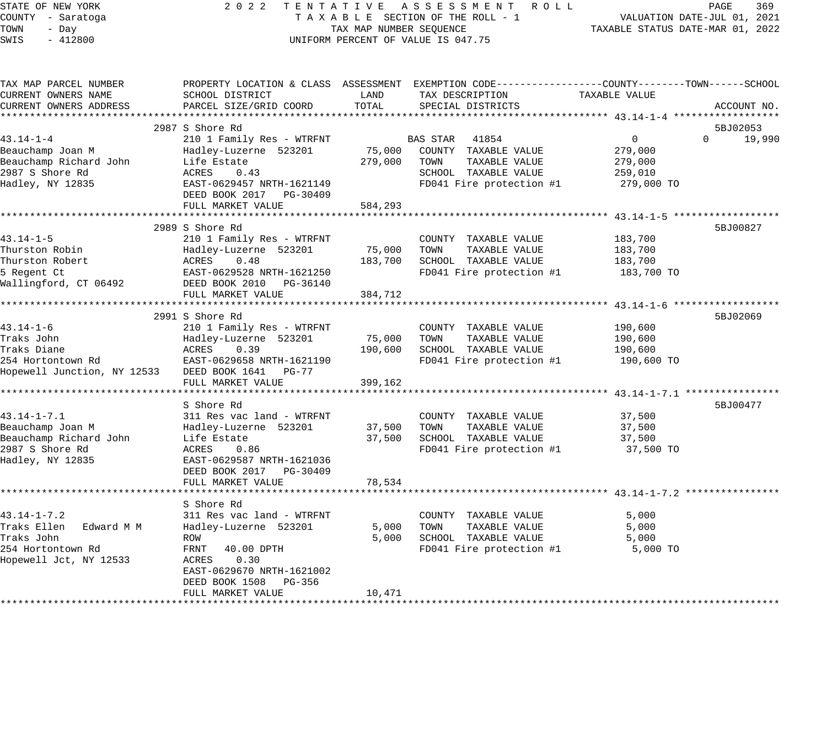| STATE OF NEW YORK<br>COUNTY - Saratoga<br>TOWN<br>- Day<br>$-412800$<br>SWIS |                                                      | TAX MAP NUMBER SEQUENCE | 2022 TENTATIVE ASSESSMENT ROLL<br>TAXABLE SECTION OF THE ROLL - 1<br>UNIFORM PERCENT OF VALUE IS 047.75 | TAXABLE STATUS DATE-MAR 01, 2022                    | PAGE<br>369<br>VALUATION DATE-JUL 01, 2021 |
|------------------------------------------------------------------------------|------------------------------------------------------|-------------------------|---------------------------------------------------------------------------------------------------------|-----------------------------------------------------|--------------------------------------------|
| TAX MAP PARCEL NUMBER                                                        |                                                      |                         | PROPERTY LOCATION & CLASS ASSESSMENT EXEMPTION CODE----------------COUNTY-------TOWN------SCHOOL        |                                                     |                                            |
| CURRENT OWNERS NAME                                                          | SCHOOL DISTRICT                                      | LAND                    | TAX DESCRIPTION                                                                                         | TAXABLE VALUE                                       |                                            |
| CURRENT OWNERS ADDRESS                                                       | PARCEL SIZE/GRID COORD                               | TOTAL                   | SPECIAL DISTRICTS                                                                                       |                                                     | ACCOUNT NO.                                |
|                                                                              | 2987 S Shore Rd                                      |                         |                                                                                                         |                                                     | 5BJ02053                                   |
| 43.14-1-4                                                                    | 210 1 Family Res - WTRFNT                            |                         | BAS STAR<br>41854                                                                                       | $\overline{0}$                                      | 19,990<br>$\Omega$                         |
| Beauchamp Joan M                                                             | Hadley-Luzerne 523201                                | 75,000                  | COUNTY TAXABLE VALUE                                                                                    | 279,000                                             |                                            |
| Beauchamp Richard John                                                       | Life Estate                                          | 279,000                 | TOWN<br>TAXABLE VALUE                                                                                   | 279,000                                             |                                            |
| 2987 S Shore Rd                                                              | 0.43<br>ACRES                                        |                         | SCHOOL TAXABLE VALUE                                                                                    | 259,010                                             |                                            |
| Hadley, NY 12835                                                             | EAST-0629457 NRTH-1621149<br>DEED BOOK 2017 PG-30409 |                         | FD041 Fire protection #1                                                                                | 279,000 TO                                          |                                            |
|                                                                              | FULL MARKET VALUE                                    | 584,293                 |                                                                                                         |                                                     |                                            |
|                                                                              | 2989 S Shore Rd                                      |                         |                                                                                                         |                                                     | 5BJ00827                                   |
| 43.14-1-5                                                                    | 210 1 Family Res - WTRFNT                            |                         | COUNTY TAXABLE VALUE                                                                                    | 183,700                                             |                                            |
| Thurston Robin                                                               | Hadley-Luzerne 523201                                | 75,000                  | TAXABLE VALUE<br>TOWN                                                                                   | 183,700                                             |                                            |
| Thurston Robert                                                              | ACRES<br>0.48                                        | 183,700                 | SCHOOL TAXABLE VALUE                                                                                    | 183,700                                             |                                            |
| 5 Regent Ct                                                                  | EAST-0629528 NRTH-1621250                            |                         | FD041 Fire protection #1                                                                                | 183,700 TO                                          |                                            |
| Wallingford, CT 06492                                                        | DEED BOOK 2010 PG-36140                              |                         |                                                                                                         |                                                     |                                            |
|                                                                              | FULL MARKET VALUE                                    | 384,712                 |                                                                                                         |                                                     |                                            |
|                                                                              |                                                      |                         |                                                                                                         |                                                     |                                            |
| 43.14-1-6                                                                    | 2991 S Shore Rd                                      |                         | COUNTY TAXABLE VALUE                                                                                    | 190,600                                             | 5BJ02069                                   |
| Traks John                                                                   | 210 1 Family Res - WTRFNT<br>Hadley-Luzerne 523201   | 75,000                  | TOWN<br>TAXABLE VALUE                                                                                   | 190,600                                             |                                            |
| Traks Diane                                                                  | ACRES<br>0.39                                        | 190,600                 | SCHOOL TAXABLE VALUE                                                                                    | 190,600                                             |                                            |
| 254 Hortontown Rd                                                            | EAST-0629658 NRTH-1621190                            |                         | FD041 Fire protection #1                                                                                | 190,600 TO                                          |                                            |
| Hopewell Junction, NY 12533 DEED BOOK 1641 PG-77                             |                                                      |                         |                                                                                                         |                                                     |                                            |
|                                                                              | FULL MARKET VALUE                                    | 399,162                 |                                                                                                         |                                                     |                                            |
|                                                                              | ***********************                              | * * * * * * * * * * *   |                                                                                                         | ********************** 43.14-1-7.1 **************** |                                            |
|                                                                              | S Shore Rd                                           |                         |                                                                                                         |                                                     | 5BJ00477                                   |
| $43.14 - 1 - 7.1$                                                            | 311 Res vac land - WTRFNT                            |                         | COUNTY TAXABLE VALUE                                                                                    | 37,500                                              |                                            |
| Beauchamp Joan M<br>Beauchamp Richard John                                   | Hadley-Luzerne 523201<br>Life Estate                 | 37,500<br>37,500        | TAXABLE VALUE<br>TOWN<br>SCHOOL TAXABLE VALUE                                                           | 37,500<br>37,500                                    |                                            |
| 2987 S Shore Rd                                                              | ACRES<br>0.86                                        |                         | FD041 Fire protection #1                                                                                | 37,500 TO                                           |                                            |
| Hadley, NY 12835                                                             | EAST-0629587 NRTH-1621036                            |                         |                                                                                                         |                                                     |                                            |
|                                                                              | DEED BOOK 2017 PG-30409                              |                         |                                                                                                         |                                                     |                                            |
|                                                                              | FULL MARKET VALUE                                    | 78,534                  |                                                                                                         |                                                     |                                            |
|                                                                              |                                                      |                         |                                                                                                         |                                                     |                                            |
|                                                                              | S Shore Rd                                           |                         |                                                                                                         |                                                     |                                            |
| $43.14 - 1 - 7.2$                                                            | 311 Res vac land - WTRFNT                            |                         | COUNTY TAXABLE VALUE                                                                                    | 5,000                                               |                                            |
| Traks Ellen<br>Edward M M                                                    | Hadley-Luzerne 523201                                | 5,000                   | TOWN<br>TAXABLE VALUE                                                                                   | 5,000                                               |                                            |
| Traks John                                                                   | ROW                                                  | 5,000                   | SCHOOL TAXABLE VALUE                                                                                    | 5,000                                               |                                            |
| 254 Hortontown Rd<br>Hopewell Jct, NY 12533                                  | FRNT<br>40.00 DPTH<br>0.30<br>ACRES                  |                         | FD041 Fire protection #1                                                                                | 5,000 TO                                            |                                            |
|                                                                              | EAST-0629670 NRTH-1621002                            |                         |                                                                                                         |                                                     |                                            |
|                                                                              | DEED BOOK 1508 PG-356                                |                         |                                                                                                         |                                                     |                                            |
|                                                                              | FULL MARKET VALUE                                    | 10,471                  |                                                                                                         |                                                     |                                            |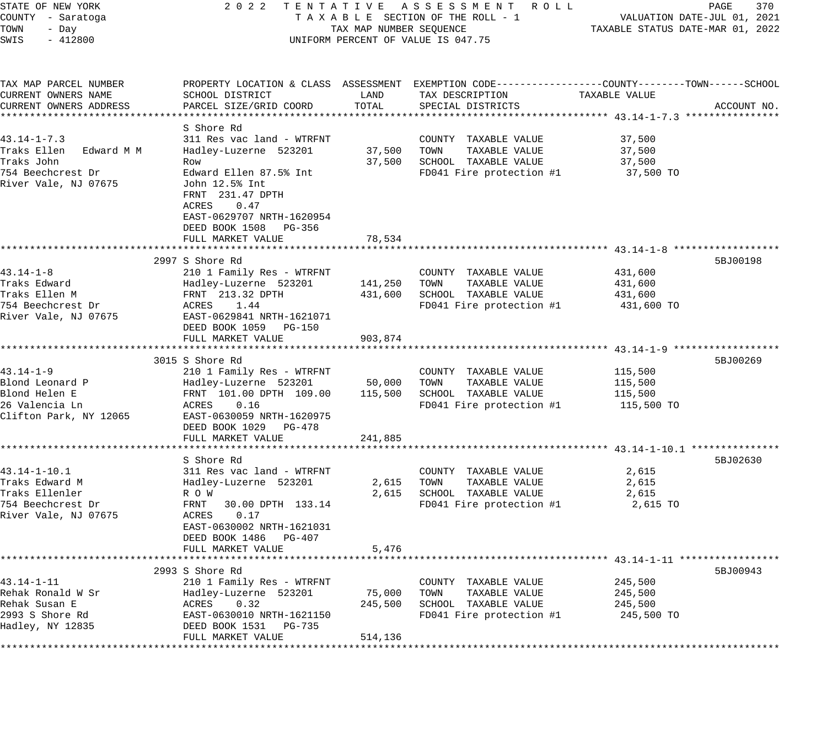| STATE OF NEW YORK                            |                                           |                         | 2022 TENTATIVE ASSESSMENT ROLL<br>TAXABLE SECTION OF THE ROLL - 1                               |                                  | PAGE<br>370                 |
|----------------------------------------------|-------------------------------------------|-------------------------|-------------------------------------------------------------------------------------------------|----------------------------------|-----------------------------|
| COUNTY - Saratoga<br>TOWN<br>- Day           |                                           | TAX MAP NUMBER SEQUENCE |                                                                                                 | TAXABLE STATUS DATE-MAR 01, 2022 | VALUATION DATE-JUL 01, 2021 |
| SWIS<br>$-412800$                            |                                           |                         | UNIFORM PERCENT OF VALUE IS 047.75                                                              |                                  |                             |
|                                              |                                           |                         | PROPERTY LOCATION & CLASS ASSESSMENT EXEMPTION CODE---------------COUNTY-------TOWN------SCHOOL |                                  |                             |
| TAX MAP PARCEL NUMBER<br>CURRENT OWNERS NAME | SCHOOL DISTRICT                           | LAND                    | TAX DESCRIPTION                                                                                 | TAXABLE VALUE                    |                             |
| CURRENT OWNERS ADDRESS                       | PARCEL SIZE/GRID COORD                    | TOTAL                   | SPECIAL DISTRICTS                                                                               |                                  | ACCOUNT NO.                 |
|                                              |                                           |                         |                                                                                                 |                                  |                             |
|                                              | S Shore Rd                                |                         |                                                                                                 |                                  |                             |
| $43.14 - 1 - 7.3$                            | 311 Res vac land - WTRFNT                 |                         | COUNTY TAXABLE VALUE                                                                            | 37,500                           |                             |
| Traks Ellen<br>Edward M M                    | Hadley-Luzerne 523201                     | 37,500                  | TOWN<br>TAXABLE VALUE                                                                           | 37,500                           |                             |
| Traks John                                   | Row                                       | 37,500                  | SCHOOL TAXABLE VALUE                                                                            | 37,500                           |                             |
| 754 Beechcrest Dr                            | Edward Ellen 87.5% Int                    |                         | FD041 Fire protection #1                                                                        | 37,500 TO                        |                             |
| River Vale, NJ 07675                         | John 12.5% Int<br>FRNT 231.47 DPTH        |                         |                                                                                                 |                                  |                             |
|                                              | 0.47<br>ACRES                             |                         |                                                                                                 |                                  |                             |
|                                              | EAST-0629707 NRTH-1620954                 |                         |                                                                                                 |                                  |                             |
|                                              | DEED BOOK 1508 PG-356                     |                         |                                                                                                 |                                  |                             |
|                                              | FULL MARKET VALUE                         | 78,534                  |                                                                                                 |                                  |                             |
|                                              |                                           |                         |                                                                                                 |                                  |                             |
|                                              | 2997 S Shore Rd                           |                         |                                                                                                 |                                  | 5BJ00198                    |
| 43.14-1-8<br>Traks Edward                    | 210 1 Family Res - WTRFNT                 |                         | COUNTY TAXABLE VALUE                                                                            | 431,600                          |                             |
| Traks Ellen M                                | Hadley-Luzerne 523201<br>FRNT 213.32 DPTH | 141,250<br>431,600      | TOWN<br>TAXABLE VALUE<br>SCHOOL TAXABLE VALUE                                                   | 431,600<br>431,600               |                             |
| 754 Beechcrest Dr                            | ACRES 1.44                                |                         | FD041 Fire protection #1                                                                        | 431,600 TO                       |                             |
| River Vale, NJ 07675                         | EAST-0629841 NRTH-1621071                 |                         |                                                                                                 |                                  |                             |
|                                              | DEED BOOK 1059 PG-150                     |                         |                                                                                                 |                                  |                             |
|                                              | FULL MARKET VALUE                         | 903,874                 |                                                                                                 |                                  |                             |
|                                              |                                           |                         |                                                                                                 |                                  |                             |
|                                              | 3015 S Shore Rd                           |                         |                                                                                                 |                                  | 5BJ00269                    |
| $43.14 - 1 - 9$                              | 210 1 Family Res - WTRFNT                 |                         | COUNTY TAXABLE VALUE                                                                            | 115,500                          |                             |
| Blond Leonard P                              | Hadley-Luzerne 523201                     | 50,000                  | TOWN<br>TAXABLE VALUE                                                                           | 115,500                          |                             |
| Blond Helen E                                | FRNT 101.00 DPTH 109.00                   | 115,500                 | SCHOOL TAXABLE VALUE                                                                            | 115,500                          |                             |
| 26 Valencia Ln                               | 0.16<br>ACRES                             |                         | FD041 Fire protection #1                                                                        | 115,500 TO                       |                             |
| Clifton Park, NY 12065                       | EAST-0630059 NRTH-1620975                 |                         |                                                                                                 |                                  |                             |
|                                              | DEED BOOK 1029 PG-478                     |                         |                                                                                                 |                                  |                             |
|                                              | FULL MARKET VALUE                         | 241,885                 |                                                                                                 |                                  |                             |
|                                              |                                           |                         |                                                                                                 |                                  |                             |
|                                              | S Shore Rd                                |                         |                                                                                                 |                                  | 5BJ02630                    |
| $43.14 - 1 - 10.1$                           | 311 Res vac land - WTRFNT                 |                         | COUNTY TAXABLE VALUE                                                                            | 2,615                            |                             |
| Traks Edward M<br>Traks Ellenler             | Hadley-Luzerne 523201                     | 2,615                   | TAXABLE VALUE<br>TOWN                                                                           | 2,615                            |                             |
| 754 Beechcrest Dr                            | R O W<br>FRNT<br>30.00 DPTH 133.14        | 2,615                   | SCHOOL TAXABLE VALUE<br>FD041 Fire protection #1                                                | 2,615<br>2,615 TO                |                             |
| River Vale, NJ 07675                         | ACRES<br>0.17                             |                         |                                                                                                 |                                  |                             |
|                                              | EAST-0630002 NRTH-1621031                 |                         |                                                                                                 |                                  |                             |
|                                              | DEED BOOK 1486 PG-407                     |                         |                                                                                                 |                                  |                             |
|                                              | FULL MARKET VALUE                         | 5,476                   |                                                                                                 |                                  |                             |
|                                              |                                           |                         |                                                                                                 |                                  |                             |
|                                              | 2993 S Shore Rd                           |                         |                                                                                                 |                                  | 5BJ00943                    |
| $43.14 - 1 - 11$                             | 210 1 Family Res - WTRFNT                 |                         | COUNTY TAXABLE VALUE                                                                            | 245,500                          |                             |
| Rehak Ronald W Sr                            | Hadley-Luzerne 523201                     | 75,000                  | TOWN<br>TAXABLE VALUE                                                                           | 245,500                          |                             |
| Rehak Susan E                                | ACRES<br>0.32                             | 245,500                 | SCHOOL TAXABLE VALUE                                                                            | 245,500                          |                             |
| 2993 S Shore Rd                              | EAST-0630010 NRTH-1621150                 |                         | FD041 Fire protection #1                                                                        | 245,500 TO                       |                             |
| Hadley, NY 12835                             | DEED BOOK 1531<br>PG-735                  |                         |                                                                                                 |                                  |                             |
|                                              | FULL MARKET VALUE                         | 514,136                 |                                                                                                 |                                  |                             |
|                                              |                                           |                         |                                                                                                 |                                  |                             |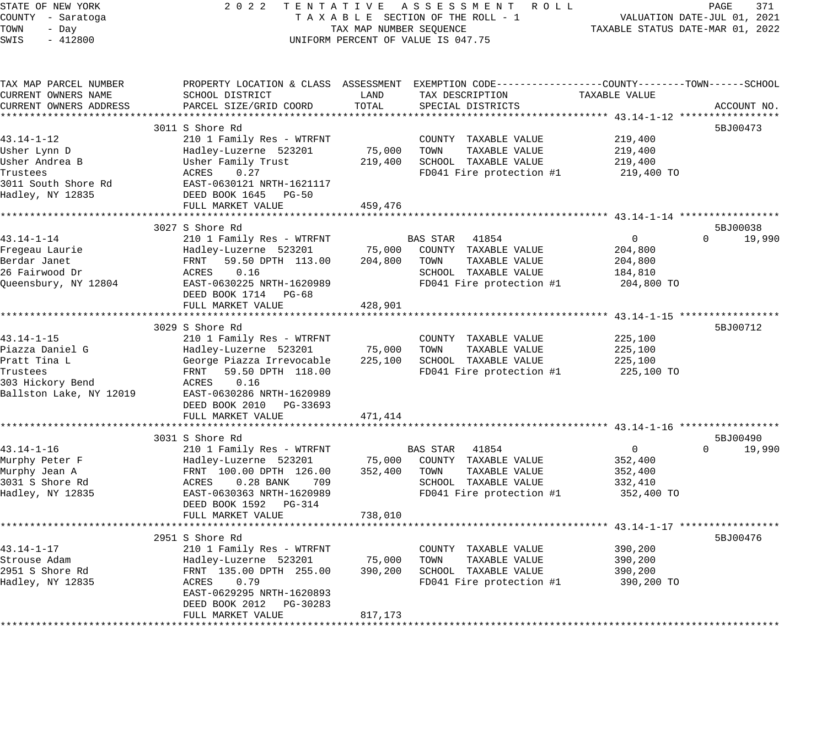STATE OF NEW YORK 2 0 2 2 T E N T A T I V E A S S E S S M E N T R O L L PAGE 371 COUNTY - Saratoga T A X A B L E SECTION OF THE ROLL - 1 VALUATION DATE-JUL 01, 2021 TOWN - Day TAX MAP NUMBER SEQUENCE TAXABLE STATUS DATE-MAR 01, 2022 SWIS - 412800 UNIFORM PERCENT OF VALUE IS 047.75 TAX MAP PARCEL NUMBER PROPERTY LOCATION & CLASS ASSESSMENT EXEMPTION CODE------------------COUNTY--------TOWN------SCHOOL CURRENT OWNERS NAME SCHOOL DISTRICT LAND TAX DESCRIPTION TAXABLE VALUE CURRENT OWNERS ADDRESS PARCEL SIZE/GRID COORD TOTAL SPECIAL DISTRICTS ACCOUNT NO. \*\*\*\*\*\*\*\*\*\*\*\*\*\*\*\*\*\*\*\*\*\*\*\*\*\*\*\*\*\*\*\*\*\*\*\*\*\*\*\*\*\*\*\*\*\*\*\*\*\*\*\*\*\*\*\*\*\*\*\*\*\*\*\*\*\*\*\*\*\*\*\*\*\*\*\*\*\*\*\*\*\*\*\*\*\*\*\*\*\*\*\*\*\*\*\*\*\*\*\*\*\*\* 43.14-1-12 \*\*\*\*\*\*\*\*\*\*\*\*\*\*\*\*\* 3011 S Shore Rd 5BJ00473 43.14-1-12 210 1 Family Res - WTRFNT COUNTY TAXABLE VALUE 219,400 Usher Lynn D Hadley-Luzerne 523201 75,000 TOWN TAXABLE VALUE 219,400 Usher Andrea B Usher Family Trust 219,400 SCHOOL TAXABLE VALUE 219,400 Trustees  $ACRES$  0.27 FD041 Fire protection #1 219,400 TO 3011 South Shore Rd EAST-0630121 NRTH-1621117 Hadley, NY 12835 DEED BOOK 1645 PG-50 FULL MARKET VALUE 459,476 \*\*\*\*\*\*\*\*\*\*\*\*\*\*\*\*\*\*\*\*\*\*\*\*\*\*\*\*\*\*\*\*\*\*\*\*\*\*\*\*\*\*\*\*\*\*\*\*\*\*\*\*\*\*\*\*\*\*\*\*\*\*\*\*\*\*\*\*\*\*\*\*\*\*\*\*\*\*\*\*\*\*\*\*\*\*\*\*\*\*\*\*\*\*\*\*\*\*\*\*\*\*\* 43.14-1-14 \*\*\*\*\*\*\*\*\*\*\*\*\*\*\*\*\* 3027 S Shore Rd 5BJ00038 43.14-1-14 210 1 Family Res - WTRFNT BAS STAR 41854 0 0 19,990 Fregeau Laurie Hadley-Luzerne 523201 75,000 COUNTY TAXABLE VALUE 204,800 Berdar Janet FRNT 59.50 DPTH 113.00 204,800 TOWN TAXABLE VALUE 204,800 26 Fairwood Dr ACRES 0.16 SCHOOL TAXABLE VALUE 184,810 Queensbury, NY 12804 EAST-0630225 NRTH-1620989 FD041 Fire protection #1 204,800 TO DEED BOOK 1714 PG-68 FULL MARKET VALUE 428,901 \*\*\*\*\*\*\*\*\*\*\*\*\*\*\*\*\*\*\*\*\*\*\*\*\*\*\*\*\*\*\*\*\*\*\*\*\*\*\*\*\*\*\*\*\*\*\*\*\*\*\*\*\*\*\*\*\*\*\*\*\*\*\*\*\*\*\*\*\*\*\*\*\*\*\*\*\*\*\*\*\*\*\*\*\*\*\*\*\*\*\*\*\*\*\*\*\*\*\*\*\*\*\* 43.14-1-15 \*\*\*\*\*\*\*\*\*\*\*\*\*\*\*\*\* 3029 S Shore Rd 5BJ00712 43.14-1-15 210 1 Family Res - WTRFNT COUNTY TAXABLE VALUE 225,100 Piazza Daniel G Hadley-Luzerne 523201 75,000 TOWN TAXABLE VALUE 225,100 Pratt Tina L George Piazza Irrevocable 225,100 SCHOOL TAXABLE VALUE 225,100 Trustees FRNT 59.50 DPTH 118.00 FD041 Fire protection #1 225,100 TO 303 Hickory Bend ACRES 0.16 Ballston Lake, NY 12019 EAST-0630286 NRTH-1620989 DEED BOOK 2010 PG-33693 FULL MARKET VALUE 471,414 \*\*\*\*\*\*\*\*\*\*\*\*\*\*\*\*\*\*\*\*\*\*\*\*\*\*\*\*\*\*\*\*\*\*\*\*\*\*\*\*\*\*\*\*\*\*\*\*\*\*\*\*\*\*\*\*\*\*\*\*\*\*\*\*\*\*\*\*\*\*\*\*\*\*\*\*\*\*\*\*\*\*\*\*\*\*\*\*\*\*\*\*\*\*\*\*\*\*\*\*\*\*\* 43.14-1-16 \*\*\*\*\*\*\*\*\*\*\*\*\*\*\*\*\* 3031 S Shore Rd 5BJ00490 S Shore Rd 5BJ00490 S Shore Rd 5BJ00490 S SBJ00490 S SBJ00490 S SBJ00490 S SBJ00490 S 43.14-1-16 210 1 Family Res - WTRFNT BAS STAR 41854 0 0 19,990 Murphy Peter F Hadley-Luzerne 523201 75,000 COUNTY TAXABLE VALUE 352,400 Murphy Jean A FRNT 100.00 DPTH 126.00 352,400 TOWN TAXABLE VALUE 352,400 3031 S Shore Rd ACRES 0.28 BANK 709 SCHOOL TAXABLE VALUE 332,410 Hadley, NY 12835 EAST-0630363 NRTH-1620989 FD041 Fire protection #1 352,400 TO DEED BOOK 1592 PG-314 FULL MARKET VALUE 738,010 \*\*\*\*\*\*\*\*\*\*\*\*\*\*\*\*\*\*\*\*\*\*\*\*\*\*\*\*\*\*\*\*\*\*\*\*\*\*\*\*\*\*\*\*\*\*\*\*\*\*\*\*\*\*\*\*\*\*\*\*\*\*\*\*\*\*\*\*\*\*\*\*\*\*\*\*\*\*\*\*\*\*\*\*\*\*\*\*\*\*\*\*\*\*\*\*\*\*\*\*\*\*\* 43.14-1-17 \*\*\*\*\*\*\*\*\*\*\*\*\*\*\*\*\*  $2951$  S Shore Rd  $5BJ00476$ 43.14-1-17 210 1 Family Res - WTRFNT COUNTY TAXABLE VALUE 390,200 Strouse Adam Hadley-Luzerne 523201 75,000 TOWN TAXABLE VALUE 390,200 2951 S Shore Rd FRNT 135.00 DPTH 255.00 390,200 SCHOOL TAXABLE VALUE 390,200 Hadley, NY 12835 ACRES 0.79 FD041 Fire protection #1 390,200 TO EAST-0629295 NRTH-1620893 DEED BOOK 2012 PG-30283 FULL MARKET VALUE 817,173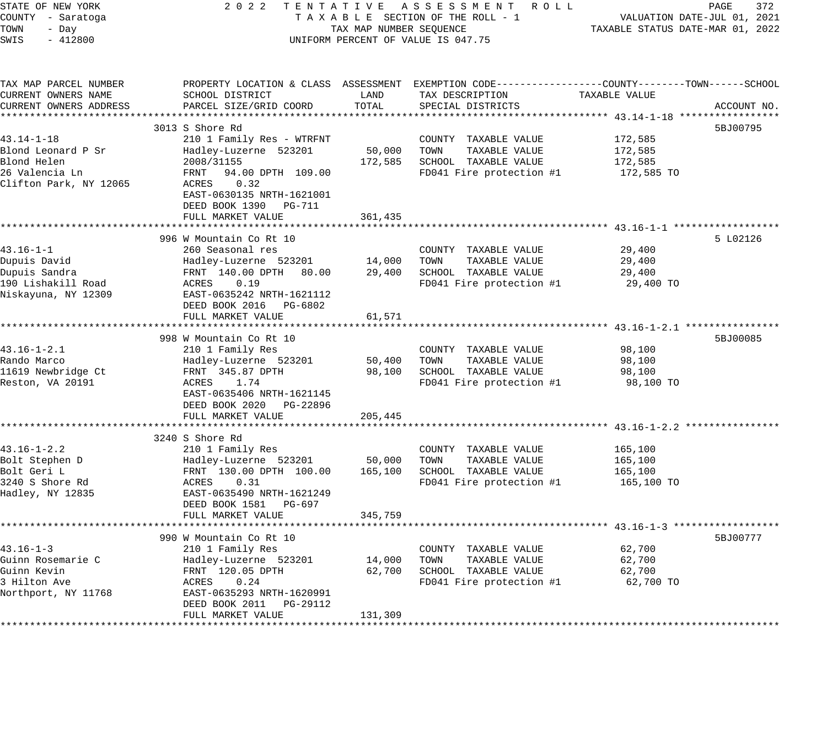| STATE OF NEW YORK<br>COUNTY - Saratoga<br>TOWN<br>- Day<br>$-412800$<br>SWIS                | 2 0 2 2                                                                                                                                                                             | TAX MAP NUMBER SEQUENCE     | TENTATIVE ASSESSMENT ROLL<br>TAXABLE SECTION OF THE ROLL - 1<br>UNIFORM PERCENT OF VALUE IS 047.75                                      | TAXABLE STATUS DATE-MAR 01, 2022            | PAGE<br>372<br>VALUATION DATE-JUL 01, 2021 |
|---------------------------------------------------------------------------------------------|-------------------------------------------------------------------------------------------------------------------------------------------------------------------------------------|-----------------------------|-----------------------------------------------------------------------------------------------------------------------------------------|---------------------------------------------|--------------------------------------------|
| TAX MAP PARCEL NUMBER<br>CURRENT OWNERS NAME<br>CURRENT OWNERS ADDRESS                      | SCHOOL DISTRICT<br>PARCEL SIZE/GRID COORD                                                                                                                                           | LAND<br>TOTAL               | PROPERTY LOCATION & CLASS ASSESSMENT EXEMPTION CODE----------------COUNTY-------TOWN-----SCHOOL<br>TAX DESCRIPTION<br>SPECIAL DISTRICTS | TAXABLE VALUE                               | ACCOUNT NO.                                |
| 43.14-1-18<br>Blond Leonard P Sr<br>Blond Helen<br>26 Valencia Ln<br>Clifton Park, NY 12065 | 3013 S Shore Rd<br>210 1 Family Res - WTRFNT<br>Hadley-Luzerne 523201<br>2008/31155<br>94.00 DPTH 109.00<br>FRNT<br>ACRES<br>0.32<br>EAST-0630135 NRTH-1621001                      | 50,000<br>172,585           | COUNTY TAXABLE VALUE<br>TOWN<br>TAXABLE VALUE<br>SCHOOL TAXABLE VALUE<br>FD041 Fire protection #1                                       | 172,585<br>172,585<br>172,585<br>172,585 TO | 5BJ00795                                   |
| $43.16 - 1 - 1$<br>Dupuis David<br>Dupuis Sandra<br>190 Lishakill Road                      | DEED BOOK 1390 PG-711<br>FULL MARKET VALUE<br>996 W Mountain Co Rt 10<br>260 Seasonal res<br>Hadley-Luzerne 523201<br>FRNT 140.00 DPTH<br>80.00<br>ACRES<br>0.19                    | 361,435<br>14,000<br>29,400 | COUNTY TAXABLE VALUE<br>TAXABLE VALUE<br>TOWN<br>SCHOOL TAXABLE VALUE<br>FD041 Fire protection #1                                       | 29,400<br>29,400<br>29,400<br>29,400 TO     | 5 L02126                                   |
| Niskayuna, NY 12309<br>$43.16 - 1 - 2.1$<br>Rando Marco                                     | EAST-0635242 NRTH-1621112<br>DEED BOOK 2016 PG-6802<br>FULL MARKET VALUE<br>998 W Mountain Co Rt 10<br>210 1 Family Res                                                             | 61,571                      | COUNTY TAXABLE VALUE<br>TAXABLE VALUE                                                                                                   | 98,100                                      | 5BJ00085                                   |
| 11619 Newbridge Ct<br>Reston, VA 20191                                                      | Hadley-Luzerne 523201<br>FRNT 345.87 DPTH<br>ACRES<br>1.74<br>EAST-0635406 NRTH-1621145<br>DEED BOOK 2020 PG-22896<br>FULL MARKET VALUE                                             | 50,400<br>98,100<br>205,445 | TOWN<br>SCHOOL TAXABLE VALUE<br>FD041 Fire protection #1                                                                                | 98,100<br>98,100<br>98,100 TO               |                                            |
| $43.16 - 1 - 2.2$<br>Bolt Stephen D<br>Bolt Geri L<br>3240 S Shore Rd<br>Hadley, NY 12835   | 3240 S Shore Rd<br>210 1 Family Res<br>Hadley-Luzerne 523201<br>FRNT 130.00 DPTH 100.00<br>ACRES<br>0.31<br>EAST-0635490 NRTH-1621249<br>DEED BOOK 1581 PG-697<br>FULL MARKET VALUE | 50,000<br>165,100           | COUNTY TAXABLE VALUE<br>TAXABLE VALUE<br>TOWN<br>SCHOOL TAXABLE VALUE<br>FD041 Fire protection #1                                       | 165,100<br>165,100<br>165,100<br>165,100 TO |                                            |
| $43.16 - 1 - 3$<br>Guinn Rosemarie C<br>Guinn Kevin<br>3 Hilton Ave<br>Northport, NY 11768  | 990 W Mountain Co Rt 10<br>210 1 Family Res<br>Hadley-Luzerne 523201<br>FRNT 120.05 DPTH<br>ACRES<br>0.24<br>EAST-0635293 NRTH-1620991                                              | 345,759<br>14,000<br>62,700 | COUNTY TAXABLE VALUE<br>TOWN<br>TAXABLE VALUE<br>SCHOOL TAXABLE VALUE<br>FD041 Fire protection #1                                       | 62,700<br>62,700<br>62,700<br>62,700 TO     | 5BJ00777                                   |
|                                                                                             | DEED BOOK 2011<br>PG-29112<br>FULL MARKET VALUE                                                                                                                                     | 131,309                     |                                                                                                                                         |                                             |                                            |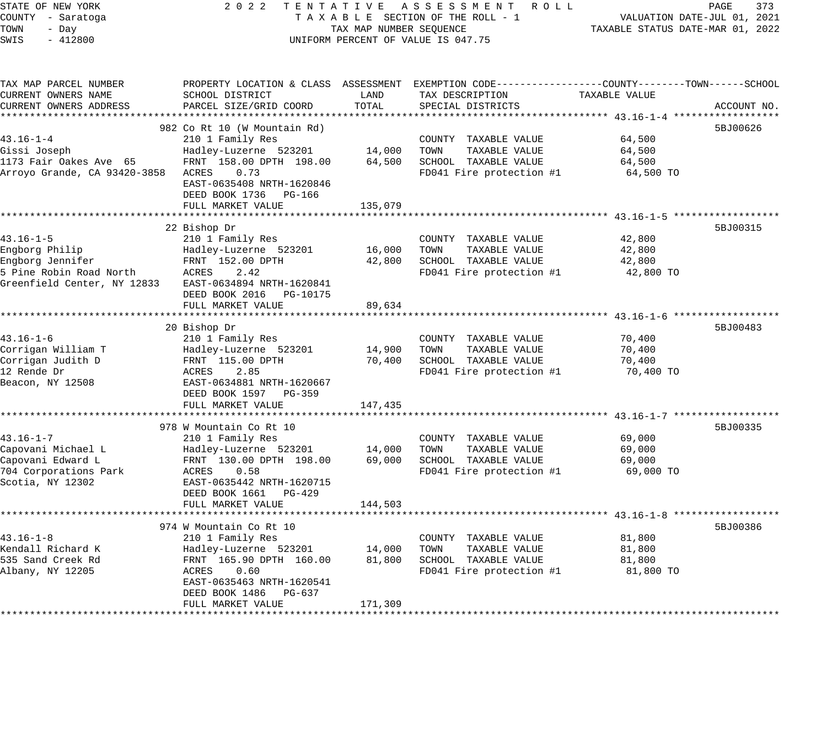| STATE OF NEW YORK<br>COUNTY - Saratoga<br>TOWN<br>- Day<br>SWIS<br>$-412800$           | 2022 TENTATIVE ASSESSMENT ROLL<br>TAXABLE SECTION OF THE ROLL - 1<br>TAX MAP NUMBER SEQUENCE<br>UNIFORM PERCENT OF VALUE IS 047.75 |         | PAGE<br>373<br>VALUATION DATE-JUL 01, 2021<br>TAXABLE STATUS DATE-MAR 01, 2022 |                     |             |
|----------------------------------------------------------------------------------------|------------------------------------------------------------------------------------------------------------------------------------|---------|--------------------------------------------------------------------------------|---------------------|-------------|
| TAX MAP PARCEL NUMBER<br>CURRENT OWNERS NAME                                           | PROPERTY LOCATION & CLASS ASSESSMENT EXEMPTION CODE----------------COUNTY-------TOWN------SCHOOL<br>SCHOOL DISTRICT                | LAND    | TAX DESCRIPTION                                                                | TAXABLE VALUE       |             |
| CURRENT OWNERS ADDRESS                                                                 | PARCEL SIZE/GRID COORD                                                                                                             | TOTAL   | SPECIAL DISTRICTS                                                              |                     | ACCOUNT NO. |
|                                                                                        |                                                                                                                                    |         |                                                                                |                     |             |
|                                                                                        | 982 Co Rt 10 (W Mountain Rd)                                                                                                       |         |                                                                                |                     | 5BJ00626    |
| $43.16 - 1 - 4$                                                                        | 210 1 Family Res                                                                                                                   |         | COUNTY TAXABLE VALUE                                                           | 64,500<br>64,500    |             |
| Gissi Joseph<br>1173 Fair Oakes Ave 65                                                 | Hadley-Luzerne 523201 14,000 TOWN<br>FRNT 158.00 DPTH 198.00                                                                       | 64,500  | TAXABLE VALUE<br>SCHOOL TAXABLE VALUE                                          | 64,500              |             |
| Arroyo Grande, CA 93420-3858 ACRES 0.73                                                | EAST-0635408 NRTH-1620846<br>DEED BOOK 1736 PG-166                                                                                 |         | FD041 Fire protection #1                                                       | 64,500 TO           |             |
|                                                                                        | FULL MARKET VALUE                                                                                                                  | 135,079 |                                                                                |                     |             |
|                                                                                        | 22 Bishop Dr                                                                                                                       |         |                                                                                |                     | 5BJ00315    |
| $43.16 - 1 - 5$                                                                        | 210 1 Family Res                                                                                                                   |         | COUNTY TAXABLE VALUE                                                           | 42,800              |             |
| Engborg Philip                                                                         | Hadley-Luzerne 523201                                                                                                              | 16,000  | TOWN<br>TAXABLE VALUE                                                          | 42,800              |             |
| Engborg Jennifer                                                                       | FRNT 152.00 DPTH                                                                                                                   | 42,800  | SCHOOL TAXABLE VALUE                                                           | 42,800              |             |
| 5 Pine Robin Road North ACRES<br>Greenfield Center, NY 12833 EAST-0634894 NRTH-1620841 | 2.42<br>DEED BOOK 2016 PG-10175<br>FULL MARKET VALUE                                                                               | 89,634  | FD041 Fire protection #1                                                       | 42,800 TO           |             |
|                                                                                        |                                                                                                                                    |         |                                                                                |                     |             |
|                                                                                        | 20 Bishop Dr                                                                                                                       |         |                                                                                |                     | 5BJ00483    |
| $43.16 - 1 - 6$                                                                        | 210 1 Family Res                                                                                                                   |         | COUNTY TAXABLE VALUE                                                           | 70,400              |             |
| Corrigan William T                                                                     | Hadley-Luzerne 523201                                                                                                              | 14,900  | TOWN<br>TAXABLE VALUE                                                          | 70,400              |             |
| Corrigan Judith D<br>12 Rende Dr                                                       | FRNT 115.00 DPTH<br>ACRES<br>2.85                                                                                                  | 70,400  | SCHOOL TAXABLE VALUE<br>FD041 Fire protection #1                               | 70,400<br>70,400 TO |             |
| Beacon, NY 12508                                                                       | EAST-0634881 NRTH-1620667<br>DEED BOOK 1597 PG-359                                                                                 |         |                                                                                |                     |             |
|                                                                                        | FULL MARKET VALUE                                                                                                                  | 147,435 |                                                                                |                     |             |
|                                                                                        | 978 W Mountain Co Rt 10                                                                                                            |         |                                                                                |                     | 5BJ00335    |
| 43.16-1-7                                                                              | 210 1 Family Res                                                                                                                   |         | COUNTY TAXABLE VALUE                                                           | 69,000              |             |
| Capovani Michael L                                                                     | Hadley-Luzerne 523201                                                                                                              | 14,000  | TOWN<br>TAXABLE VALUE                                                          | 69,000              |             |
| Capovani Edward L                                                                      | FRNT 130.00 DPTH 198.00                                                                                                            | 69,000  | SCHOOL TAXABLE VALUE                                                           | 69,000              |             |
| 704 Corporations Park                                                                  | ACRES 0.58                                                                                                                         |         | FD041 Fire protection #1                                                       | 69,000 TO           |             |
| Scotia, NY 12302                                                                       | EAST-0635442 NRTH-1620715                                                                                                          |         |                                                                                |                     |             |
|                                                                                        | DEED BOOK 1661 PG-429                                                                                                              |         |                                                                                |                     |             |
|                                                                                        | FULL MARKET VALUE                                                                                                                  | 144,503 |                                                                                |                     |             |
|                                                                                        | 974 W Mountain Co Rt 10                                                                                                            |         |                                                                                |                     | 5BJ00386    |
| $43.16 - 1 - 8$                                                                        | 210 1 Family Res                                                                                                                   |         | COUNTY TAXABLE VALUE                                                           | 81,800              |             |
| Kendall Richard K                                                                      | Hadley-Luzerne 523201 14,000                                                                                                       |         | TOWN<br>TAXABLE VALUE                                                          | 81,800              |             |
| 535 Sand Creek Rd                                                                      | FRNT 165.90 DPTH 160.00                                                                                                            | 81,800  | SCHOOL TAXABLE VALUE                                                           | 81,800              |             |
| Albany, NY 12205                                                                       | ACRES<br>0.60<br>EAST-0635463 NRTH-1620541                                                                                         |         | FD041 Fire protection #1                                                       | 81,800 TO           |             |
|                                                                                        | DEED BOOK 1486 PG-637<br>FULL MARKET VALUE                                                                                         | 171,309 |                                                                                |                     |             |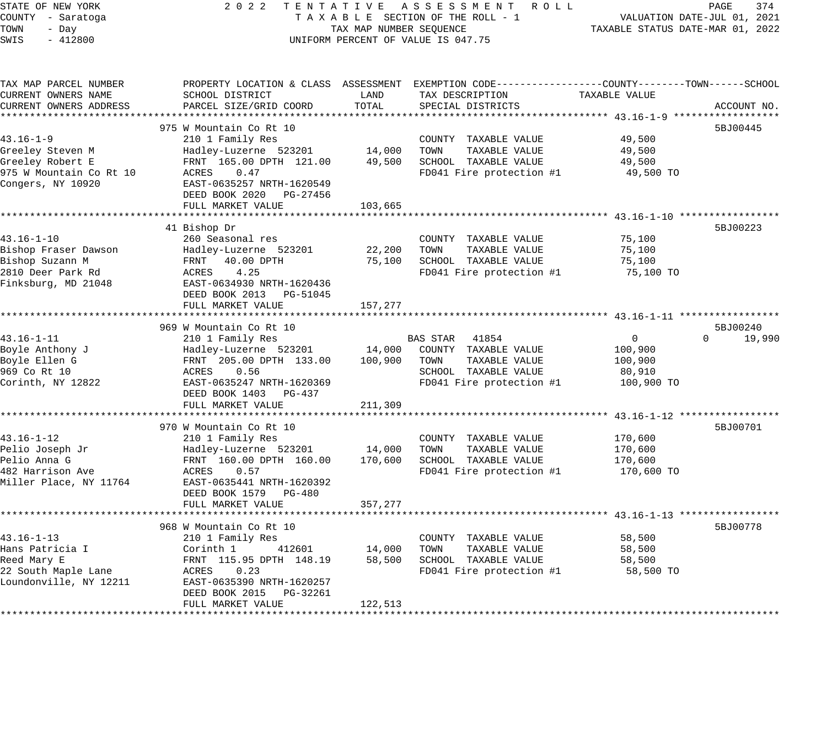| STATE OF NEW YORK<br>COUNTY - Saratoga<br>TOWN<br>- Day | 2 0 2 2                                                               | TENTATIVE ASSESSMENT ROLL<br>TAXABLE SECTION OF THE ROLL - 1<br>TAX MAP NUMBER SEQUENCE |                                                                                                                    |                     |                    |  |
|---------------------------------------------------------|-----------------------------------------------------------------------|-----------------------------------------------------------------------------------------|--------------------------------------------------------------------------------------------------------------------|---------------------|--------------------|--|
| SWIS<br>$-412800$                                       |                                                                       | UNIFORM PERCENT OF VALUE IS 047.75                                                      |                                                                                                                    |                     |                    |  |
| TAX MAP PARCEL NUMBER<br>CURRENT OWNERS NAME            | SCHOOL DISTRICT                                                       | LAND                                                                                    | PROPERTY LOCATION & CLASS ASSESSMENT EXEMPTION CODE----------------COUNTY-------TOWN-----SCHOOL<br>TAX DESCRIPTION | TAXABLE VALUE       |                    |  |
| CURRENT OWNERS ADDRESS                                  | PARCEL SIZE/GRID COORD                                                | TOTAL                                                                                   | SPECIAL DISTRICTS                                                                                                  |                     | ACCOUNT NO.        |  |
|                                                         |                                                                       |                                                                                         |                                                                                                                    |                     |                    |  |
|                                                         | 975 W Mountain Co Rt 10                                               |                                                                                         |                                                                                                                    |                     | 5BJ00445           |  |
| $43.16 - 1 - 9$                                         | 210 1 Family Res                                                      |                                                                                         | COUNTY TAXABLE VALUE                                                                                               | 49,500              |                    |  |
| Greeley Steven M                                        | Hadley-Luzerne 523201                                                 | 14,000                                                                                  | TOWN<br>TAXABLE VALUE                                                                                              | 49,500              |                    |  |
| Greeley Robert E                                        | FRNT 165.00 DPTH 121.00                                               | 49,500                                                                                  | SCHOOL TAXABLE VALUE                                                                                               | 49,500              |                    |  |
| 975 W Mountain Co Rt 10<br>Congers, NY 10920            | 0.47<br>ACRES<br>EAST-0635257 NRTH-1620549<br>DEED BOOK 2020 PG-27456 |                                                                                         | FD041 Fire protection #1                                                                                           | 49,500 TO           |                    |  |
|                                                         | FULL MARKET VALUE                                                     | 103,665                                                                                 |                                                                                                                    |                     |                    |  |
|                                                         |                                                                       |                                                                                         |                                                                                                                    |                     |                    |  |
|                                                         | 41 Bishop Dr                                                          |                                                                                         |                                                                                                                    |                     | 5BJ00223           |  |
| $43.16 - 1 - 10$                                        | 260 Seasonal res                                                      |                                                                                         | COUNTY TAXABLE VALUE                                                                                               | 75,100              |                    |  |
| Bishop Fraser Dawson                                    | Hadley-Luzerne 523201                                                 | 22,200                                                                                  | TOWN<br>TAXABLE VALUE                                                                                              | 75,100              |                    |  |
| Bishop Suzann M<br>2810 Deer Park Rd                    | 40.00 DPTH<br>FRNT<br>ACRES<br>4.25                                   | 75,100                                                                                  | SCHOOL TAXABLE VALUE<br>FD041 Fire protection #1                                                                   | 75,100<br>75,100 TO |                    |  |
| Finksburg, MD 21048                                     | EAST-0634930 NRTH-1620436                                             |                                                                                         |                                                                                                                    |                     |                    |  |
|                                                         | DEED BOOK 2013 PG-51045                                               |                                                                                         |                                                                                                                    |                     |                    |  |
|                                                         | FULL MARKET VALUE                                                     | 157,277                                                                                 |                                                                                                                    |                     |                    |  |
|                                                         |                                                                       |                                                                                         |                                                                                                                    |                     |                    |  |
|                                                         | 969 W Mountain Co Rt 10                                               |                                                                                         |                                                                                                                    |                     | 5BJ00240           |  |
| $43.16 - 1 - 11$                                        | 210 1 Family Res                                                      |                                                                                         | BAS STAR 41854                                                                                                     | $\overline{0}$      | 19,990<br>$\Omega$ |  |
| Boyle Anthony J                                         | Hadley-Luzerne 523201                                                 | 14,000                                                                                  | COUNTY TAXABLE VALUE                                                                                               | 100,900             |                    |  |
| Boyle Ellen G                                           | FRNT 205.00 DPTH 133.00                                               | 100,900                                                                                 | TAXABLE VALUE<br>TOWN                                                                                              | 100,900             |                    |  |
| 969 Co Rt 10                                            | ACRES<br>0.56                                                         |                                                                                         | SCHOOL TAXABLE VALUE                                                                                               | 80,910              |                    |  |
| Corinth, NY 12822                                       | EAST-0635247 NRTH-1620369<br>DEED BOOK 1403 PG-437                    |                                                                                         | FD041 Fire protection #1                                                                                           | 100,900 TO          |                    |  |
|                                                         | FULL MARKET VALUE                                                     | 211,309                                                                                 |                                                                                                                    |                     |                    |  |
|                                                         | 970 W Mountain Co Rt 10                                               |                                                                                         |                                                                                                                    |                     | 5BJ00701           |  |
| $43.16 - 1 - 12$                                        | 210 1 Family Res                                                      |                                                                                         | COUNTY TAXABLE VALUE                                                                                               | 170,600             |                    |  |
| Pelio Joseph Jr                                         | Hadley-Luzerne 523201                                                 | 14,000                                                                                  | TOWN<br>TAXABLE VALUE                                                                                              | 170,600             |                    |  |
| Pelio Anna G                                            | FRNT 160.00 DPTH 160.00                                               | 170,600                                                                                 | SCHOOL TAXABLE VALUE                                                                                               | 170,600             |                    |  |
| 482 Harrison Ave                                        | ACRES<br>0.57                                                         |                                                                                         | FD041 Fire protection #1                                                                                           | 170,600 TO          |                    |  |
| Miller Place, NY 11764                                  | EAST-0635441 NRTH-1620392                                             |                                                                                         |                                                                                                                    |                     |                    |  |
|                                                         | DEED BOOK 1579 PG-480<br>FULL MARKET VALUE                            | 357,277                                                                                 |                                                                                                                    |                     |                    |  |
|                                                         |                                                                       |                                                                                         |                                                                                                                    |                     |                    |  |
|                                                         | 968 W Mountain Co Rt 10                                               |                                                                                         |                                                                                                                    |                     | 5BJ00778           |  |
| $43.16 - 1 - 13$                                        | 210 1 Family Res                                                      |                                                                                         | COUNTY TAXABLE VALUE                                                                                               | 58,500              |                    |  |
| Hans Patricia I                                         | Corinth 1<br>412601                                                   | 14,000                                                                                  | TAXABLE VALUE<br>TOWN                                                                                              | 58,500              |                    |  |
| Reed Mary E                                             | FRNT 115.95 DPTH 148.19                                               | 58,500                                                                                  | SCHOOL TAXABLE VALUE                                                                                               | 58,500              |                    |  |
| 22 South Maple Lane                                     | 0.23<br>ACRES                                                         |                                                                                         | FD041 Fire protection #1                                                                                           | 58,500 TO           |                    |  |
| Loundonville, NY 12211                                  | EAST-0635390 NRTH-1620257                                             |                                                                                         |                                                                                                                    |                     |                    |  |
|                                                         | DEED BOOK 2015<br>PG-32261                                            |                                                                                         |                                                                                                                    |                     |                    |  |
|                                                         | FULL MARKET VALUE                                                     | 122,513                                                                                 |                                                                                                                    |                     |                    |  |
|                                                         |                                                                       |                                                                                         |                                                                                                                    |                     |                    |  |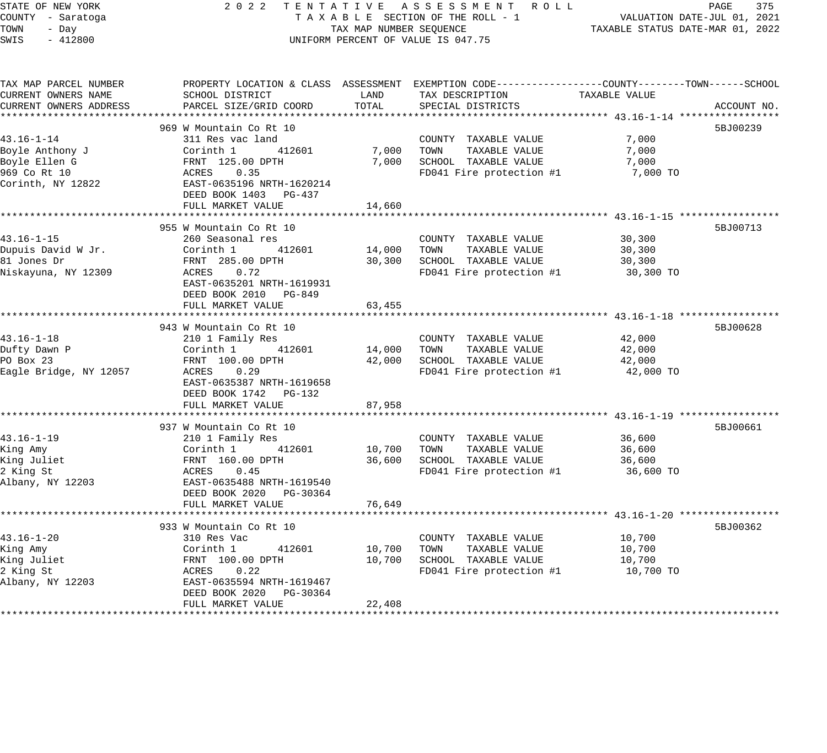| STATE OF NEW YORK |       |                   |  |
|-------------------|-------|-------------------|--|
|                   |       | COUNTY - Saratoga |  |
| :OWN              | - Dav |                   |  |
| WIS               |       | $-412800$         |  |

### STATE OF NEW YORK 2 0 2 2 T E N T A T I V E A S S E S S M E N T R O L L PAGE 375 COUNTY - Saratoga T A X A B L E SECTION OF THE ROLL - 1 VALUATION DATE-JUL 01, 2021 TOWN - Day TAX MAP NUMBER SEQUENCE TAXABLE STATUS DATE-MAR 01, 2022 SWIS - 412800 CONTROLLY THE UNIFORM PERCENT OF VALUE IS 047.75

| TAX MAP PARCEL NUMBER<br>CURRENT OWNERS NAME         | PROPERTY LOCATION & CLASS ASSESSMENT EXEMPTION CODE---------------COUNTY-------TOWN------SCHOOL<br>SCHOOL DISTRICT | LAND           | TAX DESCRIPTION                                                       | TAXABLE VALUE           |             |
|------------------------------------------------------|--------------------------------------------------------------------------------------------------------------------|----------------|-----------------------------------------------------------------------|-------------------------|-------------|
| CURRENT OWNERS ADDRESS                               | PARCEL SIZE/GRID COORD                                                                                             | TOTAL          | SPECIAL DISTRICTS                                                     |                         | ACCOUNT NO. |
|                                                      | 969 W Mountain Co Rt 10                                                                                            |                |                                                                       |                         | 5BJ00239    |
| $43.16 - 1 - 14$<br>Boyle Anthony J<br>Boyle Ellen G | 311 Res vac land<br>Corinth 1<br>412601<br>FRNT 125.00 DPTH                                                        | 7,000<br>7,000 | COUNTY TAXABLE VALUE<br>TAXABLE VALUE<br>TOWN<br>SCHOOL TAXABLE VALUE | 7,000<br>7,000<br>7,000 |             |
| 969 Co Rt 10<br>Corinth, NY 12822                    | ACRES<br>0.35<br>EAST-0635196 NRTH-1620214<br>DEED BOOK 1403 PG-437                                                |                | FD041 Fire protection #1                                              | 7,000 TO                |             |
|                                                      | FULL MARKET VALUE                                                                                                  | 14,660         |                                                                       |                         |             |
|                                                      | 955 W Mountain Co Rt 10                                                                                            |                |                                                                       |                         | 5BJ00713    |
| $43.16 - 1 - 15$                                     | 260 Seasonal res                                                                                                   |                | COUNTY TAXABLE VALUE                                                  | 30,300                  |             |
| Dupuis David W Jr.                                   | Corinth 1<br>412601                                                                                                | 14,000         | TOWN<br>TAXABLE VALUE                                                 | 30,300                  |             |
| 81 Jones Dr                                          | FRNT 285.00 DPTH                                                                                                   | 30,300         | SCHOOL TAXABLE VALUE                                                  | 30,300                  |             |
| Niskayuna, NY 12309                                  | ACRES<br>0.72<br>EAST-0635201 NRTH-1619931<br>DEED BOOK 2010 PG-849                                                |                | FD041 Fire protection #1                                              | 30,300 TO               |             |
|                                                      | FULL MARKET VALUE                                                                                                  | 63,455         |                                                                       |                         |             |
|                                                      |                                                                                                                    |                |                                                                       |                         |             |
|                                                      | 943 W Mountain Co Rt 10                                                                                            |                |                                                                       |                         | 5BJ00628    |
| $43.16 - 1 - 18$<br>Dufty Dawn P                     | 210 1 Family Res<br>412601<br>Corinth 1                                                                            | 14,000         | COUNTY TAXABLE VALUE<br>TOWN<br>TAXABLE VALUE                         | 42,000<br>42,000        |             |
| PO Box 23                                            | FRNT 100.00 DPTH                                                                                                   | 42,000         | SCHOOL TAXABLE VALUE                                                  | 42,000                  |             |
| Eagle Bridge, NY 12057                               | ACRES<br>0.29                                                                                                      |                | FD041 Fire protection #1                                              | 42,000 TO               |             |
|                                                      | EAST-0635387 NRTH-1619658                                                                                          |                |                                                                       |                         |             |
|                                                      | DEED BOOK 1742 PG-132                                                                                              |                |                                                                       |                         |             |
|                                                      | FULL MARKET VALUE                                                                                                  | 87,958         |                                                                       |                         |             |
|                                                      |                                                                                                                    |                |                                                                       |                         |             |
|                                                      | 937 W Mountain Co Rt 10                                                                                            |                |                                                                       |                         | 5BJ00661    |
| $43.16 - 1 - 19$                                     | 210 1 Family Res                                                                                                   |                | COUNTY TAXABLE VALUE                                                  | 36,600                  |             |
| King Amy                                             | Corinth 1<br>412601                                                                                                | 10,700         | TOWN<br>TAXABLE VALUE                                                 | 36,600                  |             |
| King Juliet                                          | FRNT 160.00 DPTH                                                                                                   | 36,600         | SCHOOL TAXABLE VALUE                                                  | 36,600                  |             |
| 2 King St                                            | ACRES<br>0.45                                                                                                      |                | FD041 Fire protection #1                                              | 36,600 TO               |             |
| Albany, NY 12203                                     | EAST-0635488 NRTH-1619540                                                                                          |                |                                                                       |                         |             |
|                                                      | DEED BOOK 2020 PG-30364                                                                                            |                |                                                                       |                         |             |
|                                                      | FULL MARKET VALUE                                                                                                  | 76,649         |                                                                       |                         |             |
|                                                      | 933 W Mountain Co Rt 10                                                                                            |                |                                                                       |                         | 5BJ00362    |
| $43.16 - 1 - 20$                                     | 310 Res Vac                                                                                                        |                | COUNTY TAXABLE VALUE                                                  | 10,700                  |             |
| King Amy                                             | Corinth 1<br>412601                                                                                                | 10,700         | TOWN<br>TAXABLE VALUE                                                 | 10,700                  |             |
| King Juliet                                          | FRNT 100.00 DPTH                                                                                                   | 10,700         | SCHOOL TAXABLE VALUE                                                  | 10,700                  |             |
| 2 King St                                            | 0.22<br>ACRES                                                                                                      |                | FD041 Fire protection #1                                              | 10,700 TO               |             |
| Albany, NY 12203                                     | EAST-0635594 NRTH-1619467                                                                                          |                |                                                                       |                         |             |
|                                                      | DEED BOOK 2020<br>PG-30364                                                                                         |                |                                                                       |                         |             |
|                                                      | FULL MARKET VALUE                                                                                                  | 22,408         |                                                                       |                         |             |
|                                                      |                                                                                                                    |                |                                                                       |                         |             |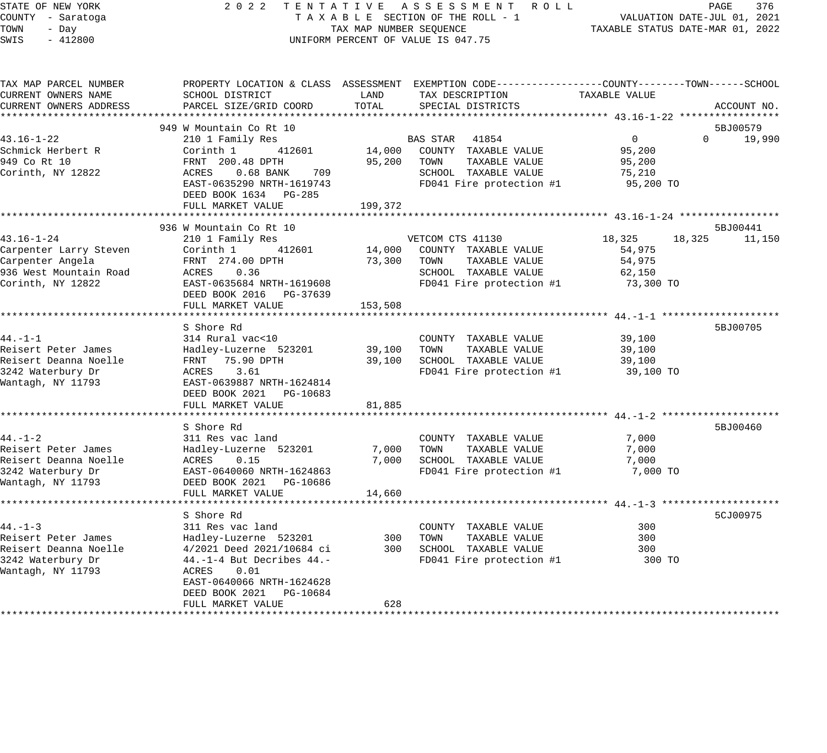STATE OF NEW YORK 2 0 2 2 T E N T A T I V E A S S E S S M E N T R O L L PAGE 376 COUNTY - Saratoga T A X A B L E SECTION OF THE ROLL - 1 VALUATION DATE-JUL 01, 2021 TOWN - Day TAX MAP NUMBER SEQUENCE TAXABLE STATUS DATE-MAR 01, 2022 SWIS - 412800 CONTROLLY THE UNIFORM PERCENT OF VALUE IS 047.75 TAX MAP PARCEL NUMBER PROPERTY LOCATION & CLASS ASSESSMENT EXEMPTION CODE------------------COUNTY--------TOWN------SCHOOL CURRENT OWNERS NAME SCHOOL DISTRICT LAND TAX DESCRIPTION TAXABLE VALUE CURRENT OWNERS ADDRESS PARCEL SIZE/GRID COORD TOTAL SPECIAL DISTRICTS ACCOUNT NO. \*\*\*\*\*\*\*\*\*\*\*\*\*\*\*\*\*\*\*\*\*\*\*\*\*\*\*\*\*\*\*\*\*\*\*\*\*\*\*\*\*\*\*\*\*\*\*\*\*\*\*\*\*\*\*\*\*\*\*\*\*\*\*\*\*\*\*\*\*\*\*\*\*\*\*\*\*\*\*\*\*\*\*\*\*\*\*\*\*\*\*\*\*\*\*\*\*\*\*\*\*\*\* 43.16-1-22 \*\*\*\*\*\*\*\*\*\*\*\*\*\*\*\*\* 949 W Mountain Co Rt 10 5BJ00579 Superintendent and the state of the state of the state of the state of the state of the state of the state of the state of the state of the state of the state of the state of the state of t 43.16-1-22 210 1 Family Res BAS STAR 41854 0 0 19,990 Schmick Herbert R Corinth 1 412601 14,000 COUNTY TAXABLE VALUE 95,200 949 Co Rt 10 FRNT 200.48 DPTH 95,200 TOWN TAXABLE VALUE 95,200 Corinth, NY 12822 ACRES 0.68 BANK 709 SCHOOL TAXABLE VALUE 75,210 EAST-0635290 NRTH-1619743 FD041 Fire protection #1 95,200 TO DEED BOOK 1634 PG-285 FULL MARKET VALUE 199,372 \*\*\*\*\*\*\*\*\*\*\*\*\*\*\*\*\*\*\*\*\*\*\*\*\*\*\*\*\*\*\*\*\*\*\*\*\*\*\*\*\*\*\*\*\*\*\*\*\*\*\*\*\*\*\*\*\*\*\*\*\*\*\*\*\*\*\*\*\*\*\*\*\*\*\*\*\*\*\*\*\*\*\*\*\*\*\*\*\*\*\*\*\*\*\*\*\*\*\*\*\*\*\* 43.16-1-24 \*\*\*\*\*\*\*\*\*\*\*\*\*\*\*\*\* 936 W Mountain Co Rt 10 5BJ00441 43.16-1-24 210 1 Family Res VETCOM CTS 41130 18,325 18,325 11,150 Carpenter Larry Steven Corinth 1 412601 14,000 COUNTY TAXABLE VALUE 54,975 Carpenter Angela FRNT 274.00 DPTH 73,300 TOWN TAXABLE VALUE 54,975 936 West Mountain Road ACRES 0.36 SCHOOL TAXABLE VALUE 62,150 Corinth, NY 12822 EAST-0635684 NRTH-1619608 FD041 Fire protection #1 73,300 TO DEED BOOK 2016 PG-37639 FULL MARKET VALUE 153,508 \*\*\*\*\*\*\*\*\*\*\*\*\*\*\*\*\*\*\*\*\*\*\*\*\*\*\*\*\*\*\*\*\*\*\*\*\*\*\*\*\*\*\*\*\*\*\*\*\*\*\*\*\*\*\*\*\*\*\*\*\*\*\*\*\*\*\*\*\*\*\*\*\*\*\*\*\*\*\*\*\*\*\*\*\*\*\*\*\*\*\*\*\*\*\*\*\*\*\*\*\*\*\* 44.-1-1 \*\*\*\*\*\*\*\*\*\*\*\*\*\*\*\*\*\*\*\* S Shore Rd 5BJ00705 44.-1-1 314 Rural vac<10 COUNTY TAXABLE VALUE 39,100 Reisert Peter James Hadley-Luzerne 523201 39,100 TOWN TAXABLE VALUE 39,100 Reisert Deanna Noelle FRNT 75.90 DPTH 39,100 SCHOOL TAXABLE VALUE 39,100 3242 Waterbury Dr ACRES 3.61 FD041 Fire protection #1 39,100 TO Wantagh, NY 11793 EAST-0639887 NRTH-1624814 DEED BOOK 2021 PG-10683 FULL MARKET VALUE 81,885 \*\*\*\*\*\*\*\*\*\*\*\*\*\*\*\*\*\*\*\*\*\*\*\*\*\*\*\*\*\*\*\*\*\*\*\*\*\*\*\*\*\*\*\*\*\*\*\*\*\*\*\*\*\*\*\*\*\*\*\*\*\*\*\*\*\*\*\*\*\*\*\*\*\*\*\*\*\*\*\*\*\*\*\*\*\*\*\*\*\*\*\*\*\*\*\*\*\*\*\*\*\*\* 44.-1-2 \*\*\*\*\*\*\*\*\*\*\*\*\*\*\*\*\*\*\*\* S Shore Rd 5BJ00460 44.-1-2 311 Res vac land COUNTY TAXABLE VALUE 7,000 Reisert Peter James Hadley-Luzerne 523201 7,000 TOWN TAXABLE VALUE 7,000 Reisert Deanna Noelle ACRES 0.15 7,000 SCHOOL TAXABLE VALUE 7,000 3242 Waterbury Dr EAST-0640060 NRTH-1624863 FD041 Fire protection #1 7,000 TO Wantagh, NY 11793 DEED BOOK 2021 PG-10686 FULL MARKET VALUE 14,660 \*\*\*\*\*\*\*\*\*\*\*\*\*\*\*\*\*\*\*\*\*\*\*\*\*\*\*\*\*\*\*\*\*\*\*\*\*\*\*\*\*\*\*\*\*\*\*\*\*\*\*\*\*\*\*\*\*\*\*\*\*\*\*\*\*\*\*\*\*\*\*\*\*\*\*\*\*\*\*\*\*\*\*\*\*\*\*\*\*\*\*\*\*\*\*\*\*\*\*\*\*\*\* 44.-1-3 \*\*\*\*\*\*\*\*\*\*\*\*\*\*\*\*\*\*\*\* S Shore Rd 5CJ00975 44.-1-3 311 Res vac land COUNTY TAXABLE VALUE 300 Reisert Peter James Hadley-Luzerne 523201 300 TOWN TAXABLE VALUE 300 Reisert Deanna Noelle 4/2021 Deed 2021/10684 ci 300 SCHOOL TAXABLE VALUE 300 3242 Waterbury Dr 44.-1-4 But Decribes 44.- FD041 Fire protection #1 300 TO Wantagh, NY 11793 ACRES 0.01 EAST-0640066 NRTH-1624628 DEED BOOK 2021 PG-10684 FULL MARKET VALUE 628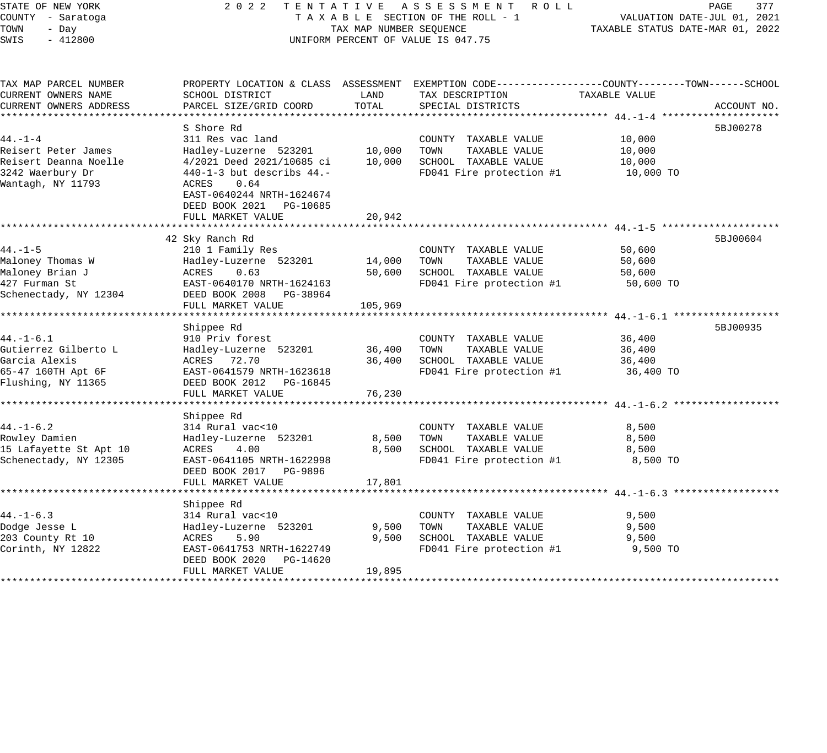| STATE OF NEW YORK                   | 2 0 2 2                                      |                                 | TENTATIVE ASSESSMENT ROLL                                                                       |                                  | PAGE<br>377<br>VALUATION DATE-JUL 01, 2021 |  |
|-------------------------------------|----------------------------------------------|---------------------------------|-------------------------------------------------------------------------------------------------|----------------------------------|--------------------------------------------|--|
| COUNTY - Saratoga                   |                                              | TAXABLE SECTION OF THE ROLL - 1 |                                                                                                 |                                  |                                            |  |
| TOWN<br>- Day                       |                                              | TAX MAP NUMBER SEQUENCE         |                                                                                                 | TAXABLE STATUS DATE-MAR 01, 2022 |                                            |  |
| SWIS<br>$-412800$                   |                                              |                                 | UNIFORM PERCENT OF VALUE IS 047.75                                                              |                                  |                                            |  |
| TAX MAP PARCEL NUMBER               |                                              |                                 | PROPERTY LOCATION & CLASS ASSESSMENT EXEMPTION CODE----------------COUNTY-------TOWN-----SCHOOL |                                  |                                            |  |
| CURRENT OWNERS NAME                 | SCHOOL DISTRICT                              | LAND                            | TAX DESCRIPTION                                                                                 | TAXABLE VALUE                    |                                            |  |
| CURRENT OWNERS ADDRESS              | PARCEL SIZE/GRID COORD                       | TOTAL                           | SPECIAL DISTRICTS                                                                               |                                  | ACCOUNT NO.                                |  |
|                                     |                                              |                                 |                                                                                                 |                                  |                                            |  |
|                                     | S Shore Rd                                   |                                 |                                                                                                 |                                  | 5BJ00278                                   |  |
| $44. -1 -4$                         | 311 Res vac land                             |                                 | COUNTY TAXABLE VALUE                                                                            | 10,000                           |                                            |  |
| Reisert Peter James                 | Hadley-Luzerne 523201                        | 10,000                          | TOWN<br>TAXABLE VALUE                                                                           | 10,000                           |                                            |  |
| Reisert Deanna Noelle               | 4/2021 Deed 2021/10685 ci                    | 10,000                          | SCHOOL TAXABLE VALUE                                                                            | 10,000                           |                                            |  |
| 3242 Waerbury Dr                    | $440 - 1 - 3$ but describs $44. -$           |                                 | FD041 Fire protection #1                                                                        | 10,000 TO                        |                                            |  |
| Wantagh, NY 11793                   | 0.64<br>ACRES                                |                                 |                                                                                                 |                                  |                                            |  |
|                                     | EAST-0640244 NRTH-1624674                    |                                 |                                                                                                 |                                  |                                            |  |
|                                     | DEED BOOK 2021 PG-10685<br>FULL MARKET VALUE |                                 |                                                                                                 |                                  |                                            |  |
|                                     | *************************                    | 20,942                          |                                                                                                 |                                  |                                            |  |
|                                     | 42 Sky Ranch Rd                              |                                 |                                                                                                 |                                  | 5BJ00604                                   |  |
| $44. - 1 - 5$                       | 210 1 Family Res                             |                                 | COUNTY TAXABLE VALUE                                                                            | 50,600                           |                                            |  |
| Maloney Thomas W                    | Hadley-Luzerne 523201                        | 14,000                          | TAXABLE VALUE<br>TOWN                                                                           | 50,600                           |                                            |  |
| Maloney Brian J                     | ACRES<br>0.63                                | 50,600                          | SCHOOL TAXABLE VALUE                                                                            | 50,600                           |                                            |  |
| 427 Furman St                       | EAST-0640170 NRTH-1624163                    |                                 | FD041 Fire protection #1                                                                        | 50,600 TO                        |                                            |  |
| Schenectady, NY 12304               | DEED BOOK 2008 PG-38964                      |                                 |                                                                                                 |                                  |                                            |  |
|                                     | FULL MARKET VALUE                            | 105,969                         |                                                                                                 |                                  |                                            |  |
|                                     |                                              |                                 |                                                                                                 |                                  |                                            |  |
|                                     | Shippee Rd                                   |                                 |                                                                                                 |                                  | 5BJ00935                                   |  |
| $44. - 1 - 6.1$                     | 910 Priv forest                              |                                 | COUNTY TAXABLE VALUE                                                                            | 36,400                           |                                            |  |
| Gutierrez Gilberto L                | Hadley-Luzerne 523201                        | 36,400                          | TOWN<br>TAXABLE VALUE                                                                           | 36,400                           |                                            |  |
| Garcia Alexis<br>65-47 160TH Apt 6F | ACRES 72.70<br>EAST-0641579 NRTH-1623618     | 36,400                          | SCHOOL TAXABLE VALUE<br>FD041 Fire protection #1                                                | 36,400<br>36,400 TO              |                                            |  |
| Flushing, NY 11365                  | DEED BOOK 2012 PG-16845                      |                                 |                                                                                                 |                                  |                                            |  |
|                                     | FULL MARKET VALUE                            | 76,230                          |                                                                                                 |                                  |                                            |  |
|                                     | *********************                        | ***********                     | ************************************** 44.-1-6.2 ******                                         |                                  |                                            |  |
|                                     | Shippee Rd                                   |                                 |                                                                                                 |                                  |                                            |  |
| $44. - 1 - 6.2$                     | 314 Rural vac<10                             |                                 | COUNTY TAXABLE VALUE                                                                            | 8,500                            |                                            |  |
| Rowley Damien                       | Hadley-Luzerne 523201                        | 8,500                           | TOWN<br>TAXABLE VALUE                                                                           | 8,500                            |                                            |  |
| 15 Lafayette St Apt 10              | ACRES<br>4.00                                | 8,500                           | SCHOOL TAXABLE VALUE                                                                            | 8,500                            |                                            |  |
| Schenectady, NY 12305               | EAST-0641105 NRTH-1622998                    |                                 | FD041 Fire protection #1                                                                        | 8,500 TO                         |                                            |  |
|                                     | DEED BOOK 2017<br>PG-9896                    |                                 |                                                                                                 |                                  |                                            |  |
|                                     | FULL MARKET VALUE                            | 17,801                          |                                                                                                 |                                  |                                            |  |
|                                     |                                              |                                 |                                                                                                 |                                  |                                            |  |
|                                     | Shippee Rd                                   |                                 |                                                                                                 |                                  |                                            |  |
| $44. - 1 - 6.3$<br>Dodge Jesse L    | 314 Rural vac<10                             | 9,500                           | COUNTY TAXABLE VALUE<br>TAXABLE VALUE<br>TOWN                                                   | 9,500<br>9,500                   |                                            |  |
| 203 County Rt 10                    | Hadley-Luzerne 523201<br>ACRES<br>5.90       | 9,500                           | SCHOOL TAXABLE VALUE                                                                            | 9,500                            |                                            |  |
| Corinth, NY 12822                   | EAST-0641753 NRTH-1622749                    |                                 | FD041 Fire protection #1                                                                        | 9,500 TO                         |                                            |  |
|                                     | DEED BOOK 2020 PG-14620                      |                                 |                                                                                                 |                                  |                                            |  |
|                                     | FULL MARKET VALUE                            | 19,895                          |                                                                                                 |                                  |                                            |  |
|                                     |                                              |                                 |                                                                                                 |                                  |                                            |  |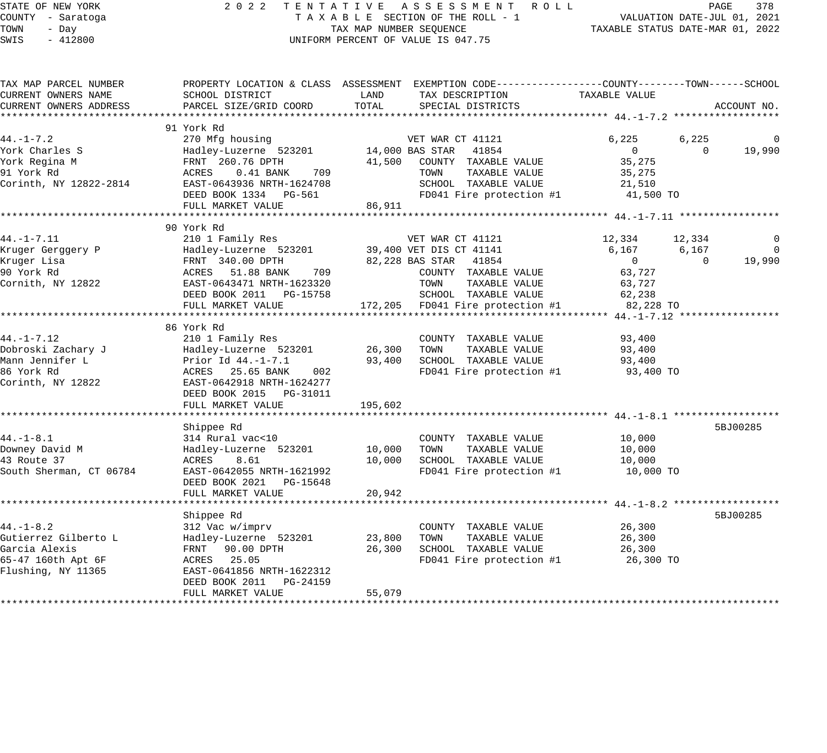#### STATE OF NEW YORK 2 0 2 2 T E N T A T I V E A S S E S S M E N T R O L L PAGE 378 COUNTY - Saratoga T A X A B L E SECTION OF THE ROLL - 1 VALUATION DATE-JUL 01, 2021 TOWN - Day TAX MAP NUMBER SEQUENCE TAXABLE STATUS DATE-MAR 01, 2022 SWIS - 412800 CONTROLLY THE UNIFORM PERCENT OF VALUE IS 047.75

| SWIS | - 412800              |  | UNIFORM PERCENT OF VALUE IS 047.75 |                                                                                                 |  |  |
|------|-----------------------|--|------------------------------------|-------------------------------------------------------------------------------------------------|--|--|
|      |                       |  |                                    |                                                                                                 |  |  |
|      | TAX MAP PARCEL NUMBER |  |                                    | PROPERTY LOCATION & CLASS ASSESSMENT EXEMPTION CODE---------------COUNTY-------TOWN------SCHOOL |  |  |

| CURRENT OWNERS NAME     | SCHOOL DISTRICT                                                   | LAND    | TAX DESCRIPTION                            | TAXABLE VALUE  |          |                |
|-------------------------|-------------------------------------------------------------------|---------|--------------------------------------------|----------------|----------|----------------|
| CURRENT OWNERS ADDRESS  | PARCEL SIZE/GRID COORD                                            | TOTAL   | SPECIAL DISTRICTS                          |                |          | ACCOUNT NO.    |
|                         |                                                                   |         |                                            |                |          |                |
|                         | 91 York Rd                                                        |         |                                            |                |          |                |
| $44. - 1 - 7.2$         | 270 Mfg housing                                                   |         | VET WAR CT 41121                           | 6,225          | 6,225    | $\Omega$       |
| York Charles S          | Hadley-Luzerne 523201 14,000 BAS STAR 41854                       |         |                                            | $\overline{0}$ | $\Omega$ | 19,990         |
| York Regina M           | FRNT 260.76 DPTH                                                  |         | 41,500 COUNTY TAXABLE VALUE                | 35,275         |          |                |
| 91 York Rd              | ACRES 0.41 BANK 709                                               |         | TOWN<br>TAXABLE VALUE                      | 35,275         |          |                |
| Corinth, NY 12822-2814  | EAST-0643936 NRTH-1624708                                         |         | SCHOOL TAXABLE VALUE                       | 21,510         |          |                |
|                         | DEED BOOK 1334 PG-561                                             |         | FD041 Fire protection $#1$ 41,500 TO       |                |          |                |
|                         | FULL MARKET VALUE                                                 | 86,911  |                                            |                |          |                |
|                         |                                                                   |         |                                            |                |          |                |
|                         | 90 York Rd                                                        |         |                                            |                |          |                |
| $44. - 1 - 7.11$        | 210 1 Family Res                                                  |         | VET WAR CT 41121                           | 12,334         | 12,334   | 0              |
| Kruger Gerggery P       | Hadley-Luzerne 523201 39,400 VET DIS CT 41141                     |         |                                            | 6,167          | 6,167    | $\overline{0}$ |
| Kruger Lisa             | FRNT 340.00 DPTH                                                  |         | 82,228 BAS STAR 41854                      | $\overline{0}$ | $\Omega$ | 19,990         |
| 90 York Rd              | ACRES 51.88 BANK<br>709                                           |         | COUNTY TAXABLE VALUE                       | 63,727         |          |                |
| Cornith, NY 12822       | EAST-0643471 NRTH-1623320                                         |         | TOWN<br>TAXABLE VALUE                      | 63,727         |          |                |
|                         |                                                                   |         | SCHOOL TAXABLE VALUE                       | 62,238         |          |                |
|                         | FULL MARKET VALUE                                                 |         | 172,205 FD041 Fire protection #1 82,228 TO |                |          |                |
|                         |                                                                   |         |                                            |                |          |                |
|                         | 86 York Rd                                                        |         |                                            |                |          |                |
| $44. - 1 - 7.12$        | 210 1 Family Res                                                  |         | COUNTY TAXABLE VALUE                       | 93,400         |          |                |
|                         |                                                                   |         | TAXABLE VALUE                              | 93,400         |          |                |
| Mann Jennifer L         |                                                                   |         | 93,400 SCHOOL TAXABLE VALUE                | 93,400         |          |                |
| 86 York Rd              | Prior Id 44.-1-7.1<br>ACRES 25.65 BANK<br>ACRES 25.65 BANK<br>002 |         | FD041 Fire protection #1                   | 93,400 TO      |          |                |
| Corinth, NY 12822       | EAST-0642918 NRTH-1624277                                         |         |                                            |                |          |                |
|                         | DEED BOOK 2015 PG-31011                                           |         |                                            |                |          |                |
|                         | FULL MARKET VALUE                                                 | 195,602 |                                            |                |          |                |
|                         |                                                                   |         |                                            |                |          |                |
|                         | Shippee Rd                                                        |         |                                            |                |          | 5BJ00285       |
| $44. - 1 - 8.1$         | 314 Rural vac<10                                                  |         | COUNTY TAXABLE VALUE 10,000                |                |          |                |
| Downey David M          | Hadley-Luzerne 523201 10,000 TOWN TAXABLE VALUE                   |         |                                            | 10,000         |          |                |
| 43 Route 37             | ACRES<br>8.61                                                     | 10,000  | SCHOOL TAXABLE VALUE                       | 10,000         |          |                |
| South Sherman, CT 06784 | EAST-0642055 NRTH-1621992                                         |         | FD041 Fire protection #1 10,000 TO         |                |          |                |
|                         | DEED BOOK 2021 PG-15648                                           |         |                                            |                |          |                |
|                         | FULL MARKET VALUE                                                 | 20,942  |                                            |                |          |                |
|                         |                                                                   |         |                                            |                |          |                |
|                         | Shippee Rd                                                        |         |                                            |                |          | 5BJ00285       |
| $44. - 1 - 8.2$         | 312 Vac w/imprv                                                   |         | COUNTY TAXABLE VALUE                       | 26,300         |          |                |
| Gutierrez Gilberto L    | Hadley-Luzerne 523201                                             | 23,800  | TAXABLE VALUE<br>TOWN                      | 26,300         |          |                |
| Garcia Alexis           | FRNT 90.00 DPTH                                                   | 26,300  | SCHOOL TAXABLE VALUE                       | 26,300         |          |                |
| 65-47 160th Apt 6F      | ACRES 25.05                                                       |         | FD041 Fire protection $#1$ 26,300 TO       |                |          |                |
| Flushing, NY 11365      | EAST-0641856 NRTH-1622312                                         |         |                                            |                |          |                |
|                         | DEED BOOK 2011 PG-24159                                           |         |                                            |                |          |                |
|                         | FULL MARKET VALUE                                                 | 55,079  |                                            |                |          |                |
|                         |                                                                   |         |                                            |                |          |                |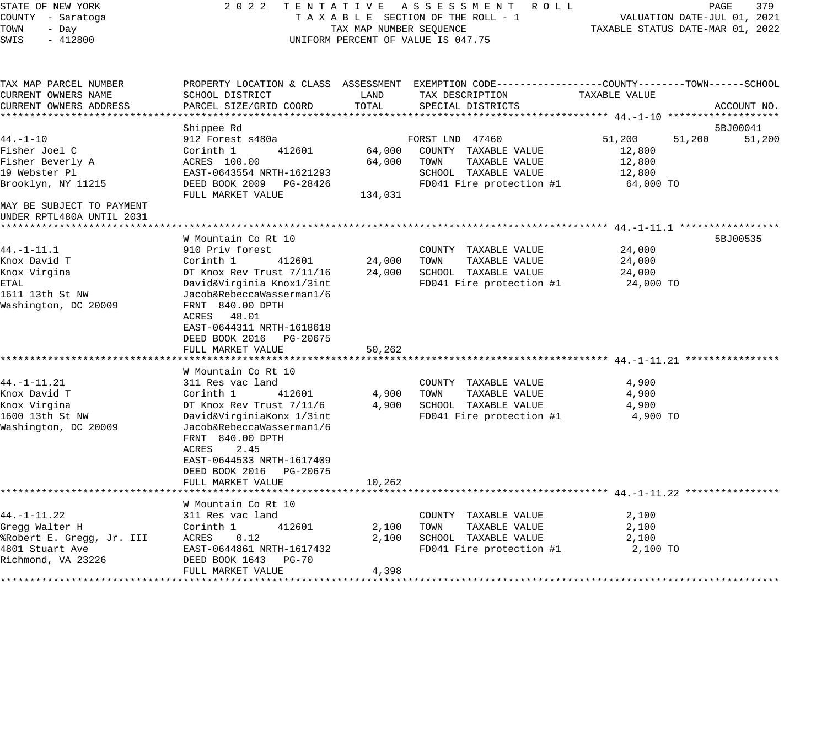| STATE OF NEW YORK                                      | 2 0 2 2                                 |                                  | TENTATIVE ASSESSMENT ROLL                                                                       |                            | PAGE<br>379 |
|--------------------------------------------------------|-----------------------------------------|----------------------------------|-------------------------------------------------------------------------------------------------|----------------------------|-------------|
| COUNTY - Saratoga                                      | TAXABLE SECTION OF THE ROLL - 1         | VALUATION DATE-JUL 01, 2021      |                                                                                                 |                            |             |
| TOWN<br>- Day                                          | TAX MAP NUMBER SEQUENCE                 | TAXABLE STATUS DATE-MAR 01, 2022 |                                                                                                 |                            |             |
| $-412800$<br>SWIS                                      |                                         |                                  | UNIFORM PERCENT OF VALUE IS 047.75                                                              |                            |             |
| TAX MAP PARCEL NUMBER                                  |                                         |                                  | PROPERTY LOCATION & CLASS ASSESSMENT EXEMPTION CODE----------------COUNTY-------TOWN-----SCHOOL |                            |             |
| CURRENT OWNERS NAME                                    | SCHOOL DISTRICT                         | LAND                             | TAX DESCRIPTION                                                                                 | TAXABLE VALUE              |             |
| CURRENT OWNERS ADDRESS                                 | PARCEL SIZE/GRID COORD                  | TOTAL                            | SPECIAL DISTRICTS                                                                               |                            | ACCOUNT NO. |
|                                                        |                                         |                                  |                                                                                                 |                            |             |
| $44. - 1 - 10$                                         | Shippee Rd                              |                                  |                                                                                                 |                            | 5BJ00041    |
| Fisher Joel C                                          | 912 Forest s480a<br>Corinth 1<br>412601 | 64,000                           | FORST LND 47460<br>COUNTY TAXABLE VALUE                                                         | 51,200<br>51,200<br>12,800 | 51,200      |
| Fisher Beverly A                                       | ACRES 100.00                            | 64,000                           | TOWN<br>TAXABLE VALUE                                                                           | 12,800                     |             |
| 19 Webster Pl                                          | EAST-0643554 NRTH-1621293               |                                  | SCHOOL TAXABLE VALUE                                                                            | 12,800                     |             |
| Brooklyn, NY 11215                                     | DEED BOOK 2009 PG-28426                 |                                  | FD041 Fire protection #1                                                                        | 64,000 TO                  |             |
|                                                        | FULL MARKET VALUE                       | 134,031                          |                                                                                                 |                            |             |
| MAY BE SUBJECT TO PAYMENT<br>UNDER RPTL480A UNTIL 2031 |                                         |                                  |                                                                                                 |                            |             |
|                                                        |                                         |                                  |                                                                                                 |                            |             |
|                                                        | W Mountain Co Rt 10                     |                                  |                                                                                                 |                            | 5BJ00535    |
| $44. - 1 - 11.1$                                       | 910 Priv forest                         |                                  | COUNTY TAXABLE VALUE                                                                            | 24,000                     |             |
| Knox David T                                           | 412601<br>Corinth 1                     | 24,000                           | TAXABLE VALUE<br>TOWN                                                                           | 24,000                     |             |
| Knox Virgina                                           | DT Knox Rev Trust 7/11/16               | 24,000                           | SCHOOL TAXABLE VALUE                                                                            | 24,000                     |             |
| ETAL                                                   | David&Virginia Knox1/3int               |                                  | FD041 Fire protection #1                                                                        | 24,000 TO                  |             |
| 1611 13th St NW                                        | Jacob&RebeccaWasserman1/6               |                                  |                                                                                                 |                            |             |
| Washington, DC 20009                                   | FRNT 840.00 DPTH<br>ACRES 48.01         |                                  |                                                                                                 |                            |             |
|                                                        | EAST-0644311 NRTH-1618618               |                                  |                                                                                                 |                            |             |
|                                                        | DEED BOOK 2016<br>PG-20675              |                                  |                                                                                                 |                            |             |
|                                                        | FULL MARKET VALUE                       | 50,262                           |                                                                                                 |                            |             |
|                                                        |                                         |                                  |                                                                                                 |                            |             |
|                                                        | W Mountain Co Rt 10                     |                                  |                                                                                                 |                            |             |
| $44. -1 - 11.21$                                       | 311 Res vac land                        |                                  | COUNTY TAXABLE VALUE                                                                            | 4,900                      |             |
| Knox David T                                           | Corinth 1<br>412601                     | 4,900                            | TOWN<br>TAXABLE VALUE                                                                           | 4,900                      |             |
| Knox Virgina                                           | DT Knox Rev Trust 7/11/6                | 4,900                            | SCHOOL TAXABLE VALUE                                                                            | 4,900                      |             |
| 1600 13th St NW                                        | David&VirginiaKonx 1/3int               |                                  | FD041 Fire protection #1                                                                        | 4,900 TO                   |             |
| Washington, DC 20009                                   | Jacob&RebeccaWasserman1/6               |                                  |                                                                                                 |                            |             |
|                                                        | FRNT 840.00 DPTH                        |                                  |                                                                                                 |                            |             |
|                                                        | ACRES<br>2.45                           |                                  |                                                                                                 |                            |             |
|                                                        | EAST-0644533 NRTH-1617409               |                                  |                                                                                                 |                            |             |
|                                                        | DEED BOOK 2016<br>PG-20675              |                                  |                                                                                                 |                            |             |
|                                                        | FULL MARKET VALUE                       | 10,262                           |                                                                                                 |                            |             |
|                                                        | W Mountain Co Rt 10                     |                                  |                                                                                                 |                            |             |
| $44. -1 - 11.22$                                       | 311 Res vac land                        |                                  | COUNTY TAXABLE VALUE                                                                            | 2,100                      |             |
| Gregg Walter H                                         | Corinth 1<br>412601                     | 2,100                            | TAXABLE VALUE<br>TOWN                                                                           | 2,100                      |             |
| %Robert E. Gregg, Jr. III                              | ACRES<br>0.12                           | 2,100                            | SCHOOL TAXABLE VALUE                                                                            | 2,100                      |             |
| 4801 Stuart Ave                                        | EAST-0644861 NRTH-1617432               |                                  | FD041 Fire protection #1                                                                        | 2,100 TO                   |             |
| Richmond, VA 23226                                     | DEED BOOK 1643 PG-70                    |                                  |                                                                                                 |                            |             |
|                                                        | FULL MARKET VALUE                       | 4,398                            |                                                                                                 |                            |             |
|                                                        |                                         |                                  |                                                                                                 |                            |             |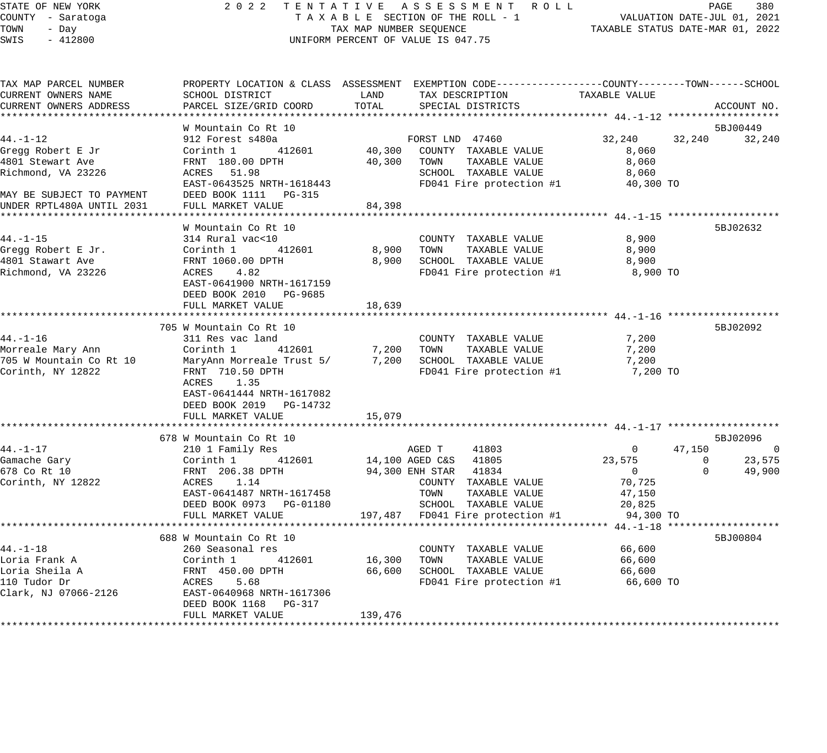### STATE OF NEW YORK 2 0 2 2 T E N T A T I V E A S S E S S M E N T R O L L PAGE 380 COUNTY - Saratoga T A X A B L E SECTION OF THE ROLL - 1 VALUATION DATE-JUL 01, 2021 TAX A B L E SECTION OF THE ROLL - 1 WILLOWS CONTROLLED STATUS DATE-MAR 01, 2022 UNIFORM PERCENT OF VALUE IS 047.75

| TAX MAP PARCEL NUMBER                 |                                          |                    | PROPERTY LOCATION & CLASS ASSESSMENT EXEMPTION CODE----------------COUNTY-------TOWN------SCHOOL |                    |                       |
|---------------------------------------|------------------------------------------|--------------------|--------------------------------------------------------------------------------------------------|--------------------|-----------------------|
| CURRENT OWNERS NAME                   | SCHOOL DISTRICT                          | LAND               | TAX DESCRIPTION                                                                                  | TAXABLE VALUE      |                       |
| CURRENT OWNERS ADDRESS                | PARCEL SIZE/GRID COORD                   | TOTAL              | SPECIAL DISTRICTS                                                                                |                    | ACCOUNT NO.           |
|                                       |                                          |                    |                                                                                                  |                    |                       |
|                                       | W Mountain Co Rt 10                      |                    |                                                                                                  |                    | 5BJ00449              |
| $44. - 1 - 12$                        | 912 Forest s480a                         |                    | FORST LND 47460                                                                                  | 32,240             | 32,240<br>32,240      |
| Gregg Robert E Jr<br>4801 Stewart Ave | Corinth 1<br>412601                      | 40,300             | COUNTY TAXABLE VALUE<br>TOWN                                                                     | 8,060              |                       |
|                                       | FRNT 180.00 DPTH                         | 40,300             | TAXABLE VALUE<br>SCHOOL TAXABLE VALUE                                                            | 8,060              |                       |
| Richmond, VA 23226                    | ACRES 51.98<br>EAST-0643525 NRTH-1618443 |                    |                                                                                                  | 8,060<br>40,300 TO |                       |
| MAY BE SUBJECT TO PAYMENT             | DEED BOOK 1111 PG-315                    |                    | FD041 Fire protection #1                                                                         |                    |                       |
| UNDER RPTL480A UNTIL 2031             | FULL MARKET VALUE                        | 84,398             |                                                                                                  |                    |                       |
|                                       |                                          |                    |                                                                                                  |                    |                       |
|                                       | W Mountain Co Rt 10                      |                    |                                                                                                  |                    | 5BJ02632              |
| $44. - 1 - 15$                        | 314 Rural vac<10                         |                    | COUNTY TAXABLE VALUE                                                                             | 8,900              |                       |
| Gregg Robert E Jr.                    | Corinth 1<br>412601                      | 8,900              | TOWN<br>TAXABLE VALUE                                                                            | 8,900              |                       |
| 4801 Stawart Ave                      | FRNT 1060.00 DPTH                        | 8,900              | SCHOOL TAXABLE VALUE                                                                             | 8,900              |                       |
| Richmond, VA 23226                    | ACRES 4.82                               |                    | FD041 Fire protection #1                                                                         | 8,900 TO           |                       |
|                                       | EAST-0641900 NRTH-1617159                |                    |                                                                                                  |                    |                       |
|                                       | DEED BOOK 2010 PG-9685                   |                    |                                                                                                  |                    |                       |
|                                       | FULL MARKET VALUE                        | 18,639             |                                                                                                  |                    |                       |
|                                       |                                          |                    |                                                                                                  |                    |                       |
|                                       | 705 W Mountain Co Rt 10                  |                    |                                                                                                  |                    | 5BJ02092              |
| $44. - 1 - 16$                        | 311 Res vac land                         |                    | COUNTY TAXABLE VALUE                                                                             | 7,200              |                       |
| Morreale Mary Ann                     | Corinth 1<br>412601                      | $7,200$<br>$7,200$ | TOWN<br>TAXABLE VALUE                                                                            | 7,200              |                       |
| 705 W Mountain Co Rt 10               | MaryAnn Morreale Trust 5/                | 7,200              | SCHOOL TAXABLE VALUE                                                                             | 7,200              |                       |
| Corinth, NY 12822                     | FRNT 710.50 DPTH                         |                    | FD041 Fire protection #1                                                                         | 7,200 TO           |                       |
|                                       | ACRES 1.35                               |                    |                                                                                                  |                    |                       |
|                                       | EAST-0641444 NRTH-1617082                |                    |                                                                                                  |                    |                       |
|                                       | DEED BOOK 2019 PG-14732                  |                    |                                                                                                  |                    |                       |
|                                       | FULL MARKET VALUE                        | 15,079             |                                                                                                  |                    |                       |
|                                       |                                          |                    |                                                                                                  |                    |                       |
|                                       | 678 W Mountain Co Rt 10                  |                    |                                                                                                  |                    | 5BJ02096              |
| $44. - 1 - 17$                        | 210 1 Family Res                         |                    | AGED T<br>41803                                                                                  | $\mathbf{0}$       | 47,150<br>$\sim$ 0    |
| Gamache Gary                          | Corinth 1 412601                         |                    | 14,100 AGED C&S 41805                                                                            | 23,575             | 23,575<br>$\mathbf 0$ |
| 678 Co Rt 10                          | FRNT 206.38 DPTH                         |                    | 94,300 ENH STAR 41834                                                                            | $\overline{0}$     | $\Omega$<br>49,900    |
| Corinth, NY 12822                     | ACRES 1.14                               |                    | COUNTY TAXABLE VALUE                                                                             | 70,725             |                       |
|                                       | EAST-0641487 NRTH-1617458                |                    | TOWN<br>TAXABLE VALUE                                                                            | 47,150             |                       |
|                                       | DEED BOOK 0973 PG-01180                  |                    | SCHOOL TAXABLE VALUE                                                                             | 20,825             |                       |
|                                       | FULL MARKET VALUE                        |                    | 197,487 FD041 Fire protection #1                                                                 | 94,300 TO          |                       |
|                                       |                                          |                    |                                                                                                  |                    |                       |
|                                       | 688 W Mountain Co Rt 10                  |                    |                                                                                                  |                    | 5BJ00804              |
| $44. - 1 - 18$                        | 260 Seasonal res                         |                    | COUNTY TAXABLE VALUE                                                                             | 66,600             |                       |
| Loria Frank A                         | Corinth 1<br>412601                      | 16,300             | TAXABLE VALUE<br>TOWN                                                                            | 66,600             |                       |
| Loria Sheila A<br>110 Tudor Dr        | FRNT 450.00 DPTH                         | 66,600             | SCHOOL TAXABLE VALUE                                                                             | 66,600             |                       |
| Clark, NJ 07066-2126                  | ACRES 5.68<br>EAST-0640968 NRTH-1617306  |                    | $FD041$ Fire protection #1 66,600 TO                                                             |                    |                       |
|                                       | DEED BOOK 1168 PG-317                    |                    |                                                                                                  |                    |                       |
|                                       | FULL MARKET VALUE                        | 139,476            |                                                                                                  |                    |                       |
|                                       |                                          |                    |                                                                                                  |                    |                       |
|                                       |                                          |                    |                                                                                                  |                    |                       |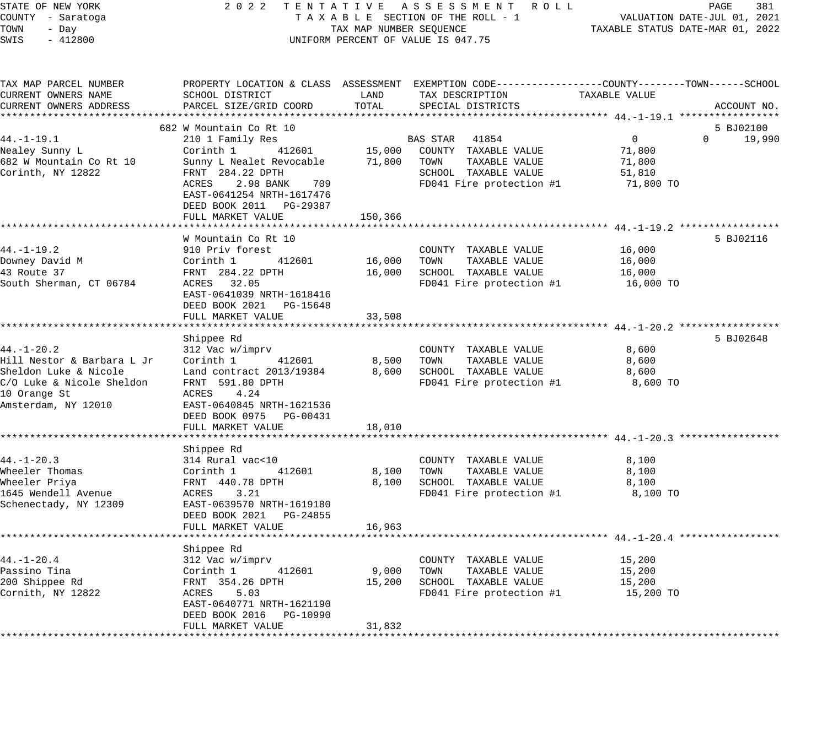| STATE OF NEW YORK<br>COUNTY - Saratoga    | 2 0 2 2<br>TENTATIVE ASSESSMENT ROLL<br>TAXABLE SECTION OF THE ROLL - 1 | PAGE<br>381<br>VALUATION DATE-JUL 01, 2021 |                                                                                                  |                                                        |             |
|-------------------------------------------|-------------------------------------------------------------------------|--------------------------------------------|--------------------------------------------------------------------------------------------------|--------------------------------------------------------|-------------|
| TOWN<br>- Day                             | TAX MAP NUMBER SEQUENCE                                                 | TAXABLE STATUS DATE-MAR 01, 2022           |                                                                                                  |                                                        |             |
| SWIS<br>$-412800$                         | UNIFORM PERCENT OF VALUE IS 047.75                                      |                                            |                                                                                                  |                                                        |             |
| TAX MAP PARCEL NUMBER                     |                                                                         |                                            | PROPERTY LOCATION & CLASS ASSESSMENT EXEMPTION CODE----------------COUNTY-------TOWN------SCHOOL |                                                        |             |
| CURRENT OWNERS NAME                       | SCHOOL DISTRICT                                                         | LAND                                       | TAX DESCRIPTION                                                                                  | TAXABLE VALUE                                          |             |
| CURRENT OWNERS ADDRESS                    | PARCEL SIZE/GRID COORD                                                  | TOTAL                                      | SPECIAL DISTRICTS                                                                                |                                                        | ACCOUNT NO. |
|                                           |                                                                         |                                            |                                                                                                  |                                                        |             |
|                                           | 682 W Mountain Co Rt 10                                                 |                                            |                                                                                                  |                                                        | 5 BJ02100   |
| $44. - 1 - 19.1$                          | 210 1 Family Res                                                        |                                            | BAS STAR<br>41854                                                                                | $\mathbf 0$<br>$\Omega$                                | 19,990      |
| Nealey Sunny L                            | Corinth 1<br>412601                                                     | 15,000                                     | COUNTY TAXABLE VALUE                                                                             | 71,800                                                 |             |
| 682 W Mountain Co Rt 10                   | Sunny L Nealet Revocable                                                | 71,800                                     | TOWN<br>TAXABLE VALUE                                                                            | 71,800                                                 |             |
| Corinth, NY 12822                         | FRNT 284.22 DPTH<br>2.98 BANK<br>709<br>ACRES                           |                                            | SCHOOL TAXABLE VALUE<br>FD041 Fire protection #1                                                 | 51,810<br>71,800 TO                                    |             |
|                                           | EAST-0641254 NRTH-1617476<br>DEED BOOK 2011 PG-29387                    |                                            |                                                                                                  |                                                        |             |
|                                           | FULL MARKET VALUE                                                       | 150,366                                    |                                                                                                  |                                                        |             |
|                                           |                                                                         |                                            |                                                                                                  |                                                        |             |
|                                           | W Mountain Co Rt 10                                                     |                                            |                                                                                                  |                                                        | 5 BJ02116   |
| 44. –1–19.2                               | 910 Priv forest                                                         |                                            | COUNTY TAXABLE VALUE                                                                             | 16,000                                                 |             |
| Downey David M                            | Corinth 1<br>412601                                                     | 16,000                                     | TOWN<br>TAXABLE VALUE                                                                            | 16,000                                                 |             |
| 43 Route 37                               | FRNT 284.22 DPTH                                                        | 16,000                                     | SCHOOL TAXABLE VALUE                                                                             | 16,000                                                 |             |
| South Sherman, CT 06784                   | ACRES 32.05<br>EAST-0641039 NRTH-1618416<br>DEED BOOK 2021 PG-15648     |                                            | FD041 Fire protection #1                                                                         | 16,000 TO                                              |             |
|                                           | FULL MARKET VALUE                                                       | 33,508                                     |                                                                                                  |                                                        |             |
|                                           |                                                                         |                                            |                                                                                                  |                                                        |             |
|                                           | Shippee Rd                                                              |                                            |                                                                                                  |                                                        | 5 BJ02648   |
| $44. - 1 - 20.2$                          | 312 Vac w/imprv                                                         |                                            | COUNTY TAXABLE VALUE                                                                             | 8,600                                                  |             |
| Hill Nestor & Barbara L Jr                | Corinth 1<br>412601                                                     | 8,500                                      | TOWN<br>TAXABLE VALUE                                                                            | 8,600                                                  |             |
| Sheldon Luke & Nicole                     | Land contract 2013/19384                                                | 8,600                                      | SCHOOL TAXABLE VALUE                                                                             | 8,600                                                  |             |
| C/O Luke & Nicole Sheldon<br>10 Orange St | FRNT 591.80 DPTH<br>4.24<br>ACRES                                       |                                            | FD041 Fire protection #1                                                                         | 8,600 TO                                               |             |
| Amsterdam, NY 12010                       | EAST-0640845 NRTH-1621536<br>DEED BOOK 0975 PG-00431                    |                                            |                                                                                                  |                                                        |             |
|                                           | FULL MARKET VALUE                                                       | 18,010                                     |                                                                                                  |                                                        |             |
|                                           |                                                                         |                                            |                                                                                                  | ********************************** 44.-1-20.3 ******** |             |
|                                           | Shippee Rd                                                              |                                            |                                                                                                  |                                                        |             |
| $44. - 1 - 20.3$                          | 314 Rural vac<10                                                        |                                            | COUNTY TAXABLE VALUE                                                                             | 8,100                                                  |             |
| Wheeler Thomas                            | Corinth 1<br>412601                                                     | 8,100                                      | TOWN<br>TAXABLE VALUE                                                                            | 8,100                                                  |             |
| Wheeler Priya                             | FRNT 440.78 DPTH                                                        | 8,100                                      | SCHOOL TAXABLE VALUE                                                                             | 8,100                                                  |             |
| 1645 Wendell Avenue                       | 3.21<br>ACRES                                                           |                                            | FD041 Fire protection #1                                                                         | 8,100 TO                                               |             |
| Schenectady, NY 12309                     | EAST-0639570 NRTH-1619180                                               |                                            |                                                                                                  |                                                        |             |
|                                           | DEED BOOK 2021 PG-24855                                                 |                                            |                                                                                                  |                                                        |             |
|                                           | FULL MARKET VALUE                                                       | 16,963                                     |                                                                                                  |                                                        |             |
|                                           | Shippee Rd                                                              |                                            |                                                                                                  |                                                        |             |
| $44. - 1 - 20.4$                          | 312 Vac w/imprv                                                         |                                            | COUNTY TAXABLE VALUE                                                                             | 15,200                                                 |             |
| Passino Tina                              | Corinth 1<br>412601                                                     | 9,000                                      | TOWN<br>TAXABLE VALUE                                                                            | 15,200                                                 |             |
| 200 Shippee Rd                            | FRNT 354.26 DPTH                                                        | 15,200                                     | SCHOOL TAXABLE VALUE                                                                             | 15,200                                                 |             |
| Cornith, NY 12822                         | ACRES<br>5.03                                                           |                                            | FD041 Fire protection #1                                                                         | 15,200 TO                                              |             |
|                                           | EAST-0640771 NRTH-1621190<br>DEED BOOK 2016 PG-10990                    |                                            |                                                                                                  |                                                        |             |
|                                           | FULL MARKET VALUE                                                       | 31,832                                     |                                                                                                  |                                                        |             |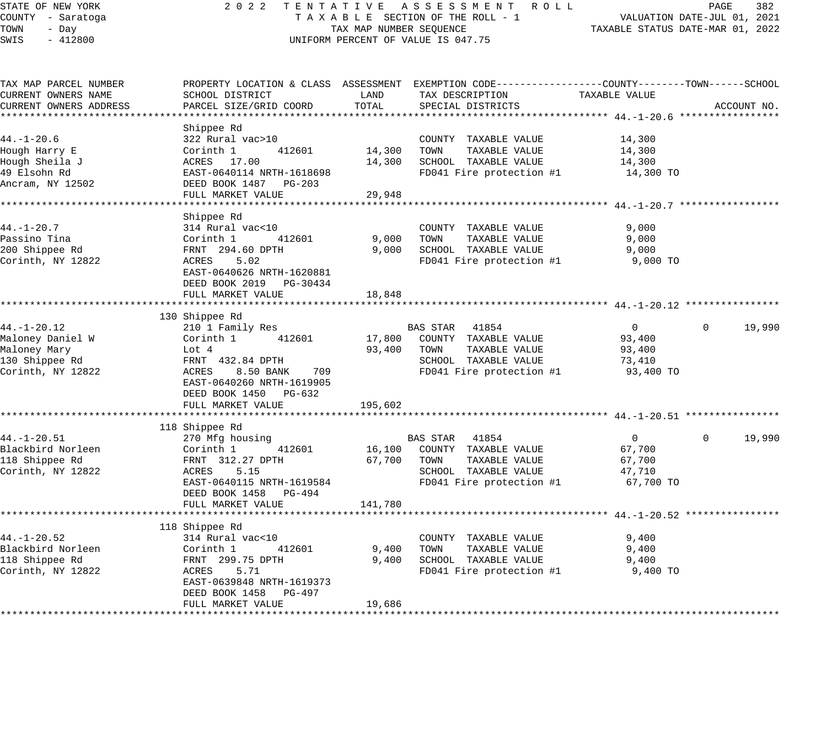| STATE OF NEW YORK<br>COUNTY - Saratoga                                                       | 2 0 2 2                                                                                                                                                                   |                                                               | TENTATIVE ASSESSMENT ROLL<br>TAXABLE SECTION OF THE ROLL - 1                                                                             | TAXABLE STATUS DATE-MAR 01, 2022                          | PAGE<br>VALUATION DATE-JUL 01, 2021 | 382         |
|----------------------------------------------------------------------------------------------|---------------------------------------------------------------------------------------------------------------------------------------------------------------------------|---------------------------------------------------------------|------------------------------------------------------------------------------------------------------------------------------------------|-----------------------------------------------------------|-------------------------------------|-------------|
| TOWN<br>- Day<br>SWIS<br>$-412800$                                                           |                                                                                                                                                                           | TAX MAP NUMBER SEQUENCE<br>UNIFORM PERCENT OF VALUE IS 047.75 |                                                                                                                                          |                                                           |                                     |             |
| TAX MAP PARCEL NUMBER<br>CURRENT OWNERS NAME<br>CURRENT OWNERS ADDRESS                       | SCHOOL DISTRICT<br>PARCEL SIZE/GRID COORD                                                                                                                                 | LAND<br>TOTAL                                                 | PROPERTY LOCATION & CLASS ASSESSMENT EXEMPTION CODE----------------COUNTY-------TOWN------SCHOOL<br>TAX DESCRIPTION<br>SPECIAL DISTRICTS | TAXABLE VALUE                                             |                                     | ACCOUNT NO. |
|                                                                                              |                                                                                                                                                                           |                                                               |                                                                                                                                          |                                                           |                                     |             |
| $44. - 1 - 20.6$<br>Hough Harry E<br>Hough Sheila J<br>49 Elsohn Rd<br>Ancram, NY 12502      | Shippee Rd<br>322 Rural vac>10<br>412601<br>Corinth 1<br>ACRES 17.00<br>EAST-0640114 NRTH-1618698<br>DEED BOOK 1487 PG-203                                                | 14,300<br>14,300                                              | COUNTY TAXABLE VALUE<br>TAXABLE VALUE<br>TOWN<br>SCHOOL TAXABLE VALUE<br>FD041 Fire protection #1                                        | 14,300<br>14,300<br>14,300<br>14,300 TO                   |                                     |             |
|                                                                                              | FULL MARKET VALUE                                                                                                                                                         | 29,948                                                        |                                                                                                                                          |                                                           |                                     |             |
| $44. - 1 - 20.7$<br>Passino Tina<br>200 Shippee Rd<br>Corinth, NY 12822                      | Shippee Rd<br>314 Rural vac<10<br>Corinth 1<br>412601<br>FRNT 294.60 DPTH<br>5.02<br>ACRES<br>EAST-0640626 NRTH-1620881<br>DEED BOOK 2019 PG-30434<br>FULL MARKET VALUE   | 9,000<br>9,000<br>18,848                                      | COUNTY TAXABLE VALUE<br>TOWN<br>TAXABLE VALUE<br>SCHOOL TAXABLE VALUE<br>FD041 Fire protection #1                                        | 9,000<br>9,000<br>9,000<br>9,000 TO                       |                                     |             |
| ***********                                                                                  | *************************************                                                                                                                                     |                                                               |                                                                                                                                          |                                                           |                                     |             |
| $44. - 1 - 20.12$<br>Maloney Daniel W<br>Maloney Mary<br>130 Shippee Rd<br>Corinth, NY 12822 | 130 Shippee Rd<br>210 1 Family Res<br>Corinth 1<br>412601<br>Lot 4<br>FRNT 432.84 DPTH<br>ACRES<br>8.50 BANK<br>709<br>EAST-0640260 NRTH-1619905<br>DEED BOOK 1450 PG-632 | 17,800<br>93,400                                              | BAS STAR<br>41854<br>COUNTY TAXABLE VALUE<br>TOWN<br>TAXABLE VALUE<br>SCHOOL TAXABLE VALUE<br>FD041 Fire protection #1                   | $\overline{0}$<br>93,400<br>93,400<br>73,410<br>93,400 TO | $\mathbf{0}$                        | 19,990      |
|                                                                                              | FULL MARKET VALUE                                                                                                                                                         | 195,602                                                       |                                                                                                                                          |                                                           |                                     |             |
| $44. - 1 - 20.51$<br>Blackbird Norleen<br>118 Shippee Rd<br>Corinth, NY 12822                | 118 Shippee Rd<br>270 Mfg housing<br>412601<br>Corinth 1<br>FRNT 312.27 DPTH<br>ACRES<br>5.15<br>EAST-0640115 NRTH-1619584<br>DEED BOOK 1458<br>PG-494                    | 16,100<br>67,700                                              | BAS STAR 41854<br>COUNTY TAXABLE VALUE<br>TOWN<br>TAXABLE VALUE<br>SCHOOL TAXABLE VALUE<br>FD041 Fire protection #1                      | $\overline{0}$<br>67,700<br>67,700<br>47,710<br>67,700 TO | $\mathbf{0}$                        | 19,990      |
|                                                                                              | FULL MARKET VALUE                                                                                                                                                         | 141,780                                                       |                                                                                                                                          |                                                           |                                     |             |
| $44. - 1 - 20.52$<br>Blackbird Norleen<br>118 Shippee Rd<br>Corinth, NY 12822                | 118 Shippee Rd<br>314 Rural vac<10<br>Corinth 1<br>412601<br>FRNT 299.75 DPTH<br>ACRES<br>5.71<br>EAST-0639848 NRTH-1619373<br>DEED BOOK 1458 PG-497<br>FULL MARKET VALUE | * * * * * * * * * * * * *<br>9,400<br>9,400<br>19,686         | COUNTY TAXABLE VALUE<br>TOWN<br>TAXABLE VALUE<br>SCHOOL TAXABLE VALUE<br>FD041 Fire protection #1                                        | 9,400<br>9,400<br>9,400<br>9,400 TO                       |                                     |             |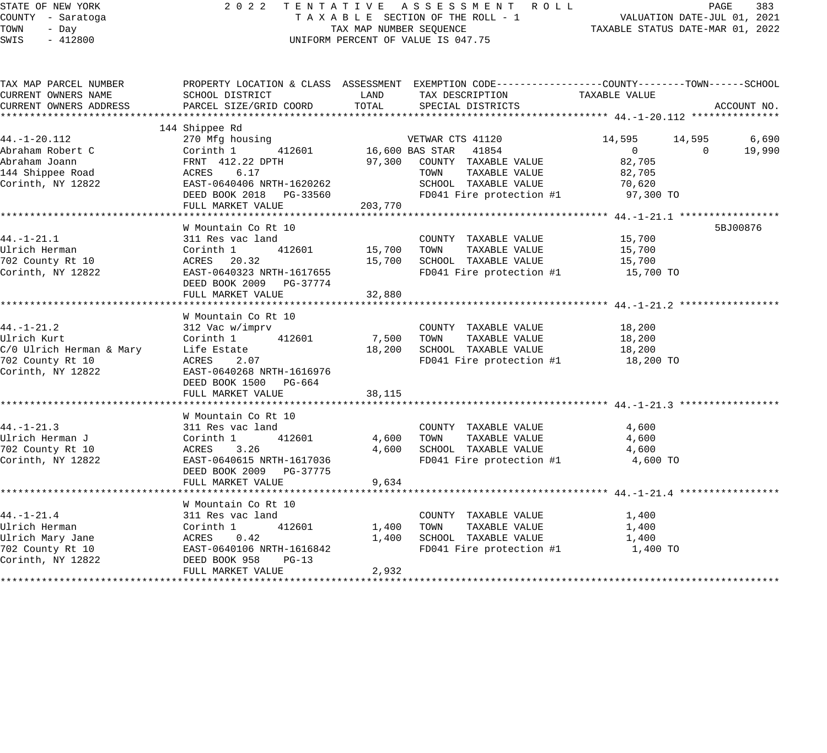| STATE OF NEW YORK |           |                   |  |
|-------------------|-----------|-------------------|--|
|                   |           | COUNTY - Saratoga |  |
| TOWN              | - Day     |                   |  |
| <b>CMTC</b>       | $-412800$ |                   |  |

## STATE OF THE REW TAT IVE ASSESSMENT ROLL PAGE 383 TENTATION DATE-JUL 01, 2021 T A X A B L E SECTION OF THE ROLL - 1<br>TAX MAP NUMBER SEQUENCE SWIS - 412800 CONFORM PERCENT OF VALUE IS 047.75

| TAX MAP PARCEL NUMBER |                                                                                                                                                                                                                                                   |        | PROPERTY LOCATION & CLASS ASSESSMENT EXEMPTION CODE----------------COUNTY-------TOWN------SCHOOL |                     |               |
|-----------------------|---------------------------------------------------------------------------------------------------------------------------------------------------------------------------------------------------------------------------------------------------|--------|--------------------------------------------------------------------------------------------------|---------------------|---------------|
| CURRENT OWNERS NAME   | SCHOOL DISTRICT                                                                                                                                                                                                                                   | LAND   | TAX DESCRIPTION TAXABLE VALUE                                                                    |                     |               |
|                       |                                                                                                                                                                                                                                                   |        | TOTAL SPECIAL DISTRICTS                                                                          |                     | ACCOUNT NO.   |
|                       |                                                                                                                                                                                                                                                   |        |                                                                                                  |                     |               |
|                       | 144 Shippee Rd                                                                                                                                                                                                                                    |        |                                                                                                  |                     |               |
| 44. -1 - 20. 112      |                                                                                                                                                                                                                                                   |        | 270 Mfg housing 30 VETWAR CTS 41120                                                              | 14,595 14,595 6,690 |               |
|                       |                                                                                                                                                                                                                                                   |        |                                                                                                  | $\overline{0}$      | $0 \t 19,990$ |
|                       |                                                                                                                                                                                                                                                   |        |                                                                                                  | 82,705              |               |
|                       | 44.-1-20.112<br>Abraham Robert C Corinth, NY 12822<br>Abraham Robert C FRNT 412.22 DPTH 97,300 COUNTY TAXABLE VALUE<br>44 Shippee Road<br>Corinth, NY 12822 EAST-0640406 NRTH-1620262<br>DEED BOOK 2018 PG-33560 FD041 Fire protection #          |        |                                                                                                  | 82,705              |               |
|                       |                                                                                                                                                                                                                                                   |        | SCHOOL TAXABLE VALUE 70,620                                                                      |                     |               |
|                       |                                                                                                                                                                                                                                                   |        | FD041 Fire protection #1                                                                         | 97,300 TO           |               |
|                       |                                                                                                                                                                                                                                                   |        |                                                                                                  |                     |               |
|                       |                                                                                                                                                                                                                                                   |        |                                                                                                  |                     |               |
|                       | W Mountain Co Rt 10                                                                                                                                                                                                                               |        |                                                                                                  |                     | 5BJ00876      |
| $44. - 1 - 21.1$      | 311 Res vac land                                                                                                                                                                                                                                  |        | COUNTY TAXABLE VALUE 15,700                                                                      |                     |               |
|                       |                                                                                                                                                                                                                                                   |        | TAXABLE VALUE<br>TOWN                                                                            | 15,700              |               |
|                       |                                                                                                                                                                                                                                                   |        | SCHOOL TAXABLE VALUE                                                                             | 15,700              |               |
|                       | 15,700<br>The Herman Corinth 1 412601 15,700<br>702 County Rt 10 ACRES 20.32 15,700<br>Corinth, NY 12822 EAST-0640323 NRTH-1617655<br>DEED BOOK 2009 PG-37774<br>FIILL MARKET VALUE                                                               |        | FD041 Fire protection $#1$ 15,700 TO                                                             |                     |               |
|                       |                                                                                                                                                                                                                                                   |        |                                                                                                  |                     |               |
|                       | FULL MARKET VALUE                                                                                                                                                                                                                                 | 32,880 |                                                                                                  |                     |               |
|                       |                                                                                                                                                                                                                                                   |        |                                                                                                  |                     |               |
|                       | W Mountain Co Rt 10                                                                                                                                                                                                                               |        |                                                                                                  |                     |               |
| $44. -1 - 21.2$       |                                                                                                                                                                                                                                                   |        |                                                                                                  |                     |               |
|                       | 312 Vac w/imprv                                                                                                                                                                                                                                   |        | COUNTY TAXABLE VALUE 18,200                                                                      |                     |               |
|                       | Ulrich Kurt<br>C/0 Ulrich Herman & Mary<br>The Estate<br>TO2 County Rt 10<br>Corinth, NY 12822<br>Corinth, NY 12822<br>Corinth, NY 12822<br>Corinth, NY 12822<br>Corinth, NY 12822<br>Corinth, NY 12822<br>Corinth, NY 12822<br>Corinth, NY 12822 |        | 7,500 TOWN TAXABLE VALUE                                                                         | 18,200              |               |
|                       |                                                                                                                                                                                                                                                   |        | 18,200 SCHOOL TAXABLE VALUE<br>FD041 Fire protection $#1$ 18,200 TO                              | 18,200              |               |
|                       |                                                                                                                                                                                                                                                   |        |                                                                                                  |                     |               |
|                       |                                                                                                                                                                                                                                                   |        |                                                                                                  |                     |               |
|                       | DEED BOOK 1500 PG-664                                                                                                                                                                                                                             |        |                                                                                                  |                     |               |
|                       |                                                                                                                                                                                                                                                   |        |                                                                                                  |                     |               |
|                       |                                                                                                                                                                                                                                                   |        |                                                                                                  |                     |               |
|                       | W Mountain Co Rt 10                                                                                                                                                                                                                               |        |                                                                                                  |                     |               |
|                       |                                                                                                                                                                                                                                                   |        | COUNTY TAXABLE VALUE                                                                             | 4,600               |               |
|                       |                                                                                                                                                                                                                                                   |        | SCHOOL TAXABLE VALUE 4,600                                                                       | 4,600               |               |
|                       |                                                                                                                                                                                                                                                   |        |                                                                                                  |                     |               |
| Corinth, NY 12822     | EAST-0640615 NRTH-1617036                                                                                                                                                                                                                         |        | FD041 Fire protection $#1$ 4,600 TO                                                              |                     |               |
|                       |                                                                                                                                                                                                                                                   |        |                                                                                                  |                     |               |
|                       | FULL MARKET VALUE                                                                                                                                                                                                                                 | 9,634  |                                                                                                  |                     |               |
|                       |                                                                                                                                                                                                                                                   |        |                                                                                                  |                     |               |
|                       | W Mountain Co Rt 10                                                                                                                                                                                                                               |        |                                                                                                  |                     |               |
|                       |                                                                                                                                                                                                                                                   |        | COUNTY TAXABLE VALUE 1,400                                                                       |                     |               |
|                       |                                                                                                                                                                                                                                                   |        | 1,400 TOWN TAXABLE VALUE                                                                         | 1,400               |               |
|                       |                                                                                                                                                                                                                                                   | 1,400  | SCHOOL TAXABLE VALUE                                                                             | 1,400               |               |
|                       |                                                                                                                                                                                                                                                   |        | FD041 Fire protection $#1$ 1,400 TO                                                              |                     |               |
|                       | 44.-1-21.4<br>We were started the main of the started the particle Herman<br>Ulrich Mary Jane<br>702 County Rt 10<br>702 County Rt 10<br>2011 EAST-0640106 NRTH-1616842<br>702 Corinth, NY 12822<br>2022 DEED BOOK 958 PG-13<br>FULL MARKET VA    |        |                                                                                                  |                     |               |
|                       |                                                                                                                                                                                                                                                   | 2,932  |                                                                                                  |                     |               |
|                       |                                                                                                                                                                                                                                                   |        |                                                                                                  |                     |               |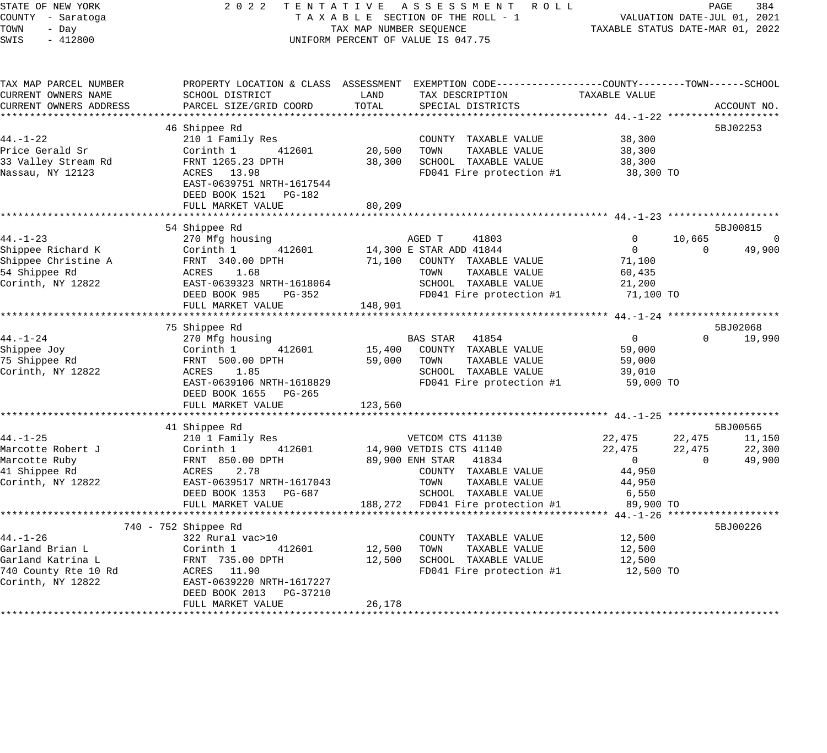| STATE OF NEW YORK |  |           |  |  |  |
|-------------------|--|-----------|--|--|--|
| COUNTY - Saratoga |  |           |  |  |  |
| TOWN              |  | - Day     |  |  |  |
| SWTS              |  | $-412800$ |  |  |  |

## STATE OF THE REW TAT IVE ASSESSMENT ROLL PAGE 384 PAGE 384 T A X A B L E SECTION OF THE ROLL - 1 T A X A B L E SECTION OF THE ROLL - 1<br>TAX MAP NUMBER SEQUENCE SWIS - 412800 CONTRORM PERCENT OF VALUE IS 047.75

| TAX MAP PARCEL NUMBER  |                           |         | PROPERTY LOCATION & CLASS ASSESSMENT EXEMPTION CODE----------------COUNTY-------TOWN------SCHOOL |                |          |             |
|------------------------|---------------------------|---------|--------------------------------------------------------------------------------------------------|----------------|----------|-------------|
| CURRENT OWNERS NAME    | SCHOOL DISTRICT           | LAND    | TAX DESCRIPTION                                                                                  | TAXABLE VALUE  |          |             |
| CURRENT OWNERS ADDRESS | PARCEL SIZE/GRID COORD    | TOTAL   | SPECIAL DISTRICTS                                                                                |                |          | ACCOUNT NO. |
|                        |                           |         |                                                                                                  |                |          |             |
|                        | 46 Shippee Rd             |         |                                                                                                  |                |          | 5BJ02253    |
| $44. - 1 - 22$         |                           |         |                                                                                                  | 38,300         |          |             |
|                        | 210 1 Family Res          |         | COUNTY TAXABLE VALUE                                                                             |                |          |             |
| Price Gerald Sr        | 412601<br>Corinth 1       | 20,500  | TOWN<br>TAXABLE VALUE                                                                            | 38,300         |          |             |
| 33 Valley Stream Rd    | FRNT 1265.23 DPTH         | 38,300  | SCHOOL TAXABLE VALUE                                                                             | 38,300         |          |             |
| Nassau, NY 12123       | ACRES 13.98               |         | FD041 Fire protection #1                                                                         | 38,300 TO      |          |             |
|                        | EAST-0639751 NRTH-1617544 |         |                                                                                                  |                |          |             |
|                        | DEED BOOK 1521 PG-182     |         |                                                                                                  |                |          |             |
|                        | FULL MARKET VALUE         | 80,209  |                                                                                                  |                |          |             |
|                        |                           |         |                                                                                                  |                |          |             |
|                        | 54 Shippee Rd             |         |                                                                                                  |                |          | 5BJ00815    |
| $44. - 1 - 23$         | 270 Mfg housing           |         | AGED T<br>41803                                                                                  | $\Omega$       | 10,665   | $\mathbf 0$ |
| Shippee Richard K      | Corinth 1<br>412601       |         | 14,300 E STAR ADD 41844                                                                          | $\Omega$       | $\Omega$ | 49,900      |
| Shippee Christine A    | FRNT 340.00 DPTH          |         | 71,100 COUNTY TAXABLE VALUE                                                                      | 71,100         |          |             |
| 54 Shippee Rd          | 1.68<br>ACRES             |         | TOWN<br>TAXABLE VALUE                                                                            | 60,435         |          |             |
| Corinth, NY 12822      | EAST-0639323 NRTH-1618064 |         | SCHOOL TAXABLE VALUE                                                                             | 21,200         |          |             |
|                        | DEED BOOK 985<br>PG-352   |         | FD041 Fire protection #1                                                                         | 71,100 TO      |          |             |
|                        | FULL MARKET VALUE         | 148,901 |                                                                                                  |                |          |             |
|                        |                           |         |                                                                                                  |                |          |             |
|                        | 75 Shippee Rd             |         |                                                                                                  |                |          | 5BJ02068    |
| $44. - 1 - 24$         | 270 Mfg housing           |         | BAS STAR<br>41854                                                                                | $\overline{0}$ | $\Omega$ | 19,990      |
| Shippee Joy            | 412601<br>Corinth 1       | 15,400  | COUNTY TAXABLE VALUE                                                                             | 59,000         |          |             |
| 75 Shippee Rd          | FRNT 500.00 DPTH          | 59,000  | TOWN<br>TAXABLE VALUE                                                                            | 59,000         |          |             |
| Corinth, NY 12822      | 1.85<br>ACRES             |         | SCHOOL TAXABLE VALUE                                                                             | 39,010         |          |             |
|                        | EAST-0639106 NRTH-1618829 |         | FD041 Fire protection #1                                                                         | 59,000 TO      |          |             |
|                        | DEED BOOK 1655 PG-265     |         |                                                                                                  |                |          |             |
|                        | FULL MARKET VALUE         | 123,560 |                                                                                                  |                |          |             |
|                        |                           |         |                                                                                                  |                |          |             |
|                        | 41 Shippee Rd             |         |                                                                                                  |                |          | 5BJ00565    |
| 44.-1-25               | 210 1 Family Res          |         | VETCOM CTS 41130                                                                                 | 22,475         | 22,475   | 11,150      |
| Marcotte Robert J      | 412601<br>Corinth 1       |         | 14,900 VETDIS CTS 41140                                                                          | 22,475         | 22,475   | 22,300      |
| Marcotte Ruby          | FRNT 850.00 DPTH          |         | 89,900 ENH STAR 41834                                                                            | $\overline{0}$ | $\circ$  | 49,900      |
| 41 Shippee Rd          | 2.78<br>ACRES             |         | COUNTY TAXABLE VALUE                                                                             | 44,950         |          |             |
| Corinth, NY 12822      | EAST-0639517 NRTH-1617043 |         | TOWN<br>TAXABLE VALUE                                                                            | 44,950         |          |             |
|                        | DEED BOOK 1353 PG-687     |         | SCHOOL TAXABLE VALUE                                                                             | 6,550          |          |             |
|                        | FULL MARKET VALUE         |         | 188,272 FD041 Fire protection #1                                                                 | 89,900 TO      |          |             |
|                        |                           |         |                                                                                                  |                |          |             |
|                        | 740 - 752 Shippee Rd      |         |                                                                                                  |                |          | 5BJ00226    |
| 44.-1-26               | 322 Rural vac>10          |         | COUNTY TAXABLE VALUE                                                                             | 12,500         |          |             |
| Garland Brian L        | Corinth 1<br>412601       | 12,500  | TOWN<br>TAXABLE VALUE                                                                            | 12,500         |          |             |
| Garland Katrina L      | FRNT 735.00 DPTH          | 12,500  | SCHOOL TAXABLE VALUE                                                                             | 12,500         |          |             |
| 740 County Rte 10 Rd   | ACRES 11.90               |         | FD041 Fire protection #1                                                                         | 12,500 TO      |          |             |
| Corinth, NY 12822      | EAST-0639220 NRTH-1617227 |         |                                                                                                  |                |          |             |
|                        | DEED BOOK 2013 PG-37210   |         |                                                                                                  |                |          |             |
|                        | FULL MARKET VALUE         | 26,178  |                                                                                                  |                |          |             |
|                        |                           |         |                                                                                                  |                |          |             |
|                        |                           |         |                                                                                                  |                |          |             |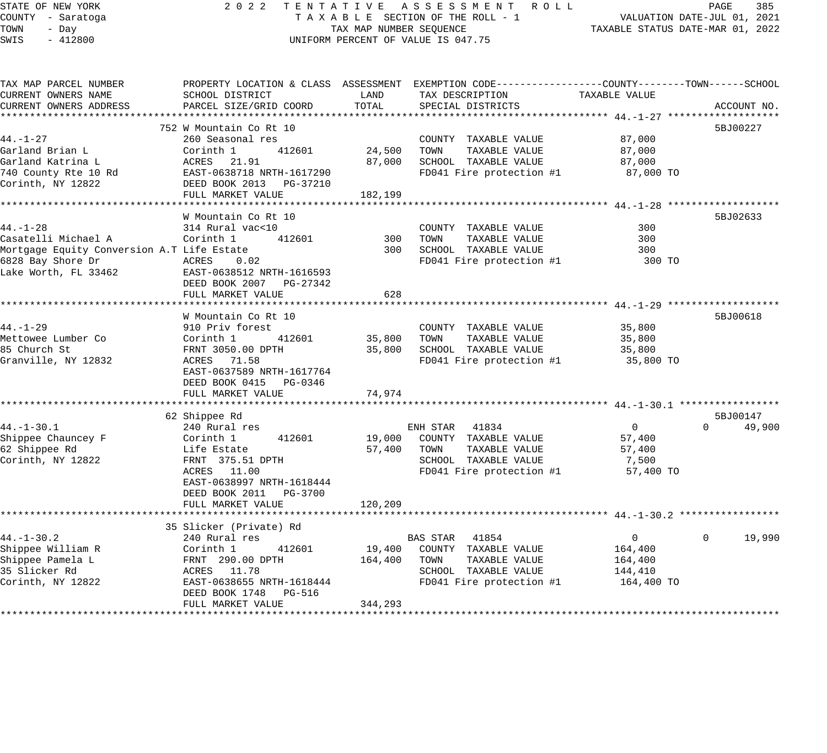| STATE OF NEW YORK<br>COUNTY - Saratoga<br>TOWN<br>- Day<br>SWIS<br>$-412800$ |                                                      | TAX MAP NUMBER SEQUENCE | 2022 TENTATIVE ASSESSMENT ROLL<br>TAXABLE SECTION OF THE ROLL - 1<br>UNIFORM PERCENT OF VALUE IS 047.75             | VALUATION DATE-JUL 01, 2021<br>TAXABLE STATUS DATE-MAR 01, 2022 | PAGE<br>385                    |
|------------------------------------------------------------------------------|------------------------------------------------------|-------------------------|---------------------------------------------------------------------------------------------------------------------|-----------------------------------------------------------------|--------------------------------|
| TAX MAP PARCEL NUMBER<br>CURRENT OWNERS NAME                                 | SCHOOL DISTRICT                                      | LAND                    | PROPERTY LOCATION & CLASS ASSESSMENT EXEMPTION CODE----------------COUNTY-------TOWN------SCHOOL<br>TAX DESCRIPTION | TAXABLE VALUE                                                   |                                |
| CURRENT OWNERS ADDRESS                                                       | PARCEL SIZE/GRID COORD                               | TOTAL                   | SPECIAL DISTRICTS                                                                                                   |                                                                 | ACCOUNT NO.                    |
|                                                                              |                                                      |                         |                                                                                                                     |                                                                 |                                |
|                                                                              | 752 W Mountain Co Rt 10                              |                         |                                                                                                                     |                                                                 | 5BJ00227                       |
| $44. - 1 - 27$                                                               | 260 Seasonal res                                     |                         | COUNTY TAXABLE VALUE                                                                                                | 87,000                                                          |                                |
| Garland Brian L                                                              | Corinth 1<br>412601                                  | 24,500 TOWN             | TAXABLE VALUE                                                                                                       | 87,000                                                          |                                |
| Garland Katrina L                                                            | ACRES 21.91                                          | 87,000                  | SCHOOL TAXABLE VALUE                                                                                                | 87,000                                                          |                                |
| 740 County Rte 10 Rd                                                         | EAST-0638718 NRTH-1617290                            |                         | FD041 Fire protection #1                                                                                            | 87,000 TO                                                       |                                |
| Corinth, NY 12822                                                            | DEED BOOK 2013 PG-37210                              |                         |                                                                                                                     |                                                                 |                                |
| ************                                                                 | FULL MARKET VALUE<br>*************************       | 182,199                 |                                                                                                                     |                                                                 |                                |
|                                                                              | W Mountain Co Rt 10                                  |                         |                                                                                                                     |                                                                 | 5BJ02633                       |
| $44. - 1 - 28$                                                               | 314 Rural vac<10                                     |                         | COUNTY TAXABLE VALUE                                                                                                | 300                                                             |                                |
| Casatelli Michael A                                                          | Corinth 1<br>412601                                  | 300                     | TOWN<br>TAXABLE VALUE                                                                                               | 300                                                             |                                |
| Mortgage Equity Conversion A.T Life Estate                                   |                                                      | 300                     | SCHOOL TAXABLE VALUE                                                                                                | 300                                                             |                                |
| 6828 Bay Shore Dr                                                            | ACRES<br>0.02                                        |                         | FD041 Fire protection #1                                                                                            | 300 TO                                                          |                                |
| Lake Worth, FL 33462                                                         | EAST-0638512 NRTH-1616593<br>DEED BOOK 2007 PG-27342 |                         |                                                                                                                     |                                                                 |                                |
|                                                                              | FULL MARKET VALUE                                    | 628                     |                                                                                                                     |                                                                 |                                |
|                                                                              | W Mountain Co Rt 10                                  |                         |                                                                                                                     |                                                                 | 5BJ00618                       |
| $44. - 1 - 29$                                                               | 910 Priv forest                                      |                         | COUNTY TAXABLE VALUE                                                                                                | 35,800                                                          |                                |
| Mettowee Lumber Co                                                           | 412601<br>Corinth 1                                  | 35,800                  | TOWN<br>TAXABLE VALUE                                                                                               | 35,800                                                          |                                |
| 85 Church St                                                                 | FRNT 3050.00 DPTH                                    | 35,800                  | SCHOOL TAXABLE VALUE                                                                                                | 35,800                                                          |                                |
| Granville, NY 12832                                                          | ACRES 71.58                                          |                         | FD041 Fire protection #1                                                                                            | 35,800 TO                                                       |                                |
|                                                                              | EAST-0637589 NRTH-1617764<br>DEED BOOK 0415 PG-0346  |                         |                                                                                                                     |                                                                 |                                |
|                                                                              | FULL MARKET VALUE                                    | 74,974                  |                                                                                                                     |                                                                 |                                |
|                                                                              |                                                      |                         |                                                                                                                     |                                                                 |                                |
| $44. - 1 - 30.1$                                                             | 62 Shippee Rd                                        |                         | ENH STAR 41834                                                                                                      | $\overline{0}$                                                  | 5BJ00147<br>$\Omega$<br>49,900 |
| Shippee Chauncey F                                                           | 240 Rural res<br>Corinth 1<br>412601                 |                         | 19,000 COUNTY TAXABLE VALUE                                                                                         | 57,400                                                          |                                |
| 62 Shippee Rd                                                                | Life Estate                                          |                         | 57,400 TOWN<br>TAXABLE VALUE                                                                                        | 57,400                                                          |                                |
| Corinth, NY 12822                                                            | FRNT 375.51 DPTH                                     |                         | SCHOOL TAXABLE VALUE                                                                                                | 7,500                                                           |                                |
|                                                                              | ACRES 11.00                                          |                         | FD041 Fire protection #1                                                                                            | 57,400 TO                                                       |                                |
|                                                                              | EAST-0638997 NRTH-1618444                            |                         |                                                                                                                     |                                                                 |                                |
|                                                                              | DEED BOOK 2011    PG-3700                            |                         |                                                                                                                     |                                                                 |                                |
|                                                                              | FULL MARKET VALUE                                    | 120,209                 |                                                                                                                     |                                                                 |                                |
| *******************                                                          |                                                      |                         |                                                                                                                     |                                                                 |                                |
|                                                                              | 35 Slicker (Private) Rd                              |                         |                                                                                                                     |                                                                 |                                |
| $44. - 1 - 30.2$                                                             | 240 Rural res                                        |                         | BAS STAR 41854                                                                                                      | $\overline{0}$                                                  | $\mathbf{0}$<br>19,990         |
| Shippee William R                                                            | Corinth 1<br>412601                                  | 19,400                  | COUNTY TAXABLE VALUE                                                                                                | 164,400                                                         |                                |
| Shippee Pamela L                                                             | FRNT 290.00 DPTH<br>ACRES 11.78                      | 164,400                 | TAXABLE VALUE<br>TOWN                                                                                               | 164,400                                                         |                                |
| 35 Slicker Rd                                                                |                                                      |                         | SCHOOL TAXABLE VALUE                                                                                                | 144,410                                                         |                                |
| Corinth, NY 12822                                                            | EAST-0638655 NRTH-1618444                            |                         | FD041 Fire protection #1                                                                                            | 164,400 TO                                                      |                                |
|                                                                              | DEED BOOK 1748 PG-516                                |                         |                                                                                                                     |                                                                 |                                |
|                                                                              | FULL MARKET VALUE                                    | 344,293                 |                                                                                                                     |                                                                 |                                |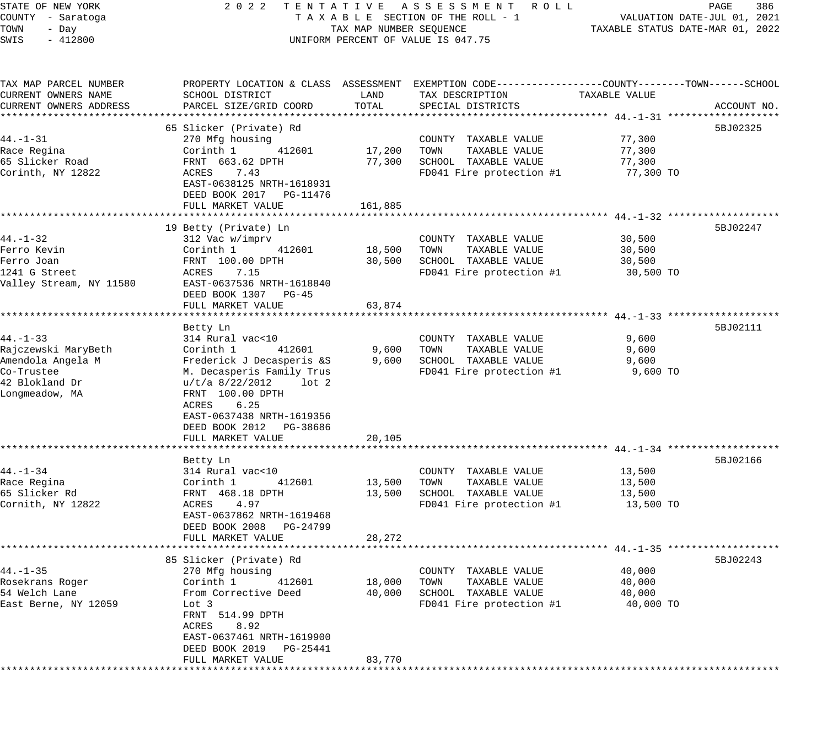# STATE OF NEW YORK 2 0 2 2 T E N T A T I V E A S S E S S M E N T R O L L PAGE 386 COUNTY - Saratoga T A X A B L E SECTION OF THE ROLL - 1 VALUATION DATE-JUL 01, 2021 UNIFORM PERCENT OF VALUE IS 047.75

TOWALLOW AND SERVICE TAXABLE STATUS DATE-MAR 01, 2022

| TAX MAP PARCEL NUMBER   | PROPERTY LOCATION & CLASS ASSESSMENT EXEMPTION CODE----------------COUNTY-------TOWN------SCHOOL |                   |                                       |               |             |
|-------------------------|--------------------------------------------------------------------------------------------------|-------------------|---------------------------------------|---------------|-------------|
| CURRENT OWNERS NAME     | SCHOOL DISTRICT                                                                                  | LAND              | TAX DESCRIPTION                       | TAXABLE VALUE |             |
| CURRENT OWNERS ADDRESS  | PARCEL SIZE/GRID COORD                                                                           | TOTAL             | SPECIAL DISTRICTS                     |               | ACCOUNT NO. |
|                         |                                                                                                  |                   |                                       |               |             |
|                         | 65 Slicker (Private) Rd                                                                          |                   |                                       |               | 5BJ02325    |
| $44. - 1 - 31$          | 270 Mfg housing                                                                                  |                   | COUNTY TAXABLE VALUE                  | 77,300        |             |
| Race Regina             | Corinth 1<br>412601                                                                              | 17,200            | TAXABLE VALUE<br>TOWN                 | 77,300        |             |
| 65 Slicker Road         | FRNT 663.62 DPTH                                                                                 | 77,300            | SCHOOL TAXABLE VALUE                  | 77,300        |             |
| Corinth, NY 12822       | ACRES<br>7.43                                                                                    |                   | FD041 Fire protection #1              | 77,300 TO     |             |
|                         | EAST-0638125 NRTH-1618931                                                                        |                   |                                       |               |             |
|                         | DEED BOOK 2017 PG-11476                                                                          |                   |                                       |               |             |
|                         | FULL MARKET VALUE                                                                                | 161,885           |                                       |               |             |
|                         | ***********************                                                                          |                   |                                       |               |             |
|                         | 19 Betty (Private) Ln                                                                            |                   |                                       |               | 5BJ02247    |
| $44. - 1 - 32$          | 312 Vac w/imprv                                                                                  |                   | COUNTY TAXABLE VALUE                  | 30,500        |             |
| Ferro Kevin             | Corinth 1<br>412601                                                                              | 18,500            | TOWN<br>TAXABLE VALUE                 | 30,500        |             |
| Ferro Joan              | FRNT 100.00 DPTH                                                                                 | 30,500            | SCHOOL TAXABLE VALUE                  | 30,500        |             |
| 1241 G Street           | 7.15<br>ACRES                                                                                    |                   | FD041 Fire protection #1              | 30,500 TO     |             |
| Valley Stream, NY 11580 | EAST-0637536 NRTH-1618840                                                                        |                   |                                       |               |             |
|                         | DEED BOOK 1307 PG-45                                                                             |                   |                                       |               |             |
|                         | FULL MARKET VALUE                                                                                | 63,874            |                                       |               |             |
|                         |                                                                                                  |                   |                                       |               |             |
|                         | Betty Ln                                                                                         |                   |                                       |               | 5BJ02111    |
| $44. - 1 - 33$          | 314 Rural vac<10                                                                                 |                   | COUNTY TAXABLE VALUE                  | 9,600         |             |
| Rajczewski MaryBeth     | 412601<br>Corinth 1                                                                              | 9,600             | TOWN<br>TAXABLE VALUE                 | 9,600         |             |
| Amendola Angela M       | Frederick J Decasperis &S                                                                        | 9,600             | SCHOOL TAXABLE VALUE                  | 9,600         |             |
| Co-Trustee              | M. Decasperis Family Trus                                                                        |                   | FD041 Fire protection #1              | 9,600 TO      |             |
| 42 Blokland Dr          | u/t/a 8/22/2012<br>$1$ ot $2$                                                                    |                   |                                       |               |             |
| Longmeadow, MA          | FRNT 100.00 DPTH                                                                                 |                   |                                       |               |             |
|                         | ACRES<br>6.25                                                                                    |                   |                                       |               |             |
|                         | EAST-0637438 NRTH-1619356                                                                        |                   |                                       |               |             |
|                         | DEED BOOK 2012 PG-38686                                                                          |                   |                                       |               |             |
|                         | FULL MARKET VALUE                                                                                | 20,105            |                                       |               |             |
|                         | **********************                                                                           |                   |                                       |               |             |
|                         |                                                                                                  |                   |                                       |               | 5BJ02166    |
| $44. - 1 - 34$          | Betty Ln<br>314 Rural vac<10                                                                     |                   |                                       |               |             |
|                         |                                                                                                  |                   | COUNTY TAXABLE VALUE<br>TAXABLE VALUE | 13,500        |             |
| Race Regina             | Corinth 1<br>412601                                                                              | 13,500            | TOWN                                  | 13,500        |             |
| 65 Slicker Rd           | FRNT 468.18 DPTH                                                                                 | 13,500            | SCHOOL TAXABLE VALUE                  | 13,500        |             |
| Cornith, NY 12822       | 4.97<br>ACRES                                                                                    |                   | FD041 Fire protection #1              | 13,500 TO     |             |
|                         | EAST-0637862 NRTH-1619468                                                                        |                   |                                       |               |             |
|                         | DEED BOOK 2008 PG-24799                                                                          |                   |                                       |               |             |
|                         | FULL MARKET VALUE<br>********************                                                        | 28,272            |                                       |               |             |
|                         |                                                                                                  | * * * * * * * * * |                                       |               |             |
|                         | 85 Slicker (Private) Rd                                                                          |                   |                                       |               | 5BJ02243    |
| $44. - 1 - 35$          | 270 Mfg housing                                                                                  |                   | COUNTY TAXABLE VALUE                  | 40,000        |             |
| Rosekrans Roger         | Corinth 1<br>412601                                                                              | 18,000            | TOWN<br>TAXABLE VALUE                 | 40,000        |             |
| 54 Welch Lane           | From Corrective Deed                                                                             | 40,000            | SCHOOL TAXABLE VALUE                  | 40,000        |             |
| East Berne, NY 12059    | Lot 3                                                                                            |                   | FD041 Fire protection #1              | 40,000 TO     |             |
|                         | FRNT 514.99 DPTH                                                                                 |                   |                                       |               |             |
|                         | ACRES<br>8.92                                                                                    |                   |                                       |               |             |
|                         | EAST-0637461 NRTH-1619900                                                                        |                   |                                       |               |             |
|                         | DEED BOOK 2019 PG-25441                                                                          |                   |                                       |               |             |
|                         | FULL MARKET VALUE                                                                                | 83,770            |                                       |               |             |
|                         |                                                                                                  |                   |                                       |               |             |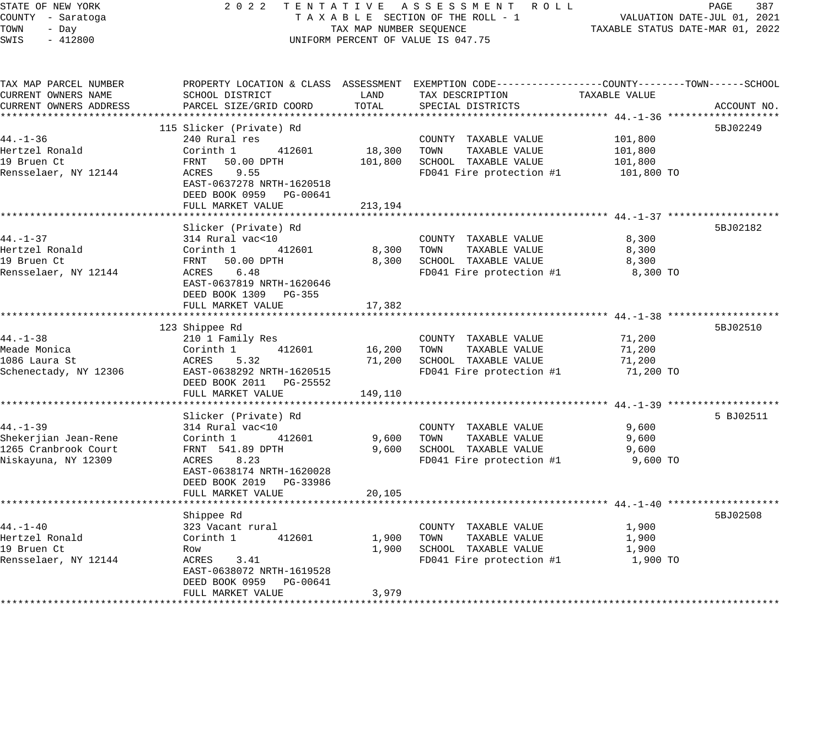| STATE OF NEW YORK |  |           |  |  |  |
|-------------------|--|-----------|--|--|--|
| COUNTY - Saratoga |  |           |  |  |  |
| TOWN              |  | - Day     |  |  |  |
| SWTS.             |  | $-412800$ |  |  |  |

#### STATE OF NEW YORK 2 0 2 2 T E N T A T I V E A S S E S S M E N T R O L L PAGE 387 COUNTY - Saratoga T A X A B L E SECTION OF THE ROLL - 1 VALUATION DATE-JUL 01, 2021 TOWN - Day TAX MAP NUMBER SEQUENCE TAXABLE STATUS DATE-MAR 01, 2022 SWIS - 412800 CONTROLLY THE UNIFORM PERCENT OF VALUE IS 047.75

| TAX MAP PARCEL NUMBER<br>CURRENT OWNERS NAME<br>CURRENT OWNERS ADDRESS                | PROPERTY LOCATION & CLASS ASSESSMENT EXEMPTION CODE---------------COUNTY-------TOWN------SCHOOL<br>SCHOOL DISTRICT<br>PARCEL SIZE/GRID COORD                                      | LAND<br>TOTAL                | TAX DESCRIPTION<br>SPECIAL DISTRICTS                                                              | TAXABLE VALUE                               | ACCOUNT NO. |
|---------------------------------------------------------------------------------------|-----------------------------------------------------------------------------------------------------------------------------------------------------------------------------------|------------------------------|---------------------------------------------------------------------------------------------------|---------------------------------------------|-------------|
| $44. - 1 - 36$<br>Hertzel Ronald<br>19 Bruen Ct<br>Rensselaer, NY 12144               | 115 Slicker (Private) Rd<br>240 Rural res<br>Corinth 1<br>412601<br>FRNT 50.00 DPTH<br>ACRES 9.55<br>EAST-0637278 NRTH-1620518<br>DEED BOOK 0959 PG-00641<br>FULL MARKET VALUE    | 18,300<br>101,800<br>213,194 | COUNTY TAXABLE VALUE<br>TOWN<br>TAXABLE VALUE<br>SCHOOL TAXABLE VALUE<br>FD041 Fire protection #1 | 101,800<br>101,800<br>101,800<br>101,800 TO | 5BJ02249    |
| $44. - 1 - 37$<br>Hertzel Ronald<br>19 Bruen Ct<br>Rensselaer, NY 12144               | Slicker (Private) Rd<br>314 Rural vac<10<br>Corinth 1<br>412601<br>FRNT 50.00 DPTH<br>ACRES 6.48<br>EAST-0637819 NRTH-1620646<br>DEED BOOK 1309 PG-355<br>FULL MARKET VALUE       | 8,300<br>8,300<br>17,382     | COUNTY TAXABLE VALUE<br>TAXABLE VALUE<br>TOWN<br>SCHOOL TAXABLE VALUE<br>FD041 Fire protection #1 | 8,300<br>8,300<br>8,300<br>8,300 TO         | 5BJ02182    |
| $44. - 1 - 38$<br>Meade Monica<br>1086 Laura St<br>Schenectady, NY 12306              | 123 Shippee Rd<br>210 1 Family Res<br>Corinth 1<br>412601<br>ACRES<br>5.32<br>EAST-0638292 NRTH-1620515<br>DEED BOOK 2011 PG-25552<br>FULL MARKET VALUE                           | 16,200<br>71,200<br>149,110  | COUNTY TAXABLE VALUE<br>TOWN<br>TAXABLE VALUE<br>SCHOOL TAXABLE VALUE<br>FD041 Fire protection #1 | 71,200<br>71,200<br>71,200<br>71,200 TO     | 5BJ02510    |
| $44. - 1 - 39$<br>Shekerjian Jean-Rene<br>1265 Cranbrook Court<br>Niskayuna, NY 12309 | Slicker (Private) Rd<br>314 Rural vac<10<br>Corinth 1<br>412601<br>FRNT 541.89 DPTH<br>ACRES<br>8.23<br>EAST-0638174 NRTH-1620028<br>DEED BOOK 2019 PG-33986<br>FULL MARKET VALUE | 9,600<br>9,600<br>20,105     | COUNTY TAXABLE VALUE<br>TAXABLE VALUE<br>TOWN<br>SCHOOL TAXABLE VALUE<br>FD041 Fire protection #1 | 9,600<br>9,600<br>9,600<br>9,600 TO         | 5 BJ02511   |
| $44. - 1 - 40$<br>Hertzel Ronald<br>19 Bruen Ct<br>Rensselaer, NY 12144               | Shippee Rd<br>323 Vacant rural<br>Corinth 1<br>412601<br>Row<br>ACRES<br>3.41<br>EAST-0638072 NRTH-1619528<br>DEED BOOK 0959 PG-00641<br>FULL MARKET VALUE                        | 1,900<br>1,900<br>3,979      | COUNTY TAXABLE VALUE<br>TOWN<br>TAXABLE VALUE<br>SCHOOL TAXABLE VALUE<br>FD041 Fire protection #1 | 1,900<br>1,900<br>1,900<br>1,900 TO         | 5BJ02508    |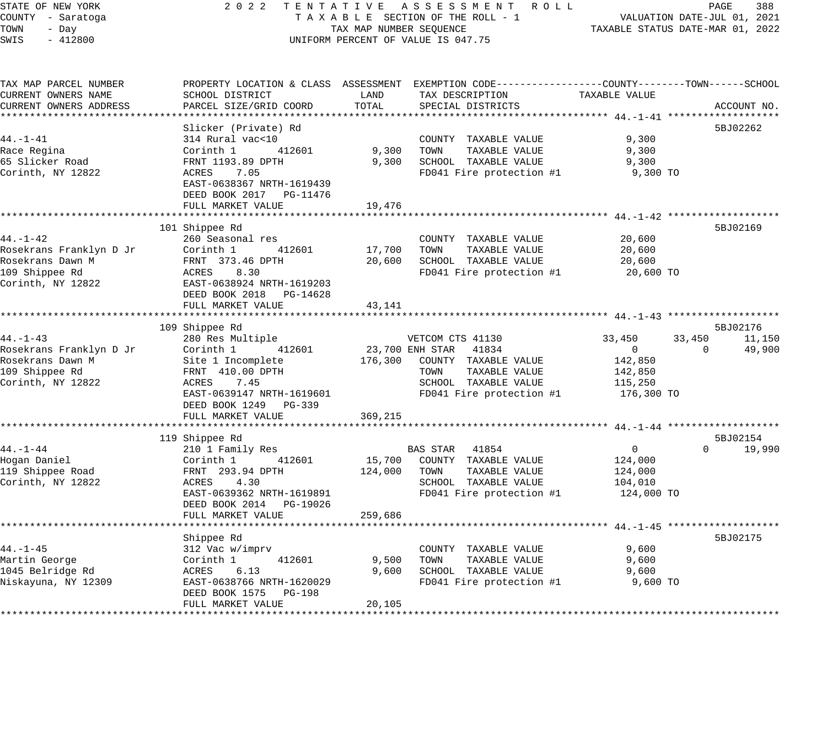| STATE OF NEW YORK |           |                   |  |
|-------------------|-----------|-------------------|--|
|                   |           | COUNTY - Saratoga |  |
| TOWN              | - Day     |                   |  |
| SWIS              | $-412800$ |                   |  |

### STATE OF NEW YORK 2 0 2 2 T E N T A T I V E A S S E S S M E N T R O L L PAGE 388 COUNTY - Saratoga T A X A B L E SECTION OF THE ROLL - 1 VALUATION DATE-JUL 01, 2021 TOWN - Day TAX MAP NUMBER SEQUENCE TAXABLE STATUS DATE-MAR 01, 2022 SWIS - 412800 CONTROLL CONTROL CONTROL UNIFORM PERCENT OF VALUE IS 047.75

| TAX MAP PARCEL NUMBER<br>CURRENT OWNERS NAME | SCHOOL DISTRICT           | LAND    | PROPERTY LOCATION & CLASS ASSESSMENT EXEMPTION CODE---------------COUNTY-------TOWN------SCHOOL<br>TAX DESCRIPTION | TAXABLE VALUE |                    |
|----------------------------------------------|---------------------------|---------|--------------------------------------------------------------------------------------------------------------------|---------------|--------------------|
| CURRENT OWNERS ADDRESS                       | PARCEL SIZE/GRID COORD    | TOTAL   | SPECIAL DISTRICTS                                                                                                  |               | ACCOUNT NO.        |
|                                              | Slicker (Private) Rd      |         |                                                                                                                    |               | 5BJ02262           |
| $44. - 1 - 41$                               | 314 Rural vac<10          |         | COUNTY TAXABLE VALUE                                                                                               | 9,300         |                    |
| Race Regina                                  | 412601<br>Corinth 1       | 9,300   | TOWN<br>TAXABLE VALUE                                                                                              | 9,300         |                    |
| 65 Slicker Road                              | FRNT 1193.89 DPTH         | 9,300   | SCHOOL TAXABLE VALUE                                                                                               | 9,300         |                    |
| Corinth, NY 12822                            | ACRES<br>7.05             |         | FD041 Fire protection #1                                                                                           | 9,300 TO      |                    |
|                                              | EAST-0638367 NRTH-1619439 |         |                                                                                                                    |               |                    |
|                                              | DEED BOOK 2017 PG-11476   |         |                                                                                                                    |               |                    |
|                                              | FULL MARKET VALUE         | 19,476  |                                                                                                                    |               |                    |
|                                              |                           |         |                                                                                                                    |               |                    |
|                                              | 101 Shippee Rd            |         |                                                                                                                    |               | 5BJ02169           |
| $44. - 1 - 42$                               | 260 Seasonal res          |         | COUNTY TAXABLE VALUE                                                                                               | 20,600        |                    |
| Rosekrans Franklyn D Jr                      | 412601<br>Corinth 1       | 17,700  | TOWN<br>TAXABLE VALUE                                                                                              | 20,600        |                    |
| Rosekrans Dawn M                             | FRNT 373.46 DPTH          | 20,600  | SCHOOL TAXABLE VALUE                                                                                               | 20,600        |                    |
| 109 Shippee Rd                               | ACRES<br>8.30             |         | FD041 Fire protection #1                                                                                           | 20,600 TO     |                    |
| Corinth, NY 12822                            | EAST-0638924 NRTH-1619203 |         |                                                                                                                    |               |                    |
|                                              | DEED BOOK 2018 PG-14628   |         |                                                                                                                    |               |                    |
|                                              | FULL MARKET VALUE         | 43,141  |                                                                                                                    |               |                    |
|                                              | 109 Shippee Rd            |         |                                                                                                                    |               | 5BJ02176           |
| $44. - 1 - 43$                               | 280 Res Multiple          |         | VETCOM CTS 41130                                                                                                   | 33,450        | 33,450<br>11,150   |
| Rosekrans Franklyn D Jr                      | Corinth 1<br>412601       |         | 23,700 ENH STAR 41834                                                                                              | $\mathbf 0$   | 49,900<br>$\Omega$ |
| Rosekrans Dawn M                             | Site 1 Incomplete         | 176,300 | COUNTY TAXABLE VALUE                                                                                               | 142,850       |                    |
| 109 Shippee Rd                               | FRNT 410.00 DPTH          |         | TAXABLE VALUE<br>TOWN                                                                                              | 142,850       |                    |
| Corinth, NY 12822                            | 7.45<br>ACRES             |         | SCHOOL TAXABLE VALUE                                                                                               | 115,250       |                    |
|                                              | EAST-0639147 NRTH-1619601 |         | FD041 Fire protection #1                                                                                           | 176,300 TO    |                    |
|                                              | DEED BOOK 1249 PG-339     |         |                                                                                                                    |               |                    |
|                                              | FULL MARKET VALUE         | 369,215 |                                                                                                                    |               |                    |
|                                              |                           |         |                                                                                                                    |               |                    |
|                                              | 119 Shippee Rd            |         |                                                                                                                    |               | 5BJ02154           |
| $44. - 1 - 44$                               | 210 1 Family Res          |         | BAS STAR 41854                                                                                                     | $\mathbf 0$   | $\Omega$<br>19,990 |
| Hogan Daniel                                 | 412601<br>Corinth 1       | 15,700  | COUNTY TAXABLE VALUE                                                                                               | 124,000       |                    |
| 119 Shippee Road                             | FRNT 293.94 DPTH          | 124,000 | TAXABLE VALUE<br>TOWN                                                                                              | 124,000       |                    |
| Corinth, NY 12822                            | ACRES<br>4.30             |         | SCHOOL TAXABLE VALUE                                                                                               | 104,010       |                    |
|                                              | EAST-0639362 NRTH-1619891 |         | FD041 Fire protection #1                                                                                           | 124,000 TO    |                    |
|                                              | DEED BOOK 2014 PG-19026   |         |                                                                                                                    |               |                    |
|                                              | FULL MARKET VALUE         | 259,686 |                                                                                                                    |               |                    |
|                                              |                           |         | *********************************** 44.-1-45 ******                                                                |               |                    |
|                                              | Shippee Rd                |         |                                                                                                                    |               | 5BJ02175           |
| $44. - 1 - 45$                               | 312 Vac w/imprv           |         | COUNTY TAXABLE VALUE                                                                                               | 9,600         |                    |
| Martin George                                | Corinth 1<br>412601       | 9,500   | TAXABLE VALUE<br>TOWN                                                                                              | 9,600         |                    |
| 1045 Belridge Rd                             | 6.13<br>ACRES             | 9,600   | SCHOOL TAXABLE VALUE                                                                                               | 9,600         |                    |
| Niskayuna, NY 12309                          | EAST-0638766 NRTH-1620029 |         | FD041 Fire protection #1                                                                                           | 9,600 TO      |                    |
|                                              | DEED BOOK 1575 PG-198     |         |                                                                                                                    |               |                    |
|                                              | FULL MARKET VALUE         | 20,105  |                                                                                                                    |               |                    |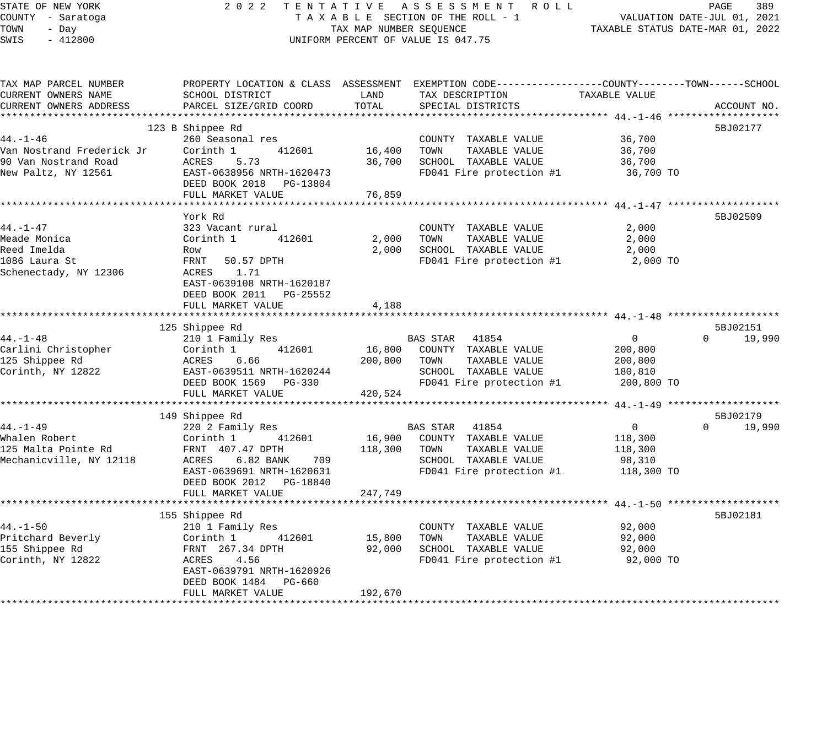| SCHOOL DISTRICT<br>PARCEL SIZE/GRID COORD<br>123 B Shippee Rd<br>260 Seasonal res<br>412601<br>Corinth 1<br>ACRES<br>5.73<br>EAST-0638956 NRTH-1620473<br>DEED BOOK 2018 PG-13804<br>FULL MARKET VALUE<br>**********************************<br>York Rd<br>323 Vacant rural<br>Corinth 1<br>412601 | LAND<br>TOTAL<br>16,400<br>36,700<br>76,859              | PROPERTY LOCATION & CLASS ASSESSMENT EXEMPTION CODE----------------COUNTY-------TOWN------SCHOOL<br>TAX DESCRIPTION<br>SPECIAL DISTRICTS<br>COUNTY TAXABLE VALUE<br>TOWN<br>TAXABLE VALUE<br>SCHOOL TAXABLE VALUE<br>FD041 Fire protection #1 | TAXABLE VALUE<br>36,700<br>36,700<br>36,700<br>36,700 TO                            | ACCOUNT NO.<br>5BJ02177                                                                                                   |
|----------------------------------------------------------------------------------------------------------------------------------------------------------------------------------------------------------------------------------------------------------------------------------------------------|----------------------------------------------------------|-----------------------------------------------------------------------------------------------------------------------------------------------------------------------------------------------------------------------------------------------|-------------------------------------------------------------------------------------|---------------------------------------------------------------------------------------------------------------------------|
|                                                                                                                                                                                                                                                                                                    |                                                          |                                                                                                                                                                                                                                               |                                                                                     |                                                                                                                           |
|                                                                                                                                                                                                                                                                                                    |                                                          |                                                                                                                                                                                                                                               |                                                                                     |                                                                                                                           |
|                                                                                                                                                                                                                                                                                                    |                                                          |                                                                                                                                                                                                                                               |                                                                                     | 5BJ02509                                                                                                                  |
| Row<br>FRNT 50.57 DPTH<br>ACRES 1.71<br>EAST-0639108 NRTH-1620187<br>DEED BOOK 2011 PG-25552<br>FULL MARKET VALUE                                                                                                                                                                                  | 2,000<br>2,000<br>4,188                                  | COUNTY TAXABLE VALUE<br>TAXABLE VALUE<br>TOWN<br>SCHOOL TAXABLE VALUE<br>FD041 Fire protection #1                                                                                                                                             | 2,000<br>2,000<br>2,000<br>2,000 TO                                                 |                                                                                                                           |
| 125 Shippee Rd                                                                                                                                                                                                                                                                                     |                                                          |                                                                                                                                                                                                                                               |                                                                                     | 5BJ02151                                                                                                                  |
| 210 1 Family Res<br>Corinth 1 412601<br>ACRES<br>6.66<br>EAST-0639511 NRTH-1620244<br>DEED BOOK 1569 PG-330                                                                                                                                                                                        | 200,800                                                  | COUNTY TAXABLE VALUE<br>TOWN<br>TAXABLE VALUE<br>SCHOOL TAXABLE VALUE                                                                                                                                                                         | $\overline{0}$<br>200,800<br>200,800<br>180,810                                     | 19,990<br>$\Omega$                                                                                                        |
|                                                                                                                                                                                                                                                                                                    |                                                          |                                                                                                                                                                                                                                               |                                                                                     |                                                                                                                           |
| 149 Shippee Rd<br>220 2 Family Res<br>Corinth 1<br>412601<br>FRNT 407.47 DPTH<br>6.82 BANK<br>ACRES<br>709<br>EAST-0639691 NRTH-1620631<br>DEED BOOK 2012    PG-18840<br>FULL MARKET VALUE                                                                                                         | 118,300                                                  | COUNTY TAXABLE VALUE<br>TOWN<br>TAXABLE VALUE<br>SCHOOL TAXABLE VALUE                                                                                                                                                                         | $\overline{0}$<br>118,300<br>118,300<br>98,310                                      | 5BJ02179<br>19,990<br>$\Omega$                                                                                            |
|                                                                                                                                                                                                                                                                                                    |                                                          |                                                                                                                                                                                                                                               |                                                                                     |                                                                                                                           |
| 210 1 Family Res<br>412601<br>Corinth 1<br>FRNT 267.34 DPTH<br>ACRES 4.56<br>EAST-0639791 NRTH-1620926<br>DEED BOOK 1484 PG-660                                                                                                                                                                    |                                                          | COUNTY TAXABLE VALUE<br>TOWN<br>TAXABLE VALUE<br>SCHOOL TAXABLE VALUE                                                                                                                                                                         | 92,000<br>92,000<br>92,000                                                          | 5BJ02181                                                                                                                  |
|                                                                                                                                                                                                                                                                                                    | FULL MARKET VALUE<br>155 Shippee Rd<br>FULL MARKET VALUE | 247,749<br>192,670                                                                                                                                                                                                                            | BAS STAR 41854<br>16,800<br>420,524<br>BAS STAR 41854<br>16,900<br>15,800<br>92,000 | FD041 Fire protection #1<br>200,800 TO<br>FD041 Fire protection #1<br>118,300 TO<br>FD041 Fire protection #1<br>92,000 TO |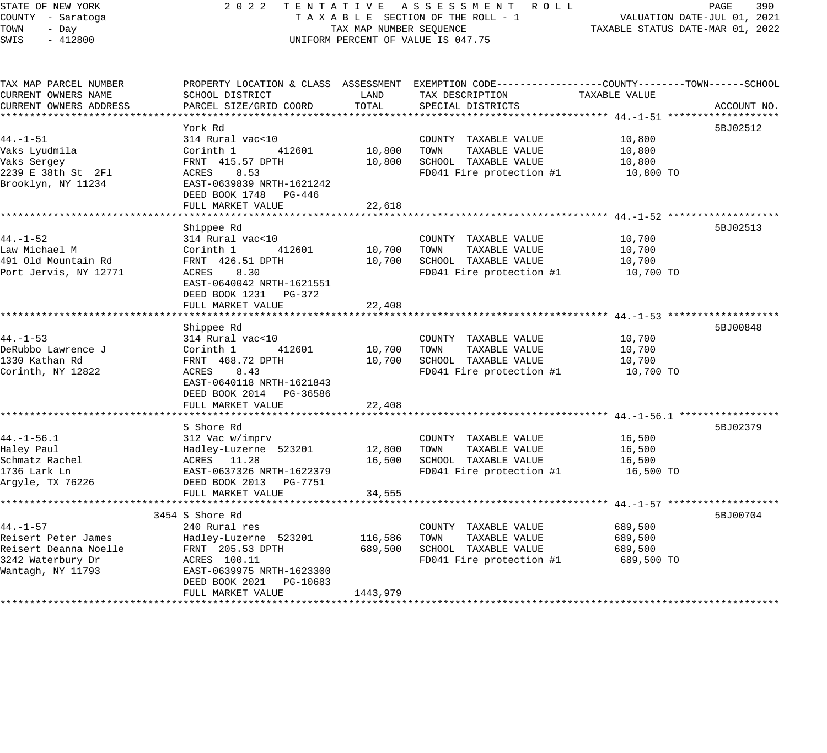# STATE OF NEW YORK 2 0 2 2 T E N T A T I V E A S S E S S M E N T R O L L PAGE 390 COUNTY - Saratoga T A X A B L E SECTION OF THE ROLL - 1 VALUATION DATE-JUL 01, 2021 UNIFORM PERCENT OF VALUE IS 047.75

TAXABLE STATUS DATE-JUL 01, 2021<br>TAXABLE STATUS DATE-MAR 01, 2022

| TAX MAP PARCEL NUMBER  | PROPERTY LOCATION & CLASS ASSESSMENT EXEMPTION CODE---------------COUNTY-------TOWN------SCHOOL |          |                                      |               |             |
|------------------------|-------------------------------------------------------------------------------------------------|----------|--------------------------------------|---------------|-------------|
| CURRENT OWNERS NAME    | SCHOOL DISTRICT                                                                                 | LAND     | TAX DESCRIPTION                      | TAXABLE VALUE |             |
| CURRENT OWNERS ADDRESS | PARCEL SIZE/GRID COORD                                                                          | TOTAL    | SPECIAL DISTRICTS                    |               | ACCOUNT NO. |
|                        |                                                                                                 |          |                                      |               |             |
|                        | York Rd                                                                                         |          |                                      |               | 5BJ02512    |
| $44. - 1 - 51$         | 314 Rural vac<10                                                                                |          | COUNTY TAXABLE VALUE                 | 10,800        |             |
| Vaks Lyudmila          | 412601<br>Corinth 1                                                                             | 10,800   | TOWN<br>TAXABLE VALUE                | 10,800        |             |
| Vaks Sergey            | FRNT 415.57 DPTH                                                                                | 10,800   | SCHOOL TAXABLE VALUE                 | 10,800        |             |
| 2239 E 38th St 2Fl     | ACRES<br>8.53                                                                                   |          | FD041 Fire protection $#1$ 10,800 TO |               |             |
| Brooklyn, NY 11234     | EAST-0639839 NRTH-1621242                                                                       |          |                                      |               |             |
|                        | DEED BOOK 1748<br>PG-446                                                                        |          |                                      |               |             |
|                        | FULL MARKET VALUE                                                                               | 22,618   |                                      |               |             |
|                        |                                                                                                 |          |                                      |               |             |
|                        | Shippee Rd                                                                                      |          |                                      |               | 5BJ02513    |
| $44. - 1 - 52$         | 314 Rural vac<10                                                                                |          | COUNTY TAXABLE VALUE                 | 10,700        |             |
| Law Michael M          | 412601<br>Corinth 1                                                                             | 10,700   | TOWN<br>TAXABLE VALUE                | 10,700        |             |
| 491 Old Mountain Rd    | FRNT 426.51 DPTH                                                                                | 10,700   | SCHOOL TAXABLE VALUE                 | 10,700        |             |
| Port Jervis, NY 12771  | ACRES<br>8.30                                                                                   |          | FD041 Fire protection #1             | 10,700 TO     |             |
|                        | EAST-0640042 NRTH-1621551                                                                       |          |                                      |               |             |
|                        | DEED BOOK 1231 PG-372                                                                           |          |                                      |               |             |
|                        | FULL MARKET VALUE                                                                               | 22,408   |                                      |               |             |
|                        |                                                                                                 |          |                                      |               |             |
|                        | Shippee Rd                                                                                      |          |                                      |               | 5BJ00848    |
| $44. - 1 - 53$         | 314 Rural vac<10                                                                                |          | COUNTY TAXABLE VALUE                 | 10,700        |             |
| DeRubbo Lawrence J     | 412601<br>Corinth 1                                                                             | 10,700   | TOWN<br>TAXABLE VALUE                | 10,700        |             |
| 1330 Kathan Rd         | FRNT 468.72 DPTH                                                                                | 10,700   | SCHOOL TAXABLE VALUE                 | 10,700        |             |
| Corinth, NY 12822      | ACRES 8.43                                                                                      |          | FD041 Fire protection #1             | 10,700 TO     |             |
|                        | EAST-0640118 NRTH-1621843                                                                       |          |                                      |               |             |
|                        | DEED BOOK 2014 PG-36586                                                                         |          |                                      |               |             |
|                        | FULL MARKET VALUE                                                                               | 22,408   |                                      |               |             |
|                        | S Shore Rd                                                                                      |          |                                      |               | 5BJ02379    |
| $44. - 1 - 56.1$       | 312 Vac w/imprv                                                                                 |          | COUNTY TAXABLE VALUE                 | 16,500        |             |
| Haley Paul             | Hadley-Luzerne 523201                                                                           | 12,800   | TAXABLE VALUE<br>TOWN                | 16,500        |             |
| Schmatz Rachel         | ACRES 11.28                                                                                     | 16,500   | SCHOOL TAXABLE VALUE                 | 16,500        |             |
| 1736 Lark Ln           | EAST-0637326 NRTH-1622379                                                                       |          | FD041 Fire protection #1             | 16,500 TO     |             |
| Arqyle, TX 76226       | DEED BOOK 2013    PG-7751                                                                       |          |                                      |               |             |
|                        | FULL MARKET VALUE                                                                               | 34,555   |                                      |               |             |
|                        |                                                                                                 |          |                                      |               |             |
|                        | 3454 S Shore Rd                                                                                 |          |                                      |               | 5BJ00704    |
| $44. - 1 - 57$         | 240 Rural res                                                                                   |          | COUNTY TAXABLE VALUE                 | 689,500       |             |
| Reisert Peter James    | Hadley-Luzerne 523201                                                                           | 116,586  | TAXABLE VALUE<br>TOWN                | 689,500       |             |
| Reisert Deanna Noelle  | FRNT 205.53 DPTH                                                                                | 689,500  | SCHOOL TAXABLE VALUE                 | 689,500       |             |
| 3242 Waterbury Dr      | ACRES 100.11                                                                                    |          | FD041 Fire protection #1             | 689,500 TO    |             |
| Wantagh, NY 11793      | EAST-0639975 NRTH-1623300                                                                       |          |                                      |               |             |
|                        | DEED BOOK 2021 PG-10683                                                                         |          |                                      |               |             |
|                        | FULL MARKET VALUE                                                                               | 1443,979 |                                      |               |             |
|                        |                                                                                                 |          |                                      |               |             |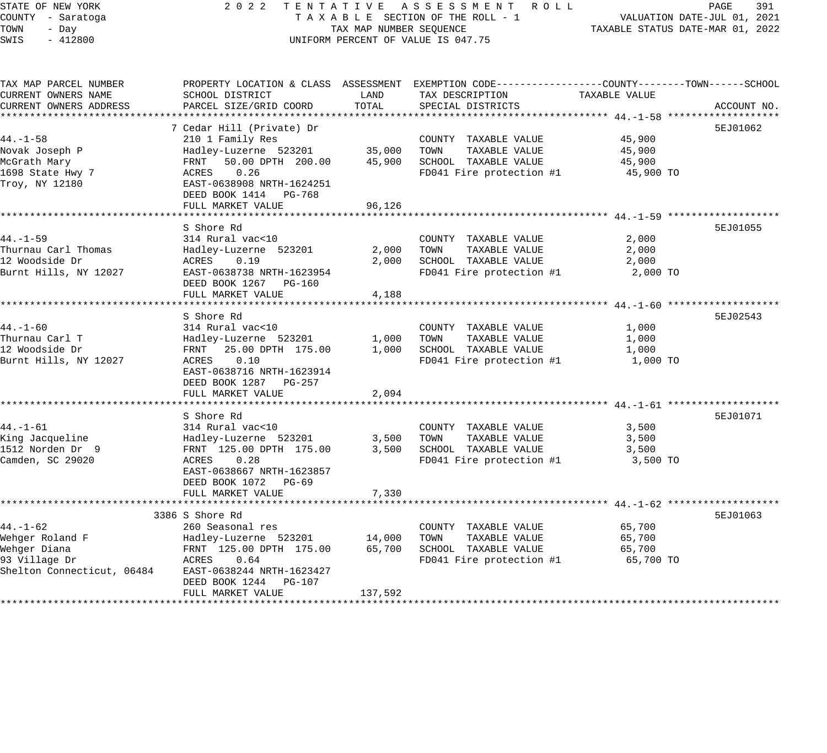| STATE OF NEW YORK<br>COUNTY - Saratoga | 2022                                               |                         | TENTATIVE ASSESSMENT ROLL<br>TAXABLE SECTION OF THE ROLL - 1                                     |               | PAGE<br>391<br>VALUATION DATE-JUL 01, 2021 |
|----------------------------------------|----------------------------------------------------|-------------------------|--------------------------------------------------------------------------------------------------|---------------|--------------------------------------------|
| TOWN<br>- Day                          |                                                    | TAX MAP NUMBER SEQUENCE |                                                                                                  |               | TAXABLE STATUS DATE-MAR 01, 2022           |
| $-412800$<br>SWIS                      |                                                    |                         | UNIFORM PERCENT OF VALUE IS 047.75                                                               |               |                                            |
|                                        |                                                    |                         |                                                                                                  |               |                                            |
| TAX MAP PARCEL NUMBER                  |                                                    |                         | PROPERTY LOCATION & CLASS ASSESSMENT EXEMPTION CODE----------------COUNTY-------TOWN------SCHOOL |               |                                            |
| CURRENT OWNERS NAME                    | SCHOOL DISTRICT                                    | LAND                    | TAX DESCRIPTION                                                                                  | TAXABLE VALUE |                                            |
| CURRENT OWNERS ADDRESS                 | PARCEL SIZE/GRID COORD                             | TOTAL                   | SPECIAL DISTRICTS                                                                                |               | ACCOUNT NO.                                |
|                                        |                                                    |                         |                                                                                                  |               |                                            |
|                                        | 7 Cedar Hill (Private) Dr                          |                         |                                                                                                  |               | 5EJ01062                                   |
| $44. - 1 - 58$                         | 210 1 Family Res                                   |                         | COUNTY TAXABLE VALUE                                                                             | 45,900        |                                            |
| Novak Joseph P                         | Hadley-Luzerne 523201                              | 35,000                  | TOWN<br>TAXABLE VALUE                                                                            | 45,900        |                                            |
| McGrath Mary                           | FRNT<br>50.00 DPTH 200.00                          | 45,900                  | SCHOOL TAXABLE VALUE                                                                             | 45,900        |                                            |
| 1698 State Hwy 7                       | 0.26<br>ACRES                                      |                         | FD041 Fire protection #1                                                                         | 45,900 TO     |                                            |
| Troy, NY 12180                         | EAST-0638908 NRTH-1624251<br>DEED BOOK 1414 PG-768 |                         |                                                                                                  |               |                                            |
|                                        | FULL MARKET VALUE                                  | 96,126                  |                                                                                                  |               |                                            |
|                                        |                                                    |                         |                                                                                                  |               |                                            |
|                                        | S Shore Rd                                         |                         |                                                                                                  |               | 5EJ01055                                   |
| 44.-1-59                               | 314 Rural vac<10                                   |                         | COUNTY TAXABLE VALUE                                                                             | 2,000         |                                            |
| Thurnau Carl Thomas                    | Hadley-Luzerne 523201                              | 2,000                   | TAXABLE VALUE<br>TOWN                                                                            | 2,000         |                                            |
| 12 Woodside Dr                         | 0.19<br>ACRES                                      | 2,000                   | SCHOOL TAXABLE VALUE                                                                             | 2,000         |                                            |
| Burnt Hills, NY 12027                  | EAST-0638738 NRTH-1623954                          |                         | FD041 Fire protection #1                                                                         | 2,000 TO      |                                            |
|                                        | DEED BOOK 1267 PG-160                              |                         |                                                                                                  |               |                                            |
|                                        | FULL MARKET VALUE                                  | 4,188                   |                                                                                                  |               |                                            |
|                                        |                                                    |                         |                                                                                                  |               |                                            |
|                                        | S Shore Rd                                         |                         |                                                                                                  |               | 5EJ02543                                   |
| 44. -1-60                              | 314 Rural vac<10                                   |                         | COUNTY TAXABLE VALUE                                                                             | 1,000         |                                            |
| Thurnau Carl T                         | Hadley-Luzerne 523201                              | 1,000                   | TAXABLE VALUE<br>TOWN                                                                            | 1,000         |                                            |
| 12 Woodside Dr                         | FRNT 25.00 DPTH 175.00                             | 1,000                   | SCHOOL TAXABLE VALUE                                                                             | 1,000         |                                            |
| Burnt Hills, NY 12027                  | ACRES<br>0.10                                      |                         | FD041 Fire protection #1                                                                         | 1,000 TO      |                                            |
|                                        | EAST-0638716 NRTH-1623914                          |                         |                                                                                                  |               |                                            |
|                                        | DEED BOOK 1287 PG-257                              |                         |                                                                                                  |               |                                            |
|                                        | FULL MARKET VALUE                                  | 2,094                   |                                                                                                  |               |                                            |
|                                        |                                                    |                         |                                                                                                  |               |                                            |
|                                        | S Shore Rd                                         |                         |                                                                                                  |               | 5EJ01071                                   |
| $44. - 1 - 61$                         | 314 Rural vac<10                                   |                         | COUNTY TAXABLE VALUE                                                                             | 3,500         |                                            |
| King Jacqueline                        | Hadley-Luzerne 523201                              | 3,500                   | TOWN<br>TAXABLE VALUE                                                                            | 3,500         |                                            |
| 1512 Norden Dr 9                       | FRNT 125.00 DPTH 175.00                            | 3,500                   | SCHOOL TAXABLE VALUE                                                                             | 3,500         |                                            |
| Camden, SC 29020                       | 0.28<br>ACRES                                      |                         | FD041 Fire protection #1                                                                         | 3,500 TO      |                                            |
|                                        | EAST-0638667 NRTH-1623857                          |                         |                                                                                                  |               |                                            |
|                                        | DEED BOOK 1072 PG-69                               |                         |                                                                                                  |               |                                            |
|                                        | FULL MARKET VALUE                                  | 7,330                   |                                                                                                  |               |                                            |
|                                        |                                                    |                         |                                                                                                  |               |                                            |
|                                        | 3386 S Shore Rd                                    |                         |                                                                                                  |               | 5EJ01063                                   |
| 44.-1-62                               | 260 Seasonal res                                   |                         | COUNTY TAXABLE VALUE                                                                             | 65,700        |                                            |
| Wehger Roland F                        | Hadley-Luzerne 523201                              | 14,000                  | TOWN<br>TAXABLE VALUE                                                                            | 65,700        |                                            |
| Wehger Diana                           | FRNT 125.00 DPTH 175.00                            | 65,700                  | SCHOOL TAXABLE VALUE                                                                             | 65,700        |                                            |
| 93 Village Dr                          | ACRES<br>0.64                                      |                         | FD041 Fire protection #1                                                                         | 65,700 TO     |                                            |
| Shelton Connecticut, 06484             | EAST-0638244 NRTH-1623427                          |                         |                                                                                                  |               |                                            |
|                                        | DEED BOOK 1244 PG-107                              |                         |                                                                                                  |               |                                            |
|                                        | FULL MARKET VALUE                                  | 137,592                 |                                                                                                  |               |                                            |
|                                        |                                                    |                         |                                                                                                  |               |                                            |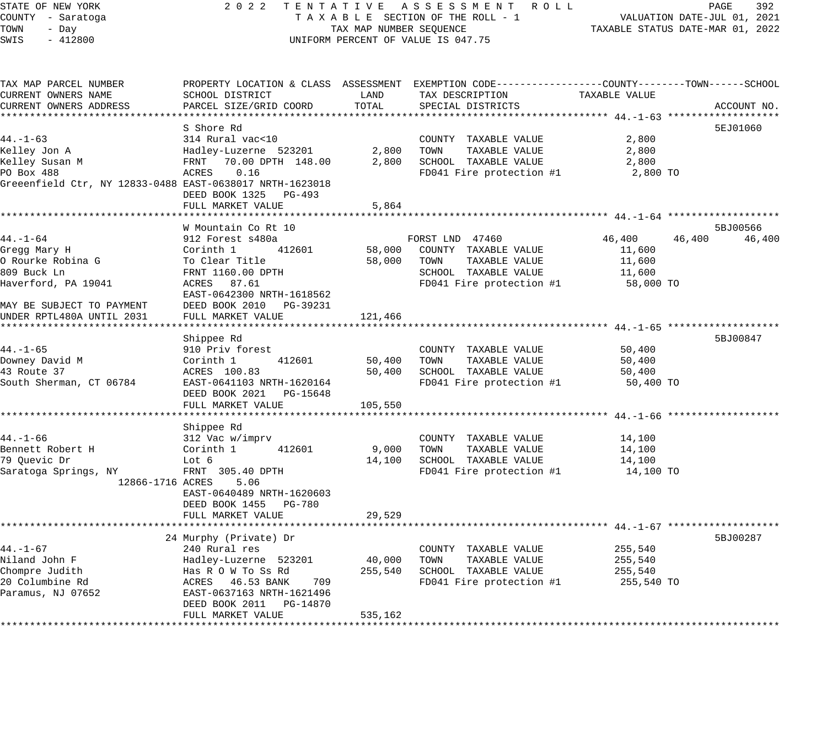### STATE OF NEW YORK 2 0 2 2 T E N T A T I V E A S S E S S M E N T R O L L PAGE 392 COUNTY - Saratoga T A X A B L E SECTION OF THE ROLL - 1 VALUATION DATE-JUL 01, 2021 X A B L E SECTION OF THE ROLL - 1<br>TAX MAP NUMBER SEQUENCE TAXABLE STATUS DATE-MAR 01, 2022 UNIFORM PERCENT OF VALUE IS 047.75

| TAX MAP PARCEL NUMBER                                    |                            |         | PROPERTY LOCATION & CLASS ASSESSMENT EXEMPTION CODE----------------COUNTY-------TOWN------SCHOOL |               |                  |
|----------------------------------------------------------|----------------------------|---------|--------------------------------------------------------------------------------------------------|---------------|------------------|
| CURRENT OWNERS NAME                                      | SCHOOL DISTRICT            | LAND    | TAX DESCRIPTION                                                                                  | TAXABLE VALUE |                  |
| CURRENT OWNERS ADDRESS                                   | PARCEL SIZE/GRID COORD     | TOTAL   | SPECIAL DISTRICTS                                                                                |               | ACCOUNT NO.      |
|                                                          |                            |         |                                                                                                  |               |                  |
|                                                          | S Shore Rd                 |         |                                                                                                  |               | 5EJ01060         |
| $44. - 1 - 63$                                           | 314 Rural vac<10           |         | COUNTY TAXABLE VALUE                                                                             | 2,800         |                  |
| Kelley Jon A                                             | Hadley-Luzerne 523201      | 2,800   | TOWN<br>TAXABLE VALUE                                                                            | 2,800         |                  |
| Kelley Susan M                                           | FRNT 70.00 DPTH 148.00     | 2,800   | SCHOOL TAXABLE VALUE                                                                             | 2,800         |                  |
| PO Box 488                                               | 0.16<br>ACRES              |         | FD041 Fire protection #1                                                                         | 2,800 TO      |                  |
| Greeenfield Ctr, NY 12833-0488 EAST-0638017 NRTH-1623018 |                            |         |                                                                                                  |               |                  |
|                                                          | DEED BOOK 1325 PG-493      |         |                                                                                                  |               |                  |
|                                                          | FULL MARKET VALUE          | 5,864   |                                                                                                  |               |                  |
|                                                          |                            |         |                                                                                                  |               |                  |
|                                                          | W Mountain Co Rt 10        |         |                                                                                                  |               | 5BJ00566         |
| $44. - 1 - 64$                                           | 912 Forest s480a           |         | FORST LND 47460                                                                                  | 46,400        | 46,400<br>46,400 |
| Gregg Mary H                                             | 412601<br>Corinth 1        | 58,000  | COUNTY TAXABLE VALUE                                                                             | 11,600        |                  |
| O Rourke Robina G                                        | To Clear Title             | 58,000  | TOWN<br>TAXABLE VALUE                                                                            | 11,600        |                  |
| 809 Buck Ln                                              | FRNT 1160.00 DPTH          |         | SCHOOL TAXABLE VALUE                                                                             |               |                  |
|                                                          |                            |         |                                                                                                  | 11,600        |                  |
| Haverford, PA 19041                                      | ACRES 87.61                |         | FD041 Fire protection #1                                                                         | 58,000 TO     |                  |
|                                                          | EAST-0642300 NRTH-1618562  |         |                                                                                                  |               |                  |
| MAY BE SUBJECT TO PAYMENT                                | DEED BOOK 2010<br>PG-39231 |         |                                                                                                  |               |                  |
| UNDER RPTL480A UNTIL 2031                                | FULL MARKET VALUE          | 121,466 |                                                                                                  |               |                  |
|                                                          |                            |         |                                                                                                  |               |                  |
|                                                          | Shippee Rd                 |         |                                                                                                  |               | 5BJ00847         |
| $44. - 1 - 65$                                           | 910 Priv forest            |         | COUNTY TAXABLE VALUE                                                                             | 50,400        |                  |
| Downey David M                                           | 412601<br>Corinth 1        | 50,400  | TOWN<br>TAXABLE VALUE                                                                            | 50,400        |                  |
| 43 Route 37                                              | ACRES 100.83               | 50,400  | SCHOOL TAXABLE VALUE                                                                             | 50,400        |                  |
| South Sherman, CT 06784                                  | EAST-0641103 NRTH-1620164  |         | FD041 Fire protection #1                                                                         | 50,400 TO     |                  |
|                                                          | DEED BOOK 2021<br>PG-15648 |         |                                                                                                  |               |                  |
|                                                          | FULL MARKET VALUE          | 105,550 |                                                                                                  |               |                  |
|                                                          |                            |         |                                                                                                  |               |                  |
|                                                          | Shippee Rd                 |         |                                                                                                  |               |                  |
| $44. - 1 - 66$                                           | 312 Vac w/imprv            |         | COUNTY TAXABLE VALUE                                                                             | 14,100        |                  |
| Bennett Robert H                                         | Corinth 1<br>412601        | 9,000   | TOWN<br>TAXABLE VALUE                                                                            | 14,100        |                  |
| 79 Ouevic Dr                                             | Lot 6                      | 14,100  | SCHOOL TAXABLE VALUE                                                                             | 14,100        |                  |
| Saratoga Springs, NY                                     | FRNT 305.40 DPTH           |         | FD041 Fire protection #1                                                                         | 14,100 TO     |                  |
| 12866-1716 ACRES                                         | 5.06                       |         |                                                                                                  |               |                  |
|                                                          | EAST-0640489 NRTH-1620603  |         |                                                                                                  |               |                  |
|                                                          | DEED BOOK 1455 PG-780      |         |                                                                                                  |               |                  |
|                                                          | FULL MARKET VALUE          | 29,529  |                                                                                                  |               |                  |
|                                                          |                            |         |                                                                                                  |               |                  |
|                                                          | 24 Murphy (Private) Dr     |         |                                                                                                  |               | 5BJ00287         |
| $44. - 1 - 67$                                           | 240 Rural res              |         | COUNTY TAXABLE VALUE                                                                             | 255,540       |                  |
| Niland John F                                            | Hadley-Luzerne 523201      | 40,000  | TOWN<br>TAXABLE VALUE                                                                            | 255,540       |                  |
| Chompre Judith                                           | Has R O W To Ss Rd         | 255,540 | SCHOOL TAXABLE VALUE                                                                             | 255,540       |                  |
| 20 Columbine Rd                                          | 709<br>ACRES 46.53 BANK    |         | FD041 Fire protection #1                                                                         | 255,540 TO    |                  |
| Paramus, NJ 07652                                        | EAST-0637163 NRTH-1621496  |         |                                                                                                  |               |                  |
|                                                          | DEED BOOK 2011 PG-14870    |         |                                                                                                  |               |                  |
|                                                          | FULL MARKET VALUE          | 535,162 |                                                                                                  |               |                  |
|                                                          |                            |         |                                                                                                  |               |                  |
|                                                          |                            |         |                                                                                                  |               |                  |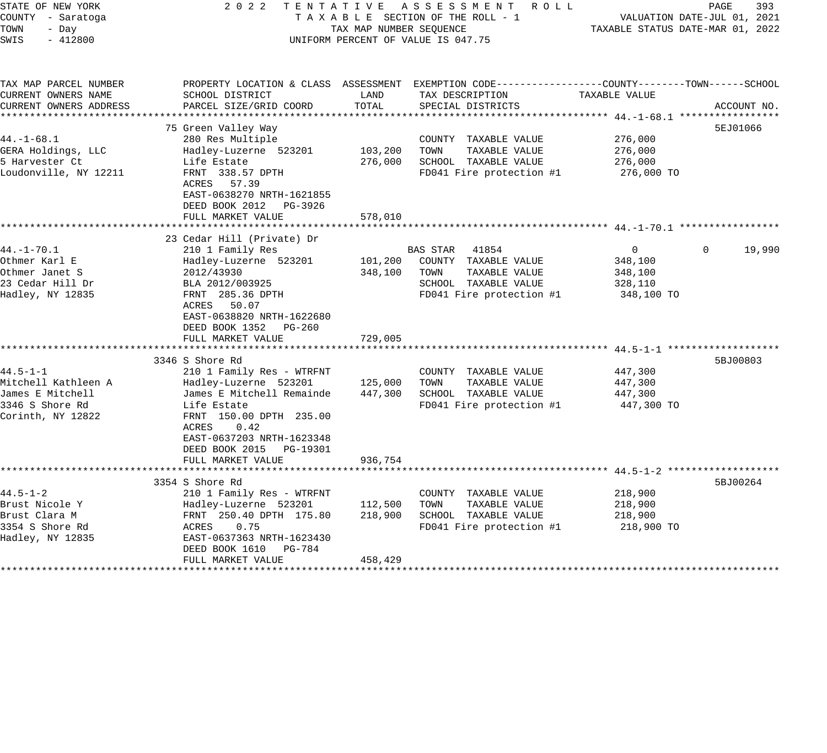| STATE OF NEW YORK<br>COUNTY - Saratoga<br>TOWN<br>- Day<br>SWIS<br>$-412800$ | 2 0 2 2                                                                                             | TAX MAP NUMBER SEQUENCE | TENTATIVE ASSESSMENT ROLL<br>TAXABLE SECTION OF THE ROLL - 1<br>UNIFORM PERCENT OF VALUE IS 047.75                 |                | PAGE<br>393<br>VALUATION DATE-JUL 01, 2021<br>TAXABLE STATUS DATE-MAR 01, 2022 |
|------------------------------------------------------------------------------|-----------------------------------------------------------------------------------------------------|-------------------------|--------------------------------------------------------------------------------------------------------------------|----------------|--------------------------------------------------------------------------------|
| TAX MAP PARCEL NUMBER<br>CURRENT OWNERS NAME                                 | SCHOOL DISTRICT                                                                                     | LAND                    | PROPERTY LOCATION & CLASS ASSESSMENT EXEMPTION CODE----------------COUNTY-------TOWN-----SCHOOL<br>TAX DESCRIPTION | TAXABLE VALUE  |                                                                                |
| CURRENT OWNERS ADDRESS                                                       | PARCEL SIZE/GRID COORD                                                                              | TOTAL                   | SPECIAL DISTRICTS                                                                                                  |                | ACCOUNT NO.                                                                    |
|                                                                              |                                                                                                     |                         |                                                                                                                    |                |                                                                                |
|                                                                              | 75 Green Valley Way                                                                                 |                         |                                                                                                                    |                | 5EJ01066                                                                       |
| $44. - 1 - 68.1$                                                             | 280 Res Multiple                                                                                    |                         | COUNTY TAXABLE VALUE                                                                                               | 276,000        |                                                                                |
| GERA Holdings, LLC                                                           | Hadley-Luzerne 523201                                                                               | 103,200                 | TAXABLE VALUE<br>TOWN                                                                                              | 276,000        |                                                                                |
| 5 Harvester Ct                                                               | Life Estate                                                                                         | 276,000                 | SCHOOL TAXABLE VALUE                                                                                               | 276,000        |                                                                                |
| Loudonville, NY 12211                                                        | FRNT 338.57 DPTH<br>ACRES 57.39<br>EAST-0638270 NRTH-1621855<br>DEED BOOK 2012<br>PG-3926           |                         | FD041 Fire protection #1                                                                                           | 276,000 TO     |                                                                                |
|                                                                              | FULL MARKET VALUE                                                                                   | 578,010                 |                                                                                                                    |                |                                                                                |
|                                                                              | **************************                                                                          |                         |                                                                                                                    |                |                                                                                |
| $44. - 1 - 70.1$                                                             | 23 Cedar Hill (Private) Dr<br>210 1 Family Res                                                      |                         | 41854<br>BAS STAR                                                                                                  | $\overline{0}$ | 19,990<br>$\Omega$                                                             |
| Othmer Karl E                                                                | Hadley-Luzerne 523201                                                                               | 101,200                 | COUNTY TAXABLE VALUE                                                                                               | 348,100        |                                                                                |
| Othmer Janet S                                                               | 2012/43930                                                                                          | 348,100                 | TAXABLE VALUE<br>TOWN                                                                                              | 348,100        |                                                                                |
| 23 Cedar Hill Dr                                                             | BLA 2012/003925                                                                                     |                         | SCHOOL TAXABLE VALUE                                                                                               | 328,110        |                                                                                |
| Hadley, NY 12835                                                             | FRNT 285.36 DPTH<br>50.07<br>ACRES<br>EAST-0638820 NRTH-1622680<br>DEED BOOK 1352<br>PG-260         |                         | FD041 Fire protection #1                                                                                           | 348,100 TO     |                                                                                |
|                                                                              | FULL MARKET VALUE                                                                                   | 729,005                 |                                                                                                                    |                |                                                                                |
|                                                                              | 3346 S Shore Rd                                                                                     |                         |                                                                                                                    |                | 5BJ00803                                                                       |
| $44.5 - 1 - 1$                                                               | 210 1 Family Res - WTRFNT                                                                           |                         | COUNTY TAXABLE VALUE                                                                                               | 447,300        |                                                                                |
| Mitchell Kathleen A                                                          | Hadley-Luzerne 523201                                                                               | 125,000                 | TAXABLE VALUE<br>TOWN                                                                                              | 447,300        |                                                                                |
| James E Mitchell                                                             | James E Mitchell Remainde                                                                           | 447,300                 | SCHOOL TAXABLE VALUE                                                                                               | 447,300        |                                                                                |
| 3346 S Shore Rd                                                              | Life Estate                                                                                         |                         | FD041 Fire protection #1                                                                                           | 447,300 TO     |                                                                                |
| Corinth, NY 12822                                                            | FRNT 150.00 DPTH 235.00<br>0.42<br>ACRES<br>EAST-0637203 NRTH-1623348<br>DEED BOOK 2015<br>PG-19301 |                         |                                                                                                                    |                |                                                                                |
|                                                                              | FULL MARKET VALUE<br>**********************                                                         | 936,754<br>********     |                                                                                                                    |                |                                                                                |
|                                                                              | 3354 S Shore Rd                                                                                     |                         | ******************************* 44.5-1-2.********************                                                      |                | 5BJ00264                                                                       |
| $44.5 - 1 - 2$                                                               | 210 1 Family Res - WTRFNT                                                                           |                         | COUNTY TAXABLE VALUE                                                                                               | 218,900        |                                                                                |
| Brust Nicole Y                                                               | Hadley-Luzerne 523201                                                                               | 112,500                 | TAXABLE VALUE<br>TOWN                                                                                              | 218,900        |                                                                                |
| Brust Clara M                                                                | FRNT 250.40 DPTH 175.80                                                                             | 218,900                 | SCHOOL TAXABLE VALUE                                                                                               | 218,900        |                                                                                |
| 3354 S Shore Rd                                                              | 0.75<br>ACRES                                                                                       |                         | FD041 Fire protection #1                                                                                           | 218,900 TO     |                                                                                |
| Hadley, NY 12835                                                             | EAST-0637363 NRTH-1623430<br>DEED BOOK 1610<br>PG-784                                               |                         |                                                                                                                    |                |                                                                                |
|                                                                              | FULL MARKET VALUE                                                                                   | 458,429                 |                                                                                                                    |                |                                                                                |
|                                                                              |                                                                                                     |                         |                                                                                                                    |                |                                                                                |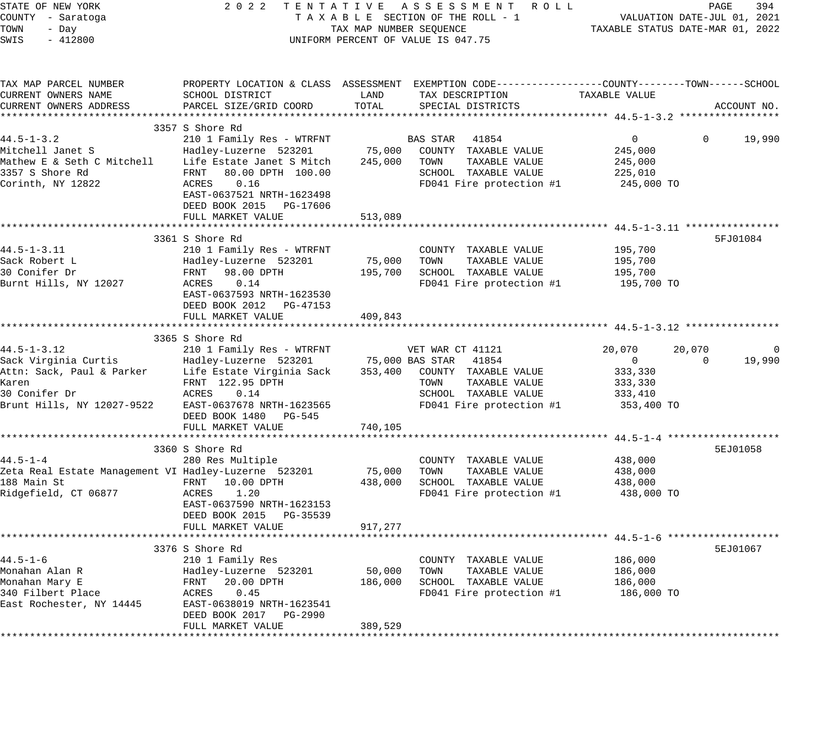| STATE OF NEW YORK<br>COUNTY - Saratoga<br>TOWN<br>- Day<br>$-412800$<br>SWIS |                                                        | TAX MAP NUMBER SEQUENCE | 2022 TENTATIVE ASSESSMENT ROLL<br>TAXABLE SECTION OF THE ROLL - 1<br>UNIFORM PERCENT OF VALUE IS 047.75 |                    | PAGE<br>394<br>VALUATION DATE-JUL 01, 2021<br>TAXABLE STATUS DATE-MAR 01, 2022 |
|------------------------------------------------------------------------------|--------------------------------------------------------|-------------------------|---------------------------------------------------------------------------------------------------------|--------------------|--------------------------------------------------------------------------------|
| TAX MAP PARCEL NUMBER                                                        |                                                        |                         | PROPERTY LOCATION & CLASS ASSESSMENT EXEMPTION CODE----------------COUNTY-------TOWN------SCHOOL        |                    |                                                                                |
| CURRENT OWNERS NAME                                                          | SCHOOL DISTRICT                                        | LAND                    | TAX DESCRIPTION                                                                                         | TAXABLE VALUE      |                                                                                |
| CURRENT OWNERS ADDRESS                                                       | PARCEL SIZE/GRID COORD                                 | TOTAL                   | SPECIAL DISTRICTS                                                                                       |                    | ACCOUNT NO.                                                                    |
|                                                                              | 3357 S Shore Rd                                        |                         |                                                                                                         |                    |                                                                                |
| $44.5 - 1 - 3.2$                                                             | 210 1 Family Res - WTRFNT                              |                         | BAS STAR 41854                                                                                          | $\circ$            | $\Omega$<br>19,990                                                             |
| Mitchell Janet S                                                             | Hadley-Luzerne 523201                                  | 75,000                  | COUNTY TAXABLE VALUE                                                                                    | 245,000            |                                                                                |
| Mathew E & Seth C Mitchell                                                   | Life Estate Janet S Mitch                              | 245,000                 | TOWN<br>TAXABLE VALUE                                                                                   | 245,000            |                                                                                |
| 3357 S Shore Rd                                                              | FRNT 80.00 DPTH 100.00                                 |                         | SCHOOL TAXABLE VALUE                                                                                    | 225,010            |                                                                                |
| Corinth, NY 12822                                                            | ACRES<br>0.16                                          |                         | FD041 Fire protection #1                                                                                | 245,000 TO         |                                                                                |
|                                                                              | EAST-0637521 NRTH-1623498                              |                         |                                                                                                         |                    |                                                                                |
|                                                                              | DEED BOOK 2015 PG-17606                                |                         |                                                                                                         |                    |                                                                                |
|                                                                              | FULL MARKET VALUE<br>***************************       | 513,089                 |                                                                                                         |                    |                                                                                |
|                                                                              | 3361 S Shore Rd                                        |                         |                                                                                                         |                    | 5FJ01084                                                                       |
| $44.5 - 1 - 3.11$                                                            | 210 1 Family Res - WTRFNT                              |                         | COUNTY TAXABLE VALUE                                                                                    | 195,700            |                                                                                |
| Sack Robert L                                                                | Hadley-Luzerne 523201                                  | 75,000                  | TOWN<br>TAXABLE VALUE                                                                                   | 195,700            |                                                                                |
| 30 Conifer Dr                                                                | FRNT 98.00 DPTH                                        | 195,700                 | SCHOOL TAXABLE VALUE                                                                                    | 195,700            |                                                                                |
| Burnt Hills, NY 12027                                                        | ACRES<br>0.14                                          |                         | FD041 Fire protection #1                                                                                | 195,700 TO         |                                                                                |
|                                                                              | EAST-0637593 NRTH-1623530                              |                         |                                                                                                         |                    |                                                                                |
|                                                                              | DEED BOOK 2012    PG-47153                             |                         |                                                                                                         |                    |                                                                                |
|                                                                              | FULL MARKET VALUE                                      | 409,843                 |                                                                                                         |                    |                                                                                |
|                                                                              |                                                        |                         |                                                                                                         |                    |                                                                                |
| $44.5 - 1 - 3.12$                                                            | 3365 S Shore Rd<br>210 1 Family Res - WTRFNT           |                         |                                                                                                         | 20,070             | 20,070<br>$\Omega$                                                             |
| Sack Virginia Curtis                                                         | Hadley-Luzerne 523201                                  |                         | VET WAR CT 41121<br>75,000 BAS STAR 41854                                                               | $\overline{0}$     | 19,990<br>$\overline{0}$                                                       |
| Attn: Sack, Paul & Parker                                                    | Life Estate Virginia Sack                              | 353,400                 | COUNTY TAXABLE VALUE                                                                                    | 333,330            |                                                                                |
| Karen                                                                        | FRNT 122.95 DPTH                                       |                         | TAXABLE VALUE<br>TOWN                                                                                   | 333,330            |                                                                                |
| 30 Conifer Dr                                                                | ACRES<br>0.14                                          |                         | SCHOOL TAXABLE VALUE                                                                                    | 333,410            |                                                                                |
| Brunt Hills, NY 12027-9522                                                   | EAST-0637678 NRTH-1623565                              |                         | FD041 Fire protection #1                                                                                | 353,400 TO         |                                                                                |
|                                                                              | DEED BOOK 1480 PG-545                                  |                         |                                                                                                         |                    |                                                                                |
|                                                                              | FULL MARKET VALUE                                      | 740,105                 |                                                                                                         |                    |                                                                                |
|                                                                              |                                                        |                         |                                                                                                         |                    |                                                                                |
|                                                                              | 3360 S Shore Rd                                        |                         |                                                                                                         |                    | 5EJ01058                                                                       |
| $44.5 - 1 - 4$                                                               | 280 Res Multiple                                       |                         | COUNTY TAXABLE VALUE                                                                                    | 438,000            |                                                                                |
| Zeta Real Estate Management VI Hadley-Luzerne 523201<br>188 Main St          | FRNT 10.00 DPTH                                        | 75,000<br>438,000       | TOWN<br>TAXABLE VALUE<br>SCHOOL TAXABLE VALUE                                                           | 438,000<br>438,000 |                                                                                |
| Ridgefield, CT 06877                                                         | ACRES<br>1.20                                          |                         | FD041 Fire protection #1                                                                                | 438,000 TO         |                                                                                |
|                                                                              | EAST-0637590 NRTH-1623153                              |                         |                                                                                                         |                    |                                                                                |
|                                                                              | DEED BOOK 2015 PG-35539                                |                         |                                                                                                         |                    |                                                                                |
|                                                                              | FULL MARKET VALUE                                      | 917,277                 |                                                                                                         |                    |                                                                                |
|                                                                              |                                                        |                         |                                                                                                         |                    |                                                                                |
|                                                                              | 3376 S Shore Rd                                        |                         |                                                                                                         |                    | 5EJ01067                                                                       |
| $44.5 - 1 - 6$                                                               | 210 1 Family Res                                       |                         | COUNTY TAXABLE VALUE                                                                                    | 186,000            |                                                                                |
| Monahan Alan R                                                               | Hadley-Luzerne 523201                                  | 50,000                  | TOWN<br>TAXABLE VALUE                                                                                   | 186,000            |                                                                                |
| Monahan Mary E                                                               | FRNT<br>20.00 DPTH                                     | 186,000                 | SCHOOL TAXABLE VALUE                                                                                    | 186,000            |                                                                                |
| 340 Filbert Place                                                            | ACRES<br>0.45                                          |                         | FD041 Fire protection #1                                                                                | 186,000 TO         |                                                                                |
| East Rochester, NY 14445                                                     | EAST-0638019 NRTH-1623541<br>DEED BOOK 2017    PG-2990 |                         |                                                                                                         |                    |                                                                                |
|                                                                              | FULL MARKET VALUE                                      | 389,529                 |                                                                                                         |                    |                                                                                |
|                                                                              |                                                        |                         |                                                                                                         |                    |                                                                                |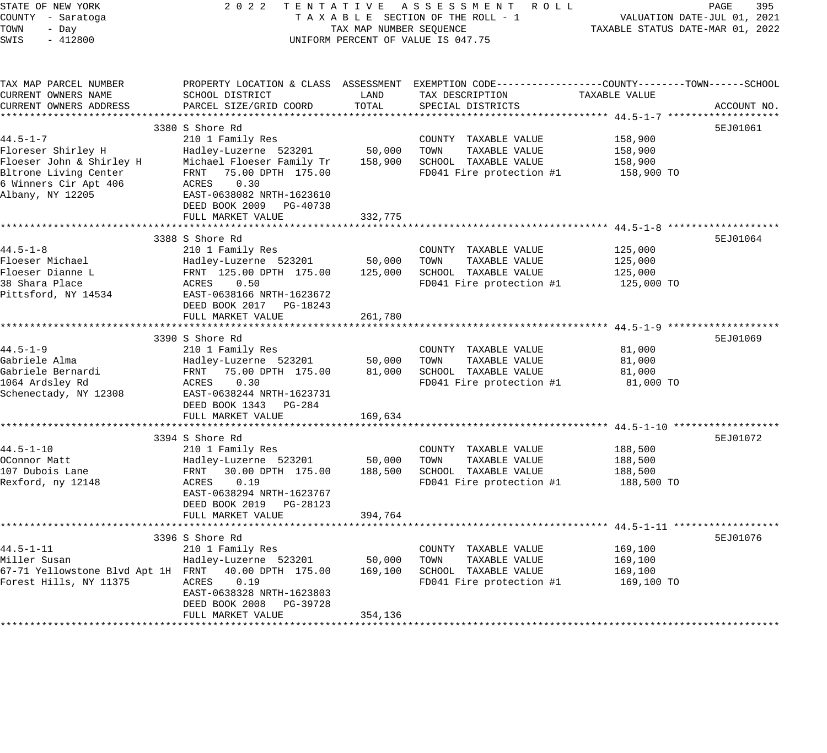| 395<br>PAGE                                                                                        | ACCOUNT NO.                                                                                                                            | 5EJ01061                                                                                                                                                                                     | 5EJ01064                                                                                                                                                                                                   | 5EJ01069                                                                                                                                                                                 | 5EJ01072                                                                                                                                                                                | 5EJ01076                                                                                                                                                                           |
|----------------------------------------------------------------------------------------------------|----------------------------------------------------------------------------------------------------------------------------------------|----------------------------------------------------------------------------------------------------------------------------------------------------------------------------------------------|------------------------------------------------------------------------------------------------------------------------------------------------------------------------------------------------------------|------------------------------------------------------------------------------------------------------------------------------------------------------------------------------------------|-----------------------------------------------------------------------------------------------------------------------------------------------------------------------------------------|------------------------------------------------------------------------------------------------------------------------------------------------------------------------------------|
| VALUATION DATE-JUL 01, 2021<br>TAXABLE STATUS DATE-MAR 01, 2022                                    | TAXABLE VALUE                                                                                                                          | 158,900<br>158,900<br>158,900<br>158,900 TO                                                                                                                                                  | 125,000<br>125,000<br>125,000<br>125,000 TO                                                                                                                                                                | 81,000<br>81,000<br>81,000<br>81,000 TO                                                                                                                                                  | 188,500<br>188,500<br>188,500<br>188,500 TO                                                                                                                                             | 169,100<br>169,100<br>169,100<br>169,100 TO                                                                                                                                        |
| TENTATIVE ASSESSMENT ROLL<br>TAXABLE SECTION OF THE ROLL - 1<br>UNIFORM PERCENT OF VALUE IS 047.75 | PROPERTY LOCATION & CLASS ASSESSMENT EXEMPTION CODE---------------COUNTY-------TOWN-----SCHOOL<br>TAX DESCRIPTION<br>SPECIAL DISTRICTS | COUNTY TAXABLE VALUE<br>TOWN<br>TAXABLE VALUE<br>SCHOOL TAXABLE VALUE<br>FD041 Fire protection #1                                                                                            | COUNTY TAXABLE VALUE<br>TOWN<br>TAXABLE VALUE<br>SCHOOL TAXABLE VALUE<br>FD041 Fire protection #1                                                                                                          | COUNTY TAXABLE VALUE<br>TOWN<br>TAXABLE VALUE<br>SCHOOL TAXABLE VALUE<br>FD041 Fire protection #1                                                                                        | COUNTY TAXABLE VALUE<br>TAXABLE VALUE<br>TOWN<br>SCHOOL TAXABLE VALUE<br>FD041 Fire protection #1                                                                                       | COUNTY TAXABLE VALUE<br>TOWN<br>TAXABLE VALUE<br>SCHOOL TAXABLE VALUE<br>FD041 Fire protection #1                                                                                  |
| TAX MAP NUMBER SEQUENCE                                                                            | LAND<br>TOTAL                                                                                                                          | 50,000<br>158,900                                                                                                                                                                            | 332,775<br>50,000<br>125,000<br>261,780                                                                                                                                                                    | 50,000<br>81,000<br>169,634                                                                                                                                                              | 50,000<br>188,500<br>394,764                                                                                                                                                            | 50,000<br>169,100<br>354,136                                                                                                                                                       |
| 2022                                                                                               | SCHOOL DISTRICT<br>PARCEL SIZE/GRID COORD                                                                                              | 3380 S Shore Rd<br>210 1 Family Res<br>Hadley-Luzerne 523201<br>Michael Floeser Family Tr<br>FRNT 75.00 DPTH 175.00<br>ACRES<br>0.30<br>EAST-0638082 NRTH-1623610<br>DEED BOOK 2009 PG-40738 | FULL MARKET VALUE<br>3388 S Shore Rd<br>210 1 Family Res<br>Hadley-Luzerne 523201<br>FRNT 125.00 DPTH 175.00<br>ACRES<br>0.50<br>EAST-0638166 NRTH-1623672<br>DEED BOOK 2017 PG-18243<br>FULL MARKET VALUE | 3390 S Shore Rd<br>210 1 Family Res<br>Hadley-Luzerne 523201<br>75.00 DPTH 175.00<br>FRNT<br>ACRES<br>0.30<br>EAST-0638244 NRTH-1623731<br>DEED BOOK 1343<br>PG-284<br>FULL MARKET VALUE | 3394 S Shore Rd<br>210 1 Family Res<br>Hadley-Luzerne 523201<br>FRNT<br>30.00 DPTH 175.00<br>ACRES<br>0.19<br>EAST-0638294 NRTH-1623767<br>DEED BOOK 2019 PG-28123<br>FULL MARKET VALUE | 3396 S Shore Rd<br>210 1 Family Res<br>Hadley-Luzerne 523201<br>40.00 DPTH 175.00<br>ACRES<br>0.19<br>EAST-0638328 NRTH-1623803<br>DEED BOOK 2008<br>PG-39728<br>FULL MARKET VALUE |
| STATE OF NEW YORK<br>COUNTY - Saratoga<br>TOWN<br>- Day<br>SWIS<br>$-412800$                       | TAX MAP PARCEL NUMBER<br>CURRENT OWNERS NAME<br>CURRENT OWNERS ADDRESS                                                                 | $44.5 - 1 - 7$<br>Floreser Shirley H<br>Floeser John & Shirley H<br>Bltrone Living Center<br>6 Winners Cir Apt 406<br>Albany, NY 12205                                                       | $44.5 - 1 - 8$<br>Floeser Michael<br>Floeser Dianne L<br>38 Shara Place<br>Pittsford, NY 14534                                                                                                             | $44.5 - 1 - 9$<br>Gabriele Alma<br>Gabriele Bernardi<br>1064 Ardsley Rd<br>Schenectady, NY 12308                                                                                         | $44.5 - 1 - 10$<br>OConnor Matt<br>107 Dubois Lane<br>Rexford, ny 12148                                                                                                                 | $44.5 - 1 - 11$<br>Miller Susan<br>67-71 Yellowstone Blvd Apt 1H FRNT<br>Forest Hills, NY 11375                                                                                    |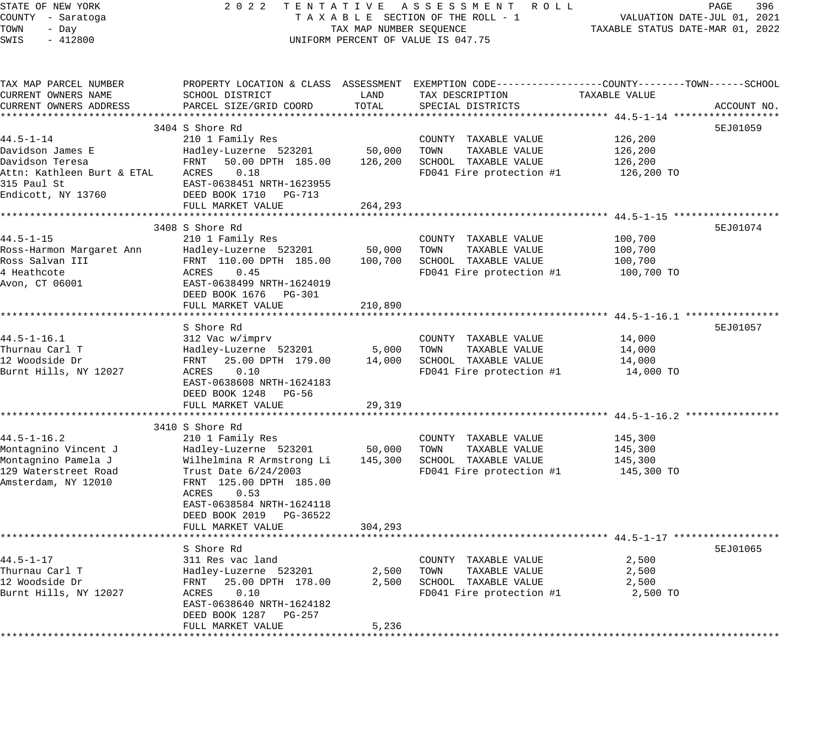| STATE OF NEW YORK                           | 2 0 2 2<br>TENTATIVE                         |                   | A S S E S S M E N T R O L L                                                                      |                                                            | PAGE<br>396                 |
|---------------------------------------------|----------------------------------------------|-------------------|--------------------------------------------------------------------------------------------------|------------------------------------------------------------|-----------------------------|
| COUNTY - Saratoga                           |                                              |                   | TAXABLE SECTION OF THE ROLL - 1                                                                  |                                                            | VALUATION DATE-JUL 01, 2021 |
| TOWN<br>- Day                               | TAX MAP NUMBER SEQUENCE                      |                   |                                                                                                  | TAXABLE STATUS DATE-MAR 01, 2022                           |                             |
| SWIS<br>$-412800$                           |                                              |                   | UNIFORM PERCENT OF VALUE IS 047.75                                                               |                                                            |                             |
|                                             |                                              |                   |                                                                                                  |                                                            |                             |
| TAX MAP PARCEL NUMBER                       |                                              |                   | PROPERTY LOCATION & CLASS ASSESSMENT EXEMPTION CODE----------------COUNTY-------TOWN------SCHOOL |                                                            |                             |
| CURRENT OWNERS NAME                         | SCHOOL DISTRICT                              | LAND              | TAX DESCRIPTION                                                                                  | TAXABLE VALUE                                              |                             |
| CURRENT OWNERS ADDRESS                      | PARCEL SIZE/GRID COORD                       | TOTAL             | SPECIAL DISTRICTS                                                                                |                                                            | ACCOUNT NO.                 |
|                                             |                                              |                   |                                                                                                  |                                                            |                             |
|                                             | 3404 S Shore Rd                              |                   |                                                                                                  |                                                            | 5EJ01059                    |
| $44.5 - 1 - 14$                             | 210 1 Family Res                             |                   | COUNTY TAXABLE VALUE                                                                             | 126,200                                                    |                             |
| Davidson James E                            | Hadley-Luzerne 523201                        | 50,000            | TOWN<br>TAXABLE VALUE                                                                            | 126,200                                                    |                             |
| Davidson Teresa                             | FRNT<br>50.00 DPTH 185.00                    | 126,200           | SCHOOL TAXABLE VALUE                                                                             | 126,200                                                    |                             |
| Attn: Kathleen Burt & ETAL                  | 0.18<br>ACRES                                |                   | FD041 Fire protection #1                                                                         | 126,200 TO                                                 |                             |
| 315 Paul St                                 | EAST-0638451 NRTH-1623955                    |                   |                                                                                                  |                                                            |                             |
| Endicott, NY 13760                          | DEED BOOK 1710<br>PG-713                     |                   |                                                                                                  |                                                            |                             |
|                                             | FULL MARKET VALUE<br>*********************   | 264,293           |                                                                                                  |                                                            |                             |
|                                             |                                              |                   |                                                                                                  | ************************** 44.5-1-15 *******************   |                             |
|                                             | 3408 S Shore Rd                              |                   |                                                                                                  |                                                            | 5EJ01074                    |
| 44.5–1–15                                   | 210 1 Family Res                             |                   | COUNTY TAXABLE VALUE                                                                             | 100,700                                                    |                             |
| Ross-Harmon Margaret Ann<br>Ross Salvan III | Hadley-Luzerne 523201                        | 50,000<br>100,700 | TOWN<br>TAXABLE VALUE<br>SCHOOL TAXABLE VALUE                                                    | 100,700<br>100,700                                         |                             |
| 4 Heathcote                                 | FRNT 110.00 DPTH 185.00<br>ACRES<br>0.45     |                   | FD041 Fire protection #1                                                                         | 100,700 TO                                                 |                             |
| Avon, CT 06001                              | EAST-0638499 NRTH-1624019                    |                   |                                                                                                  |                                                            |                             |
|                                             | DEED BOOK 1676<br>PG-301                     |                   |                                                                                                  |                                                            |                             |
|                                             | FULL MARKET VALUE                            | 210,890           |                                                                                                  |                                                            |                             |
| ************                                |                                              |                   |                                                                                                  | *****************************44.5-1-16.1 ***************** |                             |
|                                             | S Shore Rd                                   |                   |                                                                                                  |                                                            | 5EJ01057                    |
| $44.5 - 1 - 16.1$                           | 312 Vac w/imprv                              |                   | COUNTY TAXABLE VALUE                                                                             | 14,000                                                     |                             |
| Thurnau Carl T                              | Hadley-Luzerne 523201                        | 5,000             | TAXABLE VALUE<br>TOWN                                                                            | 14,000                                                     |                             |
| 12 Woodside Dr                              | FRNT<br>25.00 DPTH 179.00                    | 14,000            | SCHOOL TAXABLE VALUE                                                                             | 14,000                                                     |                             |
| Burnt Hills, NY 12027                       | 0.10<br>ACRES                                |                   | FD041 Fire protection #1                                                                         | 14,000 TO                                                  |                             |
|                                             | EAST-0638608 NRTH-1624183                    |                   |                                                                                                  |                                                            |                             |
|                                             | DEED BOOK 1248<br>PG-56                      |                   |                                                                                                  |                                                            |                             |
|                                             | FULL MARKET VALUE                            | 29,319            |                                                                                                  |                                                            |                             |
| *************                               | ***********************                      | ********          |                                                                                                  | ********************* 44.5-1-16.2 ****                     |                             |
|                                             | 3410 S Shore Rd                              |                   |                                                                                                  |                                                            |                             |
| $44.5 - 1 - 16.2$                           | 210 1 Family Res                             |                   | COUNTY TAXABLE VALUE                                                                             | 145,300                                                    |                             |
| Montagnino Vincent J                        | Hadley-Luzerne 523201                        | 50,000            | TOWN<br>TAXABLE VALUE                                                                            | 145,300                                                    |                             |
| Montagnino Pamela J                         | Wilhelmina R Armstrong Li                    | 145,300           | SCHOOL TAXABLE VALUE                                                                             | 145,300                                                    |                             |
| 129 Waterstreet Road                        | Trust Date 6/24/2003                         |                   | FD041 Fire protection #1                                                                         | 145,300 TO                                                 |                             |
| Amsterdam, NY 12010                         | FRNT 125.00 DPTH 185.00                      |                   |                                                                                                  |                                                            |                             |
|                                             | 0.53<br>ACRES                                |                   |                                                                                                  |                                                            |                             |
|                                             | EAST-0638584 NRTH-1624118                    |                   |                                                                                                  |                                                            |                             |
|                                             | DEED BOOK 2019<br>PG-36522                   |                   |                                                                                                  |                                                            |                             |
|                                             | FULL MARKET VALUE<br>*********************** | 304,293           |                                                                                                  |                                                            |                             |
|                                             |                                              |                   |                                                                                                  |                                                            |                             |
|                                             | S Shore Rd                                   |                   |                                                                                                  |                                                            | 5EJ01065                    |
| 44.5-1-17                                   | 311 Res vac land                             |                   | COUNTY TAXABLE VALUE                                                                             | 2,500                                                      |                             |
| Thurnau Carl T                              | Hadley-Luzerne 523201                        | 2,500             | TOWN<br>TAXABLE VALUE                                                                            | 2,500                                                      |                             |
| 12 Woodside Dr                              | 25.00 DPTH 178.00<br>FRNT                    | 2,500             | SCHOOL TAXABLE VALUE                                                                             | 2,500                                                      |                             |
| Burnt Hills, NY 12027                       | 0.10<br>ACRES<br>EAST-0638640 NRTH-1624182   |                   | FD041 Fire protection #1                                                                         | 2,500 TO                                                   |                             |
|                                             | DEED BOOK 1287<br>PG-257                     |                   |                                                                                                  |                                                            |                             |
|                                             | FULL MARKET VALUE                            | 5,236             |                                                                                                  |                                                            |                             |
|                                             |                                              |                   |                                                                                                  |                                                            |                             |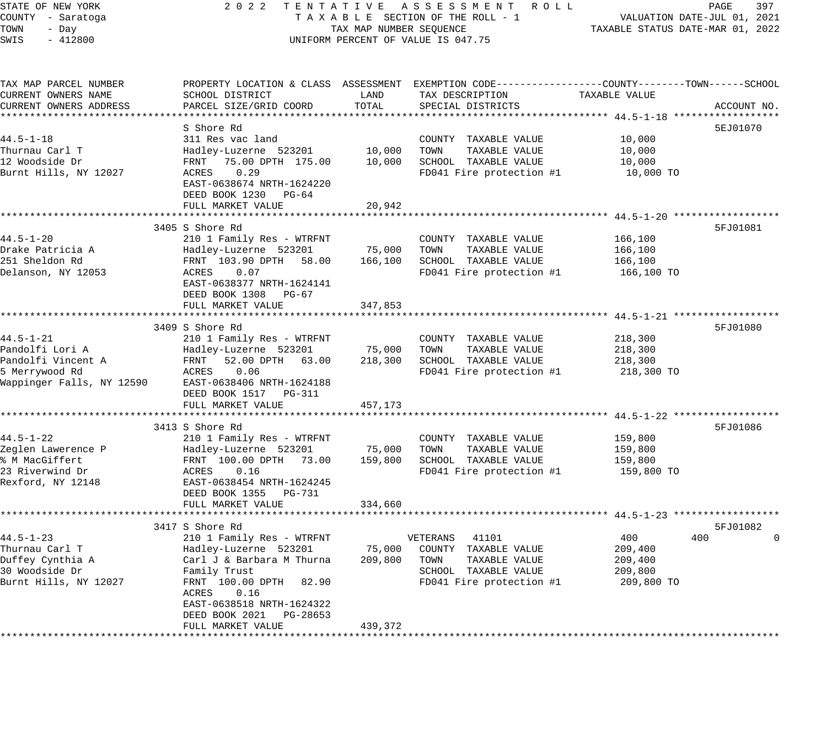STATE OF NEW YORK 2 0 2 2 T E N T A T I V E A S S E S S M E N T R O L L PAGE 397 COUNTY - Saratoga T A X A B L E SECTION OF THE ROLL - 1 VALUATION DATE-JUL 01, 2021 TOWN - Day TAX MAP NUMBER SEQUENCE TAXABLE STATUS DATE-MAR 01, 2022 SWIS - 412800 CONTROLLY THE UNIFORM PERCENT OF VALUE IS 047.75 TAX MAP PARCEL NUMBER PROPERTY LOCATION & CLASS ASSESSMENT EXEMPTION CODE------------------COUNTY--------TOWN------SCHOOL CURRENT OWNERS NAME SCHOOL DISTRICT LAND TAX DESCRIPTION TAXABLE VALUE CURRENT OWNERS ADDRESS PARCEL SIZE/GRID COORD TOTAL SPECIAL DISTRICTS ACCOUNT NO. \*\*\*\*\*\*\*\*\*\*\*\*\*\*\*\*\*\*\*\*\*\*\*\*\*\*\*\*\*\*\*\*\*\*\*\*\*\*\*\*\*\*\*\*\*\*\*\*\*\*\*\*\*\*\*\*\*\*\*\*\*\*\*\*\*\*\*\*\*\*\*\*\*\*\*\*\*\*\*\*\*\*\*\*\*\*\*\*\*\*\*\*\*\*\*\*\*\*\*\*\*\*\* 44.5-1-18 \*\*\*\*\*\*\*\*\*\*\*\*\*\*\*\*\*\* S Shore Rd 5EJ01070 44.5-1-18 311 Res vac land COUNTY TAXABLE VALUE 10,000 Thurnau Carl T Hadley-Luzerne 523201 10,000 TOWN TAXABLE VALUE 10,000 12 Woodside Dr FRNT 75.00 DPTH 175.00 10,000 SCHOOL TAXABLE VALUE 10,000 Burnt Hills, NY 12027 ACRES 0.29 FD041 Fire protection #1 10,000 TO EAST-0638674 NRTH-1624220 DEED BOOK 1230 PG-64 FULL MARKET VALUE 20,942 \*\*\*\*\*\*\*\*\*\*\*\*\*\*\*\*\*\*\*\*\*\*\*\*\*\*\*\*\*\*\*\*\*\*\*\*\*\*\*\*\*\*\*\*\*\*\*\*\*\*\*\*\*\*\*\*\*\*\*\*\*\*\*\*\*\*\*\*\*\*\*\*\*\*\*\*\*\*\*\*\*\*\*\*\*\*\*\*\*\*\*\*\*\*\*\*\*\*\*\*\*\*\* 44.5-1-20 \*\*\*\*\*\*\*\*\*\*\*\*\*\*\*\*\*\* 3405 S Shore Rd 5FJ01081 44.5-1-20 210 1 Family Res - WTRFNT COUNTY TAXABLE VALUE 166,100 Drake Patricia A Hadley-Luzerne 523201 75,000 TOWN TAXABLE VALUE 166,100 251 Sheldon Rd FRNT 103.90 DPTH 58.00 166,100 SCHOOL TAXABLE VALUE 166,100 Delanson, NY 12053 ACRES 0.07 FD041 Fire protection #1 166,100 TO EAST-0638377 NRTH-1624141 DEED BOOK 1308 PG-67 FULL MARKET VALUE 347,853 \*\*\*\*\*\*\*\*\*\*\*\*\*\*\*\*\*\*\*\*\*\*\*\*\*\*\*\*\*\*\*\*\*\*\*\*\*\*\*\*\*\*\*\*\*\*\*\*\*\*\*\*\*\*\*\*\*\*\*\*\*\*\*\*\*\*\*\*\*\*\*\*\*\*\*\*\*\*\*\*\*\*\*\*\*\*\*\*\*\*\*\*\*\*\*\*\*\*\*\*\*\*\* 44.5-1-21 \*\*\*\*\*\*\*\*\*\*\*\*\*\*\*\*\*\* 3409 S Shore Rd 5FJ01080 S Shore Rd 5FJ01080 S Shore Rd 5FJ01080 S Shore Rd 5FJ01080 S Shore Rd 5FJ01080 S Shore Rd 44.5-1-21 210 1 Family Res - WTRFNT COUNTY TAXABLE VALUE 218,300 Pandolfi Lori A Hadley-Luzerne 523201 75,000 TOWN TAXABLE VALUE 218,300 Pandolfi Vincent A FRNT 52.00 DPTH 63.00 218,300 SCHOOL TAXABLE VALUE 218,300 5 Merrywood Rd ACRES 0.06 FD041 Fire protection #1 218,300 TO Wappinger Falls, NY 12590 EAST-0638406 NRTH-1624188 DEED BOOK 1517 PG-311 FULL MARKET VALUE 457,173 \*\*\*\*\*\*\*\*\*\*\*\*\*\*\*\*\*\*\*\*\*\*\*\*\*\*\*\*\*\*\*\*\*\*\*\*\*\*\*\*\*\*\*\*\*\*\*\*\*\*\*\*\*\*\*\*\*\*\*\*\*\*\*\*\*\*\*\*\*\*\*\*\*\*\*\*\*\*\*\*\*\*\*\*\*\*\*\*\*\*\*\*\*\*\*\*\*\*\*\*\*\*\* 44.5-1-22 \*\*\*\*\*\*\*\*\*\*\*\*\*\*\*\*\*\* 3413 S Shore Rd 5FJ01086 (September 2012) 3413 S Shore Rd 5FJ01086 (September 2013) 3413 S Shore Rd 44.5-1-22 210 1 Family Res - WTRFNT COUNTY TAXABLE VALUE 159,800 Zeglen Lawerence P Hadley-Luzerne 523201 75,000 TOWN TAXABLE VALUE 159,800 % M MacGiffert FRNT 100.00 DPTH 73.00 159,800 SCHOOL TAXABLE VALUE 159,800 23 Riverwind Dr ACRES 0.16 FD041 Fire protection #1 159,800 TO Rexford, NY 12148 EAST-0638454 NRTH-1624245 DEED BOOK 1355 PG-731 FULL MARKET VALUE 334,660 \*\*\*\*\*\*\*\*\*\*\*\*\*\*\*\*\*\*\*\*\*\*\*\*\*\*\*\*\*\*\*\*\*\*\*\*\*\*\*\*\*\*\*\*\*\*\*\*\*\*\*\*\*\*\*\*\*\*\*\*\*\*\*\*\*\*\*\*\*\*\*\*\*\*\*\*\*\*\*\*\*\*\*\*\*\*\*\*\*\*\*\*\*\*\*\*\*\*\*\*\*\*\* 44.5-1-23 \*\*\*\*\*\*\*\*\*\*\*\*\*\*\*\*\*\* 3417 S Shore Rd 5FJ01082 44.5-1-23 210 1 Family Res - WTRFNT VETERANS 41101 400 400 0 Thurnau Carl T Hadley-Luzerne 523201 75,000 COUNTY TAXABLE VALUE 209,400 Duffey Cynthia A Carl J & Barbara M Thurna 209,800 TOWN TAXABLE VALUE 209,400 30 Woodside Dr Family Trust SCHOOL TAXABLE VALUE 209,800 Burnt Hills, NY 12027 FRNT 100.00 DPTH 82.90 FD041 Fire protection #1 209,800 TO ACRES 0.16 EAST-0638518 NRTH-1624322

\*\*\*\*\*\*\*\*\*\*\*\*\*\*\*\*\*\*\*\*\*\*\*\*\*\*\*\*\*\*\*\*\*\*\*\*\*\*\*\*\*\*\*\*\*\*\*\*\*\*\*\*\*\*\*\*\*\*\*\*\*\*\*\*\*\*\*\*\*\*\*\*\*\*\*\*\*\*\*\*\*\*\*\*\*\*\*\*\*\*\*\*\*\*\*\*\*\*\*\*\*\*\*\*\*\*\*\*\*\*\*\*\*\*\*\*\*\*\*\*\*\*\*\*\*\*\*\*\*\*\*\*

DEED BOOK 2021 PG-28653

FULL MARKET VALUE 439,372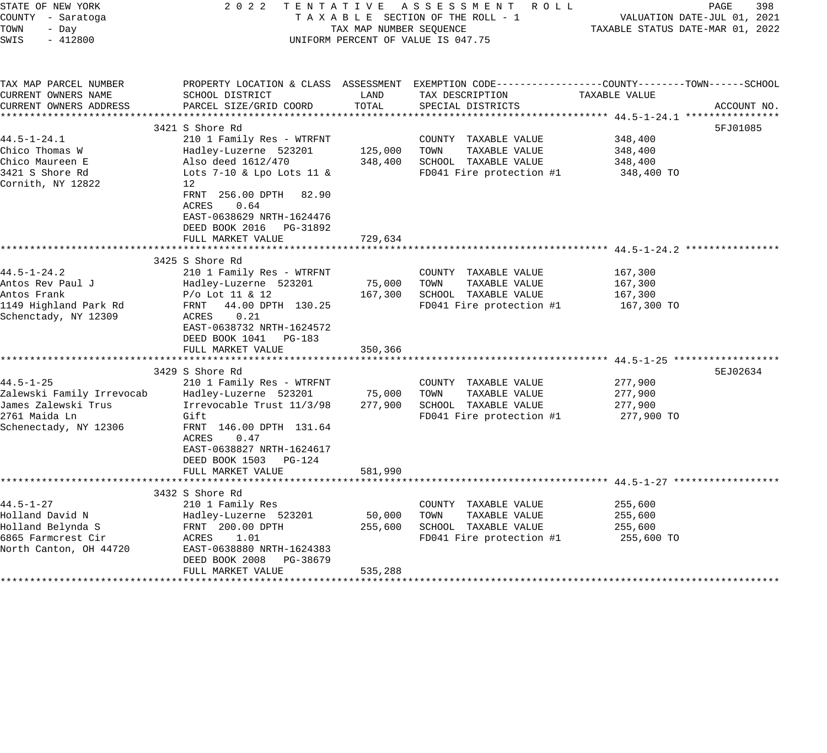| STATE OF NEW YORK<br>COUNTY - Saratoga<br>TOWN<br>- Day<br>SWIS<br>$-412800$<br>TAX MAP PARCEL NUMBER<br>CURRENT OWNERS NAME<br>CURRENT OWNERS ADDRESS | 2 0 2 2<br>SCHOOL DISTRICT<br>PARCEL SIZE/GRID COORD<br>3421 S Shore Rd                                                                                                                                                               | TAX MAP NUMBER SEQUENCE<br>LAND<br>TOTAL | TENTATIVE ASSESSMENT ROLL<br>TAXABLE SECTION OF THE ROLL - 1<br>UNIFORM PERCENT OF VALUE IS 047.75<br>PROPERTY LOCATION & CLASS ASSESSMENT EXEMPTION CODE----------------COUNTY-------TOWN-----SCHOOL<br>TAX DESCRIPTION<br>SPECIAL DISTRICTS | TAXABLE STATUS DATE-MAR 01, 2022<br>TAXABLE VALUE | PAGE<br>398<br>VALUATION DATE-JUL 01, 2021<br>ACCOUNT NO.<br>5FJ01085 |
|--------------------------------------------------------------------------------------------------------------------------------------------------------|---------------------------------------------------------------------------------------------------------------------------------------------------------------------------------------------------------------------------------------|------------------------------------------|-----------------------------------------------------------------------------------------------------------------------------------------------------------------------------------------------------------------------------------------------|---------------------------------------------------|-----------------------------------------------------------------------|
| $44.5 - 1 - 24.1$<br>Chico Thomas W<br>Chico Maureen E<br>3421 S Shore Rd<br>Cornith, NY 12822                                                         | 210 1 Family Res - WTRFNT<br>Hadley-Luzerne 523201<br>Also deed 1612/470<br>Lots $7-10$ & Lpo Lots 11 &<br>12<br>FRNT 256.00 DPTH 82.90<br>ACRES<br>0.64<br>EAST-0638629 NRTH-1624476<br>DEED BOOK 2016 PG-31892<br>FULL MARKET VALUE | 125,000<br>348,400<br>729,634            | COUNTY TAXABLE VALUE<br>TOWN<br>TAXABLE VALUE<br>SCHOOL TAXABLE VALUE<br>FD041 Fire protection #1                                                                                                                                             | 348,400<br>348,400<br>348,400<br>348,400 TO       |                                                                       |
| $44.5 - 1 - 24.2$<br>Antos Rev Paul J<br>Antos Frank<br>1149 Highland Park Rd<br>Schenctady, NY 12309                                                  | 3425 S Shore Rd<br>210 1 Family Res - WTRFNT<br>Hadley-Luzerne 523201<br>$P/O$ Lot 11 & 12<br>FRNT 44.00 DPTH 130.25<br>0.21<br>ACRES<br>EAST-0638732 NRTH-1624572<br>DEED BOOK 1041 PG-183<br>FULL MARKET VALUE                      | 75,000<br>167,300<br>350,366             | COUNTY TAXABLE VALUE<br>TOWN<br>TAXABLE VALUE<br>SCHOOL TAXABLE VALUE<br>FD041 Fire protection #1                                                                                                                                             | 167,300<br>167,300<br>167,300<br>167,300 TO       |                                                                       |
| $44.5 - 1 - 25$<br>Zalewski Family Irrevocab<br>James Zalewski Trus<br>2761 Maida Ln<br>Schenectady, NY 12306                                          | 3429 S Shore Rd<br>210 1 Family Res - WTRFNT<br>Hadley-Luzerne 523201<br>Irrevocable Trust 11/3/98<br>Gift<br>FRNT 146.00 DPTH 131.64<br>ACRES<br>0.47<br>EAST-0638827 NRTH-1624617<br>DEED BOOK 1503 PG-124<br>FULL MARKET VALUE     | 75,000<br>277,900<br>581,990             | COUNTY TAXABLE VALUE<br>TOWN<br>TAXABLE VALUE<br>SCHOOL TAXABLE VALUE<br>FD041 Fire protection #1                                                                                                                                             | 277,900<br>277,900<br>277,900<br>277,900 TO       | 5EJ02634                                                              |
| 44.5-1-27<br>Holland David N<br>Holland Belynda S<br>6865 Farmcrest Cir<br>North Canton, OH 44720                                                      | *************************<br>3432 S Shore Rd<br>210 1 Family Res<br>Hadley-Luzerne 523201<br>FRNT 200.00 DPTH<br>1.01<br>ACRES<br>EAST-0638880 NRTH-1624383<br>DEED BOOK 2008<br>PG-38679<br>FULL MARKET VALUE                        | 50,000<br>255,600<br>535,288             | ***************************** 44 5-1-27 ****************<br>COUNTY TAXABLE VALUE<br>TOWN<br>TAXABLE VALUE<br>SCHOOL TAXABLE VALUE<br>FD041 Fire protection #1                                                                                 | 255,600<br>255,600<br>255,600<br>255,600 TO       |                                                                       |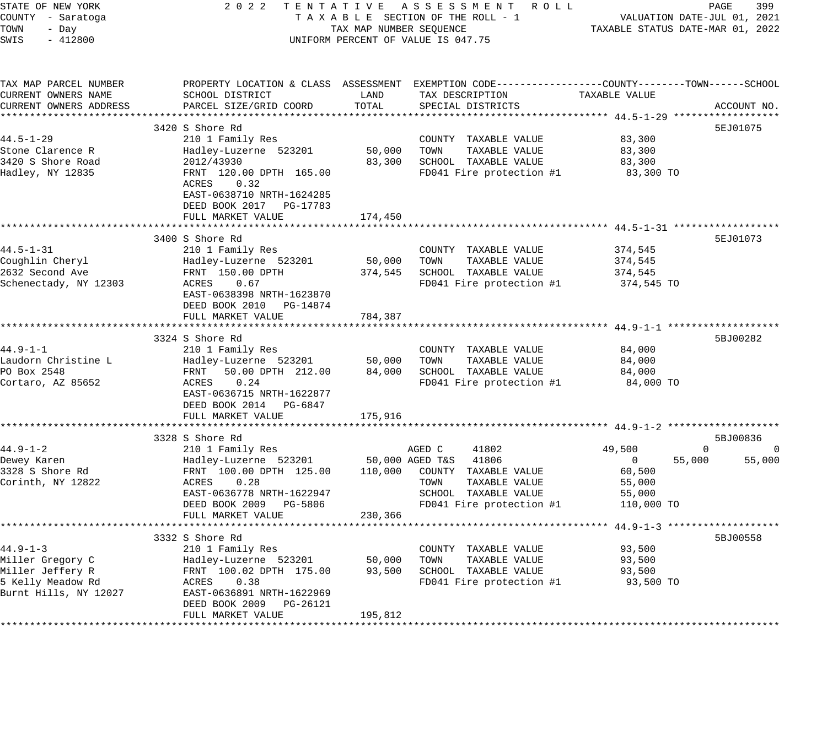| 399                                                                                                     | ACCOUNT NO.                                                                                                                              | 5EJ01075                                                                                                                                                                       | 5EJ01073                                                                                                                                                                                                                           | 5BJ00282                                                                                                                                                                               | 5BJ00836<br>$\mathbf 0$<br>55,000                                                                                                                                                    | 5BJ00558                                                                                                                                                                                                         |
|---------------------------------------------------------------------------------------------------------|------------------------------------------------------------------------------------------------------------------------------------------|--------------------------------------------------------------------------------------------------------------------------------------------------------------------------------|------------------------------------------------------------------------------------------------------------------------------------------------------------------------------------------------------------------------------------|----------------------------------------------------------------------------------------------------------------------------------------------------------------------------------------|--------------------------------------------------------------------------------------------------------------------------------------------------------------------------------------|------------------------------------------------------------------------------------------------------------------------------------------------------------------------------------------------------------------|
| PAGE                                                                                                    |                                                                                                                                          |                                                                                                                                                                                |                                                                                                                                                                                                                                    |                                                                                                                                                                                        | $\Omega$<br>55,000                                                                                                                                                                   |                                                                                                                                                                                                                  |
| VALUATION DATE-JUL 01, 2021<br>TAXABLE STATUS DATE-MAR 01, 2022                                         | TAXABLE VALUE                                                                                                                            | 83,300<br>83,300<br>83,300<br>83,300 TO                                                                                                                                        | 374,545<br>374,545<br>374,545<br>374,545 TO                                                                                                                                                                                        | 84,000<br>84,000<br>84,000<br>84,000 TO                                                                                                                                                | 49,500<br>$\overline{0}$<br>60,500<br>55,000<br>55,000<br>110,000 TO                                                                                                                 | 93,500<br>93,500<br>93,500<br>93,500 TO                                                                                                                                                                          |
| 2022 TENTATIVE ASSESSMENT ROLL<br>TAXABLE SECTION OF THE ROLL - 1<br>UNIFORM PERCENT OF VALUE IS 047.75 | PROPERTY LOCATION & CLASS ASSESSMENT EXEMPTION CODE----------------COUNTY-------TOWN------SCHOOL<br>TAX DESCRIPTION<br>SPECIAL DISTRICTS | COUNTY TAXABLE VALUE<br>TOWN<br>TAXABLE VALUE<br>SCHOOL TAXABLE VALUE<br>FD041 Fire protection #1                                                                              | COUNTY TAXABLE VALUE<br>TOWN<br>TAXABLE VALUE<br>SCHOOL TAXABLE VALUE<br>FD041 Fire protection #1                                                                                                                                  | COUNTY TAXABLE VALUE<br>TAXABLE VALUE<br>TOWN<br>SCHOOL TAXABLE VALUE<br>FD041 Fire protection #1                                                                                      | AGED C<br>41802<br>50,000 AGED T&S 41806<br>110,000 COUNTY TAXABLE VALUE<br>TOWN<br>TAXABLE VALUE<br>SCHOOL TAXABLE VALUE<br>FD041 Fire protection #1                                | COUNTY TAXABLE VALUE<br>TOWN<br>TAXABLE VALUE<br>SCHOOL TAXABLE VALUE<br>FD041 Fire protection #1                                                                                                                |
| TAX MAP NUMBER SEQUENCE                                                                                 | LAND<br>TOTAL                                                                                                                            | 50,000<br>83,300                                                                                                                                                               | 174,450<br>50,000<br>374,545<br>784,387                                                                                                                                                                                            | 50,000<br>84,000<br>175,916                                                                                                                                                            | 230,366                                                                                                                                                                              | 50,000<br>93,500<br>195,812                                                                                                                                                                                      |
|                                                                                                         | SCHOOL DISTRICT<br>PARCEL SIZE/GRID COORD                                                                                                | 3420 S Shore Rd<br>210 1 Family Res<br>Hadley-Luzerne 523201<br>2012/43930<br>FRNT 120.00 DPTH 165.00<br>ACRES<br>0.32<br>EAST-0638710 NRTH-1624285<br>DEED BOOK 2017 PG-17783 | FULL MARKET VALUE<br>***************************<br>3400 S Shore Rd<br>210 1 Family Res<br>Hadley-Luzerne 523201<br>FRNT 150.00 DPTH<br>ACRES<br>0.67<br>EAST-0638398 NRTH-1623870<br>DEED BOOK 2010 PG-14874<br>FULL MARKET VALUE | 3324 S Shore Rd<br>210 1 Family Res<br>Hadley-Luzerne 523201<br>FRNT<br>50.00 DPTH 212.00<br>ACRES<br>0.24<br>EAST-0636715 NRTH-1622877<br>DEED BOOK 2014 PG-6847<br>FULL MARKET VALUE | 3328 S Shore Rd<br>210 1 Family Res<br>Hadley-Luzerne 523201<br>FRNT 100.00 DPTH 125.00<br>0.28<br>ACRES<br>EAST-0636778 NRTH-1622947<br>DEED BOOK 2009 PG-5806<br>FULL MARKET VALUE | ***********************<br>3332 S Shore Rd<br>210 1 Family Res<br>Hadley-Luzerne 523201<br>FRNT 100.02 DPTH 175.00<br>ACRES<br>0.38<br>EAST-0636891 NRTH-1622969<br>DEED BOOK 2009 PG-26121<br>FULL MARKET VALUE |
| STATE OF NEW YORK<br>COUNTY - Saratoga<br>TOWN<br>- Day<br>SWIS<br>$-412800$                            | TAX MAP PARCEL NUMBER<br>CURRENT OWNERS NAME<br>CURRENT OWNERS ADDRESS                                                                   | $44.5 - 1 - 29$<br>Stone Clarence R<br>3420 S Shore Road<br>Hadley, NY 12835                                                                                                   | $44.5 - 1 - 31$<br>Coughlin Cheryl<br>2632 Second Ave<br>Schenectady, NY 12303                                                                                                                                                     | $44.9 - 1 - 1$<br>Laudorn Christine L<br>PO Box 2548<br>Cortaro, AZ 85652                                                                                                              | $44.9 - 1 - 2$<br>Dewey Karen<br>3328 S Shore Rd<br>Corinth, NY 12822                                                                                                                | $44.9 - 1 - 3$<br>Miller Gregory C<br>Miller Jeffery R<br>5 Kelly Meadow Rd<br>Burnt Hills, NY 12027                                                                                                             |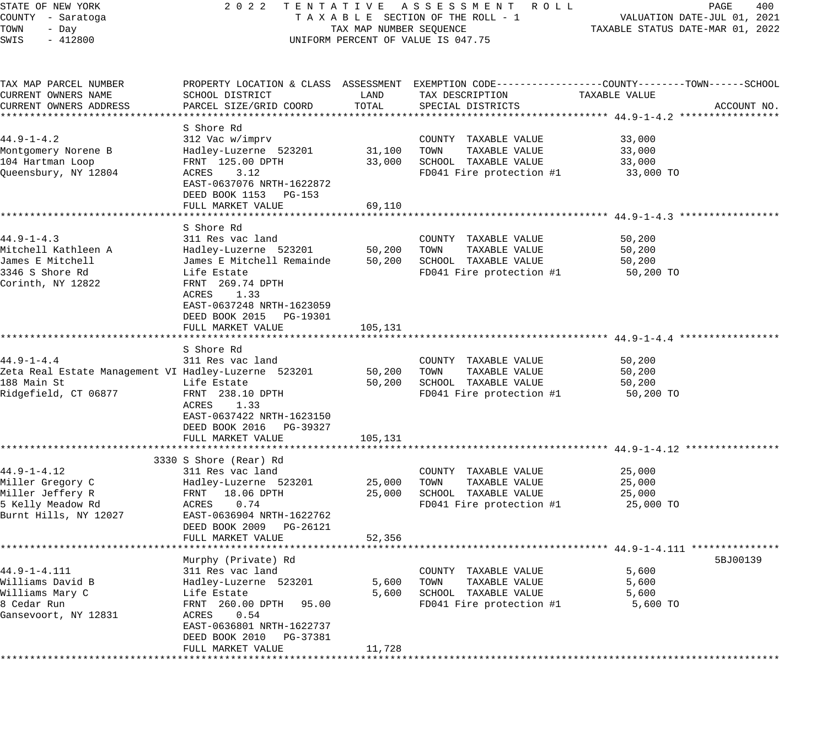STATE OF NEW YORK 2 0 2 2 T E N T A T I V E A S S E S S M E N T R O L L PAGE 400 COUNTY - Saratoga T A X A B L E SECTION OF THE ROLL - 1 VALUATION DATE-JUL 01, 2021 TOWN - Day TAX MAP NUMBER SEQUENCE TAXABLE STATUS DATE-MAR 01, 2022 SWIS - 412800 CONTROLLY THE UNIFORM PERCENT OF VALUE IS 047.75 TAX MAP PARCEL NUMBER PROPERTY LOCATION & CLASS ASSESSMENT EXEMPTION CODE------------------COUNTY--------TOWN------SCHOOL CURRENT OWNERS NAME SCHOOL DISTRICT LAND TAX DESCRIPTION TAXABLE VALUE CURRENT OWNERS ADDRESS PARCEL SIZE/GRID COORD TOTAL SPECIAL DISTRICTS ACCOUNT NO. \*\*\*\*\*\*\*\*\*\*\*\*\*\*\*\*\*\*\*\*\*\*\*\*\*\*\*\*\*\*\*\*\*\*\*\*\*\*\*\*\*\*\*\*\*\*\*\*\*\*\*\*\*\*\*\*\*\*\*\*\*\*\*\*\*\*\*\*\*\*\*\*\*\*\*\*\*\*\*\*\*\*\*\*\*\*\*\*\*\*\*\*\*\*\*\*\*\*\*\*\*\*\* 44.9-1-4.2 \*\*\*\*\*\*\*\*\*\*\*\*\*\*\*\*\* S Shore Rd 44.9-1-4.2 312 Vac w/imprv COUNTY TAXABLE VALUE 33,000 Montgomery Norene B Hadley-Luzerne 523201 31,100 TOWN TAXABLE VALUE 33,000 104 Hartman Loop FRNT 125.00 DPTH 33,000 SCHOOL TAXABLE VALUE 33,000 Queensbury, NY 12804 ACRES 3.12 FD041 Fire protection #1 33,000 TO EAST-0637076 NRTH-1622872 DEED BOOK 1153 PG-153 FULL MARKET VALUE 69,110 \*\*\*\*\*\*\*\*\*\*\*\*\*\*\*\*\*\*\*\*\*\*\*\*\*\*\*\*\*\*\*\*\*\*\*\*\*\*\*\*\*\*\*\*\*\*\*\*\*\*\*\*\*\*\*\*\*\*\*\*\*\*\*\*\*\*\*\*\*\*\*\*\*\*\*\*\*\*\*\*\*\*\*\*\*\*\*\*\*\*\*\*\*\*\*\*\*\*\*\*\*\*\* 44.9-1-4.3 \*\*\*\*\*\*\*\*\*\*\*\*\*\*\*\*\* S Shore Rd 44.9-1-4.3 311 Res vac land COUNTY TAXABLE VALUE 50,200 Mitchell Kathleen A Hadley-Luzerne 523201 50,200 TOWN TAXABLE VALUE 50,200 James E Mitchell James E Mitchell Remainde 50,200 SCHOOL TAXABLE VALUE 50,200 3346 S Shore Rd Life Estate FD041 Fire protection #1 50,200 TO Corinth, NY 12822 FRNT 269.74 DPTH ACRES 1.33 EAST-0637248 NRTH-1623059 DEED BOOK 2015 PG-19301 FULL MARKET VALUE 105,131 \*\*\*\*\*\*\*\*\*\*\*\*\*\*\*\*\*\*\*\*\*\*\*\*\*\*\*\*\*\*\*\*\*\*\*\*\*\*\*\*\*\*\*\*\*\*\*\*\*\*\*\*\*\*\*\*\*\*\*\*\*\*\*\*\*\*\*\*\*\*\*\*\*\*\*\*\*\*\*\*\*\*\*\*\*\*\*\*\*\*\*\*\*\*\*\*\*\*\*\*\*\*\* 44.9-1-4.4 \*\*\*\*\*\*\*\*\*\*\*\*\*\*\*\*\* S Shore Rd 44.9-1-4.4 311 Res vac land COUNTY TAXABLE VALUE 50,200 Zeta Real Estate Management VI Hadley-Luzerne 523201 50,200 TOWN TAXABLE VALUE 50,200 188 Main St Life Estate 50,200 SCHOOL TAXABLE VALUE 50,200 Ridgefield, CT 06877 FRNT 238.10 DPTH FODE FD041 Fire protection #1 50,200 TO ACRES 1.33 EAST-0637422 NRTH-1623150 DEED BOOK 2016 PG-39327 FULL MARKET VALUE 105,131 \*\*\*\*\*\*\*\*\*\*\*\*\*\*\*\*\*\*\*\*\*\*\*\*\*\*\*\*\*\*\*\*\*\*\*\*\*\*\*\*\*\*\*\*\*\*\*\*\*\*\*\*\*\*\*\*\*\*\*\*\*\*\*\*\*\*\*\*\*\*\*\*\*\*\*\*\*\*\*\*\*\*\*\*\*\*\*\*\*\*\*\*\*\*\*\*\*\*\*\*\*\*\* 44.9-1-4.12 \*\*\*\*\*\*\*\*\*\*\*\*\*\*\*\* 3330 S Shore (Rear) Rd 44.9-1-4.12 311 Res vac land COUNTY TAXABLE VALUE 25,000 Miller Gregory C Hadley-Luzerne 523201 25,000 TOWN TAXABLE VALUE 25,000 Miller Jeffery R FRNT 18.06 DPTH 25,000 SCHOOL TAXABLE VALUE 25,000 5 Kelly Meadow Rd ACRES 0.74 FD041 Fire protection #1 25,000 TO Burnt Hills, NY 12027 EAST-0636904 NRTH-1622762 DEED BOOK 2009 PG-26121 FULL MARKET VALUE 52,356 \*\*\*\*\*\*\*\*\*\*\*\*\*\*\*\*\*\*\*\*\*\*\*\*\*\*\*\*\*\*\*\*\*\*\*\*\*\*\*\*\*\*\*\*\*\*\*\*\*\*\*\*\*\*\*\*\*\*\*\*\*\*\*\*\*\*\*\*\*\*\*\*\*\*\*\*\*\*\*\*\*\*\*\*\*\*\*\*\*\*\*\*\*\*\*\*\*\*\*\*\*\*\* 44.9-1-4.111 \*\*\*\*\*\*\*\*\*\*\*\*\*\*\* Murphy (Private) Rd 5BJ00139 (September 2018) 88100139 (September 2018) 58100139 (September 2018) 58100139 (Se 44.9-1-4.111 311 Res vac land COUNTY TAXABLE VALUE 5,600 Williams David B Hadley-Luzerne 523201 5,600 TOWN TAXABLE VALUE 5,600 Williams Mary C Life Estate 5,600 SCHOOL TAXABLE VALUE 5,600 8 Cedar Run FRNT 260.00 DPTH 95.00 FD041 Fire protection #1 5,600 TO Gansevoort, NY 12831 ACRES 0.54 EAST-0636801 NRTH-1622737 DEED BOOK 2010 PG-37381 FULL MARKET VALUE 11,728 \*\*\*\*\*\*\*\*\*\*\*\*\*\*\*\*\*\*\*\*\*\*\*\*\*\*\*\*\*\*\*\*\*\*\*\*\*\*\*\*\*\*\*\*\*\*\*\*\*\*\*\*\*\*\*\*\*\*\*\*\*\*\*\*\*\*\*\*\*\*\*\*\*\*\*\*\*\*\*\*\*\*\*\*\*\*\*\*\*\*\*\*\*\*\*\*\*\*\*\*\*\*\*\*\*\*\*\*\*\*\*\*\*\*\*\*\*\*\*\*\*\*\*\*\*\*\*\*\*\*\*\*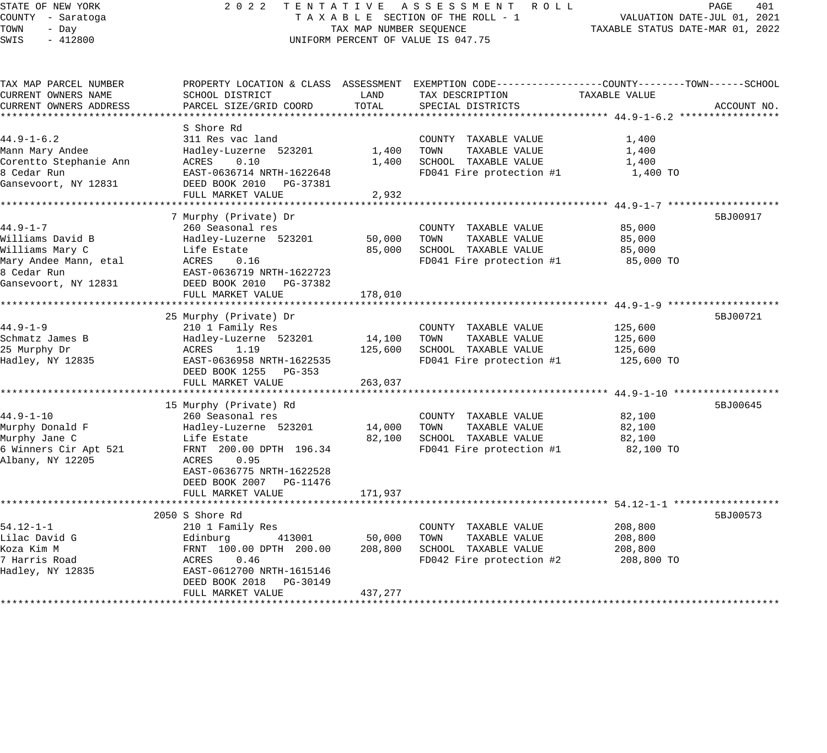# STATE OF NEW YORK 2 0 2 2 T E N T A T I V E A S S E S S M E N T R O L L PAGE 401 COUNTY - Saratoga T A X A B L E SECTION OF THE ROLL - 1 VALUATION DATE-JUL 01, 2021 UNIFORM PERCENT OF VALUE IS 047.75

TOWN - DALUATION DATE-JUL 01, 2021<br>TAXABLE STATUS DATE-MAR 01, 2022

| TAX MAP PARCEL NUMBER<br>CURRENT OWNERS NAME<br>CURRENT OWNERS ADDRESS                                                | PROPERTY LOCATION & CLASS ASSESSMENT EXEMPTION CODE---------------COUNTY-------TOWN------SCHOOL<br>SCHOOL DISTRICT<br>PARCEL SIZE/GRID COORD                                                                | LAND<br>TOTAL                | TAX DESCRIPTION<br>SPECIAL DISTRICTS                                                              | TAXABLE VALUE                               | ACCOUNT NO. |
|-----------------------------------------------------------------------------------------------------------------------|-------------------------------------------------------------------------------------------------------------------------------------------------------------------------------------------------------------|------------------------------|---------------------------------------------------------------------------------------------------|---------------------------------------------|-------------|
| $44.9 - 1 - 6.2$<br>Mann Mary Andee<br>Corentto Stephanie Ann<br>8 Cedar Run<br>Gansevoort, NY 12831                  | S Shore Rd<br>311 Res vac land<br>Hadley-Luzerne 523201<br>ACRES<br>0.10<br>EAST-0636714 NRTH-1622648<br>DEED BOOK 2010 PG-37381<br>FULL MARKET VALUE                                                       | 1,400<br>1,400<br>2,932      | COUNTY TAXABLE VALUE<br>TOWN<br>TAXABLE VALUE<br>SCHOOL TAXABLE VALUE<br>FD041 Fire protection #1 | 1,400<br>1,400<br>1,400<br>1,400 TO         |             |
| $44.9 - 1 - 7$<br>Williams David B<br>Williams Mary C<br>Mary Andee Mann, etal<br>8 Cedar Run<br>Gansevoort, NY 12831 | 7 Murphy (Private) Dr<br>260 Seasonal res<br>Hadley-Luzerne 523201<br>Life Estate<br>ACRES<br>0.16<br>EAST-0636719 NRTH-1622723<br>DEED BOOK 2010 PG-37382<br>FULL MARKET VALUE                             | 50,000<br>85,000<br>178,010  | COUNTY TAXABLE VALUE<br>TOWN<br>TAXABLE VALUE<br>SCHOOL TAXABLE VALUE<br>FD041 Fire protection #1 | 85,000<br>85,000<br>85,000<br>85,000 TO     | 5BJ00917    |
| $44.9 - 1 - 9$<br>Schmatz James B<br>25 Murphy Dr<br>Hadley, NY 12835                                                 | 25 Murphy (Private) Dr<br>210 1 Family Res<br>Hadley-Luzerne 523201<br>ACRES<br>1.19<br>EAST-0636958 NRTH-1622535<br>DEED BOOK 1255 PG-353<br>FULL MARKET VALUE                                             | 14,100<br>125,600<br>263,037 | COUNTY TAXABLE VALUE<br>TOWN<br>TAXABLE VALUE<br>SCHOOL TAXABLE VALUE<br>FD041 Fire protection #1 | 125,600<br>125,600<br>125,600<br>125,600 TO | 5BJ00721    |
| $44.9 - 1 - 10$<br>Murphy Donald F<br>Murphy Jane C<br>6 Winners Cir Apt 521<br>Albany, NY 12205                      | 15 Murphy (Private) Rd<br>260 Seasonal res<br>Hadley-Luzerne 523201<br>Life Estate<br>FRNT 200.00 DPTH 196.34<br>ACRES<br>0.95<br>EAST-0636775 NRTH-1622528<br>DEED BOOK 2007 PG-11476<br>FULL MARKET VALUE | 14,000<br>82,100<br>171,937  | COUNTY TAXABLE VALUE<br>TOWN<br>TAXABLE VALUE<br>SCHOOL TAXABLE VALUE<br>FD041 Fire protection #1 | 82,100<br>82,100<br>82,100<br>82,100 TO     | 5BJ00645    |
| $54.12 - 1 - 1$<br>Lilac David G<br>Koza Kim M<br>7 Harris Road<br>Hadley, NY 12835                                   | 2050 S Shore Rd<br>210 1 Family Res<br>Edinburg<br>413001<br>FRNT 100.00 DPTH 200.00<br>ACRES<br>0.46<br>EAST-0612700 NRTH-1615146<br>DEED BOOK 2018 PG-30149<br>FULL MARKET VALUE                          | 50,000<br>208,800<br>437,277 | COUNTY TAXABLE VALUE<br>TOWN<br>TAXABLE VALUE<br>SCHOOL TAXABLE VALUE<br>FD042 Fire protection #2 | 208,800<br>208,800<br>208,800<br>208,800 TO | 5BJ00573    |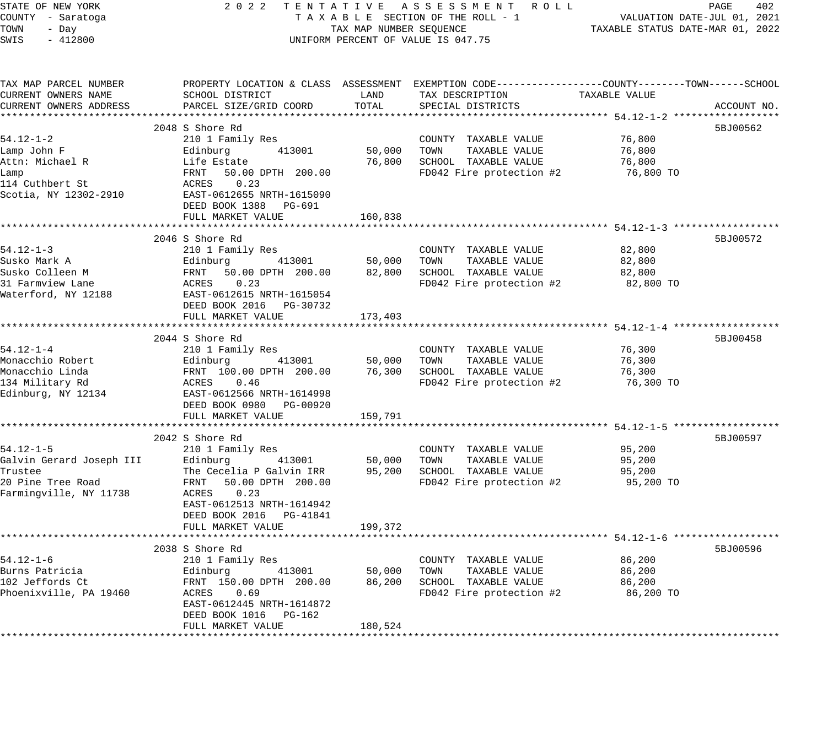| SCHOOL DISTRICT<br>PARCEL SIZE/GRID COORD<br>210 1 Family Res<br>413001<br>Life Estate<br>50.00 DPTH 200.00<br>0.23<br>EAST-0612655 NRTH-1615090<br>DEED BOOK 1388 PG-691<br>FULL MARKET VALUE<br>210 1 Family Res<br>413001<br>50.00 DPTH 200.00<br>0.23<br>EAST-0612615 NRTH-1615054<br>DEED BOOK 2016 PG-30732<br>FULL MARKET VALUE<br>210 1 Family Res<br>413001<br>FRNT 100.00 DPTH 200.00<br>0.46<br>EAST-0612566 NRTH-1614998<br>DEED BOOK 0980 PG-00920<br>FULL MARKET VALUE<br>210 1 Family Res<br>413001<br>The Cecelia P Galvin IRR<br>50.00 DPTH 200.00<br>0.23<br>EAST-0612513 NRTH-1614942<br>DEED BOOK 2016 PG-41841<br>413001 | TAX MAP NUMBER SEQUENCE<br>LAND<br>TOTAL<br>50,000<br>76,800<br>160,838<br>50,000<br>82,800<br>173,403<br>50,000<br>76,300<br>159,791<br>50,000<br>95,200<br>199,372<br>50,000 | 2022 TENTATIVE ASSESSMENT ROLL<br>TAXABLE SECTION OF THE ROLL - 1<br>UNIFORM PERCENT OF VALUE IS 047.75<br>PROPERTY LOCATION & CLASS ASSESSMENT EXEMPTION CODE----------------COUNTY-------TOWN-----SCHOOL<br>TAX DESCRIPTION<br>SPECIAL DISTRICTS<br>COUNTY TAXABLE VALUE<br>TOWN<br>TAXABLE VALUE<br>SCHOOL TAXABLE VALUE<br>FD042 Fire protection #2<br>COUNTY TAXABLE VALUE<br>TAXABLE VALUE<br>TOWN<br>SCHOOL TAXABLE VALUE<br>FD042 Fire protection #2<br>COUNTY TAXABLE VALUE<br>TAXABLE VALUE<br>TOWN<br>SCHOOL TAXABLE VALUE<br>FD042 Fire protection #2<br>COUNTY TAXABLE VALUE<br>TOWN<br>TAXABLE VALUE<br>SCHOOL TAXABLE VALUE<br>FD042 Fire protection #2<br>COUNTY TAXABLE VALUE<br>TAXABLE VALUE<br>TOWN | TAXABLE STATUS DATE-MAR 01, 2022<br>TAXABLE VALUE<br>76,800<br>76,800<br>76,800<br>76,800 TO<br>82,800<br>82,800<br>82,800<br>82,800 TO<br>76,300<br>76,300<br>76,300<br>76,300 TO<br>*********** 54.12-1-5 *****<br>95,200<br>95,200<br>95,200<br>95,200 TO<br>86,200<br>86,200 | PAGE<br>402<br>VALUATION DATE-JUL 01, 2021<br>ACCOUNT NO.<br>5BJ00562<br>5BJ00572<br>5BJ00458<br>5BJ00597<br>5BJ00596 |
|-----------------------------------------------------------------------------------------------------------------------------------------------------------------------------------------------------------------------------------------------------------------------------------------------------------------------------------------------------------------------------------------------------------------------------------------------------------------------------------------------------------------------------------------------------------------------------------------------------------------------------------------------|--------------------------------------------------------------------------------------------------------------------------------------------------------------------------------|-------------------------------------------------------------------------------------------------------------------------------------------------------------------------------------------------------------------------------------------------------------------------------------------------------------------------------------------------------------------------------------------------------------------------------------------------------------------------------------------------------------------------------------------------------------------------------------------------------------------------------------------------------------------------------------------------------------------------|----------------------------------------------------------------------------------------------------------------------------------------------------------------------------------------------------------------------------------------------------------------------------------|-----------------------------------------------------------------------------------------------------------------------|
| FULL MARKET VALUE                                                                                                                                                                                                                                                                                                                                                                                                                                                                                                                                                                                                                             |                                                                                                                                                                                |                                                                                                                                                                                                                                                                                                                                                                                                                                                                                                                                                                                                                                                                                                                         |                                                                                                                                                                                                                                                                                  |                                                                                                                       |
| 2038 S Shore Rd<br>210 1 Family Res<br>Burns Patricia<br>Edinburg                                                                                                                                                                                                                                                                                                                                                                                                                                                                                                                                                                             | 86,200                                                                                                                                                                         | SCHOOL TAXABLE VALUE                                                                                                                                                                                                                                                                                                                                                                                                                                                                                                                                                                                                                                                                                                    | 86,200                                                                                                                                                                                                                                                                           |                                                                                                                       |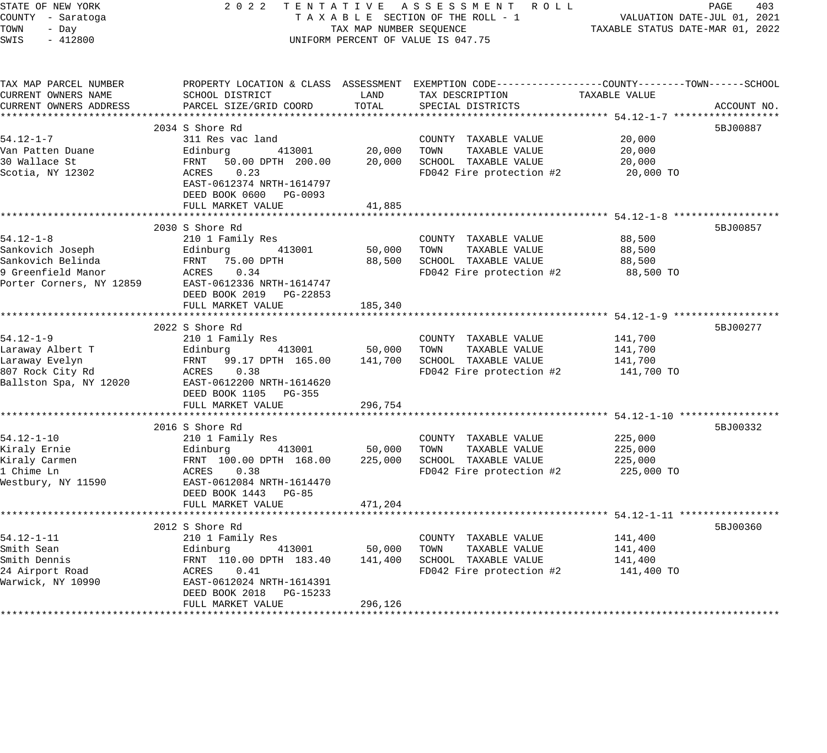| STATE OF NEW YORK<br>COUNTY - Saratoga<br>TOWN<br>- Day | 2 0 2 2                                                              | TAX MAP NUMBER SEOUENCE | TENTATIVE ASSESSMENT ROLL<br>TAXABLE SECTION OF THE ROLL - 1                                   | TAXABLE STATUS DATE-MAR 01, 2022         | PAGE<br>403<br>VALUATION DATE-JUL 01, 2021 |
|---------------------------------------------------------|----------------------------------------------------------------------|-------------------------|------------------------------------------------------------------------------------------------|------------------------------------------|--------------------------------------------|
| SWIS<br>$-412800$                                       |                                                                      |                         | UNIFORM PERCENT OF VALUE IS 047.75                                                             |                                          |                                            |
| TAX MAP PARCEL NUMBER                                   |                                                                      |                         | PROPERTY LOCATION & CLASS ASSESSMENT EXEMPTION CODE---------------COUNTY-------TOWN-----SCHOOL |                                          |                                            |
| CURRENT OWNERS NAME                                     | SCHOOL DISTRICT                                                      | LAND<br>TOTAL           | TAX DESCRIPTION                                                                                | TAXABLE VALUE                            |                                            |
| CURRENT OWNERS ADDRESS                                  | PARCEL SIZE/GRID COORD                                               |                         | SPECIAL DISTRICTS                                                                              |                                          | ACCOUNT NO.                                |
|                                                         | 2034 S Shore Rd                                                      |                         |                                                                                                |                                          | 5BJ00887                                   |
| $54.12 - 1 - 7$                                         | 311 Res vac land                                                     |                         | COUNTY TAXABLE VALUE                                                                           | 20,000                                   |                                            |
| Van Patten Duane                                        | Edinburg<br>413001                                                   | 20,000                  | TOWN<br>TAXABLE VALUE                                                                          | 20,000                                   |                                            |
| 30 Wallace St                                           | FRNT<br>50.00 DPTH 200.00                                            | 20,000                  | SCHOOL TAXABLE VALUE                                                                           | 20,000                                   |                                            |
| Scotia, NY 12302                                        | ACRES<br>0.23<br>EAST-0612374 NRTH-1614797<br>DEED BOOK 0600 PG-0093 |                         | FD042 Fire protection #2                                                                       | 20,000 TO                                |                                            |
|                                                         | FULL MARKET VALUE                                                    | 41,885                  |                                                                                                |                                          |                                            |
|                                                         |                                                                      |                         |                                                                                                |                                          |                                            |
|                                                         | 2030 S Shore Rd                                                      |                         |                                                                                                |                                          | 5BJ00857                                   |
| $54.12 - 1 - 8$                                         | 210 1 Family Res                                                     |                         | COUNTY TAXABLE VALUE                                                                           | 88,500                                   |                                            |
| Sankovich Joseph<br>Sankovich Belinda                   | Edinburg<br>413001<br>FRNT<br>75.00 DPTH                             | 50,000<br>88,500        | TOWN<br>TAXABLE VALUE<br>SCHOOL TAXABLE VALUE                                                  | 88,500<br>88,500                         |                                            |
| 9 Greenfield Manor                                      | ACRES<br>0.34                                                        |                         | FD042 Fire protection #2                                                                       | 88,500 TO                                |                                            |
| Porter Corners, NY 12859                                | EAST-0612336 NRTH-1614747                                            |                         |                                                                                                |                                          |                                            |
|                                                         | DEED BOOK 2019 PG-22853                                              |                         |                                                                                                |                                          |                                            |
|                                                         | FULL MARKET VALUE                                                    | 185,340                 |                                                                                                |                                          |                                            |
|                                                         |                                                                      |                         |                                                                                                |                                          |                                            |
|                                                         | 2022 S Shore Rd                                                      |                         |                                                                                                |                                          | 5BJ00277                                   |
| $54.12 - 1 - 9$                                         | 210 1 Family Res                                                     |                         | COUNTY TAXABLE VALUE                                                                           | 141,700                                  |                                            |
| Laraway Albert T                                        | 413001<br>Edinburg                                                   | 50,000                  | TOWN<br>TAXABLE VALUE                                                                          | 141,700                                  |                                            |
| Laraway Evelyn                                          | FRNT<br>99.17 DPTH 165.00                                            | 141,700                 | SCHOOL TAXABLE VALUE                                                                           | 141,700                                  |                                            |
| 807 Rock City Rd                                        | 0.38<br>ACRES                                                        |                         | FD042 Fire protection #2                                                                       | 141,700 TO                               |                                            |
| Ballston Spa, NY 12020                                  | EAST-0612200 NRTH-1614620                                            |                         |                                                                                                |                                          |                                            |
|                                                         | DEED BOOK 1105 PG-355<br>FULL MARKET VALUE                           | 296,754                 |                                                                                                |                                          |                                            |
|                                                         | ************************                                             |                         |                                                                                                |                                          |                                            |
|                                                         | 2016 S Shore Rd                                                      |                         |                                                                                                |                                          | 5BJ00332                                   |
| $54.12 - 1 - 10$                                        | 210 1 Family Res                                                     |                         | COUNTY TAXABLE VALUE                                                                           | 225,000                                  |                                            |
| Kiraly Ernie                                            | 413001<br>Edinburg                                                   | 50,000                  | TAXABLE VALUE<br>TOWN                                                                          | 225,000                                  |                                            |
| Kiraly Carmen                                           | FRNT 100.00 DPTH 168.00                                              | 225,000                 | SCHOOL TAXABLE VALUE                                                                           | 225,000                                  |                                            |
| 1 Chime Ln                                              | ACRES<br>0.38                                                        |                         | FD042 Fire protection #2                                                                       | 225,000 TO                               |                                            |
| Westbury, NY 11590                                      | EAST-0612084 NRTH-1614470                                            |                         |                                                                                                |                                          |                                            |
|                                                         | DEED BOOK 1443 PG-85                                                 |                         |                                                                                                |                                          |                                            |
|                                                         | FULL MARKET VALUE                                                    | 471,204                 |                                                                                                |                                          |                                            |
|                                                         |                                                                      |                         |                                                                                                | *********** 54.12-1-11 ***************** |                                            |
| $54.12 - 1 - 11$                                        | 2012 S Shore Rd<br>210 1 Family Res                                  |                         | COUNTY TAXABLE VALUE                                                                           | 141,400                                  | 5BJ00360                                   |
| Smith Sean                                              | Edinburg<br>413001                                                   | 50,000                  | TOWN<br>TAXABLE VALUE                                                                          | 141,400                                  |                                            |
| Smith Dennis                                            | FRNT 110.00 DPTH 183.40                                              | 141,400                 | SCHOOL TAXABLE VALUE                                                                           | 141,400                                  |                                            |
| 24 Airport Road                                         | ACRES<br>0.41                                                        |                         | FD042 Fire protection #2                                                                       | 141,400 TO                               |                                            |
| Warwick, NY 10990                                       | EAST-0612024 NRTH-1614391                                            |                         |                                                                                                |                                          |                                            |
|                                                         | DEED BOOK 2018<br>PG-15233                                           |                         |                                                                                                |                                          |                                            |
|                                                         | FULL MARKET VALUE                                                    | 296,126                 |                                                                                                |                                          |                                            |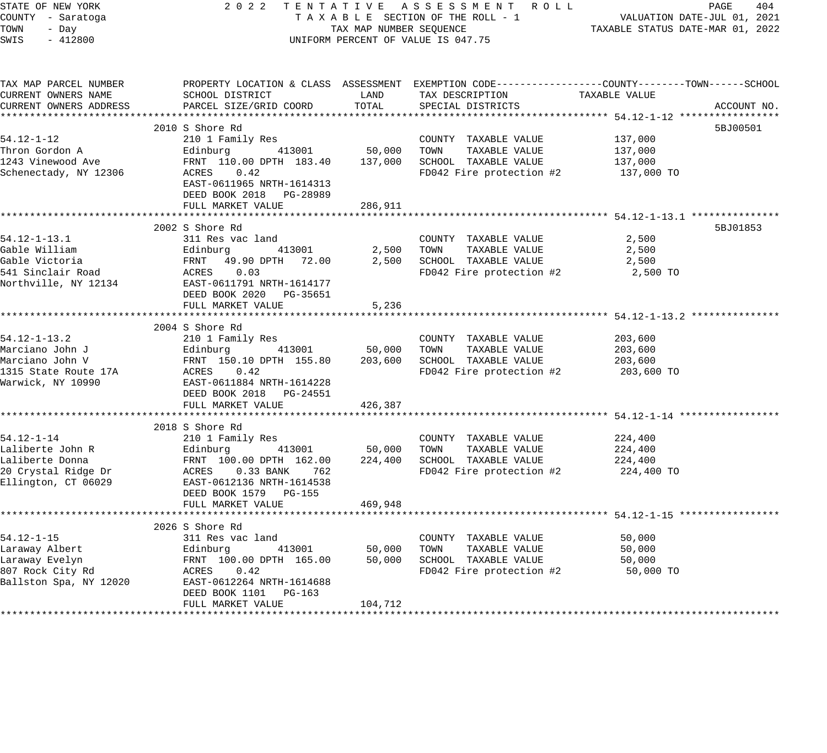| STATE OF NEW YORK                         | 2022                                                                  |                                       | TENTATIVE ASSESSMENT ROLL                                                                        |                                                     | PAGE<br>404 |
|-------------------------------------------|-----------------------------------------------------------------------|---------------------------------------|--------------------------------------------------------------------------------------------------|-----------------------------------------------------|-------------|
| COUNTY - Saratoga                         |                                                                       |                                       | TAXABLE SECTION OF THE ROLL - 1                                                                  | VALUATION DATE-JUL 01, 2021                         |             |
| TOWN<br>- Day                             |                                                                       | TAX MAP NUMBER SEQUENCE               |                                                                                                  | TAXABLE STATUS DATE-MAR 01, 2022                    |             |
| SWIS<br>$-412800$                         |                                                                       |                                       | UNIFORM PERCENT OF VALUE IS 047.75                                                               |                                                     |             |
| TAX MAP PARCEL NUMBER                     |                                                                       |                                       | PROPERTY LOCATION & CLASS ASSESSMENT EXEMPTION CODE----------------COUNTY-------TOWN------SCHOOL |                                                     |             |
| CURRENT OWNERS NAME                       | SCHOOL DISTRICT                                                       | LAND                                  | TAX DESCRIPTION                                                                                  | TAXABLE VALUE                                       |             |
| CURRENT OWNERS ADDRESS                    | PARCEL SIZE/GRID COORD                                                | TOTAL                                 | SPECIAL DISTRICTS                                                                                |                                                     | ACCOUNT NO. |
|                                           |                                                                       |                                       |                                                                                                  |                                                     |             |
|                                           | 2010 S Shore Rd                                                       |                                       |                                                                                                  |                                                     | 5BJ00501    |
| $54.12 - 1 - 12$                          | 210 1 Family Res                                                      |                                       | COUNTY TAXABLE VALUE                                                                             | 137,000                                             |             |
| Thron Gordon A                            | 413001<br>Edinburg                                                    | 50,000                                | TOWN<br>TAXABLE VALUE                                                                            | 137,000                                             |             |
| 1243 Vinewood Ave                         | FRNT 110.00 DPTH 183.40                                               | 137,000                               | SCHOOL TAXABLE VALUE                                                                             | 137,000                                             |             |
| Schenectady, NY 12306                     | ACRES<br>0.42<br>EAST-0611965 NRTH-1614313<br>DEED BOOK 2018 PG-28989 |                                       | FD042 Fire protection #2                                                                         | 137,000 TO                                          |             |
|                                           | FULL MARKET VALUE                                                     | 286,911                               |                                                                                                  |                                                     |             |
|                                           |                                                                       |                                       |                                                                                                  |                                                     |             |
|                                           | 2002 S Shore Rd                                                       |                                       |                                                                                                  |                                                     | 5BJ01853    |
| $54.12 - 1 - 13.1$                        | 311 Res vac land                                                      |                                       | COUNTY TAXABLE VALUE                                                                             | 2,500                                               |             |
| Gable William                             | 413001<br>Edinburg                                                    | 2,500                                 | TAXABLE VALUE<br>TOWN                                                                            | 2,500                                               |             |
| Gable Victoria                            | FRNT<br>49.90 DPTH 72.00                                              | 2,500                                 | SCHOOL TAXABLE VALUE                                                                             | 2,500                                               |             |
| 541 Sinclair Road                         | ACRES<br>0.03                                                         |                                       | FD042 Fire protection #2                                                                         | 2,500 TO                                            |             |
| Northville, NY 12134                      | EAST-0611791 NRTH-1614177                                             |                                       |                                                                                                  |                                                     |             |
|                                           | DEED BOOK 2020 PG-35651                                               |                                       |                                                                                                  |                                                     |             |
|                                           | FULL MARKET VALUE                                                     | 5,236                                 |                                                                                                  |                                                     |             |
|                                           |                                                                       |                                       |                                                                                                  | **************** 54.12-1-13.2                       |             |
|                                           | 2004 S Shore Rd                                                       |                                       |                                                                                                  |                                                     |             |
| $54.12 - 1 - 13.2$                        | 210 1 Family Res                                                      |                                       | COUNTY TAXABLE VALUE                                                                             | 203,600                                             |             |
| Marciano John J                           | 413001<br>Edinburg                                                    | 50,000                                | TAXABLE VALUE<br>TOWN                                                                            | 203,600                                             |             |
| Marciano John V                           | FRNT 150.10 DPTH 155.80                                               | 203,600                               | SCHOOL TAXABLE VALUE                                                                             | 203,600                                             |             |
| 1315 State Route 17A<br>Warwick, NY 10990 | ACRES<br>0.42                                                         |                                       | FD042 Fire protection #2                                                                         | 203,600 TO                                          |             |
|                                           | EAST-0611884 NRTH-1614228<br>DEED BOOK 2018 PG-24551                  |                                       |                                                                                                  |                                                     |             |
|                                           | FULL MARKET VALUE                                                     | 426,387                               |                                                                                                  |                                                     |             |
|                                           | *********************                                                 | * * * * * * * * * * * * * * * * * * * |                                                                                                  | ******************************* 54.12-1-14 ******** |             |
|                                           | 2018 S Shore Rd                                                       |                                       |                                                                                                  |                                                     |             |
| $54.12 - 1 - 14$                          | 210 1 Family Res                                                      |                                       | COUNTY TAXABLE VALUE                                                                             | 224,400                                             |             |
| Laliberte John R                          | Edinburg<br>413001                                                    | 50,000                                | TAXABLE VALUE<br>TOWN                                                                            | 224,400                                             |             |
| Laliberte Donna                           | FRNT 100.00 DPTH 162.00                                               | 224,400                               | SCHOOL TAXABLE VALUE                                                                             | 224,400                                             |             |
| 20 Crystal Ridge Dr                       | ACRES<br>$0.33$ BANK<br>762                                           |                                       | FD042 Fire protection #2                                                                         | 224,400 TO                                          |             |
| Ellington, CT 06029                       | EAST-0612136 NRTH-1614538                                             |                                       |                                                                                                  |                                                     |             |
|                                           | DEED BOOK 1579 PG-155                                                 |                                       |                                                                                                  |                                                     |             |
|                                           | FULL MARKET VALUE                                                     | 469,948                               |                                                                                                  |                                                     |             |
|                                           |                                                                       |                                       |                                                                                                  |                                                     |             |
|                                           | 2026 S Shore Rd                                                       |                                       |                                                                                                  |                                                     |             |
| $54.12 - 1 - 15$                          | 311 Res vac land                                                      |                                       | COUNTY TAXABLE VALUE                                                                             | 50,000                                              |             |
| Laraway Albert                            | 413001<br>Edinburg                                                    | 50,000                                | TOWN<br>TAXABLE VALUE                                                                            | 50,000                                              |             |
| Laraway Evelyn                            | FRNT 100.00 DPTH 165.00                                               | 50,000                                | SCHOOL TAXABLE VALUE                                                                             | 50,000                                              |             |
| 807 Rock City Rd                          | ACRES<br>0.42                                                         |                                       | FD042 Fire protection #2                                                                         | 50,000 TO                                           |             |
| Ballston Spa, NY 12020                    | EAST-0612264 NRTH-1614688                                             |                                       |                                                                                                  |                                                     |             |
|                                           | DEED BOOK 1101<br>PG-163<br>FULL MARKET VALUE                         | 104,712                               |                                                                                                  |                                                     |             |
|                                           |                                                                       |                                       |                                                                                                  |                                                     |             |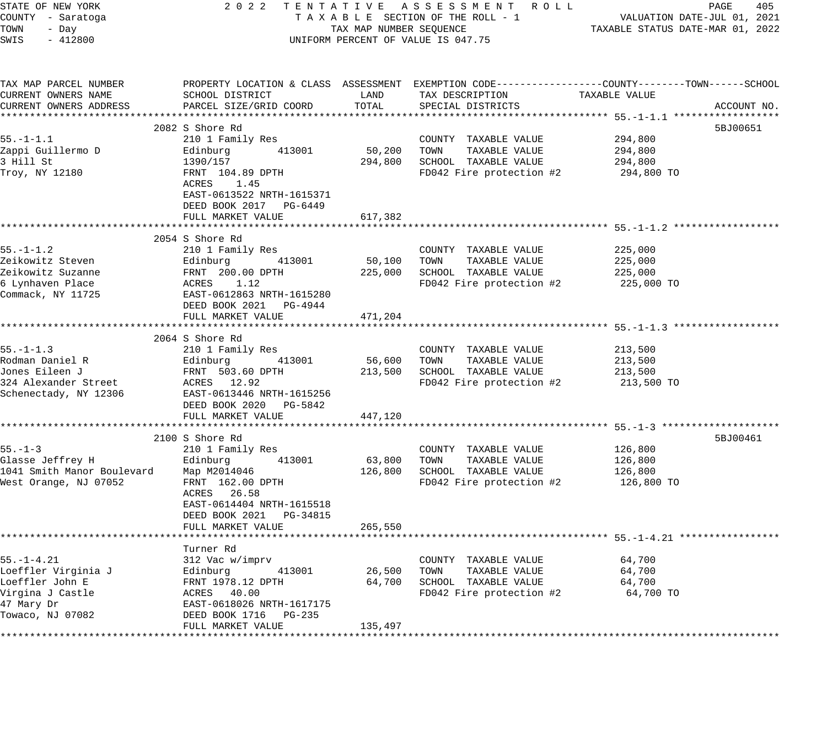| STATE OF NEW YORK<br>COUNTY - Saratoga<br>TOWN<br>- Day<br>SWIS<br>$-412800$ |                                                                          | TAX MAP NUMBER SEQUENCE | 2022 TENTATIVE ASSESSMENT ROLL<br>TAXABLE SECTION OF THE ROLL - 1<br>UNIFORM PERCENT OF VALUE IS 047.75                                  | VALUATION DATE-JUL 01, 2021<br>TAXABLE STATUS DATE-MAR 01, 2022 | PAGE<br>405 |
|------------------------------------------------------------------------------|--------------------------------------------------------------------------|-------------------------|------------------------------------------------------------------------------------------------------------------------------------------|-----------------------------------------------------------------|-------------|
| TAX MAP PARCEL NUMBER<br>CURRENT OWNERS NAME<br>CURRENT OWNERS ADDRESS       | SCHOOL DISTRICT<br>PARCEL SIZE/GRID COORD                                | LAND<br>TOTAL           | PROPERTY LOCATION & CLASS ASSESSMENT EXEMPTION CODE----------------COUNTY-------TOWN------SCHOOL<br>TAX DESCRIPTION<br>SPECIAL DISTRICTS | TAXABLE VALUE                                                   | ACCOUNT NO. |
|                                                                              |                                                                          |                         |                                                                                                                                          |                                                                 |             |
|                                                                              | 2082 S Shore Rd                                                          |                         |                                                                                                                                          |                                                                 | 5BJ00651    |
| $55. - 1 - 1.1$<br>Zappi Guillermo D                                         | 210 1 Family Res<br>413001<br>Edinburg                                   | 50,200                  | COUNTY TAXABLE VALUE<br>TOWN<br>TAXABLE VALUE                                                                                            | 294,800<br>294,800                                              |             |
| 3 Hill St                                                                    | 1390/157                                                                 |                         | 294,800 SCHOOL TAXABLE VALUE                                                                                                             | 294,800                                                         |             |
| Troy, NY 12180                                                               | FRNT 104.89 DPTH<br>ACRES 1.45                                           |                         | FD042 Fire protection #2                                                                                                                 | 294,800 TO                                                      |             |
|                                                                              | EAST-0613522 NRTH-1615371<br>DEED BOOK 2017 PG-6449<br>FULL MARKET VALUE | 617,382                 |                                                                                                                                          |                                                                 |             |
|                                                                              |                                                                          |                         |                                                                                                                                          |                                                                 |             |
|                                                                              | 2054 S Shore Rd                                                          |                         |                                                                                                                                          |                                                                 |             |
| $55. - 1 - 1.2$                                                              | 210 1 Family Res                                                         |                         | COUNTY TAXABLE VALUE                                                                                                                     | 225,000                                                         |             |
| Zeikowitz Steven                                                             | Edinburg 413001                                                          | 50,100                  | TOWN<br>TAXABLE VALUE                                                                                                                    | 225,000                                                         |             |
| Zeikowitz Suzanne                                                            | FRNT 200.00 DPTH                                                         |                         | 225,000 SCHOOL TAXABLE VALUE                                                                                                             | 225,000                                                         |             |
| 6 Lynhaven Place                                                             | ACRES 1.12                                                               |                         | FD042 Fire protection #2                                                                                                                 | 225,000 TO                                                      |             |
| Commack, NY 11725                                                            | EAST-0612863 NRTH-1615280<br>DEED BOOK 2021 PG-4944                      |                         |                                                                                                                                          |                                                                 |             |
|                                                                              | FULL MARKET VALUE                                                        | 471,204                 |                                                                                                                                          |                                                                 |             |
|                                                                              |                                                                          |                         |                                                                                                                                          |                                                                 |             |
| $55. - 1 - 1.3$                                                              | 2064 S Shore Rd                                                          |                         |                                                                                                                                          |                                                                 |             |
| Rodman Daniel R                                                              | 210 1 Family Res<br>Edinburg 413001                                      |                         | COUNTY TAXABLE VALUE<br>56,600 TOWN<br>TAXABLE VALUE                                                                                     | 213,500<br>213,500                                              |             |
| Jones Eileen J                                                               | FRNT 503.60 DPTH                                                         |                         | 213,500 SCHOOL TAXABLE VALUE                                                                                                             | 213,500                                                         |             |
| 324 Alexander Street                                                         | ACRES 12.92                                                              |                         | FD042 Fire protection #2                                                                                                                 | 213,500 TO                                                      |             |
| Schenectady, NY 12306                                                        | EAST-0613446 NRTH-1615256                                                |                         |                                                                                                                                          |                                                                 |             |
|                                                                              | DEED BOOK 2020 PG-5842                                                   |                         |                                                                                                                                          |                                                                 |             |
|                                                                              | FULL MARKET VALUE                                                        | 447,120                 |                                                                                                                                          |                                                                 |             |
|                                                                              |                                                                          |                         |                                                                                                                                          |                                                                 |             |
|                                                                              | 2100 S Shore Rd                                                          |                         |                                                                                                                                          |                                                                 | 5BJ00461    |
| $55. - 1 - 3$                                                                | 210 1 Family Res                                                         |                         | COUNTY TAXABLE VALUE                                                                                                                     | 126,800                                                         |             |
| Glasse Jeffrey H                                                             | Edinburg<br>413001                                                       |                         | 63,800 TOWN<br>TAXABLE VALUE                                                                                                             | 126,800                                                         |             |
| 1041 Smith Manor Boulevard                                                   | Map M2014046<br>FRNT 162.00 DPTH                                         |                         | 126,800 SCHOOL TAXABLE VALUE<br>FD042 Fire protection #2                                                                                 | 126,800<br>126,800 TO                                           |             |
| West Orange, NJ 07052                                                        | ACRES 26.58                                                              |                         |                                                                                                                                          |                                                                 |             |
|                                                                              | EAST-0614404 NRTH-1615518                                                |                         |                                                                                                                                          |                                                                 |             |
|                                                                              | DEED BOOK 2021 PG-34815                                                  |                         |                                                                                                                                          |                                                                 |             |
|                                                                              | FULL MARKET VALUE                                                        | 265,550                 |                                                                                                                                          |                                                                 |             |
|                                                                              |                                                                          |                         |                                                                                                                                          |                                                                 |             |
|                                                                              | Turner Rd                                                                |                         |                                                                                                                                          |                                                                 |             |
| $55. - 1 - 4.21$                                                             | 312 Vac w/imprv                                                          |                         | COUNTY TAXABLE VALUE                                                                                                                     | 64,700                                                          |             |
| Loeffler Virginia J                                                          | Edinburg<br>413001                                                       | 26,500                  | TOWN<br>TAXABLE VALUE                                                                                                                    | 64,700                                                          |             |
| Loeffler John E                                                              | FRNT 1978.12 DPTH                                                        | 64,700                  | SCHOOL TAXABLE VALUE                                                                                                                     | 64,700                                                          |             |
| Virgina J Castle                                                             | ACRES 40.00                                                              |                         | FD042 Fire protection #2                                                                                                                 | 64,700 TO                                                       |             |
| 47 Mary Dr<br>Towaco, NJ 07082                                               | EAST-0618026 NRTH-1617175<br>DEED BOOK 1716 PG-235                       |                         |                                                                                                                                          |                                                                 |             |
|                                                                              | FULL MARKET VALUE                                                        | 135,497                 |                                                                                                                                          |                                                                 |             |
|                                                                              |                                                                          |                         |                                                                                                                                          |                                                                 |             |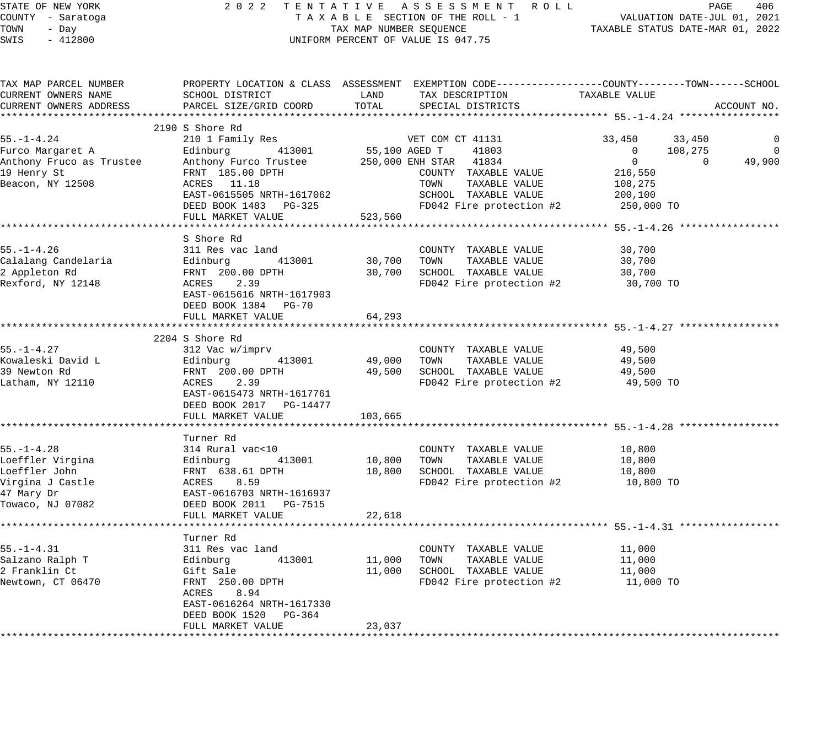| STATE OF NEW YORK<br>COUNTY - Saratoga<br>TOWN<br>- Day<br>$-412800$<br>SWIS |                                                                                                                                                    |         | 2022 TENTATIVE ASSESSMENT ROLL<br>TAXABLE SECTION OF THE ROLL - 1<br>TAX MAP NUMBER SEQUENCE<br>UNIFORM PERCENT OF VALUE IS 047.75 | 0 L L PAGE 406<br>VALUATION DATE-JUL 01, 2021<br>TAXABLE STATUS DATE-MAR 01, 2022 |                |
|------------------------------------------------------------------------------|----------------------------------------------------------------------------------------------------------------------------------------------------|---------|------------------------------------------------------------------------------------------------------------------------------------|-----------------------------------------------------------------------------------|----------------|
| TAX MAP PARCEL NUMBER<br>CURRENT OWNERS NAME<br>CURRENT OWNERS ADDRESS       | PROPERTY LOCATION & CLASS ASSESSMENT EXEMPTION CODE---------------COUNTY-------TOWN------SCHOOL<br>SCHOOL DISTRICT<br>PARCEL SIZE/GRID COORD TOTAL | LAND    | TAX DESCRIPTION<br>SPECIAL DISTRICTS                                                                                               | TAXABLE VALUE                                                                     | ACCOUNT NO.    |
|                                                                              |                                                                                                                                                    |         |                                                                                                                                    |                                                                                   |                |
|                                                                              | 2190 S Shore Rd                                                                                                                                    |         |                                                                                                                                    |                                                                                   |                |
| 55.-1-4.24                                                                   | 210 1 Family Res                                                                                                                                   |         | VET COM CT 41131                                                                                                                   | 33,450<br>33,450                                                                  | $\overline{0}$ |
|                                                                              |                                                                                                                                                    |         | 55,100 AGED T 41803<br>250,000 ENH STAR 41834                                                                                      | $\overline{0}$<br>108,275<br>$\overline{0}$                                       | $\overline{0}$ |
|                                                                              |                                                                                                                                                    |         | COUNTY TAXABLE VALUE                                                                                                               | 216,550                                                                           |                |
|                                                                              |                                                                                                                                                    |         | TOWN TAXABLE VALUE                                                                                                                 | 108,275                                                                           |                |
|                                                                              | EAST-0615505 NRTH-1617062                                                                                                                          |         | SCHOOL TAXABLE VALUE                                                                                                               | 200,100                                                                           |                |
|                                                                              | DEED BOOK 1483 PG-325                                                                                                                              |         | FD042 Fire protection #2 250,000 TO                                                                                                |                                                                                   |                |
|                                                                              | FULL MARKET VALUE                                                                                                                                  | 523,560 |                                                                                                                                    |                                                                                   |                |
|                                                                              |                                                                                                                                                    |         |                                                                                                                                    |                                                                                   |                |
|                                                                              | S Shore Rd                                                                                                                                         |         |                                                                                                                                    |                                                                                   |                |
| 55.-1-4.26                                                                   | 311 Res vac land                                                                                                                                   |         | COUNTY TAXABLE VALUE                                                                                                               | 30,700                                                                            |                |
| Calalang Candelaria                                                          |                                                                                                                                                    |         | 30,700 TOWN TAXABLE VALUE                                                                                                          | 30,700                                                                            |                |
| 2 Appleton Rd<br>Rexford, NY 12148                                           |                                                                                                                                                    |         | 30,700 SCHOOL TAXABLE VALUE                                                                                                        | 30,700                                                                            |                |
|                                                                              | 311 Res vac 1anu<br>Edinburg 413001<br>FRNT 200.00 DPTH<br>ACRES 2.39<br>EAST-0615616 NRTH-1617903                                                 |         | FD042 Fire protection #2                                                                                                           | 30,700 TO                                                                         |                |
|                                                                              |                                                                                                                                                    |         |                                                                                                                                    |                                                                                   |                |
|                                                                              | DEED BOOK 1384 PG-70                                                                                                                               |         |                                                                                                                                    |                                                                                   |                |
|                                                                              | FULL MARKET VALUE                                                                                                                                  | 64,293  |                                                                                                                                    |                                                                                   |                |
|                                                                              | 2204 S Shore Rd                                                                                                                                    |         |                                                                                                                                    |                                                                                   |                |
| 55.-1-4.27                                                                   | 312 Vac w/imprv                                                                                                                                    |         | COUNTY TAXABLE VALUE                                                                                                               | 49,500                                                                            |                |
| Kowaleski David L                                                            |                                                                                                                                                    |         | 49,000 TOWN TAXABLE VALUE                                                                                                          | 49,500                                                                            |                |
| 39 Newton Rd                                                                 |                                                                                                                                                    |         | 49,500 SCHOOL TAXABLE VALUE                                                                                                        | 49,500                                                                            |                |
| Latham, NY 12110                                                             | Edinburg 413001<br>FRNT 200.00 DPTH<br>ACRES 2.39<br>EAST-0615473 NRTH-1617761<br>0.1517 2.39                                                      |         | FD042 Fire protection #2                                                                                                           | 49,500 TO                                                                         |                |
|                                                                              |                                                                                                                                                    |         |                                                                                                                                    |                                                                                   |                |
|                                                                              | DEED BOOK 2017    PG-14477                                                                                                                         |         |                                                                                                                                    |                                                                                   |                |
|                                                                              | FULL MARKET VALUE                                                                                                                                  | 103,665 |                                                                                                                                    |                                                                                   |                |
|                                                                              |                                                                                                                                                    |         |                                                                                                                                    |                                                                                   |                |
|                                                                              | Turner Rd                                                                                                                                          |         |                                                                                                                                    |                                                                                   |                |
| $55. - 1 - 4.28$                                                             |                                                                                                                                                    |         | COUNTY TAXABLE VALUE                                                                                                               | 10,800                                                                            |                |
| Loeffler Virgina                                                             |                                                                                                                                                    |         | 10,800 TOWN TAXABLE VALUE                                                                                                          | 10,800                                                                            |                |
| Loeffler John                                                                |                                                                                                                                                    |         | 10,800 SCHOOL TAXABLE VALUE                                                                                                        | 10,800                                                                            |                |
| Virgina J Castle                                                             |                                                                                                                                                    |         | FD042 Fire protection #2                                                                                                           | 10,800 TO                                                                         |                |
| 47 Mary Dr                                                                   |                                                                                                                                                    |         |                                                                                                                                    |                                                                                   |                |
| Towaco, NJ 07082                                                             |                                                                                                                                                    |         |                                                                                                                                    |                                                                                   |                |
|                                                                              |                                                                                                                                                    | 22,618  |                                                                                                                                    |                                                                                   |                |
|                                                                              | Turner Rd                                                                                                                                          |         |                                                                                                                                    |                                                                                   |                |
| 55.–1–4.31                                                                   |                                                                                                                                                    |         | COUNTY TAXABLE VALUE                                                                                                               | 11,000                                                                            |                |
| Salzano Ralph T                                                              |                                                                                                                                                    |         | 11,000 TOWN TAXABLE VALUE                                                                                                          | 11,000                                                                            |                |
| 2 Franklin Ct                                                                |                                                                                                                                                    |         | 11,000 SCHOOL TAXABLE VALUE                                                                                                        | 11,000                                                                            |                |
| Newtown, CT 06470                                                            |                                                                                                                                                    |         | FD042 Fire protection $#2$ 11,000 TO                                                                                               |                                                                                   |                |
|                                                                              | ACRES 8.94                                                                                                                                         |         |                                                                                                                                    |                                                                                   |                |
|                                                                              | EAST-0616264 NRTH-1617330                                                                                                                          |         |                                                                                                                                    |                                                                                   |                |
|                                                                              | DEED BOOK 1520 PG-364                                                                                                                              |         |                                                                                                                                    |                                                                                   |                |
|                                                                              | FULL MARKET VALUE                                                                                                                                  | 23,037  |                                                                                                                                    |                                                                                   |                |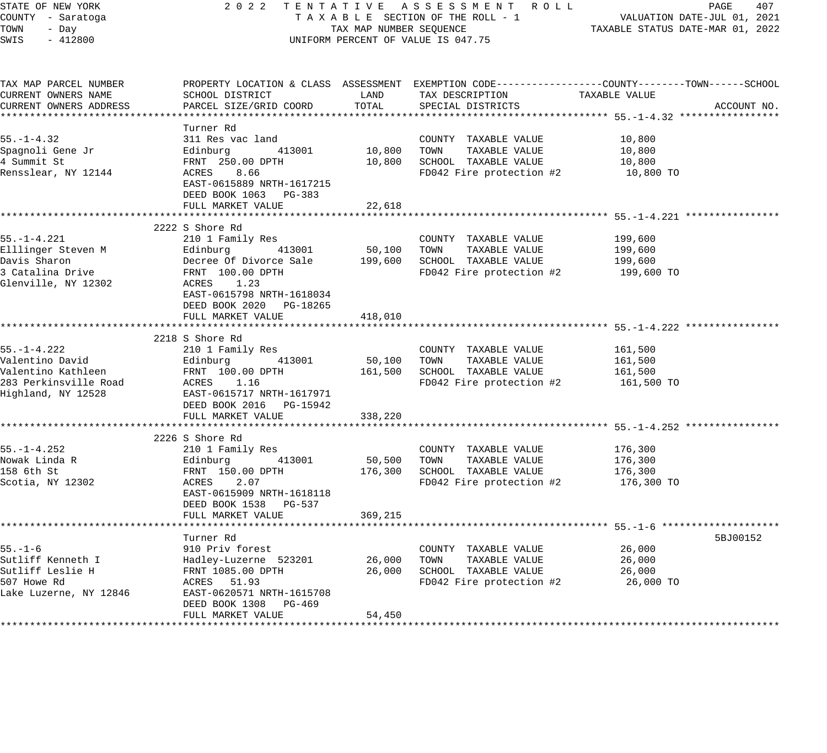STATE OF NEW YORK 2 0 2 2 T E N T A T I V E A S S E S S M E N T R O L L PAGE 407 COUNTY - Saratoga T A X A B L E SECTION OF THE ROLL - 1 VALUATION DATE-JUL 01, 2021 TOWN - Day TAX MAP NUMBER SEQUENCE TAXABLE STATUS DATE-MAR 01, 2022 SWIS - 412800 CONTROLLY THE UNIFORM PERCENT OF VALUE IS 047.75 TAX MAP PARCEL NUMBER PROPERTY LOCATION & CLASS ASSESSMENT EXEMPTION CODE------------------COUNTY--------TOWN------SCHOOL CURRENT OWNERS NAME SCHOOL DISTRICT LAND TAX DESCRIPTION TAXABLE VALUE CURRENT OWNERS ADDRESS PARCEL SIZE/GRID COORD TOTAL SPECIAL DISTRICTS ACCOUNT NO. \*\*\*\*\*\*\*\*\*\*\*\*\*\*\*\*\*\*\*\*\*\*\*\*\*\*\*\*\*\*\*\*\*\*\*\*\*\*\*\*\*\*\*\*\*\*\*\*\*\*\*\*\*\*\*\*\*\*\*\*\*\*\*\*\*\*\*\*\*\*\*\*\*\*\*\*\*\*\*\*\*\*\*\*\*\*\*\*\*\*\*\*\*\*\*\*\*\*\*\*\*\*\* 55.-1-4.32 \*\*\*\*\*\*\*\*\*\*\*\*\*\*\*\*\* Turner Rd 55.-1-4.32 311 Res vac land COUNTY TAXABLE VALUE 10,800 Spagnoli Gene Jr Edinburg 413001 10,800 TOWN TAXABLE VALUE 10,800 4 Summit St FRNT 250.00 DPTH 10,800 SCHOOL TAXABLE VALUE 10,800 Rensslear, NY 12144 ACRES 8.66 FD042 Fire protection #2 10,800 TO EAST-0615889 NRTH-1617215 DEED BOOK 1063 PG-383 FULL MARKET VALUE 22,618 \*\*\*\*\*\*\*\*\*\*\*\*\*\*\*\*\*\*\*\*\*\*\*\*\*\*\*\*\*\*\*\*\*\*\*\*\*\*\*\*\*\*\*\*\*\*\*\*\*\*\*\*\*\*\*\*\*\*\*\*\*\*\*\*\*\*\*\*\*\*\*\*\*\*\*\*\*\*\*\*\*\*\*\*\*\*\*\*\*\*\*\*\*\*\*\*\*\*\*\*\*\*\* 55.-1-4.221 \*\*\*\*\*\*\*\*\*\*\*\*\*\*\*\* 2222 S Shore Rd 55.-1-4.221 210 1 Family Res COUNTY TAXABLE VALUE 199,600 Elllinger Steven M Edinburg 413001 50,100 TOWN TAXABLE VALUE 199,600 Davis Sharon Decree Of Divorce Sale 199,600 SCHOOL TAXABLE VALUE 199,600 3 Catalina Drive FRNT 100.00 DPTH FD042 Fire protection #2 199,600 TO Glenville, NY 12302 ACRES 1.23 EAST-0615798 NRTH-1618034 DEED BOOK 2020 PG-18265 FULL MARKET VALUE 418,010 \*\*\*\*\*\*\*\*\*\*\*\*\*\*\*\*\*\*\*\*\*\*\*\*\*\*\*\*\*\*\*\*\*\*\*\*\*\*\*\*\*\*\*\*\*\*\*\*\*\*\*\*\*\*\*\*\*\*\*\*\*\*\*\*\*\*\*\*\*\*\*\*\*\*\*\*\*\*\*\*\*\*\*\*\*\*\*\*\*\*\*\*\*\*\*\*\*\*\*\*\*\*\* 55.-1-4.222 \*\*\*\*\*\*\*\*\*\*\*\*\*\*\*\* 2218 S Shore Rd 55.-1-4.222 210 1 Family Res COUNTY TAXABLE VALUE 161,500 Valentino David Edinburg 413001 50,100 TOWN TAXABLE VALUE 161,500 Valentino Kathleen FRNT 100.00 DPTH 161,500 SCHOOL TAXABLE VALUE 161,500 283 Perkinsville Road ACRES 1.16 FD042 Fire protection #2 161,500 TO Highland, NY 12528 EAST-0615717 NRTH-1617971 DEED BOOK 2016 PG-15942 FULL MARKET VALUE 338,220 \*\*\*\*\*\*\*\*\*\*\*\*\*\*\*\*\*\*\*\*\*\*\*\*\*\*\*\*\*\*\*\*\*\*\*\*\*\*\*\*\*\*\*\*\*\*\*\*\*\*\*\*\*\*\*\*\*\*\*\*\*\*\*\*\*\*\*\*\*\*\*\*\*\*\*\*\*\*\*\*\*\*\*\*\*\*\*\*\*\*\*\*\*\*\*\*\*\*\*\*\*\*\* 55.-1-4.252 \*\*\*\*\*\*\*\*\*\*\*\*\*\*\*\* 2226 S Shore Rd<br>210 1 Family Res 55.-1-4.252 210 1 Family Res COUNTY TAXABLE VALUE 176,300 Nowak Linda R Edinburg 413001 50,500 TOWN TAXABLE VALUE 176,300 158 6th St FRNT 150.00 DPTH 176,300 SCHOOL TAXABLE VALUE 176,300 Scotia, NY 12302 ACRES 2.07 FD042 Fire protection #2 176,300 TO EAST-0615909 NRTH-1618118 DEED BOOK 1538 PG-537 FULL MARKET VALUE 369,215 \*\*\*\*\*\*\*\*\*\*\*\*\*\*\*\*\*\*\*\*\*\*\*\*\*\*\*\*\*\*\*\*\*\*\*\*\*\*\*\*\*\*\*\*\*\*\*\*\*\*\*\*\*\*\*\*\*\*\*\*\*\*\*\*\*\*\*\*\*\*\*\*\*\*\*\*\*\*\*\*\*\*\*\*\*\*\*\*\*\*\*\*\*\*\*\*\*\*\*\*\*\*\* 55.-1-6 \*\*\*\*\*\*\*\*\*\*\*\*\*\*\*\*\*\*\*\* Turner Rd 5BJ00152 55.-1-6 910 Priv forest COUNTY TAXABLE VALUE 26,000 Sutliff Kenneth I Hadley-Luzerne 523201 26,000 TOWN TAXABLE VALUE 26,000 Sutliff Leslie H FRNT 1085.00 DPTH 26,000 SCHOOL TAXABLE VALUE 26,000 507 Howe Rd ACRES 51.93 FD042 Fire protection #2 26,000 TO Lake Luzerne, NY 12846 EAST-0620571 NRTH-1615708 DEED BOOK 1308 PG-469 FULL MARKET VALUE 54,450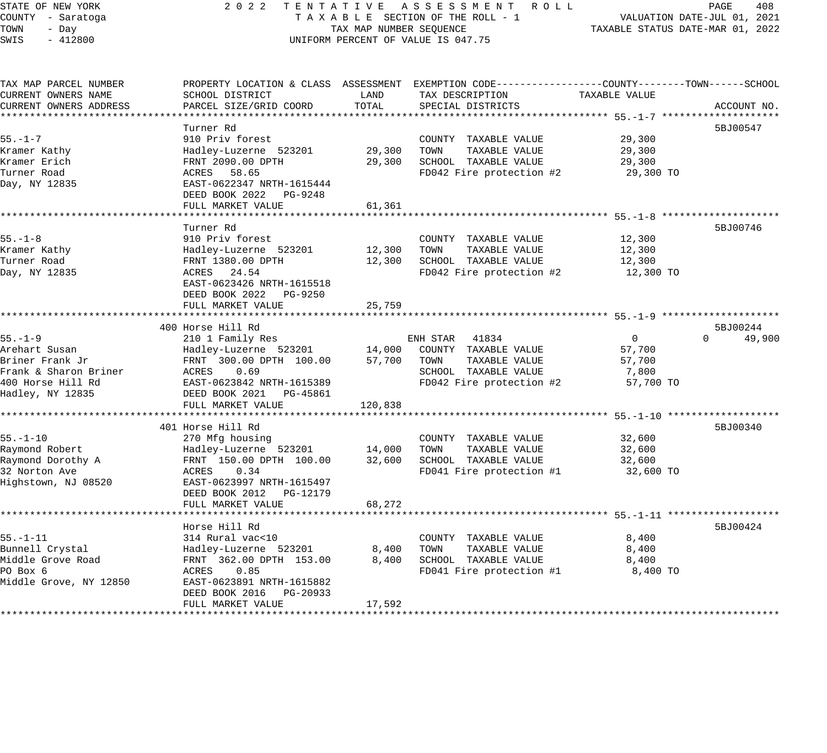# STATE OF NEW YORK 2 0 2 2 T E N T A T I V E A S S E S S M E N T R O L L PAGE 408 COUNTY - Saratoga T A X A B L E SECTION OF THE ROLL - 1 VALUATION DATE-JUL 01, 2021 TAX A B L E SECTION OF THE ROLL - 1<br>TAXABLE STATUS DATE-MAR 01, 2022 UNIFORM PERCENT OF VALUE IS 047.75

| TAX MAP PARCEL NUMBER  | PROPERTY LOCATION & CLASS ASSESSMENT EXEMPTION CODE----------------COUNTY-------TOWN------SCHOOL |         |                          |               |                    |
|------------------------|--------------------------------------------------------------------------------------------------|---------|--------------------------|---------------|--------------------|
| CURRENT OWNERS NAME    | SCHOOL DISTRICT                                                                                  | LAND    | TAX DESCRIPTION          | TAXABLE VALUE |                    |
| CURRENT OWNERS ADDRESS | PARCEL SIZE/GRID COORD                                                                           | TOTAL   | SPECIAL DISTRICTS        |               | ACCOUNT NO.        |
|                        |                                                                                                  |         |                          |               |                    |
|                        | Turner Rd                                                                                        |         |                          |               | 5BJ00547           |
| $55. - 1 - 7$          | 910 Priv forest                                                                                  |         | COUNTY TAXABLE VALUE     | 29,300        |                    |
| Kramer Kathy           | Hadley-Luzerne 523201                                                                            | 29,300  | TOWN<br>TAXABLE VALUE    | 29,300        |                    |
| Kramer Erich           | FRNT 2090.00 DPTH                                                                                | 29,300  | SCHOOL TAXABLE VALUE     | 29,300        |                    |
| Turner Road            | ACRES 58.65                                                                                      |         | FD042 Fire protection #2 | 29,300 TO     |                    |
| Day, NY 12835          | EAST-0622347 NRTH-1615444                                                                        |         |                          |               |                    |
|                        | DEED BOOK 2022 PG-9248                                                                           |         |                          |               |                    |
|                        | FULL MARKET VALUE                                                                                | 61,361  |                          |               |                    |
|                        |                                                                                                  |         |                          |               |                    |
|                        | Turner Rd                                                                                        |         |                          |               | 5BJ00746           |
| $55. - 1 - 8$          | 910 Priv forest                                                                                  |         | COUNTY TAXABLE VALUE     | 12,300        |                    |
| Kramer Kathy           | Hadley-Luzerne 523201                                                                            | 12,300  | TOWN<br>TAXABLE VALUE    | 12,300        |                    |
| Turner Road            | FRNT 1380.00 DPTH                                                                                | 12,300  | SCHOOL TAXABLE VALUE     | 12,300        |                    |
|                        | ACRES 24.54                                                                                      |         |                          | 12,300 TO     |                    |
| Day, NY 12835          | EAST-0623426 NRTH-1615518                                                                        |         | FD042 Fire protection #2 |               |                    |
|                        |                                                                                                  |         |                          |               |                    |
|                        | DEED BOOK 2022 PG-9250                                                                           |         |                          |               |                    |
|                        | FULL MARKET VALUE                                                                                | 25,759  |                          |               |                    |
|                        |                                                                                                  |         |                          |               |                    |
|                        | 400 Horse Hill Rd                                                                                |         |                          |               | 5BJ00244           |
| $55. - 1 - 9$          | 210 1 Family Res                                                                                 |         | ENH STAR 41834           | 0             | $\Omega$<br>49,900 |
| Arehart Susan          | Hadley-Luzerne 523201 14,000                                                                     |         | COUNTY TAXABLE VALUE     | 57,700        |                    |
| Briner Frank Jr        | FRNT 300.00 DPTH 100.00 57,700                                                                   |         | TAXABLE VALUE<br>TOWN    | 57,700        |                    |
| Frank & Sharon Briner  | ACRES<br>0.69                                                                                    |         | SCHOOL TAXABLE VALUE     | 7,800         |                    |
| 400 Horse Hill Rd      | EAST-0623842 NRTH-1615389                                                                        |         | FD042 Fire protection #2 | 57,700 TO     |                    |
| Hadley, NY 12835       | DEED BOOK 2021    PG-45861                                                                       |         |                          |               |                    |
|                        | FULL MARKET VALUE                                                                                | 120,838 |                          |               |                    |
|                        |                                                                                                  |         |                          |               |                    |
|                        | 401 Horse Hill Rd                                                                                |         |                          |               | 5BJ00340           |
| $55. - 1 - 10$         | 270 Mfg housing                                                                                  |         | COUNTY TAXABLE VALUE     | 32,600        |                    |
| Raymond Robert         | Hadley-Luzerne 523201 14,000                                                                     |         | TAXABLE VALUE<br>TOWN    | 32,600        |                    |
| Raymond Dorothy A      | FRNT 150.00 DPTH 100.00                                                                          | 32,600  | SCHOOL TAXABLE VALUE     | 32,600        |                    |
| 32 Norton Ave          | 0.34<br>ACRES                                                                                    |         | FD041 Fire protection #1 | 32,600 TO     |                    |
| Highstown, NJ 08520    | EAST-0623997 NRTH-1615497                                                                        |         |                          |               |                    |
|                        | DEED BOOK 2012<br>PG-12179                                                                       |         |                          |               |                    |
|                        | FULL MARKET VALUE                                                                                | 68,272  |                          |               |                    |
|                        |                                                                                                  |         |                          |               |                    |
|                        | Horse Hill Rd                                                                                    |         |                          |               | 5BJ00424           |
| $55. - 1 - 11$         | 314 Rural vac<10                                                                                 |         | COUNTY TAXABLE VALUE     | 8,400         |                    |
| Bunnell Crystal        | Hadley-Luzerne 523201                                                                            | 8,400   | TOWN<br>TAXABLE VALUE    | 8,400         |                    |
| Middle Grove Road      | FRNT 362.00 DPTH 153.00                                                                          | 8,400   | SCHOOL TAXABLE VALUE     | 8,400         |                    |
| PO Box 6               | 0.85<br>ACRES                                                                                    |         | FD041 Fire protection #1 | 8,400 TO      |                    |
| Middle Grove, NY 12850 | EAST-0623891 NRTH-1615882                                                                        |         |                          |               |                    |
|                        | DEED BOOK 2016 PG-20933                                                                          |         |                          |               |                    |
|                        | FULL MARKET VALUE                                                                                | 17,592  |                          |               |                    |
|                        |                                                                                                  |         |                          |               |                    |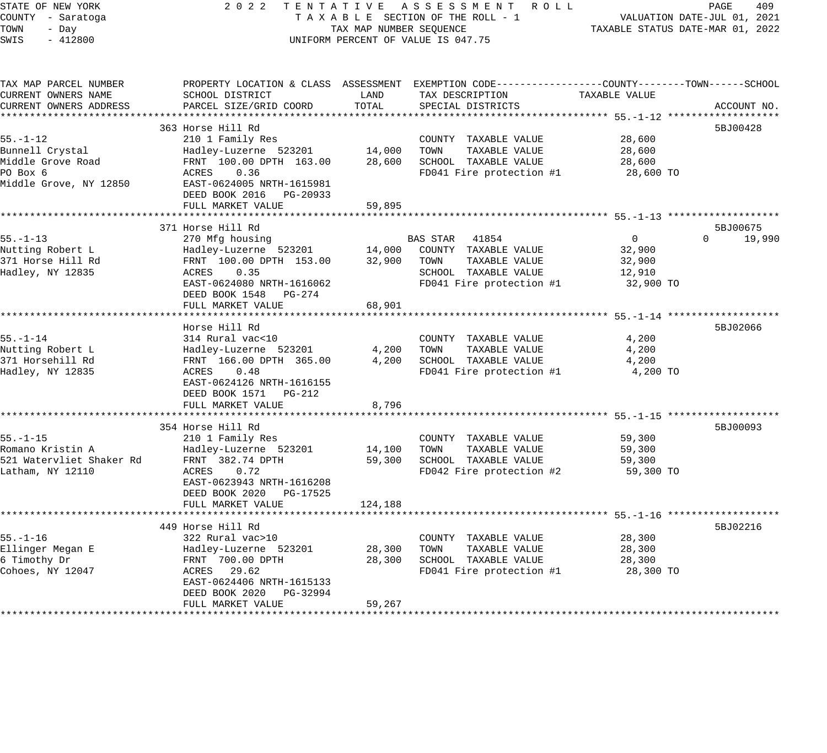# STATE OF NEW YORK 2 0 2 2 T E N T A T I V E A S S E S S M E N T R O L L PAGE 409 COUNTY - Saratoga T A X A B L E SECTION OF THE ROLL - 1 VALUATION DATE-JUL 01, 2021 X A B L E SECTION OF THE ROLL - 1 VALUATION DATE-JUL UI, 2021<br>TAX MAP NUMBER SEQUENCE TAXABLE STATUS DATE-MAR 01, 2022 UNIFORM PERCENT OF VALUE IS 047.75

| TAX MAP PARCEL NUMBER<br>CURRENT OWNERS NAME            | PROPERTY LOCATION & CLASS ASSESSMENT EXEMPTION CODE---------------COUNTY-------TOWN------SCHOOL<br>SCHOOL DISTRICT    | LAND             | TAX DESCRIPTION                                                 | TAXABLE VALUE                      |                    |
|---------------------------------------------------------|-----------------------------------------------------------------------------------------------------------------------|------------------|-----------------------------------------------------------------|------------------------------------|--------------------|
| CURRENT OWNERS ADDRESS                                  | PARCEL SIZE/GRID COORD                                                                                                | TOTAL            | SPECIAL DISTRICTS                                               |                                    | ACCOUNT NO.        |
|                                                         | 363 Horse Hill Rd                                                                                                     |                  |                                                                 |                                    | 5BJ00428           |
| $55. - 1 - 12$<br>Bunnell Crystal                       | 210 1 Family Res<br>Hadley-Luzerne 523201                                                                             | 14,000           | COUNTY TAXABLE VALUE<br>TOWN<br>TAXABLE VALUE                   | 28,600<br>28,600                   |                    |
| Middle Grove Road<br>PO Box 6<br>Middle Grove, NY 12850 | FRNT 100.00 DPTH 163.00<br>0.36<br>ACRES<br>EAST-0624005 NRTH-1615981<br>DEED BOOK 2016 PG-20933<br>FULL MARKET VALUE | 28,600<br>59,895 | SCHOOL TAXABLE VALUE<br>FD041 Fire protection #1                | 28,600<br>28,600 TO                |                    |
|                                                         |                                                                                                                       |                  |                                                                 |                                    |                    |
|                                                         | 371 Horse Hill Rd                                                                                                     |                  |                                                                 |                                    | 5BJ00675           |
| $55. - 1 - 13$<br>Nutting Robert L<br>371 Horse Hill Rd | 270 Mfg housing<br>Hadley-Luzerne 523201<br>FRNT 100.00 DPTH 153.00                                                   | 14,000<br>32,900 | BAS STAR 41854<br>COUNTY TAXABLE VALUE<br>TOWN<br>TAXABLE VALUE | $\overline{0}$<br>32,900<br>32,900 | 19,990<br>$\Omega$ |
| Hadley, NY 12835                                        | ACRES<br>0.35                                                                                                         |                  | SCHOOL TAXABLE VALUE                                            | 12,910                             |                    |
|                                                         | EAST-0624080 NRTH-1616062<br>DEED BOOK 1548 PG-274<br>FULL MARKET VALUE                                               | 68,901           | FD041 Fire protection #1                                        | 32,900 TO                          |                    |
|                                                         | *******************************                                                                                       |                  |                                                                 |                                    |                    |
|                                                         | Horse Hill Rd                                                                                                         |                  |                                                                 |                                    | 5BJ02066           |
| $55. - 1 - 14$                                          | 314 Rural vac<10                                                                                                      |                  | COUNTY TAXABLE VALUE                                            | 4,200                              |                    |
| Nutting Robert L                                        | Hadley-Luzerne 523201                                                                                                 | 4,200            | TOWN<br>TAXABLE VALUE                                           | 4,200                              |                    |
| 371 Horsehill Rd<br>Hadley, NY 12835                    | FRNT 166.00 DPTH 365.00<br>0.48<br>ACRES<br>EAST-0624126 NRTH-1616155                                                 | 4,200            | SCHOOL TAXABLE VALUE<br>FD041 Fire protection #1                | 4,200<br>4,200 TO                  |                    |
|                                                         | DEED BOOK 1571 PG-212<br>FULL MARKET VALUE                                                                            | 8,796            |                                                                 |                                    |                    |
|                                                         |                                                                                                                       |                  |                                                                 |                                    |                    |
|                                                         | 354 Horse Hill Rd                                                                                                     |                  |                                                                 |                                    | 5BJ00093           |
| $55. - 1 - 15$                                          | 210 1 Family Res                                                                                                      |                  | COUNTY TAXABLE VALUE                                            | 59,300                             |                    |
| Romano Kristin A                                        | Hadley-Luzerne 523201                                                                                                 | 14,100           | TOWN<br>TAXABLE VALUE                                           | 59,300                             |                    |
| 521 Watervliet Shaker Rd                                | FRNT 382.74 DPTH                                                                                                      | 59,300           | SCHOOL TAXABLE VALUE                                            | 59,300                             |                    |
| Latham, NY 12110                                        | ACRES<br>0.72<br>EAST-0623943 NRTH-1616208<br>DEED BOOK 2020 PG-17525                                                 |                  | FD042 Fire protection #2                                        | 59,300 TO                          |                    |
|                                                         | FULL MARKET VALUE                                                                                                     | 124,188          |                                                                 |                                    |                    |
|                                                         | 449 Horse Hill Rd                                                                                                     |                  |                                                                 |                                    | 5BJ02216           |
| $55. - 1 - 16$                                          | 322 Rural vac>10                                                                                                      |                  | COUNTY TAXABLE VALUE                                            | 28,300                             |                    |
| Ellinger Megan E                                        | Hadley-Luzerne 523201                                                                                                 | 28,300           | TOWN<br>TAXABLE VALUE                                           | 28,300                             |                    |
| 6 Timothy Dr                                            | FRNT 700.00 DPTH                                                                                                      | 28,300           | SCHOOL TAXABLE VALUE                                            | 28,300                             |                    |
| Cohoes, NY 12047                                        | ACRES 29.62<br>EAST-0624406 NRTH-1615133<br>DEED BOOK 2020 PG-32994                                                   |                  | FD041 Fire protection #1                                        | 28,300 TO                          |                    |
|                                                         | FULL MARKET VALUE                                                                                                     | 59,267           |                                                                 |                                    |                    |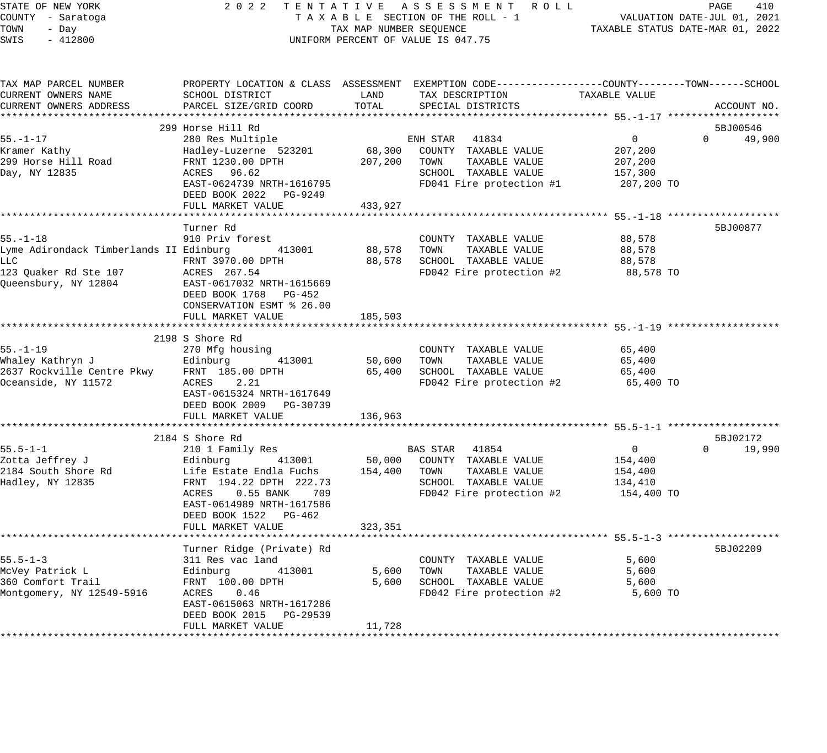| STATE OF NEW YORK<br>COUNTY - Saratoga<br>TOWN<br>- Day | 2022                                      | TAX MAP NUMBER SEQUENCE | TENTATIVE ASSESSMENT ROLL<br>TAXABLE SECTION OF THE ROLL - 1                                     | TAXABLE STATUS DATE-MAR 01, 2022 | PAGE<br>410<br>VALUATION DATE-JUL 01, 2021 |
|---------------------------------------------------------|-------------------------------------------|-------------------------|--------------------------------------------------------------------------------------------------|----------------------------------|--------------------------------------------|
| SWIS<br>$-412800$                                       |                                           |                         | UNIFORM PERCENT OF VALUE IS 047.75                                                               |                                  |                                            |
| TAX MAP PARCEL NUMBER                                   |                                           |                         | PROPERTY LOCATION & CLASS ASSESSMENT EXEMPTION CODE----------------COUNTY-------TOWN------SCHOOL |                                  |                                            |
| CURRENT OWNERS NAME                                     | SCHOOL DISTRICT                           | LAND                    | TAX DESCRIPTION                                                                                  | TAXABLE VALUE                    |                                            |
| CURRENT OWNERS ADDRESS                                  | PARCEL SIZE/GRID COORD                    | TOTAL                   | SPECIAL DISTRICTS                                                                                |                                  | ACCOUNT NO.                                |
|                                                         |                                           |                         |                                                                                                  |                                  |                                            |
|                                                         | 299 Horse Hill Rd                         |                         |                                                                                                  |                                  | 5BJ00546<br>$\mathbf{0}$                   |
| $55. - 1 - 17$<br>Kramer Kathy                          | 280 Res Multiple<br>Hadley-Luzerne 523201 | 68,300                  | ENH STAR<br>41834<br>COUNTY TAXABLE VALUE                                                        | $\overline{0}$<br>207,200        | 49,900                                     |
| 299 Horse Hill Road                                     | FRNT 1230.00 DPTH                         | 207,200                 | TAXABLE VALUE<br>TOWN                                                                            | 207,200                          |                                            |
| Day, NY 12835                                           | ACRES 96.62                               |                         | SCHOOL TAXABLE VALUE                                                                             | 157,300                          |                                            |
|                                                         | EAST-0624739 NRTH-1616795                 |                         | FD041 Fire protection #1                                                                         | 207,200 TO                       |                                            |
|                                                         | DEED BOOK 2022 PG-9249                    |                         |                                                                                                  |                                  |                                            |
|                                                         | FULL MARKET VALUE                         | 433,927                 |                                                                                                  |                                  |                                            |
|                                                         | *********************************         | *************           |                                                                                                  |                                  |                                            |
|                                                         | Turner Rd                                 |                         |                                                                                                  |                                  | 5BJ00877                                   |
| $55. - 1 - 18$                                          | 910 Priv forest                           |                         | COUNTY TAXABLE VALUE                                                                             | 88,578                           |                                            |
| Lyme Adirondack Timberlands II Edinburg<br>LLC          | 413001<br>FRNT 3970.00 DPTH               | 88,578<br>88,578        | TOWN<br>TAXABLE VALUE<br>SCHOOL TAXABLE VALUE                                                    | 88,578<br>88,578                 |                                            |
| 123 Quaker Rd Ste 107                                   | ACRES 267.54                              |                         | FD042 Fire protection #2                                                                         | 88,578 TO                        |                                            |
| Queensbury, NY 12804                                    | EAST-0617032 NRTH-1615669                 |                         |                                                                                                  |                                  |                                            |
|                                                         | DEED BOOK 1768 PG-452                     |                         |                                                                                                  |                                  |                                            |
|                                                         | CONSERVATION ESMT % 26.00                 |                         |                                                                                                  |                                  |                                            |
|                                                         | FULL MARKET VALUE                         | 185,503                 |                                                                                                  |                                  |                                            |
|                                                         |                                           |                         |                                                                                                  |                                  |                                            |
| $55. - 1 - 19$                                          | 2198 S Shore Rd                           |                         | COUNTY TAXABLE VALUE                                                                             | 65,400                           |                                            |
| Whaley Kathryn J                                        | 270 Mfg housing<br>Edinburg<br>413001     | 50,600                  | TAXABLE VALUE<br>TOWN                                                                            | 65,400                           |                                            |
| 2637 Rockville Centre Pkwy                              | FRNT 185.00 DPTH                          | 65,400                  | SCHOOL TAXABLE VALUE                                                                             | 65,400                           |                                            |
| Oceanside, NY 11572                                     | ACRES<br>2.21                             |                         | FD042 Fire protection #2                                                                         | 65,400 TO                        |                                            |
|                                                         | EAST-0615324 NRTH-1617649                 |                         |                                                                                                  |                                  |                                            |
|                                                         | DEED BOOK 2009 PG-30739                   |                         |                                                                                                  |                                  |                                            |
|                                                         | FULL MARKET VALUE                         | 136,963                 |                                                                                                  |                                  |                                            |
|                                                         |                                           |                         |                                                                                                  |                                  |                                            |
|                                                         | 2184 S Shore Rd                           |                         |                                                                                                  |                                  | 5BJ02172                                   |
| $55.5 - 1 - 1$<br>Zotta Jeffrey J                       | 210 1 Family Res<br>413001<br>Edinburg    | 50,000                  | BAS STAR 41854<br>COUNTY TAXABLE VALUE                                                           | $\mathbf{0}$                     | $\Omega$<br>19,990                         |
| 2184 South Shore Rd                                     | Life Estate Endla Fuchs                   | 154,400                 | TAXABLE VALUE<br>TOWN                                                                            | 154,400<br>154,400               |                                            |
| Hadley, NY 12835                                        | FRNT 194.22 DPTH 222.73                   |                         | SCHOOL TAXABLE VALUE                                                                             | 134,410                          |                                            |
|                                                         | $0.55$ BANK<br>ACRES<br>709               |                         | FD042 Fire protection #2                                                                         | 154,400 TO                       |                                            |
|                                                         | EAST-0614989 NRTH-1617586                 |                         |                                                                                                  |                                  |                                            |
|                                                         | DEED BOOK 1522<br>PG-462                  |                         |                                                                                                  |                                  |                                            |
|                                                         | FULL MARKET VALUE                         | 323,351                 |                                                                                                  |                                  |                                            |
|                                                         | ****************************              |                         | ************************************* 55.5_7_3.*********************************                 |                                  |                                            |
|                                                         | Turner Ridge (Private) Rd                 |                         |                                                                                                  |                                  | 5BJ02209                                   |
| $55.5 - 1 - 3$                                          | 311 Res vac land<br>413001                | 5,600                   | COUNTY TAXABLE VALUE<br>TOWN<br>TAXABLE VALUE                                                    | 5,600<br>5,600                   |                                            |
| McVey Patrick L<br>360 Comfort Trail                    | Edinburg<br>FRNT 100.00 DPTH              | 5,600                   | SCHOOL TAXABLE VALUE                                                                             | 5,600                            |                                            |
| Montgomery, NY 12549-5916                               | ACRES<br>0.46                             |                         | FD042 Fire protection #2                                                                         | 5,600 TO                         |                                            |
|                                                         | EAST-0615063 NRTH-1617286                 |                         |                                                                                                  |                                  |                                            |
|                                                         | DEED BOOK 2015 PG-29539                   |                         |                                                                                                  |                                  |                                            |
|                                                         | FULL MARKET VALUE                         | 11,728                  |                                                                                                  |                                  |                                            |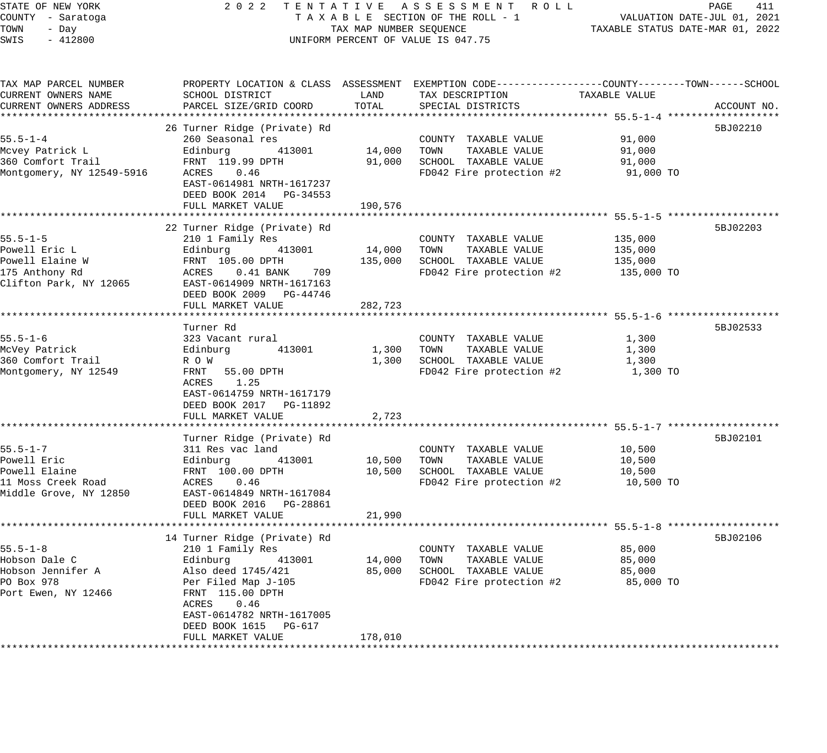| STATE OF NEW YORK |       |                   |  |
|-------------------|-------|-------------------|--|
|                   |       | COUNTY - Saratoga |  |
| TOWN              | - Dav |                   |  |
| SWTS              |       | $-412800$         |  |

#### STATE OF NEW YORK 2 0 2 2 T E N T A T I V E A S S E S S M E N T R O L L PAGE 411 COUNTY - Saratoga T A X A B L E SECTION OF THE ROLL - 1 VALUATION DATE-JUL 01, 2021 TOWN - Day TAX MAP NUMBER SEQUENCE TAXABLE STATUS DATE-MAR 01, 2022 SWIS - 412800 CONTROLLY THE UNIFORM PERCENT OF VALUE IS 047.75

| TAX MAP PARCEL NUMBER     |                                                                    |         | PROPERTY LOCATION & CLASS ASSESSMENT EXEMPTION CODE----------------COUNTY-------TOWN------SCHOOL |               |             |
|---------------------------|--------------------------------------------------------------------|---------|--------------------------------------------------------------------------------------------------|---------------|-------------|
| CURRENT OWNERS NAME       | SCHOOL DISTRICT                                                    | LAND    | TAX DESCRIPTION                                                                                  | TAXABLE VALUE |             |
| CURRENT OWNERS ADDRESS    | PARCEL SIZE/GRID COORD                                             | TOTAL   | SPECIAL DISTRICTS                                                                                |               | ACCOUNT NO. |
|                           |                                                                    |         |                                                                                                  |               |             |
|                           | 26 Turner Ridge (Private) Rd                                       |         |                                                                                                  |               | 5BJ02210    |
| $55.5 - 1 - 4$            | 260 Seasonal res                                                   |         | COUNTY TAXABLE VALUE                                                                             | 91,000        |             |
|                           |                                                                    |         |                                                                                                  |               |             |
| Mcvey Patrick L           | Edinburg<br>413001                                                 | 14,000  | TOWN<br>TAXABLE VALUE                                                                            | 91,000        |             |
| 360 Comfort Trail         | FRNT 119.99 DPTH                                                   | 91,000  | SCHOOL TAXABLE VALUE                                                                             | 91,000        |             |
| Montgomery, NY 12549-5916 | ACRES<br>0.46                                                      |         | FD042 Fire protection #2 91,000 TO                                                               |               |             |
|                           | EAST-0614981 NRTH-1617237                                          |         |                                                                                                  |               |             |
|                           | DEED BOOK 2014 PG-34553                                            |         |                                                                                                  |               |             |
|                           | FULL MARKET VALUE                                                  | 190,576 |                                                                                                  |               |             |
|                           |                                                                    |         |                                                                                                  |               |             |
|                           | 22 Turner Ridge (Private) Rd                                       |         |                                                                                                  |               | 5BJ02203    |
| $55.5 - 1 - 5$            | 210 1 Family Res                                                   |         | COUNTY TAXABLE VALUE                                                                             | 135,000       |             |
| Powell Eric L             | 413001                                                             | 14,000  | TOWN<br>TAXABLE VALUE                                                                            | 135,000       |             |
| Powell Elaine W           |                                                                    | 135,000 | SCHOOL TAXABLE VALUE                                                                             | 135,000       |             |
|                           | Edinburg     413001<br>FRNT 105.00 DPTH<br>ACRES   0.41 BANK   709 |         |                                                                                                  |               |             |
| 175 Anthony Rd            | ACRES 0.41 BANK 709<br>EAST-0614909 NRTH-1617163                   |         | FD042 Fire protection $#2$ 135,000 TO                                                            |               |             |
| Clifton Park, NY 12065    |                                                                    |         |                                                                                                  |               |             |
|                           | DEED BOOK 2009 PG-44746                                            |         |                                                                                                  |               |             |
|                           | FULL MARKET VALUE                                                  | 282,723 |                                                                                                  |               |             |
|                           |                                                                    |         |                                                                                                  |               |             |
|                           | Turner Rd                                                          |         |                                                                                                  |               | 5BJ02533    |
| $55.5 - 1 - 6$            | 323 Vacant rural                                                   |         | COUNTY TAXABLE VALUE                                                                             | 1,300         |             |
| McVey Patrick             | 413001<br>Edinburg                                                 | 1,300   | TAXABLE VALUE<br>TOWN                                                                            | 1,300         |             |
| 360 Comfort Trail         | R O W                                                              | 1,300   | SCHOOL TAXABLE VALUE                                                                             | 1,300         |             |
| Montgomery, NY 12549      | FRNT 55.00 DPTH                                                    |         | FD042 Fire protection #2                                                                         | 1,300 TO      |             |
|                           | ACRES 1.25                                                         |         |                                                                                                  |               |             |
|                           | EAST-0614759 NRTH-1617179                                          |         |                                                                                                  |               |             |
|                           |                                                                    |         |                                                                                                  |               |             |
|                           | DEED BOOK 2017    PG-11892                                         |         |                                                                                                  |               |             |
|                           | FULL MARKET VALUE                                                  | 2,723   |                                                                                                  |               |             |
|                           |                                                                    |         |                                                                                                  |               |             |
|                           | Turner Ridge (Private) Rd                                          |         |                                                                                                  |               | 5BJ02101    |
| $55.5 - 1 - 7$            | 311 Res vac land                                                   |         | COUNTY TAXABLE VALUE                                                                             | 10,500        |             |
| Powell Eric               | 413001<br>Edinburg                                                 | 10,500  | TOWN<br>TAXABLE VALUE                                                                            | 10,500        |             |
| Powell Elaine             | FRNT $100.00$ DPTH                                                 | 10,500  | SCHOOL TAXABLE VALUE                                                                             | 10,500        |             |
| 11 Moss Creek Road        | ACRES<br>0.46                                                      |         | FD042 Fire protection #2                                                                         | 10,500 TO     |             |
| Middle Grove, NY 12850    | EAST-0614849 NRTH-1617084                                          |         |                                                                                                  |               |             |
|                           | DEED BOOK 2016    PG-28861                                         |         |                                                                                                  |               |             |
|                           | FULL MARKET VALUE                                                  | 21,990  |                                                                                                  |               |             |
|                           |                                                                    |         |                                                                                                  |               |             |
|                           |                                                                    |         |                                                                                                  |               |             |
|                           | 14 Turner Ridge (Private) Rd                                       |         |                                                                                                  |               | 5BJ02106    |
| $55.5 - 1 - 8$            | 210 1 Family Res                                                   |         | COUNTY TAXABLE VALUE                                                                             | 85,000        |             |
| Hobson Dale C             | Edinburg<br>413001                                                 | 14,000  | TAXABLE VALUE<br>TOWN                                                                            | 85,000        |             |
| Hobson Jennifer A         | Also deed 1745/421<br>Per Filed Map J-105                          | 85,000  | SCHOOL TAXABLE VALUE                                                                             | 85,000        |             |
| PO Box 978                |                                                                    |         | FD042 Fire protection #2                                                                         | 85,000 TO     |             |
| Port Ewen, NY 12466       | FRNT 115.00 DPTH                                                   |         |                                                                                                  |               |             |
|                           | ACRES<br>0.46                                                      |         |                                                                                                  |               |             |
|                           | EAST-0614782 NRTH-1617005                                          |         |                                                                                                  |               |             |
|                           | DEED BOOK 1615 PG-617                                              |         |                                                                                                  |               |             |
|                           | FULL MARKET VALUE                                                  | 178,010 |                                                                                                  |               |             |
|                           |                                                                    |         |                                                                                                  |               |             |
|                           |                                                                    |         |                                                                                                  |               |             |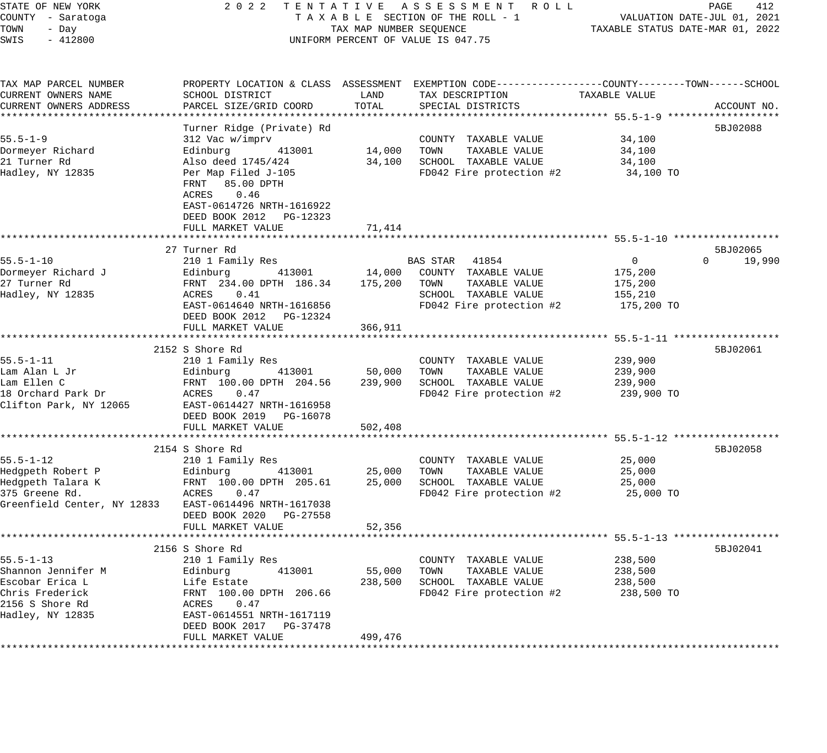| STATE OF NEW YORK<br>COUNTY - Saratoga | 2 0 2 2<br>TENTATIVE ASSESSMENT ROLL<br>TAXABLE SECTION OF THE ROLL - 1 | PAGE<br>412<br>VALUATION DATE-JUL 01, 2021 |                                                                                                |               |                    |
|----------------------------------------|-------------------------------------------------------------------------|--------------------------------------------|------------------------------------------------------------------------------------------------|---------------|--------------------|
| TOWN<br>- Day                          | TAX MAP NUMBER SEQUENCE                                                 | TAXABLE STATUS DATE-MAR 01, 2022           |                                                                                                |               |                    |
| SWIS<br>$-412800$                      | UNIFORM PERCENT OF VALUE IS 047.75                                      |                                            |                                                                                                |               |                    |
| TAX MAP PARCEL NUMBER                  |                                                                         |                                            | PROPERTY LOCATION & CLASS ASSESSMENT EXEMPTION CODE---------------COUNTY-------TOWN-----SCHOOL |               |                    |
| CURRENT OWNERS NAME                    | SCHOOL DISTRICT                                                         | LAND                                       | TAX DESCRIPTION                                                                                | TAXABLE VALUE |                    |
| CURRENT OWNERS ADDRESS                 | PARCEL SIZE/GRID COORD                                                  | TOTAL                                      | SPECIAL DISTRICTS                                                                              |               | ACCOUNT NO.        |
|                                        |                                                                         |                                            |                                                                                                |               | ******             |
| $55.5 - 1 - 9$                         | Turner Ridge (Private) Rd<br>312 Vac w/imprv                            |                                            | COUNTY TAXABLE VALUE                                                                           | 34,100        | 5BJ02088           |
| Dormeyer Richard                       | Edinburg<br>413001                                                      | 14,000                                     | TAXABLE VALUE<br>TOWN                                                                          | 34,100        |                    |
| 21 Turner Rd                           | Also deed 1745/424                                                      | 34,100                                     | SCHOOL TAXABLE VALUE                                                                           | 34,100        |                    |
| Hadley, NY 12835                       | Per Map Filed J-105<br>FRNT 85.00 DPTH<br>0.46<br>ACRES                 |                                            | FD042 Fire protection #2                                                                       | 34,100 TO     |                    |
|                                        | EAST-0614726 NRTH-1616922<br>DEED BOOK 2012 PG-12323                    |                                            |                                                                                                |               |                    |
|                                        | FULL MARKET VALUE                                                       | 71,414                                     |                                                                                                |               |                    |
|                                        | 27 Turner Rd                                                            |                                            |                                                                                                |               | 5BJ02065           |
| $55.5 - 1 - 10$                        | 210 1 Family Res                                                        |                                            | BAS STAR 41854                                                                                 | $\mathbf{0}$  | 19,990<br>$\Omega$ |
| Dormeyer Richard J                     | 413001<br>Edinburg                                                      | 14,000                                     | COUNTY TAXABLE VALUE                                                                           | 175,200       |                    |
| 27 Turner Rd                           | FRNT 234.00 DPTH 186.34                                                 | 175,200                                    | TAXABLE VALUE<br>TOWN                                                                          | 175,200       |                    |
| Hadley, NY 12835                       | 0.41<br>ACRES                                                           |                                            | SCHOOL TAXABLE VALUE                                                                           | 155,210       |                    |
|                                        | EAST-0614640 NRTH-1616856<br>DEED BOOK 2012 PG-12324                    |                                            | FD042 Fire protection #2                                                                       | 175,200 TO    |                    |
|                                        | FULL MARKET VALUE                                                       | 366,911                                    |                                                                                                |               |                    |
|                                        | 2152 S Shore Rd                                                         |                                            |                                                                                                |               | 5BJ02061           |
| $55.5 - 1 - 11$                        | 210 1 Family Res                                                        |                                            | COUNTY TAXABLE VALUE                                                                           | 239,900       |                    |
| Lam Alan L Jr                          | Edinburg<br>413001                                                      | 50,000                                     | TAXABLE VALUE<br>TOWN                                                                          | 239,900       |                    |
| Lam Ellen C                            | FRNT 100.00 DPTH 204.56                                                 | 239,900                                    | SCHOOL TAXABLE VALUE                                                                           | 239,900       |                    |
| 18 Orchard Park Dr                     | ACRES<br>0.47                                                           |                                            | FD042 Fire protection #2                                                                       | 239,900 TO    |                    |
| Clifton Park, NY 12065                 | EAST-0614427 NRTH-1616958                                               |                                            |                                                                                                |               |                    |
|                                        | DEED BOOK 2019 PG-16078                                                 |                                            |                                                                                                |               |                    |
|                                        | FULL MARKET VALUE                                                       | 502,408                                    |                                                                                                |               |                    |
|                                        | 2154 S Shore Rd                                                         |                                            |                                                                                                |               | 5BJ02058           |
| $55.5 - 1 - 12$                        | 210 1 Family Res                                                        |                                            | COUNTY TAXABLE VALUE                                                                           | 25,000        |                    |
| Hedgpeth Robert P                      | Edinburg<br>413001                                                      | 25,000                                     | TAXABLE VALUE<br>TOWN                                                                          | 25,000        |                    |
| Hedgpeth Talara K                      | FRNT 100.00 DPTH 205.61                                                 | 25,000                                     | SCHOOL TAXABLE VALUE                                                                           | 25,000        |                    |
| 375 Greene Rd.                         | 0.47<br>ACRES                                                           |                                            | FD042 Fire protection #2                                                                       | 25,000 TO     |                    |
| Greenfield Center, NY 12833            | EAST-0614496 NRTH-1617038                                               |                                            |                                                                                                |               |                    |
|                                        | DEED BOOK 2020 PG-27558                                                 |                                            |                                                                                                |               |                    |
|                                        | FULL MARKET VALUE                                                       | 52,356                                     |                                                                                                |               |                    |
|                                        |                                                                         |                                            |                                                                                                |               |                    |
| $55.5 - 1 - 13$                        | 2156 S Shore Rd<br>210 1 Family Res                                     |                                            |                                                                                                | 238,500       | 5BJ02041           |
| Shannon Jennifer M                     | Edinburg<br>413001                                                      | 55,000                                     | COUNTY TAXABLE VALUE<br>TOWN<br>TAXABLE VALUE                                                  | 238,500       |                    |
| Escobar Erica L                        | Life Estate                                                             | 238,500                                    | SCHOOL TAXABLE VALUE                                                                           | 238,500       |                    |
| Chris Frederick                        | FRNT 100.00 DPTH 206.66                                                 |                                            | FD042 Fire protection #2                                                                       | 238,500 TO    |                    |
| 2156 S Shore Rd                        | 0.47<br>ACRES                                                           |                                            |                                                                                                |               |                    |
| Hadley, NY 12835                       | EAST-0614551 NRTH-1617119                                               |                                            |                                                                                                |               |                    |
|                                        | DEED BOOK 2017<br>PG-37478                                              |                                            |                                                                                                |               |                    |
|                                        | FULL MARKET VALUE                                                       | 499,476                                    |                                                                                                |               |                    |
|                                        |                                                                         |                                            |                                                                                                |               |                    |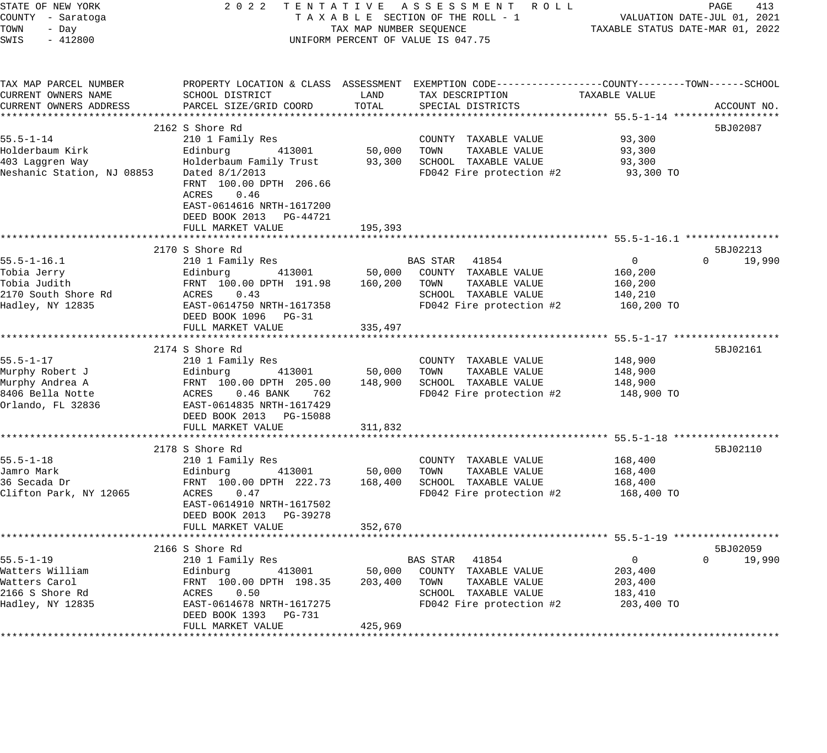| STATE OF NEW YORK<br>COUNTY - Saratoga<br>TOWN<br>- Day                                        | 2 0 2 2<br>TENTATIVE ASSESSMENT ROLL<br>TAXABLE SECTION OF THE ROLL - 1<br>TAX MAP NUMBER SEQUENCE                                                                                                         | PAGE<br>413<br>VALUATION DATE-JUL 01, 2021<br>TAXABLE STATUS DATE-MAR 01, 2022 |                                                                                                                                          |                                                               |                                   |
|------------------------------------------------------------------------------------------------|------------------------------------------------------------------------------------------------------------------------------------------------------------------------------------------------------------|--------------------------------------------------------------------------------|------------------------------------------------------------------------------------------------------------------------------------------|---------------------------------------------------------------|-----------------------------------|
| SWIS<br>$-412800$                                                                              | UNIFORM PERCENT OF VALUE IS 047.75                                                                                                                                                                         |                                                                                |                                                                                                                                          |                                                               |                                   |
| TAX MAP PARCEL NUMBER<br>CURRENT OWNERS NAME<br>CURRENT OWNERS ADDRESS                         | SCHOOL DISTRICT<br>PARCEL SIZE/GRID COORD                                                                                                                                                                  | LAND<br>TOTAL                                                                  | PROPERTY LOCATION & CLASS ASSESSMENT EXEMPTION CODE----------------COUNTY-------TOWN------SCHOOL<br>TAX DESCRIPTION<br>SPECIAL DISTRICTS | TAXABLE VALUE                                                 | ACCOUNT NO.                       |
|                                                                                                |                                                                                                                                                                                                            |                                                                                |                                                                                                                                          |                                                               |                                   |
| $55.5 - 1 - 14$<br>Holderbaum Kirk<br>403 Laggren Way<br>Neshanic Station, NJ 08853            | 2162 S Shore Rd<br>210 1 Family Res<br>413001<br>Edinburg<br>Holderbaum Family Trust<br>Dated 8/1/2013<br>FRNT 100.00 DPTH 206.66<br>0.46<br>ACRES<br>EAST-0614616 NRTH-1617200<br>DEED BOOK 2013 PG-44721 | 50,000 TOWN                                                                    | COUNTY TAXABLE VALUE<br>TAXABLE VALUE<br>93,300 SCHOOL TAXABLE VALUE<br>FD042 Fire protection #2                                         | 93,300<br>93,300<br>93,300<br>93,300 TO                       | 5BJ02087                          |
|                                                                                                | FULL MARKET VALUE                                                                                                                                                                                          | 195,393                                                                        |                                                                                                                                          |                                                               |                                   |
| $55.5 - 1 - 16.1$<br>Tobia Jerry<br>Tobia Judith<br>2170 South Shore Rd<br>Hadley, NY 12835    | 2170 S Shore Rd<br>210 1 Family Res<br>413001<br>Edinburg<br>FRNT 100.00 DPTH 191.98<br>ACRES<br>0.43<br>EAST-0614750 NRTH-1617358<br>DEED BOOK 1096 PG-31<br>FULL MARKET VALUE                            | 50,000<br>160,200<br>335,497                                                   | BAS STAR 41854<br>COUNTY TAXABLE VALUE<br>TAXABLE VALUE<br>TOWN<br>SCHOOL TAXABLE VALUE<br>FD042 Fire protection #2                      | $\overline{0}$<br>160,200<br>160,200<br>140,210<br>160,200 TO | 5BJ02213<br>$\mathbf 0$<br>19,990 |
|                                                                                                | **************************<br>2174 S Shore Rd                                                                                                                                                              | * * * * * * * * * * * * *                                                      |                                                                                                                                          |                                                               | 5BJ02161                          |
| $55.5 - 1 - 17$<br>Murphy Robert J<br>Murphy Andrea A<br>8406 Bella Notte<br>Orlando, FL 32836 | 210 1 Family Res<br>Edinburg<br>413001<br>FRNT 100.00 DPTH 205.00<br>ACRES 0.46 BANK<br>762<br>EAST-0614835 NRTH-1617429<br>DEED BOOK 2013 PG-15088<br>FULL MARKET VALUE                                   | 50,000<br>148,900<br>311,832                                                   | COUNTY TAXABLE VALUE<br>TOWN<br>TAXABLE VALUE<br>SCHOOL TAXABLE VALUE<br>FD042 Fire protection #2                                        | 148,900<br>148,900<br>148,900<br>148,900 TO                   |                                   |
|                                                                                                |                                                                                                                                                                                                            |                                                                                |                                                                                                                                          |                                                               |                                   |
| $55.5 - 1 - 18$<br>Jamro Mark<br>36 Secada Dr<br>Clifton Park, NY 12065                        | 2178 S Shore Rd<br>210 1 Family Res<br>413001<br>Edinburg<br>FRNT 100.00 DPTH 222.73<br>ACRES 0.47<br>EAST-0614910 NRTH-1617502<br>DEED BOOK 2013 PG-39278                                                 | 50,000<br>168,400                                                              | COUNTY TAXABLE VALUE<br>TOWN<br>TAXABLE VALUE<br>SCHOOL TAXABLE VALUE<br>FD042 Fire protection #2                                        | 168,400<br>168,400<br>168,400<br>168,400 TO                   | 5BJ02110                          |
|                                                                                                | FULL MARKET VALUE                                                                                                                                                                                          | 352,670                                                                        |                                                                                                                                          |                                                               |                                   |
| $55.5 - 1 - 19$<br>Watters William<br>Watters Carol<br>2166 S Shore Rd<br>Hadley, NY 12835     | 2166 S Shore Rd<br>210 1 Family Res<br>Edinburg<br>413001<br>FRNT 100.00 DPTH 198.35<br>ACRES<br>0.50<br>EAST-0614678 NRTH-1617275<br>DEED BOOK 1393<br>PG-731<br>FULL MARKET VALUE                        | 50,000<br>203,400<br>425,969                                                   | BAS STAR 41854<br>COUNTY TAXABLE VALUE<br>TOWN<br>TAXABLE VALUE<br>SCHOOL TAXABLE VALUE<br>FD042 Fire protection #2                      | $\overline{0}$<br>203,400<br>203,400<br>183,410<br>203,400 TO | 5BJ02059<br>$\Omega$<br>19,990    |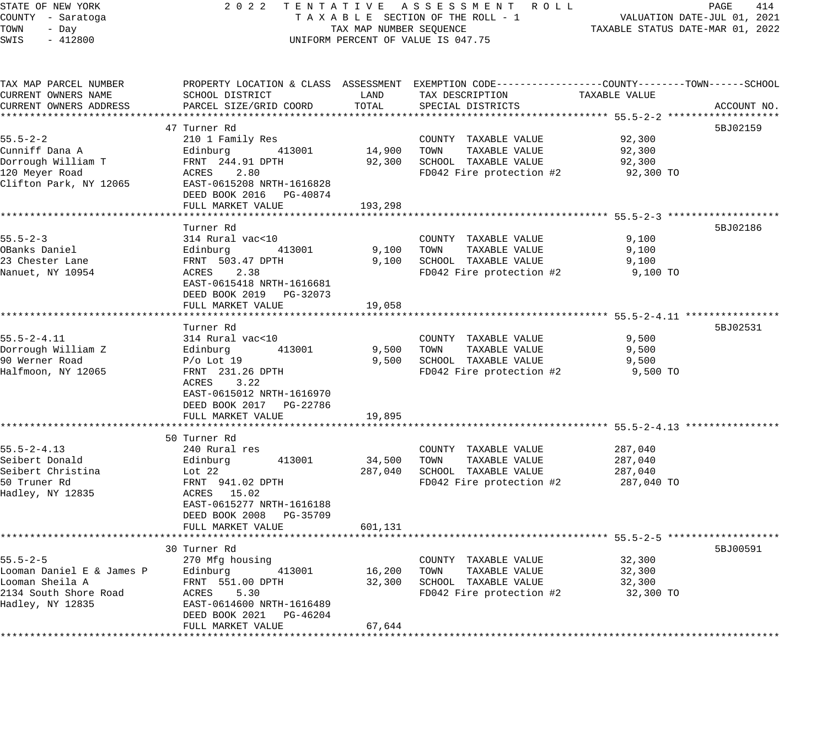| STATE OF NEW YORK                | 2 0 2 2<br>TENTATIVE ASSESSMENT ROLL         |                                  | PAGE<br>414                                                                                      |                                                         |                             |
|----------------------------------|----------------------------------------------|----------------------------------|--------------------------------------------------------------------------------------------------|---------------------------------------------------------|-----------------------------|
| COUNTY - Saratoga                |                                              |                                  | TAXABLE SECTION OF THE ROLL - 1                                                                  |                                                         | VALUATION DATE-JUL 01, 2021 |
| TOWN<br>- Day                    | TAX MAP NUMBER SEQUENCE                      | TAXABLE STATUS DATE-MAR 01, 2022 |                                                                                                  |                                                         |                             |
| SWIS<br>$-412800$                | UNIFORM PERCENT OF VALUE IS 047.75           |                                  |                                                                                                  |                                                         |                             |
|                                  |                                              |                                  |                                                                                                  |                                                         |                             |
| TAX MAP PARCEL NUMBER            |                                              |                                  | PROPERTY LOCATION & CLASS ASSESSMENT EXEMPTION CODE----------------COUNTY-------TOWN------SCHOOL |                                                         |                             |
| CURRENT OWNERS NAME              | SCHOOL DISTRICT                              | LAND                             | TAX DESCRIPTION                                                                                  | TAXABLE VALUE                                           |                             |
| CURRENT OWNERS ADDRESS           | PARCEL SIZE/GRID COORD                       | TOTAL                            | SPECIAL DISTRICTS                                                                                |                                                         | ACCOUNT NO.                 |
|                                  |                                              |                                  |                                                                                                  |                                                         |                             |
|                                  | 47 Turner Rd                                 |                                  |                                                                                                  |                                                         | 5BJ02159                    |
| $55.5 - 2 - 2$                   | 210 1 Family Res                             |                                  | COUNTY TAXABLE VALUE                                                                             | 92,300                                                  |                             |
| Cunniff Dana A                   | Edinburg<br>413001                           | 14,900                           | TOWN<br>TAXABLE VALUE                                                                            | 92,300                                                  |                             |
| Dorrough William T               | FRNT 244.91 DPTH                             | 92,300                           | SCHOOL TAXABLE VALUE                                                                             | 92,300                                                  |                             |
| 120 Meyer Road                   | 2.80<br>ACRES                                |                                  | FD042 Fire protection #2                                                                         | 92,300 TO                                               |                             |
| Clifton Park, NY 12065           | EAST-0615208 NRTH-1616828                    |                                  |                                                                                                  |                                                         |                             |
|                                  | DEED BOOK 2016 PG-40874                      |                                  |                                                                                                  |                                                         |                             |
|                                  | FULL MARKET VALUE<br>******************      | 193,298                          |                                                                                                  | ************************* 55.5–2–3 ******************** |                             |
|                                  |                                              |                                  |                                                                                                  |                                                         |                             |
| $55.5 - 2 - 3$                   | Turner Rd                                    |                                  |                                                                                                  |                                                         | 5BJ02186                    |
|                                  | 314 Rural vac<10                             |                                  | COUNTY TAXABLE VALUE                                                                             | 9,100                                                   |                             |
| OBanks Daniel<br>23 Chester Lane | Edinburg<br>413001<br>FRNT 503.47 DPTH       | 9,100<br>9,100                   | TOWN<br>TAXABLE VALUE                                                                            | 9,100<br>9,100                                          |                             |
| Nanuet, NY 10954                 | 2.38<br>ACRES                                |                                  | SCHOOL TAXABLE VALUE<br>FD042 Fire protection #2                                                 | 9,100 TO                                                |                             |
|                                  | EAST-0615418 NRTH-1616681                    |                                  |                                                                                                  |                                                         |                             |
|                                  |                                              |                                  |                                                                                                  |                                                         |                             |
|                                  | DEED BOOK 2019 PG-32073<br>FULL MARKET VALUE | 19,058                           |                                                                                                  |                                                         |                             |
|                                  | *********************                        |                                  |                                                                                                  | ************************ 55.5-2-4.11 ****************   |                             |
|                                  | Turner Rd                                    |                                  |                                                                                                  |                                                         | 5BJ02531                    |
| $55.5 - 2 - 4.11$                | 314 Rural vac<10                             |                                  | COUNTY TAXABLE VALUE                                                                             | 9,500                                                   |                             |
| Dorrough William Z               | Edinburg<br>413001                           | 9,500                            | TOWN<br>TAXABLE VALUE                                                                            | 9,500                                                   |                             |
| 90 Werner Road                   | $P/O$ Lot 19                                 | 9,500                            | SCHOOL TAXABLE VALUE                                                                             | 9,500                                                   |                             |
| Halfmoon, NY 12065               | FRNT 231.26 DPTH                             |                                  | FD042 Fire protection #2                                                                         | 9,500 TO                                                |                             |
|                                  | ACRES<br>3.22                                |                                  |                                                                                                  |                                                         |                             |
|                                  | EAST-0615012 NRTH-1616970                    |                                  |                                                                                                  |                                                         |                             |
|                                  | DEED BOOK 2017    PG-22786                   |                                  |                                                                                                  |                                                         |                             |
|                                  | FULL MARKET VALUE                            | 19,895                           |                                                                                                  |                                                         |                             |
|                                  | **********************                       |                                  |                                                                                                  |                                                         |                             |
|                                  | 50 Turner Rd                                 |                                  |                                                                                                  |                                                         |                             |
| $55.5 - 2 - 4.13$                | 240 Rural res                                |                                  | COUNTY TAXABLE VALUE                                                                             | 287,040                                                 |                             |
| Seibert Donald                   | 413001<br>Edinburg                           | 34,500                           | TOWN<br>TAXABLE VALUE                                                                            | 287,040                                                 |                             |
| Seibert Christina                | Lot $22$                                     | 287,040                          | SCHOOL TAXABLE VALUE                                                                             | 287,040                                                 |                             |
| 50 Truner Rd                     | FRNT 941.02 DPTH                             |                                  | FD042 Fire protection #2                                                                         | 287,040 TO                                              |                             |
| Hadley, NY 12835                 | ACRES 15.02                                  |                                  |                                                                                                  |                                                         |                             |
|                                  | EAST-0615277 NRTH-1616188                    |                                  |                                                                                                  |                                                         |                             |
|                                  | DEED BOOK 2008<br>PG-35709                   |                                  |                                                                                                  |                                                         |                             |
|                                  | FULL MARKET VALUE                            | 601,131                          |                                                                                                  |                                                         |                             |
|                                  | ********************                         |                                  |                                                                                                  | ********* 55.5-2-5 ****************                     |                             |
|                                  | 30 Turner Rd                                 |                                  |                                                                                                  |                                                         | 5BJ00591                    |
| $55.5 - 2 - 5$                   | 270 Mfg housing                              |                                  | COUNTY TAXABLE VALUE                                                                             | 32,300                                                  |                             |
| Looman Daniel E & James P        | Edinburg<br>413001                           | 16,200                           | TOWN<br>TAXABLE VALUE                                                                            | 32,300                                                  |                             |
| Looman Sheila A                  | FRNT 551.00 DPTH                             | 32,300                           | SCHOOL TAXABLE VALUE                                                                             | 32,300                                                  |                             |
| 2134 South Shore Road            | 5.30<br>ACRES                                |                                  | FD042 Fire protection #2                                                                         | 32,300 TO                                               |                             |
| Hadley, NY 12835                 | EAST-0614600 NRTH-1616489                    |                                  |                                                                                                  |                                                         |                             |
|                                  | DEED BOOK 2021 PG-46204                      |                                  |                                                                                                  |                                                         |                             |
|                                  | FULL MARKET VALUE                            | 67,644                           |                                                                                                  |                                                         |                             |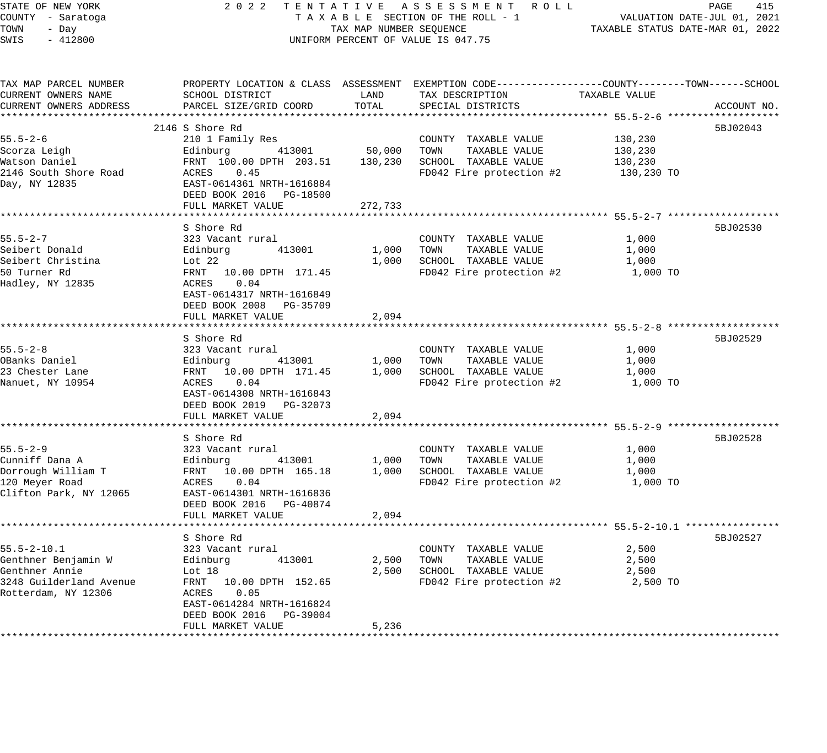| STATE OF NEW YORK                        | 2 0 2 2<br>TENTATIVE ASSESSMENT ROLL         |                                  |                                                                                                  |                                                         |             |  |  |
|------------------------------------------|----------------------------------------------|----------------------------------|--------------------------------------------------------------------------------------------------|---------------------------------------------------------|-------------|--|--|
| COUNTY - Saratoga                        | TAXABLE SECTION OF THE ROLL - 1              |                                  | VALUATION DATE-JUL 01, 2021                                                                      |                                                         |             |  |  |
| TOWN<br>- Day                            | TAX MAP NUMBER SEQUENCE                      | TAXABLE STATUS DATE-MAR 01, 2022 |                                                                                                  |                                                         |             |  |  |
| SWIS<br>$-412800$                        | UNIFORM PERCENT OF VALUE IS 047.75           |                                  |                                                                                                  |                                                         |             |  |  |
| TAX MAP PARCEL NUMBER                    |                                              |                                  | PROPERTY LOCATION & CLASS ASSESSMENT EXEMPTION CODE----------------COUNTY-------TOWN------SCHOOL |                                                         |             |  |  |
| CURRENT OWNERS NAME                      | SCHOOL DISTRICT                              | LAND                             | TAX DESCRIPTION                                                                                  | TAXABLE VALUE                                           |             |  |  |
| CURRENT OWNERS ADDRESS                   | PARCEL SIZE/GRID COORD                       | TOTAL                            | SPECIAL DISTRICTS                                                                                |                                                         | ACCOUNT NO. |  |  |
|                                          |                                              |                                  |                                                                                                  |                                                         |             |  |  |
|                                          | 2146 S Shore Rd                              |                                  |                                                                                                  |                                                         | 5BJ02043    |  |  |
| $55.5 - 2 - 6$                           | 210 1 Family Res                             |                                  | COUNTY TAXABLE VALUE                                                                             | 130,230                                                 |             |  |  |
| Scorza Leigh                             | Edinburg<br>413001                           | 50,000                           | TOWN<br>TAXABLE VALUE                                                                            | 130,230                                                 |             |  |  |
| Watson Daniel                            | FRNT 100.00 DPTH 203.51                      | 130,230                          | SCHOOL TAXABLE VALUE                                                                             | 130,230                                                 |             |  |  |
| 2146 South Shore Road                    | ACRES<br>0.45                                |                                  | FD042 Fire protection #2                                                                         | 130,230 TO                                              |             |  |  |
| Day, NY 12835                            | EAST-0614361 NRTH-1616884                    |                                  |                                                                                                  |                                                         |             |  |  |
|                                          | DEED BOOK 2016 PG-18500                      |                                  |                                                                                                  |                                                         |             |  |  |
|                                          | FULL MARKET VALUE                            | 272,733                          |                                                                                                  |                                                         |             |  |  |
|                                          |                                              | ************                     |                                                                                                  | ************************* 55.5–2-7 ******************** |             |  |  |
|                                          | S Shore Rd                                   |                                  |                                                                                                  |                                                         | 5BJ02530    |  |  |
| $55.5 - 2 - 7$                           | 323 Vacant rural                             |                                  | COUNTY TAXABLE VALUE                                                                             | 1,000                                                   |             |  |  |
| Seibert Donald<br>Seibert Christina      | Edinburg<br>413001                           | 1,000<br>1,000                   | TOWN<br>TAXABLE VALUE<br>SCHOOL TAXABLE VALUE                                                    | 1,000<br>1,000                                          |             |  |  |
| 50 Turner Rd                             | Lot 22<br>FRNT 10.00 DPTH 171.45             |                                  | FD042 Fire protection #2                                                                         | 1,000 TO                                                |             |  |  |
| Hadley, NY 12835                         | 0.04<br>ACRES                                |                                  |                                                                                                  |                                                         |             |  |  |
|                                          | EAST-0614317 NRTH-1616849                    |                                  |                                                                                                  |                                                         |             |  |  |
|                                          | DEED BOOK 2008 PG-35709                      |                                  |                                                                                                  |                                                         |             |  |  |
|                                          | FULL MARKET VALUE                            | 2,094                            |                                                                                                  |                                                         |             |  |  |
|                                          |                                              |                                  |                                                                                                  |                                                         |             |  |  |
|                                          | S Shore Rd                                   |                                  |                                                                                                  |                                                         | 5BJ02529    |  |  |
| $55.5 - 2 - 8$                           | 323 Vacant rural                             |                                  | COUNTY TAXABLE VALUE                                                                             | 1,000                                                   |             |  |  |
| OBanks Daniel                            | Edinburg<br>413001                           | 1,000                            | TOWN<br>TAXABLE VALUE                                                                            | 1,000                                                   |             |  |  |
| 23 Chester Lane                          | FRNT 10.00 DPTH 171.45                       | 1,000                            | SCHOOL TAXABLE VALUE                                                                             | 1,000                                                   |             |  |  |
| Nanuet, NY 10954                         | ACRES<br>0.04                                |                                  | FD042 Fire protection #2                                                                         | 1,000 TO                                                |             |  |  |
|                                          | EAST-0614308 NRTH-1616843                    |                                  |                                                                                                  |                                                         |             |  |  |
|                                          | DEED BOOK 2019 PG-32073<br>FULL MARKET VALUE | 2,094                            |                                                                                                  |                                                         |             |  |  |
|                                          |                                              |                                  |                                                                                                  |                                                         |             |  |  |
|                                          | S Shore Rd                                   |                                  |                                                                                                  |                                                         | 5BJ02528    |  |  |
| $55.5 - 2 - 9$                           | 323 Vacant rural                             |                                  | COUNTY TAXABLE VALUE                                                                             | 1,000                                                   |             |  |  |
| Cunniff Dana A                           | 413001<br>Edinburg                           | 1,000                            | TOWN<br>TAXABLE VALUE                                                                            | 1,000                                                   |             |  |  |
| Dorrough William T                       | FRNT 10.00 DPTH 165.18                       | 1,000                            | SCHOOL TAXABLE VALUE                                                                             | 1,000                                                   |             |  |  |
| 120 Meyer Road                           | 0.04<br>ACRES                                |                                  | FD042 Fire protection #2                                                                         | 1,000 TO                                                |             |  |  |
| Clifton Park, NY 12065                   | EAST-0614301 NRTH-1616836                    |                                  |                                                                                                  |                                                         |             |  |  |
|                                          | DEED BOOK 2016 PG-40874                      |                                  |                                                                                                  |                                                         |             |  |  |
|                                          | FULL MARKET VALUE                            | 2,094                            |                                                                                                  |                                                         |             |  |  |
|                                          |                                              |                                  |                                                                                                  |                                                         |             |  |  |
|                                          | S Shore Rd                                   |                                  |                                                                                                  |                                                         | 5BJ02527    |  |  |
| $55.5 - 2 - 10.1$<br>Genthner Benjamin W | 323 Vacant rural<br>413001                   | 2,500                            | COUNTY TAXABLE VALUE<br>TOWN                                                                     | 2,500<br>2,500                                          |             |  |  |
| Genthner Annie                           | Edinburg<br>Lot 18                           | 2,500                            | TAXABLE VALUE<br>SCHOOL TAXABLE VALUE                                                            | 2,500                                                   |             |  |  |
| 3248 Guilderland Avenue                  | FRNT<br>10.00 DPTH 152.65                    |                                  | FD042 Fire protection #2                                                                         | 2,500 TO                                                |             |  |  |
| Rotterdam, NY 12306                      | 0.05<br>ACRES                                |                                  |                                                                                                  |                                                         |             |  |  |
|                                          | EAST-0614284 NRTH-1616824                    |                                  |                                                                                                  |                                                         |             |  |  |
|                                          | DEED BOOK 2016 PG-39004                      |                                  |                                                                                                  |                                                         |             |  |  |
|                                          | FULL MARKET VALUE                            | 5,236                            |                                                                                                  |                                                         |             |  |  |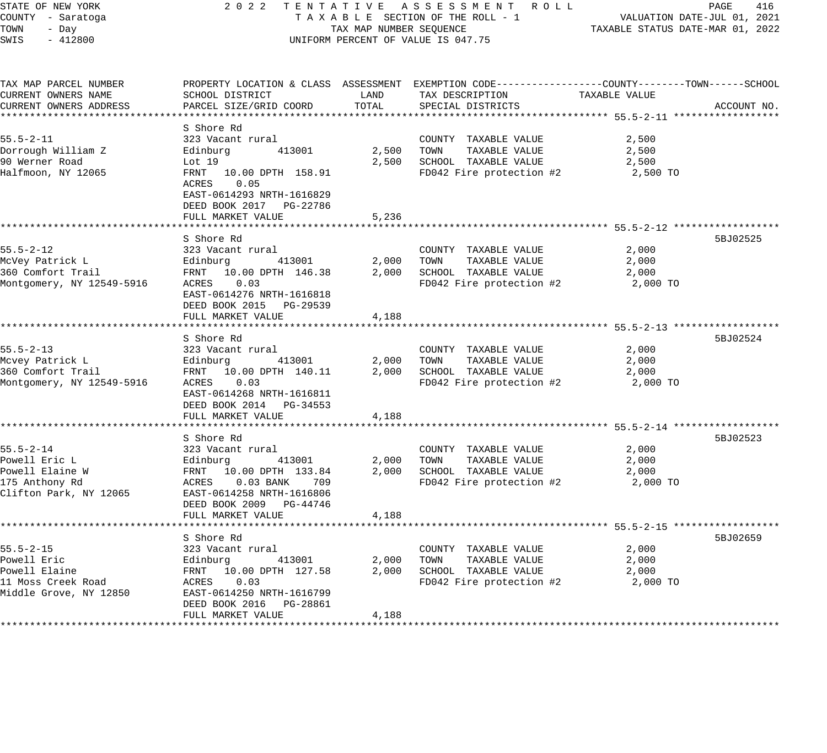| STATE OF NEW YORK<br>COUNTY - Saratoga<br>TOWN<br>- Day<br>SWIS<br>$-412800$                                            | 2022 TENTATIVE ASSESSMENT ROLL<br>TAXABLE SECTION OF THE ROLL - 1<br>TAX MAP NUMBER SEQUENCE<br>UNIFORM PERCENT OF VALUE IS 047.75                                                                                  | 416<br>PAGE<br>VALUATION DATE-JUL 01, 2021<br>TAXABLE STATUS DATE-MAR 01, 2022 |                                                                                                                                                                    |                                                      |             |
|-------------------------------------------------------------------------------------------------------------------------|---------------------------------------------------------------------------------------------------------------------------------------------------------------------------------------------------------------------|--------------------------------------------------------------------------------|--------------------------------------------------------------------------------------------------------------------------------------------------------------------|------------------------------------------------------|-------------|
| TAX MAP PARCEL NUMBER<br>CURRENT OWNERS NAME<br>CURRENT OWNERS ADDRESS                                                  | SCHOOL DISTRICT<br>PARCEL SIZE/GRID COORD                                                                                                                                                                           | LAND<br>TOTAL                                                                  | PROPERTY LOCATION & CLASS ASSESSMENT EXEMPTION CODE---------------COUNTY-------TOWN-----SCHOOL<br>TAX DESCRIPTION<br>SPECIAL DISTRICTS                             | TAXABLE VALUE                                        | ACCOUNT NO. |
| $55.5 - 2 - 11$<br>Dorrough William Z<br>90 Werner Road<br>Halfmoon, NY 12065                                           | S Shore Rd<br>323 Vacant rural<br>Edinburg<br>413001<br>Lot 19<br>10.00 DPTH 158.91<br>FRNT<br>ACRES<br>0.05<br>EAST-0614293 NRTH-1616829<br>DEED BOOK 2017 PG-22786                                                | 2,500                                                                          | COUNTY TAXABLE VALUE<br>TOWN<br>TAXABLE VALUE<br>2,500 SCHOOL TAXABLE VALUE<br>FD042 Fire protection #2                                                            | 2,500<br>2,500<br>2,500<br>2,500 TO                  |             |
|                                                                                                                         | FULL MARKET VALUE                                                                                                                                                                                                   | 5,236                                                                          |                                                                                                                                                                    | ************************** 55.5-2-12 *************** |             |
| $55.5 - 2 - 12$<br>McVey Patrick L<br>360 Comfort Trail<br>Montgomery, NY 12549-5916                                    | S Shore Rd<br>323 Vacant rural<br>Edinburg<br>413001<br>FRNT 10.00 DPTH 146.38<br>ACRES<br>0.03<br>EAST-0614276 NRTH-1616818<br>DEED BOOK 2015 PG-29539<br>FULL MARKET VALUE                                        | 2,000<br>2,000<br>4,188                                                        | COUNTY TAXABLE VALUE<br>TAXABLE VALUE<br>TOWN<br>SCHOOL TAXABLE VALUE<br>FD042 Fire protection #2                                                                  | 2,000<br>2,000<br>2,000<br>2,000 TO                  | 5BJ02525    |
|                                                                                                                         |                                                                                                                                                                                                                     | ********                                                                       | ***************************** 55.5-2-13 ******************                                                                                                         |                                                      |             |
| $55.5 - 2 - 13$<br>Mcvey Patrick L<br>360 Comfort Trail<br>Montgomery, NY 12549-5916                                    | S Shore Rd<br>323 Vacant rural<br>413001<br>Edinburg<br>FRNT 10.00 DPTH 140.11<br>ACRES<br>0.03<br>EAST-0614268 NRTH-1616811<br>DEED BOOK 2014 PG-34553                                                             | 2,000<br>2,000                                                                 | COUNTY TAXABLE VALUE<br>TOWN<br>TAXABLE VALUE<br>SCHOOL TAXABLE VALUE<br>FD042 Fire protection #2                                                                  | 2,000<br>2,000<br>2,000<br>2,000 TO                  | 5BJ02524    |
|                                                                                                                         | FULL MARKET VALUE                                                                                                                                                                                                   | 4,188                                                                          |                                                                                                                                                                    |                                                      |             |
| **************************<br>55.5-2-14<br>Powell Eric L<br>Powell Elaine W<br>175 Anthony Rd<br>Clifton Park, NY 12065 | ******************************<br>S Shore Rd<br>323 Vacant rural<br>Edinburg<br>413001<br>FRNT 10.00 DPTH 133.84<br>ACRES<br>$0.03$ BANK<br>709<br>EAST-0614258 NRTH-1616806<br>DEED BOOK 2009 PG-44746             | 2,000<br>2,000                                                                 | COUNTY TAXABLE VALUE<br>TAXABLE VALUE<br>TOWN<br>SCHOOL TAXABLE VALUE<br>FD042 Fire protection #2                                                                  | 2,000<br>2,000<br>2,000<br>2,000 TO                  | 5BJ02523    |
|                                                                                                                         | FULL MARKET VALUE                                                                                                                                                                                                   | 4,188                                                                          |                                                                                                                                                                    |                                                      |             |
| $55.5 - 2 - 15$<br>Powell Eric<br>Powell Elaine<br>11 Moss Creek Road<br>Middle Grove, NY 12850                         | ***********************************<br>S Shore Rd<br>323 Vacant rural<br>413001<br>Edinburg<br>FRNT 10.00 DPTH 127.58<br>0.03<br>ACRES<br>EAST-0614250 NRTH-1616799<br>DEED BOOK 2016 PG-28861<br>FULL MARKET VALUE | ***********<br>2,000<br>2,000<br>4,188                                         | ******************************** 55.5-2-15 ******************<br>COUNTY TAXABLE VALUE<br>TOWN<br>TAXABLE VALUE<br>SCHOOL TAXABLE VALUE<br>FD042 Fire protection #2 | 2,000<br>2,000<br>2,000<br>2,000 TO                  | 5BJ02659    |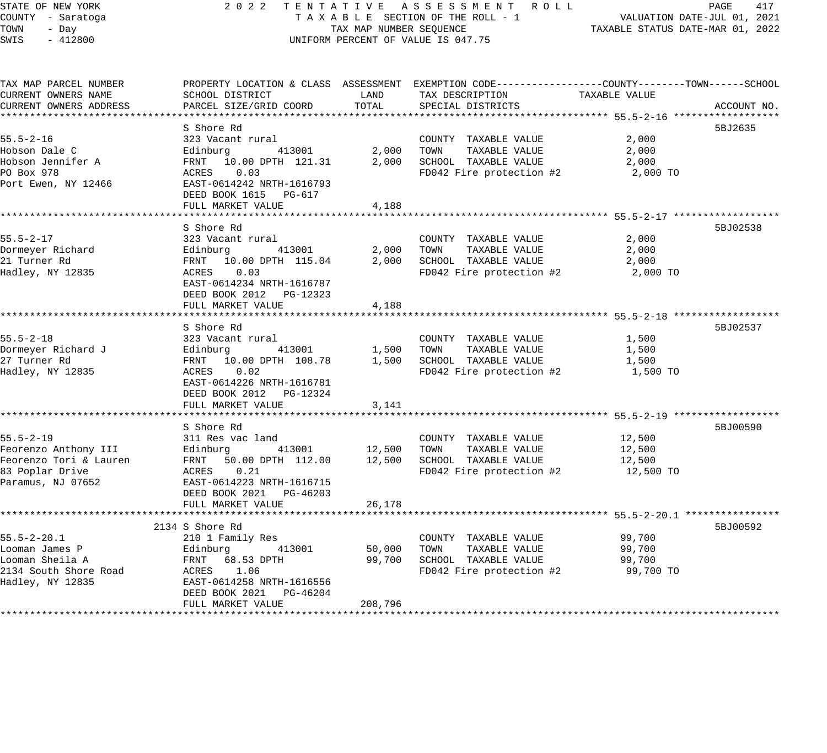# STATE OF NEW YORK 2 0 2 2 T E N T A T I V E A S S E S S M E N T R O L L PAGE 417 COUNTY - Saratoga T A X A B L E SECTION OF THE ROLL - 1 VALUATION DATE-JUL 01, 2021 TAX A B L E SECTION OF THE ROLL  $-$  1 TAXABLE STATUS DATE-MAR 01, 2022 UNIFORM PERCENT OF VALUE IS 047.75

| TAX MAP PARCEL NUMBER  |                              |              | PROPERTY LOCATION & CLASS ASSESSMENT EXEMPTION CODE-----------------COUNTY-------TOWN-----SCHOOL |               |             |
|------------------------|------------------------------|--------------|--------------------------------------------------------------------------------------------------|---------------|-------------|
| CURRENT OWNERS NAME    | SCHOOL DISTRICT              | LAND         | TAX DESCRIPTION                                                                                  | TAXABLE VALUE |             |
| CURRENT OWNERS ADDRESS | PARCEL SIZE/GRID COORD       | TOTAL        | SPECIAL DISTRICTS                                                                                |               | ACCOUNT NO. |
|                        |                              |              |                                                                                                  |               |             |
|                        | S Shore Rd                   |              |                                                                                                  |               | 5BJ2635     |
| 55.5-2-16              | 323 Vacant rural             |              | COUNTY TAXABLE VALUE                                                                             | 2,000         |             |
| Hobson Dale C          | Edinburg<br>413001           | 2,000        | TOWN<br>TAXABLE VALUE                                                                            | 2,000         |             |
| Hobson Jennifer A      | FRNT 10.00 DPTH 121.31 2,000 |              | SCHOOL TAXABLE VALUE                                                                             | 2,000         |             |
| PO Box 978             | ACRES<br>0.03                |              | FD042 Fire protection #2                                                                         | 2,000 TO      |             |
| Port Ewen, NY 12466    | EAST-0614242 NRTH-1616793    |              |                                                                                                  |               |             |
|                        | DEED BOOK 1615 PG-617        |              |                                                                                                  |               |             |
|                        | FULL MARKET VALUE            | 4,188        |                                                                                                  |               |             |
|                        |                              |              |                                                                                                  |               |             |
|                        | S Shore Rd                   |              |                                                                                                  |               | 5BJ02538    |
| 55.5-2-17              | 323 Vacant rural             |              | COUNTY TAXABLE VALUE                                                                             | 2,000         |             |
| Dormeyer Richard       | Edinburg<br>413001           | 2,000        | TOWN<br>TAXABLE VALUE                                                                            | 2,000         |             |
| 21 Turner Rd           |                              |              | SCHOOL TAXABLE VALUE                                                                             |               |             |
|                        | FRNT 10.00 DPTH 115.04 2,000 |              |                                                                                                  | 2,000         |             |
| Hadley, NY 12835       | ACRES 0.03                   |              | FD042 Fire protection #2                                                                         | 2,000 TO      |             |
|                        | EAST-0614234 NRTH-1616787    |              |                                                                                                  |               |             |
|                        | DEED BOOK 2012 PG-12323      |              |                                                                                                  |               |             |
|                        | FULL MARKET VALUE            | 4,188        |                                                                                                  |               |             |
|                        |                              |              |                                                                                                  |               |             |
|                        | S Shore Rd                   |              |                                                                                                  |               | 5BJ02537    |
| $55.5 - 2 - 18$        | 323 Vacant rural             |              | COUNTY TAXABLE VALUE                                                                             | 1,500         |             |
| Dormeyer Richard J     | Edinburg                     | 413001 1,500 | TOWN<br>TAXABLE VALUE                                                                            | 1,500         |             |
| 27 Turner Rd           | FRNT 10.00 DPTH 108.78       | 1,500        | SCHOOL TAXABLE VALUE                                                                             | 1,500         |             |
| Hadley, NY 12835       | 0.02<br>ACRES                |              | FD042 Fire protection #2                                                                         | 1,500 TO      |             |
|                        | EAST-0614226 NRTH-1616781    |              |                                                                                                  |               |             |
|                        | DEED BOOK 2012    PG-12324   |              |                                                                                                  |               |             |
|                        | FULL MARKET VALUE            | 3,141        |                                                                                                  |               |             |
|                        |                              |              |                                                                                                  |               |             |
|                        | S Shore Rd                   |              |                                                                                                  |               | 5BJ00590    |
| $55.5 - 2 - 19$        | 311 Res vac land             |              | COUNTY TAXABLE VALUE                                                                             | 12,500        |             |
| Feorenzo Anthony III   | Edinburg<br>413001           | 12,500       | TAXABLE VALUE<br>TOWN                                                                            | 12,500        |             |
| Feorenzo Tori & Lauren | FRNT 50.00 DPTH 112.00       | 12,500       | SCHOOL TAXABLE VALUE                                                                             | 12,500        |             |
| 83 Poplar Drive        | ACRES 0.21                   |              | FD042 Fire protection #2                                                                         | 12,500 TO     |             |
| Paramus, NJ 07652      | EAST-0614223 NRTH-1616715    |              |                                                                                                  |               |             |
|                        | DEED BOOK 2021 PG-46203      |              |                                                                                                  |               |             |
|                        | FULL MARKET VALUE            | 26,178       |                                                                                                  |               |             |
|                        |                              |              |                                                                                                  |               |             |
|                        | 2134 S Shore Rd              |              |                                                                                                  |               | 5BJ00592    |
| $55.5 - 2 - 20.1$      | 210 1 Family Res             |              | COUNTY TAXABLE VALUE                                                                             | 99,700        |             |
| Looman James P         | Edinburg<br>413001           | 50,000       | TOWN<br>TAXABLE VALUE                                                                            | 99,700        |             |
| Looman Sheila A        | FRNT 68.53 DPTH              | 99,700       | SCHOOL TAXABLE VALUE                                                                             | 99,700        |             |
|                        |                              |              |                                                                                                  |               |             |
| 2134 South Shore Road  | ACRES 1.06                   |              | FD042 Fire protection #2                                                                         | 99,700 TO     |             |
| Hadley, NY 12835       | EAST-0614258 NRTH-1616556    |              |                                                                                                  |               |             |
|                        | DEED BOOK 2021<br>PG-46204   |              |                                                                                                  |               |             |
|                        | FULL MARKET VALUE            | 208,796      |                                                                                                  |               |             |
|                        |                              |              |                                                                                                  |               |             |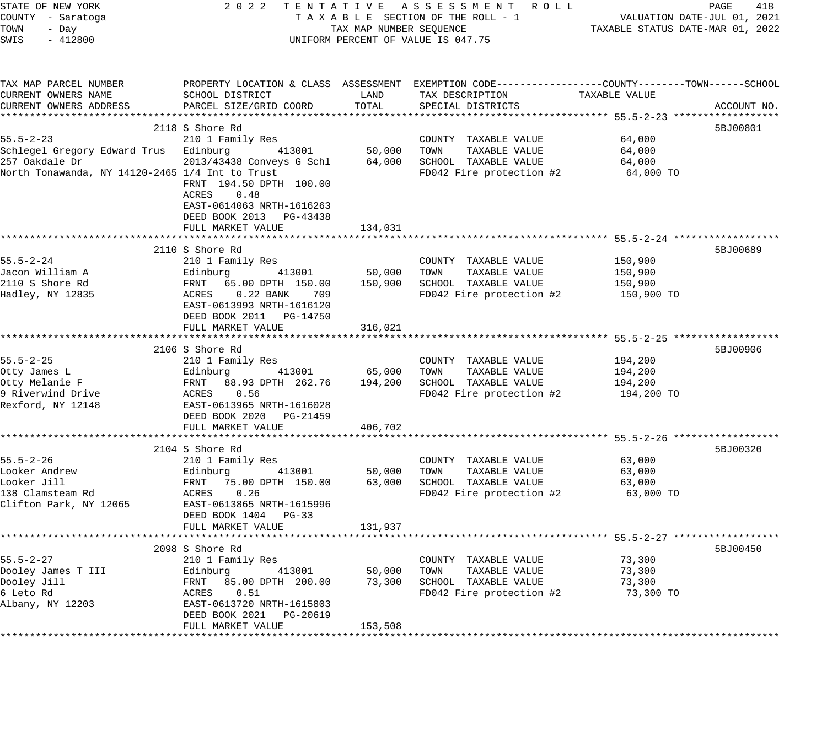| STATE OF NEW YORK<br>COUNTY - Saratoga<br>TOWN<br>- Day                                                                       | 2 0 2 2<br>TENTATIVE ASSESSMENT ROLL<br>TAXABLE SECTION OF THE ROLL - 1<br>TAX MAP NUMBER SEQUENCE                                                                                              | TAXABLE STATUS DATE-MAR 01, 2022 | PAGE<br>418<br>VALUATION DATE-JUL 01, 2021                                                                                               |                                                                                      |             |
|-------------------------------------------------------------------------------------------------------------------------------|-------------------------------------------------------------------------------------------------------------------------------------------------------------------------------------------------|----------------------------------|------------------------------------------------------------------------------------------------------------------------------------------|--------------------------------------------------------------------------------------|-------------|
| SWIS<br>$-412800$                                                                                                             | UNIFORM PERCENT OF VALUE IS 047.75                                                                                                                                                              |                                  |                                                                                                                                          |                                                                                      |             |
| TAX MAP PARCEL NUMBER<br>CURRENT OWNERS NAME<br>CURRENT OWNERS ADDRESS                                                        | SCHOOL DISTRICT<br>PARCEL SIZE/GRID COORD                                                                                                                                                       | LAND<br>TOTAL                    | PROPERTY LOCATION & CLASS ASSESSMENT EXEMPTION CODE----------------COUNTY-------TOWN------SCHOOL<br>TAX DESCRIPTION<br>SPECIAL DISTRICTS | TAXABLE VALUE                                                                        | ACCOUNT NO. |
| $55.5 - 2 - 23$<br>Schlegel Gregory Edward Trus Edinburg<br>257 Oakdale Dr<br>North Tonawanda, NY 14120-2465 1/4 Int to Trust | 2118 S Shore Rd<br>210 1 Family Res<br>413001<br>2013/43438 Conveys G Schl<br>FRNT 194.50 DPTH 100.00<br><b>ACRES</b><br>0.48<br>EAST-0614063 NRTH-1616263<br>DEED BOOK 2013 PG-43438           | 50,000<br>64,000                 | COUNTY TAXABLE VALUE<br>TOWN<br>TAXABLE VALUE<br>SCHOOL TAXABLE VALUE<br>FD042 Fire protection #2                                        | 64,000<br>64,000<br>64,000<br>64,000 TO                                              | 5BJ00801    |
|                                                                                                                               | FULL MARKET VALUE                                                                                                                                                                               | 134,031                          |                                                                                                                                          |                                                                                      |             |
| $55.5 - 2 - 24$<br>Jacon William A<br>2110 S Shore Rd<br>Hadley, NY 12835                                                     | 2110 S Shore Rd<br>210 1 Family Res<br>Edinburg<br>413001<br>FRNT 65.00 DPTH 150.00<br>ACRES<br>$0.22$ BANK<br>709<br>EAST-0613993 NRTH-1616120<br>DEED BOOK 2011 PG-14750<br>FULL MARKET VALUE | 50,000<br>150,900<br>316,021     | COUNTY TAXABLE VALUE<br>TOWN<br>TAXABLE VALUE<br>SCHOOL TAXABLE VALUE<br>FD042 Fire protection #2                                        | *********** 55.5-2-24 ***************<br>150,900<br>150,900<br>150,900<br>150,900 TO | 5BJ00689    |
|                                                                                                                               | *************************<br>2106 S Shore Rd                                                                                                                                                    | * * * * * * * * * * * *          | ***************************** 55.5-2-25 ******************                                                                               |                                                                                      | 5BJ00906    |
| $55.5 - 2 - 25$<br>Otty James L<br>Otty Melanie F<br>9 Riverwind Drive<br>Rexford, NY 12148                                   | 210 1 Family Res<br>413001<br>Edinburg<br>FRNT 88.93 DPTH 262.76<br>ACRES<br>0.56<br>EAST-0613965 NRTH-1616028<br>DEED BOOK 2020 PG-21459                                                       | 65,000<br>194,200                | COUNTY TAXABLE VALUE<br>TAXABLE VALUE<br>TOWN<br>SCHOOL TAXABLE VALUE<br>FD042 Fire protection #2                                        | 194,200<br>194,200<br>194,200<br>194,200 TO                                          |             |
|                                                                                                                               | FULL MARKET VALUE                                                                                                                                                                               | 406,702                          |                                                                                                                                          |                                                                                      |             |
| $55.5 - 2 - 26$<br>Looker Andrew<br>Looker Jill<br>138 Clamsteam Rd<br>Clifton Park, NY 12065                                 | 2104 S Shore Rd<br>210 1 Family Res<br>413001<br>Edinburg<br>FRNT<br>75.00 DPTH 150.00<br>0.26<br>ACRES<br>EAST-0613865 NRTH-1615996<br>DEED BOOK 1404 PG-33<br>FULL MARKET VALUE               | 50,000<br>63,000<br>131,937      | COUNTY TAXABLE VALUE<br>TOWN<br>TAXABLE VALUE<br>SCHOOL TAXABLE VALUE<br>FD042 Fire protection #2                                        | 63,000<br>63,000<br>63,000<br>63,000 TO                                              | 5BJ00320    |
|                                                                                                                               |                                                                                                                                                                                                 |                                  |                                                                                                                                          |                                                                                      |             |
| $55.5 - 2 - 27$<br>Dooley James T III<br>Dooley Jill<br>6 Leto Rd<br>Albany, NY 12203                                         | 2098 S Shore Rd<br>210 1 Family Res<br>413001<br>Edinburg<br>FRNT<br>85.00 DPTH 200.00<br>ACRES<br>0.51<br>EAST-0613720 NRTH-1615803<br>DEED BOOK 2021<br>PG-20619<br>FULL MARKET VALUE         | 50,000<br>73,300<br>153,508      | COUNTY TAXABLE VALUE<br>TOWN<br>TAXABLE VALUE<br>SCHOOL TAXABLE VALUE<br>FD042 Fire protection #2                                        | 73,300<br>73,300<br>73,300<br>73,300 TO                                              | 5BJ00450    |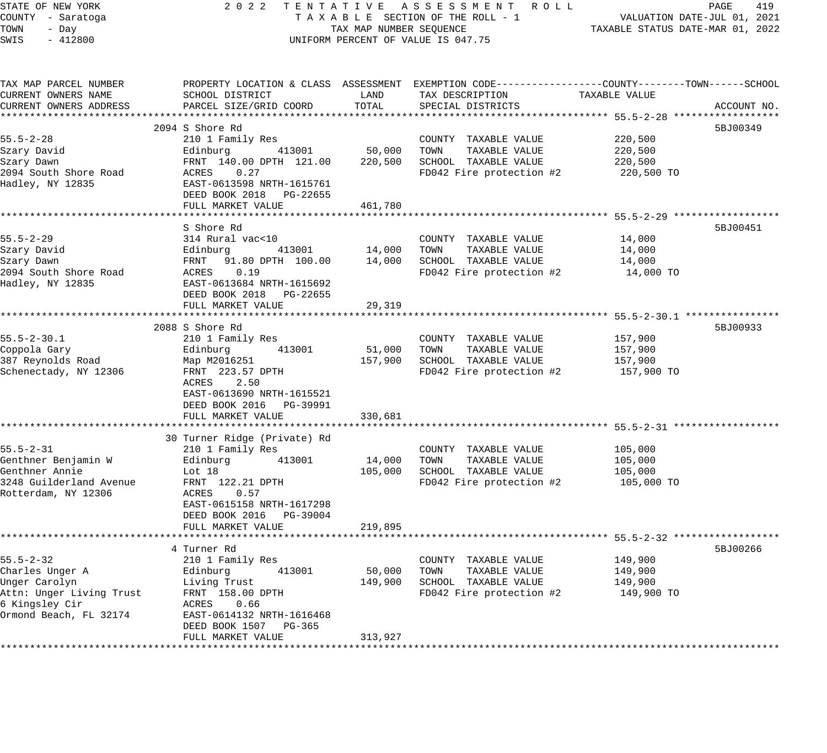| STATE OF NEW YORK<br>COUNTY - Saratoga | 2 0 2 2                                              |                                  | TENTATIVE ASSESSMENT ROLL<br>TAXABLE SECTION OF THE ROLL - 1                                     |               | 419<br>PAGE<br>VALUATION DATE-JUL 01, 2021 |
|----------------------------------------|------------------------------------------------------|----------------------------------|--------------------------------------------------------------------------------------------------|---------------|--------------------------------------------|
| TOWN<br>- Day                          | TAX MAP NUMBER SEQUENCE                              | TAXABLE STATUS DATE-MAR 01, 2022 |                                                                                                  |               |                                            |
| SWIS<br>$-412800$                      | UNIFORM PERCENT OF VALUE IS 047.75                   |                                  |                                                                                                  |               |                                            |
|                                        |                                                      |                                  |                                                                                                  |               |                                            |
| TAX MAP PARCEL NUMBER                  |                                                      |                                  | PROPERTY LOCATION & CLASS ASSESSMENT EXEMPTION CODE----------------COUNTY-------TOWN------SCHOOL |               |                                            |
| CURRENT OWNERS NAME                    | SCHOOL DISTRICT                                      | LAND                             | TAX DESCRIPTION                                                                                  | TAXABLE VALUE |                                            |
| CURRENT OWNERS ADDRESS                 | PARCEL SIZE/GRID COORD                               | TOTAL                            | SPECIAL DISTRICTS                                                                                |               | ACCOUNT NO.                                |
|                                        |                                                      |                                  |                                                                                                  |               |                                            |
|                                        | 2094 S Shore Rd                                      |                                  |                                                                                                  |               | 5BJ00349                                   |
| $55.5 - 2 - 28$                        | 210 1 Family Res                                     |                                  | COUNTY TAXABLE VALUE                                                                             | 220,500       |                                            |
| Szary David                            | 413001<br>Edinburg                                   | 50,000                           | TOWN<br>TAXABLE VALUE                                                                            | 220,500       |                                            |
| Szary Dawn                             | FRNT 140.00 DPTH 121.00                              | 220,500                          | SCHOOL TAXABLE VALUE                                                                             | 220,500       |                                            |
| 2094 South Shore Road                  | ACRES 0.27                                           |                                  | FD042 Fire protection #2                                                                         | 220,500 TO    |                                            |
| Hadley, NY 12835                       | EAST-0613598 NRTH-1615761<br>DEED BOOK 2018 PG-22655 |                                  |                                                                                                  |               |                                            |
|                                        | FULL MARKET VALUE                                    | 461,780                          |                                                                                                  |               |                                            |
|                                        |                                                      |                                  |                                                                                                  |               |                                            |
|                                        | S Shore Rd                                           |                                  |                                                                                                  |               | 5BJ00451                                   |
| $55.5 - 2 - 29$                        | 314 Rural vac<10                                     |                                  | COUNTY TAXABLE VALUE                                                                             | 14,000        |                                            |
| Szary David                            | 413001<br>Edinburg                                   | 14,000                           | TOWN<br>TAXABLE VALUE                                                                            | 14,000        |                                            |
| Szary Dawn                             | FRNT<br>91.80 DPTH 100.00                            | 14,000                           | SCHOOL TAXABLE VALUE                                                                             | 14,000        |                                            |
| 2094 South Shore Road                  | 0.19<br>ACRES                                        |                                  | FD042 Fire protection #2                                                                         | 14,000 TO     |                                            |
| Hadley, NY 12835                       | EAST-0613684 NRTH-1615692                            |                                  |                                                                                                  |               |                                            |
|                                        | DEED BOOK 2018 PG-22655                              |                                  |                                                                                                  |               |                                            |
|                                        | FULL MARKET VALUE                                    | 29,319                           |                                                                                                  |               |                                            |
|                                        |                                                      |                                  |                                                                                                  |               |                                            |
|                                        | 2088 S Shore Rd                                      |                                  |                                                                                                  |               | 5BJ00933                                   |
| $55.5 - 2 - 30.1$                      | 210 1 Family Res                                     |                                  | COUNTY TAXABLE VALUE                                                                             | 157,900       |                                            |
| Coppola Gary                           | Edinburg<br>413001                                   | 51,000                           | TAXABLE VALUE<br>TOWN                                                                            | 157,900       |                                            |
| 387 Reynolds Road                      | Map M2016251                                         | 157,900                          | SCHOOL TAXABLE VALUE                                                                             | 157,900       |                                            |
| Schenectady, NY 12306                  | FRNT 223.57 DPTH                                     |                                  | FD042 Fire protection #2                                                                         | 157,900 TO    |                                            |
|                                        | ACRES<br>2.50                                        |                                  |                                                                                                  |               |                                            |
|                                        | EAST-0613690 NRTH-1615521                            |                                  |                                                                                                  |               |                                            |
|                                        | DEED BOOK 2016 PG-39991                              |                                  |                                                                                                  |               |                                            |
|                                        | FULL MARKET VALUE                                    | 330,681                          |                                                                                                  |               |                                            |
|                                        | 30 Turner Ridge (Private) Rd                         |                                  |                                                                                                  |               |                                            |
| $55.5 - 2 - 31$                        | 210 1 Family Res                                     |                                  | COUNTY TAXABLE VALUE                                                                             | 105,000       |                                            |
| Genthner Benjamin W                    | 413001<br>Edinburg                                   | 14,000                           | TOWN<br>TAXABLE VALUE                                                                            | 105,000       |                                            |
| Genthner Annie                         | Lot 18                                               | 105,000                          | SCHOOL TAXABLE VALUE                                                                             | 105,000       |                                            |
| 3248 Guilderland Avenue                | FRNT 122.21 DPTH                                     |                                  | FD042 Fire protection #2                                                                         | 105,000 TO    |                                            |
| Rotterdam, NY 12306                    | ACRES 0.57                                           |                                  |                                                                                                  |               |                                            |
|                                        | EAST-0615158 NRTH-1617298                            |                                  |                                                                                                  |               |                                            |
|                                        | DEED BOOK 2016 PG-39004                              |                                  |                                                                                                  |               |                                            |
|                                        | FULL MARKET VALUE                                    | 219,895                          |                                                                                                  |               |                                            |
|                                        |                                                      |                                  |                                                                                                  |               |                                            |
|                                        | 4 Turner Rd                                          |                                  |                                                                                                  |               | 5BJ00266                                   |
| $55.5 - 2 - 32$                        | 210 1 Family Res                                     |                                  | COUNTY TAXABLE VALUE                                                                             | 149,900       |                                            |
| Charles Unger A                        | 413001<br>Edinburg                                   | 50,000                           | TOWN<br>TAXABLE VALUE                                                                            | 149,900       |                                            |
| Unger Carolyn                          | Living Trust                                         | 149,900                          | SCHOOL TAXABLE VALUE                                                                             | 149,900       |                                            |
| Attn: Unger Living Trust               | FRNT 158.00 DPTH                                     |                                  | FD042 Fire protection #2                                                                         | 149,900 TO    |                                            |
| 6 Kingsley Cir                         | ACRES<br>0.66                                        |                                  |                                                                                                  |               |                                            |
| Ormond Beach, FL 32174                 | EAST-0614132 NRTH-1616468                            |                                  |                                                                                                  |               |                                            |
|                                        | DEED BOOK 1507 PG-365<br>FULL MARKET VALUE           | 313,927                          |                                                                                                  |               |                                            |
|                                        |                                                      |                                  |                                                                                                  |               |                                            |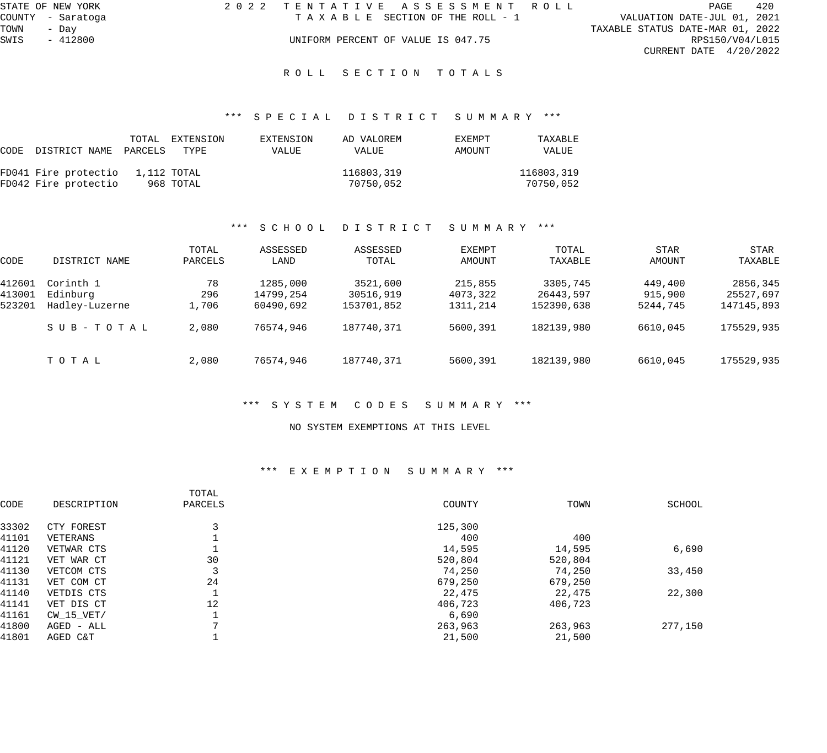|      | STATE OF NEW YORK | 2022 TENTATIVE ASSESSMENT ROLL     |  |                                  | PAGE            | 420 |
|------|-------------------|------------------------------------|--|----------------------------------|-----------------|-----|
|      | COUNTY - Saratoga | TAXABLE SECTION OF THE ROLL - 1    |  | VALUATION DATE-JUL 01, 2021      |                 |     |
| TOWN | - Dav             |                                    |  | TAXABLE STATUS DATE-MAR 01, 2022 |                 |     |
| SWIS | $-412800$         | UNIFORM PERCENT OF VALUE IS 047.75 |  |                                  | RPS150/V04/L015 |     |
|      |                   |                                    |  | CURRENT DATE $4/20/2022$         |                 |     |
|      |                   |                                    |  |                                  |                 |     |

ROLL SECTION TOTALS

# \*\*\* S P E C I A L D I S T R I C T S U M M A R Y \*\*\*

| CODE | DISTRICT NAME                    | TOTAL<br>PARCELS | EXTENSION<br>TYPE | EXTENSION<br>VALUE | AD VALOREM<br>VALUE | <b>EXEMPT</b><br>AMOUNT | TAXABLE<br>VALUE |
|------|----------------------------------|------------------|-------------------|--------------------|---------------------|-------------------------|------------------|
|      | FD041 Fire protectio 1,112 TOTAL |                  |                   |                    | 116803,319          |                         | 116803,319       |
|      | FD042 Fire protectio             |                  | 968 TOTAL         |                    | 70750,052           |                         | 70750,052        |

#### \*\*\* S C H O O L D I S T R I C T S U M M A R Y \*\*\*

| CODE   | DISTRICT NAME  | TOTAL<br>PARCELS | ASSESSED<br>LAND | ASSESSED<br>TOTAL | EXEMPT<br>AMOUNT | TOTAL<br>TAXABLE | <b>STAR</b><br>AMOUNT | <b>STAR</b><br>TAXABLE |
|--------|----------------|------------------|------------------|-------------------|------------------|------------------|-----------------------|------------------------|
| 412601 | Corinth 1      | 78               | 1285,000         | 3521,600          | 215,855          | 3305,745         | 449,400               | 2856,345               |
| 413001 | Edinburg       | 296              | 14799,254        | 30516,919         | 4073,322         | 26443,597        | 915,900               | 25527,697              |
| 523201 | Hadley-Luzerne | 1,706            | 60490,692        | 153701,852        | 1311,214         | 152390,638       | 5244,745              | 147145,893             |
|        | SUB-TOTAL      | 2,080            | 76574,946        | 187740,371        | 5600,391         | 182139,980       | 6610,045              | 175529,935             |
|        | TOTAL          | 2,080            | 76574,946        | 187740,371        | 5600,391         | 182139,980       | 6610,045              | 175529,935             |

#### \*\*\* S Y S T E M C O D E S S U M M A R Y \*\*\*

#### NO SYSTEM EXEMPTIONS AT THIS LEVEL

## \*\*\* E X E M P T I O N S U M M A R Y \*\*\*

|       |             | TOTAL   |         |         |         |
|-------|-------------|---------|---------|---------|---------|
| CODE  | DESCRIPTION | PARCELS | COUNTY  | TOWN    | SCHOOL  |
| 33302 | CTY FOREST  |         | 125,300 |         |         |
| 41101 | VETERANS    |         | 400     | 400     |         |
| 41120 | VETWAR CTS  |         | 14,595  | 14,595  | 6,690   |
| 41121 | VET WAR CT  | 30      | 520,804 | 520,804 |         |
| 41130 | VETCOM CTS  | 3       | 74,250  | 74,250  | 33,450  |
| 41131 | VET COM CT  | 24      | 679,250 | 679,250 |         |
| 41140 | VETDIS CTS  |         | 22,475  | 22,475  | 22,300  |
| 41141 | VET DIS CT  | 12      | 406,723 | 406,723 |         |
| 41161 | CW 15 VET/  |         | 6,690   |         |         |
| 41800 | AGED - ALL  |         | 263,963 | 263,963 | 277,150 |
| 41801 | AGED C&T    |         | 21,500  | 21,500  |         |
|       |             |         |         |         |         |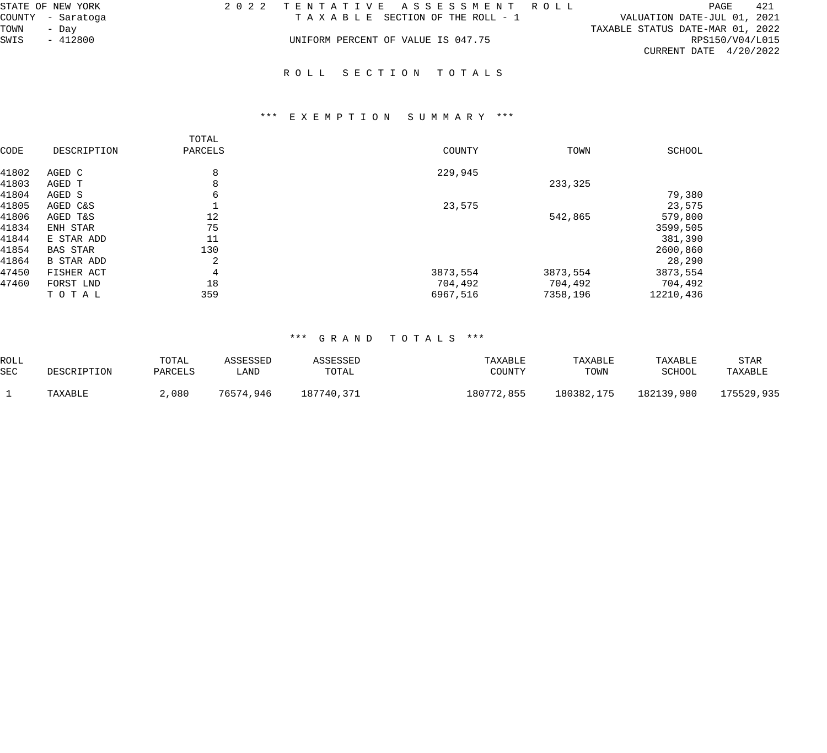| STATE OF NEW YORK | 2022 TENTATIVE ASSESSMENT ROLL     | PAGE                             | 421 |
|-------------------|------------------------------------|----------------------------------|-----|
| COUNTY - Saratoga | TAXABLE SECTION OF THE ROLL - 1    | VALUATION DATE-JUL 01, 2021      |     |
| TOWN<br>- Dav     |                                    | TAXABLE STATUS DATE-MAR 01, 2022 |     |
| SWIS<br>$-412800$ | UNIFORM PERCENT OF VALUE IS 047.75 | RPS150/V04/L015                  |     |
|                   |                                    | CURRENT DATE $4/20/2022$         |     |
|                   |                                    |                                  |     |
|                   | ROLL SECTION TOTALS                |                                  |     |

# \*\*\* E X E M P T I O N S U M M A R Y \*\*\*

| CODE  | DESCRIPTION       | TOTAL<br>PARCELS | COUNTY   | TOWN     | SCHOOL    |
|-------|-------------------|------------------|----------|----------|-----------|
| 41802 | AGED C            | 8                | 229,945  |          |           |
| 41803 | AGED T            | 8                |          | 233,325  |           |
| 41804 | AGED S            | 6                |          |          | 79,380    |
| 41805 | AGED C&S          |                  | 23,575   |          | 23,575    |
| 41806 | AGED T&S          | 12               |          | 542,865  | 579,800   |
| 41834 | ENH STAR          | 75               |          |          | 3599,505  |
| 41844 | E STAR ADD        | 11               |          |          | 381,390   |
| 41854 | <b>BAS STAR</b>   | 130              |          |          | 2600,860  |
| 41864 | <b>B STAR ADD</b> | 2                |          |          | 28,290    |
| 47450 | FISHER ACT        | 4                | 3873,554 | 3873,554 | 3873,554  |
| 47460 | FORST LND         | 18               | 704,492  | 704,492  | 704,492   |
|       | TOTAL             | 359              | 6967,516 | 7358,196 | 12210,436 |

# \*\*\* G R A N D T O T A L S \*\*\*

| ROLL       |             | TOTAL   | ASSESSED  | ASSESSED   | TAXABLE    | TAXABLE    | TAXABLE    | STAR       |
|------------|-------------|---------|-----------|------------|------------|------------|------------|------------|
| <b>SEC</b> | DESCRIPTION | PARCELS | LAND      | TOTAL      | COUNTY     | TOWN       | SCHOOL     | TAXABLE    |
|            | TAXABLE     | ∠,080   | 76574,946 | 187740,371 | 180772,855 | 180382,175 | 182139,980 | 175529,935 |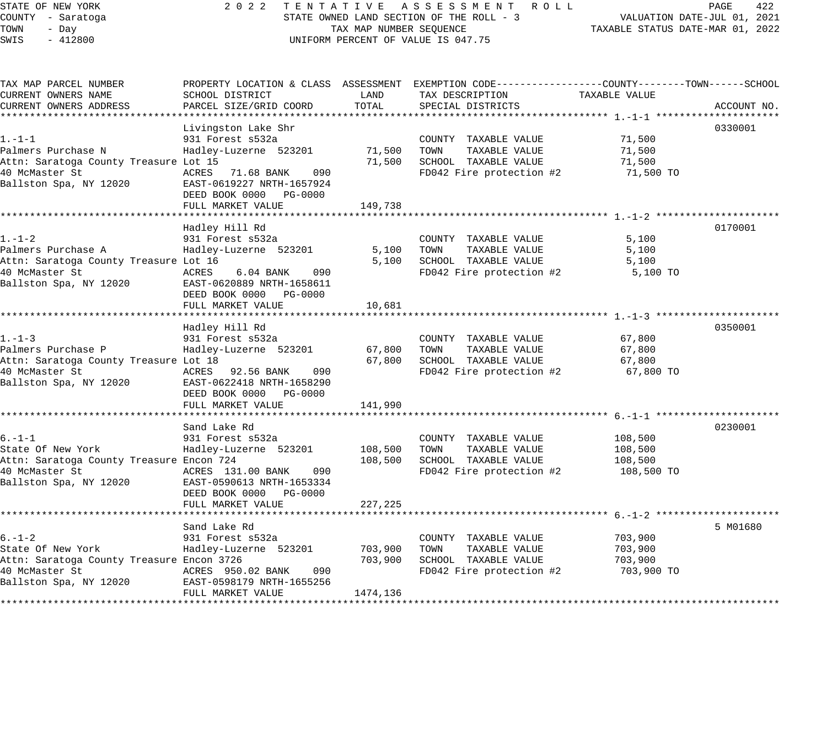# STATE OF NEW YORK 2 0 2 2 T E N T A T I V E A S S E S S M E N T R O L L PAGE 422 COUNTY - Saratoga STATE OWNED LAND SECTION OF THE ROLL - 3 VALUATION DATE-JUL 01, 2021 UNIFORM PERCENT OF VALUE IS 047.75

| TAX MAP PARCEL NUMBER<br>CURRENT OWNERS NAME<br>CURRENT OWNERS ADDRESS                                                     | SCHOOL DISTRICT<br>PARCEL SIZE/GRID COORD                                                                                                                                  | LAND<br>TOTAL                  | PROPERTY LOCATION & CLASS ASSESSMENT EXEMPTION CODE---------------COUNTY-------TOWN------SCHOOL<br>TAX DESCRIPTION<br>SPECIAL DISTRICTS | TAXABLE VALUE                               | ACCOUNT NO. |
|----------------------------------------------------------------------------------------------------------------------------|----------------------------------------------------------------------------------------------------------------------------------------------------------------------------|--------------------------------|-----------------------------------------------------------------------------------------------------------------------------------------|---------------------------------------------|-------------|
| $1. - 1 - 1$<br>Palmers Purchase N<br>Attn: Saratoga County Treasure Lot 15<br>40 McMaster St<br>Ballston Spa, NY 12020    | Livingston Lake Shr<br>931 Forest s532a<br>Hadley-Luzerne 523201<br>ACRES<br>71.68 BANK<br>090<br>EAST-0619227 NRTH-1657924<br>DEED BOOK 0000 PG-0000<br>FULL MARKET VALUE | 71,500<br>71,500<br>149,738    | COUNTY TAXABLE VALUE<br>TOWN<br>TAXABLE VALUE<br>SCHOOL TAXABLE VALUE<br>FD042 Fire protection #2                                       | 71,500<br>71,500<br>71,500<br>71,500 TO     | 0330001     |
| $1. - 1 - 2$<br>Palmers Purchase A<br>Attn: Saratoga County Treasure Lot 16<br>40 McMaster St<br>Ballston Spa, NY 12020    | Hadley Hill Rd<br>931 Forest s532a<br>Hadley-Luzerne 523201<br>ACRES<br>6.04 BANK<br>090<br>EAST-0620889 NRTH-1658611<br>DEED BOOK 0000 PG-0000<br>FULL MARKET VALUE       | 5,100<br>5,100<br>10,681       | COUNTY TAXABLE VALUE<br>TOWN<br>TAXABLE VALUE<br>SCHOOL TAXABLE VALUE<br>FD042 Fire protection #2                                       | 5,100<br>5,100<br>5,100<br>5,100 TO         | 0170001     |
| $1. - 1 - 3$<br>Palmers Purchase P<br>Attn: Saratoga County Treasure Lot 18<br>40 McMaster St<br>Ballston Spa, NY 12020    | Hadley Hill Rd<br>931 Forest s532a<br>Hadley-Luzerne 523201<br>ACRES 92.56 BANK<br>090<br>EAST-0622418 NRTH-1658290<br>DEED BOOK 0000 PG-0000<br>FULL MARKET VALUE         | 67,800<br>67,800<br>141,990    | COUNTY TAXABLE VALUE<br>TOWN<br>TAXABLE VALUE<br>SCHOOL TAXABLE VALUE<br>FD042 Fire protection #2                                       | 67,800<br>67,800<br>67,800<br>67,800 TO     | 0350001     |
| $6. - 1 - 1$<br>State Of New York<br>Attn: Saratoga County Treasure Encon 724<br>40 McMaster St<br>Ballston Spa, NY 12020  | Sand Lake Rd<br>931 Forest s532a<br>Hadley-Luzerne 523201<br>ACRES 131.00 BANK<br>090<br>EAST-0590613 NRTH-1653334<br>DEED BOOK 0000 PG-0000<br>FULL MARKET VALUE          | 108,500<br>108,500<br>227,225  | COUNTY TAXABLE VALUE<br>TOWN<br>TAXABLE VALUE<br>SCHOOL TAXABLE VALUE<br>FD042 Fire protection #2                                       | 108,500<br>108,500<br>108,500<br>108,500 TO | 0230001     |
| $6. - 1 - 2$<br>State Of New York<br>Attn: Saratoga County Treasure Encon 3726<br>40 McMaster St<br>Ballston Spa, NY 12020 | Sand Lake Rd<br>931 Forest s532a<br>Hadley-Luzerne 523201<br>ACRES 950.02 BANK<br>090<br>EAST-0598179 NRTH-1655256<br>FULL MARKET VALUE                                    | 703,900<br>703,900<br>1474,136 | COUNTY TAXABLE VALUE<br>TOWN<br>TAXABLE VALUE<br>SCHOOL TAXABLE VALUE<br>FD042 Fire protection #2                                       | 703,900<br>703,900<br>703,900<br>703,900 TO | 5 M01680    |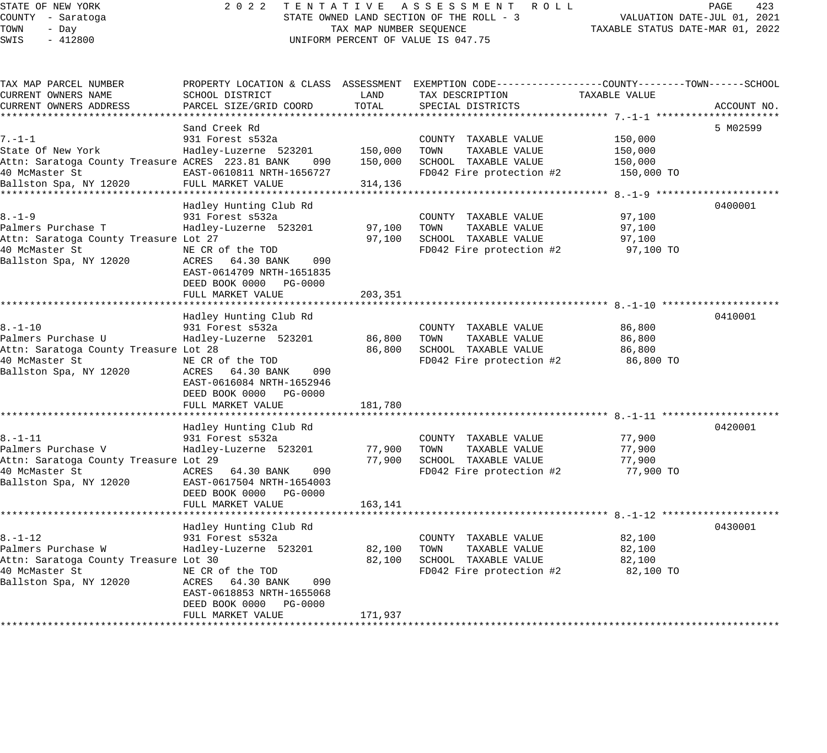| STATE OF NEW YORK<br>COUNTY - Saratoga<br>TOWN<br>- Day<br>SWIS<br>$-412800$ |                                                                                | TAX MAP NUMBER SEQUENCE | 2022 TENTATIVE ASSESSMENT ROLL<br>STATE OWNED LAND SECTION OF THE ROLL - 3<br>UNIFORM PERCENT OF VALUE IS 047.75 | VALUATION DATE-JUL 01, 2021<br>TAXABLE STATUS DATE-MAR 01, 2022 | PAGE<br>423 |  |
|------------------------------------------------------------------------------|--------------------------------------------------------------------------------|-------------------------|------------------------------------------------------------------------------------------------------------------|-----------------------------------------------------------------|-------------|--|
| TAX MAP PARCEL NUMBER                                                        |                                                                                |                         | PROPERTY LOCATION & CLASS ASSESSMENT EXEMPTION CODE----------------COUNTY-------TOWN------SCHOOL                 |                                                                 |             |  |
| CURRENT OWNERS NAME                                                          | SCHOOL DISTRICT                                                                | LAND                    | TAX DESCRIPTION                                                                                                  | TAXABLE VALUE                                                   |             |  |
| CURRENT OWNERS ADDRESS                                                       | PARCEL SIZE/GRID COORD                                                         | TOTAL                   | SPECIAL DISTRICTS                                                                                                |                                                                 | ACCOUNT NO. |  |
|                                                                              | Sand Creek Rd                                                                  |                         |                                                                                                                  |                                                                 | 5 M02599    |  |
| 7.–1–1                                                                       | 931 Forest s532a                                                               |                         | COUNTY TAXABLE VALUE                                                                                             | 150,000                                                         |             |  |
| State Of New York                                                            | Hadley-Luzerne 523201 150,000                                                  |                         | TOWN<br>TAXABLE VALUE                                                                                            | 150,000                                                         |             |  |
| Attn: Saratoga County Treasure ACRES 223.81 BANK 090 150,000                 |                                                                                |                         | SCHOOL TAXABLE VALUE                                                                                             | 150,000                                                         |             |  |
| 40 McMaster St                                                               | EAST-0610811 NRTH-1656727                                                      |                         | FD042 Fire protection #2                                                                                         | 150,000 TO                                                      |             |  |
| Ballston Spa, NY 12020                                                       | FULL MARKET VALUE                                                              | 314,136                 |                                                                                                                  |                                                                 |             |  |
|                                                                              |                                                                                |                         |                                                                                                                  |                                                                 |             |  |
|                                                                              | Hadley Hunting Club Rd                                                         |                         |                                                                                                                  |                                                                 | 0400001     |  |
| $8. - 1 - 9$                                                                 | 931 Forest s532a                                                               |                         | COUNTY TAXABLE VALUE                                                                                             | 97,100                                                          |             |  |
| Palmers Purchase T<br>Attn: Saratoga County Treasure Lot 27                  | Hadley-Luzerne 523201                                                          | 97,100                  | TOWN<br>TAXABLE VALUE<br>97,100 SCHOOL TAXABLE VALUE                                                             | 97,100<br>97,100                                                |             |  |
| 40 McMaster St                                                               | NE CR of the TOD                                                               |                         | FD042 Fire protection #2                                                                                         | 97,100 TO                                                       |             |  |
| Ballston Spa, NY 12020                                                       | ACRES 64.30 BANK<br>090<br>EAST-0614709 NRTH-1651835<br>DEED BOOK 0000 PG-0000 |                         |                                                                                                                  |                                                                 |             |  |
|                                                                              | FULL MARKET VALUE                                                              | 203,351                 |                                                                                                                  |                                                                 |             |  |
|                                                                              |                                                                                |                         |                                                                                                                  |                                                                 |             |  |
|                                                                              | Hadley Hunting Club Rd                                                         |                         |                                                                                                                  |                                                                 | 0410001     |  |
| $8. - 1 - 10$                                                                | 931 Forest s532a                                                               |                         | COUNTY TAXABLE VALUE                                                                                             | 86,800                                                          |             |  |
| Palmers Purchase U                                                           | Hadley-Luzerne 523201                                                          | 86,800                  | TOWN<br>TAXABLE VALUE                                                                                            | 86,800                                                          |             |  |
| Attn: Saratoga County Treasure Lot 28<br>40 McMaster St                      | NE CR of the TOD                                                               | 86,800                  | SCHOOL TAXABLE VALUE                                                                                             | 86,800<br>86,800 TO                                             |             |  |
| Ballston Spa, NY 12020                                                       | ACRES 64.30 BANK<br>090<br>EAST-0616084 NRTH-1652946<br>DEED BOOK 0000 PG-0000 |                         | FD042 Fire protection #2                                                                                         |                                                                 |             |  |
|                                                                              | FULL MARKET VALUE                                                              | 181,780                 |                                                                                                                  |                                                                 |             |  |
|                                                                              |                                                                                |                         |                                                                                                                  |                                                                 |             |  |
|                                                                              | Hadley Hunting Club Rd                                                         |                         |                                                                                                                  |                                                                 | 0420001     |  |
| 8.–1–11<br>Palmers Purchase V                                                | 931 Forest s532a<br>Hadley-Luzerne 523201                                      | 77,900                  | COUNTY TAXABLE VALUE<br>TOWN<br>TAXABLE VALUE                                                                    | 77,900<br>77,900                                                |             |  |
| Attn: Saratoga County Treasure Lot 29                                        |                                                                                | 77,900                  | SCHOOL TAXABLE VALUE                                                                                             | 77,900                                                          |             |  |
| 40 McMaster St                                                               | ACRES 64.30 BANK<br>090                                                        |                         | FD042 Fire protection #2                                                                                         | 77,900 TO                                                       |             |  |
| Ballston Spa, NY 12020                                                       | EAST-0617504 NRTH-1654003<br>DEED BOOK 0000 PG-0000                            |                         |                                                                                                                  |                                                                 |             |  |
|                                                                              | FULL MARKET VALUE                                                              | 163,141                 |                                                                                                                  |                                                                 |             |  |
|                                                                              |                                                                                |                         |                                                                                                                  |                                                                 |             |  |
|                                                                              | Hadley Hunting Club Rd                                                         |                         |                                                                                                                  |                                                                 | 0430001     |  |
| 8.–1–12<br>Palmers Purchase W                                                | 931 Forest s532a<br>Hadley-Luzerne 523201                                      | 82,100                  | COUNTY TAXABLE VALUE<br>TOWN<br>TAXABLE VALUE                                                                    | 82,100<br>82,100                                                |             |  |
| Attn: Saratoga County Treasure Lot 30                                        |                                                                                | 82,100                  | SCHOOL TAXABLE VALUE                                                                                             | 82,100                                                          |             |  |
| 40 McMaster St                                                               | NE CR of the TOD                                                               |                         | FD042 Fire protection #2                                                                                         | 82,100 TO                                                       |             |  |
| Ballston Spa, NY 12020                                                       | ACRES 64.30 BANK<br>090<br>EAST-0618853 NRTH-1655068<br>DEED BOOK 0000 PG-0000 |                         |                                                                                                                  |                                                                 |             |  |

FULL MARKET VALUE 171,937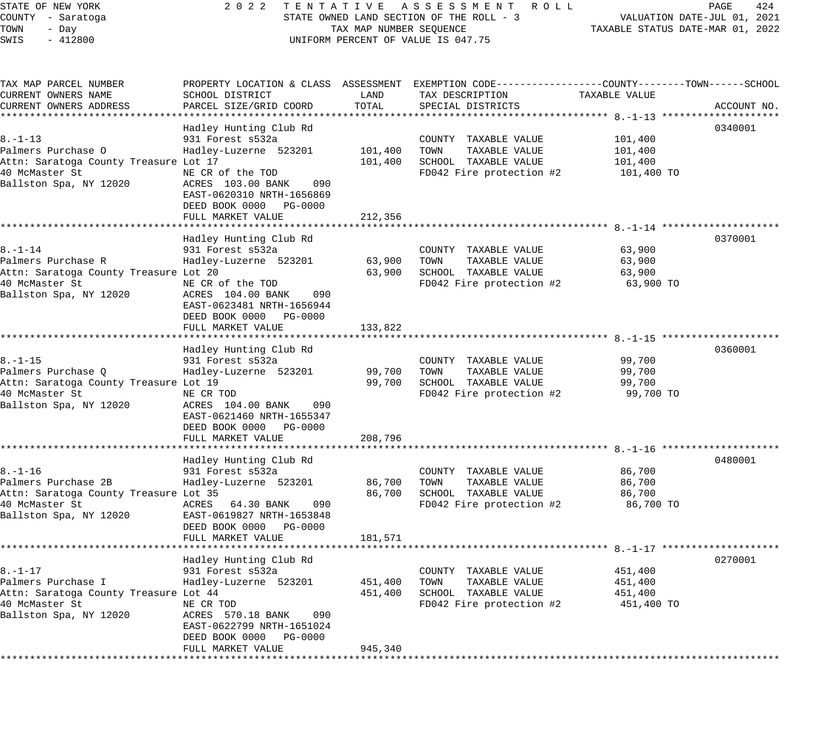| STATE OF NEW YORK<br>COUNTY - Saratoga<br>TOWN<br>- Day<br>SWIS<br>$-412800$                                              |                                                                                                                                                                                                 | TAX MAP NUMBER SEQUENCE       | 2022 TENTATIVE ASSESSMENT ROLL<br>STATE OWNED LAND SECTION OF THE ROLL - 3<br>UNIFORM PERCENT OF VALUE IS 047.75                       | TAXABLE STATUS DATE-MAR 01, 2022            | PAGE<br>424<br>VALUATION DATE-JUL 01, 2021 |
|---------------------------------------------------------------------------------------------------------------------------|-------------------------------------------------------------------------------------------------------------------------------------------------------------------------------------------------|-------------------------------|----------------------------------------------------------------------------------------------------------------------------------------|---------------------------------------------|--------------------------------------------|
| TAX MAP PARCEL NUMBER<br>CURRENT OWNERS NAME<br>CURRENT OWNERS ADDRESS                                                    | SCHOOL DISTRICT<br>PARCEL SIZE/GRID COORD                                                                                                                                                       | LAND<br>TOTAL                 | PROPERTY LOCATION & CLASS ASSESSMENT EXEMPTION CODE---------------COUNTY-------TOWN-----SCHOOL<br>TAX DESCRIPTION<br>SPECIAL DISTRICTS | TAXABLE VALUE                               | ACCOUNT NO.                                |
| $8. - 1 - 13$<br>Palmers Purchase O<br>Attn: Saratoga County Treasure Lot 17<br>40 McMaster St<br>Ballston Spa, NY 12020  | Hadley Hunting Club Rd<br>931 Forest s532a<br>Hadley-Luzerne 523201<br>NE CR of the TOD<br>ACRES 103.00 BANK<br>090<br>EAST-0620310 NRTH-1656869<br>DEED BOOK 0000 PG-0000<br>FULL MARKET VALUE | 101,400<br>101,400<br>212,356 | COUNTY TAXABLE VALUE<br>TOWN<br>TAXABLE VALUE<br>SCHOOL TAXABLE VALUE<br>$FD042$ Fire protection #2 101,400 TO                         | 101,400<br>101,400<br>101,400               | 0340001                                    |
| 8.–1–14<br>Palmers Purchase R<br>Attn: Saratoga County Treasure Lot 20<br>40 McMaster St<br>Ballston Spa, NY 12020        | Hadley Hunting Club Rd<br>931 Forest s532a<br>Hadley-Luzerne 523201<br>NE CR of the TOD<br>ACRES 104.00 BANK<br>090<br>EAST-0623481 NRTH-1656944<br>DEED BOOK 0000 PG-0000                      | 63,900<br>63,900              | COUNTY TAXABLE VALUE<br>TOWN<br>TAXABLE VALUE<br>SCHOOL TAXABLE VALUE<br>FD042 Fire protection #2 63,900 TO                            | 63,900<br>63,900<br>63,900                  | 0370001                                    |
| $8. - 1 - 15$<br>Palmers Purchase Q<br>Attn: Saratoga County Treasure Lot 19<br>40 McMaster St<br>Ballston Spa, NY 12020  | FULL MARKET VALUE<br>Hadley Hunting Club Rd<br>931 Forest s532a<br>Hadley-Luzerne 523201<br>NE CR TOD<br>ACRES 104.00 BANK<br>090<br>EAST-0621460 NRTH-1655347<br>DEED BOOK 0000 PG-0000        | 133,822<br>99,700<br>99,700   | COUNTY TAXABLE VALUE<br>TOWN<br>TAXABLE VALUE<br>SCHOOL TAXABLE VALUE<br>FD042 Fire protection #2                                      | 99,700<br>99,700<br>99,700<br>99,700 TO     | 0360001                                    |
|                                                                                                                           | FULL MARKET VALUE                                                                                                                                                                               | 208,796                       |                                                                                                                                        |                                             |                                            |
| $8. - 1 - 16$<br>Palmers Purchase 2B<br>Attn: Saratoga County Treasure Lot 35<br>40 McMaster St<br>Ballston Spa, NY 12020 | Hadley Hunting Club Rd<br>931 Forest s532a<br>Hadley-Luzerne 523201<br>ACRES 64.30 BANK<br>090<br>EAST-0619827 NRTH-1653848<br>DEED BOOK 0000 PG-0000<br>FULL MARKET VALUE                      | 86,700<br>86,700<br>181,571   | COUNTY TAXABLE VALUE<br>TOWN<br>TAXABLE VALUE<br>SCHOOL TAXABLE VALUE<br>FD042 Fire protection #2                                      | 86,700<br>86,700<br>86,700<br>86,700 TO     | 0480001                                    |
| $8. - 1 - 17$<br>Palmers Purchase I<br>Attn: Saratoga County Treasure Lot 44<br>40 McMaster St<br>Ballston Spa, NY 12020  | Hadley Hunting Club Rd<br>931 Forest s532a<br>Hadley-Luzerne 523201<br>NE CR TOD<br>ACRES 570.18 BANK<br>090<br>EAST-0622799 NRTH-1651024<br>DEED BOOK 0000<br>PG-0000<br>FULL MARKET VALUE     | 451,400<br>451,400<br>945,340 | COUNTY<br>TAXABLE VALUE<br>TAXABLE VALUE<br>TOWN<br>SCHOOL TAXABLE VALUE<br>FD042 Fire protection #2                                   | 451,400<br>451,400<br>451,400<br>451,400 TO | 0270001                                    |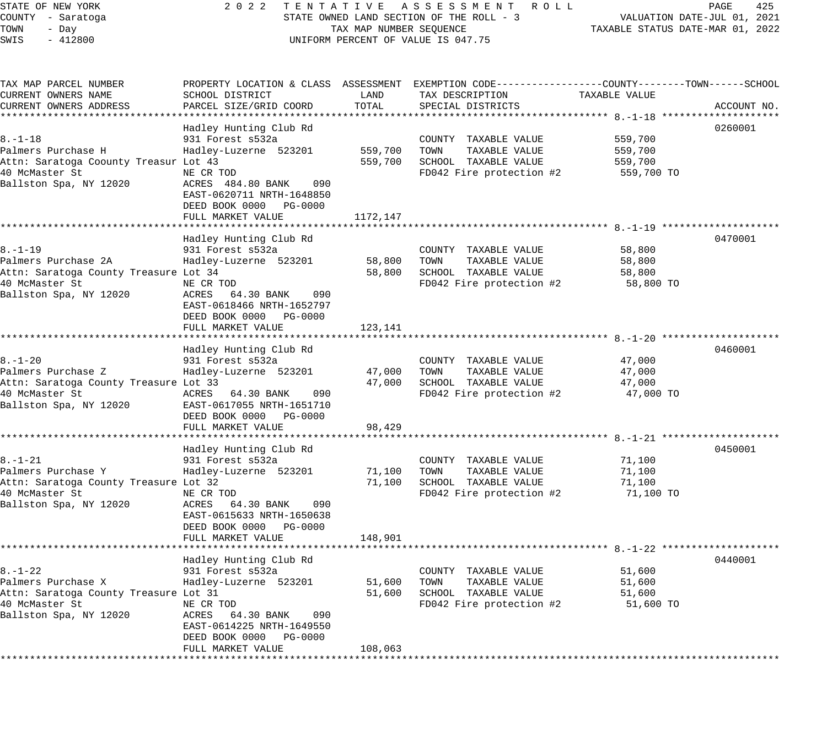| STATE OF NEW YORK<br>COUNTY - Saratoga<br>TOWN<br>- Day<br>SWIS<br>$-412800$ |                                                                                                      | TAX MAP NUMBER SEQUENCE | 2022 TENTATIVE ASSESSMENT ROLL<br>STATE OWNED LAND SECTION OF THE ROLL - 3<br>UNIFORM PERCENT OF VALUE IS 047.75                       | TAXABLE STATUS DATE-MAR 01, 2022 | PAGE<br>425<br>VALUATION DATE-JUL 01, 2021 |
|------------------------------------------------------------------------------|------------------------------------------------------------------------------------------------------|-------------------------|----------------------------------------------------------------------------------------------------------------------------------------|----------------------------------|--------------------------------------------|
| TAX MAP PARCEL NUMBER<br>CURRENT OWNERS NAME<br>CURRENT OWNERS ADDRESS       | SCHOOL DISTRICT<br>PARCEL SIZE/GRID COORD                                                            | LAND<br>TOTAL           | PROPERTY LOCATION & CLASS ASSESSMENT EXEMPTION CODE---------------COUNTY-------TOWN-----SCHOOL<br>TAX DESCRIPTION<br>SPECIAL DISTRICTS | TAXABLE VALUE                    | ACCOUNT NO.                                |
|                                                                              |                                                                                                      |                         |                                                                                                                                        |                                  |                                            |
| 8.–1–18                                                                      | Hadley Hunting Club Rd<br>931 Forest s532a                                                           |                         | COUNTY TAXABLE VALUE                                                                                                                   | 559,700                          | 0260001                                    |
| Palmers Purchase H                                                           | Hadley-Luzerne 523201                                                                                |                         | 559,700 TOWN<br>TAXABLE VALUE                                                                                                          | 559,700                          |                                            |
| Attn: Saratoga Coounty Treasur Lot 43                                        |                                                                                                      | 559,700                 | SCHOOL TAXABLE VALUE                                                                                                                   | 559,700                          |                                            |
| 40 McMaster St                                                               | NE CR TOD                                                                                            |                         | FD042 Fire protection #2                                                                                                               | 559,700 TO                       |                                            |
| Ballston Spa, NY 12020                                                       | ACRES 484.80 BANK<br>090<br>EAST-0620711 NRTH-1648850<br>DEED BOOK 0000 PG-0000<br>FULL MARKET VALUE | 1172,147                |                                                                                                                                        |                                  |                                            |
|                                                                              |                                                                                                      |                         |                                                                                                                                        |                                  |                                            |
|                                                                              | Hadley Hunting Club Rd                                                                               |                         |                                                                                                                                        |                                  | 0470001                                    |
| $8. - 1 - 19$                                                                | 931 Forest s532a                                                                                     |                         | COUNTY TAXABLE VALUE                                                                                                                   | 58,800                           |                                            |
| Palmers Purchase 2A<br>Attn: Saratoga County Treasure Lot 34                 | Hadley-Luzerne 523201                                                                                | 58,800                  | TAXABLE VALUE<br>TOWN<br>58,800 SCHOOL TAXABLE VALUE                                                                                   | 58,800<br>58,800                 |                                            |
| 40 McMaster St                                                               | NE CR TOD                                                                                            |                         | FD042 Fire protection #2                                                                                                               | 58,800 TO                        |                                            |
| Ballston Spa, NY 12020                                                       | ACRES 64.30 BANK<br>090<br>EAST-0618466 NRTH-1652797<br>DEED BOOK 0000 PG-0000<br>FULL MARKET VALUE  | 123,141                 |                                                                                                                                        |                                  |                                            |
|                                                                              |                                                                                                      |                         |                                                                                                                                        |                                  |                                            |
|                                                                              | Hadley Hunting Club Rd                                                                               |                         |                                                                                                                                        |                                  | 0460001                                    |
| $8. - 1 - 20$                                                                | 931 Forest s532a                                                                                     |                         | COUNTY TAXABLE VALUE                                                                                                                   | 47,000                           |                                            |
| Palmers Purchase Z                                                           | Hadley-Luzerne 523201                                                                                | 47,000                  | TOWN<br>TAXABLE VALUE                                                                                                                  | 47,000                           |                                            |
| Attn: Saratoga County Treasure Lot 33                                        |                                                                                                      | 47,000                  | SCHOOL TAXABLE VALUE                                                                                                                   | 47,000                           |                                            |
| 40 McMaster St<br>Ballston Spa, NY 12020                                     | ACRES 64.30 BANK<br>090<br>EAST-0617055 NRTH-1651710<br>DEED BOOK 0000 PG-0000<br>FULL MARKET VALUE  | 98,429                  | FD042 Fire protection #2                                                                                                               | 47,000 TO                        |                                            |
|                                                                              |                                                                                                      |                         |                                                                                                                                        |                                  |                                            |
|                                                                              | Hadley Hunting Club Rd                                                                               |                         |                                                                                                                                        |                                  | 0450001                                    |
| 8.-1-21                                                                      | 931 Forest s532a                                                                                     |                         | COUNTY TAXABLE VALUE                                                                                                                   | 71,100                           |                                            |
| Palmers Purchase Y<br>Attn: Saratoga County Treasure Lot 32                  | Hadley-Luzerne 523201                                                                                | 71,100<br>71,100        | TOWN<br>TAXABLE VALUE<br>SCHOOL TAXABLE VALUE                                                                                          | 71,100<br>71,100                 |                                            |
| 40 McMaster St                                                               | NE CR TOD                                                                                            |                         | FD042 Fire protection #2                                                                                                               | 71,100 TO                        |                                            |
| Ballston Spa, NY 12020                                                       | ACRES 64.30 BANK<br>090<br>EAST-0615633 NRTH-1650638<br>DEED BOOK 0000 PG-0000<br>FULL MARKET VALUE  | 148,901                 |                                                                                                                                        |                                  |                                            |
|                                                                              |                                                                                                      |                         |                                                                                                                                        |                                  |                                            |
|                                                                              | Hadley Hunting Club Rd                                                                               |                         |                                                                                                                                        |                                  | 0440001                                    |
| $8. - 1 - 22$                                                                | 931 Forest s532a                                                                                     |                         | COUNTY TAXABLE VALUE                                                                                                                   | 51,600                           |                                            |
| Palmers Purchase X                                                           | Hadley-Luzerne 523201                                                                                | 51,600                  | TOWN<br>TAXABLE VALUE                                                                                                                  | 51,600                           |                                            |
| Attn: Saratoga County Treasure Lot 31<br>40 McMaster St                      | NE CR TOD                                                                                            | 51,600                  | SCHOOL TAXABLE VALUE<br>FD042 Fire protection #2                                                                                       | 51,600<br>51,600 TO              |                                            |
| Ballston Spa, NY 12020                                                       | ACRES 64.30 BANK<br>090<br>EAST-0614225 NRTH-1649550                                                 |                         |                                                                                                                                        |                                  |                                            |

DEED BOOK 0000 PG-0000

FULL MARKET VALUE 108,063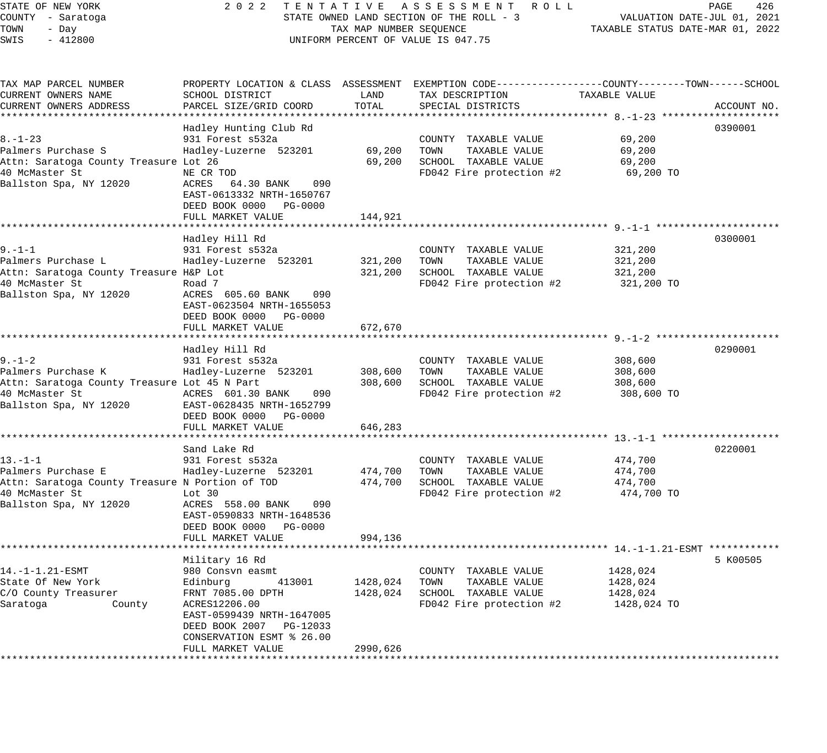| STATE OF NEW YORK<br>COUNTY - Saratoga<br>TOWN<br>- Day<br>SWIS<br>$-412800$                                                   |                                                                                                                                                                               | TAX MAP NUMBER SEQUENCE       | 2022 TENTATIVE ASSESSMENT ROLL<br>STATE OWNED LAND SECTION OF THE ROLL - 3<br>UNIFORM PERCENT OF VALUE IS 047.75                       | TAXABLE STATUS DATE-MAR 01, 2022                | PAGE<br>426<br>VALUATION DATE-JUL 01, 2021 |
|--------------------------------------------------------------------------------------------------------------------------------|-------------------------------------------------------------------------------------------------------------------------------------------------------------------------------|-------------------------------|----------------------------------------------------------------------------------------------------------------------------------------|-------------------------------------------------|--------------------------------------------|
| TAX MAP PARCEL NUMBER<br>CURRENT OWNERS NAME<br>CURRENT OWNERS ADDRESS                                                         | SCHOOL DISTRICT<br>PARCEL SIZE/GRID COORD                                                                                                                                     | LAND<br>TOTAL                 | PROPERTY LOCATION & CLASS ASSESSMENT EXEMPTION CODE---------------COUNTY-------TOWN-----SCHOOL<br>TAX DESCRIPTION<br>SPECIAL DISTRICTS | TAXABLE VALUE                                   | ACCOUNT NO.                                |
|                                                                                                                                |                                                                                                                                                                               |                               |                                                                                                                                        |                                                 |                                            |
| $8. - 1 - 23$<br>Palmers Purchase S<br>Attn: Saratoga County Treasure Lot 26<br>40 McMaster St<br>Ballston Spa, NY 12020       | Hadley Hunting Club Rd<br>931 Forest s532a<br>Hadley-Luzerne 523201<br>NE CR TOD<br>ACRES 64.30 BANK<br>090<br>EAST-0613332 NRTH-1650767<br>DEED BOOK 0000 PG-0000            | 69,200<br>69,200              | COUNTY TAXABLE VALUE<br>TOWN<br>TAXABLE VALUE<br>SCHOOL TAXABLE VALUE<br>FD042 Fire protection #2                                      | 69,200<br>69,200<br>69,200<br>69,200 TO         | 0390001                                    |
|                                                                                                                                | FULL MARKET VALUE                                                                                                                                                             | 144,921                       |                                                                                                                                        |                                                 |                                            |
| 9.–1–1<br>Palmers Purchase L<br>Attn: Saratoga County Treasure H&P Lot<br>40 McMaster St<br>Ballston Spa, NY 12020             | Hadley Hill Rd<br>931 Forest s532a<br>Hadley-Luzerne 523201<br>Road 7<br>ACRES 605.60 BANK<br>090<br>EAST-0623504 NRTH-1655053<br>DEED BOOK 0000 PG-0000<br>FULL MARKET VALUE | 321,200<br>321,200<br>672,670 | COUNTY TAXABLE VALUE<br>TOWN<br>TAXABLE VALUE<br>SCHOOL TAXABLE VALUE<br>FD042 Fire protection #2                                      | 321,200<br>321,200<br>321,200<br>321,200 TO     | 0300001                                    |
|                                                                                                                                |                                                                                                                                                                               |                               |                                                                                                                                        |                                                 |                                            |
| $9. - 1 - 2$<br>Palmers Purchase K<br>Attn: Saratoga County Treasure Lot 45 N Part<br>40 McMaster St<br>Ballston Spa, NY 12020 | Hadley Hill Rd<br>931 Forest s532a<br>Hadley-Luzerne 523201<br>ACRES 601.30 BANK<br>090<br>EAST-0628435 NRTH-1652799<br>DEED BOOK 0000 PG-0000<br>FULL MARKET VALUE           | 308,600<br>308,600<br>646,283 | COUNTY TAXABLE VALUE<br>TOWN<br>TAXABLE VALUE<br>SCHOOL TAXABLE VALUE<br>FD042 Fire protection #2                                      | 308,600<br>308,600<br>308,600<br>308,600 TO     | 0290001                                    |
|                                                                                                                                |                                                                                                                                                                               | *************                 |                                                                                                                                        |                                                 |                                            |
| 13.-1-1<br>Palmers Purchase E<br>Attn: Saratoga County Treasure N Portion of TOD<br>40 McMaster St<br>Ballston Spa, NY 12020   | Sand Lake Rd<br>931 Forest s532a<br>Hadley-Luzerne 523201<br>Lot 30<br>ACRES 558.00 BANK<br>090<br>EAST-0590833 NRTH-1648536<br>DEED BOOK 0000 PG-0000                        | 474,700<br>474,700            | COUNTY TAXABLE VALUE<br>TOWN<br>TAXABLE VALUE<br>SCHOOL TAXABLE VALUE<br>FD042 Fire protection #2                                      | 474,700<br>474,700<br>474,700<br>474,700 TO     | 0220001                                    |
|                                                                                                                                | FULL MARKET VALUE                                                                                                                                                             | 994,136                       |                                                                                                                                        |                                                 |                                            |
|                                                                                                                                | Military 16 Rd                                                                                                                                                                |                               |                                                                                                                                        |                                                 | 5 K00505                                   |
| 14.-1-1.21-ESMT<br>State Of New York<br>C/O County Treasurer<br>Saratoga<br>County                                             | 980 Consvn easmt<br>Edinburg<br>413001<br>FRNT 7085.00 DPTH<br>ACRES12206.00<br>EAST-0599439 NRTH-1647005<br>DEED BOOK 2007 PG-12033<br>CONSERVATION ESMT % 26.00             | 1428,024<br>1428,024          | COUNTY TAXABLE VALUE<br>TOWN<br>TAXABLE VALUE<br>SCHOOL TAXABLE VALUE<br>FD042 Fire protection #2                                      | 1428,024<br>1428,024<br>1428,024<br>1428,024 TO |                                            |
|                                                                                                                                | FULL MARKET VALUE                                                                                                                                                             | 2990,626                      |                                                                                                                                        |                                                 |                                            |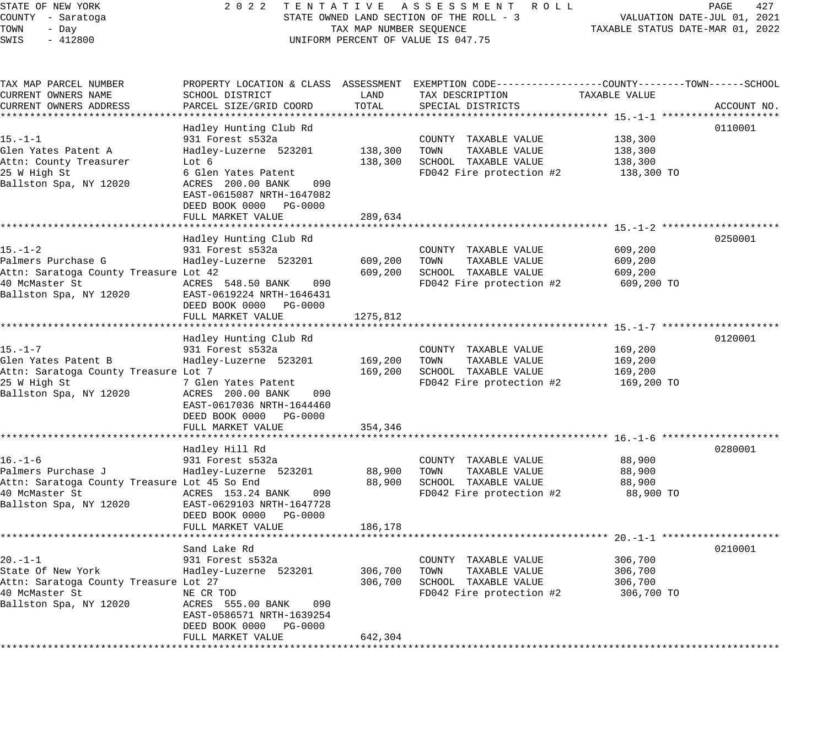| COUNTY - Saratoga<br>TOWN<br>- Day<br>$-412800$<br>SWIS     | STATE OWNED LAND SECTION OF THE ROLL - 3<br>TAX MAP NUMBER SEQUENCE<br>UNIFORM PERCENT OF VALUE IS 047.75 |                    |                                                                                                                   | VALUATION DATE-JUL 01, 2021<br>TAXABLE STATUS DATE-MAR 01, 2022 |             |
|-------------------------------------------------------------|-----------------------------------------------------------------------------------------------------------|--------------------|-------------------------------------------------------------------------------------------------------------------|-----------------------------------------------------------------|-------------|
| TAX MAP PARCEL NUMBER<br>CURRENT OWNERS NAME                | SCHOOL DISTRICT                                                                                           | LAND               | PROPERTY LOCATION & CLASS ASSESSMENT EXEMPTION CODE---------------COUNTY-------TOWN-----SCHOOL<br>TAX DESCRIPTION | TAXABLE VALUE                                                   |             |
| CURRENT OWNERS ADDRESS                                      | PARCEL SIZE/GRID COORD                                                                                    | TOTAL              | SPECIAL DISTRICTS                                                                                                 |                                                                 | ACCOUNT NO. |
|                                                             | Hadley Hunting Club Rd                                                                                    |                    |                                                                                                                   |                                                                 | 0110001     |
| 15.–1–1                                                     | 931 Forest s532a                                                                                          |                    | COUNTY TAXABLE VALUE                                                                                              | 138,300                                                         |             |
| Glen Yates Patent A                                         | Hadley-Luzerne 523201                                                                                     | 138,300            | TOWN<br>TAXABLE VALUE                                                                                             | 138,300                                                         |             |
| Attn: County Treasurer                                      | Lot 6                                                                                                     | 138,300            | SCHOOL TAXABLE VALUE                                                                                              | 138,300                                                         |             |
| 25 W High St<br>Ballston Spa, NY 12020                      | 6 Glen Yates Patent<br>ACRES 200.00 BANK<br>090<br>EAST-0615087 NRTH-1647082<br>DEED BOOK 0000 PG-0000    |                    | FD042 Fire protection #2                                                                                          | 138,300 TO                                                      |             |
|                                                             | FULL MARKET VALUE                                                                                         | 289,634            |                                                                                                                   |                                                                 |             |
|                                                             |                                                                                                           |                    |                                                                                                                   |                                                                 |             |
|                                                             | Hadley Hunting Club Rd                                                                                    |                    |                                                                                                                   |                                                                 | 0250001     |
| $15. - 1 - 2$                                               | 931 Forest s532a                                                                                          |                    | COUNTY TAXABLE VALUE                                                                                              | 609,200                                                         |             |
| Palmers Purchase G<br>Attn: Saratoga County Treasure Lot 42 | Hadley-Luzerne 523201                                                                                     | 609,200<br>609,200 | TOWN<br>TAXABLE VALUE<br>SCHOOL TAXABLE VALUE                                                                     | 609,200<br>609,200                                              |             |
| 40 McMaster St                                              | ACRES 548.50 BANK<br>090                                                                                  |                    | FD042 Fire protection #2                                                                                          | 609,200 TO                                                      |             |
| Ballston Spa, NY 12020                                      | EAST-0619224 NRTH-1646431<br>DEED BOOK 0000 PG-0000                                                       |                    |                                                                                                                   |                                                                 |             |
|                                                             | FULL MARKET VALUE                                                                                         | 1275,812           |                                                                                                                   |                                                                 |             |
|                                                             | Hadley Hunting Club Rd                                                                                    |                    |                                                                                                                   |                                                                 | 0120001     |
| 15.–1–7                                                     | 931 Forest s532a                                                                                          |                    | COUNTY TAXABLE VALUE                                                                                              | 169,200                                                         |             |
| Glen Yates Patent B                                         | Hadley-Luzerne 523201                                                                                     | 169,200            | TOWN<br>TAXABLE VALUE                                                                                             | 169,200                                                         |             |
| Attn: Saratoga County Treasure Lot 7                        |                                                                                                           | 169,200            | SCHOOL TAXABLE VALUE                                                                                              | 169,200                                                         |             |
| 25 W High St                                                | 7 Glen Yates Patent                                                                                       |                    | FD042 Fire protection #2                                                                                          | 169,200 TO                                                      |             |
| Ballston Spa, NY 12020                                      | ACRES 200.00 BANK<br>090                                                                                  |                    |                                                                                                                   |                                                                 |             |
|                                                             | EAST-0617036 NRTH-1644460                                                                                 |                    |                                                                                                                   |                                                                 |             |
|                                                             | DEED BOOK 0000 PG-0000                                                                                    |                    |                                                                                                                   |                                                                 |             |
|                                                             | FULL MARKET VALUE                                                                                         | 354,346            |                                                                                                                   |                                                                 |             |
|                                                             |                                                                                                           |                    |                                                                                                                   |                                                                 |             |
| 16.–1–6                                                     | Hadley Hill Rd<br>931 Forest s532a                                                                        |                    | COUNTY TAXABLE VALUE                                                                                              | 88,900                                                          | 0280001     |
| Palmers Purchase J                                          | Hadley-Luzerne 523201                                                                                     | 88,900             | TOWN<br>TAXABLE VALUE                                                                                             | 88,900                                                          |             |
| Attn: Saratoga County Treasure Lot 45 So End                |                                                                                                           | 88,900             | SCHOOL TAXABLE VALUE                                                                                              | 88,900                                                          |             |
| 40 McMaster St                                              | ACRES 153.24 BANK<br>090                                                                                  |                    | FD042 Fire protection #2                                                                                          | 88,900 TO                                                       |             |
| Ballston Spa, NY 12020                                      | EAST-0629103 NRTH-1647728                                                                                 |                    |                                                                                                                   |                                                                 |             |
|                                                             | DEED BOOK 0000 PG-0000                                                                                    |                    |                                                                                                                   |                                                                 |             |
|                                                             | FULL MARKET VALUE                                                                                         | 186,178            |                                                                                                                   |                                                                 |             |
|                                                             |                                                                                                           |                    |                                                                                                                   |                                                                 |             |
|                                                             | Sand Lake Rd                                                                                              |                    |                                                                                                                   |                                                                 | 0210001     |
| $20. -1 - 1$                                                | 931 Forest s532a                                                                                          |                    | COUNTY TAXABLE VALUE                                                                                              | 306,700                                                         |             |
| State Of New York                                           | Hadley-Luzerne 523201                                                                                     | 306,700            | TOWN<br>TAXABLE VALUE                                                                                             | 306,700                                                         |             |
| Attn: Saratoga County Treasure Lot 27                       |                                                                                                           | 306,700            | SCHOOL TAXABLE VALUE                                                                                              | 306,700                                                         |             |
| 40 McMaster St<br>Ballston Spa, NY 12020                    | NE CR TOD<br>ACRES 555.00 BANK<br>090<br>EAST-0586571 NRTH-1639254                                        |                    | FD042 Fire protection #2                                                                                          | 306,700 TO                                                      |             |

STATE OF NEW YORK 2 0 2 2 T E N T A T I V E A S S E S S M E N T R O L L PAGE 427

 DEED BOOK 0000 PG-0000 FULL MARKET VALUE 642,304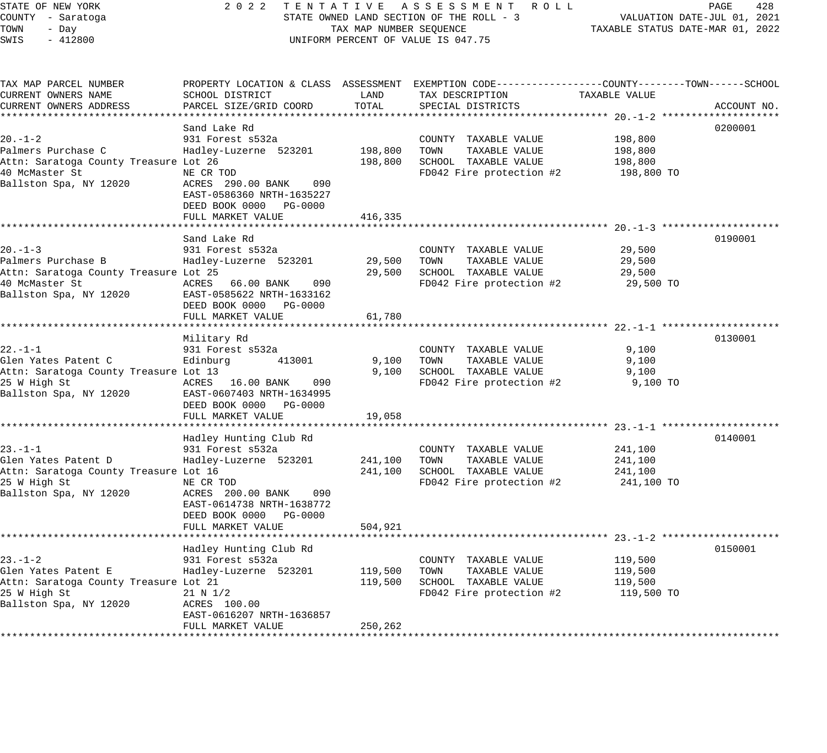| STATE OF NEW YORK<br>COUNTY - Saratoga<br>TOWN<br>- Day<br>SWIS<br>$-412800$                       |                                                                                                     | TAX MAP NUMBER SEQUENCE | 2022 TENTATIVE ASSESSMENT ROLL<br>STATE OWNED LAND SECTION OF THE ROLL - 3<br>UNIFORM PERCENT OF VALUE IS 047.75                       | VALUATION DATE-JUL 01, 2021<br>TAXABLE STATUS DATE-MAR 01, 2022 | PAGE<br>428 |
|----------------------------------------------------------------------------------------------------|-----------------------------------------------------------------------------------------------------|-------------------------|----------------------------------------------------------------------------------------------------------------------------------------|-----------------------------------------------------------------|-------------|
| TAX MAP PARCEL NUMBER<br>CURRENT OWNERS NAME<br>CURRENT OWNERS ADDRESS                             | SCHOOL DISTRICT<br>PARCEL SIZE/GRID COORD                                                           | LAND<br>TOTAL           | PROPERTY LOCATION & CLASS ASSESSMENT EXEMPTION CODE---------------COUNTY-------TOWN-----SCHOOL<br>TAX DESCRIPTION<br>SPECIAL DISTRICTS | TAXABLE VALUE                                                   | ACCOUNT NO. |
|                                                                                                    |                                                                                                     |                         |                                                                                                                                        |                                                                 |             |
| 20.-1-2                                                                                            | Sand Lake Rd<br>931 Forest s532a                                                                    |                         | COUNTY TAXABLE VALUE                                                                                                                   | 198,800                                                         | 0200001     |
| Palmers Purchase C                                                                                 | Hadley-Luzerne 523201                                                                               | 198,800 TOWN            | TAXABLE VALUE                                                                                                                          | 198,800                                                         |             |
| Attn: Saratoga County Treasure Lot 26                                                              |                                                                                                     |                         | 198,800 SCHOOL TAXABLE VALUE                                                                                                           | 198,800                                                         |             |
| 40 McMaster St                                                                                     |                                                                                                     |                         | FD042 Fire protection #2                                                                                                               | 198,800 TO                                                      |             |
| Ballston Spa, NY 12020                                                                             | 090<br>EAST-0586360 NRTH-1635227<br>DEED BOOK 0000 PG-0000<br>FULL MARKET VALUE                     | 416,335                 |                                                                                                                                        |                                                                 |             |
|                                                                                                    |                                                                                                     |                         |                                                                                                                                        |                                                                 |             |
|                                                                                                    | Sand Lake Rd                                                                                        |                         |                                                                                                                                        |                                                                 | 0190001     |
| 20.-1-3                                                                                            | 931 Forest s532a                                                                                    |                         | COUNTY TAXABLE VALUE                                                                                                                   | 29,500                                                          |             |
| Palmers Purchase B                   Hadley-Luzerne   523201                                       |                                                                                                     | 29,500 TOWN             | TAXABLE VALUE                                                                                                                          | 29,500                                                          |             |
| Attn: Saratoga County Treasure Lot 25                                                              |                                                                                                     |                         | 29,500 SCHOOL TAXABLE VALUE                                                                                                            | 29,500                                                          |             |
| 40 McMaster St<br>Ballston Spa, NY 12020                                                           | ACRES 66.00 BANK<br>090<br>EAST-0585622 NRTH-1633162<br>DEED BOOK 0000 PG-0000<br>FULL MARKET VALUE | 61,780                  | FD042 Fire protection #2                                                                                                               | 29,500 TO                                                       |             |
|                                                                                                    |                                                                                                     |                         |                                                                                                                                        |                                                                 |             |
|                                                                                                    | Military Rd                                                                                         |                         |                                                                                                                                        |                                                                 | 0130001     |
| 22.-1-1                                                                                            | 931 Forest s532a                                                                                    |                         | COUNTY TAXABLE VALUE                                                                                                                   | 9,100                                                           |             |
|                                                                                                    | 413001                                                                                              |                         | 9,100 TOWN TAXABLE VALUE                                                                                                               | 9,100                                                           |             |
| Attn: Saratoga County Treasure Lot 13                                                              |                                                                                                     |                         | 9,100 SCHOOL TAXABLE VALUE                                                                                                             | 9,100                                                           |             |
| 25 W High St                                                                                       | ACRES 16.00 BANK 090<br>EAST-0607403 NRTH-1634995                                                   |                         | FD042 Fire protection #2                                                                                                               | 9,100 TO                                                        |             |
| Ballston Spa, NY 12020                                                                             | DEED BOOK 0000 PG-0000                                                                              |                         |                                                                                                                                        |                                                                 |             |
|                                                                                                    | FULL MARKET VALUE                                                                                   | 19,058                  |                                                                                                                                        |                                                                 |             |
|                                                                                                    |                                                                                                     |                         |                                                                                                                                        |                                                                 |             |
|                                                                                                    | Hadley Hunting Club Rd                                                                              |                         |                                                                                                                                        |                                                                 | 0140001     |
| $23. - 1 - 1$                                                                                      | 931 Forest s532a                                                                                    |                         | COUNTY TAXABLE VALUE                                                                                                                   | 241,100                                                         |             |
| Glen Yates Patent D               Hadley-Luzerne 523201                                            |                                                                                                     |                         | 241,100 TOWN TAXABLE VALUE                                                                                                             | 241,100                                                         |             |
| Attn: Saratoga County Treasure Lot 16<br>25 W High St                                              |                                                                                                     |                         | 241,100 SCHOOL TAXABLE VALUE                                                                                                           | 241,100                                                         |             |
| Ballston Spa, NY 12020                                                                             | NE CR TOD<br>ACRES 200.00 BANK<br>090                                                               |                         | FD042 Fire protection #2 241,100 TO                                                                                                    |                                                                 |             |
|                                                                                                    | EAST-0614738 NRTH-1638772                                                                           |                         |                                                                                                                                        |                                                                 |             |
|                                                                                                    | DEED BOOK 0000 PG-0000                                                                              |                         |                                                                                                                                        |                                                                 |             |
|                                                                                                    | FULL MARKET VALUE                                                                                   | 504,921                 |                                                                                                                                        |                                                                 |             |
|                                                                                                    |                                                                                                     |                         |                                                                                                                                        |                                                                 |             |
|                                                                                                    | Hadley Hunting Club Rd                                                                              |                         |                                                                                                                                        |                                                                 | 0150001     |
| 23.-1-2                                                                                            | 931 Forest s532a                                                                                    |                         | COUNTY TAXABLE VALUE                                                                                                                   | 119,500                                                         |             |
| Glen Yates Patent E               Hadley-Luzerne   523201<br>Attn: Saratoga County Treasure Lot 21 |                                                                                                     |                         | 119,500 TOWN TAXABLE VALUE<br>119,500 SCHOOL TAXABLE VALUE                                                                             | 119,500<br>119,500                                              |             |
| 25 W High St                                                                                       | 21 N 1/2                                                                                            |                         | FD042 Fire protection #2                                                                                                               | 119,500 TO                                                      |             |
| Ballston Spa, NY 12020                                                                             | ACRES 100.00                                                                                        |                         |                                                                                                                                        |                                                                 |             |
|                                                                                                    | EAST-0616207 NRTH-1636857                                                                           |                         |                                                                                                                                        |                                                                 |             |
|                                                                                                    | FULL MARKET VALUE                                                                                   | 250,262                 |                                                                                                                                        |                                                                 |             |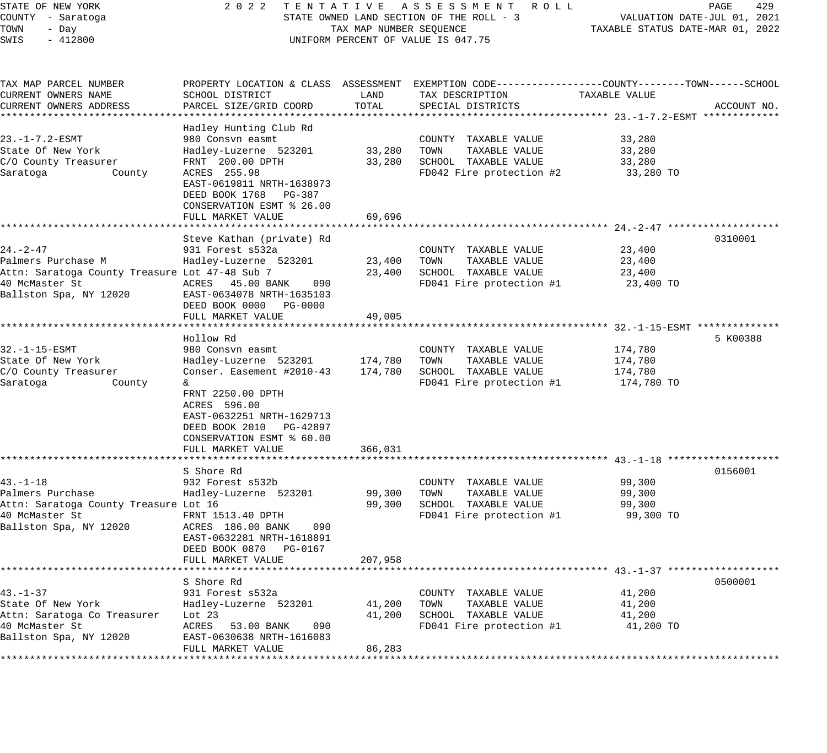| STATE OF NEW YORK<br>COUNTY - Saratoga<br>TOWN<br>- Day<br>SWIS<br>$-412800$                                                       | 2022 TENTATIVE ASSESSMENT ROLL<br>STATE OWNED LAND SECTION OF THE ROLL - 3<br>TAX MAP NUMBER SEQUENCE<br>UNIFORM PERCENT OF VALUE IS 047.75                                                                                              |                               |                                                                                                                                        | PAGE<br>429<br>VALUATION DATE-JUL 01, 2021<br>TAXABLE STATUS DATE-MAR 01, 2022 |             |  |
|------------------------------------------------------------------------------------------------------------------------------------|------------------------------------------------------------------------------------------------------------------------------------------------------------------------------------------------------------------------------------------|-------------------------------|----------------------------------------------------------------------------------------------------------------------------------------|--------------------------------------------------------------------------------|-------------|--|
| TAX MAP PARCEL NUMBER<br>CURRENT OWNERS NAME<br>CURRENT OWNERS ADDRESS                                                             | SCHOOL DISTRICT<br>PARCEL SIZE/GRID COORD                                                                                                                                                                                                | LAND<br>TOTAL                 | PROPERTY LOCATION & CLASS ASSESSMENT EXEMPTION CODE---------------COUNTY-------TOWN-----SCHOOL<br>TAX DESCRIPTION<br>SPECIAL DISTRICTS | TAXABLE VALUE                                                                  | ACCOUNT NO. |  |
| 23. -1-7.2-ESMT<br>State Of New York<br>C/O County Treasurer<br>Saratoga<br>County                                                 | Hadley Hunting Club Rd<br>980 Consvn easmt<br>Hadley-Luzerne 523201<br>FRNT 200.00 DPTH<br>ACRES 255.98<br>EAST-0619811 NRTH-1638973<br>DEED BOOK 1768 PG-387<br>CONSERVATION ESMT % 26.00                                               | 33,280<br>33,280              | COUNTY TAXABLE VALUE<br>TOWN<br>TAXABLE VALUE<br>SCHOOL TAXABLE VALUE<br>FD042 Fire protection #2                                      | 33,280<br>33,280<br>33,280<br>33,280 TO                                        |             |  |
|                                                                                                                                    | FULL MARKET VALUE                                                                                                                                                                                                                        | 69,696                        |                                                                                                                                        |                                                                                |             |  |
| $24. - 2 - 47$<br>Palmers Purchase M<br>Attn: Saratoga County Treasure Lot 47-48 Sub 7<br>40 McMaster St<br>Ballston Spa, NY 12020 | Steve Kathan (private) Rd<br>931 Forest s532a<br>Hadley-Luzerne 523201<br>ACRES 45.00 BANK<br>090<br>EAST-0634078 NRTH-1635103<br>DEED BOOK 0000 PG-0000<br>FULL MARKET VALUE                                                            | 23,400<br>23,400<br>49,005    | COUNTY TAXABLE VALUE<br>TOWN<br>TAXABLE VALUE<br>SCHOOL TAXABLE VALUE<br>FD041 Fire protection #1                                      | 23,400<br>23,400<br>23,400<br>23,400 TO                                        | 0310001     |  |
| $32. -1 - 15 - ESMT$<br>State Of New York<br>C/O County Treasurer<br>Saratoga<br>County                                            | Hollow Rd<br>980 Consvn easmt<br>Hadley-Luzerne 523201<br>Conser. Easement #2010-43<br>&.<br>FRNT 2250.00 DPTH<br>ACRES 596.00<br>EAST-0632251 NRTH-1629713<br>DEED BOOK 2010 PG-42897<br>CONSERVATION ESMT % 60.00<br>FULL MARKET VALUE | 174,780<br>174,780<br>366,031 | COUNTY TAXABLE VALUE<br>TAXABLE VALUE<br>TOWN<br>SCHOOL TAXABLE VALUE<br>FD041 Fire protection #1                                      | 174,780<br>174,780<br>174,780<br>174,780 TO                                    | 5 K00388    |  |
|                                                                                                                                    |                                                                                                                                                                                                                                          |                               |                                                                                                                                        |                                                                                |             |  |
| $43. - 1 - 18$<br>Palmers Purchase<br>Attn: Saratoga County Treasure Lot 16<br>40 McMaster St<br>Ballston Spa, NY 12020            | S Shore Rd<br>932 Forest s532b<br>Hadley-Luzerne 523201<br>FRNT 1513.40 DPTH<br>ACRES 186.00 BANK<br>090<br>EAST-0632281 NRTH-1618891<br>DEED BOOK 0870 PG-0167<br>FULL MARKET VALUE                                                     | 99,300<br>99,300<br>207,958   | COUNTY TAXABLE VALUE<br>TOWN<br>TAXABLE VALUE<br>SCHOOL TAXABLE VALUE<br>FD041 Fire protection #1                                      | 99,300<br>99,300<br>99,300<br>99,300 TO                                        | 0156001     |  |
|                                                                                                                                    |                                                                                                                                                                                                                                          |                               |                                                                                                                                        | ************************ 43.-1-37 ********************                         |             |  |
| $43. - 1 - 37$<br>State Of New York<br>Attn: Saratoga Co Treasurer<br>40 McMaster St<br>Ballston Spa, NY 12020                     | S Shore Rd<br>931 Forest s532a<br>Hadley-Luzerne 523201<br>Lot $23$<br>ACRES<br>53.00 BANK<br>090<br>EAST-0630638 NRTH-1616083<br>FULL MARKET VALUE                                                                                      | 41,200<br>41,200<br>86,283    | COUNTY TAXABLE VALUE<br>TOWN<br>TAXABLE VALUE<br>SCHOOL TAXABLE VALUE<br>FD041 Fire protection #1                                      | 41,200<br>41,200<br>41,200<br>41,200 TO                                        | 0500001     |  |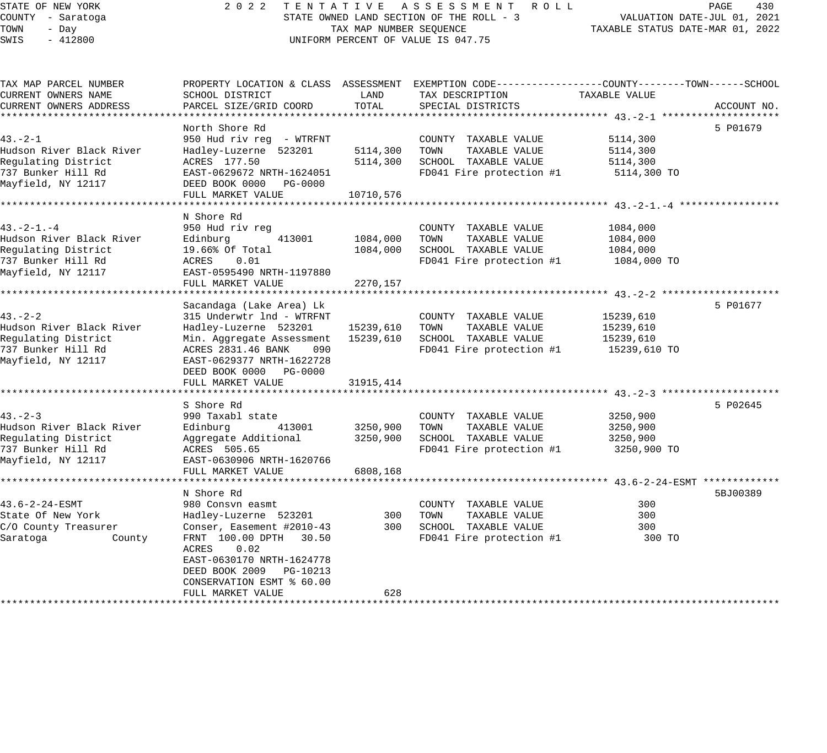| STATE OF NEW YORK        | 2 0 2 2                             | TENTATIVE               | ASSESSMENT ROLL                                                                                  |                                  | PAGE<br>430                 |
|--------------------------|-------------------------------------|-------------------------|--------------------------------------------------------------------------------------------------|----------------------------------|-----------------------------|
| COUNTY - Saratoga        |                                     |                         | STATE OWNED LAND SECTION OF THE ROLL - 3                                                         |                                  | VALUATION DATE-JUL 01, 2021 |
| TOWN<br>- Day            |                                     | TAX MAP NUMBER SEQUENCE |                                                                                                  | TAXABLE STATUS DATE-MAR 01, 2022 |                             |
| $-412800$<br>SWIS        | UNIFORM PERCENT OF VALUE IS 047.75  |                         |                                                                                                  |                                  |                             |
|                          |                                     |                         |                                                                                                  |                                  |                             |
| TAX MAP PARCEL NUMBER    |                                     |                         | PROPERTY LOCATION & CLASS ASSESSMENT EXEMPTION CODE----------------COUNTY-------TOWN------SCHOOL |                                  |                             |
| CURRENT OWNERS NAME      | SCHOOL DISTRICT                     | LAND                    | TAX DESCRIPTION                                                                                  | TAXABLE VALUE                    |                             |
| CURRENT OWNERS ADDRESS   | PARCEL SIZE/GRID COORD              | TOTAL                   | SPECIAL DISTRICTS                                                                                |                                  | ACCOUNT NO.                 |
|                          |                                     |                         |                                                                                                  |                                  |                             |
|                          | North Shore Rd                      |                         |                                                                                                  |                                  | 5 P01679                    |
| $43. - 2 - 1$            | 950 Hud riv reg - WTRFNT            |                         | COUNTY TAXABLE VALUE                                                                             | 5114,300                         |                             |
| Hudson River Black River | Hadley-Luzerne 523201               | 5114,300                | TOWN<br>TAXABLE VALUE                                                                            | 5114,300                         |                             |
| Regulating District      | ACRES 177.50                        | 5114,300                | SCHOOL TAXABLE VALUE                                                                             | 5114,300                         |                             |
| 737 Bunker Hill Rd       | EAST-0629672 NRTH-1624051           |                         | FD041 Fire protection #1                                                                         | 5114,300 TO                      |                             |
| Mayfield, NY 12117       | DEED BOOK 0000 PG-0000              |                         |                                                                                                  |                                  |                             |
|                          | FULL MARKET VALUE                   | 10710,576               |                                                                                                  |                                  |                             |
|                          | **********************              |                         |                                                                                                  |                                  |                             |
|                          | N Shore Rd                          |                         |                                                                                                  |                                  |                             |
| $43. -2 - 1. - 4$        | 950 Hud riv reg                     |                         | COUNTY TAXABLE VALUE                                                                             | 1084,000                         |                             |
| Hudson River Black River | Edinburg<br>413001                  | 1084,000                | TOWN<br>TAXABLE VALUE                                                                            | 1084,000                         |                             |
| Regulating District      | 19.66% Of Total                     | 1084,000                | SCHOOL TAXABLE VALUE                                                                             | 1084,000                         |                             |
| 737 Bunker Hill Rd       | ACRES<br>0.01                       |                         | FD041 Fire protection #1                                                                         | 1084,000 TO                      |                             |
| Mayfield, NY 12117       | EAST-0595490 NRTH-1197880           |                         |                                                                                                  |                                  |                             |
|                          | FULL MARKET VALUE                   | 2270,157                |                                                                                                  |                                  |                             |
|                          |                                     |                         |                                                                                                  |                                  |                             |
|                          | Sacandaga (Lake Area) Lk            |                         |                                                                                                  |                                  | 5 P01677                    |
| $43 - 2 - 2$             | 315 Underwtr 1nd - WTRFNT           |                         | COUNTY TAXABLE VALUE                                                                             | 15239,610                        |                             |
| Hudson River Black River | Hadley-Luzerne 523201               | 15239,610               | TOWN<br>TAXABLE VALUE                                                                            | 15239,610                        |                             |
| Regulating District      | Min. Aggregate Assessment           | 15239,610               | SCHOOL TAXABLE VALUE                                                                             | 15239,610                        |                             |
| 737 Bunker Hill Rd       | 090<br>ACRES 2831.46 BANK           |                         | FD041 Fire protection #1                                                                         | 15239,610 TO                     |                             |
| Mayfield, NY 12117       | EAST-0629377 NRTH-1622728           |                         |                                                                                                  |                                  |                             |
|                          | DEED BOOK 0000 PG-0000              |                         |                                                                                                  |                                  |                             |
|                          | FULL MARKET VALUE                   | 31915, 414              |                                                                                                  |                                  |                             |
|                          |                                     |                         | ********************************* 43.-2-3                                                        |                                  |                             |
|                          | S Shore Rd                          |                         |                                                                                                  |                                  | 5 P02645                    |
| $43 - 2 - 3$             | 990 Taxabl state                    |                         | COUNTY TAXABLE VALUE                                                                             | 3250,900                         |                             |
| Hudson River Black River | Edinburg<br>413001                  | 3250,900                | TOWN<br>TAXABLE VALUE                                                                            | 3250,900                         |                             |
| Regulating District      | Aggregate Additional                | 3250,900                | SCHOOL TAXABLE VALUE                                                                             | 3250,900                         |                             |
| 737 Bunker Hill Rd       | ACRES 505.65                        |                         | FD041 Fire protection #1                                                                         | 3250,900 TO                      |                             |
| Mayfield, NY 12117       | EAST-0630906 NRTH-1620766           |                         |                                                                                                  |                                  |                             |
|                          | FULL MARKET VALUE                   | 6808,168                |                                                                                                  |                                  |                             |
|                          | * * * * * * * * * * * * * * * * * * |                         |                                                                                                  |                                  |                             |
|                          | N Shore Rd                          |                         |                                                                                                  |                                  | 5BJ00389                    |
| 43.6-2-24-ESMT           | 980 Consvn easmt                    |                         | COUNTY TAXABLE VALUE                                                                             | 300                              |                             |
| State Of New York        | Hadley-Luzerne 523201               | 300                     | TOWN<br>TAXABLE VALUE                                                                            | 300                              |                             |
| C/O County Treasurer     | Conser, Easement #2010-43           | 300                     | SCHOOL TAXABLE VALUE                                                                             | 300                              |                             |
| Saratoga<br>County       | FRNT 100.00 DPTH 30.50              |                         | FD041 Fire protection #1                                                                         | 300 TO                           |                             |
|                          | ACRES<br>0.02                       |                         |                                                                                                  |                                  |                             |
|                          | EAST-0630170 NRTH-1624778           |                         |                                                                                                  |                                  |                             |
|                          | DEED BOOK 2009 PG-10213             |                         |                                                                                                  |                                  |                             |
|                          | CONSERVATION ESMT % 60.00           |                         |                                                                                                  |                                  |                             |
|                          | FULL MARKET VALUE                   | 628                     |                                                                                                  |                                  |                             |
|                          |                                     |                         |                                                                                                  |                                  |                             |
|                          |                                     |                         |                                                                                                  |                                  |                             |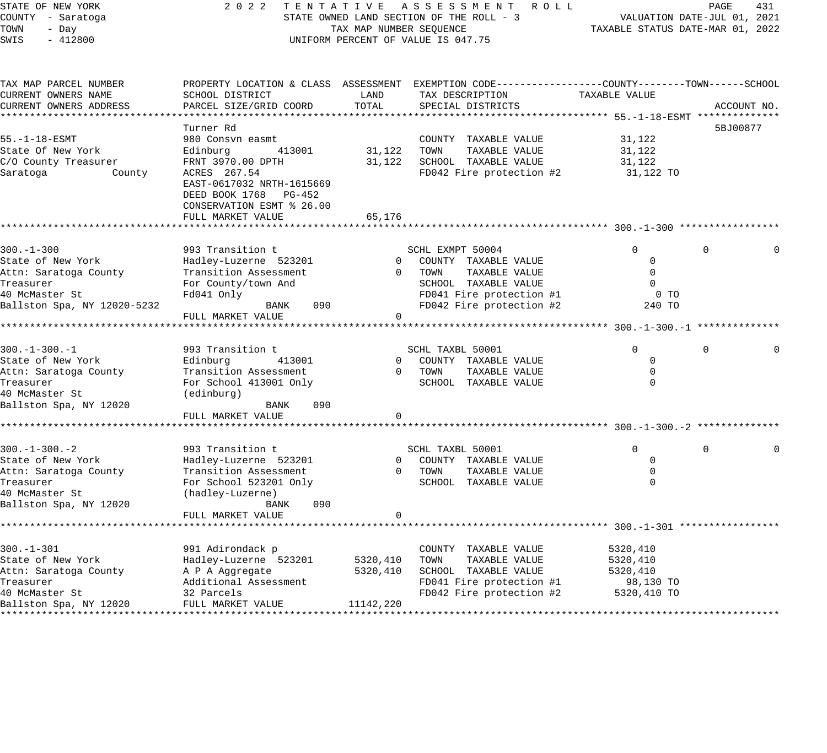| STATE OF NEW YORK                  | 2022 TENTATIVE ASSESSMENT ROLL                 | 431<br>PAGE                                                     |                                                                                                 |               |             |
|------------------------------------|------------------------------------------------|-----------------------------------------------------------------|-------------------------------------------------------------------------------------------------|---------------|-------------|
| COUNTY - Saratoga                  | STATE OWNED LAND SECTION OF THE ROLL - 3       | VALUATION DATE-JUL 01, 2021<br>TAXABLE STATUS DATE-MAR 01, 2022 |                                                                                                 |               |             |
| TOWN<br>- Day<br>SWIS<br>$-412800$ |                                                | TAX MAP NUMBER SEQUENCE                                         | UNIFORM PERCENT OF VALUE IS 047.75                                                              |               |             |
|                                    |                                                |                                                                 |                                                                                                 |               |             |
| TAX MAP PARCEL NUMBER              |                                                |                                                                 | PROPERTY LOCATION & CLASS ASSESSMENT EXEMPTION CODE----------------COUNTY-------TOWN-----SCHOOL |               |             |
| CURRENT OWNERS NAME                | SCHOOL DISTRICT                                | LAND                                                            | TAX DESCRIPTION                                                                                 | TAXABLE VALUE |             |
| CURRENT OWNERS ADDRESS             | PARCEL SIZE/GRID COORD                         | TOTAL                                                           | SPECIAL DISTRICTS                                                                               |               | ACCOUNT NO. |
|                                    |                                                |                                                                 | **************************** 55.-1-18-ESMT *******                                              |               |             |
|                                    | Turner Rd                                      |                                                                 |                                                                                                 |               | 5BJ00877    |
| $55. -1 - 18 - ESMT$               | 980 Consvn easmt                               |                                                                 | COUNTY TAXABLE VALUE                                                                            | 31,122        |             |
| State Of New York                  | Edinburg<br>413001                             | 31,122                                                          | TOWN<br>TAXABLE VALUE                                                                           | 31,122        |             |
| C/O County Treasurer               | FRNT 3970.00 DPTH                              | 31,122                                                          | SCHOOL TAXABLE VALUE                                                                            | 31,122        |             |
| Saratoga<br>County                 | ACRES 267.54                                   |                                                                 | FD042 Fire protection #2                                                                        | 31,122 TO     |             |
|                                    | EAST-0617032 NRTH-1615669                      |                                                                 |                                                                                                 |               |             |
|                                    | DEED BOOK 1768 PG-452                          |                                                                 |                                                                                                 |               |             |
|                                    | CONSERVATION ESMT % 26.00<br>FULL MARKET VALUE | 65,176                                                          |                                                                                                 |               |             |
|                                    |                                                |                                                                 |                                                                                                 |               |             |
|                                    |                                                |                                                                 |                                                                                                 |               |             |
| $300. - 1 - 300$                   | 993 Transition t                               |                                                                 | SCHL EXMPT 50004                                                                                | $\Omega$      | $\Omega$    |
| State of New York                  | Hadley-Luzerne 523201                          | $\overline{0}$                                                  | COUNTY TAXABLE VALUE                                                                            | 0             |             |
| Attn: Saratoga County              | Transition Assessment                          | $\overline{0}$                                                  | TOWN<br>TAXABLE VALUE                                                                           | $\mathbf 0$   |             |
| Treasurer                          | For County/town And                            |                                                                 | SCHOOL TAXABLE VALUE                                                                            | $\mathbf 0$   |             |
| 40 McMaster St                     | Fd041 Only                                     | FD041 Fire protection #1                                        |                                                                                                 |               |             |
| Ballston Spa, NY 12020-5232        | 090<br>BANK                                    |                                                                 | FD042 Fire protection #2                                                                        | 240 TO        |             |
|                                    | FULL MARKET VALUE                              | $\mathbf{0}$                                                    |                                                                                                 |               |             |
|                                    |                                                |                                                                 |                                                                                                 |               |             |
| $300. - 1 - 300. - 1$              | 993 Transition t                               |                                                                 | SCHL TAXBL 50001                                                                                | $\Omega$      | $\Omega$    |
| State of New York                  | 413001<br>Edinburg                             | $\overline{0}$                                                  | COUNTY TAXABLE VALUE                                                                            | $\Omega$      |             |
| Attn: Saratoga County              | Transition Assessment                          | $\overline{0}$                                                  | TOWN<br>TAXABLE VALUE                                                                           | 0             |             |
| Treasurer                          | For School 413001 Only                         |                                                                 | SCHOOL TAXABLE VALUE                                                                            | $\Omega$      |             |
| 40 McMaster St                     | (edinburg)                                     |                                                                 |                                                                                                 |               |             |
| Ballston Spa, NY 12020             | 090<br>BANK                                    |                                                                 |                                                                                                 |               |             |
|                                    | FULL MARKET VALUE                              | $\mathbf 0$                                                     |                                                                                                 |               |             |
|                                    |                                                |                                                                 |                                                                                                 |               |             |
| $300. - 1 - 300. - 2$              | 993 Transition t                               |                                                                 | SCHL TAXBL 50001                                                                                | 0             | $\mathbf 0$ |
| State of New York                  | Hadley-Luzerne 523201                          | $\overline{0}$                                                  | COUNTY TAXABLE VALUE                                                                            | $\Omega$      |             |
| Attn: Saratoga County              | Transition Assessment                          | $\overline{0}$                                                  | TOWN<br>TAXABLE VALUE                                                                           | $\mathbf 0$   |             |
| Treasurer                          | For School 523201 Only                         |                                                                 | SCHOOL TAXABLE VALUE                                                                            | $\Omega$      |             |
| 40 McMaster St                     | (hadley-Luzerne)                               |                                                                 |                                                                                                 |               |             |
| Ballston Spa, NY 12020             | 090<br>BANK                                    |                                                                 |                                                                                                 |               |             |
|                                    | FULL MARKET VALUE                              | $\circ$                                                         |                                                                                                 |               |             |
|                                    |                                                |                                                                 |                                                                                                 |               |             |
| $300. - 1 - 301$                   | 991 Adirondack p                               |                                                                 | COUNTY TAXABLE VALUE                                                                            | 5320,410      |             |
| State of New York                  | Hadley-Luzerne 523201                          | 5320,410                                                        | TOWN<br>TAXABLE VALUE                                                                           | 5320,410      |             |
| Attn: Saratoga County              | A P A Aggregate                                | 5320,410                                                        | SCHOOL TAXABLE VALUE                                                                            | 5320,410      |             |
| Treasurer                          | Additional Assessment                          |                                                                 | FD041 Fire protection #1                                                                        | 98,130 TO     |             |
| 40 McMaster St                     | 32 Parcels                                     |                                                                 | FD042 Fire protection #2                                                                        | 5320,410 TO   |             |
| Ballston Spa, NY 12020             | FULL MARKET VALUE                              | 11142,220                                                       |                                                                                                 |               |             |
|                                    |                                                |                                                                 |                                                                                                 |               |             |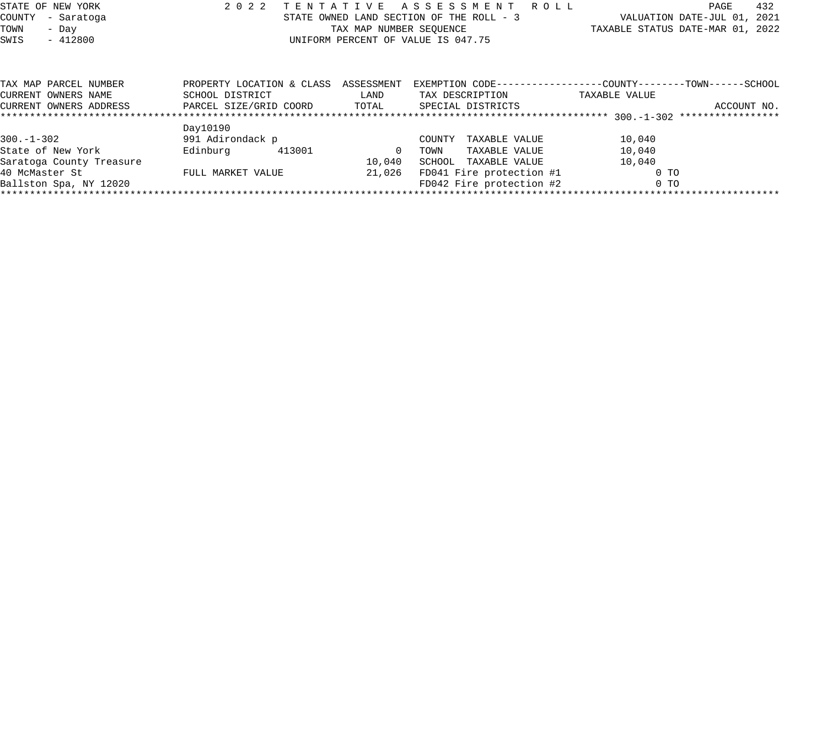| STATE OF NEW YORK<br>COUNTY<br>- Saratoga<br>TOWN<br>- Day<br>SWIS<br>$-412800$ | 2 0 2 2<br>TENTATIVE                         | TAX MAP NUMBER SEQUENCE | A S S E S S M E N T<br>STATE OWNED LAND SECTION OF THE ROLL - 3<br>UNIFORM PERCENT OF VALUE IS 047.75 |        | R O L L           |  | PAGE<br>VALUATION DATE-JUL 01, 2021<br>TAXABLE STATUS DATE-MAR 01, 2022        | 432         |  |
|---------------------------------------------------------------------------------|----------------------------------------------|-------------------------|-------------------------------------------------------------------------------------------------------|--------|-------------------|--|--------------------------------------------------------------------------------|-------------|--|
| TAX MAP PARCEL NUMBER<br>CURRENT OWNERS NAME                                    | PROPERTY LOCATION & CLASS<br>SCHOOL DISTRICT |                         | ASSESSMENT<br>LAND                                                                                    |        | TAX DESCRIPTION   |  | EXEMPTION CODE-----------------COUNTY--------TOWN------SCHOOL<br>TAXABLE VALUE |             |  |
| CURRENT OWNERS ADDRESS                                                          | PARCEL SIZE/GRID COORD                       |                         | TOTAL                                                                                                 |        | SPECIAL DISTRICTS |  |                                                                                | ACCOUNT NO. |  |
|                                                                                 | Day10190                                     |                         |                                                                                                       |        |                   |  |                                                                                |             |  |
| $300. - 1 - 302$                                                                | 991 Adirondack p                             |                         |                                                                                                       | COUNTY | TAXABLE VALUE     |  | 10,040                                                                         |             |  |
| State of New York                                                               | Edinburg                                     | 413001                  | $\Omega$                                                                                              | TOWN   | TAXABLE VALUE     |  | 10,040                                                                         |             |  |
| Saratoga County Treasure                                                        |                                              |                         | 10,040                                                                                                | SCHOOL | TAXABLE VALUE     |  | 10,040                                                                         |             |  |

40 McMaster St FULL MARKET VALUE 21,026 FD041 Fire protection #1 0 TO Ballston Spa, NY 12020 FD042 Fire protection #2 0 TO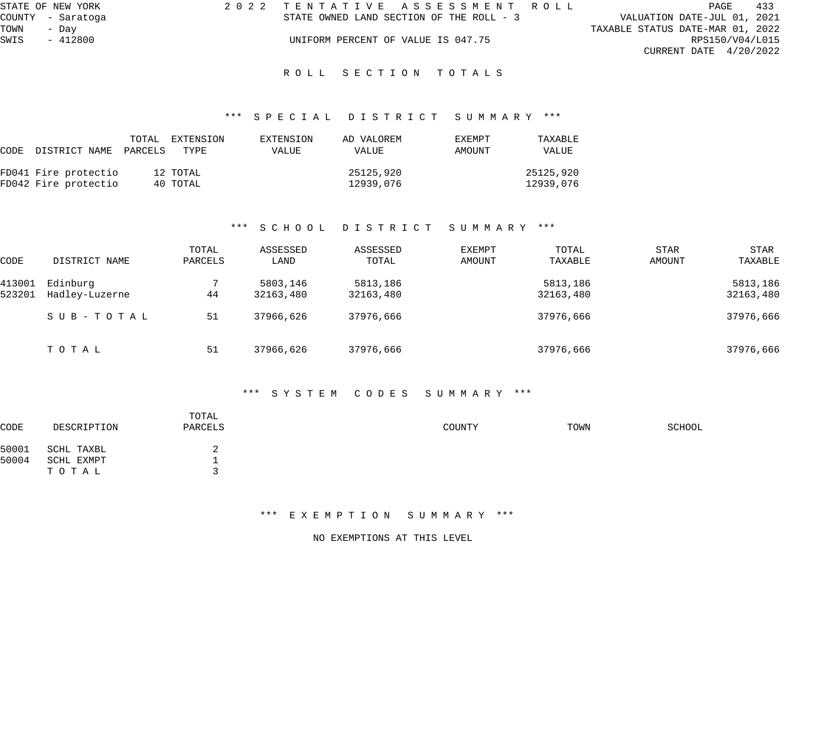|      | STATE OF NEW YORK | 2022 TENTATIVE ASSESSMENT ROLL |                                          |  |  |                                  | PAGE                     | 433 |
|------|-------------------|--------------------------------|------------------------------------------|--|--|----------------------------------|--------------------------|-----|
|      | COUNTY - Saratoga |                                | STATE OWNED LAND SECTION OF THE ROLL - 3 |  |  | VALUATION DATE-JUL 01, 2021      |                          |     |
| TOWN | - Dav             |                                |                                          |  |  | TAXABLE STATUS DATE-MAR 01, 2022 |                          |     |
| SWIS | $-412800$         |                                | UNIFORM PERCENT OF VALUE IS 047.75       |  |  |                                  | RPS150/V04/L015          |     |
|      |                   |                                |                                          |  |  |                                  | CURRENT DATE $4/20/2022$ |     |
|      |                   |                                | ROLL SECTION TOTALS                      |  |  |                                  |                          |     |

# \*\*\* S P E C I A L D I S T R I C T S U M M A R Y \*\*\*

| CODE DISTRICT NAME PARCELS                   | TOTAL | EXTENSION<br>TYPE    | EXTENSION<br>VALUE | AD VALOREM<br>VALUE    | EXEMPT<br>AMOUNT | TAXABLE<br>VALUE       |
|----------------------------------------------|-------|----------------------|--------------------|------------------------|------------------|------------------------|
| FD041 Fire protectio<br>FD042 Fire protectio |       | 12 TOTAL<br>40 TOTAL |                    | 25125,920<br>12939,076 |                  | 25125,920<br>12939,076 |

#### \*\*\* S C H O O L D I S T R I C T S U M M A R Y \*\*\*

| CODE   | DISTRICT NAME  | TOTAL<br>PARCELS | ASSESSED<br>LAND | ASSESSED<br>TOTAL | EXEMPT<br>AMOUNT | TOTAL<br>TAXABLE | STAR<br>AMOUNT | <b>STAR</b><br>TAXABLE |
|--------|----------------|------------------|------------------|-------------------|------------------|------------------|----------------|------------------------|
| 413001 | Edinburg       |                  | 5803,146         | 5813,186          |                  | 5813,186         |                | 5813,186               |
| 523201 | Hadley-Luzerne | 44               | 32163,480        | 32163,480         |                  | 32163,480        |                | 32163,480              |
|        | SUB-TOTAL      | 51               | 37966,626        | 37976,666         |                  | 37976,666        |                | 37976,666              |
|        | TOTAL          | 51               | 37966,626        | 37976,666         |                  | 37976,666        |                | 37976,666              |

#### \*\*\* S Y S T E M C O D E S S U M M A R Y \*\*\*

| CODE  | DESCRIPTION | TOTAL<br>PARCELS | COUNTY | TOWN | SCHOOL |
|-------|-------------|------------------|--------|------|--------|
| 50001 | SCHL TAXBL  |                  |        |      |        |
| 50004 | SCHL EXMPT  |                  |        |      |        |
|       | ТОТАЬ       |                  |        |      |        |
|       |             |                  |        |      |        |

#### \*\*\* E X E M P T I O N S U M M A R Y \*\*\*

NO EXEMPTIONS AT THIS LEVEL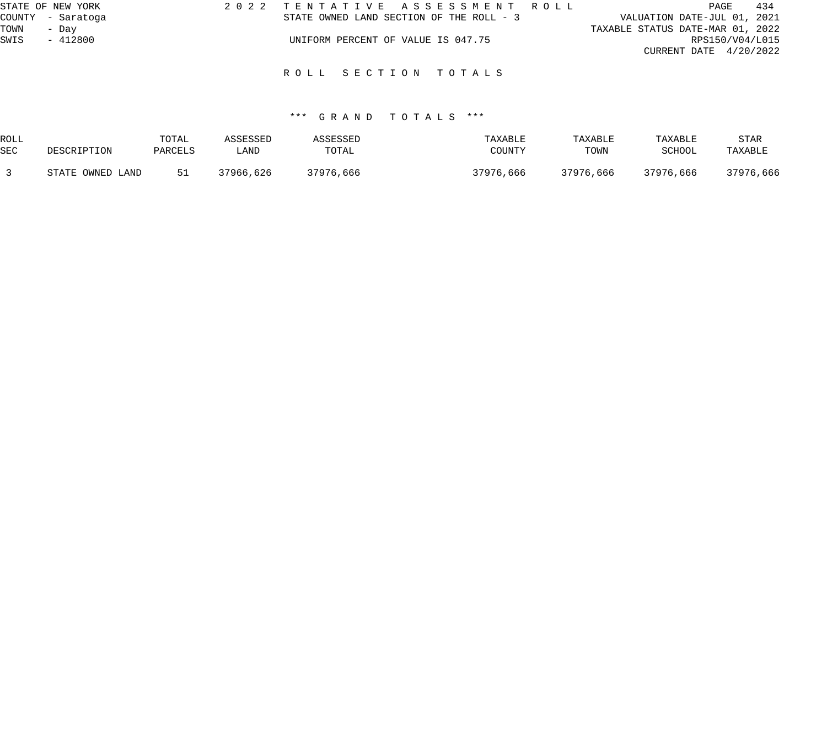| STATE OF NEW YORK | 2022 TENTATIVE ASSESSMENT ROLL           | 434<br>PAGE                      |
|-------------------|------------------------------------------|----------------------------------|
| COUNTY - Saratoga | STATE OWNED LAND SECTION OF THE ROLL - 3 | VALUATION DATE-JUL 01, 2021      |
| TOWN<br>- Dav     |                                          | TAXABLE STATUS DATE-MAR 01, 2022 |
| SWIS<br>- 412800  | UNIFORM PERCENT OF VALUE IS 047.75       | RPS150/V04/L015                  |
|                   |                                          | CURRENT DATE $4/20/2022$         |
|                   | ROLL SECTION TOTALS                      |                                  |
|                   |                                          |                                  |

| ROLL       |                     | TOTAL   | ASSESSED  | ASSESSED  | TAXABLE   | TAXABLE   | TAXABLE   | STAR      |
|------------|---------------------|---------|-----------|-----------|-----------|-----------|-----------|-----------|
| <b>SEC</b> | DESCRIPTION         | PARCELS | LAND      | TOTAL     | COUNTY    | TOWN      | SCHOOL    | TAXABLE   |
|            | OWNED LAND<br>STATE | 51      | 37966,626 | 37976,666 | 37976,666 | 37976,666 | 37976,666 | 37976,666 |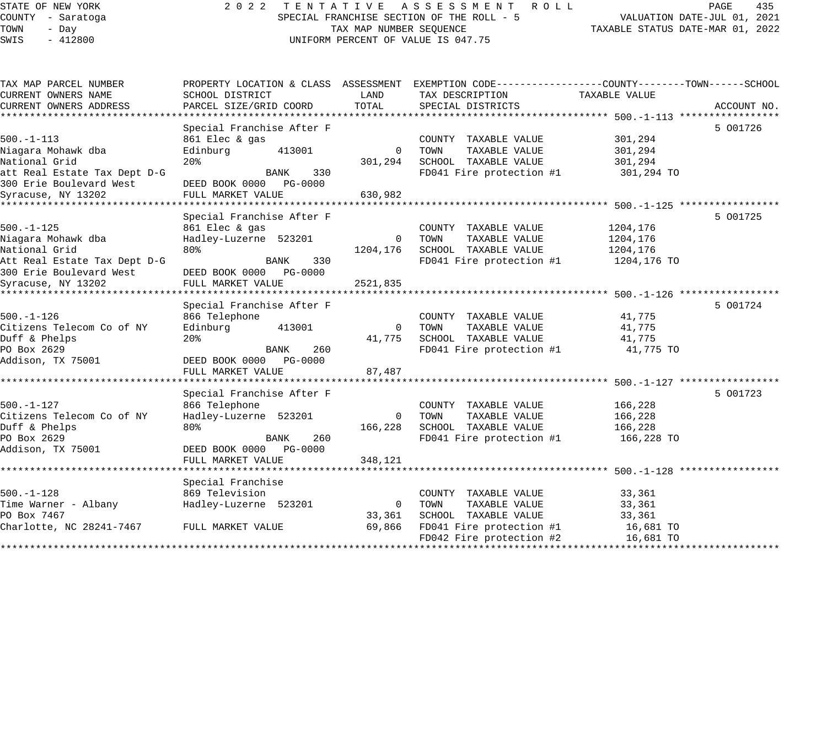## STATE OF NEW YORK 2 0 2 2 T E N T A T I V E A S S E S S M E N T R O L L PAGE 435 COUNTY - Saratoga SPECIAL FRANCHISE SECTION OF THE ROLL - 5 VALUATION DATE-JUL 01, 2021 UNIFORM PERCENT OF VALUE IS 047.75

TOWN - DATE-JUL 01, 2021<br>TAXABLE STATUS DATE-MAR 01, 2022

| TAX MAP PARCEL NUMBER                      |                           |             | PROPERTY LOCATION & CLASS ASSESSMENT EXEMPTION CODE---------------COUNTY-------TOWN------SCHOOL |               |             |
|--------------------------------------------|---------------------------|-------------|-------------------------------------------------------------------------------------------------|---------------|-------------|
| CURRENT OWNERS NAME                        | SCHOOL DISTRICT           | LAND        | TAX DESCRIPTION                                                                                 | TAXABLE VALUE |             |
| CURRENT OWNERS ADDRESS                     | PARCEL SIZE/GRID COORD    | TOTAL       | SPECIAL DISTRICTS                                                                               |               | ACCOUNT NO. |
|                                            |                           |             |                                                                                                 |               |             |
|                                            | Special Franchise After F |             |                                                                                                 |               | 5 001726    |
| $500. - 1 - 113$                           | 861 Elec & gas            |             | COUNTY TAXABLE VALUE                                                                            | 301,294       |             |
| Niagara Mohawk dba                         | Edinburg<br>413001        | $\mathbf 0$ | TOWN<br>TAXABLE VALUE                                                                           | 301,294       |             |
| National Grid                              | 20 <sub>8</sub>           | 301,294     | SCHOOL TAXABLE VALUE                                                                            | 301,294       |             |
| att Real Estate Tax Dept D-G               | BANK<br>330               |             | FD041 Fire protection #1                                                                        | 301,294 TO    |             |
| 300 Erie Boulevard West                    | DEED BOOK 0000 PG-0000    |             |                                                                                                 |               |             |
| Syracuse, NY 13202                         | FULL MARKET VALUE         | 630,982     |                                                                                                 |               |             |
|                                            |                           |             |                                                                                                 |               |             |
|                                            | Special Franchise After F |             |                                                                                                 |               | 5 001725    |
| $500. - 1 - 125$                           | 861 Elec & gas            |             | COUNTY TAXABLE VALUE                                                                            | 1204,176      |             |
| Niagara Mohawk dba                         | Hadley-Luzerne 523201     | $\mathbf 0$ | TOWN<br>TAXABLE VALUE                                                                           | 1204,176      |             |
| National Grid                              | 80%                       | 1204,176    | SCHOOL TAXABLE VALUE                                                                            | 1204,176      |             |
| Att Real Estate Tax Dept D-G               | 330<br>BANK               |             | FD041 Fire protection #1                                                                        | 1204,176 TO   |             |
| 300 Erie Boulevard West                    | DEED BOOK 0000 PG-0000    |             |                                                                                                 |               |             |
| Syracuse, NY 13202                         | FULL MARKET VALUE         | 2521,835    |                                                                                                 |               |             |
|                                            |                           |             |                                                                                                 |               |             |
|                                            | Special Franchise After F |             |                                                                                                 |               | 5 001724    |
| $500. - 1 - 126$                           | 866 Telephone             |             | COUNTY TAXABLE VALUE                                                                            | 41,775        |             |
| Citizens Telecom Co of NY                  | Edinburg<br>413001        | $\Omega$    | TOWN<br>TAXABLE VALUE                                                                           | 41,775        |             |
| Duff & Phelps                              | 20 <sup>8</sup>           | 41,775      | SCHOOL TAXABLE VALUE                                                                            | 41,775        |             |
| PO Box 2629                                | BANK<br>260               |             | FD041 Fire protection #1                                                                        | 41,775 TO     |             |
| Addison, TX 75001                          | DEED BOOK 0000 PG-0000    |             |                                                                                                 |               |             |
|                                            | FULL MARKET VALUE         | 87,487      |                                                                                                 |               |             |
|                                            |                           |             |                                                                                                 |               |             |
|                                            | Special Franchise After F |             |                                                                                                 |               | 5 001723    |
| $500. - 1 - 127$                           | 866 Telephone             |             | COUNTY TAXABLE VALUE                                                                            | 166,228       |             |
| Citizens Telecom Co of NY                  | Hadley-Luzerne 523201     | 0           | TOWN<br>TAXABLE VALUE                                                                           | 166,228       |             |
| Duff & Phelps                              | 80%                       | 166,228     | SCHOOL TAXABLE VALUE                                                                            | 166,228       |             |
| PO Box 2629                                | 260<br>BANK               |             | FD041 Fire protection #1                                                                        | 166,228 TO    |             |
| Addison, TX 75001                          | DEED BOOK 0000 PG-0000    |             |                                                                                                 |               |             |
|                                            | FULL MARKET VALUE         | 348,121     |                                                                                                 |               |             |
|                                            |                           |             |                                                                                                 |               |             |
|                                            | Special Franchise         |             |                                                                                                 |               |             |
| $500. - 1 - 128$                           | 869 Television            |             | COUNTY TAXABLE VALUE                                                                            | 33,361        |             |
| Time Warner - Albany                       | Hadley-Luzerne 523201     | $\mathbf 0$ | TOWN<br>TAXABLE VALUE                                                                           | 33,361        |             |
| PO Box 7467                                |                           | 33,361      | SCHOOL TAXABLE VALUE                                                                            | 33,361        |             |
| Charlotte, NC 28241-7467 FULL MARKET VALUE |                           | 69,866      | FD041 Fire protection #1                                                                        | 16,681 TO     |             |
|                                            |                           |             | FD042 Fire protection #2                                                                        | 16,681 TO     |             |
|                                            |                           |             |                                                                                                 |               |             |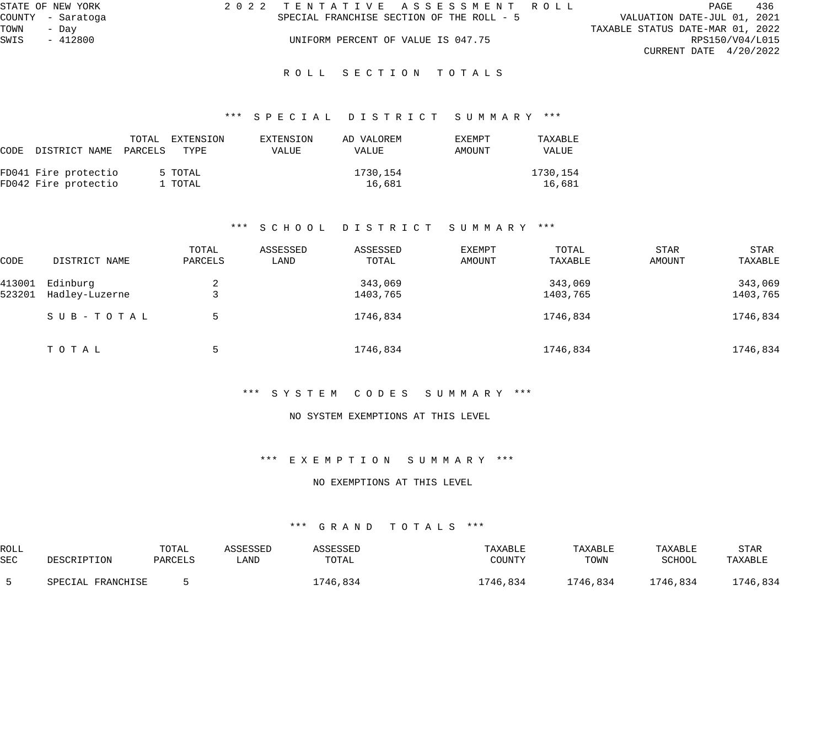|      | STATE OF NEW YORK | 2022 TENTATIVE ASSESSMENT ROLL            |                                  | PAGE | 436 |
|------|-------------------|-------------------------------------------|----------------------------------|------|-----|
|      | COUNTY - Saratoga | SPECIAL FRANCHISE SECTION OF THE ROLL - 5 | VALUATION DATE-JUL 01, 2021      |      |     |
| TOWN | - Dav             |                                           | TAXABLE STATUS DATE-MAR 01, 2022 |      |     |
| SWIS | $-412800$         | UNIFORM PERCENT OF VALUE IS 047.75        | RPS150/V04/L015                  |      |     |
|      |                   |                                           | CURRENT DATE $4/20/2022$         |      |     |
|      |                   | ROLL SECTION TOTALS                       |                                  |      |     |

#### \*\*\* S P E C I A L D I S T R I C T S U M M A R Y \*\*\*

| CODE DISTRICT NAME PARCELS | TOTAL | EXTENSION<br>TYPE | EXTENSION<br>VALUE | AD VALOREM<br><b>VALUE</b> | <b>EXEMPT</b><br>AMOUNT | TAXABLE<br>VALUE |
|----------------------------|-------|-------------------|--------------------|----------------------------|-------------------------|------------------|
| FD041 Fire protectio       |       | 5 TOTAL           |                    | 1730,154                   |                         | 1730,154         |
| FD042 Fire protectio       |       | 1 TOTAL           |                    | 16,681                     |                         | 16,681           |

#### \*\*\* S C H O O L D I S T R I C T S U M M A R Y \*\*\*

| CODE   | DISTRICT NAME  | TOTAL<br>PARCELS | ASSESSED<br>LAND | ASSESSED<br>TOTAL | EXEMPT<br>AMOUNT | TOTAL<br>TAXABLE | <b>STAR</b><br>AMOUNT | STAR<br>TAXABLE |
|--------|----------------|------------------|------------------|-------------------|------------------|------------------|-----------------------|-----------------|
| 413001 | Edinburg       | 2                |                  | 343,069           |                  | 343,069          |                       | 343,069         |
| 523201 | Hadley-Luzerne |                  |                  | 1403,765          |                  | 1403,765         |                       | 1403,765        |
|        | SUB-TOTAL      | 5                |                  | 1746,834          |                  | 1746,834         |                       | 1746,834        |
|        | ТОТАЬ          |                  |                  | 1746,834          |                  | 1746,834         |                       | 1746,834        |

#### \*\*\* S Y S T E M C O D E S S U M M A R Y \*\*\*

#### NO SYSTEM EXEMPTIONS AT THIS LEVEL

#### \*\*\* E X E M P T I O N S U M M A R Y \*\*\*

#### NO EXEMPTIONS AT THIS LEVEL

| ROLL       |                      | TOTAL   | A C C L C C L L | ASSESSED | TAXABLE  | TAXABLE  | TAXABLE  | STAF     |
|------------|----------------------|---------|-----------------|----------|----------|----------|----------|----------|
| <b>SEC</b> | DESCRIPTION          | PARCELS | LAND            | TOTAL    | COUNTY   | TOWN     | SCHOOL   | TAXABLE  |
|            | FRANCHISE<br>SDFCTAL |         |                 | 1746,834 | L746,834 | 1746,834 | 1746,834 | 1746,834 |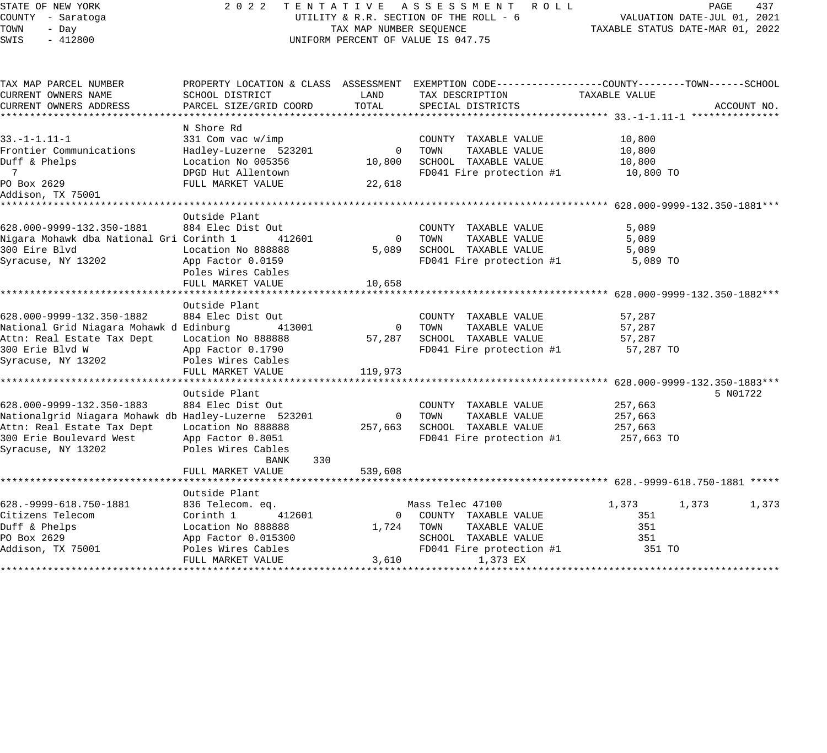## STATE OF NEW YORK 2 0 2 2 T E N T A T I V E A S S E S S M E N T R O L L PAGE 437 COUNTY - Saratoga UTILITY & R.R. SECTION OF THE ROLL - 6 VALUATION DATE-JUL 01, 2021 UNIFORM PERCENT OF VALUE IS 047.75

| TAX MAP PARCEL NUMBER                                |                        |                | PROPERTY LOCATION & CLASS ASSESSMENT EXEMPTION CODE---------------COUNTY-------TOWN------SCHOOL |                |             |
|------------------------------------------------------|------------------------|----------------|-------------------------------------------------------------------------------------------------|----------------|-------------|
| CURRENT OWNERS NAME                                  | SCHOOL DISTRICT        | LAND           | TAX DESCRIPTION                                                                                 | TAXABLE VALUE  |             |
| CURRENT OWNERS ADDRESS                               | PARCEL SIZE/GRID COORD | TOTAL          | SPECIAL DISTRICTS                                                                               |                | ACCOUNT NO. |
|                                                      |                        |                |                                                                                                 |                |             |
|                                                      | N Shore Rd             |                |                                                                                                 |                |             |
| $33. -1 - 1.11 - 1$                                  | 331 Com vac w/imp      |                | COUNTY TAXABLE VALUE                                                                            | 10,800         |             |
| Frontier Communications                              | Hadley-Luzerne 523201  | $\overline{0}$ | TOWN<br>TAXABLE VALUE                                                                           | 10,800         |             |
| Duff & Phelps                                        | Location No 005356     | 10,800         | SCHOOL TAXABLE VALUE                                                                            | 10,800         |             |
| $\overline{7}$                                       | DPGD Hut Allentown     |                | FD041 Fire protection #1                                                                        | 10,800 TO      |             |
| PO Box 2629                                          | FULL MARKET VALUE      | 22,618         |                                                                                                 |                |             |
| Addison, TX 75001                                    |                        |                |                                                                                                 |                |             |
|                                                      |                        |                |                                                                                                 |                |             |
|                                                      | Outside Plant          |                |                                                                                                 |                |             |
| 628.000-9999-132.350-1881                            | 884 Elec Dist Out      |                | COUNTY TAXABLE VALUE                                                                            | 5,089          |             |
| Nigara Mohawk dba National Gri Corinth 1             | 412601                 | $\overline{0}$ | TOWN<br>TAXABLE VALUE                                                                           | 5,089          |             |
| 300 Eire Blvd                                        | Location No 888888     | 5,089          | SCHOOL TAXABLE VALUE                                                                            | 5,089          |             |
| Syracuse, NY 13202                                   | App Factor 0.0159      |                | FD041 Fire protection #1                                                                        | 5,089 TO       |             |
|                                                      | Poles Wires Cables     |                |                                                                                                 |                |             |
|                                                      | FULL MARKET VALUE      | 10,658         |                                                                                                 |                |             |
|                                                      |                        |                |                                                                                                 |                |             |
|                                                      | Outside Plant          |                |                                                                                                 |                |             |
| 628.000-9999-132.350-1882                            | 884 Elec Dist Out      |                | COUNTY TAXABLE VALUE                                                                            | 57,287         |             |
| National Grid Niagara Mohawk d Edinburg              | 413001                 | $\overline{0}$ | TOWN<br>TAXABLE VALUE                                                                           | 57,287         |             |
| Attn: Real Estate Tax Dept                           | Location No 888888     | 57,287         | SCHOOL TAXABLE VALUE                                                                            | 57,287         |             |
| 300 Erie Blvd W                                      | App Factor 0.1790      |                | FD041 Fire protection #1 57,287 TO                                                              |                |             |
| Syracuse, NY 13202                                   | Poles Wires Cables     |                |                                                                                                 |                |             |
|                                                      | FULL MARKET VALUE      | 119,973        |                                                                                                 |                |             |
|                                                      |                        |                |                                                                                                 |                |             |
|                                                      | Outside Plant          |                |                                                                                                 |                | 5 N01722    |
| 628.000-9999-132.350-1883                            | 884 Elec Dist Out      |                | COUNTY TAXABLE VALUE                                                                            | 257,663        |             |
| Nationalgrid Niagara Mohawk db Hadley-Luzerne 523201 |                        | $\overline{0}$ | TOWN<br>TAXABLE VALUE                                                                           | 257,663        |             |
| Attn: Real Estate Tax Dept                           | Location No 888888     | 257,663        | SCHOOL TAXABLE VALUE                                                                            | 257,663        |             |
| 300 Erie Boulevard West                              | App Factor 0.8051      |                | FD041 Fire protection #1                                                                        | 257,663 TO     |             |
| Syracuse, NY 13202                                   | Poles Wires Cables     |                |                                                                                                 |                |             |
|                                                      | 330<br>BANK            |                |                                                                                                 |                |             |
|                                                      | FULL MARKET VALUE      | 539,608        |                                                                                                 |                |             |
|                                                      |                        |                |                                                                                                 |                |             |
|                                                      | Outside Plant          |                |                                                                                                 |                |             |
| 628. - 9999 - 618. 750 - 1881                        | 836 Telecom. eq.       |                | Mass Telec 47100                                                                                | 1,373<br>1,373 | 1,373       |
| Citizens Telecom                                     | Corinth 1<br>412601    |                | 0 COUNTY TAXABLE VALUE                                                                          | 351            |             |
| Duff & Phelps                                        | Location No 888888     |                | 1,724 TOWN TAXABLE VALUE                                                                        | 351            |             |
| PO Box 2629                                          | App Factor 0.015300    |                | SCHOOL TAXABLE VALUE                                                                            | 351            |             |
| Addison, TX 75001                                    | Poles Wires Cables     |                | FD041 Fire protection #1                                                                        | 351 TO         |             |
|                                                      | FULL MARKET VALUE      | 3,610          | 1,373 EX                                                                                        |                |             |
|                                                      |                        |                |                                                                                                 |                |             |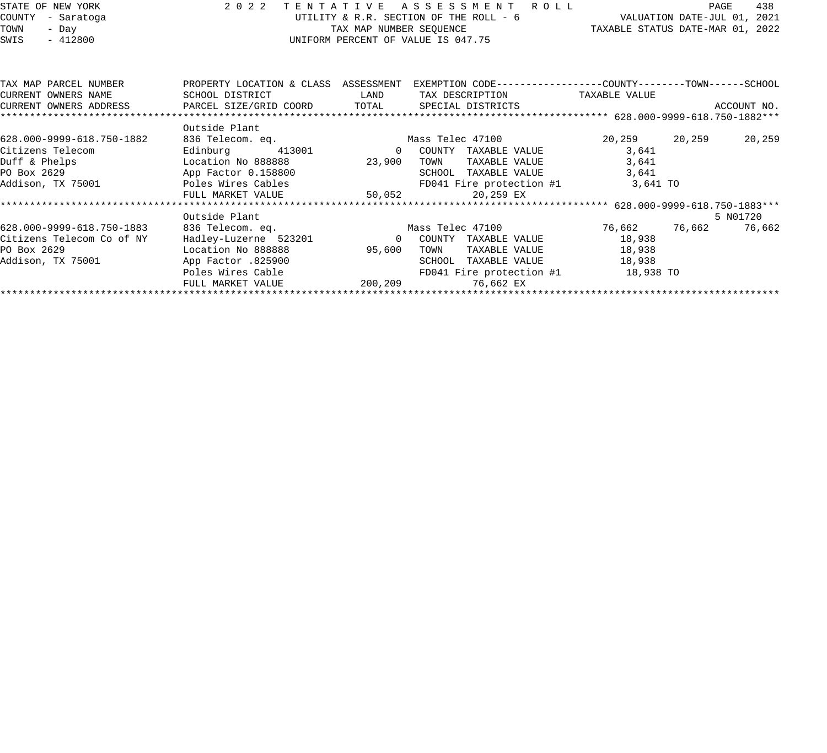| STATE OF NEW YORK   |                           | 2022                      | TENTATIVE |                                        |        | ASSESSMENT ROLL   |                                                               | PAGE                        | 438         |
|---------------------|---------------------------|---------------------------|-----------|----------------------------------------|--------|-------------------|---------------------------------------------------------------|-----------------------------|-------------|
| COUNTY              | - Saratoga                |                           |           | UTILITY & R.R. SECTION OF THE ROLL - 6 |        |                   |                                                               | VALUATION DATE-JUL 01, 2021 |             |
| TOWN                | - Day                     |                           |           | TAX MAP NUMBER SEOUENCE                |        |                   | TAXABLE STATUS DATE-MAR 01, 2022                              |                             |             |
| SWIS                | $-412800$                 |                           |           | UNIFORM PERCENT OF VALUE IS 047.75     |        |                   |                                                               |                             |             |
|                     |                           |                           |           |                                        |        |                   |                                                               |                             |             |
|                     | TAX MAP PARCEL NUMBER     | PROPERTY LOCATION & CLASS |           | ASSESSMENT                             |        |                   | EXEMPTION CODE-----------------COUNTY--------TOWN------SCHOOL |                             |             |
| CURRENT OWNERS NAME |                           | SCHOOL DISTRICT           |           | LAND                                   |        | TAX DESCRIPTION   | TAXABLE VALUE                                                 |                             |             |
|                     | CURRENT OWNERS ADDRESS    | PARCEL SIZE/GRID COORD    |           | TOTAL                                  |        | SPECIAL DISTRICTS |                                                               |                             | ACCOUNT NO. |
|                     |                           |                           |           |                                        |        |                   |                                                               |                             |             |
|                     |                           | Outside Plant             |           |                                        |        |                   |                                                               |                             |             |
|                     | 628.000-9999-618.750-1882 | 836 Telecom. eq.          |           |                                        |        | Mass Telec 47100  | 20,259                                                        | 20,259                      | 20,259      |
| Citizens Telecom    |                           | Edinburg                  | 413001    | 0                                      | COUNTY | TAXABLE VALUE     | 3,641                                                         |                             |             |
| Duff & Phelps       |                           | Location No 888888        |           | 23,900                                 | TOWN   | TAXABLE VALUE     | 3,641                                                         |                             |             |
| PO Box 2629         |                           | App Factor 0.158800       |           |                                        | SCHOOL | TAXABLE VALUE     | 3,641                                                         |                             |             |
|                     |                           |                           |           |                                        |        |                   |                                                               |                             |             |

\*\*\*\*\*\*\*\*\*\*\*\*\*\*\*\*\*\*\*\*\*\*\*\*\*\*\*\*\*\*\*\*\*\*\*\*\*\*\*\*\*\*\*\*\*\*\*\*\*\*\*\*\*\*\*\*\*\*\*\*\*\*\*\*\*\*\*\*\*\*\*\*\*\*\*\*\*\*\*\*\*\*\*\*\*\*\*\*\*\*\*\*\*\*\*\*\*\*\*\*\*\*\* 628.000-9999-618.750-1883\*\*\* Outside Plant 5 N01720 628.000-9999-618.750-1883 836 Telecom. eq. Mass Telec 47100 76,662 76,662 76,662

\*\*\*\*\*\*\*\*\*\*\*\*\*\*\*\*\*\*\*\*\*\*\*\*\*\*\*\*\*\*\*\*\*\*\*\*\*\*\*\*\*\*\*\*\*\*\*\*\*\*\*\*\*\*\*\*\*\*\*\*\*\*\*\*\*\*\*\*\*\*\*\*\*\*\*\*\*\*\*\*\*\*\*\*\*\*\*\*\*\*\*\*\*\*\*\*\*\*\*\*\*\*\*\*\*\*\*\*\*\*\*\*\*\*\*\*\*\*\*\*\*\*\*\*\*\*\*\*\*\*\*\*

Duff & Phelps Location No 888888 23,900 TOWN TAXABLE VALUE 3,641 PO Box 2629 App Factor 0.158800 SCHOOL TAXABLE VALUE 3,641 Addison, TX 75001 Poles Wires Cables FD041 Fire protection #1 3,641 TO FULL MARKET VALUE 50.052 20,259 EX

Citizens Telecom Co of NY Hadley-Luzerne 523201 0 COUNTY TAXABLE VALUE 18,938 PO Box 2629 Location No 888888 95,600 TOWN TAXABLE VALUE 18,938 Addison, TX 75001 App Factor .825900 SCHOOL TAXABLE VALUE 18,938 Poles Wires Cable FD041 Fire protection #1 18,938 TO

FULL MARKET VALUE 200,209 76,662 EX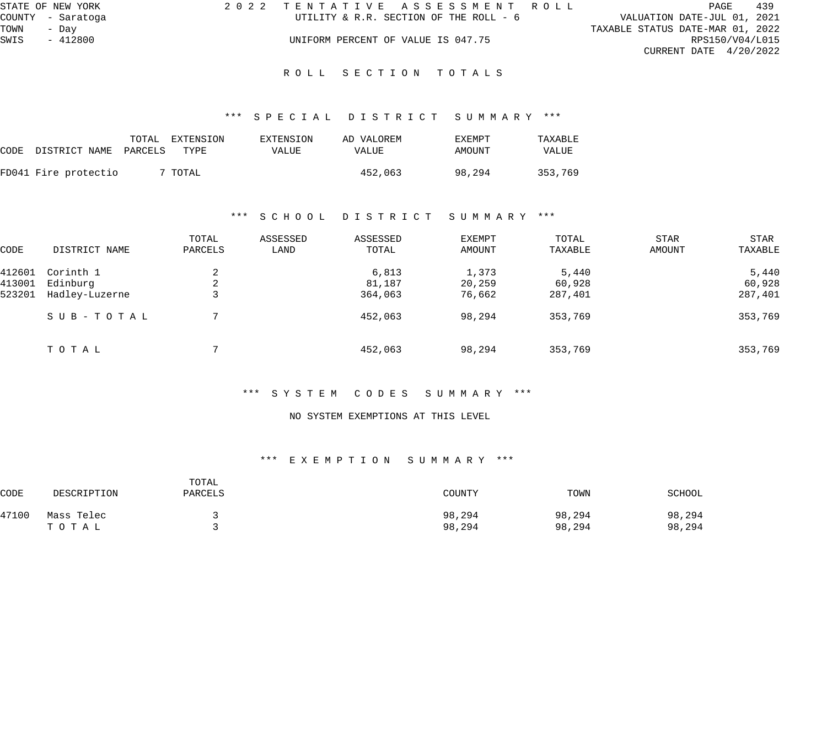|      | STATE OF NEW YORK | 2022 TENTATIVE ASSESSMENT ROLL         |  |                                  | PAGE            | 439 |
|------|-------------------|----------------------------------------|--|----------------------------------|-----------------|-----|
|      | COUNTY - Saratoga | UTILITY & R.R. SECTION OF THE ROLL - 6 |  | VALUATION DATE-JUL 01, 2021      |                 |     |
| TOWN | - Dav             |                                        |  | TAXABLE STATUS DATE-MAR 01, 2022 |                 |     |
| SWIS | $-412800$         | UNIFORM PERCENT OF VALUE IS 047.75     |  |                                  | RPS150/V04/L015 |     |
|      |                   |                                        |  | CURRENT DATE $4/20/2022$         |                 |     |
|      |                   |                                        |  |                                  |                 |     |

ROLL SECTION TOTALS

#### \*\*\* S P E C I A L D I S T R I C T S U M M A R Y \*\*\*

| CODE DISTRICT_NAME PARCELS TYPE | TOTAL | EXTENSION | EXTENSION<br><b>VALUE</b> | AD VALOREM<br><b>VALUE</b> | EXEMPT<br>AMOUNT | TAXABLE<br>VALUE |
|---------------------------------|-------|-----------|---------------------------|----------------------------|------------------|------------------|
| FD041 Fire protectio            |       | 7 TOTAL   |                           | 452,063                    | 98,294           | 353,769          |

#### \*\*\* S C H O O L D I S T R I C T S U M M A R Y \*\*\*

| CODE   | DISTRICT NAME  | TOTAL<br>PARCELS | ASSESSED<br>LAND | ASSESSED<br>TOTAL | EXEMPT<br>AMOUNT | TOTAL<br>TAXABLE | <b>STAR</b><br>AMOUNT | STAR<br>TAXABLE |
|--------|----------------|------------------|------------------|-------------------|------------------|------------------|-----------------------|-----------------|
| 412601 | Corinth 1      | 2                |                  | 6,813             | 1,373            | 5,440            |                       | 5,440           |
| 413001 | Edinburg       | 2                |                  | 81,187            | 20,259           | 60,928           |                       | 60,928          |
| 523201 | Hadley-Luzerne | っ<br>د           |                  | 364,063           | 76,662           | 287,401          |                       | 287,401         |
|        | SUB-TOTAL      |                  |                  | 452,063           | 98,294           | 353,769          |                       | 353,769         |
|        | TOTAL          | ⇁                |                  | 452,063           | 98,294           | 353,769          |                       | 353,769         |

#### \*\*\* S Y S T E M C O D E S S U M M A R Y \*\*\*

#### NO SYSTEM EXEMPTIONS AT THIS LEVEL

| CODE  | DESCRIPTION | TOTAL<br>PARCELS | COUNTY | TOWN   | SCHOOL |
|-------|-------------|------------------|--------|--------|--------|
| 47100 | Mass Telec  |                  | 98,294 | 98,294 | 98,294 |
|       | ТОТАЬ       |                  | 98,294 | 98,294 | 98,294 |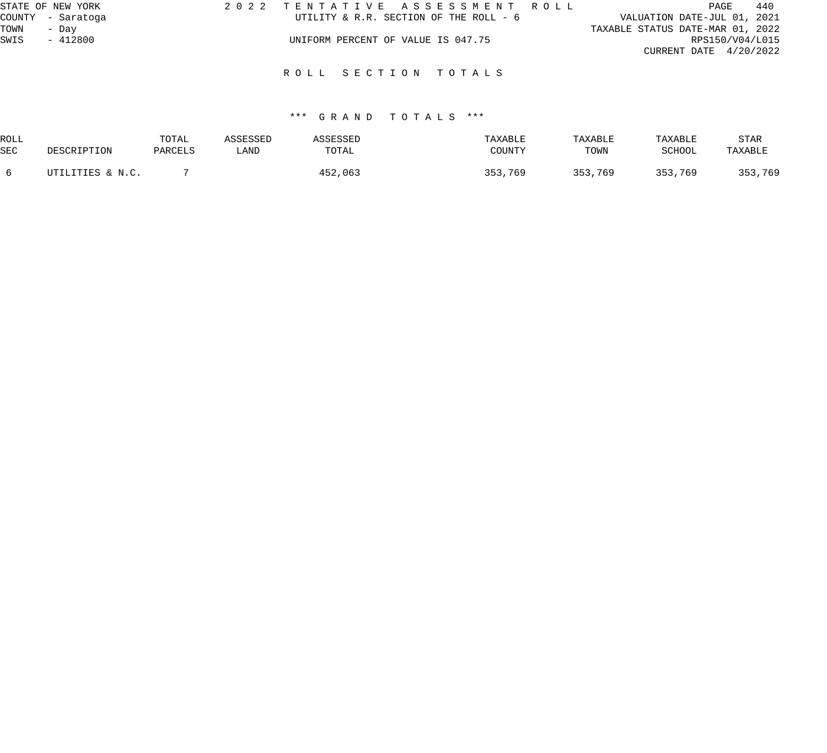| STATE OF NEW YORK | 2022 TENTATIVE ASSESSMENT ROLL         | 440<br>PAGE                      |
|-------------------|----------------------------------------|----------------------------------|
| COUNTY - Saratoga | UTILITY & R.R. SECTION OF THE ROLL - 6 | VALUATION DATE-JUL 01, 2021      |
| TOWN<br>- Dav     |                                        | TAXABLE STATUS DATE-MAR 01, 2022 |
| - 412800<br>SWIS  | UNIFORM PERCENT OF VALUE IS 047.75     | RPS150/V04/L015                  |
|                   |                                        | CURRENT DATE $4/20/2022$         |
|                   | ROLL SECTION TOTALS                    |                                  |

| ROLL       |                  | TOTAL   | \SSESSED | <i><b>SSESSED</b></i> | TAXABLE | TAXABLE | TAXABLE | STAR    |
|------------|------------------|---------|----------|-----------------------|---------|---------|---------|---------|
| <b>SEC</b> | DESCRIPTION      | PARCELS | LAND     | TOTAL                 | COUNTY  | TOWN    | SCHOOL  | TAXABLE |
|            | UTILITIES & N.C. |         |          | 452,063               | 353,769 | ,769    | 353,769 | 353,769 |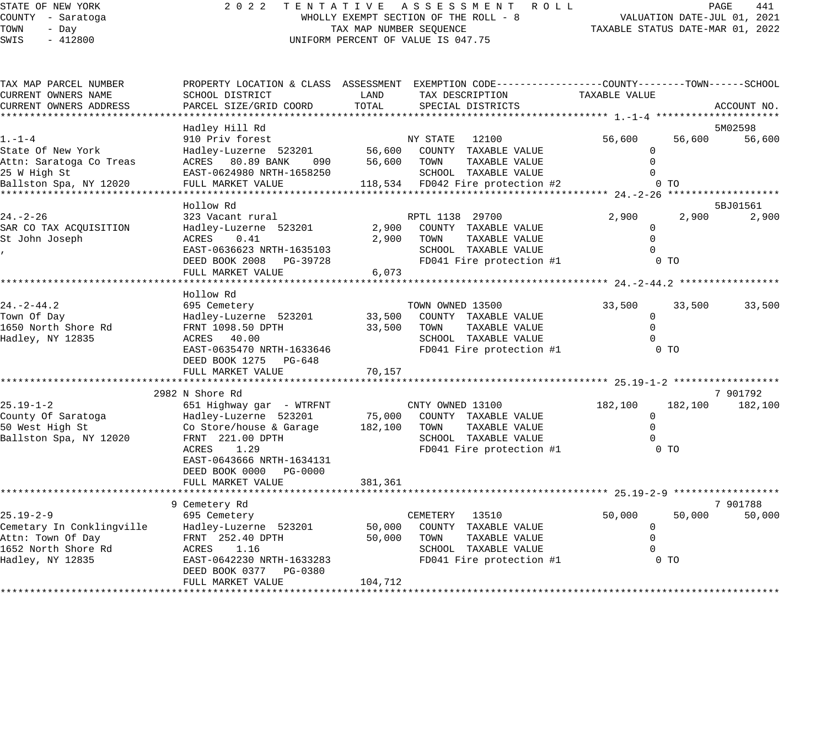| 2 0 2 2<br>TENTATIVE ASSESSMENT ROLL<br>STATE OF NEW YORK<br>COUNTY - Saratoga<br>WHOLLY EXEMPT SECTION OF THE ROLL - 8<br>TOWN<br>- Day<br>TAX MAP NUMBER SEQUENCE<br>SWIS<br>$-412800$<br>UNIFORM PERCENT OF VALUE IS 047.75 |                                                                                                                                                                          | PAGE<br>441<br>VALUATION DATE-JUL 01, 2021<br>TAXABLE STATUS DATE-MAR 01, 2022 |                                                                                                                                           |                                                   |                           |                    |
|--------------------------------------------------------------------------------------------------------------------------------------------------------------------------------------------------------------------------------|--------------------------------------------------------------------------------------------------------------------------------------------------------------------------|--------------------------------------------------------------------------------|-------------------------------------------------------------------------------------------------------------------------------------------|---------------------------------------------------|---------------------------|--------------------|
| TAX MAP PARCEL NUMBER<br>CURRENT OWNERS NAME                                                                                                                                                                                   | SCHOOL DISTRICT                                                                                                                                                          | LAND                                                                           | PROPERTY LOCATION & CLASS ASSESSMENT EXEMPTION CODE---------------COUNTY-------TOWN-----SCHOOL<br>TAX DESCRIPTION                         | TAXABLE VALUE                                     |                           |                    |
| CURRENT OWNERS ADDRESS                                                                                                                                                                                                         | PARCEL SIZE/GRID COORD                                                                                                                                                   | TOTAL                                                                          | SPECIAL DISTRICTS<br>************************ 1.-1-4 *************                                                                        |                                                   |                           | ACCOUNT NO.        |
| $1. - 1 - 4$<br>State Of New York<br>Attn: Saratoga Co Treas<br>25 W High St<br>Ballston Spa, NY 12020                                                                                                                         | Hadley Hill Rd<br>910 Priv forest<br>Hadley-Luzerne 523201<br>ACRES 80.89 BANK<br>090<br>EAST-0624980 NRTH-1658250<br>FULL MARKET VALUE                                  |                                                                                | NY STATE 12100<br>56,600 COUNTY TAXABLE VALUE<br>56,600 TOWN<br>TAXABLE VALUE<br>SCHOOL TAXABLE VALUE<br>118,534 FD042 Fire protection #2 | 56,600<br>0<br>$\Omega$<br>$\Omega$               | 56,600<br>0 <sub>T</sub>  | 5M02598<br>56,600  |
|                                                                                                                                                                                                                                |                                                                                                                                                                          |                                                                                |                                                                                                                                           |                                                   |                           |                    |
| $24. - 2 - 26$<br>SAR CO TAX ACQUISITION<br>St John Joseph                                                                                                                                                                     | Hollow Rd<br>323 Vacant rural<br>Hadley-Luzerne 523201<br>ACRES<br>0.41<br>EAST-0636623 NRTH-1635103<br>DEED BOOK 2008 PG-39728<br>FULL MARKET VALUE                     | 2,900<br>6,073                                                                 | RPTL 1138 29700<br>2,900 COUNTY TAXABLE VALUE<br>TOWN<br>TAXABLE VALUE<br>SCHOOL TAXABLE VALUE<br>FD041 Fire protection #1                | 2,900<br>0<br>$\Omega$<br>$\Omega$                | 2,900<br>0 TO             | 5BJ01561<br>2,900  |
| $24. - 2 - 44.2$<br>Town Of Day<br>1650 North Shore Rd<br>Hadley, NY 12835                                                                                                                                                     | Hollow Rd<br>695 Cemetery<br>Hadley-Luzerne 523201<br>FRNT 1098.50 DPTH<br>ACRES 40.00<br>EAST-0635470 NRTH-1633646<br>DEED BOOK 1275 PG-648<br>FULL MARKET VALUE        | 33,500<br>33,500<br>70,157                                                     | TOWN OWNED 13500<br>COUNTY TAXABLE VALUE<br>TOWN<br>TAXABLE VALUE<br>SCHOOL TAXABLE VALUE<br>FD041 Fire protection #1                     | 33,500<br>$\mathbf{0}$<br>$\Omega$<br>$\mathbf 0$ | 33,500<br>0 <sub>T</sub>  | 33,500             |
|                                                                                                                                                                                                                                | 2982 N Shore Rd                                                                                                                                                          |                                                                                |                                                                                                                                           |                                                   |                           | 7 901792           |
| $25.19 - 1 - 2$<br>County Of Saratoga<br>50 West High St<br>Ballston Spa, NY 12020                                                                                                                                             | 651 Highway gar - WTRFNT<br>Hadley-Luzerne 523201<br>Co Store/house & Garage<br>FRNT 221.00 DPTH<br>ACRES<br>1.29<br>EAST-0643666 NRTH-1634131<br>DEED BOOK 0000 PG-0000 | 182,100                                                                        | CNTY OWNED 13100<br>75,000 COUNTY TAXABLE VALUE<br>TAXABLE VALUE<br>TOWN<br>SCHOOL TAXABLE VALUE<br>FD041 Fire protection #1              | 182,100<br>$\mathbf 0$<br>$\Omega$                | 182,100<br>0 <sub>T</sub> | 182,100            |
|                                                                                                                                                                                                                                | FULL MARKET VALUE                                                                                                                                                        | 381,361                                                                        |                                                                                                                                           |                                                   |                           |                    |
| $25.19 - 2 - 9$<br>Cemetary In Conklingville<br>Attn: Town Of Day<br>1652 North Shore Rd<br>Hadley, NY 12835                                                                                                                   | 9 Cemetery Rd<br>695 Cemetery<br>Hadley-Luzerne 523201<br>FRNT 252.40 DPTH<br>ACRES 1.16<br>EAST-0642230 NRTH-1633283<br>DEED BOOK 0377 PG-0380                          | 50,000<br>50,000                                                               | CEMETERY 13510<br>COUNTY TAXABLE VALUE<br>TOWN<br>TAXABLE VALUE<br>SCHOOL TAXABLE VALUE<br>FD041 Fire protection #1                       | 50,000<br>$\mathbf 0$<br>$\mathbf 0$<br>$\Omega$  | 50,000<br>0 <sub>T</sub>  | 7 901788<br>50,000 |
|                                                                                                                                                                                                                                | FULL MARKET VALUE                                                                                                                                                        | 104,712                                                                        |                                                                                                                                           |                                                   |                           |                    |

\*\*\*\*\*\*\*\*\*\*\*\*\*\*\*\*\*\*\*\*\*\*\*\*\*\*\*\*\*\*\*\*\*\*\*\*\*\*\*\*\*\*\*\*\*\*\*\*\*\*\*\*\*\*\*\*\*\*\*\*\*\*\*\*\*\*\*\*\*\*\*\*\*\*\*\*\*\*\*\*\*\*\*\*\*\*\*\*\*\*\*\*\*\*\*\*\*\*\*\*\*\*\*\*\*\*\*\*\*\*\*\*\*\*\*\*\*\*\*\*\*\*\*\*\*\*\*\*\*\*\*\*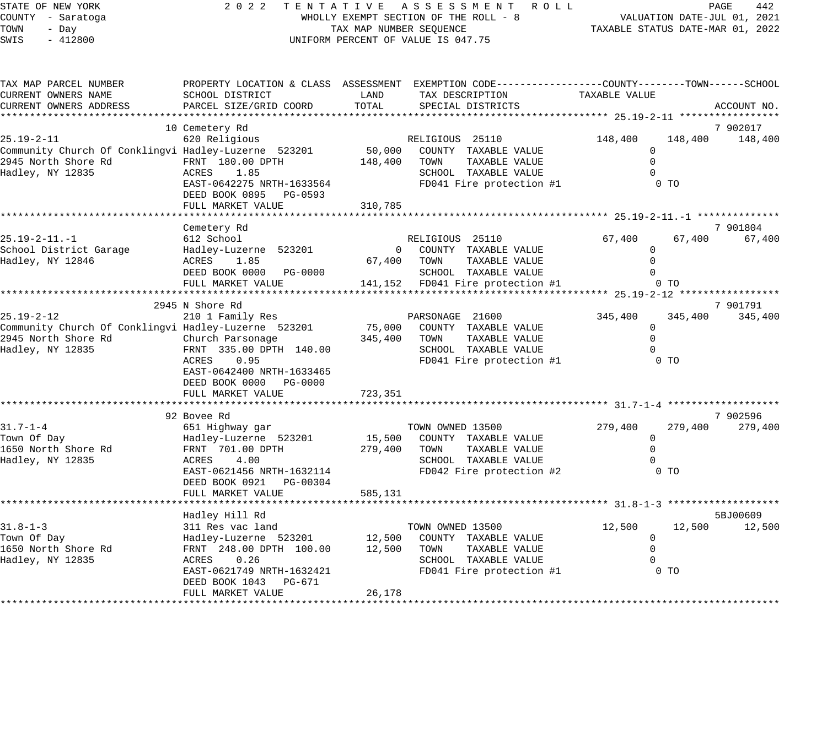| STATE OF NEW YORK<br>COUNTY - Saratoga<br>TOWN<br>- Day<br>SWIS<br>$-412800$                                                                |                                                                                                                                                                                                                                          | TAX MAP NUMBER SEQUENCE | 2022 TENTATIVE ASSESSMENT ROLL<br>WHOLLY EXEMPT SECTION OF THE ROLL - 8<br>UNIFORM PERCENT OF VALUE IS 047.75                             | VALUATION DATE-JUL 01, 2021<br>TAXABLE STATUS DATE-MAR 01, 2022           | PAGE                    | 442                 |  |
|---------------------------------------------------------------------------------------------------------------------------------------------|------------------------------------------------------------------------------------------------------------------------------------------------------------------------------------------------------------------------------------------|-------------------------|-------------------------------------------------------------------------------------------------------------------------------------------|---------------------------------------------------------------------------|-------------------------|---------------------|--|
| TAX MAP PARCEL NUMBER<br>CURRENT OWNERS NAME<br>CURRENT OWNERS ADDRESS                                                                      | SCHOOL DISTRICT<br>PARCEL SIZE/GRID COORD                                                                                                                                                                                                | LAND<br>TOTAL           | PROPERTY LOCATION & CLASS ASSESSMENT EXEMPTION CODE-----------------COUNTY-------TOWN------SCHOOL<br>TAX DESCRIPTION<br>SPECIAL DISTRICTS | TAXABLE VALUE                                                             |                         | ACCOUNT NO.         |  |
| $25.19 - 2 - 11$<br>Community Church Of Conklingvi Hadley-Luzerne 523201 50,000<br>2945 North Shore Rd FRNT 180.00 DPTH<br>Hadley, NY 12835 | 10 Cemetery Rd<br>620 Religious<br>ACRES 1.85<br>EAST-0642275 NRTH-1633564<br>DEED BOOK 0895 PG-0593<br>FULL MARKET VALUE                                                                                                                | 148,400<br>310,785      | RELIGIOUS 25110<br>COUNTY TAXABLE VALUE<br>TOWN TAXABLE VALUE<br>SCHOOL TAXABLE VALUE<br>FD041 Fire protection #1                         | 148,400<br>$\overline{0}$<br>$\mathbf 0$<br>$\mathbf 0$<br>0 <sub>T</sub> | 148,400                 | 7 902017<br>148,400 |  |
|                                                                                                                                             |                                                                                                                                                                                                                                          |                         |                                                                                                                                           |                                                                           |                         |                     |  |
| 25.19-2-11.-1<br>School District Garage<br>Hadley, NY 12846                                                                                 | Cemetery Rd<br>612 School<br>Hadley-Luzerne 523201<br>ACRES 1.85<br>DEED BOOK 0000 PG-0000<br>FULL MARKET VALUE                                                                                                                          |                         | RELIGIOUS 25110<br>0 COUNTY TAXABLE VALUE<br>67,400 TOWN TAXABLE VALUE<br>SCHOOL TAXABLE VALUE<br>141,152 FD041 Fire protection #1        | 67,400<br>$\mathbf 0$<br>$\Omega$<br>$\Omega$                             | 67,400 67,400<br>$0$ TO | 7 901804            |  |
|                                                                                                                                             |                                                                                                                                                                                                                                          |                         |                                                                                                                                           |                                                                           |                         |                     |  |
| 25.19-2-12<br>Community Church Of Conklingvi Hadley-Luzerne 523201<br>2945 North Shore Rd<br>Hadley, NY 12835                               | 2945 N Shore Rd<br>210 1 Family Res<br>Church Parsonage<br>FRNT 335.00 DPTH 140.00<br>ACRES<br>0.95<br>EAST-0642400 NRTH-1633465<br>DEED BOOK 0000 PG-0000                                                                               |                         | PARSONAGE 21600<br>75,000 COUNTY TAXABLE VALUE<br>345,400 TOWN<br>TAXABLE VALUE<br>SCHOOL TAXABLE VALUE<br>FD041 Fire protection #1 0 TO  | 345,400<br>$\mathbf 0$<br>$\overline{0}$<br>$\mathbf 0$                   | 345,400                 | 7 901791<br>345,400 |  |
|                                                                                                                                             | FULL MARKET VALUE                                                                                                                                                                                                                        | 723,351                 |                                                                                                                                           |                                                                           |                         |                     |  |
|                                                                                                                                             | 92 Bovee Rd                                                                                                                                                                                                                              |                         |                                                                                                                                           |                                                                           |                         | 7 902596            |  |
| $31.7 - 1 - 4$<br>Town Of Day<br>1650 North Shore Rd<br>Hadley, NY 12835                                                                    | 651 Highway gar<br>Hadley-Luzerne 523201<br>FRNT 701.00 DPTH 279,400 TOWN<br>4.00<br>ACRES<br>EAST-0621456 NRTH-1632114<br>DEED BOOK 0921 PG-00304<br>FULL MARKET VALUE                                                                  | 585,131                 | TOWN OWNED 13500<br>15,500 COUNTY TAXABLE VALUE<br>TAXABLE VALUE<br>SCHOOL TAXABLE VALUE<br>FD042 Fire protection #2                      | 279,400<br>0<br>$\mathbf 0$<br>0<br>0 <sub>T</sub>                        | 279,400                 | 279,400             |  |
|                                                                                                                                             |                                                                                                                                                                                                                                          |                         |                                                                                                                                           |                                                                           |                         |                     |  |
| $31.8 - 1 - 3$<br>Town Of Day<br>1650 North Shore Rd<br>Hadley, NY 12835                                                                    | Hadley Hill Rd<br>311 Res vac land<br>Hadley-Luzerne 523201 12,500 COUNTY TAXABLE-VALUE<br>FRNT 248.00 DPTH 100.00 12,500 TOWN TAXABLE-VALUE<br>ACRES<br>0.26<br>EAST-0621749 NRTH-1632421<br>DEED BOOK 1043 PG-671<br>FULL MARKET VALUE | 26,178                  | TOWN OWNED 13500<br>SCHOOL TAXABLE VALUE<br>FD041 Fire protection #1 0 TO                                                                 | 12,500<br>$\overline{0}$<br>$\overline{0}$<br>$\mathbf 0$                 | 12,500                  | 5BJ00609<br>12,500  |  |
|                                                                                                                                             |                                                                                                                                                                                                                                          |                         |                                                                                                                                           |                                                                           |                         |                     |  |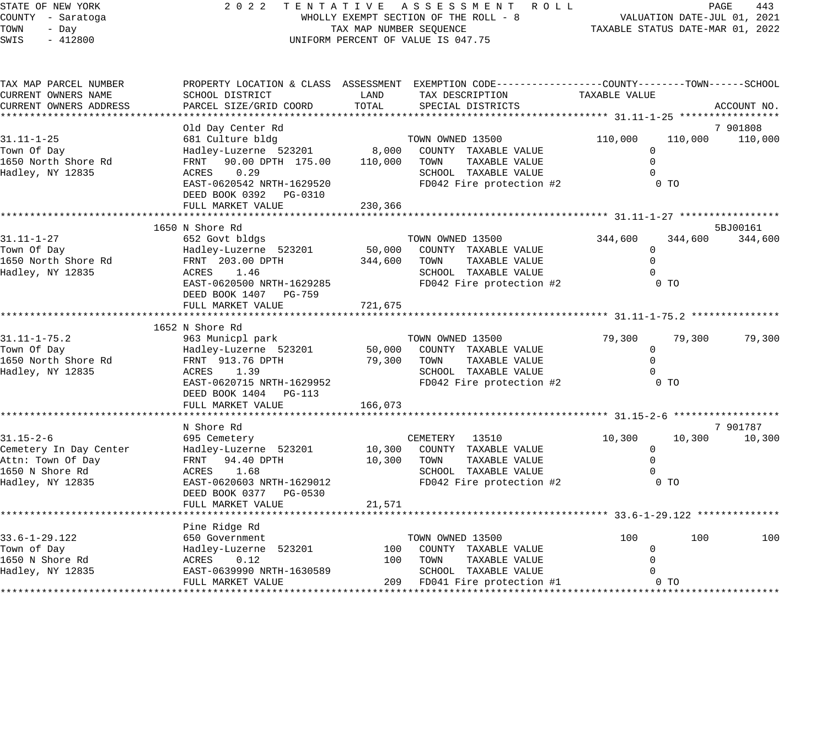| 2022 TENTATIVE ASSESSMENT ROLL<br>STATE OF NEW YORK<br>WHOLLY EXEMPT SECTION OF THE ROLL - 8<br>COUNTY - Saratoga<br>TOWN<br>TAX MAP NUMBER SEQUENCE<br>- Day<br>SWIS<br>$-412800$<br>UNIFORM PERCENT OF VALUE IS 047.75 |                                                     |            |                                                                                                                     | VALUATION DATE-JUL 01, 2021<br>TAXABLE STATUS DATE-MAR 01, 2022 | PAGE           | 443         |
|--------------------------------------------------------------------------------------------------------------------------------------------------------------------------------------------------------------------------|-----------------------------------------------------|------------|---------------------------------------------------------------------------------------------------------------------|-----------------------------------------------------------------|----------------|-------------|
| TAX MAP PARCEL NUMBER<br>CURRENT OWNERS NAME                                                                                                                                                                             | SCHOOL DISTRICT                                     | LAND       | PROPERTY LOCATION & CLASS ASSESSMENT EXEMPTION CODE----------------COUNTY-------TOWN------SCHOOL<br>TAX DESCRIPTION | TAXABLE VALUE                                                   |                |             |
| CURRENT OWNERS ADDRESS                                                                                                                                                                                                   | PARCEL SIZE/GRID COORD                              | TOTAL      | SPECIAL DISTRICTS                                                                                                   |                                                                 |                | ACCOUNT NO. |
|                                                                                                                                                                                                                          |                                                     |            |                                                                                                                     |                                                                 |                |             |
|                                                                                                                                                                                                                          | Old Day Center Rd                                   |            |                                                                                                                     |                                                                 |                | 7 901808    |
| $31.11 - 1 - 25$                                                                                                                                                                                                         | 681 Culture bldg                                    |            | TOWN OWNED 13500                                                                                                    | 110,000                                                         | 110,000        | 110,000     |
| Town Of Day                                                                                                                                                                                                              | Hadley-Luzerne 523201 8,000                         |            | COUNTY TAXABLE VALUE                                                                                                | $\mathbf{0}$                                                    |                |             |
| 1650 North Shore Rd                                                                                                                                                                                                      | FRNT 90.00 DPTH 175.00                              | 110,000    | TOWN<br>TAXABLE VALUE                                                                                               | $\Omega$                                                        |                |             |
| Hadley, NY 12835                                                                                                                                                                                                         | ACRES 0.29                                          |            | SCHOOL TAXABLE VALUE                                                                                                | 0                                                               |                |             |
|                                                                                                                                                                                                                          | EAST-0620542 NRTH-1629520<br>DEED BOOK 0392 PG-0310 |            | FD042 Fire protection #2                                                                                            |                                                                 | $0$ TO         |             |
|                                                                                                                                                                                                                          | FULL MARKET VALUE                                   | 230,366    |                                                                                                                     |                                                                 |                |             |
|                                                                                                                                                                                                                          |                                                     |            |                                                                                                                     |                                                                 |                |             |
|                                                                                                                                                                                                                          | 1650 N Shore Rd                                     |            |                                                                                                                     |                                                                 |                | 5BJ00161    |
| $31.11 - 1 - 27$                                                                                                                                                                                                         | 652 Govt bldgs                                      |            | TOWN OWNED 13500                                                                                                    | 344,600                                                         | 344,600        | 344,600     |
| Town Of Day                                                                                                                                                                                                              | Hadley-Luzerne 523201                               | 50,000     | COUNTY TAXABLE VALUE                                                                                                | $\mathbf 0$                                                     |                |             |
| 1650 North Shore Rd                                                                                                                                                                                                      | FRNT 203.00 DPTH                                    | 344,600    | TAXABLE VALUE<br>TOWN                                                                                               | $\mathbf 0$                                                     |                |             |
| Hadley, NY 12835                                                                                                                                                                                                         | ACRES<br>1.46                                       |            | SCHOOL TAXABLE VALUE                                                                                                | $\Omega$                                                        |                |             |
|                                                                                                                                                                                                                          | EAST-0620500 NRTH-1629285                           |            | FD042 Fire protection #2                                                                                            |                                                                 | $0$ TO         |             |
|                                                                                                                                                                                                                          | DEED BOOK 1407 PG-759                               |            |                                                                                                                     |                                                                 |                |             |
|                                                                                                                                                                                                                          | FULL MARKET VALUE<br>*************************      | 721,675    |                                                                                                                     |                                                                 |                |             |
|                                                                                                                                                                                                                          | 1652 N Shore Rd                                     |            |                                                                                                                     |                                                                 |                |             |
| $31.11 - 1 - 75.2$                                                                                                                                                                                                       | 963 Municpl park                                    |            | TOWN OWNED 13500                                                                                                    | 79,300                                                          | 79,300         | 79,300      |
| Town Of Day                                                                                                                                                                                                              | Hadley-Luzerne 523201                               | 50,000     | COUNTY TAXABLE VALUE                                                                                                | $\mathbf 0$                                                     |                |             |
| 1650 North Shore Rd                                                                                                                                                                                                      | FRNT 913.76 DPTH                                    | 79,300     | TOWN<br>TAXABLE VALUE                                                                                               | $\Omega$                                                        |                |             |
| Hadley, NY 12835                                                                                                                                                                                                         | ACRES 1.39                                          |            | SCHOOL TAXABLE VALUE                                                                                                | $\Omega$                                                        |                |             |
|                                                                                                                                                                                                                          | EAST-0620715 NRTH-1629952                           |            | FD042 Fire protection #2                                                                                            |                                                                 | 0 <sub>T</sub> |             |
|                                                                                                                                                                                                                          | DEED BOOK 1404 PG-113                               |            |                                                                                                                     |                                                                 |                |             |
|                                                                                                                                                                                                                          | FULL MARKET VALUE                                   | 166,073    |                                                                                                                     |                                                                 |                |             |
|                                                                                                                                                                                                                          | N Shore Rd                                          |            |                                                                                                                     |                                                                 |                | 7 901787    |
| $31.15 - 2 - 6$                                                                                                                                                                                                          | 695 Cemetery                                        |            | CEMETERY 13510                                                                                                      | 10,300                                                          | 10,300         | 10,300      |
| Cemetery In Day Center                                                                                                                                                                                                   | Hadley-Luzerne 523201                               | 10,300     | COUNTY TAXABLE VALUE                                                                                                | $\overline{0}$                                                  |                |             |
| Attn: Town Of Day                                                                                                                                                                                                        | FRNT 94.40 DPTH                                     | 10,300     | TOWN<br>TAXABLE VALUE                                                                                               | $\mathbf 0$                                                     |                |             |
| 1650 N Shore Rd                                                                                                                                                                                                          | ACRES 1.68                                          |            | SCHOOL TAXABLE VALUE                                                                                                | $\Omega$                                                        |                |             |
| Hadley, NY 12835                                                                                                                                                                                                         | EAST-0620603 NRTH-1629012                           |            | FD042 Fire protection #2                                                                                            |                                                                 | 0 <sub>T</sub> |             |
|                                                                                                                                                                                                                          | DEED BOOK 0377 PG-0530                              |            |                                                                                                                     |                                                                 |                |             |
|                                                                                                                                                                                                                          | FULL MARKET VALUE                                   | 21,571     |                                                                                                                     |                                                                 |                |             |
|                                                                                                                                                                                                                          |                                                     |            |                                                                                                                     |                                                                 |                |             |
|                                                                                                                                                                                                                          | Pine Ridge Rd                                       |            |                                                                                                                     |                                                                 |                |             |
| 33.6-1-29.122                                                                                                                                                                                                            | 650 Government                                      |            | TOWN OWNED 13500                                                                                                    | 100                                                             | 100            | 100         |
| Town of Day<br>1650 N Shore Rd                                                                                                                                                                                           | Hadley-Luzerne 523201                               | 100<br>100 | COUNTY TAXABLE VALUE<br>TAXABLE VALUE<br>TOWN                                                                       | 0<br>$\Omega$                                                   |                |             |
| Hadley, NY 12835                                                                                                                                                                                                         | ACRES<br>0.12<br>EAST-0639990 NRTH-1630589          |            | SCHOOL TAXABLE VALUE                                                                                                | 0                                                               |                |             |
|                                                                                                                                                                                                                          | FULL MARKET VALUE                                   | 209        | FD041 Fire protection #1                                                                                            |                                                                 | 0 <sub>T</sub> |             |
|                                                                                                                                                                                                                          |                                                     |            |                                                                                                                     |                                                                 |                |             |

\*\*\*\*\*\*\*\*\*\*\*\*\*\*\*\*\*\*\*\*\*\*\*\*\*\*\*\*\*\*\*\*\*\*\*\*\*\*\*\*\*\*\*\*\*\*\*\*\*\*\*\*\*\*\*\*\*\*\*\*\*\*\*\*\*\*\*\*\*\*\*\*\*\*\*\*\*\*\*\*\*\*\*\*\*\*\*\*\*\*\*\*\*\*\*\*\*\*\*\*\*\*\*\*\*\*\*\*\*\*\*\*\*\*\*\*\*\*\*\*\*\*\*\*\*\*\*\*\*\*\*\*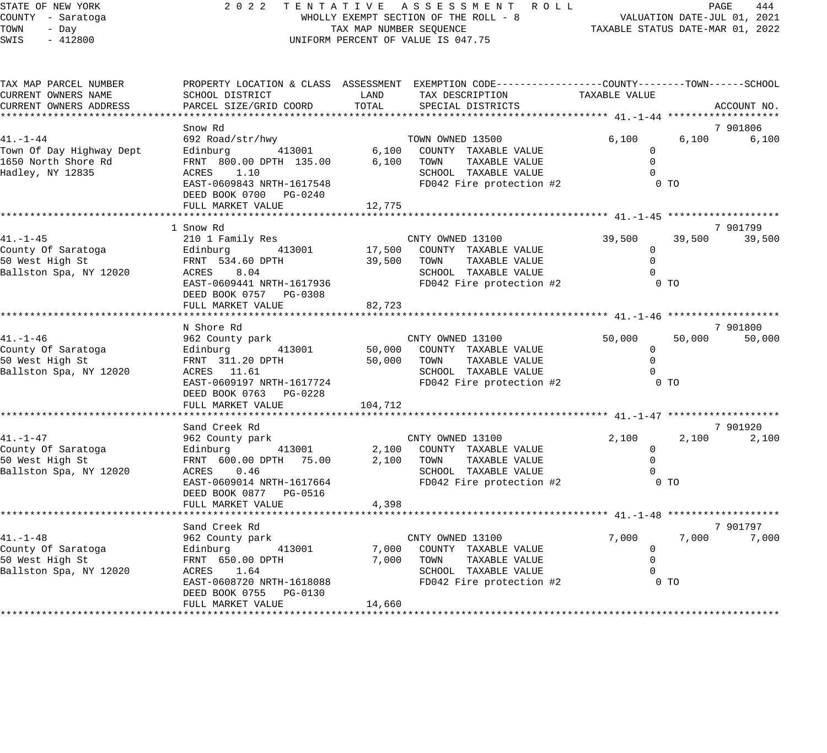| TATE OF NEW YORK" |       |                   |  |  |
|-------------------|-------|-------------------|--|--|
|                   |       | OUNTY - Saratoga! |  |  |
| 'OWN              | - Dav |                   |  |  |
| WIS               |       | $-412800$         |  |  |

#### STATE OF NEW YORK 2 0 2 2 T E N T A T I V E A S S E S S M E N T R O L L PAGE 444 COUNTY - Saratoga WHOLLY EXEMPT SECTION OF THE ROLL - 8 VALUATION DATE-JUL 01, 2021 TOWN - Day TAX MAP NUMBER SEQUENCE TAXABLE STATUS DATE-MAR 01, 2022 12800 UNIFORM PERCENT OF VALUE IS 047.75

| TAX MAP PARCEL NUMBER                                                                                                                          |                                                                                                                                                         |         | PROPERTY LOCATION & CLASS ASSESSMENT EXEMPTION CODE----------------COUNTY-------TOWN------SCHOOL |                |                         |
|------------------------------------------------------------------------------------------------------------------------------------------------|---------------------------------------------------------------------------------------------------------------------------------------------------------|---------|--------------------------------------------------------------------------------------------------|----------------|-------------------------|
| CURRENT OWNERS NAME                                                                                                                            | SCHOOL DISTRICT                                                                                                                                         | LAND    | TAX DESCRIPTION                                                                                  | TAXABLE VALUE  |                         |
| CURRENT OWNERS ADDRESS                                                                                                                         | PARCEL SIZE/GRID COORD                                                                                                                                  | TOTAL   | SPECIAL DISTRICTS                                                                                |                | ACCOUNT NO.             |
|                                                                                                                                                |                                                                                                                                                         |         |                                                                                                  |                |                         |
|                                                                                                                                                | Snow Rd                                                                                                                                                 |         |                                                                                                  |                | 7 901806                |
|                                                                                                                                                | 41.-1-44              692 Road/str/hwy             TOWN OWNED 13500<br>Town Of Day Highway Dept    Edinburg     413001      6,100  COUNTY TAXABLE VALUE |         | TOWN OWNED 13500                                                                                 | 6,100          | 6,100<br>6,100          |
|                                                                                                                                                |                                                                                                                                                         |         |                                                                                                  | $\mathbf{0}$   |                         |
| 1650 North Shore Rd                                                                                                                            | FRNT 800.00 DPTH 135.00 6,100 TOWN                                                                                                                      |         | TAXABLE VALUE                                                                                    | $\Omega$       |                         |
| Hadley, NY 12835                                                                                                                               | ACRES 1.10                                                                                                                                              |         | SCHOOL TAXABLE VALUE                                                                             | $\overline{0}$ |                         |
|                                                                                                                                                | EAST-0609843 NRTH-1617548                                                                                                                               |         | FD042 Fire protection #2 0 TO                                                                    |                |                         |
|                                                                                                                                                | DEED BOOK 0700 PG-0240                                                                                                                                  |         |                                                                                                  |                |                         |
|                                                                                                                                                | FULL MARKET VALUE                                                                                                                                       | 12,775  |                                                                                                  |                |                         |
|                                                                                                                                                |                                                                                                                                                         |         |                                                                                                  |                |                         |
|                                                                                                                                                | 1 Snow Rd                                                                                                                                               |         |                                                                                                  |                | 7 901799                |
| 41.-1-45                                                                                                                                       |                                                                                                                                                         |         |                                                                                                  |                | 39,500 39,500 39,500    |
| County Of Saratoga                                                                                                                             |                                                                                                                                                         |         |                                                                                                  | $\mathbf{0}$   |                         |
| i na katika na katika na katika na katika na katika na katika na katika na katika na katika na katika na katik<br>Manazarta<br>50 West High St |                                                                                                                                                         |         |                                                                                                  | $\mathbf 0$    |                         |
| Ballston Spa, NY 12020                                                                                                                         |                                                                                                                                                         |         | SCHOOL TAXABLE VALUE                                                                             | $\mathbf 0$    |                         |
|                                                                                                                                                | EAST-0609441 NRTH-1617936                                                                                                                               |         | FD042 Fire protection #2 0 TO                                                                    |                |                         |
|                                                                                                                                                | DEED BOOK 0757 PG-0308                                                                                                                                  |         |                                                                                                  |                |                         |
|                                                                                                                                                | FULL MARKET VALUE                                                                                                                                       | 82,723  |                                                                                                  |                |                         |
|                                                                                                                                                |                                                                                                                                                         |         |                                                                                                  |                |                         |
|                                                                                                                                                | N Shore Rd                                                                                                                                              |         |                                                                                                  |                | 7 901800                |
| 41.-1-46                                                                                                                                       | 962 County park                                                                                                                                         |         | CNTY OWNED 13100                                                                                 |                | 50,000 50,000<br>50,000 |
| County Of Saratoga                                                                                                                             | Edinburg 113001 50,000 COUNTY TAXABLE VALUE                                                                                                             |         |                                                                                                  | $\overline{0}$ |                         |
| 50 West High St                                                                                                                                | FRNT 311.20 DPTH                                                                                                                                        |         | 50,000 TOWN TAXABLE VALUE                                                                        | $\overline{0}$ |                         |
| Ballston Spa, NY 12020                                                                                                                         | ACRES 11.61                                                                                                                                             |         | SCHOOL TAXABLE VALUE                                                                             | $\overline{0}$ |                         |
|                                                                                                                                                | EAST-0609197 NRTH-1617724                                                                                                                               |         | FD042 Fire protection #2                                                                         | 0 <sub>T</sub> |                         |
|                                                                                                                                                | DEED BOOK 0763 PG-0228                                                                                                                                  |         |                                                                                                  |                |                         |
|                                                                                                                                                | FULL MARKET VALUE                                                                                                                                       | 104,712 |                                                                                                  |                |                         |
|                                                                                                                                                |                                                                                                                                                         |         |                                                                                                  |                |                         |
|                                                                                                                                                | Sand Creek Rd                                                                                                                                           |         |                                                                                                  |                | 7 901920                |
| 41.–1–47                                                                                                                                       | 962 County park                                                                                                                                         |         | CNTY OWNED 13100                                                                                 | 2,100          | 2,100 2,100             |
| County Of Saratoga                                                                                                                             | Edinburg 413001 2,100 COUNTY TAXABLE VALUE                                                                                                              |         |                                                                                                  | $\overline{0}$ |                         |
| 50 West High St                                                                                                                                | FRNT 600.00 DPTH 75.00 2,100 TOWN                                                                                                                       |         | TAXABLE VALUE                                                                                    | $\mathbf 0$    |                         |
| Ballston Spa, NY 12020                                                                                                                         | ACRES 0.46                                                                                                                                              |         | SCHOOL TAXABLE VALUE                                                                             | $\bigcirc$     |                         |
|                                                                                                                                                | EAST-0609014 NRTH-1617664                                                                                                                               |         | FD042 Fire protection #2                                                                         | 0 <sub>T</sub> |                         |
|                                                                                                                                                | DEED BOOK 0877 PG-0516                                                                                                                                  |         |                                                                                                  |                |                         |
|                                                                                                                                                | FULL MARKET VALUE                                                                                                                                       | 4,398   |                                                                                                  |                |                         |
|                                                                                                                                                |                                                                                                                                                         |         |                                                                                                  |                |                         |
|                                                                                                                                                | Sand Creek Rd                                                                                                                                           |         |                                                                                                  |                | 7 901797                |
| 41.-1-48                                                                                                                                       | 962 County park                                                                                                                                         |         | CNTY OWNED 13100                                                                                 | 7,000          | 7,000 7,000             |
|                                                                                                                                                |                                                                                                                                                         |         | 413001 7,000 COUNTY TAXABLE VALUE                                                                | $\overline{0}$ |                         |
| County Of Saratoga Binburg<br>50 West High St                                                                                                  |                                                                                                                                                         |         | 7,000 TOWN TAXABLE VALUE                                                                         | $\mathbf 0$    |                         |
| Ballston Spa, NY 12020                                                                                                                         | FRNT 650.00 DPTH<br>ACPFS 164<br>ACRES 1.64                                                                                                             |         | SCHOOL TAXABLE VALUE                                                                             | $\Omega$       |                         |
|                                                                                                                                                | EAST-0608720 NRTH-1618088                                                                                                                               |         | FD042 Fire protection #2 0 TO                                                                    |                |                         |
|                                                                                                                                                | DEED BOOK 0755 PG-0130                                                                                                                                  |         |                                                                                                  |                |                         |
|                                                                                                                                                | FULL MARKET VALUE                                                                                                                                       | 14,660  |                                                                                                  |                |                         |
|                                                                                                                                                |                                                                                                                                                         |         |                                                                                                  |                |                         |
|                                                                                                                                                |                                                                                                                                                         |         |                                                                                                  |                |                         |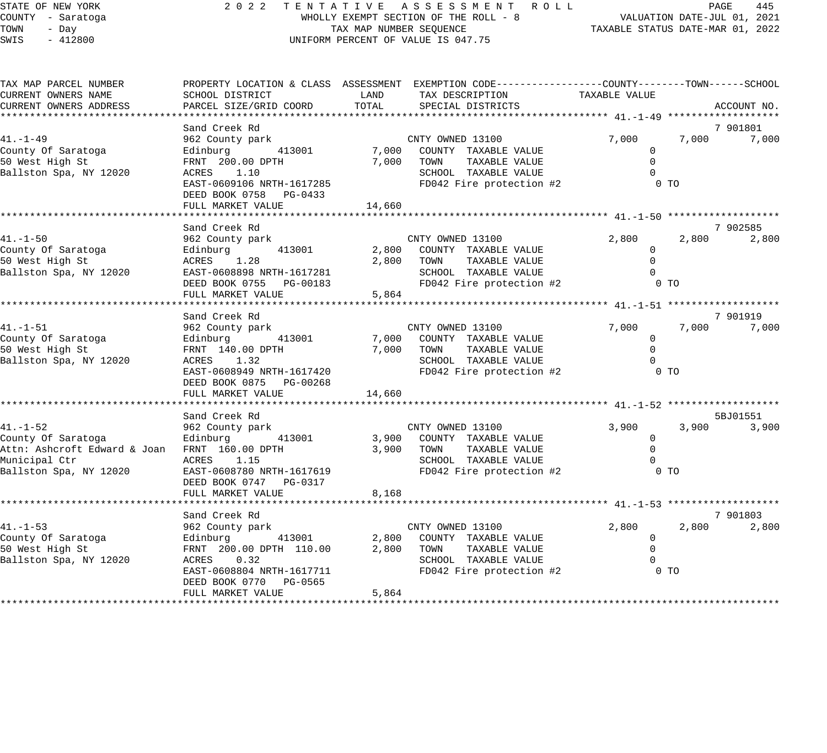|            | STATE OF NEW YORK      |                      |  | $2022$ TE |    |  |
|------------|------------------------|----------------------|--|-----------|----|--|
|            | COUNTY - Saratoga      |                      |  |           |    |  |
| TOWN - Day |                        |                      |  |           |    |  |
|            | SWIS - 412800          |                      |  |           | UΝ |  |
|            |                        |                      |  |           |    |  |
|            |                        |                      |  |           |    |  |
|            |                        |                      |  |           |    |  |
|            | TAX MAP PARCEL NUMBER  | PROPERTY LOCATION &  |  |           |    |  |
|            | CURRENT OWNERS NAME    | SCHOOL DISTRICT      |  |           |    |  |
|            | CURRENT OWNERS ADDRESS | PARCEL SIZE/GRID COC |  |           |    |  |
|            |                        |                      |  |           |    |  |
|            |                        | Sand Creek Rd        |  |           |    |  |

## N T A T I V E A S S E S S M E N T R O L L PAGE 445<br>WHOLLY EXEMPT SECTION OF THE ROLL - 8 VALUATION DATE-JUL 01, 2021 WHOLLY EXEMPT SECTION OF THE ROLL - 8<br>TAX MAP NUMBER SEQUENCE NIFORM PERCENT OF VALUE IS 047.75

| TAX MAP PARCEL NUMBER                                                                                                            |                                                                                                                                                                                    |        | PROPERTY LOCATION & CLASS ASSESSMENT EXEMPTION CODE---------------COUNTY-------TOWN-----SCHOOL                                         |                                                                   |                 |                               |
|----------------------------------------------------------------------------------------------------------------------------------|------------------------------------------------------------------------------------------------------------------------------------------------------------------------------------|--------|----------------------------------------------------------------------------------------------------------------------------------------|-------------------------------------------------------------------|-----------------|-------------------------------|
| CURRENT OWNERS NAME                                                                                                              | SCHOOL DISTRICT                                                                                                                                                                    | LAND   | TAX DESCRIPTION TAXABLE VALUE                                                                                                          |                                                                   |                 |                               |
| CURRENT OWNERS ADDRESS                                                                                                           | PARCEL SIZE/GRID COORD                                                                                                                                                             | TOTAL  | SPECIAL DISTRICTS                                                                                                                      |                                                                   |                 | ACCOUNT NO.                   |
|                                                                                                                                  |                                                                                                                                                                                    |        |                                                                                                                                        |                                                                   |                 |                               |
| $41. - 1 - 49$<br>County Of Saratoga<br>50 West High St<br>Ballston Spa, NY 12020                                                | Sand Creek Rd<br>962 County park<br>Edinburg 413001<br>FRNT 200.00 DPTH<br>ACRES 1.10<br>EAST-0609106 NRTH-1617285<br>DEED BOOK 0758 PG-0433<br>FULL MARKET VALUE<br>Sand Creek Rd | 14,660 | CNTY OWNED 13100<br>7,000 COUNTY TAXABLE VALUE<br>7,000 TOWN<br>TAXABLE VALUE<br>SCHOOL TAXABLE VALUE<br>FD042 Fire protection #2      | 7,000<br>$\mathbf 0$<br>$\Omega$<br>$\Omega$<br>0 <sub>T</sub>    | 7,000           | 7 901801<br>7,000<br>7 902585 |
| $41. - 1 - 50$<br>County Of Saratoga<br>50 West High St<br>50 West High St<br>Ballston Spa, NY 12020                             | 962 County park<br>Edinburg 413001<br>ACRES 1.28<br>EAST-0608898 NRTH-1617281<br>DEED BOOK 0755 PG-00183<br>FULL MARKET VALUE                                                      | 5,864  | CNTY OWNED 13100<br>2,800 COUNTY TAXABLE VALUE<br>2,800 TOWN<br>TAXABLE VALUE<br>SCHOOL TAXABLE VALUE<br>FD042 Fire protection #2 0 TO | 2,800<br>$\overline{0}$<br>$\Omega$<br>$\Omega$                   | 2,800           | 2,800                         |
| $41. - 1 - 51$<br>County Of Saratoga<br>50 West High St<br>Ballston Spa, NY 12020                                                | 962 County park<br>Edinburg 413001<br>FRNT 140.00 ppm<br>ACRES 1.32<br>EAST-0608949 NRTH-1617420<br>DEED BOOK 0875 PG-00268<br>FULL MARKET VALUE                                   | 14,660 | CNTY OWNED 13100<br>7,000 COUNTY TAXABLE VALUE<br>7,000 TOWN<br>TAXABLE VALUE<br>SCHOOL TAXABLE VALUE<br>FD042 Fire protection #2      | 7,000<br>$\mathbf 0$<br>$\Omega$<br>$\Omega$<br>0 <sub>T</sub>    | 7,000           | 7 901919<br>7,000             |
|                                                                                                                                  | Sand Creek Rd                                                                                                                                                                      |        |                                                                                                                                        |                                                                   |                 | 5BJ01551                      |
| $41. - 1 - 52$<br>County Of Saratoga<br>Attn: Ashcroft Edward & Joan FRNT 160.00 DPTH<br>Municipal Ctr<br>Ballston Spa, NY 12020 | 962 County park<br>Edinburg<br>413001<br>ACRES 1.15<br>EAST-0608780 NRTH-1617619<br>DEED BOOK 0747 PG-0317<br>FULL MARKET VALUE                                                    | 8,168  | CNTY OWNED 13100<br>3,900 COUNTY TAXABLE VALUE<br>3,900 TOWN<br>TAXABLE VALUE<br>SCHOOL TAXABLE VALUE<br>FD042 Fire protection #2      | 3,900<br>$\mathbf 0$<br>$\mathbf 0$<br>$\Omega$<br>0 <sub>T</sub> | 3,900           | 3,900                         |
| $41. - 1 - 53$<br>County Of Saratoga<br>50 West High St<br>Ballston Spa, NY 12020                                                | Sand Creek Rd<br>962 County park<br>413001<br>Edinburg<br>FRNT 200.00 DPTH 110.00<br>ACRES<br>0.32<br>EAST-0608804 NRTH-1617711<br>DEED BOOK 0770 PG-0565<br>FULL MARKET VALUE     | 5,864  | CNTY OWNED 13100<br>2,800 COUNTY TAXABLE VALUE<br>2,800 TOWN<br>TAXABLE VALUE<br>SCHOOL TAXABLE VALUE<br>FD042 Fire protection #2      | 2,800<br>$\overline{0}$<br>$\mathbf 0$                            | 2,800<br>$0$ TO | 7 901803<br>2,800             |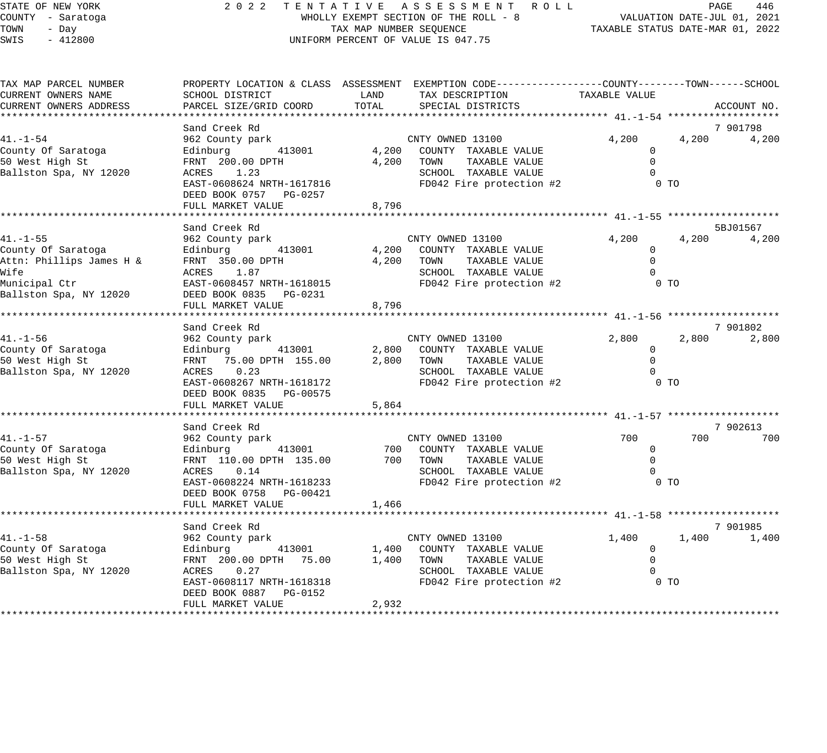| STATE OF NEW YORK |  |       |           |  |  |
|-------------------|--|-------|-----------|--|--|
| COUNTY - Saratoga |  |       |           |  |  |
| TOWN              |  | - Day |           |  |  |
| <b>CMTC</b>       |  |       | $-412800$ |  |  |

#### STATE OF NEW YORK 2 0 2 2 T E N T A T I V E A S S E S S M E N T R O L L PAGE 446 COUNTY - Saratoga WHOLLY EXEMPT SECTION OF THE ROLL - 8 VALUATION DATE-JUL 01, 2021 TOWN - Day TAX MAP NUMBER SEQUENCE TAXABLE STATUS DATE-MAR 01, 2022 SWIS - 412800 CONTROLLY THE UNIFORM PERCENT OF VALUE IS 047.75

| TAX MAP PARCEL NUMBER<br>CURRENT OWNERS NAME   | SCHOOL DISTRICT                             | LAND<br>TOTAL | PROPERTY LOCATION & CLASS ASSESSMENT EXEMPTION CODE----------------COUNTY-------TOWN-----SCHOOL<br>TAX DESCRIPTION TAXABLE VALUE |                       |                            |
|------------------------------------------------|---------------------------------------------|---------------|----------------------------------------------------------------------------------------------------------------------------------|-----------------------|----------------------------|
| CURRENT OWNERS ADDRESS                         | PARCEL SIZE/GRID COORD                      |               | SPECIAL DISTRICTS                                                                                                                |                       | ACCOUNT NO.                |
|                                                | Sand Creek Rd                               |               |                                                                                                                                  |                       | 7 901798                   |
| $41. - 1 - 54$                                 | 962 County park                             |               | CNTY OWNED 13100                                                                                                                 | 4,200                 | 4,200<br>4,200             |
| County Of Saratoga                             | 413001<br>Edinburg                          | 4,200         | COUNTY TAXABLE VALUE                                                                                                             | $\mathbf{0}$          |                            |
| 50 West High St                                | FRNT 200.00 DPTH                            | 4,200         | TOWN<br>TAXABLE VALUE                                                                                                            | $\Omega$<br>$\Omega$  |                            |
| Ballston Spa, NY 12020                         | ACRES 1.23<br>EAST-0608624 NRTH-1617816     |               | SCHOOL TAXABLE VALUE<br>FD042 Fire protection #2                                                                                 | $0$ TO                |                            |
|                                                | DEED BOOK 0757 PG-0257                      |               |                                                                                                                                  |                       |                            |
|                                                | FULL MARKET VALUE                           | 8,796         |                                                                                                                                  |                       |                            |
|                                                |                                             |               |                                                                                                                                  |                       |                            |
|                                                | Sand Creek Rd                               |               |                                                                                                                                  |                       | 5BJ01567                   |
| $41. - 1 - 55$                                 | 962 County park                             | 4,200         | CNTY OWNED 13100<br>COUNTY TAXABLE VALUE                                                                                         | 4,200<br>$\mathbf{0}$ | 4,200<br>4,200             |
| County Of Saratoga<br>Attn: Phillips James H & | Edinburg 413001<br>FRNT 350.00 DPTH         | 4,200         | TOWN<br>TAXABLE VALUE                                                                                                            | $\Omega$              |                            |
| Wife                                           | ACRES 1.87                                  |               | SCHOOL TAXABLE VALUE                                                                                                             | $\Omega$              |                            |
| Municipal Ctr                                  | EAST-0608457 NRTH-1618015                   |               | FD042 Fire protection #2                                                                                                         | $0$ TO                |                            |
| Ballston Spa, NY 12020                         | DEED BOOK 0835 PG-0231                      |               |                                                                                                                                  |                       |                            |
|                                                | FULL MARKET VALUE                           | 8,796         |                                                                                                                                  |                       |                            |
|                                                |                                             |               |                                                                                                                                  |                       |                            |
| $41. - 1 - 56$                                 | Sand Creek Rd<br>962 County park            |               | CNTY OWNED 13100                                                                                                                 | 2,800                 | 7 901802<br>2,800<br>2,800 |
| County Of Saratoga                             | Edinburg 413001                             | 2,800         | COUNTY TAXABLE VALUE                                                                                                             | 0                     |                            |
| 50 West High St                                | FRNT 75.00 DPTH 155.00                      | 2,800         | TAXABLE VALUE<br>TOWN                                                                                                            | $\mathbf 0$           |                            |
| Ballston Spa, NY 12020                         | ACRES 0.23                                  |               | SCHOOL TAXABLE VALUE                                                                                                             | $\Omega$              |                            |
|                                                | EAST-0608267 NRTH-1618172                   |               | FD042 Fire protection #2                                                                                                         | $0$ TO                |                            |
|                                                | DEED BOOK 0835 PG-00575                     |               |                                                                                                                                  |                       |                            |
|                                                | FULL MARKET VALUE                           | 5,864         |                                                                                                                                  |                       |                            |
|                                                | Sand Creek Rd                               |               |                                                                                                                                  |                       | 7 902613                   |
| $41. - 1 - 57$                                 | 962 County park                             |               | CNTY OWNED 13100                                                                                                                 | 700                   | 700<br>700                 |
| County Of Saratoga                             | 413001<br>Edinburg                          |               | 700 COUNTY TAXABLE VALUE                                                                                                         | $\mathbf{0}$          |                            |
| 50 West High St                                | FRNT 110.00 DPTH 135.00                     |               | 700 TOWN<br>TAXABLE VALUE                                                                                                        | $\Omega$              |                            |
| Ballston Spa, NY 12020                         | 0.14<br>ACRES                               |               | SCHOOL TAXABLE VALUE                                                                                                             | $\Omega$              |                            |
|                                                | EAST-0608224 NRTH-1618233                   |               | FD042 Fire protection #2                                                                                                         | 0 <sub>T</sub>        |                            |
|                                                | DEED BOOK 0758 PG-00421                     |               |                                                                                                                                  |                       |                            |
|                                                | FULL MARKET VALUE                           | 1,466         |                                                                                                                                  |                       |                            |
|                                                | Sand Creek Rd                               |               |                                                                                                                                  |                       | 7 901985                   |
| $41. - 1 - 58$                                 | 962 County park                             |               | CNTY OWNED 13100                                                                                                                 | 1,400                 | 1,400<br>1,400             |
| County Of Saratoga                             | 413001<br>Edinburg                          | 1,400         | COUNTY TAXABLE VALUE                                                                                                             | $\mathbf{0}$          |                            |
| 50 West High St                                | FRNT 200.00 DPTH 75.00                      | 1,400         | TOWN<br>TAXABLE VALUE                                                                                                            | $\Omega$              |                            |
| Ballston Spa, NY 12020                         | ACRES 0.27                                  |               | SCHOOL TAXABLE VALUE                                                                                                             | 0                     |                            |
|                                                | EAST-0608117 NRTH-1618318                   |               | FD042 Fire protection #2                                                                                                         | $0$ TO                |                            |
|                                                | DEED BOOK 0887 PG-0152<br>FULL MARKET VALUE | 2,932         |                                                                                                                                  |                       |                            |
|                                                |                                             |               |                                                                                                                                  |                       |                            |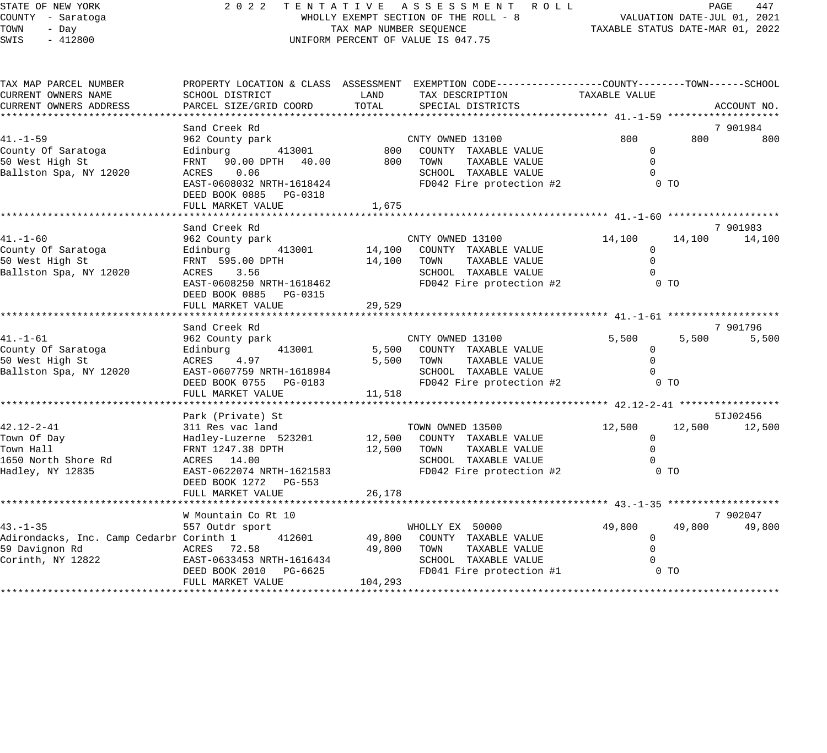| STATE OF NEW YORK |  |       |           |  |  |
|-------------------|--|-------|-----------|--|--|
| COUNTY - Saratoga |  |       |           |  |  |
| TOWN              |  | - Day |           |  |  |
| <b>CMTC</b>       |  |       | $-412800$ |  |  |

#### STATE OF NEW YORK 2 0 2 2 T E N T A T I V E A S S E S S M E N T R O L L PAGE 447 COUNTY - Saratoga WHOLLY EXEMPT SECTION OF THE ROLL - 8 VALUATION DATE-JUL 01, 2021 TOWN - Day TAX MAP NUMBER SEQUENCE TAXABLE STATUS DATE-MAR 01, 2022 SWIS - 412800 CONTROLLY THE UNIFORM PERCENT OF VALUE IS 047.75

| TAX MAP PARCEL NUMBER                    |                                          |          | PROPERTY LOCATION & CLASS ASSESSMENT EXEMPTION CODE----------------COUNTY-------TOWN------SCHOOL |                       |                            |
|------------------------------------------|------------------------------------------|----------|--------------------------------------------------------------------------------------------------|-----------------------|----------------------------|
| CURRENT OWNERS NAME                      | SCHOOL DISTRICT                          | LAND     | TAX DESCRIPTION                                                                                  | TAXABLE VALUE         |                            |
| CURRENT OWNERS ADDRESS                   | PARCEL SIZE/GRID COORD                   | TOTAL    | SPECIAL DISTRICTS                                                                                |                       | ACCOUNT NO.                |
|                                          | Sand Creek Rd                            |          |                                                                                                  |                       | 7 901984                   |
| $41. - 1 - 59$                           | 962 County park                          |          | CNTY OWNED 13100                                                                                 | 800                   | 800<br>800                 |
| County Of Saratoga                       | Edinburg 413001 800 COUNTY TAXABLE VALUE |          |                                                                                                  | $\mathbf{0}$          |                            |
| 50 West High St                          | FRNT 90.00 DPTH 40.00                    | 800 TOWN | TAXABLE VALUE                                                                                    | $\Omega$              |                            |
| Ballston Spa, NY 12020                   | ACRES 0.06                               |          | SCHOOL TAXABLE VALUE                                                                             |                       |                            |
|                                          | EAST-0608032 NRTH-1618424                |          | FD042 Fire protection #2                                                                         |                       | 0 <sub>T</sub>             |
|                                          | DEED BOOK 0885 PG-0318                   |          |                                                                                                  |                       |                            |
|                                          | FULL MARKET VALUE                        | 1,675    |                                                                                                  |                       |                            |
|                                          |                                          |          |                                                                                                  |                       |                            |
|                                          | Sand Creek Rd                            |          |                                                                                                  |                       | 7 901983                   |
| $41. - 1 - 60$                           | 962 County park                          |          | CNTY OWNED 13100                                                                                 | 14,100                | 14,100<br>14,100           |
| County Of Saratoga                       | Edinburg 413001                          |          | 14,100 COUNTY TAXABLE VALUE                                                                      | $\mathbf{0}$          |                            |
| 50 West High St                          | FRNT 595.00 DPTH                         | 14,100   | TOWN<br>TAXABLE VALUE                                                                            | $\cap$                |                            |
| Ballston Spa, NY 12020                   | ACRES 3.56                               |          | SCHOOL TAXABLE VALUE                                                                             |                       |                            |
|                                          | EAST-0608250 NRTH-1618462                |          | FD042 Fire protection #2                                                                         |                       | 0 <sub>T</sub>             |
|                                          | DEED BOOK 0885 PG-0315                   |          |                                                                                                  |                       |                            |
|                                          | FULL MARKET VALUE                        | 29,529   |                                                                                                  |                       |                            |
|                                          |                                          |          |                                                                                                  |                       |                            |
| $41. - 1 - 61$                           | Sand Creek Rd                            |          | CNTY OWNED 13100                                                                                 | 5,500                 | 7 901796<br>5,500<br>5,500 |
| County Of Saratoga                       | 962 County park                          |          |                                                                                                  | $\Omega$              |                            |
| 50 West High St                          | Edinburg<br>ACRES 4.97                   | 5,500    | 413001 5,500 COUNTY TAXABLE VALUE<br>TAXABLE VALUE<br>TOWN                                       |                       |                            |
| Ballston Spa, NY 12020                   | EAST-0607759 NRTH-1618984                |          | SCHOOL TAXABLE VALUE                                                                             |                       |                            |
|                                          | DEED BOOK 0755 PG-0183                   |          | FD042 Fire protection #2                                                                         |                       | $0$ TO                     |
|                                          | FULL MARKET VALUE                        | 11,518   |                                                                                                  |                       |                            |
|                                          |                                          |          |                                                                                                  |                       |                            |
|                                          | Park (Private) St                        |          |                                                                                                  |                       | 51J02456                   |
| 42.12-2-41                               | 311 Res vac land                         |          | TOWN OWNED 13500                                                                                 | 12,500                | 12,500<br>12,500           |
| Town Of Day                              | Hadley-Luzerne 523201                    |          | 12,500 COUNTY TAXABLE VALUE                                                                      | $\mathbf 0$           |                            |
| Town Hall                                | FRNT 1247.38 DPTH                        | 12,500   | TOWN<br>TAXABLE VALUE                                                                            |                       |                            |
| 1650 North Shore Rd                      | ACRES 14.00                              |          | SCHOOL TAXABLE VALUE                                                                             |                       |                            |
| Hadley, NY 12835                         | EAST-0622074 NRTH-1621583                |          | FD042 Fire protection #2                                                                         |                       | $0$ TO                     |
|                                          | DEED BOOK 1272 PG-553                    |          |                                                                                                  |                       |                            |
|                                          | FULL MARKET VALUE                        | 26,178   |                                                                                                  |                       |                            |
|                                          |                                          |          |                                                                                                  |                       |                            |
| $43. - 1 - 35$                           | W Mountain Co Rt 10                      |          |                                                                                                  |                       | 7 902047<br>49,800         |
| Adirondacks, Inc. Camp Cedarbr Corinth 1 | 557 Outdr sport<br>412601                | 49,800   | WHOLLY EX 50000                                                                                  | 49,800<br>$\mathbf 0$ | 49,800                     |
| 59 Davignon Rd                           | ACRES 72.58                              | 49,800   | COUNTY TAXABLE VALUE<br>TOWN<br>TAXABLE VALUE                                                    |                       |                            |
| Corinth, NY 12822                        | EAST-0633453 NRTH-1616434                |          | SCHOOL TAXABLE VALUE                                                                             |                       |                            |
|                                          | DEED BOOK 2010 PG-6625                   |          | FD041 Fire protection #1                                                                         |                       | 0 <sub>T</sub>             |
|                                          | FULL MARKET VALUE                        | 104,293  |                                                                                                  |                       |                            |
|                                          |                                          |          |                                                                                                  |                       |                            |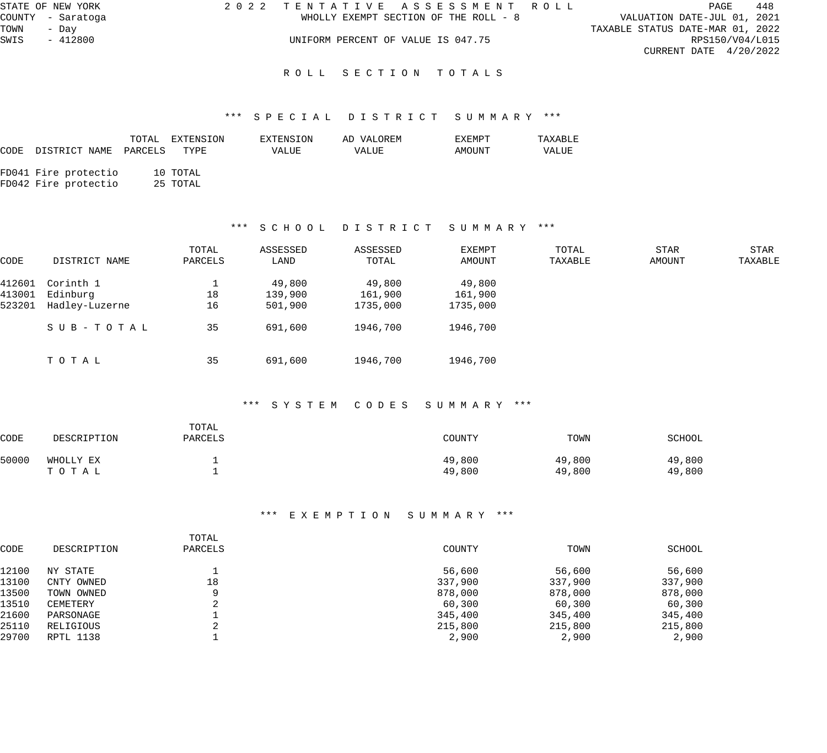| STATE OF NEW YORK | 2022 TENTATIVE ASSESSMENT ROLL        | 448<br>PAGE                      |  |  |  |
|-------------------|---------------------------------------|----------------------------------|--|--|--|
| COUNTY - Saratoga | WHOLLY EXEMPT SECTION OF THE ROLL - 8 | VALUATION DATE-JUL 01, 2021      |  |  |  |
| TOWN<br>- Dav     |                                       | TAXABLE STATUS DATE-MAR 01, 2022 |  |  |  |
| SWIS<br>$-412800$ | UNIFORM PERCENT OF VALUE IS 047.75    | RPS150/V04/L015                  |  |  |  |
|                   |                                       | CURRENT DATE $4/20/2022$         |  |  |  |
|                   |                                       |                                  |  |  |  |
|                   | ROLL SECTION TOTALS                   |                                  |  |  |  |

#### \*\*\* S P E C I A L D I S T R I C T S U M M A R Y \*\*\*

|      |                                              | TOTAL | EXTENSION            | EXTENSION | AD VALOREM | EXEMPT | TAXABLE |
|------|----------------------------------------------|-------|----------------------|-----------|------------|--------|---------|
| CODE | DISTRICT NAME PARCELS                        |       | TYPE                 | VALUE     | VALUE      | AMOUNT | VALUE   |
|      | FD041 Fire protectio<br>FD042 Fire protectio |       | 10 TOTAL<br>25 TOTAL |           |            |        |         |
|      |                                              |       |                      |           |            |        |         |

#### \*\*\* S C H O O L D I S T R I C T S U M M A R Y \*\*\*

| CODE   | DISTRICT NAME  | TOTAL<br>PARCELS | ASSESSED<br>LAND | ASSESSED<br>TOTAL | EXEMPT<br>AMOUNT | TOTAL<br>TAXABLE | STAR<br>AMOUNT | STAR<br>TAXABLE |
|--------|----------------|------------------|------------------|-------------------|------------------|------------------|----------------|-----------------|
| 412601 | Corinth 1      |                  | 49,800           | 49,800            | 49,800           |                  |                |                 |
| 413001 | Edinburg       | 18               | 139,900          | 161,900           | 161,900          |                  |                |                 |
| 523201 | Hadley-Luzerne | 16               | 501,900          | 1735,000          | 1735,000         |                  |                |                 |
|        | SUB-TOTAL      | 35               | 691,600          | 1946,700          | 1946,700         |                  |                |                 |
|        | ТОТАЬ          | 35               | 691,600          | 1946,700          | 1946,700         |                  |                |                 |

#### \*\*\* S Y S T E M C O D E S S U M M A R Y \*\*\*

| CODE  | DESCRIPTION | TOTAL<br>PARCELS | COUNTY | TOWN   | SCHOOL |
|-------|-------------|------------------|--------|--------|--------|
| 50000 | WHOLLY EX   |                  | 49,800 | 49,800 | 49,800 |
|       | TOTAL       |                  | 49,800 | 49,800 | 49,800 |

|       |             | TOTAL   |         |         |         |
|-------|-------------|---------|---------|---------|---------|
| CODE  | DESCRIPTION | PARCELS | COUNTY  | TOWN    | SCHOOL  |
| 12100 | NY STATE    |         | 56,600  | 56,600  | 56,600  |
| 13100 | CNTY OWNED  | 18      | 337,900 | 337,900 | 337,900 |
| 13500 | TOWN OWNED  | Q       | 878,000 | 878,000 | 878,000 |
| 13510 | CEMETERY    |         | 60,300  | 60,300  | 60,300  |
| 21600 | PARSONAGE   |         | 345,400 | 345,400 | 345,400 |
| 25110 | RELIGIOUS   |         | 215,800 | 215,800 | 215,800 |
| 29700 | RPTL 1138   |         | 2,900   | 2,900   | 2,900   |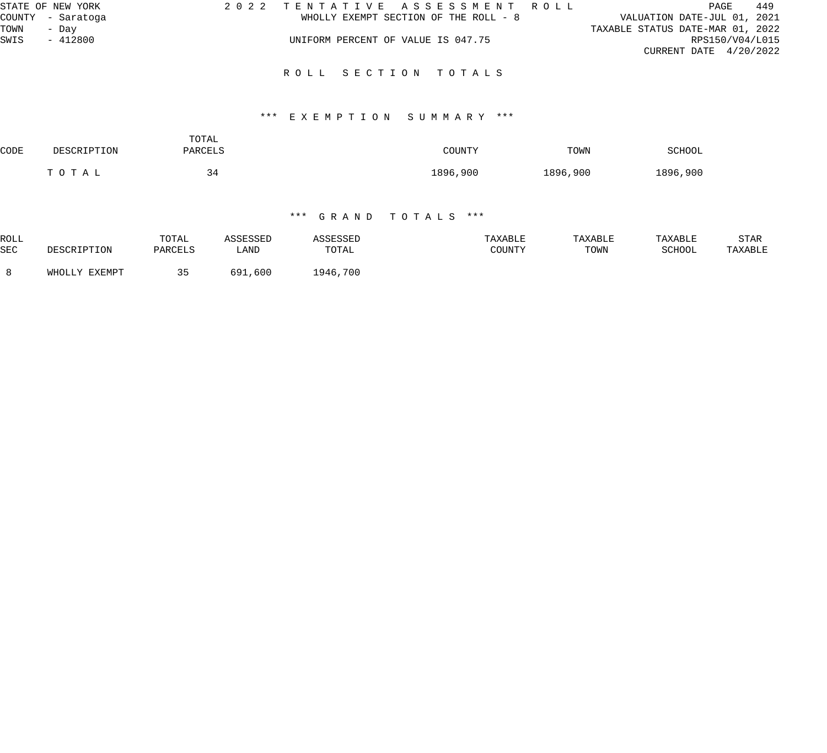| STATE OF NEW YORK | 2022 TENTATIVE ASSESSMENT ROLL        | 449<br>PAGE                      |
|-------------------|---------------------------------------|----------------------------------|
| COUNTY - Saratoga | WHOLLY EXEMPT SECTION OF THE ROLL - 8 | VALUATION DATE-JUL 01, 2021      |
| TOWN<br>- Dav     |                                       | TAXABLE STATUS DATE-MAR 01, 2022 |
| SWIS<br>$-412800$ | UNIFORM PERCENT OF VALUE IS 047.75    | RPS150/V04/L015                  |
|                   |                                       | CURRENT DATE $4/20/2022$         |
|                   | ROLL SECTION TOTALS                   |                                  |
|                   |                                       |                                  |

#### \*\*\* E X E M P T I O N S U M M A R Y \*\*\*

| CODE | DESCRIPTION | TOTAL<br>PARCELS | COUNTY   | TOWN     | SCHOOL   |
|------|-------------|------------------|----------|----------|----------|
|      | TOTAL       | 34               | 1896,900 | 1896,900 | 1896,900 |

| ROLL       |                  | TOTAL   |              | <i>SSESSED</i> | TAXABLE | TAXABLE | TAXABLE | STAR    |
|------------|------------------|---------|--------------|----------------|---------|---------|---------|---------|
| <b>SEC</b> | CRIPTION         | PARCELS | LAND         | TOTAL          | COUNTY  | TOWN    | SCHOOL  | TAXABLE |
|            | EXEMPT<br>WHOLLY | - -     | , 600<br>691 | 1946,700       |         |         |         |         |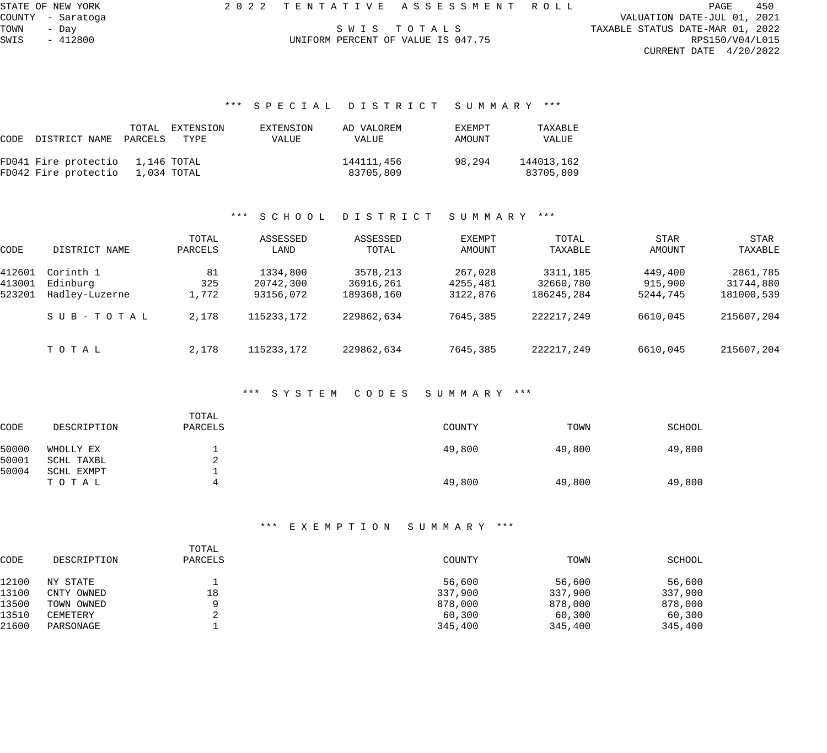STATE OF NEW YORK 2 0 2 2 T E N T A T I V E A S S E S S M E N T R O L L PAGE 450

UNIFORM PERCENT OF VALUE IS 047.75

COUNTY - Saratoga VALUATION DATE-JUL 01, 2021 TAXABLE STATUS DATE-MAR 01, 2022<br>RPS150/V04/L015 CURRENT DATE 4/20/2022

#### \*\*\* S P E C I A L D I S T R I C T S U M M A R Y \*\*\*

|                                  | TOTAL       | EXTENSION | EXTENSION | AD VALOREM | EXEMPT | TAXABLE    |
|----------------------------------|-------------|-----------|-----------|------------|--------|------------|
| CODE DISTRICT NAME PARCELS       |             | TYPE      | VALUE     | VALUE      | AMOUNT | VALUE      |
| FD041 Fire protectio 1,146 TOTAL |             |           |           | 144111,456 | 98,294 | 144013,162 |
| FD042 Fire protectio             | 1,034 TOTAL |           |           | 83705,809  |        | 83705,809  |

#### \*\*\* S C H O O L D I S T R I C T S U M M A R Y \*\*\*

| CODE   | DISTRICT NAME  | TOTAL<br>PARCELS | ASSESSED<br>LAND | ASSESSED<br>TOTAL | EXEMPT<br>AMOUNT | TOTAL<br>TAXABLE | STAR<br>AMOUNT | STAR<br>TAXABLE |
|--------|----------------|------------------|------------------|-------------------|------------------|------------------|----------------|-----------------|
| 412601 | Corinth 1      | 81               | 1334,800         | 3578,213          | 267,028          | 3311,185         | 449,400        | 2861,785        |
| 413001 | Edinburg       | 325              | 20742,300        | 36916,261         | 4255,481         | 32660,780        | 915,900        | 31744,880       |
| 523201 | Hadley-Luzerne | 1,772            | 93156,072        | 189368,160        | 3122,876         | 186245,284       | 5244,745       | 181000,539      |
|        | SUB-TOTAL      | 2,178            | 115233, 172      | 229862,634        | 7645,385         | 222217,249       | 6610,045       | 215607,204      |
|        | TOTAL          | 2,178            | 115233, 172      | 229862,634        | 7645,385         | 222217,249       | 6610,045       | 215607,204      |

#### \*\*\* S Y S T E M C O D E S S U M M A R Y \*\*\*

| <b>CODE</b>    | DESCRIPTION             | TOTAL<br>PARCELS   | COUNTY | TOWN   | SCHOOL |
|----------------|-------------------------|--------------------|--------|--------|--------|
| 50000<br>50001 | WHOLLY EX<br>SCHL TAXBL | <b>.</b><br>◠<br>z | 49,800 | 49,800 | 49,800 |
| 50004          | SCHL EXMPT<br>ТОТАЬ     | л.<br>4            | 49,800 | 49,800 | 49,800 |

|             | TOTAL   |         |         |         |
|-------------|---------|---------|---------|---------|
| DESCRIPTION | PARCELS | COUNTY  | TOWN    | SCHOOL  |
| NY STATE    |         | 56,600  | 56,600  | 56,600  |
| CNTY OWNED  | 18      | 337,900 | 337,900 | 337,900 |
| TOWN OWNED  | a       | 878,000 | 878,000 | 878,000 |
| CEMETERY    |         | 60,300  | 60,300  | 60,300  |
| PARSONAGE   |         | 345,400 | 345,400 | 345,400 |
|             |         |         |         |         |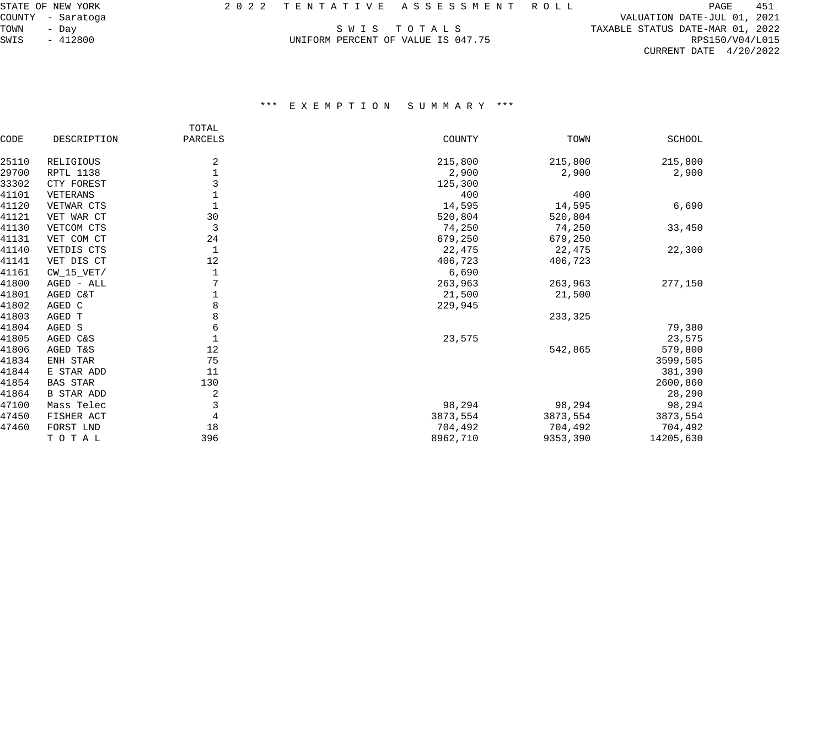UNIFORM PERCENT OF VALUE IS 047.75

COUNTY - Saratoga VALUATION DATE-JUL 01, 2021 TAXABLE STATUS DATE-MAR 01, 2022<br>RPS150/V04/L015 CURRENT DATE 4/20/2022

|       |                   | TOTAL   |          |          |               |
|-------|-------------------|---------|----------|----------|---------------|
| CODE  | DESCRIPTION       | PARCELS | COUNTY   | TOWN     | <b>SCHOOL</b> |
| 25110 | RELIGIOUS         | 2       | 215,800  | 215,800  | 215,800       |
| 29700 | <b>RPTL 1138</b>  |         | 2,900    | 2,900    | 2,900         |
| 33302 | CTY FOREST        |         | 125,300  |          |               |
| 41101 | VETERANS          |         | 400      | 400      |               |
| 41120 | VETWAR CTS        |         | 14,595   | 14,595   | 6,690         |
| 41121 | VET WAR CT        | 30      | 520,804  | 520,804  |               |
| 41130 | VETCOM CTS        | 3       | 74,250   | 74,250   | 33,450        |
| 41131 | VET COM CT        | 24      | 679,250  | 679,250  |               |
| 41140 | VETDIS CTS        | 1       | 22,475   | 22,475   | 22,300        |
| 41141 | VET DIS CT        | 12      | 406,723  | 406,723  |               |
| 41161 | $CW_15_VET/$      | 1       | 6,690    |          |               |
| 41800 | AGED - ALL        |         | 263,963  | 263,963  | 277,150       |
| 41801 | AGED C&T          |         | 21,500   | 21,500   |               |
| 41802 | AGED C            | 8       | 229,945  |          |               |
| 41803 | AGED T            | 8       |          | 233,325  |               |
| 41804 | AGED S            | 6       |          |          | 79,380        |
| 41805 | AGED C&S          |         | 23,575   |          | 23,575        |
| 41806 | AGED T&S          | 12      |          | 542,865  | 579,800       |
| 41834 | ENH STAR          | 75      |          |          | 3599,505      |
| 41844 | E STAR ADD        | 11      |          |          | 381,390       |
| 41854 | <b>BAS STAR</b>   | 130     |          |          | 2600,860      |
| 41864 | <b>B STAR ADD</b> | 2       |          |          | 28,290        |
| 47100 | Mass Telec        | 3       | 98,294   | 98,294   | 98,294        |
| 47450 | FISHER ACT        | 4       | 3873,554 | 3873,554 | 3873,554      |
| 47460 | FORST LND         | 18      | 704,492  | 704,492  | 704,492       |
|       | TOTAL             | 396     | 8962,710 | 9353,390 | 14205,630     |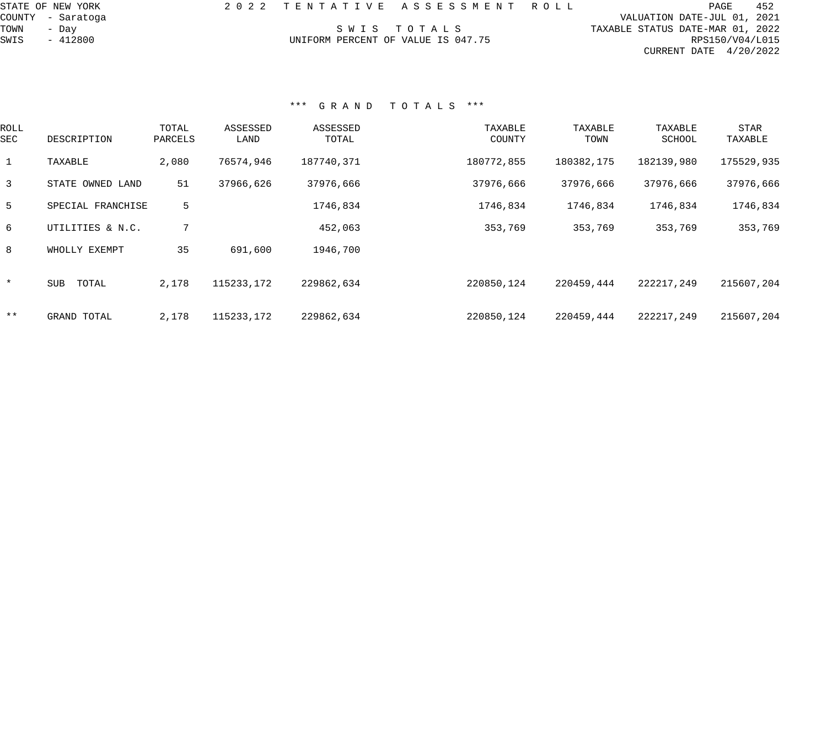| STATE OF NEW YORK |                                    | 2022 TENTATIVE ASSESSMENT ROLL | PAGE                             | 452 |
|-------------------|------------------------------------|--------------------------------|----------------------------------|-----|
| COUNTY - Saratoga |                                    |                                | VALUATION DATE-JUL 01, 2021      |     |
| TOWN<br>- Day     |                                    | SWIS TOTALS                    | TAXABLE STATUS DATE-MAR 01, 2022 |     |
| SWIS<br>$-412800$ | UNIFORM PERCENT OF VALUE IS 047.75 |                                | RPS150/V04/L015                  |     |
|                   |                                    |                                | CURRENT DATE $4/20/2022$         |     |
|                   |                                    |                                |                                  |     |
|                   |                                    |                                |                                  |     |
|                   |                                    |                                |                                  |     |

| <b>ROLL</b><br>SEC | DESCRIPTION         | TOTAL<br>PARCELS | ASSESSED<br>LAND | ASSESSED<br>TOTAL | TAXABLE<br>COUNTY | TAXABLE<br>TOWN | TAXABLE<br>SCHOOL | <b>STAR</b><br>TAXABLE |
|--------------------|---------------------|------------------|------------------|-------------------|-------------------|-----------------|-------------------|------------------------|
| 1                  | TAXABLE             | 2,080            | 76574,946        | 187740,371        | 180772,855        | 180382,175      | 182139,980        | 175529,935             |
| $\overline{3}$     | STATE OWNED LAND    | 51               | 37966,626        | 37976,666         | 37976,666         | 37976,666       | 37976,666         | 37976,666              |
| -5                 | SPECIAL FRANCHISE   | 5                |                  | 1746,834          | 1746,834          | 1746,834        | 1746,834          | 1746,834               |
| 6                  | UTILITIES & N.C.    |                  |                  | 452,063           | 353,769           | 353,769         | 353,769           | 353,769                |
| 8                  | WHOLLY EXEMPT       | 35               | 691,600          | 1946,700          |                   |                 |                   |                        |
| $\star$            | <b>SUB</b><br>TOTAL | 2,178            | 115233,172       | 229862,634        | 220850,124        | 220459,444      | 222217,249        | 215607,204             |
| $***$              | GRAND TOTAL         | 2,178            | 115233, 172      | 229862,634        | 220850,124        | 220459,444      | 222217,249        | 215607,204             |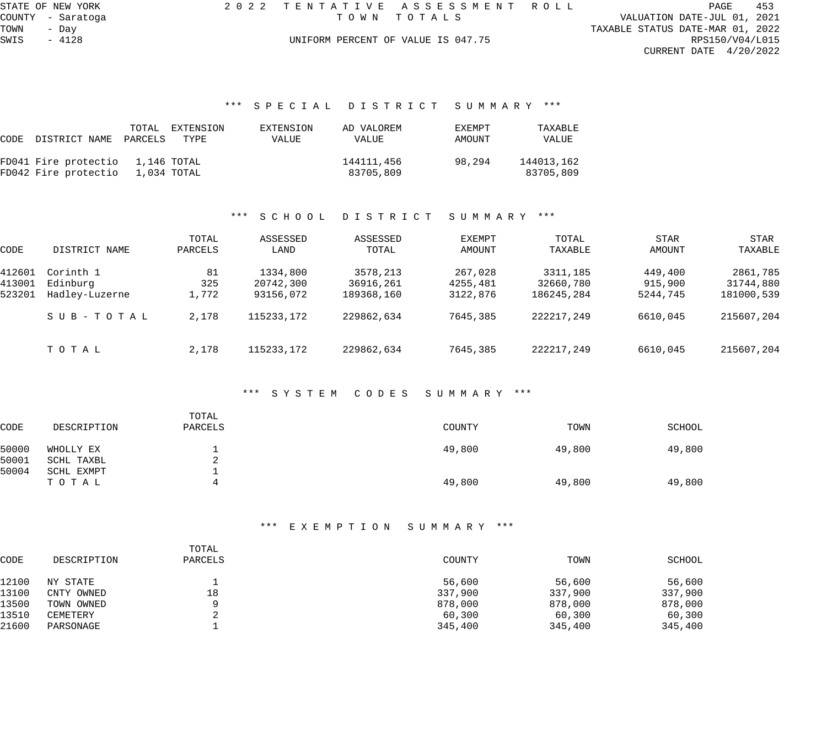| STATE OF NEW YORK |         |                   |  |
|-------------------|---------|-------------------|--|
|                   |         | COUNTY - Saratoga |  |
| TOWN              | - Dav   |                   |  |
| SWIS              | $-4128$ |                   |  |

STAT OF A SSTAT A SSTAT A SSTAT ROLL PAGE 453<br>TOWN TOTALS VALUATION DATE-JUL 01, 2021

VALUATION DATE-JUL 01, 2021 TAXABLE STATUS DATE-MAR 01, 2022<br>RPS150/V04/L015 CURRENT DATE 4/20/2022

#### UNIFORM PERCENT OF VALUE IS 047.75

#### \*\*\* S P E C I A L D I S T R I C T S U M M A R Y \*\*\*

|                                  | TOTAL EXTENSION | EXTENSION | AD VALOREM | EXEMPT | TAXABLE    |
|----------------------------------|-----------------|-----------|------------|--------|------------|
| CODE DISTRICT NAME PARCELS       | TYPE            | VALUE     | VALUE      | AMOUNT | VALUE      |
| FD041 Fire protectio 1,146 TOTAL |                 |           | 144111,456 | 98,294 | 144013,162 |
| FD042 Fire protectio 1,034 TOTAL |                 |           | 83705,809  |        | 83705,809  |

#### \*\*\* S C H O O L D I S T R I C T S U M M A R Y \*\*\*

| CODE   | DISTRICT NAME  | TOTAL<br>PARCELS | ASSESSED<br>LAND | ASSESSED<br>TOTAL | EXEMPT<br>AMOUNT | TOTAL<br>TAXABLE | STAR<br>AMOUNT | STAR<br>TAXABLE |
|--------|----------------|------------------|------------------|-------------------|------------------|------------------|----------------|-----------------|
| 412601 | Corinth 1      | 81               | 1334,800         | 3578,213          | 267,028          | 3311,185         | 449,400        | 2861,785        |
| 413001 | Edinburg       | 325              | 20742,300        | 36916,261         | 4255,481         | 32660,780        | 915,900        | 31744,880       |
| 523201 | Hadley-Luzerne | 1,772            | 93156,072        | 189368,160        | 3122,876         | 186245,284       | 5244,745       | 181000,539      |
|        | SUB-TOTAL      | 2,178            | 115233,172       | 229862,634        | 7645,385         | 222217,249       | 6610,045       | 215607,204      |
|        | TOTAL          | 2,178            | 115233,172       | 229862,634        | 7645,385         | 222217,249       | 6610,045       | 215607,204      |

#### \*\*\* S Y S T E M C O D E S S U M M A R Y \*\*\*

| CODE  | DESCRIPTION | TOTAL<br>PARCELS | COUNTY | TOWN   | SCHOOL |
|-------|-------------|------------------|--------|--------|--------|
| 50000 | WHOLLY EX   |                  | 49,800 | 49,800 | 49,800 |
| 50001 | SCHL TAXBL  | $\epsilon$       |        |        |        |
| 50004 | SCHL EXMPT  |                  |        |        |        |
|       | ТОТАЬ       | 4                | 49,800 | 49,800 | 49,800 |

|             | TOTAL   |         |         |         |
|-------------|---------|---------|---------|---------|
| DESCRIPTION | PARCELS | COUNTY  | TOWN    | SCHOOL  |
| NY STATE    |         | 56,600  | 56,600  | 56,600  |
| CNTY OWNED  | 18      | 337,900 | 337,900 | 337,900 |
| TOWN OWNED  | a       | 878,000 | 878,000 | 878,000 |
| CEMETERY    |         | 60,300  | 60,300  | 60,300  |
| PARSONAGE   |         | 345,400 | 345,400 | 345,400 |
|             |         |         |         |         |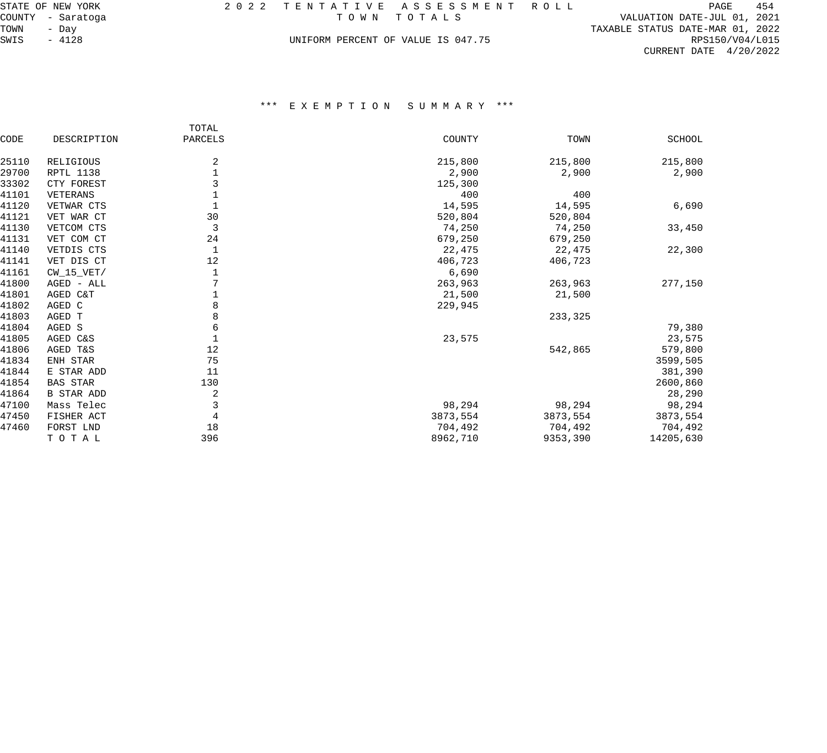|            | STATE OF NEW YORK |  | 2022 TENTATIVE ASSESSMENT ROLL     |                                  | PAGE            | 454 |
|------------|-------------------|--|------------------------------------|----------------------------------|-----------------|-----|
|            | COUNTY - Saratoga |  | TOWN TOTALS                        | VALUATION DATE-JUL 01, 2021      |                 |     |
| TOWN - Day |                   |  |                                    | TAXABLE STATUS DATE-MAR 01, 2022 |                 |     |
| SWIS       | - 4128            |  | UNIFORM PERCENT OF VALUE IS 047.75 |                                  | RPS150/V04/L015 |     |

|       |                   | TOTAL   |          |          |               |
|-------|-------------------|---------|----------|----------|---------------|
| CODE  | DESCRIPTION       | PARCELS | COUNTY   | TOWN     | <b>SCHOOL</b> |
| 25110 | RELIGIOUS         | 2       | 215,800  | 215,800  | 215,800       |
| 29700 | <b>RPTL 1138</b>  | 1       | 2,900    | 2,900    | 2,900         |
| 33302 | CTY FOREST        | 3       | 125,300  |          |               |
| 41101 | VETERANS          |         | 400      | 400      |               |
| 41120 | VETWAR CTS        |         | 14,595   | 14,595   | 6,690         |
| 41121 | VET WAR CT        | 30      | 520,804  | 520,804  |               |
| 41130 | VETCOM CTS        | 3       | 74,250   | 74,250   | 33,450        |
| 41131 | VET COM CT        | 24      | 679,250  | 679,250  |               |
| 41140 | VETDIS CTS        | 1       | 22,475   | 22,475   | 22,300        |
| 41141 | VET DIS CT        | 12      | 406,723  | 406,723  |               |
| 41161 | CW 15 VET/        | 1       | 6,690    |          |               |
| 41800 | AGED - ALL        |         | 263,963  | 263,963  | 277,150       |
| 41801 | AGED C&T          |         | 21,500   | 21,500   |               |
| 41802 | AGED C            | 8       | 229,945  |          |               |
| 41803 | AGED T            | 8       |          | 233,325  |               |
| 41804 | AGED S            | 6       |          |          | 79,380        |
| 41805 | AGED C&S          |         | 23,575   |          | 23,575        |
| 41806 | AGED T&S          | 12      |          | 542,865  | 579,800       |
| 41834 | ENH STAR          | 75      |          |          | 3599,505      |
| 41844 | E STAR ADD        | 11      |          |          | 381,390       |
| 41854 | <b>BAS STAR</b>   | 130     |          |          | 2600,860      |
| 41864 | <b>B STAR ADD</b> | 2       |          |          | 28,290        |
| 47100 | Mass Telec        | 3       | 98,294   | 98,294   | 98,294        |
| 47450 | FISHER ACT        | 4       | 3873,554 | 3873,554 | 3873,554      |
| 47460 | FORST LND         | 18      | 704,492  | 704,492  | 704,492       |
|       | TOTAL             | 396     | 8962,710 | 9353,390 | 14205,630     |